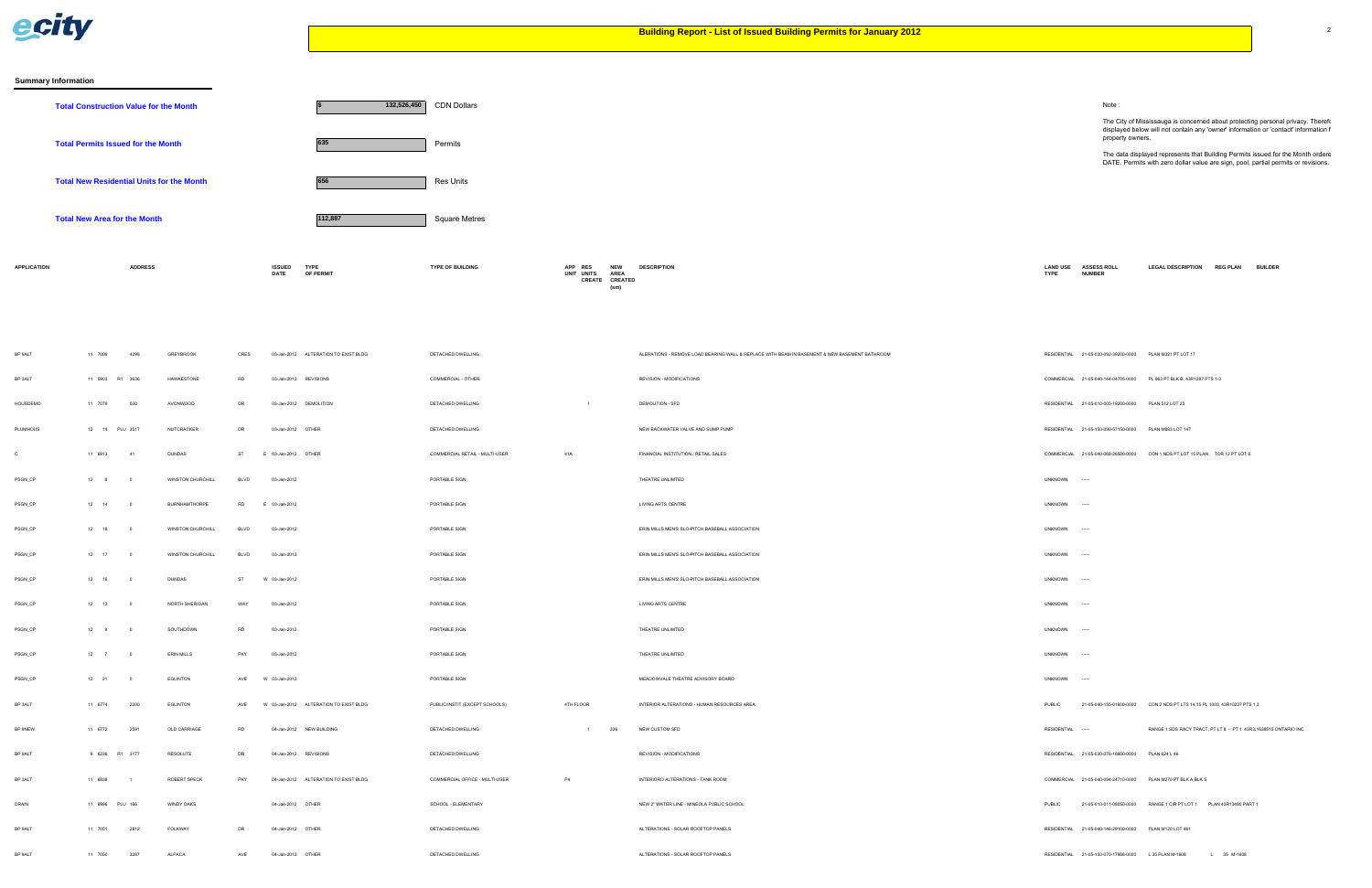| BP 9ALT                          | 11 7009<br>4298                   | GREYBROOK            | CRES        | 03-Jan-2012 ALTERATION TO EXIST BLDG   | DETACHED DWELLING              |                | ALERATIONS - REMOVE LOAD BEARING WALL & REPLACE WITH BEAM IN BASEMENT & NEW BASEMENT BATHROOM |                | RESIDENTIAL 21-05-030-092-39200-0000 PLAN M321 PT LOT 17 |                                                                              |
|----------------------------------|-----------------------------------|----------------------|-------------|----------------------------------------|--------------------------------|----------------|-----------------------------------------------------------------------------------------------|----------------|----------------------------------------------------------|------------------------------------------------------------------------------|
| BP 3ALT                          | 11 5903 R1 3636                   | <b>HAWKESTONE</b>    | <b>RD</b>   | 03-Jan-2012 REVISIONS                  | COMMERCIAL - OTHER             |                | REVISION - MODIFICATIONS                                                                      |                |                                                          | COMMERCIAL 21-05-040-144-04705-0000 PL 963 PT BLK B, 43R1287 PTS 1-3         |
| HOUSDEMO                         | 11 7079<br>500                    | AVONWOOD             | DR          | 03-Jan-2012 DEMOLITION                 | DETACHED DWELLING              | $\overline{1}$ | DEMOLITION - SFD                                                                              |                | RESIDENTIAL 21-05-010-005-19200-0000 PLAN 512 LOT 25     |                                                                              |
| PLUMHOUS                         | 12  14  PLU  3517                 | NUTCRACKER           | DR          | 03-Jan-2012 OTHER                      | DETACHED DWELLING              |                | NEW BACKWATER VALVE AND SUMP PUMP                                                             |                | RESIDENTIAL 21-05-150-090-57150-0000 PLAN M883 LOT 147   |                                                                              |
| $\mathbf{C}$                     | 11 6913<br>41                     | <b>DUNDAS</b>        | <b>ST</b>   | E 03-Jan-2012 OTHER                    | COMMERCIAL RETAIL - MULTI-USER | 41A            | FINANCIAL INSTITUTION / RETAIL SALES                                                          |                |                                                          | COMMERCIAL 21-05-040-068-26500-0000 CON 1 NDS PT LOT 15 PLAN TOR 12 PT LOT 6 |
| $\ensuremath{\mathsf{PSGN\_CP}}$ | 12 8<br>$\overline{0}$            | WINSTON CHURCHILL    | <b>BLVD</b> | 03-Jan-2012                            | PORTABLE SIGN                  |                | THEATRE UNLIMTED                                                                              | <b>UNKNOWN</b> | $\sim$                                                   |                                                                              |
| PSGN_CP                          | 12 14<br>$\overline{\phantom{0}}$ | <b>BURNHAMTHORPE</b> | <b>RD</b>   | E 03-Jan-2012                          | PORTABLE SIGN                  |                | <b>LIVING ARTS CENTRE</b>                                                                     | <b>UNKNOWN</b> | $\sim$                                                   |                                                                              |
| PSGN_CP                          | 12 18<br>$\overline{\phantom{0}}$ | WINSTON CHURCHILL    | <b>BLVD</b> | 03-Jan-2012                            | PORTABLE SIGN                  |                | ERIN MILLS MEN'S SLO-PITCH BASEBALL ASSOCIATION                                               | <b>UNKNOWN</b> | $\sim$                                                   |                                                                              |
| PSGN_CP                          | 12 17<br>$\overline{\phantom{0}}$ | WINSTON CHURCHILL    | <b>BLVD</b> | 03-Jan-2012                            | PORTABLE SIGN                  |                | ERIN MILLS MEN'S SLO-PITCH BASEBALL ASSOCIATION                                               | <b>UNKNOWN</b> | $\sim$                                                   |                                                                              |
| $\ensuremath{\mathsf{PSGN\_CP}}$ | 12 16<br>$\overline{\phantom{0}}$ | <b>DUNDAS</b>        | <b>ST</b>   | W 03-Jan-2012                          | PORTABLE SIGN                  |                | ERIN MILLS MEN'S SLO-PITCH BASEBALL ASSOCIATION                                               | <b>UNKNOWN</b> | $\sim$                                                   |                                                                              |
| $\ensuremath{\mathsf{PSGN\_CP}}$ | 12 13<br>$\overline{\mathbf{0}}$  | NORTH SHERIDAN       | WAY         | 03-Jan-2012                            | PORTABLE SIGN                  |                | <b>LIVING ARTS CENTRE</b>                                                                     | <b>UNKNOWN</b> | $\sim$                                                   |                                                                              |
| PSGN_CP                          | 12 9<br>$\overline{0}$            | SOUTHDOWN            | <b>RD</b>   | 03-Jan-2012                            | PORTABLE SIGN                  |                | THEATRE UNLIMTED                                                                              | <b>UNKNOWN</b> | $\sim$                                                   |                                                                              |
| PSGN_CP                          | 12 7<br>$\overline{0}$            | <b>ERIN MILLS</b>    | PKY         | 03-Jan-2012                            | PORTABLE SIGN                  |                | THEATRE UNLIMTED                                                                              | <b>UNKNOWN</b> | $\sim$                                                   |                                                                              |
| PSGN_CP                          | 12 21<br>$\overline{\mathbf{0}}$  | <b>EGLINTON</b>      | AVE         | W 03-Jan-2012                          | PORTABLE SIGN                  |                | MEADOWVALE THEATRE ADVISORY BOARD                                                             | <b>UNKNOWN</b> | $\overline{\phantom{a}}$                                 |                                                                              |
| BP 3ALT                          | 11 6774<br>2200                   | <b>EGLINTON</b>      | AVE         | W 03-Jan-2012 ALTERATION TO EXIST BLDG | PUBLIC/INSTIT (EXCEPT SCHOOLS) | 4TH FLOOR      | INTERIOR ALTERATIONS - HUMAN RESOURCES AREA                                                   | PUBLIC         |                                                          | 21-05-040-155-01600-0000 CON 2 NDS PT LTS 14,15 PL 1003, 43R10237 PTS 1,     |
| BP 9NEW                          | 11 6772<br>2591                   | OLD CARRIAGE         | <b>RD</b>   | 04-Jan-2012 NEW BUILDING               | DETACHED DWELLING              | 1<br>336       | NEW CUSTOM SFD                                                                                | RESIDENTIAL    | 1.11                                                     | RANGE 1 SDS RACY TRACT, PT LT 8 - PT 1 43R3.                                 |
| BP 9ALT                          | 9 6236 R1 3177                    | RESOLUTE             | DR          | 04-Jan-2012 REVISIONS                  | DETACHED DWELLING              |                | REVISION - MODIFICATIONS                                                                      |                | RESIDENTIAL 21-05-030-076-18600-0000 PLAN 624 L 46       |                                                                              |
| BP 3ALT                          | 11 6838<br>$\overline{1}$         | ROBERT SPECK         | PKY         | 04-Jan-2012 ALTERATION TO EXIST BLDG   | COMMERCIAL OFFICE - MULTI-USER | <b>P4</b>      | INTERIORO ALTERATIONS - TANK ROOM                                                             |                |                                                          | COMMERCIAL 21-05-040-094-24710-0000 PLAN M270 PT BLK A,BLK S                 |
| DRAIN                            | 11 6996 PLU 166                   | WINDY OAKS           |             | 04-Jan-2012 OTHER                      | SCHOOL - ELEMENTARY            |                | NEW 2" WATER LINE - MINEOLA PUBLIC SCHOOL                                                     | PUBLIC         |                                                          | 21-05-010-011-08050-0000 RANGE 1 CIR PT LOT 1 PLAN 43R13490 PART 1           |
| BP 9ALT                          | 11 7051<br>2812                   | FOLKWAY              | DR          | 04-Jan-2012 OTHER                      | DETACHED DWELLING              |                | ALTERATIONS - SOLAR ROOFTOP PANELS                                                            |                | RESIDENTIAL 21-05-040-146-29100-0000 PLAN M120 LOT 461   |                                                                              |
| BP 9ALT                          | 11 7050<br>3287                   | ALPACA               | AVE         | 04-Jan-2012 OTHER                      | DETACHED DWELLING              |                | ALTERATIONS - SOLAR ROOFTOP PANELS                                                            |                | RESIDENTIAL 21-05-150-070-17988-0000                     | L 35 PLAN M-1608<br>L 35 M-1608                                              |

| <b>TYPE OF BUILDING</b>        | <b>APP RES</b> | NEW<br>UNIT UNITS AREA<br>CREATE CREATED<br>(sm) | <b>DESCRIPTION</b>                                                                            | <b>TYPE</b>       | LAND USE ASSESS ROLL<br><b>NUMBER</b>                        | <b>LEGAL DESCRIPTION REG PLAN</b><br><b>BUILDER</b>                          |
|--------------------------------|----------------|--------------------------------------------------|-----------------------------------------------------------------------------------------------|-------------------|--------------------------------------------------------------|------------------------------------------------------------------------------|
|                                |                |                                                  |                                                                                               |                   |                                                              |                                                                              |
| DETACHED DWELLING              |                |                                                  | ALERATIONS - REMOVE LOAD BEARING WALL & REPLACE WITH BEAM IN BASEMENT & NEW BASEMENT BATHROOM |                   | RESIDENTIAL 21-05-030-092-39200-0000 PLAN M321 PT LOT 17     |                                                                              |
| COMMERCIAL - OTHER             |                |                                                  | REVISION - MODIFICATIONS                                                                      |                   |                                                              | COMMERCIAL 21-05-040-144-04705-0000 PL 963 PT BLK B, 43R1287 PTS 1-3         |
| DETACHED DWELLING              | $\overline{1}$ |                                                  | DEMOLITION - SFD                                                                              |                   | RESIDENTIAL 21-05-010-005-19200-0000 PLAN 512 LOT 25         |                                                                              |
| DETACHED DWELLING              |                |                                                  | NEW BACKWATER VALVE AND SUMP PUMP                                                             |                   | RESIDENTIAL 21-05-150-090-57150-0000 PLAN M883 LOT 147       |                                                                              |
| COMMERCIAL RETAIL - MULTI-USER | 41A            |                                                  | FINANCIAL INSTITUTION / RETAIL SALES                                                          |                   |                                                              | COMMERCIAL 21-05-040-068-26500-0000 CON 1 NDS PT LOT 15 PLAN TOR 12 PT LOT 6 |
| PORTABLE SIGN                  |                |                                                  | THEATRE UNLIMTED                                                                              | <b>UNKNOWN</b>    | $\sim$                                                       |                                                                              |
| PORTABLE SIGN                  |                |                                                  | LIVING ARTS CENTRE                                                                            | <b>UNKNOWN</b>    | $\sim$                                                       |                                                                              |
| PORTABLE SIGN                  |                |                                                  | ERIN MILLS MEN'S SLO-PITCH BASEBALL ASSOCIATION                                               | <b>UNKNOWN</b>    | $\overline{\phantom{a}}$                                     |                                                                              |
| PORTABLE SIGN                  |                |                                                  | ERIN MILLS MEN'S SLO-PITCH BASEBALL ASSOCIATION                                               | <b>UNKNOWN</b>    | $\sim$                                                       |                                                                              |
| PORTABLE SIGN                  |                |                                                  | ERIN MILLS MEN'S SLO-PITCH BASEBALL ASSOCIATION                                               | <b>UNKNOWN</b>    | $\overline{\phantom{a}}$                                     |                                                                              |
| PORTABLE SIGN                  |                |                                                  | <b>LIVING ARTS CENTRE</b>                                                                     | <b>UNKNOWN</b>    | $\sim$                                                       |                                                                              |
| PORTABLE SIGN                  |                |                                                  | THEATRE UNLIMTED                                                                              | <b>UNKNOWN</b>    | $\sim$                                                       |                                                                              |
| PORTABLE SIGN                  |                |                                                  | THEATRE UNLIMTED                                                                              | <b>UNKNOWN</b>    | $\sim$                                                       |                                                                              |
| PORTABLE SIGN                  |                |                                                  | MEADOWVALE THEATRE ADVISORY BOARD                                                             | <b>UNKNOWN</b>    | $\sim$                                                       |                                                                              |
| PUBLIC/INSTIT (EXCEPT SCHOOLS) | 4TH FLOOR      |                                                  | INTERIOR ALTERATIONS - HUMAN RESOURCES AREA                                                   | PUBLIC            |                                                              | 21-05-040-155-01600-0000 CON 2 NDS PT LTS 14,15 PL 1003, 43R10237 PTS 1,3    |
| DETACHED DWELLING              | $\overline{1}$ | 336                                              | NEW CUSTOM SFD                                                                                | RESIDENTIAL ----- |                                                              | RANGE 1 SDS RACY TRACT, PT LT 8 - PT 1 43R3 1638515 ONTARIO INC              |
| DETACHED DWELLING              |                |                                                  | REVISION - MODIFICATIONS                                                                      |                   | RESIDENTIAL 21-05-030-076-18600-0000 PLAN 624 L 46           |                                                                              |
| COMMERCIAL OFFICE - MULTI-USER | P4             |                                                  | INTERIORO ALTERATIONS - TANK ROOM                                                             |                   | COMMERCIAL 21-05-040-094-24710-0000 PLAN M270 PT BLK A,BLK S |                                                                              |
| SCHOOL - ELEMENTARY            |                |                                                  | NEW 2" WATER LINE - MINEOLA PUBLIC SCHOOL                                                     | PUBLIC            |                                                              | 21-05-010-011-08050-0000 RANGE 1 CIR PT LOT 1 PLAN 43R13490 PART 1           |
| DETACHED DWELLING              |                |                                                  | ALTERATIONS - SOLAR ROOFTOP PANELS                                                            |                   | RESIDENTIAL 21-05-040-146-29100-0000 PLAN M120 LOT 461       |                                                                              |
| DETACHED DWELLING              |                |                                                  | ALTERATIONS - SOLAR ROOFTOP PANELS                                                            |                   | RESIDENTIAL 21-05-150-070-17988-0000 L 35 PLAN M-1608        | L 35 M-1608                                                                  |

**Building Report - List of Issued Building Permits for January 2012** <sup>2</sup>

The City of Mississauga is concerned about protecting personal privacy. Therefo<br>displayed below will not contain any 'owner' information or 'contact' information f<br>property owners.



### **Summary Information**

| <b>APPLICATION</b> | <b>ADDRESS</b>                                   | <b>ISSUED</b><br><b>DATE</b> | <b>TYPE</b><br>OF PERMIT | <b>TYPE OF BUILDING</b> | APP RES<br>UNIT UNITS | <b>NEW</b><br><b>AREA</b> | <b>DESCRIPTION</b> |  | <b>LAND USE</b><br><b>TYPE</b> | <b>ASSESS ROLL</b><br><b>NUMBER</b> |
|--------------------|--------------------------------------------------|------------------------------|--------------------------|-------------------------|-----------------------|---------------------------|--------------------|--|--------------------------------|-------------------------------------|
|                    | <b>Total New Area for the Month</b>              |                              | 112,887                  | <b>Square Metres</b>    |                       |                           |                    |  |                                |                                     |
|                    | <b>Total New Residential Units for the Month</b> |                              | 656                      | <b>Res Units</b>        |                       |                           |                    |  |                                |                                     |
|                    | <b>Total Permits Issued for the Month</b>        |                              | 635                      | Permits                 |                       |                           |                    |  |                                | displa<br>prope<br>The d<br>DATE    |
|                    | <b>Total Construction Value for the Month</b>    |                              | 132,526,450              | <b>CDN Dollars</b>      |                       |                           |                    |  |                                | Note<br>The C                       |

The data displayed represents that Building Permits issued for the Month ordere DATE. Permits with zero dollar value are sign, pool, partial permits or revisions.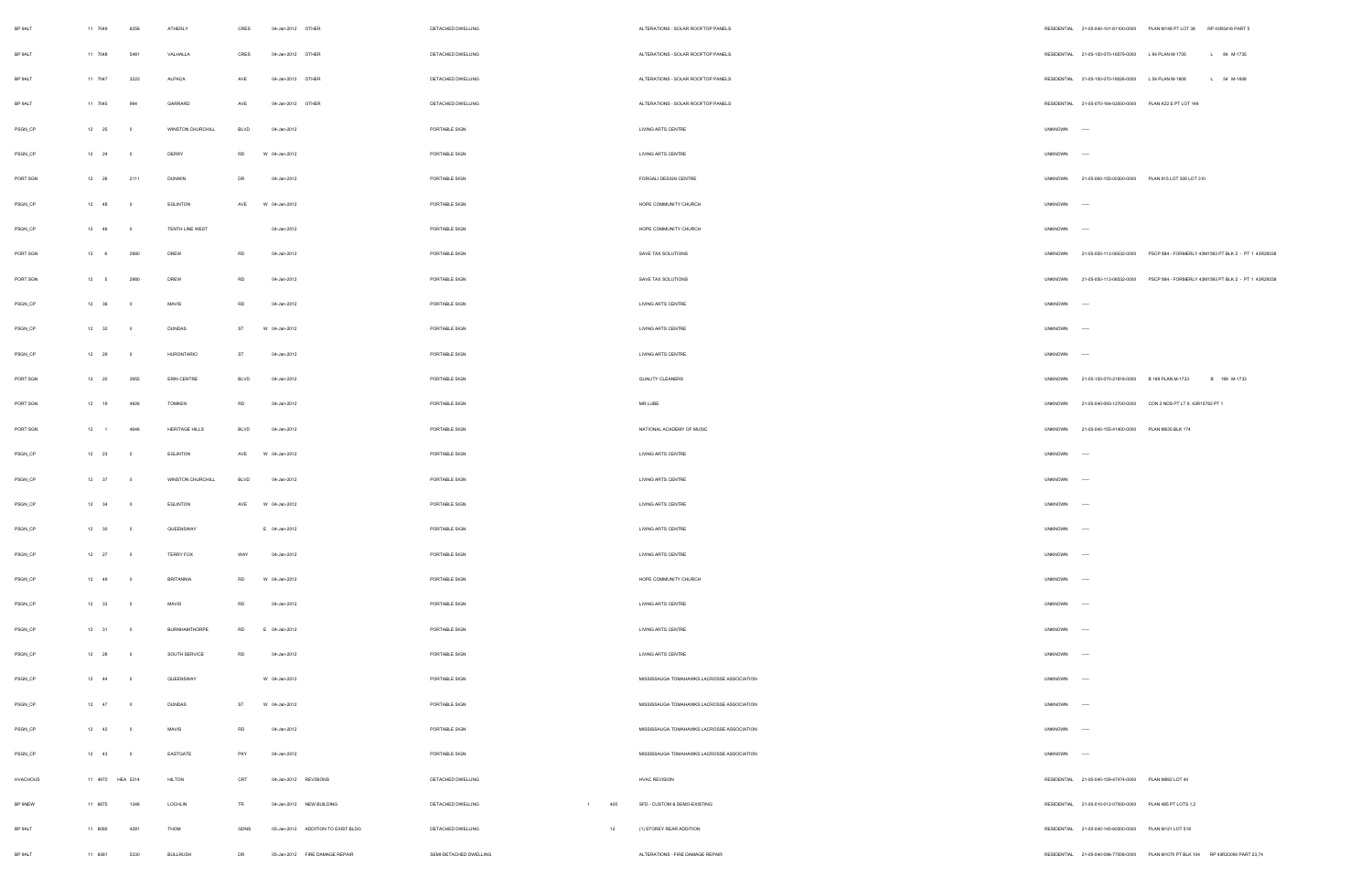| OOLAIN NOOI TOITTAINLEU        | <b>INCORDER LIME</b> | THE R. P. LEWIS CO., LANSING MICH.   | <b>I LAIR IN ITO I I LOT JU</b><br>$\mathbf{u}$<br><b>TUIVEIUI AILIU</b> |
|--------------------------------|----------------------|--------------------------------------|--------------------------------------------------------------------------|
| SOLAR ROOFTOP PANELS           |                      | RESIDENTIAL 21-05-150-070-16579-0000 | L 84 M-1735<br>L 84 PLAN M-1735                                          |
| SOLAR ROOFTOP PANELS           |                      | RESIDENTIAL 21-05-150-070-18026-0000 | L 54 PLAN M-1608<br>L 54 M-1608                                          |
| SOLAR ROOFTOP PANELS           |                      | RESIDENTIAL 21-05-070-164-02000-0000 | PLAN K22 E PT LOT 149                                                    |
| ENTRE                          | <b>UNKNOWN</b>       | $\cdots$                             |                                                                          |
| ENTRE                          | <b>UNKNOWN</b>       | $\cdots$                             |                                                                          |
| <b>GN CENTRE</b>               | <b>UNKNOWN</b>       | 21-05-060-155-00300-0000             | PLAN 915 LOT 309 LOT 310                                                 |
| NITY CHURCH                    | <b>UNKNOWN</b>       | $\cdots$                             |                                                                          |
| NITY CHURCH                    | <b>UNKNOWN</b>       | $\cdots$                             |                                                                          |
| UTIONS                         | <b>UNKNOWN</b>       | 21-05-050-113-06532-0000             | PSCP 884 - FORMERLY 43M1593 PT BLK 2 - PT 1 43R29338                     |
| UTIONS                         | <b>UNKNOWN</b>       | 21-05-050-113-06532-0000             | PSCP 884 - FORMERLY 43M1593 PT BLK 2 - PT 1 43R29338                     |
| ENTRE                          | <b>UNKNOWN</b>       | $\sim$                               |                                                                          |
| ENTRE                          | <b>UNKNOWN</b>       | $\cdots$                             |                                                                          |
| ENTRE                          | <b>UNKNOWN</b>       | $\cdots$                             |                                                                          |
| <b>NERS</b>                    | <b>UNKNOWN</b>       | 21-05-150-070-21818-0000             | B 169 PLAN M-1733<br>B 169 M-1733                                        |
|                                | <b>UNKNOWN</b>       | 21-05-040-093-12700-0000             | CON 2 NDS PT LT 9, 43R15782 PT 1                                         |
| DEMY OF MUSIC                  | <b>UNKNOWN</b>       | 21-05-040-155-41400-0000             | PLAN M635 BLK 174                                                        |
| ENTRE                          | <b>UNKNOWN</b>       | $\overline{\phantom{a}}$             |                                                                          |
| ENTRE                          | <b>UNKNOWN</b>       | $\overline{\phantom{a}}$             |                                                                          |
| ENTRE                          | <b>UNKNOWN</b>       | $\cdots$                             |                                                                          |
| ENTRE                          | <b>UNKNOWN</b>       | $\sim$                               |                                                                          |
| ENTRE                          | <b>UNKNOWN</b>       | $\cdots$                             |                                                                          |
| NITY CHURCH                    | <b>UNKNOWN</b>       | $\cdots$                             |                                                                          |
| ENTRE                          | <b>UNKNOWN</b>       | $\cdots$                             |                                                                          |
| ENTRE                          | <b>UNKNOWN</b>       | $\cdots$                             |                                                                          |
| ENTRE                          | <b>UNKNOWN</b>       | $\overline{\phantom{a}}$             |                                                                          |
| TOMAHAWKS LACROSSE ASSOCIATION | <b>UNKNOWN</b>       | $\cdots$                             |                                                                          |
| TOMAHAWKS LACROSSE ASSOCIATION | <b>UNKNOWN</b>       | $\cdots$                             |                                                                          |
| TOMAHAWKS LACROSSE ASSOCIATION | <b>UNKNOWN</b>       | $\cdots$                             |                                                                          |
| TOMAHAWKS LACROSSE ASSOCIATION | <b>UNKNOWN</b>       | $\cdots$                             |                                                                          |
| N                              |                      | RESIDENTIAL 21-05-040-159-47474-0000 | PLAN M892 LOT 40                                                         |
| & DEMO-EXISTING                |                      | RESIDENTIAL 21-05-010-012-07000-0000 | PLAN 485 PT LOTS 1,2                                                     |
| AR ADDITION                    |                      | RESIDENTIAL 21-05-040-145-60200-0000 | PLAN M121 LOT 518                                                        |
| - FIRE DAMAGE REPAIR           |                      | RESIDENTIAL 21-05-040-096-77008-0000 | PLAN M1070 PT BLK 104 RP 43R20090 PART 23,74                             |

| BP 9ALT                          | 11 7049          | 6258                     | ATHERLY              | CRES        | 04-Jan-2012 OTHER                  | DETACHED DWELLING                 | ALTERATIONS - SOLAR ROOFTOP PANELS         |                |                                                            | RESIDENTIAL 21-05-040-101-61100-0000 PLAN M148 PT LOT 38 RP 43R5416 PART 5        |
|----------------------------------|------------------|--------------------------|----------------------|-------------|------------------------------------|-----------------------------------|--------------------------------------------|----------------|------------------------------------------------------------|-----------------------------------------------------------------------------------|
| BP 9ALT                          | 11 7048          | 5481                     | VALHALLA             | CRES        | 04-Jan-2012 OTHER                  | DETACHED DWELLING                 | ALTERATIONS - SOLAR ROOFTOP PANELS         |                | RESIDENTIAL 21-05-150-070-16579-0000                       | L 84 PLAN M-1735<br>L 84 M-1735                                                   |
| BP 9ALT                          | 11 7047          | 3222                     | ALPACA               | AVE         | 04-Jan-2012 OTHER                  | DETACHED DWELLING                 | ALTERATIONS - SOLAR ROOFTOP PANELS         |                | RESIDENTIAL 21-05-150-070-18026-0000 L 54 PLAN M-1608      | L 54 M-1608                                                                       |
| BP 9ALT                          | 11 7045          | 994                      | GARRARD              | AVE         | 04-Jan-2012 OTHER                  | DETACHED DWELLING                 | ALTERATIONS - SOLAR ROOFTOP PANELS         |                | RESIDENTIAL 21-05-070-164-02000-0000 PLAN K22 E PT LOT 149 |                                                                                   |
| $\mathsf{PSGN\_CP}$              | 12 25            |                          | WINSTON CHURCHILL    | <b>BLVD</b> | 04-Jan-2012                        | PORTABLE SIGN                     | LIVING ARTS CENTRE                         | <b>UNKNOWN</b> | $\overline{\phantom{a}}$                                   |                                                                                   |
| PSGN_CP                          | 12 24            |                          | <b>DERRY</b>         | <b>RD</b>   | W 04-Jan-2012                      | PORTABLE SIGN                     | <b>LIVING ARTS CENTRE</b>                  | <b>UNKNOWN</b> | $\sim$                                                     |                                                                                   |
| PORT SGN                         | 12 26            | 2111                     | <b>DUNWIN</b>        | DR          | 04-Jan-2012                        | PORTABLE SIGN                     | FORGALI DESIGN CENTRE                      | <b>UNKNOWN</b> |                                                            | 21-05-060-155-00300-0000 PLAN 915 LOT 309 LOT 310                                 |
| PSGN_CP                          | 12 48            |                          | EGLINTON             | AVE         | W 04-Jan-2012                      | PORTABLE SIGN                     | HOPE COMMUNITY CHURCH                      | <b>UNKNOWN</b> | $\sim$                                                     |                                                                                   |
| PSGN_CP                          | 12 46            | $\Omega$                 | TENTH LINE WEST      |             | 04-Jan-2012                        | PORTABLE SIGN                     | HOPE COMMUNITY CHURCH                      | <b>UNKNOWN</b> | $\cdots$                                                   |                                                                                   |
| PORT SGN                         | $12 \t 6$        | 2980                     | DREW                 | <b>RD</b>   | 04-Jan-2012                        | PORTABLE SIGN                     | SAVE TAX SOLUTIONS                         | <b>UNKNOWN</b> |                                                            | 21-05-050-113-06532-0000 PSCP 884 - FORMERLY 43M1593 PT BLK 2 - PT 1 43R29338     |
| PORT SGN                         | 12 5             | 2980                     | DREW                 | <b>RD</b>   | 04-Jan-2012                        | PORTABLE SIGN                     | SAVE TAX SOLUTIONS                         | <b>UNKNOWN</b> |                                                            | 21-05-050-113-06532-0000 PSCP 884 - FORMERLY 43M1593 PT BLK 2 - PT 1 43R29338     |
| PSGN_CP                          | 12 36            |                          | MAVIS                | <b>RD</b>   | 04-Jan-2012                        | PORTABLE SIGN                     | LIVING ARTS CENTRE                         | <b>UNKNOWN</b> | $\sim$                                                     |                                                                                   |
| PSGN_CP                          | 12 32            | $\sim$                   | <b>DUNDAS</b>        | <b>ST</b>   | W 04-Jan-2012                      | PORTABLE SIGN                     | LIVING ARTS CENTRE                         | <b>UNKNOWN</b> | $\sim$                                                     |                                                                                   |
| $\ensuremath{\mathsf{PSGN\_CP}}$ | 12 29            | $\Omega$                 | HURONTARIO           | <b>ST</b>   | 04-Jan-2012                        | PORTABLE SIGN                     | LIVING ARTS CENTRE                         | <b>UNKNOWN</b> | $\sim$                                                     |                                                                                   |
| PORT SGN                         | 12 20            | 3955                     | ERIN CENTRE          | <b>BLVD</b> | 04-Jan-2012                        | PORTABLE SIGN                     | QUALITY CLEANERS                           | <b>UNKNOWN</b> | 21-05-150-070-21818-0000 B 169 PLAN M-1733                 | B 169 M-1733                                                                      |
| PORT SGN                         | 12 19            | 4926                     | <b>TOMKEN</b>        | <b>RD</b>   | 04-Jan-2012                        | PORTABLE SIGN                     | MR LUBE                                    | <b>UNKNOWN</b> |                                                            | 21-05-040-093-12700-0000 CON 2 NDS PT LT 9, 43R15782 PT 1                         |
| PORT SGN                         | $12 \qquad 1$    | 4646                     | HERITAGE HILLS       | <b>BLVD</b> | 04-Jan-2012                        | PORTABLE SIGN                     | NATIONAL ACADEMY OF MUSIC                  | <b>UNKNOWN</b> | 21-05-040-155-41400-0000 PLAN M635 BLK 174                 |                                                                                   |
| PSGN_CP                          | 12 23            | $\overline{0}$           | <b>EGLINTON</b>      | AVE         | W 04-Jan-2012                      | PORTABLE SIGN                     | <b>LIVING ARTS CENTRE</b>                  | <b>UNKNOWN</b> | $\cdots$                                                   |                                                                                   |
| PSGN_CP                          | 12 37            |                          | WINSTON CHURCHILL    | <b>BLVD</b> | 04-Jan-2012                        | PORTABLE SIGN                     | <b>LIVING ARTS CENTRE</b>                  | <b>UNKNOWN</b> | $\cdots$                                                   |                                                                                   |
| PSGN_CP                          | 12 34            |                          | EGLINTON             | AVE         | W 04-Jan-2012                      | PORTABLE SIGN                     | <b>LIVING ARTS CENTRE</b>                  | <b>UNKNOWN</b> | $\sim$                                                     |                                                                                   |
| PSGN_CP                          | 12 30 0          |                          | QUEENSWAY            |             | E 04-Jan-2012                      | PORTABLE SIGN                     | LIVING ARTS CENTRE                         | <b>UNKNOWN</b> | $\sim$                                                     |                                                                                   |
| PSGN_CP                          | 12 27            | $\overline{0}$           | TERRY FOX            | WAY         | 04-Jan-2012                        | PORTABLE SIGN                     | LIVING ARTS CENTRE                         | UNKNOWN -----  |                                                            |                                                                                   |
| PSGN_CP                          | 12 49            | $\sim$ 0                 | <b>BRITANNIA</b>     | <b>RD</b>   | W 04-Jan-2012                      | PORTABLE SIGN                     | HOPE COMMUNITY CHURCH                      | <b>UNKNOWN</b> | $\sim$                                                     |                                                                                   |
| PSGN_CP                          | 12 33            | $\overline{0}$           | MAVIS                | <b>RD</b>   | 04-Jan-2012                        | PORTABLE SIGN                     | LIVING ARTS CENTRE                         | UNKNOWN -----  |                                                            |                                                                                   |
| PSGN_CP                          | 12 31            | $\sim$ 0                 | <b>BURNHAMTHORPE</b> | <b>RD</b>   | E 04-Jan-2012                      | PORTABLE SIGN                     | LIVING ARTS CENTRE                         | UNKNOWN -----  |                                                            |                                                                                   |
| PSGN_CP                          | 12 28            | $\overline{0}$           | SOUTH SERVICE        | <b>RD</b>   | 04-Jan-2012                        | PORTABLE SIGN                     | LIVING ARTS CENTRE                         | <b>UNKNOWN</b> | $\overline{\phantom{a}}$                                   |                                                                                   |
| PSGN_CP                          | 12 44            | $\overline{0}$           | QUEENSWAY            |             | W 04-Jan-2012                      | PORTABLE SIGN                     | MISSISSAUGA TOMAHAWKS LACROSSE ASSOCIATION | <b>UNKNOWN</b> | $\sim$                                                     |                                                                                   |
| PSGN_CP                          | 12 47            | $\overline{\phantom{0}}$ | DUNDAS               | <b>ST</b>   | W 04-Jan-2012                      | PORTABLE SIGN                     | MISSISSAUGA TOMAHAWKS LACROSSE ASSOCIATION | <b>UNKNOWN</b> | $\sim$                                                     |                                                                                   |
| PSGN_CP                          | 12 42            | $\sim$ 0                 | MAVIS                | RD          | 04-Jan-2012                        | PORTABLE SIGN                     | MISSISSAUGA TOMAHAWKS LACROSSE ASSOCIATION | <b>UNKNOWN</b> | $\sim$                                                     |                                                                                   |
| PSGN_CP                          | 12 43            | $\sim$ 0                 | EASTGATE             | PKY         | 04-Jan-2012                        | PORTABLE SIGN                     | MISSISSAUGA TOMAHAWKS LACROSSE ASSOCIATION | <b>UNKNOWN</b> | $\overline{\phantom{a}}$                                   |                                                                                   |
| <b>HVACHOUS</b>                  | 11 4972 HEA 5314 |                          | <b>HILTON</b>        | CRT         | 04-Jan-2012 REVISIONS              | DETACHED DWELLING                 | <b>HVAC REVISION</b>                       |                | RESIDENTIAL 21-05-040-159-47474-0000 PLAN M892 LOT 40      |                                                                                   |
| BP 9NEW                          | 11 6875          | 1346                     | LOCHLIN              | TR          | 04-Jan-2012 NEW BUILDING           | DETACHED DWELLING<br>$1 -$<br>400 | SFD - CUSTOM & DEMO-EXISTING               |                | RESIDENTIAL 21-05-010-012-07000-0000 PLAN 485 PT LOTS 1,2  |                                                                                   |
| BP 9ALT                          | 11 6085          | 4281                     | THOM                 | <b>GDNS</b> | 05-Jan-2012 ADDITION TO EXIST BLDG | DETACHED DWELLING<br>12           | (1) STOREY REAR ADDITION                   |                | RESIDENTIAL 21-05-040-145-60200-0000 PLAN M121 LOT 518     |                                                                                   |
| BP 9ALT                          | 11 6381          | 5330                     | <b>BULLRUSH</b>      | DR          | 05-Jan-2012 FIRE DAMAGE REPAIR     | SEMI-DETACHED DWELLING            | ALTERATIONS - FIRE DAMAGE REPAIR           |                |                                                            | RESIDENTIAL 21-05-040-096-77008-0000 PLAN M1070 PT BLK 104 RP 43R20090 PART 23,74 |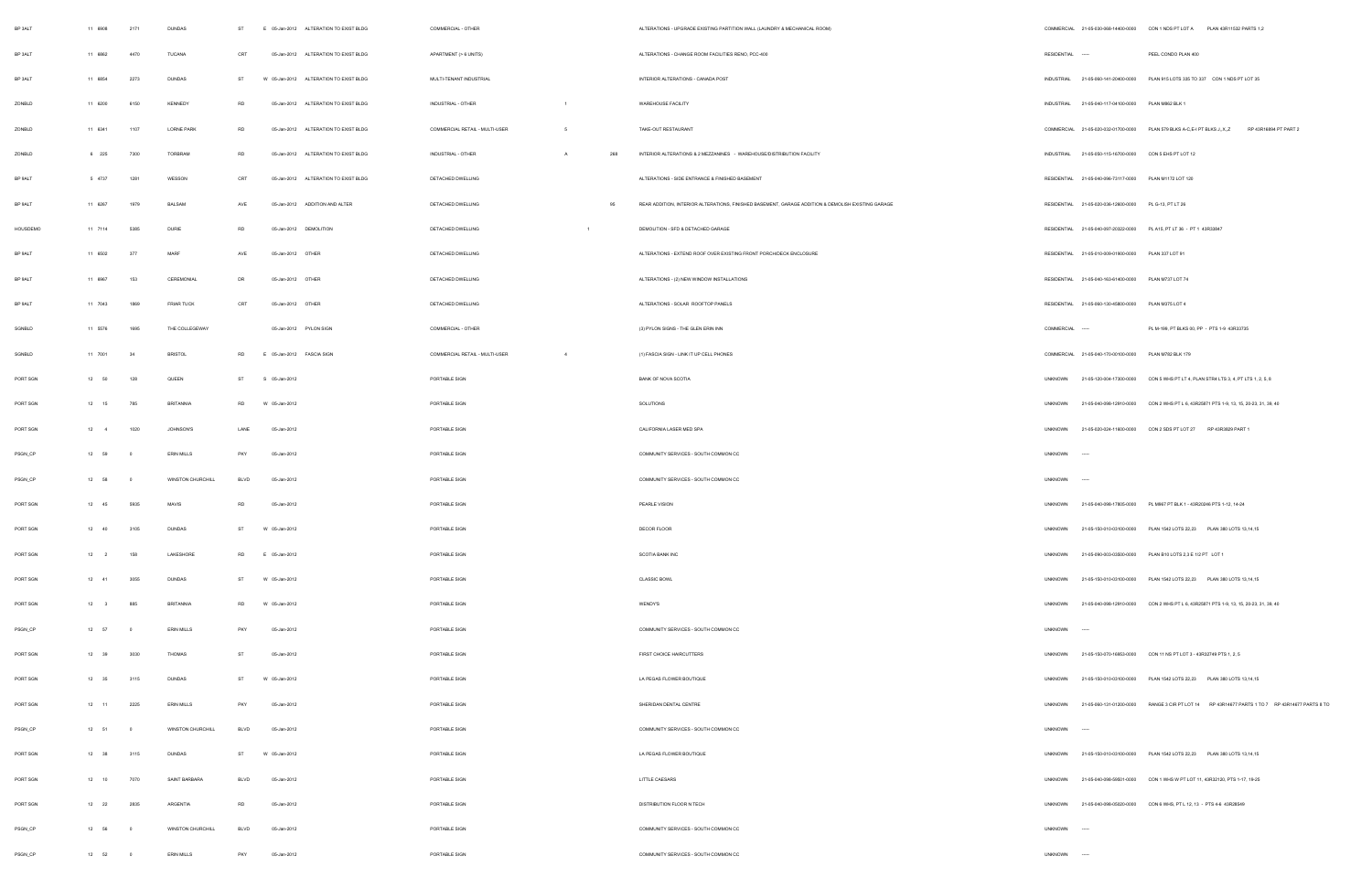| BP 3ALT  | 11 6908       | 2171       | <b>DUNDAS</b>     | <b>ST</b>   | E 05-Jan-2012 ALTERATION TO EXIST BLDG | COMMERCIAL - OTHER             |                 |     | ALTERATIONS - UPGRADE EXISTING PARTITION WALL (LAUNDRY & MECHANICAL ROOM)                          |                   |                                                         | COMMERCIAL 21-05-030-068-14400-0000 CON 1 NDS PT LOT A PLAN 43R11532 PARTS 1,2                  |
|----------|---------------|------------|-------------------|-------------|----------------------------------------|--------------------------------|-----------------|-----|----------------------------------------------------------------------------------------------------|-------------------|---------------------------------------------------------|-------------------------------------------------------------------------------------------------|
| BP 3ALT  | 11 6862       | 4470       | TUCANA            | CRT         | 05-Jan-2012 ALTERATION TO EXIST BLDG   | APARTMENT (> 6 UNITS)          |                 |     | ALTERATIONS - CHANGE ROOM FACILITIES RENO, PCC-400                                                 | RESIDENTIAL ----- |                                                         | PEEL CONDO PLAN 400                                                                             |
| BP 3ALT  | 11 6854       | 2273       | <b>DUNDAS</b>     | <b>ST</b>   | W 05-Jan-2012 ALTERATION TO EXIST BLDG | MULTI-TENANT INDUSTRIAL        |                 |     | INTERIOR ALTERATIONS - CANADA POST                                                                 |                   |                                                         | INDUSTRIAL 21-05-060-141-20400-0000 PLAN 915 LOTS 335 TO 337 CON 1 NDS PT LOT 35                |
| ZONBLD   | 11 6200       | 6150       | KENNEDY           | <b>RD</b>   | 05-Jan-2012 ALTERATION TO EXIST BLDG   | INDUSTRIAL - OTHER             | $\overline{1}$  |     | WAREHOUSE FACILITY                                                                                 |                   | INDUSTRIAL 21-05-040-117-04100-0000 PLAN M862 BLK 1     |                                                                                                 |
| ZONBLD   | 11 6341       | 1107       | <b>LORNE PARK</b> | <b>RD</b>   | 05-Jan-2012 ALTERATION TO EXIST BLDG   | COMMERCIAL RETAIL - MULTI-USER | $5\overline{5}$ |     | TAKE-OUT RESTAURANT                                                                                |                   |                                                         | COMMERCIAL 21-05-020-032-01700-0000 PLAN 579 BLKS A-C,E-I PT BLKS J,,X,,Z RP 43R16894 PT PART 2 |
| ZONBLD   | 6 225         | 7300       | TORBRAM           | <b>RD</b>   | 05-Jan-2012 ALTERATION TO EXIST BLDG   | INDUSTRIAL - OTHER             | A.              | 268 | INTERIOR ALTERATIONS & 2 MEZZANINES - WAREHOUSE/DISTRIBUTION FACILITY                              |                   | INDUSTRIAL 21-05-050-115-16700-0000 CON 5 EHS PT LOT 12 |                                                                                                 |
| BP 9ALT  | 5 4737        | 1281       | WESSON            | CRT         | 05-Jan-2012 ALTERATION TO EXIST BLDG   | DETACHED DWELLING              |                 |     | ALTERATIONS - SIDE ENTRANCE & FINISHED BASEMENT                                                    |                   | RESIDENTIAL 21-05-040-096-73117-0000 PLAN M1172 LOT 120 |                                                                                                 |
| BP 9ALT  | 11 6267       | 1979       | <b>BALSAM</b>     | AVE         | 05-Jan-2012 ADDITION AND ALTER         | DETACHED DWELLING              |                 | 95  | REAR ADDITION, INTERIOR ALTERATIONS, FINISHED BASEMENT, GARAGE ADDITION & DEMOLISH EXISTING GARAGE |                   | RESIDENTIAL 21-05-020-036-12600-0000 PL G-13, PT LT 26  |                                                                                                 |
| HOUSDEMO | 11 7114       | 5385       | <b>DURIE</b>      | <b>RD</b>   | 05-Jan-2012 DEMOLITION                 | DETACHED DWELLING              |                 |     | DEMOLITION - SFD & DETACHED GARAGE                                                                 |                   |                                                         | RESIDENTIAL 21-05-040-097-20322-0000 PL A15, PT LT 36 - PT 1 43R33847                           |
| BP 9ALT  | 11 6502       | 377        | <b>MARF</b>       | AVE         | 05-Jan-2012 OTHER                      | DETACHED DWELLING              |                 |     | ALTERATIONS - EXTEND ROOF OVER EXISTING FRONT PORCH/DECK ENCLOSURE                                 |                   | RESIDENTIAL 21-05-010-009-01900-0000 PLAN 337 LOT 91    |                                                                                                 |
| BP 9ALT  | 11 6967       | 153        | CEREMONIAL        | DR          | 05-Jan-2012 OTHER                      | DETACHED DWELLING              |                 |     | ALTERATIONS - (2) NEW WINDOW INSTALLATIONS                                                         |                   | RESIDENTIAL 21-05-040-163-61400-0000 PLAN M737 LOT 74   |                                                                                                 |
| BP 9ALT  | 11 7043       | 1869       | <b>FRIAR TUCK</b> | CRT         | 05-Jan-2012 OTHER                      | DETACHED DWELLING              |                 |     | ALTERATIONS - SOLAR ROOFTOP PANELS                                                                 |                   | RESIDENTIAL 21-05-060-130-45800-0000 PLAN M375 LOT 4    |                                                                                                 |
| SGNBLD   | 11 5576       | 1695       | THE COLLEGEWAY    |             | 05-Jan-2012 PYLON SIGN                 | COMMERCIAL - OTHER             |                 |     | (3) PYLON SIGNS - THE GLEN ERIN INN                                                                | COMMERCIAL -----  |                                                         | PL M-199, PT BLKS 00, PP - PTS 1-9 43R33735                                                     |
| SGNBLD   | 11 7001       | 34         | <b>BRISTOL</b>    | <b>RD</b>   | E 05-Jan-2012 FASCIA SIGN              | COMMERCIAL RETAIL - MULTI-USER | $\overline{4}$  |     | (1) FASCIA SIGN - LINK IT UP CELL PHONES                                                           |                   | COMMERCIAL 21-05-040-170-00100-0000 PLAN M782 BLK 179   |                                                                                                 |
| PORT SGN | 12 50         | 128        | QUEEN             | <b>ST</b>   | S 05-Jan-2012                          | PORTABLE SIGN                  |                 |     | <b>BANK OF NOVA SCOTIA</b>                                                                         | <b>UNKNOWN</b>    |                                                         | 21-05-120-004-17300-0000 CON 5 WHS PT LT 4, PLAN STR4 LTS 3, 4, PT LTS 1, 2, 5, 8               |
| PORT SGN | 12 15         | 785        | <b>BRITANNIA</b>  | <b>RD</b>   | W 05-Jan-2012                          | PORTABLE SIGN                  |                 |     | SOLUTIONS                                                                                          | <b>UNKNOWN</b>    |                                                         | 21-05-040-098-12910-0000 CON 2 WHS PT L 6, 43R25871 PTS 1-9, 13, 15, 20-23, 31, 39, 40          |
| PORT SGN | $12 \t 4$     | 1020       | JOHNSON'S         | LANE        | 05-Jan-2012                            | PORTABLE SIGN                  |                 |     | CALIFORNIA LASER MED SPA                                                                           | <b>UNKNOWN</b>    | 21-05-020-024-11600-0000                                | CON 2 SDS PT LOT 27 RP 43R3829 PART 1                                                           |
| PSGN_CP  | 12 59         |            | <b>ERIN MILLS</b> | PKY         | 05-Jan-2012                            | PORTABLE SIGN                  |                 |     | COMMUNITY SERVICES - SOUTH COMMON CC                                                               | <b>UNKNOWN</b>    | $\sim$                                                  |                                                                                                 |
| PSGN_CP  | 12 58         |            | WINSTON CHURCHILL | <b>BLVD</b> | 05-Jan-2012                            | PORTABLE SIGN                  |                 |     | COMMUNITY SERVICES - SOUTH COMMON CC                                                               | <b>UNKNOWN</b>    | $\sim$                                                  |                                                                                                 |
| PORT SGN | 12 45         | 5935       | MAVIS             | <b>RD</b>   | 05-Jan-2012                            | PORTABLE SIGN                  |                 |     | PEARLE VISION                                                                                      | <b>UNKNOWN</b>    |                                                         | 21-05-040-098-17805-0000 PL M967 PT BLK 1 - 43R20246 PTS 1-12, 14-24                            |
| PORT SGN | 12 40         | 3105       | DUNDAS            | <b>ST</b>   | W 05-Jan-2012                          | PORTABLE SIGN                  |                 |     | DECOR FLOOR                                                                                        | <b>UNKNOWN</b>    |                                                         | 21-05-150-010-03100-0000 PLAN 1542 LOTS 22,23 PLAN 380 LOTS 13,14,15                            |
| PORT SGN | $12 \qquad 2$ | 158        | LAKESHORE         | <b>RD</b>   | E 05-Jan-2012                          | PORTABLE SIGN                  |                 |     | SCOTIA BANK INC                                                                                    | <b>UNKNOWN</b>    |                                                         | 21-05-090-003-03500-0000 PLAN B10 LOTS 2,3 E 1/2 PT LOT 1                                       |
| PORT SGN | 12 41         | 3055       | <b>DUNDAS</b>     | <b>ST</b>   | W 05-Jan-2012                          | PORTABLE SIGN                  |                 |     | <b>CLASSIC BOWL</b>                                                                                | <b>UNKNOWN</b>    |                                                         | 21-05-150-010-03100-0000 PLAN 1542 LOTS 22,23 PLAN 380 LOTS 13,14,15                            |
| PORT SGN | $12 \qquad 3$ | 885        | <b>BRITANNIA</b>  | <b>RD</b>   | W 05-Jan-2012                          | PORTABLE SIGN                  |                 |     | <b>WENDY'S</b>                                                                                     | <b>UNKNOWN</b>    |                                                         | 21-05-040-098-12910-0000 CON 2 WHS PT L 6, 43R25871 PTS 1-9, 13, 15, 20-23, 31, 39, 40          |
| PSGN_CP  | 12 57         | - 0        | <b>ERIN MILLS</b> | PKY         | 05-Jan-2012                            | PORTABLE SIGN                  |                 |     | COMMUNITY SERVICES - SOUTH COMMON CC                                                               | <b>UNKNOWN</b>    | $\sim$                                                  |                                                                                                 |
| PORT SGN | 12 39         | 3030       | THOMAS            | <b>ST</b>   | 05-Jan-2012                            | PORTABLE SIGN                  |                 |     | FIRST CHOICE HAIRCUTTERS                                                                           | <b>UNKNOWN</b>    |                                                         | 21-05-150-070-16953-0000 CON 11 NS PT LOT 3 - 43R32749 PTS 1, 2, 5                              |
| PORT SGN | 12 35         | 3115       | <b>DUNDAS</b>     | <b>ST</b>   | W 05-Jan-2012                          | PORTABLE SIGN                  |                 |     | LA PEGAS FLOWER BOUTIQUE                                                                           | <b>UNKNOWN</b>    |                                                         | 21-05-150-010-03100-0000 PLAN 1542 LOTS 22,23 PLAN 380 LOTS 13,14,15                            |
| PORT SGN | 12 11         | 2225       | <b>ERIN MILLS</b> | PKY         | 05-Jan-2012                            | PORTABLE SIGN                  |                 |     | SHERIDAN DENTAL CENTRE                                                                             | <b>UNKNOWN</b>    | 21-05-060-131-01200-0000                                | RANGE 3 CIR PT LOT 14 RP 43R14677 PARTS 1 TO 7 RP 43R14677 PARTS 8 TO                           |
| PSGN_CP  | 12 51         |            | WINSTON CHURCHILL | <b>BLVD</b> | 05-Jan-2012                            | PORTABLE SIGN                  |                 |     | COMMUNITY SERVICES - SOUTH COMMON CC                                                               | <b>UNKNOWN</b>    | $\sim$                                                  |                                                                                                 |
| PORT SGN | 12 38         | 3115       | <b>DUNDAS</b>     | <b>ST</b>   | W 05-Jan-2012                          | PORTABLE SIGN                  |                 |     | LA PEGAS FLOWER BOUTIQUE                                                                           | <b>UNKNOWN</b>    |                                                         | 21-05-150-010-03100-0000 PLAN 1542 LOTS 22,23 PLAN 380 LOTS 13,14,15                            |
| PORT SGN | 12 10         | 7070       | SAINT BARBARA     | <b>BLVD</b> | 05-Jan-2012                            | PORTABLE SIGN                  |                 |     | <b>LITTLE CAESARS</b>                                                                              | <b>UNKNOWN</b>    |                                                         | 21-05-040-098-59501-0000 CON 1 WHS W PT LOT 11, 43R32120, PTS 1-17, 19-25                       |
| PORT SGN | 12 22         | 2835       | ARGENTIA          | <b>RD</b>   | 05-Jan-2012                            | PORTABLE SIGN                  |                 |     | DISTRIBUTION FLOOR N TECH                                                                          | <b>UNKNOWN</b>    |                                                         | 21-05-040-098-05020-0000 CON 6 WHS, PT L 12, 13 - PTS 4-6 43R28549                              |
| PSGN_CP  | 12 56         | $^{\circ}$ | WINSTON CHURCHILL | <b>BLVD</b> | 05-Jan-2012                            | PORTABLE SIGN                  |                 |     | COMMUNITY SERVICES - SOUTH COMMON CC                                                               | <b>UNKNOWN</b>    | $\overline{\phantom{a}}$                                |                                                                                                 |
| PSGN_CP  | 12 52 0       |            | <b>ERIN MILLS</b> | PKY         | 05-Jan-2012                            | PORTABLE SIGN                  |                 |     | COMMUNITY SERVICES - SOUTH COMMON CC                                                               | <b>UNKNOWN</b>    | 1000                                                    |                                                                                                 |

| RESIDENTIAL ----- |                                                         | PEEL CONDO PLAN 400                                                                             |
|-------------------|---------------------------------------------------------|-------------------------------------------------------------------------------------------------|
|                   | INDUSTRIAL 21-05-060-141-20400-0000                     | PLAN 915 LOTS 335 TO 337 CON 1 NDS PT LOT 35                                                    |
|                   | INDUSTRIAL 21-05-040-117-04100-0000 PLAN M862 BLK 1     |                                                                                                 |
|                   |                                                         | COMMERCIAL 21-05-020-032-01700-0000 PLAN 579 BLKS A-C,E-I PT BLKS J,,X,,Z RP 43R16894 PT PART 2 |
|                   | INDUSTRIAL 21-05-050-115-16700-0000 CON 5 EHS PT LOT 12 |                                                                                                 |
|                   | RESIDENTIAL 21-05-040-096-73117-0000 PLAN M1172 LOT 120 |                                                                                                 |
|                   | RESIDENTIAL 21-05-020-036-12600-0000 PL G-13, PT LT 26  |                                                                                                 |
|                   |                                                         | RESIDENTIAL 21-05-040-097-20322-0000 PL A15, PT LT 36 - PT 1 43R33847                           |
|                   | RESIDENTIAL 21-05-010-009-01900-0000                    | PLAN 337 LOT 91                                                                                 |
|                   | RESIDENTIAL 21-05-040-163-61400-0000 PLAN M737 LOT 74   |                                                                                                 |
|                   | RESIDENTIAL 21-05-060-130-45800-0000 PLAN M375 LOT 4    |                                                                                                 |
| COMMERCIAL -----  |                                                         | PL M-199, PT BLKS 00, PP - PTS 1-9 43R33735                                                     |
|                   | COMMERCIAL 21-05-040-170-00100-0000 PLAN M782 BLK 179   |                                                                                                 |
|                   |                                                         | UNKNOWN 21-05-120-004-17300-0000 CON 5 WHS PT LT 4, PLAN STR4 LTS 3, 4, PT LTS 1, 2, 5, 8       |
|                   |                                                         | UNKNOWN 21-05-040-098-12910-0000 CON 2 WHS PT L 6, 43R25871 PTS 1-9, 13, 15, 20-23, 31, 39, 40  |
| <b>UNKNOWN</b>    |                                                         | 21-05-020-024-11600-0000 CON 2 SDS PT LOT 27 RP 43R3829 PART 1                                  |
| <b>UNKNOWN</b>    |                                                         |                                                                                                 |
| <b>UNKNOWN</b>    |                                                         |                                                                                                 |
| <b>UNKNOWN</b>    |                                                         | 21-05-040-098-17805-0000 PL M967 PT BLK 1 - 43R20246 PTS 1-12, 14-24                            |
| <b>UNKNOWN</b>    |                                                         | 21-05-150-010-03100-0000 PLAN 1542 LOTS 22,23 PLAN 380 LOTS 13,14,15                            |
| <b>UNKNOWN</b>    |                                                         | 21-05-090-003-03500-0000 PLAN B10 LOTS 2.3 E 1/2 PT LOT 1                                       |
| <b>UNKNOWN</b>    |                                                         | 21-05-150-010-03100-0000 PLAN 1542 LOTS 22,23 PLAN 380 LOTS 13,14,15                            |
| <b>UNKNOWN</b>    |                                                         | 21-05-040-098-12910-0000 CON 2 WHS PT L 6, 43R25871 PTS 1-9, 13, 15, 20-23, 31, 39, 40          |
| <b>UNKNOWN</b>    |                                                         |                                                                                                 |
|                   |                                                         | UNKNOWN 21-05-150-070-16953-0000 CON 11 NS PT LOT 3 - 43R32749 PTS 1, 2, 5                      |
| <b>UNKNOWN</b>    |                                                         | 21-05-150-010-03100-0000 PLAN 1542 LOTS 22,23 PLAN 380 LOTS 13,14,15                            |
| <b>UNKNOWN</b>    | 21-05-060-131-01200-0000                                | RANGE 3 CIR PT LOT 14 RP 43R14677 PARTS 1 TO 7 RP 43R14677 PARTS 8 T                            |
| <b>UNKNOWN</b>    | $\cdots$                                                |                                                                                                 |
|                   |                                                         | UNKNOWN 21-05-150-010-03100-0000 PLAN 1542 LOTS 22,23 PLAN 380 LOTS 13,14,15                    |
| <b>UNKNOWN</b>    | 21-05-040-098-59501-0000                                | CON 1 WHS W PT LOT 11, 43R32120, PTS 1-17, 19-25                                                |
| <b>UNKNOWN</b>    | 21-05-040-098-05020-0000                                | CON 6 WHS, PT L 12, 13 - PTS 4-6 43R28549                                                       |
| <b>UNKNOWN</b>    |                                                         |                                                                                                 |
| <b>UNKNOWN</b>    | $\cdots$                                                |                                                                                                 |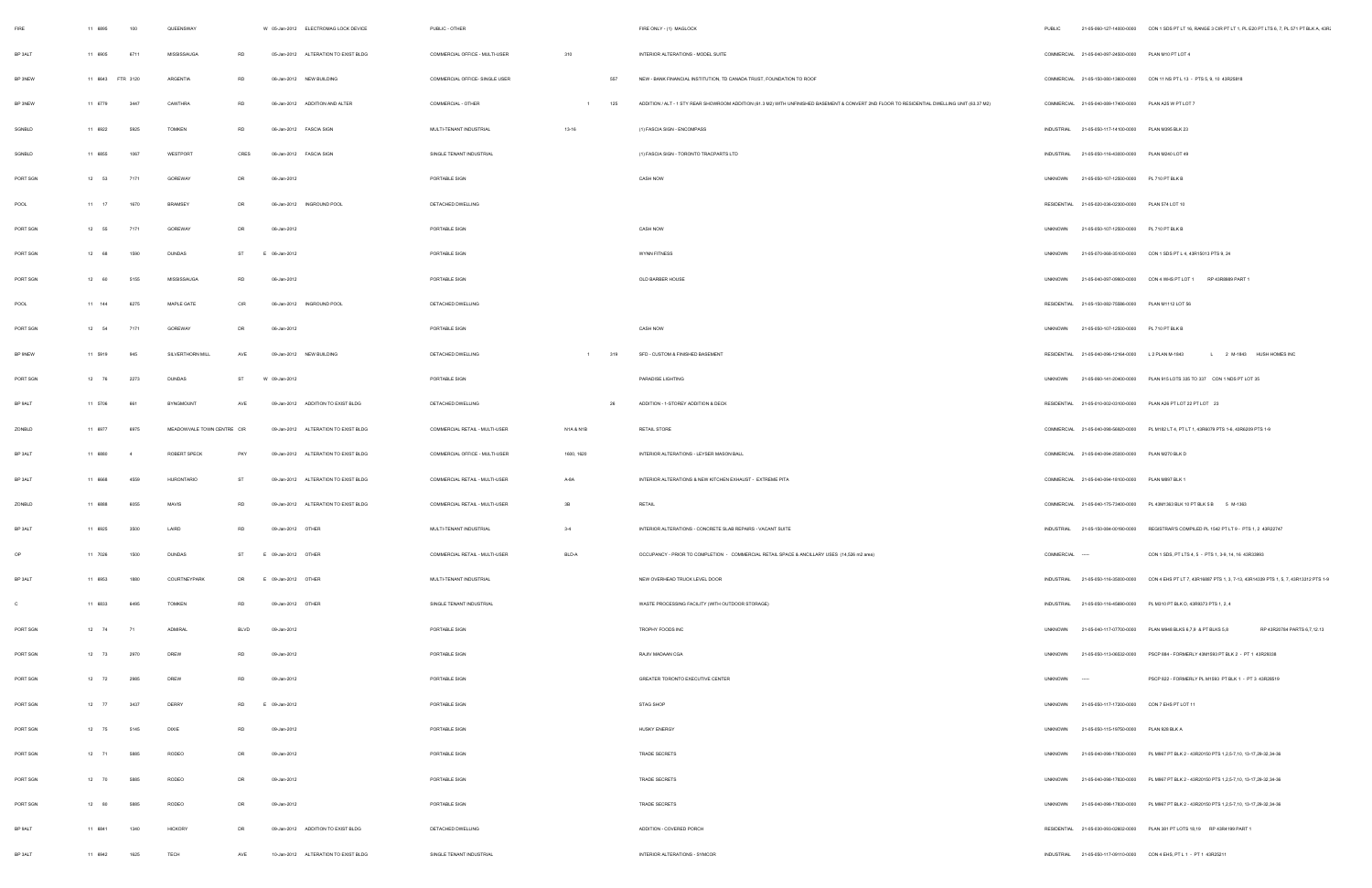| FIRE     | 11 6895          | 100            | QUEENSWAY                  |             | W 05-Jan-2012 ELECTROMAG LOCK DEVICE | PUBLIC - OTHER                 |            |     | FIRE ONLY - (1) MAGLOCK                                                                                                                      | <b>PUBLIC</b>    |                                                         | 21-05-060-127-14000-0000 CON 1 SDS PT LT 16, RANGE 3 CIR PT LT 1, PL E20 PT LTS 6, 7, PL 571 PT BLK A, 43R2            |
|----------|------------------|----------------|----------------------------|-------------|--------------------------------------|--------------------------------|------------|-----|----------------------------------------------------------------------------------------------------------------------------------------------|------------------|---------------------------------------------------------|------------------------------------------------------------------------------------------------------------------------|
| BP 3ALT  | 11 6905          | 6711           | MISSISSAUGA                | <b>RD</b>   | 05-Jan-2012 ALTERATION TO EXIST BLDG | COMMERCIAL OFFICE - MULTI-USER | 310        |     | INTERIOR ALTERATIONS - MODEL SUITE                                                                                                           |                  | COMMERCIAL 21-05-040-097-24500-0000 PLAN M10 PT LOT 4   |                                                                                                                        |
| BP 3NEW  | 11 6643 FTR 3120 |                | ARGENTIA                   | <b>RD</b>   | 06-Jan-2012 NEW BUILDING             | COMMERCIAL OFFICE- SINGLE USER |            | 557 | NEW - BANK FINANCIAL INSTITUTION, TD CANADA TRUST, FOUNDATION TO ROOF                                                                        |                  |                                                         | COMMERCIAL 21-05-150-080-13600-0000 CON 11 NS PT L 13 - PTS 5, 9, 10 43R25818                                          |
| BP 3NEW  | 11 6779          | 3447           | CAWTHRA                    | <b>RD</b>   | 06-Jan-2012 ADDITION AND ALTER       | COMMERCIAL - OTHER             | $1 -$      | 125 | ADDITION / ALT - 1 STY REAR SHOWROOM ADDITION (61.3 M2) WITH UNFINISHED BASEMENT & CONVERT 2ND FLOOR TO RESIDENTIAL DWELLING UNIT (63.37 M2) |                  | COMMERCIAL 21-05-040-089-17400-0000 PLAN A25 W PT LOT 7 |                                                                                                                        |
| SGNBLD   | 11 6922          | 5925           | <b>TOMKEN</b>              | <b>RD</b>   | 06-Jan-2012 FASCIA SIGN              | MULTI-TENANT INDUSTRIAL        | 13-16      |     | (1) FASCIA SIGN - ENCOMPASS                                                                                                                  |                  | INDUSTRIAL 21-05-050-117-14100-0000 PLAN M395 BLK 23    |                                                                                                                        |
| SGNBLD   | 11 6855          | 1067           | WESTPORT                   | CRES        | 06-Jan-2012 FASCIA SIGN              | SINGLE TENANT INDUSTRIAL       |            |     | (1) FASCIA SIGN - TORONTO TRACPARTS LTD                                                                                                      |                  | INDUSTRIAL 21-05-050-116-43000-0000 PLAN M240 LOT 49    |                                                                                                                        |
| PORT SGN | 12 53            | 7171           | GOREWAY                    | <b>DR</b>   | 06-Jan-2012                          | PORTABLE SIGN                  |            |     | CASH NOW                                                                                                                                     | <b>UNKNOWN</b>   | 21-05-050-107-12500-0000 PL 710 PT BLK B                |                                                                                                                        |
| POOL     | 11 17            | 1670           | <b>BRAMSEY</b>             | <b>DR</b>   | 06-Jan-2012 INGROUND POOL            | DETACHED DWELLING              |            |     |                                                                                                                                              |                  | RESIDENTIAL 21-05-020-036-02300-0000 PLAN 574 LOT 10    |                                                                                                                        |
| PORT SGN | 12 55            | 7171           | GOREWAY                    | <b>DR</b>   | 06-Jan-2012                          | PORTABLE SIGN                  |            |     | CASH NOW                                                                                                                                     | <b>UNKNOWN</b>   | 21-05-050-107-12500-0000 PL 710 PT BLK B                |                                                                                                                        |
| PORT SGN | 12 68            | 1590           | <b>DUNDAS</b>              | <b>ST</b>   | E 06-Jan-2012                        | PORTABLE SIGN                  |            |     | WYNN FITNESS                                                                                                                                 | <b>UNKNOWN</b>   |                                                         | 21-05-070-068-35100-0000 CON 1 SDS PT L 4, 43R15013 PTS 9, 24                                                          |
| PORT SGN | 12 60            | 5155           | MISSISSAUGA                | <b>RD</b>   | 06-Jan-2012                          | PORTABLE SIGN                  |            |     | OLD BARBER HOUSE                                                                                                                             | <b>UNKNOWN</b>   | 21-05-040-097-09900-0000                                | CON 4 WHS PT LOT 1 RP 43R8989 PART 1                                                                                   |
| POOL     | 11 144           | 6275           | MAPLE GATE                 | CIR         | 06-Jan-2012 INGROUND POOL            | DETACHED DWELLING              |            |     |                                                                                                                                              |                  | RESIDENTIAL 21-05-150-082-75586-0000 PLAN M1112 LOT 56  |                                                                                                                        |
| PORT SGN | 12 54            | 7171           | GOREWAY                    | <b>DR</b>   | 06-Jan-2012                          | PORTABLE SIGN                  |            |     | CASH NOW                                                                                                                                     | <b>UNKNOWN</b>   | 21-05-050-107-12500-0000 PL 710 PT BLK B                |                                                                                                                        |
| BP 9NEW  | 11 5919          | 945            | SILVERTHORN MILL           | AVE         | 09-Jan-2012 NEW BUILDING             | DETACHED DWELLING              | 1 319      |     | SFD - CUSTOM & FINISHED BASEMENT                                                                                                             |                  | RESIDENTIAL 21-05-040-096-12164-0000 L2 PLAN M-1843     | L 2 M-1843 HUSH HOMES INC                                                                                              |
| PORT SGN | 12 76            | 2273           | DUNDAS                     | <b>ST</b>   | W 09-Jan-2012                        | PORTABLE SIGN                  |            |     | PARADISE LIGHTING                                                                                                                            |                  |                                                         | UNKNOWN 21-05-060-141-20400-0000 PLAN 915 LOTS 335 TO 337 CON 1 NDS PT LOT 35                                          |
| BP 9ALT  | 11 5706          | 661            | <b>BYNGMOUNT</b>           | AVE         | 09-Jan-2012 ADDITION TO EXIST BLDG   | DETACHED DWELLING              |            | 26  | ADDITION - 1-STOREY ADDITION & DECK                                                                                                          |                  |                                                         | RESIDENTIAL 21-05-010-002-03100-0000 PLAN A26 PT LOT 22 PT LOT 23                                                      |
| ZONBLD   | 11 6977          | 6975           | MEADOWVALE TOWN CENTRE CIR |             | 09-Jan-2012 ALTERATION TO EXIST BLDG | COMMERCIAL RETAIL - MULTI-USER | N1A & N1B  |     | RETAIL STORE                                                                                                                                 |                  |                                                         | COMMERCIAL 21-05-040-098-56920-0000 PL M182 LT 4, PT LT 1, 43R6079 PTS 1-6, 43R6209 PTS 1-9                            |
| BP 3ALT  | 11 6880          | $\overline{4}$ | ROBERT SPECK               | PKY         | 09-Jan-2012 ALTERATION TO EXIST BLDG | COMMERCIAL OFFICE - MULTI-USER | 1600, 1620 |     | INTERIOR ALTERATIONS - LEYSER MASON BALL                                                                                                     |                  | COMMERCIAL 21-05-040-094-25000-0000                     | PLAN M270 BLK D                                                                                                        |
| BP 3ALT  | 11 6668          | 4559           | <b>HURONTARIO</b>          | ST          | 09-Jan-2012 ALTERATION TO EXIST BLDG | COMMERCIAL RETAIL - MULTI-USER | A-8A       |     | INTERIOR ALTERATIONS & NEW KITCHEN EXHAUST - EXTREME PITA                                                                                    |                  | COMMERCIAL 21-05-040-094-18100-0000 PLAN M897 BLK 1     |                                                                                                                        |
| ZONBLD   | 11 6888          | 6055           | <b>MAVIS</b>               | <b>RD</b>   | 09-Jan-2012 ALTERATION TO EXIST BLDG | COMMERCIAL RETAIL - MULTI-USER | 3B         |     | RETAIL                                                                                                                                       |                  |                                                         | COMMERCIAL 21-05-040-175-73400-0000 PL 43M1363 BLK 10 PT BLK 5 B 5 M-1363                                              |
| BP 3ALT  |                  | 3500           |                            |             | 09-Jan-2012 OTHER                    | MULTI-TENANT INDUSTRIAL        | $3-4$      |     | INTERIOR ALTERATIONS - CONCRETE SLAB REPAIRS - VACANT SUITE                                                                                  |                  |                                                         | INDUSTRIAL 21-05-150-084-00190-0000 REGISTRAR'S COMPILED PL 1542 PT LT 9 - PTS 1, 2 43R22747                           |
| OP       | 11 7026          | 1500           | <b>DUNDAS</b>              | <b>ST</b>   | E 09-Jan-2012 OTHER                  | COMMERCIAL RETAIL - MULTI-USER | BLD-A      |     | OCCUPANCY - PRIOR TO COMPLETION - COMMERCIAL RETAIL SPACE & ANCILLARY USES (14,526 m2 area)                                                  | COMMERCIAL ----- |                                                         | CON 1 SDS, PT LTS 4, 5 - PTS 1, 3-9, 14, 16 43R33993                                                                   |
| BP 3ALT  | 11 6953          | 1880           | COURTNEYPARK               | <b>DR</b>   | E 09-Jan-2012 OTHER                  | MULTI-TENANT INDUSTRIAL        |            |     | NEW OVERHEAD TRUCK LEVEL DOOR                                                                                                                |                  |                                                         | INDUSTRIAL 21-05-050-116-35000-0000 CON 4 EHS PT LT 7, 43R16887 PTS 1, 3, 7-13, 43R14339 PTS 1, 5, 7, 43R13312 PTS 1-9 |
|          | 11 6833          | 6495           | <b>TOMKEN</b>              | <b>RD</b>   | 09-Jan-2012 OTHER                    | SINGLE TENANT INDUSTRIAL       |            |     | WASTE PROCESSING FACILITY (WITH OUTDOOR STORAGE)                                                                                             |                  |                                                         | INDUSTRIAL 21-05-050-116-45690-0000 PL M310 PT BLK D, 43R9373 PTS 1, 2, 4                                              |
| PORT SGN | 12 74            | 71             | ADMIRAL                    | <b>BLVD</b> | 09-Jan-2012                          | PORTABLE SIGN                  |            |     | TROPHY FOODS INC                                                                                                                             | <b>UNKNOWN</b>   |                                                         | 21-05-040-117-07700-0000 PLAN M948 BLKS 6,7,9 & PT BLKS 5,8<br>RP 43R20784 PARTS 6,7,12.13                             |
| PORT SGN | 12 73            | 2970           | <b>DREW</b>                | <b>RD</b>   | 09-Jan-2012                          | PORTABLE SIGN                  |            |     | RAJIV MADAAN CGA                                                                                                                             | <b>UNKNOWN</b>   |                                                         | 21-05-050-113-06532-0000 PSCP 884 - FORMERLY 43M1593 PT BLK 2 - PT 1 43R29338                                          |
| PORT SGN | 12 72            | 2985           | <b>DREW</b>                | <b>RD</b>   | 09-Jan-2012                          | PORTABLE SIGN                  |            |     | GREATER TORONTO EXECUTIVE CENTER                                                                                                             | <b>UNKNOWN</b>   | $\cdots$                                                | PSCP 822 - FORMERLY PL M1593 PT BLK 1 - PT 3 43R28519                                                                  |
| PORT SGN | 12 77            | 3437           | <b>DERRY</b>               | <b>RD</b>   | E 09-Jan-2012                        | PORTABLE SIGN                  |            |     | STAG SHOP                                                                                                                                    | <b>UNKNOWN</b>   | 21-05-050-117-17200-0000                                | CON 7 EHS PT LOT 11                                                                                                    |
| PORT SGN | 12 75            | 5145           | DIXIE                      | <b>RD</b>   | 09-Jan-2012                          | PORTABLE SIGN                  |            |     | <b>HUSKY ENERGY</b>                                                                                                                          | <b>UNKNOWN</b>   | 21-05-050-115-19750-0000                                | PLAN 928 BLK A                                                                                                         |
| PORT SGN | 12 71            | 5885           | RODEO                      | DR          | 09-Jan-2012                          | PORTABLE SIGN                  |            |     | TRADE SECRETS                                                                                                                                | <b>UNKNOWN</b>   |                                                         | 21-05-040-098-17830-0000 PL M967 PT BLK 2 - 43R20150 PTS 1,2,5-7,10, 13-17,29-32,34-36                                 |
| PORT SGN | 12 70            | 5885           | RODEO                      | DR          | 09-Jan-2012                          | PORTABLE SIGN                  |            |     | TRADE SECRETS                                                                                                                                | <b>UNKNOWN</b>   |                                                         | 21-05-040-098-17830-0000 PL M967 PT BLK 2 - 43R20150 PTS 1,2,5-7,10, 13-17,29-32,34-36                                 |
| PORT SGN | 12 80            | 5885           | <b>RODEO</b>               | <b>DR</b>   | 09-Jan-2012                          | PORTABLE SIGN                  |            |     | TRADE SECRETS                                                                                                                                | <b>UNKNOWN</b>   |                                                         | 21-05-040-098-17830-0000 PL M967 PT BLK 2 - 43R20150 PTS 1,2,5-7,10, 13-17,29-32,34-36                                 |
| BP 9ALT  | 11 6841          | 1340           | <b>HICKORY</b>             | <b>DR</b>   | 09-Jan-2012 ADDITION TO EXIST BLDG   | DETACHED DWELLING              |            |     | ADDITION - COVERED PORCH                                                                                                                     |                  |                                                         | RESIDENTIAL 21-05-030-093-02602-0000 PLAN 381 PT LOTS 18,19 RP 43R4199 PART 1                                          |
| BP 3ALT  | 11 6942          | 1625           | TECH                       | AVE         | 10-Jan-2012 ALTERATION TO EXIST BLDG | SINGLE TENANT INDUSTRIAL       |            |     | INTERIOR ALTERATIONS - SYMCOR                                                                                                                |                  |                                                         | INDUSTRIAL 21-05-050-117-09110-0000 CON 4 EHS, PT L 1 - PT 1 43R25211                                                  |

|                                                                                                              | <b>LODFIC</b>     | 41-03-000-141-14000-0000             | CONT SUS FILITS, RANGE SURFILIT, FL EZU FILIS 0, 7, FL S/ I FIBLA A, 43N           |
|--------------------------------------------------------------------------------------------------------------|-------------------|--------------------------------------|------------------------------------------------------------------------------------|
| IITE                                                                                                         |                   | COMMERCIAL 21-05-040-097-24500-0000  | PLAN M10 PT LOT 4                                                                  |
| , TD CANADA TRUST, FOUNDATION TO ROOF                                                                        |                   | COMMERCIAL 21-05-150-080-13600-0000  | CON 11 NS PT L 13 - PTS 5, 9, 10 43R25818                                          |
| (200M ADDITION (61.3 M2) WITH UNFINISHED BASEMENT & CONVERT 2ND FLOOR TO RESIDENTIAL DWELLING UNIT (63.37 M2 |                   | COMMERCIAL 21-05-040-089-17400-0000  | PLAN A25 W PT LOT 7                                                                |
|                                                                                                              | INDUSTRIAL        | 21-05-050-117-14100-0000             | PLAN M395 BLK 23                                                                   |
| RTS LTD                                                                                                      | <b>INDUSTRIAL</b> | 21-05-050-116-43000-0000             | PLAN M240 LOT 49                                                                   |
|                                                                                                              | <b>UNKNOWN</b>    | 21-05-050-107-12500-0000             | PL 710 PT BLK B                                                                    |
|                                                                                                              |                   | RESIDENTIAL 21-05-020-036-02300-0000 | PLAN 574 LOT 10                                                                    |
|                                                                                                              | <b>UNKNOWN</b>    | 21-05-050-107-12500-0000             | PL 710 PT BLK B                                                                    |
|                                                                                                              | <b>UNKNOWN</b>    | 21-05-070-068-35100-0000             | CON 1 SDS PT L 4, 43R15013 PTS 9, 24                                               |
|                                                                                                              | <b>UNKNOWN</b>    | 21-05-040-097-09900-0000             | CON 4 WHS PT LOT 1 RP 43R8989 PART 1                                               |
|                                                                                                              |                   | RESIDENTIAL 21-05-150-082-75586-0000 | PLAN M1112 LOT 56                                                                  |
|                                                                                                              | <b>UNKNOWN</b>    | 21-05-050-107-12500-0000             | PL 710 PT BLK B                                                                    |
| ۹T                                                                                                           |                   | RESIDENTIAL 21-05-040-096-12164-0000 | L 2 PLAN M-1843<br>L 2 M-1843 HUSH HOMES INC                                       |
|                                                                                                              | <b>UNKNOWN</b>    | 21-05-060-141-20400-0000             | PLAN 915 LOTS 335 TO 337 CON 1 NDS PT LOT 35                                       |
| ECK                                                                                                          |                   | RESIDENTIAL 21-05-010-002-03100-0000 | PLAN A26 PT LOT 22 PT LOT 23                                                       |
|                                                                                                              |                   | COMMERCIAL 21-05-040-098-56920-0000  | PL M182 LT 4, PT LT 1, 43R6079 PTS 1-6, 43R6209 PTS 1-9                            |
| <b>ASON BALL</b>                                                                                             |                   | COMMERCIAL 21-05-040-094-25000-0000  | PLAN M270 BLK D                                                                    |
| HEN EXHAUST - EXTREME PITA                                                                                   |                   | COMMERCIAL 21-05-040-094-18100-0000  | PLAN M897 BLK 1                                                                    |
|                                                                                                              |                   | COMMERCIAL 21-05-040-175-73400-0000  | PL 43M1363 BLK 10 PT BLK 5 B 5 M-1363                                              |
| E SLAB REPAIRS - VACANT SUITE                                                                                |                   | INDUSTRIAL 21-05-150-084-00190-0000  | REGISTRAR'S COMPILED PL 1542 PT LT 9 - PTS 1, 2 43R22747                           |
| ON - COMMERCIAL RETAIL SPACE & ANCILLARY USES (14,526 m2 area)                                               | COMMERCIAL -----  |                                      | CON 1 SDS, PT LTS 4, 5 - PTS 1, 3-9, 14, 16 43R33993                               |
| Ŕ                                                                                                            | <b>INDUSTRIAL</b> | 21-05-050-116-35000-0000             | CON 4 EHS PT LT 7, 43R16887 PTS 1, 3, 7-13, 43R14339 PTS 1, 5, 7, 43R13312 PTS 1-9 |
| <b>OUTDOOR STORAGE)</b>                                                                                      | <b>INDUSTRIAL</b> | 21-05-050-116-45690-0000             | PL M310 PT BLK D, 43R9373 PTS 1, 2, 4                                              |
|                                                                                                              | <b>UNKNOWN</b>    | 21-05-040-117-07700-0000             | RP 43R20784 PARTS 6,7,12.13<br>PLAN M948 BLKS 6,7,9 & PT BLKS 5,8                  |
|                                                                                                              | <b>UNKNOWN</b>    | 21-05-050-113-06532-0000             | PSCP 884 - FORMERLY 43M1593 PT BLK 2 - PT 1 43R29338                               |
| <b>NTER</b>                                                                                                  | <b>UNKNOWN</b>    | $\cdots$                             | PSCP 822 - FORMERLY PL M1593 PT BLK 1 - PT 3 43R28519                              |
|                                                                                                              | <b>UNKNOWN</b>    | 21-05-050-117-17200-0000             | CON 7 EHS PT LOT 11                                                                |
|                                                                                                              | <b>UNKNOWN</b>    | 21-05-050-115-19750-0000             | PLAN 928 BLK A                                                                     |
|                                                                                                              | <b>UNKNOWN</b>    | 21-05-040-098-17830-0000             | PL M967 PT BLK 2 - 43R20150 PTS 1,2,5-7,10, 13-17,29-32,34-36                      |
|                                                                                                              | <b>UNKNOWN</b>    | 21-05-040-098-17830-0000             | PL M967 PT BLK 2 - 43R20150 PTS 1,2,5-7,10, 13-17,29-32,34-36                      |
|                                                                                                              | <b>UNKNOWN</b>    | 21-05-040-098-17830-0000             | PL M967 PT BLK 2 - 43R20150 PTS 1,2,5-7,10, 13-17,29-32,34-36                      |
|                                                                                                              |                   | RESIDENTIAL 21-05-030-093-02602-0000 | PLAN 381 PT LOTS 18,19 RP 43R4199 PART 1                                           |
|                                                                                                              | <b>INDUSTRIAL</b> | 21-05-050-117-09110-0000             | CON 4 EHS, PT L 1 - PT 1 43R25211                                                  |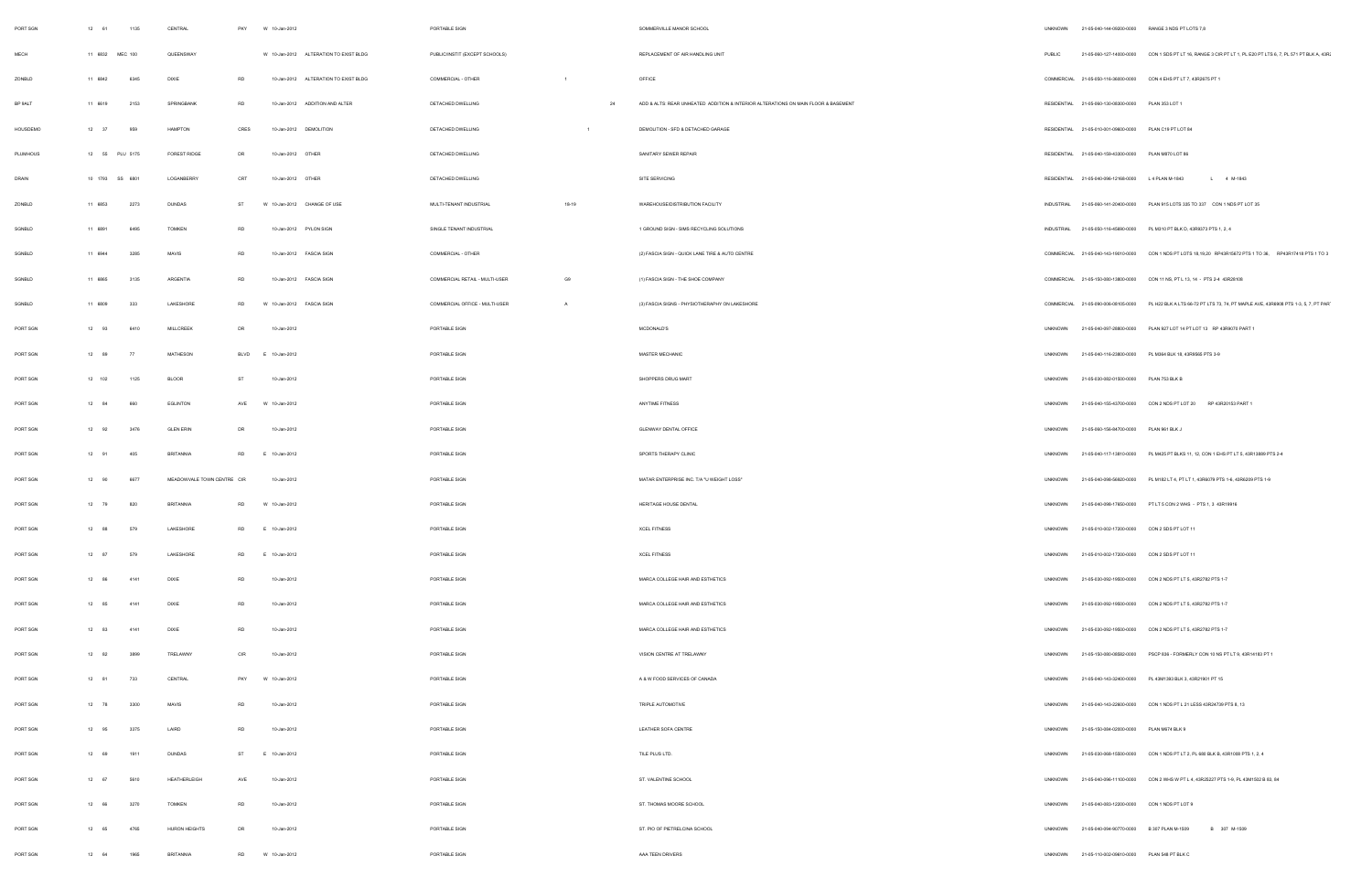| PORT SGN    | 12 61           | 1135 | CENTRAL                    | PKY       | W 10-Jan-2012                          | PORTABLE SIGN                  |                | SOMMERVILLE MANOR SCHOOL                                                           | <b>UNKNOWN</b> |                                                         | 21-05-040-144-09200-0000 RANGE 3 NDS PT LOTS 7,8                                                                      |
|-------------|-----------------|------|----------------------------|-----------|----------------------------------------|--------------------------------|----------------|------------------------------------------------------------------------------------|----------------|---------------------------------------------------------|-----------------------------------------------------------------------------------------------------------------------|
| <b>MECH</b> | 11 6832 MEC 100 |      | QUEENSWAY                  |           | W 10-Jan-2012 ALTERATION TO EXIST BLDG | PUBLIC/INSTIT (EXCEPT SCHOOLS) |                | REPLACEMENT OF AIR HANDLING UNIT                                                   | <b>PUBLIC</b>  |                                                         | 21-05-060-127-14000-0000 CON 1 SDS PT LT 16, RANGE 3 CIR PT LT 1, PL E20 PT LTS 6, 7, PL 571 PT BLK A, 43R2           |
| ZONBLD      | 11 6842         | 6345 | <b>DIXIE</b>               | <b>RD</b> | 10-Jan-2012 ALTERATION TO EXIST BLDG   | COMMERCIAL - OTHER             | $\overline{1}$ | OFFICE                                                                             |                |                                                         | COMMERCIAL 21-05-050-116-36000-0000 CON 4 EHS PT LT 7, 43R2675 PT 1                                                   |
| BP 9ALT     | 11 6619         | 2153 | SPRINGBANK                 | <b>RD</b> | 10-Jan-2012 ADDITION AND ALTER         | DETACHED DWELLING              | 24             | ADD & ALTS: REAR UNHEATED ADDITION & INTERIOR ALTERATIONS ON MAIN FLOOR & BASEMENT |                | RESIDENTIAL 21-05-060-130-08300-0000 PLAN 353 LOT 1     |                                                                                                                       |
| HOUSDEMO    | 12 37           | 959  | <b>HAMPTON</b>             | CRES      | 10-Jan-2012 DEMOLITION                 | DETACHED DWELLING              | $\overline{1}$ | DEMOLITION - SFD & DETACHED GARAGE                                                 |                | RESIDENTIAL 21-05-010-001-09600-0000 PLAN C19 PT LOT 84 |                                                                                                                       |
| PLUMHOUS    | 12 55 PLU 5175  |      | FOREST RIDGE               | DR        | 10-Jan-2012 OTHER                      | DETACHED DWELLING              |                | SANITARY SEWER REPAIR                                                              |                | RESIDENTIAL 21-05-040-159-43300-0000 PLAN M870 LOT 86   |                                                                                                                       |
| DRAIN       | 10 1793 SS 6801 |      | LOGANBERRY                 | CRT       | 10-Jan-2012 OTHER                      | DETACHED DWELLING              |                | SITE SERVICING                                                                     |                | RESIDENTIAL 21-05-040-096-12168-0000                    | L 4 PLAN M-1843<br>L 4 M-1843                                                                                         |
| ZONBLD      | 11 6853         | 2273 | <b>DUNDAS</b>              | <b>ST</b> | W 10-Jan-2012 CHANGE OF USE            | MULTI-TENANT INDUSTRIAL        | 18-19          | WAREHOUSE/DISTRIBUTION FACILITY                                                    |                |                                                         | INDUSTRIAL 21-05-060-141-20400-0000 PLAN 915 LOTS 335 TO 337 CON 1 NDS PT LOT 35                                      |
| SGNBLD      | 11 6891         | 6495 | <b>TOMKEN</b>              | <b>RD</b> | 10-Jan-2012 PYLON SIGN                 | SINGLE TENANT INDUSTRIAL       |                | 1 GROUND SIGN - SIMS RECYCLING SOLUTIONS                                           |                |                                                         | INDUSTRIAL 21-05-050-116-45690-0000 PL M310 PT BLK D, 43R9373 PTS 1, 2, 4                                             |
| SGNBLD      | 11 6944         | 3285 | MAVIS                      | <b>RD</b> | 10-Jan-2012 FASCIA SIGN                | COMMERCIAL - OTHER             |                | (2) FASCIA SIGN - QUICK LANE TIRE & AUTO CENTRE                                    |                |                                                         | COMMERCIAL 21-05-040-143-19010-0000 CON 1 NDS PT LOTS 18,19,20 RP43R15672 PTS 1 TO 36, RP43R17418 PTS 1 TO 3          |
| SGNBLD      | 11 6865         | 3135 | ARGENTIA                   | <b>RD</b> | 10-Jan-2012 FASCIA SIGN                | COMMERCIAL RETAIL - MULTI-USER | G9             | (1) FASCIA SIGN - THE SHOE COMPANY                                                 |                |                                                         | COMMERCIAL 21-05-150-080-13800-0000 CON 11 NS, PT L 13, 14 - PTS 2-4 43R28108                                         |
| SGNBLD      | 11 6809         | 333  | LAKESHORE                  | <b>RD</b> | W 10-Jan-2012 FASCIA SIGN              | COMMERCIAL OFFICE - MULTI-USER | A              | (3) FASCIA SIGNS - PHYSIOTHERAPHY ON LAKESHORE                                     |                |                                                         | COMMERCIAL 21-05-090-006-08105-0000 PL H22 BLK A LTS 66-72 PT LTS 73, 74, PT MAPLE AVE, 43R6908 PTS 1-3, 5, 7, PT PAR |
| PORT SGN    | 12 93           | 6410 | MILLCREEK                  | DR        | 10-Jan-2012                            | PORTABLE SIGN                  |                | MCDONALD'S                                                                         |                |                                                         | UNKNOWN 21-05-040-097-28800-0000 PLAN 927 LOT 14 PT LOT 13 RP 43R9070 PART 1                                          |
| PORT SGN    | 12 89           | 77   | MATHESON                   |           | BLVD E 10-Jan-2012                     | PORTABLE SIGN                  |                | MASTER MECHANIC                                                                    |                |                                                         | UNKNOWN 21-05-040-116-23800-0000 PL M364 BLK 18, 43R9565 PTS 3-9                                                      |
| PORT SGN    | 12 102          | 1125 | <b>BLOOR</b>               | <b>ST</b> | 10-Jan-2012                            | PORTABLE SIGN                  |                | SHOPPERS DRUG MART                                                                 | <b>UNKNOWN</b> | 21-05-030-082-01500-0000 PLAN 753 BLK B                 |                                                                                                                       |
| PORT SGN    | 12 84           | 660  | <b>EGLINTON</b>            | AVE       | W 10-Jan-2012                          | PORTABLE SIGN                  |                | ANYTIME FITNESS                                                                    | <b>UNKNOWN</b> | 21-05-040-155-43700-0000                                | CON 2 NDS PT LOT 20 RP 43R20153 PART 1                                                                                |
| PORT SGN    | 12 92           | 3476 | <b>GLEN ERIN</b>           | DR        | 10-Jan-2012                            | PORTABLE SIGN                  |                | GLENWAY DENTAL OFFICE                                                              | <b>UNKNOWN</b> | 21-05-060-156-84700-0000 PLAN 961 BLK J                 |                                                                                                                       |
| PORT SGN    | 12 91           | 405  | <b>BRITANNIA</b>           | <b>RD</b> | E 10-Jan-2012                          | PORTABLE SIGN                  |                | SPORTS THERAPY CLINIC                                                              | <b>UNKNOWN</b> |                                                         | 21-05-040-117-13810-0000 PL M425 PT BLKS 11, 12, CON 1 EHS PT LT 5, 43R13889 PTS 2-4                                  |
| PORT SGN    | 12 90           | 6677 | MEADOWVALE TOWN CENTRE CIR |           | 10-Jan-2012                            | PORTABLE SIGN                  |                | MATAR ENTERPRISE INC. T/A "U WEIGHT LOSS"                                          | <b>UNKNOWN</b> |                                                         | 21-05-040-098-56920-0000 PL M182 LT 4, PT LT 1, 43R6079 PTS 1-6, 43R6209 PTS 1-9                                      |
| PORT SGN    | 12 79           | 820  | BRITANNIA                  | <b>RD</b> | W 10-Jan-2012                          | PORTABLE SIGN                  |                | HERITAGE HOUSE DENTAL                                                              | <b>UNKNOWN</b> |                                                         | 21-05-040-098-17650-0000 PT LT 5 CON 2 WHS - PTS 1, 3 43R19916                                                        |
| PORT SGN    | 12 88           | 579  | LAKESHORE                  | <b>RD</b> | E 10-Jan-2012                          | PORTABLE SIGN                  |                | <b>XCEL FITNESS</b>                                                                |                | UNKNOWN 21-05-010-002-17200-0000 CON 2 SDS PT LOT 11    |                                                                                                                       |
| PORT SGN    | 12 87           | 579  | LAKESHORE                  |           | RD E 10-Jan-2012                       | PORTABLE SIGN                  |                | <b>XCEL FITNESS</b>                                                                |                | UNKNOWN 21-05-010-002-17200-0000 CON 2 SDS PT LOT 11    |                                                                                                                       |
| PORT SGN    | 12 86           | 4141 | <b>DIXIE</b>               | <b>RD</b> | 10-Jan-2012                            | PORTABLE SIGN                  |                | MARCA COLLEGE HAIR AND ESTHETICS                                                   | <b>UNKNOWN</b> |                                                         | 21-05-030-092-19500-0000 CON 2 NDS PT LT 5, 43R2782 PTS 1-7                                                           |
| PORT SGN    | 12 85           | 4141 | DIXIE                      | <b>RD</b> | 10-Jan-2012                            | PORTABLE SIGN                  |                | MARCA COLLEGE HAIR AND ESTHETICS                                                   | <b>UNKNOWN</b> |                                                         | 21-05-030-092-19500-0000 CON 2 NDS PT LT 5, 43R2782 PTS 1-7                                                           |
| PORT SGN    | 12 83           | 4141 | DIXIE                      | <b>RD</b> | 10-Jan-2012                            | PORTABLE SIGN                  |                | MARCA COLLEGE HAIR AND ESTHETICS                                                   | <b>UNKNOWN</b> |                                                         | 21-05-030-092-19500-0000 CON 2 NDS PT LT 5, 43R2782 PTS 1-7                                                           |
| PORT SGN    | 12 82           | 3899 | TRELAWNY                   | CIR       | 10-Jan-2012                            | PORTABLE SIGN                  |                | VISION CENTRE AT TRELAWNY                                                          | <b>UNKNOWN</b> |                                                         | 21-05-150-080-08582-0000 PSCP 836 - FORMERLY CON 10 NS PT LT 9, 43R14183 PT 1                                         |
| PORT SGN    | 12 81           | 733  | CENTRAL                    | PKY       | W 10-Jan-2012                          | PORTABLE SIGN                  |                | A & W FOOD SERVICES OF CANADA                                                      | <b>UNKNOWN</b> |                                                         | 21-05-040-143-32400-0000 PL 43M1393 BLK 3, 43R21901 PT 15                                                             |
| PORT SGN    | 12 78           | 3300 | <b>MAVIS</b>               | <b>RD</b> | 10-Jan-2012                            | PORTABLE SIGN                  |                | TRIPLE AUTOMOTIVE                                                                  | <b>UNKNOWN</b> |                                                         | 21-05-040-143-22600-0000 CON 1 NDS PT L 21 LESS 43R24739 PTS 8, 13                                                    |
| PORT SGN    | 12 95           | 3375 | LAIRD                      | <b>RD</b> | 10-Jan-2012                            | PORTABLE SIGN                  |                | LEATHER SOFA CENTRE                                                                | <b>UNKNOWN</b> | 21-05-150-084-02000-0000 PLAN M674 BLK 9                |                                                                                                                       |
| PORT SGN    | 12 69           | 1911 | <b>DUNDAS</b>              | <b>ST</b> | E 10-Jan-2012                          | PORTABLE SIGN                  |                | TILE PLUS LTD.                                                                     | <b>UNKNOWN</b> |                                                         | 21-05-030-068-15500-0000 CON 1 NDS PT LT 2, PL 680 BLK B, 43R1008 PTS 1, 2, 4                                         |
| PORT SGN    | 12 67           | 5610 | HEATHERLEIGH               | AVE       | 10-Jan-2012                            | PORTABLE SIGN                  |                | ST. VALENTINE SCHOOL                                                               | <b>UNKNOWN</b> |                                                         | 21-05-040-096-11100-0000 CON 2 WHS W PT L 4, 43R25227 PTS 1-9, PL 43M1502 B 83, 84                                    |
| PORT SGN    | 12 66           | 3270 | <b>TOMKEN</b>              | <b>RD</b> | 10-Jan-2012                            | PORTABLE SIGN                  |                | ST. THOMAS MOORE SCHOOL                                                            | <b>UNKNOWN</b> | 21-05-040-083-12200-0000 CON 1 NDS PT LOT 9             |                                                                                                                       |
| PORT SGN    | 12 65           | 4765 | HURON HEIGHTS              | DR        | 10-Jan-2012                            | PORTABLE SIGN                  |                | ST. PIO OF PIETRELCINA SCHOOL                                                      | <b>UNKNOWN</b> | 21-05-040-094-90770-0000 B 307 PLAN M-1509              | B 307 M-1509                                                                                                          |
| PORT SGN    | 12 64           | 1965 | BRITANNIA                  |           | RD W 10-Jan-2012                       | PORTABLE SIGN                  |                | AAA TEEN DRIVERS                                                                   |                | UNKNOWN 21-05-110-002-09610-0000 PLAN 548 PT BLK C      |                                                                                                                       |

| .                                                                     |                |                                                         |                                                                                                                       |
|-----------------------------------------------------------------------|----------------|---------------------------------------------------------|-----------------------------------------------------------------------------------------------------------------------|
| OF AIR HANDLING UNIT                                                  | PUBLIC         |                                                         | 21-05-060-127-14000-0000 CON 1 SDS PT LT 16, RANGE 3 CIR PT LT 1, PL E20 PT LTS 6, 7, PL 571 PT BLK A, 43R'.          |
|                                                                       |                |                                                         | COMMERCIAL 21-05-050-116-36000-0000 CON 4 EHS PT LT 7, 43R2675 PT 1                                                   |
| EAR UNHEATED ADDITION & INTERIOR ALTERATIONS ON MAIN FLOOR & BASEMENT |                | RESIDENTIAL 21-05-060-130-08300-0000                    | PLAN 353 LOT 1                                                                                                        |
| SFD & DETACHED GARAGE                                                 |                | RESIDENTIAL 21-05-010-001-09600-0000 PLAN C19 PT LOT 84 |                                                                                                                       |
| /ER REPAIR                                                            |                | RESIDENTIAL 21-05-040-159-43300-0000 PLAN M870 LOT 86   |                                                                                                                       |
| G                                                                     |                | RESIDENTIAL 21-05-040-096-12168-0000 L 4 PLAN M-1843    | L 4 M-1843                                                                                                            |
| <b>DISTRIBUTION FACILITY</b>                                          |                | INDUSTRIAL 21-05-060-141-20400-0000                     | PLAN 915 LOTS 335 TO 337 CON 1 NDS PT LOT 35                                                                          |
| N - SIMS RECYCLING SOLUTIONS                                          |                |                                                         | INDUSTRIAL 21-05-050-116-45690-0000 PL M310 PT BLK D, 43R9373 PTS 1, 2, 4                                             |
| N - QUICK LANE TIRE & AUTO CENTRE                                     |                |                                                         | COMMERCIAL 21-05-040-143-19010-0000 CON 1 NDS PT LOTS 18,19,20 RP43R15672 PTS 1 TO 36, RP43R17418 PTS 1 TO 3          |
| N - THE SHOE COMPANY                                                  |                | COMMERCIAL 21-05-150-080-13800-0000                     | CON 11 NS, PT L 13, 14 - PTS 2-4 43R28108                                                                             |
| NS - PHYSIOTHERAPHY ON LAKESHORE                                      |                |                                                         | COMMERCIAL 21-05-090-006-08105-0000 PL H22 BLK A LTS 66-72 PT LTS 73, 74, PT MAPLE AVE, 43R6908 PTS 1-3, 5, 7, PT PAR |
|                                                                       | <b>UNKNOWN</b> |                                                         | 21-05-040-097-28800-0000 PLAN 927 LOT 14 PT LOT 13 RP 43R9070 PART 1                                                  |
| <b>IANIC</b>                                                          | <b>UNKNOWN</b> |                                                         | 21-05-040-116-23800-0000 PL M364 BLK 18, 43R9565 PTS 3-9                                                              |
| UG MART                                                               | <b>UNKNOWN</b> | 21-05-030-082-01500-0000                                | PLAN 753 BLK B                                                                                                        |
| ESS                                                                   | <b>UNKNOWN</b> |                                                         | 21-05-040-155-43700-0000 CON 2 NDS PT LOT 20 RP 43R20153 PART 1                                                       |
| <b>TAL OFFICE</b>                                                     | <b>UNKNOWN</b> | 21-05-060-156-84700-0000 PLAN 961 BLK J                 |                                                                                                                       |
| <b>APY CLINIC</b>                                                     | <b>UNKNOWN</b> | 21-05-040-117-13810-0000                                | PL M425 PT BLKS 11, 12, CON 1 EHS PT LT 5, 43R13889 PTS 2-4                                                           |
| PRISE INC. T/A "U WEIGHT LOSS"                                        | <b>UNKNOWN</b> | 21-05-040-098-56920-0000                                | PL M182 LT 4, PT LT 1, 43R6079 PTS 1-6, 43R6209 PTS 1-9                                                               |
| JSE DENTAL                                                            | <b>UNKNOWN</b> |                                                         | 21-05-040-098-17650-0000 PT LT 5 CON 2 WHS - PTS 1, 3 43R19916                                                        |
|                                                                       | <b>UNKNOWN</b> | 21-05-010-002-17200-0000 CON 2 SDS PT LOT 11            |                                                                                                                       |
|                                                                       | <b>UNKNOWN</b> | 21-05-010-002-17200-0000                                | CON 2 SDS PT LOT 11                                                                                                   |
| GE HAIR AND ESTHETICS                                                 | <b>UNKNOWN</b> | 21-05-030-092-19500-0000                                | CON 2 NDS PT LT 5, 43R2782 PTS 1-7                                                                                    |
| GE HAIR AND ESTHETICS                                                 | <b>UNKNOWN</b> | 21-05-030-092-19500-0000                                | CON 2 NDS PT LT 5, 43R2782 PTS 1-7                                                                                    |
| GE HAIR AND ESTHETICS                                                 | <b>UNKNOWN</b> | 21-05-030-092-19500-0000                                | CON 2 NDS PT LT 5, 43R2782 PTS 1-7                                                                                    |
| E AT TRELAWNY                                                         | <b>UNKNOWN</b> | 21-05-150-080-08582-0000                                | PSCP 836 - FORMERLY CON 10 NS PT LT 9, 43R14183 PT 1                                                                  |
| <b>ERVICES OF CANADA</b>                                              | <b>UNKNOWN</b> | 21-05-040-143-32400-0000                                | PL 43M1393 BLK 3, 43R21901 PT 15                                                                                      |
| <b>IOTIVE</b>                                                         | <b>UNKNOWN</b> | 21-05-040-143-22600-0000                                | CON 1 NDS PT L 21 LESS 43R24739 PTS 8, 13                                                                             |
| <b>A CENTRE</b>                                                       | <b>UNKNOWN</b> | 21-05-150-084-02000-0000                                | PLAN M674 BLK 9                                                                                                       |
|                                                                       | <b>UNKNOWN</b> | 21-05-030-068-15500-0000                                | CON 1 NDS PT LT 2, PL 680 BLK B, 43R1008 PTS 1, 2, 4                                                                  |
| SCHOOL                                                                | <b>UNKNOWN</b> | 21-05-040-096-11100-0000                                | CON 2 WHS W PT L 4, 43R25227 PTS 1-9, PL 43M1502 B 83, 84                                                             |
| OORE SCHOOL                                                           | <b>UNKNOWN</b> | 21-05-040-083-12200-0000                                | CON 1 NDS PT LOT 9                                                                                                    |
| TRELCINA SCHOOL                                                       | <b>UNKNOWN</b> | 21-05-040-094-90770-0000                                | B 307 M-1509<br>B 307 PLAN M-1509                                                                                     |
| /ERS                                                                  | <b>UNKNOWN</b> | 21-05-110-002-09610-0000                                | PLAN 548 PT BLK C                                                                                                     |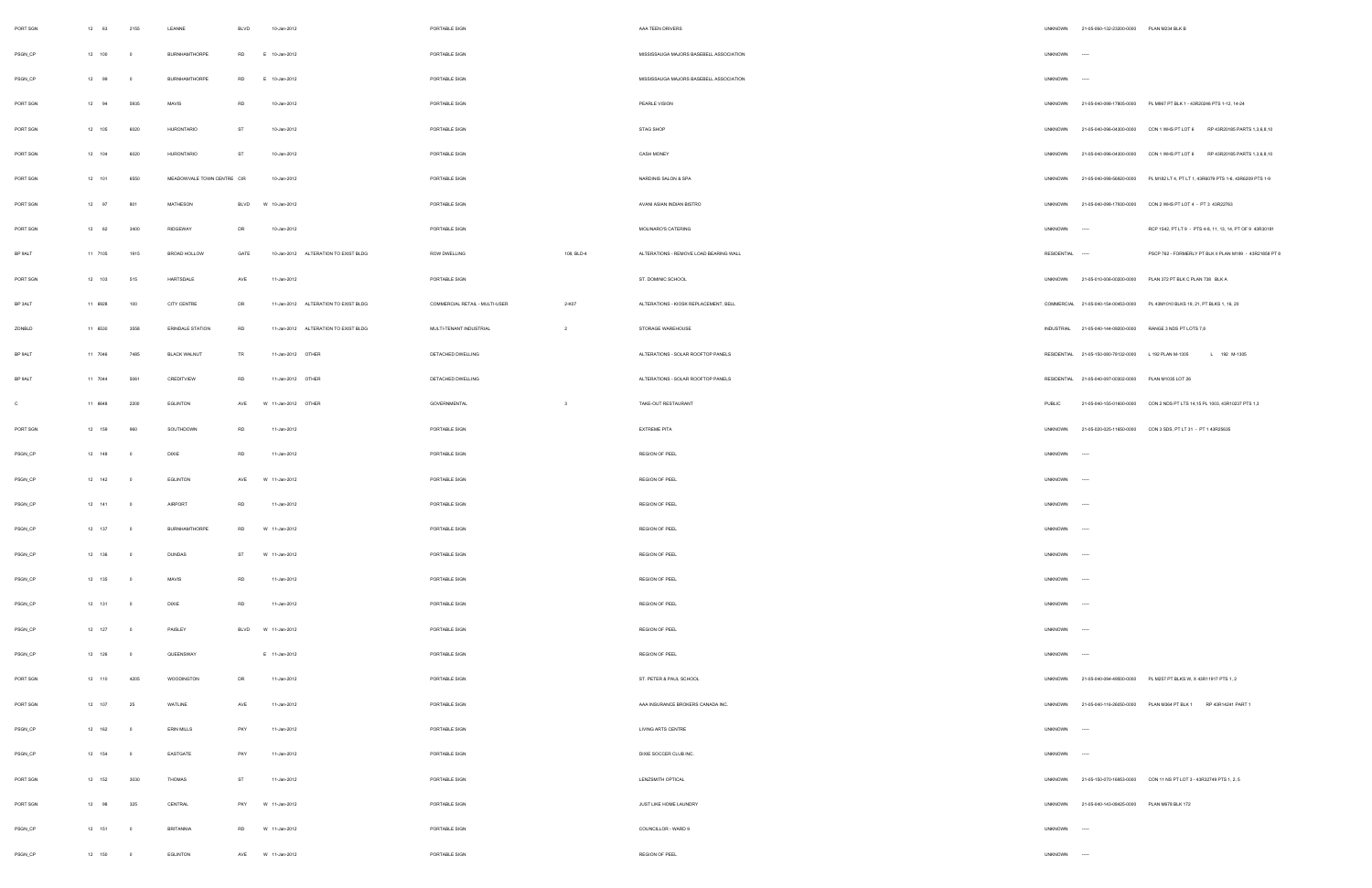| -------                               | ----------        | THE AND ARR TOTAL ARRAY              | <b>CONTRACT PRIZE</b>                                     |
|---------------------------------------|-------------------|--------------------------------------|-----------------------------------------------------------|
| <b>GA MAJORS BASEBELL ASSOCIATION</b> | <b>UNKNOWN</b>    | $\cdots$                             |                                                           |
| GA MAJORS BASEBELL ASSOCIATION        | <b>UNKNOWN</b>    | $\cdots$                             |                                                           |
| SION                                  | <b>UNKNOWN</b>    | 21-05-040-098-17805-0000             | PL M967 PT BLK 1 - 43R20246 PTS 1-12, 14-24               |
| P                                     | <b>UNKNOWN</b>    | 21-05-040-096-04300-0000             | CON 1 WHS PT LOT 6<br>RP 43R20185 PARTS 1,3,6,8,10        |
| IEY                                   | <b>UNKNOWN</b>    | 21-05-040-096-04300-0000             | CON 1 WHS PT LOT 6<br>RP 43R20185 PARTS 1,3,6,8,10        |
| SALON & SPA                           | <b>UNKNOWN</b>    | 21-05-040-098-56920-0000             | PL M182 LT 4, PT LT 1, 43R6079 PTS 1-6, 43R6209 PTS 1-9   |
| N INDIAN BISTRO                       | <b>UNKNOWN</b>    | 21-05-040-098-17930-0000             | CON 2 WHS PT LOT 4 - PT 3 43R22763                        |
| 'S CATERING                           | <b>UNKNOWN</b>    | $\sim$                               | RCP 1542, PT LT 9 - PTS 4-8, 11, 13, 14, PT OF 9 43R30181 |
| INS - REMOVE LOAD BEARING WALL        | RESIDENTIAL ----- |                                      | PSCP 762 - FORMERLY PT BLK II PLAN M199 - 43R21858 PT 8   |
| IC SCHOOL                             | <b>UNKNOWN</b>    | 21-05-010-006-00200-0000             | PLAN 372 PT BLK C PLAN 738 BLK A                          |
| INS - KIOSK REPLACEMENT, BELL         |                   | COMMERCIAL 21-05-040-154-00453-0000  | PL 43M1010 BLKS 19, 21, PT BLKS 1, 16, 20                 |
| WAREHOUSE                             | <b>INDUSTRIAL</b> | 21-05-040-144-09200-0000             | RANGE 3 NDS PT LOTS 7,8                                   |
| INS - SOLAR ROOFTOP PANELS            |                   | RESIDENTIAL 21-05-150-080-78132-0000 | L 192 PLAN M-1305<br>L 192 M-1305                         |
| INS - SOLAR ROOFTOP PANELS            | RESIDENTIAL       | 21-05-040-097-00302-0000             | PLAN M1035 LOT 26                                         |
| RESTAURANT                            | PUBLIC            | 21-05-040-155-01600-0000             | CON 2 NDS PT LTS 14,15 PL 1003, 43R10237 PTS 1,3          |
| PITA                                  | <b>UNKNOWN</b>    | 21-05-020-025-11650-0000             | CON 3 SDS, PT LT 31 - PT 1 43R25635                       |
| <b>PEEL</b>                           | <b>UNKNOWN</b>    | $\cdots$                             |                                                           |
| F PEEL                                | <b>UNKNOWN</b>    | $\cdots$                             |                                                           |
| <b>PEEL</b>                           | <b>UNKNOWN</b>    | $\sim$                               |                                                           |
| <b>PEEL</b>                           | <b>UNKNOWN</b>    | $\cdots$                             |                                                           |
| <b>PEEL</b>                           | <b>UNKNOWN</b>    | $\cdots$                             |                                                           |
| <b>PEEL</b>                           | <b>UNKNOWN</b>    | $\cdots$                             |                                                           |
| <b>PEEL</b>                           | <b>UNKNOWN</b>    | $\overline{\phantom{a}}$             |                                                           |
| <b>PEEL</b>                           | <b>UNKNOWN</b>    | $\overline{a}$                       |                                                           |
| <b>PEEL</b>                           | <b>UNKNOWN</b>    | $\cdots$                             |                                                           |
| & PAUL SCHOOL                         | <b>UNKNOWN</b>    | 21-05-040-094-49500-0000             | PL M257 PT BLKS W, X 43R11917 PTS 1, 2                    |
| ANCE BROKERS CANADA INC.              | <b>UNKNOWN</b>    | 21-05-040-116-26050-0000             | PLAN M364 PT BLK 1<br>RP 43R14241 PART 1                  |
| <b>IS CENTRE</b>                      | <b>UNKNOWN</b>    | $\cdots$                             |                                                           |
| CER CLUB INC.                         | <b>UNKNOWN</b>    | $\cdots$                             |                                                           |
| <b>I OPTICAL</b>                      | <b>UNKNOWN</b>    | 21-05-150-070-16953-0000             | CON 11 NS PT LOT 3 - 43R32749 PTS 1, 2, 5                 |
| HOME LAUNDRY                          | <b>UNKNOWN</b>    | 21-05-040-143-08425-0000             | PLAN M678 BLK 172                                         |
| OR - WARD 9                           | <b>UNKNOWN</b>    | $\overline{\phantom{a}}$             |                                                           |
| <b>PEEL</b>                           | <b>UNKNOWN</b>    | $\cdots$                             |                                                           |

| PORT SGN     | 12 63   | 2155           | LEANNE                     | <b>BLVD</b> | 10-Jan-2012                          | PORTABLE SIGN                  |                         | AAA TEEN DRIVERS                        |                   | UNKNOWN 21-05-060-132-23200-0000 PLAN M234 BLK B       |                                                                                          |
|--------------|---------|----------------|----------------------------|-------------|--------------------------------------|--------------------------------|-------------------------|-----------------------------------------|-------------------|--------------------------------------------------------|------------------------------------------------------------------------------------------|
| PSGN_CP      | 12 100  |                | <b>BURNHAMTHORPE</b>       | <b>RD</b>   | E 10-Jan-2012                        | PORTABLE SIGN                  |                         | MISSISSAUGA MAJORS BASEBELL ASSOCIATION | <b>UNKNOWN</b>    | $\sim$                                                 |                                                                                          |
| PSGN_CP      | 12 99   |                | <b>BURNHAMTHORPE</b>       | <b>RD</b>   | E 10-Jan-2012                        | PORTABLE SIGN                  |                         | MISSISSAUGA MAJORS BASEBELL ASSOCIATION | <b>UNKNOWN</b>    | $\sim$                                                 |                                                                                          |
| PORT SGN     | 12 94   | 5935           | MAVIS                      | <b>RD</b>   | 10-Jan-2012                          | PORTABLE SIGN                  |                         | PEARLE VISION                           | <b>UNKNOWN</b>    |                                                        | 21-05-040-098-17805-0000 PL M967 PT BLK 1 - 43R20246 PTS 1-12, 14-24                     |
| PORT SGN     | 12 105  | 6020           | HURONTARIO                 | ST          | 10-Jan-2012                          | PORTABLE SIGN                  |                         | STAG SHOP                               | <b>UNKNOWN</b>    |                                                        | 21-05-040-096-04300-0000 CON 1 WHS PT LOT 6 RP 43R20185 PARTS 1,3,6,8,10                 |
| PORT SGN     | 12 104  | 6020           | HURONTARIO                 | <b>ST</b>   | 10-Jan-2012                          | PORTABLE SIGN                  |                         | CASH MONEY                              |                   |                                                        | UNKNOWN 21-05-040-096-04300-0000 CON 1 WHS PT LOT 6 RP 43R20185 PARTS 1,3,6,8,10         |
| PORT SGN     | 12 101  | 6550           | MEADOWVALE TOWN CENTRE CIR |             | 10-Jan-2012                          | PORTABLE SIGN                  |                         | NARDINIS SALON & SPA                    |                   |                                                        | UNKNOWN 21-05-040-098-56920-0000 PL M182 LT 4, PT LT 1, 43R6079 PTS 1-6, 43R6209 PTS 1-9 |
| PORT SGN     | 12 97   | 801            | MATHESON                   | <b>BLVD</b> | W 10-Jan-2012                        | PORTABLE SIGN                  |                         | AVANI ASIAN INDIAN BISTRO               | <b>UNKNOWN</b>    |                                                        | 21-05-040-098-17930-0000 CON 2 WHS PT LOT 4 - PT 3 43R22763                              |
| PORT SGN     | 12 62   | 3400           | RIDGEWAY                   | DR          | 10-Jan-2012                          | PORTABLE SIGN                  |                         | MOLINARO'S CATERING                     | <b>UNKNOWN</b>    | $\overline{\phantom{a}}$                               | RCP 1542, PT LT 9 - PTS 4-8, 11, 13, 14, PT OF 9 43R30181                                |
| BP 9ALT      | 11 7105 | 1915           | BROAD HOLLOW               | GATE        | 10-Jan-2012 ALTERATION TO EXIST BLDG | ROW DWELLING                   | 108, BLD-4              | ALTERATIONS - REMOVE LOAD BEARING WALL  | RESIDENTIAL ----- |                                                        | PSCP 762 - FORMERLY PT BLK II PLAN M199 - 43R21858 PT 8                                  |
| PORT SGN     | 12 103  | 515            | HARTSDALE                  | AVE         | 11-Jan-2012                          | PORTABLE SIGN                  |                         | ST. DOMINIC SCHOOL                      | <b>UNKNOWN</b>    |                                                        | 21-05-010-006-00200-0000 PLAN 372 PT BLK C PLAN 738 BLK A                                |
| BP 3ALT      | 11 6928 | 100            | CITY CENTRE                | DR          | 11-Jan-2012 ALTERATION TO EXIST BLDG | COMMERCIAL RETAIL - MULTI-USER | 2-K07                   | ALTERATIONS - KIOSK REPLACEMENT, BELL   |                   |                                                        | COMMERCIAL 21-05-040-154-00453-0000 PL 43M1010 BLKS 19, 21, PT BLKS 1, 16, 20            |
| ZONBLD       | 11 6530 | 3558           | ERINDALE STATION           | <b>RD</b>   | 11-Jan-2012 ALTERATION TO EXIST BLDG | MULTI-TENANT INDUSTRIAL        | $\overline{2}$          | STORAGE WAREHOUSE                       |                   |                                                        | INDUSTRIAL 21-05-040-144-09200-0000 RANGE 3 NDS PT LOTS 7,8                              |
| BP 9ALT      | 11 7046 | 7485           | <b>BLACK WALNUT</b>        | <b>TR</b>   | 11-Jan-2012 OTHER                    | DETACHED DWELLING              |                         | ALTERATIONS - SOLAR ROOFTOP PANELS      |                   | RESIDENTIAL 21-05-150-080-78132-0000 L 192 PLAN M-1305 | L 192 M-1305                                                                             |
| BP 9ALT      | 11 7044 | 5061           | CREDITVIEW                 | <b>RD</b>   | 11-Jan-2012 OTHER                    | DETACHED DWELLING              |                         | ALTERATIONS - SOLAR ROOFTOP PANELS      |                   | RESIDENTIAL 21-05-040-097-00302-0000 PLAN M1035 LOT 26 |                                                                                          |
| $\mathbf{C}$ | 11 6648 | 2200           | <b>EGLINTON</b>            | AVE         | W 11-Jan-2012 OTHER                  | GOVERNMENTAL                   | $\overline{\mathbf{3}}$ | TAKE-OUT RESTAURANT                     | <b>PUBLIC</b>     |                                                        | 21-05-040-155-01600-0000 CON 2 NDS PT LTS 14,15 PL 1003, 43R10237 PTS 1,3                |
| PORT SGN     | 12 159  | 960            | SOUTHDOWN                  | <b>RD</b>   | 11-Jan-2012                          | PORTABLE SIGN                  |                         | <b>EXTREME PITA</b>                     | <b>UNKNOWN</b>    |                                                        | 21-05-020-025-11650-0000 CON 3 SDS, PT LT 31 - PT 1 43R25635                             |
| PSGN_CP      | 12 148  |                | DIXIE                      | <b>RD</b>   | 11-Jan-2012                          | PORTABLE SIGN                  |                         | REGION OF PEEL                          | <b>UNKNOWN</b>    | $\sim$                                                 |                                                                                          |
| PSGN_CP      | 12 142  |                | EGLINTON                   | AVE         | W 11-Jan-2012                        | PORTABLE SIGN                  |                         | REGION OF PEEL                          | <b>UNKNOWN</b>    | $\sim$                                                 |                                                                                          |
| PSGN_CP      | 12 141  |                | AIRPORT                    | <b>RD</b>   | 11-Jan-2012                          | PORTABLE SIGN                  |                         | REGION OF PEEL                          | <b>UNKNOWN</b>    | $\overline{\phantom{a}}$                               |                                                                                          |
| PSGN_CP      | 12 137  | $\overline{0}$ | BURNHAMTHORPE              | <b>RD</b>   | W 11-Jan-2012                        | PORTABLE SIGN                  |                         | REGION OF PEEL                          | <b>UNKNOWN</b>    | $\sim$ $\sim$                                          |                                                                                          |
| PSGN_CP      | 12 136  | $\Omega$       | <b>DUNDAS</b>              | <b>ST</b>   | W 11-Jan-2012                        | PORTABLE SIGN                  |                         | REGION OF PEEL                          | <b>UNKNOWN</b>    | $\sim$                                                 |                                                                                          |
| PSGN_CP      | 12 135  |                | MAVIS                      | <b>RD</b>   | 11-Jan-2012                          | PORTABLE SIGN                  |                         | REGION OF PEEL                          | <b>UNKNOWN</b>    | $\sim$                                                 |                                                                                          |
| PSGN_CP      | 12 131  | $\Omega$       | DIXIE                      | <b>RD</b>   | 11-Jan-2012                          | PORTABLE SIGN                  |                         | REGION OF PEEL                          | <b>UNKNOWN</b>    | $\sim$                                                 |                                                                                          |
| PSGN_CP      | 12 127  |                | PAISLEY                    | <b>BLVD</b> | W 11-Jan-2012                        | PORTABLE SIGN                  |                         | REGION OF PEEL                          | <b>UNKNOWN</b>    | $\sim$                                                 |                                                                                          |
| PSGN_CP      | 12 126  |                | QUEENSWAY                  |             | E 11-Jan-2012                        | PORTABLE SIGN                  |                         | REGION OF PEEL                          | <b>UNKNOWN</b>    | $\cdots$                                               |                                                                                          |
| PORT SGN     | 12 110  | 4205           | WOODINGTON                 | DR          | 11-Jan-2012                          | PORTABLE SIGN                  |                         | ST. PETER & PAUL SCHOOL                 |                   |                                                        | UNKNOWN 21-05-040-094-49500-0000 PL M257 PT BLKS W, X 43R11917 PTS 1, 2                  |
| PORT SGN     | 12 107  | 25             | WATLINE                    | AVE         | 11-Jan-2012                          | PORTABLE SIGN                  |                         | AAA INSURANCE BROKERS CANADA INC.       | <b>UNKNOWN</b>    |                                                        | 21-05-040-116-26050-0000 PLAN M364 PT BLK 1 RP 43R14241 PART 1                           |
| PSGN_CP      | 12 162  |                | <b>ERIN MILLS</b>          | PKY         | 11-Jan-2012                          | PORTABLE SIGN                  |                         | <b>LIVING ARTS CENTRE</b>               | <b>UNKNOWN</b>    | $\sim$                                                 |                                                                                          |
| PSGN_CP      | 12 154  |                | EASTGATE                   | PKY         | 11-Jan-2012                          | PORTABLE SIGN                  |                         | DIXIE SOCCER CLUB INC.                  | <b>UNKNOWN</b>    | $\sim$                                                 |                                                                                          |
| PORT SGN     | 12 152  | 3030           | THOMAS                     | <b>ST</b>   | 11-Jan-2012                          | PORTABLE SIGN                  |                         | LENZSMITH OPTICAL                       |                   |                                                        | UNKNOWN 21-05-150-070-16953-0000 CON 11 NS PT LOT 3 - 43R32749 PTS 1, 2, 5               |
| PORT SGN     | 12 98   | 325            | CENTRAL                    | PKY         | W 11-Jan-2012                        | PORTABLE SIGN                  |                         | JUST LIKE HOME LAUNDRY                  |                   | UNKNOWN 21-05-040-143-08425-0000 PLAN M678 BLK 172     |                                                                                          |
| PSGN_CP      | 12 151  |                | <b>BRITANNIA</b>           | <b>RD</b>   | W 11-Jan-2012                        | PORTABLE SIGN                  |                         | COUNCILLOR - WARD 9                     | <b>UNKNOWN</b>    | $\sim$                                                 |                                                                                          |
| PSGN_CP      | 12 150  | $\overline{0}$ | EGLINTON                   |             | AVE W 11-Jan-2012                    | PORTABLE SIGN                  |                         | REGION OF PEEL                          | <b>UNKNOWN</b>    | 1.122222                                               |                                                                                          |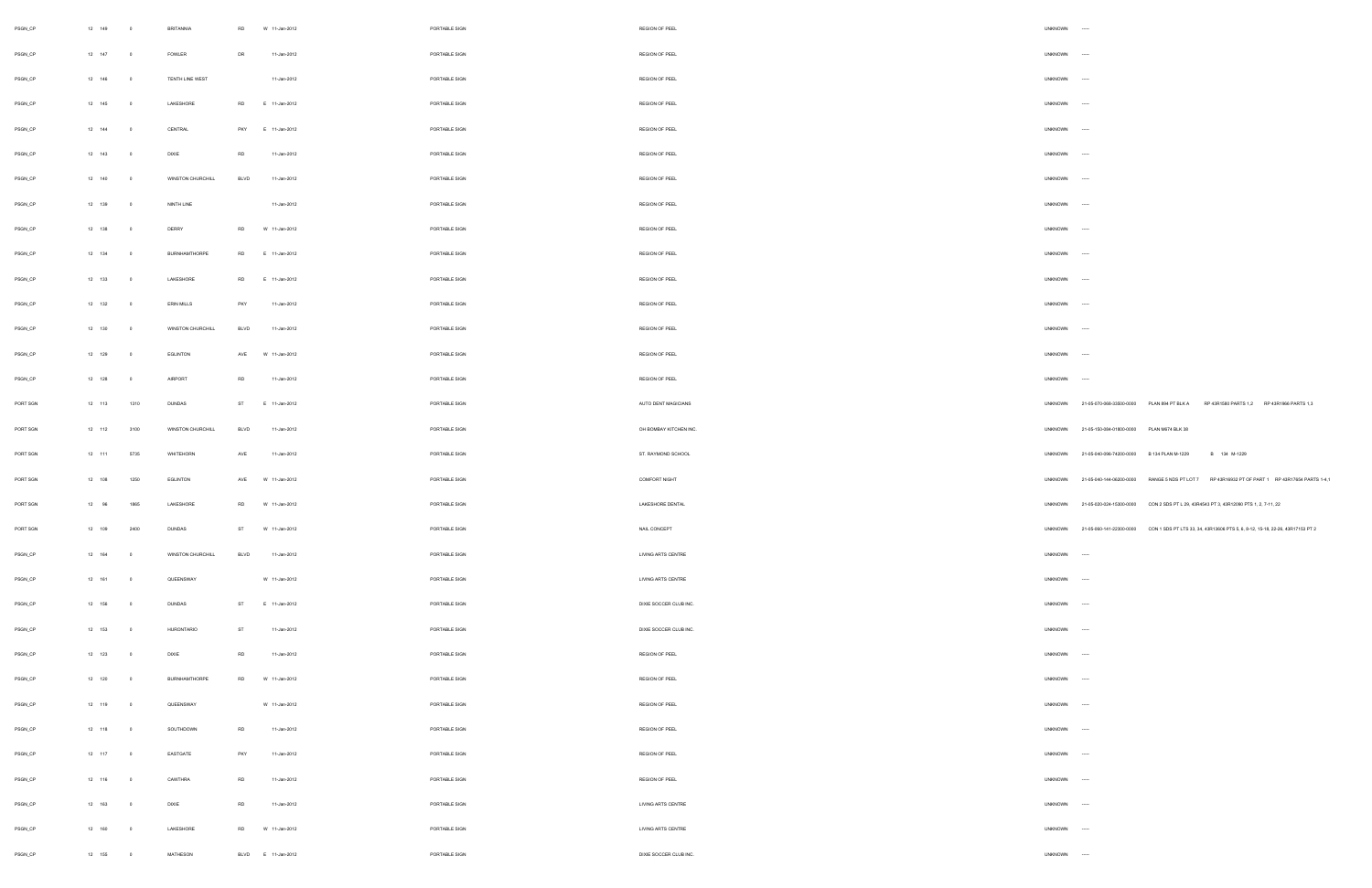| $\mathsf{PSGN\_CP}$              | 12 149                          | $\overline{\phantom{0}}$ | <b>BRITANNIA</b>  | <b>RD</b>       | W 11-Jan-2012      | PORTABLE SIGN | REGION OF PEEL         | UNKNOWN ------ |                                                    |                                                                                                                |
|----------------------------------|---------------------------------|--------------------------|-------------------|-----------------|--------------------|---------------|------------------------|----------------|----------------------------------------------------|----------------------------------------------------------------------------------------------------------------|
| PSGN_CP                          | 12 147                          | $^{\circ}$               | <b>FOWLER</b>     | DR              | 11-Jan-2012        | PORTABLE SIGN | REGION OF PEEL         | <b>UNKNOWN</b> | $\sim$                                             |                                                                                                                |
| PSGN_CP                          | 12 146 0                        |                          | TENTH LINE WEST   |                 | 11-Jan-2012        | PORTABLE SIGN | REGION OF PEEL         | UNKNOWN -----  |                                                    |                                                                                                                |
| PSGN_CP                          | 12 145 0                        |                          | LAKESHORE         | <b>RD</b>       | E 11-Jan-2012      | PORTABLE SIGN | REGION OF PEEL         | UNKNOWN -----  |                                                    |                                                                                                                |
| PSGN_CP                          | 12 144                          | $\overline{\phantom{0}}$ | CENTRAL           | PKY             | E 11-Jan-2012      | PORTABLE SIGN | REGION OF PEEL         | <b>UNKNOWN</b> | $\sim$                                             |                                                                                                                |
| PSGN_CP                          | 12 143                          | $\overline{\phantom{0}}$ | <b>DIXIE</b>      | <b>RD</b>       | 11-Jan-2012        | PORTABLE SIGN | REGION OF PEEL         | UNKNOWN ------ |                                                    |                                                                                                                |
| $\ensuremath{\mathsf{PSGN\_CP}}$ | 12 140                          | $\overline{\phantom{0}}$ | WINSTON CHURCHILL | <b>BLVD</b>     | 11-Jan-2012        | PORTABLE SIGN | REGION OF PEEL         | UNKNOWN ------ |                                                    |                                                                                                                |
| PSGN_CP                          | 12 139                          | $\overline{\phantom{0}}$ | NINTH LINE        |                 | 11-Jan-2012        | PORTABLE SIGN | REGION OF PEEL         | <b>UNKNOWN</b> | $\sim$                                             |                                                                                                                |
| PSGN_CP                          | 12 138                          | $\sim$ 0                 | DERRY             | <b>RD</b>       | W 11-Jan-2012      | PORTABLE SIGN | REGION OF PEEL         | <b>UNKNOWN</b> | 1000                                               |                                                                                                                |
| PSGN_CP                          | 12 134                          | $\overline{\phantom{0}}$ | BURNHAMTHORPE     | <b>RD</b>       | E 11-Jan-2012      | PORTABLE SIGN | REGION OF PEEL         | UNKNOWN -----  |                                                    |                                                                                                                |
| PSGN_CP                          | 12 133 0                        |                          | LAKESHORE         |                 | RD E 11-Jan-2012   | PORTABLE SIGN | REGION OF PEEL         | UNKNOWN -----  |                                                    |                                                                                                                |
| PSGN_CP                          | $12 \qquad 132 \qquad \qquad 0$ |                          | <b>ERIN MILLS</b> | PKY             | 11-Jan-2012        | PORTABLE SIGN | REGION OF PEEL         | UNKNOWN -----  |                                                    |                                                                                                                |
| PSGN_CP                          | 12 130                          | $\overline{\phantom{0}}$ | WINSTON CHURCHILL | <b>BLVD</b>     | 11-Jan-2012        | PORTABLE SIGN | REGION OF PEEL         | UNKNOWN -----  |                                                    |                                                                                                                |
| PSGN_CP                          | 12 129 0                        |                          | <b>EGLINTON</b>   | AVE             | W 11-Jan-2012      | PORTABLE SIGN | REGION OF PEEL         | UNKNOWN ------ |                                                    |                                                                                                                |
| PSGN_CP                          | 12 128                          | $\overline{\phantom{0}}$ | AIRPORT           | <b>RD</b>       | 11-Jan-2012        | PORTABLE SIGN | REGION OF PEEL         | UNKNOWN ------ |                                                    |                                                                                                                |
| PORT SGN                         | 12 113                          | 1310                     | <b>DUNDAS</b>     | <b>ST</b>       | E 11-Jan-2012      | PORTABLE SIGN | AUTO DENT MAGICIANS    | <b>UNKNOWN</b> |                                                    | 21-05-070-068-33500-0000 PLAN 894 PT BLK A RP 43R1580 PARTS 1,2 RP 43R1966 PARTS 1,3                           |
| PORT SGN                         | 12 112                          | 3100                     | WINSTON CHURCHILL | <b>BLVD</b>     | 11-Jan-2012        | PORTABLE SIGN | OH BOMBAY KITCHEN INC. |                | UNKNOWN 21-05-150-084-01800-0000 PLAN M674 BLK 38  |                                                                                                                |
| PORT SGN                         | 12 111                          | 5735                     | WHITEHORN         | AVE             | 11-Jan-2012        | PORTABLE SIGN | ST. RAYMOND SCHOOL     |                | UNKNOWN 21-05-040-096-74200-0000 B 134 PLAN M-1229 | B 134 M-1229                                                                                                   |
| PORT SGN                         | 12 108                          | 1250                     | <b>EGLINTON</b>   | AVE             | W 11-Jan-2012      | PORTABLE SIGN | <b>COMFORT NIGHT</b>   | <b>UNKNOWN</b> |                                                    | 21-05-040-144-06200-0000 RANGE 5 NDS PT LOT 7 RP 43R16932 PT OF PART 1 RP 43R17654 PARTS 1-4,                  |
| PORT SGN                         | 12 96                           | 1865                     | LAKESHORE         |                 | RD W 11-Jan-2012   | PORTABLE SIGN | LAKESHORE DENTAL       |                |                                                    | UNKNOWN 21-05-020-024-15300-0000 CON 2 SDS PT L 29, 43R4543 PT 3, 43R12090 PTS 1, 2, 7-11, 22                  |
| PORT SGN                         | 12 109                          | 2400                     | <b>DUNDAS</b>     | ST <sub>1</sub> | W 11-Jan-2012      | PORTABLE SIGN | NAIL CONCEPT           |                |                                                    | UNKNOWN 21-05-060-141-22300-0000 CON 1 SDS PT LTS 33, 34, 43R13606 PTS 5, 6, 8-12, 15-18, 22-26, 43R17153 PT 2 |
| PSGN_CP                          | 12 164                          | $\overline{\phantom{0}}$ | WINSTON CHURCHILL | <b>BLVD</b>     | 11-Jan-2012        | PORTABLE SIGN | LIVING ARTS CENTRE     | <b>UNKNOWN</b> | $\sim$                                             |                                                                                                                |
| PSGN_CP                          | 12 161                          | $\overline{\phantom{0}}$ | QUEENSWAY         |                 | W 11-Jan-2012      | PORTABLE SIGN | LIVING ARTS CENTRE     | <b>UNKNOWN</b> | $\sim$                                             |                                                                                                                |
| PSGN_CP                          | 12 156                          | $\overline{\phantom{0}}$ | <b>DUNDAS</b>     | <b>ST</b>       | E 11-Jan-2012      | PORTABLE SIGN | DIXIE SOCCER CLUB INC. | UNKNOWN ------ |                                                    |                                                                                                                |
| PSGN_CP                          | 12 153 0                        |                          | HURONTARIO        | ST              | 11-Jan-2012        | PORTABLE SIGN | DIXIE SOCCER CLUB INC. | UNKNOWN ------ |                                                    |                                                                                                                |
| PSGN_CP                          | 12 123                          | $\overline{\phantom{0}}$ | DIXIE             | <b>RD</b>       | 11-Jan-2012        | PORTABLE SIGN | REGION OF PEEL         | UNKNOWN -----  |                                                    |                                                                                                                |
| PSGN_CP                          | 12 120                          | $\overline{\phantom{0}}$ | BURNHAMTHORPE     | <b>RD</b>       | W 11-Jan-2012      | PORTABLE SIGN | REGION OF PEEL         | <b>UNKNOWN</b> | $\sim$                                             |                                                                                                                |
| PSGN_CP                          | 12 119 0                        |                          | QUEENSWAY         |                 | W 11-Jan-2012      | PORTABLE SIGN | REGION OF PEEL         | UNKNOWN -----  |                                                    |                                                                                                                |
| PSGN_CP                          | $12 \qquad 118 \qquad \qquad 0$ |                          | SOUTHDOWN         | <b>RD</b>       | 11-Jan-2012        | PORTABLE SIGN | REGION OF PEEL         | <b>UNKNOWN</b> | $\sim$                                             |                                                                                                                |
| PSGN_CP                          | 12 117                          | $\overline{\phantom{0}}$ | EASTGATE          | PKY             | 11-Jan-2012        | PORTABLE SIGN | REGION OF PEEL         | <b>UNKNOWN</b> | $\sim$                                             |                                                                                                                |
| PSGN_CP                          | 12 116                          | $\overline{\phantom{0}}$ | CAWTHRA           | <b>RD</b>       | 11-Jan-2012        | PORTABLE SIGN | REGION OF PEEL         | <b>UNKNOWN</b> | $\sim$                                             |                                                                                                                |
| PSGN_CP                          | 12 163                          | $\overline{\phantom{0}}$ | DIXIE             | <b>RD</b>       | 11-Jan-2012        | PORTABLE SIGN | LIVING ARTS CENTRE     | <b>UNKNOWN</b> | $\sim$                                             |                                                                                                                |
| PSGN_CP                          | 12 160                          | $\overline{\phantom{0}}$ | LAKESHORE         | <b>RD</b>       | W 11-Jan-2012      | PORTABLE SIGN | LIVING ARTS CENTRE     | UNKNOWN ------ |                                                    |                                                                                                                |
| PSGN_CP                          | 12 155 0                        |                          | MATHESON          |                 | BLVD E 11-Jan-2012 | PORTABLE SIGN | DIXIE SOCCER CLUB INC. | UNKNOWN ------ |                                                    |                                                                                                                |

| UNKNOWN -----  |                                           |                                                                                                                |
|----------------|-------------------------------------------|----------------------------------------------------------------------------------------------------------------|
| <b>UNKNOWN</b> | $\cdots$                                  |                                                                                                                |
| UNKNOWN -----  |                                           |                                                                                                                |
| UNKNOWN -----  |                                           |                                                                                                                |
| UNKNOWN -----  |                                           |                                                                                                                |
| UNKNOWN -----  |                                           |                                                                                                                |
| UNKNOWN -----  |                                           |                                                                                                                |
| UNKNOWN -----  |                                           |                                                                                                                |
| UNKNOWN -----  |                                           |                                                                                                                |
| UNKNOWN -----  |                                           |                                                                                                                |
| UNKNOWN -----  |                                           |                                                                                                                |
| UNKNOWN -----  |                                           |                                                                                                                |
| UNKNOWN -----  |                                           |                                                                                                                |
| UNKNOWN -----  |                                           |                                                                                                                |
| UNKNOWN -----  |                                           |                                                                                                                |
|                |                                           | UNKNOWN 21-05-070-068-33500-0000 PLAN 894 PT BLK A RP 43R1580 PARTS 1,2 RP 43R1966 PARTS 1,3                   |
| <b>UNKNOWN</b> | 21-05-150-084-01800-0000 PLAN M674 BLK 38 |                                                                                                                |
|                |                                           | UNKNOWN 21-05-040-096-74200-0000 B 134 PLAN M-1229 B 134 M-1229                                                |
|                |                                           | UNKNOWN 21-05-040-144-06200-0000 RANGE 5 NDS PT LOT 7 RP 43R16932 PT OF PART 1 RP 43R17654 PARTS 1-4,1         |
|                |                                           | UNKNOWN 21-05-020-024-15300-0000 CON 2 SDS PT L 29, 43R4543 PT 3, 43R12090 PTS 1, 2, 7-11, 22                  |
|                |                                           | UNKNOWN 21-05-060-141-22300-0000 CON 1 SDS PT LTS 33, 34, 43R13606 PTS 5, 6, 8-12, 15-18, 22-26, 43R17153 PT 2 |
| <b>UNKNOWN</b> | $\sim$                                    |                                                                                                                |
| <b>UNKNOWN</b> | $\sim$                                    |                                                                                                                |
| <b>UNKNOWN</b> | $\sim$                                    |                                                                                                                |
| <b>UNKNOWN</b> | $\sim$                                    |                                                                                                                |
| <b>UNKNOWN</b> | $\overline{\phantom{a}}$                  |                                                                                                                |
| <b>UNKNOWN</b> | $\overline{\phantom{a}}$                  |                                                                                                                |
| <b>UNKNOWN</b> | $\overline{\phantom{a}}$                  |                                                                                                                |
| <b>UNKNOWN</b> | $\sim$                                    |                                                                                                                |
| <b>UNKNOWN</b> | $\sim$                                    |                                                                                                                |
| <b>UNKNOWN</b> | $\overline{a}$                            |                                                                                                                |
| <b>UNKNOWN</b> |                                           |                                                                                                                |
|                | $\sim$                                    |                                                                                                                |
| <b>UNKNOWN</b> | $\overline{\phantom{a}}$                  |                                                                                                                |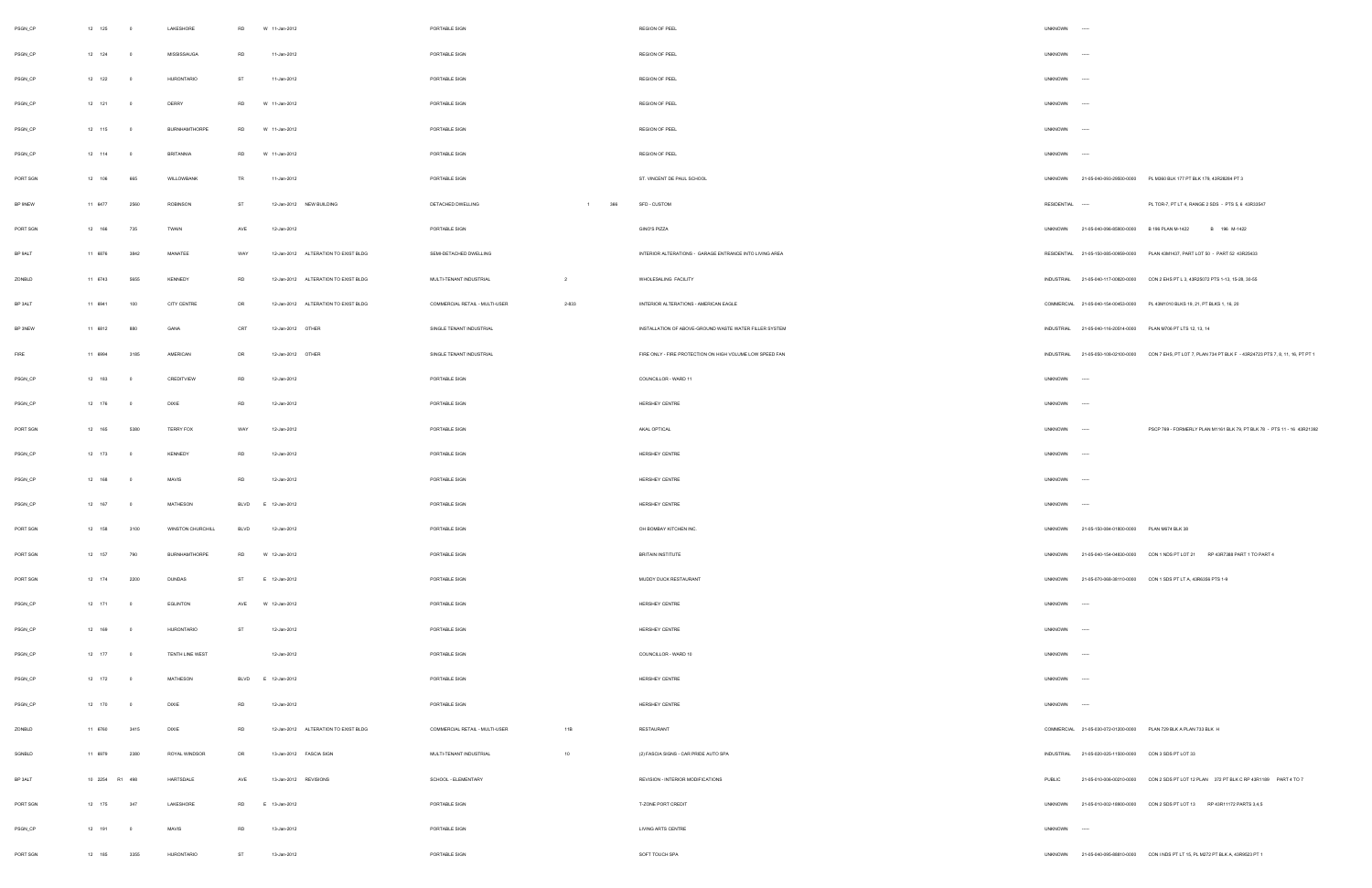| EEL                                          | <b>UNKNOWN</b>    | $\sim$                               |                                                                             |
|----------------------------------------------|-------------------|--------------------------------------|-----------------------------------------------------------------------------|
| EEL                                          | <b>UNKNOWN</b>    | $\cdots$                             |                                                                             |
| EEL                                          | <b>UNKNOWN</b>    | $\cdots$                             |                                                                             |
| 'EEL                                         | <b>UNKNOWN</b>    | $\cdots$                             |                                                                             |
| 'EEL                                         | <b>UNKNOWN</b>    | $\overline{\phantom{a}}$             |                                                                             |
| DE PAUL SCHOOL                               | <b>UNKNOWN</b>    | 21-05-040-093-29500-0000             | PL M360 BLK 177 PT BLK 179, 43R28284 PT 3                                   |
| М                                            | RESIDENTIAL ----- |                                      | PL TOR-7, PT LT 4, RANGE 2 SDS - PTS 5, 6 43R33547                          |
|                                              | <b>UNKNOWN</b>    | 21-05-040-096-85900-0000             | B 196 M-1422<br>B 196 PLAN M-1422                                           |
| TERATIONS - GARAGE ENTRANCE INTO LIVING AREA |                   | RESIDENTIAL 21-05-150-085-00959-0000 | PLAN 43M1437, PART LOT 50 - PART 52 43R25433                                |
| <b>IG FACILITY</b>                           | INDUSTRIAL        | 21-05-040-117-00820-0000             | CON 2 EHS PT L 3, 43R25072 PTS 1-13, 15-28, 30-55                           |
| TERATIONS - AMERICAN EAGLE                   |                   | COMMERCIAL 21-05-040-154-00453-0000  | PL 43M1010 BLKS 19, 21, PT BLKS 1, 16, 20                                   |
| N OF ABOVE-GROUND WASTE WATER FILLER SYSTEM  | INDUSTRIAL        | 21-05-040-116-20514-0000             | PLAN M706 PT LTS 12, 13, 14                                                 |
| FIRE PROTECTION ON HIGH VOLUME LOW SPEED FAN | INDUSTRIAL        | 21-05-050-108-02100-0000             | CON 7 EHS, PT LOT 7, PLAN 734 PT BLK F - 43R24723 PTS 7, 8, 11, 16, PT PT 1 |
| : - WARD 11                                  | <b>UNKNOWN</b>    | $\overline{\phantom{a}}$             |                                                                             |
| NTRE                                         | <b>UNKNOWN</b>    | $\sim$                               |                                                                             |
| L                                            | <b>UNKNOWN</b>    | $\overline{\phantom{a}}$             | PSCP 769 - FORMERLY PLAN M1161 BLK 79, PT BLK 78 - PTS 11 - 16 43R21392     |
| NTRE                                         | <b>UNKNOWN</b>    | $\cdots$                             |                                                                             |
| NTRE                                         | <b>UNKNOWN</b>    | $\sim$                               |                                                                             |
| NTRE                                         | <b>UNKNOWN</b>    | $\overline{\phantom{a}}$             |                                                                             |
| KITCHEN INC.                                 | <b>UNKNOWN</b>    | 21-05-150-084-01800-0000             | PLAN M674 BLK 38                                                            |
| <b>ITUTE</b>                                 | <b>UNKNOWN</b>    | 21-05-040-154-04830-0000             | CON 1 NDS PT LOT 21 RP 43R7388 PART 1 TO PART 4                             |
| <b>KRESTAURANT</b>                           | <b>UNKNOWN</b>    | 21-05-070-068-38110-0000             | CON 1 SDS PT LT A, 43R6356 PTS 1-9                                          |
| NTRE                                         | <b>UNKNOWN</b>    | $\cdots$                             |                                                                             |
| NTRE                                         | <b>UNKNOWN</b>    | $\sim$                               |                                                                             |
| - WARD 10                                    | <b>UNKNOWN</b>    | $\sim$                               |                                                                             |
| NTRE                                         | <b>UNKNOWN</b>    | $\overline{\phantom{a}}$             |                                                                             |
| NTRE                                         | <b>UNKNOWN</b>    | $\cdots$                             |                                                                             |
| r                                            |                   | COMMERCIAL 21-05-030-072-01200-0000  | PLAN 729 BLK A PLAN 733 BLK H                                               |
| GNS - CAR PRIDE AUTO SPA                     | INDUSTRIAL        | 21-05-020-025-11500-0000             | CON 3 SDS PT LOT 33                                                         |
| <b>ITERIOR MODIFICATIONS</b>                 | PUBLIC            | 21-05-010-006-00210-0000             | CON 2 SDS PT LOT 12 PLAN 372 PT BLK C RP 43R1189 PART 4 TO 7                |
| <b>T CREDIT</b>                              | <b>UNKNOWN</b>    | 21-05-010-002-18900-0000             | CON 2 SDS PT LOT 13 RP 43R11172 PARTS 3,4,5                                 |
| CENTRE                                       | <b>UNKNOWN</b>    | $\sim$                               |                                                                             |
| <b>SPA</b>                                   | <b>UNKNOWN</b>    | 21-05-040-095-88810-0000             | CON I NDS PT LT 15, PL M272 PT BLK A, 43R9523 PT 1                          |

| PSGN_CP  | 12 125         | $\overline{\phantom{0}}$ | LAKESHORE            | <b>RD</b>       | W 11-Jan-2012                        | PORTABLE SIGN                  |                | REGION OF PEEL                                           | <b>UNKNOWN</b>    | $\sim$                                                  |                                                                                                                 |
|----------|----------------|--------------------------|----------------------|-----------------|--------------------------------------|--------------------------------|----------------|----------------------------------------------------------|-------------------|---------------------------------------------------------|-----------------------------------------------------------------------------------------------------------------|
| PSGN_CP  | 12 124         |                          | MISSISSAUGA          | <b>RD</b>       | 11-Jan-2012                          | PORTABLE SIGN                  |                | REGION OF PEEL                                           | <b>UNKNOWN</b>    | $\overline{\phantom{a}}$                                |                                                                                                                 |
| PSGN_CP  | 12 122 0       |                          | <b>HURONTARIO</b>    | <b>ST</b>       | 11-Jan-2012                          | PORTABLE SIGN                  |                | REGION OF PEEL                                           | <b>UNKNOWN</b>    | $\sim$                                                  |                                                                                                                 |
| PSGN_CP  | 12 121         | $\sim$ 0                 | <b>DERRY</b>         | <b>RD</b>       | W 11-Jan-2012                        | PORTABLE SIGN                  |                | REGION OF PEEL                                           | <b>UNKNOWN</b>    | $\sim$                                                  |                                                                                                                 |
| PSGN_CP  | 12 115         |                          | <b>BURNHAMTHORPE</b> | <b>RD</b>       | W 11-Jan-2012                        | PORTABLE SIGN                  |                | REGION OF PEEL                                           | <b>UNKNOWN</b>    | $\sim$                                                  |                                                                                                                 |
| PSGN_CP  | 12 114         | $\sim$                   | <b>BRITANNIA</b>     | <b>RD</b>       | W 11-Jan-2012                        | PORTABLE SIGN                  |                | REGION OF PEEL                                           | <b>UNKNOWN</b>    | $\sim$                                                  |                                                                                                                 |
| PORT SGN | 12 106         | 665                      | WILLOWBANK           | <b>TR</b>       | 11-Jan-2012                          | PORTABLE SIGN                  |                | ST. VINCENT DE PAUL SCHOOL                               | <b>UNKNOWN</b>    |                                                         | 21-05-040-093-29500-0000 PL M360 BLK 177 PT BLK 179, 43R28284 PT 3                                              |
| BP 9NEW  | 11 6477        | 2560                     | <b>ROBINSON</b>      | <b>ST</b>       | 12-Jan-2012 NEW BUILDING             | DETACHED DWELLING              | $-1$<br>366    | SFD - CUSTOM                                             | RESIDENTIAL ----- |                                                         | PL TOR-7, PT LT 4, RANGE 2 SDS - PTS 5, 6 43R33547                                                              |
| PORT SGN | 12 166         | 735                      | TWAIN                | AVE             | 12-Jan-2012                          | PORTABLE SIGN                  |                | <b>GINO'S PIZZA</b>                                      | <b>UNKNOWN</b>    | 21-05-040-096-85900-0000 B 196 PLAN M-1422              | B 196 M-1422                                                                                                    |
| BP 9ALT  | 11 6876        | 3842                     | MANATEE              | WAY             | 12-Jan-2012 ALTERATION TO EXIST BLDG | SEMI-DETACHED DWELLING         |                | INTERIOR ALTERATIONS - GARAGE ENTRANCE INTO LIVING AREA  |                   |                                                         | RESIDENTIAL 21-05-150-085-00959-0000 PLAN 43M1437, PART LOT 50 - PART 52 43R25433                               |
| ZONBLD   | 11 6743        | 5655                     | <b>KENNEDY</b>       | <b>RD</b>       | 12-Jan-2012 ALTERATION TO EXIST BLDG | MULTI-TENANT INDUSTRIAL        | $\overline{2}$ | WHOLESALING FACILITY                                     |                   |                                                         | INDUSTRIAL 21-05-040-117-00820-0000 CON 2 EHS PT L 3, 43R25072 PTS 1-13, 15-28, 30-55                           |
| BP 3ALT  | 11 6941        | 100                      | <b>CITY CENTRE</b>   | <b>DR</b>       | 12-Jan-2012 ALTERATION TO EXIST BLDG | COMMERCIAL RETAIL - MULTI-USER | 2-833          | IINTERIOR ALTERATIONS - AMERICAN EAGLE                   |                   |                                                         | COMMERCIAL 21-05-040-154-00453-0000 PL 43M1010 BLKS 19, 21, PT BLKS 1, 16, 20                                   |
| BP 3NEW  | 11 6812        | 880                      | GANA                 | CRT             | 12-Jan-2012 OTHER                    | SINGLE TENANT INDUSTRIAL       |                | INSTALLATION OF ABOVE-GROUND WASTE WATER FILLER SYSTEM   |                   |                                                         | INDUSTRIAL 21-05-040-116-20514-0000 PLAN M706 PT LTS 12, 13, 14                                                 |
| FIRE     | 11 6994        | 3185                     | AMERICAN             | DR              | 12-Jan-2012 OTHER                    | SINGLE TENANT INDUSTRIAL       |                | FIRE ONLY - FIRE PROTECTION ON HIGH VOLUME LOW SPEED FAN |                   |                                                         | INDUSTRIAL 21-05-050-108-02100-0000 CON 7 EHS, PT LOT 7, PLAN 734 PT BLK F - 43R24723 PTS 7, 8, 11, 16, PT PT 1 |
| PSGN_CP  | 12 183         |                          | CREDITVIEW           | <b>RD</b>       | 12-Jan-2012                          | PORTABLE SIGN                  |                | COUNCILLOR - WARD 11                                     | <b>UNKNOWN</b>    | $\sim$                                                  |                                                                                                                 |
| PSGN_CP  | 12 176         |                          | DIXIE                | <b>RD</b>       | 12-Jan-2012                          | PORTABLE SIGN                  |                | HERSHEY CENTRE                                           | <b>UNKNOWN</b>    | $\sim$                                                  |                                                                                                                 |
| PORT SGN | 12 165         | 5380                     | <b>TERRY FOX</b>     | WAY             | 12-Jan-2012                          | PORTABLE SIGN                  |                | AKAL OPTICAL                                             | <b>UNKNOWN</b>    | $\sim$                                                  | PSCP 769 - FORMERLY PLAN M1161 BLK 79, PT BLK 78 - PTS 11 - 16 43R21392                                         |
| PSGN_CP  | 12 173         |                          | KENNEDY              | <b>RD</b>       | 12-Jan-2012                          | PORTABLE SIGN                  |                | HERSHEY CENTRE                                           | <b>UNKNOWN</b>    | $\sim$                                                  |                                                                                                                 |
| PSGN_CP  | 12 168         |                          | <b>MAVIS</b>         | <b>RD</b>       | 12-Jan-2012                          | PORTABLE SIGN                  |                | HERSHEY CENTRE                                           | <b>UNKNOWN</b>    | $\sim$                                                  |                                                                                                                 |
| PSGN_CP  | 12 167 0       |                          | MATHESON             |                 | BLVD E 12-Jan-2012                   | PORTABLE SIGN                  |                | HERSHEY CENTRE                                           | UNKNOWN ------    |                                                         |                                                                                                                 |
| PORT SGN | 12 158         | 3100                     | WINSTON CHURCHILL    | <b>BLVD</b>     | 12-Jan-2012                          | PORTABLE SIGN                  |                | OH BOMBAY KITCHEN INC.                                   |                   | UNKNOWN 21-05-150-084-01800-0000 PLAN M674 BLK 38       |                                                                                                                 |
| PORT SGN | 12 157         | 790                      | <b>BURNHAMTHORPE</b> | <b>RD</b>       | W 12-Jan-2012                        | PORTABLE SIGN                  |                | <b>BRITAIN INSTITUTE</b>                                 | <b>UNKNOWN</b>    |                                                         | 21-05-040-154-04830-0000 CON 1 NDS PT LOT 21 RP 43R7388 PART 1 TO PART 4                                        |
| PORT SGN | 12 174         | 2200                     | <b>DUNDAS</b>        | <b>ST</b>       | E 12-Jan-2012                        | PORTABLE SIGN                  |                | MUDDY DUCK RESTAURANT                                    | <b>UNKNOWN</b>    |                                                         | 21-05-070-068-38110-0000 CON 1 SDS PT LT A, 43R6356 PTS 1-9                                                     |
| PSGN_CP  | 12 171         | $\overline{0}$           | <b>EGLINTON</b>      | AVE             | W 12-Jan-2012                        | PORTABLE SIGN                  |                | HERSHEY CENTRE                                           | <b>UNKNOWN</b>    | $\sim$                                                  |                                                                                                                 |
| PSGN_CP  | 12 169         |                          | HURONTARIO           | <b>ST</b>       | 12-Jan-2012                          | PORTABLE SIGN                  |                | HERSHEY CENTRE                                           | <b>UNKNOWN</b>    | $\sim$                                                  |                                                                                                                 |
| PSGN_CP  | 12 177 0       |                          | TENTH LINE WEST      |                 | 12-Jan-2012                          | PORTABLE SIGN                  |                | COUNCILLOR - WARD 10                                     | <b>UNKNOWN</b>    | $\sim$                                                  |                                                                                                                 |
| PSGN_CP  | 12 172 0       |                          | MATHESON             |                 | BLVD E 12-Jan-2012                   | PORTABLE SIGN                  |                | HERSHEY CENTRE                                           | <b>UNKNOWN</b>    | $\sim$                                                  |                                                                                                                 |
| PSGN_CP  | 12 170 0       |                          | DIXIE                | <b>RD</b>       | 12-Jan-2012                          | PORTABLE SIGN                  |                | HERSHEY CENTRE                                           | <b>UNKNOWN</b>    | $\overline{\phantom{a}}$                                |                                                                                                                 |
| ZONBLD   | 11 6760        | 3415                     | DIXIE                | <b>RD</b>       | 12-Jan-2012 ALTERATION TO EXIST BLDG | COMMERCIAL RETAIL - MULTI-USER | 11B            | RESTAURANT                                               |                   |                                                         | COMMERCIAL 21-05-030-072-01200-0000 PLAN 729 BLK A PLAN 733 BLK H                                               |
| SGNBLD   | 11 6979        | 2380                     | ROYAL WINDSOR        | DR.             | 13-Jan-2012    FASCIA SIGN           | MULTI-TENANT INDUSTRIAL        | 10             | (2) FASCIA SIGNS - CAR PRIDE AUTO SPA                    |                   | INDUSTRIAL 21-05-020-025-11500-0000 CON 3 SDS PT LOT 33 |                                                                                                                 |
| BP 3ALT  | 10 2254 R1 498 |                          | HARTSDALE            | AVE             | 13-Jan-2012 REVISIONS                | SCHOOL - ELEMENTARY            |                | REVISION - INTERIOR MODIFICATIONS                        | <b>PUBLIC</b>     |                                                         | 21-05-010-006-00210-0000 CON 2 SDS PT LOT 12 PLAN 372 PT BLK C RP 43R1189 PART 4 TO 7                           |
| PORT SGN | 12 175         | 347                      | LAKESHORE            | <b>RD</b>       | E 13-Jan-2012                        | PORTABLE SIGN                  |                | T-ZONE PORT CREDIT                                       | <b>UNKNOWN</b>    |                                                         | 21-05-010-002-18900-0000 CON 2 SDS PT LOT 13 RP 43R11172 PARTS 3,4,5                                            |
| PSGN_CP  | 12 191         | $\sim$ 0                 | <b>MAVIS</b>         | <b>RD</b>       | 13-Jan-2012                          | PORTABLE SIGN                  |                | LIVING ARTS CENTRE                                       | <b>UNKNOWN</b>    | $\sim$                                                  |                                                                                                                 |
| PORT SGN | 12 185 3355    |                          | <b>HURONTARIO</b>    | ST <sub>2</sub> | 13-Jan-2012                          | PORTABLE SIGN                  |                | SOFT TOUCH SPA                                           |                   |                                                         | UNKNOWN 21-05-040-095-88810-0000 CON INDS PT LT 15, PL M272 PT BLK A, 43R9523 PT 1                              |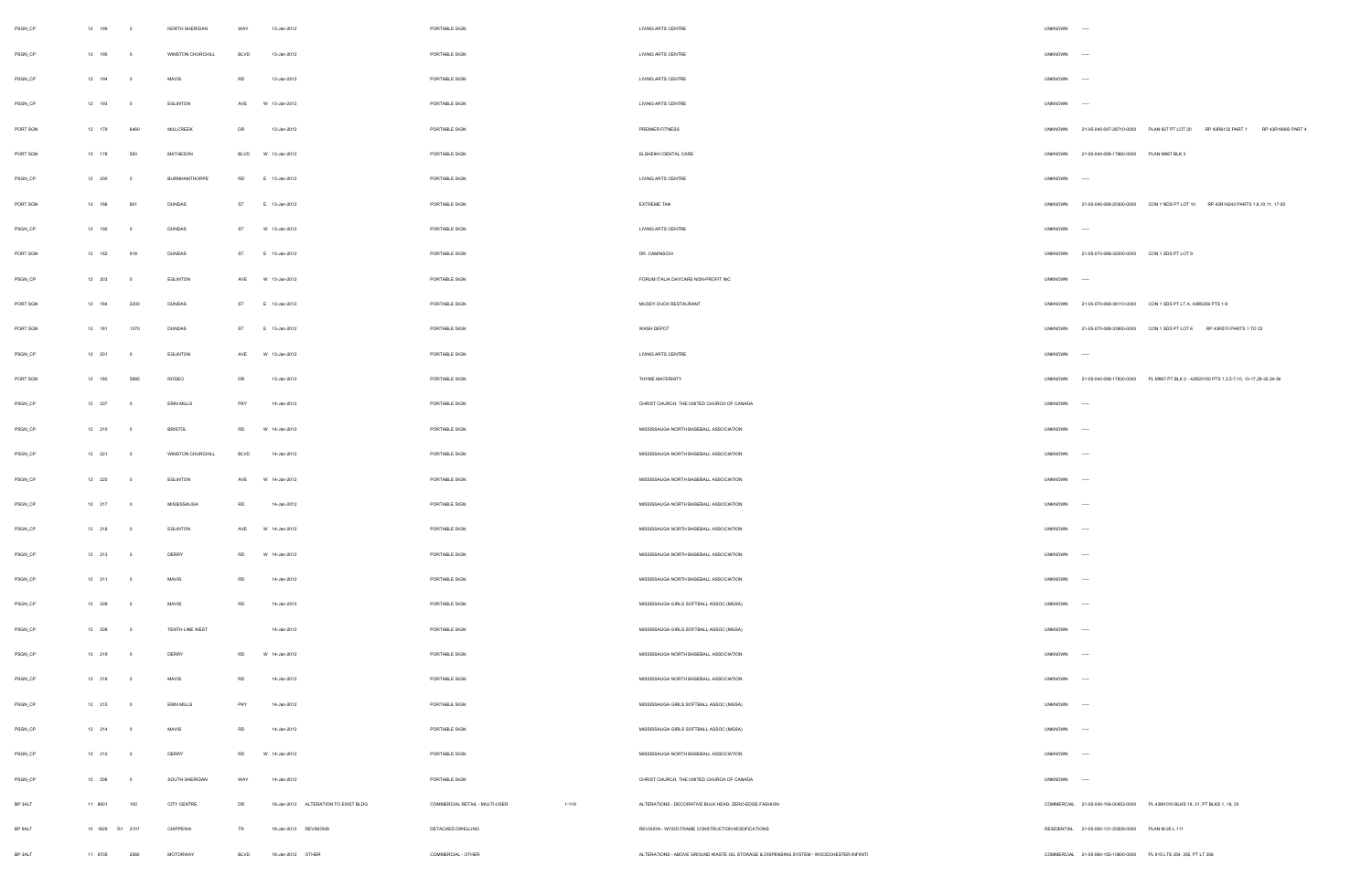| CENTRE                                                                        | <b>UNKNOWN</b> | $\sim$                                                                          |                                                               |                  |
|-------------------------------------------------------------------------------|----------------|---------------------------------------------------------------------------------|---------------------------------------------------------------|------------------|
| CENTRE                                                                        | <b>UNKNOWN</b> | $\cdots$                                                                        |                                                               |                  |
| CENTRE                                                                        | <b>UNKNOWN</b> | $\sim$                                                                          |                                                               |                  |
| CENTRE                                                                        | <b>UNKNOWN</b> | $\cdots$                                                                        |                                                               |                  |
| <b>NESS</b>                                                                   | <b>UNKNOWN</b> | 21-05-040-097-28710-0000 PLAN 927 PT LOT 20 RP 43R6132 PART 1                   |                                                               | RP 43R16892 PART |
| <b>NTAL CARE</b>                                                              | <b>UNKNOWN</b> | 21-05-040-098-17860-0000                                                        | PLAN M967 BLK 3                                               |                  |
| CENTRE                                                                        | <b>UNKNOWN</b> | $\cdots$                                                                        |                                                               |                  |
| N                                                                             | <b>UNKNOWN</b> | 21-05-040-068-20300-0000 CON 1 NDS PT LOT 10 RP 43R14243 PARTS 1,6,10,11, 17-20 |                                                               |                  |
| CENTRE                                                                        | <b>UNKNOWN</b> | $\cdots$                                                                        |                                                               |                  |
| 'n                                                                            | <b>UNKNOWN</b> | 21-05-070-068-32000-0000 CON 1 SDS PT LOT 9                                     |                                                               |                  |
| A DAYCARE NON-PROFIT INC                                                      | <b>UNKNOWN</b> | $\overline{\phantom{a}}$                                                        |                                                               |                  |
| <b>KRESTAURANT</b>                                                            | <b>UNKNOWN</b> | 21-05-070-068-38110-0000 CON 1 SDS PT LT A, 43R6356 PTS 1-9                     |                                                               |                  |
| L.                                                                            | <b>UNKNOWN</b> | 21-05-070-068-33900-0000                                                        | CON 1 SDS PT LOT 6 RP 43R570 PARTS 1 TO 22                    |                  |
| CENTRE                                                                        | <b>UNKNOWN</b> | $\cdots$                                                                        |                                                               |                  |
| RNITY                                                                         | <b>UNKNOWN</b> | 21-05-040-098-17830-0000                                                        | PL M967 PT BLK 2 - 43R20150 PTS 1,2,5-7,10, 13-17,29-32,34-36 |                  |
| RCH, THE UNITED CHURCH OF CANADA                                              | <b>UNKNOWN</b> | $\overline{\phantom{a}}$                                                        |                                                               |                  |
| A NORTH BASEBALL ASSOCIATION                                                  | <b>UNKNOWN</b> | $\cdots$                                                                        |                                                               |                  |
| A NORTH BASEBALL ASSOCIATION                                                  | <b>UNKNOWN</b> | $\cdots$                                                                        |                                                               |                  |
| A NORTH BASEBALL ASSOCIATION                                                  | <b>UNKNOWN</b> | $\cdots$                                                                        |                                                               |                  |
| A NORTH BASEBALL ASSOCIATION                                                  | <b>UNKNOWN</b> | $\cdots$                                                                        |                                                               |                  |
| A NORTH BASEBALL ASSOCIATION                                                  | <b>UNKNOWN</b> | $\sim$                                                                          |                                                               |                  |
| A NORTH BASEBALL ASSOCIATION                                                  | <b>UNKNOWN</b> | $\cdots$                                                                        |                                                               |                  |
| A NORTH BASEBALL ASSOCIATION                                                  | <b>UNKNOWN</b> | $\cdots$                                                                        |                                                               |                  |
| A GIRLS SOFTBALL ASSOC (MGSA)                                                 | <b>UNKNOWN</b> | $\cdots$                                                                        |                                                               |                  |
| A GIRLS SOFTBALL ASSOC (MGSA)                                                 | <b>UNKNOWN</b> | $\cdots$                                                                        |                                                               |                  |
| A NORTH BASEBALL ASSOCIATION                                                  | <b>UNKNOWN</b> | $\cdots$                                                                        |                                                               |                  |
| A NORTH BASEBALL ASSOCIATION                                                  | <b>UNKNOWN</b> | $\cdots$                                                                        |                                                               |                  |
| A GIRLS SOFTBALL ASSOC (MGSA)                                                 | <b>UNKNOWN</b> | $\overline{\phantom{a}}$                                                        |                                                               |                  |
| A GIRLS SOFTBALL ASSOC (MGSA)                                                 | <b>UNKNOWN</b> | $\overline{\phantom{a}}$                                                        |                                                               |                  |
| A NORTH BASEBALL ASSOCIATION                                                  | <b>UNKNOWN</b> | $\cdots$                                                                        |                                                               |                  |
| RCH, THE UNITED CHURCH OF CANADA                                              | <b>UNKNOWN</b> | $\cdots$                                                                        |                                                               |                  |
| S - DECORATIVE BULK HEAD, ZERO-EDGE FASHION                                   |                | COMMERCIAL 21-05-040-154-00453-0000 PL 43M1010 BLKS 19, 21, PT BLKS 1, 16, 20   |                                                               |                  |
| OOD FRAME CONSTRUCTION MODIFICATIONS                                          |                | RESIDENTIAL 21-05-060-131-20509-0000                                            | PLAN M-25 L 111                                               |                  |
| S - ABOVE GROUND WASTE OIL STORAGE & DISPENSING SYSTEM - WOODCHESTER INFINITI |                | COMMERCIAL 21-05-060-155-10600-0000                                             | PL 915 LTS 354, 355, PT LT 356                                |                  |

| PSGN_CP  | 12 199          | $\overline{0}$           | NORTH SHERIDAN       | WAY         | 13-Jan-2012                          | PORTABLE SIGN                  |           | LIVING ARTS CENTRE                                                                      | <b>UNKNOWN</b> | $\overline{\phantom{a}}$                             |                                                                                                |
|----------|-----------------|--------------------------|----------------------|-------------|--------------------------------------|--------------------------------|-----------|-----------------------------------------------------------------------------------------|----------------|------------------------------------------------------|------------------------------------------------------------------------------------------------|
| PSGN_CP  | 12 195          | $\overline{0}$           | WINSTON CHURCHILL    | <b>BLVD</b> | 13-Jan-2012                          | PORTABLE SIGN                  |           | <b>LIVING ARTS CENTRE</b>                                                               | <b>UNKNOWN</b> | $\overline{\phantom{a}}$                             |                                                                                                |
| PSGN_CP  | 12 194          | $\overline{\mathbf{0}}$  | MAVIS                | <b>RD</b>   | 13-Jan-2012                          | PORTABLE SIGN                  |           | LIVING ARTS CENTRE                                                                      | <b>UNKNOWN</b> | $\overline{\phantom{a}}$                             |                                                                                                |
| PSGN_CP  | 12 193          | $\overline{0}$           | EGLINTON             | AVE         | W 13-Jan-2012                        | PORTABLE SIGN                  |           | LIVING ARTS CENTRE                                                                      | <b>UNKNOWN</b> | $\sim$                                               |                                                                                                |
| PORT SGN | 12 179          | 6460                     | MILLCREEK            | DR          | 13-Jan-2012                          | PORTABLE SIGN                  |           | PREMIER FITNESS                                                                         | <b>UNKNOWN</b> |                                                      | 21-05-040-097-28710-0000 PLAN 927 PT LOT 20 RP 43R6132 PART 1 RP 43R16892 PART 4               |
| PORT SGN | 12 178          | 550                      | MATHESON             | <b>BLVD</b> | W 13-Jan-2012                        | PORTABLE SIGN                  |           | ELSHEIKH DENTAL CARE                                                                    |                | UNKNOWN 21-05-040-098-17860-0000 PLAN M967 BLK 3     |                                                                                                |
| PSGN_CP  | 12 200          | $\overline{0}$           | <b>BURNHAMTHORPE</b> | <b>RD</b>   | E 13-Jan-2012                        | PORTABLE SIGN                  |           | <b>LIVING ARTS CENTRE</b>                                                               | <b>UNKNOWN</b> | $\sim$                                               |                                                                                                |
| PORT SGN | 12 186          | 801                      | <b>DUNDAS</b>        | <b>ST</b>   | E 13-Jan-2012                        | PORTABLE SIGN                  |           | <b>EXTREME TAN</b>                                                                      |                |                                                      | UNKNOWN 21-05-040-068-20300-0000 CON 1 NDS PT LOT 10 RP 43R14243 PARTS 1,6,10,11, 17-20        |
| PSGN_CP  | 12 190          | $\overline{0}$           | <b>DUNDAS</b>        | <b>ST</b>   | W 13-Jan-2012                        | PORTABLE SIGN                  |           | LIVING ARTS CENTRE                                                                      | <b>UNKNOWN</b> | $\cdots$                                             |                                                                                                |
| PORT SGN | 12 182          | 918                      | <b>DUNDAS</b>        | <b>ST</b>   | E 13-Jan-2012                        | PORTABLE SIGN                  |           | DR. CAMINSCHI                                                                           |                | UNKNOWN 21-05-070-068-32000-0000 CON 1 SDS PT LOT 9  |                                                                                                |
| PSGN_CP  | 12 203          | $\overline{0}$           | EGLINTON             | AVE         | W 13-Jan-2012                        | PORTABLE SIGN                  |           | FORUM ITALIA DAYCARE NON-PROFIT INC                                                     | <b>UNKNOWN</b> | $\sim$                                               |                                                                                                |
| PORT SGN | 12 184          | 2200                     | <b>DUNDAS</b>        | ST          | E 13-Jan-2012                        | PORTABLE SIGN                  |           | MUDDY DUCK RESTAURANT                                                                   | <b>UNKNOWN</b> |                                                      | 21-05-070-068-38110-0000 CON 1 SDS PT LT A, 43R6356 PTS 1-9                                    |
| PORT SGN | 12 181          | 1370                     | <b>DUNDAS</b>        | ST          | E 13-Jan-2012                        | PORTABLE SIGN                  |           | WASH DEPOT                                                                              |                |                                                      | UNKNOWN 21-05-070-068-33900-0000 CON 1 SDS PT LOT 6 RP 43R570 PARTS 1 TO 22                    |
| PSGN_CP  | 12 201          | $\overline{0}$           | EGLINTON             | AVE         | W 13-Jan-2012                        | PORTABLE SIGN                  |           | <b>LIVING ARTS CENTRE</b>                                                               | <b>UNKNOWN</b> | $\sim$                                               |                                                                                                |
| PORT SGN | 12 180          | 5885                     | RODEO                | DR          | 13-Jan-2012                          | PORTABLE SIGN                  |           | THYME MATERNITY                                                                         |                |                                                      | UNKNOWN 21-05-040-098-17830-0000 PL M967 PT BLK 2 - 43R20150 PTS 1,2,5-7,10, 13-17,29-32,34-36 |
| PSGN_CP  | 12 207          | $\overline{0}$           | <b>ERIN MILLS</b>    | PKY         | 14-Jan-2012                          | PORTABLE SIGN                  |           | CHRIST CHURCH, THE UNITED CHURCH OF CANADA                                              | <b>UNKNOWN</b> | $\sim$                                               |                                                                                                |
| PSGN_CP  | 12 210          | $\overline{0}$           | <b>BRISTOL</b>       | <b>RD</b>   | W 14-Jan-2012                        | PORTABLE SIGN                  |           | MISSISSAUGA NORTH BASEBALL ASSOCIATION                                                  | UNKNOWN -----  |                                                      |                                                                                                |
| PSGN_CP  | 12 221          | $\overline{\mathbf{0}}$  | WINSTON CHURCHILL    | <b>BLVD</b> | 14-Jan-2012                          | PORTABLE SIGN                  |           | MISSISSAUGA NORTH BASEBALL ASSOCIATION                                                  | <b>UNKNOWN</b> | $\overline{\phantom{a}}$                             |                                                                                                |
| PSGN_CP  | 12 220          | $\overline{0}$           | <b>EGLINTON</b>      | AVE         | W 14-Jan-2012                        | PORTABLE SIGN                  |           | MISSISSAUGA NORTH BASEBALL ASSOCIATION                                                  | <b>UNKNOWN</b> | $\overline{\phantom{a}}$                             |                                                                                                |
| PSGN_CP  | 12 217          | $\overline{\mathbf{0}}$  | MISSISSAUGA          | <b>RD</b>   | 14-Jan-2012                          | PORTABLE SIGN                  |           | MISSISSAUGA NORTH BASEBALL ASSOCIATION                                                  | UNKNOWN -----  |                                                      |                                                                                                |
| PSGN_CP  | 12 216          | $\overline{\phantom{0}}$ | <b>EGLINTON</b>      |             | AVE W 14-Jan-2012                    | PORTABLE SIGN                  |           | MISSISSAUGA NORTH BASEBALL ASSOCIATION                                                  | <b>UNKNOWN</b> | $\cdots$                                             |                                                                                                |
| PSGN_CP  | 12 213          | $^{\circ}$               | DERRY                | <b>RD</b>   | W 14-Jan-2012                        | PORTABLE SIGN                  |           | MISSISSAUGA NORTH BASEBALL ASSOCIATION                                                  | UNKNOWN ------ |                                                      |                                                                                                |
| PSGN_CP  | 12 211          | $^{\circ}$               | MAVIS                | <b>RD</b>   | 14-Jan-2012                          | PORTABLE SIGN                  |           | MISSISSAUGA NORTH BASEBALL ASSOCIATION                                                  | <b>UNKNOWN</b> | $\sim$                                               |                                                                                                |
| PSGN_CP  | 12 209          | $\overline{0}$           | MAVIS                | <b>RD</b>   | 14-Jan-2012                          | PORTABLE SIGN                  |           | MISSISSAUGA GIRLS SOFTBALL ASSOC (MGSA)                                                 | UNKNOWN ------ |                                                      |                                                                                                |
| PSGN_CP  | 12 208          | $\overline{0}$           | TENTH LINE WEST      |             | 14-Jan-2012                          | PORTABLE SIGN                  |           | MISSISSAUGA GIRLS SOFTBALL ASSOC (MGSA)                                                 | UNKNOWN -----  |                                                      |                                                                                                |
| PSGN_CP  | 12 219          | $\overline{\mathbf{0}}$  | DERRY                | <b>RD</b>   | W 14-Jan-2012                        | PORTABLE SIGN                  |           | MISSISSAUGA NORTH BASEBALL ASSOCIATION                                                  | <b>UNKNOWN</b> | $\cdots$                                             |                                                                                                |
| PSGN_CP  | 12 218          | $\overline{\mathbf{0}}$  | MAVIS                | <b>RD</b>   | 14-Jan-2012                          | PORTABLE SIGN                  |           | MISSISSAUGA NORTH BASEBALL ASSOCIATION                                                  | <b>UNKNOWN</b> | $\overline{\phantom{a}}$                             |                                                                                                |
| PSGN_CP  | 12 215          | $\overline{\phantom{0}}$ | <b>ERIN MILLS</b>    | PKY         | 14-Jan-2012                          | PORTABLE SIGN                  |           | MISSISSAUGA GIRLS SOFTBALL ASSOC (MGSA)                                                 | <b>UNKNOWN</b> | $\sim$                                               |                                                                                                |
| PSGN_CP  | 12 214          | $\overline{\mathbf{0}}$  | MAVIS                | <b>RD</b>   | 14-Jan-2012                          | PORTABLE SIGN                  |           | MISSISSAUGA GIRLS SOFTBALL ASSOC (MGSA)                                                 | <b>UNKNOWN</b> | $\sim$                                               |                                                                                                |
| PSGN_CP  | 12 212          | $\overline{\mathbf{0}}$  | DERRY                | <b>RD</b>   | W 14-Jan-2012                        | PORTABLE SIGN                  |           | MISSISSAUGA NORTH BASEBALL ASSOCIATION                                                  | <b>UNKNOWN</b> | $\overline{\phantom{a}}$                             |                                                                                                |
| PSGN_CP  | 12 206          | $^{\circ}$               | SOUTH SHERIDAN       | WAY         | 14-Jan-2012                          | PORTABLE SIGN                  |           | CHRIST CHURCH, THE UNITED CHURCH OF CANADA                                              | UNKNOWN ------ |                                                      |                                                                                                |
| BP 3ALT  | 11 6901         | 100                      | CITY CENTRE          | DR          | 16-Jan-2012 ALTERATION TO EXIST BLDG | COMMERCIAL RETAIL - MULTI-USER | $1 - 119$ | ALTERATIONS - DECORATIVE BULK HEAD, ZERO-EDGE FASHION                                   |                |                                                      | COMMERCIAL 21-05-040-154-00453-0000 PL 43M1010 BLKS 19, 21, PT BLKS 1, 16, 20                  |
| BP 9ALT  | 10 1829 R1 2101 |                          | CHIPPEWA             | <b>TR</b>   | 16-Jan-2012 REVISIONS                | DETACHED DWELLING              |           | REVISION - WOOD FRAME CONSTRUCTION MODIFICATIONS                                        |                | RESIDENTIAL 21-05-060-131-20509-0000 PLAN M-25 L 111 |                                                                                                |
| BP 3ALT  | 11 6705         | 2560                     | MOTORWAY             | <b>BLVD</b> | 16-Jan-2012 OTHER                    | COMMERCIAL - OTHER             |           | ALTERATIONS - ABOVE GROUND WASTE OIL STORAGE & DISPENSING SYSTEM - WOODCHESTER INFINITI |                |                                                      | COMMERCIAL 21-05-060-155-10600-0000 PL 915 LTS 354, 355, PT LT 356                             |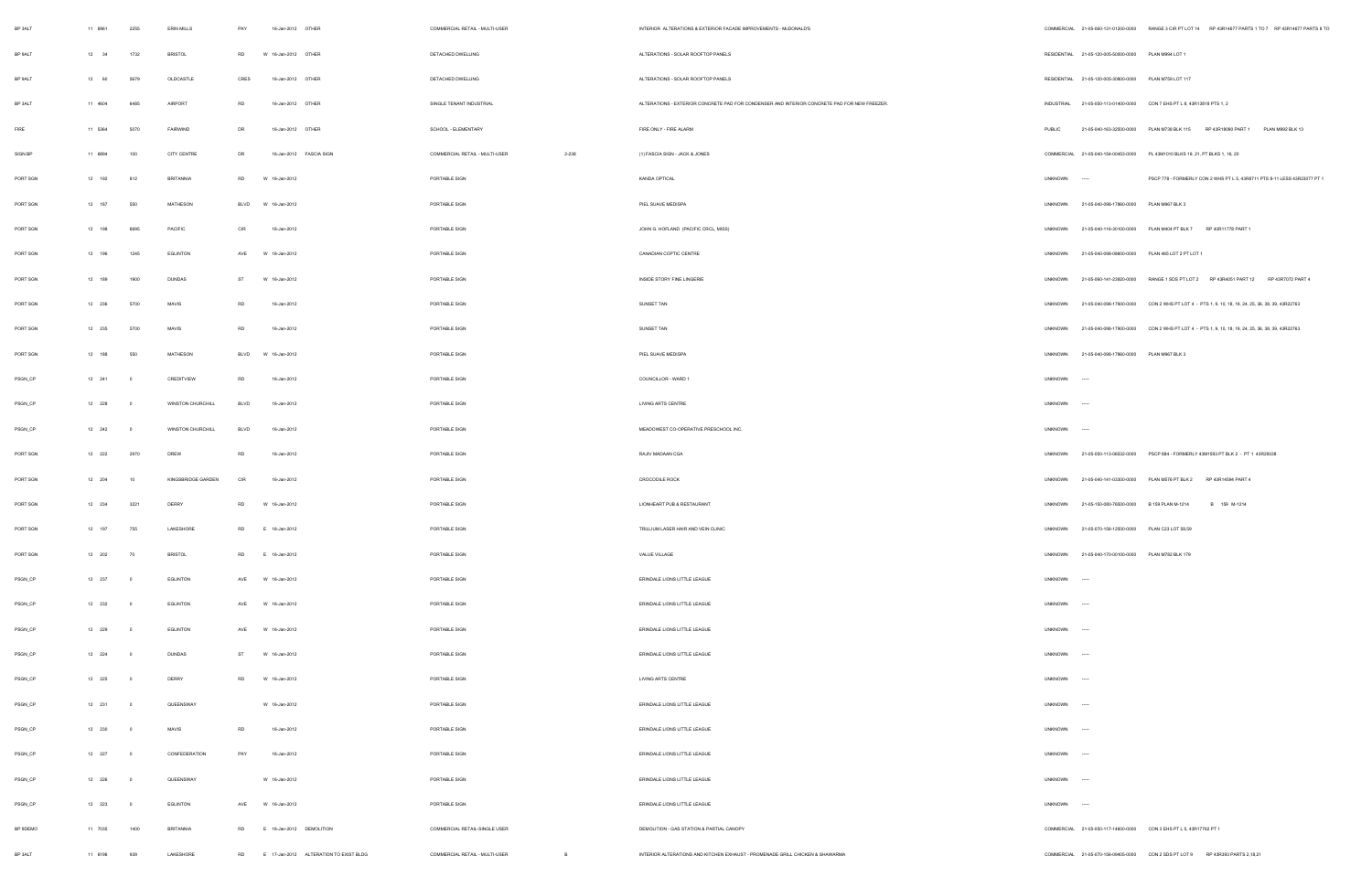| ROOFTOP PANELS                                                           |                   | RESIDENTIAL 21-05-120-005-50000-0000 | PLAN M994 LOT 1                                                                |
|--------------------------------------------------------------------------|-------------------|--------------------------------------|--------------------------------------------------------------------------------|
| ROOFTOP PANELS                                                           |                   | RESIDENTIAL 21-05-120-005-30800-0000 | PLAN M759 LOT 117                                                              |
| OR CONCRETE PAD FOR CONDENSER AND INTERIOR CONCRETE PAD FOR NEW FREEZER. | <b>INDUSTRIAL</b> | 21-05-050-113-01400-0000             | CON 7 EHS PT L 8, 43R13818 PTS 1, 2                                            |
| M                                                                        | PUBLIC            | 21-05-040-163-32500-0000             | PLAN M738 BLK 115<br>RP 43R18090 PART 1<br>PLAN M992 BLK 13                    |
| & JONES                                                                  |                   | COMMERCIAL 21-05-040-154-00453-0000  | PL 43M1010 BLKS 19, 21, PT BLKS 1, 16, 20                                      |
|                                                                          | <b>UNKNOWN</b>    | -----                                | PSCP 778 - FORMERLY CON 2 WHS PT L 5, 43R8711 PTS 8-11 LESS 43R23077 PT 1      |
|                                                                          | <b>UNKNOWN</b>    | 21-05-040-098-17860-0000             | PLAN M967 BLK 3                                                                |
| CIFIC CRCL, MISS)                                                        | <b>UNKNOWN</b>    | 21-05-040-116-30100-0000             | PLAN M404 PT BLK 7<br>RP 43R11778 PART 1                                       |
| ITRE                                                                     | <b>UNKNOWN</b>    | 21-05-040-098-08600-0000             | PLAN 465 LOT 2 PT LOT 1                                                        |
| GERIE                                                                    | <b>UNKNOWN</b>    | 21-05-060-141-23920-0000             | RANGE 1 SDS PT LOT 2 RP 43R4051 PART 12<br>RP 43R7072 PART 4                   |
|                                                                          | <b>UNKNOWN</b>    | 21-05-040-098-17900-0000             | CON 2 WHS PT LOT 4 - PTS 1, 9, 10, 18, 19, 24, 25, 36, 38, 39, 43R22763        |
|                                                                          | <b>UNKNOWN</b>    | 21-05-040-098-17900-0000             | CON 2 WHS PT LOT 4 - PTS 1, 9, 10, 18, 19, 24, 25, 36, 38, 39, 43R22763        |
|                                                                          | <b>UNKNOWN</b>    | 21-05-040-098-17860-0000             | PLAN M967 BLK 3                                                                |
|                                                                          | <b>UNKNOWN</b>    | $\cdots$                             |                                                                                |
|                                                                          | <b>UNKNOWN</b>    | $\cdots$                             |                                                                                |
| ATIVE PRESCHOOL INC.                                                     | <b>UNKNOWN</b>    | $\sim$                               |                                                                                |
|                                                                          | <b>UNKNOWN</b>    | 21-05-050-113-06532-0000             | PSCP 884 - FORMERLY 43M1593 PT BLK 2 - PT 1 43R29338                           |
|                                                                          | <b>UNKNOWN</b>    | 21-05-040-141-03300-0000             | PLAN M576 PT BLK 2<br>RP 43R14594 PART 4                                       |
| TAURANT                                                                  | <b>UNKNOWN</b>    | 21-05-150-080-76500-0000             | <b>B 159 PLAN M-1214</b><br>B 159 M-1214                                       |
| <b>ND VEIN CLINIC</b>                                                    | <b>UNKNOWN</b>    | 21-05-070-156-12500-0000             | PLAN C23 LOT 58,59                                                             |
|                                                                          | <b>UNKNOWN</b>    | 21-05-040-170-00100-0000             | PLAN M782 BLK 179                                                              |
| <b>LEAGUE</b>                                                            | <b>UNKNOWN</b>    | $\cdots$                             |                                                                                |
| <b>LEAGUE</b>                                                            | <b>UNKNOWN</b>    | $\cdots$                             |                                                                                |
| E LEAGUE                                                                 | <b>UNKNOWN</b>    | $\cdots$                             |                                                                                |
| E LEAGUE                                                                 | <b>UNKNOWN</b>    | $\cdots$                             |                                                                                |
|                                                                          | <b>UNKNOWN</b>    | $\cdots$                             |                                                                                |
| LEAGUE                                                                   | <b>UNKNOWN</b>    | $\sim$                               |                                                                                |
| LEAGUE                                                                   | <b>UNKNOWN</b>    | $\sim$                               |                                                                                |
| LEAGUE                                                                   | <b>UNKNOWN</b>    | $\sim$                               |                                                                                |
| <b>LEAGUE</b>                                                            | <b>UNKNOWN</b>    | $\cdots$                             |                                                                                |
| <b>LEAGUE</b>                                                            | <b>UNKNOWN</b>    | $\cdots$                             |                                                                                |
| TION & PARTIAL CANOPY                                                    |                   | COMMERCIAL 21-05-050-117-14600-0000  | CON 3 EHS PT L 5, 43R17762 PT 1                                                |
| S AND KITCHEN EXHAUST - PROMENADE GRILL CHICKEN & SHAWARMA               |                   |                                      | COMMERCIAL 21-05-070-156-09405-0000 CON 2 SDS PT LOT 9 RP 43R393 PARTS 2,18,21 |

| BP 3ALT                          | 11 6961    | 2255 | <b>ERIN MILLS</b>    | PKY         | 16-Jan-2012 OTHER                         | COMMERCIAL RETAIL - MULTI-USER          | INTERIOR ALTERATIONS & EXTERIOR FACADE IMPROVEMENTS - McDONALD'S                             |                |                                                        | COMMERCIAL 21-05-060-131-01200-0000 RANGE 3 CIR PT LOT 14 RP 43R14677 PARTS 1 TO 7 RP 43R14677 PARTS 8 TO |
|----------------------------------|------------|------|----------------------|-------------|-------------------------------------------|-----------------------------------------|----------------------------------------------------------------------------------------------|----------------|--------------------------------------------------------|-----------------------------------------------------------------------------------------------------------|
| BP 9ALT                          | 12 34      | 1732 | <b>BRISTOL</b>       | <b>RD</b>   | W 16-Jan-2012 OTHER                       | DETACHED DWELLING                       | ALTERATIONS - SOLAR ROOFTOP PANELS                                                           |                | RESIDENTIAL 21-05-120-005-50000-0000 PLAN M994 LOT 1   |                                                                                                           |
| BP 9ALT                          | 12 60      | 5679 | OLDCASTLE            | CRES        | 16-Jan-2012 OTHER                         | DETACHED DWELLING                       | ALTERATIONS - SOLAR ROOFTOP PANELS                                                           |                | RESIDENTIAL 21-05-120-005-30800-0000 PLAN M759 LOT 117 |                                                                                                           |
| BP 3ALT                          | 11 4604    | 6485 | AIRPORT              | <b>RD</b>   | 16-Jan-2012 OTHER                         | SINGLE TENANT INDUSTRIAL                | ALTERATIONS - EXTERIOR CONCRETE PAD FOR CONDENSER AND INTERIOR CONCRETE PAD FOR NEW FREEZER. |                |                                                        | INDUSTRIAL 21-05-050-113-01400-0000 CON 7 EHS PT L 8, 43R13818 PTS 1, 2                                   |
| FIRE                             | 11 5364    | 5070 | FAIRWIND             | DR          | 16-Jan-2012 OTHER                         | SCHOOL - ELEMENTARY                     | FIRE ONLY - FIRE ALARM                                                                       | PUBLIC         |                                                        | 21-05-040-163-32500-0000 PLAN M738 BLK 115 RP 43R18090 PART 1 PLAN M992 BLK 13                            |
| SIGN BP                          | 11 6894    | 100  | <b>CITY CENTRE</b>   | DR          | 16-Jan-2012  FASCIA SIGN                  | COMMERCIAL RETAIL - MULTI-USER<br>2-238 | (1) FASCIA SIGN - JACK & JONES                                                               |                |                                                        | COMMERCIAL 21-05-040-154-00453-0000 PL 43M1010 BLKS 19, 21, PT BLKS 1, 16, 20                             |
| PORT SGN                         | 12 192     | 812  | <b>BRITANNIA</b>     | <b>RD</b>   | W 16-Jan-2012                             | PORTABLE SIGN                           | KANDA OPTICAL                                                                                | <b>UNKNOWN</b> | $\overline{\phantom{a}}$                               | PSCP 778 - FORMERLY CON 2 WHS PT L 5, 43R8711 PTS 8-11 LESS 43R23077 PT 1                                 |
| PORT SGN                         | 12 187     | 550  | MATHESON             |             | BLVD W 16-Jan-2012                        | PORTABLE SIGN                           | PIEL SUAVE MEDISPA                                                                           | <b>UNKNOWN</b> | 21-05-040-098-17860-0000 PLAN M967 BLK 3               |                                                                                                           |
| PORT SGN                         | 12 198     | 6695 | PACIFIC              | CIR         | 16-Jan-2012                               | PORTABLE SIGN                           | JOHN G. HOFLAND (PACIFIC CRCL, MISS)                                                         | <b>UNKNOWN</b> |                                                        | 21-05-040-116-30100-0000 PLAN M404 PT BLK 7 RP 43R11778 PART 1                                            |
| PORT SGN                         | 12 196     | 1245 | <b>EGLINTON</b>      | AVE         | W 16-Jan-2012                             | PORTABLE SIGN                           | CANADIAN COPTIC CENTRE                                                                       | <b>UNKNOWN</b> |                                                        | 21-05-040-098-08600-0000 PLAN 465 LOT 2 PT LOT 1                                                          |
| PORT SGN                         | 12 189     | 1900 | <b>DUNDAS</b>        | <b>ST</b>   | W 16-Jan-2012                             | PORTABLE SIGN                           | INSIDE STORY FINE LINGERIE                                                                   | <b>UNKNOWN</b> | 21-05-060-141-23920-0000                               | RANGE 1 SDS PT LOT 2 RP 43R4051 PART 12 RP 43R7072 PART 4                                                 |
| PORT SGN                         | 12 236     | 5700 | <b>MAVIS</b>         | <b>RD</b>   | 16-Jan-2012                               | PORTABLE SIGN                           | SUNSET TAN                                                                                   | <b>UNKNOWN</b> |                                                        | 21-05-040-098-17900-0000 CON 2 WHS PT LOT 4 - PTS 1, 9, 10, 18, 19, 24, 25, 36, 38, 39, 43R22763          |
| PORT SGN                         | 12 235     | 5700 | <b>MAVIS</b>         | <b>RD</b>   | 16-Jan-2012                               | PORTABLE SIGN                           | SUNSET TAN                                                                                   | <b>UNKNOWN</b> |                                                        | 21-05-040-098-17900-0000 CON 2 WHS PT LOT 4 - PTS 1, 9, 10, 18, 19, 24, 25, 36, 38, 39, 43R22763          |
| PORT SGN                         | 12 188     | 550  | MATHESON             | <b>BLVD</b> | W 16-Jan-2012                             | PORTABLE SIGN                           | PIEL SUAVE MEDISPA                                                                           | <b>UNKNOWN</b> | 21-05-040-098-17860-0000 PLAN M967 BLK 3               |                                                                                                           |
| PSGN_CP                          | 12 241     |      | CREDITVIEW           | <b>RD</b>   | 16-Jan-2012                               | PORTABLE SIGN                           | COUNCILLOR - WARD 1                                                                          | <b>UNKNOWN</b> | $\overline{\phantom{a}}$                               |                                                                                                           |
| PSGN_CP                          | 12 228     |      | WINSTON CHURCHILL    | <b>BLVD</b> | 16-Jan-2012                               | PORTABLE SIGN                           | LIVING ARTS CENTRE                                                                           | <b>UNKNOWN</b> | $\overline{\phantom{a}}$                               |                                                                                                           |
| PSGN_CP                          | 12 242     |      | WINSTON CHURCHILL    | <b>BLVD</b> | 16-Jan-2012                               | PORTABLE SIGN                           | MEADOWEST CO-OPERATIVE PRESCHOOL INC.                                                        | <b>UNKNOWN</b> | $\sim$                                                 |                                                                                                           |
| PORT SGN                         | 12 222     | 2970 | <b>DREW</b>          | <b>RD</b>   | 16-Jan-2012                               | PORTABLE SIGN                           | RAJIV MADAAN CGA                                                                             | <b>UNKNOWN</b> |                                                        | 21-05-050-113-06532-0000 PSCP 884 - FORMERLY 43M1593 PT BLK 2 - PT 1 43R29338                             |
| PORT SGN                         | 12 204     | 10   | KINGSBRIDGE GARDEN   | CIR         | 16-Jan-2012                               | PORTABLE SIGN                           | CROCODILE ROCK                                                                               | <b>UNKNOWN</b> |                                                        | 21-05-040-141-03300-0000 PLAN M576 PT BLK 2 RP 43R14594 PART 4                                            |
| PORT SGN                         | 12 234     | 3221 | <b>DERRY</b>         | <b>RD</b>   | W 16-Jan-2012                             | PORTABLE SIGN                           | LIONHEART PUB & RESTAURANT                                                                   | <b>UNKNOWN</b> | 21-05-150-080-76500-0000 B 159 PLAN M-1214             | B 159 M-1214                                                                                              |
| PORT SGN                         |            |      | 12 197 755 LAKESHORE |             | RD E 16-Jan-2012                          | PORTABLE SIGN                           | TRILLIUM LASER HAIR AND VEIN CLINIC                                                          |                | UNKNOWN 21-05-070-156-12500-0000 PLAN C23 LOT 58,59    |                                                                                                           |
| PORT SGN                         | 12 202     | 70   | <b>BRISTOL</b>       |             | RD E 16-Jan-2012                          | PORTABLE SIGN                           | VALUE VILLAGE                                                                                |                | UNKNOWN 21-05-040-170-00100-0000 PLAN M782 BLK 179     |                                                                                                           |
| PSGN_CP                          | 12 237 0   |      | <b>EGLINTON</b>      |             | AVE W 16-Jan-2012                         | PORTABLE SIGN                           | ERINDALE LIONS LITTLE LEAGUE                                                                 | <b>UNKNOWN</b> | $\sim$                                                 |                                                                                                           |
| PSGN_CP                          | 12  232  0 |      | <b>EGLINTON</b>      |             | AVE W 16-Jan-2012                         | PORTABLE SIGN                           | ERINDALE LIONS LITTLE LEAGUE                                                                 | <b>UNKNOWN</b> | $\sim$                                                 |                                                                                                           |
| PSGN_CP                          | 12 229     |      | <b>EGLINTON</b>      |             | AVE W 16-Jan-2012                         | PORTABLE SIGN                           | ERINDALE LIONS LITTLE LEAGUE                                                                 | <b>UNKNOWN</b> | $\overline{\phantom{a}}$                               |                                                                                                           |
| PSGN_CP                          | 12 224     | - 0  | <b>DUNDAS</b>        | <b>ST</b>   | W 16-Jan-2012                             | PORTABLE SIGN                           | ERINDALE LIONS LITTLE LEAGUE                                                                 | <b>UNKNOWN</b> | $\sim$                                                 |                                                                                                           |
| PSGN_CP                          | 12 225     |      | <b>DERRY</b>         | <b>RD</b>   | W 16-Jan-2012                             | PORTABLE SIGN                           | LIVING ARTS CENTRE                                                                           | <b>UNKNOWN</b> | $\sim$                                                 |                                                                                                           |
| PSGN_CP                          | 12 231     |      | QUEENSWAY            |             | W 16-Jan-2012                             | PORTABLE SIGN                           | ERINDALE LIONS LITTLE LEAGUE                                                                 | <b>UNKNOWN</b> |                                                        |                                                                                                           |
| $\ensuremath{\mathsf{PSGN\_CP}}$ | 12 230     |      | <b>MAVIS</b>         | <b>RD</b>   | 16-Jan-2012                               | PORTABLE SIGN                           | ERINDALE LIONS LITTLE LEAGUE                                                                 | <b>UNKNOWN</b> | $\overline{\phantom{a}}$                               |                                                                                                           |
| PSGN_CP                          | 12 227 0   |      | CONFEDERATION        | PKY         | 16-Jan-2012                               | PORTABLE SIGN                           | ERINDALE LIONS LITTLE LEAGUE                                                                 | <b>UNKNOWN</b> | $\sim$                                                 |                                                                                                           |
| PSGN_CP                          | 12 226 0   |      | QUEENSWAY            |             | W 16-Jan-2012                             | PORTABLE SIGN                           | ERINDALE LIONS LITTLE LEAGUE                                                                 | <b>UNKNOWN</b> | $\overline{\phantom{a}}$                               |                                                                                                           |
| PSGN_CP                          | 12 223     |      | <b>EGLINTON</b>      |             | AVE W 16-Jan-2012                         | PORTABLE SIGN                           | ERINDALE LIONS LITTLE LEAGUE                                                                 | <b>UNKNOWN</b> | $\sim$                                                 |                                                                                                           |
| BP 9DEMO                         | 11 7035    | 1400 | <b>BRITANNIA</b>     | <b>RD</b>   | E 16-Jan-2012 DEMOLITION                  | COMMERCIAL RETAIL-SINGLE USER           | DEMOLITION - GAS STATION & PARTIAL CANOPY                                                    |                |                                                        | COMMERCIAL 21-05-050-117-14600-0000 CON 3 EHS PT L 5, 43R17762 PT 1                                       |
| BP 3ALT                          | 11 6196    | 939  | LAKESHORE            |             | RD E 17-Jan-2012 ALTERATION TO EXIST BLDG | COMMERCIAL RETAIL - MULTI-USER<br>B     | INTERIOR ALTERATIONS AND KITCHEN EXHAUST - PROMENADE GRILL CHICKEN & SHAWARMA                |                |                                                        | COMMERCIAL 21-05-070-156-09405-0000 CON 2 SDS PT LOT 9 RP 43R393 PARTS 2,18,21                            |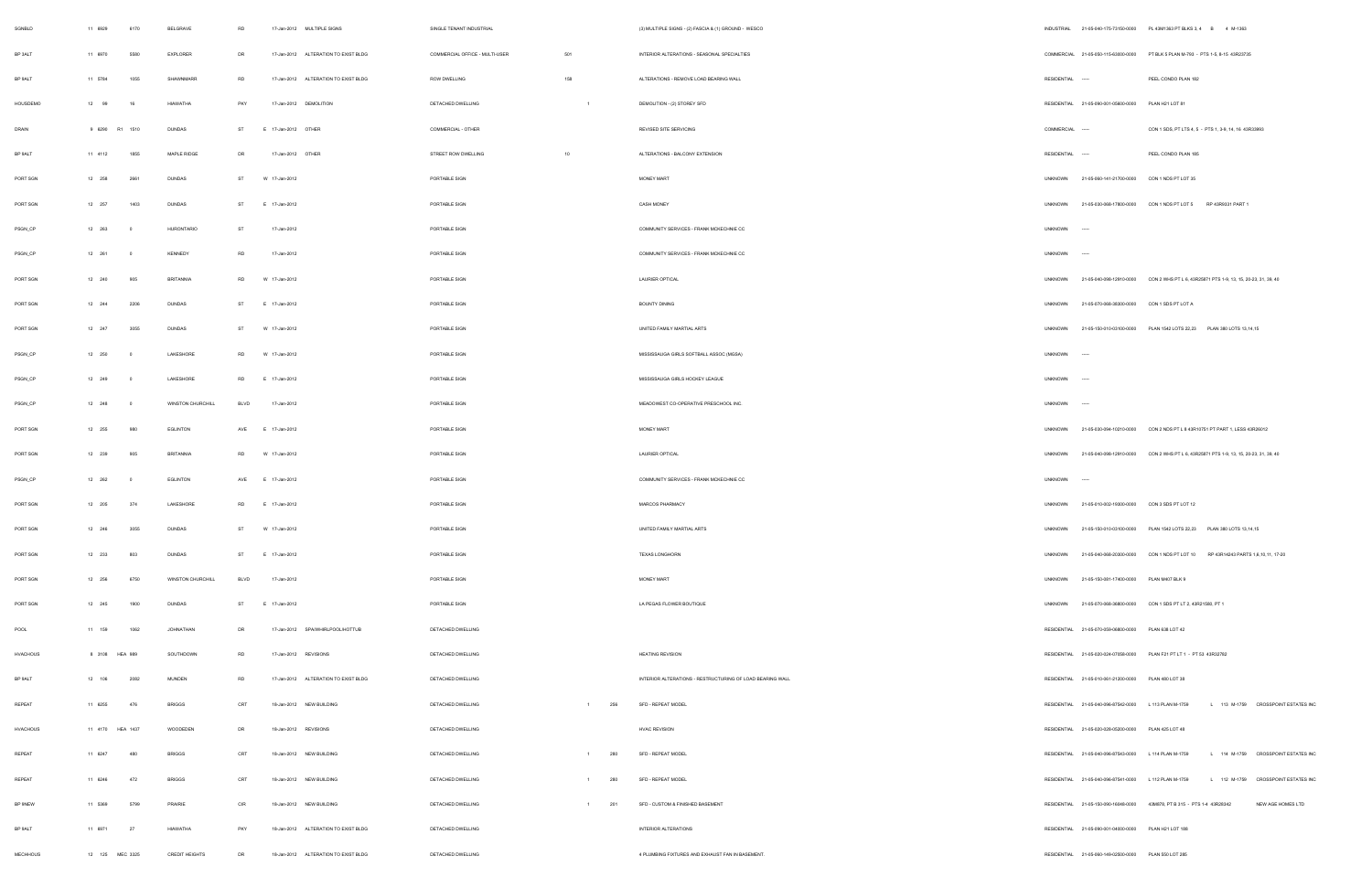| <b>ERATIONS - SEASONAL SPECIALTIES</b>               |                   | COMMERCIAL 21-05-050-115-63000-0000  | PT BLK 5 PLAN M-793 - PTS 1-5, 8-15 43R23735                      |
|------------------------------------------------------|-------------------|--------------------------------------|-------------------------------------------------------------------|
| - REMOVE LOAD BEARING WALL                           | RESIDENTIAL ----- |                                      | PEEL CONDO PLAN 182                                               |
| (2) STOREY SFD                                       |                   | RESIDENTIAL 21-05-090-001-05600-0000 | PLAN H21 LOT 81                                                   |
| SERVICING                                            | COMMERCIAL -----  |                                      | CON 1 SDS, PT LTS 4, 5 - PTS 1, 3-9, 14, 16 43R33993              |
| - BALCONY EXTENSION                                  | RESIDENTIAL ----- |                                      | PEEL CONDO PLAN 185                                               |
|                                                      | <b>UNKNOWN</b>    | 21-05-060-141-21700-0000             | CON 1 NDS PT LOT 35                                               |
|                                                      | <b>UNKNOWN</b>    | 21-05-030-068-17800-0000             | RP 43R9331 PART 1<br>CON 1 NDS PT LOT 5                           |
| ERVICES - FRANK MCKECHNIE CC                         | <b>UNKNOWN</b>    | $\sim$                               |                                                                   |
| ERVICES - FRANK MCKECHNIE CC                         | <b>UNKNOWN</b>    | $\sim$                               |                                                                   |
| AL.                                                  | <b>UNKNOWN</b>    | 21-05-040-098-12910-0000             | CON 2 WHS PT L 6, 43R25871 PTS 1-9, 13, 15, 20-23, 31, 39, 40     |
| G                                                    | <b>UNKNOWN</b>    | 21-05-070-068-38300-0000             | CON 1 SDS PT LOT A                                                |
| <b>MARTIAL ARTS</b>                                  | <b>UNKNOWN</b>    | 21-05-150-010-03100-0000             | PLAN 1542 LOTS 22,23 PLAN 380 LOTS 13,14,15                       |
| GIRLS SOFTBALL ASSOC (MGSA)                          | <b>UNKNOWN</b>    |                                      |                                                                   |
| GIRLS HOCKEY LEAGUE                                  | <b>UNKNOWN</b>    |                                      |                                                                   |
| CO-OPERATIVE PRESCHOOL INC.                          | <b>UNKNOWN</b>    | $\sim$                               |                                                                   |
|                                                      | <b>UNKNOWN</b>    | 21-05-030-094-10210-0000             | CON 2 NDS PT L 8 43R10751 PT PART 1, LESS 43R26012                |
| CAL.                                                 | <b>UNKNOWN</b>    | 21-05-040-098-12910-0000             | CON 2 WHS PT L 6, 43R25871 PTS 1-9, 13, 15, 20-23, 31, 39, 40     |
| ERVICES - FRANK MCKECHNIE CC                         | <b>UNKNOWN</b>    | $\sim$                               |                                                                   |
| <b>IMACY</b>                                         | <b>UNKNOWN</b>    | 21-05-010-002-19300-0000             | CON 3 SDS PT LOT 12                                               |
| <b>MARTIAL ARTS</b>                                  | <b>UNKNOWN</b>    | 21-05-150-010-03100-0000             | PLAN 1542 LOTS 22,23 PLAN 380 LOTS 13,14,15                       |
| orn                                                  | <b>UNKNOWN</b>    | 21-05-040-068-20300-0000             | CON 1 NDS PT LOT 10 RP 43R14243 PARTS 1,6,10,11, 17-20            |
|                                                      | <b>UNKNOWN</b>    | 21-05-150-081-17400-0000             | PLAN M407 BLK 9                                                   |
| WER BOUTIQUE                                         | <b>UNKNOWN</b>    | 21-05-070-068-36800-0000             | CON 1 SDS PT LT 2, 43R21580, PT 1                                 |
|                                                      |                   | RESIDENTIAL 21-05-070-059-06800-0000 | PLAN 638 LOT 42                                                   |
| SION                                                 |                   | RESIDENTIAL 21-05-020-024-07058-0000 | PLAN F21 PT LT 1 - PT 53 43R32782                                 |
| <b>ERATIONS - RESTRUCTURING OF LOAD BEARING WALL</b> |                   | RESIDENTIAL 21-05-010-061-21200-0000 | PLAN 480 LOT 38                                                   |
| MODEL                                                |                   | RESIDENTIAL 21-05-040-096-87542-0000 | L 113 PLAN M-1759<br>L 113 M-1759 CROSSPOINT ESTATES II           |
| N                                                    |                   | RESIDENTIAL 21-05-020-028-05200-0000 | PLAN 425 LOT 48                                                   |
| MODEL                                                |                   | RESIDENTIAL 21-05-040-096-87543-0000 | <b>CROSSPOINT ESTATES II</b><br>L 114 PLAN M-1759<br>L 114 M-1759 |
| MODEL                                                |                   | RESIDENTIAL 21-05-040-096-87541-0000 | <b>CROSSPOINT ESTATES II</b><br>L 112 PLAN M-1759<br>L 112 M-1759 |
| & FINISHED BASEMENT                                  |                   | RESIDENTIAL 21-05-150-090-16048-0000 | 43M878, PT B 315 - PTS 1-4 43R28342<br>NEW AGE HOMES LTD          |
| ERATIONS                                             |                   | RESIDENTIAL 21-05-090-001-04000-0000 | PLAN H21 LOT 188                                                  |
| XTURES AND EXHAUST FAN IN BASEMENT.                  |                   | RESIDENTIAL 21-05-060-149-02500-0000 | PLAN 550 LOT 285                                                  |

| SGNBLD          | 11 6929          | 6170 | BELGRAVE              | <b>RD</b>       | 17-Jan-2012 MULTIPLE SIGNS           | SINGLE TENANT INDUSTRIAL       |                       | (3) MULTIPLE SIGNS - (2) FASCIA & (1) GROUND - WESCO      |                   |                                                        | INDUSTRIAL 21-05-040-175-73150-0000 PL 43M1363 PT BLKS 3, 4 B 4 M-1363                        |
|-----------------|------------------|------|-----------------------|-----------------|--------------------------------------|--------------------------------|-----------------------|-----------------------------------------------------------|-------------------|--------------------------------------------------------|-----------------------------------------------------------------------------------------------|
| BP 3ALT         | 11 6970          | 5580 | <b>EXPLORER</b>       | DR              | 17-Jan-2012 ALTERATION TO EXIST BLDG | COMMERCIAL OFFICE - MULTI-USER | 501                   | INTERIOR ALTERATIONS - SEASONAL SPECIALTIES               |                   |                                                        | COMMERCIAL 21-05-050-115-63000-0000 PT BLK 5 PLAN M-793 - PTS 1-5, 8-15 43R23735              |
| BP 9ALT         | 11 5784          | 1055 | SHAWNMARF             | <b>RD</b>       | 17-Jan-2012 ALTERATION TO EXIST BLDG | ROW DWELLING                   | 158                   | ALTERATIONS - REMOVE LOAD BEARING WALL                    | RESIDENTIAL ----- |                                                        | PEEL CONDO PLAN 182                                                                           |
| HOUSDEMO        | 12 99            | 16   | <b>HIAWATHA</b>       | PKY             | 17-Jan-2012 DEMOLITION               | DETACHED DWELLING              | $\overline{1}$        | DEMOLITION - (2) STOREY SFD                               |                   | RESIDENTIAL 21-05-090-001-05600-0000 PLAN H21 LOT 81   |                                                                                               |
| <b>DRAIN</b>    | 9 6290 R1        | 1510 | <b>DUNDAS</b>         | <b>ST</b>       | E 17-Jan-2012 OTHER                  | COMMERCIAL - OTHER             |                       | REVISED SITE SERVICING                                    | COMMERCIAL -----  |                                                        | CON 1 SDS, PT LTS 4, 5 - PTS 1, 3-9, 14, 16 43R33993                                          |
| BP 9ALT         | 11 4112          | 1855 | MAPLE RIDGE           | DR              | 17-Jan-2012 OTHER                    | STREET ROW DWELLING            | 10                    | ALTERATIONS - BALCONY EXTENSION                           | RESIDENTIAL ----- |                                                        | PEEL CONDO PLAN 185                                                                           |
| PORT SGN        | 12 258           | 2661 | <b>DUNDAS</b>         | <b>ST</b>       | W 17-Jan-2012                        | PORTABLE SIGN                  |                       | MONEY MART                                                | <b>UNKNOWN</b>    | 21-05-060-141-21700-0000 CON 1 NDS PT LOT 35           |                                                                                               |
| PORT SGN        | 12 257           | 1403 | <b>DUNDAS</b>         | <b>ST</b>       | E 17-Jan-2012                        | PORTABLE SIGN                  |                       | CASH MONEY                                                | <b>UNKNOWN</b>    |                                                        | 21-05-030-068-17800-0000 CON 1 NDS PT LOT 5 RP 43R9331 PART 1                                 |
| PSGN_CP         | 12 263           |      | HURONTARIO            | <b>ST</b>       | 17-Jan-2012                          | PORTABLE SIGN                  |                       | COMMUNITY SERVICES - FRANK MCKECHNIE CC                   | <b>UNKNOWN</b>    | $\sim$                                                 |                                                                                               |
| PSGN_CP         | 12 261           |      | <b>KENNEDY</b>        | <b>RD</b>       | 17-Jan-2012                          | PORTABLE SIGN                  |                       | COMMUNITY SERVICES - FRANK MCKECHNIE CC                   | <b>UNKNOWN</b>    | $\sim$                                                 |                                                                                               |
| PORT SGN        | 12 240           | 905  | <b>BRITANNIA</b>      | <b>RD</b>       | W 17-Jan-2012                        | PORTABLE SIGN                  |                       | <b>LAURIER OPTICAL</b>                                    | <b>UNKNOWN</b>    |                                                        | 21-05-040-098-12910-0000 CON 2 WHS PT L 6, 43R25871 PTS 1-9, 13, 15, 20-23, 31, 39, 40        |
| PORT SGN        | 12 244           | 2206 | <b>DUNDAS</b>         | <b>ST</b>       | E 17-Jan-2012                        | PORTABLE SIGN                  |                       | <b>BOUNTY DINING</b>                                      | <b>UNKNOWN</b>    | 21-05-070-068-38300-0000 CON 1 SDS PT LOT A            |                                                                                               |
| PORT SGN        | 12 247           | 3055 | <b>DUNDAS</b>         | <b>ST</b>       | W 17-Jan-2012                        | PORTABLE SIGN                  |                       | UNITED FAMILY MARTIAL ARTS                                | <b>UNKNOWN</b>    |                                                        | 21-05-150-010-03100-0000 PLAN 1542 LOTS 22,23 PLAN 380 LOTS 13,14,15                          |
| PSGN_CP         | 12 250           |      | LAKESHORE             | <b>RD</b>       | W 17-Jan-2012                        | PORTABLE SIGN                  |                       | MISSISSAUGA GIRLS SOFTBALL ASSOC (MGSA)                   | <b>UNKNOWN</b>    | $\sim$                                                 |                                                                                               |
| PSGN_CP         | 12 249           |      | LAKESHORE             | <b>RD</b>       | E 17-Jan-2012                        | PORTABLE SIGN                  |                       | MISSISSAUGA GIRLS HOCKEY LEAGUE                           | <b>UNKNOWN</b>    | $\sim$                                                 |                                                                                               |
| PSGN_CP         | 12 248           |      | WINSTON CHURCHILL     | <b>BLVD</b>     | 17-Jan-2012                          | PORTABLE SIGN                  |                       | MEADOWEST CO-OPERATIVE PRESCHOOL INC.                     | <b>UNKNOWN</b>    | $\sim$                                                 |                                                                                               |
| PORT SGN        | 12 255           | 980  | <b>EGLINTON</b>       |                 | AVE E 17-Jan-2012                    | PORTABLE SIGN                  |                       | MONEY MART                                                | <b>UNKNOWN</b>    |                                                        | 21-05-030-094-10210-0000 CON 2 NDS PT L 8 43R10751 PT PART 1, LESS 43R26012                   |
| PORT SGN        | 12 239           | 905  | <b>BRITANNIA</b>      | <b>RD</b>       | W 17-Jan-2012                        | PORTABLE SIGN                  |                       | <b>LAURIER OPTICAL</b>                                    | <b>UNKNOWN</b>    |                                                        | 21-05-040-098-12910-0000 CON 2 WHS PT L 6, 43R25871 PTS 1-9, 13, 15, 20-23, 31, 39, 40        |
| PSGN_CP         | 12 262           |      | EGLINTON              | AVE             | E 17-Jan-2012                        | PORTABLE SIGN                  |                       | COMMUNITY SERVICES - FRANK MCKECHNIE CC                   | <b>UNKNOWN</b>    | $\cdots$                                               |                                                                                               |
| PORT SGN        | 12 205           | 374  | LAKESHORE             |                 | RD E 17-Jan-2012                     | PORTABLE SIGN                  |                       | MARCOS PHARMACY                                           |                   | UNKNOWN 21-05-010-002-19300-0000 CON 3 SDS PT LOT 12   |                                                                                               |
| PORT SGN        | 12 246           | 3055 | <b>DUNDAS</b>         | ST              | W 17-Jan-2012                        | PORTABLE SIGN                  |                       | UNITED FAMILY MARTIAL ARTS                                |                   |                                                        | UNKNOWN 21-05-150-010-03100-0000 PLAN 1542 LOTS 22,23 PLAN 380 LOTS 13,14,15                  |
| PORT SGN        | 12 233           | 803  | <b>DUNDAS</b>         |                 | ST E 17-Jan-2012                     | PORTABLE SIGN                  |                       | <b>TEXAS LONGHORN</b>                                     |                   |                                                        | UNKNOWN 21-05-040-068-20300-0000 CON 1 NDS PT LOT 10 RP 43R14243 PARTS 1,6,10,11, 17-20       |
| PORT SGN        | 12 256           | 6750 | WINSTON CHURCHILL     | <b>BLVD</b>     | 17-Jan-2012                          | PORTABLE SIGN                  |                       | MONEY MART                                                |                   | UNKNOWN 21-05-150-081-17400-0000 PLAN M407 BLK 9       |                                                                                               |
| PORT SGN        | 12 245           | 1900 | <b>DUNDAS</b>         |                 | ST E 17-Jan-2012                     | PORTABLE SIGN                  |                       | LA PEGAS FLOWER BOUTIQUE                                  |                   |                                                        | UNKNOWN 21-05-070-068-36800-0000 CON 1 SDS PT LT 2, 43R21580, PT 1                            |
| POOL            | 11 159           | 1062 | JOHNATHAN             | DR.             | 17-Jan-2012 SPA/WHIRLPOOL/HOTTUB     | DETACHED DWELLING              |                       |                                                           |                   | RESIDENTIAL 21-05-070-059-06800-0000 PLAN 638 LOT 42   |                                                                                               |
| <b>HVACHOUS</b> | 8 3108 HEA 989   |      | SOUTHDOWN             | <b>RD</b>       | 17-Jan-2012 REVISIONS                | DETACHED DWELLING              |                       | <b>HEATING REVISION</b>                                   |                   |                                                        | RESIDENTIAL 21-05-020-024-07058-0000 PLAN F21 PT LT 1 - PT 53 43R32782                        |
| BP 9ALT         | 12 106           | 2082 | <b>MUNDEN</b>         | <b>RD</b>       | 17-Jan-2012 ALTERATION TO EXIST BLDG | DETACHED DWELLING              |                       | INTERIOR ALTERATIONS - RESTRUCTURING OF LOAD BEARING WALL |                   | RESIDENTIAL 21-05-010-061-21200-0000 PLAN 480 LOT 38   |                                                                                               |
| REPEAT          | 11 6255          | 476  | <b>BRIGGS</b>         | CRT             | 18-Jan-2012 NEW BUILDING             | DETACHED DWELLING              | 1<br>256              | SFD - REPEAT MODEL                                        |                   | RESIDENTIAL 21-05-040-096-87542-0000 L 113 PLAN M-1759 | L 113 M-1759 CROSSPOINT ESTATES INC                                                           |
| HVACHOUS        | 11 4170 HEA 1437 |      | WOODEDEN              | <b>DR</b>       | 18-Jan-2012 REVISIONS                | DETACHED DWELLING              |                       | <b>HVAC REVISION</b>                                      |                   | RESIDENTIAL 21-05-020-028-05200-0000 PLAN 425 LOT 48   |                                                                                               |
| REPEAT          | 11 6247          | 480  | <b>BRIGGS</b>         | CRT             | 18-Jan-2012 NEW BUILDING             | DETACHED DWELLING              | $\overline{1}$<br>280 | SFD - REPEAT MODEL                                        |                   | RESIDENTIAL 21-05-040-096-87543-0000 L 114 PLAN M-1759 | L 114 M-1759 CROSSPOINT ESTATES INC                                                           |
| REPEAT          | 11 6246          | 472  | <b>BRIGGS</b>         | CRT             | 18-Jan-2012 NEW BUILDING             | DETACHED DWELLING              | $\blacksquare$<br>280 | SFD - REPEAT MODEL                                        |                   | RESIDENTIAL 21-05-040-096-87541-0000 L 112 PLAN M-1759 | L 112 M-1759 CROSSPOINT ESTATES INC                                                           |
| BP 9NEW         | 11 5369          | 5799 | PRAIRIE               | CIR             | 18-Jan-2012 NEW BUILDING             | DETACHED DWELLING              | $-1$<br>201           | SFD - CUSTOM & FINISHED BASEMENT                          |                   |                                                        | RESIDENTIAL 21-05-150-090-16048-0000 43M878, PT B 315 - PTS 1-4 43R28342<br>NEW AGE HOMES LTD |
| BP 9ALT         | 11 6971          | 27   | HIAWATHA              | PKY             | 18-Jan-2012 ALTERATION TO EXIST BLDG | DETACHED DWELLING              |                       | INTERIOR ALTERATIONS                                      |                   | RESIDENTIAL 21-05-090-001-04000-0000 PLAN H21 LOT 188  |                                                                                               |
| <b>MECHHOUS</b> | 12 125 MEC 3325  |      | <b>CREDIT HEIGHTS</b> | DR <sub>1</sub> | 18-Jan-2012 ALTERATION TO EXIST BLDG | DETACHED DWELLING              |                       | 4 PLUMBING FIXTURES AND EXHAUST FAN IN BASEMENT.          |                   | RESIDENTIAL 21-05-060-149-02500-0000 PLAN 550 LOT 285  |                                                                                               |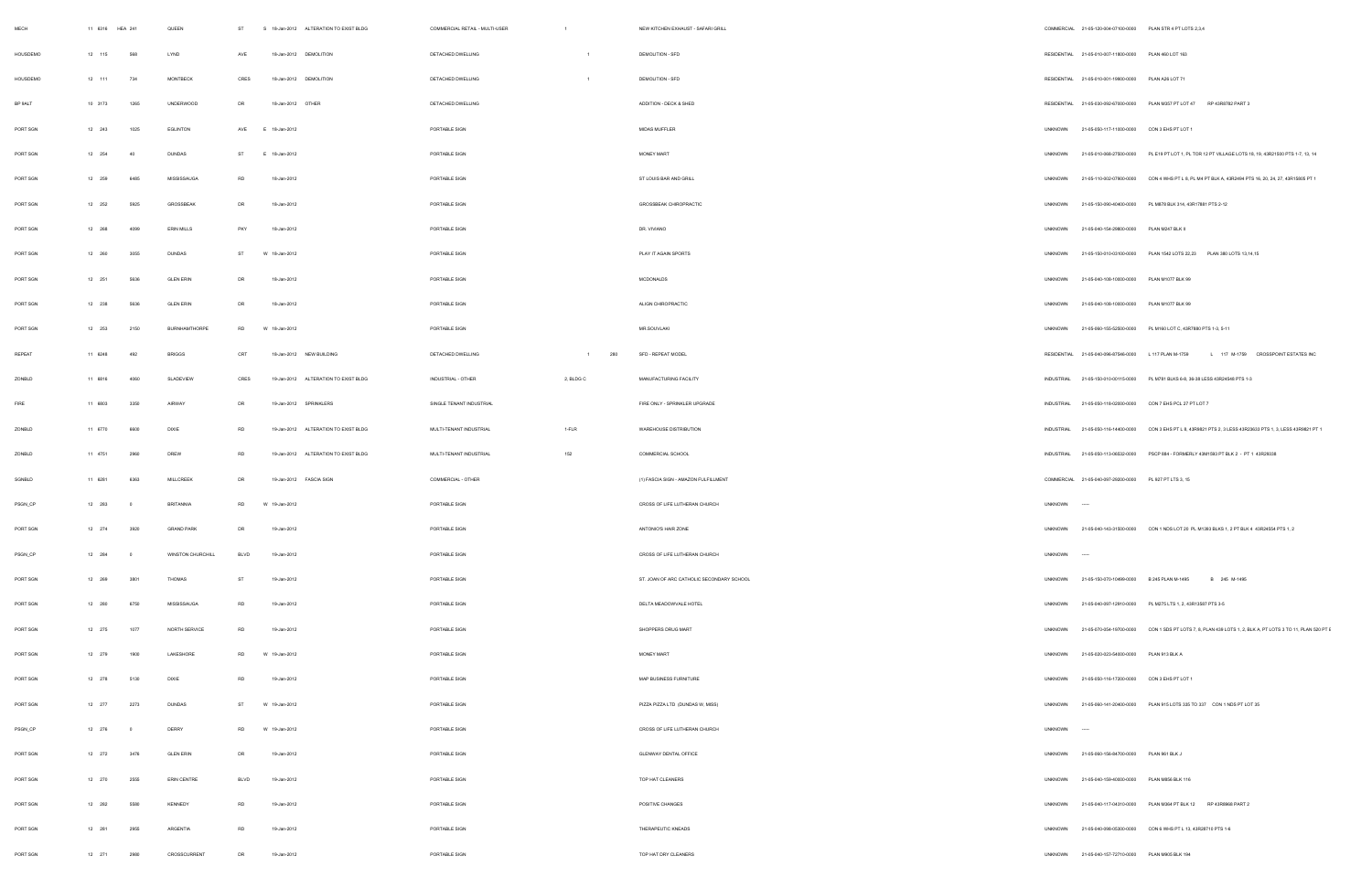| N - SFD                         |                   | RESIDENTIAL 21-05-010-007-11800-0000 PLAN 460 LOT 163  |                                                                                                       |
|---------------------------------|-------------------|--------------------------------------------------------|-------------------------------------------------------------------------------------------------------|
| N-SFD                           |                   | RESIDENTIAL 21-05-010-001-19900-0000                   | PLAN A26 LOT 71                                                                                       |
| DECK & SHED                     |                   | RESIDENTIAL 21-05-030-092-67000-0000                   | PLAN M357 PT LOT 47 RP 43R8782 PART 3                                                                 |
| FLER                            | <b>UNKNOWN</b>    | 21-05-050-117-11000-0000                               | CON 3 EHS PT LOT 1                                                                                    |
| RT                              | <b>UNKNOWN</b>    | 21-05-010-068-27500-0000                               | PL E19 PT LOT 1, PL TOR 12 PT VILLAGE LOTS 18, 19, 43R21500 PTS 1-7, 13, 14                           |
| <b>AR AND GRILL</b>             | <b>UNKNOWN</b>    | 21-05-110-002-07900-0000                               | CON 4 WHS PT L 8, PL M4 PT BLK A, 43R2494 PTS 16, 20, 24, 27, 43R15805 PT 1                           |
| <b>K CHIROPRACTIC</b>           | <b>UNKNOWN</b>    | 21-05-150-090-40400-0000                               | PL M878 BLK 314, 43R17881 PTS 2-12                                                                    |
| О                               | <b>UNKNOWN</b>    | 21-05-040-154-29800-0000                               | PLAN M247 BLK II                                                                                      |
| AIN SPORTS                      | <b>UNKNOWN</b>    |                                                        | 21-05-150-010-03100-0000 PLAN 1542 LOTS 22,23 PLAN 380 LOTS 13,14,15                                  |
| Œ                               | <b>UNKNOWN</b>    | 21-05-040-108-10000-0000                               | PLAN M1077 BLK 99                                                                                     |
| ROPRACTIC                       | <b>UNKNOWN</b>    | 21-05-040-108-10000-0000                               | PLAN M1077 BLK 99                                                                                     |
| AKI                             | <b>UNKNOWN</b>    | 21-05-060-155-52500-0000                               | PL M160 LOT C, 43R7880 PTS 1-3, 5-11                                                                  |
| <b>AT MODEL</b>                 |                   | RESIDENTIAL 21-05-040-096-87546-0000 L 117 PLAN M-1759 | L 117 M-1759 CROSSPOINT ESTATES INC                                                                   |
| <b>URING FACILITY</b>           | INDUSTRIAL        |                                                        | 21-05-150-010-00115-0000 PL M781 BLKS 6-8, 36-38 LESS 43R24548 PTS 1-3                                |
| - SPRINKLER UPGRADE             | <b>INDUSTRIAL</b> | 21-05-050-118-02000-0000 CON 7 EHS PCL 27 PT LOT 7     |                                                                                                       |
| SE DISTRIBUTION                 | INDUSTRIAL        |                                                        | 21-05-050-116-14400-0000 CON 3 EHS PT L 8, 43R9821 PTS 2, 3 LESS 43R23633 PTS 1, 3, LESS 43R9821 PT 1 |
| IAL SCHOOL                      | INDUSTRIAL        | 21-05-050-113-06532-0000                               | PSCP 884 - FORMERLY 43M1593 PT BLK 2 - PT 1 43R29338                                                  |
| SIGN - AMAZON FULFILLMENT       |                   | COMMERCIAL 21-05-040-097-29200-0000                    | PL 927 PT LTS 3, 15                                                                                   |
| LIFE LUTHERAN CHURCH            | <b>UNKNOWN</b>    | $\sim$                                                 |                                                                                                       |
| HAIR ZONE                       | <b>UNKNOWN</b>    |                                                        | 21-05-040-143-31500-0000 CON 1 NDS LOT 20 PL M1393 BLKS 1, 2 PT BLK 4 43R24554 PTS 1, 2               |
| LIFE LUTHERAN CHURCH            | <b>UNKNOWN</b>    | $\sim$                                                 |                                                                                                       |
| F ARC CATHOLIC SECONDARY SCHOOL | <b>UNKNOWN</b>    | 21-05-150-070-10499-0000                               | B 245 M-1495<br>B 245 PLAN M-1495                                                                     |
| <b>IDOWVALE HOTEL</b>           | <b>UNKNOWN</b>    | 21-05-040-097-12910-0000                               | PL M275 LTS 1, 2, 43R13587 PTS 3-5                                                                    |
| <b>DRUG MART</b>                | <b>UNKNOWN</b>    | 21-05-070-054-19700-0000                               | CON 1 SDS PT LOTS 7, 8, PLAN 439 LOTS 1, 2, BLK A, PT LOTS 3 TO 11, PLAN 520 PT                       |
| RT                              | <b>UNKNOWN</b>    | 21-05-020-023-54000-0000                               | PLAN 913 BLK A                                                                                        |
| <b>IESS FURNITURE</b>           | <b>UNKNOWN</b>    | 21-05-050-116-17200-0000 CON 3 EHS PT LOT 1            |                                                                                                       |
| A LTD (DUNDAS W, MISS)          | <b>UNKNOWN</b>    |                                                        | 21-05-060-141-20400-0000 PLAN 915 LOTS 335 TO 337 CON 1 NDS PT LOT 35                                 |
| LIFE LUTHERAN CHURCH            | <b>UNKNOWN</b>    | $\sim$                                                 |                                                                                                       |
| DENTAL OFFICE                   | <b>UNKNOWN</b>    | 21-05-060-156-84700-0000                               | PLAN 961 BLK J                                                                                        |
| LEANERS                         | <b>UNKNOWN</b>    | 21-05-040-159-40000-0000                               | PLAN M856 BLK 116                                                                                     |
| <b>HANGES</b>                   | <b>UNKNOWN</b>    | 21-05-040-117-04310-0000                               | PLAN M364 PT BLK 12<br>RP 43R8968 PART 2                                                              |
| <b>TIC KNEADS</b>               | <b>UNKNOWN</b>    | 21-05-040-098-05300-0000                               | CON 6 WHS PT L 13, 43R28710 PTS 1-6                                                                   |
| <b>RY CLEANERS</b>              | <b>I INKNOWN</b>  | 21-05-040-157-72710-0000 PLAN M905 RLK 194             |                                                                                                       |

| MECH     | 11 6316 HEA 241 |                          | QUEEN                |             | ST S 18-Jan-2012 ALTERATION TO EXIST BLDG | COMMERCIAL RETAIL - MULTI-USER | $-1$            | NEW KITCHEN EXHAUST - SAFARI GRILL        |                | COMMERCIAL 21-05-120-004-07100-0000 PLAN STR 4 PT LOTS 2,3,4 |                                                                                                                  |
|----------|-----------------|--------------------------|----------------------|-------------|-------------------------------------------|--------------------------------|-----------------|-------------------------------------------|----------------|--------------------------------------------------------------|------------------------------------------------------------------------------------------------------------------|
| HOUSDEMO | 12 115          | 568                      | LYND                 | AVE         | 18-Jan-2012 DEMOLITION                    | DETACHED DWELLING              | $\overline{1}$  | DEMOLITION - SFD                          |                | RESIDENTIAL 21-05-010-007-11800-0000 PLAN 460 LOT 163        |                                                                                                                  |
| HOUSDEMO | 12 111          | 734                      | MONTBECK             | CRES        | 18-Jan-2012 DEMOLITION                    | DETACHED DWELLING              | $\overline{1}$  | DEMOLITION - SFD                          |                | RESIDENTIAL 21-05-010-001-19900-0000 PLAN A26 LOT 71         |                                                                                                                  |
| BP 9ALT  | 10 3173         | 1265                     | <b>UNDERWOOD</b>     | <b>DR</b>   | 18-Jan-2012 OTHER                         | DETACHED DWELLING              |                 | ADDITION - DECK & SHED                    |                | RESIDENTIAL 21-05-030-092-67000-0000                         | PLAN M357 PT LOT 47 RP 43R8782 PART 3                                                                            |
| PORT SGN | 12 243          | 1025                     | <b>EGLINTON</b>      | AVE         | E 18-Jan-2012                             | PORTABLE SIGN                  |                 | MIDAS MUFFLER                             |                | UNKNOWN 21-05-050-117-11000-0000 CON 3 EHS PT LOT 1          |                                                                                                                  |
| PORT SGN | 12 254          | 40                       | <b>DUNDAS</b>        | <b>ST</b>   | E 18-Jan-2012                             | PORTABLE SIGN                  |                 | MONEY MART                                | <b>UNKNOWN</b> |                                                              | 21-05-010-068-27500-0000 PL E19 PT LOT 1, PL TOR 12 PT VILLAGE LOTS 18, 19, 43R21500 PTS 1-7, 13, 14             |
| PORT SGN | 12 259          | 6485                     | MISSISSAUGA          | <b>RD</b>   | 18-Jan-2012                               | PORTABLE SIGN                  |                 | ST LOUIS BAR AND GRILL                    | <b>UNKNOWN</b> |                                                              | 21-05-110-002-07900-0000 CON 4 WHS PT L 8, PL M4 PT BLK A, 43R2494 PTS 16, 20, 24, 27, 43R15805 PT 1             |
| PORT SGN | 12 252          | 5925                     | GROSSBEAK            | DR          | 18-Jan-2012                               | PORTABLE SIGN                  |                 | GROSSBEAK CHIROPRACTIC                    | <b>UNKNOWN</b> |                                                              | 21-05-150-090-40400-0000 PL M878 BLK 314, 43R17881 PTS 2-12                                                      |
| PORT SGN | 12 268          | 4099                     | <b>ERIN MILLS</b>    | PKY         | 18-Jan-2012                               | PORTABLE SIGN                  |                 | DR. VIVIANO                               | <b>UNKNOWN</b> | 21-05-040-154-29800-0000                                     | PLAN M247 BLK II                                                                                                 |
| PORT SGN | 12 260          | 3055                     | <b>DUNDAS</b>        | <b>ST</b>   | W 18-Jan-2012                             | PORTABLE SIGN                  |                 | PLAY IT AGAIN SPORTS                      | <b>UNKNOWN</b> |                                                              | 21-05-150-010-03100-0000 PLAN 1542 LOTS 22,23 PLAN 380 LOTS 13,14,15                                             |
| PORT SGN | 12 251          | 5636                     | <b>GLEN ERIN</b>     | DR          | 18-Jan-2012                               | PORTABLE SIGN                  |                 | MCDONALDS                                 | <b>UNKNOWN</b> | 21-05-040-108-10000-0000                                     | PLAN M1077 BLK 99                                                                                                |
| PORT SGN | 12 238          | 5636                     | <b>GLEN ERIN</b>     | DR          | 18-Jan-2012                               | PORTABLE SIGN                  |                 | ALIGN CHIROPRACTIC                        | <b>UNKNOWN</b> | 21-05-040-108-10000-0000 PLAN M1077 BLK 99                   |                                                                                                                  |
| PORT SGN | 12 253          | 2150                     | <b>BURNHAMTHORPE</b> | <b>RD</b>   | W 18-Jan-2012                             | PORTABLE SIGN                  |                 | MR.SOUVLAKI                               | <b>UNKNOWN</b> |                                                              | 21-05-060-155-52500-0000 PL M160 LOT C, 43R7880 PTS 1-3, 5-11                                                    |
| REPEAT   | 11 6248         | 492                      | <b>BRIGGS</b>        | CRT         | 18-Jan-2012 NEW BUILDING                  | DETACHED DWELLING              | 280<br>$\sim$ 1 | SFD - REPEAT MODEL                        |                |                                                              | RESIDENTIAL 21-05-040-096-87546-0000 L117 PLAN M-1759 L 117 M-1759 CROSSPOINT ESTATES INC                        |
| ZONBLD   | 11 6816         | 4060                     | SLADEVIEW            | CRES        | 19-Jan-2012 ALTERATION TO EXIST BLDG      | INDUSTRIAL - OTHER             | 2, BLDG C       | MANUFACTURING FACILITY                    |                |                                                              | INDUSTRIAL 21-05-150-010-00115-0000 PL M781 BLKS 6-8, 36-38 LESS 43R24548 PTS 1-3                                |
| FIRE     | 11 6803         | 3350                     | AIRWAY               | DR          | 19-Jan-2012 SPRINKLERS                    | SINGLE TENANT INDUSTRIAL       |                 | FIRE ONLY - SPRINKLER UPGRADE             |                |                                                              | INDUSTRIAL 21-05-050-118-02000-0000 CON 7 EHS PCL 27 PT LOT 7                                                    |
| ZONBLD   | 11 6770         | 6600                     | <b>DIXIE</b>         | <b>RD</b>   | 19-Jan-2012 ALTERATION TO EXIST BLDG      | MULTI-TENANT INDUSTRIAL        | 1-FLR           | WAREHOUSE DISTRIBUTION                    |                |                                                              | INDUSTRIAL 21-05-050-116-14400-0000 CON 3 EHS PT L 8, 43R9821 PTS 2, 3 LESS 43R23633 PTS 1, 3, LESS 43R9821 PT 1 |
| ZONBLD   | 11 4751         | 2960                     | <b>DREW</b>          | <b>RD</b>   | 19-Jan-2012 ALTERATION TO EXIST BLDG      | MULTI-TENANT INDUSTRIAL        | 152             | COMMERCIAL SCHOOL                         |                |                                                              | INDUSTRIAL 21-05-050-113-06532-0000 PSCP 884 - FORMERLY 43M1593 PT BLK 2 - PT 1 43R29338                         |
| SGNBLD   | 11 6281         | 6363                     | MILLCREEK            | DR          | 19-Jan-2012 FASCIA SIGN                   | COMMERCIAL - OTHER             |                 | (1) FASCIA SIGN - AMAZON FULFILLMENT      |                | COMMERCIAL 21-05-040-097-29200-0000 PL 927 PT LTS 3, 15      |                                                                                                                  |
| PSGN_CP  | 12 283          | $\overline{\phantom{0}}$ | <b>BRITANNIA</b>     | <b>RD</b>   | W 19-Jan-2012                             | PORTABLE SIGN                  |                 | CROSS OF LIFE LUTHERAN CHURCH             | UNKNOWN -----  |                                                              |                                                                                                                  |
| PORT SGN | 12 274          | 3920                     | Grand Park           | DR          | 19-Jan-2012                               | PORTABLE SIGN                  |                 | ANTONIO'S HAIR ZONE                       | <b>UNKNOWN</b> |                                                              | 21-05-040-143-31500-0000 CON 1 NDS LOT 20 PL M1393 BLKS 1, 2 PT BLK 4 43R24554 PTS 1, 2                          |
| PSGN_CP  | 12 284          | $^{\circ}$               | WINSTON CHURCHILL    | <b>BLVD</b> | 19-Jan-2012                               | PORTABLE SIGN                  |                 | CROSS OF LIFE LUTHERAN CHURCH             | <b>UNKNOWN</b> | $\sim$                                                       |                                                                                                                  |
| PORT SGN | 12 269          | 3801                     | THOMAS               | <b>ST</b>   | 19-Jan-2012                               | PORTABLE SIGN                  |                 | ST. JOAN OF ARC CATHOLIC SECONDARY SCHOOL | <b>UNKNOWN</b> |                                                              | 21-05-150-070-10499-0000 B 245 PLAN M-1495 B 245 M-1495                                                          |
| PORT SGN | 12 280          | 6750                     | MISSISSAUGA          | <b>RD</b>   | 19-Jan-2012                               | PORTABLE SIGN                  |                 | DELTA MEADOWVALE HOTEL                    | <b>UNKNOWN</b> |                                                              | 21-05-040-097-12910-0000 PL M275 LTS 1, 2, 43R13587 PTS 3-5                                                      |
| PORT SGN | 12 275          | 1077                     | NORTH SERVICE        | <b>RD</b>   | 19-Jan-2012                               | PORTABLE SIGN                  |                 | SHOPPERS DRUG MART                        | <b>UNKNOWN</b> |                                                              | 21-05-070-054-19700-0000 CON 1 SDS PT LOTS 7, 8, PLAN 439 LOTS 1, 2, BLK A, PT LOTS 3 TO 11, PLAN 520 PT E       |
| PORT SGN | 12 279          | 1900                     | LAKESHORE            | <b>RD</b>   | W 19-Jan-2012                             | PORTABLE SIGN                  |                 | MONEY MART                                | <b>UNKNOWN</b> | 21-05-020-023-54000-0000                                     | PLAN 913 BLK A                                                                                                   |
| PORT SGN | 12 278          | 5130                     | DIXIE                | <b>RD</b>   | 19-Jan-2012                               | PORTABLE SIGN                  |                 | MAP BUSINESS FURNITURE                    | <b>UNKNOWN</b> | 21-05-050-116-17200-0000 CON 3 EHS PT LOT 1                  |                                                                                                                  |
| PORT SGN | 12 277          | 2273                     | <b>DUNDAS</b>        | <b>ST</b>   | W 19-Jan-2012                             | PORTABLE SIGN                  |                 | PIZZA PIZZA LTD (DUNDAS W, MISS)          | <b>UNKNOWN</b> |                                                              | 21-05-060-141-20400-0000 PLAN 915 LOTS 335 TO 337 CON 1 NDS PT LOT 35                                            |
| PSGN_CP  | 12 276          | $\Omega$                 | <b>DERRY</b>         | <b>RD</b>   | W 19-Jan-2012                             | PORTABLE SIGN                  |                 | CROSS OF LIFE LUTHERAN CHURCH             | <b>UNKNOWN</b> | $\sim$                                                       |                                                                                                                  |
| PORT SGN | 12 272          | 3476                     | <b>GLEN ERIN</b>     | DR          | 19-Jan-2012                               | PORTABLE SIGN                  |                 | GLENWAY DENTAL OFFICE                     | <b>UNKNOWN</b> | 21-05-060-156-84700-0000 PLAN 961 BLK J                      |                                                                                                                  |
| PORT SGN | 12 270          | 2555                     | <b>ERIN CENTRE</b>   | <b>BLVD</b> | 19-Jan-2012                               | PORTABLE SIGN                  |                 | TOP HAT CLEANERS                          | <b>UNKNOWN</b> | 21-05-040-159-40000-0000 PLAN M856 BLK 116                   |                                                                                                                  |
| PORT SGN | 12 282          | 5580                     | <b>KENNEDY</b>       | <b>RD</b>   | 19-Jan-2012                               | PORTABLE SIGN                  |                 | POSITIVE CHANGES                          | <b>UNKNOWN</b> |                                                              | 21-05-040-117-04310-0000 PLAN M364 PT BLK 12 RP 43R8968 PART 2                                                   |
| PORT SGN | 12 281          | 2955                     | ARGENTIA             | <b>RD</b>   | 19-Jan-2012                               | PORTABLE SIGN                  |                 | THERAPEUTIC KNEADS                        | <b>UNKNOWN</b> |                                                              | 21-05-040-098-05300-0000 CON 6 WHS PT L 13, 43R28710 PTS 1-6                                                     |
| PORT SGN | 12 271          | 2980                     | CROSSCURRENT         | <b>DR</b>   | 19-Jan-2012                               | PORTABLE SIGN                  |                 | TOP HAT DRY CLEANERS                      |                | UNKNOWN 21-05-040-157-72710-0000 PLAN M905 BLK 194           |                                                                                                                  |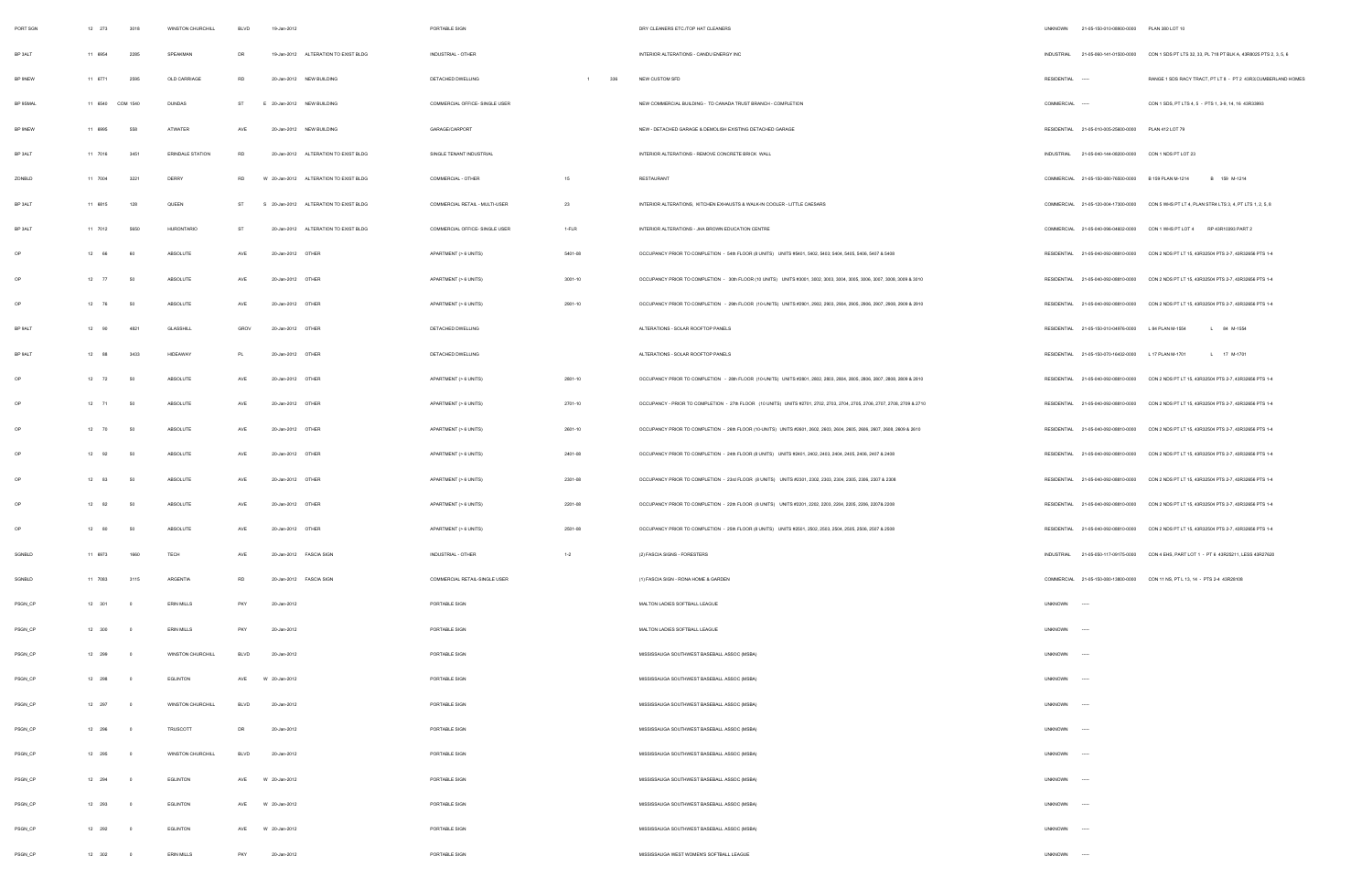|                                                                           | <b>INDUSTRIAL</b> | 21-05-060-141-01500-0000             | CON 1 SDS PT LTS 32, 33, PL 718 PT BLK A, 43R8025 PTS 2, 3, 5, 6 |
|---------------------------------------------------------------------------|-------------------|--------------------------------------|------------------------------------------------------------------|
|                                                                           | RESIDENTIAL ----- |                                      | RANGE 1 SDS RACY TRACT, PT LT 8 - PT 2 43R3 CUMBERLAND HOP       |
| H - COMPLETION                                                            | COMMERCIAL -----  |                                      | CON 1 SDS, PT LTS 4, 5 - PTS 1, 3-9, 14, 16 43R33993             |
| <b>IED GARAGE</b>                                                         |                   | RESIDENTIAL 21-05-010-005-25600-0000 | PLAN 412 LOT 79                                                  |
| L                                                                         | <b>INDUSTRIAL</b> | 21-05-040-144-08200-0000             | CON 1 NDS PT LOT 23                                              |
|                                                                           |                   | COMMERCIAL 21-05-150-080-76500-0000  | B 159 PLAN M-1214<br>B 159 M-1214                                |
| COOLER - LITTLE CAESARS                                                   |                   | COMMERCIAL 21-05-120-004-17300-0000  | CON 5 WHS PT LT 4, PLAN STR4 LTS 3, 4, PT LTS 1, 2, 5, 8         |
| E                                                                         |                   | COMMERCIAL 21-05-040-096-04602-0000  | CON 1 WHS PT LOT 4<br>RP 43R10393 PART 2                         |
| TS) UNITS #5401, 5402, 5403; 5404, 5405, 5406, 5407 & 5408                |                   | RESIDENTIAL 21-05-040-092-08810-0000 | CON 2 NDS PT LT 15, 43R32504 PTS 2-7, 43R32656 PTS 1-4           |
| VITS) UNITS #3001, 3002, 3003, 3004, 3005, 3006, 3007, 3008, 3009 & 3010  |                   | RESIDENTIAL 21-05-040-092-08810-0000 | CON 2 NDS PT LT 15, 43R32504 PTS 2-7, 43R32656 PTS 1-4           |
| NITS) UNITS #2901, 2902, 2903, 2904, 2905, 2906, 2907, 2908, 2909 & 2910  |                   | RESIDENTIAL 21-05-040-092-08810-0000 | CON 2 NDS PT LT 15, 43R32504 PTS 2-7, 43R32656 PTS 1-4           |
|                                                                           |                   | RESIDENTIAL 21-05-150-010-04976-0000 | L 84 PLAN M-1554<br>L 84 M-1554                                  |
|                                                                           |                   | RESIDENTIAL 21-05-150-070-16432-0000 | L 17 PLAN M-1701<br>$\mathsf L$<br>17 M-1701                     |
| NITS) UNITS #2801, 2802, 2803, 2804, 2805, 2806, 2807, 2808, 2809 & 2810  |                   | RESIDENTIAL 21-05-040-092-08810-0000 | CON 2 NDS PT LT 15, 43R32504 PTS 2-7, 43R32656 PTS 1-4           |
| UNITS) UNITS #2701, 2702, 2703, 2704, 2705, 2706, 2707, 2708, 2709 & 2710 |                   | RESIDENTIAL 21-05-040-092-08810-0000 | CON 2 NDS PT LT 15, 43R32504 PTS 2-7, 43R32656 PTS 1-4           |
| IITS) UNITS #2601, 2602, 2603, 2604, 2605, 2606, 2607, 2608, 2609 & 2610  |                   | RESIDENTIAL 21-05-040-092-08810-0000 | CON 2 NDS PT LT 15, 43R32504 PTS 2-7, 43R32656 PTS 1-4           |
| TS) UNITS #2401, 2402, 2403, 2404, 2405, 2406, 2407 & 2408                |                   | RESIDENTIAL 21-05-040-092-08810-0000 | CON 2 NDS PT LT 15, 43R32504 PTS 2-7, 43R32656 PTS 1-4           |
| ITS) UNITS #2301, 2302, 2303, 2304, 2305, 2306, 2307 & 2308               |                   | RESIDENTIAL 21-05-040-092-08810-0000 | CON 2 NDS PT LT 15, 43R32504 PTS 2-7, 43R32656 PTS 1-4           |
| TS) UNITS #2201, 2202, 2203, 2204, 2205, 2206, 2207& 2208                 |                   | RESIDENTIAL 21-05-040-092-08810-0000 | CON 2 NDS PT LT 15, 43R32504 PTS 2-7, 43R32656 PTS 1-4           |
| TS) UNITS #2501, 2502, 2503, 2504, 2505, 2506, 2507 & 2508                |                   | RESIDENTIAL 21-05-040-092-08810-0000 | CON 2 NDS PT LT 15, 43R32504 PTS 2-7, 43R32656 PTS 1-4           |
|                                                                           | <b>INDUSTRIAL</b> | 21-05-050-117-09175-0000             | CON 4 EHS, PART LOT 1 - PT 6 43R25211, LESS 43R27620             |
|                                                                           | COMMERCIAL        | 21-05-150-080-13800-0000             | CON 11 NS, PT L 13, 14 - PTS 2-4 43R28108                        |
|                                                                           | <b>UNKNOWN</b>    | $\cdots$                             |                                                                  |
|                                                                           | <b>UNKNOWN</b>    |                                      |                                                                  |
|                                                                           | <b>UNKNOWN</b>    | $\cdots$                             |                                                                  |
|                                                                           | <b>UNKNOWN</b>    | $\cdots$                             |                                                                  |
|                                                                           | <b>UNKNOWN</b>    | $\sim$                               |                                                                  |
|                                                                           | <b>UNKNOWN</b>    | -----                                |                                                                  |
|                                                                           | <b>UNKNOWN</b>    | ----                                 |                                                                  |
|                                                                           | <b>UNKNOWN</b>    | $\cdots$                             |                                                                  |
|                                                                           | <b>UNKNOWN</b>    | $\cdots$                             |                                                                  |
|                                                                           | <b>UNKNOWN</b>    |                                      |                                                                  |
|                                                                           | <b>UNKNOWN</b>    | $\cdots$                             |                                                                  |

| PORT SGN | 12 273           | 3018                     | WINSTON CHURCHILL | <b>BLVD</b> | 19-Jan-2012       |                                        | PORTABLE SIGN                  |                       | DRY CLEANERS ETC./TOP HAT CLEANERS                                                                                         |                  | UNKNOWN 21-05-150-010-08900-0000 PLAN 380 LOT 10        |                                                                                                      |
|----------|------------------|--------------------------|-------------------|-------------|-------------------|----------------------------------------|--------------------------------|-----------------------|----------------------------------------------------------------------------------------------------------------------------|------------------|---------------------------------------------------------|------------------------------------------------------------------------------------------------------|
| BP 3ALT  | 11 6954          | 2285                     | SPEAKMAN          | DR          |                   | 19-Jan-2012 ALTERATION TO EXIST BLDG   | INDUSTRIAL - OTHER             |                       | INTERIOR ALTERATIONS - CANDU ENERGY INC                                                                                    |                  |                                                         | INDUSTRIAL 21-05-060-141-01500-0000 CON 1 SDS PT LTS 32, 33, PL 718 PT BLK A, 43R8025 PTS 2, 3, 5, 6 |
| BP 9NEW  | 11 6771          | 2595                     | OLD CARRIAGE      | RD          |                   | 20-Jan-2012 NEW BUILDING               | DETACHED DWELLING              | 336<br>$\blacksquare$ | NEW CUSTOM SFD                                                                                                             | RESIDENTIAL      | $\cdots$                                                | RANGE 1 SDS RACY TRACT, PT LT 8 - PT 2 43R3: CUMBERLAND HOMES                                        |
| BP 9SMAL | 11 6540 COM 1540 |                          | <b>DUNDAS</b>     | ST          |                   | E 20-Jan-2012 NEW BUILDING             | COMMERCIAL OFFICE- SINGLE USER |                       | NEW COMMERCIAL BUILDING - TD CANADA TRUST BRANCH - COMPLETION                                                              | COMMERCIAL ----- |                                                         | CON 1 SDS, PT LTS 4, 5 - PTS 1, 3-9, 14, 16 43R33993                                                 |
| BP 9NEW  | 11 6995          | 558                      | ATWATER           | AVE         |                   | 20-Jan-2012 NEW BUILDING               | GARAGE/CARPORT                 |                       | NEW - DETACHED GARAGE & DEMOLISH EXISTING DETACHED GARAGE                                                                  |                  | RESIDENTIAL 21-05-010-005-25600-0000 PLAN 412 LOT 79    |                                                                                                      |
| BP 3ALT  | 11 7016          | 3451                     | ERINDALE STATION  | <b>RD</b>   |                   | 20-Jan-2012 ALTERATION TO EXIST BLDG   | SINGLE TENANT INDUSTRIAL       |                       | INTERIOR ALTERATIONS - REMOVE CONCRETE BRICK WALL                                                                          |                  | INDUSTRIAL 21-05-040-144-08200-0000 CON 1 NDS PT LOT 23 |                                                                                                      |
| ZONBLD   | 11 7004          | 3221                     | <b>DERRY</b>      | <b>RD</b>   |                   | W 20-Jan-2012 ALTERATION TO EXIST BLDG | COMMERCIAL - OTHER             | 15                    | RESTAURANT                                                                                                                 |                  | COMMERCIAL 21-05-150-080-76500-0000 B 159 PLAN M-1214   | B 159 M-1214                                                                                         |
| BP 3ALT  | 11 6815          | 128                      | QUEEN             | <b>ST</b>   |                   | S 20-Jan-2012 ALTERATION TO EXIST BLDG | COMMERCIAL RETAIL - MULTI-USER | 23                    | INTERIOR ALTERATIONS, KITCHEN EXHAUSTS & WALK-IN COOLER - LITTLE CAESARS                                                   |                  |                                                         | COMMERCIAL 21-05-120-004-17300-0000 CON 5 WHS PT LT 4, PLAN STR4 LTS 3, 4, PT LTS 1, 2, 5, 8         |
| BP 3ALT  | 11 7012          | 5650                     | <b>HURONTARIO</b> | <b>ST</b>   |                   | 20-Jan-2012 ALTERATION TO EXIST BLDG   | COMMERCIAL OFFICE- SINGLE USER | 1-FLR                 | INTERIOR ALTERATIONS - JHA BROWN EDUCATION CENTRE                                                                          |                  |                                                         | COMMERCIAL 21-05-040-096-04602-0000 CON 1 WHS PT LOT 4 RP 43R10393 PART 2                            |
| OP       | 12 66            | - 60                     | ABSOLUTE          | AVE         | 20-Jan-2012 OTHER |                                        | APARTMENT (> 6 UNITS)          | 5401-08               | OCCUPANCY PRIOR TO COMPLETION - 54th FLOOR (8 UNITS) UNITS #5401, 5402, 5403; 5404, 5405, 5406, 5407 & 5408                |                  |                                                         | RESIDENTIAL 21-05-040-092-08810-0000 CON 2 NDS PT LT 15, 43R32504 PTS 2-7, 43R32656 PTS 1-4          |
| OP       | 12 77            | 50                       | ABSOLUTE          | AVE         | 20-Jan-2012 OTHER |                                        | APARTMENT (> 6 UNITS)          | 3001-10               | OCCUPANCY PRIOR TO COMPLETION - 30th FLOOR (10 UNITS) UNITS #3001, 3002, 3003, 3004, 3005, 3006, 3007, 3008, 3009 & 3010   |                  |                                                         | RESIDENTIAL 21-05-040-092-08810-0000 CON 2 NDS PT LT 15, 43R32504 PTS 2-7, 43R32656 PTS 1-4          |
| OP       | 12 76            | 50                       | ABSOLUTE          | AVE         | 20-Jan-2012 OTHER |                                        | APARTMENT (> 6 UNITS)          | 2901-10               | OCCUPANCY PRIOR TO COMPLETION - 29th FLOOR (10-UNITS) UNITS #2901, 2902, 2903, 2904, 2905, 2906, 2907, 2908, 2909 & 2910   |                  |                                                         | RESIDENTIAL 21-05-040-092-08810-0000 CON 2 NDS PT LT 15, 43R32504 PTS 2-7, 43R32656 PTS 1-4          |
| BP 9ALT  | 12 90            | 4821                     | GLASSHILL         | GROV        | 20-Jan-2012 OTHER |                                        | DETACHED DWELLING              |                       | ALTERATIONS - SOLAR ROOFTOP PANELS                                                                                         |                  | RESIDENTIAL 21-05-150-010-04976-0000 L 84 PLAN M-1554   | L 84 M-1554                                                                                          |
| BP 9ALT  | 12 88            | 3433                     | <b>HIDEAWAY</b>   | PL          | 20-Jan-2012 OTHER |                                        | DETACHED DWELLING              |                       | ALTERATIONS - SOLAR ROOFTOP PANELS                                                                                         |                  | RESIDENTIAL 21-05-150-070-16432-0000 L 17 PLAN M-1701   | L 17 M-1701                                                                                          |
| OP       | 12 72            | 50                       | ABSOLUTE          | AVE         | 20-Jan-2012 OTHER |                                        | APARTMENT (> 6 UNITS)          | 2801-10               | OCCUPANCY PRIOR TO COMPLETION - 28th FLOOR (10-UNITS) UNITS #2801, 2802, 2803, 2804, 2805, 2806, 2807, 2808, 2809 & 2810   |                  |                                                         | RESIDENTIAL 21-05-040-092-08810-0000 CON 2 NDS PT LT 15, 43R32504 PTS 2-7, 43R32656 PTS 1-4          |
| OP       | 12 71            | 50                       | ABSOLUTE          | AVE         | 20-Jan-2012 OTHER |                                        | APARTMENT (> 6 UNITS)          | 2701-10               | OCCUPANCY - PRIOR TO COMPLETION - 27th FLOOR (10 UNITS) UNITS #2701, 2702, 2703, 2704, 2705, 2706, 2707, 2708, 2709 & 2710 |                  |                                                         | RESIDENTIAL 21-05-040-092-08810-0000 CON 2 NDS PT LT 15, 43R32504 PTS 2-7, 43R32656 PTS 1-4          |
| OP       | 12 70            | 50                       | ABSOLUTE          | AVE         | 20-Jan-2012 OTHER |                                        | APARTMENT (> 6 UNITS)          | 2601-10               | OCCUPANCY PRIOR TO COMPLETION - 26th FLOOR (10-UNITS) UNITS #2601, 2602, 2603, 2604, 2605, 2606, 2607, 2608, 2609 & 2610   |                  |                                                         | RESIDENTIAL 21-05-040-092-08810-0000 CON 2 NDS PT LT 15, 43R32504 PTS 2-7, 43R32656 PTS 1-4          |
| OP       | 12 92            | 50                       | ABSOLUTE          | AVE         | 20-Jan-2012 OTHER |                                        | APARTMENT (> 6 UNITS)          | 2401-08               | OCCUPANCY PRIOR TO COMPLETION - 24th FLOOR (8 UNITS) UNITS #2401, 2402, 2403, 2404, 2405, 2406, 2407 & 2408                |                  |                                                         | RESIDENTIAL 21-05-040-092-08810-0000 CON 2 NDS PT LT 15, 43R32504 PTS 2-7, 43R32656 PTS 1-4          |
| OP       | 12 83            | 50                       | ABSOLUTE          | AVE         | 20-Jan-2012 OTHER |                                        | APARTMENT (> 6 UNITS)          | 2301-08               | OCCUPANCY PRIOR TO COMPLETION - 23rd FLOOR (8 UNITS) UNITS #2301, 2302, 2303, 2304, 2305, 2306, 2307 & 2308                |                  |                                                         | RESIDENTIAL 21-05-040-092-08810-0000 CON 2 NDS PT LT 15, 43R32504 PTS 2-7, 43R32656 PTS 1-4          |
| OP       | 12 82            | 50                       | ABSOLUTE          | AVE         | 20-Jan-2012 OTHER |                                        | APARTMENT (> 6 UNITS)          | 2201-08               | OCCUPANCY PRIOR TO COMPLETION - 22th FLOOR (8 UNITS) UNITS #2201, 2202, 2203, 2204, 2205, 2206, 2207& 2208                 |                  |                                                         | RESIDENTIAL 21-05-040-092-08810-0000 CON 2 NDS PT LT 15, 43R32504 PTS 2-7, 43R32656 PTS 1-4          |
| OP       | 12 80            | 50                       | ABSOLUTE          | AVE         | 20-Jan-2012 OTHER |                                        | APARTMENT (> 6 UNITS)          | 2501-08               | OCCUPANCY PRIOR TO COMPLETION - 25th FLOOR (8 UNITS) UNITS #2501, 2502, 2503, 2504, 2505, 2506, 2507 & 2508                |                  |                                                         | RESIDENTIAL 21-05-040-092-08810-0000 CON 2 NDS PT LT 15, 43R32504 PTS 2-7, 43R32656 PTS 1-4          |
| SGNBLD   | 11 6973          | 1660                     | TECH              | AVE         |                   | 20-Jan-2012 FASCIA SIGN                | INDUSTRIAL - OTHER             | $1 - 2$               | (2) FASCIA SIGNS - FORESTERS                                                                                               |                  |                                                         | INDUSTRIAL 21-05-050-117-09175-0000 CON 4 EHS, PART LOT 1 - PT 6 43R25211, LESS 43R27620             |
| SGNBLD   | 11 7083          | 3115                     | ARGENTIA          | <b>RD</b>   |                   | 20-Jan-2012 FASCIA SIGN                | COMMERCIAL RETAIL-SINGLE USER  |                       | (1) FASCIA SIGN - RONA HOME & GARDEN                                                                                       |                  |                                                         | COMMERCIAL 21-05-150-080-13800-0000 CON 11 NS, PT L 13, 14 - PTS 2-4 43R28108                        |
| PSGN_CP  | 12 301           | $^{\circ}$               | ERIN MILLS        | PKY         | 20-Jan-2012       |                                        | PORTABLE SIGN                  |                       | MALTON LADIES SOFTBALL LEAGUE                                                                                              | <b>UNKNOWN</b>   | $\sim$                                                  |                                                                                                      |
| PSGN_CP  | 12 300           | $\overline{\phantom{0}}$ | ERIN MILLS        | PKY         | 20-Jan-2012       |                                        | PORTABLE SIGN                  |                       | MALTON LADIES SOFTBALL LEAGUE                                                                                              | <b>UNKNOWN</b>   | $\sim$                                                  |                                                                                                      |
| PSGN_CP  | 12 299           | $\overline{\phantom{0}}$ | WINSTON CHURCHILL | <b>BLVD</b> | 20-Jan-2012       |                                        | PORTABLE SIGN                  |                       | MISSISSAUGA SOUTHWEST BASEBALL ASSOC (MSBA)                                                                                | <b>UNKNOWN</b>   | $\sim$                                                  |                                                                                                      |
| PSGN_CP  | 12 298           | $\overline{\phantom{0}}$ | <b>EGLINTON</b>   | AVE         | W 20-Jan-2012     |                                        | PORTABLE SIGN                  |                       | MISSISSAUGA SOUTHWEST BASEBALL ASSOC (MSBA)                                                                                | <b>UNKNOWN</b>   | $\sim$                                                  |                                                                                                      |
| PSGN_CP  | 12 297           | $^{\circ}$               | WINSTON CHURCHILL | <b>BLVD</b> | 20-Jan-2012       |                                        | PORTABLE SIGN                  |                       | MISSISSAUGA SOUTHWEST BASEBALL ASSOC (MSBA)                                                                                | <b>UNKNOWN</b>   | $\overline{\phantom{a}}$                                |                                                                                                      |
| PSGN_CP  | 12 296           |                          | TRUSCOTT          | DR          | 20-Jan-2012       |                                        | PORTABLE SIGN                  |                       | MISSISSAUGA SOUTHWEST BASEBALL ASSOC (MSBA)                                                                                | <b>UNKNOWN</b>   | $\overline{\phantom{a}}$                                |                                                                                                      |
| PSGN_CP  | 12 295           | $\overline{\phantom{0}}$ | WINSTON CHURCHILL | <b>BLVD</b> | 20-Jan-2012       |                                        | PORTABLE SIGN                  |                       | MISSISSAUGA SOUTHWEST BASEBALL ASSOC (MSBA)                                                                                | <b>UNKNOWN</b>   | $\overline{\phantom{a}}$                                |                                                                                                      |
| PSGN_CP  | 12 294           | $^{\circ}$               | EGLINTON          | AVE         | W 20-Jan-2012     |                                        | PORTABLE SIGN                  |                       | MISSISSAUGA SOUTHWEST BASEBALL ASSOC (MSBA)                                                                                | <b>UNKNOWN</b>   | $\overline{\phantom{a}}$                                |                                                                                                      |
| PSGN_CP  | 12 293           | - 0                      | <b>EGLINTON</b>   | AVE         | W 20-Jan-2012     |                                        | PORTABLE SIGN                  |                       | MISSISSAUGA SOUTHWEST BASEBALL ASSOC (MSBA)                                                                                | <b>UNKNOWN</b>   | $\sim$                                                  |                                                                                                      |
| PSGN_CP  | 12 292           | $\overline{\phantom{0}}$ | <b>EGLINTON</b>   | AVE         | W 20-Jan-2012     |                                        | PORTABLE SIGN                  |                       | MISSISSAUGA SOUTHWEST BASEBALL ASSOC (MSBA)                                                                                | <b>UNKNOWN</b>   | $\sim$                                                  |                                                                                                      |
| PSGN_CP  | 12 302 0         |                          | <b>ERIN MILLS</b> | PKY         | 20-Jan-2012       |                                        | PORTABLE SIGN                  |                       | MISSISSAUGA WEST WOMEN'S SOFTBALL LEAGUE                                                                                   | <b>UNKNOWN</b>   | $\overline{\phantom{a}}$                                |                                                                                                      |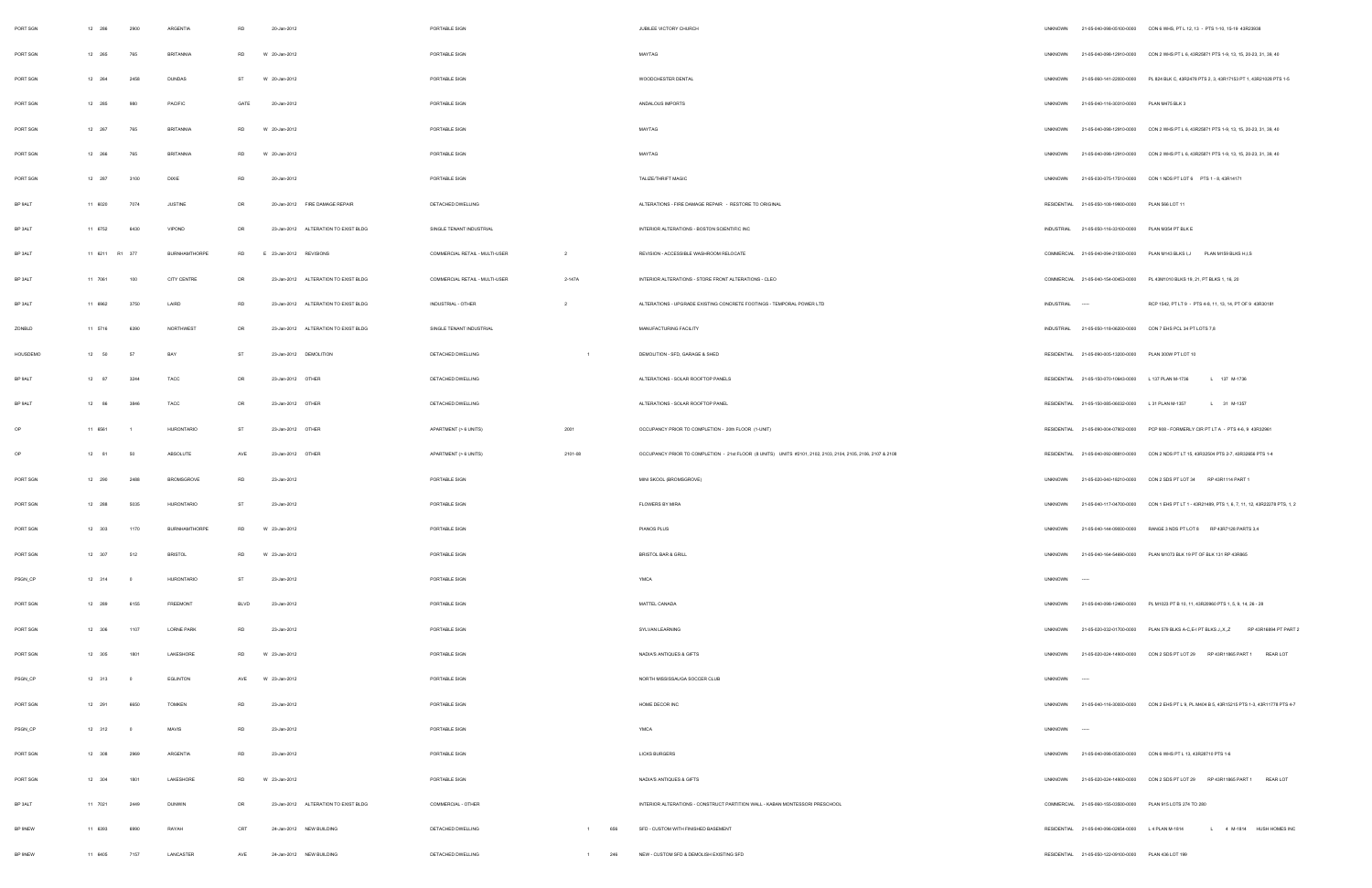|                                                                                                | <b>UNKNOWN</b> | 21-05-040-098-12910-0000                               | CON 2 WHS PT L 6, 43R25871 PTS 1-9, 13, 15, 20-23, 31, 39, 40         |
|------------------------------------------------------------------------------------------------|----------------|--------------------------------------------------------|-----------------------------------------------------------------------|
| <b>DENTAL</b>                                                                                  | <b>UNKNOWN</b> | 21-05-060-141-22000-0000                               | PL 824 BLK C, 43R2478 PTS 2, 3, 43R17153 PT 1, 43R21028 PTS 1-5       |
| RTS                                                                                            | <b>UNKNOWN</b> | 21-05-040-116-30310-0000                               | PLAN M475 BLK 3                                                       |
|                                                                                                | <b>UNKNOWN</b> | 21-05-040-098-12910-0000                               | CON 2 WHS PT L 6, 43R25871 PTS 1-9, 13, 15, 20-23, 31, 39, 40         |
|                                                                                                | <b>UNKNOWN</b> | 21-05-040-098-12910-0000                               | CON 2 WHS PT L 6, 43R25871 PTS 1-9, 13, 15, 20-23, 31, 39, 40         |
| AGIC                                                                                           | <b>UNKNOWN</b> | 21-05-030-075-17510-0000                               | CON 1 NDS PT LOT 6 PTS 1 - 8, 43R14171                                |
| IRE DAMAGE REPAIR - RESTORE TO ORIGINAL                                                        |                | RESIDENTIAL 21-05-050-108-19900-0000                   | PLAN 566 LOT 11                                                       |
| <b>ATIONS - BOSTON SCIENTIFIC INC</b>                                                          |                | INDUSTRIAL 21-05-050-116-33100-0000                    | PLAN M354 PT BLK E                                                    |
| SSIBLE WASHROOM RELOCATE                                                                       |                | COMMERCIAL 21-05-040-094-21500-0000 PLAN M143 BLKS I,J | PLAN M159 BLKS H,I,S                                                  |
| ATIONS - STORE FRONT ALTERATIONS - CLEO                                                        |                | COMMERCIAL 21-05-040-154-00453-0000                    | PL 43M1010 BLKS 19, 21, PT BLKS 1, 16, 20                             |
| PGRADE EXISTING CONCRETE FOOTINGS - TEMPORAL POWER LTD                                         | INDUSTRIAL     | $\sim$                                                 | RCP 1542, PT LT 9 - PTS 4-8, 11, 13, 14, PT OF 9 43R30181             |
| FACILITY                                                                                       | INDUSTRIAL     | 21-05-050-118-06200-0000                               | CON 7 EHS PCL 34 PT LOTS 7,8                                          |
| D, GARAGE & SHED                                                                               |                | RESIDENTIAL 21-05-090-005-13200-0000                   | PLAN 300W PT LOT 10                                                   |
| OLAR ROOFTOP PANELS                                                                            |                | RESIDENTIAL 21-05-150-070-10643-0000                   | L 137 PLAN M-1736<br>L 137 M-1736                                     |
| OLAR ROOFTOP PANEL                                                                             |                | RESIDENTIAL 21-05-150-085-06032-0000 L 31 PLAN M-1357  | L 31 M-1357                                                           |
| OR TO COMPLETION - 20th FLOOR (1-UNIT)                                                         |                | RESIDENTIAL 21-05-090-004-07902-0000                   | PCP 908 - FORMERLY CIR PT LT A - PTS 4-6, 9 43R32961                  |
| OR TO COMPLETION - 21st FLOOR (8 UNITS) UNITS #2101, 2102, 2103, 2104, 2105, 2106, 2107 & 2108 |                | RESIDENTIAL 21-05-040-092-08810-0000                   | CON 2 NDS PT LT 15, 43R32504 PTS 2-7, 43R32656 PTS 1-4                |
| MSGROVE)                                                                                       | <b>UNKNOWN</b> | 21-05-020-040-18210-0000                               | CON 2 SDS PT LOT 34<br>RP 43R1114 PART 1                              |
| Α                                                                                              | <b>UNKNOWN</b> | 21-05-040-117-04700-0000                               | CON 1 EHS PT LT 1 - 43R21489, PTS 1, 6, 7, 11, 12, 43R22278 PTS, 1, 2 |
|                                                                                                | <b>UNKNOWN</b> | 21-05-040-144-09000-0000                               | RANGE 3 NDS PT LOT 8 RP 43R7128 PARTS 3,4                             |
| RILL                                                                                           | <b>UNKNOWN</b> | 21-05-040-164-54690-0000                               | PLAN M1073 BLK 19 PT OF BLK 131 RP 43R865                             |
|                                                                                                | <b>UNKNOWN</b> | $\cdots$                                               |                                                                       |
|                                                                                                | <b>UNKNOWN</b> | 21-05-040-098-12460-0000                               | PL M1023 PT B 10, 11, 43R20960 PTS 1, 5, 9, 14, 26 - 28               |
| G                                                                                              | <b>UNKNOWN</b> | 21-05-020-032-01700-0000                               | PLAN 579 BLKS A-C,E-I PT BLKS J,,X,,Z<br>RP 43R16894 PT PART 2        |
| S & GIFTS                                                                                      | <b>UNKNOWN</b> | 21-05-020-024-14900-0000                               | CON 2 SDS PT LOT 29<br>RP 43R11865 PART 1<br>REAR LOT                 |
| UGA SOCCER CLUB                                                                                | <b>UNKNOWN</b> | $\cdots$                                               |                                                                       |
|                                                                                                | <b>UNKNOWN</b> | 21-05-040-116-30000-0000                               | CON 2 EHS PT L 9, PL M404 B 5, 43R15215 PTS 1-3, 43R11778 PTS 4-7     |
|                                                                                                | <b>UNKNOWN</b> |                                                        |                                                                       |
|                                                                                                | <b>UNKNOWN</b> | 21-05-040-098-05300-0000                               | CON 6 WHS PT L 13, 43R28710 PTS 1-6                                   |
| S & GIFTS                                                                                      | <b>UNKNOWN</b> | 21-05-020-024-14900-0000                               | CON 2 SDS PT LOT 29<br>RP 43R11865 PART 1<br><b>REAR LOT</b>          |
| ATIONS - CONSTRUCT PARTITION WALL - KABAN MONTESSORI PRESCHOOL                                 |                | COMMERCIAL 21-05-060-155-03500-0000                    | PLAN 915 LOTS 274 TO 280                                              |
| ITH FINISHED BASEMENT                                                                          |                | RESIDENTIAL 21-05-040-096-02654-0000                   | L 4 PLAN M-1814<br>4 M-1814 HUSH HOMES INC<br>L.                      |
| FD & DEMOLISH EXISTING SFD                                                                     |                | RESIDENTIAL 21-05-050-122-09100-0000                   | PLAN 436 LOT 199                                                      |

| PORT SGN                         | 12 286     | 2900                     | ARGENTIA             | <b>RD</b>   | 20-Jan-2012                          | PORTABLE SIGN                  |                |     | JUBILEE VICTORY CHURCH                                                                                      | <b>UNKNOWN</b>    |                                                              | 21-05-040-098-05100-0000 CON 6 WHS, PT L 12, 13 - PTS 1-10, 15-19 43R23938                             |
|----------------------------------|------------|--------------------------|----------------------|-------------|--------------------------------------|--------------------------------|----------------|-----|-------------------------------------------------------------------------------------------------------------|-------------------|--------------------------------------------------------------|--------------------------------------------------------------------------------------------------------|
| PORT SGN                         | 12 265     | 765                      | <b>BRITANNIA</b>     | <b>RD</b>   | W 20-Jan-2012                        | PORTABLE SIGN                  |                |     | MAYTAG                                                                                                      | <b>UNKNOWN</b>    |                                                              | 21-05-040-098-12910-0000 CON 2 WHS PT L 6, 43R25871 PTS 1-9, 13, 15, 20-23, 31, 39, 40                 |
| PORT SGN                         | 12 264     | 2458                     | <b>DUNDAS</b>        | <b>ST</b>   | W 20-Jan-2012                        | PORTABLE SIGN                  |                |     | WOODCHESTER DENTAL                                                                                          | <b>UNKNOWN</b>    |                                                              | 21-05-060-141-22000-0000 PL 824 BLK C, 43R2478 PTS 2, 3, 43R17153 PT 1, 43R21028 PTS 1-5               |
| PORT SGN                         | 12 285     | 980                      | PACIFIC              | GATE        | 20-Jan-2012                          | PORTABLE SIGN                  |                |     | ANDALOUS IMPORTS                                                                                            | <b>UNKNOWN</b>    | 21-05-040-116-30310-0000 PLAN M475 BLK 3                     |                                                                                                        |
| PORT SGN                         | 12 267     | 765                      | <b>BRITANNIA</b>     | <b>RD</b>   | W 20-Jan-2012                        | PORTABLE SIGN                  |                |     | MAYTAG                                                                                                      | <b>UNKNOWN</b>    |                                                              | 21-05-040-098-12910-0000 CON 2 WHS PT L 6, 43R25871 PTS 1-9, 13, 15, 20-23, 31, 39, 40                 |
| PORT SGN                         | 12 266     | 765                      | <b>BRITANNIA</b>     | <b>RD</b>   | W 20-Jan-2012                        | PORTABLE SIGN                  |                |     | MAYTAG                                                                                                      | <b>UNKNOWN</b>    |                                                              | 21-05-040-098-12910-0000 CON 2 WHS PT L 6, 43R25871 PTS 1-9, 13, 15, 20-23, 31, 39, 40                 |
| PORT SGN                         | 12 287     | 3100                     | <b>DIXIE</b>         | <b>RD</b>   | 20-Jan-2012                          | PORTABLE SIGN                  |                |     | TALIZE/THRIFT MAGIC                                                                                         | <b>UNKNOWN</b>    |                                                              | 21-05-030-075-17510-0000 CON 1 NDS PT LOT 6 PTS 1 - 8, 43R14171                                        |
| BP 9ALT                          | 11 6020    | 7074                     | <b>JUSTINE</b>       | <b>DR</b>   | 20-Jan-2012 FIRE DAMAGE REPAIR       | DETACHED DWELLING              |                |     | ALTERATIONS - FIRE DAMAGE REPAIR - RESTORE TO ORIGINAL                                                      |                   | RESIDENTIAL 21-05-050-108-19900-0000                         | PLAN 566 LOT 11                                                                                        |
| BP 3ALT                          | 11 6752    | 6430                     | VIPOND               | <b>DR</b>   | 23-Jan-2012 ALTERATION TO EXIST BLDG | SINGLE TENANT INDUSTRIAL       |                |     | INTERIOR ALTERATIONS - BOSTON SCIENTIFIC INC                                                                |                   | INDUSTRIAL 21-05-050-116-33100-0000 PLAN M354 PT BLK E       |                                                                                                        |
| BP 3ALT                          | 11 6211 R1 | 377                      | BURNHAMTHORPE        | <b>RD</b>   | E 23-Jan-2012 REVISIONS              | COMMERCIAL RETAIL - MULTI-USER | $\overline{2}$ |     | REVISION - ACCESSIBLE WASHROOM RELOCATE                                                                     |                   | COMMERCIAL 21-05-040-094-21500-0000                          | PLAN M143 BLKS I,J PLAN M159 BLKS H,I,S                                                                |
| BP 3ALT                          | 11 7061    | 100                      | CITY CENTRE          | <b>DR</b>   | 23-Jan-2012 ALTERATION TO EXIST BLDG | COMMERCIAL RETAIL - MULTI-USER | 2-147A         |     | INTERIOR ALTERATIONS - STORE FRONT ALTERATIONS - CLEO                                                       |                   |                                                              | COMMERCIAL 21-05-040-154-00453-0000 PL 43M1010 BLKS 19, 21, PT BLKS 1, 16, 20                          |
| BP 3ALT                          | 11 6962    | 3750                     | LAIRD                | <b>RD</b>   | 23-Jan-2012 ALTERATION TO EXIST BLDG | INDUSTRIAL - OTHER             | $\overline{2}$ |     | ALTERATIONS - UPGRADE EXISTING CONCRETE FOOTINGS - TEMPORAL POWER LTD                                       | <b>INDUSTRIAL</b> | $\sim$                                                       | RCP 1542, PT LT 9 - PTS 4-8, 11, 13, 14, PT OF 9 43R30181                                              |
| ZONBLD                           | 11 5716    | 6390                     | NORTHWEST            | DR          | 23-Jan-2012 ALTERATION TO EXIST BLDG | SINGLE TENANT INDUSTRIAL       |                |     | MANUFACTURING FACILITY                                                                                      |                   |                                                              | INDUSTRIAL 21-05-050-118-06200-0000 CON 7 EHS PCL 34 PT LOTS 7,8                                       |
| HOUSDEMO                         | 12 50      | 57                       | BAY                  | <b>ST</b>   | 23-Jan-2012 DEMOLITION               | DETACHED DWELLING              | $\overline{1}$ |     | DEMOLITION - SFD, GARAGE & SHED                                                                             |                   | RESIDENTIAL 21-05-090-005-13200-0000 PLAN 300W PT LOT 10     |                                                                                                        |
| BP 9ALT                          | 12 87      | 3244                     | TACC                 | DR          | 23-Jan-2012 OTHER                    | DETACHED DWELLING              |                |     | ALTERATIONS - SOLAR ROOFTOP PANELS                                                                          |                   | RESIDENTIAL 21-05-150-070-10643-0000 L 137 PLAN M-1736       | L 137 M-1736                                                                                           |
| BP 9ALT                          | 12 86      | 3846                     | TACC                 | DR          | 23-Jan-2012 OTHER                    | DETACHED DWELLING              |                |     | ALTERATIONS - SOLAR ROOFTOP PANEL                                                                           |                   | RESIDENTIAL 21-05-150-085-06032-0000 L 31 PLAN M-1357        | L 31 M-1357                                                                                            |
| OP                               | 11 6561    |                          | <b>HURONTARIO</b>    | <b>ST</b>   | 23-Jan-2012 OTHER                    | APARTMENT (> 6 UNITS)          | 2001           |     | OCCUPANCY PRIOR TO COMPLETION - 20th FLOOR (1-UNIT)                                                         |                   |                                                              | RESIDENTIAL 21-05-090-004-07902-0000 PCP 908 - FORMERLY CIR PT LT A - PTS 4-6, 9 43R32961              |
| OP                               | 12 81      | 50                       | ABSOLUTE             | AVE         | 23-Jan-2012 OTHER                    | APARTMENT (> 6 UNITS)          | 2101-08        |     | OCCUPANCY PRIOR TO COMPLETION - 21st FLOOR (8 UNITS) UNITS #2101, 2102, 2103, 2104, 2105, 2106, 2107 & 2108 |                   | RESIDENTIAL 21-05-040-092-08810-0000                         | CON 2 NDS PT LT 15, 43R32504 PTS 2-7, 43R32656 PTS 1-4                                                 |
| PORT SGN                         | 12 290     | 2488                     | <b>BROMSGROVE</b>    | <b>RD</b>   | 23-Jan-2012                          | PORTABLE SIGN                  |                |     | MINI SKOOL (BROMSGROVE)                                                                                     | <b>UNKNOWN</b>    |                                                              | 21-05-020-040-18210-0000 CON 2 SDS PT LOT 34 RP 43R1114 PART 1                                         |
| PORT SGN                         | 12 288     | 5035                     | <b>HURONTARIO</b>    | <b>ST</b>   | 23-Jan-2012                          | PORTABLE SIGN                  |                |     | FLOWERS BY MIRA                                                                                             |                   |                                                              | UNKNOWN 21-05-040-117-04700-0000 CON 1 EHS PT LT 1 - 43R21489, PTS 1, 6, 7, 11, 12, 43R22278 PTS, 1, 2 |
| PORT SGN                         | 12 303     | 1170                     | <b>BURNHAMTHORPE</b> | <b>RD</b>   | W 23-Jan-2012                        | PORTABLE SIGN                  |                |     | PIANOS PLUS                                                                                                 |                   |                                                              | UNKNOWN 21-05-040-144-09000-0000 RANGE 3 NDS PT LOT 8 RP 43R7128 PARTS 3,4                             |
| PORT SGN                         | 12 307     | 512                      | <b>BRISTOL</b>       | <b>RD</b>   | W 23-Jan-2012                        | PORTABLE SIGN                  |                |     | <b>BRISTOL BAR &amp; GRILL</b>                                                                              | <b>UNKNOWN</b>    |                                                              | 21-05-040-164-54690-0000 PLAN M1073 BLK 19 PT OF BLK 131 RP 43R865                                     |
| PSGN_CP                          | 12 314     | $\overline{\phantom{0}}$ | HURONTARIO           | <b>ST</b>   | 23-Jan-2012                          | PORTABLE SIGN                  |                |     | YMCA                                                                                                        | <b>UNKNOWN</b>    | $\cdots$                                                     |                                                                                                        |
| PORT SGN                         | 12 289     | 6155                     | FREEMONT             | <b>BLVD</b> | 23-Jan-2012                          | PORTABLE SIGN                  |                |     | MATTEL CANADA                                                                                               | <b>UNKNOWN</b>    |                                                              | 21-05-040-098-12460-0000 PL M1023 PT B 10, 11, 43R20960 PTS 1, 5, 9, 14, 26 - 28                       |
| PORT SGN                         | 12 306     | 1107                     | <b>LORNE PARK</b>    | <b>RD</b>   | 23-Jan-2012                          | PORTABLE SIGN                  |                |     | SYLVAN LEARNING                                                                                             | <b>UNKNOWN</b>    |                                                              | 21-05-020-032-01700-0000 PLAN 579 BLKS A-C,E-I PT BLKS J,,X,,Z RP 43R16894 PT PART                     |
| PORT SGN                         | 12 305     | 1801                     | LAKESHORE            | <b>RD</b>   | W 23-Jan-2012                        | PORTABLE SIGN                  |                |     | NADIA'S ANTIQUES & GIFTS                                                                                    | <b>UNKNOWN</b>    |                                                              | 21-05-020-024-14900-0000 CON 2 SDS PT LOT 29 RP 43R11865 PART 1 REAR LOT                               |
| $\ensuremath{\mathsf{PSGN\_CP}}$ | 12 313     | $\overline{\phantom{0}}$ | EGLINTON             | AVE         | W 23-Jan-2012                        | PORTABLE SIGN                  |                |     | NORTH MISSISSAUGA SOCCER CLUB                                                                               | <b>UNKNOWN</b>    | $\sim$                                                       |                                                                                                        |
| PORT SGN                         | 12 291     | 6650                     | <b>TOMKEN</b>        | <b>RD</b>   | 23-Jan-2012                          | PORTABLE SIGN                  |                |     | HOME DECOR INC                                                                                              | <b>UNKNOWN</b>    |                                                              | 21-05-040-116-30000-0000 CON 2 EHS PT L 9, PL M404 B 5, 43R15215 PTS 1-3, 43R11778 PTS 4-7             |
| PSGN_CP                          | 12 312     | $^{\circ}$               | MAVIS                | <b>RD</b>   | 23-Jan-2012                          | PORTABLE SIGN                  |                |     | YMCA                                                                                                        | <b>UNKNOWN</b>    | $\overline{\phantom{a}}$                                     |                                                                                                        |
| PORT SGN                         | 12 308     | 2969                     | ARGENTIA             | <b>RD</b>   | 23-Jan-2012                          | PORTABLE SIGN                  |                |     | <b>LICKS BURGERS</b>                                                                                        | <b>UNKNOWN</b>    |                                                              | 21-05-040-098-05300-0000 CON 6 WHS PT L 13, 43R28710 PTS 1-6                                           |
| PORT SGN                         | 12 304     | 1801                     | LAKESHORE            | <b>RD</b>   | W 23-Jan-2012                        | PORTABLE SIGN                  |                |     | NADIA'S ANTIQUES & GIFTS                                                                                    | <b>UNKNOWN</b>    |                                                              | 21-05-020-024-14900-0000 CON 2 SDS PT LOT 29 RP 43R11865 PART 1 REAR LOT                               |
| BP 3ALT                          | 11 7021    | 2449                     | <b>DUNWIN</b>        | DR          | 23-Jan-2012 ALTERATION TO EXIST BLDG | COMMERCIAL - OTHER             |                |     | INTERIOR ALTERATIONS - CONSTRUCT PARTITION WALL - KABAN MONTESSORI PRESCHOOL                                |                   | COMMERCIAL 21-05-060-155-03500-0000 PLAN 915 LOTS 274 TO 280 |                                                                                                        |
| BP 9NEW                          | 11 6393    | 6990                     | RAYAH                | CRT         | 24-Jan-2012 NEW BUILDING             | DETACHED DWELLING              | $1 -$          | 656 | SFD - CUSTOM WITH FINISHED BASEMENT                                                                         |                   | RESIDENTIAL 21-05-040-096-02654-0000 L 4 PLAN M-1814         | L 4 M-1814 HUSH HOMES INC                                                                              |
| BP 9NEW                          | 11 6405    | 7157                     | LANCASTER            | AVE         | 24-Jan-2012 NEW BUILDING             | DETACHED DWELLING              | $\overline{1}$ | 246 | NEW - CUSTOM SFD & DEMOLISH EXISTING SFD                                                                    |                   | RESIDENTIAL 21-05-050-122-09100-0000 PLAN 436 LOT 199        |                                                                                                        |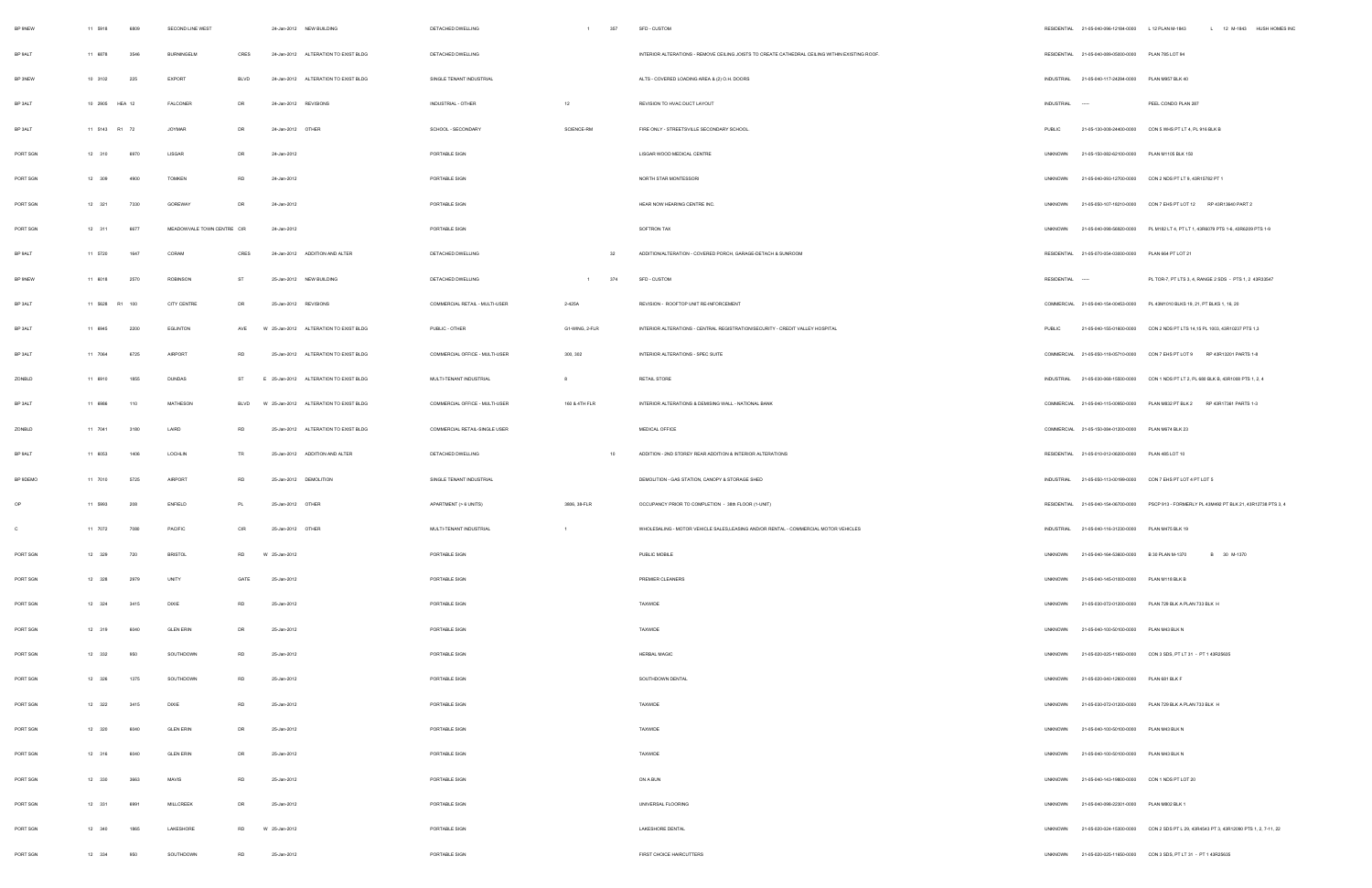| BP 9NEW  | 11 5918        | 6809 | SECOND LINE WEST           |             | 24-Jan-2012 NEW BUILDING               | DETACHED DWELLING              | 357            | SFD - CUSTOM                                                                                   |                    | RESIDENTIAL 21-05-040-096-12184-0000 L 12 PLAN M-1843   | L 12 M-1843 HUSH HOMES ING                                                                      |
|----------|----------------|------|----------------------------|-------------|----------------------------------------|--------------------------------|----------------|------------------------------------------------------------------------------------------------|--------------------|---------------------------------------------------------|-------------------------------------------------------------------------------------------------|
| BP 9ALT  | 11 6878        | 3546 | <b>BURNINGELM</b>          | CRES        | 24-Jan-2012 ALTERATION TO EXIST BLDG   | DETACHED DWELLING              |                | INTERIOR ALTERATIONS - REMOVE CEILING JOISTS TO CREATE CATHEDRAL CEILING WITHIN EXISTING ROOF. |                    | RESIDENTIAL 21-05-040-089-05000-0000 PLAN 785 LOT 94    |                                                                                                 |
| BP 3NEW  | 10 3102        | 225  | <b>EXPORT</b>              | <b>BLVD</b> | 24-Jan-2012 ALTERATION TO EXIST BLDG   | SINGLE TENANT INDUSTRIAL       |                | ALTS - COVERED LOADING AREA & (2) O.H. DOORS                                                   |                    | INDUSTRIAL 21-05-040-117-24294-0000 PLAN M957 BLK 40    |                                                                                                 |
| BP 3ALT  | 10 2905 HEA 12 |      | FALCONER                   | DR          | 24-Jan-2012 REVISIONS                  | INDUSTRIAL - OTHER             | 12             | REVISION TO HVAC DUCT LAYOUT                                                                   | INDUSTRIAL         | $\sim$                                                  | PEEL CONDO PLAN 287                                                                             |
| BP 3ALT  | 11 5143 R1     | 72   | <b>JOYMAR</b>              | DR          | 24-Jan-2012 OTHER                      | SCHOOL - SECONDARY             | SCIENCE-RM     | FIRE ONLY - STREETSVILLE SECONDARY SCHOOL.                                                     | <b>PUBLIC</b>      |                                                         | 21-05-130-008-24400-0000 CON 5 WHS PT LT 4, PL 916 BLK B                                        |
| PORT SGN | 12 310         | 6970 | LISGAR                     | DR          | 24-Jan-2012                            | PORTABLE SIGN                  |                | LISGAR WOOD MEDICAL CENTRE                                                                     | <b>UNKNOWN</b>     | 21-05-150-082-62100-0000 PLAN M1105 BLK 150             |                                                                                                 |
| PORT SGN | 12 309         | 4900 | <b>TOMKEN</b>              | <b>RD</b>   | 24-Jan-2012                            | PORTABLE SIGN                  |                | NORTH STAR MONTESSORI                                                                          | <b>UNKNOWN</b>     |                                                         | 21-05-040-093-12700-0000 CON 2 NDS PT LT 9, 43R15782 PT 1                                       |
| PORT SGN | 12 321         | 7330 | GOREWAY                    | DR          | 24-Jan-2012                            | PORTABLE SIGN                  |                | HEAR NOW HEARING CENTRE INC.                                                                   | <b>UNKNOWN</b>     |                                                         | 21-05-050-107-18210-0000 CON 7 EHS PT LOT 12 RP 43R13640 PART 2                                 |
| PORT SGN | 12 311         | 6677 | MEADOWVALE TOWN CENTRE CIR |             | 24-Jan-2012                            | PORTABLE SIGN                  |                | SOFTRON TAX                                                                                    | <b>UNKNOWN</b>     |                                                         | 21-05-040-098-56920-0000 PL M182 LT 4, PT LT 1, 43R6079 PTS 1-6, 43R6209 PTS 1-9                |
| BP 9ALT  | 11 5720        | 1647 | CORAM                      | CRES        | 24-Jan-2012 ADDITION AND ALTER         | DETACHED DWELLING              | 32             | ADDITION/ALTERATION - COVERED PORCH, GARAGE-DETACH & SUNROOM                                   |                    | RESIDENTIAL 21-05-070-054-03000-0000 PLAN 664 PT LOT 21 |                                                                                                 |
| BP 9NEW  | 11 6018        | 2570 | <b>ROBINSON</b>            | <b>ST</b>   | 25-Jan-2012 NEW BUILDING               | DETACHED DWELLING              | 374<br>$1 -$   | SFD - CUSTOM                                                                                   | <b>RESIDENTIAL</b> | $\sim$                                                  | PL TOR-7, PT LTS 3, 4, RANGE 2 SDS - PTS 1, 2 43R33547                                          |
| BP 3ALT  | 11 5628 R1     | 100  | CITY CENTRE                | DR          | 25-Jan-2012 REVISIONS                  | COMMERCIAL RETAIL - MULTI-USER | 2-425A         | REVISION - ROOFTOP UNIT RE-INFORCEMENT                                                         |                    |                                                         | COMMERCIAL 21-05-040-154-00453-0000 PL 43M1010 BLKS 19, 21, PT BLKS 1, 16, 20                   |
| BP 3ALT  | 11 6945        | 2200 | <b>EGLINTON</b>            | AVE         | W 25-Jan-2012 ALTERATION TO EXIST BLDG | PUBLIC - OTHER                 | G1-WING, 2-FLR | INTERIOR ALTERATIONS - CENTRAL REGISTRATION/SECURITY - CREDIT VALLEY HOSPITAL                  | <b>PUBLIC</b>      |                                                         | 21-05-040-155-01600-0000 CON 2 NDS PT LTS 14,15 PL 1003, 43R10237 PTS 1,3                       |
| BP 3ALT  | 11 7064        | 6725 | <b>AIRPORT</b>             | <b>RD</b>   | 25-Jan-2012 ALTERATION TO EXIST BLDG   | COMMERCIAL OFFICE - MULTI-USER | 300, 302       | INTERIOR ALTERATIONS - SPEC SUITE                                                              |                    |                                                         | COMMERCIAL 21-05-050-118-05710-0000 CON 7 EHS PT LOT 9 RP 43R13201 PARTS 1-8                    |
| ZONBLD   | 11 6910        | 1855 | <b>DUNDAS</b>              | <b>ST</b>   | E 25-Jan-2012 ALTERATION TO EXIST BLDG | MULTI-TENANT INDUSTRIAL        | 8              | RETAIL STORE                                                                                   |                    |                                                         | INDUSTRIAL 21-05-030-068-15500-0000 CON 1 NDS PT LT 2, PL 680 BLK B, 43R1008 PTS 1, 2, 4        |
| BP 3ALT  | 11 6986        | 110  | MATHESON                   | <b>BLVD</b> | W 25-Jan-2012 ALTERATION TO EXIST BLDG | COMMERCIAL OFFICE - MULTI-USER | 160 & 4TH FLR  | INTERIOR ALTERATIONS & DEMISING WALL - NATIONAL BANK                                           |                    |                                                         | COMMERCIAL 21-05-040-115-00950-0000 PLAN M832 PT BLK 2 RP 43R17361 PARTS 1-3                    |
| ZONBLD   | 11 7041        | 3180 | LAIRD                      | <b>RD</b>   | 25-Jan-2012 ALTERATION TO EXIST BLDG   | COMMERCIAL RETAIL-SINGLE USER  |                | MEDICAL OFFICE                                                                                 |                    | COMMERCIAL 21-05-150-084-01200-0000 PLAN M674 BLK 23    |                                                                                                 |
| BP 9ALT  | 11 6053        | 1406 | LOCHLIN                    | <b>TR</b>   | 25-Jan-2012 ADDITION AND ALTER         | DETACHED DWELLING              | 10             | ADDITION - 2ND STOREY REAR ADDITION & INTERIOR ALTERATIONS                                     |                    | RESIDENTIAL 21-05-010-012-06200-0000 PLAN 485 LOT 10    |                                                                                                 |
| BP 9DEMO | 11 7010        | 5725 | AIRPORT                    | <b>RD</b>   | 25-Jan-2012 DEMOLITION                 | SINGLE TENANT INDUSTRIAL       |                | DEMOLITION - GAS STATION, CANOPY & STORAGE SHED                                                |                    |                                                         | INDUSTRIAL 21-05-050-113-00199-0000 CON 7 EHS PT LOT 4 PT LOT 5                                 |
| OP       | 11 5993        | 208  | <b>ENFIELD</b>             | PL          | 25-Jan-2012 OTHER                      | APARTMENT (> 6 UNITS)          | 3806, 38-FLR   | OCCUPANCY PRIOR TO COMPLETION - 38th FLOOR (1-UNIT)                                            |                    |                                                         | RESIDENTIAL 21-05-040-154-06700-0000 PSCP 913 - FORMERLY PL 43M492 PT BLK 21, 43R12738 PTS 3, 4 |
|          | 11 7072        | 7080 | PACIFIC                    | CIR         | 25-Jan-2012 OTHER                      | MULTI-TENANT INDUSTRIAL        | $-1$           | WHOLESALING - MOTOR VEHICLE SALES, LEASING AND/OR RENTAL - COMMERCIAL MOTOR VEHICLES           |                    | INDUSTRIAL 21-05-040-116-31230-0000 PLAN M475 BLK 19    |                                                                                                 |
| PORT SGN | 12 329         | 720  | <b>BRISTOL</b>             |             | RD W 25-Jan-2012                       | PORTABLE SIGN                  |                | PUBLIC MOBILE                                                                                  |                    | UNKNOWN 21-05-040-164-53600-0000 B 30 PLAN M-1370       | B 30 M-1370                                                                                     |
| PORT SGN | 12 328         | 2979 | <b>UNITY</b>               | GATE        | 25-Jan-2012                            | PORTABLE SIGN                  |                | PREMIER CLEANERS                                                                               | <b>UNKNOWN</b>     | 21-05-040-145-01000-0000 PLAN M118 BLK B                |                                                                                                 |
| PORT SGN | 12 324         | 3415 | DIXIE                      | <b>RD</b>   | 25-Jan-2012                            | PORTABLE SIGN                  |                | TAXWIDE                                                                                        | <b>UNKNOWN</b>     |                                                         | 21-05-030-072-01200-0000 PLAN 729 BLK A PLAN 733 BLK H                                          |
| PORT SGN | 12 319         | 6040 | <b>GLEN ERIN</b>           | <b>DR</b>   | 25-Jan-2012                            | PORTABLE SIGN                  |                | TAXWIDE                                                                                        | <b>UNKNOWN</b>     | 21-05-040-100-50100-0000 PLAN M43 BLK N                 |                                                                                                 |
| PORT SGN | 12 332         | 950  | SOUTHDOWN                  | <b>RD</b>   | 25-Jan-2012                            | PORTABLE SIGN                  |                | <b>HERBAL MAGIC</b>                                                                            | <b>UNKNOWN</b>     |                                                         | 21-05-020-025-11650-0000 CON 3 SDS, PT LT 31 - PT 1 43R25635                                    |
| PORT SGN | 12 326         | 1375 | SOUTHDOWN                  | <b>RD</b>   | 25-Jan-2012                            | PORTABLE SIGN                  |                | SOUTHDOWN DENTAL                                                                               | <b>UNKNOWN</b>     | 21-05-020-040-12600-0000 PLAN 681 BLK F                 |                                                                                                 |
| PORT SGN | 12 322         | 3415 | DIXIE                      | <b>RD</b>   | 25-Jan-2012                            | PORTABLE SIGN                  |                | TAXWIDE                                                                                        | <b>UNKNOWN</b>     |                                                         | 21-05-030-072-01200-0000 PLAN 729 BLK A PLAN 733 BLK H                                          |
| PORT SGN | 12 320         | 6040 | <b>GLEN ERIN</b>           | DR          | 25-Jan-2012                            | PORTABLE SIGN                  |                | TAXWIDE                                                                                        | <b>UNKNOWN</b>     | 21-05-040-100-50100-0000 PLAN M43 BLK N                 |                                                                                                 |
| PORT SGN | 12 316         | 6040 | <b>GLEN ERIN</b>           | DR          | 25-Jan-2012                            | PORTABLE SIGN                  |                | TAXWIDE                                                                                        | <b>UNKNOWN</b>     | 21-05-040-100-50100-0000 PLAN M43 BLK N                 |                                                                                                 |
| PORT SGN | 12 330         | 3663 | MAVIS                      | <b>RD</b>   | 25-Jan-2012                            | PORTABLE SIGN                  |                | ON A BUN                                                                                       | <b>UNKNOWN</b>     | 21-05-040-143-19800-0000 CON 1 NDS PT LOT 20            |                                                                                                 |
| PORT SGN | 12 331         | 6991 | MILLCREEK                  | <b>DR</b>   | 25-Jan-2012                            | PORTABLE SIGN                  |                | UNIVERSAL FLOORING                                                                             | <b>UNKNOWN</b>     | 21-05-040-098-22301-0000 PLAN M802 BLK 1                |                                                                                                 |
| PORT SGN | 12 340         | 1865 | LAKESHORE                  | <b>RD</b>   | W 25-Jan-2012                          | PORTABLE SIGN                  |                | LAKESHORE DENTAL                                                                               | <b>UNKNOWN</b>     |                                                         | 21-05-020-024-15300-0000 CON 2 SDS PT L 29, 43R4543 PT 3, 43R12090 PTS 1, 2, 7-11, 22           |
| PORT SGN | 12 334         | 950  | SOUTHDOWN                  | <b>RD</b>   | 25-Jan-2012                            | PORTABLE SIGN                  |                | FIRST CHOICE HAIRCUTTERS                                                                       | <b>UNKNOWN</b>     |                                                         | 21-05-020-025-11650-0000 CON 3 SDS, PT LT 31 - PT 1 43R25635                                    |

| M                                                                                   | <b>KESILJEN I IAL</b> | 21-00-040-090-12104-0000             | LIZ PLAN M-1043<br><b>L</b><br>12 M-1043<br>HUSH HUMES INC   |
|-------------------------------------------------------------------------------------|-----------------------|--------------------------------------|--------------------------------------------------------------|
| TERATIONS - REMOVE CEILING JOISTS TO CREATE CATHEDRAL CEILING WITHIN EXISTING ROOF. |                       | RESIDENTIAL 21-05-040-089-05000-0000 | PLAN 785 LOT 94                                              |
| RED LOADING AREA & (2) O.H. DOORS                                                   |                       | INDUSTRIAL 21-05-040-117-24294-0000  | PLAN M957 BLK 40                                             |
| HVAC DUCT LAYOUT                                                                    | <b>INDUSTRIAL</b>     | $\sim$                               | PEEL CONDO PLAN 287                                          |
| STREETSVILLE SECONDARY SCHOOL.                                                      | PUBLIC                | 21-05-130-008-24400-0000             | CON 5 WHS PT LT 4, PL 916 BLK B                              |
| <b>D MEDICAL CENTRE</b>                                                             | <b>UNKNOWN</b>        | 21-05-150-082-62100-0000             | PLAN M1105 BLK 150                                           |
| MONTESSORI                                                                          | <b>UNKNOWN</b>        | 21-05-040-093-12700-0000             | CON 2 NDS PT LT 9, 43R15782 PT 1                             |
| EARING CENTRE INC.                                                                  | <b>UNKNOWN</b>        | 21-05-050-107-18210-0000             | CON 7 EHS PT LOT 12 RP 43R13640 PART 2                       |
| X                                                                                   | <b>UNKNOWN</b>        | 21-05-040-098-56920-0000             | PL M182 LT 4, PT LT 1, 43R6079 PTS 1-6, 43R6209 PTS 1-9      |
| TERATION - COVERED PORCH, GARAGE-DETACH & SUNROOM                                   |                       | RESIDENTIAL 21-05-070-054-03000-0000 | PLAN 664 PT LOT 21                                           |
| М                                                                                   | RESIDENTIAL -----     |                                      | PL TOR-7, PT LTS 3, 4, RANGE 2 SDS - PTS 1, 2 43R33547       |
| ROOFTOP UNIT RE-INFORCEMENT                                                         |                       | COMMERCIAL 21-05-040-154-00453-0000  | PL 43M1010 BLKS 19, 21, PT BLKS 1, 16, 20                    |
| TERATIONS - CENTRAL REGISTRATION/SECURITY - CREDIT VALLEY HOSPITAL                  | PUBLIC                | 21-05-040-155-01600-0000             | CON 2 NDS PT LTS 14,15 PL 1003, 43R10237 PTS 1,3             |
| TERATIONS - SPEC SUITE                                                              |                       | COMMERCIAL 21-05-050-118-05710-0000  | CON 7 EHS PT LOT 9<br>RP 43R13201 PARTS 1-8                  |
| :E                                                                                  | INDUSTRIAL            | 21-05-030-068-15500-0000             | CON 1 NDS PT LT 2, PL 680 BLK B, 43R1008 PTS 1, 2, 4         |
| TERATIONS & DEMISING WALL - NATIONAL BANK                                           |                       | COMMERCIAL 21-05-040-115-00950-0000  | PLAN M832 PT BLK 2<br>RP 43R17361 PARTS 1-3                  |
| FICE                                                                                |                       | COMMERCIAL 21-05-150-084-01200-0000  | PLAN M674 BLK 23                                             |
| ND STOREY REAR ADDITION & INTERIOR ALTERATIONS                                      |                       | RESIDENTIAL 21-05-010-012-06200-0000 | PLAN 485 LOT 10                                              |
| - GAS STATION, CANOPY & STORAGE SHED                                                |                       | INDUSTRIAL 21-05-050-113-00199-0000  | CON 7 EHS PT LOT 4 PT LOT 5                                  |
| PRIOR TO COMPLETION - 38th FLOOR (1-UNIT)                                           |                       | RESIDENTIAL 21-05-040-154-06700-0000 | PSCP 913 - FORMERLY PL 43M492 PT BLK 21, 43R12738 PTS 3, 4   |
| IG - MOTOR VEHICLE SALES, LEASING AND/OR RENTAL - COMMERCIAL MOTOR VEHICLES         |                       | INDUSTRIAL 21-05-040-116-31230-0000  | PLAN M475 BLK 19                                             |
| LE                                                                                  | <b>UNKNOWN</b>        | 21-05-040-164-53600-0000             | B 30 PLAN M-1370<br>B.<br>30 M-1370                          |
| EANERS                                                                              | <b>UNKNOWN</b>        | 21-05-040-145-01000-0000             | PLAN M118 BLK B                                              |
|                                                                                     | <b>UNKNOWN</b>        | 21-05-030-072-01200-0000             | PLAN 729 BLK A PLAN 733 BLK H                                |
|                                                                                     | <b>UNKNOWN</b>        | 21-05-040-100-50100-0000             | PLAN M43 BLK N                                               |
| ilC                                                                                 | <b>UNKNOWN</b>        | 21-05-020-025-11650-0000             | CON 3 SDS, PT LT 31 - PT 1 43R25635                          |
| <b>DENTAL</b>                                                                       | <b>UNKNOWN</b>        | 21-05-020-040-12600-0000             | PLAN 681 BLK F                                               |
|                                                                                     | <b>UNKNOWN</b>        | 21-05-030-072-01200-0000             | PLAN 729 BLK A PLAN 733 BLK H                                |
|                                                                                     | <b>UNKNOWN</b>        | 21-05-040-100-50100-0000             | PLAN M43 BLK N                                               |
|                                                                                     | <b>UNKNOWN</b>        | 21-05-040-100-50100-0000             | PLAN M43 BLK N                                               |
|                                                                                     | <b>UNKNOWN</b>        | 21-05-040-143-19800-0000             | CON 1 NDS PT LOT 20                                          |
| LOORING                                                                             | <b>UNKNOWN</b>        | 21-05-040-098-22301-0000             | PLAN M802 BLK 1                                              |
| DENTAL                                                                              | <b>UNKNOWN</b>        | 21-05-020-024-15300-0000             | CON 2 SDS PT L 29, 43R4543 PT 3, 43R12090 PTS 1, 2, 7-11, 22 |
| E HAIRCUTTERS                                                                       | <b>UNKNOWN</b>        | 21-05-020-025-11650-0000             | CON 3 SDS, PT LT 31 - PT 1 43R25635                          |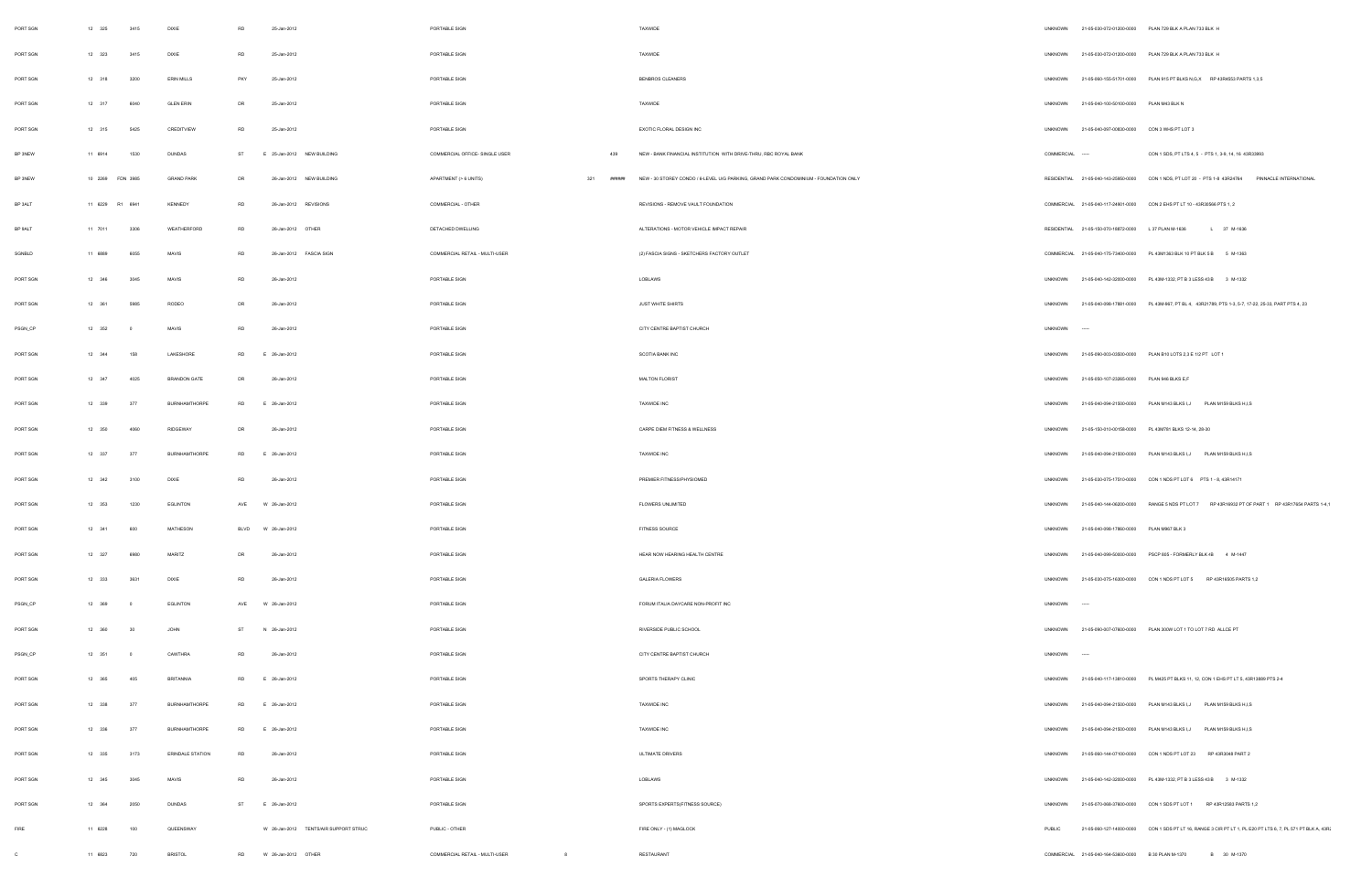| PORT SGN                         | 12 325           | 3415                     | DIXIE                   | <b>RD</b> | 25-Jan-2012                           | PORTABLE SIGN                          | TAXWIDE                                                                               |                  |                                                  | UNKNOWN 21-05-030-072-01200-0000 PLAN 729 BLK A PLAN 733 BLK H                                              |
|----------------------------------|------------------|--------------------------|-------------------------|-----------|---------------------------------------|----------------------------------------|---------------------------------------------------------------------------------------|------------------|--------------------------------------------------|-------------------------------------------------------------------------------------------------------------|
| PORT SGN                         | 12 323           | 3415                     | <b>DIXIE</b>            | <b>RD</b> | 25-Jan-2012                           | PORTABLE SIGN                          | TAXWIDE                                                                               | <b>UNKNOWN</b>   |                                                  | 21-05-030-072-01200-0000 PLAN 729 BLK A PLAN 733 BLK H                                                      |
| PORT SGN                         | 12 318           | 3200                     | <b>ERIN MILLS</b>       | PKY       | 25-Jan-2012                           | PORTABLE SIGN                          | BENBROS CLEANERS                                                                      | <b>UNKNOWN</b>   |                                                  | 21-05-060-155-51701-0000 PLAN 915 PT BLKS N, G, X RP 43R4553 PARTS 1,3,5                                    |
| PORT SGN                         | 12 317           | 6040                     | <b>GLEN ERIN</b>        | DR        | 25-Jan-2012                           | PORTABLE SIGN                          | TAXWIDE                                                                               | <b>UNKNOWN</b>   | 21-05-040-100-50100-0000 PLAN M43 BLK N          |                                                                                                             |
| PORT SGN                         | 12 315           | 5425                     | CREDITVIEW              | <b>RD</b> | 25-Jan-2012                           | PORTABLE SIGN                          | EXOTIC FLORAL DESIGN INC                                                              | <b>UNKNOWN</b>   | 21-05-040-097-00830-0000 CON 3 WHS PT LOT 3      |                                                                                                             |
| BP 3NEW                          | 11 6914          | 1530                     | <b>DUNDAS</b>           | <b>ST</b> | E 25-Jan-2012 NEW BUILDING            | COMMERCIAL OFFICE- SINGLE USER<br>439  | NEW - BANK FINANCIAL INSTITUTION WITH DRIVE-THRU, RBC ROYAL BANK                      | COMMERCIAL ----- |                                                  | CON 1 SDS, PT LTS 4, 5 - PTS 1, 3-9, 14, 16 43R33993                                                        |
| BP 3NEW                          | 10 2269 FDN 3985 |                          | <b>GRAND PARK</b>       | <b>DR</b> | 26-Jan-2012 NEW BUILDING              | APARTMENT (> 6 UNITS)<br>321<br>###### | NEW - 30 STOREY CONDO / 6-LEVEL U/G PARKING, GRAND PARK CONDOMINIUM - FOUNDATION ONLY |                  |                                                  | RESIDENTIAL 21-05-040-143-25950-0000 CON 1 NDS, PT LOT 20 - PTS 1-8 43R24764 PINNACLE INTERNATIONAL         |
| BP 3ALT                          | 11 6229 R1 6941  |                          | <b>KENNEDY</b>          | <b>RD</b> | 26-Jan-2012 REVISIONS                 | COMMERCIAL - OTHER                     | REVISIONS - REMOVE VAULT FOUNDATION                                                   |                  |                                                  | COMMERCIAL 21-05-040-117-24901-0000 CON 2 EHS PT LT 10 - 43R30566 PTS 1, 2                                  |
| BP 9ALT                          | 11 7011          | 3306                     | WEATHERFORD             | <b>RD</b> | 26-Jan-2012 OTHER                     | DETACHED DWELLING                      | ALTERATIONS - MOTOR VEHICLE IMPACT REPAIR                                             |                  | RESIDENTIAL 21-05-150-070-18872-0000             | L 37 PLAN M-1636<br>L 37 M-1636                                                                             |
| SGNBLD                           | 11 6889          | 6055                     | MAVIS                   | <b>RD</b> | 26-Jan-2012 FASCIA SIGN               | COMMERCIAL RETAIL - MULTI-USER         | (2) FASCIA SIGNS - SKETCHERS FACTORY OUTLET                                           |                  |                                                  | COMMERCIAL 21-05-040-175-73400-0000 PL 43M1363 BLK 10 PT BLK 5 B 5 M-1363                                   |
| PORT SGN                         | 12 346           | 3045                     | MAVIS                   | <b>RD</b> | 26-Jan-2012                           | PORTABLE SIGN                          | LOBLAWS                                                                               | <b>UNKNOWN</b>   |                                                  | 21-05-040-142-32000-0000 PL 43M-1332, PT B 3 LESS 43 B 3 M-1332                                             |
| PORT SGN                         | 12 361           | 5985                     | RODEO                   | DR        | 26-Jan-2012                           | PORTABLE SIGN                          | JUST WHITE SHIRTS                                                                     | <b>UNKNOWN</b>   |                                                  | 21-05-040-098-17881-0000 PL 43M-967, PT BL 4, 43R21789, PTS 1-3, 5-7, 17-22, 25-33, PART PTS 4, 23          |
| $\ensuremath{\mathsf{PSGN\_CP}}$ | 12 352           |                          | <b>MAVIS</b>            | <b>RD</b> | 26-Jan-2012                           | PORTABLE SIGN                          | CITY CENTRE BAPTIST CHURCH                                                            | <b>UNKNOWN</b>   | 1.12222                                          |                                                                                                             |
| PORT SGN                         | 12 344           | 158                      | LAKESHORE               | <b>RD</b> | E 26-Jan-2012                         | PORTABLE SIGN                          | <b>SCOTIA BANK INC</b>                                                                | <b>UNKNOWN</b>   |                                                  | 21-05-090-003-03500-0000 PLAN B10 LOTS 2,3 E 1/2 PT LOT 1                                                   |
| PORT SGN                         | 12 347           | 4025                     | <b>BRANDON GATE</b>     | <b>DR</b> | 26-Jan-2012                           | PORTABLE SIGN                          | MALTON FLORIST                                                                        | <b>UNKNOWN</b>   | 21-05-050-107-23265-0000 PLAN 946 BLKS E,F       |                                                                                                             |
| PORT SGN                         | 12 339           | 377                      | <b>BURNHAMTHORPE</b>    | <b>RD</b> | E 26-Jan-2012                         | PORTABLE SIGN                          | TAXWIDE INC                                                                           | <b>UNKNOWN</b>   |                                                  | 21-05-040-094-21500-0000 PLAN M143 BLKS I,J PLAN M159 BLKS H,I,S                                            |
| PORT SGN                         | 12 350           | 4060                     | RIDGEWAY                | DR        | 26-Jan-2012                           | PORTABLE SIGN                          | CARPE DIEM FITNESS & WELLNESS                                                         | <b>UNKNOWN</b>   |                                                  | 21-05-150-010-00158-0000 PL 43M781 BLKS 12-14, 28-30                                                        |
| PORT SGN                         | 12 337           | 377                      | <b>BURNHAMTHORPE</b>    | <b>RD</b> | E 26-Jan-2012                         | PORTABLE SIGN                          | TAXWIDE INC                                                                           | <b>UNKNOWN</b>   | 21-05-040-094-21500-0000                         | PLAN M143 BLKS I,J PLAN M159 BLKS H,I,S                                                                     |
| PORT SGN                         | 12 342           | 3100                     | DIXIE                   | <b>RD</b> | 26-Jan-2012                           | PORTABLE SIGN                          | PREMIER FITNESS/PHYSIOMED                                                             | <b>UNKNOWN</b>   |                                                  | 21-05-030-075-17510-0000 CON 1 NDS PT LOT 6 PTS 1 - 8, 43R14171                                             |
| PORT SGN                         | 12 353           | 1230                     | <b>EGLINTON</b>         | AVE       | W 26-Jan-2012                         | PORTABLE SIGN                          | FLOWERS UNLIMITED                                                                     |                  |                                                  | UNKNOWN 21-05-040-144-06200-0000 RANGE 5 NDS PT LOT 7 RP 43R16932 PT OF PART 1 RP 43R17654 PARTS 1-4,1      |
| PORT SGN                         |                  |                          | 12 341 600 MATHESON     |           | BLVD W 26-Jan-2012                    | PORTABLE SIGN                          | FITNESS SOURCE                                                                        |                  | UNKNOWN 21-05-040-098-17860-0000 PLAN M967 BLK 3 |                                                                                                             |
| PORT SGN                         | 12 327           | 6980                     | MARITZ                  | <b>DR</b> | 26-Jan-2012                           | PORTABLE SIGN                          | HEAR NOW HEARING HEALTH CENTRE                                                        |                  |                                                  | UNKNOWN 21-05-040-099-50000-0000 PSCP 805 - FORMERLY BLK + B 4 M-1447                                       |
| PORT SGN                         | 12 333           | 3631                     | DIXIE                   | <b>RD</b> | 26-Jan-2012                           | PORTABLE SIGN                          | <b>GALERIA FLOWERS</b>                                                                | <b>UNKNOWN</b>   |                                                  | 21-05-030-075-16300-0000   CON 1 NDS PT LOT 5   RP 43R16505 PARTS 1,2                                       |
| PSGN_CP                          | 12 369           | $^{\circ}$               | <b>EGLINTON</b>         | AVE       | W 26-Jan-2012                         | PORTABLE SIGN                          | FORUM ITALIA DAYCARE NON-PROFIT INC                                                   | <b>UNKNOWN</b>   | $\overline{\phantom{a}}$                         |                                                                                                             |
| PORT SGN                         | 12 360           | 30                       | <b>JOHN</b>             | <b>ST</b> | N 26-Jan-2012                         | PORTABLE SIGN                          | RIVERSIDE PUBLIC SCHOOL                                                               | <b>UNKNOWN</b>   |                                                  | 21-05-090-007-07600-0000 PLAN 300W LOT 1 TO LOT 7 RD ALLCE PT                                               |
| PSGN_CP                          | 12 351           | $\overline{\phantom{0}}$ | CAWTHRA                 | <b>RD</b> | 26-Jan-2012                           | PORTABLE SIGN                          | CITY CENTRE BAPTIST CHURCH                                                            | <b>UNKNOWN</b>   | $\sim$                                           |                                                                                                             |
| PORT SGN                         | 12 365           | 405                      | <b>BRITANNIA</b>        | <b>RD</b> | E 26-Jan-2012                         | PORTABLE SIGN                          | SPORTS THERAPY CLINIC                                                                 | <b>UNKNOWN</b>   |                                                  | 21-05-040-117-13810-0000 PL M425 PT BLKS 11, 12, CON 1 EHS PT LT 5, 43R13889 PTS 2-4                        |
| PORT SGN                         | 12 338           | 377                      | <b>BURNHAMTHORPE</b>    | <b>RD</b> | E 26-Jan-2012                         | PORTABLE SIGN                          | TAXWIDE INC                                                                           | <b>UNKNOWN</b>   | 21-05-040-094-21500-0000                         | PLAN M143 BLKS I,J PLAN M159 BLKS H,I,S                                                                     |
| PORT SGN                         | 12 336           | 377                      | <b>BURNHAMTHORPE</b>    | <b>RD</b> | E 26-Jan-2012                         | PORTABLE SIGN                          | <b>TAXWIDE INC</b>                                                                    | <b>UNKNOWN</b>   |                                                  | 21-05-040-094-21500-0000 PLAN M143 BLKS I,J PLAN M159 BLKS H,I,S                                            |
| PORT SGN                         | 12 335           | 3173                     | <b>ERINDALE STATION</b> | <b>RD</b> | 26-Jan-2012                           | PORTABLE SIGN                          | ULTIMATE DRIVERS                                                                      | <b>UNKNOWN</b>   |                                                  | 21-05-060-144-07100-0000 CON 1 NDS PT LOT 23 RP 43R3048 PART 2                                              |
| PORT SGN                         | 12 345           | 3045                     | <b>MAVIS</b>            | <b>RD</b> | 26-Jan-2012                           | PORTABLE SIGN                          | LOBLAWS                                                                               | <b>UNKNOWN</b>   |                                                  | 21-05-040-142-32000-0000 PL 43M-1332, PT B 3 LESS 43 B 3 M-1332                                             |
| PORT SGN                         | 12 364           | 2050                     | <b>DUNDAS</b>           | <b>ST</b> | E 26-Jan-2012                         | PORTABLE SIGN                          | SPORTS EXPERTS(FITNESS SOURCE)                                                        | <b>UNKNOWN</b>   |                                                  | 21-05-070-068-37600-0000 CON 1 SDS PT LOT 1 RP 43R12583 PARTS 1,2                                           |
| <b>FIRE</b>                      | 11 6228          | 100                      | QUEENSWAY               |           | W 26-Jan-2012 TENTS/AIR SUPPORT STRUC | PUBLIC - OTHER                         | FIRE ONLY - (1) MAGLOCK                                                               | <b>PUBLIC</b>    |                                                  | 21-05-060-127-14000-0000 CON 1 SDS PT LT 16, RANGE 3 CIR PT LT 1, PL E20 PT LTS 6, 7, PL 571 PT BLK A, 43R2 |
| $\mathbf{C}$                     | 11 6823          | 720                      | <b>BRISTOL</b>          |           | RD W 26-Jan-2012 OTHER                | COMMERCIAL RETAIL - MULTI-USER<br>8    | RESTAURANT                                                                            |                  |                                                  | COMMERCIAL 21-05-040-164-53600-0000 B 30 PLAN M-1370 B 30 M-1370                                            |

|                                                                   | <b>DIAINAOAAIA</b> | THE R. LEWIS CO., LANSING CONTRACTOR | <b>I LAIV / 20 DEIVA LEAIV / 00 DEIV 11</b>                                       |
|-------------------------------------------------------------------|--------------------|--------------------------------------|-----------------------------------------------------------------------------------|
|                                                                   | <b>UNKNOWN</b>     | 21-05-030-072-01200-0000             | PLAN 729 BLK A PLAN 733 BLK H                                                     |
|                                                                   | <b>UNKNOWN</b>     | 21-05-060-155-51701-0000             | PLAN 915 PT BLKS N, G, X RP 43R4553 PARTS 1,3,5                                   |
|                                                                   | <b>UNKNOWN</b>     | 21-05-040-100-50100-0000             | PLAN M43 BLK N                                                                    |
| INC                                                               | <b>UNKNOWN</b>     | 21-05-040-097-00830-0000             | CON 3 WHS PT LOT 3                                                                |
| NSTITUTION WITH DRIVE-THRU, RBC ROYAL BANK                        | COMMERCIAL -----   |                                      | CON 1 SDS, PT LTS 4, 5 - PTS 1, 3-9, 14, 16 43R33993                              |
| O / 6-LEVEL U/G PARKING, GRAND PARK CONDOMINIUM - FOUNDATION ONLY |                    | RESIDENTIAL 21-05-040-143-25950-0000 | CON 1 NDS, PT LOT 20 - PTS 1-8 43R24764<br>PINNACLE INTERNATIONAL                 |
| <b>NULT FOUNDATION</b>                                            |                    | COMMERCIAL 21-05-040-117-24901-0000  | CON 2 EHS PT LT 10 - 43R30566 PTS 1, 2                                            |
| VEHICLE IMPACT REPAIR                                             |                    | RESIDENTIAL 21-05-150-070-18872-0000 | L 37 M-1636<br>L 37 PLAN M-1636                                                   |
| CHERS FACTORY OUTLET                                              |                    | COMMERCIAL 21-05-040-175-73400-0000  | PL 43M1363 BLK 10 PT BLK 5 B 5 M-1363                                             |
|                                                                   | <b>UNKNOWN</b>     | 21-05-040-142-32000-0000             | PL 43M-1332, PT B 3 LESS 43 B 3 M-1332                                            |
|                                                                   | <b>UNKNOWN</b>     | 21-05-040-098-17881-0000             | PL 43M-967, PT BL 4, 43R21789, PTS 1-3, 5-7, 17-22, 25-33, PART PTS 4, 23         |
| <b>HURCH</b>                                                      | <b>UNKNOWN</b>     | $\cdots$                             |                                                                                   |
|                                                                   | <b>UNKNOWN</b>     | 21-05-090-003-03500-0000             | PLAN B10 LOTS 2,3 E 1/2 PT LOT 1                                                  |
|                                                                   | <b>UNKNOWN</b>     | 21-05-050-107-23265-0000             | PLAN 946 BLKS E,F                                                                 |
|                                                                   | <b>UNKNOWN</b>     | 21-05-040-094-21500-0000             | PLAN M143 BLKS I, J<br>PLAN M159 BLKS H, I,S                                      |
| WELLNESS                                                          | <b>UNKNOWN</b>     | 21-05-150-010-00158-0000             | PL 43M781 BLKS 12-14, 28-30                                                       |
|                                                                   | <b>UNKNOWN</b>     | 21-05-040-094-21500-0000             | PLAN M143 BLKS I,J<br>PLAN M159 BLKS H,I,S                                        |
| <b>IOMED</b>                                                      | <b>UNKNOWN</b>     | 21-05-030-075-17510-0000             | CON 1 NDS PT LOT 6 PTS 1 - 8, 43R14171                                            |
|                                                                   | <b>UNKNOWN</b>     | 21-05-040-144-06200-0000             | RANGE 5 NDS PT LOT 7 RP 43R16932 PT OF PART 1 RP 43R17654 PARTS 1-4,              |
|                                                                   | <b>UNKNOWN</b>     | 21-05-040-098-17860-0000             | PLAN M967 BLK 3                                                                   |
| ALTH CENTRE                                                       | <b>UNKNOWN</b>     | 21-05-040-099-50000-0000             | PSCP 805 - FORMERLY BLK + B 4 M-1447                                              |
|                                                                   | <b>UNKNOWN</b>     | 21-05-030-075-16300-0000             | CON 1 NDS PT LOT 5<br>RP 43R16505 PARTS 1,2                                       |
| NON-PROFIT INC                                                    | <b>UNKNOWN</b>     | $\cdots$                             |                                                                                   |
| OC                                                                | <b>UNKNOWN</b>     | 21-05-090-007-07600-0000             | PLAN 300W LOT 1 TO LOT 7 RD ALLCE PT                                              |
| <b>HURCH</b>                                                      | <b>UNKNOWN</b>     | ----                                 |                                                                                   |
| C                                                                 | <b>UNKNOWN</b>     | 21-05-040-117-13810-0000             | PL M425 PT BLKS 11, 12, CON 1 EHS PT LT 5, 43R13889 PTS 2-4                       |
|                                                                   | <b>UNKNOWN</b>     | 21-05-040-094-21500-0000             | PLAN M159 BLKS H,I,S<br>PLAN M143 BLKS I,J                                        |
|                                                                   | <b>UNKNOWN</b>     | 21-05-040-094-21500-0000             | PLAN M143 BLKS I,J<br>PLAN M159 BLKS H, I,S                                       |
|                                                                   | <b>UNKNOWN</b>     | 21-05-060-144-07100-0000             | CON 1 NDS PT LOT 23<br>RP 43R3048 PART 2                                          |
|                                                                   | <b>UNKNOWN</b>     | 21-05-040-142-32000-0000             | PL 43M-1332, PT B 3 LESS 43 B 3 M-1332                                            |
| <b>ESS SOURCE)</b>                                                | <b>UNKNOWN</b>     | 21-05-070-068-37600-0000             | CON 1 SDS PT LOT 1<br>RP 43R12583 PARTS 1,2                                       |
| κ                                                                 | PUBLIC             | 21-05-060-127-14000-0000             | CON 1 SDS PT LT 16, RANGE 3 CIR PT LT 1, PL E20 PT LTS 6, 7, PL 571 PT BLK A, 43R |
|                                                                   |                    | COMMERCIAL 21-05-040-164-53600-0000  | <b>B 30 PLAN M-1370</b><br>B 30 M-1370                                            |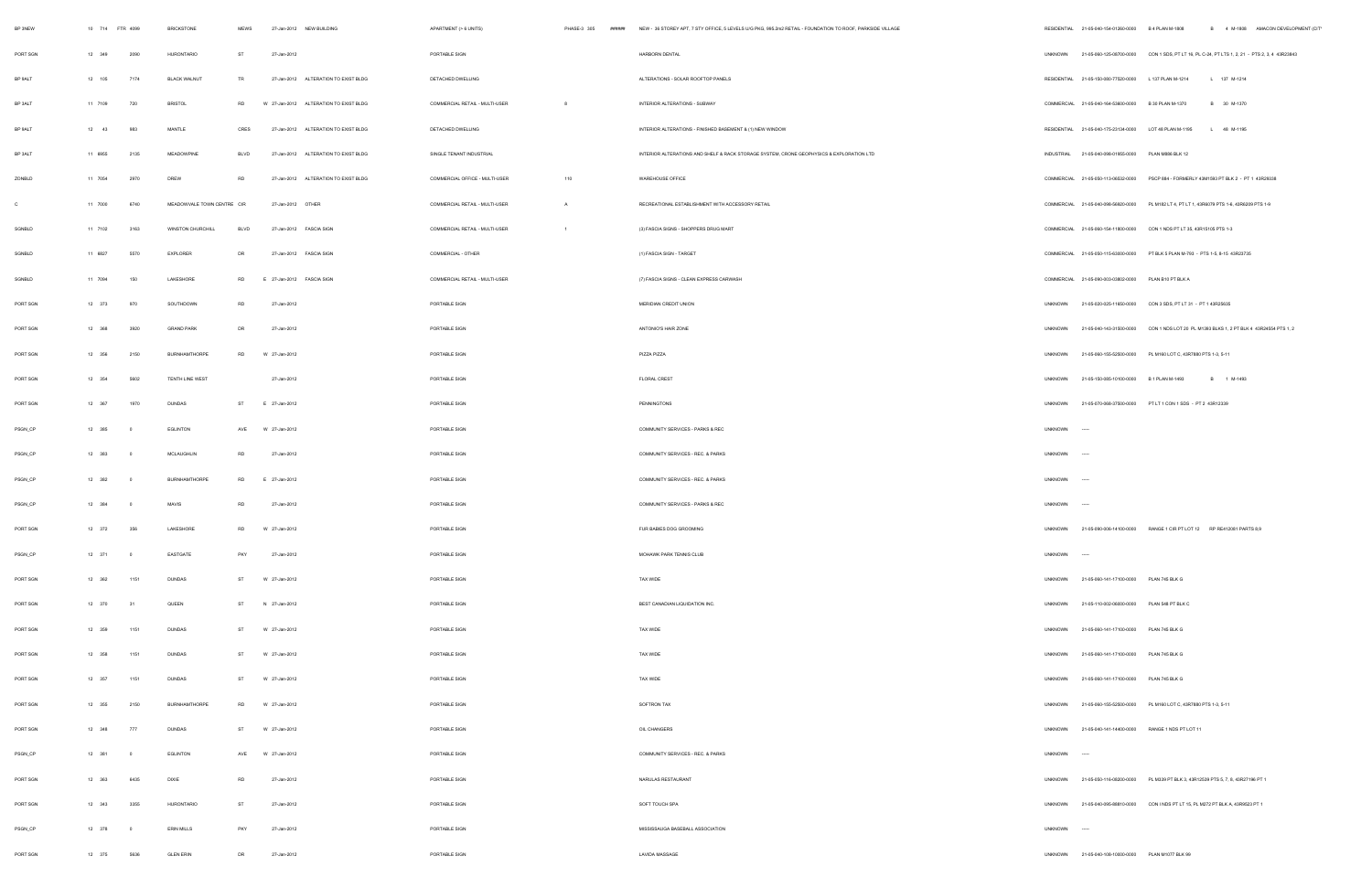| 2 RETAIL - FOUNDATION TO ROOF, PARKSIDE VILLAGE |                   | RESIDENTIAL 21-05-040-154-01260-0000 | <b>B 4 PLAN M-1808</b><br>в<br>4 M-1808<br>AMACON DEVELOPMENT (C     |
|-------------------------------------------------|-------------------|--------------------------------------|----------------------------------------------------------------------|
|                                                 | <b>UNKNOWN</b>    | 21-05-060-125-08700-0000             | CON 1 SDS, PT LT 16, PL C-24, PT LTS 1, 2, 21 - PTS 2, 3, 4 43R23843 |
|                                                 |                   | RESIDENTIAL 21-05-150-080-77520-0000 | L 137 PLAN M-1214<br>L 137 M-1214                                    |
|                                                 |                   | COMMERCIAL 21-05-040-164-53600-0000  | B 30 PLAN M-1370<br>B 30 M-1370                                      |
| W                                               |                   | RESIDENTIAL 21-05-040-175-23134-0000 | LOT 48 PLAN M-1195<br>L 48 M-1195                                    |
| CRONE GEOPHYSICS & EXPLORATION LTD              | <b>INDUSTRIAL</b> | 21-05-040-098-01955-0000             | PLAN M886 BLK 12                                                     |
|                                                 |                   | COMMERCIAL 21-05-050-113-06532-0000  | PSCP 884 - FORMERLY 43M1593 PT BLK 2 - PT 1 43R29338                 |
|                                                 |                   | COMMERCIAL 21-05-040-098-56920-0000  | PL M182 LT 4, PT LT 1, 43R6079 PTS 1-6, 43R6209 PTS 1-9              |
|                                                 |                   | COMMERCIAL 21-05-060-154-11800-0000  | CON 1 NDS PT LT 35, 43R15105 PTS 1-3                                 |
|                                                 |                   | COMMERCIAL 21-05-050-115-63000-0000  | PT BLK 5 PLAN M-793 - PTS 1-5, 8-15 43R23735                         |
|                                                 |                   | COMMERCIAL 21-05-090-003-03802-0000  | PLAN B10 PT BLK A                                                    |
|                                                 | <b>UNKNOWN</b>    | 21-05-020-025-11650-0000             | CON 3 SDS, PT LT 31 - PT 1 43R25635                                  |
|                                                 | <b>UNKNOWN</b>    | 21-05-040-143-31500-0000             | CON 1 NDS LOT 20 PL M1393 BLKS 1, 2 PT BLK 4 43R24554 PTS 1, 2       |
|                                                 | <b>UNKNOWN</b>    | 21-05-060-155-52500-0000             | PL M160 LOT C, 43R7880 PTS 1-3, 5-11                                 |
|                                                 | <b>UNKNOWN</b>    | 21-05-150-085-10100-0000             | <b>B 1 PLAN M-1493</b><br>B 1 M-1493                                 |
|                                                 | <b>UNKNOWN</b>    | 21-05-070-068-37500-0000             | PT LT 1 CON 1 SDS - PT 2 43R12339                                    |
|                                                 | <b>UNKNOWN</b>    | $\cdots$                             |                                                                      |
|                                                 | <b>UNKNOWN</b>    | $\overline{\phantom{a}}$             |                                                                      |
|                                                 | <b>UNKNOWN</b>    | $\cdots$                             |                                                                      |
|                                                 | <b>UNKNOWN</b>    | $\cdots$                             |                                                                      |
|                                                 | <b>UNKNOWN</b>    | 21-05-090-006-14100-0000             | RANGE 1 CIR PT LOT 12 RP RE412081 PARTS 8,9                          |
|                                                 | <b>UNKNOWN</b>    | $\cdots$                             |                                                                      |
|                                                 | <b>UNKNOWN</b>    | 21-05-060-141-17100-0000             | PLAN 745 BLK G                                                       |
|                                                 | <b>UNKNOWN</b>    | 21-05-110-002-06000-0000             | PLAN 548 PT BLK C                                                    |
|                                                 | <b>UNKNOWN</b>    | 21-05-060-141-17100-0000             | PLAN 745 BLK G                                                       |
|                                                 | <b>UNKNOWN</b>    | 21-05-060-141-17100-0000             | PLAN 745 BLK G                                                       |
|                                                 | <b>UNKNOWN</b>    | 21-05-060-141-17100-0000             | PLAN 745 BLK G                                                       |
|                                                 | <b>UNKNOWN</b>    | 21-05-060-155-52500-0000             | PL M160 LOT C, 43R7880 PTS 1-3, 5-11                                 |
|                                                 | <b>UNKNOWN</b>    | 21-05-040-141-14400-0000             | RANGE 1 NDS PT LOT 11                                                |
|                                                 | <b>UNKNOWN</b>    | $\cdots$                             |                                                                      |
|                                                 | <b>UNKNOWN</b>    | 21-05-050-116-08200-0000             | PL M339 PT BLK 3, 43R12539 PTS 5, 7, 8, 43R27196 PT 1                |
|                                                 | <b>UNKNOWN</b>    | 21-05-040-095-88810-0000             | CON I NDS PT LT 15, PL M272 PT BLK A, 43R9523 PT 1                   |
|                                                 | <b>UNKNOWN</b>    | $\overline{\phantom{a}}$             |                                                                      |
|                                                 | <b>UNKNOWN</b>    | 21-05-040-108-10000-0000             | PLAN M1077 BLK 99                                                    |

| BP 3NEW  | 10 714 FTR 4099 |                | BRICKSTONE                 | <b>MEWS</b> | 27-Jan-2012 NEW BUILDING               | APARTMENT (> 6 UNITS)          | PHASE-3 305<br>##### | NEW - 36 STOREY APT, 7 STY OFFICE, 5 LEVELS U/G PKG, 995.2m2 RETAIL - FOUNDATION TO ROOF, PARKSIDE VILLAGE |                | RESIDENTIAL 21-05-040-154-01260-0000 B 4 PLAN M-1808    | B 4 M-1808 AMACON DEVELOPMENT (CIT                                                                    |
|----------|-----------------|----------------|----------------------------|-------------|----------------------------------------|--------------------------------|----------------------|------------------------------------------------------------------------------------------------------------|----------------|---------------------------------------------------------|-------------------------------------------------------------------------------------------------------|
| PORT SGN | 12 349          | 2090           | <b>HURONTARIO</b>          | <b>ST</b>   | 27-Jan-2012                            | PORTABLE SIGN                  |                      | HARBORN DENTAL                                                                                             |                |                                                         | UNKNOWN 21-05-060-125-08700-0000 CON 1 SDS, PT LT 16, PL C-24, PT LTS 1, 2, 21 - PTS 2, 3, 4 43R23843 |
| BP 9ALT  | 12 105          | 7174           | <b>BLACK WALNUT</b>        | <b>TR</b>   | 27-Jan-2012 ALTERATION TO EXIST BLDG   | DETACHED DWELLING              |                      | ALTERATIONS - SOLAR ROOFTOP PANELS                                                                         |                | RESIDENTIAL 21-05-150-080-77520-0000 L 137 PLAN M-1214  | L 137 M-1214                                                                                          |
| BP 3ALT  | 11 7109         | 720            | <b>BRISTOL</b>             | <b>RD</b>   | W 27-Jan-2012 ALTERATION TO EXIST BLDG | COMMERCIAL RETAIL - MULTI-USER | 8                    | INTERIOR ALTERATIONS - SUBWAY                                                                              |                | COMMERCIAL 21-05-040-164-53600-0000 B 30 PLAN M-1370    | B 30 M-1370                                                                                           |
| BP 9ALT  | 12 43           | 983            | MANTLE                     | CRES        | 27-Jan-2012 ALTERATION TO EXIST BLDG   | DETACHED DWELLING              |                      | INTERIOR ALTERATIONS - FINISHED BASEMENT & (1) NEW WINDOW                                                  |                | RESIDENTIAL 21-05-040-175-23134-0000 LOT 48 PLAN M-1195 | L 48 M-1195                                                                                           |
| BP 3ALT  | 11 6955         | 2135           | MEADOWPINE                 | <b>BLVD</b> | 27-Jan-2012 ALTERATION TO EXIST BLDG   | SINGLE TENANT INDUSTRIAL       |                      | INTERIOR ALTERATIONS AND SHELF & RACK STORAGE SYSTEM, CRONE GEOPHYSICS & EXPLORATION LTD                   |                | INDUSTRIAL 21-05-040-098-01955-0000 PLAN M886 BLK 12    |                                                                                                       |
| ZONBLD   | 11 7054         | 2970           | <b>DREW</b>                | <b>RD</b>   | 27-Jan-2012 ALTERATION TO EXIST BLDG   | COMMERCIAL OFFICE - MULTI-USER | 110                  | WAREHOUSE OFFICE                                                                                           |                |                                                         | COMMERCIAL 21-05-050-113-06532-0000 PSCP 884 - FORMERLY 43M1593 PT BLK 2 - PT 1 43R29338              |
|          | 11 7000         | 6740           | MEADOWVALE TOWN CENTRE CIR |             | 27-Jan-2012 OTHER                      | COMMERCIAL RETAIL - MULTI-USER | $\mathsf{A}$         | RECREATIONAL ESTABLISHMENT WITH ACCESSORY RETAIL                                                           |                |                                                         | COMMERCIAL 21-05-040-098-56920-0000 PL M182 LT 4, PT LT 1, 43R6079 PTS 1-6, 43R6209 PTS 1-9           |
| SGNBLD   | 11 7102         | 3163           | WINSTON CHURCHILL          | BLVD        | 27-Jan-2012 FASCIA SIGN                | COMMERCIAL RETAIL - MULTI-USER | $\overline{1}$       | (3) FASCIA SIGNS - SHOPPERS DRUG MART                                                                      |                |                                                         | COMMERCIAL 21-05-060-154-11800-0000 CON 1 NDS PT LT 35, 43R15105 PTS 1-3                              |
| SGNBLD   | 11 6827         | 5570           | <b>EXPLORER</b>            | DR          | 27-Jan-2012 FASCIA SIGN                | COMMERCIAL - OTHER             |                      | (1) FASCIA SIGN - TARGET                                                                                   |                |                                                         | COMMERCIAL 21-05-050-115-63000-0000 PT BLK 5 PLAN M-793 - PTS 1-5, 8-15 43R23735                      |
| SGNBLD   | 11 7094         | 150            | LAKESHORE                  | <b>RD</b>   | E 27-Jan-2012 FASCIA SIGN              | COMMERCIAL RETAIL - MULTI-USER |                      | (7) FASCIA SIGNS - CLEAN EXPRESS CARWASH                                                                   |                | COMMERCIAL 21-05-090-003-03802-0000 PLAN B10 PT BLK A   |                                                                                                       |
| PORT SGN | 12 373          | 970            | SOUTHDOWN                  | <b>RD</b>   | 27-Jan-2012                            | PORTABLE SIGN                  |                      | MERIDIAN CREDIT UNION                                                                                      |                |                                                         | UNKNOWN 21-05-020-025-11650-0000 CON 3 SDS, PT LT 31 - PT 1 43R25635                                  |
| PORT SGN | 12 368          | 3920           | <b>GRAND PARK</b>          | DR          | 27-Jan-2012                            | PORTABLE SIGN                  |                      | ANTONIO'S HAIR ZONE                                                                                        |                |                                                         | UNKNOWN 21-05-040-143-31500-0000 CON 1 NDS LOT 20 PL M1393 BLKS 1, 2 PT BLK 4 43R24554 PTS 1, 2       |
| PORT SGN | 12 356          | 2150           | <b>BURNHAMTHORPE</b>       | <b>RD</b>   | W 27-Jan-2012                          | PORTABLE SIGN                  |                      | PIZZA PIZZA                                                                                                | <b>UNKNOWN</b> |                                                         | 21-05-060-155-52500-0000 PL M160 LOT C, 43R7880 PTS 1-3, 5-11                                         |
| PORT SGN | 12 354          | 5602           | TENTH LINE WEST            |             | 27-Jan-2012                            | PORTABLE SIGN                  |                      | <b>FLORAL CREST</b>                                                                                        | <b>UNKNOWN</b> | 21-05-150-085-10100-0000 B 1 PLAN M-1493                | B 1 M-1493                                                                                            |
| PORT SGN | 12 367          | 1970           | <b>DUNDAS</b>              | <b>ST</b>   | E 27-Jan-2012                          | PORTABLE SIGN                  |                      | PENNINGTONS                                                                                                | <b>UNKNOWN</b> |                                                         | 21-05-070-068-37500-0000 PT LT 1 CON 1 SDS - PT 2 43R12339                                            |
| PSGN_CP  | 12 385          |                | <b>EGLINTON</b>            | AVE         | W 27-Jan-2012                          | PORTABLE SIGN                  |                      | COMMUNITY SERVICES - PARKS & REC                                                                           | <b>UNKNOWN</b> | $\sim$                                                  |                                                                                                       |
| PSGN_CP  | 12 383          |                | MCLAUGHLIN                 | <b>RD</b>   | 27-Jan-2012                            | PORTABLE SIGN                  |                      | COMMUNITY SERVICES - REC. & PARKS                                                                          | <b>UNKNOWN</b> | $\sim$                                                  |                                                                                                       |
| PSGN_CP  | 12 382          |                | BURNHAMTHORPE              | <b>RD</b>   | E 27-Jan-2012                          | PORTABLE SIGN                  |                      | COMMUNITY SERVICES - REC. & PARKS                                                                          | <b>UNKNOWN</b> | 1.121                                                   |                                                                                                       |
| PSGN_CP  | 12 384          |                | <b>MAVIS</b>               | <b>RD</b>   | 27-Jan-2012                            | PORTABLE SIGN                  |                      | COMMUNITY SERVICES - PARKS & REC                                                                           | <b>UNKNOWN</b> | $\sim$                                                  |                                                                                                       |
| PORT SGN |                 |                | 12 372 356 LAKESHORE       |             | RD W 27-Jan-2012                       | PORTABLE SIGN                  |                      | FUR BABIES DOG GROOMING                                                                                    |                |                                                         | UNKNOWN 21-05-090-006-14100-0000 RANGE 1 CIR PT LOT 12 RP RE412081 PARTS 8,9                          |
| PSGN_CP  | 12 371 0        |                | EASTGATE                   | PKY         | 27-Jan-2012                            | PORTABLE SIGN                  |                      | MOHAWK PARK TENNIS CLUB                                                                                    | UNKNOWN ------ |                                                         |                                                                                                       |
| PORT SGN | 12 362          | 1151           | <b>DUNDAS</b>              |             | ST W 27-Jan-2012                       | PORTABLE SIGN                  |                      | <b>TAX WIDE</b>                                                                                            |                | UNKNOWN 21-05-060-141-17100-0000 PLAN 745 BLK G         |                                                                                                       |
| PORT SGN | 12 370          | 31             | QUEEN                      |             | ST N 27-Jan-2012                       | PORTABLE SIGN                  |                      | BEST CANADIAN LIQUIDATION INC.                                                                             | <b>UNKNOWN</b> | 21-05-110-002-06000-0000 PLAN 548 PT BLK C              |                                                                                                       |
| PORT SGN | 12 359          | 1151           | <b>DUNDAS</b>              |             | ST W 27-Jan-2012                       | PORTABLE SIGN                  |                      | <b>TAX WIDE</b>                                                                                            |                | UNKNOWN 21-05-060-141-17100-0000 PLAN 745 BLK G         |                                                                                                       |
| PORT SGN | 12 358          | 1151           | <b>DUNDAS</b>              |             | ST W 27-Jan-2012                       | PORTABLE SIGN                  |                      | <b>TAX WIDE</b>                                                                                            |                | UNKNOWN 21-05-060-141-17100-0000 PLAN 745 BLK G         |                                                                                                       |
| PORT SGN | 12 357          | 1151           | <b>DUNDAS</b>              |             | ST W 27-Jan-2012                       | PORTABLE SIGN                  |                      | <b>TAX WIDE</b>                                                                                            |                | UNKNOWN 21-05-060-141-17100-0000 PLAN 745 BLK G         |                                                                                                       |
| PORT SGN | 12 355          | 2150           | <b>BURNHAMTHORPE</b>       | <b>RD</b>   | W 27-Jan-2012                          | PORTABLE SIGN                  |                      | SOFTRON TAX                                                                                                |                |                                                         | UNKNOWN 21-05-060-155-52500-0000 PL M160 LOT C, 43R7880 PTS 1-3, 5-11                                 |
| PORT SGN | 12 348          | 777            | <b>DUNDAS</b>              |             | ST W 27-Jan-2012                       | PORTABLE SIGN                  |                      | OIL CHANGERS                                                                                               |                | UNKNOWN 21-05-040-141-14400-0000 RANGE 1 NDS PT LOT 11  |                                                                                                       |
| PSGN_CP  | 12 381          | $\overline{0}$ | <b>EGLINTON</b>            |             | AVE W 27-Jan-2012                      | PORTABLE SIGN                  |                      | COMMUNITY SERVICES - REC. & PARKS                                                                          | <b>UNKNOWN</b> | $\sim$                                                  |                                                                                                       |
| PORT SGN | 12 363          | 6435           | DIXIE                      | <b>RD</b>   | 27-Jan-2012                            | PORTABLE SIGN                  |                      | NARULAS RESTAURANT                                                                                         |                |                                                         | UNKNOWN 21-05-050-116-08200-0000 PL M339 PT BLK 3, 43R12539 PTS 5, 7, 8, 43R27196 PT 1                |
| PORT SGN | 12 343          | 3355           | <b>HURONTARIO</b>          | <b>ST</b>   | 27-Jan-2012                            | PORTABLE SIGN                  |                      | SOFT TOUCH SPA                                                                                             |                |                                                         | UNKNOWN 21-05-040-095-88810-0000 CON I NDS PT LT 15, PL M272 PT BLK A, 43R9523 PT 1                   |
| PSGN_CP  | 12 378 0        |                | <b>ERIN MILLS</b>          | PKY         | 27-Jan-2012                            | PORTABLE SIGN                  |                      | MISSISSAUGA BASEBALL ASSOCIATION                                                                           | UNKNOWN ------ |                                                         |                                                                                                       |
| PORT SGN | 12 375          | 5636           | <b>GLEN ERIN</b>           | <b>DR</b>   | 27-Jan-2012                            | PORTABLE SIGN                  |                      | LAVIDA MASSAGE                                                                                             |                | UNKNOWN 21-05-040-108-10000-0000 PLAN M1077 BLK 99      |                                                                                                       |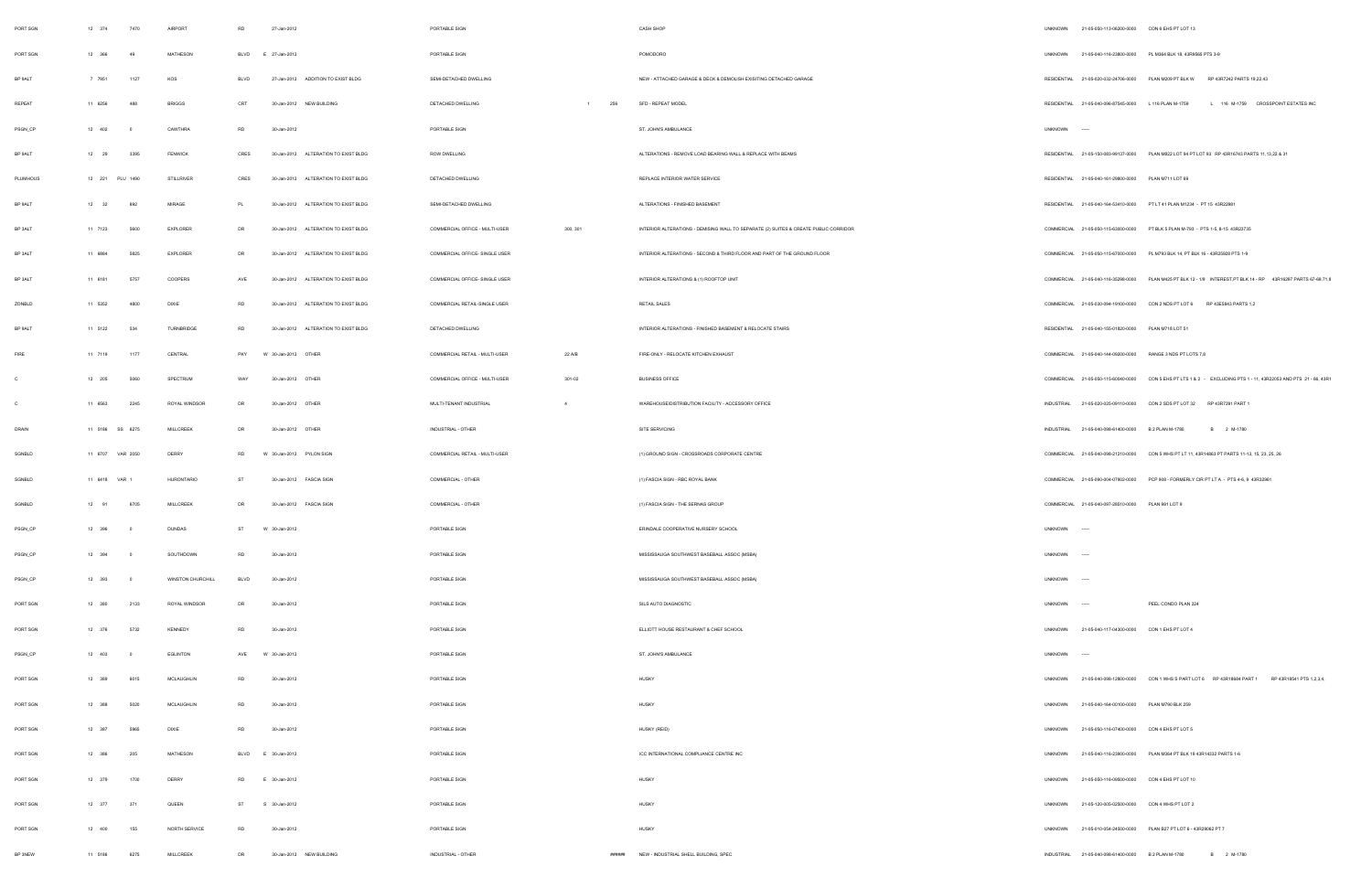|                                                                          | ---------      | E . OU UUUU UULUU UUUU               | 0011011011101110                                                                                |
|--------------------------------------------------------------------------|----------------|--------------------------------------|-------------------------------------------------------------------------------------------------|
|                                                                          | <b>UNKNOWN</b> |                                      | 21-05-040-116-23800-0000 PL M364 BLK 18, 43R9565 PTS 3-9                                        |
| ED GARAGE & DECK & DEMOLISH EXISITING DETACHED GARAGE                    |                | RESIDENTIAL 21-05-020-032-24706-0000 | PLAN M209 PT BLK W RP 43R7242 PARTS 19,22,43                                                    |
| MODEL                                                                    |                | RESIDENTIAL 21-05-040-096-87545-0000 | L 116 PLAN M-1759<br>L 116 M-1759 CROSSPOINT ESTATES INC                                        |
| BULANCE                                                                  | <b>UNKNOWN</b> | $\sim$                               |                                                                                                 |
| - REMOVE LOAD BEARING WALL & REPLACE WITH BEAMS                          |                |                                      | RESIDENTIAL 21-05-150-083-99137-0000 PLAN M822 LOT 94 PT LOT 93 RP 43R16743 PARTS 11,13,22 & 31 |
| RIOR WATER SERVICE                                                       |                | RESIDENTIAL 21-05-040-161-29800-0000 | PLAN M711 LOT 69                                                                                |
| - FINISHED BASEMENT                                                      |                | RESIDENTIAL 21-05-040-164-53410-0000 | PT LT 41 PLAN M1234 - PT 15 43R22981                                                            |
| ERATIONS - DEMISING WALL TO SEPARATE (2) SUITES & CREATE PUBLIC CORRIDOR |                |                                      | COMMERCIAL 21-05-050-115-63000-0000 PT BLK 5 PLAN M-793 - PTS 1-5, 8-15 43R23735                |
| ERATIONS - SECOND & THIRD FLOOR AND PART OF THE GROUND FLOOR             |                |                                      | COMMERCIAL 21-05-050-115-67000-0000 PL M793 BLK 14, PT BLK 16 - 43R25928 PTS 1-9                |
| ERATIONS & (1) ROOFTOP UNIT                                              |                | COMMERCIAL 21-05-040-116-35298-0000  | PLAN M425 PT BLK 12 - 1/9 INTEREST, PT BLK 14 - RP 43R16297 PARTS 67-69,71,8                    |
|                                                                          |                | COMMERCIAL 21-05-030-094-19100-0000  | CON 2 NDS PT LOT 6 RP 43E5843 PARTS 1,2                                                         |
| ERATIONS - FINISHED BASEMENT & RELOCATE STAIRS                           |                | RESIDENTIAL 21-05-040-155-01820-0000 | PLAN M718 LOT 51                                                                                |
| <b>ELOCATE KITCHEN EXHAUST</b>                                           |                | COMMERCIAL 21-05-040-144-09200-0000  | RANGE 3 NDS PT LOTS 7,8                                                                         |
| ICE                                                                      |                | COMMERCIAL 21-05-050-115-60040-0000  | CON 5 EHS PT LTS 1 & 2 - EXCLUDING PTS 1 - 11, 43R22053 AND PTS 21 - 66, 43R                    |
| DISTRIBUTION FACILITY - ACCESSORY OFFICE                                 |                |                                      | INDUSTRIAL 21-05-020-025-09110-0000 CON 2 SDS PT LOT 32 RP 43R7291 PART 1                       |
| Ġ                                                                        |                | INDUSTRIAL 21-05-040-098-61400-0000  | <b>B 2 PLAN M-1780</b><br>B 2 M-1780                                                            |
| GN - CROSSROADS CORPORATE CENTRE                                         |                | COMMERCIAL 21-05-040-098-21210-0000  | CON 5 WHS PT LT 11, 43R14863 PT PARTS 11-13, 15, 23, 25, 26                                     |
| N - RBC ROYAL BANK                                                       |                | COMMERCIAL 21-05-090-004-07902-0000  | PCP 908 - FORMERLY CIR PT LT A - PTS 4-6, 9 43R32961                                            |
| N - THE SERNAS GROUP                                                     |                | COMMERCIAL 21-05-040-097-28510-0000  | PLAN 981 LOT 9                                                                                  |
| PERATIVE NURSERY SCHOOL                                                  | <b>UNKNOWN</b> | $\sim$                               |                                                                                                 |
| SOUTHWEST BASEBALL ASSOC (MSBA)                                          | <b>UNKNOWN</b> | $\cdots$                             |                                                                                                 |
| SOUTHWEST BASEBALL ASSOC (MSBA)                                          | <b>UNKNOWN</b> | $\cdots$                             |                                                                                                 |
| GNOSTIC                                                                  | <b>UNKNOWN</b> | $\cdots$                             | PEEL CONDO PLAN 224                                                                             |
| E RESTAURANT & CHEF SCHOOL                                               | <b>UNKNOWN</b> | 21-05-040-117-04300-0000             | CON 1 EHS PT LOT 4                                                                              |
| BULANCE                                                                  | <b>UNKNOWN</b> | $\sim$                               |                                                                                                 |
|                                                                          | <b>UNKNOWN</b> | 21-05-040-098-12800-0000             | CON 1 WHS S PART LOT 6 RP 43R18684 PART 1<br>RP 43R18541 PTS 1,2,3,4,                           |
|                                                                          | <b>UNKNOWN</b> | 21-05-040-164-00100-0000             | PLAN M790 BLK 259                                                                               |
|                                                                          | <b>UNKNOWN</b> | 21-05-050-116-07400-0000             | CON 4 EHS PT LOT 5                                                                              |
| ONAL COMPLIANCE CENTRE INC                                               | <b>UNKNOWN</b> | 21-05-040-116-23900-0000             | PLAN M364 PT BLK 19 43R14332 PARTS 1-6                                                          |
|                                                                          | <b>UNKNOWN</b> | 21-05-050-116-09500-0000             | CON 4 EHS PT LOT 10                                                                             |
|                                                                          | <b>UNKNOWN</b> | 21-05-120-005-02500-0000             | CON 4 WHS PT LOT 2                                                                              |
|                                                                          | <b>UNKNOWN</b> | 21-05-010-054-24500-0000             | PLAN B27 PT LOT 6 - 43R29062 PT 7                                                               |
| <b>RIAL SHELL BUILDING, SPEC</b>                                         | INDUSTRIAL     | 21-05-040-098-61400-0000             | <b>B 2 PLAN M-1780</b><br>B 2 M-1780                                                            |

| PORT SGN     | 12 374             | 7470                     |                   | <b>RD</b>   | 27-Jan-2012                          | PORTABLE SIGN                  |                | CASH SHOP                                                                            |                | UNKNOWN 21-05-050-113-06200-0000 CON 6 EHS PT LOT 13        |                                                                                                                  |
|--------------|--------------------|--------------------------|-------------------|-------------|--------------------------------------|--------------------------------|----------------|--------------------------------------------------------------------------------------|----------------|-------------------------------------------------------------|------------------------------------------------------------------------------------------------------------------|
| PORT SGN     | 12 366             | 49                       | MATHESON          |             | BLVD E 27-Jan-2012                   | PORTABLE SIGN                  |                | POMODORO                                                                             | <b>UNKNOWN</b> |                                                             | 21-05-040-116-23800-0000 PL M364 BLK 18, 43R9565 PTS 3-9                                                         |
| BP 9ALT      | 7 7951             | 1127                     | KOS               | <b>BLVD</b> | 27-Jan-2012 ADDITION TO EXIST BLDG   | SEMI-DETACHED DWELLING         |                | NEW - ATTACHED GARAGE & DECK & DEMOLISH EXISITING DETACHED GARAGE                    |                |                                                             | RESIDENTIAL 21-05-020-032-24706-0000 PLAN M209 PT BLK W RP 43R7242 PARTS 19,22,43                                |
| REPEAT       | 11 6256            | 488                      | <b>BRIGGS</b>     | CRT         | 30-Jan-2012 NEW BUILDING             | DETACHED DWELLING              | 256<br>$1 -$   | SFD - REPEAT MODEL                                                                   |                | RESIDENTIAL 21-05-040-096-87545-0000 L 116 PLAN M-1759      | L 116 M-1759 CROSSPOINT ESTATES INC                                                                              |
| PSGN_CP      | 12 402             | $^{\circ}$               | CAWTHRA           | <b>RD</b>   | 30-Jan-2012                          | PORTABLE SIGN                  |                | ST. JOHN'S AMBULANCE                                                                 | <b>UNKNOWN</b> | $\sim$                                                      |                                                                                                                  |
| BP 9ALT      | 12 29              | 3395                     | <b>FENWICK</b>    | CRES        | 30-Jan-2012 ALTERATION TO EXIST BLDG | ROW DWELLING                   |                | ALTERATIONS - REMOVE LOAD BEARING WALL & REPLACE WITH BEAMS                          |                |                                                             | RESIDENTIAL 21-05-150-083-99137-0000 PLAN M822 LOT 94 PT LOT 93 RP 43R16743 PARTS 11,13,22 & 31                  |
| PLUMHOUS     | 12  221  PLU  1490 |                          | <b>STILLRIVER</b> | CRES        | 30-Jan-2012 ALTERATION TO EXIST BLDG | DETACHED DWELLING              |                | REPLACE INTERIOR WATER SERVICE                                                       |                | RESIDENTIAL 21-05-040-161-29800-0000 PLAN M711 LOT 69       |                                                                                                                  |
| BP 9ALT      | 12 32              | 692                      | MIRAGE            | <b>PL</b>   | 30-Jan-2012 ALTERATION TO EXIST BLDG | SEMI-DETACHED DWELLING         |                | ALTERATIONS - FINISHED BASEMENT                                                      |                |                                                             | RESIDENTIAL 21-05-040-164-53410-0000 PT LT 41 PLAN M1234 - PT 15 43R22981                                        |
| BP 3ALT      | 11 7123            | 5600                     | <b>EXPLORER</b>   | <b>DR</b>   | 30-Jan-2012 ALTERATION TO EXIST BLDG | COMMERCIAL OFFICE - MULTI-USER | 300, 301       | INTERIOR ALTERATIONS - DEMISING WALL TO SEPARATE (2) SUITES & CREATE PUBLIC CORRIDOR |                |                                                             | COMMERCIAL 21-05-050-115-63000-0000 PT BLK 5 PLAN M-793 - PTS 1-5, 8-15 43R23735                                 |
| BP 3ALT      | 11 6884            | 5825                     | <b>EXPLORER</b>   | <b>DR</b>   | 30-Jan-2012 ALTERATION TO EXIST BLDG | COMMERCIAL OFFICE- SINGLE USER |                | INTERIOR ALTERATIONS - SECOND & THIRD FLOOR AND PART OF THE GROUND FLOOR             |                |                                                             | COMMERCIAL 21-05-050-115-67000-0000 PL M793 BLK 14, PT BLK 16 - 43R25928 PTS 1-9                                 |
| BP 3ALT      | 11 6181            | 5757                     | COOPERS           | AVE         | 30-Jan-2012 ALTERATION TO EXIST BLDG | COMMERCIAL OFFICE- SINGLE USER |                | INTERIOR ALTERATIONS & (1) ROOFTOP UNIT                                              |                |                                                             | COMMERCIAL 21-05-040-116-35298-0000 PLAN M425 PT BLK 12 - 1/9 INTEREST, PT BLK 14 - RP 43R16297 PARTS 67-69,71,8 |
| ZONBLD       | 11 5352            | 4800                     | DIXIE             | <b>RD</b>   | 30-Jan-2012 ALTERATION TO EXIST BLDG | COMMERCIAL RETAIL-SINGLE USER  |                | RETAIL SALES                                                                         |                |                                                             | COMMERCIAL 21-05-030-094-19100-0000 CON 2 NDS PT LOT 6 RP 43E5843 PARTS 1,2                                      |
| BP 9ALT      | 11 5122            | 534                      | TURNBRIDGE        | <b>RD</b>   | 30-Jan-2012 ALTERATION TO EXIST BLDG | DETACHED DWELLING              |                | INTERIOR ALTERATIONS - FINISHED BASEMENT & RELOCATE STAIRS                           |                | RESIDENTIAL 21-05-040-155-01820-0000 PLAN M718 LOT 51       |                                                                                                                  |
| FIRE         | 11 7119            | 1177                     | CENTRAL           | PKY         | W 30-Jan-2012 OTHER                  | COMMERCIAL RETAIL - MULTI-USER | 22 A/B         | FIRE-ONLY - RELOCATE KITCHEN EXHAUST                                                 |                | COMMERCIAL 21-05-040-144-09200-0000 RANGE 3 NDS PT LOTS 7,8 |                                                                                                                  |
| C.           | 12 205             | 5060                     | SPECTRUM          | WAY         | 30-Jan-2012 OTHER                    | COMMERCIAL OFFICE - MULTI-USER | 301-02         | <b>BUSINESS OFFICE</b>                                                               |                |                                                             | COMMERCIAL 21-05-050-115-60040-0000 CON 5 EHS PT LTS 1 & 2 - EXCLUDING PTS 1 - 11, 43R22053 AND PTS 21 - 66, 43R |
|              | 11 6563            | 2245                     | ROYAL WINDSOR     | <b>DR</b>   | 30-Jan-2012 OTHER                    | MULTI-TENANT INDUSTRIAL        | $\overline{4}$ | WAREHOUSE/DISTRIBUTION FACILITY - ACCESSORY OFFICE                                   |                |                                                             | INDUSTRIAL 21-05-020-025-09110-0000 CON 2 SDS PT LOT 32 RP 43R7291 PART 1                                        |
| <b>DRAIN</b> | 11 5186 SS 6275    |                          | MILLCREEK         | <b>DR</b>   | 30-Jan-2012 OTHER                    | INDUSTRIAL - OTHER             |                | SITE SERVICING                                                                       |                | INDUSTRIAL 21-05-040-098-61400-0000 B 2 PLAN M-1780         | B 2 M-1780                                                                                                       |
| SGNBLD       | 11 6707 VAR 2050   |                          | <b>DERRY</b>      | <b>RD</b>   | W 30-Jan-2012 PYLON SIGN             | COMMERCIAL RETAIL - MULTI-USER |                | (1) GROUND SIGN - CROSSROADS CORPORATE CENTRE                                        |                |                                                             | COMMERCIAL 21-05-040-098-21210-0000 CON 5 WHS PT LT 11, 43R14863 PT PARTS 11-13, 15, 23, 25, 26                  |
| SGNBLD       | 11 6418 VAR        |                          | <b>HURONTARIO</b> | ST          | 30-Jan-2012 FASCIA SIGN              | COMMERCIAL - OTHER             |                | (1) FASCIA SIGN - RBC ROYAL BANK                                                     |                |                                                             | COMMERCIAL 21-05-090-004-07902-0000 PCP 908 - FORMERLY CIR PT LT A - PTS 4-6, 9 43R32961                         |
| SGNBLD       | 12 91              | 6705                     | MILLCREEK         | DR          | 30-Jan-2012 FASCIA SIGN              | COMMERCIAL - OTHER             |                | (1) FASCIA SIGN - THE SERNAS GROUP                                                   |                | COMMERCIAL 21-05-040-097-28510-0000 PLAN 981 LOT 9          |                                                                                                                  |
| PSGN_CP      | 12 396 0           |                          | <b>DUNDAS</b>     |             | ST W 30-Jan-2012                     | PORTABLE SIGN                  |                | ERINDALE COOPERATIVE NURSERY SCHOOL                                                  | UNKNOWN ------ |                                                             |                                                                                                                  |
| PSGN_CP      | 12 394             | $\overline{\phantom{0}}$ | SOUTHDOWN         | <b>RD</b>   | 30-Jan-2012                          | PORTABLE SIGN                  |                | MISSISSAUGA SOUTHWEST BASEBALL ASSOC (MSBA)                                          | <b>UNKNOWN</b> | $\sim$                                                      |                                                                                                                  |
| PSGN_CP      | 12 393             | $\sim$                   | WINSTON CHURCHILL | <b>BLVD</b> | 30-Jan-2012                          | PORTABLE SIGN                  |                | MISSISSAUGA SOUTHWEST BASEBALL ASSOC (MSBA)                                          | <b>UNKNOWN</b> | $\sim$                                                      |                                                                                                                  |
| PORT SGN     | 12 380             | 2133                     | ROYAL WINDSOR     | <b>DR</b>   | 30-Jan-2012                          | PORTABLE SIGN                  |                | SILS AUTO DIAGNOSTIC                                                                 | <b>UNKNOWN</b> | $\cdots$                                                    | PEEL CONDO PLAN 224                                                                                              |
| PORT SGN     | 12 376             | 5732                     | <b>KENNEDY</b>    | <b>RD</b>   | 30-Jan-2012                          | PORTABLE SIGN                  |                | ELLIOTT HOUSE RESTAURANT & CHEF SCHOOL                                               | <b>UNKNOWN</b> | 21-05-040-117-04300-0000 CON 1 EHS PT LOT 4                 |                                                                                                                  |
| PSGN_CP      | 12 403             |                          | <b>EGLINTON</b>   | AVE         | W 30-Jan-2012                        | PORTABLE SIGN                  |                | ST. JOHN'S AMBULANCE                                                                 | <b>UNKNOWN</b> | $\sim$                                                      |                                                                                                                  |
| PORT SGN     | 12 389             | 6015                     | MCLAUGHLIN        | <b>RD</b>   | 30-Jan-2012                          | PORTABLE SIGN                  |                | <b>HUSKY</b>                                                                         | <b>UNKNOWN</b> |                                                             | 21-05-040-098-12800-0000 CON 1 WHS S PART LOT 6 RP 43R18684 PART 1 RP 43R18541 PTS 1,2,3,4,                      |
| PORT SGN     | 12 388             | 5020                     | MCLAUGHLIN        | <b>RD</b>   | 30-Jan-2012                          | PORTABLE SIGN                  |                | HUSKY                                                                                | <b>UNKNOWN</b> | 21-05-040-164-00100-0000 PLAN M790 BLK 259                  |                                                                                                                  |
| PORT SGN     | 12 387             | 5965                     | DIXIE             | <b>RD</b>   | 30-Jan-2012                          | PORTABLE SIGN                  |                | HUSKY (REID)                                                                         | <b>UNKNOWN</b> | 21-05-050-116-07400-0000 CON 4 EHS PT LOT 5                 |                                                                                                                  |
| PORT SGN     | 12 386             | 205                      | MATHESON          |             | BLVD E 30-Jan-2012                   | PORTABLE SIGN                  |                | ICC INTERNATIONAL COMPLIANCE CENTRE INC                                              | <b>UNKNOWN</b> |                                                             | 21-05-040-116-23900-0000 PLAN M364 PT BLK 19 43R14332 PARTS 1-6                                                  |
| PORT SGN     | 12 379             | 1700                     | <b>DERRY</b>      | <b>RD</b>   | E 30-Jan-2012                        | PORTABLE SIGN                  |                | <b>HUSKY</b>                                                                         | <b>UNKNOWN</b> | 21-05-050-116-09500-0000 CON 4 EHS PT LOT 10                |                                                                                                                  |
| PORT SGN     | 12 377             | 371                      | QUEEN             | <b>ST</b>   | S 30-Jan-2012                        | PORTABLE SIGN                  |                | <b>HUSKY</b>                                                                         | <b>UNKNOWN</b> | 21-05-120-005-02500-0000 CON 4 WHS PT LOT 2                 |                                                                                                                  |
| PORT SGN     | 12 400             | 155                      | NORTH SERVICE     | <b>RD</b>   | 30-Jan-2012                          | PORTABLE SIGN                  |                | <b>HUSKY</b>                                                                         | <b>UNKNOWN</b> |                                                             | 21-05-010-054-24500-0000 PLAN B27 PT LOT 6 - 43R29062 PT 7                                                       |
| BP 3NEW      | 11 5186            | 6275                     | MILLCREEK         | DR          | 30-Jan-2012 NEW BUILDING             | INDUSTRIAL - OTHER             |                | ###### NEW - INDUSTRIAL SHELL BUILDING, SPEC                                         |                | INDUSTRIAL 21-05-040-098-61400-0000 B 2 PLAN M-1780         | B 2 M-1780                                                                                                       |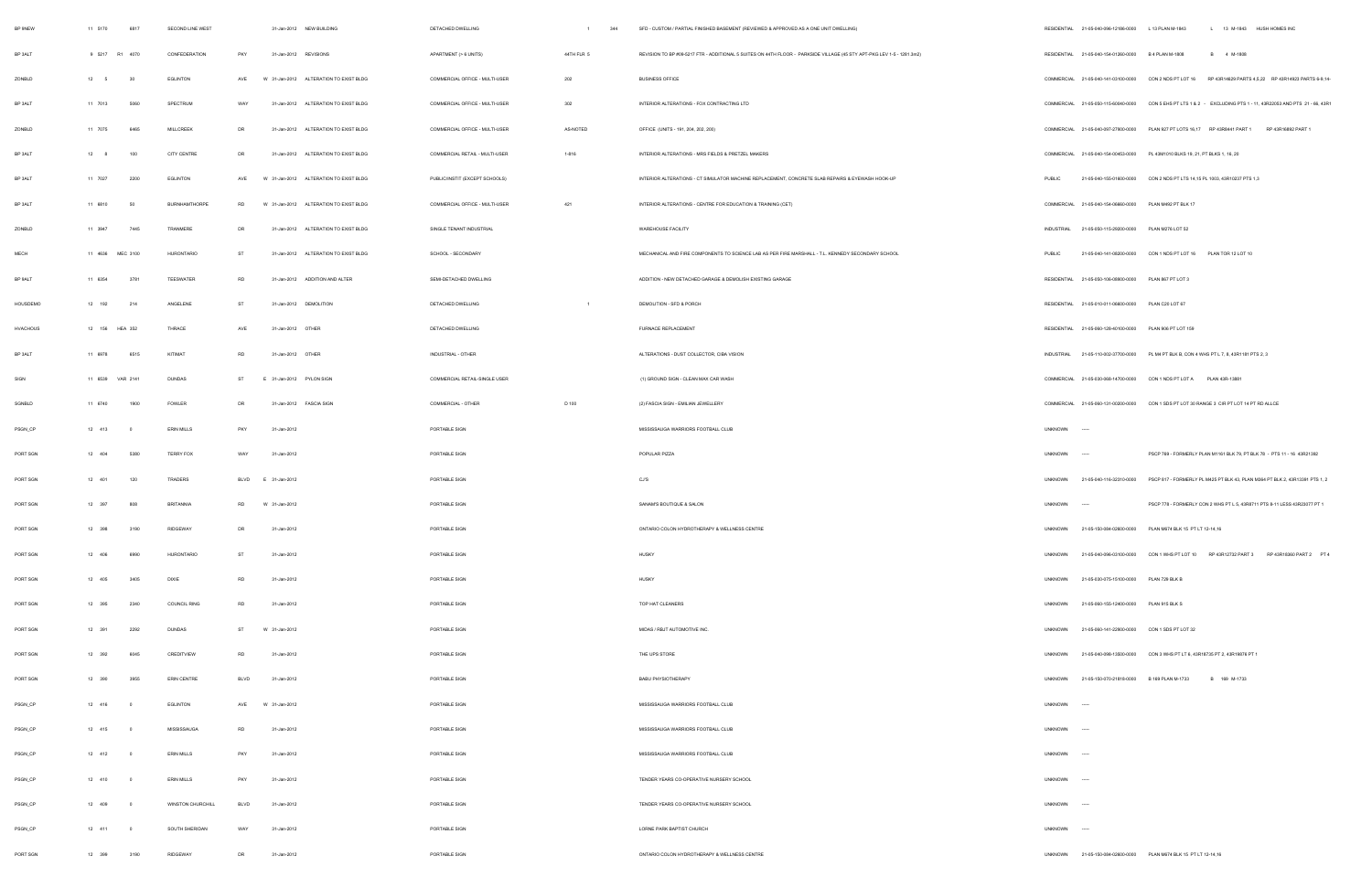| ION TO BP #09-5217 FTR - ADDITIONAL 5 SUITES ON 44TH FLOOR - PARKSIDE VILLAGE (45 STY APT-PKG LEV 1-5 - 1281.3m2) |                | RESIDENTIAL 21-05-040-154-01260-0000 B 4 PLAN M-1808     | B 4 M-1808                                                                                                        |
|-------------------------------------------------------------------------------------------------------------------|----------------|----------------------------------------------------------|-------------------------------------------------------------------------------------------------------------------|
| <b>IESS OFFICE</b>                                                                                                |                |                                                          | COMMERCIAL 21-05-040-141-03100-0000 CON 2 NDS PT LOT 16 RP 43R14629 PARTS 4,5,22 RP 43R14923 PARTS 6-9,14-        |
| <b>IOR ALTERATIONS - FOX CONTRACTING LTD</b>                                                                      |                |                                                          | COMMERCIAL 21-05-050-115-60040-0000 CON 5 EHS PT LTS 1 & 2 - EXCLUDING PTS 1 - 11, 43R22053 AND PTS 21 - 66, 43R1 |
| E (UNITS - 191, 204, 202, 200)                                                                                    |                |                                                          | COMMERCIAL 21-05-040-097-27900-0000 PLAN 927 PT LOTS 16,17 RP 43R8441 PART 1<br>RP 43R16892 PART 1                |
| NOR ALTERATIONS - MRS FIELDS & PRETZEL MAKERS                                                                     |                |                                                          | COMMERCIAL 21-05-040-154-00453-0000 PL 43M1010 BLKS 19, 21, PT BLKS 1, 16, 20                                     |
| IOR ALTERATIONS - CT SIMULATOR MACHINE REPLACEMENT, CONCRETE SLAB REPAIRS & EYEWASH HOOK-UP                       | PUBLIC         |                                                          | 21-05-040-155-01600-0000 CON 2 NDS PT LTS 14,15 PL 1003, 43R10237 PTS 1,3                                         |
| IOR ALTERATIONS - CENTRE FOR EDUCATION & TRAINING (CET)                                                           |                | COMMERCIAL 21-05-040-154-06660-0000                      | PLAN M492 PT BLK 17                                                                                               |
| HOUSE FACILITY                                                                                                    |                | INDUSTRIAL 21-05-050-115-29200-0000 PLAN M276 LOT 52     |                                                                                                                   |
| IANICAL AND FIRE COMPONENTS TO SCIENCE LAB AS PER FIRE MARSHALL - T.L. KENNEDY SECONDARY SCHOOL                   | PUBLIC         |                                                          | 21-05-040-141-08200-0000 CON 1 NDS PT LOT 16 PLAN TOR 12 LOT 10                                                   |
| TON - NEW DETACHED GARAGE & DEMOLISH EXISTING GARAGE                                                              |                | RESIDENTIAL 21-05-050-106-08900-0000 PLAN 867 PT LOT 3   |                                                                                                                   |
| LITION - SFD & PORCH                                                                                              |                | RESIDENTIAL 21-05-010-011-06600-0000                     | PLAN C20 LOT 67                                                                                                   |
| ACE REPLACEMENT                                                                                                   |                | RESIDENTIAL 21-05-060-128-40100-0000 PLAN 906 PT LOT 159 |                                                                                                                   |
| RATIONS - DUST COLLECTOR, CIBA VISION                                                                             |                |                                                          | INDUSTRIAL 21-05-110-002-37700-0000 PL M4 PT BLK B, CON 4 WHS PT L 7, 8, 43R1181 PTS 2, 3                         |
| ROUND SIGN - CLEAN MAX CAR WASH                                                                                   |                | COMMERCIAL 21-05-030-068-14700-0000                      | CON 1 NDS PT LOT A PLAN 43R-13881                                                                                 |
| SCIA SIGN - EMILIAN JEWELLERY                                                                                     |                |                                                          | COMMERCIAL 21-05-060-131-00200-0000 CON 1 SDS PT LOT 30 RANGE 3 CIR PT LOT 14 PT RD ALLCE                         |
| SSAUGA WARRIORS FOOTBALL CLUB                                                                                     | <b>UNKNOWN</b> | $\sim$                                                   |                                                                                                                   |
| <b>LAR PIZZA</b>                                                                                                  | <b>UNKNOWN</b> | $\sim$                                                   | PSCP 769 - FORMERLY PLAN M1161 BLK 79, PT BLK 78 - PTS 11 - 16 43R21392                                           |
|                                                                                                                   | <b>UNKNOWN</b> | 21-05-040-116-32310-0000                                 | PSCP 817 - FORMERLY PL M425 PT BLK 43, PLAN M364 PT BLK 2, 43R13391 PTS 1, 2                                      |
| M'S BOUTIQUE & SALON                                                                                              | <b>UNKNOWN</b> | $\hspace{0.05cm}\hspace{0.05cm}$                         | PSCP 778 - FORMERLY CON 2 WHS PT L 5, 43R8711 PTS 8-11 LESS 43R23077 PT 1                                         |
| RIO COLON HYDROTHERAPY & WELLNESS CENTRE                                                                          | <b>UNKNOWN</b> | 21-05-150-084-02600-0000                                 | PLAN M674 BLK 15 PT LT 12-14,16                                                                                   |
| Y                                                                                                                 | <b>UNKNOWN</b> | 21-05-040-096-03100-0000                                 | CON 1 WHS PT LOT 10 RP 43R12732 PART 3<br>RP 43R18360 PART 2 PT 4                                                 |
| Y                                                                                                                 | <b>UNKNOWN</b> | 21-05-030-075-15100-0000                                 | PLAN 729 BLK B                                                                                                    |
| <b>IAT CLEANERS</b>                                                                                               | <b>UNKNOWN</b> | 21-05-060-155-12400-0000                                 | PLAN 915 BLK S                                                                                                    |
| 3 / RBJT AUTOMOTIVE INC.                                                                                          | <b>UNKNOWN</b> | 21-05-060-141-22900-0000                                 | CON 1 SDS PT LOT 32                                                                                               |
| <b>IPS STORE</b>                                                                                                  | <b>UNKNOWN</b> | 21-05-040-098-13500-0000                                 | CON 3 WHS PT LT 6, 43R18735 PT 2, 43R19876 PT 1                                                                   |
| PHYSIOTHERAPY                                                                                                     | <b>UNKNOWN</b> | 21-05-150-070-21818-0000                                 | B 169 PLAN M-1733<br>B 169 M-1733                                                                                 |
| SSAUGA WARRIORS FOOTBALL CLUB                                                                                     | <b>UNKNOWN</b> | $\cdots$                                                 |                                                                                                                   |
| SSAUGA WARRIORS FOOTBALL CLUB                                                                                     | <b>UNKNOWN</b> | $\cdots$                                                 |                                                                                                                   |
| SSAUGA WARRIORS FOOTBALL CLUB                                                                                     | <b>UNKNOWN</b> | $\cdots$                                                 |                                                                                                                   |
| ER YEARS CO-OPERATIVE NURSERY SCHOOL                                                                              | <b>UNKNOWN</b> | $\cdots$                                                 |                                                                                                                   |
| ER YEARS CO-OPERATIVE NURSERY SCHOOL                                                                              | <b>UNKNOWN</b> | $\sim$                                                   |                                                                                                                   |
| E PARK BAPTIST CHURCH                                                                                             | <b>UNKNOWN</b> | $\sim$                                                   |                                                                                                                   |
| RIO COLON HYDROTHERAPY & WELLNESS CENTRE                                                                          | <b>UNKNOWN</b> |                                                          | 21-05-150-084-02600-0000 PLAN M674 BLK 15 PT LT 12-14,16                                                          |

| BP 9NEW         | 11 5170          | 6817       | SECOND LINE WEST  |           | 31-Jan-2012 NEW BUILDING               | DETACHED DWELLING              | $\blacksquare$<br>344 | SFD - CUSTOM / PARTIAL FINISHED BASEMENT (REVIEWED & APPROVED AS A ONE UNIT DWELLING)                                  |                | RESIDENTIAL 21-05-040-096-12186-0000 L 13 PLAN M-1843    | L 13 M-1843 HUSH HOMES INC                                                                                       |
|-----------------|------------------|------------|-------------------|-----------|----------------------------------------|--------------------------------|-----------------------|------------------------------------------------------------------------------------------------------------------------|----------------|----------------------------------------------------------|------------------------------------------------------------------------------------------------------------------|
| BP 3ALT         | 9 5217 R1 4070   |            | CONFEDERATION     | PKY       | 31-Jan-2012 REVISIONS                  | APARTMENT (> 6 UNITS)          | 44TH FLR 5            | REVISION TO BP #09-5217 FTR - ADDITIONAL 5 SUITES ON 44TH FLOOR - PARKSIDE VILLAGE (45 STY APT-PKG LEV 1-5 - 1281.3m2) |                | RESIDENTIAL 21-05-040-154-01260-0000 B 4 PLAN M-1808     | B 4 M-1808                                                                                                       |
| ZONBLD          | 12 5             | 30         | <b>EGLINTON</b>   | AVE       | W 31-Jan-2012 ALTERATION TO EXIST BLDG | COMMERCIAL OFFICE - MULTI-USER | 202                   | <b>BUSINESS OFFICE</b>                                                                                                 |                |                                                          | COMMERCIAL 21-05-040-141-03100-0000 CON 2 NDS PT LOT 16 RP 43R14629 PARTS 4,5,22 RP 43R14923 PARTS 6-9,14        |
| BP 3ALT         | 11 7013          | 5060       | SPECTRUM          | WAY       | 31-Jan-2012 ALTERATION TO EXIST BLDG   | COMMERCIAL OFFICE - MULTI-USER | 302                   | INTERIOR ALTERATIONS - FOX CONTRACTING LTD                                                                             |                |                                                          | COMMERCIAL 21-05-050-115-60040-0000 CON 5 EHS PT LTS 1 & 2 - EXCLUDING PTS 1 - 11, 43R22053 AND PTS 21 - 66, 43R |
| ZONBLD          | 11 7075          | 6465       | MILLCREEK         | DR        | 31-Jan-2012 ALTERATION TO EXIST BLDG   | COMMERCIAL OFFICE - MULTI-USER | AS-NOTED              | OFFICE (UNITS - 191, 204, 202, 200)                                                                                    |                |                                                          | COMMERCIAL 21-05-040-097-27900-0000 PLAN 927 PT LOTS 16,17 RP 43R8441 PART 1 RP 43R16892 PART 1                  |
| BP 3ALT         | $12 \qquad 8$    | 100        | CITY CENTRE       | DR        | 31-Jan-2012 ALTERATION TO EXIST BLDG   | COMMERCIAL RETAIL - MULTI-USER | 1-816                 | INTERIOR ALTERATIONS - MRS FIELDS & PRETZEL MAKERS                                                                     |                |                                                          | COMMERCIAL 21-05-040-154-00453-0000 PL 43M1010 BLKS 19, 21, PT BLKS 1, 16, 20                                    |
| BP 3ALT         | 11 7027          | 2200       | <b>EGLINTON</b>   | AVE       | W 31-Jan-2012 ALTERATION TO EXIST BLDG | PUBLIC/INSTIT (EXCEPT SCHOOLS) |                       | INTERIOR ALTERATIONS - CT SIMULATOR MACHINE REPLACEMENT, CONCRETE SLAB REPAIRS & EYEWASH HOOK-UP                       | PUBLIC         |                                                          | 21-05-040-155-01600-0000 CON 2 NDS PT LTS 14,15 PL 1003, 43R10237 PTS 1,3                                        |
| BP 3ALT         | 11 6810          | 50         | BURNHAMTHORPE     | <b>RD</b> | W 31-Jan-2012 ALTERATION TO EXIST BLDG | COMMERCIAL OFFICE - MULTI-USER | 421                   | INTERIOR ALTERATIONS - CENTRE FOR EDUCATION & TRAINING (CET)                                                           |                | COMMERCIAL 21-05-040-154-06660-0000 PLAN M492 PT BLK 17  |                                                                                                                  |
| ZONBLD          | 11 3947          | 7445       | TRANMERE          | <b>DR</b> | 31-Jan-2012 ALTERATION TO EXIST BLDG   | SINGLE TENANT INDUSTRIAL       |                       | WAREHOUSE FACILITY                                                                                                     |                | INDUSTRIAL 21-05-050-115-29200-0000 PLAN M276 LOT 52     |                                                                                                                  |
| MECH            | 11 4636 MEC 3100 |            | <b>HURONTARIO</b> | ST        | 31-Jan-2012 ALTERATION TO EXIST BLDG   | SCHOOL - SECONDARY             |                       | MECHANICAL AND FIRE COMPONENTS TO SCIENCE LAB AS PER FIRE MARSHALL - T.L. KENNEDY SECONDARY SCHOOL                     | PUBLIC         |                                                          | 21-05-040-141-08200-0000 CON 1 NDS PT LOT 16 PLAN TOR 12 LOT 10                                                  |
| BP 9ALT         | 11 6354          | 3781       | TEESWATER         | <b>RD</b> | 31-Jan-2012 ADDITION AND ALTER         | SEMI-DETACHED DWELLING         |                       | ADDITION - NEW DETACHED GARAGE & DEMOLISH EXISTING GARAGE                                                              |                | RESIDENTIAL 21-05-050-106-08900-0000 PLAN 867 PT LOT 3   |                                                                                                                  |
| HOUSDEMO        | 12 192           | 214        | ANGELENE          | <b>ST</b> | 31-Jan-2012 DEMOLITION                 | DETACHED DWELLING              | $\overline{1}$        | DEMOLITION - SFD & PORCH                                                                                               |                | RESIDENTIAL 21-05-010-011-06600-0000 PLAN C20 LOT 67     |                                                                                                                  |
| <b>HVACHOUS</b> | 12 156 HEA 352   |            | THRACE            | AVE       | 31-Jan-2012 OTHER                      | DETACHED DWELLING              |                       | FURNACE REPLACEMENT                                                                                                    |                | RESIDENTIAL 21-05-060-128-40100-0000 PLAN 906 PT LOT 159 |                                                                                                                  |
| BP 3ALT         | 11 6978          | 6515       | KITIMAT           | <b>RD</b> | 31-Jan-2012 OTHER                      | INDUSTRIAL - OTHER             |                       | ALTERATIONS - DUST COLLECTOR, CIBA VISION                                                                              |                |                                                          | INDUSTRIAL 21-05-110-002-37700-0000 PL M4 PT BLK B, CON 4 WHS PT L 7, 8, 43R1181 PTS 2, 3                        |
| SIGN            | 11 6539 VAR 2141 |            | <b>DUNDAS</b>     | <b>ST</b> | E 31-Jan-2012 PYLON SIGN               | COMMERCIAL RETAIL-SINGLE USER  |                       | (1) GROUND SIGN - CLEAN MAX CAR WASH                                                                                   |                |                                                          | COMMERCIAL 21-05-030-068-14700-0000 CON 1 NDS PT LOT A PLAN 43R-13881                                            |
| SGNBLD          | 11 6740          | 1900       | <b>FOWLER</b>     | DR        | 31-Jan-2012 FASCIA SIGN                | COMMERCIAL - OTHER             | D 100                 | (2) FASCIA SIGN - EMILIAN JEWELLERY                                                                                    |                |                                                          | COMMERCIAL 21-05-060-131-00200-0000 CON 1 SDS PT LOT 30 RANGE 3 CIR PT LOT 14 PT RD ALLCE                        |
| PSGN_CP         | 12 413           |            | <b>ERIN MILLS</b> | PKY       | 31-Jan-2012                            | PORTABLE SIGN                  |                       | MISSISSAUGA WARRIORS FOOTBALL CLUB                                                                                     | <b>UNKNOWN</b> | $\sim$                                                   |                                                                                                                  |
| PORT SGN        | 12 404           | 5380       | <b>TERRY FOX</b>  | WAY       | 31-Jan-2012                            | PORTABLE SIGN                  |                       | POPULAR PIZZA                                                                                                          | <b>UNKNOWN</b> | $\sim$                                                   | PSCP 769 - FORMERLY PLAN M1161 BLK 79, PT BLK 78 - PTS 11 - 16 43R21392                                          |
| PORT SGN        | 12 401           | 120        | TRADERS           |           | BLVD E 31-Jan-2012                     | PORTABLE SIGN                  |                       | CJ'S                                                                                                                   |                |                                                          | UNKNOWN 21-05-040-116-32310-0000 PSCP 817 - FORMERLY PL M425 PT BLK 43, PLAN M364 PT BLK 2, 43R13391 PTS 1, 2    |
| PORT SGN        | 12 397           | 808        | <b>BRITANNIA</b>  | <b>RD</b> | W 31-Jan-2012                          | PORTABLE SIGN                  |                       | SANAM'S BOUTIQUE & SALON                                                                                               | <b>UNKNOWN</b> | $\sim$                                                   | PSCP 778 - FORMERLY CON 2 WHS PT L 5, 43R8711 PTS 8-11 LESS 43R23077 PT 1                                        |
| PORT SGN        | 12 398           | 3190       | <b>RIDGEWAY</b>   | <b>DR</b> | 31-Jan-2012                            | PORTABLE SIGN                  |                       | ONTARIO COLON HYDROTHERAPY & WELLNESS CENTRE                                                                           |                |                                                          | UNKNOWN 21-05-150-084-02600-0000 PLAN M674 BLK 15 PT LT 12-14,16                                                 |
| PORT SGN        | 12 406           | 6990       | <b>HURONTARIO</b> | <b>ST</b> | 31-Jan-2012                            | PORTABLE SIGN                  |                       | <b>HUSKY</b>                                                                                                           |                |                                                          | UNKNOWN 21-05-040-096-03100-0000 CON 1 WHS PT LOT 10 RP 43R12732 PART 3 RP 43R18360 PART 2 PT 4                  |
| PORT SGN        | 12 405           | 3405       | DIXIE             | <b>RD</b> | 31-Jan-2012                            | PORTABLE SIGN                  |                       | <b>HUSKY</b>                                                                                                           | <b>UNKNOWN</b> | 21-05-030-075-15100-0000 PLAN 729 BLK B                  |                                                                                                                  |
| PORT SGN        | 12 395           | 2340       | COUNCIL RING      | <b>RD</b> | 31-Jan-2012                            | PORTABLE SIGN                  |                       | TOP HAT CLEANERS                                                                                                       | <b>UNKNOWN</b> | 21-05-060-155-12400-0000                                 | PLAN 915 BLK S                                                                                                   |
| PORT SGN        | 12 391           | 2292       | <b>DUNDAS</b>     | ST        | W 31-Jan-2012                          | PORTABLE SIGN                  |                       | MIDAS / RBJT AUTOMOTIVE INC.                                                                                           | <b>UNKNOWN</b> | 21-05-060-141-22900-0000 CON 1 SDS PT LOT 32             |                                                                                                                  |
| PORT SGN        | 12 392           | 6045       | CREDITVIEW        | RD        | 31-Jan-2012                            | PORTABLE SIGN                  |                       | THE UPS STORE                                                                                                          | <b>UNKNOWN</b> |                                                          | 21-05-040-098-13500-0000 CON 3 WHS PT LT 6, 43R18735 PT 2, 43R19876 PT 1                                         |
| PORT SGN        | 12 390           | 3955       | ERIN CENTRE       | BLVD      | 31-Jan-2012                            | PORTABLE SIGN                  |                       | <b>BABU PHYSIOTHERAPY</b>                                                                                              | <b>UNKNOWN</b> | 21-05-150-070-21818-0000 B 169 PLAN M-1733               | B 169 M-1733                                                                                                     |
| PSGN_CP         | 12 416           | - 0        | <b>EGLINTON</b>   | AVE       | W 31-Jan-2012                          | PORTABLE SIGN                  |                       | MISSISSAUGA WARRIORS FOOTBALL CLUB                                                                                     | <b>UNKNOWN</b> | $\sim$                                                   |                                                                                                                  |
| PSGN_CP         | 12 415 0         |            | MISSISSAUGA       | <b>RD</b> | 31-Jan-2012                            | PORTABLE SIGN                  |                       | MISSISSAUGA WARRIORS FOOTBALL CLUB                                                                                     | UNKNOWN -----  |                                                          |                                                                                                                  |
| PSGN_CP         | 12 412 0         |            | <b>ERIN MILLS</b> | PKY       | 31-Jan-2012                            | PORTABLE SIGN                  |                       | MISSISSAUGA WARRIORS FOOTBALL CLUB                                                                                     | <b>UNKNOWN</b> | $\sim$                                                   |                                                                                                                  |
| PSGN_CP         | 12 410 0         |            | <b>ERIN MILLS</b> | PKY       | 31-Jan-2012                            | PORTABLE SIGN                  |                       | TENDER YEARS CO-OPERATIVE NURSERY SCHOOL                                                                               | <b>UNKNOWN</b> | $\sim$                                                   |                                                                                                                  |
| PSGN_CP         | 12 409           | $^{\circ}$ | WINSTON CHURCHILL | BLVD      | 31-Jan-2012                            | PORTABLE SIGN                  |                       | TENDER YEARS CO-OPERATIVE NURSERY SCHOOL                                                                               | <b>UNKNOWN</b> | $\sim$                                                   |                                                                                                                  |
| PSGN_CP         | 12 411 0         |            | SOUTH SHERIDAN    | WAY       | 31-Jan-2012                            | PORTABLE SIGN                  |                       | LORNE PARK BAPTIST CHURCH                                                                                              | <b>UNKNOWN</b> | $\overline{\phantom{a}}$                                 |                                                                                                                  |
| PORT SGN        | 12 399           | 3190       | RIDGEWAY          | DR        | 31-Jan-2012                            | PORTABLE SIGN                  |                       | ONTARIO COLON HYDROTHERAPY & WELLNESS CENTRE                                                                           |                |                                                          | UNKNOWN 21-05-150-084-02600-0000 PLAN M674 BLK 15 PT LT 12-14,16                                                 |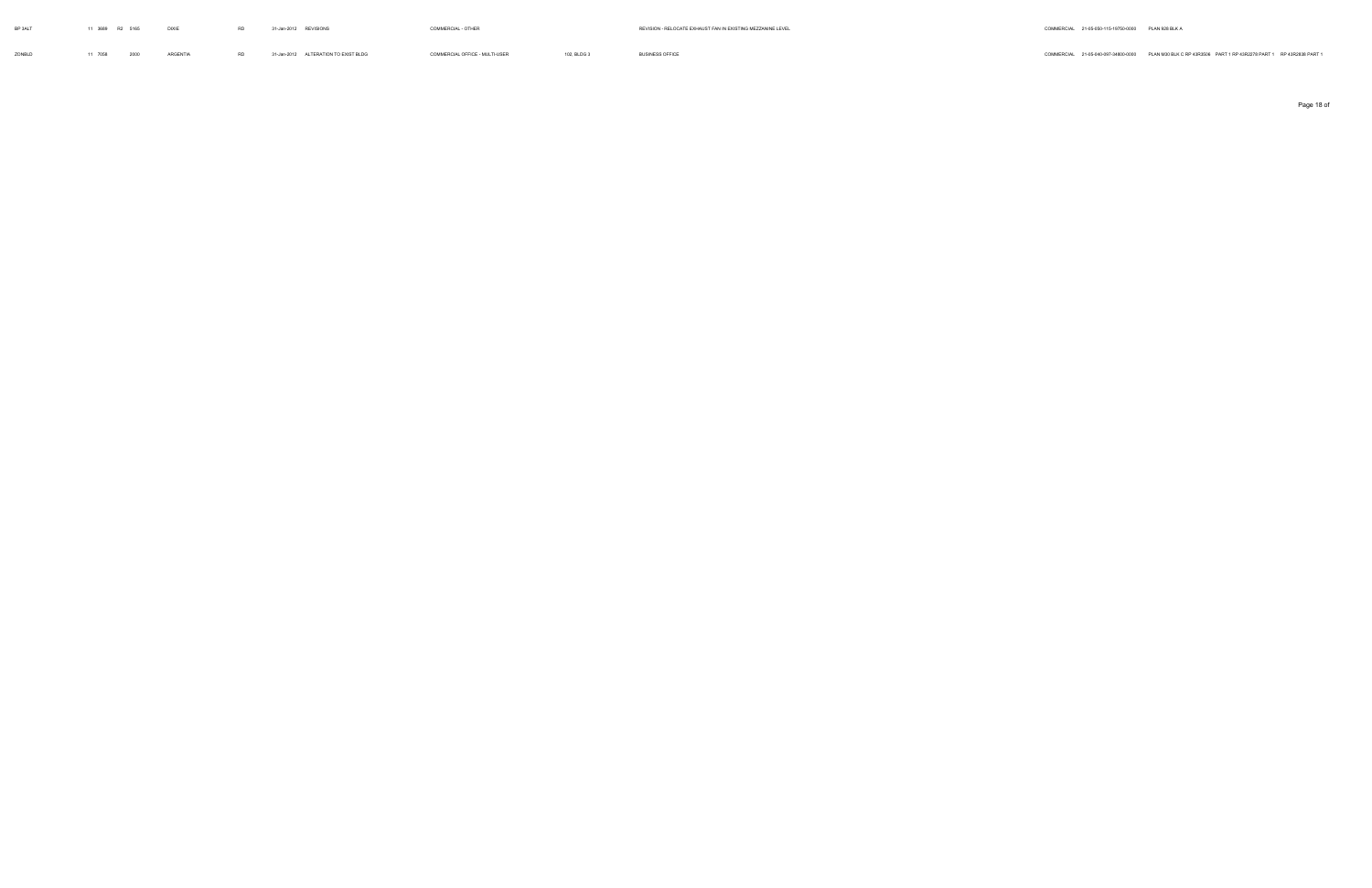| BP 3ALT | 3689 | R <sub>2</sub><br>5165 | <b>DIXIF</b> | R <sub>D</sub> | 31-Jan-2012<br>A | <b>REVISIONS</b> |  |
|---------|------|------------------------|--------------|----------------|------------------|------------------|--|

COMMERCIAL - OTHER

**ZONBLD**  RD7058 2000 ARGENTIA 31-Jan-2012 102, BLDG 3 BUSINESS OFFICE COMMERCIAL PLAN M30 BLK C RP 43R3506 PART 1 RP 43R2278 PART 1 RP 43R2838 PART 1 21-05-040-097-34800-0000 RD 31-Jan-2012 ALTERATION TO EXIST BLDG COMMERCIAL OFFICE - MULTI-USER

Page 18 of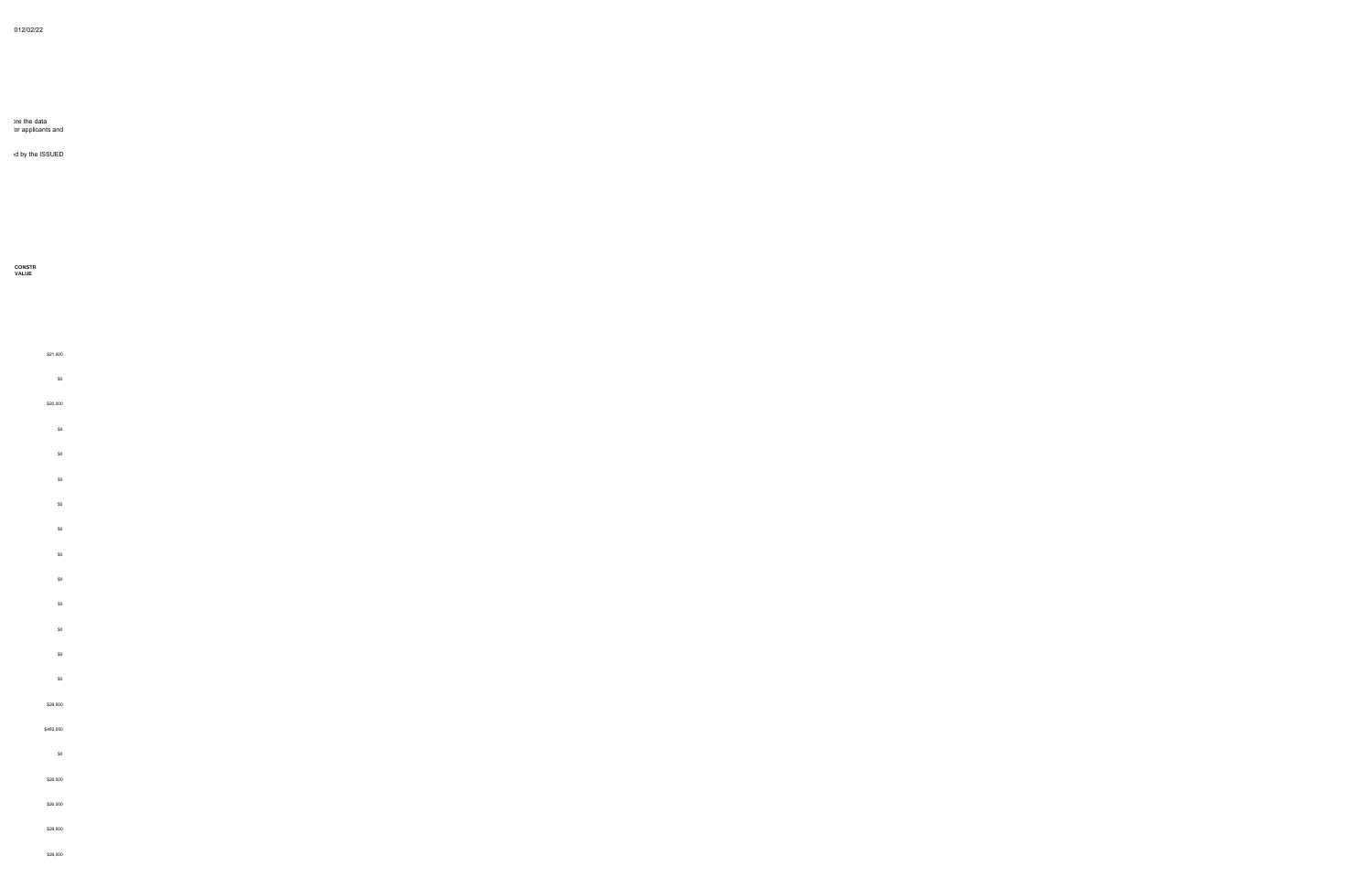\$26,000

\$26,000

# \$26,000

# \$482,000

# \$0

\$0

\$26,000

\$0

\$0

# \$0\$0

\$0

\$0

\$0

\$0

\$0

# \$0 \$20,000 \$0

**CONSTR VALUE**

# \$21,000

ore the data for applicants and

# ed by the ISSUED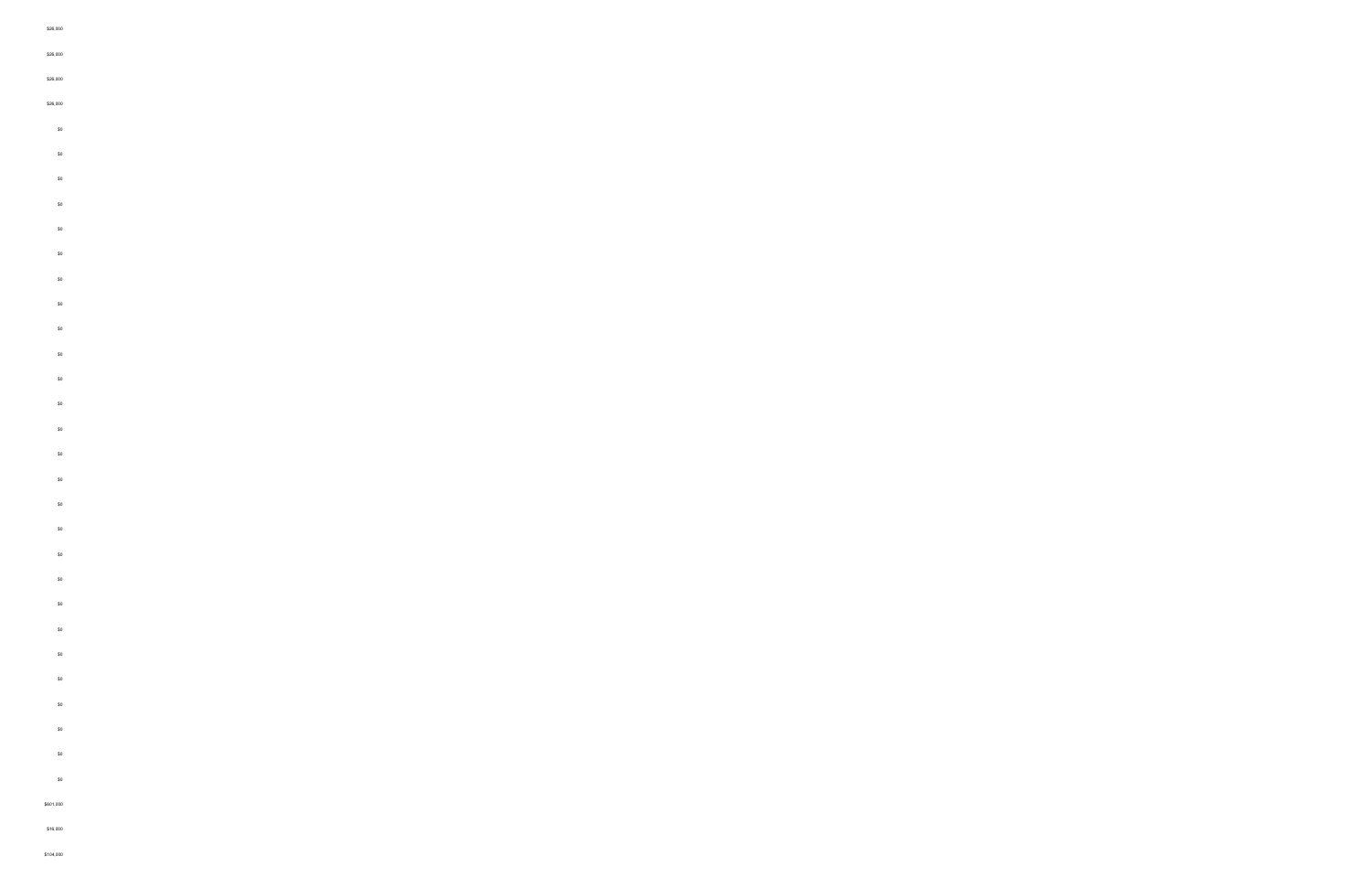\$16,000

\$0

- \$26,000
- 
- \$0
- 
- \$0
- \$0
- 
- \$0
- \$0
- \$0
- \$0
- 
- \$0
- \$0
- \$0
- 
- \$0
- \$0
- \$0
- $$0$
- 
- \$0
- \$0
- \$0
- \$0
- $\epsilon$
- 
- \$0
- \$0
- \$0
- \$0
- $sn$ \$0
- 
- \$0
- \$601,000
	-
- \$104,000
- \$26,000
- 
- \$26,000

### \$26,000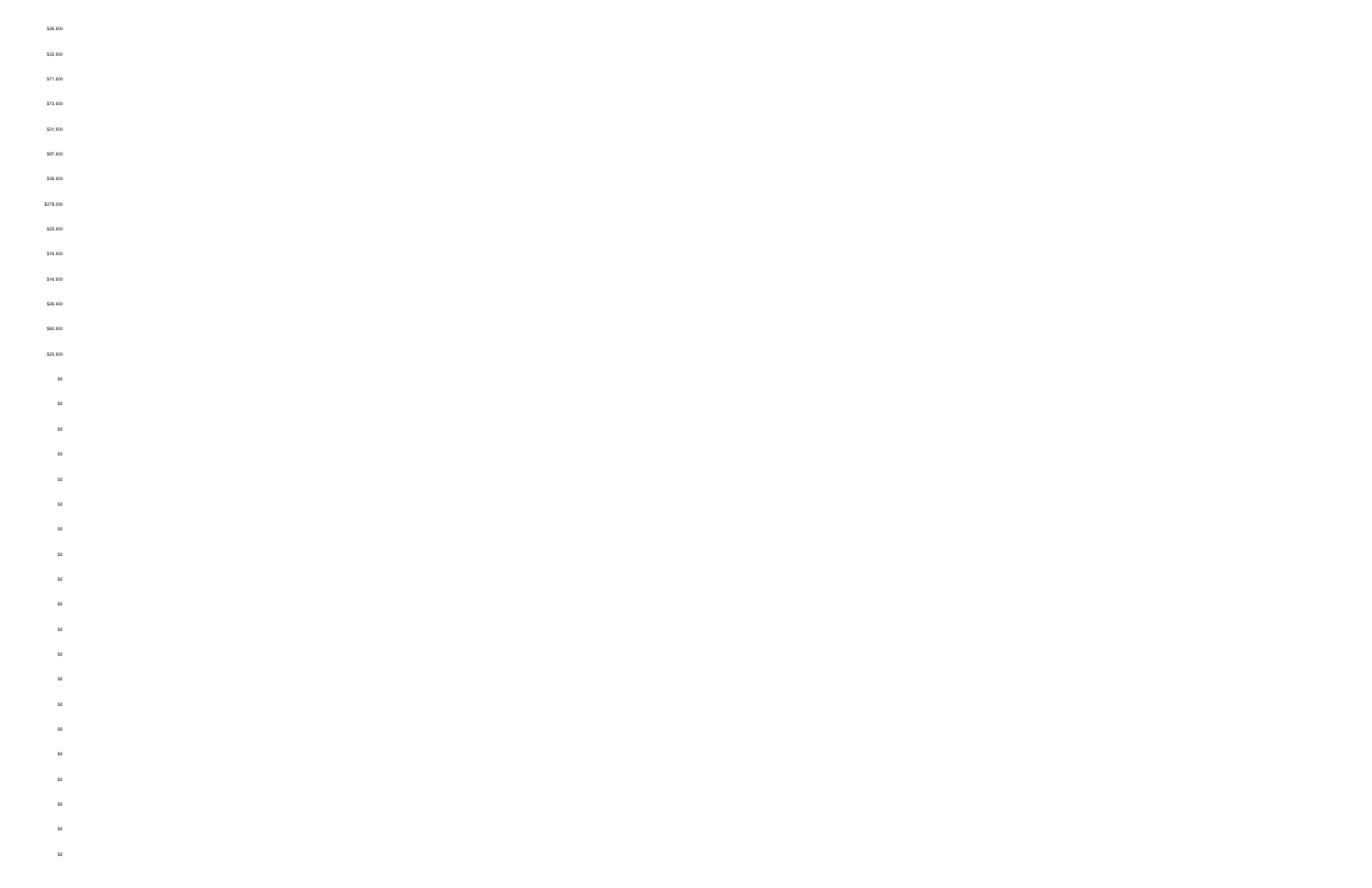- \$32,000
- 
- \$71,000
- 
- \$73,000
- 
- \$31,000
- 
- \$97,000
- 
- \$36,000
- \$278,000
- 
- \$25,000
- 
- \$16,000
- \$16,000
- 
- \$26,000
- 
- \$60,000
- \$20,000
- 
- \$0
- \$0
- \$0
- 
- \$0
- \$0
- \$0
- 
- \$0
- \$0
- \$0
- \$0
- \$0
- 
- \$0
- $$0$
- \$0
- \$0
- \$0
- 
- \$0
- \$0
- 
- \$0

### \$26,000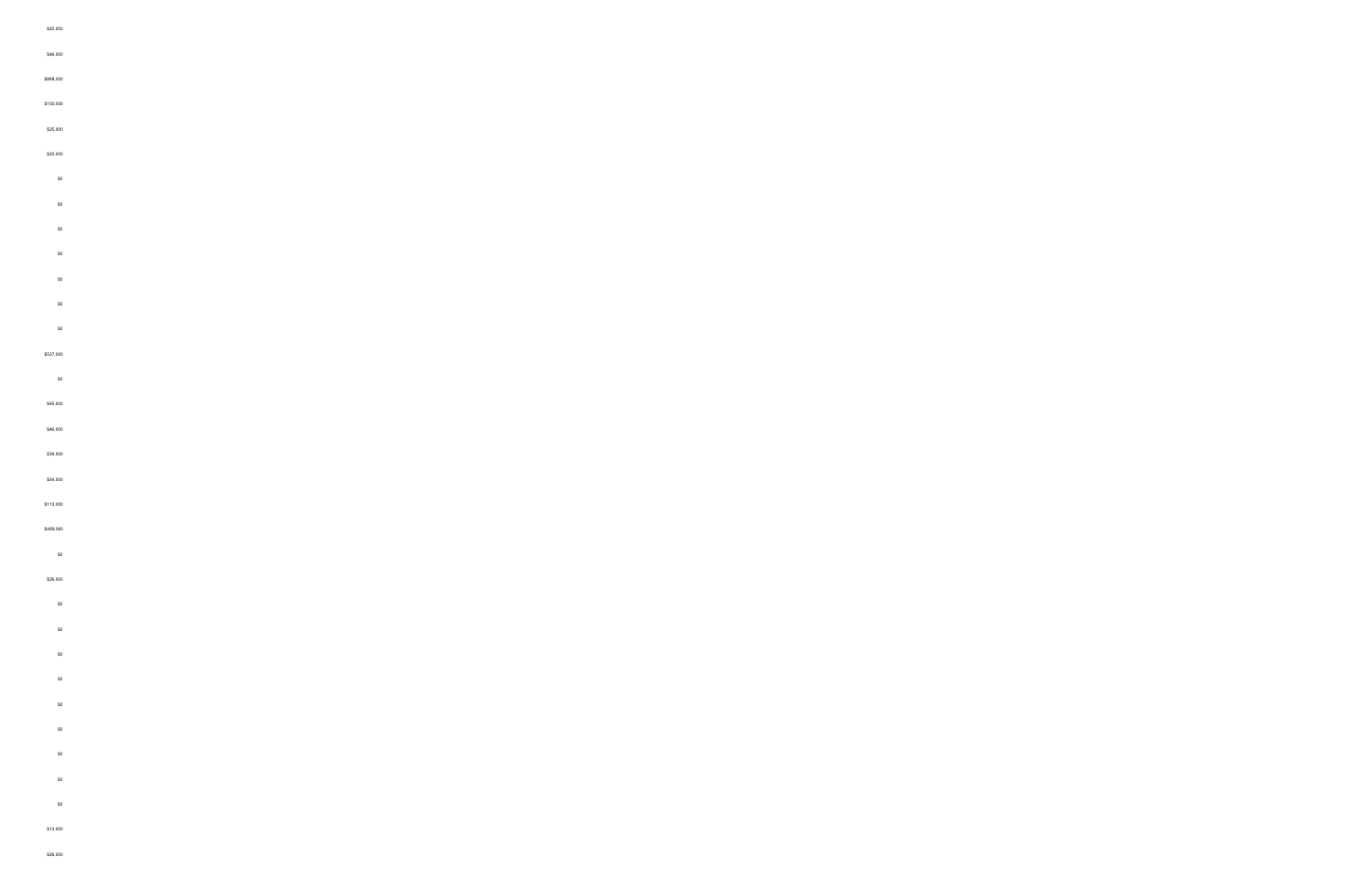### \$26,000

\$13,000

# \$0

# \$0

# \$0

\$0

\$0

\$0

### \$0

### \$0

\$0

### \$26,000

### \$0

### \$489,060

### \$112,000

### \$54,000

### \$39,000

# \$46,000

### \$45,000

### \$537,000

\$0

\$0

\$0

### \$0

### \$0

\$0

\$0

\$0

### \$20,000

### \$25,000

## \$150,000

### \$888,000

\$46,000

### \$20,000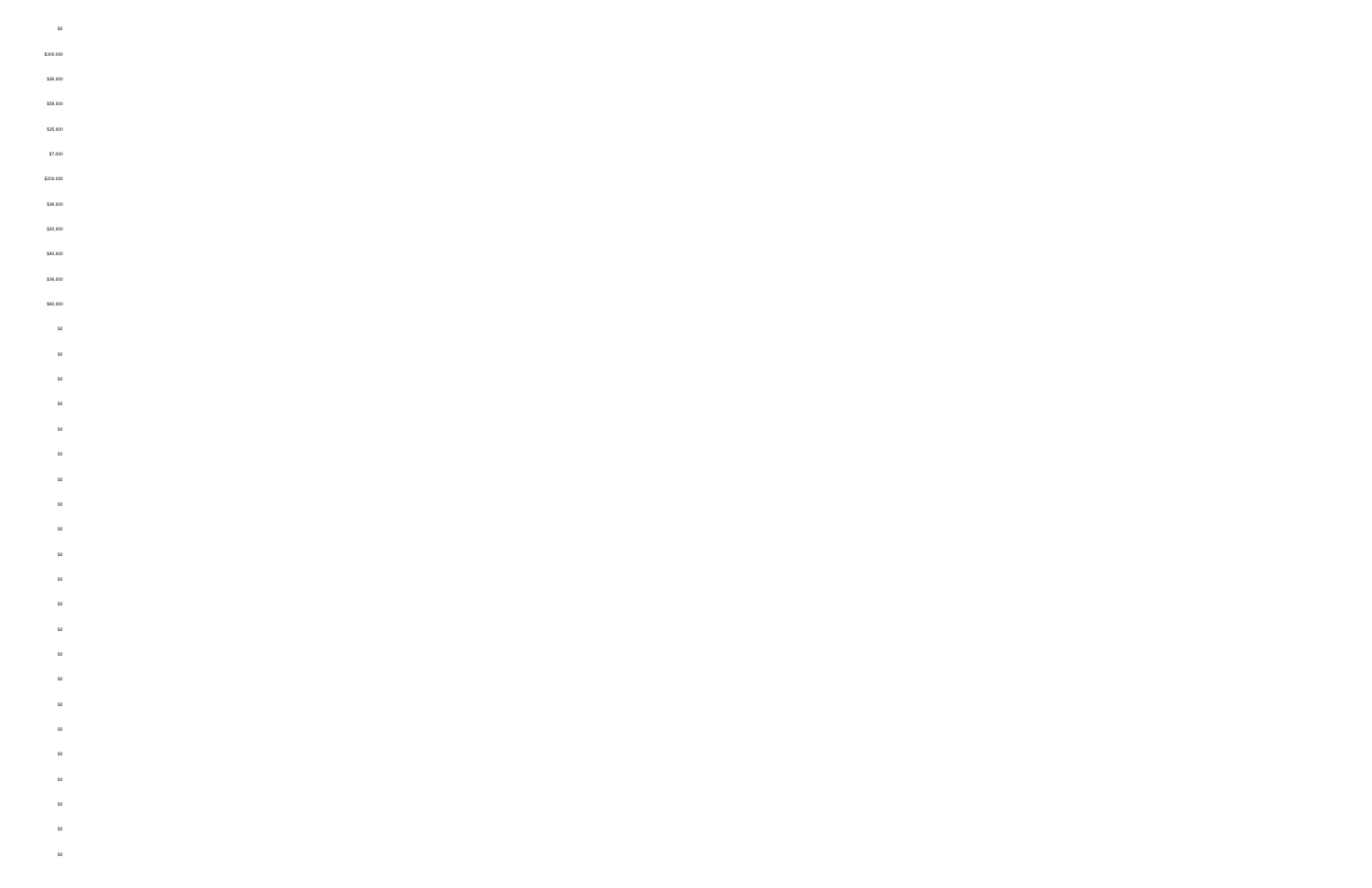\$0

\$0

\$0

\$0\$0

\$0

\$0

\$0

\$0

\$0

\$0

\$0

 $\mathbf{s}$ 0

\$0

\$0

**so** 

 $\mathbf{s}_0$  $$0$ 

\$0

\$0

\$0

\$60,000

\$36,000

\$40,000

\$20,000

\$26,000

\$200,000

\$7,000

\$25,000

\$26,000

\$59,000

\$0

\$300,000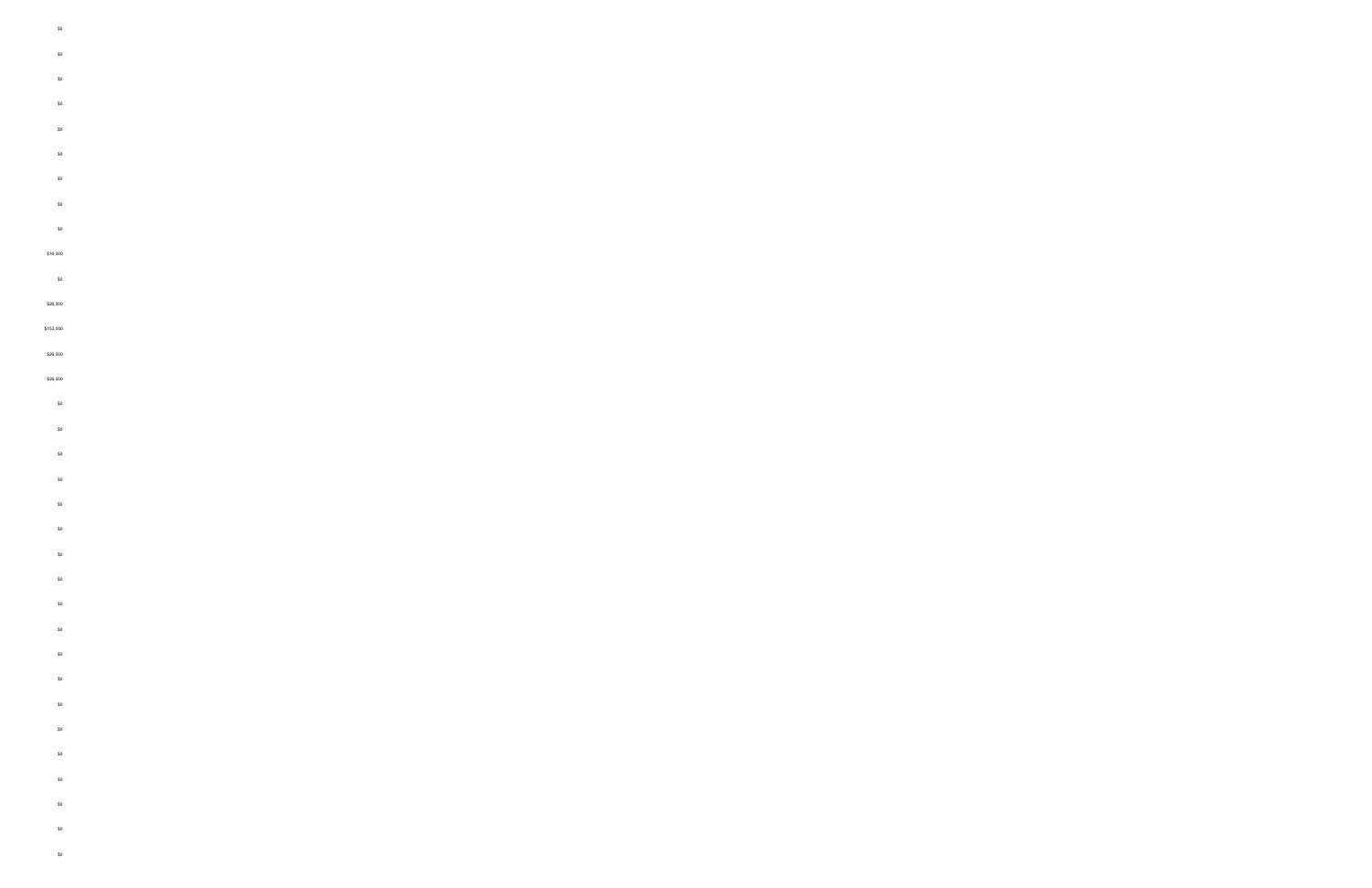- \$0
- \$0
- \$0

- \$0
- \$0
- \$0
- 
- \$0
- \$0
- 
- \$0
- \$0
- \$0
- 
- \$0
- \$16,000
- \$0
- \$26,000
- \$153,000
- \$26,000
- \$26,000
- \$0
- \$0
- \$0
- \$0
- \$0
- \$0
- 
- \$0\$0
- \$0
- \$0
- \$0
- \$0
- \$0
- \$0
- \$0
-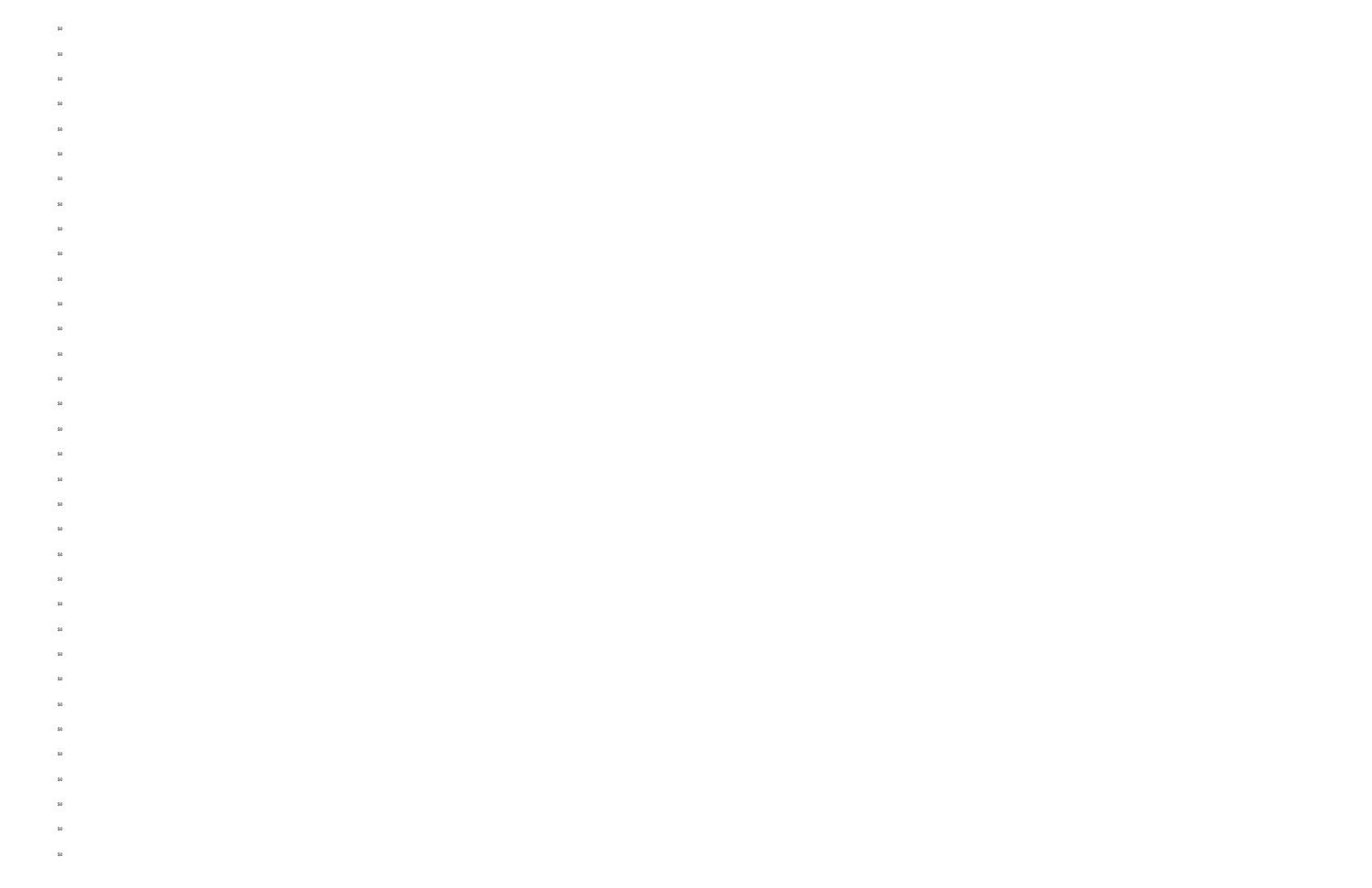- 
- \$0
- \$0

\$0

\$0

\$0

\$0

\$0

- \$0
- \$0
- \$0
- \$0
- \$0
- 
- \$0
- \$0
- \$0
- \$0
- 
- 
- \$0
- \$0
- \$0
- 
- \$0
- 
- \$0
- \$0
- \$0
- \$0
- \$0\$0
- 
- \$0
- \$0
- \$0\$0
- \$0
- 

\$0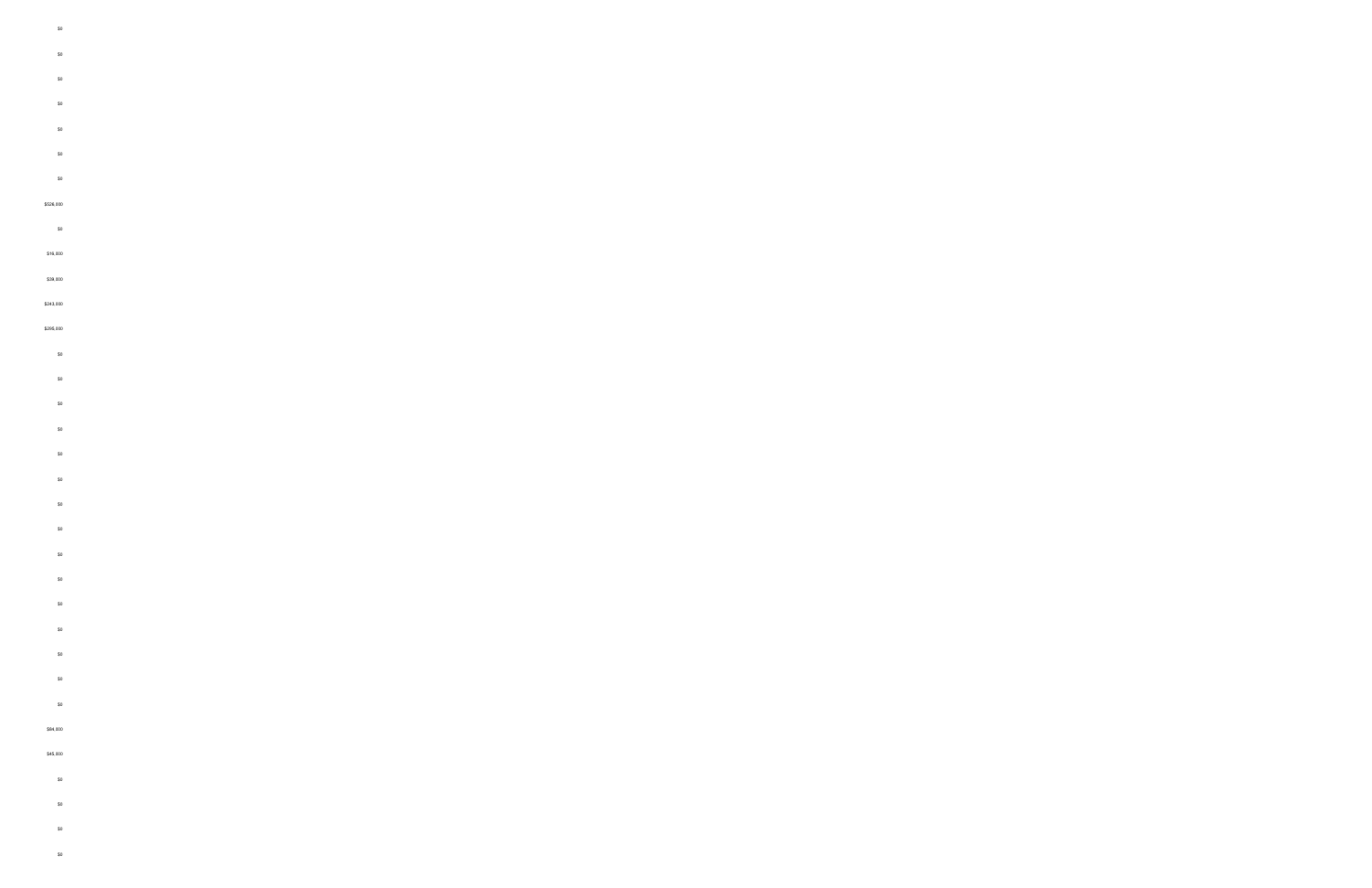- \$45,000
- \$0
- \$0
- 
- \$0
	-
- 
- -
	-
- 
- -
	-

# \$84,000

- \$0
- 
- \$0
- 
- \$0
- $\mathsf{so}$
- 
- \$0
- \$0
- 
- \$0
- $$0$
- $\epsilon$
- \$0
- \$0
- \$0
- \$0
- \$0
- 
- \$0
- 
- \$0
- \$0
- 
- \$0
- $$0$
- 
- $\mathbf{s}$ <sup>0</sup>
- $\mathbf{S}$

\$0

\$295,000

\$243,000

# \$39,000

\$16,000

- \$526,000
- \$0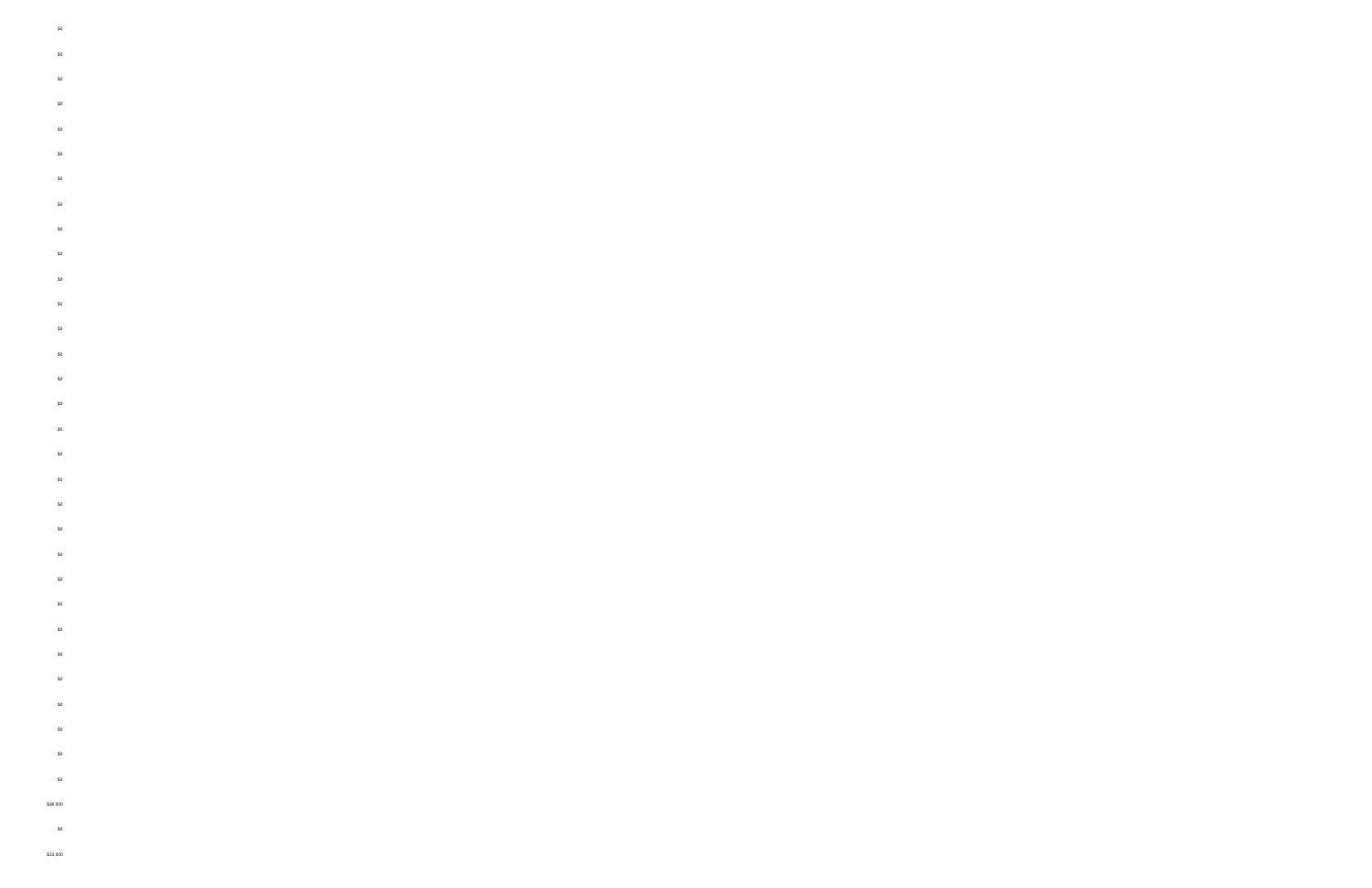\$26,000

\$0

\$0

\$0

\$0

\$0

\$0

\$0

\$0

- \$0
- \$0
- \$0
- \$0
- 
- \$0
- \$0
- \$0
- 
- 
- 
- 
- \$0
- 
- \$0
- \$0
- 
- 
- 
- 
- 
- \$0
- \$0
- \$0
- \$0\$0
- 
- 
- \$0
- 
- 
- \$33,000

\$0

\$0

\$0

\$0

\$0

\$0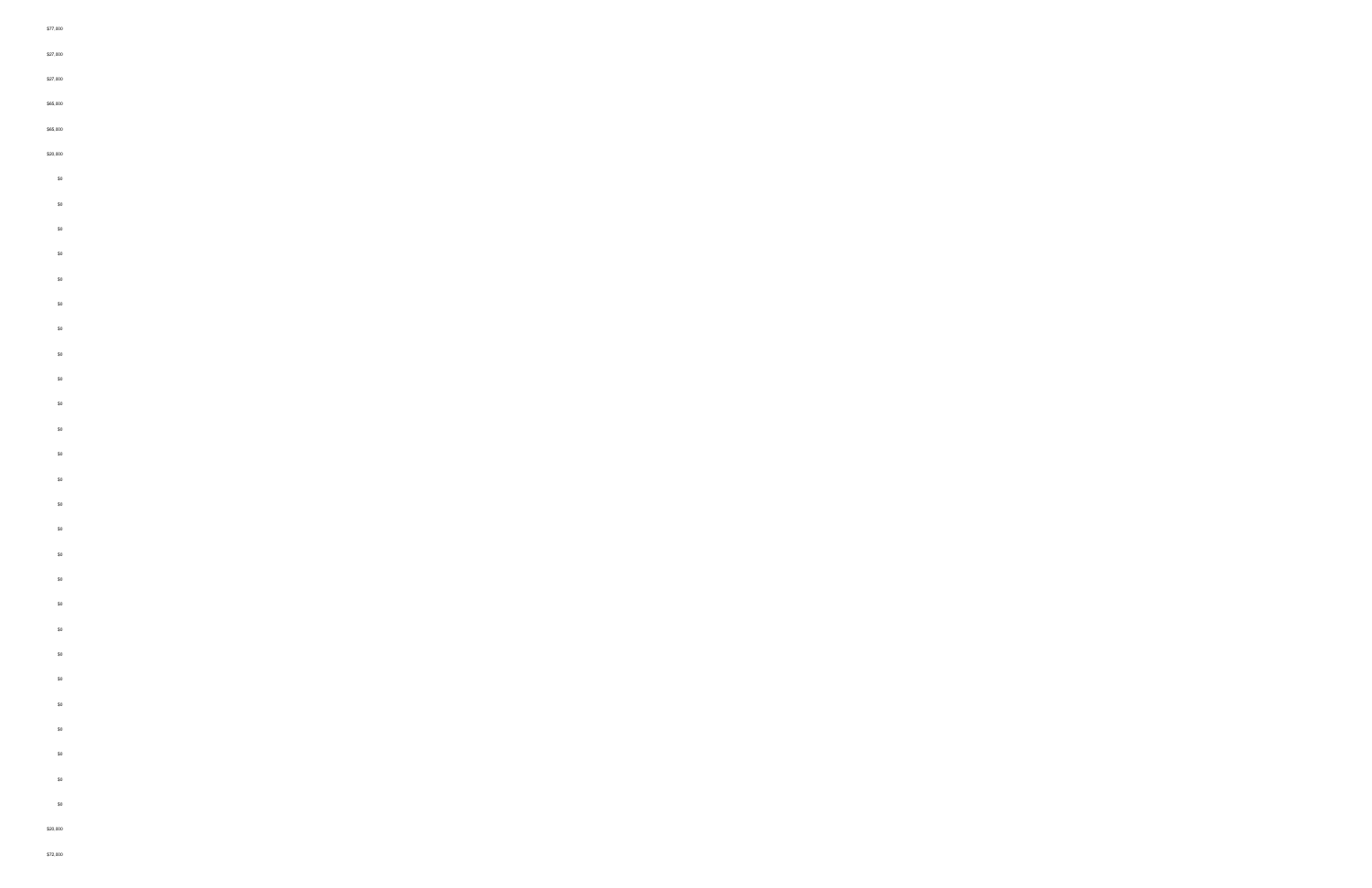- 
- \$0
- 
- \$0
- 
- $$0$
- \$0
- 
- \$0
- \$0
- 
- \$0
- 
- \$0
- \$0
- \$0
- 
- \$0
- $\mathsf{so}$
- 
- \$0
- **so**
- 
- **so**
- \$0
- $\epsilon$
- \$0
- 
- \$0
- \$0
- \$0
- \$0
- \$0
- \$0
- \$0
- \$0
- \$20,000
- \$72,000

# \$20,000

### \$65,000

- \$27,000
- 
- \$27,000
- 
- \$65,000
- 

### \$77,000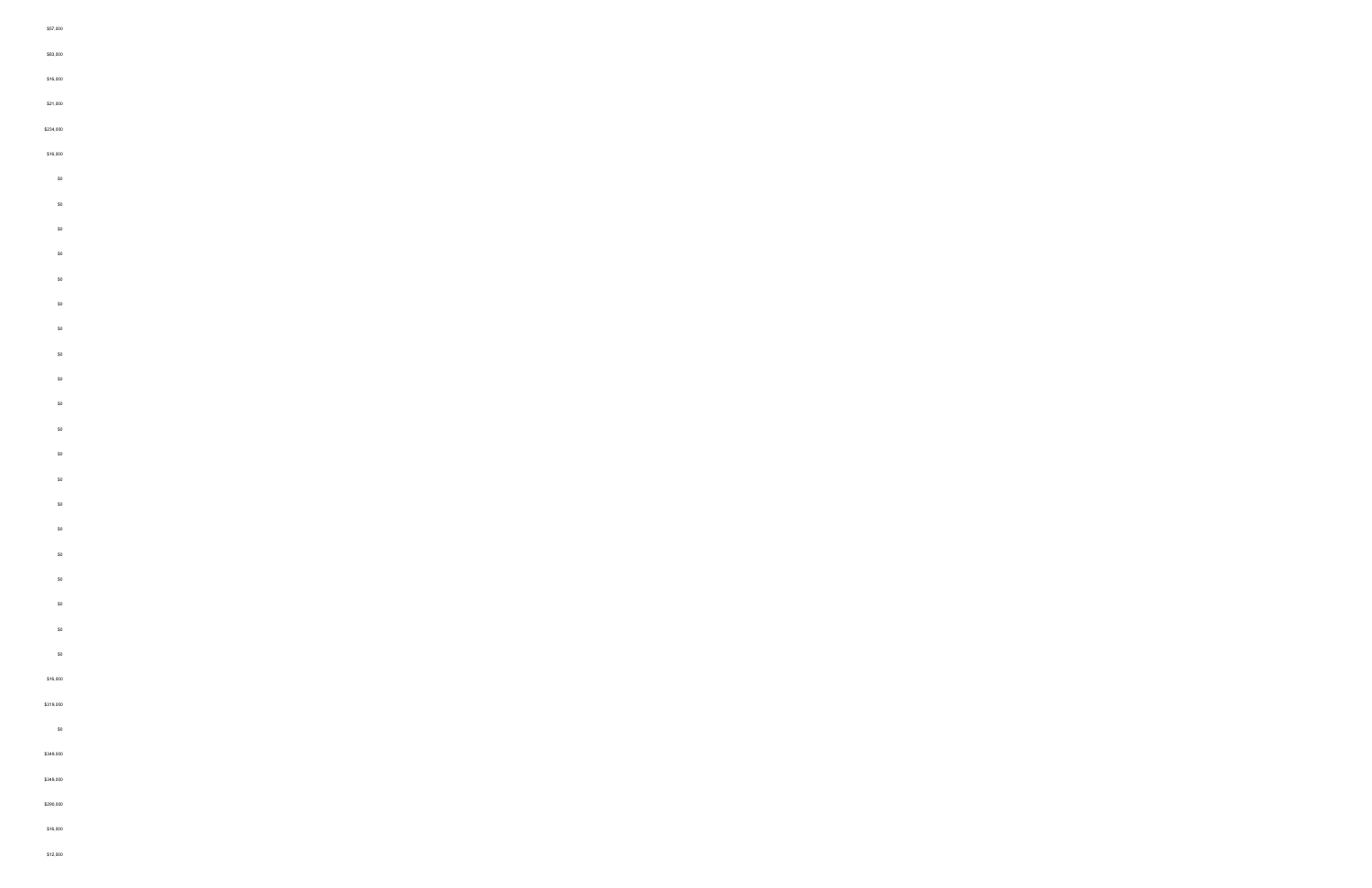- 
- \$0
- 
- \$0
- \$0
- 
- $$0$
- 
- \$0
- \$0
- 
- \$0
- \$0
- 
- \$0
- \$0
- 
- \$0
- \$0
- \$0
- 
- \$0
- 
- \$0
- \$0
- \$0
- \$0
- 
- \$0
- \$0
- \$16,000
- 
- \$319,000
- \$0
- 
- \$349,000
- 
- \$349,000
- \$290,000
- 
- \$16,000
- \$12,000

# \$16,000

\$234,000

- \$83,000
- 
- \$16,000
- 
- \$21,000

### \$57,000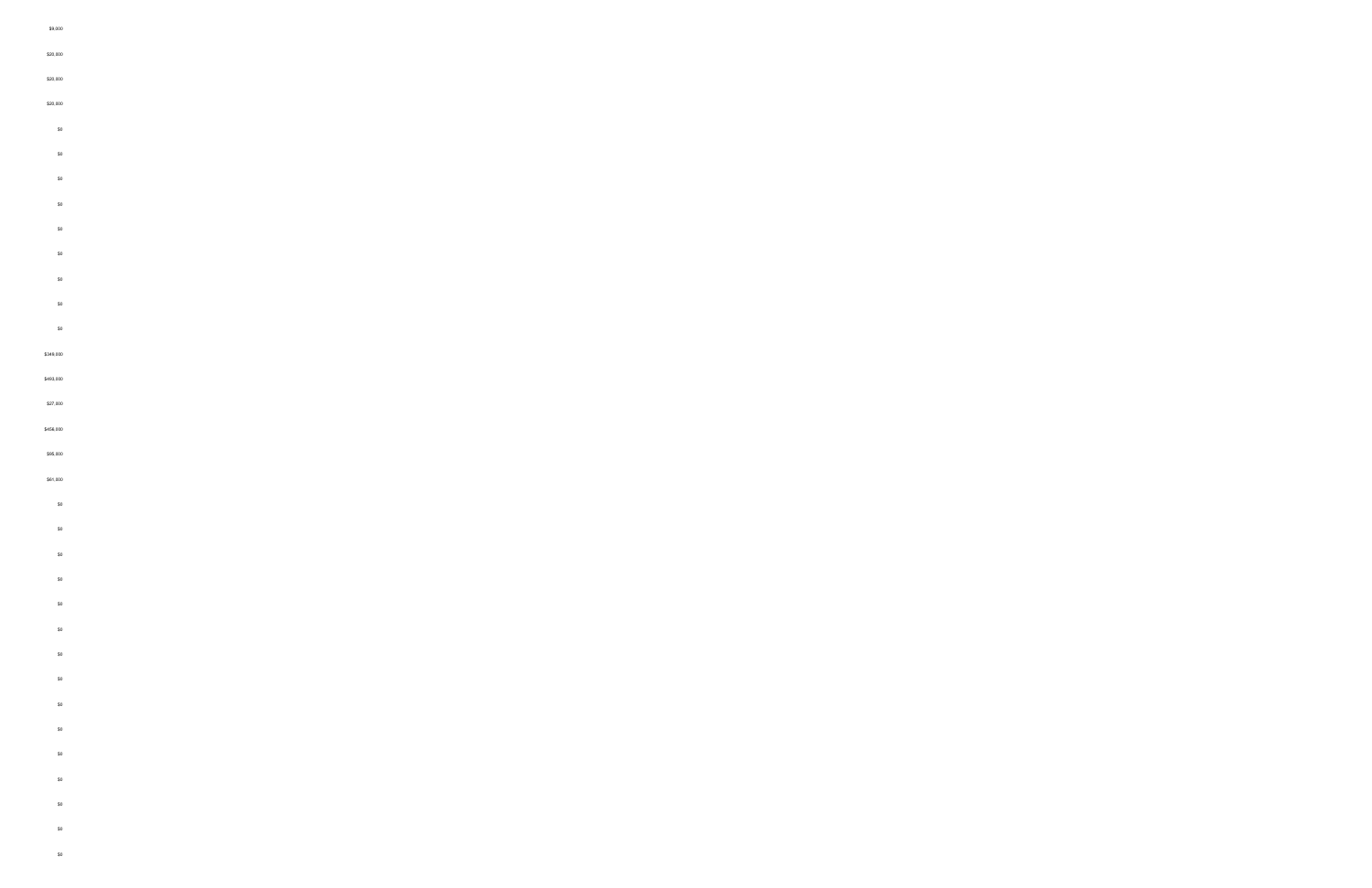- \$0
- 
- \$0
- 
- \$0
- $\mathbf{s}$ 0
- 
- \$0
- 
- \$0
- \$0
- 
- \$0
- \$0
- \$0
- \$0
- \$0
- 
- \$0
- \$0
- \$0

### \$61,000

### \$95,000

### \$456,000

# \$493,000

### \$27,000

\$349,000

- \$0
- 
- \$0
- 
- **so**
- $$0$
- 
- \$0
- \$0
- 
- \$0
- 
- \$0

### \$0

### \$20,000

\$20,000

### \$20,000

### \$9,000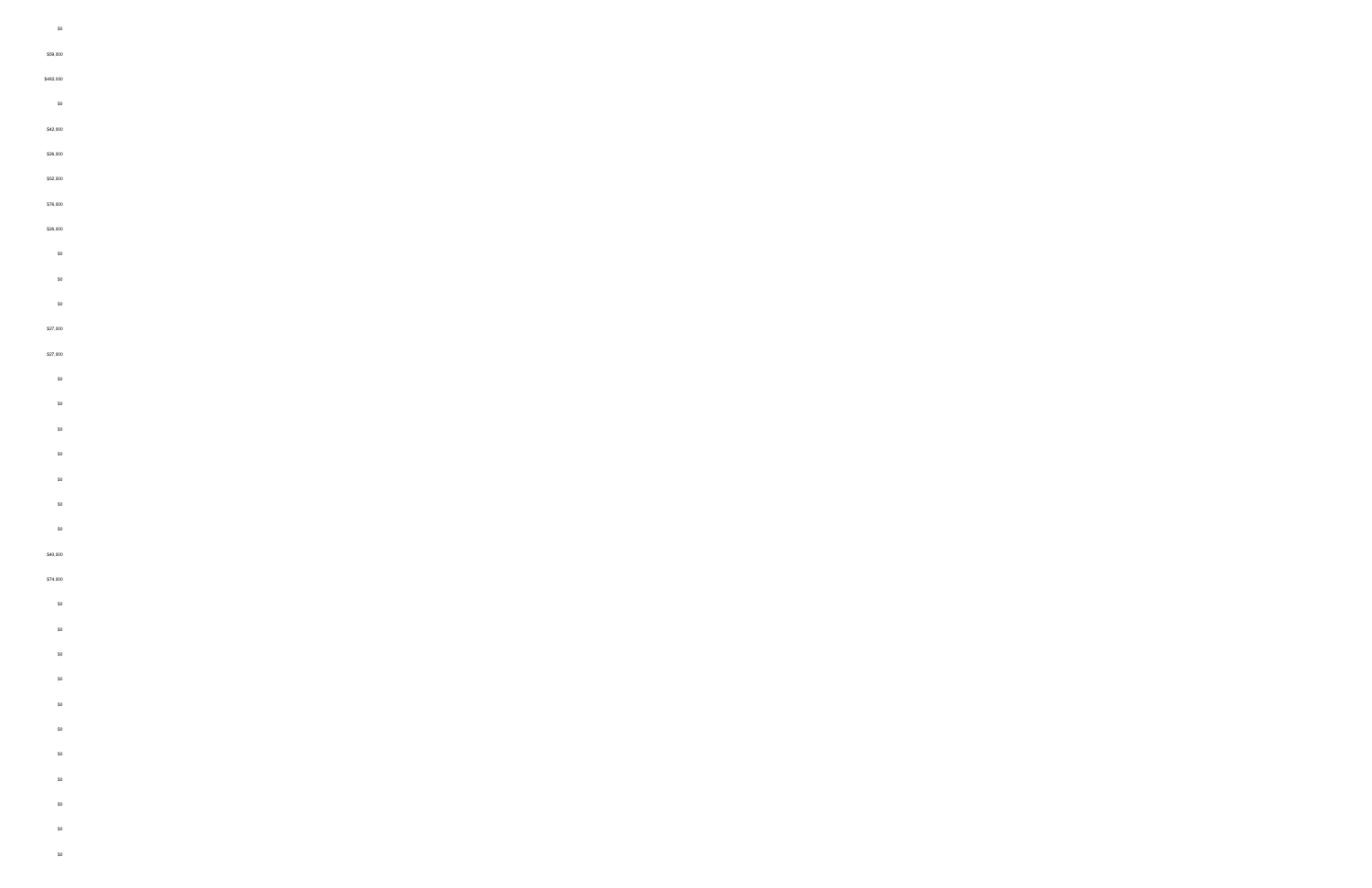\$0

# \$0

\$0

# \$0

\$0

# \$0

 $\epsilon$ 

**so** 

# \$0

\$0

### \$74,000

### \$40,000

\$0

# \$0

 $\overline{50}$ 

 $$0$ 

### \$0

### \$0

\$0

\$27,000

### \$27,000

\$0

\$0

\$0

### \$26,000

# \$76,000

\$52,000

\$26,000

\$42,000

### \$482,000

\$0

### \$59,000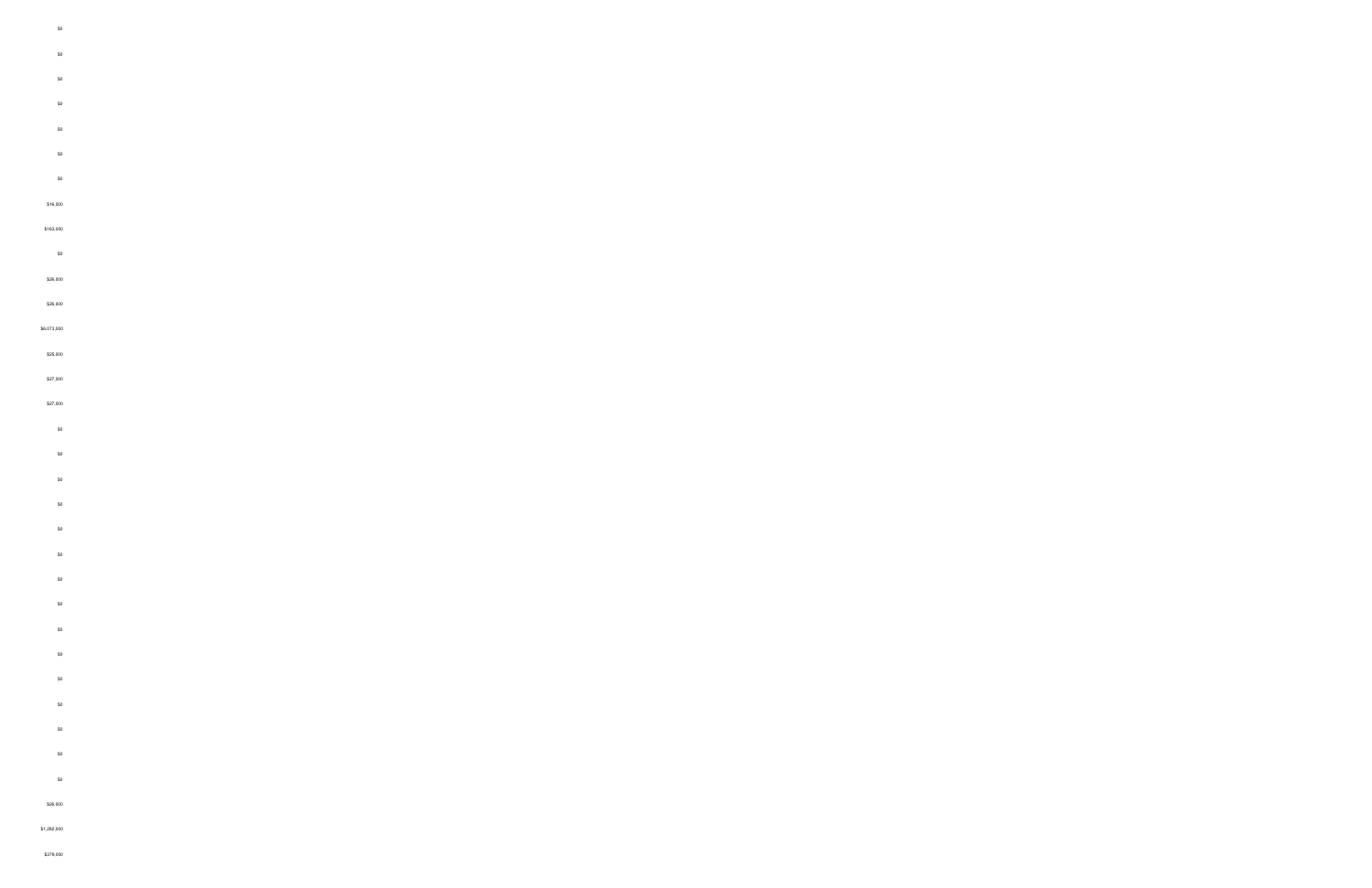# \$1,282,000

\$379,000

\$26,000

- 
- \$0
- $\mathbf{s}$ 0
- 
- \$0
- 
- \$0
- 
- \$0
- $$0$
- \$0
- \$0
- \$0
- \$0
- \$0
- \$0
- \$0
- $$0$

# \$0

# \$27,000

\$27,000

\$25,000

\$6,073,000

\$26,000

# \$26,000

# \$0

# \$163,000

# \$16,000

- 
- \$0
- \$0
- 
- \$0
- 
- \$0
- \$0
- 
- \$0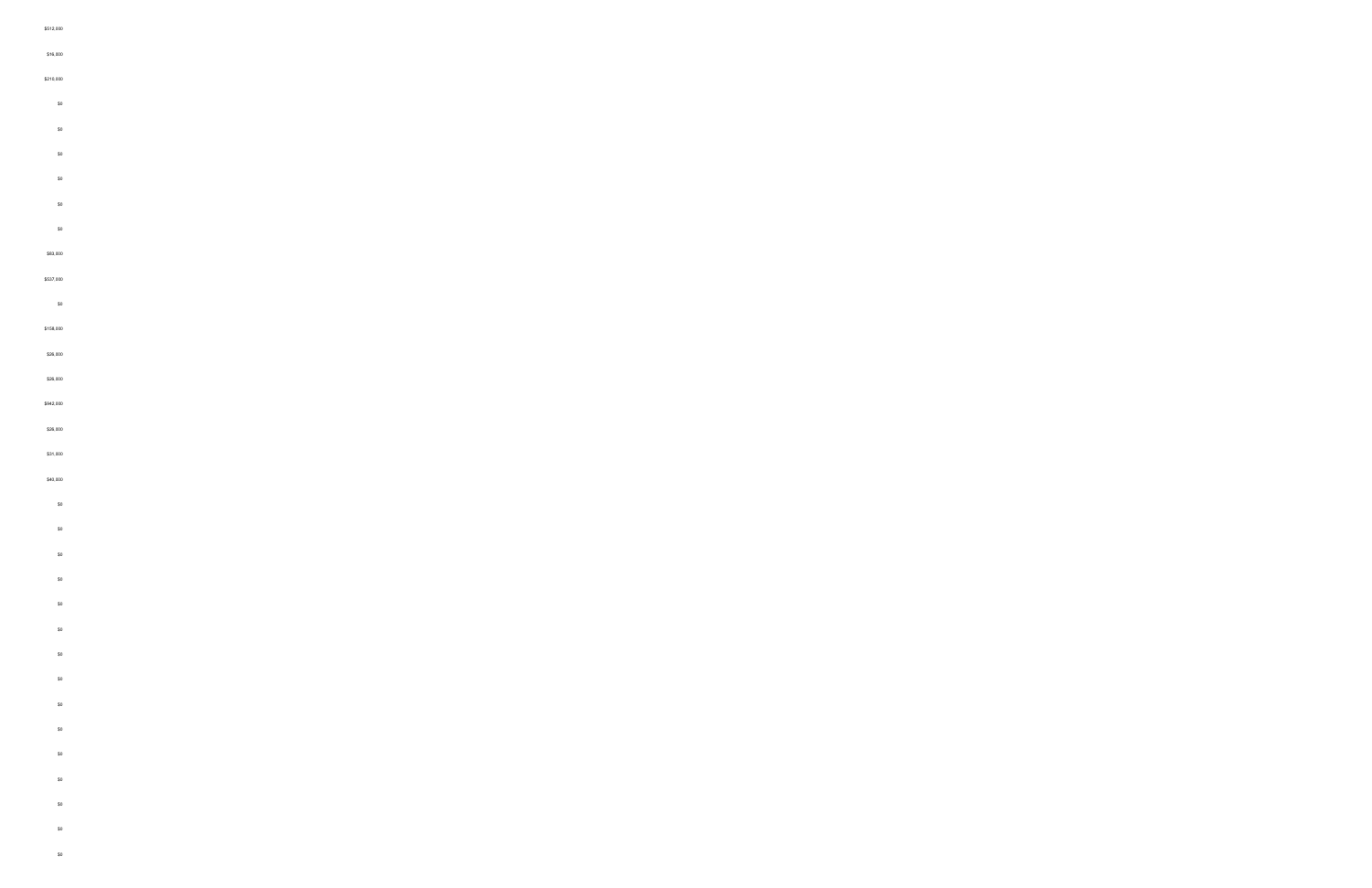- 
- \$0
- \$0
- 
- \$0
- \$0
- 
- \$0
- \$0
- \$0
- \$0
- 
- \$0
- \$0
- \$0
- 
- \$0

- - -
		-
	- -
	-
- 
- -
- 
- -
	-
- 
- 
- 
- -
- 
- -
- 
- 
- - -
- 
- - - -
			-

- 
- 
- \$0

### \$0

\$40,000

\$31,000

### \$26,000

## \$942,000

\$26,000

\$26,000

## \$158,000

## \$0

\$537,000

\$83,000

- 
- \$0
- 
- \$0
- \$0
- 
- \$0
- 
- \$0

# \$0

\$16,000

### \$210,000

### \$512,000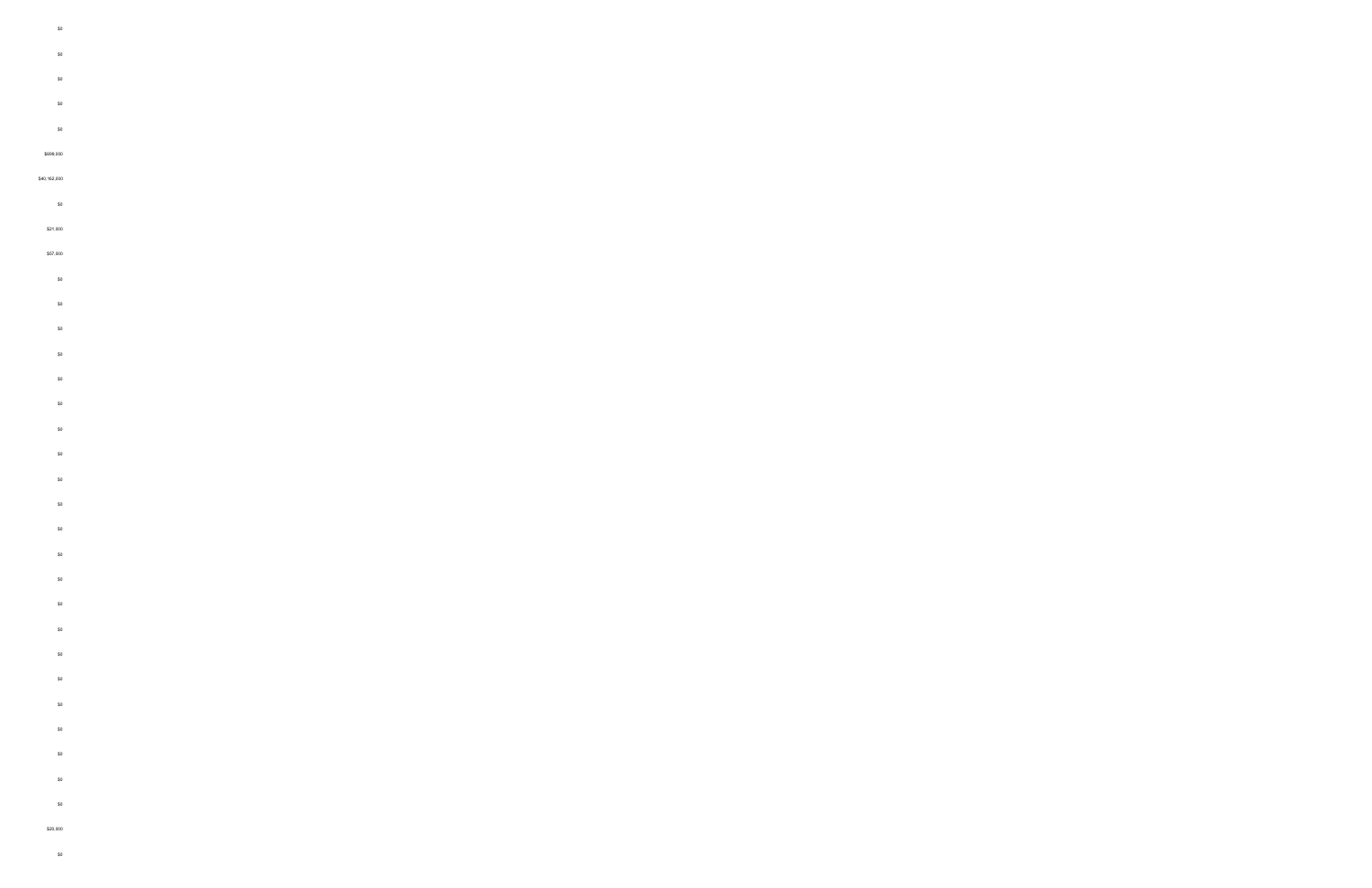# \$20,000

- 
- \$0
- 
- \$0
- \$0
- \$0
- 
- \$0
- \$0
- \$0
- 
- \$0
- \$0
- \$0
- 
- \$0
- \$0
- \$0
- \$0
- \$0
- \$0
- \$0
- \$0
- \$0
- \$0
- \$0
- \$0

# \$57,000

\$21,000

## \$40,162,000

- 
- \$0

# \$699,000

- \$0
- 
- \$0
- \$0
- 
- \$0
- \$0
-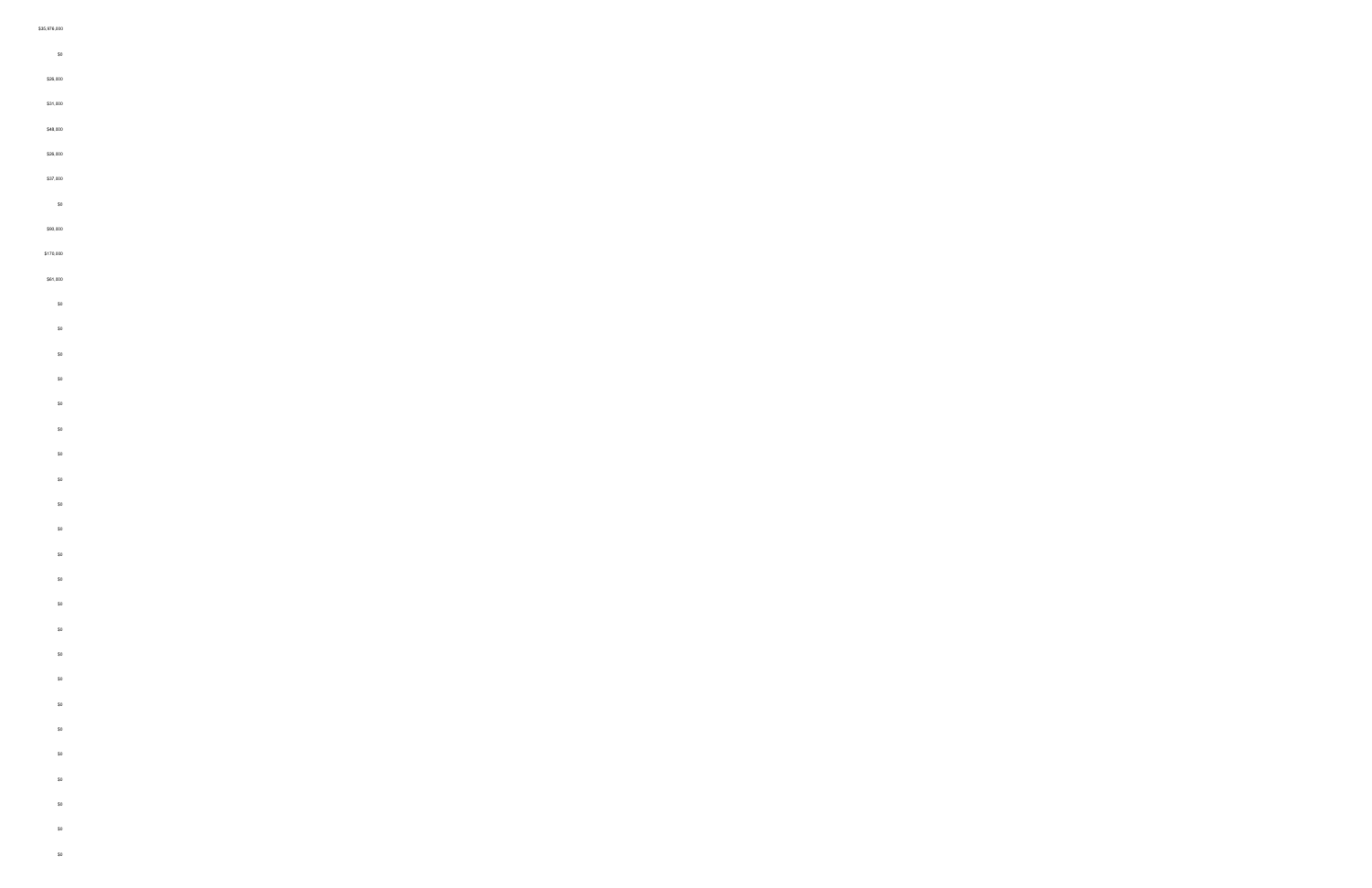- \$0
- 
- \$0
- 
- \$0
- 
- \$0
- \$0
- 
- \$0
- 
- \$0
- 
- \$0
- \$0
- 
- \$0
- 
- \$0
- \$0
- 
- \$0
- \$0
- \$0
- 
- \$0
- \$0
- 
- \$0
- \$0

- 
- \$0
- 
- 
- \$0
- 
- \$0
- 
- \$0

### \$61,000

## \$170,000

\$90,000

\$0

## \$37,000

### \$26,000

## \$48,000

- \$31,000
- 
- 

## \$35,976,000

- \$0
- 
- \$26,000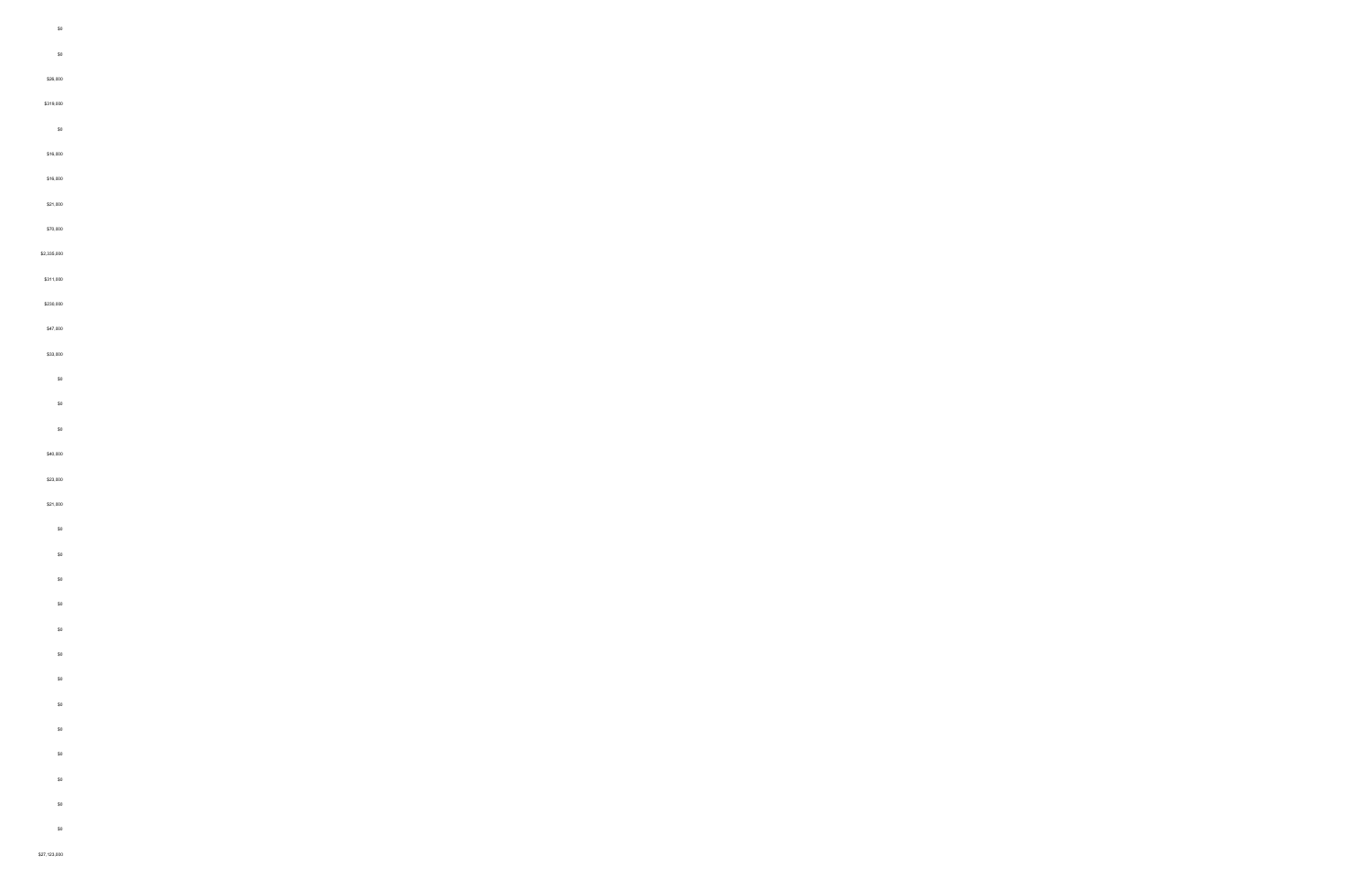### \$27,123,000

\$0

- \$0
- 
- \$0
- \$0
- 
- \$0
- \$0
- 
- $\epsilon$
- **so**
- \$0
- \$0
	-
- \$0
- 
- \$0

## \$0

# \$21,000

# \$23,000

# \$40,000

## \$0

## \$0

### \$0

# \$33,000

\$47,000

\$230,000

\$311,000

\$2,335,000

\$70,000

## \$21,000

- \$0
- 
- \$16,000
- 

## \$16,000

- 
- \$0
- 
- \$26,000

\$319,000

## \$0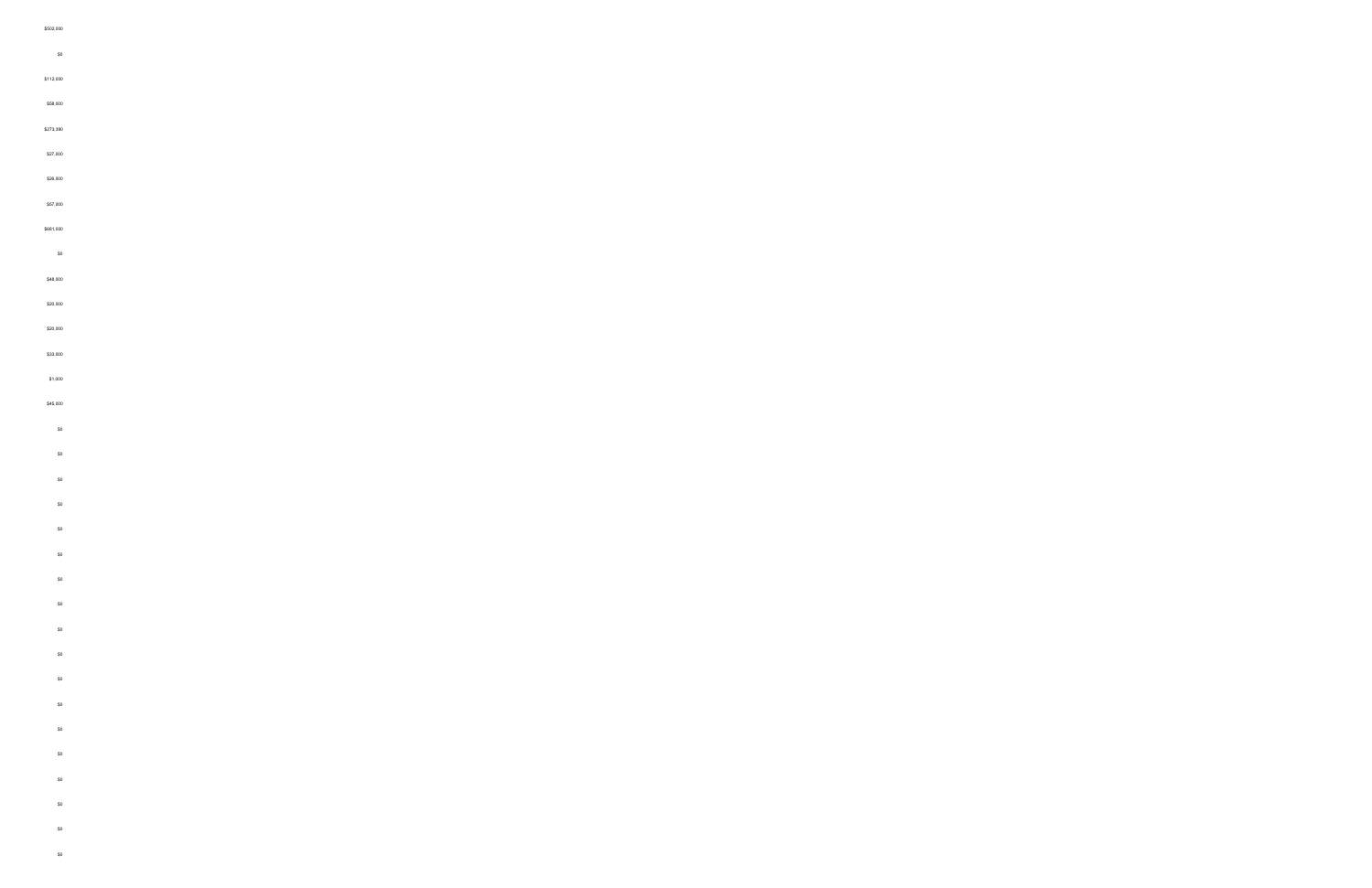- \$0
- 
- \$112,000
- 
- \$58,000
- 
- \$273,390
- 
- \$27,000
- 
- \$26,000
- \$57,000
- 
- \$681,000
- 
- \$0
- \$48,000
- 
- \$20,000
- 
- \$20,000
- \$33,000
- 
- \$1,000
- 
- \$45,000
- \$0
- 
- \$0
- \$0
- 
- $\mathsf{s}_0$
- 
- \$0
- \$0
- \$0
- \$0
- \$0
- 
- \$0
- \$0
- \$0
- \$0
- \$0
- \$0
- 
- \$0
- \$0
- \$0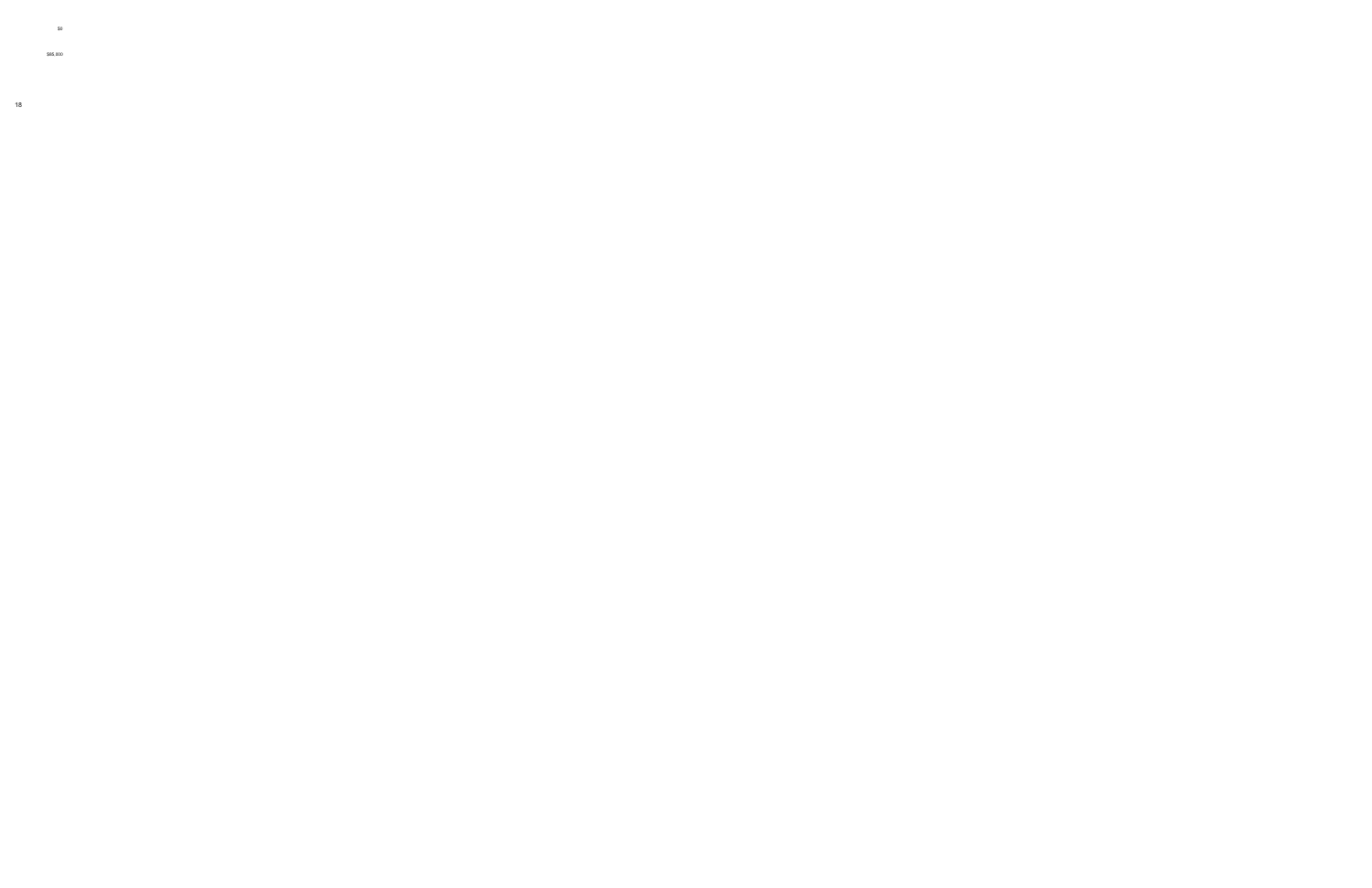18

\$85,000

### \$0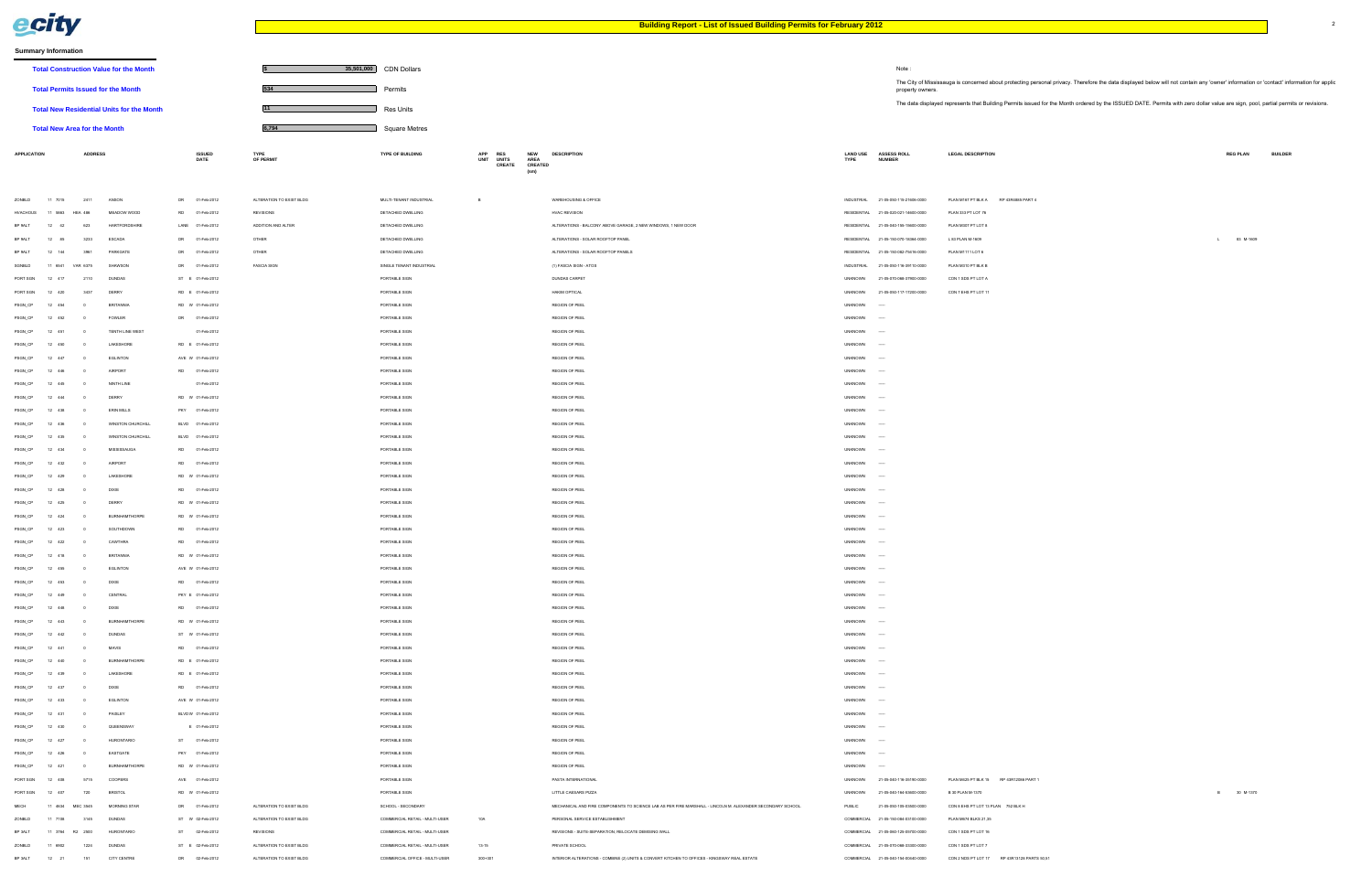| <b>APPLICATION</b>            |                  | <b>ADDRESS</b> |                      | <b>ISSUED</b><br><b>DATE</b> | <b>TYPE</b><br>OF PERMIT | <b>TYPE OF BUILDING</b>        | <b>RES</b><br><b>APP</b><br>UNIT UNITS<br>CREATE | <b>NEW</b><br>AREA<br><b>CREATED</b><br>(s <sub>m</sub> ) | <b>DESCRIPTION</b>                                                                                          | <b>TYPE</b>    | LAND USE ASSESS ROLL<br><b>NUMBER</b> | <b>LEGAL DESCRIPTION</b>                    | <b>REG PLAN</b> |
|-------------------------------|------------------|----------------|----------------------|------------------------------|--------------------------|--------------------------------|--------------------------------------------------|-----------------------------------------------------------|-------------------------------------------------------------------------------------------------------------|----------------|---------------------------------------|---------------------------------------------|-----------------|
|                               |                  |                |                      |                              |                          |                                |                                                  |                                                           |                                                                                                             |                |                                       |                                             |                 |
| ZONBLD                        | 11 7015          | 2411           | ANSON                | DR 01-Feb-2012               | ALTERATION TO EXIST BLDG | MULTI-TENANT INDUSTRIAL        | B                                                |                                                           | WAREHOUSING & OFFICE                                                                                        |                | INDUSTRIAL 21-05-050-115-21606-0000   | PLAN M167 PT BLK A RP 43R4885 PART 4        |                 |
| HVACHOUS                      | 11 5863 HEA 486  |                | MEADOW WOOD          | RD 01-Feb-2012               | <b>REVISIONS</b>         | DETACHED DWELLING              |                                                  |                                                           | <b>HVAC REVISION</b>                                                                                        |                | RESIDENTIAL 21-05-020-021-14600-0000  | PLAN 333 PT LOT 76                          |                 |
| BP 9ALT                       | 12 42            | 623            | HARTFORDSHIRE        | LANE 01-Feb-2012             | ADDITION AND ALTER       | DETACHED DWELLING              |                                                  |                                                           | ALTERATIONS - BALCONY ABOVE GARAGE, 2 NEW WINDOWS, 1 NEW DOOR                                               |                | RESIDENTIAL 21-05-040-155-15600-0000  | PLAN M307 PT LOT 8                          |                 |
| BP 9ALT                       | 12 85            | 3233           | <b>ESCADA</b>        | DR 01-Feb-2012               | OTHER                    | DETACHED DWELLING              |                                                  |                                                           | ALTERATIONS - SOLAR ROOFTOP PANEL                                                                           |                | RESIDENTIAL 21-05-150-070-18364-0000  | L 83 PLAN M-1609                            | L 83 M-160      |
| BP 9ALT                       | 12 144           | 3961           | PARKGATE             | DR 01-Feb-2012               | OTHER                    | DETACHED DWELLING              |                                                  |                                                           | ALTERATIONS - SOLAR ROOFTOP PANELS                                                                          |                | RESIDENTIAL 21-05-150-082-75416-0000  | PLAN M1111 LOT 6                            |                 |
| SGNBLD                        | 11 6541          | VAR 6375       | SHAWSON              | DR 01-Feb-2012               | <b>FASCIA SIGN</b>       | SINGLE TENANT INDUSTRIAL       |                                                  |                                                           | (1) FASCIA SIGN - ATOS                                                                                      |                | INDUSTRIAL 21-05-050-116-39110-0000   | PLAN M310 PT BLK B                          |                 |
| PORT SGN 12 417               |                  | 2110           | <b>DUNDAS</b>        | ST E 01-Feb-2012             |                          | PORTABLE SIGN                  |                                                  |                                                           | DUNDAS CARPET                                                                                               | <b>UNKNOWN</b> | 21-05-070-068-37900-0000              | CON 1 SDS PT LOT A                          |                 |
| PORT SGN 12 420               |                  | 3437           | DERRY                | RD E 01-Feb-2012             |                          | PORTABLE SIGN                  |                                                  |                                                           | HAKIM OPTICAL                                                                                               | <b>UNKNOWN</b> | 21-05-050-117-17200-0000              | CON 7 EHS PT LOT 11                         |                 |
| PSGN_CP                       | 12 454           |                | <b>BRITANNIA</b>     | RD W 01-Feb-2012             |                          | PORTABLE SIGN                  |                                                  |                                                           | REGION OF PEEL                                                                                              | <b>UNKNOWN</b> | $\sim$                                |                                             |                 |
| PSGN_CP                       | 12 452           | $\overline{0}$ | FOWLER               | DR 01-Feb-2012               |                          | PORTABLE SIGN                  |                                                  |                                                           | REGION OF PEEL                                                                                              | <b>UNKNOWN</b> | $\sim$                                |                                             |                 |
| PSGN_CP                       | 12 451           | $\overline{0}$ | TENTH LINE WEST      | 01-Feb-2012                  |                          | PORTABLE SIGN                  |                                                  |                                                           | REGION OF PEEL                                                                                              | UNKNOWN -----  |                                       |                                             |                 |
| PSGN_CP                       | 12 450           | $\sim$         | LAKESHORE            | RD E 01-Feb-2012             |                          | PORTABLE SIGN                  |                                                  |                                                           | REGION OF PEEL                                                                                              | <b>UNKNOWN</b> | $\sim$                                |                                             |                 |
| PSGN_CP                       | 12 447           | $\overline{0}$ | EGLINTON             | AVE W 01-Feb-2012            |                          | PORTABLE SIGN                  |                                                  |                                                           | REGION OF PEEL                                                                                              | <b>UNKNOWN</b> | - - - - -                             |                                             |                 |
| PSGN_CP                       | 12 446           | $\overline{0}$ | AIRPORT              | RD 01-Feb-2012               |                          | PORTABLE SIGN                  |                                                  |                                                           | REGION OF PEEL                                                                                              | <b>UNKNOWN</b> | - - - - -                             |                                             |                 |
| PSGN_CP                       | 12 445           | $\overline{0}$ | NINTH LINE           | 01-Feb-2012                  |                          | PORTABLE SIGN                  |                                                  |                                                           | REGION OF PEEL                                                                                              | <b>UNKNOWN</b> | $\sim$                                |                                             |                 |
| PSGN_CP                       | 12 444           | $\overline{0}$ | DERRY                | RD W 01-Feb-2012             |                          | PORTABLE SIGN                  |                                                  |                                                           | REGION OF PEEL                                                                                              | <b>UNKNOWN</b> | $\sim$                                |                                             |                 |
| PSGN_CP                       | 12 438           | $\overline{0}$ | <b>ERIN MILLS</b>    | PKY 01-Feb-2012              |                          | PORTABLE SIGN                  |                                                  |                                                           | REGION OF PEEL                                                                                              | <b>UNKNOWN</b> | $\sim$                                |                                             |                 |
| PSGN_CP                       | 12 436           | $\sim$         | WINSTON CHURCHILL    | BLVD 01-Feb-2012             |                          | PORTABLE SIGN                  |                                                  |                                                           | REGION OF PEEL                                                                                              | <b>UNKNOWN</b> | $\sim$                                |                                             |                 |
| PSGN_CP                       | 12 435           | $\sim$         | WINSTON CHURCHILL    | BLVD 01-Feb-2012             |                          | PORTABLE SIGN                  |                                                  |                                                           | REGION OF PEEL                                                                                              | <b>UNKNOWN</b> | $\sim$                                |                                             |                 |
| PSGN_CP                       | 12 434           | $\overline{0}$ | MISSISSAUGA          | RD 01-Feb-2012               |                          | PORTABLE SIGN                  |                                                  |                                                           | REGION OF PEEL                                                                                              | <b>UNKNOWN</b> | - -                                   |                                             |                 |
| PSGN_CP                       | 12 432           | $\overline{0}$ | AIRPORT              | RD 01-Feb-2012               |                          | PORTABLE SIGN                  |                                                  |                                                           | REGION OF PEEL                                                                                              | <b>UNKNOWN</b> | $\sim$                                |                                             |                 |
| PSGN_CP                       | 12 429           | $\circ$        | LAKESHORE            | RD W 01-Feb-2012             |                          | PORTABLE SIGN                  |                                                  |                                                           | REGION OF PEEL                                                                                              | <b>UNKNOWN</b> | $\sim$                                |                                             |                 |
| PSGN_CP                       | 12 428           | $\circ$        | DIXIE                | RD 01-Feb-2012               |                          | PORTABLE SIGN                  |                                                  |                                                           | REGION OF PEEL                                                                                              | <b>UNKNOWN</b> | $\sim$                                |                                             |                 |
| PSGN_CP                       | 12 425           | $\sim$ 0       | DERRY                | RD W 01-Feb-2012             |                          | PORTABLE SIGN                  |                                                  |                                                           | REGION OF PEEL                                                                                              | <b>UNKNOWN</b> | <b><i><u>Participate</u></i></b>      |                                             |                 |
| PSGN_CP                       | 12 424           | $\sim$         | <b>BURNHAMTHORPE</b> | RD W 01-Feb-2012             |                          | PORTABLE SIGN                  |                                                  |                                                           | REGION OF PEEL                                                                                              | <b>UNKNOWN</b> | $\sim$                                |                                             |                 |
| PSGN_CP                       | 12 423           | $\overline{0}$ | SOUTHDOWN            | RD 01-Feb-2012               |                          | PORTABLE SIGN                  |                                                  |                                                           | REGION OF PEEL                                                                                              | <b>UNKNOWN</b> | $\sim$                                |                                             |                 |
| PSGN_CP                       | 12 422           | $\overline{0}$ | CAWTHRA              | RD 01-Feb-2012               |                          | PORTABLE SIGN                  |                                                  |                                                           | REGION OF PEEL                                                                                              | <b>UNKNOWN</b> | $\sim$                                |                                             |                 |
| PSGN_CP                       | 12 418           | $\overline{0}$ | <b>BRITANNIA</b>     | RD W 01-Feb-2012             |                          | PORTABLE SIGN                  |                                                  |                                                           | REGION OF PEEL                                                                                              | <b>UNKNOWN</b> | $\sim$                                |                                             |                 |
| PSGN_CP                       | 12 455           | $\circ$        | EGLINTON             | AVE W 01-Feb-2012            |                          | PORTABLE SIGN                  |                                                  |                                                           | REGION OF PEEL                                                                                              | <b>UNKNOWN</b> | $\sim$                                |                                             |                 |
| PSGN_CP                       | 12 453           |                | DIXIE                | RD 01-Feb-2012               |                          | PORTABLE SIGN                  |                                                  |                                                           | REGION OF PEEL                                                                                              | <b>UNKNOWN</b> | $\sim$                                |                                             |                 |
| PSGN_CP                       | 12 449           | $\Omega$       | CENTRAL              | PKY E 01-Feb-2012            |                          | PORTABLE SIGN                  |                                                  |                                                           | REGION OF PEEL                                                                                              | <b>UNKNOWN</b> | $\sim$                                |                                             |                 |
| PSGN_CP                       | 12 448           | $\overline{0}$ | DIXIE                | RD 01-Feb-2012               |                          | PORTABLE SIGN                  |                                                  |                                                           | REGION OF PEEL                                                                                              | <b>UNKNOWN</b> | $\sim$                                |                                             |                 |
| PSGN_CP                       | 12 443           | $^{\circ}$     | <b>BURNHAMTHORPE</b> | RD W 01-Feb-2012             |                          | PORTABLE SIGN                  |                                                  |                                                           | REGION OF PEEL                                                                                              | <b>UNKNOWN</b> | $\sim$                                |                                             |                 |
| PSGN_CP                       | 12 442           |                | <b>DUNDAS</b>        | ST W 01-Feb-2012             |                          | PORTABLE SIGN                  |                                                  |                                                           | REGION OF PEEL                                                                                              | <b>UNKNOWN</b> |                                       |                                             |                 |
| PSGN_CP 12 441 0              |                  |                | MAVIS                | RD 01-Feb-2012               |                          | PORTABLE SIGN                  |                                                  |                                                           | REGION OF PEEL                                                                                              | UNKNOWN -----  |                                       |                                             |                 |
| PSGN_CP 12 440 0              |                  |                | <b>BURNHAMTHORPE</b> | RD E 01-Feb-2012             |                          | PORTABLE SIGN                  |                                                  |                                                           | REGION OF PEEL                                                                                              | UNKNOWN -----  |                                       |                                             |                 |
| PSGN_CP                       | 12 439           | $\sim$ 0       | LAKESHORE            | RD E 01-Feb-2012             |                          | PORTABLE SIGN                  |                                                  |                                                           | REGION OF PEEL                                                                                              | <b>UNKNOWN</b> | --                                    |                                             |                 |
| PSGN_CP                       | 12 437           | $\overline{0}$ | <b>DIXIE</b>         | RD 01-Feb-2012               |                          | PORTABLE SIGN                  |                                                  |                                                           | REGION OF PEEL                                                                                              | <b>UNKNOWN</b> | --                                    |                                             |                 |
|                               |                  |                |                      |                              |                          |                                |                                                  |                                                           |                                                                                                             |                |                                       |                                             |                 |
| PSGN_CP                       | 12 433           | $\overline{0}$ | EGLINTON             | AVE W 01-Feb-2012            |                          | PORTABLE SIGN                  |                                                  |                                                           | REGION OF PEEL                                                                                              | <b>UNKNOWN</b> | --                                    |                                             |                 |
| PSGN_CP                       | 12 431           | $\overline{0}$ | PAISLEY              | BLVDW 01-Feb-2012            |                          | PORTABLE SIGN                  |                                                  |                                                           | REGION OF PEEL                                                                                              | <b>UNKNOWN</b> | $\sim$                                |                                             |                 |
| PSGN_CP                       | 12 430           | $\overline{0}$ | QUEENSWAY            | E 01-Feb-2012                |                          | PORTABLE SIGN                  |                                                  |                                                           | REGION OF PEEL                                                                                              | <b>UNKNOWN</b> | $\sim$                                |                                             |                 |
| PSGN_CP                       | 12 427           | $\overline{0}$ | <b>HURONTARIO</b>    | ST 01-Feb-2012               |                          | PORTABLE SIGN                  |                                                  |                                                           | REGION OF PEEL                                                                                              | <b>UNKNOWN</b> | $\sim$                                |                                             |                 |
| PSGN_CP                       | 12 426           | $\sim$ 0       | EASTGATE             | PKY 01-Feb-2012              |                          | PORTABLE SIGN                  |                                                  |                                                           | REGION OF PEEL                                                                                              | <b>UNKNOWN</b> | $\sim$                                |                                             |                 |
| PSGN_CP                       | 12 421           | $\sim$ 0       | <b>BURNHAMTHORPE</b> | RD W 01-Feb-2012             |                          | PORTABLE SIGN                  |                                                  |                                                           | REGION OF PEEL                                                                                              | <b>UNKNOWN</b> | $\sim$                                |                                             |                 |
| PORT SGN 12 408               |                  | 5715           | COOPERS              | AVE 01-Feb-2012              |                          | PORTABLE SIGN                  |                                                  |                                                           | PASTA INTERNATIONAL                                                                                         | <b>UNKNOWN</b> | 21-05-040-116-35190-0000              | PLAN M425 PT BLK 15 RP 43R12086 PART 1      |                 |
| PORT SGN 12 407               |                  | 720            | <b>BRISTOL</b>       | RD W 01-Feb-2012             |                          | PORTABLE SIGN                  |                                                  |                                                           | LITTLE CAESARS PIZZA                                                                                        | <b>UNKNOWN</b> | 21-05-040-164-53600-0000              | B 30 PLAN M-1370                            | B 30 M-137      |
| MECH                          | 11 4634 MEC 3545 |                | MORNING STAR         | DR 01-Feb-2012               | ALTERATION TO EXIST BLDG | SCHOOL - SECONDARY             |                                                  |                                                           | MECHANICAL AND FIRE COMPONENTS TO SCIENCE LAB AS PER FIRE MARSHALL - LINCOLN M. ALEXANDER SECONDARY SCHOOL. | PUBLIC         | 21-05-050-105-03500-0000              | CON 8 EHS PT LOT 13 PLAN 752 BLK H          |                 |
| ZONBLD                        | 11 7108          | 3145           | <b>DUNDAS</b>        | ST W 02-Feb-2012             | ALTERATION TO EXIST BLDG | COMMERCIAL RETAIL - MULTI-USER | 10A                                              |                                                           | PERSONAL SERVICE ESTABLISHMENT                                                                              |                | COMMERCIAL 21-05-150-084-03100-0000   | PLAN M674 BLKS 21,35                        |                 |
| BP 3ALT                       | 11 3764 R2 2500  |                | <b>HURONTARIO</b>    | ST 02-Feb-2012               | <b>REVISIONS</b>         | COMMERCIAL RETAIL - MULTI-USER |                                                  |                                                           | REVISIONS - SUITE-SEPARATION, RELOCATE DEMISING WALL                                                        |                | COMMERCIAL 21-05-060-125-05700-0000   | CON 1 SDS PT LOT 16                         |                 |
| ZONBLD                        | 11 6902          | 1224           | <b>DUNDAS</b>        | ST E 02-Feb-2012             | ALTERATION TO EXIST BLDG | COMMERCIAL RETAIL - MULTI-USER | 13-15                                            |                                                           | PRIVATE SCHOOL                                                                                              |                | COMMERCIAL 21-05-070-068-33300-0000   | CON 1 SDS PT LOT 7                          |                 |
| BP 3ALT 12 21 151 CITY CENTRE |                  |                |                      | DR 02-Feb-2012               | ALTERATION TO EXIST BLDG | COMMERCIAL OFFICE - MULTI-USER | $300 + 301$                                      |                                                           | INTERIOR ALTERATIONS - COMBINE (2) UNITS & CONVERT KITCHEN TO OFFICES - KINGSWAY REAL ESTATE                |                | COMMERCIAL 21-05-040-154-00440-0000   | CON 2 NDS PT LOT 17 RP 43R13128 PARTS 50,51 |                 |

**BUILDER**

**Total New Residential Units for the Month**

ecity

**Summary Information**

**Total Construction Value for the Month**

The City of Mississauga is concerned about protecting personal privacy. Therefore the data displayed below will not contain any 'owner' information or 'contact' information for applic property owners.

The data displayed represents that Building Permits issued for the Month ordered by the ISSUED DATE. Permits with zero dollar value are sign, pool, partial permits or revisions.

**PREG PLAN** 

**Total Permits Issued for the Month**

**534** Permits

**6,794** Square Metres

Res Units

**\$** 35,501,000 CDN Dollars Note:

**Total New Area for the Month**

**h** 11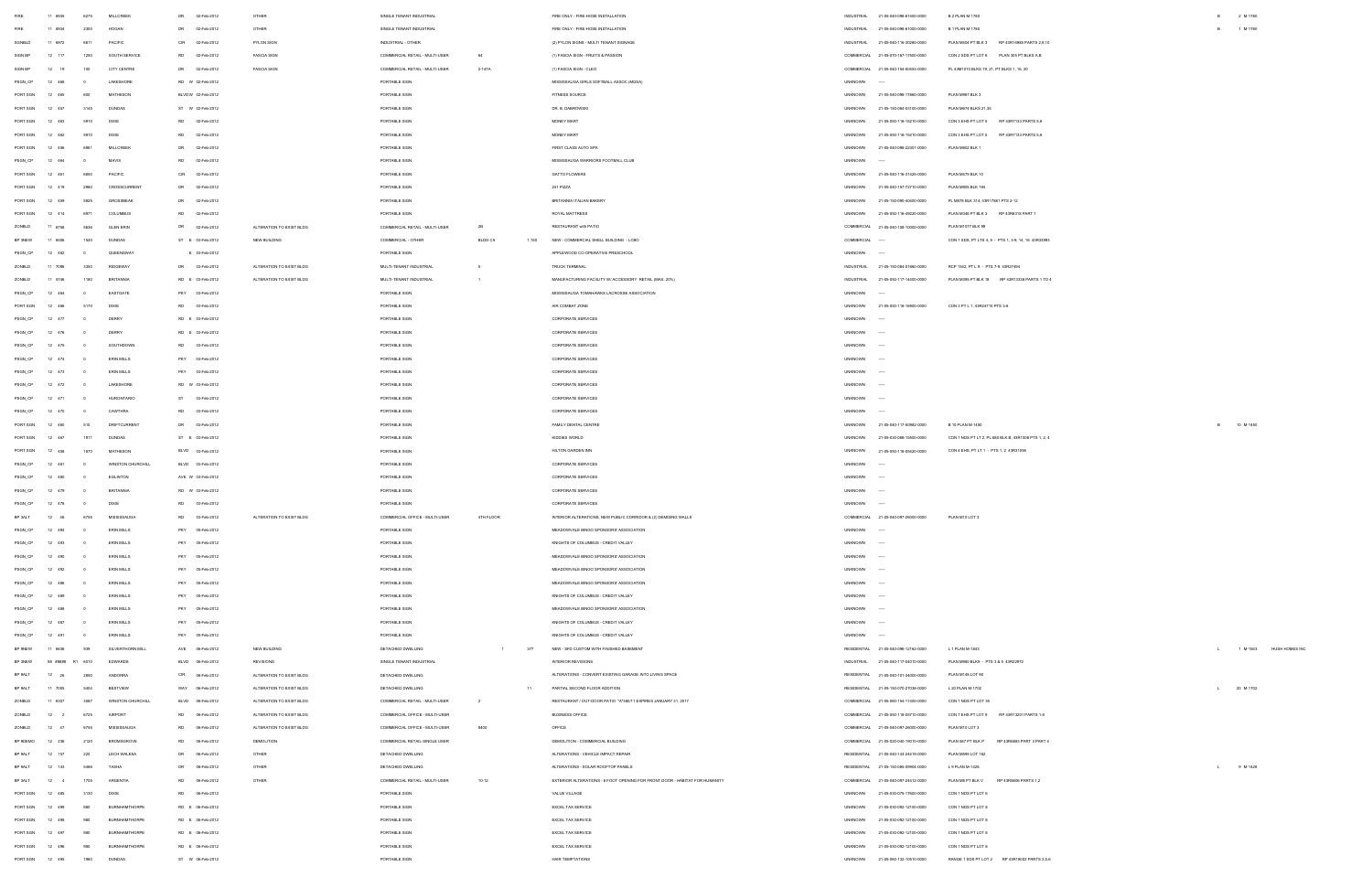| <b>FIRE</b>         | 11 6935             | 6275           | MILLCREEK                               | 02-Feb-2012<br><b>DR</b>             | OTHER                      | SINGLE TENANT INDUSTRIAL                            |                  | FIRE ONLY - FIRE-HOSE INSTALLATION                                          | INDUSTRIAL 21-05-040-098-61400-0000                                               | B 2 PLAN M-1780                                                 | B 2 M-178  |
|---------------------|---------------------|----------------|-----------------------------------------|--------------------------------------|----------------------------|-----------------------------------------------------|------------------|-----------------------------------------------------------------------------|-----------------------------------------------------------------------------------|-----------------------------------------------------------------|------------|
| <b>FIRE</b>         | 11 6934             | 2300           | <b>HOGAN</b>                            | DR 02-Feb-2012                       | OTHER                      | SINGLE TENANT INDUSTRIAL                            |                  | FIRE ONLY - FIRE-HOSE INSTALLATION                                          | INDUSTRIAL 21-05-040-098-61000-0000                                               | B 1 PLAN M-1780                                                 | B 1 M-178  |
| SGNBLD              | 11 6972             | 6811           | PACIFIC                                 | CIR<br>02-Feb-2012                   | PYLON SIGN                 | INDUSTRIAL - OTHER                                  |                  | (2) PYLON SIGNS - MULTI TENANT SIGNAGE                                      | 21-05-040-116-30260-0000<br><b>INDUSTRIAL</b>                                     | PLAN M404 PT BLK 3 RP 43R14985 PARTS 2,9,10                     |            |
| SIGN BP             | 12<br>117           | 1250           | SOUTH SERVICE                           | RD 02-Feb-2012                       | <b>FASCIA SIGN</b>         | COMMERCIAL RETAIL - MULTI-USER                      | 64               | (1) FASCIA SIGN - FRUITS & PASSION                                          | COMMERCIAL 21-05-070-167-17500-0000                                               | CON 2 SDS PT LOT 6 PLAN 305 PT BLKS A,B                         |            |
| SIGN BP             | 12                  | 100            | CITY CENTRE                             | DR 02-Feb-2012                       | <b>FASCIA SIGN</b>         | COMMERCIAL RETAIL - MULTI-USER                      | 2-147A           | (1) FASCIA SIGN - CLEO                                                      | COMMERCIAL 21-05-040-154-00453-0000                                               | PL 43M1010 BLKS 19, 21, PT BLKS 1, 16, 20                       |            |
| PSGN_CP             | 12<br>468           | $\circ$        | LAKESHORE                               | RD W 02-Feb-2012                     |                            | PORTABLE SIGN                                       |                  | MISSISSAUGA GIRLS SOFTBALL ASSOC (MGSA)                                     | <b>UNKNOWN</b><br>$\sim$                                                          |                                                                 |            |
| PORT SGN            | 12<br>465           | 600            | MATHESON                                | BLVDW 02-Feb-2012                    |                            | PORTABLE SIGN                                       |                  | FITNESS SOURCE                                                              | 21-05-040-098-17860-0000<br><b>UNKNOWN</b>                                        | PLAN M967 BLK 3                                                 |            |
| PORT SGN            | 12<br>457           | 3145           | <b>DUNDAS</b>                           | ST W 02-Feb-2012                     |                            | PORTABLE SIGN                                       |                  | DR. B. DABROWSKI                                                            | 21-05-150-084-03100-0000<br><b>UNKNOWN</b>                                        | PLAN M674 BLKS 21,35                                            |            |
| PORT SGN            | 12<br>463           | 5910           | DIXIE                                   | RD 02-Feb-2012                       |                            | PORTABLE SIGN                                       |                  | MONEY MART                                                                  | 21-05-050-116-15210-0000<br><b>UNKNOWN</b>                                        | CON 3 EHS PT LOT 5 RP 43R7133 PARTS 5,6                         |            |
| PORT SGN            | 12<br>462           | 5910           | DIXIE                                   | RD 02-Feb-2012                       |                            | PORTABLE SIGN                                       |                  | MONEY MART                                                                  | <b>UNKNOWN</b><br>21-05-050-116-15210-0000                                        | CON 3 EHS PT LOT 5 RP 43R7133 PARTS 5,6                         |            |
| PORT SGN            | 12<br>456           | 6981           | MILLCREEK                               | DR 02-Feb-2012                       |                            | PORTABLE SIGN                                       |                  | FIRST CLASS AUTO SPA                                                        | <b>UNKNOWN</b><br>21-05-040-098-22301-0000                                        | PLAN M802 BLK 1                                                 |            |
| PSGN_CP             | 12<br>464           | $\Omega$       | MAVIS                                   | RD 02-Feb-2012                       |                            | PORTABLE SIGN                                       |                  | MISSISSAUGA WARRIORS FOOTBALL CLUE                                          | <b>UNKNOWN</b><br>$\sim$                                                          |                                                                 |            |
| PORT SGN            | 12<br>461           | 6850           | PACIFIC                                 | CIR 02-Feb-2012                      |                            | PORTABLE SIGN                                       |                  | <b>GATTO FLOWERS</b>                                                        | 21-05-040-116-31425-0000<br><b>UNKNOWN</b>                                        | PLAN M475 BLK 10                                                |            |
| PORT SGN            | 12 419              | 2980           | CROSSCURRENT                            | DR 02-Feb-2012                       |                            | PORTABLE SIGN                                       |                  | 241 PIZZA                                                                   | 21-05-040-157-72710-0000<br><b>UNKNOWN</b>                                        | PLAN M905 BLK 194                                               |            |
| PORT SGN            | 459<br>12           | 5925           | GROSSBEAK                               | DR 02-Feb-2012                       |                            | PORTABLE SIGN                                       |                  | BRITANNIA ITALIAN BAKERY                                                    | 21-05-150-090-40400-0000<br><b>UNKNOWN</b>                                        | PL M878 BLK 314, 43R17881 PTS 2-12                              |            |
| PORT SGN            | 12 414              | 6971           | COLUMBUS                                | RD 02-Feb-2012                       |                            | PORTABLE SIGN                                       |                  | ROYAL MATTRESS                                                              | 21-05-050-116-49220-0000<br><b>UNKNOWN</b>                                        | PLAN M346 PT BLK 3 RP 43R8318 PART 1                            |            |
| ZONBLD              | 11 6758             | 5636           | <b>GLEN ERIN</b>                        | DR 02-Feb-2012                       | ALTERATION TO EXIST BLDG   | COMMERCIAL RETAIL - MULTI-USER                      | 2B               | RESTAURANT with PATIO                                                       | COMMERCIAL 21-05-040-108-10000-0000                                               | PLAN M1077 BLK 99                                               |            |
| BP 3NEW             | 11 6506             | 1520           | <b>DUNDAS</b>                           | ST E 03-Feb-2012                     | <b>NEW BUILDING</b>        | COMMERCIAL - OTHER                                  | BLDG C5<br>1,150 | NEW - COMMERCIAL SHELL BUILDING - LCBO                                      | COMMERCIAL<br>$\sim$                                                              | CON 1 SDS PT LTS 4 5 - PTS 1 3-9 14 16 43R33993                 |            |
| PSGN_CP             | 12<br>482           | $\Omega$       | QUEENSWAY                               | E 03-Feb-2012                        |                            | PORTABLE SIGN                                       |                  | APPLEWOOD CO-OPERATIVE PRESCHOOL                                            | <b>UNKNOWN</b><br>$\sim$                                                          |                                                                 |            |
| ZONBLD              | 11 7096             | 3350           | RIDGEWAY                                | DR 03-Feb-2012                       | ALTERATION TO EXIST BLDG   | MULTI-TENANT INDUSTRIAL                             |                  | TRUCK TERMINAL                                                              | INDUSTRIAL 21-05-150-084-01860-0000                                               | RCP 1542, PT L 9 - PTS 7-9 43R27494                             |            |
| ZONBLD              | 11 5746             | 1180           | <b>BRITANNIA</b>                        | RD E 03-Feb-2012                     | ALTERATION TO EXIST BLDG   | MULTI-TENANT INDUSTRIAL                             | $\overline{1}$   | MANUFACTURING FACIILITY W/ ACCESSORY RETAIL (MAX. 20%)                      | 21-05-050-117-14400-0000<br><b>INDUSTRIAL</b>                                     | PLAN M395 PT BLK 18 RP 43R13338 PARTS 1 TO 4                    |            |
| PSGN_CP             | 12<br>484           |                | EASTGATE                                | PKY 03-Feb-2012                      |                            | PORTABLE SIGN                                       |                  | MISSISSAUGA TOMAHAWKS LACROSSE ASSOCIATION                                  | <b>UNKNOWN</b><br>$\sim$                                                          |                                                                 |            |
| PORT SGN            | 12                  | 5170           | DIXIE                                   | RD 03-Feb-2012                       |                            | PORTABLE SIGN                                       |                  | AIR COMBAT ZONE                                                             | <b>UNKNOWN</b><br>21-05-050-116-16900-0000                                        | CON 3 PT L 1, 43R24715 PTS 3-6                                  |            |
| PSGN_CP             | 12<br>477           |                | DERRY                                   | RD E 03-Feb-2012                     |                            | PORTABLE SIGN                                       |                  | CORPORATE SERVICES                                                          | <b>UNKNOWN</b>                                                                    |                                                                 |            |
| PSGN_CP             | 12 476              | $\circ$        | DERRY                                   | RD E 03-Feb-2012                     |                            | PORTABLE SIGN                                       |                  | CORPORATE SERVICES                                                          | <b>UNKNOWN</b><br>$\sim$                                                          |                                                                 |            |
| PSGN_CP             | 12<br>475           | $^{\circ}$     | SOUTHDOWN                               | RD 03-Feb-2012                       |                            | PORTABLE SIGN                                       |                  | CORPORATE SERVICES                                                          | <b>UNKNOWN</b><br>$\sim$                                                          |                                                                 |            |
| PSGN_CP             | 12<br>474           | $^{\circ}$     | <b>ERIN MILLS</b>                       | PKY 03-Feb-2012                      |                            | PORTABLE SIGN                                       |                  | CORPORATE SERVICES                                                          | <b>UNKNOWN</b><br>$\sim$                                                          |                                                                 |            |
| PSGN_CP             | 12 473              | $\overline{0}$ | <b>ERIN MILLS</b>                       | PKY 03-Feb-2012                      |                            | PORTABLE SIGN                                       |                  | CORPORATE SERVICES                                                          | <b>UNKNOWN</b><br>$\sim$                                                          |                                                                 |            |
| PSGN_CP             | 12<br>472           | $\circ$        | LAKESHORE                               | RD W 03-Feb-2012                     |                            | PORTABLE SIGN                                       |                  | CORPORATE SERVICES                                                          | <b>UNKNOWN</b><br>$\sim$                                                          |                                                                 |            |
| PSGN_CP             | 12<br>471           | $\circ$        | <b>HURONTARIO</b>                       | ST .<br>03-Feb-2012                  |                            | PORTABLE SIGN                                       |                  | CORPORATE SERVICES                                                          | <b>UNKNOWN</b>                                                                    |                                                                 |            |
| PSGN_CP             | 12<br>470           | $\circ$        | CAWTHRA                                 | RD 03-Feb-2012                       |                            | PORTABLE SIGN                                       |                  | CORPORATE SERVICES                                                          | <b>UNKNOWN</b><br>$\sim$                                                          |                                                                 |            |
| PORT SGN            | 12<br>460           | 510            | DRIFTCURRENT                            | DR 03-Feb-2012                       |                            | PORTABLE SIGN                                       |                  | FAMILY DENTAL CENTRE                                                        | 21-05-040-117-50982-0000<br><b>UNKNOWN</b>                                        | B 10 PLAN M-1450                                                | B 10 M-145 |
| PORT SGN            | 12<br>467           | 1911           | <b>DUNDAS</b>                           | ST E 03-Feb-2012                     |                            | PORTABLE SIGN                                       |                  | KIDDIES WORLD                                                               | 21-05-030-068-15500-0000<br><b>UNKNOWN</b>                                        | CON 1 NDS PT LT 2, PL 680 BLK B, 43R1008 PTS 1, 2, 4            |            |
| PORT SGN            | 12<br>458           | 1870           | MATHESON                                | BLVD 03-Feb-2012                     |                            | PORTABLE SIGN                                       |                  | HILTON GARDEN INN                                                           | 21-05-050-116-05420-0000<br><b>UNKNOWN</b>                                        | CON 4 EHS, PT LT 1 - PTS 1, 2 43R31056                          |            |
| PSGN_CP             | 12                  |                | WINSTON CHURCHILL                       | BLVD 03-Feb-2012                     |                            | PORTABLE SIGN                                       |                  | CORPORATE SERVICES                                                          | <b>UNKNOWN</b><br>$\overline{\phantom{a}}$                                        |                                                                 |            |
| PSGN_CP             | 12<br>480           |                | EGLINTON                                | AVE W 03-Feb-2012                    |                            | PORTABLE SIGN                                       |                  | CORPORATE SERVICES                                                          | <b>UNKNOWN</b>                                                                    |                                                                 |            |
| PSGN_CP             | 12 479              | $\Omega$       | BRITANNIA                               | RD W 03-Feb-2012                     |                            | PORTABLE SIGN                                       |                  | <b>CORPORATE SERVICES</b>                                                   | <b>UNKNOWN</b>                                                                    |                                                                 |            |
| PSGN_CP 12 478      |                     | $\overline{0}$ | DIXIE                                   | RD 03-Feb-2012                       |                            | PORTABLE SIGN                                       |                  | <b>CORPORATE SERVICES</b>                                                   | <b>UNKNOWN</b><br>$\sim$                                                          |                                                                 |            |
| BP 3ALT             | 12 46               | 6755           | MISSISSAUGA                             | RD 03-Feb-2012                       | ALTERATION TO EXIST BLDG   | COMMERCIAL OFFICE - MULTI-USER                      | 4TH FLOOR        | INTERIOR ALTERATIONS, NEW PUBLIC CORRIDOR & (2) DEMISING WALLS              | COMMERCIAL 21-05-040-097-26000-0000                                               | PLAN M10 LOT 3                                                  |            |
| PSGN_CP 12 494      |                     | $^{\circ}$     | <b>ERIN MILLS</b>                       | PKY 05-Feb-2012                      |                            | PORTABLE SIGN                                       |                  | MEADOWVALE BINGO SPONSORS' ASSOCIATION                                      | <b>UNKNOWN</b><br>$\sim$                                                          |                                                                 |            |
| PSGN_CP             | 12 493              | $^{\circ}$     | <b>ERIN MILLS</b>                       | PKY 05-Feb-2012                      |                            | PORTABLE SIGN                                       |                  | KNIGHTS OF COLUMBUS - CREDIT VALLEY                                         | <b>UNKNOWN</b><br>-----                                                           |                                                                 |            |
| PSGN_CP             | 12<br>490           |                | <b>ERIN MILLS</b>                       | PKY 05-Feb-2012                      |                            | PORTABLE SIGN                                       |                  | MEADOWVALE BINGO SPONSORS' ASSOCIATION                                      | <b>UNKNOWN</b>                                                                    |                                                                 |            |
| PSGN_CP             | 12<br>492           | $^{\circ}$     | <b>ERIN MILLS</b>                       | PKY 05-Feb-2012                      |                            | PORTABLE SIGN                                       |                  | MEADOWVALE BINGO SPONSORS' ASSOCIATION                                      | <b>UNKNOWN</b><br>$\sim$                                                          |                                                                 |            |
| PSGN_CP             | 12<br>486           | $\circ$        | <b>ERIN MILLS</b>                       | PKY 05-Feb-2012                      |                            | PORTABLE SIGN                                       |                  | MEADOWVALE BINGO SPONSORS' ASSOCIATION                                      | <b>UNKNOWN</b><br>$\sim$                                                          |                                                                 |            |
| PSGN_CP             | 12<br>489           |                | <b>ERIN MILLS</b>                       | PKY 05-Feb-2012                      |                            | PORTABLE SIGN                                       |                  | KNIGHTS OF COLUMBUS - CREDIT VALLEY                                         | <b>UNKNOWN</b><br>1.123                                                           |                                                                 |            |
| PSGN_CP             | 12<br>488           | $\circ$        | <b>ERIN MILLS</b>                       | PKY 05-Feb-2012                      |                            | PORTABLE SIGN                                       |                  | MEADOWVALE BINGO SPONSORS' ASSOCIATION                                      | <b>UNKNOWN</b><br>--                                                              |                                                                 |            |
| PSGN_CP             | 12<br>487           | $\circ$        | <b>ERIN MILLS</b>                       | PKY 05-Feb-2012                      |                            | PORTABLE SIGN                                       |                  | KNIGHTS OF COLUMBUS - CREDIT VALLEY                                         | <b>UNKNOWN</b>                                                                    |                                                                 |            |
| PSGN_CP             | 12                  | $\circ$        | <b>ERIN MILLS</b>                       | PKY 05-Feb-2012                      |                            | PORTABLE SIGN                                       |                  | KNIGHTS OF COLUMBUS - CREDIT VALLEY                                         | <b>UNKNOWN</b>                                                                    |                                                                 |            |
| BP 9NEW             | 11 6636             | 939            | SILVERTHORN MILL                        | AVE 06-Feb-2012                      | NEW BUILDING               | DETACHED DWELLING                                   | 377              | NEW - SFD CUSTOM WITH FINISHED BASEMENT                                     | RESIDENTIAL 21-05-040-096-12162-0000                                              | L 1 PLAN M-1843                                                 | L 1 M-184  |
| BP 3NEW             | 98 #####            | 6010           | EDWARDS                                 | BLVD 06-Feb-2012                     | <b>REVISIONS</b>           | SINGLE TENANT INDUSTRIAL                            |                  | <b>INTERIOR REVISIONS</b>                                                   | INDUSTRIAL 21-05-040-117-04010-0000                                               | PLAN M980 BLK9 - PTS 3 & 5 43R22972                             |            |
| BP 9ALT             | 12                  | 2850           | ANDORRA                                 | CIR 06-Feb-2012                      | ALTERATION TO EXIST BLDG   | DETACHED DWELLING                                   |                  | ALTERATIONS - CONVERT EXISTING GARAGE INTO LIVING SPACE                     | RESIDENTIAL 21-05-040-101-34000-0000                                              | PLAN M148 LOT 90                                                |            |
| BP 9ALT             | 11 7005             | 5404           | <b>BESTVIEW</b>                         | WAY 06-Feb-2012                      | ALTERATION TO EXIST BLDG   | DETACHED DWELLING                                   | 11               | PARTIAL SECOND FLOOR ADDITION                                               | RESIDENTIAL 21-05-150-070-27038-0000                                              | L 20 PLAN M-1702                                                | L 20 M-170 |
| ZONBLD              | 11 6307             | 3087           | WINSTON CHURCHILL                       | BLVD 06-Feb-2012                     | ALTERATION TO EXIST BLDG   | COMMERCIAL RETAIL - MULTI-USER                      |                  | RESTAURANT / OUT-DOOR PATIO "A"380/11 EXPIRES JANUARY 31, 2017              | COMMERCIAL 21-05-060-154-11400-0000                                               | CON 1 NDS PT LOT 35                                             |            |
| ZONBLD              | 12                  | 6725           | AIRPORT                                 | RD 06-Feb-2012                       | ALTERATION TO EXIST BLDG   | COMMERCIAL OFFICE - MULTI-USER                      |                  | <b>BUSINESS OFFICE</b>                                                      | COMMERCIAL 21-05-050-118-05710-0000                                               | CON 7 EHS PT LOT 9 RP 43R13201 PARTS 1-8                        |            |
| ZONBLD              | 12                  | 6755           | MISSISSAUGA                             | RD 06-Feb-2012                       | ALTERATION TO EXIST BLDG   | COMMERCIAL OFFICE - MULTI-USER                      | #400             | OFFICE                                                                      | COMMERCIAL 21-05-040-097-26000-0000                                               | PLAN M10 LOT 3                                                  |            |
| BP 9DEMO<br>BP 9ALT | 12 236<br>12<br>157 | 2120<br>220    | <b>BROMSGROVE</b><br><b>LECH WALESA</b> | RD 06-Feb-2012<br>DR 06-Feb-2012     | <b>DEMOLITION</b><br>OTHER | COMMERCIAL RETAIL-SINGLE USER<br>DETACHED DWELLING  |                  | DEMOLITION - COMMERCIAL BUILDING<br>ALTERATIONS - VEHICLE IMPACT REPAIR     | COMMERCIAL 21-05-020-040-19010-0000<br>RESIDENTIAL 21-05-040-143-24419-0000       | PLAN 587 PT BLK P RP 43R6883 PART 3 PART 4<br>PLAN M595 LOT 162 |            |
|                     |                     |                |                                         | DR 06-Feb-2012                       | OTHER                      |                                                     |                  | ALTERATIONS - SOLAR ROOFTOP PANELS                                          | RESIDENTIAL 21-05-150-085-09904-0000                                              | L 9 PLAN M-1428                                                 |            |
| BP 9ALT             | 12<br>143           | 5466           | <b>TASHA</b>                            |                                      |                            | DETACHED DWELLING<br>COMMERCIAL RETAIL - MULTI-USER | $10 - 12$        | EXTERIOR ALTERATIONS - 6 FOOT OPENING FOR FRONT DOOR - HABITAT FOR HUMANITY |                                                                                   | PLAN M8 PT BLK V                                                | L 9 M-142  |
| BP 3ALT<br>PORT SGN | 12<br>12            | 1705<br>3130   | ARGENTIA<br>DIXIE                       | RD 06-Feb-2012<br>RD 06-Feb-2012     | OTHER                      | PORTABLE SIGN                                       |                  | VALUE VILLAGE                                                               | COMMERCIAL 21-05-040-097-24412-0000<br><b>UNKNOWN</b><br>21-05-030-075-17600-0000 | RP 43R8606 PARTS 1,2<br>CON 1 NDS PT LOT 6                      |            |
| PORT SGN            | 12<br>499           | 980            | <b>BURNHAMTHORPE</b>                    | RD E 06-Feb-2012                     |                            | PORTABLE SIGN                                       |                  | <b>EXCEL TAX SERVICE</b>                                                    | <b>UNKNOWN</b><br>21-05-030-092-12100-0000                                        | CON 1 NDS PT LOT 8                                              |            |
| PORT SGN            | 12<br>498           | 980            | <b>BURNHAMTHORPE</b>                    |                                      |                            | PORTABLE SIGN                                       |                  | <b>EXCEL TAX SERVICE</b>                                                    | <b>UNKNOWN</b><br>21-05-030-092-12100-0000                                        | CON 1 NDS PT LOT 8                                              |            |
| PORT SGN            | 12<br>497           | 980            | <b>BURNHAMTHORPE</b>                    | RD E 06-Feb-2012                     |                            | PORTABLE SIGN                                       |                  | <b>EXCEL TAX SERVICE</b>                                                    | <b>UNKNOWN</b><br>21-05-030-092-12100-0000                                        | CON 1 NDS PT LOT 8                                              |            |
| PORT SGN 12 496     |                     | 980            | <b>BURNHAMTHORPE</b>                    | RD E 06-Feb-2012<br>RD E 06-Feb-2012 |                            | PORTABLE SIGN                                       |                  | <b>EXCEL TAX SERVICE</b>                                                    | 21-05-030-092-12100-0000<br><b>UNKNOWN</b>                                        | CON 1 NDS PT LOT 8                                              |            |
| PORT SGN 12 495     |                     | 1960           | <b>DUNDAS</b>                           | ST W 06-Feb-2012                     |                            | PORTABLE SIGN                                       |                  | <b>HAIR TEMPTATIONS</b>                                                     | UNKNOWN 21-05-060-132-10510-0000                                                  | RANGE 1 SDS PT LOT 2 RP 43R18003 PARTS 3,5,6                    |            |
|                     |                     |                |                                         |                                      |                            |                                                     |                  |                                                                             |                                                                                   |                                                                 |            |

| R | 2 M-1780       |
|---|----------------|
|   | <b>14.4700</b> |

21-05-040-096-01-05-040-0000 HUSH HOMES INC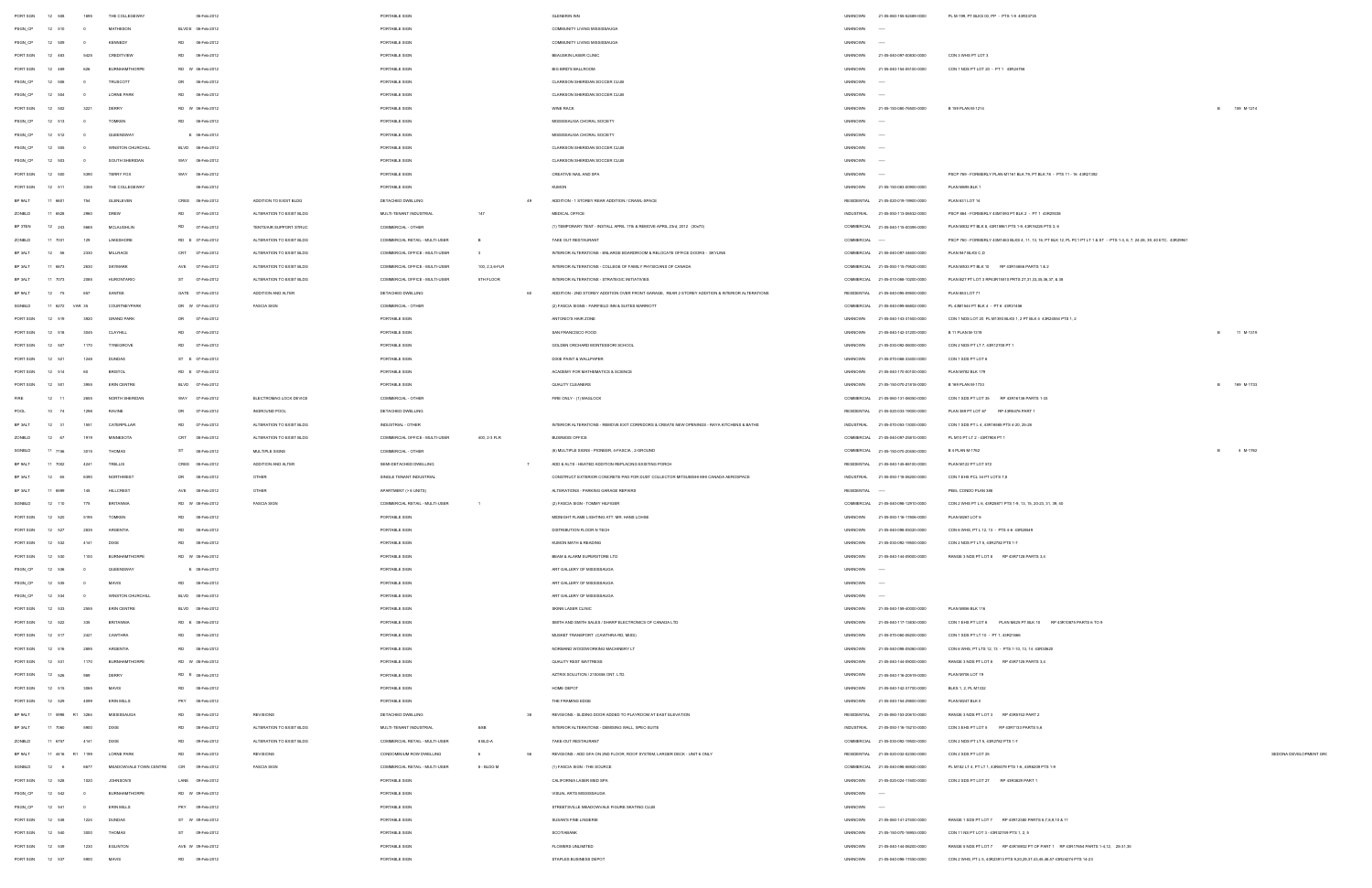| PORT SGN        | 12 508    | 1695              | THE COLLEGEWAY         | 06-Feb-2012              |                          | PORTABLE SIGN                  |                | <b>GLENERIN INN</b>                                                                             | <b>UNKNOWN</b><br>21-05-060-155-52489-0000     | PL M-199, PT BLKS 00, PP - PTS 1-9 43R33735                                                                                 |                        |
|-----------------|-----------|-------------------|------------------------|--------------------------|--------------------------|--------------------------------|----------------|-------------------------------------------------------------------------------------------------|------------------------------------------------|-----------------------------------------------------------------------------------------------------------------------------|------------------------|
| PSGN_CP 12 510  |           | $^{\circ}$        | MATHESON               | BLVDE 06-Feb-2012        |                          | PORTABLE SIGN                  |                | COMMUNITY LIVING MISSISSAUGA                                                                    | <b>UNKNOWN</b><br>$\sim$                       |                                                                                                                             |                        |
| PSGN_CP         | 12<br>509 | $\Omega$          | KENNEDY                | RD 06-Feb-2012           |                          | PORTABLE SIGN                  |                | COMMUNITY LIVING MISSISSAUGA                                                                    | <b>UNKNOWN</b><br>$\sim$                       |                                                                                                                             |                        |
| PORT SGN        |           | 5425              | CREDITVIEW             | RD 06-Feb-2012           |                          | PORTABLE SIGN                  |                | BEAUSKIN LASER CLINIC                                                                           | <b>UNKNOWN</b><br>21-05-040-097-00830-0000     | CON 3 WHS PT LOT 3                                                                                                          |                        |
| PORT SGN        | 12        | 626               | <b>BURNHAMTHORPE</b>   | RD W 06-Feb-2012         |                          | PORTABLE SIGN                  |                | BIG BIRD'S BALLROOM                                                                             | 21-05-040-154-05100-0000<br><b>UNKNOWN</b>     | CON 1 NDS PT LOT 20 - PT 1 43R24756                                                                                         |                        |
| PSGN_CP         | 12        |                   | TRUSCOTT               | DR 06-Feb-2012           |                          | PORTABLE SIGN                  |                | CLARKSON SHERIDAN SOCCER CLUB                                                                   | <b>UNKNOWN</b>                                 |                                                                                                                             |                        |
| PSGN_CP         | 12        |                   | <b>LORNE PARK</b>      | RD 06-Feb-2012           |                          | PORTABLE SIGN                  |                | CLARKSON SHERIDAN SOCCER CLUB                                                                   | <b>UNKNOWN</b><br>$\sim$                       |                                                                                                                             |                        |
|                 |           |                   |                        |                          |                          |                                |                |                                                                                                 |                                                |                                                                                                                             |                        |
| PORT SGN        | 12        | 3221              | DERRY                  | RD W 06-Feb-2012         |                          | PORTABLE SIGN                  |                | <b>WINE RACK</b>                                                                                | <b>UNKNOWN</b><br>21-05-150-080-76500-0000     | B 159 PLAN M-1214                                                                                                           | B 159 M-1214           |
| PSGN_CP         | 12        |                   | <b>TOMKEN</b>          | RD 06-Feb-2012           |                          | PORTABLE SIGN                  |                | MISSISSAUGA CHORAL SOCIETY                                                                      | <b>UNKNOWN</b><br>$\sim$                       |                                                                                                                             |                        |
| PSGN_CP         | 12        |                   | QUEENSWAY              | E 06-Feb-2012            |                          | PORTABLE SIGN                  |                | MISSISSAUGA CHORAL SOCIETY                                                                      | <b>UNKNOWN</b><br>----                         |                                                                                                                             |                        |
| PSGN_CP         | 12        |                   | WINSTON CHURCHILL      | BLVD 06-Feb-2012         |                          | PORTABLE SIGN                  |                | CLARKSON SHERIDAN SOCCER CLUB                                                                   | <b>UNKNOWN</b><br>----                         |                                                                                                                             |                        |
| PSGN_CP         |           |                   | SOUTH SHERIDAN         | WAY 06-Feb-2012          |                          | PORTABLE SIGN                  |                | CLARKSON SHERIDAN SOCCER CLUB                                                                   | <b>UNKNOWN</b>                                 |                                                                                                                             |                        |
| PORT SGN        | 12        | 5390              | <b>TERRY FOX</b>       | WAY 06-Feb-2012          |                          | PORTABLE SIGN                  |                | CREATIVE NAIL AND SPA                                                                           | <b>UNKNOWN</b>                                 | PSCP 769 - FORMERLY PLAN M1161 BLK 79, PT BLK 78 - PTS 11 - 16 43R21392                                                     |                        |
| PORT SGN        | 12        | 3355              | THE COLLEGEWAY         | 06-Feb-2012              |                          | PORTABLE SIGN                  |                | <b>KUMON</b>                                                                                    | <b>UNKNOWN</b><br>21-05-150-083-00900-0000     | PLAN M695 BLK 1                                                                                                             |                        |
| BP 9ALT         |           | 754               | <b>GLENLEVEN</b>       | CRES 06-Feb-2012         | ADDITION TO EXIST BLDG   | DETACHED DWELLING              | 49             | ADDITION - 1 STOREY REAR ADDITION / CRAWL-SPACE                                                 | 21-05-020-019-19900-0000<br><b>RESIDENTIAL</b> | PLAN 631 LOT 14                                                                                                             |                        |
| ZONBLD          | 11 6528   | 2960              | <b>DREW</b>            | RD 07-Feb-2012           | ALTERATION TO EXIST BLDG | MULTI-TENANT INDUSTRIAL        | 147            | MEDICAL OFFICE                                                                                  | 21-05-050-113-06532-0000<br><b>INDUSTRIAL</b>  | PSCP 884 - FORMERLY 43M1593 PT BLK 2 - PT 1 43R29338                                                                        |                        |
| BP 3TEN         |           |                   | MCLAUGHLIN             | RD 07-Feb-2012           | TENTS/AIR SUPPORT STRUC  | COMMERCIAL - OTHER             |                | (1) TEMPORARY TENT - INSTALL APRIL 17th & REMOVE APRIL 23rd, 2012 (30x70)                       | COMMERCIAL 21-05-040-115-00395-0000            | PLAN M832 PT BLK 8, 43R15961 PTS 1-9, 43R16226 PTS 3, 6                                                                     |                        |
| ZONBLD          |           | 129               | LAKESHORE              | RD E 07-Feb-2012         | ALTERATION TO EXIST BLDG | COMMERCIAL RETAIL - MULTI-USER |                | TAKE OUT RESTAURANT                                                                             | COMMERCIAL<br>$\overline{\phantom{a}}$         | PSCP 760 - FORMERLY 43M1463 BLKS 4, 11, 13, 16, PT BLK 12, PL PC1 PT LT 1 & ST - PTS 1-3, 6, 7, 24-28, 39, 40 ETC. 43R29941 |                        |
|                 |           |                   |                        |                          |                          |                                |                |                                                                                                 |                                                |                                                                                                                             |                        |
| BP 3ALT         | 12        | 2330              | MILLRACE               | CRT 07-Feb-2012          | ALTERATION TO EXIST BLDG | COMMERCIAL OFFICE - MULTI-USER |                | INTERIOR ALTERATIONS - ENLARGE BOARDROOM & RELOCATE OFFICE DOORS - SKYLINE                      | COMMERCIAL 21-05-040-097-34600-0000            | PLAN 947 BLKS C,D                                                                                                           |                        |
| BP 3ALT         |           | 2630              | <b>SKYMARK</b>         | AVE 07-Feb-2012          | ALTERATION TO EXIST BLDG | COMMERCIAL OFFICE - MULTI-USER | 100, 2,3,6-FLR | INTERIOR ALTERATIONS - COLLEGE OF FAMILY PHYSICIANS OF CANADA                                   | COMMERCIAL 21-05-050-115-79520-0000            | PLAN M533 PT BLK 10 RP 43R14656 PARTS 1 & 2                                                                                 |                        |
| BP 3ALT         |           | 2085              | HURONTARIO             | ST 07-Feb-2012           | ALTERATION TO EXIST BLDG | COMMERCIAL OFFICE - MULTI-USER | 5TH FLOOR      | INTERIOR ALTERATIONS - STRATEGIC INITIATIVIES                                                   | COMMERCIAL 21-05-010-068-10200-0000            | PLAN B27 PT LOT 3 RP43R15510 PRTS 27,31,33,35,36,37, & 38                                                                   |                        |
| BP 9ALT         | 12        | 657               | SANTEE                 | GATE 07-Feb-2012         | ADDITION AND ALTER       | DETACHED DWELLING              | 60             | ADDITION - 2ND STOREY ADDITION OVER FRONT GARAGE, REAR 2 STOREY ADDITION & INTERIOR ALTERATIONS | RESIDENTIAL 21-05-040-095-09500-0000           | PLAN 883 LOT 71                                                                                                             |                        |
| SGNBLD          |           | <b>VAR 35</b>     | COURTNEYPARK           | DR W 07-Feb-2012         | <b>FASCIA SIGN</b>       | COMMERCIAL - OTHER             |                | (2) FASCIA SIGNS - FAIRFIELD INN & SUITES MARRIOTT                                              | COMMERCIAL 21-05-040-099-56802-0000            | PL 43M1544 PT BLK 4 - PT 6 43R31456                                                                                         |                        |
| PORT SGN        | 12        | 3920              | <b>GRAND PARK</b>      | DR 07-Feb-2012           |                          | PORTABLE SIGN                  |                | ANTONIO'S HAIR ZONE                                                                             | 21-05-040-143-31500-0000<br><b>UNKNOWN</b>     | CON 1 NDS LOT 20 PL M1393 BLKS 1, 2 PT BLK 4 43R24554 PTS 1, 2                                                              |                        |
| PORT SGN        | 12        | 3045              | CLAYHILL               | RD 07-Feb-2012           |                          | PORTABLE SIGN                  |                | SAN FRANCISCO FOOD                                                                              | 21-05-040-142-31200-0000<br><b>UNKNOWN</b>     | B 11 PLAN M-1319                                                                                                            | B 11 M-1319            |
| PORT SGN        | 12        | 1170              | TYNEGROVE              | RD 07-Feb-2012           |                          | PORTABLE SIGN                  |                | GOLDEN ORCHARD MONTESSORI SCHOOL                                                                | <b>UNKNOWN</b><br>21-05-030-092-06000-0000     | CON 2 NDS PT LT 7, 43R12708 PT 1                                                                                            |                        |
| PORT SGN        | 12        | 1248              | <b>DUNDAS</b>          | ST E 07-Feb-2012         |                          | PORTABLE SIGN                  |                | DIXIE PAINT & WALLPAPER                                                                         | <b>UNKNOWN</b><br>21-05-070-068-33400-0000     | CON 1 SDS PT LOT 6                                                                                                          |                        |
| PORT SGN        | 12<br>514 | 60                | <b>BRISTOL</b>         | RD E 07-Feb-2012         |                          | PORTABLE SIGN                  |                | ACADEMY FOR MATHEMATICS & SCIENCE                                                               | 21-05-040-170-00100-0000<br><b>UNKNOWN</b>     | PLAN M782 BLK 179                                                                                                           |                        |
| PORT SGN        |           | 3955              | ERIN CENTRE            | BLVD 07-Feb-2012         |                          | PORTABLE SIGN                  |                | QUALITY CLEANERS                                                                                | <b>UNKNOWN</b><br>21-05-150-070-21818-0000     | B 169 PLAN M-1733                                                                                                           | B 169 M-1733           |
|                 | 12        | 2655              | NORTH SHERIDAN         | WAY 07-Feb-2012          | ELECTROMAG LOCK DEVICE   | COMMERCIAL - OTHER             |                | FIRE ONLY - (1) MAGLOCK                                                                         | COMMERCIAL 21-05-060-131-06050-0000            | CON 1 SDS PT LOT 35 RP 43R16136 PARTS 1-33                                                                                  |                        |
|                 |           |                   |                        |                          |                          |                                |                |                                                                                                 |                                                |                                                                                                                             |                        |
| POOL            |           | 1298              | RAVINE                 | DR 07-Feb-2012           | INGROUND POOL            | DETACHED DWELLING              |                |                                                                                                 | <b>RESIDENTIAL</b><br>21-05-020-033-19000-0000 | PLAN 389 PT LOT 67 RP 43R5476 PART 1                                                                                        |                        |
| BP 3ALT         |           |                   | CATERPILLAR            | RD 07-Feb-2012           | ALTERATION TO EXIST BLDG | INDUSTRIAL - OTHER             |                | INTERIOR ALTERATIONS - REMOVE EXIT CORRIDORS & CREATE NEW OPENINGS - RAYA KITCHENS & BATHS      | INDUSTRIAL<br>21-05-070-053-13000-0000         | CON 1 SDS PT L 4, 43R16585 PTS 4-20, 25-28                                                                                  |                        |
| ZONBLD          |           | 1919              | MINNESOTA              | CRT 08-Feb-2012          | ALTERATION TO EXIST BLDG | COMMERCIAL OFFICE - MULTI-USER | 400, 2-3 FLR   | <b>BUSINESS OFFICE</b>                                                                          | COMMERCIAL 21-05-040-097-25810-0000            | PL M10 PT LT 2 - 43R7908 PT 1                                                                                               |                        |
|                 |           |                   |                        |                          |                          |                                |                |                                                                                                 |                                                |                                                                                                                             |                        |
| SGNBLD          |           | 3015              | THOMAS                 | ST 08-Feb-2012           | MULTIPLE SIGNS           | COMMERCIAL - OTHER             |                | (6) MULTIPLE SIGNS - PIONEER, 4-FASCIA, 2-GROUND                                                | COMMERCIAL 21-05-150-070-20450-0000            | B 4 PLAN M-1762                                                                                                             | B 4 M-1762             |
| BP 9ALT         |           |                   | TRELLIS                | CRES 08-Feb-2012         | ADDITION AND ALTER       | SEMI-DETACHED DWELLING         |                | ADD & ALTS - HEATED ADDITION REPLACING EXISTING PORCH                                           | RESIDENTIAL 21-05-040-145-88100-0000           | PLAN M122 PT LOT 572                                                                                                        |                        |
| BP 3ALT         |           | 6390              | NORTHWEST              | DR 08-Feb-2012           | OTHER                    | SINGLE TENANT INDUSTRIAL       |                | CONSTRUCT EXTERIOR CONCRETE PAD FOR DUST COLLECTOR MITSUBISHI MHI CANADA AEROSPACE              | <b>INDUSTRIAL</b><br>21-05-050-118-06200-0000  | CON 7 EHS PCL 34 PT LOTS 7,8                                                                                                |                        |
| BP 3ALT         |           |                   | <b>HILLCREST</b>       | AVE 08-Feb-2012          | OTHER                    | APARTMENT (> 6 UNITS)          |                | ALTERATIONS - PARKING GARAGE REPAIRS                                                            | <b>RESIDENTIAL</b>                             | PEEL CONDO PLAN 388                                                                                                         |                        |
| SGNBLD          | 12 110    | 775               | BRITANNIA              | RD W 08-Feb-2012         | <b>FASCIA SIGN</b>       | COMMERCIAL RETAIL - MULTI-USER |                | (2) FASCIA SIGN - TOMMY HILFIGER                                                                | COMMERCIAL 21-05-040-098-12910-0000            | CON 2 WHS PT L 6, 43R25871 PTS 1-9, 13, 15, 20-23, 31, 39, 40                                                               |                        |
| PORT SGN 12 520 |           | 5195              | <b>TOMKEN</b>          | <b>RD</b><br>08-Feb-2012 |                          | PORTABLE SIGN                  |                | MIDNIGHT FLAME LIGHTING ATT: MR. HANS LOHSE                                                     | <b>UNKNOWN</b><br>21-05-050-116-17806-0000     | PLAN M267 LOT 6                                                                                                             |                        |
| PORT SGN 12 527 |           | 2835              | ARGENTIA               | RD 08-Feb-2012           |                          | PORTABLE SIGN                  |                | DISTRIBUTION FLOOR N TECH                                                                       | <b>UNKNOWN</b><br>21-05-040-098-05020-0000     | CON 6 WHS, PT L 12, 13 - PTS 4-6 43R28549                                                                                   |                        |
|                 | 12 532    | 4141              | <b>DIXIE</b>           |                          |                          |                                |                |                                                                                                 | 21-05-030-092-19500-0000<br><b>UNKNOWN</b>     |                                                                                                                             |                        |
| PORT SGN        |           |                   |                        | RD 08-Feb-2012           |                          | PORTABLE SIGN                  |                | KUMON MATH & READING                                                                            |                                                | CON 2 NDS PT LT 5, 43R2782 PTS 1-7                                                                                          |                        |
| PORT SGN        | 12<br>530 | 1100              | <b>BURNHAMTHORPE</b>   | RD W 08-Feb-2012         |                          | PORTABLE SIGN                  |                | BEAM & ALARM SUPERSTORE LTD                                                                     | <b>UNKNOWN</b><br>21-05-040-144-09000-0000     | RANGE 3 NDS PT LOT 8 RP 43R7128 PARTS 3,4                                                                                   |                        |
| PSGN_CP         | 12 536    |                   | QUEENSWAY              | E 08-Feb-2012            |                          | PORTABLE SIGN                  |                | ART GALLERY OF MISSISSAUGA                                                                      | <b>UNKNOWN</b><br>$\sim$                       |                                                                                                                             |                        |
| PSGN_CP         | 12<br>535 |                   | MAVIS                  | RD 08-Feb-2012           |                          | PORTABLE SIGN                  |                | ART GALLERY OF MISSISSAUGA                                                                      | <b>UNKNOWN</b><br>$\sim$                       |                                                                                                                             |                        |
| PSGN_CP         | 12 534    |                   | WINSTON CHURCHILL      | BLVD 08-Feb-2012         |                          | PORTABLE SIGN                  |                | ART GALLERY OF MISSISSAUGA                                                                      | <b>UNKNOWN</b><br>$\sim$                       |                                                                                                                             |                        |
| PORT SGN        | 12        | 2555              | ERIN CENTRE            | BLVD 08-Feb-2012         |                          | PORTABLE SIGN                  |                | SKINN LASER CLINIC                                                                              | 21-05-040-159-40000-0000<br><b>UNKNOWN</b>     | PLAN M856 BLK 116                                                                                                           |                        |
| PORT SGN        | 12<br>522 | 335               | <b>BRITANNIA</b>       | RD E 08-Feb-2012         |                          | PORTABLE SIGN                  |                | SMITH AND SMITH SALES / SHARP ELECTRONICS OF CANADA LTD                                         | 21-05-040-117-13830-0000<br><b>UNKNOWN</b>     | CON 1 EHS PT LOT 6 PLAN M425 PT BLK 10 RP 43R10875 PARTS 6 TO 9                                                             |                        |
| PORT SGN        | 12        | 2421              | CAWTHRA                | RD 08-Feb-2012           |                          | PORTABLE SIGN                  |                | MUSKET TRANSPORT (CAWTHRA RD, MISS)                                                             | 21-05-070-060-06200-0000<br><b>UNKNOWN</b>     | CON 1 SDS PT LT 10 - PT 1, 43R21666                                                                                         |                        |
| PORT SGN        | 12        | 2895              | ARGENTIA               | RD 08-Feb-2012           |                          | PORTABLE SIGN                  |                | NORMAND WOODWORKING MACHINERY LT                                                                | <b>UNKNOWN</b><br>21-05-040-098-05060-0000     | CON 6 WHS, PT LTS 12, 13 - PTS 1-10, 13, 14 43R30620                                                                        |                        |
| PORT SGN        | 12<br>531 | 1170              | BURNHAMTHORPE          | RD W 08-Feb-2012         |                          | PORTABLE SIGN                  |                | QUALITY REST MATTRESS                                                                           | <b>UNKNOWN</b><br>21-05-040-144-09000-0000     | RANGE 3 NDS PT LOT 8 RP 43R7128 PARTS 3,4                                                                                   |                        |
| PORT SGN        | 12<br>526 | 989               | DERRY                  | RD E 08-Feb-2012         |                          | PORTABLE SIGN                  |                | AZTRIX SOLUTION / 2100458 ONT. LTD                                                              | 21-05-040-116-20519-0000<br><b>UNKNOWN</b>     | PLAN M706 LOT 19                                                                                                            |                        |
| PORT SGN        | 12 515    | 3065              | MAVIS                  | RD 08-Feb-2012           |                          | PORTABLE SIGN                  |                | HOME DEPOT                                                                                      | <b>UNKNOWN</b><br>21-05-040-142-31700-0000     | BLKS 1, 2, PL M1332                                                                                                         |                        |
| PORT SGN        | 12<br>529 | 4099              | <b>ERIN MILLS</b>      | PKY 08-Feb-2012          |                          | PORTABLE SIGN                  |                | THE FRAMING EDGE                                                                                | 21-05-040-154-29800-0000<br><b>UNKNOWN</b>     | PLAN M247 BLK II                                                                                                            |                        |
|                 |           | 3264              | MISSISSAUGA            |                          |                          |                                | 38             |                                                                                                 |                                                |                                                                                                                             |                        |
| BP 9ALT         |           |                   |                        | RD 08-Feb-2012           | <b>REVISIONS</b>         | DETACHED DWELLING              |                | REVISIONS - SLIDING DOOR ADDED TO PLAYROOM AT EAST ELEVATION                                    | RESIDENTIAL 21-05-060-153-20610-0000           | RANGE 3 NDS PT LOT 3 RP 43R5742 PART 2                                                                                      |                        |
| BP 3ALT         |           |                   | DIXIE                  | RD 08-Feb-2012           | ALTERATION TO EXIST BLDG | MULTI-TENANT INDUSTRIAL        | 8/8B           | INTERIOR ALTERAITONS - DEMISING WALL, SPEC-SUITE                                                | <b>INDUSTRIAL</b><br>21-05-050-116-15210-0000  | CON 3 EHS PT LOT 5 RP 43R7133 PARTS 5,6                                                                                     |                        |
| ZONBLD          | 11 6757   | 4141              | <b>DIXIE</b>           | RD 09-Feb-2012           | ALTERATION TO EXIST BLDG | COMMERCIAL RETAIL - MULTI-USER | 8 BLD-A        | TAKE-OUT RESTAURANT                                                                             | COMMERCIAL 21-05-030-092-19500-0000            | CON 2 NDS PT LT 5, 43R2782 PTS 1-7                                                                                          |                        |
| BP 9ALT         | 11 4416   | <b>R1</b><br>1199 | <b>LORNE PARK</b>      | RD 09-Feb-2012           | <b>REVISIONS</b>         | CONDOMINIUM ROW DWELLING       | 56             | REVISIONS - ADD GFA ON 2ND FLOOR, ROOF SYSTEM, LARGER DECK - UNIT 6 ONLY                        | RESIDENTIAL 21-05-020-032-02350-0000           | CON 2 SDS PT LOT 25                                                                                                         | SEDONA DEVELOPMENT GRO |
| SGNBLD          | 12        | 6677              | MEADOWVALE TOWN CENTRE | CIR 09-Feb-2012          | <b>FASCIA SIGN</b>       | COMMERCIAL RETAIL - MULTI-USER | 8 - BLDG M     | (1) FASCIA SIGN - THE SOURCE                                                                    | COMMERCIAL 21-05-040-098-56920-0000            | PL M182 LT 4, PT LT 1, 43R6079 PTS 1-6, 43R6209 PTS 1-9                                                                     |                        |
| PORT SGN        | 12<br>528 | 1020              | JOHNSON'S              | LANE 09-Feb-2012         |                          | PORTABLE SIGN                  |                | CALIFORNIA LASER MED SPA                                                                        | 21-05-020-024-11600-0000<br><b>UNKNOWN</b>     | CON 2 SDS PT LOT 27 RP 43R3829 PART 1                                                                                       |                        |
| PSGN_CP         | 12        |                   | <b>BURNHAMTHORPE</b>   | RD W 09-Feb-2012         |                          | PORTABLE SIGN                  |                | VISUAL ARTS MISSISSAUGA                                                                         | <b>UNKNOWN</b><br>-----                        |                                                                                                                             |                        |
| PSGN_CP         | 12        |                   | ERIN MILLS             | PKY 09-Feb-2012          |                          | PORTABLE SIGN                  |                | STREETSVILLE MEADOWVALE FIGURE SKATING CLUB                                                     | <b>UNKNOWN</b><br>--                           |                                                                                                                             |                        |
| PORT SGN        | 12<br>538 | 1224              | <b>DUNDAS</b>          | ST W 09-Feb-2012         |                          | PORTABLE SIGN                  |                | SUSAN'S FINE LINGERIE                                                                           | <b>UNKNOWN</b><br>21-05-060-141-27400-0000     | RANGE 1 SDS PT LOT 7 RP 43R12380 PARTS 6,7,8,9,10 & 11                                                                      |                        |
| PORT SGN        | 12        | 3000              | THOMAS                 | ST 09-Feb-2012           |                          | PORTABLE SIGN                  |                | SCOTIABANK                                                                                      | <b>UNKNOWN</b><br>21-05-150-070-16953-0000     | CON 11 NS PT LOT 3 - 43R32749 PTS 1, 2, 5                                                                                   |                        |
| PORT SGN        | 12 539    | 1230              | <b>EGLINTON</b>        | AVE W 09-Feb-2012        |                          | PORTABLE SIGN                  |                | <b>FLOWERS UNLIMITED</b>                                                                        | <b>UNKNOWN</b><br>21-05-040-144-06200-0000     | RANGE 5 NDS PT LOT 7 RP 43R16932 PT OF PART 1 RP 43R17654 PARTS 1-4,12, 28-31,35                                            |                        |
| PORT SGN 12 537 |           | 5900              | MAVIS                  | RD 09-Feb-2012           |                          | PORTABLE SIGN                  |                | STAPLES BUSINESS DEPOT                                                                          | <b>UNKNOWN</b><br>21-05-040-098-17450-0000     | CON 2 WHS, PT L 5, 43R23913 PTS 9,20,29,37,43,45,46,57 43R24274 PTS 14-23                                                   |                        |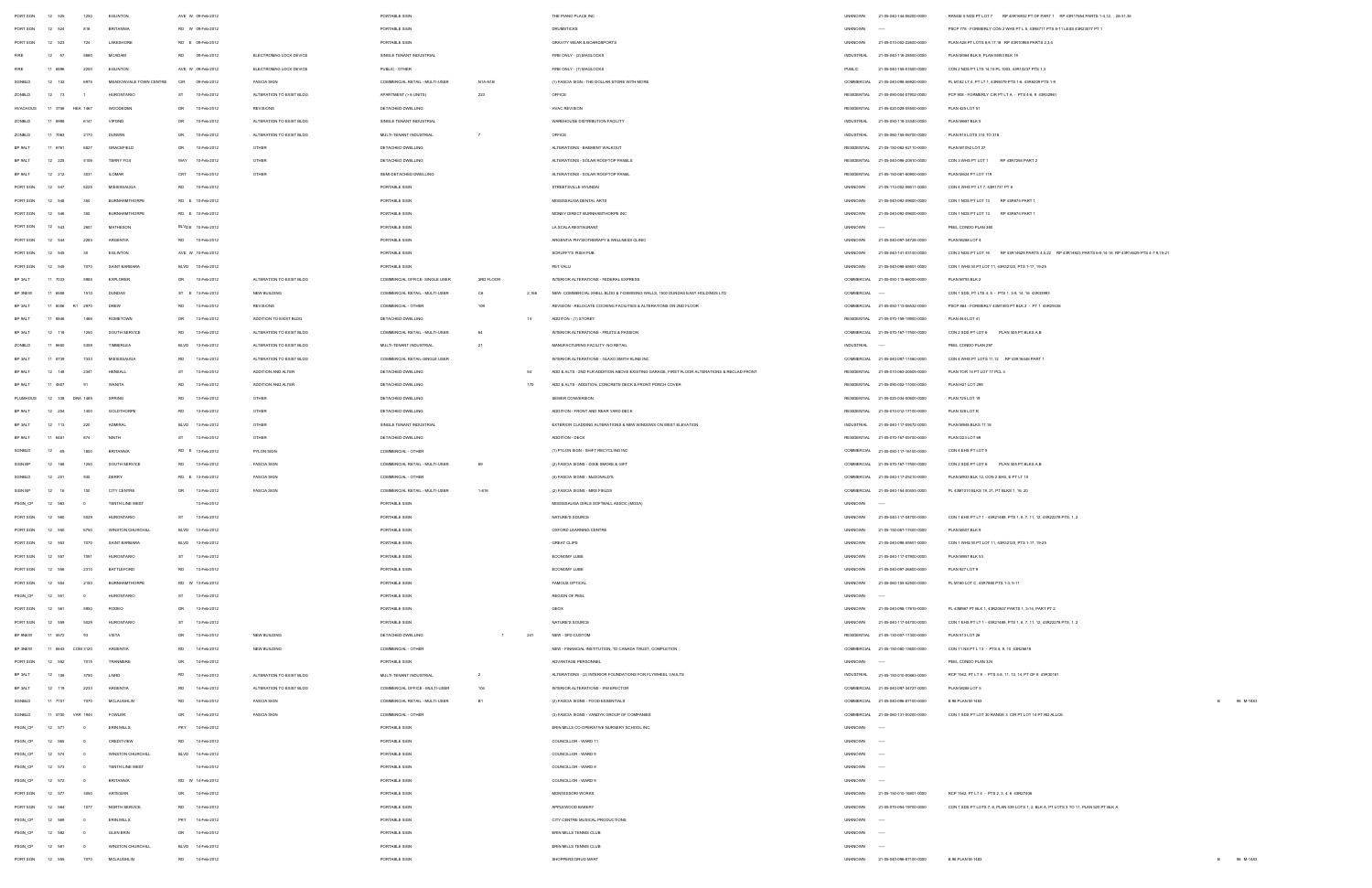| PORT SGN        | 12<br>525          | 1250           | EGLINTON               | AVE W 09-Feb-2012        |                          | PORTABLE SIGN                  |                         | THE PIANO PLACE INC                                                                         | <b>UNKNOWN</b><br>21-05-040-144-06200-0000    | RANGE 5 NDS PT LOT 7 RP 43R16932 PT OF PART 1 RP 43R17654 PARTS 1-4,12, 28-31,35                     |            |
|-----------------|--------------------|----------------|------------------------|--------------------------|--------------------------|--------------------------------|-------------------------|---------------------------------------------------------------------------------------------|-----------------------------------------------|------------------------------------------------------------------------------------------------------|------------|
| PORT SGN        | 12<br>524          | 816            | BRITANNIA              | RD W 09-Feb-2012         |                          | PORTABLE SIGN                  |                         | DRUMSTICKS                                                                                  | <b>UNKNOWN</b>                                | PSCP 778 - FORMERLY CON 2 WHS PT L 5, 43R8711 PTS 8-11 LESS 43R23077 PT 1                            |            |
| PORT SGN        | 12<br>523          | 724            | LAKESHORE              | RD E 09-Feb-2012         |                          | PORTABLE SIGN                  |                         | <b>GRAVITY WEAR &amp; BOARDSPORTS</b>                                                       | 21-05-010-002-22600-0000<br><b>UNKNOWN</b>    | PLAN A26 PT LOTS 8,9,17,18 RP 43R10958 PARTS 2,3,4                                                   |            |
|                 | 12                 | 5660           | MCADAM                 | RD 09-Feb-2012           | ELECTROMAG LOCK DEVICE   | SINGLE TENANT INDUSTRIAL       |                         | FIRE ONLY - (2) MAGLOCKS                                                                    | 21-05-040-116-28500-0000<br><b>INDUSTRIAL</b> | PLAN M364 BLK 8, PLAN M453 BLK 19                                                                    |            |
| FIRE            | 11 6896            | 2200           | <b>EGLINTON</b>        | AVE W 09-Feb-2012        | ELECTROMAG LOCK DEVICE   | PUBLIC - OTHER                 |                         | FIRE ONLY - (7) MAGLOCKS                                                                    | 21-05-040-155-01600-0000<br>PUBLIC            | CON 2 NDS PT LTS 14,15 PL 1003, 43R10237 PTS 1,3                                                     |            |
| SGNBLD          | 12<br>132          | 6975           | MEADOWVALE TOWN CENTRE | CIR<br>09-Feb-2012       | <b>FASCIA SIGN</b>       | COMMERCIAL RETAIL - MULTI-USER | N1A-N1B                 | (1) FASCIA SIGN - THE DOLLAR STORE WITH MORE                                                | COMMERCIAL 21-05-040-098-56920-0000           | PL M182 LT 4, PT LT 1, 43R6079 PTS 1-6, 43R6209 PTS 1-9                                              |            |
| ZONBLD          | 12<br>- 73         | $\overline{1}$ | <b>HURONTARIO</b>      | ST 10-Feb-2012           | ALTERATION TO EXIST BLDG | APARTMENT (> 6 UNITS)          | 223                     | OFFICE                                                                                      | RESIDENTIAL 21-05-090-004-07902-0000          | PCP 908 - FORMERLY CIR PT LT A - PTS 4-6, 9 43R32961                                                 |            |
| <b>HVACHOUS</b> | 11 3756            | HFA 1467       | WOODEDEN               | DR 10-Feb-2012           | <b>REVISIONS</b>         | DETACHED DWELLING              |                         | <b>HVAC REVISION</b>                                                                        | RESIDENTIAL 21-05-020-028-05500-0000          | PLAN 425 LOT 51                                                                                      |            |
| ZONBLD          | 11 6998            | 6141           | VIPOND                 | DR 10-Feb-2012           | ALTERATION TO EXIST BLDG | SINGLE TENANT INDUSTRIAL       |                         | WAREHOUSE DISTRIBUTION FACILITY                                                             | INDUSTRIAL 21-05-050-116-33340-0000           | PLAN M687 BLK 5                                                                                      |            |
| ZONBLD          | 11 7063            | 2170           | <b>DUNWIN</b>          | DR.<br>10-Feb-2012       | ALTERATION TO EXIST BLDG | MULTI-TENANT INDUSTRIAL        |                         | OFFICE                                                                                      | 21-05-060-155-06700-0000<br><b>INDUSTRIAL</b> | PLAN 915 LOTS 314 TO 318                                                                             |            |
| BP 9ALT         | 11 676             | 6827           | GRACEFIELD             | DR.<br>10-Feb-2012       | OTHER                    | DETACHED DWELLING              |                         | ALTERATIONS - BAEMENT WALKOUT                                                               | RESIDENTIAL 21-05-150-082-52110-0000          | PLAN M1052 LOT 27                                                                                    |            |
| BP 9ALT         | 12 225             | 5106           | TERRY FOX              | WAY 10-Feb-2012          | OTHER                    | DETACHED DWELLING              |                         | ALTERATIONS - SOLAR ROOFTOP PANELS                                                          | RESIDENTIAL 21-05-040-096-20810-0000          | CON 3 WHS PT LOT 1 RP 43R7264 PART 2                                                                 |            |
| BP 9ALT         | 12 212             | 3031           | <b>ILOMAR</b>          | CRT 10-Feb-2012          | OTHER                    | SEMI-DETACHED DWELLING         |                         | ALTERATIONS - SOLAR ROOFTOP PANEL                                                           | RESIDENTIAL 21-05-150-081-80900-0000          | PLAN M424 PT LOT 119                                                                                 |            |
| PORT SGN        | 12<br>547          | 6225           | MISSISSAUGA            | RD 10-Feb-2012           |                          | PORTABLE SIGN                  |                         | STREETSVILLE HYUNDAI                                                                        | <b>UNKNOWN</b><br>21-05-110-002-06611-0000    | CON 4 WHS PT LT 7, 43R1731 PT 6                                                                      |            |
| PORT SGN        | 12<br>548          | 350            | <b>BURNHAMTHORPE</b>   | RD E 10-Feb-2012         |                          | PORTABLE SIGN                  |                         | MISSISSAUGA DENTAL ARTS                                                                     | <b>UNKNOWN</b><br>21-05-040-092-09600-0000    | CON 1 NDS PT LOT 13 RP 43R674 PART 1                                                                 |            |
| PORT SGN        |                    | 350            | <b>BURNHAMTHORPE</b>   | RD E 10-Feb-2012         |                          | PORTABLE SIGN                  |                         | MONEY DIRECT BURNHAMTHORPE INC                                                              | <b>UNKNOWN</b><br>21-05-040-092-09600-0000    | CON 1 NDS PT LOT 13 RP 43R674 PART 1                                                                 |            |
|                 | 12                 |                |                        |                          |                          |                                |                         |                                                                                             |                                               |                                                                                                      |            |
| PORT SGN        | 12                 | 2601           | MATHESON               | BLVDE 10-Feb-2012        |                          | PORTABLE SIGN                  |                         | LA SCALA RESTAURANT                                                                         | <b>UNKNOWN</b><br>$\sim$                      | PEEL CONDO PLAN 380                                                                                  |            |
| PORT SGN        | 12                 | 2283           | ARGENTIA               | RD 10-Feb-2012           |                          | PORTABLE SIGN                  |                         | ARGENTIA PHYSIOTHERAPY & WELLNESS CLINIC                                                    | <b>UNKNOWN</b><br>21-05-040-097-34728-0000    | PLAN M288 LOT 4                                                                                      |            |
| PORT SGN        | 12                 | 30             | EGLINTON               | AVE W 10-Feb-2012        |                          | PORTABLE SIGN                  |                         | SCRUFFY'S IRISH PUB                                                                         | <b>UNKNOWN</b><br>21-05-040-141-03100-0000    | CON 2 NDS PT LOT 16 RP 43R14629 PARTS 4,5,22 RP 43R14923 PARTS 6-9,14-16 RP 43R14629 PTS 4-7 9,15-21 |            |
| PORT SGN        | 12<br>5A0          | 7070           | SAINT BARBARA          | BLVD 10-Feb-2012         |                          | PORTABLE SIGN                  |                         | PET VALU                                                                                    | 21-05-040-098-59501-0000<br><b>UNKNOWN</b>    | CON 1 WHS W PT LOT 11, 43R32120, PTS 1-17, 19-25                                                     |            |
| BP 3ALT         | 11 7033            | 5985           | <b>EXPLORER</b>        | DR 10-Feb-2012           | ALTERATION TO EXIST BLDG | COMMERCIAL OFFICE- SINGLE USER | 3RD FLOOR               | INTERIOR ALTERATIONS - FEDERAL EXPRESS                                                      | COMMERCIAL 21-05-050-115-66000-0000           | PLAN M793 BLK 2                                                                                      |            |
| BP 3NEW         | 11 6508            | 1510           | <b>DUNDAS</b>          | ST E 13-Feb-2012         | <b>NEW BUILDING</b>      | COMMERCIAL RETAIL - MULTI-USER | C <sub>6</sub><br>2.166 | NEW- COMMERCIAL SHELL BLDG & 7-DEMISING WALLS. 1500 DUNDAS EAST HOLDINGS LTD                | COMMERCIAL<br>$\sim$                          | CON 1 SDS, PT LTS 4, 5 - PTS 1, 3-9, 14, 16 43R33993                                                 |            |
| BP 3ALT         |                    | 2970           | DREW                   | <b>RD</b><br>13-Feb-2012 | <b>REVISIONS</b>         | COMMERCIAL - OTHER             | 109                     | REVISION - RELOCATE COOKING FACILITIES & ALTERATIONS ON 2ND FLOOR                           | COMMERCIAL 21-05-050-113-06532-0000           | PSCP 884 - FORMERLY 43M1593 PT BLK 2 - PT 1 43R29338                                                 |            |
| BP 9ALT         |                    | 1466           | <b>ROMETOWN</b>        | <b>DR</b><br>13-Feb-2012 | ADDITION TO EXIST BLDG   | DETACHED DWELLING              | 14                      | ADDITON - (1) STOREY                                                                        | RESIDENTIAL 21-05-070-158-19900-0000          | PLAN 444 LOT 41                                                                                      |            |
| BP 3ALT         | 12                 | 1250           | SOUTH SERVICE          | <b>RD</b><br>13-Feb-2012 | ALTERATION TO EXIST BLDG | COMMERCIAL RETAIL - MULTI-USER | 64                      | INTERIOR ALTERATIONS - FRUITS & PASSION                                                     | COMMERCIAL<br>21-05-070-167-17500-0000        | CON 2 SDS PT LOT 6 PLAN 305 PT BLKS A,B                                                              |            |
| ZONBLD          | 11 6650            | 5359           | TIMBERLEA              | BLVD 13-Feb-2012         | ALTERATION TO EXIST BLDG | MULTI-TENANT INDUSTRIAL        | 21                      | MANUFACTURING FACILITY- NO RETAIL                                                           | <b>INDUSTRIAL</b><br>$\sim$                   | PEEL CONDO PLAN 297                                                                                  |            |
| BP 3ALT         | 11 6739            | 7333           | MISSISSAUGA            | RD 13-Feb-2012           | ALTERATION TO EXIST BLDG | COMMERCIAL RETAIL-SINGLE USER  |                         | INTERIOR ALTERATIONS - GLAXO SMITH KLINE INC                                                | COMMERCIAL 21-05-040-097-11460-0000           | CON 4 WHS PT LOTS 11,12 RP 43R16448 PART 1                                                           |            |
| BP 9ALT         | 12<br>143          | 2341           | HENSALL                | <b>ST</b><br>13-Feb-2012 | ADDITION AND ALTER       | DETACHED DWELLING              | 54                      | ADD & ALTS - 2ND FLR ADDITION ABOVE EXISTING GARAGE, FIRST FLOOR ALTERATIONS & RECLAD FRONT | RESIDENTIAL 21-05-010-063-20505-0000          | PLAN TOR 14 PT LOT 17 PCL 4                                                                          |            |
| BP 9ALT         | 11 460             |                | WANITA                 | <b>RD</b><br>13-Feb-2012 | ADDITION AND ALTER       | DETACHED DWELLING              | 170                     | ADD & ALTS - ADDITION, CONCRETE DECK & FRONT PORCH COVER                                    | RESIDENTIAL 21-05-090-002-11000-0000          | PLAN H21 LOT 299                                                                                     |            |
| PLUMHOUS        | 12<br>338          | DRA 1465       | SPRING                 | <b>RD</b><br>13-Feb-2012 | OTHER                    | DETACHED DWELLING              |                         | SEWER CONVERSION                                                                            | RESIDENTIAL 21-05-020-034-00600-0000          | PLAN 725 LOT 19                                                                                      |            |
| BP 9ALT         | 12                 | 1400           | GOLDTHORPE             | <b>RD</b><br>13-Feb-2012 | OTHER                    | DETACHED DWELLING              |                         | ADDITION - FRONT AND REAR YARD DECK                                                         | RESIDENTIAL 21-05-010-012-17100-0000          | PLAN 328 LOT R                                                                                       |            |
| BP 3ALT         | 12<br>113          | 220            | ADMIRAL                | BLVD 13-Feb-2012         | <b>OTHER</b>             | SINGLE TENANT INDUSTRIAL       |                         | EXTERIOR CLADDING ALTERATIONS & NEW WINDOWS ON WEST ELEVATION                               | 21-05-040-117-09472-0000<br>INDUSTRIAL        | PLAN M948 BLKS 17.18                                                                                 |            |
| BP 9ALT         | 11 648             | 874            | NINTH                  | ST 13-Feb-2012           | <b>OTHER</b>             | DETACHED DWELLING              |                         | ADDITION - DECK                                                                             | RESIDENTIAL 21-05-070-167-05700-0000          | PLAN D23 LOT 69                                                                                      |            |
| SGNBLD          | 12                 | 1800           | BRITANNIA              | RD E 13-Feb-2012         | PYLON SIGN               | COMMERCIAL - OTHER             |                         | (1) PYLON SIGN - SHIFT RECYCLING INC                                                        | COMMERCIAL 21-05-050-117-16100-0000           | CON 4 EHS PT LOT 5                                                                                   |            |
| SIGN BP         | 12                 | 1250           | SOUTH SERVICE          | RD 13-Feb-2012           | <b>FASCIA SIGN</b>       | COMMERCIAL RETAIL - MULTI-USER | 89                      | (2) FASCIA SIGNS - DIXIE SMOKE & GIFT                                                       | COMMERCIAL 21-05-070-167-17500-0000           | CON 2 SDS PT LOT 6 PLAN 305 PT BLKS A,B                                                              |            |
|                 | 12<br>$20^{\circ}$ | 930            | DERRY                  |                          |                          | COMMERCIAL - OTHER             |                         | (4) FASCIA SIGNS - McDONALD'S                                                               | COMMERCIAL 21-05-040-117-25210-0000           |                                                                                                      |            |
| SGNBLD          |                    |                |                        | RD E 13-Feb-2012         | <b>FASCIA SIGN</b>       | COMMERCIAL RETAIL - MULTI-USER |                         |                                                                                             |                                               | PLAN M933 BLK 12, CON 2 EHS, E PT LT 10                                                              |            |
| <b>SIGN BP</b>  | 12                 | 100            | CITY CENTRE            | DR 13-Feb-2012           | <b>FASCIA SIGN</b>       |                                | 1-816                   | (2) FASCIA SIGNS - MRS FIELDS                                                               | COMMERCIAL 21-05-040-154-00453-0000           | PL 43M1010 BLKS 19, 21, PT BLKS 1, 16, 20                                                            |            |
| PSGN_CP         | 12 563             | $\circ$        | TENTH LINE WEST        | 13-Feb-2012              |                          | PORTABLE SIGN                  |                         | MISSISSAUGA GIRLS SOFTBALL ASSOC (MGSA)                                                     | <b>UNKNOWN</b><br>$\sim$                      |                                                                                                      |            |
| PORT SGN        | 12 560             | 5029           | <b>HURONTARIO</b>      | ST<br>13-Feb-2012        |                          | PORTABLE SIGN                  |                         | NATURE'S SOURCE                                                                             | <b>UNKNOWN</b><br>21-05-040-117-04700-0000    | CON 1 EHS PT LT 1 - 43R21489, PTS 1, 6, 7, 11, 12, 43R22278 PTS, 1, 2                                |            |
| PORT SGN 12 550 |                    | 6750           | WINSTON CHURCHILL      | BLVD 13-Feb-2012         |                          | PORTABLE SIGN                  |                         | OXFORD LEARNING CENTRE                                                                      | <b>UNKNOWN</b><br>21-05-150-081-17400-0000    | PLAN M407 BLK 9                                                                                      |            |
| PORT SGN        | 12<br>553          | 7070           | SAINT BARBARA          | BLVD 13-Feb-2012         |                          | PORTABLE SIGN                  |                         | <b>GREAT CLIPS</b>                                                                          | 21-05-040-098-59501-0000<br><b>UNKNOWN</b>    | CON 1 WHS W PT LOT 11, 43R32120, PTS 1-17, 19-25                                                     |            |
| PORT SGN        | 12<br>557          | 7091           | <b>HURONTARIO</b>      | ST 13-Feb-2012           |                          | PORTABLE SIGN                  |                         | ECONOMY LUBE                                                                                | <b>UNKNOWN</b><br>21-05-040-117-07900-0000    | PLAN M957 BLK 53                                                                                     |            |
| PORT SGN        | 12<br>556          | 2310           | BATTLEFORD             | RD 13-Feb-2012           |                          | PORTABLE SIGN                  |                         | ECONOMY LUBE                                                                                | <b>UNKNOWN</b><br>21-05-040-097-26800-0000    | PLAN 927 LOT 9                                                                                       |            |
| PORT SGN        | 12<br>554          | 2150           | <b>BURNHAMTHORPE</b>   | RD W 13-Feb-2012         |                          | PORTABLE SIGN                  |                         | FAMOUS OPTICAL                                                                              | <b>UNKNOWN</b><br>21-05-060-155-52500-0000    | PL M160 LOT C, 43R7880 PTS 1-3, 5-11                                                                 |            |
| PSGN_CP         | 12<br>551          | $\Omega$       | <b>HURONTARIO</b>      | ST 13-Feb-2012           |                          | PORTABLE SIGN                  |                         | REGION OF PEEL                                                                              | <b>UNKNOWN</b><br>$\sim$                      |                                                                                                      |            |
| PORT SGN        | 12<br>561          | 5950           | RODEO                  | DR 13-Feb-2012           |                          | PORTABLE SIGN                  |                         | GEOX                                                                                        | 21-05-040-098-17815-0000<br><b>UNKNOWN</b>    | PL 43M967 PT BLK 1, 43R20537 PARTS 1, 3-14, PART PT 2                                                |            |
| PORT SGN        | 12<br>559          | 5029           | <b>HURONTARIO</b>      | <b>ST</b><br>13-Feb-2012 |                          | PORTABLE SIGN                  |                         | NATURE'S SOURCE                                                                             | 21-05-040-117-04700-0000<br><b>UNKNOWN</b>    | CON 1 EHS PT LT 1 - 43R21489, PTS 1, 6, 7, 11, 12, 43R22278 PTS, 1, 2                                |            |
| BP 9NEW         | 11 5572            | 93             | <b>VISTA</b>           | DR.<br>13-Feb-2012       | NEW BUILDING             | DETACHED DWELLING              | 241                     | NEW - SFD CUSTOM                                                                            | RESIDENTIAL 21-05-130-007-11300-0000          | PLAN 513 LOT 26                                                                                      |            |
| BP 3NEW         | 11 6643            | COM 3120       | ARGENTIA               | <b>RD</b><br>14-Feb-2012 | NEW BUILDING             | COMMERCIAL - OTHER             |                         | NEW - FINANCIAL INSTITUTION, TD CANADA TRUST, COMPLETION                                    | COMMERCIAL 21-05-150-080-13600-0000           | CON 11 NS PT L 13 - PTS 5, 9, 10 43R25818                                                            |            |
| PORT SGN        | 12<br>552          | 7015           | TRANMER                | DR.<br>14-Feb-2012       |                          | PORTABLE SIGN                  |                         | ADVANTAGE PERSONNEL                                                                         | <b>UNKNOWN</b>                                | PEEL CONDO PLAN 324                                                                                  |            |
| BP 3ALT         | 12<br>108          | 3750           | LAIRD                  | RD 14-Feb-2012           | ALTERATION TO EXIST BLDG | MULTI-TENANT INDUSTRIAL        | $\overline{2}$          | ALTERATIONS - (2) INTERIOR FOUNDATIONS FOR FLYWHEEL VAULTS                                  | 21-05-150-010-00863-0000<br>INDUSTRIAL        | RCP 1542, PT LT 9 - PTS 4-8, 11, 13, 14, PT OF 9 43R30181                                            |            |
| BP 3ALT         | 12 119             | 2233           | ARGENTIA               | RD 14-Feb-2012           | ALTERATION TO EXIST BLDG | COMMERCIAL OFFICE - MULTI-USER | 104                     | INTERIOR ALTERATIONS - IFM EFECTOR                                                          | COMMERCIAL 21-05-040-097-34727-0000           | PLAN M288 LOT 5                                                                                      |            |
| SGNBLD          | 11 7101            | 7070           | MCLAUGHLIN             | <b>RD</b><br>14-Feb-2012 | <b>FASCIA SIGN</b>       | COMMERCIAL RETAIL - MULTI-USER | <b>B1</b>               | (2) FASCIA SIGNS - FOOD ESSENTIALS                                                          | COMMERCIAL 21-05-040-096-87100-0000           | B 96 PLAN M-1483                                                                                     | B 96 M-148 |
| SGNBLD          | 11 5700            | VAR 1944       | FOWLER                 | DR<br>14-Feb-2012        | <b>FASCIA SIGN</b>       | COMMERCIAL - OTHER             |                         | (3) FASCIA SIGNS - VANDYK GROUP OF COMPANIES                                                | COMMERCIAL 21-05-060-131-00200-0000           | CON 1 SDS PT LOT 30 RANGE 3 CIR PT LOT 14 PT RD ALLCE                                                |            |
| PSGN_CP         | 12<br>571          | $\circ$        | ERIN MILLS             | PKY 14-Feb-2012          |                          | PORTABLE SIGN                  |                         | ERIN MILLS CO-OPERATIVE NURSERY SCHOOL INC.                                                 | <b>UNKNOWN</b><br>-----                       |                                                                                                      |            |
| PSGN_CP         | 12                 |                | CREDITVIEW             | RD 14-Feb-2012           |                          | PORTABLE SIGN                  |                         | COUNCILLOR - WARD 11                                                                        | <b>UNKNOWN</b>                                |                                                                                                      |            |
|                 |                    |                | WINSTON CHURCHILL      |                          |                          | PORTABLE SIGN                  |                         |                                                                                             |                                               |                                                                                                      |            |
| PSGN_CP         | 12 574             | $\overline{0}$ |                        | BLVD 14-Feb-2012         |                          |                                |                         | COUNCILLOR - WARD 9                                                                         | <b>UNKNOWN</b><br>$\sim$                      |                                                                                                      |            |
| PSGN_CP         | 12 573             | $^{\circ}$     | <b>TENTH LINE WEST</b> | 14-Feb-2012              |                          | PORTABLE SIGN                  |                         | COUNCILLOR - WARD 9                                                                         | <b>UNKNOWN</b><br>$\sim$                      |                                                                                                      |            |
| PSGN_CP         | 12 572             | $^{\circ}$     | <b>BRITANNIA</b>       | RD W 14-Feb-2012         |                          | PORTABLE SIGN                  |                         | COUNCILLOR - WARD 9                                                                         | <b>UNKNOWN</b><br>$\sim$                      |                                                                                                      |            |
| PORT SGN        | 12<br>577          | 3050           | ARTESIAN               | DR 14-Feb-2012           |                          | PORTABLE SIGN                  |                         | MONTESSORI WORKS                                                                            | 21-05-150-010-16801-0000<br><b>UNKNOWN</b>    | RCP 1542, PT LT 4 - PTS 2, 3, 4, 6 43R27406                                                          |            |
| PORT SGN        | 12<br>564          | 1077           | NORTH SERVICE          | RD 14-Feb-2012           |                          | PORTABLE SIGN                  |                         | APPLEWOOD BAKERY                                                                            | <b>UNKNOWN</b><br>21-05-070-054-19700-0000    | CON 1 SDS PT LOTS 7, 8, PLAN 439 LOTS 1, 2, BLK A, PT LOTS 3 TO 11, PLAN 520 PT BLK A                |            |
| PSGN_CP         | 12<br>569          |                | <b>ERIN MILLS</b>      | PKY 14-Feb-2012          |                          | PORTABLE SIGN                  |                         | CITY CENTRE MUSICAL PRODUCTIONS                                                             | <b>UNKNOWN</b>                                |                                                                                                      |            |
| PSGN_CP         | 12<br>582          |                | <b>GLEN ERIN</b>       | DR 14-Feb-2012           |                          | PORTABLE SIGN                  |                         | ERIN MILLS TENNIS CLUB                                                                      | <b>UNKNOWN</b>                                |                                                                                                      |            |
| PSGN_CP         | 12<br>581          |                | WINSTON CHURCHILL      | BLVD 14-Feb-2012         |                          | PORTABLE SIGN                  |                         | ERIN MILLS TENNIS CLUB                                                                      | <b>UNKNOWN</b><br>$\sim$                      |                                                                                                      |            |
| PORT SGN 12 555 |                    | 7070           | MCLAUGHLIN             | RD 14-Feb-2012           |                          | PORTABLE SIGN                  |                         | SHOPPERS DRUG MART                                                                          | UNKNOWN 21-05-040-096-87100-0000              | B 96 PLAN M-1483                                                                                     | B 96 M-148 |

RP 43R16932 PT OF PART 1 RP 43R17654 PARTS 1-4,12, 28-31,35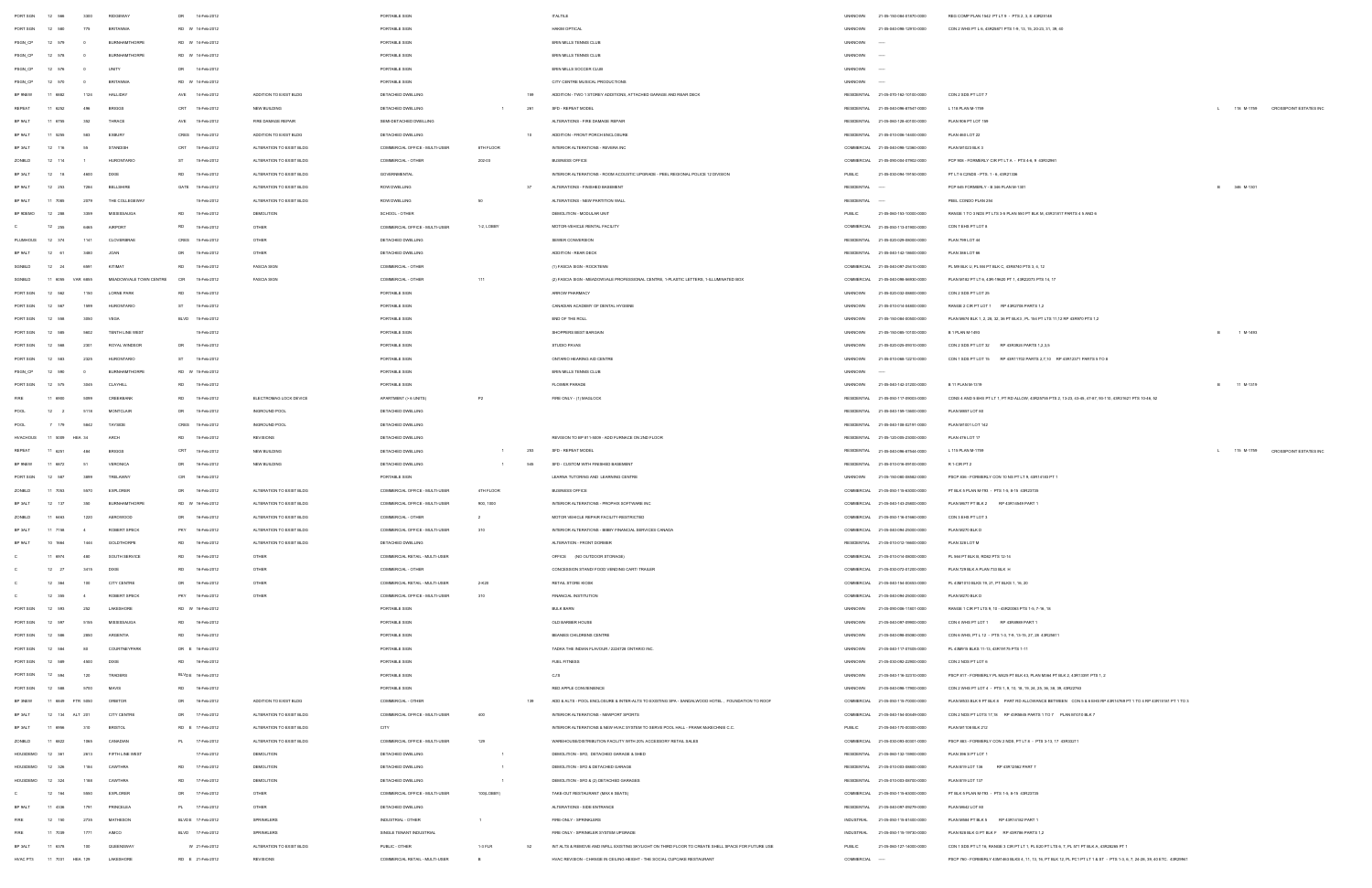| PORT SGN         | 12<br>566   | 3300             | RIDGEWAY               | DR 14-Feb-2012            |                          | PORTABLE SIGN                  |                |     | <b>ITALTILE</b>                                                                                    | <b>UNKNOWN</b>     | 21-05-150-084-01870-0000             | REG COMP PLAN 1542 PT LT 9 - PTS 2, 3, 8 43R25148                                                                           |              |                                     |
|------------------|-------------|------------------|------------------------|---------------------------|--------------------------|--------------------------------|----------------|-----|----------------------------------------------------------------------------------------------------|--------------------|--------------------------------------|-----------------------------------------------------------------------------------------------------------------------------|--------------|-------------------------------------|
| PORT SGN         | 12<br>580   | 775              | BRITANNIA              | RD W 14-Feb-2012          |                          | PORTABLE SIGN                  |                |     | HAKIM OPTICAL                                                                                      | <b>UNKNOWN</b>     | 21-05-040-098-12910-0000             | CON 2 WHS PT L 6, 43R25871 PTS 1-9, 13, 15, 20-23, 31, 39, 40                                                               |              |                                     |
| PSGN_CP          | -12<br>579  |                  | <b>BURNHAMTHORPE</b>   | RD W 14-Feb-2012          |                          | PORTABLE SIGN                  |                |     | ERIN MILLS TENNIS CLUB                                                                             | <b>UNKNOWN</b>     |                                      |                                                                                                                             |              |                                     |
| PSGN_CP          | -12<br>578  | $\Omega$         | <b>BURNHAMTHORPE</b>   | RD W 14-Feb-2012          |                          | PORTABLE SIGN                  |                |     | ERIN MILLS TENNIS CLUB                                                                             | <b>UNKNOWN</b>     | $\sim$                               |                                                                                                                             |              |                                     |
|                  |             |                  |                        |                           |                          |                                |                |     |                                                                                                    |                    |                                      |                                                                                                                             |              |                                     |
| PSGN_CP          | 12 576      | $\Omega$         | <b>UNITY</b>           | DR 14-Feb-2012            |                          | PORTABLE SIGN                  |                |     | ERIN MILLS SOCCER CLUB                                                                             | <b>UNKNOWN</b>     | $\sim$                               |                                                                                                                             |              |                                     |
| PSGN CP          | - 12<br>570 | $\Omega$         | <b>BRITANNIA</b>       | RD W 14-Feb-2012          |                          | PORTABLE SIGN                  |                |     | CITY CENTRE MUSICAL PRODUCTIONS                                                                    | <b>UNKNOWN</b>     | $\sim$                               |                                                                                                                             |              |                                     |
| BP 9NEW          |             | 1124             | <b>HALLIDAY</b>        | AVE 14-Feb-2012           | ADDITION TO EXIST BLDG   | DETACHED DWELLING              |                | 159 | ADDITION - TWO 1 STOREY ADDITIONS, ATTACHED GARAGE AND REAR DECK                                   |                    | RESIDENTIAL 21-05-070-162-10100-0000 | CON 2 SDS PT LOT 7                                                                                                          |              |                                     |
| REPEAT           | 6252        |                  | <b>BRIGGS</b>          | CRT 15-Feb-2012           | NEW BUILDING             | DETACHED DWELLING              | 1              | 261 | SFD - REPEAT MODEL                                                                                 |                    | RESIDENTIAL 21-05-040-096-87547-0000 | L 118 PLAN M-1759                                                                                                           |              | L 118 M-1759 CROSSPOINT ESTATES INC |
| BP 9ALT          | 6755        | 352              | THRACE                 | AVE 15-Feb-2012           | FIRE DAMAGE REPAIR       | SEMI-DETACHED DWELLING         |                |     | ALTERATIONS - FIRE DAMAGE REPAIR                                                                   |                    | RESIDENTIAL 21-05-060-128-40100-0000 | PLAN 906 PT LOT 159                                                                                                         |              |                                     |
| BP 9ALT          | 5255        | 583              | EXBURY                 | CRES 15-Feb-2012          | ADDITION TO EXIST BLDG   | DETACHED DWELLING              |                |     | ADDITION - FRONT PORCH ENCLOSURE                                                                   |                    | RESIDENTIAL 21-05-010-006-14400-0000 | PLAN 460 LOT 22                                                                                                             |              |                                     |
| BP 3ALT          | - 12<br>116 |                  | <b>STANDISH</b>        | CRT 15-Feb-2012           | ALTERATION TO EXIST BLDG | COMMERCIAL OFFICE - MULTI-USER | 8TH FLOOR      |     | INTERIOR ALTERATIONS - REVERA INC                                                                  |                    | COMMERCIAL 21-05-040-098-12360-0000  | PLAN M1023 BLK 3                                                                                                            |              |                                     |
| ZONBLD           | - 12        |                  | <b>HURONTARIO</b>      | ST 15-Feb-2012            | ALTERATION TO EXIST BLDG | COMMERCIAL - OTHER             | 202-03         |     | <b>BUSINESS OFFICE</b>                                                                             |                    | COMMERCIAL 21-05-090-004-07902-0000  | PCP 908 - FORMERLY CIR PT LT A - PTS 4-6, 9 43R32961                                                                        |              |                                     |
| BP 3ALT          | - 12        | 4600             | <b>DIXIE</b>           | RD 15-Feb-2012            | ALTERATION TO EXIST BLDG | <b>GOVERNMENTAL</b>            |                |     | INTERIOR ALTERATIONS - ROOM ACOUSTIC UPGRADE - PEEL REGIONAL POLICE 12 DIVISION                    | PUBLIC             | 21-05-030-094-19150-0000             | PT LT 6 C2NDS - PTS. 1 - 6, 43R21336                                                                                        |              |                                     |
| BP 9ALT          | -12         | 7284             | <b>BELLSHIRE</b>       | GATE 15-Feb-2012          | ALTERATION TO EXIST BLDG | ROW DWELLING                   |                |     | ALTERATIONS - FINISHED BASEMENT                                                                    | <b>RESIDENTIAL</b> | -----                                | PCP 645 FORMERLY - B 346 PLAN M-1301                                                                                        | B 346 M-1301 |                                     |
|                  |             |                  |                        |                           |                          |                                |                |     |                                                                                                    |                    |                                      |                                                                                                                             |              |                                     |
| BP 9ALT          |             | 2079             | THE COLLEGEWAY         | 15-Feb-2012               | ALTERATION TO EXIST BLDG | ROW DWELLING                   | 50             |     | ALTERATIONS - NEW PARTITION WALL                                                                   | <b>RESIDENTIAL</b> |                                      | PEEL CONDO PLAN 254                                                                                                         |              |                                     |
| BP 9DEMO         | 12          | 3359             | MISSISSAUGA            | RD 15-Feb-2012            | DEMOLITION               | SCHOOL - OTHER                 |                |     | DEMOLITION - MODULAR UNIT                                                                          | PUBLIC             | 21-05-060-153-10000-0000             | RANGE 1 TO 3 NDS PT LTS 3-5 PLAN 550 PT BLK M, 43R31817 PARTS 4 5 AND 6                                                     |              |                                     |
|                  | 12<br>255   | 6465             | AIRPORT                | RD 15-Feb-2012            | OTHER                    | COMMERCIAL OFFICE - MULTI-USER | 1-2, LOBBY     |     | MOTOR-VEHICLE RENTAL FACILITY                                                                      |                    | COMMERCIAL 21-05-050-113-01900-0000  | CON 7 EHS PT LOT 8                                                                                                          |              |                                     |
| PLUMHOUS         | 12<br>374   | 1141             | CLOVERBRAE             | CRES 15-Feb-2012          | OTHER                    | DETACHED DWELLING              |                |     | SEWER CONVERSION                                                                                   |                    | RESIDENTIAL 21-05-020-029-08000-0000 | PLAN 799 LOT 44                                                                                                             |              |                                     |
| BP 9ALT          | 12          | 3480             | <b>JOAN</b>            | DR 15-Feb-2012            | OTHER                    | DETACHED DWELLING              |                |     | ADDITION - REAR DECK                                                                               |                    | RESIDENTIAL 21-05-040-142-18600-0000 | PLAN 386 LOT 66                                                                                                             |              |                                     |
| SGNBLD           | -12         | 6591             | <b>KITIMA</b>          | RD 15-Feb-2012            | <b>FASCIA SIGN</b>       | COMMERCIAL - OTHER             |                |     | (1) FASCIA SIGN - ROCKTENN                                                                         |                    | COMMERCIAL 21-05-040-097-25410-0000  | PL M9 BLK U, PL M4 PT BLK C, 43R8740 PTS 3, 4, 12                                                                           |              |                                     |
| SGNBLD           | 11 6055     | VAR 6855         | MEADOWVALE TOWN CENTRE | <b>CIR</b><br>15-Feb-2012 | <b>FASCIA SIGN</b>       | COMMERCIAL - OTHER             | 111            |     | (2) FASCIA SIGN - MEADOWVALE PROFESSIONAL CENTRE, 1-PLASTIC LETTERS, 1-ILLUMINATED BOX             | COMMERCIAL         | 21-05-040-098-56930-0000             | PLAN M182 PT LT 6, 43R-19620 PT 1, 43R22073 PTS 14, 17                                                                      |              |                                     |
| PORT SGN         | 12          | 1150             | <b>LORNE PARK</b>      | 15-Feb-2012<br><b>RD</b>  |                          | PORTABLE SIGN                  |                |     | ARROW PHARMACY                                                                                     | <b>UNKNOWN</b>     | 21-05-020-032-08800-0000             | CON 2 SDS PT LOT 25                                                                                                         |              |                                     |
|                  | 12<br>567   | 1599             | <b>HURONTARIO</b>      |                           |                          |                                |                |     | CANADIAN ACADEMY OF DENTAL HYGIENE                                                                 | <b>UNKNOWN</b>     | 21-05-010-014-04800-0000             |                                                                                                                             |              |                                     |
| PORT SGN         |             |                  |                        | ST 15-Feb-2012            |                          | PORTABLE SIGN                  |                |     |                                                                                                    |                    |                                      | RANGE 2 CIR PT LOT 1 RP 43R2708 PARTS 1,2                                                                                   |              |                                     |
| PORT SGN         | 12<br>558   | 3050             | VEGA                   | BLVD 15-Feb-2012          |                          | PORTABLE SIGN                  |                |     | END OF THE ROLL                                                                                    | <b>UNKNOWN</b>     | 21-05-150-084-00500-0000             | PLAN M674 BLK 1, 2, 28, 32, 36 PT BLK3, PL 154 PT LTS 11,12 RP 43R970 PTS 1,2                                               |              |                                     |
| PORT SGN         | 12<br>585   | 5602             | TENTH LINE WEST        | 15-Feb-2012               |                          | PORTABLE SIGN                  |                |     | SHOPPERS BEST BARGAIN                                                                              | <b>UNKNOWN</b>     | 21-05-150-085-10100-0000             | B 1 PLAN M-1493                                                                                                             | B 1 M-1493   |                                     |
| PORT SGN         | 12          | 2301             | ROYAL WINDSOR          | DR 15-Feb-2012            |                          | PORTABLE SIGN                  |                |     | STUDIO PAVAS                                                                                       | <b>UNKNOWN</b>     | 21-05-020-025-09310-0000             | CON 2 SDS PT LOT 32 RP 43R3924 PARTS 1,2,3,5                                                                                |              |                                     |
| PORT SGN         | 12          | 2325             | <b>HURONTARIO</b>      | ST 15-Feb-2012            |                          | PORTABLE SIGN                  |                |     | ONTARIO HEARING AID CENTRE                                                                         | <b>UNKNOWN</b>     | 21-05-010-068-12210-0000             | CON 1 SDS PT LOT 15 RP 43R11702 PARTS 2,7,10 RP 43R12371 PARTS 5 TO 8                                                       |              |                                     |
| PSGN_CP          | 12<br>590   | $\circ$          | BURNHAMTHORPE          | RD W 15-Feb-2012          |                          | PORTABLE SIGN                  |                |     | ERIN MILLS TENNIS CLUB                                                                             | <b>UNKNOWN</b>     |                                      |                                                                                                                             |              |                                     |
| PORT SGN         | 12 575      | 3045             | CLAYHILL               | RD 15-Feb-2012            |                          | PORTABLE SIGN                  |                |     | <b>FLOWER PARADE</b>                                                                               | <b>UNKNOWN</b>     | 21-05-040-142-31200-0000             | B 11 PLAN M-1319                                                                                                            | B 11 M-1319  |                                     |
| <b>FIRE</b>      | 11 6900     | 5099             | CREEKBANK              | RD 15-Feb-2012            | ELECTROMAG LOCK DEVICE   | APARTMENT (> 6 UNITS)          | P2             |     | FIRE ONLY - (1) MAGLOCK                                                                            |                    | RESIDENTIAL 21-05-050-117-09003-0000 | CONS 4 AND 5 EHS PT LT 1, PT RD ALLOW, 43R25755 PTS 2, 13-23, 43-45, 47-87, 93-110, 43R31621 PTS 10-46, 52                  |              |                                     |
| POOL             | 12          | 5118             | <b>MONTCLAIR</b>       | DR 15-Feb-2012            | INGROUND POOL            | DETACHED DWELLING              |                |     |                                                                                                    |                    | RESIDENTIAL 21-05-040-159-13600-0000 | PLAN M857 LOT 80                                                                                                            |              |                                     |
| POOL             | 179         | 5842             | TAYSIDE                | CRES 15-Feb-2012          | INGROUND POOL            | DETACHED DWELLING              |                |     |                                                                                                    |                    | RESIDENTIAL 21-05-040-108-02191-0000 | PLAN M1001 LOT 142                                                                                                          |              |                                     |
|                  |             |                  |                        |                           |                          |                                |                |     |                                                                                                    |                    |                                      |                                                                                                                             |              |                                     |
| <b>HVACHOUS</b>  | 11<br>5009  | HEA <sub>3</sub> | ARCH                   | RD 15-Feb-2012            | <b>REVISIONS</b>         | DETACHED DWELLING              |                |     | REVISION TO BP #11-5009 - ADD FURNACE ON 2ND FLOOR                                                 |                    | RESIDENTIAL 21-05-120-005-23000-0000 | PLAN 476 LOT 17                                                                                                             |              |                                     |
| REPEAT           | 6251        | 484              | <b>BRIGGS</b>          | CRT 15-Feb-2012           | NEW BUILDING             | DETACHED DWELLING              | $-1$           | 253 | SFD - REPEAT MODEL                                                                                 |                    | RESIDENTIAL 21-05-040-096-87544-0000 | L 115 PLAN M-1759                                                                                                           |              | L 115 M-1759 CROSSPOINT ESTATES INC |
| BP 9NEW          | 11 6872     | -51              | VERONICA               | DR 16-Feb-2012            | <b>NEW BUILDING</b>      | DETACHED DWELLING              | $\overline{1}$ | 545 | SFD - CUSTOM WITH FINISHED BASEMENT                                                                |                    | RESIDENTIAL 21-05-010-016-09100-0000 | R 1-CIR PT 2                                                                                                                |              |                                     |
| PORT SGN         | 12          | 3899             | TRELAWNY               | CIR 16-Feb-2012           |                          | PORTABLE SIGN                  |                |     | LEARNA TUTORING AND LEARNING CENTRE                                                                | <b>UNKNOWN</b>     | 21-05-150-080-08582-0000             | PSCP 836 - FORMERLY CON 10 NS PT LT 9, 43R14183 PT 1                                                                        |              |                                     |
| ZONBLD           | 11 7053     | 5570             | <b>EXPLORER</b>        | DR 16-Feb-2012            | ALTERATION TO EXIST BLDG | COMMERCIAL OFFICE - MULTI-USER | 4TH FLOOR      |     | <b>BUSINESS OFFICE</b>                                                                             |                    | COMMERCIAL 21-05-050-115-63000-0000  | PT BLK 5 PLAN M-793 - PTS 1-5, 8-15 43R23735                                                                                |              |                                     |
| BP 3ALT          | 12 137      | 350              | BURNHAMTHORPE          | RD W 16-Feb-2012          | ALTERATION TO EXIST BLDG | COMMERCIAL OFFICE - MULTI-USER | 900.1000       |     | INTERIOR ALTERATIONS - PROPHIX SOFTWARE INC                                                        |                    | COMMERCIAL 21-05-040-143-25800-0000  | PLAN M677 PT BLK 2 RP 43R14549 PART 1                                                                                       |              |                                     |
| ZONBLD           | 11 6463     | 1220             | AEROWOOD               | <b>DR</b><br>16-Feb-2012  | ALTERATION TO EXIST BLDG | COMMERCIAL - OTHER             |                |     | MOTOR VEHICLE REPAIR FACILITY-RESTRICTED                                                           |                    | COMMERCIAL 21-05-050-116-01660-0000  | CON 3 EHS PT LOT 3                                                                                                          |              |                                     |
| BP 3ALT          | 11 7158     | $\overline{4}$   | ROBERT SPECK           | PKY 16-Feb-2012           | ALTERATION TO EXIST BLDG | COMMERCIAL OFFICE - MULTI-USER | 310            |     | INTERIOR ALTERATIONS - BIBBY FINANCIAL SERVICES CANADA                                             |                    | COMMERCIAL 21-05-040-094-25000-0000  | PLAN M270 BLK D                                                                                                             |              |                                     |
| BP 9ALT          | 10 1664     | 1444             | GOLDTHORPE             | RD 16-Feb-2012            | ALTERATION TO EXIST BLDG | DETACHED DWELLING              |                |     | ALTERATION - FRONT DORMER                                                                          |                    | RESIDENTIAL 21-05-010-012-16600-0000 | PLAN 328 LOT M                                                                                                              |              |                                     |
|                  |             |                  |                        |                           |                          |                                |                |     |                                                                                                    |                    |                                      |                                                                                                                             |              |                                     |
|                  | 11 6974     | 480              | SOUTH SERVICE          | RD 16-Feb-2012            | OTHER                    | COMMERCIAL RETAIL - MULTI-USER |                |     | OFFICE (NO OUTDOOR STORAGE)                                                                        |                    | COMMERCIAL 21-05-010-014-08000-0000  | PL 564 PT BLK B, RD82 PTS 12-14                                                                                             |              |                                     |
|                  | 12<br>27    | 3415             | DIXIE                  | RD 16-Feb-2012            | OTHER                    | COMMERCIAL - OTHER             |                |     | CONCESSION STAND/ FOOD VENDING CART/ TRAILER                                                       |                    | COMMERCIAL 21-05-030-072-01200-0000  | PLAN 729 BLK A PLAN 733 BLK H                                                                                               |              |                                     |
|                  | 12<br>364   | 100              | CITY CENTRE            | DR 16-Feb-2012            | OTHER                    | COMMERCIAL RETAIL - MULTI-USER | 2-K20          |     | RETAIL STORE KIOSK                                                                                 |                    | COMMERCIAL 21-05-040-154-00453-0000  | PL 43M1010 BLKS 19, 21, PT BLKS 1, 16, 20                                                                                   |              |                                     |
|                  | 12<br>355   |                  | ROBERT SPECK           | PKY 16-Feb-2012           | OTHER                    | COMMERCIAL OFFICE - MULTI-USER | 310            |     | FINANCIAL INSTITUTION                                                                              |                    | COMMERCIAL 21-05-040-094-25000-0000  | PLAN M270 BLK D                                                                                                             |              |                                     |
| PORT SGN         | 12<br>593   | 252              | LAKESHORE              | RD W 16-Feb-2012          |                          | PORTABLE SIGN                  |                |     | <b>BULK BARN</b>                                                                                   | <b>UNKNOWN</b>     | 21-05-090-006-11801-0000             | RANGE 1 CIR PT LTS 9, 10 - 43R20063 PTS 1-5, 7-16, 18                                                                       |              |                                     |
| PORT SGN         | 12<br>597   | 5155             | MISSISSAUGA            | RD 16-Feb-2012            |                          | PORTABLE SIGN                  |                |     | OLD BARBER HOUSE                                                                                   | <b>UNKNOWN</b>     | 21-05-040-097-09900-0000             | CON 4 WHS PT LOT 1 RP 43R8989 PART 1                                                                                        |              |                                     |
| PORT SGN         | 12<br>586   | 2850             | ARGENTIA               | RD 16-Feb-2012            |                          | PORTABLE SIGN                  |                |     | BEANIES CHILDRENS CENTRE                                                                           | <b>UNKNOWN</b>     | 21-05-040-098-05080-0000             | CON 6 WHS, PT L 12 - PTS 1-3, 7-9, 13-15, 27, 28 43R25811                                                                   |              |                                     |
| PORT SGN         | - 12        | -80              | COURTNEYPARK           | DR E 16-Feb-2012          |                          | PORTABLE SIGN                  |                |     | TADKA THE INDIAN FLAVOUR / 2224728 ONTARIO INC.                                                    | <b>UNKNOWN</b>     | 21-05-040-117-07405-0000             | PL 43M915 BLKS 11-13, 43R19175 PTS 1-11                                                                                     |              |                                     |
| PORT SGN         | 12          | 4500             | DIXIE                  | RD 16-Feb-2012            |                          | PORTABLE SIGN                  |                |     | FUEL FITNESS                                                                                       | <b>UNKNOWN</b>     | 21-05-030-092-22900-0000             | CON 2 NDS PT LOT 6                                                                                                          |              |                                     |
|                  |             |                  |                        |                           |                          |                                |                |     |                                                                                                    |                    |                                      |                                                                                                                             |              |                                     |
| PORT SGN         | 12          | 120              | TRADERS                | BLVDE 16-Feb-2012         |                          | PORTABLE SIGN                  |                |     | <b>CJ'S</b>                                                                                        | <b>UNKNOWN</b>     | 21-05-040-116-32310-0000             | PSCP 817 - FORMERLY PL M425 PT BLK 43, PLAN M364 PT BLK 2, 43R13391 PTS 1, 2                                                |              |                                     |
| PORT SGN         | 12          | 5700             | MAVIS                  | RD 16-Feb-2012            |                          | PORTABLE SIGN                  |                |     | RED APPLE CONVIENIENCE                                                                             | <b>UNKNOWN</b>     | 21-05-040-098-17900-0000             | CON 2 WHS PT LOT 4 - PTS 1, 9, 10, 18, 19, 24, 25, 36, 38, 39, 43R22763                                                     |              |                                     |
| BP 3NEW          | 11 6849     | FTR 5050         | ORBITOR                | DR 16-Feb-2012            | ADDITION TO EXIST BLDG   | COMMERCIAL - OTHER             |                | 139 | ADD & ALTS - POOL ENCLOSURE & INTER-ALTS TO EXISTING SPA - SANDALWOOD HOTEL, FOUNDATION TO ROOF    | COMMERCIAL         | 21-05-050-115-70000-0000             | PLAN M533 BLK 9 PT BLK 8 PART RD ALLOWANCE BETWEEN CON 5 & 6 EHS RP 43R14769 PT 1 TO 4 RP 43R15181 PT 1 TO 3                |              |                                     |
| BP 3ALT          | 12 134      | ALT 201          | <b>CITY CENTRE</b>     | DR 17-Feb-2012            | ALTERATION TO EXIST BLDG | COMMERCIAL OFFICE - MULTI-USER | 400            |     | INTERIOR ALTERATIONS - NEWPORT SPORTS                                                              |                    | COMMERCIAL 21-05-040-154-00449-0000  | CON 2 NDS PT LOTS 17,18 RP 43R5845 PARTS 1 TO 7 PLAN M1010 BLK 7                                                            |              |                                     |
| BP 3ALT          | 11 6956     | 310              | <b>BRISTOL</b>         | RD E 17-Feb-2012          | ALTERATION TO EXIST BLDG | CITY                           |                |     | INTERIOR ALTERATIONS & NEW HVAC SYSTEM TO SERVE POOL HALL - FRANK McKECHNIE C.C.                   | PUBLIC             | 21-05-040-170-00300-0000             | PLAN M1108 BLK 212                                                                                                          |              |                                     |
| ZONBLD           | 11 6822     | 1065             | CANADIAN               | PL 17-Feb-2012            | ALTERATION TO EXIST BLDG | COMMERCIAL OFFICE - MULTI-USER | 129            |     | WAREHOUSE/DISTRIBUTION FACILITY WITH 20% ACCESSORY RETAIL SALES                                    |                    | COMMERCIAL 21-05-030-093-00301-0000  | PSCP 883 - FORMERLY CON 2 NDS, PT LT 8 - PTS 3-13, 17 43R33211                                                              |              |                                     |
| HOUSDEMO 12      |             | 2613             | FIFTH LINE WEST        | 17-Feb-2012               | DEMOLITION               | DETACHED DWELLING              | $-1$           |     | DEMOLITION - SFD, DETACHED GARAGE & SHED                                                           |                    | RESIDENTIAL 21-05-060-132-15900-0000 | PLAN 396 S PT LOT 1                                                                                                         |              |                                     |
| HOUSDEMO 12 326  |             | 1184             | CAWTHRA                | RD 17-Feb-2012            | DEMOLITION               | DETACHED DWELLING              | $-1$           |     | DEMOLITION - SFD & DETACHED GARAGE                                                                 |                    | RESIDENTIAL 21-05-010-003-08800-0000 | PLAN B19 LOT 136 RP 43R12562 PART 7                                                                                         |              |                                     |
|                  |             |                  |                        |                           |                          |                                |                |     |                                                                                                    |                    |                                      |                                                                                                                             |              |                                     |
| HOUSDEMO         | 12<br>324   | 1188             | CAWTHRA                | RD 17-Feb-2012            | DEMOLITION               | DETACHED DWELLING              | $\overline{1}$ |     | DEMOLITION - SFD & (2) DETACHED GARAGES                                                            |                    | RESIDENTIAL 21-05-010-003-08700-0000 | PLAN B19 LOT 137                                                                                                            |              |                                     |
|                  | 12<br>164   | 5550             | <b>EXPLORER</b>        | DR 17-Feb-2012            | OTHER                    | COMMERCIAL OFFICE - MULTI-USER | 100(LOBBY)     |     | TAKE-OUT RESTAURANT (MAX 6 SEATS)                                                                  |                    | COMMERCIAL 21-05-050-115-63000-0000  | PT BLK 5 PLAN M-793 - PTS 1-5, 8-15 43R23735                                                                                |              |                                     |
| BP 9ALT          | 11 4336     | 1791             | PRINCELEA              | PL 17-Feb-2012            | OTHER                    | DETACHED DWELLING              |                |     | ALTERATIONS - SIDE ENTRANCE                                                                        |                    | RESIDENTIAL 21-05-040-097-09279-0000 | PLAN M642 LOT 80                                                                                                            |              |                                     |
| <b>FIRE</b>      | - 12        | 2735             | MATHESON               | BLVDE 17-Feb-2012         | SPRINKLERS               | INDUSTRIAL - OTHER             |                |     | FIRE-ONLY - SPRINKLERS                                                                             | <b>INDUSTRIAL</b>  | 21-05-050-115-81400-0000             | PLAN M584 PT BLK 5 RP 43R14182 PART 1                                                                                       |              |                                     |
| <b>FIRE</b>      | 11 7039     | 1771             | AIMCO                  | BLVD 17-Feb-2012          | SPRINKLERS               | SINGLE TENANT INDUSTRIAL       |                |     | FIRE ONLY - SPRINKLER SYSTEM UPGRADE                                                               | <b>INDUSTRIAL</b>  | 21-05-050-115-19730-0000             | PLAN 928 BLK G PT BLK F RP 43R786 PARTS 1,2                                                                                 |              |                                     |
| BP 3ALT          | 11 6378     | 100              | QUEENSWAY              | W 21-Feb-2012             | ALTERATION TO EXIST BLDG | PUBLIC - OTHER                 | 1-3 FLR        |     | INT ALTS & REMOVE AND INFILL EXISTING SKYLIGHT ON THIRD FLOOR TO CREATE SHELL SPACE FOR FUTURE USE | PUBLIC             | 21-05-060-127-14000-0000             | CON 1 SDS PT LT 16, RANGE 3 CIR PT LT 1, PL E20 PT LTS 6, 7, PL 571 PT BLK A, 43R28265 PT 1                                 |              |                                     |
| HVAC PT3 11 7031 |             | <b>HEA 129</b>   | LAKESHORE              | RD E 21-Feb-2012          | <b>REVISIONS</b>         | COMMERCIAL RETAIL - MULTI-USER | в              |     | HVAC REVISION - CHANGE IN CEILING HEIGHT - THE SOCIAL CUPCAKE RESTAURANT                           | COMMERCIAL         | $\overline{\phantom{a}}$             | PSCP 760 - FORMERLY 43M1463 BLKS 4, 11, 13, 16, PT BLK 12, PL PC1 PT LT 1 & ST - PTS 1-3, 6, 7, 24-28, 39, 40 ETC. 43R29941 |              |                                     |
|                  |             |                  |                        |                           |                          |                                |                |     |                                                                                                    |                    |                                      |                                                                                                                             |              |                                     |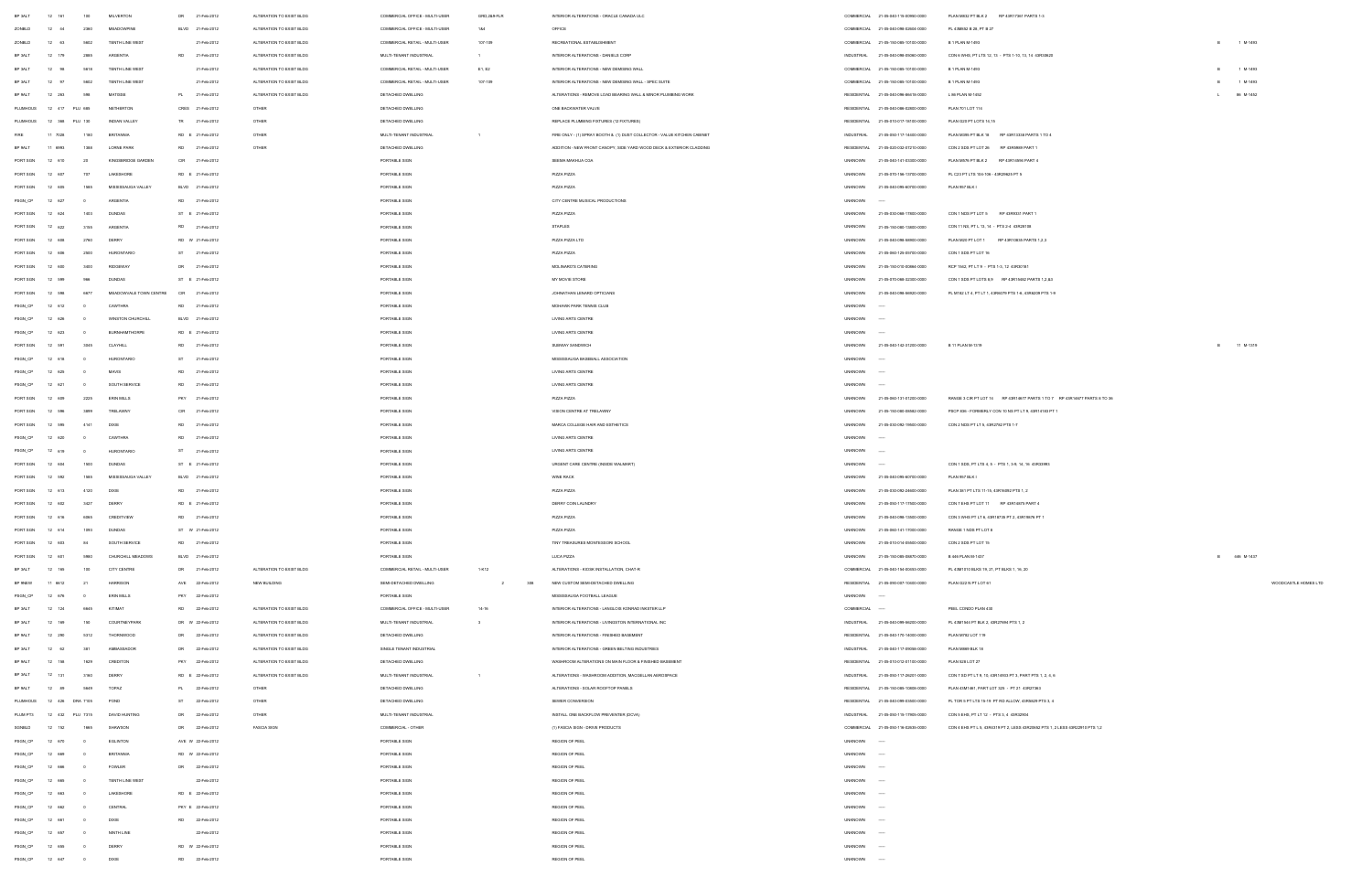| BP 3ALT         | 12 161           | 100            | <b>MILVERTON</b>       | DR 21-Feb-2012           | ALTERATION TO EXIST BLDG | COMMERCIAL OFFICE - MULTI-USER | GRD, 2&9-FLR            | INTERIOR ALTERATIONS - ORACLE CANADA ULC                                 | COMMERCIAL 21-05-040-115-00950-0000            | PLAN M832 PT BLK 2 RP 43R17361 PARTS 1-3                                     |                      |
|-----------------|------------------|----------------|------------------------|--------------------------|--------------------------|--------------------------------|-------------------------|--------------------------------------------------------------------------|------------------------------------------------|------------------------------------------------------------------------------|----------------------|
| ZONBLD          |                  | 2360           | MEADOWPINE             | BLVD 21-Feb-2012         | ALTERATION TO EXIST BLDG | COMMERCIAL OFFICE - MULTI-USER | 184                     | OFFICE                                                                   | COMMERCIAL 21-05-040-098-02604-0000            | PL 43M852 B 28, PT B 27                                                      |                      |
| ZONBLD          | -12              | 5602           | TENTH LINE WEST        | 21-Feb-2012              | ALTERATION TO EXIST BLDG | COMMERCIAL RETAIL - MULTI-USER | 107-109                 | RECREATIONAL ESTABLISHMENT                                               | COMMERCIAL 21-05-150-085-10100-0000            | B 1 PLAN M-1493                                                              | B 1 M-1493           |
| BP 3ALT         | 12<br>179        | 2885           | ARGENTIA               | RD 21-Feb-2012           | ALTERATION TO EXIST BLDG | MULTI-TENANT INDUSTRIAL        | $\overline{1}$          | INTERIOR ALTERATIONS - DANIELS CORP                                      | INDUSTRIAL 21-05-040-098-05060-0000            | CON 6 WHS, PT LTS 12, 13 - PTS 1-10, 13, 14 43R30620                         |                      |
| BP 3ALT         | 12               | 5618           | TENTH LINE WEST        | 21-Feb-2012              | ALTERATION TO EXIST BLDG | COMMERCIAL RETAIL - MULTI-USER | E1, E2                  | INTERIOR ALTERATIONS - NEW DEMISING WALL                                 | COMMERCIAL 21-05-150-085-10100-0000            | B 1 PLAN M-1493                                                              | 1 M-1493<br><b>B</b> |
| BP 3ALT         |                  | 5602           | TENTH LINE WEST        | 21-Feb-2012              | ALTERATION TO EXIST BLDG | COMMERCIAL RETAIL - MULTI-USER | 107-109                 | INTERIOR ALTERATIONS - NEW DEMISING WALL - SPEC SUITE                    | COMMERCIAL 21-05-150-085-10100-0000            | <b>B 1 PLAN M-1493</b>                                                       | 1 M-1493             |
| BP 9ALT         | 12<br>263        | 598            | MATISSE                | PL 21-Feb-2012           | ALTERATION TO EXIST BLDG | DETACHED DWELLING              |                         | ALTERATIONS - REMOVE LOAD BEARING WALL & MINOR PLUMBING WORK             | RESIDENTIAL 21-05-040-096-86418-0000           | L 86 PLAN M-1452                                                             | 86 M-1452            |
| PLUMHOUS        | 12<br>417        | <b>PLU 685</b> | NETHERTON              | CRES 21-Feb-2012         | OTHER                    | DETACHED DWELLING              |                         | ONE BACKWATER VALVE                                                      | <b>RESIDENTIAL</b><br>21-05-040-086-02800-0000 | PLAN 701 LOT 114                                                             |                      |
| PLUMHOUS        | 12<br>368        | PLU 130        | <b>INDIAN VALLEY</b>   | TR 21-Feb-2012           | OTHER                    | DETACHED DWELLING              |                         | REPLACE PLUMBING FIXTURES (12 FIXTURES)                                  | 21-05-010-017-18100-0000<br>RESIDENTIAL        | PLAN G20 PT LOTS 14,15                                                       |                      |
|                 | 11 7028          | 1180           | BRITANNIA              | RD E 21-Feb-2012         | OTHER                    | MULTI-TENANT INDUSTRIAL        |                         | FIRE ONLY - (1) SPRAY BOOTH & (1) DUST COLLECTOR - VALUE KITCHEN CABINET | <b>INDUSTRIAL</b><br>21-05-050-117-14400-0000  | PLAN M395 PT BLK 18 RP 43R13338 PARTS 1 TO 4                                 |                      |
| BP 9ALT         | 11 6993          | 1388           | <b>LORNE PARK</b>      | RD 21-Feb-2012           | OTHER                    | DETACHED DWELLING              |                         | ADDITION - NEW FRONT CANOPY, SIDE YARD WOOD DECK & EXTERIOR CLADDING     | <b>RESIDENTIAL</b><br>21-05-020-032-07210-0000 | CON 2 SDS PT LOT 26 RP 43R5989 PART 1                                        |                      |
| PORT SGN        | 12               | 20             | KINGSBRIDGE GARDEN     | CIR 21-Feb-2012          |                          | PORTABLE SIGN                  |                         | SEEMA MAKHIJA CGA                                                        | <b>UNKNOWN</b><br>21-05-040-141-03300-0000     | PLAN M576 PT BLK 2 RP 43R14594 PART 4                                        |                      |
| PORT SGN        | 12<br>607        | 707            | LAKESHORE              | RD E 21-Feb-2012         |                          | PORTABLE SIGN                  |                         | PIZZA PIZZA                                                              | <b>UNKNOWN</b><br>21-05-070-156-13700-0000     | PL C23 PT LTS 104-106 - 43R29625 PT 5                                        |                      |
| PORT SGN        | 12<br>605        | 1585           | MISSISSAUGA VALLEY     | BLVD 21-Feb-2012         |                          | PORTABLE SIGN                  |                         | PIZZA PIZZA                                                              | 21-05-040-095-60700-0000<br><b>UNKNOWN</b>     | PLAN 957 BLK I                                                               |                      |
| PSGN_CP         | 12 627           |                | ARGENTIA               | RD 21-Feb-2012           |                          | PORTABLE SIGN                  |                         | CITY CENTRE MUSICAL PRODUCTIONS                                          | <b>UNKNOWN</b><br>$\sim$                       |                                                                              |                      |
| PORT SGN 12 624 |                  | 1403           | <b>DUNDAS</b>          | ST E 21-Feb-2012         |                          | PORTABLE SIGN                  |                         | PIZZA PIZZA                                                              | <b>UNKNOWN</b><br>21-05-030-068-17800-0000     | CON 1 NDS PT LOT 5 RP 43R9331 PART 1                                         |                      |
| PORT SGN 12 622 |                  | 3155           | ARGENTIA               | RD 21-Feb-2012           |                          | PORTABLE SIGN                  |                         | <b>STAPLES</b>                                                           | 21-05-150-080-13800-0000<br><b>UNKNOWN</b>     | CON 11 NS, PT L 13, 14 - PTS 2-4 43R28108                                    |                      |
| PORT SGN        | 12 608           | 2760           | DERRY                  | RD W 21-Feb-2012         |                          | PORTABLE SIGN                  |                         | PIZZA PIZZA LTD                                                          | <b>UNKNOWN</b><br>21-05-040-098-58900-0000     | PLAN M20 PT LOT 1 RP 43R10835 PARTS 1,2,3                                    |                      |
| PORT SGN        | 12 606           | 2500           | <b>HURONTARIO</b>      | ST 21-Feb-2012           |                          | PORTABLE SIGN                  |                         | PIZZA PIZZA                                                              | 21-05-060-125-05700-0000<br><b>UNKNOWN</b>     | CON 1 SDS PT LOT 16                                                          |                      |
| PORT SGN        | 12 600           | 3400           | RIDGEWAY               | DR 21-Feb-2012           |                          | PORTABLE SIGN                  |                         | MOLINARO'S CATERING                                                      | <b>UNKNOWN</b><br>21-05-150-010-00864-0000     | RCP 1542, PT LT 9 - PTS 1-3, 12 43R30181                                     |                      |
| PORT SGN        | 12 599           | 966            | <b>DUNDAS</b>          | ST E 21-Feb-2012         |                          | PORTABLE SIGN                  |                         | MY MOVIE STORE                                                           | <b>UNKNOWN</b><br>21-05-070-068-32300-0000     | CON 1 SDS PT LOTS 8,9 RP 43R15482 PARTS 1,2,83                               |                      |
| PORT SGN        | 12<br>598        | 6677           | MEADOWVALE TOWN CENTRE | CIR 21-Feb-2012          |                          | PORTABLE SIGN                  |                         | JOHNATHAN LENARD OPTICIANS                                               | 21-05-040-098-56920-0000<br><b>UNKNOWN</b>     | PL M182 LT 4, PT LT 1, 43R6079 PTS 1-6, 43R6209 PTS 1-9                      |                      |
| PSGN CP         | 12 612           |                | CAWTHRA                | RD 21-Feb-2012           |                          | PORTABLE SIGN                  |                         | MOHAWK PARK TENNIS CLUB                                                  | <b>UNKNOWN</b><br>$\sim$                       |                                                                              |                      |
| PSGN CP         | 12<br>626        |                | WINSTON CHURCHILL      | BLVD 21-Feb-2012         |                          | PORTABLE SIGN                  |                         | LIVING ARTS CENTRE                                                       | <b>UNKNOWN</b><br>$\sim$                       |                                                                              |                      |
| PSGN_CP         | 12               |                | <b>BURNHAMTHORPE</b>   | RD E 21-Feb-2012         |                          | PORTABLE SIGN                  |                         | LIVING ARTS CENTRE                                                       | <b>UNKNOWN</b><br>$\sim$                       |                                                                              |                      |
| PORT SGN        | 12<br>501        | 3045           | CLAYHILL               | RD 21-Feb-2012           |                          | PORTABLE SIGN                  |                         | SUBWAY SANDWICH                                                          | <b>UNKNOWN</b><br>21-05-040-142-31200-0000     | B 11 PLAN M-1319                                                             | B 11 M-1319          |
| PSGN_CP         | 12<br>618        |                | <b>HURONTARIO</b>      | <b>ST</b><br>21-Feb-2012 |                          | PORTABLE SIGN                  |                         | MISSISSAUGA BASEBALL ASSOCIATION                                         | <b>UNKNOWN</b><br>$\sim$                       |                                                                              |                      |
| PSGN_CP         | 625<br>12        |                | MAVIS                  | RD 21-Feb-2012           |                          | PORTABLE SIGN                  |                         | LIVING ARTS CENTRE                                                       | <b>UNKNOWN</b><br>$\sim$                       |                                                                              |                      |
| PSGN CP         | 12<br>621        |                | SOUTH SERVICE          | RD 21-Feb-2012           |                          | PORTABLE SIGN                  |                         | LIVING ARTS CENTRE                                                       | <b>UNKNOWN</b><br>$\sim$                       |                                                                              |                      |
| PORT SGN        | 12<br>609        | 2225           | <b>ERIN MILLS</b>      | PKY 21-Feb-2012          |                          | PORTABLE SIGN                  |                         | PIZZA PIZZA                                                              | 21-05-060-131-01200-0000<br><b>UNKNOWN</b>     | RANGE 3 CIR PT LOT 14 RP 43R14677 PARTS 1 TO 7 RP 43R14677 PARTS 8 TO 36     |                      |
|                 |                  | 3899           |                        |                          |                          | PORTABLE SIGN                  |                         | VISION CENTRE AT TRELAWNY                                                |                                                | PSCP 836 - FORMERLY CON 10 NS PT LT 9, 43R14183 PT 1                         |                      |
| PORT SGN        |                  |                | TRELAWNY               | CIR 21-Feb-2012          |                          |                                |                         |                                                                          | <b>UNKNOWN</b><br>21-05-150-080-08582-0000     |                                                                              |                      |
| PORT SGN        | 12<br>595        | 4141           | DIXIE                  | RD 21-Feb-2012           |                          | PORTABLE SIGN                  |                         | MARCA COLLEGE HAIR AND ESTHETICS                                         | <b>UNKNOWN</b><br>21-05-030-092-19500-0000     | CON 2 NDS PT LT 5, 43R2782 PTS 1-7                                           |                      |
| PSGN_CP         | 12<br>620        |                | CAWTHRA                | RD 21-Feb-2012           |                          | PORTABLE SIGN                  |                         | LIVING ARTS CENTRE                                                       | <b>UNKNOWN</b>                                 |                                                                              |                      |
| PSGN_CP         | 12 619           |                | <b>HURONTARIO</b>      | ST 21-Feb-2012           |                          | PORTABLE SIGN                  |                         | LIVING ARTS CENTRE                                                       | <b>UNKNOWN</b><br>$\sim$                       |                                                                              |                      |
| PORT SGN        | 12<br>-604       | 1500           | <b>DUNDAS</b>          | ST E 21-Feb-2012         |                          | PORTABLE SIGN                  |                         | URGENT CARE CENTRE (INSIDE WALMART)                                      | <b>UNKNOWN</b><br>$\sim$                       | CON 1 SDS, PT LTS 4, 5 - PTS 1, 3-9, 14, 16 43R33993                         |                      |
| PORT SGN        | 12 592           | 1585           | MISSISSAUGA VALLEY     | BLVD 21-Feb-2012         |                          | PORTABLE SIGN                  |                         | <b>WINE RACK</b>                                                         | 21-05-040-095-60700-0000<br><b>UNKNOWN</b>     | PLAN 957 BLK I                                                               |                      |
| PORT SGN        | 12 613           | 4120           | <b>DIXIE</b>           | RD 21-Feb-2012           |                          | PORTABLE SIGN                  |                         | PIZZA PIZZA                                                              | 21-05-030-092-24600-0000<br><b>UNKNOWN</b>     | PLAN 381 PT LTS 11-15, 43R16092 PTS 1, 2                                     |                      |
| PORT SGN 12 602 |                  | 3427           | DERRY                  | RD E 21-Feb-2012         |                          | PORTABLE SIGN                  |                         | DERRY COIN LAUNDRY                                                       | 21-05-050-117-17500-0000<br><b>UNKNOWN</b>     | CON 7 EHS PT LOT 11 RP 43R14875 PART 4                                       |                      |
| PORT SGN 12 616 |                  | 6065           | CREDITVIEW             | RD 21-Feb-2012           |                          | PORTABLE SIGN                  |                         | PIZZA PIZZA                                                              | <b>UNKNOWN</b><br>21-05-040-098-13500-0000     | CON 3 WHS PT LT 6, 43R18735 PT 2, 43R19876 PT 1                              |                      |
| PORT SGN 12 614 |                  | 1093           | <b>DUNDAS</b>          | ST W 21-Feb-2012         |                          | PORTABLE SIGN                  |                         | PIZZA PIZZA                                                              | <b>UNKNOWN</b><br>21-05-060-141-17000-0000     | RANGE 1 NDS PT LOT 8                                                         |                      |
| PORT SGN 12 603 |                  | 84             | SOUTH SERVICE          | RD 21-Feb-2012           |                          | PORTABLE SIGN                  |                         | TINY TREASURES MONTESSORI SCHOOL                                         | 21-05-010-014-05500-0000<br><b>LINKNOWN</b>    | CON 2 SDS PT LOT 15                                                          |                      |
| PORT SGN 12 601 |                  | 5980           | CHURCHILL MEADOWS      | BLVD 21-Feb-2012         |                          | PORTABLE SIGN                  |                         | LUCA PIZZA                                                               | 21-05-150-085-08870-0000<br><b>UNKNOWN</b>     | B 446 PLAN M-1437                                                            | B 446 M-1437         |
| BP 3ALT         | 12<br>165        | 100            | CITY CENTRE            | DR 21-Feb-2012           | ALTERATION TO EXIST BLDG | COMMERCIAL RETAIL - MULTI-USER | $1 - K12$               | ALTERATIONS - KIOSK INSTALLATION, CHAT-R                                 | COMMERCIAL 21-05-040-154-00453-0000            | PL 43M1010 BLKS 19, 21, PT BLKS 1, 16, 20                                    |                      |
| BP 9NEW         | 11 6612          |                | <b>HARRISON</b>        | AVE 22-Feb-2012          | NEW BUILDING             | SEMI-DETACHED DWELLING         | $\overline{2}$<br>308   | NEW CUSTOM SEMI-DETACHED DWELLING                                        | RESIDENTIAL 21-05-090-007-10400-0000           | PLAN G22 N PT LOT 61                                                         | WOODCASTLE HOMES LTD |
| PSGN_CP         | 12 676           |                | <b>ERIN MILLS</b>      | PKY 22-Feb-2012          |                          | PORTABLE SIGN                  |                         | MISSISSAUGA FOOTBALL LEAGUE                                              | <b>UNKNOWN</b><br>$\sim$                       |                                                                              |                      |
| BP 3ALT         | 12<br>124        | 6645           | <b>KITIMAT</b>         | RD 22-Feb-2012           | ALTERATION TO EXIST BLDG | COMMERCIAL OFFICE - MULTI-USER | 14-16                   | INTERIOR ALTERATIONS - LANGLOIS KONRAD INKSTER LLP                       | COMMERCIAL ----                                | PEEL CONDO PLAN 430                                                          |                      |
| BP 3ALT         | -12<br>169       | 150            | COURTNEYPARK           | DR W 22-Feb-2012         | ALTERATION TO EXIST BLDG | MULTI-TENANT INDUSTRIAL        | $\overline{\mathbf{3}}$ | INTERIOR ALTERATIONS - LIVINGSTON INTERNATIONAL INC                      | INDUSTRIAL 21-05-040-099-56200-0000            | PL 43M1544 PT BLK 2, 43R27694 PTS 1, 2                                       |                      |
| BP 9ALT         | 12<br>290        | 5312           | THORNWOOD              | DR 22-Feb-2012           | ALTERATION TO EXIST BLDG | DETACHED DWELLING              |                         | INTERIOR ALTERATIONS - FINISHED BASEMENT                                 | RESIDENTIAL 21-05-040-170-14000-0000           | PLAN M782 LOT 119                                                            |                      |
| BP 3ALT         | 12               | 381            | AMBASSADOR             | DR 22-Feb-2012           | ALTERATION TO EXIST BLDG | SINGLE TENANT INDUSTRIAL       |                         | INTERIOR ALTERATIONS - GREEN BELTING INDUSTRIES                          | INDUSTRIAL 21-05-040-117-09058-0000            | PLAN M869 BLK 18                                                             |                      |
| BP 9ALT         |                  | 1629           | CREDITON               | PKY 22-Feb-2012          | ALTERATION TO EXIST BLDG | DETACHED DWELLING              |                         | WASHROOM ALTERATIONS ON MAIN FLOOR & FINISHED BASEMENT                   | RESIDENTIAL 21-05-010-012-01100-0000           | PLAN 528 LOT 27                                                              |                      |
| BP 3ALT         |                  | 3160           | DERRY                  | RD E 22-Feb-2012         | ALTERATION TO EXIST BLDG | MULTI-TENANT INDUSTRIAL        | $\overline{1}$          | ALTERATIONS - WASHROOM ADDITION, MACGELLAN AEROSPACE                     | <b>INDUSTRIAL</b><br>21-05-050-117-26201-0000  | CON 7 SD PT LT 9, 10, 43R14933 PT 3, PART PTS 1, 2, 4, 6                     |                      |
| BP 9ALT         | 12               | 5649           | TOPAZ                  | PL 22-Feb-2012           | OTHER                    | DETACHED DWELLING              |                         | ALTERATIONS - SOLAR ROOFTOP PANELS                                       | RESIDENTIAL 21-05-150-085-10808-0000           | PLAN 43M1461, PART LOT 325 - PT 21 43R27363                                  |                      |
| PLUMHOUS        | 12 426           | DRA 7105       | POND                   | <b>ST</b><br>22-Feb-2012 | OTHER                    | DETACHED DWELLING              |                         | SEWER CONVERSION                                                         | RESIDENTIAL 21-05-040-099-03500-0000           | PL TOR 5 PT LTS 15-19 PT RD ALLOW, 43R5829 PTS 3, 4                          |                      |
| PLUM PT3        | 12 432           | PLU 7315       | DAVID HUNTING          | DR 22-Feb-2012           | OTHER                    | MULTI-TENANT INDUSTRIAL        |                         | INSTALL ONE BACKFLOW PREVENTER (DCVA)                                    | <b>INDUSTRIAL</b><br>21-05-050-115-17905-0000  | CON 5 EHS, PT LT 12 - PTS 3, 4 43R32904                                      |                      |
| SGNBLD          | 12<br>152        | 1665           | SHAWSON                | DR 22-Feb-2012           | <b>FASCIA SIGN</b>       | COMMERCIAL - OTHER             |                         | (1) FASCIA SIGN - DRIVE PRODUCTS                                         | COMMERCIAL 21-05-050-116-02635-0000            | CON 4 EHS PT L 5, 43R4319 PT 2, LESS 43R20652 PTS 1, 2 LESS 43R22910 PTS 1,2 |                      |
| PSGN_CP         | 12 670           |                | <b>EGLINTON</b>        | AVE W 22-Feb-2012        |                          | PORTABLE SIGN                  |                         | REGION OF PEEL                                                           | <b>UNKNOWN</b><br>$\sim$ 0.000 $\mu$           |                                                                              |                      |
| PSGN_CP         |                  |                | <b>BRITANNIA</b>       | RD W 22-Feb-2012         |                          | PORTABLE SIGN                  |                         | REGION OF PEEL                                                           | <b>UNKNOWN</b><br>$\sim$                       |                                                                              |                      |
| PSGN_CP         | 12<br>666        | $\circ$        | FOWLER                 | DR 22-Feb-2012           |                          | PORTABLE SIGN                  |                         | REGION OF PEEL                                                           | <b>UNKNOWN</b><br>$\sim$                       |                                                                              |                      |
| PSGN_CP         | 12 665           |                | TENTH LINE WEST        | 22-Feb-2012              |                          | PORTABLE SIGN                  |                         | <b>REGION OF PEEL</b>                                                    | <b>UNKNOWN</b><br>$\sim$                       |                                                                              |                      |
| PSGN_CP         | 12 663           |                | LAKESHORE              | RD E 22-Feb-2012         |                          | PORTABLE SIGN                  |                         | REGION OF PEEL                                                           | <b>UNKNOWN</b><br>$\sim$                       |                                                                              |                      |
| PSGN CP         | 12 662           | $\Omega$       | CENTRAL                | PKY E 22-Feb-2012        |                          | PORTABLE SIGN                  |                         | REGION OF PEEL                                                           | <b>UNKNOWN</b><br>$\sim$                       |                                                                              |                      |
| PSGN_CP         | 12 661           |                | <b>DIXIE</b>           | RD 22-Feb-2012           |                          | PORTABLE SIGN                  |                         | REGION OF PEEL                                                           | <b>UNKNOWN</b><br>$\sim$                       |                                                                              |                      |
| PSGN_CP         | 12 657           |                | NINTH LINE             | 22-Feb-2012              |                          | PORTABLE SIGN                  |                         | REGION OF PEEL                                                           | <b>UNKNOWN</b><br>$\sim$                       |                                                                              |                      |
| PSGN_CP 12 655  |                  | $\Omega$       | DERRY                  | RD W 22-Feb-2012         |                          | PORTABLE SIGN                  |                         | REGION OF PEEL                                                           | <b>UNKNOWN</b><br>$\sim$                       |                                                                              |                      |
|                 | PSGN_CP 12 647 0 |                | <b>DIXIE</b>           | RD 22-Feb-2012           |                          | PORTABLE SIGN                  |                         | REGION OF PEEL                                                           | UNKNOWN -----                                  |                                                                              |                      |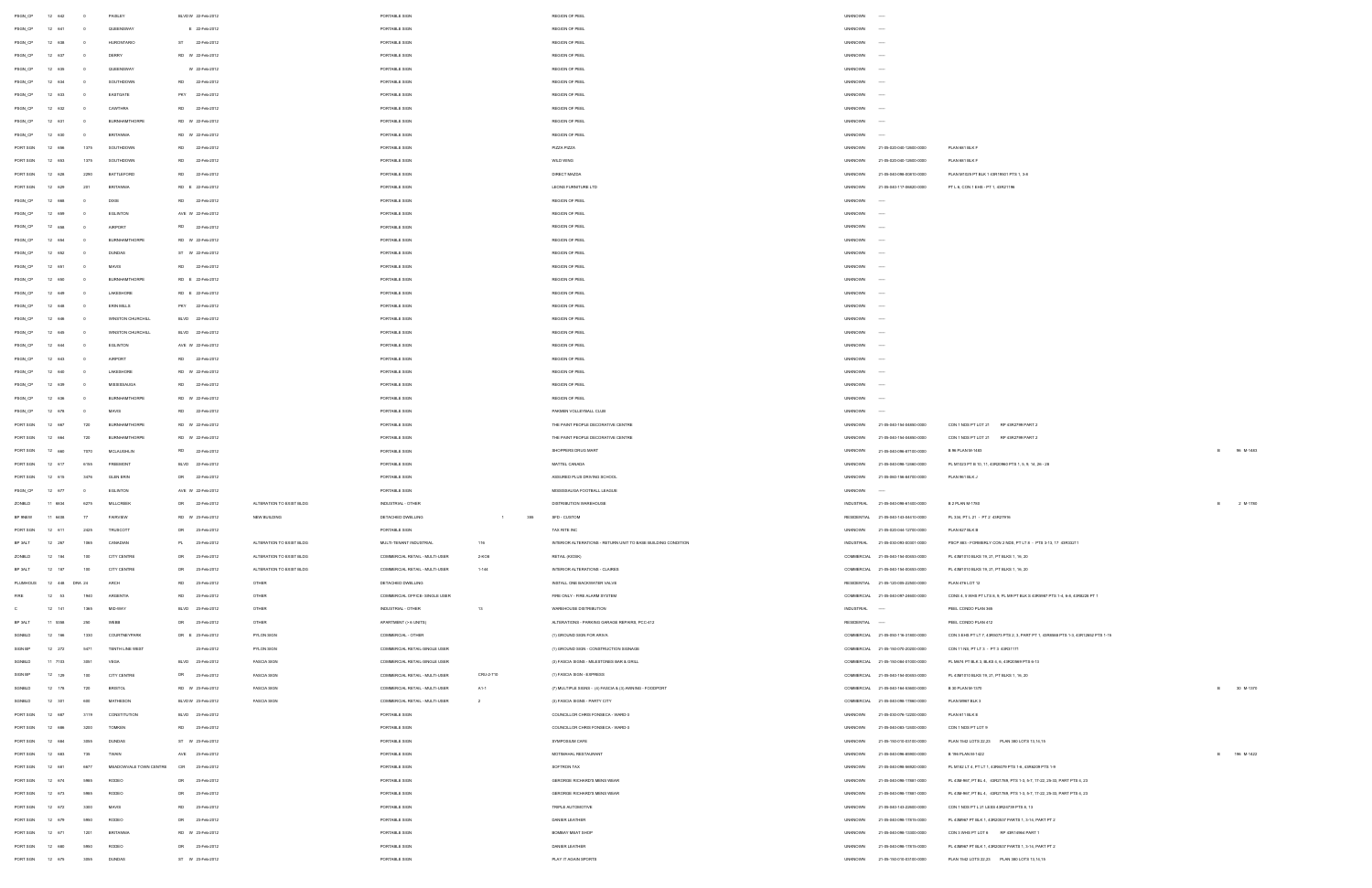| PSGN_CP         | 12 642    | $\overline{0}$ | PAISLEY                | BLVDW 22-Feb-2012        |                          | PORTABLE SIGN                  |                | REGION OF PEEL                                                | <b>UNKNOWN</b>           | --                                   |                                                                                    |             |
|-----------------|-----------|----------------|------------------------|--------------------------|--------------------------|--------------------------------|----------------|---------------------------------------------------------------|--------------------------|--------------------------------------|------------------------------------------------------------------------------------|-------------|
| PSGN_CP         | 12        |                | QUEENSWAY              | E 22-Feb-2012            |                          | PORTABLE SIGN                  |                | REGION OF PEEL                                                | <b>UNKNOWN</b>           | ------                               |                                                                                    |             |
| PSGN_CP         | 12<br>638 |                | <b>HURONTARIO</b>      | ST 22-Feb-2012           |                          | PORTABLE SIGN                  |                | REGION OF PEEL                                                | <b>UNKNOWN</b>           | $\sim$                               |                                                                                    |             |
| PSGN_CP         | 12 637    |                | DERRY                  | RD W 22-Feb-2012         |                          | PORTABLE SIGN                  |                | REGION OF PEEL                                                | <b>UNKNOWN</b>           | $\sim$                               |                                                                                    |             |
| PSGN_CP         | 12 635    | $\Omega$       | QUEENSWAY              | W 22-Feb-2012            |                          | PORTABLE SIGN                  |                | REGION OF PEEL                                                | <b>UNKNOWN</b>           | $\sim$                               |                                                                                    |             |
| PSGN_CP         | 12 634    | $\overline{0}$ | SOUTHDOWN              | RD 22-Feb-2012           |                          | PORTABLE SIGN                  |                | REGION OF PEEL                                                | <b>UNKNOWN</b>           | $\sim$                               |                                                                                    |             |
| PSGN_CP         | 12<br>633 |                | EASTGATE               | PKY 22-Feb-2012          |                          | PORTABLE SIGN                  |                | REGION OF PEEL                                                | <b>UNKNOWN</b>           | $\sim$                               |                                                                                    |             |
| PSGN_CP         | 12<br>632 |                | CAWTHRA                | RD 22-Feb-2012           |                          | PORTABLE SIGN                  |                | REGION OF PEEL                                                | <b>UNKNOWN</b>           | $\sim$                               |                                                                                    |             |
| PSGN_CP         | 12 631    |                | <b>BURNHAMTHORPE</b>   | RD W 22-Feb-2012         |                          | PORTABLE SIGN                  |                | REGION OF PEEL                                                | <b>UNKNOWN</b>           |                                      |                                                                                    |             |
| PSGN_CP         | 12 630    |                | BRITANNIA              | RD W 22-Feb-2012         |                          | PORTABLE SIGN                  |                | REGION OF PEEL                                                | <b>UNKNOWN</b>           | $\sim$                               |                                                                                    |             |
| PORT SGN 12 656 |           | 1375           | SOUTHDOWN              | RD 22-Feb-2012           |                          | PORTABLE SIGN                  |                | PIZZA PIZZA                                                   | <b>UNKNOWN</b>           | 21-05-020-040-12600-0000             | PLAN 681 BLK F                                                                     |             |
| PORT SGN 12 653 |           | 1375           | SOUTHDOWN              | RD 22-Feb-2012           |                          | PORTABLE SIGN                  |                | WILD WING                                                     | <b>UNKNOWN</b>           | 21-05-020-040-12600-0000             | PLAN 681 BLK F                                                                     |             |
| PORT SGN 12 628 |           | 2290           | BATTLEFORD             | RD 22-Feb-2012           |                          | PORTABLE SIGN                  |                | DIRECT MAZDA                                                  | <b>UNKNOWN</b>           | 21-05-040-098-00810-0000             | PLAN M1025 PT BLK 1 43R19501 PTS 1, 3-8                                            |             |
| PORT SGN        | 12<br>629 |                | <b>BRITANNIA</b>       | RD E 22-Feb-2012         |                          | PORTABLE SIGN                  |                | LEONS FURNITURE LTD                                           | <b>UNKNOWN</b>           | 21-05-040-117-06820-0000             | PT L 6, CON 1 EHS - PT 1, 43R21196                                                 |             |
| PSGN_CP         | 12 668    |                | DIXIE                  | RD 22-Feb-2012           |                          | PORTABLE SIGN                  |                | REGION OF PEEL                                                | <b>UNKNOWN</b>           | $\sim$                               |                                                                                    |             |
| PSGN_CP         | 12 659    |                | <b>EGLINTON</b>        | AVE W 22-Feb-2012        |                          | PORTABLE SIGN                  |                | REGION OF PEEL                                                | <b>UNKNOWN</b>           | $\sim$                               |                                                                                    |             |
| PSGN_CP         | 12<br>658 |                | AIRPORT                | RD 22-Feb-2012           |                          | PORTABLE SIGN                  |                | REGION OF PEEL                                                | <b>UNKNOWN</b>           | $\sim$                               |                                                                                    |             |
| PSGN_CP         | 12 654    |                | <b>BURNHAMTHORPE</b>   | RD W 22-Feb-2012         |                          | PORTABLE SIGN                  |                | REGION OF PEEL                                                | <b>UNKNOWN</b>           | $\sim$                               |                                                                                    |             |
| PSGN_CP         | 12 652    |                | <b>DUNDAS</b>          | ST W 22-Feb-2012         |                          | PORTABLE SIGN                  |                | REGION OF PEEL                                                | <b>UNKNOWN</b>           | $\sim$                               |                                                                                    |             |
| PSGN_CP         | 12        |                | <b>MAVIS</b>           | RD 22-Feb-2012           |                          | PORTABLE SIGN                  |                | REGION OF PEEL                                                | <b>UNKNOWN</b>           | $\sim$                               |                                                                                    |             |
| PSGN_CP         | 12<br>650 |                | <b>BURNHAMTHORPE</b>   | RD E 22-Feb-2012         |                          | PORTABLE SIGN                  |                | REGION OF PEEL                                                | <b>UNKNOWN</b>           | $\sim$                               |                                                                                    |             |
| PSGN_CP         | 12<br>649 |                | LAKESHORE              | RD E 22-Feb-2012         |                          | PORTABLE SIGN                  |                | REGION OF PEEL                                                | <b>UNKNOWN</b>           | $\sim$                               |                                                                                    |             |
|                 | 12        |                | <b>ERIN MILLS</b>      | PKY 22-Feb-2012          |                          |                                |                |                                                               | <b>UNKNOWN</b>           | $\sim$                               |                                                                                    |             |
| PSGN_CP         |           |                |                        |                          |                          | PORTABLE SIGN                  |                | REGION OF PEEL                                                |                          |                                      |                                                                                    |             |
| PSGN_CP         | 12        |                | WINSTON CHURCHILL      | BLVD 22-Feb-2012         |                          | PORTABLE SIGN                  |                | REGION OF PEEL                                                | <b>UNKNOWN</b>           | $\sim$                               |                                                                                    |             |
| PSGN_CP         | 12<br>645 |                | WINSTON CHURCHILL      | BLVD 22-Feb-2012         |                          | PORTABLE SIGN                  |                | REGION OF PEEL                                                | <b>UNKNOWN</b>           | $\sim$                               |                                                                                    |             |
| PSGN_CP         | 12        |                | EGLINTON               | AVE W 22-Feb-2012        |                          | PORTABLE SIGN                  |                | REGION OF PEEL                                                | <b>UNKNOWN</b>           | $\sim$                               |                                                                                    |             |
| PSGN_CP         | 12<br>643 |                | AIRPORT                | RD 22-Feb-2012           |                          | PORTABLE SIGN                  |                | REGION OF PEEL                                                | <b>UNKNOWN</b>           | $\sim$                               |                                                                                    |             |
| PSGN_CP         | 12<br>640 |                | LAKESHORE              | RD W 22-Feb-2012         |                          | PORTABLE SIGN                  |                | REGION OF PEEL                                                | <b>UNKNOWN</b>           | $\sim$                               |                                                                                    |             |
| PSGN_CP         | 12 639    | $\overline{0}$ | MISSISSAUGA            | RD 22-Feb-2012           |                          | PORTABLE SIGN                  |                | REGION OF PEEL                                                | <b>UNKNOWN</b>           | $\sim$                               |                                                                                    |             |
| PSGN_CP         | 12 636    |                | <b>BURNHAMTHORPE</b>   | RD W 22-Feb-2012         |                          | PORTABLE SIGN                  |                | REGION OF PEEL                                                | <b>UNKNOWN</b>           | $\sim$                               |                                                                                    |             |
| PSGN_CP         | 12 678    |                | MAVIS                  | RD 22-Feb-2012           |                          | PORTABLE SIGN                  |                | PAKMEN VOLLEYBALL CLUB                                        | <b>UNKNOWN</b>           | $\sim$                               |                                                                                    |             |
| PORT SGN 12     |           | 720            | <b>BURNHAMTHORPE</b>   | RD W 22-Feb-2012         |                          | PORTABLE SIGN                  |                | THE PAINT PEOPLE DECORATIVE CENTRE                            | <b>UNKNOWN</b>           | 21-05-040-154-04850-0000             | CON 1 NDS PT LOT 21 RP 43R2799 PART 2                                              |             |
| PORT SGN 12     |           | 720            | <b>BURNHAMTHORPE</b>   | RD W 22-Feb-2012         |                          | PORTABLE SIGN                  |                | THE PAINT PEOPLE DECORATIVE CENTRE                            | <b>UNKNOWN</b>           | 21-05-040-154-04850-0000             | CON 1 NDS PT LOT 21 RP 43R2799 PART 2                                              |             |
| PORT SGN        | 12        | 7070           | MCLAUGHLIN             | RD 22-Feb-2012           |                          | PORTABLE SIGN                  |                | SHOPPERS DRUG MART                                            | <b>UNKNOWN</b>           | 21-05-040-096-87100-0000             | B 96 PLAN M-1483                                                                   | B 96 M-148  |
| PORT SGN 12 617 |           | 6155           | <b>FREEMONT</b>        | BLVD 22-Feb-2012         |                          | PORTABLE SIGN                  |                | MATTEL CANADA                                                 | <b>UNKNOWN</b>           | 21-05-040-098-12460-0000             | PL M1023 PT B 10, 11, 43R20960 PTS 1, 5, 9, 14, 26 - 28                            |             |
| PORT SGN 12 615 |           | 3476           | <b>GLEN ERIN</b>       | DR 22-Feb-2012           |                          | PORTABLE SIGN                  |                | ASSURED PLUS DRIVING SCHOOL                                   | <b>UNKNOWN</b>           | 21-05-060-156-84700-0000             | PLAN 961 BLK J                                                                     |             |
| PSGN_CP 12 677  |           |                | <b>EGLINTON</b>        | AVE W 22-Feb-2012        |                          | PORTABLE SIGN                  |                | MISSISSAUGA FOOTBALL LEAGUE                                   | <b>UNKNOWN</b>           | $\sim$                               |                                                                                    |             |
| ZONBLD 11 6834  |           | 6275           | MILLCREEK              | DR 22-Feb-2012           | ALTERATION TO EXIST BLDG | INDUSTRIAL - OTHER             |                | DISTRIBUTION WAREHOUSE                                        |                          | INDUSTRIAL 21-05-040-098-61400-0000  | B 2 PLAN M-1780                                                                    | B 2 M-178   |
| BP 9NEW         | 11 6408   | 77             | FAIRVIEW               | RD W 23-Feb-2012         | NEW BUILDING             | DETACHED DWELLING              | $1 -$<br>355   | SFD - CUSTOM                                                  |                          | RESIDENTIAL 21-05-040-143-04410-0000 | PL 334, PT L 21 - PT 2 43R27916                                                    |             |
| PORT SGN        | 12 611    | 2425           | TRUSCOTT               | DR 23-Feb-2012           |                          | PORTABLE SIGN                  |                | TAX RITE INC                                                  | <b>UNKNOWN</b>           | 21-05-020-044-12700-0000             | PLAN 627 BLK B                                                                     |             |
| BP 3ALT         | 12 267    | 1065           | CANADIAN               | 23-Feb-2012<br>PL.       | ALTERATION TO EXIST BLDG | MULTI-TENANT INDUSTRIAL        | 116            | INTERIOR ALTERATIONS - RETURN UNIT TO BASE BUILDING CONDITION | <b>INDUSTRIAL</b>        | 21-05-030-093-00301-0000             | PSCP 883 - FORMERLY CON 2 NDS, PT LT 8 - PTS 3-13, 17 43R33211                     |             |
| ZONBLD          | 12 184    | 100            | CITY CENTRE            | DR 23-Feb-2012           | ALTERATION TO EXIST BLDG | COMMERCIAL RETAIL - MULTI-USER | 2-KO8          | <b>RETAIL (KIOSK)</b>                                         |                          | COMMERCIAL 21-05-040-154-00453-0000  | PL 43M1010 BLKS 19, 21, PT BLKS 1, 16, 20                                          |             |
| BP 3ALT         | 12        | 100            | CITY CENTRE            | DR 23-Feb-2012           | ALTERATION TO EXIST BLDG | COMMERCIAL RETAIL - MULTI-USER | $1 - 144$      | INTERIOR ALTERATIONS - CLAIRES                                |                          | COMMERCIAL 21-05-040-154-00453-0000  | PL 43M1010 BLKS 19, 21, PT BLKS 1, 16, 20                                          |             |
| PLUMHOUS        | 12<br>448 | DRA 2          | ARCH                   | RD 23-Feb-2012           | OTHER                    | DETACHED DWELLING              |                | INSTALL ONE BACKWATER VALVE                                   |                          | RESIDENTIAL 21-05-120-005-22500-0000 | PLAN 476 LOT 12                                                                    |             |
|                 | 12        | 1940           | ARGENTIA               | RD 23-Feb-2012           | OTHER                    | COMMERCIAL OFFICE- SINGLE USER |                | FIRE ONLY - FIRE ALARM SYSTEM                                 |                          | COMMERCIAL 21-05-040-097-24600-0000  | CONS 4, 5 WHS PT LTS 8, 9, PL M9 PT BLK S 43R5987 PTS 1-4, 6-8, 43R8228 PT 1       |             |
|                 | 12<br>141 | 1365           | MID-WAY                | BLVD 23-Feb-2012         | OTHER                    | INDUSTRIAL - OTHER             | 13             | WAREHOUSE DISTRIBUTION                                        | <b>INDUSTRIAL</b>        | $\sim$                               | PEEL CONDO PLAN 365                                                                |             |
| BP 3ALT         | 11 5358   | 250            | WEBB                   | <b>DR</b><br>23-Feb-2012 | OTHER                    | APARTMENT (> 6 UNITS)          |                | ALTERATIONS - PARKING GARAGE REPAIRS, PCC-412                 | RESIDENTIAL<br>- - - - - |                                      | PEEL CONDO PLAN 412                                                                |             |
| SGNBLD          | 12<br>166 | 1330           | COURTNEYPARK           | DR E 23-Feb-2012         | PYLON SIGN               | COMMERCIAL - OTHER             |                | (1) GROUND SIGN FOR ARIVA                                     |                          | COMMERCIAL 21-05-050-116-31800-0000  | CON 3 EHS PT LT 7, 43R5073 PTS 2, 3, PART PT 1, 43R8588 PTS 1-3, 43R12652 PTS 1-15 |             |
| SIGN BP         | 12 272    | 5471           | TENTH LINE WEST        | 23-Feb-2012              | PYLON SIGN               | COMMERCIAL RETAIL-SINGLE USER  |                | (1) GROUND SIGN - CONSTRUCTION SIGNAGE                        |                          | COMMERCIAL 21-05-150-070-20200-0000  | CON 11 NS, PT LT 3 - PT 3 43R31171                                                 |             |
| SGNBLD          | 11 7103   | 3051           | VEGA                   | BLVD 23-Feb-2012         | <b>FASCIA SIGN</b>       | COMMERCIAL RETAIL-SINGLE USER  |                | (3) FASCIA SIGNS - MILESTONES BAR & GRILL                     |                          | COMMERCIAL 21-05-150-084-01000-0000  | PL M674 PT BLK 3, BLKS 4, 6, 43R20569 PTS 6-13                                     |             |
| SIGN BP         | 12<br>129 | 100            | CITY CENTRE            | 23-Feb-2012<br>DR.       | <b>FASCIA SIGN</b>       | COMMERCIAL RETAIL - MULTI-USER | CRU-2-710      | (1) FASCIA SIGN - EXPRESS                                     |                          | COMMERCIAL 21-05-040-154-00453-0000  | PL 43M1010 BLKS 19, 21, PT BLKS 1, 16, 20                                          |             |
| SGNBLD          | 12<br>178 | 720            | <b>BRISTOL</b>         | RD W 23-Feb-2012         | <b>FASCIA SIGN</b>       | COMMERCIAL RETAIL - MULTI-USER | $A1-1$         | (7) MULTIPLE SIGNS - (4) FASCIA & (3) AWNING - FOODPORT       |                          | COMMERCIAL 21-05-040-164-53600-0000  | B 30 PLAN M-1370                                                                   | B 30 M-137  |
| SGNBLD          | 12<br>301 | 600            | MATHESON               | BLVDW 23-Feb-2012        | <b>FASCIA SIGN</b>       | COMMERCIAL RETAIL - MULTI-USER | $\overline{2}$ | (3) FASCIA SIGNS - PARTY CITY                                 |                          | COMMERCIAL 21-05-040-098-17860-0000  | PLAN M967 BLK 3                                                                    |             |
| PORT SGN        | 12<br>687 | 3119           | CONSTITUTION           | BLVD 23-Feb-2012         |                          | PORTABLE SIGN                  |                | COUNCILLOR CHRIS FONSECA - WARD-3                             | <b>UNKNOWN</b>           | 21-05-030-076-12200-0000             | PLAN 611 BLK E                                                                     |             |
| PORT SGN        | 12<br>686 | 3200           | <b>TOMKEN</b>          | RD 23-Feb-2012           |                          | PORTABLE SIGN                  |                | COUNCILLOR CHRIS FONSECA - WARD-3                             | <b>UNKNOWN</b>           | 21-05-040-083-12400-0000             | CON 1 NDS PT LOT 9                                                                 |             |
| PORT SGN        | 12<br>684 | 3055           | <b>DUNDAS</b>          | ST W 23-Feb-2012         |                          | PORTABLE SIGN                  |                | SYMPOSIUM CAFE                                                | <b>UNKNOWN</b>           | 21-05-150-010-03100-0000             | PLAN 1542 LOTS 22,23 PLAN 380 LOTS 13,14,15                                        |             |
| PORT SGN        | 12        | 735            | TWAIN                  | AVE 23-Feb-2012          |                          | PORTABLE SIGN                  |                | MOTIMAHAL RESTAURANT                                          | <b>UNKNOWN</b>           | 21-05-040-096-85900-0000             | B 196 PLAN M-1422                                                                  | B 196 M-142 |
| PORT SGN        | 12        | 6677           | MEADOWVALE TOWN CENTRE | CIR<br>23-Feb-2012       |                          | PORTABLE SIGN                  |                | SOFTRON TAX                                                   | <b>UNKNOWN</b>           | 21-05-040-098-56920-0000             | PL M182 LT 4, PT LT 1, 43R6079 PTS 1-6, 43R6209 PTS 1-9                            |             |
| PORT SGN        | 12<br>674 | 5985           | RODEO                  | DR 23-Feb-2012           |                          | PORTABLE SIGN                  |                | GERORGE RICHARD'S MENS WEAR                                   | <b>UNKNOWN</b>           | 21-05-040-098-17881-0000             | PL 43M-967, PT BL 4, 43R21789, PTS 1-3, 5-7, 17-22, 25-33, PART PTS 4, 23          |             |
| PORT SGN        | 12 673    | 5985           | RODEC                  | DR 23-Feb-2012           |                          | PORTABLE SIGN                  |                | GERORGE RICHARD'S MENS WEAR                                   | <b>UNKNOWN</b>           | 21-05-040-098-17881-0000             | PL 43M-967, PT BL 4, 43R21789, PTS 1-3, 5-7, 17-22, 25-33, PART PTS 4, 23          |             |
| PORT SGN        | 12 672    | 3300           | MAVIS                  | RD 23-Feb-2012           |                          | PORTABLE SIGN                  |                | TRIPLE AUTOMOTIVE                                             | <b>UNKNOWN</b>           | 21-05-040-143-22600-0000             | CON 1 NDS PT L 21 LESS 43R24739 PTS 8, 13                                          |             |
| PORT SGN 12 679 |           | 5950           | RODEO                  | DR 23-Feb-2012           |                          | PORTABLE SIGN                  |                | <b>DANIER LEATHER</b>                                         | <b>UNKNOWN</b>           | 21-05-040-098-17815-0000             | PL 43M967 PT BLK 1, 43R20537 PARTS 1, 3-14, PART PT 2                              |             |
| PORT SGN 12 671 |           | 1201           | BRITANNIA              | RD W 23-Feb-2012         |                          | PORTABLE SIGN                  |                | <b>BOMBAY MEAT SHOP</b>                                       | <b>UNKNOWN</b>           | 21-05-040-098-13300-0000             | CON 3 WHS PT LOT 6 RP 43R14964 PART 1                                              |             |
| PORT SGN        | 12        | 5950           | RODEO                  | DR 23-Feb-2012           |                          | PORTABLE SIGN                  |                | <b>DANIER LEATHER</b>                                         | <b>UNKNOWN</b>           | 21-05-040-098-17815-0000             | PL 43M967 PT BLK 1, 43R20537 PARTS 1, 3-14, PART PT 2                              |             |
| PORT SGN 12 675 |           | 3055           | <b>DUNDAS</b>          | ST W 23-Feb-2012         |                          | PORTABLE SIGN                  |                | PLAY IT AGAIN SPORTS                                          |                          | UNKNOWN 21-05-150-010-03100-0000     | PLAN 1542 LOTS 22,23 PLAN 380 LOTS 13,14,15                                        |             |
|                 |           |                |                        |                          |                          |                                |                |                                                               |                          |                                      |                                                                                    |             |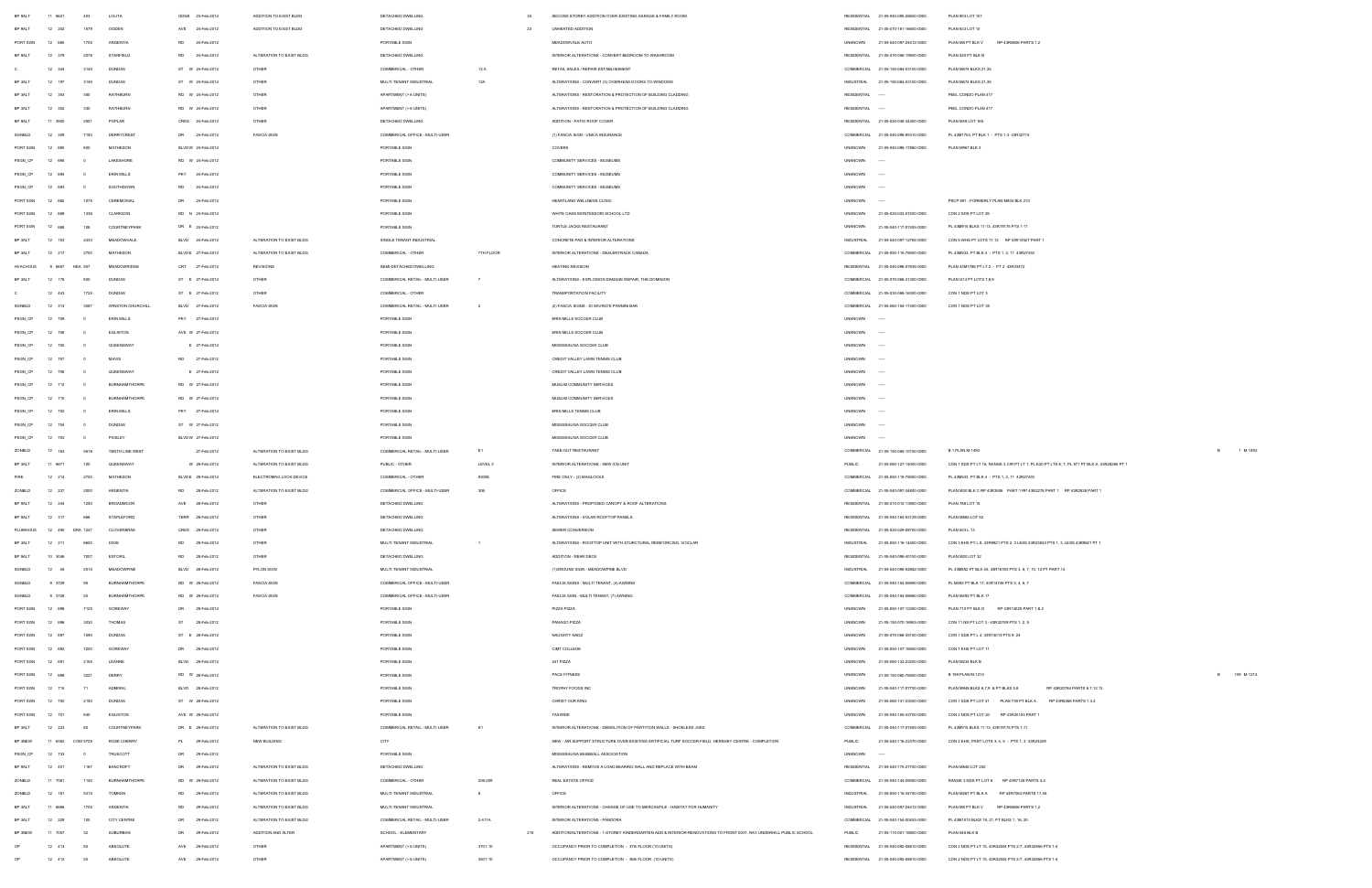| BP 9ALT         | 11 6621             | 403            | LOLITA               | GDNS 23-Feb-2012                   | ADDITION TO EXIST BLDG   | DETACHED DWELLING                              | 30                 | SECOND STOREY ADDITION OVER EXISTING GARAGE & FAMILY ROOM                                                          | RESIDENTIAL 21-05-040-095-28600-0000                                         | PLAN 903 LOT 101                                                                                                 |             |
|-----------------|---------------------|----------------|----------------------|------------------------------------|--------------------------|------------------------------------------------|--------------------|--------------------------------------------------------------------------------------------------------------------|------------------------------------------------------------------------------|------------------------------------------------------------------------------------------------------------------|-------------|
| BP 9ALT         | 12 202              | 1579           | OGDEN                | AVE 24-Feb-2012                    | ADDITION TO EXIST BLDG   | DETACHED DWELLING                              | 23                 | UNHEATED ADDITION                                                                                                  | RESIDENTIAL 21-05-070-161-16600-0000                                         | PLAN 633 LOT 10                                                                                                  |             |
| PORT SGN        | 12                  | 1705           | ARGENTIA             | <b>RD</b><br>24-Feb-2012           |                          | PORTABLE SIGN                                  |                    | MEADOWVALE AUTO                                                                                                    | <b>UNKNOWN</b><br>21-05-040-097-24412-0000                                   | RP 43R8606 PARTS 1,2<br>PLAN M8 PT BLK V                                                                         |             |
| BP 9ALT         | 12 379              | 2078           | STANFIELD            | RD 24-Feb-2012                     | ALTERATION TO EXIST BLDG | DETACHED DWELLING                              |                    | INTERIOR ALTERATIONS - CONVERT BEDROOM TO WASHROOM                                                                 | RESIDENTIAL 21-05-070-056-19500-0000                                         | PLAN 520 PT BLK B                                                                                                |             |
|                 | 12<br>344           | 3145           | <b>DUNDAS</b>        | ST W 24-Feb-2012                   | OTHER                    | COMMERCIAL - OTHER                             | 12 A               | RETAIL SALES / REPAIR ESTABLISHMENT                                                                                | COMMERCIAL 21-05-150-084-03100-0000                                          | PLAN M674 BLKS 21,35                                                                                             |             |
| BP 3ALT         | 12 197              | 3145           | <b>DUNDAS</b>        | ST W 24-Feb-2012                   | OTHER                    |                                                | 12A                | ALTERATIONS - CONVERT (3) OVERHEAD DOORS TO WINDOWS                                                                | INDUSTRIAL 21-05-150-084-03100-0000                                          | PLAN M674 BLKS 21,35                                                                                             |             |
|                 |                     |                |                      |                                    |                          | MULTI-TENANT INDUSTRIAL                        |                    |                                                                                                                    |                                                                              |                                                                                                                  |             |
| BP 3ALT         | 12 353              | 350            | RATHBURN             | RD W 24-Feb-2012                   | OTHER                    | APARTMENT (> 6 UNITS)                          |                    | ALTERATIONS - RESTORATION & PROTECTION OF BUILDING CLADDING                                                        | RESIDENTIAL -----                                                            | PEEL CONDO PLAN 417                                                                                              |             |
| BP 3ALT         | 12 352              | 330            | RATHBURN             | RD W 24-Feb-2012                   | OTHER                    | APARTMENT (> 6 UNITS)                          |                    | ALTERATIONS - RESTORATION & PROTECTION OF BUILDING CLADDING                                                        | RESIDENTIAL -----                                                            | PEEL CONDO PLAN 417                                                                                              |             |
| BP 9ALT         | 11 3900             | 2501           | POPLAR               | CRES 24-Feb-2012                   | OTHER                    | DETACHED DWELLING                              |                    | ADDITION - PATIO ROOF COVER                                                                                        | RESIDENTIAL 21-05-020-048-34300-0000                                         | PLAN M49 LOT 165                                                                                                 |             |
| SGNBLD          | 12 309              | 7150           | DERRYCREST           | DR 24-Feb-2012                     | <b>FASCIA SIGN</b>       | COMMERCIAL OFFICE - MULTI-USER                 |                    | (1) FASCIA SIGN - UNICA INSURANCE                                                                                  | COMMERCIAL 21-05-040-098-95310-0000                                          | PL 43M1704, PT BLK 1 - PTS 1-3 43R32715                                                                          |             |
| PORT SGN        | 12<br>690           | 600            | MATHESON             | BLVDW 24-Feb-2012                  |                          | PORTABLE SIGN                                  |                    | COVERS                                                                                                             | <b>UNKNOWN</b><br>21-05-040-098-17860-0000                                   | PLAN M967 BLK 3                                                                                                  |             |
| PSGN_CP         | 12<br>695           |                | LAKESHORE            | RD W 24-Feb-2012                   |                          | PORTABLE SIGN                                  |                    | COMMUNITY SERVICES - MUSEUMS                                                                                       | <b>UNKNOWN</b><br>$\sim$                                                     |                                                                                                                  |             |
| PSGN_CP         | 12<br>694           |                | ERIN MILLS           | PKY 24-Feb-2012                    |                          | PORTABLE SIGN                                  |                    | COMMUNITY SERVICES - MUSEUMS                                                                                       | <b>UNKNOWN</b><br>$\sim$                                                     |                                                                                                                  |             |
| PSGN_CP         | 12<br>693           |                | SOUTHDOWN            | RD 24-Feb-2012                     |                          | PORTABLE SIGN                                  |                    | COMMUNITY SERVICES - MUSEUMS                                                                                       | <b>UNKNOWN</b><br>$\sim$                                                     |                                                                                                                  |             |
| PORT SGN        | 12                  | 1075           | CEREMONIAL           | DR 24-Feb-2012                     |                          | PORTABLE SIGN                                  |                    | HEARTLAND WELLNESS CLINIC                                                                                          | <b>UNKNOWN</b><br>$\sim$                                                     | PSCP 691 - FORMERLY PLAN M804 BLK 210                                                                            |             |
| PORT SGN        | 12                  | 1338           | CLARKSON             | RD N 24-Feb-2012                   |                          | PORTABLE SIGN                                  |                    | WHITE OAKS MONTESSORI SCHOOL LTD                                                                                   | <b>UNKNOWN</b><br>21-05-020-033-07400-0000                                   | CON 2 SDS PT LOT 29                                                                                              |             |
|                 |                     |                |                      |                                    |                          |                                                |                    |                                                                                                                    |                                                                              |                                                                                                                  |             |
| PORT SGN        | 12<br>688           | 108            | COURTNEYPARK         | DR E 24-Feb-2012                   |                          | PORTABLE SIGN                                  |                    | TURTLE JACKS RESTAURANT                                                                                            | <b>UNKNOWN</b><br>21-05-040-117-07405-0000                                   | PL 43M915 BLKS 11-13, 43R19175 PTS 1-11                                                                          |             |
| BP 3ALT         | 12<br>153           | 2433           | MEADOWVALE           | BLVD 24-Feb-2012                   | ALTERATION TO EXIST BLDG | SINGLE TENANT INDUSTRIAL                       |                    | CONCRETE PAD & INTERIOR ALTERATIONS                                                                                | INDUSTRIAL<br>21-05-040-097-12765-0000                                       | CON 5 WHS PT LOTS 11.12 RP 43R14527 PART 1                                                                       |             |
| BP 3ALT         | 12 217              | 2700           | MATHESON             | BLVDE 27-Feb-2012                  | ALTERATION TO EXIST BLDG | COMMERCIAL - OTHER                             | 7TH FLOOR          | INTERIOR ALTERATIONS - DEALERTRACK CANADA                                                                          | COMMERCIAL 21-05-050-115-78000-0000                                          | PL 43M533, PT BLK 4 - PTS 1, 2, 11 43R27430                                                                      |             |
| <b>HVACHOUS</b> | 9 6857              | <b>HEA 507</b> | MEADOWRIDGE          | CRT 27-Feb-2012                    | <b>REVISIONS</b>         | SEMI-DETACHED DWELLING                         |                    | <b>HEATING REVISION</b>                                                                                            | RESIDENTIAL 21-05-040-096-07835-0000                                         | PLAN 43M1788 PT LT 2 - PT 2 43R33472                                                                             |             |
| BP 3ALT         | 12<br>176           | 800            | <b>DUNDAS</b>        | ST E 27-Feb-2012                   | OTHER                    | COMMERCIAL RETAIL - MULTI-USER                 |                    | ALTERATIONS - EXPLOSION DAMAGE REPAIR, THE DOMINION                                                                | COMMERCIAL 21-05-070-068-31300-0000                                          | PLAN G14 PT LOTS 7,8,9                                                                                           |             |
|                 | 12<br>443           | 1725           | <b>DUNDAS</b>        | ST E 27-Feb-2012                   | OTHER                    | COMMERCIAL - OTHER                             |                    | TRANSPORTATION FACILITY                                                                                            | COMMERCIAL 21-05-030-068-16300-0000                                          | CON 1 NDS PT LOT 3                                                                                               |             |
| SGNBLD          | 12<br>313           | 3087           | WINSTON CHURCHILL    | BLVD 27-Feb-2012                   | <b>FASCIA SIGN</b>       | COMMERCIAL RETAIL - MULTI-USER                 |                    | (2) FASCIA SIGNS - DI SAVINO'S PANNINI BAR                                                                         | COMMERCIAL 21-05-060-154-11400-0000                                          | CON 1 NDS PT LOT 35                                                                                              |             |
| PSGN_CP         | 12<br>709           |                | ERIN MILLS           | PKY 27-Feb-2012                    |                          | PORTABLE SIGN                                  |                    | ERIN MILLS SOCCER CLUB                                                                                             | <b>UNKNOWN</b>                                                               |                                                                                                                  |             |
|                 |                     | $\Omega$       |                      |                                    |                          |                                                |                    | ERIN MILLS SOCCER CLUB                                                                                             | <b>UNKNOWN</b><br>$\sim$                                                     |                                                                                                                  |             |
| PSGN_CP         | 12<br>708           |                | <b>EGLINTON</b>      | AVE W 27-Feb-2012                  |                          | PORTABLE SIGN                                  |                    |                                                                                                                    |                                                                              |                                                                                                                  |             |
| PSGN_CP         | 12<br>- 705         |                | QUEENSWAY            | E 27-Feb-2012                      |                          | PORTABLE SIGN                                  |                    | MISSISSAUGA SOCCER CLUB                                                                                            | <b>UNKNOWN</b><br>$\sim$                                                     |                                                                                                                  |             |
| PSGN_CP         | 12<br>707           |                | MAVIS                | RD 27-Feb-2012                     |                          | PORTABLE SIGN                                  |                    | CREDIT VALLEY LAWN TENNIS CLUB                                                                                     | <b>UNKNOWN</b><br>$\sim$                                                     |                                                                                                                  |             |
| PSGN_CP         | 12<br>706           | $\overline{0}$ | QUEENSWAY            | E 27-Feb-2012                      |                          | PORTABLE SIGN                                  |                    | CREDIT VALLEY LAWN TENNIS CLUB                                                                                     | <b>UNKNOWN</b><br>--                                                         |                                                                                                                  |             |
| PSGN_CP         | 12                  |                | <b>BURNHAMTHORPE</b> | RD W 27-Feb-2012                   |                          | PORTABLE SIGN                                  |                    | MUSLIM COMMUNITY SERVICES                                                                                          | <b>UNKNOWN</b>                                                               |                                                                                                                  |             |
| PSGN_CP         | 12                  |                | <b>BURNHAMTHORPE</b> | RD W 27-Feb-2012                   |                          | PORTABLE SIGN                                  |                    | MUSLIM COMMUNITY SERVICES                                                                                          | <b>UNKNOWN</b>                                                               |                                                                                                                  |             |
| PSGN_CP         | 12<br>702           |                | <b>ERIN MILLS</b>    | PKY 27-Feb-2012                    |                          | PORTABLE SIGN                                  |                    | ERIN MILLS TENNIS CLUB                                                                                             | <b>UNKNOWN</b><br>$\sim$                                                     |                                                                                                                  |             |
| PSGN_CP         | 12<br>704           |                | <b>DUNDAS</b>        | ST W 27-Feb-2012                   |                          | PORTABLE SIGN                                  |                    | MISSISSAUGA SOCCER CLUB                                                                                            | <b>UNKNOWN</b><br>$\sim$                                                     |                                                                                                                  |             |
| PSGN CP         | 12<br>703           |                | PAISLEY              | BLVDW 27-Feb-2012                  |                          | PORTABLE SIGN                                  |                    | MISSISSAUGA SOCCER CLUB                                                                                            | <b>UNKNOWN</b><br>$\sim$                                                     |                                                                                                                  |             |
|                 |                     |                |                      |                                    |                          |                                                |                    |                                                                                                                    |                                                                              |                                                                                                                  |             |
|                 |                     |                |                      |                                    |                          |                                                |                    |                                                                                                                    |                                                                              |                                                                                                                  |             |
| ZONBLD          | 12<br>163           | 5618           | TENTH LINE WEST      | 27-Feb-2012                        | ALTERATION TO EXIST BLDG | COMMERCIAL RETAIL - MULTI-USER                 | E1                 | TAKE-OUT RESTAURANT                                                                                                | COMMERCIAL 21-05-150-085-10100-0000                                          | <b>B 1 PLAN M-1493</b>                                                                                           | B 1 M-149   |
| BP 3ALT         | 11 6671             | 100            | QUEENSWAY            | W 28-Feb-2012                      | ALTERATION TO EXIST BLDG | PUBLIC - OTHER                                 | LEVEL 3            | INTERIOR ALTERATIONS - NEW ICN UNIT                                                                                | PUBLIC<br>21-05-060-127-14000-0000                                           | CON 1 SDS PT LT 16, RANGE 3 CIR PT LT 1, PL E20 PT LTS 6, 7, PL 571 PT BLK A, 43R28265 PT 1                      |             |
| FIRE            | 12<br>214           | 2700           | MATHESON             | BLVDE 28-Feb-2012                  | ELECTROMAG LOCK DEVICE   | COMMERCIAL - OTHER                             | #300E              | FIRE ONLY - (2) MAGLOCKS                                                                                           | COMMERCIAL 21-05-050-115-78000-0000                                          | PL 43M533, PT BLK 4 - PTS 1, 2, 11 43R27430                                                                      |             |
| ZONBLD          | 12 237              | 2000           | ARGENTIA             | RD 28-Feb-2012                     | ALTERATION TO EXIST BLDG | COMMERCIAL OFFICE - MULTI-USER                 | 306                | OFFICE                                                                                                             | COMMERCIAL 21-05-040-097-34800-0000                                          | PLAN M30 BLK C RP 43R3506 PART 1 RP 43R2278 PART 1 RP 43R2838 PART 1                                             |             |
| BP 9ALT         | 12 244              | 1250           | <b>BROADMOOR</b>     | AVE 28-Feb-2012                    | OTHER                    | DETACHED DWELLING                              |                    | ALTERATIONS - PROPOSED CANOPY & ROOF ALTERATIONS                                                                   | RESIDENTIAL 21-05-010-012-13900-0000                                         | PLAN 788 LOT 15                                                                                                  |             |
| BP 9ALT         | 12 317              | 668            | STAPLEFORD           | TERR 28-Feb-2012                   | OTHER                    | DETACHED DWELLING                              |                    | ALTERATIONS - SOLAR ROOFTOP PANELS                                                                                 | RESIDENTIAL 21-05-040-164-53129-0000                                         | PLAN M865 LOT 52                                                                                                 |             |
| PLUMHOUS 12 490 |                     | DRA 1247       | CLOVERBRAE           | CRES 28-Feb-2012                   | OTHER                    | DETACHED DWELLING                              |                    | SEWER CONVERSION                                                                                                   | RESIDENTIAL 21-05-020-029-08700-0000                                         | PLAN 623 L 13                                                                                                    |             |
| BP 3ALT         | 12<br>211           | 6600           | <b>DIXIE</b>         | RD 28-Feb-2012                     | OTHER                    | MULTI-TENANT INDUSTRIAL                        |                    | ALTERATIONS - ROOFTOP UNIT WITH STURCTURAL REINFORCING, IVOCLAR                                                    | INDUSTRIAL 21-05-050-116-14400-0000                                          | CON 3 EHS PT L 8, 43R9821 PTS 2, 3 LESS 43R23633 PTS 1, 3, LESS 43R9821 PT 1                                     |             |
| BP 9ALT         | 10 3046             | 7007           | <b>ESTORIL</b>       | <b>RD</b><br>28-Feb-2012           | OTHER                    | DETACHED DWELLING                              |                    | ADDITION - REAR DECK                                                                                               | RESIDENTIAL 21-05-040-098-40100-0000                                         | PLAN M20 LOT 32                                                                                                  |             |
| SGNBLD          | 12                  | 2515           | MEADOWPINE           | BLVD 28-Feb-2012                   | PYLON SIGN               | MULTI-TENANT INDUSTRIAL                        |                    | (1) GROUND SIGN - MEADOWPINE BLVD                                                                                  | 21-05-040-098-02682-0000<br>INDUSTRIAL                                       | PL 43M852 PT BLK 45, 43R16783 PTS 3, 6, 7, 10, 12 PT PART 14                                                     |             |
|                 |                     |                |                      |                                    |                          |                                                |                    |                                                                                                                    |                                                                              |                                                                                                                  |             |
| SGNBLD          | 9 3729              |                | <b>BURNHAMTHORPE</b> | RD W 28-Feb-2012                   | <b>FASCIA SIGN</b>       | COMMERCIAL OFFICE - MULTI-USER                 |                    | FASCIA SIGNS - MULTI TENANT. (4) AWNING                                                                            | COMMERCIAL 21-05-040-154-06690-0000                                          | PL M492 PT BLK 17, 43R14746 PTS 3, 4, 6, 7                                                                       |             |
| SGNBLD          | 9 3728              |                | <b>BURNHAMTHORPE</b> | RD W 28-Feb-2012                   | <b>FASCIA SIGN</b>       | COMMERCIAL OFFICE - MULTI-USER                 |                    | FASCIA SIGN - MULTI TENANT, (7) AWNING                                                                             | COMMERCIAL 21-05-040-154-06660-0000                                          | PLAN M492 PT BLK 17                                                                                              |             |
| PORT SGN        | 12                  | 7125           | GOREWAY              | DR 28-Feb-2012                     |                          | PORTABLE SIGN                                  |                    | PIZZA PIZZA                                                                                                        | <b>UNKNOWN</b><br>21-05-050-107-12300-0000                                   | PLAN 710 PT BLK D RP 43R14025 PART 1 & 2                                                                         |             |
| PORT SGN        | 12                  | 3030           | THOMAS               | ST 28-Feb-2012                     |                          | PORTABLE SIGN                                  |                    | PANAGO PIZZA                                                                                                       | <b>UNKNOWN</b><br>21-05-150-070-16953-0000                                   | CON 11 NS PT LOT 3 - 43R32749 PTS 1, 2, 5                                                                        |             |
| PORT SGN        | 12<br>697           | 1590           | <b>DUNDAS</b>        | ST E 28-Feb-2012                   |                          | PORTABLE SIGN                                  |                    | NAUGHTY NADZ                                                                                                       | <b>UNKNOWN</b><br>21-05-070-068-35100-0000                                   | CON 1 SDS PT L 4, 43R15013 PTS 9, 24                                                                             |             |
| PORT SGN        | 12<br>692           | 7200           | GOREWAY              | DR 28-Feb-2012                     |                          | PORTABLE SIGN                                  |                    | CIMT COLLEGE                                                                                                       | <b>UNKNOWN</b><br>21-05-050-107-18500-0000                                   | CON 7 EHS PT LOT 11                                                                                              |             |
| PORT SGN        | 12<br>691           | 2155           | LEANNE               | BLVD 28-Feb-2012                   |                          | PORTABLE SIGN                                  |                    | 241 PIZZA                                                                                                          | <b>UNKNOWN</b><br>21-05-060-132-23200-0000                                   | PLAN M234 BLK B                                                                                                  |             |
| PORT SGN        | 12<br>699           | 3221           | DERRY                | RD W 28-Feb-2012                   |                          | PORTABLE SIGN                                  |                    | PACE FITNESS                                                                                                       | 21-05-150-080-76500-0000<br><b>UNKNOWN</b>                                   | B 159 PLAN M-1214                                                                                                | B 159 M-121 |
| PORT SGN        | 12 715              |                | ADMIRAL              | BLVD 28-Feb-2012                   |                          | PORTABLE SIGN                                  |                    | TROPHY FOODS INC                                                                                                   | 21-05-040-117-07700-0000<br><b>UNKNOWN</b>                                   | PLAN M948 BLKS 6,7,9 & PT BLKS 5,8<br>RP 43R20784 PARTS 6,7,12.13                                                |             |
|                 | 12<br>700           |                |                      |                                    |                          |                                                |                    |                                                                                                                    |                                                                              |                                                                                                                  |             |
| PORT SGN        |                     | 2150           | <b>DUNDAS</b>        | ST W 28-Feb-2012                   |                          | PORTABLE SIGN                                  |                    | CHRIST OUR KING                                                                                                    | <b>UNKNOWN</b><br>21-05-060-141-23000-0000                                   | CON 1 SDS PT LOT 31 PLAN 739 PT BLK A<br>RP 43R8268 PARTS 1,3,4                                                  |             |
| PORT SGN        | 12<br>701           | 640            | EGLINTON             | AVE W 28-Feb-2012                  |                          | PORTABLE SIGN                                  |                    | TAXWIDE                                                                                                            | <b>UNKNOWN</b><br>21-05-040-155-43700-0000                                   | CON 2 NDS PT LOT 20 RP 43R20153 PART 1                                                                           |             |
| BP 3ALT         | 12<br>223           |                | COURTNEYPARK         | DR E 28-Feb-2012                   | ALTERATION TO EXIST BLDG | COMMERCIAL RETAIL - MULTI-USER                 | K1                 | INTEIROR ALTERATIONS - DEMOLITION OF PARTITION WALLS - SHOELESS JOES                                               | COMMERCIAL 21-05-040-117-07405-0000                                          | PL 43M915 BLKS 11-13, 43R19175 PTS 1-11                                                                          |             |
| BP 3NEW         | 11 6382             | COM 5725       | <b>ROSE CHERRY</b>   | PL 29-Feb-2012                     | NEW BUILDING             | CITY                                           |                    | NEW - AIR SUPPORT STRUCTURE OVER EXISTING ARTIFICIAL TURF SOCCER FIELD, HERSHEY CENTRE - COMPLETION                | 21-05-040-116-22370-0000<br>PUBLIC                                           | CON 2 EHS, PART LOTS 3, 4, 5 - PTS 1, 3 43R23229                                                                 |             |
| PSGN_CP         | 12 733              | $\Omega$       | TRUSCOTT             | DR 29-Feb-2012                     |                          | PORTABLE SIGN                                  |                    | MISSISSAUGA BASEBALL ASSOCIATION                                                                                   | <b>UNKNOWN</b><br>1.121                                                      |                                                                                                                  |             |
| BP 9ALT         | 12 401              | 1167           | BANCROFT             | DR 29-Feb-2012                     | ALTERATION TO EXIST BLDG | DETACHED DWELLING                              |                    | ALTERATIONS - REMOVE A LOAD BEARING WALL AND REPLACE WITH BEAM                                                     | RESIDENTIAL 21-05-040-175-27700-0000                                         | PLAN M848 LOT 202                                                                                                |             |
| ZONBLD          | 11 7081             | 1140           | <b>BURNHAMTHORPE</b> | RD W 29-Feb-2012                   | ALTERATION TO EXIST BLDG | COMMERCIAL - OTHER                             | 206-209            | REAL ESTATE OFFICE                                                                                                 | COMMERCIAL 21-05-040-144-09000-0000                                          | RANGE 3 NDS PT LOT 8 RP 43R7128 PARTS 3,4                                                                        |             |
| ZONBLD          | 12<br>181           | 5315           | <b>TOMKEN</b>        | RD 29-Feb-2012                     | ALTERATION TO EXIST BLDG | MULTI-TENANT INDUSTRIAL                        | 8                  | OFFICE                                                                                                             | <b>INDUSTRIAL</b><br>21-05-050-115-34700-0000                                | PLAN M267 PT BLK A RP 43R7063 PARTS 17,46                                                                        |             |
| BP 3ALT         | 11 6866             | 1705           | ARGENTIA             | RD 29-Feb-2012                     | ALTERATION TO EXIST BLDG | MULTI-TENANT INDUSTRIAL                        |                    | INTERIOR ALTERATIONS - CHANGE OF USE TO MERCANTILE - HABITAT FOR HUMANITY                                          | <b>INDUSTRIAL</b><br>21-05-040-097-24412-0000                                | PLAN M8 PT BLK V RP 43R8606 PARTS 1,2                                                                            |             |
| BP 3ALT         | 12 229              | 100            | CITY CENTRE          | DR 29-Feb-2012                     | ALTERATION TO EXIST BLDG | COMMERCIAL RETAIL - MULTI-USER                 | 2-411A             | INTERIOR ALTERATIONS - PANDORA                                                                                     | COMMERCIAL 21-05-040-154-00453-0000                                          | PL 43M1010 BLKS 19, 21, PT BLKS 1, 16, 20                                                                        |             |
| BP 3NEW         | 11 7057             |                | SUBURBAN             |                                    | ADDITION AND ALTER       |                                                |                    |                                                                                                                    |                                                                              | PLAN 548 BLK B                                                                                                   |             |
|                 |                     |                |                      | DR 29-Feb-2012                     |                          | SCHOOL - ELEMENTARY                            | 215                | ADDITION/ALTERATIONS - 1-STOREY KINDERGARTEN ADD & INTERIOR-RENOVATIONS TO FRONT EXIT, RAY UNDERHILL PUBLIC SCHOOL | PUBLIC<br>21-05-110-001-18800-0000                                           |                                                                                                                  |             |
| OP<br>OP        | 12<br>413<br>12 412 | 50             | ABSOLUTE<br>ABSOLUTE | AVE 29-Feb-2012<br>AVE 29-Feb-2012 | OTHER<br>OTHER           | APARTMENT (> 6 UNITS)<br>APARTMENT (> 6 UNITS) | 3701-10<br>3501-10 | OCCUPANCY PRIOR TO COMPLETION - 37th FLOOR (10-UNITS)<br>OCCUPANCY PRIOR TO COMPLETION - 36th FLOOR (10-UNITS)     | RESIDENTIAL 21-05-040-092-08810-0000<br>RESIDENTIAL 21-05-040-092-08810-0000 | CON 2 NDS PT LT 15, 43R32504 PTS 2-7, 43R32656 PTS 1-4<br>CON 2 NDS PT LT 15, 43R32504 PTS 2-7, 43R32656 PTS 1-4 |             |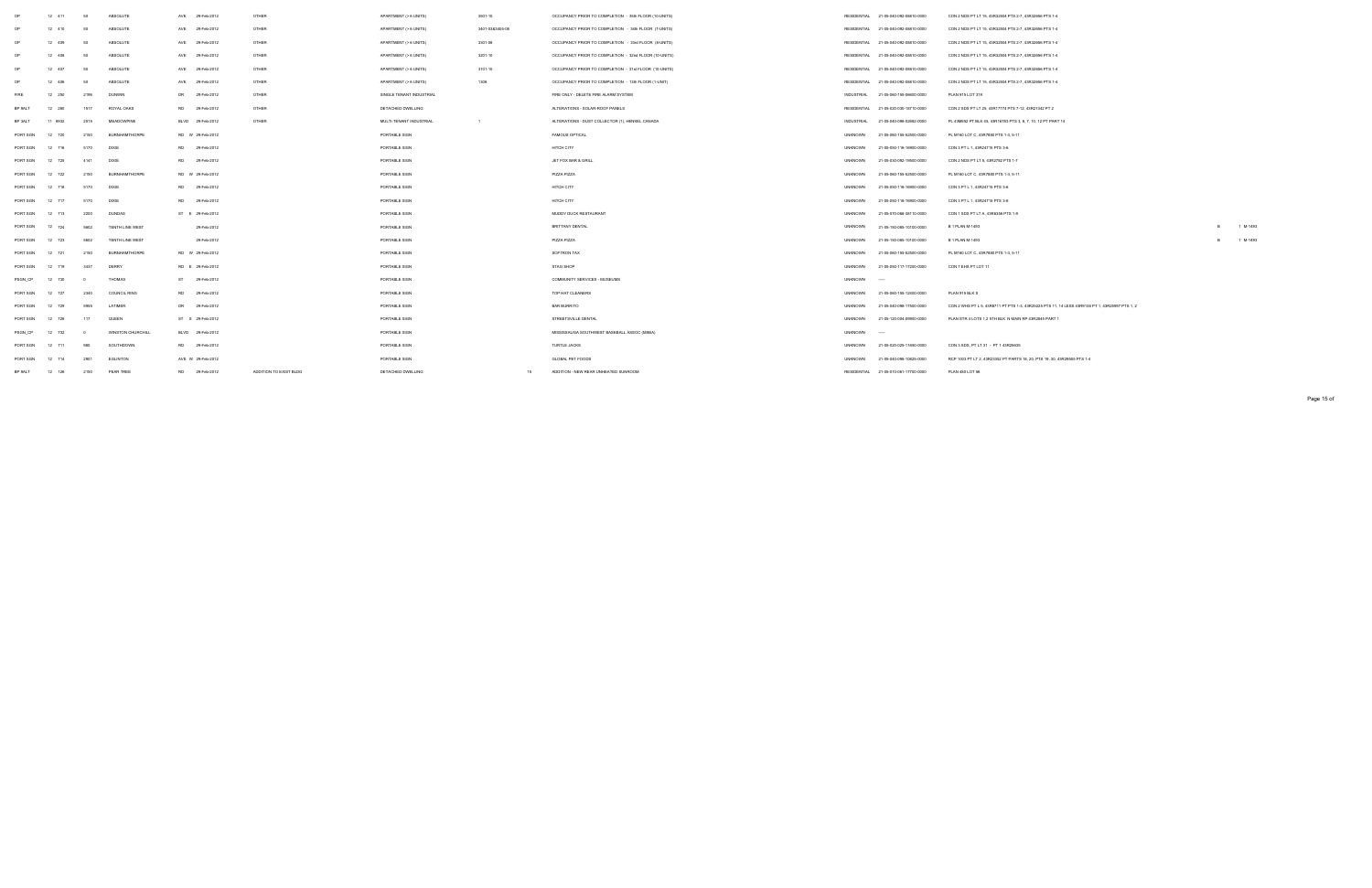| OP        | 12 411       | 50   | ABSOLUTE             | AVE 29-Feb-2012          | OTHER                  | APARTMENT (> 6 UNITS)    | 3501-10         | OCCUPANCY PRIOR TO COMPLETION - 35th FLOOR (10-UNITS) |                | RESIDENTIAL 21-05-040-092-08810-0000 | CON 2 NDS PT LT 15, 43R32504 PTS 2-7, 43R32656 PTS 1-4                                         |                |         |
|-----------|--------------|------|----------------------|--------------------------|------------------------|--------------------------|-----------------|-------------------------------------------------------|----------------|--------------------------------------|------------------------------------------------------------------------------------------------|----------------|---------|
| OP        | 12           | 50   | ABSOLUTE             | AVE 29-Feb-2012          | OTHER                  | APARTMENT (> 6 UNITS)    | 3401-03&3404-08 | OCCUPANCY PRIOR TO COMPLETION - 34th FLOOR (7-UNITS)  |                | RESIDENTIAL 21-05-040-092-08810-0000 | CON 2 NDS PT LT 15, 43R32504 PTS 2-7, 43R32656 PTS 1-4                                         |                |         |
| <b>OP</b> | 12 409       | 50   | ABSOLUTE             | AVE 29-Feb-2012          | OTHER                  | APARTMENT (> 6 UNITS)    | 3301-08         | OCCUPANCY PRIOR TO COMPLETION - 33rd FLOOR (8-UNITS)  |                | RESIDENTIAL 21-05-040-092-08810-0000 | CON 2 NDS PT LT 15, 43R32504 PTS 2-7, 43R32656 PTS 1-4                                         |                |         |
| OP        |              | 50   | ABSOLUTE             | AVE 29-Feb-2012          | OTHER                  | APARTMENT (> 6 UNITS)    | 3201-10         | OCCUPANCY PRIOR TO COMPLETION - 32nd FLOOR (10-UNITS) |                | RESIDENTIAL 21-05-040-092-08810-0000 | CON 2 NDS PT LT 15, 43R32504 PTS 2-7, 43R32656 PTS 1-4                                         |                |         |
| OP        | AD           | 50   | ABSOLUTE             | AVE 29-Feb-2012          | OTHER                  | APARTMENT (> 6 UNITS)    | 3101-10         | OCCUPANCY PRIOR TO COMPLETION - 31st FLOOR (10-UNITS) |                | RESIDENTIAL 21-05-040-092-08810-0000 | CON 2 NDS PT LT 15, 43R32504 PTS 2-7, 43R32656 PTS 1-4                                         |                |         |
|           | 12 406       | 50   | ABSOLUTE             | AVE 29-Feb-2012          | OTHER                  | APARTMENT (> 6 UNITS)    | 1306            | OCCUPANCY PRIOR TO COMPLETION - 13th FLOOR (1-UNIT)   |                | RESIDENTIAL 21-05-040-092-08810-0000 | CON 2 NDS PT LT 15, 43R32504 PTS 2-7, 43R32656 PTS 1-4                                         |                |         |
| FIRE      | 12<br>250    | 2196 | <b>DUNWIN</b>        | DR 29-Feb-2012           | OTHER                  | SINGLE TENANT INDUSTRIAL |                 | FIRE ONLY - DELETE FIRE ALARM SYSTEM                  | INDUSTRIAL     | 21-05-060-155-06600-0000             | PLAN 915 LOT 319                                                                               |                |         |
| BP 9ALT   | 12<br>280    | 1517 | ROYAL OAKS           | <b>RD</b><br>29-Feb-2012 | OTHER                  | DETACHED DWELLING        |                 | ALTERATIONS - SOLAR-ROOF PANELS                       | RESIDENTIAL    | 21-05-020-030-18710-0000             | CON 2 SDS PT LT 25, 43R17774 PTS 7-12, 43R21342 PT 2                                           |                |         |
| BP 3ALT   | 11 6932      | 2515 | MEADOWPINE           | BLVD 29-Feb-2012         | OTHER                  | MULTI-TENANT INDUSTRIAL  | $\overline{1}$  | ALTERATIONS - DUST COLLECTOR (1), HENKEL CANADA       | INDUSTRIAL     | 21-05-040-098-02682-0000             | PL 43M852 PT BLK 45, 43R16783 PTS 3, 6, 7, 10, 12 PT PART 14                                   |                |         |
| PORT SGN  | 720<br>12    | 2150 | <b>BURNHAMTHORPE</b> | RD W 29-Feb-2012         |                        | PORTABLE SIGN            |                 | <b>FAMOUS OPTICAL</b>                                 | <b>UNKNOWN</b> | 21-05-060-155-52500-0000             | PL M160 LOT C, 43R7880 PTS 1-3, 5-11                                                           |                |         |
| PORT SGN  | 716<br>12    | 5170 | DIXIE                | RD 29-Feb-2012           |                        | PORTABLE SIGN            |                 | HITCH CITY                                            | <b>UNKNOWN</b> | 21-05-050-116-16900-0000             | CON 3 PT L 1, 43R24715 PTS 3-6                                                                 |                |         |
| PORT SGN  | 725<br>12    | 4141 | <b>DIXIE</b>         | RD 29-Feb-2012           |                        | PORTABLE SIGN            |                 | JET FOX BAR & GRILL                                   | <b>UNKNOWN</b> | 21-05-030-092-19500-0000             | CON 2 NDS PT LT 5, 43R2782 PTS 1-7                                                             |                |         |
| PORT SGN  | 12 722       | 2150 | <b>BURNHAMTHORPE</b> | RD W 29-Feb-2012         |                        | PORTABLE SIGN            |                 | PIZZA PIZZA                                           | <b>UNKNOWN</b> | 21-05-060-155-52500-0000             | PL M160 LOT C, 43R7880 PTS 1-3, 5-11                                                           |                |         |
| PORT SGN  | 718<br>12    | 5170 | DIXIE                | RD 29-Feb-2012           |                        | PORTABLE SIGN            |                 | HITCH CITY                                            | <b>UNKNOWN</b> | 21-05-050-116-16900-0000             | CON 3 PT L 1, 43R24715 PTS 3-6                                                                 |                |         |
| PORT SGN  | 12 717       | 5170 | DIXIE                | RD 29-Feb-2012           |                        | PORTABLE SIGN            |                 | HITCH CITY                                            | <b>UNKNOWN</b> | 21-05-050-116-16900-0000             | CON 3 PT L 1, 43R24715 PTS 3-6                                                                 |                |         |
| PORT SGN  | 713<br>12    | 2200 | <b>DUNDAS</b>        | ST E 29-Feb-2012         |                        | PORTABLE SIGN            |                 | MUDDY DUCK RESTAURANT                                 | <b>UNKNOWN</b> | 21-05-070-068-38110-0000             | CON 1 SDS PT LT A, 43R6356 PTS 1-9                                                             |                |         |
| PORT SGN  | 724<br>12    | 5602 | TENTH LINE WEST      | 29-Feb-2012              |                        | PORTABLE SIGN            |                 | BRITTANY DENTAL                                       | <b>UNKNOWN</b> | 21-05-150-085-10100-0000             | <b>B 1 PLAN M-1493</b>                                                                         | $\overline{B}$ | 1 M-149 |
| PORT SGN  | 723<br>12    | 5602 | TENTH LINE WEST      | 29-Feb-2012              |                        | PORTABLE SIGN            |                 | PIZZA PIZZA                                           | <b>UNKNOWN</b> | 21-05-150-085-10100-0000             | <b>B 1 PLAN M-1493</b>                                                                         | B              | 1 M-149 |
| PORT SGN  | 12 721       | 2150 | <b>BURNHAMTHORPE</b> | RD W 29-Feb-2012         |                        | PORTABLE SIGN            |                 | SOFTRON TAX                                           | <b>UNKNOWN</b> | 21-05-060-155-52500-0000             | PL M160 LOT C, 43R7880 PTS 1-3, 5-11                                                           |                |         |
| PORT SGN  | 719<br>$-12$ | 3437 | DERRY                | RD E 29-Feb-2012         |                        | PORTABLE SIGN            |                 | STAG SHOP                                             | <b>UNKNOWN</b> | 21-05-050-117-17200-0000             | CON 7 EHS PT LOT 11                                                                            |                |         |
| PSGN CP   | 730<br>12    |      | THOMAS               | ST 29-Feb-2012           |                        | PORTABLE SIGN            |                 | COMMUNITY SERVICES - MUSEUMS                          | <b>UNKNOWN</b> | 1.11                                 |                                                                                                |                |         |
| PORT SGN  | 12 727       | 2340 | <b>COUNCIL RING</b>  | RD 29-Feb-2012           |                        | PORTABLE SIGN            |                 | TOP HAT CLEANERS                                      | <b>UNKNOWN</b> | 21-05-060-155-12400-0000             | PLAN 915 BLK S                                                                                 |                |         |
| PORT SGN  | 729<br>12    | 5955 | LATIMER              | DR 29-Feb-2012           |                        | PORTABLE SIGN            |                 | <b>BAR BURRITO</b>                                    | <b>UNKNOWN</b> | 21-05-040-098-17500-0000             | CON 2 WHS PT L 5, 43R8711 PT PTS 1-3, 43R25225 PTS 11, 14 LESS 43R9138 PT 1, 43R25997 PTS 1, 2 |                |         |
| PORT SGN  | 726<br>12    | 117  | QUEEN                | ST S 29-Feb-2012         |                        | PORTABLE SIGN            |                 | STREETSVILLE DENTAL                                   | <b>UNKNOWN</b> | 21-05-120-004-09900-0000             | PLAN STR 4 LOTS 1,2 5TH BLK N MAIN RP 43R2845 PART 1                                           |                |         |
| PSGN_CP   | 12 732       |      | WINSTON CHURCHILL    | BLVD 29-Feb-2012         |                        | PORTABLE SIGN            |                 | MISSISSAUGA SOUTHWEST BASEBALL ASSOC (MSBA)           | <b>UNKNOWN</b> | $\sim$                               |                                                                                                |                |         |
| PORT SGN  | 711          | 980  | SOUTHDOWN            | RD 29-Feb-2012           |                        | PORTABLE SIGN            |                 | TURTLE JACKS                                          | <b>UNKNOWN</b> | 21-05-020-025-11650-0000             | CON 3 SDS, PT LT 31 - PT 1 43R25635                                                            |                |         |
| PORT SGN  | 12 714       | 2901 | EGLINTON             | AVE W 29-Feb-2012        |                        | PORTABLE SIGN            |                 | GLOBAL PET FOODS                                      | <b>UNKNOWN</b> | 21-05-040-098-10825-0000             | RCP 1003 PT LT 2, 43R23352 PT PARTS 18, 20, PTS 19, 30, 43R29505 PTS 1-4                       |                |         |
| BP 9ALT   | 12 126       | 2150 | PEAR TREE            | RD 29-Feb-2012           | ADDITION TO EXIST BLDG | DETACHED DWELLING        | 15              | ADDITION - NEW REAR UNHEATED SUNROOM                  |                | RESIDENTIAL 21-05-010-061-17700-0000 | PLAN 480 LOT 56                                                                                |                |         |
|           |              |      |                      |                          |                        |                          |                 |                                                       |                |                                      |                                                                                                |                |         |

Page 15 of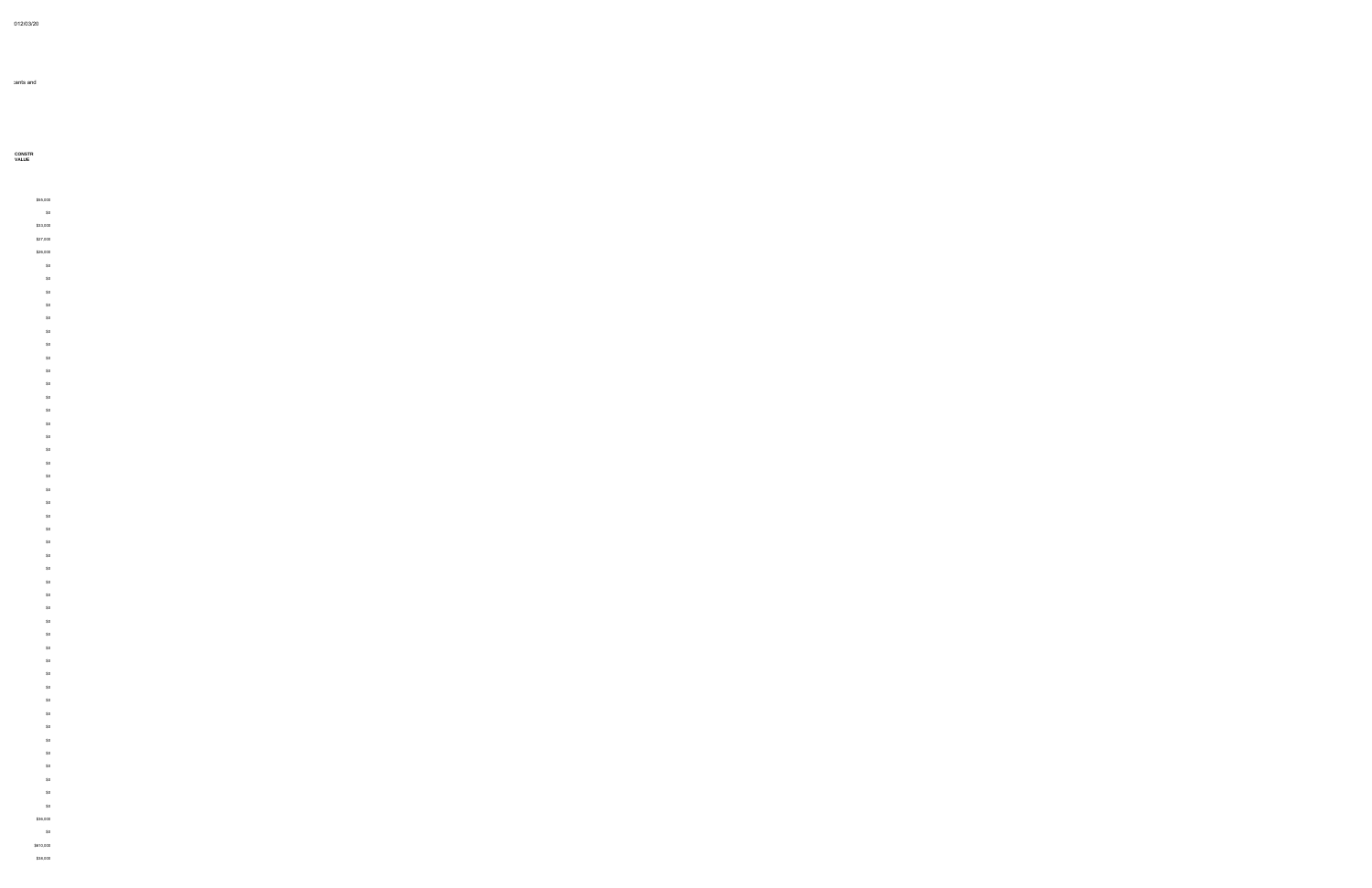\$38,000

\$610,000\$0

\$36,000

\$0

\$0\$0

\$0

\$0

\$0

\$0

\$0\$0

\$0

\$0

\$0\$0

\$0

\$0

\$0

\$0

\$0

\$0\$0

\$0

\$0

\$0

\$0

\$0

\$0

\$0\$0

\$0

\$0

\$0

\$0

\$0

\$0\$0

\$0

\$0

\$0

\$0

\$0

\$0

\$0

\$26,000

\$0

\$27,0 \$33.0

**CONSTR VALUE**

\$55,000

## cants and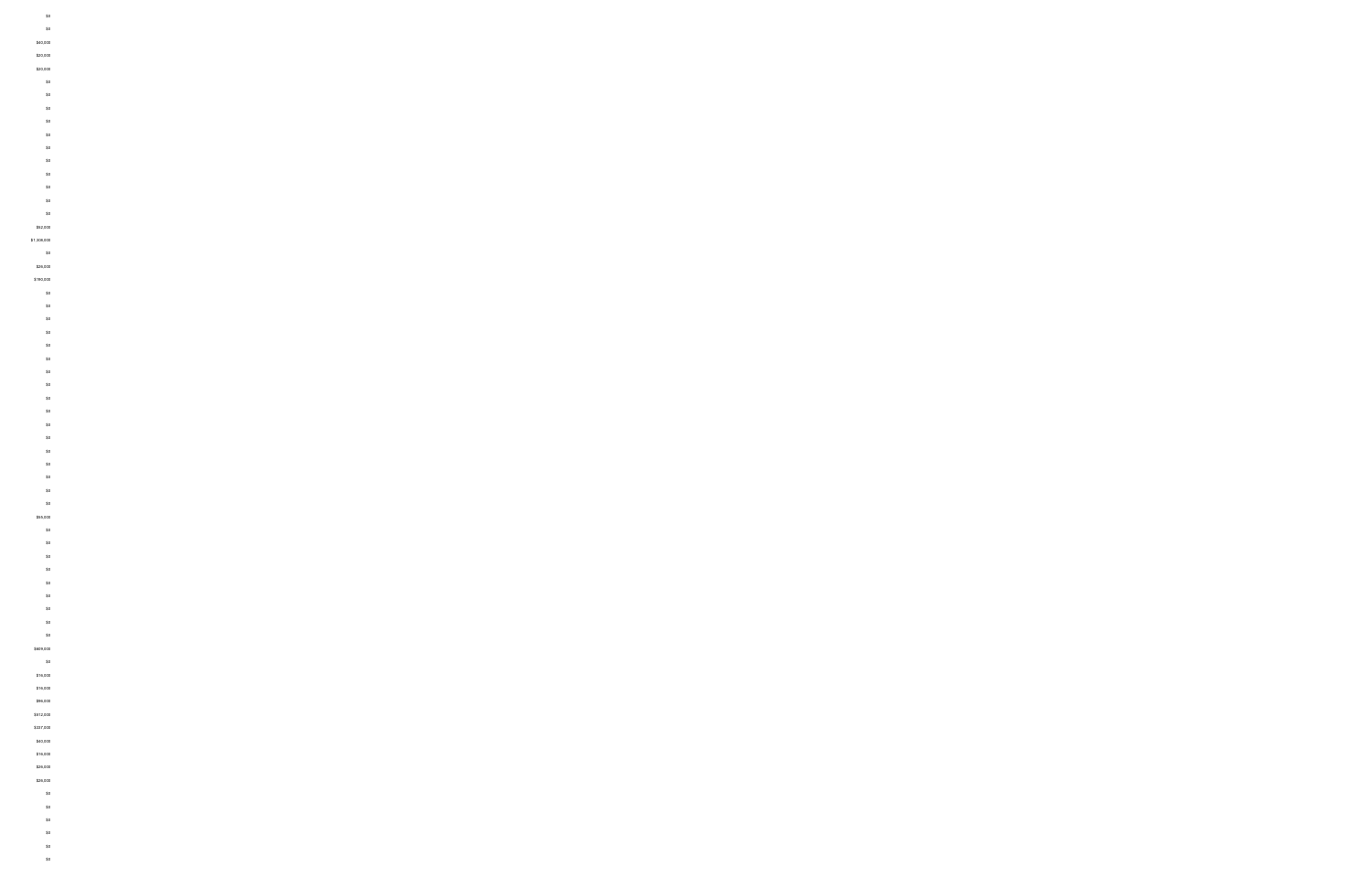- $\cos$
- \$20.0
- \$0\$0
- \$0
- \$0
- \$0
- \$0
- \$0\$0
- \$0
- \$0
- \$0
- \$52,000
- \$1,308,000
- \$0
- \$26,000 \$190,00
- \$0
- \$0
- \$0
- \$0
- \$0
- \$0\$0
- \$0
- \$0
- \$0\$0
- \$0
- \$0
- \$0
- \$0\$0
- \$0
- \$55,000
- \$0
- \$0\$0
- \$0
- \$0
- \$0
- \$0\$0
- \$0
- \$609,000
- \$0
- \$16,000
- \$96,000 \$16,000
- \$512,000
- \$40,000 \$337,000
- \$16,000
- \$26,000
- \$0\$26,00
- \$0
- \$0
- \$0\$0
- \$0

\$40,000\$0\$0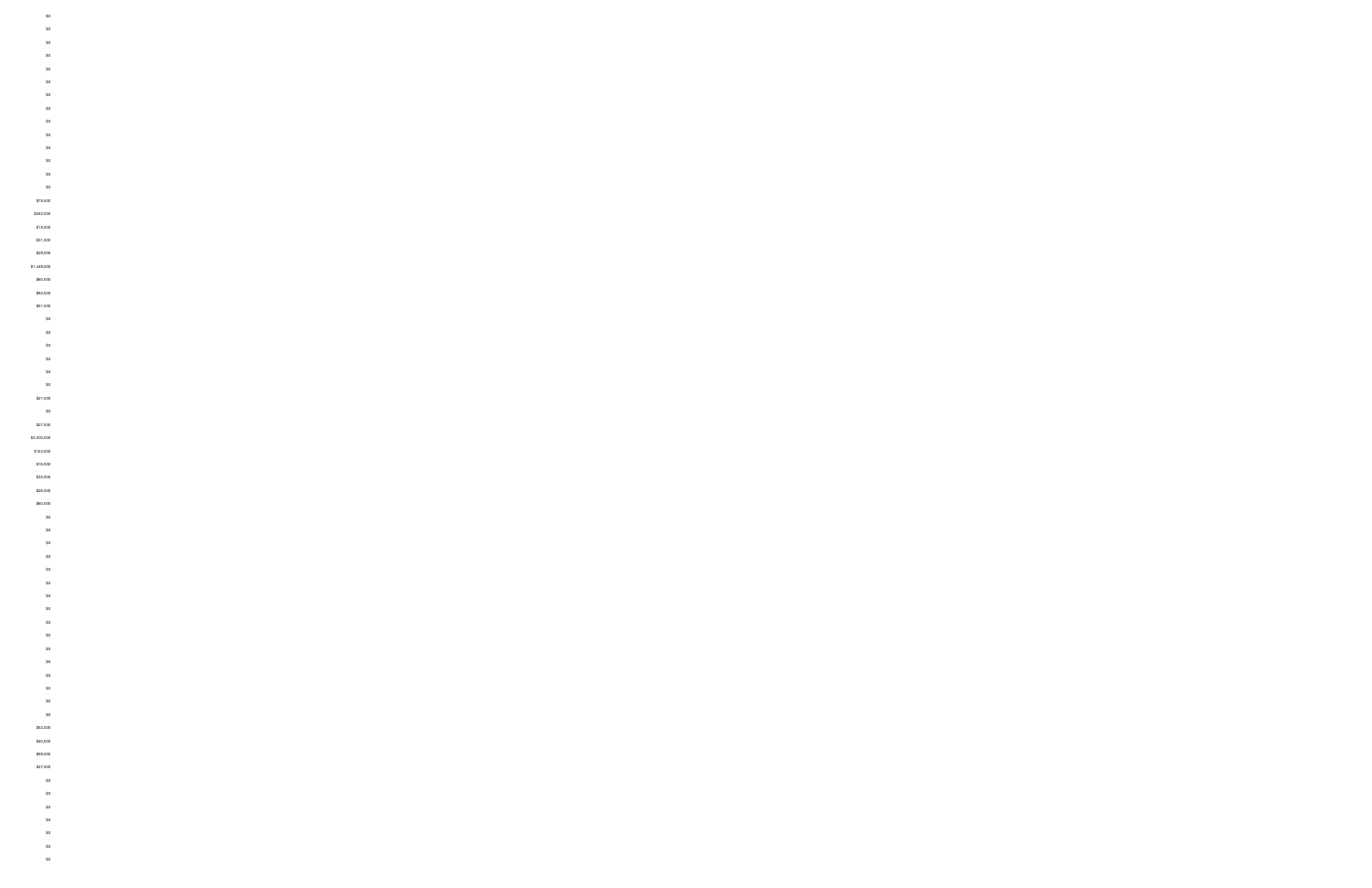- \$0
- 
- \$0
- \$0
- \$0
- \$0
- \$0
- \$0
- \$0
- \$0\$0
- \$0
- \$0
- \$75,000
- \$242,000
- \$15,000
- \$31,000
- \$29,000
- \$1,449,000
- \$92,000 \$60,000
- \$51,000
- \$0
- \$0
- \$0
- \$0\$0
- \$0
- \$21,000
- $\mathsf{sc}$
- \$2,203,000 \$27,000
- \$103,000
- \$16,000
- \$26,000 \$34,000
- \$60,000
- \$0
- \$0
- \$0
- \$0\$0
- \$0
- \$0
- \$0\$0
- \$0
- \$0
- \$0
- \$0\$0
- \$0
- \$52,000 \$0
- \$99,000 \$40,000
- \$27,000
- \$0\$0
- \$0
- \$0
- \$0\$0
- \$0

\$0\$0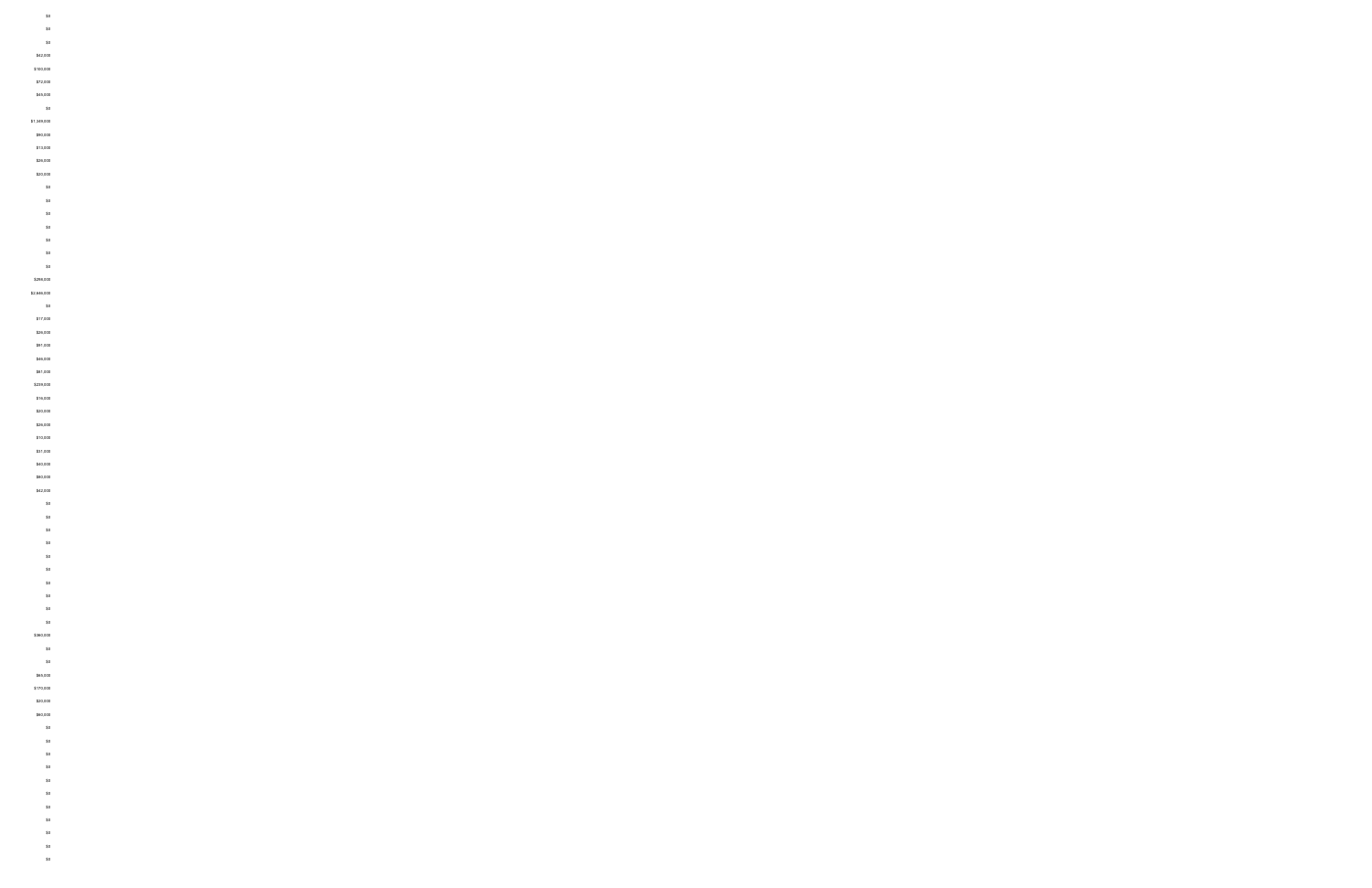\$0

\$0\$0

\$0

\$0\$0

\$0

\$0

\$0

\$0\$0

 $\mathbf{s}$ c \$0

\$60,000\$20,000

\$170,000 \$65,000

\$0\$0

\$0\$0

\$0\$0

\$360,00

\$0\$0

\$0\$0

\$42,000 \$80,000

\$40,000 \$31,000 \$10,000

\$26,000 \$20,000 \$16,000 \$239,000 \$81,000 \$46,000 \$91,000 \$26,000

\$17,000 \$2,646,000  $$0$ \$298,000

\$0 \$0\$0

\$0\$0\$0\$0\$20,000 \$26,000 \$13,000 \$90,000\$1,349,000  $\mathbf{s}$ \$45,000 \$72,000 \$100,000 \$42,000\$0\$0\$0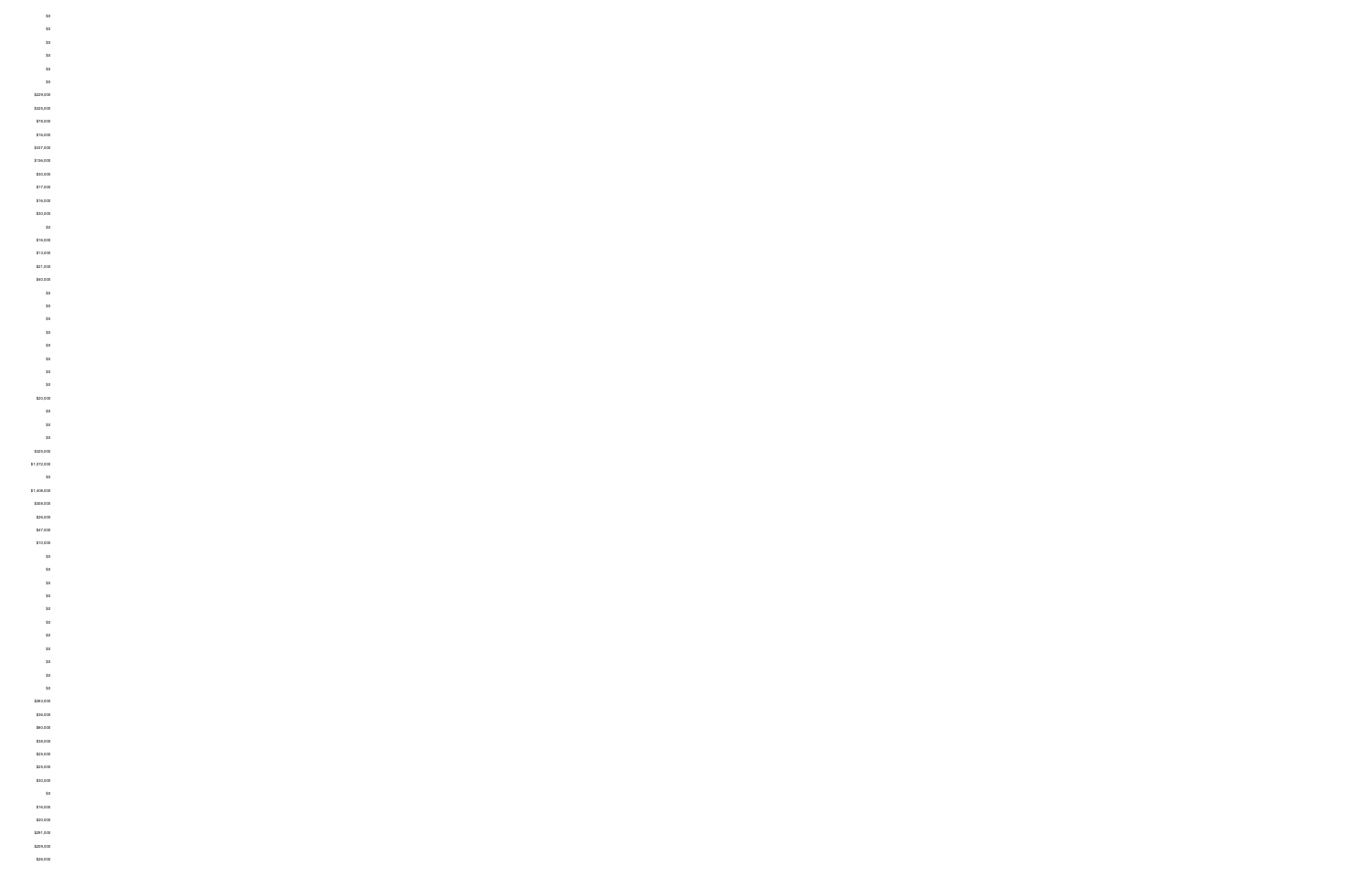\$26,000 \$209,000

\$291,000 \$20,000 \$16,000 \$0\$30,000 \$25,000 \$25,000 \$38,000 \$36,000 \$60,000 \$0\$263,000 \$0 \$0 **so** \$0 \$0  $\overline{\phantom{0}}\mathbf{s}_0$ \$0\$0\$0\$0 \$10,000 \$47,000 \$26,000 \$1,408,000 \$308,000 \$0 \$325,000 \$1,072,000 \$0  $\alpha$ \$0\$20,000 $\mathsf{so}$ \$0\$0\$0 \$0  $\overline{50}$ \$0 $\mathbf{s}$ \$40,000 \$21,000 \$13,000 \$16,000  $\mathsf{s}_0$ \$30,000 \$16,000 \$17,000 \$30,000 \$136,000 \$337,000 \$16,000 \$325,000 \$78,000 \$0\$229,000 \$0\$0\$0\$0\$0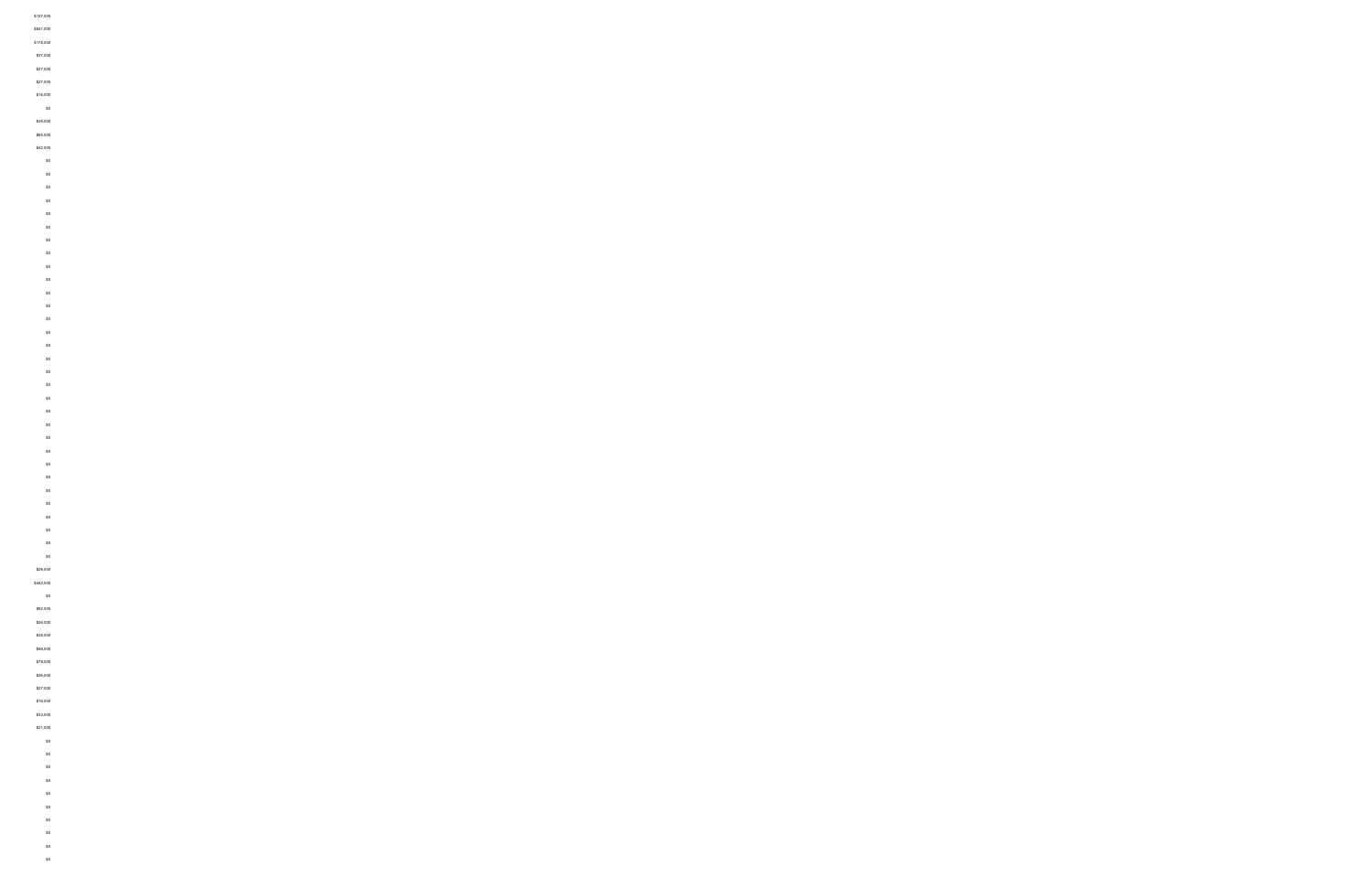\$0

\$0\$0

\$0

\$0

\$0\$0

\$0

\$0

\$0

\$21,000

\$33,000\$16,000

\$27,000 \$26,000

\$78,000

\$56,000

\$38,000

\$92,000 \$26,000

\$26,000

\$442,000

 $s$ 

\$65,000 \$39,000

\$0

\$0\$0

\$0

\$0

\$0

\$0\$0

\$0

\$0

\$0

\$0\$0

\$0

\$0

\$0

\$0\$0

\$0

\$0

\$0

\$0

\$0\$0

\$0

\$0

\$0

\$0\$0

\$0

\$0

\$42,000

\$16,000

 $\alpha$ 

\$27,000

\$27,000

\$37,000

\$178,000 \$831,000 \$127,000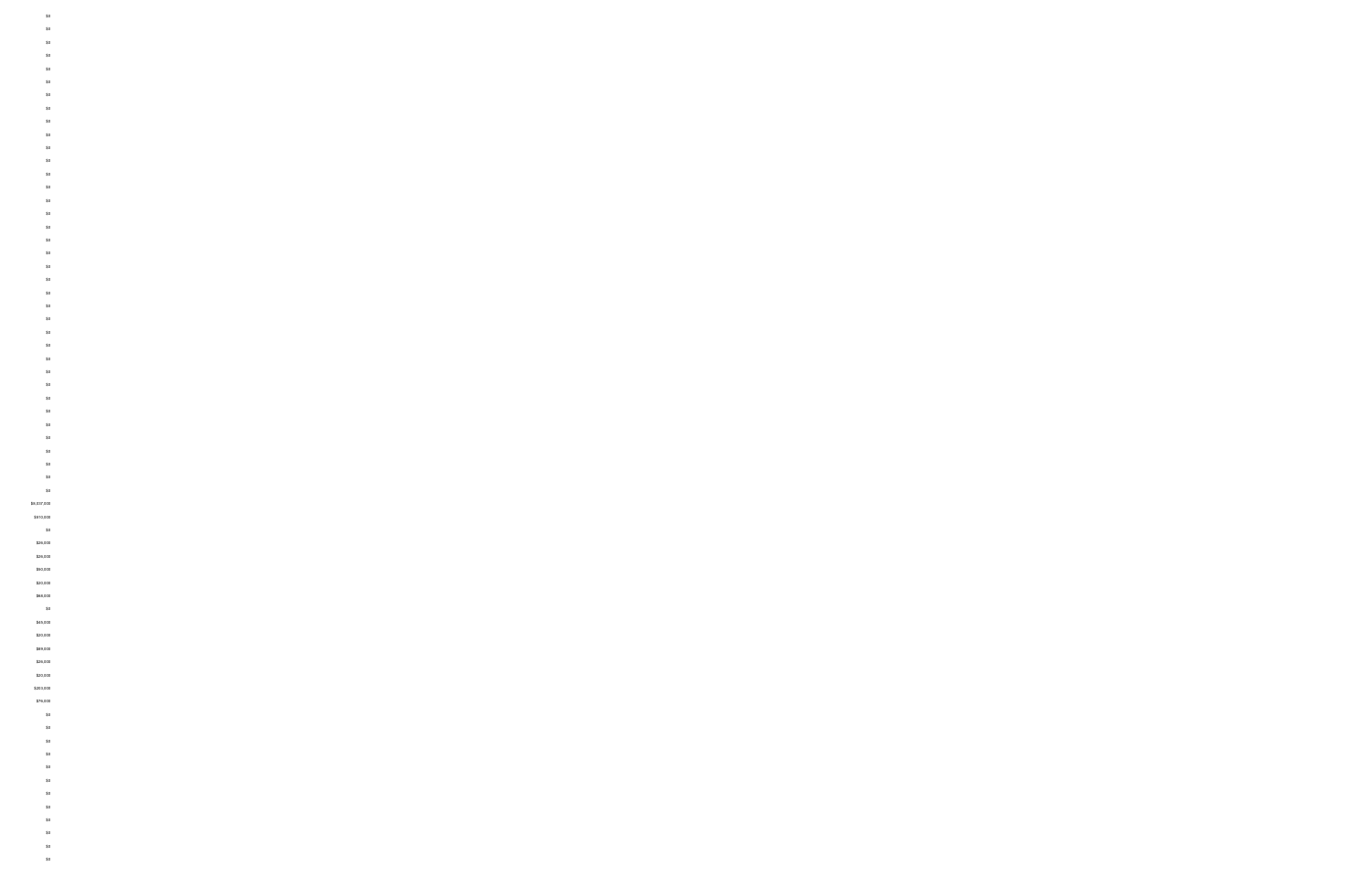- \$0
- \$0
- \$0
- \$0\$0
- \$0
- \$0
- \$0
- \$0
- \$0
- \$0\$0
- \$0
- \$0
- \$0
- \$0
- \$0\$0
- \$0
- \$0
- \$0
- \$0\$0
- \$0
- \$0
- \$0\$0
- \$0
- \$0\$0
- \$0
- \$0
- \$0\$0
- \$8,037,000
- \$510,000
- \$26,000 \$0
- \$26,000
- \$20,000 \$50,000
- \$68,000
- \$45,000 \$0
- \$20,000
- \$89,000
- \$26,000
- \$203,000 \$20,000
- \$0\$76,000
- \$0
- \$0\$0
- \$0
- \$0\$0
- \$0
- \$0\$0
- \$0
- \$0

\$0\$0\$0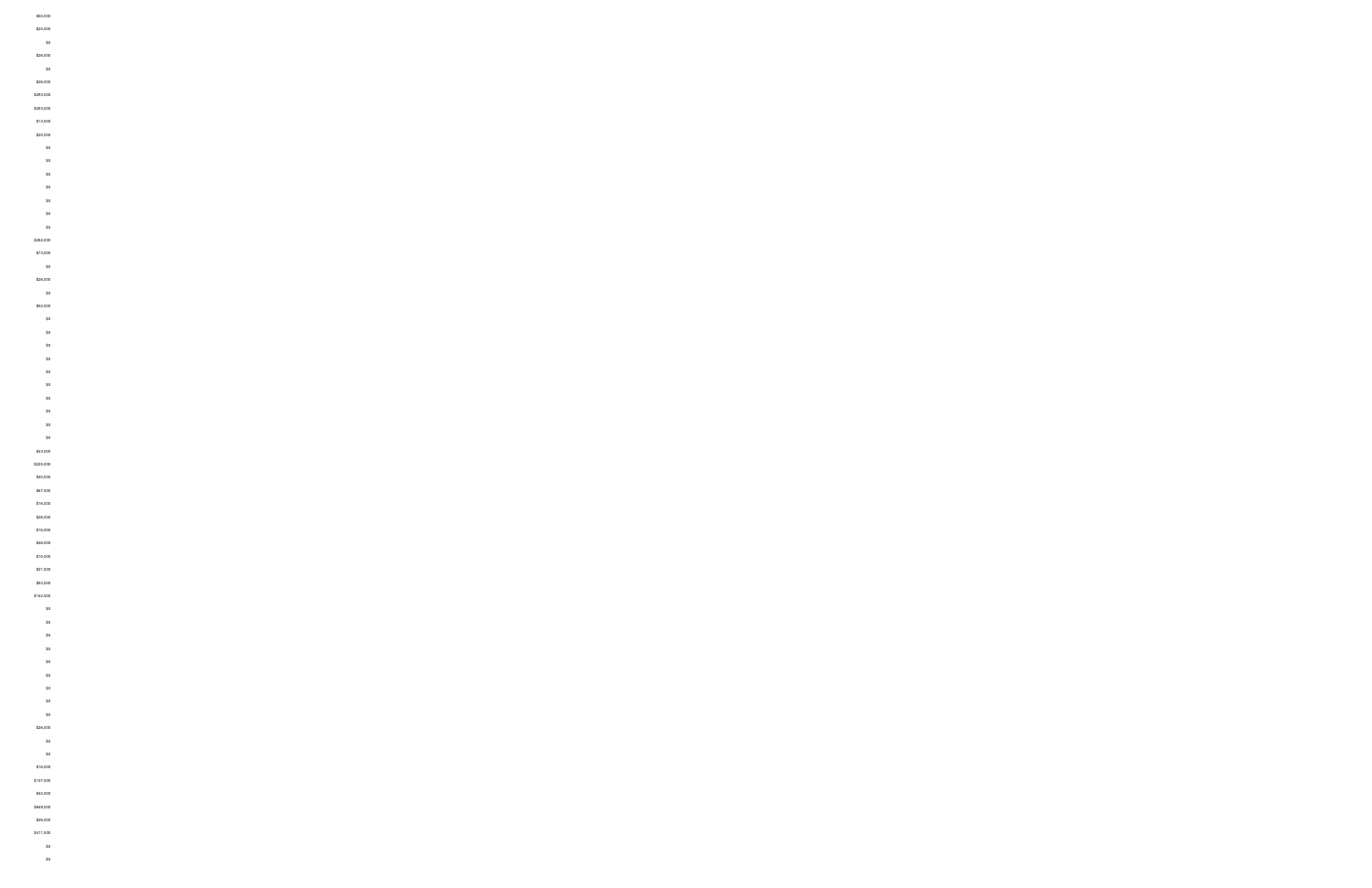\$0\$0

\$411,000 \$26,000 \$649,000 \$44,000 \$16,000 \$137,000 \$0\$26,000 \$0\$0\$0\$0\$0\$0\$0\$0\$0\$0\$142,000 \$93,000 \$21,000 \$10,000 \$46,000 \$16,000 \$26,000 \$16,000 \$67,000 \$40,000 \$225,000 \$43,000 \$0\$0\$0\$0\$0\$0\$0\$0\$0\$0\$52,000 \$0\$26,000 \$73,000 \$0 \$0\$282,000 \$0\$0\$0\$0\$0\$0\$20,000\$13,000 \$293,000 \$293,000  $s$ \$26,000 \$0\$26,000 \$24,000 \$50,000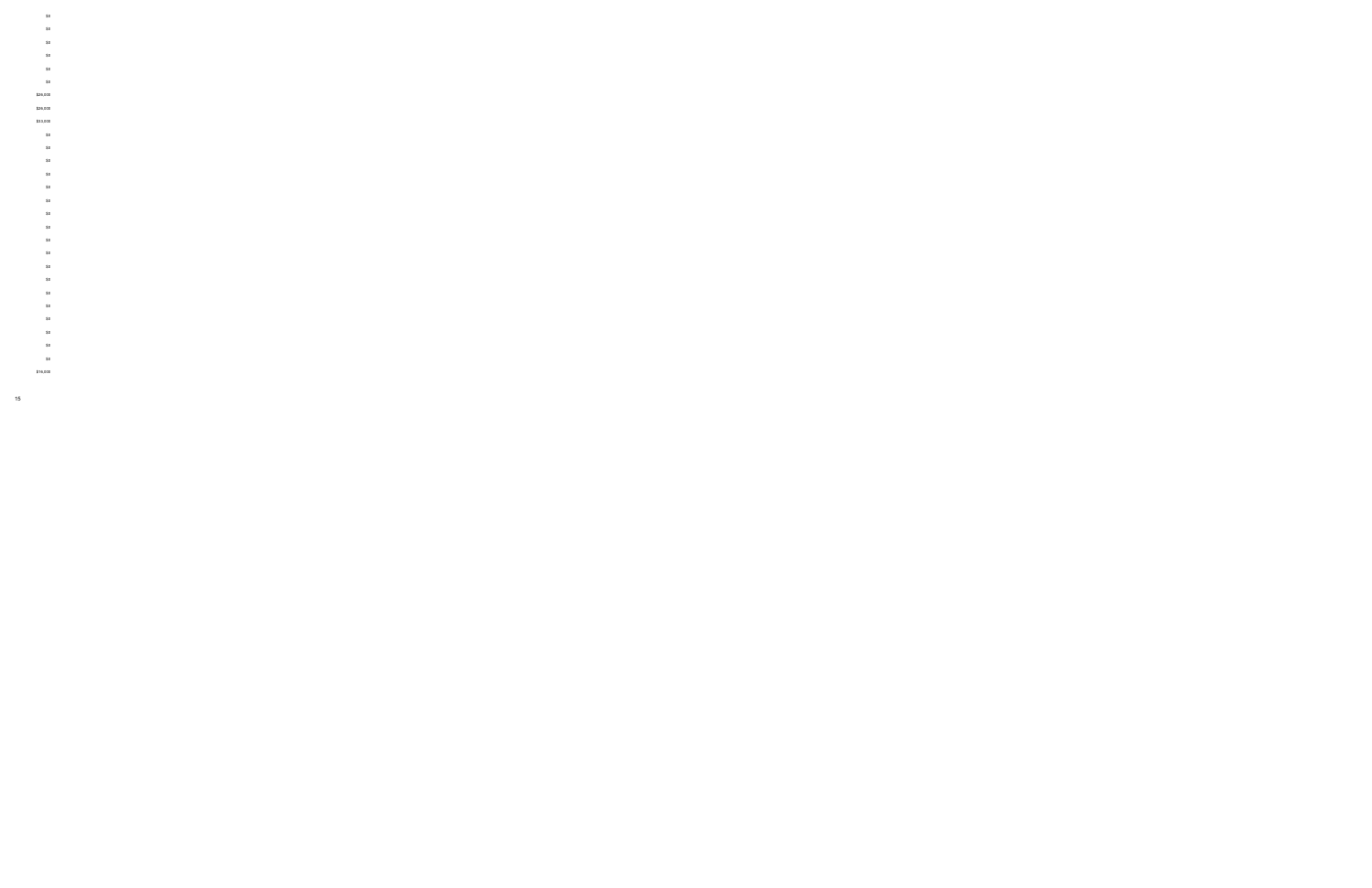15

\$16,000

- \$0
- \$0
- \$0
- \$0
- \$0
- \$26,0
- \$26,000
- \$33,000
- \$0
- \$0
- \$0\$0
- \$0
- \$0
- \$0
- \$0
- \$0
- \$0
- \$0
- \$0
- \$0
- \$0
- \$0
- \$0
- \$0
- \$0

\$0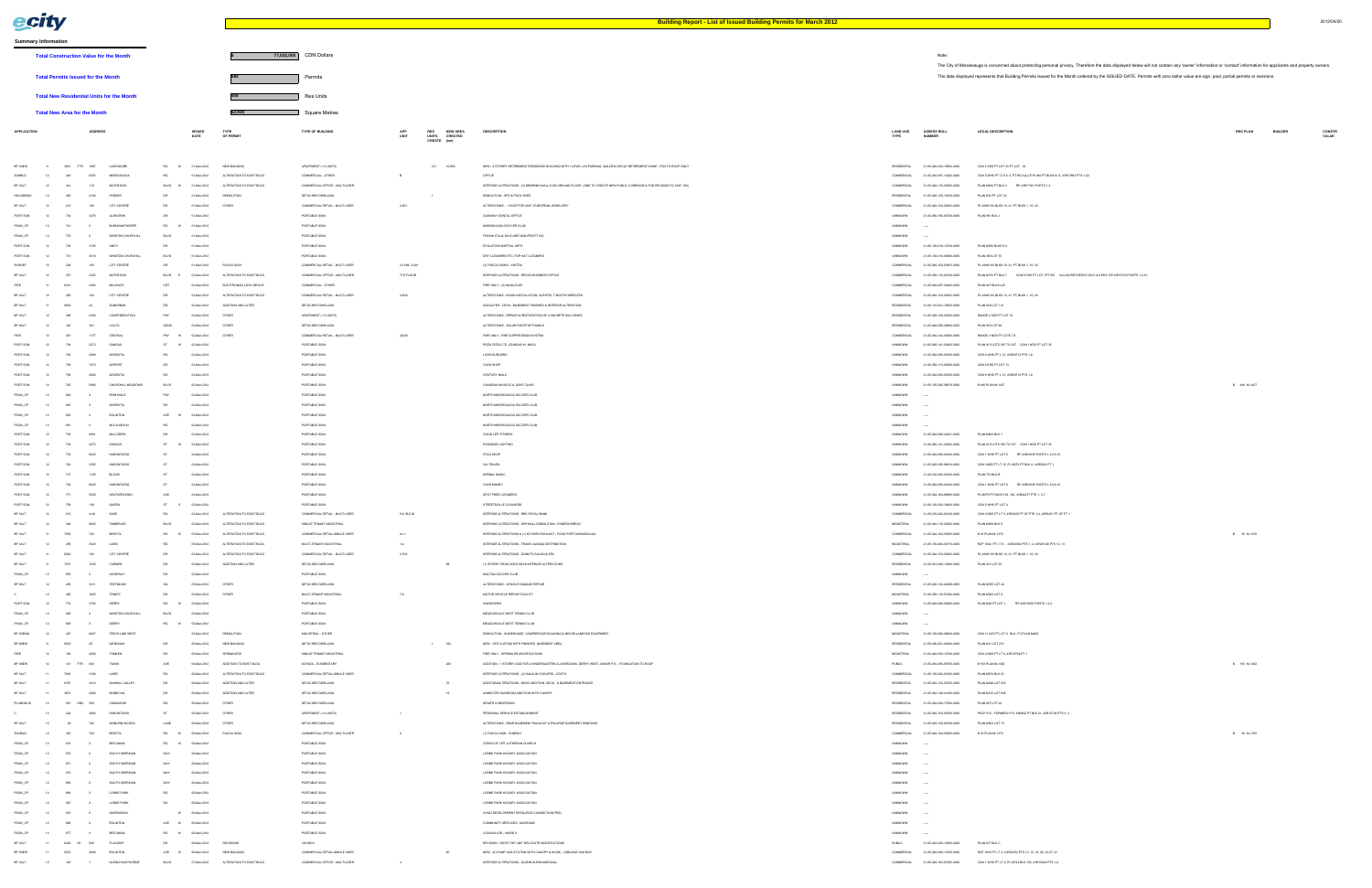ecity

**Summary Info** 

| BP 3NEW            |        |                              |                       |                            |                                  |                                          |                                                                 |                          |            |                                                                                                                          |                    |                                                      |                                                                                                                  |             |
|--------------------|--------|------------------------------|-----------------------|----------------------------|----------------------------------|------------------------------------------|-----------------------------------------------------------------|--------------------------|------------|--------------------------------------------------------------------------------------------------------------------------|--------------------|------------------------------------------------------|------------------------------------------------------------------------------------------------------------------|-------------|
|                    |        | 11 3941 FTR 1907             | LAKESHORE             |                            | RD W 01-Mar-2012                 | NEW BUILDING                             | APARTMENT (> 6 UNITS)                                           |                          | 121 10,663 | NEW - 8 STOREY RETIREMENT RESIDENCE BUILDING WITH 1 LEVEL U/G PARKING, WALDEN CIRCLE RETIREMENT HOME - FDN TO ROOF ONLY  | RESIDENTIAL        | 21-05-020-024-15800-0000                             | CON 2 SDS PT LOT 29 PT LOT 30                                                                                    |             |
| ZONBLD             | 12     | 249<br>6503                  | MISSISSAUGA           | <b>RD</b>                  | 01-Mar-2012                      | ALTERATION TO EXIST BLDG                 | COMMERCIAL - OTHER                                              | B                        |            | OFFICE                                                                                                                   | COMMERCIAL         | 21-05-040-097-13200-0000                             | CON 5 WHS PT LTS 8, 9, PT RD ALLCE PL M9 PT BLKS N, S, 43R17865 PTS 1-22                                         |             |
|                    | 12     | 314                          | MATHESON              |                            |                                  | ALTERATION TO EXIST BLDG                 | COMMERCIAL OFFICE - MULTI-USER                                  |                          |            | INTERIOR ALTERATIONS - (2) DEMISING WALLS ON GROUND FLOOR (ONE TO CREATE NEW PUBLIC CORRIDOR & FOR REVISION TO UNIT 160) | COMMERCIAL         | 21-05-040-115-00950-0000                             |                                                                                                                  |             |
| BP 3ALT            |        | 110                          |                       |                            | BLVD W 01-Mar-2012               |                                          |                                                                 |                          |            |                                                                                                                          |                    |                                                      | PLAN M832 PT BLK 2 RP 43R17361 PARTS 1-3                                                                         |             |
| HOUSDEMO           | 12     | 480<br>2100                  | PARKER                | $\ensuremath{\mathsf{DR}}$ | 01-Mar-2012                      | DEMOLITION                               | DETACHED DWELLING                                               |                          |            | DEMOLITION - SFD & POOL SHED                                                                                             | <b>RESIDENTIAL</b> | 21-05-060-125-19100-0000                             | PLAN E20 PT LOT 22                                                                                               |             |
| BP 3ALT            | 12     | 213<br>100                   | CITY CENTRE           | DR                         | 01-Mar-2012                      | OTHER                                    | COMMERCIAL RETAIL - MULTI-USER                                  | 2-901                    |            | ALTERATIONS - 1 ROOFTOP UNIT, EUROPEAN JEWELLERY                                                                         | COMMERCIAL         | 21-05-040-154-00453-0000                             | PL 43M1010 BLKS 19, 21, PT BLKS 1, 16, 20                                                                        |             |
| PORT SGN           | 12     | 3476<br>734                  | <b>GLEN ERIN</b>      | DR.                        | 01-Mar-2012                      |                                          | PORTABLE SIGN                                                   |                          |            | GLENWAY DENTAL OFFICE                                                                                                    | <b>UNKNOWN</b>     | 21-05-060-156-84700-0000                             | PLAN 961 BLK J                                                                                                   |             |
| PSGN_CP            | 12     | 741<br>$\circ$               | BURNHAMTHORP          | $RD$ $W$                   | 01-Mar-2012                      |                                          | PORTABLE SIGN                                                   |                          |            | MISSISSAUGA SOCCER CLUB                                                                                                  | UNKNOWN            |                                                      |                                                                                                                  |             |
|                    | 12     | 770<br>$\circ$               |                       |                            |                                  |                                          |                                                                 |                          |            | FORUM ITALIA DAYCARE NON-PROFIT INC                                                                                      |                    |                                                      |                                                                                                                  |             |
| PSGN_CP            |        |                              | WINSTON CHURCHILL     | BLVD                       | 01-Mar-2012                      |                                          | PORTABLE SIGN                                                   |                          |            |                                                                                                                          | <b>UNKNOWN</b>     |                                                      |                                                                                                                  |             |
| PORT SGN           |        | 728<br>3105                  | UNITY                 | $\mathsf{DR}$              | 01-Mar-2012                      |                                          | PORTABLE SIGN                                                   |                          |            | EVOLUTION MARTIAL ARTS                                                                                                   | <b>UNKNOWN</b>     | 21-05-150-010-10740-0000                             | PLAN M592 BLKS 8,9                                                                                               |             |
| PORT SGN           | 12     | 731<br>3018                  | WINSTON CHURCHILL     | BLVD                       | 01-Mar-2012                      |                                          | PORTABLE SIGN                                                   |                          |            | DRY CLEANERS ETC./TOP HAT CLEANERS                                                                                       | <b>UNKNOWN</b>     | 21-05-150-010-08900-0000                             | PLAN 380 LOT 10                                                                                                  |             |
| SIGN BP            | 12     | 228<br>100                   | CITY CENTRE           | $\mathsf{DR}$              | 01-Mar-2012                      | <b>FASCIA SIGN</b>                       | COMMERCIAL RETAIL - MULTI-USER                                  | 2-134B, 2-401            |            | (2) FASCIA SIGNS - ARITZIA                                                                                               | COMMERCIAL         | 21-05-040-154-00453-0000                             | PL 43M1010 BLKS 19, 21, PT BLKS 1, 16, 20                                                                        |             |
| BP 3ALT            | 12     | 257<br>2425                  | MATHESON              | BLVD E                     | 02-Mar-2012                      | ALTERATION TO EXIST BLDG                 | COMMERCIAL OFFICE - MULTI-USER                                  | 7TH FLOOR                |            | INTERIOR ALTERATIONS - REGUS BUSINESS OFFICE                                                                             | COMMERCIAL         | 21-05-050-115-62100-0000                             | PLAN M793 PT BLK 7 CON 5 EHS PT LOT 1PT RD ALLOW BETWEEN CON 5 & 6 EHS RP 43R15703 PARTS 1,2,10                  |             |
| FIRE               | $-11$  | 6313                         | MILLRACE              |                            |                                  | ELECTROMAG LOCK DEVICE                   | COMMERCIAL - OTHER                                              |                          |            | FIRE ONLY - (2) MAGLOCKS                                                                                                 | COMMERCIAL         | 21-05-040-097-34400-0000                             | PLAN 947 BLKS A,B                                                                                                |             |
|                    |        | 2360                         |                       | CRT                        | 02-Mar-2012                      |                                          |                                                                 |                          |            |                                                                                                                          |                    |                                                      |                                                                                                                  |             |
| BP 3ALT            | 12     | 256<br>100                   | CITY CENTRE           | DR                         | 02-Mar-2012                      | ALTERATION TO EXIST BLDG                 | COMMERCIAL RETAIL - MULTI-USER                                  | 2-K20                    |            | ALTERATIONS - KIOSK INSTALLATION, GLENTEL T-BOOTH WIRELESS                                                               | <b>COMMERCIAL</b>  | 21-05-040-154-00453-0000                             | PL 43M1010 BLKS 19, 21, PT BLKS 1, 16, 20                                                                        |             |
| BP 9ALT            | $-11$  | 6830<br>44                   | SUBURBAN              | DR.                        | 02-Mar-2012                      | ADDITION AND ALTER                       | DETACHED DWELLING                                               |                          |            | ADD/ALTER - DECK , BASEMENT-FINISHED & INTERIOR ALTERATION                                                               | <b>RESIDENTIAL</b> | 21-05-110-001-18500-0000                             | PLAN 548 LOT 114                                                                                                 |             |
| BP 3ALT            | 12     | 398<br>2300                  | CONFEDERATION         | PKY                        | 02-Mar-2012                      | OTHER                                    | APARTMENT (> 6 UNITS)                                           |                          |            | ALTERATIONS - REPAIR & RESTORATION OF CONCRETE BALCONIES                                                                 | <b>RESIDENTIAL</b> | 21-05-060-125-02500-0000                             | RANGE 2 SDS PT LOT 16                                                                                            |             |
| BP 9ALT            | 12     | 145<br>391                   | LOLITA                | GDNS                       | 02-Mar-2012                      | OTHER                                    | DETACHED DWELLING                                               |                          |            | ALTERATIONS - SOLAR ROOFTOP PANELS                                                                                       | <b>RESIDENTIAL</b> | 21-05-040-095-28800-0000                             | PLAN 903 LOT 99                                                                                                  |             |
| FIRE               |        | 1177                         | CENTRAL               |                            | PKY W 02-Mar-2012                | OTHER                                    |                                                                 |                          |            | FIRE ONLY - FIRE SUPPRESSION SYSTEM                                                                                      |                    |                                                      | RANGE 3 NDS PT LOTS 7,8                                                                                          |             |
|                    | 12     | 291                          |                       |                            |                                  |                                          | COMMERCIAL RETAIL - MULTI-USER                                  | 22A/B                    |            |                                                                                                                          | COMMERCIAL         | 21-05-040-144-09200-0000                             |                                                                                                                  |             |
| PORT SGN           | 12     | 738<br>2273                  | DUNDAS                | ST W 02-Mar-2012           |                                  |                                          | PORTABLE SIGN                                                   |                          |            | PIZZA PIZZA LTD (DUNDAS W, MISS)                                                                                         | <b>UNKNOWN</b>     | 21-05-060-141-20400-0000                             | PLAN 915 LOTS 335 TO 337 CON 1 NDS PT LOT 35                                                                     |             |
| PORT SGN           |        | 748<br>2969                  | ARGENTI               | <b>RD</b>                  | 02-Mar-2012                      |                                          | PORTABLE SIGN                                                   |                          |            | <b>LICKS BURGERS</b>                                                                                                     | <b>UNKNOWN</b>     | 21-05-040-098-05300-0000                             | CON 6 WHS PT L 13, 43R28710 PTS 1-6                                                                              |             |
| PORT SGN           |        | 769<br>7470                  | AIRPOR                | <b>RD</b>                  | 02-Mar-2012                      |                                          | PORTABLE SIGN                                                   |                          |            | CASH SHOP                                                                                                                | <b>UNKNOWN</b>     | 21-05-050-113-06200-0000                             | CON 6 EHS PT LOT 13                                                                                              |             |
| PORT SGN           |        | 768<br>2969                  | ARGENTI               | <b>RD</b>                  | 02-Mar-201                       |                                          | PORTABLE SIGN                                                   |                          |            | CENTURY NAILS                                                                                                            | <b>UNKNOWN</b>     | 21-05-040-098-05300-0000                             | CON 6 WHS PT L 13, 43R28710 PTS 1-6                                                                              |             |
|                    |        |                              |                       |                            |                                  |                                          |                                                                 |                          |            |                                                                                                                          |                    |                                                      |                                                                                                                  |             |
| PORT SGN           | 12     | 745<br>5980                  | CHURCHILL MEADOW      | BLVD                       | 02-Mar-2012                      |                                          | PORTABLE SIGN                                                   |                          |            | CANADIAN MUSCLE & JOINT CLINIC                                                                                           | <b>UNKNOWN</b>     | 21-05-150-085-08870-0000                             | B 446 PLAN M-1437                                                                                                | B 446 M-143 |
| PSGN_CP            | 12     | 854<br>$\circ$               | ERIN MILLS            | PKY                        | 02-Mar-2012                      |                                          | PORTABLE SIGN                                                   |                          |            | NORTH MISSISSAUGA SOCCER CLUB                                                                                            | <b>UNKNOWN</b>     |                                                      |                                                                                                                  |             |
| PSGN_CP            | 12     | 853<br>$\circ$               | ARGENTIA              | <b>RD</b>                  | 02-Mar-2012                      |                                          | PORTABLE SIGN                                                   |                          |            | NORTH MISSISSAUGA SOCCER CLUB                                                                                            | <b>UNKNOWN</b>     |                                                      |                                                                                                                  |             |
| PSGN_CP            | 12     | 852<br>$\circ$               | <b>EGLINTON</b>       | AVE W                      | 02-Mar-2012                      |                                          | PORTABLE SIGN                                                   |                          |            | NORTH MISSISSAUGA SOCCER CLUB                                                                                            | <b>UNKNOWN</b>     |                                                      |                                                                                                                  |             |
|                    |        |                              |                       |                            |                                  |                                          |                                                                 |                          |            |                                                                                                                          |                    |                                                      |                                                                                                                  |             |
| PSGN_CP            | 12     | 851<br>$\circ$               | MCLAUGHLIN            | <b>RD</b>                  | 02-Mar-2012                      |                                          | PORTABLE SIGN                                                   |                          |            | NORTH MISSISSAUGA SOCCER CLUB                                                                                            | <b>UNKNOWN</b>     |                                                      |                                                                                                                  |             |
| PORT SGN           | 12     | 793<br>6991                  | MILLCREEK             | DR                         | 02-Mar-2012                      |                                          | PORTABLE SIGN                                                   |                          |            | <b>GOOD LIFE FITNESS</b>                                                                                                 | <b>UNKNOWN</b>     | 21-05-040-098-22301-0000                             | PLAN M802 BLK 1                                                                                                  |             |
| PORT SGN           | 12     | 739<br>2273                  | <b>DUNDAS</b>         | $ST$ W                     | 02-Mar-2012                      |                                          | PORTABLE SIGN                                                   |                          |            | PARADISE LIGHTING                                                                                                        | <b>UNKNOWN</b>     | 21-05-060-141-20400-0000                             | PLAN 915 LOTS 335 TO 337 CON 1 NDS PT LOT 35                                                                     |             |
| PORT SGN           | 12     | 735<br>6020                  | <b>HURONTARIO</b>     | ST.                        | 02-Mar-2012                      |                                          | PORTABLE SIGN                                                   |                          |            | STAG SHOP                                                                                                                | <b>UNKNOWN</b>     | 21-05-040-096-04300-0000                             | CON 1 WHS PT LOT 6 RP 43R20185 PARTS 1,3,6,8,10                                                                  |             |
|                    |        |                              |                       |                            |                                  |                                          |                                                                 |                          |            |                                                                                                                          |                    |                                                      |                                                                                                                  |             |
| PORT SGN           | 12     | 740<br>3355                  | <b>HURONTARIO</b>     | ST                         | 02-Mar-2012                      |                                          | PORTABLE SIGN                                                   |                          |            | VIA TRAVEL                                                                                                               | <b>UNKNOWN</b>     | 21-05-040-095-88810-0000                             | CON I NDS PT LT 15, PL M272 PT BLK A, 43R9523 PT 1                                                               |             |
| PORT SGN           |        | 1125<br>737                  | <b>BLOOR</b>          | ST                         | 02-Mar-2012                      |                                          | PORTABLE SIGN                                                   |                          |            | HERBAL MAGIC                                                                                                             | <b>UNKNOWN</b>     | 21-05-030-082-01500-0000                             | PLAN 753 BLK B                                                                                                   |             |
| PORT SGN           | 12     | 736<br>6020                  | HURONTARIO            | ST                         | 02-Mar-2012                      |                                          | PORTABLE SIGN                                                   |                          |            | CASH MONEY                                                                                                               | UNKNOWN            | 21-05-040-096-04300-0000                             | CON 1 WHS PT LOT 6 RP 43R20185 PARTS 1,3,6,8,10                                                                  |             |
| PORT SGN           |        | 771<br>5025                  | HEATHERLEIGH          | AVE                        | 02-Mar-2012                      |                                          | PORTABLE SIGN                                                   |                          |            | SPOT FREE CLEANERS                                                                                                       | <b>UNKNOWN</b>     | 21-05-040-164-68800-0000                             | PL M975 PT BLKS 139, 140, 43R24477 PTS 1, 3-7                                                                    |             |
|                    |        |                              |                       |                            |                                  |                                          |                                                                 |                          |            |                                                                                                                          |                    |                                                      |                                                                                                                  |             |
| PORT SGN           |        | 758<br>136                   | QUEEN                 | $ST$ $S$                   | 02-Mar-2012                      |                                          | PORTABLE SIGN                                                   |                          |            | STREETSVILLE CLEANERS                                                                                                    | <b>UNKNOWN</b>     | 21-05-120-004-16800-0000                             | CON 5 WHS PT LOT 4                                                                                               |             |
| BP 3ALT            | 12     | 219<br>4141                  | DIXIE                 | RD                         | 02-Mar-2012                      | ALTERATION TO EXIST BLDG                 | COMMERCIAL RETAIL - MULTI-USER                                  | 5-6, BLD-B               |            | INTERIOR ALTERATIONS - RBC ROYAL BANK                                                                                    | COMMERCIAL         | 21-05-030-092-04100-0000                             | CON 2 NDS PT LT 5, 43R2945 PT OF PTS 1-4, 43R3451 PT OF PT 1                                                     |             |
| BP 3ALT            | 12     | 248<br>5625                  | TIMBERLEA             | BLVD                       | 05-Mar-2012                      | ALTERATION TO EXIST BLDG                 | SINGLE TENANT INDUSTRIAL                                        |                          |            | INTERIOR ALTERATIONS - DRYWALL DEMOLITION - PANERA BREAD                                                                 | <b>INDUSTRIAL</b>  | 21-05-040-116-23620-0000                             | PLAN M699 BLK 9                                                                                                  |             |
| BP 3ALT            | $-11$  | 7095<br>720                  | <b>BRISTOL</b>        |                            | RD W 05-Mar-2012                 | ALTERATION TO EXIST BLDG                 | COMMERCIAL RETAIL-SINGLE USER                                   | A1-1                     |            | INTERIOR ALTERATIONS & (1) KITCHEN EXHAUST - FOOD PORT MISSISSAUGA                                                       | COMMERCIAL         | 21-05-040-164-53600-0000                             | B 30 PLAN M-1370                                                                                                 | B 30 M-137  |
| BP 3ALT            | 12     | 258<br>3520                  | LAIRD                 | <b>RD</b>                  | 05-Mar-2012                      | ALTERATION TO EXIST BLDG                 | MULTI-TENANT INDUSTRIAL                                         | $1-4$                    |            | INTERIOR ALTERATIONS - TRANS CANADA DISTRIBUTION                                                                         | <b>INDUSTRIAL</b>  | 21-05-150-084-00170-0000                             | RCP 1542, PT LT 9 - 43R23862 PTS 1, 2, 43R25148 PTS 12, 13                                                       |             |
|                    |        |                              |                       |                            |                                  |                                          |                                                                 |                          |            |                                                                                                                          |                    |                                                      |                                                                                                                  |             |
| BP 3ALT            | $-11$  |                              |                       |                            |                                  |                                          |                                                                 |                          |            |                                                                                                                          |                    |                                                      |                                                                                                                  |             |
| BP 9ALT            |        | 6920<br>100                  | CITY CENTRE           | DR.                        | 05-Mar-2012                      | ALTERATION TO EXIST BLDG                 | COMMERCIAL RETAIL - MULTI-USER                                  | 2-709                    |            | INTERIOR ALTERATIONS - DONATO SALON & SPA                                                                                | <b>COMMERCIAL</b>  | 21-05-040-154-00453-0000                             | PL 43M1010 BLKS 19, 21, PT BLKS 1, 16, 20                                                                        |             |
|                    | $-11$  | 7037<br>1525                 | CARMEN                | $\mathsf{DR}$              | 05-Mar-2012                      | ADDITION AND ALTER                       | DETACHED DWELLING                                               |                          | 68         | (1) STOREY REAR ADDITION & INTERIOR ALTERATIONS                                                                          | <b>RESIDENTIAL</b> | 21-05-010-008-13400-0000                             | PLAN 321 LOT 30                                                                                                  |             |
| PSGN_CP            | 12     | 855<br>$\circ$               | GOREWAY               | DR .                       | 05-Mar-2012                      |                                          | PORTABLE SIGN                                                   |                          |            | MALTON SOCCER CLUB                                                                                                       | <b>UNKNOWN</b>     | -----                                                |                                                                                                                  |             |
|                    |        |                              |                       |                            |                                  |                                          |                                                                 |                          |            |                                                                                                                          |                    |                                                      |                                                                                                                  |             |
| BP 9ALT            | 12     | 3411<br>295                  | TESTIMONY             | SQ                         | 05-Mar-2012                      | OTHER                                    | DETACHED DWELLING                                               |                          |            | ALTERATIONS - VEHICLE DAMAGE REPAIR                                                                                      | <b>RESIDENTIAL</b> | 21-05-040-143-24086-0000                             | PLAN M595 LOT 44                                                                                                 |             |
| c                  | 12     | 465<br>1625                  | TRINITY               | DR.                        | 05-Mar-2012                      | OTHER                                    | MULTI-TENANT INDUSTRIAL                                         | $7-8$                    |            | MOTOR VEHICLE REPAIR FACILITY                                                                                            | <b>INDUSTRIAL</b>  | 21-05-050-116-51200-0000                             | PLAN M363 LOT 9                                                                                                  |             |
| PORT SGN           |        | 772<br>2760                  | DERRY                 | $RD$ $W$                   | 05-Mar-2012                      |                                          | PORTABLE SIGN                                                   |                          |            | HAIRWORKS                                                                                                                | <b>UNKNOWN</b>     | 21-05-040-098-58900-0000                             | PLAN M20 PT LOT 1 RP 43R10835 PARTS 1,2,3                                                                        |             |
| PSGN_CP            | 12     | 856<br>$\circ$               | WINSTON CHURCHILI     | BLVD                       | 05-Mar-2012                      |                                          | PORTABLE SIGN                                                   |                          |            | MEADOWVALE WEST TENNIS CLUB                                                                                              | UNKNOWN            |                                                      |                                                                                                                  |             |
|                    |        | 858<br>$\circ$               | DERRY                 |                            |                                  |                                          |                                                                 |                          |            |                                                                                                                          | <b>UNKNOWN</b>     |                                                      |                                                                                                                  |             |
| PSGN_CP            |        |                              |                       |                            | RD W 05-Mar-2012                 |                                          | PORTABLE SIGN                                                   |                          |            | MEADOWVALE WEST TENNIS CLUB                                                                                              |                    |                                                      |                                                                                                                  |             |
| BP 3DEMO           | 12     | 497<br>6627                  | TENTH LINE WEST       |                            | 05-Mar-2012                      | DEMOLITION                               | INDUSTRIAL - OTHER                                              |                          |            | DEMOLITION - WAREHOUSE, COMPRESSOR BUILDING & MISCELLANEOUS EQUIPMENT                                                    | <b>INDUSTRIAL</b>  | 21-05-150-080-08600-0000                             | CON 11 N/S PT LOT 9, BLK 173 PLAN M408                                                                           |             |
| BP 9NEW            | $-11$  | 6525<br>45                   | WENONAH               | DR.                        | 06-Mar-2012                      | NEW BUILDING                             | DETACHED DWELLING                                               |                          | 1352       | NEW - SFD CUSTOM WITH FINISHED BASEMENT AREA                                                                             | <b>RESIDENTIAL</b> | 21-05-090-001-00200-0000                             | PLAN H21 LOT 270                                                                                                 |             |
| FIRE               | 12 190 | 4926                         | <b>TOMKEN</b>         | <b>RD</b>                  | 06-Mar-2012                      | SPRINKLERS                               | SINGLE TENANT INDUSTRIAL                                        |                          |            | FIRE ONLY - SPRINKLER MODIFICATIONS                                                                                      | <b>INDUSTRIAL</b>  | 21-05-040-093-12700-0000                             | CON 2 NDS PT LT 9, 43R15782 PT 1                                                                                 |             |
| BP 3NEW            |        | 12 121 FTR 620               | TWAIN                 | AVE                        | 06-Mar-2012                      | ADDITION TO EXIST BLDG                   | SCHOOL - ELEMENTARY                                             |                          | 263        | ADDITION - 1 STOREY ADD FOR 2 KINDERGARTEN CLASSROOMS, DERRY WEST JUNIOR P.S. - FOUNDATION TO ROOF                       | PUBLIC             | 21-05-040-096-85755-0000                             | B 193 PLAN M-1452                                                                                                | B 193 M-145 |
| BP 3ALT            | $-11$  | 7040                         | LAIRD                 | <b>RD</b>                  | 06-Mar-2012                      | ALTERATION TO EXIST BLDG                 | COMMERCIAL RETAILSING E USER                                    |                          |            | INTERIOR ALTERATIONS - (2) WALK-IN COOLERS - COSTO                                                                       | COMMERCIAL         | 21-05-150-084-01200-0000                             | PLAN M674 BLK 23                                                                                                 |             |
|                    |        | 3180                         |                       |                            |                                  |                                          |                                                                 |                          |            |                                                                                                                          |                    |                                                      |                                                                                                                  |             |
| BP 9ALT            | $-11$  | 6375                         | 4410 SAWMILL VALLEY   | DR                         | 06-Mar-2012                      | ADDITION AND ALTER                       | DETACHED DWELLING                                               |                          | 76         | ADDITION/ALTERATIONS - REAR ADDITION, DECK. & BASEMENT-ENTRANCE                                                          | <b>RESIDENTIAL</b> | 21-05-040-154-29725-0000                             | PLAN M248 LOT 523                                                                                                |             |
| BP 9ALT            | $11 -$ | 4080<br>3873                 | <b>BARBICAN</b>       | DR.                        | 06-Mar-2012                      | ADDITION AND ALTER                       | DETACHED DWELLING                                               |                          | 19         | UNHEATED SUNROOM ADDITION WITH CANOPY                                                                                    | <b>RESIDENTIAL</b> | 21-05-040-146-21400-0000                             | PLAN M123 LOT 845                                                                                                |             |
| PLUMHOUS           | 12     | 551 DRA<br>580               | COMANCHE              | <b>RD</b>                  | 06-Mar-2012                      | OTHER                                    | DETACHED DWELLING                                               |                          |            | SEWER CONVERSION                                                                                                         | <b>RESIDENTIAL</b> | 21-05-020-026-17500-0000                             | PLAN 667 LOT 24                                                                                                  |             |
|                    | 12     | 224<br>3662                  | <b>HURONTARIO</b>     | ST.                        | 06-Mar-2012                      | OTHER                                    | APARTMENT (> 6 UNITS)                                           | $\overline{1}$           |            | PERSONAL SERVICE ESTABLISHMENT                                                                                           | <b>RESIDENTIAL</b> | 21-05-040-154-06700-0000                             | PSCP 913 - FORMERLY PL 43M492 PT BLK 21, 43R12738 PTS 3, 4                                                       |             |
|                    |        |                              |                       |                            |                                  |                                          |                                                                 |                          |            |                                                                                                                          |                    |                                                      |                                                                                                                  |             |
| BP 9ALT            | 12     | 28<br>762                    | WOBURN WOODS          | LANE                       | 06-Mar-2012                      | OTHER                                    | DETACHED DWELLING                                               |                          |            | ALTERATIONS - REAR BASEMENT WALKOUT & ENLARGE BASEMENT WINDOWS                                                           | <b>RESIDENTIAL</b> | 21-05-040-152-82746-0000                             | PLAN M503 LOT 72                                                                                                 |             |
| SGNBLD             | 12     | 393<br>720                   | BRISTOL               | $RD$ $W$                   | 06-Mar-2012                      | <b>FASCIA SIGN</b>                       | COMMERCIAL OFFICE - MULTI-USER                                  | $\overline{\phantom{a}}$ |            | (1) FASCIA SIGN - SUBWAY                                                                                                 | <b>COMMERCIAL</b>  | 21-05-040-164-53600-0000                             | B 30 PLAN M-1370                                                                                                 | B 30 M-137  |
| PSGN_CP            | 12     | 874<br>$\circ$               | BRITANNIA             |                            | RD W 06-Mar-2012                 |                                          | PORTABLE SIGN                                                   |                          |            | CROSS OF LIFE LUTHERAN CHURCH                                                                                            | UNKNOWN            |                                                      |                                                                                                                  |             |
|                    | 12     | 872<br>$\circ$               |                       |                            |                                  |                                          |                                                                 |                          |            |                                                                                                                          |                    |                                                      |                                                                                                                  |             |
| PSGN_CP            | 12     | 871                          | SOUTH SHERIDAN        | WAY                        | 06-Mar-2012                      |                                          | PORTABLE SIGN                                                   |                          |            | LORNE PARK HOCKEY ASSOCIATION                                                                                            | UNKNOWN            |                                                      |                                                                                                                  |             |
| PSGN_CP            |        | $\circ$                      | SOUTH SHERIDAN        | WAY                        | 06-Mar-2012                      |                                          | PORTABLE SIGN                                                   |                          |            | LORNE PARK HOCKEY ASSOCIATION                                                                                            | <b>UNKNOWN</b>     |                                                      |                                                                                                                  |             |
| PSGN_CP            | 12     | 870<br>$\circ$               | SOUTH SHERIDAN        | WAY                        | 06-Mar-2012                      |                                          | PORTABLE SIGN                                                   |                          |            | LORNE PARK HOCKEY ASSOCIATION                                                                                            | <b>UNKNOWN</b>     |                                                      |                                                                                                                  |             |
| PSGN_CP            | 12     | 869<br>$\circ$               | SOUTH SHERIDAN        | WAY                        | 06-Mar-2012                      |                                          | PORTABLE SIGN                                                   |                          |            | LORNE PARK HOCKEY ASSOCIATION                                                                                            | <b>UNKNOWN</b>     |                                                      |                                                                                                                  |             |
| PSGN_CP            | 12     | 868<br>$\circ$               | LORNE PARK            | <b>RD</b>                  | 06-Mar-2012                      |                                          | PORTABLE SIGN                                                   |                          |            | LORNE PARK HOCKEY ASSOCIATION                                                                                            | <b>UNKNOWN</b>     |                                                      |                                                                                                                  |             |
| PSGN_CP            | 12     | 867<br>$\circ$               | <b>LORNE PARK</b>     | <b>RD</b>                  | 06-Mar-2012                      |                                          | PORTABLE SIGN                                                   |                          |            | LORNE PARK HOCKEY ASSOCIATION                                                                                            | <b>UNKNOWN</b>     |                                                      |                                                                                                                  |             |
|                    |        |                              |                       |                            |                                  |                                          |                                                                 |                          |            |                                                                                                                          |                    |                                                      |                                                                                                                  |             |
| PSGN_CP            | 12     | 879<br>$\circ$               | QUEENSWAY             |                            | W 06-Mar-2012                    |                                          | PORTABLE SIGN                                                   |                          |            | CHILD DEVELOPMENT RESOURCE CONNECTION PEEL                                                                               | <b>UNKNOWN</b>     |                                                      |                                                                                                                  |             |
| PSGN_CP            | 12     | 866<br>$\sim$                | EGLINTON              | AVE W 06-Mar-2012          |                                  |                                          | PORTABLE SIGN                                                   |                          |            | COMMUNITY SERVICES - MUSEUMS                                                                                             | <b>UNKNOWN</b>     |                                                      |                                                                                                                  |             |
| PSGN_CP            | 12     | 877<br>$\circ$               | BRITANNIA             | RD W 06-Mar-2012           |                                  |                                          | PORTABLE SIGN                                                   |                          |            | COUNCILLOR - WARD 9                                                                                                      | <b>UNKNOWN</b>     | -----                                                |                                                                                                                  |             |
| BP 3ALT            | $-11$  | 6429 R1 945                  | <b>FLAGSHIP</b>       | DR.                        | 06-Mar-2012                      | <b>REVISIONS</b>                         | CHURCH                                                          |                          |            | REVISION - ROOF-TOP UNIT RELOCATE MODIFICATIONS                                                                          | PUBLIC             | 21-05-040-080-10300-0000                             | PLAN 837 BLK C                                                                                                   |             |
|                    |        | 6072                         | EGLINTON              |                            |                                  |                                          |                                                                 |                          | 60         |                                                                                                                          | <b>COMMERCIAL</b>  |                                                      |                                                                                                                  |             |
| BP 3NEW<br>BP 3ALT | 12     | 2805<br>149<br>$\rightarrow$ | <b>GLENN HAWTHORN</b> | BLVD                       | AVE W 06-Mar-2012<br>07-Mar-2012 | NEW BUILDING<br>ALTERATION TO EXIST BLDG | COMMERCIAL RETAIL-SINGLE USER<br>COMMERCIAL OFFICE - MULTI-USER |                          |            | NEW - (6) PUMP GAS STATION WITH CANOPY & KIOSK - LOBLAWS GAS BAR<br>INTERIOR ALTERATIONS - GLENN HURON MEDICAL           | <b>COMMERCIAL</b>  | 21-05-040-098-10700-0000<br>21-05-040-163-01505-0000 | RCP 1003 PT LT 2, 43R23352 PTS 13, 15, 16, 26, 33-37, 41<br>CON 1 WHS PT LT 2, PL M723 BLK 152, 43R19348 PTS 1-6 |             |

s concerned about protecting personal privacy. Therefore the data displayed below will not contain any 'owner' information or 'contact' information for applicants and property owners. sents that Building Permits issued for the Month ordered by the ISSUED DATE. Permits with zero dollar value are sign, pool, partial permits or revisions.

| <b>TYPE OF BUILDING</b> | <b>APP</b> | RES NEW AREA |               | <b>DESCRIPTION</b> | <b>LAND USE</b> | <b>ASSESS ROLL</b> | <b>LEGAL DESCRIPTION</b> | <b>REG PLAN</b> | <b>BUILDER</b> | <b>CONSTR</b> |
|-------------------------|------------|--------------|---------------|--------------------|-----------------|--------------------|--------------------------|-----------------|----------------|---------------|
|                         |            | CREATE (sm)  | UNITS CREATED |                    | <b>TYPE</b>     | <b>NUMBER</b>      |                          |                 |                | VALUE         |
|                         |            |              |               |                    |                 |                    |                          |                 |                |               |

**APPLICATION ADDRESS ISSUED**

**DATE TYPE OF PERMIT**

| <b>Total Construction Value for the Month</b>    | 77,022,000 CDN Dollars         | Note:                      |
|--------------------------------------------------|--------------------------------|----------------------------|
|                                                  |                                | The City of Mississauga is |
| <b>Total Permits Issued for the Month</b>        | Permits                        | The data displayed represe |
| <b>Total New Residential Units for the Month</b> | Res Units                      |                            |
| <b>Total New Area for the Month</b>              | 52,920<br><b>Square Metres</b> |                            |
|                                                  |                                |                            |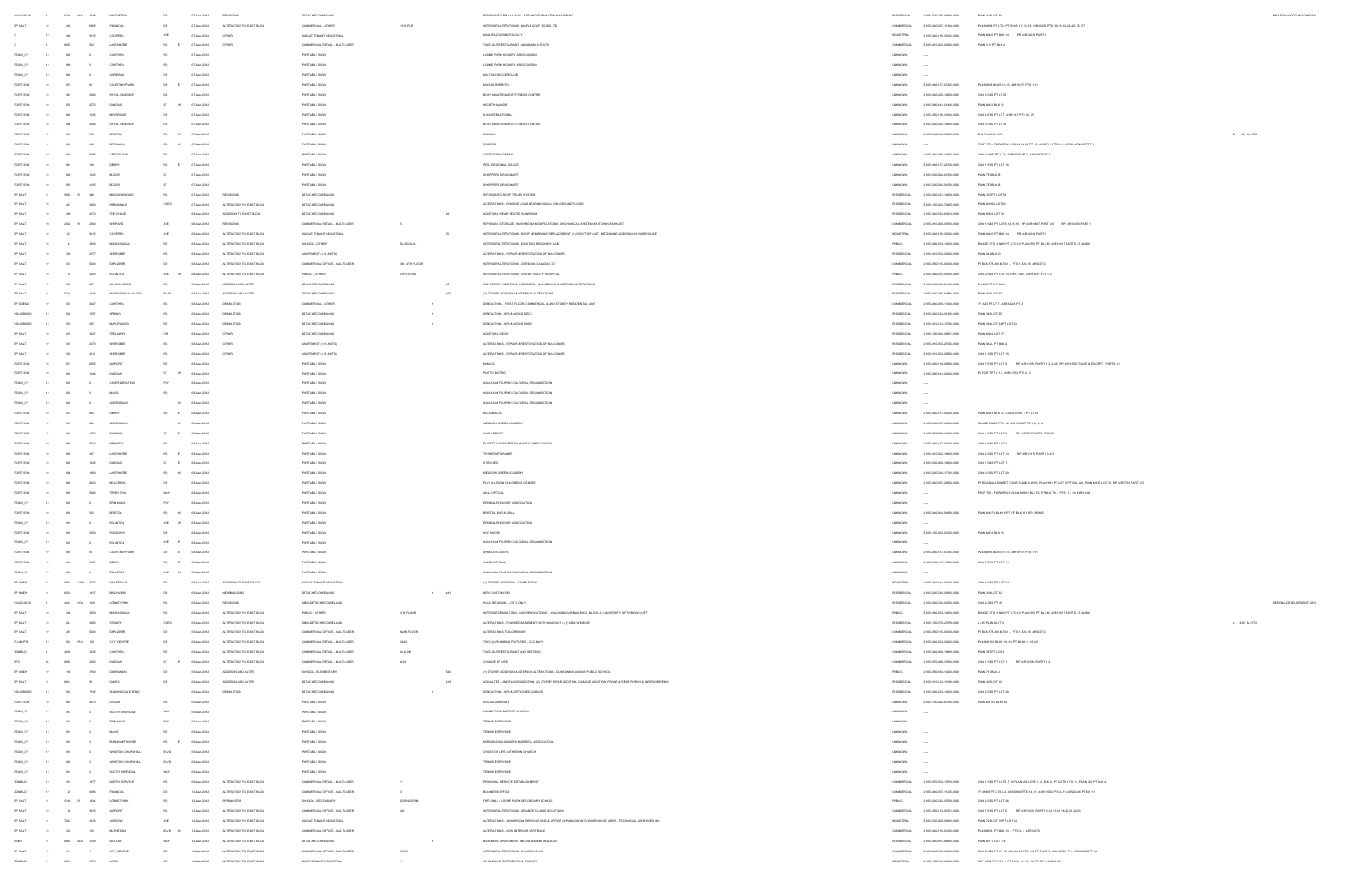| <b>HVACHOUS</b>                        |               |                          |                    |                  |                            |                                                      |                                                           |                |                                                                                                               |                    |                                                      |                                                                                                                                             |                         |
|----------------------------------------|---------------|--------------------------|--------------------|------------------|----------------------------|------------------------------------------------------|-----------------------------------------------------------|----------------|---------------------------------------------------------------------------------------------------------------|--------------------|------------------------------------------------------|---------------------------------------------------------------------------------------------------------------------------------------------|-------------------------|
|                                        | 11. 11. 11.   | 5136 HEA 1438 WOODEDEN   |                    | DR.              | 07-Mar-2012                | <b>REVISIONS</b>                                     | DETACHED DWELLING                                         |                | REVISION TO BP #11-5136 - ADD 2ND FURNACE IN BASEMENT                                                         |                    | RESIDENTIAL 21-05-020-028-06600-0000                 | PLAN 425 LOT 40                                                                                                                             | MEADOW WOOD HOLDINGS II |
| BP 3ALT                                | 12<br>282     | 6985                     | FINANCIAL          | DR               | 07-Mar-2012                | ALTERATION TO EXIST BLDG                             | COMMERCIAL - OTHER                                        | $1,3,5-FLR$    | INTERIOR ALTERATIONS - MAPLE LEAF FOODS LTD                                                                   | COMMERCIAL         | 21-05-040-097-11334-0000                             | PL 43M964 PT LT 2, PT BLKS 11, 13-15, 43R30252 PTS 3-6, 9-12, 24-28, 55, 57                                                                 |                         |
| $\mathbb{C}$                           | 12<br>498     | 5815                     | COOPERS            | AVE              | 07-Mar-2012                | OTHER                                                | SINGLE TENANT INDUSTRIAL                                  |                | MANUFACTURING FACILITY                                                                                        | <b>INDUSTRIAL</b>  | 21-05-040-116-35312-0000                             | PLAN M425 PT BLK 14 PR 43R12034 PART 1                                                                                                      |                         |
|                                        | $-11$<br>6852 | 562                      | LAKESHORE          | RD E             | 07-Mar-2012                | OTHER                                                | COMMERCIAL RETAIL - MULTI-USER                            |                | TAKE-OUT RESTAURANT - MAXIMUM 6 SEATS                                                                         | COMMERCIAL         | 21-05-010-002-20900-0000                             | PLAN C19 PT BLK A                                                                                                                           |                         |
| PSGN_CP                                | 12<br>890     | $\overline{\phantom{a}}$ | CAWTHRA            | <b>RD</b>        | 07-Mar-2012                |                                                      | PORTABLE SIGN                                             |                | LORNE PARK HOCKEY ASSOCIATION                                                                                 | UNKNOWN            |                                                      |                                                                                                                                             |                         |
|                                        |               |                          |                    |                  |                            |                                                      |                                                           |                |                                                                                                               |                    |                                                      |                                                                                                                                             |                         |
| PSGN_CP                                | 12<br>889     | $\circ$                  | <b>CAWTHRA</b>     | <b>RD</b>        | 07-Mar-2012                |                                                      | PORTABLE SIGN                                             |                | LORNE PARK HOCKEY ASSOCIATION                                                                                 | UNKNOWN            |                                                      |                                                                                                                                             |                         |
| PSGN_CP                                | 12<br>888     | $\sim$                   | <b>GOREWA</b>      | DR               | 07-Mar-2012                |                                                      | PORTABLE SIGN                                             |                | MALTON SOCCER CLUB                                                                                            | <b>UNKNOWN</b>     |                                                      |                                                                                                                                             |                         |
| PORT SGN                               | 875<br>12     | 80                       | COURTNEYPAR        |                  | DR E 07-Mar-2012           |                                                      | PORTABLE SIGN                                             |                | MUCHO BURRITO                                                                                                 | <b>UNKNOWN</b>     | 21-05-040-117-07405-0000                             | PL 43M915 BLKS 11-13, 43R19175 PTS 1-11                                                                                                     |                         |
| PORT SGN                               | 12<br>881     | 2666                     | ROYAL WINDSOR      | DR               | 07-Mar-2012                |                                                      | PORTABLE SIGN                                             |                | BODY MAINTENANCE FITNESS CENTRE                                                                               | <b>UNKNOWN</b>     | 21-05-020-025-10600-0000                             | CON 3 SDS PT LT 35                                                                                                                          |                         |
| PORT SGN                               | 12<br>876     | 2575                     | <b>DUNDAS</b>      |                  | ST W 07-Mar-2012           |                                                      | PORTABLE SIGN                                             |                | <b>HEARTH MANOR</b>                                                                                           | <b>UNKNOWN</b>     | 21-05-060-141-21410-0000                             | PLAN M432 BLK 12                                                                                                                            |                         |
| PORT SGN                               | 12<br>865     | 1535                     | MEYERSIDE          | DR.              | 07-Mar-2012                |                                                      | PORTABLE SIGN                                             |                | <b>D.K INTERNATIONAL</b>                                                                                      | <b>UNKNOWN</b>     | 21-05-050-116-31600-0000                             | CON 4 EHS PT LT 7, 43R1147 PTS 10, 23                                                                                                       |                         |
|                                        |               |                          |                    |                  |                            |                                                      |                                                           |                |                                                                                                               |                    |                                                      |                                                                                                                                             |                         |
| PORT SGN                               | 12<br>880     | 2666                     | ROYAL WINDSOR      | DR.              | 07-Mar-2012                |                                                      | PORTABLE SIGN                                             |                | BODY MAINTENANCE FITNESS CENTRE                                                                               | <b>UNKNOWN</b>     | 21-05-020-025-10600-0000                             | CON 3 SDS PT LT 35                                                                                                                          |                         |
| PORT SGN                               | 12<br>857     | 720                      | <b>BRISTOL</b>     |                  | RD W 07-Mar-2012           |                                                      | PORTABLE SIGN                                             |                | SUBWAY                                                                                                        | <b>UNKNOWN</b>     | 21-05-040-164-53600-0000                             | B 30 PLAN M-1370                                                                                                                            | B 30 M-1370             |
| PORT SGN                               | 12<br>863     | 808                      | BRITANNIA          |                  | RD W 07-Mar-2012           |                                                      | PORTABLE SIGN                                             |                | ROGERS                                                                                                        | <b>UNKNOWN</b>     |                                                      | PSCP 778 - FORMERLY CON 2 WHS PT L 5, 43R8711 PTS 8-11 LESS 43R23077 PT 1                                                                   |                         |
| PORT SGN<br>12                         | 862           | 6085                     | CREDITVIEW         | <b>RD</b>        | 07-Mar-2012                |                                                      | PORTABLE SIGN                                             |                | CREDITVIEW DENTAL                                                                                             | <b>UNKNOWN</b>     | 21-05-040-098-13500-0000                             | CON 3 WHS PT LT 6, 43R18735 PT 2, 43R19876 PT 1                                                                                             |                         |
|                                        |               |                          |                    |                  |                            |                                                      |                                                           |                |                                                                                                               |                    |                                                      |                                                                                                                                             |                         |
| PORT SGN                               | 861<br>12     | 180                      | DERRY              |                  | RD E 07-Mar-2012           |                                                      | PORTABLE SIGN                                             |                | PEEL REGIONAL POLICE                                                                                          | <b>UNKNOWN</b>     | 21-05-040-117-24700-0000                             | CON 1 EHS PT LOT 10                                                                                                                         |                         |
| PORT SGN<br>12                         | 860           | 1125                     | <b>BLOOR</b>       | ST               | 07-Mar-2012                |                                                      | PORTABLE SIGN                                             |                | SHOPPERS DRUG MART                                                                                            | <b>UNKNOWN</b>     | 21-05-030-082-01500-0000                             | PLAN 753 BLK B                                                                                                                              |                         |
| PORT SGN                               | 859           | 1125                     | <b>BLOOR</b>       | ST               | 07-Mar-2012                |                                                      | PORTABLE SIGN                                             |                | SHOPPERS DRUG MART                                                                                            | <b>UNKNOWN</b>     | 21-05-030-082-01500-0000                             | PLAN 753 BLK B                                                                                                                              |                         |
| BP 9ALT                                |               | 486                      | MEADOW WOOD        | <b>RD</b>        | 07-Mar-2012                | <b>REVISIONS</b>                                     | DETACHED DWELLING                                         |                | REVISION TO ROOF TRUSS SYSTEM                                                                                 | RESIDENTIAL        | 21-05-020-021-14600-0000                             | PLAN 333 PT LOT 76                                                                                                                          |                         |
|                                        |               |                          |                    |                  |                            |                                                      |                                                           |                |                                                                                                               |                    |                                                      |                                                                                                                                             |                         |
| BP 9ALT                                |               | 3900                     | PERIWINKLE         | CRES             | 07-Mar-2012                | ALTERATION TO EXIST BLDG                             | DETACHED DWELLING                                         |                | ALTERATIONS - REMOVE LOAD BEARING WALLS ON GROUND FLOOR                                                       | RESIDENTIAL        | 21-05-150-082-70915-0000                             | PLAN M1066 LOT 83                                                                                                                           |                         |
| BP 9ALT                                | 12<br>289     | 2070                     | THE CHASE          |                  | 08-Mar-2012                | ADDITION TO EXIST BLDG                               | DETACHED DWELLING                                         | 29             | ADDITION - REAR HEATED SUNROOM                                                                                | <b>RESIDENTIAL</b> | 21-05-040-154-83013-0000                             | PLAN M549 LOT 58                                                                                                                            |                         |
| BP 3ALT                                | 10<br>2028    | 2560                     | SHEPARD            | AVE              | 08-Mar-2012                | <b>REVISIONS</b>                                     | COMMERCIAL RETAIL - MULTI-USER                            | 5              | REVISION - STORAGE, WASHROOM MODIFICATIONS, MECHANICAL SYSTEM & KITCHEN EXHAUST                               | COMMERCIAL         | 21-05-010-068-07600-0000                             | CON 1 NDS PT LOTS 14,15,16 RP 43R11667 PART 2,6 RP 43R12599 PART 1                                                                          |                         |
| BP 3ALT                                | 12<br>127     | 5815                     | COOPERS            | AVE              | 08-Mar-2012                | ALTERATION TO EXIST BLDG                             | SINGLE TENANT INDUSTRIAL                                  | 70             | INTERIOR ALTERATIONS, ROOF MEMBRANE REPLACEMENT, (1) ROOFTOP UNIT, MEZZANINE ADDITION IN WAREHOUSE            | <b>INDUSTRIAL</b>  | 21-05-040-116-35312-0000                             | PLAN M425 PT BLK 14 PR 43R12034 PART 1                                                                                                      |                         |
|                                        |               |                          |                    |                  |                            |                                                      |                                                           |                |                                                                                                               |                    |                                                      |                                                                                                                                             |                         |
| BP 3ALT                                | 12<br>$-41$   | 3359                     | MISSISSAUGA        | <b>RD</b>        | 08-Mar-2012                | ALTERATION TO EXIST BLDG                             | SCHOOL - OTHER                                            | DV-5029-33,    | INTERIOR ALTERATIONS - EXISTING RESEARCH LAB                                                                  | PUBLIC             | 21-05-060-153-10000-0000                             | RANGE 1 TO 3 NDS PT LTS 3-5 PLAN 550 PT BLK M, 43R31817 PARTS 4 5 AND 6                                                                     |                         |
| BP 3ALT                                | 12<br>395     | 2177                     | SHEROBEE           | <b>RD</b>        | 08-Mar-2012                | ALTERATION TO EXIST BLDG                             | APARTMENT (> 6 UNITS)                                     |                | ALTERATIONS - REPAIR & RESTORATION OF BALCONIES                                                               | <b>RESIDENTIAL</b> | 21-05-010-054-25400-0000                             | PLAN 942 BLK D                                                                                                                              |                         |
| BP 3ALT                                | 12<br>333     | 5600                     | <b>EXPLORER</b>    | DR.              | 08-Mar-2012                | ALTERATION TO EXIST BLDG                             | COMMERCIAL OFFICE - MULTI-USER                            | 300, 4TH FLOOR | INTERIOR ALTERATIONS - CERIDIAN CANADA LTD                                                                    | COMMERCIAL         | 21-05-050-115-63000-0000                             | PT BLK 5 PLAN M-793 - PTS 1-5, 8-15 43R23735                                                                                                |                         |
| BP 3ALT                                | 12<br>54      | 2200                     | EGLINTON           |                  | AVE W 08-Mar-2012          | ALTERATION TO EXIST BLDG                             | PUBLIC - OTHER                                            | CAFETERIA      | INTERIOR ALTERATIONS - CREDIT VALLEY HOSPITAL                                                                 | PUBLIC             | 21-05-040-155-01600-0000                             | CON 2 NDS PT LTS 14,15 PL 1003, 43R10237 PTS 1,3                                                                                            |                         |
| BP 9ALT                                | 12            | 687                      | SIR RICHARD'S      |                  | 08-Mar-2012                | ADDITION AND ALTER                                   | DETACHED DWELLING                                         |                | 2ND STOREY ADDITION, (2)DOMERS. (2)WINDOWS & INTERIOR ALTERATIONS                                             |                    | 21-05-060-126-21000-0000                             | R 3-CIR PT A PCL-3                                                                                                                          |                         |
|                                        | 350           |                          |                    | <b>RD</b>        |                            |                                                      |                                                           | 35             |                                                                                                               | <b>RESIDENTIAL</b> |                                                      |                                                                                                                                             |                         |
| BP 9ALT                                | $-11$<br>5138 | 1116                     | MISSISSAUGA VALLEY | <b>BLVD</b>      | 08-Mar-2012                | ADDITION AND ALTER                                   | DETACHED DWELLING                                         | 192            | (2) STOREY ADDITION & INTERIOR ALTERATIONS                                                                    | <b>RESIDENTIAL</b> | 21-05-040-095-60874-0000                             | PLAN 935 LOT 97                                                                                                                             |                         |
| BP 3DEMO                               | 12<br>532     | 3447                     | <b>CAWTHRA</b>     | RD               | 08-Mar-2012                | DEMOLITION                                           | $\texttt{COMMERICAL}$ - $\texttt{OTHER}$                  |                | DEMOLITION - FIRST FLOOR COMMERCIAL & 2ND STOREY RESIDENTIAL UNIT                                             | <b>COMMERCIAL</b>  | 21-05-040-089-17400-0000                             | PL A25 PT LT 7 - 43R34248 PT 3                                                                                                              |                         |
| HOUSDEMO                               | 526           | 1557                     | SPRING             | RD               | 08-Mar-2012                | DEMOLITION                                           | DETACHED DWELLING                                         |                | DEMOLITION - SFD & WOOD DECK                                                                                  | RESIDENTIAL        | 21-05-020-034-01300-0000                             | PLAN 389 LOT 55                                                                                                                             |                         |
| HOUSDEMO                               | 529           | 225                      | MAPLEWOOD          | <b>RD</b>        |                            |                                                      |                                                           |                |                                                                                                               |                    |                                                      |                                                                                                                                             |                         |
|                                        |               |                          |                    |                  | 08-Mar-2012                | DEMOLITION                                           | DETACHED DWELLING                                         |                | DEMOLITION - SFD & WOOD SHED                                                                                  | RESIDENTIAL        | 21-05-010-013-12700-0000                             | PLAN 384 LOT 34 PT LOT 33                                                                                                                   |                         |
| BP 9ALT                                | 12<br>297     | 3427                     | TRELAWNY           | $_{\rm CIR}$     | 08-Mar-2012                | OTHER                                                | DETACHED DWELLING                                         |                | ADDITION - DECK                                                                                               | <b>RESIDENTIAL</b> | 21-05-150-082-09651-0000                             | PLAN M954 LOT 57                                                                                                                            |                         |
| BP 3ALT                                | 12<br>397     | 2170                     | SHEROBEE           | <b>RD</b>        | 08-Mar-2012                | OTHER                                                | APARTMENT (> 6 UNITS)                                     |                | ALTERATIONS - REPAIR & RESTORATION OF BALCONIES                                                               | RESIDENTIAL        | 21-05-010-054-25700-0000                             | PLAN 942 L PT BLK A                                                                                                                         |                         |
| BP 3ALT                                | 12<br>394     | 2211                     | SHEROBEE           | RD               | 08-Mar-2012                | OTHER                                                | APARTMENT (> 6 UNITS)                                     |                | ALTERATIONS - REPAIR & RESTORATION OF BALCONIES                                                               | <b>RESIDENTIAL</b> | 21-05-010-054-25600-0000                             | CON 1 SDS PT LOT 15                                                                                                                         |                         |
| PORT SGN                               | 12<br>873     | 6655                     | AIRPORT            | <b>RD</b>        | 08-Mar-2012                |                                                      | PORTABLE SIGN                                             |                | <b>MINACS</b>                                                                                                 | <b>UNKNOWN</b>     | 21-05-050-118-05800-0000                             | CON 7 EHS PT LOT 9 RP 43R11552 PARTS 1,2,3,4,5 RP 43R15587 SAVE & EXCEPT PARTS 1-9                                                          |                         |
|                                        |               |                          |                    |                  |                            |                                                      |                                                           |                |                                                                                                               |                    |                                                      |                                                                                                                                             |                         |
| PORT SGN                               | 12<br>891     | 1646                     | <b>DUNDAS</b>      |                  | ST W 08-Mar-2012           |                                                      | PORTABLE SIGN                                             |                | PIATTO BISTRO                                                                                                 | <b>UNKNOWN</b>     | 21-05-060-141-24900-0000                             | PL TOR 7 PT L 1-5, 43R11072 PTS 2, 3                                                                                                        |                         |
| PSGN_CP                                | 12<br>905     | $\circ$                  | CONFEDERATION      | PKY              | 08-Mar-2012                |                                                      | PORTABLE SIGN                                             |                | KALAYAAN FILIPINO CULTURAL ORGANIZATION                                                                       | <b>UNKNOWN</b>     |                                                      |                                                                                                                                             |                         |
| PSGN_CP                                | 12<br>903     | $\circ$                  | MAVIS              | <b>RD</b>        | 08-Mar-2012                |                                                      | PORTABLE SIGN                                             |                | KALAYAAN FILIPINO CULTURAL ORGANIZATION                                                                       | <b>UNKNOWN</b>     |                                                      |                                                                                                                                             |                         |
| PSGN_CP                                | 12<br>902     | $\circ$                  | <b>QUEENSWAY</b>   |                  | W 08-Mar-2012              |                                                      | PORTABLE SIGN                                             |                | KALAYAAN FILIPINO CULTURAL ORGANIZATION                                                                       | <b>UNKNOWN</b>     |                                                      |                                                                                                                                             |                         |
|                                        |               |                          |                    |                  |                            |                                                      |                                                           |                |                                                                                                               |                    |                                                      |                                                                                                                                             |                         |
| PORT SGN<br>12                         | 878           | 930                      | DERRY              |                  | RD E 08-Mar-2012           |                                                      | PORTABLE SIGN                                             |                | MCDONALDS                                                                                                     | <b>UNKNOWN</b>     | 21-05-040-117-25210-0000                             | PLAN M933 BLK 12, CON 2 EHS, E PT LT 10                                                                                                     |                         |
| PORT SGN<br>12                         | 897           | 649                      | QUEENSWA           |                  | W 08-Mar-2012              |                                                      | PORTABLE SIGN                                             |                | MEADOW GREEN ACADEMY                                                                                          | <b>UNKNOWN</b>     | 21-05-060-127-09900-0000                             | RANGE 2 SDS PT L 12, 43R13898 PTS 1, 2, 4, 6                                                                                                |                         |
| PORT SGN                               | 892<br>12     | 1370                     | <b>DUNDAS</b>      |                  | ST E 08-Mar-2012           |                                                      | PORTABLE SIGN                                             |                | WASH DEPOT                                                                                                    | <b>UNKNOWN</b>     | 21-05-070-068-33900-0000                             | CON 1 SDS PT LOT 6 RP 43R570 PARTS 1 TO 22                                                                                                  |                         |
| PORT SGN                               | 12<br>886     | 5732                     | KENNED             | <b>RD</b>        | 08-Mar-2012                |                                                      | PORTABLE SIGN                                             |                | ELLIOTT HOUSE RESTAURANT & CHEF SCHOOL                                                                        | <b>UNKNOWN</b>     | 21-05-040-117-04300-0000                             | CON 1 EHS PT LOT 4                                                                                                                          |                         |
|                                        |               |                          |                    |                  |                            |                                                      |                                                           |                |                                                                                                               |                    |                                                      |                                                                                                                                             |                         |
| PORT SGN<br>12                         | 885           | 347                      | LAKESHOR           |                  | RD E 08-Mar-2012           |                                                      | PORTABLE SIGN                                             |                | THYMERISTORANTE                                                                                               | <b>UNKNOWN</b>     | 21-05-010-002-18900-0000                             | CON 2 SDS PT LOT 13 RP 43R11172 PARTS 3,4,5                                                                                                 |                         |
| PORT SGN<br>12                         |               |                          |                    |                  |                            |                                                      |                                                           |                |                                                                                                               |                    |                                                      |                                                                                                                                             |                         |
|                                        | 898           | 1225                     | <b>DUNDAS</b>      | ST E 08-Mar-2012 |                            |                                                      | PORTABLE SIGN                                             |                | <b>STITCHES</b>                                                                                               | <b>UNKNOWN</b>     | 21-05-030-068-18000-0000                             | CON 1 NDS PT LOT 7                                                                                                                          |                         |
| PORT SGN                               | 12<br>896     | 1880                     | LAKESHORE          |                  | RD W 08-Mar-2012           |                                                      | PORTABLE SIGN                                             |                | MEADOW GREEN ACADEMY                                                                                          | <b>UNKNOWN</b>     | 21-05-020-024-17100-0000                             | CON 3 SDS PT LOT 29                                                                                                                         |                         |
|                                        | 12            |                          |                    |                  |                            |                                                      |                                                           |                |                                                                                                               | <b>UNKNOWN</b>     |                                                      |                                                                                                                                             |                         |
| PORT SGN                               | 884           | 6920                     | MILLCREEK          | DR.              | 08-Mar-2012                |                                                      | PORTABLE SIGN                                             |                | PLAY & LEARN CHILDREN'S CENTRE                                                                                |                    | 21-05-040-097-28550-0000                             | PT ROAD ALLOW BET CONS 5 AND 6 WHS, PLAN 981 PT LOT 5, PT BLK AX, PLAN M127 LOT 78, RP 43R7739 PART 2, 5                                    |                         |
| PORT SGN<br>12                         | 882           | 5380                     | <b>TERRY FOX</b>   | WAY              | 08-Mar-2012                |                                                      | PORTABLE SIGN                                             |                | AKAL OPTICAL                                                                                                  | <b>UNKNOWN</b>     |                                                      | PSCP 769 - FORMERLY PLAN M1161 BLK 79, PT BLK 78 - PTS 11 - 16 43R21392                                                                     |                         |
| PSGN_CP 12 908 0 ERIN MILLS            |               |                          |                    | PKY              | 08-Mar-2012                |                                                      | PORTABLE SIGN                                             |                | ERINDALE HOCKEY ASSOCIATION                                                                                   | <b>UNKNOWN</b>     | $\sim$                                               |                                                                                                                                             |                         |
| PORT SGN                               | 12<br>894     | 512                      | <b>BRISTOL</b>     |                  | RD W 08-Mar-2012           |                                                      | PORTABLE SIGN                                             |                | BRISTOL BAR & GRILL                                                                                           | <b>UNKNOWN</b>     | 21-05-040-164-54690-0000                             | PLAN M1073 BLK 19 PT OF BLK 131 RP 43R865                                                                                                   |                         |
| PSGN_CP                                | 12<br>910     | $\sim$                   | EGLINTON           |                  | AVE W 08-Mar-2012          |                                                      | PORTABLE SIGN                                             |                | ERINDALE HOCKEY ASSOCIATION                                                                                   | <b>UNKNOWN</b>     |                                                      |                                                                                                                                             |                         |
|                                        |               |                          |                    |                  |                            |                                                      |                                                           |                |                                                                                                               |                    |                                                      |                                                                                                                                             |                         |
| PORT SGN                               | 893<br>12     | 3150                     | RIDGEWAY           | DR 1             | 08-Mar-2012                |                                                      | PORTABLE SIGN                                             |                | HOT SHOTS                                                                                                     | <b>UNKNOWN</b>     | 21-05-150-084-02700-0000                             | PLAN M674 BLK 16                                                                                                                            |                         |
| PSGN_CP                                | 904<br>12     | $\circ$                  | EGLINTON           |                  | AVE E 08-Mar-2012          |                                                      | PORTABLE SIGN                                             |                | KALAYAAN FILIPINO CULTURAL ORGANIZATION                                                                       | <b>UNKNOWN</b>     |                                                      |                                                                                                                                             |                         |
| PORT SGN                               | 895<br>12     | 80                       | COURTNEYPARK       |                  | DR E 08-Mar-2012           |                                                      | PORTABLE SIGN                                             |                | SHOELESS JOE'S                                                                                                | <b>UNKNOWN</b>     | 21-05-040-117-07405-0000                             | PL 43M915 BLKS 11-13, 43R19175 PTS 1-11                                                                                                     |                         |
| PORT SGN                               | 883           | 3437                     | DERRY              |                  | RD E 08-Mar-2012           |                                                      | PORTABLE SIGN                                             |                | HAKIM OPTICAL                                                                                                 | <b>UNKNOWN</b>     | 21-05-050-117-17200-0000                             | CON 7 EHS PT LOT 11                                                                                                                         |                         |
|                                        | 906<br>12     | $\sim$                   |                    |                  |                            |                                                      |                                                           |                |                                                                                                               |                    |                                                      |                                                                                                                                             |                         |
| PSGN_CP                                |               |                          | EGLINTON           |                  | AVE W 08-Mar-2012          |                                                      | PORTABLE SIGN                                             |                | KALAYAAN FILIPINO CULTURAL ORGANIZATION                                                                       | <b>UNKNOWN</b>     |                                                      |                                                                                                                                             |                         |
| BP 3NEW                                | 11            | 5851 COM 3577            | WOLFEDALE          |                  | 08-Mar-2012                | ADDITION TO EXIST BLDG                               | SINGLE TENANT INDUSTRIAL                                  |                | (1) STOREY ADDITION - COMPLETION                                                                              | <b>INDUSTRIAL</b>  | 21-05-040-144-04200-0000                             | CON 1 NDS PT LOT 21                                                                                                                         |                         |
| BP 9NEW                                | 6504<br>$-11$ | 1417                     | BIRCHVIEW          | DR.              | 09-Mar-2012                | NEW BUILDING                                         | DETACHED DWELLING                                         | $1 - 441$      | NEW CUSTOM SFD                                                                                                | <b>RESIDENTIAL</b> | 21-05-020-030-02800-0000                             | PLAN 336 LOT 32                                                                                                                             |                         |
| <b>HVACHOUS</b>                        | 4415          | 1201<br><b>HEA</b>       | LORNE PARK         | <b>RD</b>        | 09-Mar-2012                | <b>REVISIONS</b>                                     | SEMI-DETACHED DWELLING                                    |                | HVAC REVISION - LOT 3 ONLY                                                                                    | <b>RESIDENTIAL</b> | 21-05-020-032-02550-0000                             | CON 2-SDS PT 25                                                                                                                             | SEDONA DEVELOPMENT GRO  |
| BP 3ALT                                | 306<br>12     | 3359                     | MISSISSAUGA        | <b>RD</b>        | 09-Mar-2012                | ALTERATION TO EXIST BLDG                             | PUBLIC - OTHER                                            | 4TH FLOOR      | INTERIOR DEMOLITION - LAB RENOVATIONS - WILLIAM DAVIS BUILDING, BLOCK A. UNIVERSITY OF TORONO (UFT)           | PUBLIC             | 21-05-060-153-10000-0000                             | RANGE 1 TO 3 NDS PT LTS 3-5 PLAN 550 PT BLK M, 43R31817 PARTS 4 5 AND 6                                                                     |                         |
| BP 9ALT                                | 12<br>241     | 3385                     | STONEY             | CRES             | 09-Mar-2012                | ALTERATION TO EXIST BLDG                             | SEMI-DETACHED DWELLING                                    |                | ALTERATIONS - FINISHED BASEMENT WITH WALKOUT & (1) NEW WINDOW                                                 | <b>RESIDENTIAL</b> | 21-05-150-070-27678-0000                             | L 235 PLAN M-1772                                                                                                                           | L 235 M-1772            |
| BP 3ALT                                | 12<br>287     | 5600                     | <b>EXPLORER</b>    | DR.              | 09-Mar-2012                | ALTERATION TO EXIST BLDG                             | COMMERCIAL OFFICE - MULTI-USER                            | MAIN FLOOR     | ALTERATIONS TO CORRIDOR                                                                                       | COMMERCIAL         | 21-05-050-115-63000-0000                             | PT BLK 5 PLAN M-793 - PTS 1-5, 8-15 43R23735                                                                                                |                         |
|                                        |               |                          |                    |                  |                            |                                                      |                                                           |                |                                                                                                               |                    |                                                      |                                                                                                                                             |                         |
| PLUM PT3                               | 12            | 543 PLU<br>100           | CITY CENTRE        | DR.              | 09-Mar-2012                | ALTERATION TO EXIST BLDG                             | COMMERCIAL RETAIL - MULTI-USER                            | 2-426          | TWO (2) PLUMBING FIXTURES - OLD NAVY                                                                          | COMMERCIAL         | 21-05-040-154-00453-0000                             | PL 43M1010 BLKS 19, 21, PT BLKS 1, 16, 20                                                                                                   |                         |
| ZONBLD                                 | 4936          | 3635                     | <b>CAWTHR/</b>     | <b>RD</b>        | 09-Mar-2012                | ALTERATION TO EXIST BLDG                             | COMMERCIAL RETAIL - MULTI-USER                            | 9A & 9B        | TAKE-OUT RESTAURANT (NO SEATING)                                                                              | COMMERCIAL         | 21-05-040-089-19800-0000                             | PLAN 357 PT LOT 4                                                                                                                           |                         |
| 94                                     | 6564          | 2050                     | <b>DUNDAS</b>      |                  | ST E 09-Mar-2012           | ALTERATION TO EXIST BLDG                             | COMMERCIAL RETAIL - MULTI-USER                            | #104           | CHANGE OF USE                                                                                                 | COMMERCIAL         | 21-05-070-068-37600-0000                             | CON 1 SDS PT LOT 1 RP 43R12583 PARTS 1,2                                                                                                    |                         |
| BP 3NEW                                | 195<br>12     | 3700                     | <b>DUNRANKI</b>    | DR.              | 09-Mar-2012                | ADDITION AND ALTER                                   | SCHOOL - ELEMENTARY                                       | 520            | (1) STOREY ADDITION & INTERIOR ALTERATIONS - DUNRANKIN JUNIOR PUBLIC SCHOOL                                   | PUBLIC             | 21-05-050-104-14200-0000                             | PLAN 710 BLK J                                                                                                                              |                         |
|                                        |               |                          |                    |                  |                            |                                                      |                                                           |                |                                                                                                               |                    |                                                      |                                                                                                                                             |                         |
| BP 9ALT                                | 6813          | 96                       | OAKES              | DR.              | 09-Mar-2012                | ADDITION AND ALTER                                   | DETACHED DWELLING                                         | 219            | ADD/ALTER - 2ND-FLOOR ADDITION, (2) STOREY REAR ADDITION, GARAGE ADDITION, FRONT & REAR PORCH & INTERIOR-RENO | <b>RESIDENTIAL</b> | 21-05-010-012-19100-0000                             | PLAN 405 LOT 10                                                                                                                             |                         |
| HOUSDEMO                               |               | 1745                     | SUNNINGDALE BENI   |                  | 09-Mar-2012                | DEMOLITION                                           | DETACHED DWELLING                                         |                | DEMOLITION - SFD & DETACHED GARAGE                                                                            | <b>RESIDENTIAL</b> | 21-05-020-023-19000-0000                             | CON 3 SDS PT LOT 28                                                                                                                         |                         |
| PORT SGN                               |               | 6970                     | LISGAR             | DR.              | 09-Mar-2012                |                                                      | PORTABLE SIGN                                             |                | DR. DALIA HENIEN                                                                                              | <b>UNKNOWN</b>     | 21-05-150-082-62100-0000                             | PLAN M1105 BLK 150                                                                                                                          |                         |
| PSGN_CP                                | 12<br>914     | $\circ$                  | SOUTH SHERIDAN     | WAY              | 09-Mar-2012                |                                                      | PORTABLE SIGN                                             |                | LORNE PARK BAPTIST CHURCH                                                                                     | <b>UNKNOWN</b>     |                                                      |                                                                                                                                             |                         |
|                                        | 921           |                          |                    |                  |                            |                                                      |                                                           |                |                                                                                                               |                    |                                                      |                                                                                                                                             |                         |
| PSGN_CP                                | 12            | $\circ$                  | <b>ERIN MILLS</b>  | PKY              | 09-Mar-2012                |                                                      | PORTABLE SIGN                                             |                | TENNIS EVERYONE                                                                                               | <b>UNKNOWN</b>     |                                                      |                                                                                                                                             |                         |
| PSGN_CP                                | 919<br>12     | $\sim$                   | MAVIS              | RD               | 09-Mar-2012                |                                                      | PORTABLE SIGN                                             |                | <b>TENNIS EVERYONE</b>                                                                                        | <b>UNKNOWN</b>     |                                                      |                                                                                                                                             |                         |
| PSGN_CP                                | 12<br>916     | $\sim$                   | BURNHAMTHORPE      | RD E             | 09-Mar-2012                |                                                      | PORTABLE SIGN                                             |                | MISSISSAUGA MAJORS BASEBELL ASSOCIATION                                                                       | <b>UNKNOWN</b>     |                                                      |                                                                                                                                             |                         |
| PSGN_CP                                | 12<br>915     | $\sim$                   | WINSTON CHURCHILL  | <b>BLVD</b>      | 09-Mar-2012                |                                                      | PORTABLE SIGN                                             |                | CROSS OF LIFE LUTHERAN CHURCH                                                                                 | <b>UNKNOWN</b>     |                                                      |                                                                                                                                             |                         |
|                                        | 12<br>920     | $\sim$                   | WINSTON CHURCHILL  |                  | 09-Mar-2012                |                                                      | PORTABLE SIGN                                             |                | <b>TENNIS EVERYONE</b>                                                                                        | <b>UNKNOWN</b>     | $\sim$                                               |                                                                                                                                             |                         |
| PSGN_CP                                |               |                          |                    | <b>BLVD</b>      |                            |                                                      |                                                           |                |                                                                                                               |                    |                                                      |                                                                                                                                             |                         |
| PSGN_CP                                | 918<br>12     | $\circ$                  | SOUTH SHERIDAN     | WAY              | 09-Mar-2012                |                                                      | PORTABLE SIGN                                             |                | <b>TENNIS EVERYONE</b>                                                                                        | <b>UNKNOWN</b>     |                                                      |                                                                                                                                             |                         |
| ZONBLD                                 | 310<br>12     | 1077                     | NORTH SERVICE      | <b>RD</b>        | 09-Mar-2012                | ALTERATION TO EXIST BLDG                             | COMMERCIAL RETAIL - MULTI-USER                            | 17             | PERSONAL SERVICE ESTABLISHMENT                                                                                | COMMERCIAL         | 21-05-070-054-19700-0000                             | CON 1 SDS PT LOTS 7, 8, PLAN 439 LOTS 1, 2, BLK A, PT LOTS 3 TO 11, PLAN 520 PT BLK A                                                       |                         |
| ZONBLD                                 | 12            | 6696                     | FINANCIAL          | DR               | 12-Mar-2012                | ALTERATION TO EXIST BLDG                             | COMMERCIAL OFFICE - MULTI-USER                            | 3              | BUSINESS OFFICE                                                                                               | COMMERCIAL         | 21-05-040-097-11265-0000                             | PL M965 PT LTS 2-4, 43R20668 PTS 14, 31, 43R21554 PTS 4-11, 43R22246 PTS 9, 11                                                              |                         |
| BP 3ALT                                |               | 1324<br>5140 R1          | <b>LORNE PARK</b>  | RD               | 12-Mar-2012                | SPRINKLERS                                           | SCHOOL - SECONDARY                                        | SCIENCE-RM     | FIRE ONLY - LORNE PARK SECONDARY SCHOOL                                                                       | PUBLIC             | 21-05-020-032-07600-0000                             | CON 2 SDS PT LOT 26                                                                                                                         |                         |
|                                        |               |                          |                    |                  |                            |                                                      |                                                           |                |                                                                                                               |                    |                                                      |                                                                                                                                             |                         |
| BP 3ALT                                |               | 5915                     | <b>AIRPORT</b>     | RD               | 12-Mar-2012                | ALTERATION TO EXIST BLDG                             | COMMERCIAL OFFICE - MULTI-USER                            | 200            | INTERIOR ALTERATIONS - GRANITE CLAIMS SOLUTIONS                                                               | <b>COMMERCIAL</b>  | 21-05-050-113-00701-0000                             | CON 7 EHS PT LOT 5 RP 43R13291 PARTS 3,12,13,14 16,20,21,22,23                                                                              |                         |
| BP 3ALT                                | 7024          | 3035                     | JARROW             | AVE              | 12-Mar-2012                | ALTERATION TO EXIST BLDG                             | SINGLE TENANT INDUSTRIAL                                  |                | ALTERATIONS - WASHROOM RENOVATIONS & OFFICE EXPANSION INTO WAREHOUSE AREA - TECHNICIAL ADHESIVES INC          | <b>INDUSTRIAL</b>  | 21-05-030-069-09600-0000                             | PLAN 728 LOT 15 PT LOT 14                                                                                                                   |                         |
| BP 3ALT                                | 12<br>332     | 115                      | MATHESON           | BLVD W           | 12-Mar-2012                | ALTERATION TO EXIST BLDG                             | COMMERCIAL OFFICE - MULTI-USER                            |                | ALTERATIONS - NEW INTERIOR VESTIBULE                                                                          | COMMERCIAL         | 21-05-040-115-00102-0000                             | PL 43M832, PT BLK 10 - PTS 2, 4 43R33076                                                                                                    |                         |
|                                        | 11            | 1549<br>6863 BAS         | WILLOW             | WAY              | 12-Mar-2012                | ALTERATION TO EXIST BLDG                             | DETACHED DWELLING                                         |                | BASEMENT APARTMENT AND BASEMENT WALKOUT                                                                       | <b>RESIDENTIAL</b> | 21-05-040-161-66800-0000                             | PLAN M711 LOT 174                                                                                                                           |                         |
|                                        | 12<br>319     | $-1$                     |                    | DR               |                            |                                                      |                                                           |                |                                                                                                               | COMMERCIAL         |                                                      |                                                                                                                                             |                         |
| BP 3ALT<br>ZONBLD<br><b>CONTRACTOR</b> | 6081          | 3770 LAIRD               | CITY CENTRE        |                  | 12-Mar-2012<br>12-Mar-2012 | ALTERATION TO EXIST BLDG<br>ALTERATION TO EXIST BLDG | COMMERCIAL OFFICE - MULTI-USER<br>MULTI-TENANT INDUSTRIAL | $9-FLR$        | INTERIOR ALTERATIONS - SYNOPSYS INC<br>WHOLESALE DISTRIBUTION FACILITY                                        | <b>INDUSTRIAL</b>  | 21-05-040-154-00420-0000<br>21-05-150-010-00863-0000 | CON 2 NDS PT LT 16, 43R18147 PTS 1-4, PT PART 5, 43R19350 PT 1, 43R30009 PT 14<br>RCP 1542, PT LT 9 - PTS 4-8, 11, 13, 14, PT OF 9 43R30181 |                         |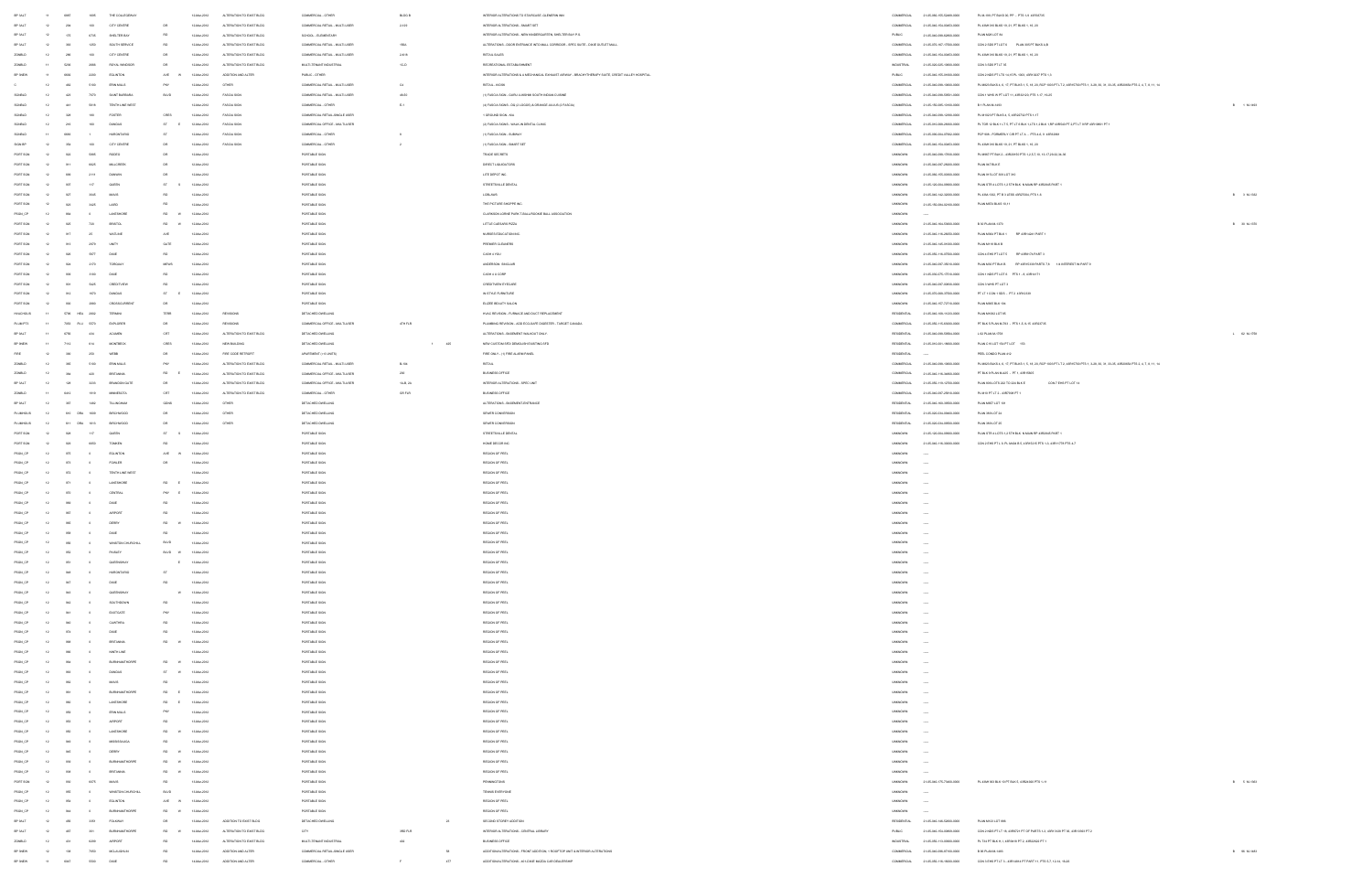| BP 3ALT                          |        |               |                                            |                                                               |                            |                                          |                                                                          |                                           |                      |                                                                                                                                       |                                 |                                                      |                                                                                                                                     |                |
|----------------------------------|--------|---------------|--------------------------------------------|---------------------------------------------------------------|----------------------------|------------------------------------------|--------------------------------------------------------------------------|-------------------------------------------|----------------------|---------------------------------------------------------------------------------------------------------------------------------------|---------------------------------|------------------------------------------------------|-------------------------------------------------------------------------------------------------------------------------------------|----------------|
|                                  | $-11$  | 6887          | 1695<br>THE COLLEGEWAY                     |                                                               | 12-Mar-2012                | ALTERATION TO EXIST BLDG                 | COMMERCIAL - OTHER                                                       | $\operatorname{\mathsf{BLDG}}\nolimits$ B |                      | INTERIOR ALTERATIONS TO STAIRCASE -GLENERIN INN                                                                                       | COMMERCIAL                      | 21-05-060-155-52489-0000                             | PL M-199, PT BLKS 00, PP - PTS 1-9 43R33735                                                                                         |                |
| BP 3ALT                          | 12     | 294           | 100<br>CITY CENTRE                         | DR.                                                           | 12-Mar-2012                | ALTERATION TO EXIST BLDG.                | COMMERCIAL RETAIL - MULTI-USER                                           | 2-129                                     |                      | INTERIOR ALTERATIONS - SMART SET                                                                                                      | COMMERCIAL                      | 21-05-040-154-00453-0000                             | PL 43M1010 BLKS 19, 21, PT BLKS 1, 16, 20                                                                                           |                |
| BP 3ALT                          | 12     | 175           | 6735<br>SHELTER BAY                        | <b>RD</b>                                                     | 12-Mar-2012                | ALTERATION TO EXIST BLDG                 | SCHOOL - ELEMENTARY                                                      |                                           |                      | INTERIOR ALTERATIONS - NEW KINDERGARTEN, SHELTER BAY P.S.                                                                             | PUBLIC                          | 21-05-040-098-62800-0000                             | PLAN M28 LOT 84                                                                                                                     |                |
| BP 3ALT                          | 12     | 363           | 1250<br>SOUTH SERVICE                      | <b>RD</b>                                                     | 12-Mar-2012                | ALTERATION TO EXIST BLDG                 | COMMERCIAL RETAIL - MULTI-USER                                           | 156A                                      |                      | ALTERATIONS - DOOR ENTRANCE INTO MALL CORRIDOR - SPEC SUITE - DIXIE OUTLET MALL                                                       | <b>COMMERCIAL</b>               | 21-05-070-167-17500-0000                             | CON 2 SDS PT LOT 6 PLAN 305 PT BLKS A,B                                                                                             |                |
| ZONBLD                           | 12     | 285           | CITY CENTRE<br>100                         | $_{\rm DR}$                                                   | 12-Mar-2012                | ALTERATION TO EXIST BLDG                 | COMMERCIAL RETAIL - MULTI-USER                                           | 2-K18                                     |                      | RETAIL SALES                                                                                                                          | COMMERCIAL                      | 21-05-040-154-00453-0000                             | PL 43M1010 BLKS 19, 21, PT BLKS 1, 16, 20                                                                                           |                |
|                                  |        |               |                                            |                                                               |                            |                                          |                                                                          |                                           |                      |                                                                                                                                       |                                 |                                                      |                                                                                                                                     |                |
| ZONBLD                           | $-11$  | 5236          | ROYAL WINDSOR<br>2666                      | DR.                                                           | 12-Mar-2012                | ALTERATION TO EXIST BLDG                 | MULTI-TENANT INDUSTRIAL                                                  | $1C-D$                                    |                      | RECREATIONAL ESTABLISHMENT                                                                                                            | <b>INDUSTRIAL</b>               | 21-05-020-025-10600-0000                             | CON 3 SDS PT LT 35                                                                                                                  |                |
| BP 3NEW                          | $-11$  | 6692          | 2200<br>EGLINTON                           | AVE W                                                         | 12-Mar-2012                | ADDITION AND ALTER                       | PUBLIC - OTHER                                                           |                                           |                      | INTERIOR ALTERATIONS & A MECHANICAL EXHAUST AIRWAY - BRACHYTHERAPY SUITE, CREDIT VALLEY HOSPITAL.                                     | PUBLIC                          | 21-05-040-155-01600-0000                             | CON 2 NDS PT LTS 14,15 PL 1003, 43R10237 PTS 1,3                                                                                    |                |
|                                  | 12     | 462           | 5100<br><b>ERIN MILLS</b>                  | PKY                                                           | 12-Mar-2012                | OTHER                                    | COMMERCIAL RETAIL - MULTI-USER                                           | $_{\rm{C4}}$                              |                      | RETAIL - KIOSK                                                                                                                        | COMMERCIAL                      | 21-05-040-098-10600-0000                             | PL M823 BLKS 4, 6, 17, PT BLKS 1, 5, 18, 20, RCP 1003 PT LT 2, 43R15700 PTS 1, 3-28, 30, 31, 33-35, 43R20654 PTS 2, 4, 7, 8, 11, 14 |                |
| SGNBLD                           | 12     | 423           | 7070<br>SAINT BARBARA                      | BLVD                                                          | 12-Mar-2012                | <b>FASCIA SIGN</b>                       | COMMERCIAL RETAIL - MULTI-USER                                           | $48-50$                                   |                      | (1) FASCIA SIGN - GURU LUKSHMI SOUTH INDIAN CUISINE                                                                                   | COMMERCIAL                      | 21-05-040-098-59501-0000                             | CON 1 WHS W PT LOT 11, 43R32120, PTS 1-17, 19-25                                                                                    |                |
| SGNBLD                           | $12\,$ |               | 5618<br>TENTH LINE WES                     |                                                               | 12-Mar-2012                | <b>FASCIA SIGN</b>                       | $\begin{array}{ll} \texttt{COMMERICAL} \cdot \texttt{OTHER} \end{array}$ | $E-1$                                     |                      | (4) FASCIA SIGNS - DQ (2 LOGOS) & ORANGE JULIUS (2 FASCIA)                                                                            | COMMERCIAL                      | 21-05-150-085-10100-0000                             | B 1 PLAN M-1493                                                                                                                     | B 1 M-149      |
|                                  |        |               |                                            |                                                               |                            |                                          |                                                                          |                                           |                      |                                                                                                                                       |                                 |                                                      |                                                                                                                                     |                |
| SGNBLD                           | 12     | 328           | FOSTER<br>180                              | ${\tt CRES}$                                                  | 12-Mar-2012                | <b>FASCIA SIGN</b>                       | COMMERCIAL RETAIL-SINGLE USER                                            |                                           |                      | 1 GROUND SIGN - KIA                                                                                                                   | COMMERCIAL                      | 21-05-040-098-12390-0000                             | PL M1023 PT BLKS 4, 5, 43R22732 PTS 1-17                                                                                            |                |
| SGNBLD                           | 12     | 216           | <b>DUNDAS</b><br>160                       | $\texttt{ST} \qquad \quad \texttt{E}$                         | 12-Mar-2012                | <b>FASCIA SIGN</b>                       | COMMERCIAL OFFICE - MULTI-USER                                           |                                           |                      | (2) FASCIA SIGNS - WALK-IN DENTAL CLINIC                                                                                              | COMMERCIAL                      | 21-05-010-068-28300-0000                             | PL TOR 12 BLK 1 LT 5, PT LT 6 BLK 1,LTS 1,2 BLK 1,RP 43R540 PT 2,PT LT 9 RP 43R19801 PT 1                                           |                |
| SGNBLD                           | 11.    | 6683          | <b>HURONTARI</b><br>$\rightarrow$          | ST                                                            | 12-Mar-2012                | <b>FASCIA SIGN</b>                       | COMMERCIAL - OTHER                                                       | $\scriptstyle{\text{8}}$                  |                      | (1) FASCIA SIGN - SUBWAY                                                                                                              | COMMERCIAL                      | 21-05-090-004-07902-0000                             | PCP 908 - FORMERLY CIR PT LT A - PTS 4-6, 9 43R32961                                                                                |                |
| SIGN BP                          | 12     | 354           | CITY CENTRE<br>100                         | DR                                                            | 12-Mar-2012                | <b>FASCIA SIGN</b>                       | COMMERCIAL - OTHER                                                       | $\overline{2}$                            |                      | (1) FASCIA SIGN - SMART SET                                                                                                           | COMMERCIAL                      | 21-05-040-154-00453-0000                             | PL 43M1010 BLKS 19, 21, PT BLKS 1, 16, 20                                                                                           |                |
| PORT SGN                         | 12     | 922           | 5885<br>RODEO                              | DR.                                                           | 12-Mar-2012                |                                          | PORTABLE SIGN                                                            |                                           |                      | TRADE SECRETS                                                                                                                         | <b>UNKNOWN</b>                  | 21-05-040-098-17830-0000                             | PL M967 PT BLK 2 - 43R20150 PTS 1.2.5-7.10. 13-17.29-32.34-36                                                                       |                |
|                                  |        |               |                                            |                                                               |                            |                                          |                                                                          |                                           |                      |                                                                                                                                       |                                 |                                                      |                                                                                                                                     |                |
| PORT SGN                         | 12     | 911           | 6625<br>MILLCREEK                          | DR.                                                           | 12-Mar-2012                |                                          | PORTABLE SIGN                                                            |                                           |                      | DIRECT LIQUIDATORS                                                                                                                    | <b>UNKNOWN</b>                  | 21-05-040-097-28200-0000                             | PLAN 947 BLK E                                                                                                                      |                |
| PORT SGN                         | 12     | 899           | 2111<br><b>DUNWIN</b>                      | DR.                                                           | 12-Mar-2012                |                                          | PORTABLE SIGN                                                            |                                           |                      | LITE DEPOT INC.                                                                                                                       | <b>UNKNOWN</b>                  | 21-05-060-155-00300-0000                             | PLAN 915 LOT 309 LOT 310                                                                                                            |                |
| PORT SGN                         | 12     | 907           | 117<br>QUEEN                               | $\begin{array}{ccc} \texttt{ST} & \texttt{S} \end{array}$     | 12-Mar-2012                |                                          | PORTABLE SIGN                                                            |                                           |                      | STREETSVILLE DENTAL                                                                                                                   | <b>UNKNOWN</b>                  | 21-05-120-004-09900-0000                             | PLAN STR 4 LOTS 1,2 5TH BLK N MAIN RP 43R2845 PART 1                                                                                |                |
| PORT SGN                         | 12     | 927           | MAVIS<br>3045                              | RD                                                            | 12-Mar-2012                |                                          | PORTABLE SIGN                                                            |                                           |                      | LOBLAWS                                                                                                                               | <b>UNKNOWN</b>                  | 21-05-040-142-32000-0000                             | PL 43M-1332, PT B 3 LESS 43R27004, PTS 1-6                                                                                          | B 3 M-133      |
|                                  |        |               |                                            |                                                               |                            |                                          |                                                                          |                                           |                      |                                                                                                                                       |                                 |                                                      |                                                                                                                                     |                |
| PORT SGN                         | 12     | 923           | 3425<br>LAIRD                              | <b>RD</b>                                                     | 12-Mar-2012                |                                          | PORTABLE SIGN                                                            |                                           |                      | THE PICTURE SHOPPE INC.                                                                                                               | <b>UNKNOWN</b>                  | 21-05-150-084-02100-0000                             | PLAN M674 BLKS 10,11                                                                                                                |                |
| $\ensuremath{\mathsf{PSGN\_CP}}$ | $12\,$ |               | LAKESHOR                                   |                                                               | 12-Mar-2012                |                                          | PORTABLE SIGN                                                            |                                           |                      | CLARKSON LORNE PARK T-BALL/ROOKIE BALL ASSOCIATION                                                                                    | <b>UNKNOWN</b>                  | $\cdots$                                             |                                                                                                                                     |                |
| PORT SGN                         | 12     | 925           | 720<br><b>BRISTO</b>                       |                                                               | 12-Mar-2012                |                                          | PORTABLE SIGN                                                            |                                           |                      | LITTLE CAESARS PIZZA                                                                                                                  | <b>UNKNOWN</b>                  | 21-05-040-164-53600-0000                             | B 30 PLAN M-1370                                                                                                                    | B 30 M-137     |
| PORT SGN                         | 12     | 917           | 25<br>WATLIN                               | AVE                                                           | 12-Mar-2012                |                                          | PORTABLE SIGN                                                            |                                           |                      | NURSES EDUCATION INC.                                                                                                                 | <b>UNKNOWN</b>                  | 21-05-040-116-26050-0000                             | PLAN M364 PT BLK 1 RP 43R14241 PART 1                                                                                               |                |
| PORT SGN                         | 12     | 913           | 2979<br>UNITY                              | GATE                                                          | 12-Mar-2012                |                                          | PORTABLE SIGN                                                            |                                           |                      | PREMIER CLEANERS                                                                                                                      | <b>UNKNOWN</b>                  | 21-05-040-145-01000-0000                             | PLAN M118 BLK B                                                                                                                     |                |
|                                  |        |               |                                            |                                                               |                            |                                          |                                                                          |                                           |                      |                                                                                                                                       |                                 |                                                      |                                                                                                                                     |                |
| PORT SGN                         | 12     | 926           | 5977<br>DIXIE                              | <b>RD</b>                                                     | 12-Mar-2012                |                                          | PORTABLE SIGN                                                            |                                           |                      | CASH 4 YOU                                                                                                                            | UNKNOWN                         | 21-05-050-116-07500-0000                             | CON 4 EHS PT LOT 5 RP 43R8174 PART 3                                                                                                |                |
| PORT SGN                         | 12     | 924           | 2170<br>TOROHA                             | MEWS                                                          | 12-Mar-2012                |                                          | PORTABLE SIGN                                                            |                                           |                      | ANDERSON SINCLAIR                                                                                                                     | <b>UNKNOWN</b>                  | 21-05-040-097-35010-0000                             | PLAN M30 PT BLK B RP 43R15339 PARTS 7,8 1/4 INTEREST IN PART 9                                                                      |                |
| PORT SGN                         | 12     | 909           | 3100<br>DIXIE                              | <b>RD</b>                                                     | 12-Mar-2012                |                                          | PORTABLE SIGN                                                            |                                           |                      | CASH 4 U CORP                                                                                                                         | <b>UNKNOWN</b>                  | 21-05-030-075-17510-0000                             | CON 1 NDS PT LOT 6  PTS 1 - 8.43R14171                                                                                              |                |
| PORT SGN                         | 12     | 901           | 5425<br>CREDITVIEW                         | RD                                                            | 12-Mar-2012                |                                          | PORTABLE SIGN                                                            |                                           |                      | CREDITVIEW EYECARE                                                                                                                    | <b>UNKNOWN</b>                  | 21-05-040-097-00830-0000                             | CON 3 WHS PT LOT 3                                                                                                                  |                |
| PORT SGN                         | 12     | 912           | <b>DUNDAS</b>                              | ST E                                                          | 12-Mar-2012                |                                          | PORTABLE SIGN                                                            |                                           |                      | IN STYLE FURNITURE                                                                                                                    | <b>UNKNOWN</b>                  | 21-05-070-068-37500-0000                             | PT LT 1 CON 1 SDS - PT 2 43R12339                                                                                                   |                |
|                                  |        |               | 1970                                       |                                                               |                            |                                          |                                                                          |                                           |                      |                                                                                                                                       |                                 |                                                      |                                                                                                                                     |                |
| PORT SGN                         | 12     | 900           | 2980<br>CROSSCURREN                        | DR.                                                           | 12-Mar-2012                |                                          | PORTABLE SIGN                                                            |                                           |                      | ELIZEE BEAUTY SALON                                                                                                                   | <b>UNKNOWN</b>                  | 21-05-040-157-72710-0000                             | PLAN M905 BLK 194                                                                                                                   |                |
| <b>HVACHOUS</b>                  | 11     | 5796 HEA 2802 | TERMIN                                     | TERR                                                          | 12-Mar-2012                | <b>REVISIONS</b>                         | DETACHED DWELLING                                                        |                                           |                      | HVAC REVISION - FURNACE AND DUCT REPLACEMENT                                                                                          | <b>RESIDENTIAL</b>              | 21-05-040-108-11233-0000                             | PLAN M1082 LOT 85                                                                                                                   |                |
| PLUM PT3                         | 11     | 7053<br>PLU   | EXPLORER<br>5570                           | $_{\rm DR}$                                                   | 12-Mar-2012                | <b>REVISIONS</b>                         | COMMERCIAL OFFICE - MULTI-USER                                           | 4TH FLR                                   |                      | PLUMBING REVISION - ADD ECO-SAFE DIGESTER - TARGET CANADA                                                                             | <b>COMMERCIAL</b>               | 21-05-050-115-63000-0000                             | PT BLK 5 PLAN M-793 - PTS 1-5, 8-15 43R23735                                                                                        |                |
| BP 9ALT                          | 11     | 6756          | <b>ACUMEN</b><br>434                       | CRT                                                           | 12-Mar-2012                | ALTERATION TO EXIST BLDG                 | DETACHED DWELLING                                                        |                                           |                      | ALTERATIONS - BASEMENT WALKOUT ONLY.                                                                                                  | RESIDENTIAL                     | 21-05-040-098-59564-0000                             | L 62 PLAN M-1758                                                                                                                    | $L = 62$ M-175 |
|                                  |        |               |                                            |                                                               |                            |                                          |                                                                          |                                           |                      |                                                                                                                                       |                                 |                                                      |                                                                                                                                     |                |
| BP 9NEW                          | $-11$  | 7112          | 614<br><b>MONTBECK</b>                     | ${\tt CRES}$                                                  | 13-Mar-2012                | NEW BUILDING                             | DETACHED DWELLING                                                        |                                           | $1 \qquad \quad 425$ | NEW CUSTOM SFD/ DEMOLISH EXISTING SFD                                                                                                 | RESIDENTIAL                     | 21-05-010-001-18600-0000                             | PLAN C19 LOT 154 PT LOT 153                                                                                                         |                |
|                                  | $12\,$ | 390           | 250<br>WEBB                                | DR                                                            | 13-Mar-2012                | FIRE CODE RETROFIT                       | APARTMENT (> 6 UNITS)                                                    |                                           |                      | FIRE ONLY - (1) FIRE ALARM PANEL                                                                                                      | RESIDENTIAL                     |                                                      | PEEL CONDO PLAN 412                                                                                                                 |                |
| ZONBLD                           | 12     | 365           | 5100<br><b>ERIN MILLS</b>                  | PKY                                                           | 13-Mar-2012                | ALTERATION TO EXIST BLDG                 | COMMERCIAL RETAIL - MULTI-USER                                           | $B-104$                                   |                      | RETAIL                                                                                                                                | COMMERCIAL                      | 21-05-040-098-10600-0000                             | PL M823 BLKS 4, 6, 17, PT BLKS 1, 5, 18, 20, RCP 1003 PT LT 2, 43R15700 PTS 1, 3-28, 30, 31, 33-35, 43R20654 PTS 2, 4, 7, 8, 11, 14 |                |
| ZONBLD                           | 12     | 384           | BRITANNIA<br>420                           | $\mathsf{RD}$ $\qquad \quad \mathsf{E}$                       | 13-Mar-2012                | ALTERATION TO EXIST BLDG                 | COMMERCIAL OFFICE - MULTI-USER                                           | 200                                       |                      | BUSINESS OFFICE                                                                                                                       | COMMERCIAL                      | 21-05-040-116-34800-0000                             | PT BLK 9 PLAN M-425 - PT 1, 43R15605                                                                                                |                |
|                                  |        |               |                                            |                                                               |                            |                                          |                                                                          |                                           |                      |                                                                                                                                       |                                 |                                                      |                                                                                                                                     |                |
| BP 3ALT                          | 12     | 128           | 3233<br>BRANDON GAT                        | DR                                                            | 13-Mar-2012                | ALTERATION TO EXIST BLDG                 | COMMERCIAL OFFICE - MULTI-USER                                           | 1A-B, 2A                                  |                      | INTERIOR ALTERATIONS - SPEC UNIT                                                                                                      | COMMERCIAL                      | 21-05-050-119-12700-0000                             | PLAN 806 LOTS 222 TO 224 BLK E<br>CON 7 EHS PT LOT 14                                                                               |                |
| ZONBLD                           | $-11$  | 6412          | 1919<br><b>MINNESOTA</b>                   | CRT                                                           | 13-Mar-2012                | ALTERATION TO EXIST BLDG                 | COMMERCIAL - OTHER                                                       | <b>GR FLR</b>                             |                      | BUSINESS OFFICE                                                                                                                       | COMMERCIAL                      | 21-05-040-097-25810-0000                             | PL M10 PT LT 2 - 43R7908 PT 1                                                                                                       |                |
| BP 9ALT                          | 12     | 367           | 1482<br><b>TILLINGHAM</b>                  | <b>GDNS</b>                                                   | 13-Mar-2012                | OTHER                                    | DETACHED DWELLING                                                        |                                           |                      | ALTERATIONS - BASEMENT-ENTRANCE                                                                                                       | RESIDENTIAL                     | 21-05-040-160-39500-0000                             | PLAN M657 LOT 101                                                                                                                   |                |
| PLUMHOUS                         | 12     | 610 DRA 1609  | BIRCHWOOD                                  | DR.                                                           | 13-Mar-2012                | OTHER                                    | DETACHED DWELLING                                                        |                                           |                      | SEWER CONVERSION                                                                                                                      | RESIDENTIAL                     | 21-05-020-034-09400-0000                             | PLAN 389 LOT 24                                                                                                                     |                |
|                                  |        |               |                                            |                                                               |                            |                                          |                                                                          |                                           |                      |                                                                                                                                       |                                 |                                                      |                                                                                                                                     |                |
| PLUMHOUS                         | 12     | 611 DRA       | 1613<br>BIRCHWOOD                          | DR.                                                           | 13-Mar-2012                | OTHER                                    | DETACHED DWELLING                                                        |                                           |                      | SEWER CONVERSION                                                                                                                      | <b>RESIDENTIAL</b>              | 21-05-020-034-09500-0000                             | PLAN 389 LOT 25                                                                                                                     |                |
| PORT SGN                         | 12     | 928           | QUEEN<br>117                               | ${\hbox{\footnotesize\rm ST}}$ ${\hbox{\footnotesize\rm ST}}$ | 13-Mar-2012                |                                          | PORTABLE SIGN                                                            |                                           |                      | STREETSVILLE DENTAL                                                                                                                   | <b>UNKNOWN</b>                  | 21-05-120-004-09900-0000                             | PLAN STR 4 LOTS 1,2 5TH BLK N MAIN RP 43R2845 PART 1                                                                                |                |
| PORT SGN                         | 12     | 929           | <b>TOMKEN</b><br>6650                      | <b>RD</b>                                                     | 13-Mar-2012                |                                          | PORTABLE SIGN                                                            |                                           |                      | HOME DECOR INC                                                                                                                        | <b>UNKNOWN</b>                  | 21-05-040-116-30000-0000                             | CON 2 EHS PT L 9, PL M404 B 5, 43R15215 PTS 1-3, 43R11778 PTS 4-7                                                                   |                |
|                                  |        | 975           | $\circ$<br><b>EGLINTON</b>                 | AVE W                                                         | 13-Mar-2012                |                                          | PORTABLE SIGN                                                            |                                           |                      | REGION OF PEEL                                                                                                                        | <b>UNKNOWN</b>                  | 1.1223                                               |                                                                                                                                     |                |
| PSGN_CP                          | 12     |               |                                            |                                                               |                            |                                          |                                                                          |                                           |                      |                                                                                                                                       |                                 |                                                      |                                                                                                                                     |                |
|                                  |        |               |                                            |                                                               |                            |                                          |                                                                          |                                           |                      |                                                                                                                                       |                                 |                                                      |                                                                                                                                     |                |
| PSGN_CP                          | 12     | 973           | $\circ$<br>FOWLER                          | $_{\rm DR}$                                                   | 13-Mar-2012                |                                          | PORTABLE SIGN                                                            |                                           |                      | REGION OF PEEL                                                                                                                        | <b>UNKNOWN</b>                  |                                                      |                                                                                                                                     |                |
| PSGN_CP                          | 12     | 972           | $\circ$<br>TENTH LINE WEST                 |                                                               | 13-Mar-2012                |                                          | PORTABLE SIGN                                                            |                                           |                      | REGION OF PEEL                                                                                                                        | <b>UNKNOWN</b>                  |                                                      |                                                                                                                                     |                |
| PSGN_CP                          | 12     |               | LAKESHORI<br>$\circ$                       | RD E                                                          | 13-Mar-2012                |                                          | PORTABLE SIGN                                                            |                                           |                      | REGION OF PEEL                                                                                                                        | <b>UNKNOWN</b>                  |                                                      |                                                                                                                                     |                |
| PSGN_CP                          | 12     | 970           | CENTRA<br>$\circ$                          | PKY E                                                         | 13-Mar-2012                |                                          | PORTABLE SIGN                                                            |                                           |                      | REGION OF PEEL                                                                                                                        | <b>UNKNOWN</b>                  |                                                      |                                                                                                                                     |                |
|                                  |        |               |                                            |                                                               |                            |                                          |                                                                          |                                           |                      |                                                                                                                                       |                                 |                                                      |                                                                                                                                     |                |
| PSGN_CP 12                       |        | 969           | $\sim$ 0<br>DIXIE                          | <b>RD</b>                                                     | 13-Mar-2012                |                                          | PORTABLE SIGN                                                            |                                           |                      | REGION OF PEEL                                                                                                                        | UNKNOWN                         | $\overline{\phantom{a}}$                             |                                                                                                                                     |                |
| PSGN_CP                          | 12     |               |                                            |                                                               | 13-Mar-201                 |                                          | PORTABLE SIGN                                                            |                                           |                      | REGION OF PEEL                                                                                                                        | NKNOWN                          |                                                      |                                                                                                                                     |                |
| PSGN_CP                          | 12     | 965           | DERRY<br>$\sim$ 0                          |                                                               | RD W 13-Mar-2012           |                                          | PORTABLE SIGN                                                            |                                           |                      | REGION OF PEEL                                                                                                                        | <b>UNKNOWN</b>                  | $\sim$                                               |                                                                                                                                     |                |
| PSGN_CP                          | 12     | 958           | $\circ$<br>DIXIE                           | <b>RD</b>                                                     | 13-Mar-2012                |                                          | PORTABLE SIGN                                                            |                                           |                      | REGION OF PEEL                                                                                                                        | <b>UNKNOWN</b>                  |                                                      |                                                                                                                                     |                |
| PSGN_CP                          | 12     | 956           | $\circ$<br>WINSTON CHURCHILL               | BLVD                                                          | 13-Mar-2012                |                                          | PORTABLE SIGN                                                            |                                           |                      | REGION OF PEEL                                                                                                                        | <b>UNKNOWN</b>                  |                                                      |                                                                                                                                     |                |
| PSGN_CP                          | 12     | 952           | PAISLEY<br>$\circ$                         | BLVD W                                                        | 13-Mar-2012                |                                          | PORTABLE SIGN                                                            |                                           |                      | REGION OF PEEL                                                                                                                        | <b>UNKNOWN</b>                  |                                                      |                                                                                                                                     |                |
|                                  |        | 951           |                                            |                                                               |                            |                                          |                                                                          |                                           |                      |                                                                                                                                       |                                 |                                                      |                                                                                                                                     |                |
| PSGN_CP                          | 12     |               | QUEENSWAY<br>$\circ$                       |                                                               | 13-Mar-2012<br>E           |                                          | PORTABLE SIGN                                                            |                                           |                      | REGION OF PEEL                                                                                                                        | <b>UNKNOWN</b>                  |                                                      |                                                                                                                                     |                |
| PSGN_CP                          | 12     | 948           | $\circ$<br><b>HURONTARIO</b>               | ST                                                            | 13-Mar-2012                |                                          | PORTABLE SIGN                                                            |                                           |                      | REGION OF PEEL                                                                                                                        | <b>UNKNOWN</b>                  |                                                      |                                                                                                                                     |                |
| PSGN_CP                          | 12     | 947           | $\circ$<br>DIXIE                           | <b>RD</b>                                                     | 13-Mar-2012                |                                          | PORTABLE SIGN                                                            |                                           |                      | REGION OF PEEL                                                                                                                        | <b>UNKNOWN</b>                  |                                                      |                                                                                                                                     |                |
| PSGN_CP                          | 12     |               | QUEENSWA<br>$\circ$                        |                                                               | 13-Mar-2012<br>W.          |                                          | PORTABLE SIGN                                                            |                                           |                      | REGION OF PEEL                                                                                                                        | <b>UNKNOWN</b>                  |                                                      |                                                                                                                                     |                |
| PSGN_CP                          | 12     | 942           | $\circ$<br>SOUTHDOWN                       | <b>RD</b>                                                     | 13-Mar-2012                |                                          | PORTABLE SIGN                                                            |                                           |                      | REGION OF PEEL                                                                                                                        | <b>UNKNOWN</b>                  |                                                      |                                                                                                                                     |                |
|                                  | 12     |               | $\circ$                                    | PKY                                                           |                            |                                          |                                                                          |                                           |                      |                                                                                                                                       | <b>UNKNOWN</b>                  |                                                      |                                                                                                                                     |                |
| $\ensuremath{\mathsf{PSGN\_CP}}$ |        |               | EASTGATE                                   |                                                               | 13-Mar-2012                |                                          | PORTABLE SIGN                                                            |                                           |                      | REGION OF PEEL                                                                                                                        |                                 |                                                      |                                                                                                                                     |                |
| PSGN_CP                          | 12     | 940           | CAWTHRA<br>$\circ$                         | RD                                                            | 13-Mar-2012                |                                          | PORTABLE SIGN                                                            |                                           |                      | REGION OF PEEL                                                                                                                        | <b>UNKNOWN</b>                  |                                                      |                                                                                                                                     |                |
| $\ensuremath{\mathsf{PSGN\_CP}}$ | 12     | 974           | DIXIE<br>$\circ$                           | RD                                                            | 13-Mar-2012                |                                          | PORTABLE SIGN                                                            |                                           |                      | REGION OF PEEL                                                                                                                        | <b>UNKNOWN</b>                  |                                                      |                                                                                                                                     |                |
| PSGN_CP                          | 12     | 968           | $\circ$<br>BRITANNIA                       | $RD$ $W$                                                      | 13-Mar-2012                |                                          | PORTABLE SIGN                                                            |                                           |                      | REGION OF PEEL                                                                                                                        | <b>UNKNOWN</b>                  |                                                      |                                                                                                                                     |                |
| PSGN_CP                          | 12     | 966           | $\circ$<br>NINTH LINE                      |                                                               | 13-Mar-2012                |                                          | PORTABLE SIGN                                                            |                                           |                      | REGION OF PEEL                                                                                                                        | <b>UNKNOWN</b>                  |                                                      |                                                                                                                                     |                |
|                                  | 12     | 964           | $\circ$<br>BURNHAMTHORP                    | RD W                                                          | 13-Mar-2012                |                                          |                                                                          |                                           |                      |                                                                                                                                       | <b>UNKNOWN</b>                  |                                                      |                                                                                                                                     |                |
| PSGN_CP                          |        |               |                                            |                                                               |                            |                                          | PORTABLE SIGN                                                            |                                           |                      | REGION OF PEEL                                                                                                                        |                                 |                                                      |                                                                                                                                     |                |
| PSGN_CP                          | 12     | 963           | $\circ$<br><b>DUNDAS</b>                   | ST W                                                          | 13-Mar-2012                |                                          | PORTABLE SIGN                                                            |                                           |                      | REGION OF PEEL                                                                                                                        | <b>UNKNOWN</b>                  |                                                      |                                                                                                                                     |                |
| PSGN_CP                          | 12     | 962           | $\circ$<br>MAVIS                           | <b>RD</b>                                                     | 13-Mar-2012                |                                          | PORTABLE SIGN                                                            |                                           |                      | REGION OF PEEL                                                                                                                        | <b>UNKNOWN</b>                  |                                                      |                                                                                                                                     |                |
| PSGN_CP                          | 12     |               | BURNHAMTHORP<br>$\circ$                    | $RD$ $E$                                                      | 13-Mar-2012                |                                          | PORTABLE SIGN                                                            |                                           |                      | REGION OF PEEL                                                                                                                        | <b>UNKNOWN</b>                  |                                                      |                                                                                                                                     |                |
| PSGN_CP                          | 12     | 960           | LAKESHORI<br>$\circ$                       | RD E                                                          | 13-Mar-2012                |                                          | PORTABLE SIGN                                                            |                                           |                      | REGION OF PEEL                                                                                                                        | <b>UNKNOWN</b>                  |                                                      |                                                                                                                                     |                |
|                                  |        |               |                                            |                                                               |                            |                                          |                                                                          |                                           |                      |                                                                                                                                       |                                 |                                                      |                                                                                                                                     |                |
| PSGN_CP                          | $12$   |               | <b>ERIN MILLS</b><br>$\circ$               | PKY                                                           | 13-Mar-2012                |                                          | PORTABLE SIGN                                                            |                                           |                      | REGION OF PEEL                                                                                                                        | <b>UNKNOWN</b>                  |                                                      |                                                                                                                                     |                |
| PSGN_CP                          | $12$   |               | AIRPORT<br>$\circ$                         | RD                                                            | 13-Mar-2012                |                                          | PORTABLE SIGN                                                            |                                           |                      | REGION OF PEEL                                                                                                                        | <b>UNKNOWN</b>                  |                                                      |                                                                                                                                     |                |
| PSGN_CP                          |        |               | LAKESHOR<br>$\circ$                        | $RD$ $\qquad W$                                               | 13-Mar-2012                |                                          | PORTABLE SIGN                                                            |                                           |                      | REGION OF PEEL                                                                                                                        | <b>UNKNOWN</b>                  |                                                      |                                                                                                                                     |                |
| PSGN_CP                          | 12     | 949           | MISSISSAUG<br>$\circ$                      | RD                                                            | 13-Mar-2012                |                                          | PORTABLE SIGN                                                            |                                           |                      | REGION OF PEEL                                                                                                                        | <b>UNKNOWN</b>                  |                                                      |                                                                                                                                     |                |
|                                  | 12     |               | DERRY<br>$\circ$                           |                                                               |                            |                                          |                                                                          |                                           |                      |                                                                                                                                       | <b>UNKNOWN</b>                  |                                                      |                                                                                                                                     |                |
| PSGN_CP                          |        |               |                                            | $RD$ W                                                        | 13-Mar-2012                |                                          | PORTABLE SIGN                                                            |                                           |                      | REGION OF PEEL                                                                                                                        |                                 |                                                      |                                                                                                                                     |                |
| PSGN_CP                          | 12     | 939           | BURNHAMTHORP<br>$\circ$                    | RD                                                            | 13-Mar-2012                |                                          | PORTABLE SIGN                                                            |                                           |                      | REGION OF PEEL                                                                                                                        | UNKNOWN                         |                                                      |                                                                                                                                     |                |
| PSGN_CP                          | 12     | 938           | $\circ$<br>BRITANNIA                       | RD W                                                          | 13-Mar-2012                |                                          | PORTABLE SIGN                                                            |                                           |                      | REGION OF PEEL                                                                                                                        | <b>UNKNOWN</b>                  |                                                      |                                                                                                                                     |                |
| PORT SGN                         | 12     | 930           | 6075<br>MAVIS                              | <b>RD</b>                                                     | 13-Mar-2012                |                                          | PORTABLE SIGN                                                            |                                           |                      | PENNINGTONS                                                                                                                           | <b>UNKNOWN</b>                  | 21-05-040-175-73400-0000                             | PL 43M1363 BLK 10 PT BLK 5, 43R24920 PTS 1-11                                                                                       | B 5 M-136      |
| PSGN_CP                          | 12     | 955           | $\circ$<br><b>WINSTON CHURCHILL</b>        | BLVD                                                          | 13-Mar-2012                |                                          | PORTABLE SIGN                                                            |                                           |                      | <b>TENNIS EVERYONE</b>                                                                                                                | <b>UNKNOWN</b>                  |                                                      |                                                                                                                                     |                |
|                                  |        | 954           |                                            |                                                               |                            |                                          |                                                                          |                                           |                      |                                                                                                                                       |                                 |                                                      |                                                                                                                                     |                |
| PSGN_CP                          | 12     |               | EGLINTON<br>$\circ$                        | AVE W                                                         | 13-Mar-2012                |                                          | PORTABLE SIGN                                                            |                                           |                      | REGION OF PEEL                                                                                                                        | <b>UNKNOWN</b>                  | $\cdots$                                             |                                                                                                                                     |                |
| PSGN_CP                          | 12     | 944           | BURNHAMTHORPE<br>$\circ$                   |                                                               | RD W 13-Mar-2012           |                                          | PORTABLE SIGN                                                            |                                           |                      | REGION OF PEEL                                                                                                                        | <b>UNKNOWN</b>                  | $\sim$                                               |                                                                                                                                     |                |
| BP 9ALT                          | 12     | 456           | 3351<br><b>FOLKWAY</b>                     | DR                                                            | 13-Mar-2012                | ADDITION TO EXIST BLDG                   | DETACHED DWELLING                                                        |                                           | 23                   | SECOND STOREY ADDITION                                                                                                                | RESIDENTIAL                     | 21-05-040-146-52600-0000                             | PLAN M123 LOT 886                                                                                                                   |                |
| BP 3ALT                          | 12     | 467           | 301<br>BURNHAMTHORP                        |                                                               | RD W 14-Mar-2012           | ALTERATION TO EXIST BLDG                 | CITY                                                                     | $3\mathsf{R}\mathsf{D}$ FLR               |                      | INTERIOR ALTERATIONS - CENTRAL LIBRARY                                                                                                | PUBLIC                          | 21-05-040-154-00809-0000                             | CON 2 NDS PT LT 18, 43R9721 PT OF PARTS 1-3, 43R13128 PT 36, 43R13393 PT 2                                                          |                |
| ZONBLD                           | $12$   |               | 6299<br><b>AIRPOR</b>                      | RD                                                            | 14-Mar-2012                | ALTERATION TO EXIST BLDG                 | MULTI-TENANT INDUSTRIAL                                                  | 402                                       |                      | BUSINESS OFFICE                                                                                                                       | <b>INDUSTRIAL</b>               | 21-05-050-113-00900-0000                             | PL 734 PT BLK H, I, 43R9418 PT 2, 43R22622 PT 1                                                                                     |                |
|                                  |        |               |                                            |                                                               |                            |                                          |                                                                          |                                           |                      |                                                                                                                                       |                                 |                                                      |                                                                                                                                     |                |
| BP 3NEW<br>BP 3NEW 11            | 12     | 138<br>6047   | 7050<br>$\sf MCLALIGHLIN$<br>5500<br>DIXIE | <b>RD</b><br>RD                                               | 14-Mar-2012<br>14-Mar-2012 | ADDITION AND ALTER<br>ADDITION AND ALTER | COMMERCIAL RETAIL-SINGLE USER<br>COMMERCIAL - OTHER                      | F                                         | 58<br>477            | ADDITION/ALTERATIONS - FRONT ADDITION, 1 ROOFTOP UNIT & INTERIOR ALTERATIONS<br>ADDITION/ALTERATIONS - 401-DIXIE MAZDA CAR DEALERSHIP | <b>COMMERCIAL</b><br>COMMERCIAL | 21-05-040-096-87100-0000<br>21-05-050-116-16000-0000 | B 96 PLAN M-1483<br>CON 3 EHS PT LT 3 - 43R14814 PT PART 11, PTS 5-7, 12-14, 16-26                                                  | B 96 M-148     |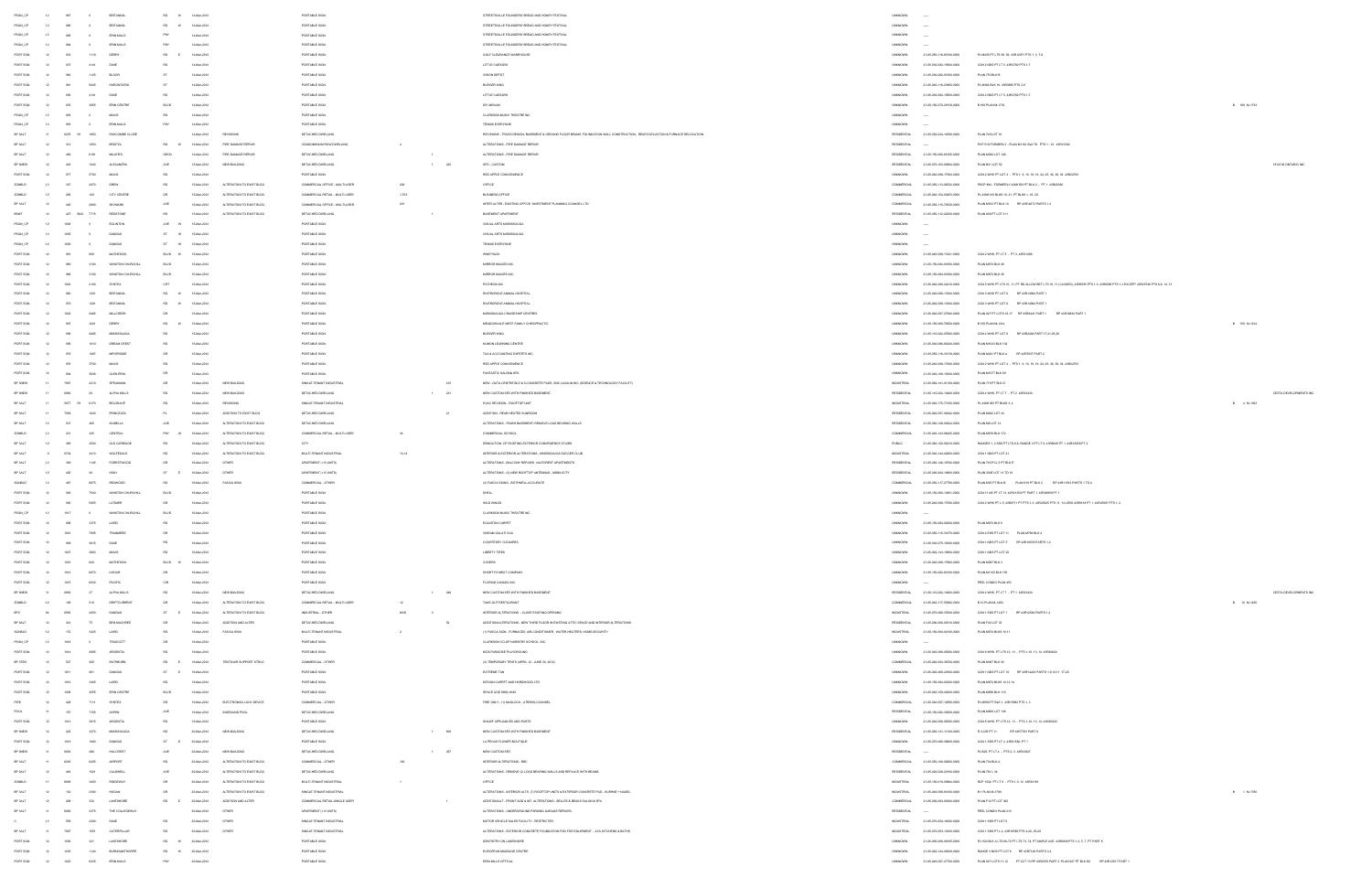| PSGN_CP          | 12       | 987<br>$\sim$             | BRITANNIA            |                                       | RD W 14-Mar-2012   |                          | PORTABLE SIGN                  |                |                           | STREETSVILLE FOUNDERS' BREAD AND HONEY FESTIVAL                                                                             | <b>UNKNOWN</b>                   |                          |                                                                                                                                |              |                       |
|------------------|----------|---------------------------|----------------------|---------------------------------------|--------------------|--------------------------|--------------------------------|----------------|---------------------------|-----------------------------------------------------------------------------------------------------------------------------|----------------------------------|--------------------------|--------------------------------------------------------------------------------------------------------------------------------|--------------|-----------------------|
| PSGN_CP          | 12       | 986<br>$\sim$ 0           | BRITANNIA            |                                       | RD W 14-Mar-2012   |                          | PORTABLE SIGN                  |                |                           | STREETSVILLE FOUNDERS' BREAD AND HONEY FESTIVAL                                                                             | <b>UNKNOWN</b>                   |                          |                                                                                                                                |              |                       |
| PSGN_CP          | 12       | 985<br>$\sim$             | <b>ERIN MILLS</b>    | PKY                                   | 14-Mar-2012        |                          | PORTABLE SIGN                  |                |                           | STREETSVILLE FOUNDERS' BREAD AND HONEY FESTIVAL                                                                             | <b>UNKNOWN</b>                   |                          |                                                                                                                                |              |                       |
|                  |          |                           |                      |                                       |                    |                          |                                |                |                           |                                                                                                                             |                                  |                          |                                                                                                                                |              |                       |
| PSGN_CP          | 12       | 984<br>$\sim$             | <b>ERIN MILLS</b>    | PKY                                   | 14-Mar-2012        |                          | PORTABLE SIGN                  |                |                           | STREETSVILLE FOUNDERS' BREAD AND HONEY FESTIVAL                                                                             | <b>UNKNOWN</b>                   | $\sim$                   |                                                                                                                                |              |                       |
| PORT SGN         | 12       | 1119<br>933               | DERRY                | $RD$ $E$                              | 14-Mar-2012        |                          | PORTABLE SIGN                  |                |                           | GOLF CLEARANCE WAREHOUSE                                                                                                    | <b>UNKNOWN</b>                   | 21-05-050-116-65100-0000 | PL M435 PT LTS 58, 59, 43R12971 PTS 1, 3, 7-9                                                                                  |              |                       |
| PORT SGN         | 12       | 937<br>4141               | DIXIE                | RD                                    | 14-Mar-2012        |                          | PORTABLE SIGN                  |                |                           | LITTLE CAESARS                                                                                                              | <b>UNKNOWN</b>                   | 21-05-030-092-19500-0000 | CON 2 NDS PT LT 5, 43R2782 PTS 1-7                                                                                             |              |                       |
| PORT SGN         | 12       | 1125<br>982               | <b>BLOOR</b>         | $^{\rm ST}$                           | 14-Mar-2012        |                          | PORTABLE SIGN                  |                |                           | VISION DEPOT                                                                                                                | <b>UNKNOWN</b>                   | 21-05-030-082-01500-0000 | PLAN 753 BLK B                                                                                                                 |              |                       |
| PORT SGN         | 12       | 5645                      | <b>HURONTARK</b>     | $^{\rm ST}$                           | 14-Mar-2012        |                          | PORTABLE SIGN                  |                |                           | <b>BURGER KING</b>                                                                                                          | <b>UNKNOWN</b>                   | 21-05-040-116-23800-0000 | PL M364 BLK 18, 43R9565 PTS 3-9                                                                                                |              |                       |
| PORT SGN         | 12       | 4141                      | <b>DIXII</b>         | $\mathsf{RD}$                         | 14-Mar-2012        |                          | PORTABLE SIGN                  |                |                           | <b>LITTLE CAESARS</b>                                                                                                       | <b>UNKNOWN</b>                   | 21-05-030-092-19500-0000 | CON 2 NDS PT LT 5, 43R2782 PTS 1-7                                                                                             |              |                       |
| PORT SGN         | 12       | 935<br>3955               | ERIN CENTRI          | BLVD                                  | 14-Mar-2012        |                          | PORTABLE SIGN                  |                |                           | DR. MIRJAN                                                                                                                  | <b>UNKNOWN</b>                   | 21-05-150-070-21818-0000 | B 169 PLAN M-1733                                                                                                              | B 169 M-1733 |                       |
|                  |          | 993<br>$\sim$ 0.1         | MAVIS                |                                       |                    |                          |                                |                |                           |                                                                                                                             |                                  |                          |                                                                                                                                |              |                       |
| PSGN_CP          | 12       |                           |                      | $\mathsf{RD}$                         | 14-Mar-2012        |                          | PORTABLE SIGN                  |                |                           | CLARKSON MUSIC THEATRE INC                                                                                                  | UNKNOWN                          |                          |                                                                                                                                |              |                       |
| PSGN_CP          | 12       | 983<br>$\sim$             | <b>ERIN MILLS</b>    | PKY                                   | 14-Mar-2012        |                          | PORTABLE SIGN                  |                |                           | <b>TENNIS EVERYONE</b>                                                                                                      | UNKNOWN                          |                          |                                                                                                                                |              |                       |
| BP 9ALT          | $-11$    | 6276<br>1650<br><b>R1</b> | RUSCOMBE CLOSE       |                                       | 14-Mar-2012        | <b>REVISIONS</b>         | DETACHED DWELLING              |                |                           | REVISIONS - TRUSS DESIGN, BASEMENT & GROUND FLOOR BEAMS, FOUNDATION WALL CONSTRUCTION, REAR ELELVATION & FURNACE RELOCATION | <b>RESIDENTIAL</b>               | 21-05-020-034-14500-0000 | PLAN 748 LOT 10                                                                                                                |              |                       |
| BP 9ALT          | 12       | 1050<br>312               | <b>BRISTOL</b>       | $RD$ W                                | 14-Mar-2012        | FIRE DAMAGE REPAIR       | CONDOMINIUM ROW DWELLING       |                |                           | ALTERATIONS - FIRE DAMAGE REPAIR                                                                                            | <b>RESIDENTIAL</b>               |                          | PCP 519 FORMERLY - PLAN M1161 BLK 78 PTS 1 - 10 43R21392                                                                       |              |                       |
| BP 9ALT          | 12       | 489<br>6161               | <b>MILLER'S</b>      | GROV                                  | 14-Mar-2012        | FIRE DAMAGE REPAIR       | DETACHED DWELLING              | $-1$           |                           | ALTERATIONS - FIRE DAMAGE REPAIR                                                                                            | RESIDENTIAL                      | 21-05-150-080-61005-0000 | PLAN M382 LOT 126                                                                                                              |              |                       |
| BP 9NEW          | 12       | 1043<br>403               | <b>ALEXANDR</b>      | AVE                                   | 15-Mar-2012        | NEW BUILDING             | DETACHED DWELLING              |                | 1 225                     | SFD - CUSTOM                                                                                                                | <b>RESIDENTIAL</b>               | 21-05-070-163-00800-0000 | PLAN B21 LOT 52                                                                                                                |              | 1812108 ONTARIO INC   |
| PORT SGN         | 12       | 977<br>5700               | MAVIS                | <b>RD</b>                             | 15-Mar-2012        |                          | PORTABLE SIGN                  |                |                           | RED APPLE CONVIENIENCE                                                                                                      | <b>UNKNOWN</b>                   | 21-05-040-098-17900-0000 | CON 2 WHS PT LOT 4 - PTS 1, 9, 10, 18, 19, 24, 25, 36, 38, 39, 43R22763                                                        |              |                       |
| ZONBLD           | 12       | 2970                      | DREW                 | <b>RD</b>                             | 15-Mar-2012        | ALTERATION TO EXIST BLDG | COMMERCIAL OFFICE - MULTI-USER |                |                           | OFFICE                                                                                                                      | COMMERCIAL                       | 21-05-050-113-06532-0000 | PSCP 884 - FORMERLY 43M1593 PT BLK 2 - PT 1 43R29338                                                                           |              |                       |
|                  |          |                           |                      |                                       |                    |                          |                                |                |                           |                                                                                                                             |                                  |                          |                                                                                                                                |              |                       |
| ZONBLD           | 12       | 100<br>265                | CITY CENTRE          | DR.                                   | 15-Mar-2012        | ALTERATION TO EXIST BLDG | COMMERCIAL RETAIL - MULTI-USER | 1-703          |                           | <b>BUSINESS OFFICE</b>                                                                                                      | COMMERCIAL                       | 21-05-040-154-00453-0000 | PL 43M1010 BLKS 19, 21, PT BLKS 1, 16, 20                                                                                      |              |                       |
| BP 3ALT          | 12       | 2680<br>400               | <b>SKYMARK</b>       | AVE                                   | 15-Mar-2012        | ALTERATION TO EXIST BLDG | COMMERCIAL OFFICE - MULTI-USER |                |                           | INTER ALTER - EXISTING OFFICE, INVESTMENT PLANNING COUNSEL LTD                                                              | COMMERCIAL                       | 21-05-050-115-79530-0000 | PLAN M533 PT BLK 10 RP 43R14673 PARTS 1,2                                                                                      |              |                       |
| <b>BSMT</b>      | 12       | 7715<br>BAS               | REDSTON              | RD                                    | 15-Mar-2012        | ALTERATION TO EXIST BLDG | DETACHED DWELLING              |                |                           | BASEMENT APARTMENT                                                                                                          | <b>RESIDENTIAL</b>               | 21-05-050-112-22000-0000 | PLAN 806 PT LOT 211                                                                                                            |              |                       |
| PSGN_CP          | 12       | 1006                      | EGLINTON             |                                       | AVE W 15-Mar-2012  |                          | PORTABLE SIGN                  |                |                           | VISUAL ARTS MISSISSAUGA                                                                                                     | <b>UNKNOWN</b>                   |                          |                                                                                                                                |              |                       |
| PSGN_CP          | 12       | 1005                      | <b>DUNDAS</b>        |                                       | ST W 15-Mar-2012   |                          | PORTABLE SIGN                  |                |                           | VISUAL ARTS MISSISSAUGA                                                                                                     | <b>UNKNOWN</b>                   | $\sim$                   |                                                                                                                                |              |                       |
| PSGN_CP          | 12       | 1000                      | <b>DUNDAS</b>        |                                       | ST W 15-Mar-2012   |                          | PORTABLE SIGN                  |                |                           | <b>TENNIS EVERYONE</b>                                                                                                      | <b>UNKNOWN</b>                   |                          |                                                                                                                                |              |                       |
| PORT SGN         | 12       | 800<br>991                | MATHESON             |                                       | BLVD W 15-Mar-2012 |                          | PORTABLE SIGN                  |                |                           | WINE RACK                                                                                                                   | <b>UNKNOWN</b>                   | 21-05-040-098-17421-0000 | CON 2 WHS, PT LT 5 - PT 3, 43R31266                                                                                            |              |                       |
|                  | 12       | 989                       | WINSTON CHURCHIL     |                                       |                    |                          |                                |                |                           | MIRROR IMAGES INC                                                                                                           |                                  |                          |                                                                                                                                |              |                       |
| PORT SGN         |          | 3100                      |                      | BLVD                                  | 15-Mar-2012        |                          | PORTABLE SIGN                  |                |                           |                                                                                                                             | <b>UNKNOWN</b>                   | 21-05-150-084-01800-0000 | PLAN M674 BLK 38                                                                                                               |              |                       |
| PORT SGN         | 12       | 3100<br>GRR               | WINSTON CHURCHILL    | <b>BLVD</b>                           | 15-Mar-2012        |                          | PORTABLE SIGN                  |                |                           | MIRROR IMAGES INC.                                                                                                          | <b>UNKNOWN</b>                   | 21-05-150-084-01800-0000 | PLAN M674 BLK 38                                                                                                               |              |                       |
| PORT SGN         | 12       | 1003<br>2100              | SYNTEX               | CRT                                   | 15-Mar-2012        |                          | PORTABLE SIGN                  |                |                           | PATHEON INC                                                                                                                 | <b>UNKNOWN</b>                   | 21-05-040-098-22410-0000 | CON 5 WHS PT LTS 10, 11, PT RD ALLOW BET LTS 10, 11 (CLOSED), 43R6595 PTS 1-3, 43R6596 PTS 1-3 EXCEPT 43R25746 PTS 6-8, 12, 13 |              |                       |
| PORT SGN         | 12       | 980<br>1201               | BRITANNIA            |                                       | RD W 15-Mar-2012   |                          | PORTABLE SIGN                  |                |                           | RIVERGROVE ANIMAL HOSPITAL                                                                                                  | <b>UNKNOWN</b>                   | 21-05-040-098-13300-0000 | CON 3 WHS PT LOT 6 RP 43R14964 PART 1                                                                                          |              |                       |
| PORT SGN         | 12       | 1201<br>979               | BRITANNIA            |                                       | RD W 15-Mar-2012   |                          | PORTABLE SIGN                  |                |                           | RIVERGROVE ANIMAL HOSPITAL                                                                                                  | <b>UNKNOWN</b>                   | 21-05-040-098-13300-0000 | CON 3 WHS PT LOT 6 RP 43R14964 PART                                                                                            |              |                       |
| PORT SGN         | 12       | 6465<br>1002              | MILLCREEK            | DR.                                   | 15-Mar-2012        |                          | PORTABLE SIGN                  |                |                           | MISSISSAUGA CRUISESHIP CENTRES                                                                                              | <b>UNKNOWN</b>                   | 21-05-040-097-27900-0000 | PLAN 927 PT LOTS 16,17 RP 43R8441 PART 1 RP 43R16892 PART                                                                      |              |                       |
| PORT SGN         | 12       | 3221                      | DERRY                |                                       | RD W 15-Mar-2012   |                          | PORTABLE SIGN                  |                |                           | MEADOWVALE WEST FAMILY CHIROPRACTIC                                                                                         | <b>UNKNOWN</b>                   | 21-05-150-080-76500-0000 | B 159 PLAN M-1214                                                                                                              | B 159 M-1214 |                       |
| PORT SGN         | 12       | 6465                      | MISSISSAUG           | <b>RD</b>                             | 15-Mar-2012        |                          | PORTABLE SIGN                  |                |                           | BURGER KING                                                                                                                 | <b>UNKNOWN</b>                   | 21-05-110-002-07800-0000 | CON 4 WHS PT LOT 8 RP 43R2494 PART 17,21,25,28                                                                                 |              |                       |
|                  |          |                           |                      |                                       |                    |                          |                                |                |                           |                                                                                                                             |                                  |                          |                                                                                                                                |              |                       |
| PORT SGN         | 12       | 1010                      | DREAM CREST          | RD                                    | 15-Mar-2012        |                          | PORTABLE SIGN                  |                |                           | KUMON LEARNING CENTRE                                                                                                       | <b>UNKNOWN</b>                   | 21-05-040-096-60240-0000 | PLAN M1033 BLK 102                                                                                                             |              |                       |
| PORT SGN         | 12       | 1087                      | MEYERSIDE            | DR                                    | 15-Mar-2012        |                          | PORTABLE SIGN                  |                |                           | TAX & ACCOUNTING EXPERTS INC.                                                                                               | <b>UNKNOWN</b>                   | 21-05-050-116-31918-0000 | PLAN M241 PT BLK A RP 43R7837 PART 2                                                                                           |              |                       |
| PORT SGN         | 12       | 5700<br>976               | MAVIS                | $\mathsf{RD}$                         | 15-Mar-2012        |                          | PORTABLE SIGN                  |                |                           | RED APPLE CONVIENIENCE                                                                                                      | <b>UNKNOWN</b>                   | 21-05-040-098-17900-0000 | CON 2 WHS PT LOT 4 - PTS 1, 9, 10, 18, 19, 24, 25, 36, 38, 39, 43R22763                                                        |              |                       |
| PORT SGN         | 12       | 5636<br>ggs               | <b>GLEN ERIM</b>     | $_{\rm DR}$                           | 15-Mar-2012        |                          | PORTABLE SIGN                  |                |                           | FANTASTIC SALON& SPA                                                                                                        | <b>UNKNOWN</b>                   | 21-05-040-108-10000-0000 | PLAN M1077 BLK 99                                                                                                              |              |                       |
| BP 3NEW          |          | 2210<br>7067              | SPEAKMAN             | $_{\rm DR}$                           | 15-Mar-2012        | NEW BUILDING             | SINGLE TENANT INDUSTRIAL       |                | 415                       | NEW - DATA-CENTRE BLD & 5-CONCRETE PADS, SNC LAVALIN INC (SCIENCE & TECHNOLOGY FACILITY)                                    | <b>INDUSTRIAL</b>                | 21-05-060-141-01100-0000 | PLAN 718 PT BLK D                                                                                                              |              |                       |
| BP 9NEW          | $-11$    | 6982<br>29                | ALPHA MILLS          | $\mathsf{RD}$                         | 16-Mar-2012        | NEW BUILDING             | DETACHED DWELLING              |                | $1 \hspace{1.5cm} 231$    | NEW CUSTOM SFD WITH FINISHED BASEMENT.                                                                                      | <b>RESIDENTIAL</b>               | 21-05-110-002-10400-0000 | CON 4 WHS, PT LT 7 - PT 2 43R33430                                                                                             |              | CESTA DEVELOPMENTS IN |
| BP 3ALT          | $-11$    | 5977<br>6170<br><b>R1</b> | BELGRAVE             | <b>RD</b>                             | 16-Mar-2012        | <b>REVISIONS</b>         | SINGLE TENANT INDUSTRIAL       |                |                           | HVAC REVISION - ROOFTOP UNIT                                                                                                | <b>INDUSTRIAL</b>                | 21-05-040-175-73150-0000 | PL 43M1363 PT BLKS 3, 4                                                                                                        | B 4 M-1363   |                       |
| BP 9ALT          | $-11$    | 7059<br>1643              | PRINCELEA            |                                       |                    | ADDITION TO EXIST BLDG   | DETACHED DWELLING              |                |                           | ADDITION - REAR HEATED SUNROOM                                                                                              | <b>RESIDENTIAL</b>               | 21-05-040-097-09242-0000 | PLAN M642 LOT 43                                                                                                               |              |                       |
|                  |          |                           |                      | PL                                    | 16-Mar-2012        |                          |                                |                | 21                        |                                                                                                                             |                                  |                          |                                                                                                                                |              |                       |
| BP 9ALT          | 12       | 537<br>485                | <b>ISABELLA</b>      | AVE                                   | 16-Mar-2012        | ALTERATION TO EXIST BLDG | DETACHED DWELLING              |                |                           | ALTERATIONS - FINISH BASEMENT/ REMOVE LOAD BEARING WALLS                                                                    | <b>RESIDENTIAL</b>               | 21-05-060-126-03624-0000 | PLAN M6 LOT 12                                                                                                                 |              |                       |
| ZONBLD           | 12       | 325<br>231                | CENTRAL              | PKY W                                 | 16-Mar-2012        | ALTERATION TO EXIST BLDG | COMMERCIAL RETAIL - MULTI-USER | 34             |                           | COMMERCIAL SCHOOL                                                                                                           | COMMERCIAL                       | 21-05-040-143-08425-0000 | PLAN M678 BLK 172                                                                                                              |              |                       |
| BP 3ALT          | 12       | 2500<br>389               | OLD CARRIAGE         | <b>RD</b>                             | 16-Mar-2012        | ALTERATION TO EXIST BLDG | CITY                           |                |                           | DEMOLITION OF EXISTING EXTERIOR CONVENIENCE STAIRS                                                                          | PUBLIC                           | 21-05-060-129-05410-0000 | RANGES 1, 2 SDS PT LTS 6-8, RANGE 3 PT LT 9, 43R8645 PT 1, 43R33928 PT 2                                                       |              |                       |
| BP 3ALT          | 9        | 6704<br>3413              | WOLFEDALE            | <b>RD</b>                             | 16-Mar-2012        | ALTERATION TO EXIST BLDG | MULTI-TENANT INDUSTRIAL        | 13-14          |                           | INTERIOR & EXTERIOR ALTERATIONS - MISSISSAUGA SOCCER CLUB                                                                   | <b>INDUSTRIAL</b>                | 21-05-040-144-02800-0000 | CON 1 NDS PT LOT 21                                                                                                            |              |                       |
| BP 3ALT          | 12       | 399<br>1145               | FORESTWOOD           | ${\tt DR}$                            | 16-Mar-2012        | OTHER                    | APARTMENT (> 6 UNITS)          |                |                           | ALTERATIONS - BALCONY REPAIRS, VALFOREST APARTMENTS                                                                         | <b>RESIDENTIAL</b>               | 21-05-060-146-16700-0000 | PLAN 745 PCL 5 PT BLK E                                                                                                        |              |                       |
| BP 3ALT          | 12       | 30                        | HIGH                 | $\texttt{ST} \qquad \quad \texttt{E}$ | 16-Mar-2012        | OTHER                    | APARTMENT (> 6 UNITS)          |                |                           | ALTERATIONS - (3) NEW ROOFTOP ANTENNAS - MOBILICITY                                                                         | <b>RESIDENTIAL</b>               | 21-05-090-004-19800-0000 | PLAN 300E LOT 13 TO 16                                                                                                         |              |                       |
|                  | 12       | 487                       | REXWOOD              | <b>RD</b>                             |                    | <b>FASCIA SIGN</b>       |                                |                |                           |                                                                                                                             | <b>COMMERCIAL</b>                |                          |                                                                                                                                |              |                       |
| SGNBLD           |          | 6675                      |                      |                                       | 16-Mar-2012        |                          | COMMERCIAL - OTHER             |                |                           | (2) FASCIA SIGNS - BOTHWELL-ACCURATE                                                                                        |                                  | 21-05-050-117-27790-0000 | PLAN M35 PT BLK B PLAN 919 PT BLK C RP 43R11912 PARTS 1 TO 4                                                                   |              |                       |
|                  |          |                           |                      |                                       | 16-Mar-2012        |                          | PORTABLE SIGN                  |                |                           | SHELL                                                                                                                       | <b>UNKNOWN</b>                   | 21-05-150-080-13801-0000 | CON 11 NS PT LT 13, 43R21350 PT PART 1, 43R28958 PT 1                                                                          |              |                       |
| PORT SGN         | 12       | 7540<br>992               | WINSTON CHURCHIL     | BLVD                                  |                    |                          |                                |                |                           | WILD WINGS                                                                                                                  | <b>UNKNOWN</b>                   | 21-05-040-098-17500-0000 | CON 2 WHS PT L 5, 43R8711 PT PTS 1-3, 43R25225 PTS 11, 14 LESS 43R9138 PT 1, 43R25997 PTS 1, 2                                 |              |                       |
| PORT SGN 12 990  |          |                           | 5955 LATIMER         | ${\tt DR}$                            | 16-Mar-2012        |                          | PORTABLE SIGN                  |                |                           |                                                                                                                             |                                  |                          |                                                                                                                                |              |                       |
| PSGN_CP 12 1017  |          |                           |                      | <b>BLVD</b>                           |                    |                          |                                |                |                           |                                                                                                                             |                                  |                          |                                                                                                                                |              |                       |
| PORT SGN         | 12       | 998                       | 3375 LAIRD           | RD                                    | 16-Mar-2012        |                          | PORTABLE SIGN                  |                |                           | EGLINTON CARPET                                                                                                             | <b>UNKNOWN</b>                   | 21-05-150-084-02000-0000 | PLAN M674 BLK 9                                                                                                                |              |                       |
| PORT SGN         | 12       | 1001<br>7895              | TRANMERI             | <b>DR</b>                             | 16-Mar-2012        |                          | PORTABLE SIGN                  |                |                           | VIKRAM GULATI CGA                                                                                                           | <b>UNKNOWN</b>                   | 21-05-050-115-31870-0000 | CON 4 EHS PT LOT 11 PLAN M789 BLK 4                                                                                            |              |                       |
| PORT SGN         | 12       | 999<br>3615               | <b>DIXIE</b>         | RD                                    | 16-Mar-2012        |                          | PORTABLE SIGN                  |                |                           | COURTESEY CLEANERS                                                                                                          | <b>UNKNOWN</b>                   | 21-05-030-075-16300-0000 | CON 1 NDS PT LOT 5 RP 43R16505 PARTS 1.2                                                                                       |              |                       |
| PORT SGN         | 12       | 1007<br>3663              | MAVIS                | <b>RD</b>                             | 16-Mar-2012        |                          | PORTABLE SIGN                  |                |                           | <b>LIBERTY TIRES</b>                                                                                                        | <b>UNKNOWN</b>                   | 21-05-040-143-19800-0000 | CON 1 NDS PT LOT 20                                                                                                            |              |                       |
|                  |          |                           |                      |                                       |                    |                          |                                |                |                           |                                                                                                                             |                                  |                          |                                                                                                                                |              |                       |
| PORT SGN         | 12       | 1016<br>600               | MATHESON             |                                       | BLVD W 16-Mar-2012 |                          | PORTABLE SIGN                  |                |                           | COVERS                                                                                                                      | <b>UNKNOWN</b>                   | 21-05-040-098-17860-0000 | PLAN M967 BLK 3                                                                                                                |              |                       |
| PORT SGN         | 12       | 6970<br>1012              | LISGAR               | $_{\rm DR}$                           | 16-Mar-2012        |                          | PORTABLE SIGN                  |                |                           | SHORTY'S MEAT COMPANY                                                                                                       | <b>UNKNOWN</b>                   | 21-05-150-082-62100-0000 | PLAN M1105 BLK 150                                                                                                             |              |                       |
| PORT SGN         | 12       | 1015<br>6930              | PACIFIC              | $_{\rm CIR}$                          | 16-Mar-2012        |                          | PORTABLE SIGN                  |                |                           | FLORIAD CANADA INC.                                                                                                         | <b>UNKNOWN</b>                   | -                        | PEEL CONDO PLAN 453                                                                                                            |              |                       |
| BP 9NEW          |          | 6983<br>27                | ALPHA MILLS          | <b>RD</b>                             | 16-Mar-2012        | NEW BUILDING             | DETACHED DWELLING              |                | $1 \qquad \qquad 246$     | NEW CUSTOM SFD WITH FINISHED BASEMENT                                                                                       | <b>RESIDENTIAL</b>               | 21-05-110-002-10400-0000 | CON 4 WHS, PT LT 7 - PT 1 43R33430                                                                                             |              | CESTA DEVELOPMENTS IN |
| CONBLD           | 12       | 510                       | DRIFTCURREN          | DR                                    | 19-Mar-2012        | ALTERATION TO EXIST BLDG | COMMERCIAL RETAIL - MULTI-USER | 12             |                           | TAKE-OUT RESTAURANT                                                                                                         | <b>COMMERCIAL</b>                | 21-05-040-117-50982-0000 | B 10 PLAN M-1450                                                                                                               | B 10 M-1450  |                       |
| <b>BPC</b>       |          | 2050<br>6565              | <b>DUNDAS</b>        | $\texttt{ST} \qquad \quad \texttt{E}$ | 19-Mar-2012        | ALTERATION TO EXIST BLDG | INDUSTRIAL - OTHER             | #106<br>$\sim$ |                           | INTERIOR ALTERATIONS - CLOSE EXISTING OPENING                                                                               | <b>INDUSTRIAL</b>                | 21-05-070-068-37600-0000 | CON 1 SDS PT LOT 1 RP 43R12583 PARTS 1,2                                                                                       |              |                       |
| BP 9ALT          | 12       | 321<br>75                 | <b>BEN MACHREE</b>   | DR                                    | 19-Mar-2012        | ADDITION AND ALTER       | DETACHED DWELLING              |                | 52                        | ADDITION/ALTERATIONS - NEW THIRD FLOOR IN EXISTING ATTIC SPACE AND INTERIOR ALTERATIONS                                     | <b>RESIDENTIAL</b>               | 21-05-090-006-00310-0000 | PLAN F22 LOT 33                                                                                                                |              |                       |
| SGNBLD           | 12       | 3425<br>172               | LAIRD                | $\mathsf{RD}$                         | 19-Mar-2012        | <b>FASCIA SIGN</b>       | MULTI-TENANT INDUSTRIAL        | $\overline{2}$ |                           | (1) FASCIA SIGN - FURNACES, AIR-CONDITIONER , WATER-HEATERS, HOME-SECURITY                                                  | <b>INDUSTRIAL</b>                | 21-05-150-084-02100-0000 | PLAN M674 BLKS 10,11                                                                                                           |              |                       |
|                  |          |                           |                      |                                       |                    |                          |                                |                |                           |                                                                                                                             |                                  |                          |                                                                                                                                |              |                       |
| PSGN_CP          | 12<br>12 | 1018<br>1014              | TRUSCOTT<br>ARGENTIA | $_{\rm DR}$                           | 19-Mar-2012        |                          | PORTABLE SIGN                  |                |                           | CLARKSON CO-OP NURSERY SCHOOL INC.                                                                                          | <b>UNKNOWN</b><br><b>UNKNOWN</b> |                          |                                                                                                                                |              |                       |
| PORT SGN         |          | 2885                      |                      | <b>RD</b>                             | 19-Mar-2012        |                          | PORTABLE SIGN                  |                |                           | KIDS PARADISE PLAYGROUND                                                                                                    |                                  | 21-05-040-098-05060-0000 | CON 6 WHS, PT LTS 12, 13 - PTS 1-10, 13, 14 43R30620                                                                           |              |                       |
| BP 3TEN          | 12       | 925<br>527                | RATHBURN             | $RD$ $E$                              | 19-Mar-2012        | TENTS/AIR SUPPORT STRUC  | COMMERCIAL - OTHER             |                |                           | (2) TEMPORARY TENTS (APRIL 12 - JUNE 30, 2012)                                                                              | <b>COMMERCIAL</b>                | 21-05-040-093-36700-0000 | PLAN M367 BLK 30                                                                                                               |              |                       |
| PORT SGN         | 12       | 1011<br>801               | <b>DUNDAS</b>        |                                       | ST E 19-Mar-2012   |                          | PORTABLE SIGN                  |                |                           | <b>EXTREME TAN</b>                                                                                                          | <b>UNKNOWN</b>                   | 21-05-040-068-20300-0000 | CON 1 NDS PT LOT 10 RP 43R14243 PARTS 1,6,10,11, 17-20                                                                         |              |                       |
| PORT SGN         | 12       | 1010<br>3495              | LAIRD                | <b>RD</b>                             | 19-Mar-2012        |                          | PORTABLE SIGN                  |                |                           | DESIGN CARPET AND HARDWOOD LTD                                                                                              | <b>UNKNOWN</b>                   | 21-05-150-084-02300-0000 | PLAN M674 BLKS 12,13,14                                                                                                        |              |                       |
| PORT SGN         | 12       | 1008<br>2555              | <b>ERIN CENTRE</b>   | BLVD                                  | 19-Mar-2012        |                          | PORTABLE SIGN                  |                |                           | SPACE AGE SHELVING                                                                                                          | <b>UNKNOWN</b>                   | 21-05-040-159-40000-0000 | PLAN M856 BLK 116                                                                                                              |              |                       |
| FIRE             | 12       | 7111<br>428               | SYNTEX               | DR.                                   | 19-Mar-2012        | ELECTROMAG LOCK DEVICE   | COMMERCIAL - OTHER             |                |                           | FIRE ONLY - (1) MAGLOCK - ATRENS-COUNSEL                                                                                    | COMMERCIAL                       | 21-05-040-097-12856-0000 | PL M589 PT BLK 1, 43R15682 PTS 1, 3                                                                                            |              |                       |
| POOL             | $-11$    | 157<br>7155               | ASPEN                | AVE                                   | 19-Mar-2012        | INGROUND POOL            | DETACHED DWELLING              |                |                           |                                                                                                                             | <b>RESIDENTIAL</b>               | 21-05-150-082-30000-0000 | PLAN M669 LOT 136                                                                                                              |              |                       |
|                  | 12       | 1013                      | ARGENTIA             |                                       |                    |                          |                                |                |                           |                                                                                                                             |                                  |                          |                                                                                                                                |              |                       |
| PORT SGN         |          | 2915                      |                      | RD                                    | 19-Mar-2012        |                          | PORTABLE SIGN                  |                |                           | SHAWF APPLIANCES AND PARTS                                                                                                  | <b>UNKNOWN</b>                   | 21-05-040-098-05060-0000 | CON 6 WHS, PT LTS 12, 13 - PTS 1-10, 13, 14 43R30620                                                                           |              |                       |
| BP 9NEW          | 12       | 425<br>2370               | <b>MISSISSAUGA</b>   | RD                                    | 20-Mar-2012        | NEW BUILDING             | DETACHED DWELLING              |                | $1$ 808                   | NEW CUSTOM SFD WITH FINISHED BASEMENT                                                                                       | <b>RESIDENTIAL</b>               | 21-05-060-131-11100-0000 | R 3-CIR PT 11 RP 43R7783 PART 8                                                                                                |              |                       |
| PORT SGN         | 12       | 1019<br>1900              | <b>DUNDAS</b>        | ST E                                  | 20-Mar-2012        |                          | PORTABLE SIGN                  |                |                           | LA PEGAS FLOWER BOUTIQUE                                                                                                    | <b>UNKNOWN</b>                   | 21-05-070-068-36800-0000 | CON 1 SDS PT LT 2, 43R21580, PT 1                                                                                              |              |                       |
| BP 9NEW          | $-11$    | 6903<br>266               | <b>HILLCREST</b>     | AVE                                   | 20-Mar-2012        | NEW BUILDING             | DETACHED DWELLING              |                | $1\qquad \quad \  \  297$ | NEW CUSTOM SFD                                                                                                              | <b>RESIDENTIAL</b>               |                          | PL B25, PT LT 4 - PTS 2, 3 43R32927                                                                                            |              |                       |
| BP 3ALT          | $-11$    | 6205<br>6293              | AIRPORT              | $\mathsf{RD}$                         | 20-Mar-2012        | ALTERATION TO EXIST BLDG | COMMERCIAL - OTHER             |                |                           | INTERIOR ALTERATIONS - RBC                                                                                                  | COMMERCIAL                       | 21-05-050-108-00600-0000 | PLAN 734 BLK A                                                                                                                 |              |                       |
| BP 9ALT          | 12       | 463<br>1021               | CALDWELL             | AVE                                   | 20-Mar-2012        | ALTERATION TO EXIST BLDG | DETACHED DWELLING              |                |                           | ALTERATIONS - REMOVE (2) LOAD BEARING WALLS AND REPLACE WITH BEAMS.                                                         | <b>RESIDENTIAL</b>               | 21-05-020-028-20100-0000 | PLAN 781 L 34                                                                                                                  |              |                       |
| ZONBLD           | $-11$    | 6699<br>3450              | <b>RIDGEWAY</b>      | DR                                    | 20-Mar-2012        | ALTERATION TO EXIST BLDG | MULTI-TENANT INDUSTRIAL        |                |                           | OFFICE                                                                                                                      | <b>INDUSTRIAL</b>                | 21-05-150-010-00864-0000 | RCP 1542, PT LT 9 - PTS 1-3, 12 43R30181                                                                                       |              |                       |
| BP 3ALT          | 12       | 130<br>2300               | <b>HOGAN</b>         | DR                                    | 20-Mar-2012        | ALTERATION TO EXIST BLDG | SINGLE TENANT INDUSTRIAL       |                |                           |                                                                                                                             | <b>INDUSTRIAL</b>                | 21-05-040-098-61000-0000 | B 1 PLAN M-1780                                                                                                                |              |                       |
|                  |          |                           |                      |                                       |                    |                          |                                |                |                           | ALTERATIONS - INTERIOR ALTS, (7) ROOFTOP UNITS & EXTERIOR CONCRETE PAD - KUEHNE + NAGEL.                                    |                                  |                          |                                                                                                                                | B 1 M-1780   |                       |
| BP 3ALT          | 12       | 332<br>268                | LAKESHORE            |                                       | RD E 20-Mar-2012   | ADDITION AND ALTER       | COMMERCIAL RETAIL-SINGLE USER  |                |                           | ADDITION/ALT - FRONT ADD & INT. ALTERATIONS - BELLES & BEAUS SALON & SPA                                                    | COMMERCIAL                       | 21-05-090-003-00300-0000 | PLAN F12 PT LOT 362                                                                                                            |              |                       |
| BP 3ALT          | $-11$    | 2375<br>6090              | THE COLLEGEWAY       |                                       | 20-Mar-2012        | OTHER                    | APARTMENT (> 6 UNITS)          |                |                           | ALTERATIONS - UNDERGROUND PARKING GARAGE REPAIRS                                                                            | RESIDENTIAL                      | $\sim$                   | PEEL CONDO PLAN 210                                                                                                            |              |                       |
|                  | 12       | 2290<br>559               | DIXIE                | <b>RD</b>                             | 20-Mar-2012        | OTHER                    | SINGLE TENANT INDUSTRIAL       |                |                           | MOTOR VEHICLE SALES FACILITY - RESTRICTED                                                                                   | <b>INDUSTRIAL</b>                | 21-05-070-054-14600-0000 | CON 1 SDS PT LOT 6                                                                                                             |              |                       |
| BP 3ALT          | $-11$    | 7087<br>1551              | CATERPILLAR          | <b>RD</b>                             | 20-Mar-2012        |                          | SINGLE TENANT INDUSTRIAL       |                |                           | ALTERATIONS - EXTERIOR CONCRETE FOUNDATION PAD FOR EQUIPMENT - AYA KITCHENS & BATHS                                         | <b>INDUSTRIAL</b>                | 21-05-070-053-13000-0000 | CON 1 SDS PT L 4, 43R16585 PTS 4-20, 25-28                                                                                     |              |                       |
| PORT SGN         | 12       | 1036<br>321               | LAKESHOR             |                                       | RD W 20-Mar-2012   |                          | PORTABLE SIGN                  |                |                           | DENTISTRY ON LAKESHORE                                                                                                      | <b>UNKNOWN</b>                   | 21-05-090-006-08105-0000 | PL H22 BLK A LTS 66-72 PT LTS 73, 74, PT MAPLE AVE, 43R6908 PTS 1-3, 5, 7, PT PART 8                                           |              |                       |
| PORT SGN         | 12       | 1035<br>1140              | BURNHAMTHORF         |                                       | RD W 20-Mar-2012   |                          | PORTABLE SIGN                  |                |                           | EUROPEAN MASSAGE CENTRE                                                                                                     | <b>UNKNOWN</b>                   | 21-05-040-144-09000-0000 | RANGE 3 NDS PT LOT 8 RP 43R7128 PARTS 3,4                                                                                      |              |                       |
| PORT SGN 12 1023 |          |                           | 6435 ERIN MILLS      | PKY T                                 | 20-Mar-2012        |                          | PORTABLE SIGN                  |                |                           | ERIN MILLS OPTICAL                                                                                                          | <b>UNKNOWN</b>                   | 21-05-040-097-27700-0000 | PLAN 927 LOTS 11,12 PT LOT 13 RP 43R9070 PART 2 PLAN 927 PT BLK DX RP 43R12517 PART 1                                          |              |                       |

erin Millot 13 RP 43R9070 PART 2 PLAN 927 PT BLK DX RP 43R12517 PART 1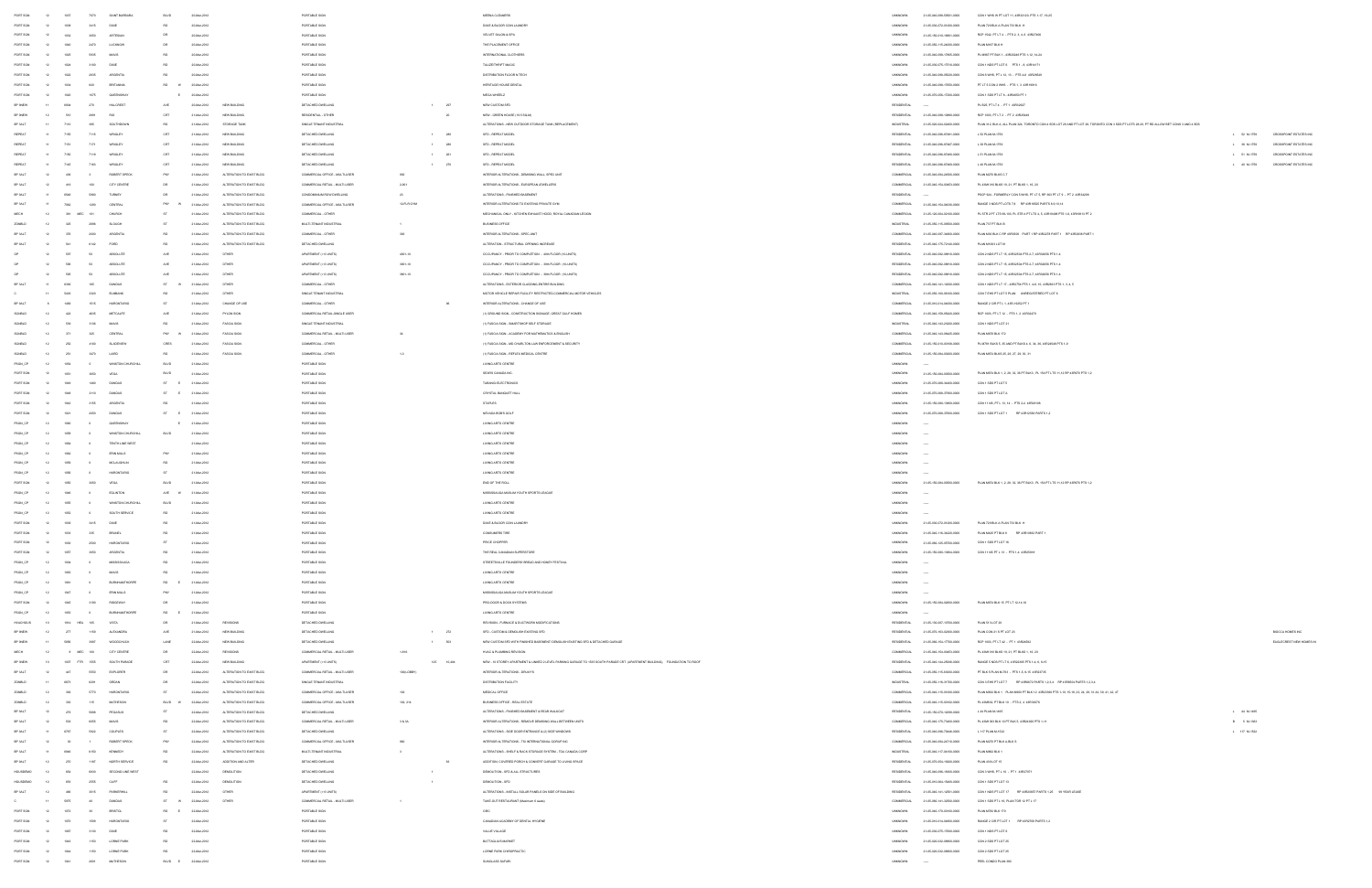| PORT SGN                   | 12              | 7070<br>1037                 | SAINT BARBARA                     | BLVD                                  | 20-Mar-2012                |                                                      | PORTABLE SIGN                                              |             |                | MEENA CLEANERS                                                                                                               | UNKNOWN                                 | 21-05-040-098-59501-0000                             | CON 1 WHS W PT LOT 11, 43R32120, PTS 1-17, 19-25                                                                                         |                                       |                               |
|----------------------------|-----------------|------------------------------|-----------------------------------|---------------------------------------|----------------------------|------------------------------------------------------|------------------------------------------------------------|-------------|----------------|------------------------------------------------------------------------------------------------------------------------------|-----------------------------------------|------------------------------------------------------|------------------------------------------------------------------------------------------------------------------------------------------|---------------------------------------|-------------------------------|
| PORT SGN                   | 12              | 1038<br>3415                 | DIXIE                             | <b>RD</b>                             | 20-Mar-2012                |                                                      | PORTABLE SIGN                                              |             |                | DIXIE & BLOOR COIN LAUNDRY                                                                                                   | <b>UNKNOWN</b>                          | 21-05-030-072-01200-0000                             | PLAN 729 BLK A PLAN 733 BLK H                                                                                                            |                                       |                               |
| PORT SGN                   | 12              | 3050<br>1032                 | ARTESIA                           | DR                                    | 20-Mar-2012                |                                                      | PORTABLE SIGN                                              |             |                | VELVET SALON & SPA                                                                                                           | <b>UNKNOWN</b>                          | 21-05-150-010-16801-0000                             | RCP 1542, PT LT 4 - PTS 2, 3, 4, 6 43R27406                                                                                              |                                       |                               |
| PORT SGN                   | 12              | 2470                         | LUCKNOW                           | DR                                    | 20-Mar-2012                |                                                      | PORTABLE SIGN                                              |             |                | THE PLACEMENT OFFICE                                                                                                         | <b>UNKNOWN</b>                          | 21-05-050-115-24000-0000                             | PLAN M167 BLK H                                                                                                                          |                                       |                               |
| PORT SGN<br>PORT SGN       | 12              | 5935<br>1025<br>1024<br>3100 | MAVIS<br><b>DIXIE</b>             | RD<br><b>RD</b>                       | 20-Mar-2012<br>20-Mar-2012 |                                                      | PORTABLE SIGN<br>PORTABLE SIGN                             |             |                | INTERNATIONAL CLOTHIERS<br>TALIZE/THRIFT MAGIC                                                                               | <b>UNKNOWN</b><br><b>UNKNOWN</b>        | 21-05-040-098-17805-0000<br>21-05-030-075-17510-0000 | PL M967 PT BLK 1 - 43R20246 PTS 1-12, 14-24<br>CON 1 NDS PT LOT 6  PTS 1 - 8.43R14171                                                    |                                       |                               |
| PORT SGN                   | 12              | 2835<br>1022                 | ARGENTIA                          | <b>RD</b>                             | 20-Mar-2012                |                                                      | PORTABLE SIGN                                              |             |                | DISTRIBUTION FLOOR N TECH                                                                                                    | <b>UNKNOWN</b>                          | 21-05-040-098-05020-0000                             | CON 6 WHS, PT L 12, 13 - PTS 4-6 43R28549                                                                                                |                                       |                               |
| PORT SGN                   |                 | 820<br>1034                  | BRITANNIA                         |                                       | RD W 20-Mar-2012           |                                                      | PORTABLE SIGN                                              |             |                | HERITAGE HOUSE DENTAL                                                                                                        | <b>UNKNOWN</b>                          | 21-05-040-098-17650-0000                             | PT LT 5 CON 2 WHS - PTS 1, 3 43R19916                                                                                                    |                                       |                               |
| PORT SGN                   |                 | 1075                         | <b>QUEENSWAY</b>                  | E                                     | 20-Mar-2012                |                                                      | PORTABLE SIGN                                              |             |                | MEGA WHEELZ                                                                                                                  | <b>UNKNOWN</b>                          | 21-05-070-056-17200-0000                             | CON 1 SDS PT LT 8 - 43R4650 PT 1                                                                                                         |                                       |                               |
| BP 9NEW                    |                 | 270<br>6904                  | <b>HILLCREST</b>                  | AVE                                   | 20-Mar-2012                | NEW BUILDING                                         | DETACHED DWELLING                                          |             | 1297           | NEW CUSTOM SFD                                                                                                               | <b>RESIDENTIAL</b>                      | $\cdots$                                             | PL B25, PT LT 4 - PT 1 43R32927                                                                                                          |                                       |                               |
| BP 9NEW                    |                 | 2891                         | <b>RIO</b>                        | CRT                                   | 21-Mar-2012                | NEW BUILDING                                         | RESIDENTIAL - OTHER                                        |             | 20             | NEW - GREEN HOUSE (19.5 SQ-M)                                                                                                | RESIDENTIAL                             | 21-05-040-098-10880-0000                             | RCP 1003, PT LT 2 - PT 2 43R25449                                                                                                        |                                       |                               |
| BP 3ALT                    |                 | 385                          | SOUTHDOWN                         | <b>RD</b>                             | 21-Mar-2012                | STORAGE TANK                                         | SINGLE TENANT INDUSTRIAL                                   |             |                | ALTERATIONS - NEW OUTDOOR STORAGE TANK (REPLACEMENT)                                                                         | <b>INDUSTRIAL</b>                       | 21-05-020-024-02400-0000                             | PLAN 312, BLK A, ALL PLAN 324, TORONTO CON 4 SDS LOT 29 AND PT LOT 28, TORONTO CON 3 SDS PT LOTS 28-30, PT RD ALLOW BET CONS 3 AND 4 SDS |                                       |                               |
| REPEAT                     |                 | 7115                         | WRIGLE                            | CRT                                   | 21-Mar-2012                | NEW BUILDING                                         | DETACHED DWELLING                                          |             | 1 280          | SFD - REPEAT MODEL                                                                                                           | <b>RESIDENTIAL</b>                      | 21-05-040-096-87481-0000                             | L 52 PLAN M-1759                                                                                                                         | L 52 M-1759                           | <b>CROSSPOINT ESTATES INC</b> |
| REPEAT                     |                 | 7171                         | WRIGLE                            | CRT                                   | 21-Mar-2012                | NEW BUILDING                                         | DETACHED DWELLING                                          |             | 1 280          | SFD - REPEAT MODEL                                                                                                           | <b>RESIDENTIAL</b>                      | 21-05-040-096-87467-0000                             | L 38 PLAN M-1759                                                                                                                         | L 38 M-1759                           | CROSSPOINT ESTATES INC        |
| REPEAT                     |                 | 7119<br>7150                 | WRIGLEY                           | CRT                                   | 21-Mar-2012                | NEW BUILDING                                         | DETACHED DWELLING                                          |             | $1$ $261$      | SFD - REPEAT MODEL                                                                                                           | RESIDENTIAL                             | 21-05-040-096-87480-0000                             | L 51 PLAN M-1759                                                                                                                         | $L = 51 \quad \mathrm{M}\text{-}1759$ | CROSSPOINT ESTATES INC        |
| REPEAT                     |                 | 7163<br>7145                 | WRIGLEY                           | CRT                                   | 21-Mar-2012                | NEW BUILDING                                         | DETACHED DWELLING                                          |             | $-1$<br>270    | SFD - REPEAT MODEL                                                                                                           | RESIDENTIAL                             | 21-05-040-096-87469-0000                             | L 40 PLAN M-1759                                                                                                                         | $L = 40$ M-1759                       | CROSSPOINT ESTATES INC        |
| BP 3ALT                    | 12              |                              | ROBERT SPECK                      | PKY                                   | 21-Mar-2012                | ALTERATION TO EXIST BLDG                             | COMMERCIAL OFFICE - MULTI-USER                             | 900         |                | INTERIOR ALTERATIONS - DEMISING WALL, SPEC UNIT                                                                              | <b>COMMERCIAL</b>                       | 21-05-040-094-24500-0000                             | PLAN M270 BLKS C,T                                                                                                                       |                                       |                               |
| BP 3ALT<br>BP 9ALT         | 12              | 100<br>419<br>6546<br>5980   | CITY CENTRE<br>TURNEY             | DR.<br>DR.                            | 21-Mar-2012<br>21-Mar-2012 | ALTERATION TO EXIST BLDG<br>ALTERATION TO EXIST BLDG | COMMERCIAL RETAIL - MULTI-USER<br>CONDOMINIUM ROW DWELLING | 2-901<br>23 |                | INTERIOR ALTERATIONS - EUROPEAN JEWELLERS<br>ALTERATIONS - FINISHED BASEMENT                                                 | <b>COMMERCIAL</b><br><b>RESIDENTIAL</b> | 21-05-040-154-00453-0000                             | PL 43M1010 BLKS 19, 21, PT BLKS 1, 16, 20<br>PSCP 924 - FORMERLY CON 5 WHS, PT LT 5, RP 363 PT LT 9 - PT 2 43R34298                      |                                       |                               |
| BP 3ALT                    |                 | 1290<br>7062                 | CENTRA                            | PKY W                                 | 21-Mar-2012                | ALTERATION TO EXIST BLDG                             | COMMERCIAL OFFICE - MULTI-USER                             | 12-FLR GYM  |                | INTERIOR ALTERATIONS TO EXISTING PRIVATE GYM                                                                                 | COMMERCIAL                              | 21-05-040-154-04030-0000                             | RANGE 3 NDS PT LOTS 7,8 RP 43R16525 PARTS 8,9,10,14                                                                                      |                                       |                               |
| MECH                       | 12              | 101<br>381 MEC               | CHURCH                            | ST                                    | 21-Mar-2012                | ALTERATION TO EXIST BLDG                             | COMMERCIAL - OTHER                                         |             |                | MECHANICAL ONLY - KITCHEN EXHAUST HOOD, ROYAL CANADIAN LEGION                                                                | COMMERCIAL                              | 21-05-120-004-02100-0000                             | PL STR 2 PT LTS 99-103, PL STR 4 PT LTS 4, 5, 43R19498 PTS 1-6, 43R19813 PT 2                                                            |                                       |                               |
| ZONBLD                     |                 | 2896                         | SLOUGH                            | ST                                    | 21-Mar-2012                | ALTERATION TO EXIST BLDG                             | MULTI-TENANT INDUSTRIAL                                    |             |                | <b>BUSINESS OFFICE</b>                                                                                                       | <b>INDUSTRIAL</b>                       | 21-05-050-115-09500-0000                             | PLAN 737 PT BLK B                                                                                                                        |                                       |                               |
| BP 3ALT                    | 12              | 2000                         | ARGENTIA                          | <b>RD</b>                             | 21-Mar-2012                | ALTERATION TO EXIST BLDG                             | COMMERCIAL - OTHER                                         | 300         |                | INTERIOR ALTERATIONS - SPEC-UNIT                                                                                             | COMMERCIAL                              | 21-05-040-097-34800-0000                             | PLAN M30 BLK C RP 43R3506 PART 1 RP 43R2278 PART 1 RP 43R2838 PART 1                                                                     |                                       |                               |
| BP 9ALT                    |                 | 6142                         | FORD                              | RD                                    | 21-Mar-2012                | ALTERATION TO EXIST BLDG                             | DETACHED DWELLING                                          |             |                | ALTERATION - STRUCTURAL OPENING INCREASE                                                                                     | <b>RESIDENTIAL</b>                      | 21-05-040-175-72140-0000                             | PLAN M1063 LOT 61                                                                                                                        |                                       |                               |
|                            |                 | 50                           | ABSOLUTE                          | AVE                                   | 21-Mar-2012                | OTHER                                                | APARTMENT (> 6 UNITS)                                      | $4001 - 10$ |                | OCCUPANCY - PRIOR TO COMPLETION - 40th FLOOR (10-UNITS)                                                                      | <b>RESIDENTIAL</b>                      | 21-05-040-092-08810-0000                             | CON 2 NDS PT LT 15, 43R32504 PTS 2-7, 43R32656 PTS 1-4                                                                                   |                                       |                               |
|                            |                 | 50                           | ABSOLUTE                          | AVE                                   | 21-Mar-2012                | OTHER                                                | APARTMENT (> 6 UNITS)                                      | 3901-10     |                | OCCUPANCY - PRIOR TO COMPLETION - 39th FLOOR (10-UNITS)                                                                      | <b>RESIDENTIAL</b>                      | 21-05-040-092-08810-0000                             | CON 2 NDS PT LT 15, 43R32504 PTS 2-7, 43R32656 PTS 1-4                                                                                   |                                       |                               |
|                            | 12              | <b>GOS</b><br>50             | ABSOLUTE                          | AVE                                   | 21-Mar-2012                | OTHER                                                | APARTMENT (> 6 UNITS)                                      | 3801-10     |                | OCCUPANCY - PRIOR TO COMPLETION - 38th FLOOR (10-UNITS)                                                                      | <b>RESIDENTIAL</b>                      | 21-05-040-092-08810-0000                             | CON 2 NDS PT LT 15, 43R32504 PTS 2-7, 43R32656 PTS 1-4                                                                                   |                                       |                               |
| BP 3ALT                    | $-11$           | 165<br>6392                  | <b>DUNDAS</b>                     | ST W                                  | 21-Mar-2012                | OTHER                                                | COMMERCIAL - OTHER                                         |             |                | ALTERATIONS - EXTERIOR CLADDING-ENTIRE BUILDING                                                                              | COMMERCIAL                              | 21-05-040-141-12000-0000                             | CON 1 NDS PT LT 17 - 43R2754 PTS 1, 4-8, 10, 43R2833 PTS 1, 3, 4, 5                                                                      |                                       |                               |
|                            | $-11$           | 3320<br>5403                 | ELMBANK                           | <b>RD</b>                             | 21-Mar-2012                | OTHER                                                | SINGLE TENANT INDUSTRIAL                                   |             |                | MOTOR VEHICLE REPAIR FACILITY RESTRICTED-COMMERCIAL MOTOR VEHICLES                                                           | <b>INDUSTRIAL</b>                       | 21-05-050-100-06100-0000                             | CON 7 EHS PT LOT 5 PLAN UNREGISTERED PT LOT 6                                                                                            |                                       |                               |
| BP 9ALT                    | $\mathbb{R}$    | 1515<br>1469                 | <b>HURONTARIO</b>                 | ST                                    | 21-Mar-2012                | CHANGE OF USE                                        | COMMERCIAL - OTHER                                         |             | 96             | INTERIOR ALTERATIONS - CHANGE OF USE                                                                                         | <b>COMMERCIAL</b>                       | 21-05-010-014-04000-0000                             | RANGE 2 CIR PT L 1, 43R-19252 PT 1                                                                                                       |                                       |                               |
| SGNBLD                     |                 | 4635                         | METCALFE                          | AVE                                   | 21-Mar-2012                | PYLON SIGN                                           | COMMERCIAL RETAIL-SINGLE USER                              |             |                | (1) GROUND SIGN - CONSTRUCTION SIGNAGE, GREAT GULF HOMES                                                                     | COMMERCIAL                              | 21-05-040-158-95420-0000                             | RCP 1003 PT IT 12 - PTS 1 2 43R32479                                                                                                     |                                       |                               |
| SGNBLD                     |                 | 3136                         | MAVIS                             | <b>RD</b>                             | 21-Mar-2012                | <b>FASCIA SIGN</b>                                   | SINGLE TENANT INDUSTRIAL                                   |             |                | (1) FASCIA SIGN - SMARTSHOP SELF STORAGE                                                                                     | <b>INDUSTRIAL</b>                       | 21-05-040-143-23200-0000                             | CON 1 NDS PT LOT 21                                                                                                                      |                                       |                               |
| SGNBLD                     | 12              | 325                          | CENTRA                            | PKY W                                 | 21-Mar-2012                | <b>FASCIA SIGN</b>                                   | COMMERCIAL RETAIL - MULTI-USER                             | 34          |                | (1) FASCIA SIGN - ACADEMY FOR MATHEMATICS & ENGLISH                                                                          | COMMERCIAL                              | 21-05-040-143-08425-0000                             | PLAN M678 BLK 172                                                                                                                        |                                       |                               |
| SGNBLD<br>SGNBLD           |                 | 4100<br>3470                 | SLADEVIEW                         | CRES<br><b>RD</b>                     | 21-Mar-2012<br>21-Mar-2012 | <b>FASCIA SIGN</b><br><b>FASCIA SIGN</b>             | COMMERCIAL - OTHER<br>COMMERCIAL - OTHER                   | $1-3$       |                | (1) FASCIA SIGN - MD CHARLTON LAW ENFORCEMENT & SECURITY<br>(1) FASCIA SIGN - REFLEX MEDICAL CENTRE                          | COMMERCIAL                              | 21-05-150-010-00108-0000<br>21-05-150-084-00200-0000 | PL M781 BLKS 5, 35 AND PT BLKS 4, 6, 34, 36, 43R24548 PTS 1-9<br>PLAN M674 BLKS 25, 26, 27, 29, 30, 31                                   |                                       |                               |
| PSGN_CP                    |                 |                              | LAIRD<br>WINSTON CHURCHILL        | BLVD                                  | 21-Mar-2012                |                                                      | PORTABLE SIGN                                              |             |                | LIVING ARTS CENTRE                                                                                                           | COMMERCIAL<br>UNKNOWN                   |                                                      |                                                                                                                                          |                                       |                               |
| PORT SGN                   |                 | 3050                         | VEGA                              | <b>BLVD</b>                           | 21-Mar-2012                |                                                      | PORTABLE SIGN                                              |             |                | SEARS CANADA INC.                                                                                                            | <b>UNKNOWN</b>                          | 21-05-150-084-00500-0000                             | PLAN M674 BLK 1, 2, 28, 32, 36 PT BLK3, PL 154 PT LTS 11,12 RP 43R970 PTS 1,2                                                            |                                       |                               |
| PORT SGN                   |                 | 1480                         | DUNDAS                            |                                       | ST E 21-Mar-2012           |                                                      | PORTABLE SIGN                                              |             |                | TABANGI ELECTRONICS                                                                                                          | <b>UNKNOWN</b>                          | 21-05-070-068-34400-0000                             | CON 1 SDS PT LOT 5                                                                                                                       |                                       |                               |
| PORT SGN                   |                 | 2110                         | DUNDAS                            |                                       | ST E 21-Mar-2012           |                                                      | PORTABLE SIGN                                              |             |                | CRYSTAL BANQUET HALL                                                                                                         | UNKNOWN                                 | 21-05-070-068-37900-0000                             | CON 1 SDS PT LOT A                                                                                                                       |                                       |                               |
| PORT SGN                   |                 | 3155                         | ARGENTIA                          | RD                                    | 21-Mar-2012                |                                                      | PORTABLE SIGN                                              |             |                | STAPLES                                                                                                                      | <b>UNKNOWN</b>                          | 21-05-150-080-13800-0000                             | CON 11 NS, PT L 13, 14 - PTS 2-4 43R28108                                                                                                |                                       |                               |
| PORT SGN                   | 12              | 2050                         | DUNDAS                            |                                       | ST E 21-Mar-2012           |                                                      | PORTABLE SIGN                                              |             |                | NEVADA BOB'S GOLF                                                                                                            | <b>UNKNOWN</b>                          | 21-05-070-068-37600-0000                             | CON 1 SDS PT LOT 1 RP 43R12583 PARTS 1,2                                                                                                 |                                       |                               |
| PSGN_CP                    | 12              | $\sim$                       | QUEENSWAY                         |                                       | E 21-Mar-2012              |                                                      | PORTABLE SIGN                                              |             |                | LIVING ARTS CENTRE                                                                                                           | <b>UNKNOWN</b>                          |                                                      |                                                                                                                                          |                                       |                               |
| PSGN_CP                    | 12              | 1058<br>$\circ$              | WINSTON CHURCHILL                 | <b>BLVD</b>                           | 21-Mar-2012                |                                                      | PORTABLE SIGN                                              |             |                | LIVING ARTS CENTRE                                                                                                           | <b>UNKNOWN</b>                          | $\sim$                                               |                                                                                                                                          |                                       |                               |
| PSGN_CP                    | 12              | $\sim$<br>1064               | TENTH LINE WEST                   |                                       | 21-Mar-2012                |                                                      | PORTABLE SIGN                                              |             |                | LIVING ARTS CENTRE                                                                                                           | <b>UNKNOWN</b>                          | $\sim$                                               |                                                                                                                                          |                                       |                               |
| PSGN_CP                    | 12              | 1062<br>$\circ$              | <b>ERIN MILLS</b>                 | PKY                                   | 21-Mar-2012                |                                                      | PORTABLE SIGN                                              |             |                | LIVING ARTS CENTRE                                                                                                           | <b>UNKNOWN</b>                          | $\sim$                                               |                                                                                                                                          |                                       |                               |
| PSGN_CP                    | 12              | $\circ$<br>1059              | MCLAUGHLIN                        | <b>RD</b>                             | 21-Mar-2012                |                                                      | PORTABLE SIGN                                              |             |                | LIVING ARTS CENTRE                                                                                                           | <b>UNKNOWN</b>                          | $\sim$                                               |                                                                                                                                          |                                       |                               |
| PSGN_CP                    | 12              | 1056<br>$\circ$              | <b>HURONTARIO</b>                 | ST                                    | 21-Mar-2012                |                                                      | PORTABLE SIGN                                              |             |                | LIVING ARTS CENTRE                                                                                                           | <b>UNKNOWN</b>                          | $\sim$                                               |                                                                                                                                          |                                       |                               |
| PORT SGN                   | 12              | 3050<br>1050                 | VEGA                              | <b>BLVD</b>                           | 21-Mar-2012                |                                                      | PORTABLE SIGN                                              |             |                | END OF THE ROLL                                                                                                              | <b>UNKNOWN</b>                          | 21-05-150-084-00500-0000                             | PLAN M674 BLK 1, 2, 28, 32, 36 PT BLK3, PL 154 PT LTS 11, 12 RP 43R970 PTS 1,2                                                           |                                       |                               |
| PSGN_CP<br>PSGN_CP 12      |                 | 1055<br>$\sim$ 0 $\sim$ 0    | EGLINTON<br>WINSTON CHURCHILL     | $\mathsf{AVE}$ . $\mathsf{W}$<br>BLVD | 21-Mar-2012<br>21-Mar-2012 |                                                      | PORTABLE SIGN<br>PORTABLE SIGN                             |             |                | MISSISSAUGA MUSLIM YOUTH SPORTS LEAGUE<br>LIVING ARTS CENTRE                                                                 | UNKNOWN<br>UNKNOWN                      | $\sim$<br>$\sim$                                     |                                                                                                                                          |                                       |                               |
| SGN_CP                     |                 |                              |                                   |                                       |                            |                                                      | PORTABLE SIGN                                              |             |                |                                                                                                                              |                                         |                                                      |                                                                                                                                          |                                       |                               |
| PORT SGN                   | 12              | 1039<br>3415                 | DIXIE                             | <b>RD</b>                             | 21-Mar-2012                |                                                      | PORTABLE SIGN                                              |             |                | DIXIE & BLOOR COIN LAUNDRY                                                                                                   | <b>UNKNOWN</b>                          | 21-05-030-072-01200-0000                             | PLAN 729 BLK A PLAN 733 BLK H                                                                                                            |                                       |                               |
| PORT SGN                   | 12              | 335<br>1033                  | BRUNEL                            | <b>RD</b>                             | 21-Mar-2012                |                                                      | PORTABLE SIGN                                              |             |                | <b>CONSUMERS TIRE</b>                                                                                                        | <b>UNKNOWN</b>                          | 21-05-040-116-34220-0000                             | PLAN M425 PT BLK 8 RP 43R10832 PART 1                                                                                                    |                                       |                               |
| PORT SGN                   | 12              | 2500<br>1030                 | HURONTARIO                        | ST.                                   | 21-Mar-2012                |                                                      | PORTABLE SIGN                                              |             |                | PRICE CHOPPER                                                                                                                | <b>UNKNOWN</b>                          | 21-05-060-125-05700-0000                             | CON 1 SDS PT LOT 16                                                                                                                      |                                       |                               |
| PORT SGN                   | 12              | 1057<br>3050                 | ARGENTIA                          | RD                                    | 21-Mar-2012                |                                                      | PORTABLE SIGN                                              |             |                | THE REAL CANADIAN SUPERSTORE                                                                                                 | <b>UNKNOWN</b>                          | 21-05-150-080-13804-0000                             | CON 11 NS PT L 13 - PTS 1-4 43R25818                                                                                                     |                                       |                               |
| PSGN_CP                    | 12              | 1004<br>$\circ$              | MISSISSAUGA                       | <b>RD</b>                             | 21-Mar-2012                |                                                      | PORTABLE SIGN                                              |             |                | STREETSVILLE FOUNDERS' BREAD AND HONEY FESTIVAL                                                                              | <b>UNKNOWN</b>                          |                                                      |                                                                                                                                          |                                       |                               |
| PSGN_CP                    | 12              | $\sim$<br>1063               | MAVIS                             | <b>RD</b>                             | 21-Mar-2012                |                                                      | PORTABLE SIGN                                              |             |                | LIVING ARTS CENTRE                                                                                                           | <b>UNKNOWN</b>                          |                                                      |                                                                                                                                          |                                       |                               |
| PSGN_CP                    | 12              | 1061<br>$\circ$              | BURNHAMTHORPE                     | RD E                                  | 21-Mar-2012                |                                                      | PORTABLE SIGN                                              |             |                | LIVING ARTS CENTRE                                                                                                           | <b>UNKNOWN</b>                          | $\sim$                                               |                                                                                                                                          |                                       |                               |
| PSGN_CP                    | 12              | $\circ$<br>1047              | <b>ERIN MILLS</b>                 | PKY                                   | 21-Mar-2012                |                                                      | PORTABLE SIGN                                              |             |                | MISSISSAUGA MUSLIM YOUTH SPORTS LEAGUE                                                                                       | <b>UNKNOWN</b>                          | $\sim$                                               |                                                                                                                                          |                                       |                               |
| PORT SGN                   | 12              | 3190<br>1045                 | RIDGEWAY                          | DR.                                   | 21-Mar-2012                |                                                      | PORTABLE SIGN                                              |             |                | PRO-DOOR & DOCK SYSTEMS                                                                                                      | <b>UNKNOWN</b>                          | 21-05-150-084-02600-0000                             | PLAN M674 BLK 15 PT LT 12-14,16                                                                                                          |                                       |                               |
| PSGN_CP<br><b>HVACHOUS</b> |                 | 1914<br>105<br><b>HEA</b>    | BURNHAMTHORE<br>VISTA             | $RD$ $E$<br>$_{\rm DR}$               | 21-Mar-2012<br>21-Mar-2012 | <b>REVISIONS</b>                                     | PORTABLE SIGN<br>DETACHED DWELLING                         |             |                | LIVING ARTS CENTRE<br>REVISION - FURNACE & DUCTWORK MODIFICATIONS                                                            | UNKNOWN<br>RESIDENTIAL                  | 21-05-130-007-10700-0000                             | PLAN 513 LOT 20                                                                                                                          |                                       |                               |
| BP 9NEW                    |                 | 1159                         | ALEXANDRA                         | AVE                                   | 21-Mar-2012                | NEW BUILDING                                         | DETACHED DWELLING                                          |             | 1272           | SFD - CUSTOM & DEMOLISH EXISTING SFD                                                                                         | <b>RESIDENTIAL</b>                      | 21-05-070-163-02300-0000                             | PLAN CON 21 S PT LOT 23                                                                                                                  |                                       | BIOCCA HOMES INC              |
| BP 9NEW                    |                 | 3987                         | WOODCHUCK                         | LANE                                  | 22-Mar-2012                | NEW BUILDING                                         | DETACHED DWELLING                                          |             | $-1$<br>503    | NEW CUSTOM SFD WITH FINISHED BASEMENT/ DEMOLISH EXISTING SFD & DETACHED GARAGE                                               | <b>RESIDENTIAL</b>                      | 21-05-060-154-17700-0000                             | RCP 1003, PT LT 42 - PT 1 43R24582                                                                                                       |                                       | EAGLECREST NEW HOMES II       |
| MECH                       |                 | 8 MEC<br>100                 | CITY CENTRE                       | DR                                    | 22-Mar-2012                | REVISIONS                                            | COMMERCIAL RETAIL - MULTI-USER                             | 1-816       |                | HVAC & PLUMBING REVISION                                                                                                     | <b>COMMERCIAL</b>                       | 21-05-040-154-00453-0000                             | PL 43M1010 BLKS 19, 21, PT BLKS 1, 16, 20                                                                                                |                                       |                               |
| BP 3NEW                    | 10 <sub>1</sub> | 1555<br>1007<br><b>ETR</b>   | SOUTH PARAD                       | CRT                                   | 22-Mar-2012                | NEW BUILDING                                         | APARTMENT (> 6 UNITS)                                      |             | $125 \t10,404$ | NEW - 10 STOREY APARTMENT & LINKED 2 LEVEL PARKING GARAGE TO 1535 SOUTH PARADE CRT. (APARTMENT BUILDING), FOUNDATION TO ROOF | RESIDENTIAL                             | 21-05-040-144-25006-0000                             | RANGE 5 NDS PT LT 6, 43R22365 PTS 1-4, 6, 8-15                                                                                           |                                       |                               |
| BP 3ALT                    | 12              | 5550                         | EXPLORER                          | DR                                    | 22-Mar-2012                | ALTERATION TO EXIST BLDG                             | COMMERCIAL RETAIL - MULTI-USER                             | 100(LOBBY)  |                | INTERIOR ALTERATIONS - DRUXY'S                                                                                               | <b>COMMERCIAL</b>                       | 21-05-050-115-63000-0000                             | PT BLK 5 PLAN M-793 - PTS 1-5, 8-15 43R23735                                                                                             |                                       |                               |
| ZONBLD                     |                 | 6673<br>6291                 | ORDAN                             | DR                                    | 22-Mar-2012                | ALTERATION TO EXIST BLDG                             | SINGLE TENANT INDUSTRIAL                                   |             |                | DISTRIBUTION FACILITY                                                                                                        | <b>INDUSTRIAL</b>                       | 21-05-050-116-31700-0000                             | CON 3 EHS PT LOT 7 RP 43R6672 PARTS 1,2,3,4 RP 43R6504 PARTS 1,2,3,4                                                                     |                                       |                               |
| ZONBLD                     | 12              | 5770<br>392                  | <b>HURONTARIO</b>                 | ST.                                   | 22-Mar-2012                | ALTERATION TO EXIST BLDG                             | COMMERCIAL OFFICE - MULTI-USER                             | 102         |                | MEDICAL OFFICE                                                                                                               | COMMERCIAL                              | 21-05-040-115-01000-0000                             | PLAN M832 BLK 1 PLAN M900 PT BLK 12 43R23390 PTS 1-10, 15-18, 23, 24, 29, 31-34, 39, 41, 42, 47                                          |                                       |                               |
| ZONBLD                     | 12              | 115<br>330                   | MATHESON                          | BLVD W                                | 22-Mar-2012                | ALTERATION TO EXIST BLDG                             | COMMERCIAL OFFICE - MULTI-USER                             | 102, 214    |                | BUSINESS OFFICE - REAL ESTATE                                                                                                | COMMERCIAL                              | 21-05-040-115-00102-0000                             | PL 43M832, PT BLK 10 - PTS 2, 4 43R33076                                                                                                 |                                       |                               |
| BP 9ALT                    | 12              | 5688<br>279                  | PEGASUS                           | ST                                    | 22-Mar-2012                | ALTERATION TO EXIST BLDG                             | DETACHED DWELLING                                          |             |                | ALTERATIONS - FINISHED BASEMENT & REAR WALKOUT                                                                               | RESIDENTIAL                             | 21-05-150-070-12099-0000                             | L 44 PLAN M-1495                                                                                                                         | L 44 M-1495                           |                               |
| BP 3ALT                    | 12              | 6055                         | MAVIS                             | <b>RD</b>                             | 22-Mar-2012                | ALTERATION TO EXIST BLDG                             | COMMERCIAL RETAIL - MULTI-USER                             | 3 & 3A      |                | INTERIOR ALTERATIONS - REMOVE DEMISING WALL BETWEEN UNITS                                                                    | COMMERCIAL                              | 21-05-040-175-73400-0000                             | PL 43M1363 BLK 10 PT BLK 5, 43R24920 PTS 1-11                                                                                            | B 5 M-1363                            |                               |
| BP 9ALT                    |                 | 5922<br>6767                 | COUPLES                           | <b>ST</b>                             | 22-Mar-2012                | ALTERATION TO EXIST BLDG                             | DETACHED DWELLING                                          |             |                | ALTERATIONS - SIDE DOOR ENTRANCE & (2) SIDE WINDOWS                                                                          | RESIDENTIAL                             | 21-05-040-096-79446-0000                             | L 117 PLAN M-1522                                                                                                                        | L 117 M-1522                          |                               |
| BP 3ALT                    | 12              |                              | ROBERT SPECK                      | PKY                                   | 22-Mar-2012                | ALTERATION TO EXIST BLDG                             | COMMERCIAL OFFICE - MULTI-USER                             | 960         |                | INTERIOR ALTERATIONS - TSI INTERNATIONAL GORUP INC                                                                           | <b>COMMERCIAL</b>                       | 21-05-040-094-24710-0000                             | PLAN M270 PT BLK A,BLK S                                                                                                                 |                                       |                               |
| BP 3ALT                    |                 | 6150                         | KENNED                            | <b>RD</b>                             | 22-Mar-2012                | ALTERATION TO EXIST BLDG                             | MULTI-TENANT INDUSTRIAL                                    |             |                | ALTERATIONS - SHELF & RACK STORAGE SYSTEM - TOA CANADA CORP                                                                  | <b>INDUSTRIAL</b>                       | 21-05-040-117-04100-0000                             | PLAN M862 BLK 1                                                                                                                          |                                       |                               |
| BP 9ALT<br>HOUSDEMO        | 12              | 1187<br>6830                 | NORTH SERVICE<br>SECOND LINE WEST | RD                                    | 22-Mar-2012<br>22-Mar-2012 | ADDITION AND ALTER<br>DEMOLITION                     | DETACHED DWELLING<br>DETACHED DWELLING                     |             | 63             | ADDITION, COVERED PORCH & CONVERT GARAGE TO LIVING SPACE<br>DEMOLITION - SFD & ALL STRUCTURES                                | RESIDENTIAL<br><b>RESIDENTIAL</b>       | 21-05-070-054-19200-0000<br>21-05-040-096-18300-0000 | PLAN 439 LOT 15<br>CON 3 WHS, PT L 10 - PT 1 43R27071                                                                                    |                                       |                               |
| <b>HOUSDEMO</b>            | 12              | 2555                         | CLIFF                             | RD                                    | 22-Mar-2012                | DEMOLITION                                           | DETACHED DWELLING                                          |             |                | DEMOLITION - SFD                                                                                                             | <b>RESIDENTIAL</b>                      | 21-05-010-064-15400-0000                             | CON 1 SDS PT LOT 13                                                                                                                      |                                       |                               |
| BP 3ALT                    | 12              | 3015<br>465                  | PARKERHIL                         | <b>RD</b>                             | 22-Mar-2012                | OTHER                                                | APARTMENT (> 6 UNITS)                                      |             |                | ALTERATIONS - INSTALL SOLAR PANELS ON SIDE OF BUILDING                                                                       | <b>RESIDENTIAL</b>                      | 21-05-040-141-12501-0000                             | CON 1 NDS PT LOT 17 RP 43R20657 PARTS 1,25 99 YEAR LEASE                                                                                 |                                       |                               |
|                            | $-11$           | 5975<br>40                   | <b>DUNDAS</b>                     | ST W                                  | 22-Mar-2012                | OTHER                                                | COMMERCIAL RETAIL - MULTI-USER                             |             |                | TAKE-OUT RESTAURANT (Maximum 6 seats)                                                                                        | <b>COMMERCIAL</b>                       | 21-05-060-141-32500-0000                             | CON 1 SDS PT L 16, PLAN TOR 12 PT L 17                                                                                                   |                                       |                               |
| PORT SGN                   | 12              | 1072<br>30                   | <b>BRISTOL</b>                    |                                       | RD E 22-Mar-2012           |                                                      | PORTABLE SIGN                                              |             |                | CIBC                                                                                                                         | <b>UNKNOWN</b>                          | 21-05-040-170-00100-0000                             | PLAN M782 BLK 179                                                                                                                        |                                       |                               |
| PORT SGN                   | 12              | 1070<br>1599                 | <b>HURONTARIO</b>                 | <b>ST</b>                             | 22-Mar-2012                |                                                      | PORTABLE SIGN                                              |             |                | CANADIAN ACADEMY OF DENTAL HYGIENE                                                                                           | <b>UNKNOWN</b>                          | 21-05-010-014-04800-0000                             | RANGE 2 CIR PT LOT 1 RP 43R2708 PARTS 1,2                                                                                                |                                       |                               |
| PORT SGN                   | 12              | 3130<br>1067                 | DIXIE                             | <b>RD</b>                             | 22-Mar-2012                |                                                      | PORTABLE SIGN                                              |             |                | VALUE VILLAGE                                                                                                                | <b>UNKNOWN</b>                          | 21-05-030-075-17600-0000                             | CON 1 NDS PT LOT 6                                                                                                                       |                                       |                               |
| PORT SGN                   | 12              | 1150<br>1043                 | <b>LORNE PARK</b>                 | RD                                    | 22-Mar-2012                |                                                      | PORTABLE SIGN                                              |             |                | BATTAGLIA'S MARKET                                                                                                           | <b>UNKNOWN</b>                          | 21-05-020-032-08800-0000                             | CON 2 SDS PT LOT 25                                                                                                                      |                                       |                               |
| PORT SGN                   | 12              | 1044                         | 1150 LORNE PARK                   | <b>RD</b>                             | 22-Mar-2012                |                                                      | PORTABLE SIGN                                              |             |                | LORNE PARK CHIROPRACTIC                                                                                                      | <b>UNKNOWN</b>                          | 21-05-020-032-08800-0000                             | CON 2 SDS PT LOT 25                                                                                                                      |                                       |                               |
| PORT SGN 12                |                 | 1041<br>2601                 | MATHESON                          |                                       | BLVD E 22-Mar-2012         |                                                      | PORTABLE SIGN                                              |             |                | SUNGLASS SAFARI                                                                                                              | <b>UNKNOWN</b>                          | $\sim$                                               | PEEL CONDO PLAN 380                                                                                                                      |                                       |                               |

| п. | 52 M-1759 | <b>CROSSPOINT ESTATES IN</b> |
|----|-----------|------------------------------|
|    | 38 M-1759 | <b>CROSSPOINT ESTATES IN</b> |

|  | <b>DI M-1/02</b> | <b>UNUSSEUINI COIA</b><br>the contract of the contract of |
|--|------------------|-----------------------------------------------------------|
|  |                  |                                                           |
|  |                  |                                                           |
|  |                  |                                                           |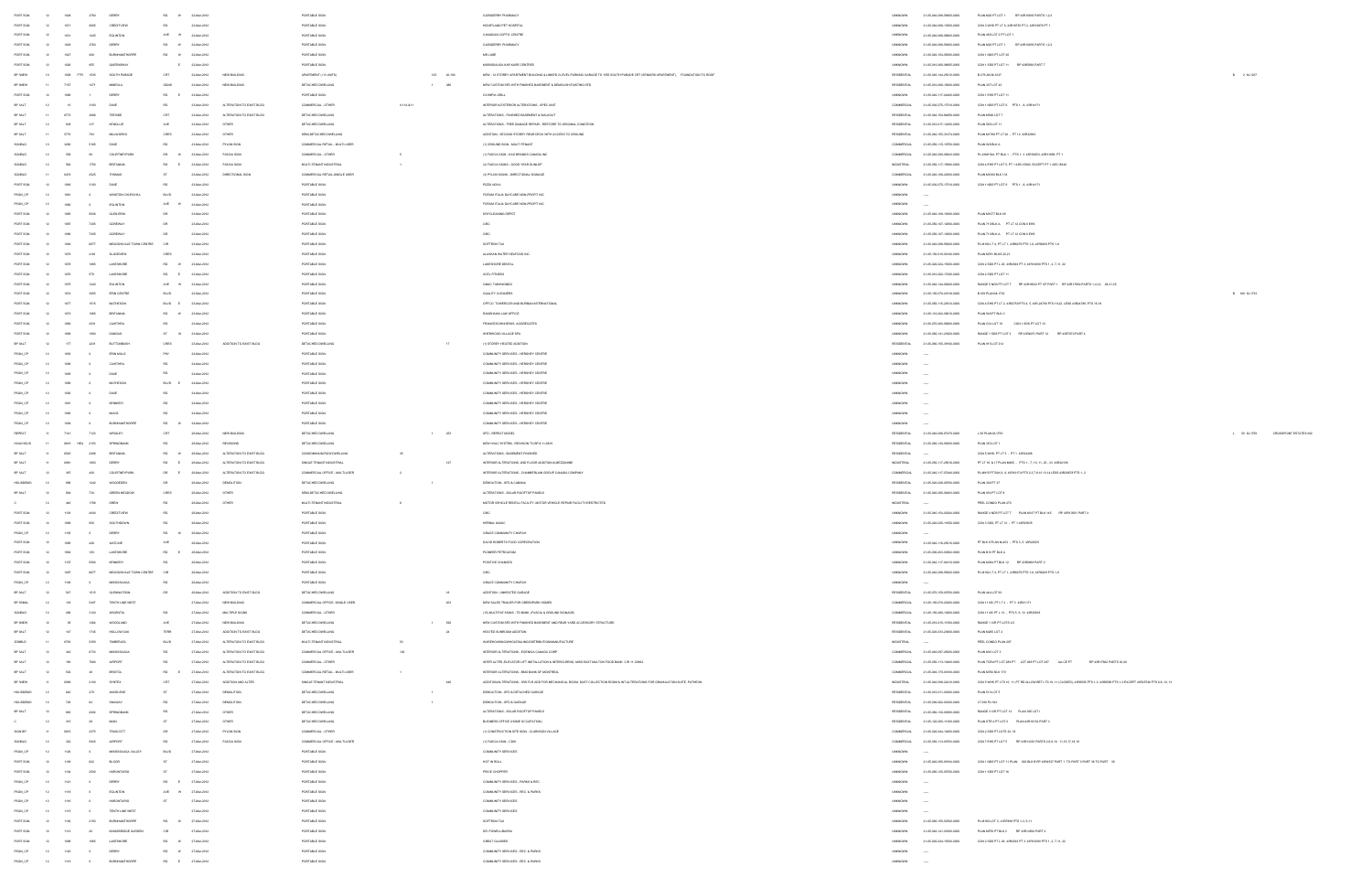### OMAC TAEKWONDO UNKNOWN RANGE 5 NDS PT LOT 7 RP 43R16932 PT OF PART 1 RP 43R17654 PARTS 1-4,12, 28-31,35

### 2, 43R2759 PTS 4, 5, 43R-24789 PTS 19-22, LESS 43R24789, PTS 15-18

## 5 RP 43R13291 PARTS 2,6,8,10, 11,15,17,18,19

| PORT SGN<br>PORT SGN<br>PORT SGN<br>PORT SGN<br>PORT SGN<br>PORT SGN<br>BP 3NEW<br>BP 9NEW<br>PORT SGN<br>12<br>BP 3ALT<br>BP 9ALT<br>BP 9ALT<br>BP 9ALT<br>SGNBLD<br>SGNBLD<br>SGNBLD                                                                                                                                          | 12 1028<br>1071<br>12<br>12<br>1031<br>1029<br>12<br>12<br>1027<br>12<br>1026 | 6085           | 2760<br>DERRY<br>CREDITVIET    |              | RD W 22-Mar-2012   |                          |                                |            |            |                                                                                                                                     |                    |                          |                                                                                                                                |                                   |
|---------------------------------------------------------------------------------------------------------------------------------------------------------------------------------------------------------------------------------------------------------------------------------------------------------------------------------|-------------------------------------------------------------------------------|----------------|--------------------------------|--------------|--------------------|--------------------------|--------------------------------|------------|------------|-------------------------------------------------------------------------------------------------------------------------------------|--------------------|--------------------------|--------------------------------------------------------------------------------------------------------------------------------|-----------------------------------|
|                                                                                                                                                                                                                                                                                                                                 |                                                                               |                |                                |              |                    |                          | PORTABLE SIGN                  |            |            | GLENDERRY PHARMACY                                                                                                                  | <b>UNKNOWN</b>     | 21-05-040-098-58900-0000 | PLAN M20 PT LOT 1 RP 43R10835 PARTS 1,2,3                                                                                      |                                   |
|                                                                                                                                                                                                                                                                                                                                 |                                                                               |                |                                | <b>RD</b>    | 22-Mar-2012        |                          | PORTABLE SIGN                  |            |            | HEARTLAND PET HOSPITAL                                                                                                              | <b>UNKNOWN</b>     | 21-05-040-098-13500-0000 | CON 3 WHS PT LT 6, 43R18735 PT 2, 43R19876 PT 1                                                                                |                                   |
|                                                                                                                                                                                                                                                                                                                                 |                                                                               |                | 1245<br>EGLINTON               |              | AVE W 22-Mar-2012  |                          | PORTABLE SIGN                  |            |            | CANADIAN COPTIC CENTRE                                                                                                              | <b>UNKNOWN</b>     | 21-05-040-098-08600-0000 | PLAN 465 LOT 2 PT LOT 1                                                                                                        |                                   |
|                                                                                                                                                                                                                                                                                                                                 |                                                                               | 2760           | DERRY                          |              | RD W 22-Mar-2012   |                          | PORTABLE SIGN                  |            |            | <b>GLENDERRY PHARMACY</b>                                                                                                           | <b>UNKNOWN</b>     | 21-05-040-098-58900-0000 | PLAN M20 PT LOT 1 RP 43R10835 PARTS 1,2,3                                                                                      |                                   |
|                                                                                                                                                                                                                                                                                                                                 |                                                                               | 628            | BURNHAMTHORP                   |              | RD W 22-Mar-2012   |                          | PORTABLE SIGN                  |            |            | MR LUBE                                                                                                                             | <b>UNKNOWN</b>     | 21-05-040-154-05000-0000 | CON 1 NDS PT LOT 20                                                                                                            |                                   |
|                                                                                                                                                                                                                                                                                                                                 |                                                                               | 655            | QUEENSWA'                      |              | E 22-Mar-2012      |                          | PORTABLE SIGN                  |            |            | MISSISSAUGA KAR KARE CENTRES                                                                                                        | <b>UNKNOWN</b>     | 21-05-010-060-08605-0000 | CON 1 SDS PT LOT 11 RP 43R5663 PART 7                                                                                          |                                   |
|                                                                                                                                                                                                                                                                                                                                 | 10                                                                            | 1008 FTR 1535  | SOUTH PARADI                   | CRT          | 22-Mar-2012        | NEW BUILDING             | APARTMENT (> 6 UNITS)          |            | 125 20,190 | NEW - 12 STOREY APARTMENT BUILDING & LINKED 2 LEVEL PARKING GARAGE TO 1555 SOUTH PARADE CRT (SENIORS APARTMENT), FOUNDATION TO ROOF | <b>RESIDENTIAL</b> | 21-05-040-144-25010-0000 | <b>B 2 PLAN M-1237</b>                                                                                                         | B 2 M-1237                        |
|                                                                                                                                                                                                                                                                                                                                 | 7157<br>11                                                                    | 1271           | <b>MINEOLA</b>                 | <b>GDNS</b>  | 23-Mar-2012        | NEW BUILDING             | DETACHED DWELLING              |            | 1 386      | NEW CUSTOM SFD WITH FINISHED BASEMENT & DEMOLISH EXISTING SFD                                                                       | RESIDENTIAL        | 21-05-010-008-18200-0000 | PLAN 337 LOT 43                                                                                                                |                                   |
|                                                                                                                                                                                                                                                                                                                                 | 1066                                                                          | 1              | DERRY                          |              | RD E 23-Mar-2012   |                          | PORTABLE SIGN                  |            |            | OLYMPIA GRILL                                                                                                                       | <b>UNKNOWN</b>     | 21-05-040-117-24400-0000 | CON 1 EHS PT LOT 11                                                                                                            |                                   |
|                                                                                                                                                                                                                                                                                                                                 |                                                                               |                |                                |              |                    |                          |                                |            |            |                                                                                                                                     |                    |                          |                                                                                                                                |                                   |
|                                                                                                                                                                                                                                                                                                                                 | 12<br>10                                                                      |                | 3100<br>DIXIE                  | <b>RD</b>    | 23-Mar-2012        | ALTERATION TO EXIST BLDG | COMMERCIAL - OTHER             | 9,11A & 11 |            | INTERIOR & EXTERIOR ALTERATIONS - SPEC UNIT                                                                                         | COMMERCIAL         | 21-05-030-075-17510-0000 | CON 1 NDS PT LOT 6 PTS 1 - 8, 43R14171                                                                                         |                                   |
|                                                                                                                                                                                                                                                                                                                                 | $-11$<br>6773                                                                 | 2086           | TEESIDE                        | CRT          | 23-Mar-2012        | ALTERATION TO EXIST BLDG | DETACHED DWELLING              |            |            | ALTERATIONS - FINISHED BASEMENT & WALKOUT                                                                                           | RESIDENTIAL        | 21-05-040-154-84656-0000 | PLAN M548 LOT 7                                                                                                                |                                   |
|                                                                                                                                                                                                                                                                                                                                 | 638<br>12                                                                     | 317            | KENOLLIE                       | AVE          | 23-Mar-2012        | OTHER                    | DETACHED DWELLING              |            |            | ALTERATIONS - TREE DAMAGE REPAIR - RESTORE TO ORIGINAL CONDITION                                                                    | <b>RESIDENTIAL</b> | 21-05-010-017-12200-0000 | PLAN 565 LOT 11                                                                                                                |                                   |
|                                                                                                                                                                                                                                                                                                                                 | $-11$<br>5770                                                                 | 783            | MILLWORKS                      | CRES         | 23-Mar-2012        | OTHER                    | SEMI-DETACHED DWELLING         |            |            | ADDITION - SECOND STOREY REAR DECK WITH ACCESS TO GROUND                                                                            | RESIDENTIAL        | 21-05-040-155-31274-0000 | PLAN M1786 PT LT 20 - PT 12 43R32900                                                                                           |                                   |
|                                                                                                                                                                                                                                                                                                                                 | 10<br>3280                                                                    | 5165           | DIXIE                          | <b>RD</b>    | 23-Mar-2012        | PYLON SIGN               | COMMERCIAL RETAIL - MULTI-USER |            |            | (1) GROUND SIGN - MULTI TENANT                                                                                                      | <b>COMMERCIAL</b>  | 21-05-050-115-19750-0000 | PLAN 928 BLK A                                                                                                                 |                                   |
|                                                                                                                                                                                                                                                                                                                                 | 12<br>558                                                                     | 60             | COURTNEYPARK                   | $DR$ $W$     | 23-Mar-2012        | <b>FASCIA SIGN</b>       | COMMERCIAL - OTHER             |            |            | (1) FASCIA SIGN - KAO BRANDS CANADA INC                                                                                             | COMMERCIAL         | 21-05-040-099-09643-0000 | PL 43M1544, PT BLK 1 - PTS 1, 3 43R30653, 43R31858, PT 1                                                                       |                                   |
|                                                                                                                                                                                                                                                                                                                                 | 12<br>562                                                                     |                | 1750<br>BRITANNIA              | $RD$ $E$     | 23-Mar-2012        | FASCIA SIGN              | MULTI-TENANT INDUSTRIAL        |            |            | (2) FASCIA SIGNS - GOOD YEAR DUNLOP                                                                                                 | <b>INDUSTRIAL</b>  | 21-05-050-117-15900-0000 | CON 4 EHS PT LOT 5, PT 1 43R-15060, EXCEPT PT 1 43R-18340                                                                      |                                   |
| SGNBLD                                                                                                                                                                                                                                                                                                                          | 6474<br>$-11$                                                                 |                | 2525<br>THOMAS                 |              | 23-Mar-2012        | DIRECTIONAL SIGN         | COMMERCIAL RETAIL-SINGLE USER  |            |            | (3) PYLON SIGNS - DIRECTIONAL SIGNAGE                                                                                               | COMMERCIAL         | 21-05-040-108-20000-0000 | PLAN M1000 BLK 133                                                                                                             |                                   |
| PORT SGN                                                                                                                                                                                                                                                                                                                        | 12<br>1083                                                                    | 3100           | DIXIE                          | <b>RD</b>    | 23-Mar-2012        |                          | PORTABLE SIGN                  |            |            | PIZZA NOVA                                                                                                                          | <b>UNKNOWN</b>     | 21-05-030-075-17510-0000 | CON 1 NDS PT LOT 6 PTS 1 - 8, 43R14171                                                                                         |                                   |
| PSGN_CP                                                                                                                                                                                                                                                                                                                         | 12<br>1081                                                                    | $\circ$        | WINSTON CHURCHILI              | <b>BLVD</b>  | 23-Mar-2012        |                          | PORTABLE SIGN                  |            |            | FORUM ITALIA DAYCARE NON-PROFIT INC                                                                                                 | <b>UNKNOWN</b>     |                          |                                                                                                                                |                                   |
|                                                                                                                                                                                                                                                                                                                                 | 12<br>1080                                                                    | $\sim$         | EGLINTON                       |              |                    |                          | PORTABLE SIGN                  |            |            | FORUM ITALIA DAYCARE NON-PROFIT INC                                                                                                 | <b>UNKNOWN</b>     | $\sim$                   |                                                                                                                                |                                   |
| PSGN_CP                                                                                                                                                                                                                                                                                                                         |                                                                               |                |                                |              | AVE W 23-Mar-2012  |                          |                                |            |            |                                                                                                                                     |                    |                          |                                                                                                                                |                                   |
| PORT SGN                                                                                                                                                                                                                                                                                                                        | 12<br>1065                                                                    | 5636           | <b>GLEN ERIN</b>               | <b>DR</b>    | 23-Mar-2012        |                          | PORTABLE SIGN                  |            |            | DRYCLEANING DEPOT                                                                                                                   | <b>UNKNOWN</b>     | 21-05-040-108-10000-0000 | PLAN M1077 BLK 99                                                                                                              |                                   |
| PORT SGN                                                                                                                                                                                                                                                                                                                        | 12<br>1087                                                                    |                | 7205<br>GOREWAY                | <b>DR</b>    | 23-Mar-2012        |                          | PORTABLE SIGN                  |            |            | CIBC                                                                                                                                | <b>UNKNOWN</b>     | 21-05-050-107-12600-0000 | PLAN 710 BLK A PT LT 12 CON 8 EHS                                                                                              |                                   |
| PORT SGN                                                                                                                                                                                                                                                                                                                        | 1086<br>12                                                                    | 7205           | GOREWAY                        | <b>DR</b>    | 23-Mar-2012        |                          | PORTABLE SIGN                  |            |            | CIBC                                                                                                                                | <b>UNKNOWN</b>     | 21-05-050-107-12600-0000 | PLAN 710 BLK A PT LT 12 CON 8 EHS                                                                                              |                                   |
| PORT SGN                                                                                                                                                                                                                                                                                                                        | 1084<br>12                                                                    |                | 6677<br>MEADOWVALE TOWN CENTRE | CIR          | 23-Mar-2012        |                          | PORTABLE SIGN                  |            |            | SOFTRON TAX                                                                                                                         | UNKNOWN            | 21-05-040-098-56920-0000 | PL M182 LT 4, PT LT 1, 43R6079 PTS 1-6, 43R6209 PTS 1-9                                                                        |                                   |
| PORT SGN                                                                                                                                                                                                                                                                                                                        | 1079<br>12                                                                    | 4181           | SLADEVIEW                      | CRES         | 23-Mar-2012        |                          | PORTABLE SIGN                  |            |            | ALASKAN WATER SEAFOOD INC                                                                                                           | <b>UNKNOWN</b>     | 21-05-150-010-00140-0000 | PLAN M781 BLKS 20,21                                                                                                           |                                   |
| PORT SGN                                                                                                                                                                                                                                                                                                                        | 12<br>1078                                                                    |                | 1865<br>LAKESHOR               |              | RD W 23-Mar-2012   |                          | PORTABLE SIGN                  |            |            | LAKESHORE DENTAL                                                                                                                    | <b>UNKNOWN</b>     | 21-05-020-024-15300-0000 | CON 2 SDS PT L 29, 43R4543 PT 3, 43R12090 PTS 1, 2, 7-11, 22                                                                   |                                   |
| PORT SGN                                                                                                                                                                                                                                                                                                                        | 1076<br>12                                                                    | 579            | LAKESHORE                      |              | RD E 23-Mar-2012   |                          | PORTABLE SIGN                  |            |            | XCEL FITNESS                                                                                                                        | UNKNOWN            | 21-05-010-002-17200-0000 | CON 2 SDS PT LOT 11                                                                                                            |                                   |
| PORT SGN                                                                                                                                                                                                                                                                                                                        | 1075<br>12                                                                    |                | 1240<br>EGLINTON               |              | AVE W 23-Mar-2012  |                          | PORTABLE SIGN                  |            |            | OMAC TAEKWONDO                                                                                                                      | UNKNOWN            | 21-05-040-144-06200-0000 | RANGE 5 NDS PT LOT 7 RP 43R16932 PT OF PART 1 RP 43R17654 PARTS 1-4,12, 28-31,35                                               |                                   |
| PORT SGN                                                                                                                                                                                                                                                                                                                        | 1074<br>12                                                                    |                | 3955<br>ERIN CENTRE            | BLVD         | 23-Mar-2012        |                          | PORTABLE SIGN                  |            |            | QUALITY CLEANERS                                                                                                                    | <b>UNKNOWN</b>     | 21-05-150-070-21818-0000 | B 169 PLAN M-1733                                                                                                              | B 169 M-1733                      |
| PORT SGN                                                                                                                                                                                                                                                                                                                        | 12<br>1077                                                                    | 1515           | MATHESON                       |              | BLVD E 23-Mar-2012 |                          | PORTABLE SIGN                  |            |            | OFFCO TOWERCOR AND BURBAN INTERNATIONAL                                                                                             | <b>UNKNOWN</b>     | 21-05-050-115-20510-0000 | CON 4 EHS PT LT 2, 43R2759 PTS 4, 5, 43R-24789 PTS 19-22, LESS 43R24789, PTS 15-18                                             |                                   |
| PORT SGN                                                                                                                                                                                                                                                                                                                        | 12<br>1073                                                                    | 1965           | BRITANNIA                      |              | RD W 23-Mar-2012   |                          | PORTABLE SIGN                  |            |            | RANDHAWA LAW OFFICE                                                                                                                 | <b>UNKNOWN</b>     | 21-05-110-002-09610-0000 | PLAN 548 PT BLK C                                                                                                              |                                   |
|                                                                                                                                                                                                                                                                                                                                 | 12<br>1069                                                                    |                | CAWTHRA                        |              |                    |                          |                                |            |            |                                                                                                                                     | <b>UNKNOWN</b>     |                          | PLAN G14 LOT 19 CON 1 SDS PT LOT 10                                                                                            |                                   |
| PORT SGN                                                                                                                                                                                                                                                                                                                        |                                                                               |                | 2531                           | <b>RD</b>    | 23-Mar-2012        |                          | PORTABLE SIGN                  |            |            | FRANCESCHINI BROS. AGGREGATES                                                                                                       |                    | 21-05-070-060-06600-0000 |                                                                                                                                |                                   |
| PORT SGN                                                                                                                                                                                                                                                                                                                        | 12<br>1068                                                                    | 1900           | <b>DUNDAS</b>                  |              | ST W 23-Mar-2012   |                          | PORTABLE SIGN                  |            |            | SHERWOOD VILLAGE SPA                                                                                                                | <b>UNKNOWN</b>     | 21-05-060-141-23920-0000 | RANGE 1 SDS PT LOT 2 RP 43R4051 PART 12 RP 43R7072 PART 4                                                                      |                                   |
| BP 9ALT                                                                                                                                                                                                                                                                                                                         | 177<br>12                                                                     | 2231           | BUTTONBUSH                     | CRES         | 23-Mar-2012        | ADDITION TO EXIST BLDG   | DETACHED DWELLING              |            | 17         | (1) STOREY HEATED ADDITION                                                                                                          | RESIDENTIAL        | 21-05-060-155-39100-0000 | PLAN 915 LOT 212                                                                                                               |                                   |
| PSGN_CP                                                                                                                                                                                                                                                                                                                         | 1093<br>12                                                                    | $\sim$         | <b>ERIN MILLS</b>              | PKY          | 24-Mar-2012        |                          | PORTABLE SIGN                  |            |            | COMMUNITY SERVICES - HERSHEY CENTRE                                                                                                 | <b>UNKNOWN</b>     |                          |                                                                                                                                |                                   |
| PSGN_CP                                                                                                                                                                                                                                                                                                                         | 1096<br>12                                                                    | $\circ$        | CAWTHRA                        | <b>RD</b>    | 24-Mar-2012        |                          | PORTABLE SIGN                  |            |            | COMMUNITY SERVICES - HERSHEY CENTRE                                                                                                 | UNKNOWN            | $\sim$                   |                                                                                                                                |                                   |
| PSGN_CP                                                                                                                                                                                                                                                                                                                         | 1095<br>12                                                                    | $\sim$         | DIXIE                          | <b>RD</b>    | 24-Mar-2012        |                          | PORTABLE SIGN                  |            |            | COMMUNITY SERVICES - HERSHEY CENTRE                                                                                                 | UNKNOWN            | -                        |                                                                                                                                |                                   |
| PSGN_CP                                                                                                                                                                                                                                                                                                                         | 1089<br>12                                                                    | $\overline{0}$ | MATHESON                       |              | BLVD E 24-Mar-2012 |                          | PORTABLE SIGN                  |            |            | COMMUNITY SERVICES - HERSHEY CENTRE                                                                                                 | <b>UNKNOWN</b>     |                          |                                                                                                                                |                                   |
| PSGN_CP                                                                                                                                                                                                                                                                                                                         | 1092<br>12                                                                    | $\sim$         | DIXIE                          | <b>RD</b>    | 24-Mar-2012        |                          | PORTABLE SIGN                  |            |            | COMMUNITY SERVICES - HERSHEY CENTRE                                                                                                 | <b>UNKNOWN</b>     |                          |                                                                                                                                |                                   |
| PSGN_CP                                                                                                                                                                                                                                                                                                                         | 1091<br>12                                                                    | $\circ$        | KENNEDY                        | <b>RD</b>    | 24-Mar-2012        |                          | PORTABLE SIGN                  |            |            | COMMUNITY SERVICES - HERSHEY CENTRE                                                                                                 | <b>UNKNOWN</b>     |                          |                                                                                                                                |                                   |
| PSGN_CP                                                                                                                                                                                                                                                                                                                         | 1090<br>12                                                                    | $\circ$        | MAVIS                          | <b>RD</b>    | 24-Mar-2012        |                          | PORTABLE SIGN                  |            |            | COMMUNITY SERVICES - HERSHEY CENTRE                                                                                                 | <b>UNKNOWN</b>     |                          |                                                                                                                                |                                   |
| PSGN_CP                                                                                                                                                                                                                                                                                                                         | 1094<br>12                                                                    | $\sim$         | BURNHAMTHORPE                  | RD W         | 24-Mar-2012        |                          | PORTABLE SIGN                  |            |            | COMMUNITY SERVICES - HERSHEY CENTRE                                                                                                 | <b>UNKNOWN</b>     |                          |                                                                                                                                |                                   |
| REPEAT                                                                                                                                                                                                                                                                                                                          | $-11$<br>7141                                                                 |                | 7123<br>WRIGLEY                | CRT          | 26-Mar-2012        | NEW BUILDING             | DETACHED DWELLING              |            | 1253       | SFD - REPEAT MODEL                                                                                                                  | RESIDENTIAL        | 21-05-040-096-87479-0000 | L 50 PLAN M-1759                                                                                                               | L 50 M-1759 CROSSPOINT ESTATES IN |
|                                                                                                                                                                                                                                                                                                                                 | $-11$                                                                         |                | SPRINGBANK                     |              |                    | <b>REVISIONS</b>         |                                |            |            |                                                                                                                                     | <b>RESIDENTIAL</b> |                          |                                                                                                                                |                                   |
| <b>HVACHOUS</b>                                                                                                                                                                                                                                                                                                                 |                                                                               | 6619 HEA 2153  |                                | <b>RD</b>    | 26-Mar-2012        |                          | DETACHED DWELLING              |            |            | NEW HVAC SYSTEM - REVISION TO BP # 11-6619                                                                                          |                    | 21-05-060-130-08300-0000 | PLAN 353 LOT 1                                                                                                                 |                                   |
| BP 9ALT                                                                                                                                                                                                                                                                                                                         | $-11$<br>6545                                                                 | 2288           | BRITANNIA                      |              | RD W 26-Mar-2012   | ALTERATION TO EXIST BLDG | CONDOMINIUM ROW DWELLING       | 35         |            | ALTERATIONS - BASEMENT-FINISHED                                                                                                     | <b>RESIDENTIAL</b> | $\sim$                   | CON 5 WHS, PT LT 5 - PT 1 43R34298                                                                                             |                                   |
| BP 3ALT                                                                                                                                                                                                                                                                                                                         | $-11$<br>6981                                                                 | 1850           | DERRY                          |              | RD E 26-Mar-2012   | ALTERATION TO EXIST BLDG | SINGLE TENANT INDUSTRIAL       |            | 127        | INTERIOR ALTERATIONS, 2ND FLOOR ADDITION & MEZZANINE                                                                                | <b>INDUSTRIAL</b>  | 21-05-050-117-25616-0000 | PT LT 16 & 17 PLAN M805 - PTS 1 - 7, 10, 11, 25 - 33 43R22106                                                                  |                                   |
| BP 3ALT                                                                                                                                                                                                                                                                                                                         | 12<br>387                                                                     | 400            | COURTNEYPARK                   |              | DR E 26-Mar-2012   | ALTERATION TO EXIST BLDG | COMMERCIAL OFFICE - MULTI-USER |            |            | INTERIOR ALTERATIONS - CHAMBERLAIN GROUP CANADA COMPANY                                                                             | COMMERCIAL         | 21-05-040-117-07440-0000 | PL M915 PT BLK 6, 8, 43R19174 PTS 2,3,7,8,10 13,14 LESS 43R29578 PTS 1, 2                                                      |                                   |
| <b>HOUSDEMO</b>                                                                                                                                                                                                                                                                                                                 | 12<br>666                                                                     |                |                                |              | 26-Mar-2012        | DEMOLITION               | DETACHED DWELLING              | $-1$       |            | DEMOLITION - SFD & CABANA                                                                                                           |                    | 21-05-020-028-08700-0000 | PLAN 392 PT 37                                                                                                                 |                                   |
|                                                                                                                                                                                                                                                                                                                                 | 12<br>664                                                                     |                | 1242<br>WOODEDEN               | DR.          |                    |                          |                                |            |            |                                                                                                                                     | RESIDENTIAL        |                          |                                                                                                                                |                                   |
| BP 9ALT                                                                                                                                                                                                                                                                                                                         |                                                                               | 734            | <b>GREEN MEADOW</b>            | ${\tt CRES}$ | 26-Mar-2012        | OTHER                    | SEMI-DETACHED DWELLING         |            |            | ALTERATIONS - SOLAR ROOFTOP PANELS                                                                                                  | RESIDENTIAL        | 21-05-040-095-06403-0000 | PLAN 903 PT LOT 8                                                                                                              |                                   |
| $\mathbb C$ and $\mathbb C$ and $\mathbb C$ and $\mathbb C$ and $\mathbb C$ and $\mathbb C$ and $\mathbb C$ and $\mathbb C$ and $\mathbb C$ and $\mathbb C$ and $\mathbb C$ and $\mathbb C$ and $\mathbb C$ and $\mathbb C$ and $\mathbb C$ and $\mathbb C$ and $\mathbb C$ and $\mathbb C$ and $\mathbb C$ and $\mathbb C$ and | 12 440                                                                        |                | 1788<br>DREW                   | <b>RD</b>    | 26-Mar-2012        | OTHER                    | MULTI-TENANT INDUSTRIAL        |            |            | MOTOR VEHICLE RENTAL FACILITY, MOTOR VEHICLE REPAIR FACILITY-RESTRICTED                                                             | <b>INDUSTRIAL</b>  | $\sim$                   | PEEL CONDO PLAN 270                                                                                                            |                                   |
| PORT SGN                                                                                                                                                                                                                                                                                                                        | 12<br>1103                                                                    |                | 4040<br>CREDITVIEV             |              | 26-Mar-2012        |                          | PORTABLE SIGN                  |            |            |                                                                                                                                     | <b>UNKNOWN</b>     | 21-05-040-154-02204-0000 | RANGE 4 NDS PT LOT 7 PLAN M317 PT BLK 145 RP 43R10501 PART 4                                                                   |                                   |
| PORT SGN                                                                                                                                                                                                                                                                                                                        | 12<br>1088                                                                    | 950            | SOUTHDOWN                      | <b>RD</b>    | 26-Mar-2012        |                          | PORTABLE SIGN                  |            |            | HERBAL MAGIC                                                                                                                        | <b>UNKNOWN</b>     | 21-05-020-025-11650-0000 | CON 3 SDS, PT LT 31 - PT 1 43R25635                                                                                            |                                   |
| PSGN_CP                                                                                                                                                                                                                                                                                                                         | 12<br>1105                                                                    | $\circ$        | DERRY                          |              | RD W 26-Mar-2012   |                          | PORTABLE SIGN                  |            |            | <b>GRACE COMMUNITY CHURCH</b>                                                                                                       | UNKNOWN            |                          |                                                                                                                                |                                   |
| PORT SGN                                                                                                                                                                                                                                                                                                                        | 1085<br>12                                                                    | 426            | WATLINE                        | AVE          | 26-Mar-2012        |                          | PORTABLE SIGN                  |            |            | DAVID ROBERTS FOOD CORPORATION                                                                                                      | <b>UNKNOWN</b>     | 21-05-040-116-25010-0000 | PT BLK 9 PLAN M-453 - PTS 3, 5 43R22525                                                                                        |                                   |
| PORT SGN                                                                                                                                                                                                                                                                                                                        | 12<br>1082                                                                    | 150            | LAKESHORE                      |              | RD E 26-Mar-2012   |                          | PORTABLE SIGN                  |            |            | PIONEER PETROLEUM                                                                                                                   | <b>UNKNOWN</b>     | 21-05-090-003-03802-0000 | PLAN B10 PT BLK A                                                                                                              |                                   |
| PORT SGN                                                                                                                                                                                                                                                                                                                        | 12<br>1107                                                                    | 5580           | KENNEDY                        | <b>RD</b>    | 26-Mar-2012        |                          | PORTABLE SIGN                  |            |            | POSITIVE CHANGES                                                                                                                    | <b>UNKNOWN</b>     | 21-05-040-117-04310-0000 | PLAN M364 PT BLK 12 RP 43R8968 PART 2                                                                                          |                                   |
| PORT SGN                                                                                                                                                                                                                                                                                                                        | 12<br>1097                                                                    | 6677           | MEADOWVALE TOWN CENTRE         | CIR          | 26-Mar-2012        |                          | PORTABLE SIGN                  |            |            | CIBC                                                                                                                                | <b>UNKNOWN</b>     | 21-05-040-098-56920-0000 | PL M182 LT 4, PT LT 1, 43R6079 PTS 1-6, 43R6209 PTS 1-9                                                                        |                                   |
| PSGN_CP                                                                                                                                                                                                                                                                                                                         | 1106<br>12                                                                    | $\sim$         | MISSISSAUGA                    | <b>RD</b>    | 26-Mar-2012        |                          | PORTABLE SIGN                  |            |            | GRACE COMMUNITY CHURCH                                                                                                              | <b>UNKNOWN</b>     | $\sim$                   |                                                                                                                                |                                   |
|                                                                                                                                                                                                                                                                                                                                 |                                                                               |                |                                |              |                    |                          |                                |            |            |                                                                                                                                     |                    |                          |                                                                                                                                |                                   |
| BP 9ALT                                                                                                                                                                                                                                                                                                                         | 12<br>547                                                                     | 1515           | <b>GLENWATSON</b>              | <b>DR</b>    | 26-Mar-2012        | ADDITION TO EXIST BLDG   | DETACHED DWELLING              |            | 18         | ADDITION - UNHEATED GARAGE                                                                                                          | RESIDENTIAL        | 21-05-070-159-00700-0000 | PLAN 444 LOT 93                                                                                                                |                                   |
| BP 9SMAL                                                                                                                                                                                                                                                                                                                        | 103<br>12                                                                     | 5497           | TENTH LINE WEST                |              | 27-Mar-2012        | NEW BUILDING             | COMMERCIAL OFFICE- SINGLE USER |            | 203        | NEW SALES TRAILER FOR GREENPARK HOMES                                                                                               | COMMERCIAL         | 21-05-150-070-20200-0000 | CON 11 NS, PT LT 3 - PT 3 43R31171                                                                                             |                                   |
| SGNBLD                                                                                                                                                                                                                                                                                                                          | 266<br>12                                                                     |                | 3120<br>ARGENTIA               | <b>RD</b>    | 27-Mar-2012        | MULTIPLE SIGNS           | COMMERCIAL - OTHER             |            |            | (15) MULTIPLE SIGNS - TD BANK, (FASCIA & GROUND SIGNAGE)                                                                            | <b>COMMERCIAL</b>  | 21-05-150-080-13600-0000 | CON 11 NS PT L 13 - PTS 5, 9, 10 43R25818                                                                                      |                                   |
| BP 9NEW                                                                                                                                                                                                                                                                                                                         | 12<br>95                                                                      |                | 1264<br>WOODLAND               | AVE          | 27-Mar-2012        | NEW BUILDING             | DETACHED DWELLING              |            | 1 526      | NEW CUSTOM SFD WITH FINISHED BASEMENT AND REAR YARD ACCESSORY STRUCTURE.                                                            | RESIDENTIAL        | 21-05-010-015-11500-0000 | RANGE 1 CIR PT LOTS 4,5                                                                                                        |                                   |
| BP 9ALT                                                                                                                                                                                                                                                                                                                         | 12<br>147                                                                     |                | 1745<br>HOLLOW OAK             | TERR         | 27-Mar-2012        | ADDITION TO EXIST BLDG   | DETACHED DWELLING              |            | $24\,$     | HEATED SUNROOM ADDITION                                                                                                             | <b>RESIDENTIAL</b> | 21-05-020-033-23600-0000 | PLAN M265 LOT 2                                                                                                                |                                   |
| ZONBLD                                                                                                                                                                                                                                                                                                                          | 6763                                                                          | 5359           | TIMBERLEA                      | BLVD         | 27-Mar-2012        | ALTERATION TO EXIST BLDG | MULTI-TENANT INDUSTRIAL        | 53         |            | WAREHOUSING/WHOLESALING/DISTRIBUTION/MANUFACTURE                                                                                    | <b>INDUSTRIAL</b>  |                          | PEEL CONDO PLAN 297                                                                                                            |                                   |
| BP 3ALT                                                                                                                                                                                                                                                                                                                         | 12<br>342                                                                     |                | 6733<br>MISSISSAUGA            | <b>RD</b>    | 27-Mar-2012        | ALTERATION TO EXIST BLDG | COMMERCIAL OFFICE - MULTI-USER |            |            | INTERIOR ALTERATIONS - EGENGIA CANADA CORP                                                                                          | COMMERCIAL         | 21-05-040-097-26000-0000 | PLAN M10 LOT 3                                                                                                                 |                                   |
| BP 3ALT                                                                                                                                                                                                                                                                                                                         | 160<br>12                                                                     | 7060           | AIRPORT                        | <b>RD</b>    | 27-Mar-2012        | ALTERATION TO EXIST BLDG | COMMERCIAL - OTHER             |            |            | INTER ALTER -ELEVATOR LIFT INSTALLATION & INTERIO-RENO, MISS EAST MALTON FOOD BANK C/R 11-C6892                                     | COMMERCIAL         | 21-05-050-113-10400-0000 | PLAN TOR4 PT LOT 289 PT LOT 288 PT LOT 287 ALLCE PT RP 43R17662 PARTS 30,40                                                    |                                   |
| BP 3ALT                                                                                                                                                                                                                                                                                                                         | 502<br>12                                                                     | 40             | <b>BRISTOL</b>                 | $RD$ $E$     | 27-Mar-2012        | ALTERATION TO EXIST BLDG | COMMERCIAL RETAIL - MULTI-USER |            |            | INTERIOR ALTERATIONS - BMO BANK OF MONTREAL                                                                                         | COMMERCIAL         | 21-05-040-170-00100-0000 | PLAN M782 BLK 179                                                                                                              |                                   |
| BP 3NEW                                                                                                                                                                                                                                                                                                                         | $-11$<br>6089                                                                 |                | 2100<br>SYNTEX                 | CRT          | 27-Mar-2012        | ADDITION AND ALTER       | SINGLE TENANT INDUSTRIAL       |            | 446        | ADDITION/ALTERATIONS - 3RD FLR ADD FOR MECHANICAL ROOM, DUST COLLECTION ROOM & INT.ALTERATIONS FOR GRANULATION SUITE, PATHEON       | <b>INDUSTRIAL</b>  | 21-05-040-098-22410-0000 | CON 5 WHS PT LTS 10, 11, PT RD ALLOW BET LTS 10, 11 (CLOSED), 43R6595 PTS 1-3, 43R6596 PTS 1-3 EXCEPT 43R25746 PTS 6-8, 12, 13 |                                   |
| <b>HOUSDEMO</b>                                                                                                                                                                                                                                                                                                                 | 12<br>640                                                                     | 279            | ANGELENE                       | ST           | 27-Mar-2012        | DEMOLITION               | DETACHED DWELLING              | $-1$       |            | DEMOLITION - SFD & DETACHED GARAGE                                                                                                  | RESIDENTIAL        | 21-05-010-011-00300-0000 | PLAN 510 LOT 5                                                                                                                 |                                   |
|                                                                                                                                                                                                                                                                                                                                 |                                                                               |                |                                |              |                    |                          |                                | $-1$       |            |                                                                                                                                     |                    |                          |                                                                                                                                |                                   |
| <b>HOUSDEMO</b>                                                                                                                                                                                                                                                                                                                 | 12<br>726                                                                     | 62             | ONAWAY                         | <b>RD</b>    | 27-Mar-2012        | DEMOLITION               | DETACHED DWELLING              |            |            | DEMOLITION - SFD & GARAGE                                                                                                           | RESIDENTIAL        | 21-05-090-002-02300-0000 | LT 290 PL H21                                                                                                                  |                                   |
| BP 9ALT                                                                                                                                                                                                                                                                                                                         | 12<br>663                                                                     | 2092           | SPRINGBAN                      | <b>RD</b>    | 27-Mar-2012        | OTHER                    | DETACHED DWELLING              |            |            | ALTERATIONS - SOLAR ROOFTOP PANELS                                                                                                  | RESIDENTIAL        | 21-05-060-130-09300-0000 | RANGE 3 CIR PT LOT 13 PLAN 395 LOT I                                                                                           |                                   |
|                                                                                                                                                                                                                                                                                                                                 | 315<br>12                                                                     | 28             | MAIN                           | <b>ST</b>    | 27-Mar-2012        | OTHER                    | DETACHED DWELLING              |            |            | BUSINESS OFFICE (HOME OCCUPATION)                                                                                                   | RESIDENTIAL        | 21-05-120-005-11300-0000 | PLAN STR 4 PT LOT 2 PLAN 43R18132 PART 3                                                                                       |                                   |
| SIGN BP                                                                                                                                                                                                                                                                                                                         | $-11 -$<br>6915                                                               |                | 2375<br>TRUSCOTT               | <b>DR</b>    | 27-Mar-2012        | PYLON SIGN               | COMMERCIAL - OTHER             |            |            | (1) CONSTRUCTION SITE SIGN - CLARKSON VILLAGE                                                                                       | COMMERCIAL         | 21-05-020-044-12600-0000 | CON 2 SDS PT LOTS 32, 33                                                                                                       |                                   |
| SGNBLD                                                                                                                                                                                                                                                                                                                          | 12<br>322                                                                     |                | 5925<br>AIRPORT                | <b>RD</b>    | 27-Mar-2012        | <b>FASCIA SIGN</b>       | COMMERCIAL OFFICE - MULTI-USER |            |            | (1) FASCIA SIGN - CDW                                                                                                               | <b>COMMERCIAL</b>  | 21-05-050-113-00703-0000 | CON 7 EHS PT LOT 5 RP 43R13291 PARTS 2,6,8,10, 11,15,17,18,19                                                                  |                                   |
| PSGN_CP                                                                                                                                                                                                                                                                                                                         | 12<br>1126                                                                    | $\overline{0}$ | MISSISSAUGA VALLE              | BLVD         | 27-Mar-2012        |                          | PORTABLE SIGN                  |            |            | COMMUNITY SERVICES                                                                                                                  | <b>UNKNOWN</b>     |                          |                                                                                                                                |                                   |
| PORT SGN                                                                                                                                                                                                                                                                                                                        | 12<br>1109                                                                    | 622            | <b>BLOOR</b>                   |              | 27-Mar-2012        |                          | PORTABLE SIGN                  |            |            | HOT IN ROLL                                                                                                                         | <b>UNKNOWN</b>     | 21-05-040-095-99104-0000 | CON 1 NDS PT LOT 11 PLAN 922 BLK B RP 43R4537 PART 1 TO PART 3 PART 36 TO PART 39                                              |                                   |
| PORT SGN                                                                                                                                                                                                                                                                                                                        | 1104<br>12                                                                    |                | 2500<br><b>HURONTARIO</b>      | <b>ST</b>    | 27-Mar-2012        |                          | PORTABLE SIGN                  |            |            | PRICE CHOPPER                                                                                                                       | <b>UNKNOWN</b>     | 21-05-060-125-05700-0000 | CON 1 SDS PT LOT 16                                                                                                            |                                   |
| PSGN_CP                                                                                                                                                                                                                                                                                                                         | 1121<br>12                                                                    | $\sim$         | DERRY                          |              | RD E 27-Mar-2012   |                          | PORTABLE SIGN                  |            |            | COMMUNITY SERVICES - PARKS & REC                                                                                                    | UNKNOWN            |                          |                                                                                                                                |                                   |
| PSGN_CP                                                                                                                                                                                                                                                                                                                         | 1118<br>12                                                                    | $\sim$         | EGLINTON                       |              | AVE W 27-Mar-2012  |                          | PORTABLE SIGN                  |            |            | COMMUNITY SERVICES - REC. & PARKS                                                                                                   | <b>UNKNOWN</b>     |                          |                                                                                                                                |                                   |
| PSGN_CP                                                                                                                                                                                                                                                                                                                         | 12<br>1116                                                                    | $\sim$         | <b>HURONTARIO</b>              | ST.          | 27-Mar-2012        |                          | PORTABLE SIGN                  |            |            | COMMUNITY SERVICES                                                                                                                  | <b>UNKNOWN</b>     | $\sim$                   |                                                                                                                                |                                   |
| PSGN_CP                                                                                                                                                                                                                                                                                                                         | 12<br>1115                                                                    | $\sim$ 0       | TENTH LINE WEST                |              | 27-Mar-2012        |                          | PORTABLE SIGN                  |            |            | COMMUNITY SERVICES                                                                                                                  | <b>UNKNOWN</b>     | $\sim$                   |                                                                                                                                |                                   |
| PORT SGN                                                                                                                                                                                                                                                                                                                        | 12<br>1100                                                                    |                | 2150<br>BURNHAMTHORPE          |              | RD W 27-Mar-2012   |                          | PORTABLE SIGN                  |            |            | SOFTRON TAX                                                                                                                         | <b>UNKNOWN</b>     | 21-05-060-155-52500-0000 | PL M160 LOT C. 43R7880 PTS 1-3, 5-11                                                                                           |                                   |
| PORT SGN                                                                                                                                                                                                                                                                                                                        | 1112<br>12                                                                    | 20             | KINGSBRIDGE GARDEN             | <b>CIR</b>   | 27-Mar-2012        |                          | PORTABLE SIGN                  |            |            | DR. POWELL/BASRA                                                                                                                    | <b>UNKNOWN</b>     | 21-05-040-141-03300-0000 | PLAN M576 PT BLK 2 RP 43R14594 PART 4                                                                                          |                                   |
| PORT SGN                                                                                                                                                                                                                                                                                                                        | 1098<br>12                                                                    | 1865           | LAKESHORE                      |              | RD W 27-Mar-2012   |                          | PORTABLE SIGN                  |            |            | <b>GREAT GLASSES</b>                                                                                                                | <b>UNKNOWN</b>     | 21-05-020-024-15300-0000 | CON 2 SDS PT L 29, 43R4543 PT 3, 43R12090 PTS 1, 2, 7-11, 22                                                                   |                                   |
| PSGN_CP                                                                                                                                                                                                                                                                                                                         | 12 1120                                                                       | $\sim$ 0       | DERRY                          |              | RD W 27-Mar-2012   |                          | PORTABLE SIGN                  |            |            | COMMUNITY SERVICES - REC. & PARKS                                                                                                   | <b>UNKNOWN</b>     | $\sim$                   |                                                                                                                                |                                   |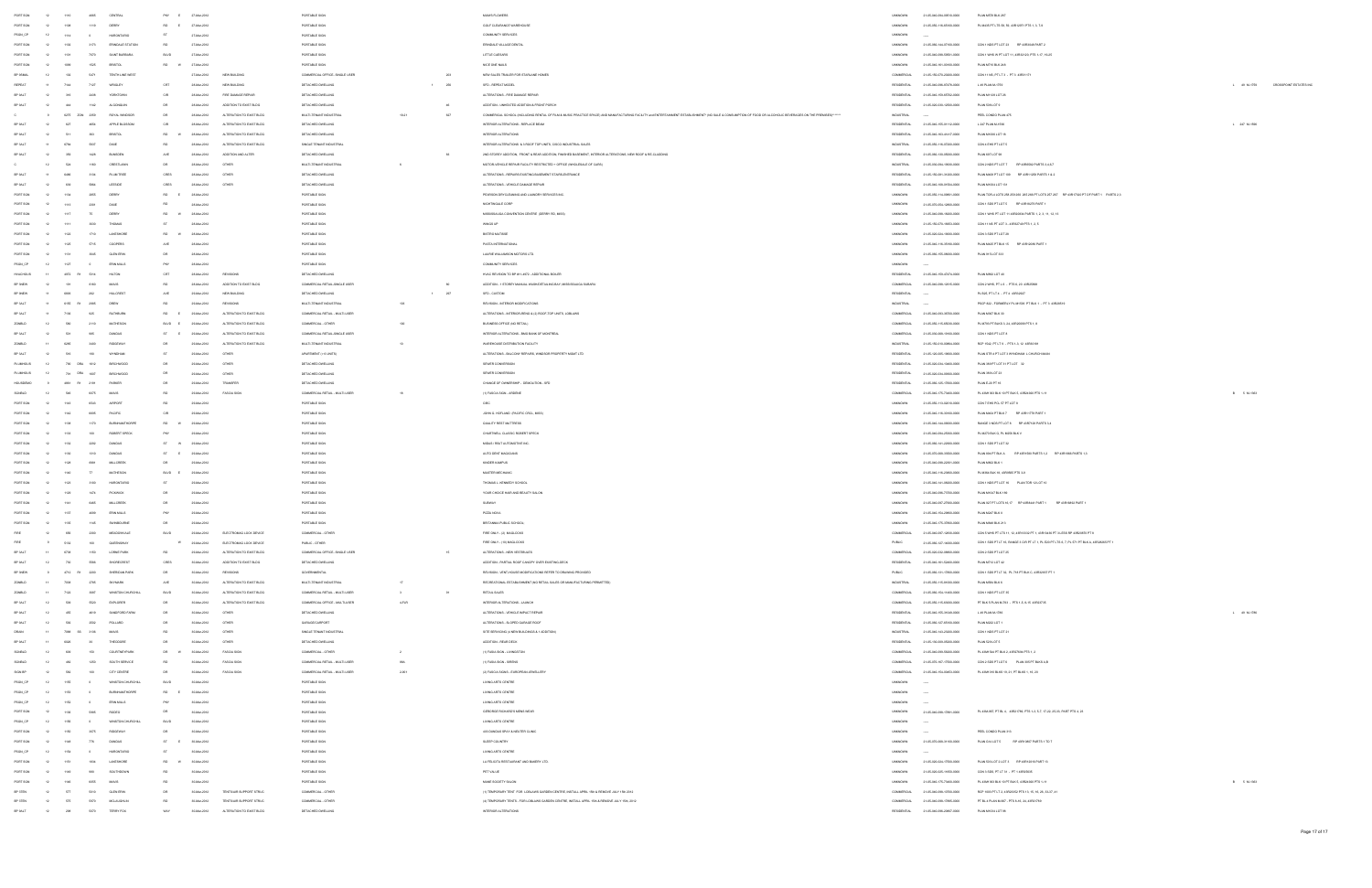### PEARSON DRYCLEANING AND LAUNDRY SERVICES INC. UNKNOWN PLAN TOR-4 LOTS 258 259 260 265 266 PT LOTS 257 267 RP 43R17320 PT OF PART 1 PARTS 2,3

## FIRE ONLY - (10) MAGLOCKS PUBLIC CON 1 SDS PT LT 16, RANGE 3 CIR PT LT 1, PL E20 PT LTS 6, 7, PL 571 PT BLK A, 43R28265 PT 1

| PORT SGN            | 12       | 1110                    | 4665<br><b>CENTRAL</b>                 |                         | PKY E 27-Mar-2012          |                                                    | PORTABLE SIGN                                   |                          |                      | MUMS FLOWERS                                                                                                                                                                                                                                         | <b>UNKNOWN</b>                          | 21-05-040-094-09510-0000                             | <b>PLAN M578 BLK 287</b>                                                                    |                                   |  |
|---------------------|----------|-------------------------|----------------------------------------|-------------------------|----------------------------|----------------------------------------------------|-------------------------------------------------|--------------------------|----------------------|------------------------------------------------------------------------------------------------------------------------------------------------------------------------------------------------------------------------------------------------------|-----------------------------------------|------------------------------------------------------|---------------------------------------------------------------------------------------------|-----------------------------------|--|
| PORT SGN            | 12       | 1108                    | 1119<br>DERRY                          |                         | RD E 27-Mar-2012           |                                                    | PORTABLE SIGN                                   |                          |                      | GOLF CLEARANCE WAREHOUSE                                                                                                                                                                                                                             | <b>UNKNOWN</b>                          | 21-05-050-116-65100-0000                             | PL M435 PT LTS 58, 59, 43R12971 PTS 1, 3, 7-9                                               |                                   |  |
| PSGN_CP             | 12       | 1114<br>$\circ$         | <b>HURONTARIC</b>                      | ST                      | 27-Mar-2012                |                                                    | PORTABLE SIGN                                   |                          |                      | COMMUNITY SERVICES                                                                                                                                                                                                                                   | <b>UNKNOWN</b>                          |                                                      |                                                                                             |                                   |  |
| PORT SGN            | 12       | 1102                    | 3173<br><b>ERINDALE STATION</b>        | <b>RD</b>               | 27-Mar-2012                |                                                    | PORTABLE SIGN                                   |                          |                      | ERINDALE VILLAGE DENTAL                                                                                                                                                                                                                              | <b>UNKNOWN</b>                          | 21-05-060-144-07100-0000                             | CON 1 NDS PT LOT 23 RP 43R3048 PART 2                                                       |                                   |  |
| PORT SGN            | 12       | 1101                    | 7070<br>SAINT BARBARA                  | <b>BLVD</b>             | 27-Mar-2012                |                                                    | PORTABLE SIGN                                   |                          |                      | LITTLE CAESARS                                                                                                                                                                                                                                       | <b>UNKNOWN</b>                          | 21-05-040-098-59501-0000                             | CON 1 WHS W PT LOT 11, 43R32120, PTS 1-17, 19-25                                            |                                   |  |
| PORT SGN            | 12       | 1099                    | <b>BRISTOL</b><br>1525                 |                         | RD W 27-Mar-2012           |                                                    | PORTABLE SIGN                                   |                          |                      | NICE ONE NAILS                                                                                                                                                                                                                                       | <b>UNKNOWN</b>                          | 21-05-040-161-00100-0000                             | PLAN M710 BLK 248                                                                           |                                   |  |
| BP 9SMAL            | 12       | 102                     | 5471<br>TENTH LINE WEST                |                         | 27-Mar-2012                | NEW BUILDING                                       | COMMERCIAL OFFICE- SINGLE USER                  |                          | 203                  | NEW SALES TRAILER FOR STARLANE HOMES                                                                                                                                                                                                                 | COMMERCIAL                              | 21-05-150-070-20200-0000                             | CON 11 NS, PT LT 3 - PT 3 43R31171                                                          |                                   |  |
| REPEAT              |          | 7144                    | 7127<br>WRIGLEY                        | CRT                     | 28-Mar-2012                | NEW BUILDING                                       | DETACHED DWELLING                               |                          | $1\qquad \qquad 256$ | SFD - REPEAT MODEL                                                                                                                                                                                                                                   | <b>RESIDENTIAL</b>                      | 21-05-040-096-87478-0000                             | L 49 PLAN M-1759                                                                            | L 49 M-1759 CROSSPOINT ESTATES IN |  |
| BP 9ALT             |          |                         | 2438<br>YORKTOWN                       | CIR                     | 28-Mar-2012                | FIRE DAMAGE REPAIR                                 | DETACHED DWELLING                               |                          |                      | ALTERATIONS - FIRE DAMAGE REPAIR                                                                                                                                                                                                                     | <b>RESIDENTIAL</b>                      | 21-05-040-159-65702-0000                             | PLAN M1128 LOT 26                                                                           |                                   |  |
| BP 9ALT             |          | 6275 ZON 2359           | 1142<br>ALGONQUIN                      | DR                      | 28-Mar-2012                | ADDITION TO EXIST BLDG<br>ALTERATION TO EXIST BLDG | DETACHED DWELLING                               | 19-21                    | 46<br>627            | ADDITION - UNHEATED ADDITION & FRONT PORCH                                                                                                                                                                                                           | <b>RESIDENTIAL</b>                      | 21-05-020-030-12500-0000                             | PLAN 508 LOT 9                                                                              |                                   |  |
| BP 9ALT             |          | 627                     | ROYAL WINDSOR<br>APPLE BLOSSON<br>4654 | DR<br>CIR               | 28-Mar-2012<br>28-Mar-2012 | ALTERATION TO EXIST BLDG                           | MULTI-TENANT INDUSTRIAL<br>DETACHED DWELLING    |                          |                      | COMMERICAL SCHOOL (INCLUDING RENTAL OF FILM & MUSIC PRACTICE SPACE) AND MANUFACTURING FACILITY and ENTERTAINMENT ESTABLISHMENT* (NO SALE & CONSUMPTION OF FOOD OR ALCOHOLIC BEVERAGES ON THE PREMISES)*******<br>INTERIOR ALTERATIONS - REPLACE BEAM | <b>INDUSTRIAL</b><br><b>RESIDENTIAL</b> | 21-05-040-155-01112-0000                             | PEEL CONDO PLAN 475<br>L 247 PLAN M-1596                                                    | $L = 247$ M-1596                  |  |
| BP 9ALT             |          |                         | <b>BRISTOL</b><br>363                  | $RD$ $W$                | 28-Mar-2012                | ALTERATION TO EXIST BLDG                           | DETACHED DWELLING                               |                          |                      | INTERIOR ALTERATIONS                                                                                                                                                                                                                                 | <b>RESIDENTIAL</b>                      | 21-05-040-163-41417-0000                             | PLAN M1006 LOT 18                                                                           |                                   |  |
| BP 3ALT             | 11.      | 6784                    | 5937<br><b>DIXIE</b>                   | <b>RD</b>               | 28-Mar-2012                | ALTERATION TO EXIST BLDG                           | SINGLE TENANT INDUSTRIAL                        |                          |                      | INTERIOR ALTERATIONS & 3 ROOF TOP UNITS, CISCO INDUSTRIAL SALES                                                                                                                                                                                      | <b>INDUSTRIAL</b>                       | 21-05-050-116-07200-0000                             | CON 4 EHS PT LOT 5                                                                          |                                   |  |
| BP 9ALT             | 12       | 359                     | 1428<br><b>BUNSDEN</b>                 | AVE                     | 28-Mar-2012                | ADDITION AND ALTER                                 | DETACHED DWELLING                               |                          | 83                   | 2ND STOREY ADDITION, FRONT & REAR ADDITION, FINISHED BASEMENT, INTERIOR ALTERATIONS, NEW ROOF & RE-CLADDING                                                                                                                                          | RESIDENTIAL                             | 21-05-060-130-05000-0000                             | PLAN 697 LOT 98                                                                             |                                   |  |
|                     |          | 524                     | 1160<br>CRESTLAWN                      | DR                      | 28-Mar-2012                | OTHER                                              | MULTI-TENANT INDUSTRIAL                         | 6                        |                      | MOTOR-VEHICLE REPAIR FACILITY RESTRICTED + OFFICE (WHOLESALE OF CARS)                                                                                                                                                                                | <b>INDUSTRIAL</b>                       | 21-05-030-094-19930-0000                             | CON 2 NDS PT LOT 7 RP 43R6582 PARTS 3,4,6,7                                                 |                                   |  |
| BP 9ALT             | 11       | 6486                    | 3134<br>PLUM TREE                      | CRES                    | 28-Mar-2012                | OTHER                                              | DETACHED DWELLING                               |                          |                      | ALTERATIONS - REPAIRS EXISTING BASEMENT STAIRS-ENTRANCE                                                                                                                                                                                              | RESIDENTIAL                             | 21-05-150-081-31200-0000                             | PLAN M408 PT LOT 109 RP 43R11258 PARTS 1 & 2                                                |                                   |  |
| BP 9ALT             | 12       | 639                     | 5864<br>LEESIDE                        | CRES                    | 28-Mar-2012                | OTHER                                              | DETACHED DWELLING                               |                          |                      | ALTERATIONS - VEHICLE DAMAGE REPAIR                                                                                                                                                                                                                  | RESIDENTIAL                             | 21-05-040-108-01504-0000                             | PLAN M1004 LOT 131                                                                          |                                   |  |
| PORT SGN            | 12       | 1134                    | <b>DERRY</b><br>2855                   | $RD$ $E$                | 28-Mar-201                 |                                                    | PORTABLE SIGN                                   |                          |                      | PEARSON DRYCLEANING AND LAUNDRY SERVICES INC                                                                                                                                                                                                         | <b>UNKNOWN</b>                          | 21-05-050-114-09801-0000                             | PLAN TOR-4 LOTS 258 259 260 265 266 PT LOTS 257 267 RP 43R17320 PT OF PART 1 PARTS 2,3      |                                   |  |
| PORT SGN            | 12       | 1113                    | 2301<br>DIXIE                          | <b>RD</b>               | 28-Mar-2012                |                                                    | PORTABLE SIGN                                   |                          |                      | NIGHTINGALE CORP                                                                                                                                                                                                                                     | <b>UNKNOWN</b>                          | 21-05-070-054-12800-0000                             | CON 1 SDS PT LOT 5 RP 43R18279 PART 1                                                       |                                   |  |
| PORT SGN            |          | 75                      | DERR                                   | $RD$ $W$                | 28-Mar-201                 |                                                    | PORTABLE SIGN                                   |                          |                      | MISSISSAUGA CONVENTION CENTRE (DERRY RD, MISS)                                                                                                                                                                                                       | UNKNOWN                                 | 21-05-040-098-18200-0000                             | CON 1 WHS PT LOT 11 43R20834 PARTS 1, 2, 3, 11, 12, 13                                      |                                   |  |
| PORT SGN            | 12       |                         | 3030<br>THOM                           | ST                      | 28-Mar-201                 |                                                    | PORTABLE SIGN                                   |                          |                      | WINGS UP                                                                                                                                                                                                                                             | UNKNOWN                                 | 21-05-150-070-16953-0000                             | CON 11 NS PT LOT 3 - 43R32749 PTS 1, 2, 5                                                   |                                   |  |
| PORT SGN            |          | 1122                    | 1710<br>LAKESHORE                      | $RD$ $W$                | 28-Mar-201                 |                                                    | PORTABLE SIGN                                   |                          |                      | <b>BISTRO MATISSE</b>                                                                                                                                                                                                                                | UNKNOWN                                 | 21-05-020-024-19000-0000                             | CON 3 SDS PT LOT 28                                                                         |                                   |  |
| PORT SGN            | $12$     | 1125                    | 5715<br><b>COOPERS</b>                 | AVE                     | 28-Mar-201                 |                                                    | PORTABLE SIGN                                   |                          |                      | PASTA INTERNATIONAL                                                                                                                                                                                                                                  | UNKNOWN                                 | 21-05-040-116-35190-0000                             | PLAN M425 PT BLK 15 RP 43R12086 PART 1                                                      |                                   |  |
| PORT SGN            |          | 1131                    | 3045<br><b>GLEN ERIN</b>               | DR                      | 28-Mar-2012                |                                                    | PORTABLE SIGN                                   |                          |                      | LAURIE WILLIAMSON MOTORS LTD.                                                                                                                                                                                                                        | <b>UNKNOWN</b>                          | 21-05-060-155-08000-0000                             | PLAN 915 LOT 333                                                                            |                                   |  |
| PSGN_CP             | 12       | 1127<br>$\circ$         | ERIN MILLI                             | PKY                     | 28-Mar-2012                |                                                    | PORTABLE SIGN                                   |                          |                      | COMMUNITY SERVICES                                                                                                                                                                                                                                   | <b>UNKNOWN</b>                          |                                                      |                                                                                             |                                   |  |
| <b>HVACHOUS</b>     | $-11$    | 4972 R1 5314            | <b>HILTON</b>                          | CRT                     | 28-Mar-2012                | <b>REVISIONS</b>                                   | DETACHED DWELLING                               |                          |                      | HVAC REVISION TO BP #11-4972 - ADDITIONAL BOILER                                                                                                                                                                                                     | RESIDENTIAL                             | 21-05-040-159-47474-0000                             | PLAN M892 LOT 40                                                                            |                                   |  |
| BP 3NEW             | 12       | 191                     | 6160<br>MAVIS                          | <b>RD</b>               | 28-Mar-2012                | ADDITION TO EXIST BLDG                             | COMMERCIAL RETAIL SINGLE USER                   |                          | 80                   | ADDITION - 1 STOREY MANUAL WASH/DETAILING BAY, MISSISSAUGA SUBARU                                                                                                                                                                                    | <b>COMMERCIAL</b>                       | 21-05-040-098-12915-0000                             | CON 2 WHS, PT L 6 - PTS 6, 20 43R25898                                                      |                                   |  |
| BP 9NEW             | 11       | 6893                    | 262<br><b>HILLCRES</b>                 | AVE                     | 29-Mar-2012                | NEW BUILDING                                       | DETACHED DWELLING                               |                          | 1 297                | SFD - CUSTOM                                                                                                                                                                                                                                         | RESIDENTIAL                             |                                                      | PL B25, PT LT 4 - PT 4 43R32927                                                             |                                   |  |
| BP 3ALT             | $-11$    | 6155 R1                 | 2985<br>DREW                           | <b>RD</b>               | 29-Mar-2012                | <b>REVISIONS</b>                                   | MULTI-TENANT INDUSTRIAL                         | 103                      |                      | REVISION - INTERIOR MODIFICATIONS                                                                                                                                                                                                                    | <b>INDUSTRIAL</b>                       | -----                                                | PSCP 822 - FORMERLY PL M1593 PT BLK 1 - PT 3 43R28519                                       |                                   |  |
| BP 3ALT             | $-11$    | 7136                    | 925<br>RATHBURN                        |                         | RD E 29-Mar-2012           | ALTERATION TO EXIST BLDG                           | COMMERCIAL RETAIL - MULTI-USER                  |                          |                      | ALTERATIONS - INTERIOR-RENO & (2) ROOF-TOP UNITS, LOBLAWS                                                                                                                                                                                            | COMMERCIAL                              | 21-05-040-093-36700-0000                             | PLAN M367 BLK 30                                                                            |                                   |  |
| ZONBLD              | 12       |                         | 2110<br>MATHESON                       | BLVD E                  | 29-Mar-2012                | ALTERATION TO EXIST BLDG                           | COMMERCIAL - OTHER                              | 100                      |                      | BUSINESS OFFICE (NO RETAIL)                                                                                                                                                                                                                          | COMMERCIAL                              | 21-05-050-115-65030-0000                             | PL M793 PT BLKS 3, 24, 43R20099 PTS 1, 8                                                    |                                   |  |
| BP 3ALT             | 12       |                         | 985<br><b>DUNDAS</b>                   |                         | ST E 29-Mar-2012           | ALTERATION TO EXIST BLDG                           | COMMERCIAL RETAIL-SINGLE USER                   |                          |                      | INTERIOR ALTERATIONS - BMO BANK OF MONTREAL                                                                                                                                                                                                          | <b>COMMERCIAL</b>                       | 21-05-030-068-19100-0000                             | CON 1 NDS PT LOT 8                                                                          |                                   |  |
| ZONBLD              |          |                         | 3400<br><b>RIDGEWA</b>                 | DR                      | 29-Mar-2012                | ALTERATION TO EXIST BLDG                           | MULTI-TENANT INDUSTRIAL                         | 10                       |                      | WAREHOUSE DISTRIBUTION FACILITY                                                                                                                                                                                                                      | <b>INDUSTRIAL</b>                       | 21-05-150-010-00864-0000                             | RCP 1542, PT LT 9 - PTS 1-3, 12 43R30181                                                    |                                   |  |
| BP 3ALT             | 12       | 516                     | 190<br>WYNDHA                          | ST                      | 29-Mar-2012                | OTHER                                              | APARTMENT (> 6 UNITS)                           |                          |                      | ALTERATIONS - BALCONY REPAIRS, WINDSOR PROPERTY MGMT LTD                                                                                                                                                                                             | <b>RESIDENTIAL</b>                      | 21-05-120-005-19600-0000                             | PLAN STR 4 PT LOT 3 WYNDHAM L CHURCH MAIN                                                   |                                   |  |
| <b>PLUMHOUS</b>     | 12       | 790<br><b>DRA</b>       | BIRCHWOOD<br>1612                      | $\mathsf{DR}$           | 29-Mar-2012                | OTHER                                              | DETACHED DWELLING                               |                          |                      | SEWER CONVERSION                                                                                                                                                                                                                                     | <b>RESIDENTIAL</b>                      | 21-05-020-034-10400-0000                             | PLAN 389 PT LOT 31 PT LOT 32                                                                |                                   |  |
| PLUMHOUS            |          | 791 DRA                 | BIRCHWOOD<br>1607                      | DR                      | 29-Mar-2012                | OTHER                                              | DETACHED DWELLING                               |                          |                      | SEWER CONVERSION                                                                                                                                                                                                                                     | <b>RESIDENTIAL</b>                      | 21-05-020-034-09300-0000                             | PLAN 389 LOT 23                                                                             |                                   |  |
| <b>HOUSDEMO</b>     |          | 4861                    | PARKER<br>2191                         | DR                      | 29-Mar-2012                | TRANSFE                                            | DETACHED DWELLING                               |                          |                      | CHANGE OF OWNERSHIP - DEMOLITION - SFD                                                                                                                                                                                                               | <b>RESIDENTIAL</b>                      | 21-05-060-125-17600-0000                             | PLAN E-20 PT 16                                                                             |                                   |  |
| SGNBLD<br>PORT SGN  | 12       | 546<br>1143             | 6075<br>MAVIS<br>6543<br>AIRPORT       | <b>RD</b><br><b>RD</b>  | 29-Mar-2012<br>29-Mar-201  | <b>FASCIA SIGN</b>                                 | COMMERCIAL RETAIL - MULTI-USER<br>PORTABLE SIGN | 18                       |                      | (1) FASCIA SIGN - ARDENE<br>CIBC                                                                                                                                                                                                                     | COMMERCIAL<br><b>UNKNOWN</b>            | 21-05-040-175-73400-0000<br>21-05-050-113-02010-0000 | PL 43M1363 BLK 10 PT BLK 5, 43R24920 PTS 1-11<br>CON 7 EHS PCL 57 PT LOT 8                  | B 5 M-1363                        |  |
| PORT SGN            | 12       | 1142                    | 6695<br>PACIFIC                        | CIR                     | 29-Mar-2012                |                                                    | PORTABLE SIGN                                   |                          |                      | JOHN G. HOFLAND (PACIFIC CRCL, MISS)                                                                                                                                                                                                                 | <b>UNKNOWN</b>                          | 21-05-040-116-30100-0000                             | PLAN M404 PT BLK 7 RP 43R11778 PART 1                                                       |                                   |  |
| PORT SGN            | 12       | 1138                    | 1170<br>BURNHAMTHORPE                  | RD W                    | 29-Mar-2012                |                                                    | PORTABLE SIGN                                   |                          |                      | QUALITY REST MATTRESS                                                                                                                                                                                                                                | UNKNOWN                                 | 21-05-040-144-09000-0000                             | RANGE 3 NDS PT LOT 8 RP 43R7128 PARTS 3,4                                                   |                                   |  |
| PORT SGN            | 12       | 1133                    | ROBERT SPECK<br>100                    | PKY                     | 29-Mar-2012                |                                                    | PORTABLE SIGN                                   |                          |                      | CHARTWELL CLASSIC ROBERT SPECK                                                                                                                                                                                                                       | <b>UNKNOWN</b>                          | 21-05-040-094-25300-0000                             | PL M270 BLK G, PL M256 BLK V                                                                |                                   |  |
| PORT SGN            | 12       | 1132                    | 2292<br><b>DUNDAS</b>                  | ST W                    | 29-Mar-2012                |                                                    | PORTABLE SIGN                                   |                          |                      | MIDAS / RBJT AUTOMOTIVE INC                                                                                                                                                                                                                          | <b>UNKNOWN</b>                          | 21-05-060-141-22900-0000                             | CON 1 SDS PT LOT 32                                                                         |                                   |  |
| PORT SGN            | 12       | 1130                    | 1310<br><b>DUNDAS</b>                  | ST E                    | 29-Mar-2012                |                                                    | PORTABLE SIGN                                   |                          |                      | AUTO DENT MAGICIANS                                                                                                                                                                                                                                  | <b>UNKNOWN</b>                          | 21-05-070-068-33500-0000                             | PLAN 894 PT BLK A RP 43R1580 PARTS 1,2 RP 43R1966 PARTS 1,3                                 |                                   |  |
| PORT SGN            |          | 1128                    | 6981<br>MILLCREE                       | $\mathbb{D} \mathsf{R}$ | 29-Mar-2012                |                                                    | PORTABLE SIGN                                   |                          |                      | KINDER KAMPUS                                                                                                                                                                                                                                        | UNKNOWN                                 | 21-05-040-098-22301-0000                             | PLAN M802 BLK 1                                                                             |                                   |  |
| PORT SGN            | 12       |                         | MATHESO                                | BLVD E                  | 29-Mar-201                 |                                                    | PORTABLE SIGN                                   |                          |                      | MASTER MECHANIC                                                                                                                                                                                                                                      | <b>UNKNOWN</b>                          | 21-05-040-116-23800-0000                             | PL M364 BLK 18, 43R9565 PTS 3-9                                                             |                                   |  |
| PORT SGN            |          |                         | 3100<br><b>HURONTARK</b>               | ST                      | 29-Mar-201                 |                                                    | PORTABLE SIGN                                   |                          |                      | THOMAS L. KENNEDY SCHOOL                                                                                                                                                                                                                             | <b>UNKNOWN</b>                          | 21-05-040-141-08200-0000                             | CON 1 NDS PT LOT 16 PLAN TOR 12 LOT 10                                                      |                                   |  |
| PORT SGN            | 12       | 1129                    | 1474<br><b>PICKWICK</b>                | DR                      | 29-Mar-201                 |                                                    | PORTABLE SIGN                                   |                          |                      | YOUR CHOICE HAIR AND BEAUTY SALON                                                                                                                                                                                                                    | UNKNOW                                  | 21-05-040-096-73700-0000                             | PLAN M1047 BLK 189                                                                          |                                   |  |
| PORT SGN            | 12       | 1141                    | 6465<br>MILLCREEK                      | DR.                     | 29-Mar-2012                |                                                    | PORTABLE SIGN                                   |                          |                      | SUBWAY                                                                                                                                                                                                                                               | <b>UNKNOWN</b>                          | 21-05-040-097-27900-0000                             | PLAN 927 PT LOTS 16,17 RP 43R8441 PART 1 RP 43R16892 PART 1                                 |                                   |  |
| PORT SGN            |          |                         | 4099<br>ERIN MILLI                     |                         | 29-Mar-20                  |                                                    | PORTABLE SIGN                                   |                          |                      | PIZZA NOV                                                                                                                                                                                                                                            | <b>UNKNOW!</b>                          | 21-05-040-154-29800-000                              | PLAN M247 BLK                                                                               |                                   |  |
| PORT SGN            | 12       | 1135                    | 1145<br>SWINBOURNE                     | DR.                     | 29-Mar-2012                |                                                    | PORTABLE SIGN                                   |                          |                      | BRITANNIA PUBLIC SCHOOL;                                                                                                                                                                                                                             | <b>UNKNOWN</b>                          | 21-05-040-175-37800-0000                             | PLAN M848 BLK 213                                                                           |                                   |  |
| <b>FIRE</b>         | 12       | 656                     | 2300<br>MEADOWVALE                     | <b>BLVD</b>             | 29-Mar-2012                | ELECTROMAG LOCK DEVICE                             | COMMERCIAL - OTHER                              |                          |                      | FIRE ONLY - (2) MAGLOCKS                                                                                                                                                                                                                             | COMMERCIAL                              | 21-05-040-097-12830-0000                             | CON 5 WHS PT LTS 11, 12, 43R13332 PT 1, 43R13436 PT 3 LESS RP 43R20870 PT 8                 |                                   |  |
| <b>FIRE</b>         | 9        | 5132                    | 100<br>QUEENSWAY                       |                         | W 29-Mar-2012              | ELECTROMAG LOCK DEVICE                             | PUBLIC - OTHER                                  |                          |                      | FIRE ONLY - (10) MAGLOCKS                                                                                                                                                                                                                            | PUBLIC                                  | 21-05-060-127-14000-0000                             | CON 1 SDS PT LT 16, RANGE 3 CIR PT LT 1, PL E20 PT LTS 6, 7, PL 571 PT BLK A, 43R28265 PT 1 |                                   |  |
| BP 3ALT             | $-11$    | 6738                    | 1150<br><b>LORNE PARK</b>              | <b>RD</b>               | 29-Mar-2012                | ALTERATION TO EXIST BLDG                           | COMMERCIAL OFFICE- SINGLE USER                  |                          | 15                   | ALTERATIONS - NEW VESTIBULES                                                                                                                                                                                                                         | COMMERCIAL                              | 21-05-020-032-08800-0000                             | CON 2 SDS PT LOT 25                                                                         |                                   |  |
| BP 9ALT             | 12       | 730                     | 5566<br>SHORECRES'                     | CRES                    | 30-Mar-2012                | ADDITION TO EXIST BLDG                             | DETACHED DWELLING                               |                          |                      | ADDITION - PARTIAL ROOF CANOPY OVER EXISTING-DECK                                                                                                                                                                                                    | RESIDENTIAL                             | 21-05-040-161-52400-0000                             | PLAN M712 LOT 42                                                                            |                                   |  |
| BP 3NEW             | 9        | 4712 R1                 | 2200<br>SHERIDAN PARK                  | DR.                     | 30-Mar-2012                | <b>REVISIONS</b>                                   | <b>GOVERNMENTAL</b>                             |                          |                      | REVISION - VENT-HOUSE MODIFICATIONS REFER TO DRAWING PROVIDED                                                                                                                                                                                        | PUBLIC                                  | 21-05-060-131-17800-0000                             | CON 1 SDS PT LT 32. PL 718 PT BLK C. 43R32837 PT 1                                          |                                   |  |
| ZONBLD              |          | 7038                    | 2785<br>SKYMARK                        | AVE                     | 30-Mar-2012                | ALTERATION TO EXIST BLDG                           | MULTI-TENANT INDUSTRIAL                         | 17                       |                      | RECREATIONAL ESTABLISHMENT (NO RETAIL SALES OR MANUFACTURING PERMITTED)                                                                                                                                                                              | <b>INDUSTRIAL</b>                       | 21-05-050-115-81000-0000                             | PLAN M584 BLK 6                                                                             |                                   |  |
| ZONBLD              |          | 7122                    | 3087<br>WINSTON CHURCHIL               | BLVD                    | 30-Mar-2012                | ALTERATION TO EXIST BLDG                           | COMMERCIAL RETAIL - MULTI-USER                  | $\overline{\phantom{a}}$ | 91                   | RETAIL SALES                                                                                                                                                                                                                                         | <b>COMMERCIAL</b>                       | 21-05-060-154-11400-0000                             | CON 1 NDS PT LOT 35                                                                         |                                   |  |
| BP 3ALT             |          | 509                     | 5520<br>EXPLORER                       | $\mathsf{DR}$           | 30-Mar-2012                | ALTERATION TO EXIST BLDG                           | COMMERCIAL OFFICE - MULTI-USER                  | $4-FLR$                  |                      | INTERIOR ALTERATIONS - LAUNCH                                                                                                                                                                                                                        | <b>COMMERCIAL</b>                       | 21-05-050-115-63000-0000                             | PT BLK 5 PLAN M-793 - PTS 1-5, 8-15 43R23735                                                |                                   |  |
| BP 9ALT             | 12       | 455                     | 4619<br>SANDFORD FARM                  | $\mathsf{DR}$           | 30-Mar-2012                | OTHER                                              | DETACHED DWELLING                               |                          |                      | ALTERATIONS - VEHICLE IMPACT REPAIR                                                                                                                                                                                                                  | <b>RESIDENTIAL</b>                      | 21-05-040-155-31049-0000                             | L 49 PLAN M-1786                                                                            | L 49 M-1786                       |  |
| BP 9ALT             | 12       | 592                     | 2502<br>POLLARD                        | DR                      | 30-Mar-2012                | OTHER                                              | GARAGE/CARPORT                                  |                          |                      | ALTERATIONS - SLOPED GARAGE ROOF                                                                                                                                                                                                                     | <b>RESIDENTIAL</b>                      | 21-05-060-127-65100-0000                             | PLAN M222 LOT 1                                                                             |                                   |  |
| DRAIN               | $-11$    | 7088                    | 3136<br>MAVIS                          | <b>RD</b>               | 30-Mar-2012                | OTHER                                              | SINGLE TENANT INDUSTRIA                         |                          |                      | SITE SERVICING (4 NEW BUILDINGS & 1 ADDITION)                                                                                                                                                                                                        | <b>INDUSTRIAL</b>                       | 21-05-040-143-23200-0000                             | CON 1 NDS PT LOT 21                                                                         |                                   |  |
| BP 9ALT             | 44.      | 6026                    | 30<br>THEODORE                         | DR                      | 30-Mar-2012                | OTHER                                              | DETACHED DWELLING                               |                          |                      | ADDITION - REAR DECK                                                                                                                                                                                                                                 | <b>RESIDENTIAL</b>                      | 21-05-130-009-05200-0000                             | PLAN 529 LOT 5                                                                              |                                   |  |
| SGNBLD              | 12       | 609                     | 150<br><b>COURTNEYPARK</b>             | DR W                    | 30-Mar-2012                | <b>FASCIA SIGN</b>                                 | COMMERCIAL - OTHER                              | $\overline{2}$           |                      | (1) FASIA SIGN - LIVINGSTON                                                                                                                                                                                                                          | COMMERCIAL                              | 21-05-040-099-56200-0000                             | PL 43M1544 PT BLK 2, 43R27694 PTS 1, 2                                                      |                                   |  |
| SGNBLD              | 12       | 482                     | 1250<br>SOUTH SERVICE                  | <b>RD</b>               | 30-Mar-2012                | <b>FASCIA SIGN</b>                                 | COMMERCIAL RETAIL - MULTI-USER                  | 88A                      |                      | (1) FASIA SIGN - SIRENS                                                                                                                                                                                                                              | COMMERCIAL                              | 21-05-070-167-17500-0000                             | CON 2 SDS PT LOT 6 PLAN 305 PT BLKS A,B                                                     |                                   |  |
| SIGN BP             | 12       | 582                     | 100<br>CITY CENTRE                     | DR                      | 30-Mar-2012                | <b>FASCIA SIGN</b>                                 | COMMERCIAL RETAIL - MULTI-USER                  | 2-901                    |                      | (2) FASCIA SIGNS - EUROPEAN JEWELLERY                                                                                                                                                                                                                | COMMERCIAL                              | 21-05-040-154-00453-0000                             | PL 43M1010 BLKS 19, 21, PT BLKS 1, 16, 20                                                   |                                   |  |
| PSGN_CP             | 12       | 1155<br>$\circ$         | <b>WINSTON CHURCHILL</b>               | BLVD                    | 30-Mar-2012                |                                                    | PORTABLE SIGN                                   |                          |                      | LIVING ARTS CENTRE                                                                                                                                                                                                                                   | <b>UNKNOWN</b>                          |                                                      |                                                                                             |                                   |  |
| PSGN_CP             | 12       | 1153<br>$\circ$         | BURNHAMTHORPE                          | $RD$ $E$                | 30-Mar-2012                |                                                    | PORTABLE SIGN                                   |                          |                      | LIVING ARTS CENTRE                                                                                                                                                                                                                                   | <b>UNKNOWN</b>                          |                                                      |                                                                                             |                                   |  |
| PSGN_CP             | 12       | $\overline{0}$<br>1152  | <b>ERIN MILLS</b>                      | PKY                     | 30-Mar-2012                |                                                    | PORTABLE SIGN                                   |                          |                      | <b>LIVING ARTS CENTRE</b>                                                                                                                                                                                                                            | <b>UNKNOWN</b>                          |                                                      |                                                                                             |                                   |  |
| PORT SGN            |          | 1136                    | 5985<br>RODEO                          | DR                      | 30-Mar-2012                |                                                    | PORTABLE SIGN                                   |                          |                      | GERORGE RICHARD'S MENS WEAR                                                                                                                                                                                                                          | <b>UNKNOWN</b>                          | 21-05-040-098-17881-0000                             | PL 43M-967, PT BL 4, 43R21789, PTS 1-3, 5-7, 17-22, 25-33, PART PTS 4, 23                   |                                   |  |
| PSGN_CP             | 12       | 1156<br>$\circ$         | WINSTON CHURCHIL                       | BLVD                    | 30-Mar-2012                |                                                    | PORTABLE SIGN                                   |                          |                      | LIVING ARTS CENTRE                                                                                                                                                                                                                                   | UNKNOWN                                 |                                                      |                                                                                             |                                   |  |
| PORT SGN            |          |                         | 3075<br>RIDGEWA<br><b>DUNDAS</b>       | DR                      | 30-Mar-2012<br>30-Mar-2012 |                                                    | PORTABLE SIGN                                   |                          |                      | 403 DUNDAS SPAY & NEUTER CLINIC                                                                                                                                                                                                                      | UNKNOWN<br>UNKNOWN                      | $\sim$<br>21-05-070-068-31100-0000                   | PEEL CONDO PLAN 313                                                                         |                                   |  |
| PORT SGN            | 12<br>12 | 1148<br>1154<br>$\circ$ | 776<br><b>HURONTARK</b>                | $ST$ $E$                |                            |                                                    | PORTABLE SIGN                                   |                          |                      | SLEEP COUNTRY                                                                                                                                                                                                                                        |                                         |                                                      | PLAN G14 LOT 5 RP 43R10807 PARTS 1 TO 7                                                     |                                   |  |
| PSGN_CP<br>PORT SGN | 12       | 1151                    | LAKESHORE<br>1834                      | ST<br>$RD$ $W$          | 30-Mar-2012<br>30-Mar-2012 |                                                    | PORTABLE SIGN<br>PORTABLE SIGN                  |                          |                      | LIVING ARTS CENTRE<br>LA FELICITA RESTAURANT AND BAKERY LTD.                                                                                                                                                                                         | <b>UNKNOWN</b><br>UNKNOWN               | 21-05-020-024-17500-0000                             | PLAN 503 LOT 2 LOT 3 RP 43R12016 PART 13                                                    |                                   |  |
| PORT SGN            | 12       | 1149                    | 980<br>SOUTHDOWN                       | <b>RD</b>               | 30-Mar-2012                |                                                    | PORTABLE SIGN                                   |                          |                      | PET VALUE                                                                                                                                                                                                                                            | <b>UNKNOWN</b>                          | 21-05-020-025-11650-0000                             | CON 3 SDS, PT LT 31 - PT 1 43R25635                                                         |                                   |  |
| PORT SGN            | 12       | 1146                    | 6055<br>MAVIS                          | <b>RD</b>               | 30-Mar-2012                |                                                    | PORTABLE SIGN                                   |                          |                      | MANE SOCIETY SALON                                                                                                                                                                                                                                   | <b>UNKNOWN</b>                          | 21-05-040-175-73400-0000                             | PL 43M1363 BLK 10 PT BLK 5, 43R24920 PTS 1-11                                               | B 5 M-1363                        |  |
| BP 3TEN             | 12       | 577                     | 5010<br><b>GLEN ERIN</b>               | DR.                     | 30-Mar-2012                | TENTS/AIR SUPPORT STRUC                            | COMMERCIAL - OTHER                              |                          |                      | (1) TEMPORARY TENT FOR LOBLAWS GARDEN CENTRE, INSTALL APRIL 15th & REMOVE JULY 15th 2012                                                                                                                                                             | COMMERCIAL                              | 21-05-040-098-10700-0000                             | RCP 1003 PT LT 2, 43R23352 PTS 13, 15, 16, 26, 33-37, 41                                    |                                   |  |
| BP 3TEN             | 12       | 575                     | 5970<br>MCLAUGHLIN                     | <b>RD</b>               | 30-Mar-2012                | TENTS/AIR SUPPORT STRUC                            | COMMERCIAL - OTHER                              |                          |                      | (4) TEMPORARY TENTS - FOR LOBLAWS GARDEN CENTRE, INSTALL APRIL 15th & REMOVE JULY 15th, 2012                                                                                                                                                         | COMMERCIAL                              | 21-05-040-098-17885-0000                             | PT BL 4 PLAN M-967 - PTS 8-16, 24, 43R21789                                                 |                                   |  |
| BP 9ALT 12          |          | 298                     | 5070<br>TERRY FOX                      | WAY                     | 30-Mar-2012                | ALTERATION TO EXIST BLDG                           | DETACHED DWELLING                               |                          |                      | INTERIOR ALTERATIONS                                                                                                                                                                                                                                 | <b>RESIDENTIAL</b>                      | 21-05-040-096-20807-0000                             | PLAN M1034 LOT 98                                                                           |                                   |  |
|                     |          |                         |                                        |                         |                            |                                                    |                                                 |                          |                      |                                                                                                                                                                                                                                                      |                                         |                                                      |                                                                                             |                                   |  |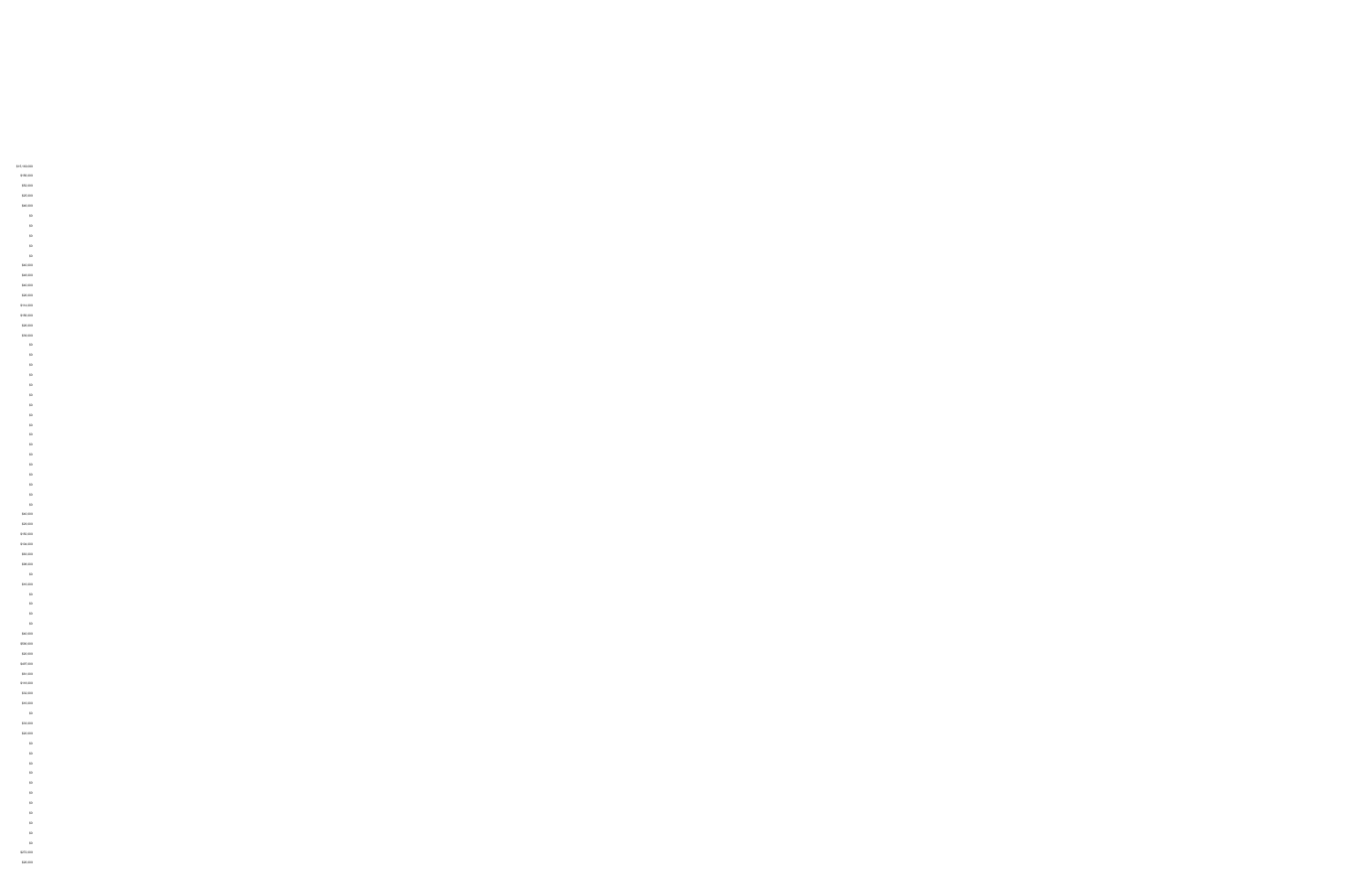\$26,000 \$272,000

\$0 \$0 \$0 \$0 \$0 \$0 \$0 \$0 \$0 \$0 \$0 \$20,000 \$33,000 \$0 \$16,000 \$32,000 \$118,000 \$61,000 \$497,000 \$590,000 \$20,000 \$0 \$40,000 \$0 \$0 \$0 \$0 \$16,000 \$98,000 \$63,000 \$104,000 \$29,000 \$150,000 \$0 \$40,000 \$0 \$0 \$0 \$0 \$0 \$0 \$0 \$0 \$0 \$0 \$0 \$0 \$0 \$0 \$0 \$0 \$39,000 \$26,000 \$156,000 \$114,000 \$26,000 \$48,000 \$40,000 \$0 \$40,000 \$0 \$0 \$0 \$0 \$46,000 \$25,000 \$52,000 \$156,000 \$15,160,000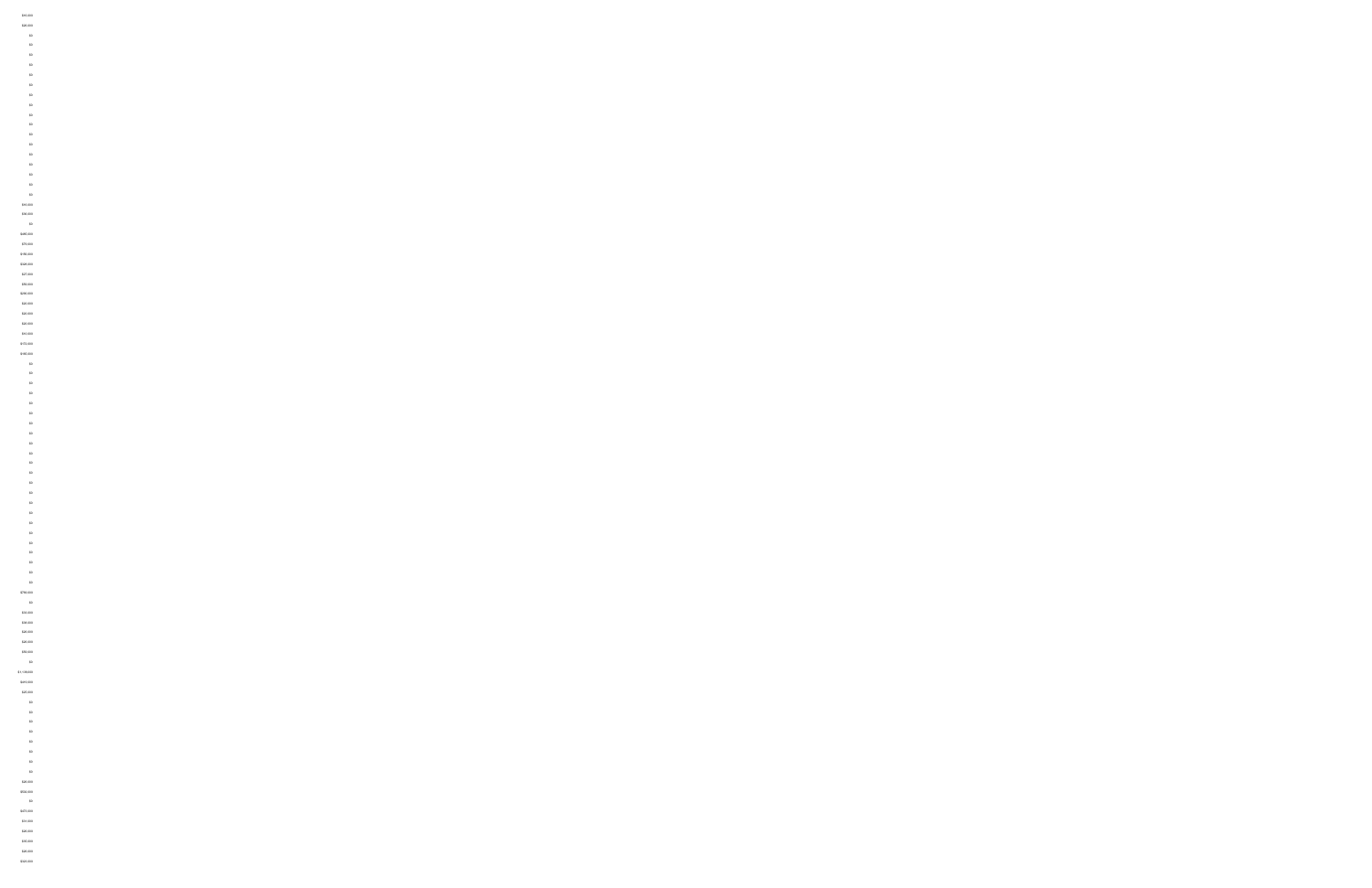\$323,000

\$26,000 \$35,000 \$26,000 \$31,000 \$473,000 \$0 \$502,000 \$26,000 \$0 \$0 \$0 \$0 \$0 \$0 \$0 \$0 \$25,000 \$419,000 \$1,138,000 \$0 \$59,000 \$26,000 \$26,000 \$38,000 \$0 \$33,000 \$769,000 \$0 \$0 \$0 \$0 \$0 \$0 \$0 \$0 \$0 \$0 \$0 \$0 \$0 \$0 \$0 \$0 \$0 \$0 \$0 \$0 \$0 \$0 \$0 \$165,000 \$172,000 \$10,000 \$20,000 \$20,000 \$20,000 \$290,000 \$59,000 \$27,000 \$328,000 \$156,000 \$79,000 \$485,000 \$0 \$36,000 \$16,000 \$0 \$0 \$0 \$0 \$0 \$0 \$0 \$0 \$0 \$0 \$0 \$0 \$0 \$0 \$0 \$0 \$0 \$16,000 \$26,000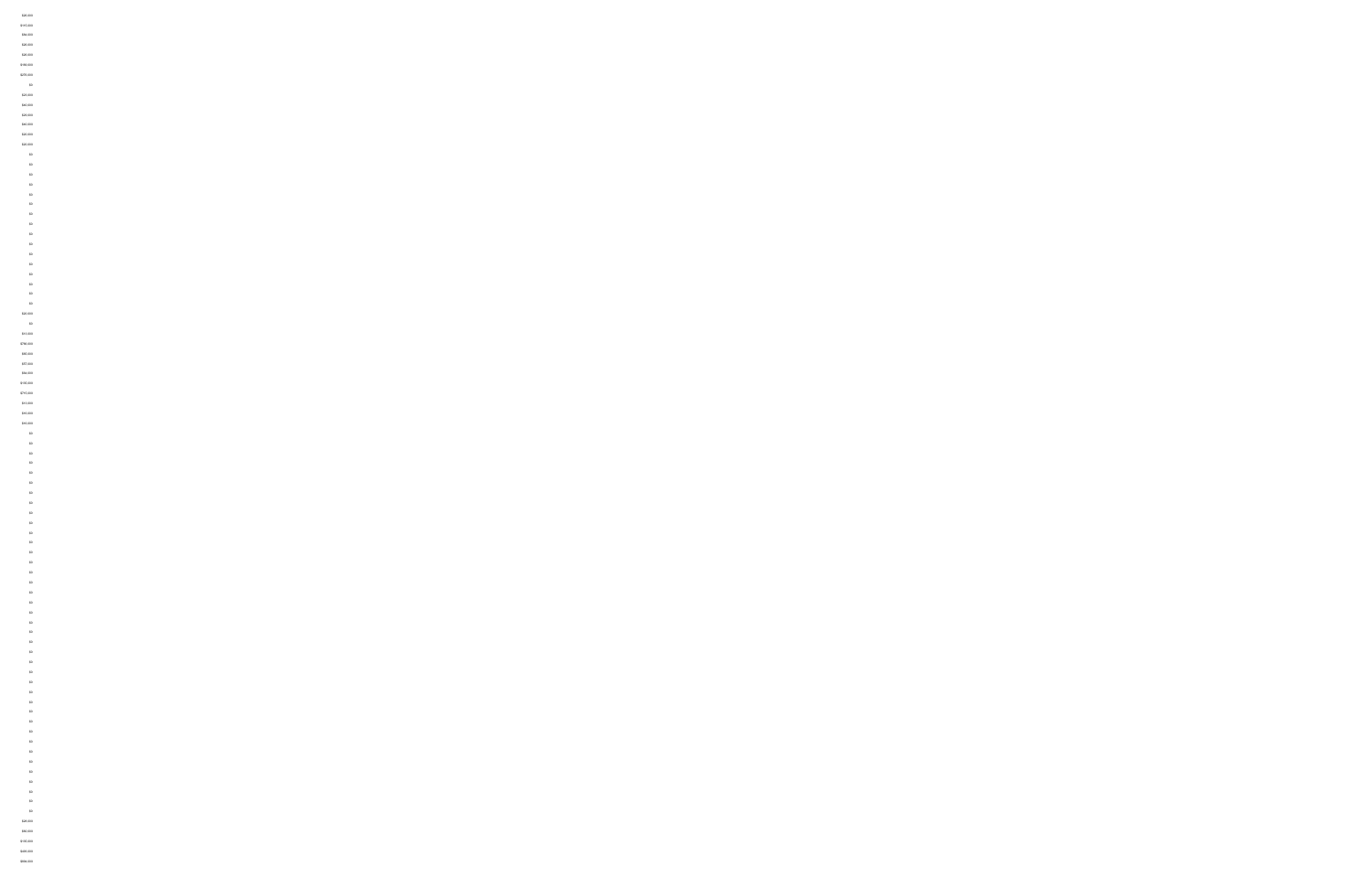\$894,000 \$493,000 \$60,000 \$135,000 \$0 \$28,000 \$0 \$0 \$0 \$0 \$0 \$0 \$0 \$0 \$0\$0 \$0 \$0\$0 \$0 \$0\$0 \$0 \$0\$0 \$0 \$0 \$0\$0 \$0\$0 \$0 \$0 \$0 \$0 \$0\$0 \$0 \$0 \$0 \$0 \$0 \$0 \$0 \$16,000 \$16,000 \$13,000 \$715,000 \$135,000 \$64,000 \$57,000 \$65,000 \$766,000 \$13,000 \$0 \$20,000 \$0 \$0 \$0 \$0 \$0 \$0 \$0 \$0 \$0 \$0 \$0 \$0 \$0 \$0 \$0 \$0 \$20,000 \$20,000 \$40,000 \$29,000 \$40,000 \$23,000 \$0 \$276,000 \$169,000 \$26,000 \$26,000 \$84,000 \$115,000 \$26,000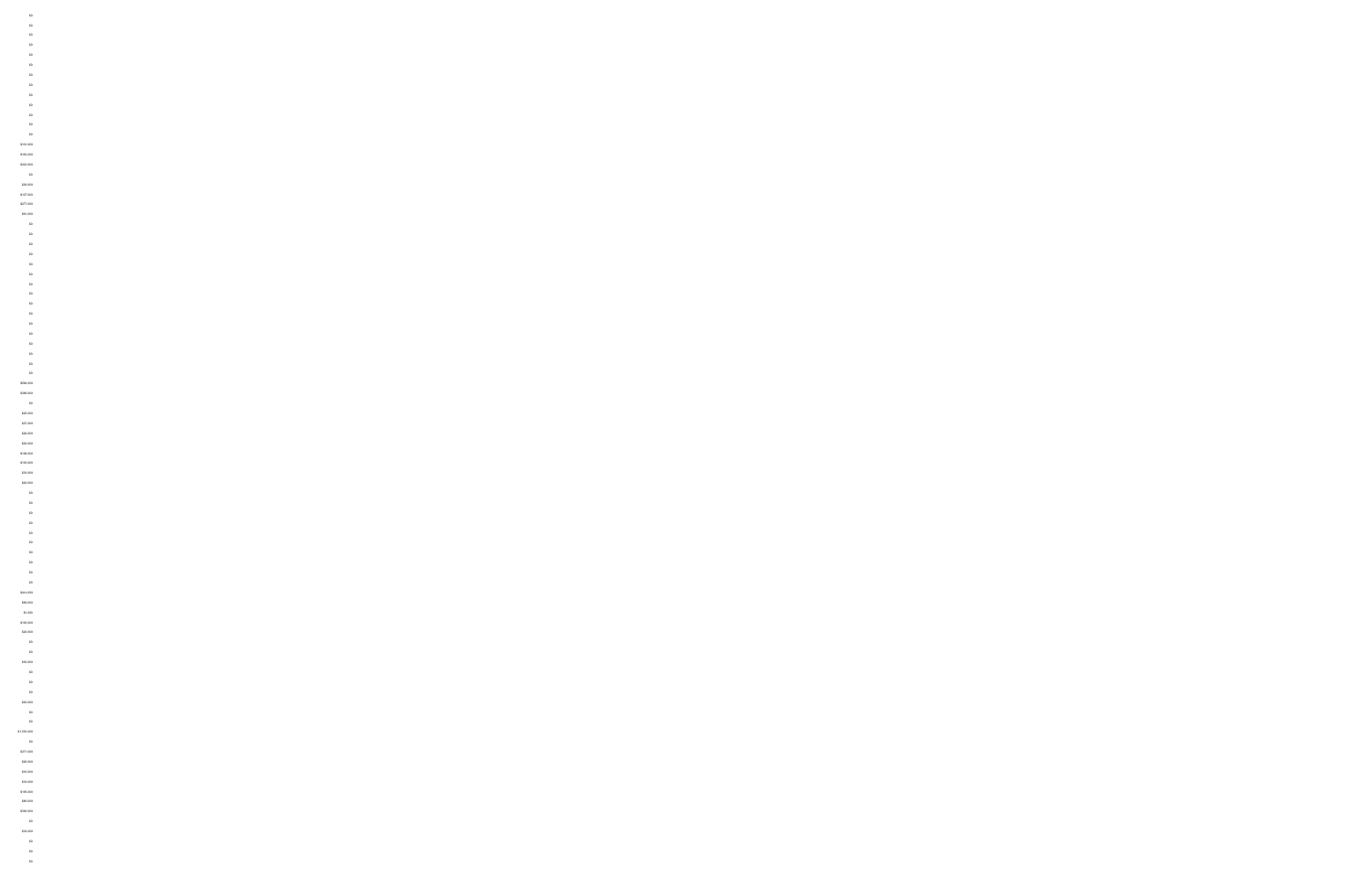\$0

\$0 \$0 \$32,000 \$0 \$390,000 \$80,000 \$195,000 \$33,000 \$16,000 \$26,000 \$371,000 \$1,581,000 \$0 \$0 \$20,000 \$0 \$0 \$0 \$0 \$30,000 \$0 \$0 \$20,000 \$100,000 \$1,000 \$414,000 \$69,000 \$0 \$0 \$0 \$0 \$0 \$0 \$0 \$0 \$0 \$0 \$40,000 \$33,000 \$130,000 \$198,000 \$20,000 \$26,000 \$27,000 \$25,000 \$389,000 \$0 \$584,000 \$0 \$0 \$0 \$0 \$0 \$0 \$0 \$0 \$0 \$0 \$0 \$0 \$0 \$0 \$0 \$0 \$61,000 \$277,000 \$127,000 \$29,000 \$323,000 \$0 \$163,000 \$101,000 \$0 \$0 \$0 \$0 \$0 \$0 \$0 \$0 \$0 \$0\$0 \$0\$0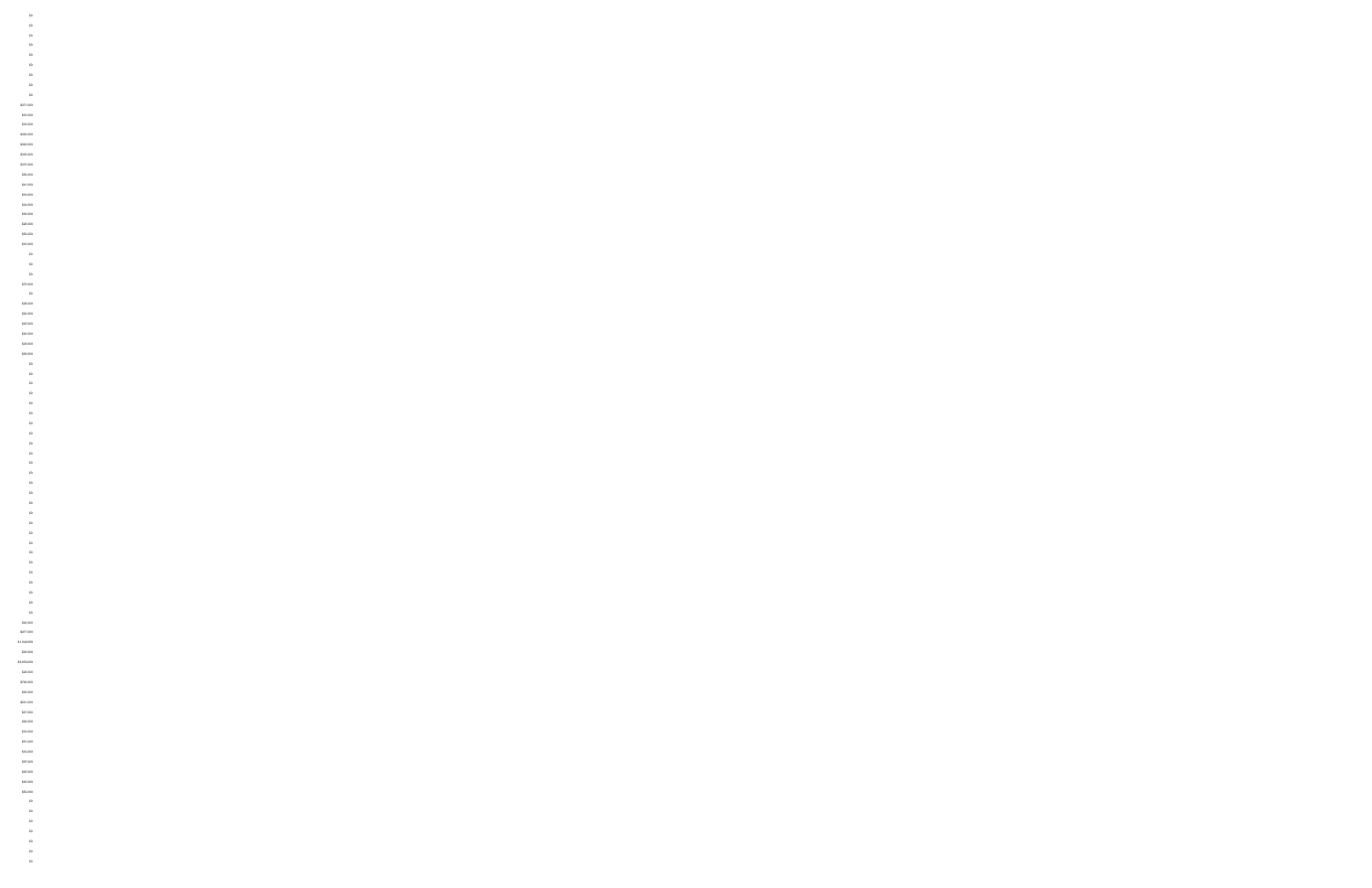\$0 \$0 \$0 \$0 \$0 \$0 \$0 \$52,000 \$20,000 \$25,000 \$97,000 \$32,000 \$51,000 \$16,000 \$26,000 \$47,000 \$221,000 \$93,000 \$746,000 \$26,000 \$9,650,000 \$29,000 \$417,000 \$1,042,000 \$20,000 \$0 \$0 \$0 \$0 \$0 \$0 \$0 \$0 \$0 \$0 \$0 \$0 \$0 \$0 \$0 \$0 \$0 \$0 \$0 \$0 \$0 \$0 \$0 \$0 \$0 \$0 \$36,000 \$29,000 \$20,000 \$25,000 \$20,000 \$28,000 \$0 \$75,000 \$0 \$0 \$0 \$16,000 \$52,000 \$26,000 \$30,000 \$34,000 \$18,000 \$41,000 \$52,000 \$325,000 \$337,000 \$349,000 \$349,000 \$33,000 \$16,000 \$371,000 \$0 \$0 \$0 \$0 \$0 \$0 \$0 \$0 \$0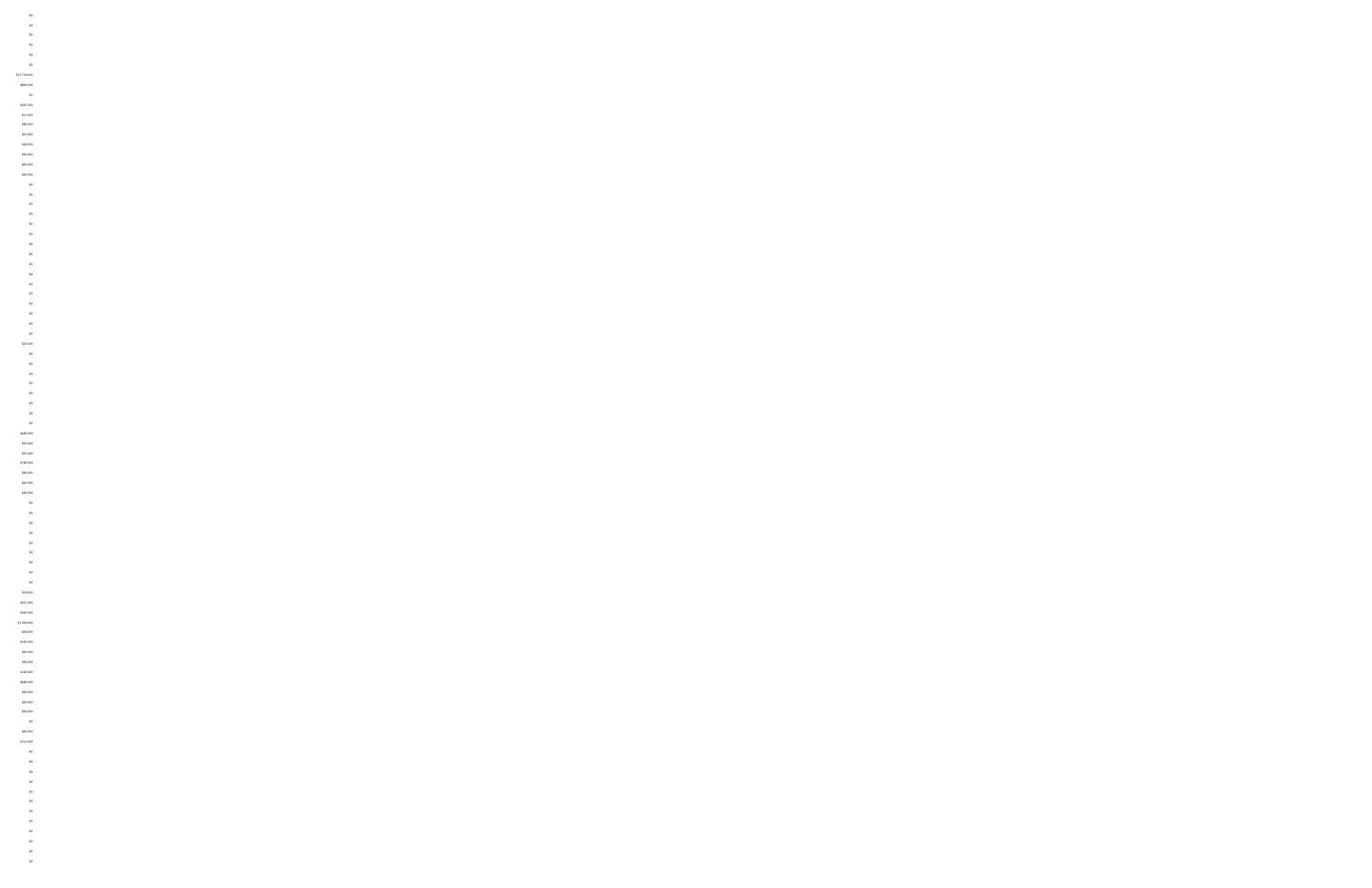\$0 \$0

\$0 \$0 \$0 \$0 \$0 \$0 \$0 \$0 \$0 \$0 \$112,000 \$45,000 \$0 \$26,000 \$25,000 \$25,000 \$686,000 \$126,000 \$59,000 \$26,000 \$125,000 \$29,000 \$1,083,000 \$340,000 \$221,000 \$19,000 \$0 \$0 \$0 \$0 \$0 \$0 \$0 \$0 \$0 \$26,000 \$20,000 \$80,000 \$186,000 \$16,000 \$285,000 \$16,000 \$0 \$0 \$0 \$0 \$0 \$0 \$0 \$0 \$21,000 \$0 \$0 \$0 \$0 \$0 \$0 \$0 \$0 \$0 \$0 \$0 \$0 \$0 \$0 \$0 \$0 \$20,000 \$40,000 \$20,000 \$28,000 \$10,000 \$13,000 \$58,000 \$0 \$351,000 \$663,000 \$17,750,000 \$0 \$0 \$0 \$0 \$0 \$0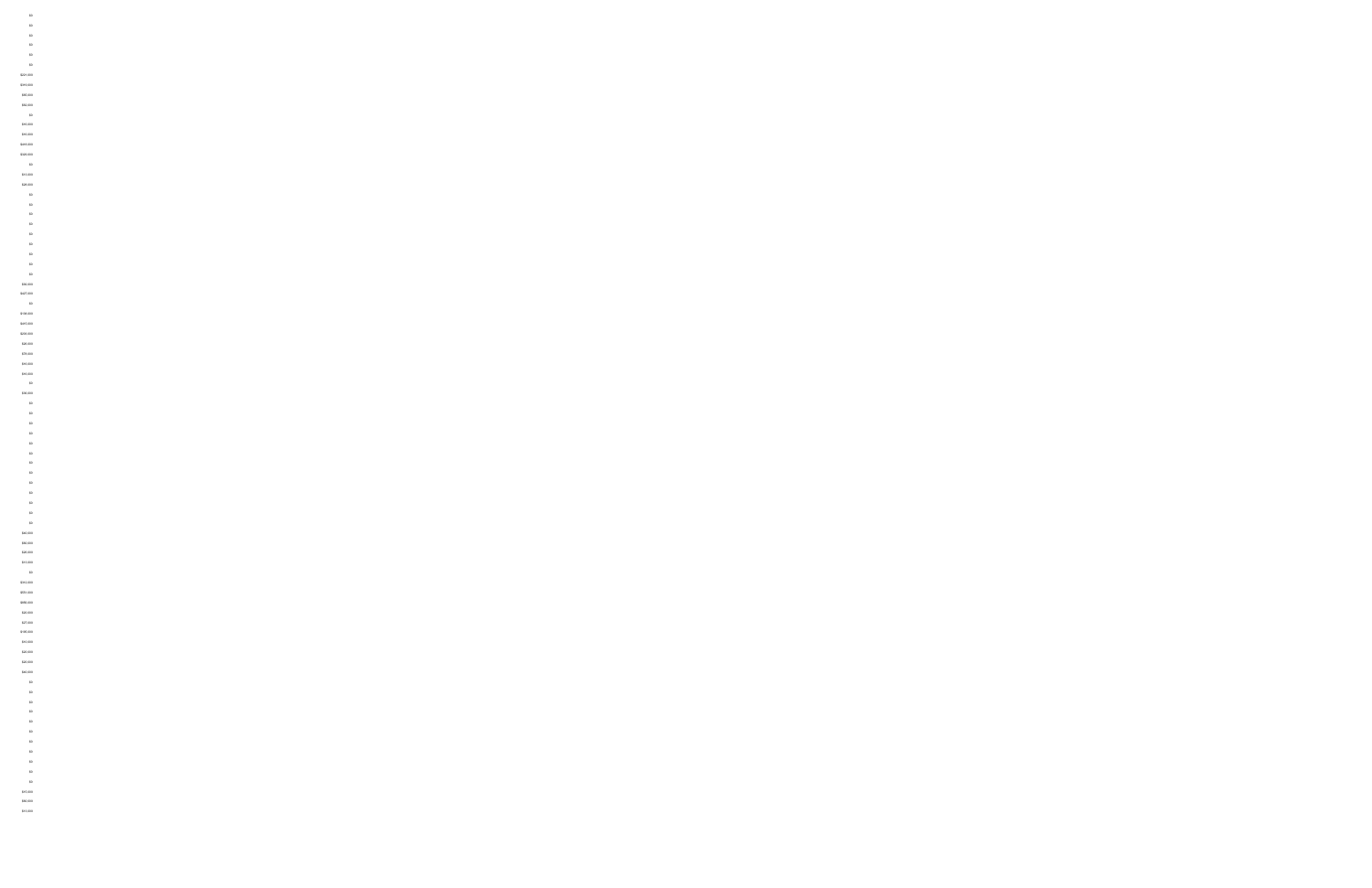\$60,000 \$13,000 \$0 \$15,000 \$0 \$0 \$0 \$0 \$0 \$0 \$0 \$0 \$0 \$0 \$40,000 \$20,000 \$20,000 \$10,000 \$195,000 \$27,000 \$20,000 \$856,000 \$551,000 \$312,000 \$0 \$13,000 \$60,000 \$26,000 \$0 \$40,000 \$0 \$0 \$0 \$0 \$0 \$0 \$0 \$0 \$0 \$0 \$0 \$0 \$36,000 \$0 \$16,000 \$16,000 \$78,000 \$26,000 \$203,000 \$415,000 \$138,000 \$0 \$427,000 \$92,000 \$0 \$0 \$0 \$0 \$0 \$0 \$0 \$0 \$0 \$28,000 \$13,000 \$0 \$329,000 \$418,000 \$16,000 \$16,000 \$0 \$62,000 \$319,000 \$65,000 \$221,000 \$0 \$0 \$0 \$0 \$0 \$0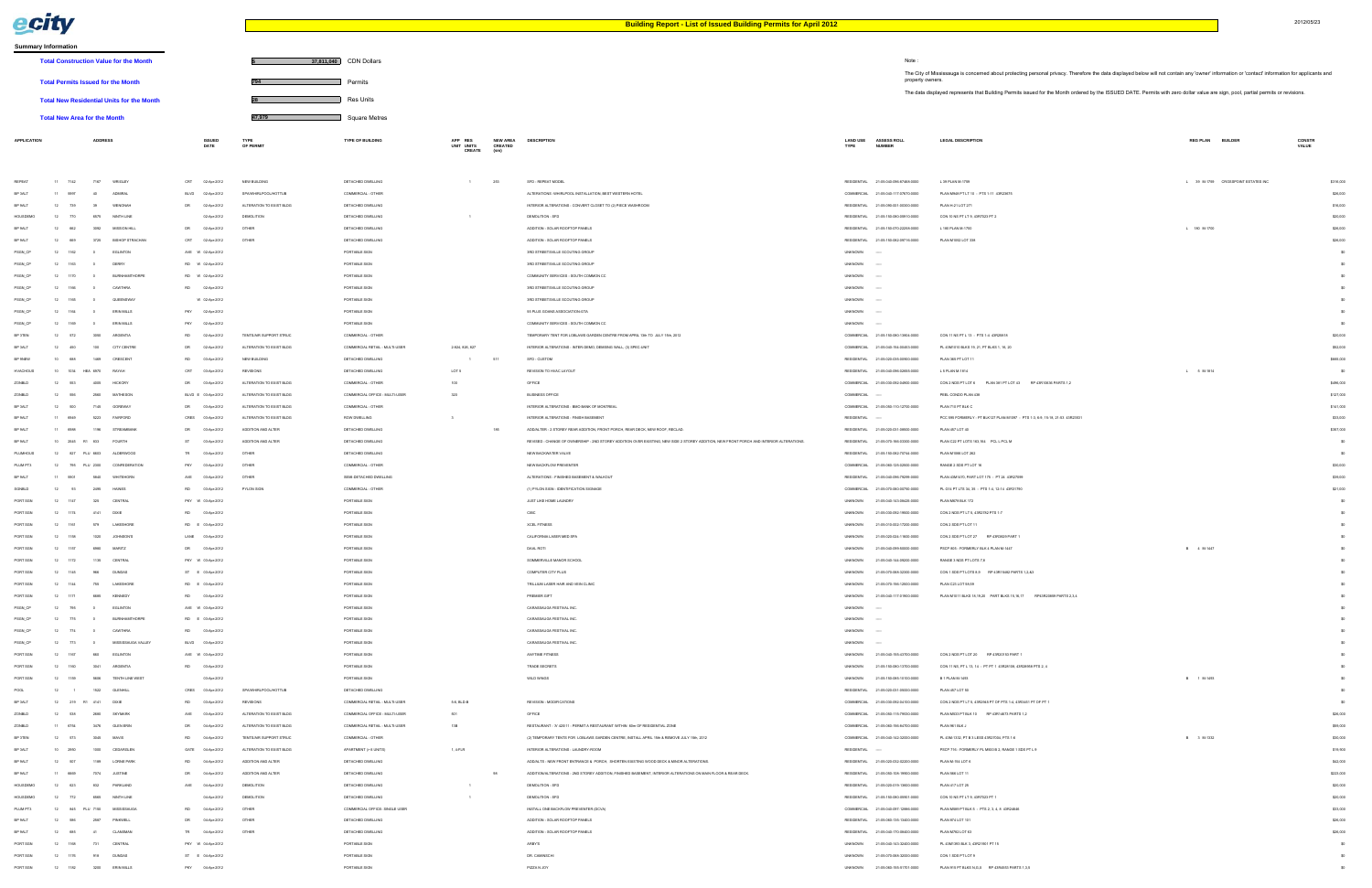ecity

|                      | Summary Information                                                                     |                                             |                                              |                                         |                                 |                                    |                                                                                                                                          |                                  |                                                                              |                                                                                                                                                                                                 |                                    |                             |
|----------------------|-----------------------------------------------------------------------------------------|---------------------------------------------|----------------------------------------------|-----------------------------------------|---------------------------------|------------------------------------|------------------------------------------------------------------------------------------------------------------------------------------|----------------------------------|------------------------------------------------------------------------------|-------------------------------------------------------------------------------------------------------------------------------------------------------------------------------------------------|------------------------------------|-----------------------------|
|                      | <b>Total Construction Value for the Month</b>                                           |                                             |                                              | 37,811,040 CDN Dollars                  |                                 |                                    |                                                                                                                                          |                                  | Note:                                                                        | The City of Mississauga is concerned about protecting personal privacy. Therefore the data displayed below will not contain any 'owner' information or 'contact' information for applicants and |                                    |                             |
|                      | <b>Total Permits Issued for the Month</b>                                               |                                             |                                              | <b>Example 2016</b> Permits             |                                 |                                    |                                                                                                                                          |                                  | property owners.                                                             |                                                                                                                                                                                                 |                                    |                             |
|                      | <b>Total New Residential Units for the Month</b>                                        |                                             |                                              | Res Units                               |                                 |                                    |                                                                                                                                          |                                  |                                                                              | The data displayed represents that Building Permits issued for the Month ordered by the ISSUED DATE. Permits with zero dollar value are sign, pool, partial permits or revisions.               |                                    |                             |
|                      | <b>Total New Area for the Month</b>                                                     |                                             | 47,979                                       | <b>Square Metres</b>                    |                                 |                                    |                                                                                                                                          |                                  |                                                                              |                                                                                                                                                                                                 |                                    |                             |
|                      |                                                                                         |                                             |                                              |                                         |                                 |                                    |                                                                                                                                          |                                  |                                                                              |                                                                                                                                                                                                 |                                    |                             |
| APPLICATION          | <b>ADDRESS</b>                                                                          | <b>ISSUED</b><br><b>DATE</b>                | <b>TYPE</b><br>OF PERMIT                     | <b>TYPE OF BUILDING</b>                 | APP RES<br>UNIT UNITS<br>CREATE | <b>NEW AREA</b><br>CREATED<br>(sm) | <b>DESCRIPTION</b>                                                                                                                       | <b>LAND USE</b><br>TYPE          | <b>ASSESS ROLL</b><br><b>NUMBER</b>                                          | <b>LEGAL DESCRIPTION</b>                                                                                                                                                                        | <b>REG PLAN</b><br><b>BUILDER</b>  | <b>CONSTR</b><br>VALUE      |
|                      |                                                                                         |                                             |                                              |                                         |                                 |                                    |                                                                                                                                          |                                  |                                                                              |                                                                                                                                                                                                 |                                    |                             |
| REPEAT               | 11 7142<br>7167<br>WRIGLEY                                                              | CRT 02-Apr-2012                             | <b>NEW BUILDING</b>                          | DETACHED DWELLING                       | $\overline{1}$                  | 253                                | SFD - REPEAT MODEL                                                                                                                       |                                  | RESIDENTIAL 21-05-040-096-87468-0000                                         | L 39 PLAN M-1759                                                                                                                                                                                | L 39 M-1759 CROSSPOINT ESTATES INC | \$316,000                   |
| BP 3ALT              | 11 5997<br>40<br>ADMIRAL                                                                | BLVD 02-Apr-2012                            | SPAWHIRLPOOL/HOTTUB                          | COMMERCIAL - OTHER                      |                                 |                                    | ALTERATIONS -WHIRLPOOL INSTALLATION, BEST WESTERN HOTEL                                                                                  |                                  | COMMERCIAL 21-05-040-117-07670-0000                                          | PLAN M948 PT LT 10 - PTS 1-11 43R23675                                                                                                                                                          |                                    | \$26,000                    |
| BP 9ALT              | 12<br>WENONAH<br>739<br>39                                                              | DR 02-Apr-2012                              | ALTERATION TO EXIST BLDG                     | DETACHED DWELLING                       |                                 |                                    | INTERIOR ALTERATIONS - CONVERT CLOSET TO (2) PIECE WASHROOM                                                                              |                                  | RESIDENTIAL 21-05-090-001-00300-0000                                         | PLAN H-21 LOT 271                                                                                                                                                                               |                                    | \$16,000                    |
| HOUSDEMO             | 12<br>770<br>6575<br>NINTH LINE                                                         | 02-Apr-2012                                 | DEMOLITION                                   | DETACHED DWELLING                       | $\overline{1}$                  |                                    | DEMOLITION - SFD                                                                                                                         |                                  | RESIDENTIAL 21-05-150-080-05910-0000                                         | CON 10 NS PT LT 9, 43R7023 PT 2                                                                                                                                                                 |                                    | \$20,000                    |
| BP 9ALT<br>BP 9ALT   | 12<br><b>MISSION HILL</b><br>662<br>3092<br><b>BISHOP STRACHAN</b><br>12<br>669<br>3725 | DR 02-Apr-2012<br>CRT 02-Apr-2012           | OTHER<br>OTHER                               | DETACHED DWELLING<br>DETACHED DWELLING  |                                 |                                    | ADDITION - SOLAR ROOFTOP PANELS<br>ADDITION - SOLAR ROOFTOP PANELS                                                                       |                                  | RESIDENTIAL 21-05-150-070-22258-0000<br>RESIDENTIAL 21-05-150-082-09716-0000 | L 180 PLAN M-1700<br>PLAN M1052 LOT 338                                                                                                                                                         | L 180 M-1700                       | \$26,000<br>\$26,000        |
| PSGN_CP              | 12 1162<br><b>EGLINTON</b><br>$\sim$                                                    | AVE W 02-Apr-2012                           |                                              | PORTABLE SIGN                           |                                 |                                    | 3RD STREETSVILLE SCOUTING GROUP                                                                                                          | <b>UNKNOWN</b>                   | ----                                                                         |                                                                                                                                                                                                 |                                    | S <sub>D</sub>              |
| PSGN_CP              | 12 1163<br>DERRY<br>$^{\circ}$                                                          | RD W 02-Apr-2012                            |                                              | PORTABLE SIGN                           |                                 |                                    | 3RD STREETSVILLE SCOUTING GROUP                                                                                                          | <b>UNKNOWN</b>                   | ----                                                                         |                                                                                                                                                                                                 |                                    |                             |
| PSGN_CP              | 12 1170<br>BURNHAMTHORPE<br>$\circ$                                                     | RD W 02-Apr-2012                            |                                              | PORTABLE SIGN                           |                                 |                                    | COMMUNITY SERVICES - SOUTH COMMON CO                                                                                                     | <b>UNKNOWN</b>                   |                                                                              |                                                                                                                                                                                                 |                                    |                             |
| PSGN_CP              | 12 1166<br>CAWTHRA                                                                      | RD 02-Apr-2012                              |                                              | PORTABLE SIGN                           |                                 |                                    | 3RD STREETSVILLE SCOUTING GROUP                                                                                                          | <b>UNKNOWN</b>                   |                                                                              |                                                                                                                                                                                                 |                                    |                             |
| PSGN_CP              | 12 1165<br>QUEENSWAY<br>$\sim$                                                          | W 02-Apr-2012                               |                                              | PORTABLE SIGN                           |                                 |                                    | 3RD STREETSVILLE SCOUTING GROUP                                                                                                          | <b>UNKNOWN</b>                   |                                                                              |                                                                                                                                                                                                 |                                    |                             |
| PSGN_CP              | 12 1164<br><b>ERIN MILLS</b>                                                            | PKY 02-Apr-2012                             |                                              | PORTABLE SIGN                           |                                 |                                    | 55 PLUS GOANS ASSOCIATION-GTA                                                                                                            | <b>UNKNOWN</b>                   |                                                                              |                                                                                                                                                                                                 |                                    |                             |
| PSGN_CP              | 12 1169<br><b>ERIN MILLS</b>                                                            | PKY 02-Apr-2012                             |                                              | PORTABLE SIGN                           |                                 |                                    | COMMUNITY SERVICES - SOUTH COMMON CO                                                                                                     | <b>UNKNOWN</b>                   |                                                                              |                                                                                                                                                                                                 |                                    |                             |
| BP 3TEN              | 572<br>ARGENTIA<br>12<br>3050                                                           | <b>RD</b><br>02-Apr-2012                    | TENTS/AIR SUPPORT STRUC                      | COMMERCIAL - OTHER                      |                                 |                                    | TEMPORARY TENT FOR LOBLAWS GARDEN CENTRE FROM APRIL 13th TO JULY 15th, 2012                                                              |                                  | COMMERCIAL 21-05-150-080-13804-0000                                          | CON 11 NS PT L 13 - PTS 1-4 43R25818                                                                                                                                                            |                                    | \$20,000                    |
| BP 3ALT              | CITY CENTRE<br>12<br>450<br>100                                                         | <b>DR</b><br>02-Apr-2012                    | ALTERATION TO EXIST BLDG                     | COMMERCIAL RETAIL - MULTI-USER          | 2-824, 826, 827                 |                                    | INTERIOR ALTERATIONS - INTER-DEMO, DEMSING WALL, (3) SPEC-UNIT                                                                           |                                  | COMMERCIAL 21-05-040-154-00453-0000                                          | PL 43M1010 BLKS 19, 21, PT BLKS 1, 16, 20                                                                                                                                                       |                                    | \$52,000                    |
| BP 9NEW              | 10<br>688<br>1469<br>CRESCENT                                                           | <b>RD</b><br>03-Apr-2012                    | NEW BUILDING                                 | DETACHED DWELLING                       |                                 | 511                                | SFD - CUSTOM                                                                                                                             | RESIDENTIAL                      | 21-05-020-035-00900-0000                                                     | PLAN 365 PT LOT 11                                                                                                                                                                              |                                    | \$665,000                   |
| HVACHOUS<br>ZONBLD   | 10 1034<br>HEA 6970<br>RAYAH<br>12<br>553<br>4005<br><b>HICKORY</b>                     | CRT 03-Apr-2012<br><b>DR</b><br>03-Apr-2012 | <b>REVISIONS</b><br>ALTERATION TO EXIST BLDG | DETACHED DWELLING<br>COMMERCIAL - OTHER | LOT 5                           |                                    | REVISION TO HVAC LAYOUT<br>OFFICE                                                                                                        |                                  | RESIDENTIAL 21-05-040-096-02655-0000<br>COMMERCIAL 21-05-030-092-04900-0000  | L 5 PLAN M-1814<br>CON 2 NDS PT LOT 6 PLAN 381 PT LOT 43 RP 43R10636 PARTS 1,2                                                                                                                  | $L = 5 M-1814$                     | S <sub>0</sub><br>\$496,000 |
| ZONBLD               | MATHESON<br>12<br>556<br>2560                                                           | BLVD E 03-Apr-2012                          | ALTERATION TO EXIST BLDG                     | COMMERCIAL OFFICE - MULTI-USER          | 320                             |                                    | <b>BUSINESS OFFICE</b>                                                                                                                   | COMMERCIAL                       |                                                                              | PEEL CONDO PLAN 438                                                                                                                                                                             |                                    | \$127,000                   |
| BP 3ALT              | 12<br>7145<br>500<br><b>GOREWA</b>                                                      | <b>DR</b><br>03-Apr-2012                    | ALTERATION TO EXIST BLDG                     | COMMERCIAL - OTHER                      |                                 |                                    | INTERIOR ALTERATIONS - BMO BANK OF MONTREAL                                                                                              |                                  | COMMERCIAL 21-05-050-110-12700-0000                                          | PLAN 710 PT BLK C                                                                                                                                                                               |                                    | \$141,000                   |
| BP 9ALT              | 11 6949<br>5223<br><b>FAIRFORD</b>                                                      | CRES 03-Apr-2012                            | ALTERATION TO EXIST BLDG                     | <b>ROW DWELLING</b>                     | $\overline{\mathbf{3}}$         |                                    | INTERIOR ALTERATIONS - FINISH BASEMENT                                                                                                   | <b>RESIDENTIAL</b>               | $\cdots$                                                                     | PCC 595 FORMERLY - PT BLK127 PLAN M1097 - PTS 1-3, 6-9, 15-18, 21-53 43R23531                                                                                                                   |                                    | \$33,000                    |
| BP 9ALT              | 11 6988<br>1196<br>STREAMBAN                                                            | <b>DR</b><br>03-Apr-2012                    | ADDITION AND ALTER                           | DETACHED DWELLING                       |                                 | 185                                | ADD/ALTER - 2 STOREY REAR ADDITION, FRONT PORCH, REAR DECK, NEW ROOF, RECLAD.                                                            |                                  | RESIDENTIAL 21-05-020-031-08500-0000                                         | PLAN 457 LOT 40                                                                                                                                                                                 |                                    | \$357,000                   |
| BP 9ALT              | FOURTH<br>10 2545<br>R1 833                                                             | <b>ST</b><br>03-Apr-2012                    | ADDITION AND ALTER                           | DETACHED DWELLING                       |                                 |                                    | REVISED - CHANGE OF OWNERSHIP - 2ND STOREY ADDITION OVER EXISTING, NEW SIDE 2 STOREY ADDITION, NEW FRONT PORCH AND INTERIOR ALTERATIONS. |                                  | RESIDENTIAL 21-05-070-166-03300-0000                                         | PLAN C22 PT LOTS 163,164 PCL L PCL M                                                                                                                                                            |                                    | S <sub>D</sub>              |
| PLUMHOUS             | 12<br>827<br><b>ALDERWOOD</b><br>PLU 6603                                               | <b>TR</b><br>03-Apr-2012                    | OTHER                                        | DETACHED DWELLING                       |                                 |                                    | NEW BACKWATER VALVE                                                                                                                      |                                  | RESIDENTIAL 21-05-150-082-70744-0000                                         | PLAN M1066 LOT 262                                                                                                                                                                              |                                    | S <sub>0</sub>              |
| PLUM PT3             | CONFEDERATION<br>12<br>795 PLU 2300                                                     | PKY 03-Apr-2012                             | OTHER                                        | COMMERCIAL - OTHER                      |                                 |                                    | NEW BACKFLOW PREVENTER                                                                                                                   |                                  | COMMERCIAL 21-05-060-125-02500-0000                                          | RANGE 2 SDS PT LOT 16                                                                                                                                                                           |                                    | \$30,000                    |
| BP 9ALT              | 11 5901<br>5840<br>WHITEHORN                                                            | AVE 03-Apr-2012                             | OTHER                                        | SEMI-DETACHED DWELLING                  |                                 |                                    | ALTERATIONS - FINISHED BASEMENT & WALKOUT                                                                                                |                                  | RESIDENTIAL 21-05-040-096-79299-0000                                         | PLAN 43M1470, PART LOT 175 - PT 24 43R27099                                                                                                                                                     |                                    | \$39,000                    |
| SGNBLD               | 12 93<br>2495<br>HAINES                                                                 | <b>RD</b><br>03-Apr-2012                    | PYLON SIGN                                   | COMMERCIAL - OTHER                      |                                 |                                    | (1) PYLON SIGN - IDENTIFICATION SIGNAGE                                                                                                  |                                  | COMMERCIAL 21-05-070-060-00750-0000                                          | PL G14 PT LTS 34, 35 - PTS 1-4, 12-14 43R31790                                                                                                                                                  |                                    | \$21,000                    |
| PORT SGN             | 12 1147<br>325<br>CENTRAL                                                               | PKY W 03-Apr-2012                           |                                              | PORTABLE SIGN                           |                                 |                                    | JUST LIKE HOME LAUNDRY                                                                                                                   | <b>UNKNOWN</b>                   | 21-05-040-143-08425-0000                                                     | PLAN M678 BLK 172                                                                                                                                                                               |                                    |                             |
| PORT SGN<br>PORT SGN | 12 1174<br>4141<br><b>DIXIE</b><br>12 1161<br>579<br>LAKESHORE                          | RD 03-Apr-2012<br>RD E 03-Apr-2012          |                                              | PORTABLE SIGN<br>PORTABLE SIGN          |                                 |                                    | CIBC<br><b>XCEL FITNESS</b>                                                                                                              | <b>UNKNOWN</b><br><b>UNKNOWN</b> | 21-05-030-092-19500-0000<br>21-05-010-002-17200-0000                         | CON 2 NDS PT LT 5, 43R2782 PTS 1-7<br>CON 2 SDS PT LOT 11                                                                                                                                       |                                    |                             |
|                      | PORT SGN 12 1158<br>1020 JOHNSON'S                                                      | LANE 03-Apr-2012                            |                                              | PORTABLE SIGN                           |                                 |                                    | CALIFORNIA LASER MED SPA                                                                                                                 | <b>UNKNOWN</b>                   | 21-05-020-024-11600-0000                                                     | CON 2 SDS PT LOT 27 RP 43R3829 PART 1                                                                                                                                                           |                                    |                             |
|                      | PORT SGN 12 1157 6980 MARITZ                                                            | DR 03-Apr-2012                              |                                              | PORTABLE SIGN                           |                                 |                                    | DAAL ROTL                                                                                                                                | <b>LINKNOWN</b>                  | 21-05-040-099-50000-0000                                                     | PSCP 805 - FORMERLY BLK 4 PLAN M-1447                                                                                                                                                           | R 4 M-1447                         |                             |
| PORT SGN             | 12 1172 1135 CENTRAL                                                                    | PKY W 03-Apr-2012                           |                                              | PORTABLE SIGN                           |                                 |                                    | SOMMERVILLE MANOR SCHOOL                                                                                                                 | <b>UNKNOWN</b>                   | 21-05-040-144-09200-0000                                                     | RANGE 3 NDS PT LOTS 7,8                                                                                                                                                                         |                                    |                             |
| PORT SGN             | 12 1145<br>966<br><b>DUNDAS</b>                                                         | ST E 03-Apr-2012                            |                                              | PORTABLE SIGN                           |                                 |                                    | <b>COMPUTER CITY PLUS</b>                                                                                                                | <b>UNKNOWN</b>                   | 21-05-070-068-32300-0000                                                     | CON 1 SDS PT LOTS 8,9 RP 43R15482 PARTS 1,2,83                                                                                                                                                  |                                    |                             |
| PORT SGN             | 12 1144<br>755<br>LAKESHORE                                                             | RD E 03-Apr-2012                            |                                              | PORTABLE SIGN                           |                                 |                                    | TRILLIUM LASER HAIR AND VEIN CLINIC                                                                                                      | <b>UNKNOWN</b>                   | 21-05-070-156-12500-0000                                                     | PLAN C23 LOT 58.59                                                                                                                                                                              |                                    |                             |
| PORT SGN             | 12 1171<br>6685<br>KENNEDY                                                              | RD 03-Apr-2012                              |                                              | PORTABLE SIGN                           |                                 |                                    | PREMIER GIFT                                                                                                                             | <b>UNKNOWN</b>                   | 21-05-040-117-01900-0000                                                     | PLAN M1011 BLKS 18,19,20 PART BLKS 15,16,17 RP43R20859 PARTS 2,3,4                                                                                                                              |                                    |                             |
| PSGN_CP              | 12 795<br><b>EGLINTON</b><br>$\sim$                                                     | AVE W 03-Apr-2012                           |                                              | PORTABLE SIGN                           |                                 |                                    | CARASSAUGA FESTIVAL INC                                                                                                                  | <b>UNKNOWN</b>                   | $\cdots$                                                                     |                                                                                                                                                                                                 |                                    |                             |
| PSGN_CP              | 12 775<br>BURNHAMTHORPE<br>$\sim$ 0                                                     | RD E 03-Apr-2012                            |                                              | PORTABLE SIGN                           |                                 |                                    | CARASSAUGA FESTIVAL INC.                                                                                                                 | <b>UNKNOWN</b>                   |                                                                              |                                                                                                                                                                                                 |                                    |                             |
| PSGN_CP              | 12<br>774<br>CAWTHRA                                                                    | RD 03-Apr-2012                              |                                              | PORTABLE SIGN                           |                                 |                                    | CARASSAUGA FESTIVAL INC.                                                                                                                 | <b>UNKNOWN</b>                   |                                                                              |                                                                                                                                                                                                 |                                    |                             |
| PSGN_CP<br>PORT SGN  | 12 773<br>MISSISSAUGA VALLEY<br>12 1167<br>660<br><b>EGLINTON</b>                       | BLVD 03-Apr-2012<br>AVE W 03-Apr-2012       |                                              | PORTABLE SIGN<br>PORTABLE SIGN          |                                 |                                    | CARASSAUGA FESTIVAL INC.<br>ANYTIME FITNESS                                                                                              | <b>UNKNOWN</b><br><b>UNKNOWN</b> | $\cdots$<br>21-05-040-155-43700-0000                                         | CON 2 NDS PT LOT 20 RP 43R20153 PART 1                                                                                                                                                          |                                    |                             |
| PORT SGN             | 12 1160<br>3041<br>ARGENTIA                                                             | RD 03-Apr-2012                              |                                              | PORTABLE SIGN                           |                                 |                                    | TRADE SECRETS                                                                                                                            | <b>UNKNOWN</b>                   | 21-05-150-080-13700-0000                                                     | CON 11 NS, PT L 13, 14 - PT PT 1 43R28108, 43R28958 PTS 2, 4                                                                                                                                    |                                    |                             |
| PORT SGN             | 12 1159<br>5606<br>TENTH LINE WEST                                                      | 03-Apr-2012                                 |                                              | PORTABLE SIGN                           |                                 |                                    | WILD WINGS                                                                                                                               | <b>UNKNOWN</b>                   | 21-05-150-085-10100-0000                                                     | B 1 PLAN M-1493                                                                                                                                                                                 | B 1 M-1493                         |                             |
| POOL                 | 12<br>$-1$<br>1522<br><b>GLENHILL</b>                                                   | CRES 03-Apr-2012                            | SPA/WHIRLPOOL/HOTTUB                         | DETACHED DWELLING                       |                                 |                                    |                                                                                                                                          |                                  | RESIDENTIAL 21-05-020-031-05000-0000                                         | PLAN 457 LOT 50                                                                                                                                                                                 |                                    |                             |
| BP 3ALT              | 12 219 R1 4141<br><b>DIXIE</b>                                                          | RD 03-Apr-2012                              | <b>REVISIONS</b>                             | COMMERCIAL RETAIL - MULTI-USER          | 5-6, BLD-B                      |                                    | <b>REVISION - MODIFICATIONS</b>                                                                                                          |                                  | COMMERCIAL 21-05-030-092-04100-0000                                          | CON 2 NDS PT LT 5, 43R2945 PT OF PTS 1-4, 43R3451 PT OF PT 1                                                                                                                                    |                                    |                             |
| ZONBLD               | 12 538<br>2680<br><b>SKYMARK</b>                                                        | AVE 03-Apr-2012                             | ALTERATION TO EXIST BLDG                     | COMMERCIAL OFFICE - MULTI-USER          | 501                             |                                    | OFFICE                                                                                                                                   |                                  | COMMERCIAL 21-05-050-115-79530-0000                                          | PLAN M533 PT BLK 10 RP 43R14673 PARTS 1,2                                                                                                                                                       |                                    | \$26,000                    |
| ZONBLD               | 11 6754<br>3476<br><b>GLEN ERIN</b>                                                     | DR 04-Apr-2012                              | ALTERATION TO EXIST BLDG                     | COMMERCIAL RETAIL - MULTI-USER          | 13B                             |                                    | RESTAURANT - 'A' 420/11 - PERMIT A RESTAURANT WITHIN 60m OF RESIDENTIAL ZONE                                                             |                                  | COMMERCIAL 21-05-060-156-84700-0000                                          | PLAN 961 BLK J                                                                                                                                                                                  |                                    | \$59,000                    |
| BP 3TEN              | 12 573<br>3045<br>MAVIS                                                                 | RD 04-Apr-2012                              | TENTS/AIR SUPPORT STRUC                      | COMMERCIAL - OTHER                      |                                 |                                    | (2) TEMPORARY TENTS FOR LOBLAWS GARDEN CENTRE, INSTALL APRIL 15th & REMOVE JULY 15th, 2012                                               |                                  | COMMERCIAL 21-05-040-142-32000-0000                                          | PL 43M-1332, PT B 3 LESS 43R27004, PTS 1-6                                                                                                                                                      | B 3 M-1332                         | \$30,000                    |
| BP 3ALT              | CEDARGLEN<br>10 2950<br>1000                                                            | GATE 04-Apr-2012                            | ALTERATION TO EXIST BLDG                     | APARTMENT (> 6 UNITS)                   | 1, 4-FLR                        |                                    | INTERIOR ALTERATIONS - LAUNDRY-ROOM                                                                                                      | RESIDENTIAL                      | -----                                                                        | PSCP 716 - FORMERLY PL M500 B 2, RANGE 1 SDS PT L 9                                                                                                                                             |                                    | \$19,900                    |
| BP 9ALT              | 12 507<br>1189<br><b>LORNE PARK</b>                                                     | RD 04-Apr-2012                              | ADDITION AND ALTER                           | DETACHED DWELLING                       |                                 |                                    | ADD/ALTS - NEW FRONT ENTRANCE & PORCH, SHORTEN EXISTING WOOD DECK & MINOR ALTERATIONS.                                                   |                                  | RESIDENTIAL 21-05-020-032-02200-0000                                         | PLAN M-154 LOT 6                                                                                                                                                                                |                                    | \$42,000                    |
| BP 9ALT<br>HOUSDEMO  | 11 6669<br>7074<br><b>JUSTINE</b><br>12<br>623<br>832<br>PARKLAND                       | DR 04-Apr-2012                              | ADDITION AND ALTER<br>DEMOLITION             | DETACHED DWELLING<br>DETACHED DWELLING  | 1                               | 98                                 | ADDITION/ALTERATIONS - 2ND STOREY ADDITION, FINISHED BASEMENT, INTERIOR ALTERATIONS ON MAIN FLOOR & REAR DECK.<br>DEMOLITION - SFD       |                                  | RESIDENTIAL 21-05-050-108-19900-0000<br>RESIDENTIAL 21-05-020-019-13600-0000 | PLAN 566 LOT 11<br>PLAN 417 LOT 25                                                                                                                                                              |                                    | \$223,000<br>\$20,000       |
| HOUSDEMO             | 12<br>772<br>6565<br>NINTH LINE                                                         | 04-Apr-2012                                 | DEMOLITION                                   | DETACHED DWELLING                       | $\overline{1}$                  |                                    | DEMOLITION - SFD                                                                                                                         |                                  | RESIDENTIAL 21-05-150-080-05901-0000                                         | CON 10 NS PT LT 9, 43R7023 PT 1                                                                                                                                                                 |                                    | \$20,000                    |
| PLUM PT3             | 12 845 PLU 7150<br><b>MISSISSAUGA</b>                                                   | RD 04-Apr-2012                              | OTHER                                        | COMMERCIAL OFFICE- SINGLE USER          |                                 |                                    | INSTALL ONE BACKFLOW PREVENTER (DCVA)                                                                                                    |                                  | COMMERCIAL 21-05-040-097-12886-0000                                          | PLAN M589 PT BLK 5 - PTS 2, 3, 4, 8 43R24646                                                                                                                                                    |                                    | \$33,000                    |
| BP 9ALT              | 12 586<br>2587<br>PINKWELL                                                              | DR 04-Apr-2012                              | OTHER                                        | DETACHED DWELLING                       |                                 |                                    | ADDITION - SOLAR ROOFTOP PANELS                                                                                                          |                                  | RESIDENTIAL 21-05-060-135-13400-0000                                         | PLAN 874 LOT 101                                                                                                                                                                                |                                    | \$26,000                    |
| BP 9ALT              | 12 685<br>41<br>CLANSMAN                                                                | TR 04-Apr-2012                              | OTHER                                        | DETACHED DWELLING                       |                                 |                                    | ADDITION - SOLAR ROOFTOP PANELS                                                                                                          |                                  | RESIDENTIAL 21-05-040-170-08400-0000                                         | PLAN M782 LOT 63                                                                                                                                                                                |                                    | \$26,000                    |
| PORT SGN             | 12 1168<br>731<br>CENTRAL                                                               | PKY W 04-Apr-2012                           |                                              | PORTABLE SIGN                           |                                 |                                    | <b>ARBY'S</b>                                                                                                                            | <b>UNKNOWN</b>                   | 21-05-040-143-32400-0000                                                     | PL 43M1393 BLK 3, 43R21901 PT 15                                                                                                                                                                |                                    | S <sub>D</sub>              |
| PORT SGN             | 12 1176<br>918<br><b>DUNDAS</b>                                                         | ST E 04-Apr-2012                            |                                              | PORTABLE SIGN                           |                                 |                                    | DR. CAMINSCHI                                                                                                                            | <b>UNKNOWN</b>                   | 21-05-070-068-32000-0000                                                     | CON 1 SDS PT LOT 9                                                                                                                                                                              |                                    |                             |
| PORT SGN             | 12 1182<br>3200 ERIN MILLS                                                              | PKY 04-Apr-2012                             |                                              | PORTABLE SIGN                           |                                 |                                    | PIZZA N JOY                                                                                                                              |                                  | UNKNOWN 21-05-060-155-51701-0000                                             | PLAN 915 PT BLKS N, G, X RP 43R4553 PARTS 1,3,5                                                                                                                                                 |                                    | S <sub>0</sub>              |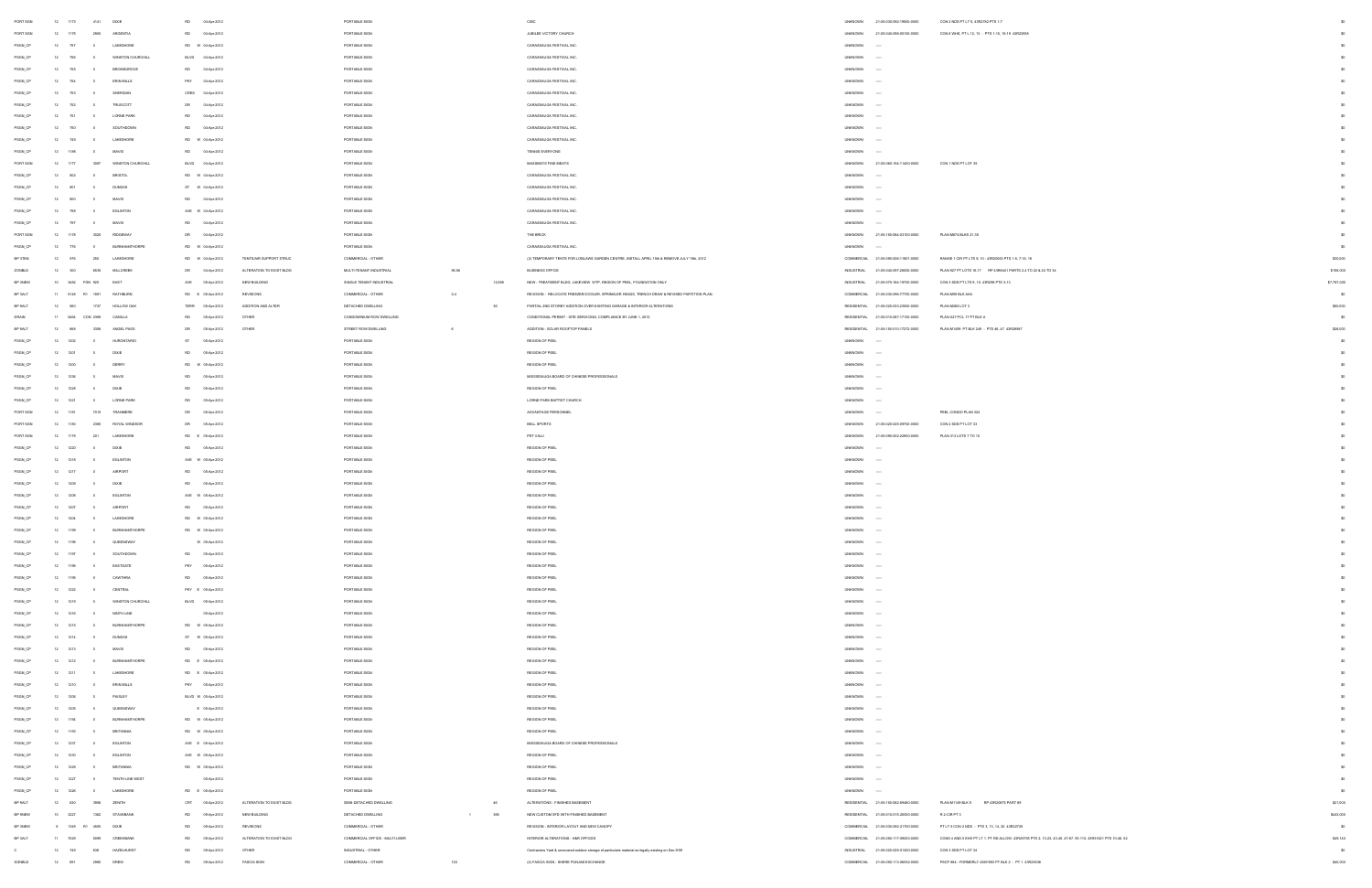| PORT SGN                         | 12 1173            |                      | 4141 DIXIE                   | RD 04-Apr-2012                       |                                          | PORTABLE SIGN                                       |          |        | CIBC                                                                                                                                                                  | <b>UNKNOWN</b>                            | 21-05-030-092-19500-0000                                        | CON 2 NDS PT LT 5, 43R2782 PTS 1-7                                                                         |                |
|----------------------------------|--------------------|----------------------|------------------------------|--------------------------------------|------------------------------------------|-----------------------------------------------------|----------|--------|-----------------------------------------------------------------------------------------------------------------------------------------------------------------------|-------------------------------------------|-----------------------------------------------------------------|------------------------------------------------------------------------------------------------------------|----------------|
| PORT SGN                         | 12<br>1175         | 2900                 | ARGENTIA                     | RD 04-Apr-2012                       |                                          | PORTABLE SIGN                                       |          |        | JUBILEE VICTORY CHURCH                                                                                                                                                | <b>UNKNOWN</b>                            | 21-05-040-098-05100-0000                                        | CON 6 WHS, PT L 12, 13 - PTS 1-10, 15-19 43R23938                                                          |                |
| PSGN_CP                          | 12<br>757          | $\sim$               | LAKESHORE                    | RD W 04-Apr-2012                     |                                          | PORTABLE SIGN                                       |          |        | CARASSAUGA FESTIVAL INC.                                                                                                                                              | <b>UNKNOWN</b>                            | ----                                                            |                                                                                                            |                |
| PSGN_CP                          | 12<br>756          | $\overline{0}$       | WINSTON CHURCHILL            | BLVD 04-Apr-2012                     |                                          | PORTABLE SIGN                                       |          |        | CARASSAUGA FESTIVAL INC.                                                                                                                                              | <b>UNKNOWN</b>                            | $\sim$                                                          |                                                                                                            |                |
| PSGN_CP                          | 12<br>755          | $\sim$               | <b>BROMSGROVE</b>            | RD 04-Apr-2012                       |                                          | PORTABLE SIGN                                       |          |        | CARASSAUGA FESTIVAL INC.                                                                                                                                              | <b>UNKNOWN</b>                            | $\sim$                                                          |                                                                                                            |                |
| PSGN_CP                          | 12<br>754          | $\circ$              | <b>ERIN MILLS</b>            | PKY 04-Apr-2012                      |                                          | PORTABLE SIGN                                       |          |        | CARASSAUGA FESTIVAL INC.                                                                                                                                              | <b>UNKNOWN</b>                            | $\sim$                                                          |                                                                                                            |                |
| PSGN_CP                          | 12<br>753          | $\sim$               | SHERIDAN                     | CRES 04-Apr-2012                     |                                          | PORTABLE SIGN                                       |          |        | CARASSAUGA FESTIVAL INC.                                                                                                                                              | <b>UNKNOWN</b>                            | $\sim$                                                          |                                                                                                            |                |
| PSGN_CP                          | 12<br>752          | $\bullet$            | TRUSCOTT                     | DR 04-Apr-2012                       |                                          | PORTABLE SIGN                                       |          |        | CARASSAUGA FESTIVAL INC.                                                                                                                                              | <b>UNKNOWN</b>                            | $\sim$                                                          |                                                                                                            |                |
| PSGN_CP                          | 12<br>751          | $\sim$ 0             | <b>LORNE PARK</b>            | RD 04-Apr-2012                       |                                          | PORTABLE SIGN                                       |          |        | CARASSAUGA FESTIVAL INC.                                                                                                                                              | <b>UNKNOWN</b>                            |                                                                 |                                                                                                            |                |
| $\ensuremath{\mathsf{PSGN\_CP}}$ | 12                 | $\circ$              | SOUTHDOWN                    | RD 04-Apr-2012                       |                                          | PORTABLE SIGN                                       |          |        | CARASSAUGA FESTIVAL INC.                                                                                                                                              | <b>UNKNOWN</b>                            | --                                                              |                                                                                                            |                |
| PSGN_CP                          | 12<br>749          | $\overline{0}$       | LAKESHORE                    | RD W 04-Apr-2012                     |                                          | PORTABLE SIGN                                       |          |        | CARASSAUGA FESTIVAL INC.                                                                                                                                              | <b>UNKNOWN</b>                            |                                                                 |                                                                                                            |                |
| PSGN_CP                          | 12<br>1188         | $\circ$              | MAVIS                        | RD 04-Apr-2012                       |                                          | PORTABLE SIGN                                       |          |        | TENNIS EVERYONE                                                                                                                                                       | <b>UNKNOWN</b>                            | ----                                                            |                                                                                                            |                |
| PORT SGN                         | 1177<br>12         | 3087                 | WINSTON CHURCHILL            | BLVD 04-Apr-2012                     |                                          | PORTABLE SIGN                                       |          |        | MASSIMO'S FINE MEATS                                                                                                                                                  | <b>UNKNOWN</b>                            | 21-05-060-154-11400-0000                                        | CON 1 NDS PT LOT 35                                                                                        |                |
| PSGN_CP                          | 12<br>802          | $\overline{0}$       | <b>BRISTOL</b>               | RD W 04-Apr-2012                     |                                          | PORTABLE SIGN                                       |          |        | CARASSAUGA FESTIVAL INC.                                                                                                                                              | <b>UNKNOWN</b>                            |                                                                 |                                                                                                            |                |
| PSGN_CP                          | 12<br>801          | $\sim$               | DUNDAS                       | ST W 04-Apr-2012                     |                                          | PORTABLE SIGN                                       |          |        | CARASSAUGA FESTIVAL INC.                                                                                                                                              | <b>UNKNOWN</b>                            | --                                                              |                                                                                                            |                |
| PSGN_CP                          | 12<br>800          | $\overline{0}$       | MAVIS                        | RD 04-Apr-2012                       |                                          | PORTABLE SIGN                                       |          |        | CARASSAUGA FESTIVAL INC.                                                                                                                                              | <b>UNKNOWN</b>                            |                                                                 |                                                                                                            |                |
| PSGN CP                          | 12<br>798          | $\overline{0}$       | EGLINTON                     | AVE W 04-Apr-2012                    |                                          | PORTABLE SIGN                                       |          |        | CARASSAUGA FESTIVAL INC.                                                                                                                                              | <b>UNKNOWN</b>                            | ----                                                            |                                                                                                            |                |
| PSGN_CP                          | 12<br>797          | $\sim$               | MAVIS                        | RD 04-Apr-2012                       |                                          | PORTABLE SIGN                                       |          |        | CARASSAUGA FESTIVAL INC.                                                                                                                                              | <b>UNKNOWN</b>                            |                                                                 |                                                                                                            |                |
| PORT SGN                         | 1178<br>12         | 3025                 | <b>RIDGEWAY</b>              | DR 04-Apr-2012                       |                                          | PORTABLE SIGN                                       |          |        | THE BRICK                                                                                                                                                             | <b>UNKNOWN</b>                            | 21-05-150-084-03100-0000                                        | PLAN M674 BLKS 21,35                                                                                       |                |
| PSGN_CP                          | 12<br>776          | $\sim$               | BURNHAMTHORPE                | RD W 04-Apr-2012                     |                                          | PORTABLE SIGN                                       |          |        | CARASSAUGA FESTIVAL INC.                                                                                                                                              | <b>UNKNOWN</b>                            | ----                                                            |                                                                                                            |                |
| BP 3TEN                          | 576<br>12          | 250                  | LAKESHORE                    | RD W 04-Apr-2012                     | TENTS/AIR SUPPORT STRUC                  | COMMERCIAL - OTHER                                  |          |        | (2) TEMPORARY TENTS FOR LOBLAWS GARDEN CENTRE. INSTALL APRIL 15th & REMOVE JULY 15th, 2012                                                                            |                                           | COMMERCIAL 21-05-090-006-11801-0000                             | RANGE 1 CIR PT LTS 9, 10 - 43R20063 PTS 1-5, 7-16, 18                                                      | \$30,000       |
| ZONBLD                           | 12<br>300          | 6535                 | MILLCREEK<br>EAST            | DR 04-Apr-2012                       | ALTERATION TO EXIST BLDG<br>NEW BUILDING | MULTI-TENANT INDUSTRIAL<br>SINGLE TENANT INDUSTRIAL | 56,58    | 12.655 | <b>BUSINESS OFFICE</b><br>NEW - TREATMENT BLDG, LAKEVIEW WTP, REGION OF PEEL, FOUNDATION ONLY                                                                         | <b>INDUSTRIAL</b>                         | INDUSTRIAL 21-05-040-097-28000-0000<br>21-05-070-164-19700-0000 | PLAN 927 PT LOTS 16,17 RP 43R8441 PARTS 2,4 TO 22 & 24 TO 34<br>CON 3 SDS PT LTS 9, 10, 43R298 PTS 3-13    | \$158,000      |
| BP 3NEW                          | 10<br>3482<br>5148 | FDN 920<br>R1 1891   | RATHBURN                     | AVE 05-Apr-2012                      | <b>REVISIONS</b>                         |                                                     |          |        |                                                                                                                                                                       |                                           | COMMERCIAL 21-05-030-096-77700-0000                             | PLAN M59 BLK AAA                                                                                           | \$7,767,00     |
| BP 3ALT<br>BP 9ALT               | 560<br>$12-12$     | 1727                 | HOLLOW OAK                   | RD E 05-Apr-2012<br>TERR 05-Apr-2012 | ADDITION AND ALTER                       | COMMERCIAL - OTHER<br>DETACHED DWELLING             | $2 - 4$  | 36     | REVISION - RELOCATE FREEZER/COOLER, SPRINKLER HEADS, TRENCH DRAW & REVISED PARTITION PLAN.<br>PARTIAL 2ND STOREY ADDITION OVER EXISTING GARAGE & INTERIOR ALTERATIONS |                                           | RESIDENTIAL 21-05-020-033-23500-0000                            | PLAN M265 LOT 3                                                                                            | SC<br>\$50,000 |
| <b>DRAIN</b>                     | 5464               | CON 2389             | CAMILLA                      | RD 05-Apr-2012                       | OTHER                                    | CONDOMINIUM ROW DWELLING                            |          |        | CONDITIONAL PERMIT - SITE SERVICING, COMPLIANCE BY JUNE 1, 2012                                                                                                       |                                           | RESIDENTIAL 21-05-010-067-17100-0000                            | PLAN A27 PCL 17 PT BLK A                                                                                   |                |
| BP 9ALT                          | 12<br>668          | 3358                 | ANGEL PASS                   |                                      | OTHER                                    | STREET ROW DWELLING                                 | - 6      |        | ADDITION - SOLAR ROOFTOP PANELS                                                                                                                                       |                                           | RESIDENTIAL 21-05-150-010-17272-0000                            | PLAN M1499 PT BLK 249 - PTS 46, 47 43R28587                                                                | \$26,000       |
| PSGN_CP                          | 12<br>1202         | $\sim$               | <b>HURONTARIO</b>            | DR 05-Apr-2012<br>ST 05-Apr-2012     |                                          | PORTABLE SIGN                                       |          |        | REGION OF PEEL                                                                                                                                                        | <b>UNKNOWN</b>                            | --                                                              |                                                                                                            |                |
| PSGN_CP                          | 12<br>1201         | $\sim$               | DIXIE                        | RD 05-Apr-2012                       |                                          | PORTABLE SIGN                                       |          |        | REGION OF PEEL                                                                                                                                                        | <b>UNKNOWN</b>                            | $\sim$                                                          |                                                                                                            |                |
| PSGN_CP                          | 12<br>1200         | $\sim$               | DERRY                        | RD W 05-Apr-2012                     |                                          | PORTABLE SIGN                                       |          |        | <b>REGION OF PEEL</b>                                                                                                                                                 | <b>UNKNOWN</b>                            | $\sim$                                                          |                                                                                                            |                |
| PSGN_CP                          | 12<br>1236         | $\sim$               | MAVIS                        | RD 05-Apr-2012                       |                                          | PORTABLE SIGN                                       |          |        | MISSISSAUGA BOARD OF CHINESE PROFESSIONALS                                                                                                                            | <b>UNKNOWN</b>                            | $\sim$                                                          |                                                                                                            |                |
| PSGN_CP                          | 1228<br>12         | $\circ$              | <b>DIXIE</b>                 | RD 05-Apr-2012                       |                                          | PORTABLE SIGN                                       |          |        | <b>REGION OF PEEL</b>                                                                                                                                                 | <b>UNKNOWN</b>                            | $\sim$                                                          |                                                                                                            |                |
| PSGN_CP                          | 12<br>1221         | $\sim$               | <b>LORNE PARK</b>            | RD 05-Apr-2012                       |                                          | PORTABLE SIGN                                       |          |        | LORNE PARK BAPTIST CHURCH                                                                                                                                             | <b>UNKNOWN</b>                            | $\sim$                                                          |                                                                                                            |                |
| PORT SGN                         | 12<br>1181         | 7015                 | TRANMERE                     | DR 05-Apr-2012                       |                                          | PORTABLE SIGN                                       |          |        | ADVANTAGE PERSONNEL                                                                                                                                                   | <b>UNKNOWN</b>                            | $\sim$                                                          | PEEL CONDO PLAN 324                                                                                        |                |
| PORT SGN                         | 12<br>1180         | 2385                 | ROYAL WINDSOR                | DR 05-Apr-2012                       |                                          | PORTABLE SIGN                                       |          |        | BELL SPORTS                                                                                                                                                           | <b>UNKNOWN</b>                            | 21-05-020-025-09700-0000                                        | CON 2 SDS PT LOT 33                                                                                        |                |
| PORT SGN                         | 1179<br>12         | 201                  | LAKESHORE                    | RD E 05-Apr-2012                     |                                          | PORTABLE SIGN                                       |          |        | PET VALU                                                                                                                                                              | <b>UNKNOWN</b>                            | 21-05-090-002-22900-0000                                        | PLAN 313 LOTS 7 TO 10                                                                                      |                |
| PSGN_CP                          | 12<br>1220         | $\overline{0}$       | DIXIE                        | RD 05-Apr-2012                       |                                          | PORTABLE SIGN                                       |          |        | REGION OF PEEL                                                                                                                                                        | <b>UNKNOWN</b>                            | ----                                                            |                                                                                                            |                |
| PSGN_CP                          | 1218<br>12         | $\overline{0}$       | EGLINTON                     | AVE W 05-Apr-2012                    |                                          | PORTABLE SIGN                                       |          |        | REGION OF PEEL                                                                                                                                                        | <b>UNKNOWN</b>                            | --                                                              |                                                                                                            |                |
| PSGN_CP                          | 1217<br>12         | $\overline{0}$       | AIRPORT                      | RD 05-Apr-2012                       |                                          | PORTABLE SIGN                                       |          |        | REGION OF PEEL                                                                                                                                                        | <b>UNKNOWN</b>                            |                                                                 |                                                                                                            |                |
| PSGN CP                          | 12<br>1209         | $\circ$              | <b>DIXIE</b>                 | RD 05-Apr-2012                       |                                          | PORTABLE SIGN                                       |          |        | REGION OF PEEL                                                                                                                                                        | <b>UNKNOWN</b>                            |                                                                 |                                                                                                            |                |
| PSGN_CP                          | 12<br>1208         | $\sim$               | EGLINTON                     | AVE W 05-Apr-2012                    |                                          | PORTABLE SIGN                                       |          |        | REGION OF PEEL                                                                                                                                                        | <b>UNKNOWN</b>                            | ----                                                            |                                                                                                            |                |
| PSGN_CP                          | 12 1207            | $\sim$ 0             | <b>AIRPORT</b>               | RD 05-Apr-2012                       |                                          | PORTABLE SIGN                                       |          |        | REGION OF PEEL                                                                                                                                                        | $\text{UNKNOWN} \qquad \qquad \text{---}$ |                                                                 |                                                                                                            |                |
| PSGN_CP                          |                    |                      | 12 1204 0 LAKESHORE          | RD W 05-Apr-2012                     |                                          | PORTABLE SIGN                                       |          |        | REGION OF PEEL                                                                                                                                                        | <b>UNKNOWN</b>                            | ----                                                            |                                                                                                            |                |
| PSGN_CP                          | 12 1199            | $\sim$ 0 $\sim$      | BURNHAMTHORPE                | RD W 05-Apr-2012                     |                                          | PORTABLE SIGN                                       |          |        | REGION OF PEEL                                                                                                                                                        | <b>UNKNOWN</b>                            | ----                                                            |                                                                                                            |                |
| PSGN_CP                          | 12<br>1198         | $\sim$ 0             | QUEENSWAY                    | W 05-Apr-2012                        |                                          | PORTABLE SIGN                                       |          |        | REGION OF PEEL                                                                                                                                                        | <b>UNKNOWN</b>                            |                                                                 |                                                                                                            |                |
| PSGN_CP                          | 12<br>1197         | $\sim$ 0             | SOUTHDOWN                    | RD 05-Apr-2012                       |                                          | PORTABLE SIGN                                       |          |        | REGION OF PEEL                                                                                                                                                        | <b>UNKNOWN</b>                            | --                                                              |                                                                                                            |                |
| PSGN_CP                          | 12<br>1196         | $\sim$               | EASTGATE                     | PKY 05-Apr-2012                      |                                          | PORTABLE SIGN                                       |          |        | <b>REGION OF PEEL</b>                                                                                                                                                 | <b>UNKNOWN</b>                            | --                                                              |                                                                                                            |                |
| PSGN_CP                          | 12<br>1195         | $\sim$               | CAWTHRA                      | RD 05-Apr-2012                       |                                          | PORTABLE SIGN                                       |          |        | REGION OF PEEL                                                                                                                                                        | <b>UNKNOWN</b>                            |                                                                 |                                                                                                            |                |
| PSGN_CP                          | 12<br>1222         | $\sim$ 0             | CENTRAL                      | PKY E 05-Apr-2012                    |                                          | PORTABLE SIGN                                       |          |        | REGION OF PEEL                                                                                                                                                        | <b>UNKNOWN</b>                            |                                                                 |                                                                                                            |                |
| PSGN_CP                          | 12<br>1219         | $\sim$ 0             | <b>WINSTON CHURCHILL</b>     | BLVD 05-Apr-2012                     |                                          | PORTABLE SIGN                                       |          |        | REGION OF PEEL                                                                                                                                                        | <b>UNKNOWN</b>                            |                                                                 |                                                                                                            |                |
| PSGN_CP                          | 12<br>1216         | 0                    | NINTH LINE                   | 05-Apr-2012                          |                                          | PORTABLE SIGN                                       |          |        | REGION OF PEEL                                                                                                                                                        | <b>UNKNOWN</b>                            |                                                                 |                                                                                                            |                |
| PSGN_CP                          | 12<br>1215         | $\sim$ 0             | BURNHAMTHORPE                | RD W 05-Apr-2012                     |                                          | PORTABLE SIGN                                       |          |        | REGION OF PEEL                                                                                                                                                        | <b>UNKNOWN</b>                            |                                                                 |                                                                                                            |                |
| PSGN_CP                          | 1214<br>12         | $\overline{0}$       | DUNDAS                       | ST W 05-Apr-2012                     |                                          | PORTABLE SIGN                                       |          |        | REGION OF PEEL                                                                                                                                                        | <b>UNKNOWN</b>                            |                                                                 |                                                                                                            |                |
| PSGN_CP                          | 12<br>1213         | $\sim$ 0             | MAVIS                        | RD 05-Apr-2012                       |                                          | PORTABLE SIGN                                       |          |        | REGION OF PEEL                                                                                                                                                        | <b>UNKNOWN</b>                            |                                                                 |                                                                                                            |                |
| PSGN_CP                          | 1212<br>12         | $\sim$ 0             | BURNHAMTHORPE                | RD E 05-Apr-2012                     |                                          | PORTABLE SIGN                                       |          |        | REGION OF PEEL                                                                                                                                                        | <b>UNKNOWN</b>                            | $\sim$                                                          |                                                                                                            |                |
| PSGN_CP                          | 1211<br>12         | $\sim$               | LAKESHORE                    | RD E 05-Apr-2012                     |                                          | PORTABLE SIGN                                       |          |        | REGION OF PEEL                                                                                                                                                        | <b>UNKNOWN</b>                            |                                                                 |                                                                                                            |                |
| PSGN_CP                          | 1210<br>12         | $\overline{0}$       | <b>ERIN MILLS</b>            | PKY 05-Apr-2012                      |                                          | PORTABLE SIGN                                       |          |        | REGION OF PEEL                                                                                                                                                        | <b>UNKNOWN</b>                            | $\sim$                                                          |                                                                                                            |                |
| PSGN_CP                          | 12<br>1206         | $\sim$               | PAISLEY                      | BLVD W 05-Apr-2012                   |                                          | PORTABLE SIGN                                       |          |        | REGION OF PEEL                                                                                                                                                        | <b>UNKNOWN</b>                            |                                                                 |                                                                                                            |                |
| PSGN_CP                          | 12<br>1205         | $\bullet$            | QUEENSWAY                    | E 05-Apr-2012                        |                                          | PORTABLE SIGN                                       |          |        | REGION OF PEEL                                                                                                                                                        | <b>UNKNOWN</b>                            |                                                                 |                                                                                                            |                |
| PSGN_CP                          | 12<br>1194         | $\sim$               | BURNHAMTHORPE                | RD W 05-Apr-2012                     |                                          | PORTABLE SIGN                                       |          |        | REGION OF PEEL                                                                                                                                                        | <b>UNKNOWN</b>                            |                                                                 |                                                                                                            |                |
| PSGN_CP                          | 12<br>1193         | $\overline{0}$       | BRITANNIA                    | RD W 05-Apr-2012                     |                                          | PORTABLE SIGN                                       |          |        | REGION OF PEEL                                                                                                                                                        | <b>UNKNOWN</b>                            |                                                                 |                                                                                                            |                |
| PSGN_CP                          | 12<br>1237         | $\sim$               | EGLINTON                     | AVE E 05-Apr-2012                    |                                          | PORTABLE SIGN                                       |          |        | MISSISSAUGA BOARD OF CHINESE PROFESSIONALS                                                                                                                            | <b>UNKNOWN</b>                            |                                                                 |                                                                                                            |                |
| PSGN_CP                          | 12<br>1230         | $\bullet$            | EGLINTON                     | AVE W 05-Apr-2012                    |                                          | PORTABLE SIGN                                       |          |        | REGION OF PEEL                                                                                                                                                        | <b>UNKNOWN</b>                            | --                                                              |                                                                                                            |                |
| PSGN_CP                          | 12<br>1229         | $\bullet$            | BRITANNIA                    | RD W 05-Apr-2012                     |                                          | PORTABLE SIGN                                       |          |        | REGION OF PEEL                                                                                                                                                        | <b>UNKNOWN</b>                            |                                                                 |                                                                                                            |                |
| PSGN_CP                          | 1227<br>12<br>12   | $\bullet$<br>$\circ$ | TENTH LINE WEST<br>LAKESHORE | 05-Apr-2012                          |                                          | PORTABLE SIGN<br>PORTABLE SIGN                      |          |        | REGION OF PEEL<br>REGION OF PEEL                                                                                                                                      | <b>UNKNOWN</b><br><b>UNKNOWN</b>          |                                                                 |                                                                                                            |                |
| PSGN_CP<br>BP 9ALT               | 1226<br>630<br>12  | 3906                 | ZENITH                       | RD E 05-Apr-2012<br>CRT 05-Apr-2012  | ALTERATION TO EXIST BLDG                 | SEMI-DETACHED DWELLING                              |          | 46     | ALTERATIONS - FINISHED BASEMENT                                                                                                                                       |                                           | ----<br>RESIDENTIAL 21-05-150-082-59460-0000                    | PLAN M1149 BLK 9 RP 43R20875 PART 89                                                                       | \$21,000       |
| BP 9NEW                          | 3221               | 1362                 | STAVEBANK                    | RD 09-Apr-2012                       | NEW BUILDING                             | DETACHED DWELLING                                   | $\sim$ 1 | 368    | NEW CUSTOM SFD WITH FINISHED BASEMENT                                                                                                                                 |                                           | RESIDENTIAL 21-05-010-015-20000-0000                            | R 2-CIR PT 3                                                                                               | \$443,000      |
| BP 3NEW                          | 1349<br>8          | 4505<br><b>R1</b>    | DIXIE                        | RD 09-Apr-2012                       | <b>REVISIONS</b>                         | COMMERCIAL - OTHER                                  |          |        | REVISION - INTERIOR LAYOUT AND NEW CANOPY                                                                                                                             |                                           | COMMERCIAL 21-05-030-092-21700-0000                             | PT LT 5 CON 2 NDS - PTS 3, 13, 14, 20 43R22725                                                             | SC             |
| BP 3ALT                          | 7029               | 5099                 | CREEKBANK                    | RD 09-Apr-2012                       | ALTERATION TO EXIST BLDG                 | COMMERCIAL OFFICE - MULTI-USER                      |          |        | INTERIOR ALTERATIONS - H&R OFFICES                                                                                                                                    |                                           | COMMERCIAL 21-05-050-117-09003-0000                             | CONS 4 AND 5 EHS PT LT 1, PT RD ALLOW, 43R25755 PTS 2, 13-23, 43-45, 47-87, 93-110, 43R31621 PTS 10-46, 52 | \$49,140       |
| $\mathbb{C}$                     | 12<br>749          | 636                  | <b>HAZELHURST</b>            | RD 09-Apr-2012                       | OTHER                                    | INDUSTRIAL - OTHER                                  |          |        | Contractors Yard & uncovered outdoor storage of particulate material as legally existing on Dec.9/09                                                                  |                                           | INDUSTRIAL 21-05-020-025-01200-0000                             | CON 3 SDS PT LOT 34                                                                                        | SC             |
| SGNBLD                           | 12 691             |                      | 2980 DREW                    | RD 09-Apr-2012                       | <b>FASCIA SIGN</b>                       | COMMERCIAL - OTHER                                  | 120      |        | (2) FASCIA SIGN - SHERE PUNJAB EXCHANGE                                                                                                                               |                                           | COMMERCIAL 21-05-050-113-06532-0000                             | PSCP 884 - FORMERLY 43M1593 PT BLK 2 - PT 1 43R29338                                                       | \$40,000       |
|                                  |                    |                      |                              |                                      |                                          |                                                     |          |        |                                                                                                                                                                       |                                           |                                                                 |                                                                                                            |                |

|   |                                                | \$0       |
|---|------------------------------------------------|-----------|
|   |                                                | \$0       |
|   |                                                | \$0       |
|   |                                                | \$0       |
|   |                                                | \$0       |
|   |                                                | \$0       |
|   |                                                | \$0       |
|   |                                                | \$0       |
|   |                                                | \$0       |
|   |                                                | \$0       |
|   |                                                | \$ű       |
|   |                                                | \$0       |
|   |                                                | \$0       |
|   |                                                | \$0       |
|   |                                                | \$0       |
|   |                                                | \$0       |
|   |                                                | \$0       |
|   |                                                | \$0       |
|   |                                                | \$0       |
|   |                                                | \$0       |
|   |                                                | \$0       |
|   |                                                | \$0       |
|   |                                                | \$0       |
|   |                                                | \$0       |
|   |                                                | \$0       |
|   |                                                | \$0       |
| 0 | <b>PLAN M1149 BLK 9</b><br>RP 43R20875 PART 89 | \$21,000  |
| o | R 2-CIR PT 3                                   | \$443,000 |
| o | PT LT 5 CON 2 NDS - PTS 3, 13, 14, 20 43R22725 | \$0       |
|   |                                                |           |

\$0 \$0

\$0\$0\$0\$0\$0

\$0\$0\$0\$0

\$0\$0\$0

\$0

\$0\$0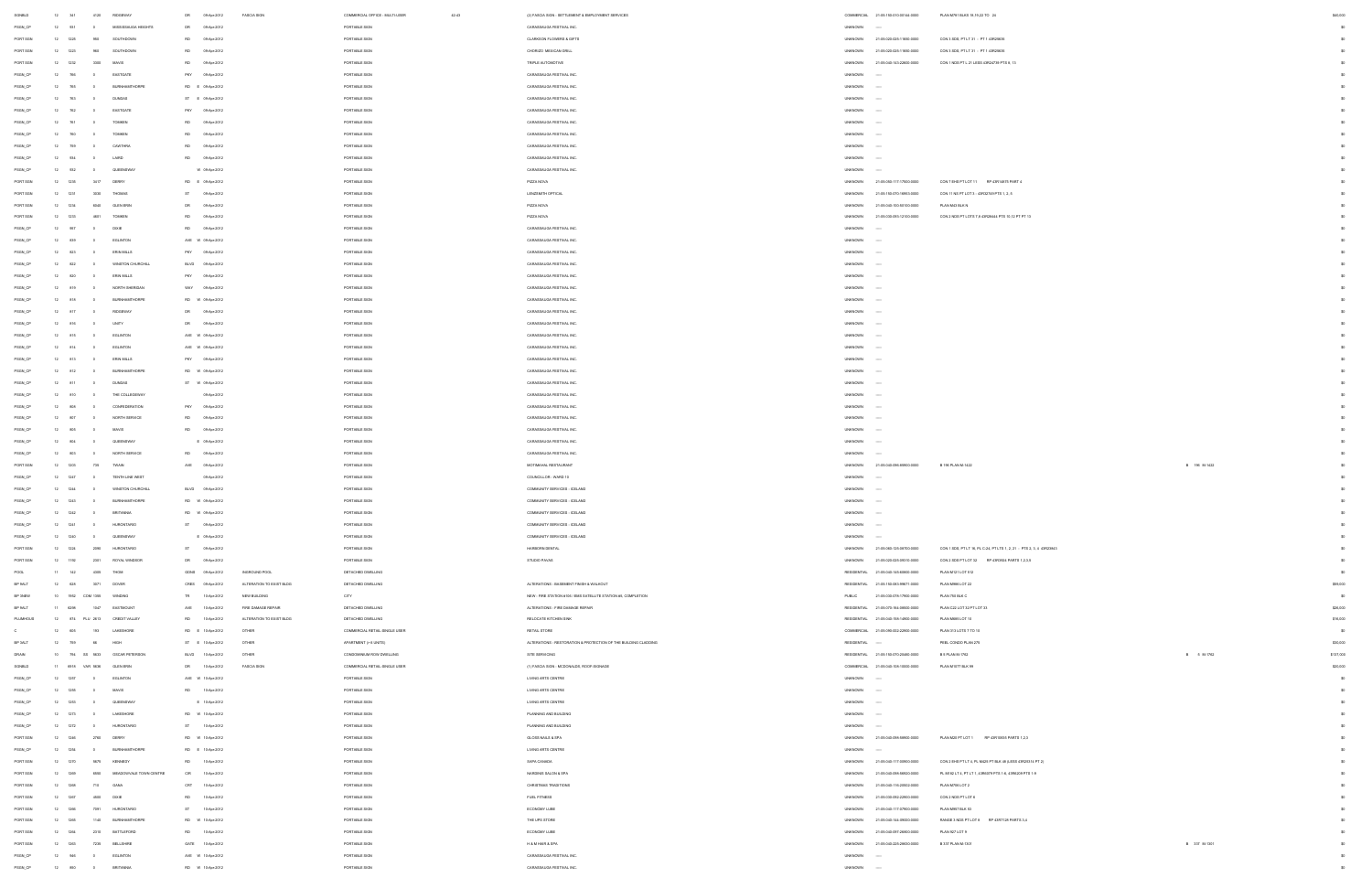| SGNBLD       | 341<br>12  | 4120           | <b>RIDGEWAY</b>            | DR 09-Apr-2012    | <b>FASCIA SIGN</b>       | COMMERCIAL OFFICE - MULTI-USER | 42-43 | (2) FASCIA SIGN - SETTLEMENT & EMPLOYMENT SERVICES              |                | COMMERCIAL 21-05-150-010-00144-0000  | PLAN M781 BLKS 18,19,22 TO 24                                        | \$40,00                |
|--------------|------------|----------------|----------------------------|-------------------|--------------------------|--------------------------------|-------|-----------------------------------------------------------------|----------------|--------------------------------------|----------------------------------------------------------------------|------------------------|
| PSGN_CP      | 12<br>931  | $\bullet$      | MISSISSAUGA HEIGHTS        | DR 09-Apr-2012    |                          | PORTABLE SIGN                  |       | CARASSAUGA FESTIVAL INC.                                        | <b>UNKNOWN</b> | --                                   |                                                                      |                        |
|              |            |                |                            |                   |                          |                                |       |                                                                 |                |                                      |                                                                      |                        |
| PORT SGN     | 12<br>1225 | 950            | SOUTHDOWN                  | RD 09-Apr-2012    |                          | PORTABLE SIGN                  |       | CLARKSON FLOWERS & GIFTS                                        | <b>UNKNOWN</b> | 21-05-020-025-11650-0000             | CON 3 SDS, PT LT 31 - PT 1 43R25635                                  |                        |
| PORT SGN     | 1223<br>12 | 960            | SOUTHDOWN                  | RD 09-Apr-2012    |                          | PORTABLE SIGN                  |       | CHORIZO MEXICAN GRILL                                           | <b>UNKNOWN</b> | 21-05-020-025-11650-0000             | CON 3 SDS, PT LT 31 - PT 1 43R25635                                  |                        |
| PORT SGN     | 1232<br>12 | 3300           | <b>MAVIS</b>               | RD 09-Apr-2012    |                          | PORTABLE SIGN                  |       | TRIPLE AUTOMOTIVE                                               | <b>UNKNOWN</b> | 21-05-040-143-22600-0000             | CON 1 NDS PT L 21 LESS 43R24739 PTS 8, 13                            |                        |
| PSGN_CP      | 766<br>12  | $\sim$ 0       | EASTGATE                   | PKY 09-Apr-2012   |                          | PORTABLE SIGN                  |       | CARASSAUGA FESTIVAL INC.                                        | <b>UNKNOWN</b> |                                      |                                                                      |                        |
| PSGN_CP      | 12<br>765  | $\bullet$      | BURNHAMTHORPE              | RD E 09-Apr-2012  |                          | PORTABLE SIGN                  |       | CARASSAUGA FESTIVAL INC.                                        | <b>UNKNOWN</b> | $\sim$                               |                                                                      |                        |
| PSGN_CP      | 763<br>12  | $\circ$        | <b>DUNDAS</b>              | ST E 09-Apr-2012  |                          | PORTABLE SIGN                  |       | CARASSAUGA FESTIVAL INC.                                        | <b>UNKNOWN</b> | ---                                  |                                                                      |                        |
| PSGN_CP      | 12<br>762  | $\circ$        | EASTGATE                   | PKY 09-Apr-2012   |                          | PORTABLE SIGN                  |       | CARASSAUGA FESTIVAL INC.                                        | <b>UNKNOWN</b> | $\sim$                               |                                                                      |                        |
| PSGN_CP      | 12<br>761  | $\circ$        | <b>TOMKEN</b>              | RD 09-Apr-2012    |                          | PORTABLE SIGN                  |       | CARASSAUGA FESTIVAL INC.                                        | <b>UNKNOWN</b> | ----                                 |                                                                      |                        |
| PSGN_CP      | 12<br>760  | $\circ$        | <b>TOMKEN</b>              | RD 09-Apr-2012    |                          | PORTABLE SIGN                  |       | CARASSAUGA FESTIVAL INC.                                        | <b>UNKNOWN</b> | $\sim$                               |                                                                      |                        |
| PSGN CP      | 759<br>12  | $\sim$ 0       | CAWTHRA                    | RD 09-Apr-2012    |                          | PORTABLE SIGN                  |       | CARASSAUGA FESTIVAL INC.                                        | <b>UNKNOWN</b> | $\sim$                               |                                                                      |                        |
|              | 12<br>934  | $\circ$        | LAIRD                      |                   |                          | PORTABLE SIGN                  |       | CARASSAUGA FESTIVAL INC.                                        | <b>UNKNOWN</b> | -----                                |                                                                      |                        |
| PSGN_CP      |            |                |                            | RD 09-Apr-2012    |                          |                                |       |                                                                 |                |                                      |                                                                      |                        |
| PSGN CP      | 932<br>12  | $\sim$ 0       | QUEENSWAY                  | W 09-Apr-2012     |                          | PORTABLE SIGN                  |       | CARASSAUGA FESTIVAL INC.                                        | <b>UNKNOWN</b> | ----                                 |                                                                      |                        |
| PORT SGN     | 12<br>1235 | 3417           | DERRY                      | RD E 09-Apr-2012  |                          | PORTABLE SIGN                  |       | PIZZA NOVA                                                      | <b>UNKNOWN</b> | 21-05-050-117-17500-0000             | CON 7 EHS PT LOT 11 RP 43R14875 PART 4                               |                        |
| PORT SGN     | 12<br>1231 | 3030           | THOMAS                     | ST 09-Apr-2012    |                          | PORTABLE SIGN                  |       | LENZSMITH OPTICAL                                               | <b>UNKNOWN</b> | 21-05-150-070-16953-0000             | CON 11 NS PT LOT 3 - 43R32749 PTS 1, 2, 5                            |                        |
| PORT SGN     | 1234<br>12 | 6040           | <b>GLEN ERIN</b>           | DR 09-Apr-2012    |                          | PORTABLE SIGN                  |       | PIZZA NOVA                                                      | <b>UNKNOWN</b> | 21-05-040-100-50100-0000             | PLAN M43 BLK N                                                       |                        |
| PORT SGN     | 1233<br>12 | 4601           | <b>TOMKEN</b>              | RD 09-Apr-2012    |                          | PORTABLE SIGN                  |       | PIZZA NOVA                                                      | <b>UNKNOWN</b> | 21-05-030-093-12100-0000             | CON 2 NDS PT LOTS 7,8 43R28444 PTS 10,12 PT PT 13                    |                        |
| PSGN_CP      | 957<br>12  | $\bullet$      | <b>DIXIE</b>               | RD 09-Apr-2012    |                          | PORTABLE SIGN                  |       | CARASSAUGA FESTIVAL INC.                                        | <b>UNKNOWN</b> | $\sim$                               |                                                                      |                        |
| PSGN_CP      | 12<br>839  | $\sim$         | <b>EGLINTON</b>            | AVE W 09-Apr-2012 |                          | PORTABLE SIGN                  |       | CARASSAUGA FESTIVAL INC.                                        | <b>UNKNOWN</b> | $\sim$                               |                                                                      |                        |
| PSGN_CP      | 823<br>12  | $\bullet$      | <b>ERIN MILLS</b>          | PKY 09-Apr-2012   |                          | PORTABLE SIGN                  |       | CARASSAUGA FESTIVAL INC.                                        | <b>UNKNOWN</b> | $\sim$                               |                                                                      |                        |
| PSGN_CP      | 822        | $\bullet$      | WINSTON CHURCHILL          | BLVD 09-Apr-2012  |                          | PORTABLE SIGN                  |       | CARASSAUGA FESTIVAL INC.                                        | <b>UNKNOWN</b> | ----                                 |                                                                      |                        |
|              |            |                |                            |                   |                          |                                |       |                                                                 |                |                                      |                                                                      |                        |
| PSGN_CP      | 820<br>12  | $\bullet$      | <b>ERIN MILLS</b>          | PKY 09-Apr-2012   |                          | PORTABLE SIGN                  |       | CARASSAUGA FESTIVAL INC.                                        | <b>UNKNOWN</b> |                                      |                                                                      |                        |
| PSGN_CP      | 12<br>819  | $\overline{0}$ | NORTH SHERIDAN             | WAY 09-Apr-2012   |                          | PORTABLE SIGN                  |       | CARASSAUGA FESTIVAL INC.                                        | <b>UNKNOWN</b> |                                      |                                                                      |                        |
| PSGN_CP      | 12<br>818  | $\circ$        | BURNHAMTHORPE              | RD W 09-Apr-2012  |                          | PORTABLE SIGN                  |       | CARASSAUGA FESTIVAL INC.                                        | <b>UNKNOWN</b> |                                      |                                                                      |                        |
| PSGN_CP      | 12<br>817  | $\circ$        | RIDGEWAY                   | DR 09-Apr-2012    |                          | PORTABLE SIGN                  |       | CARASSAUGA FESTIVAL INC.                                        | <b>UNKNOWN</b> |                                      |                                                                      |                        |
| PSGN_CP      | 816<br>12  | $\overline{0}$ | <b>UNITY</b>               | DR 09-Apr-2012    |                          | PORTABLE SIGN                  |       | CARASSAUGA FESTIVAL INC.                                        | <b>UNKNOWN</b> | --                                   |                                                                      |                        |
| PSGN_CP      | 12<br>815  | $\bullet$      | <b>EGLINTON</b>            | AVE W 09-Apr-2012 |                          | PORTABLE SIGN                  |       | CARASSAUGA FESTIVAL INC.                                        | <b>UNKNOWN</b> | --                                   |                                                                      |                        |
| PSGN_CP      | 814<br>12  | $\sim$ 0       | <b>EGLINTON</b>            | AVE W 09-Apr-2012 |                          | PORTABLE SIGN                  |       | CARASSAUGA FESTIVAL INC.                                        | <b>UNKNOWN</b> |                                      |                                                                      |                        |
| PSGN_CP      | 813<br>12  | $\sim$ 0       | <b>ERIN MILLS</b>          | PKY 09-Apr-2012   |                          | PORTABLE SIGN                  |       | CARASSAUGA FESTIVAL INC.                                        | <b>UNKNOWN</b> | ---                                  |                                                                      |                        |
| PSGN_CP      | 812        | $\sim$ 0       | BURNHAMTHORPE              | RD W 09-Apr-2012  |                          | PORTABLE SIGN                  |       | CARASSAUGA FESTIVAL INC.                                        | <b>UNKNOWN</b> |                                      |                                                                      |                        |
|              | 12         |                |                            |                   |                          |                                |       |                                                                 |                | --                                   |                                                                      |                        |
| PSGN_CP      | 12<br>811  | $\sim$ 0       | <b>DUNDAS</b>              | ST W 09-Apr-2012  |                          | PORTABLE SIGN                  |       | CARASSAUGA FESTIVAL INC.                                        | <b>UNKNOWN</b> | --                                   |                                                                      |                        |
| PSGN_CP      | 810<br>12  | $\sim$ 0       | THE COLLEGEWAY             | 09-Apr-2012       |                          | PORTABLE SIGN                  |       | CARASSAUGA FESTIVAL INC.                                        | <b>UNKNOWN</b> |                                      |                                                                      |                        |
| PSGN_CP      | 12<br>808  | $\circ$        | CONFEDERATION              | PKY 09-Apr-2012   |                          | PORTABLE SIGN                  |       | CARASSAUGA FESTIVAL INC.                                        | <b>UNKNOWN</b> | $\sim$                               |                                                                      |                        |
| PSGN_CP      | 12<br>807  | $\circ$        | NORTH SERVICE              | RD 09-Apr-2012    |                          | PORTABLE SIGN                  |       | CARASSAUGA FESTIVAL INC.                                        | <b>UNKNOWN</b> | ----                                 |                                                                      |                        |
| PSGN_CP      | 12<br>805  | $\circ$        | <b>MAVIS</b>               | RD 09-Apr-2012    |                          | PORTABLE SIGN                  |       | CARASSAUGA FESTIVAL INC.                                        | <b>UNKNOWN</b> | $\sim$                               |                                                                      |                        |
| PSGN_CP      | 12<br>804  | $\sim$         | QUEENSWAY                  | E 09-Apr-2012     |                          | PORTABLE SIGN                  |       | CARASSAUGA FESTIVAL INC.                                        | <b>UNKNOWN</b> | -----                                |                                                                      |                        |
| PSGN_CP      | 12<br>803  | $\circ$        | NORTH SERVICE              | RD 09-Apr-2012    |                          | PORTABLE SIGN                  |       | CARASSAUGA FESTIVAL INC.                                        | <b>UNKNOWN</b> | -----                                |                                                                      |                        |
| PORT SGN     | 1203<br>12 | 735            | <b>TWAIN</b>               | AVE 09-Apr-2012   |                          | PORTABLE SIGN                  |       | MOTIMAHAL RESTAURANT                                            | <b>UNKNOWN</b> | 21-05-040-096-85900-0000             | B 196 PLAN M-1422                                                    | B 196 M-1422           |
|              | 12<br>1247 | $\bullet$      | TENTH LINE WEST            |                   |                          |                                |       | COUNCILLOR - WARD 10                                            | <b>UNKNOWN</b> | $\sim$                               |                                                                      |                        |
| PSGN_CP      |            |                |                            | 09-Apr-2012       |                          | PORTABLE SIGN                  |       |                                                                 |                |                                      |                                                                      |                        |
| PSGN_CP      | 12<br>1244 | $^{\circ}$     | <b>WINSTON CHURCHILL</b>   | BLVD 09-Apr-2012  |                          | PORTABLE SIGN                  |       | COMMUNITY SERVICES - ICELAND                                    | <b>UNKNOWN</b> | $\sim$                               |                                                                      |                        |
| PSGN_CP      | 12 1243    | $\sim$ 0       | BURNHAMTHORPE              | RD W 09-Apr-2012  |                          | PORTABLE SIGN                  |       | COMMUNITY SERVICES - ICELAND                                    | <b>UNKNOWN</b> | $\sim$                               |                                                                      |                        |
| PSGN_CP      | 12<br>1242 | $\overline{0}$ | BRITANNIA                  | RD W 09-Apr-2012  |                          | PORTABLE SIGN                  |       | COMMUNITY SERVICES - ICELAND                                    | <b>UNKNOWN</b> | $\sim$                               |                                                                      |                        |
| PSGN_CP      | 12 1241    | $\sim$         | <b>HURONTARIO</b>          | ST 09-Apr-2012    |                          | PORTABLE SIGN                  |       | COMMUNITY SERVICES - ICELAND                                    | <b>UNKNOWN</b> | $\sim$                               |                                                                      |                        |
| PSGN_CP      | 12<br>1240 | $\bullet$      | QUEENSWAY                  | E 09-Apr-2012     |                          | PORTABLE SIGN                  |       | COMMUNITY SERVICES - ICELAND                                    | <b>UNKNOWN</b> | $\sim$                               |                                                                      |                        |
| PORT SGN     | 1224<br>12 | 2090           | <b>HURONTARIO</b>          | ST 09-Apr-2012    |                          | PORTABLE SIGN                  |       | <b>HARBORN DENTAL</b>                                           | <b>UNKNOWN</b> | 21-05-060-125-08700-0000             | CON 1 SDS, PT LT 16, PL C-24, PT LTS 1, 2, 21 - PTS 2, 3, 4 43R23843 |                        |
| PORT SGN     | 1192<br>12 | 2301           | ROYAL WINDSOR              | DR 09-Apr-2012    |                          | PORTABLE SIGN                  |       | STUDIO PAVAS                                                    | <b>UNKNOWN</b> | 21-05-020-025-09310-0000             | CON 2 SDS PT LOT 32 RP 43R3924 PARTS 1,2,3,5                         |                        |
| POOL         | 142        | 4305           | THOM                       | GDNS 09-Apr-2012  | INGROUND POOL            | DETACHED DWELLING              |       |                                                                 |                | RESIDENTIAL 21-05-040-145-60800-0000 | PLAN M121 LOT 512                                                    |                        |
| BP 9ALT      | 628<br>12  | 3071           | <b>DOVER</b>               | CRES 09-Apr-2012  | ALTERATION TO EXIST BLDG | DETACHED DWELLING              |       | ALTERATIONS - BASEMENT FINISH & WALKOUT                         | RESIDENTIAL    | 21-05-150-083-99671-0000             | PLAN M986 LOT 22                                                     |                        |
|              | 1952<br>10 | COM 1355       | WINDING                    |                   | NEW BUILDING             | CITY                           |       | NEW - FIRE STATION #106 / EMS SATELLITE STATION #5, COMPLETION  |                |                                      |                                                                      |                        |
| BP 3NEW      |            |                |                            | TR 10-Apr-2012    |                          |                                |       |                                                                 | PUBLIC         | 21-05-030-078-17900-0000             | PLAN 750 BLK C                                                       |                        |
| BP 9ALT      | 6298       | 1047           | EASTMOUNT                  | AVE 10-Apr-2012   | FIRE DAMAGE REPAIR       | DETACHED DWELLING              |       | ALTERATIONS - FIRE DAMAGE REPAIR                                | RESIDENTIAL    | 21-05-070-164-08500-0000             | PLAN C22 LOT 32 PT LOT 33                                            | \$26,00                |
| PLUMHOUS     | 12         |                | 874 PLU 2613 CREDIT VALLEY | RD 10-Apr-2012    | ALTERATION TO EXIST BLDG | DETACHED DWELLING              |       | RELOCATE KITCHEN SINK                                           |                | RESIDENTIAL 21-05-040-158-14900-0000 | PLAN M685 LOT 10                                                     | \$16,00                |
| $\mathbf{C}$ | 605        | 193            | LAKESHORE                  | RD E 10-Apr-2012  | OTHER                    | COMMERCIAL RETAIL-SINGLE USER  |       | RETAIL STORE                                                    |                | COMMERCIAL 21-05-090-002-22900-0000  | PLAN 313 LOTS 7 TO 10                                                |                        |
| BP 3ALT      | 759<br>12  | 66             | <b>HIGH</b>                | ST E 10-Apr-2012  | OTHER                    | APARTMENT (> 6 UNITS)          |       | ALTERATIONS - RESTORATION & PROTECTION OF THE BUILDING CLADDING | RESIDENTIAL    | ----                                 | PEEL CONDO PLAN 275                                                  | \$30,00                |
| DRAIN        | 794        |                | SS 5633 OSCAR PETERSON     | BLVD 10-Apr-2012  | OTHER                    | CONDOMINIUM ROW DWELLING       |       | SITE SERVICING                                                  |                | RESIDENTIAL 21-05-150-070-20460-0000 | <b>B 5 PLAN M-1762</b>                                               | B 5 M-1762<br>\$137,00 |
| SGNBLD       | 11         |                | 6918 VAR 5636 GLEN ERIN    | DR 10-Apr-2012    | <b>FASCIA SIGN</b>       | COMMERCIAL RETAIL-SINGLE USER  |       | (1) FASCIA SIGN - MCDONALDS, ROOF-SIGNAGE                       |                | COMMERCIAL 21-05-040-108-10000-0000  | PLAN M1077 BLK 99                                                    | \$20,00                |
| PSGN_CP      | 1257<br>12 | $\bullet$      | <b>EGLINTON</b>            | AVE W 10-Apr-2012 |                          | PORTABLE SIGN                  |       | <b>LIVING ARTS CENTRE</b>                                       | <b>UNKNOWN</b> | -----                                |                                                                      |                        |
| PSGN_CP      | 1255<br>12 | $\sim$ 0       | <b>MAVIS</b>               | RD 10-Apr-2012    |                          | PORTABLE SIGN                  |       | <b>LIVING ARTS CENTRE</b>                                       | <b>UNKNOWN</b> | -----                                |                                                                      |                        |
| PSGN_CP      | 12<br>1253 | $\sim$ 0       | QUEENSWAY                  | E 10-Apr-2012     |                          | PORTABLE SIGN                  |       | <b>LIVING ARTS CENTRE</b>                                       | <b>UNKNOWN</b> | ----                                 |                                                                      |                        |
|              |            |                |                            |                   |                          |                                |       |                                                                 |                |                                      |                                                                      |                        |
| PSGN_CP      | 12<br>1273 | $\sim$ 0       | LAKESHORE                  | RD W 10-Apr-2012  |                          | PORTABLE SIGN                  |       | PLANNING AND BUILDING                                           | <b>UNKNOWN</b> | ----                                 |                                                                      |                        |
| PSGN_CP      | 12<br>1272 | $\sim$ 0       | <b>HURONTARIO</b>          | ST 10-Apr-2012    |                          | PORTABLE SIGN                  |       | PLANNING AND BUILDING                                           | <b>UNKNOWN</b> | $\sim$                               |                                                                      |                        |
| PORT SGN     | 12<br>1246 | 2760           | <b>DERRY</b>               | RD W 10-Apr-2012  |                          | PORTABLE SIGN                  |       | <b>GLOSS NAILS &amp; SPA</b>                                    | <b>UNKNOWN</b> | 21-05-040-098-58900-0000             | PLAN M20 PT LOT 1 RP 43R10835 PARTS 1,2,3                            |                        |
| PSGN_CP      | 12<br>1254 | $\bullet$      | <b>BURNHAMTHORPE</b>       | RD E 10-Apr-2012  |                          | PORTABLE SIGN                  |       | <b>LIVING ARTS CENTRE</b>                                       | <b>UNKNOWN</b> | $\cdots$                             |                                                                      |                        |
| PORT SGN     | 12<br>1270 | 5675           | <b>KENNEDY</b>             | RD 10-Apr-2012    |                          | PORTABLE SIGN                  |       | SAPA CANADA                                                     | <b>UNKNOWN</b> | 21-05-040-117-00900-0000             | CON 2 EHS PT LT 4, PL M425 PT BLK 48 (LESS 43R25314 PT 2)            |                        |
| PORT SGN     | 1269<br>12 | 6550           | MEADOWVALE TOWN CENTRE     | CIR 10-Apr-2012   |                          | PORTABLE SIGN                  |       | NARDINIS SALON & SPA                                            | <b>UNKNOWN</b> | 21-05-040-098-56920-0000             | PL M182 LT 4, PT LT 1, 43R6079 PTS 1-6, 43R6209 PTS 1-9              |                        |
| PORT SGN     | 1268<br>12 | 710            | GANA                       | CRT 10-Apr-2012   |                          | PORTABLE SIGN                  |       | <b>CHRISTMAS TRADITIONS</b>                                     | <b>UNKNOWN</b> | 21-05-040-116-20502-0000             | PLAN M706 LOT 2                                                      |                        |
| PORT SGN     | 1267<br>12 | 4500           | <b>DIXIE</b>               | RD 10-Apr-2012    |                          | PORTABLE SIGN                  |       | <b>FUEL FITNESS</b>                                             | <b>UNKNOWN</b> | 21-05-030-092-22900-0000             | CON 2 NDS PT LOT 6                                                   |                        |
| PORT SGN     | 1266<br>12 | 7091           | <b>HURONTARIO</b>          | ST 10-Apr-2012    |                          | PORTABLE SIGN                  |       | ECONOMY LUBE                                                    | <b>UNKNOWN</b> | 21-05-040-117-07900-0000             | PLAN M957 BLK 53                                                     |                        |
|              | 12         |                | <b>BURNHAMTHORPE</b>       |                   |                          |                                |       |                                                                 |                |                                      |                                                                      |                        |
| PORT SGN     | 1265       | 1140           |                            | RD W 10-Apr-2012  |                          | PORTABLE SIGN                  |       | THE UPS STORE                                                   | <b>UNKNOWN</b> | 21-05-040-144-09000-0000             | RANGE 3 NDS PT LOT 8 RP 43R7128 PARTS 3,4                            |                        |
| PORT SGN     | 12<br>1264 | 2310           | BATTLEFORD                 | RD 10-Apr-2012    |                          | PORTABLE SIGN                  |       | ECONOMY LUBE                                                    | <b>UNKNOWN</b> | 21-05-040-097-26800-0000             | PLAN 927 LOT 9                                                       |                        |
| PORT SGN     | 12<br>1263 | 7235           | <b>BELLSHIRE</b>           | GATE 10-Apr-2012  |                          | PORTABLE SIGN                  |       | H & M HAIR & SPA                                                | <b>UNKNOWN</b> | 21-05-040-225-28630-0000             | B 337 PLAN M-1301                                                    | B 337 M-1301           |
| PSGN_CP      | 12<br>946  | $\sim$         | EGLINTON                   | AVE W 10-Apr-2012 |                          | PORTABLE SIGN                  |       | CARASSAUGA FESTIVAL INC.                                        | <b>UNKNOWN</b> |                                      |                                                                      |                        |
| PSGN_CP      |            | 12 850 0       | BRITANNIA                  | RD W 10-Apr-2012  |                          | PORTABLE SIGN                  |       | CARASSAUGA FESTIVAL INC.                                        | <b>UNKNOWN</b> |                                      |                                                                      |                        |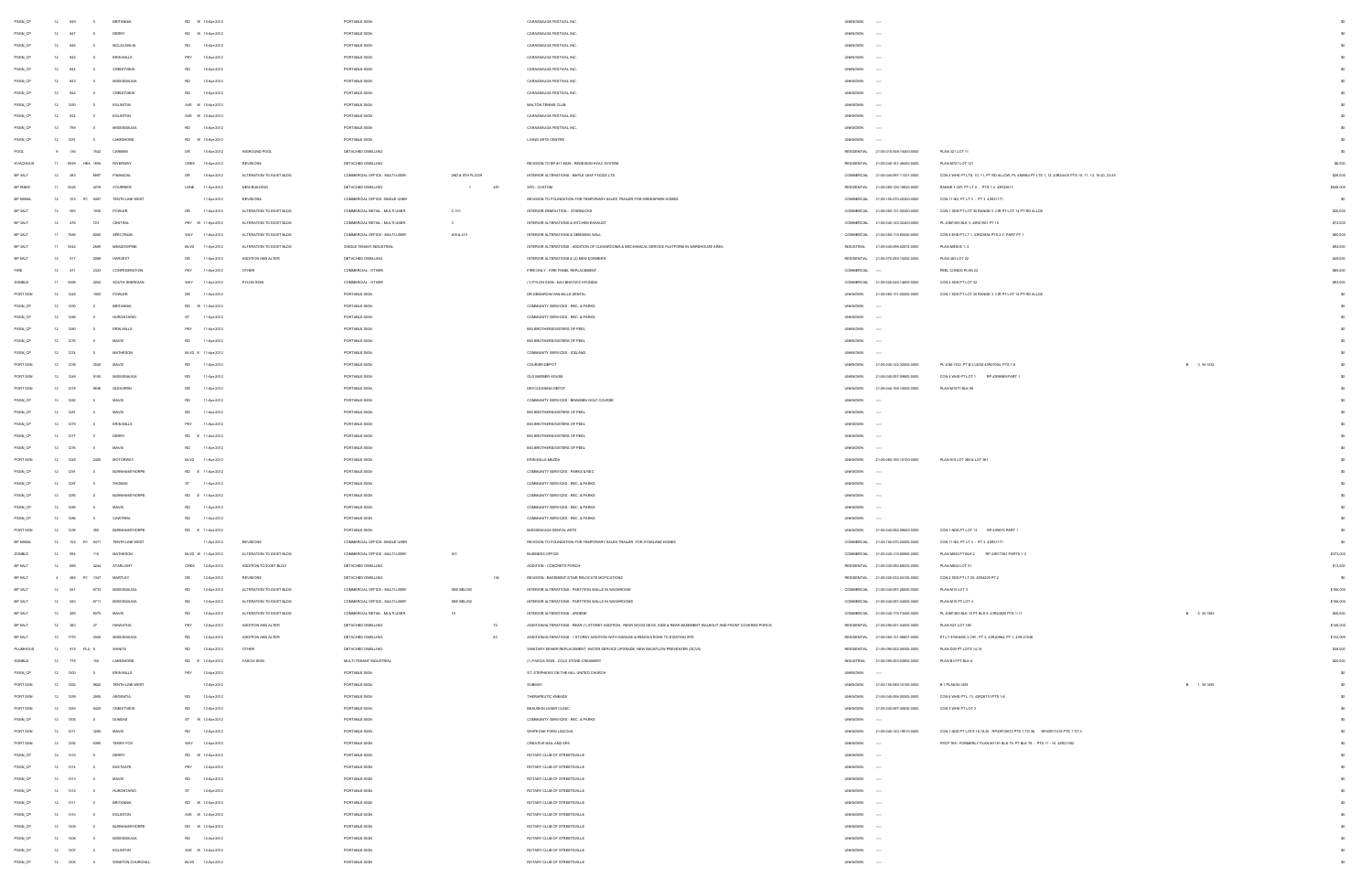| PSGN_CP                          | 12<br>849              | $\sim$          | BRITANNIA              | RD W 10-Apr-2012         |                          | PORTABLE SIGN                  |                 | CARASSAUGA FESTIVAL INC.                                                                                               | <b>UNKNOWN</b>    | $\sim$                               |                                                                                                      |          |
|----------------------------------|------------------------|-----------------|------------------------|--------------------------|--------------------------|--------------------------------|-----------------|------------------------------------------------------------------------------------------------------------------------|-------------------|--------------------------------------|------------------------------------------------------------------------------------------------------|----------|
| PSGN_CP                          | 12                     | $\circ$         | DERRY                  | RD W 10-Apr-2012         |                          | PORTABLE SIGN                  |                 | CARASSAUGA FESTIVAL INC.                                                                                               | <b>UNKNOWN</b>    | $\sim$                               |                                                                                                      |          |
| PSGN_CP                          | 12                     | $\circ$         | MCLAUGHLIN             | RD 10-Apr-2012           |                          | PORTABLE SIGN                  |                 | CARASSAUGA FESTIVAL INC.                                                                                               | <b>UNKNOWN</b>    |                                      |                                                                                                      |          |
| PSGN_CP                          |                        | $\circ$         | <b>ERIN MILLS</b>      | PKY 10-Apr-2012          |                          | PORTABLE SIGN                  |                 | CARASSAUGA FESTIVAL INC.                                                                                               | <b>UNKNOWN</b>    |                                      |                                                                                                      |          |
| PSGN_CP                          |                        | $\circ$         | CREDITVIEW             | RD 10-Apr-2012           |                          | PORTABLE SIGN                  |                 | CARASSAUGA FESTIVAL INC.                                                                                               | <b>UNKNOWN</b>    |                                      |                                                                                                      |          |
| PSGN_CP                          | 12                     | $\bullet$       | MISSISSAUGA            | RD 10-Apr-2012           |                          | PORTABLE SIGN                  |                 | CARASSAUGA FESTIVAL INC.                                                                                               | <b>UNKNOWN</b>    |                                      |                                                                                                      |          |
|                                  |                        | $\circ$         | CREDITVIEW             |                          |                          | PORTABLE SIGN                  |                 |                                                                                                                        | <b>UNKNOWN</b>    |                                      |                                                                                                      |          |
| PSGN_CP                          |                        |                 |                        | RD 10-Apr-2012           |                          |                                |                 | CARASSAUGA FESTIVAL INC.                                                                                               |                   |                                      |                                                                                                      |          |
| $\ensuremath{\mathsf{PSGN\_CP}}$ | 1250                   | $\circ$         | EGLINTON               | AVE W 10-Apr-2012        |                          | PORTABLE SIGN                  |                 | MALTON TENNIS CLUB                                                                                                     | <b>UNKNOWN</b>    |                                      |                                                                                                      |          |
| PSGN_CP                          | -12<br>824             | $\bullet$       | <b>EGLINTON</b>        | AVE W 10-Apr-2012        |                          | PORTABLE SIGN                  |                 | CARASSAUGA FESTIVAL INC.                                                                                               | <b>UNKNOWN</b>    | $\sim$                               |                                                                                                      |          |
| PSGN_CP                          | 12                     | $\bullet$       | MISSISSAUGA            | RD 10-Apr-2012           |                          | PORTABLE SIGN                  |                 | CARASSAUGA FESTIVAL INC.                                                                                               | <b>UNKNOWN</b>    | ----                                 |                                                                                                      |          |
| PSGN_CP                          | 12<br>125              | $\bullet$       | LAKESHORE              | RD W 10-Apr-2012         |                          | PORTABLE SIGN                  |                 | <b>LIVING ARTS CENTRE</b>                                                                                              | <b>UNKNOWN</b>    | $-$                                  |                                                                                                      |          |
| POOL                             | 136                    | 1542            | CARMEN                 | DR 10-Apr-2012           | INGROUND POOL            | DETACHED DWELLING              |                 |                                                                                                                        |                   | RESIDENTIAL 21-05-010-008-15400-0000 | PLAN 321 LOT 11                                                                                      |          |
|                                  | 6829                   |                 |                        |                          |                          |                                |                 |                                                                                                                        |                   | RESIDENTIAL 21-05-040-161-48452-0000 |                                                                                                      |          |
| <b>HVACHOUS</b>                  |                        | <b>HEA 1654</b> | <b>RIVERWAY</b>        | CRES 10-Apr-2012         | <b>REVISIONS</b>         | DETACHED DWELLING              |                 | REVISION TO BP #11-6829 - REDESIGN HVAC SYSTEM                                                                         |                   |                                      | PLAN M721 LOT 121                                                                                    |          |
| BP 3ALT                          | 12                     | 6897            | <b>FINANCIAL</b>       | DR 10-Apr-2012           | ALTERATION TO EXIST BLDG | COMMERCIAL OFFICE - MULTI-USER | 2ND & 5TH FLOOR | INTERIOR ALTERATIONS - MAPLE LEAF FOODS LTD                                                                            |                   | COMMERCIAL 21-05-040-097-11331-0000  | CON 4 WHS PT LTS, 10, 11, PT RD ALLOW, PL 43M964 PT LTS 1, 12, 43R24410 PTS 10, 11, 13, 15-20, 23-25 | \$26,00  |
| BP 9NEW                          | 11<br>5325             | 2278            | COURRIER               | LANE 11-Apr-2012         | NEW BUILDING             | DETACHED DWELLING              | 487<br>$\sim$ 1 | SFD - CUSTOM                                                                                                           |                   | RESIDENTIAL 21-05-060-126-18820-0000 | RANGE 3 CIR, PT LT A - PTS 1-4 43R33611                                                              | \$848,00 |
| BP 9SMAL                         | 12<br>103<br><b>R1</b> | 5497            | <b>TENTH LINE WEST</b> | 11-Apr-2012              | <b>REVISIONS</b>         | COMMERCIAL OFFICE- SINGLE USER |                 | REVISION TO FOUNDATION FOR TEMPORARY SALES TRAILER FOR GREENPARK HOMES                                                 |                   | COMMERCIAL 21-05-150-070-20200-0000  | CON 11 NS, PT LT 3 - PT 3 43R31171                                                                   |          |
| BP 3ALT                          | 12                     | 1930            | <b>FOWLER</b>          | DR 11-Apr-2012           | ALTERATION TO EXIST BLDG | COMMERCIAL RETAIL - MULTI-USER | $C-101$         | INTERIOR DEMOLITION - STARBUCKS                                                                                        |                   | COMMERCIAL 21-05-060-131-00200-0000  | CON 1 SDS PT LOT 30 RANGE 3 CIR PT LOT 14 PT RD ALLCE                                                | \$26,00  |
| BP 3ALT                          | 12<br>276              | 723             | CENTRAL                | PKY W 11-Apr-2012        | ALTERATION TO EXIST BLDG | COMMERCIAL RETAIL - MULTI-USER | $\mathbf{3}$    | INTERIOR ALTERATIONS & KITCHEN EXHAUST                                                                                 |                   | COMMERCIAL 21-05-040-143-32400-0000  | PL 43M1393 BLK 3, 43R21901 PT 15                                                                     | \$72,00  |
|                                  |                        |                 |                        |                          |                          |                                |                 |                                                                                                                        |                   |                                      |                                                                                                      |          |
| BP 3ALT                          | 7069                   | 5060            | SPECTRUM               | WAY 11-Apr-2012          | ALTERATION TO EXIST BLDG | COMMERCIAL OFFICE - MULTI-USER | 405 & 410       | INTERIOR ALTERATIONS & DEMISING WALL                                                                                   |                   | COMMERCIAL 21-05-050-115-60040-0000  | CON 5 EHS PT LT 1, 43R23854 PTS 2-7, PART PT 1                                                       | \$80,00  |
| BP 3ALT                          | 11<br>5342             | 2585            | MEADOWPINE             | BLVD 11-Apr-2012         | ALTERATION TO EXIST BLDG | SINGLE TENANT INDUSTRIAL       |                 | INTERIOR ALTERATIONS - ADDITION OF CLEANROOMS & MECHANICAL SERVICE PLATFORM IN WAREHOUSE AREA                          |                   | INDUSTRIAL 21-05-040-098-02674-0000  | PLAN M936 B 1.2                                                                                      | \$94,00  |
| BP 9ALT                          | 12<br>517              | 2088            | <b>HARVEST</b>         | DR 11-Apr-2012           | ADDITION AND ALTER       | DETACHED DWELLING              |                 | INTERIOR ALTERATIONS & (2) NEW DORMERS                                                                                 |                   | RESIDENTIAL 21-05-070-055-10200-0000 | PLAN 463 LOT 22                                                                                      | \$49,00  |
| FIRE                             | 12<br>571              | 2323            | CONFEDERATION          | PKY 11-Apr-2012          | <b>OTHER</b>             | COMMERCIAL - OTHER             |                 | FIRE-ONLY - FIRE PANEL REPLACEMENT                                                                                     | COMMERCIAL -----  |                                      | PEEL CONDO PLAN 22                                                                                   | \$65,00  |
| SGNBLD                           | 5368                   | 2254            | SOUTH SHERIDAN         | WAY 11-Apr-2012          | PYLON SIGN               | COMMERCIAL - OTHER             |                 | (1) PYLON SIGN - NAV BHATIA'S HYUNDAI                                                                                  |                   | COMMERCIAL 21-05-020-048-14800-0000  | CON 2 SDS PT LOT 32                                                                                  | \$93,00  |
| PORT SGN                         | 12<br>1248             | 1900            | <b>FOWLER</b>          | DR 11-Apr-2012           |                          | PORTABLE SIGN                  |                 | DR.DEMARCHI/VAN MILLS DENTAL                                                                                           | <b>UNKNOWN</b>    | 21-05-060-131-00200-0000             | CON 1 SDS PT LOT 30 RANGE 3 CIR PT LOT 14 PT RD ALLCE                                                |          |
|                                  |                        |                 |                        |                          |                          |                                |                 |                                                                                                                        |                   |                                      |                                                                                                      |          |
| PSGN_CP                          | 12<br>1290             | $\Omega$        | BRITANNIA              | RD W 11-Apr-2012         |                          | PORTABLE SIGN                  |                 | COMMUNITY SERVICES - REC. & PARKS                                                                                      | <b>UNKNOWN</b>    | $\cdots$                             |                                                                                                      |          |
| PSGN_CP                          | 12<br>1288             | $\sim$          | <b>HURONTARIO</b>      | ST 11-Apr-2012           |                          | PORTABLE SIGN                  |                 | COMMUNITY SERVICES - REC. & PARKS                                                                                      | <b>UNKNOWN</b>    | $\sim$                               |                                                                                                      |          |
| PSGN_CP                          | 1280<br>12             | $\sim$          | <b>ERIN MILLS</b>      | PKY 11-Apr-2012          |                          | PORTABLE SIGN                  |                 | BIG BROTHERS/SISTERS OF PEEL                                                                                           | <b>UNKNOWN</b>    |                                      |                                                                                                      |          |
| $\ensuremath{\mathsf{PSGN\_CP}}$ | 12<br>1275             | $\sim$          | MAVIS                  | RD 11-Apr-2012           |                          | PORTABLE SIGN                  |                 | BIG BROTHERS/SISTERS OF PEEL                                                                                           | <b>UNKNOWN</b>    |                                      |                                                                                                      |          |
| $\ensuremath{\mathsf{PSGN\_CP}}$ | 12<br>1274             | $\sim$          | MATHESON               | BLVD E 11-Apr-2012       |                          | PORTABLE SIGN                  |                 | COMMUNITY SERVICES - ICELAND                                                                                           | <b>UNKNOWN</b>    |                                      |                                                                                                      |          |
| PORT SGN                         | 12<br>1239             | 3045            | MAVIS                  |                          |                          |                                |                 | COURIER DEPOT                                                                                                          | <b>UNKNOWN</b>    | 21-05-040-142-32000-0000             |                                                                                                      |          |
|                                  |                        |                 |                        | RD 11-Apr-2012           |                          | PORTABLE SIGN                  |                 |                                                                                                                        |                   |                                      | PL 43M-1332, PT B 3 LESS 43R27004, PTS 1-6<br>B 3 M-1332                                             |          |
| PORT SGN                         | 12<br>1249             | 5155            | MISSISSAUGA            | RD 11-Apr-2012           |                          | PORTABLE SIGN                  |                 | OLD BARBER HOUSE                                                                                                       | <b>UNKNOWN</b>    | 21-05-040-097-09900-0000             | CON 4 WHS PT LOT 1 RP 43R8989 PART 1                                                                 |          |
| PORT SGN                         | 12<br>1278             | 5636            | <b>GLEN ERIN</b>       | DR<br>11-Apr-2012        |                          | PORTABLE SIGN                  |                 | DRYCLEANING DEPOT                                                                                                      | <b>UNKNOWN</b>    | 21-05-040-108-10000-0000             | PLAN M1077 BLK 99                                                                                    |          |
| PSGN_CP                          | 12<br>1282             | $\circ$         | MAVIS                  | RD 11-Apr-2012           |                          | PORTABLE SIGN                  |                 | COMMUNITY SERVICES - BRAEBEN GOLF COURSE                                                                               | <b>UNKNOWN</b>    |                                      |                                                                                                      |          |
| PSGN_CP                          | 12<br>1281             | $\circ$         | MAVIS                  | RD 11-Apr-2012           |                          | PORTABLE SIGN                  |                 | BIG BROTHERS/SISTERS OF PEEL                                                                                           | <b>UNKNOWN</b>    | $-$                                  |                                                                                                      |          |
| PSGN CP                          | 12<br>1279             | $\sim$          | <b>ERIN MILLS</b>      | PKY 11-Apr-2012          |                          | PORTABLE SIGN                  |                 | BIG BROTHERS/SISTERS OF PEEL                                                                                           | <b>UNKNOWN</b>    | ----                                 |                                                                                                      |          |
|                                  | 12                     | $\sim$          |                        |                          |                          |                                |                 | BIG BROTHERS/SISTERS OF PEEL                                                                                           |                   |                                      |                                                                                                      |          |
| PSGN_CP                          | 1277                   |                 | DERRY                  | RD E 11-Apr-2012         |                          | PORTABLE SIGN                  |                 |                                                                                                                        | <b>UNKNOWN</b>    | $\sim$                               |                                                                                                      |          |
| PSGN_CP                          | 1276<br>12             | $\sim$          | MAVIS                  | RD 11-Apr-2012           |                          | PORTABLE SIGN                  |                 | BIG BROTHERS/SISTERS OF PEEL                                                                                           | <b>UNKNOWN</b>    | -----                                |                                                                                                      |          |
| PORT SGN                         | 12<br>1245             | 2400            | MOTORWAY               | BLVD 11-Apr-2012         |                          | PORTABLE SIGN                  |                 | ERIN MILLS MAZDA                                                                                                       | <b>UNKNOWN</b>    | 21-05-060-155-10100-0000             | PLAN 915 LOT 360 & LOT 361                                                                           |          |
| PSGN_CP                          | 12<br>1291             | $\sim$          | BURNHAMTHORPE          | RD E 11-Apr-2012         |                          | PORTABLE SIGN                  |                 | COMMUNITY SERVICES - PARKS & REC                                                                                       | <b>UNKNOWN</b>    | $\sim$                               |                                                                                                      |          |
| PSGN_CP                          | 12<br>1287             | $\bullet$       | THOMAS                 | ST 11-Apr-2012           |                          | PORTABLE SIGN                  |                 | COMMUNITY SERVICES - REC. & PARKS                                                                                      | <b>UNKNOWN</b>    | $-$                                  |                                                                                                      |          |
| PSGN CP                          | 12<br>1285             | $\Omega$        | <b>BURNHAMTHORPE</b>   | RD E 11-Apr-2012         |                          | PORTABLE SIGN                  |                 | COMMUNITY SERVICES - REC. & PARKS                                                                                      | <b>UNKNOWN</b>    | $\sim$                               |                                                                                                      |          |
|                                  |                        |                 |                        |                          |                          | PORTABLE SIGN                  |                 |                                                                                                                        |                   |                                      |                                                                                                      |          |
| PSGN_CP                          | 12 1289                | $\sim$ 0        | MAVIS                  | RD 11-Apr-2012           |                          |                                |                 | COMMUNITY SERVICES - REC. & PARKS                                                                                      | <b>UNKNOWN</b>    | ----                                 |                                                                                                      |          |
| PSGN_CP                          | 12 1286                | $\sim$ 0        | CAWTHRA                | RD 11-Apr-2012           |                          | PORTABLE SIGN                  |                 | COMMUNITY SERVICES - REC. & PARKS                                                                                      | <b>UNKNOWN</b>    | 1.111                                |                                                                                                      |          |
| PORT SGN                         | 12 1238                | 350             | <b>BURNHAMTHORPE</b>   | RD E 11-Apr-2012         |                          | PORTABLE SIGN                  |                 | MISSISSAUGA DENTAL ARTS                                                                                                |                   | UNKNOWN 21-05-040-092-09600-0000     | CON 1 NDS PT LOT 13 RP 43R674 PART 1                                                                 |          |
| BP 9SMAL                         | 12<br>102              | R1 5471         | TENTH LINE WEST        | 11-Apr-2012              | <b>REVISIONS</b>         | COMMERCIAL OFFICE- SINGLE USER |                 | REVISION TO FOUNDATION FOR TEMPORARY SALES TRAILER FOR STARLANE HOMES                                                  |                   | COMMERCIAL 21-05-150-070-20200-0000  | CON 11 NS, PT LT 3 - PT 3 43R31171                                                                   |          |
| ZONBLD                           | 12<br>594              | 110             | MATHESON               | BLVD W 11-Apr-2012       | ALTERATION TO EXIST BLDG | COMMERCIAL OFFICE - MULTI-USER | 301             | <b>BUSINESS OFFICE</b>                                                                                                 |                   | COMMERCIAL 21-05-040-115-00950-0000  | PLAN M832 PT BLK 2 RP 43R17361 PARTS 1-3                                                             | \$373,00 |
| BP 9ALT                          | 12<br>698              | 4244            | <b>STARLIGHT</b>       | CRES 12-Apr-2012         | ADDITION TO EXIST BLDG   | DETACHED DWELLING              |                 | ADDITION - CONCRETE PORCH                                                                                              |                   | RESIDENTIAL 21-05-030-092-69233-0000 | PLAN M632 LOT 31                                                                                     | \$13,00  |
|                                  |                        |                 |                        |                          |                          |                                |                 | REVISION - RASEMENT-STAIR RELOCATE MOFICATIONS                                                                         |                   |                                      |                                                                                                      |          |
| BP 9ALT                          | 266                    | R1 1347         | <b>MARTLEY</b>         | DR 12-Apr-2012           | <b>REVISIONS</b>         | DETACHED DWELLING              | 134             |                                                                                                                        |                   | RESIDENTIAL 21-05-020-032-04100-0000 | CON 2 SDS PT LT 25, 43R4209 PT 2                                                                     |          |
| BP 3ALT                          | 12<br>521              | 6733            | MISSISSAUGA            | RD 12-Apr-2012           | ALTERATION TO EXIST BLDG | COMMERCIAL OFFICE - MULTI-USER | SEE BELOW       | INTERIOR ALTERATIONS - PARTITION WALLS IN WASHROOM                                                                     |                   | COMMERCIAL 21-05-040-097-26000-0000  | PLAN M10 LOT 3                                                                                       | \$156,00 |
| BP 3ALT                          | 12<br>520              | 6711            | MISSISSAUGA            | RD 12-Apr-2012           | ALTERATION TO EXIST BLDG | COMMERCIAL OFFICE - MULTI-USER | SEE BELOW       | INTERIOR ALTERATIONS - PARTITION WALLS IN WASHROOMS                                                                    |                   | COMMERCIAL 21-05-040-097-24500-0000  | PLAN M10 PT LOT 4                                                                                    | \$156,00 |
| BP 3ALT                          | 12<br>499              | 6075            | <b>MAVIS</b>           | RD 12-Apr-2012           | ALTERATION TO EXIST BLDG | COMMERCIAL RETAIL - MULTI-USER | 18              | INTERIOR ALTERATIONS - ARDENE                                                                                          |                   | COMMERCIAL 21-05-040-175-73400-0000  | PL 43M1363 BLK 10 PT BLK 5, 43R24920 PTS 1-11<br>B 5 M-1363                                          | \$26,00  |
| BP 9ALT                          | 12                     | 27              | HIAWATHA               | PKY 12-Apr-2012          | ADDITION AND ALTER       | DETACHED DWELLING              | 72              | ADDITION/ALTERATIONS - REAR (1) STOREY ADDITION, REAR WOOD DECK, SIDE & REAR BASEMENT WALKOUT AND FRONT COVERED PORCH. |                   | RESIDENTIAL 21-05-090-001-04000-0000 | PLAN H21 LOT 188                                                                                     | \$146,00 |
| BP 9ALT                          | 10<br>1770             | 2025            | <b>MISSISSAUG</b>      | <b>RD</b><br>12-Apr-2012 | ADDITION AND ALTER       | DETACHED DWELLING              | 63              | ADDITION/ALTERATIONS - 1 STOREY ADDITION WITH GARAGE & RENOVATIONS TO EXISTING SFD                                     |                   | RESIDENTIAL 21-05-060-131-06607-0000 | PT LT 9 RANGE 3 CIR - PT 3, 43R20984, PT 1, 43R-21036                                                | \$132,00 |
| PLUMHOUS                         | 12<br>915              | PLU 6           | WANITA                 | RD 12-Apr-2012           | OTHER                    | DETACHED DWELLING              |                 | SANITARY SEWER REPLACEMENT, WATER SERVICE UPGRADE, NEW BACKFLOW PREVENTER (DCVA)                                       | RESIDENTIAL       | 21-05-090-002-08300-0000             | PLAN D09 PT LOTS 14,15                                                                               | \$38,00  |
|                                  |                        |                 |                        |                          |                          |                                |                 |                                                                                                                        |                   |                                      |                                                                                                      |          |
| SGNBLD                           |                        | 150             | LAKESHORE              | RD E 12-Apr-2012         | <b>FASCIA SIGN</b>       | MULTI-TENANT INDUSTRIAL        |                 | (1) FASCIA SIGN - COLD STONE CREAMERY                                                                                  | <b>INDUSTRIAL</b> | 21-05-090-003-03802-0000             | PLAN B10 PT BLK A                                                                                    | \$20,00  |
| PSGN_CP                          | 12<br>1300             | $\circ$         | <b>ERIN MILLS</b>      | PKY 12-Apr-2012          |                          | PORTABLE SIGN                  |                 | ST. STEPHEN'S ON THE HILL UNITED CHURCH                                                                                | <b>UNKNOWN</b>    | $\cdots$                             |                                                                                                      |          |
| PORT SGN                         |                        | 5602            | TENTH LINE WEST        | 12-Apr-2012              |                          | PORTABLE SIGN                  |                 | SUBWAY                                                                                                                 | <b>UNKNOWN</b>    | 21-05-150-085-10100-0000             | B 1 PLAN M-1493<br>B 1 M-1493                                                                        |          |
| PORT SGN                         | 12<br>1259             | 2955            | ARGENTIA               | RD 12-Apr-2012           |                          | PORTABLE SIGN                  |                 | THERAPEUTIC KNEADS                                                                                                     | <b>UNKNOWN</b>    | 21-05-040-098-05300-0000             | CON 6 WHS PT L 13, 43R28710 PTS 1-6                                                                  |          |
| PORT SGN                         | 12<br>1283             | 5425            | CREDITVIEW             | RD 12-Apr-2012           |                          | PORTABLE SIGN                  |                 | BEAUSKIN LASER CLINIC                                                                                                  | <b>UNKNOWN</b>    | 21-05-040-097-00830-0000             | CON 3 WHS PT LOT 3                                                                                   |          |
| PSGN CP                          | 12<br>1305             | $\sim$          | <b>DUNDAS</b>          | ST W 12-Apr-2012         |                          | PORTABLE SIGN                  |                 | COMMUNITY SERVICES - REC. & PARKS                                                                                      | <b>UNKNOWN</b>    | -----                                |                                                                                                      |          |
|                                  |                        |                 |                        |                          |                          |                                |                 |                                                                                                                        |                   |                                      |                                                                                                      |          |
| PORT SGN                         | 12<br>1271             | 3285            | MAVIS                  | RD 12-Apr-2012           |                          | PORTABLE SIGN                  |                 | WHITEOAK FORD LINCOLN                                                                                                  | <b>UNKNOWN</b>    | 21-05-040-143-19010-0000             | CON 1 NDS PT LOTS 18,19,20 RP43R15672 PTS 1 TO 36, RP43R17418 PTS 1 TO 3                             |          |
| PORT SGN                         | 12<br>1292             | 5390            | <b>TERRY FOX</b>       | WAY 12-Apr-2012          |                          | PORTABLE SIGN                  |                 | CREATIVE NAIL AND SPA                                                                                                  | <b>UNKNOWN</b>    | -----                                | PSCP 769 - FORMERLY PLAN M1161 BLK 79, PT BLK 78 - PTS 11 - 16 43R21392                              |          |
| PSGN_CP                          | 12<br>1315             | $\bullet$       | DERRY                  | RD W 12-Apr-2012         |                          | PORTABLE SIGN                  |                 | ROTARY CLUB OF STREETSVILLE                                                                                            | <b>UNKNOWN</b>    | ----                                 |                                                                                                      |          |
| PSGN CP                          | 12<br>1314             | $\sim$          | EASTGATE               | PKY 12-Apr-2012          |                          | PORTABLE SIGN                  |                 | ROTARY CLUB OF STREETSVILLE                                                                                            | <b>UNKNOWN</b>    | --                                   |                                                                                                      |          |
| PSGN_CP                          | 12<br>1313             | $\bullet$       | <b>MAVIS</b>           | RD 12-Apr-2012           |                          | PORTABLE SIGN                  |                 | ROTARY CLUB OF STREETSVILLE                                                                                            | <b>UNKNOWN</b>    | $\sim$                               |                                                                                                      |          |
|                                  |                        |                 |                        |                          |                          |                                |                 | ROTARY CLUB OF STREETSVILLE                                                                                            |                   |                                      |                                                                                                      |          |
| PSGN CP                          | 12<br>1312             | $\bullet$       | <b>HURONTARIO</b>      | ST 12-Apr-2012           |                          | PORTABLE SIGN                  |                 |                                                                                                                        | <b>UNKNOWN</b>    | $\sim$                               |                                                                                                      |          |
| PSGN_CP                          | 12<br>1311             | $\bullet$       | BRITANNIA              | RD W 12-Apr-2012         |                          | PORTABLE SIGN                  |                 | ROTARY CLUB OF STREETSVILLE                                                                                            | <b>UNKNOWN</b>    | $\sim$                               |                                                                                                      |          |
| PSGN_CP                          | 12<br>1310             | $\sim$          | <b>EGLINTON</b>        | AVE W 12-Apr-2012        |                          | PORTABLE SIGN                  |                 | ROTARY CLUB OF STREETSVILLE                                                                                            | <b>UNKNOWN</b>    | $\sim$                               |                                                                                                      |          |
| PSGN_CP                          | 12<br>1309             | $\sim$          | <b>BURNHAMTHORPE</b>   | RD W 12-Apr-2012         |                          | PORTABLE SIGN                  |                 | ROTARY CLUB OF STREETSVILLE                                                                                            | <b>UNKNOWN</b>    | $\sim$                               |                                                                                                      |          |
| PSGN CP                          | 12<br>1308             | $\bullet$       | MISSISSAUGA            | RD 12-Apr-2012           |                          | PORTABLE SIGN                  |                 | ROTARY CLUB OF STREETSVILLE                                                                                            | <b>UNKNOWN</b>    | $-$                                  |                                                                                                      |          |
| PSGN_CP                          | 12<br>1307             | $\sim$          | <b>EGLINTON</b>        | AVE W 12-Apr-2012        |                          | PORTABLE SIGN                  |                 | ROTARY CLUB OF STREETSVILLE                                                                                            | <b>UNKNOWN</b>    | $\sim$                               |                                                                                                      |          |
|                                  |                        |                 |                        |                          |                          |                                |                 |                                                                                                                        |                   |                                      |                                                                                                      |          |
| PSGN_CP                          | 12 1306                | $\sim$ 0        | WINSTON CHURCHILL      | BLVD 12-Apr-2012         |                          | PORTABLE SIGN                  |                 | ROTARY CLUB OF STREETSVILLE                                                                                            | <b>UNKNOWN</b>    | --                                   |                                                                                                      |          |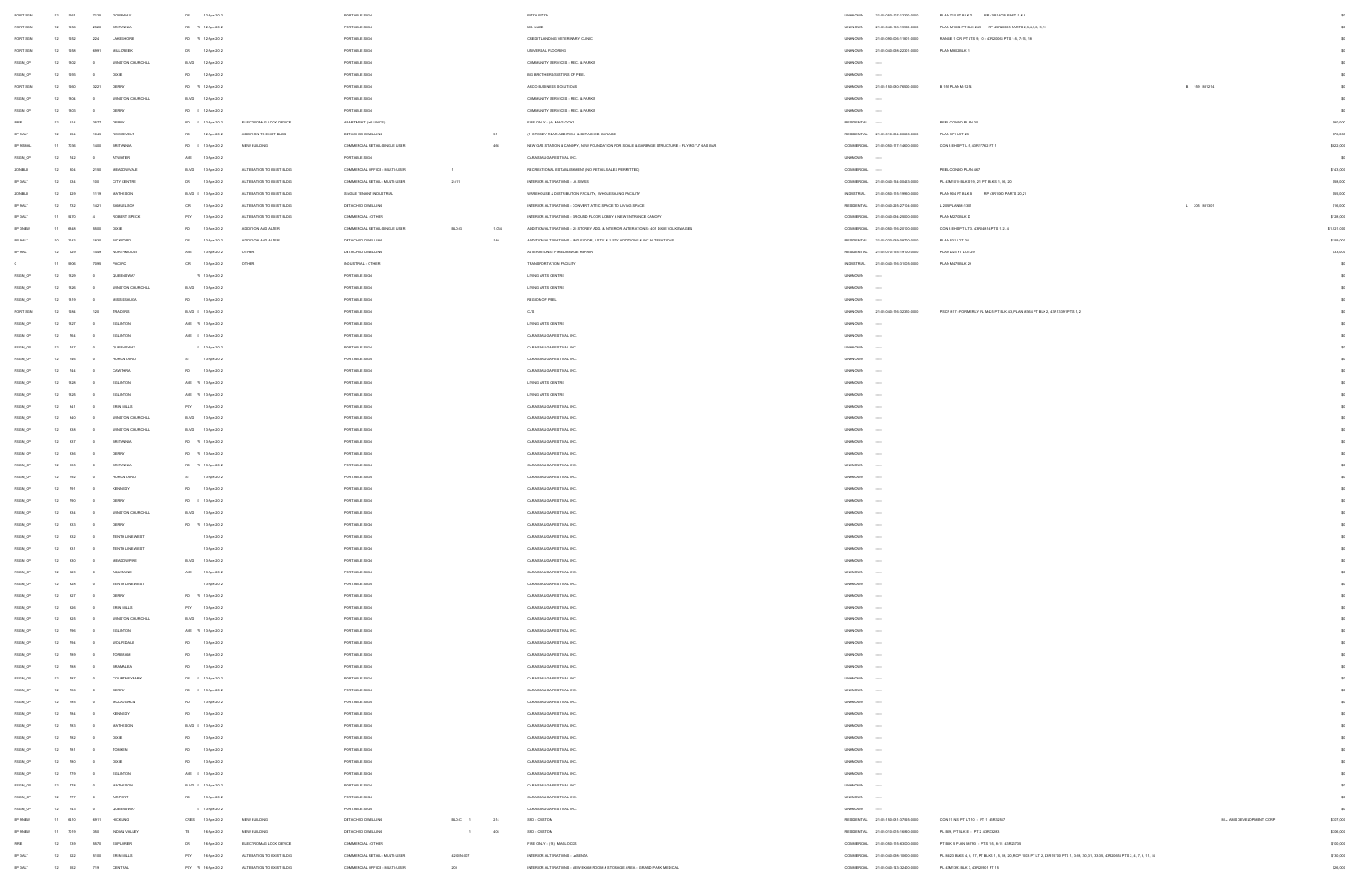| PORT SGN               | 12 1261                  | 7125                 | GOREWAY                    | DR 12-Apr-2012                       |                          | PORTABLE SIGN                          |                |       | PIZZA PIZZA                                                                                 | <b>UNKNOWN</b>                      | 21-05-050-107-12300-0000             | PLAN 710 PT BLK D RP 43R14025 PART 1 & 2                                                                                            |                           |                |
|------------------------|--------------------------|----------------------|----------------------------|--------------------------------------|--------------------------|----------------------------------------|----------------|-------|---------------------------------------------------------------------------------------------|-------------------------------------|--------------------------------------|-------------------------------------------------------------------------------------------------------------------------------------|---------------------------|----------------|
| PORT SGN               | 12<br>1256               | 2520                 | <b>BRITANNIA</b>           | RD W 12-Apr-2012                     |                          | PORTABLE SIGN                          |                |       | MR. LUBE                                                                                    | <b>UNKNOWN</b>                      | 21-05-040-108-19900-0000             | PLAN M1004 PT BLK 249 RP 43R20005 PARTS 2,3,4,5,8, 9,11                                                                             |                           |                |
| PORT SGN               | 12<br>1252               | 224                  | LAKESHORE                  | RD W 12-Apr-2012                     |                          | PORTABLE SIGN                          |                |       | CREDIT LANDING VETERINARY CLINIC                                                            | <b>UNKNOWN</b>                      | 21-05-090-006-11801-0000             | RANGE 1 CIR PT LTS 9, 10 - 43R20063 PTS 1-5, 7-16, 18                                                                               |                           |                |
| PORT SGN               | 12<br>1258               | 6991                 | MILLCREEK                  | DR 12-Apr-2012                       |                          | PORTABLE SIGN                          |                |       | UNIVERSAL FLOORING                                                                          | <b>UNKNOWN</b>                      | 21-05-040-098-22301-0000             | PLAN M802 BLK 1                                                                                                                     |                           |                |
| PSGN_CP                | 12<br>1302               | $\bullet$            | WINSTON CHURCHILL          | BLVD 12-Apr-2012                     |                          | PORTABLE SIGN                          |                |       | COMMUNITY SERVICES - REC. & PARKS                                                           | <b>UNKNOWN</b>                      | -                                    |                                                                                                                                     |                           |                |
| PSGN_CP                | 12<br>1293               | $\sim$               | DIXIE                      | RD 12-Apr-2012                       |                          | PORTABLE SIGN                          |                |       | BIG BROTHERS/SISTERS OF PEEL                                                                | <b>UNKNOWN</b>                      | ----                                 |                                                                                                                                     |                           |                |
| PORT SGN<br>PSGN_CP    | 12<br>1260<br>12<br>1304 | 3221<br>$\sim$       | DERRY<br>WINSTON CHURCHILL | RD W 12-Apr-2012<br>BLVD 12-Apr-2012 |                          | PORTABLE SIGN<br>PORTABLE SIGN         |                |       | ARCO BUSINESS SOLUTIONS<br>COMMUNITY SERVICES - REC. & PARKS                                | <b>UNKNOWN</b><br><b>UNKNOWN</b>    | 21-05-150-080-76500-0000             | B 159 PLAN M-1214                                                                                                                   | B 159 M-1214              |                |
|                        | 12                       | $\sim$               | <b>DERRY</b>               | RD E 12-Apr-2012                     |                          |                                        |                |       | COMMUNITY SERVICES - REC. & PARKS                                                           |                                     | $\cdots$                             |                                                                                                                                     |                           |                |
| PSGN CP<br><b>FIRE</b> | 1303<br>12<br>514        | 3577                 | DERRY                      | RD E 12-Apr-2012                     | ELECTROMAG LOCK DEVICE   | PORTABLE SIGN<br>APARTMENT (> 6 UNITS) |                |       | FIRE ONLY - (4) MAGLOCKS                                                                    | <b>UNKNOWN</b><br>RESIDENTIAL ----- | ----                                 | PEEL CONDO PLAN 30                                                                                                                  |                           | \$80,000       |
| BP 9ALT                | 12<br>254                | 1043                 | ROOSEVELT                  | RD 12-Apr-2012                       | ADDITION TO EXIST BLDG   | DETACHED DWELLING                      |                | 51    | (1) STOREY REAR ADDITION & DETACHED GARAGE                                                  |                                     | RESIDENTIAL 21-05-010-004-00600-0000 | PLAN 371 LOT 23                                                                                                                     |                           | \$76,000       |
| BP 9SMAL               | 11<br>7036               | 1400                 | BRITANNIA                  | RD E 13-Apr-2012                     | <b>NEW BUILDING</b>      | COMMERCIAL RETAIL-SINGLE USER          |                | 466   | NEW GAS STATION & CANOPY, NEW FOUNDATION FOR SCALE & GARBAGE STRUCTURE - FLYING "J" GAS BAR |                                     | COMMERCIAL 21-05-050-117-14600-0000  | CON 3 EHS PT L 5, 43R17762 PT 1                                                                                                     |                           | \$822,000      |
| PSGN CP                | 12<br>742                | $\sim$               | <b>ATWATER</b>             | AVE 13-Apr-2012                      |                          | PORTABLE SIGN                          |                |       | CARASSAUGA FESTIVAL INC.                                                                    | <b>UNKNOWN</b>                      | -----                                |                                                                                                                                     |                           | S <sub>0</sub> |
| ZONBLD                 | 12<br>304                | 2150                 | MEADOWVALE                 | BLVD 13-Apr-2012                     | ALTERATION TO EXIST BLDG | COMMERCIAL OFFICE - MULTI-USER         | $\blacksquare$ |       | RECREATIONAL ESTABLISHMENT (NO RETAIL SALES PERMITTED)                                      | COMMERCIAL -----                    |                                      | PEEL CONDO PLAN 467                                                                                                                 |                           | \$143,000      |
| BP 3ALT                | 12<br>634                | 100                  | <b>CITY CENTRE</b>         | DR 13-Apr-2012                       | ALTERATION TO EXIST BLDG | COMMERCIAL RETAIL - MULTI-USER         | $2 - 411$      |       | INTERIOR ALTERATIONS - LA SWISS                                                             |                                     | COMMERCIAL 21-05-040-154-00453-0000  | PL 43M1010 BLKS 19, 21, PT BLKS 1, 16, 20                                                                                           |                           | \$58,000       |
| ZONBLD                 | 12<br>429                | 1119                 | MATHESON                   | BLVD E 13-Apr-2012                   | ALTERATION TO EXIST BLDG | SINGLE TENANT INDUSTRIAL               |                |       | WAREHOUSE & DISTRIBUTION FACILITY, WHOLESALING FACILITY                                     |                                     | INDUSTRIAL 21-05-050-115-19960-0000  | PLAN 904 PT BLK B RP 43R1060 PARTS 20,21                                                                                            |                           | \$55,000       |
| BP 9ALT                | 732<br>12                | 1421                 | SAMUELSON                  | CIR 13-Apr-2012                      | ALTERATION TO EXIST BLDG | DETACHED DWELLING                      |                |       | INTERIOR ALTERATIONS - CONVERT ATTIC SPACE TO LIVING SPACE                                  |                                     | RESIDENTIAL 21-05-040-225-27104-0000 | L 205 PLAN M-1301                                                                                                                   | L 205 M-1301              | \$16,000       |
| BP 3ALT                | $11 -$<br>5470           | $\sim$ 4             | ROBERT SPECK               | PKY 13-Apr-2012                      | ALTERATION TO EXIST BLDG | COMMERCIAL - OTHER                     |                |       | INTERIOR ALTERATIONS - GROUND FLOOR LOBBY & NEW ENTRANCE CANOPY                             |                                     | COMMERCIAL 21-05-040-094-25000-0000  | PLAN M270 BLK D                                                                                                                     |                           | \$128,000      |
| BP 3NEW                | $11 -$<br>6348           | 5500                 | <b>DIXIE</b>               | RD 13-Apr-2012                       | ADDITION AND ALTER       | COMMERCIAL RETAIL-SINGLE USER          | BLD-G          | 1,034 | ADDITION/ALTERATIONS - (2) STOREY ADD. & INTERIOR ALTERATIONS - 401 DIXIE VOLKSWAGEN        |                                     | COMMERCIAL 21-05-050-116-20100-0000  | CON 3 EHS PT LT 3, 43R14814 PTS 1, 2, 4                                                                                             |                           | \$1,521,000    |
| BP 9ALT                | 10<br>2143               | 1830                 | <b>BICKFORD</b>            | DR 13-Apr-2012                       | ADDITION AND ALTER       | DETACHED DWELLING                      |                | 140   | ADDITION/ALTERATIONS - 2ND FLOOR, 2 STY & 1 STY ADDITIONS & INT.ALTERATIONS                 |                                     | RESIDENTIAL 21-05-020-039-08700-0000 | PLAN 531 LOT 34                                                                                                                     |                           | \$159,000      |
| BP 9ALT                | 12<br>629                | 1449                 | NORTHMOUNT                 | AVE 13-Apr-2012                      | OTHER                    | DETACHED DWELLING                      |                |       | ALTERATIONS - FIRE DAMAGE REPAIR                                                            |                                     | RESIDENTIAL 21-05-070-165-19100-0000 | PLAN D23 PT LOT 29                                                                                                                  |                           | \$33,000       |
|                        | 11<br>5906               | 7095                 | PACIFIC                    | CIR 13-Apr-2012                      | OTHER                    | INDUSTRIAL - OTHER                     |                |       | TRANSPORTATION FACILITY                                                                     | <b>INDUSTRIAL</b>                   | 21-05-040-116-31005-0000             | PLAN M475 BLK 29                                                                                                                    |                           |                |
| PSGN_CP                | 12<br>1329               | $\bullet$            | QUEENSWAY                  | W 13-Apr-2012                        |                          | PORTABLE SIGN                          |                |       | LIVING ARTS CENTRE                                                                          | <b>UNKNOWN</b>                      | $\cdots$                             |                                                                                                                                     |                           |                |
| PSGN_CP                | 12<br>1326               |                      | WINSTON CHURCHILL          | BLVD 13-Apr-2012                     |                          | PORTABLE SIGN                          |                |       | LIVING ARTS CENTRE                                                                          | <b>UNKNOWN</b>                      | $\sim$                               |                                                                                                                                     |                           |                |
| PSGN_CP                | 12<br>1319               | $\bullet$            | MISSISSAUGA                | RD 13-Apr-2012                       |                          | PORTABLE SIGN                          |                |       | REGION OF PEEL                                                                              | <b>UNKNOWN</b>                      | $\cdots$                             |                                                                                                                                     |                           |                |
| PORT SGN               | 12<br>1284               | 120                  | TRADERS                    | BLVD E 13-Apr-2012                   |                          | PORTABLE SIGN                          |                |       | CJ'S                                                                                        | <b>UNKNOWN</b>                      | 21-05-040-116-32310-0000             | PSCP 817 - FORMERLY PL M425 PT BLK 43, PLAN M364 PT BLK 2, 43R13391 PTS 1, 2                                                        |                           |                |
| PSGN_CP                | 1327<br>12               | $\bullet$            | EGLINTON                   | AVE W 13-Apr-2012                    |                          | PORTABLE SIGN                          |                |       | <b>LIVING ARTS CENTRE</b>                                                                   | <b>UNKNOWN</b>                      | $\cdots$                             |                                                                                                                                     |                           |                |
| PSGN_CP                | 12<br>764                | $\sim$               | EGLINTON                   | AVE E 13-Apr-2012                    |                          | PORTABLE SIGN                          |                |       | CARASSAUGA FESTIVAL INC.                                                                    | <b>UNKNOWN</b>                      | -----                                |                                                                                                                                     |                           |                |
| PSGN CP                | 747<br>12                | $\sim$ 0             | QUEENSWAY                  | E 13-Apr-2012                        |                          | PORTABLE SIGN                          |                |       | CARASSAUGA FESTIVAL INC.                                                                    | <b>UNKNOWN</b>                      | ----                                 |                                                                                                                                     |                           |                |
| PSGN_CP                | 12<br>746                |                      | HURONTARIO                 | ST 13-Apr-2012                       |                          | PORTABLE SIGN                          |                |       | CARASSAUGA FESTIVAL INC.                                                                    | <b>UNKNOWN</b>                      | ----                                 |                                                                                                                                     |                           |                |
| PSGN CP                | 744<br>12                | $\sim$ 0             | CAWTHRA                    | RD 13-Apr-2012                       |                          | PORTABLE SIGN                          |                |       | CARASSAUGA FESTIVAL INC.                                                                    | <b>UNKNOWN</b>                      | ----                                 |                                                                                                                                     |                           |                |
| PSGN_CP                | 12<br>1328               | $\sim$               | EGLINTON                   | AVE W 13-Apr-2012                    |                          | PORTABLE SIGN                          |                |       | <b>LIVING ARTS CENTRE</b>                                                                   | <b>UNKNOWN</b>                      | -----                                |                                                                                                                                     |                           |                |
| PSGN CP                | 12<br>1325               | $\sim$ 0             | <b>EGLINTON</b>            | AVE W 13-Apr-2012                    |                          | PORTABLE SIGN                          |                |       | LIVING ARTS CENTRE                                                                          | <b>UNKNOWN</b>                      | ----                                 |                                                                                                                                     |                           |                |
| PSGN CP                | 12<br>841                | $\circ$              | <b>ERIN MILLS</b>          | PKY 13-Apr-2012                      |                          | PORTABLE SIGN                          |                |       | CARASSAUGA FESTIVAL INC.                                                                    | <b>UNKNOWN</b>                      | -----                                |                                                                                                                                     |                           |                |
| PSGN CP                | 12<br>840                | $\sim$ 0             | <b>WINSTON CHURCHILL</b>   | BLVD 13-Apr-2012                     |                          | PORTABLE SIGN                          |                |       | CARASSAUGA FESTIVAL INC.                                                                    | <b>UNKNOWN</b>                      | -----                                |                                                                                                                                     |                           |                |
| PSGN_CP                | 12<br>838                | $\sim$               | <b>WINSTON CHURCHILL</b>   | BLVD 13-Apr-2012                     |                          | PORTABLE SIGN                          |                |       | CARASSAUGA FESTIVAL INC.                                                                    | <b>UNKNOWN</b>                      | -----                                |                                                                                                                                     |                           |                |
| PSGN CP                | 12<br>837                | $\sim$               | BRITANNIA                  | RD W 13-Apr-2012                     |                          | PORTABLE SIGN                          |                |       | CARASSAUGA FESTIVAL INC.                                                                    | <b>UNKNOWN</b>                      | ----                                 |                                                                                                                                     |                           |                |
| PSGN CP                | 12<br>836                | $\sim$ 0             | DERRY                      | RD W 13-Apr-2012                     |                          | PORTABLE SIGN                          |                |       | CARASSAUGA FESTIVAL INC.                                                                    | <b>UNKNOWN</b>                      | $\overline{\phantom{a}}$             |                                                                                                                                     |                           |                |
| PSGN CP                | 12<br>835                | $\sim$ 0             | BRITANNIA                  | RD W 13-Apr-2012                     |                          | PORTABLE SIGN                          |                |       | CARASSAUGA FESTIVAL INC.                                                                    | <b>UNKNOWN</b>                      | $\sim$                               |                                                                                                                                     |                           |                |
| PSGN_CP                | 12<br>792                | $\sim$               | <b>HURONTARIO</b>          | ST 13-Apr-2012                       |                          | PORTABLE SIGN                          |                |       | CARASSAUGA FESTIVAL INC.                                                                    | <b>UNKNOWN</b>                      |                                      |                                                                                                                                     |                           |                |
| PSGN_CP                | 12<br>791                | $\sim$               | <b>KENNEDY</b>             | RD 13-Apr-2012                       |                          | PORTABLE SIGN                          |                |       | CARASSAUGA FESTIVAL INC.                                                                    | <b>UNKNOWN</b>                      | --                                   |                                                                                                                                     |                           |                |
| PSGN_CP                | 12<br>790                | $\sim$ 0             | DERRY                      | RD E 13-Apr-2012                     |                          | PORTABLE SIGN                          |                |       | CARASSAUGA FESTIVAL INC.                                                                    | <b>UNKNOWN</b>                      |                                      |                                                                                                                                     |                           |                |
| PSGN_CP                | 12<br>834                | $\sim$ 0             | WINSTON CHURCHILL          | BLVD 13-Apr-2012                     |                          | PORTABLE SIGN                          |                |       | CARASSAUGA FESTIVAL INC.                                                                    | <b>UNKNOWN</b>                      | $\sim$                               |                                                                                                                                     |                           |                |
| PSGN_CP                | 12<br>833                | $\sim$ 0             | <b>DERRY</b>               | RD W 13-Apr-2012                     |                          | PORTABLE SIGN                          |                |       | CARASSAUGA FESTIVAL INC.                                                                    | <b>UNKNOWN</b>                      | $\sim$                               |                                                                                                                                     |                           |                |
| PSGN_CP                | 12<br>832                | $\sim$ 0             | TENTH LINE WEST            | 13-Apr-2012                          |                          | PORTABLE SIGN                          |                |       | CARASSAUGA FESTIVAL INC.                                                                    | <b>UNKNOWN</b>                      | $\cdots$                             |                                                                                                                                     |                           |                |
| PSGN_CP                | 12<br>831                | $\sim$ 0             | TENTH LINE WEST            | 13-Apr-2012                          |                          | PORTABLE SIGN                          |                |       | CARASSAUGA FESTIVAL INC.                                                                    | <b>UNKNOWN</b>                      | $\sim$                               |                                                                                                                                     |                           |                |
| PSGN_CP                | 12<br>830                |                      | MEADOWPINE                 | BLVD 13-Apr-2012                     |                          | PORTABLE SIGN                          |                |       | CARASSAUGA FESTIVAL INC.                                                                    | <b>UNKNOWN</b>                      |                                      |                                                                                                                                     |                           |                |
| PSGN_CP                | 12<br>829                |                      | AQUITAINE                  | AVE 13-Apr-2012                      |                          | PORTABLE SIGN                          |                |       | CARASSAUGA FESTIVAL INC.                                                                    | <b>UNKNOWN</b>                      | $\cdots$                             |                                                                                                                                     |                           |                |
| PSGN_CP                | 12<br>828                | $\bullet$            | TENTH LINE WEST            | 13-Apr-2012                          |                          | PORTABLE SIGN                          |                |       | CARASSAUGA FESTIVAL INC.                                                                    | <b>UNKNOWN</b>                      |                                      |                                                                                                                                     |                           |                |
| PSGN_CP                | 12<br>827                | $\sim$ 0             | DERRY                      | RD W 13-Apr-2012                     |                          | PORTABLE SIGN                          |                |       | CARASSAUGA FESTIVAL INC.                                                                    | <b>UNKNOWN</b>                      |                                      |                                                                                                                                     |                           |                |
| PSGN_CP                | 12<br>826                | $\bullet$            | <b>ERIN MILLS</b>          | PKY 13-Apr-2012                      |                          | PORTABLE SIGN                          |                |       | CARASSAUGA FESTIVAL INC.                                                                    | <b>UNKNOWN</b>                      |                                      |                                                                                                                                     |                           |                |
| PSGN_CP                | 12<br>825                |                      | WINSTON CHURCHILL          | BLVD 13-Apr-2012                     |                          | PORTABLE SIGN                          |                |       | CARASSAUGA FESTIVAL INC.                                                                    | <b>UNKNOWN</b>                      |                                      |                                                                                                                                     |                           |                |
| PSGN_CP                | 12<br>796                |                      | EGLINTON                   | AVE W 13-Apr-2012                    |                          | PORTABLE SIGN                          |                |       | CARASSAUGA FESTIVAL INC.                                                                    | <b>UNKNOWN</b>                      | ----                                 |                                                                                                                                     |                           |                |
| PSGN_CP                | 12<br>794                | $\sim$               | WOLFEDALE                  | RD 13-Apr-2012                       |                          | PORTABLE SIGN                          |                |       | CARASSAUGA FESTIVAL INC.                                                                    | <b>UNKNOWN</b>                      | -----                                |                                                                                                                                     |                           |                |
| PSGN_CP                | 12<br>789<br>788         | $\circ$<br>$\sim$    | TORBRAM                    | RD 13-Apr-2012                       |                          | PORTABLE SIGN                          |                |       | CARASSAUGA FESTIVAL INC.                                                                    | <b>UNKNOWN</b>                      | ----                                 |                                                                                                                                     |                           |                |
| PSGN_CP                | 12<br>787                | $\sim$ 0             | BRAMALEA<br>COURTNEYPARK   | RD 13-Apr-2012                       |                          | PORTABLE SIGN<br>PORTABLE SIGN         |                |       | CARASSAUGA FESTIVAL INC.<br>CARASSAUGA FESTIVAL INC.                                        | <b>UNKNOWN</b>                      | -----                                |                                                                                                                                     |                           |                |
| PSGN_CP<br>PSGN_CP     | 12<br>12<br>786          | $\sim$               | DERRY                      | DR E 13-Apr-2012<br>RD E 13-Apr-2012 |                          | PORTABLE SIGN                          |                |       | CARASSAUGA FESTIVAL INC.                                                                    | <b>UNKNOWN</b><br><b>UNKNOWN</b>    | ----<br>-----                        |                                                                                                                                     |                           |                |
|                        | 12<br>785                | $\sim$ 0             | MCLAUGHLIN                 |                                      |                          | PORTABLE SIGN                          |                |       | CARASSAUGA FESTIVAL INC.                                                                    | <b>UNKNOWN</b>                      |                                      |                                                                                                                                     |                           |                |
| PSGN_CP                |                          |                      |                            | RD 13-Apr-2012                       |                          |                                        |                |       |                                                                                             |                                     | ----                                 |                                                                                                                                     |                           |                |
| PSGN_CP<br>PSGN_CP     | 12<br>784<br>12<br>783   | $\sim$ 0<br>$\sim$ 0 | <b>KENNEDY</b><br>MATHESON | RD 13-Apr-2012<br>BLVD E 13-Apr-2012 |                          | PORTABLE SIGN<br>PORTABLE SIGN         |                |       | CARASSAUGA FESTIVAL INC.<br>CARASSAUGA FESTIVAL INC.                                        | <b>UNKNOWN</b><br><b>UNKNOWN</b>    | $\sim$<br>-----                      |                                                                                                                                     |                           |                |
| PSGN_CP                | 12<br>782                | $\sim$ 0             | DIXIE                      |                                      |                          | PORTABLE SIGN                          |                |       | CARASSAUGA FESTIVAL INC.                                                                    | <b>UNKNOWN</b>                      | ----                                 |                                                                                                                                     |                           |                |
| PSGN_CP                | 12<br>781                | $\sim$ 0             | <b>TOMKEN</b>              | RD 13-Apr-2012<br>RD 13-Apr-2012     |                          | PORTABLE SIGN                          |                |       | CARASSAUGA FESTIVAL INC.                                                                    | <b>UNKNOWN</b>                      | -----                                |                                                                                                                                     |                           |                |
| PSGN_CP                | 12<br>780                | $\sim$               | DIXIE                      | RD 13-Apr-2012                       |                          | PORTABLE SIGN                          |                |       | CARASSAUGA FESTIVAL INC.                                                                    | <b>UNKNOWN</b>                      | -----                                |                                                                                                                                     |                           |                |
| PSGN_CP                | 779<br>12                | $\sim$ 0             | <b>EGLINTON</b>            | AVE E 13-Apr-2012                    |                          | PORTABLE SIGN                          |                |       | CARASSAUGA FESTIVAL INC.                                                                    | <b>UNKNOWN</b>                      | $\cdots$                             |                                                                                                                                     |                           |                |
| PSGN_CP                | 12<br>778                | $\sim$ 0             | MATHESON                   | BLVD E 13-Apr-2012                   |                          | PORTABLE SIGN                          |                |       | CARASSAUGA FESTIVAL INC.                                                                    | <b>UNKNOWN</b>                      |                                      |                                                                                                                                     |                           |                |
| PSGN_CP                | 12<br>777                | $\sim$ 0             | AIRPORT                    | RD 13-Apr-2012                       |                          | PORTABLE SIGN                          |                |       | CARASSAUGA FESTIVAL INC.                                                                    | <b>UNKNOWN</b>                      |                                      |                                                                                                                                     |                           | S <sub>0</sub> |
| PSGN_CP                | 12<br>743                | $\sim$ 0             | QUEENSWAY                  | E 13-Apr-2012                        |                          | PORTABLE SIGN                          |                |       | CARASSAUGA FESTIVAL INC.                                                                    | <b>UNKNOWN</b>                      | $\cdots$                             |                                                                                                                                     |                           |                |
| BP 9NEW                | 11<br>6410               | 6911                 | <b>HICKLING</b>            | CRES 13-Apr-2012                     | NEW BUILDING             | DETACHED DWELLING                      | BLD-C 1        | 214   | SFD - CUSTOM                                                                                |                                     | RESIDENTIAL 21-05-150-081-37525-0000 | CON 11 NS, PT LT 10 - PT 1 43R32557                                                                                                 | M.J. AMS DEVELOPMENT CORP | \$307,000      |
| BP 9NEW                | $11 -$<br>7019           | 350                  | <b>INDIAN VALLEY</b>       | TR 16-Apr-2012                       | <b>NEW BUILDING</b>      | DETACHED DWELLING                      | $-1$           | 405   | SFD - CUSTOM                                                                                |                                     | RESIDENTIAL 21-05-010-015-16820-0000 | PL B09, PT BLK E - PT 2 43R33283                                                                                                    |                           | \$706,000      |
| FIRE                   | 139<br>12                | 5570                 | <b>EXPLORER</b>            | DR 16-Apr-2012                       | ELECTROMAG LOCK DEVICE   | COMMERCIAL - OTHER                     |                |       | FIRE ONLY - (13) MAGLOCKS                                                                   |                                     | COMMERCIAL 21-05-050-115-63000-0000  | PT BLK 5 PLAN M-793 - PTS 1-5, 8-15 43R23735                                                                                        |                           | \$100,000      |
| BP 3ALT                | 12                       | 5100                 | <b>ERIN MILLS</b>          | PKY 16-Apr-2012                      | ALTERATION TO EXIST BLDG | COMMERCIAL RETAIL - MULTI-USER         | 4200/N-007     |       | INTERIOR ALTERATIONS - LaSENZA                                                              |                                     | COMMERCIAL 21-05-040-098-10600-0000  | PL M823 BLKS 4, 6, 17, PT BLKS 1, 5, 18, 20, RCP 1003 PT LT 2, 43R15700 PTS 1, 3-28, 30, 31, 33-35, 43R20654 PTS 2, 4, 7, 8, 11, 14 |                           | \$130,000      |
| BP 3ALT                | 12<br>652                | 719                  | CENTRAL                    | PKY W 16-Apr-2012                    | ALTERATION TO EXIST BLDG | COMMERCIAL OFFICE - MULTI-USER         | 208            |       | INTERIOR ALTERATIONS - NEW EXAM ROOM & STORAGE AREA - GRAND PARK MEDICAL                    |                                     | COMMERCIAL 21-05-040-143-32400-0000  | PL 43M1393 BLK 3, 43R21901 PT 15                                                                                                    |                           | \$26,000       |
|                        |                          |                      |                            |                                      |                          |                                        |                |       |                                                                                             |                                     |                                      |                                                                                                                                     |                           |                |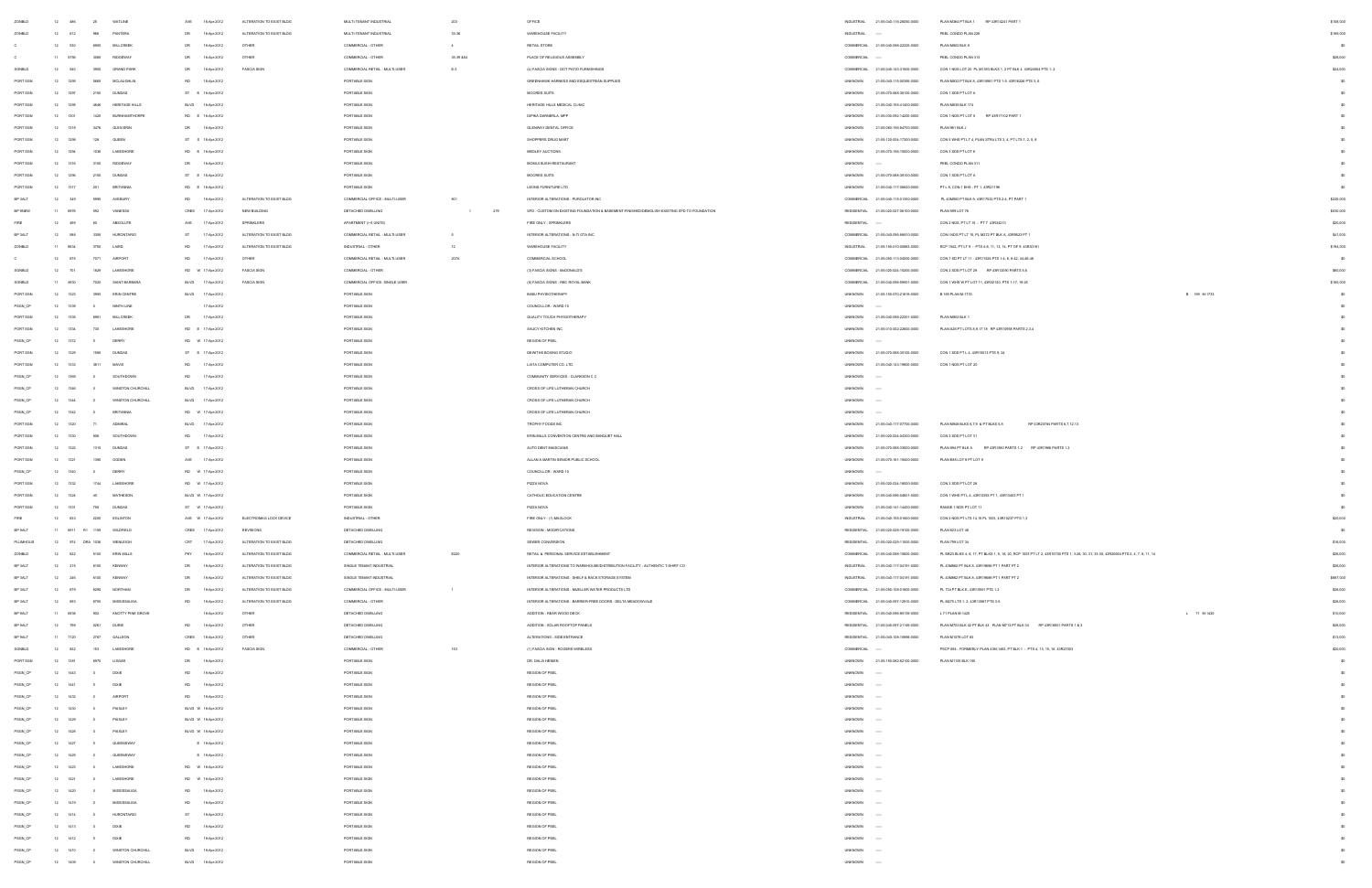| ZONBLD       | 12<br>486        | 25                        | WATLINE                  | AVE 16-Apr-2012     | ALTERATION TO EXIST BLDG | MULTI-TENANT INDUSTRIAL        | 203       | OFFICE                                                                                      | <b>INDUSTRIAL</b>                | 21-05-040-116-26050-0000             | PLAN M364 PT BLK 1 RP 43R14241 PART 1                                                                                               |              | \$108,000       |
|--------------|------------------|---------------------------|--------------------------|---------------------|--------------------------|--------------------------------|-----------|---------------------------------------------------------------------------------------------|----------------------------------|--------------------------------------|-------------------------------------------------------------------------------------------------------------------------------------|--------------|-----------------|
| ZONBLD       | 12<br>612        | 966                       | PANTERA                  | DR 16-Apr-2012      | ALTERATION TO EXIST BLDG | MULTI-TENANT INDUSTRIAL        | 33-36     | WAREHOUSE FACILITY                                                                          | <b>INDUSTRIAL</b>                | -----                                | PEEL CONDO PLAN 226                                                                                                                 |              | \$189,000       |
|              | 12<br>530        | 6905                      | MILLCREEK                | DR 16-Apr-2012      | OTHER                    | COMMERCIAL - OTHER             | $\sim$    | <b>RETAIL STORE</b>                                                                         |                                  | COMMERCIAL 21-05-040-098-22325-0000  | PLAN M802 BLK 8                                                                                                                     |              | SC <sub>1</sub> |
| $\mathbf{C}$ | 11<br>5756       | 3065                      | <b>RIDGEWAY</b>          | DR 16-Apr-2012      | OTHER                    | COMMERCIAL - OTHER             | 35-39 854 | PLACE OF RELIGIOUS ASSEMBLY                                                                 | COMMERCIAL                       | -----                                | PEEL CONDO PLAN 313                                                                                                                 |              | \$26,000        |
| SGNBLD       | 12<br>540        | 3900                      | <b>GRAND PARK</b>        | DR 1<br>16-Apr-2012 | <b>FASCIA SIGN</b>       | COMMERCIAL RETAIL - MULTI-USER | $E-3$     | (4) FASCIA SIGNS - DOT PATIO FURNISHINGS                                                    |                                  | COMMERCIAL 21-05-040-143-31500-0000  | CON 1 NDS LOT 20 PL M1393 BLKS 1, 2 PT BLK 4 43R24554 PTS 1, 2                                                                      |              | \$24,000        |
| PORT SGN     | 12<br>1299       | 5665                      | MCLAUGHLIN               | RD 16-Apr-2012      |                          | PORTABLE SIGN                  |           | GREENHAWK HARNESS AND ESQUESTRIAN SUPPLIES                                                  | <b>UNKNOWN</b>                   | 21-05-040-115-00395-0000             | PLAN M832 PT BLK 8, 43R15961 PTS 1-9, 43R16226 PTS 3, 6                                                                             |              |                 |
| PORT SGN     | 12<br>1297       | 2150                      | <b>DUNDAS</b>            | ST E 16-Apr-2012    |                          | PORTABLE SIGN                  |           | MOORES SUITS                                                                                | <b>UNKNOWN</b>                   | 21-05-070-068-38100-0000             | CON 1 SDS PT LOT A                                                                                                                  |              |                 |
| PORT SGN     | 12<br>1295       | 4646                      | HERITAGE HILLS           | BLVD 16-Apr-2012    |                          | PORTABLE SIGN                  |           | HERITAGE HILLS MEDICAL CLINIC                                                               | <b>UNKNOWN</b>                   | 21-05-040-155-41400-0000             | PLAN M635 BLK 174                                                                                                                   |              |                 |
| PORT SGN     | 12<br>1301       | 1420                      | <b>BURNHAMTHORPE</b>     | RD E 16-Apr-2012    |                          | PORTABLE SIGN                  |           | DIPIKA DARNERLA, MPP                                                                        | <b>UNKNOWN</b>                   | 21-05-030-092-14200-0000             | CON 1 NDS PT LOT 5 RP 43R17102 PART 1                                                                                               |              |                 |
| PORT SGN     | 12<br>1318       | 3476                      | <b>GLEN ERIN</b>         | DR 16-Apr-2012      |                          | PORTABLE SIGN                  |           | GLENWAY DENTAL OFFICE                                                                       | <b>UNKNOWN</b>                   | 21-05-060-156-84700-0000             | PLAN 961 BLK J                                                                                                                      |              |                 |
| PORT SGN     | 12<br>1298       | 128                       | QUEEN                    | ST S 16-Apr-2012    |                          | PORTABLE SIGN                  |           | SHOPPERS DRUG MART                                                                          | <b>UNKNOWN</b>                   | 21-05-120-004-17300-0000             | CON 5 WHS PT LT 4, PLAN STR4 LTS 3, 4, PT LTS 1, 2, 5, 8                                                                            |              |                 |
| PORT SGN     | 12<br>1294       | 1036                      | LAKESHORE                | RD E 16-Apr-2012    |                          | PORTABLE SIGN                  |           | MEDLEY AUCTIONS                                                                             | <b>UNKNOWN</b>                   | 21-05-070-156-15000-0000             | CON 3 SDS PT LOT 8                                                                                                                  |              |                 |
| PORT SGN     | 12<br>1316       | 3100                      | <b>RIDGEWAY</b>          | DR 16-Apr-2012      |                          | PORTABLE SIGN                  |           | MOMIJI SUSHI RESTAURANT                                                                     | <b>UNKNOWN</b>                   |                                      | PEEL CONDO PLAN 311                                                                                                                 |              |                 |
| PORT SGN     | 12<br>1296       | 2150                      | <b>DUNDAS</b>            | ST E 16-Apr-2012    |                          | PORTABLE SIGN                  |           | MOORES SUITS                                                                                | <b>UNKNOWN</b>                   | 21-05-070-068-38100-0000             | CON 1 SDS PT LOT A                                                                                                                  |              |                 |
| PORT SGN     | 12<br>1317       | 201                       | <b>BRITANNIA</b>         | RD E 16-Apr-2012    |                          | PORTABLE SIGN                  |           | LEONS FURNITURE LTD                                                                         | <b>UNKNOWN</b>                   | 21-05-040-117-06820-0000             | PT L 6, CON 1 EHS - PT 1, 43R21196                                                                                                  |              |                 |
| BP 3ALT      | 12<br>349        | 5995                      | <b>AVEBURY</b>           | RD 16-Apr-2012      | ALTERATION TO EXIST BLDG | COMMERCIAL OFFICE - MULTI-USER | 801       | INTERIOR ALTERATIONS - PUROLATOR INC                                                        |                                  | COMMERCIAL 21-05-040-115-01350-0000  | PL 43M900 PT BLK 9, 43R17532 PTS 2-4, PT PART 1                                                                                     |              | \$225,000       |
| BP 9NEW      | 11<br>6976       | 592                       | VANESSA                  | CRES 17-Apr-2012    | NEW BUILDING             | DETACHED DWELLING              | 279<br>1  | SFD - CUSTOM ON EXISTING FOUNDATION & BASEMENT-FINISHED/DEMOLISH EXISTING SFD TO FOUNDATION | RESIDENTIAL                      | 21-05-020-027-06100-0000             | PLAN 599 LOT 76                                                                                                                     |              | \$530,000       |
| FIRE         | 12               | 60                        | ABSOLUTE                 | AVE 17-Apr-2012     | SPRINKLERS               | APARTMENT (> 6 UNITS)          |           | FIRE ONLY - SPRINKLERS                                                                      | RESIDENTIAL                      | $\cdots$                             | CON 2 NDS, PT LT 15 - PT 7 43R34213                                                                                                 |              | \$20,000        |
| BP 3ALT      | 12               | 3355                      | HURONTARIO               | ST 17-Apr-2012      | ALTERATION TO EXIST BLDG | COMMERCIAL RETAIL - MULTI-USER |           | INTERIOR ALTERATIONS - N-TI GTA INC                                                         |                                  | COMMERCIAL 21-05-040-095-88810-0000  | CON I NDS PT LT 15, PL M272 PT BLK A, 43R9523 PT 1                                                                                  |              | \$41,000        |
| ZONBLD       | 11<br>6634       | 3750                      | LAIRD                    | RD 17-Apr-2012      | ALTERATION TO EXIST BLDG | INDUSTRIAL - OTHER             | 12        | WAREHOUSE FACILITY                                                                          | <b>INDUSTRIAL</b>                | 21-05-150-010-00863-0000             | RCP 1542, PT LT 9 - PTS 4-8, 11, 13, 14, PT OF 9 43R30181                                                                           |              | \$194,000       |
| $\mathbf{C}$ | 12<br>675        | 7071                      | AIRPORT                  | RD 17-Apr-2012      | OTHER                    | COMMERCIAL RETAIL - MULTI-USER | 207A      | COMMERCIAL SCHOOL                                                                           |                                  | COMMERCIAL 21-05-050-113-04000-0000  | CON 7 SD PT LT 11 - 43R11526 PTS 1-4, 6, 8-42, 44,46-48                                                                             |              | \$0             |
| SGNBLD       | 12<br>701        | 1829                      | LAKESHORE                | RD W 17-Apr-2012    | <b>FASCIA SIGN</b>       | COMMERCIAL - OTHER             |           | (3) FASCIA SIGNS - McDONALD'S                                                               |                                  | COMMERCIAL 21-05-020-024-15200-0000  | CON 2 SDS PT LOT 29 RP 43R12090 PARTS 5,6                                                                                           |              | \$60,000        |
| SGNBLD       | 11<br>4930       | 7020                      | SAINT BARBARA            | BLVD 17-Apr-2012    | <b>FASCIA SIGN</b>       | COMMERCIAL OFFICE- SINGLE USER |           | (6) FASCIA SIGNS - RBC ROYAL BANK                                                           |                                  | COMMERCIAL 21-05-040-098-59501-0000  | CON 1 WHS W PT LOT 11, 43R32120, PTS 1-17, 19-25                                                                                    |              | \$160,000       |
| PORT SGN     | 12<br>1323       | 3955                      | <b>ERIN CENTRE</b>       | BLVD 17-Apr-2012    |                          | PORTABLE SIGN                  |           | <b>BABU PHYSIOTHERAPY</b>                                                                   | <b>UNKNOWN</b>                   | 21-05-150-070-21818-0000             | B 169 PLAN M-1733                                                                                                                   | B 169 M-1733 |                 |
| PSGN_CP      | 12<br>1339       |                           | NINTH LINE               | 17-Apr-2012         |                          | PORTABLE SIGN                  |           | COUNCILLOR - WARD 10                                                                        | <b>UNKNOWN</b>                   | -----                                |                                                                                                                                     |              |                 |
| PORT SGN     | 12<br>1335       | 6981                      | MILLCREEK                | DR 17-Apr-2012      |                          | PORTABLE SIGN                  |           | QUALITY TOUCH PHYSIOTHERAPY                                                                 | <b>UNKNOWN</b>                   | 21-05-040-098-22301-0000             | PLAN M802 BLK 1                                                                                                                     |              |                 |
| PORT SGN     | 12<br>1334       | 730                       | LAKESHORE                | RD E 17-Apr-2012    |                          | PORTABLE SIGN                  |           | SAUCY KITCHEN INC                                                                           | <b>UNKNOWN</b>                   | 21-05-010-002-22600-0000             | PLAN A26 PT LOTS 8,9,17,18 RP 43R10958 PARTS 2,3,4                                                                                  |              |                 |
| PSGN CP      | 12<br>1372       | $\sim$                    | DERRY                    | RD W 17-Apr-2012    |                          | PORTABLE SIGN                  |           | REGION OF PEEL                                                                              | <b>UNKNOWN</b>                   | -----                                |                                                                                                                                     |              |                 |
| PORT SGN     | 12<br>1329       | 1590                      | <b>DUNDAS</b>            | ST E 17-Apr-2012    |                          | PORTABLE SIGN                  |           | DEWITHS BOXING STUDIO                                                                       | <b>UNKNOWN</b>                   | 21-05-070-068-35100-0000             | CON 1 SDS PT L 4, 43R15013 PTS 9, 24                                                                                                |              |                 |
| PORT SGN     | 12<br>1333       | 3611                      | <b>MAVIS</b>             | RD 17-Apr-2012      |                          | PORTABLE SIGN                  |           | LIATA COMPUTER CO. LTD.                                                                     | <b>UNKNOWN</b>                   | 21-05-040-143-19800-0000             | CON 1 NDS PT LOT 20                                                                                                                 |              |                 |
| PSGN_CP      | 12<br>1369       | $\sim$                    | SOUTHDOWN                | RD 17-Apr-2012      |                          | PORTABLE SIGN                  |           | COMMUNITY SERVICES - CLARKSON C C                                                           | <b>UNKNOWN</b>                   | -----                                |                                                                                                                                     |              |                 |
| PSGN CP      | 12<br>1346       | $\sim$                    | <b>WINSTON CHURCHILL</b> | BLVD 17-Apr-2012    |                          | PORTABLE SIGN                  |           | CROSS OF LIFE LUTHERAN CHURCH                                                               | <b>UNKNOWN</b>                   | $\cdots$                             |                                                                                                                                     |              |                 |
| PSGN_CP      | 12<br>1344       |                           | <b>WINSTON CHURCHILL</b> | BLVD 17-Apr-2012    |                          | PORTABLE SIGN                  |           | CROSS OF LIFE LUTHERAN CHURCH                                                               | <b>UNKNOWN</b>                   | -----                                |                                                                                                                                     |              |                 |
| PSGN_CP      | 12<br>1342       |                           | <b>BRITANNIA</b>         | RD W 17-Apr-2012    |                          | PORTABLE SIGN                  |           | CROSS OF LIFE LUTHERAN CHURCH                                                               | <b>UNKNOWN</b>                   | $\sim$                               |                                                                                                                                     |              |                 |
| PORT SGN     | 12<br>1320       | 71                        | <b>ADMIRAL</b>           | BLVD 17-Apr-2012    |                          | PORTABLE SIGN                  |           | TROPHY FOODS INC                                                                            | <b>UNKNOWN</b>                   | 21-05-040-117-07700-0000             | PLAN M948 BLKS 6,7,9 & PT BLKS 5,8<br>RP 43R20784 PARTS 6,7,12.13                                                                   |              |                 |
| PORT SGN     | 12<br>1330       | 806                       | SOUTHDOWN                | RD 17-Apr-2012      |                          | PORTABLE SIGN                  |           | ERIN MILLS CONVENTION CENTRE AND BANQUET HALL                                               | <b>UNKNOWN</b>                   | 21-05-020-024-04300-0000             | CON 3 SDS PT LOT 31                                                                                                                 |              |                 |
| PORT SGN     | 12<br>1322       | 1310                      | <b>DUNDAS</b>            | ST E 17-Apr-2012    |                          | PORTABLE SIGN                  |           | AUTO DENT MAGICIANS                                                                         | <b>UNKNOWN</b>                   | 21-05-070-068-33500-0000             | PLAN 894 PT BLK A RP 43R1580 PARTS 1,2 RP 43R1966 PARTS 1,3                                                                         |              |                 |
| PORT SGN     | 12<br>1321       | 1390                      | OGDEN                    | AVE 17-Apr-2012     |                          | PORTABLE SIGN                  |           | ALLAN A MARTIN SENIOR PUBLIC SCHOOL                                                         | <b>UNKNOWN</b>                   | 21-05-070-161-19400-0000             | PLAN E88 LOT 8 PT LOT 9                                                                                                             |              |                 |
| PSGN_CP      | 12<br>1340       | $\sim$                    | DERRY                    | RD W 17-Apr-2012    |                          | PORTABLE SIGN                  |           | COUNCILLOR - WARD 10                                                                        | <b>UNKNOWN</b>                   | $\sim$                               |                                                                                                                                     |              |                 |
| PORT SGN     | 12<br>1332       | 1744                      | LAKESHORE                | RD W 17-Apr-2012    |                          | PORTABLE SIGN                  |           | PIZZA NOVA                                                                                  | <b>UNKNOWN</b>                   | 21-05-020-024-18000-0000             | CON 3 SDS PT LOT 28                                                                                                                 |              |                 |
| PORT SGN     | 12<br>1324       | 40                        | MATHESON                 | BLVD W 17-Apr-2012  |                          | PORTABLE SIGN                  |           | CATHOLIC EDUCATION CENTRE                                                                   | <b>UNKNOWN</b>                   | 21-05-040-096-04601-0000             | CON 1 WHS PT L 4, 43R10393 PT 1, 43R13403 PT 1                                                                                      |              |                 |
| PORT SGN     | 12 1331          |                           | 755 DUNDAS               | ST W 17-Apr-2012    |                          | PORTABLE SIGN                  |           | PIZZA NOVA                                                                                  | <b>UNKNOWN</b>                   | 21-05-040-141-14400-0000             | RANGE 1 NDS PT LOT 11                                                                                                               |              |                 |
| <b>FIRE</b>  | 12 633           |                           | 2200 EGLINTON            | AVE W 17-Apr-2012   | ELECTROMAG LOCK DEVICE   | INDUSTRIAL - OTHER             |           | FIRE ONLY - (1) MAGLOCK                                                                     | <b>INDUSTRIAL</b>                | 21-05-040-155-01600-0000             | CON 2 NDS PT LTS 14,15 PL 1003, 43R10237 PTS 1,3                                                                                    |              |                 |
| BP 9ALT      |                  | 11 6911 R1 1159 WILDFIELD |                          | CRES 17-Apr-2012    | <b>REVISIONS</b>         | DETACHED DWELLING              |           | <b>REVISION - MODIFICATIONS</b>                                                             |                                  | RESIDENTIAL 21-05-020-029-19100-0000 | PLAN 623 LOT 48                                                                                                                     |              |                 |
| PLUMHOUS     | 12               | 974 DRA 1036              | WENLEIGH                 | CRT 17-Apr-2012     | ALTERATION TO EXIST BLDG | DETACHED DWELLING              |           | SEWER CONVERSION                                                                            |                                  | RESIDENTIAL 21-05-020-029-11000-0000 | PLAN 799 LOT 34                                                                                                                     |              | \$16,000        |
| ZONBLD       | 12<br>622        | 5100                      | <b>ERIN MILLS</b>        | PKY 18-Apr-2012     | ALTERATION TO EXIST BLDG | COMMERCIAL RETAIL - MULTI-USER | E220      | RETAIL & PERSONAL SERVICE ESTABLISHMENT                                                     |                                  | COMMERCIAL 21-05-040-098-10600-0000  | PL M823 BLKS 4, 6, 17, PT BLKS 1, 5, 18, 20, RCP 1003 PT LT 2, 43R15700 PTS 1, 3-28, 30, 31, 33-35, 43R20654 PTS 2, 4, 7, 8, 11, 14 |              | \$26,000        |
| BP 3ALT      | 12<br>215        | 6100                      | <b>KENWAY</b>            | DR 18-Apr-2012      | ALTERATION TO EXIST BLDG | SINGLE TENANT INDUSTRIAL       |           | INTERIOR ALTERATIONS TO WAREHOUSE/DISTRIBUTION FACILITY - AUTHENTIC T-SHIRT CO              | <b>INDUSTRIAL</b>                | 21-05-040-117-04191-0000             | PL 43M862 PT BLK 8, 43R19688 PT 1 PART PT 2                                                                                         |              | \$26,000        |
| BP 3ALT      | 12<br>246        | 6100                      | <b>KENWA</b>             | DR 18-Apr-2012      | ALTERATION TO EXIST BLDG | SINGLE TENANT INDUSTRIAL       |           | INTERIOR ALTERATIONS - SHELF & RACK STORAGE SYSTEM                                          | <b>INDUSTRIAL</b>                | 21-05-040-117-04191-0000             | PL 43M862 PT BLK 8, 43R19688 PT 1 PART PT 2                                                                                         |              | \$687,000       |
| BP 3ALT      | 679<br>12        | 6295                      | NORTHAM                  | DR 18-Apr-2012      | ALTERATION TO EXIST BLDG | COMMERCIAL OFFICE - MULTI-USER |           | INTERIOR ALTERATIONS - MUELLER WATER PRODUCTS LTD                                           |                                  | COMMERCIAL 21-05-050-108-01800-0000  | PL 734 PT BLK E, 43R10551 PTS 1,2                                                                                                   |              | \$26,000        |
| BP 3ALT      | 12<br>693        | 6750                      | MISSISSAUGA              | RD 18-Apr-2012      | ALTERATION TO EXIST BLDG | COMMERCIAL - OTHER             |           | INTERIOR ALTERATIONS - BARRIER-FREE DOORS - DELTA MEADOWVALE                                |                                  | COMMERCIAL 21-05-040-097-12910-0000  | PL M275 LTS 1, 2, 43R13587 PTS 3-5                                                                                                  |              | \$26,000        |
| BP 9ALT      | 11<br>6538       | 902                       | KNOTTY PINE GROVE        | 18-Apr-2012         | OTHER                    | DETACHED DWELLING              |           | ADDITION - REAR WOOD DECK                                                                   |                                  | RESIDENTIAL 21-05-040-096-85139-0000 | L 71 PLAN M-1420                                                                                                                    | L 71 M-1420  | \$10,000        |
| BP 9ALT      | 12<br>798        | 5261                      | <b>DURIE</b>             | RD 18-Apr-2012      | OTHER                    | DETACHED DWELLING              |           | ADDITION - SOLAR ROOFTOP PANELS                                                             |                                  | RESIDENTIAL 21-05-040-097-21149-0000 | PLAN M703 BLK 42 PT BLK 43 PLAN M713 PT BLK 34 RP 43R16501 PARTS 1 & 3                                                              |              | \$26,000        |
| BP 9ALT      | 11 7120          | 2767                      | <b>GALLEON</b>           | CRES 18-Apr-2012    | OTHER                    | DETACHED DWELLING              |           | ALTERATIONS - SIDE ENTRANCE                                                                 |                                  | RESIDENTIAL 21-05-040-108-10898-0000 | PLAN M1078 LOT 83                                                                                                                   |              | \$13,000        |
| SGNBLD       | 12<br>822        | 153                       | LAKESHORE                | RD E 18-Apr-2012    | <b>FASCIA SIGN</b>       | COMMERCIAL - OTHER             | 153       | (1) FASCIA SIGN - ROGERS WIRELESS                                                           | COMMERCIAL -----                 |                                      | PSCP 694 - FORMERLY PLAN 43M-1463, PT BLK 1 - PTS 4, 13, 15, 16, 43R27003                                                           |              | \$20,000        |
| PORT SGN     | 12<br>1381       | 6970                      | LISGAR                   | DR 18-Apr-2012      |                          | PORTABLE SIGN                  |           | DR. DALIA HENIEN                                                                            | <b>UNKNOWN</b>                   | 21-05-150-082-62100-0000             | PLAN M1105 BLK 150                                                                                                                  |              |                 |
| PSGN_CP      | 12<br>1443       |                           | DIXIE                    | RD 18-Apr-2012      |                          | PORTABLE SIGN                  |           | REGION OF PEEL                                                                              | <b>UNKNOWN</b>                   | -----                                |                                                                                                                                     |              |                 |
| PSGN CP      | 12<br>1441       | $\sim$                    | DIXIE                    | RD 18-Apr-2012      |                          | PORTABLE SIGN                  |           | REGION OF PEEL                                                                              | <b>UNKNOWN</b>                   | ----                                 |                                                                                                                                     |              |                 |
| PSGN_CP      | 12<br>1432       | $\sim$                    | AIRPORT                  | RD 18-Apr-2012      |                          | PORTABLE SIGN                  |           | <b>REGION OF PEEL</b>                                                                       | <b>UNKNOWN</b>                   | -----                                |                                                                                                                                     |              |                 |
| PSGN_CP      | 12<br>1430       | $\sim$                    | PAISLEY                  | BLVD W 18-Apr-2012  |                          | PORTABLE SIGN                  |           | REGION OF PEEL                                                                              | <b>UNKNOWN</b>                   | $\sim$                               |                                                                                                                                     |              |                 |
| PSGN_CP      | 12<br>1429       | $\sim$                    | PAISLEY                  | BLVD W 18-Apr-2012  |                          | PORTABLE SIGN                  |           | REGION OF PEEL                                                                              | <b>UNKNOWN</b>                   | $\sim$                               |                                                                                                                                     |              |                 |
| PSGN_CP      | 12<br>1428       | $\sim$                    | PAISLEY                  | BLVD W 18-Apr-2012  |                          | PORTABLE SIGN                  |           | REGION OF PEEL                                                                              | <b>UNKNOWN</b>                   | -----                                |                                                                                                                                     |              |                 |
|              | 1427             | $\sim$                    |                          |                     |                          |                                |           |                                                                                             |                                  |                                      |                                                                                                                                     |              |                 |
| PSGN_CP      | 12<br>12<br>1425 | $\bullet$                 | QUEENSWAY<br>QUEENSWAY   | E 18-Apr-2012       |                          | PORTABLE SIGN<br>PORTABLE SIGN |           | REGION OF PEEL<br>REGION OF PEEL                                                            | <b>UNKNOWN</b><br><b>UNKNOWN</b> | ----<br>-----                        |                                                                                                                                     |              |                 |
| PSGN_CP      | 1423             | $\overline{0}$            | LAKESHORE                | E 18-Apr-2012       |                          |                                |           |                                                                                             | <b>UNKNOWN</b>                   | $\sim$                               |                                                                                                                                     |              |                 |
| PSGN_CP      | 12               |                           |                          | RD W 18-Apr-2012    |                          | PORTABLE SIGN                  |           | REGION OF PEEL                                                                              |                                  |                                      |                                                                                                                                     |              |                 |
| PSGN_CP      | 12               |                           | LAKESHORE                | RD W 18-Apr-2012    |                          | PORTABLE SIGN                  |           | REGION OF PEEL                                                                              | <b>UNKNOWN</b>                   | $\cdots$                             |                                                                                                                                     |              |                 |
| PSGN_CP      | 12<br>1420       |                           | MISSISSAUGA              | RD 18-Apr-2012      |                          | PORTABLE SIGN                  |           | REGION OF PEEL                                                                              | <b>UNKNOWN</b>                   |                                      |                                                                                                                                     |              |                 |
| PSGN_CP      | 12<br>1419       |                           | MISSISSAUGA              | RD 18-Apr-2012      |                          | PORTABLE SIGN                  |           | REGION OF PEEL                                                                              | <b>UNKNOWN</b>                   |                                      |                                                                                                                                     |              |                 |
| PSGN_CP      | 12<br>1414       |                           | HURONTARIO               | ST 18-Apr-2012      |                          | PORTABLE SIGN                  |           | REGION OF PEEL                                                                              | <b>UNKNOWN</b>                   |                                      |                                                                                                                                     |              |                 |
| PSGN_CP      | 12<br>1413       |                           | DIXIE                    | RD 18-Apr-2012      |                          | PORTABLE SIGN                  |           | REGION OF PEEL                                                                              | <b>UNKNOWN</b>                   |                                      |                                                                                                                                     |              |                 |
| PSGN_CP      | 12<br>1412       | $\bullet$                 | DIXIE                    | RD 18-Apr-2012      |                          | PORTABLE SIGN                  |           | REGION OF PEEL                                                                              | <b>UNKNOWN</b>                   | ----                                 |                                                                                                                                     |              |                 |
| PSGN_CP      | 12<br>1410       |                           | WINSTON CHURCHILL        | BLVD 18-Apr-2012    |                          | PORTABLE SIGN                  |           | REGION OF PEEL                                                                              | <b>UNKNOWN</b>                   | ----                                 |                                                                                                                                     |              |                 |
| PSGN_CP      | 12 1409          | $\sim$ 0                  | WINSTON CHURCHILL        | BLVD 18-Apr-2012    |                          | PORTABLE SIGN                  |           | REGION OF PEEL                                                                              | UNKNOWN ------                   |                                      |                                                                                                                                     |              |                 |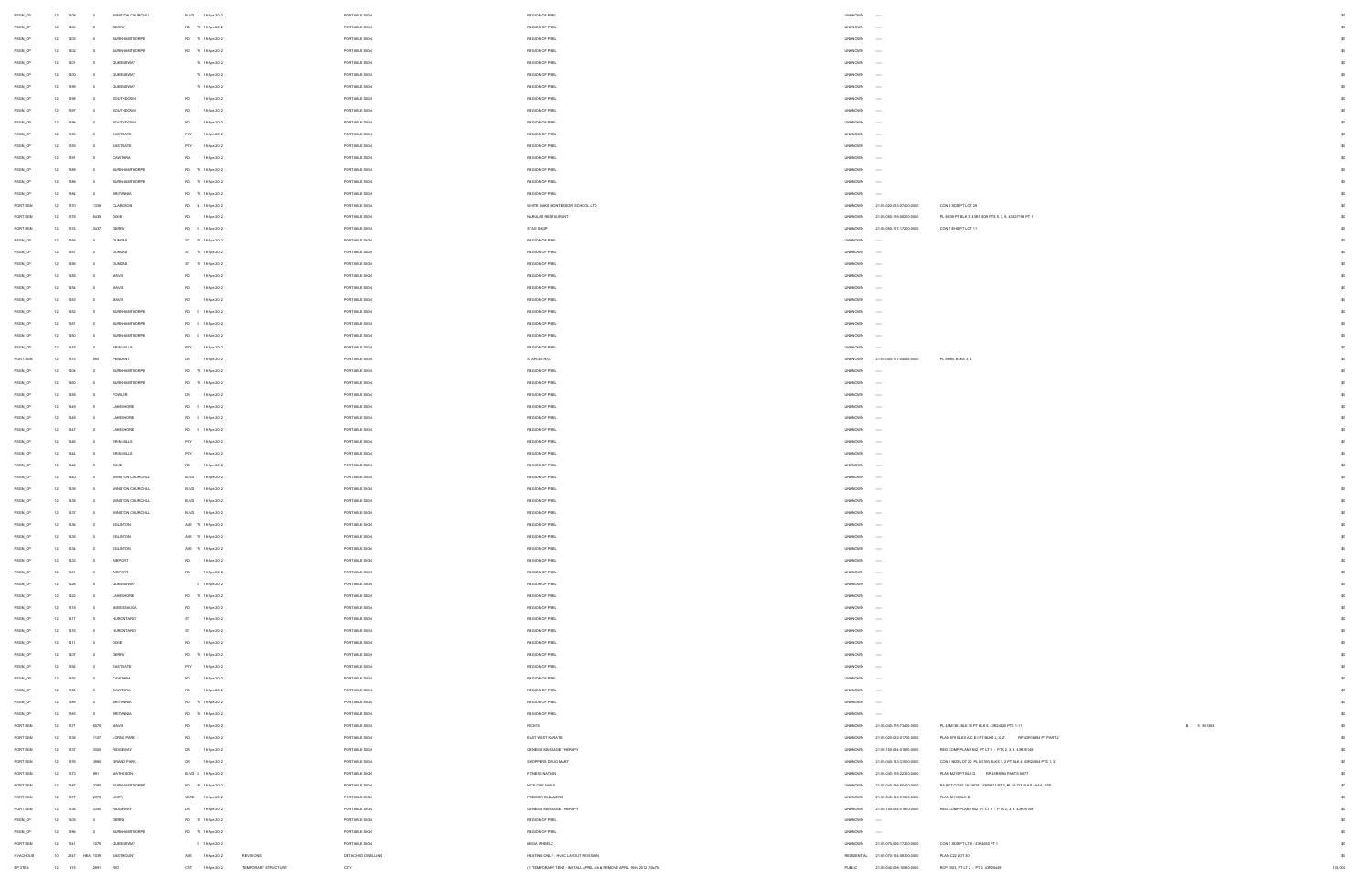| PSGN_CP                    | 12<br>1408                                    | $\sim$ 0       | WINSTON CHURCHILL    | BLVD 18-Apr-2012                   |                                         | PORTABLE SIGN             | REGION OF PEEL                                                                                                  | UNKNOWN -----  |                                                                  |                                                                |         |
|----------------------------|-----------------------------------------------|----------------|----------------------|------------------------------------|-----------------------------------------|---------------------------|-----------------------------------------------------------------------------------------------------------------|----------------|------------------------------------------------------------------|----------------------------------------------------------------|---------|
| PSGN_CP                    | 12<br>1406                                    | $\bullet$      | DERRY                | RD W 18-Apr-2012                   |                                         | PORTABLE SIGN             | REGION OF PEEL                                                                                                  | <b>UNKNOWN</b> | $\sim$                                                           |                                                                |         |
| PSGN_CP                    | 12<br>1403                                    | $\sim$ 0       | <b>BURNHAMTHORPE</b> | RD W 18-Apr-2012                   |                                         | PORTABLE SIGN             | REGION OF PEEL                                                                                                  | <b>UNKNOWN</b> | --                                                               |                                                                |         |
| PSGN_CP                    | 1402<br>12                                    | $\sim$ 0       | BURNHAMTHORPE        | RD W 18-Apr-2012                   |                                         | PORTABLE SIGN             | REGION OF PEEL                                                                                                  | <b>UNKNOWN</b> | --                                                               |                                                                |         |
|                            | 12<br>1401                                    | $\sim$         | QUEENSWAY            | W 18-Apr-2012                      |                                         | PORTABLE SIGN             | REGION OF PEEL                                                                                                  | <b>UNKNOWN</b> | --                                                               |                                                                |         |
| PSGN_CP                    |                                               |                |                      |                                    |                                         |                           |                                                                                                                 |                |                                                                  |                                                                |         |
| PSGN_CP                    | 12<br>1400                                    | $\sim$         | QUEENSWAY            | W 18-Apr-2012                      |                                         | PORTABLE SIGN             | REGION OF PEEL                                                                                                  | <b>UNKNOWN</b> | --                                                               |                                                                |         |
| PSGN_CP                    | 12<br>1399                                    | $\sim$         | QUEENSWAY            | W 18-Apr-2012                      |                                         | PORTABLE SIGN             | REGION OF PEEL                                                                                                  | <b>UNKNOWN</b> |                                                                  |                                                                |         |
| PSGN_CP                    | 12<br>1398                                    | $\sim$ 0       | SOUTHDOWN            | RD 18-Apr-2012                     |                                         | PORTABLE SIGN             | REGION OF PEEL                                                                                                  | UNKNOWN ----   |                                                                  |                                                                |         |
| PSGN_CP                    | 1397<br>12                                    | $\sim$ 0       | SOUTHDOWN            | RD 18-Apr-2012                     |                                         | PORTABLE SIGN             | REGION OF PEEL                                                                                                  | <b>UNKNOWN</b> | $\sim$                                                           |                                                                |         |
| PSGN_CP                    | 12<br>1396                                    | $\sim$ 0       | SOUTHDOWN            | RD 18-Apr-2012                     |                                         | PORTABLE SIGN             | REGION OF PEEL                                                                                                  | <b>UNKNOWN</b> | $\sim$                                                           |                                                                |         |
| PSGN_CP                    | 1395<br>12                                    | $\sim$ 0       | EASTGATE             | PKY 18-Apr-2012                    |                                         | PORTABLE SIGN             | REGION OF PEEL                                                                                                  | <b>UNKNOWN</b> | $\sim$                                                           |                                                                |         |
| PSGN_CP                    | 12<br>1393                                    | $\sim$ 0       | EASTGATE             | PKY 18-Apr-2012                    |                                         | PORTABLE SIGN             | REGION OF PEEL                                                                                                  | <b>UNKNOWN</b> | $\sim$                                                           |                                                                |         |
| PSGN_CP                    | 12<br>1391                                    | $\sim$ 0       | CAWTHRA              | RD 18-Apr-2012                     |                                         | PORTABLE SIGN             | REGION OF PEEL                                                                                                  | <b>UNKNOWN</b> | $\sim$                                                           |                                                                |         |
| PSGN_CP                    | 12<br>1389                                    | $\sim$ 0       | <b>BURNHAMTHORPE</b> | RD W 18-Apr-2012                   |                                         | PORTABLE SIGN             | REGION OF PEEL                                                                                                  | <b>UNKNOWN</b> | $\sim$                                                           |                                                                |         |
| PSGN_CP                    | 12<br>1388                                    | $\bullet$      | BURNHAMTHORPE        | RD W 18-Apr-2012                   |                                         | PORTABLE SIGN             | REGION OF PEEL                                                                                                  | <b>UNKNOWN</b> | $\sim$                                                           |                                                                |         |
| PSGN_CP                    | 12<br>1384                                    | $\bullet$      | BRITANNIA            | RD W 18-Apr-2012                   |                                         | PORTABLE SIGN             | REGION OF PEEL                                                                                                  | <b>UNKNOWN</b> | $\sim$                                                           |                                                                |         |
| PORT SGN                   | 1370<br>12                                    | 1338           | CLARKSON             | RD N 18-Apr-2012                   |                                         | PORTABLE SIGN             | WHITE OAKS MONTESSORI SCHOOL LTD                                                                                | <b>UNKNOWN</b> | 21-05-020-033-07400-0000                                         | CON 2 SDS PT LOT 29                                            |         |
| PORT SGN                   | 1378<br>12                                    | 6435           | DIXIE                | RD 18-Apr-2012                     |                                         | PORTABLE SIGN             | NARULAS RESTAURANT                                                                                              | <b>UNKNOWN</b> | 21-05-050-116-08200-0000                                         | PL M339 PT BLK 3, 43R12539 PTS 5, 7, 8, 43R27196 PT 1          |         |
|                            |                                               |                |                      |                                    |                                         |                           |                                                                                                                 |                |                                                                  |                                                                |         |
| PORT SGN                   | 1374<br>12                                    | 3437           | DERRY                | RD E 18-Apr-2012                   |                                         | PORTABLE SIGN             | STAG SHOP                                                                                                       | <b>UNKNOWN</b> | 21-05-050-117-17200-0000                                         | CON 7 EHS PT LOT 11                                            |         |
| PSGN_CP                    | 12<br>1458                                    | $\bullet$      | <b>DUNDAS</b>        | ST W 18-Apr-2012                   |                                         | PORTABLE SIGN             | REGION OF PEEL                                                                                                  | <b>UNKNOWN</b> | $\sim$                                                           |                                                                |         |
| PSGN_CP                    | 12<br>1457                                    | $\bullet$      | DUNDAS               | ST W 18-Apr-2012                   |                                         | PORTABLE SIGN             | REGION OF PEEL                                                                                                  | <b>UNKNOWN</b> | $\sim$                                                           |                                                                |         |
| PSGN_CP                    | 12<br>1456                                    | $\bullet$      | DUNDAS               | ST W 18-Apr-2012                   |                                         | PORTABLE SIGN             | REGION OF PEEL                                                                                                  | <b>UNKNOWN</b> | $\sim$                                                           |                                                                |         |
| PSGN_CP                    | 1455<br>12                                    | $\bullet$      | MAVIS                | RD 18-Apr-2012                     |                                         | PORTABLE SIGN             | REGION OF PEEL                                                                                                  | <b>UNKNOWN</b> |                                                                  |                                                                |         |
| PSGN_CP                    | 1454<br>12                                    | $\sim$         | MAVIS                | RD 18-Apr-2012                     |                                         | PORTABLE SIGN             | REGION OF PEEL                                                                                                  | <b>UNKNOWN</b> | $\sim$                                                           |                                                                |         |
| PSGN_CP                    | 1453<br>12                                    | $\bullet$      | MAVIS                | RD 18-Apr-2012                     |                                         | PORTABLE SIGN             | REGION OF PEEL                                                                                                  | <b>UNKNOWN</b> | $\sim$                                                           |                                                                |         |
| PSGN_CP                    | 1452<br>12                                    | $\bullet$      | BURNHAMTHORPE        | RD E 18-Apr-2012                   |                                         | PORTABLE SIGN             | REGION OF PEEL                                                                                                  | <b>UNKNOWN</b> | ----                                                             |                                                                |         |
| PSGN_CP                    | 12<br>1451                                    | $\overline{0}$ | BURNHAMTHORPE        | RD E 18-Apr-2012                   |                                         | PORTABLE SIGN             | REGION OF PEEL                                                                                                  | <b>UNKNOWN</b> |                                                                  |                                                                |         |
| PSGN_CP                    | 12<br>1450                                    | $\overline{0}$ | BURNHAMTHORPE        | RD E 18-Apr-2012                   |                                         | PORTABLE SIGN             | REGION OF PEEL                                                                                                  | <b>UNKNOWN</b> |                                                                  |                                                                |         |
| PSGN_CP                    | 12<br>1445                                    | $\overline{0}$ | <b>ERIN MILLS</b>    | PKY 18-Apr-2012                    |                                         | PORTABLE SIGN             | REGION OF PEEL                                                                                                  | UNKNOWN -----  |                                                                  |                                                                |         |
| PORT SGN                   | 12<br>1375                                    | 550            | PENDANT              | DR 18-Apr-2012                     |                                         | PORTABLE SIGN             | STAPLES H/O                                                                                                     |                | UNKNOWN 21-05-040-117-04045-0000                                 | PL M980, BLKS 3, 4                                             |         |
| PSGN_CP                    | 12<br>1404                                    | $\sim$         | <b>BURNHAMTHORPE</b> | RD W 18-Apr-2012                   |                                         | PORTABLE SIGN             | REGION OF PEEL                                                                                                  | <b>UNKNOWN</b> |                                                                  |                                                                |         |
|                            | 12<br>1460                                    | $\overline{0}$ | BURNHAMTHORPE        | RD W 18-Apr-2012                   |                                         | PORTABLE SIGN             | REGION OF PEEL                                                                                                  | <b>UNKNOWN</b> | --                                                               |                                                                |         |
| PSGN_CP                    |                                               |                |                      |                                    |                                         |                           |                                                                                                                 |                |                                                                  |                                                                |         |
| PSGN_CP                    | 1459<br>12                                    | $\sim$ 0       | <b>FOWLER</b>        | DR 18-Apr-2012                     |                                         | PORTABLE SIGN             | REGION OF PEEL                                                                                                  | UNKNOWN -----  |                                                                  |                                                                |         |
| PSGN_CP                    | 1449<br>12                                    | $\sim$ 0       | LAKESHORE            | RD E 18-Apr-2012                   |                                         | PORTABLE SIGN             | REGION OF PEEL                                                                                                  | <b>UNKNOWN</b> | $\sim$                                                           |                                                                |         |
| PSGN_CP                    | 12<br>1448                                    | $\sim$ 0       | LAKESHORE            | RD E 18-Apr-2012                   |                                         | PORTABLE SIGN             | REGION OF PEEL                                                                                                  | <b>UNKNOWN</b> | $\sim$                                                           |                                                                |         |
| PSGN_CP                    | 1447<br>12                                    | $\sim$ 0       | LAKESHORE            | RD E 18-Apr-2012                   |                                         | PORTABLE SIGN             | REGION OF PEEL                                                                                                  | <b>UNKNOWN</b> | $\sim$                                                           |                                                                |         |
| PSGN_CP                    | 12<br>1446                                    | $\sim$         | <b>ERIN MILLS</b>    | PKY 18-Apr-2012                    |                                         | PORTABLE SIGN             | REGION OF PEEL                                                                                                  | <b>UNKNOWN</b> | $\sim$                                                           |                                                                |         |
| PSGN_CP                    | 12<br>1444                                    | $\sim$ 0       | <b>ERIN MILLS</b>    | PKY 18-Apr-2012                    |                                         | PORTABLE SIGN             | REGION OF PEEL                                                                                                  | <b>UNKNOWN</b> | $\sim$                                                           |                                                                |         |
| PSGN_CP                    | 12<br>1442                                    | $\sim$         | DIXIE                | RD 18-Apr-2012                     |                                         | PORTABLE SIGN             | REGION OF PEEL                                                                                                  | <b>UNKNOWN</b> | $\sim$                                                           |                                                                |         |
| PSGN_CP                    | 12<br>1440                                    | $\bullet$      | WINSTON CHURCHILL    | BLVD 18-Apr-2012                   |                                         | PORTABLE SIGN             | REGION OF PEEL                                                                                                  | <b>UNKNOWN</b> | ----                                                             |                                                                |         |
| PSGN_CP                    | 12<br>1439                                    | $\bullet$      | WINSTON CHURCHILL    | BLVD 18-Apr-2012                   |                                         | PORTABLE SIGN             | REGION OF PEEL                                                                                                  | <b>UNKNOWN</b> | $\sim$                                                           |                                                                |         |
| PSGN_CP                    | 12 1438                                       | $\sim$ 0       | WINSTON CHURCHILL    | BLVD 18-Apr-2012                   |                                         | PORTABLE SIGN             | REGION OF PEEL                                                                                                  | UNKNOWN ------ |                                                                  |                                                                |         |
| PSGN_CP                    | 12 1437                                       | $\sim$ 0       | WINSTON CHURCHILL    | BLVD<br>18-Apr-2012                |                                         | PORTABLE SIGN             | REGION OF PEEL                                                                                                  | <b>UNKNOWN</b> | $\sim$                                                           |                                                                |         |
| PSGN_CP                    | 12 1436                                       | $\sim$ 0       | <b>EGLINTON</b>      | AVE W 18-Apr-2012                  |                                         | PORTABLE SIGN             | REGION OF PEEL                                                                                                  | <b>UNKNOWN</b> | $\sim$                                                           |                                                                |         |
| PSGN_CP                    | 12<br>1435                                    | $\sim$ 0       | EGLINTON             | AVE W 18-Apr-2012                  |                                         | PORTABLE SIGN             | REGION OF PEEL                                                                                                  | <b>UNKNOWN</b> | $\sim$                                                           |                                                                |         |
|                            |                                               |                |                      |                                    |                                         |                           |                                                                                                                 |                |                                                                  |                                                                |         |
| PSGN_CP                    | 1434<br>12                                    | $\sim$ 0       | EGLINTON             | AVE W 18-Apr-2012                  |                                         | PORTABLE SIGN             | REGION OF PEEL                                                                                                  | <b>UNKNOWN</b> |                                                                  |                                                                |         |
| PSGN_CP                    | 1433<br>12                                    | $\sim$ 0       | AIRPORT              | RD 18-Apr-2012                     |                                         | PORTABLE SIGN             | REGION OF PEEL                                                                                                  | <b>UNKNOWN</b> | ----                                                             |                                                                |         |
| PSGN_CP                    | 1431<br>12                                    | $\sim$ 0       | AIRPORT              | RD 18-Apr-2012                     |                                         | PORTABLE SIGN             | REGION OF PEEL                                                                                                  | <b>UNKNOWN</b> | ----                                                             |                                                                |         |
| PSGN_CP                    | 1426<br>12                                    | $\sim$ 0       | QUEENSWAY            | E 18-Apr-2012                      |                                         | PORTABLE SIGN             | REGION OF PEEL                                                                                                  | <b>UNKNOWN</b> | ----                                                             |                                                                |         |
| PSGN_CP                    | 1422<br>12                                    |                | 0 LAKESHORE          | RD W 18-Apr-2012                   |                                         | PORTABLE SIGN             | REGION OF PEEL                                                                                                  | <b>UNKNOWN</b> | ----                                                             |                                                                |         |
| PSGN_CP                    | 1418<br>12                                    | $\sim$ 0       | MISSISSAUGA          | RD 18-Apr-2012                     |                                         | PORTABLE SIGN             | REGION OF PEEL                                                                                                  | <b>UNKNOWN</b> | ----                                                             |                                                                |         |
| PSGN_CP                    | 1417<br>12                                    | $\sim$ 0       | HURONTARIO           | ST 18-Apr-2012                     |                                         | PORTABLE SIGN             | REGION OF PEEL                                                                                                  | <b>UNKNOWN</b> | ----                                                             |                                                                |         |
| PSGN_CP                    | 12<br>1416                                    | $\sim$ 0       | HURONTARIO           | ST 18-Apr-2012                     |                                         | PORTABLE SIGN             | REGION OF PEEL                                                                                                  | <b>UNKNOWN</b> |                                                                  |                                                                |         |
| PSGN_CP                    | 1411<br>12                                    | $\sim$ 0       | DIXIE                | RD 18-Apr-2012                     |                                         | PORTABLE SIGN             | REGION OF PEEL                                                                                                  | UNKNOWN -----  |                                                                  |                                                                |         |
| PSGN_CP                    | 1407<br>12                                    | $\sim$ 0       | DERRY                | RD W 18-Apr-2012                   |                                         | PORTABLE SIGN             | REGION OF PEEL                                                                                                  | UNKNOWN -----  |                                                                  |                                                                |         |
| PSGN_CP                    | 12<br>1394                                    | $\sim$ 0       | <b>EASTGATE</b>      | PKY 18-Apr-2012                    |                                         | PORTABLE SIGN             | REGION OF PEEL                                                                                                  | <b>UNKNOWN</b> | --                                                               |                                                                |         |
| PSGN_CP                    | 12<br>1392                                    | $\sim$ 0       | CAWTHRA              | RD 18-Apr-2012                     |                                         | PORTABLE SIGN             | REGION OF PEEL                                                                                                  | <b>UNKNOWN</b> |                                                                  |                                                                |         |
|                            | 1390<br>12                                    |                | 0 CAWTHRA            |                                    |                                         | PORTABLE SIGN             | REGION OF PEEL                                                                                                  | <b>UNKNOWN</b> | --                                                               |                                                                |         |
| PSGN_CP                    |                                               |                |                      | RD 18-Apr-2012                     |                                         |                           |                                                                                                                 |                |                                                                  |                                                                |         |
| PSGN_CP                    | 12<br>1385                                    | $\sim$ 0       | BRITANNIA            | RD W 18-Apr-2012                   |                                         | PORTABLE SIGN             | REGION OF PEEL                                                                                                  | <b>UNKNOWN</b> | $\sim$                                                           |                                                                |         |
| PSGN_CP                    | 12<br>1383                                    | $\bullet$      | BRITANNIA            | RD W 18-Apr-2012                   |                                         | PORTABLE SIGN             | REGION OF PEEL                                                                                                  | <b>UNKNOWN</b> | $\sim$                                                           |                                                                |         |
| PORT SGN                   | 12<br>1371                                    | 6075           | <b>MAVIS</b>         | RD 18-Apr-2012                     |                                         | PORTABLE SIGN             | <b>RICKI'S</b>                                                                                                  | <b>UNKNOWN</b> | 21-05-040-175-73400-0000                                         | B 5 M-1363<br>PL 43M1363 BLK 10 PT BLK 5, 43R24920 PTS 1-11    |         |
| PORT SGN                   | 12<br>1338                                    |                | 1107 LORNE PARK      | RD 18-Apr-2012                     |                                         | PORTABLE SIGN             | EAST WEST KARATE                                                                                                | <b>UNKNOWN</b> | 21-05-020-032-01700-0000                                         | PLAN 579 BLKS A-C,E-I PT BLKS J,,X,,Z RP 43R16894 PT PART 2    |         |
| PORT SGN                   | 12<br>1337                                    | 3300           | <b>RIDGEWAY</b>      | DR 18-Apr-2012                     |                                         | PORTABLE SIGN             | <b>GENESIS MASSAGE THERAPY</b>                                                                                  | <b>UNKNOWN</b> | 21-05-150-084-01870-0000                                         | REG COMP PLAN 1542 PT LT 9 - PTS 2, 3, 8 43R25148              |         |
| PORT SGN                   | 12<br>1376                                    | 3980           | <b>GRAND PARK</b>    | DR 18-Apr-2012                     |                                         | PORTABLE SIGN             | SHOPPERS DRUG MART                                                                                              | <b>UNKNOWN</b> | 21-05-040-143-31500-0000                                         | CON 1 NDS LOT 20 PL M1393 BLKS 1, 2 PT BLK 4 43R24554 PTS 1, 2 |         |
| PORT SGN                   | 1373<br>12                                    | 991            | MATHESON             | BLVD E 18-Apr-2012                 |                                         | PORTABLE SIGN             | FITNESS NATION                                                                                                  | <b>UNKNOWN</b> | 21-05-040-116-22310-0000                                         | PLAN M219 PT BLK D RP 43R5694 PARTS 68,77                      |         |
| PORT SGN                   | 1387<br>12                                    | 2385           | BURNHAMTHORPE        | RD W 18-Apr-2012                   |                                         | PORTABLE SIGN             | NICE ONE NAILS                                                                                                  | <b>UNKNOWN</b> | 21-05-040-146-60400-0000                                         | RA BET CONS 1&2 NDS - 43R5421 PT 2, PL M-123 BLKS AAAA, SSS    |         |
| PORT SGN                   | 1377<br>12                                    | 2979           | <b>UNITY</b>         | GATE 18-Apr-2012                   |                                         | PORTABLE SIGN             | PREMIER CLEANERS                                                                                                | <b>UNKNOWN</b> | 21-05-040-145-01000-0000                                         | PLAN M118 BLK B                                                |         |
| PORT SGN                   | 1336<br>12                                    | 3300           | RIDGEWAY             | DR 18-Apr-2012                     |                                         | PORTABLE SIGN             | <b>GENESIS MASSAGE THERAPY</b>                                                                                  | <b>UNKNOWN</b> | 21-05-150-084-01870-0000                                         | REG COMP PLAN 1542 PT LT 9 - PTS 2, 3, 8 43R25148              |         |
| PSGN_CP                    | 1405<br>12                                    | $\bullet$      | DERRY                | RD W 18-Apr-2012                   |                                         | PORTABLE SIGN             | REGION OF PEEL                                                                                                  | <b>UNKNOWN</b> | $\sim$                                                           |                                                                |         |
|                            |                                               | $\sim$ 0       | BURNHAMTHORPE        | RD W 18-Apr-2012                   |                                         | PORTABLE SIGN             | REGION OF PEEL                                                                                                  | <b>UNKNOWN</b> | $\sim$                                                           |                                                                |         |
|                            |                                               |                |                      |                                    |                                         |                           |                                                                                                                 |                |                                                                  |                                                                |         |
| PSGN_CP                    | 12<br>1386                                    |                |                      |                                    |                                         |                           |                                                                                                                 |                |                                                                  |                                                                |         |
| PORT SGN                   | 12<br>1341                                    |                | 1075 QUEENSWAY       | E 18-Apr-2012                      |                                         | PORTABLE SIGN             | MEGA WHEELZ                                                                                                     |                | UNKNOWN 21-05-070-056-17200-0000                                 | CON 1 SDS PT LT 8 - 43R4650 PT 1                               |         |
| <b>HVACHOUS</b><br>BP 3TEN | 10 2347 HEA 1039 EASTMOUNT<br>12 815 2891 RIO |                |                      | AVE 18-Apr-2012<br>CRT 19-Apr-2012 | <b>REVISIONS</b><br>TEMPORARY STRUCTURE | DETACHED DWELLING<br>CITY | HEATING-ONLY - HVAC LAYOUT REVISION<br>(1) TEMPORARY TENT - INSTALL APRIL 4th & REMOVE APRIL 16th, 2012 (30x75) | PUBLIC         | RESIDENTIAL 21-05-070-164-08300-0000<br>21-05-040-098-10880-0000 | PLAN C22 LOT 30<br>RCP 1003, PT LT 2 - PT 2 43R25449           | \$15,00 |

\$0\$0\$0\$0\$0\$0\$0\$0\$0\$0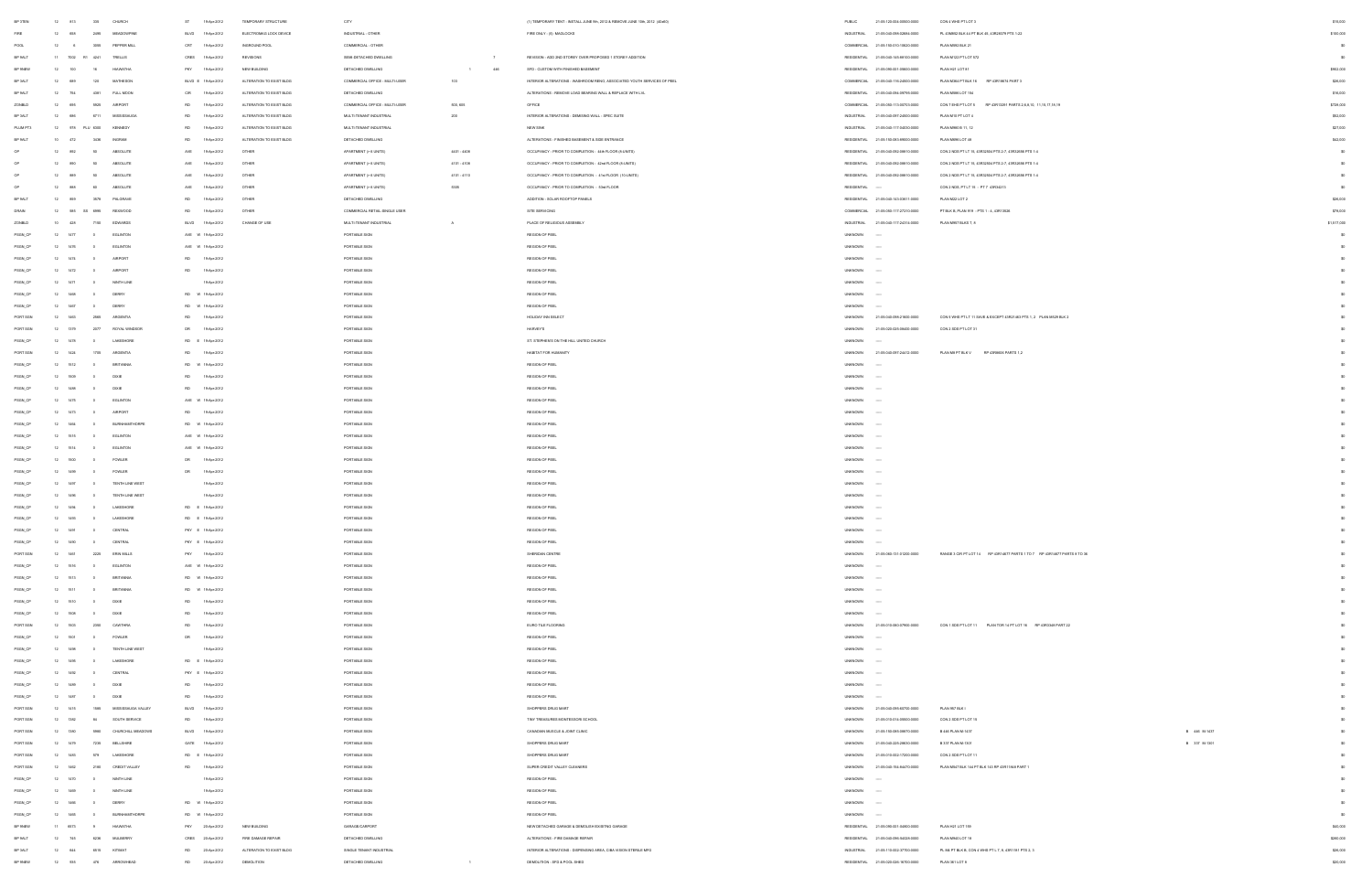| BP 3TEN                     | 813<br>12      | 335                      | CHURCH              | ST 19-Apr-2012           |             | TEMPORARY STRUCTURE      | CITY                           |              |     | (1) TEMPORARY TENT - INSTALL JUNE 9th, 2012 & REMOVE JUNE 10th, 2012 (40x60) | PUBLIC                           | 21-05-120-004-00500-0000             | CON 4 WHS PT LOT 3                                                       |              | \$15,000   |
|-----------------------------|----------------|--------------------------|---------------------|--------------------------|-------------|--------------------------|--------------------------------|--------------|-----|------------------------------------------------------------------------------|----------------------------------|--------------------------------------|--------------------------------------------------------------------------|--------------|------------|
| <b>FIRE</b>                 | 658<br>12      | 2495                     | <b>MEADOWPINE</b>   | BLVD 19-Apr-2012         |             | ELECTROMAG LOCK DEVICE   | INDUSTRIAL - OTHER             |              |     | FIRE ONLY - (5) MAGLOCKS                                                     |                                  | INDUSTRIAL 21-05-040-098-02684-0000  | PL 43M852 BLK 44 PT BLK 45, 43R28379 PTS 1-22                            |              | \$100,000  |
| POOL                        | 12             | 3055                     | PEPPER MILI         | CRT 19-Apr-2012          |             | INGROUND POOL            | COMMERCIAL - OTHER             |              |     |                                                                              |                                  | COMMERCIAL 21-05-150-010-10620-0000  | PLAN M592 BLK 21                                                         |              |            |
| BP 9ALT                     | 7002<br>$11 -$ | R1 4241                  | TRELLIS             | CRES 19-Apr-2012         |             | <b>REVISIONS</b>         | SEMI-DETACHED DWELLING         |              | 7   | REVISION - ADD 2ND STOREY OVER PROPOSED 1 STOREY ADDITION                    |                                  | RESIDENTIAL 21-05-040-145-88100-0000 | PLAN M122 PT LOT 572                                                     |              |            |
| BP 9NEW                     | 100<br>12      | 16                       | <b>HIAWATHA</b>     | PKY 19-Apr-2012          |             | <b>NEW BUILDING</b>      | DETACHED DWELLING              | $\mathbf{1}$ | 446 | SFD - CUSTOM WITH FINISHED BASEMENT                                          |                                  | RESIDENTIAL 21-05-090-001-05600-0000 | PLAN H21 LOT 81                                                          |              | \$902,000  |
| BP 3ALT                     | 689<br>12      | 120                      | <b>MATHESON</b>     | BLVD E 19-Apr-2012       |             | ALTERATION TO EXIST BLDG | COMMERCIAL OFFICE - MULTI-USER | 103          |     | INTERIOR ALTERATIONS - WASHROOM RENO, ASSOCIATED YOUTH SERVICES OF PEEL      |                                  | COMMERCIAL 21-05-040-116-24500-0000  | PLAN M364 PT BLK 16 RP 43R18674 PART 3                                   |              | \$26,000   |
| BP 9ALT                     | 754<br>12      | 4381                     | <b>FULL MOON</b>    | CIR 19-Apr-2012          |             | ALTERATION TO EXIST BLDG | DETACHED DWELLING              |              |     | ALTERATIONS - REMOVE LOAD BEARING WALL & REPLACE WITH LVL                    |                                  | RESIDENTIAL 21-05-040-094-09795-0000 | PLAN M586 LOT 154                                                        |              | \$16,000   |
| ZONBLD                      | 695<br>12      | 5925                     | AIRPORT             | <b>RD</b><br>19-Apr-2012 |             | ALTERATION TO EXIST BLDG | COMMERCIAL OFFICE - MULTI-USER | 500, 605     |     | OFFICE                                                                       |                                  | COMMERCIAL 21-05-050-113-00703-0000  | CON 7 EHS PT LOT 5 RP 43R13291 PARTS 2,6,8,10, 11,15,17,18,19            |              | \$728,000  |
| BP 3ALT                     | 686            | 6711                     | MISSISSAUGA         | <b>RD</b><br>19-Apr-2012 |             | ALTERATION TO EXIST BLDG | MULTI-TENANT INDUSTRIAL        | 200          |     | INTERIOR ALTERATIONS - DEMISING WALL - SPEC SUITE                            | <b>INDUSTRIAL</b>                | 21-05-040-097-24500-0000             | PLAN M10 PT LOT 4                                                        |              | \$52,000   |
| PLUM PT3                    | 978<br>12      | PLU 6300                 | <b>KENNEDY</b>      | <b>RD</b><br>19-Apr-2012 |             | ALTERATION TO EXIST BLDG | MULTI-TENANT INDUSTRIAL        |              |     | <b>NEW SINK</b>                                                              | <b>INDUSTRIAL</b>                | 21-05-040-117-04030-0000             | PLAN M980 B 11, 12                                                       |              | \$27,000   |
| BP 9ALT                     | 472            | 3436                     | INGRAM              | RD 19-Apr-2012           |             | ALTERATION TO EXIST BLDG | DETACHED DWELLING              |              |     | ALTERATIONS - FINISHED BASEMENT & SIDE ENTRANCE                              |                                  | RESIDENTIAL 21-05-150-083-89000-0000 | PLAN M696 LOT 48                                                         |              | \$42,000   |
|                             | 12<br>892      | 50                       | ABSOLUTE            | AVE 19-Apr-2012          |             | OTHER                    | APARTMENT (> 6 UNITS)          | 4401 - 4408  |     | OCCUPANCY - PRIOR TO COMPLETION - 44th FLOOR (8-UNITS)                       | RESIDENTIAL                      | 21-05-040-092-08810-0000             | CON 2 NDS PT LT 15, 43R32504 PTS 2-7, 43R32656 PTS 1-4                   |              |            |
|                             | 890<br>12      | 50                       | ABSOLUTE            | AVE 19-Apr-2012          |             | OTHER                    | APARTMENT (> 6 UNITS)          | 4101 - 4108  |     | OCCUPANCY - PRIOR TO COMPLETION - 42nd FLOOR (8-UNITS)                       | RESIDENTIAL                      | 21-05-040-092-08810-0000             | CON 2 NDS PT LT 15, 43R32504 PTS 2-7, 43R32656 PTS 1-4                   |              |            |
|                             | 889            | 50                       | ABSOLUTE            | AVE 19-Apr-2012          |             | OTHER                    | APARTMENT (> 6 UNITS)          | 4101 - 4110  |     | OCCUPANCY - PRIOR TO COMPLETION - 41st FLOOR (10-UNITS)                      | RESIDENTIAL                      | 21-05-040-092-08810-0000             | CON 2 NDS PT LT 15, 43R32504 PTS 2-7, 43R32656 PTS 1-4                   |              |            |
|                             | 888            | 60                       | ABSOLUTE            | AVE 19-Apr-2012          |             | OTHER                    | APARTMENT (> 6 UNITS)          | 5305         |     | OCCUPANCY - PRIOR TO COMPLETION - 53rd FLOOR                                 | RESIDENTIAL -----                |                                      | CON 2 NDS, PT LT 15 - PT 7 43R34213                                      |              |            |
| BP 9ALT                     | 859            | 3578                     | PALGRAVE            | RD 19-Apr-2012           |             | OTHER                    | DETACHED DWELLING              |              |     | ADDITION - SOLAR ROOFTOP PANELS                                              |                                  | RESIDENTIAL 21-05-040-143-03611-0000 | PLAN M22 LOT 2                                                           |              | \$26,000   |
|                             |                |                          |                     |                          |             |                          |                                |              |     | SITE SERVICING                                                               |                                  |                                      | PT BLK B, PLAN 919 - PTS 1 - 4, 43R13526                                 |              |            |
| <b>DRAIN</b>                | 585            | SS 6995                  | REXWOOD             | RD 19-Apr-2012           |             | OTHER                    | COMMERCIAL RETAIL-SINGLE USER  |              |     |                                                                              |                                  | COMMERCIAL 21-05-050-117-27210-0000  |                                                                          |              | \$78,000   |
| ZONBLD                      | 428<br>10      | 7150                     | EDWARDS             | BLVD 19-Apr-2012         |             | CHANGE OF USE            | MULTI-TENANT INDUSTRIAL        |              |     | PLACE OF RELIGIOUS ASSEMBLY                                                  | <b>INDUSTRIAL</b>                | 21-05-040-117-24314-0000             | PLAN M957 BLKS 7, 8                                                      |              | \$1,517,00 |
| PSGN_CP                     | 1477<br>12     | $\bullet$                | <b>EGLINTON</b>     | AVE W 19-Apr-2012        |             |                          | PORTABLE SIGN                  |              |     | REGION OF PEEL                                                               | <b>UNKNOWN</b>                   | $\cdots$                             |                                                                          |              |            |
| PSGN_CP                     | 1476<br>12     | $\circ$                  | <b>EGLINTON</b>     | AVE W 19-Apr-2012        |             |                          | PORTABLE SIGN                  |              |     | REGION OF PEEL                                                               | <b>UNKNOWN</b>                   | --                                   |                                                                          |              |            |
| PSGN CP                     | 1474<br>12     | $\bullet$                | <b>AIRPORT</b>      | RD 19-Apr-2012           |             |                          | PORTABLE SIGN                  |              |     | REGION OF PEEL                                                               | <b>UNKNOWN</b>                   | ----                                 |                                                                          |              |            |
| PSGN_CP                     | 12<br>1472     | $\circ$                  | <b>AIRPORT</b>      | RD 19-Apr-2012           |             |                          | PORTABLE SIGN                  |              |     | REGION OF PEEL                                                               | <b>UNKNOWN</b>                   | ----                                 |                                                                          |              |            |
| PSGN CP                     | 1471<br>12     | $\sim$ 0                 | NINTH LINE          |                          | 19-Apr-2012 |                          | PORTABLE SIGN                  |              |     | REGION OF PEEL                                                               | <b>UNKNOWN</b>                   | ----                                 |                                                                          |              |            |
| PSGN_CP                     | 12<br>1468     | $\circ$                  | <b>DERRY</b>        | RD W 19-Apr-2012         |             |                          | PORTABLE SIGN                  |              |     | REGION OF PEEL                                                               | <b>UNKNOWN</b>                   | ----                                 |                                                                          |              |            |
| PSGN CP                     | 1467<br>12     | $\circ$                  | DERRY               | RD W 19-Apr-2012         |             |                          | PORTABLE SIGN                  |              |     | REGION OF PEEL                                                               | <b>UNKNOWN</b>                   | ----                                 |                                                                          |              |            |
| PORT SGN                    | 12<br>1463     | 2565                     | ARGENTIA            | RD 19-Apr-2012           |             |                          | PORTABLE SIGN                  |              |     | HOLIDAY INN SELECT                                                           | <b>UNKNOWN</b>                   | 21-05-040-098-21600-0000             | CON 5 WHS PT LT 11 SAVE & EXCEPT 43R21463 PTS 1.2 PLAN M529 BLK 2        |              |            |
| PORT SGN                    | 12<br>1379     | 2077                     | ROYAL WINDSOR       | DR 19-Apr-2012           |             |                          | PORTABLE SIGN                  |              |     | <b>HARVEY'S</b>                                                              | <b>UNKNOWN</b>                   | 21-05-020-025-08400-0000             | CON 2 SDS PT LOT 31                                                      |              |            |
| PSGN_CP                     | 12<br>1478     | $\bullet$                | LAKESHORE           | RD E 19-Apr-2012         |             |                          | PORTABLE SIGN                  |              |     | ST. STEPHEN'S ON THE HILL UNITED CHURCH                                      | <b>UNKNOWN</b>                   | $\sim$                               |                                                                          |              |            |
| PORT SGN                    | 12<br>1424     | 1705                     | ARGENTIA            | RD 19-Apr-2012           |             |                          | PORTABLE SIGN                  |              |     | HABITAT FOR HUMANITY                                                         | <b>UNKNOWN</b>                   | 21-05-040-097-24412-0000             | PLAN M8 PT BLK V RP 43R8606 PARTS 1,2                                    |              |            |
| PSGN_CP                     | 1512<br>12     | $\circ$                  | BRITANNIA           | RD W 19-Apr-2012         |             |                          | PORTABLE SIGN                  |              |     | REGION OF PEEL                                                               | <b>UNKNOWN</b>                   | ----                                 |                                                                          |              |            |
| PSGN_CP                     | 12<br>1509     | $\sim$ 0                 | <b>DIXIE</b>        | RD 19-Apr-2012           |             |                          | PORTABLE SIGN                  |              |     | REGION OF PEEL                                                               | <b>UNKNOWN</b>                   | ----                                 |                                                                          |              |            |
| PSGN_CP                     | 1488<br>12     | $\bullet$                | <b>DIXIE</b>        | RD 19-Apr-2012           |             |                          | PORTABLE SIGN                  |              |     | REGION OF PEEL                                                               | <b>UNKNOWN</b>                   | ----                                 |                                                                          |              |            |
| PSGN_CP                     | 12<br>1475     | $\sim$ 0                 | <b>EGLINTON</b>     | AVE W 19-Apr-2012        |             |                          | PORTABLE SIGN                  |              |     | REGION OF PEEL                                                               | <b>UNKNOWN</b>                   | ----                                 |                                                                          |              |            |
| PSGN_CP                     | 1473<br>12     | $\bullet$                | AIRPORT             | RD 19-Apr-2012           |             |                          | PORTABLE SIGN                  |              |     | REGION OF PEEL                                                               | <b>UNKNOWN</b>                   | ----                                 |                                                                          |              |            |
| PSGN_CP                     | 12<br>1464     | $\circ$                  | BURNHAMTHORPE       | RD W 19-Apr-2012         |             |                          | PORTABLE SIGN                  |              |     | REGION OF PEEL                                                               | <b>UNKNOWN</b>                   | --                                   |                                                                          |              |            |
|                             |                |                          |                     |                          |             |                          |                                |              |     |                                                                              |                                  |                                      |                                                                          |              |            |
| PSGN_CP                     | 1515<br>12     | $\bullet$                | EGLINTON            | AVE W 19-Apr-2012        |             |                          | PORTABLE SIGN                  |              |     | REGION OF PEEL                                                               | <b>UNKNOWN</b>                   | ----                                 |                                                                          |              |            |
| PSGN_CP                     | 1514<br>12     | $\overline{0}$           | <b>EGLINTON</b>     | AVE W 19-Apr-2012        |             |                          | PORTABLE SIGN                  |              |     | REGION OF PEEL                                                               | <b>UNKNOWN</b>                   | $\sim$                               |                                                                          |              |            |
| PSGN_CP                     | 1500<br>12     | $\circ$                  | FOWLER              | DR 19-Apr-2012           |             |                          | PORTABLE SIGN                  |              |     | REGION OF PEEL                                                               | <b>UNKNOWN</b>                   | ----                                 |                                                                          |              |            |
| PSGN_CP                     | 12<br>1499     | $\sim$ 0                 | FOWLER              | DR 19-Apr-2012           |             |                          | PORTABLE SIGN                  |              |     | REGION OF PEEL                                                               | <b>UNKNOWN</b>                   | --                                   |                                                                          |              |            |
| PSGN CP                     | 1497<br>12     | $\sim$ 0                 | TENTH LINE WEST     |                          | 19-Apr-2012 |                          | PORTABLE SIGN                  |              |     | REGION OF PEEL                                                               | <b>UNKNOWN</b>                   | -----                                |                                                                          |              |            |
| PSGN_CP                     | 12<br>1496     | $\circ$                  | TENTH LINE WEST     |                          | 19-Apr-2012 |                          | PORTABLE SIGN                  |              |     | REGION OF PEEL                                                               | <b>UNKNOWN</b>                   | --                                   |                                                                          |              |            |
| PSGN_CP                     |                |                          | 12 1494 0 LAKESHORE | RD E 19-Apr-2012         |             |                          | PORTABLE SIGN                  |              |     | REGION OF PEEL                                                               | UNKNOWN ------                   |                                      |                                                                          |              |            |
| PSGN CP 12 1493 0 LAKESHORE |                |                          |                     | RD F 19-Anr-2012         |             |                          | PORTABLE SIGN                  |              |     | REGION OF PEEL                                                               | UNKNOWN -----                    |                                      |                                                                          |              |            |
| PSGN_CP                     | 12 1491        |                          | 0 CENTRAL           | PKY E 19-Apr-2012        |             |                          | PORTABLE SIGN                  |              |     | REGION OF PEEL                                                               | UNKNOWN ------                   |                                      |                                                                          |              |            |
| PSGN_CP                     | 12<br>1490     | $\bullet$                | CENTRAL             | PKY E 19-Apr-2012        |             |                          | PORTABLE SIGN                  |              |     | REGION OF PEEL                                                               | <b>UNKNOWN</b>                   | --                                   |                                                                          |              |            |
| PORT SGN                    | 1461<br>12     | 2225                     | <b>ERIN MILLS</b>   | PKY 19-Apr-2012          |             |                          | PORTABLE SIGN                  |              |     | SHERIDAN CENTRE                                                              | <b>UNKNOWN</b>                   | 21-05-060-131-01200-0000             | RANGE 3 CIR PT LOT 14 RP 43R14677 PARTS 1 TO 7 RP 43R14677 PARTS 8 TO 36 |              |            |
| PSGN_CP                     | 12<br>1516     | $\circ$                  | <b>EGLINTON</b>     | AVE W 19-Apr-2012        |             |                          | PORTABLE SIGN                  |              |     | REGION OF PEEL                                                               | <b>UNKNOWN</b>                   | -----                                |                                                                          |              |            |
| PSGN_CP                     | 12<br>1513     | $\sim$                   | BRITANNIA           | RD W 19-Apr-2012         |             |                          | PORTABLE SIGN                  |              |     | REGION OF PEEL                                                               | <b>UNKNOWN</b>                   | ----                                 |                                                                          |              |            |
| PSGN_CP                     | 12<br>1511     | $\circ$                  | BRITANNIA           | RD W 19-Apr-2012         |             |                          | PORTABLE SIGN                  |              |     | REGION OF PEEL                                                               | <b>UNKNOWN</b>                   | --                                   |                                                                          |              |            |
| PSGN_CP                     | 12<br>1510     | $\circ$                  | <b>DIXIE</b>        | RD 19-Apr-2012           |             |                          | PORTABLE SIGN                  |              |     | REGION OF PEEL                                                               | <b>UNKNOWN</b>                   | ----                                 |                                                                          |              |            |
| PSGN_CP                     | 12<br>1508     | $\bullet$                | <b>DIXIE</b>        | RD 19-Apr-2012           |             |                          | PORTABLE SIGN                  |              |     | REGION OF PEEL                                                               | <b>UNKNOWN</b>                   | ----                                 |                                                                          |              |            |
| PORT SGN                    | 1503<br>12     | 2350                     | CAWTHRA             | RD 19-Apr-2012           |             |                          | PORTABLE SIGN                  |              |     | EURO TILE FLOORING                                                           | <b>UNKNOWN</b>                   | 21-05-010-060-07900-0000             | CON 1 SDS PT LOT 11 PLAN TOR 14 PT LOT 16 RP 43R3348 PART 22             |              |            |
| PSGN_CP                     | 1501<br>12     | $\bullet$                | <b>FOWLER</b>       | DR 19-Apr-2012           |             |                          | PORTABLE SIGN                  |              |     | REGION OF PEEL                                                               | <b>UNKNOWN</b>                   |                                      |                                                                          |              |            |
| PSGN_CP                     | 1498<br>12     | $\overline{0}$           | TENTH LINE WEST     |                          | 19-Apr-2012 |                          | PORTABLE SIGN                  |              |     | REGION OF PEEL                                                               | <b>UNKNOWN</b>                   | ----                                 |                                                                          |              |            |
| PSGN_CP                     | 1495           | $\circ$                  | LAKESHORE           | RD E 19-Apr-2012         |             |                          | PORTABLE SIGN                  |              |     | REGION OF PEEL                                                               | <b>UNKNOWN</b>                   | $\sim$                               |                                                                          |              |            |
|                             | 1492<br>12     | $\bullet$                | CENTRAL             |                          |             |                          |                                |              |     | REGION OF PEEL                                                               | <b>UNKNOWN</b>                   |                                      |                                                                          |              |            |
| PSGN_CP                     | 1489<br>12     |                          | <b>DIXIE</b>        | PKY E 19-Apr-2012        |             |                          | PORTABLE SIGN                  |              |     |                                                                              |                                  | $\sim$                               |                                                                          |              |            |
| PSGN_CP                     | 1487<br>12     | $\overline{0}$<br>$\sim$ | <b>DIXIE</b>        | RD 19-Apr-2012           |             |                          | PORTABLE SIGN<br>PORTABLE SIGN |              |     | REGION OF PEEL<br>REGION OF PEEL                                             | <b>UNKNOWN</b><br><b>UNKNOWN</b> | ----                                 |                                                                          |              |            |
| PSGN_CP                     |                |                          |                     | RD 19-Apr-2012           |             |                          |                                |              |     |                                                                              |                                  |                                      |                                                                          |              |            |
| PORT SGN                    | 1415           | 1585                     | MISSISSAUGA VALLEY  | BLVD 19-Apr-2012         |             |                          | PORTABLE SIGN                  |              |     | SHOPPERS DRUG MART                                                           | <b>UNKNOWN</b>                   | 21-05-040-095-60700-0000             | <b>PLAN 957 BLK I</b>                                                    |              |            |
| PORT SGN                    | 1382           | 84                       | SOUTH SERVICE       | RD 19-Apr-2012           |             |                          | PORTABLE SIGN                  |              |     | TINY TREASURES MONTESSORI SCHOOL                                             | <b>UNKNOWN</b>                   | 21-05-010-014-05500-0000             | CON 2 SDS PT LOT 15                                                      |              |            |
| PORT SGN                    | 1380           | 5980                     | CHURCHILL MEADOWS   | BLVD 19-Apr-2012         |             |                          | PORTABLE SIGN                  |              |     | CANADIAN MUSCLE & JOINT CLINIC                                               | <b>UNKNOWN</b>                   | 21-05-150-085-08870-0000             | B 446 PLAN M-1437                                                        | B 446 M-1437 |            |
| PORT SGN                    | 1479           | 7235                     | <b>BELLSHIRE</b>    | GATE 19-Apr-2012         |             |                          | PORTABLE SIGN                  |              |     | SHOPPERS DRUG MART                                                           | <b>UNKNOWN</b>                   | 21-05-040-225-28630-0000             | B 337 PLAN M-1301                                                        | B 337 M-1301 |            |
| PORT SGN                    | 1483           | 579                      | LAKESHORE           | RD E 19-Apr-2012         |             |                          | PORTABLE SIGN                  |              |     | SHOPPERS DRUG MART                                                           | <b>UNKNOWN</b>                   | 21-05-010-002-17200-0000             | CON 2 SDS PT LOT 11                                                      |              |            |
| PORT SGN                    | 1462           | 2180                     | CREDIT VALLEY       | RD 19-Apr-2012           |             |                          | PORTABLE SIGN                  |              |     | SUPER CREDIT VALLEY CLEANERS                                                 | <b>UNKNOWN</b>                   | 21-05-040-154-84470-0000             | PLAN M547 BLK 144 PT BLK 143 RP 43R11848 PART 1                          |              |            |
| PSGN_CP                     | 1470<br>12     | $\sim$ 0                 | NINTH LINE          |                          | 19-Apr-2012 |                          | PORTABLE SIGN                  |              |     | REGION OF PEEL                                                               | <b>UNKNOWN</b>                   | ----                                 |                                                                          |              |            |
| PSGN_CP                     | 12<br>1469     | $\circ$                  | NINTH LINE          |                          | 19-Apr-2012 |                          | PORTABLE SIGN                  |              |     | REGION OF PEEL                                                               | <b>UNKNOWN</b>                   | --                                   |                                                                          |              |            |
| PSGN_CP                     | 1466<br>12     | $\sim$                   | DERRY               | RD W 19-Apr-2012         |             |                          | PORTABLE SIGN                  |              |     | REGION OF PEEL                                                               | <b>UNKNOWN</b>                   | ----                                 |                                                                          |              |            |
| PSGN_CP                     | 1465           | $\bullet$                | BURNHAMTHORPE       | RD W 19-Apr-2012         |             |                          | PORTABLE SIGN                  |              |     | REGION OF PEEL                                                               | <b>UNKNOWN</b>                   | ----                                 |                                                                          |              |            |
| BP 9NEW                     | 6573<br>11     | 9                        | HIAWATHA            | PKY 20-Apr-2012          |             | <b>NEW BUILDING</b>      | GARAGE/CARPORT                 |              |     | NEW DETACHED GARAGE & DEMOLISH EXISITNG GARAGE                               |                                  | RESIDENTIAL 21-05-090-001-04800-0000 | PLAN H21 LOT 159                                                         |              | \$40,000   |
| BP 9ALT                     | 745            | 6236                     | MULBERRY            | CRES 20-Apr-2012         |             | FIRE DAMAGE REPAIR       | DETACHED DWELLING              |              |     | ALTERATIONS - FIRE DAMAGE REPAIR                                             |                                  | RESIDENTIAL 21-05-040-096-54028-0000 | PLAN M940 LOT 18                                                         |              | \$260,000  |
| BP 3ALT                     | 12<br>644      | 6515                     | KITIMAT             | RD 20-Apr-2012           |             | ALTERATION TO EXIST BLDG | SINGLE TENANT INDUSTRIAL       |              |     | INTERIOR ALTERATIONS - DISPENSING AREA, CIBA VISION STERILE MFG              | INDUSTRIAL                       | 21-05-110-002-37700-0000             | PL M4 PT BLK B, CON 4 WHS PT L 7, 8, 43R1181 PTS 2, 3                    |              | \$26,000   |
| BP 9NEW                     | 12 935         |                          | 476 ARROWHEAD       | RD 20-Apr-2012           |             | DEMOLITION               | DETACHED DWELLING              | $-1$         |     | DEMOLITION - SFD & POOL SHED                                                 |                                  | RESIDENTIAL 21-05-020-026-16700-0000 | PLAN 361 LOT 8                                                           |              | \$20,000   |
|                             |                |                          |                     |                          |             |                          |                                |              |     |                                                                              |                                  |                                      |                                                                          |              |            |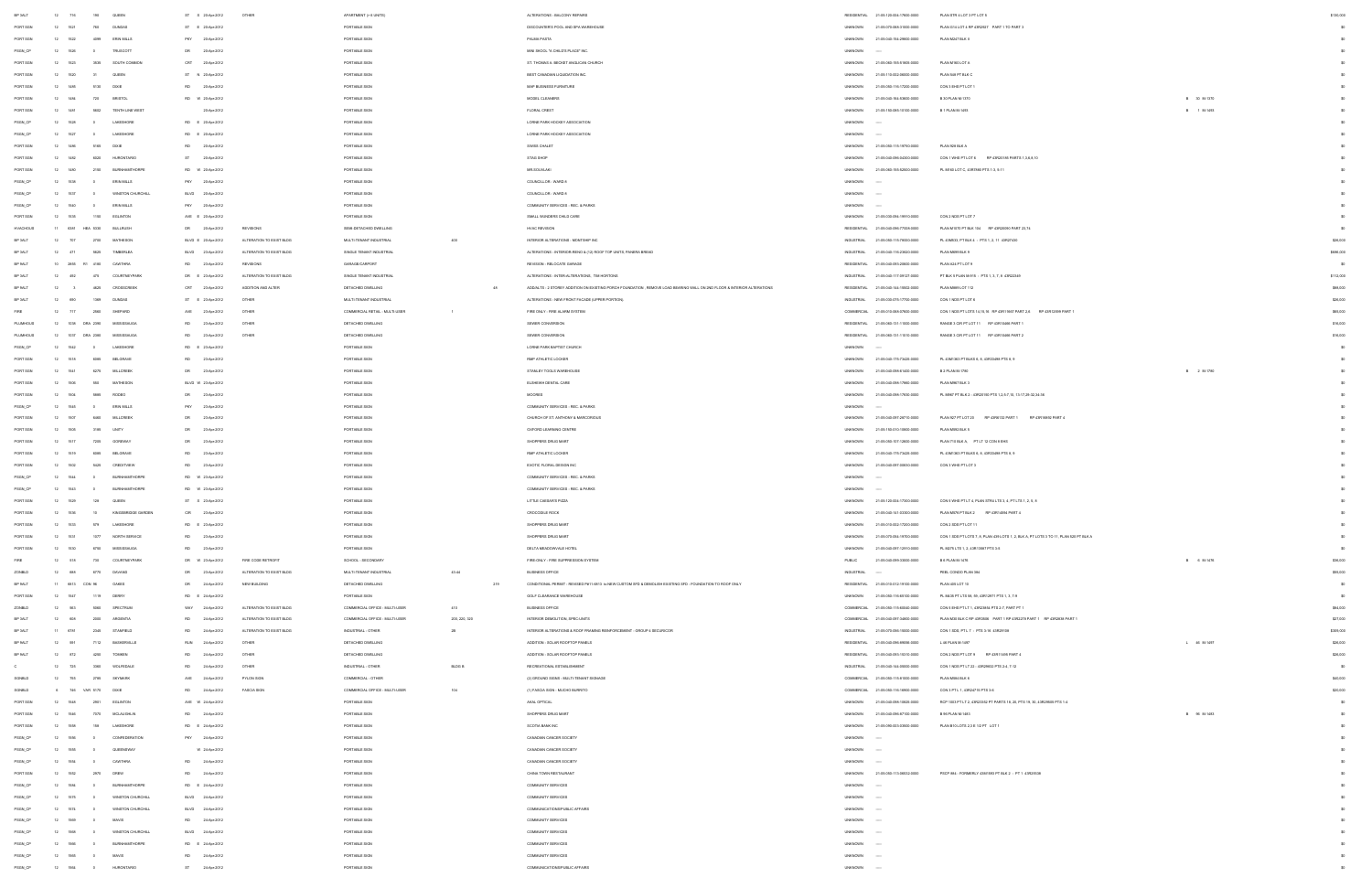| BP 3ALT            | 716<br>190<br>12               | QUEEN                                  | ST S 20-Apr-2012                 | OTHER                    | APARTMENT (> 6 UNITS)          |               | ALTERATIONS - BALCONY REPAIRS                                                                                            |                                  | RESIDENTIAL 21-05-120-004-17600-0000 | PLAN STR 4 LOT 3 PT LOT 5                                                             |             | \$130,000       |
|--------------------|--------------------------------|----------------------------------------|----------------------------------|--------------------------|--------------------------------|---------------|--------------------------------------------------------------------------------------------------------------------------|----------------------------------|--------------------------------------|---------------------------------------------------------------------------------------|-------------|-----------------|
|                    |                                |                                        |                                  |                          |                                |               |                                                                                                                          |                                  |                                      |                                                                                       |             |                 |
| PORT SGN           | 12<br>760<br>1521              | <b>DUNDAS</b>                          | ST E 20-Apr-2012                 |                          | PORTABLE SIGN                  |               | DISCOUNTER'S POOL AND SPA WAREHOUSE                                                                                      | <b>UNKNOWN</b>                   | 21-05-070-068-31000-0000             | PLAN G14 LOT 4 RP 43R2927 PART 1 TO PART 3                                            |             |                 |
| PORT SGN           | 12<br>1522<br>4099             | <b>ERIN MILLS</b>                      | PKY 20-Apr-2012                  |                          | PORTABLE SIGN                  |               | PALMA PASTA                                                                                                              | <b>UNKNOWN</b>                   | 21-05-040-154-29800-0000             | PLAN M247 BLK II                                                                      |             |                 |
| PSGN_CP            | 12<br>1526                     | TRUSCOTT                               | DR 20-Apr-2012                   |                          | PORTABLE SIGN                  |               | MINI SKOOL "A CHILD'S PLACE" INC.                                                                                        | <b>UNKNOWN</b>                   |                                      |                                                                                       |             |                 |
|                    |                                |                                        |                                  |                          |                                |               |                                                                                                                          |                                  |                                      |                                                                                       |             |                 |
| PORT SGN           | 3535<br>12<br>1523             | SOUTH COMMON                           | CRT 20-Apr-2012                  |                          | PORTABLE SIGN                  |               | ST. THOMAS A. BECKET ANGLICAN CHURCH                                                                                     | <b>UNKNOWN</b>                   | 21-05-060-155-51805-0000             | PLAN M160 LOT A                                                                       |             |                 |
| PORT SGN           | 12<br>1520                     | QUEEN                                  | ST N 20-Apr-2012                 |                          | PORTABLE SIGN                  |               | BEST CANADIAN LIQUIDATION INC.                                                                                           | <b>UNKNOWN</b>                   | 21-05-110-002-06000-0000             | PLAN 548 PT BLK C                                                                     |             |                 |
| PORT SGN           | 5130<br>12<br>1485             | DIXIE                                  | RD 20-Apr-2012                   |                          | PORTABLE SIGN                  |               | MAP BUSINESS FURNITURE                                                                                                   |                                  | 21-05-050-116-17200-0000             | CON 3 EHS PT LOT 1                                                                    |             |                 |
|                    |                                |                                        |                                  |                          |                                |               |                                                                                                                          | <b>UNKNOWN</b>                   |                                      |                                                                                       |             |                 |
| PORT SGN           | 12<br>720                      | <b>BRISTO</b>                          | RD W 20-Apr-2012                 |                          | PORTABLE SIGN                  |               | MODEL CLEANERS                                                                                                           | <b>UNKNOWN</b>                   | 21-05-040-164-53600-0000             | B 30 PLAN M-1370                                                                      | B 30 M-1370 |                 |
| PORT SGN           | 5602<br>12<br>1481             | TENTH LINE WEST                        | 20-Apr-2012                      |                          | PORTABLE SIGN                  |               | FLORAL CREST                                                                                                             | <b>UNKNOWN</b>                   | 21-05-150-085-10100-0000             | B 1 PLAN M-1493                                                                       | B 1 M-1493  |                 |
|                    |                                |                                        |                                  |                          |                                |               |                                                                                                                          |                                  |                                      |                                                                                       |             |                 |
| PSGN_CP            | 12<br>1528<br>$\sim$           | LAKESHORE                              | RD E 20-Apr-2012                 |                          | PORTABLE SIGN                  |               | LORNE PARK HOCKEY ASSOCIATION                                                                                            | <b>UNKNOWN</b>                   |                                      |                                                                                       |             |                 |
| PSGN_CP            | 12<br>1527<br>$\sim$           | LAKESHORE                              | RD E 20-Apr-2012                 |                          | PORTABLE SIGN                  |               | LORNE PARK HOCKEY ASSOCIATION                                                                                            | <b>UNKNOWN</b>                   | ----                                 |                                                                                       |             |                 |
|                    |                                |                                        |                                  |                          |                                |               |                                                                                                                          |                                  |                                      |                                                                                       |             |                 |
| PORT SGN           | 12<br>5165<br>1486             | <b>DIXIE</b>                           | RD 20-Apr-2012                   |                          | PORTABLE SIGN                  |               | SWISS CHALET                                                                                                             | <b>UNKNOWN</b>                   | 21-05-050-115-19750-0000             | PLAN 928 BLK A                                                                        |             |                 |
| PORT SGN           | 12<br>1482<br>6020             | <b>HURONTARIO</b>                      | ST 20-Apr-2012                   |                          | PORTABLE SIGN                  |               | STAG SHOP                                                                                                                | <b>UNKNOWN</b>                   | 21-05-040-096-04300-0000             | CON 1 WHS PT LOT 6 RP 43R20185 PARTS 1.3.6.8.10                                       |             |                 |
| PORT SGN           | 2150<br>12<br>1480             | BURNHAMTHORPE                          | RD W 20-Apr-2012                 |                          | PORTABLE SIGN                  |               | MR.SOUVLAKI                                                                                                              | <b>UNKNOWN</b>                   | 21-05-060-155-52500-0000             | PL M160 LOT C. 43R7880 PTS 1-3, 5-11                                                  |             |                 |
|                    |                                |                                        |                                  |                          |                                |               |                                                                                                                          |                                  |                                      |                                                                                       |             |                 |
| PSGN_CP            | 12<br>1538<br>$\sim$           | <b>ERIN MILLS</b>                      | PKY 20-Apr-2012                  |                          | PORTABLE SIGN                  |               | COUNCILLOR - WARD 8                                                                                                      | <b>UNKNOWN</b>                   |                                      |                                                                                       |             |                 |
| PSGN_CP            | 12<br>1537                     | <b>WINSTON CHURCHILL</b>               | BLVD 20-Apr-2012                 |                          | PORTABLE SIGN                  |               | COUNCILLOR - WARD 8                                                                                                      | <b>UNKNOWN</b>                   |                                      |                                                                                       |             |                 |
|                    | 12<br>1540<br>$\sim$           | <b>ERIN MILLS</b>                      |                                  |                          |                                |               | COMMUNITY SERVICES - REC. & PARKS                                                                                        | <b>UNKNOWN</b>                   | $\sim$                               |                                                                                       |             |                 |
| PSGN_CP            |                                |                                        | PKY 20-Apr-2012                  |                          | PORTABLE SIGN                  |               |                                                                                                                          |                                  |                                      |                                                                                       |             |                 |
| PORT SGN           | 12<br>1535<br>1150             | <b>EGLINTON</b>                        | AVE E 20-Apr-2012                |                          | PORTABLE SIGN                  |               | SMALL WUNDERS CHILD CARE                                                                                                 | <b>UNKNOWN</b>                   | 21-05-030-094-19910-0000             | CON 2 NDS PT LOT 7                                                                    |             |                 |
| <b>HVACHOUS</b>    | 11<br>6381                     | HEA 5330 BUILRUSH                      | DR 20-Apr-2012                   | <b>REVISIONS</b>         | SEMI-DETACHED DWELLING         |               | <b>HVAC REVISION</b>                                                                                                     |                                  | RESIDENTIAL 21-05-040-096-77008-0000 | PLAN M1070 PT BLK 104 RP 43R20090 PART 23,74                                          |             |                 |
|                    |                                |                                        |                                  |                          |                                |               |                                                                                                                          |                                  |                                      |                                                                                       |             |                 |
| BP 3ALT            | 2700<br>12<br>707              | <b>MATHESON</b>                        | BLVD E 20-Apr-2012               | ALTERATION TO EXIST BLDG | MULTI-TENANT INDUSTRIAL        | 400           | INTERIOR ALTERATIONS - MONTSHIP INC                                                                                      | <b>INDUSTRIAL</b>                | 21-05-050-115-78000-0000             | PL 43M533, PT BLK 4 - PTS 1, 2, 11 43R27430                                           |             | \$26,000        |
| BP 3ALT            | 12<br>471<br>5625              | TIMBERLEA                              | BLVD 23-Apr-2012                 | ALTERATION TO EXIST BLDG | SINGLE TENANT INDUSTRIAL       |               | ALTERATIONS - INTERIOR-RENO & (12) ROOF TOP UNITS, PANERA BREAD                                                          | <b>INDUSTRIAL</b>                | 21-05-040-116-23620-0000             | PLAN M699 BLK 9                                                                       |             | \$686,000       |
|                    |                                |                                        |                                  |                          |                                |               |                                                                                                                          |                                  |                                      |                                                                                       |             |                 |
| BP 9ALT            | R1 4180<br>10<br>2855          | CAWTHRA                                | RD 23-Apr-2012                   | <b>REVISIONS</b>         | GARAGE/CARPORT                 |               | REVISION - RELOCATE GARAGE                                                                                               | RESIDENTIAL                      | 21-05-040-093-20600-0000             | PLAN A24 PT LOT 9                                                                     |             | SO <sub>1</sub> |
| BP 3ALT            | 475                            | COURTNEYPARK                           | DR E 23-Apr-2012                 | ALTERATION TO EXIST BLDG | SINGLE TENANT INDUSTRIAL       |               | ALTERATIONS - INTER-ALTERATIONS, TIM HORTONS                                                                             | <b>INDUSTRIAL</b>                | 21-05-040-117-09127-0000             | PT BLK 5 PLAN M-915 - PTS 1, 3, 7, 8 43R22349                                         |             | \$112,000       |
| BP 9ALT            | 12                             | 4625<br>CROSSCREEK                     | CRT 23-Apr-2012                  | ADDITION AND ALTER       | DETACHED DWELLING              | 48            | ADD/ALTS - 2 STOREY ADDITION ON EXISTING PORCH FOUNDATION , REMOVE LOAD BEARING WALL ON 2ND FLOOR & INTERIOR ALTERATIONS |                                  | RESIDENTIAL 21-05-040-144-15502-0000 | PLAN M889 LOT 112                                                                     |             | \$88,000        |
|                    |                                |                                        |                                  |                          |                                |               |                                                                                                                          |                                  |                                      |                                                                                       |             |                 |
| BP 3ALT            | 1369                           | <b>DUNDAS</b>                          | ST E 23-Apr-2012                 | OTHER                    | MULTI-TENANT INDUSTRIAL        |               | ALTERATIONS - NEW FRONT FACADE (UPPER PORTION).                                                                          | <b>INDUSTRIAL</b>                | 21-05-030-075-17700-0000             | CON 1 NDS PT LOT 6                                                                    |             | \$26,000        |
| FIRE               | 12<br>717<br>2560              | SHEPARD                                | AVE 23-Apr-2012                  | OTHER                    | COMMERCIAL RETAIL - MULTI-USER |               | FIRE ONLY - FIRE ALARM SYSTEM                                                                                            |                                  | COMMERCIAL 21-05-010-068-07600-0000  | CON 1 NDS PT LOTS 14,15,16 RP 43R11667 PART 2,6 RP 43R12599 PART 1                    |             | \$65,000        |
| PLUMHOUS           | 12<br>1038<br>DRA 2390         | MISSISSAUG                             |                                  | OTHER                    |                                |               | SEWER CONVERSION                                                                                                         |                                  | RESIDENTIAL 21-05-060-131-11000-0000 | RANGE 3 CIR PT LOT 11 RP 43R10466 PART 1                                              |             |                 |
|                    |                                |                                        | RD 23-Apr-2012                   |                          | DETACHED DWELLING              |               |                                                                                                                          |                                  |                                      |                                                                                       |             | \$16,000        |
| PLUMHOUS           | 1037<br>DRA 2380<br>12         | MISSISSAUG/                            | RD 23-Apr-2012                   | OTHER                    | DETACHED DWELLING              |               | SEWER CONVERSION                                                                                                         |                                  | RESIDENTIAL 21-05-060-131-11010-0000 | RANGE 3 CIR PT LOT 11 RP 43R10466 PART 2                                              |             | \$16,000        |
| PSGN_CP            | 12<br>1542                     | LAKESHORE                              | RD E 23-Apr-2012                 |                          | PORTABLE SIGN                  |               | LORNE PARK BAPTIST CHURCH                                                                                                | <b>UNKNOWN</b>                   | -                                    |                                                                                       |             |                 |
|                    |                                |                                        |                                  |                          |                                |               |                                                                                                                          |                                  |                                      |                                                                                       |             |                 |
| PORT SGN           | 6085<br>12<br>1518             | <b>BELGRAVE</b>                        | RD 23-Apr-2012                   |                          | PORTABLE SIGN                  |               | RMP ATHLETIC LOCKER                                                                                                      | <b>UNKNOWN</b>                   | 21-05-040-175-73425-0000             | PL 43M1363 PT BLKS 6, 8, 43R33498 PTS 8, 9                                            |             |                 |
| PORT SGN           | 6275<br>12<br>1541             | MILLCREEK                              | DR 23-Apr-2012                   |                          | PORTABLE SIGN                  |               | STANLEY TOOLS WAREHOUSE                                                                                                  | <b>UNKNOWN</b>                   | 21-05-040-098-61400-0000             | <b>B 2 PLAN M-1780</b>                                                                | B 2 M-1780  |                 |
| PORT SGN           | 550                            | <b>MATHESON</b>                        | BLVD W 23-Apr-2012               |                          | PORTABLE SIGN                  |               | ELSHEIKH DENTAL CARE                                                                                                     |                                  | 21-05-040-098-17860-0000             | PLAN M967 BLK 3                                                                       |             |                 |
|                    | 12<br>1506                     |                                        |                                  |                          |                                |               |                                                                                                                          | <b>UNKNOWN</b>                   |                                      |                                                                                       |             |                 |
| PORT SGN           | 5885<br>12                     | RODEO                                  | DR 23-Apr-2012                   |                          | PORTABLE SIGN                  |               | MOORES                                                                                                                   | <b>UNKNOWN</b>                   | 21-05-040-098-17830-0000             | PL M967 PT BLK 2 - 43R20150 PTS 1,2,5-7,10, 13-17,29-32,34-36                         |             |                 |
| PSGN_CP            | 12<br>1545<br>$\sim$           | <b>ERIN MILLS</b>                      | PKY 23-Apr-2012                  |                          | PORTABLE SIGN                  |               | COMMUNITY SERVICES - REC. & PARKS                                                                                        | <b>UNKNOWN</b>                   | $\cdots$                             |                                                                                       |             |                 |
|                    |                                |                                        |                                  |                          |                                |               |                                                                                                                          |                                  |                                      |                                                                                       |             |                 |
| PORT SGN           | 12<br>6460<br>1507             | MILLCREEK                              | DR 23-Apr-2012                   |                          | PORTABLE SIGN                  |               | CHURCH OF ST. ANTHONY & MARCORIOUS                                                                                       | <b>UNKNOWN</b>                   | 21-05-040-097-28710-0000             | PLAN 927 PT LOT 20 RP 43R6132 PART 1 RP 43R16892 PART 4                               |             |                 |
| PORT SGN           | 3185<br>12<br>1505             | <b>UNITY</b>                           | DR 23-Apr-2012                   |                          | PORTABLE SIGN                  |               | OXFORD LEARNING CENTRE                                                                                                   | <b>UNKNOWN</b>                   | 21-05-150-010-10800-0000             | PLAN M592 BLK 5                                                                       |             |                 |
|                    |                                |                                        |                                  |                          |                                |               | SHOPPERS DRUG MART                                                                                                       |                                  |                                      |                                                                                       |             |                 |
| PORT SGN           | 12<br>1517                     | 7205<br><b>GOREWAY</b>                 | DR 23-Apr-2012                   |                          | PORTABLE SIGN                  |               |                                                                                                                          | <b>UNKNOWN</b>                   | 21-05-050-107-12600-0000             | PLAN 710 BLK A. PT LT 12 CON 8 EHS                                                    |             |                 |
| PORT SGN           | 6085<br>12<br>1519             | <b>BELGRAVE</b>                        | RD 23-Apr-2012                   |                          | PORTABLE SIGN                  |               | RMP ATHLETIC LOCKER                                                                                                      | <b>UNKNOWN</b>                   | 21-05-040-175-73425-0000             | PL 43M1363 PT BLKS 6, 8, 43R33498 PTS 8, 9                                            |             |                 |
| PORT SGN           | 12<br>1502<br>5425             | CREDITVIEW                             | RD 23-Apr-2012                   |                          | PORTABLE SIGN                  |               | EXOTIC FLORAL DESIGN INC                                                                                                 | <b>UNKNOWN</b>                   | 21-05-040-097-00830-0000             | CON 3 WHS PT LOT 3                                                                    |             |                 |
|                    |                                |                                        |                                  |                          |                                |               |                                                                                                                          |                                  |                                      |                                                                                       |             |                 |
| PSGN_CP            | 12<br>1544                     | BURNHAMTHORPE                          | RD W 23-Apr-2012                 |                          | PORTABLE SIGN                  |               | COMMUNITY SERVICES - REC. & PARKS                                                                                        | <b>UNKNOWN</b>                   |                                      |                                                                                       |             |                 |
| PSGN_CP            | 12 1543                        | <b>BURNHAMTHORPE</b>                   | RD W 23-Apr-2012                 |                          | PORTABLE SIGN                  |               | COMMUNITY SERVICES - REC. & PARKS                                                                                        | <b>UNKNOWN</b>                   |                                      |                                                                                       |             |                 |
|                    |                                |                                        |                                  |                          |                                |               |                                                                                                                          |                                  |                                      |                                                                                       |             |                 |
| PORT SGN           | 12 1529                        | 128 QUEEN                              | ST S 23-Apr-2012                 |                          | PORTABLE SIGN                  |               | LITTLE CAESAR'S PIZZA                                                                                                    |                                  | UNKNOWN 21-05-120-004-17300-0000     | CON 5 WHS PT LT 4, PLAN STR4 LTS 3, 4, PT LTS 1, 2, 5, 8                              |             |                 |
|                    |                                | PORT SGN 12 1536 10 KINGSBRIDGE GARDEN | CIR 23-Apr-2012                  |                          | PORTABLE SIGN                  |               | CROCODILE ROCK                                                                                                           | <b>LINKNOWN</b>                  | 21-05-040-141-03300-0000             | PLAN M576 PT BLK 2 RP 43R14594 PART 4                                                 |             |                 |
| PORT SGN           | 12 1533<br>579                 | LAKESHORE                              | RD E 23-Apr-2012                 |                          | PORTABLE SIGN                  |               | SHOPPERS DRUG MART                                                                                                       | <b>UNKNOWN</b>                   | 21-05-010-002-17200-0000             | CON 2 SDS PT LOT 11                                                                   |             |                 |
|                    |                                |                                        |                                  |                          |                                |               |                                                                                                                          |                                  |                                      |                                                                                       |             |                 |
| PORT SGN           | 12<br>1531                     | 1077 NORTH SERVICE                     | RD 23-Apr-2012                   |                          | PORTABLE SIGN                  |               | SHOPPERS DRUG MART                                                                                                       | <b>UNKNOWN</b>                   | 21-05-070-054-19700-0000             | CON 1 SDS PT LOTS 7, 8, PLAN 439 LOTS 1, 2, BLK A, PT LOTS 3 TO 11, PLAN 520 PT BLK A |             |                 |
| PORT SGN           | 1530<br>6750<br>12             | MISSISSAUGA                            | RD 23-Apr-2012                   |                          | PORTABLE SIGN                  |               | DELTA MEADOWVALE HOTEL                                                                                                   | <b>UNKNOWN</b>                   | 21-05-040-097-12910-0000             | PL M275 LTS 1, 2, 43R13587 PTS 3-5                                                    |             |                 |
|                    |                                |                                        |                                  |                          |                                |               |                                                                                                                          |                                  |                                      |                                                                                       |             |                 |
|                    | 730<br>12<br>518               | COURTNEYPARK                           | DR W 23-Apr-2012                 | FIRE CODE RETROFIT       | SCHOOL - SECONDARY             |               | FIRE-ONLY - FIRE SUPPRESSION SYSTEM                                                                                      | PUBLIC                           | 21-05-040-099-33000-0000             | <b>B 6 PLAN M-1476</b>                                                                | B 6 M-1476  | \$36,000        |
| ZONBLD             | 6770<br>12<br>688              | DAVAND                                 | DR 23-Apr-2012                   | ALTERATION TO EXIST BLDG | MULTI-TENANT INDUSTRIAL        | 43-44         | <b>BUSINESS OFFICE</b>                                                                                                   | <b>INDUSTRIAL</b>                |                                      | PEEL CONDO PLAN 384                                                                   |             | \$55,000        |
| BP 9ALT            | 11<br>6813<br>CON 96           | OAKES                                  | DR 24-Apr-2012                   | NEW BUILDING             | DETACHED DWELLING              | 219           | CONDITIONAL PERMIT - REVISED P#11-6813 to NEW CUSTOM SFD & DEMOLISH EXISTING SFD - FOUNDATION TO ROOF ONLY               |                                  | RESIDENTIAL 21-05-010-012-19100-0000 | PLAN 405 LOT 10                                                                       |             | S <sub>0</sub>  |
|                    |                                |                                        |                                  |                          |                                |               |                                                                                                                          |                                  |                                      |                                                                                       |             |                 |
| PORT SGN           | 12<br>1547                     | DERRY<br>1119                          | RD E 24-Apr-2012                 |                          | PORTABLE SIGN                  |               | GOLF CLEARANCE WAREHOUSE                                                                                                 | <b>UNKNOWN</b>                   | 21-05-050-116-65100-0000             | PL M435 PT LTS 58, 59, 43R12971 PTS 1, 3, 7-9                                         |             |                 |
| ZONBLD             | 12<br>563<br>5060              | SPECTRUM                               | WAY 24-Apr-2012                  | ALTERATION TO EXIST BLDG | COMMERCIAL OFFICE - MULTI-USER | 410           | <b>BUSINESS OFFICE</b>                                                                                                   | COMMERCIAL                       | 21-05-050-115-60040-0000             | CON 5 EHS PT LT 1, 43R23854 PTS 2-7, PART PT 1                                        |             | \$84,000        |
| BP 3ALT            | 12<br>608<br>2000              | ARGENTIA                               | RD 24-Apr-2012                   | ALTERATION TO EXIST BLDG | COMMERCIAL OFFICE - MULTI-USER | 200, 220, 320 | INTERIOR DEMOLITION, SPEC-UNITS                                                                                          |                                  | COMMERCIAL 21-05-040-097-34800-0000  | PLAN M30 BLK C RP 43R3506 PART 1 RP 43R2278 PART 1 RP 43R2838 PART 1                  |             | \$27,000        |
|                    |                                |                                        |                                  |                          |                                |               |                                                                                                                          |                                  |                                      |                                                                                       |             |                 |
| BP 3ALT            | 2345<br>11 6781                | STANFIELD                              | RD 24-Apr-2012                   | ALTERATION TO EXIST BLDG | INDUSTRIAL - OTHER             | 2B            | INTERIOR ALTERATIONS & ROOF FRAMING REINFORCEMENT - GROUP 4 SECURICOR                                                    |                                  | INDUSTRIAL 21-05-070-056-15000-0000  | CON 1 SDS, PT L 7 - PTS 3-16 43R29108                                                 |             | \$309,000       |
| BP 9ALT            | 7112<br>12                     | BASKERVILLE                            | RUN 24-Apr-2012                  | OTHER                    | DETACHED DWELLING              |               | ADDITION - SOLAR ROOFTOP PANELS                                                                                          |                                  | RESIDENTIAL 21-05-040-096-89056-0000 | L 46 PLAN M-1497                                                                      | L 46 M-1497 | \$26,000        |
|                    |                                |                                        |                                  |                          |                                |               |                                                                                                                          |                                  |                                      |                                                                                       |             |                 |
| BP 9ALT            | 4250<br>12<br>872              | TOMKEN                                 | RD 24-Apr-2012                   | OTHER                    | DETACHED DWELLING              |               | ADDITION - SOLAR ROOFTOP PANELS                                                                                          |                                  | RESIDENTIAL 21-05-040-093-15310-0000 | CON 2 NDS PT LOT 9 RP 43R11495 PART 4                                                 |             | \$26,000        |
|                    |                                |                                        |                                  |                          |                                |               |                                                                                                                          |                                  |                                      | CON 1 NDS PT LT 22 - 43R29832 PTS 2-4, 7-12                                           |             | S <sub>0</sub>  |
| SGNBLD             | 3360<br>12<br>725              | WOLFEDALE                              | RD 24-Apr-2012                   | OTHER                    | INDUSTRIAL - OTHER             | <b>BLDG B</b> | RECREATIONAL ESTABLISHMENT                                                                                               | <b>INDUSTRIAL</b>                | 21-05-040-144-05000-0000             |                                                                                       |             |                 |
|                    |                                |                                        |                                  |                          |                                |               |                                                                                                                          |                                  |                                      |                                                                                       |             |                 |
|                    | 2785<br>12<br>755              | SKYMARK                                | AVE 24-Apr-2012                  | PYLON SIGN               | COMMERCIAL - OTHER             |               | (2) GROUND SIGNS - MULTI-TENANT SIGNAGE                                                                                  |                                  | COMMERCIAL 21-05-050-115-81000-0000  | PLAN M584 BLK 6                                                                       |             | \$40,000        |
| SGNBLD             | 746<br>VAR 5170<br>6           | DIXIE                                  | RD 24-Apr-2012                   | <b>FASCIA SIGN</b>       | COMMERCIAL OFFICE - MULTI-USER | 104           | (1) FASCIA SIGN - MUCHO BURRITO                                                                                          |                                  | COMMERCIAL 21-05-050-116-16900-0000  | CON 3 PT L 1, 43R24715 PTS 3-6                                                        |             | \$20,000        |
| PORT SGN           | 12<br>1548<br>2901             | <b>EGLINTON</b>                        |                                  |                          | PORTABLE SIGN                  |               |                                                                                                                          | <b>UNKNOWN</b>                   | 21-05-040-098-10825-0000             |                                                                                       |             |                 |
|                    |                                |                                        | AVE W 24-Apr-2012                |                          |                                |               | AKAL OPTICAL                                                                                                             |                                  |                                      | RCP 1003 PT LT 2, 43R23352 PT PARTS 18, 20, PTS 19, 30, 43R29505 PTS 1-4              |             |                 |
| PORT SGN           | 7070<br>12<br>1546             | MCLAUGHLIN                             | RD 24-Apr-2012                   |                          | PORTABLE SIGN                  |               | SHOPPERS DRUG MART                                                                                                       | <b>UNKNOWN</b>                   | 21-05-040-096-87100-0000             | B 96 PLAN M-1483                                                                      | B 96 M-1483 |                 |
| PORT SGN           | 12<br>1558<br>158              | LAKESHORE                              | RD E 24-Apr-2012                 |                          | PORTABLE SIGN                  |               | SCOTIA BANK INC                                                                                                          | <b>UNKNOWN</b>                   | 21-05-090-003-03500-0000             | PLAN B10 LOTS 2,3 E 1/2 PT LOT 1                                                      |             |                 |
|                    |                                |                                        |                                  |                          |                                |               |                                                                                                                          |                                  |                                      |                                                                                       |             |                 |
| PSGN CP            | 12<br>1556                     | CONFEDERATION                          | PKY 24-Apr-2012                  |                          | PORTABLE SIGN                  |               | CANADIAN CANCER SOCIETY                                                                                                  | <b>UNKNOWN</b>                   |                                      |                                                                                       |             |                 |
| PSGN CP            | 12<br>1555<br>$\sim$           | QUEENSWAY                              | W 24-Apr-2012                    |                          | PORTABLE SIGN                  |               | CANADIAN CANCER SOCIETY                                                                                                  | <b>UNKNOWN</b>                   | -----                                |                                                                                       |             |                 |
|                    | 12<br>1554<br>$\sim$           | CAWTHRA                                |                                  |                          | PORTABLE SIGN                  |               | CANADIAN CANCER SOCIETY                                                                                                  | <b>UNKNOWN</b>                   | -----                                |                                                                                       |             |                 |
| PSGN_CP            |                                |                                        | RD 24-Apr-2012                   |                          |                                |               |                                                                                                                          |                                  |                                      |                                                                                       |             |                 |
| PORT SGN           | 12<br>1552<br>2970             | <b>DREW</b>                            | RD 24-Apr-2012                   |                          | PORTABLE SIGN                  |               | CHINA TOWN RESTAURANT                                                                                                    | <b>UNKNOWN</b>                   | 21-05-050-113-06532-0000             | PSCP 884 - FORMERLY 43M1593 PT BLK 2 - PT 1 43R29338                                  |             |                 |
| PSGN_CP            | 1584<br>12<br>$\circ$          | BURNHAMTHORPE                          | RD E 24-Apr-2012                 |                          | PORTABLE SIGN                  |               | <b>COMMUNITY SERVICES</b>                                                                                                | <b>UNKNOWN</b>                   |                                      |                                                                                       |             |                 |
|                    |                                |                                        |                                  |                          |                                |               |                                                                                                                          |                                  |                                      |                                                                                       |             |                 |
| PSGN_CP            | 12<br>1575<br>$\sim$ 0         | <b>WINSTON CHURCHILL</b>               | BLVD 24-Apr-2012                 |                          | PORTABLE SIGN                  |               | <b>COMMUNITY SERVICES</b>                                                                                                | <b>UNKNOWN</b>                   |                                      |                                                                                       |             |                 |
| PSGN_CP            | 12<br>1574                     | <b>WINSTON CHURCHILI</b>               | BLVD 24-Apr-2012                 |                          | PORTABLE SIGN                  |               | COMMUNICATIONS/PUBLIC AFFAIRS                                                                                            | <b>UNKNOWN</b>                   | $\cdots$                             |                                                                                       |             |                 |
|                    | 12<br>1569<br>$\sim$           | <b>MAVIS</b>                           |                                  |                          | PORTABLE SIGN                  |               | <b>COMMUNITY SERVICES</b>                                                                                                | <b>UNKNOWN</b>                   |                                      |                                                                                       |             |                 |
| PSGN_CP            |                                |                                        | RD 24-Apr-2012                   |                          |                                |               |                                                                                                                          |                                  |                                      |                                                                                       |             |                 |
| PSGN_CP            | 12<br>1568<br>$\sim$           | <b>WINSTON CHURCHILI</b>               | BLVD 24-Apr-2012                 |                          | PORTABLE SIGN                  |               | <b>COMMUNITY SERVICES</b>                                                                                                | <b>UNKNOWN</b>                   |                                      |                                                                                       |             |                 |
| PSGN_CP            | 12<br>1566<br>$\sim$ 0         | BURNHAMTHORPE                          | RD E 24-Apr-2012                 |                          | PORTABLE SIGN                  |               | <b>COMMUNITY SERVICES</b>                                                                                                | <b>UNKNOWN</b>                   |                                      |                                                                                       |             |                 |
|                    |                                |                                        |                                  |                          |                                |               |                                                                                                                          |                                  |                                      |                                                                                       |             |                 |
| PSGN_CP<br>PSGN_CP | 12 1565<br>$\sim$ 0<br>12 1564 | <b>MAVIS</b><br>0 HURONTARIO           | RD 24-Apr-2012<br>ST 24-Apr-2012 |                          | PORTABLE SIGN<br>PORTABLE SIGN |               | COMMUNITY SERVICES<br>COMMUNICATIONS/PUBLIC AFFAIRS                                                                      | <b>UNKNOWN</b><br><b>UNKNOWN</b> | $\cdots$                             |                                                                                       |             | \$0<br>\$0      |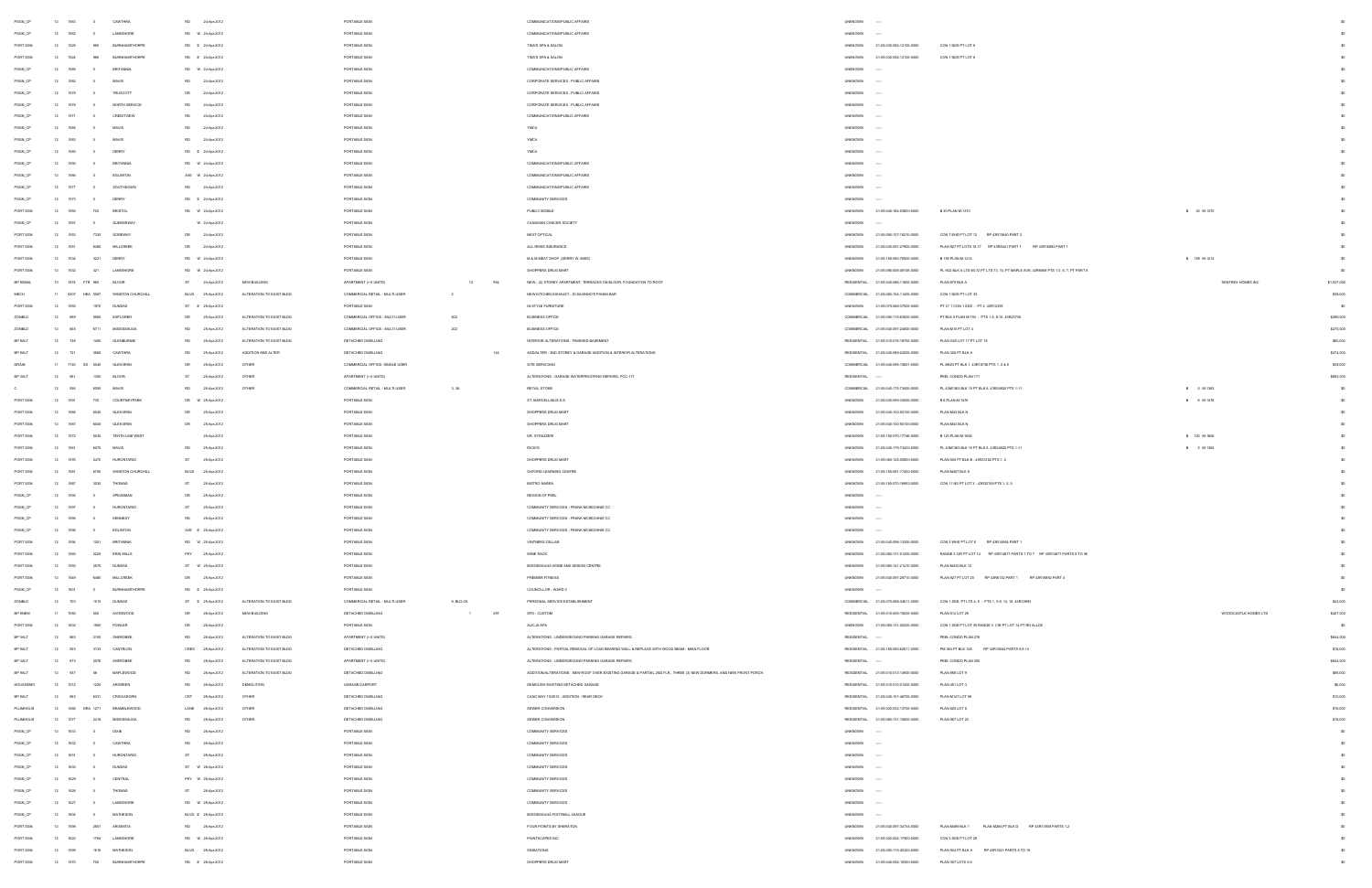|              | 12 1563        | $\sim$ 0        | CAWTHRA                            | RD 24-Apr-2012           |                           | PORTABLE SIGN                  |                |     | COMMUNICATIONS/PUBLIC AFFAIRS                                                                                        | UNKNOWN -----      |                                      |                                                                                      |                      |            |
|--------------|----------------|-----------------|------------------------------------|--------------------------|---------------------------|--------------------------------|----------------|-----|----------------------------------------------------------------------------------------------------------------------|--------------------|--------------------------------------|--------------------------------------------------------------------------------------|----------------------|------------|
| PSGN_CP      |                |                 |                                    |                          |                           |                                |                |     |                                                                                                                      |                    |                                      |                                                                                      |                      |            |
| PSGN_CP      | 12<br>1562     | $\circ$         | LAKESHORE                          | RD W 24-Apr-2012         |                           | PORTABLE SIGN                  |                |     | COMMUNICATIONS/PUBLIC AFFAIRS                                                                                        | <b>UNKNOWN</b>     | $\sim$                               |                                                                                      |                      |            |
| PORT SGN     | 1525<br>12     | 980             | <b>BURNHAMTHORPE</b>               | RD E 24-Apr-2012         |                           | PORTABLE SIGN                  |                |     | TINA'S SPA & SALON                                                                                                   | <b>UNKNOWN</b>     | 21-05-030-092-12100-0000             | CON 1 NDS PT LOT 8                                                                   |                      |            |
| PORT SGN     | 1524<br>12     | 980             | <b>BURNHAMTHORPE</b>               | RD E 24-Apr-2012         |                           | PORTABLE SIGN                  |                |     | TINA'S SPA & SALON                                                                                                   | <b>UNKNOWN</b>     | 21-05-030-092-12100-0000             | CON 1 NDS PT LOT 8                                                                   |                      |            |
| PSGN_CP      | 12<br>1589     | $^{\circ}$      | BRITANNIA                          | RD W 24-Apr-2012         |                           | PORTABLE SIGN                  |                |     | COMMUNICATIONS/PUBLIC AFFAIRS                                                                                        | <b>UNKNOWN</b>     |                                      |                                                                                      |                      |            |
| PSGN_CP      | 1582<br>12     | $\circ$         | <b>MAVIS</b>                       | RD 24-Apr-2012           |                           | PORTABLE SIGN                  |                |     | CORPORATE SERVICES - PUBLIC AFFAIRS                                                                                  | <b>UNKNOWN</b>     | $\sim$                               |                                                                                      |                      |            |
|              |                |                 |                                    |                          |                           |                                |                |     |                                                                                                                      |                    |                                      |                                                                                      |                      |            |
| PSGN_CP      | 12<br>1579     | $\bullet$       | TRUSCOTT                           | DR 24-Apr-2012           |                           | PORTABLE SIGN                  |                |     | CORPORATE SERVICES - PUBLIC AFFAIRS                                                                                  | <b>UNKNOWN</b>     | $\sim$                               |                                                                                      |                      |            |
| PSGN_CP      | 1578<br>12     | $\circ$         | NORTH SERVICE                      | RD 24-Apr-2012           |                           | PORTABLE SIGN                  |                |     | CORPORATE SERVICES - PUBLIC AFFAIRS                                                                                  | <b>UNKNOWN</b>     | $\sim$                               |                                                                                      |                      |            |
| PSGN_CP      | 1571           |                 | CREDITVIEW                         | RD 24-Apr-2012           |                           | PORTABLE SIGN                  |                |     | COMMUNICATIONS/PUBLIC AFFAIRS                                                                                        | <b>UNKNOWN</b>     | ----                                 |                                                                                      |                      |            |
| PSGN_CP      | 12<br>1585     | $\circ$         | <b>MAVIS</b>                       | RD 24-Apr-2012           |                           | PORTABLE SIGN                  |                |     | YMCA                                                                                                                 | <b>UNKNOWN</b>     | ----                                 |                                                                                      |                      |            |
| PSGN_CP      | 12<br>1583     | $\circ$         | MAVIS                              | RD 24-Apr-2012           |                           | PORTABLE SIGN                  |                |     | YMCA                                                                                                                 | <b>UNKNOWN</b>     |                                      |                                                                                      |                      |            |
|              |                |                 |                                    |                          |                           |                                |                |     |                                                                                                                      |                    |                                      |                                                                                      |                      |            |
| PSGN_CP      | 1580           | $\circ$         | DERRY                              | RD E 24-Apr-2012         |                           | PORTABLE SIGN                  |                |     | YMCA                                                                                                                 | <b>UNKNOWN</b>     |                                      |                                                                                      |                      |            |
| PSGN_CP      | 1590           | $\circ$         | BRITANNIA                          | RD W 24-Apr-2012         |                           | PORTABLE SIGN                  |                |     | COMMUNICATIONS/PUBLIC AFFAIRS                                                                                        | <b>UNKNOWN</b>     |                                      |                                                                                      |                      |            |
| PSGN_CP      | 1586           | $\circ$         | EGLINTON                           | AVE W 24-Apr-2012        |                           | PORTABLE SIGN                  |                |     | COMMUNICATIONS/PUBLIC AFFAIRS                                                                                        | <b>UNKNOWN</b>     |                                      |                                                                                      |                      |            |
| PSGN_CP      | 1577<br>12     | $\circ$         | SOUTHDOWN                          | RD 24-Apr-2012           |                           | PORTABLE SIGN                  |                |     | COMMUNICATIONS/PUBLIC AFFAIRS                                                                                        | <b>UNKNOWN</b>     | 1.111                                |                                                                                      |                      |            |
| PSGN_CP      | 1573<br>12     | $\circ$         | DERRY                              | RD E 24-Apr-2012         |                           | PORTABLE SIGN                  |                |     | <b>COMMUNITY SERVICES</b>                                                                                            | <b>UNKNOWN</b>     | 1.111                                |                                                                                      |                      |            |
|              |                |                 |                                    |                          |                           |                                |                |     |                                                                                                                      |                    |                                      |                                                                                      |                      |            |
| PORT SGN     | 1559           | 720             | <b>BRISTOL</b>                     | RD W 24-Apr-2012         |                           | PORTABLE SIGN                  |                |     | PUBLIC MOBILE                                                                                                        | <b>UNKNOWN</b>     | 21-05-040-164-53600-0000             | B 30 PLAN M-1370                                                                     | B 30 M-1370          |            |
| PSGN_CP      | 1557<br>12     | $\circ$         | QUEENSWAY                          | W 24-Apr-2012            |                           | PORTABLE SIGN                  |                |     | CANADIAN CANCER SOCIETY                                                                                              | <b>UNKNOWN</b>     | ----                                 |                                                                                      |                      |            |
| PORT SGN     | 12<br>1553     | 7330            | <b>GOREWAY</b>                     | DR 24-Apr-2012           |                           | PORTABLE SIGN                  |                |     | NEXT OPTICAL                                                                                                         | <b>UNKNOWN</b>     | 21-05-050-107-18210-0000             | CON 7 EHS PT LOT 12 RP 43R13640 PART 2                                               |                      |            |
| PORT SGN     | 1551           | 6465            | MILLCREEK                          | DR 24-Apr-2012           |                           | PORTABLE SIGN                  |                |     | ALL-RISKS INSURANCE                                                                                                  | <b>UNKNOWN</b>     | 21-05-040-097-27900-0000             | PLAN 927 PT LOTS 16,17 RP 43R8441 PART 1 RP 43R16892 PART 1                          |                      |            |
| PORT SGN     | 12<br>1534     | 3221            | <b>DERRY</b>                       | RD W 24-Apr-2012         |                           | PORTABLE SIGN                  |                |     | M & M MEAT SHOP (DERRY W, MISS)                                                                                      | <b>UNKNOWN</b>     | 21-05-150-080-76500-0000             | B 159 PLAN M-1214                                                                    | B 159 M-1214         |            |
|              |                |                 |                                    |                          |                           |                                |                |     |                                                                                                                      |                    |                                      |                                                                                      |                      |            |
| PORT SGN     | 12<br>1532     | 321             | LAKESHORE                          | RD W 24-Apr-2012         |                           | PORTABLE SIGN                  |                |     | SHOPPERS DRUG MART                                                                                                   | <b>UNKNOWN</b>     | 21-05-090-006-08105-0000             | PL H22 BLK A LTS 66-72 PT LTS 73, 74, PT MAPLE AVE, 43R6908 PTS 1-3, 5, 7, PT PART 8 |                      |            |
| BP 9SMAL     | 1874<br>10     | FTR 960         | <b>BLOOR</b>                       | ST 24-Apr-2012           | NEW BUILDING              | APARTMENT (> 6 UNITS)          | 12             | 954 | NEW - (2) STOREY APARTMENT. TERRACES ON BLOOR, FOUNDATION TO ROOF                                                    |                    | RESIDENTIAL 21-05-040-086-11800-0000 | PLAN 879 BLK A                                                                       | SENTREX HOMES INC    | \$1,007,00 |
| <b>MECH</b>  | 6307<br>$11 -$ | <b>HEA 3087</b> | WINSTON CHURCHILL                  | BLVD 25-Apr-2012         | ALTERATION TO EXIST BLDG  | COMMERCIAL RETAIL - MULTI-USER | $\overline{2}$ |     | NEW KITCHEN EXHAUST - DI SAVINNO'S PANINI BAR                                                                        | COMMERCIAL         | 21-05-060-154-11400-0000             | CON 1 NDS PT LOT 35                                                                  |                      | \$39,00    |
| PORT SGN     | 12<br>1593     | 1970            | <b>DUNDAS</b>                      | ST E 25-Apr-2012         |                           | PORTABLE SIGN                  |                |     | IN STYLE FURNITURE                                                                                                   | <b>UNKNOWN</b>     | 21-05-070-068-37500-0000             | PT LT 1 CON 1 SDS - PT 2 43R12339                                                    |                      | SI         |
| ZONBLD       | 699<br>12      | 5580            | <b>EXPLORER</b>                    | DR 25-Apr-2012           | ALTERATION TO EXIST BLDG  | COMMERCIAL OFFICE - MULTI-USER | 502            |     | <b>BUSINESS OFFICE</b>                                                                                               |                    | COMMERCIAL 21-05-050-115-63000-0000  | PT BLK 5 PLAN M-793 - PTS 1-5, 8-15 43R23735                                         |                      | \$289,00   |
|              |                |                 |                                    |                          |                           |                                |                |     |                                                                                                                      |                    |                                      |                                                                                      |                      |            |
| ZONBLD       | 655<br>12      | 6711            | MISSISSAUGA                        | RD 25-Apr-2012           | ALTERATION TO EXIST BLDG  | COMMERCIAL OFFICE - MULTI-USER | 202            |     | <b>BUSINESS OFFICE</b>                                                                                               |                    | COMMERCIAL 21-05-040-097-24500-0000  | PLAN M10 PT LOT 4                                                                    |                      | \$270,00   |
| BP 9ALT      | 748            | 1455            | <b>GLENBURNIE</b>                  | <b>RD</b><br>25-Apr-2012 | ALTERATION TO EXIST BLDG  | DETACHED DWELLING              |                |     | INTERIOR ALTERATIONS - FINISHED BASEMENT                                                                             |                    | RESIDENTIAL 21-05-010-016-18700-0000 | PLAN G20 LOT 17 PT LOT 16                                                            |                      | \$60,00    |
| BP 9ALT      | 721<br>12      | 3560            | CAWTHRA                            | RD 25-Apr-2012           | ADDITION AND ALTER        | DETACHED DWELLING              |                | 144 | ADD/ALTER - 2ND STOREY & GARAGE ADDITION & INTERIOR ALTERATIONS                                                      |                    | RESIDENTIAL 21-05-040-089-22000-0000 | PLAN 326 PT BLK A                                                                    |                      | \$274,00   |
| <b>DRAIN</b> | $11 -$         | 7140 SS<br>5045 | <b>GLEN ERIN</b>                   | DR 25-Apr-2012           | OTHER                     | COMMERCIAL OFFICE- SINGLE USER |                |     | SITE SERVICING                                                                                                       |                    | COMMERCIAL 21-05-040-098-10601-0000  | PL M823 PT BLK 1, 43R16736 PTS 1, 2 & 5                                              |                      | \$39,00    |
| BP 3ALT      | 561<br>12      | 1300            | <b>BLOOR</b>                       | ST 25-Apr-2012           | OTHER                     | APARTMENT (> 6 UNITS)          |                |     | ALTERATIONS - GARAGE WATERPROOFING REPAIRS, PCC-171                                                                  | <b>RESIDENTIAL</b> | -----                                | PEEL CONDO PLAN 171                                                                  |                      | \$683,00   |
|              |                |                 |                                    |                          |                           |                                |                |     |                                                                                                                      |                    |                                      |                                                                                      |                      |            |
| $\mathbf{C}$ | 936<br>12      | 6055            | <b>MAVIS</b>                       | <b>RD</b><br>25-Apr-2012 | OTHER                     | COMMERCIAL RETAIL - MULTI-USER | 3, 3A          |     | <b>RETAIL STORE</b>                                                                                                  |                    | COMMERCIAL 21-05-040-175-73400-0000  | PL 43M1363 BLK 10 PT BLK 5, 43R24920 PTS 1-11                                        | B 5 M-1363           |            |
| PORT SGN     | 1591<br>12     | 730             | COURTNEYPARK                       | DR W 25-Apr-2012         |                           | PORTABLE SIGN                  |                |     | ST. MARCELLINUS S.S.                                                                                                 | <b>UNKNOWN</b>     | 21-05-040-099-33000-0000             | B 6 PLAN M-1476                                                                      | B 6 M-1476           |            |
| PORT SGN     | 1588           | 6040            | <b>GLEN ERIN</b>                   | DR 25-Apr-2012           |                           | PORTABLE SIGN                  |                |     | SHOPPERS DRUG MART                                                                                                   | <b>UNKNOWN</b>     | 21-05-040-100-50100-0000             | PLAN M43 BLK N                                                                       |                      |            |
| PORT SGN     | 1587           | 6040            | <b>GLEN ERIN</b>                   | DR 25-Apr-2012           |                           | PORTABLE SIGN                  |                |     | SHOPPERS DRUG MART                                                                                                   | <b>UNKNOWN</b>     | 21-05-040-100-50100-0000             | PLAN M43 BLK N                                                                       |                      |            |
| PORT SGN     | 1572           | 5030            | TENTH LINE WEST                    | 25-Apr-2012              |                           | PORTABLE SIGN                  |                |     | DR. STRAZZERI                                                                                                        | <b>UNKNOWN</b>     | 21-05-150-070-17746-0000             | B 120 PLAN M-1606                                                                    | B 120 M-1606         |            |
|              |                |                 |                                    |                          |                           |                                |                |     |                                                                                                                      |                    |                                      |                                                                                      |                      |            |
| PORT SGN     | 12<br>1561     | 6075            | <b>MAVIS</b>                       | RD 25-Apr-2012           |                           | PORTABLE SIGN                  |                |     | <b>RICKI'S</b>                                                                                                       | <b>UNKNOWN</b>     | 21-05-040-175-73400-0000             | PL 43M1363 BLK 10 PT BLK 5, 43R24920 PTS 1-11                                        | B 5 M-1363           |            |
| PORT SGN     | 12<br>1576     | 2470            | HURONTARIO                         | ST<br>25-Apr-2012        |                           | PORTABLE SIGN                  |                |     | SHOPPERS DRUG MART                                                                                                   | <b>UNKNOWN</b>     | 21-05-060-125-05900-0000             | PLAN 500 PT BLK B - 43R33162 PTS 1, 2                                                |                      |            |
| PORT SGN     | 1581<br>12     | 6750            | WINSTON CHURCHILL                  | BLVD 25-Apr-2012         |                           | PORTABLE SIGN                  |                |     | OXFORD LEARNING CENTRE                                                                                               | <b>UNKNOWN</b>     | 21-05-150-081-17400-0000             | PLAN M407 BLK 9                                                                      |                      |            |
| PORT SGN     | 1567<br>12     | 3030            | THOMAS                             | ST 25-Apr-2012           |                           | PORTABLE SIGN                  |                |     | <b>BISTRO NARRA</b>                                                                                                  | <b>UNKNOWN</b>     | 21-05-150-070-16953-0000             | CON 11 NS PT LOT 3 - 43R32749 PTS 1, 2, 5                                            |                      |            |
| PSGN CP      | 1592<br>12     | $\circ$         | SPEAKMAN                           | DR 25-Apr-2012           |                           | PORTABLE SIGN                  |                |     | REGION OF PEEL                                                                                                       | <b>UNKNOWN</b>     | ----                                 |                                                                                      |                      |            |
| PSGN_CP      | 12<br>1597     | $\sim$ 0        | HURONTARIO                         | ST 25-Apr-2012           |                           | PORTABLE SIGN                  |                |     | COMMUNITY SERVICES - FRANK MCKECHNIE CC                                                                              | <b>UNKNOWN</b>     | $\cdots$                             |                                                                                      |                      |            |
|              |                |                 |                                    |                          |                           |                                |                |     |                                                                                                                      |                    |                                      |                                                                                      |                      |            |
| PSGN_CP      | 12<br>1595     | $\sim$ 0        | <b>KENNEDY</b>                     | RD 25-Apr-2012           |                           | PORTABLE SIGN                  |                |     | COMMUNITY SERVICES - FRANK MCKECHNIE CC                                                                              | <b>UNKNOWN</b>     | ----                                 |                                                                                      |                      |            |
| PSGN_CP      | 12<br>1596     | $\bullet$       | <b>EGLINTON</b>                    | AVE E 25-Apr-2012        |                           | PORTABLE SIGN                  |                |     | COMMUNITY SERVICES - FRANK MCKECHNIE CC                                                                              | <b>UNKNOWN</b>     | ----                                 |                                                                                      |                      |            |
| PORT SGN     | 1594<br>12     | 1201            | BRITANNIA                          | RD W 25-Apr-2012         |                           | PORTABLE SIGN                  |                |     | <b>VINTNERS CELLAR</b>                                                                                               | <b>UNKNOWN</b>     | 21-05-040-098-13300-0000             | CON 3 WHS PT LOT 6 RP 43R14964 PART 1                                                |                      |            |
| PORT SGN     | 12<br>1560     | 2225            | <b>ERIN MILLS</b>                  | PKY 25-Apr-2012          |                           | PORTABLE SIGN                  |                |     | <b>WINE RACK</b>                                                                                                     | <b>UNKNOWN</b>     | 21-05-060-131-01200-0000             | RANGE 3 CIR PT LOT 14 RP 43R14677 PARTS 1 TO 7 RP 43R14677 PARTS 8 TO 36             |                      |            |
| PORT SGN     | 12<br>1550     | 2575            | <b>DUNDAS</b>                      | ST W 25-Apr-2012         |                           | PORTABLE SIGN                  |                |     | MISSISSAUGA HOME AND DESIGN CENTRE                                                                                   | <b>UNKNOWN</b>     | 21-05-060-141-21410-0000             | PLAN M432 BLK 12                                                                     |                      |            |
|              |                |                 |                                    |                          |                           |                                |                |     |                                                                                                                      |                    |                                      |                                                                                      |                      |            |
| PORT SGN     | 12<br>1549     | 6460            | MILLCREEK                          | DR 25-Apr-2012           |                           | PORTABLE SIGN                  |                |     | PREMIER FITNESS                                                                                                      | <b>UNKNOWN</b>     | 21-05-040-097-28710-0000             | PLAN 927 PT LOT 20 RP 43R6132 PART 1 RP 43R16892 PART 4                              |                      |            |
| PSGN CP      | 12<br>1601     | $\circ$         | <b>BURNHAMTHORPE</b>               | RD E 25-Apr-2012         |                           | PORTABLE SIGN                  |                |     | COUNCILLOR - WARD 3                                                                                                  | <b>UNKNOWN</b>     | -----                                |                                                                                      |                      |            |
| ZONBLD       | 700<br>12      | 1510            | <b>DUNDAS</b>                      | ST E 25-Apr-2012         | ALTERATION TO EXIST BLDG  | COMMERCIAL RETAIL - MULTI-USER | 9, BLD-C6      |     | PERSONAL SERVICE ESTABLISHMENT                                                                                       |                    | COMMERCIAL 21-05-070-068-34611-0000  | CON 1 SDS, PT LTS 4, 5 - PTS 1, 3-9, 14, 16 43R33993                                 |                      | \$43,00    |
| BP 9NEW      | 11<br>7080     | 500             | AVONWOOD                           | DR 26-Apr-2012           | NEW BUILDING              | DETACHED DWELLING              | $\overline{1}$ | 297 | SFD - CUSTOM                                                                                                         |                    | RESIDENTIAL 21-05-010-005-19200-0000 | PLAN 512 LOT 25                                                                      | WOODCASTLE HOMES LTD | \$427,00   |
| PORT SGN     | 12<br>1602     | 1900            | <b>FOWLER</b>                      | DR 26-Apr-2012           |                           | PORTABLE SIGN                  |                |     | ALICJA SPA                                                                                                           | <b>UNKNOWN</b>     | 21-05-060-131-00200-0000             | CON 1 SDS PT LOT 30 RANGE 3 CIR PT LOT 14 PT RD ALLCE                                |                      |            |
| BP 3ALT      | 12<br>865      |                 | SHEROBEE                           |                          | ALTERATION TO EXIST BLDG. |                                |                |     | ALTERATIONS - UNDERGROUND PARKING GARAGE REPAIRS.                                                                    | <b>RESIDENTIAL</b> |                                      | PEEL CONDO PLAN 278                                                                  |                      |            |
|              |                | 2100            |                                    | RD 26-Apr-2012           |                           | APARTMENT (> 6 UNITS)          |                |     |                                                                                                                      |                    | -----                                |                                                                                      |                      | \$644,00   |
| BP 9ALT      | 923<br>12      | 3133            | CANTELON                           | CRES 26-Apr-2012         | ALTERATION TO EXIST BLDG  | DETACHED DWELLING              |                |     | ALTERATIONS - PARTIAL REMOVAL OF LOAD BEARING WALL & REPLACE WITH WOOD BEAM - MAIN FLOOR                             | <b>RESIDENTIAL</b> | 21-05-150-080-62811-0000             | PM 384 PT BLK 128 RP 43R10044 PARTS 8,9,10                                           |                      | \$16,00    |
| BP 3ALT      | 673<br>12      | 2076            | SHEROBEE                           | RD 26-Apr-2012           | ALTERATION TO EXIST BLDG  | APARTMENT (> 6 UNITS)          |                |     | ALTERATIONS - UNDERGROUND PARKING GARAGE REPAIRS.                                                                    | <b>RESIDENTIAL</b> | $\cdots$                             | PEEL CONDO PLAN 300                                                                  |                      | \$644,00   |
| BP 9ALT      | 937<br>12      | 58              | MAPLEWOOD                          | RD 26-Apr-2012           | ALTERATION TO EXIST BLDG  | DETACHED DWELLING              |                |     | ADDITION/ALTERATIONS - NEW ROOF OVER EXISTING GARAGE & PARTIAL 2ND FLR., THREE (3) NEW DORMERS, AND NEW FRONT PORCH. |                    | RESIDENTIAL 21-05-010-013-14900-0000 | PLAN 856 LOT 9                                                                       |                      | \$85,00    |
| HOUSDEMO     | 1012<br>12     | 1220            | <b>ARGREEN</b>                     | RD 26-Apr-2012           | DEMOLITION                | GARAGE/CARPORT                 |                |     | DEMOLISH EXISTING DETACHED GARAGE                                                                                    |                    | RESIDENTIAL 21-05-010-010-01200-0000 | PLAN 451 LOT 3                                                                       |                      | \$6,00     |
| BP 9ALT      | 863<br>12      | 6331            | CRICKADORN                         | CRT 26-Apr-2012          | OTHER                     | DETACHED DWELLING              |                |     | CANC MAY 10/2012 - ADDITION - REAR DECK                                                                              |                    | RESIDENTIAL 21-05-040-101-46700-0000 | PLAN M147 LOT 59                                                                     |                      | \$10,00    |
|              |                |                 |                                    |                          |                           |                                |                |     |                                                                                                                      |                    |                                      |                                                                                      |                      |            |
| PLUMHOUS     | 12             |                 | 1066 DRA 1271 BRAMBLEWOOD          | LANE 26-Apr-2012         | OTHER                     | DETACHED DWELLING              |                |     | SEWER CONVERSION                                                                                                     |                    | RESIDENTIAL 21-05-020-032-13700-0000 | PLAN 820 LOT 8                                                                       |                      | \$16,00    |
| PLUMHOUS     | 1077<br>12     | 2416            | MISSISSAUGA                        | RD 26-Apr-2012           | OTHER                     | DETACHED DWELLING              |                |     | SEWER CONVERSION                                                                                                     |                    | RESIDENTIAL 21-05-060-131-10800-0000 | PLAN 967 LOT 22                                                                      |                      | \$16,00    |
| PSGN_CP      | 1633<br>12     | $\circ$         | DIXIE                              | RD 26-Apr-2012           |                           | PORTABLE SIGN                  |                |     | COMMUNITY SERVICES                                                                                                   | <b>UNKNOWN</b>     | ----                                 |                                                                                      |                      |            |
| PSGN_CP      | 1632<br>12     | $\overline{0}$  | CAWTHRA                            | RD 26-Apr-2012           |                           | PORTABLE SIGN                  |                |     | COMMUNITY SERVICES                                                                                                   | <b>UNKNOWN</b>     |                                      |                                                                                      |                      |            |
| PSGN_CP      | 12<br>1631     | $\circ$         | HURONTARIO                         | ST 26-Apr-2012           |                           | PORTABLE SIGN                  |                |     | COMMUNITY SERVICES                                                                                                   | <b>UNKNOWN</b>     | --                                   |                                                                                      |                      |            |
|              |                |                 |                                    |                          |                           |                                |                |     |                                                                                                                      |                    |                                      |                                                                                      |                      |            |
| PSGN_CP      | 12<br>1630     | $\circ$         | <b>DUNDAS</b>                      | ST W 26-Apr-2012         |                           | PORTABLE SIGN                  |                |     | COMMUNITY SERVICES                                                                                                   | <b>UNKNOWN</b>     | --                                   |                                                                                      |                      |            |
| PSGN_CP      | 12<br>1629     | $\bullet$       | CENTRAL                            | PKY W 26-Apr-2012        |                           | PORTABLE SIGN                  |                |     | <b>COMMUNITY SERVICES</b>                                                                                            | <b>UNKNOWN</b>     | --                                   |                                                                                      |                      |            |
| PSGN_CP      | 1628<br>12     | $\overline{0}$  | THOMAS                             | ST 26-Apr-2012           |                           | PORTABLE SIGN                  |                |     | <b>COMMUNITY SERVICES</b>                                                                                            | <b>UNKNOWN</b>     | --                                   |                                                                                      |                      |            |
| PSGN_CP      | 1627<br>12     | $\sim$ 0        | LAKESHORE                          | RD W 26-Apr-2012         |                           | PORTABLE SIGN                  |                |     | COMMUNITY SERVICES                                                                                                   | <b>UNKNOWN</b>     | 1.111                                |                                                                                      |                      |            |
| PSGN_CP      | 1604<br>12     | $\sim$ 0        | MATHESON                           | BLVD E 26-Apr-2012       |                           | PORTABLE SIGN                  |                |     | MISSISSAUGA FOOTBALL LEAGUE                                                                                          | <b>UNKNOWN</b>     | ----                                 |                                                                                      |                      |            |
|              |                |                 |                                    |                          |                           |                                |                |     |                                                                                                                      |                    |                                      |                                                                                      |                      |            |
| PORT SGN     | 12<br>1598     | 2501            | ARGENTIA                           | RD 26-Apr-2012           |                           | PORTABLE SIGN                  |                |     | FOUR POINTS BY SHERATON                                                                                              | <b>UNKNOWN</b>     | 21-05-040-097-34734-0000             | PLAN M499 BLK 1 PLAN M284 PT BLK D RP 43R13938 PARTS 1,2                             |                      |            |
| PORT SGN     | 1620<br>12     | 1764            | LAKESHORE                          | RD W 26-Apr-2012         |                           | PORTABLE SIGN                  |                |     | PAINTSCAPES INC.                                                                                                     | <b>UNKNOWN</b>     | 21-05-020-024-17900-0000             | CON 3 SDS PT LOT 28                                                                  |                      |            |
| PORT SGN     | 12<br>1599     | 1616            | MATHESON                           | BLVD 26-Apr-2012         |                           | PORTABLE SIGN                  |                |     | SINSATIONS                                                                                                           | <b>UNKNOWN</b>     | 21-05-050-115-20320-0000             | PLAN 924 PT BLK A<br>RP 43R1023 PARTS 8 TO 16                                        |                      |            |
|              |                |                 | PORT SGN 12 1570 700 BURNHAMTHORPE | RD E 26-Apr-2012         |                           | PORTABLE SIGN                  |                |     | SHOPPERS DRUG MART                                                                                                   |                    | UNKNOWN 21-05-040-092-10500-0000     | PLAN 357 LOTS 5,6                                                                    |                      |            |
|              |                |                 |                                    |                          |                           |                                |                |     |                                                                                                                      |                    |                                      |                                                                                      |                      |            |

|                                                                                              |                                                                                      |              | $\$0$                             |
|----------------------------------------------------------------------------------------------|--------------------------------------------------------------------------------------|--------------|-----------------------------------|
|                                                                                              |                                                                                      |              |                                   |
|                                                                                              |                                                                                      |              | $\$0$                             |
| 05-030-092-12100-0000                                                                        | CON 1 NDS PT LOT 8                                                                   |              | $\$0$                             |
| 05-030-092-12100-0000                                                                        | CON 1 NDS PT LOT 8                                                                   |              | $\$0$                             |
| í                                                                                            |                                                                                      |              | $\$0$                             |
| í                                                                                            |                                                                                      |              | $\$0$                             |
|                                                                                              |                                                                                      |              | $\$0$                             |
|                                                                                              |                                                                                      |              |                                   |
|                                                                                              |                                                                                      |              | $\$0$                             |
|                                                                                              |                                                                                      |              | $$0\,$                            |
|                                                                                              |                                                                                      |              | $\$0$                             |
|                                                                                              |                                                                                      |              | $$0\,$                            |
|                                                                                              |                                                                                      |              | $$0\,$                            |
|                                                                                              |                                                                                      |              |                                   |
|                                                                                              |                                                                                      |              | $$0\,$                            |
|                                                                                              |                                                                                      |              | $$0\,$                            |
|                                                                                              |                                                                                      |              | S <sub>0</sub>                    |
|                                                                                              |                                                                                      |              | S <sub>0</sub>                    |
| 05-040-164-53600-0000                                                                        | B 30 PLAN M-1370                                                                     | B 30 M-1370  | $$0\,$                            |
|                                                                                              |                                                                                      |              |                                   |
|                                                                                              |                                                                                      |              | S <sub>0</sub>                    |
| 05-050-107-18210-0000                                                                        | CON 7 EHS PT LOT 12 RP 43R13640 PART 2                                               |              | S <sub>0</sub>                    |
| 05-040-097-27900-0000                                                                        | PLAN 927 PT LOTS 16,17 RP 43R8441 PART 1<br>RP 43R16892 PART 1                       |              | S <sub>0</sub>                    |
| 05-150-080-76500-0000                                                                        | B 159 PLAN M-1214                                                                    | B 159 M-1214 | $$0$                              |
| 05-090-006-08105-0000                                                                        | PL H22 BLK A LTS 66-72 PT LTS 73, 74, PT MAPLE AVE, 43R6908 PTS 1-3, 5, 7, PT PART 8 |              | $$0\,$                            |
|                                                                                              |                                                                                      |              |                                   |
| 05-040-086-11800-0000                                                                        | PLAN 879 BLK A                                                                       |              | SENTREX HOMES INC<br>\$1,007,000  |
| 05-060-154-11400-0000                                                                        | CON 1 NDS PT LOT 35                                                                  |              | \$39,000                          |
| 05-070-068-37500-0000                                                                        | PT LT 1 CON 1 SDS - PT 2 43R12339                                                    |              | $$0\,$                            |
| 05-050-115-63000-0000                                                                        | PT BLK 5 PLAN M-793 - PTS 1-5, 8-15 43R23735                                         |              | \$289,000                         |
| 05-040-097-24500-0000                                                                        | PLAN M10 PT LOT 4                                                                    |              | \$270,000                         |
| 05-010-016-18700-0000                                                                        | PLAN G20 LOT 17 PT LOT 16                                                            |              | \$60,000                          |
|                                                                                              |                                                                                      |              |                                   |
| 05-040-089-22000-0000                                                                        | PLAN 326 PT BLK A                                                                    |              | \$274,000                         |
| 05-040-098-10601-0000                                                                        | PL M823 PT BLK 1, 43R16736 PTS 1, 2 & 5                                              |              | \$39,000                          |
|                                                                                              | PEEL CONDO PLAN 171                                                                  |              | \$683,000                         |
| 05-040-175-73400-0000                                                                        | PL 43M1363 BLK 10 PT BLK 5, 43R24920 PTS 1-11<br>$\mathsf B$                         | 5 M-1363     | $\$0$                             |
| 05-040-099-33000-0000                                                                        | <b>B 6 PLAN M-1476</b><br>$\mathsf B$                                                | 6 M-1476     | $\$0$                             |
|                                                                                              |                                                                                      |              |                                   |
| 05-040-100-50100-0000                                                                        | PLAN M43 BLK N                                                                       |              | $$0\,$                            |
| 05-040-100-50100-0000                                                                        | PLAN M43 BLK N                                                                       |              | $$0\,$                            |
| 05-150-070-17746-0000                                                                        | B 120 PLAN M-1606                                                                    | B 120 M-1606 | $$0\,$                            |
| 05-040-175-73400-0000                                                                        | PL 43M1363 BLK 10 PT BLK 5, 43R24920 PTS 1-11                                        | B 5 M-1363   | $$0\,$                            |
| 05-060-125-05900-0000                                                                        | PLAN 500 PT BLK B - 43R33162 PTS 1, 2                                                |              | $$0\,$                            |
| 05-150-081-17400-0000                                                                        | PLAN M407 BLK 9                                                                      |              | $\$0$                             |
|                                                                                              |                                                                                      |              |                                   |
| 05-150-070-16953-0000                                                                        | CON 11 NS PT LOT 3 - 43R32749 PTS 1, 2, 5                                            |              | S <sub>0</sub>                    |
|                                                                                              |                                                                                      |              | S <sub>0</sub>                    |
|                                                                                              |                                                                                      |              | sn.                               |
|                                                                                              |                                                                                      |              | S <sub>0</sub>                    |
|                                                                                              |                                                                                      |              | S <sub>0</sub>                    |
| 05-040-098-13300-0000                                                                        | CON 3 WHS PT LOT 6<br>RP 43R14964 PART 1                                             |              | S <sub>0</sub>                    |
|                                                                                              |                                                                                      |              |                                   |
| 05-060-131-01200-0000                                                                        | RANGE 3 CIR PT LOT 14 RP 43R14677 PARTS 1 TO 7 RP 43R14677 PARTS 8 TO 36             |              | $\$0$                             |
| 05-060-141-21410-0000                                                                        | PLAN M432 BLK 12                                                                     |              | \$0                               |
| 05-040-097-28710-0000                                                                        | PLAN 927 PT LOT 20 RP 43R6132 PART 1 RP 43R16892 PART 4                              |              | $$0\,$                            |
|                                                                                              |                                                                                      |              | $$0\,$                            |
| 05-070-068-34611-0000                                                                        | CON 1 SDS, PT LTS 4, 5 - PTS 1, 3-9, 14, 16 43R33993                                 |              | \$43,000                          |
|                                                                                              |                                                                                      |              |                                   |
| 05-010-005-19200-0000                                                                        | PLAN 512 LOT 25                                                                      |              | WOODCASTLE HOMES LTD<br>\$427,000 |
| 05-060-131-00200-0000                                                                        | CON 1 SDS PT LOT 30 RANGE 3 CIR PT LOT 14 PT RD ALLCE                                |              | $\$0$                             |
|                                                                                              | PEEL CONDO PLAN 278                                                                  |              | \$644,000                         |
| 05-150-080-62811-0000                                                                        | PM 384 PT BLK 128<br>RP 43R10044 PARTS 8,9,10                                        |              | \$16,000                          |
| í                                                                                            | PEEL CONDO PLAN 300                                                                  |              | \$644,000                         |
| 05-010-013-14900-0000                                                                        | PLAN 856 LOT 9                                                                       |              | \$85,000                          |
|                                                                                              |                                                                                      |              |                                   |
| 05-010-010-01200-0000                                                                        | PLAN 451 LOT 3                                                                       |              | \$6,000                           |
| 05-040-101-46700-0000                                                                        | PLAN M147 LOT 59                                                                     |              | \$10,000                          |
| 05-020-032-13700-0000                                                                        | PLAN 820 LOT 8                                                                       |              | \$16,000                          |
| 05-060-131-10800-0000                                                                        |                                                                                      |              |                                   |
|                                                                                              | PLAN 967 LOT 22                                                                      |              | \$16,000                          |
|                                                                                              |                                                                                      |              | \$0                               |
|                                                                                              |                                                                                      |              |                                   |
|                                                                                              |                                                                                      |              | \$0                               |
|                                                                                              |                                                                                      |              | $$0\,$                            |
|                                                                                              |                                                                                      |              | $$0\,$                            |
|                                                                                              |                                                                                      |              | S <sub>0</sub>                    |
|                                                                                              |                                                                                      |              | S <sub>0</sub>                    |
|                                                                                              |                                                                                      |              | S <sub>0</sub>                    |
|                                                                                              |                                                                                      |              |                                   |
|                                                                                              |                                                                                      |              | S <sub>0</sub>                    |
|                                                                                              | PLAN M284 PT BLK D RP 43R13938 PARTS 1,2<br>PLAN M499 BLK 1                          |              | S <sub>0</sub>                    |
|                                                                                              | CON 3 SDS PT LOT 28                                                                  |              | S <sub>0</sub>                    |
| í<br>ł,<br>í<br>í<br>05-040-097-34734-0000<br>05-020-024-17900-0000<br>05-050-115-20320-0000 | PLAN 924 PT BLK A<br>RP 43R1023 PARTS 8 TO 16                                        |              | $\$0$                             |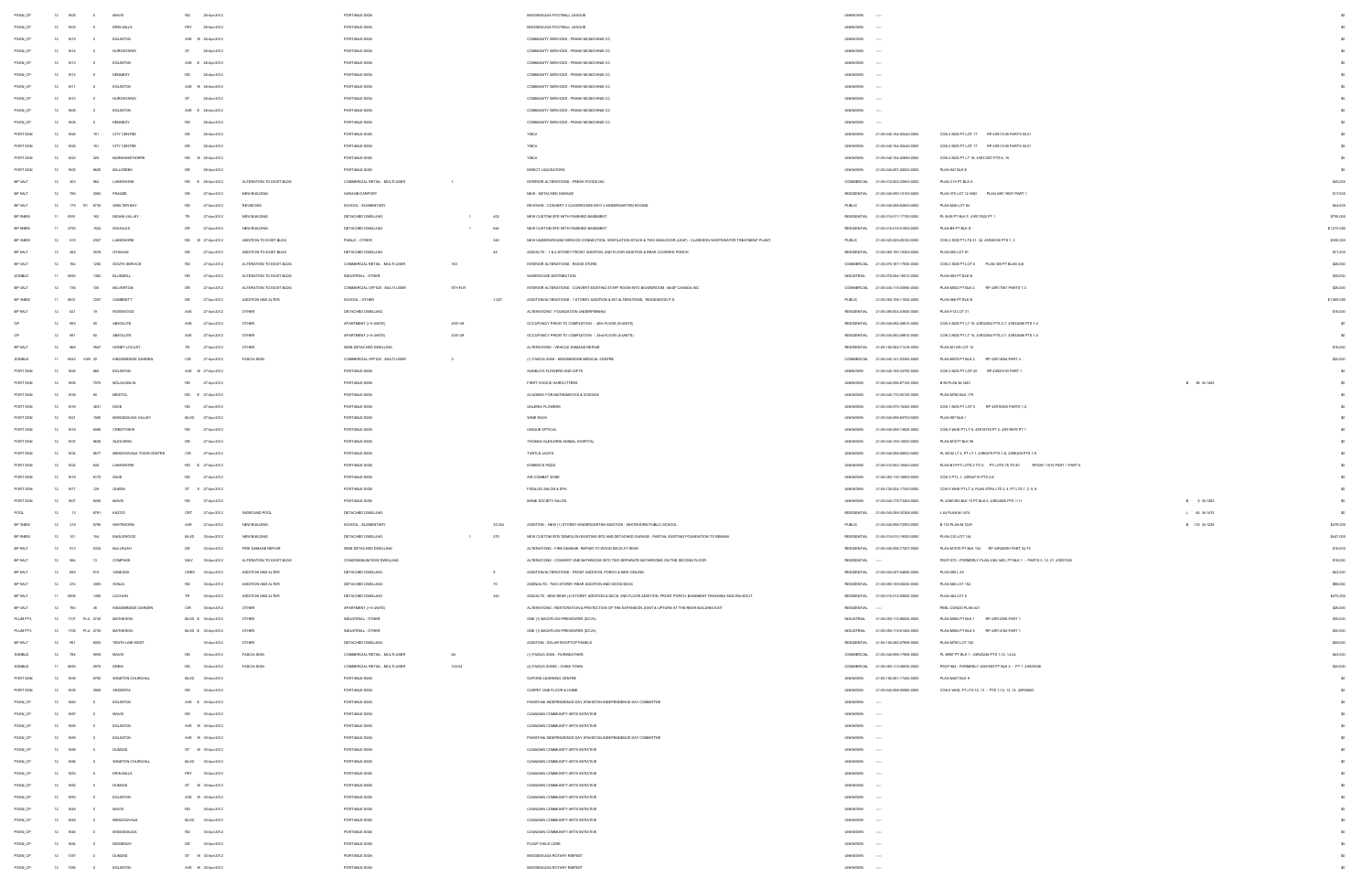| PSGN_CP                          | 12<br>1605            | $\sim$              | <b>MAVIS</b>                     | RD 26-Apr-2012                        |                          | PORTABLE SIGN                       |                |        | MISSISSAUGA FOOTBALL LEAGUE                                                                                       | <b>UNKNOWN</b>                  | $\sim$                               |                                                                        |                                          |
|----------------------------------|-----------------------|---------------------|----------------------------------|---------------------------------------|--------------------------|-------------------------------------|----------------|--------|-------------------------------------------------------------------------------------------------------------------|---------------------------------|--------------------------------------|------------------------------------------------------------------------|------------------------------------------|
| PSGN_CP                          | 12<br>1603            | $^{\circ}$          | <b>ERIN MILLS</b>                | PKY 26-Apr-2012                       |                          | PORTABLE SIGN                       |                |        | MISSISSAUGA FOOTBALL LEAGUE                                                                                       | <b>UNKNOWN</b>                  | $\sim$                               |                                                                        |                                          |
| PSGN_CP                          | 12<br>1615            |                     | EGLINTON                         | AVE W 26-Apr-2012                     |                          | PORTABLE SIGN                       |                |        | COMMUNITY SERVICES - FRANK MCKECHNIE CC                                                                           | <b>UNKNOWN</b>                  |                                      |                                                                        |                                          |
| PSGN_CP                          | 12<br>1614            |                     | HURONTARIO                       | ST 26-Apr-2012                        |                          | PORTABLE SIGN                       |                |        | COMMUNITY SERVICES - FRANK MCKECHNIE CC                                                                           | <b>UNKNOWN</b>                  |                                      |                                                                        |                                          |
| $\ensuremath{\mathsf{PSGN\_CP}}$ | 12<br>1613            |                     | EGLINTON                         | AVE E 26-Apr-2012                     |                          | PORTABLE SIGN                       |                |        | COMMUNITY SERVICES - FRANK MCKECHNIE CC                                                                           | <b>UNKNOWN</b>                  |                                      |                                                                        |                                          |
| $\ensuremath{\mathsf{PSGN\_CP}}$ | 12<br>1612            |                     | KENNEDY                          | RD 26-Apr-2012                        |                          | PORTABLE SIGN                       |                |        | COMMUNITY SERVICES - FRANK MCKECHNIE CC                                                                           | <b>UNKNOWN</b>                  |                                      |                                                                        |                                          |
| $\ensuremath{\mathsf{PSGN\_CP}}$ | 12                    |                     | EGLINTON                         | AVE W 26-Apr-2012                     |                          | PORTABLE SIGN                       |                |        | COMMUNITY SERVICES - FRANK MCKECHNIE CC                                                                           | <b>UNKNOWN</b>                  |                                      |                                                                        |                                          |
| $\ensuremath{\mathsf{PSGN\_CP}}$ | 12<br>1610            |                     | HURONTARIO                       | ST 26-Apr-2012                        |                          | PORTABLE SIGN                       |                |        | COMMUNITY SERVICES - FRANK MCKECHNIE CC                                                                           | <b>UNKNOWN</b>                  |                                      |                                                                        |                                          |
| PSGN_CP                          | 12<br>1609            |                     | EGLINTON                         | AVE E 26-Apr-2012                     |                          | PORTABLE SIGN                       |                |        | COMMUNITY SERVICES - FRANK MCKECHNIE CC                                                                           | <b>UNKNOWN</b>                  | ----                                 |                                                                        |                                          |
| PSGN CP                          | 12<br>1608            |                     | KENNEDY                          | RD 26-Apr-2012                        |                          | PORTABLE SIGN                       |                |        | COMMUNITY SERVICES - FRANK MCKECHNIE CC                                                                           | <b>UNKNOWN</b>                  | -----                                |                                                                        |                                          |
| PORT SGN                         | 12<br>1626            | 151                 | CITY CENTRE                      | DR 26-Apr-2012                        |                          | PORTABLE SIGN                       |                |        | YMCA                                                                                                              | <b>UNKNOWN</b>                  | 21-05-040-154-00440-0000             | CON 2 NDS PT LOT 17 RP 43R13128 PARTS 50,51                            |                                          |
| PORT SGN                         | 12<br>1625            | 151                 | CITY CENTRE                      | DR 26-Apr-2012                        |                          | PORTABLE SIGN                       |                |        | YMCA                                                                                                              | <b>UNKNOWN</b>                  | 21-05-040-154-00440-0000             | CON 2 NDS PT LOT 17 RP 43R13128 PARTS 50,51                            |                                          |
| PORT SGN                         | 12<br>1623            | 325                 | BURNHAMTHORPE                    | RD W 26-Apr-2012                      |                          | PORTABLE SIGN                       |                |        | YMCA                                                                                                              | <b>UNKNOWN</b>                  | 21-05-040-154-00850-0000             | CON 2 NDS PT LT 18, 43R13007 PTS 6, 16                                 |                                          |
| PORT SGN                         | 12<br>1600            | 6625                | MILLCREEK                        | DR 26-Apr-2012                        |                          | PORTABLE SIGN                       |                |        | DIRECT LIQUIDATORS                                                                                                | <b>UNKNOWN</b>                  | 21-05-040-097-28200-0000             | PLAN 947 BLK E                                                         |                                          |
| BP 3ALT                          | 12<br>203             | 562                 | LAKESHORE                        | RD E 26-Apr-2012                      | ALTERATION TO EXIST BLDG | COMMERCIAL RETAIL - MULTI-USER      |                |        | INTERIOR ALTERATIONS - FRESH FOODS INC                                                                            | COMMERCIAL                      | 21-05-010-002-20900-0000             | PLAN C19 PT BLK A                                                      | \$45,000                                 |
| BP 9ALT                          | 12<br>756             | 3062                | FRANZE                           | DR 27-Apr-2012                        | <b>NEW BUILDING</b>      | GARAGE/CARPORT                      |                |        | NEW - DETACHED GARAGE                                                                                             |                                 | RESIDENTIAL 21-05-040-090-15100-0000 | PLAN 375 LOT 12 AND PLAN 43R 19537 PART 1                              | \$17,000                                 |
| BP 3ALT                          | 12<br>175             | R1 6735             | SHELTER BAY                      | RD 27-Apr-2012                        | <b>REVISIONS</b>         | SCHOOL - ELEMENTARY                 |                |        | REVISION - CONVERT 3 CLASSROOMS INTO 2 KINDERGARTEN ROOMS.                                                        | PUBLIC                          | 21-05-040-098-62800-0000             | PLAN M28 LOT 84                                                        | \$44,000                                 |
| BP 9NEW                          | 11<br>6391            | 162                 | INDIAN VALLEY                    | TR 27-Apr-2012                        | <b>NEW BUILDING</b>      | DETACHED DWELLING                   | $\overline{1}$ | 402    | NEW CUSTOM SFD WITH FINISHED BASEMENT                                                                             | RESIDENTIAL                     | 21-05-010-017-17750-0000             | PL B-09 PT BLK F. 43R17822 PT 1                                        | \$795,000                                |
| BP 9NEW                          | 11<br>4753            | 1524                | <b>DOUGLAS</b>                   | DR 27-Apr-2012                        | <b>NEW BUILDING</b>      | DETACHED DWELLING                   | 1              | 644    | NEW CUSTOM SFD WITH FINISHED BASEMENT                                                                             | RESIDENTIAL                     | 21-05-010-018-01600-0000             | PLAN B9 PT BLK D                                                       | \$1,273,00                               |
| BP 3NEW                          | 12<br>619             | 2307                | LAKESHORE                        |                                       | ADDITION TO EXIST BLDG   |                                     |                | 345    | NEW UNDERGROUND SERVICE CONNECTION, VENTILATION STACK & TWO MAN-DOOR (LEAF) - CLARKSON WASTEWATER TREATMENT PLANT |                                 | 21-05-020-025-05100-0000             | CON 3 SDS PT LTS 31, 32, 43R20036 PTS 1, 2                             |                                          |
| BP 9ALT                          |                       | 3076                | <b>O'HAGAN</b>                   | RD W 27-Apr-2012                      | ADDITION TO EXIST BLDG   | PUBLIC - OTHER<br>DETACHED DWELLING |                |        | ADD/ALTS - 1 & 2-STOREY FRONT ADDITION, 2ND FLOOR ADDITION & REAR COVERED PORCH                                   | PUBLIC                          | RESIDENTIAL 21-05-060-150-19200-0000 | PLAN 550 LOT 81                                                        | \$305,000                                |
|                                  | 12<br>452             |                     |                                  | DR 27-Apr-2012                        |                          |                                     |                |        |                                                                                                                   |                                 |                                      |                                                                        | \$71,000                                 |
| BP 3ALT                          | 12<br>762             | 1250                | SOUTH SERVICE                    | RD 27-Apr-2012                        | ALTERATION TO EXIST BLDG | COMMERCIAL RETAIL - MULTI-USER      | 163            |        | INTERIOR ALTERATIONS - RICKIS STORE                                                                               |                                 | COMMERCIAL 21-05-070-167-17500-0000  | CON 2 SDS PT LOT 6 PLAN 305 PT BLKS A,B                                | \$26,000                                 |
| ZONBLD                           | 11<br>6950            | 1362                | <b>BLUNDELL</b>                  | RD 27-Apr-2012                        | ALTERATION TO EXIST BLDG | INDUSTRIAL - OTHER                  |                |        | WAREHOUSE DISTRIBUTION                                                                                            | <b>INDUSTRIAL</b>               | 21-05-070-054-16512-0000             | PLAN 894 PT BLK B                                                      | \$35,000                                 |
| BP 3ALT                          | 12<br>736             | 100                 | <b>MILVERTON</b>                 | DR 27-Apr-2012                        | ALTERATION TO EXIST BLDG | COMMERCIAL OFFICE - MULTI-USER      | 5TH FLR        |        | INTERIOR ALTERATIONS - CONVERT EXISTING STAFF ROOM INTO BOARDROOM - BASF CANADA INC                               | COMMERCIAL                      | 21-05-040-115-00950-0000             | PLAN M832 PT BLK 2 RP 43R17361 PARTS 1-3                               | \$26,000                                 |
| BP 3NEW                          | 11<br>6831            | 7207                | CAMBRET                          | DR 27-Apr-2012                        | ADDITION AND ALTER       | SCHOOL - OTHER                      |                | 1,027  | ADDITION/ALTERATIONS - 1 STOREY ADDITION & INT.ALTERATIONS, RIDGEWOOD P.S.                                        | PUBLIC                          | 21-05-050-108-11500-0000             | PLAN 566 PT BLK B                                                      | \$1,969,00                               |
| BP 9ALT                          | 12<br>621             | 19                  | ROSEWOOD                         | AVE 27-Apr-2012                       | OTHER                    | DETACHED DWELLING                   |                |        | ALTERATIONS - FOUNDATION UNDERPINNING                                                                             | RESIDENTIAL                     | 21-05-090-004-03500-0000             | PLAN F12 LOT 31                                                        | \$16,000                                 |
| OP                               | 12<br>893             | 50                  | ABSOLUTE                         | AVE 27-Apr-2012                       | OTHER                    | APARTMENT (> 6 UNITS)               | 4501-08        |        | OCCUPANCY PRIOR TO COMPLETION - 45th FLOOR (8-UNITS)                                                              | RESIDENTIAL                     | 21-05-040-092-08810-0000             | CON 2 NDS PT LT 15, 43R32504 PTS 2-7, 43R32656 PTS 1-4                 |                                          |
| OP                               | 12                    | 50                  | ABSOLUTE                         | AVE 27-Apr-2012                       | OTHER                    | APARTMENT (> 6 UNITS)               | 4301-08        |        | OCCUPANCY PRIOR TO COMPLETION - 43rd FLOOR (8-UNITS)                                                              | RESIDENTIAL                     | 21-05-040-092-08810-0000             | CON 2 NDS PT LT 15, 43R32504 PTS 2-7, 43R32656 PTS 1-4                 |                                          |
| BP 9ALT                          | 12<br>868             | 3947                | HONEY LOCUST                     | TR 27-Apr-2012                        | OTHER                    | SEMI-DETACHED DWELLING              |                |        | ALTERATIONS - VEHICLE DAMAGE REPAIR                                                                               |                                 | RESIDENTIAL 21-05-150-082-71418-0000 | PLAN M1109 LOT 12                                                      |                                          |
| SGNBLD                           | 11<br>6943            | <b>VAR 20</b>       | KINGSBRIDGE GARDEN               | CIR 27-Apr-2012                       | <b>FASCIA SIGN</b>       | COMMERCIAL OFFICE - MULTI-USER      |                |        | (1) FASCIA SIGN - KINGSBRIDGE MEDICAL CENTRE                                                                      |                                 | COMMERCIAL 21-05-040-141-03300-0000  | PLAN M576 PT BLK 2 RP 43R14594 PART 4                                  | \$20,000                                 |
| PORT SGN                         | 12<br>1622            | 660                 | EGLINTON                         | AVE W 27-Apr-2012                     |                          | PORTABLE SIGN                       |                |        | ANGELO'S FLOWERS AND GIFTS                                                                                        | <b>UNKNOWN</b>                  | 21-05-040-155-43700-0000             | CON 2 NDS PT LOT 20 RP 43R20153 PART 1                                 |                                          |
| PORT SGN                         | 12<br>1606            | 7070                | MCLAUGHLIN                       | RD 27-Apr-2012                        |                          | PORTABLE SIGN                       |                |        | FIRST CHOICE HAIRCUTTERS                                                                                          | <b>UNKNOWN</b>                  | 21-05-040-096-87100-0000             | B 96 PLAN M-1483                                                       | B 96 M-1483                              |
| PORT SGN                         | 12<br>1638            | 60                  | <b>BRISTO</b>                    | RD E 27-Apr-2012                      |                          | PORTABLE SIGN                       |                |        | ACADEMY FOR MATHEMATICS & SCIENCE                                                                                 | <b>UNKNOWN</b>                  | 21-05-040-170-00100-0000             | PLAN M782 BLK 179                                                      |                                          |
| PORT SGN                         | 12<br>1616            | 3631                | <b>DIXIE</b>                     | RD 27-Apr-2012                        |                          | PORTABLE SIGN                       |                |        | <b>GALERIA FLOWERS</b>                                                                                            | <b>UNKNOWN</b>                  | 21-05-030-075-16300-0000             | CON 1 NDS PT LOT 5 RP 43R16505 PARTS 1,2                               |                                          |
| PORT SGN                         | 12<br>1621            | 1585                | MISSISSAUGA VALLEY               | BLVD 27-Apr-2012                      |                          | PORTABLE SIGN                       |                |        | WINE RACK                                                                                                         | <b>UNKNOWN</b>                  | 21-05-040-095-60700-0000             | <b>PLAN 957 BLK I</b>                                                  |                                          |
| PORT SGN                         | 12<br>1618            | 6085                | CREDITVIEW                       | RD 27-Apr-2012                        |                          | PORTABLE SIGN                       |                |        | UNIQUE OPTICAL                                                                                                    | <b>UNKNOWN</b>                  | 21-05-040-098-13500-0000             | CON 3 WHS PT LT 6, 43R18735 PT 2, 43R19876 PT 1                        |                                          |
| PORT SGN                         | 12<br>1637            | 5636                | <b>GLEN ERIN</b>                 | DR 27-Apr-2012                        |                          | PORTABLE SIGN                       |                |        | THOMAS GLEN ERIN ANIMAL HOSPITAL                                                                                  | <b>UNKNOWN</b>                  | 21-05-040-108-10000-0000             | PLAN M1077 BLK 99                                                      |                                          |
| PORT SGN                         | 12<br>1634            | 6677                | MEADOWVALE TOWN CENTRE           | CIR 27-Apr-2012                       |                          | PORTABLE SIGN                       |                |        | TURTLE JACK'S                                                                                                     | <b>UNKNOWN</b>                  | 21-05-040-098-56920-0000             | PL M182 LT 4, PT LT 1, 43R6079 PTS 1-6, 43R6209 PTS 1-9                |                                          |
| PORT SGN                         | 12<br>1624            | 645                 | LAKESHORE                        | RD E 27-Apr-2012                      |                          | PORTABLE SIGN                       |                |        | <b>DOMINO'S PIZZA</b>                                                                                             | <b>UNKNOWN</b>                  | 21-05-010-002-16400-0000             | PLAN B19 PT LOTS 2 TO 5 PT LOTS 76 TO 80 RP43R 11510 PART 1 PART 6     |                                          |
| PORT SGN                         | 12<br>1619            | 5170                | <b>DIXIE</b>                     | RD 27-Apr-2012                        |                          | PORTABLE SIGN                       |                |        | AIR COMBAT ZONE                                                                                                   | <b>UNKNOWN</b>                  | 21-05-050-116-16900-0000             | CON 3 PT L 1, 43R24715 PTS 3-6                                         |                                          |
| PORT SGN                         | 12 1617               | 128                 | QUEEN                            | ST S 27-Apr-2012                      |                          | PORTABLE SIGN                       |                |        | FIDALGO SALON & SPA                                                                                               | <b>UNKNOWN</b>                  | 21-05-120-004-17300-0000             | CON 5 WHS PT LT 4, PLAN STR4 LTS 3, 4, PT LTS 1, 2, 5, 8               |                                          |
| PORT SGN                         | 12 1607               | 6055 MAVIS          |                                  | RD 27-Apr-2012                        |                          | PORTABLE SIGN                       |                |        | MANE SOCIETY SALON                                                                                                | <b>UNKNOWN</b>                  | 21-05-040-175-73400-0000             | PL 43M1363 BLK 10 PT BLK 5, 43R24920 PTS 1-11                          | B 5 M-1363                               |
| <b>POOL</b>                      |                       | 6781                | KAZOO                            |                                       | <b>INGROUND POOL</b>     | DETACHED DWELLING                   |                |        |                                                                                                                   |                                 | RESIDENTIAL 21-05-040-099-30306-0000 | L 64 PLAN M-1474                                                       |                                          |
| BP 3NEW                          |                       |                     | 5785 WHITEHORN                   | CRT 27-Apr-2012<br>AVE 27-Apr-2012    | <b>NEW BUILDING</b>      |                                     |                | 25.304 | ADDITION - NEW (1) STOREY KINDERGARTEN ADDITION - WHITEHORN PUBLIC SCHOOL                                         | PUBLIC                          | 21-05-040-096-72500-0000             | B 133 PLAN M-1229                                                      | L 64 M-1474<br>\$479,000<br>B 133 M-1229 |
|                                  | 12 218                |                     |                                  |                                       |                          | SCHOOL - ELEMENTARY                 |                |        | NEW CUSTOM SED/ DEMOLISH EXISTING SED AND DETACHED GARAGE - PARTIAL EXISTING FOUNDATION TO REMAIN                 |                                 |                                      |                                                                        |                                          |
| BP 9NEW                          | 12<br>101             | 154                 | EAGLEWOOD                        | BLVD 30-Apr-2012                      | <b>NEW BUILDING</b>      | DETACHED DWELLING                   | 1              | 275    |                                                                                                                   |                                 | RESIDENTIAL 21-05-010-010-19000-0000 | PLAN C20 LOT 144                                                       | \$447,000                                |
| BP 9ALT                          | 12<br>913             | 5332                | <b>BULLRUSH</b>                  | DR 30-Apr-2012                        | FIRE DAMAGE REPAIR       | SEMI-DETACHED DWELLING              |                |        | ALTERATIONS - FIRE DAMAGE REPAIR TO WOOD DECK AT REAR                                                             |                                 | RESIDENTIAL 21-05-040-096-77007-0000 | PLAN M1070 PT BLK 104 RP 43R20090 PART 24,75                           | \$16,000                                 |
| BP 9ALT                          | 12<br>984             | 13                  | COMPASS                          | WAY 30-Apr-2012                       | ALTERATION TO EXIST BLDG | CONDOMINIUM ROW DWELLING            |                |        | ALTERATIONS - CONVERT ONE BATHROOM INTO TWO SEPARATE BATHROOMS ON THE SECOND FLOOR                                | <b>RESIDENTIAL</b>              | ----                                 | PSCP 670 - FORMERLY PLAN 43M-1463, PT BLK 1 - PARTS 3, 12, 21 43R27003 | \$16,000                                 |
| BP 9ALT                          | 12<br>659             | 615                 | VANESSA                          | CRES 30-Apr-2012                      | ADDITION AND ALTER       | DETACHED DWELLING                   |                | 9      | ADDITION/ALTERATIONS - FRONT ADDITION, PORCH & NEW CEILING                                                        |                                 | RESIDENTIAL 21-05-020-027-04600-0000 | PLAN 599 L 29                                                          | \$43,000                                 |
| BP 9ALT                          | 12<br>274             | 3393                | SONJA                            | RD 30-Apr-2012                        | ADDITION AND ALTER       | DETACHED DWELLING                   |                | 70     | ADDN/ALTS - TWO STOREY REAR ADDITION AND WOOD DECK                                                                |                                 | RESIDENTIAL 21-05-050-109-00200-0000 | PLAN 566 LOT 152                                                       | \$98,000                                 |
| BP 9ALT                          | 11<br>6906            | 1490                | LOCHLIN                          | TR 30-Apr-2012                        | ADDITION AND ALTER       | DETACHED DWELLING                   |                | 243    | ADD/ALTS - NEW REAR (2) STOREY ADDITION & DECK, 2ND FLOOR ADDITION, FRONT PORCH, BASEMENT FINISHING AND WALKOUT.  |                                 | RESIDENTIAL 21-05-010-012-05500-0000 | PLAN 464 LOT 6                                                         | \$470,000                                |
| BP 3ALT                          | 12<br>760             | 45                  | <b>KINGSBRIDGE GARDEN</b>        | CIR 30-Apr-2012                       | OTHER                    | APARTMENT (> 6 UNITS)               |                |        | ALTERATIONS - RESTORATION & PROTECTION OF THE EXPANSION JOINT & UPTURN AT THE REAR BUILDING EXIT                  | RESIDENTIAL                     | -----                                | PEEL CONDO PLAN 421                                                    | \$26,000                                 |
| PLUM PT3                         | 12 1107 PLU 2740      |                     | MATHESON                         | BLVD E 30-Apr-2012                    | OTHER                    | INDUSTRIAL - OTHER                  |                |        | ONE (1) BACKFLOW PREVENTER (DCVA)                                                                                 | <b>INDUSTRIAL</b>               | 21-05-050-115-86000-0000             | PLAN M584 PT BLK 1 RP 43R12395 PART 1                                  | \$30,000                                 |
| PLUM PT3                         | 12<br>1106            | PLU 2735            | MATHESON                         | BLVD E 30-Apr-2012                    | OTHER                    | INDUSTRIAL - OTHER                  |                |        | ONE (1) BACKFLOW PREVENTER (DCVA)                                                                                 | <b>INDUSTRIAL</b>               | 21-05-050-115-81400-0000             | PLAN M584 PT BLK 5 RP 43R14182 PART 1                                  | \$30,000                                 |
| BP 9ALT                          | 12<br>951             | 6003                | TENTH LINE WEST                  | 30-Apr-2012                           | OTHER                    | DETACHED DWELLING                   |                |        | ADDITION - SOLAR ROOFTOP PANELS                                                                                   |                                 | RESIDENTIAL 21-05-150-080-07909-0000 | PLAN M750 LOT 152                                                      | \$29,000                                 |
| SGNBLD                           | 12                    | 5935                | MAVIS                            | RD 30-Apr-2012                        | <b>FASCIA SIGN</b>       | COMMERCIAL RETAIL - MULTI-USER      | 6A             |        | (1) FASCIA SIGN - FAIRWEATHER                                                                                     |                                 | COMMERCIAL 21-05-040-098-17805-0000  | PL M967 PT BLK 1 - 43R20246 PTS 1-12, 14-24                            | \$43,000                                 |
| SGNBLD                           | 11<br>6890            | 2970                | DREW                             | 30-Apr-2012<br><b>RD</b>              | <b>FASCIA SIGN</b>       | COMMERCIAL RETAIL - MULTI-USER      | 103-04         |        | (4) FASCIA SIGNS - CHINA TOWN                                                                                     | COMMERCIAL                      | 21-05-050-113-06532-0000             | PSCP 884 - FORMERLY 43M1593 PT BLK 2 - PT 1 43R29338                   | \$20,000                                 |
| PORT SGN                         | 12<br>1636            | 6750                | WINSTON CHURCHILL                | BLVD 30-Apr-2012                      |                          | PORTABLE SIGN                       |                |        | OXFORD LEARNING CENTRE                                                                                            | <b>UNKNOWN</b>                  | 21-05-150-081-17400-0000             | PLAN M407 BLK 9                                                        |                                          |
| PORT SGN                         | 12<br>1635            | 2905                | ARGENTIA                         | RD 30-Apr-2012                        |                          | PORTABLE SIGN                       |                |        | CARPET ONE FLOOR & HOME                                                                                           | <b>UNKNOWN</b>                  | 21-05-040-098-05060-0000             | CON 6 WHS, PT LTS 12, 13 - PTS 1-10, 13, 14 43R30620                   |                                          |
| PSGN_CP                          | 12<br>1660            |                     | EGLINTON                         | AVE E 30-Apr-2012                     |                          | PORTABLE SIGN                       |                |        | PAKISTANI INDEPENDENCE DAY (PAKISTAN INDEPENDENCE DAY COMMITTEE                                                   | <b>UNKNOWN</b>                  | ----                                 |                                                                        |                                          |
| PSGN_CP                          |                       |                     |                                  |                                       |                          |                                     |                |        |                                                                                                                   |                                 |                                      |                                                                        |                                          |
| PSGN CP                          | 12<br>1657            |                     | MAVIS                            | RD 30-Apr-2012                        |                          | PORTABLE SIGN                       |                |        | CANADIAN COMMUNITY ARTS INITIATIVE                                                                                | <b>UNKNOWN</b>                  | ----                                 |                                                                        |                                          |
|                                  | 12<br>1655            |                     | EGLINTON                         | AVE W 30-Apr-2012                     |                          | PORTABLE SIGN                       |                |        | CANADIAN COMMUNITY ARTS INITIATIVE                                                                                | <b>UNKNOWN</b>                  | ----                                 |                                                                        |                                          |
| PSGN_CP                          | 12<br>1659            | $\circ$             | EGLINTON                         | AVE W 30-Apr-2012                     |                          | PORTABLE SIGN                       |                |        | PAKISTANI INDEPENDENCE DAY (PAKISTAN INDEPENDENCE DAY COMMITTEE                                                   | <b>UNKNOWN</b>                  | ----                                 |                                                                        |                                          |
| PSGN_CP                          | 12<br>1658            | $\circ$             | <b>DUNDAS</b>                    | ST W 30-Apr-2012                      |                          | PORTABLE SIGN                       |                |        | CANADIAN COMMUNITY ARTS INITIATIVE                                                                                | <b>UNKNOWN</b>                  | -----                                |                                                                        |                                          |
| PSGN_CP                          | 12<br>1656            | $\circ$             | WINSTON CHURCHILL                | BLVD 30-Apr-2012                      |                          | PORTABLE SIGN                       |                |        | CANADIAN COMMUNITY ARTS INITIATIVE                                                                                | <b>UNKNOWN</b>                  | ----                                 |                                                                        |                                          |
| PSGN_CP                          | 12<br>1653            | $^{\circ}$          | <b>ERIN MILLS</b>                | PKY 30-Apr-2012                       |                          | PORTABLE SIGN                       |                |        | CANADIAN COMMUNITY ARTS INITIATIVE                                                                                | <b>UNKNOWN</b>                  | -----                                |                                                                        |                                          |
|                                  | 12<br>1652            | $\sim$              | DUNDAS                           | ST W 30-Apr-2012                      |                          | PORTABLE SIGN                       |                |        | CANADIAN COMMUNITY ARTS INITIATIVE                                                                                | <b>UNKNOWN</b>                  | $\cdots$                             |                                                                        |                                          |
| PSGN_CP                          | 12<br>1650            | $\sim$              | <b>EGLINTON</b>                  |                                       |                          | PORTABLE SIGN                       |                |        | CANADIAN COMMUNITY ARTS INITIATIVE                                                                                | <b>UNKNOWN</b>                  | -----                                |                                                                        |                                          |
| PSGN_CP                          |                       | $^{\circ}$          |                                  | AVE W 30-Apr-2012                     |                          |                                     |                |        |                                                                                                                   |                                 |                                      |                                                                        |                                          |
| PSGN_CP                          | 12<br>1649            | $\sim$              | <b>MAVIS</b>                     | RD 30-Apr-2012                        |                          | PORTABLE SIGN                       |                |        | CANADIAN COMMUNITY ARTS INITIATIVE                                                                                | <b>UNKNOWN</b>                  | ----                                 |                                                                        |                                          |
| PSGN_CP                          | 12<br>1648            |                     | MEADOWVALE                       | BLVD 30-Apr-2012                      |                          | PORTABLE SIGN                       |                |        | CANADIAN COMMUNITY ARTS INITIATIVE                                                                                | <b>UNKNOWN</b>                  | ----                                 |                                                                        |                                          |
| PSGN_CP                          | 12<br>1646            | $^{\circ}$          | MISSISSAUGA                      | RD 30-Apr-2012                        |                          | PORTABLE SIGN                       |                |        | CANADIAN COMMUNITY ARTS INITIATIVE                                                                                | <b>UNKNOWN</b>                  | ----                                 |                                                                        |                                          |
| PSGN_CP                          | 12<br>1654            |                     | RIDGEWAY                         | DR 30-Apr-2012                        |                          | PORTABLE SIGN                       |                |        | PLASP CHILD CARE                                                                                                  | <b>UNKNOWN</b>                  | -----                                |                                                                        |                                          |
| PSGN_CP<br>PSGN_CP               | 12<br>1357<br>12 1356 | $\circ$<br>$\sim$ 0 | <b>DUNDAS</b><br><b>EGLINTON</b> | ST W 30-Apr-2012<br>AVE W 30-Apr-2012 |                          | PORTABLE SIGN<br>PORTABLE SIGN      |                |        | MISSISSAUGA ROTARY RIBFEST<br>MISSISSAUGA ROTARY RIBFEST                                                          | <b>UNKNOWN</b><br>UNKNOWN ----- | $\sim$                               |                                                                        |                                          |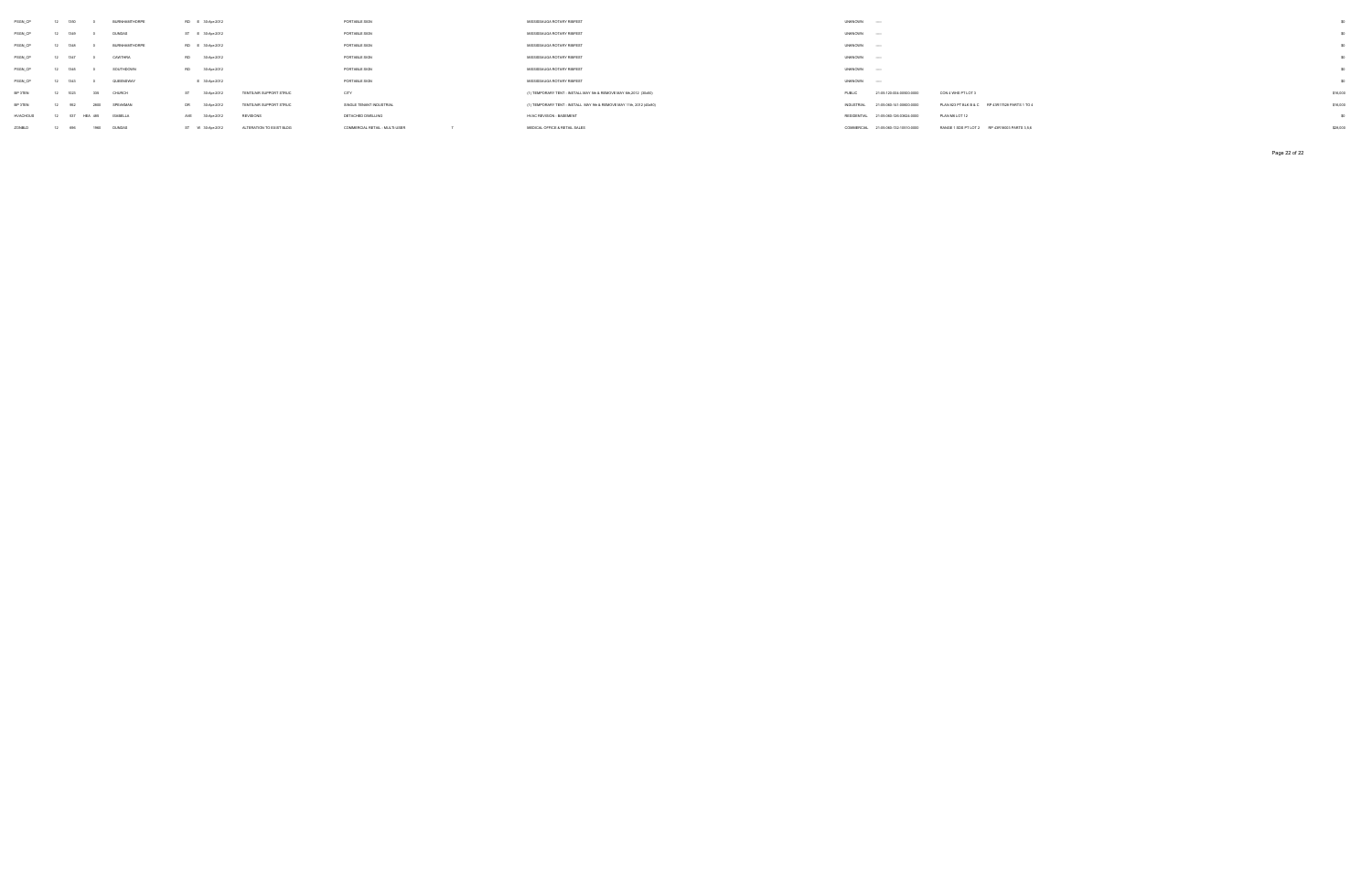| PSGN_CP  |    | 1350                 | <b>BURNHAMTHORPE</b> | RD E 30-Apr-2012 |                          | PORTABLE SIGN                  | MISSISSAUGA ROTARY RIBFEST                                           | <b>UNKNOWN</b><br>-----                 |                                                |         |
|----------|----|----------------------|----------------------|------------------|--------------------------|--------------------------------|----------------------------------------------------------------------|-----------------------------------------|------------------------------------------------|---------|
| PSGN_CP  |    | 1349                 | <b>DUNDAS</b>        | ST E 30-Apr-2012 |                          | PORTABLE SIGN                  | MISSISSAUGA ROTARY RIBFEST                                           | UNKNOWN -----                           |                                                |         |
| PSGN_CP  | 12 | 1348                 | BURNHAMTHORPE        | RD E 30-Apr-2012 |                          | PORTABLE SIGN                  | MISSISSAUGA ROTARY RIBFEST                                           | <b>UNKNOWN</b><br>-----                 |                                                |         |
| PSGN_CP  |    | 1347                 | CAWTHRA              | RD 30-Apr-2012   |                          | PORTABLE SIGN                  | MISSISSAUGA ROTARY RIBFEST                                           | UNKNOWN -----                           |                                                |         |
| PSGN_CP  |    | 1345                 | SOUTHDOWN            | RD 30-Apr-2012   |                          | PORTABLE SIGN                  | MISSISSAUGA ROTARY RIBFEST                                           | <b>UNKNOWN</b><br>-----                 |                                                |         |
| PSGN_CP  |    | 1343                 | QUEENSWAY            | E 30-Apr-2012    |                          | PORTABLE SIGN                  | MISSISSAUGA ROTARY RIBFEST                                           | <b>UNKNOWN</b><br>-----                 |                                                |         |
| BP 3TEN  | 12 | 1023<br>335          | CHURCH               | ST 30-Apr-2012   | TENTS/AIR SUPPORT STRUC  | CITY                           | (1) TEMPORARY TENT - INSTALL MAY 5th & REMOVE MAY 6th, 2012 (30x50)  | PUBLIC<br>21-05-120-004-00500-0000      | CON 4 WHS PT LOT 3                             | \$16,00 |
| BP 3TEN  |    | 2800<br>952          | SPEAKMAN             | DR 30-Apr-2012   | TENTS/AIR SUPPORT STRUC  | SINGLE TENANT INDUSTRIAL       | (1) TEMPORARY TENT - INSTALL MAY 9th & REMOVE MAY 11th, 2012 (40x80) | 21-05-060-141-00600-0000<br>INDUSTRIAL  | PLAN 823 PT BLK B & C RP 43R17528 PARTS 1 TO 4 | \$16,00 |
| HVACHOUS |    | 537 HEA 485 ISABELLA |                      | AVE 30-Apr-2012  | <b>REVISIONS</b>         | DETACHED DWELLING              | <b>HVAC REVISION - BASEMENT</b>                                      | 21-05-060-126-03624-0000<br>RESIDENTIAL | PLAN M6 LOT 12                                 |         |
| ZONBLD   |    | 1960<br>696          | <b>DUNDAS</b>        | ST W 30-Apr-2012 | ALTERATION TO EXIST BLDG | COMMERCIAL RETAIL - MULTI-USER | MEDICAL OFFICE & RETAIL SALES                                        | COMMERCIAL 21-05-060-132-10510-0000     | RANGE 1 SDS PT LOT 2 RP 43R18003 PARTS 3,5,6   | \$28,00 |

Page 22 of 22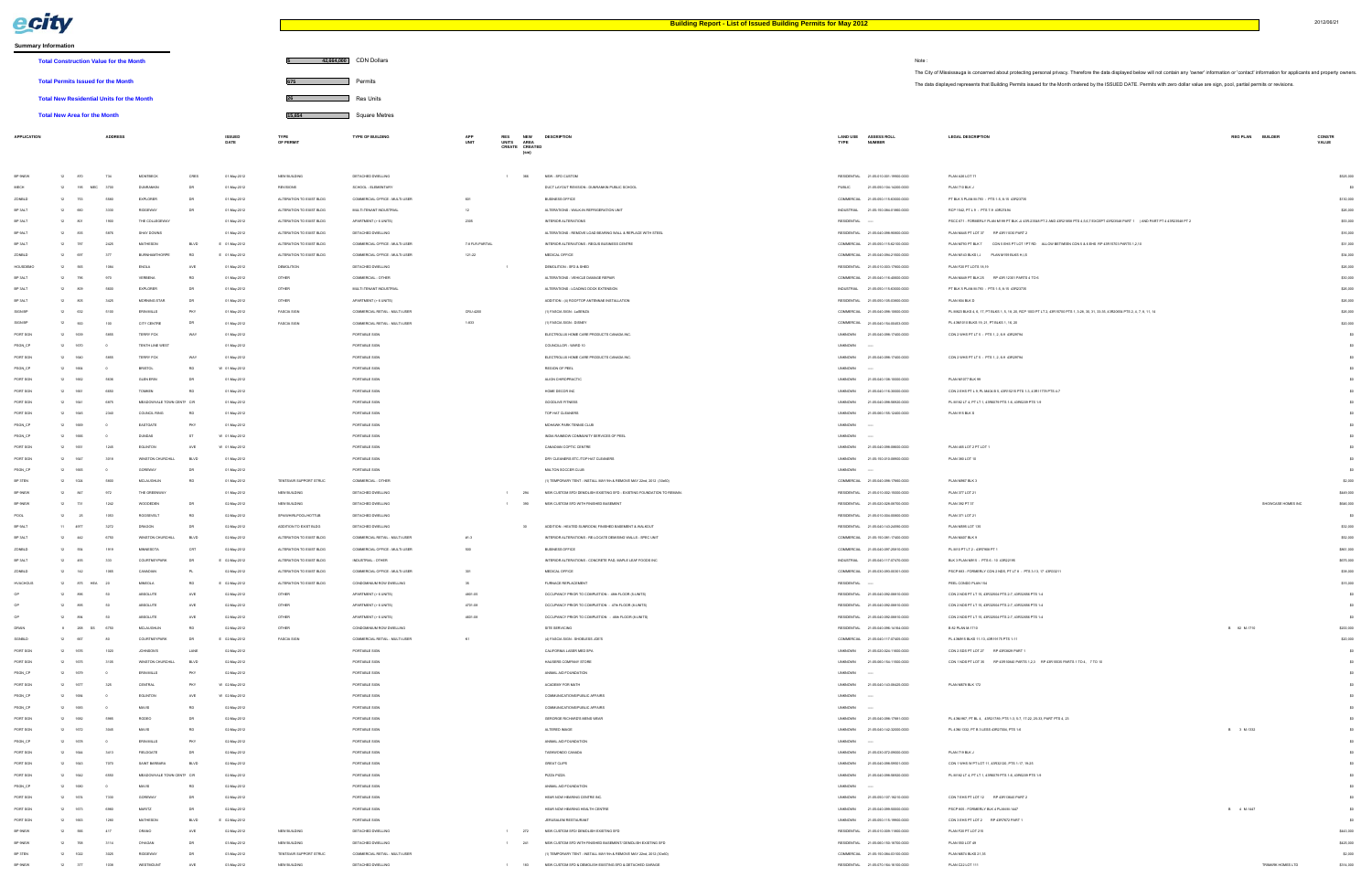ecity

| <b>APPLICATION</b>                          |                   |         | <b>ADDRESS</b> |                                     |                        | <b>DATE</b>                  | <b>TYPE</b><br>OF PERMIT                     | <b>TYPE OF BUILDING</b>                                    | APP<br><b>UNIT</b> | <b>RES</b><br><b>NEW</b><br>UNITS AREA<br>CREATE CREATED<br>(sm) | <b>DESCRIPTION</b>                                                       | <b>ASSESS ROLL</b><br><b>LAND USE</b><br>TYPE<br><b>NUMBER</b>              | <b>LEGAL DESCRIPTION</b>                                                                                                             | <b>REG PLAN BUILDER</b> | <b>CONSTR</b><br>VALUE |
|---------------------------------------------|-------------------|---------|----------------|-------------------------------------|------------------------|------------------------------|----------------------------------------------|------------------------------------------------------------|--------------------|------------------------------------------------------------------|--------------------------------------------------------------------------|-----------------------------------------------------------------------------|--------------------------------------------------------------------------------------------------------------------------------------|-------------------------|------------------------|
|                                             |                   |         |                |                                     |                        |                              |                                              |                                                            |                    |                                                                  |                                                                          |                                                                             |                                                                                                                                      |                         |                        |
| BP 9NEW                                     | 870<br>12         |         | 734            | MONTBECK                            | ${\tt CRES}$           | 01-May-2012                  | NEW BUILDING                                 | DETACHED DWELLING                                          |                    | 1366                                                             | NEW - SFD CUSTOM                                                         | RESIDENTIAL 21-05-010-001-19900-0000                                        | PLAN A26 LOT 71                                                                                                                      |                         | \$525,000              |
| <b>MECH</b><br>ZONBLD                       | 195<br>12 753     | MEC     | 3700           | <b>DUNRANKIN</b><br><b>EXPLORER</b> | <b>DR</b><br><b>DR</b> | 01-May-2012                  | <b>REVISIONS</b><br>ALTERATION TO EXIST BLDG | SCHOOL - ELEMENTARY<br>COMMERCIAL OFFICE - MULTI-USER      | 601                |                                                                  | DUCT LAYOUT REVISION - DUNRANKIN PUBLIC SCHOOL<br><b>BUSINESS OFFICE</b> | PUBLIC<br>21-05-050-104-14200-0000<br>COMMERCIAL 21-05-050-115-63000-0000   | PLAN 710 BLK J<br>PT BLK 5 PLAN M-793 - PTS 1-5, 8-15 43R23735                                                                       |                         | \$0<br>\$130,000       |
| BP 3ALT                                     | 12 660            |         | 5580<br>3330   | <b>RIDGEWAY</b>                     | <b>DR</b>              | 01-May-2012<br>01-May-2012   | ALTERATION TO EXIST BLDG                     | MULTI-TENANT INDUSTRIAL                                    | 12                 |                                                                  | ALTERATIONS - WALK-IN REFRIGERATION UNIT                                 | INDUSTRIAL 21-05-150-084-01860-0000                                         | RCP 1542, PT L 9 - PTS 7-9 43R27494                                                                                                  |                         | \$26,000               |
| BP 3ALT                                     | 12<br>801         |         | 1900           | THE COLLEGEWAY                      |                        | 01-May-2012                  | ALTERATION TO EXIST BLDG                     | APARTMENT (> 6 UNITS)                                      | 2305               |                                                                  | INTERIOR ALTERATIONS                                                     | <b>RESIDENTIAL</b>                                                          | PSCC 671 - FORMERLY PLAN M199 PT BLK JJ 43R-23548 PT 2 AND 43R21858 PTS 4,5,6,7 EXCEPT 43R23548 PART 1 ) AND PART PT 4 43R23548 PT 2 |                         | \$53,000               |
| BP 9ALT                                     | 12 835            |         | 5876           | SHAY DOWNS                          |                        | 01-May-2012                  | ALTERATION TO EXIST BLDG                     | DETACHED DWELLING                                          |                    |                                                                  | ALTERATIONS - REMOVE LOAD BEARING WALL & REPLACE WITH STEEL              | RESIDENTIAL 21-05-040-098-90800-0000                                        | PLAN M445 PT LOT 37 RP 43R11030 PART 2                                                                                               |                         | \$16,000               |
| BP 3ALT                                     | 12 787            |         | 2425           | MATHESON                            | BLVD                   | E 01-May-2012                | ALTERATION TO EXIST BLDG                     | COMMERCIAL OFFICE - MULTI-USER                             | 7-8 FLR-PARTIAL    |                                                                  | INTERIOR ALTERAITONS - REGUS BUSINESS CENTRE                             | COMMERCIAL 21-05-050-115-62100-0000                                         | PLAN M793 PT BLK 7 CON 5 EHS PT LOT 1PT RD ALLOW BETWEEN CON 5 & 6 EHS RP 43R15703 PARTS 1,2,10                                      |                         | \$31,000               |
| ZONBLD                                      | 697<br>12         |         | 377            | BURNHAMTHORPE                       | <b>RD</b>              | E 01-May-2012                | ALTERATION TO EXIST BLDG                     | COMMERCIAL OFFICE - MULTI-USER                             | 121-22             |                                                                  | MEDICAL OFFICE                                                           | COMMERCIAL 21-05-040-094-21500-0000                                         | PLAN M143 BLKS I,J PLAN M159 BLKS H,I,S                                                                                              |                         | \$34,000               |
| HOUSDEMO                                    | 565<br>12         |         | 1084           | ENOLA                               | AVE                    | 01-May-2012                  | DEMOLITION                                   | DETACHED DWELLING                                          |                    | $\overline{1}$                                                   | DEMOLITION - SFD & SHED                                                  | RESIDENTIAL 21-05-010-003-17800-0000                                        | PLAN F20 PT LOTS 18,19                                                                                                               |                         | \$26,000               |
| BP 3ALT                                     | 12 796            |         | 970            | <b>VERBENA</b>                      | <b>RD</b>              | 01-May-2012                  | OTHER                                        | COMMERCIAL - OTHER                                         |                    |                                                                  | ALTERATIONS - VEHICLE DAMAGE REPAIR                                      | COMMERCIAL 21-05-040-116-40600-0000                                         | PLAN M449 PT BLK 25 RP 43R 12301 PARTS 4 TO 6                                                                                        |                         | \$30,000               |
| BP 3ALT                                     | 809<br>12         |         | 5600           | EXPLORER                            | <b>DR</b>              | 01-May-2012                  | OTHER                                        | MULTI-TENANT INDUSTRIAL                                    |                    |                                                                  | ALTERATIONS - LOADING DOCK EXTENSION                                     | INDUSTRIAL 21-05-050-115-63000-0000                                         | PT BLK 5 PLAN M-793 - PTS 1-5, 8-15 43R23735                                                                                         |                         | \$26,000               |
| BP 3ALT                                     | 12<br>805         |         | 3425           | <b>MORNING STAI</b>                 | DR                     | 01-May-2012                  | OTHER                                        | APARTMENT (> 6 UNITS)                                      |                    |                                                                  | ADDITION - (4) ROOFTOP ANTENNAE INSTALLATION                             | RESIDENTIAL 21-05-050-105-03800-0000                                        | PLAN 804 BLK D                                                                                                                       |                         | \$26,000               |
| SIGN BP                                     | 632<br>12         |         | 5100           | <b>ERIN MILLS</b>                   | PKY                    | 01-May-2012                  | <b>FASCIA SIGN</b>                           | COMMERCIAL RETAIL - MULTI-USER                             | CRU-4200           |                                                                  | (1) FASCIA SIGN - LaSENZA                                                | COMMERCIAL 21-05-040-098-10600-0000                                         | PL M823 BLKS 4, 6, 17, PT BLKS 1, 5, 18, 20, RCP 1003 PT LT 2, 43R15700 PTS 1, 3-28, 30, 31, 33-35, 43R20654 PTS 2, 4, 7, 8, 11, 14  |                         | \$26,000               |
| SIGN BP                                     | 900<br>12         |         | 100            | CITY CENTRE                         | <b>DR</b>              | 01-May-2012                  | <b>FASCIA SIGN</b>                           | COMMERCIAL RETAIL - MULTI-USER                             | $1 - 833$          |                                                                  | (1) FASCIA SIGN - DISNEY                                                 | COMMERCIAL 21-05-040-154-00453-0000                                         | PL 43M1010 BLKS 19, 21, PT BLKS 1, 16, 20                                                                                            |                         | \$20,000               |
| PORT SGN                                    | 1639<br>12        |         | 5855           | TERRY FOX                           | WAY                    | 01-May-2012                  |                                              | PORTABLE SIGN                                              |                    |                                                                  | ELECTROLUX HOME CARE PRODUCTS CANADA INC.                                | 21-05-040-098-17400-0000<br><b>UNKNOWN</b>                                  | CON 2 WHS PT LT 5 - PTS 1, 2, 6-9 43R29794                                                                                           |                         |                        |
| PSGN_CP                                     | 12 1670           |         |                | TENTH LINE WEST                     |                        | 01-May-2012                  |                                              | PORTABLE SIGN                                              |                    |                                                                  | COUNCILLOR - WARD 10                                                     | <b>UNKNOWN</b>                                                              |                                                                                                                                      |                         |                        |
| PORT SGN                                    | 12<br>1640        |         | 5855           | <b>TERRY FOX</b>                    | WAY                    | 01-May-2012                  |                                              | PORTABLE SIGN                                              |                    |                                                                  | ELECTROLUX HOME CARE PRODUCTS CANADA INC.                                | UNKNOWN 21-05-040-098-17400-0000                                            | CON 2 WHS PT LT 5 - PTS 1, 2, 6-9 43R29794                                                                                           |                         |                        |
| PSGN_CP                                     | 1664<br>12        |         |                | <b>BRISTOL</b>                      | <b>RD</b>              | W 01-May-2012                |                                              | PORTABLE SIGN                                              |                    |                                                                  | REGION OF PEEL                                                           | <b>UNKNOWN</b>                                                              |                                                                                                                                      |                         |                        |
| PORT SGN                                    | 12<br>1662        |         | 5636           | <b>GLEN ERIP</b>                    | <b>DR</b>              | 01-May-2012                  |                                              | PORTABLE SIGN                                              |                    |                                                                  | ALIGN CHIROPRACTIC                                                       | <b>UNKNOWN</b><br>21-05-040-108-10000-0000                                  | PLAN M1077 BLK 99                                                                                                                    |                         |                        |
| PORT SGN                                    | 1661<br>12        |         | 6650           | <b>TOMKEN</b>                       | <b>RD</b>              | 01-May-2012                  |                                              | PORTABLE SIGN                                              |                    |                                                                  | HOME DECOR INC                                                           | <b>UNKNOWN</b><br>21-05-040-116-30000-0000                                  | CON 2 EHS PT L 9, PL M404 B 5, 43R15215 PTS 1-3, 43R11778 PTS 4-7<br>PLM182 LT 4 PT LT 1 43R6079 PTS 1-6 43R6209 PTS 1-9             |                         |                        |
| PORT SGN                                    | 12 1641<br>1645   |         | 6875           | MEADOWVALE TOWN CENTE CIR           |                        | 01-May-2012                  |                                              | PORTABLE SIGN                                              |                    |                                                                  | <b>GOODLIVE FITNESS</b>                                                  | 21-05-040-098-56920-0000<br><b>UNKNOWN</b>                                  |                                                                                                                                      |                         |                        |
| PORT SGN                                    | 12<br>12 1669     |         | 2340           | <b>COUNCIL RING</b><br>EASTGATE     | <b>RD</b><br>PKY       | 01-May-2012<br>01-May-2012   |                                              | PORTABLE SIGN<br>PORTABLE SIGN                             |                    |                                                                  | TOP HAT CLEANERS<br>MOHAWK PARK TENNIS CLUB                              | 21-05-060-155-12400-0000<br><b>UNKNOWN</b><br><b>UNKNOWN</b>                | PLAN 915 BLK S                                                                                                                       |                         |                        |
| $\ensuremath{\mathsf{PSGN\_CP}}$<br>PSGN_CP | 12<br>1666        |         | $\Omega$       | <b>DUNDAS</b>                       | <b>ST</b>              | W 01-May-2012                |                                              | PORTABLE SIGN                                              |                    |                                                                  | INDIA RAINBOW COMMUNITY SERVICES OF PEEL                                 | <b>UNKNOWN</b><br>----                                                      |                                                                                                                                      |                         |                        |
| PORT SGN                                    | 1651<br>12        |         | 1245           | <b>EGLINTON</b>                     | AVE                    | W 01-May-2012                |                                              | PORTABLE SIGN                                              |                    |                                                                  | CANADIAN COPTIC CENTRE                                                   | UNKNOWN 21-05-040-098-08600-0000                                            | PLAN 465 LOT 2 PT LOT 1                                                                                                              |                         |                        |
| PORT SGN                                    | 12<br>1647        |         | 3018           | WINSTON CHURCHILL                   | BLVD                   | 01-May-2012                  |                                              | PORTABLE SIGN                                              |                    |                                                                  | DRY CLEANERS ETC/TOP HAT CLEANERS                                        | <b>UNKNOWN</b><br>21-05-150-010-08900-0000                                  | PLAN 380 LOT 10                                                                                                                      |                         |                        |
| PSGN_CP                                     | 12 1665           |         | $\Omega$       | <b>GOREWAY</b>                      | <b>DR</b>              | 01-May-2012                  |                                              | PORTABLE SIGN                                              |                    |                                                                  | MALTON SOCCER CLUB                                                       | <b>UNKNOWN</b><br>-----                                                     |                                                                                                                                      |                         |                        |
| BP 3TEN                                     | 12 1024           |         | 5800           | <b>MCLAUGHLIN</b>                   | - RD                   | 01-May-2012                  | TENTS/AIR SUPPORT STRUC                      | COMMERCIAL - OTHER                                         |                    |                                                                  | (1) TEMPORARY TENT - INSTALL MAY 9th & REMOVE MAY 22nd, 2012 (30x60)     | COMMERCIAL 21-05-040-098-17860-0000                                         | PLAN M967 BLK 3                                                                                                                      |                         | \$2,000                |
| BP 9NEW                                     | 12 847            |         | 972            | THE GREENWAY                        |                        | 01-May-2012                  | NEW BUILDING                                 | DETACHED DWELLING                                          |                    | $\overline{1}$<br>294                                            | NEW CUSTOM SFD/ DEMOLISH EXISTING SFD - EXISTING FOUNDATION TO REMAIN.   | RESIDENTIAL 21-05-010-002-15000-0000                                        | PLAN 377 LOT 21                                                                                                                      |                         | \$449,000              |
| BP 9NEW                                     | 12<br>731         |         | 1242           | <b>NOODEDEN</b>                     | <b>DR</b>              | 02-May-2012                  | NEW BUILDING                                 | DETACHED DWELLING                                          |                    | 390                                                              | NEW CUSTOM SFD WITH FINISHED BASEMENT                                    | RESIDENTIAL 21-05-020-028-08700-0000                                        | PLAN 392 PT 37                                                                                                                       | SHOWCASE HOMES INC      | \$646,000              |
| POOL                                        | 12 25             |         | 1053           | ROOSEVELT                           | <b>RD</b>              | 02-May-2012                  | SPA/WHIRLPOOL/HOTTUB                         | DETACHED DWELLING                                          |                    |                                                                  |                                                                          | RESIDENTIAL 21-05-010-004-00800-0000                                        | PLAN 371 LOT 21                                                                                                                      |                         | \$0                    |
| BP 9ALT                                     | 11 4977           |         | 3272           | DRAGON                              | <b>DR</b>              | 02-May-2012                  | ADDITION TO EXIST BLDG                       | DETACHED DWELLING                                          |                    | 30                                                               | ADDITION - HEATED SUNROOM, FINISHED BASEMENT & WALKOUT                   | RESIDENTIAL 21-05-040-143-24590-0000                                        | PLAN M595 LOT 135                                                                                                                    |                         | \$32,000               |
| BP 3ALT                                     | 12<br>442         |         | 6750           | WINSTON CHURCHILL                   | BLVD                   | 02-May-2012                  | ALTERATION TO EXIST BLDG                     | COMMERCIAL RETAIL - MULTI-USER                             | $#1-3$             |                                                                  | INTERIOR ALTERATIONS - RE-LOCATE DEMISING WALLS - SPEC UNIT              | COMMERCIAL 21-05-150-081-17400-0000                                         | PLAN M407 BLK 9                                                                                                                      |                         | \$52,000               |
| ZONBLD                                      | 554<br>12         |         | 1919           | MINNESOTA                           | CRT                    | 02-May-2012                  | ALTERATION TO EXIST BLDG                     | COMMERCIAL OFFICE - MULTI-USER                             | 500                |                                                                  | <b>BUSINESS OFFICE</b>                                                   | COMMERCIAL 21-05-040-097-25810-0000                                         | PL M10 PT LT 2 - 43R7908 PT 1                                                                                                        |                         | \$861,000              |
| BP 3ALT                                     | 12 493            |         | 333            | COURTNEYPARK                        | <b>DR</b>              | E 02-May-2012                | ALTERATION TO EXIST BLDG                     | INDUSTRIAL - OTHER                                         |                    |                                                                  | INTERIOR ALTERATIONS - CONCRETE PAD, MAPLE LEAF FOODS INC.               | INDUSTRIAL 21-05-040-117-07470-0000                                         | BLK 3 PLAN M915 - PTS 6 - 10 43R22195                                                                                                |                         | \$675,000              |
| ZONBLD                                      | 142<br>12         |         | 1065           | CANADIAN                            |                        | 02-May-2012                  | ALTERATION TO EXIST BLDG                     | COMMERCIAL OFFICE - MULTI-USER                             | 301                |                                                                  | MEDICAL OFFICE                                                           | COMMERCIAL 21-05-030-093-00301-0000                                         | PSCP 883 - FORMERLY CON 2 NDS, PT LT 8 - PTS 3-13, 17 43R33211                                                                       |                         | \$38,000               |
| <b>HVACHOUS</b>                             | 12                | 875 HEA |                | <b>MINEOLA</b>                      | <b>RD</b>              | E 02-May-2012                | ALTERATION TO EXIST BLDG                     | CONDOMINIUM ROW DWELLING                                   | 35                 |                                                                  | FURNACE REPLACEMENT                                                      | <b>RESIDENTIAL</b>                                                          | PEEL CONDO PLAN 154                                                                                                                  |                         | \$15,000               |
|                                             | 896               |         | 50             | ABSOLUTE                            | AVE                    | 02-May-2012                  | OTHER                                        | APARTMENT (> 6 UNITS)                                      | 4801-05            |                                                                  | OCCUPANCY PRIOR TO COMPLETION - 48th FLOOR (5-UNITS)                     | RESIDENTIAL 21-05-040-092-08810-0000                                        | CON 2 NDS PT LT 15, 43R32504 PTS 2-7, 43R32656 PTS 1-4                                                                               |                         |                        |
|                                             | 895               |         | 50             | ABSOLUTE                            | AVE                    | 02-May-2012                  | OTHER                                        | APARTMENT (> 6 UNITS)                                      | 4701-08            |                                                                  | OCCUPANCY PRIOR TO COMPLETION - 47th FLOOR (8-UNITS)                     | RESIDENTIAL 21-05-040-092-08810-0000                                        | CON 2 NDS PT LT 15, 43R32504 PTS 2-7, 43R32656 PTS 1-4                                                                               |                         |                        |
|                                             | 12 894            |         | 50             | ABSOLUTE                            | AVE                    | 02-May-2012                  | OTHER                                        | APARTMENT (> 6 UNITS)                                      | 4601-08            |                                                                  | OCCUPANCY PRIOR TO COMPLETION - 46th FLOOR (8-UNITS)                     | RESIDENTIAL 21-05-040-092-08810-0000                                        | CON 2 NDS PT LT 15, 43R32504 PTS 2-7, 43R32656 PTS 1-4                                                                               |                         |                        |
| DRAIN                                       | 8 268 SS<br>12    |         | 6750           | MCLAUGHLIN<br>COURTNEYPARK          | RD<br><b>DR</b>        | 02-May-2012<br>E 02-May-2012 | OTHER<br><b>FASCIA SIGN</b>                  | CONDOMINIUM ROW DWELLING<br>COMMERCIAL RETAIL - MULTI-USER | K1                 |                                                                  | SITE SERVICING<br>(4) FASCIA SIGN - SHOELESS JOE'S                       | RESIDENTIAL 21-05-040-096-14164-0000<br>COMMERCIAL 21-05-040-117-07405-0000 | B 82 PLAN M-1710<br>PL 43M915 BLKS 11-13, 43R19175 PTS 1-11                                                                          | B 82 M-1710             |                        |
| SGNBLD<br>PORT SGN                          | 667<br>1676<br>12 |         | 80<br>1020     | JOHNSON'S                           | LANE                   | 02-May-2012                  |                                              | PORTABLE SIGN                                              |                    |                                                                  | CALIFORNIA LASER MED SPA                                                 | UNKNOWN 21-05-020-024-11600-0000                                            | CON 2 SDS PT LOT 27 RP 43R3829 PART 1                                                                                                |                         | \$20,000               |
| PORT SGN                                    | 1675<br>12        |         | 3105           | WINSTON CHURCHILL                   | BLVD                   | 02-May-2012                  |                                              | PORTABLE SIGN                                              |                    |                                                                  | HAUSERS COMPANY STORE                                                    | 21-05-060-154-11500-0000<br><b>UNKNOWN</b>                                  | CON 1 NDS PT LOT 35 RP 43R10840 PARTS 1,2,3 RP 43R15535 PARTS 1 TO 4, 7 TO 10                                                        |                         |                        |
| $\ensuremath{\mathsf{PSGN\_CP}}$            | 12 1679           |         | $\overline{0}$ | <b>ERIN MILLS</b>                   | PKY                    | 02-May-2012                  |                                              | PORTABLE SIGN                                              |                    |                                                                  | ANIMAL AID FOUNDATION                                                    | <b>UNKNOWN</b>                                                              |                                                                                                                                      |                         |                        |
| PORT SGN                                    | 1677<br>12        |         | 325            | CENTRAL                             | PKY                    | W 02-May-2012                |                                              | PORTABLE SIGN                                              |                    |                                                                  | ACADEMY FOR MATH                                                         | 21-05-040-143-08425-0000<br><b>UNKNOWN</b>                                  | PLAN M678 BLK 172                                                                                                                    |                         |                        |
| PSGN_CP                                     | 12<br>1684        |         |                | EGLINTON                            | AVE                    | W 02-May-2012                |                                              | PORTABLE SIGN                                              |                    |                                                                  | COMMUNICATIONS/PUBLIC AFFAIRS                                            | <b>UNKNOWN</b>                                                              |                                                                                                                                      |                         |                        |
| $\ensuremath{\mathsf{PSGN\_CP}}$            | 1683<br>12        |         |                | MAVIS                               | <b>RD</b>              | 02-May-2012                  |                                              | PORTABLE SIGN                                              |                    |                                                                  | COMMUNICATIONS/PUBLIC AFFAIRS                                            | <b>UNKNOWN</b>                                                              |                                                                                                                                      |                         |                        |
| PORT SGN                                    | 12<br>1682        |         | 5985           | RODEO                               | <b>DR</b>              | 02-May-2012                  |                                              | PORTABLE SIGN                                              |                    |                                                                  | <b>GERORGE RICHARD'S MENS WEAR</b>                                       | 21-05-040-098-17881-0000<br><b>UNKNOWN</b>                                  | PL 43M-967, PT BL 4, 43R21789, PTS 1-3, 5-7, 17-22, 25-33, PART PTS 4, 23                                                            |                         |                        |
| PORT SGN                                    | 1672<br>12        |         | 3045           | MAVIS                               | <b>RD</b>              | 02-May-2012                  |                                              | PORTABLE SIGN                                              |                    |                                                                  | ALTERED IMAGE                                                            | 21-05-040-142-32000-0000<br><b>UNKNOWN</b>                                  | PL 43M-1332, PT B 3 LESS 43R27004, PTS 1-6                                                                                           | B 3 M-1332              |                        |
| PSGN_CP                                     | 12 1678           |         |                | <b>ERIN MILLS</b>                   | PKY                    | 02-May-2012                  |                                              | PORTABLE SIGN                                              |                    |                                                                  | ANIMAL AID FOUNDATION                                                    | <b>UNKNOWN</b>                                                              |                                                                                                                                      |                         |                        |
| PORT SGN                                    | 12<br>1644        |         | 3413           | <b>FIELDGATE</b>                    | <b>DR</b>              | 02-May-2012                  |                                              | PORTABLE SIGN                                              |                    |                                                                  | TAEKWONDO CANADA                                                         | <b>UNKNOWN</b><br>21-05-030-072-09000-0000                                  | PLAN 719 BLK J                                                                                                                       |                         |                        |
| PORT SGN                                    | 12<br>1643        |         | 7070           | SAINT BARBARA                       | BLVD                   | 02-May-2012                  |                                              | PORTABLE SIGN                                              |                    |                                                                  | <b>GREAT CLIPS</b>                                                       | 21-05-040-098-59501-0000<br><b>UNKNOWN</b>                                  | CON 1 WHS W PT LOT 11, 43R32120, PTS 1-17, 19-25                                                                                     |                         |                        |
| PORT SGN                                    | 1642<br>12        |         | 6550           | MEADOWVALE TOWN CENTF CIR           |                        | 02-May-2012                  |                                              | PORTABLE SIGN                                              |                    |                                                                  | PIZZA PIZZA                                                              | 21-05-040-098-56920-0000<br><b>UNKNOWN</b>                                  | PL M182 LT 4, PT LT 1, 43R6079 PTS 1-6, 43R6209 PTS 1-9                                                                              |                         |                        |
| PSGN_CP                                     | 12<br>1680        |         |                | <b>MAVIS</b>                        |                        | 02-May-2012                  |                                              | PORTABLE SIGN                                              |                    |                                                                  | ANIMAL AID FOUNDATION                                                    | <b>UNKNOWN</b>                                                              |                                                                                                                                      |                         |                        |
| PORT SGN                                    | 12 1674           |         | 7330           | <b>GOREWAY</b>                      | <b>DR</b>              | 02-May-2012                  |                                              | PORTABLE SIGN                                              |                    |                                                                  | HEAR NOW HEARING CENTRE INC                                              | UNKNOWN 21-05-050-107-18210-0000                                            | CON 7 EHS PT LOT 12 RP 43R13640 PART 2                                                                                               |                         |                        |
| PORT SGN                                    | 12 1673           |         | 6980           | <b>MARITZ</b>                       | <b>DR</b>              | 02-May-2012                  |                                              | PORTABLE SIGN                                              |                    |                                                                  | HEAR NOW HEARING HEALTH CENTRE                                           | UNKNOWN 21-05-040-099-50000-0000                                            | PSCP 805 - FORMERLY BLK 4 PLAN M-1447                                                                                                | B 4 M-1447              |                        |
| PORT SGN                                    | 12<br>1663        |         | 1280           | MATHESON                            | BLVD                   | E 02-May-2012                |                                              | PORTABLE SIGN                                              |                    |                                                                  | JERUSALEM RESTAURANT                                                     | 21-05-050-115-19900-0000<br><b>UNKNOWN</b>                                  | CON 3 EHS PT LOT 2 RP 43R7672 PART 1                                                                                                 |                         |                        |
| BP 9NEW                                     | 566<br>12         |         | 417            | ORANO                               | AVE                    | 02-May-2012                  | <b>NEW BUILDING</b>                          | DETACHED DWELLING                                          |                    | 272<br>1                                                         | NEW CUSTOM SFD/ DEMOLISH EXISTING SFD                                    | RESIDENTIAL 21-05-010-009-11800-0000                                        | PLAN F20 PT LOT 215                                                                                                                  |                         | \$443,000              |
| BP 9NEW                                     | 12 768            |         | 3114           | <b>O'HAGAN</b>                      | <b>DR</b>              | 03-May-2012                  | NEW BUILDING                                 | DETACHED DWELLING                                          |                    | 1 241                                                            | NEW CUSTOM SFD WITH FINISHED BASEMENT/ DEMOLISH EXISTING SFD             | RESIDENTIAL 21-05-060-150-18700-0000                                        | PLAN 550 LOT 49                                                                                                                      |                         | \$425,000              |
| BP 3TEN                                     | 1022<br>12        |         | 3025           | <b>RIDGEWA</b>                      |                        | 03-May-2012                  | TENTS/AIR SUPPORT STRUC                      | COMMERCIAL RETAIL - MULTI-USER                             |                    |                                                                  | (1) TEMPORARY TENT - INSTALL MAY 9th & REMOVE MAY 22nd, 2012 (30x60)     | COMMERCIAL 21-05-150-084-03100-0000                                         | PLAN M674 BLKS 21,35                                                                                                                 |                         | \$2,000                |
| BP 9NEW                                     | 12<br>377         |         | 1038           | WESTMOUN                            | AVE                    | 03-May-2012                  | NEW BUILDING                                 | DETACHED DWELLING                                          |                    | 1 183                                                            | NEW CUSTOM SFD & DEMOLISH EXISTING SFD & DETACHED GARAGE                 | RESIDENTIAL 21-05-070-164-16100-0000                                        | PLAN C22 LOT 111                                                                                                                     | TRIMARK HOMES LTD       | \$314,000              |

cerned about protecting personal privacy. Therefore the data displayed below will not contain any 'owner' information or 'contact' information for applicants and property owners.

| <b>Summary Information</b> |     |                                                  |                  |           |                       |                          |                                |                    |                                                                                 |      |                                                             |                                |                                      |                                                                                                                                                                                      |                  |
|----------------------------|-----|--------------------------------------------------|------------------|-----------|-----------------------|--------------------------|--------------------------------|--------------------|---------------------------------------------------------------------------------|------|-------------------------------------------------------------|--------------------------------|--------------------------------------|--------------------------------------------------------------------------------------------------------------------------------------------------------------------------------------|------------------|
|                            |     | <b>Total Construction Value for the Month</b>    |                  |           |                       |                          | 42,664,000 CDN Dollars         |                    |                                                                                 |      |                                                             |                                | Note:                                |                                                                                                                                                                                      |                  |
|                            |     | <b>Total Permits Issued for the Month</b>        |                  |           |                       | 675 Permits              |                                |                    |                                                                                 |      |                                                             |                                |                                      | The City of Mississauga is concerned about protecting personal privacy. Therefore the data displayed below will not contain any 'owner' information or 'contact' information for app |                  |
|                            |     |                                                  |                  |           |                       |                          |                                |                    |                                                                                 |      |                                                             |                                |                                      | The data displayed represents that Building Permits issued for the Month ordered by the ISSUED DATE. Permits with zero dollar value are sign, pool, partial permits or revisions.    |                  |
|                            |     | <b>Total New Residential Units for the Month</b> |                  |           |                       | 26                       | <b>Res Units</b>               |                    |                                                                                 |      |                                                             |                                |                                      |                                                                                                                                                                                      |                  |
|                            |     | <b>Total New Area for the Month</b>              |                  |           |                       | 15,654                   | <b>Square Metres</b>           |                    |                                                                                 |      |                                                             |                                |                                      |                                                                                                                                                                                      |                  |
|                            |     |                                                  |                  |           |                       |                          |                                |                    |                                                                                 |      |                                                             |                                |                                      |                                                                                                                                                                                      |                  |
| <b>APPLICATION</b>         |     | <b>ADDRESS</b>                                   |                  |           | <b>ISSUED</b><br>DATE | <b>TYPE</b><br>OF PERMIT | <b>TYPE OF BUILDING</b>        | APP<br><b>UNIT</b> | <b>RES</b><br><b>NEW</b><br><b>UNITS</b><br>CREATE CREATED<br>(s <sub>m</sub> ) | AREA | <b>DESCRIPTION</b>                                          | <b>LAND USE</b><br><b>TYPE</b> | <b>ASSESS ROLL</b><br><b>NUMBER</b>  | <b>LEGAL DESCRIPTION</b>                                                                                                                                                             | REG PLAN BUILDER |
| BP 9NEW                    | 870 | 734                                              | MONTBECK         | CRES      | 01-May-2012           | NEW BUILDING             | DETACHED DWELLING              |                    | 1 366                                                                           |      | NEW - SFD CUSTOM                                            |                                | RESIDENTIAL 21-05-010-001-19900-0000 | PLAN A26 LOT 71                                                                                                                                                                      |                  |
| MECH                       | 195 | <b>MEC</b><br>3700                               | <b>DUNRANKIN</b> | <b>DR</b> | 01-May-2012           | <b>REVISIONS</b>         | SCHOOL - ELEMENTARY            |                    |                                                                                 |      | DUCT LAYOUT REVISION - DUNRANKIN PUBLIC SCHOOL              | PUBLIC                         | 21-05-050-104-14200-0000             | PLAN 710 BLK J                                                                                                                                                                       |                  |
| ZONBLD                     | 753 | 5580                                             | EXPLORER         | <b>DR</b> | 01-May-2012           | ALTERATION TO EXIST BLDG | COMMERCIAL OFFICE - MULTI-USER | 601                |                                                                                 |      | <b>BUSINESS OFFICE</b>                                      |                                | COMMERCIAL 21-05-050-115-63000-0000  | PT BLK 5 PLAN M-793 - PTS 1-5, 8-15 43R23735                                                                                                                                         |                  |
| BP 3ALT                    | 660 | 3330                                             | RIDGEWAY         | <b>DR</b> | 01-May-2012           | ALTERATION TO EXIST BLDG | MULTI-TENANT INDUSTRIAL        | 12                 |                                                                                 |      | ALTERATIONS - WALK-IN REFRIGERATION UNIT                    | INDUSTRIAL                     | 21-05-150-084-01860-0000             | RCP 1542, PT L 9 - PTS 7-9 43R27494                                                                                                                                                  |                  |
| BP 3ALT                    | 801 | 1900                                             | THE COLLEGEWAY   |           | 01-May-2012           | ALTERATION TO EXIST BLDG | APARTMENT (> 6 UNITS)          | 2305               |                                                                                 |      | INTERIOR ALTERATIONS                                        | RESIDENTIAL -----              |                                      | PSCC 671 - FORMERLY PLAN M199 PT BLK JJ 43R-23548 PT 2 AND 43R21858 PTS 4,5,6,7 EXCEPT 43R23548 PART 1 ) AND PART PT 4 43R23548 PT 2                                                 |                  |
| BP 9ALT                    | 835 | 5876                                             | SHAY DOWNS       |           | 01-May-2012           | ALTERATION TO EXIST BLDG | DETACHED DWELLING              |                    |                                                                                 |      | ALTERATIONS - REMOVE LOAD BEARING WALL & REPLACE WITH STEEL |                                | RESIDENTIAL 21-05-040-098-90800-0000 | PLAN M445 PT LOT 37 RP 43R11030 PART 2                                                                                                                                               |                  |
| BP 3ALT                    | 787 | 2425                                             | MATHESON         | BLVD      | E 01-May-2012         | ALTERATION TO EXIST BLDG | COMMERCIAL OFFICE - MULTI-USER | 7-8 FLR-PARTIAL    |                                                                                 |      | INTERIOR ALTERAITONS - REGUS BUSINESS CENTRE                |                                | COMMERCIAL 21-05-050-115-62100-0000  | CON 5 EHS PT LOT 1PT RD ALLOW BETWEEN CON 5 & 6 EHS RP 43R15703 PARTS 1,2,10<br>PLAN M793 PT BLK 7                                                                                   |                  |
| ZONBLD                     | 697 | 377                                              | BURNHAMTHORPE    | <b>RD</b> | E 01-May-2012         | ALTERATION TO EXIST BLDG | COMMERCIAL OFFICE - MULTI-USER | 121-22             |                                                                                 |      | MEDICAL OFFICE                                              |                                | COMMERCIAL 21-05-040-094-21500-0000  | PLAN M143 BLKS I,J PLAN M159 BLKS H,I,S                                                                                                                                              |                  |
| <b>HOUSDEMO</b>            | 565 | 1084                                             | ENOLA            | AVE       | 01-May-2012           | DEMOLITION               | DETACHED DWELLING              |                    |                                                                                 |      | DEMOLITION - SFD & SHED                                     |                                | RESIDENTIAL 21-05-010-003-17800-0000 | PLAN F20 PT LOTS 18,19                                                                                                                                                               |                  |
| BP 3ALT                    | 796 | 970                                              | VERBENA          | <b>RD</b> | 01-May-2012           | OTHER                    | COMMERCIAL - OTHER             |                    |                                                                                 |      | ALTERATIONS - VEHICLE DAMAGE REPAIR                         |                                | COMMERCIAL 21-05-040-116-40600-0000  | PLAN M449 PT BLK 25 RP 43R 12301 PARTS 4 TO 6                                                                                                                                        |                  |
|                            |     |                                                  |                  |           |                       |                          |                                |                    |                                                                                 |      |                                                             |                                |                                      |                                                                                                                                                                                      |                  |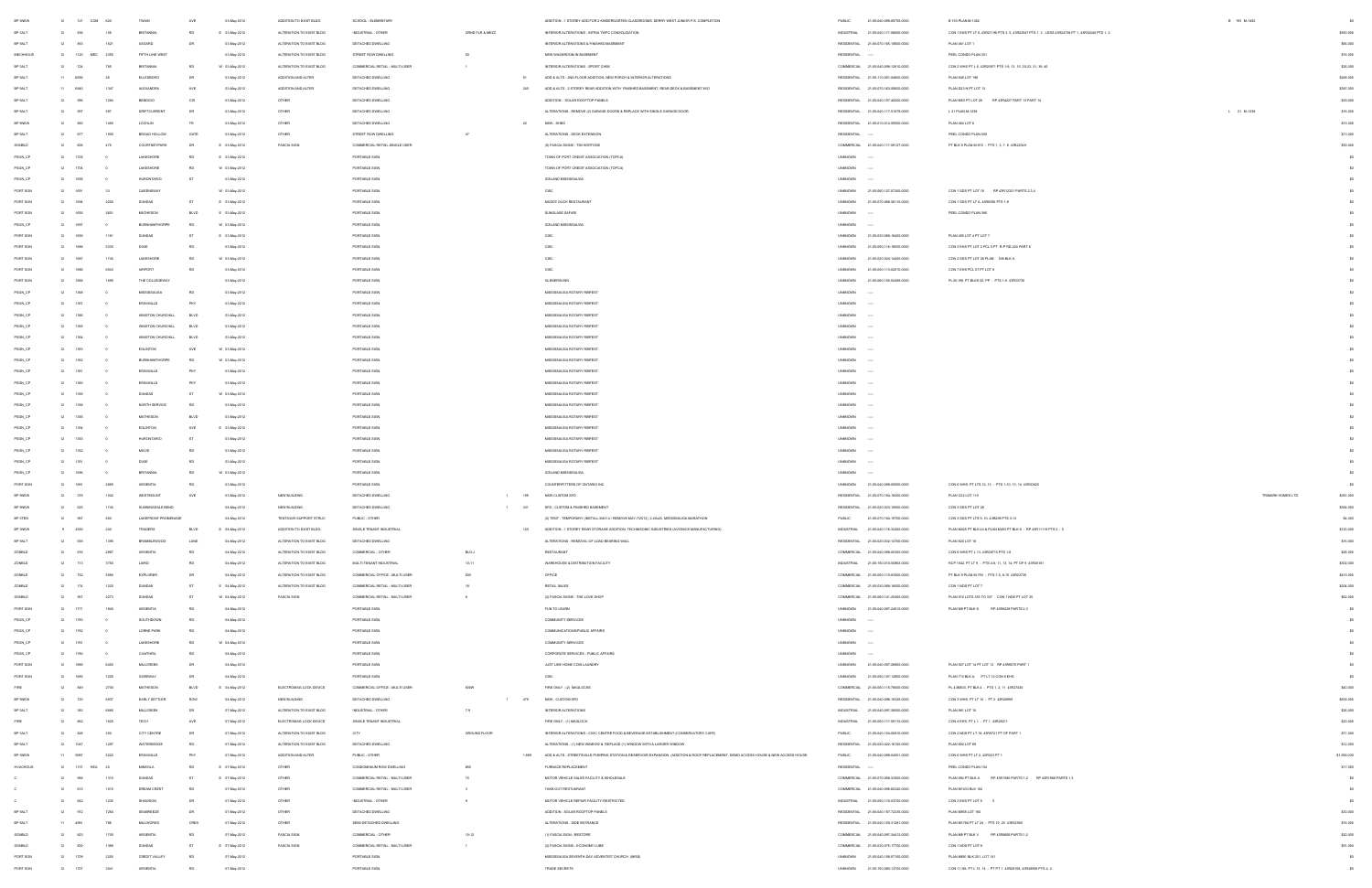\$0 \$0 \$0 \$0 \$281,000 \$0 \$0  $$0$ \$0 \$0\$0\$0  $\mathbf{s}$ \$0\$0\$0\$0 \$0 \$0  $$0$ 

| BP 3NEW                          | 121 COM<br>12         | 620          | TWAIN                     | AVE                    | 03-May-2012                | ADDITION TO EXIST BLDG    | SCHOOL - ELEMENTARY            |                         | ADDITION - 1 STOREY ADD FOR 2 KINDERGARTEN CLASSROOMS, DERRY WEST JUNIOR P.S, COMPLETION                                           | PUBLIC<br>21-05-040-096-85755-0000                                   | B 193 PLAN M-1452                                                                               | B 193 M-1452                  |
|----------------------------------|-----------------------|--------------|---------------------------|------------------------|----------------------------|---------------------------|--------------------------------|-------------------------|------------------------------------------------------------------------------------------------------------------------------------|----------------------------------------------------------------------|-------------------------------------------------------------------------------------------------|-------------------------------|
| BP 3ALT                          |                       |              |                           |                        | E 03-May-2012              | ALTERATION TO EXIST BLDG  | INDUSTRIAL - OTHER             | GRND FLR & MEZZ         | INTERIOR ALTERATIONS - INTRIA TWPC CONSOLIDATION                                                                                   | 21-05-040-117-06800-0000<br><b>INDUSTRIAL</b>                        | CON 1 EHS PT LT 6, 43R21196 PTS 3, 5, 43R22547 PTS 1, 3 - LESS 43R24738 PT 1, 43R32240 PTS 1, 2 | \$550,00                      |
|                                  | 853                   | 1521         | ASGARD                    | <b>DR</b>              |                            |                           | DETACHED DWELLING              |                         | INTERIOR ALTERATIONS & FINISHED BASEMENT                                                                                           | RESIDENTIAL 21-05-070-165-10600-0000                                 | PLAN 461 LOT 1                                                                                  |                               |
| BP 9ALT                          |                       |              |                           |                        | 03-May-2012                | ALTERATION TO EXIST BLDG  |                                |                         |                                                                                                                                    |                                                                      |                                                                                                 | \$66,00                       |
| MECHHOUS                         | 12<br>1120            | MEC<br>2355  | FIFTH LINE WEST           |                        | 03-May-2012                | ALTERATION TO EXIST BLDG  | STREET ROW DWELLING            |                         | NEW WASHROOM IN BASEMENT                                                                                                           | RESIDENTIAL -----                                                    | PEEL CONDO PLAN 301                                                                             | \$16,00                       |
| BP 3ALT                          | 724                   |              | <b>BRITANNIA</b>          | <b>RD</b>              | W 03-May-2012              | ALTERATION TO EXIST BLDG  | COMMERCIAL RETAIL - MULTI-USER |                         | INTERIOR ALTERATIONS - SPORT CHEK                                                                                                  | COMMERCIAL 21-05-040-098-12910-0000                                  | CON 2 WHS PT L 6, 43R25871 PTS 1-9, 13, 15, 20-23, 31, 39, 40                                   | \$26,00                       |
|                                  |                       |              |                           |                        |                            |                           |                                |                         |                                                                                                                                    |                                                                      |                                                                                                 |                               |
| BP 9ALT                          | 6656                  |              | ELLESBORO                 | <b>DR</b>              | 03-May-2012                | ADDITION AND ALTER        | DETACHED DWELLING              | 51                      | ADD & ALTS - 2ND FLOOR ADDITION, NEW PORCH & INTERIOR ALTERATIONS                                                                  | RESIDENTIAL 21-05-110-001-04800-0000                                 | PLAN 548 LOT 198                                                                                | \$268,00                      |
| BP 9ALT                          | 6845                  | 1347         | <b>ALEXANDRA</b>          | AVE                    | 03-May-2012                | ADDITION AND ALTER        | DETACHED DWELLING              | 245                     | ADD & ALTS - 2 STOREY REAR ADDITION WITH FINISHED BASEMENT, REAR DECK & BASEMENT W/O                                               | RESIDENTIAL 21-05-070-163-05600-0000                                 | PLAN D23 N PT LOT 13                                                                            | \$387,00                      |
|                                  |                       |              |                           |                        |                            |                           |                                |                         |                                                                                                                                    |                                                                      |                                                                                                 |                               |
| BP 9ALT                          | 996                   | 7284         | <b>BENDIGO</b>            | CIR                    | 03-May-2012                | OTHER                     | DETACHED DWELLING              |                         | ADDITION - SOLAR ROOFTOP PANELS                                                                                                    | RESIDENTIAL 21-05-040-157-40200-0000                                 | PLAN M53 PT LOT 28 RP 43R4227 PART 13 PART 14                                                   | \$29,00                       |
| BP 9ALT                          | 997                   |              | DRIFTCURREN               | <b>DF</b>              | 03-May-2012                | OTHER                     | DETACHED DWELLING              |                         | ALTERATIONS - REMOVE (2) GARAGE DOORS & REPLACE WITH SINGLE GARAGE DOOR                                                            | RESIDENTIAL 21-05-040-117-51079-0000                                 | L 21 PLAN M-1238                                                                                | L 21 M-1238<br>\$16,00        |
|                                  |                       |              |                           |                        |                            |                           |                                |                         |                                                                                                                                    |                                                                      |                                                                                                 |                               |
| BP 9NEW                          | 880<br>12             | 1490         | LOCHLIN                   | <b>TR</b>              | 03-May-2012                | OTHER                     | DETACHED DWELLING              | 20                      | NEW - SHED                                                                                                                         | RESIDENTIAL 21-05-010-012-05500-0000                                 | PLAN 464 LOT 6                                                                                  | \$15,00                       |
| BP 9ALT                          | 677<br>-12            | 1905         | BROAD HOLLOW              | GATE                   | 03-May-2012                | OTHER                     | STREET ROW DWELLING            | 47                      | ALTERATIONS - DECK EXTENSION                                                                                                       | RESIDENTIAL -----                                                    | PEEL CONDO PLAN 505                                                                             | \$13,00                       |
|                                  |                       |              |                           |                        |                            |                           |                                |                         |                                                                                                                                    |                                                                      |                                                                                                 |                               |
| SGNBLD                           | 606                   | 475          | COURTNEYPARK              | <b>DR</b>              | E 03-May-2012              | <b>FASCIA SIGN</b>        | COMMERCIAL RETAIL-SINGLE USER  |                         | (5) FASCIA SIGNS - TIM HORTONS                                                                                                     | COMMERCIAL 21-05-040-117-09127-0000                                  | PT BLK 5 PLAN M-915 - PTS 1, 3, 7, 8 43R22349                                                   | \$50,00                       |
| PSGN_CP                          | 1705<br>12            |              | LAKESHORE                 | <b>RD</b>              | E 03-May-2012              |                           | PORTABLE SIGN                  |                         | TOWN OF PORT CREDIT ASSOCIATION (TOPCA)                                                                                            | <b>UNKNOWN</b>                                                       |                                                                                                 |                               |
|                                  |                       |              |                           |                        |                            |                           |                                |                         |                                                                                                                                    |                                                                      |                                                                                                 |                               |
| PSGN_CP                          | 1704<br>12            |              | LAKESHORE                 | <b>RD</b>              | W 03-May-2012              |                           | PORTABLE SIGN                  |                         | TOWN OF PORT CREDIT ASSOCIATION (TOPCA)                                                                                            | <b>UNKNOWN</b>                                                       |                                                                                                 |                               |
| PSGN_CP                          | 1695<br>-12           |              | <b>HURONTARIO</b>         | ST                     | 03-May-2012                |                           | PORTABLE SIGN                  |                         | ICELAND MISSISSAUGA                                                                                                                | <b>UNKNOWN</b><br><b>STATISTICS</b>                                  |                                                                                                 |                               |
|                                  |                       |              |                           |                        |                            |                           |                                |                         |                                                                                                                                    |                                                                      |                                                                                                 |                               |
| PORT SGN                         | 1691<br>12            |              | QUEENSWA                  |                        | W 03-May-2012              |                           | PORTABLE SIGN                  |                         | CIBC                                                                                                                               | 21-05-060-127-07300-0000<br><b>UNKNOWN</b>                           | CON 1 SDS PT LOT 16 RP 43R12321 PARTS 2,3,4                                                     |                               |
| PORT SGN                         | 1694<br>12            | 2200         | <b>DUNDAS</b>             | <b>ST</b>              | E 03-May-2012              |                           | PORTABLE SIGN                  |                         | MUDDY DUCK RESTAURANT                                                                                                              | <b>UNKNOWN</b><br>21-05-070-068-38110-0000                           | CON 1 SDS PT LT A, 43R6356 PTS 1-9                                                              |                               |
|                                  |                       |              |                           |                        |                            |                           |                                |                         |                                                                                                                                    |                                                                      |                                                                                                 |                               |
| PORT SGN                         | 12<br>1692            | 2601         | MATHESON                  | BLVD                   | E 03-May-2012              |                           | PORTABLE SIGN                  |                         | SUNGLASS SAFARI                                                                                                                    | <b>UNKNOWN</b>                                                       | PEEL CONDO PLAN 380                                                                             |                               |
| PSGN_CP                          | 1697<br>12            |              | BURNHAMTHORPE             | <b>RD</b>              | W 03-May-2012              |                           | PORTABLE SIGN                  |                         | ICELAND MISSISSAUGA                                                                                                                | <b>UNKNOWN</b><br><b>SERVICE</b>                                     |                                                                                                 |                               |
|                                  |                       |              |                           |                        |                            |                           |                                |                         |                                                                                                                                    |                                                                      |                                                                                                 |                               |
| PORT SGN                         | 169                   | 1161         |                           |                        | E 03-May-2012              |                           | PORTABLE SIGN                  |                         | CIBO                                                                                                                               | 21-05-030-068-18400-0000<br><b>UNKNOWN</b>                           | PLAN 455 LOT 4 PT LOT 7                                                                         |                               |
| PORT SGN                         | 1688                  | 5330         | <b>DIXIE</b>              | <b>RD</b>              | 03-May-2012                |                           | PORTABLE SIGN                  |                         | CIBC                                                                                                                               | <b>UNKNOWN</b><br>21-05-050-116-16500-0000                           | CON 3 EHS PT LOT 2 PCL 5 PT R-P RD-224 PART 6                                                   |                               |
|                                  |                       |              |                           |                        |                            |                           |                                |                         |                                                                                                                                    |                                                                      |                                                                                                 |                               |
| PORT SGN                         | 12<br>1687            | 1745         | LAKESHORE                 | <b>RD</b>              | W 03-May-2012              |                           | PORTABLE SIGN                  |                         | CIBC                                                                                                                               | <b>UNKNOWN</b><br>21-05-020-024-14400-0000                           | CON 2 SDS PT LOT 28 PLAN 538 BLK A                                                              |                               |
| PORT SGN                         | 1686                  |              | <b>AIRPORT</b>            | <b>RD</b>              | 03-May-2012                |                           | PORTABLE SIGN                  |                         | CIBC                                                                                                                               | <b>UNKNOWN</b><br>21-05-050-113-02010-0000                           | CON 7 EHS PCL 57 PT LOT 8                                                                       |                               |
|                                  |                       |              |                           |                        |                            |                           |                                |                         |                                                                                                                                    |                                                                      |                                                                                                 |                               |
| PORT SGN                         | 1668                  | 1695         | THE COLLEGEWAY            |                        | 03-May-2012                |                           | PORTABLE SIGN                  |                         | <b>GLENERIN INN</b>                                                                                                                | <b>UNKNOWN</b><br>21-05-060-155-52489-0000                           | PL M-199, PT BLKS 00, PP - PTS 1-9 43R33735                                                     |                               |
| PSGN_CP                          | 1368<br>12            |              | MISSISSAUGA               | <b>RD</b>              | 03-May-2012                |                           | PORTABLE SIGN                  |                         | MISSISSAUGA ROTARY RIREEST                                                                                                         | <b>UNKNOWN</b>                                                       |                                                                                                 |                               |
|                                  |                       |              |                           |                        |                            |                           |                                |                         |                                                                                                                                    |                                                                      |                                                                                                 |                               |
| $\ensuremath{\mathsf{PSGN\_CP}}$ | 1367<br>-12           |              | <b>ERIN MILLS</b>         | <b>PKY</b>             | 03-May-2012                |                           | PORTABLE SIGN                  |                         | MISSISSAUGA ROTARY RIBFEST                                                                                                         | <b>UNKNOWN</b><br><b>STATISTICS</b>                                  |                                                                                                 |                               |
| PSGN_CP                          | 1366                  |              | WINSTON CHURCHILL         | BLVD                   | 03-May-2012                |                           | PORTABLE SIGN                  |                         | MISSISSAUGA ROTARY RIBFEST                                                                                                         | <b>UNKNOWN</b>                                                       |                                                                                                 |                               |
|                                  |                       |              |                           |                        |                            |                           |                                |                         |                                                                                                                                    |                                                                      |                                                                                                 |                               |
| $\ensuremath{\mathsf{PSGN\_CP}}$ | 1365<br>12            | $\Omega$     | WINSTON CHURCHILL         | <b>BLVD</b>            | 03-May-2012                |                           | PORTABLE SIGN                  |                         | MISSISSAUGA ROTARY RIBFEST                                                                                                         | <b>UNKNOWN</b>                                                       |                                                                                                 |                               |
| PSGN_CP                          | 12<br>1364            | $\Omega$     | <b>WINSTON CHURCHILL</b>  | BLVD                   | 03-May-2012                |                           | PORTABLE SIGN                  |                         | MISSISSAUGA ROTARY RIBFEST                                                                                                         | <b>UNKNOWN</b><br><b>CONTRACTOR</b>                                  |                                                                                                 |                               |
|                                  |                       |              |                           |                        |                            |                           |                                |                         |                                                                                                                                    |                                                                      |                                                                                                 |                               |
| PSGN_CP                          | 1363<br>-12           | $^{\circ}$   | EGLINTON                  | AVE                    | W 03-May-2012              |                           | PORTABLE SIGN                  |                         | MISSISSAUGA ROTARY RIBFEST                                                                                                         | <b>UNKNOWN</b><br>--                                                 |                                                                                                 |                               |
| PSGN_CP                          | 1362                  |              | <b>BURNHAMTHORPE</b>      | <b>RD</b>              | W 03-May-2012              |                           | PORTABLE SIGN                  |                         | MISSISSAUGA ROTARY RIBFEST                                                                                                         | <b>UNKNOWN</b>                                                       |                                                                                                 |                               |
|                                  |                       |              |                           |                        |                            |                           |                                |                         |                                                                                                                                    |                                                                      |                                                                                                 |                               |
| PSGN_CP                          | 1361<br>12            | $\Omega$     | <b>ERIN MILLS</b>         | PKY                    | 03-May-2012                |                           | PORTABLE SIGN                  |                         | MISSISSAUGA ROTARY RIBFEST                                                                                                         | UNKNOWN -----                                                        |                                                                                                 |                               |
| PSGN_CP                          | 1360                  | $^{\circ}$   | <b>ERIN MILLS</b>         | PKY                    | 03-May-2012                |                           | PORTABLE SIGN                  |                         | MISSISSAUGA ROTARY RIBFEST                                                                                                         | <b>UNKNOWN</b><br>--                                                 |                                                                                                 |                               |
|                                  |                       |              |                           |                        |                            |                           |                                |                         |                                                                                                                                    |                                                                      |                                                                                                 |                               |
| PSGN_CP                          | 1359                  |              | <b>DUNDAS</b>             |                        | W 03-May-2012              |                           | PORTABLE SIGN                  |                         | MISSISSAUGA ROTARY RIBFEST                                                                                                         | <b>UNKNOWN</b>                                                       |                                                                                                 |                               |
| $\ensuremath{\mathsf{PSGN\_CP}}$ | 1358<br>12            |              | NORTH SERVICE             | <b>RD</b>              | 03-May-2012                |                           | PORTABLE SIGN                  |                         | MISSISSAUGA ROTARY RIBFEST                                                                                                         | <b>UNKNOWN</b>                                                       |                                                                                                 |                               |
|                                  |                       |              |                           |                        |                            |                           |                                |                         |                                                                                                                                    |                                                                      |                                                                                                 |                               |
| PSGN_CP                          | 12<br>1355            | $\Omega$     | <b>MATHESON</b>           | BLVD                   | 03-May-2012                |                           | PORTABLE SIGN                  |                         | MISSISSAUGA ROTARY RIBFEST                                                                                                         | <b>UNKNOWN</b><br><b>CONTRACTOR</b>                                  |                                                                                                 |                               |
| PSGN_CP                          | 1354                  |              | EGLINTON                  | AVE                    | E 03-May-2012              |                           | PORTABLE SIGN                  |                         | MISSISSAUGA ROTARY RIBFEST                                                                                                         | <b>UNKNOWN</b><br>----                                               |                                                                                                 |                               |
|                                  |                       |              |                           |                        |                            |                           |                                |                         |                                                                                                                                    |                                                                      |                                                                                                 |                               |
| PSGN_CP                          | 1353                  |              | <b>HURONTARIO</b>         | <b>ST</b>              | 03-May-2012                |                           | PORTABLE SIGN                  |                         | MISSISSAUGA ROTARY RIBFEST                                                                                                         | <b>UNKNOWN</b>                                                       |                                                                                                 |                               |
|                                  |                       |              |                           |                        |                            |                           |                                |                         |                                                                                                                                    |                                                                      |                                                                                                 |                               |
| PSGN_CP                          | 1352                  |              | MAVIS                     | <b>RD</b>              | 03-May-2012                |                           | PORTABLE SIGN                  |                         | MISSISSAUGA ROTARY RIBFEST                                                                                                         | <b>UNKNOWN</b>                                                       |                                                                                                 |                               |
|                                  |                       |              |                           |                        |                            |                           |                                |                         |                                                                                                                                    |                                                                      |                                                                                                 |                               |
| PSGN_CP                          | 1351                  |              | <b>DIXIE</b>              | <b>RD</b>              | 03-May-2012                |                           | PORTABLE SIGN                  |                         | MISSISSAUGA ROTARY RIBFEST                                                                                                         | <b>UNKNOWN</b>                                                       |                                                                                                 |                               |
| PSGN_CP                          | 1696<br>12            |              | BRITANNIA                 | <b>RD</b>              | W 03-May-2012              |                           | PORTABLE SIGN                  |                         | ICELAND MISSISSAUGA                                                                                                                | <b>UNKNOWN</b>                                                       |                                                                                                 |                               |
|                                  |                       |              |                           |                        |                            |                           |                                |                         |                                                                                                                                    |                                                                      |                                                                                                 |                               |
| PORT SGN                         | 1681                  | 2885         | ARGENTIA                  | <b>RD</b>              | 03-May-2012                |                           | PORTABLE SIGN                  |                         | COUNTERFITTERS OF ONTARIO INC                                                                                                      | <b>UNKNOWN</b><br>21-05-040-098-05060-0000                           | CON 6 WHS, PT LTS 12, 13 - PTS 1-10, 13, 14 43R30620                                            |                               |
| BP 9NEW                          | 12<br>378             | 1042         | WESTMOUNT                 | AVE                    | 03-May-2012                | NEW BUILDING              | DETACHED DWELLING              | $-1$<br>195             | NEW CUSTOM SFD                                                                                                                     | RESIDENTIAL 21-05-070-164-16000-0000                                 | PLAN C22 LOT 110                                                                                | TRIMARK HOMES LTD<br>\$281,00 |
|                                  |                       |              |                           |                        |                            |                           |                                |                         |                                                                                                                                    |                                                                      |                                                                                                 |                               |
| BP 9NEW                          | 625<br>12             | 1745         | SUNNINGDALE BEND          |                        | 04-May-2012                | NEW BUILDING              | DETACHED DWELLING              | 331<br>$-1$             | SFD - CUSTOM & FINISHED BASEMENT                                                                                                   | RESIDENTIAL 21-05-020-023-19000-0000                                 | CON 3 SDS PT LOT 28                                                                             | \$554,00                      |
| BP 3TEN                          |                       |              | PROMENAD                  |                        | 04-May-2012                | TENTS/AIR SUPPORT STRUC   | PUBLIC - OTHER                 |                         | (2) TENT - TEMPORARY (INSTALL MAY-4 / REMOVE MAY-7/2012), 2-20x20, MISSISSAUGA MARATHON                                            | PUBLIC<br>21-05-070-164-19700-0000                                   | CON 3 SDS PT LTS 9, 10, 43R298 PTS 3-13                                                         |                               |
|                                  |                       |              |                           |                        |                            |                           |                                |                         |                                                                                                                                    |                                                                      |                                                                                                 |                               |
| BP 3NEW                          | 4590                  | 240          | <b>TRADERS</b>            | BLVD                   | E 04-May-2012              | ADDITION TO EXIST BLDG    | SINGLE TENANT INDUSTRIAL       | 125                     | ADDITION - 1 STOREY REAR STORAGE ADDITION, TECHNISONIC INDUSTRIES (AVIONICS MANUFACTURING)                                         | INDUSTRIAL 21-05-040-116-32400-0000                                  | PLAN M425 PT BLK 44 & PLAN M453 PT BLK 6 - RP 43R11119 PTS 2 - 5                                | \$120,00                      |
| BP 9ALT                          | 939                   | 1395         | <b>BRAMBLEWOOD</b>        | LANE                   | 04-May-2012                | ALTERATION TO EXIST BLDG. | DETACHED DWELLING              |                         | ALTERATIONS - REMOVAL OF LOAD BEARING WALL                                                                                         | RESIDENTIAL 21-05-020-032-14700-0000                                 | PLAN 820 LOT 18                                                                                 | \$16,00                       |
|                                  |                       |              |                           |                        |                            |                           |                                |                         |                                                                                                                                    |                                                                      |                                                                                                 |                               |
| ZONBLD                           | 816                   | 2967         | ARGENTIA                  | <b>RD</b>              | 04-May-2012                | ALTERATION TO EXIST BLDG  | COMMERCIAL - OTHER             | BLD-J                   | RESTAURANT                                                                                                                         | COMMERCIAL 21-05-040-098-05300-0000                                  | CON 6 WHS PT L 13, 43R28710 PTS 1-6                                                             | \$26,00                       |
| ZONBLD                           | 713                   | 3750         | LAIRD                     | <b>RD</b>              | 04-May-2012                | ALTERATION TO EXIST BLDG  | MULTI-TENANT INDUSTRIAL        | $10 - 11$               | WAREHOUSE & DISTRIBUTION FACILITY                                                                                                  | INDUSTRIAL 21-05-150-010-00863-0000                                  | RCP 1542, PT LT 9 - PTS 4-8, 11, 13, 14, PT OF 9 43R30181                                       | \$302,00                      |
|                                  |                       |              |                           |                        |                            |                           |                                |                         |                                                                                                                                    |                                                                      |                                                                                                 |                               |
| ZONBLD                           | 752                   | 5580         | <b>EXPLORER</b>           | <b>DR</b>              | 04-May-2012                | ALTERATION TO EXIST BLDG. | COMMERCIAL OFFICE - MULTI-USER | 600                     | OFFICE                                                                                                                             | COMMERCIAL 21-05-050-115-63000-0000                                  | PT BLK 5 PLAN M-793 - PTS 1-5, 8-15 43R23735                                                    | \$415,00                      |
| ZONBLD                           | 174                   | 1225         | <b>DUNDAS</b>             | <b>ST</b>              | E 04-May-2012              | ALTERATION TO EXIST BLDG  | COMMERCIAL RETAIL - MULTI-USER |                         | RETAIL SALES                                                                                                                       | COMMERCIAL 21-05-030-068-18000-0000                                  | CON 1 NDS PT LOT 7                                                                              | \$204,00                      |
|                                  |                       |              |                           |                        |                            |                           |                                |                         |                                                                                                                                    |                                                                      |                                                                                                 |                               |
| SGNBLD                           | 967                   | 2273         | DUNDAS                    | ST                     | W 04-May-2012              | <b>FASCIA SIGN</b>        | COMMERCIAL RETAIL - MULTI-USER | 8                       | (2) FASCIA SIGNS - THE LOVE SHOP                                                                                                   | COMMERCIAL 21-05-060-141-20400-0000                                  | PLAN 915 LOTS 335 TO 337 CON 1 NDS PT LOT 35                                                    | \$62,00                       |
| PORT SGN                         | 1771                  | 1840         | ARGENTIA                  | <b>RD</b>              | 04-May-2012                |                           | PORTABLE SIGN                  |                         | FUN TO LEARN                                                                                                                       | UNKNOWN 21-05-040-097-24610-0000                                     | PLAN M9 PT BLK S RP 43R8228 PARTS 2,3                                                           |                               |
| PSGN_CF                          | 12<br>1783            | $\Omega$     | SOUTHDOWN                 | <b>RD</b>              | 04-May-2012                |                           | PORTABLE SIGN                  |                         | <b>COMMUNITY SERVICES</b>                                                                                                          | UNKNOWN -----                                                        |                                                                                                 |                               |
|                                  |                       |              |                           |                        |                            |                           |                                |                         |                                                                                                                                    |                                                                      |                                                                                                 |                               |
| PSGN CP                          | 1782<br>12            | $^{\circ}$   | <b>LORNE PARK</b>         | RD                     | 04-May-2012                |                           | PORTABLE SIGN                  |                         | COMMUNICATIONS/PUBLIC AFFAIRS                                                                                                      | <b>UNKNOWN</b><br>----                                               |                                                                                                 |                               |
| PSGN_CP                          | 1781                  |              | LAKESHORE                 | <b>RD</b>              | W 04-May-2012              |                           | PORTABLE SIGN                  |                         | <b>COMMUNITY SERVICES</b>                                                                                                          | <b>UNKNOWN</b>                                                       |                                                                                                 |                               |
|                                  |                       |              |                           |                        |                            |                           |                                |                         |                                                                                                                                    |                                                                      |                                                                                                 |                               |
| PSGN_CF                          | 1780<br>12            | $^{\circ}$   | CAWTHRA                   | <b>RD</b>              | 04-May-2012                |                           | PORTABLE SIGN                  |                         | CORPORATE SERVICES - PUBLIC AFFAIRS                                                                                                | <b>UNKNOWN</b><br><b>CONTRACTOR</b>                                  |                                                                                                 |                               |
| PORT SGN                         | 1689<br>-12           | 6400         | MILLCREEK                 | <b>DR</b>              | 04-May-2012                |                           | PORTABLE SIGN                  |                         | JUST LIKE HOME COIN LAUNDRY                                                                                                        | 21-05-040-097-28800-0000<br><b>UNKNOWN</b>                           | PLAN 927 LOT 14 PT LOT 13 RP 43R9070 PART 1                                                     |                               |
|                                  |                       |              |                           |                        |                            |                           |                                |                         |                                                                                                                                    |                                                                      |                                                                                                 |                               |
| PORT SGN                         | 1685                  | 7205         | <b>GOREWAY</b>            | DR                     | 04-May-2012                |                           | PORTABLE SIGN                  |                         | CIBC                                                                                                                               | UNKNOWN 21-05-050-107-12600-0000                                     | PLAN 710 BLK A, PT LT 12 CON 8 EHS                                                              |                               |
| FIRE                             | 849                   | 2700         | MATHESON                  |                        |                            | ELECTROMAG LOCK DEVICE    |                                | 600W                    |                                                                                                                                    | COMMERCIAL 21-05-050-115-78000-0000                                  |                                                                                                 |                               |
|                                  |                       |              |                           | BLVD                   | E 04-May-2012              |                           | COMMERCIAL OFFICE - MULTI-USER |                         | FIRE ONLY - (2) MAGLOCKS                                                                                                           |                                                                      | PL 43M533, PT BLK 4 - PTS 1, 2, 11 43R27430                                                     |                               |
| BP 9NEW                          | 720                   | 6837         | <b>EARLY SETTLER</b>      | ROW                    | 04-May-2012                | NEW BUILDING              | DETACHED DWELLING              | 1 479                   | NEW - CUSTOM SFD                                                                                                                   | RESIDENTIAL 21-05-040-096-18325-0000                                 | CON 3 WHS, PT LT 10 - PT 2 43R28959                                                             | \$835,00                      |
| BP 3ALT                          | 383                   | 6685         | MILLCREEK                 | <b>DR</b>              | 07-May-2012                | ALTERATION TO EXIST BLDG  | INDUSTRIAL - OTHER             | $7-9$                   | INTERIOR ALTERATIONS                                                                                                               | INDUSTRIAL 21-05-040-097-28500-0000                                  | PLAN 981 LOT 10                                                                                 | \$26,00                       |
|                                  |                       |              |                           |                        |                            |                           |                                |                         |                                                                                                                                    |                                                                      |                                                                                                 |                               |
| FIRE                             | 862                   | 1625         | TECH                      | AVE                    | 07-May-2012                | ELECTROMAG LOCK DEVICE    | SINGLE TENANT INDUSTRIAL       |                         | FIRE ONLY - (1) MAGLOCK                                                                                                            | INDUSTRIAL 21-05-050-117-09110-0000                                  | CON 4 EHS, PT L 1 - PT 1 43R25211                                                               | \$20,00                       |
| BP 3ALT                          | 828                   | 300          | CITY CENTRE               | <b>DR</b>              | 07-May-2012                | ALTERATION TO EXIST BLDG  | CITY                           | GROUND FLOOR            | INTERIOR ALTERATIONS - CIVIC CENTRE FOOD & BEVERAGE ESTABLISHMENT (CONSERVATORY CAFE)                                              | PUBLIC<br>21-05-040-154-00810-0000                                   | CON 2 NDS PT LT 18, 43R9721 PT OF PART 1                                                        | \$71,00                       |
|                                  |                       |              |                           |                        |                            |                           |                                |                         |                                                                                                                                    |                                                                      |                                                                                                 |                               |
| BP 9ALT                          | 1047                  | 1297         | WATERSEDGE                | <b>RD</b>              | 07-May-2012                | ALTERATION TO EXIST BLDG  | DETACHED DWELLING              |                         | ALTERATIONS - (1) NEW WINDOW & REPLACE (1) WINDOW WITH A LARGER WINDOW                                                             | RESIDENTIAL 21-05-020-022-16100-0000                                 | PLAN 802 LOT 69                                                                                 | \$12,00                       |
| BP 3NEW                          | 6987                  | 5220         | ERIN MILLS                | PKY                    | 07-May-2012                | ADDITION AND ALTER        | PUBLIC - OTHER                 | 1,669                   | ADD & ALTS - STREETSVILLE PUMPING STATION & RESERVOIR EXPANSION (ADDITION & ROOF REPLACEMENT, DEMO ACCESS HOUSE & NEW ACCESS HOUSE | PUBLIC 21-05-040-098-04001-0000                                      | CON 6 WHS PT LT 2, 43R323 PT 1                                                                  | \$1,992,00                    |
|                                  |                       |              |                           |                        |                            |                           |                                |                         |                                                                                                                                    |                                                                      |                                                                                                 |                               |
| <b>HVACHOUS</b>                  | 1157<br>12            | HEA<br>-20   | MINEOLA                   | <b>RD</b>              | E 07-May-2012              | OTHER                     | CONDOMINIUM ROW DWELLING       | #50                     | <b>FURNACE REPLACEMENT</b>                                                                                                         | RESIDENTIAL -----                                                    | PEEL CONDO PLAN 154                                                                             | \$17,00                       |
|                                  | 988                   | 1310         | <b>DUNDAS</b>             | ST                     | E 07-May-2012              | OTHER                     | COMMERCIAL RETAIL - MULTI-USER | 15                      | MOTOR VEHICLE SALES FACILITY & WHOLESALE                                                                                           | COMMERCIAL 21-05-070-068-33500-0000                                  | PLAN 894 PT BLK A RP 43R1580 PARTS 1,2 RP 43R1966 PARTS 1,3                                     |                               |
|                                  |                       |              |                           |                        |                            |                           |                                |                         |                                                                                                                                    |                                                                      |                                                                                                 |                               |
|                                  | 615                   | 1010         | DREAM CREST               | <b>RD</b>              | 07-May-2012                | OTHER                     | COMMERCIAL RETAIL - MULTI-USER | $\overline{\mathbf{3}}$ | TAKE-OUT RESTUARANT                                                                                                                | COMMERCIAL 21-05-040-096-60240-0000                                  | PLAN M1033 BLK 102                                                                              |                               |
|                                  | 642                   | 1235         | SHAWSON                   | <b>DF</b>              | 07-May-2012                | OTHER                     | INDUSTRIAL - OTHER             |                         | MOTOR VEHICLE REPAIR FACILITY-RESTRICTED                                                                                           | INDUSTRIAL 21-05-050-116-03700-0000                                  | CON 3 EHS PT LOT 5 5                                                                            |                               |
|                                  |                       |              |                           |                        |                            |                           |                                |                         |                                                                                                                                    |                                                                      |                                                                                                 |                               |
| BP 9ALT                          | 972                   | 7260         | SEABREEZE                 | <b>DR</b>              | 07-May-2012                | OTHER                     | DETACHED DWELLING              |                         | ADDITION - SOLAR ROOFTOP PANELS                                                                                                    | RESIDENTIAL 21-05-040-157-72335-0000                                 | PLAN M905 LOT 160                                                                               | \$30,00                       |
| BP 9ALT                          | 4981                  | 786          | MILLWORKS                 | CRES                   | 07-May-2012                | OTHER                     | SEMI-DETACHED DWELLING         |                         | ALTERATIONS - SIDE ENTRANCE                                                                                                        | RESIDENTIAL 21-05-040-155-31281-0000                                 | PLAN M1786 PT LT 24 - PTS 19, 20 43R32900                                                       | \$16,00                       |
|                                  |                       |              |                           |                        |                            |                           |                                |                         |                                                                                                                                    |                                                                      |                                                                                                 |                               |
| SGNBLD                           | 823                   | 1705         | ARGENTIA                  | <b>RD</b>              | 07-May-2012                | <b>FASCIA SIGN</b>        | COMMERCIAL - OTHER             | $10 - 12$               | (1) FASCIA SIGN - RESTORE                                                                                                          | COMMERCIAL 21-05-040-097-24412-0000                                  | PLAN M8 PT BLK V RP 43R8606 PARTS 1,2                                                           | \$20,00                       |
| SGNBLD                           | 600                   | 1369         | <b>DUNDAS</b>             | ST                     | E 07-May-2012              | <b>FASCIA SIGN</b>        | COMMERCIAL RETAIL - MULTI-USER | $-1$                    | (2) FASCIA SIGNS - ECONOMY LUBE                                                                                                    | COMMERCIAL 21-05-030-075-17700-0000                                  | CON 1 NDS PT LOT 6                                                                              | \$51,00                       |
|                                  |                       |              |                           |                        |                            |                           |                                |                         |                                                                                                                                    |                                                                      |                                                                                                 |                               |
| PORT SGN<br>PORT SGN             | 12<br>1709<br>12 1707 | 2250<br>3041 | CREDIT VALLEY<br>ARGENTIA | <b>RD</b><br><b>RD</b> | 07-May-2012<br>07-May-2012 |                           | PORTABLE SIGN<br>PORTABLE SIGN |                         | MISSISSAUGA SEVENTH-DAY ADVENTIST CHURCH (MISS)<br>TRADE SECRETS                                                                   | UNKNOWN 21-05-040-158-07100-0000<br>UNKNOWN 21-05-150-080-13700-0000 | PLAN M681 BLK 201, LOT 141<br>CON 11 NS, PT L 13, 14 - PT PT 1 43R28108, 43R28958 PTS 2, 4      |                               |

# 0. CON 3 WHS, PT LT 10 - PT 2 43R28959 SASS,000 SASS,000 SASS,000 SASS,000 SASS,000 SASS,000 SASS,000 SASS,000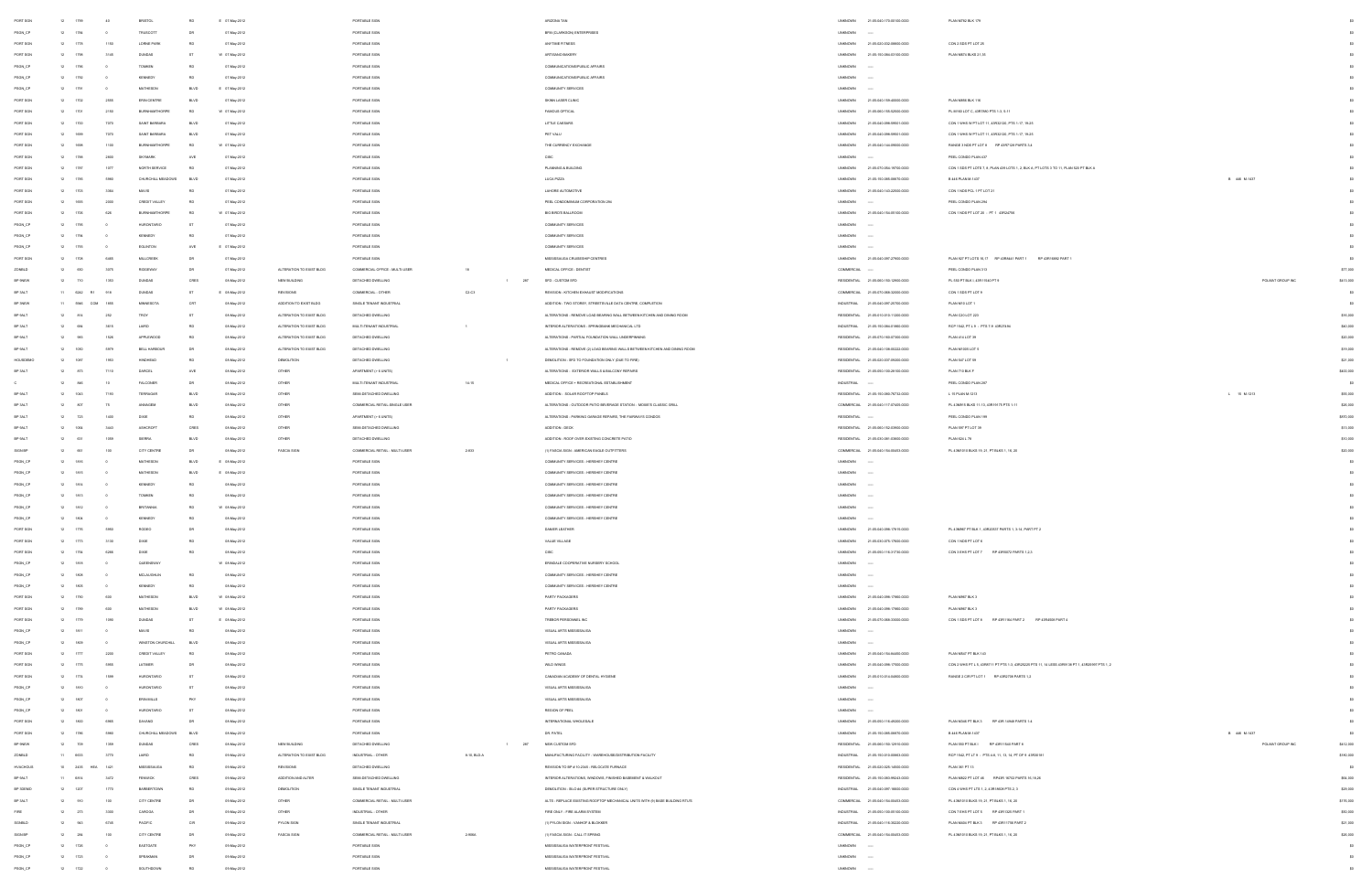| PORT SGN                         | 1799<br>12 | 40             | <b>BRISTOL</b>           | <b>RD</b>   | E 07-May-2012 |                           | PORTABLE SIGN                  |             | ARIZONA TAN                                                                   | <b>UNKNOWN</b><br>21-05-040-170-00100-0000 | PLAN M782 BLK 179                                                                              |                              |
|----------------------------------|------------|----------------|--------------------------|-------------|---------------|---------------------------|--------------------------------|-------------|-------------------------------------------------------------------------------|--------------------------------------------|------------------------------------------------------------------------------------------------|------------------------------|
| PSGN_CP                          | 1784<br>12 |                | TRUSCOTT                 | <b>DR</b>   | 07-May-2012   |                           | PORTABLE SIGN                  |             | BFM (CLARKSON) ENTERPRISES                                                    | <b>UNKNOWN</b><br><b>CONTRACTOR</b>        |                                                                                                |                              |
| PORT SGN                         | 1778<br>12 | 1150           | <b>LORNE PARK</b>        | <b>RD</b>   | 07-May-2012   |                           | PORTABLE SIGN                  |             | ANYTIME FITNESS                                                               | 21-05-020-032-08800-0000<br><b>UNKNOWN</b> | CON 2 SDS PT LOT 25                                                                            |                              |
| PORT SGN                         | 1798       | 3145           | <b>DUNDAS</b>            |             | W 07-May-2012 |                           | PORTABLE SIGN                  |             | ARTISANO BAKERY                                                               | 21-05-150-084-03100-0000<br><b>UNKNOWN</b> | PLAN M674 BLKS 21,35                                                                           |                              |
| $\mathsf{PSGN\_CP}$              | 1796<br>12 |                | <b>TOMKEN</b>            | <b>RD</b>   | 07-May-2012   |                           | PORTABLE SIGN                  |             | COMMUNICATIONS/PUBLIC AFFAIRS                                                 | <b>UNKNOWN</b>                             |                                                                                                |                              |
| PSGN_CP                          | 1792<br>12 |                | <b>KENNEDY</b>           | <b>RD</b>   | 07-May-2012   |                           | PORTABLE SIGN                  |             | COMMUNICATIONS/PUBLIC AFFAIRS                                                 | <b>UNKNOWN</b><br>--                       |                                                                                                |                              |
| PSGN_CP                          | 1791       |                | MATHESON                 | BLVD        | E 07-May-2012 |                           | PORTABLE SIGN                  |             | COMMUNITY SERVICES                                                            | <b>UNKNOWN</b>                             |                                                                                                |                              |
| PORT SGN                         | 1702<br>12 | 2555           | ERIN CENTRE              | BLVD        | 07-May-2012   |                           | PORTABLE SIGN                  |             | SKINN LASER CLINIC                                                            | UNKNOWN 21-05-040-159-40000-0000           | PLAN M856 BLK 116                                                                              |                              |
| PORT SGN                         | 12<br>1701 | 2150           | BURNHAMTHORPE            | <b>RD</b>   | W 07-May-2012 |                           | PORTABLE SIGN                  |             | FAMOUS OPTICAL                                                                | 21-05-060-155-52500-0000<br><b>UNKNOWN</b> | PL M160 LOT C, 43R7880 PTS 1-3, 5-11                                                           |                              |
| PORT SGN                         | 1700<br>12 | 7070           | SAINT BARBARA            | BLVD        | 07-May-2012   |                           | PORTABLE SIGN                  |             | LITTLE CAESARS                                                                | 21-05-040-098-59501-0000<br><b>UNKNOWN</b> | CON 1 WHS W PT LOT 11, 43R32120, PTS 1-17, 19-25                                               |                              |
| PORT SGN                         | 1699       | 7070           | SAINT BARBARA            | BLVD        | 07-May-2012   |                           | PORTABLE SIGN                  |             | PET VALU                                                                      | 21-05-040-098-59501-0000<br><b>UNKNOWN</b> | CON 1 WHS W PT LOT 11, 43R32120, PTS 1-17, 19-25                                               |                              |
| PORT SGN                         | 1698<br>12 | 1100           | <b>BURNHAMTHORPE</b>     | <b>RD</b>   | W 07-May-2012 |                           | PORTABLE SIGN                  |             | THE CURRENCY EXCHANGE                                                         | <b>UNKNOWN</b><br>21-05-040-144-09000-0000 | RANGE 3 NDS PT LOT 8 RP 43R7128 PARTS 3,4                                                      |                              |
| PORT SGN                         | 12<br>1788 | 2800           | <b>SKYMARK</b>           | AVE         | 07-May-2012   |                           | PORTABLE SIGN                  |             | CIBC                                                                          | <b>UNKNOWN</b>                             | PEEL CONDO PLAN 437                                                                            |                              |
| PORT SGN                         | 1787<br>12 | 1077           | NORTH SERVICE            | <b>RD</b>   | 07-May-2012   |                           | PORTABLE SIGN                  |             | PLANNING & BUILDING                                                           | 21-05-070-054-19700-0000<br><b>UNKNOWN</b> | CON 1 SDS PT LOTS 7, 8, PLAN 439 LOTS 1, 2, BLK A, PT LOTS 3 TO 11, PLAN 520 PT BLK A          |                              |
| PORT SGN                         | 1785<br>12 |                | CHURCHILL MEADOWS        | <b>BLVD</b> | 07-May-2012   |                           | PORTABLE SIGN                  |             | LUCA PIZZA                                                                    | <b>UNKNOWN</b><br>21-05-150-085-08870-0000 | B 446 PLAN M-1437                                                                              | B 446 M-1437                 |
| PORT SGN                         | 12<br>1703 | 3364           | MAVIS                    | <b>RD</b>   | 07-May-2012   |                           | PORTABLE SIGN                  |             | LAHORE AUTOMOTIVE                                                             | <b>UNKNOWN</b><br>21-05-040-143-22500-0000 | CON 1 NDS PCL 1 PT LOT 21                                                                      |                              |
| PORT SGN                         | 1693<br>12 | 2000           | <b>CREDIT VALLEY</b>     | <b>RD</b>   | 07-May-2012   |                           | PORTABLE SIGN                  |             | PEEL CONDOMINIUM CORPORATION 294                                              | <b>UNKNOWN</b>                             | PEEL CONDO PLAN 294                                                                            |                              |
|                                  |            |                |                          |             |               |                           |                                |             |                                                                               | <b>STATISTICS</b>                          |                                                                                                |                              |
| PORT SGN                         | 1706       |                | BURNHAMTHORPE            | <b>RD</b>   | W 07-May-2012 |                           | PORTABLE SIGN                  |             | BIG BIRD'S BALLROOM                                                           | <b>UNKNOWN</b><br>21-05-040-154-05100-0000 | CON 1 NDS PT LOT 20 - PT 1 43R24756                                                            |                              |
| $\mathsf{PSGN\_CP}$              | 1795<br>12 |                | <b>HURONTARIO</b>        | <b>ST</b>   | 07-May-2012   |                           | PORTABLE SIGN                  |             | <b>COMMUNITY SERVICES</b>                                                     | <b>UNKNOWN</b>                             |                                                                                                |                              |
| $\mathsf{PSGN\_CP}$              | 12<br>1794 |                | KENNEDY                  | <b>RD</b>   | 07-May-2012   |                           | PORTABLE SIGN                  |             | <b>COMMUNITY SERVICES</b>                                                     | <b>UNKNOWN</b>                             |                                                                                                |                              |
| PSGN_CP                          | 1793<br>12 |                | <b>EGLINTON</b>          | AVE         | E 07-May-2012 |                           | PORTABLE SIGN                  |             | COMMUNITY SERVICES                                                            | <b>UNKNOWN</b><br>----                     |                                                                                                |                              |
| PORT SGN                         | 1708       |                | <b>MILLCREEK</b>         |             | 07-May-2012   |                           | PORTABLE SIGN                  |             | MISSISSAUGA CRUISESHIP CENTRES                                                | 21-05-040-097-27900-0000<br><b>UNKNOWN</b> | PLAN 927 PT LOTS 16,17 RP 43R8441 PART 1 RP 43R16892 PART 1                                    |                              |
| ZONBLD                           | 650        | 3075           | <b>RIDGEWAY</b>          | <b>DR</b>   | 07-May-2012   | ALTERATION TO EXIST BLDG. | COMMERCIAL OFFICE - MULTI-USER | 18          | MEDICAL OFFICE - DENTIST                                                      | COMMERCIAL -----                           | PEEL CONDO PLAN 313                                                                            | \$77,00                      |
| BP 9NEW                          | 710        | 1353           | <b>DUNDAS</b>            | CRES        | 08-May-2012   | NEW BUILDING              | DETACHED DWELLING              | 1 287       | SFD - CUSTOM SFD                                                              | RESIDENTIAL 21-05-060-150-12900-0000       | PL 550 PT BLK I, 43R11540 PT 9                                                                 | POLMAT GROUP INC<br>\$413,00 |
| BP 3ALT                          | 6242<br>R1 |                | DUNDAS                   |             | E 08-May-2012 | <b>REVISIONS</b>          | COMMERCIAL - OTHER             | $C2-C3$     | REVISION - KITCHEN EXHAUST MODIFICATIONS                                      | COMMERCIAL 21-05-070-068-32000-0000        | CON 1 SDS PT LOT 9                                                                             |                              |
| BP 3NEW                          | 5946 COM   | 1855           | MINNESOTA                | CRT         | 08-May-2012   | ADDITION TO EXIST BLDG    | SINGLE TENANT INDUSTRIAL       |             | ADDITION - TWO STOREY, STREETSVILLE DATA CENTRE, COMPLETION                   | INDUSTRIAL 21-05-040-097-25700-0000        | PLAN M10 LOT 1                                                                                 |                              |
| BP 9ALT                          | 814<br>12  |                | <b>TROY</b>              | ST          | 08-May-2012   | ALTERATION TO EXIST BLDG  | DETACHED DWELLING              |             | ALTERATIONS - REMOVE LOAD BEARING WALL BETWEEN KITCHEN AND DINING ROOM        | RESIDENTIAL 21-05-010-010-11200-0000       | PLAN C20 LOT 223                                                                               | \$16,00                      |
| BP 3ALT                          | 684<br>12  | 3615           | LAIRD                    | <b>RD</b>   | 08-May-2012   | ALTERATION TO EXIST BLDG  | MULTI-TENANT INDUSTRIAL        |             | INTERIOR ALTERATIONS - SPRINGBANK MECHANICAL LTD                              | INDUSTRIAL 21-05-150-084-01860-0000        | RCP 1542, PT L 9 - PTS 7-9 43R27494                                                            | \$40,00                      |
| BP 9ALT                          | 983        | 1526           | APPLEWOOD                | <b>RD</b>   | 08-May-2012   | ALTERATION TO EXIST BLDG  | DETACHED DWELLING              |             | ALTERATIONS - PARTIAL FOUNDATION WALL UNDERPINNING                            | RESIDENTIAL 21-05-070-160-07300-0000       | PLAN 414 LOT 39                                                                                | \$20,00                      |
| BP 9ALT                          | 1050       | 5979           | <b>BELL HARBOUR</b>      | <b>DR</b>   | 08-May-2012   | ALTERATION TO EXIST BLDG  | DETACHED DWELLING              |             | ALTERATIONS - REMOVE (2) LOAD BEARING WALLS BETWEEN KITCHEN AND DINING ROOM   | RESIDENTIAL 21-05-040-108-00222-0000       | PLAN M1005 LOT 5                                                                               | \$19,00                      |
| HOUSDEMO                         | 1087<br>12 | 1953           | HINDHEAD                 |             | 08-May-2012   | DEMOLITION                | DETACHED DWELLING              |             | DEMOLITION - SFD TO FOUNDATION ONLY (DUE TO FIRE)                             | RESIDENTIAL 21-05-020-037-09200-0000       | PLAN 547 LOT 59                                                                                | \$21,00                      |
| BP 3ALT                          | 873        | 7110           | DARCEL                   | AVE         | 08-May-2012   | OTHER                     | APARTMENT (> 6 UNITS)          |             | ALTERATIONS - EXTERIOR WALLS & BALCONY REPAIRS                                | RESIDENTIAL 21-05-050-100-28100-0000       | PLAN 710 BLK F                                                                                 | \$400,00                     |
|                                  | 846<br>12  |                | FALCONER                 | <b>DR</b>   | 08-May-2012   | OTHER                     | MULTI-TENANT INDUSTRIAL        | $14 - 15$   | MEDICAL OFFICE + RECREATIONAL ESTABLISHMENT                                   | INDUSTRIAL -----                           | PEEL CONDO PLAN 287                                                                            |                              |
| BP 9ALT                          | 1043       | 7193           | <b>TERRAGAR</b>          | BLVD        | 08-May-2012   | OTHER                     | SEMI-DETACHED DWELLING         |             | ADDITION - SOLAR ROOFTOP PANELS                                               | RESIDENTIAL 21-05-150-080-76732-0000       | L 15 PLAN M-1213                                                                               | L 15 M-1213<br>\$55,00       |
| BP 3ALT                          | 807        | - 75           | ANNAGEM                  | BLVD        | 08-May-2012   | OTHER                     | COMMERCIAL RETAIL-SINGLE USER  |             | ALTERATIONS - OUTDOOR PATIO BEVERAGE STATION - MOXIE'S CLASSIC GRILL          | COMMERCIAL 21-05-040-117-07405-0000        | PL 43M915 BLKS 11-13, 43R19175 PTS 1-11                                                        | \$26,00                      |
|                                  |            |                |                          |             |               |                           |                                |             |                                                                               |                                            |                                                                                                |                              |
| BP 3ALT                          | 723        | 1400           | DIXIE                    |             | 08-May-2012   | OTHER                     | APARTMENT (> 6 UNITS)          |             | ALTERATIONS - PARKING GARAGE REPAIRS, THE FAIRWAYS CONDOS                     | RESIDENTIAL -----                          | PEEL CONDO PLAN 199                                                                            | \$870,00                     |
| BP 9ALT                          | 1064       | 3443           | <b>ASHCROFT</b>          | CRES        | 08-May-2012   | OTHER                     | SEMI-DETACHED DWELLING         |             | ADDITION - DECK                                                               | RESIDENTIAL 21-05-060-152-03900-0000       | PLAN 597 PT LOT 39                                                                             | \$13,00                      |
| BP 9ALT                          | 631<br>12  | 1059           | SIERRA                   | BLVD        | 08-May-2012   | OTHER                     | DETACHED DWELLING              |             | ADDITION - ROOF OVER EXISTING CONCRETE PATIO                                  | RESIDENTIAL 21-05-030-081-03800-0000       | PLAN 624 L 78                                                                                  | \$10,00                      |
| SIGN BP                          | 661        |                | CITY CENTRE              | <b>DR</b>   | 08-May-2012   | <b>FASCIA SIGN</b>        | COMMERCIAL RETAIL - MULTI-USER | 2-833       | (1) FASCIA SIGN - AMERICAN EAGLE OUTFITTERS                                   | COMMERCIAL 21-05-040-154-00453-0000        | PL 43M1010 BLKS 19, 21, PT BLKS 1, 16, 20                                                      | \$20,00                      |
| $\ensuremath{\mathsf{PSGN\_CP}}$ | 1816<br>12 |                | MATHESON                 | BLVD        | E 08-May-2012 |                           | PORTABLE SIGN                  |             | COMMUNITY SERVICES - HERSHEY CENTRE                                           | <b>UNKNOWN</b><br>$\sim$                   |                                                                                                |                              |
| PSGN_CP                          | 1815<br>12 | $\Omega$       | MATHESON                 | BLVD        | E 08-May-2012 |                           | PORTABLE SIGN                  |             | COMMUNITY SERVICES - HERSHEY CENTRE                                           | <b>UNKNOWN</b><br>-----                    |                                                                                                |                              |
| PSGN_CP                          | 1814<br>12 |                | <b>KENNEDY</b>           | <b>RD</b>   | 08-May-2012   |                           | PORTABLE SIGN                  |             | COMMUNITY SERVICES - HERSHEY CENTRE                                           | UNKNOWN -----                              |                                                                                                |                              |
| $\ensuremath{\mathsf{PSGN\_CP}}$ | 1813<br>12 |                | <b>TOMKEN</b>            | <b>RD</b>   | 08-May-2012   |                           | PORTABLE SIGN                  |             | COMMUNITY SERVICES - HERSHEY CENTRE                                           | <b>UNKNOWN</b>                             |                                                                                                |                              |
| PSGN_CP                          | 12 1812    | $\overline{0}$ | BRITANNIA                | <b>RD</b>   | W 08-May-2012 |                           | PORTABLE SIGN                  |             | COMMUNITY SERVICES - HERSHEY CENTRE                                           | UNKNOWN -----                              |                                                                                                |                              |
| PSGN CP                          | 12 1804    | $^{\circ}$     | KENNEDY                  | <b>RD</b>   | 08-May-2012   |                           | PORTABLE SIGN                  |             | COMMUNITY SERVICES - HERSHEY CENTRE                                           | <b>LINKNOWN</b>                            |                                                                                                |                              |
| PORT SGN                         | 1776<br>12 |                |                          |             |               |                           | PORTABLE SIGN                  |             |                                                                               |                                            |                                                                                                |                              |
| PORT SGN                         | 1773       | 5950           | RODEO                    | <b>DR</b>   | 08-May-2012   |                           |                                |             | DANIER LEATHER                                                                | UNKNOWN 21-05-040-098-17815-0000           | PL 43M967 PT BLK 1, 43R20537 PARTS 1, 3-14, PART PT 2                                          |                              |
| PORT SGN                         |            | 3130           | DIXIE                    |             | 08-May-2012   |                           | PORTABLE SIGN                  |             | VALUE VILLAGE                                                                 | 21-05-030-075-17600-0000<br><b>UNKNOWN</b> | CON 1 NDS PT LOT 6                                                                             |                              |
| $\ensuremath{\mathsf{PSGN\_CP}}$ | 12<br>1754 | 6266           | DIXIE                    | <b>RD</b>   | 08-May-2012   |                           | PORTABLE SIGN                  |             | CIBC                                                                          | 21-05-050-116-31730-0000<br><b>UNKNOWN</b> | CON 3 EHS PT LOT 7 RP 43R5072 PARTS 1,2,3                                                      |                              |
|                                  | 1818       |                | QUEENSWAY                |             | W 08-May-2012 |                           | PORTABLE SIGN                  |             | ERINDALE COOPERATIVE NURSERY SCHOOL                                           | <b>UNKNOWN</b><br>--                       |                                                                                                |                              |
|                                  | 12         |                |                          | <b>RD</b>   |               |                           |                                |             |                                                                               |                                            |                                                                                                |                              |
| PSGN_CP                          | 1808<br>12 |                | <b>MCLAUGHLIN</b>        |             | 08-May-2012   |                           | PORTABLE SIGN                  |             | COMMUNITY SERVICES - HERSHEY CENTRE                                           | <b>UNKNOWN</b>                             |                                                                                                |                              |
| $\ensuremath{\mathsf{PSGN\_CP}}$ | 1805<br>12 |                | <b>KENNEDY</b>           | <b>RD</b>   | 08-May-2012   |                           | PORTABLE SIGN                  |             | COMMUNITY SERVICES - HERSHEY CENTRE                                           | <b>UNKNOWN</b>                             |                                                                                                |                              |
| PORT SGN                         | 1790<br>12 | 600            | MATHESON                 | BLVD        | W 08-May-2012 |                           | PORTABLE SIGN                  |             | PARTY PACKAGERS                                                               | UNKNOWN 21-05-040-098-17860-0000           | PLAN M967 BLK 3                                                                                |                              |
| PORT SGN                         | 1789       |                | MATHESON                 | BLVD        | W 08-May-2012 |                           | PORTABLE SIGN                  |             | PARTY PACKAGERS                                                               | 21-05-040-098-17860-0000<br><b>UNKNOWN</b> | PLAN M967 BLK 3                                                                                |                              |
| PORT SGN                         | 1779       | 1090           | <b>DUNDAS</b>            | <b>ST</b>   | E 08-May-2012 |                           | PORTABLE SIGN                  |             | TREBOR PERSONNEL INC                                                          | 21-05-070-068-33000-0000<br><b>UNKNOWN</b> | CON 1 SDS PT LOT 8 RP 43R1164 PART 2 RP 43R4508 PART 4                                         |                              |
| $\mathsf{PSGN\_CP}$              | 1811<br>12 |                | MAVIS                    | <b>RD</b>   | 08-May-2012   |                           | PORTABLE SIGN                  |             | VISUAL ARTS MISSISSAUGA                                                       | <b>UNKNOWN</b>                             |                                                                                                |                              |
| PSGN_CP                          | 1809<br>12 |                | <b>WINSTON CHURCHILL</b> | BLVD        | 08-May-2012   |                           | PORTABLE SIGN                  |             | VISUAL ARTS MISSISSAUGA                                                       | <b>UNKNOWN</b><br>----                     |                                                                                                |                              |
| PORT SGN                         | 1777<br>12 | 2200           | CREDIT VALLEY            | <b>RD</b>   | 08-May-2012   |                           | PORTABLE SIGN                  |             | PETRO CANADA                                                                  | 21-05-040-154-84450-0000<br><b>UNKNOWN</b> | PLAN M547 PT BLK 143                                                                           |                              |
| PORT SGN                         | 1775<br>12 | 6965           | LATIMER                  | <b>DR</b>   | 08-May-2012   |                           | PORTABLE SIGN                  |             | WILD WINGS                                                                    | <b>UNKNOWN</b><br>21-05-040-098-17500-0000 | CON 2 WHS PT L 5, 43R8711 PT PTS 1-3, 43R25225 PTS 11, 14 LESS 43R9138 PT 1, 43R25997 PTS 1, 2 |                              |
| PORT SGN                         | 1774<br>12 | 1599           | <b>HURONTARIO</b>        | <b>ST</b>   | 08-May-2012   |                           | PORTABLE SIGN                  |             | CANADIAN ACADEMY OF DENTAL HYGIENE                                            | 21-05-010-014-04800-0000<br><b>UNKNOWN</b> | RANGE 2 CIR PT LOT 1 RP 43R2708 PARTS 1.2                                                      |                              |
| PSGN_CP                          | 1810<br>12 | $\overline{0}$ | HURONTARIO               | <b>ST</b>   | 08-May-2012   |                           | PORTABLE SIGN                  |             | VISUAL ARTS MISSISSAUGA                                                       | <b>UNKNOWN</b>                             |                                                                                                |                              |
| PSGN_CP                          | 1807       |                | <b>ERIN MILLS</b>        | PK)         | 08-May-2012   |                           | PORTABLE SIGN                  |             | VISUAL ARTS MISSISSAUGA                                                       | <b>UNKNOWN</b>                             |                                                                                                |                              |
| PSGN_CP                          | 1801<br>12 |                | <b>HURONTARIO</b>        | <b>ST</b>   | 08-May-2012   |                           | PORTABLE SIGN                  |             | REGION OF PEEL                                                                | <b>UNKNOWN</b><br>1000                     |                                                                                                |                              |
| PORT SGN                         | 1800<br>12 | 6965           | DAVAND                   | <b>DR</b>   | 08-May-2012   |                           | PORTABLE SIGN                  |             | INTERNATIONAL WHOLESALE                                                       | UNKNOWN 21-05-050-116-49200-0000           | PLAN M346 PT BLK 3 RP 43R 14948 PARTS 1-4                                                      |                              |
| PORT SGN                         | 1786       |                | CHURCHILL MEADOWS        | BLVD        | 08-May-2012   |                           | PORTABLE SIGN                  |             | DR. PATEL                                                                     | UNKNOWN 21-05-150-085-08870-0000           | B 446 PLAN M-1437                                                                              | B 446 M-1437                 |
| BP 9NEW                          | 709        | 1359           | <b>DUNDAS</b>            | CRES        | 08-May-2012   | NEW BUILDING              | DETACHED DWELLING              | 1287        | NEW CUSTOM SFD                                                                | RESIDENTIAL 21-05-060-150-12910-0000       | PLAN 550 PT BLK I RP 43R11540 PART 8                                                           | POLMAT GROUP INC<br>\$412,00 |
| ZONBLD                           | 6633       | 3770           | LAIRD                    | <b>RD</b>   | 09-May-2012   | ALTERATION TO EXIST BLDG  | INDUSTRIAL - OTHER             | 8-10, BLD-A | MANUFACTURING FACILITY - WAREHOUSE/DISTRIBUTION FACILITY                      | INDUSTRIAL 21-05-150-010-00863-0000        | RCP 1542, PT LT 9 - PTS 4-8, 11, 13, 14, PT OF 9 43R30181                                      | \$180,00                     |
| <b>HVACHOUS</b>                  | 10<br>HEA  | 1421           | MISSISSAUGA              | <b>RD</b>   |               | <b>REVISIONS</b>          |                                |             |                                                                               |                                            |                                                                                                |                              |
|                                  | 2435       |                |                          |             | 09-May-2012   |                           | DETACHED DWELLING              |             | REVISION TO BP # 10-2345 - RELOCATE FURNACE                                   | RESIDENTIAL 21-05-020-025-14500-0000       | PLAN 361 PT 13                                                                                 |                              |
| BP 9ALT                          | 6814       | 3472           | <b>FENWICK</b>           | CRES        | 09-May-2012   | ADDITION AND ALTER        | SEMI-DETACHED DWELLING         |             | INTERIOR ALTERATIONS, WINDOWS, FINISHED BASEMENT & WALKOUT                    | RESIDENTIAL 21-05-150-083-99243-0000       | PLAN M822 PT LOT 46 RP43R 16702 PARTS 16,18,26                                                 | \$64,00                      |
| BP 3DEMO                         | 1207<br>12 | 1770           | <b>BARRERTOWN</b>        | <b>RD</b>   | 09-May-2012   | DEMOLITION                | SINGLE TENANT INDUSTRIAL       |             | DEMOLITION - SILO #4 (SUPER STRUCTURE ONLY)                                   | INDUSTRIAL 21-05-040-097-16600-0000        | CON 4 WHS PT LTS 1, 2, 43R18608 PTS 2, 3                                                       | \$29,00                      |
| BP 3ALT                          | 910<br>12  |                | CITY CENTRE              | <b>DR</b>   | 09-May-2012   | OTHER                     | COMMERCIAL RETAIL - MULTI-USER |             | ALTS - REPLACE EXISTING ROOFTOP MECHANICAL UNITS WITH (9) BASE BUILDING RTU'S | COMMERCIAL 21-05-040-154-00453-0000        | PL 43M1010 BLKS 19, 21, PT BLKS 1, 16, 20                                                      | \$176,00                     |
| FIRE                             | 273        | 3300           | CAROGA                   | DR          | 09-May-2012   | OTHER                     | INDUSTRIAL - OTHER             |             | FIRE ONLY - FIRE ALARM SYSTEM                                                 | INDUSTRIAL 21-05-050-100-05100-0000        | CON 7 EHS PT LOT 5 RP 43R1325 PART 1                                                           | \$50,00                      |
| SGNBLD                           | 943        | 6745           | PACIFIC                  | CIR         | 09-May-2012   | PYLON SIGN                | SINGLE TENANT INDUSTRIAL       |             | (1) PYLON SIGN - VANHOF & BLOKKER                                             | INDUSTRIAL 21-05-040-116-30220-0000        | PLAN M404 PT BLK 3 RP 43R11756 PART 2                                                          | \$21,00                      |
| SIGN BP                          | 12<br>284  | 100            | CITY CENTRE              | <b>DR</b>   | 09-May-2012   | <b>FASCIA SIGN</b>        | COMMERCIAL RETAIL - MULTI-USER | 2-906A      | (1) FASCIA SIGN - CALL IT SPRING                                              | COMMERCIAL 21-05-040-154-00453-0000        | PL 43M1010 BLKS 19, 21, PT BLKS 1, 16, 20                                                      | \$26,00                      |
| PSGN CP                          | 12 1726    | $\overline{0}$ | EASTGATE                 | PKY         | 09-May-2012   |                           | PORTABLE SIGN                  |             | MISSISSAUGA WATERFRONT FESTIVAL                                               | UNKNOWN ------                             |                                                                                                |                              |
| PSGN_CP                          | 12<br>1723 |                | SPEAKMAN                 | <b>DR</b>   | 09-May-2012   |                           | PORTABLE SIGN                  |             | MISSISSAUGA WATERFRONT FESTIVAL                                               | UNKNOWN -----                              |                                                                                                |                              |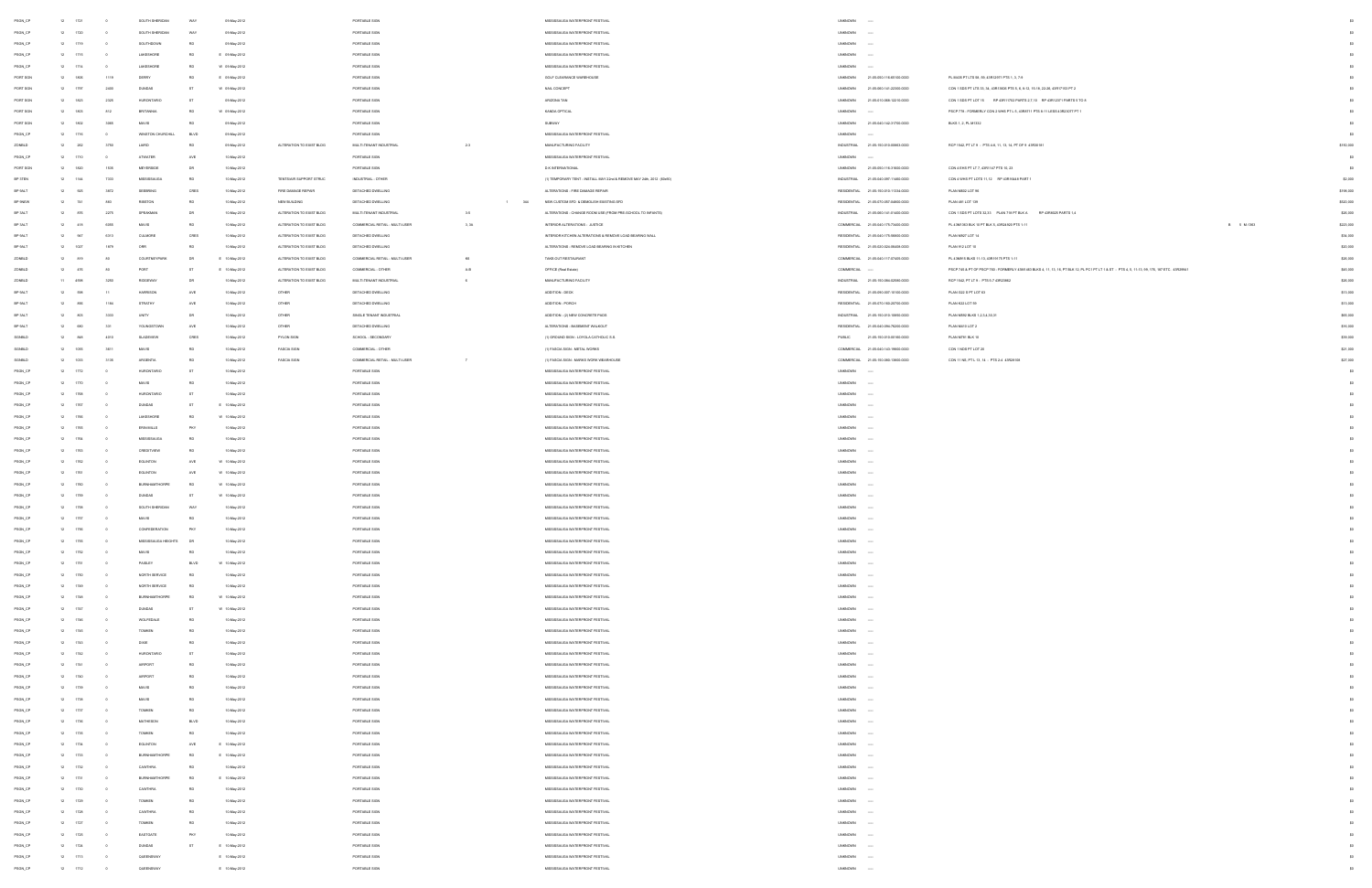| PSGN_CP                          | 12      | 1721 | $\overline{0}$ | SOUTH SHERIDAN       | WAY            | 09-May-2012   |                          | PORTABLE SIGN                  |                                | MISSISSAUGA WATERFRONT FESTIVAL                                       | <b>UNKNOWN</b>                             |                                                                                                                                               |          |
|----------------------------------|---------|------|----------------|----------------------|----------------|---------------|--------------------------|--------------------------------|--------------------------------|-----------------------------------------------------------------------|--------------------------------------------|-----------------------------------------------------------------------------------------------------------------------------------------------|----------|
| PSGN_CP                          | 12 1720 |      |                | SOUTH SHERIDAN       | WAY            | 09-May-2012   |                          | PORTABLE SIGN                  |                                | MISSISSAUGA WATERFRONT FESTIVAL                                       | <b>UNKNOWN</b>                             |                                                                                                                                               |          |
| $\ensuremath{\mathsf{PSGN\_CP}}$ | 12 1719 |      | $\overline{0}$ | SOUTHDOWN            | RD             | 09-May-2012   |                          | PORTABLE SIGN                  |                                | MISSISSAUGA WATERFRONT FESTIVAL                                       | <b>UNKNOWN</b>                             |                                                                                                                                               |          |
| PSGN_CP                          | 12 1715 |      | $\overline{0}$ | LAKESHORE            | <b>RD</b>      | E 09-May-2012 |                          | PORTABLE SIGN                  |                                | MISSISSAUGA WATERFRONT FESTIVAL                                       | <b>UNKNOWN</b><br>--                       |                                                                                                                                               |          |
| PSGN_CP                          | 12 1714 |      | $\circ$        | LAKESHORE            | <b>RD</b>      | W 09-May-2012 |                          | PORTABLE SIGN                  |                                | MISSISSAUGA WATERFRONT FESTIVAL                                       | <b>UNKNOWN</b><br>--                       |                                                                                                                                               |          |
| PORT SGN                         | 12 1806 |      | 1119           | <b>DERRY</b>         | <b>RD</b>      | E 09-May-2012 |                          | PORTABLE SIGN                  |                                | GOLF CLEARANCE WAREHOUSE                                              | <b>UNKNOWN</b><br>21-05-050-116-65100-0000 | PL M435 PT LTS 58, 59, 43R12971 PTS 1, 3, 7-9                                                                                                 |          |
| PORT SGN                         | 12 1797 |      | 2400           | <b>DUNDAS</b>        | <b>ST</b>      | W 09-May-2012 |                          | PORTABLE SIGN                  |                                | NAIL CONCEPT                                                          | 21-05-060-141-22300-0000<br><b>UNKNOWN</b> | CON 1 SDS PT LTS 33, 34, 43R13606 PTS 5, 6, 8-12, 15-18, 22-26, 43R17153 PT 2                                                                 |          |
|                                  |         |      |                |                      |                |               |                          |                                |                                |                                                                       |                                            |                                                                                                                                               |          |
| PORT SGN                         | 12      | 1823 | 2325           | HURONTARIO           |                | 09-May-2012   |                          | PORTABLE SIGN                  |                                | ARIZONA TAN                                                           | 21-05-010-068-12210-0000<br><b>UNKNOWN</b> | CON 1 SDS PT LOT 15 RP 43R11702 PARTS 2,7,10 RP 43R12371 PARTS 5 TO 8                                                                         |          |
| PORT SGN                         | 12      | 1803 | 812            | <b>BRITANNIA</b>     | <b>RD</b>      | W 09-May-2012 |                          | PORTABLE SIGN                  |                                | KANDA OPTICAL                                                         | <b>UNKNOWN</b>                             | PSCP 778 - FORMERLY CON 2 WHS PT L 5, 43R8711 PTS 8-11 LESS 43R23077 PT 1                                                                     |          |
| PORT SGN                         | 12      | 1802 | 3065           | MAVIS                | <b>RD</b>      | 09-May-2012   |                          | PORTABLE SIGN                  |                                | SUBWAY                                                                | <b>UNKNOWN</b><br>21-05-040-142-31700-0000 | BLKS 1, 2, PL M1332                                                                                                                           |          |
| PSGN_CP                          | 12 1716 |      | $\circ$        | WINSTON CHURCHILL    | <b>BLVD</b>    | 09-May-2012   |                          | PORTABLE SIGN                  |                                | MISSISSAUGA WATERFRONT FESTIVAL                                       | <b>UNKNOWN</b><br><b>STATE</b>             |                                                                                                                                               |          |
| ZONBLD                           | 12      | 262  | 3750           | LAIRD                | <b>RD</b>      | 09-May-2012   | ALTERATION TO EXIST BLDG | MULTI-TENANT INDUSTRIAL        | $2 - 3$                        | MANUFACTURING FACILITY                                                | INDUSTRIAL 21-05-150-010-00863-0000        | RCP 1542, PT LT 9 - PTS 4-8, 11, 13, 14, PT OF 9 43R30181                                                                                     | \$150.00 |
| PSGN_CP                          | 12 1710 |      |                | ATWATER              | AVE            | 10-May-2012   |                          | PORTABLE SIGN                  |                                | MISSISSAUGA WATERFRONT FESTIVAL                                       | <b>UNKNOWN</b><br>-                        |                                                                                                                                               |          |
| PORT SGN                         | 12      | 1820 | 1535           | MEYERSIDE            | <b>DR</b>      | 10-May-2012   |                          | PORTABLE SIGN                  |                                | D.K INTERNATIONAL                                                     | UNKNOWN 21-05-050-116-31600-0000           | CON 4 EHS PT LT 7, 43R1147 PTS 10, 23                                                                                                         |          |
| BP 3TEN                          | 12 1144 |      | 7333           | MISSISSAUGA          | <b>RD</b>      | 10-May-2012   | TENTS/AIR SUPPORT STRUC  | INDUSTRIAL - OTHER             |                                | (1) TEMPORARY TENT - INSTALL MAY 22nd & REMOVE MAY 24th, 2012 (60x90) | INDUSTRIAL 21-05-040-097-11460-0000        | CON 4 WHS PT LOTS 11,12 RP 43R16448 PART 1                                                                                                    | \$2.00   |
|                                  |         |      |                |                      |                |               |                          |                                |                                |                                                                       |                                            |                                                                                                                                               |          |
| BP 9ALT                          | 12      | 925  | 3872           | <b>SEEBRIN</b>       | CRES           | 10-May-2012   | FIRE DAMAGE REPAIR       | DETACHED DWELLING              |                                | ALTERATIONS - FIRE DAMAGE REPAIR                                      | RESIDENTIAL 21-05-150-010-11334-0000       | PLAN M602 LOT 96                                                                                                                              | \$198,00 |
| BP 9NEW                          | 12      | 741  | 883            | RIBSTON              | <b>RD</b>      | 10-May-2012   | NEW BUILDING             | DETACHED DWELLING              |                                | 1 344 NEW CUSTOM SFD & DEMOLISH EXISTING SFD                          | RESIDENTIAL 21-05-070-057-04800-0000       | PLAN 481 LOT 139                                                                                                                              | \$520,00 |
| BP 3ALT                          | 12      | 876  | 2275           | SPEAKMAN             | <b>DR</b>      | 10-May-2012   | ALTERATION TO EXIST BLDG | MULTI-TENANT INDUSTRIAL        | $3 - 5$                        | ALTERATIONS - CHANGE ROOM USE (FROM PRE-SCHOOL TO INFANTS)            | INDUSTRIAL 21-05-060-141-01400-0000        | CON 1 SDS PT LOTS 32,33 PLAN 718 PT BLK A RP 43R8025 PARTS 1,4                                                                                | \$26,00  |
| BP 3ALT                          | 12      | 418  | 6055           | MAVIS                | <b>RD</b>      | 10-May-2012   | ALTERATION TO EXIST BLDG | COMMERCIAL RETAIL - MULTI-USER | 3, 3A                          | INTERIOR ALTERATIONS - JUSTICE                                        | COMMERCIAL 21-05-040-175-73400-0000        | PL 43M1363 BLK 10 PT BLK 5, 43R24920 PTS 1-11<br>B 5 M-1363                                                                                   | \$223,00 |
| BP 9ALT                          | 12      | 947  | 6313           | CULMORE              | ${\tt CRES}$   | 10-May-2012   | ALTERATION TO EXIST BLDG | DETACHED DWELLING              |                                | INTERIOR KITCHEN ALTERATIONS & REMOVE LOAD BEARING WALL               | RESIDENTIAL 21-05-040-175-56800-0000       | PLAN M927 LOT 14                                                                                                                              | \$34,00  |
| BP 9ALT                          | 12 1027 |      | 1879           | ORR                  | <b>RD</b>      | 10-May-2012   | ALTERATION TO EXIST BLDG | DETACHED DWELLING              |                                | ALTERATIONS - REMOVE LOAD BEARING IN KITCHEN                          | RESIDENTIAL 21-05-020-024-06408-0000       | PLAN 912 LOT 10                                                                                                                               | \$20,00  |
| ZONBLD                           | 12      | 819  | 80             | COURTNEYPARK         | <b>DR</b>      | E 10-May-2012 | ALTERATION TO EXIST BLDG | COMMERCIAL RETAIL - MULTI-USER | K6                             | TAKE-OUT RESTAURANT                                                   | COMMERCIAL 21-05-040-117-07405-0000        | PL 43M915 BLKS 11-13, 43R19175 PTS 1-11                                                                                                       | \$26,00  |
|                                  | 12      | 476  | 80             | PORT                 |                | E 10-May-2012 | ALTERATION TO EXIST BLDG | COMMERCIAL - OTHER             | $\mathsf{A}\text{-}\mathsf{B}$ | OFFICE (Real Estate)                                                  | <b>COMMERCIAL</b><br>$\cdots$              | PSCP 745 & PT OF PSCP 760 - FORMERLY 43M1463 BLKS 4, 11, 13, 16, PT BLK 12, PL PC1 PT LT 1 & ST - PTS 4, 5, 11-13, 99, 176, 187 ETC. 43R29941 | \$45,00  |
| ZONBLD                           |         |      |                |                      |                |               |                          |                                |                                |                                                                       |                                            |                                                                                                                                               |          |
| ZONBLD                           | 11      | 4598 | 3250           | <b>RIDGEWA</b>       | <b>DR</b>      | 10-May-2012   | ALTERATION TO EXIST BLDG | MULTI-TENANT INDUSTRIAL        | 6                              | MANUFACTURING FACILITY                                                | INDUSTRIAL 21-05-150-084-02580-0000        | RCP 1542, PT LT 9 - PTS 5-7 43R23862                                                                                                          | \$26,00  |
| BP 9ALT                          | 12 598  |      | 11             | <b>HARRISON</b>      | AVE            | 10-May-2012   | OTHER                    | DETACHED DWELLING              |                                | ADDITION - DECK                                                       | RESIDENTIAL 21-05-090-007-10100-0000       | PLAN G22 S PT LOT 63                                                                                                                          | \$13,00  |
| BP 9ALT                          | 12      | 856  | 1184           | STRATHY              | AVE            | 10-May-2012   | OTHER                    | DETACHED DWELLING              |                                | ADDITION - PORCH                                                      | RESIDENTIAL 21-05-070-160-20700-0000       | PLAN K22 LOT 59                                                                                                                               | \$13,00  |
| BP 3ALT                          | 12      | 803  | 3333           | UNITY                | <b>DR</b>      | 10-May-2012   | OTHER                    | SINGLE TENANT INDUSTRIAL       |                                | ADDITION - (2) NEW CONCRETE PADS                                      | INDUSTRIAL 21-05-150-010-10850-0000        | PLAN M592 BLKS 1,2,3,4,30,31                                                                                                                  | \$65,00  |
| BP 9ALT                          | 12      | 680  | 331            | YOUNGSTOWN           | AVE            | 10-May-2012   | OTHER                    | DETACHED DWELLING              |                                | ALTERATIONS - BASEMENT WALKOUT                                        | RESIDENTIAL 21-05-040-094-76200-0000       | PLAN M410 LOT 2                                                                                                                               | \$16,00  |
| SGNBLD                           | 12      | 848  | 4010           | SLADEVIEW            | CRES           | 10-May-2012   | PYLON SIGN               | SCHOOL - SECONDARY             |                                | (1) GROUND SIGN - LOYOLA CATHOLIC S.S.                                | PUBLIC<br>21-05-150-010-00160-0000         | PLAN M781 BLK 10                                                                                                                              | \$39,00  |
| SGNBLD                           | 12      | 1055 | 3611           | MAVIS                |                | 10-May-2012   | <b>FASCIA SIGN</b>       | COMMERCIAL - OTHER             |                                | (1) FASCIA SIGN - METAL WORKS                                         | COMMERCIAL 21-05-040-143-19800-0000        | CON 1 NDS PT LOT 20                                                                                                                           | \$21,00  |
|                                  |         |      |                |                      |                |               |                          |                                |                                |                                                                       |                                            |                                                                                                                                               |          |
| SGNBLD                           | 12      | 1033 | 3135           | ARGENTIA             | <b>RD</b>      | 10-May-2012   | <b>FASCIA SIGN</b>       | COMMERCIAL RETAIL - MULTI-USER | $\overline{7}$                 | (1) FASCIA SIGN - MARKS WORK WEARHOUSE                                | COMMERCIAL 21-05-150-080-13800-0000        | CON 11 NS, PT L 13, 14 - PTS 2-4 43R28108                                                                                                     | \$27,00  |
| PSGN_CP                          | 12 1772 |      | $\Omega$       | HURONTARIO           | <b>ST</b>      | 10-May-2012   |                          | PORTABLE SIGN                  |                                | MISSISSAUGA WATERFRONT FESTIVAL                                       | <b>UNKNOWN</b><br>--                       |                                                                                                                                               |          |
| PSGN_CP                          | 12 1770 |      |                | MAVIS                |                | 10-May-2012   |                          | PORTABLE SIGN                  |                                | MISSISSAUGA WATERFRONT FESTIVAL                                       | <b>UNKNOWN</b><br>--                       |                                                                                                                                               |          |
| PSGN_CP                          | 12      | 1768 | $\overline{0}$ | HURONTARIO           |                | 10-May-2012   |                          | PORTABLE SIGN                  |                                | MISSISSAUGA WATERFRONT FESTIVAL                                       | <b>UNKNOWN</b><br>$\cdots$                 |                                                                                                                                               |          |
| $\mathsf{PSGN\_CP}$              | 12      | 1767 |                | <b>DUNDAS</b>        | <b>ST</b>      | E 10-May-2012 |                          | PORTABLE SIGN                  |                                | MISSISSAUGA WATERFRONT FESTIVAL                                       | <b>UNKNOWN</b><br>$\sim$                   |                                                                                                                                               |          |
| PSGN_CP                          | 12 1766 |      | $\circ$        | LAKESHORE            | <b>RD</b>      | W 10-May-2012 |                          | PORTABLE SIGN                  |                                | MISSISSAUGA WATERFRONT FESTIVAL                                       | <b>UNKNOWN</b><br>$-$                      |                                                                                                                                               |          |
| PSGN_CP                          | 12      | 1765 | $\circ$        | ERIN MILLS           | PKY            | 10-May-2012   |                          | PORTABLE SIGN                  |                                | MISSISSAUGA WATERFRONT FESTIVAL                                       | <b>UNKNOWN</b><br>----                     |                                                                                                                                               |          |
| PSGN_CP                          | 12      | 1764 |                | MISSISSAUGA          | RD             | 10-May-2012   |                          | PORTABLE SIGN                  |                                | MISSISSAUGA WATERFRONT FESTIVAL                                       | <b>UNKNOWN</b><br>-                        |                                                                                                                                               |          |
|                                  |         |      |                |                      |                |               |                          |                                |                                |                                                                       |                                            |                                                                                                                                               |          |
| $\mathsf{PSGN\_CP}$              | 12 1763 |      | $\overline{0}$ | CREDITVIEW           | <b>RD</b>      | 10-May-2012   |                          | PORTABLE SIGN                  |                                | MISSISSAUGA WATERFRONT FESTIVAL                                       | <b>UNKNOWN</b>                             |                                                                                                                                               |          |
| PSGN_CP                          | 12 1762 |      | $\circ$        | EGLINTON             | AVE            | W 10-May-2012 |                          | PORTABLE SIGN                  |                                | MISSISSAUGA WATERFRONT FESTIVAL                                       | <b>UNKNOWN</b><br>-----                    |                                                                                                                                               |          |
| PSGN_CP                          | 12      | 1761 |                | EGLINTON             | AVE            | W 10-May-2012 |                          | PORTABLE SIGN                  |                                | MISSISSAUGA WATERFRONT FESTIVAL                                       | <b>UNKNOWN</b>                             |                                                                                                                                               |          |
| $\ensuremath{\mathsf{PSGN\_CP}}$ | 12 1760 |      | $\overline{0}$ | <b>BURNHAMTHORPE</b> | <b>RD</b>      | W 10-May-2012 |                          | PORTABLE SIGN                  |                                | MISSISSAUGA WATERFRONT FESTIVAL                                       | <b>UNKNOWN</b>                             |                                                                                                                                               |          |
| PSGN_CP                          | 12 1759 |      | $\overline{0}$ | <b>DUNDAS</b>        | <b>ST</b>      | W 10-May-2012 |                          | PORTABLE SIGN                  |                                | MISSISSAUGA WATERFRONT FESTIVAL                                       | <b>UNKNOWN</b><br>1.12333                  |                                                                                                                                               |          |
| PSGN_CP                          | 12 1758 |      | $\overline{0}$ | SOUTH SHERIDAN       | WAY            | 10-May-2012   |                          | PORTABLE SIGN                  |                                | MISSISSAUGA WATERFRONT FESTIVAL                                       | <b>UNKNOWN</b><br>--                       |                                                                                                                                               |          |
| PSGN_CP                          | 12 1757 |      | $\sim$         | MAVIS                | RD             | 10-May-2012   |                          | PORTABLE SIGN                  |                                | MISSISSAUGA WATERFRONT FESTIVAL                                       | <b>UNKNOWN</b>                             |                                                                                                                                               |          |
| $\ensuremath{\mathsf{PSGN\_CP}}$ | 12      | 1756 | $\overline{0}$ | CONFEDERATION        | PKY            | 10-May-2012   |                          | PORTABLE SIGN                  |                                | MISSISSAUGA WATERFRONT FESTIVAL                                       | UNKNOWN -----                              |                                                                                                                                               |          |
|                                  |         |      |                |                      |                |               |                          |                                |                                |                                                                       |                                            |                                                                                                                                               |          |
| PSGN_CP                          | 12      | 1755 |                | MISSISSAUGA HEIGHTS  | DR <sub></sub> | 10-May-2012   |                          | PORTABLE SIGN                  |                                | MISSISSAUGA WATERFRONT FESTIVAL                                       | <b>UNKNOWN</b><br>1.12333                  |                                                                                                                                               |          |
| PSGN_CP                          | 12 1752 |      | $\overline{0}$ | MAVIS                | <b>RD</b>      | 10-May-2012   |                          | PORTABLE SIGN                  |                                | MISSISSAUGA WATERFRONT FESTIVAL                                       | <b>UNKNOWN</b><br>1.111                    |                                                                                                                                               |          |
| $\ensuremath{\mathsf{PSGN\_CP}}$ | 12      | 1751 | $\overline{0}$ | PAISLEY              | BLVD           | W 10-May-2012 |                          | PORTABLE SIGN                  |                                | MISSISSAUGA WATERFRONT FESTIVAL                                       | <b>UNKNOWN</b><br>-                        |                                                                                                                                               |          |
| PSGN_CP                          | 12 1750 |      | $\overline{0}$ | NORTH SERVICE        | <b>RD</b>      | 10-May-2012   |                          | PORTABLE SIGN                  |                                | MISSISSAUGA WATERFRONT FESTIVAL                                       | <b>UNKNOWN</b><br>-----                    |                                                                                                                                               |          |
| PSGN_CP                          | 12 1749 |      | $\overline{0}$ | NORTH SERVICE        | RD             | 10-May-2012   |                          | PORTABLE SIGN                  |                                | MISSISSAUGA WATERFRONT FESTIVAL                                       | UNKNOWN -----                              |                                                                                                                                               |          |
| PSGN_CP                          | 12 1748 |      | $\circ$        | BURNHAMTHORPE        | <b>RD</b>      | W 10-May-2012 |                          | PORTABLE SIGN                  |                                | MISSISSAUGA WATERFRONT FESTIVAL                                       | <b>UNKNOWN</b><br>$\sim$                   |                                                                                                                                               |          |
| $\ensuremath{\mathsf{PSGN\_CP}}$ | 12 1747 |      | $\overline{0}$ | DUNDAS               | <b>ST</b>      | W 10-May-2012 |                          | PORTABLE SIGN                  |                                | MISSISSAUGA WATERFRONT FESTIVAL                                       | <b>UNKNOWN</b><br>$\sim$                   |                                                                                                                                               |          |
| $\ensuremath{\mathsf{PSGN\_CP}}$ | 12 1746 |      | $\overline{0}$ | WOLFEDALE            | <b>RD</b>      | 10-May-2012   |                          | PORTABLE SIGN                  |                                | MISSISSAUGA WATERFRONT FESTIVAL                                       | <b>UNKNOWN</b><br>$\cdots$                 |                                                                                                                                               |          |
| PSGN_CP                          | 12 1745 |      | $\circ$        | TOMKEN               | <b>RD</b>      | 10-May-2012   |                          | PORTABLE SIGN                  |                                | MISSISSAUGA WATERFRONT FESTIVAL                                       | <b>UNKNOWN</b><br>-----                    |                                                                                                                                               |          |
|                                  |         |      |                |                      |                |               |                          |                                |                                |                                                                       |                                            |                                                                                                                                               |          |
| $\ensuremath{\mathsf{PSGN\_CP}}$ | 12 1743 |      | $\overline{0}$ | DIXIE                | RD             | 10-May-2012   |                          | PORTABLE SIGN                  |                                | MISSISSAUGA WATERFRONT FESTIVAL                                       | <b>UNKNOWN</b><br>$\sim$                   |                                                                                                                                               |          |
| PSGN_CP                          | 12 1742 |      | $\circ$        | HURONTARIO           | <b>ST</b>      | 10-May-2012   |                          | PORTABLE SIGN                  |                                | MISSISSAUGA WATERFRONT FESTIVAL                                       | UNKNOWN -----                              |                                                                                                                                               |          |
| PSGN_CP                          | 12 1741 |      |                | AIRPORT              | <b>RD</b>      | 10-May-2012   |                          | PORTABLE SIGN                  |                                | MISSISSAUGA WATERFRONT FESTIVAL                                       | <b>UNKNOWN</b><br>----                     |                                                                                                                                               |          |
| PSGN_CP                          | 12 1740 |      |                | AIRPORT              | <b>RD</b>      | 10-May-2012   |                          | PORTABLE SIGN                  |                                | MISSISSAUGA WATERFRONT FESTIVAL                                       | <b>UNKNOWN</b>                             |                                                                                                                                               |          |
| $\mathsf{PSGN\_CP}$              | 12 1739 |      | $\Omega$       | MAVIS                | <b>RD</b>      | 10-May-2012   |                          | PORTABLE SIGN                  |                                | MISSISSAUGA WATERFRONT FESTIVAL                                       | <b>UNKNOWN</b><br>$\sim$                   |                                                                                                                                               |          |
| PSGN_CP                          | 12 1738 |      | $\Omega$       | MAVIS                | <b>RD</b>      | 10-May-2012   |                          | PORTABLE SIGN                  |                                | MISSISSAUGA WATERFRONT FESTIVAL                                       | <b>UNKNOWN</b><br>$\cdots$                 |                                                                                                                                               |          |
| PSGN CP                          | 12 1737 |      | $\circ$        | <b>TOMKEN</b>        | RD             | 10-May-2012   |                          | PORTABLE SIGN                  |                                | MISSISSAUGA WATERFRONT FESTIVAL                                       | <b>UNKNOWN</b><br>-----                    |                                                                                                                                               |          |
| PSGN_CP                          | 12 1736 |      |                | MATHESON             | BLVD           | 10-May-2012   |                          | PORTABLE SIGN                  |                                | MISSISSAUGA WATERFRONT FESTIVAL                                       | <b>UNKNOWN</b><br>$\sim$                   |                                                                                                                                               |          |
|                                  |         |      |                |                      |                |               |                          |                                |                                |                                                                       |                                            |                                                                                                                                               |          |
| $\mathsf{PSGN\_CP}$              | 12 1735 |      | $\overline{0}$ | TOMKEN               | RD             | 10-May-2012   |                          | PORTABLE SIGN                  |                                | MISSISSAUGA WATERFRONT FESTIVAL                                       | <b>UNKNOWN</b><br>$\cdots$                 |                                                                                                                                               |          |
| PSGN CP                          | 12 1734 |      | $\circ$        | EGLINTON             | AVE            | E 10-May-2012 |                          | PORTABLE SIGN                  |                                | MISSISSAUGA WATERFRONT FESTIVAL                                       | <b>UNKNOWN</b><br>----                     |                                                                                                                                               |          |
| PSGN_CP                          | 12 1733 |      |                | BURNHAMTHORPE        | <b>RD</b>      | E 10-May-2012 |                          | PORTABLE SIGN                  |                                | MISSISSAUGA WATERFRONT FESTIVAL                                       | <b>UNKNOWN</b><br>--                       |                                                                                                                                               |          |
| $\mathsf{PSGN\_CP}$              | 12 1732 |      | $\overline{0}$ | CAWTHRA              | <b>RD</b>      | 10-May-2012   |                          | PORTABLE SIGN                  |                                | MISSISSAUGA WATERFRONT FESTIVAL                                       | <b>UNKNOWN</b><br>$\sim$                   |                                                                                                                                               |          |
| PSGN_CP                          | 12 1731 |      | $\circ$        | <b>BURNHAMTHORPE</b> | <b>RD</b>      | E 10-May-2012 |                          | PORTABLE SIGN                  |                                | MISSISSAUGA WATERFRONT FESTIVAL                                       | <b>UNKNOWN</b><br>--                       |                                                                                                                                               |          |
| PSGN_CP                          | 12 1730 |      | $\circ$        | CAWTHRA              | <b>RD</b>      | 10-May-2012   |                          | PORTABLE SIGN                  |                                | MISSISSAUGA WATERFRONT FESTIVAL                                       | <b>UNKNOWN</b><br>----                     |                                                                                                                                               |          |
| PSGN_CP                          | 12 1729 |      | $\circ$        | TOMKEN               | <b>RD</b>      | 10-May-2012   |                          | PORTABLE SIGN                  |                                | MISSISSAUGA WATERFRONT FESTIVAL                                       | <b>UNKNOWN</b><br>$\cdots$                 |                                                                                                                                               |          |
| $\ensuremath{\mathsf{PSGN\_CP}}$ | 12 1728 |      | $\Omega$       | CAWTHRA              | <b>RD</b>      | 10-May-2012   |                          | PORTABLE SIGN                  |                                | MISSISSAUGA WATERFRONT FESTIVAL                                       | <b>UNKNOWN</b><br>$\sim$                   |                                                                                                                                               |          |
|                                  | 12 1727 |      | $\overline{0}$ | <b>TOMKEN</b>        | <b>RD</b>      | 10-May-2012   |                          | PORTABLE SIGN                  |                                | MISSISSAUGA WATERFRONT FESTIVAL                                       | <b>UNKNOWN</b><br>--                       |                                                                                                                                               |          |
| $\mathsf{PSGN\_CP}$              |         |      |                |                      |                |               |                          |                                |                                |                                                                       |                                            |                                                                                                                                               |          |
| PSGN_CP                          | 12 1725 |      | $\circ$        | EASTGATE             | PKY            | 10-May-2012   |                          | PORTABLE SIGN                  |                                | MISSISSAUGA WATERFRONT FESTIVAL                                       | <b>UNKNOWN</b><br>-                        |                                                                                                                                               |          |
| PSGN_CP                          | 12 1724 |      | $\overline{0}$ | <b>DUNDAS</b>        | ST             | E 10-May-2012 |                          | PORTABLE SIGN                  |                                | MISSISSAUGA WATERFRONT FESTIVAL                                       | <b>UNKNOWN</b><br>$\sim$                   |                                                                                                                                               |          |
| $\ensuremath{\mathsf{PSGN\_CP}}$ | 12 1713 |      | $\overline{0}$ | QUEENSWAY            |                | E 10-May-2012 |                          | PORTABLE SIGN                  |                                | MISSISSAUGA WATERFRONT FESTIVAL                                       | <b>UNKNOWN</b><br>--                       |                                                                                                                                               |          |
| PSGN_CP                          | 12 1712 |      | $\sim$ 0       | QUEENSWAY            |                | E 10-May-2012 |                          | PORTABLE SIGN                  |                                | MISSISSAUGA WATERFRONT FESTIVAL                                       | UNKNOWN ------                             |                                                                                                                                               |          |
|                                  |         |      |                |                      |                |               |                          |                                |                                |                                                                       |                                            |                                                                                                                                               |          |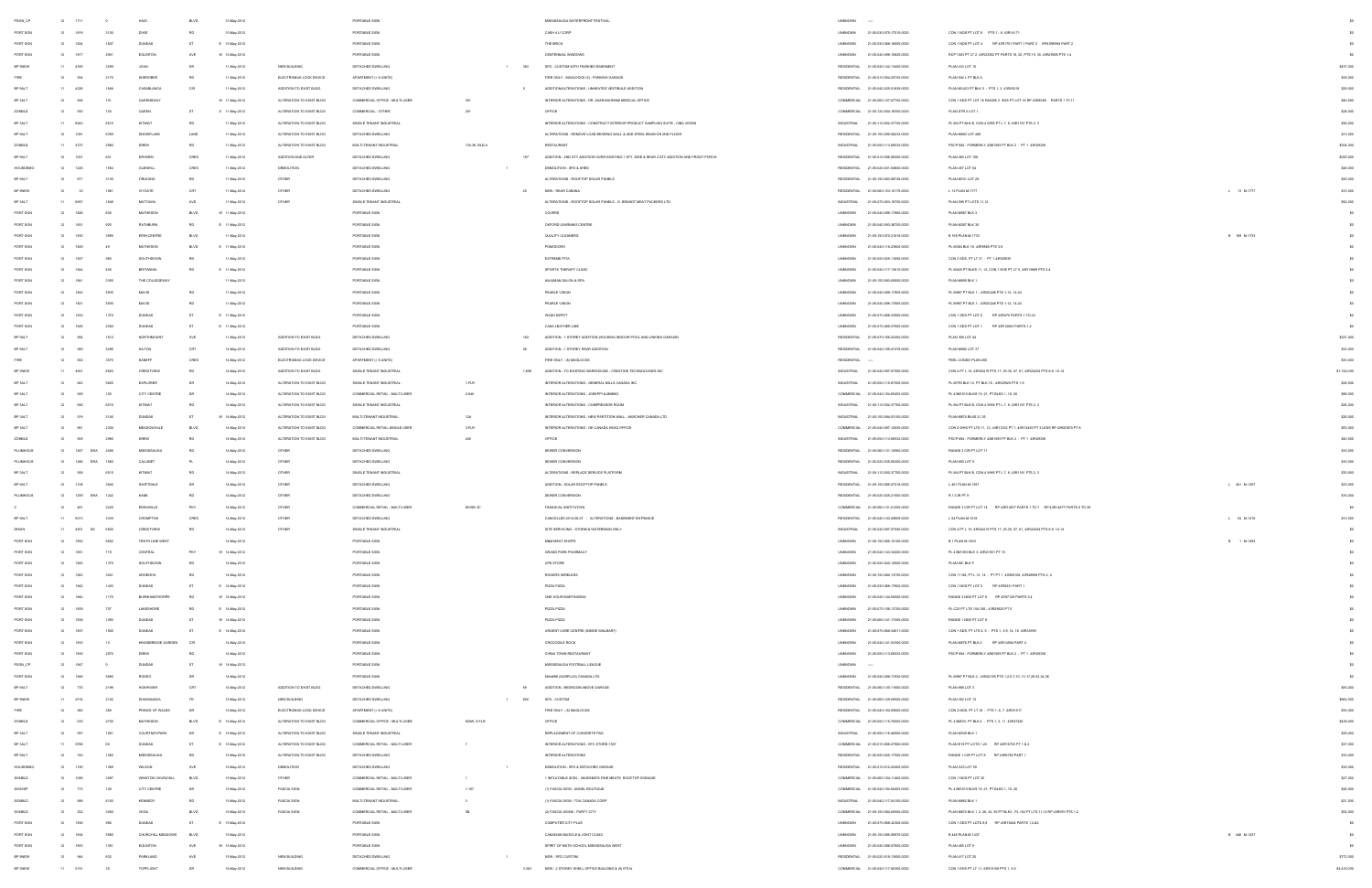| PSGN CP                  | 1711<br>12                 | $\circ$            | HAIG                                 | BLVD                    | 10-May-2012                    |                                                      | PORTABLE SIGN                                        |                |          | MISSISSAUGA WATERFRONT FESTIVAL                                                                                         | <b>UNKNOWN</b><br>--                                                                     |                                                                                                                        |                       |
|--------------------------|----------------------------|--------------------|--------------------------------------|-------------------------|--------------------------------|------------------------------------------------------|------------------------------------------------------|----------------|----------|-------------------------------------------------------------------------------------------------------------------------|------------------------------------------------------------------------------------------|------------------------------------------------------------------------------------------------------------------------|-----------------------|
| PORT SGN                 | 12<br>1819                 | 3100               | DIXIE                                |                         | 10-May-2012                    |                                                      | PORTABLE SIGN                                        |                |          | CASH 4 U CORP                                                                                                           | 21-05-030-075-17510-0000<br><b>UNKNOWN</b>                                               | CON 1 NDS PT LOT 6  PTS 1 - 8, 43R14171                                                                                |                       |
| PORT SGN                 | 12 1824                    | 1607               | <b>DUNDAS</b>                        | <b>ST</b>               | E 10-May-2012                  |                                                      | PORTABLE SIGN                                        |                |          | THE BRICK                                                                                                               | <b>UNKNOWN</b><br>21-05-030-068-16900-0000                                               | CON 1 NDS PT LOT 4 RP 43R1701 PART 1 PART 2 RP43R6994 PART 2                                                           |                       |
| PORT SGN                 | 12 1817                    | 2901               | <b>EGLINTON</b>                      | AVE                     | W 10-May-2012                  |                                                      | PORTABLE SIGN                                        |                |          | CENTENNIAL WINDOWS                                                                                                      | UNKNOWN 21-05-040-098-10825-0000                                                         | RCP 1003 PT LT 2, 43R23352 PT PARTS 18, 20, PTS 19, 30, 43R29505 PTS 1-4                                               |                       |
| BP 9NEW                  | 11 4355                    | 3299               | <b>JOAN</b>                          | <b>DR</b>               | 11-May-2012                    | NEW BUILDING                                         | DETACHED DWELLING                                    |                | $1$ 383  | SFD - CUSTOM WITH FINISHED BASEMENT                                                                                     | RESIDENTIAL 21-05-040-142-13400-0000                                                     | PLAN 433 LOT 15                                                                                                        | \$437.00              |
| FIRE<br>BP 9ALT          | 12<br>904<br>11 4226       | 2170<br>1648       | SHEROBEE<br>CASABLANCA               | <b>RD</b><br><b>CIR</b> | 11-May-2012<br>11-May-2012     | ELECTROMAG LOCK DEVICE<br>ADDITION TO EXIST BLDG     | APARTMENT (> 6 UNITS)<br>DETACHED DWELLING           |                | 5        | FIRE ONLY - MAGLOCKS (5) - PARKING GARAGE<br>ADDITION/ALTERATIONS - UNHEATED VESTIBULE ADDITION                         | RESIDENTIAL 21-05-010-054-25700-0000<br>RESIDENTIAL 21-05-040-225-01629-0000             | PLAN 942 L PT BLK A<br>PLAN M1423 PT BLK 5 - PTS 1.2 43R25218                                                          | \$25,00<br>\$29,00    |
| BP 3ALT                  | 12<br>906                  | 101                | QUEENSWAY                            |                         | W 11-May-2012                  | ALTERATION TO EXIST BLDG                             | COMMERCIAL OFFICE - MULTI-USER                       | 301            |          | INTERIOR ALTERATIONS - DR. AZAR BAHRAMI MEDICAL OFFICE                                                                  | COMMERCIAL 21-05-060-127-07700-0000                                                      | CON 1 SDS PT LOT 16 RANGE 2 SDS PT LOT 16 RP 43R8389 PARTS 1 T0 11                                                     | \$40,00               |
| ZONBLD                   | 12<br>930                  | 100                | QUEEM                                |                         | S 11-May-2012                  | ALTERATION TO EXIST BLDG                             | COMMERCIAL - OTHER                                   | 201            |          | OFFICE                                                                                                                  | COMMERCIAL 21-05-120-004-16300-0000                                                      | PLAN STR 2 LOT 1                                                                                                       | \$28,00               |
| BP 3ALT                  | 11 6843                    | 6515               | <b>KITIMA</b>                        | <b>RD</b>               | 11-May-2012                    | ALTERATION TO EXIST BLDG                             | SINGLE TENANT INDUSTRIAL                             |                |          | INTERIOR ALTERATIONS - CONSTRUCT INTERIOR PRODUCT SAMPLING SUITE - CIRA VISION                                          | INDUSTRIAL 21-05-110-002-37700-0000                                                      | PL M4 PT BLK B, CON 4 WHS PT L 7, 8, 43R1181 PTS 2, 3                                                                  | \$26,00               |
| BP 9ALT                  | 12 1081                    | 6359               | SNOWFLAKE                            | LANE                    | 11-May-2012                    | ALTERATION TO EXIST BLDG                             | DETACHED DWELLING                                    |                |          | ALTERATIONS - REMOVE LOAD BEARING WALL & ADD STEEL BEAM ON 2ND FLOOR.                                                   | RESIDENTIAL 21-05-150-090-56232-0000                                                     | PLAN M883 LOT 486                                                                                                      | \$13,00               |
| ZONBLD                   | 11 4727                    | 2980               | DREW                                 | <b>RD</b>               | 11-May-2012                    | ALTERATION TO EXIST BLDG                             | MULTI-TENANT INDUSTRIAL                              | 132-36, BLD-A  |          | RESTAURANT                                                                                                              | INDUSTRIAL 21-05-050-113-06532-0000                                                      | PSCP 884 - FORMERLY 43M1593 PT BLK 2 - PT 1 43R29338                                                                   | \$304,00              |
| BP 9AL<br>HOUSDEMO       | 12<br>1001<br>1225<br>12   | 601<br>1554        | <b>DRYMEN</b><br><b>GLENHILL</b>     | CRES<br>CRES            | 11-May-2012<br>11-May-2012     | ADDITION AND ALTER<br>DEMOLITION                     | DETACHED DWELLING<br>DETACHED DWELLING               |                | 187<br>1 | ADDITION - 2ND STY ADDITION OVER EXISTING 1 STY, SIDE & REAR 2 STY ADDITION AND FRONT PORCH.<br>DEMOLITION - SFD & SHED | RESIDENTIAL 21-05-010-006-06300-0000<br>RESIDENTIAL 21-05-020-031-04600-0000             | PLAN 460 LOT 108<br>PLAN 457 LOT 54                                                                                    | \$255,00<br>\$26,00   |
| BP 9ALT                  | 671<br>12                  | 3135               | ORLEANS                              | <b>RD</b>               | 11-May-2012                    | OTHER                                                | DETACHED DWELLING                                    |                |          | ALTERATIONS - ROOFTOP SOLAR PANELS                                                                                      | RESIDENTIAL 21-05-150-083-98726-0000                                                     | PLAN M741 LOT 28                                                                                                       | \$20,00               |
| BP 9NEW                  | 12<br>33                   | 1861               | <b>IVYGATE</b>                       | CRT                     | 11-May-2012                    | OTHER                                                | DETACHED DWELLING                                    |                | 20       | NEW - REAR CABANA                                                                                                       | RESIDENTIAL 21-05-060-153-10175-0000                                                     | L 13 PLAN M-1777<br>L 13 M-1777                                                                                        | \$15,00               |
| BP 3ALT                  | 6857<br>11                 | 1848               | MATTAWA                              | AVE                     | 11-May-2012                    | OTHER                                                | SINGLE TENANT INDUSTRIAL                             |                |          | ALTERATIONS - ROOFTOP SOLAR PANELS - G. BRANDT MEAT PACKERS LTD                                                         | INDUSTRIAL 21-05-070-053-19700-0000                                                      | PLAN 598 PT LOTS 11,12                                                                                                 | \$52,00               |
| PORT SGN                 | 12<br>1826                 | 600                | MATHESON                             | <b>BLVD</b>             | W 11-May-2012                  |                                                      | PORTABLE SIGN                                        |                |          | COVERS                                                                                                                  | <b>UNKNOWN</b><br>21-05-040-098-17860-0000                                               | PLAN M967 BLK 3                                                                                                        |                       |
| PORT SGN<br>PORT SGN     | 1831<br>12<br>12<br>1830   | 925<br>3955        | RATHBURN<br>ERIN CENTRE              | <b>RD</b><br>BLVD       | E 11-May-2012<br>11-May-2012   |                                                      | PORTABLE SIGN<br>PORTABLE SIGN                       |                |          | OXFORD LEARNING CENTRE<br>QUALITY CLEANERS                                                                              | 21-05-040-093-36700-0000<br><b>UNKNOWN</b><br>21-05-150-070-21818-0000<br><b>UNKNOWN</b> | PLAN M367 BLK 30<br>B 169 PLAN M-1733<br>B 169 M-1733                                                                  |                       |
| PORT SGN                 | 12<br>1829                 | 49                 | MATHESON                             | BLVD                    | E 11-May-2012                  |                                                      | PORTABLE SIGN                                        |                |          | POMODORO                                                                                                                | <b>UNKNOWN</b><br>21-05-040-116-23800-0000                                               | PL M364 BLK 18, 43R9565 PTS 3-9                                                                                        |                       |
| PORT SGN                 | 12 1827                    | 960                | SOUTHDOWN                            | <b>RD</b>               | 11-May-2012                    |                                                      | PORTABLE SIGN                                        |                |          | <b>EXTREME PITA</b>                                                                                                     | 21-05-020-025-11650-0000<br><b>UNKNOWN</b>                                               | CON 3 SDS, PT LT 31 - PT 1 43R25635                                                                                    |                       |
| PORT SGN                 | 12<br>1844                 | 405                | <b>BRITANNIA</b>                     | <b>RD</b>               | E 11-May-2012                  |                                                      | PORTABLE SIGN                                        |                |          | SPORTS THERAPY CLINIC                                                                                                   | 21-05-040-117-13810-0000<br><b>UNKNOWN</b>                                               | PL M425 PT BLKS 11, 12, CON 1 EHS PT LT 5, 43R13889 PTS 2-4                                                            |                       |
| PORT SGN                 | 12<br>1841                 | 3355               | THE COLLEGEWAY                       |                         | 11-May-2012                    |                                                      | PORTABLE SIGN                                        |                |          | ANJUMAN SALON & SPA                                                                                                     | <b>UNKNOWN</b><br>21-05-150-083-00900-0000                                               | PLAN M695 BLK 1                                                                                                        |                       |
| PORT SGN                 | 12 1822                    | 5935               | MAVIS                                | <b>RD</b>               | 11-May-2012                    |                                                      | PORTABLE SIGN                                        |                |          | PEARLE VISION                                                                                                           | 21-05-040-098-17805-0000<br><b>UNKNOWN</b>                                               | PL M967 PT BLK 1 - 43R20246 PTS 1-12, 14-24                                                                            |                       |
| PORT SGN<br>PORT SGN     | 12 1821<br>1832<br>12      | 5935<br>1370       | MAVIS<br>DUNDA                       | <b>RD</b>               | 11-May-2012<br>E 11-May-2012   |                                                      | PORTABLE SIGN<br>PORTABLE SIGN                       |                |          | PEARLE VISION<br>WASH DEPOT                                                                                             | 21-05-040-098-17805-0000<br><b>UNKNOWN</b><br>21-05-070-068-33900-0000<br><b>UNKNOWN</b> | PL M967 PT BLK 1 - 43R20246 PTS 1-12, 14-24<br>CON 1 SDS PT LOT 6 RP 43R570 PARTS 1 TO 22                              |                       |
| PORT SGN                 | 12 1825                    | 2050               | <b>DUNDAS</b>                        | <b>ST</b>               | E 11-May-2012                  |                                                      | PORTABLE SIGN                                        |                |          | CASA LEATHER LINE                                                                                                       | <b>UNKNOWN</b><br>21-05-070-068-37600-0000                                               | CON 1 SDS PT LOT 1 RP 43R12583 PARTS 1,2                                                                               |                       |
| BP 9ALT                  | 12 854                     | 1610               | <b>NORTHMOUNT</b>                    | AVE                     | 11-May-2012                    | ADDITION TO EXIST BLDG                               | DETACHED DWELLING                                    |                | 182      | ADDITION - 1 STOREY ADDITION (HOUSING INDOOR POOL AND LINKING GARAGE)                                                   | RESIDENTIAL 21-05-070-165-22200-0000                                                     | PLAN 308 LOT 44                                                                                                        | \$221,00              |
| BP 9ALT                  | 949<br>12                  | 5296               | <b>HILTON</b>                        | CRT                     | 14-May-2012                    | ADDITION TO EXIST BLDG                               | DETACHED DWELLING                                    |                | 26       | ADDITION - 1 STOREY REAR ADDITION                                                                                       | RESIDENTIAL 21-05-040-159-47478-0000                                                     | PLAN M892 LOT 37                                                                                                       | \$33,00               |
| FIRE                     | 12<br>902                  | 3575               | KANFFI                               | CRES                    | 14-May-2012                    | ELECTROMAG LOCK DEVICE                               | APARTMENT (> 6 UNITS)                                |                |          | FIRE ONLY - (6) MAGLOCKS                                                                                                | RESIDENTIAL                                                                              | PEEL CONDO PLAN 265                                                                                                    | \$30,00               |
| BP 3NEW<br>BP 3ALT       | 11 4901<br>843<br>12       | 6820<br>5825       | CREDITVIEW<br>EXPLORER               | <b>RD</b><br><b>DR</b>  | 14-May-2012<br>14-May-2012     | ADDITION TO EXIST BLDG<br>ALTERATION TO EXIST BLDG   | SINGLE TENANT INDUSTRIAL<br>SINGLE TENANT INDUSTRIAL | $1-FLR$        |          | 1.698 ADDITION - TO EXISTING WAREHOUSE - CREATION TECHNOLOGIES INC<br>INTERIOR ALTERATIONS - GENERAL MILLS CANADA INC   | INDUSTRIAL 21-05-040-097-07550-0000<br>INDUSTRIAL 21-05-050-115-67000-0000               | CON 4 PT L 10, 43R22415 PTS 17, 25-30, 57, 61, 43R22254 PTS 6-9, 12-14<br>PL M793 BLK 14, PT BLK 16 - 43R25928 PTS 1-9 | \$1,722,00<br>\$26,00 |
| BP 3ALT                  | 12<br>929                  | 100                | CITY CENTRI                          | DR                      | 14-May-2012                    | ALTERATION TO EXIST BLDG                             | COMMERCIAL RETAIL - MULTI-USER                       | $2 - 840$      |          | INTERIOR ALTERATIONS - JOSEPPI & MIMMO                                                                                  | COMMERCIAL 21-05-040-154-00453-0000                                                      | PL 43M1010 BLKS 19, 21, PT BLKS 1, 16, 20                                                                              | \$88,00               |
| BP 3ALT                  | 692<br>12                  | 6515               | KITIMAT                              | <b>RD</b>               | 14-May-2012                    | ALTERATION TO EXIST BLDG                             | SINGLE TENANT INDUSTRIAL                             |                |          | INTERIOR ALTERATIONS - COMPRESSOR ROOM                                                                                  | INDUSTRIAL 21-05-110-002-37700-0000                                                      | PL M4 PT BLK B, CON 4 WHS PT L 7, 8, 43R1181 PTS 2, 3                                                                  | \$26,00               |
| BP 3ALT                  | 12 519                     | 3145               | <b>DUNDAS</b>                        | <b>ST</b>               | W 14-May-2012                  | ALTERATION TO EXIST BLDG                             | MULTI-TENANT INDUSTRIAL                              | 12A            |          | INTERIOR ALTERATIONS - NEW PARTITION WALL - KARCHER CANADA LTD                                                          | INDUSTRIAL 21-05-150-084-03100-0000                                                      | PLAN M674 BLKS 21.35                                                                                                   | \$26,00               |
| BP 3ALT                  | 961<br>12                  | 2300               | MEADOWVALE                           | BLVD                    | 14-May-2012                    | ALTERATION TO EXIST BLDG                             | COMMERCIAL RETAIL-SINGLE USER                        | 3-FLR          |          | INTERIOR ALTERATIONS - GE CANADA HEAD OFFICE                                                                            | COMMERCIAL 21-05-040-097-12830-0000                                                      | CON 5 WHS PT LTS 11, 12, 43R13332 PT 1, 43R13436 PT 3 LESS RP 43R20870 PT 8                                            | \$53,00               |
| ZONBLD                   | 12<br>905                  | 2980               | DREW                                 | <b>RD</b>               | 14-May-2012                    | ALTERATION TO EXIST BLDG                             | MULTI-TENANT INDUSTRIAL                              | 240            |          | OFFICE                                                                                                                  | INDUSTRIAL 21-05-050-113-06532-0000                                                      | PSCP 884 - FORMERLY 43M1593 PT BLK 2 - PT 1 43R29338                                                                   | \$40,00               |
| PLUMHOUS<br>PLUMHOUS     | 12 1267 DRA<br>12 1266 DRA | 2406<br>1560       | MISSISSALIGA<br>CALUMET              | <b>RD</b><br>PL         | 14-May-2012<br>14-May-2012     | OTHER<br>OTHER                                       | DETACHED DWELLING<br>DETACHED DWELLING               |                |          | SEWER CONVERSION<br>SEWER CONVERSION                                                                                    | RESIDENTIAL 21-05-060-131-10900-0000<br>RESIDENTIAL 21-05-020-035-06300-0000             | RANGE 3 CIR PT LOT 11<br>PLAN 850 LOT 9                                                                                | \$16,00<br>\$16,00    |
| BP 3ALT                  | 12 928                     | 6515               | KITIMAT                              | <b>RD</b>               | 14-May-2012                    | OTHER                                                | SINGLE TENANT INDUSTRIAL                             |                |          | ALTERATIONS - REPLACE SERVICE PLATFORM                                                                                  | INDUSTRIAL 21-05-110-002-37700-0000                                                      | PL M4 PT BLK B, CON 4 WHS PT L 7, 8, 43R1181 PTS 2, 3                                                                  |                       |
| BP 9ALT                  | 1108<br>12                 | 3840               | SWIFTDALE                            | <b>DR</b>               | 14-May-2012                    | OTHER                                                | DETACHED DWELLING                                    |                |          | ADDITION - SOLAR ROOFTOP PANELS                                                                                         | RESIDENTIAL 21-05-150-085-07018-0000                                                     | L 401 PLAN M-1357<br>L 401 M-1357                                                                                      | \$23,00               |
| PLUMHOUS                 | 12<br>1259                 | DRA<br>1242        | KANE                                 | <b>RD</b>               | 14-May-2012                    | OTHER                                                | DETACHED DWELLING                                    |                |          | SEWER CONVERSION                                                                                                        | RESIDENTIAL 21-05-020-025-21500-0000                                                     | R <sub>1</sub> -CIRPT9                                                                                                 | \$16,00               |
|                          | 461<br>12                  | 2225               | ERIN MILLS                           |                         | 14-May-2012                    | OTHER                                                | COMMERCIAL RETAIL - MULTI-USER                       | KIOSK 3C       |          | FINANCIAL INSTITUTION                                                                                                   | COMMERCIAL 21-05-060-131-01200-0000                                                      | RANGE 3 CIR PT LOT 14 RP 43R14677 PARTS 1 TO 7 RP 43R14677 PARTS 8 TO 36                                               |                       |
| BP 9ALT                  | 5013                       | 3339               | CROMPTON                             | CRES                    | 14-May-2012                    | OTHER                                                | DETACHED DWELLING                                    |                |          | CANCELLED 2012-06-07 - ALTERATIONS - BASEMENT ENTRANCE                                                                  | RESIDENTIAL 21-05-040-143-28809-0000                                                     | L 54 PLAN M-1218<br>L 54 M-1218                                                                                        | \$13,00               |
| <b>DRAIN</b><br>PORT SGN | 4901<br>11<br>12<br>1852   | 6820<br>SS<br>5602 | CREDITVIEW<br><b>TENTH LINE WEST</b> | <b>RD</b>               | 14-May-2012<br>14-May-2012     | OTHER                                                | SINGLE TENANT INDUSTRIAL<br>PORTABLE SIGN            |                |          | SITE SERVICING - STORM & WATERMAIN ONLY<br>M&M MEAT SHOPS                                                               | INDUSTRIAL 21-05-040-097-07550-0000<br>21-05-150-085-10100-0000<br><b>UNKNOWN</b>        | CON 4 PT L 10, 43R22415 PTS 17, 25-30, 57, 61, 43R22254 PTS 6-9, 12-14<br>B 1 PLAN M-1493<br>B 1 M-1493                |                       |
| PORT SGN                 | 12<br>1851                 | 719                | CENTRAL                              | PKY                     | W 14-May-2012                  |                                                      | PORTABLE SIGN                                        |                |          | <b>GRAND PARK PHARMACY</b>                                                                                              | 21-05-040-143-32400-0000<br><b>UNKNOWN</b>                                               | PL 43M1393 BLK 3, 43R21901 PT 15                                                                                       |                       |
| PORT SGN                 | 1845<br>12                 | 1375               | SOUTHDOW                             | <b>RD</b>               | 14-May-2012                    |                                                      | PORTABLE SIGN                                        |                |          | UPS STORE                                                                                                               | <b>UNKNOWN</b><br>21-05-020-040-12600-0000                                               | PLAN 681 BLK F                                                                                                         |                       |
| PORT SGN                 | 12<br>1843                 | 3041               | ARGENTIA                             |                         | 14-May-2012                    |                                                      | PORTABLE SIGN                                        |                |          | <b>ROGERS WIRELESS</b>                                                                                                  | 21-05-150-080-13700-0000<br><b>UNKNOWN</b>                                               | CON 11 NS, PT L 13, 14 - PT PT 1 43R28108, 43R28958 PTS 2, 4                                                           |                       |
| PORT SGN                 | 12<br>1842                 | 1403               | <b>DUNDAS</b>                        | <b>ST</b>               | E 14-May-2012                  |                                                      | PORTABLE SIGN                                        |                |          | PIZZA PIZZA                                                                                                             | 21-05-030-068-17800-0000<br><b>UNKNOWN</b>                                               | CON 1 NDS PT LOT 5 RP 43R9331 PART 1                                                                                   |                       |
| PORT SGN<br>PORT SGN     | 12<br>1840<br>1839<br>12   | 1170<br>707        | BURNHAMTHORP<br>LAKESHORE            | <b>RD</b><br><b>RD</b>  | W 14-May-2012<br>E 14-May-2012 |                                                      | PORTABLE SIGN<br>PORTABLE SIGN                       |                |          | ONE HOUR MARTINIZING<br>PIZZA PIZZA                                                                                     | <b>UNKNOWN</b><br>21-05-040-144-09000-0000<br><b>UNKNOWN</b><br>21-05-070-156-13700-0000 | RANGE 3 NDS PT LOT 8 RP 43R7128 PARTS 3,4<br>PL C23 PT LTS 104-106 - 43R29625 PT 5                                     |                       |
| PORT SGN                 | 12 1838                    | 1093               | <b>DUNDAS</b>                        | <b>ST</b>               | W 14-May-2012                  |                                                      | PORTABLE SIGN                                        |                |          | PIZZA PIZZA                                                                                                             | <b>UNKNOWN</b><br>21-05-060-141-17000-0000                                               | RANGE 1 NDS PT LOT 8                                                                                                   |                       |
| PORT SGN                 | 1837<br>12                 | 1500               | DUNDAS                               |                         | E 14-May-2012                  |                                                      | PORTABLE SIGN                                        |                |          | URGENT CARE CENTRE (INSIDE WALMART)                                                                                     | 21-05-070-068-34611-0000<br><b>UNKNOWN</b>                                               | CON 1 SDS, PT LTS 4, 5 - PTS 1, 3-9, 14, 16 43R33993                                                                   |                       |
| PORT SGN                 | 1833<br>12                 | 10                 | KINGSBRIDGE GARDEN                   | CIR                     | 14-May-2012                    |                                                      | PORTABLE SIGN                                        |                |          | CROCODILE ROCK                                                                                                          | <b>UNKNOWN</b><br>21-05-040-141-03300-0000                                               | PLAN M576 PT BLK 2 RP 43R14594 PART 4                                                                                  |                       |
| PORT SGN                 | 12<br>1835                 | 2970               | DREW                                 | <b>RD</b>               | 14-May-2012                    |                                                      | PORTABLE SIGN                                        |                |          | CHINA TOWN RESTAURANT                                                                                                   | <b>UNKNOWN</b><br>21-05-050-113-06532-0000                                               | PSCP 884 - FORMERLY 43M1593 PT BLK 2 - PT 1 43R29338                                                                   |                       |
| PSGN_CP<br>PORT SGN      | 1847<br>12<br>12<br>1846   | 5885               | DUNDAS<br>RODEO                      | DR                      | W 14-May-2012                  |                                                      | PORTABLE SIGN                                        |                |          | MISSISSAUGA FOOTBALL LEAGUE<br>6844896 (SURPLUS) CANADA LTD.                                                            | <b>UNKNOWN</b><br>-<br><b>UNKNOWN</b><br>21-05-040-098-17830-0000                        | PL M967 PT BLK 2 - 43R20150 PTS 1,2,5-7,10, 13-17,29-32,34-36                                                          |                       |
| BP 9ALT                  | 12 733                     | 2198               | HIGHRIVER                            | CRT                     | 14-May-2012<br>14-May-2012     | ADDITION TO EXIST BLDG                               | PORTABLE SIGN<br>DETACHED DWELLING                   |                | 69       | ADDITION - BEDROOM ABOVE GARAGE                                                                                         | RESIDENTIAL 21-05-060-130-11600-0000                                                     | PLAN 868 LOT 3                                                                                                         | \$83,00               |
| BP 9NEW                  | 11 6174                    | 2102               | SHAWANAGA                            | TR.                     | 15-May-2012                    | <b>NEW BUILDING</b>                                  | DETACHED DWELLING                                    |                | 1 600    | SFD - CUSTOM                                                                                                            | RESIDENTIAL 21-05-060-129-09500-0000                                                     | PLAN 352 LOT 13                                                                                                        | \$862.00              |
| FIRE                     | 945<br>12                  | 365                | PRINCE OF WALES                      | <b>DR</b>               | 15-May-2012                    | ELECTROMAG LOCK DEVICE                               | APARTMENT (> 6 UNITS)                                |                |          | FIRE ONLY - (5) MAGLOCKS                                                                                                | RESIDENTIAL 21-05-040-154-00600-0000                                                     | CON 2 NDS, PT LT 18 - PTS 1, 6, 7 43R31917                                                                             | \$30,00               |
| ZONBLD                   | 616<br>12                  | 2700               | MATHESON                             | BLVD                    | E 15-May-2012                  | ALTERATION TO EXIST BLDG                             | COMMERCIAL OFFICE - MULTI-USER                       | 600W, 5-FLR    |          | OFFICE                                                                                                                  | COMMERCIAL 21-05-050-115-78000-0000                                                      | PL 43M533, PT BLK 4 - PTS 1, 2, 11 43R27430                                                                            | \$439,00              |
| BP 3ALT                  | 957<br>12                  | 1801               | <b>COURTNEYPARK</b>                  | <b>DR</b>               | E 15-May-2012                  | ALTERATION TO EXIST BLDG                             | SINGLE TENANT INDUSTRIAL                             |                |          | REPLACEMENT OF CONCRETE PAD                                                                                             | INDUSTRIAL 21-05-050-116-48500-0000                                                      | PLAN M339 BLK 1                                                                                                        | \$39,00               |
| BP 3ALT<br>BP 9ALT       | 6768<br>11<br>742<br>12    | 60<br>1262         | DUNDAS<br><b>MISSISSAUG</b>          |                         | E 15-May-2012<br>15-May-2012   | ALTERATION TO EXIST BLDG<br>ALTERATION TO EXIST BLDG | COMMERCIAL RETAIL - MULTI-USER<br>DETACHED DWELLING  |                |          | INTERIOR ALTERATIONS - KFC STORE-1367<br>INTERIOR ALTERATIONS                                                           | COMMERCIAL 21-05-010-068-27600-0000<br>RESIDENTIAL 21-05-020-025-17500-0000              | PLAN E19 PT LOTS 1,20 RP 43R16703 PT 1 & 2<br>RANGE 1 CIR PT LOT 8 RP 43R6762 PART 1                                   | \$37,00<br>\$16,00    |
| HOUSDEMO                 | 1180<br>12                 | 1369               | WILSON                               | AVE                     | 15-May-2012                    | DEMOLITION                                           | DETACHED DWELLING                                    |                | 1        | DEMOLITION - SFD & DETACHED GARAGE                                                                                      | RESIDENTIAL 21-05-010-012-20400-0000                                                     | PLAN C25 LOT 59                                                                                                        | \$30,00               |
| SGNBLD                   | 12<br>1088                 | 3087               | <b>WINSTON CHURCHILL</b>             | <b>BLVD</b>             | 15-May-2012                    | OTHER                                                | COMMERCIAL RETAIL - MULTI-USER                       | $\overline{1}$ |          | 1 INFLATABLE SIGN - MASSIMO'S FINE MEATS ROOFTOP SIGNAGE                                                                | COMMERCIAL 21-05-060-154-11400-0000                                                      | CON 1 NDS PT LOT 35                                                                                                    | \$27,00               |
| <b>SIGN BP</b>           | 12<br>773                  | 100                | CITY CENTRI                          | <b>DR</b>               | 15-May-2012                    | <b>FASCIA SIGN</b>                                   | COMMERCIAL RETAIL - MULTI-USER                       | $1 - 107$      |          | (1) FASCIA SIGN - ANGEL BOUTIQUE                                                                                        | COMMERCIAL 21-05-040-154-00453-0000                                                      | PL 43M1010 BLKS 19, 21, PT BLKS 1, 16, 20                                                                              | \$26,00               |
| SGNBLD                   | 989<br>12                  | 6150               | <b>KENNEDY</b>                       |                         | 15-May-2012                    | <b>FASCIA SIGN</b>                                   | MULTI-TENANT INDUSTRIAL                              | 3              |          | (1) FASCIA SIGN - TOA CANADA CORP                                                                                       | INDUSTRIAL 21-05-040-117-04100-0000                                                      | PLAN M862 BLK 1                                                                                                        | \$21,00               |
| SGNBLD                   | 12<br>302                  | 3050               | <b>VEGA</b>                          | BLVD                    | 15-May-2012                    | <b>FASCIA SIGN</b>                                   | COMMERCIAL RETAIL - MULTI-USER                       | <b>5B</b>      |          | (2) FASCIA SIGNS - PARTY CITY                                                                                           | COMMERCIAL 21-05-150-084-00500-0000                                                      | PLAN M674 BLK 1, 2, 28, 32, 36 PT BLK3, PL 154 PT LTS 11,12 RP 43R970 PTS 1,2                                          | \$52,00               |
| PORT SGN<br>PORT SGN     | 12<br>1836<br>1834<br>12   | 966<br>5980        | <b>DUNDAS</b><br>CHURCHILL MEADOWS   | <b>ST</b><br>BLVD       | E 15-May-2012<br>15-May-2012   |                                                      | PORTABLE SIGN<br>PORTABLE SIGN                       |                |          | COMPUTER CITY PLUS<br>CANADIAN MUSCLE & JOINT CLINIC                                                                    | 21-05-070-068-32300-0000<br><b>UNKNOWN</b><br>21-05-150-085-08870-0000<br><b>UNKNOWN</b> | CON 1 SDS PT LOTS 8,9 RP 43R15482 PARTS 1,2,83<br>B 446 PLAN M-1437<br>B 446 M-1437                                    |                       |
| PORT SGN                 | 1853<br>12                 | 1051               | <b>EGLINTON</b>                      | AVE                     | W 15-May-2012                  |                                                      | PORTABLE SIGN                                        |                |          | SPIRIT OF MATH SCHOOL MISSISSAUGA WEST                                                                                  | <b>UNKNOWN</b><br>21-05-040-098-07600-0000                                               | PLAN 465 LOT 9                                                                                                         |                       |
| BP 9NEW                  | 12<br>944                  | 832                | PARKLAND                             | AVE                     | 15-May-2012                    | <b>NEW BUILDING</b>                                  | DETACHED DWELLING                                    |                | 1        | NEW - SFD CUSTOM                                                                                                        | RESIDENTIAL 21-05-020-019-13600-0000                                                     | PLAN 417 LOT 25                                                                                                        | \$772,00              |
| BP 3NEW                  |                            | 30                 | TOPFLIGHT                            | <b>DR</b>               | 16-May-2012                    | NEW BUILDING                                         | COMMERCIAL OFFICE - MULTI-USER                       |                |          | 3,363 NEW - 2 STOREY SHELL OFFICE BUILDING & (9) RTU's                                                                  | COMMERCIAL 21-05-040-117-08300-0000                                                      | CON 1 EHS PT LT 11, 43R19159 PTS 1, 3-9                                                                                | \$4,416,00            |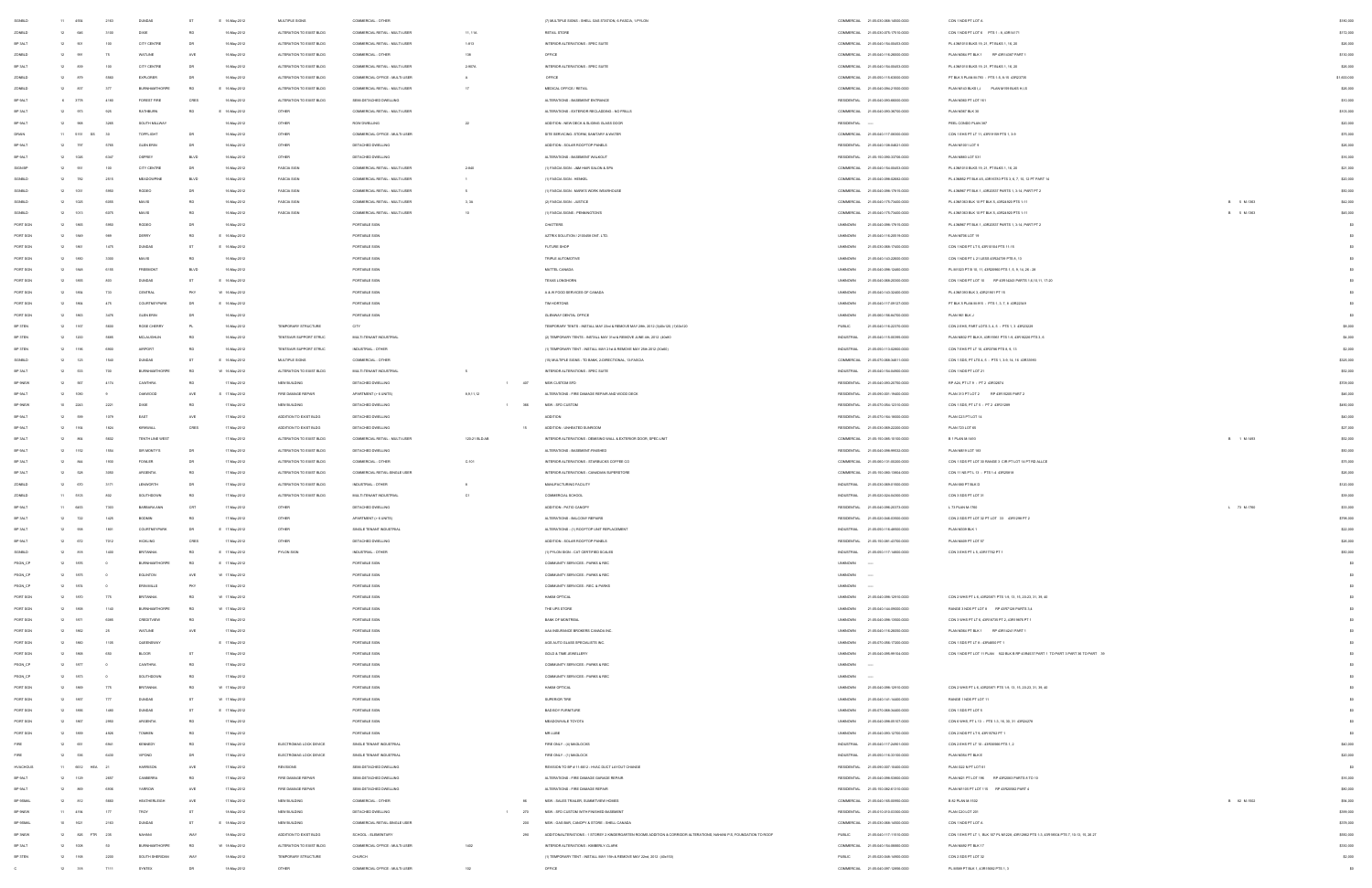| SGNBLD              | 4554              | 2163 | <b>DUNDAS</b>        | <b>ST</b>  | E 16-May-2012 | MULTIPLE SIGNS           | COMMERCIAL - OTHER                       |                 | (7) MULTIPLE SIGNS - SHELL GAS STATION, 6-FASCIA, 1-PYLON                                                           | COMMERCIAL 21-05-030-068-14500-0000        | CON 1 NDS PT LOT A                                                                      | \$180,000   |
|---------------------|-------------------|------|----------------------|------------|---------------|--------------------------|------------------------------------------|-----------------|---------------------------------------------------------------------------------------------------------------------|--------------------------------------------|-----------------------------------------------------------------------------------------|-------------|
| ZONBLD              |                   | 3100 | DIXIE                |            | 16-May-2012   | ALTERATION TO EXIST BLDG | COMMERCIAL RETAIL - MULTI-USER           | 11, 11A         | RETAIL STORE                                                                                                        | COMMERCIAL 21-05-030-075-17510-0000        | CON 1 NDS PT LOT 6 PTS 1 - 8, 43R14171                                                  | \$172,000   |
| BP 3ALT             |                   |      | CITY CENTRI          | <b>DR</b>  | 16-May-2012   | ALTERATION TO EXIST BLDG | COMMERCIAL RETAIL - MULTI-USER           | $1 - 813$       | INTERIOR ALTERATIONS - SPEC SUITE                                                                                   | COMMERCIAL 21-05-040-154-00453-0000        | PL 43M1010 BLKS 19, 21, PT BLKS 1, 16, 20                                               | \$26,000    |
| ZONBLD              |                   |      | WATLINE              | AVE        | 16-May-2012   | ALTERATION TO EXIST BLDG | COMMERCIAL - OTHER                       | 138             | OFFICE                                                                                                              | COMMERCIAL 21-05-040-116-26000-0000        | PLAN M364 PT BLK 1 RP 43R14387 PART 1                                                   | \$130,000   |
|                     |                   |      |                      |            |               |                          |                                          |                 |                                                                                                                     |                                            |                                                                                         |             |
| BP 3ALT             | 839               | 100  | CITY CENTRE          | <b>DR</b>  | 16-May-2012   | ALTERATION TO EXIST BLDG | COMMERCIAL RETAIL - MULTI-USER           | 2-907A          | INTERIOR ALTERATIONS - SPEC SUITE                                                                                   | COMMERCIAL 21-05-040-154-00453-0000        | PL 43M1010 BLKS 19, 21, PT BLKS 1, 16, 20                                               | \$26,000    |
| ZONBLD              | 879               | 5560 | EXPLORER             | <b>DR</b>  | 16-May-2012   | ALTERATION TO EXIST BLDG | COMMERCIAL OFFICE - MULTI-USER           |                 | OFFICE                                                                                                              | COMMERCIAL 21-05-050-115-63000-0000        | PT BLK 5 PLAN M-793 - PTS 1-5, 8-15 43R23735                                            | \$1,600,000 |
| ZONBLD              | 837               | 377  | <b>BURNHAMTHORPE</b> | <b>RD</b>  | E 16-May-2012 | ALTERATION TO EXIST BLDG | COMMERCIAL RETAIL - MULTI-USER           | 17              | MEDICAL OFFICE / RETAIL                                                                                             | COMMERCIAL 21-05-040-094-21500-0000        | PLAN M143 BLKS I,J PLAN M159 BLKS H,I,S                                                 | \$26,000    |
| BP 9ALT             | 6 3778            | 4180 | <b>FOREST FIRE</b>   | CRES       | 16-May-2012   | ALTERATION TO EXIST BLDG | SEMI-DETACHED DWELLING                   |                 | ALTERATIONS - BASEMENT ENTRANCE                                                                                     | RESIDENTIAL 21-05-040-093-66000-0000       | PLAN M360 PT LOT 161                                                                    | \$10,000    |
| BP 3ALT             | 973               | 925  | RATHBURN             | <b>RD</b>  | E 16-May-2012 | OTHER                    | COMMERCIAL RETAIL - MULTI-USER           |                 | ALTERATIONS - EXTERIOR RECLADDING - NO FRILLS                                                                       | COMMERCIAL 21-05-040-093-36700-0000        | PLAN M367 BLK 30                                                                        | \$103,000   |
| BP 9AL              | 968               | 3265 | SOUTH MILLWA         |            | 16-May-2012   | OTHER                    | ROW DWELLING                             |                 | ADDITION - NEW DECK & SLIDING GLASS DOOR                                                                            | RESIDENTIAL -----                          | PEEL CONDO PLAN 387                                                                     | \$20,000    |
| DRAIN               | 11 5151           |      | <b>TOPFLIGHT</b>     | <b>DR</b>  | 16-May-2012   | OTHER                    | COMMERCIAL OFFICE - MULTI-USER           |                 | SITE SERVICING- STORM, SANITARY & WATER                                                                             | COMMERCIAL 21-05-040-117-08300-0000        | CON 1 EHS PT LT 11, 43R19159 PTS 1, 3-9                                                 | \$75,000    |
| BP 9ALT             | 797               | 5765 | <b>GLEN ERIN</b>     | <b>DR</b>  | 16-May-2012   | OTHER                    | DETACHED DWELLING                        |                 | ADDITION - SOLAR ROOFTOP PANELS                                                                                     | RESIDENTIAL 21-05-040-108-04621-0000       | PLAN M1001 LOT 9                                                                        | \$26,000    |
|                     | 1026              | 6347 | OSPREY               |            |               |                          |                                          |                 |                                                                                                                     |                                            |                                                                                         |             |
| BP 9ALT             |                   |      |                      | BLVD       | 16-May-2012   | OTHER                    | DETACHED DWELLING                        |                 | ALTERATIONS - BASEMENT WALKOUT                                                                                      | RESIDENTIAL 21-05-150-090-33706-0000       | PLAN M883 LOT 531                                                                       | \$16,000    |
| SIGN BF             |                   | 100  | CITY CENTRE          | DR         | 16-May-2012   | <b>FASCIA SIGN</b>       | COMMERCIAL RETAIL - MULTI-USER           | $2 - 840$       | (1) FASCIA SIGN - J&M HAIR SALON & SPA                                                                              | COMMERCIAL 21-05-040-154-00453-0000        | PL 43M1010 BLKS 19, 21, PT BLKS 1, 16, 20                                               | \$21,000    |
| SGNBLD              | 782               | 2515 | <b>MEADOWPINE</b>    | BLVD       | 16-May-2012   | <b>FASCIA SIGN</b>       | COMMERCIAL RETAIL - MULTI-USER           | $-1$            | (1) FASCIA SIGN - HENKEL                                                                                            | COMMERCIAL 21-05-040-098-02682-0000        | PL 43M852 PT BLK 45, 43R16783 PTS 3, 6, 7, 10, 12 PT PART 14                            | \$20,000    |
| SGNBLD              | 1031              | 6950 | RODEO                | <b>DR</b>  | 16-May-2012   | <b>FASCIA SIGN</b>       | COMMERCIAL RETAIL - MULTI-USER           | 6 <sup>5</sup>  | (1) FASCIA SIGN - MARK'S WORK WEARHOUSE                                                                             | COMMERCIAL 21-05-040-098-17815-0000        | PL 43M967 PT BLK 1, 43R20537 PARTS 1, 3-14, PART PT 2                                   | \$50,000    |
| SGNBLD              | 1025              | 6055 |                      |            | 16-May-2012   | <b>FASCIA SIGN</b>       | COMMERCIAL RETAIL - MULTI-USER           | 3, 3A           | (2) FASCIA SIGN - JUSTICE                                                                                           | COMMERCIAL 21-05-040-175-73400-0000        | PL 43M1363 BLK 10 PT BLK 5, 43R24920 PTS 1-11<br>B 5 M-1363                             | \$42,000    |
| SGNBLD              | 1013              | 6075 | MAVIS                | <b>RD</b>  | 16-May-2012   | <b>FASCIA SIGN</b>       | COMMERCIAL RETAIL - MULTI-USER           | 10 <sup>1</sup> | (1) FASCIA SIGNS - PENNINGTON'S                                                                                     | COMMERCIAL 21-05-040-175-73400-0000        | PL 43M1363 BLK 10 PT BLK 5, 43R24920 PTS 1-11<br>B 5 M-1363                             | \$45,000    |
| PORT SGN            | 1865              | 6950 | RODEO                | <b>DR</b>  | 16-May-2012   |                          | PORTABLE SIGN                            |                 | CHATTERS                                                                                                            | UNKNOWN 21-05-040-098-17815-0000           | PL 43M967 PT BLK 1, 43R20537 PARTS 1, 3-14, PART PT 2                                   |             |
| PORT SGN            | 1849              |      | <b>DERR</b>          | <b>RD</b>  | E 16-May-2012 |                          | PORTABLE SIGN                            |                 | AZTRIX SOLUTION / 2100458 ONT. LTD.                                                                                 | 21-05-040-116-20519-0000<br><b>UNKNOWN</b> | PLAN M706 LOT 19                                                                        |             |
| PORT SGN            |                   | 1475 |                      |            | E 16-May-2012 |                          | PORTABLE SIGN                            |                 | FUTURE SHOP                                                                                                         | 21-05-030-068-17400-0000<br><b>UNKNOWN</b> | CON 1 NDS PT LT 5, 43R10104 PTS 11-15                                                   |             |
|                     |                   |      |                      |            |               |                          |                                          |                 |                                                                                                                     |                                            |                                                                                         |             |
| PORT SGN            | 1850              | 3300 | MAVIS                | <b>RD</b>  | 16-May-2012   |                          | PORTABLE SIGN                            |                 | TRIPLE AUTOMOTIVE                                                                                                   | <b>UNKNOWN</b><br>21-05-040-143-22600-0000 | CON 1 NDS PT L 21 LESS 43R24739 PTS 8, 13                                               |             |
| PORT SGN            | 1848              | 6155 | <b>FREEMON</b>       | BLVD       | 16-May-2012   |                          | PORTABLE SIGN                            |                 | MATTEL CANADA                                                                                                       | 21-05-040-098-12460-0000<br><b>UNKNOWN</b> | PL M1023 PT B 10, 11, 43R20960 PTS 1, 5, 9, 14, 26 - 28                                 |             |
| PORT SGN            | 1855              |      | DUNDAS               |            | E 16-May-2012 |                          | PORTABLE SIGN                            |                 | <b>TEXAS LONGHORN</b>                                                                                               | 21-05-040-068-20300-0000<br><b>UNKNOWN</b> | CON 1 NDS PT LOT 10 RP 43R14243 PARTS 1,6,10,11, 17-20                                  |             |
| PORT SGN            | 1854              | 733  | CENTRA               | <b>PKY</b> | W 16-May-2012 |                          | PORTABLE SIGN                            |                 | A & W FOOD SERVICES OF CANADA                                                                                       | <b>UNKNOWN</b><br>21-05-040-143-32400-0000 | PL 43M1393 BLK 3, 43R21901 PT 15                                                        |             |
| PORT SGN            | 1864              | 475  | COURTNEYPARK         | <b>DR</b>  | E 16-May-2012 |                          | PORTABLE SIGN                            |                 | TIM HORTONS                                                                                                         | 21-05-040-117-09127-0000<br><b>UNKNOWN</b> | PT BLK 5 PLAN M-915 - PTS 1, 3, 7, 8 43R22349                                           |             |
| PORT SGN            | 1863              | 3476 | <b>GLEN ERIN</b>     | <b>DR</b>  | 16-May-2012   |                          | PORTABLE SIGN                            |                 | GLENWAY DENTAL OFFICE                                                                                               | 21-05-060-156-84700-0000<br><b>UNKNOWN</b> | PLAN 961 BLK J                                                                          |             |
| BP 3TEN             | 1167              | 5600 | <b>ROSE CHERR</b>    | PL         | 16-May-2012   | TEMPORARY STRUCTURE      | CITY                                     |                 | TEMPORARY TENTS - INSTALL MAY 23rd & REMOVE MAY 28th, 2012 (3)40x120, (1)60x120                                     | PUBLIC<br>21-05-040-116-22370-0000         | CON 2 EHS, PART LOTS 3, 4, 5 - PTS 1, 3 43R23229                                        |             |
| BP 3TEN             | 1200              | 5685 | MCLAUGHLIN           | <b>RD</b>  | 16-May-2012   | TENTS/AIR SUPPORT STRUC  | MULTI-TENANT INDUSTRIAL                  |                 | (2) TEMPORARY TENTS - INSTALL MAY 31st & REMOVE JUNE 4th, 2012 (40x80)                                              | INDUSTRIAL 21-05-040-115-00395-0000        | PLAN M832 PT BLK 8, 43R15961 PTS 1-9, 43R16226 PTS 3, 6                                 | \$4,000     |
|                     | 1196              | 6900 | AIRPORT              | <b>RD</b>  |               | TENTS/AIR SUPPORT STRUC  | INDUSTRIAL - OTHER                       |                 | (1) TEMPORARY TENT - INSTALL MAY 21st & REMOVE MAY 25th 2012 (30x60)                                                | INDUSTRIAL 21-05-050-113-02800-0000        | CON 7 EHS PT LT 10, 43R3786 PTS 8, 9, 13                                                | \$2,000     |
| BP 3TEN             |                   |      |                      |            | 16-May-2012   |                          |                                          |                 |                                                                                                                     |                                            |                                                                                         |             |
| SGNBLD              | 123               | 1540 | <b>DUNDAS</b>        | ST         | E 16-May-2012 | MULTIPLE SIGNS           | COMMERCIAL - OTHER                       |                 | (15) MULTIPLE SIGNS - TD BANK, 2-DIRECTIONAL, 13-FASCIA                                                             | COMMERCIAL 21-05-070-068-34611-0000        | CON 1 SDS, PT LTS 4, 5 - PTS 1, 3-9, 14, 16 43R33993                                    | \$325,000   |
| BP 3ALT             | 533               | 700  | <b>BURNHAMTHORPE</b> | <b>RD</b>  | W 16-May-2012 | ALTERATION TO EXIST BLDG | MULTI-TENANT INDUSTRIAL                  |                 | INTERIOR ALTERATIONS - SPEC SUITE                                                                                   | INDUSTRIAL 21-05-040-154-04900-0000        | CON 1 NDS PT LOT 21                                                                     | \$52,000    |
| BP 9NEW             | 567               | 4174 | CAWTHRA              | <b>RD</b>  | 17-May-2012   | NEW BUILDING             | DETACHED DWELLING                        | 1 407           | NEW CUSTOM SFD                                                                                                      | RESIDENTIAL 21-05-040-093-20750-0000       | RP A24, PT LT 9 - PT 2 43R32674                                                         | \$709,000   |
| BP 9ALT             | 1090              |      | OAKWOOD              | AVE        | S 17-May-2012 | FIRE DAMAGE REPAIR       | APARTMENT (> 6 UNITS)                    | 8,9,11,12       | ALTERATIONS - FIRE DAMAGE REPAIR AND WOOD DECK                                                                      | RESIDENTIAL 21-05-090-001-19400-0000       | PLAN 313 PT LOT 2 RP 43R15205 PART 2                                                    | \$46,000    |
| BP 9NEW             | 2243              | 2221 |                      |            | 17-May-2012   | NEW BUILDING             | DETACHED DWELLING                        | 366             | NEW - SFD CUSTOM                                                                                                    | RESIDENTIAL 21-05-070-054-12310-0000       | CON 1 SDS, PT LT 5 - PT 2 43R31289                                                      | \$490,000   |
| BP 9ALT             | 599               | 1079 | <b>FAST</b>          | AVE        | 17-May-2012   | ADDITION TO EXIST BLDG   | DETACHED DWELLING                        |                 | ADDITION                                                                                                            | RESIDENTIAL 21-05-070-164-18000-0000       | PLAN C23 PT LOT 14                                                                      | \$40,000    |
|                     | 1164              |      | KIRKWALL             |            |               |                          | DETACHED DWELLING                        |                 |                                                                                                                     | RESIDENTIAL 21-05-030-069-22200-0000       |                                                                                         |             |
| BP 9ALT             |                   | 1824 |                      | CRES       | 17-May-2012   | ADDITION TO EXIST BLDG   |                                          | 15              | ADDITION - UNHEATED SUNROOM                                                                                         |                                            | PLAN 723 LOT 65                                                                         |             |
|                     |                   |      |                      |            |               |                          |                                          |                 |                                                                                                                     |                                            |                                                                                         | \$27,000    |
| BP 3ALT             | 864               | 5602 | TENTH LINE WEST      |            | 17-May-2012   | ALTERATION TO EXIST BLDG | COMMERCIAL RETAIL - MULTI-USER           | 120-21 BLD-AB   | INTERIOR ALTERATIONS - DEMISING WALL & EXTERIOR DOOR, SPEC-UNIT                                                     | COMMERCIAL 21-05-150-085-10100-0000        | B 1 PLAN M-1493<br>B 1 M-1493                                                           | \$52,000    |
| BP 9ALT             | 1152              | 1554 | SIR MONTY'S          | <b>DR</b>  | 17-May-2012   | ALTERATION TO EXIST BLDG | DETACHED DWELLING                        |                 | ALTERATIONS - BASEMENT-FINISHED                                                                                     | RESIDENTIAL 21-05-040-098-99532-0000       | PLAN M619 LOT 183                                                                       | \$50,000    |
| BP 3ALT             | 844               | 1930 | FOWLER               | <b>DR</b>  | 17-May-2012   | ALTERATION TO EXIST BLDG | COMMERCIAL - OTHER                       | $C-101$         | INTERIOR ALTERATIONS - STARBUCKS COFFEE CO.                                                                         | COMMERCIAL 21-05-060-131-00200-0000        | CON 1 SDS PT LOT 30 RANGE 3 CIR PT LOT 14 PT RD ALLCE                                   | \$75,000    |
| BP 3ALT             | 528               | 3050 | ARGENTIA             | <b>RD</b>  | 17-May-2012   | ALTERATION TO EXIST BLDG | COMMERCIAL RETAIL-SINGLE USER            |                 | INTERIOR ALTERATIONS - CANADIAN SUPERSTORE                                                                          | COMMERCIAL 21-05-150-080-13804-0000        | CON 11 NS PT L 13 - PTS 1-4 43R25818                                                    | \$26,000    |
| ZONBLD              | 670               | 3171 | LENWORT              | <b>DR</b>  | 17-May-2012   | ALTERATION TO EXIST BLDG | INDUSTRIAL - OTHER                       |                 | MANUFACTURING FACILITY                                                                                              | INDUSTRIAL 21-05-030-069-01500-0000        | PLAN 680 PT BLK D                                                                       | \$120,000   |
| ZONBLD              | 5103              |      | SOUTHDOWN            | <b>RD</b>  | 17-May-2012   | ALTERATION TO EXIST BLDG | MULTI-TENANT INDUSTRIA                   | C1              | COMMERCIAL SCHOOL                                                                                                   | INDUSTRIAL 21-05-020-024-04300-0000        | CON 3 SDS PT LOT 31                                                                     | \$39,000    |
| BP 9ALT             | 11 6453           | 7303 | BARBARA ANN          | CRT        | 17-May-2012   | OTHER                    | DETACHED DWELLING                        |                 | ADDITION - PATIO CANOPY                                                                                             | RESIDENTIAL 21-05-040-096-20373-0000       | L 73 PLAN M-1760<br>L 73 M-1760                                                         | \$33,000    |
|                     |                   |      |                      |            | Mav-201-      |                          | APARTMENT (> 6 UNITS                     |                 | ALTERATIONS - BALCONY REPAIRS                                                                                       | RESIDENTIAL 21-05-020-046-03500-0000       | CON 2 SDS PT LOT 32 PT LOT 33 43R1298 PT 2                                              |             |
|                     |                   |      |                      |            |               |                          |                                          |                 |                                                                                                                     |                                            |                                                                                         |             |
| BP 3ALT             | 938               | 1801 | COURTNEYPARK         | <b>DR</b>  | E 17-May-2012 | OTHER                    | SINGLE TENANT INDUSTRIAL                 |                 | ALTERATIONS - (1) ROOFTOP UNIT REPLACEMENT                                                                          | INDUSTRIAL 21-05-050-116-48500-0000        | PLAN M339 BLK 1                                                                         | \$22,000    |
| BP 9ALT             | 672               | 7012 | <b>HICKLING</b>      | CRES       | 17-May-2012   | OTHER                    | DETACHED DWELLING                        |                 | ADDITION - SOLAR ROOFTOP PANELS                                                                                     | RESIDENTIAL 21-05-150-081-43700-0000       | PLAN M409 PT LOT 57                                                                     | \$26,000    |
| SGNBLD              | 818               | 1400 | <b>BRITANNIA</b>     | <b>RD</b>  | E 17-May-2012 | PYLON SIGN               | INDUSTRIAL - OTHER                       |                 | (1) PYLON SIGN - CAT CERTIFIED SCALES                                                                               | INDUSTRIAL 21-05-050-117-14600-0000        | CON 3 EHS PT L 5, 43R17762 PT 1                                                         | \$50,000    |
| PSGN_CP             | 1876              |      | BURNHAMTHORPE        | <b>RD</b>  | E 17-May-2012 |                          | PORTABLE SIGN                            |                 | COMMUNITY SERVICES - PARKS & REC                                                                                    | <b>UNKNOWN</b>                             |                                                                                         |             |
| $\mathsf{PSGN\_CP}$ | 1875              |      | <b>EGLINTON</b>      | AVE        | W 17-May-2012 |                          | PORTABLE SIGN                            |                 | COMMUNITY SERVICES - PARKS & REC                                                                                    | <b>UNKNOWN</b><br>$\sim$                   |                                                                                         |             |
| PSGN_CP             | 1874<br>12        |      | <b>ERIN MILLS</b>    | PKY        | 17-May-2012   |                          | PORTABLE SIGN                            |                 | COMMUNITY SERVICES - REC. & PARKS                                                                                   | <b>UNKNOWN</b>                             |                                                                                         |             |
| PORT SGN            | 1870              | 775  | <b>BRITANNIA</b>     | <b>RD</b>  | W 17-May-2012 |                          | PORTABLE SIGN                            |                 | HAKIM OPTICAL                                                                                                       | UNKNOWN 21-05-040-098-12910-0000           | CON 2 WHS PT L 6, 43R25871 PTS 1-9, 13, 15, 20-23, 31, 39, 40                           |             |
| PORT SGN            | 1858              | 1140 | BURNHAMTHORPE        | <b>RD</b>  | W 17-May-2012 |                          | PORTABLE SIGN                            |                 | THE UPS STORE                                                                                                       | 21-05-040-144-09000-0000<br><b>UNKNOWN</b> | RANGE 3 NDS PT LOT 8 RP 43R7128 PARTS 3,4                                               |             |
| PORT SGN            | 1871              | 6085 | CREDITVIEW           | <b>RD</b>  |               |                          | PORTABLE SIGN                            |                 | <b>BANK OF MONTREAL</b>                                                                                             | <b>UNKNOWN</b><br>21-05-040-098-13500-0000 | CON 3 WHS PT LT 6, 43R18735 PT 2, 43R19876 PT 1                                         |             |
|                     |                   |      |                      |            | 17-May-2012   |                          |                                          |                 |                                                                                                                     |                                            |                                                                                         |             |
| PORT SGN            | 1862              |      | WATLINE              | AVE        | 17-May-2012   |                          | PORTABLE SIGN                            |                 | AAA INSURANCE BROKERS CANADA INC                                                                                    | 21-05-040-116-26050-0000<br><b>UNKNOWN</b> | PLAN M364 PT BLK 1 RP 43R14241 PART 1                                                   |             |
| PORT SGN            | 1860              | 1105 | QUEENSWAY            |            | E 17-May-2012 |                          | PORTABLE SIGN                            |                 | AGS AUTO GLASS SPECIALISTS INC.                                                                                     | 21-05-070-056-17200-0000<br><b>UNKNOWN</b> | CON 1 SDS PT LT 8 - 43R4650 PT 1                                                        |             |
| PORT SGN            | 1868              | 650  | <b>BLOOR</b>         | <b>ST</b>  | 17-May-2012   |                          | PORTABLE SIGN                            |                 | <b>GOLD &amp; TIME JEWELLERY</b>                                                                                    | <b>UNKNOWN</b><br>21-05-040-095-99104-0000 | CON 1 NDS PT LOT 11 PLAN 922 BLK B RP 43R4537 PART 1 TO PART 3 PART 36 TO PART 39       |             |
| PSGN_CP             | 1877              |      | CAWTHRA              | <b>RD</b>  | 17-May-2012   |                          | PORTABLE SIGN                            |                 | COMMUNITY SERVICES - PARKS & REC                                                                                    | <b>UNKNOWN</b><br>$\sim$                   |                                                                                         |             |
| PSGN_CP             | 1873              |      | SOUTHDOWN            | <b>RD</b>  | 17-May-2012   |                          | PORTABLE SIGN                            |                 | COMMUNITY SERVICES - PARKS & REC                                                                                    | <b>UNKNOWN</b><br>--                       |                                                                                         |             |
| PORT SGN            | 1869              | 775  | <b>BRITANNIA</b>     |            | W 17-May-2012 |                          | PORTABLE SIGN                            |                 | HAKIM OPTICAL                                                                                                       | UNKNOWN 21-05-040-098-12910-0000           | CON 2 WHS PT L 6, 43R25871 PTS 1-9, 13, 15, 20-23, 31, 39, 40                           |             |
| PORT SGN            | 1857              | 777  | <b>DUNDAS</b>        | ST         | W 17-May-2012 |                          | PORTABLE SIGN                            |                 | SUPERIOR TIRE                                                                                                       | <b>UNKNOWN</b><br>21-05-040-141-14400-0000 | RANGE 1 NDS PT LOT 11                                                                   |             |
| PORT SGN            | 1856              | 1480 | <b>DUNDAS</b>        | <b>ST</b>  |               |                          | PORTABLE SIGN                            |                 | <b>BAD BOY FURNITURE</b>                                                                                            | UNKNOWN 21-05-070-068-34400-0000           | CON 1 SDS PT LOT 5                                                                      |             |
|                     |                   |      |                      |            | E 17-May-2012 |                          |                                          |                 |                                                                                                                     |                                            |                                                                                         |             |
| PORT SGN            | 1867              | 2950 | ARGENTIA             | <b>RD</b>  | 17-May-2012   |                          | PORTABLE SIGN                            |                 | MEADOWVALE TOYOTA                                                                                                   | UNKNOWN 21-05-040-098-05107-0000           | CON 6 WHS, PT L 13 - PTS 1-3, 16, 30, 31 43R24278                                       |             |
| PORT SGN            | 1859              | 4926 | <b>TOMKEN</b>        | <b>RD</b>  | 17-May-2012   |                          | PORTABLE SIGN                            |                 | MR LUBE                                                                                                             | 21-05-040-093-12700-0000<br><b>UNKNOWN</b> | CON 2 NDS PT LT 9, 43R15782 PT 1                                                        |             |
| FIRE                | 651               | 6941 | <b>KENNEDY</b>       | <b>RD</b>  | 17-May-2012   | ELECTROMAG LOCK DEVICE   | SINGLE TENANT INDUSTRIAL                 |                 | FIRE ONLY - (4) MAGLOCKS                                                                                            | INDUSTRIAL 21-05-040-117-24901-0000        | CON 2 EHS PT LT 10 - 43R30566 PTS 1, 2                                                  | \$40,000    |
| FIRE                | 536               | 6430 | VIPOND               | <b>DR</b>  | 17-May-2012   | ELECTROMAG LOCK DEVICE   | SINGLE TENANT INDUSTRIAL                 |                 | FIRE ONLY - (1) MAGLOCK                                                                                             | INDUSTRIAL 21-05-050-116-33100-0000        | PLAN M354 PT BLK E                                                                      | \$20,000    |
| HVACHOUS            | 6612<br>HEA       |      | <b>HARRISON</b>      | AVE        | 17-May-2012   | <b>REVISIONS</b>         | SEMI-DETACHED DWELLING                   |                 | REVISION TO BP # 11-6612 - HVAC DUCT LAYOUT CHANGE                                                                  | RESIDENTIAL 21-05-090-007-10400-0000       | PLAN G22 N PT LOT 61                                                                    | \$0         |
| BP 9ALT             | 1129              | 2657 | <b>CANRERRA</b>      | <b>RD</b>  | 17-May-2012   | FIRE DAMAGE REPAIR       | SEMI-DETACHED DWELLING                   |                 | ALTERATIONS - FIRE DAMAGE GARAGE REPAIR                                                                             | RESIDENTIAL 21-05-040-098-53800-0000       | PLAN M21 PT LOT 196 RP 43R2083 PARTS 8 TO 10                                            | \$16,000    |
| BP 9ALT             | 869               | 6936 | YARROW               | AVE        | 17-May-2012   | FIRE DAMAGE REPAIR       | SEMI-DETACHED DWELLING                   |                 | ALTERATIONS - FIRE DAMAGE REPAIR                                                                                    | RESIDENTIAL 21-05-150-082-61310-0000       | PLAN M1105 PT LOT 115 RP 43R20582 PART 4                                                | \$80,000    |
| BP 9SMAL            | 812               | 5660 | HEATHERLEIGH         | AVE        | 17-May-2012   | NEW BUILDING             | COMMERCIAL - OTHER                       |                 | NEW - SALES TRAILER, SUMMITVIEW HOMES                                                                               | COMMERCIAL 21-05-040-165-00950-0000        | B 82 PLAN M-1502<br>B 82 M-1502                                                         | \$94,000    |
| BP 9NEW             | 4194              | 177  | TROY                 |            | 18-May-2012   | NEW BUILDING             | DETACHED DWELLING                        | 270             | NEW - SFD CUSTOM WITH FINISHED BASEMENT                                                                             | RESIDENTIAL 21-05-010-010-03300-0000       | PLAN C20 LOT 201                                                                        | \$399,000   |
|                     | 1621              |      | <b>DUNDAS</b>        | <b>ST</b>  |               |                          |                                          |                 |                                                                                                                     |                                            |                                                                                         |             |
| BP 9SMAL            |                   | 2163 |                      |            | E 18-May-2012 | NEW BUILDING             | COMMERCIAL RETAIL-SINGLE USER            | 200             | NEW - GAS BAR, CANOPY & STORE - SHELL CANADA                                                                        | COMMERCIAL 21-05-030-068-14500-0000        | CON 1 NDS PT LOT A                                                                      | \$378,000   |
| BP 3NEW             | 826<br><b>FTR</b> | 235  | NAHANI               | WAY        | 18-May-2012   | ADDITION TO EXIST BLDG   | SCHOOL - ELEMENTARY                      | 290             | ADDITON/ALTERATIONS - 1 STOREY 2 KINDERGARTEN ROOMS ADDITION & CORRIDOR ALTERATIONS, NAHANI P.S, FOUNDATION TO ROOF | 21-05-040-117-11510-0000<br>PUBLIC         | CON 1 EHS PT LT 1, BLK 107 PL M1228, 43R12862 PTS 1-3, 43R18504 PTS 7, 10-13, 15, 26 27 | \$550,000   |
| BP 3ALT             | 1008              |      | BURNHAMTHORPE        | <b>RD</b>  | W 18-May-2012 | ALTERATION TO EXIST BLDG | COMMERCIAL OFFICE - MULTI-USER           | 1402            | INTERIOR ALTERATIONS - KIMBERLY-CLARK                                                                               | COMMERCIAL 21-05-040-154-06660-0000        | PLAN M492 PT BLK 17                                                                     | \$330,000   |
| BP 3TEN             | 1168              | 2200 | SOUTH SHERIDAN       | WAY        | 18-May-2012   | TEMPORARY STRUCTURE      | CHURCH<br>COMMERCIAL OFFICE - MULTI-USER |                 | (1) TEMPORARY TENT - INSTALL MAY 15th & REMOVE MAY 22nd, 2012 (40x150)                                              | PUBLIC<br>21-05-020-048-14900-0000         | CON 2 SDS PT LOT 32                                                                     | \$2,000     |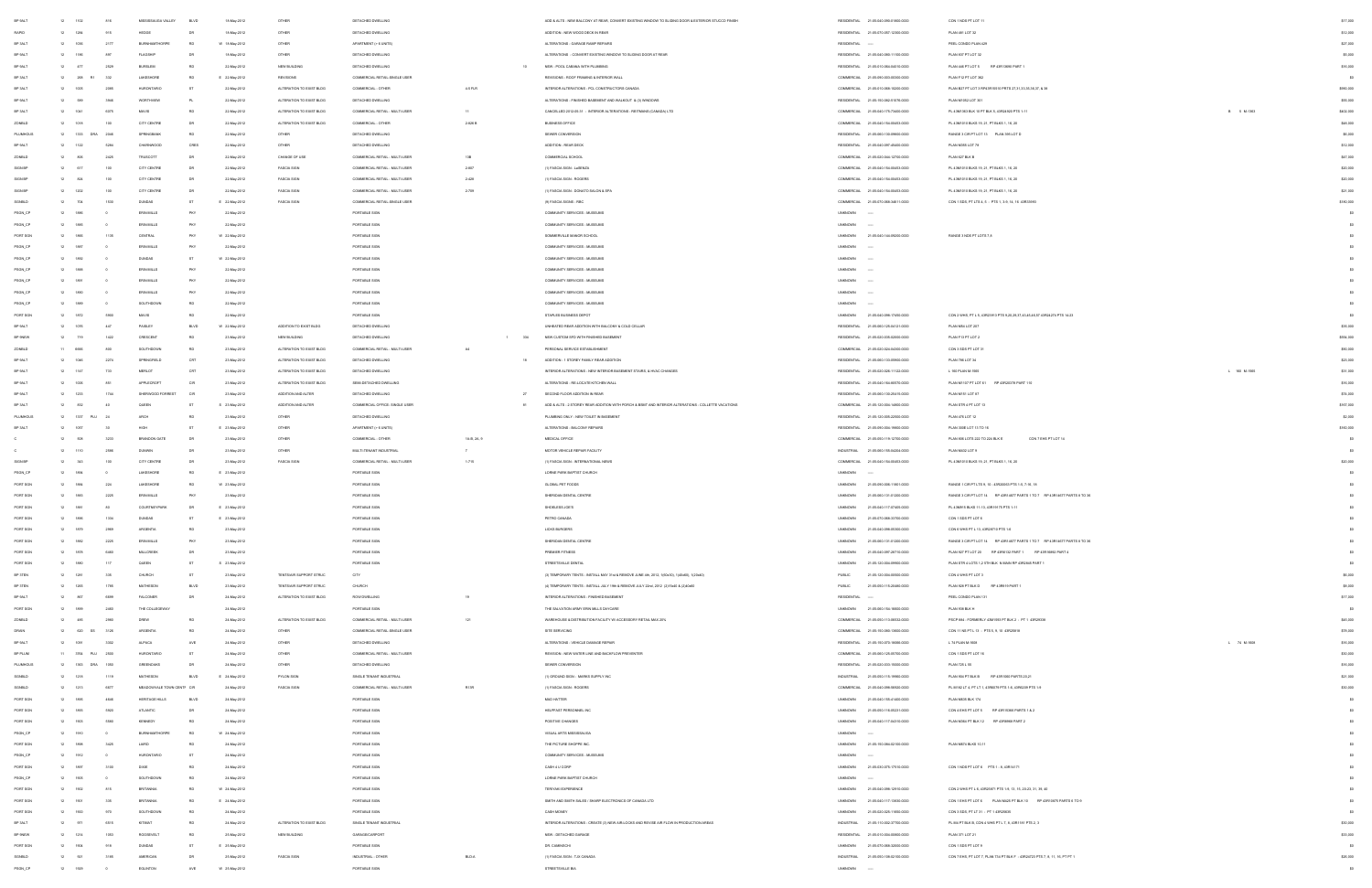| BP 9ALT        | 12      | 1102               | 816            | MISSISSAUGA VALLEY        | <b>BLVD</b> | 18-May-2012   | OTHER                          | DETACHED DWELLING              |                | ADD & ALTS - NEW BALCONY AT REAR, CONVERT EXISTING WINDOW TO SLIDING DOOR & EXTERIOR STUCCO FINISH  | RESIDENTIAL 21-05-040-090-01800-0000       | CON 1 NDS PT LOT 11                                                         | \$17,000  |
|----------------|---------|--------------------|----------------|---------------------------|-------------|---------------|--------------------------------|--------------------------------|----------------|-----------------------------------------------------------------------------------------------------|--------------------------------------------|-----------------------------------------------------------------------------|-----------|
| RAPID          |         | 1284               |                | HEDGE                     |             | 18-May-2012   | OTHER                          | DETACHED DWELLING              |                | ADDITION - NEW WOOD DECK IN REAR                                                                    | RESIDENTIAL 21-05-070-057-12300-0000       | PLAN 481 LOT 32                                                             | \$12,000  |
| BP 3ALT        |         | 1036               | 2177           | <b>BURNHAMTHORPE</b>      | <b>RD</b>   | W 18-May-2012 | OTHER                          | APARTMENT (> 6 UNITS)          |                | ALTERATIONS - GARAGE RAMP REPAIRS                                                                   | RESIDENTIAL -----                          | PEEL CONDO PLAN 429                                                         | \$27,000  |
|                |         |                    |                |                           |             |               |                                |                                |                |                                                                                                     |                                            |                                                                             |           |
| BP 9ALT        |         | 1186               |                | <b>FLAGSHIP</b>           | <b>DR</b>   | 18-May-2012   | OTHER                          | DETACHED DWELLING              |                | ALTERATIONS - CONVERT EXISTING WINDOW TO SLIDING DOOR AT REAF                                       | RESIDENTIAL 21-05-040-080-11100-0000       | PLAN 837 PT LOT 32                                                          | \$5,00    |
| BP 9ALT        |         | 477                | 2529           | <b>BURSLEM</b>            |             | 22-May-2012   | NEW BUILDING                   | DETACHED DWELLING              | 10             | NEW - POOL CABANA WITH PLUMBING                                                                     | RESIDENTIAL 21-05-010-064-04010-0000       | PLAN 446 PT LOT 5 RP 43R13690 PART 1                                        | \$16,000  |
| BP 3ALT        |         | 268<br><b>R1</b>   | 332            | LAKESHORE                 | <b>RD</b>   | E 22-May-2012 | <b>REVISIONS</b>               | COMMERCIAL RETAIL-SINGLE USER  |                | REVISIONS - ROOF FRAMING & INTERIOR WALL                                                            | COMMERCIAL 21-05-090-003-00300-0000        | PLAN F12 PT LOT 362                                                         |           |
|                |         |                    |                |                           |             |               |                                |                                |                | INTERIOR ALTERATIONS - PCL CONSTRUCTORS CANADA                                                      |                                            |                                                                             |           |
| BP 3ALT        |         | 1005               | 2085           | <b>HURONTARIO</b>         | <b>ST</b>   | 22-May-2012   | ALTERATION TO EXIST BLDG       | COMMERCIAL - OTHER             | 4-5 FLR        |                                                                                                     | COMMERCIAL 21-05-010-068-10200-0000        | PLAN B27 PT LOT 3 RP43R15510 PRTS 27,31,33,35,36,37, & 38                   | \$990,000 |
| BP 9ALT        |         | 589                |                | WORTHVIEW                 |             | 22-May-2012   | ALTERATION TO EXIST BLDG       | DETACHED DWELLING              |                | ALTERATIONS - FINISHED BASEMENT AND WALKOUT & (3) WINDOWS                                           | RESIDENTIAL 21-05-150-082-51076-0000       | PLAN M1052 LOT 301                                                          | \$55,000  |
| BP 3ALT        |         | 1041               | 6075           | MAVIS                     |             | 22-May-2012   | ALTERATION TO EXIST BLDG       | COMMERCIAL RETAIL - MULTI-USER |                | CANCELLED 2012-05-31 - INTERIOR ALTERATIONS - REITMANS (CANADA) LTD                                 | COMMERCIAL 21-05-040-175-73400-0000        | PL 43M1363 BLK 10 PT BLK 5, 43R24920 PTS 1-11<br>B 5 M-1363                 | \$402,000 |
|                |         |                    |                |                           |             |               |                                |                                |                |                                                                                                     |                                            |                                                                             |           |
| ZONBLD         |         | 1018               | 100            | CITY CENTRE               | <b>DR</b>   | 22-May-2012   | ALTERATION TO EXIST BLDG       | COMMERCIAL - OTHER             | 2-826 B        | <b>BUSINESS OFFICE</b>                                                                              | COMMERCIAL 21-05-040-154-00453-0000        | PL 43M1010 BLKS 19, 21, PT BLKS 1, 16, 20                                   | \$48,00   |
| PLUMHOUS       | 12      | 1333<br><b>DRA</b> | 2046           | SPRINGBANK                | <b>RD</b>   | 22-May-2012   | OTHER                          | DETACHED DWELLING              |                | SEWER CONVERSION                                                                                    | RESIDENTIAL 21-05-060-130-09800-0000       | RANGE 3 CIR PT LOT 13 PLAN 395 LOT D                                        | \$6,00    |
| BP 9ALT        |         | 1122               | 5284           | CHARNWOOD                 | CRES        | 22-May-2012   | OTHER                          | DETACHED DWELLING              |                | ADDITION - REAR DECK                                                                                | RESIDENTIAL 21-05-040-097-45400-0000       | PLAN M355 LOT 78                                                            | \$12,000  |
|                |         |                    |                |                           |             |               |                                |                                |                |                                                                                                     |                                            |                                                                             |           |
| ZONBLD         |         | 806                |                | TRUSCOTT                  |             | 22-May-2012   | CHANGE OF USE                  | COMMERCIAL RETAIL - MULTI-USER | <b>13B</b>     | COMMERCIAL SCHOOL                                                                                   | COMMERCIAL 21-05-020-044-12700-0000        | PLAN 627 BLK B                                                              | \$47,000  |
| SIGN BP        |         | 617                | 100            | CITY CENTRE               |             | 22-May-2012   | <b>FASCIA SIGN</b>             | COMMERCIAL RETAIL - MULTI-USER | $2 - 807$      | (1) FASCIA SIGN - LaSENZA                                                                           | COMMERCIAL 21-05-040-154-00453-0000        | PL 43M1010 BLKS 19, 21, PT BLKS 1, 16, 20                                   | \$20.00   |
| SIGN BP        |         | 824                |                | CITY CENTRE               | <b>DR</b>   | 22-May-2012   | <b>FASCIA SIGN</b>             | COMMERCIAL RETAIL - MULTI-USER | 2-428          | (1) FASCIA SIGN - ROGERS                                                                            | COMMERCIAL 21-05-040-154-00453-0000        | PL 43M1010 BLKS 19, 21, PT BLKS 1, 16, 20                                   | \$20,000  |
|                |         |                    |                |                           |             |               |                                |                                |                |                                                                                                     |                                            |                                                                             |           |
| SIGN BF        |         | 1202               |                | CITY CENTRE               |             | 22-May-2012   | <b>FASCIA SIGN</b>             | COMMERCIAL RETAIL - MULTI-USER | 2-709          | (1) FASCIA SIGN - DONATO SALON & SPA                                                                | COMMERCIAL 21-05-040-154-00453-0000        | PL 43M1010 BLKS 19, 21, PT BLKS 1, 16, 20                                   | \$21,000  |
| SGNBLD         |         | 704                | 1530           | <b>DUNDAS</b>             |             | E 22-May-2012 | <b>FASCIA SIGN</b>             | COMMERCIAL RETAIL-SINGLE USER  |                | (9) FASCIA SIGNS - RBC                                                                              | COMMERCIAL 21-05-070-068-34611-0000        | CON 1 SDS, PT LTS 4, 5 - PTS 1, 3-9, 14, 16 43R33993                        | \$180,00  |
| PSGN_CP        |         | 1886               | $\Omega$       | <b>ERIN MILLS</b>         | PKY         | 22-May-2012   |                                | PORTABLE SIGN                  |                | <b>COMMUNITY SERVICES - MUSEUMS</b>                                                                 | <b>UNKNOWN</b><br>--                       |                                                                             |           |
|                |         |                    |                |                           |             |               |                                |                                |                |                                                                                                     |                                            |                                                                             |           |
| PSGN_CP        |         | 1885               |                | <b>ERIN MILLS</b>         | PKY         | 22-May-2012   |                                | PORTABLE SIGN                  |                | COMMUNITY SERVICES - MUSEUMS                                                                        | <b>UNKNOWN</b><br>--                       |                                                                             |           |
| PORT SGN       |         | 1866               | 1135           | CENTRAL                   | PKY         | W 22-May-2012 |                                | PORTABLE SIGN                  |                | SOMMERVILLE MANOR SCHOOL                                                                            | 21-05-040-144-09200-0000<br><b>UNKNOWN</b> | RANGE 3 NDS PT LOTS 7,8                                                     |           |
| PSGN_CP        |         | 1887               |                | <b>ERIN MILLS</b>         | PKY         | 22-May-2012   |                                | PORTABLE SIGN                  |                | COMMUNITY SERVICES - MUSEUMS                                                                        | <b>UNKNOWN</b><br>$\sim$                   |                                                                             |           |
|                |         |                    |                |                           |             |               |                                |                                |                |                                                                                                     |                                            |                                                                             |           |
| PSGN_CP        |         | 1892               |                | <b>DUNDAS</b>             | <b>ST</b>   | W 22-May-2012 |                                | PORTABLE SIGN                  |                | <b>COMMUNITY SERVICES - MUSEUMS</b>                                                                 | <b>UNKNOWN</b><br>-----                    |                                                                             |           |
| PSGN_CP        |         | 1888               |                | <b>ERIN MILLS</b>         | PK)         | 22-May-2012   |                                | PORTABLE SIGN                  |                | COMMUNITY SERVICES - MUSEUMS                                                                        | <b>UNKNOWN</b><br>----                     |                                                                             |           |
| PSGN_CP        |         | 1891               |                | <b>ERIN MILLS</b>         | PKY         | 22-May-2012   |                                | PORTABLE SIGN                  |                | COMMUNITY SERVICES - MUSEUMS                                                                        | <b>UNKNOWN</b><br>-----                    |                                                                             |           |
|                |         |                    |                |                           |             |               |                                |                                |                |                                                                                                     |                                            |                                                                             |           |
| PSGN_CP        |         | 1890               |                | <b>ERIN MILLS</b>         | PKY         | 22-May-2012   |                                | PORTABLE SIGN                  |                | <b>COMMUNITY SERVICES - MUSEUMS</b>                                                                 | <b>UNKNOWN</b><br>1000                     |                                                                             |           |
| PSGN CP        | - 12    | 1889               |                | SOUTHDOWN                 | <b>RD</b>   | 22-May-2012   |                                | PORTABLE SIGN                  |                | COMMUNITY SERVICES - MUSEUMS                                                                        | <b>UNKNOWN</b><br>----                     |                                                                             |           |
| PORT SGN       |         | 1872               |                |                           |             | 22-May-2012   |                                | PORTABLE SIGN                  |                | STAPLES BUSINESS DEPOT                                                                              | 21-05-040-098-17450-0000<br><b>UNKNOWN</b> | CON 2 WHS, PT L 5, 43R23913 PTS 9,20,29,37,43,45,46,57 43R24274 PTS 14-23   |           |
|                |         |                    |                |                           |             |               |                                |                                |                |                                                                                                     |                                            |                                                                             |           |
| BP 9ALT        |         | 1076               |                | PAISLEY                   | BLVD        | W 22-May-2012 | ADDITION TO EXIST BLDG         | DETACHED DWELLING              |                | UNHEATED REAR ADDITION WITH BALCONY & COLD CELLAR                                                   | RESIDENTIAL 21-05-060-125-04121-0000       | PLAN M54 LOT 207                                                            | \$35,000  |
| BP 9NEW        | 12      | 719                | 1422           | CRESCENT                  | <b>RD</b>   | 23-May-2012   | <b>NEW BUILDING</b>            | DETACHED DWELLING              | 1 334          | NEW CUSTOM SFD WITH FINISHED BASEMENT                                                               | RESIDENTIAL 21-05-020-035-02000-0000       | PLAN F13 PT LOT 2                                                           | \$554,000 |
| ZONBLD         |         | 6666               |                | SOUTHDOWN                 | <b>RD</b>   | 23-May-2012   | ALTERATION TO EXIST BLDG       | COMMERCIAL RETAIL - MULTI-USER | A <sup>d</sup> | PERSONAL SERVICE ESTABLISHMENT                                                                      | COMMERCIAL 21-05-020-024-04300-0000        | CON 3 SDS PT LOT 31                                                         | \$90,000  |
|                |         |                    |                |                           |             |               |                                |                                |                |                                                                                                     |                                            |                                                                             |           |
| BP 9ALT        |         | 1046               | 2274           | SPRINGFIELD               | CRT         | 23-May-2012   | ALTERATION TO EXIST BLDG       | DETACHED DWELLING              | 18             | ADDITION - 1 STOREY FAMILY REAR ADDITION                                                            | RESIDENTIAL 21-05-060-133-05900-0000       | PLAN 786 LOT 34                                                             | \$23,000  |
| BP 9ALT        |         | 1147               | 733            | MERLOT                    | CRT         | 23-May-2012   | ALTERATION TO EXIST BLDG       | DETACHED DWELLING              |                | INTERIOR ALTERATIONS - NEW INTERIOR BASEMENT STAIRS. & HVAC CHANGES                                 | RESIDENTIAL 21-05-020-026-11122-0000       | L 160 PLAN M-1565<br>L 160 M-1565                                           | \$31,000  |
| BP 9ALT        |         | 1006               |                | APPLECROFT                | CIR         | 23-May-2012   | ALTERATION TO EXIST BLDG       | SEMI-DETACHED DWELLING         |                | ALTERATIONS - RE-LOCATE KITCHEN WALL                                                                | RESIDENTIAL 21-05-040-164-80570-0000       | PLAN M1107 PT LOT 61 RP 43R20378 PART 110                                   | \$16,000  |
|                |         |                    |                |                           |             |               |                                |                                |                |                                                                                                     |                                            |                                                                             |           |
| BP 9ALT        |         | 1233               | 1744           | SHERWOOD FORREST          | CIR         | 23-May-2012   | ADDITION AND ALTER             | DETACHED DWELLING              | 27             | SECOND FLOOR ADDITION IN REAR                                                                       | RESIDENTIAL 21-05-060-130-25415-0000       | PLAN M151 LOT 87                                                            | \$74,000  |
| BP 3ALT        |         | 832                |                | QUEEN                     |             | S 23-May-2012 | ADDITION AND ALTER             | COMMERCIAL OFFICE- SINGLE USER | 81             | ADD & ALTS - 2 STOREY REAR ADDITION WITH PORCH & BSMT AND INTERIOR ALTERATIONS - COLLETTE VACATIONS | COMMERCIAL 21-05-120-004-14800-0000        | PLAN STR 4 PT LOT 13                                                        | \$167,000 |
| PLUMHOUS       | 12      | 1337<br>PLU        | 24             | <b>ARCH</b>               | <b>RD</b>   | 23-May-2012   | OTHER                          | DETACHED DWELLING              |                | PLUMBING ONLY - NEW TOILET IN BASEMENT                                                              | RESIDENTIAL 21-05-120-005-22500-0000       | PLAN 476 LOT 12                                                             | \$2,000   |
|                |         |                    |                |                           |             |               |                                |                                |                |                                                                                                     |                                            |                                                                             |           |
| BP 3ALT        |         | 1057               |                | HIGH                      | ST          | E 23-May-2012 | OTHER                          | APARTMENT (> 6 UNITS)          |                | ALTERATIONS - BALCONY REPAIRS                                                                       | RESIDENTIAL 21-05-090-004-19800-0000       | PLAN 300E LOT 13 TO 16                                                      | \$160,000 |
|                |         | 508                | 3233           | <b>BRANDON GAT</b>        |             | 23-May-2012   | OTHER                          | COMMERCIAL - OTHER             | 1A-B, 2A, 9    | MEDICAL OFFICE                                                                                      | COMMERCIAL 21-05-050-119-12700-0000        | PLAN 806 LOTS 222 TO 224 BLK E<br>CON 7 EHS PT LOT 14                       |           |
|                |         | 1110               | 2586           | <b>DUNWIN</b>             |             | 23-May-2012   | OTHER                          | MULTI-TENANT INDUSTRIAL        | $\overline{7}$ | MOTOR VEHICLE REPAIR FACILITY                                                                       | INDUSTRIAL 21-05-060-155-04204-0000        | PLAN M432 LOT 9                                                             |           |
|                |         |                    |                |                           |             |               |                                |                                |                |                                                                                                     |                                            |                                                                             |           |
| SIGN BP        |         | 343                | 100            | CITY CENTRE               | <b>DR</b>   | 23-May-2012   | <b>FASCIA SIGN</b>             | COMMERCIAL RETAIL - MULTI-USER | $1 - 715$      | (1) FASCIA SIGN - INTERNATIONAL NEWS                                                                | COMMERCIAL 21-05-040-154-00453-0000        | PL 43M1010 BLKS 19, 21, PT BLKS 1, 16, 20                                   | \$20,000  |
| PSGN_CP        |         | 189                |                | LAKESHORE                 |             | E 23-May-2012 |                                | PORTABLE SIGN                  |                | LORNE PARK BAPTIST CHURCH                                                                           | <b>UNKNOWN</b>                             |                                                                             |           |
| PORT SGN       | 12      | 1884               |                | LAKESHORE                 | <b>RD</b>   | W 23-May-2012 |                                | PORTABLE SIGN                  |                | <b>GLOBAL PET FOODS</b>                                                                             | <b>UNKNOWN</b><br>21-05-090-006-11801-0000 | RANGE 1 CIR PT LTS 9, 10 - 43R20063 PTS 1-5, 7-16, 18                       |           |
|                |         |                    |                |                           |             |               |                                |                                |                |                                                                                                     |                                            |                                                                             |           |
| PORT SGN       | 12      | 1883               | 2225           | <b>ERIN MILLS</b>         | PKY         | 23-May-2012   |                                | PORTABLE SIGN                  |                | SHERIDAN DENTAL CENTRE                                                                              | <b>UNKNOWN</b><br>21-05-060-131-01200-0000 | RANGE 3 CIR PT LOT 14 RP 43R14677 PARTS 1 TO 7 RP 43R14677 PARTS 8 TO 36    |           |
| PORT SGN       | 12      |                    |                |                           |             | E 23-May-2012 |                                |                                |                |                                                                                                     |                                            | PL 43M915 BLKS 11-13, 43R19175 PTS 1-11                                     |           |
| PORT SGN       |         | 1881               | 80             | COURTNEYPARK              | DR          |               |                                | PORTABLE SIGN                  |                | SHOELESS JOE'S                                                                                      | 21-05-040-117-07405-0000<br><b>UNKNOWN</b> |                                                                             |           |
|                |         |                    |                |                           |             |               |                                |                                |                |                                                                                                     |                                            |                                                                             |           |
| PORT SGN       |         | 1896               | 1334           | <b>DUNDAS</b>             |             | E 23-May-2012 |                                | PORTABLE SIGN                  |                | PETRO CANADA                                                                                        | 21-05-070-068-33700-0000<br><b>UNKNOWN</b> | CON 1 SDS PT LOT 6                                                          |           |
|                |         | 1879               | 2969           | ARGENTIA                  | <b>RD</b>   | 23-May-2012   |                                | PORTABLE SIGN                  |                | <b>LICKS BURGERS</b>                                                                                | <b>UNKNOWN</b><br>21-05-040-098-05300-0000 | CON 6 WHS PT L 13, 43R28710 PTS 1-6                                         |           |
| PORT SGN       | 12      | 1882               | 2225           | <b>ERIN MILLS</b>         | PKY         | 23-May-2012   |                                | PORTABLE SIGN                  |                | SHERIDAN DENTAL CENTRE                                                                              | <b>UNKNOWN</b><br>21-05-060-131-01200-0000 | RANGE 3 CIR PT LOT 14 RP 43R14677 PARTS 1 TO 7 RP 43R14677 PARTS 8 TO 36    |           |
|                |         |                    |                |                           |             |               |                                |                                |                |                                                                                                     |                                            |                                                                             |           |
| PORT SGN       |         | 1878               |                | MILLCREEK                 |             | 23-May-2012   |                                | PORTABLE SIGN                  |                | PREMIER FITNESS                                                                                     | 21-05-040-097-28710-0000<br><b>UNKNOWN</b> | PLAN 927 PT LOT 20 RP 43R6132 PART 1 RP 43R16892 PART 4                     |           |
| PORT SGN       |         | 1880               | 117            | <b>OUFFN</b>              | ST          | S 23-May-2012 |                                | PORTABLE SIGN                  |                | STREETSVILLE DENTAL                                                                                 | <b>UNKNOWN</b><br>21-05-120-004-09900-0000 | PLAN STR 4 LOTS 1.2 5TH BLK N MAIN RP 43R2845 PART 1                        |           |
| BP 3TEN        |         | 1281               | 335            | CHURCH                    | <b>ST</b>   | 23-May-2012   | <b>TENTS/AIR SUPPORT STRUC</b> | CITY                           |                | (3) TEMPORARY TENTS - INSTALL MAY 31st & REMOVE JUNE 4th, 2012, 1(60x30), 1(40x60), 1(20x40)        | PUBLIC<br>21-05-120-004-00500-0000         | CON 4 WHS PT LOT 3                                                          | \$6,00    |
|                | 12      |                    |                |                           |             |               |                                |                                |                |                                                                                                     |                                            |                                                                             |           |
| BP 3TEN        |         | 1265               | 1785           | MATHESON                  | BLVD        | 23-May-2012   | TENTS/AIR SUPPORT STRUC        | CHURCH                         |                | (4) TEMPORARY TENTS - INSTALL JULY 19th & REMOVE JULY 22nd, 2012 (2)15x40 & (2)40x60                | 21-05-050-115-20480-0000<br>PUBLIC         | PLAN 928 PT BLK D RP 43R919 PART 1                                          | \$8,000   |
| BP 9ALT        |         | 867                | 6699           | FALCONER                  |             | 24-May-2012   | ALTERATION TO EXIST BLDG       | <b>ROW DWELLING</b>            |                | INTERIOR ALTERATIONS - FINISHED BASEMENT                                                            | <b>RESIDENTIAL</b>                         | PEEL CONDO PLAN 131                                                         | \$17,000  |
| PORT SGN       |         | 1899               | 2460           | THE COLLEGEWAY            |             | 24-May-2012   |                                | PORTABLE SIGN                  |                | THE SALVATION ARMY ERIN MILLS DAYCARE                                                               | <b>UNKNOWN</b><br>21-05-060-154-16600-0000 | PLAN 938 BLK H                                                              |           |
| ZONBLD         |         | 485                | 2980           | DREW                      | <b>RD</b>   | 24-May-2012   | ALTERATION TO EXIST BLDG.      | COMMERCIAL RETAIL - MULTI-USER | 121            | WAREHOUSE & DISTRIBUTION FACILITY W/ ACCESSORY RETAIL MAX 20%                                       | COMMERCIAL 21-05-050-113-06532-0000        | PSCP 884 - FORMERLY 43M1593 PT BLK 2 - PT 1 43R29338                        | \$45,000  |
|                |         |                    |                |                           |             |               |                                |                                |                |                                                                                                     |                                            |                                                                             |           |
| DRAIN          |         | 620<br>SS          | 3126           | ARGENTIA                  |             | 24-May-2012   | OTHER                          | COMMERCIAL RETAIL-SINGLE USER  |                | SITE SERVICING                                                                                      | COMMERCIAL 21-05-150-080-13600-0000        | CON 11 NS PT L 13 - PTS 5, 9, 10 43R25818                                   | \$78,000  |
| BP 9ALT        |         | 1091               | 3302           | <b>ALPACA</b>             | AVE         | 24-May-2012   | OTHER                          | DETACHED DWELLING              |                | ALTERATIONS - VEHICLE DAMAGE REPAIR                                                                 | RESIDENTIAL 21-05-150-070-18066-0000       | L 74 PLAN M-1608<br>L 74 M-1608                                             | \$16,000  |
| <b>BP PLUM</b> |         | 11 3764 PLU        | 2500           | <b>HURONTARIO</b>         | <b>ST</b>   | 24-May-2012   | OTHER                          | COMMERCIAL RETAIL - MULTI-USER |                | REVISION - NEW WATER LINE AND BACKFLOW PREVENTER                                                    | COMMERCIAL 21-05-060-125-05700-0000        | CON 1 SDS PT LOT 16                                                         | \$30,00   |
|                |         |                    |                |                           |             |               |                                |                                |                |                                                                                                     |                                            |                                                                             |           |
| PLUMHOUS       | 12      | 1363<br><b>DRA</b> | 1050           | GREENOAKS                 | <b>DR</b>   | 24-May-2012   | OTHER                          | DETACHED DWELLING              |                | SEWER CONVERSION                                                                                    | RESIDENTIAL 21-05-020-033-15000-0000       | PLAN 725 L 55                                                               | \$16,000  |
| SGNBLD         |         | 1218               | 1119           | MATHESON                  | BLVD        | E 24-May-2012 | PYLON SIGN                     | SINGLE TENANT INDUSTRIAL       |                | (1) GROUND SIGN - MARKS SUPPLY INC                                                                  | INDUSTRIAL 21-05-050-115-19960-0000        | PLAN 904 PT BLK B RP 43R1060 PARTS 20,21                                    | \$21,000  |
| SGNBLD         |         | 1213               | 6677           | MEADOWVALE TOWN CENTE CIR |             | 24-May-2012   | <b>FASCIA SIGN</b>             | COMMERCIAL RETAIL - MULTI-USER | <b>R13R</b>    | (1) FASCIA SIGN - ROGERS                                                                            | COMMERCIAL 21-05-040-098-56920-0000        | PL M182 LT 4, PT LT 1, 43R6079 PTS 1-6, 43R6209 PTS 1-9                     | \$30,000  |
|                |         |                    |                |                           |             |               |                                |                                |                |                                                                                                     |                                            |                                                                             |           |
| PORT SGN       | 12      | 1895               | 4646           | HERITAGE HILLS            | <b>BLVD</b> | 24-May-2012   |                                | PORTABLE SIGN                  |                | MAD HATTER                                                                                          | UNKNOWN 21-05-040-155-41400-0000           | PLAN M635 BLK 174                                                           |           |
| PORT SGN       | -12     | 1893               | 5920           | ATLANTIC                  | <b>DR</b>   | 24-May-2012   |                                | PORTABLE SIGN                  |                | HELPFAST PERSONNEL INC                                                                              | 21-05-050-116-05231-0000<br><b>UNKNOWN</b> | CON 4 EHS PT LOT 5 RP 43R15366 PARTS 1 & 2                                  |           |
| PORT SGN       |         | 1903               | 5580           | KENNEDY                   |             | 24-May-2012   |                                | PORTABLE SIGN                  |                | POSITIVE CHANGES                                                                                    | 21-05-040-117-04310-0000<br><b>UNKNOWN</b> | PLAN M364 PT BLK 12 RP 43R8968 PART 2                                       |           |
|                |         |                    |                |                           |             |               |                                |                                |                |                                                                                                     |                                            |                                                                             |           |
| PSGN_CP        | 12      | 1910               |                | <b>BURNHAMTHORPE</b>      | <b>RD</b>   | W 24-May-2012 |                                | PORTABLE SIGN                  |                | VISUAL ARTS MISSISSAUGA                                                                             | <b>UNKNOWN</b><br>1000                     |                                                                             |           |
| PORT SGN       | -12     | 1898               | 3425           | LAIRD                     | <b>RD</b>   | 24-May-2012   |                                | PORTABLE SIGN                  |                | THE PICTURE SHOPPE INC.                                                                             | 21-05-150-084-02100-0000<br><b>UNKNOWN</b> | PLAN M674 BLKS 10,11                                                        |           |
| PSGN_CP        |         | 1912               |                | HURONTARIO                | <b>ST</b>   | 24-May-2012   |                                | PORTABLE SIGN                  |                | COMMUNITY SERVICES - MUSEUMS                                                                        | <b>UNKNOWN</b>                             |                                                                             |           |
|                |         |                    |                |                           |             |               |                                |                                |                |                                                                                                     |                                            |                                                                             |           |
| PORT SGN       | 12      | 1897               | 3100           | DIXIE                     | RD          | 24-May-2012   |                                | PORTABLE SIGN                  |                | CASH 4 U CORP                                                                                       | <b>UNKNOWN</b><br>21-05-030-075-17510-0000 | CON 1 NDS PT LOT 6 PTS 1 - 8, 43R14171                                      |           |
| PSGN_CP        | 12      | 1905               | $\Omega$       | SOUTHDOWN                 | <b>RD</b>   | 24-May-2012   |                                | PORTABLE SIGN                  |                | LORNE PARK BAPTIST CHURCH                                                                           | <b>UNKNOWN</b><br>--                       |                                                                             |           |
| PORT SGN       | 12      | 1902               | 815            | BRITANNIA                 | <b>RD</b>   | W 24-May-2012 |                                | PORTABLE SIGN                  |                | TERIYAKI EXPERIENCE                                                                                 | 21-05-040-098-12910-0000<br><b>UNKNOWN</b> | CON 2 WHS PT L 6, 43R25871 PTS 1-9, 13, 15, 20-23, 31, 39, 40               |           |
|                |         |                    |                |                           |             |               |                                |                                |                |                                                                                                     |                                            |                                                                             |           |
| PORT SGN       |         | 1901               |                | BRITANNIA                 |             | E 24-May-2012 |                                | PORTABLE SIGN                  |                | SMITH AND SMITH SALES / SHARP ELECTRONICS OF CANADA LTD                                             | 21-05-040-117-13830-0000<br><b>UNKNOWN</b> | CON 1 EHS PT LOT 6 PLAN M425 PT BLK 10 RP 43R10875 PARTS 6 TO 9             |           |
| PORT SGN       |         | 1900               | 970            | SOUTHDOWN                 | <b>RD</b>   | 24-May-2012   |                                | PORTABLE SIGN                  |                | <b>CASH MONEY</b>                                                                                   | <b>UNKNOWN</b><br>21-05-020-025-11650-0000 | CON 3 SDS, PT LT 31 - PT 1 43R25635                                         |           |
| BP 3ALT        | 12      | 971                | 6515           | KITIMAT                   | <b>RD</b>   | 24-May-2012   | ALTERATION TO EXIST BLDG       | SINGLE TENANT INDUSTRIAL       |                | INTERIOR ALTERATIONS - CREATE (3) NEW AIR-LOCKS AND REVISE AIR FLOW IN PRODUCTION AREAS             | INDUSTRIAL 21-05-110-002-37700-0000        | PL M4 PT BLK B, CON 4 WHS PT L 7, 8, 43R1181 PTS 2, 3                       | \$30,000  |
|                |         |                    |                |                           |             |               |                                |                                |                |                                                                                                     |                                            |                                                                             |           |
| BP 9NEW        |         | 1214               | 1053           | ROOSEVELT                 |             | 25-May-2012   | NEW BUILDING                   | GARAGE/CARPORT                 |                | NEW - DETACHED GARAGE                                                                               | RESIDENTIAL 21-05-010-004-00800-0000       | PLAN 371 LOT 21                                                             | \$33,000  |
| PORT SGN       | 12      | 1904               | 918            | <b>DUNDAS</b>             | ST          | E 25-May-2012 |                                | PORTABLE SIGN                  |                | DR. CAMINSCHI                                                                                       | <b>UNKNOWN</b><br>21-05-070-068-32000-0000 | CON 1 SDS PT LOT 9                                                          |           |
| SGNBLD         | 12      | 921                | 3185           | <b>AMERICAN</b>           | <b>DR</b>   | 25-May-2012   | <b>FASCIA SIGN</b>             | INDUSTRIAL - OTHER             | BLD-A          | (1) FASCIA SIGN - TJX CANADA                                                                        | INDUSTRIAL 21-05-050-108-02100-0000        | CON 7 EHS, PT LOT 7, PLAN 734 PT BLK F - 43R24723 PTS 7, 8, 11, 16, PT PT 1 | \$26,000  |
| PSGN_CP        | 12 1929 |                    | $\overline{0}$ | <b>EGLINTON</b>           | AVE         | W 25-May-2012 |                                | PORTABLE SIGN                  |                | STREETSVILLE BIA                                                                                    | UNKNOWN ------                             |                                                                             | \$0       |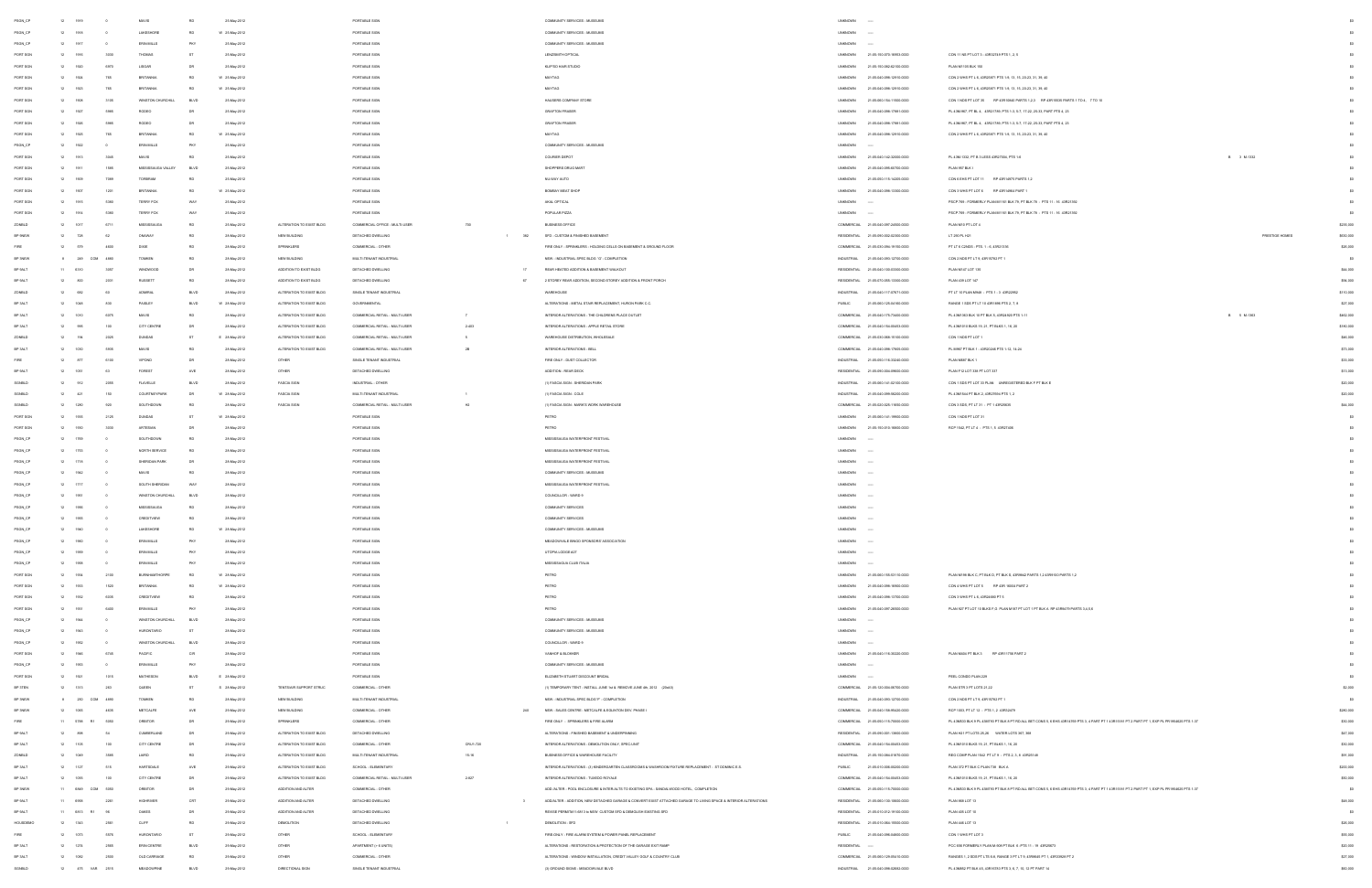| PSGN_CP     | 1919                    |           |      | MAVIS                    |             | 25-May-2012   |                          | PORTABLE SIGN                  |                | COMMUNITY SERVICES - MUSEUMS                                                                                     | <b>UNKNOWN</b>       | -                                    |                                                                                                                                               |                |                    |
|-------------|-------------------------|-----------|------|--------------------------|-------------|---------------|--------------------------|--------------------------------|----------------|------------------------------------------------------------------------------------------------------------------|----------------------|--------------------------------------|-----------------------------------------------------------------------------------------------------------------------------------------------|----------------|--------------------|
|             | 1918                    |           |      | LAKESHORE                |             |               |                          | PORTABLE SIGN                  |                | COMMUNITY SERVICES - MUSEUMS                                                                                     | <b>UNKNOWN</b>       |                                      |                                                                                                                                               |                |                    |
| PSGN_CP     |                         |           |      |                          |             | W 25-May-2012 |                          |                                |                |                                                                                                                  |                      |                                      |                                                                                                                                               |                |                    |
| PSGN_CP     | 12<br>1917              |           |      | <b>ERIN MILLS</b>        | PKY         | 25-May-2012   |                          | PORTABLE SIGN                  |                | COMMUNITY SERVICES - MUSEUMS                                                                                     | <b>UNKNOWN</b><br>-- |                                      |                                                                                                                                               |                |                    |
| PORT SGN    | 1916<br>12              |           | 3030 | THOMAS                   | ST          | 25-May-2012   |                          | PORTABLE SIGN                  |                | LENZSMITH OPTICAL                                                                                                |                      | UNKNOWN 21-05-150-070-16953-0000     | CON 11 NS PT LOT 3 - 43R32749 PTS 1, 2, 5                                                                                                     |                |                    |
| PORT SGN    | 1920                    |           | 6970 | LISGAR                   |             | 25-May-2012   |                          | PORTABLE SIGN                  |                | KLIP'SO HAIR STUDIO                                                                                              | <b>UNKNOWN</b>       | 21-05-150-082-62100-0000             | PLAN M1105 BLK 150                                                                                                                            |                |                    |
| PORT SGN    | 1924<br>12              |           | 765  | BRITANNIA                | - RD        | W 25-May-2012 |                          | PORTABLE SIGN                  |                | MAYTAG                                                                                                           | <b>UNKNOWN</b>       | 21-05-040-098-12910-0000             | CON 2 WHS PT L 6, 43R25871 PTS 1-9, 13, 15, 20-23, 31, 39, 40                                                                                 |                |                    |
| PORT SGN    | 1923<br>12              |           | 765  | BRITANNIA                | <b>RD</b>   | W 25-May-2012 |                          | PORTABLE SIGN                  |                | MAYTAG                                                                                                           | <b>UNKNOWN</b>       | 21-05-040-098-12910-0000             | CON 2 WHS PT L 6, 43R25871 PTS 1-9, 13, 15, 20-23, 31, 39, 40                                                                                 |                |                    |
| PORT SGN    | 1908                    |           | 3105 | WINSTON CHURCHILI        | BLVD        | 25-May-2012   |                          | PORTABLE SIGN                  |                | HAUSERS COMPANY STORE                                                                                            | <b>UNKNOWN</b>       | 21-05-060-154-11500-0000             | CON 1 NDS PT LOT 35 RP 43R10840 PARTS 1,2,3 RP 43R15535 PARTS 1 TO 4, 7 TO 10                                                                 |                |                    |
| PORT SGN    | 1927<br>12              |           | 5985 | <b>RODEO</b>             |             | 25-May-2012   |                          | PORTABLE SIGN                  |                | <b>GRAFTON FRASER</b>                                                                                            | <b>UNKNOWN</b>       | 21-05-040-098-17881-0000             | PL 43M-967, PT BL 4, 43R21789, PTS 1-3, 5-7, 17-22, 25-33, PART PTS 4, 23                                                                     |                |                    |
| PORT SGN    | 12<br>1926              |           | 5985 | RODEO                    |             | 25-May-2012   |                          | PORTABLE SIGN                  |                | <b>GRAFTON FRASER</b>                                                                                            | <b>UNKNOWN</b>       | 21-05-040-098-17881-0000             | PL 43M-967, PT BL 4. 43R21789, PTS 1-3, 5-7, 17-22, 25-33, PART PTS 4, 23                                                                     |                |                    |
|             |                         |           |      |                          |             |               |                          |                                |                |                                                                                                                  |                      |                                      |                                                                                                                                               |                |                    |
| PORT SGN    | 1925                    |           | 765  | BRITANNIA                |             | W 25-May-2012 |                          | PORTABLE SIGN                  |                | MAYTAG                                                                                                           | <b>UNKNOWN</b>       | 21-05-040-098-12910-0000             | CON 2 WHS PT L 6, 43R25871 PTS 1-9, 13, 15, 20-23, 31, 39, 40                                                                                 |                |                    |
| PSGN_CP     | 1922                    |           |      | <b>ERIN MILLS</b>        | PKY         | 25-May-2012   |                          | PORTABLE SIGN                  |                | COMMUNITY SERVICES - MUSEUMS                                                                                     | <b>UNKNOWN</b>       |                                      |                                                                                                                                               |                |                    |
| PORT SGN    | 1913                    |           | 3045 | MAVIS                    |             | 25-May-2012   |                          | PORTABLE SIGN                  |                | COURIER DEPOT                                                                                                    | <b>UNKNOWN</b>       | 21-05-040-142-32000-0000             | PL 43M-1332, PT B 3 LESS 43R27004, PTS 1-6                                                                                                    | B 3 M-1332     |                    |
| PORT SGN    | 1911<br>12              |           | 1585 | MISSISSAUGA VALLEY       | <b>BLVD</b> | 25-May-2012   |                          | PORTABLE SIGN                  |                | SHOPPERS DRUG MART                                                                                               | <b>UNKNOWN</b>       | 21-05-040-095-60700-0000             | PLAN 957 BLK I                                                                                                                                |                |                    |
| PORT SGN    | 1909                    |           | 7089 |                          |             | 25-May-2012   |                          | PORTABLE SIGN                  |                | NU-WAY AUTO                                                                                                      | <b>UNKNOWN</b>       | 21-05-050-115-14205-0000             | CON 6 EHS PT LOT 11 RP 43R14975 PARTS 1,2                                                                                                     |                |                    |
| PORT SGN    | 1907                    |           | 1201 | <b>BRITANNIA</b>         |             | W 25-May-2012 |                          | PORTABLE SIGN                  |                | <b>BOMBAY MEAT SHOP</b>                                                                                          | <b>UNKNOWN</b>       | 21-05-040-098-13300-0000             | CON 3 WHS PT LOT 6 RP 43R14964 PART 1                                                                                                         |                |                    |
| PORT SGN    | 12<br>1915              |           | 5380 | <b>TERRY FOX</b>         | WAY         | 25-May-2012   |                          | PORTABLE SIGN                  |                | AKAL OPTICAL                                                                                                     | <b>UNKNOWN</b>       |                                      | PSCP 769 - FORMERLY PLAN M1161 BLK 79, PT BLK 78 - PTS 11 - 16 43R21392                                                                       |                |                    |
| PORT SGN    | 1914<br>12              |           | 5380 | <b>TERRY FOX</b>         | WAY         | 25-May-2012   |                          | PORTABLE SIGN                  |                | POPULAR PIZZA                                                                                                    | <b>UNKNOWN</b>       | -----                                | PSCP 769 - FORMERLY PLAN M1161 BLK 79, PT BLK 78 - PTS 11 - 16 43R21392                                                                       |                |                    |
| ZONBLE      | 1017                    |           | 6711 | MISSISSAUG               |             | 25-May-2012   | ALTERATION TO EXIST BLDG | COMMERCIAL OFFICE - MULTI-USER | 700            | <b>BUSINESS OFFICE</b>                                                                                           |                      | COMMERCIAL 21-05-040-097-24500-0000  | PLAN M10 PT LOT 4                                                                                                                             |                | \$235,00           |
|             |                         |           |      |                          |             |               |                          |                                |                |                                                                                                                  |                      |                                      |                                                                                                                                               |                |                    |
| BP 9NEW     | 728<br>12               |           | 62   | ONAWAY                   |             | 28-May-2012   | NEW BUILDING             | DETACHED DWELLING              | 1 382          | SFD - CUSTOM & FINISHED BASEMENT                                                                                 |                      | RESIDENTIAL 21-05-090-002-02300-0000 | LT 290 PL H21                                                                                                                                 | PRESTIGE HOMES | \$630,00           |
| <b>FIRE</b> | 579                     |           | 4600 | DIXIE                    |             | 28-May-2012   | SPRINKLERS               | COMMERCIAL - OTHER             |                | FIRE ONLY - SPRINKLERS - HOLDING CELLS ON BASEMENT & GROUND FLOOR                                                |                      | COMMERCIAL 21-05-030-094-19150-0000  | PT LT 6 C2NDS - PTS. 1 - 6, 43R21336                                                                                                          |                | \$26,00            |
| BP 3NEW     | 249<br>8                | COM       | 4880 | <b>TOMKEN</b>            |             | 28-May-2012   | NEW BUILDING             | MULTI-TENANT INDUSTRIAL        |                | NEW - INDUSTRIAL SPEC BLDG 'G' - COMPLETION                                                                      |                      | INDUSTRIAL 21-05-040-093-12700-0000  | CON 2 NDS PT LT 9, 43R15782 PT 1                                                                                                              |                |                    |
| BP 9ALT     | 6310                    |           | 3057 | WINDWOOD                 | <b>DR</b>   | 28-May-2012   | ADDITION TO EXIST BLDG   | DETACHED DWELLING              | 17             | REAR HEATED ADDITION & BASEMENT WALKOUT                                                                          |                      | RESIDENTIAL 21-05-040-100-03300-0000 | PLAN M147 LOT 135                                                                                                                             |                | \$44,00            |
| BP 9ALT     | 800<br>12               |           | 2031 | RUSSETT                  | <b>RD</b>   | 28-May-2012   | ADDITION TO EXIST BLDG   | DETACHED DWELLING              | 67             | 2 STOREY REAR ADDITION, SECOND STOREY ADDITION & FRONT PORCH                                                     |                      | RESIDENTIAL 21-05-070-055-13300-0000 | PLAN 439 LOT 147                                                                                                                              |                | \$94,00            |
| ZONBLE      | 682                     |           |      | ADMIRAL                  | BLVD        | 28-May-2012   | ALTERATION TO EXIST BLDG | SINGLE TENANT INDUSTRIAL       |                | WAREHOUSE                                                                                                        |                      | INDUSTRIAL 21-05-040-117-07671-0000  | PT LT 10 PLAN M948 - PTS 1 - 3 43R22952                                                                                                       |                | \$110,00           |
| BP 3ALT     | 1048                    |           | 830  | <b>PAISLE</b>            | BLVD        | W 28-May-2012 | ALTERATION TO EXIST BLDG | <b>GOVERNMENTAL</b>            |                | ALTERATIONS - METAL STAIR REPLACEMENT, HURON PARK C.C.                                                           | PUBLIC               | 21-05-060-125-04160-0000             | RANGE 1 SDS PT LT 10 43R1896 PTS 2, 7, 8                                                                                                      |                | \$27,00            |
|             |                         |           |      | MAVIS                    |             |               |                          |                                | $\overline{7}$ | INTERIOR ALTERATIONS - THE CHILDRENS PLACE OUTLET                                                                |                      | COMMERCIAL 21-05-040-175-73400-0000  |                                                                                                                                               |                |                    |
| BP 3ALT     | 1010                    |           | 6075 |                          |             | 28-May-2012   | ALTERATION TO EXIST BLDG | COMMERCIAL RETAIL - MULTI-USER |                |                                                                                                                  |                      |                                      | PL 43M1363 BLK 10 PT BLK 5, 43R24920 PTS 1-11                                                                                                 | B 5 M-1363     | \$462,00           |
| BP 3ALT     | 995<br>12               |           | 100  | CITY CENTRE              | <b>DR</b>   | 28-May-2012   | ALTERATION TO EXIST BLDG | COMMERCIAL RETAIL - MULTI-USER | $2 - 403$      | INTERIOR ALTERATIONS - APPLE RETAIL STORE                                                                        |                      | COMMERCIAL 21-05-040-154-00453-0000  | PL 43M1010 BLKS 19, 21, PT BLKS 1, 16, 20                                                                                                     |                | \$180,00           |
| ZONBLD      | 194                     |           | 2025 | <b>DUNDAS</b>            | ST          | E 28-May-2012 | ALTERATION TO EXIST BLDG | COMMERCIAL RETAIL - MULTI-USER | <b>6</b>       | WAREHOUSE DISTRIBUTION, WHOLESALE                                                                                |                      | COMMERCIAL 21-05-030-068-15100-0000  | CON 1 NDS PT LOT 1                                                                                                                            |                | \$46,00            |
| BP 3ALT     | 1030                    |           | 5935 |                          |             | 28-May-2012   | ALTERATION TO EXIST BLDG | COMMERCIAL RETAIL - MULTI-USER | 2B             | INTERIOR ALTERATIONS - BELL                                                                                      |                      | COMMERCIAL 21-05-040-098-17805-0000  | PL M967 PT BLK 1 - 43R20246 PTS 1-12, 14-24                                                                                                   |                | \$73,00            |
| FIRE        | 877                     |           | 6100 | VIPOND                   |             | 28-May-2012   | OTHER                    | SINGLE TENANT INDUSTRIAL       |                | FIRE ONLY - DUST COLLECTOR                                                                                       |                      | INDUSTRIAL 21-05-050-116-33240-0000  | PLAN M687 BLK 1                                                                                                                               |                | \$33,00            |
| BP 9ALT     | 1051                    |           | 63   | FOREST                   | AVE         | 28-May-2012   | OTHER                    | DETACHED DWELLING              |                | ADDITION - REAR DECK                                                                                             |                      | RESIDENTIAL 21-05-090-004-09600-0000 | PLAN F12 LOT 338 PT LOT 337                                                                                                                   |                | \$13,00            |
| SGNBLD      | 912                     |           | 2055 | FLAVELLE                 | BLVD        | 28-May-2012   | <b>FASCIA SIGN</b>       | INDUSTRIAL - OTHER             |                | (1) FASCIA SIGN - SHERIDAN PARK                                                                                  |                      | INDUSTRIAL 21-05-060-141-02100-0000  | CON 1 SDS PT LOT 33 PLAN UNREGISTERED BLK F PT BLK E                                                                                          |                | \$20,00            |
|             |                         |           |      |                          |             |               |                          |                                |                |                                                                                                                  |                      |                                      |                                                                                                                                               |                |                    |
| SGNBLD      | 12<br>421               |           | 150  | <b>COURTNEYPARK</b>      | <b>DR</b>   | W 28-May-2012 | <b>FASCIA SIGN</b>       | MULTI-TENANT INDUSTRIAL        |                | (1) FASCIA SIGN - COLE                                                                                           |                      | INDUSTRIAL 21-05-040-099-56200-0000  | PL 43M1544 PT BLK 2, 43R27694 PTS 1, 2                                                                                                        |                | \$20,00            |
| SGNBLD      | 12<br>1280              |           | 920  | SOUTHDOWN                | <b>RD</b>   | 28-May-2012   | <b>FASCIA SIGN</b>       | COMMERCIAL RETAIL - MULTI-USER | H2             | (1) FASCIA SIGN - MARK'S WORK WAREHOUSE                                                                          |                      | COMMERCIAL 21-05-020-025-11650-0000  | CON 3 SDS, PT LT 31 - PT 1 43R25635                                                                                                           |                | \$44,00            |
| PORT SGN    | 1935<br>12              |           | 2125 | <b>DUNDAS</b>            |             | W 28-May-2012 |                          | PORTABLE SIGN                  |                | PETRO                                                                                                            | <b>UNKNOWN</b>       | 21-05-060-141-19900-0000             | CON 1 NDS PT LOT 31                                                                                                                           |                |                    |
| PORT SGN    | 1930                    |           | 3030 | <b>ARTESIAN</b>          | <b>DR</b>   | 28-May-2012   |                          | PORTABLE SIGN                  |                | PETRO                                                                                                            | <b>UNKNOWN</b>       | 21-05-150-010-16800-0000             | RCP 1542, PT LT 4 - PTS 1, 5 43R27406                                                                                                         |                |                    |
| PSGN_CP     | 1769                    |           |      | SOUTHDOWN                | <b>RD</b>   | 28-May-2012   |                          | PORTABLE SIGN                  |                | MISSISSAUGA WATERFRONT FESTIVAL                                                                                  | <b>UNKNOWN</b>       |                                      |                                                                                                                                               |                |                    |
| PSGN_CP     | 1753<br>12              |           |      | NORTH SERVICE            | <b>RD</b>   | 28-May-2012   |                          | PORTABLE SIGN                  |                | MISSISSAUGA WATERERONT FESTIVAL                                                                                  | <b>UNKNOWN</b><br>-- |                                      |                                                                                                                                               |                |                    |
| PSGN_CP     | 1718                    |           |      | SHERIDAN PARI            | DR          | 28-May-2012   |                          | PORTABLE SIGN                  |                | MISSISSAUGA WATERFRONT FESTIVAL                                                                                  | <b>UNKNOWN</b>       | -                                    |                                                                                                                                               |                |                    |
|             |                         |           |      |                          |             |               |                          |                                |                |                                                                                                                  |                      |                                      |                                                                                                                                               |                |                    |
| PSGN_CP     | 1942                    |           |      | MAVIS                    | <b>RD</b>   | 28-May-2012   |                          | PORTABLE SIGN                  |                | <b>COMMUNITY SERVICES - MUSEUMS</b>                                                                              | <b>UNKNOWN</b>       |                                      |                                                                                                                                               |                |                    |
| PSGN_CP     | 1717<br>12              |           |      | SOUTH SHERIDAN           | WAY         | 28-May-2012   |                          | PORTABLE SIGN                  |                | MISSISSAUGA WATERERONT FESTIVAL                                                                                  | <b>UNKNOWN</b>       |                                      |                                                                                                                                               |                |                    |
| PSGN CP     | 12<br>1951              |           |      | WINSTON CHURCHILL        | BLVD        | 28-May-2012   |                          | PORTABLE SIGN                  |                | COUNCILLOR - WARD 9                                                                                              | <b>UNKNOWN</b>       | -----                                |                                                                                                                                               |                |                    |
| PSGN_CP     | 12<br>1956              |           |      | MISSISSAUGA              | RD          | 28-May-2012   |                          | PORTABLE SIGN                  |                | COMMUNITY SERVICES                                                                                               | <b>UNKNOWN</b>       |                                      |                                                                                                                                               |                |                    |
| PSGN_CP     | 1955                    |           |      | CREDITVIEW               |             | 28-May-2012   |                          | PORTABLE SIGN                  |                | <b>COMMUNITY SERVICES</b>                                                                                        | <b>UNKNOWN</b>       |                                      |                                                                                                                                               |                |                    |
| PSGN CP     | 12 1940                 |           |      | LAKESHORE                | <b>RD</b>   | W 28-May-2012 |                          | PORTABLE SIGN                  |                | <b>COMMUNITY SERVICES - MUSEUMS</b>                                                                              | <b>UNKNOWN</b><br>-- |                                      |                                                                                                                                               |                |                    |
| PSGN CP     | 12<br>1960              |           |      | <b>ERIN MILLS</b>        | PKY         | 28-May-2012   |                          | PORTABLE SIGN                  |                | MEADOWVALE BINGO SPONSORS' ASSOCIATION                                                                           | <b>UNKNOWN</b>       |                                      |                                                                                                                                               |                |                    |
| PSGN_CP     | 12 1959                 |           |      | <b>ERIN MILLS</b>        | PKY         | 28-May-2012   |                          | PORTABLE SIGN                  |                | UTOPIA LODGE #27                                                                                                 | <b>UNKNOWN</b>       |                                      |                                                                                                                                               |                |                    |
|             |                         |           |      |                          |             |               |                          |                                |                |                                                                                                                  |                      |                                      |                                                                                                                                               |                |                    |
| PSGN CP     | 12 1958                 |           |      | <b>ERIN MILLS</b>        | PKY         | 28-May-2012   |                          | PORTABLE SIGN                  |                | MISSISSAGUA CLUB ITALIA                                                                                          | <b>UNKNOWN</b>       | ----                                 |                                                                                                                                               |                |                    |
| PORT SGN    | 12<br>1934              |           | 2100 | BURNHAMTHORPE            | <b>RD</b>   | W 28-May-2012 |                          | PORTABLE SIGN                  |                | PETRO                                                                                                            | <b>UNKNOWN</b>       | 21-05-060-155-53110-0000             | PLAN M198 BLK C, PT BLK D, PT BLK S, 43R9842 PARTS 1,2 43R9100 PARTS 1,2                                                                      |                |                    |
| PORT SGN    | 1933                    |           | 1520 | <b>BRITANNIA</b>         | <b>RD</b>   | W 28-May-2012 |                          | PORTABLE SIGN                  |                | PETRO                                                                                                            | <b>UNKNOWN</b>       | 21-05-040-098-16900-0000             | CON 4 WHS PT LOT 5 RP 43R 16004 PART 2                                                                                                        |                |                    |
| PORT SGN    | 1932<br>12              |           | 6035 | CREDITVIEW               | <b>RD</b>   | 28-May-2012   |                          | PORTABLE SIGN                  |                | PETRO                                                                                                            | <b>UNKNOWN</b>       | 21-05-040-098-13700-0000             | CON 3 WHS PT L 6, 43R24680 PT 5                                                                                                               |                |                    |
| PORT SGN    | 1931<br>12              |           | 6400 | <b>ERIN MILLS</b>        | PKY         | 28-May-2012   |                          | PORTABLE SIGN                  |                | PETRO                                                                                                            | <b>UNKNOWN</b>       | 21-05-040-097-26500-0000             | PLAN 927 PT LOT 10 BLKS F,G PLAN M187 PT LOT 1 PT BLK A RP 43R9479 PARTS 3,4,5,6                                                              |                |                    |
| PSGN CP     | 12 1944                 |           |      | WINSTON CHURCHILL        | BLVD        | 28-May-2012   |                          | PORTABLE SIGN                  |                | COMMUNITY SERVICES - MUSEUMS                                                                                     | <b>UNKNOWN</b>       |                                      |                                                                                                                                               |                |                    |
| PSGN_CP     | 1943                    |           |      | <b>HURONTARIO</b>        | ST          | 28-May-2012   |                          | PORTABLE SIGN                  |                | COMMUNITY SERVICES - MUSEUMS                                                                                     | <b>UNKNOWN</b>       |                                      |                                                                                                                                               |                |                    |
| PSGN_CP     | 12<br>1952              |           |      | <b>WINSTON CHURCHILL</b> | BLVD        | 28-May-2012   |                          | PORTABLE SIGN                  |                | COUNCILLOR - WARD 9                                                                                              | <b>UNKNOWN</b><br>-- |                                      |                                                                                                                                               |                |                    |
| PORT SGN    | 1946<br>12              |           | 6745 | PACIFIC                  | <b>CIR</b>  | 28-May-2012   |                          | PORTABLE SIGN                  |                | VANHOF & BLOKKER                                                                                                 |                      | UNKNOWN 21-05-040-116-30220-0000     | PLAN M404 PT BLK 3 RP 43R11756 PART 2                                                                                                         |                |                    |
|             |                         |           |      |                          |             |               |                          |                                |                |                                                                                                                  |                      |                                      |                                                                                                                                               |                |                    |
| PSGN_CP     | 1953                    |           |      | <b>ERIN MILLS</b>        | PKY         | 28-May-2012   |                          | PORTABLE SIGN                  |                | COMMUNITY SERVICES - MUSEUMS                                                                                     | <b>UNKNOWN</b>       |                                      |                                                                                                                                               |                |                    |
| PORT SGN    | 1921<br>12              |           | 1015 | <b>MATHESON</b>          | <b>BLVD</b> | E 28-May-2012 |                          | PORTABLE SIGN                  |                | ELIZABETH STUART DISCOUNT BRIDAL                                                                                 | <b>UNKNOWN</b>       | ----                                 | PEEL CONDO PLAN 229                                                                                                                           |                |                    |
| BP 3TEN     | 12 1313                 |           | 263  | QUEEN                    | <b>ST</b>   | S 28-May-2012 | TENTS/AIR SUPPORT STRUC  | COMMERCIAL - OTHER             |                | (1) TEMPORARY TENT - INSTALL JUNE 1st & REMOVE JUNE 4th, 2012 (20x40)                                            |                      | COMMERCIAL 21-05-120-004-06700-0000  | PLAN STR 3 PT LOTS 21.22                                                                                                                      |                |                    |
| BP 3NEW     | 250<br>8                | COM       | 4890 | <b>TOMKEN</b>            |             | 28-May-2012   | NEW BUILDING             | MULTI-TENANT INDUSTRIAL        |                | NEW - INDUSTRIAL SPEC BLDG 'F' - COMPLETION                                                                      |                      | INDUSTRIAL 21-05-040-093-12700-0000  | CON 2 NDS PT LT 9, 43R15782 PT 1                                                                                                              |                |                    |
| BP 3NEW     | 1065                    |           | 4635 | METCALFE                 | AVE         | 29-May-2012   | NEW BUILDING             | COMMERCIAL - OTHER             | 240            | NEW - SALES CENTRE - METCALFE & EGLINTON DEV. PHASE I                                                            |                      | COMMERCIAL 21-05-040-158-95420-0000  | RCP 1003, PT LT 12 - PTS 1, 2 43R32479                                                                                                        |                | \$280,00           |
| FIRE        | 11 5788                 | R1        | 5050 | ORBITOR                  |             | 29-May-2012   | SPRINKLERS               | COMMERCIAL - OTHER             |                | FIRE ONLY - SPRINKLERS & FIRE ALARM                                                                              |                      | COMMERCIAL 21-05-050-115-70000-0000  | PL 43M533 BLK 9 PL 43M793 PT BLK 8 PT RD ALL BET CONS 5, 6 EHS 43R14769 PTS 3, 4 PART PT 1 43R15181 PT 2 PART PT 1, EXP PL PR1954625 PTS 1-37 |                | \$30,00            |
| BP 9ALT     | 898<br>12               |           | - 54 | CUMBERLAND               | <b>DR</b>   | 29-May-2012   | ALTERATION TO EXIST BLDG | DETACHED DWELLING              |                | ALTERATIONS - FINISHED BASEMENT & UNDERPINNING                                                                   |                      | RESIDENTIAL 21-05-090-001-13800-0000 | PLAN H21 PT LOTS 25,26 WATER LOTS 367, 368                                                                                                    |                | \$47,00            |
|             |                         |           |      |                          |             |               |                          |                                |                |                                                                                                                  |                      |                                      |                                                                                                                                               |                |                    |
| BP 3ALT     | 1105                    |           | 100  | CITY CENTR               |             | 29-May-2012   | ALTERATION TO EXIST BLDG | COMMERCIAL - OTHER             | CRU1-720       | INTERIOR ALTERATIONS - DEMOLITION ONLY, SPEC-UNIT                                                                |                      | COMMERCIAL 21-05-040-154-00453-0000  | PL 43M1010 BLKS 19, 21, PT BLKS 1, 16, 20                                                                                                     |                | \$30,00            |
| ZONBLE      | 1049                    |           | 3585 | LAIRD                    |             | 29-May-2012   | ALTERATION TO EXIST BLDG | MULTI-TENANT INDUSTRIAL        | $15 - 16$      | BUSINESS OFFICE & WAREHOUSE FACILITY                                                                             |                      | INDUSTRIAL 21-05-150-084-01870-0000  | REG COMP PLAN 1542 PT LT 9 - PTS 2, 3, 8 43R25148                                                                                             |                | \$91,00            |
| BP 3ALT     |                         |           | 515  | HARTSDALE                | AVE         | 29-May-2012   | ALTERATION TO EXIST BLDG | SCHOOL - ELEMENTARY            |                | INTERIOR ALTERATIONS - (3) KINDERGARTEN CLASSROOMS & WASHROOM FIXTURE REPLACEMENT - ST DOMINIC E.S.              | PUBLIC               | 21-05-010-006-00200-0000             | PLAN 372 PT BLK C PLAN 738 BLK A                                                                                                              |                | \$200,00           |
|             | 12 1127                 |           | 100  | CITY CENTRE              | <b>DR</b>   | 29-May-2012   | ALTERATION TO EXIST BLDG | COMMERCIAL RETAIL - MULTI-USER | $2 - 827$      | INTERIOR ALTERATIONS - TUXEDO ROYALE                                                                             |                      | COMMERCIAL 21-05-040-154-00453-0000  | PL 43M1010 BLKS 19, 21, PT BLKS 1, 16, 20                                                                                                     |                | \$50,00            |
| BP 3ALT     | 1093                    |           |      |                          |             | 29-May-2012   | ADDITION AND ALTER       | COMMERCIAL - OTHER             |                | ADD /ALTER - POOL ENCLOSURE & INTER-ALTS TO EXISTING SPA - SANDALWOOD HOTEL, COMPLETION                          |                      | COMMERCIAL 21-05-050-115-70000-0000  | PL 43M533 BLK 9 PL 43M793 PT BLK 8 PT RD ALL BET CONS 5, 6 EHS 43R14769 PTS 3, 4 PART PT 1 43R15181 PT 2 PART PT 1, EXP PL PR1954625 PTS 1-37 |                |                    |
| BP 3NEW     | 6849                    | COM       | 5050 | ORBITOR                  |             |               |                          |                                |                | ADD/ALTER - ADDITION, NEW DETACHED GARAGE & CONVERT EXIST ATTACHED GARAGE TO LIVING SPACE & INTERIOR ALTERATIONS |                      | RESIDENTIAL 21-05-060-130-10600-0000 | PLAN 868 LOT 13                                                                                                                               |                |                    |
| BP 9ALT     | 6958                    |           | 2261 | HIGHRIVER                | CRT         | 29-May-2012   | ADDITION AND ALTER       | DETACHED DWELLING              |                |                                                                                                                  |                      |                                      |                                                                                                                                               |                | \$48,00            |
| BP 9ALT     | 11 6813                 | <b>R1</b> |      | OAKES                    |             | 29-May-2012   | ADDITION AND ALTER       | DETACHED DWELLING              |                | REVISE PERMIT#11-6813 to NEW CUSTOM SFD & DEMOLISH EXISTING SFD                                                  |                      | RESIDENTIAL 21-05-010-012-19100-0000 | PLAN 405 LOT 10                                                                                                                               |                |                    |
|             |                         |           |      |                          |             |               |                          |                                |                |                                                                                                                  |                      |                                      |                                                                                                                                               |                |                    |
| HOUSDEMC    | 1343                    |           | 2561 | CLIFF                    |             | 29-May-2012   | DEMOLITION               | DETACHED DWELLING              | $-1$           | <b>DEMOLITION - SFD</b>                                                                                          |                      | RESIDENTIAL 21-05-010-064-15500-0000 | PLAN 446 LOT 13                                                                                                                               |                |                    |
| FIRE        | 1073<br>12              |           | 5576 | <b>HURONTARIO</b>        | <b>ST</b>   | 29-May-2012   | OTHER                    | SCHOOL - ELEMENTARY            |                | FIRE-ONLY - FIRE ALARM SYSTEM & POWER PANEL REPLACEMENT                                                          | PUBLIC               | 21-05-040-096-04800-0000             | CON 1 WHS PT LOT 3                                                                                                                            |                | \$26,00<br>\$55,00 |
| BP 3ALT     | 1274                    |           | 2565 | <b>ERIN CENTRE</b>       | BLVD        | 29-May-2012   | OTHER                    | APARTMENT (> 6 UNITS)          |                | ALTERATIONS - RESTORATION & PROTECTION OF THE GARAGE EXIT RAMP                                                   | RESIDENTIAL -----    |                                      | PCC 656 FORMERLY PLAN M-908 PT BLK 6 -PTS 11 - 19 43R25673                                                                                    |                | \$20,00            |
| BP 3ALT     | 1082<br>12 475 VAR 2515 |           | 2500 | OLD CARRIAGE             | <b>RD</b>   | 29-May-2012   | OTHER                    | COMMERCIAL - OTHER             |                | ALTERATIONS - WINDOW INSTALLATION, CREDIT VALLEY GOLF & COUNTRY CLUB                                             |                      | COMMERCIAL 21-05-060-129-05410-0000  | RANGES 1, 2 SDS PT LTS 6-8, RANGE 3 PT LT 9, 43R8645 PT 1, 43R33928 PT 2                                                                      |                | \$27,00            |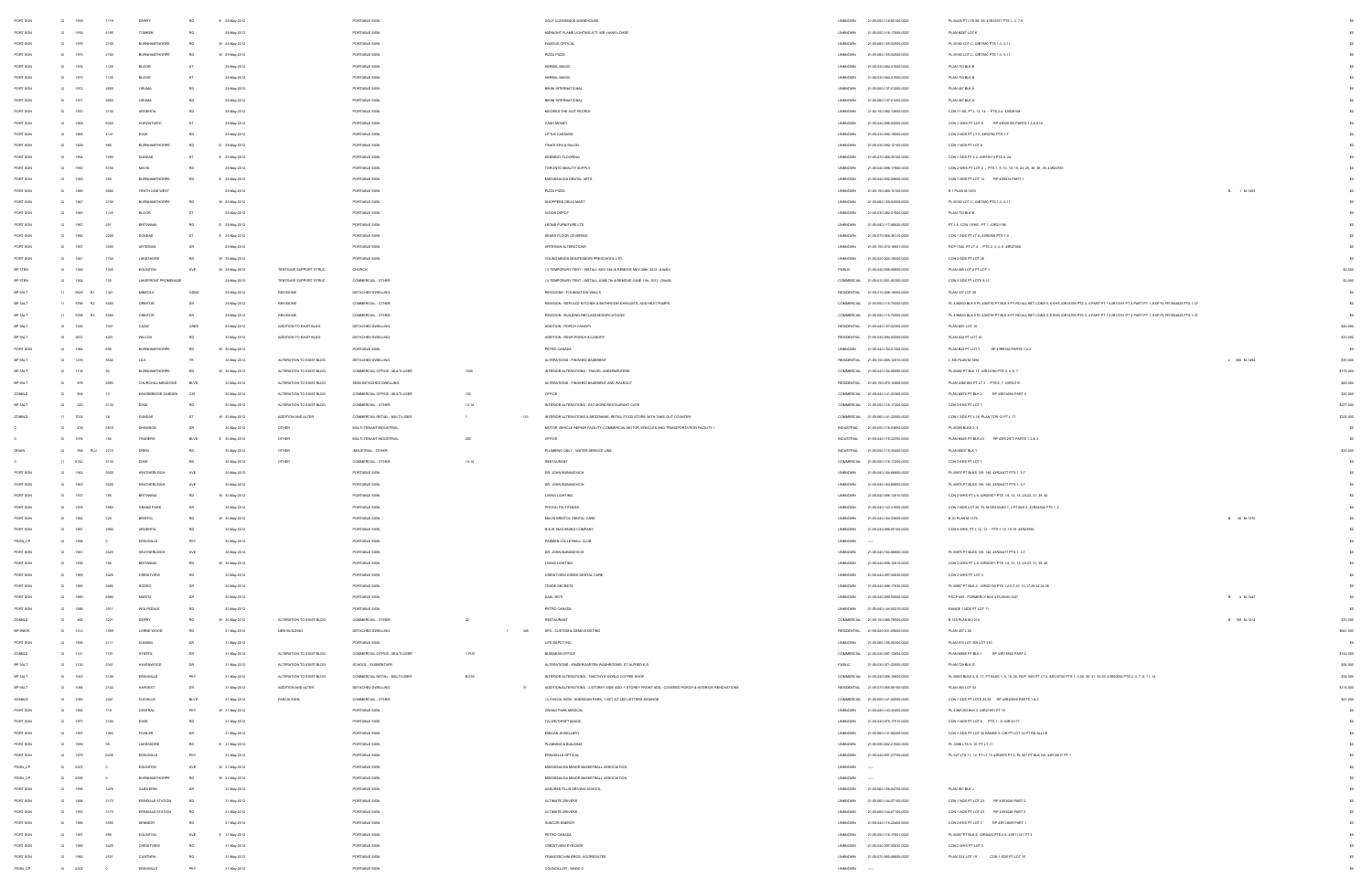| PORT SGN            | 1939              | 1119        | <b>DERRY</b>            | <b>RD</b>        | E 29-May-2012              |                          | PORTABLE SIGN                  |           |     | GOLF CLEARANCE WAREHOUSE                                                                           | <b>UNKNOWN</b>                      | 21-05-050-116-65100-0000                             | PL M435 PT LTS 58, 59, 43R12971 PTS 1, 3, 7-9                                                                                                 |              |          |
|---------------------|-------------------|-------------|-------------------------|------------------|----------------------------|--------------------------|--------------------------------|-----------|-----|----------------------------------------------------------------------------------------------------|-------------------------------------|------------------------------------------------------|-----------------------------------------------------------------------------------------------------------------------------------------------|--------------|----------|
| PORT SGN            | 1938              | 5195        | <b>TOMKEN</b>           |                  | 29-May-2012                |                          | PORTABLE SIGN                  |           |     | MIDNIGHT FLAME LIGHTING ATT: MR. HANS LOHSE                                                        | <b>UNKNOWN</b>                      | 21-05-050-116-17806-0000                             | PLAN M267 LOT 6                                                                                                                               |              |          |
| PORT SGN            | 1976              | 2150        | BURNHAMTHORPE           | <b>RD</b>        | W 29-May-2012              |                          | PORTABLE SIGN                  |           |     | FAMOUS OPTICAL                                                                                     | <b>UNKNOWN</b>                      | 21-05-060-155-52500-0000                             | PL M160 LOT C, 43R7880 PTS 1-3, 5-11                                                                                                          |              |          |
| PORT SGN            | 1975<br>12        | 2150        | <b>BURNHAMTHORPE</b>    | <b>RD</b>        | W 29-May-2012              |                          | PORTABLE SIGN                  |           |     | PIZZA PIZZA                                                                                        | <b>UNKNOWN</b>                      | 21-05-060-155-52500-0000                             | PL M160 LOT C, 43R7880 PTS 1-3, 5-11                                                                                                          |              |          |
| PORT SGN            | 1974<br>12        | 1125        | <b>BLOOR</b>            | - ST             | 29-May-2012                |                          | PORTABLE SIGN                  |           |     | <b>HERBAL MAGIC</b>                                                                                | <b>UNKNOWN</b>                      | 21-05-030-082-01500-0000                             | PLAN 753 BLK B                                                                                                                                |              |          |
| PORT SGN            | 1973              | 1125        | <b>BLOOR</b>            |                  | 29-May-2012                |                          | PORTABLE SIGN                  |           |     | HERBAL MAGIC                                                                                       | <b>UNKNOWN</b>                      | 21-05-030-082-01500-0000                             | PLAN 753 BLK B                                                                                                                                |              |          |
| PORT SGN            | 1972              | 2655        | <b>LIRUMA</b>           |                  | 29-May-2012                |                          | PORTABLE SIGN                  |           |     | BIKINI INTERNATIONAL                                                                               | <b>UNKNOWN</b>                      | 21-05-060-137-01200-0000                             | PLAN 467 BLK A                                                                                                                                |              |          |
| PORT SGN            | 1971<br>12        | 2655        | <b>LIRUMA</b>           | <b>RD</b>        | 29-May-2012                |                          | PORTABLE SIGN                  |           |     | <b>BIKINI INTERNATIONAL</b>                                                                        | <b>UNKNOWN</b>                      | 21-05-060-137-01200-0000                             | PLAN 467 BLK A                                                                                                                                |              |          |
| PORT SGN            | 1970<br>12        | 3135        | ARGENTIA                | RD               | 29-May-2012                |                          | PORTABLE SIGN                  |           |     | MOORES THE SUIT PEOPLE                                                                             | <b>UNKNOWN</b>                      | 21-05-150-080-13800-0000                             | CON 11 NS, PT L 13, 14 - PTS 2-4 43R28108                                                                                                     |              |          |
| PORT SGN            | 1969              | 6020        | <b>HURONTARK</b>        |                  | 29-May-2012                |                          | PORTABLE SIGN                  |           |     | CASH MONEY                                                                                         | <b>UNKNOWN</b>                      | 21-05-040-096-04300-0000                             | CON 1 WHS PT LOT 6 RP 43R20185 PARTS 1,3,6,8,10                                                                                               |              |          |
| PORT SGN            | 1968<br>12        | 4141        | DIXIE                   | <b>RD</b>        | 29-May-2012                |                          | PORTABLE SIGN                  |           |     | <b>LITTLE CAESARS</b>                                                                              | <b>UNKNOWN</b>                      | 21-05-030-092-19500-0000                             | CON 2 NDS PT LT 5, 43R2782 PTS 1-7                                                                                                            |              |          |
| PORT SGN            | 1928              |             | BURNHAMTHORPE           | <b>RD</b>        | E 29-May-2012              |                          | PORTABLE SIGN                  |           |     | TINA'S SPA & SALON                                                                                 | <b>UNKNOWN</b>                      | 21-05-030-092-12100-0000                             | CON 1 NDS PT LOT 8                                                                                                                            |              |          |
| PORT SGN            | 1954              |             | <b>DUNDAS</b>           |                  | E 29-May-2012              |                          | PORTABLE SIGN                  |           |     | KENNEDY FLOORING                                                                                   | <b>UNKNOWN</b>                      | 21-05-070-068-35100-0000                             | CON 1 SDS PT L 4, 43R15013 PTS 9, 24                                                                                                          |              |          |
| PORT SGN            | 1950              | 5700        |                         | <b>RD</b>        | 29-May-2012                |                          | PORTABLE SIGN                  |           |     | TORONTO BEAUTY SUPPLY                                                                              | <b>UNKNOWN</b>                      | 21-05-040-098-17900-0000                             | CON 2 WHS PT LOT 4 - PTS 1, 9, 10, 18, 19, 24, 25, 36, 38, 39, 43R22763                                                                       |              |          |
| PORT SGN            | 1949              |             | <b>BURNHAMTHORPE</b>    | <b>RD</b>        | E 29-May-2012              |                          | PORTABLE SIGN                  |           |     | MISSISSAUGA DENTAL ARTS                                                                            | <b>UNKNOWN</b>                      | 21-05-040-092-09600-0000                             | CON 1 NDS PT LOT 13 RP 43R674 PART 1                                                                                                          |              |          |
| PORT SGN            | 1948              | 5602        | TENTH LINE WEST         |                  | 29-May-2012                |                          | PORTABLE SIGN                  |           |     | PIZZA PIZZA                                                                                        | <b>UNKNOWN</b>                      | 21-05-150-085-10100-0000                             | B 1 PLAN M-1493                                                                                                                               | B 1 M-1493   |          |
| PORT SGN            | 1947              | 2150        |                         | <b>RD</b>        | W 29-May-2012              |                          | PORTABLE SIGN                  |           |     | SHOPPERS DRUG MART                                                                                 | <b>UNKNOWN</b>                      | 21-05-060-155-52500-0000                             | PL M160 LOT C, 43R7880 PTS 1-3, 5-11                                                                                                          |              |          |
| PORT SGN            | 1945              | 1125        | <b>BLOOR</b>            |                  | 29-May-2012                |                          | PORTABLE SIGN                  |           |     | VISION DEPOT                                                                                       | <b>UNKNOWN</b>                      | 21-05-030-082-01500-0000                             | PLAN 753 BLK B                                                                                                                                |              |          |
| PORT SGN            | 1967              |             | BRITANNIA               | <b>RD</b>        | E 29-May-2012              |                          | PORTABLE SIGN                  |           |     | LEONS FURNITURE LTD                                                                                | <b>UNKNOWN</b>                      | 21-05-040-117-06820-0000                             | PT L 6, CON 1 EHS - PT 1, 43R21196                                                                                                            |              |          |
| PORT SGN            | 1966              | 2200        | <b>DUNDAS</b>           | ST               | E 29-May-2012              |                          | PORTABLE SIGN                  |           |     | SEARS FLOOR COVERING                                                                               | <b>UNKNOWN</b>                      | 21-05-070-068-38110-0000                             | CON 1 SDS PT LT A, 43R6356 PTS 1-9                                                                                                            |              |          |
| PORT SGN            | 1957              | 3050        | ARTESIAN                | DF               | 29-May-2012                |                          | PORTABLE SIGN                  |           |     | ARTESIAN ALTERATIONS                                                                               | <b>UNKNOWN</b>                      | 21-05-150-010-16801-0000                             | RCP 1542, PT LT 4 - PTS 2, 3, 4, 6 43R27406                                                                                                   |              |          |
| PORT SGN            | 1941              | 1744        | LAKESHORE               | <b>RD</b>        | W 29-May-2012              |                          | PORTABLE SIGN                  |           |     | YOUNG MINDS MONTESSORI PRESCHOOL LTD.                                                              | <b>UNKNOWN</b>                      | 21-05-020-024-18000-0000                             | CON 3 SDS PT LOT 28                                                                                                                           |              |          |
| BP 3TEN             | 1249              | 1245        | <b>EGLINTON</b>         | AVE              | W 29-May-2012              | TENTS/AIR SUPPORT STRUC  | CHURCH                         |           |     | (1) TEMPORARY TENT - INSTALL MAY 24th & REMOVE MAY 28th, 2012 (40x80)                              | PUBLIC                              | 21-05-040-098-08600-0000                             | PLAN 465 LOT 2 PT LOT 1                                                                                                                       |              |          |
| BP 3TEN             | 1264              |             | LAKEFRONT PROMENAD      |                  | 29-May-2012                | TENTS/AIR SUPPORT STRUC  | COMMERCIAL - OTHER             |           |     | (1) TEMPORARY TENT - INSTALL JUNE 7th & REMOVE JUNE 11th, 2012 (30x45)                             |                                     | COMMERCIAL 21-05-010-001-00300-0000                  | CON 3 SDS PT LOTS 9-12                                                                                                                        |              |          |
| BP 9ALT             | 11 6625           | 1321        | <b>MINEOLA</b>          | GDNS             | 29-May-2012                | <b>REVISIONS</b>         | DETACHED DWELLING              |           |     | REVISIONS - FOUNDATION WALLS                                                                       |                                     | RESIDENTIAL 21-05-010-008-19000-0000                 | PLAN 337 LOT 35                                                                                                                               |              |          |
| BP 3ALT             | 5788<br><b>R2</b> | 5050        | ORBITOR                 | <b>DR</b>        | 29-May-2012                | <b>REVISIONS</b>         | COMMERCIAL - OTHER             |           |     | REVISION - REPLACE KITCHEN & BATHROOM EXHAUSTS. ADD HEAT PUMPS                                     |                                     | COMMERCIAL 21-05-050-115-70000-0000                  | PL 43M533 BLK 9 PL 43M793 PT BLK 8 PT RD ALL BET CONS 5, 6 EHS 43R14769 PTS 3, 4 PART PT 1 43R15181 PT 2 PART PT 1, EXP PL PR1954625 PTS 1-37 |              |          |
| BP 3ALT             | 5788              | 5050        | ORBITOR                 | <b>DF</b>        | 29-May-2012                | <b>REVISIONS</b>         | COMMERCIAL - OTHER             |           |     | REVISION - BUILDING-RECLASS MODIFICATIONS                                                          |                                     | COMMERCIAL 21-05-050-115-70000-0000                  | PL 43M533 BLK 9 PL 43M793 PT BLK 8 PT RD ALL BET CONS 5, 6 EHS 43R14769 PTS 3, 4 PART PT 1 43R15181 PT 2 PART PT 1, EXP PL PR1954625 PTS 1-37 |              |          |
| BP 9ALT             | 1220              | 7031        | CADL                    | CRES             | 29-May-2012                | ADDITION TO EXIST BLDG   | DETACHED DWELLING              |           |     | ADDITION - PORCH CANOPY                                                                            |                                     | RESIDENTIAL 21-05-040-157-02300-0000                 | PLAN M61 LOT 18                                                                                                                               |              |          |
| BP 9ALT             | 2631              | 4201        | WILCOX                  | <b>RF</b>        | 30-May-2012                | ADDITION TO EXIST BLDG   | DETACHED DWELLING              |           |     | ADDITION - REAR PORCH & CANOPY                                                                     |                                     | RESIDENTIAL 21-05-040-094-02000-0000                 | PLAN A24 PT LOT 10                                                                                                                            |              | \$10,00  |
| PORT SGN            | 1984              | 695         | BURNHAMTHORPE           | <b>RD</b>        | W 30-May-2012              |                          | PORTABLE SIGN                  |           |     | PETRO CANADA                                                                                       |                                     | UNKNOWN 21-05-040-154-01302-0000                     | PLAN B22 PT LOT 7 RP 43R9332 PARTS 1,2,3                                                                                                      |              |          |
| BP 9ALT             | 1216              | 5632        | LILA                    | TR               | 30-May-2012                | ALTERATION TO EXIST BLDG | DETACHED DWELLING              |           |     | ALTERATIONS - FINISHED BASEMENT                                                                    |                                     | RESIDENTIAL 21-05-150-085-12010-0000                 | L 306 PLAN M-1494                                                                                                                             | L 306 M-1494 | \$70,00  |
| BP 3ALT             | 1138              |             | <b>BLIRNHAMTHORPE</b>   | <b>RD</b>        | W 30-May-2012              | ALTERATION TO EXIST BLDG | COMMERCIAL OFFICE - MULTI-USER | 1500      |     | INTERIOR ALTERATIONS - TRAVEL UNDERWRITERS                                                         |                                     | COMMERCIAL 21-05-040-154-06690-0000                  | PL M492 PT BLK 17, 43R14746 PTS 3, 4, 6, 7                                                                                                    |              | \$175,00 |
| BP 9ALT             | 878               | 5093        | CHURCHILL MEADOWS       | <b>BLVD</b>      | 30-May-2012                | ALTERATION TO EXIST BLDG | SEMI-DETACHED DWELLING         |           |     | ALTERATIONS - FINISHED BASEMENT AND WALKOUT                                                        |                                     | RESIDENTIAL 21-05-150-070-12806-0000                 | PLAN 43M1663 PT LT 3 - PTS 6, 7 43R30191                                                                                                      |              | \$45,00  |
| ZONBLD              | 804               |             | KINGSBRIDGE GARDEN      | CIR              | 30-May-2012                | ALTERATION TO EXIST BLDG | COMMERCIAL OFFICE - MULTI-USER | 102       |     | OFFICE                                                                                             |                                     | COMMERCIAL 21-05-040-141-03300-0000                  | PLAN M576 PT BLK 2 RP 43R14594 PART 4                                                                                                         |              | \$30,00  |
| BP 3AL              | 323               | 5130        |                         |                  | 30-May-2012                | ALTERATION TO EXIST BLDG | COMMERCIAL - OTHER             | $13 - 14$ |     | INTERIOR ALTERATIONS - EAT MORE RESTAURANT CAFE                                                    |                                     | COMMERCIAL 21-05-050-116-17200-0000                  | CON 3 EHS PT LOT 1                                                                                                                            |              | \$277,00 |
| ZONBLD              | 7074              |             | <b>DUNDAS</b>           | <b>ST</b>        | W 30-May-2012              | ADDITION AND ALTER       | COMMERCIAL RETAIL - MULTI-USER |           | 121 | INTERIOR ALTERATIONS & MEZZANINE, RETAIL FOOD STORE WITH TAKE-OUT COUNTER                          |                                     | COMMERCIAL 21-05-060-141-32500-0000                  | CON 1 SDS PT L 16, PLAN TOR 12 PT L 17                                                                                                        |              | \$325,00 |
|                     | 438               | 5810        | SHAWSON                 | <b>DR</b>        | 30-May-2012                | OTHER                    | MULTI-TENANT INDUSTRIAL        |           |     | MOTOR VEHICLE REPAIR FACILITY-COMMERCIAL MOTOR VEHICLES AND TRANSPORTATION FACILITY /              |                                     | INDUSTRIAL 21-05-050-116-03892-0000                  | PL M395 BLKS 2.3                                                                                                                              |              |          |
|                     | 1074              |             | TRADER                  | BLVD             | E 30-May-2012              | OTHER                    | MULTI-TENANT INDUSTRIAL        | 200       |     | OFFICE                                                                                             |                                     | INDUSTRIAL 21-05-040-116-32350-0000                  | PLAN M425 PT BLK 43 RP 43R12973 PARTS 1,2,& 3                                                                                                 |              |          |
|                     |                   |             |                         |                  |                            |                          |                                |           |     |                                                                                                    |                                     |                                                      |                                                                                                                                               |              |          |
| DRAIN               |                   | 2210        | DREV                    |                  | 30-May-2012                | OTHER                    | INDUSTRIAL - OTHER             |           |     | PLUMBING ONLY - WATER SERVICE LINE                                                                 | <b>INDUSTRIAL</b>                   | 21-05-050-115-35400-0000                             | PLAN M637 BLK 1                                                                                                                               |              |          |
| $\mathbf{c}$        | 6742              | 5130        | DIXIE                   | <b>RD</b>        | 30-May-2012                | OTHER                    | COMMERCIAL - OTHER             | $13 - 14$ |     | RESTAURANT                                                                                         |                                     | COMMERCIAL 21-05-050-116-17200-0000                  | CON 3 EHS PT LOT 1                                                                                                                            |              |          |
| PORT SGN            | 1962              | 6025        | HEATHERLEIGH            | AVE              | 30-May-2012                |                          | PORTABLE SIGN                  |           |     | DR. JOHN BUBANOVICH                                                                                | <b>UNKNOWN</b>                      | 21-05-040-164-68800-0000                             | PL M975 PT BLKS 139, 140, 43R24477 PTS 1, 3-7                                                                                                 |              |          |
| PORT SGN            | 1963              | 5025        | <b>HEATHERLEIGH</b>     | AVE              | 30-May-2012                |                          | PORTABLE SIGN                  |           |     | DR. JOHN BUBANOVICH                                                                                | <b>UNKNOWN</b>                      | 21-05-040-164-68800-0000                             | PL M975 PT BLKS 139, 140, 43R24477 PTS 1, 3-7                                                                                                 |              |          |
| PORT SGN            | 1937<br>12        |             | RRITANNIA               |                  | W 30-May-2012              |                          | PORTABLE SIGN                  |           |     | <b>LIVING LIGHTING</b>                                                                             | <b>UNKNOWN</b>                      | 21-05-040-098-12910-0000                             | CON 2 WHS PT L 6, 43R25871 PTS 1-9, 13, 15, 20-23, 31, 39, 40                                                                                 |              |          |
| PORT SGN            | 12 1978           | 3950        | <b>GRAND PARK</b>       | <b>DR</b>        | 30-May-2012                |                          | PORTABLE SIGN                  |           |     | PHYSIO FIX FITNESS                                                                                 |                                     | UNKNOWN 21-05-040-143-31500-0000                     | CON 1 NDS LOT 20 PL M1393 BLKS 1, 2 PT BLK 4 43R24554 PTS 1, 2                                                                                |              |          |
| PORT SGN            |                   |             |                         |                  | W 30-May-201               |                          | PORTABLE SIGN                  |           |     | MAVIS BRISTOL DENTAL CARE                                                                          | <b>UNKNOWN</b>                      | 21-05-040-164-53600-0000                             | B 30 PLAN M-1370                                                                                                                              | B 30 M-1370  |          |
| PORT SGN            | 1981              | 2900        | ARGENTIA                | <b>RD</b>        | 30-May-2012                |                          | PORTABLE SIGN                  |           |     | <b>B &amp; W MACHINING COMPANY</b>                                                                 |                                     | UNKNOWN 21-05-040-098-05100-0000                     | CON 6 WHS, PT L 12, 13 - PTS 1-10, 15-19 43R23938                                                                                             |              |          |
| PSGN_CP             | 1998<br>12        |             | <b>ERIN MILLS</b>       | PKY              | 30-May-2012                |                          | PORTABLE SIGN                  |           |     | PAKMEN VOLLEYBALL CLUB                                                                             | <b>UNKNOWN</b>                      |                                                      |                                                                                                                                               |              |          |
| PORT SGN            | 1961              | 5025        | HEATHERLEIGH            | AVE              | 30-May-2012                |                          | PORTABLE SIGN                  |           |     | DR. JOHN BUBANOVICH                                                                                | <b>UNKNOWN</b>                      | 21-05-040-164-68800-0000                             | PL M975 PT BLKS 139, 140, 43R24477 PTS 1, 3-7                                                                                                 |              |          |
| PORT SGN            | 1936              |             | BRITANNIA               | <b>RD</b>        | W 30-May-2012              |                          | PORTABLE SIGN                  |           |     | <b>LIVING LIGHTING</b>                                                                             | <b>UNKNOWN</b>                      | 21-05-040-098-12910-0000                             | CON 2 WHS PT L 6, 43R25871 PTS 1-9, 13, 15, 20-23, 31, 39, 40                                                                                 |              |          |
| PORT SGN            | 1965<br>12        | 5425        | CREDITVIEW              | <b>RD</b>        | 30-May-2012                |                          | PORTABLE SIGN                  |           |     | CREDITVIEW CREEK DENTAL CARE                                                                       | <b>UNKNOWN</b>                      | 21-05-040-097-00830-0000                             | CON 3 WHS PT LOT 3                                                                                                                            |              |          |
| PORT SGN            | 12<br>1983        | 5885        | RODEO                   | <b>DR</b>        | 30-May-2012                |                          | PORTABLE SIGN                  |           |     | TRADE SECRETS                                                                                      | <b>UNKNOWN</b>                      | 21-05-040-098-17830-0000                             | PL M967 PT BLK 2 - 43R20150 PTS 1,2,5-7,10, 13-17,29-32,34-36                                                                                 |              |          |
| PORT SGN            | 1980              | 6980        | <b>MARITZ</b>           | <b>DR</b>        | 30-May-2012                |                          | PORTABLE SIGN                  |           |     | DAAL ROTI                                                                                          | <b>UNKNOWN</b>                      | 21-05-040-099-50000-0000                             | PSCP 805 - FORMERLY BLK 4 PLAN M-1447                                                                                                         | B 4 M-1447   |          |
| PORT SGN            | 1986              | 3011        | WOLFEDALE               | <b>RD</b>        | 30-May-2012                |                          | PORTABLE SIGN                  |           |     | PETRO CANADA                                                                                       | <b>UNKNOWN</b>                      | 21-05-040-144-00210-0000                             | RANGE 1 NDS PT LOT 11                                                                                                                         |              |          |
| ZONBLD              | 464               | 3221        | DERRY                   | <b>RD</b>        | W 30-May-2012              | ALTERATION TO EXIST BLDG | COMMERCIAL - OTHER             | 22        |     | RESTAURANT                                                                                         |                                     | COMMERCIAL 21-05-150-080-76500-0000                  | B 159 PLAN M-1214                                                                                                                             | B 159 M-1214 | \$70,00  |
| BP 9NEW             | 12 1212           | 1559        | LORNE WOOD              | <b>RD</b>        | 31-May-2012                | NEW BUILDING             | DETACHED DWELLING              | $\sim$ 1  | 345 | SFD - CUSTOM & DEMO-EXISTING                                                                       |                                     | RESIDENTIAL 21-05-020-031-05600-0000                 | PLAN 457 L 62                                                                                                                                 |              | \$641,00 |
| PORT SGN            | 1995              | 2111        | <b>DUNWIN</b>           | <b>DR</b>        | 31-May-2012                |                          | PORTABLE SIGN                  |           |     | LITE DEPOT INC.                                                                                    |                                     | UNKNOWN 21-05-060-155-00300-0000                     | PLAN 915 LOT 309 LOT 310                                                                                                                      |              |          |
| ZONBLD              | 1121              | 7101        | <b>SYNTEX</b>           | <b>DR</b>        | 31-May-2012                | ALTERATION TO EXIST BLDG | COMMERCIAL OFFICE - MULTI-USER | 1-FLR     |     | <b>BUSINESS OFFICE</b>                                                                             |                                     | COMMERCIAL 21-05-040-097-12854-0000                  | PLAN M589 PT BLK 1 RP 43R15682 PART 2                                                                                                         |              | \$142,00 |
| BP 3ALT             | 12 1126           | 3341        | HAVENWOOD               | <b>DR</b>        | 31-May-2012                | ALTERATION TO EXIST BLDG | SCHOOL - ELEMENTARY            |           |     | ALTERATIONS - KINDERGARTEN WASHROOMS, ST ALFRED E.S.                                               | PUBLIC                              | 21-05-030-071-02500-0000                             | PLAN 729 BLK G                                                                                                                                |              | \$92,00  |
| BP 3ALT             | 1063              | 5100        | <b>ERIN MILLS</b>       | PKY              | 31-May-2012                | ALTERATION TO EXIST BLDG | COMMERCIAL RETAIL - MULTI-USER | B-235     |     | INTERIOR ALTERATIONS - TIMOTHYS WORLD COFFEE SHOP                                                  |                                     | COMMERCIAL 21-05-040-098-10600-0000                  | PL M823 BLKS 4, 6, 17, PT BLKS 1, 5, 18, 20, RCP 1003 PT LT 2, 43R15700 PTS 1, 3-28, 30, 31, 33-35, 43R20654 PTS 2, 4, 7, 8, 11, 14           |              | \$34,00  |
| BP 9AL              | 1084              | 2142        | <b>HARVEST</b>          | <b>DR</b>        | 31-May-2012                | ADDITION AND ALTER       | DETACHED DWELLING              |           |     | ADDITION/ALTERATIONS - 2 STOREY SIDE ADD, 1 STOREY FRONT ADD, COVERED PORCH & INTERIOR RENOVATIONS |                                     | RESIDENTIAL 21-05-070-055-09100-0000                 | PLAN 463 LOT 33                                                                                                                               |              | \$114,00 |
| SGNBLD              | 1083<br>12        | 2441        | FLAVELLE                | BLVD             | 31-May-2012                | <b>FASCIA SIGN</b>       | COMMERCIAL - OTHER             |           |     | (1) FASCIA SIGN - SHERIDAN PARK, 1-SET 20" LED LETTERS SIGANGE                                     |                                     | COMMERCIAL 21-05-060-141-02500-0000                  | CON 1 SDS PT LOTS 33,34 RP 43R20656 PARTS 1 & 2                                                                                               |              | \$21,00  |
| PORT SGN            | 1992<br>12        | 719         | CENTRAL                 | PKY              | W 31-May-2012              |                          | PORTABLE SIGN                  |           |     | <b>GRAND PARK MEDICAL</b>                                                                          |                                     | UNKNOWN 21-05-040-143-32400-0000                     | PL 43M1393 BLK 3, 43R21901 PT 15                                                                                                              |              |          |
| PORT SGN            | 1977              | 3100        | DIXIE                   | <b>RD</b>        | 31-May-2012                |                          | PORTABLE SIGN                  |           |     | TALIZE/THRIFT MAGIC                                                                                | <b>UNKNOWN</b>                      | 21-05-030-075-17510-0000                             | CON 1 NDS PT LOT 6 PTS 1 - 8, 43R14171                                                                                                        |              |          |
| PORT SGN            | 1997              | 1900        | FOWLER                  | <b>DR</b>        | 31-May-2012                |                          | PORTABLE SIGN                  |           |     | EMILIAN JEWELLERY                                                                                  | <b>UNKNOWN</b>                      | 21-05-060-131-00200-0000                             | CON 1 SDS PT LOT 30 RANGE 3 CIR PT LOT 14 PT RD ALLCE                                                                                         |              |          |
| PORT SGN            | 1999<br>12        |             | LAKESHORE               | <b>RD</b>        | E 31-May-2012              |                          | PORTABLE SIGN                  |           |     | PLANNING & BUILDING                                                                                | <b>UNKNOWN</b>                      | 21-05-090-002-21500-0000                             | PL 300E LTS 9, 10, PT LT 11                                                                                                                   |              |          |
| PORT SGN            | 1979              | 6435        | <b>ERIN MILLS</b>       | PKY              | 31-May-2012                |                          | PORTABLE SIGN                  |           |     | ERIN MILLS OPTICAL                                                                                 | <b>UNKNOWN</b>                      | 21-05-040-097-27700-0000                             | PL 927 LTS 11, 12, PT LT 13 43R9070 PT 2, PL 927 PT BLK DX, 43R12517 PT 1                                                                     |              |          |
| PSGN_CP             | 2007              |             | <b>EGLINTON</b>         | AVE              | W 31-May-2012              |                          | PORTABLE SIGN                  |           |     | MISSISSAUGA MINOR BASKETBALL ASSOCIATION                                                           | <b>UNKNOWN</b>                      |                                                      |                                                                                                                                               |              |          |
| PSGN_CP             | 2006<br>12        |             | <b>BURNHAMTHORPE</b>    | <b>RD</b>        | W 31-May-2012              |                          | PORTABLE SIGN                  |           |     | MISSISSAUGA MINOR BASKETBALL ASSOCIATION                                                           | <b>UNKNOWN</b>                      |                                                      |                                                                                                                                               |              |          |
| PORT SGN            | 1996<br>12        | 3476        | <b>GLEN ERIN</b>        | <b>DR</b>        | 31-May-2012                |                          | PORTABLE SIGN                  |           |     | ASSURED PLUS DRIVING SCHOOL                                                                        |                                     | UNKNOWN 21-05-060-156-84700-0000                     | PLAN 961 BLK J                                                                                                                                |              |          |
| PORT SGN            | 1994<br>12        | 3173        | <b>ERINDALE STATION</b> | RD               | 31-May-2012                |                          | PORTABLE SIGN                  |           |     | ULTIMATE DRIVERS                                                                                   | <b>UNKNOWN</b>                      | 21-05-060-144-07100-0000                             | CON 1 NDS PT LOT 23 RP 43R3048 PART 2                                                                                                         |              |          |
| PORT SGN            | 1993              | 3173        | ERINDALE STATION        | <b>RD</b>        | 31-May-2012                |                          | PORTABLE SIGN                  |           |     | ULTIMATE DRIVERS                                                                                   | <b>UNKNOWN</b>                      | 21-05-060-144-07100-0000                             | CON 1 NDS PT LOT 23 RP 43R3048 PART 2                                                                                                         |              |          |
| PORT SGN            | 1988<br>12        | 5555<br>995 | <b>KENNEDY</b>          | <b>RD</b>        | 31-May-2012                |                          | PORTABLE SIGN                  |           |     | SUNCOR ENERGY                                                                                      | <b>UNKNOWN</b>                      | 21-05-040-116-22400-0000                             | CON 2 EHS PT LOT 3 RP 43R13609 PART 1                                                                                                         |              |          |
| PORT SGN            | 1987<br>1985      | 5425        | <b>EGLINTON</b>         | AVE<br><b>RD</b> | E 31-May-2012              |                          | PORTABLE SIGN                  |           |     | PETRO CANADA                                                                                       | <b>UNKNOWN</b><br><b>UNKNOWN</b>    | 21-05-050-116-17801-0000                             | PL M267 PT BLK E, 43R8425 PTS 4-6, 43R11141 PT 3                                                                                              |              |          |
| PORT SGN            | 1982<br>12        | 2531        | CREDITVIEW<br>CAWTHRA   | <b>RD</b>        | 31-May-2012                |                          | PORTABLE SIGN                  |           |     | CREDITVIEW EYECARE<br>FRANCESCHINI BROS. AGGREGATES                                                | <b>UNKNOWN</b>                      | 21-05-040-097-00830-0000<br>21-05-070-060-06600-0000 | CON 3 WHS PT LOT 3                                                                                                                            |              |          |
| PORT SGN<br>PSGN_CP | 2002<br>12        |             | <b>ERIN MILLS</b>       | PKY              | 31-May-2012<br>31-May-2012 |                          | PORTABLE SIGN<br>PORTABLE SIGN |           |     | COUNCILLOR - WARD 9                                                                                | <b>UNKNOWN</b><br><b>CONTRACTOR</b> |                                                      | PLAN G14 LOT 19 CON 1 SDS PT LOT 10                                                                                                           |              |          |

\$0 \$0  $\mathbf{s}$ 0 \$0\$0 \$0 \$142,000 \$70,000 \$0 \$0\$0 \$0 \$0 \$0 \$0 \$0 $\mathbf{s}$ \$0\$0\$0\$0\$0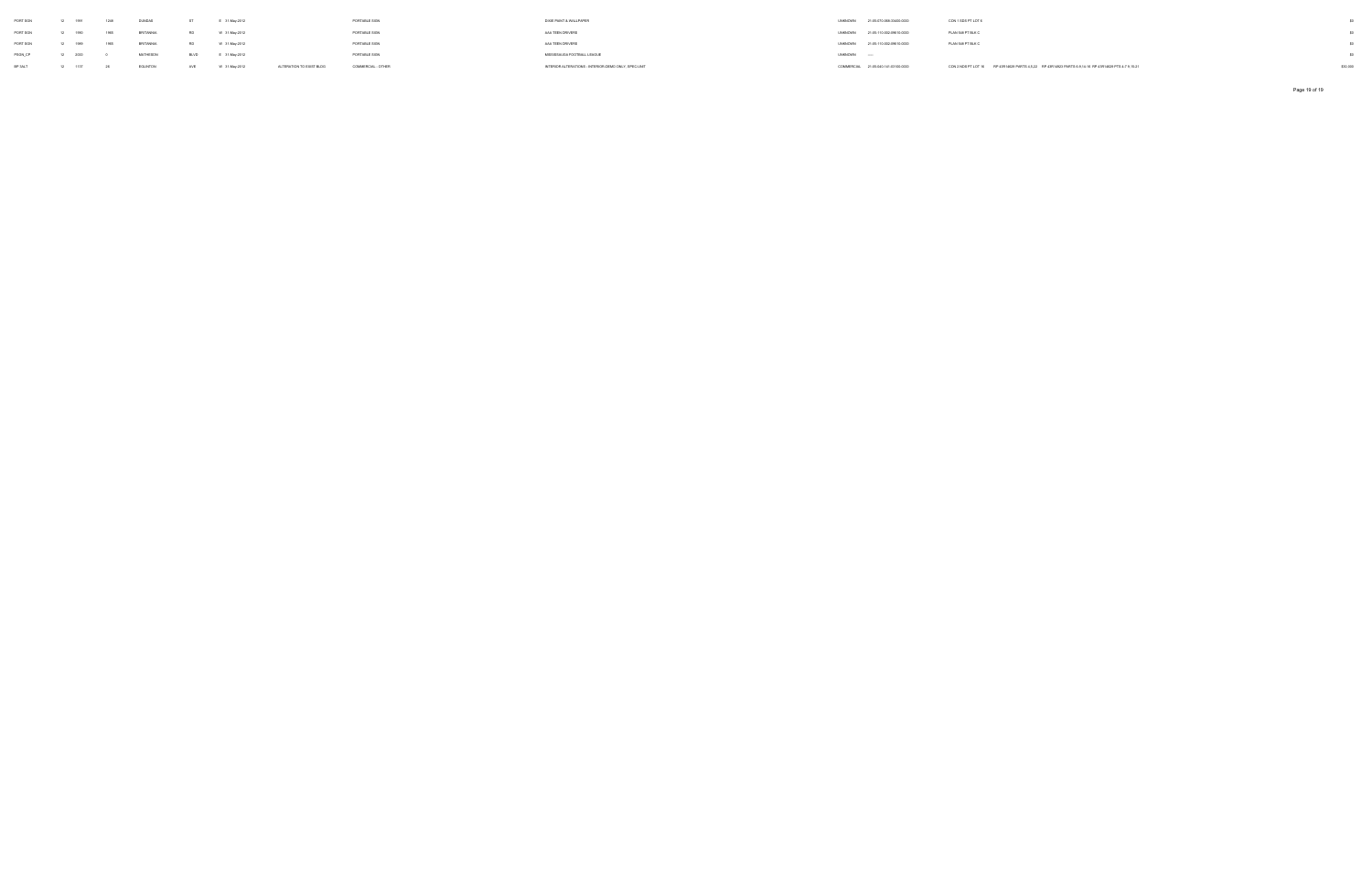| PORT SGN | 12 1991 1248                                                                                                                                                                                                                    | DUNDAS    |             | E 31-May-2012 |                           | PORTABLE SIGN      | DIXIE PAINT & WALLPAPER                            |                | 05-070-068-33400-0000    | CON 1 SDS PT LOT 6                                      |          |
|----------|---------------------------------------------------------------------------------------------------------------------------------------------------------------------------------------------------------------------------------|-----------|-------------|---------------|---------------------------|--------------------|----------------------------------------------------|----------------|--------------------------|---------------------------------------------------------|----------|
| PORT SGN | 12 1990 1965                                                                                                                                                                                                                    | BRITANNIA |             | W 31-May-2012 |                           | PORTABLE SIGN      | AAA TEEN DRIVERS                                   | <b>UNKNOWN</b> | 21-05-110-002-09610-000  | PLAN 548 PT BLK C                                       |          |
| PORT SGN | 1989 1965                                                                                                                                                                                                                       | BRITANNIA |             | W 31-May-2012 |                           | PORTABLE SIGN      | AAA TEEN DRIVERS                                   | unknown        | 21-05-110-002-09610-000u | PLAN 548 PT BLK C                                       |          |
| PSGN CP  | 2000 11:00:00 11:00:00 11:00:00 11:00:00 11:00:00 11:00:00 11:00:00 11:00:00 11:00:00 11:00:00 11:00:00 11:00:00 11:00:00 11:00:00 11:00:00 11:00:00 11:00:00 11:00:00 11:00:00 11:00:00 11:00:00 11:00:00 11:00:00 11:00:00 11 | MATHESON  | <b>BLVD</b> | E 31-May-2012 |                           | PORTABLE SIGN      | MISSISSAUGA FOOTBALL LEAGUE                        | UNKNOWN -----  |                          |                                                         |          |
| BP 3ALT  | 1137                                                                                                                                                                                                                            | EGLINTON  |             | W 31-May-2012 | ALTERATION TO EXIST BLDG. | COMMERCIAL - OTHER | FERIOR ALTERATIONS - INTERIOR-DEMO ONLY. SPEC-UNIT |                |                          | IP 43R14923 PARTS 6-9.14-16 RP 43R14629 PTS 4-7 9.15-21 | \$30,000 |
|          |                                                                                                                                                                                                                                 |           |             |               |                           |                    |                                                    |                |                          |                                                         |          |

Page 19 of 19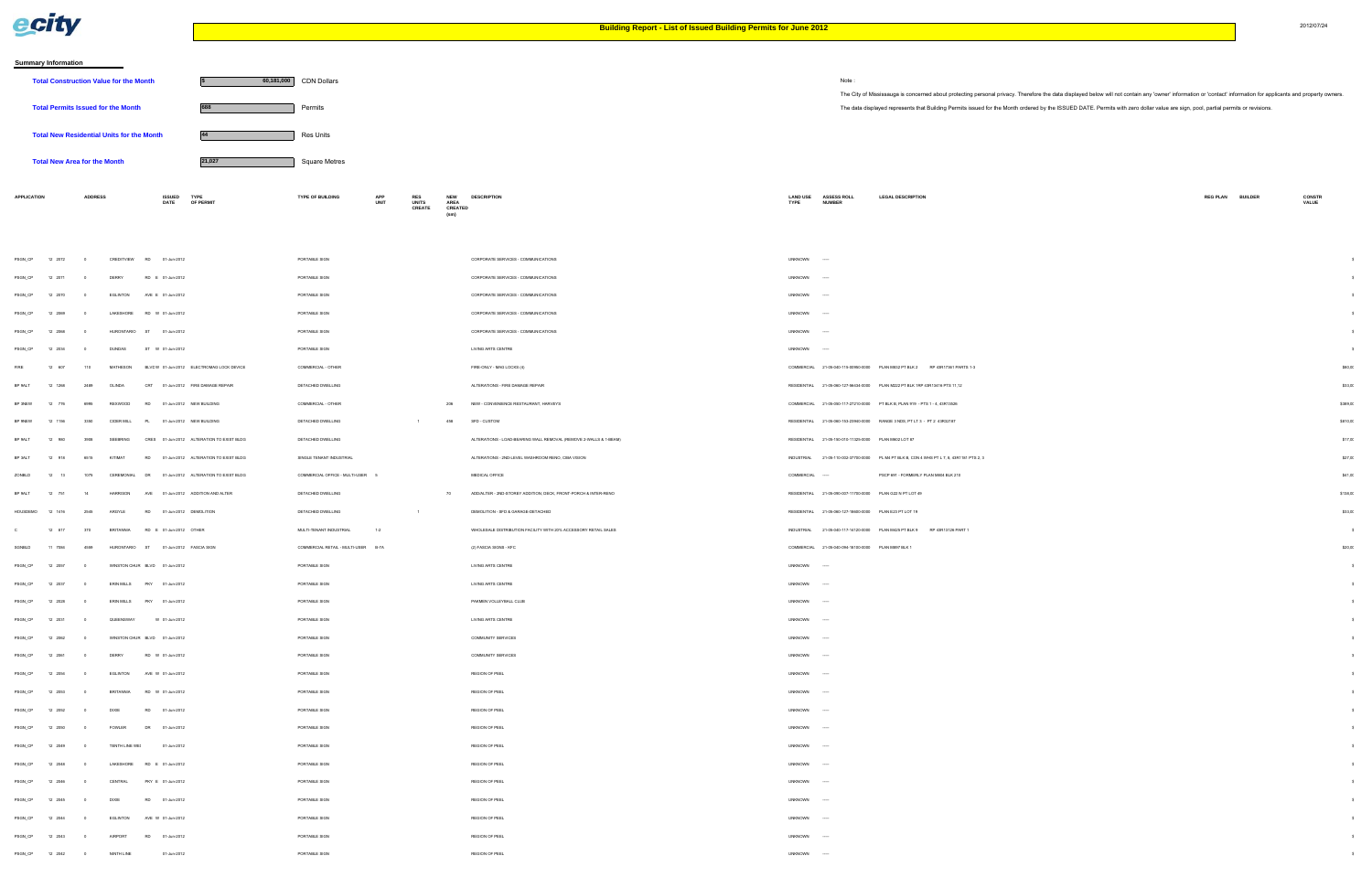

| <b>Summary Information</b>                                                                |                                                                                                                                 |                                                                   |                                                                                                                                                                                                                           |                        |
|-------------------------------------------------------------------------------------------|---------------------------------------------------------------------------------------------------------------------------------|-------------------------------------------------------------------|---------------------------------------------------------------------------------------------------------------------------------------------------------------------------------------------------------------------------|------------------------|
| <b>Total Construction Value for the Month</b>                                             | 60,181,000 CDN Dollars                                                                                                          |                                                                   | Note:<br>The City of Mississauga is concerned about protecting personal privacy. Therefore the data displayed below will not contain any 'owner' information or 'contact' information for applicants and property owners. |                        |
| <b>Total Permits Issued for the Month</b>                                                 | Permits                                                                                                                         |                                                                   | The data displayed represents that Building Permits issued for the Month ordered by the ISSUED DATE. Permits with zero dollar value are sign, pool, partial permits or revisions.                                         |                        |
| <b>Total New Residential Units for the Month</b>                                          | Res Units                                                                                                                       |                                                                   |                                                                                                                                                                                                                           |                        |
| 21,027<br><b>Total New Area for the Month</b>                                             | <b>Square Metres</b>                                                                                                            |                                                                   |                                                                                                                                                                                                                           |                        |
| <b>APPLICATION</b><br><b>ADDRESS</b><br><b>ISSUED</b><br>TYPE<br><b>DATE</b><br>OF PERMIT | <b>TYPE OF BUILDING</b><br>RES<br><b>NEW</b><br>APP<br><b>UNIT</b><br><b>UNITS<br/>CREATE</b><br><b>AREA</b><br>CREATED<br>(sm) | <b>DESCRIPTION</b>                                                | <b>LEGAL DESCRIPTION</b><br>LAND USE ASSESS ROLL<br>REG PLAN BUILDER<br>TYPE<br><b>NUMBER</b>                                                                                                                             | <b>CONSTR</b><br>VALUE |
| PSGN_CP 12 2072<br>CREDITVIEW RD 01-Jun-2012<br>$\sim$ 0                                  | PORTABLE SIGN                                                                                                                   | CORPORATE SERVICES - COMMUNICATIONS                               | <b>UNKNOWN</b><br>$\sim$                                                                                                                                                                                                  |                        |
| PSGN_CP 12 2071<br>$\overline{0}$<br>DERRY<br>RD E 01-Jun-2012                            | PORTABLE SIGN                                                                                                                   | CORPORATE SERVICES - COMMUNICATIONS                               | <b>UNKNOWN</b><br>$\sim$                                                                                                                                                                                                  |                        |
| PSGN_CP 12 2070<br>EGLINTON<br>AVE E 01-Jun-2012<br>$\overline{0}$                        | PORTABLE SIGN                                                                                                                   | CORPORATE SERVICES - COMMUNICATIONS                               | <b>UNKNOWN</b><br>$\sim$                                                                                                                                                                                                  |                        |
| LAKESHORE RD W 01-Jun-2012<br>PSGN_CP<br>12 2069                                          | PORTABLE SIGN                                                                                                                   | CORPORATE SERVICES - COMMUNICATIONS                               | <b>UNKNOWN</b><br>$\cdots$                                                                                                                                                                                                |                        |
| PSGN_CP<br>12 2068<br>HURONTARIO ST 01-Jun-2012                                           | PORTABLE SIGN                                                                                                                   | CORPORATE SERVICES - COMMUNICATIONS                               | <b>UNKNOWN</b><br>$\sim$                                                                                                                                                                                                  |                        |
| <b>DUNDAS</b><br>ST W 01-Jun-2012<br>PSGN_CP<br>12 2034                                   | PORTABLE SIGN                                                                                                                   | LIVING ARTS CENTRE                                                | <b>UNKNOWN</b><br>$\sim$                                                                                                                                                                                                  |                        |
| MATHESON<br>BLVDW 01-Jun-2012 ELECTROMAG LOCK DEVICE<br>FIRE<br>607<br>110<br>12          | COMMERCIAL - OTHER                                                                                                              | FIRE-ONLY - MAG LOCKS (4)                                         | COMMERCIAL 21-05-040-115-00950-0000 PLAN M832 PT BLK 2 RP 43R17361 PARTS 1-3                                                                                                                                              | \$80,00                |
| BP 9ALT<br>12 1268<br>2489<br>OLINDA<br>CRT 01-Jun-2012 FIRE DAMAGE REPAIR                | DETACHED DWELLING                                                                                                               | ALTERATIONS - FIRE DAMAGE REPAIR                                  | RESIDENTIAL 21-05-060-127-56434-0000 PLAN M222 PT BLK 1RP 43R13416 PTS 11,12                                                                                                                                              | \$33,00                |
| 6995<br>REXWOOD<br>01-Jun-2012 NEW BUILDING<br>BP 3NEW<br>12 776<br><b>RD</b>             | COMMERCIAL - OTHER<br>206                                                                                                       | NEW - CONVENIENCE RESTAURANT, HARVEYS                             | COMMERCIAL 21-05-050-117-27210-0000 PT BLK B, PLAN 919 - PTS 1 - 4, 43R13526                                                                                                                                              | \$389,00               |
| 01-Jun-2012 NEW BUILDING<br>BP 9NEW<br><b>CIDER MILL</b><br>12 1156<br>3350<br>PL.        | DETACHED DWELLING<br>$\overline{1}$<br>458                                                                                      | SFD - CUSTOM                                                      | RESIDENTIAL 21-05-060-153-23940-0000 RANGE 3 NDS, PT LT 3 - PT 2 43R32187                                                                                                                                                 | \$810,00               |
| CRES 01-Jun-2012 ALTERATION TO EXIST BLDG<br>BP 9ALT<br>3908<br>SEEBRING<br>12 980        | DETACHED DWELLING                                                                                                               | ALTERATIONS - LOAD-BEARING WALL REMOVAL (REMOVE 2-WALLS & 1-BEAM) | RESIDENTIAL 21-05-150-010-11325-0000 PLAN M602 LOT 87                                                                                                                                                                     | \$17,00                |
| BP 3ALT<br>12 918<br>6515<br>KITIMAT<br><b>RD</b><br>01-Jun-2012 ALTERATION TO EXIST BLDG | SINGLE TENANT INDUSTRIAL                                                                                                        | ALTERATIONS - 2ND-LEVEL WASHROOM RENO, CIBA VISION                | <b>INDUSTRIAL</b><br>21-05-110-002-37700-0000 PL M4 PT BLK B, CON 4 WHS PT L 7, 8, 43R1181 PTS 2, 3                                                                                                                       | \$27,00                |
| ZONBLD<br>CEREMONIAL DR 01-Jun-2012 ALTERATION TO EXIST BLDG<br>12 13<br>1075             | COMMERCIAL OFFICE - MULTI-USER 5                                                                                                | MEDICAL OFFICE                                                    | COMMERCIAL -----<br>PSCP 691 - FORMERLY PLAN M804 BLK 210                                                                                                                                                                 | \$41,00                |
| AVE  01-Jun-2012  ADDITION AND ALTER<br>BP 9ALT 12 751<br><b>HARRISON</b><br>14           | DETACHED DWELLING<br>70                                                                                                         | ADD/ALTER - 2ND-STOREY ADDITION, DECK, FRONT-PORCH & INTER-RENO   | RESIDENTIAL 21-05-090-007-11700-0000 PLAN G22 N PT LOT 49                                                                                                                                                                 | \$138,00               |
| HOUSDEMO 12 1416<br>2545<br>ARGYLE<br><b>RD</b><br>01-Jun-2012 DEMOLITION                 | DETACHED DWELLING<br>$-1$                                                                                                       | DEMOLITION - SFD & GARAGE-DETACHED                                | RESIDENTIAL 21-05-060-127-18600-0000 PLAN E23 PT LOT 19                                                                                                                                                                   | \$33,00                |
| 12 817<br>370<br>BRITANNIA<br>RD E 01-Jun-2012 OTHER                                      | MULTI-TENANT INDUSTRIAL<br>$1 - 2$                                                                                              | WHOLESALE DISTRIBUTION FACILITY WITH 20% ACCESSORY RETAIL SALES   | INDUSTRIAL 21-05-040-117-14120-0000 PLAN M425 PT BLK 9 RP 43R13126 PART 1                                                                                                                                                 |                        |
| SGNBLD 11 7084<br>4559<br>HURONTARIO ST 01-Jun-2012 FASCIA SIGN                           | COMMERCIAL RETAIL - MULTI-USER B-7A                                                                                             | (2) FASCIA SIGNS - KFC                                            | COMMERCIAL 21-05-040-094-18100-0000 PLAN M897 BLK 1                                                                                                                                                                       | \$20,00                |
| PSGN_CP<br>12 2057<br>$\overline{0}$<br>WINSTON CHUR BLVD 01-Jun-2012                     | PORTABLE SIGN                                                                                                                   | LIVING ARTS CENTRE                                                | <b>UNKNOWN</b><br>$\sim$                                                                                                                                                                                                  |                        |
| PSGN_CP 12 2037<br><b>ERIN MILLS</b><br>PKY 01-Jun-2012                                   | PORTABLE SIGN                                                                                                                   | LIVING ARTS CENTRE                                                | <b>UNKNOWN</b><br>$\sim$                                                                                                                                                                                                  |                        |
| PSGN_CP 12 2028<br><b>ERIN MILLS</b><br>PKY 01-Jun-2012                                   | PORTABLE SIGN                                                                                                                   | PAKMEN VOLLEYBALL CLUB                                            | <b>UNKNOWN</b><br>$\sim$                                                                                                                                                                                                  |                        |
| PSGN_CP 12 2031<br>QUEENSWAY<br>W 01-Jun-2012                                             | PORTABLE SIGN                                                                                                                   | LIVING ARTS CENTRE                                                | <b>UNKNOWN</b><br>$\sim$                                                                                                                                                                                                  |                        |
| PSGN_CP 12 2062<br>WINSTON CHUR BLVD 01-Jun-2012<br>$\sim$                                | PORTABLE SIGN                                                                                                                   | COMMUNITY SERVICES                                                | <b>UNKNOWN</b><br>$\sim$                                                                                                                                                                                                  |                        |
| <b>DERRY</b><br>RD W 01-Jun-2012<br>PSGN_CP 12 2061                                       | PORTABLE SIGN                                                                                                                   | COMMUNITY SERVICES                                                | <b>UNKNOWN</b><br>$\sim$                                                                                                                                                                                                  |                        |
| EGLINTON<br>PSGN_CP 12 2054<br>AVE W 01-Jun-2012<br>$\circ$                               | PORTABLE SIGN                                                                                                                   | REGION OF PEEL                                                    | <b>UNKNOWN</b><br>$\sim$                                                                                                                                                                                                  |                        |
| PSGN_CP 12 2053<br>BRITANNIA<br>RD W 01-Jun-2012<br>$\overline{0}$                        | PORTABLE SIGN                                                                                                                   | REGION OF PEEL                                                    | <b>UNKNOWN</b><br>$\sim$                                                                                                                                                                                                  |                        |
| PSGN_CP 12 2052<br>DIXIE<br><b>RD</b><br>01-Jun-2012                                      | PORTABLE SIGN                                                                                                                   | REGION OF PEEL                                                    | <b>UNKNOWN</b><br>$\sim$                                                                                                                                                                                                  |                        |
| PSGN_CP 12 2050<br>FOWLER<br>DR 01-Jun-2012<br>$\overline{0}$                             | PORTABLE SIGN                                                                                                                   | REGION OF PEEL                                                    | <b>UNKNOWN</b><br><b>Contract</b>                                                                                                                                                                                         |                        |
| PSGN_CP 12 2049<br>TENTH LINE WE!<br>01-Jun-2012<br>$^{\circ}$                            | PORTABLE SIGN                                                                                                                   | REGION OF PEEL                                                    | <b>UNKNOWN</b><br>$\sim$ 0.000 $\mu$                                                                                                                                                                                      |                        |
| LAKESHORE RD E 01-Jun-2012<br>PSGN_CP 12 2048                                             | PORTABLE SIGN                                                                                                                   | REGION OF PEEL                                                    | <b>UNKNOWN</b><br>$\sim$                                                                                                                                                                                                  |                        |
| PSGN_CP<br>12 2046<br>CENTRAL<br>PKY E 01-Jun-2012<br>$\overline{0}$                      | PORTABLE SIGN                                                                                                                   | REGION OF PEEL                                                    | <b>UNKNOWN</b><br>$\sim$                                                                                                                                                                                                  |                        |
| PSGN_CP<br>DIXIE<br>12 2045<br><b>RD</b><br>01-Jun-2012                                   | PORTABLE SIGN                                                                                                                   | REGION OF PEEL                                                    | <b>UNKNOWN</b><br>$\sim$                                                                                                                                                                                                  |                        |
| EGLINTON<br>AVE W 01-Jun-2012<br>PSGN_CP 12 2044                                          | PORTABLE SIGN                                                                                                                   | REGION OF PEEL                                                    | <b>UNKNOWN</b><br>$\sim$                                                                                                                                                                                                  |                        |
| PSGN_CP 12 2043<br>AIRPORT<br><b>RD</b><br>01-Jun-2012                                    | PORTABLE SIGN                                                                                                                   | REGION OF PEEL                                                    | <b>UNKNOWN</b><br>$\sim$                                                                                                                                                                                                  |                        |
| PSGN CP 12 2042 0 NINTH LINE<br>01-Jun-2012                                               | PORTABLE SIGN                                                                                                                   | REGION OF PEEL                                                    | <b>UNKNOWN</b>                                                                                                                                                                                                            |                        |

\$

 $$^{\circ}$ 

 $\mathbf{s}$ 

\$  $\ddot{\phantom{a}}$ \$

 $\ddot{\phantom{1}}$ 

 $$^{\circ}$ 

 $\mathbf{s}$ 

 $\mathcal{A}$  $$138,00$ 

 $$27,00$ 

 $$810,00$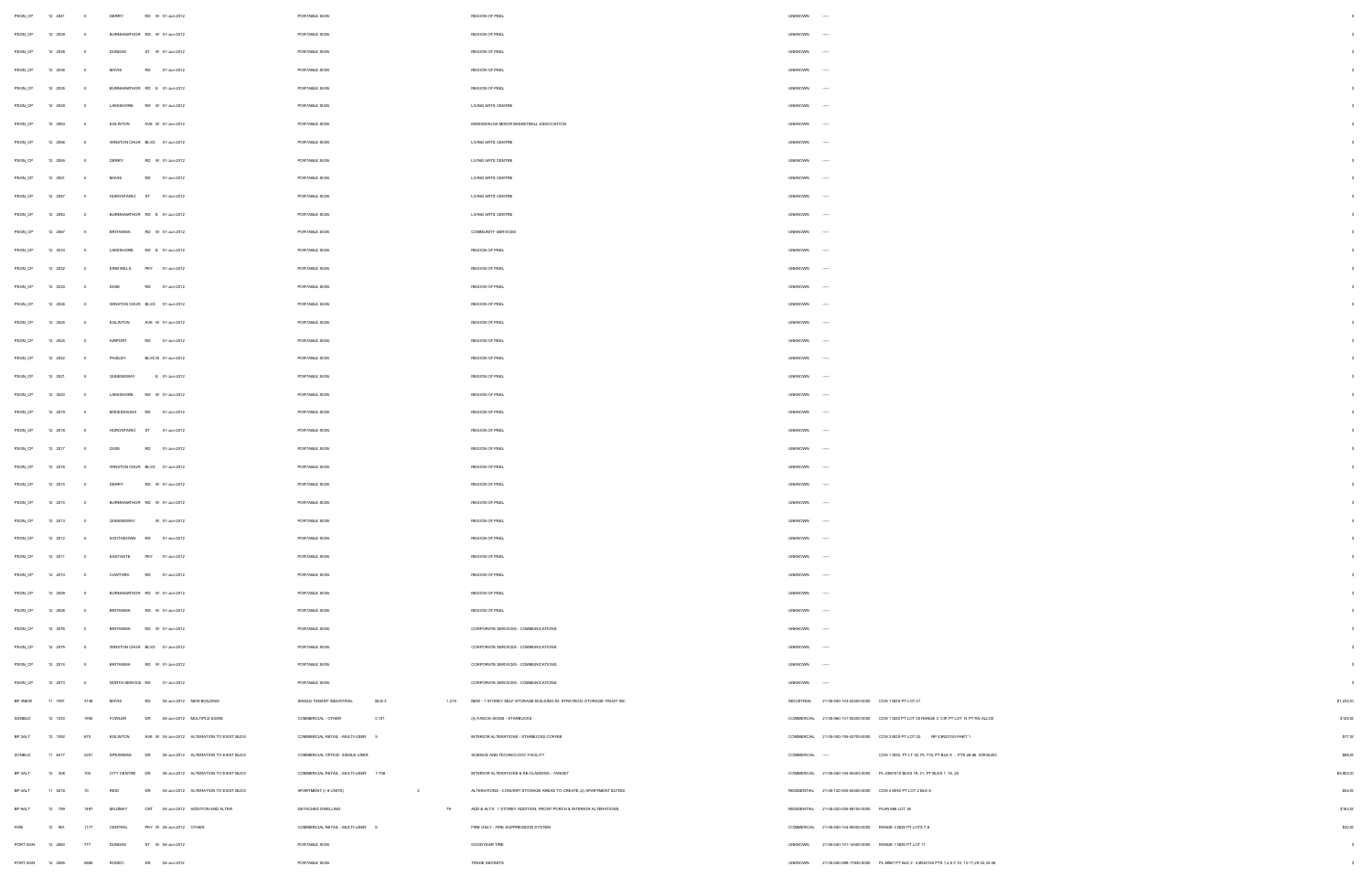| PSGN_CP 12 2041<br>$\overline{0}$    | DERRY<br>RD W 01-Jun-2012                               | PORTABLE SIGN                              | REGION OF PEEL                                                       | <b>UNKNOWN</b><br>- - - - -                                                                    |            |
|--------------------------------------|---------------------------------------------------------|--------------------------------------------|----------------------------------------------------------------------|------------------------------------------------------------------------------------------------|------------|
| PSGN_CP<br>12 2039                   | BURNHAMTHOR RD W 01-Jun-2012                            | PORTABLE SIGN                              | REGION OF PEEL                                                       | <b>UNKNOWN</b><br>$\sim$ 100 $\mu$                                                             |            |
| PSGN_CP 12 2038<br>$\sim$ 0          | <b>DUNDAS</b><br>ST W 01-Jun-2012                       | PORTABLE SIGN                              | REGION OF PEEL                                                       | UNKNOWN -----                                                                                  |            |
| PSGN_CP 12 2036<br>$\sim$ 0          | MAVIS<br>RD 01-Jun-2012                                 | PORTABLE SIGN                              | REGION OF PEEL                                                       | UNKNOWN -----                                                                                  |            |
| PSGN_CP<br>12 2035<br>$\overline{0}$ | BURNHAMTHOR RD E 01-Jun-2012                            | PORTABLE SIGN                              | REGION OF PEEL                                                       | <b>UNKNOWN</b><br>$\sim$                                                                       |            |
| PSGN_CP 12 2029<br>$\sim$            | LAKESHORE RD W 01-Jun-2012                              | PORTABLE SIGN                              | LIVING ARTS CENTRE                                                   | UNKNOWN -----                                                                                  |            |
| PSGN_CP 12 2063<br>$\sim$ 0          | EGLINTON AVE W 01-Jun-2012                              | PORTABLE SIGN                              | MISSISSAUGA MINOR BASKETBALL ASSOCIATION                             | UNKNOWN -----                                                                                  |            |
| PSGN_CP<br>12 2056<br>$\overline{0}$ | WINSTON CHUR BLVD 01-Jun-2012                           | PORTABLE SIGN                              | <b>LIVING ARTS CENTRE</b>                                            | <b>UNKNOWN</b><br>$\sim$                                                                       |            |
| PSGN_CP 12 2055<br>$\sim$            | <b>DERRY</b><br>RD W 01-Jun-2012                        | PORTABLE SIGN                              | <b>LIVING ARTS CENTRE</b>                                            | UNKNOWN -----                                                                                  |            |
| PSGN_CP 12 2051<br>$\sim$ 0          | MAVIS<br>RD 01-Jun-2012                                 | PORTABLE SIGN                              | LIVING ARTS CENTRE                                                   | UNKNOWN -----                                                                                  |            |
|                                      |                                                         |                                            |                                                                      |                                                                                                |            |
| PSGN_CP 12 2047<br>$\circ$           | HURONTARIO ST 01-Jun-2012                               | PORTABLE SIGN                              | LIVING ARTS CENTRE                                                   | <b>UNKNOWN</b><br>$\sim$                                                                       |            |
| PSGN_CP<br>12 2040                   | BURNHAMTHOR RD E 01-Jun-2012                            | PORTABLE SIGN                              | <b>LIVING ARTS CENTRE</b>                                            | <b>UNKNOWN</b><br>$\sim$ 100 $\mu$                                                             |            |
| PSGN_CP 12 2067<br>$\sim$            | BRITANNIA RD W 01-Jun-2012                              | PORTABLE SIGN                              | COMMUNITY SERVICES                                                   | UNKNOWN ------                                                                                 |            |
| PSGN_CP 12 2033<br>$\sim$ 0          | LAKESHORE RD E 01-Jun-2012                              | PORTABLE SIGN                              | REGION OF PEEL                                                       | UNKNOWN -----                                                                                  |            |
| PSGN_CP<br>12 2032                   | <b>ERIN MILLS</b><br>PKY 01-Jun-2012                    | PORTABLE SIGN                              | REGION OF PEEL                                                       | UNKNOWN -----                                                                                  |            |
| PSGN_CP 12 2030<br>$\sim$ 0          | <b>DIXIE</b><br>RD 01-Jun-2012                          | PORTABLE SIGN                              | REGION OF PEEL                                                       | UNKNOWN -----                                                                                  |            |
| PSGN_CP 12 2026<br>$\sim$ 0          | WINSTON CHUR BLVD 01-Jun-2012                           | PORTABLE SIGN                              | REGION OF PEEL                                                       | UNKNOWN -----                                                                                  |            |
| PSGN_CP 12 2025<br>$^{\circ}$        | <b>EGLINTON</b><br>AVE W 01-Jun-2012                    | PORTABLE SIGN                              | REGION OF PEEL                                                       | UNKNOWN -----                                                                                  |            |
| PSGN_CP<br>12 2024<br>$\overline{0}$ | AIRPORT<br>RD 01-Jun-2012                               | PORTABLE SIGN                              | REGION OF PEEL                                                       | <b>UNKNOWN</b><br>$\sim$                                                                       |            |
| PSGN_CP<br>12 2022<br>$\sim$         | PAISLEY<br>BLVDW 01-Jun-2012                            | PORTABLE SIGN                              | REGION OF PEEL                                                       | UNKNOWN -----                                                                                  |            |
| PSGN_CP 12 2021<br>$\sim$ 0          | QUEENSWAY<br>E 01-Jun-2012                              | PORTABLE SIGN                              | REGION OF PEEL                                                       | UNKNOWN -----                                                                                  |            |
| PSGN_CP<br>12 2020<br>$\overline{0}$ | LAKESHORE RD W 01-Jun-2012                              | PORTABLE SIGN                              | REGION OF PEEL                                                       | <b>UNKNOWN</b><br>$\sim$ 100 $\mu$                                                             |            |
| PSGN_CP<br>12 2019                   | MISSISSAUGA<br><b>RD</b><br>01-Jun-2012                 | PORTABLE SIGN                              | REGION OF PEEL                                                       | <b>UNKNOWN</b><br>- - - - -                                                                    |            |
| PSGN_CP 12 2018<br>$\sim$ 0          | HURONTARIO ST 01-Jun-2012                               | PORTABLE SIGN                              | REGION OF PEEL                                                       | UNKNOWN -----                                                                                  |            |
| PSGN_CP 12 2017<br>$\sim$ 0          | <b>DIXIE</b><br>RD 01-Jun-2012                          | PORTABLE SIGN                              | REGION OF PEEL                                                       | UNKNOWN -----                                                                                  |            |
|                                      |                                                         |                                            |                                                                      |                                                                                                |            |
| PSGN_CP<br>12 2016<br>$\overline{0}$ | WINSTON CHUR BLVD 01-Jun-2012                           | PORTABLE SIGN                              | REGION OF PEEL                                                       | <b>UNKNOWN</b><br>$\sim$                                                                       |            |
| PSGN_CP 12 2015<br>$\sim$ 0          | <b>DERRY</b><br>RD W 01-Jun-2012                        | PORTABLE SIGN                              | REGION OF PEEL                                                       | <b>UNKNOWN</b><br>$\sim$ 100 $\mu$                                                             |            |
| PSGN_CP 12 2014<br>$\sim$ 0          | BURNHAMTHOR RD W 01-Jun-2012                            | PORTABLE SIGN                              | REGION OF PEEL                                                       | UNKNOWN -----                                                                                  |            |
| PSGN_CP 12 2013<br>$\sim$ 0          | QUEENSWAY<br>W 01-Jun-2012                              | PORTABLE SIGN                              | REGION OF PEEL                                                       | <b>UNKNOWN</b>                                                                                 |            |
| PSGN CP<br>12 2012                   | SOUTHDOWN<br><b>RD</b><br>01-Jun-2012                   | PORTABLE SIGN                              | REGION OF PEEL                                                       | <b>UNKNOWN</b><br>$\sim$                                                                       |            |
| PSGN CP<br>12 2011                   | EASTGATE<br>PKY 01-Jun-2012                             | PORTABLE SIGN                              | REGION OF PEEL                                                       | UNKNOWN -----                                                                                  |            |
| PSGN_CP<br>12 2010                   | CAWTHRA<br>RD 01-Jun-2012                               | PORTABLE SIGN                              | REGION OF PEEL                                                       | UNKNOWN ----                                                                                   |            |
| PSGN_CP<br>12 2009                   | BURNHAMTHOR RD W 01-Jun-2012                            | PORTABLE SIGN                              | REGION OF PEEL                                                       | <b>UNKNOWN</b><br>$\sim$                                                                       |            |
| PSGN_CP<br>12 2008<br>$\sim$         | RD W 01-Jun-2012<br>BRITANNIA                           | PORTABLE SIGN                              | REGION OF PEEL                                                       | UNKNOWN -----                                                                                  |            |
| 12 2076<br>PSGN_CP                   | BRITANNIA<br>RD W 01-Jun-2012                           | PORTABLE SIGN                              | CORPORATE SERVICES - COMMUNICATIONS                                  | UNKNOWN ----                                                                                   |            |
| 12 2075<br>PSGN CP<br>$\overline{0}$ | WINSTON CHUR BLVD 01-Jun-2012                           | PORTABLE SIGN                              | CORPORATE SERVICES - COMMUNICATIONS                                  | <b>UNKNOWN</b><br>$\sim$                                                                       |            |
| PSGN_CP<br>12 2074                   | <b>BRITANNIA</b><br>RD W 01-Jun-2012                    | PORTABLE SIGN                              | CORPORATE SERVICES - COMMUNICATIONS                                  | <b>UNKNOWN</b><br>$\sim$                                                                       |            |
| PSGN_CP<br>12 2073<br>$\sim$         | NORTH SERVICE RD 01-Jun-2012                            | PORTABLE SIGN                              | CORPORATE SERVICES - COMMUNICATIONS                                  | UNKNOWN -----                                                                                  |            |
| BP 3NEW<br>3148<br>11 709            | 04-Jun-2012 NEW BUILDING<br>MAVIS<br><b>RD</b>          | SINGLE TENANT INDUSTRIAL<br>BLD-3<br>1.215 | NEW - 1 STOREY SELF STORAGE BUILDING #3, STRATEGIC STORAGE TRUST INC | INDUSTRIAL 21-05-040-143-23200-0000 CON 1 NDS PT LOT 21                                        | \$1,232,0  |
|                                      |                                                         |                                            |                                                                      |                                                                                                |            |
| 1930<br>SGNBLD<br>1230               | DR 04-Jun-2012 MULTIPLE SIGNS<br>FOWLER                 | COMMERCIAL - OTHER<br>C101                 | (4) FASCIA SIGNS - STARBUCKS                                         | COMMERCIAL 21-05-060-131-00200-0000 CON 1 SDS PT LOT 30 RANGE 3 CIR PT LOT 14 PT RD ALLCE      | \$100,00   |
| BP 3ALT<br>12 1092<br>670            | EGLINTON AVE W 04-Jun-2012 ALTERATION TO EXIST BLDG     | COMMERCIAL RETAIL - MULTI-USER 5           | INTERIOR ALTERATIONS - STARBUCKS COFFEE                              | COMMERCIAL 21-05-040-155-43700-0000 CON 2 NDS PT LOT 20 RP 43R20153 PART 1                     | \$77,00    |
| 2251<br>ZONBLD<br>11 6417            | DR   04-Jun-2012   ALTERATION TO EXIST BLDG<br>SPEAKMAN | COMMERCIAL OFFICE- SINGLE USER             | SCIENCE AND TECHNOLOGY FACILITY                                      | CON 1 SDS, PT LT 32, PL 718, PT BLK A - PTS 26-56 43R34203<br>COMMERCIAL ----                  | \$86,00    |
| BP 3ALT<br>12 308<br>100             | CITY CENTRE DR   04-Jun-2012   ALTERATION TO EXIST BLDG | COMMERCIAL RETAIL - MULTI-USER 1-708       | INTERIOR ALTERATIONS & RE-CLADDING - TARGET                          | COMMERCIAL 21-05-040-154-00453-0000 PL 43M1010 BLKS 19, 21, PT BLKS 1, 16, 20                  | \$5,902,00 |
| BP 3ALT<br>11 5218<br>10             | REID<br>DR   04-Jun-2012   ALTERATION TO EXIST BLDG     | APARTMENT (> 6 UNITS)<br>$\overline{2}$    | ALTERATIONS - CONVERT STORAGE AREAS TO CREATE (2) APARTMENT SUITES   | RESIDENTIAL 21-05-120-005-02400-0000 CON 4 WHS PT LOT 2 BLK A                                  | \$54,00    |
| 1497<br><b>RP 9ALT</b><br>12<br>769  | MILDMAY<br>CRT  04-Jun-2012  ADDITION AND ALTER         | DETACHED DWELLING<br>79                    | ADD & ALTS: 1 STOREY ADDITION, FRONT PORCH & INTERIOR ALTERATIONS    | RESIDENTIAL 21-05-020-035-08100-0000 PLAN 666 LOT 36                                           | \$163,00   |
| 1177<br>12<br>98                     | CENTRAL<br>PKY W 04-Jun-2012 OTHER                      | COMMERCIAL RETAIL - MULTI-USER 6           | FIRE ONLY - FIRE SUPPRESSION SYSTEM                                  | COMMERCIAL 21-05-040-144-09200-0000 RANGE 3 NDS PT LOTS 7,8                                    | \$30,00    |
| PORT SGN<br>777                      | <b>DUNDAS</b><br>ST W 04-Jun-2012                       | PORTABLE SIGN                              | GOODYEAR TIRE                                                        | UNKNOWN 21-05-040-141-14400-0000 RANGE 1 NDS PT LOT 11                                         |            |
| PORT SGN 12 2065<br>5885             | RODEO<br>DR 04-Jun-2012                                 | PORTABLE SIGN                              | TRADE SECRETS                                                        | UNKNOWN 21-05-040-098-17830-0000 PL M967 PT BLK 2 - 43R20150 PTS 1,2,5-7,10, 13-17,29-32,34-36 |            |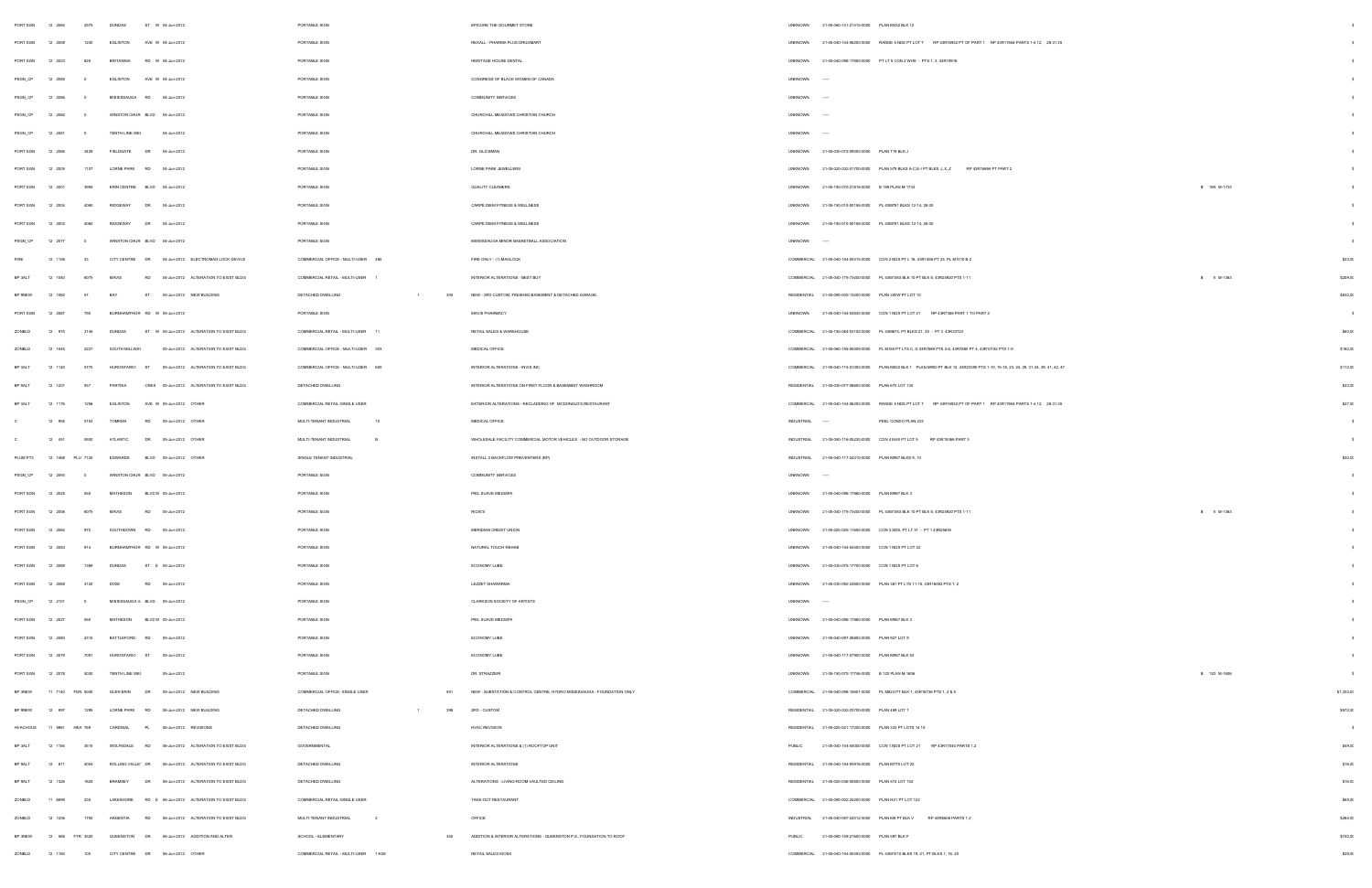- 
- 
- 
- 
- \$
- 
- 
- 
- 
- 
- $\ddot{S}$
- 
- 
- 
- \$632,00
	-
- 0 PL 43M674, PT BLKS 21, 35 PT 3 43R33724 Second to the second second second second second second second second second second second second second second second second second second second second second second second sec \$60,00
	- \$112,00
	-
	- \$27,00
	-
	-
	-
	- $\ddot{\phantom{1}}$
	-
	-
	-
	-
	-
	-
	-
	-
	- $\mathbf{s}$
	-

# $$1,333,00$

 $\ddot{\phantom{1}}$ 

- 
- 
- 
- \$16,00
- 
- 
- -
	-
- 
- 

# .<br>13R17654 PARTS 1-4,12, 28-31,35

- $0$   $\hbox{COM 4 EHS PT LOT 5}$   $\hbox{RP 43R 15366 PART 3}$   $\hbox{SP 43R 15366 PART 3}$ 
	-
	-
	-
	-
	-
- 0 PL M823 PT BLK 1, 43R16736 PTS 1, 2 & 5 S1,333,00
- $\,$  Deland 333 PT LOTS 14 15  $\,$  Section 4 15  $\,$  Section 4 16  $\,$  Section 4 16  $\,$  Section 4 16  $\,$  Section 4 16  $\,$  Section 4 16  $\,$  Section 4 16  $\,$  Section 4 16  $\,$  Section 4 16  $\,$  Section 4 16  $\,$  Sectio
- 0 PLAN M770 LOT 22 SHOOL SALES AND RESIDENCE A SHOOL SALES AND RELEASED A SHOOL SHOOL SHOOL SHOOL SHOOL SALES AND RELEASED A SHOOL SHOOL SHOOL SHOOL SHOOL SHOOL SHOOL SHOOL SHOOL SHOOL SHOOL SHOOL SHOOL SHOOL SHOOL SHOOL S
- 0 PLAN H21 PT LOT 122 S65,00
	-
	-
- 
- 
- 
- 
- 
- 
- 
- 
- 
- 
- -
- 
- 
- 
- 
- 
- 
- 
- 
- 
- 
- 
- -
- 
- 
- 
- 
- 
- 
- 
- 
- 
- 
- 
- 

| PORT SGN 12 2064 |         | 2575           | ST W 04-Jun-2012<br><b>DUNDAS</b>                     | PORTABLE SIGN                              | EPICURE THE GOURMET STORE                                              | <b>UNKNOWN</b><br>21-05-060-141-21410-0000 PLAN M432 BLK 12                                                                         |            |
|------------------|---------|----------------|-------------------------------------------------------|--------------------------------------------|------------------------------------------------------------------------|-------------------------------------------------------------------------------------------------------------------------------------|------------|
| PORT SGN         | 12 2059 | 1240           | <b>EGLINTON</b><br>AVE W 04-Jun-2012                  | PORTABLE SIGN                              | REXALL - PHARMA PLUS DRUGMART                                          | 21-05-040-144-06200-0000 RANGE 5 NDS PT LOT 7 RP 43R16932 PT OF PART 1 RP 43R17654 PARTS 1-4,12, 28-31,35<br><b>UNKNOWN</b>         |            |
| PORT SGN         | 12 2023 | 820            | BRITANNIA<br>RD W 04-Jun-2012                         | PORTABLE SIGN                              | HERITAGE HOUSE DENTAL                                                  | <b>UNKNOWN</b><br>21-05-040-098-17650-0000 PT LT 5 CON 2 WHS - PTS 1, 3 43R19916                                                    |            |
| PSGN CP          | 12 2085 | $\Omega$       | <b>EGLINTON</b><br>AVE W 04-Jun-2012                  | PORTABLE SIGN                              | CONGRESS OF BLACK WOMEN OF CANADA                                      | <b>UNKNOWN</b><br>$\sim$                                                                                                            |            |
| PSGN CP          | 12 2086 |                | MISSISSAUGA RD 04-Jun-2012                            | PORTABLE SIGN                              | COMMUNITY SERVICES                                                     | <b>UNKNOWN</b><br>$\sim$                                                                                                            |            |
| PSGN_CP          | 12 2082 |                | WINSTON CHUR BLVD 04-Jun-2012                         | PORTABLE SIGN                              | CHURCHILL MEADOWS CHRISTIAN CHURCH                                     | <b>UNKNOWN</b><br>$\sim$                                                                                                            |            |
| PSGN_CP          | 12 2081 | $\overline{0}$ | TENTH LINE WE!<br>04-Jun-2012                         | PORTABLE SIGN                              | CHURCHILL MEADOWS CHRISTIAN CHURCH                                     | <b>UNKNOWN</b>                                                                                                                      |            |
| PORT SGN         | 12 2066 | 3429           | FIELDGATE<br>DR.<br>04-Jun-2012                       |                                            |                                                                        | 21-05-030-072-09000-0000 PLAN 719 BLK J<br><b>UNKNOWN</b>                                                                           |            |
|                  |         |                |                                                       | PORTABLE SIGN                              | DR. GLICKMAN                                                           |                                                                                                                                     |            |
| PORT SGN 12 2005 |         | 1107           | LORNE PARK RD 04-Jun-2012                             | PORTABLE SIGN                              | LORNE PARK JEWELLERS                                                   | 21-05-020-032-01700-0000 PLAN 579 BLKS A-C,E-I PT BLKS J,,X,,Z RP 43R16894 PT PART 2<br><b>UNKNOWN</b>                              |            |
| PORT SGN 12 2001 |         | 3955           | ERIN CENTRE BLVD 04-Jun-2012                          | PORTABLE SIGN                              | QUALITY CLEANERS                                                       | 21-05-150-070-21818-0000 B 169 PLAN M-1733<br>B 169 M-1733<br><b>UNKNOWN</b>                                                        |            |
| PORT SGN         | 12 2004 | 4060           | DR 04-Jun-2012<br>RIDGEWAY                            | PORTABLE SIGN                              | CARPE DIEM FITNESS & WELLNESS                                          | 21-05-150-010-00158-0000 PL 43M781 BLKS 12-14, 28-30<br><b>UNKNOWN</b>                                                              |            |
| PORT SGN 12 2003 |         | 4060           | RIDGEWAY DR 04-Jun-2012                               | PORTABLE SIGN                              | CARPE DIEM FITNESS & WELLNESS                                          | 21-05-150-010-00158-0000 PL 43M781 BLKS 12-14, 28-30<br><b>UNKNOWN</b>                                                              |            |
| PSGN_CP          | 12 2077 | $\overline{0}$ | WINSTON CHUR BLVD 04-Jun-2012                         | PORTABLE SIGN                              | MISSISSAUGA MINOR BASKETBALL ASSOCIATION                               | <b>UNKNOWN</b><br>$\sim$                                                                                                            |            |
| FIRE             | 12 1158 | 33             | CITY CENTRE DR 04-Jun-2012 ELECTROMAG LOCK DEVICE     | COMMERCIAL OFFICE - MULTI-USER 480         | FIRE ONLY - (1) MAGLOCK                                                | COMMERCIAL 21-05-040-154-00415-0000 CON 2 NDS PT L 16, 43R1456 PT 23, PL M1010 B 2                                                  | \$23,00    |
| BP 3ALT          | 12 1040 | 6075           | RD 04-Jun-2012 ALTERATION TO EXIST BLDG<br>MAVIS      | COMMERCIAL RETAIL - MULTI-USER 1           | INTERIOR ALTERATIONS - BEST BUY                                        | B 5 M-1363<br>COMMERCIAL 21-05-040-175-73400-0000 PL 43M1363 BLK 10 PT BLK 5, 43R24920 PTS 1-11                                     | \$209,00   |
| BP 9NEW          | 12 1062 | 57             | BAY<br>ST 05-Jun-2012 NEW BUILDING                    | DETACHED DWELLING<br>$\overline{1}$<br>305 | NEW - SFD CUSTOM, FINISHED BASEMENT & DETACHED GARAGE.                 | RESIDENTIAL 21-05-090-005-13200-0000 PLAN 300W PT LOT 10                                                                            | \$632,00   |
| PORT SGN 12 2087 |         | 790            | BURNHAMTHOR RD W 05-Jun-2012                          | PORTABLE SIGN                              | MAVIS PHARMACY                                                         | 21-05-040-154-04830-0000 CON 1 NDS PT LOT 21 RP 43R7388 PART 1 TO PART 4<br><b>UNKNOWN</b>                                          |            |
| ZONBLD           | 12 975  | 3145           | DUNDAS<br>ST W 05-Jun-2012 ALTERATION TO EXIST BLDG   | COMMERCIAL RETAIL - MULTI-USER 11          | RETAIL SALES & WAREHOUSE                                               | COMMERCIAL 21-05-150-084-03102-0000 PL 43M674, PT BLKS 21, 35 - PT 3 43R33724                                                       | \$60,00    |
| ZONBLD           | 12 1045 | 2227           | SOUTH MILLWAY<br>05-Jun-2012 ALTERATION TO EXIST BLDG | COMMERCIAL OFFICE - MULTI-USER 303         | MEDICAL OFFICE                                                         | COMMERCIAL 21-05-060-155-50009-0000 PL M160 PT LTS C, D 43R7669 PTS 2-6, 43R7880 PT 4, 43R10192 PTS 1-9                             | \$162,0    |
| BP 3ALT          | 12 1140 | 5770           | HURONTARIO ST  05-Jun-2012 ALTERATION TO EXIST BLDG   | COMMERCIAL OFFICE - MULTI-USER 600         | INTERIOR ALTERATIONS - INVIS INC                                       | COMMERCIAL 21-05-040-115-01000-0000 PLAN M832 BLK 1 PLAN M900 PT BLK 12 43R23390 PTS 1-10, 15-18, 23, 24, 29, 31-34, 39, 41, 42, 47 | \$112,00   |
|                  |         |                |                                                       |                                            |                                                                        |                                                                                                                                     |            |
| BP 9ALT          | 12 1201 | 937            | PARTHIA<br>CRES 05-Jun-2012 ALTERATION TO EXIST BLDG  | DETACHED DWELLING                          | INTERIOR ALTERATIONS ON FIRST FLOOR & BASEMENT WASHROOM                | RESIDENTIAL 21-05-030-077-08600-0000 PLAN 670 LOT 130                                                                               | \$33,00    |
| BP 3ALT          | 12 1176 | 1256           | <b>EGLINTON</b><br>AVE W 05-Jun-2012 OTHER            | COMMERCIAL RETAIL-SINGLE USER              | EXTERIOR ALTERATIONS - RECLADDING OF MCDONALD'S RESTAURANT             | COMMERCIAL 21-05-040-144-06200-0000 RANGE 5 NDS PT LOT 7 RP 43R16932 PT OF PART 1 RP 43R17654 PARTS 1-4,12, 28-31,35                | \$27,00    |
|                  | 12 955  | 5153           | <b>TOMKEN</b><br>RD 05-Jun-2012 OTHER                 | MULTI-TENANT INDUSTRIAL<br>10              | MEDICAL OFFICE                                                         | INDUSTRIAL -----<br>PEEL CONDO PLAN 223                                                                                             |            |
|                  | 12 451  | 5930           | ATLANTIC<br>DR 05-Jun-2012 OTHER                      | MULTI-TENANT INDUSTRIAL<br>B               | WHOLESALE FACILITY COMMERCIAL MOTOR VEHICLES - NO OUTDOOR STORAGE      | INDUSTRIAL 21-05-050-116-05230-0000 CON 4 EHS PT LOT 5 RP 43R15366 PART 3                                                           |            |
| PLUM PT3         | 12 1468 | PLU 7120       | EDWARDS<br>BLVD 05-Jun-2012 OTHER                     | SINGLE TENANT INDUSTRIAL                   | INSTALL 2 BACKFLOW PREVENTERS (RP)                                     | INDUSTRIAL<br>21-05-040-117-24310-0000 PLAN M957 BLKS 9, 10                                                                         | \$30,00    |
| PSGN CP          | 12 2093 |                | WINSTON CHUR BLVD 05-Jun-2012                         | PORTABLE SIGN                              | COMMUNITY SERVICES                                                     | <b>UNKNOWN</b><br>$\sim$                                                                                                            |            |
| PORT SGN 12 2025 |         | 550            | <b>MATHESON</b><br>BLVDW 05-Jun-2012                  | PORTABLE SIGN                              | PIEL SUAVE MEDISPA                                                     | <b>UNKNOWN</b><br>21-05-040-098-17860-0000 PLAN M967 BLK 3                                                                          |            |
| PORT SGN         | 12 2058 | 6075           | MAVIS<br><b>RD</b><br>05-Jun-2012                     | PORTABLE SIGN                              | <b>RICKI'S</b>                                                         | B 5 M-1363<br><b>UNKNOWN</b><br>21-05-040-175-73400-0000 PL 43M1363 BLK 10 PT BLK 5, 43R24920 PTS 1-11                              |            |
| PORT SGN 12 2084 |         | 970            | SOUTHDOWN RD 05-Jun-2012                              | PORTABLE SIGN                              | MERIDIAN CREDIT UNION                                                  | 21-05-020-025-11650-0000 CON 3 SDS, PT LT 31 - PT 1 43R25635<br><b>UNKNOWN</b>                                                      |            |
| PORT SGN         | 12 2083 | 914            | BURNHAMTHOR RD W 05-Jun-2012                          | PORTABLE SIGN                              | NATURAL TOUCH REHAB                                                    | 21-05-040-154-04400-0000 CON 1 NDS PT LOT 22<br><b>UNKNOWN</b>                                                                      |            |
| PORT SGN 12 2089 |         | 1369           | DUNDAS<br>ST E 05-Jun-2012                            | PORTABLE SIGN                              | ECONOMY LUBE                                                           | 21-05-030-075-17700-0000 CON 1 NDS PT LOT 6<br><b>UNKNOWN</b>                                                                       |            |
| PORT SGN         | 12 2088 | 4120           | DIXIE<br>RD 05-Jun-2012                               | PORTABLE SIGN                              | LEZZET SHAWARMA                                                        | <b>UNKNOWN</b><br>21-05-030-092-24600-0000 PLAN 381 PT LTS 11-15, 43R16092 PTS 1, 2                                                 |            |
| PSGN_CP          | 12 2101 |                | MISSISSAUGA V. BLVD 05-Jun-2012                       | PORTABLE SIGN                              | CLARKSON SOCIETY OF ARTISTS                                            | <b>UNKNOWN</b><br>$\sim$                                                                                                            |            |
| PORT SGN 12 2027 |         | 550            | MATHESON BLVDW 05-Jun-2012                            | PORTABLE SIGN                              | PIEL SUAVE MEDISPA                                                     | UNKNOWN 21-05-040-098-17860-0000 PLAN M967 BLK 3                                                                                    |            |
|                  |         |                | BATTLEFORD RD 05-Jun-2012                             | PORTABLE SIGN                              | ECONOMY LUBE                                                           | 21-05-040-097-26800-0000 PLAN 927 LOT 9                                                                                             |            |
| PORT SGN         | 12 2080 | 2310           |                                                       |                                            |                                                                        | <b>UNKNOWN</b>                                                                                                                      |            |
| PORT SGN         | 12 2079 | 7091           | HURONTARIO ST 05-Jun-2012                             | PORTABLE SIGN                              | ECONOMY LUBE                                                           | 21-05-040-117-07900-0000 PLAN M957 BLK 53<br><b>UNKNOWN</b>                                                                         |            |
| PORT SGN 12 2078 |         | 5030           | TENTH LINE WE!<br>05-Jun-2012                         | PORTABLE SIGN                              | DR. STRAZZERI                                                          | B 120 M-1606<br>UNKNOWN 21-05-150-070-17746-0000 B 120 PLAN M-1606                                                                  |            |
| BP 3NEW          | 11 7140 | FDN 5045       | GLEN ERIN DR 05-Jun-2012 NEW BUILDING                 | COMMERCIAL OFFICE- SINGLE USER<br>551      | NEW - SUBSTATION & CONTROL CENTRE, HYDRO MISSISSAUGA - FOUNDATION ONLY | COMMERCIAL 21-05-040-098-10601-0000 PL M823 PT BLK 1, 43R16736 PTS 1, 2 & 5                                                         | \$1,333,00 |
| BP 9NEW          | 897     | 1295           |                                                       | DETACHED DWELLING<br>398<br>1              | SFD - CUSTOM                                                           | RESIDENTIAL 21-05-020-032-03700-0000 PLAN 489 LOT 1                                                                                 | \$572,00   |
| HVACHOUS 11 5961 |         | <b>HEA 769</b> | CARDINAL<br>PL 06-Jun-2012 REVISIONS                  | DETACHED DWELLING                          | <b>HVAC REVISION</b>                                                   | RESIDENTIAL 21-05-020-021-17200-0000 PLAN 333 PT LOTS 14 15                                                                         |            |
| BP 3ALT          | 12 1184 | 3515           |                                                       | GOVERNMENTAL                               | INTERIOR ALTERATIONS & (1) ROOFTOP UNIT                                | 21-05-040-144-04000-0000 CON 1 NDS PT LOT 21 RP 43R17040 PARTS 1,2<br><b>PUBLIC</b>                                                 | \$49.00    |
| BP 9ALT          | 12 811  | 4004           |                                                       | DETACHED DWELLING                          | INTERIOR ALTERATIONS                                                   | RESIDENTIAL 21-05-040-154-93916-0000 PLAN M770 LOT 22                                                                               | \$16,00    |
| BP 9ALT          | 12 1326 | 1625           | <b>BRAMSEY</b>                                        | DETACHED DWELLING                          | ALTERATIONS - LIVING-ROOM VAULTED CEILING                              | RESIDENTIAL 21-05-020-036-00600-0000 PLAN 574 LOT 142                                                                               | \$16,00    |
| ZONBLD           |         | 235            | LAKESHORE RD E 06-Jun-2012 ALTERATION TO EXIST BLDG   | COMMERCIAL RETAIL-SINGLE USER              | TAKE-OUT RESTAURANT                                                    | COMMERCIAL 21-05-090-002-24200-0000 PLAN H21 PT LOT 122                                                                             | \$65,00    |
| ZONBLD           | 12 1206 | 1705           | ARGENTIA RD 06-Jun-2012 ALTERATION TO EXIST BLDG      | MULTI-TENANT INDUSTRIAL<br>$\overline{2}$  | OFFICE                                                                 | INDUSTRIAL 21-05-040-097-24412-0000 PLAN M8 PT BLK V RP 43R8606 PARTS 1,2                                                           | \$264,00   |
| BP 3NEW          | 12 568  |                | FTR 3520 QUEENSTON DR 06-Jun-2012 ADDITION AND ALTER  | SCHOOL - ELEMENTARY<br>340                 | ADDITION & INTERIOR ALTERATIONS - QUEENSTON P.S., FOUNDATION TO ROOF   | PUBLIC<br>21-05-060-149-21600-0000 PLAN 597 BLK F                                                                                   | \$742,0    |
|                  |         |                | ZONBLD 12 1160 100 CITY CENTRE DR 06-Jun-2012 OTHER   | COMMERCIAL RETAIL - MULTI-USER 1-K08       | RETAIL SALES KIOSK                                                     | COMMERCIAL 21-05-040-154-00453-0000 PL 43M1010 BLKS 19, 21, PT BLKS 1, 16, 20                                                       | \$29,00    |
|                  |         |                |                                                       |                                            |                                                                        |                                                                                                                                     |            |

 $\ddot{\phantom{a}}$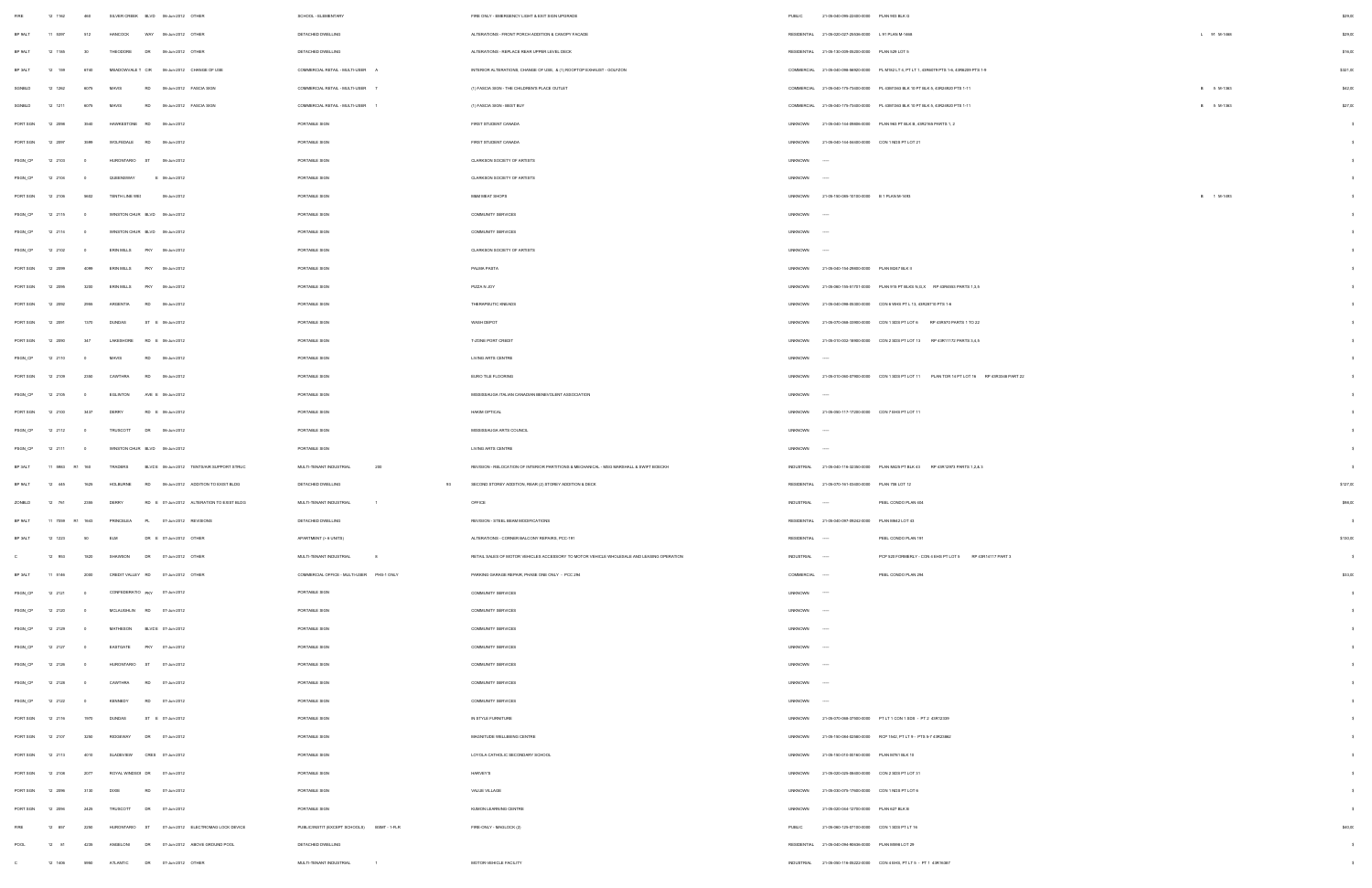|                  | 12 1162         | 460            | SILVER CREEK BLVD 06-Jun-2012 OTHER                  | SCHOOL - ELEMENTARY                         | FIRE ONLY - EMERGENCY LIGHT & EXIT SIGN UPGRADE                                           | 21-05-040-095-22400-0000 PLAN 903 BLK G<br>PUBLIC                                                       | \$29,00  |
|------------------|-----------------|----------------|------------------------------------------------------|---------------------------------------------|-------------------------------------------------------------------------------------------|---------------------------------------------------------------------------------------------------------|----------|
| BP 9ALT          | 11 5397         | 512            | HANCOCK<br>WAY 06-Jun-2012 OTHER                     | DETACHED DWELLING                           | ALTERATIONS - FRONT PORCH ADDITION & CANOPY FACADE                                        | RESIDENTIAL 21-05-020-027-25536-0000 L 91 PLAN M-1468<br>L 91 M-1468                                    | \$29,00  |
| BP 9ALT          | 12 1185         |                | THEODORE<br>DR 06-Jun-2012 OTHER                     | DETACHED DWELLING                           | ALTERATIONS - REPLACE REAR UPPER LEVEL DECK                                               | RESIDENTIAL 21-05-130-009-05200-0000 PLAN 529 LOT 5                                                     | \$16,00  |
| BP 3ALT          | 12 159          | 6740           |                                                      | COMMERCIAL RETAIL - MULTI-USER A            | INTERIOR ALTERATIONS, CHANGE OF USE, & (1) ROOFTOP EXHAUST - GOLFZON                      | COMMERCIAL 21-05-040-098-56920-0000 PL M182 LT 4, PT LT 1, 43R6079 PTS 1-6, 43R6209 PTS 1-9             | \$321,0  |
| SGNBLD           | 12 1262         | 6075           | 06-Jun-2012 FASCIA SIGN<br>MAVIS<br><b>RD</b>        | COMMERCIAL RETAIL - MULTI-USER 7            | (1) FASCIA SIGN - THE CHILDREN'S PLACE OUTLET                                             | COMMERCIAL 21-05-040-175-73400-0000 PL 43M1363 BLK 10 PT BLK 5, 43R24920 PTS 1-11<br>B 5 M-1363         | \$42,00  |
| SGNBLD           | 12 1211         | 6075           | <b>RD</b><br>06-Jun-2012 FASCIA SIGN<br>MAVIS        | COMMERCIAL RETAIL - MULTI-USER 1            | (1) FASCIA SIGN - BEST BUY                                                                | COMMERCIAL 21-05-040-175-73400-0000 PL 43M1363 BLK 10 PT BLK 5, 43R24920 PTS 1-11<br>B 5 M-1363         | \$27,00  |
| PORT SGN 12 2098 |                 | 3540           | HAWKESTONE RD 06-Jun-2012                            | PORTABLE SIGN                               | FIRST STUDENT CANADA                                                                      | 21-05-040-144-09806-0000 PLAN 963 PT BLK B, 43R2165 PARTS 1, 2<br><b>UNKNOWN</b>                        |          |
| PORT SGN         | 12 2097         | 3599           | WOLFEDALE<br>RD 06-Jun-2012                          | PORTABLE SIGN                               | FIRST STUDENT CANADA                                                                      | 21-05-040-144-04400-0000 CON 1 NDS PT LOT 21<br><b>UNKNOWN</b>                                          |          |
| PSGN_CP          | 12 2103         |                | <b>HURONTARIO</b><br><b>ST</b><br>06-Jun-2012        | PORTABLE SIGN                               | CLARKSON SOCIETY OF ARTISTS                                                               | <b>UNKNOWN</b>                                                                                          |          |
| PSGN_CP          | 12 2104         | $\Omega$       | QUEENSWAY<br>E 06-Jun-2012                           | PORTABLE SIGN                               | CLARKSON SOCIETY OF ARTISTS                                                               | <b>UNKNOWN</b><br>$\sim$                                                                                |          |
| PORT SGN 12 2106 |                 | 5602           | TENTH LINE WE!<br>06-Jun-2012                        | PORTABLE SIGN                               | M&M MEAT SHOPS                                                                            | 21-05-150-085-10100-0000 B 1 PLAN M-1493<br>B 1 M-1493<br><b>UNKNOWN</b>                                |          |
|                  | 12 2115         | $\overline{0}$ | WINSTON CHUR BLVD 06-Jun-2012                        | PORTABLE SIGN                               | COMMUNITY SERVICES                                                                        | <b>UNKNOWN</b><br>$\sim$                                                                                |          |
| PSGN_CP          |                 |                |                                                      |                                             |                                                                                           |                                                                                                         |          |
| PSGN_CP          | 12 2114         | $\overline{0}$ | WINSTON CHUR BLVD 06-Jun-2012                        | PORTABLE SIGN                               | COMMUNITY SERVICES                                                                        | <b>UNKNOWN</b><br>$\sim$                                                                                |          |
| PSGN_CP 12 2102  |                 | $\sim$         | <b>ERIN MILLS</b><br>PKY 06-Jun-2012                 | PORTABLE SIGN                               | CLARKSON SOCIETY OF ARTISTS                                                               | <b>UNKNOWN</b><br>$\sim$                                                                                |          |
| PORT SGN 12 2099 |                 | 4099           | PKY 06-Jun-2012<br><b>ERIN MILLS</b>                 | PORTABLE SIGN                               | PALMA PASTA                                                                               | 21-05-040-154-29800-0000 PLAN M247 BLK II<br><b>UNKNOWN</b>                                             |          |
| PORT SGN         | 12 2095         | 3200           | <b>ERIN MILLS</b><br>PKY 06-Jun-2012                 | PORTABLE SIGN                               | PIZZA N JOY                                                                               | <b>UNKNOWN</b><br>21-05-060-155-51701-0000 PLAN 915 PT BLKS N, G, X RP 43R4553 PARTS 1,3,5              |          |
| PORT SGN 12 2092 |                 | 2955           | ARGENTIA<br>RD 06-Jun-2012                           | PORTABLE SIGN                               | THERAPEUTIC KNEADS                                                                        | 21-05-040-098-05300-0000   CON 6 WHS PT L 13, 43R28710 PTS 1-6<br><b>UNKNOWN</b>                        |          |
| PORT SGN 12 2091 |                 | 1370           | <b>DUNDAS</b><br>ST E 06-Jun-2012                    | PORTABLE SIGN                               | WASH DEPOT                                                                                | 21-05-070-068-33900-0000 CON 1 SDS PT LOT 6 RP 43R570 PARTS 1 TO 22<br><b>UNKNOWN</b>                   |          |
| PORT SGN 12 2090 |                 | 347            | LAKESHORE<br>RD E 06-Jun-2012                        | PORTABLE SIGN                               | T-ZONE PORT CREDIT                                                                        | 21-05-010-002-18900-0000 CON 2 SDS PT LOT 13 RP 43R11172 PARTS 3,4,5<br><b>UNKNOWN</b>                  |          |
| PSGN_CP          | 12 2110         | $\overline{0}$ | MAVIS<br><b>RD</b><br>06-Jun-2012                    | PORTABLE SIGN                               | LIVING ARTS CENTRE                                                                        | <b>UNKNOWN</b><br>$\sim$                                                                                |          |
| PORT SGN 12 2109 |                 | 2350           | CAWTHRA<br>RD 06-Jun-2012                            | PORTABLE SIGN                               | EURO TILE FLOORING                                                                        | <b>UNKNOWN</b><br>21-05-010-060-07900-0000 CON 1 SDS PT LOT 11 PLAN TOR 14 PT LOT 16 RP 43R3348 PART 22 |          |
| PSGN_CP          | 12 2105         | $\Omega$       | EGLINTON<br>AVE E 06-Jun-2012                        | PORTABLE SIGN                               | MISSISSAUGA ITALIAN CANADIAN BENEVOLENT ASSOCIATION                                       | <b>UNKNOWN</b><br>$\sim$                                                                                |          |
| PORT SGN         | 12 2100         | 3437           | RD E 06-Jun-2012<br>DERRY                            | PORTABLE SIGN                               | HAKIM OPTICAL                                                                             | 21-05-050-117-17200-0000 CON 7 EHS PT LOT 11<br><b>UNKNOWN</b>                                          |          |
| PSGN_CP 12 2112  |                 | $\Omega$       | <b>TRUSCOTT</b><br>DR 06-Jun-2012                    | PORTABLE SIGN                               | MISSISSAUGA ARTS COUNCIL                                                                  | <b>UNKNOWN</b><br>$\sim$                                                                                |          |
| PSGN_CP          | 12 2111         | $\Omega$       | WINSTON CHUR BLVD 06-Jun-2012                        | PORTABLE SIGN                               | <b>LIVING ARTS CENTRE</b>                                                                 | <b>UNKNOWN</b><br>$\sim$                                                                                |          |
| BP 3ALT          |                 | 160            | BLVDE 06-Jun-2012 TENTS/AIR SUPPORT STRUC<br>TRADERS | MULTI-TENANT INDUSTRIAL<br>200              | REVISION - RELOCATION OF INTERIOR PARTITIONS & MECHANICAL - MSG MARSHALL & SWIFT BOECKH   | INDUSTRIAL 21-05-040-116-32350-0000 PLAN M425 PT BLK 43 RP 43R12973 PARTS 1,2,& 3                       |          |
| BP 9ALT          | 12 445          | 1625           | HOLBURNE<br>RD 06-Jun-2012 ADDITION TO EXIST BLDG    | DETACHED DWELLING<br>93                     | SECOND STOREY ADDITION, REAR (2) STOREY ADDITION & DECK                                   | RESIDENTIAL 21-05-070-161-03400-0000 PLAN 708 LOT 12                                                    | \$127,00 |
| ZONBLD           | 12 761          | 2355           | RD E 07-Jun-2012 ALTERATION TO EXIST BLDG<br>DERRY   | MULTI-TENANT INDUSTRIAL<br>$\overline{1}$   | OFFICE                                                                                    | <b>INDUSTRIAL</b><br>PEEL CONDO PLAN 404<br>$\sim$ 100 $\mu$                                            | \$98,00  |
| BP 9ALT          | 11 7059 R1 1643 |                | PRINCELEA<br>PL 07-Jun-2012 REVISIONS                | DETACHED DWELLING                           | REVISION - STEEL BEAM MODIFICATIONS                                                       | RESIDENTIAL 21-05-040-097-09242-0000 PLAN M642 LOT 43                                                   |          |
| BP 3ALT          | 12 1223         | 50             | DR E 07-Jun-2012 OTHER<br><b>ELM</b>                 | APARTMENT (> 6 UNITS)                       | ALTERATIONS - CORNER BALCONY REPAIRS, PCC-191                                             | RESIDENTIAL ----<br>PEEL CONDO PLAN 191<br>\$130,0                                                      |          |
|                  | 12 953          | 1820           | SHAWSON<br>DR  07-Jun-2012  OTHER                    | MULTI-TENANT INDUSTRIAL<br>$_{\rm 8}$       | RETAIL SALES OF MOTOR VEHICLES ACCESSORY TO MOTOR VEHICLE WHOLESALE AND LEASING OPERATION | PCP 520 FORMERLY - CON 4 EHS PT LOT 5 RP 43R14117 PART 3<br>INDUSTRIAL -----                            |          |
| BP 3ALT          | 11 5146         | 2000           | CREDIT VALLEY RD 07-Jun-2012 OTHER                   | COMMERCIAL OFFICE - MULTI-USER PHS-1 ONLY   | PARKING GARAGE REPAIR, PHASE ONE ONLY - PCC 294                                           | COMMERCIAL -----<br>PEEL CONDO PLAN 294                                                                 | \$33,00  |
| PSGN_CP          | 12 2121         |                | CONFEDERATIO PKY 07-Jun-2012                         | PORTABLE SIGN                               | COMMUNITY SERVICES                                                                        | UNKNOWN ----                                                                                            |          |
| PSGN_CP          | 12 2120         |                | MCLAUGHLIN RD 07-Jun-2012                            | PORTABLE SIGN                               | COMMUNITY SERVICES                                                                        | <b>UNKNOWN</b><br>$\sim$                                                                                |          |
| PSGN_CP          | 12 2129         | $\sim$ 0       | MATHESON BLVDE 07-Jun-2012                           | PORTABLE SIGN                               | COMMUNITY SERVICES                                                                        | <b>UNKNOWN</b><br>$\sim$ 100 $\mu$                                                                      |          |
| PSGN CP 12 2127  |                 | $\sim$ 0       | EASTGATE PKY 07-Jun-2012                             | PORTABLE SIGN                               | COMMUNITY SERVICES                                                                        | <b>UNKNOWN</b><br>$\sim$ $\sim$                                                                         |          |
| PSGN_CP          | 12 2126         | $\overline{0}$ | HURONTARIO ST 07-Jun-2012                            | PORTABLE SIGN                               | COMMUNITY SERVICES                                                                        | <b>UNKNOWN</b><br>$\sim$                                                                                |          |
| PSGN_CP          | 12 2128         | $\overline{0}$ | CAWTHRA<br>RD 07-Jun-2012                            | PORTABLE SIGN                               | COMMUNITY SERVICES                                                                        | <b>UNKNOWN</b><br>$\sim$                                                                                |          |
| PSGN_CP          | 12 2122         | $\sim$         | <b>KENNEDY</b><br>RD 07-Jun-2012                     | PORTABLE SIGN                               | COMMUNITY SERVICES                                                                        | <b>UNKNOWN</b><br>$\sim$                                                                                |          |
| PORT SGN 12 2116 |                 | 1970           | <b>DUNDAS</b><br>ST E 07-Jun-2012                    | PORTABLE SIGN                               | IN STYLE FURNITURE                                                                        | 21-05-070-068-37500-0000 PT LT 1 CON 1 SDS - PT 2 43R12339<br><b>UNKNOWN</b>                            |          |
| PORT SGN         | 12 2107         | 3250           | RIDGEWAY<br>DR 07-Jun-2012                           | PORTABLE SIGN                               | MAGNITUDE WELLBEING CENTRE                                                                | <b>UNKNOWN</b><br>21-05-150-084-02580-0000 RCP 1542, PT LT 9 - PTS 5-7 43R23862                         |          |
|                  |                 |                |                                                      |                                             |                                                                                           | 21-05-150-010-00160-0000 PLAN M781 BLK 10                                                               |          |
| PORT SGN 12 2113 |                 | 4010           | SLADEVIEW CRES 07-Jun-2012                           | PORTABLE SIGN<br>PORTABLE SIGN              | LOYOLA CATHOLIC SECONDARY SCHOOL                                                          | <b>UNKNOWN</b>                                                                                          |          |
| PORT SGN 12 2108 |                 | 2077           | ROYAL WINDSOI DR 07-Jun-2012                         |                                             | HARVEY'S                                                                                  | 21-05-020-025-08400-0000 CON 2 SDS PT LOT 31<br><b>UNKNOWN</b>                                          |          |
| PORT SGN 12 2096 |                 | 3130           | DIXIE<br><b>RD</b><br>07-Jun-2012                    | PORTABLE SIGN                               | VALUE VILLAGE                                                                             | 21-05-030-075-17600-0000 CON 1 NDS PT LOT 6<br><b>UNKNOWN</b>                                           |          |
| PORT SGN         | 12 2094         | 2425           | TRUSCOTT<br>DR 07-Jun-2012                           | PORTABLE SIGN                               | KUMON LEARNING CENTRE                                                                     | <b>UNKNOWN</b><br>21-05-020-044-12700-0000 PLAN 627 BLK B                                               |          |
| <b>FIRE</b>      | 12 857          | 2250           | HURONTARIO ST 07-Jun-2012 ELECTROMAG LOCK DEVICE     | PUBLIC/INSTIT (EXCEPT SCHOOLS) BSMT - 1-FLR | FIRE-ONLY - MAGLOCK (2)                                                                   | 21-05-060-125-07100-0000 CON 1 SDS PT LT 16<br>PUBLIC                                                   | \$40.00  |
| POOL             | 12 81           | 4235           | DR 07-Jun-2012 ABOVE GROUND POOL<br>ANGELONI         | DETACHED DWELLING                           |                                                                                           | RESIDENTIAL 21-05-040-094-90636-0000 PLAN M598 LOT 29                                                   |          |
| $\mathbf{C}$     | 12 1406         | 5950           | ATLANTIC<br>DR 07-Jun-2012 OTHER                     | MULTI-TENANT INDUSTRIAL<br>$-1$             | MOTOR-VEHICLE FACILITY                                                                    | INDUSTRIAL 21-05-050-116-05222-0000 CON 4 EHS, PT LT 5 - PT 1 43R16387                                  |          |

\$33,00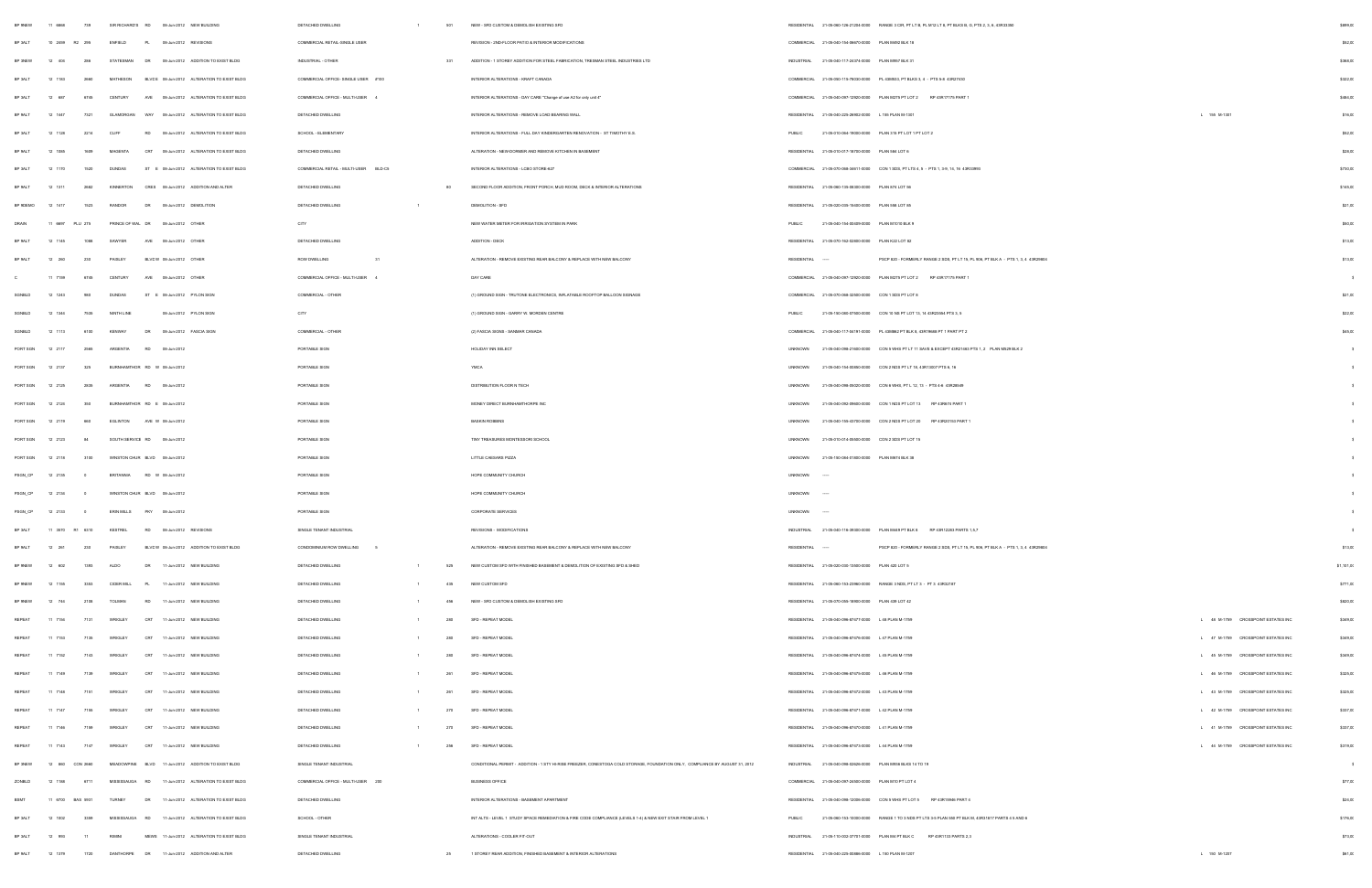| BP 9NEW       | 11 6868                   | 739             | SIR RICHARD'S RD   08-Jun-2012   NEW BUILDING                    | DETACHED DWELLING<br>501<br>$\overline{1}$ | NEW - SFD CUSTOM & DEMOLISH EXISTING SFD                                                                                      | RESIDENTIAL 21-05-060-126-21204-0000 RANGE 3 CIR, PT LT B, PL M12 LT 8, PT BLKS B, G, PTS 2, 3, 6, 43R33350 | \$899,00   |
|---------------|---------------------------|-----------------|------------------------------------------------------------------|--------------------------------------------|-------------------------------------------------------------------------------------------------------------------------------|-------------------------------------------------------------------------------------------------------------|------------|
|               | BP 3ALT  10 2459  R2  295 |                 | <b>ENFIELD</b><br>PL 08-Jun-2012 REVISIONS                       | COMMERCIAL RETAIL-SINGLE USER              | REVISION - 2ND-FLOOR PATIO & INTERIOR MODIFICATIONS                                                                           | COMMERCIAL 21-05-040-154-06670-0000 PLAN M492 BLK 18                                                        | \$52,00    |
| BP 3NEW       | 404                       | 286             | STATESMAN DR 08-Jun-2012 ADDITION TO EXIST BLDG                  | INDUSTRIAL - OTHER<br>331                  | ADDITION - 1 STOREY ADDITION FOR STEEL FABRICATION, TRESMAN STEEL INDUSTRIES LTD                                              | INDUSTRIAL 21-05-040-117-24374-0000 PLAN M957 BLK 31                                                        | \$368,00   |
| BP 3ALT       | 12 1183                   | 2660            | MATHESON BLVDE 08-Jun-2012 ALTERATION TO EXIST BLDG              | COMMERCIAL OFFICE-SINGLE USER #100         | INTERIOR ALTERATIONS - KRAFT CANADA                                                                                           | COMMERCIAL 21-05-050-115-78030-0000 PL 43M533, PT BLKS 3, 4 - PTS 5-8 43R27430                              | \$322,00   |
| BP 3ALT       | 12 687                    | 6745            | AVE 08-Jun-2012 ALTERATION TO EXIST BLDG<br>CENTURY              | COMMERCIAL OFFICE - MULTI-USER 4           | INTERIOR ALTERATIONS - DAY CARE "Change of use A2 for only unit 4"                                                            | COMMERCIAL 21-05-040-097-12920-0000 PLAN M275 PT LOT 2 RP 43R17175 PART 1                                   | \$484,00   |
| BP 9ALT       | 12 1447                   | 7321            | GLAMORGAN WAY 08-Jun-2012 ALTERATION TO EXIST BLDG               | DETACHED DWELLING                          | INTERIOR ALTERATIONS - REMOVE LOAD BEARING WALL                                                                               | RESIDENTIAL 21-05-040-225-26902-0000 L 155 PLAN M-1301<br>L 155 M-1301                                      | \$16,00    |
| BP 3ALT       | 12 1128                   | 2214            | <b>CLIFF</b><br>RD 08-Jun-2012 ALTERATION TO EXIST BLDG          | SCHOOL - ELEMENTARY                        | INTERIOR ALTERATIONS - FULL DAY KINDERGARTEN RENOVATION - ST TIMOTHY E.S.                                                     | PUBLIC<br>21-05-010-064-19000-0000 PLAN 315 PT LOT 1 PT LOT 2                                               | \$52,00    |
| BP 9ALT       | 12 1085                   | 1609            | MAGENTA CRT 08-Jun-2012 ALTERATION TO EXIST BLDG                 | DETACHED DWELLING                          | ALTERATION - NEW-DORMER AND REMOVE KITCHEN IN BASEMENT                                                                        | RESIDENTIAL 21-05-010-017-18700-0000 PLAN 584 LOT 6                                                         | \$28,00    |
| BP 3ALT       | 12 1170                   | 1520            | ST E 08-Jun-2012 ALTERATION TO EXIST BLDG<br><b>DUNDAS</b>       | COMMERCIAL RETAIL - MULTI-USER BLD-C5      | INTERIOR ALTERATIONS - LCBO STORE-627                                                                                         | COMMERCIAL 21-05-070-068-34611-0000 CON 1 SDS, PT LTS 4, 5 - PTS 1, 3-9, 14, 16 43R33993                    | \$730,00   |
| BP 9ALT       | 12 1311                   | 2682            | KINNERTON CRES 08-Jun-2012 ADDITION AND ALTER                    | DETACHED DWELLING<br>80                    | SECOND FLOOR ADDITION, FRONT PORCH, MUD ROOM, DECK & INTERIOR ALTERATIONS                                                     | RESIDENTIAL 21-05-060-135-08300-0000 PLAN 874 LOT 56                                                        | \$145,00   |
|               | BP 9DEMO 12 1417          | 1523            | DR 08-Jun-2012 DEMOLITION<br>RANDOR                              | DETACHED DWELLING<br>$\overline{1}$        | <b>DEMOLITION - SFD</b>                                                                                                       | RESIDENTIAL 21-05-020-035-15400-0000 PLAN 558 LOT 85                                                        | \$21,00    |
|               | 11 6697                   | <b>PLU 275</b>  | PRINCE OF WAL DR  08-Jun-2012  OTHER                             | <b>CITY</b>                                | NEW WATER METER FOR IRRIGATION SYSTEM IN PARK                                                                                 | 21-05-040-154-00409-0000 PLAN M1010 BLK 9<br>PUBLIC                                                         | \$50,00    |
| BP 9ALT       | 12 1145                   | 1088            | SAWYER<br>AVE 08-Jun-2012 OTHER                                  | DETACHED DWELLING                          | ADDITION - DECK                                                                                                               | RESIDENTIAL 21-05-070-162-02800-0000 PLAN K22 LOT 82                                                        | \$13,00    |
| BP 9ALT       | 12 260                    | 230             | PAISLEY<br>BLVDW 08-Jun-2012 OTHER                               | <b>ROW DWELLING</b><br>31                  | ALTERATION - REMOVE EXISTING REAR BALCONY & REPLACE WITH NEW BALCONY                                                          | RESIDENTIAL ----<br>PSCP 820 - FORMERLY RANGE 2 SDS, PT LT 15, PL 906, PT BLK A - PTS 1, 3, 4 43R29804      | \$13,00    |
|               | 11 7159                   | 6745            | CENTURY<br>AVE 08-Jun-2012 OTHER                                 | COMMERCIAL OFFICE - MULTI-USER 4           | DAY CARE                                                                                                                      | COMMERCIAL 21-05-040-097-12920-0000 PLAN M275 PT LOT 2 RP 43R17175 PART 1                                   |            |
| SGNBLD        | 12 1243                   | 980             | <b>DUNDAS</b><br>ST E 08-Jun-2012 PYLON SIGN                     | COMMERCIAL - OTHER                         | (1) GROUND SIGN - TRUTONE ELECTRONICS, INFLATABLE ROOFTOP BALLOON SIGNAGE                                                     | COMMERCIAL 21-05-070-068-32500-0000 CON 1 SDS PT LOT 8                                                      | \$21,00    |
| SGNBLD        | 12 1344                   | 7535            | NINTH LINE<br>08-Jun-2012 PYLON SIGN                             | CITY                                       | (1) GROUND SIGN - GARRY W. MORDEN CENTRE                                                                                      | 21-05-150-080-07500-0000 CON 10 NS PT LOT 13, 14 43R23554 PTS 3, 5<br>PUBLIC                                | \$22,00    |
| SGNBLD        | 12 1113                   | 6100            | <b>KENWAY</b><br>DR.<br>08-Jun-2012 FASCIA SIGN                  | COMMERCIAL - OTHER                         | (2) FASCIA SIGNS - SANMAR CANADA                                                                                              | COMMERCIAL 21-05-040-117-04191-0000 PL 43M862 PT BLK 8, 43R19688 PT 1 PART PT 2                             | \$45,00    |
|               | PORT SGN 12 2117          | 2565            | ARGENTIA RD 08-Jun-2012                                          | PORTABLE SIGN                              | HOLIDAY INN SELECT                                                                                                            | UNKNOWN 21-05-040-098-21600-0000 CON 5 WHS PT LT 11 SAVE & EXCEPT 43R21463 PTS 1, 2 PLAN M529 BLK 2         |            |
|               | PORT SGN 12 2137          | 325             | BURNHAMTHOR RD W 08-Jun-2012                                     | PORTABLE SIGN                              | YMCA                                                                                                                          | 21-05-040-154-00850-0000 CON 2 NDS PT LT 18, 43R13007 PTS 6, 16<br><b>UNKNOWN</b>                           |            |
| PORT SGN      | 12 2125                   | 2835            | ARGENTIA<br>RD 08-Jun-2012                                       | PORTABLE SIGN                              | DISTRIBUTION FLOOR N TECH                                                                                                     | <b>UNKNOWN</b><br>21-05-040-098-05020-0000 CON 6 WHS, PT L 12, 13 - PTS 4-6 43R28549                        |            |
|               | PORT SGN 12 2124          | 350             | BURNHAMTHOR RD E 08-Jun-2012                                     | PORTABLE SIGN                              | MONEY DIRECT BURNHAMTHORPE INC                                                                                                | 21-05-040-092-09600-0000 CON 1 NDS PT LOT 13 RP 43R674 PART 1<br><b>UNKNOWN</b>                             |            |
|               | PORT SGN 12 2119          | 660             | EGLINTON AVE W 08-Jun-2012                                       | PORTABLE SIGN                              | <b>BASKIN ROBBINS</b>                                                                                                         | 21-05-040-155-43700-0000 CON 2 NDS PT LOT 20 RP 43R20153 PART 1<br><b>UNKNOWN</b>                           |            |
|               | PORT SGN 12 2123          | 84              | SOUTH SERVICE RD 08-Jun-2012                                     | PORTABLE SIGN                              | TINY TREASURES MONTESSORI SCHOOL                                                                                              | 21-05-010-014-05500-0000 CON 2 SDS PT LOT 15<br><b>UNKNOWN</b>                                              |            |
|               | PORT SGN 12 2118          | 3100            | WINSTON CHUR BLVD 08-Jun-2012                                    | PORTABLE SIGN                              | LITTLE CAESARS PIZZA                                                                                                          | <b>UNKNOWN</b><br>21-05-150-084-01800-0000 PLAN M674 BLK 38                                                 |            |
|               |                           |                 |                                                                  |                                            |                                                                                                                               |                                                                                                             |            |
| PSGN CP       | 12 2135                   | $\sim$          | BRITANNIA RD W 08-Jun-2012                                       | PORTABLE SIGN                              | HOPE COMMUNITY CHURCH                                                                                                         | <b>UNKNOWN</b><br>$\sim$ 100 $\mu$                                                                          |            |
| PSGN CP       | 12 2134                   | $\sim$          | WINSTON CHUR BLVD 08-Jun-2012                                    | PORTABLE SIGN                              | HOPE COMMUNITY CHURCH                                                                                                         | <b>UNKNOWN</b><br>$\sim$                                                                                    |            |
|               | PSGN_CP 12 2133           | $\sim$ 0        | ERIN MILLS PKY 08-Jun-2012                                       | PORTABLE SIGN                              | CORPORATE SERVICES                                                                                                            | UNKNOWN -----                                                                                               |            |
| BP 3ALT       | 11 3570 R1 6310           |                 | <b>KESTREL</b><br>RD 08-Jun-2012 REVISIONS                       | SINGLE TENANT INDUSTRIAL                   | REVISIONS - MODIFICATIONS                                                                                                     | INDUSTRIAL 21-05-040-116-39300-0000 PLAN M449 PT BLK 8 RP 43R12283 PARTS 1,5,7                              |            |
| BP 9ALT       | 12 261                    | 230             | PAISLEY<br>BLVDW 08-Jun-2012 ADDITION TO EXIST BLDG              | CONDOMINIUM ROW DWELLING 5                 | ALTERATION - REMOVE EXISTING REAR BALCONY & REPLACE WITH NEW BALCONY                                                          | RESIDENTIAL ----<br>PSCP 820 - FORMERLY RANGE 2 SDS, PT LT 15, PL 906, PT BLK A - PTS 1, 3, 4 43R29804      | \$13.00    |
| BP 9NEW       | 12 602                    | 1393            | ALDO<br>DR 11-Jun-2012 NEW BUILDING                              | DETACHED DWELLING<br>525                   | NEW CUSTOM SFD WITH FINISHED BASEMENT & DEMOLITION OF EXISTING SFD & SHED                                                     | RESIDENTIAL 21-05-020-030-13500-0000 PLAN 420 LOT 5                                                         | \$1,101,00 |
| BP 9NEW       | 12 1155                   | 3353            | CIDER MILL PL 11-Jun-2012 NEW BUILDING                           | DETACHED DWELLING<br>435<br>$\overline{1}$ | NEW CUSTOM SFD                                                                                                                | RESIDENTIAL 21-05-060-153-23960-0000 RANGE 3 NDS, PT LT 3 - PT 3 43R32187                                   | \$771,00   |
| BP 9NEW       | 12 744                    | 2108            | <b>TOLMAN</b><br>RD 11-Jun-2012 NEW BUILDING                     | DETACHED DWELLING<br>$\overline{1}$<br>456 | NEW - SFD CUSTOM & DEMOLISH EXISTING SFD                                                                                      | RESIDENTIAL 21-05-070-055-18900-0000 PLAN 439 LOT 42                                                        | \$820,00   |
| <b>REPEAT</b> | 11 7154                   | 7131            | CRT 11-Jun-2012 NEW BUILDING<br>WRIGLEY                          | DETACHED DWELLING<br>280                   | SFD - REPEAT MODEL                                                                                                            | RESIDENTIAL 21-05-040-096-87477-0000 L 48 PLAN M-1759<br>L 48 M-1759 CROSSPOINT ESTATES INC                 | \$349,00   |
| <b>REPEAT</b> | 11 7153                   | 7135            | CRT 11-Jun-2012 NEW BUILDING<br>WRIGLEY                          | DETACHED DWELLING<br>280                   | SFD - REPEAT MODEL                                                                                                            | RESIDENTIAL 21-05-040-096-87476-0000 L 47 PLAN M-1759<br>L 47 M-1759 CROSSPOINT ESTATES INC                 | \$349,00   |
| REPEAT        | 11 7152                   | 7143            | CRT 11-Jun-2012 NEW BUILDING<br>WRIGLEY                          | DETACHED DWELLING<br>$-1$<br>280           | SFD - REPEAT MODEL                                                                                                            | RESIDENTIAL 21-05-040-096-87474-0000 L 45 PLAN M-1759<br>L 45 M-1759 CROSSPOINT ESTATES INC                 | \$349,00   |
| REPEAT        | 11 7149                   | 7139            | CRT 11-Jun-2012 NEW BUILDING<br>WRIGLEY                          | DETACHED DWELLING<br>261                   | SFD - REPEAT MODEL                                                                                                            | RESIDENTIAL 21-05-040-096-87475-0000 L 46 PLAN M-1759<br>L 46 M-1759 CROSSPOINT ESTATES INC                 | \$325,00   |
| <b>REPEAT</b> | 11 7148                   | 7151            | CRT 11-Jun-2012 NEW BUILDING<br>WRIGLEY                          | DETACHED DWELLING<br>261                   | SFD - REPEAT MODEL                                                                                                            | RESIDENTIAL 21-05-040-096-87472-0000 L 43 PLAN M-1759<br>L 43 M-1759 CROSSPOINT ESTATES INC                 | \$325,00   |
| REPEAT        | 11 7147                   | 7155            | WRIGLEY<br>CRT 11-Jun-2012 NEW BUILDING                          | DETACHED DWELLING<br>270<br>$\overline{1}$ | SFD - REPEAT MODEL                                                                                                            | RESIDENTIAL 21-05-040-096-87471-0000 L 42 PLAN M-1759<br>L 42 M-1759 CROSSPOINT ESTATES INC                 | \$337,00   |
| REPEAT        | 11 7146                   | 7159            | CRT 11-Jun-2012 NEW BUILDING<br>WRIGLEY                          | DETACHED DWELLING<br>270<br>$\overline{1}$ | SFD - REPEAT MODEL                                                                                                            | RESIDENTIAL 21-05-040-096-87470-0000 L 41 PLAN M-1759<br>L 41 M-1759 CROSSPOINT ESTATES INC                 | \$337,00   |
| REPEAT        | 11 7143                   | 7147            | CRT 11-Jun-2012 NEW BUILDING<br>WRIGLEY                          | DETACHED DWELLING<br>$-1$<br>256           | SFD - REPEAT MODEL                                                                                                            | RESIDENTIAL 21-05-040-096-87473-0000 L 44 PLAN M-1759<br>L 44 M-1759 CROSSPOINT ESTATES INC                 | \$319,00   |
| BP 3NEW       | 12                        | CON 2660        | MEADOWPINE BLVD 11-Jun-2012 ADDITION TO EXIST BLDG               | SINGLE TENANT INDUSTRIAL                   | CONDITIONAL PERMIT - ADDITION - 1 STY HI-RISE FREEZER, CONESTOGA COLD STORAGE, FOUNDATION ONLY, COMPLIANCE BY AUGUST 31, 2012 | INDUSTRIAL 21-05-040-098-02626-0000 PLAN M936 BLKS 14 TO 19                                                 |            |
|               | 12 1188                   | 6711            | MISSISSAUGA RD 11-Jun-2012 ALTERATION TO EXIST BLDG              | COMMERCIAL OFFICE - MULTI-USER 200         | <b>BUSINESS OFFICE</b>                                                                                                        | COMMERCIAL 21-05-040-097-24500-0000 PLAN M10 PT LOT 4                                                       | \$77,00    |
|               | 11 6700                   | <b>BAS 5931</b> | <b>TURNEY</b><br>DR 11-Jun-2012 ALTERATION TO EXIST BLDG         | DETACHED DWELLING                          | INTERIOR ALTERATIONS - BASEMENT APARTMENT                                                                                     | RESIDENTIAL 21-05-040-098-12006-0000 CON 5 WHS PT LOT 5 RP 43R15946 PART 4                                  | \$24,00    |
| BP 3ALT       | 12 1002                   | 3359            | MISSISSAUGA RD 11-Jun-2012 ALTERATION TO EXIST BLDG              | SCHOOL - OTHER                             | INT ALTS - LEVEL 1 STUDY SPACE REMEDIATION & FIRE CODE COMPLIANCE (LEVELS 1-4) & NEW EXIT STAIR FROM LEVEL 1                  | 21-05-060-153-10000-0000 RANGE 1 TO 3 NDS PT LTS 3-5 PLAN 550 PT BLK M, 43R31817 PARTS 4 5 AND 6<br>PUBLIC  | \$176,00   |
|               | 12<br>993                 | 11              | RIMINI<br>MEWS 11-Jun-2012 ALTERATION TO EXIST BLDG              | SINGLE TENANT INDUSTRIAL                   | ALTERATIONS - COOLER FIT-OUT                                                                                                  | INDUSTRIAL 21-05-110-002-37701-0000 PLAN M4 PT BLK C RP 43R1133 PARTS 2,3                                   | \$73,00    |
|               |                           |                 | BP 9ALT 12 1379 1720 DANTHORPE DR 11-Jun-2012 ADDITION AND ALTER | DETACHED DWELLING                          | 25 1 STOREY REAR ADDITION, FINISHED BASEMENT & INTERIOR ALTERATIONS                                                           | RESIDENTIAL 21-05-040-225-00886-0000 L 150 PLAN M-1207<br>L 150 M-1207                                      | \$61,00    |

\$899,00

 $$21,00$ 

 $$22,00$ 

 $$1,101,00$ 

\$77,00

 $$176,00$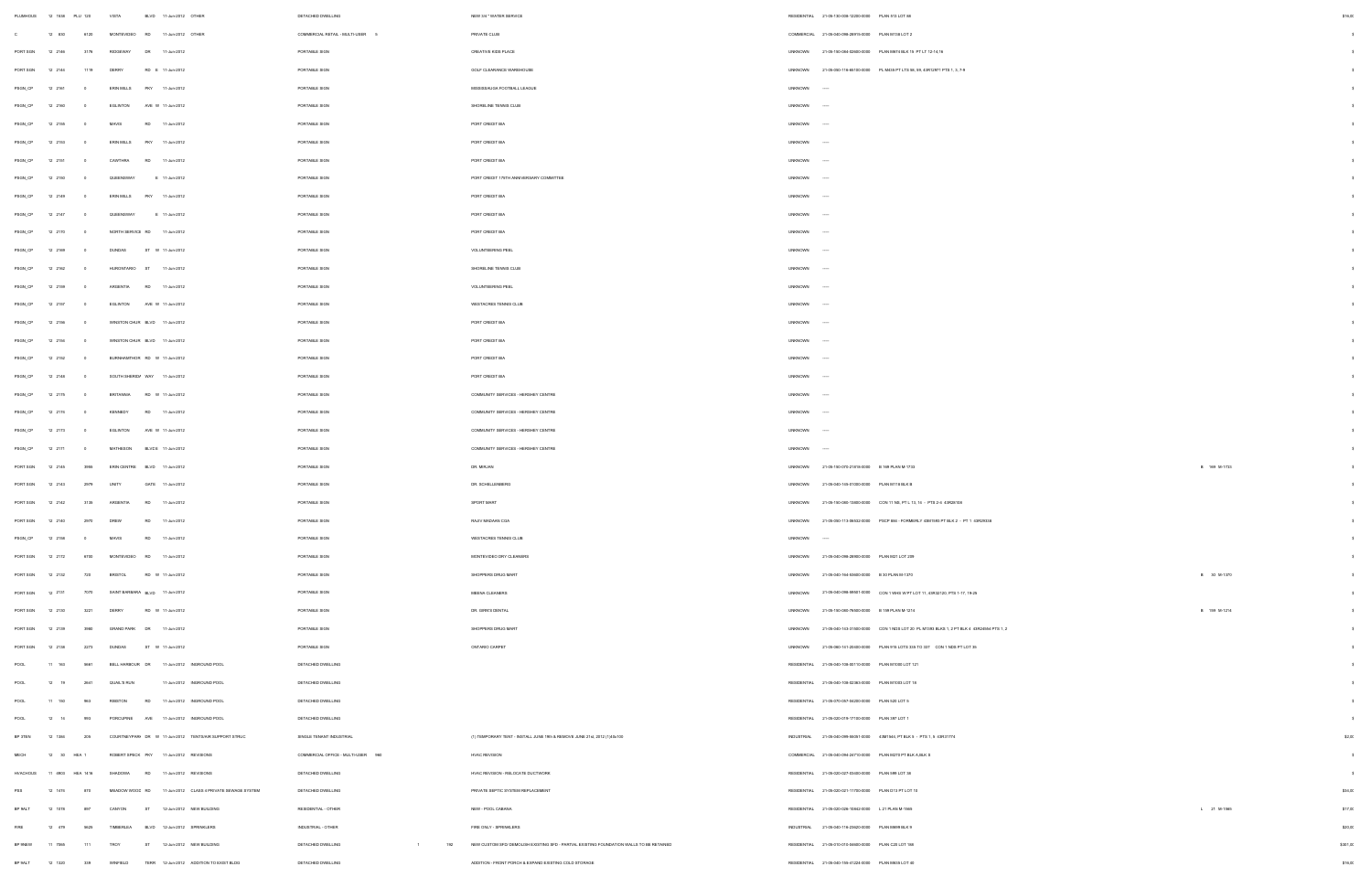|                  | PLUMHOUS 12 1538 PLU 120  | <b>VISTA</b><br>BLVD 11-Jun-2012 OTHER                               | DETACHED DWELLING                  | NEW 3/4 " WATER SERVICE                                                                  | RESIDENTIAL 21-05-130-008-12200-0000 PLAN 513 LOT 88                                                      | \$16,00 |
|------------------|---------------------------|----------------------------------------------------------------------|------------------------------------|------------------------------------------------------------------------------------------|-----------------------------------------------------------------------------------------------------------|---------|
| $\mathbf{C}$     | 12 830<br>6120            | MONTEVIDEO RD 11-Jun-2012 OTHER                                      | COMMERCIAL RETAIL - MULTI-USER 5   | PRIVATE CLUB                                                                             | COMMERCIAL 21-05-040-098-28915-0000 PLAN M138 LOT 2                                                       |         |
| PORT SGN         | 12 2146<br>3176           | RIDGEWAY<br>DR 11-Jun-2012                                           | PORTABLE SIGN                      | CREATIVE KIDS PLACE                                                                      | 21-05-150-084-02600-0000 PLAN M674 BLK 15 PT LT 12-14,16<br><b>UNKNOWN</b>                                |         |
| PORT SGN 12 2144 | 1119                      | <b>DERRY</b><br>RD E 11-Jun-2012                                     | PORTABLE SIGN                      | GOLF CLEARANCE WAREHOUSE                                                                 | 21-05-050-116-65100-0000 PL M435 PT LTS 58, 59, 43R12971 PTS 1, 3, 7-9<br><b>UNKNOWN</b>                  |         |
| PSGN_CP          | 12 2161<br>$\overline{0}$ | ERIN MILLS<br>PKY 11-Jun-2012                                        | PORTABLE SIGN                      | MISSISSAUGA FOOTBALL LEAGUE                                                              | <b>UNKNOWN</b><br>$\sim$                                                                                  |         |
| PSGN_CP          | 12 2160<br>$\overline{0}$ | <b>EGLINTON</b><br>AVE W 11-Jun-2012                                 | PORTABLE SIGN                      | SHORELINE TENNIS CLUB                                                                    | <b>UNKNOWN</b><br>$\sim$                                                                                  |         |
| PSGN_CP 12 2155  | $\sim$                    | MAVIS<br>RD 11-Jun-2012                                              | PORTABLE SIGN                      | PORT CREDIT BIA                                                                          | <b>UNKNOWN</b><br>$\sim$                                                                                  |         |
| PSGN_CP 12 2153  | $\sim$                    | ERIN MILLS<br>PKY 11-Jun-2012                                        | PORTABLE SIGN                      | PORT CREDIT BIA                                                                          | <b>UNKNOWN</b><br>$\sim$                                                                                  |         |
| PSGN_CP          | 12 2151<br>$\overline{0}$ | CAWTHRA<br><b>RD</b><br>11-Jun-2012                                  | PORTABLE SIGN                      | PORT CREDIT BIA                                                                          | <b>UNKNOWN</b><br>$\sim$                                                                                  |         |
| PSGN_CP 12 2150  | $\sim$                    | QUEENSWAY<br>E 11-Jun-2012                                           | PORTABLE SIGN                      | PORT CREDIT 175TH ANNIVERSARY COMMITTEE                                                  | <b>UNKNOWN</b><br>$\sim$                                                                                  |         |
| PSGN_CP 12 2149  | $\Omega$                  | ERIN MILLS<br>PKY 11-Jun-2012                                        | PORTABLE SIGN                      | PORT CREDIT BIA                                                                          | <b>UNKNOWN</b><br>$\sim$                                                                                  |         |
|                  |                           |                                                                      |                                    |                                                                                          |                                                                                                           |         |
| PSGN_CP          | 12 2147<br>$\overline{0}$ | QUEENSWAY<br>E 11-Jun-2012                                           | PORTABLE SIGN                      | PORT CREDIT BIA                                                                          | <b>UNKNOWN</b><br>$\sim$                                                                                  |         |
| PSGN_CP          | 12 2170<br>$\overline{0}$ | NORTH SERVICE RD 11-Jun-2012                                         | PORTABLE SIGN                      | PORT CREDIT BIA                                                                          | <b>UNKNOWN</b><br>$\sim$                                                                                  |         |
| PSGN_CP          | 12 2169<br>$\Omega$       | <b>DUNDAS</b><br>ST W 11-Jun-2012                                    | PORTABLE SIGN                      | VOLUNTEERING PEEL                                                                        | <b>UNKNOWN</b><br>$\sim$                                                                                  |         |
| PSGN_CP          | 12 2162<br>$\overline{0}$ | HURONTARIO ST<br>11-Jun-2012                                         | PORTABLE SIGN                      | SHORELINE TENNIS CLUB                                                                    | <b>UNKNOWN</b><br>$\sim$                                                                                  |         |
| PSGN_CP          | 12 2159<br>$\overline{0}$ | ARGENTIA<br>RD 11-Jun-2012                                           | PORTABLE SIGN                      | VOLUNTEERING PEEL                                                                        | <b>UNKNOWN</b><br>$\sim$                                                                                  |         |
| PSGN_CP          | 12 2157<br>$\Omega$       | EGLINTON AVE W 11-Jun-2012                                           | PORTABLE SIGN                      | WESTACRES TENNIS CLUB                                                                    | <b>UNKNOWN</b><br>$\sim$                                                                                  |         |
| PSGN_CP          | 12 2156<br>$\overline{0}$ | WINSTON CHUR BLVD 11-Jun-2012                                        | PORTABLE SIGN                      | PORT CREDIT BIA                                                                          | <b>UNKNOWN</b><br>$\sim$                                                                                  |         |
| PSGN_CP          | 12 2154<br>$^{\circ}$     | WINSTON CHUR BLVD 11-Jun-2012                                        | PORTABLE SIGN                      | PORT CREDIT BIA                                                                          | <b>UNKNOWN</b><br>$\sim$                                                                                  |         |
| PSGN_CP          | 12 2152                   | BURNHAMTHOR RD W 11-Jun-2012                                         | PORTABLE SIGN                      | PORT CREDIT BIA                                                                          | <b>UNKNOWN</b><br>$\sim$                                                                                  |         |
| PSGN_CP          | 12 2148<br>$\overline{0}$ | SOUTH SHERIDA WAY 11-Jun-2012                                        | PORTABLE SIGN                      | PORT CREDIT BIA                                                                          | <b>UNKNOWN</b><br>$\sim$                                                                                  |         |
| PSGN_CP 12 2175  | $\circ$                   | BRITANNIA<br>RD W 11-Jun-2012                                        | PORTABLE SIGN                      | COMMUNITY SERVICES - HERSHEY CENTRE                                                      | <b>UNKNOWN</b><br>$\sim$                                                                                  |         |
| PSGN_CP 12 2174  | $\overline{0}$            | <b>KENNEDY</b><br>RD 11-Jun-2012                                     | PORTABLE SIGN                      | COMMUNITY SERVICES - HERSHEY CENTRE                                                      | <b>UNKNOWN</b><br>$\sim$                                                                                  |         |
| PSGN_CP          | 12 2173<br>$\overline{0}$ | <b>EGLINTON</b><br>AVE W 11-Jun-2012                                 | PORTABLE SIGN                      | COMMUNITY SERVICES - HERSHEY CENTRE                                                      | <b>UNKNOWN</b><br>$\sim$                                                                                  |         |
| PSGN_CP 12 2171  | $\circ$                   | MATHESON BLVDE 11-Jun-2012                                           | PORTABLE SIGN                      | COMMUNITY SERVICES - HERSHEY CENTRE                                                      | <b>UNKNOWN</b><br>$\sim$                                                                                  |         |
| PORT SGN 12 2145 | 3955                      | ERIN CENTRE BLVD 11-Jun-2012                                         | PORTABLE SIGN                      | DR. MIRJAN                                                                               | 21-05-150-070-21818-0000 B 169 PLAN M-1733<br>B 169 M-1733<br><b>UNKNOWN</b>                              |         |
| PORT SGN         | 12 2143<br>2979           | <b>UNITY</b><br>GATE 11-Jun-2012                                     | PORTABLE SIGN                      | DR. SCHELLENBERG                                                                         | <b>UNKNOWN</b><br>21-05-040-145-01000-0000 PLAN M118 BLK B                                                |         |
| PORT SGN 12 2142 | 3135                      | ARGENTIA<br>RD 11-Jun-2012                                           | PORTABLE SIGN                      | SPORT MART                                                                               | 21-05-150-080-13800-0000   CON 11 NS, PT L 13, 14 - PTS 2-4 43R28108<br><b>UNKNOWN</b>                    |         |
| PORT SGN 12 2140 |                           | 2970 DREW<br>RD 11-Jun-2012                                          | PORTABLE SIGN                      | RAJIV MADAAN CGA                                                                         | UNKNOWN 21-05-050-113-06532-0000 PSCP 884 - FORMERLY 43M1593 PT BLK 2 - PT 1 43R29338                     |         |
| PSGN_CP 12 2158  | $\sim$                    | MAVIS<br>RD 11-Jun-2012                                              | PORTABLE SIGN                      | WESTACRES TENNIS CLUB                                                                    | <b>UNKNOWN</b><br>$\sim$                                                                                  |         |
| PORT SGN         | 12 2172<br>6700           | MONTEVIDEO RD 11-Jun-2012                                            | PORTABLE SIGN                      | MONTEVIDEO DRY CLEANERS                                                                  | <b>UNKNOWN</b><br>21-05-040-098-28900-0000 PLAN M21 LOT 209                                               |         |
| PORT SGN 12 2132 | 720                       | <b>BRISTOL</b><br>RD W 11-Jun-2012                                   | PORTABLE SIGN                      | SHOPPERS DRUG MART                                                                       | B 30 M-1370<br>21-05-040-164-53600-0000 B 30 PLAN M-1370<br><b>UNKNOWN</b>                                |         |
| PORT SGN         | 12 2131<br>7070           | SAINT BARBARA BLVD 11-Jun-2012                                       | PORTABLE SIGN                      | MEENA CLEANERS                                                                           | 21-05-040-098-59501-0000 CON 1 WHS W PT LOT 11, 43R32120, PTS 1-17, 19-25<br><b>UNKNOWN</b>               |         |
|                  |                           |                                                                      |                                    |                                                                                          |                                                                                                           |         |
| PORT SGN         | 12 2130<br>3221           | DERRY<br>RD W 11-Jun-2012                                            | PORTABLE SIGN                      | DR. GIRN'S DENTAL                                                                        | B 159 M-1214<br><b>UNKNOWN</b><br>21-05-150-080-76500-0000 B 159 PLAN M-1214                              |         |
| PORT SGN 12 2139 | 3980                      | GRAND PARK DR 11-Jun-2012                                            | PORTABLE SIGN                      | SHOPPERS DRUG MART                                                                       | 21-05-040-143-31500-0000 CON 1 NDS LOT 20 PL M1393 BLKS 1, 2 PT BLK 4 43R24554 PTS 1, 2<br><b>UNKNOWN</b> |         |
| PORT SGN         | 2273<br>12 2138           | <b>DUNDAS</b><br>ST W 11-Jun-2012                                    | PORTABLE SIGN                      | ONTARIO CARPET                                                                           | 21-05-060-141-20400-0000 PLAN 915 LOTS 335 TO 337 CON 1 NDS PT LOT 35<br><b>UNKNOWN</b>                   |         |
| POOL             | 5661<br>11 163            | BELL HARBOUR DR 11-Jun-2012 INGROUND POOL                            | DETACHED DWELLING                  |                                                                                          | RESIDENTIAL 21-05-040-108-00110-0000 PLAN M1000 LOT 121                                                   |         |
| POOL             | 2641<br>12                | QUAIL'S RUN<br>11-Jun-2012 INGROUND POOL                             | DETACHED DWELLING                  |                                                                                          | RESIDENTIAL 21-05-040-108-02363-0000 PLAN M1003 LOT 18                                                    |         |
| POOL             | 963<br>11 150             | <b>RIBSTON</b><br>RD 11-Jun-2012 INGROUND POOL                       | DETACHED DWELLING                  |                                                                                          | RESIDENTIAL 21-05-070-057-04200-0000 PLAN 520 LOT 5                                                       |         |
| POOL             | 993<br>12<br>14           | PORCUPINE AVE 11-Jun-2012 INGROUND POOL                              | DETACHED DWELLING                  |                                                                                          | RESIDENTIAL 21-05-020-019-17100-0000 PLAN 397 LOT 1                                                       |         |
| BP 3TEN          | 205<br>12 1384            | COURTNEYPARI DR W 11-Jun-2012 TENTS/AIR SUPPORT STRUC                | SINGLE TENANT INDUSTRIAL           | (1) TEMPORARY TENT - INSTALL JUNE 19th & REMOVE JUNE 21st, 2012 (1)40x100                | INDUSTRIAL 21-05-040-099-55051-0000 43M1544, PT BLK 5 - PTS 1, 5 43R31774                                 |         |
| <b>MECH</b>      | 12 30<br>HEA 1            | ROBERT SPECK PKY 11-Jun-2012 REVISIONS                               | COMMERCIAL OFFICE - MULTI-USER 960 | <b>HVAC REVISION</b>                                                                     | COMMERCIAL 21-05-040-094-24710-0000 PLAN M270 PT BLK A,BLK S                                              |         |
| HVACHOUS 11 4903 | <b>HEA 1416</b>           | RD 11-Jun-2012 REVISIONS<br>SHADOWA                                  | DETACHED DWELLING                  | HVAC REVISION - RELOCATE DUCTWORK                                                        | RESIDENTIAL 21-05-020-027-03400-0000 PLAN 599 LOT 38                                                      |         |
| PSS              | 12 1474<br>870            | MEADOW WOOD RD 11-Jun-2012 CLASS 4 PRIVATE SEWAGE SYSTEM             | DETACHED DWELLING                  | PRIVATE SEPTIC SYSTEM REPLACEMENT                                                        | RESIDENTIAL 21-05-020-021-11700-0000 PLAN D13 PT LOT 10                                                   | \$34,00 |
| BP 9ALT          | 12 1078<br>897            | CANYON<br>ST 12-Jun-2012 NEW BUILDING                                | RESIDENTIAL - OTHER                | NEW - POOL CABANA                                                                        | RESIDENTIAL 21-05-020-026-10842-0000 L 21 PLAN M-1565<br>L 21 M-1565                                      | \$17,00 |
| <b>FIRE</b>      | 12 479<br>5625            | TIMBERLEA BLVD 12-Jun-2012 SPRINKLERS                                | INDUSTRIAL - OTHER                 | FIRE ONLY - SPRINKLERS                                                                   | INDUSTRIAL 21-05-040-116-23620-0000 PLAN M699 BLK 9                                                       | \$20,00 |
| BP 9NEW          | 111<br>11 7065            | <b>TROY</b><br>ST 12-Jun-2012 NEW BUILDING                           | DETACHED DWELLING<br>$-1$<br>192   | NEW CUSTOM SFD/ DEMOLISH EXISTING SFD - PARTIAL EXISTING FOUNDATION WALLS TO BE RETAINED | RESIDENTIAL 21-05-010-010-04600-0000 PLAN C20 LOT 188                                                     | \$301,0 |
|                  |                           | BP 9ALT 12 1320 339 WINFIELD TERR 12-Jun-2012 ADDITION TO EXIST BLDG | DETACHED DWELLING                  | ADDITION - FRONT PORCH & EXPAND EXISTING COLD STORAGE                                    | RESIDENTIAL 21-05-040-155-41224-0000 PLAN M635 LOT 40                                                     | \$16,00 |

- 
- 
- 
- 
- . The contract of the contract of the contract of the contract of the contract of  $\S$ 
	-
	- \$
		-
	-
	-
- . The contract of the contract of the contract of the contract of the contract of  $\S$ 
	-
	-
	-
	-
- . The contract of the contract of the contract of the contract of the contract of  $\S$ 
	- \$
	- $\,$  Delan M118 BLK B  $\,$  Section 2 and 2 and 2 and 2 and 2 and 2 and 2 and 2 and 2 and 2 and 2 and 2 and 2 and 2 and 2 and 2 and 2 and 2 and 2 and 2 and 2 and 2 and 2 and 2 and 2 and 2 and 2 and 2 and 2 and 2 and 2 and
	- $\,$  PLAN M21 LOT 209  $\,$  s  $\,$  s  $\,$  s  $\,$  s  $\,$  s  $\,$  s  $\,$  s  $\,$  s  $\,$  s  $\,$  s  $\,$  s  $\,$  s  $\,$  s  $\,$  s  $\,$  s  $\,$  s  $\,$  s  $\,$  s  $\,$  s  $\,$  s  $\,$  s  $\,$  s  $\,$  s  $\,$  s  $\,$  s  $\,$  s  $\,$  s  $\,$  s  $\,$ 
		-
		- \$
	- \$
	- $\,$  PLAN 397 LOT 1  $\,$  Section 1  $\,$  Section 1  $\,$  Section 1  $\,$  Section 1  $\,$  Section 1  $\,$  Section 1  $\,$  Section 1  $\,$  Section 1  $\,$  Section 1  $\,$  Section 1  $\,$  Section 1  $\,$  Section 1  $\,$  Section 1  $\,$  S
	- 0 PLAN M270 PT BLK A,BLK S
		-
- 
-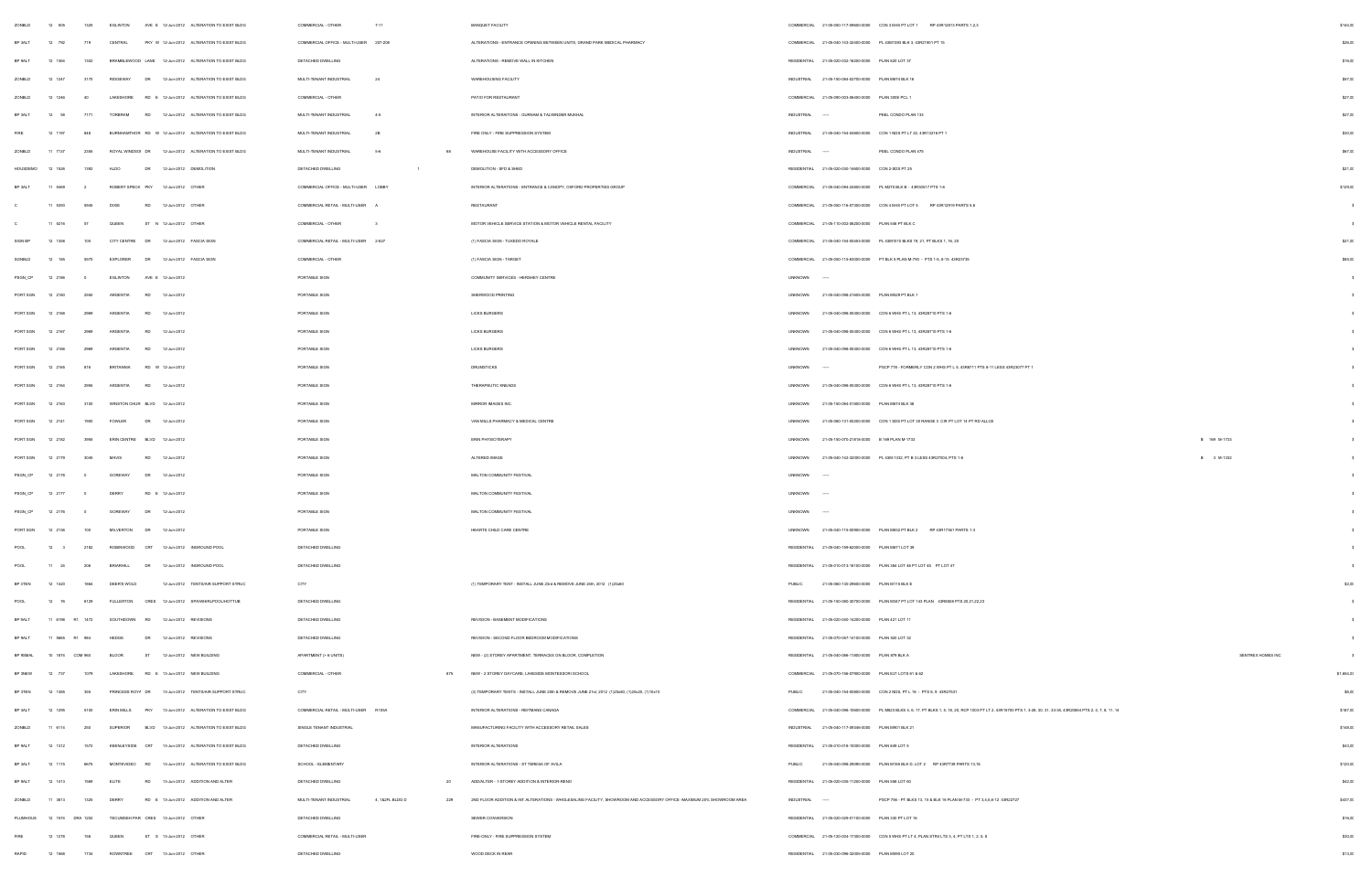\$  $\mathbf{s}$ 

| ZONBLD      | 12 505           | 1325           | <b>EGLINTON</b><br>AVE E 12-Jun-2012 ALTERATION TO EXIST BLDG | COMMERCIAL - OTHER<br>$7 - 11$                    | <b>BANQUET FACILITY</b>                                                                                               | COMMERCIAL 21-05-050-117-09600-0000 CON 3 EHS PT LOT 1 RP 43R12813 PARTS 1,2,3                                                                                          | \$144,0   |
|-------------|------------------|----------------|---------------------------------------------------------------|---------------------------------------------------|-----------------------------------------------------------------------------------------------------------------------|-------------------------------------------------------------------------------------------------------------------------------------------------------------------------|-----------|
| BP 3ALT     | 12 792           | 719            | CENTRAL<br>PKY W 12-Jun-2012 ALTERATION TO EXIST BLDG         | COMMERCIAL OFFICE - MULTI-USER 207-208            | ALTERATIONS - ENTRANCE OPENING BETWEEN UNITS, GRAND PARK MEDICAL PHARMACY                                             | COMMERCIAL 21-05-040-143-32400-0000 PL 43M1393 BLK 3, 43R21901 PT 15                                                                                                    | \$26,00   |
| BP 9ALT     | 12 1364          | 1302           | BRAMBLEWOOD LANE 12-Jun-2012 ALTERATION TO EXIST BLDG         | DETACHED DWELLING                                 | ALTERATIONS - REMOVE WALL IN KITCHEN                                                                                  | RESIDENTIAL 21-05-020-032-16200-0000 PLAN 820 LOT 37                                                                                                                    | \$16,00   |
| ZONBLD      | 12 1247          | 3170           | RIDGEWAY<br>DR 12-Jun-2012 ALTERATION TO EXIST BLDG           | MULTI-TENANT INDUSTRIAL<br>24                     | WAREHOUSING FACILITY                                                                                                  | INDUSTRIAL 21-05-150-084-02700-0000 PLAN M674 BLK 16                                                                                                                    | \$57,00   |
| ZONBLD      | 12 1246          | 40             | LAKESHORE RD E 12-Jun-2012 ALTERATION TO EXIST BLDG           | COMMERCIAL - OTHER                                | PATIO FOR RESTAURANT                                                                                                  | COMMERCIAL 21-05-090-003-06400-0000 PLAN 300E PCL 1                                                                                                                     | \$27,00   |
| BP 3ALT     | 12 58            | 7171           | RD 12-Jun-2012 ALTERATION TO EXIST BLDG<br><b>TORBRAM</b>     | MULTI-TENANT INDUSTRIAL<br>$4 - 5$                | INTERIOR ALTERAITONS - GURNAM & TALWINDER MUKHAL                                                                      | <b>INDUSTRIAL</b><br>PEEL CONDO PLAN 133<br>$\sim$                                                                                                                      | \$27,00   |
| <b>FIRE</b> | 12 1197          | 848            | BURNHAMTHOR RD W 12-Jun-2012 ALTERATION TO EXIST BLDG         | MULTI-TENANT INDUSTRIAL<br>2B                     | FIRE ONLY - FIRE SUPPRESSION SYSTEM                                                                                   | INDUSTRIAL 21-05-040-154-04800-0000 CON 1 NDS PT LT 22, 43R13216 PT 1                                                                                                   | \$30,00   |
| ZONBLD      | 11 7137          | 2355           | ROYAL WINDSOI DR 12-Jun-2012 ALTERATION TO EXIST BLDG         | MULTI-TENANT INDUSTRIAL<br>$5 - 6$<br>68          | WAREHOUSE FACILITY WITH ACCESSORY OFFICE                                                                              | <b>INDUSTRIAL</b><br>PEEL CONDO PLAN 475                                                                                                                                | \$67,00   |
| HOUSDEMO    | 12 1526          | 1392           | <b>DR</b><br>ALDO<br>12-Jun-2012 DEMOLITION                   | DETACHED DWELLING<br>$\overline{1}$               | DEMOLITION - SFD & SHED                                                                                               | RESIDENTIAL 21-05-020-030-14600-0000 CON 2-SDS PT 25                                                                                                                    | \$21,00   |
| BP 3ALT     | 11 5469          | $\overline{2}$ | ROBERT SPECK PKY 12-Jun-2012 OTHER                            | COMMERCIAL OFFICE - MULTI-USER LOBBY              | INTERIOR ALTERATIONS - ENTRANCE & CANOPY, OXFORD PROPERTIES GROUP                                                     | COMMERCIAL 21-05-040-094-24800-0000 PL M270 BLK B - 43R30517 PTS 1-6                                                                                                    | \$129,00  |
|             | 11 5393          | 5945           | <b>DIXIE</b><br><b>RD</b><br>12-Jun-2012 OTHER                | COMMERCIAL RETAIL - MULTI-USER A                  | RESTAURANT                                                                                                            | COMMERCIAL 21-05-050-116-07300-0000 CON 4 EHS PT LOT 5 RP 43R12919 PARTS 5,6                                                                                            |           |
|             | 11 5216          | 57             | ST N 12-Jun-2012 OTHER<br>QUEEN                               | COMMERCIAL - OTHER<br>$\overline{\mathbf{3}}$     | MOTOR VEHICLE SERVICE STATION & MOTOR VEHICLE RENTAL FACILITY                                                         | COMMERCIAL 21-05-110-002-06200-0000 PLAN 548 PT BLK C                                                                                                                   |           |
| SIGN BP     | 12 1358          | 100            | CITY CENTRE DR 12-Jun-2012 FASCIA SIGN                        | COMMERCIAL RETAIL - MULTI-USER 2-827              | (1) FASCIA SIGN - TUXEDO ROYALE                                                                                       | COMMERCIAL 21-05-040-154-00453-0000 PL 43M1010 BLKS 19, 21, PT BLKS 1, 16, 20                                                                                           | \$21,00   |
| SGNBLD      | 12 185           | 5570           | <b>EXPLORER</b><br>DR <sub>1</sub><br>12-Jun-2012 FASCIA SIGN | COMMERCIAL - OTHER                                | (1) FASCIA SIGN - TARGET                                                                                              | COMMERCIAL 21-05-050-115-63000-0000 PT BLK 5 PLAN M-793 - PTS 1-5, 8-15 43R23735                                                                                        | \$85,00   |
| PSGN_CP     | 12 2186          | $\circ$        | <b>EGLINTON</b><br>AVE E 12-Jun-2012                          | PORTABLE SIGN                                     | COMMUNITY SERVICES - HERSHEY CENTRE                                                                                   | <b>UNKNOWN</b><br>$\sim$                                                                                                                                                |           |
|             | PORT SGN 12 2180 | 2550           | ARGENTIA<br>RD 12-Jun-2012                                    | PORTABLE SIGN                                     | SHERWOOD PRINTING                                                                                                     | 21-05-040-098-21605-0000 PLAN M529 PT BLK 1<br><b>UNKNOWN</b>                                                                                                           |           |
|             | PORT SGN 12 2168 | 2969           | ARGENTIA<br>RD 12-Jun-2012                                    | PORTABLE SIGN                                     | <b>LICKS BURGERS</b>                                                                                                  | 21-05-040-098-05300-0000 CON 6 WHS PT L 13, 43R28710 PTS 1-6<br><b>UNKNOWN</b>                                                                                          |           |
| PORT SGN    | 12 2167          | 2969           | ARGENTIA<br><b>RD</b><br>12-Jun-2012                          | PORTABLE SIGN                                     | <b>LICKS BURGERS</b>                                                                                                  | 21-05-040-098-05300-0000 CON 6 WHS PT L 13, 43R28710 PTS 1-6<br><b>UNKNOWN</b>                                                                                          |           |
| PORT SGN    | 12 2166          | 2969           | ARGENTIA<br><b>RD</b><br>12-Jun-2012                          | PORTABLE SIGN                                     | <b>LICKS BURGERS</b>                                                                                                  | <b>UNKNOWN</b><br>21-05-040-098-05300-0000 CON 6 WHS PT L 13, 43R28710 PTS 1-6                                                                                          |           |
|             | PORT SGN 12 2165 | 816            | BRITANNIA<br>RD W 12-Jun-2012                                 | PORTABLE SIGN                                     | <b>DRUMSTICKS</b>                                                                                                     | PSCP 778 - FORMERLY CON 2 WHS PT L 5, 43R8711 PTS 8-11 LESS 43R23077 PT 1<br><b>UNKNOWN</b><br>$\sim$                                                                   |           |
|             |                  |                |                                                               | PORTABLE SIGN                                     | THERAPEUTIC KNEADS                                                                                                    | 21-05-040-098-05300-0000 CON 6 WHS PT L 13, 43R28710 PTS 1-6                                                                                                            |           |
| PORT SGN    | 12 2164          | 2955           | ARGENTIA<br><b>RD</b><br>12-Jun-2012                          |                                                   |                                                                                                                       | <b>UNKNOWN</b>                                                                                                                                                          |           |
|             | PORT SGN 12 2163 | 3100           | WINSTON CHUR BLVD 12-Jun-2012                                 | PORTABLE SIGN                                     | MIRROR IMAGES INC.                                                                                                    | <b>UNKNOWN</b><br>21-05-150-084-01800-0000 PLAN M674 BLK 38                                                                                                             |           |
|             | PORT SGN 12 2141 | 1900           | FOWLER<br>DR 12-Jun-2012                                      | PORTABLE SIGN                                     | VAN MILLS PHARMACY & MEDICAL CENTRE                                                                                   | 21-05-060-131-00200-0000  CON 1 SDS PT LOT 30 RANGE 3 CIR PT LOT 14 PT RD ALLCE<br><b>UNKNOWN</b>                                                                       |           |
|             | PORT SGN 12 2182 | 3955           | ERIN CENTRE BLVD 12-Jun-2012                                  | PORTABLE SIGN                                     | ERIN PHYSIOTERAPY                                                                                                     | 21-05-150-070-21818-0000 B 169 PLAN M-1733<br>B 169 M-1733<br><b>UNKNOWN</b>                                                                                            |           |
|             | PORT SGN 12 2179 | 3045           | MAVIS<br><b>RD</b><br>12-Jun-2012                             | PORTABLE SIGN                                     | ALTERED IMAGE                                                                                                         | 21-05-040-142-32000-0000 PL 43M-1332, PT B 3 LESS 43R27004, PTS 1-6<br>B 3 M-1332<br><b>UNKNOWN</b>                                                                     |           |
| PSGN_CP     | 12 2178          | $^{\circ}$     | GOREWAY<br>DR <sub>1</sub><br>12-Jun-2012                     | PORTABLE SIGN                                     | MALTON COMMUNITY FESTIVAL                                                                                             | <b>UNKNOWN</b><br>$\sim$                                                                                                                                                |           |
| PSGN CP     | 12 2177          | $\Omega$       | DERRY<br>RD E 12-Jun-2012                                     | PORTABLE SIGN                                     | MALTON COMMUNITY FESTIVAL                                                                                             | <b>UNKNOWN</b><br>$\sim$                                                                                                                                                |           |
|             | PSGN_CP 12 2176  | $\overline{0}$ | GOREWAY<br><b>DR</b><br>12-Jun-2012                           | PORTABLE SIGN                                     | MALTON COMMUNITY FESTIVAL                                                                                             | <b>UNKNOWN</b><br>$\sim$                                                                                                                                                |           |
|             | PORT SGN 12 2136 | 100            | MILVERTON DR 12-Jun-2012                                      | PORTABLE SIGN                                     | HEARTS CHILD CARE CENTRE                                                                                              | UNKNOWN 21-05-040-115-00950-0000 PLAN M832 PT BLK 2 RP 43R17361 PARTS 1-3                                                                                               |           |
|             | $12 \quad 3$     |                | 2182 ROBINWOOD CRT 12-Jun-2012 INGROUND POOL                  | DETACHED DWELLING                                 |                                                                                                                       | RESIDENTIAL 21-05-040-159-62000-0000 PLAN M871 LOT 39                                                                                                                   |           |
|             | 11 24            | 206            | DR 12-Jun-2012 INGROUND POOL<br>BRIARHILL                     | DETACHED DWELLING                                 |                                                                                                                       | RESIDENTIAL 21-05-010-013-18100-0000 PLAN 384 LOT 46 PT LOT 45 PT LOT 47                                                                                                |           |
| BP 3TEN     | 12 1420          | 1864           | 12-Jun-2012 TENTS/AIR SUPPORT STRUC<br>DEER'S WOLD            | <b>CITY</b>                                       | (1) TEMPORARY TENT - INSTALL JUNE 23rd & REMOVE JUNE 24th, 2012 (1)20x60                                              | 21-05-060-130-29600-0000 PLAN M115 BLK E<br>PUBLIC                                                                                                                      |           |
|             | 12 76            | 6129           | FULLERTON CRES 12-Jun-2012 SPA/WHIRLPOOL/HOTTUB               | DETACHED DWELLING                                 |                                                                                                                       | RESIDENTIAL 21-05-150-080-30700-0000 PLAN M347 PT LOT 143 PLAN 43R8508 PTS 20,21,22,23                                                                                  |           |
| BP 9ALT     |                  |                | 11 6198 R1 1472 SOUTHDOWN RD 12-Jun-2012 REVISIONS            | DETACHED DWELLING                                 | REVISION - BASEMENT MODIFICATIONS                                                                                     | RESIDENTIAL 21-05-020-040-14200-0000 PLAN 421 LOT 11                                                                                                                    |           |
| BP 9ALT     | 11 5865 R1 984   |                | HEDGE<br>DR 12-Jun-2012 REVISIONS                             | DETACHED DWELLING                                 | REVISION - SECOND FLOOR BEDROOM MODIFICATIONS                                                                         | RESIDENTIAL 21-05-070-057-14100-0000 PLAN 520 LOT 32                                                                                                                    |           |
|             | 10 1874          | COM 960        | <b>BLOOR</b><br>ST 12-Jun-2012 NEW BUILDING                   | APARTMENT (> 6 UNITS)                             | NEW - (2) STOREY APARTMENT, TERRACES ON BLOOR, COMPLETION                                                             | RESIDENTIAL 21-05-040-086-11800-0000 PLAN 879 BLK A<br>SENTREX HOMES INC                                                                                                |           |
| BP 3NEW     | 12 737           | 1079           | LAKESHORE RD E 13-Jun-2012 NEW BUILDING                       | COMMERCIAL - OTHER<br>875                         | NEW - 2 STOREY DAYCARE, LAKESIDE MONTESSORI SCHOOL                                                                    | COMMERCIAL 21-05-070-156-07900-0000 PLAN E21 LOTS 61 & 62                                                                                                               | \$1,654,0 |
| BP 3TEN     | 12 1385          | 355            | PRINCESS ROYA DR 13-Jun-2012 TENTS/AIR SUPPORT STRUC          | <b>CITY</b>                                       | (3) TEMPORARY TENTS - INSTALL JUNE 20th & REMOVE JUNE 21st, 2012 (1)20x80, (1)20x20, (1)10x10                         | 21-05-040-154-00800-0000 CON 2 NDS, PT L 18 - PTS 8, 9 43R27531<br>PUBLIC                                                                                               | \$6,00    |
| BP 3ALT     | 12 1295          | 5100           | ERIN MILLS PKY 13-Jun-2012 ALTERATION TO EXIST BLDG           | COMMERCIAL RETAIL - MULTI-USER R105A              | INTERIOR ALTERATIONS - REITMANS CANADA                                                                                | COMMERCIAL 21-05-040-098-10600-0000 PL M823 BLKS 4, 6, 17, PT BLKS 1, 5, 18, 20, RCP 1003 PT LT 2, 43R15700 PTS 1, 3-28, 30, 31, 33-35, 43R20654 PTS 2, 4, 7, 8, 11, 14 | \$187,00  |
| ZONBLD      | 11 6114          | 250            | SUPERIOR BLVD 13-Jun-2012 ALTERATION TO EXIST BLDG            | SINGLE TENANT INDUSTRIAL                          | MANUFACTURING FACILITY WITH ACCESSORY RETAIL SALES                                                                    | INDUSTRIAL 21-05-040-117-09346-0000 PLAN M901 BLK 21                                                                                                                    | \$148,0   |
|             | BP 9ALT 12 1312  |                | 1572 KEENLEYSIDE CRT 13-Jun-2012 ALTERATION TO EXIST BLDG     | DETACHED DWELLING                                 | INTERIOR ALTERATIONS                                                                                                  | RESIDENTIAL 21-05-010-018-10000-0000 PLAN 849 LOT 5                                                                                                                     | \$43,00   |
| BP 3ALT     | 12 1115          | 6675           | MONTEVIDEO RD 13-Jun-2012 ALTERATION TO EXIST BLDG            | SCHOOL - ELEMENTARY                               | INTERIOR ALTERATIONS - ST TERESA OF AVILA                                                                             | 21-05-040-098-29090-0000 PLAN M185 BLK D, LOT 2 RP 43R7739 PARTS 13,18<br>PUBLIC                                                                                        | \$120,00  |
| BP 9ALT     | 12 1413          | 1569           | ELITE<br>RD 13-Jun-2012 ADDITION AND ALTER                    | DETACHED DWELLING<br>20                           | ADD/ALTER - 1-STOREY ADDITION & INTERIOR-RENO                                                                         | RESIDENTIAL 21-05-020-035-11200-0000 PLAN 558 LOT 60                                                                                                                    | \$42,00   |
| ZONBLD      | 11 3813          | 1325           | <b>DERRY</b><br>RD E 13-Jun-2012 ADDITION AND ALTER           | MULTI-TENANT INDUSTRIAL<br>4, 1&2FL BLDG D<br>229 | 2ND FLOOR ADDITION & INT.ALTERATIONS - WHOLESALING FACILITY, SHOWROOM AND ACCESSORY OFFICE -MAXIMUM 20% SHOWROOM AREA | INDUSTRIAL -----<br>PSCP 756 - PT BLKS 13, 15 & BLK 16 PLAN M-733 - PT 3,4,5,8-12 43R22727                                                                              | \$437,0   |
|             |                  |                | PLUMHOUS 12 1574 DRA 1202 TECUMSEH PAR CRES 13-Jun-2012 OTHER | DETACHED DWELLING                                 | SEWER CONVERSION                                                                                                      | RESIDENTIAL 21-05-020-029-01100-0000 PLAN 330 PT LOT 16                                                                                                                 | \$16,00   |
| <b>FIRE</b> | 12 1278          | 158            | ST S 13-Jun-2012 OTHER<br>QUEEN                               | COMMERCIAL RETAIL - MULTI-USER                    | FIRE-ONLY - FIRE SUPPRESSION SYSTEM                                                                                   | COMMERCIAL 21-05-120-004-17300-0000 CON 5 WHS PT LT 4, PLAN STR4 LTS 3, 4, PT LTS 1, 2, 5, 8                                                                            | \$30,00   |
|             |                  |                | RAPID 12 1568 1734 ROWNTREE CRT 13-Jun-2012 OTHER             | DETACHED DWELLING                                 | WOOD DECK IN REAR                                                                                                     | RESIDENTIAL 21-05-030-096-32005-0000 PLAN M590 LOT 20                                                                                                                   | \$13,00   |

\$57,00

\$67,00

 $$129,00$ 

 $\ddot{\phantom{1}}$  $\ddot{s}$ 

 $\mathfrak{g}$ 

 $\ddot{\phantom{a}}$ 

\$187,00

\$43,00

\$42,00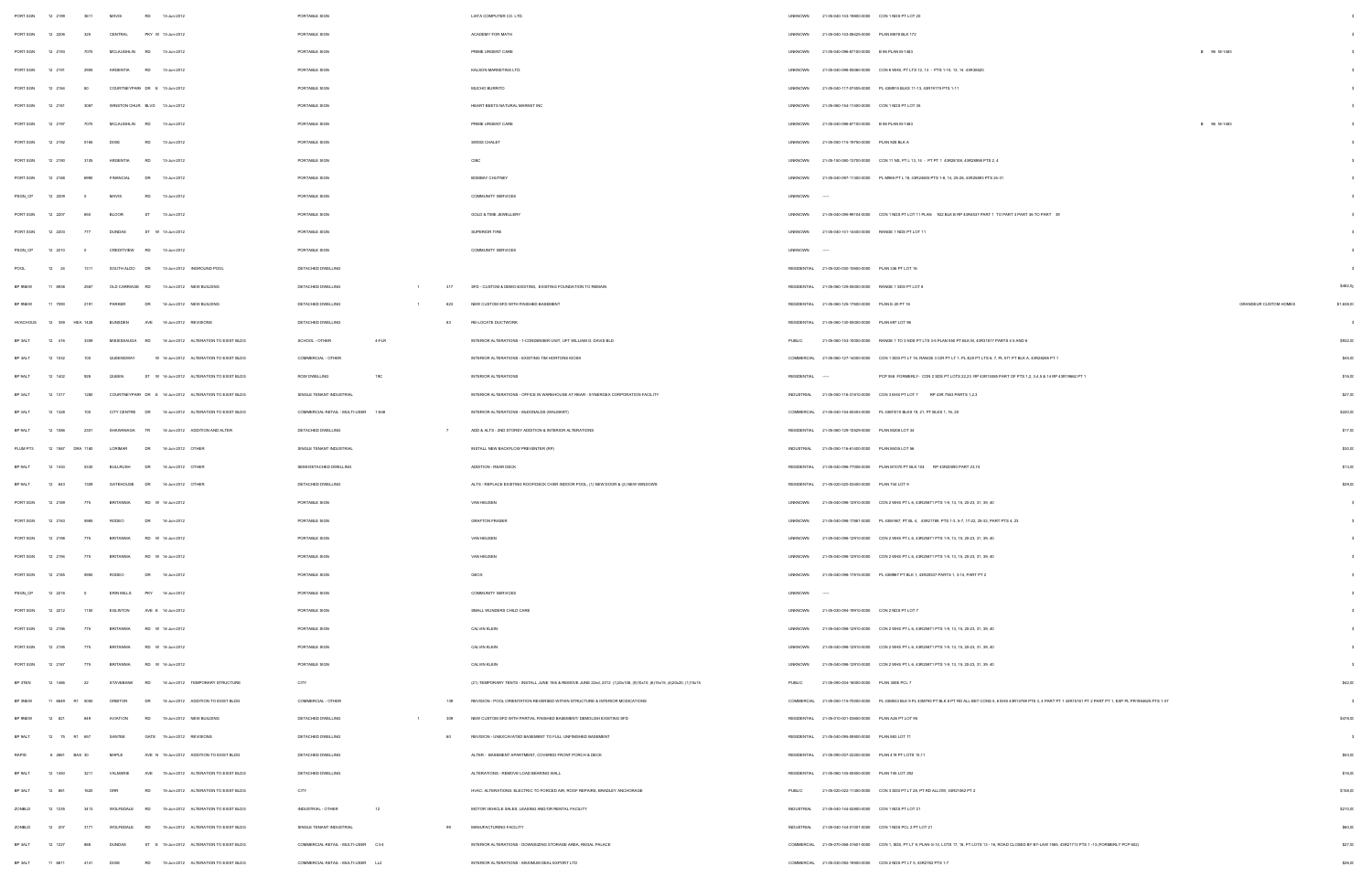| PORT SGN 12 2199<br>MAVIS<br><b>RD</b><br>13-Jun-2012<br>3611                                  | PORTABLE SIGN                              | LIATA COMPUTER CO. LTD.                                                                                             | 21-05-040-143-19800-0000 CON 1 NDS PT LOT 20<br><b>UNKNOWN</b>                                                                                                                    |                       |               |
|------------------------------------------------------------------------------------------------|--------------------------------------------|---------------------------------------------------------------------------------------------------------------------|-----------------------------------------------------------------------------------------------------------------------------------------------------------------------------------|-----------------------|---------------|
| PORT SGN<br>12 2206<br>325<br>CENTRAL<br>PKY W 13-Jun-2012                                     | PORTABLE SIGN                              | ACADEMY FOR MATH                                                                                                    | <b>UNKNOWN</b><br>21-05-040-143-08425-0000 PLAN M678 BLK 172                                                                                                                      |                       |               |
| PORT SGN 12 2193<br>7070<br>MCLAUGHLIN RD 13-Jun-2012                                          | PORTABLE SIGN                              | PRIME URGENT CARE                                                                                                   | 21-05-040-096-87100-0000 B 96 PLAN M-1483<br><b>UNKNOWN</b>                                                                                                                       | B 96 M-1483           | $\mathbf{S}$  |
| PORT SGN 12 2191<br>2905<br>ARGENTIA<br>RD 13-Jun-2012                                         | PORTABLE SIGN                              | KALSON MARKETING LTD.                                                                                               | 21-05-040-098-05060-0000 CON 6 WHS, PT LTS 12, 13 - PTS 1-10, 13, 14 43R30620<br><b>UNKNOWN</b>                                                                                   |                       |               |
| COURTNEYPARI DR E 13-Jun-2012<br>PORT SGN<br>12 2184                                           | PORTABLE SIGN                              | MUCHO BURRITO                                                                                                       | 21-05-040-117-07405-0000 PL 43M915 BLKS 11-13, 43R19175 PTS 1-11<br><b>UNKNOWN</b>                                                                                                |                       |               |
| PORT SGN 12 2181<br>3087<br>WINSTON CHUR BLVD 13-Jun-2012                                      | PORTABLE SIGN                              | HEART BEETS NATURAL MARKET INC                                                                                      | 21-05-060-154-11400-0000 CON 1 NDS PT LOT 35<br><b>UNKNOWN</b>                                                                                                                    |                       |               |
| PORT SGN 12 2197<br>7070<br>MCLAUGHLIN RD 13-Jun-2012                                          | PORTABLE SIGN                              | PRIME URGENT CARE                                                                                                   | 21-05-040-096-87100-0000 B 96 PLAN M-1483<br><b>UNKNOWN</b>                                                                                                                       | B 96 M-1483           | $\mathbf{s}$  |
| DIXIE<br><b>RD</b><br>13-Jun-2012<br>PORT SGN<br>12 2192<br>5165                               | PORTABLE SIGN                              | SWISS CHALET                                                                                                        | 21-05-050-115-19750-0000 PLAN 928 BLK A<br><b>UNKNOW</b>                                                                                                                          |                       |               |
| PORT SGN 12 2190<br>3105<br>ARGENTIA<br><b>RD</b><br>13-Jun-2012                               | PORTABLE SIGN                              | CIBC                                                                                                                | 21-05-150-080-13700-0000 CON 11 NS, PT L 13, 14 - PT PT 1 43R28108, 43R28958 PTS 2, 4<br><b>UNKNOWN</b>                                                                           |                       |               |
| <b>DR</b><br>PORT SGN<br>6990<br>FINANCIAL<br>13-Jun-2012<br>12 2188                           | PORTABLE SIGN                              | <b>BOMBAY CHUTNEY</b>                                                                                               | 21-05-040-097-11300-0000 PL M965 PT L 18, 43R24805 PTS 1-8, 14, 25-28, 43R25893 PTS 24-31<br><b>UNKNOWN</b>                                                                       |                       |               |
|                                                                                                |                                            |                                                                                                                     |                                                                                                                                                                                   |                       |               |
| MAVIS<br><b>RD</b><br>13-Jun-2012<br>PSGN CP<br>12 2209                                        | PORTABLE SIGN                              | COMMUNITY SERVICES                                                                                                  | <b>UNKNOWN</b><br>------                                                                                                                                                          |                       |               |
| <b>BLOOR</b><br><b>ST</b><br>13-Jun-2012<br>PORT SGN<br>2207<br>650                            | PORTABLE SIGN                              | GOLD & TIME JEWELLERY                                                                                               | 21-05-040-095-99104-0000 CON 1 NDS PT LOT 11 PLAN 922 BLK B RP 43R4537 PART 1 TO PART 3 PART 36 TO PART 39<br><b>UNKNOWN</b>                                                      |                       |               |
| ST W 13-Jun-2012<br>PORT SGN<br>12 2203<br>777<br>DUNDAS                                       | PORTABLE SIGN                              | <b>SUPERIOR TIRE</b>                                                                                                | 21-05-040-141-14400-0000 RANGE 1 NDS PT LOT 11<br><b>UNKNOWN</b>                                                                                                                  |                       |               |
| CREDITVIEW<br><b>RD</b><br>13-Jun-2012<br>PSGN CP<br>12 2210                                   | PORTABLE SIGN                              | COMMUNITY SERVICES                                                                                                  | <b>UNKNOWN</b><br>1.123                                                                                                                                                           |                       | $\mathcal{L}$ |
| SOUTH ALDO DR 13-Jun-2012 INGROUND POOL<br>POOL<br>12 24<br>1311                               | DETACHED DWELLING                          |                                                                                                                     | RESIDENTIAL 21-05-020-030-10600-0000 PLAN 336 PT LOT 16                                                                                                                           |                       | $\mathbf{S}$  |
| OLD CARRIAGE RD 13-Jun-2012 NEW BUILDING<br>BP 9NEW<br>11 6938<br>2587                         | DETACHED DWELLING<br>$\overline{1}$<br>317 | SFD - CUSTOM & DEMO-EXISTING, EXISTING FOUNDATION TO REMAIN                                                         | RESIDENTIAL 21-05-060-129-05000-0000 RANGE 1 SDS PT LOT 8                                                                                                                         |                       | \$482,00      |
| <b>DR</b><br>14-Jun-2012 NEW BUILDING<br>BP 9NEW<br>2191<br>PARKER<br>7090                     | DETACHED DWELLING<br>823<br>$\overline{1}$ | NEW CUSTOM SFD WITH FINISHED BASEMENT                                                                               | RESIDENTIAL 21-05-060-125-17600-0000 PLAN E-20 PT 16                                                                                                                              | GRANDEUR CUSTOM HOMES | \$1,638,00    |
| <b>HVACHOUS</b><br>359<br><b>HEA 1428</b><br><b>BUNSDEN</b><br>AVE 14-Jun-2012 REVISIONS<br>12 | DETACHED DWELLING<br>83                    | RE-LOCATE DUCTWORK                                                                                                  | RESIDENTIAL 21-05-060-130-05000-0000 PLAN 697 LOT 98                                                                                                                              |                       | $\mathbb{R}$  |
| 3359<br>MISSISSAUGA RD 14-Jun-2012 ALTERATION TO EXIST BLDG<br>BP 3ALT<br>416                  | SCHOOL - OTHER<br>4-FLR                    | INTERIOR ALTERATIONS - 1-CONDENSER UNIT, UFT WILLIAM G. DAVIS BLD                                                   | PUBLIC<br>21-05-060-153-10000-0000 RANGE 1 TO 3 NDS PT LTS 3-5 PLAN 550 PT BLK M, 43R31817 PARTS 4 5 AND 6                                                                        |                       | \$932,00      |
| W 14-Jun-2012 ALTERATION TO EXIST BLDG<br>BP 3ALT<br>1032<br>100<br>QUEENSWAY<br>- 12          | COMMERCIAL - OTHER                         | INTERIOR ALTERATIONS - EXISTING TIM HORTONS KIOSK                                                                   | COMMERCIAL 21-05-060-127-14000-0000 CON 1 SDS PT LT 16, RANGE 3 CIR PT LT 1, PL E20 PT LTS 6, 7, PL 571 PT BLK A, 43R28265 PT 1                                                   |                       | \$45,00       |
| ST W 14-Jun-2012 ALTERATION TO EXIST BLDG<br>QUEEN<br>BP 9ALT<br>928<br>- 12<br>1402           | 19C<br><b>ROW DWELLING</b>                 | INTERIOR ALTERATIONS                                                                                                | RESIDENTIAL ----<br>PCP 558 FORMERLY- CON 2 SDS PT LOTS 22,23 RP 43R15385 PART OF PTS 1,2, 3,4,5 & 14 RP 43R19662 PT 1                                                            |                       | \$16,00       |
| COURTNEYPARI DR E 14-Jun-2012 ALTERATION TO EXIST BLDG<br>BP 3ALT<br>1280                      | SINGLE TENANT INDUSTRIAL                   | INTERIOR ALTERATIONS - OFFICE IN WAREHOUSE AT REAR - SYNERGEX CORPORATION FACILITY                                  | INDUSTRIAL 21-05-050-116-31810-0000 CON 3 EHS PT LOT 7 RP 43R 7563 PARTS 1,2,3                                                                                                    |                       | \$27,00       |
| CITY CENTRE DR<br>14-Jun-2012 ALTERATION TO EXIST BLDG<br>BP 3ALT                              | COMMERCIAL RETAIL - MULTI-USER 1-848       | INTERIOR ALTERATIONS - McDONALDS (WALMART)                                                                          | COMMERCIAL 21-05-040-154-00453-0000 PL 43M1010 BLKS 19, 21, PT BLKS 1, 16, 20                                                                                                     |                       | \$220,00      |
| SHAWANAGA TR 14-Jun-2012 ADDITION AND ALTER<br>BP 9ALT<br>2301<br>12 1086                      | DETACHED DWELLING<br>7                     | ADD & ALTS - 2ND STOREY ADDITION & INTERIOR ALTERATIONS                                                             | RESIDENTIAL 21-05-060-129-10529-0000 PLAN M206 LOT 34                                                                                                                             |                       | \$17,00       |
| PLUM PT3<br>1587<br>DRA 1180<br>LORIMAR<br>DR.<br>14-Jun-2012 OTHER<br>12                      | SINGLE TENANT INDUSTRIAL                   | INSTALL NEW BACKFLOW PREVENTER (RP)                                                                                 | INDUSTRIAL 21-05-050-116-61400-0000 PLAN M435 LOT 56                                                                                                                              |                       | \$30,00       |
| 5330<br><b>BULLRUSH</b><br><b>DR</b><br>14-Jun-2012 OTHER<br>BP 9ALT<br>1430                   | SEMI-DETACHED DWELLING                     | ADDITION - REAR DECK                                                                                                | RESIDENTIAL 21-05-040-096-77008-0000 PLAN M1070 PT BLK 104 RP 43R20090 PART 23,74                                                                                                 |                       | \$13,00       |
| GATEHOUSE DR 14-Jun-2012 OTHER<br>BP 9ALT<br>12<br>1309<br>643                                 | DETACHED DWELLING                          | ALTS - REPLACE EXISTING ROOF/DECK OVER INDOOR POOL, (1) NEW DOOR & (2) NEW WINDOWS                                  | RESIDENTIAL 21-05-020-020-03400-0000 PLAN 744 LOT 9                                                                                                                               |                       | \$29,00       |
| PORT SGN 12 2189<br>BRITANNIA RD W 14-Jun-2012<br>775                                          | PORTABLE SIGN                              | VAN HEUSEN                                                                                                          | UNKNOWN 21-05-040-098-12910-0000 CON 2 WHS PT L 6, 43R25871 PTS 1-9, 13, 15, 20-23, 31, 39, 40                                                                                    |                       | $\mathbb{S}$  |
| PORT SGN 12 2183<br>5985<br>RODEO<br>DR 14-Jun-2012                                            | PORTABLE SIGN                              | <b>GRAFTON FRASER</b>                                                                                               | 21-05-040-098-17881-0000 PL 43M-967, PT BL 4, 43R21789, PTS 1-3, 5-7, 17-22, 25-33, PART PTS 4, 23<br><b>UNKNOWN</b>                                                              |                       |               |
| PORT SGN<br>RRITANNIA<br>RD W 14-Jun-2012<br>12 2198<br>775                                    | PORTABLE SIGN                              | VAN HEUSEN                                                                                                          | 21-05-040-098-12910-0000 CON 2 WHS PT L 6, 43R25871 PTS 1-9, 13, 15, 20-23, 31, 39, 40<br><b>UNKNOWN</b>                                                                          |                       |               |
| PORT SGN 12 2194<br>775<br>BRITANNIA RD W 14-Jun-2012                                          | PORTABLE SIGN                              | VAN HEUSEN                                                                                                          | 21-05-040-098-12910-0000 CON 2 WHS PT L 6, 43R25871 PTS 1-9, 13, 15, 20-23, 31, 39, 40<br><b>UNKNOWN</b>                                                                          |                       |               |
| RODEO<br>DR 14-Jun-2012<br>PORT SGN 12 2185<br>5950                                            | PORTABLE SIGN                              | GEOX                                                                                                                | 21-05-040-098-17815-0000 PL 43M967 PT BLK 1, 43R20537 PARTS 1, 3-14, PART PT 2<br><b>UNKNOWN</b>                                                                                  |                       |               |
| <b>PKY</b>                                                                                     |                                            | COMMUNITY SERVICES                                                                                                  |                                                                                                                                                                                   |                       |               |
| ERIN MILLS<br>14-Jun-2012<br>PSGN CP<br>12 2218                                                | PORTABLE SIGN                              |                                                                                                                     | <b>UNKNOWN</b><br>$\sim$                                                                                                                                                          |                       |               |
| PORT SGN 12 2212<br>1150<br>EGLINTON AVE E 14-Jun-2012                                         | PORTABLE SIGN                              | SMALL WUNDERS CHILD CARE                                                                                            | 21-05-030-094-19910-0000 CON 2 NDS PT LOT 7<br><b>UNKNOWN</b>                                                                                                                     |                       |               |
| 775<br>BRITANNIA RD W 14-Jun-2012<br>PORT SGN 12 2196                                          | PORTABLE SIGN                              | <b>CALVIN KLEIN</b>                                                                                                 | 21-05-040-098-12910-0000 CON 2 WHS PT L 6, 43R25871 PTS 1-9, 13, 15, 20-23, 31, 39, 40<br><b>UNKNOWN</b>                                                                          |                       |               |
| 775<br><b>BRITANNIA</b><br>RD W 14-Jun-2012<br>PORT SGN<br>12 2195                             | PORTABLE SIGN                              | <b>CALVIN KLEIN</b>                                                                                                 | 21-05-040-098-12910-0000 CON 2 WHS PT L 6, 43R25871 PTS 1-9, 13, 15, 20-23, 31, 39, 40<br><b>UNKNOWN</b>                                                                          |                       | $\mathbf{S}$  |
| PORT SGN 12 2187<br>775<br><b>BRITANNIA</b><br>RD W 14-Jun-2012                                | PORTABLE SIGN                              | <b>CALVIN KLEIN</b>                                                                                                 | <b>UNKNOWN</b><br>21-05-040-098-12910-0000 CON 2 WHS PT L 6, 43R25871 PTS 1-9, 13, 15, 20-23, 31, 39, 40                                                                          |                       | $\mathbf{S}$  |
| STAVEBANK RD 14-Jun-2012 TEMPORARY STRUCTURE<br>BP 3TEN<br>12 1486<br>22                       | <b>CITY</b>                                | (21) TEMPORARY TENTS - INSTALL JUNE 15th & REMOVE JUNE 22nd, 2012 (1)20x108, (9)10x10, (6)15x15, (4)20x20, (1)10x15 | 21-05-090-004-18000-0000 PLAN 300E PCL 7<br>PUBLIC                                                                                                                                |                       | \$42,00       |
| 14-Jun-2012 ADDITION TO EXIST BLDG<br>DR.<br>R1 5050<br>ORBITOR<br>BP 3NEW<br>11 6849          | COMMERCIAL - OTHER<br>139                  | REVISION - POOL ORIENTATION REVERSED WITHIN STRUCTURE & INTERIOR MODICATIONS                                        | COMMERCIAL 21-05-050-115-70000-0000 PL 43M533 BLK 9 PL 43M793 PT BLK 8 PT RD ALL BET CONS 5, 6 EHS 43R14769 PTS 3, 4 PART PT 1 43R15181 PT 2 PART PT 1, EXP PL PR1954625 PTS 1-37 |                       | $\mathbf{S}$  |
| 849<br>AVIATION<br>RD 15-Jun-2012 NEW BUILDING<br>BP 9NEW<br>12<br>821                         | DETACHED DWELLING<br>$\overline{1}$<br>309 | NEW CUSTOM SFD WITH PARTIAL FINISHED BASEMENT/ DEMOLISH EXISTING SFD                                                | RESIDENTIAL 21-05-010-001-03600-0000 PLAN A26 PT LOT 95                                                                                                                           |                       | \$478,00      |
| GATE 15-Jun-2012 REVISIONS<br>657<br>SANTEE<br>BP 9AL<br>- 12                                  | DETACHED DWELLING<br>60                    | REVISION - UNEXCAVATED BASEMENT TO FULL UNFINISHED BASEMENT                                                         | RESIDENTIAL 21-05-040-095-09500-0000 PLAN 883 LOT 71                                                                                                                              |                       |               |
| AVE N 15-Jun-2012 ADDITION TO EXIST BLDG<br>MAPLE                                              | DETACHED DWELLING                          | ALTER - BASEMENT APARTMENT, COVERED FRONT PORCH & DECK                                                              | RESIDENTIAL 21-05-090-007-22200-0000 PLAN 419 PT LOTS 10,11                                                                                                                       |                       | \$53,00       |
| AVE 15-Jun-2012 ALTERATION TO EXIST BLDG<br>3211<br>VALMARIE                                   | DETACHED DWELLING                          | ALTERATIONS - REMOVE LOAD BEARING WALL                                                                              | RESIDENTIAL 21-05-060-145-05500-0000 PLAN 745 LOT 292                                                                                                                             |                       | \$16,00       |
| ORR<br>RD 15-Jun-2012 ALTERATION TO EXIST BLDG<br>1620                                         | <b>CITY</b>                                | HVAC: ALTERATIONS: ELECTRIC TO FORCED AIR, ROOF REPAIRS, BRADLEY ANCHORAGE                                          | PUBLIC<br>21-05-020-022-11300-0000 CON 3 SDS PT LT 28, PT RD ALLOW, 43R21062 PT 2                                                                                                 |                       | \$158,00      |
| 12 1235<br>3413<br>WOLFEDALE<br>RD 15-Jun-2012 ALTERATION TO EXIST BLDG<br>ZONBLD              | INDUSTRIAL - OTHER<br>12                   | MOTOR VEHICLE SALES, LEASING AND/OR RENTAL FACILITY                                                                 | INDUSTRIAL 21-05-040-144-02800-0000 CON 1 NDS PT LOT 21                                                                                                                           |                       | \$210,00      |
| 3171<br>WOLFEDALE RD 15-Jun-2012 ALTERATION TO EXIST BLDG<br>ZONBLD<br>12 207                  | SINGLE TENANT INDUSTRIAL<br>99             | MANUFACTURING FACILITY                                                                                              | INDUSTRIAL 21-05-040-144-01001-0000 CON 1 NDS PCL 2 PT LOT 21                                                                                                                     |                       | \$60,00       |
|                                                                                                |                                            |                                                                                                                     |                                                                                                                                                                                   |                       |               |
| ST E 15-Jun-2012 ALTERATION TO EXIST BLDG<br><b>DUNDAS</b><br>BP 3ALT<br>12 1227<br>888        | COMMERCIAL RETAIL - MULTI-USER C3-4        | INTERIOR ALTERATIONS - DOWNSIZING STORAGE AREA, REGAL PALACE                                                        | COMMERCIAL 21-05-070-068-31601-0000 CON 1, SDS, PT LT 9, PLAN G-14, LOTS 17, 18, PT LOTS 13 - 16, ROAD CLOSED BY BY-LAW 1565, 43R21713 PTS 1 -13 (FORMERLY PCP 602)               |                       | \$27,00       |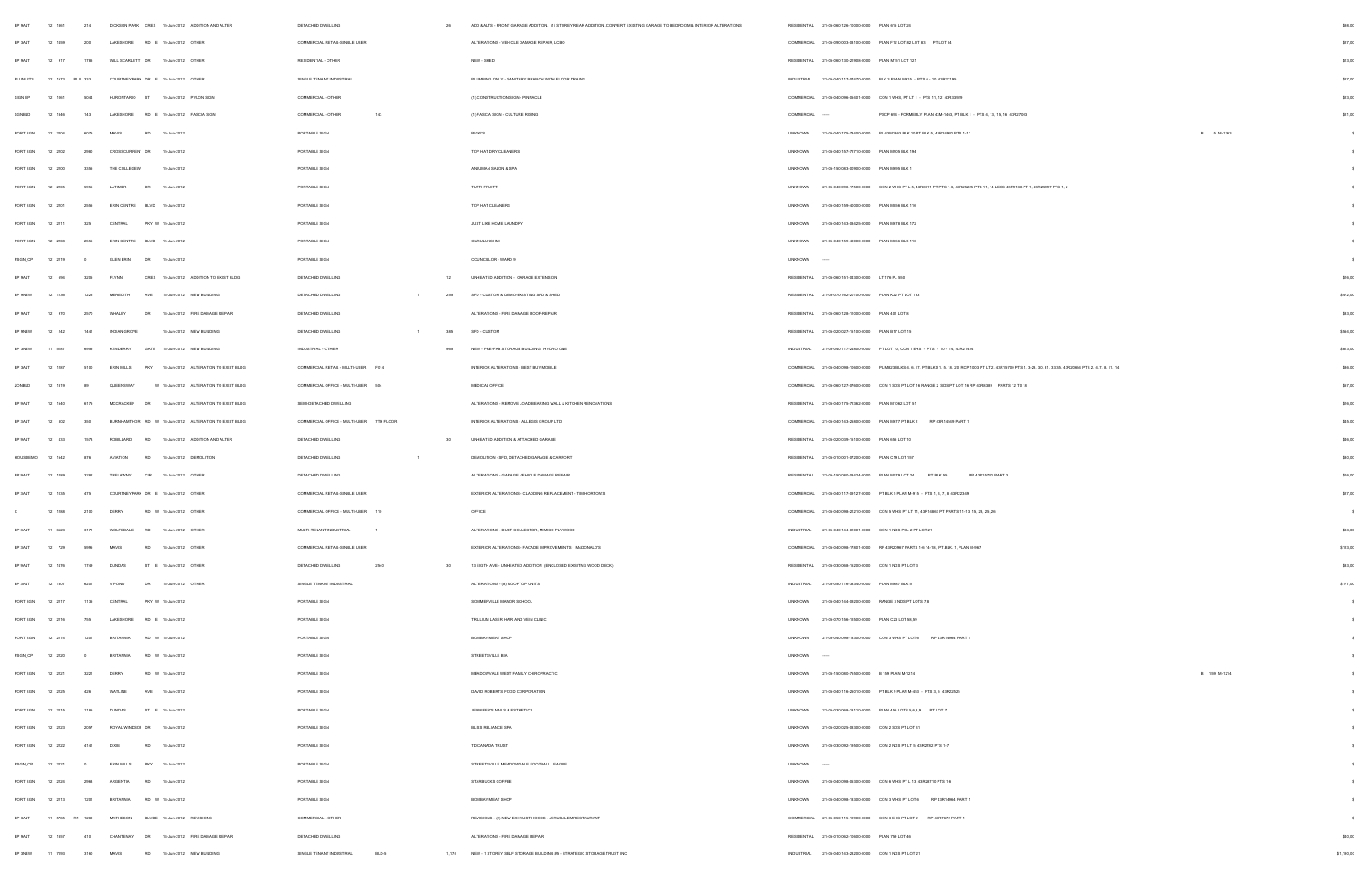| BP 9ALT 12 1361  |                      | 214     | DICKSON PARK CRES 15-Jun-2012 ADDITION AND ALTER              | DETACHED DWELLING<br>26                    | ADD &ALTS - FRONT GARAGE ADDITION, (1) STOREY REAR ADDITION, CONVERT EXISTING GARAGE TO BEDROOM & INTERIOR ALTERATIONS |                          | RESIDENTIAL 21-05-060-126-10000-0000 PLAN 615 LOT 24                                                                                                                    | \$98,00   |
|------------------|----------------------|---------|---------------------------------------------------------------|--------------------------------------------|------------------------------------------------------------------------------------------------------------------------|--------------------------|-------------------------------------------------------------------------------------------------------------------------------------------------------------------------|-----------|
| BP 3ALT          | 12 1459              | 200     | LAKESHORE RD E 15-Jun-2012 OTHER                              | COMMERCIAL RETAIL-SINGLE USER              | ALTERATIONS - VEHICLE DAMAGE REPAIR, LCBO                                                                              |                          | COMMERCIAL 21-05-090-003-03100-0000 PLAN F12 LOT 82 LOT 83 PT LOT 84                                                                                                    | \$27,00   |
| BP 9ALT          | 12 917               | 1786    | WILL SCARLETT DR 15-Jun-2012 OTHER                            | RESIDENTIAL - OTHER                        | NEW - SHED                                                                                                             |                          | RESIDENTIAL 21-05-060-130-21908-0000 PLAN M151 LOT 121                                                                                                                  | \$13,00   |
| PLUM PT3 12 1573 |                      | PLU 333 | COURTNEYPARI DR E 15-Jun-2012 OTHER                           | SINGLE TENANT INDUSTRIAL                   | PLUMBING ONLY - SANITARY BRANCH WITH FLOOR DRAINS                                                                      |                          | INDUSTRIAL 21-05-040-117-07470-0000 BLK 3 PLAN M915 - PTS 6 - 10 43R22195                                                                                               | \$27,00   |
| SIGN BP          | 12 1061              | 5044    | HURONTARIO ST 15-Jun-2012 PYLON SIGN                          | COMMERCIAL - OTHER                         | (1) CONSTRUCTION SIGN - PINNACLE                                                                                       |                          | COMMERCIAL 21-05-040-096-05401-0000 CON 1 WHS, PT LT 1 - PTS 11, 12 43R33929                                                                                            | \$23,00   |
| SGNBLD           | 12 1346              | 143     | LAKESHORE RD E 15-Jun-2012 FASCIA SIGN                        | COMMERCIAL - OTHER<br>143                  | (1) FASCIA SIGN - CULTURE RISING                                                                                       | COMMERCIAL ----          | PSCP 694 - FORMERLY PLAN 43M-1463, PT BLK 1 - PTS 4, 13, 15, 16 43R27003                                                                                                | \$21,00   |
| PORT SGN 12 2204 |                      | 6075    | MAVIS<br>RD 15-Jun-2012                                       | PORTABLE SIGN                              | <b>RICKI'S</b>                                                                                                         | <b>UNKNOWN</b>           | 21-05-040-175-73400-0000 PL 43M1363 BLK 10 PT BLK 5, 43R24920 PTS 1-11<br>B 5 M-1363                                                                                    |           |
| PORT SGN         | 12 2202              | 2980    | CROSSCURREN DR<br>15-Jun-2012                                 | PORTABLE SIGN                              | TOP HAT DRY CLEANERS                                                                                                   | <b>UNKNOWN</b>           | 21-05-040-157-72710-0000 PLAN M905 BLK 194                                                                                                                              |           |
| PORT SGN 12 2200 |                      | 3355    | THE COLLEGEW<br>15-Jun-2012                                   | PORTABLE SIGN                              | ANJUMAN SALON & SPA                                                                                                    | <b>UNKNOWN</b>           | 21-05-150-083-00900-0000 PLAN M695 BLK 1                                                                                                                                |           |
| PORT SGN 12 2205 |                      | 5955    | LATIMER<br>DR 15-Jun-2012                                     | PORTABLE SIGN                              | TUTTI FRUITTI                                                                                                          | <b>UNKNOWN</b>           | 21-05-040-098-17500-0000 CON 2 WHS PT L 5, 43R8711 PT PTS 1-3, 43R25225 PTS 11, 14 LESS 43R9138 PT 1, 43R25997 PTS 1, 2                                                 |           |
| PORT SGN 12 2201 |                      | 2555    | ERIN CENTRE BLVD 15-Jun-2012                                  | PORTABLE SIGN                              | TOP HAT CLEANERS                                                                                                       | <b>UNKNOWN</b>           | 21-05-040-159-40000-0000 PLAN M856 BLK 116                                                                                                                              |           |
| PORT SGN 12 2211 |                      | 325     | CENTRAL<br>PKY W 15-Jun-2012                                  | PORTABLE SIGN                              | JUST LIKE HOME LAUNDRY                                                                                                 | <b>UNKNOWN</b>           | 21-05-040-143-08425-0000 PLAN M678 BLK 172                                                                                                                              |           |
| PORT SGN 12 2208 |                      | 2555    | ERIN CENTRE BLVD 15-Jun-2012                                  | PORTABLE SIGN                              | <b>GURULUKSHMI</b>                                                                                                     | <b>UNKNOWN</b>           | 21-05-040-159-40000-0000 PLAN M856 BLK 116                                                                                                                              |           |
| PSGN CP 12 2219  |                      |         | <b>GLEN ERIN</b><br><b>DR</b><br>15-Jun-2012                  | PORTABLE SIGN                              | COUNCILLOR - WARD 9                                                                                                    | <b>UNKNOWN</b><br>$\sim$ |                                                                                                                                                                         |           |
| BP 9ALT          | 12 694               | 3205    | <b>FLYNN</b><br>CRES 15-Jun-2012 ADDITION TO EXIST BLDG       | DETACHED DWELLING<br>12                    | UNHEATED ADDITION - GARAGE EXTENSION                                                                                   |                          | RESIDENTIAL 21-05-060-151-04300-0000 LT 176 PL 550                                                                                                                      | \$16,00   |
| BP 9NEW          | 12 1236              | 1226    | MEREDITH<br>AVE 18-Jun-2012 NEW BUILDING                      | DETACHED DWELLING<br>$\blacksquare$<br>255 | SFD - CUSTOM & DEMO-EXISTING SFD & SHED                                                                                |                          | RESIDENTIAL 21-05-070-162-20100-0000 PLAN K22 PT LOT 153                                                                                                                | \$472,00  |
| BP 9ALT          | 12 970               | 2570    | 18-Jun-2012 FIRE DAMAGE REPAIR<br>WHALEY<br><b>DR</b>         | DETACHED DWELLING                          | ALTERATIONS - FIRE DAMAGE ROOF-REPAIR                                                                                  |                          | RESIDENTIAL 21-05-060-128-11000-0000 PLAN 401 LOT 8                                                                                                                     | \$33,00   |
| BP 9NEW          | 12 242               | 1441    | <b>INDIAN GROVE</b><br>18-Jun-2012 NEW BUILDING               | DETACHED DWELLING<br>385<br>$-1$           | SFD - CUSTOM                                                                                                           |                          | RESIDENTIAL 21-05-020-027-16100-0000 PLAN B17 LOT 15                                                                                                                    | \$554,00  |
| BP 3NEW          | 11 5187              | 6955    | KENDERRY GATE 18-Jun-2012 NEW BUILDING                        | INDUSTRIAL - OTHER<br>965                  | NEW - PRE-FAB STORAGE BUILDING, HYDRO ONE                                                                              |                          | INDUSTRIAL 21-05-040-117-24800-0000 PT LOT 10, CON 1 EHS - PTS - 10 - 14, 43R21424                                                                                      | \$813,00  |
| BP 3ALT          | 12 1287              | 5100    | PKY 18-Jun-2012 ALTERATION TO EXIST BLDG<br><b>ERIN MILLS</b> | COMMERCIAL RETAIL - MULTI-USER F014        | INTERIOR ALTERATIONS - BEST BUY MOBILE                                                                                 |                          | COMMERCIAL 21-05-040-098-10600-0000 PL M823 BLKS 4, 6, 17, PT BLKS 1, 5, 18, 20, RCP 1003 PT LT 2, 43R15700 PTS 1, 3-28, 30, 31, 33-35, 43R20654 PTS 2, 4, 7, 8, 11, 14 | \$36,00   |
| ZONBLD           | 12 1319              | 89      | W 18-Jun-2012 ALTERATION TO EXIST BLDG<br>QUEENSWAY           | COMMERCIAL OFFICE - MULTI-USER 504         | MEDICAL OFFICE                                                                                                         |                          | COMMERCIAL 21-05-060-127-07600-0000 CON 1 SDS PT LOT 16 RANGE 2 SDS PT LOT 16 RP 43R8389 PARTS 12 T0 18                                                                 | \$67,00   |
| BP 9ALT          | 12 1540              | 6175    | MCCRACKEN DR 18-Jun-2012 ALTERATION TO EXIST BLDG             | SEMI-DETACHED DWELLING                     | ALTERATIONS - REMOVE LOAD BEARING WALL & KITCHEN RENOVATIONS                                                           |                          | RESIDENTIAL 21-05-040-175-72362-0000 PLAN M1062 LOT 51                                                                                                                  | \$16,00   |
| BP 3ALT 12 802   |                      | 350     | BURNHAMTHOR RD W 18-Jun-2012 ALTERATION TO EXIST BLDG         | COMMERCIAL OFFICE - MULTI-USER 7TH FLOOR   | INTERIOR ALTERATIONS - ALLEGIS GROUP LTD                                                                               |                          | COMMERCIAL 21-05-040-143-25800-0000 PLAN M677 PT BLK 2 RP 43R14549 PART 1                                                                                               | \$45,00   |
| BP 9ALT 12 433   |                      | 1578    | ROBILLARD RD 18-Jun-2012 ADDITION AND ALTER                   | DETACHED DWELLING<br>30                    | UNHEATED ADDITION & ATTACHED GARAGE                                                                                    |                          | RESIDENTIAL 21-05-020-039-16100-0000 PLAN 656 LOT 10                                                                                                                    | \$46,00   |
| HOUSDEMO 12 1542 |                      | 876     | AVIATION<br>RD 18-Jun-2012 DEMOLITION                         | DETACHED DWELLING<br>$-1$                  | DEMOLITION - SFD, DETACHED GARAGE & CARPORT                                                                            |                          | RESIDENTIAL 21-05-010-001-07200-0000 PLAN C19 LOT 157                                                                                                                   | \$30,00   |
|                  |                      |         |                                                               |                                            |                                                                                                                        |                          |                                                                                                                                                                         |           |
| BP 9ALT          | 12 1289              | 3282    | TRELAWNY<br>CIR 18-Jun-2012 OTHER                             | DETACHED DWELLING                          | ALTERATIONS - GARAGE VEHICLE DAMAGE REPAIR                                                                             |                          | RESIDENTIAL 21-05-150-080-08424-0000 PLAN M579 LOT 24 PT BLK 55<br>RP 43R15790 PART 3                                                                                   | \$16,00   |
| BP 3ALT          | 12 1035              | 475     | COURTNEYPARI DR E 18-Jun-2012 OTHER                           | COMMERCIAL RETAIL-SINGLE USER              | EXTERIOR ALTERATIONS - CLADDING REPLACEMENT - TIM HORTON'S                                                             |                          | COMMERCIAL 21-05-040-117-09127-0000 PT BLK 5 PLAN M-915 - PTS 1, 3, 7, 8 43R22349                                                                                       | \$27,00   |
|                  | 12 1288              | 2100    | RD W 18-Jun-2012 OTHER<br>DERRY                               | COMMERCIAL OFFICE - MULTI-USER 110         | OFFICE                                                                                                                 |                          | COMMERCIAL 21-05-040-098-21210-0000 CON 5 WHS PT LT 11, 43R14863 PT PARTS 11-13, 15, 23, 25, 26                                                                         |           |
| BP 3ALT          | 11 6523              | 3171    | WOLFEDALE RD 18-Jun-2012 OTHER                                | MULTI-TENANT INDUSTRIAL                    | ALTERATIONS - DUST COLLECTOR, MIMICO PLYWOOD                                                                           |                          | INDUSTRIAL 21-05-040-144-01001-0000 CON 1 NDS PCL 2 PT LOT 21                                                                                                           | \$33,00   |
| BP 3ALT          | 12 729               | 5995    | 18-Jun-2012 OTHER<br>MAVIS<br><b>RD</b>                       | COMMERCIAL RETAIL-SINGLE USER              | EXTERIOR ALTERATIONS - FACADE IMPROVEMENTS - McDONALD'S                                                                |                          | COMMERCIAL 21-05-040-098-17801-0000 RP 43R20967 PARTS 1-6 14-18, PT.BLK. 1, PLAN M-967                                                                                  | \$123,00  |
| BP 9ALT          | 12 1476              | 1749    | ST E 18-Jun-2012 OTHER<br><b>DUNDAS</b>                       | DETACHED DWELLING<br>2540<br>30            | 13 EIGTH AVE - UNHEATED ADDITION (ENCLOSED EXISITNG WOOD DECK)                                                         |                          | RESIDENTIAL 21-05-030-068-16200-0000 CON 1 NDS PT LOT 3                                                                                                                 | \$33,00   |
| BP 3ALT          | 12 1307              | 6201    | VIPOND<br><b>DR</b><br>18-Jun-2012 OTHER                      | SINGLE TENANT INDUSTRIAL                   | ALTERATIONS - (8) ROOFTOP UNITS                                                                                        |                          | INDUSTRIAL 21-05-050-116-33340-0000 PLAN M687 BLK 5                                                                                                                     | \$177,00  |
| PORT SGN         | 12 2217              | 1135    | CENTRAL<br>PKY W 18-Jun-2012                                  | PORTABLE SIGN                              | SOMMERVILLE MANOR SCHOOL                                                                                               | <b>UNKNOWN</b>           | 21-05-040-144-09200-0000 RANGE 3 NDS PT LOTS 7,8                                                                                                                        |           |
| PORT SGN 12 2216 |                      | 755     | LAKESHORE RD E 18-Jun-2012                                    | PORTABLE SIGN                              | TRILLIUM LASER HAIR AND VEIN CLINIC                                                                                    | <b>UNKNOWN</b>           | 21-05-070-156-12500-0000 PLAN C23 LOT 58,59                                                                                                                             |           |
| PORT SGN 12 2214 |                      | 1201    | BRITANNIA<br>RD W 18-Jun-2012                                 | PORTABLE SIGN                              | <b>BOMBAY MEAT SHOP</b>                                                                                                | <b>UNKNOWN</b>           | 21-05-040-098-13300-0000 CON 3 WHS PT LOT 6 RP 43R14964 PART 1                                                                                                          |           |
| PSGN_CP          | 12 2220              |         | BRITANNIA<br>RD W 18-Jun-2012                                 | PORTABLE SIGN                              | STREETSVILLE BIA                                                                                                       | <b>UNKNOWN</b>           |                                                                                                                                                                         |           |
| PORT SGN 12 2221 |                      | 3221    | DERRY<br>RD W 18-Jun-2012                                     | PORTABLE SIGN                              | MEADOWVALE WEST FAMILY CHIROPRACTIC                                                                                    | <b>UNKNOWN</b>           | 21-05-150-080-76500-0000 B 159 PLAN M-1214<br>B 159 M-1214                                                                                                              |           |
| PORT SGN 12 2225 |                      | 426     | WATLINE<br>AVE 18-Jun-2012                                    | PORTABLE SIGN                              | DAVID ROBERTS FOOD CORPORATION                                                                                         | <b>UNKNOWN</b>           | 21-05-040-116-25010-0000 PT BLK 9 PLAN M-453 - PTS 3, 5 43R22525                                                                                                        |           |
| PORT SGN 12 2215 |                      | 1185    | <b>DUNDAS</b><br>ST E 18-Jun-2012                             | PORTABLE SIGN                              | JENNIFER'S NAILS & ESTHETICS                                                                                           | <b>UNKNOWN</b>           | 21-05-030-068-18110-0000 PLAN 455 LOTS 5,6,8,9 PT LOT 7                                                                                                                 |           |
| PORT SGN         | 12 2223              | 2057    | ROYAL WINDSOI DR 18-Jun-2012                                  | PORTABLE SIGN                              | <b>BLISS RELIANCE SPA</b>                                                                                              | <b>UNKNOWN</b>           | 21-05-020-025-08300-0000 CON 2 SDS PT LOT 31                                                                                                                            |           |
| PORT SGN         | 12 2222              | 4141    | DIXIE<br><b>RD</b><br>18-Jun-2012                             | PORTABLE SIGN                              | TD CANADA TRUST                                                                                                        | <b>UNKNOWN</b>           | 21-05-030-092-19500-0000 CON 2 NDS PT LT 5, 43R2782 PTS 1-7                                                                                                             |           |
| PSGN_CP          | 12 2221              |         | <b>ERIN MILLS</b><br>PKY 18-Jun-2012                          | PORTABLE SIGN                              | STREETSVILLE MEADOWVALE FOOTBALL LEAGUE                                                                                | <b>UNKNOWN</b><br>$\sim$ |                                                                                                                                                                         |           |
| PORT SGN         | 12 2224              | 2963    | ARGENTIA<br><b>RD</b><br>18-Jun-2012                          | PORTABLE SIGN                              | STARBUCKS COFFEE                                                                                                       | <b>UNKNOWN</b>           | 21-05-040-098-05300-0000 CON 6 WHS PT L 13, 43R28710 PTS 1-6                                                                                                            |           |
| PORT SGN 12 2213 |                      | 1201    | BRITANNIA RD W 18-Jun-2012                                    | PORTABLE SIGN                              | BOMBAY MEAT SHOP                                                                                                       | <b>UNKNOWN</b>           | 21-05-040-098-13300-0000 CON 3 WHS PT LOT 6 RP 43R14964 PART 1                                                                                                          |           |
| BP 3ALT          | 11 5785              | R1 1280 | MATHESON<br>BLVDE 18-Jun-2012 REVISIONS                       | COMMERCIAL - OTHER                         | REVISIONS - (2) NEW EXHAUST HOODS - JERUSALEM RESTAURANT                                                               |                          | COMMERCIAL 21-05-050-115-19900-0000 CON 3 EHS PT LOT 2 RP 43R7672 PART 1                                                                                                |           |
| BP 9ALT          | 12 1357              | 410     | CHANTENAY DR 18-Jun-2012 FIRE DAMAGE REPAIR                   | DETACHED DWELLING                          | ALTERATIONS - FIRE DAMAGE REPAIR                                                                                       |                          | RESIDENTIAL 21-05-010-062-10600-0000 PLAN 759 LOT 46                                                                                                                    | \$40,00   |
|                  | BP 3NEW 11 7093 3160 |         | MAVIS RD 18-Jun-2012 NEW BUILDING                             | SINGLE TENANT INDUSTRIAL<br>BLD-5          | 1,174 NEW - 1 STOREY SELF STORAGE BUILDING #5 - STRATEGIC STORAGE TRUST INC                                            |                          | INDUSTRIAL 21-05-040-143-23200-0000 CON 1 NDS PT LOT 21                                                                                                                 | \$1,190,0 |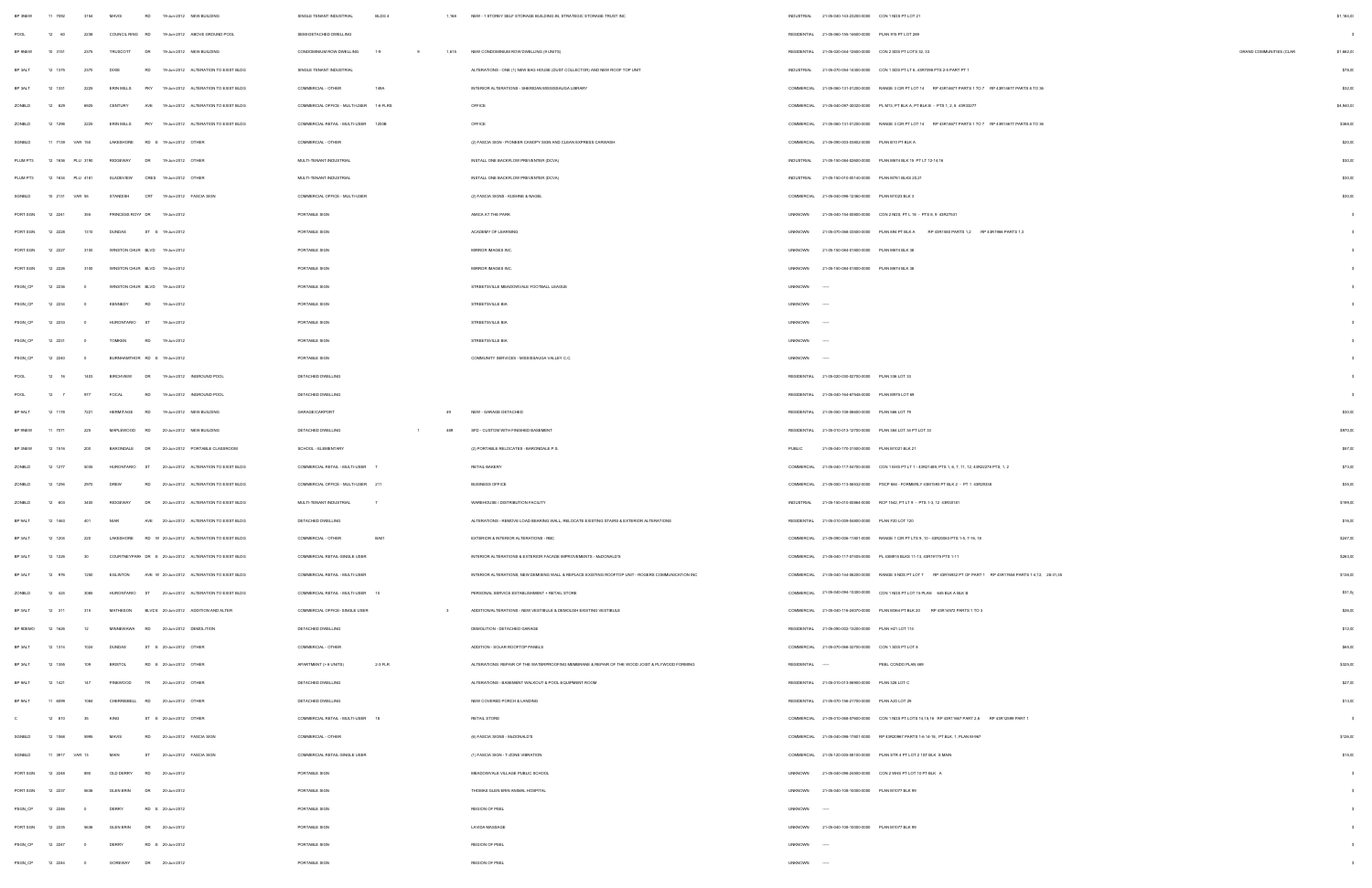| BP 3NEW          | 11 7092                   | 3154           | <b>RD</b><br>19-Jun-2012 NEW BUILDING<br>MAVIS                         | SINGLE TENANT INDUSTRIAL<br>BLDG 4<br>1,168                | NEW - 1 STOREY SELF STORAGE BUILDING #4, STRATEGIC STORAGE TRUST INC                               | <b>INDUSTRIAL</b><br>21-05-040-143-23200-0000 CON 1 NDS PT LOT 21                                                    |                         | \$1,184,00    |
|------------------|---------------------------|----------------|------------------------------------------------------------------------|------------------------------------------------------------|----------------------------------------------------------------------------------------------------|----------------------------------------------------------------------------------------------------------------------|-------------------------|---------------|
|                  |                           | 2238           | COUNCIL RING RD 19-Jun-2012 ABOVE GROUND POOL                          | SEMI-DETACHED DWELLING                                     |                                                                                                    | RESIDENTIAL 21-05-060-155-14600-0000 PLAN 915 PT LOT 269                                                             |                         | $\mathbf{S}$  |
| BP 9NEW          | 10 3151                   | 2375           | <b>DR</b><br>19-Jun-2012 NEW BUILDING<br>TRUSCOTT                      | CONDOMINIUM ROW DWELLING<br>$1 - 9$<br>1,615<br>$^{\circ}$ | NEW CONDOMINIUM ROW DWELLING (9 UNITS)                                                             | RESIDENTIAL 21-05-020-044-12600-0000 CON 2 SDS PT LOTS 32, 33                                                        | GRAND COMMUNITIES (CLAR | \$1,662,00    |
| BP 3ALT          | 12 1375                   | 2370           | 19-Jun-2012 ALTERATION TO EXIST BLDG<br><b>DIXIE</b><br><b>RD</b>      | SINGLE TENANT INDUSTRIAL                                   | ALTERATIONS - ONE (1) NEW BAG HOUSE (DUST COLLECTOR) AND NEW ROOF TOP UNIT                         | INDUSTRIAL 21-05-070-054-14300-0000 CON 1 SDS PT LT 6, 43R7098 PTS 2-5 PART PT 1                                     |                         | \$78,00       |
| BP 3ALT          |                           |                | PKY<br>19-Jun-2012 ALTERATION TO EXIST BLDG<br><b>ERIN MILLS</b>       | COMMERCIAL - OTHER<br>149A                                 | INTERIOR ALTERATIONS - SHERIDAN MISSISSAUGA LIBRARY                                                | COMMERCIAL 21-05-060-131-01200-0000 RANGE 3 CIR PT LOT 14 RP 43R14677 PARTS 1 TO 7 RP 43R14677 PARTS 8 TO 36         |                         | \$32,00       |
| ZONBLD           | 12 829                    | 6925           | AVE 19-Jun-2012 ALTERATION TO EXIST BLDG<br>CENTURY                    | COMMERCIAL OFFICE - MULTI-USER 1-6 FLRS                    | OFFICE                                                                                             | COMMERCIAL 21-05-040-097-30020-0000 PL M13, PT BLK A, PT BLK B - PTS 1, 2, 8 43R33277                                |                         | \$4,940,00    |
| ZONBLD           | 12 1296                   | 2225           | PKY 19-Jun-2012 ALTERATION TO EXIST BLDG<br><b>ERIN MILLS</b>          | COMMERCIAL RETAIL - MULTI-USER 1200B                       | OFFICE                                                                                             | COMMERCIAL 21-05-060-131-01200-0000 RANGE 3 CIR PT LOT 14 RP 43R14677 PARTS 1 TO 7 RP 43R14677 PARTS 8 TO 36         |                         | \$368,00      |
| SGNBLD           | 11 7139                   | <b>VAR 150</b> | LAKESHORE RD E 19-Jun-2012 OTHER                                       | COMMERCIAL - OTHER                                         | (2) FASCIA SIGN - PIONEER CANOPY SIGN AND CLEAN EXPRESS CARWASH                                    | COMMERCIAL 21-05-090-003-03802-0000 PLAN B10 PT BLK A                                                                |                         | \$20,00       |
| PLUM PT3 12 1636 |                           | PLU 3190       | RIDGEWAY<br>DR <sub>1</sub><br>19-Jun-2012 OTHER                       | MULTI-TENANT INDUSTRIAL                                    | INSTALL ONE BACKFLOW PREVENTER (DCVA)                                                              | 21-05-150-084-02600-0000 PLAN M674 BLK 15 PT LT 12-14,16<br>INDUSTRIAL                                               |                         | \$30,00       |
|                  | PLUM PT3 12 1634 PLU 4181 |                | SLADEVIEW CRES 19-Jun-2012 OTHER                                       | MULTI-TENANT INDUSTRIAL                                    | INSTALL ONE BACKFLOW PREVENTER (DCVA)                                                              | 21-05-150-010-00140-0000 PLAN M781 BLKS 20,21<br><b>INDUSTRIAL</b>                                                   |                         | \$30,00       |
| SGNBLD           |                           |                | 19-Jun-2012 FASCIA SIGN<br>STANDISH<br>CRT                             | COMMERCIAL OFFICE - MULTI-USER                             | (2) FASCIA SIGNS - KUEHNE & NAGEL                                                                  | COMMERCIAL 21-05-040-098-12360-0000 PLAN M1023 BLK 3                                                                 |                         | \$30,00       |
| PORT SGN         | 12 2241                   | 355            | PRINCESS ROYA DR 19-Jun-2012                                           | PORTABLE SIGN                                              | AMICA AT THE PARK                                                                                  | 21-05-040-154-00800-0000    CON 2 NDS, PT L 18 - PTS 8, 9 43R27531<br><b>UNKNOWN</b>                                 |                         | $\mathcal{L}$ |
| PORT SGN 12 2228 |                           | 1310           | <b>DUNDAS</b><br>ST E 19-Jun-2012                                      | PORTABLE SIGN                                              | ACADEMY OF LEARNING                                                                                | 21-05-070-068-33500-0000 PLAN 894 PT BLK A RP 43R1580 PARTS 1,2 RP 43R1966 PARTS 1,3<br><b>UNKNOWN</b>               |                         | $\mathbf{S}$  |
| PORT SGN         | 12 2227                   | 3100           | WINSTON CHUR BLVD 19-Jun-2012                                          | PORTABLE SIGN                                              | MIRROR IMAGES INC.                                                                                 | 21-05-150-084-01800-0000 PLAN M674 BLK 38<br><b>UNKNOWN</b>                                                          |                         | $\mathcal{L}$ |
| PORT SGN 12 2226 |                           | 3100           | WINSTON CHUR BLVD 19-Jun-2012                                          | PORTABLE SIGN                                              | MIRROR IMAGES INC.                                                                                 | 21-05-150-084-01800-0000 PLAN M674 BLK 38<br><b>UNKNOWN</b>                                                          |                         | $\mathcal{L}$ |
| PSGN_CP          | 12 2236                   |                | WINSTON CHUR BLVD 19-Jun-2012                                          | PORTABLE SIGN                                              | STREETSVILLE MEADOWVALE FOOTBALL LEAGUE                                                            | <b>UNKNOWN</b><br>$\sim$                                                                                             |                         |               |
| PSGN_CP 12 2234  |                           |                | <b>RD</b><br>KENNEDY<br>19-Jun-2012                                    | PORTABLE SIGN                                              | STREETSVILLE BIA                                                                                   | <b>UNKNOWN</b><br>$\sim$                                                                                             |                         | $\mathbb{S}$  |
| PSGN_CP          | 12 2233                   |                | HURONTARIO ST 19-Jun-2012                                              | PORTABLE SIGN                                              | STREETSVILLE BIA                                                                                   | <b>UNKNOWN</b><br>------                                                                                             |                         | $\mathcal{L}$ |
| PSGN_CP          | 12 2231                   |                | <b>TOMKEN</b><br><b>RD</b><br>19-Jun-2012                              | PORTABLE SIGN                                              | STREETSVILLE BIA                                                                                   | <b>UNKNOWN</b>                                                                                                       |                         |               |
| PSGN_CP          | 12 2240                   |                | BURNHAMTHOR RD E 19-Jun-2012                                           | PORTABLE SIGN                                              | COMMUNITY SERVICES - MISSISSAUGA VALLEY C.C.                                                       | <b>UNKNOWN</b><br>$\sim$                                                                                             |                         | $\mathcal{L}$ |
| POOL             | 12<br>16                  | 1403           | DR 19-Jun-2012 INGROUND POOL<br><b>BIRCHVIEW</b>                       | DETACHED DWELLING                                          |                                                                                                    | RESIDENTIAL 21-05-020-030-02700-0000 PLAN 336 LOT 33                                                                 |                         | $\mathbf{S}$  |
| POOL             | 12                        | 977            | FOCAL<br><b>RD</b><br>19-Jun-2012 INGROUND POOL                        | DETACHED DWELLING                                          |                                                                                                    | RESIDENTIAL 21-05-040-164-67548-0000 PLAN M975 LOT 69                                                                |                         | $\mathbb{R}$  |
| BP 9ALT          | 12 1178                   | 7221           | HERMITAGE<br><b>RD</b><br>19-Jun-2012 NEW BUILDING                     | GARAGE/CARPORT<br>49                                       | NEW - GARAGE DETACHED                                                                              | RESIDENTIAL 21-05-050-108-06600-0000 PLAN 566 LOT 79                                                                 |                         | \$30,00       |
| BP 9NEW          | 11 7071                   | 225            | MAPLEWOOD RD 20-Jun-2012 NEW BUILDING                                  | DETACHED DWELLING<br>$\overline{1}$<br>489                 | SFD - CUSTOM WITH FINISHED BASEMENT                                                                | RESIDENTIAL 21-05-010-013-12700-0000 PLAN 384 LOT 34 PT LOT 33                                                       |                         | \$970,00      |
| BP 3NEW          | 12 1516                   |                | BARONDALE<br>DR 20-Jun-2012 PORTABLE CLASSROOM                         | SCHOOL - ELEMENTARY                                        | (2) PORTABLE RELOCATES - BARONDALE P.S.                                                            | PUBLIC<br>21-05-040-170-31500-0000 PLAN M1021 BLK 21                                                                 |                         | \$57,00       |
| ZONBLD           | 12 1277                   | 5035           | <b>HURONTARIO</b><br><b>ST</b><br>20-Jun-2012 ALTERATION TO EXIST BLDG | COMMERCIAL RETAIL - MULTI-USER 7                           | RETAIL BAKERY                                                                                      | COMMERCIAL<br>21-05-040-117-04700-0000 CON 1 EHS PT LT 1 - 43R21489, PTS 1, 6, 7, 11, 12, 43R22278 PTS, 1, 2         |                         | \$73,00       |
| ZONBLD           | 12 1294                   | 2970           | 20-Jun-2012 ALTERATION TO EXIST BLDG<br>DREW<br><b>RD</b>              | COMMERCIAL OFFICE - MULTI-USER 211                         | <b>BUSINESS OFFICE</b>                                                                             | COMMERCIAL 21-05-050-113-06532-0000 PSCP 884 - FORMERLY 43M1593 PT BLK 2 - PT 1 43R29338                             |                         | \$35,00       |
| ZONBLD           | 12 603                    | 3400           | DR 20-Jun-2012 ALTERATION TO EXIST BLDG<br>RIDGEWAY                    | MULTI-TENANT INDUSTRIAL<br>$\overline{7}$                  | WAREHOUSE / DISTRIBUTION FACILITY                                                                  | INDUSTRIAL 21-05-150-010-00864-0000 RCP 1542, PT LT 9 - PTS 1-3, 12 43R30181                                         |                         | \$199,00      |
|                  | 12 1463                   |                | AVE 20-Jun-2012 ALTERATION TO EXIST BLDG<br><b>NIAR</b>                | DETACHED DWELLING                                          | ALTERATIONS - REMOVE LOAD BEARING WALL, RELOCATE EXISTING STAIRS & EXTERIOR ALTERATIONS            | RESIDENTIAL 21-05-010-009-04800-0000 PLAN F20 LOT 120                                                                |                         | \$16,00       |
|                  |                           |                | LAKESHORE RD W 20-Jun-2012 ALTERATION TO EXIST BLDG                    | COMMERCIAL - OTHER<br><b>BA01</b>                          | EXTERIOR & INTERIOR ALTERATIONS - RBC                                                              | COMMERCIAL 21-05-090-006-11801-0000 RANGE 1 CIR PT LTS 9, 10 - 43R20063 PTS 1-5, 7-16, 18                            |                         | \$247,00      |
| BP 3ALT          | 12 1226                   | 30             | COURTNEYPARI DR E 20-Jun-2012 ALTERATION TO EXIST BLDG                 | COMMERCIAL RETAIL-SINGLE USER                              | INTERIOR ALTERATIONS & EXTERIOR FACADE IMPROVEMENTS - McDONALD'S                                   | COMMERCIAL 21-05-040-117-07405-0000 PL 43M915 BLKS 11-13, 43R19175 PTS 1-11                                          |                         | \$263,00      |
| BP 3ALT          | 12 976                    | 1250           | EGLINTON AVE W 20-Jun-2012 ALTERATION TO EXIST BLDG                    | COMMERCIAL RETAIL - MULTI-USER                             | INTERIOR ALTERATIONS, NEW DEMISING WALL & REPLACE EXISTING ROOFTOP UNIT - ROGERS COMMUNICATION INC | COMMERCIAL 21-05-040-144-06200-0000 RANGE 5 NDS PT LOT 7 RP 43R16932 PT OF PART 1 RP 43R17654 PARTS 1-4,12, 28-31,35 |                         | \$138,00      |
|                  |                           | 3085           | HURONTARIO ST 20-Jun-2012 ALTERATION TO EXIST BLDG                     | COMMERCIAL RETAIL - MULTI-USER 10                          | PERSONAL SERVICE ESTABLISHMENT + RETAIL STORE                                                      | COMMERCIAL 21-05-040-094-13300-0000 CON 1 NDS PT LOT 15 PLAN 645 BLK A BLK B                                         |                         | \$31,00       |
| BP 3ALT          | 12 311                    | 315            | MATHESON BLVDE 20-Jun-2012 ADDITION AND ALTER                          | COMMERCIAL OFFICE- SINGLE USER                             | ADDITION/ALTERATIONS - NEW VESTIBULE & DEMOLISH EXISTING VESTIBULE                                 | COMMERCIAL 21-05-040-116-24070-0000 PLAN M364 PT BLK 20 RP 43R14572 PARTS 1 TO 3                                     |                         | \$26,00       |
| BP 9DEMO 12 1626 |                           | 12             | MINNEWAWA RD 20-Jun-2012 DEMOLITION                                    | DETACHED DWELLING                                          | DEMOLITION - DETACHED GARAGE                                                                       | RESIDENTIAL 21-05-090-002-13200-0000 PLAN H21 LOT 114                                                                |                         | \$12,00       |
| BP 3ALT          | 12 1314                   | 1024           | <b>DUNDAS</b><br>ST E 20-Jun-2012 OTHER                                | COMMERCIAL - OTHER                                         | ADDITION - SOLAR ROOFTOP PANELS                                                                    | COMMERCIAL 21-05-070-068-32700-0000 CON 1 SDS PT LOT 8                                                               |                         | \$65,00       |
| BP 3ALT          | 12 1355                   | 109            | <b>BRISTOL</b><br>RD E 20-Jun-2012 OTHER                               | APARTMENT (> 6 UNITS)<br>2-3 FLR                           | ALTERATIONS: REPAIR OF THE WATERPROOFING MEMBRANE & REPAIR OF THE WOOD JOIST & PLYWOOD FORMING     | RESIDENTIAL ----<br>PEEL CONDO PLAN 469                                                                              |                         | \$325,00      |
| BP 9ALT          | 12 1421                   | 147            | PINEWOOD TR 20-Jun-2012 OTHER                                          | DETACHED DWELLING                                          | ALTERATIONS - BASEMENT WALKOUT & POOL EQUIPMENT ROOM                                               | RESIDENTIAL 21-05-010-013-06900-0000 PLAN 328 LOT C                                                                  |                         | \$27,00       |
| BP 9ALT          | 11 6099                   | 1084           | CHERRIEBELL RD 20-Jun-2012 OTHER                                       | DETACHED DWELLING                                          | NEW COVERED PORCH & LANDING                                                                        | RESIDENTIAL 21-05-070-156-21700-0000 PLAN A20 LOT 29                                                                 |                         | \$13,00       |
| C.               | 12 810                    | 35             | <b>KING</b><br>ST E 20-Jun-2012 OTHER                                  | COMMERCIAL RETAIL - MULTI-USER 18                          | RETAIL STORE                                                                                       | COMMERCIAL 21-05-010-068-07600-0000 CON 1 NDS PT LOTS 14,15,16 RP 43R11667 PART 2,6 RP 43R12599 PART 1               |                         | $\mathbb{R}$  |
| <b>SGNBLE</b>    | 12 1068                   | 5995           | 20-Jun-2012 FASCIA SIGN<br>MAVIS<br><b>RD</b>                          | COMMERCIAL - OTHER                                         | (6) FASCIA SIGNS - McDONALD'S                                                                      | COMMERCIAL 21-05-040-098-17801-0000 RP 43R20967 PARTS 1-6 14-18, PT.BLK. 1, PLAN M-967                               |                         | \$126,00      |
| SGNBI D          |                           | <b>VAR 13</b>  | 20-Jun-2012 FASCIA SIGN<br><b>ST</b><br><b>MAIN</b>                    | COMMERCIAL RETAIL-SINGLE USER                              | (1) FASCIA SIGN - T-ZONE VIBRATION                                                                 | COMMERCIAL 21-05-120-005-08100-0000 PLAN STR 4 PT LOT 2 1ST BLK S MAIN                                               |                         | \$15,00       |
| PORT SGN 12 2248 |                           | 890            | OLD DERRY<br>RD 20-Jun-2012                                            | PORTABLE SIGN                                              | MEADOWVALE VILLAGE PUBLIC SCHOOL                                                                   | 21-05-040-098-24500-0000 CON 2 WHS PT LOT 10 PT BLK A<br><b>UNKNOWN</b>                                              |                         | $\sim$ 5      |
| PORT SGN         | 12 2237                   | 5636           | <b>GLEN ERIN</b><br>DR <sub>1</sub><br>20-Jun-2012                     | PORTABLE SIGN                                              | THOMAS GLEN ERIN ANIMAL HOSPITAL                                                                   | <b>UNKNOWN</b><br>21-05-040-108-10000-0000 PLAN M1077 BLK 99                                                         |                         | $\mathbf{S}$  |
| PSGN_CP 12 2246  |                           |                | DERRY<br>RD E 20-Jun-2012                                              | PORTABLE SIGN                                              | REGION OF PEEL                                                                                     | <b>UNKNOWN</b><br>$\sim$                                                                                             |                         | $\mathbf{S}$  |
| PORT SGN 12 2235 |                           | 5636           | GLEN ERIN DR 20-Jun-2012                                               | PORTABLE SIGN                                              | <b>LAVIDA MASSAGE</b>                                                                              | 21-05-040-108-10000-0000 PLAN M1077 BLK 99<br><b>UNKNOWN</b>                                                         |                         | $\mathbf{S}$  |
| PSGN_CP 12 2247  |                           | $\sim$         | DERRY<br>RD E 20-Jun-2012                                              | PORTABLE SIGN                                              | REGION OF PEEL                                                                                     | <b>UNKNOWN</b><br>$\sim$                                                                                             |                         | $\mathbf{S}$  |
|                  | PSGN CP 12 2244 0         |                | GOREWAY DR 20-Jun-2012                                                 | PORTABLE SIGN                                              | REGION OF PEEL                                                                                     | <b>UNKNOWN</b>                                                                                                       |                         |               |

- \$
- \$
- \$
- - \$
		-

| GRAND COMMUNITIES (CLAR |
|-------------------------|
|-------------------------|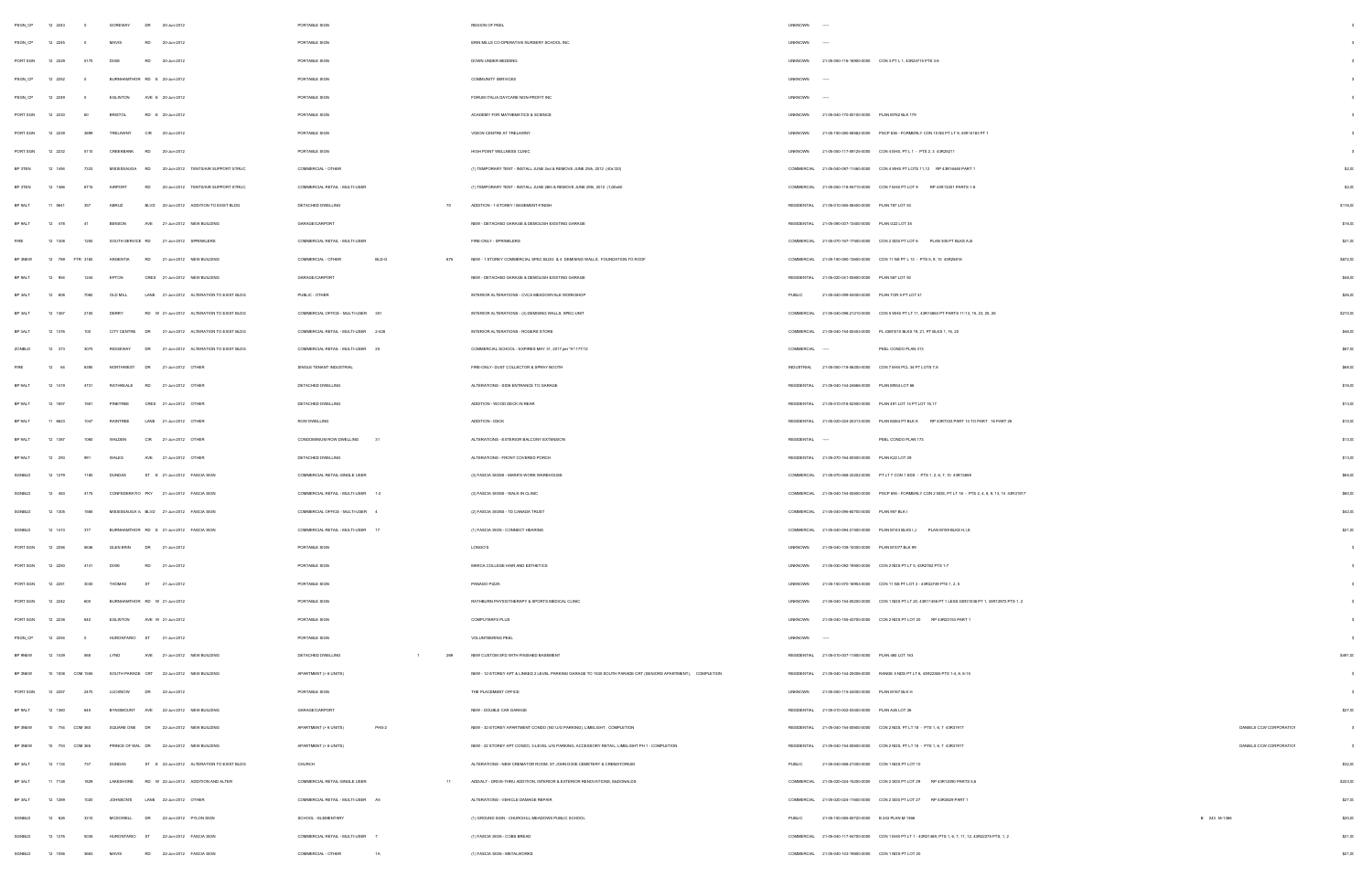| ÷                                          |                                                                                                 |                         | $\mathfrak s$  |
|--------------------------------------------|-------------------------------------------------------------------------------------------------|-------------------------|----------------|
|                                            | 05-050-116-16900-0000 CON 3 PT L 1, 43R24715 PTS 3-6                                            |                         | S.             |
| ÷.                                         |                                                                                                 |                         | $\mathfrak s$  |
|                                            |                                                                                                 |                         | $\mathfrak s$  |
| 05-040-170-00100-0000 PLAN M782 BLK 179    |                                                                                                 |                         | $\mathfrak s$  |
|                                            | 05-150-080-08582-0000 PSCP 836 - FORMERLY CON 10 NS PT LT 9, 43R14183 PT 1                      |                         | $\mathfrak s$  |
|                                            | 05-050-117-09125-0000 CON 4 EHS, PT L 1 - PTS 2, 3 43R25211                                     |                         | $\mathfrak s$  |
|                                            | 05-040-097-11460-0000 CON 4 WHS PT LOTS 11,12 RP 43R16448 PART 1                                |                         | \$2,00         |
|                                            | 05-050-118-05710-0000   CON 7 EHS PT LOT 9   RP 43R13201 PARTS 1-8                              |                         | \$2,00         |
| 05-010-065-08400-0000 PLAN 787 LOT 53      |                                                                                                 |                         | \$116,00       |
| 05-090-007-13400-0000 PLAN G22 LOT 35      |                                                                                                 |                         | \$16,00        |
|                                            | 05-070-167-17500-0000 CON 2 SDS PT LOT 6 PLAN 305 PT BLKS A,B                                   |                         | \$21,00        |
|                                            | 05-150-080-13600-0000    CON 11 NS PT L 13 - PTS 5, 9, 10 43R25818                              |                         | \$872,00       |
| 05-020-041-05800-0000 PLAN 587 LOT 50      |                                                                                                 |                         | \$48,00        |
| 05-040-099-04000-0000 PLAN TOR 5 PT LOT 41 |                                                                                                 |                         | \$26,00        |
|                                            | 05-040-098-21210-0000 CON 5 WHS PT LT 11, 43R14863 PT PARTS 11-13, 15, 23, 25, 26               |                         | \$210,00       |
| 05-040-154-00453-0000                      | PL 43M1010 BLKS 19, 21, PT BLKS 1, 16, 20                                                       |                         | \$46,00        |
| ÷.                                         | PEEL CONDO PLAN 313                                                                             |                         | \$87,00        |
|                                            | 05-050-118-06200-0000 CON 7 EHS PCL 34 PT LOTS 7,8                                              |                         | \$68,00        |
| 05-040-144-24668-0000 PLAN M934 LOT 66     |                                                                                                 |                         | \$16,00        |
|                                            | 05-010-018-02500-0000 PLAN 491 LOT 14 PT LOT 16,17                                              |                         | \$13,00        |
|                                            | 05-020-024-25313-0000 PLAN M264 PT BLK K RP 43R7333 PART 14 TO PART 16 PART 26                  |                         | \$10,00        |
| ÷,                                         | PEEL CONDO PLAN 173                                                                             |                         | \$13,00        |
| 05-070-164-00500-0000 PLAN K22 LOT 29      |                                                                                                 |                         | \$13,00        |
|                                            | 05-070-068-33202-0000 PTLT7 CON 1 SDS - PTS 1, 2, 6, 7, 10 43R13659                             |                         | \$65,00        |
|                                            | 05-040-154-00600-0000 PSCP 894 - FORMERLY CON 2 NDS, PT LT 18 - PTS 2, 4, 8, 9, 13, 14 43R31917 |                         | \$60,00        |
| 05-040-095-60700-0000 PLAN 957 BLK I       |                                                                                                 |                         | \$42,00        |
| 05-040-094-21500-0000 PLAN M143 BLKS I,J   | PLAN M159 BLKS H,I,S                                                                            |                         | \$21,00        |
| 05-040-108-10000-0000 PLAN M1077 BLK 99    |                                                                                                 |                         | $\mathfrak s$  |
| 05-030-092-19500-0000                      | CON 2 NDS PT LT 5, 43R2782 PTS 1-7                                                              |                         | $\mathfrak s$  |
|                                            | 05-150-070-16953-0000 CON 11 NS PT LOT 3 - 43R32749 PTS 1, 2, 5                                 |                         | $\mathfrak s$  |
| 05-040-154-05200-0000                      | CON 1 NDS PT LT 20, 43R11456 PT 1 LESS 43R31038 PT 1, 43R12972 PTS 1, 2                         |                         | $\mathfrak s$  |
| 05-040-155-43700-0000                      | CON 2 NDS PT LOT 20 RP 43R20153 PART 1                                                          |                         | $\mathfrak s$  |
| ÷                                          |                                                                                                 |                         | $\mathfrak s$  |
| 05-010-007-11800-0000 PLAN 460 LOT 163     |                                                                                                 |                         | \$491,00       |
|                                            | 05-040-144-25006-0000 RANGE 5 NDS PT LT 6, 43R22365 PTS 1-4, 6, 8-15                            |                         | $\mathfrak s$  |
|                                            |                                                                                                 |                         | $\mathfrak s$  |
| 05-050-115-24000-0000 PLAN M167 BLK H      |                                                                                                 |                         |                |
| 05-010-002-03400-0000 PLAN A26 LOT 26      |                                                                                                 |                         | \$27,00        |
|                                            | 05-040-154-00600-0000 CON 2 NDS, PT LT 18 - PTS 1, 6, 7 43R31917                                | DANIELS CCW CORPORATIOI | $\mathfrak s$  |
|                                            | 05-040-154-00600-0000 CON 2 NDS, PT LT 18 - PTS 1, 6, 7 43R31917                                | DANIELS CCW CORPORATIOI | $\mathfrak{s}$ |
| 05-040-068-21000-0000 CON 1 NDS PT LOT 10  |                                                                                                 |                         | \$32,00        |
|                                            | 05-020-024-15200-0000 CON 2 SDS PT LOT 29 RP 43R12090 PARTS 5,6                                 |                         | \$223,00       |
|                                            | 05-020-024-11600-0000 CON 2 SDS PT LOT 27 RP 43R3829 PART 1                                     |                         | \$27,00        |
| 05-150-085-00720-0000                      | B 243 PLAN M-1366                                                                               | B 243 M-1366            | \$20,00        |
|                                            | 06.040.117.04700.0000 CON 1 EUG DT IT 1 49D91480 DTC 1 & 7 11 19 49D9978 DTC 1 9                |                         | \$21.00        |

|             | PSGN_CP 12 2243        | $\sim$   | GOREWAY<br>DR 20-Jun-2012                                  | PORTABLE SIGN                        | REGION OF PEEL                                                                                               | <b>UNKNOWN</b><br>$\sim$                                                                                           |                         |          |
|-------------|------------------------|----------|------------------------------------------------------------|--------------------------------------|--------------------------------------------------------------------------------------------------------------|--------------------------------------------------------------------------------------------------------------------|-------------------------|----------|
| PSGN CP     | 12 2245                | $\Omega$ | MAVIS<br><b>RD</b><br>20-Jun-2012                          | PORTABLE SIGN                        | ERIN MILLS CO-OPERATIVE NURSERY SCHOOL INC.                                                                  | <b>UNKNOWN</b><br>$\sim$                                                                                           |                         |          |
| PORT SGN    | 12 2229                | 5170     | DIXIE<br><b>RD</b><br>20-Jun-2012                          | PORTABLE SIGN                        | DOWN UNDER BEDDING                                                                                           | 21-05-050-116-16900-0000 CON 3 PT L 1, 43R24715 PTS 3-6<br><b>UNKNOWN</b>                                          |                         |          |
| PSGN_CP     | 12 2252                | $\circ$  | BURNHAMTHOR RD E 20-Jun-2012                               | PORTABLE SIGN                        | COMMUNITY SERVICES                                                                                           | <b>UNKNOWN</b><br>$\sim$                                                                                           |                         |          |
| PSGN_CP     | 12 2249                | $\Omega$ | <b>EGLINTON</b><br>AVE E 20-Jun-2012                       | PORTABLE SIGN                        | FORUM ITALIA DAYCARE NON-PROFIT INC.                                                                         | <b>UNKNOWN</b><br>$\sim$                                                                                           |                         |          |
|             | PORT SGN 12 2230       | 60       | <b>BRISTOL</b><br>RD E 20-Jun-2012                         | PORTABLE SIGN                        | ACADEMY FOR MATHEMATICS & SCIENCE                                                                            | 21-05-040-170-00100-0000 PLAN M782 BLK 179<br><b>UNKNOWN</b>                                                       |                         |          |
| PORT SGN    | 12 2239                | 3899     | TRELAWNY<br>CIR 20-Jun-2012                                | PORTABLE SIGN                        | VISION CENTRE AT TRELAWNY                                                                                    | 21-05-150-080-08582-0000 PSCP 836 - FORMERLY CON 10 NS PT LT 9, 43R14183 PT 1<br><b>UNKNOWN</b>                    |                         |          |
|             |                        |          |                                                            |                                      |                                                                                                              |                                                                                                                    |                         |          |
| PORT SGN    | 12 2232                | 5110     | CREEKBANK<br>RD 20-Jun-2012                                | PORTABLE SIGN                        | HIGH POINT WELLNESS CLINIC                                                                                   | <b>UNKNOWN</b><br>21-05-050-117-09125-0000 CON 4 EHS, PT L 1 - PTS 2, 3 43R25211                                   |                         |          |
| BP 3TEN     | 12 1494                | 7333     | RD 20-Jun-2012 TENTS/AIR SUPPORT STRUC<br>MISSISSAUGA      | COMMERCIAL - OTHER                   | (1) TEMPORARY TENT - INSTALL JUNE 2nd & REMOVE JUNE 25th, 2012 (40x120)                                      | COMMERCIAL 21-05-040-097-11460-0000 CON 4 WHS PT LOTS 11,12 RP 43R16448 PART 1                                     |                         | \$2,00   |
| BP 3TEN     | 12 1366                | 6715     | RD 20-Jun-2012 TENTS/AIR SUPPORT STRUC<br>AIRPORT          | COMMERCIAL RETAIL - MULTI-USER       | (1) TEMPORARY TENT - INSTALL JUNE 28th & REMOVE JUNE 29th, 2012 (1)30x60                                     | COMMERCIAL 21-05-050-118-05710-0000 CON 7 EHS PT LOT 9 RP 43R13201 PARTS 1-8                                       |                         | \$2,00   |
| BP 9ALT     | 11 5641                | 357      | ABRUZ<br>BLVD 20-Jun-2012 ADDITION TO EXIST BLDG           | DETACHED DWELLING<br>70              | ADDITION - 1-STOREY / BASEMENT-FINISH                                                                        | RESIDENTIAL 21-05-010-065-08400-0000 PLAN 787 LOT 53                                                               |                         | \$116,00 |
| BP 9ALT     | 12 478                 | 41       | AVE 21-Jun-2012 NEW BUILDING<br><b>BENSON</b>              | GARAGE/CARPORT                       | NEW - DETACHED GARAGE & DEMOLISH EXISTING GARAGE                                                             | RESIDENTIAL 21-05-090-007-13400-0000 PLAN G22 LOT 35                                                               |                         | \$16,00  |
| <b>FIRE</b> | 12 1308                | 1250     | SOUTH SERVICE RD 21-Jun-2012 SPRINKLERS                    | COMMERCIAL RETAIL - MULTI-USER       | FIRE-ONLY - SPRINKLERS                                                                                       | COMMERCIAL 21-05-070-167-17500-0000 CON 2 SDS PT LOT 6 PLAN 305 PT BLKS A,B                                        |                         | \$21,00  |
| BP 3NEW     | 12 789                 | FTR 3160 | ARGENTIA<br>RD 21-Jun-2012 NEW BUILDING                    | COMMERCIAL - OTHER<br>BLD-G<br>675   | NEW - 1 STOREY COMMERCIAL SPEC BLDG & 4 DEMISING WALLS, FOUNDATION TO ROOF                                   | COMMERCIAL 21-05-150-080-13600-0000 CON 11 NS PT L 13 - PTS 5, 9, 10 43R25818                                      |                         | \$872,00 |
| BP 9ALT     | 12 954                 | 1244     | EPTON<br>CRES 21-Jun-2012 NEW BUILDING                     | GARAGE/CARPORT                       | NEW - DETACHED GARAGE & DEMOLISH EXISTING GARAGE                                                             | RESIDENTIAL 21-05-020-041-05800-0000 PLAN 587 LOT 50                                                               |                         | \$48,0   |
| BP 3ALT     | 12 808                 | 7060     | LANE 21-Jun-2012 ALTERATION TO EXIST BLDG<br>OLD MILL      | PUBLIC - OTHER                       | INTERIOR ALTERATIONS - CVCA MEADOWVALE WORKSHOP                                                              | 21-05-040-099-04000-0000 PLAN TOR 5 PT LOT 41<br>PUBLIC                                                            |                         | \$26,00  |
| BP 3ALT     | 12 1367                | 2100     | RD W 21-Jun-2012 ALTERATION TO EXIST BLDG<br>DERRY         | COMMERCIAL OFFICE - MULTI-USER 301   | INTERIOR ALTERATIONS - (3) DEMISING WALLS, SPEC-UNIT                                                         | COMMERCIAL 21-05-040-098-21210-0000 CON 5 WHS PT LT 11, 43R14863 PT PARTS 11-13, 15, 23, 25, 26                    |                         | \$210,00 |
| BP 3ALT     | 12 1376                | 100      | CITY CENTRE DR 21-Jun-2012 ALTERATION TO EXIST BLDG        | COMMERCIAL RETAIL - MULTI-USER 2-428 | INTERIOR ALTERATIONS - ROGERS STORE                                                                          | COMMERCIAL 21-05-040-154-00453-0000 PL 43M1010 BLKS 19, 21, PT BLKS 1, 16, 20                                      |                         | \$46,00  |
| ZONBLD      | 12 373                 | 3075     | RIDGEWAY DR 21-Jun-2012 ALTERATION TO EXIST BLDG           | COMMERCIAL RETAIL - MULTI-USER 20    | COMMERCIAL SCHOOL - EXPIRES MAY 31, 2017 per "A"-177/12                                                      | COMMERCIAL ----<br>PEEL CONDO PLAN 313                                                                             |                         | \$87,0   |
| <b>FIRE</b> | 12 64                  | 6390     | NORTHWEST DR 21-Jun-2012 OTHER                             | SINGLE TENANT INDUSTRIAL             | FIRE-ONLY- DUST COLLECTOR & SPRAY BOOTH                                                                      | INDUSTRIAL 21-05-050-118-06200-0000 CON 7 EHS PCL 34 PT LOTS 7,8                                                   |                         | \$68,00  |
| BP 9ALT     | 12 1419                | 4731     | RATHKEALE<br>RD 21-Jun-2012 OTHER                          | DETACHED DWELLING                    | ALTERATIONS - SIDE ENTRANCE TO GARAGE                                                                        | RESIDENTIAL 21-05-040-144-24668-0000 PLAN M934 LOT 66                                                              |                         | \$16,00  |
| BP 9ALT     | 12 1657                | 1561     | PINETREE CRES 21-Jun-2012 OTHER                            | DETACHED DWELLING                    | ADDITION - WOOD DECK IN REAR                                                                                 | RESIDENTIAL 21-05-010-018-02500-0000 PLAN 491 LOT 14 PT LOT 16,17                                                  |                         | \$13,00  |
|             |                        |          |                                                            | ROW DWELLING                         | ADDITION - DECK                                                                                              | RESIDENTIAL 21-05-020-024-25313-0000 PLAN M264 PT BLK K RP 43R7333 PART 14 TO PART 16 PART 26                      |                         |          |
| BP 9ALT     | 11 6623                | 1047     | LANE 21-Jun-2012 OTHER<br>RAINTREE                         |                                      |                                                                                                              |                                                                                                                    |                         | \$10,00  |
| BP 9ALT     | 12 1387                | 1060     | WALDEN<br>CIR 21-Jun-2012 OTHER                            | CONDOMINIUM ROW DWELLING<br>31       | ALTERATIONS - EXTERIOR BALCONY EXTENSION                                                                     | RESIDENTIAL ----<br>PEEL CONDO PLAN 173                                                                            |                         | \$13,00  |
| BP 9ALT     | 12 293                 | 991      | WALES<br>AVE 21-Jun-2012 OTHER                             | DETACHED DWELLING                    | ALTERATIONS - FRONT COVERED PORCH                                                                            | RESIDENTIAL 21-05-070-164-00500-0000 PLAN K22 LOT 29                                                               |                         | \$13,00  |
| SGNBLD      | 12 1279                | 1180     | <b>DUNDAS</b><br>ST E 21-Jun-2012 FASCIA SIGN              | COMMERCIAL RETAIL-SINGLE USER        | (3) FASCIA SIGNS - MARK'S WORK WAREHOUSE                                                                     | COMMERCIAL 21-05-070-068-33202-0000 PT LT 7 CON 1 SDS - PTS 1, 2, 6, 7, 10 43R13659                                |                         | \$65,0   |
| SGNBLD      | 12 483                 | 4175     | CONFEDERATIO PKY 21-Jun-2012 FASCIA SIGN                   | COMMERCIAL RETAIL - MULTI-USER 1-2   | (3) FASCIA SIGNS - WALK-IN CLINIC                                                                            | COMMERCIAL 21-05-040-154-00600-0000 PSCP 894 - FORMERLY CON 2 NDS, PT LT 18 - PTS 2, 4, 8, 9, 13, 14 43R31917      |                         | \$60,00  |
| SGNBLD      | 12 1305                | 1585     | MISSISSAUGA V. BLVD 21-Jun-2012 FASCIA SIGN                | COMMERCIAL OFFICE - MULTI-USER 4     | (2) FASCIA SIGNS - TD CANADA TRUST                                                                           | COMMERCIAL 21-05-040-095-60700-0000 PLAN 957 BLK I                                                                 |                         | \$42,00  |
| SGNBLD      | 12 1410                | 377      | BURNHAMTHOR RD E 21-Jun-2012 FASCIA SIGN                   | COMMERCIAL RETAIL - MULTI-USER 17    | (1) FASCIA SIGN - CONNECT HEARING                                                                            | COMMERCIAL 21-05-040-094-21500-0000 PLAN M143 BLKS I,J PLAN M159 BLKS H,I,S                                        |                         |          |
| PORT SGN    | 12 2256                | 5636     | GLEN ERIN DR 21-Jun-2012                                   | PORTABLE SIGN                        | LONGO'S                                                                                                      | 21-05-040-108-10000-0000 PLAN M1077 BLK 99<br><b>UNKNOWN</b>                                                       |                         |          |
| PORT SGN    | 12 2250                | 4141     | RD 21-Jun-2012<br><b>DIXIE</b>                             | PORTABLE SIGN                        | MARCA COLLEGE HAIR AND ESTHETICS                                                                             | 21-05-030-092-19500-0000 CON 2 NDS PT LT 5, 43R2782 PTS 1-7<br><b>UNKNOWN</b>                                      |                         |          |
| PORT SGN    | 12 2251                | 3030     | THOMAS<br>ST 21-Jun-2012                                   | PORTABLE SIGN                        | PANAGO PIZZA                                                                                                 | 21-05-150-070-16953-0000 CON 11 NS PT LOT 3 - 43R32749 PTS 1, 2, 5<br><b>UNKNOWN</b>                               |                         |          |
| PORT SGN    | 12 2242                | 600      | BURNHAMTHOR RD W 21-Jun-2012                               | PORTABLE SIGN                        | RATHBURN PHYSIOTHERAPY & SPORTS MEDICAL CLINIC                                                               | <b>UNKNOWN</b><br>21-05-040-154-05200-0000 CON 1 NDS PT LT 20, 43R11456 PT 1 LESS 43R31038 PT 1, 43R12972 PTS 1, 2 |                         |          |
| PORT SGN    | 12 2238                | 640      | <b>EGLINTON</b><br>AVE W 21-Jun-2012                       | PORTABLE SIGN                        | COMPUTERFS PLUS                                                                                              | 21-05-040-155-43700-0000 CON 2 NDS PT LOT 20 RP 43R20153 PART 1<br><b>UNKNOWN</b>                                  |                         |          |
|             | PSGN CP 12 2254        | $\circ$  | HURONTARIO ST 21-Jun-2012                                  | PORTABLE SIGN                        | VOLUNTEERING PEEL                                                                                            | <b>UNKNOWN</b><br>$\sim$                                                                                           |                         |          |
| BP 9NEW     | 12 1439                | 568      | LYND<br>AVE 21-Jun-2012 NEW BUILDING                       | DETACHED DWELLING<br>$-1$<br>269     | NEW CUSTOM SFD WITH FINISHED BASEMENT                                                                        | RESIDENTIAL 21-05-010-007-11800-0000 PLAN 460 LOT 163                                                              |                         | \$491,00 |
| BP 3NEW     | 10 1008                | COM 1555 | SOUTH PARADE CRT 22-Jun-2012 NEW BUILDING                  | APARTMENT (> 6 UNITS)                | NEW - 12-STOREY APT & LINKED 2 LEVEL PARKING GARAGE TO 1535 SOUTH PARADE CRT (SENIORS APARTMENT), COMPLETION | RESIDENTIAL 21-05-040-144-25006-0000 RANGE 5 NDS PT LT 6, 43R22365 PTS 1-4, 6, 8-15                                |                         |          |
|             | PORT SGN 12 2257       | 2470     | LUCKNOW DR 22-Jun-2012                                     | PORTABLE SIGN                        | THE PLACEMENT OFFICE                                                                                         | UNKNOWN 21-05-050-115-24000-0000 PLAN M167 BLK H                                                                   |                         |          |
|             |                        |          |                                                            |                                      |                                                                                                              |                                                                                                                    |                         |          |
| BP 9ALT     | 12 1360                | 645      | BYNGMOUNT AVE 22-Jun-2012 NEW BUILDING                     | GARAGE/CARPORT                       | NEW - DOUBLE CAR GARAGE                                                                                      | RESIDENTIAL 21-05-010-002-03400-0000 PLAN A26 LOT 26                                                               |                         | \$27,00  |
| BP 3NEW     | 10 754                 | COM 360  | SQUARE ONE DR 22-Jun-2012 NEW BUILDING                     | APARTMENT (> 6 UNITS)<br>PHS-2       | NEW - 32-STOREY APARTMENT CONDO (NO U/G PARKING), LIMELIGHT, COMPLETION                                      | RESIDENTIAL 21-05-040-154-00600-0000 CON 2 NDS, PT LT 18 - PTS 1, 6, 7 43R31917                                    | DANIELS CCW CORPORATIOI |          |
|             | BP 3NEW 10 753 COM 365 |          | PRINCE OF WAL DR 22-Jun-2012 NEW BUILDING                  | APARTMENT (> 6 UNITS)                | NEW - 22 STOREY APT CONDO, 3-LEVEL U/G PARKING, ACCESSORY RETAIL, LIMELIGHT PH 1 - COMPLETION                | RESIDENTIAL 21-05-040-154-00600-0000 CON 2 NDS, PT LT 18 - PTS 1, 6, 7 43R31917                                    | DANIELS CCW CORPORATION |          |
| BP 3ALT     | 12 1134                | 737      | ST E 22-Jun-2012 ALTERATION TO EXIST BLDG<br><b>DUNDAS</b> | CHURCH                               | ALTERATIONS - NEW CREMATOR ROOM, ST JOHN DIXIE CEMETERY & CREMATORIUM                                        | 21-05-040-068-21000-0000 CON 1 NDS PT LOT 10<br>PUBLIC                                                             |                         | \$32,00  |
| BP 3ALT     | 11 7138                | 1829     | LAKESHORE RD W 22-Jun-2012 ADDITION AND ALTER              | COMMERCIAL RETAIL-SINGLE USER<br>11  | ADD/ALT - DRIVE-THRU ADDITION, INTERIOR & EXTERIOR RENOVATIONS, McDONALDS                                    | COMMERCIAL 21-05-020-024-15200-0000 CON 2 SDS PT LOT 29 RP 43R12090 PARTS 5,6                                      |                         | \$223,00 |
| BP 3ALT     | 12 1269                | 1020     | JOHNSON'S LANE 22-Jun-2012 OTHER                           | COMMERCIAL RETAIL - MULTI-USER A5    | ALTERATIONS - VEHICLE DAMAGE REPAIR                                                                          | COMMERCIAL 21-05-020-024-11600-0000 CON 2 SDS PT LOT 27 RP 43R3829 PART 1                                          |                         | \$27,00  |
| SGNBLD      | 12 626                 | 3310     | MCDOWELL DR 22-Jun-2012 PYLON SIGN                         | SCHOOL - ELEMENTARY                  | (1) GROUND SIGN - CHURCHILL MEADOWS PUBLIC SCHOOL                                                            | 21-05-150-085-00720-0000 B 243 PLAN M-1366<br>PUBLIC                                                               | B 243 M-1366            | \$20,00  |
| SGNBLD      | 12 1276                | 5035     | HURONTARIO ST 22-Jun-2012 FASCIA SIGN                      | COMMERCIAL RETAIL - MULTI-USER 7     | (1) FASCIA SIGN - COBS BREAD                                                                                 | COMMERCIAL 21-05-040-117-04700-0000 CON 1 EHS PT LT 1 - 43R21489, PTS 1, 6, 7, 11, 12, 43R22278 PTS, 1, 2          |                         | \$21,00  |
|             |                        |          | SGNBLD 12 1056 3663 MAVIS RD 22-Jun-2012 FASCIA SIGN       | COMMERCIAL - OTHER<br><b>1A</b>      | (1) FASCIA SIGN - METALWORKS                                                                                 | COMMERCIAL 21-05-040-143-19800-0000 CON 1 NDS PT LOT 20                                                            |                         | \$21,00  |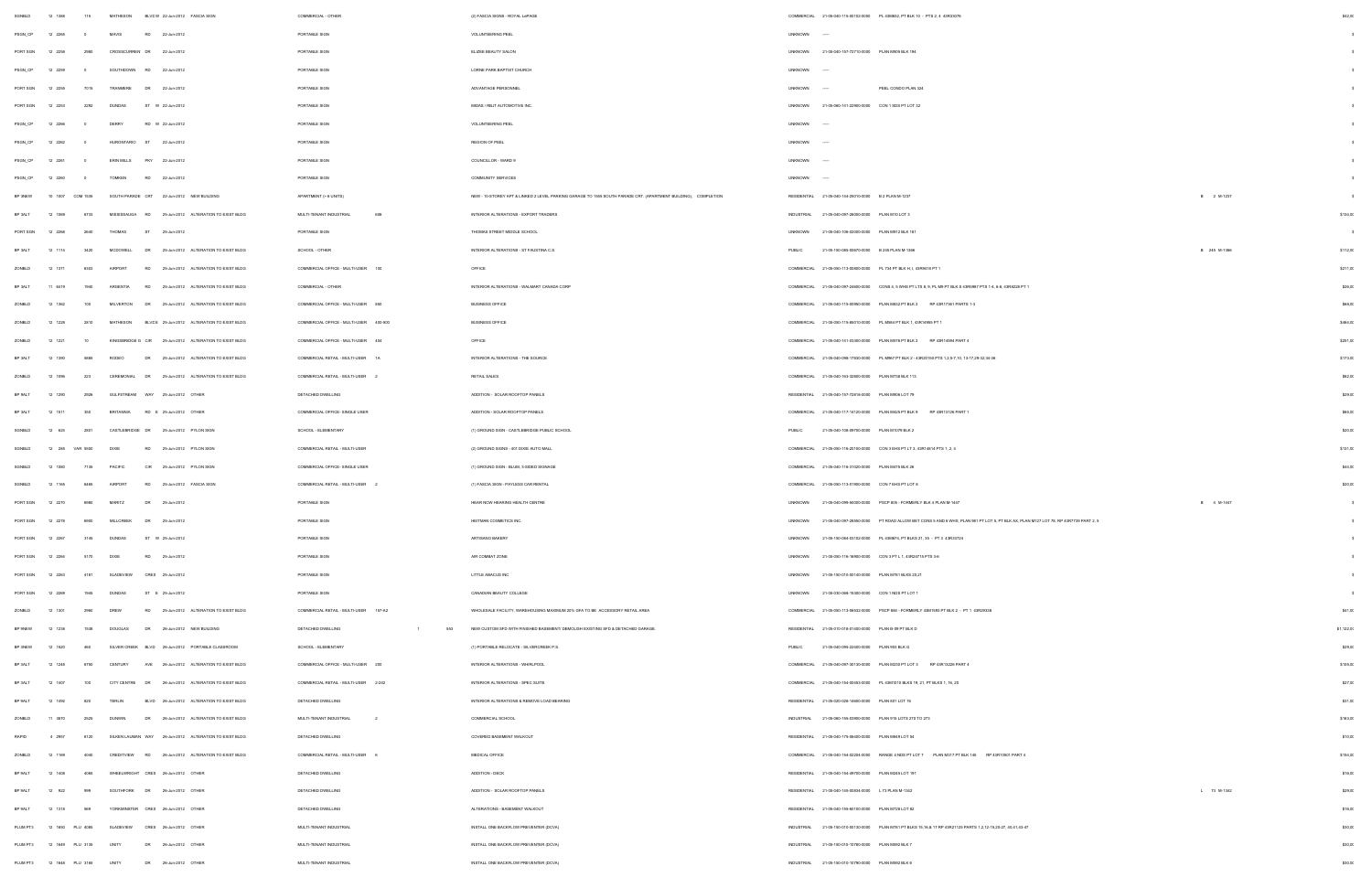- \$41,00
- 0 PLAN M230 PT LOT 3 RP 43R13226 PART 4 \$105,00
- $\,$  D  $\,$  PLAN 801 LOT 16  $\,$  S31,00  $\,$  S31,00  $\,$  S31,00  $\,$  S31,00  $\,$  S31,00  $\,$  S31,00  $\,$  S31,00  $\,$  S41,00  $\,$  S41,00  $\,$  S41,00  $\,$  S41,00  $\,$  S41,00  $\,$  S41,00  $\,$  S41,00  $\,$  S41,00  $\,$  S41,00
	-
	-
	-
	-
	- -
	-
	-
- -
	-
	-
	-
	- -
- 
- -
- 
- 
- 
- 
- 
- 
- 
- 
- 
- 
- 

| SGNBLD           | 12 1388                         | 115            | MATHESON BLVDW 22-Jun-2012 FASCIA SIGN                           | COMMERCIAL - OTHER                         | (2) FASCIA SIGNS - ROYAL LePAGE                                                                                | COMMERCIAL 21-05-040-115-00102-0000 PL 43M832, PT BLK 10 - PTS 2, 4 43R33076                                                              | \$42,00   |
|------------------|---------------------------------|----------------|------------------------------------------------------------------|--------------------------------------------|----------------------------------------------------------------------------------------------------------------|-------------------------------------------------------------------------------------------------------------------------------------------|-----------|
| PSGN_CP          | 12 2265                         | $\Omega$       | MAVIS<br>RD 22-Jun-2012                                          | PORTABLE SIGN                              | VOLUNTEERING PEEL                                                                                              | <b>UNKNOWN</b><br>$\sim$                                                                                                                  |           |
| PORT SGN         | 12 2258                         | 2980           | CROSSCURREN DR<br>22-Jun-2012                                    | PORTABLE SIGN                              | ELIZEE BEAUTY SALON                                                                                            | 21-05-040-157-72710-0000 PLAN M905 BLK 194<br><b>UNKNOWN</b>                                                                              |           |
| PSGN_CP 12 2259  |                                 | $^{\circ}$     | SOUTHDOWN RD<br>22-Jun-2012                                      | PORTABLE SIGN                              | LORNE PARK BAPTIST CHURCH                                                                                      | <b>UNKNOWN</b><br>$\sim$                                                                                                                  |           |
| PORT SGN         | 12 2255                         | 7015           | TRANMERE<br><b>DR</b><br>22-Jun-2012                             | PORTABLE SIGN                              | ADVANTAGE PERSONNEL                                                                                            | PEEL CONDO PLAN 324<br><b>UNKNOWN</b><br>$\sim$                                                                                           |           |
| PORT SGN         | 12 2253                         | 2292           | <b>DUNDAS</b><br>ST W 22-Jun-2012                                | PORTABLE SIGN                              | MIDAS / RBJT AUTOMOTIVE INC.                                                                                   | <b>UNKNOWN</b><br>21-05-060-141-22900-0000 CON 1 SDS PT LOT 32                                                                            |           |
|                  | PSGN_CP 12 2266                 | $\overline{0}$ | RD W 22-Jun-2012<br>DERRY                                        | PORTABLE SIGN                              | <b>VOLUNTEERING PEEL</b>                                                                                       | <b>UNKNOWN</b><br>$\sim$                                                                                                                  |           |
| PSGN CP          | 12 2262                         |                | HURONTARIO ST 22-Jun-2012                                        | PORTABLE SIGN                              | REGION OF PEEL                                                                                                 | <b>UNKNOWN</b><br>$\sim$                                                                                                                  |           |
|                  |                                 |                |                                                                  |                                            |                                                                                                                |                                                                                                                                           |           |
| PSGN_CP          | 12 2261                         |                | ERIN MILLS<br>PKY<br>22-Jun-2012                                 | PORTABLE SIGN                              | COUNCILLOR - WARD 9                                                                                            | <b>UNKNOWN</b>                                                                                                                            |           |
|                  | PSGN_CP 12 2260                 | $\circ$        | RD 22-Jun-2012<br><b>TOMKEN</b>                                  | PORTABLE SIGN                              | COMMUNITY SERVICES                                                                                             | <b>UNKNOWN</b><br>$\sim$                                                                                                                  |           |
| BP 3NEW          | 10 1007                         | COM 1535       | SOUTH PARADE CRT 22-Jun-2012 NEW BUILDING                        | APARTMENT (> 6 UNITS)                      | NEW - 10-STOREY APT & LINKED 2 LEVEL PARKING GARAGE TO 1555 SOUTH PARADE CRT. (APARTMENT BUILDING), COMPLETION | RESIDENTIAL 21-05-040-144-25010-0000 B 2 PLAN M-1237<br>B 2 M-1237                                                                        |           |
| BP 3ALT          | 12 1069                         | 6733           | MISSISSAUGA RD 25-Jun-2012 ALTERATION TO EXIST BLDG              | MULTI-TENANT INDUSTRIAL<br>606             | INTERIOR ALTERATIONS - EXPORT TRADERS                                                                          | INDUSTRIAL 21-05-040-097-26000-0000 PLAN M10 LOT 3                                                                                        | \$134,0   |
| PORT SGN 12 2268 |                                 | 2640           | THOMAS<br>ST 25-Jun-2012                                         | PORTABLE SIGN                              | THOMAS STREET MIDDLE SCHOOL                                                                                    | <b>UNKNOWN</b><br>21-05-040-106-02000-0000 PLAN M912 BLK 181                                                                              |           |
| BP 3ALT          | 12 1114                         | 3420           | MCDOWELL DR 25-Jun-2012 ALTERATION TO EXIST BLDG                 | SCHOOL - OTHER                             | INTERIOR ALTERATIONS - ST FAUSTINA C.S.                                                                        | B 245 M-1366<br>21-05-150-085-00670-0000 B 245 PLAN M-1366<br>PUBLIC                                                                      | \$112,0   |
| ZONBLD           | 12 1371                         | 6303           | RD 25-Jun-2012 ALTERATION TO EXIST BLDG<br>AIRPORT               | COMMERCIAL OFFICE - MULTI-USER 100         | OFFICE                                                                                                         | COMMERCIAL 21-05-050-113-00800-0000 PL 734 PT BLK H. I. 43R9418 PT 1                                                                      | \$211,00  |
| BP 3ALT          | 11 6419                         | 1940           | ARGENTIA<br>RD 25-Jun-2012 ALTERATION TO EXIST BLDG              | COMMERCIAL - OTHER                         | INTERIOR ALTERATIONS - WALMART CANADA CORP                                                                     | COMMERCIAL 21-05-040-097-24600-0000 CONS 4, 5 WHS PT LTS 8, 9, PL M9 PT BLK S 43R5987 PTS 1-4, 6-8, 43R8228 PT 1                          | \$26,00   |
| ZONBLD           | 12 1362                         | 100            | MILVERTON DR 25-Jun-2012 ALTERATION TO EXIST BLDG                | COMMERCIAL OFFICE - MULTI-USER 850         | <b>BUSINESS OFFICE</b>                                                                                         | COMMERCIAL 21-05-040-115-00950-0000 PLAN M832 PT BLK 2 RP 43R17361 PARTS 1-3                                                              | \$68,0    |
| ZONBLD           | 12 1228                         | 2810           | MATHESON BLVDE 25-Jun-2012 ALTERATION TO EXIST BLDG              | COMMERCIAL OFFICE - MULTI-USER 400-500     | <b>BUSINESS OFFICE</b>                                                                                         | COMMERCIAL 21-05-050-115-85010-0000 PL M584 PT BLK 1, 43R14955 PT 1                                                                       | \$464,00  |
| ZONBLD           | 12 1221                         | 10             | KINGSBRIDGE G CIR 25-Jun-2012 ALTERATION TO EXIST BLDG           | COMMERCIAL OFFICE - MULTI-USER 404         | OFFICE                                                                                                         | COMMERCIAL 21-05-040-141-03300-0000 PLAN M576 PT BLK 2 RP 43R14594 PART 4                                                                 | \$251,00  |
| BP 3ALT          | 12 1390                         | 5885           | RODEO<br>DR 25-Jun-2012 ALTERATION TO EXIST BLDG                 | COMMERCIAL RETAIL - MULTI-USER 1A          | INTERIOR ALTERATIONS - THE SOURCE                                                                              | COMMERCIAL 21-05-040-098-17830-0000 PL M967 PT BLK 2 - 43R20150 PTS 1,2,5-7,10, 13-17,29-32,34-36                                         | \$173,0   |
| ZONBLD           | 12 1096                         | 223            | CEREMONIAL DR 25-Jun-2012 ALTERATION TO EXIST BLDG               | COMMERCIAL RETAIL - MULTI-USER 2           | RETAIL SALES                                                                                                   | COMMERCIAL 21-05-040-163-32800-0000 PLAN M738 BLK 113                                                                                     | \$62,00   |
| BP 9ALT          | 12 1290                         | 2926           | GULFSTREAM WAY 25-Jun-2012 OTHER                                 | DETACHED DWELLING                          | ADDITION - SOLAR ROOFTOP PANELS                                                                                | RESIDENTIAL 21-05-040-157-72818-0000 PLAN M906 LOT 79                                                                                     | \$29,00   |
| BP 3ALT          | 12 1511                         |                | RD E 25-Jun-2012 OTHER<br><b>BRITANNIA</b>                       | COMMERCIAL OFFICE- SINGLE USER             | ADDITION - SOLAR ROOFTOP PANELS                                                                                | COMMERCIAL 21-05-040-117-14120-0000 PLAN M425 PT BLK 9 RP 43R13126 PART 1                                                                 | \$65,00   |
| SGNBLD           | 12 624                          | 2801           | CASTLEBRIDGE DR 25-Jun-2012 PYLON SIGN                           | SCHOOL - ELEMENTARY                        | (1) GROUND SIGN - CASTLEBRIDGE PUBLIC SCHOOL                                                                   | PUBLIC<br>21-05-040-108-09700-0000 PLAN M1079 BLK 2                                                                                       | \$20,00   |
| SGNBLD           | 12 285                          | VAR 5500       | <b>DIXIE</b><br>RD 25-Jun-2012 PYLON SIGN                        | COMMERCIAL RETAIL - MULTI-USER             | (2) GROUND SIGNS - 401 DIXIE AUTO MALL                                                                         | COMMERCIAL 21-05-050-116-20100-0000 CON 3 EHS PT LT 3, 43R14814 PTS 1, 2, 4                                                               | \$131,00  |
|                  |                                 | 7135           | PACIFIC<br>CIR 25-Jun-2012 PYLON SIGN                            | COMMERCIAL OFFICE- SINGLE USER             | (1) GROUND SIGN - BLUM, 3-SIDED SIGNAGE                                                                        | COMMERCIAL 21-05-040-116-31020-0000 PLAN M475 BLK 26                                                                                      | \$44,00   |
|                  | 12 1165                         | 6465           | AIRPORT<br><b>RD</b><br>25-Jun-2012 FASCIA SIGN                  | COMMERCIAL RETAIL - MULTI-USER 2           | (1) FASCIA SIGN - PAYLESS CAR RENTAL                                                                           | COMMERCIAL 21-05-050-113-01900-0000 CON 7 EHS PT LOT 8                                                                                    | \$20,00   |
| PORT SGN         |                                 | 6980           | MARITZ<br><b>DR</b>                                              |                                            |                                                                                                                | UNKNOWN 21-05-040-099-50000-0000 PSCP 805 - FORMERLY BLK 4 PLAN M-1447                                                                    |           |
|                  | 12 2270                         |                | 25-Jun-2012                                                      | PORTABLE SIGN                              | HEAR NOW HEARING HEALTH CENTRE                                                                                 | B 4 M-1447                                                                                                                                |           |
| PORT SGN         | 12 2278                         | 6900           | DR 25-Jun-2012<br><b>MILLCREEK</b>                               | PORTABLE SIGN                              | HEITMAN COSMETICS INC.                                                                                         | UNKNOWN 21-05-040-097-28550-0000 PT ROAD ALLOW BET CONS 5 AND 6 WHS, PLAN 981 PT LOT 5, PT BLK AX, PLAN M127 LOT 78, RP 43R7739 PART 2, 5 |           |
| PORT SGN         | 12 2267                         | 3145           | <b>DUNDAS</b><br>ST W 25-Jun-2012                                | PORTABLE SIGN                              | ARTISANO BAKERY                                                                                                | 21-05-150-084-03102-0000 PL 43M674, PT BLKS 21, 35 - PT 3 43R33724<br><b>UNKNOWN</b>                                                      |           |
| PORT SGN         | 12 2264                         | 5170           | DIXIE<br><b>RD</b><br>25-Jun-2012                                | PORTABLE SIGN                              | AIR COMBAT ZONE                                                                                                | 21-05-050-116-16900-0000 CON 3 PT L 1, 43R24715 PTS 3-6<br><b>UNKNOWN</b>                                                                 |           |
| PORT SGN 12 2263 |                                 | 4181           | SLADEVIEW CRES 25-Jun-2012                                       | PORTABLE SIGN                              | LITTLE ABACUS INC                                                                                              | 21-05-150-010-00140-0000 PLAN M781 BLKS 20,21<br><b>UNKNOWN</b>                                                                           |           |
| PORT SGN         | 12 2269                         | 1945           | <b>DUNDAS</b><br>ST E 25-Jun-2012                                | PORTABLE SIGN                              | CANADIAN BEAUTY COLLEGE                                                                                        | 21-05-030-068-15300-0000 CON 1 NDS PT LOT 1<br><b>UNKNOWN</b>                                                                             |           |
|                  |                                 |                | <b>RD</b><br>25-Jun-2012 ALTERATION TO EXIST BLDG<br><b>DREW</b> | COMMERCIAL RETAIL - MULTI-USER 157-A2      | WHOLESALE FACILITY, WAREHOUSING MAXIMUM 20% GFA TO BE ACCESSORY RETAIL AREA                                    | COMMERCIAL 21-05-050-113-06532-0000 PSCP 884 - FORMERLY 43M1593 PT BLK 2 - PT 1 43R29338                                                  | \$41,00   |
| BP 9NEW          | 12 1238                         | 1538           | DR 26-Jun-2012 NEW BUILDING<br><b>DOUGLAS</b>                    | DETACHED DWELLING<br>$\overline{1}$<br>553 | NEW CUSTOM SFD WITH FINISHED BASEMENT/ DEMOLISH EXISTING SFD & DETACHED GARAGE.                                | RESIDENTIAL 21-05-010-018-01400-0000 PLAN B-09 PT BLK D                                                                                   | \$1,122,0 |
| BP 3NEW          | 12 1520                         | 460            | SILVER CREEK BLVD 26-Jun-2012 PORTABLE CLASSROOM                 | SCHOOL - ELEMENTARY                        | (1) PORTABLE RELOCATE - SILVERCREEK P.S.                                                                       | 21-05-040-095-22400-0000 PLAN 903 BLK G<br>PUBLIC                                                                                         | \$29,00   |
| BP 3ALT          | 12 1248                         | 6750           | AVE 26-Jun-2012 ALTERATION TO EXIST BLDG<br>CENTURY              | COMMERCIAL OFFICE - MULTI-USER 200         | INTERIOR ALTERATIONS - WHIRLPOOL                                                                               | COMMERCIAL 21-05-040-097-30130-0000 PLAN M230 PT LOT 3 RP 43R13226 PART 4                                                                 | \$105,00  |
| BP 3ALT          | 12 1407                         | 100            | CITY CENTRE DR 26-Jun-2012 ALTERATION TO EXIST BLDG              | COMMERCIAL RETAIL - MULTI-USER 2-242       | INTERIOR ALTERATIONS - SPEC SUITE                                                                              | COMMERCIAL 21-05-040-154-00453-0000 PL 43M1010 BLKS 19, 21, PT BLKS 1, 16, 20                                                             | \$27,00   |
| <b>RP 9ALT</b>   | 12 1492                         | 820            | <b>TERLIN</b><br>BLVD 26-Jun-2012 ALTERATION TO EXIST BLDG       | DETACHED DWELLING                          | INTERIOR ALTERATIONS & REMOVE LOAD BEARING                                                                     | RESIDENTIAL 21-05-020-028-14600-0000 PLAN 801 LOT 16                                                                                      | \$31,0    |
| ZONBLD           | 11 3870                         | 2525           | DR 26-Jun-2012 ALTERATION TO EXIST BLDG<br><b>DUNWIN</b>         | MULTI-TENANT INDUSTRIAL                    | COMMERCIAL SCHOOL                                                                                              | INDUSTRIAL 21-05-060-155-03900-0000 PLAN 915 LOTS 270 TO 273                                                                              | \$163,00  |
| RAPID            | 4 2957                          | 6120           | SILKEN LAUMAN WAY 26-Jun-2012 ALTERATION TO EXIST BLDG           | DETACHED DWELLING                          | COVERED BASEMENT WALKOUT                                                                                       | RESIDENTIAL 21-05-040-175-06400-0000 PLAN M849 LOT 54                                                                                     | \$10,00   |
| ZONBLD           | 12 1169                         | 4040           | CREDITVIEW RD 26-Jun-2012 ALTERATION TO EXIST BLDG               | COMMERCIAL RETAIL - MULTI-USER 6           | MEDICAL OFFICE                                                                                                 | COMMERCIAL 21-05-040-154-02204-0000 RANGE 4 NDS PT LOT 7 PLAN M317 PT BLK 145 RP 43R10501 PART 4                                          | \$154,0   |
| BP 9ALT          | 12 1408                         | 4065           | WHEELWRIGHT CRES 26-Jun-2012 OTHER                               | DETACHED DWELLING                          | ADDITION - DECK                                                                                                | RESIDENTIAL 21-05-040-154-49700-0000 PLAN M245 LOT 191                                                                                    | \$16,00   |
| BP 9ALT          | 12 922                          | 999            | SOUTHFORK DR 26-Jun-2012 OTHER                                   | DETACHED DWELLING                          | ADDITION - SOLAR ROOFTOP PANELS                                                                                | RESIDENTIAL 21-05-040-145-00834-0000 L73 PLAN M-1342<br>L 73 M-1342                                                                       | \$29,00   |
| BP 9ALT          | 12 1318                         | 569            | YORKMINSTER CRES 26-Jun-2012 OTHER                               | DETACHED DWELLING                          | ALTERATIONS - BASEMENT WALKOUT                                                                                 | RESIDENTIAL 21-05-040-155-60100-0000 PLAN M728 LOT 82                                                                                     | \$16,00   |
| PLUM PT3         | 12 1650 PLU 4085                |                | SLADEVIEW CRES 26-Jun-2012 OTHER                                 | MULTI-TENANT INDUSTRIAL                    | INSTALL ONE BACKFLOW PREVENTER (DCVA)                                                                          | INDUSTRIAL 21-05-150-010-00130-0000 PLAN M781 PT BLKS 15,16,& 17 RP 43R21125 PARTS 1,2,12-15,20-27, 40,41,43-47                           | \$30,00   |
| PLUM PT3         | 12 1649                         | PLU 3135       | UNITY<br>DR.<br>26-Jun-2012 OTHER                                | MULTI-TENANT INDUSTRIAL                    | INSTALL ONE BACKFLOW PREVENTER (DCVA)                                                                          | INDUSTRIAL 21-05-150-010-10780-0000 PLAN M592 BLK 7                                                                                       | \$30,00   |
|                  |                                 |                |                                                                  |                                            |                                                                                                                |                                                                                                                                           |           |
|                  | PLUM PT3 12 1648 PLU 3165 UNITY |                | DR 26-Jun-2012 OTHER                                             | MULTI-TENANT INDUSTRIAL                    | INSTALL ONE BACKFLOW PREVENTER (DCVA)                                                                          | INDUSTRIAL 21-05-150-010-10790-0000 PLAN M592 BLK 6                                                                                       | \$30,00   |

 $\ddot{\phantom{1}}$ 

- 
- 
- 
- 
- 
- 
- 
- 
- 0 PLAN M738 BLK 113 Second Second Second Second Second Second Second Second Second Second Second Second Second Second Second Second Second Second Second Second Second Second Second Second Second Second Second Second Second
- \$131,000 PLAN M425 PT BLK 9 RP 43R13126 PART 1 SASS,000 PLAN M325 PT BLK 9 RP 43R13126 PART 1
- $0$  CON 7 EHS PT LOT 8  $$20,00$

## 5, PT BLK AX, PLAN M127 LOT 78, RP 43R7739 PART 2, 5

- 
- 
- $\ddot{\phantom{1}}$
- 
- 
- 
- 
- -
- $\mathbf{s}$
- 0 PL 734 PT BLK H, I, 43R9418 PT 1 \$211,00
	-
- \$68,00\$68,00
	- $$251,00$
	-
	- \$62,00
	-
	-
	- $$20,00$
	-
	-
	- \$
	- $\mathbf{s}$ 
		-
		- \$1,122,00
		- $$105,00$
	- \$31,00
- \$10,00\$10,00
	-
-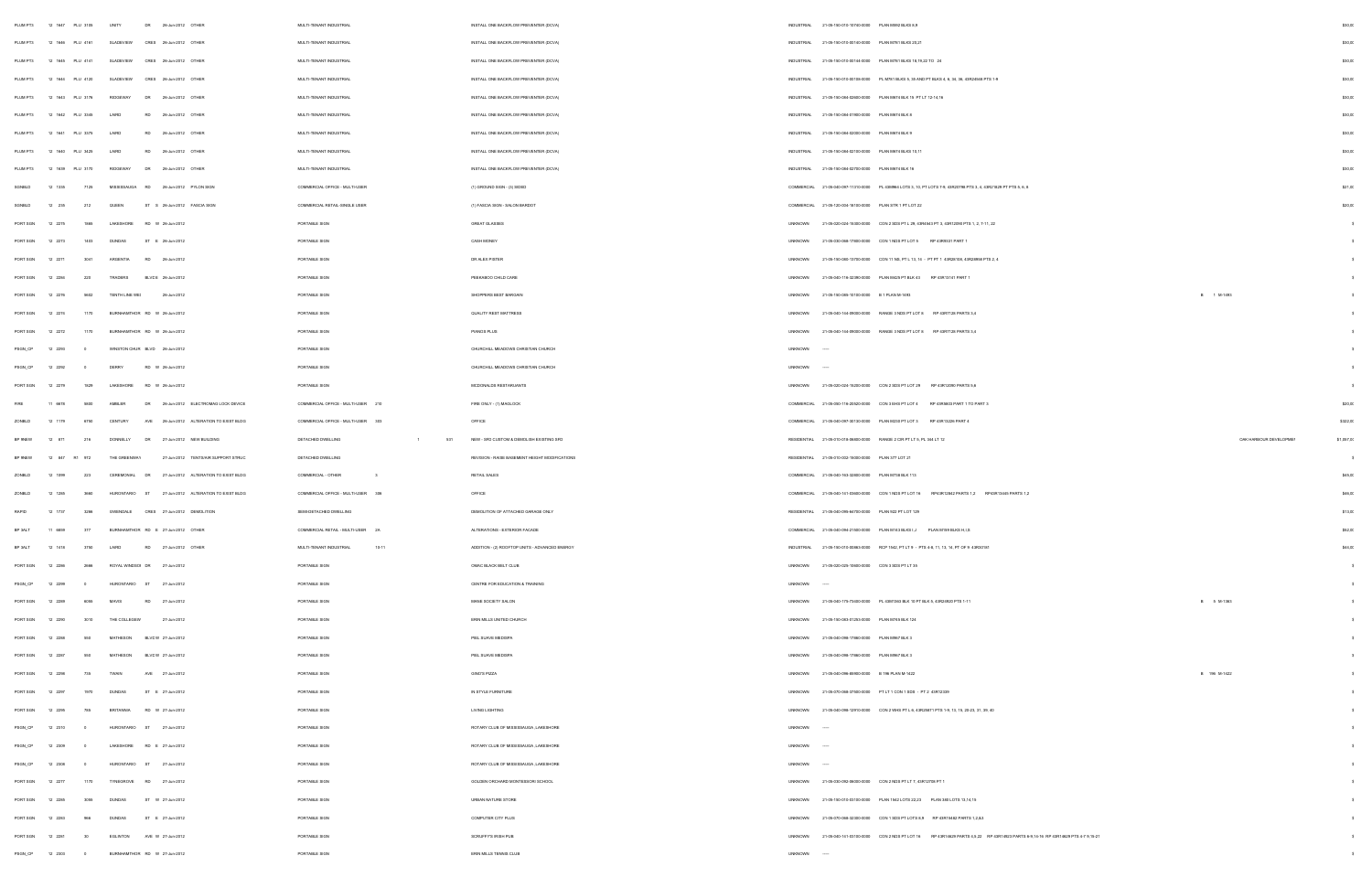$\mathbf{s}$ 

 $\ddot{\phantom{1}}$ 

|               | PLUM PT3 12 1647 PLU 3105 | <b>UNITY</b><br>DR 26-Jun-2012 OTHER                        | MULTI-TENANT INDUSTRIAL                       | INSTALL ONE BACKFLOW PREVENTER (DCVA)          | <b>INDUSTRIAL</b><br>21-05-150-010-10740-0000 PLAN M592 BLKS 8,9                                                                                | \$30,00                              |
|---------------|---------------------------|-------------------------------------------------------------|-----------------------------------------------|------------------------------------------------|-------------------------------------------------------------------------------------------------------------------------------------------------|--------------------------------------|
| PLUM PT3      |                           | 12 1646 PLU 4161 SLADEVIEW CRES 26-Jun-2012 OTHER           | MULTI-TENANT INDUSTRIAL                       | INSTALL ONE BACKFLOW PREVENTER (DCVA)          | 21-05-150-010-00140-0000 PLAN M781 BLKS 20,21<br>INDUSTRIAL                                                                                     | \$30,00                              |
| PLUM PT3      | 12 1645 PLU 4141          | SLADEVIEW CRES 26-Jun-2012 OTHER                            | MULTI-TENANT INDUSTRIAL                       | INSTALL ONE BACKFLOW PREVENTER (DCVA)          | 21-05-150-010-00144-0000 PLAN M781 BLKS 18,19,22 TO 24<br>INDUSTRIAL                                                                            | \$30,00                              |
| PLUM PT3      | 12 1644 PLU 4120          | SLADEVIEW CRES 26-Jun-2012 OTHER                            | MULTI-TENANT INDUSTRIAL                       | INSTALL ONE BACKFLOW PREVENTER (DCVA)          | <b>INDUSTRIAL</b><br>21-05-150-010-00108-0000 PL M781 BLKS 5, 35 AND PT BLKS 4, 6, 34, 36, 43R24548 PTS 1-9                                     | \$30,00                              |
| PLUM PT3      |                           | 12 1643 PLU 3176 RIDGEWAY<br>DR 26-Jun-2012 OTHER           | MULTI-TENANT INDUSTRIAL                       | INSTALL ONE BACKFLOW PREVENTER (DCVA)          | 21-05-150-084-02600-0000 PLAN M674 BLK 15 PT LT 12-14,16<br><b>INDUSTRIAL</b>                                                                   | \$30,00                              |
| PLUM PT3      | PLU 3345<br>12 1642       | RD 26-Jun-2012 OTHER<br>LAIRD                               | MULTI-TENANT INDUSTRIAL                       | INSTALL ONE BACKFLOW PREVENTER (DCVA)          | 21-05-150-084-01900-0000 PLAN M674 BLK 8<br><b>INDUSTRIAL</b>                                                                                   | \$30,00                              |
| PLUM PT3      | 12 1641 PLU 3375          | LAIRD<br>RD 26-Jun-2012 OTHER                               | MULTI-TENANT INDUSTRIAL                       | INSTALL ONE BACKFLOW PREVENTER (DCVA)          | 21-05-150-084-02000-0000 PLAN M674 BLK 9<br><b>INDUSTRIAL</b>                                                                                   | \$30,00                              |
| PLUM PT3      | PLU 3425<br>12 1640       | LAIRD<br><b>RD</b><br>26-Jun-2012 OTHER                     | MULTI-TENANT INDUSTRIAL                       | INSTALL ONE BACKFLOW PREVENTER (DCVA)          | <b>INDUSTRIAL</b><br>21-05-150-084-02100-0000 PLAN M674 BLKS 10,11                                                                              | \$30,00                              |
| PLUM PT3      | 12 1639 PLU 3170          | DR 26-Jun-2012 OTHER<br>RIDGEWAY                            | MULTI-TENANT INDUSTRIAL                       | INSTALL ONE BACKFLOW PREVENTER (DCVA)          | INDUSTRIAL 21-05-150-084-02700-0000 PLAN M674 BLK 16                                                                                            | \$30,00                              |
| SGNBLD        | 12 1335                   | 7125<br>MISSISSAUGA RD 26-Jun-2012 PYLON SIGN               | COMMERCIAL OFFICE - MULTI-USER                | (1) GROUND SIGN - (3) SIDED                    | COMMERCIAL 21-05-040-097-11310-0000 PL 43M964 LOTS 3, 10, PT LOTS 7-9, 43R20798 PTS 3, 4, 43R21829 PT PTS 5, 6, 8                               | \$21,00                              |
| SGNBLD        | 212                       | QUEEN<br>ST S 26-Jun-2012 FASCIA SIGN                       | COMMERCIAL RETAIL-SINGLE USER                 | (1) FASCIA SIGN - SALON BARDOT                 | COMMERCIAL 21-05-120-004-18100-0000 PLAN STR 1 PT LOT 22                                                                                        | \$20,00                              |
| PORT SGN      | 12 2275                   | RD W 26-Jun-2012<br>1865<br>LAKESHORE                       | PORTABLE SIGN                                 | GREAT GLASSES                                  | 21-05-020-024-15300-0000 CON 2 SDS PT L 29, 43R4543 PT 3, 43R12090 PTS 1, 2, 7-11, 22<br><b>UNKNOWN</b>                                         |                                      |
| PORT SGN      | 12 2273                   | 1403<br><b>DUNDAS</b><br>ST E 26-Jun-2012                   | PORTABLE SIGN                                 | <b>CASH MONEY</b>                              | 21-05-030-068-17800-0000   CON 1 NDS PT LOT 5   RP 43R9331 PART 1<br><b>UNKNOWN</b>                                                             |                                      |
| PORT SGN      | 3041<br>12 2271           | ARGENTIA<br>RD 26-Jun-2012                                  | PORTABLE SIGN                                 | DR ALEX PISTER                                 | 21-05-150-080-13700-0000   CON 11 NS, PT L 13, 14 - PT PT 1 43R28108, 43R28958 PTS 2, 4<br><b>UNKNOWN</b>                                       |                                      |
| PORT SGN      | 220<br>12 2284            | TRADERS<br>BLVDE 26-Jun-2012                                | PORTABLE SIGN                                 | PEEKABOO CHILD CARE                            | <b>UNKNOWN</b><br>21-05-040-116-32390-0000 PLAN M425 PT BLK 43 RP 43R13141 PART 1                                                               |                                      |
|               | PORT SGN 12 2276          | 5602<br>TENTH LINE WE!<br>26-Jun-2012                       | PORTABLE SIGN                                 | SHOPPERS BEST BARGAIN                          | 21-05-150-085-10100-0000 B 1 PLAN M-1493<br><b>UNKNOWN</b>                                                                                      | B 1 M-1493                           |
| PORT SGN      | 12 2274                   | BURNHAMTHOR RD W 26-Jun-2012<br>1170                        | PORTABLE SIGN                                 | QUALITY REST MATTRESS                          | 21-05-040-144-09000-0000 RANGE 3 NDS PT LOT 8 RP 43R7128 PARTS 3,4<br><b>UNKNOWN</b>                                                            |                                      |
| PORT SGN      | 12 2272                   | BURNHAMTHOR RD W 26-Jun-2012<br>1170                        | PORTABLE SIGN                                 | PIANOS PLUS                                    | 21-05-040-144-09000-0000 RANGE 3 NDS PT LOT 8 RP 43R7128 PARTS 3,4<br><b>UNKNOWN</b>                                                            |                                      |
| PSGN_CP       | 12 2293<br>$\Omega$       | WINSTON CHUR BLVD 26-Jun-2012                               | PORTABLE SIGN                                 | CHURCHILL MEADOWS CHRISTIAN CHURCH             | <b>UNKNOWN</b><br>$\sim$                                                                                                                        |                                      |
| PSGN_CP       | 12 2292<br>$\circ$        | DERRY<br>RD W 26-Jun-2012                                   | PORTABLE SIGN                                 | CHURCHILL MEADOWS CHRISTIAN CHURCH             | <b>UNKNOWN</b><br>$\sim$                                                                                                                        |                                      |
| PORT SGN      | 12 2279                   | LAKESHORE RD W 26-Jun-2012<br>1829                          | PORTABLE SIGN                                 | MCDONALDS RESTARUANTS                          | 21-05-020-024-15200-0000 CON 2 SDS PT LOT 29 RP 43R12090 PARTS 5,6<br><b>UNKNOWN</b>                                                            |                                      |
|               | 11 6678                   | 5800                                                        |                                               |                                                |                                                                                                                                                 |                                      |
| FIRE          |                           | AMBLER<br>DR 26-Jun-2012 ELECTROMAG LOCK DEVICE             | COMMERCIAL OFFICE - MULTI-USER 210            | FIRE ONLY - (1) MAGLOCK                        | COMMERCIAL 21-05-050-116-20520-0000 CON 3 EHS PT LOT 4 RP 43R5803 PART 1 TO PART 3                                                              | \$20,00                              |
| ZONBLD        | 12 1179                   | CENTURY<br>AVE 26-Jun-2012 ALTERATION TO EXIST BLDG<br>6750 | COMMERCIAL OFFICE - MULTI-USER 303            | OFFICE                                         | COMMERCIAL 21-05-040-097-30130-0000 PLAN M230 PT LOT 3 RP 43R13226 PART 4                                                                       | \$322,00                             |
|               |                           |                                                             |                                               |                                                |                                                                                                                                                 |                                      |
| BP 9NEW       | 12 871<br>216             | DONNELLY<br>DR 27-Jun-2012 NEW BUILDING                     | DETACHED DWELLING<br>531<br>$\sim$ 1          | NEW - SFD CUSTOM & DEMOLISH EXISTING SFD       | RESIDENTIAL 21-05-010-018-06800-0000 RANGE 2 CIR PT LT 5, PL 344 LT 12                                                                          | OAK HARBOUR DEVELOPMEI<br>\$1,057,00 |
| BP 9NEW       | 12 847<br>972             | THE GREENWAY<br>27-Jun-2012 TENTS/AIR SUPPORT STRUC         | DETACHED DWELLING                             | REVISION - RAISE BASEMENT HEIGHT MODIFICATIONS | RESIDENTIAL 21-05-010-002-15000-0000 PLAN 377 LOT 21                                                                                            |                                      |
| ZONBLD        | 223                       | CEREMONIAL<br>DR 27-Jun-2012 ALTERATION TO EXIST BLDG       | COMMERCIAL - OTHER<br>$\overline{\mathbf{3}}$ | RETAIL SALES                                   | COMMERCIAL 21-05-040-163-32800-0000 PLAN M738 BLK 113                                                                                           | \$45,00                              |
| <b>ZONBLD</b> | 12 1285                   | HURONTARIO ST 27-Jun-2012 ALTERATION TO EXIST BLDG<br>3660  | COMMERCIAL OFFICE - MULTI-USER 306            | OFFICE                                         | COMMERCIAL 21-05-040-141-03600-0000 CON 1 NDS PT LOT 16 RP43R12842 PARTS 1,2 RP43R13445 PARTS 1,2                                               | \$46,00                              |
|               | 12 1737                   | 3266<br>GWENDALE CRES 27-Jun-2012 DEMOLITION                | SEMI-DETACHED DWELLING                        | DEMOLITION OF ATTACHED GARAGE ONLY             | RESIDENTIAL 21-05-040-095-64700-0000 PLAN 922 PT LOT 129                                                                                        | \$13,00                              |
| BP 3ALT       | 11 6859<br>377            | BURNHAMTHOR RD E 27-Jun-2012 OTHER                          | COMMERCIAL RETAIL - MULTI-USER 2A             | ALTERATIONS - EXTERIOR FACADE                  | COMMERCIAL 21-05-040-094-21500-0000 PLAN M143 BLKS I,J PLAN M159 BLKS H,I,S                                                                     |                                      |
| BP 3ALT       | 12 1418                   | RD 27-Jun-2012 OTHER<br>3750<br>LAIRD                       | MULTI-TENANT INDUSTRIAL<br>$10 - 11$          | ADDITION - (2) ROOFTOP UNITS - ADVANCED ENERGY | INDUSTRIAL 21-05-150-010-00863-0000 RCP 1542, PT LT 9 - PTS 4-8, 11, 13, 14, PT OF 9 43R30181                                                   | \$44,00                              |
| PORT SGN      | 12 2286                   | ROYAL WINDSOI DR 27-Jun-2012<br>2666                        | PORTABLE SIGN                                 | OMAC BLACK BELT CLUB                           | 21-05-020-025-10600-0000 CON 3 SDS PT LT 35<br><b>UNKNOWN</b>                                                                                   |                                      |
| PSGN_CP       | 12 2299<br>$\circ$        | HURONTARIO ST<br>27-Jun-2012                                | PORTABLE SIGN                                 | CENTRE FOR EDUCATION & TRAINING                | <b>UNKNOWN</b><br>$\sim$                                                                                                                        |                                      |
| PORT SGN      | 6055                      | MAVIS<br><b>RD</b><br>27-Jun-2012                           | PORTABLE SIGN                                 | MANE SOCIETY SALON                             | <b>UNKNOWN</b><br>21-05-040-175-73400-0000 PL 43M1363 BLK 10 PT BLK 5, 43R24920 PTS 1-11                                                        | B 5 M-1363                           |
| PORT SGN      | 12 2290                   | 3010<br>THE COLLEGEW<br>27-Jun-2012                         | PORTABLE SIGN                                 | ERIN MILLS UNITED CHURCH                       | 21-05-150-083-01253-0000 PLAN M745 BLK 124<br><b>UNKNOWN</b>                                                                                    |                                      |
| PORT SGN      | 550<br>12 2288            | MATHESON BLVDW 27-Jun-2012                                  | PORTABLE SIGN                                 | PIEL SUAVE MEDISPA                             | 21-05-040-098-17860-0000 PLAN M967 BLK 3<br><b>UNKNOWN</b>                                                                                      |                                      |
| PORT SGN      | 550                       | MATHESON<br>BLVDW 27-Jun-2012                               | PORTABLE SIGN                                 | PIEL SUAVE MEDISPA                             | <b>UNKNOWN</b><br>21-05-040-098-17860-0000 PLAN M967 BLK 3                                                                                      |                                      |
| PORT SGN      | 12 2298<br>735            | TWAIN<br>AVE 27-Jun-2012                                    | PORTABLE SIGN                                 | GINO'S PIZZA                                   | 21-05-040-096-85900-0000 B 196 PLAN M-1422<br><b>UNKNOWN</b>                                                                                    | B 196 M-1422                         |
| PORT SGN      | 12 2297                   | 1970<br><b>DUNDAS</b><br>ST E 27-Jun-2012                   | PORTABLE SIGN                                 | IN STYLE FURNITURE                             | 21-05-070-068-37500-0000 PTLT1CON1SDS - PT2 43R12339<br><b>UNKNOWN</b>                                                                          |                                      |
| PORT SGN      | 12 2295<br>785            | <b>BRITANNIA</b><br>RD W 27-Jun-2012                        | PORTABLE SIGN                                 | <b>LIVING LIGHTING</b>                         | 21-05-040-098-12910-0000 CON 2 WHS PT L 6, 43R25871 PTS 1-9, 13, 15, 20-23, 31, 39, 40<br><b>UNKNOWN</b>                                        |                                      |
| PSGN_CP       | 12 2310<br>$\overline{0}$ | HURONTARIO ST 27-Jun-2012                                   | PORTABLE SIGN                                 | ROTARY CLUB OF MISSISSAUGA ,LAKESHORE          | <b>UNKNOWN</b><br>$\sim$                                                                                                                        |                                      |
| PSGN_CP       | 12 2309<br>$\Omega$       | LAKESHORE RD E 27-Jun-2012                                  | PORTABLE SIGN                                 | ROTARY CLUB OF MISSISSAUGA .LAKESHORE          | <b>UNKNOWN</b><br>$\sim$                                                                                                                        |                                      |
| PSGN_CP       | 12 2308<br>$\Omega$       | HURONTARIO ST 27-Jun-2012                                   | PORTABLE SIGN                                 | ROTARY CLUB OF MISSISSAUGA ,LAKESHORE          | <b>UNKNOWN</b><br>$\sim$                                                                                                                        |                                      |
| PORT SGN      | 12 2277                   | 1170<br>TYNEGROVE RD 27-Jun-2012                            | PORTABLE SIGN                                 | GOLDEN ORCHARD MONTESSORI SCHOOL               | 21-05-030-092-06000-0000 CON 2 NDS PT LT 7, 43R12708 PT 1<br><b>UNKNOWN</b>                                                                     |                                      |
| PORT SGN      | 12 2285                   | 3055<br><b>DUNDAS</b><br>ST W 27-Jun-2012                   | PORTABLE SIGN                                 | URBAN NATURE STORE                             | <b>UNKNOWN</b><br>21-05-150-010-03100-0000 PLAN 1542 LOTS 22,23 PLAN 380 LOTS 13,14,15                                                          |                                      |
| PORT SGN      | 12 2283<br>966            | ST E 27-Jun-2012<br><b>DUNDAS</b>                           | PORTABLE SIGN                                 | COMPUTER CITY PLUS                             | 21-05-070-068-32300-0000   CON 1 SDS PT LOTS 8,9   RP 43R15482 PARTS 1,2,83<br><b>UNKNOWN</b>                                                   |                                      |
|               | PORT SGN 12 2281<br>30    | <b>EGLINTON</b><br>AVE W 27-Jun-2012                        | PORTABLE SIGN                                 | SCRUFFY'S IRISH PUB                            | 21-05-040-141-03100-0000 CON 2 NDS PT LOT 16 RP 43R14629 PARTS 4,5,22 RP 43R14923 PARTS 6-9,14-16 RP 43R14629 PTS 4-7 9,15-21<br><b>UNKNOWN</b> |                                      |

\$

 $\overline{a}$ 

 $\ddot{S}$  $\overline{\phantom{a}}$ 

\$30,00

| 0 PLAN M592 BLKS 8,9                                                            |            | \$30,00      |
|---------------------------------------------------------------------------------|------------|--------------|
| 0 PLAN M781 BLKS 20.21                                                          |            | \$30.00      |
| 0 PLAN M781 BLKS 18.19.22 TO 24                                                 |            | \$30.00      |
| 0 PL M781 BLKS 5, 35 AND PT BLKS 4, 6, 34, 36, 43R24548 PTS 1-9                 |            | \$30,00      |
| 0 PLAN M674 BLK 15 PT LT 12-14.16                                               |            | \$30,00      |
| 0 PLAN M674 BLK 8                                                               |            | \$30,00      |
| 0 PLAN M674 BLK 9                                                               |            | \$30,00      |
| 0 PLAN M674 BLKS 10.11                                                          |            | \$30.00      |
| 0 PLAN M674 BLK 16                                                              |            | \$30,00      |
| 0 PL 43M964 LOTS 3, 10, PT LOTS 7-9, 43R20798 PTS 3, 4, 43R21829 PT PTS 5, 6, 8 |            | \$21,00      |
| 0 PLAN STR 1 PT LOT 22                                                          |            | \$20,00      |
| 0 CON 2 SDS PT L 29, 43R4543 PT 3, 43R12090 PTS 1, 2, 7-11, 22                  |            | <sup>s</sup> |
| 0 CON 1 NDS PT LOT 5 RP 43R9331 PART 1                                          |            | <sup>s</sup> |
| 0 CON 11 NS, PT L 13, 14 - PT PT 1 43R28108, 43R28958 PTS 2, 4                  |            | -S           |
| 0 PLAN M425 PT BLK 43 RP 43R13141 PART 1                                        |            | S.           |
| 0 B 1 PLAN M-1493                                                               | B 1 M-1493 | S.           |
|                                                                                 |            |              |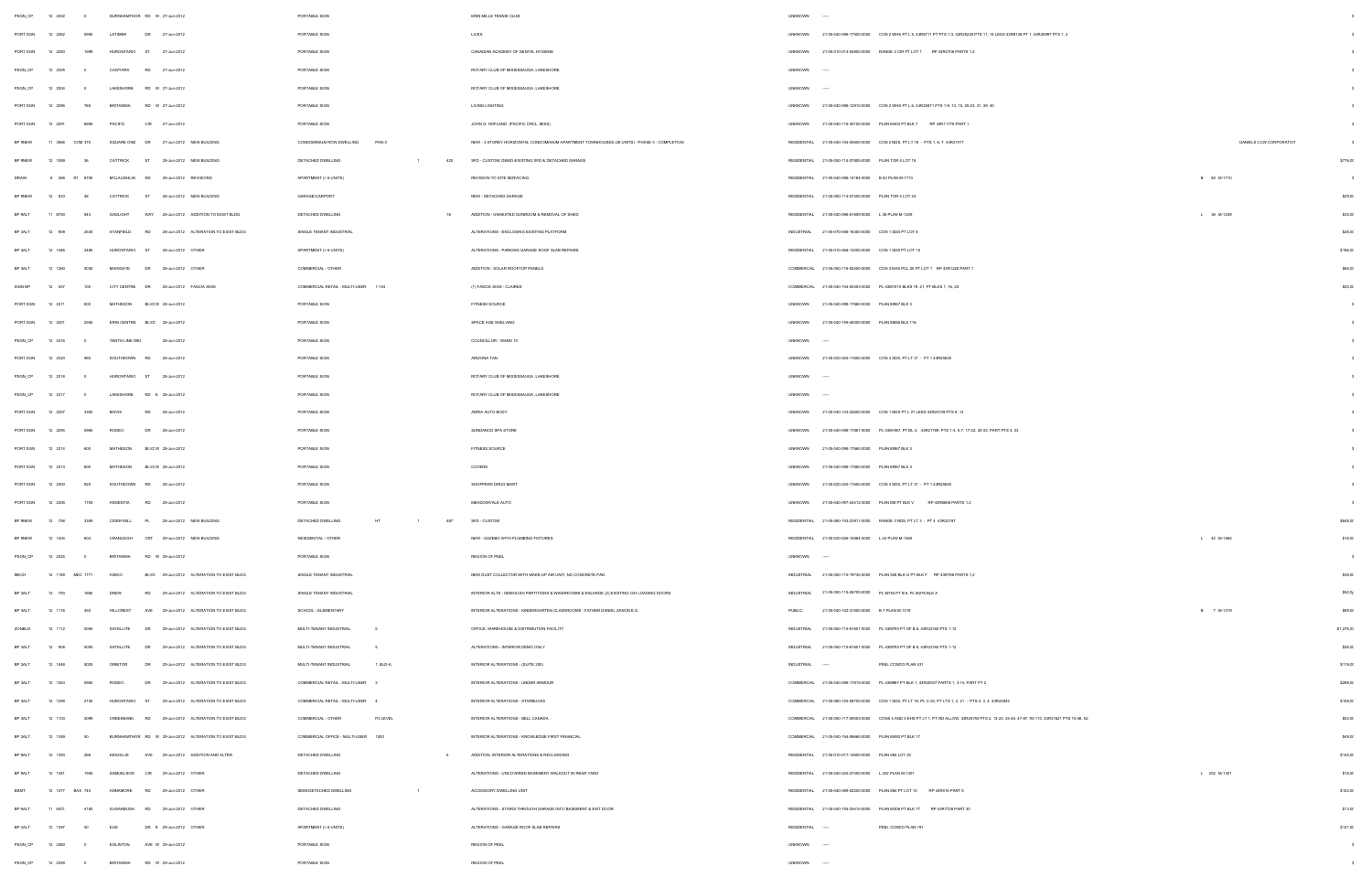- 
- 
- 
- $\ddot{\phantom{a}}$  $\overline{\mathbf{s}}$
- - $\ddot{\phantom{a}}$
- DANIELS CCW CORPORATION
- \$776,00

|                  | PSGN_CP 12 2302<br>$\sim$ 0 | BURNHAMTHOR RD W 27-Jun-2012                           | PORTABLE SIGN                              | ERIN MILLS TENNIS CLUB                                                                       | <b>UNKNOWN</b><br>$\sim$                                                                                                                       |                         |
|------------------|-----------------------------|--------------------------------------------------------|--------------------------------------------|----------------------------------------------------------------------------------------------|------------------------------------------------------------------------------------------------------------------------------------------------|-------------------------|
| PORT SGN 12 2282 | 5955                        | LATIMER<br><b>DR</b><br>27-Jun-2012                    | PORTABLE SIGN                              | LICKS                                                                                        | 21-05-040-098-17500-0000 CON 2 WHS PT L 5, 43R8711 PT PTS 1-3, 43R25225 PTS 11, 14 LESS 43R9138 PT 1, 43R25997 PTS 1, 2<br><b>UNKNOWN</b>      |                         |
| PORT SGN         | 12 2280<br>1599             | <b>HURONTARIO</b><br><b>ST</b><br>27-Jun-2012          | PORTABLE SIGN                              | CANADIAN ACADEMY OF DENTAL HYGIENE                                                           | <b>UNKNOWN</b><br>21-05-010-014-04800-0000 RANGE 2 CIR PT LOT 1 RP 43R2708 PARTS 1,2                                                           |                         |
| PSGN_CP 12 2305  | $\circ$                     | CAWTHRA<br><b>RD</b><br>27-Jun-2012                    | PORTABLE SIGN                              | ROTARY CLUB OF MISSISSAUGA ,LAKESHORE                                                        | <b>UNKNOWN</b><br>$\sim$                                                                                                                       |                         |
| PSGN_CP          | 12 2304<br>$\Omega$         | LAKESHORE<br>RD W 27-Jun-2012                          | PORTABLE SIGN                              | ROTARY CLUB OF MISSISSAUGA ,LAKESHORE                                                        | <b>UNKNOWN</b><br>$\sim$                                                                                                                       |                         |
| PORT SGN         | 785<br>12 2296              | <b>BRITANNIA</b><br>RD W 27-Jun-2012                   | PORTABLE SIGN                              | <b>LIVING LIGHTING</b>                                                                       | 21-05-040-098-12910-0000 CON 2 WHS PT L 6, 43R25871 PTS 1-9, 13, 15, 20-23, 31, 39, 40<br><b>UNKNOWN</b>                                       |                         |
| PORT SGN         | 6695<br>12 2291             | PACIFIC<br>CIR 27-Jun-2012                             | PORTABLE SIGN                              | JOHN G. HOFLAND (PACIFIC CRCL, MISS)                                                         | 21-05-040-116-30100-0000 PLAN M404 PT BLK 7 RP 43R11778 PART 1<br><b>UNKNOWN</b>                                                               |                         |
| BP 9NEW          | COM 370<br>11 3566          | SQUARE ONE DR 27-Jun-2012 NEW BUILDING                 | CONDOMINIUM ROW DWELLING<br>PHS-3          | NEW - 3 STOREY HORIZONTAL CONDOMINIUM APARTMENT TOWNHOUSES (28 UNITS) - PHASE 3 - COMPLETION | RESIDENTIAL 21-05-040-154-00600-0000 CON 2 NDS, PT LT 18 - PTS 1, 6, 7 43R31917                                                                | DANIELS CCW CORPORATIOI |
| BP 9NEW          | 36<br>12 1089               | CATTRICK<br>28-Jun-2012 NEW BUILDING<br>ST             | DETACHED DWELLING<br>420<br>$\overline{1}$ | SFD - CUSTOM, DEMO-EXISTING SFD & DETACHED GARAGE                                            | RESIDENTIAL 21-05-050-114-07800-0000 PLAN TOR 4 LOT 18                                                                                         | \$776,00                |
|                  | R1 6750<br>8 268            | MCLAUGHLIN RD 28-Jun-2012 REVISIONS                    | APARTMENT (> 6 UNITS)                      | REVISION TO SITE SERVICING                                                                   | RESIDENTIAL 21-05-040-096-14164-0000 B 82 PLAN M-1710                                                                                          | B 82 M-1710             |
| BP 9NEW          | 12 833<br>48                | CATTRICK<br>ST 28-Jun-2012 NEW BUILDING                | GARAGE/CARPORT                             | NEW - DETACHED GARAGE                                                                        | RESIDENTIAL 21-05-050-114-07200-0000 PLAN TOR 4 LOT 24                                                                                         | \$29,00                 |
|                  |                             |                                                        |                                            |                                                                                              |                                                                                                                                                |                         |
| BP 9ALT          | 11 6750<br>943              | WAY 28-Jun-2012 ADDITION TO EXIST BLDG<br>GASLIGHT     | DETACHED DWELLING<br>18                    | ADDITION - UNHEATED SUNROOM & REMOVAL OF SHED                                                | RESIDENTIAL 21-05-040-096-81809-0000 L36 PLAN M-1249                                                                                           | L 36 M-1249<br>\$35,00  |
| BP 3ALT          | 12 909<br>2530              | RD 28-Jun-2012 ALTERATION TO EXIST BLDG<br>STANFIELD   | SINGLE TENANT INDUSTRIAL                   | ALTERATIONS - ENCLOSING EXISTING PLATFORM                                                    | INDUSTRIAL 21-05-070-056-16300-0000 CON 1 SDS PT LOT 8                                                                                         | \$26,00                 |
| BP 3ALT          | 2485<br>12 1485             | HURONTARIO ST 28-Jun-2012 OTHER                        | APARTMENT (> 6 UNITS)                      | ALTERATIONS - PARKING GARAGE ROOF SLAB REPAIRS                                               | RESIDENTIAL 21-05-010-068-13000-0000 CON 1 SDS PT LOT 15                                                                                       | \$196,0                 |
| BP 3ALT          | 12 1260<br>5030             | MAINGATE<br>DR <sub>1</sub><br>28-Jun-2012 OTHER       | COMMERCIAL - OTHER                         | ADDITION - SOLAR ROOFTOP PANELS                                                              | COMMERCIAL 21-05-050-116-02400-0000 CON 3 EHS PCL 20 PT LOT 1 RP 43R1228 PART 1                                                                | \$65,0                  |
| SIGN BP          | 12 557<br>100               | CITY CENTRE DR 28-Jun-2012 FASCIA SIGN                 | COMMERCIAL RETAIL - MULTI-USER 1-144       | (1) FASCIA SIGN - CLAIRES                                                                    | COMMERCIAL 21-05-040-154-00453-0000 PL 43M1010 BLKS 19, 21, PT BLKS 1, 16, 20                                                                  | \$20,00                 |
| PORT SGN         | 600<br>12 2311              | MATHESON BLVDW 28-Jun-2012                             | PORTABLE SIGN                              | FITNESS SOURCE                                                                               | <b>UNKNOWN</b><br>21-05-040-098-17860-0000 PLAN M967 BLK 3                                                                                     |                         |
| PORT SGN 12 2301 | 2555                        | ERIN CENTRE BLVD 28-Jun-2012                           | PORTABLE SIGN                              | SPACE AGE SHELVING                                                                           | 21-05-040-159-40000-0000 PLAN M856 BLK 116<br><b>UNKNOWN</b>                                                                                   |                         |
| PSGN_CP 12 2316  | $\circ$                     | TENTH LINE WES<br>28-Jun-2012                          | PORTABLE SIGN                              | COUNCILLOR - WARD 10                                                                         | <b>UNKNOWN</b><br>$\sim$                                                                                                                       |                         |
| PORT SGN 12 2320 | 960                         | SOUTHDOWN RD 28-Jun-2012                               | PORTABLE SIGN                              | ARIZONA TAN                                                                                  | 21-05-020-025-11650-0000 CON 3 SDS, PT LT 31 - PT 1 43R25635<br><b>UNKNOWN</b>                                                                 |                         |
| PSGN_CP          | 12 2318<br>$\circ$          | HURONTARIO ST 28-Jun-2012                              | PORTABLE SIGN                              | ROTARY CLUB OF MISSISSAUGA ,LAKESHORE                                                        | <b>UNKNOWN</b>                                                                                                                                 |                         |
| PSGN_CP 12 2317  | $\circ$                     | LAKESHORE<br>RD E 28-Jun-2012                          | PORTABLE SIGN                              | ROTARY CLUB OF MISSISSAUGA ,LAKESHORE                                                        | <b>UNKNOWN</b><br>$\sim$                                                                                                                       |                         |
| PORT SGN 12 2307 | 3300                        | <b>RD</b><br>MAVIS<br>28-Jun-2012                      | PORTABLE SIGN                              | ADRIA AUTO BODY                                                                              | 21-05-040-143-22600-0000 CON 1 NDS PT L 21 LESS 43R24739 PTS 8, 13<br><b>UNKNOWN</b>                                                           |                         |
| PORT SGN         | 12 2294<br>5985             | RODEO<br>DR.<br>28-Jun-2012                            | PORTABLE SIGN                              | SUNDANCD SPA STORE                                                                           | <b>UNKNOWN</b><br>21-05-040-098-17881-0000 PL 43M-967, PT BL 4, 43R21789, PTS 1-3, 5-7, 17-22, 25-33, PART PTS 4, 23                           |                         |
| PORT SGN 12 2314 | 600                         | MATHESON<br>BLVDW 28-Jun-2012                          | PORTABLE SIGN                              | FITNESS SOURCE                                                                               | 21-05-040-098-17860-0000 PLAN M967 BLK 3<br><b>UNKNOWN</b>                                                                                     |                         |
| PORT SGN 12 2313 | 600                         | MATHESON BLVDW 28-Jun-2012                             | PORTABLE SIGN                              | COVERS                                                                                       | 21-05-040-098-17860-0000 PLAN M967 BLK 3<br><b>UNKNOWN</b>                                                                                     |                         |
| PORT SGN         | 12 2300<br>920              | SOUTHDOWN<br><b>RD</b><br>28-Jun-2012                  | PORTABLE SIGN                              | SHOPPERS DRUG MART                                                                           | 21-05-020-025-11650-0000 CON 3 SDS, PT LT 31 - PT 1 43R25635<br><b>UNKNOWN</b>                                                                 |                         |
| PORT SGN 12 2306 | 1705                        | ARGENTIA<br><b>RD</b><br>28-Jun-2012                   | PORTABLE SIGN                              | MEADOWVALE AUTO                                                                              | <b>UNKNOWN</b><br>21-05-040-097-24412-0000 PLAN M8 PT BLK V RP 43R8606 PARTS 1,2                                                               |                         |
| BP 9NEW          | 12 758<br>3359              | CIDER MILL PL 28-Jun-2012 NEW BUILDING                 | DETACHED DWELLING<br>HT<br>$\blacksquare$  | 487 SFD - CUSTOM                                                                             | RESIDENTIAL 21-05-060-153-23911-0000 RANGE 3 NDS, PT LT 3 - PT 4 43R32187                                                                      | \$848,00                |
| BP 9NEW          | 604<br>12 1404              | CRANLEIGH CRT 29-Jun-2012 NEW BUILDING                 | RESIDENTIAL - OTHER                        | NEW - GAZEBO WITH PLUMBING FIXTURES                                                          | RESIDENTIAL 21-05-020-026-10884-0000 L 42 PLAN M-1565                                                                                          | L 42 M-1565<br>\$16,00  |
| PSGN CP          | 12 2324                     | BRITANNIA<br>RD W 29-Jun-2012                          | PORTABLE SIGN                              | REGION OF PEEL                                                                               | <b>UNKNOWN</b><br>$\sim$                                                                                                                       |                         |
|                  |                             |                                                        |                                            |                                                                                              |                                                                                                                                                |                         |
|                  | <b>MEC 1771</b><br>12 1189  | AIMCO<br>BLVD 29-Jun-2012 ALTERATION TO EXIST BLDG     | SINGLE TENANT INDUSTRIAL                   | NEW DUST COLLECTOR WITH MAKE-UP AIR UNIT, NO CONCRETE PAD.                                   | INDUSTRIAL 21-05-050-115-19730-0000 PLAN 928 BLK G PT BLK F RP 43R786 PARTS 1,2                                                                | \$39,00                 |
| BP 3ALT          | 1680                        | RD 29-Jun-2012 ALTERATION TO EXIST BLDG<br><b>DREW</b> | SINGLE TENANT INDUSTRIAL                   | INTERIOR ALTS - DEMOLISH PARTITIONS & WASHROOMS & ENLARGE (2) EXISTING O/H LOADING DOORS     | INDUSTRIAL 21-05-050-115-26700-0000 PL M754 PT B 6, PL M276 BLK A                                                                              | \$52,00                 |
| BP 3ALT          | 450<br>12 1116              | AVE 29-Jun-2012 ALTERATION TO EXIST BLDG<br>HILLCREST  | SCHOOL - ELEMENTARY                        | INTERIOR ALTERATIONS - KINDERGARTEN CLASSROOMS - FATHER DANIEL ZANON E.S.                    | 21-05-040-142-31500-0000 B 7 PLAN M-1319<br>PUBLIC                                                                                             | B 7 M-1319<br>\$89,00   |
| ZONBLD           | 5055<br>12 1112             | SATELLITE<br>DR 29-Jun-2012 ALTERATION TO EXIST BLDG   | MULTI-TENANT INDUSTRIAL<br>- 5             | OFFICE, WAREHOUSE & DISTRIBUTION FACILITY                                                    | INDUSTRIAL 21-05-050-115-61601-0000 PL 43M793 PT OF B 8, 43R23160 PTS 1-12                                                                     | \$1,276,00              |
| BP 3ALT          | 12 908<br>5055              | SATELLITE<br>DR 29-Jun-2012 ALTERATION TO EXIST BLDG   | MULTI-TENANT INDUSTRIAL<br>$-5$            | ALTERATIONS - INTERIOR DEMO ONLY                                                             | INDUSTRIAL 21-05-050-115-61601-0000 PL 43M793 PT OF B 8, 43R23160 PTS 1-12                                                                     | \$26,00                 |
| BP 3ALT          | 5025<br>12 1448             | DR 29-Jun-2012 ALTERATION TO EXIST BLDG<br>ORBITOR     | MULTI-TENANT INDUSTRIAL<br>1, BLD-A,       | INTERIOR ALTERATIONS - (SUITE 200)                                                           | PEEL CONDO PLAN 431<br>INDUSTRIAL ----                                                                                                         | \$119,00                |
| BP 3ALT          | 12 1263<br>5950             | DR 29-Jun-2012 ALTERATION TO EXIST BLDG<br>RODEO       | COMMERCIAL RETAIL - MULTI-USER 3           | INTERIOR ALTERATIONS - UNDER ARMOUR                                                          | COMMERCIAL 21-05-040-098-17815-0000 PL 43M967 PT BLK 1, 43R20537 PARTS 1, 3-14, PART PT 2                                                      | \$298,00                |
| BP 3ALT          | 2100<br>12 1299             | HURONTARIO ST 29-Jun-2012 ALTERATION TO EXIST BLDG     | COMMERCIAL RETAIL - MULTI-USER 4           | INTERIOR ALTERATIONS - STARBUCKS                                                             | COMMERCIAL 21-05-060-125-08700-0000 CON 1 SDS, PT LT 16, PL C-24, PT LTS 1, 2, 21 - PTS 2, 3, 4 43R23843                                       | \$108,00                |
| BP 3ALT          | 12 1103<br>5099             | CREEKBANK RD 29-Jun-2012 ALTERATION TO EXIST BLDG      | COMMERCIAL - OTHER<br>P2 LEVEL             | INTERIOR ALTERATIONS - BELL CANADA                                                           | COMMERCIAL 21-05-050-117-09003-0000 CONS 4 AND 5 EHS PT LT 1, PT RD ALLOW, 43R25755 PTS 2, 13-23, 43-45, 47-87, 93-110, 43R31621 PTS 10-46, 52 | \$53,00                 |
| BP 3ALT          | 12 1359<br>50               | BURNHAMTHOR RD W 29-Jun-2012 ALTERATION TO EXIST BLDG  | COMMERCIAL OFFICE - MULTI-USER 1000        | INTERIOR ALTERATIONS - KNOWLEDGE FIRST FINANCIAL                                             | COMMERCIAL 21-05-040-154-06660-0000 PLAN M492 PT BLK 17                                                                                        | \$49,00                 |
| BP 9ALT          | 12 1393<br>266              | KENOLLIE AVE 29-Jun-2012 ADDITION AND ALTER            | DETACHED DWELLING<br>5                     | ADDITION, INTERIOR ALTERATIONS & RECLADDING                                                  | RESIDENTIAL 21-05-010-017-12600-0000 PLAN 565 LOT 20                                                                                           | \$145,0                 |
| BP 9ALT          | 12 1381<br>1555             | SAMUELSON CIR 29-Jun-2012 OTHER                        | DETACHED DWELLING                          | ALTERATIONS - UNCOVERED BASEMENT WALKOUT IN REAR YARD                                        | RESIDENTIAL 21-05-040-225-27400-0000 L 252 PLAN M-1301                                                                                         | L 252 M-1301<br>\$16,00 |
|                  | <b>BAS 740</b><br>12 1477   | ANNAMORE<br>RD 29-Jun-2012 OTHER                       | SEMI-DETACHED DWELLING<br>$1 -$            | ACCESSORY DWELLING UNIT                                                                      | RESIDENTIAL 21-05-040-089-02200-0000 PLAN 884 PT LOT 10 RP 43R416 PART 5                                                                       | \$104,00                |
| BP 9ALT          | 4180<br>11 6301             | SUGARBUSH RD 29-Jun-2012 OTHER                         | DETACHED DWELLING                          | ALTERATIONS - STAIRS THROUGH GARAGE INTO BASEMENT & EXIT DOOR                                | RESIDENTIAL 21-05-040-155-25410-0000 PLAN M306 PT BLK 77 RP 43R7728 PART 30                                                                    | \$13,00                 |
| BP 3ALT          | 50<br>12 1397               | <b>ELM</b><br>DR E 29-Jun-2012 OTHER                   | APARTMENT (> 6 UNITS)                      | ALTERATIONS - GARAGE ROOF SLAB REPAIRS                                                       | RESIDENTIAL ----<br>PEEL CONDO PLAN 191                                                                                                        | \$121,0                 |
| PSGN_CP          | 12 2360<br>$^{\circ}$       | <b>EGLINTON</b><br>AVE W 29-Jun-2012                   | PORTABLE SIGN                              | REGION OF PEEL                                                                               | <b>UNKNOWN</b><br>$\sim$                                                                                                                       |                         |
|                  | PSGN_CP 12 2359 0           | BRITANNIA RD W 29-Jun-2012                             | PORTABLE SIGN                              | REGION OF PEEL                                                                               | UNKNOWN -----                                                                                                                                  |                         |

- 
- 
- 
- $$26,00$
- 
- 0 CON 3 EHS PCL 20 PT LOT 1 RP 43R1228 PART 1 SECOND ASSAULT A SECOND RELEASED A SECOND RELEASED A SECOND RELEASED A SECOND RELEASED A SECOND RELEASED A SECOND RELEASED A SECOND RELEASED A SECOND RELEASED A SECOND RELEASED
	-
	- $\mathfrak{s}$
	-
	-
	-
	-
	-
	-
	-
	-
	-

- $\ddot{\phantom{a}}$
- 0 PL M754 PT B 6, PL M276 BLK A \$52,000 PL M376 BLK A \$52,000 PL M376 BLK A \$52,000 PL M754 PT B 6, PL M276 BLK A
	-
- 0 PL 43M793 PT OF B 8, 43R23160 PTS 1-12 \$1,276,00 \$1,276,00
	- $$119,00$
- 0 CON 1 SDS, PT LT 16, PL C-24, PT LTS 1, 2, 21 PTS 2, 3, 4 43R23843 STORE STORE STORE STORE STORE STORE STORE STORE STORE STORE STORE STORE STORE STORE STORE STORE STORE STORE STORE STORE STORE STORE STORE STORE STORE S \$108,00
	-
	- $$49,00$
	- - - - $\mathbf{s}$
- 

- 
- 
- 
- 
- 
- 
- 0 PLAN M306 PT BLK 77 RP 43R7728 PART 30 \$13,00
	-
	-
- 
- 
- 
- -
- 
- 
- 
- 
- 
- -
- 
- 
- 
- 
- -
- 
- 
- 
- 
- 
- 
- 
- 
- 
- 
- 
- 
- 
- 
- 
- 
- 
- 
- 
- 
- 
- 
- 
- 
- 
- 
- -
- 
- 
-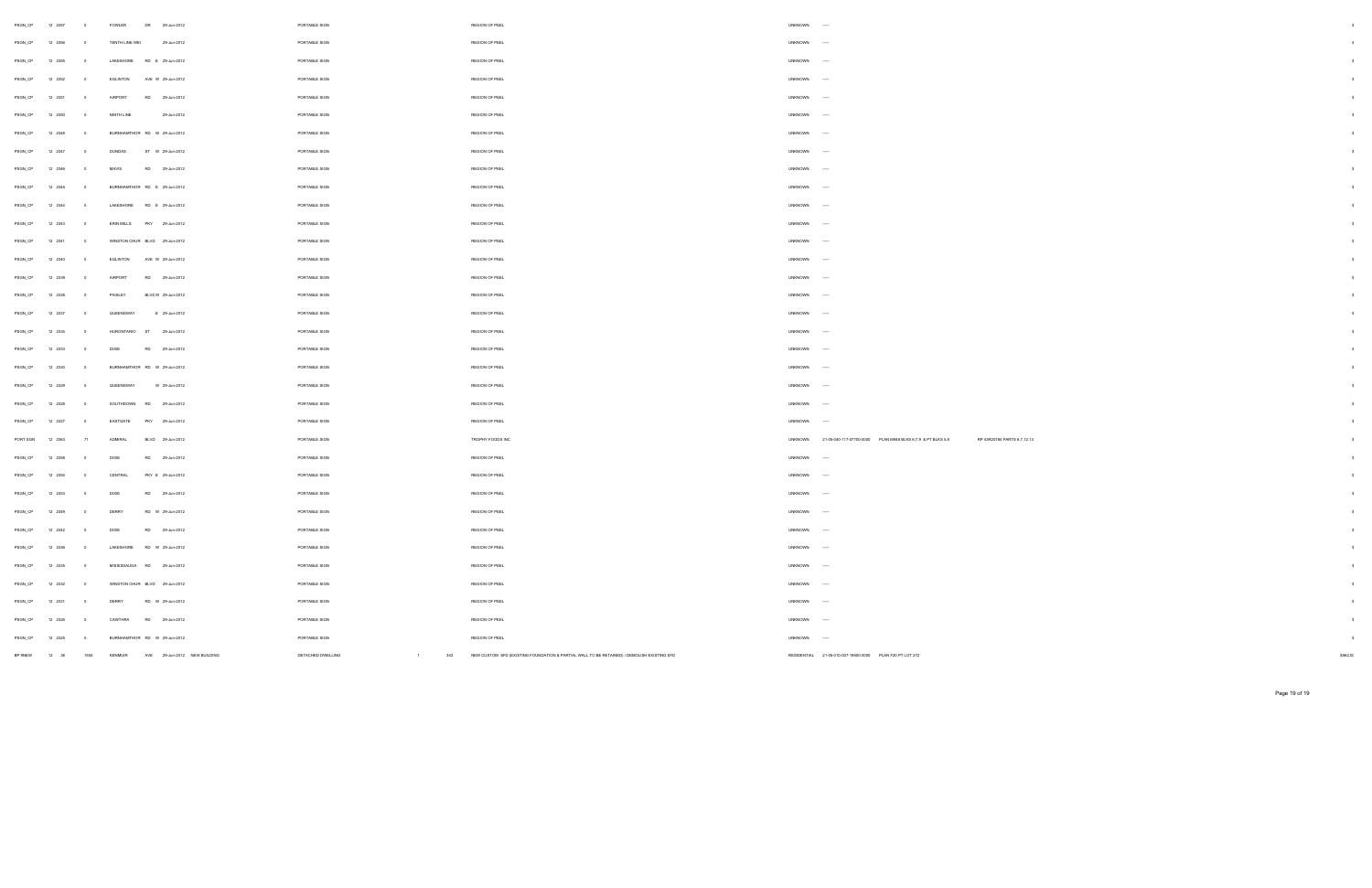- 
- 
- -
	-
	-
- 
- 
- 
- -
- 
- 
- 
- -
	-
	-
- \$
- - $\overline{\phantom{a}}$

Page 19 of 19

| PSGN_CP 12 2357<br>$\sim$ 0    | FOWLER<br>DR 29-Jun-2012                       | PORTABLE SIGN                    | REGION OF PEEL                                                                             | <b>UNKNOWN</b><br>. <u>.</u>                                                                       |          |
|--------------------------------|------------------------------------------------|----------------------------------|--------------------------------------------------------------------------------------------|----------------------------------------------------------------------------------------------------|----------|
| PSGN_CP 12 2356<br>$\sim$ 0    | TENTH LINE WES<br>29-Jun-2012                  | PORTABLE SIGN                    | REGION OF PEEL                                                                             | <b>UNKNOWN</b><br>$\sim$ $-$                                                                       |          |
| PSGN_CP 12 2355<br>$\sim$ 0    | LAKESHORE RD E 29-Jun-2012                     | PORTABLE SIGN                    | REGION OF PEEL                                                                             | UNKNOWN -----                                                                                      |          |
| PSGN_CP 12 2352<br>$\bullet$   | EGLINTON AVE W 29-Jun-2012                     | PORTABLE SIGN                    | REGION OF PEEL                                                                             | <b>UNKNOWN</b><br><b><i><u>Participate</u></i></b>                                                 |          |
| PSGN_CP 12 2351<br>$\sim$ 0    | AIRPORT<br>RD 29-Jun-2012                      | PORTABLE SIGN                    | REGION OF PEEL                                                                             | UNKNOWN ------                                                                                     |          |
| PSGN_CP 12 2350<br>$\sim$ 0    | NINTH LINE<br>29-Jun-2012                      | PORTABLE SIGN                    | REGION OF PEEL                                                                             | UNKNOWN -----                                                                                      |          |
| PSGN_CP 12 2348<br>$\sim$ 0    | BURNHAMTHOR RD W 29-Jun-2012                   | PORTABLE SIGN                    | REGION OF PEEL                                                                             | UNKNOWN -----                                                                                      |          |
| PSGN_CP 12 2347<br>$\sim$ 0    | <b>DUNDAS</b><br>ST W 29-Jun-2012              | PORTABLE SIGN                    | REGION OF PEEL                                                                             | <b>UNKNOWN</b><br>$\sim$                                                                           |          |
| PSGN_CP 12 2346<br>$\sim$      | RD 29-Jun-2012<br>MAVIS                        | PORTABLE SIGN                    | REGION OF PEEL                                                                             | UNKNOWN -----                                                                                      |          |
| PSGN_CP 12 2345<br>$\sim$      | BURNHAMTHOR RD E 29-Jun-2012                   | PORTABLE SIGN                    | REGION OF PEEL                                                                             | UNKNOWN -----                                                                                      |          |
| PSGN_CP 12 2344<br>$\sim$ 0    | LAKESHORE RD E 29-Jun-2012                     | PORTABLE SIGN                    | REGION OF PEEL                                                                             | <b>UNKNOWN</b><br>$\sim$                                                                           |          |
| PSGN_CP 12 2343<br>$^{\circ}$  | ERIN MILLS PKY 29-Jun-2012                     | PORTABLE SIGN                    | REGION OF PEEL                                                                             | UNKNOWN -----                                                                                      |          |
| PSGN_CP 12 2341<br>$\sim$      | WINSTON CHUR BLVD 29-Jun-2012                  | PORTABLE SIGN                    | REGION OF PEEL                                                                             | UNKNOWN -----                                                                                      |          |
| PSGN_CP 12 2340<br>$\sim$ 0    | EGLINTON<br>AVE W 29-Jun-2012                  | PORTABLE SIGN                    | REGION OF PEEL                                                                             | <b>UNKNOWN</b><br>$\sim$ $-$                                                                       |          |
| PSGN_CP 12 2339<br>$\sim$ 0    | AIRPORT<br>RD 29-Jun-2012                      | PORTABLE SIGN                    | REGION OF PEEL                                                                             | UNKNOWN ------                                                                                     |          |
| PSGN_CP 12 2338<br>$\sim$ 0    | PAISLEY<br>BLVDW 29-Jun-2012                   | PORTABLE SIGN                    | REGION OF PEEL                                                                             | UNKNOWN ------                                                                                     |          |
| PSGN_CP 12 2337<br>$\sim$      | E 29-Jun-2012<br>QUEENSWAY                     | PORTABLE SIGN                    | REGION OF PEEL                                                                             | UNKNOWN -----                                                                                      |          |
| PSGN_CP 12 2334<br>$\sim$ 0    | HURONTARIO ST 29-Jun-2012                      | PORTABLE SIGN                    | REGION OF PEEL                                                                             | UNKNOWN -----                                                                                      |          |
| PSGN_CP 12 2333<br>$\bullet$   | DIXIE<br>RD 29-Jun-2012                        | PORTABLE SIGN                    | REGION OF PEEL                                                                             | <b>UNKNOWN</b><br>$\sim$                                                                           |          |
| PSGN_CP 12 2330<br>$\sim$      | BURNHAMTHOR RD W 29-Jun-2012                   | PORTABLE SIGN                    | REGION OF PEEL                                                                             | UNKNOWN -----                                                                                      |          |
| PSGN_CP 12 2329<br>$\sim$ 0    | QUEENSWAY<br>W 29-Jun-2012                     | PORTABLE SIGN                    | REGION OF PEEL                                                                             | UNKNOWN -----                                                                                      |          |
| PSGN_CP 12 2328<br>$\sim$ 0    | SOUTHDOWN RD 29-Jun-2012                       | PORTABLE SIGN                    | REGION OF PEEL                                                                             | <b>UNKNOWN</b><br>$\sim$                                                                           |          |
| PSGN_CP 12 2327<br>$\sim$      | EASTGATE<br>PKY 29-Jun-2012                    | PORTABLE SIGN                    | REGION OF PEEL                                                                             | <b>UNKNOWN</b><br>$\sim$                                                                           |          |
| PORT SGN 12 2363<br>71         | ADMIRAL<br>BLVD 29-Jun-2012                    | PORTABLE SIGN                    | TROPHY FOODS INC                                                                           | UNKNOWN 21-05-040-117-07700-0000 PLAN M948 BLKS 6,7,9 & PT BLKS 5,8<br>RP 43R20784 PARTS 6,7,12.13 |          |
| PSGN_CP 12 2358<br>$\sim$ 0    | DIXIE<br>RD 29-Jun-2012                        | PORTABLE SIGN                    | REGION OF PEEL                                                                             | <b>UNKNOWN</b><br>$\sim$ $-$                                                                       |          |
| PSGN_CP 12 2354<br>$\sim$ 0    | CENTRAL<br>PKY E 29-Jun-2012                   | PORTABLE SIGN                    | REGION OF PEEL                                                                             | <b>UNKNOWN</b><br>$\sim$                                                                           |          |
| PSGN_CP 12 2353<br>$\sim$      | DIXIE<br>RD 29-Jun-2012                        | PORTABLE SIGN                    | REGION OF PEEL                                                                             | <b>UNKNOWN</b><br>$\sim$ $-$                                                                       |          |
| PSGN_CP 12 2349<br>$\sim$ 0    | DERRY<br>RD W 29-Jun-2012                      | PORTABLE SIGN                    | REGION OF PEEL                                                                             | UNKNOWN -----                                                                                      |          |
| PSGN_CP 12 2342<br>$\sim$ 0    | DIXIE<br>RD 29-Jun-2012                        | PORTABLE SIGN                    | REGION OF PEEL                                                                             | UNKNOWN -----                                                                                      |          |
| PSGN_CP 12 2336<br>$\sim$ 0    | LAKESHORE RD W 29-Jun-2012                     | PORTABLE SIGN                    | REGION OF PEEL                                                                             | <b>UNKNOWN</b><br>$\sim$ 100 $\mu$                                                                 |          |
| PSGN_CP 12 2335<br>$\sim$ 0    | MISSISSAUGA RD 29-Jun-2012                     | PORTABLE SIGN                    | REGION OF PEEL                                                                             | UNKNOWN -----                                                                                      |          |
| PSGN_CP 12 2332<br>$\sim$ 0    | WINSTON CHUR BLVD 29-Jun-2012                  | PORTABLE SIGN                    | REGION OF PEEL                                                                             | <b>UNKNOWN</b><br>$\cdots$                                                                         |          |
| PSGN_CP<br>12 2331<br>$\sim$ 0 | <b>DERRY</b><br>RD W 29-Jun-2012               | PORTABLE SIGN                    | REGION OF PEEL                                                                             | <b>UNKNOWN</b><br>$\sim$                                                                           |          |
| PSGN_CP 12 2326<br>$\sim$ 0    | CAWTHRA RD 29-Jun-2012                         | PORTABLE SIGN                    | REGION OF PEEL                                                                             | UNKNOWN -----                                                                                      |          |
| PSGN_CP 12 2325<br>$\sim$ 0    | BURNHAMTHOR RD W 29-Jun-2012                   | PORTABLE SIGN                    | REGION OF PEEL                                                                             | UNKNOWN -----                                                                                      |          |
| BP 9NEW 12 38<br>1504          | <b>KENMUIR</b><br>AVE 29-Jun-2012 NEW BUILDING | DETACHED DWELLING<br>$-1$<br>343 | NEW CUSTOM SFD (EXISTING FOUNDATION & PARTIAL WALL TO BE RETAINED) / DEMOLISH EXISTING SFD | RESIDENTIAL 21-05-010-007-19500-0000 PLAN F20 PT LOT 272                                           | \$562,00 |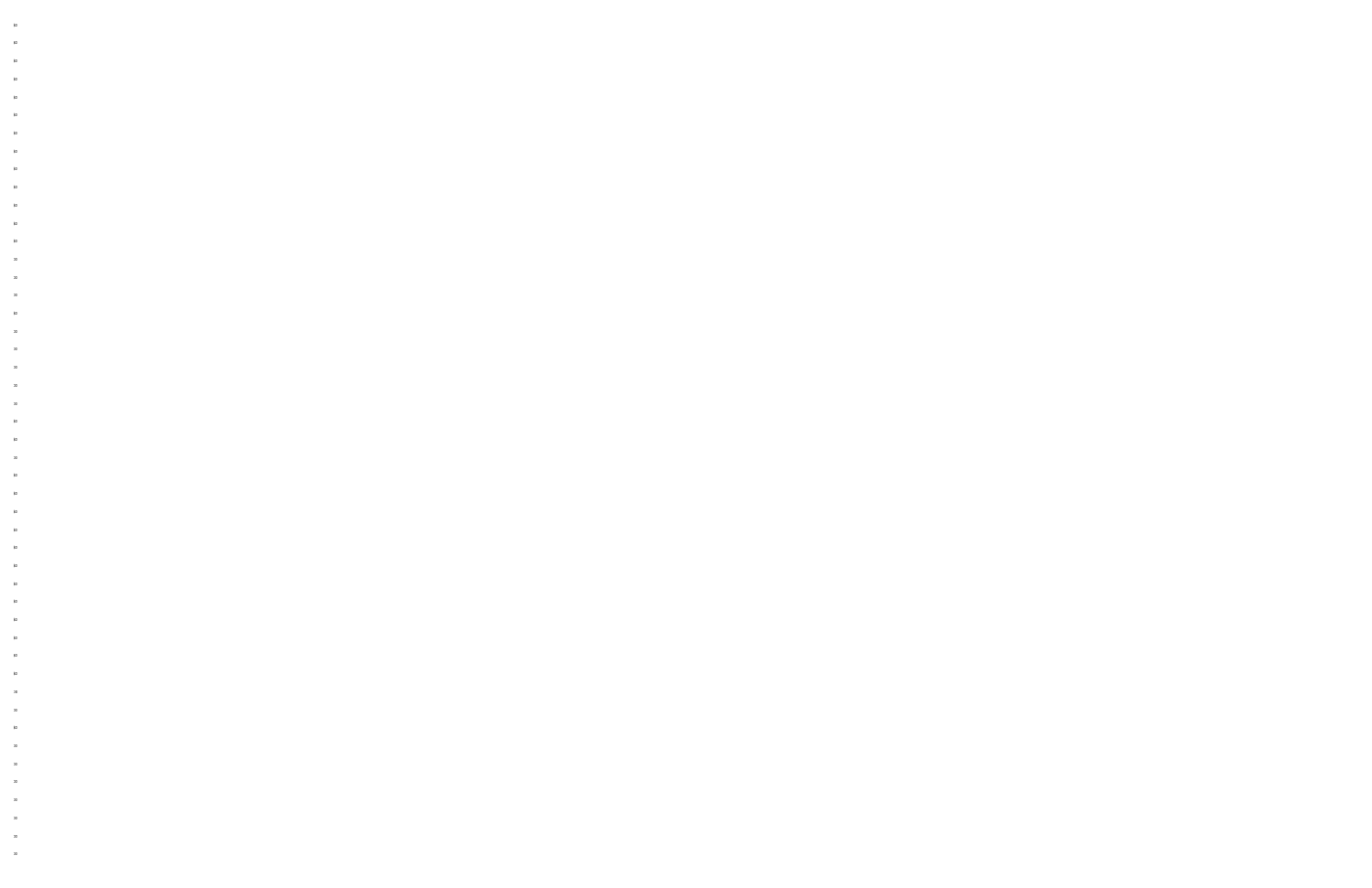- 
- 
- 
- 
- 
- 
- 
- 
- 
- 
- 
- 
- 
- 
- 
- 
- 
- 
- 
- 
- 
- 
- 
- 
- 
- 
- 
- 
- 
- 
- 
- 
- 
- 
- 
- 
- 
- 
- 
- -
- 
- -
- -
	-
	-
	- -
	- - - -
				- -
- 
- -
	-
- 
- 
- -
- 
- -
	-
- 
- 
- - -
	-
- 
- 
- 
- 
- 
- 
- 
- 
- 
-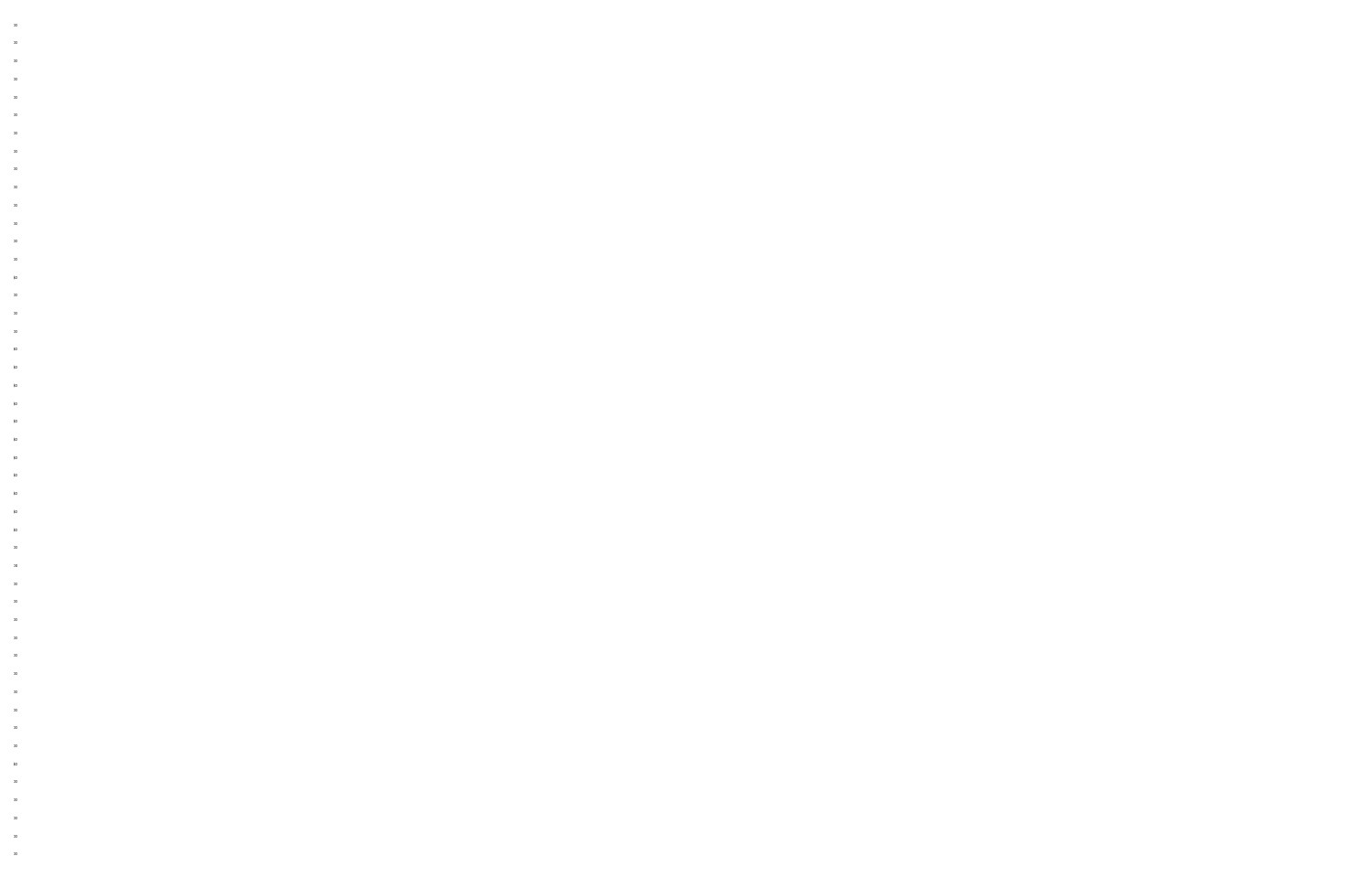- 
- 
- 
- 
- 
- 
- 
- 
- 
- 
- 
- 
- 
- 
- 
- 
- 
- 
- 
- 
- 
- 
- 
- 
- 
- 
- 
- 
- 
- 
- 
- 
- 
- 
- 
- 
- 
- 
- 
- 
- -
- 
- 
- 
- 
- -
- -
- 
- 
- - - -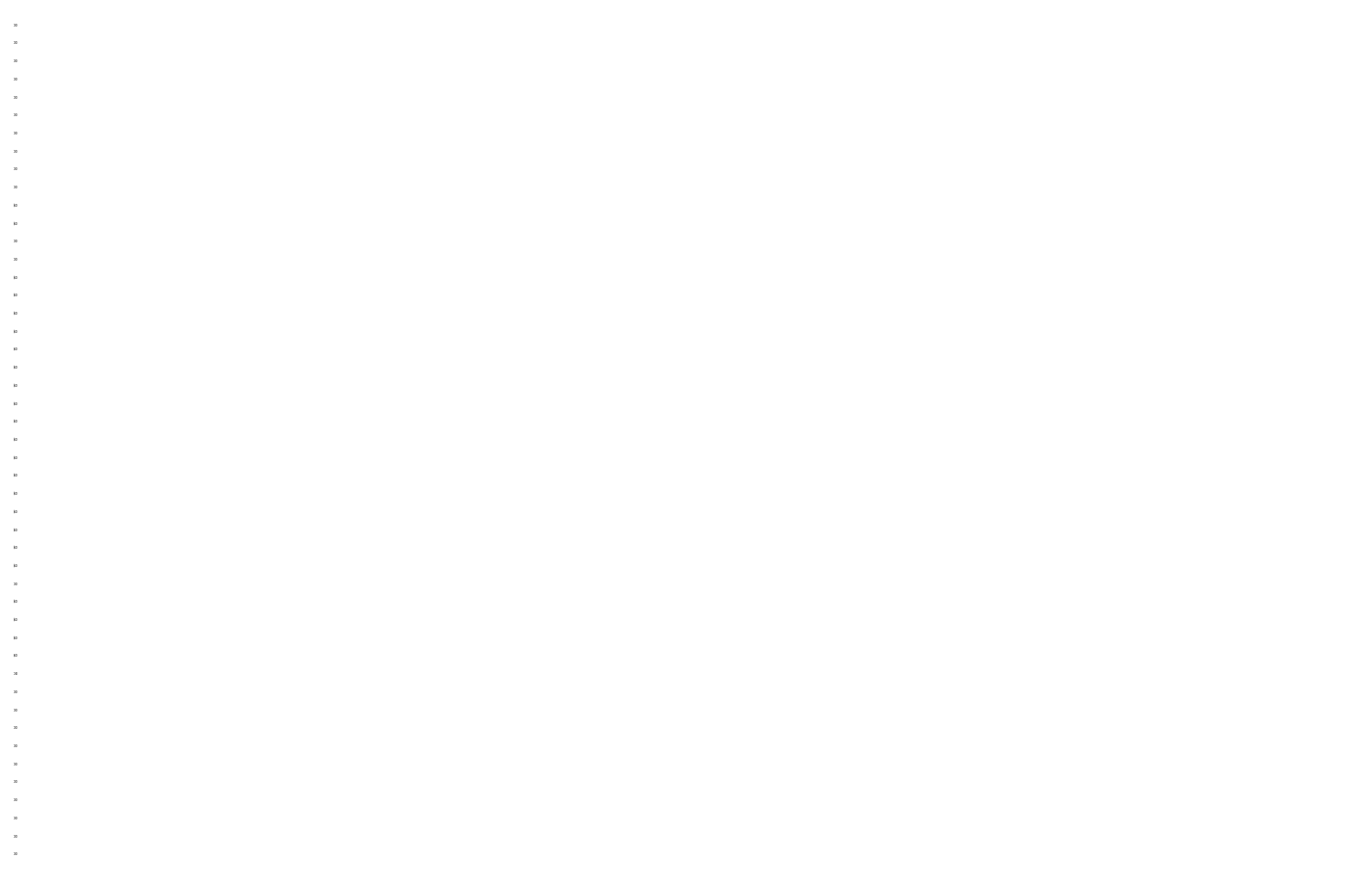- 
- 
- 
- 
- 
- 
- 
- 
- 
- 
- 
- 
- 
- 
- 
- 
- 
- 
- 
- 
- 
- 
- 
- 
- 
- 
- 
- 
- 
- 
- 
- 
- 
- 
- 
- 
- 
- 
- 
- 
- 
- 
- 
- -
	-
	- -
		-
	-
	- -
		-
		- - -
				-
				-
- 
- -
	-
- -
- -
	-
- - -
		- -
		-
- - - - - -
					-
					-
	-
- 
- 
- 
- 
-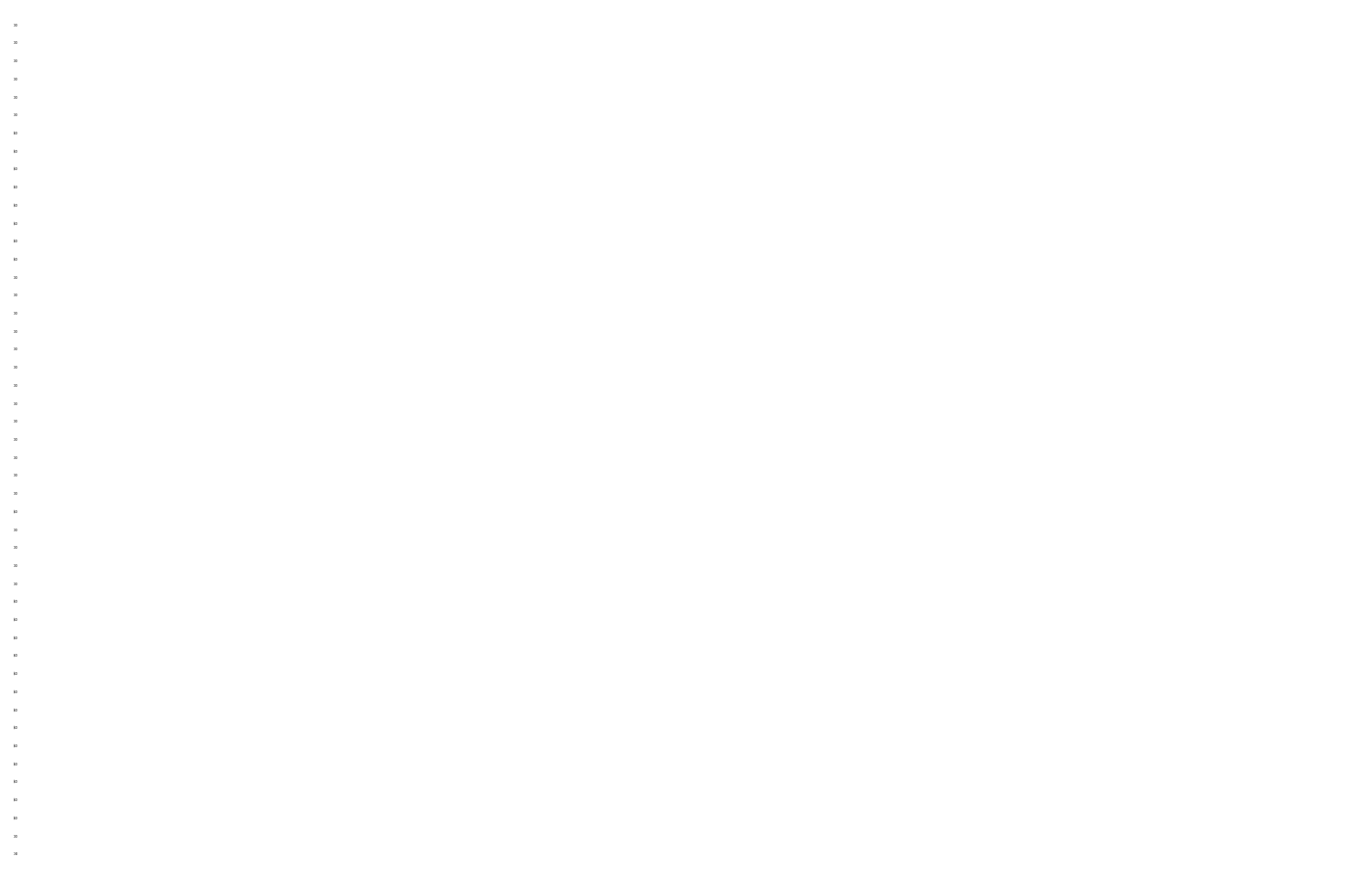- 
- 
- 
- 
- 
- 
- 
- 
- 
- 
- 
- 
- 
- 
- 
- 
- 
- 
- 
- 
- 
- 
- 
- 
- 
- 
- 
- 
- 
- 
- 
- 
- 
- 
- 
- 
- 
- 
- 
- 
- 
- 
- -
	-
- -
	-
	-
	-
	- -
		- - -
				- -
					- -
- -
	-
	-
	-
	-
	-
- -
	-
- 
- -
	-
	-
	-
- - - -
	-
	- -
- -
	-
- 
-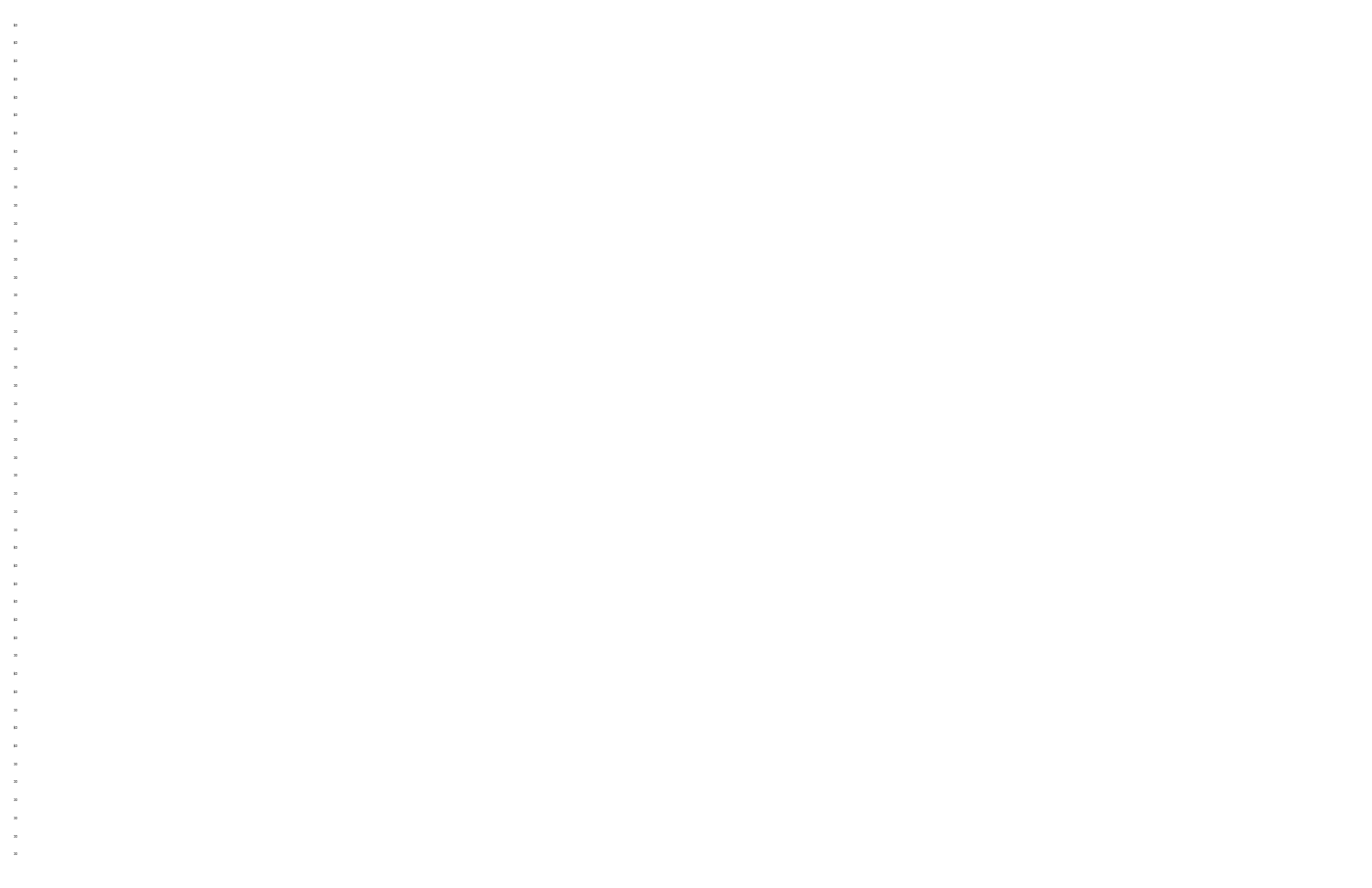- 
- 
- 
- 
- 
- 
- 
- 
- 
- 
- 
- 
- 
- 
- 
- 
- 
- 
- 
- 
- 
- 
- 
- 
- 
- 
- 
- 
- 
- 
- 
- 
- 
- 
- 
- 
- 
- 
- 
- 
- 
- 
- 
- -
	-
	-
	-
	-
	-
	- -
	-
	-
	- -
		- -
			-
			-
- 
- -
	-
	-
	-
	-
	-
	- -
- - -
- 
- 
- -
- 
- 
- 
- 
- 
- 
- 
-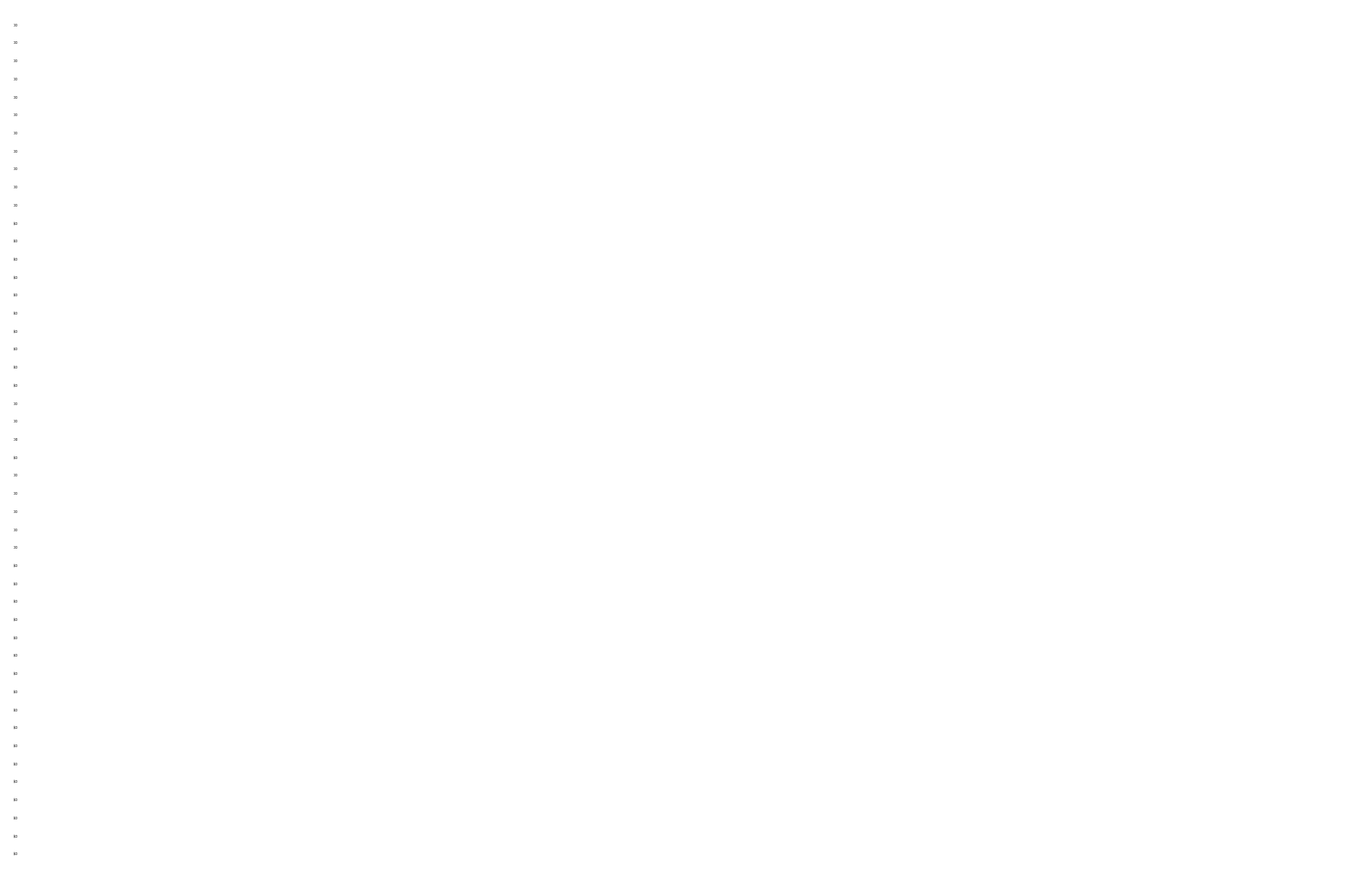- 
- 
- 
- 
- 
- 
- 
- 
- 
- 
- 
- 
- 
- 
- 
- 
- 
- 
- 
- 
- 
- 
- 
- 
- 
- 
- 
- 
- 
- 
- 
- 
- 
- 
- 
- 
- 
- 
- 
- 
- 
- 
- -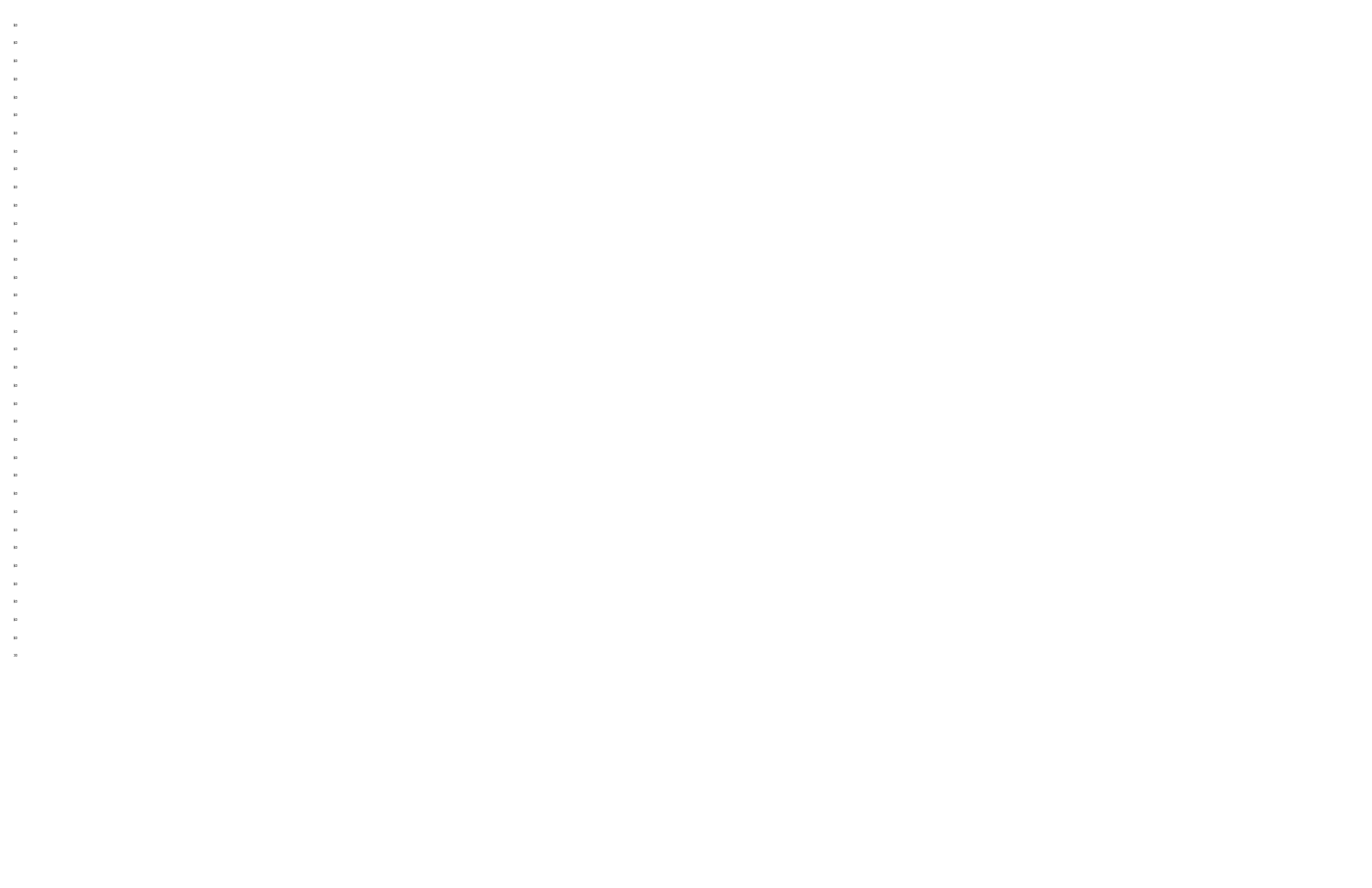- \$0
- \$0
- \$0
- 
- \$0
- \$0\$0
- \$0
- \$0
- \$0
- \$0
- \$0
- \$0
- \$0
- \$0
- \$0
- \$0
- \$0
- \$0
- \$0
- \$0\$0
- \$0
- \$0\$0
- \$0
- \$0
- \$0
- \$0\$0
- \$0
- \$0
- \$0\$0
- \$0
- \$0
- 00
- 
- 
- 
- -
- 
- 
- 
- 
- -
- 
- 
- 
- 
- 
- - - -
			-
			-
			-
			-
	-
	- -
- -
- 
- 
- 
- - -
- 
- 
- 
- 
- 
- 
- 
- 
- 
- -
	-
- -
- -
- 
- 
- 
- -
-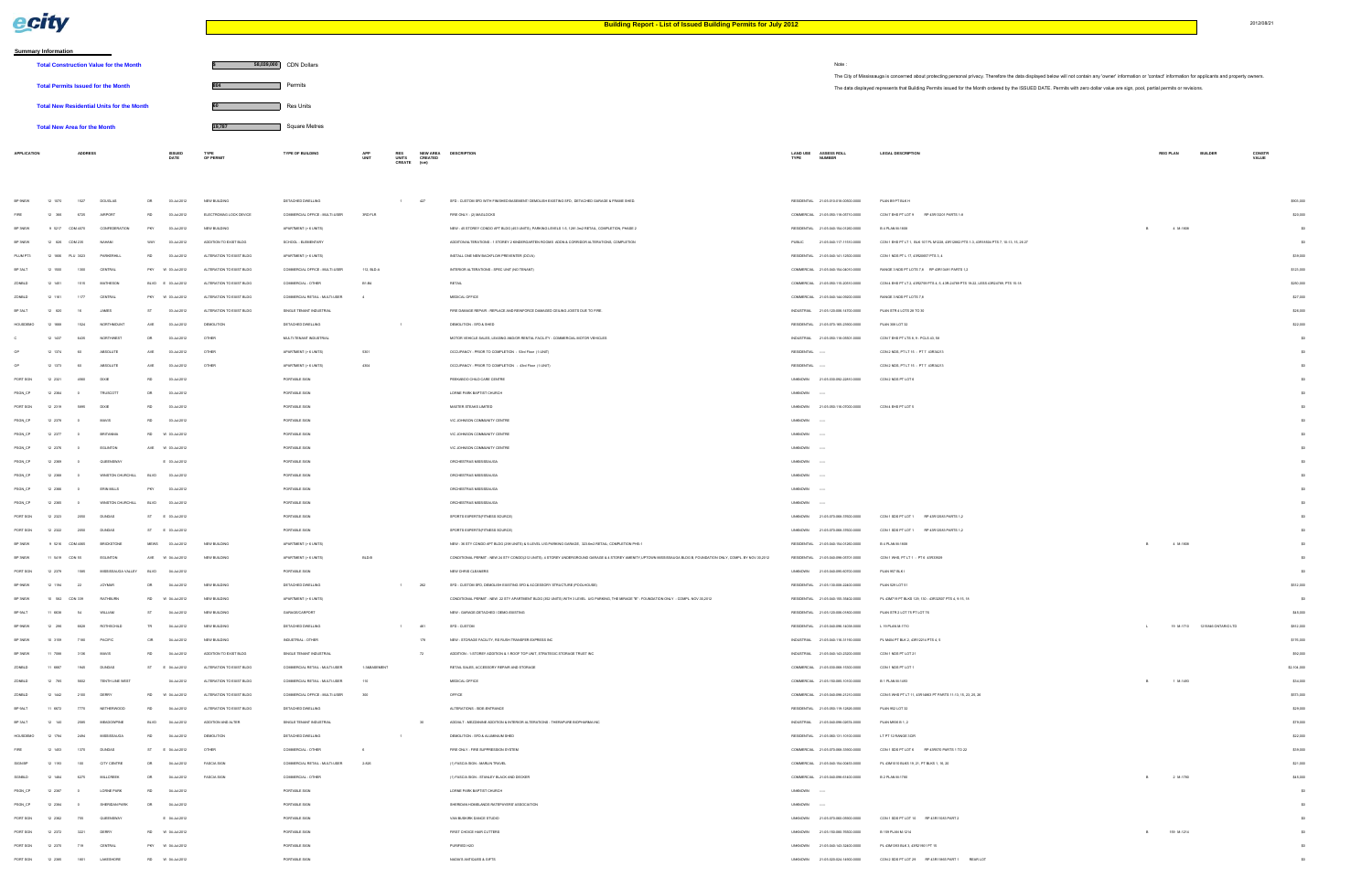ecity

| <b>APPLICATION</b> |                            |                    | DATE                           | OF PERMIT                | <b>TYPE OF BUILDING</b>        | APP<br>UNIT    | <b>NEW AREA</b><br><b>RES</b><br><b>UNITS</b><br>CREATED<br>CREATE<br>$(\mathsf{sm})$ | <b>DESCRIPTION</b>                                                                                                                                                  | <b>LAND USE</b><br><b>ASSESS ROLL</b><br><b>NUMBER</b> | <b>LEGAL DESCRIPTION</b>                                                                | <b>REG PLAN</b>      | <b>BUILDER</b>                | VALUE |                |
|--------------------|----------------------------|--------------------|--------------------------------|--------------------------|--------------------------------|----------------|---------------------------------------------------------------------------------------|---------------------------------------------------------------------------------------------------------------------------------------------------------------------|--------------------------------------------------------|-----------------------------------------------------------------------------------------|----------------------|-------------------------------|-------|----------------|
|                    |                            |                    |                                |                          |                                |                |                                                                                       |                                                                                                                                                                     |                                                        |                                                                                         |                      |                               |       |                |
|                    |                            |                    |                                |                          |                                |                |                                                                                       |                                                                                                                                                                     |                                                        |                                                                                         |                      |                               |       |                |
| BP 9NEW            | 12 1070<br>1527            | DOUGLAS            | DR.<br>03-Jul-2012             | NEW BUILDING             | DETACHED DWELLING              |                | 427<br>$\overline{1}$                                                                 | SFD - CUSTOM SFD WITH FINISHED BASEMENT/ DEMOLISH EXISTING SFD, DETACHED GARAGE & FRAME SHED.                                                                       | RESIDENTIAL 21-05-010-018-00500-0000                   | PLAN B9 PT BLK H                                                                        |                      |                               |       | \$903,000      |
|                    | 6725<br>12 366             | AIRPORT            | <b>RD</b><br>03-Jul-2012       | ELECTROMAG LOCK DEVICE   | COMMERCIAL OFFICE - MULTI-USER | 3RD FLR        |                                                                                       | FIRE ONLY - (2) MAGI OCKS                                                                                                                                           | COMMERCIAL 21-05-050-118-05710-0000                    | CON 7 EHS PT LOT 9 RP 43R13201 PARTS 1-8                                                |                      |                               |       | \$20,000       |
| BP 3NEW            | 9 5217 COM 4070            | CONFEDERATION      | <b>PKY</b><br>03-Jul-2012      | NEW BUILDING             | APARTMENT (> 6 UNITS)          |                |                                                                                       | NEW - 45 STOREY CONDO APT BLDG (453 UNITS), PARKING LEVELS 1-5, 1281.3m2 RETAIL, COMPLETION, PHASE 2                                                                | RESIDENTIAL 21-05-040-154-01260-0000                   | <b>B 4 PLAN M-1808</b>                                                                  | 4 M-1808<br>B        |                               |       | \$0            |
| BP 3NEW            | COM 235<br>12 826          | NAHANI             | <b>WAY</b><br>03-Jul-2012      | ADDITION TO EXIST BLDG   | SCHOOL - ELEMENTARY            |                |                                                                                       | ADDITON/ALTERATIONS - 1 STOREY 2 KINDERGARTEN ROOMS ADDN & CORRIDOR ALTERATIONS, COMPLETION                                                                         | PUBLIC<br>21-05-040-117-11510-0000                     | CON 1 EHS PT LT 1, BLK 107 PL M1228, 43R12862 PTS 1-3, 43R18504 PTS 7, 10-13, 15, 26 27 |                      |                               |       | \$0            |
| PLUM PT3           | 12 1806<br>PLU 3023        | PARKERHILL         | 03-Jul-2012<br><b>RD</b>       | ALTERATION TO EXIST BLDG | APARTMENT (> 6 UNITS)          |                |                                                                                       | INSTALL ONE NEW BACKFLOW PREVENTER (DCVA)                                                                                                                           | RESIDENTIAL 21-05-040-141-12500-0000                   | CON 1 NDS PT L 17, 43R20657 PTS 3, 4                                                    |                      |                               |       | \$39,000       |
| BP 3ALT            | 1300                       | CENTRAL            | PKY W 03-Jul-2012              | ALTERATION TO EXIST BLDG | COMMERCIAL OFFICE - MULTI-USER | 112, BLD-A     |                                                                                       | INTERIOR ALTERATIONS - SPEC UNIT (NO TENANT)                                                                                                                        | COMMERCIAL 21-05-040-154-04010-0000                    | RANGE 3 NDS PT LOTS 7,8 RP 43R13491 PARTS 1,2                                           |                      |                               |       | \$123,000      |
| ZONBLD             | 1515<br>12 145             | MATHESON           | BLVD E 03-Jul-2012             | ALTERATION TO EXIST BLDG | COMMERCIAL - OTHER             | <b>B1-B4</b>   |                                                                                       | RETAIL                                                                                                                                                              | COMMERCIAL 21-05-050-115-20510-0000                    | CON 4 EHS PT LT 2, 43R2759 PTS 4, 5, 43R-24789 PTS 19-22, LESS 43R24789, PTS 15-18      |                      |                               |       | \$250,000      |
| ZONBLD             | 1177<br>12 1161            | CENTRAL            | PKY W 03-Jul-2012              | ALTERATION TO EXIST BLDG | COMMERCIAL RETAIL - MULTI-USER | $\overline{a}$ |                                                                                       | MEDICAL OFFICE                                                                                                                                                      | COMMERCIAL 21-05-040-144-09200-0000                    | RANGE 3 NDS PT LOTS 7.8                                                                 |                      |                               |       | \$27,000       |
| BP 3ALT            | 12 820<br>16               | JAMES              | ST <sub>1</sub><br>03-Jul-2012 | ALTERATION TO EXIST BLDG | SINGLE TENANT INDUSTRIAL       |                |                                                                                       | FIRE DAMAGE REPAIR - REPLACE AND REINFORCE DAMAGED CEILING JOISTS DUE TO FIRE.                                                                                      | INDUSTRIAL 21-05-120-006-14700-0000                    | PLAN STR 4 LOTS 28 TO 30                                                                |                      |                               |       | \$26,000       |
| HOUSDEMO           | 1524<br>12 1668            | <b>NORTHMOUNT</b>  | AVE<br>03-Jul-2012             | DEMOLITION               | DETACHED DWELLING              |                |                                                                                       | DEMOLITION - SFD & SHED                                                                                                                                             | RESIDENTIAL 21-05-070-165-23900-0000                   | PLAN 308 LOT 32                                                                         |                      |                               |       | \$22,000       |
|                    | 6435<br>12 1437            | NORTHWEST          | <b>DR</b><br>03-Jul-2012       | OTHER                    | MULTI-TENANT INDUSTRIAL        |                |                                                                                       | MOTOR VEHICLE SALES, LEASING AND/OR RENTAL FACILITY - COMMERCIAL MOTOR VEHICLES                                                                                     | INDUSTRIAL 21-05-050-118-05501-0000                    | CON 7 EHS PT LTS 8, 9 - PCLS 43, 58                                                     |                      |                               |       |                |
|                    | 12 1374<br>60              | ABSOLUTE           | AVE<br>03-Jul-2012             | OTHER                    | APARTMENT (> 6 UNITS)          | 5301           |                                                                                       | OCCUPANCY - PRIOR TO COMPLETION - 53rd Floor (1-UNIT)                                                                                                               | <b>RESIDENTIAL</b>                                     | CON 2 NDS, PT LT 15 - PT 7 43R34213                                                     |                      |                               |       |                |
|                    | 12 1373<br>60              | ABSOLUTE           | AVE<br>03-Jul-2012             | OTHER                    | APARTMENT (> 6 UNITS)          | 4304           |                                                                                       | OCCUPANCY - PRIOR TO COMPLETION - 43rd Floor (1-UNIT)                                                                                                               | RESIDENTIAL -----                                      | CON 2 NDS, PT LT 15 - PT 7 43R34213                                                     |                      |                               |       |                |
| PORT SGN           | 4560<br>12 2321            | <b>DIXIE</b>       | <b>RD</b><br>03-Jul-2012       |                          | PORTABLE SIGN                  |                |                                                                                       | PEEKABOO CHILD CARE CENTRE                                                                                                                                          | UNKNOWN 21-05-030-092-22810-0000                       | CON 2 NDS PT LOT 6                                                                      |                      |                               |       |                |
| PSGN CP            | 12 2364                    | TRUSCOTT           | DR.<br>03-Jul-2012             |                          | PORTABLE SIGN                  |                |                                                                                       | LORNE PARK BAPTIST CHURCH                                                                                                                                           | <b>UNKNOWN</b><br>--                                   |                                                                                         |                      |                               |       |                |
| PORT SGN           | 12 2319<br>5895            | <b>DIXIE</b>       | RD 03-Jul-2012                 |                          | PORTABLE SIGN                  |                |                                                                                       | MASTER STEAKS LIMITED                                                                                                                                               | UNKNOWN 21-05-050-116-07000-0000                       | CON 4 EHS PT LOT 5                                                                      |                      |                               |       |                |
| PSGN_CP            | 12 2378                    | MAVIS              | <b>RD</b><br>03-Jul-2012       |                          | PORTABLE SIGN                  |                |                                                                                       | VIC JOHNSON COMMUNITY CENTRE                                                                                                                                        | <b>UNKNOWN</b>                                         |                                                                                         |                      |                               |       |                |
| PSGN_CP            | 12 2377                    | <b>BRITANNIA</b>   | RD W 03-Jul-2012               |                          | PORTABLE SIGN                  |                |                                                                                       | VIC JOHNSON COMMUNITY CENTRE                                                                                                                                        | <b>UNKNOWN</b>                                         |                                                                                         |                      |                               |       |                |
| PSGN CP            | 12 2376                    | EGLINTON           | AVE W 03-Jul-2012              |                          | PORTABLE SIGN                  |                |                                                                                       | VIC JOHNSON COMMUNITY CENTRE                                                                                                                                        | <b>UNKNOWN</b><br>--                                   |                                                                                         |                      |                               |       |                |
| PSGN CP            | 12 2369                    | QUEENSWAY          | E 03-Jul-2012                  |                          | PORTABLE SIGN                  |                |                                                                                       | ORCHESTRAS MISSISSAUGA                                                                                                                                              | <b>UNKNOWN</b><br>--                                   |                                                                                         |                      |                               |       |                |
| PSGN CP            | 12 2368                    | WINSTON CHURCHILL  | <b>BLVD</b><br>03-Jul-2012     |                          | PORTABLE SIGN                  |                |                                                                                       | ORCHESTRAS MISSISSAUGA                                                                                                                                              | <b>UNKNOWN</b><br>--                                   |                                                                                         |                      |                               |       |                |
| PSGN_CP            | 12 2366                    | <b>ERIN MILLS</b>  | PKY<br>03-Jul-2012             |                          | PORTABLE SIGN                  |                |                                                                                       | ORCHESTRAS MISSISSAUGA                                                                                                                                              | <b>UNKNOWN</b>                                         |                                                                                         |                      |                               |       |                |
| PSGN_CP            | 12 2365                    | WINSTON CHURCHILL  | <b>BLVD</b><br>03-Jul-2012     |                          | PORTABLE SIGN                  |                |                                                                                       | ORCHESTRAS MISSISSAUGA                                                                                                                                              | <b>LINKNOWN</b>                                        |                                                                                         |                      |                               |       |                |
| PORT SGN           | 12 2323<br>2050            | <b>DUNDA:</b>      | ST E 03-Jul-2012               |                          | PORTABLE SIGN                  |                |                                                                                       | SPORTS EXPERTS(FITNESS SOURCE)                                                                                                                                      | 21-05-070-068-37600-0000<br><b>UNKNOWN</b>             | CON 1 SDS PT LOT 1 RP 43R12583 PARTS 1,2                                                |                      |                               |       |                |
| PORT SGN           | 2050<br>12 2322            | <b>DUNDAS</b>      | ST E 03-Jul-2012               |                          | PORTABLE SIGN                  |                |                                                                                       | SPORTS EXPERTS(FITNESS SOURCE)                                                                                                                                      | UNKNOWN 21-05-070-068-37600-0000                       | CON 1 SDS PT LOT 1 RP 43R12583 PARTS 1,2                                                |                      |                               |       |                |
| BP 3NEW            | 9 5216 COM 4065            | <b>BRICKSTONE</b>  | MEWS 03-Jul-2012               | NEW BUILDING             | APARTMENT (> 6 UNITS)          |                |                                                                                       | NEW - 36 STY CONDO APT BLDG (298 UNITS) & 5-LEVEL U/G PARKING GARAGE, 323.6m2 RETAIL; COMPLETION PHS-1                                                              | RESIDENTIAL 21-05-040-154-01260-0000                   | <b>B 4 PLAN M-1808</b>                                                                  | 4 M-1808<br><b>B</b> |                               |       |                |
| BP 3NEW            | 11 5419 CON 55             | <b>EGLINTON</b>    | AVE W 04-Jul-2012              | NEW BUILDING             | APARTMENT (> 6 UNITS)          | BLD-B          |                                                                                       | CONDITIONAL PERMIT - NEW 24 STY CONDO(212 UNITS), 4 STOREY UNDERGROUND GARAGE & 4 STOREY AMENITY, UPTOWN MISSISSAUGA BLDG B, FOUNDATION ONLY, COMPL. BY NOV.30,2012 | RESIDENTIAL 21-05-040-098-05701-0000                   | CON 1 WHS, PT LT 1 - PT 6 43R33929                                                      |                      |                               |       | S <sub>0</sub> |
| PORT SGN           | 12 2379<br>1585            | MISSISSAUGA VALLEY | <b>BLVD</b><br>04-Jul-2012     |                          | PORTABLE SIGN                  |                |                                                                                       | NEW CHRIS CLEANERS                                                                                                                                                  | UNKNOWN 21-05-040-095-60700-0000                       | PLAN 957 BLK I                                                                          |                      |                               |       | \$0            |
| BP 9NEW            | 12 1194<br>22              | <b>JOYMAR</b>      | 04-Jul-2012<br>DR.             | NEW BUILDING             | DETACHED DWELLING              |                | 1<br>262                                                                              | SFD - CUSTOM SFD, DEMOLISH EXISTING SFD & ACCESSORY STRUCTURE (POOLHOUSE)                                                                                           | RESIDENTIAL 21-05-130-008-22400-0000                   | PLAN 529 LOT 51                                                                         |                      |                               |       | \$512,000      |
| BP 3NEW            | CON 339                    | RATHBURN           | RD W 04-Jul-2012               | NEW BUILDING             | APARTMENT (> 6 UNITS)          |                |                                                                                       | CONDITIONAL PERMIT - NEW 22 STY APARTMENT BLDG (352 UNITS) WITH 3 LEVEL U/G PARKING, THE MIRAGE "B" - FOUNDATION ONLY - COMPL. NOV.30,2012                          | RESIDENTIAL 21-05-040-155-35402-0000                   | PL 43M719 PT BLKS 129, 130 - 43R32507 PTS 4, 9-15, 18                                   |                      |                               |       | \$0            |
| BP 9ALT            | 1 6638                     | WILLIAM            | <b>ST</b><br>04-Jul-2012       | NEW BUILDING             | GARAGE/CARPORT                 |                |                                                                                       | NEW - GARAGE-DETACHED / DEMO-EXISTING                                                                                                                               | RESIDENTIAL 21-05-120-006-01800-0000                   | PLAN STR 2 LOT 75 PT LOT 76                                                             |                      |                               |       | \$45,000       |
| BP 9NEW            | 6628<br>12 296             | ROTHSCHILD         | TR.<br>04-Jul-2012             | NEW BUILDING             | DETACHED DWELLING              |                | $-1$<br>461                                                                           | SFD - CUSTOM                                                                                                                                                        | RESIDENTIAL 21-05-040-096-14038-0000                   | L 19 PLAN M-1710                                                                        |                      | 19 M-1710 1215846 ONTARIO LTD |       | \$812,000      |
| BP 3NEW            | 7180<br>10 3159            | PACIFIC            | CIR 04-Jul-2012                | <b>NEW BUILDING</b>      | INDUSTRIAL - OTHER             |                | 178                                                                                   | NEW - STORAGE FACILITY, RS RUSH TRANSFER EXPRESS INC                                                                                                                | INDUSTRIAL 21-05-040-116-31190-0000                    | PL M404 PT BLK 2, 43R12214 PTS 4, 5                                                     |                      |                               |       | \$176,000      |
|                    | BP 3NEW 11 7088 3136 MAVIS |                    | RD 04-Jul-2012                 | ADDITION TO EXIST BLDG   | SINGLE TENANT INDUSTRIAL       |                | 72                                                                                    | ADDITION - 1-STOREY ADDITION & 1-ROOF TOP UNIT, STRATEGIC STORAGE TRUST INC                                                                                         | INDUSTRIAL 21-05-040-143-23200-0000                    | CON 1 NDS PT LOT 21                                                                     |                      |                               |       | \$92,000       |
| ZONBLD             | 11 6667<br>1945            | <b>DUNDAS</b>      | ST E 04-Jul-2012               | ALTERATION TO EXIST BLDG | COMMERCIAL RETAIL - MULTI-USER | 1-3&BASEMENT   |                                                                                       | RETAIL SALES, ACCESSORY REPAIR AND STORAGE                                                                                                                          | COMMERCIAL 21-05-030-068-15300-0000                    | CON 1 NDS PT LOT 1                                                                      |                      |                               |       | \$2,104,000    |
| ZONBLD             | 5602<br>12 785             | TENTH LINE WEST    | 04-Jul-2012                    | ALTERATION TO EXIST BLDG | COMMERCIAL RETAIL - MULTI-USER | 110            |                                                                                       | MEDICAL OFFICE                                                                                                                                                      | COMMERCIAL 21-05-150-085-10100-0000                    | <b>B 1 PLAN M-1493</b>                                                                  | 1 M-1493<br>B        |                               |       | \$34,000       |
| ZONBLD             | 2100<br>12 1442            | DERRY              | RD W 04-Jul-2012               | ALTERATION TO EXIST BLDG | COMMERCIAL OFFICE - MULTI-USER |                |                                                                                       | OFFICE                                                                                                                                                              | COMMERCIAL 21-05-040-098-21210-0000                    | CON 5 WHS PT LT 11, 43R14863 PT PARTS 11-13, 15, 23, 25, 26                             |                      |                               |       | \$573,000      |
| BP 9ALT            | 7770<br>11 6672            | NETHERWOOD         | <b>RD</b><br>04-Jul-2012       | ALTERATION TO EXIST BLDG | DETACHED DWELLING              |                |                                                                                       | ALTERATIONS - SIDE-ENTRANCE                                                                                                                                         | RESIDENTIAL 21-05-050-119-12826-0000                   | PLAN 952 LOT 32                                                                         |                      |                               |       | \$29,000       |
| BP 3ALT            | 2585<br>12 140             | MEADOWPINE         | BLVD 04-Jul-2012               | ADDITION AND ALTER       | SINGLE TENANT INDUSTRIAL       |                | 30                                                                                    | ADD/ALT - MEZZANINE ADDITION & INTERIOR ALTERATIONS - THERAPURE BIOPHARMA INC                                                                                       | INDUSTRIAL 21-05-040-098-02674-0000                    | PLAN M936 B 1.2                                                                         |                      |                               |       | \$79,000       |
| HOUSDEMO           | 12 1784<br>2494            | MISSISSAUGA        | <b>RD</b><br>04-Jul-2012       | <b>DEMOLITION</b>        | DETACHED DWELLING              |                | $\overline{1}$                                                                        | DEMOLITION - SFD & ALUMINIUM SHED                                                                                                                                   | RESIDENTIAL 21-05-060-131-10100-0000                   | LT PT 12 RANGE 3CIR                                                                     |                      |                               |       | \$22,000       |
| FIRE               | 12 1453<br>1370            | <b>DUNDAS</b>      | ST E 04-Jul-2012               | OTHER                    | COMMERCIAL - OTHER             | 6              |                                                                                       | FIRE ONLY - FIRE SUPPRESSION SYSTEM                                                                                                                                 | COMMERCIAL 21-05-070-068-33900-0000                    | CON 1 SDS PT LOT 6 RP 43R570 PARTS 1 TO 22                                              |                      |                               |       | \$39,000       |
| SIGN BP            | 12 1193<br>100             | CITY CENTRE        | <b>DR</b><br>04-Jul-2012       | <b>FASCIA SIGN</b>       | COMMERCIAL RETAIL - MULTI-USER | 2-826          |                                                                                       | (1) FASCIA SIGN - MARLIN TRAVEL                                                                                                                                     | COMMERCIAL 21-05-040-154-00453-0000                    | PL 43M1010 BLKS 19, 21, PT BLKS 1, 16, 20                                               |                      |                               |       | \$21,000       |
| SGNBLD             | 6275                       | MILLCREEK          | 04-Jul-2012<br><b>DR</b>       | <b>FASCIA SIGN</b>       | COMMERCIAL - OTHER             |                |                                                                                       | (1) FASCIA SIGN - STANLEY BLACK AND DECKER                                                                                                                          | COMMERCIAL 21-05-040-098-61400-0000                    | <b>B 2 PLAN M-1780</b>                                                                  | 2 M-1780             |                               |       | \$45,000       |
| PSGN CP            | 12 2387                    | <b>LORNE PARK</b>  | <b>RD</b><br>04-Jul-2012       |                          | PORTABLE SIGN                  |                |                                                                                       | LORNE PARK BAPTIST CHURCH                                                                                                                                           | UNKNOWN -----                                          |                                                                                         |                      |                               |       | \$0            |
| PSGN CP            | 12 2384                    | SHERIDAN PARK      | <b>DR</b><br>04-Jul-2012       |                          | PORTABLE SIGN                  |                |                                                                                       | SHERIDAN HOMELANDS RATEPAYERS' ASSOCIATION                                                                                                                          | <b>UNKNOWN</b><br>--                                   |                                                                                         |                      |                               |       | S <sub>0</sub> |
| PORT SGN           | 12 2362<br>755             | QUEENSWAY          | E 04-Jul-2012                  |                          | PORTABLE SIGN                  |                |                                                                                       | VAN BUSKIRK DANCE STUDIO                                                                                                                                            | <b>UNKNOWN</b><br>21-05-070-060-05900-0000             | CON 1 SDS PT LOT 10 RP 43R11083 PART 2                                                  |                      |                               |       |                |
| PORT SGN           | 12 2372<br>3221            | DERRY              | RD W 04-Jul-2012               |                          | PORTABLE SIGN                  |                |                                                                                       | FIRST CHOICE HAIR CUTTERS                                                                                                                                           | <b>UNKNOWN</b><br>21-05-150-080-76500-0000             | B 159 PLAN M-1214                                                                       | B<br>159 M-1214      |                               |       |                |
| PORT SGN           | 12 2370<br>719             | CENTRAL            | PKY W 04-Jul-2012              |                          | PORTABLE SIGN                  |                |                                                                                       | PURIFIED H2O                                                                                                                                                        | <b>UNKNOWN</b><br>21-05-040-143-32400-0000             | PL 43M1393 BLK 3, 43R21901 PT 15                                                        |                      |                               |       | \$O            |
| PORT SGN           | 1801<br>12 2385            | LAKESHORE          | RD W 04-Jul-2012               |                          | PORTABLE SIGN                  |                |                                                                                       | NADIA'S ANTIQUES & GIFTS                                                                                                                                            | UNKNOWN 21-05-020-024-14900-0000                       | CON 2 SDS PT LOT 29 RP 43R11865 PART 1 REAR LOT                                         |                      |                               |       | \$0            |
|                    |                            |                    |                                |                          |                                |                |                                                                                       |                                                                                                                                                                     |                                                        |                                                                                         |                      |                               |       |                |

e the data displayed below will not contain any 'owner' information or 'contact' information for applicants and property owners.

by the ISSUED DATE. Permits with zero dollar value are sign, pool, partial permits or revisions.

| <b>Summary Information</b>                       |                                |                                                                                    |
|--------------------------------------------------|--------------------------------|------------------------------------------------------------------------------------|
| <b>Total Construction Value for the Month</b>    | 58,039,000 CDN Dollars         | Note:                                                                              |
|                                                  |                                | The City of Mississauga is concerned about protecting personal privacy. Therefore  |
| <b>Total Permits Issued for the Month</b>        | Permits                        | The data displayed represents that Building Permits issued for the Month ordered b |
| <b>Total New Residential Units for the Month</b> | Res Units                      |                                                                                    |
| <b>Total New Area for the Month</b>              | <b>Square Metres</b><br>19,787 |                                                                                    |
|                                                  |                                |                                                                                    |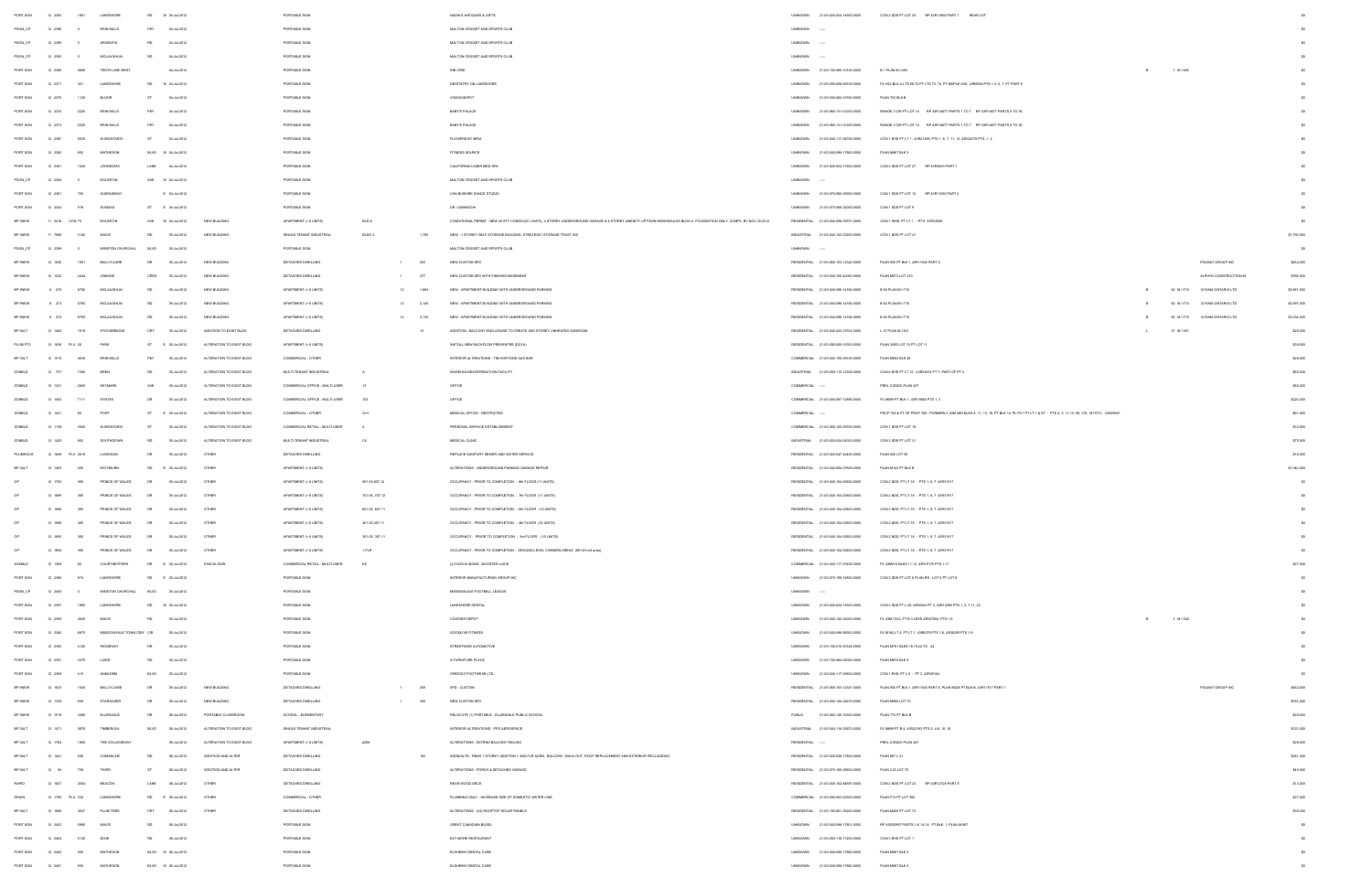| PORT SGN     | 12 2383          | 1801          | LAKESHORE                | RD W 04-Jul-2012           |                          | PORTABLE SIGN                  |                |             | NADIA'S ANTIQUES & GIFTS                                                                                                                                            | <b>UNKNOWN</b><br>21-05-020-024-14900-0000                          | CON 2 SDS PT LOT 29 RP 43R11865 PART 1 REAR LOT                                                                                               |                           |                        |                |
|--------------|------------------|---------------|--------------------------|----------------------------|--------------------------|--------------------------------|----------------|-------------|---------------------------------------------------------------------------------------------------------------------------------------------------------------------|---------------------------------------------------------------------|-----------------------------------------------------------------------------------------------------------------------------------------------|---------------------------|------------------------|----------------|
| PSGN_CP      | 12 2396          |               | <b>ERIN MILLS</b>        | PKY<br>04-Jul-2012         |                          | PORTABLE SIGN                  |                |             | MALTON CRICKET AND SPORTS CLUB                                                                                                                                      | <b>UNKNOWN</b>                                                      |                                                                                                                                               |                           |                        |                |
| PSGN_CP      | 12 239           |               | ARGENTIA                 | <b>RD</b><br>04-Jul-2012   |                          | PORTABLE SIGN                  |                |             | MALTON CRICKET AND SPORTS CLUB                                                                                                                                      | <b>UNKNOWN</b>                                                      |                                                                                                                                               |                           |                        |                |
| PSGN CP      | 12 2393          |               | MCLAUGHLIN               | <b>RD</b><br>04-Jul-2012   |                          | PORTABLE SIGN                  |                |             | MALTON CRICKET AND SPORTS CLUB                                                                                                                                      | <b>UNKNOWN</b><br>----                                              |                                                                                                                                               |                           |                        |                |
| PORT SGN     | 12 238           | 5606          | TENTH LINE WEST          | 04-Jul-2012                |                          | PORTABLE SIGN                  |                |             | <b>RIB CRIB</b>                                                                                                                                                     | 21-05-150-085-10100-0000<br><b>UNKNOWN</b>                          | B 1 PLAN M-1493                                                                                                                               | 1 M-1493<br>B             |                        |                |
| PORT SGN     | 12 237           |               | LAKESHORE                | RD W 04-Jul-2012           |                          | PORTABLE SIGN                  |                |             | DENTISTRY ON LAKESHORE                                                                                                                                              | <b>UNKNOWN</b><br>21-05-090-006-08105-0000                          | PL H22 BLK A LTS 66-72 PT LTS 73, 74, PT MAPLE AVE, 43R6908 PTS 1-3, 5, 7, PT PART 8                                                          |                           |                        |                |
| PORT SGN     | 12 2375          | 1125          | <b>BLOOR</b>             | <b>ST</b><br>04-Jul-2012   |                          | PORTABLE SIGN                  |                |             | VISION DEPOT                                                                                                                                                        | <b>UNKNOWN</b><br>21-05-030-082-01500-0000                          | PLAN 753 BLK B                                                                                                                                |                           |                        |                |
| PORT SGN     | 12 2374          | 2225          | <b>ERIN MILLS</b>        | PKY<br>04-Jul-2012         |                          | PORTABLE SIGN                  |                |             | BABY'S PALACE                                                                                                                                                       | <b>UNKNOWN</b><br>21-05-060-131-01200-0000                          | RANGE 3 CIR PT LOT 14 RP 43R14677 PARTS 1 TO 7 RP 43R14677 PARTS 8 TO 36                                                                      |                           |                        |                |
|              |                  |               |                          |                            |                          |                                |                |             |                                                                                                                                                                     |                                                                     |                                                                                                                                               |                           |                        |                |
| PORT SGN     | 12 237           | 2225          | ERIN MILLS               | PKY<br>04-Jul-2012         |                          | PORTABLE SIGN                  |                |             | BABY'S PALACE                                                                                                                                                       | 21-05-060-131-01200-0000<br><b>UNKNOWN</b>                          | RANGE 3 CIR PT LOT 14 RP 43R14677 PARTS 1 TO 7 RP 43R14677 PARTS 8 TO 36                                                                      |                           |                        |                |
| PORT SGN     | 12 236           | 5035          | <b>HURONTARIO</b>        | ST<br>04-Jul-2012          |                          | PORTABLE SIGN                  |                |             | FLOWERS BY MIRA                                                                                                                                                     | 21-05-040-117-04700-0000<br><b>UNKNOWN</b>                          | CON 1 EHS PT LT 1 - 43R21489, PTS 1, 6, 7, 11, 12, 43R22278 PTS, 1, 2                                                                         |                           |                        |                |
| PORT SGN     | 12 2382          | 600           | MATHESON                 | BLVD W 04-Jul-2012         |                          | PORTABLE SIGN                  |                |             | FITNESS SOURCE                                                                                                                                                      | 21-05-040-098-17860-0000<br><b>UNKNOWN</b>                          | PLAN M967 BLK 3                                                                                                                               |                           |                        |                |
| PORT SGN     | 12 2381          | 1020          | JOHNSON'S                | LANE 04-Jul-2012           |                          | PORTABLE SIGN                  |                |             | CALIFORNIA LASER MED SPA                                                                                                                                            | <b>UNKNOWN</b><br>21-05-020-024-11600-0000                          | CON 2 SDS PT LOT 27 RP 43R3829 PART 1                                                                                                         |                           |                        |                |
| PSGN CP      | 12 2394          |               | <b>EGLINTON</b>          | AVE W 04-Jul-2012          |                          | PORTABLE SIGN                  |                |             | MALTON CRICKET AND SPORTS CLUB                                                                                                                                      | <b>UNKNOWN</b><br>----                                              |                                                                                                                                               |                           |                        |                |
| PORT SGN     | 12 2361          | 755           | QUEENSWAY                | E 04-Jul-2012              |                          | PORTABLE SIGN                  |                |             | VAN BUSKIRK DANCE STUDIO                                                                                                                                            | <b>UNKNOWN</b><br>21-05-070-060-05900-0000                          | CON 1 SDS PT LOT 10 RP 43R11083 PART 2                                                                                                        |                           |                        |                |
| PORT SGN     | 12 2343          | 918           | <b>DUNDAS</b>            | ST E 04-Jul-2012           |                          | PORTABLE SIGN                  |                |             | DR. CAMINSCHI                                                                                                                                                       | 21-05-070-068-32000-0000<br><b>UNKNOWN</b>                          | CON 1 SDS PT LOT 9                                                                                                                            |                           |                        |                |
| BP 3NEW      | 11 5418          | CON 75        | EGLINTON                 | AVE W 04-Jul-2012          | NEW BUILDING             | APARTMENT (> 6 UNITS)          | BLD-A          |             | CONDITIONAL PERMIT - NEW 28 STY CONDO(251 UNITS), 4 STOREY UNDERGROUND GARAGE & 4 STOREY AMENITY, UPTOWN MISSISSAUGA BLDG A, FOUNDATION ONLY, COMPL. BY NOV.30,2012 | RESIDENTIAL 21-05-040-098-05701-0000                                | CON 1 WHS, PT LT 1 - PT 6 43R33929                                                                                                            |                           |                        | S <sub>0</sub> |
| BP 3NEW      | 11 7089          | 3142          | MAVIS                    | 05-Jul-2012<br><b>RD</b>   | NEW BUILDING             | SINGLE TENANT INDUSTRIAL       | BLDG 2         | 1,765       | NEW - 1 STOREY SELF STORAGE BUILDING, STRATEGIC STORAGE TRUST INC                                                                                                   | INDUSTRIAL 21-05-040-143-23200-0000                                 | CON 1 NDS PT LOT 21                                                                                                                           |                           |                        | \$1,790,000    |
| PSGN_CP      | 12 2399          |               | WINSTON CHURCHILL        | <b>BLVD</b><br>05-Jul-2012 |                          | PORTABLE SIGN                  |                |             | MALTON CRICKET AND SPORTS CLUB                                                                                                                                      | <b>UNKNOWN</b><br>----                                              |                                                                                                                                               |                           |                        | S <sub>0</sub> |
| BP 9NEW      | 12 1630          | 1551          | BALLYCLARE               | <b>DR</b><br>05-Jul-2012   | <b>NEW BUILDING</b>      | DETACHED DWELLING              |                | 1 253       | NEW CUSTOM SFD                                                                                                                                                      | RESIDENTIAL 21-05-060-153-12322-0000                                | PLAN 550 PT RLK L 43R11540 PART 5                                                                                                             |                           | POLMAT GROUP INC       | \$454,000      |
| BP 9NEW      | 12 1232          | 4444          | <b>JENKINS</b>           | CRES<br>05-Jul-2012        | <b>NEW BUILDING</b>      | DETACHED DWELLING              |                | 1<br>377    | NEW CUSTOM SFD WITH FINISHED BASEMENT                                                                                                                               | RESIDENTIAL 21-05-040-155-40050-0000                                | PLAN M573 LOT 210                                                                                                                             |                           | ALPHYN CONSTRUCTION IN | \$768,000      |
| BP 9NEW      | 8 276            | 6780          | MCLAUGHLIN               | <b>RD</b>                  | <b>NEW BUILDING</b>      | APARTMENT (> 6 UNITS)          |                | 12<br>1,884 | NEW - APARTMENT BUILDING WITH UNDERGROUND PARKING                                                                                                                   |                                                                     | B 82 PLAN M-1710                                                                                                                              | 82 M-1710                 | 1215846 ONTARIO LTD    |                |
|              |                  |               |                          | 05-Jul-2012                |                          |                                |                |             |                                                                                                                                                                     | RESIDENTIAL 21-05-040-096-14164-0000                                |                                                                                                                                               |                           |                        | \$2,681,000    |
| BP 9NEW      | 8                | 6760          | MCLAUGHLIN               | <b>RD</b><br>05-Jul-2012   | NEW BUILDING             | APARTMENT (> 6 UNITS)          |                | 12<br>2,145 | NEW - APARTMENT BUILDING WITH UNDERGROUND PARKING                                                                                                                   | RESIDENTIAL 21-05-040-096-14164-0000                                | B 82 PLAN M-1710                                                                                                                              | 82 M-1710<br>B            | 1215846 ONTARIO LTD    | \$2,997,000    |
| BP 9NEW      | 8 272            | 6750          | MCLAUGHLIN               | <b>RD</b><br>05-Jul-2012   | NEW BUILDING             | APARTMENT (> 6 UNITS)          |                | 12<br>2,135 | NEW - APARTMENT BUILDING WITH UNDERGROUND PARKING                                                                                                                   | RESIDENTIAL 21-05-040-096-14164-0000                                | B 82 PLAN M-1710                                                                                                                              | 82 M-1710<br><b>B</b>     | 1215846 ONTARIO LTD    | \$3,034,000    |
| BP 9ALT      | 12 1460          | 1619          | STOCKBRIDGE              | CRT<br>05-Jul-2012         | ADDITION TO EXIST BLDG   | DETACHED DWELLING              |                | 13          | ADDITION - BALCONY ENCLOSURE TO CREATE 2ND STOREY UNHEATED SUNROOM                                                                                                  | RESIDENTIAL 21-05-040-225-27914-0000                                | L 37 PLAN M-1301                                                                                                                              | 37 M-1301<br>$\mathbf{L}$ |                        | \$20,000       |
| PLUM PT3     | 12 1836          | <b>PLU 26</b> | PARK                     | ST E 05-Jul-2012           | ALTERATION TO EXIST BLDG | APARTMENT (> 6 UNITS)          |                |             | INSTALL NEW BACKFLOW PREVENTER (DCVA)                                                                                                                               | RESIDENTIAL 21-05-090-005-01500-0000                                | PLAN 300E LOT 10 PT LOT 11                                                                                                                    |                           |                        | \$39,000       |
| BP 3ALT      | 12 1515          | 4530          | <b>ERIN MILLS</b>        | PKY<br>05-Jul-2012         | ALTERATION TO EXIST BLDG | COMMERCIAL - OTHER             |                |             | INTERIOR ALTERATIONS - TIM HORTONS GAS BAR                                                                                                                          | COMMERCIAL 21-05-040-158-08100-0000                                 | PLAN M682 BLK 48                                                                                                                              |                           |                        | \$28,000       |
| ZONBLD       | 12               | 7380          | BREN                     | <b>RD</b><br>05-Jul-2012   | ALTERATION TO EXIST BLDG | MULTI-TENANT INDUSTRIAL        |                |             | WAREHOUSE/DISTRIBUTION FACILITY                                                                                                                                     | INDUSTRIAL 21-05-050-115-12305-0000                                 | CON 6 EHS PT LT 12 - 43R22614 PT 7, PART OF PT 2                                                                                              |                           |                        | \$60,000       |
| ZONBLD       |                  |               | SKYMARK                  | AVE<br>05-Jul-2012         | ALTERATION TO EXIST BLDG | COMMERCIAL OFFICE - MULTI-USER |                |             | OFFICE                                                                                                                                                              | $\begin{minipage}{.4\linewidth} COMMERCIAL & \cdots \end{minipage}$ | PEEL CONDO PLAN 437                                                                                                                           |                           |                        | \$80,000       |
| ZONBLD       | 12 145           |               | SYNTEX                   | <b>DR</b><br>05-Jul-2012   | ALTERATION TO EXIST BLDG | COMMERCIAL OFFICE - MULTI-USER | 103            |             | OFFICE                                                                                                                                                              | COMMERCIAL 21-05-040-097-12856-0000                                 | PL M589 PT BLK 1, 43R15682 PTS 1, 3                                                                                                           |                           |                        | \$220,000      |
| ZONBLD       | 12 1021          |               | PORT                     | ST E 05-Jul-2012           | ALTERATION TO EXIST BLDG | COMMERCIAL - OTHER             | G-H            |             | MEDICAL OFFICE - RESTRICTED                                                                                                                                         | COMMERCIAL -----                                                    | PSCP 745 & PT OF PSCP 760 - FORMERLY 43M1463 BLKS 4, 11, 13, 16, PT BLK 12, PL PC1 PT LT 1 & ST - PTS 4, 5, 11-13, 99, 176, 187 ETC. 43R29941 |                           |                        | \$61,000       |
| ZONBLD       | 12 1136          | 2500          | HURONTARIO               | <b>ST</b><br>05-Jul-2012   | ALTERATION TO EXIST BLDG | COMMERCIAL RETAIL - MULTI-USER |                |             | PERSONAL SERVICE ESTABLISHMENT                                                                                                                                      | COMMERCIAL 21-05-060-125-05700-0000                                 | CON 1 SDS PT LOT 16                                                                                                                           |                           |                        | \$32,000       |
| ZONBLD       | 12 1425          | 802           | SOUTHDOWN                | <b>RD</b><br>05-Jul-2012   | ALTERATION TO EXIST BLDG | MULTI-TENANT INDUSTRIAL        | C4             |             | MEDICAL CLINIC                                                                                                                                                      | INDUSTRIAL 21-05-020-024-04300-0000                                 | CON 3 SDS PT LOT 31                                                                                                                           |                           |                        | \$75,000       |
| PLUMHOUS     | 12 1849          | PLU 2618      | LUNDIGAN                 | DR<br>05-Jul-2012          | OTHER                    | DETACHED DWELLING              |                |             | REPLACE SANITARY SEWER AND WATER SERVICE                                                                                                                            | RESIDENTIAL 21-05-020-047-22400-0000                                | PLAN 626 LOT 50                                                                                                                               |                           |                        | \$16,000       |
|              |                  |               |                          |                            |                          |                                |                |             |                                                                                                                                                                     |                                                                     |                                                                                                                                               |                           |                        |                |
|              |                  | 405           | RATHBURN                 | <b>RD</b><br>E 05-Jul-2012 | OTHER                    | APARTMENT (> 6 UNITS)          |                |             | ALTERATIONS - UNDERGROUND PARKING GARAGE REPAIR                                                                                                                     | RESIDENTIAL 21-05-040-094-07829-0000                                | PLAN M143 PT BLK B                                                                                                                            |                           |                        | \$1,040,000    |
|              | 12 1700          | 365           | PRINCE OF WALES          | <b>DR</b><br>05-Jul-2012   | OTHER                    | APARTMENT (> 6 UNITS)          | 801-05,807-12  |             | OCCUPANCY - PRIOR TO COMPLETION - 8th FLOOR (11-UNITS)                                                                                                              | RESIDENTIAL 21-05-040-154-00600-0000                                | CON 2 NDS, PT LT 18 - PTS 1, 6, 7 43R31917                                                                                                    |                           |                        |                |
|              | 12 1699          | 365           | PRINCE OF WALES          | <b>DR</b><br>05-Jul-2012   | OTHER                    | APARTMENT (> 6 UNITS)          | 701-05, 707-12 |             | OCCUPANCY - PRIOR TO COMPLETION - 7th FLOOR (11-UNITS)                                                                                                              | RESIDENTIAL 21-05-040-154-00600-0000                                | CON 2 NDS, PT LT 18 - PTS 1, 6, 7 43R31917                                                                                                    |                           |                        |                |
|              | 12 1698          | 365           | PRINCE OF WALES          | DR<br>05-Jul-2012          | OTHER                    | APARTMENT (> 6 UNITS)          | 601-05, 607-11 |             | OCCUPANCY - PRIOR TO COMPLETION - 6th FLOOR (10-UNITS)                                                                                                              | RESIDENTIAL 21-05-040-154-00600-0000                                | CON 2 NDS, PT LT 18 - PTS 1, 6, 7 43R31917                                                                                                    |                           |                        |                |
|              | 12 1696          | 365           | PRINCE OF WALES          | DR<br>05-Jul-2012          | OTHER                    | APARTMENT (> 6 UNITS)          | 401-05.407-11  |             | OCCUPANCY - PRIOR TO COMPLETION - 4th FLOOR (10-UNITS)                                                                                                              | RESIDENTIAL 21-05-040-154-00600-0000                                | CON 2 NDS, PT LT 18 - PTS 1, 6, 7 43R31917                                                                                                    |                           |                        | \$0            |
|              |                  | 365           | PRINCE OF WALES          | <b>DR</b><br>05-Jul-2012   | OTHER                    | APARTMENT (> 6 UNITS)          | 301-05, 307-11 |             | OCCUPANCY - PRIOR TO COMPLETION - 3rd FLOOR - (10 UNITS)                                                                                                            | RESIDENTIAL 21-05-040-154-00600-0000                                | CON 2 NDS, PT LT 18 - PTS 1, 6, 7 43R31917                                                                                                    |                           |                        | S <sub>0</sub> |
|              | 12 169           | 365           | PRINCE OF WALES          | <b>DR</b><br>05-Jul-2012   | OTHER                    | APARTMENT (> 6 UNITS)          | $1-FLR$        |             | OCCUPANCY - PRIOR TO COMPLETION - GROUND LEVEL COMMON AREAS (661.63 m2 area)                                                                                        | RESIDENTIAL 21-05-040-154-00600-0000                                | CON 2 NDS, PT LT 18 - PTS 1, 6, 7 43R31917                                                                                                    |                           |                        | S <sub>0</sub> |
| SGNBLD       | 12 1365          |               | COURTNEYPARK             | DR E 05-Jul-2012           | <b>FASCIA SIGN</b>       | COMMERCIAL RETAIL - MULTI-USER | K6             |             | (2) FASCIA SIGNS - BOOSTER JUICE                                                                                                                                    | COMMERCIAL 21-05-040-117-07405-0000                                 | PL 43M915 BLKS 11-13, 43R19175 PTS 1-11                                                                                                       |                           |                        | \$27,000       |
| PORT SGN     | 12 2386          | 974           | LAKESHORE                | RD E 05-Jul-2012           |                          | PORTABLE SIGN                  |                |             | INTERIOR MANUFACTURING GROUP INC                                                                                                                                    | 21-05-070-156-14800-0000<br><b>UNKNOWN</b>                          | CON 3 SDS PT LOT 8 PLAN RR LOT 5 PT LOT 6                                                                                                     |                           |                        |                |
| PSGN_CP      | 12 2405          |               | WINSTON CHURCHILL        | <b>BLVD</b><br>05-Jul-2012 |                          | PORTABLE SIGN                  |                |             | MISSISSAUGA FOOTBALL LEAGUE                                                                                                                                         | <b>UNKNOWN</b><br>----                                              |                                                                                                                                               |                           |                        |                |
| PORT SGN     | 12 2397          | 1865          | LAKESHORE                | RD W 05-Jul-2012           |                          | PORTABLE SIGN                  |                |             | LAKESHORE DENTAL                                                                                                                                                    | 21-05-020-024-15300-0000<br><b>UNKNOWN</b>                          | CON 2 SDS PT L 29, 43R4543 PT 3, 43R12090 PTS 1, 2, 7-11, 22                                                                                  |                           |                        |                |
| PORT SGN     | 12 2390          | 3045          | MAVIS                    | <b>RD</b><br>05-Jul-2012   |                          | PORTABLE SIGN                  |                |             | <b>COURIER DEPOT</b>                                                                                                                                                | <b>UNKNOWN</b><br>21-05-040-142-32000-0000                          | PL 43M-1332, PT B 3 LESS 43R27004, PTS 1-6                                                                                                    | 3 M-1332<br>$\mathsf{B}$  |                        |                |
| PORT SGN     | 12 2380          | 6875          | MEADOWVALE TOWN CEN' CIR | 05-Jul-2012                |                          | PORTABLE SIGN                  |                |             | GOODLIVE FITNESS                                                                                                                                                    | <b>UNKNOWN</b><br>21-05-040-098-56920-0000                          | PL M182 LT 4, PT LT 1, 43R6079 PTS 1-6, 43R6209 PTS 1-9                                                                                       |                           |                        |                |
|              |                  |               |                          |                            |                          |                                |                |             |                                                                                                                                                                     |                                                                     |                                                                                                                                               |                           |                        |                |
| PORT SGN     | 12 2392          | 4120          | RIDGEWAY                 | <b>DR</b><br>05-Jul-2012   |                          | PORTABLE SIGN                  |                |             | STREETWISE AUTOMOTIVE                                                                                                                                               | 21-05-150-010-00144-0000<br><b>UNKNOWN</b>                          | PLAN M781 BLKS 18,19,22 TO 24                                                                                                                 |                           |                        |                |
| PORT SGN     | 12 2391          | 3375          | LAIRD                    | <b>RD</b><br>05-Jul-2012   |                          | PORTABLE SIGN                  |                |             | A FURNITURE PLACE                                                                                                                                                   | 21-05-150-084-02000-0000<br><b>UNKNOWN</b>                          | PLAN M674 BLK 9                                                                                                                               |                           |                        |                |
| PORT SGN     | 12 2389          | 415           | ANNAGEM                  | BLVD<br>05-Jul-2012        |                          | PORTABLE SIGN                  |                |             | GREDICO FOOTWEAR LTD.                                                                                                                                               | 21-05-040-117-03600-0000<br><b>UNKNOWN</b>                          | CON 1 EHS, PT L 8 - PT 3 43R29104                                                                                                             |                           |                        |                |
| BP 9NEW      | 12 1633          | 1545          | BALLYCLARE               | <b>DR</b><br>05-Jul-2012   | <b>NEW BUILDING</b>      | DETACHED DWELLING              |                | 1 258       | SFD - CUSTOM                                                                                                                                                        | RESIDENTIAL 21-05-060-153-12321-0000                                | PLAN 550 PT BLK I. 43R11540 PART 6. PLAN M208 PT BLK B. 43R11517 PART 1                                                                       |                           | POLMAT GROUP INC       | \$462,000      |
| BP 9NEW      | 12 1339          | 830           | <b>STARGAZER</b>         | <b>DR</b><br>06-Jul-2012   | <b>NEW BUILDING</b>      | DETACHED DWELLING              |                | 1 320       | NEW CUSTOM SFD                                                                                                                                                      | RESIDENTIAL 21-05-040-144-22619-0000                                | PLAN M890 LOT 70                                                                                                                              |                           |                        | \$574,000      |
| BP 3NEW      | 12 1519          | 3480          | ELLENGALE                | <b>DR</b><br>06-Jul-2012   | PORTABLE CLASSROOM       | SCHOOL - ELEMENTARY            |                |             | RELOCATE (1) PORTABLE - ELLENGALE PUBLIC SCHOOL                                                                                                                     | PUBLIC<br>21-05-060-145-16300-0000                                  | PLAN 774 PT BLK B                                                                                                                             |                           |                        | \$29,000       |
| BP 3ALT      | 12 1471          | 5676          | TIMBERLEA                | <b>BLVD</b><br>06-Jul-2012 | ALTERATION TO EXIST BLDG | SINGLE TENANT INDUSTRIAL       |                |             | INTERIOR ALTERATIONS - PPG AEROSPACE                                                                                                                                | INDUSTRIAL 21-05-040-116-23670-0000                                 | PL M699 PT B 4, 43R22163 PTS 2, 4-8, 10, 16                                                                                                   |                           |                        | \$123,000      |
| BP 3ALT      | 12 1764          | 1800          | THE COLLEGEWAY           | 06-Jul-2012                | ALTERATION TO EXIST BLDG | APARTMENT (> 6 UNITS)          | #206           |             | ALTERATIONS - EXTEND BALCONY RAILING                                                                                                                                | RESIDENTIAL -----                                                   | PEEL CONDO PLAN 447                                                                                                                           |                           |                        | \$28,000       |
| BP 9ALT      | 12 14            |               | COMANCHE                 | <b>RD</b><br>06-Jul-2012   | ADDITION AND ALTER       | DETACHED DWELLING              |                | 152         | ADDN/ALTS - REAR 1 STOREY ADDITION + 2ND FLR ADDN, BALCONY, WALK-OUT, ROOF REPLACEMENT AND EXTERIOR RECLADDING.                                                     | RESIDENTIAL 21-05-020-026-17800-0000                                | PLAN 667 L 21                                                                                                                                 |                           |                        | \$281,000      |
| BP 9ALT      | 12               | 758           | THIRD                    | <b>ST</b><br>06-Jul-2012   | ADDITION AND ALTER       | DETACHED DWELLING              |                |             | ALTERATIONS - PORCH & DETACHED GARAGE                                                                                                                               | RESIDENTIAL 21-05-070-165-09600-0000                                | PLAN C23 LOT 75                                                                                                                               |                           |                        | \$49,000       |
| RAPID        | 12 1827          | 4304          | BEACON                   | LANE 06-Jul-2012           | OTHER                    | DETACHED DWELLING              |                |             | REAR WOOD DECK                                                                                                                                                      | RESIDENTIAL 21-05-040-152-84597-0000                                | CON 2 NDS PT LOT 23 RP 43R12728 PART 8                                                                                                        |                           |                        | \$13,000       |
| <b>DRAIN</b> | 12 1785          | PLU 332       | LAKESHORE                | RD E 06-Jul-2012           | OTHER                    | COMMERCIAL - OTHER             |                |             | PLUMBING ONLY - INCREASE SIZE OF DOMESTIC WATER LINE                                                                                                                | COMMERCIAL 21-05-090-003-00300-0000                                 | PLAN F12 PT LOT 362                                                                                                                           |                           |                        | \$27,000       |
|              |                  |               |                          |                            |                          |                                |                |             |                                                                                                                                                                     |                                                                     |                                                                                                                                               |                           |                        |                |
| BP 9ALT      |                  | 3027          | PLUM TREE                | 06-Jul-2012<br>CRT         | OTHER                    | DETACHED DWELLING              |                |             | ALTERATIONS - (24) ROOFTOP SOLAR PANELS                                                                                                                             | RESIDENTIAL 21-05-150-081-36200-0000                                | PLAN M408 PT LOT 72                                                                                                                           |                           |                        | \$30,000       |
| PORT SGN     | 12 240           | 5985          | MAVIS                    | <b>RD</b><br>06-Jul-2012   |                          | PORTABLE SIGN                  |                |             | GREAT CANADIAN BAGEL                                                                                                                                                | 21-05-040-098-17801-0000<br><b>UNKNOWN</b>                          | RP 43R20967 PARTS 1-6 14-18, PT.BLK. 1, PLAN M-967                                                                                            |                           |                        |                |
| PORT SGN     | 12 2404          | 5130          | DIXIE                    | 06-Jul-2012<br><b>RD</b>   |                          | PORTABLE SIGN                  |                |             | EAT MORE RESTAURANT                                                                                                                                                 | 21-05-050-116-17200-0000<br><b>UNKNOWN</b>                          | CON 3 EHS PT LOT 1                                                                                                                            |                           |                        |                |
| PORT SGN     | 12 2402          | 550           | MATHESON                 | BLVD W 06-Jul-2012         |                          | PORTABLE SIGN                  |                |             | ELSHEIKH DENTAL CARE                                                                                                                                                | <b>UNKNOWN</b><br>21-05-040-098-17860-0000                          | PLAN M967 BLK 3                                                                                                                               |                           |                        | S <sub>0</sub> |
|              | PORT SGN 12 2401 | 550           | MATHESON                 | BLVD W 06-Jul-2012         |                          | PORTABLE SIGN                  |                |             | ELSHEIKH DENTAL CARE                                                                                                                                                | UNKNOWN 21-05-040-098-17860-0000                                    | PLAN M967 BLK 3                                                                                                                               |                           |                        | \$0            |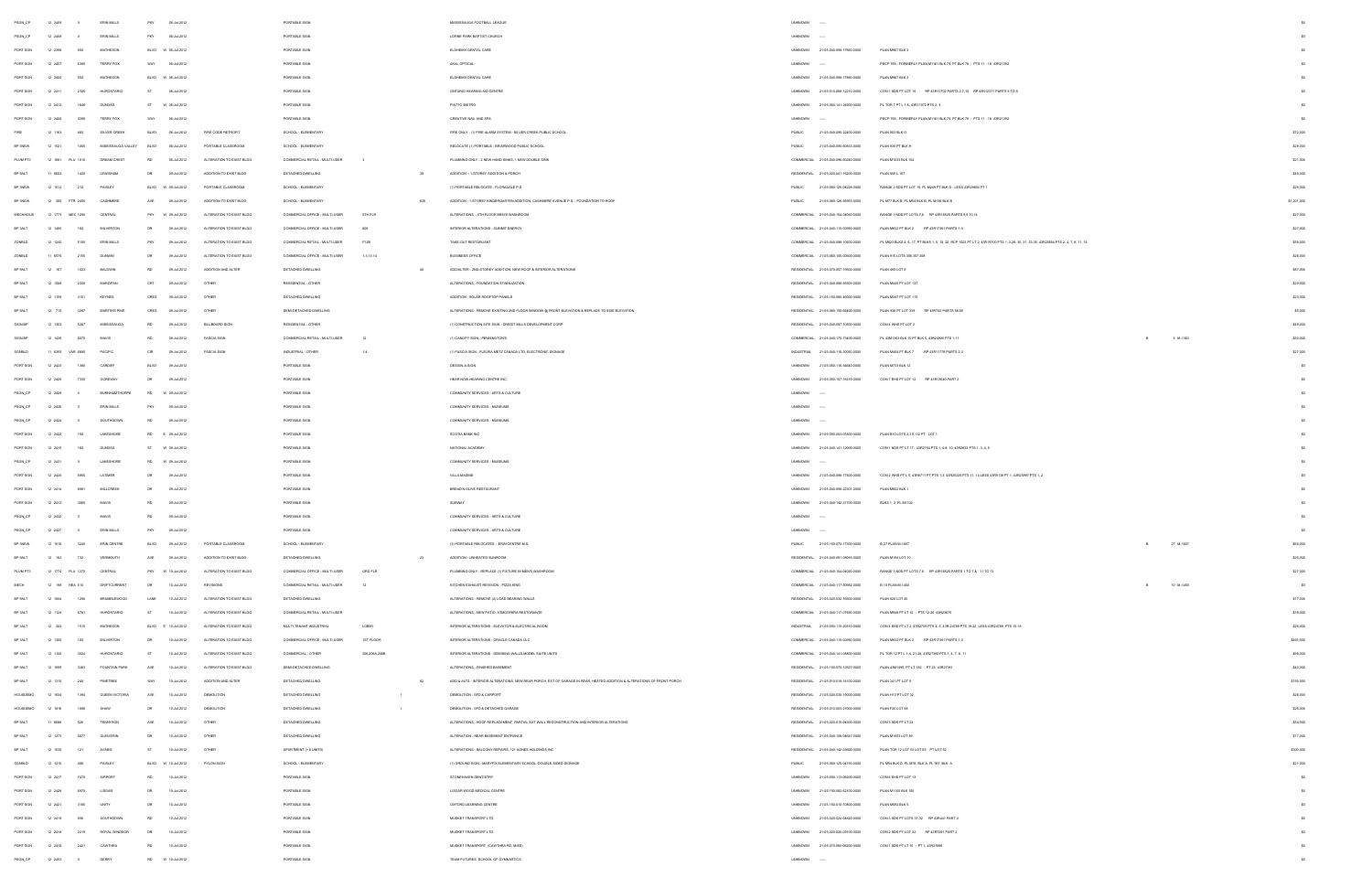| PSGN_CP             | 12 2409            | $\overline{0}$           | <b>ERIN MILLS</b>    | PKY<br>06-Jul-2012                           |                          | PORTABLE SIGN                  |                |     | MISSISSAUGA FOOTBALL LEAGUE                                                                                            | UNKNOWN -----                                                                       |                                                                                                                                     |           |             |
|---------------------|--------------------|--------------------------|----------------------|----------------------------------------------|--------------------------|--------------------------------|----------------|-----|------------------------------------------------------------------------------------------------------------------------|-------------------------------------------------------------------------------------|-------------------------------------------------------------------------------------------------------------------------------------|-----------|-------------|
| PSGN_CP             | 12 2408            | $\overline{0}$           | <b>ERIN MILLS</b>    | PKY 06-Jul-2012                              |                          | PORTABLE SIGN                  |                |     | LORNE PARK BAPTIST CHURCH                                                                                              | <b>UNKNOWN</b><br><b>CONTRACTOR</b>                                                 |                                                                                                                                     |           |             |
| PORT SGN            | 12 2398            | 650                      | MATHESON             | BLVD W 06-Jul-2012                           |                          | PORTABLE SIGN                  |                |     | ELSHEIKH DENTAL CARE                                                                                                   | 21-05-040-098-17860-0000<br><b>UNKNOWN</b>                                          | PLAN M967 BLK 3                                                                                                                     |           |             |
| PORT SGN            | 12 2407            | 5380                     | <b>TERRY FOX</b>     | WAY 06-Jul-2012                              |                          | PORTABLE SIGN                  |                |     | AKAL OPTICAL                                                                                                           | <b>UNKNOWN</b>                                                                      | PSCP 769 - FORMERLY PLAN M1161 BLK 79, PT BLK 78 - PTS 11 - 16 43R21392                                                             |           |             |
| PORT SGN            | 12 2400            | 550                      | MATHESON             | BLVD W 06-Jul-2012                           |                          | PORTABLE SIGN                  |                |     | ELSHEIKH DENTAL CARE                                                                                                   | 21-05-040-098-17860-0000<br><b>UNKNOWN</b>                                          | PLAN M967 BLK 3                                                                                                                     |           |             |
| PORT SGN            | 12 2411            | 2325                     | <b>HURONTARIO</b>    | <b>ST</b><br>06-Jul-2012                     |                          | PORTABLE SIGN                  |                |     | ONTARIO HEARING AID CENTRE                                                                                             | 21-05-010-068-12210-0000<br><b>UNKNOWN</b>                                          | CON 1 SDS PT LOT 15 RP 43R11702 PARTS 2,7,10 RP 43R12371 PARTS 5 TO 8                                                               |           |             |
| PORT SGN            | 12 2412            | 1646                     | <b>DUNDAS</b>        | ST W 06-Jul-2012                             |                          | PORTABLE SIGN                  |                |     | PIATTO BISTRO                                                                                                          | 21-05-060-141-24900-0000<br><b>UNKNOWN</b>                                          | PL TOR 7 PT L 1-5, 43R11072 PTS 2, 3                                                                                                |           |             |
|                     |                    | 5390                     |                      |                                              |                          |                                |                |     | CREATIVE NAIL AND SPA                                                                                                  |                                                                                     | PSCP 769 - FORMERLY PLAN M1161 BLK 79, PT BLK 78 - PTS 11 - 16 43R21392                                                             |           |             |
| PORT SGN            | 12 2406            |                          | <b>TERRY FOX</b>     | WAY<br>06-Jul-2012                           |                          | PORTABLE SIGN                  |                |     |                                                                                                                        | <b>UNKNOWN</b><br>----                                                              |                                                                                                                                     |           |             |
| FIRE                | 12 1163            | 460                      | SILVER CREEK         | <b>BLVD</b><br>06-Jul-2012                   | FIRE CODE RETROFIT       | SCHOOL - ELEMENTARY            |                |     | FIRE ONLY - (1) FIRE ALARM SYSTEM - SILVER CREEK PUBLIC SCHOOL                                                         | 21-05-040-095-22400-0000<br>PUBLIC                                                  | PLAN 903 BLK G                                                                                                                      |           | \$72,000    |
| BP 3NEW             | 12 1521            | 1065                     | MISSISSAUGA VALLEY   | <b>BLVD</b><br>06-Jul-2012                   | PORTABLE CLASSROOM       | SCHOOL - ELEMENTARY            |                |     | RELOCATE (1) PORTABLE - BRIARWOOD PUBLIC SCHOOL                                                                        | PUBLIC<br>21-05-040-095-60833-0000                                                  | PLAN 935 PT BLK H                                                                                                                   |           | \$29,000    |
| PLUM PT3            | 12 1681            | PLU 1010                 | <b>DREAM CREST</b>   | <b>RD</b><br>06-Jul-2012                     | ALTERATION TO EXIST BLDG | COMMERCIAL RETAIL - MULTI-USER |                |     | PLUMBING ONLY - 2 NEW HAND SINKS, 1 NEW DOUBLE SINK                                                                    | COMMERCIAL 21-05-040-096-60240-0000                                                 | PLAN M1033 BLK 102                                                                                                                  |           | \$21,000    |
| BP 9ALT             | 11 6602            | 1420                     | <b>LEWISHAM</b>      | 09-Jul-2012<br><b>DR</b>                     | ADDITION TO EXIST BLDG   | DETACHED DWELLING              |                | 39  | ADDITION - 1-STOREY ADDITION & PORCH                                                                                   | RESIDENTIAL 21-05-020-041-16200-0000                                                | PLAN 655 L 167                                                                                                                      |           | \$48,000    |
| BP 3NEW             | 12 1514            | 210                      | PAISLEY              | BLVD W 09-Jul-2012                           | PORTABLE CLASSROOM       | SCHOOL - ELEMENTARY            |                |     | (1) PORTABLE RELOCATE - FLORADALE P.S.                                                                                 | 21-05-060-125-04228-0000<br>PUBLIC                                                  | RANGE 2 SDS PT LOT 15, PL M249 PT BLK D - LESS 43R29804 PT 1                                                                        |           | \$29,000    |
| BP 3NEW             | 12 385             | FTR 2455                 | CASHMERE             | AVE<br>09-Jul-2012                           | ADDITION TO EXIST BLDG   | SCHOOL - ELEMENTARY            |                | 635 | ADDITION - 1-STOREY KINDERGARTEN ADDITION, CASHMERE AVENUE P.S. - FOUNDATION TO ROOF                                   | PUBLIC<br>21-05-060-128-95953-0000                                                  | PL M77 BLK B, PL M54 BLK B, PL M136 BLK B                                                                                           |           | \$1,201,000 |
| <b>MECHHOUS</b>     | 12 1773            | MEC 1290                 | CENTRAL              | PKY W 09-Jul-2012                            | ALTERATION TO EXIST BLDG | COMMERCIAL OFFICE - MULTI-USER | 5TH FLR        |     | ALTERATIONS - 5TH FLOOR MEN'S WASHROOM                                                                                 | COMMERCIAL 21-05-040-154-04030-0000                                                 | RANGE 3 NDS PT LOTS 7,8 RP 43R16525 PARTS 8,9,10,14                                                                                 |           | \$27,000    |
|                     |                    |                          |                      |                                              |                          |                                |                |     |                                                                                                                        |                                                                                     |                                                                                                                                     |           |             |
| BP 3ALT             | 12 1490            | 100                      | <b>MILVERTON</b>     | <b>DR</b><br>09-Jul-2012                     | ALTERATION TO EXIST BLDG | COMMERCIAL OFFICE - MULTI-USER | 608            |     | INTERIOR ALTERATIONS - SUMMIT ENERGY                                                                                   | COMMERCIAL 21-05-040-115-00950-0000                                                 | PLAN M832 PT BLK 2 RP 43R17361 PARTS 1-3                                                                                            |           | \$27,000    |
| ZONBLD              | 12 1240            | 5100                     | <b>ERIN MILLS</b>    | PKY<br>09-Jul-2012                           | ALTERATION TO EXIST BLDG | COMMERCIAL RETAIL - MULTI-USER | F12B           |     | TAKE-OUT RESTARUANT                                                                                                    | COMMERCIAL 21-05-040-098-10600-0000                                                 | PL M823 BLKS 4, 6, 17, PT BLKS 1, 5, 18, 20, RCP 1003 PT LT 2, 43R15700 PTS 1, 3-28, 30, 31, 33-35, 43R20854 PTS 2, 4, 7, 8, 11, 14 |           | \$58,000    |
| ZONBLD              | 11 6576            | 2155                     | <b>DUNWIN</b>        | <b>DR</b><br>09-Jul-2012                     | ALTERATION TO EXIST BLDG | COMMERCIAL OFFICE - MULTI-USER | $1-3, 13-14$   |     | <b>BUSIINESS OFFICE</b>                                                                                                | COMMERCIAL 21-05-060-155-00600-0000                                                 | PLAN 915 LOTS 306,307,308                                                                                                           |           | \$26,000    |
| BP 9ALT             |                    | 1023                     | BALDWIN              | 09-Jul-2012<br><b>RD</b>                     | ADDITION AND ALTER       | DETACHED DWELLING              |                | 40  | ADD/ALTER - 2ND-STOREY ADDITION, NEW ROOF & INTERIOR ALTERATIONS                                                       | RESIDENTIAL 21-05-070-057-19500-0000                                                | PLAN 493 LOT 9                                                                                                                      |           | \$87,000    |
| BP 9ALT             | 12 1588            | 2300                     | MARZIPAN             | CRT<br>09-Jul-2012                           | OTHER                    | RESIDENTIAL - OTHER            |                |     | ALTERATIONS - FOUNDATION STABILIZATION                                                                                 | RESIDENTIAL 21-05-040-098-95503-0000                                                | PLAN M445 PT LOT 137                                                                                                                |           | \$20,000    |
| BP 9ALT             | 12 1109            | 3151                     | <b>KEYNES</b>        | CRES<br>09-Jul-2012                          | OTHER                    | DETACHED DWELLING              |                |     | ADDITION - SOLAR ROOFTOP PANELS                                                                                        | RESIDENTIAL 21-05-150-080-46000-0000                                                | PLAN M347 PT LOT 115                                                                                                                |           | \$23,000    |
| BP 9ALT             | 12 715             | 3267                     | <b>MARTIN'S PINE</b> | CRES<br>09-Jul-2012                          | OTHER                    | SEMI-DETACHED DWELLING         |                |     | ALTERATIONS - REMOVE EXISTING 2ND FLOOR WINDOW @ FRONT ELEVATION & REPLACE TO SIDE ELEVATION                           | RESIDENTIAL 21-05-060-155-66400-0000                                                | PLAN 938 PT LOT 339 RP 43R742 PARTS 58.59                                                                                           |           | \$5,000     |
| SIGN BP             | 12 1353            | 5267                     | MISSISSAUGA          |                                              | <b>BILLBOARD SIGN</b>    | RESIDENTIAL - OTHER            |                |     | (1) CONSTRUCTION SITE SIGN - CREDIT MILLS DEVELOPMENT CORP                                                             |                                                                                     | CON 4 WHS PT LOT 2                                                                                                                  |           |             |
|                     |                    |                          |                      | <b>RD</b><br>09-Jul-2012                     |                          |                                |                |     |                                                                                                                        | RESIDENTIAL 21-05-040-097-10500-0000                                                |                                                                                                                                     |           | \$49,000    |
| SIGN BP             | 12 1436            | 6075                     | MAVIS                | <b>RD</b><br>09-Jul-2012                     | <b>FASCIA SIGN</b>       | COMMERCIAL RETAIL - MULTI-USER | 10             |     | (1) CANOPY SIGN - PENNINGTON'S                                                                                         | COMMERCIAL 21-05-040-175-73400-0000                                                 | PL 43M1363 BLK 10 PT BLK 5, 43R24920 PTS 1-11                                                                                       | 6 M-1363  | \$50,000    |
| SGNBLD              | 11 6355            | AR 6685                  | PACIFIC              | 09-Jul-2012<br>CIR                           | <b>FASCIA SIGN</b>       | INDUSTRIAL - OTHER             | $1 - 4$        |     | (1) FASCIA SIGN - FLEURA METZ CANADA LTD, ELECTRONIC SIGNAGE                                                           | INDUSTRIAL 21-05-040-116-30050-0000                                                 | PLAN M404 PT BLK 7 RP 43R11778 PARTS 2,3                                                                                            |           | \$27,000    |
| PORT SGN            | 12 2423            | 1380                     | CARDIFF              | BLVD 09-Jul-2012                             |                          | PORTABLE SIGN                  |                |     | DESIGN-A-SIGN                                                                                                          | 21-05-050-116-54640-0000<br><b>UNKNOWN</b>                                          | PLAN M733 BLK 12                                                                                                                    |           |             |
| PORT SGN            | 12 2425            | 7330                     | GOREWAY              | DR.<br>09-Jul-2012                           |                          | PORTABLE SIGN                  |                |     | HEAR NOW HEARING CENTRE INC.                                                                                           | 21-05-050-107-18210-0000<br><b>UNKNOWN</b>                                          | CON 7 EHS PT LOT 12 RP 43R13640 PART 2                                                                                              |           |             |
| PSGN_CP             | 12 2429            | $\overline{0}$           | <b>BURNHAMTHORPE</b> | RD W 09-Jul-2012                             |                          | PORTABLE SIGN                  |                |     | COMMUNITY SERVICES - ARTS & CULTURE                                                                                    | <b>UNKNOWN</b>                                                                      |                                                                                                                                     |           |             |
| PSGN_CP             | 12 2426            | $\circ$                  | <b>ERIN MILLS</b>    | PKY<br>09-Jul-2012                           |                          | PORTABLE SIGN                  |                |     | <b>COMMUNITY SERVICES - MUSEUMS</b>                                                                                    | <b>UNKNOWN</b>                                                                      |                                                                                                                                     |           |             |
| PSGN_CP             | 12 2424            | $\overline{\phantom{a}}$ | SOUTHDOWN            | <b>RD</b><br>09-Jul-2012                     |                          | PORTABLE SIGN                  |                |     | <b>COMMUNITY SERVICES - MUSEUMS</b>                                                                                    | <b>UNKNOWN</b>                                                                      |                                                                                                                                     |           |             |
|                     |                    |                          |                      |                                              |                          |                                |                |     |                                                                                                                        |                                                                                     |                                                                                                                                     |           |             |
| PORT SGN            | 12 2422            | 158                      | LAKESHORE            | RD E 09-Jul-2012                             |                          | PORTABLE SIGN                  |                |     | SCOTIA BANK INC                                                                                                        | 21-05-090-003-03500-0000<br><b>UNKNOWN</b>                                          | PLAN B10 LOTS 2,3 E 1/2 PT LOT 1                                                                                                    |           |             |
|                     |                    |                          | <b>DUNDAS</b>        | ST W 09-Jul-2012                             |                          |                                |                |     |                                                                                                                        |                                                                                     |                                                                                                                                     |           |             |
| PORT SGN            | 12 2415            | 165                      |                      |                                              |                          | PORTABLE SIGN                  |                |     | NATIONAL ACADEMY                                                                                                       | 21-05-040-141-12000-0000<br><b>UNKNOWN</b>                                          | CON 1 NDS PT LT 17 - 43R2754 PTS 1, 4-8, 10, 43R2833 PTS 1, 3, 4, 5                                                                 |           |             |
| PSGN CP             | 12 2431            | $^{\circ}$               | LAKESHORE            | RD W 09-Jul-2012                             |                          | PORTABLE SIGN                  |                |     | COMMUNITY SERVICES - MUSEUMS                                                                                           | <b>UNKNOWN</b>                                                                      |                                                                                                                                     |           |             |
| PORT SGN            | 12 2420            | 5955                     | LATIMER              | 09-Jul-2012<br>DR.                           |                          | PORTABLE SIGN                  |                |     | VILLA MADINE                                                                                                           | 21-05-040-098-17500-0000<br><b>UNKNOWN</b>                                          | CON 2 WHS PT L 5, 43R8711 PT PTS 1-3, 43R25225 PTS 11, 14 LESS 43R9138 PT 1, 43R25997 PTS 1, 2                                      |           |             |
| PORT SGN            | 12 2414            | 6981                     | MILLCREEK            | DR.<br>09-Jul-2012                           |                          | PORTABLE SIGN                  |                |     | BREAD'N OLIVE RESTAURANT                                                                                               | <b>UNKNOWN</b><br>21-05-040-098-22301-0000                                          | PLAN M802 BLK 1                                                                                                                     |           |             |
| PORT SGN            | 12 2413            | 3065                     | MAVIS                | <b>RD</b><br>09-Jul-2012                     |                          | PORTABLE SIGN                  |                |     | SUBWAY                                                                                                                 | UNKNOWN 21-05-040-142-31700-0000                                                    | BLKS 1, 2, PL M1332                                                                                                                 |           |             |
|                     |                    |                          |                      |                                              |                          |                                |                |     |                                                                                                                        |                                                                                     |                                                                                                                                     |           |             |
| PSGN_CP             | 12 2432            | $\sim$ 0                 | MAVIS                | 09-Jul-2012                                  |                          | PORTABLE SIGN                  |                |     | COMMUNITY SERVICES - ARTS & CULTURE                                                                                    | <b>UNKNOWN</b><br>----                                                              |                                                                                                                                     |           |             |
| PSGN_CP             | 12 2427            | $\sim$                   | <b>ERIN MILLS</b>    | PKY<br>09-Jul-2012                           |                          | PORTABLE SIGN                  |                |     | COMMUNITY SERVICES - ARTS & CULTURE                                                                                    | UNKNOWN -----                                                                       |                                                                                                                                     |           |             |
| BP 3NEW             | 12 1518            | 3240                     | ERIN CENTRE          | BLVD 09-Jul-2012                             | PORTABLE CLASSROOM       | SCHOOL - ELEMENTARY            |                |     | (3) PORTABLE RELOCATES - ERIN CENTRE M.S.                                                                              | PUBLIC<br>21-05-150-070-17300-0000                                                  | B 27 PLAN M-1607                                                                                                                    | 27 M-1607 | \$66,000    |
| BP 9ALT             | 12 183             | 732                      | VERMOUTH             | AVE 09-Jul-2012                              | ADDITION TO EXIST BLDG   | DETACHED DWELLING              |                | 23  | ADDITION - UNHEATED SUNROOM                                                                                            | RESIDENTIAL 21-05-040-091-08016-0000                                                | PLAN M194 LOT 10                                                                                                                    |           | \$25,000    |
| PLUM PT3            | 12 1774            | PLU 1270                 | CENTRAL              | PKY W 10-Jul-2012                            | ALTERATION TO EXIST BLDG | COMMERCIAL OFFICE - MULTI-USER | <b>GRD FLR</b> |     | PLUMBING ONLY - REPLACE (1) FIXTURE IN MEN'S WASHROOM                                                                  | COMMERCIAL 21-05-040-154-04020-0000                                                 | RANGE 3 NDS PT LOTS 7,8 RP 43R16525 PARTS 1 TO 7 & 11 TO 13                                                                         |           | \$27,000    |
| <b>MECH</b>         | 12 198             | <b>HEA 510</b>           | <b>DRIFTCURRENT</b>  | <b>DR</b><br>10-Jul-2012                     | <b>REVISIONS</b>         | COMMERCIAL RETAIL - MULTI-USER | 12             |     | KITCHEN EXHAUST REVISION - PIZZA KING                                                                                  | COMMERCIAL 21-05-040-117-50982-0000                                                 | B 10 PLAN M-1450<br>B                                                                                                               | 10 M-1450 | \$0         |
| BP 9ALT             | 12 1804            | 1290                     | <b>BRAMBLEWOOD</b>   | 10-Jul-2012<br>LANE                          | ALTERATION TO EXIST BLDG | DETACHED DWELLING              |                |     | ALTERATIONS - REMOVE (2) LOAD BEARING WALLS                                                                            | RESIDENTIAL 21-05-020-032-16500-0000                                                | PLAN 820 LOT 40                                                                                                                     |           | \$17,000    |
| BP 3ALT             | 12 1124            | 6781                     | HURONTARIO           | <b>ST</b><br>10-Jul-2012                     | ALTERATION TO EXIST BLDG | COMMERCIAL RETAIL - MULTI-USER |                |     | ALTERATIONS - NEW PATIO, ATMOSFERA RESTORANTE                                                                          | COMMERCIAL 21-05-040-117-07690-0000                                                 | PLAN M948 PT LT 10 - PTS 12-20 43R23675                                                                                             |           | \$39,000    |
|                     | 12 382             |                          |                      |                                              |                          |                                |                |     |                                                                                                                        |                                                                                     |                                                                                                                                     |           |             |
| BP 3ALT             |                    | 1515                     | MATHESON             | BLVD E 10-Jul-2012                           | ALTERATION TO EXIST BLDG | MULTI-TENANT INDUSTRIAL        | LOBBY          |     | INTERIOR ALTERATIONS - ELEVATOR & ELECTRICAL ROOM                                                                      | INDUSTRIAL 21-05-050-115-20510-0000                                                 | CON 4 EHS PT LT 2, 43R2759 PTS 4, 5, 43R-24789 PTS 19-22, LESS 43R24789, PTS 15-18                                                  |           | \$26,000    |
| BP 3ALT             | 12 1300            | 100                      | <b>MILVERTON</b>     | DR<br>10-Jul-2012                            | ALTERATION TO EXIST BLDG | COMMERCIAL OFFICE - MULTI-USER | 1ST FLOOR      |     | INTERIOR ALTERATIONS - ORACLE CANADA ULC.                                                                              | COMMERCIAL 21-05-040-115-00950-0000                                                 | PLAN M832 PT BLK 2 RP 43R17361 PARTS 1-3                                                                                            |           | \$493,000   |
| BP 3ALT             | 12 1100            | 3024                     | <b>HURONTARIO</b>    | <b>ST</b><br>10-Jul-2012                     | ALTERATION TO EXIST BLDG | COMMERCIAL - OTHER             | 206.206A.206B  |     | INTERIOR ALTERATIONS - DEMISING WALLS MODEL SUITE UNITS                                                                | COMMERCIAL 21-05-040-141-08800-0000                                                 | PL TOR 12 PT L 1-4, 21-28, 43R27390 PTS 1, 4, 7, 8, 11                                                                              |           | \$98,000    |
| BP 9ALT             | 12 1659            | 3363                     | <b>FOUNTAIN PARK</b> | AVE<br>10-Jul-2012                           | ALTERATION TO EXIST BLDG | SEMI-DETACHED DWELLING         |                |     | ALTERATIONS - FINISHED BASEMENT                                                                                        | RESIDENTIAL 21-05-150-070-12527-0000                                                | PLAN 43M1495, PT LT 182 - PT 23 43R27381                                                                                            |           | \$40,000    |
| BP 9ALT             | 12 1315            | 240                      | PINETREE             | WAY<br>10-Jul-2012                           | ADDITION AND ALTER       | DETACHED DWELLING              |                | 92  | ADD & ALTS - INTERIOR ALTERATIONS, NEW REAR PORCH, EXT OF GARAGE IN REAR, HEATED ADDITION & ALTERATIONS OF FRONT PORCH | RESIDENTIAL 21-05-010-018-14100-0000                                                | PLAN 341 PT LOT 9                                                                                                                   |           | \$159,000   |
| HOUSDEMO            | 12 1834            | 1394                     | QUEEN VICTORIA       | AVE<br>10-Jul-2012                           | DEMOLITION               | DETACHED DWELLING              | $\overline{1}$ |     | DEMOLITION - SFD & CARPORT                                                                                             | RESIDENTIAL 21-05-020-030-19000-0000                                                | PLAN H13 PT LOT 32                                                                                                                  |           | \$26,000    |
| HOUSDEMO            | 12 1816            | 1086                     | SHAW                 | 10-Jul-2012<br><b>DR</b>                     | DEMOLITION               | DETACHED DWELLING              |                |     | DEMOLITION - SFD & DETACHED GARAGE                                                                                     | RESIDENTIAL 21-05-010-003-21000-0000                                                | PLAN F20 LOT 68                                                                                                                     |           | \$26,000    |
|                     |                    |                          |                      |                                              |                          |                                |                |     |                                                                                                                        |                                                                                     |                                                                                                                                     |           |             |
| BP 9ALT             | 11 6688            | 926                      | <b>TENNYSON</b>      | AVE<br>10-Jul-2012                           | OTHER                    | DETACHED DWELLING              |                |     | ALTERATIONS - ROOF REPLACEMENT, PARTIAL EXT WALL RECONSTRUCTION AND INTERIOR ALTERATIONS                               | RESIDENTIAL 21-05-020-019-04300-0000                                                | CON 3 SDS PT LT 23                                                                                                                  |           | \$54,000    |
| BP 9ALT             | 12 1273            | 5877                     | <b>GLEN ERIN</b>     | <b>DR</b><br>10-Jul-2012                     | OTHER                    | DETACHED DWELLING              |                |     | ALTERATION - REAR BASEMENT ENTRANCE                                                                                    | RESIDENTIAL 21-05-040-108-04647-0000                                                | PLAN M1003 LOT 89                                                                                                                   |           | \$17,000    |
| BP 3ALT             | 12 1535            | 121                      | AGNES                | <b>ST</b><br>10-Jul-2012                     | OTHER                    | APARTMENT (> 6 UNITS)          |                |     | ALTERATIONS - BALCONY REPAIRS, 121 AGNES HOLDINGS INC                                                                  | RESIDENTIAL 21-05-040-142-03600-0000                                                | PLAN TOR 12 LOT 53 LOT 65 PT LOT 52                                                                                                 |           | \$300,000   |
| SGNBLD              | 12 1215            | 486                      | PAISLEY              | BLVD W 10-Jul-2012                           | PYLON SIGN               | SCHOOL - ELEMENTARY            |                |     | (1) GROUND SIGN - MARYFIX ELEMENTARY SCHOOL, DOUBLE-SIDED SIGNAGE                                                      | 21-05-060-125-04193-0000<br>PUBLIC                                                  | PL M54 BLK D, PL M78, BLK A, PL 967, BLK A                                                                                          |           | \$21,000    |
| PORT SGN            | 12 2417            | 7470                     | AIRPORT              | 10-Jul-2012<br><b>RD</b>                     |                          | PORTABLE SIGN                  |                |     | STONEHAVEN DENTISTRY                                                                                                   | 21-05-050-113-06200-0000<br><b>UNKNOWN</b>                                          | CON 6 EHS PT LOT 13                                                                                                                 |           |             |
| PORT SGN            | 12 2428            | 6970                     | LISGAR               | 10-Jul-2012<br><b>DR</b>                     |                          | PORTABLE SIGN                  |                |     | LISGAR WOOD MEDICAL CENTRE                                                                                             | 21-05-150-082-62100-0000<br><b>UNKNOWN</b>                                          | PLAN M1105 BLK 150                                                                                                                  |           |             |
| PORT SGN            | 12 2421            | 3185                     | UNITY                | <b>DR</b><br>10-Jul-2012                     |                          | PORTABLE SIGN                  |                |     | OXFORD LEARNING CENTRE                                                                                                 | 21-05-150-010-10800-0000<br><b>UNKNOWN</b>                                          | PLAN M592 BLK 5                                                                                                                     |           |             |
| PORT SGN            | 12 2419            | 656                      | SOUTHDOWN            | <b>RD</b><br>10-Jul-2012                     |                          | PORTABLE SIGN                  |                |     | MUSKET TRANSPORT LTD.                                                                                                  | 21-05-020-024-04820-0000<br><b>UNKNOWN</b>                                          | CON 3 SDS PT LOTS 31.32 RP 43R441 PART 4                                                                                            |           |             |
|                     |                    |                          |                      |                                              |                          |                                |                |     |                                                                                                                        |                                                                                     |                                                                                                                                     |           |             |
| PORT SGN            | 12 2418            | 2215                     | ROYAL WINDSOR        | <b>DR</b><br>10-Jul-2012                     |                          | PORTABLE SIGN                  |                |     | MUSKET TRANSPORT LTD.                                                                                                  | <b>UNKNOWN</b><br>21-05-020-025-09100-0000                                          | CON 2 SDS PT LOT 32 RP 43R7291 PART 2                                                                                               |           |             |
| PORT SGN<br>PSGN_CP | 12 2416<br>12 2453 | 2421<br>$\sim$ 0         | CAWTHRA<br>DERRY     | <b>RD</b><br>10-Jul-2012<br>RD W 10-Jul-2012 |                          | PORTABLE SIGN<br>PORTABLE SIGN |                |     | MUSKET TRANSPORT (CAWTHRA RD, MISS)<br>TEAM FUTURES SCHOOL OF GYMNASTICS                                               | <b>UNKNOWN</b><br>21-05-070-060-06200-0000<br>$\text{UNKNOWN} \qquad \qquad \cdots$ | CON 1 SDS PT LT 10 - PT 1, 43R21666                                                                                                 |           |             |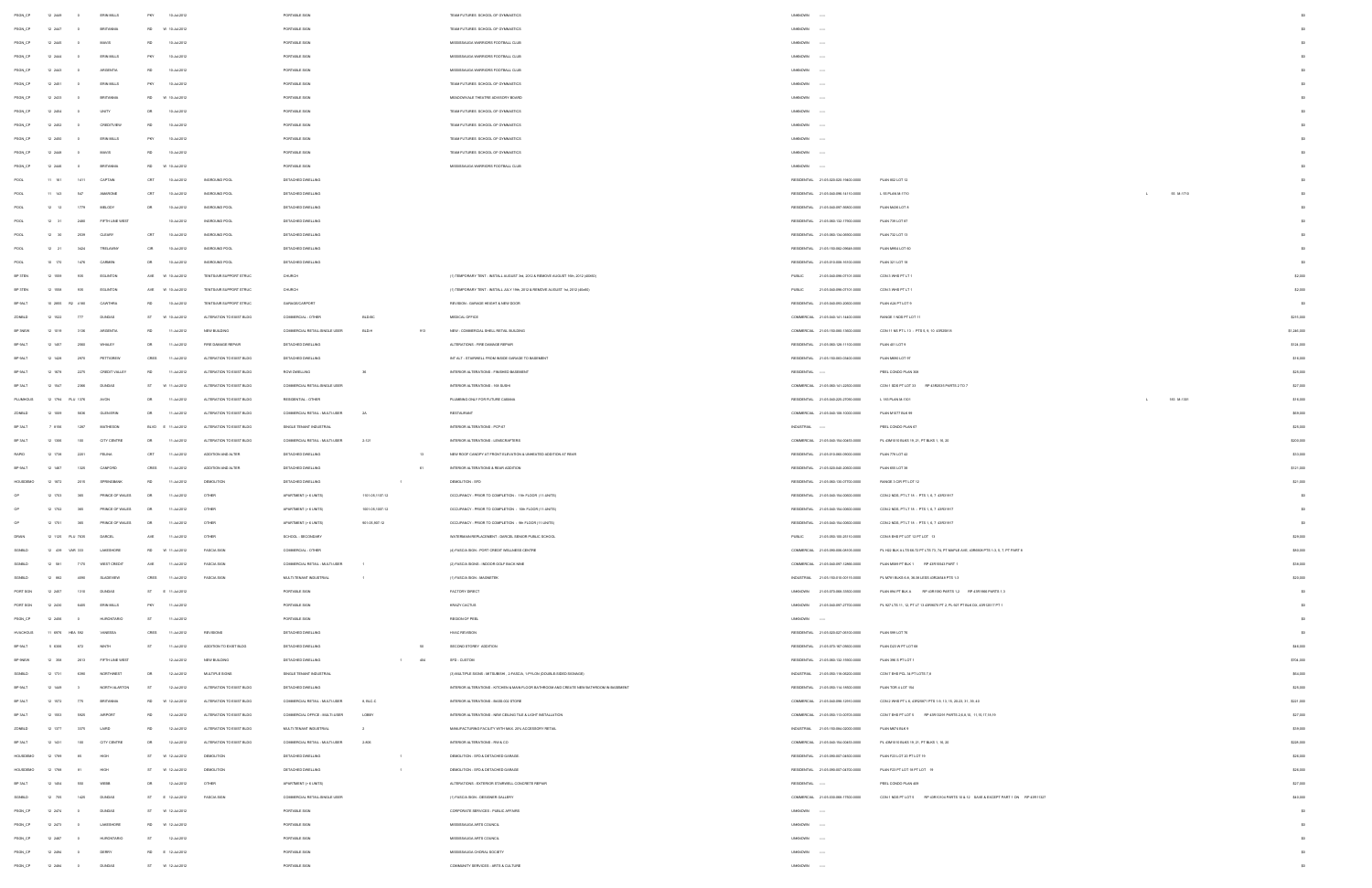| PSGN_CP         | 12 2449        | $\overline{0}$ | <b>ERIN MILLS</b>     | PKY<br>10-Jul-2012                            |                          | PORTABLE SIGN                  |                 | TEAM FUTURES SCHOOL OF GYMNASTICS                                                        | <b>UNKNOWN</b>                       |                                                                                      |            |
|-----------------|----------------|----------------|-----------------------|-----------------------------------------------|--------------------------|--------------------------------|-----------------|------------------------------------------------------------------------------------------|--------------------------------------|--------------------------------------------------------------------------------------|------------|
| PSGN_CP         | 12 2447        |                | BRITANNIA             | RD W 10-Jul-2012                              |                          | PORTABLE SIGN                  |                 | TEAM FUTURES SCHOOL OF GYMNASTICS                                                        | <b>UNKNOWN</b>                       |                                                                                      |            |
| PSGN_CP         | 12 2445        |                | <b>MAVIS</b>          | RD<br>10-Jul-2012                             |                          | PORTABLE SIGN                  |                 | MISSISSAUGA WARRIORS FOOTBALL CLUB                                                       | <b>UNKNOWN</b>                       |                                                                                      |            |
| PSGN_CP         | 12 2444        | $\overline{0}$ | ERIN MILLS            | PKY<br>10-Jul-2012                            |                          | PORTABLE SIGN                  |                 | MISSISSAUGA WARRIORS FOOTBALL CLUB                                                       | <b>UNKNOWN</b><br>-                  |                                                                                      |            |
|                 |                |                | ARGENTIA              | 10-Jul-2012                                   |                          | PORTABLE SIGN                  |                 | MISSISSAUGA WARRIORS FOOTBALL CLUB                                                       | <b>UNKNOWN</b>                       |                                                                                      |            |
| PSGN_CP         | 12 2443        | $^{\circ}$     |                       | <b>RD</b>                                     |                          |                                |                 |                                                                                          | -                                    |                                                                                      |            |
| PSGN_CP         | 12 2451        | $^{\circ}$     | <b>ERIN MILLS</b>     | PKY<br>10-Jul-2012                            |                          | PORTABLE SIGN                  |                 | TEAM FUTURES SCHOOL OF GYMNASTICS                                                        | <b>UNKNOWN</b><br>----               |                                                                                      |            |
| PSGN_CP         | 12 2433        | $\circ$        | BRITANNIA             | RD W 10-Jul-2012                              |                          | PORTABLE SIGN                  |                 | MEADOWVALE THEATRE ADVISORY BOARD                                                        | <b>UNKNOWN</b><br>----               |                                                                                      |            |
| PSGN_CP         | 12 2454        | $\circ$        | UNITY                 | DR .<br>10-Jul-2012                           |                          | PORTABLE SIGN                  |                 | TEAM FUTURES SCHOOL OF GYMNASTICS                                                        | <b>UNKNOWN</b>                       |                                                                                      |            |
| PSGN_CP         | 12 2452        |                | CREDITVIEW            | <b>RD</b><br>10-Jul-2012                      |                          | PORTABLE SIGN                  |                 | TEAM FUTURES SCHOOL OF GYMNASTICS                                                        | <b>UNKNOWN</b>                       |                                                                                      |            |
| PSGN_CP         | 12 2450        |                | ERIN MILLS            | PKY<br>10-Jul-2012                            |                          | PORTABLE SIGN                  |                 | TEAM FUTURES SCHOOL OF GYMNASTICS                                                        | <b>UNKNOWN</b>                       |                                                                                      |            |
| PSGN_CP         | 12 2448        | $\overline{0}$ | MAVIS                 | <b>RD</b><br>10-Jul-2012                      |                          | PORTABLE SIGN                  |                 | TEAM FUTURES SCHOOL OF GYMNASTICS                                                        | <b>UNKNOWN</b><br>-                  |                                                                                      |            |
| PSGN_CP         | 12 2446        | $^{\circ}$     | BRITANNIA             | RD W 10-Jul-2012                              |                          | PORTABLE SIGN                  |                 | MISSISSAUGA WARRIORS FOOTBALL CLUB                                                       | <b>UNKNOWN</b><br>$\cdots$           |                                                                                      |            |
| POOL            | 11 161         | 1411           | CAPTAIN               | CRT<br>10-Jul-2012                            | INGROUND POOL            | DETACHED DWELLING              |                 |                                                                                          | RESIDENTIAL 21-05-020-020-19400-0000 | PLAN 802 LOT 12                                                                      |            |
| POOL            | 11 143         | 547            | AMARONE               | CRT<br>10-Jul-2012                            | INGROUND POOL            | DETACHED DWELLING              |                 |                                                                                          | RESIDENTIAL 21-05-040-096-14110-0000 | L 55 PLAN M-1710<br>L.                                                               | 55 M-1710  |
| POOL            | $12 \qquad 12$ | 1779           | MELODY                | 10-Jul-2012<br><b>DR</b>                      | INGROUND POOL            | DETACHED DWELLING              |                 |                                                                                          | RESIDENTIAL 21-05-040-097-56800-0000 | PLAN M436 LOT 8                                                                      |            |
| POOL            | $12 \quad 3$   | 2480           | FIFTH LINE WEST       | 10-Jul-2012                                   | INGROUND POOL            | DETACHED DWELLING              |                 |                                                                                          | RESIDENTIAL 21-05-060-132-17900-0000 | PLAN 739 LOT 87                                                                      |            |
|                 |                |                |                       |                                               |                          | DETACHED DWELLING              |                 |                                                                                          |                                      |                                                                                      |            |
| POOL            | 12 30          | 2539           | CLEARY                | CRT<br>10-Jul-2012                            | INGROUND POOL            |                                |                 |                                                                                          | RESIDENTIAL 21-05-060-134-06900-0000 | PLAN 732 LOT 13                                                                      |            |
| POOL            | $12 \t 21$     | 3424           | TRELAWNY              | CIR<br>10-Jul-2012                            | INGROUND POOL            | DETACHED DWELLING              |                 |                                                                                          | RESIDENTIAL 21-05-150-082-09648-0000 | PLAN M954 LOT 60                                                                     |            |
| POOL            | 10 170         | 1476           | CARMEN                | <b>DR</b><br>10-Jul-2012                      | INGROUND POOL            | DETACHED DWELLING              |                 |                                                                                          | RESIDENTIAL 21-05-010-008-16100-0000 | PLAN 321 LOT 18                                                                      |            |
| BP 3TEN         | 12 1559        | 935            | <b>EGLINTON</b>       | AVE W 10-Jul-2012                             | TENTS/AIR SUPPORT STRUC  | CHURCH                         |                 | (1) TEMPORARY TENT - INSTALL AUGUST 3rd, 2012 & REMOVE AUGUST 16th, 2012 (40X60)         | PUBLIC<br>21-05-040-098-07101-0000   | CON 3 WHS PT LT 1                                                                    |            |
| BP 3TEN         | 12 1558        | 935            | <b>EGLINTON</b>       | AVE W 10-Jul-2012                             | TENTS/AIR SUPPORT STRUC  | CHURCH                         |                 | (1) TEMPORARY TENT - INSTALL JULY 19th, 2012 & REMOVE AUGUST 1st, 2012 (40x60)           | PUBLIC<br>21-05-040-098-07101-0000   | CON 3 WHS PT LT 1                                                                    | \$2,00     |
| BP 9ALT         |                |                | CAWTHRA               | 10-Jul-2012<br><b>RD</b>                      | TENTS/AIR SUPPORT STRUC  | <b>GARAGE/CARPORT</b>          |                 | REVISION - GARAGE HEIGHT & NEW DOOR                                                      | RESIDENTIAL 21-05-040-093-20600-0000 | PLAN A24 PT LOT 9                                                                    |            |
| ZONBLD          |                |                | <b>DUNDAS</b>         | ST W 10-Jul-2012                              | ALTERATION TO EXIST BLDG | COMMERCIAL - OTHER             | BLD-BC          | MEDICAL OFFICE                                                                           | COMMERCIAL 21-05-040-141-14400-0000  | RANGE 1 NDS PT LOT 11                                                                | \$215,000  |
| BP 3NEW         | 12 1019        | 3136           | ARGENTIA              | <b>RD</b><br>11-Jul-2012                      | NEW BUILDING             | COMMERCIAL RETAIL-SINGLE USER  | BLD-H<br>913    | NEW - COMMERCIAL SHELL RETAIL BUILDING                                                   | COMMERCIAL 21-05-150-080-13600-0000  | CON 11 NS PT L 13 - PTS 5, 9, 10 43R25818                                            | \$1,246,00 |
| BP 9ALT         | 12 145         | 2560           | WHALEY                | DR<br>11-Jul-2012                             | FIRE DAMAGE REPAIR       | DETACHED DWELLING              |                 | ALTERATIONS - FIRE DAMAGE REPAIR                                                         | RESIDENTIAL 21-05-060-128-11100-0000 | PLAN 401 LOT 9                                                                       | \$124,00   |
| BP 9ALT         | 12 1428        | 2970           | PETTIGREW             | CRES<br>11-Jul-2012                           | ALTERATION TO EXIST BLDG | DETACHED DWELLING              |                 | INT ALT - STAIRWELL FROM INSIDE GARAGE TO BASEMENT                                       | RESIDENTIAL 21-05-150-083-03400-0000 | PLAN M690 LOT 97                                                                     | \$16,00    |
| BP 9ALT         | 12 1678        | 2275           | CREDIT VALLEY         | <b>RD</b><br>11-Jul-2012                      | ALTERATION TO EXIST BLDG | ROW DWELLING                   | 36              | INTERIOR ALTERATIONS - FINISHED BASEMENT                                                 | RESIDENTIAL -----                    | PEEL CONDO PLAN 308                                                                  | \$25,00    |
| BP 3ALT         | 12 154         | 2366           | <b>DUNDAS</b>         | ST W 11-Jul-2012                              | ALTERATION TO EXIST BLDG | COMMERCIAL RETAIL-SINGLE USER  |                 | INTERIOR ALTERATIONS - 168 SUSHI                                                         | COMMERCIAL 21-05-060-141-22500-0000  | CON 1 SDS PT LOT 33 RP 43R2535 PARTS 2 TO 7                                          | \$27,00    |
| PLUMHOUS        | 12 1794        | PLU 1376       | AVON                  | 11-Jul-2012<br><b>DR</b>                      | ALTERATION TO EXIST BLDG | RESIDENTIAL - OTHER            |                 | PLUMBING ONLY FOR FUTURE CABANA                                                          | RESIDENTIAL 21-05-040-225-27090-0000 | L 183 PLAN M-1301                                                                    | 183 M-1301 |
|                 |                |                |                       |                                               |                          |                                |                 |                                                                                          |                                      | $\mathbf{L}$                                                                         | \$16,00    |
| ZONBLD          | 12 1009        | 5636           | <b>GLEN ERIN</b>      | <b>DR</b><br>11-Jul-2012                      | ALTERATION TO EXIST BLDG | COMMERCIAL RETAIL - MULTI-USER | 2A              | RESTAURANT                                                                               | COMMERCIAL 21-05-040-108-10000-0000  | PLAN M1077 BLK 99                                                                    | \$69,00    |
| BP 3ALT         | 7 8156         | 1287           | MATHESON              | BLVD E 11-Jul-2012                            |                          | SINGLE TENANT INDUSTRIAL       |                 |                                                                                          | INDUSTRIAL -----                     | PEEL CONDO PLAN 67                                                                   |            |
|                 |                |                |                       |                                               | ALTERATION TO EXIST BLDG |                                |                 | INTERIOR ALTERATIONS - PCP-67                                                            |                                      |                                                                                      | \$25,00    |
| BP 3ALT         | 12 1306        | 100            | CITY CENTRE           | DR.<br>11-Jul-2012                            | ALTERATION TO EXIST BLDG | COMMERCIAL RETAIL - MULTI-USER | $2 - 121$       | INTERIOR ALTERATIONS - LENSCRAFTERS                                                      | COMMERCIAL 21-05-040-154-00453-0000  | PL 43M1010 BLKS 19, 21, PT BLKS 1, 16, 20                                            | \$200,00   |
| RAPID           | 12 1738        | 2201           | FELINA                | CRT<br>11-Jul-2012                            | ADDITION AND ALTER       | DETACHED DWELLING              | 13              | NEW ROOF CANOPY AT FRONT ELEVATION & UNHEATED ADDITION AT REAR                           | RESIDENTIAL 21-05-010-060-09000-0000 | PLAN 778 LOT 42                                                                      | \$33,00    |
| BP 9ALT         | 12 1467        | 1325           | CANFORD               | CRES<br>11-Jul-2012                           | ADDITION AND ALTER       | DETACHED DWELLING              | 61              | INTERIOR ALTERATIONS & REAR ADDITION                                                     | RESIDENTIAL 21-05-020-040-20600-0000 | PLAN 655 LOT 38                                                                      | \$121,00   |
| HOUSDEMO        | 12 1872        | 2015           | SPRINGBANK            | 11-Jul-2012<br><b>RD</b>                      | DEMOLITION               | DETACHED DWELLING              | $\sim$ 1        | DEMOLITION - SFD                                                                         | RESIDENTIAL 21-05-060-130-07700-0000 | RANGE 3 CIR PT LOT 12                                                                | \$21,00    |
| OP              | 12 1703        | 365            | PRINCE OF WALES       | DR.<br>11-Jul-2012                            | OTHER                    | APARTMENT (> 6 UNITS)          | 1101-05,1107-12 | OCCUPANCY - PRIOR TO COMPLETION - 11th FLOOR (11-UNITS)                                  | RESIDENTIAL 21-05-040-154-00600-0000 | CON 2 NDS, PT LT 18 - PTS 1, 6, 7 43R31917                                           |            |
|                 |                |                |                       | OP 12:1702 365 PRINCE OF WALES DR 11-Jul-2012 | OTHER                    | APARTMENT (> 6 UNITS)          | 1001-05,1007-12 | OCCUPANCY - PRIOR TO COMPLETION - 10th FLOOR (11-UNITS)                                  | RESIDENTIAL 21-05-040-154-00600-0000 | CON 2 NDS PT I T 18 - PTS 1 6 7 43R31917                                             |            |
| OP              | 12 1701        | 365            | PRINCE OF WALES       | DR.<br>11-Jul-2012                            | OTHER                    | APARTMENT (> 6 UNITS)          | 901-05.907-12   | OCCUPANCY - PRIOR TO COMPLETION - 9th FLOOR (11-UNITS)                                   | RESIDENTIAL 21-05-040-154-00600-0000 | CON 2 NDS, PT LT 18 - PTS 1, 6, 7 43R31917                                           |            |
|                 | 12 1125        | PLU 7635       | DARCEL                | AVE<br>11-Jul-2012                            | OTHER                    | SCHOOL - SECONDARY             |                 | WATERMAIN REPLACEMENT - DARCEL SENIOR PUBLIC SCHOOL                                      | PUBLIC<br>21-05-050-100-25110-0000   | CON 8 EHS PT LOT 12 PT LOT 13                                                        | \$29,000   |
| SGNBLD          | 12 439         | <b>VAR 333</b> |                       |                                               |                          |                                |                 |                                                                                          |                                      |                                                                                      | \$80,00    |
|                 |                |                | LAKESHORE             | RD W 11-Jul-2012                              | <b>FASCIA SIGN</b>       | COMMERCIAL - OTHER             |                 | (4) FASCIA SIGN - PORT CREDIT WELLNESS CENTRE                                            | COMMERCIAL 21-05-090-006-08105-0000  | PL H22 BLK A LTS 66-72 PT LTS 73, 74, PT MAPLE AVE, 43R6908 PTS 1-3, 5, 7, PT PART 8 |            |
| SGNBLD          |                | 7170           | WEST CREDIT           | AVE<br>11-Jul-2012                            | <b>FASCIA SIGN</b>       | COMMERCIAL RETAIL - MULTI-USER |                 | (2) FASCIA SIGNS - INDOOR GOLF BACK NINE                                                 | COMMERCIAL 21-05-040-097-12866-0000  | PLAN M589 PT BLK 1 RP 43R15543 PART 1                                                | \$38,00    |
| SGNBLD          | 12 882         | 4090           | SLADEVIEW             | CRES<br>11-Jul-2012                           | <b>FASCIA SIGN</b>       | MULTI-TENANT INDUSTRIAL        |                 | (1) FASCIA SIGN - MAGNETEK                                                               | INDUSTRIAL 21-05-150-010-00115-0000  | PL M781 BLKS 6-8, 36-38 LESS 43R24548 PTS 1-3                                        | \$20,00    |
| PORT SGN        | 12 2457        | 1310           | <b>DUNDAS</b>         | ST E 11-Jul-2012                              |                          | PORTABLE SIGN                  |                 | FACTORY DIRECT                                                                           | UNKNOWN 21-05-070-068-33500-0000     | PLAN 894 PT BLK A RP 43R1580 PARTS 1,2 RP 43R1966 PARTS 1,3                          |            |
| PORT SGN        | 12 2430        | 6405           | <b>ERIN MILLS</b>     | PKY<br>11-Jul-2012                            |                          | PORTABLE SIGN                  |                 | <b>KRAZY CACTUS</b>                                                                      | UNKNOWN 21-05-040-097-27700-0000     | PL 927 LTS 11, 12, PT LT 13 43R9070 PT 2, PL 927 PT BLK DX, 43R12517 PT 1            |            |
| PSGN_CP         | 12 2456        |                | <b>HURONTARIO</b>     | <b>ST</b><br>11-Jul-2012                      |                          | PORTABLE SIGN                  |                 | <b>REGION OF PEEL</b>                                                                    | <b>UNKNOWN</b><br>----               |                                                                                      |            |
| <b>HVACHOUS</b> | 11 6976        | <b>HEA 592</b> | VANESSA               | CRES<br>11-Jul-2012                           | <b>REVISIONS</b>         | DETACHED DWELLING              |                 | <b>HVAC REVISION</b>                                                                     | RESIDENTIAL 21-05-020-027-06100-0000 | PLAN 599 LOT 76                                                                      |            |
| BP 9ALT         | 5 6306         | 872            | <b>NINTH</b>          | 11-Jul-2012<br><b>ST</b>                      | ADDITION TO EXIST BLDG   | DETACHED DWELLING              | 50              | SECOND STOREY ADDITION                                                                   | RESIDENTIAL 21-05-070-167-05600-0000 | PLAN D23 W PT LOT 68                                                                 | \$46,000   |
| BP 9NEW         | 12 358         | 2613           | FIFTH LINE WEST       | 12-Jul-2012                                   | NEW BUILDING             | DETACHED DWELLING              | $1$ $404$       | SFD - CUSTOM                                                                             | RESIDENTIAL 21-05-060-132-15900-0000 | PLAN 396 S PT LOT 1                                                                  | \$704,00   |
| SGNBLD          | 12 173         | 6390           | NORTHWES <sup>-</sup> | <b>DR</b><br>12-Jul-2012                      | MULTIPLE SIGNS           | SINGLE TENANT INDUSTRIAL       |                 | (3) MULTIPLE SIGNS - MITSUBISHI, 2-FASCIA, 1-PYLON (DOUBLE-SIDED SIGNAGE)                | INDUSTRIAL 21-05-050-118-06200-0000  | CON 7 EHS PCL 34 PT LOTS 7,8                                                         | \$64,00    |
| BP 9ALT         | 12 1449        | $\mathbf{3}$   | NORTH ALARTON         | <b>ST</b><br>12-Jul-2012                      | ALTERATION TO EXIST BLDG | DETACHED DWELLING              |                 | INTERIOR ALTERATIONS - KITCHEN & MAIN FLOOR BATHROOM AND CREATE NEW BATHROOM IN BASEMENT | RESIDENTIAL 21-05-050-114-18500-0000 | PLAN TOR 4 LOT 154                                                                   | \$25,00    |
| BP 3ALT         | 12 1572        | 775            | BRITANNIA             | RD W 12-Jul-2012                              | ALTERATION TO EXIST BLDG | COMMERCIAL RETAIL - MULTI-USER | 8, BLC-C        | INTERIOR ALTERATIONS - BASS-002 STORE                                                    | COMMERCIAL 21-05-040-098-12910-0000  | CON 2 WHS PT L 6, 43R25871 PTS 1-9, 13, 15, 20-23, 31, 39, 40                        | \$221,00   |
| BP 3ALT         | 12 1553        | 5925           | AIRPORT               | <b>RD</b><br>12-Jul-2012                      | ALTERATION TO EXIST BLDG | COMMERCIAL OFFICE - MULTI-USER | LOBBY           | INTERIOR ALTERATIONS - NEW CEILING TILE & LIGHT INSTALLATION                             | COMMERCIAL 21-05-050-113-00703-0000  | CON 7 EHS PT LOT 5 RP 43R13291 PARTS 2,6,8,10, 11,15,17,18,19                        |            |
|                 |                |                |                       |                                               |                          |                                |                 |                                                                                          |                                      |                                                                                      | \$27,00    |
| ZONBLD          | 12 1431        | 3375<br>100    | LAIRD                 | 12-Jul-2012<br><b>RD</b>                      | ALTERATION TO EXIST BLDG | MULTI-TENANT INDUSTRIAL        |                 | MANUFACTURING FACILITY WITH MAX. 20% ACCESSORY RETAIL                                    | INDUSTRIAL 21-05-150-084-02000-0000  | PLAN M674 BLK 9                                                                      | \$39,00    |
| BP 3ALT         |                |                | CITY CENTRE           | <b>DR</b><br>12-Jul-2012                      | ALTERATION TO EXIST BLDG | COMMERCIAL RETAIL - MULTI-USER | 2-806           | INTERIOR ALTERATIONS - RW & CO                                                           | COMMERCIAL 21-05-040-154-00453-0000  | PL 43M1010 BLKS 19, 21, PT BLKS 1, 16, 20                                            | \$228,00   |
| HOUSDEMO        | 12 1789        | 85             | HIGH                  | ST W 12-Jul-2012                              | DEMOLITION               | DETACHED DWELLING              | $\overline{1}$  | DEMOLITION - SFD & DETACHED GARAGE.                                                      | RESIDENTIAL 21-05-090-007-04500-0000 | PLAN F23 LOT 20 PT LOT 19                                                            | \$26,00    |
| HOUSDEMO        | 12 1788        | 81             | HIGH                  | ST W 12-Jul-2012                              | DEMOLITION               | DETACHED DWELLING              | $\overline{1}$  | DEMOLITION - SFD & DETACHED GARAGE                                                       | RESIDENTIAL 21-05-090-007-04700-0000 | PLAN F23 PT LOT 18 PT LOT 19                                                         | \$26,00    |
| BP 3ALT         | 12 1454        | 550            | WEBB                  | DR 12-Jul-2012                                | OTHER                    | APARTMENT (> 6 UNITS)          |                 | ALTERATIONS - EXTERIOR STAIRWELL CONCRETE REPAIR                                         | RESIDENTIAL -----                    | PEEL CONDO PLAN 409                                                                  | \$27,00    |
| SGNBLD          | 12 705         | 1425           | <b>DUNDAS</b>         | ST E 12-Jul-2012                              | <b>FASCIA SIGN</b>       | COMMERCIAL RETAIL-SINGLE USER  |                 | (1) FASCIA SIGN - DESIGNER GALLERY                                                       | COMMERCIAL 21-05-030-068-17500-0000  | CON 1 NDS PT LOT 5 RP 43R10104 PARTS 10 & 12 SAVE & EXCEPT PART 1 ON RP 43R11327     | \$40,00    |
| PSGN_CP         | 12 2474        |                | <b>DUNDAS</b>         | ST W 12-Jul-2012                              |                          | PORTABLE SIGN                  |                 | CORPORATE SERVICES - PUBLIC AFFAIRS                                                      | <b>UNKNOWN</b><br>$\cdots$           |                                                                                      |            |
| PSGN_CP         | 12 2473        | $\overline{0}$ | LAKESHORE             | RD W 12-Jul-2012                              |                          | PORTABLE SIGN                  |                 | MISSISSAUGA ARTS COUNCIL                                                                 | <b>UNKNOWN</b>                       |                                                                                      |            |
| PSGN_CP         | 12 2467        | $\overline{0}$ | <b>HURONTARIO</b>     | ST 12-Jul-2012                                |                          | PORTABLE SIGN                  |                 | MISSISSAUGA ARTS COUNCIL                                                                 | <b>UNKNOWN</b><br>----               |                                                                                      |            |
| PSGN_CP         | 12 2494        | $\sim$         | DERRY                 | RD E 12-Jul-2012                              |                          | PORTABLE SIGN                  |                 | MISSISSAUGA CHORAL SOCIETY                                                               | <b>UNKNOWN</b><br>$\cdots$           |                                                                                      |            |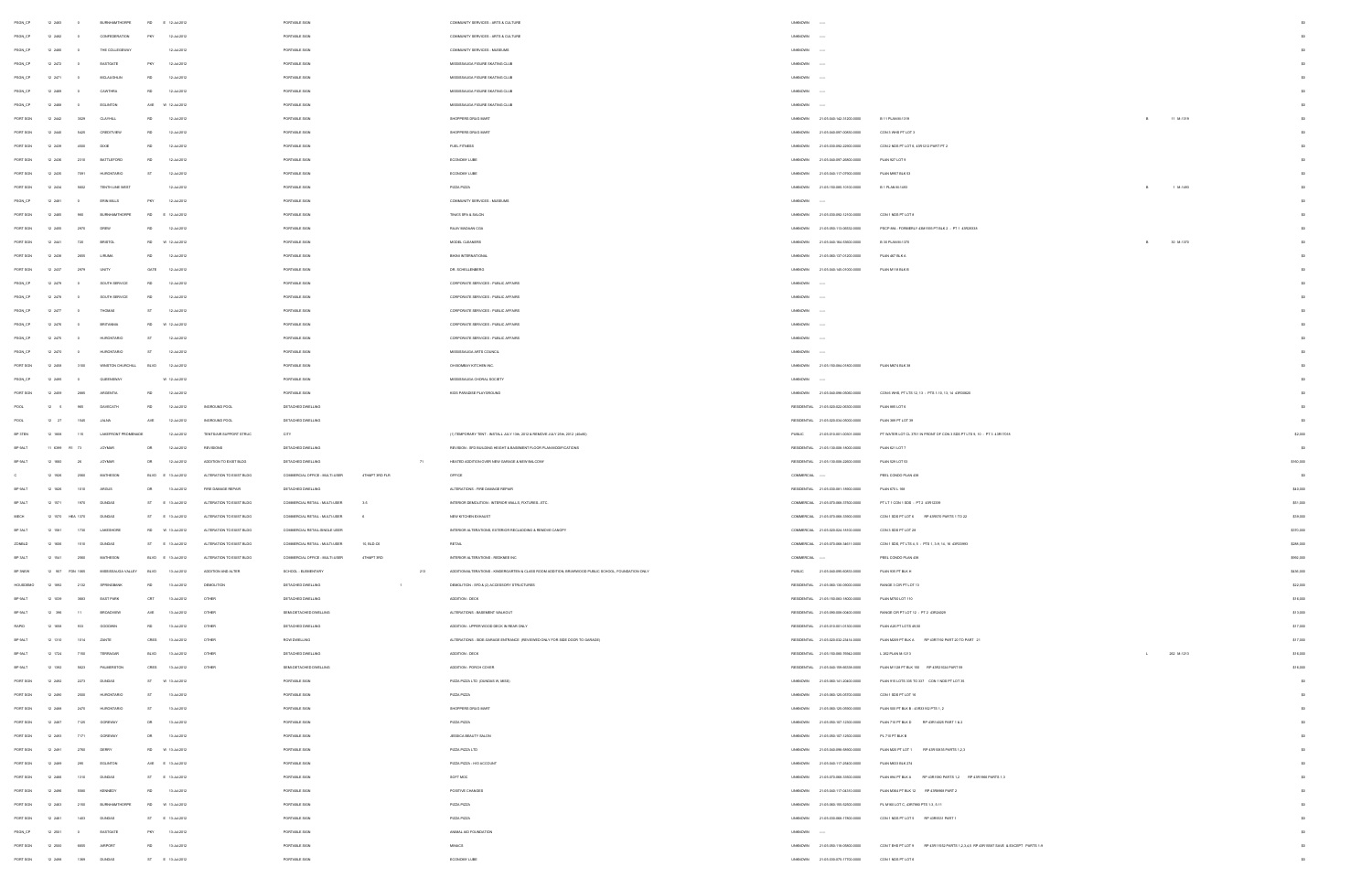| PSGN_CP  | 12 2483                      |          | BURNHAMTHORPE       | RD E 12-Jul-2012           |                                           | PORTABLE SIGN                    |                | COMMUNITY SERVICES - ARTS & CULTURE                                                                 | <b>UNKNOWN</b><br>-----                    |                                                                                    |          |
|----------|------------------------------|----------|---------------------|----------------------------|-------------------------------------------|----------------------------------|----------------|-----------------------------------------------------------------------------------------------------|--------------------------------------------|------------------------------------------------------------------------------------|----------|
| PSGN_CP  | 12 2482                      |          | CONFEDERATION       | PKY<br>12-Jul-2012         |                                           | PORTABLE SIGN                    |                | COMMUNITY SERVICES - ARTS & CULTURE                                                                 | <b>UNKNOWN</b><br>-                        |                                                                                    |          |
| PSGN_CP  | 12 2480                      |          | THE COLLEGEWAY      | 12-Jul-2012                |                                           | PORTABLE SIGN                    |                | <b>COMMUNITY SERVICES - MUSEUMS</b>                                                                 | <b>UNKNOWN</b><br>10000                    |                                                                                    |          |
| PSGN_CP  | 12 2472                      |          | EASTGATE            | PKY<br>12-Jul-2012         |                                           | PORTABLE SIGN                    |                | MISSISSAUGA FIGURE SKATING CLUB                                                                     | <b>UNKNOWN</b>                             |                                                                                    |          |
|          |                              |          | MCLAUGHLIN          | <b>RD</b>                  |                                           | PORTABLE SIGN                    |                | MISSISSAUGA FIGURE SKATING CLUB                                                                     |                                            |                                                                                    |          |
| PSGN_CP  | 12 2471                      |          |                     | 12-Jul-2012                |                                           |                                  |                |                                                                                                     | <b>UNKNOWN</b>                             |                                                                                    |          |
| PSGN_CP  | 12 2469                      |          | CAWTHRA             | <b>RD</b><br>12-Jul-2012   |                                           | PORTABLE SIGN                    |                | MISSISSAUGA FIGURE SKATING CLUB                                                                     | <b>UNKNOWN</b>                             |                                                                                    |          |
| PSGN_CP  | 12 2468                      |          | EGLINTON            | AVE W 12-Jul-2012          |                                           | PORTABLE SIGN                    |                | MISSISSAUGA FIGURE SKATING CLUB                                                                     | <b>UNKNOWN</b><br>$\sim$                   |                                                                                    |          |
| PORT SGN | 12 2442                      | 3029     | CLAYHILL            | 12-Jul-2012<br><b>RD</b>   |                                           | PORTABLE SIGN                    |                | SHOPPERS DRUG MART                                                                                  | 21-05-040-142-31200-0000<br><b>UNKNOWN</b> | B 11 PLAN M-1319<br>B 11 M-1319                                                    |          |
| PORT SGN | 12 2440                      | 5425     | CREDITVIEW          | <b>RD</b><br>12-Jul-2012   |                                           | PORTABLE SIGN                    |                | SHOPPERS DRUG MART                                                                                  | 21-05-040-097-00830-0000<br><b>UNKNOWN</b> | CON 3 WHS PT LOT 3                                                                 |          |
| PORT SGN | 12 2439                      | 4500     | DIXIE               | <b>RD</b><br>12-Jul-2012   |                                           | PORTABLE SIGN                    |                | <b>FUEL FITNESS</b>                                                                                 | <b>UNKNOWN</b><br>21-05-030-092-22900-0000 | CON 2 NDS PT LOT 6, 43R1212 PART PT 2                                              |          |
| PORT SGN | 12 2436                      | 2310     | BATTLEFORD          | <b>RD</b><br>12-Jul-2012   |                                           | PORTABLE SIGN                    |                | ECONOMY LUBE                                                                                        | <b>UNKNOWN</b><br>21-05-040-097-26800-0000 | PLAN 927 LOT 9                                                                     |          |
| PORT SGN | 12 2435                      | 7091     | <b>HURONTARIO</b>   | 12-Jul-2012<br>ST          |                                           | PORTABLE SIGN                    |                | ECONOMY LUBE                                                                                        | 21-05-040-117-07900-0000<br><b>UNKNOWN</b> | PLAN M957 BLK 53                                                                   |          |
| PORT SGN | 12 2434                      | 5602     | TENTH LINE WEST     | 12-Jul-2012                |                                           | PORTABLE SIGN                    |                | PIZZA PIZZA                                                                                         | 21-05-150-085-10100-0000<br><b>UNKNOWN</b> | <b>B 1 PLAN M-1493</b><br>1 M-1493<br>B                                            |          |
| PSGN_CP  | 12 2481                      |          | ERIN MILLS          | PKY<br>12-Jul-2012         |                                           | PORTABLE SIGN                    |                | COMMUNITY SERVICES - MUSEUMS                                                                        | <b>UNKNOWN</b><br>$\sim$                   |                                                                                    |          |
| PORT SGN | 12 2465                      | 980      | BURNHAMTHORPE       | RD E 12-Jul-2012           |                                           | PORTABLE SIGN                    |                | TINA'S SPA & SALON                                                                                  | 21-05-030-092-12100-0000<br><b>UNKNOWN</b> | CON 1 NDS PT LOT 8                                                                 |          |
|          |                              |          |                     |                            |                                           |                                  |                |                                                                                                     |                                            |                                                                                    |          |
| PORT SGN | 12 2455                      | 2970     | DREW                | <b>RD</b><br>12-Jul-2012   |                                           | PORTABLE SIGN                    |                | RAJIV MADAAN CGA                                                                                    | <b>UNKNOWN</b><br>21-05-050-113-06532-0000 | PSCP 884 - FORMERLY 43M1593 PT BLK 2 - PT 1 43R29338                               |          |
| PORT SGN | 12 2441                      | 720      | <b>BRISTOL</b>      | RD W 12-Jul-2012           |                                           | PORTABLE SIGN                    |                | MODEL CLEANERS                                                                                      | <b>UNKNOWN</b><br>21-05-040-164-53600-0000 | B 30 PLAN M-1370<br>30 M-1370<br><b>B</b>                                          |          |
| PORT SGN | 12 2438                      | 2655     | LIRUMA              | 12-Jul-2012<br><b>RD</b>   |                                           | PORTABLE SIGN                    |                | BIKINI INTERNATIONAL                                                                                | 21-05-060-137-01200-0000<br><b>UNKNOWN</b> | PLAN 467 BLK A                                                                     |          |
| PORT SGN | 12 2437                      | 2979     | UNITY               | 12-Jul-2012<br>GATE        |                                           | PORTABLE SIGN                    |                | DR. SCHELLENBERG                                                                                    | 21-05-040-145-01000-0000<br><b>UNKNOWN</b> | PLAN M118 BLK B                                                                    |          |
| PSGN_CP  | 12 2479                      |          | SOUTH SERVICE       | <b>RD</b><br>12-Jul-2012   |                                           | PORTABLE SIGN                    |                | CORPORATE SERVICES - PUBLIC AFFAIRS                                                                 | <b>UNKNOWN</b><br>$\cdots$                 |                                                                                    |          |
| PSGN_CP  | 12 2478                      |          | SOUTH SERVICE       | <b>RD</b><br>12-Jul-2012   |                                           | PORTABLE SIGN                    |                | CORPORATE SERVICES - PUBLIC AFFAIRS                                                                 | <b>UNKNOWN</b><br>-                        |                                                                                    |          |
| PSGN_CP  | 12 2477                      |          | <b>THOMAS</b>       | <b>ST</b><br>12-Jul-2012   |                                           | PORTABLE SIGN                    |                | CORPORATE SERVICES - PUBLIC AFFAIRS                                                                 | <b>UNKNOWN</b><br>-                        |                                                                                    |          |
| PSGN_CP  | 12 2476                      |          | BRITANNIA           | RD W 12-Jul-2012           |                                           | PORTABLE SIGN                    |                | CORPORATE SERVICES - PUBLIC AFFAIRS                                                                 | <b>UNKNOWN</b>                             |                                                                                    |          |
| PSGN_CP  | 12 2475                      |          | <b>HURONTARIO</b>   | 12-Jul-2012<br>ST          |                                           | PORTABLE SIGN                    |                | CORPORATE SERVICES - PUBLIC AFFAIRS                                                                 | <b>UNKNOWN</b>                             |                                                                                    |          |
| PSGN_CP  | 12 2470                      |          | HURONTARIO          | ST<br>12-Jul-2012          |                                           | PORTABLE SIGN                    |                | MISSISSAUGA ARTS COUNCIL                                                                            | <b>UNKNOWN</b>                             |                                                                                    |          |
|          |                              |          |                     |                            |                                           |                                  |                |                                                                                                     |                                            |                                                                                    |          |
| PORT SGN | 12 2458                      | 3100     | WINSTON CHURCHILL   | BLVD 12-Jul-2012           |                                           | PORTABLE SIGN                    |                | OH BOMBAY KITCHEN INC.                                                                              | UNKNOWN 21-05-150-084-01800-0000           | PLAN M674 BLK 38                                                                   |          |
| PSGN_CP  | 12 249                       |          | QUEENSWAY           | W 12-Jul-2012              |                                           | PORTABLE SIGN                    |                | MISSISSAUGA CHORAL SOCIETY                                                                          | <b>UNKNOWN</b><br>$\sim$                   |                                                                                    |          |
| PORT SGN | 12 2459                      | 2885     | ARGENTIA            | <b>RD</b><br>12-Jul-2012   |                                           | PORTABLE SIGN                    |                | KIDS PARADISE PLAYGROUND                                                                            | UNKNOWN 21-05-040-098-05060-0000           | CON 6 WHS, PT LTS 12, 13 - PTS 1-10, 13, 14 43R30620                               |          |
| POOL     | 12                           | 965      | DAVECATH            | <b>RD</b><br>12-Jul-2012   | INGROUND POOL                             | DETACHED DWELLING                |                |                                                                                                     | RESIDENTIAL 21-05-020-022-06300-0000       | PLAN 885 LOT 6                                                                     |          |
| POOL     | 12                           | 1545     | JALNA               | 12-Jul-2012<br>AVE         | INGROUND POOL                             | DETACHED DWELLING                |                |                                                                                                     | RESIDENTIAL 21-05-020-034-05000-0000       | PLAN 389 PT LOT 39                                                                 |          |
| BP 3TEN  | 12 1808                      | 115      | LAKEFRONT PROMENADE | 12-Jul-2012                | TENTS/AIR SUPPORT STRUC                   | CITY                             |                | (1) TEMPORARY TENT - INSTALL JULY 13th, 2012 & REMOVE JULY 25th, 2012 (40x80)                       | 21-05-010-001-00301-0000<br>PUBLIC         | PT WATER LOT CL 3751 IN FRONT OF CON 3 SDS PT LTS 9, 10 - PT 3 43R17018            |          |
|          |                              |          |                     |                            |                                           |                                  |                |                                                                                                     |                                            |                                                                                    |          |
| BP 9ALT  | 11 6399                      | R1 73    | <b>JOYMAR</b>       | <b>DR</b><br>12-Jul-2012   | <b>REVISIONS</b>                          | DETACHED DWELLING                |                | REVISION - SFD BUILDING HEIGHT & BASEMENT FLOOR PLAN MODIFICATIONS                                  | RESIDENTIAL 21-05-130-008-18000-0000       | PLAN 621 LOT 7                                                                     |          |
| BP 9ALT  | 12 1660                      | 26       | JOYMAR              | 12-Jul-2012<br><b>DR</b>   | ADDITION TO EXIST BLDG                    | DETACHED DWELLING                | 71             | HEATED ADDITION OVER NEW GARAGE & NEW BALCONY                                                       | RESIDENTIAL 21-05-130-008-22600-0000       | PLAN 529 LOT 53                                                                    | \$160,00 |
| C.       | 12 1926                      | 2560     | MATHESON            | BLVD E 13-Jul-2012         | ALTERATION TO EXIST BLDG                  | COMMERCIAL OFFICE - MULTI-USER   | 4TH&PT 3RD FLR | OFFICE                                                                                              | COMMERCIAL -----                           | PEEL CONDO PLAN 438                                                                |          |
|          |                              |          |                     |                            |                                           |                                  |                |                                                                                                     |                                            |                                                                                    |          |
| BP 9ALT  | 12 1826                      | 1010     | ARGUS               | DR.<br>13-Jul-2012         | FIRE DAMAGE REPAIR                        | DETACHED DWELLING                |                | ALTERATIONS - FIRE DAMAGE REPAIR                                                                    | RESIDENTIAL 21-05-030-081-18900-0000       | PLAN 670 L 168                                                                     | \$40,00  |
| BP 3ALT  | 12 1571                      | 1970     | <b>DUNDAS</b>       | ST E 13-Jul-2012           | ALTERATION TO EXIST BLDG                  | COMMERCIAL RETAIL - MULTI-USER   | $3-5$          | INTERIOR DEMOLITION - INTERIOR WALLS, FIXTURESETC.                                                  | COMMERCIAL 21-05-070-068-37500-0000        | PT LT 1 CON 1 SDS - PT 2 43R12339                                                  | \$51,00  |
|          | MECH 12 1570 HEA 1370 DUNDAS |          |                     |                            | ST E 13-Jul-2012 ALTERATION TO EXIST BLDG | COMMERCIAL RETAIL - MULTI-USER 6 |                | NEW KITCHEN EXHAUST                                                                                 | COMMERCIAL 21-05-070-068-33900-0000        | CON 1 SDS PT LOT 6 RP 43R570 PARTS 1 TO 22                                         | \$39,00  |
| BP 3ALT  | 12 1581                      | 1730     | LAKESHORE           | RD W 13-Jul-2012           | ALTERATION TO EXIST BLDG                  | COMMERCIAL RETAIL-SINGLE USER    |                | INTERIOR ALTERATIONS, EXTERIOR RECLADDING & REMOVE CANOPY                                           | COMMERCIAL 21-05-020-024-18100-0000        | CON 3 SDS PT LOT 28                                                                | \$370,00 |
| ZONBLD   | 12 1606                      | 1510     | <b>DUNDAS</b>       | ST E 13-Jul-2012           | ALTERATION TO EXIST BLDG                  | COMMERCIAL RETAIL - MULTI-USER   | 10, BLD-C6     | RETAIL                                                                                              | COMMERCIAL 21-05-070-068-34611-0000        | CON 1 SDS, PT LTS 4, 5 - PTS 1, 3-9, 14, 16 43R33993                               | \$288,00 |
| BP 3ALT  | 12 1541                      | 2560     | MATHESON            | BLVD E 13-Jul-2012         | ALTERATION TO EXIST BLDG                  | COMMERCIAL OFFICE - MULTI-USER   | 4TH&PT 3RD     | INTERIOR ALTERATIONS - REDKNEE INC.                                                                 | COMMERCIAL -----                           | PEEL CONDO PLAN 438                                                                | \$992,00 |
| BP 3NEW  | 12 907                       | FDN 1065 | MISSISSAUGA VALLEY  | <b>BLVD</b><br>13-Jul-2012 | ADDITION AND ALTER                        | SCHOOL - ELEMENTARY              | 213            | ADDITION/ALTERATIONS - KINDERGARTEN & CLASS ROOM ADDITION, BRIARWOOD PUBLIC SCHOOL, FOUNDATION ONLY | PUBLIC<br>21-05-040-095-60833-0000         | PLAN 935 PT BLK H                                                                  | \$436,00 |
| HOUSDEMO | 12 1892                      | 2132     | SPRINGBANK          | <b>RD</b><br>13-Jul-2012   | DEMOLITION                                | DETACHED DWELLING                | $\mathbf{A}$   | DEMOLITION - SFD & (2) ACCESSORY STRUCTURES                                                         | RESIDENTIAL 21-05-060-130-09000-0000       | RANGE 3 CIR PT LOT 13                                                              | \$22,00  |
| BP 9ALT  | 12 1039                      | 3683     | <b>EAST PARK</b>    | CRT<br>13-Jul-2012         | OTHER                                     | DETACHED DWELLING                |                | ADDITION - DECK                                                                                     | RESIDENTIAL 21-05-150-083-18000-0000       | PLAN M700 LOT 110                                                                  | \$16,00  |
| BP 9ALT  | 12 39                        | 11       | <b>BROADVIEW</b>    | AVE<br>13-Jul-2012         | OTHER                                     | SEMI-DETACHED DWELLING           |                | ALTERATIONS - BASEMENT WALKOUT                                                                      | RESIDENTIAL 21-05-090-008-00400-0000       | RANGE CIR PT LOT 12 - PT 2 43R24029                                                | \$13,00  |
| RAPID    | 12 1658                      | 933      | GOODWIN             | <b>RD</b><br>13-Jul-2012   | OTHER                                     | DETACHED DWELLING                |                | ADDITION - UPPER WOOD DECK IN REAR ONLY                                                             | RESIDENTIAL 21-05-010-001-01300-0000       | PLAN A26 PT LOTS 49,50                                                             | \$17,00  |
| BP 9ALT  | 12 1310                      | 1014     | ZANTE               | CRES<br>13-Jul-2012        | OTHER                                     | ROW DWELLING                     |                |                                                                                                     | RESIDENTIAL 21-05-020-032-23414-0000       | PLAN M209 PT BLK A RP 43R7192 PART 20 TO PART 21                                   |          |
|          |                              |          |                     |                            |                                           |                                  |                | ALTERATIONS - SIDE-GARAGE ENTRANCE (REVIEWED ONLY FOR SIDE DOOR TO GARAGE)                          |                                            |                                                                                    | \$17,00  |
| BP 9ALT  | 12 1724                      | 7150     | TERRAGAR            | <b>BLVD</b><br>13-Jul-2012 | OTHER                                     | DETACHED DWELLING                |                | ADDITION - DECK                                                                                     | RESIDENTIAL 21-05-150-080-76942-0000       | L 262 PLAN M-1213<br>262 M-1213<br><b>L</b>                                        | \$16,00  |
| BP 9ALT  | 12 1392                      | 5623     | PALMERSTON          | CRES<br>13-Jul-2012        | OTHER                                     | SEMI-DETACHED DWELLING           |                | ADDITION - PORCH COVER                                                                              | RESIDENTIAL 21-05-040-159-66338-0000       | PLAN M1128 PT BLK 150 RP 43R21024 PART 59                                          | \$16,00  |
| PORT SGN | 12 2492                      | 2273     | <b>DUNDAS</b>       | ST W 13-Jul-2012           |                                           | PORTABLE SIGN                    |                | PIZZA PIZZA LTD (DUNDAS W, MISS)                                                                    | UNKNOWN 21-05-060-141-20400-0000           | PLAN 915 LOTS 335 TO 337 CON 1 NDS PT LOT 35                                       |          |
| PORT SGN | 12 249                       | 2500     | <b>HURONTARIO</b>   | ST<br>13-Jul-2012          |                                           | PORTABLE SIGN                    |                | PIZZA PIZZA                                                                                         | 21-05-060-125-05700-0000<br><b>UNKNOWN</b> | CON 1 SDS PT LOT 16                                                                |          |
| PORT SGN | 12 2488                      | 2470     | <b>HURONTARIO</b>   | ST<br>13-Jul-2012          |                                           | PORTABLE SIGN                    |                | SHOPPERS DRUG MART                                                                                  | 21-05-060-125-05900-0000<br><b>UNKNOWN</b> | PLAN 500 PT BLK B - 43R33162 PTS 1, 2                                              |          |
| PORT SGN | 12 2487                      | 7125     | GOREWAY             | <b>DR</b><br>13-Jul-2012   |                                           | PORTABLE SIGN                    |                | PIZZA PIZZA                                                                                         | UNKNOWN 21-05-050-107-12300-0000           | PLAN 710 PT BLK D RP 43R14025 PART 1 & 2                                           |          |
| PORT SGN | 12 2493                      | 7171     | GOREWAY             | 13-Jul-2012<br><b>DR</b>   |                                           | PORTABLE SIGN                    |                | <b>JESSICA BEAUTY SALON</b>                                                                         | 21-05-050-107-12500-0000<br><b>UNKNOWN</b> | PL 710 PT BLK B                                                                    |          |
| PORT SGN | 12 249                       | 2760     | DERRY               | RD W 13-Jul-2012           |                                           | PORTABLE SIGN                    |                | PIZZA PIZZA LTD                                                                                     | <b>UNKNOWN</b><br>21-05-040-098-58900-0000 | PLAN M20 PT LOT 1 RP 43R10835 PARTS 1,2,3                                          |          |
| PORT SGN | 12 248                       | 295      | EGLINTON            | AVE E 13-Jul-2012          |                                           | PORTABLE SIGN                    |                | PIZZA PIZZA - H/O ACCOUNT                                                                           | 21-05-040-117-25400-0000<br><b>UNKNOWN</b> | PLAN M633 BLK 274                                                                  |          |
| PORT SGN | 12 2466                      | 1310     | <b>DUNDAS</b>       | ST E 13-Jul-2012           |                                           | PORTABLE SIGN                    |                | SOFT MOC                                                                                            | 21-05-070-068-33500-0000<br><b>UNKNOWN</b> | PLAN 894 PT BLK A RP 43R1580 PARTS 1,2 RP 43R1966 PARTS 1,3                        |          |
|          |                              |          |                     |                            |                                           |                                  |                |                                                                                                     |                                            |                                                                                    |          |
| PORT SGN | 12 2496                      | 5580     | <b>KENNEDY</b>      | <b>RD</b><br>13-Jul-2012   |                                           | PORTABLE SIGN                    |                | POSITIVE CHANGES                                                                                    | 21-05-040-117-04310-0000<br><b>UNKNOWN</b> | PLAN M364 PT BLK 12 RP 43R8968 PART 2                                              |          |
| PORT SGN | 12 2463                      | 2150     | BURNHAMTHORPE       | RD W 13-Jul-2012           |                                           | PORTABLE SIGN                    |                | PIZZA PIZZA                                                                                         | 21-05-060-155-52500-0000<br><b>UNKNOWN</b> | PL M160 LOT C, 43R7880 PTS 1-3, 5-11                                               |          |
| PORT SGN | 12 2461                      | 1403     | <b>DUNDAS</b>       | ST E 13-Jul-2012           |                                           | PORTABLE SIGN                    |                | PIZZA PIZZA                                                                                         | UNKNOWN 21-05-030-068-17800-0000           | CON 1 NDS PT LOT 5 RP 43R9331 PART 1                                               |          |
| PSGN_CP  | 12 2501                      |          | EASTGATE            | PKY 13-Jul-2012            |                                           | PORTABLE SIGN                    |                | ANIMAL AID FOUNDATION                                                                               | <b>UNKNOWN</b><br>----                     |                                                                                    |          |
| PORT SGN | 12 2500                      | 6655     | AIRPORT             | RD<br>13-Jul-2012          |                                           | PORTABLE SIGN                    |                | <b>MINACS</b>                                                                                       | UNKNOWN 21-05-050-118-05800-0000           | CON 7 EHS PT LOT 9 RP 43R11552 PARTS 1,2,3,4,5 RP 43R15587 SAVE & EXCEPT PARTS 1-9 |          |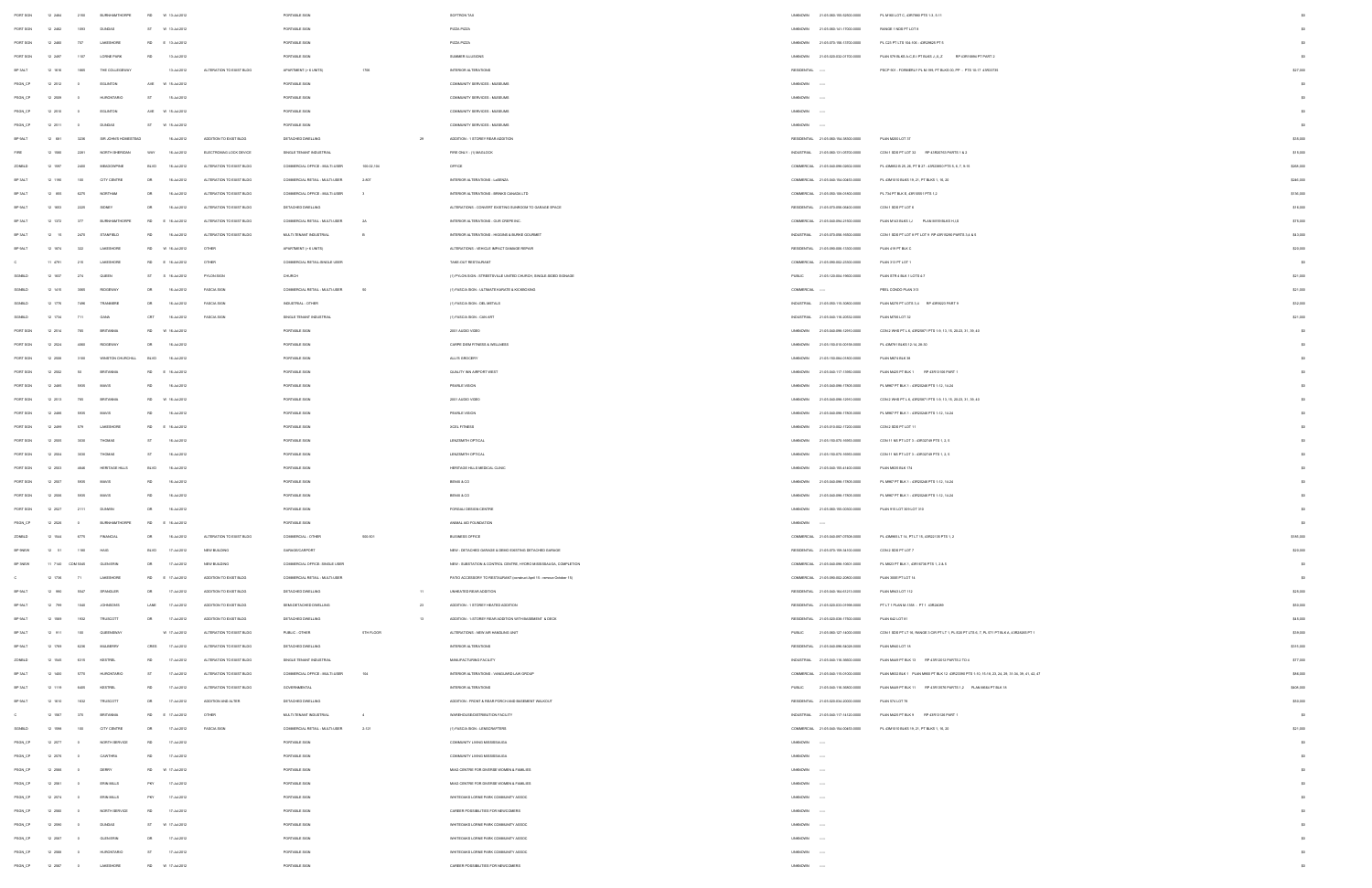| PORT SGN         | 12 2464 | 2150       | BURNHAMTHORPE        | RD W 13-Jul-2012               |                          | PORTABLE SIGN                  |                         |    | SOFTRON TAX                                                            | <b>UNKNOWN</b><br>21-05-060-155-52500-0000  | PL M160 LOT C, 43R7880 PTS 1-3, 5-11                                                            |          |
|------------------|---------|------------|----------------------|--------------------------------|--------------------------|--------------------------------|-------------------------|----|------------------------------------------------------------------------|---------------------------------------------|-------------------------------------------------------------------------------------------------|----------|
| PORT SGN         | 12 2462 | 1093       | <b>DUNDAS</b>        | ST W 13-Jul-2012               |                          | PORTABLE SIGN                  |                         |    | PIZZA PIZZA                                                            | <b>UNKNOWN</b><br>21-05-060-141-17000-0000  | RANGE 1 NDS PT LOT 8                                                                            |          |
| PORT SGN         | 12 2460 | 707        | LAKESHORE            | RD E 13-Jul-2012               |                          | PORTABLE SIGN                  |                         |    | PIZZA PIZZA                                                            | 21-05-070-156-13700-0000<br><b>UNKNOWN</b>  | PL C23 PT LTS 104-106 - 43R29625 PT 5                                                           |          |
| PORT SGN         | 12 2497 | 1107       | <b>LORNE PARK</b>    | <b>RD</b><br>13-Jul-2012       |                          | PORTABLE SIGN                  |                         |    | SUMMER ILLUSIONS                                                       | 21-05-020-032-01700-0000<br><b>UNKNOWN</b>  | PLAN 579 BLKS A-C,E-I PT BLKS J,,X,,Z RP 43R16894 PT PART 2                                     |          |
| BP 3ALT          | 12 1616 | 1665       | THE COLLEGEWAY       | 13-Jul-2012                    | ALTERATION TO EXIST BLDG | APARTMENT (> 6 UNITS)          | 1706                    |    | INTERIOR ALTERATIONS                                                   | RESIDENTIAL<br>$\sim$                       | PSCP 901 - FORMERLY PL M-199, PT BLKS 00, PP - PTS 10-17 43R33735                               |          |
| PSGN_CP          | 12 2512 | $^{\circ}$ | <b>EGLINTON</b>      | AVE W 15-Jul-2012              |                          | PORTABLE SIGN                  |                         |    | <b>COMMUNITY SERVICES - MUSEUMS</b>                                    | <b>UNKNOWN</b><br>1.111                     |                                                                                                 |          |
| PSGN_CP          | 12 2509 | $\sqrt{2}$ | <b>HURONTARIO</b>    | <b>ST</b><br>15-Jul-2012       |                          | PORTABLE SIGN                  |                         |    | <b>COMMUNITY SERVICES - MUSEUMS</b>                                    | <b>UNKNOWN</b><br>$\cdots$                  |                                                                                                 |          |
| PSGN_CP          | 12 2510 |            | <b>EGLINTON</b>      | AVE W 15-Jul-2012              |                          | PORTABLE SIGN                  |                         |    | <b>COMMUNITY SERVICES - MUSEUMS</b>                                    | <b>UNKNOWN</b><br>$\sim$                    |                                                                                                 |          |
| PSGN_CP          | 12 2511 |            | <b>DUNDAS</b>        | W 15-Jul-2012<br><b>ST</b>     |                          | PORTABLE SIGN                  |                         |    | COMMUNITY SERVICES - MUSEUMS                                           | <b>UNKNOWN</b>                              |                                                                                                 |          |
| BP 9ALT          |         | 3236       | SIR JOHN'S HOMESTEAD | 16-Jul-2012                    | ADDITION TO EXIST BLDG   | DETACHED DWELLING              |                         |    | ADDITION - 1 STOREY REAR ADDITION                                      | RESIDENTIAL 21-05-060-154-38300-0000        | PLAN M200 LOT 37                                                                                | \$35,00  |
| FIRE             |         | 2281       | NORTH SHERIDAN       | WAY<br>16-Jul-2012             | ELECTROMAG LOCK DEVICE   | SINGLE TENANT INDUSTRIAL       |                         |    | FIRE ONLY - (1) MAGLOCK                                                | INDUSTRIAL 21-05-060-131-05700-0000         | CON 1 SDS PT LOT 32 RP 43R20763 PARTS 1 & 2                                                     | \$15,00  |
| ZONBLD           | 12 1597 | 2400       | MEADOWPINE           | <b>BLVD</b><br>16-Jul-2012     | ALTERATION TO EXIST BLDG | COMMERCIAL OFFICE - MULTI-USER | 100-02,104              |    | OFFICE                                                                 | COMMERCIAL 21-05-040-098-02602-0000         | PL 43M852 B 25, 26, PT B 27 - 43R23850 PTS 5, 6, 7, 9-15                                        | \$268,00 |
| BP 3ALT          | 12 1190 | 100        | CITY CENTRE          | <b>DR</b><br>16-Jul-2012       | ALTERATION TO EXIST BLDG | COMMERCIAL RETAIL - MULTI-USER | 2-807                   |    | INTERIOR ALTERATIONS - LaSENZA                                         | COMMERCIAL 21-05-040-154-00453-0000         | PL 43M1010 BLKS 19, 21, PT BLKS 1, 16, 20                                                       | \$246,00 |
|                  | 12 855  | 6275       | <b>NORTHAM</b>       |                                |                          |                                |                         |    |                                                                        |                                             |                                                                                                 |          |
| BP 3ALT          |         |            |                      | <b>DR</b><br>16-Jul-2012       | ALTERATION TO EXIST BLDG | COMMERCIAL OFFICE - MULTI-USER | $\overline{\mathbf{3}}$ |    | INTERIOR ALTERATIONS - BRINKS CANADA LTD                               | COMMERCIAL 21-05-050-108-01800-0000         | PL 734 PT BLK E, 43R10551 PTS 1,2                                                               | \$136,00 |
| BP 9ALT          |         | 2225       | SIDNEY               | 16-Jul-2012<br><b>DR</b>       | ALTERATION TO EXIST BLDG | DETACHED DWELLING              |                         |    | ALTERATIONS - CONVERT EXISTING SUNROOM TO GARAGE SPACE                 | RESIDENTIAL 21-05-070-056-06400-0000        | CON 1 SDS PT LOT 6                                                                              | \$16,00  |
| BP 3ALT          | 12 1372 | 377        | BURNHAMTHORPE        | RD E 16-Jul-2012               | ALTERATION TO EXIST BLDG | COMMERCIAL RETAIL - MULTI-USER | 2A                      |    | INTERIOR ALTERATIONS - OUR CREPE INC.                                  | COMMERCIAL 21-05-040-094-21500-0000         | PLAN M143 BLKS I,J PLAN M159 BLKS H,I,S                                                         | \$75,00  |
| BP 3ALT          | 12      | 2470       | STANFIELD            | <b>RD</b><br>16-Jul-2012       | ALTERATION TO EXIST BLDG | MULTI-TENANT INDUSTRIAL        | B                       |    | INTERIOR ALTERATIONS - HIGGINS & BURKE GOURMET                         | INDUSTRIAL 21-05-070-056-16500-0000         | CON 1 SDS PT LOT 8 PT LOT 9 RP 43R15290 PARTS 3,4 & 5                                           | \$43,00  |
| BP 9ALT          | 12 1874 | 322        | LAKESHORE            | RD W 16-Jul-2012               | OTHER                    | APARTMENT (> 6 UNITS)          |                         |    | ALTERATIONS - VEHICLE IMPACT DAMAGE REPAIR                             | RESIDENTIAL 21-05-090-006-13300-0000        | PLAN 419 PT BLK C                                                                               | \$20,00  |
|                  | 11 4791 | 215        | LAKESHORE            | RD E 16-Jul-2012               | OTHER                    | COMMERCIAL RETAIL SINGLE USER  |                         |    | TAKE-OUT RESTAURANT                                                    | COMMERCIAL 21-05-090-002-23300-0000         | PLAN 313 PT LOT 1                                                                               |          |
| SGNBLD           | 12 1837 | 274        | QUEEN                | ST S 16-Jul-2012               | PYLON SIGN               | CHURCH                         |                         |    | (1) PYLON SIGN - STREETSVILLE UNITED CHURCH, SINGLE-SIDED SIGNAGE      | PUBLIC<br>21-05-120-004-19600-0000          | PLAN STR 4 BLK 1 LOTS 4-7                                                                       | \$21,00  |
| SGNBLD           | 12 1415 | 3065       | RIDGEWAY             | <b>DR</b><br>16-Jul-2012       | <b>FASCIA SIGN</b>       | COMMERCIAL RETAIL - MULTI-USER | 50                      |    | (1) FASCIA SIGN - ULTIMATE KARATE & KICKBOXING                         | COMMERCIAL                                  | PEEL CONDO PLAN 313                                                                             | \$21,00  |
| SGNBLD           | 12 1776 | 7496       | TRANMERE             | <b>DR</b><br>16-Jul-2012       | <b>FASCIA SIGN</b>       | INDUSTRIAL - OTHER             |                         |    | (1) FASCIA SIGN - DEL METALS                                           | INDUSTRIAL 21-05-050-115-30800-0000         | PLAN M276 PT LOTS 3,4 RP 43R9223 PART 9                                                         | \$32,00  |
| SGNBLD           | 12 1734 | 711        | GANA                 | CRT<br>16-Jul-2012             | <b>FASCIA SIGN</b>       | SINGLE TENANT INDUSTRIAL       |                         |    | (1) FASCIA SIGN - CAN ART                                              | INDUSTRIAL 21-05-040-116-20532-0000         | PLAN M706 LOT 32                                                                                | \$21,00  |
| PORT SGN         | 12 2514 | 765        | BRITANNIA            | RD W 16-Jul-2012               |                          | PORTABLE SIGN                  |                         |    | 2001 AUDIO VIDEO                                                       | 21-05-040-098-12910-0000<br><b>UNKNOWN</b>  | CON 2 WHS PT L 6, 43R25871 PTS 1-9, 13, 15, 20-23, 31, 39, 40                                   |          |
| PORT SGN         | 12 2524 | 4060       | RIDGEWAY             | DR.<br>16-Jul-2012             |                          | PORTABLE SIGN                  |                         |    | CARPE DIEM FITNESS & WELLNESS                                          | 21-05-150-010-00158-0000<br><b>UNKNOWN</b>  | PL 43M781 BLKS 12-14, 28-30                                                                     |          |
| PORT SGN         | 12 2508 | 3100       | WINSTON CHURCHILL    | <b>BLVD</b><br>16-Jul-2012     |                          | PORTABLE SIGN                  |                         |    | ALLI'S GROCERY                                                         | <b>LINKNOWN</b><br>21-05-150-084-01800-0000 | PLAN M674 BLK 38                                                                                |          |
| PORT SGN         | 12 2502 |            | BRITANNIA            | RD E 16-Jul-2012               |                          | PORTABLE SIGN                  |                         |    | QUALITY INN AIRPORT WEST                                               | <b>UNKNOWN</b><br>21-05-040-117-13950-0000  | PLAN M425 PT BLK 1 RP 43R13106 PART 1                                                           |          |
| PORT SGN         | 12 2485 | 5935       | MAVIS                | 16-Jul-2012<br><b>RD</b>       |                          | PORTABLE SIGN                  |                         |    | PEARLE VISION                                                          | 21-05-040-098-17805-0000<br><b>UNKNOW</b>   | PL M967 PT BLK 1 - 43R20246 PTS 1-12, 14-24                                                     |          |
| PORT SGN         | 12 2513 | 765        | BRITANNIA            | RD W 16-Jul-2012               |                          | PORTABLE SIGN                  |                         |    | 2001 AUDIO VIDEO                                                       | 21-05-040-098-12910-0000<br><b>UNKNOWN</b>  | CON 2 WHS PT L 6, 43R25871 PTS 1-9, 13, 15, 20-23, 31, 39, 40                                   |          |
| PORT SGN         | 12 2486 | 5935       | MAVIS                | 16-Jul-2012<br><b>RD</b>       |                          | PORTABLE SIGN                  |                         |    | PEARLE VISION                                                          | 21-05-040-098-17805-0000<br><b>UNKNOWN</b>  | PL M967 PT BLK 1 - 43R20246 PTS 1-12, 14-24                                                     |          |
| PORT SGN         | 12 2499 | 679        | LAKESHORE            | RD E 16-Jul-2012               |                          | PORTABLE SIGN                  |                         |    | <b>XCEL FITNESS</b>                                                    | <b>UNKNOWN</b><br>21-05-010-002-17200-0000  | CON 2 SDS PT LOT 11                                                                             |          |
| PORT SGN         | 12 2505 | 3030       | <b>THOMAS</b>        | <b>ST</b><br>16-Jul-2012       |                          | PORTABLE SIGN                  |                         |    | LENZSMITH OPTICAL                                                      | <b>UNKNOWN</b><br>21-05-150-070-16953-0000  | CON 11 NS PT LOT 3 - 43R32749 PTS 1, 2, 5                                                       |          |
|                  |         |            |                      |                                |                          |                                |                         |    |                                                                        |                                             |                                                                                                 |          |
| PORT SGN         | 12 2504 | 3030       | <b>THOMAS</b>        | <b>ST</b><br>16-Jul-2012       |                          | PORTABLE SIGN                  |                         |    | LENZSMITH OPTICAL                                                      | <b>UNKNOWN</b><br>21-05-150-070-16953-0000  | CON 11 NS PT LOT 3 - 43R32749 PTS 1, 2, 5                                                       |          |
| PORT SGN         | 12 2503 | 4646       | HERITAGE HILLS       | BLVD<br>16-Jul-2012            |                          | PORTABLE SIGN                  |                         |    | HERITAGE HILLS MEDICAL CLINIC                                          | 21-05-040-155-41400-0000<br><b>UNKNOWN</b>  | PLAN M635 BLK 174                                                                               |          |
| PORT SGN         | 12 2507 | 5935       | MAVIS                | 16-Jul-2012<br><b>RD</b>       |                          | PORTABLE SIGN                  |                         |    | BENIX & CO                                                             | 21-05-040-098-17805-0000<br><b>UNKNOWN</b>  | PL M967 PT BLK 1 - 43R20246 PTS 1-12, 14-24                                                     |          |
| PORT SGN         | 12 2506 | 5935       | MAVIS                | <b>RD</b><br>16-Jul-2012       |                          | PORTABLE SIGN                  |                         |    | BENIX & CO                                                             | 21-05-040-098-17805-0000<br><b>UNKNOWN</b>  | PL M967 PT BLK 1 - 43R20246 PTS 1-12, 14-24                                                     |          |
| PORT SGN 12 2527 |         | 2111       | <b>DUNWIN</b>        | DR<br>16-Jul-2012              |                          | PORTABLE SIGN                  |                         |    | FORGALI DESIGN CENTRE                                                  | UNKNOWN 21-05-060-155-00300-0000            | PLAN 915 LOT 309 LOT 310                                                                        |          |
| PSGN_CP          | 12 2526 | $\sim$     | <b>BURNHAMTHORPE</b> | RD E 16-Jul-2012               |                          | PORTABLE SIGN                  |                         |    | ANIMAL AID FOUNDATION                                                  | UNKNOWN -----                               |                                                                                                 |          |
| ZONBLD           | 12 1544 | 6775       | <b>FINANCIAL</b>     | <b>DR</b><br>16-Jul-2012       | ALTERATION TO EXIST BLDG | COMMERCIAL - OTHER             | 500-501                 |    | <b>BUSINESS OFFICE</b>                                                 | COMMERCIAL 21-05-040-097-07508-0000         | PL 43M965 LT 14, PT LT 15, 43R22135 PTS 1, 2                                                    | \$185,00 |
| BP 9NEW          | 12 51   | 1180       | <b>HAIG</b>          | 17-Jul-2012<br>BLVD            | NEW BUILDING             | GARAGE/CARPORT                 |                         |    | NEW - DETACHED GARAGE & DEMO EXISTING DETACHED GARAGE                  | RESIDENTIAL 21-05-070-159-34100-0000        | CON 2 SDS PT LOT 7                                                                              | \$20,00  |
| BP 3NEW          | 11 7140 | COM 5045   | <b>GLEN ERIN</b>     | 17-Jul-2012<br><b>DR</b>       | NEW BUILDING             | COMMERCIAL OFFICE- SINGLE USER |                         |    | NEW - SUBSTATION & CONTROL CENTRE, HYDRO MISSISSAUGA, COMPLETION       | COMMERCIAL 21-05-040-098-10601-0000         | PL M823 PT BLK 1, 43R16736 PTS 1, 2 & 5                                                         |          |
|                  | 12 1736 | 71         | LAKESHORE            | RD E 17-Jul-2012               | ADDITION TO EXIST BLDG   | COMMERCIAL RETAIL - MULTI-USER |                         |    | PATIO ACCESSORY TO RESTAURANT (construct April 15 - remove October 15) | COMMERCIAL 21-05-090-002-20800-0000         | PLAN 300E PT LOT 14                                                                             |          |
| BP 9ALT          | 12 990  | 5547       | SPANGLER             | DR.<br>17-Jul-2012             | ADDITION TO EXIST BLDG   | DETACHED DWELLING              |                         | 11 | UNHEATED REAR ADDITION                                                 | RESIDENTIAL 21-05-040-164-61213-0000        | PLAN M943 LOT 112                                                                               | \$25,00  |
| BP 9ALT          | 12 799  | 1040       | JOHNSON'S            | LANE 17-Jul-2012               | ADDITION TO EXIST BLDG   | SEMI-DETACHED DWELLING         |                         | 23 | ADDITION - 1 STOREY HEATED ADDITION                                    | RESIDENTIAL 21-05-020-033-01998-0000        | PT LT 1 PLAN M-1358 - PT 1 43R24089                                                             | \$50,00  |
| BP 9ALT          | 12 1569 | 1932       | TRUSCOTT             | DR.<br>17-Jul-2012             | ADDITION TO EXIST BLDG   | DETACHED DWELLING              |                         | 13 | ADDITION - 1-STOREY REAR ADDITION WITH BASEMENT & DECK                 | RESIDENTIAL 21-05-020-038-17500-0000        | PLAN 642 LOT 81                                                                                 | \$45,00  |
| BP 3ALT          | 12 911  | 100        | QUEENSWAY            | W 17-Jul-2012                  | ALTERATION TO EXIST BLDG | PUBLIC - OTHER                 | 5TH FLOOR               |    | ALTERATIONS - NEW AIR HANDLING UNIT                                    | PUBLIC<br>21-05-060-127-14000-0000          | CON 1 SDS PT LT 16, RANGE 3 CIR PT LT 1, PL E20 PT LTS 6, 7, PL 571 PT BLK A, 43R28265 PT 1     | \$39,00  |
| BP 9ALT          | 12 1769 | 6236       | MULBERRY             | CRES 17-Jul-2012               | ALTERATION TO EXIST BLDG | DETACHED DWELLING              |                         |    | INTERIOR ALTERATIONS                                                   | RESIDENTIAL 21-05-040-096-54028-0000        | PLAN M940 LOT 18                                                                                | \$315,00 |
| ZONBLD           | 12 1545 | 6315       | KESTREL              | 17-Jul-2012<br><b>RD</b>       | ALTERATION TO EXIST BLDG | SINGLE TENANT INDUSTRIAL       |                         |    | MANUFACTURING FACILITY                                                 | INDUSTRIAL 21-05-040-116-36600-0000         | PLAN M449 PT BLK 13 RP 43R12012 PARTS 2 TO 4                                                    | \$77,00  |
| BP 3ALT          | 12 1400 | 5770       | <b>HURONTARIO</b>    | <b>ST</b><br>17-Jul-2012       | ALTERATION TO EXIST BLDG | COMMERCIAL OFFICE - MULTI-USER | 104                     |    | INTERIOR ALTERATIONS - VANGUARD LAW GROUP                              | COMMERCIAL 21-05-040-115-01000-0000         | PLAN M832 BLK 1 PLAN M900 PT BLK 12 43R23390 PTS 1-10, 15-18, 23, 24, 29, 31-34, 39, 41, 42, 47 | \$86,00  |
| BP 3ALT          | 12 1119 | 6405       | <b>KESTREL</b>       | RD <sub>2</sub><br>17-Jul-2012 | ALTERATION TO EXIST BLDG | <b>GOVERNMENTAL</b>            |                         |    | INTERIOR ALTERATIONS                                                   | PUBLIC<br>21-05-040-116-36800-0000          | PLAN M449 PT BLK 11 RP 43R13576 PARTS 1.2 PLAN M664 PT BLK 18                                   | \$408,00 |
| BP 9ALT          | 12 1610 | 1632       | TRUSCOTT             | DR 1<br>17-Jul-2012            | ADDITION AND ALTER       | DETACHED DWELLING              |                         |    | ADDITION - FRONT & REAR PORCH AND BASEMENT WALKOUT                     | RESIDENTIAL 21-05-020-034-20000-0000        | PLAN 574 LOT 78                                                                                 | \$50,00  |
|                  | 12 1567 | 370        | BRITANNIA            | RD E 17-Jul-2012               | OTHER                    | MULTI-TENANT INDUSTRIAL        | $\overline{4}$          |    | WAREHOUSE/DISTRIBUTION FACILITY                                        | INDUSTRIAL 21-05-040-117-14120-0000         | PLAN M425 PT BLK 9 RP 43R13126 PART 1                                                           |          |
|                  |         |            |                      |                                |                          |                                |                         |    |                                                                        |                                             |                                                                                                 |          |
| SGNBLD           | 12 1598 | 100        | CITY CENTRE          | <b>DR</b><br>17-Jul-2012       | <b>FASCIA SIGN</b>       | COMMERCIAL RETAIL - MULTI-USER | $2-121$                 |    | (1) FASCIA SIGN - LENSCRAFTERS                                         | COMMERCIAL 21-05-040-154-00453-0000         | PL 43M1010 BLKS 19, 21, PT BLKS 1, 16, 20                                                       | \$21,00  |
| PSGN_CP          | 12 2577 |            | NORTH SERVICE        | <b>RD</b><br>17-Jul-2012       |                          | PORTABLE SIGN                  |                         |    | COMMUNITY LIVING MISSISSAUGA                                           | <b>UNKNOWN</b><br>-                         |                                                                                                 |          |
| PSGN_CP          | 12 2576 |            | CAWTHRA              | 17-Jul-2012<br><b>RD</b>       |                          | PORTABLE SIGN                  |                         |    | COMMUNITY LIVING MISSISSAUGA                                           | <b>UNKNOWN</b><br>$\sim$                    |                                                                                                 |          |
| PSGN_CP          | 12 2566 |            | DERRY                | RD W 17-Jul-2012               |                          | PORTABLE SIGN                  |                         |    | MIAG CENTRE FOR DIVERSE WOMEN & FAMILIES                               | <b>UNKNOWN</b><br>-----                     |                                                                                                 |          |
| PSGN_CP          | 12 2561 | $\sqrt{2}$ | <b>ERIN MILLS</b>    | PKY 17-Jul-2012                |                          | PORTABLE SIGN                  |                         |    | MIAG CENTRE FOR DIVERSE WOMEN & FAMILIES                               | <b>UNKNOWN</b><br>$\sim$                    |                                                                                                 |          |
| PSGN_CP          | 12 2574 |            | <b>ERIN MILLS</b>    | <b>PKY</b><br>17-Jul-2012      |                          | PORTABLE SIGN                  |                         |    | WHITEOAKS LORNE PARK COMMUNITY ASSOC                                   | <b>UNKNOWN</b>                              |                                                                                                 |          |
| PSGN_CP          | 12 2560 |            | NORTH SERVICE        | <b>RD</b><br>17-Jul-2012       |                          | PORTABLE SIGN                  |                         |    | CAREER POSSIBILITIES FOR NEWCOMERS                                     | <b>UNKNOWN</b>                              |                                                                                                 |          |
| PSGN_CP          | 12 2590 |            | <b>DUNDAS</b>        | ST W 17-Jul-2012               |                          | PORTABLE SIGN                  |                         |    | WHITEOAKS LORNE PARK COMMUNITY ASSOC                                   | <b>UNKNOWN</b>                              |                                                                                                 |          |
| PSGN_CP          | 12 2587 |            | <b>GLEN ERIN</b>     | <b>DR</b><br>17-Jul-2012       |                          | PORTABLE SIGN                  |                         |    | WHITEOAKS LORNE PARK COMMUNITY ASSOC                                   | <b>UNKNOWN</b><br>-                         |                                                                                                 |          |
| PSGN CP          | 12 2568 |            | <b>HURONTARIO</b>    | <b>ST</b><br>17-Jul-2012       |                          | PORTABLE SIGN                  |                         |    | WHITEOAKS LORNE PARK COMMUNITY ASSOC                                   | <b>UNKNOWN</b><br>1.1111                    |                                                                                                 |          |
| PSGN_CP 12 2567  |         | $\sim$     | LAKESHORE            | RD W 17-Jul-2012               |                          | PORTABLE SIGN                  |                         |    | CAREER POSSIBILITIES FOR NEWCOMERS                                     | UNKNOWN -----                               |                                                                                                 |          |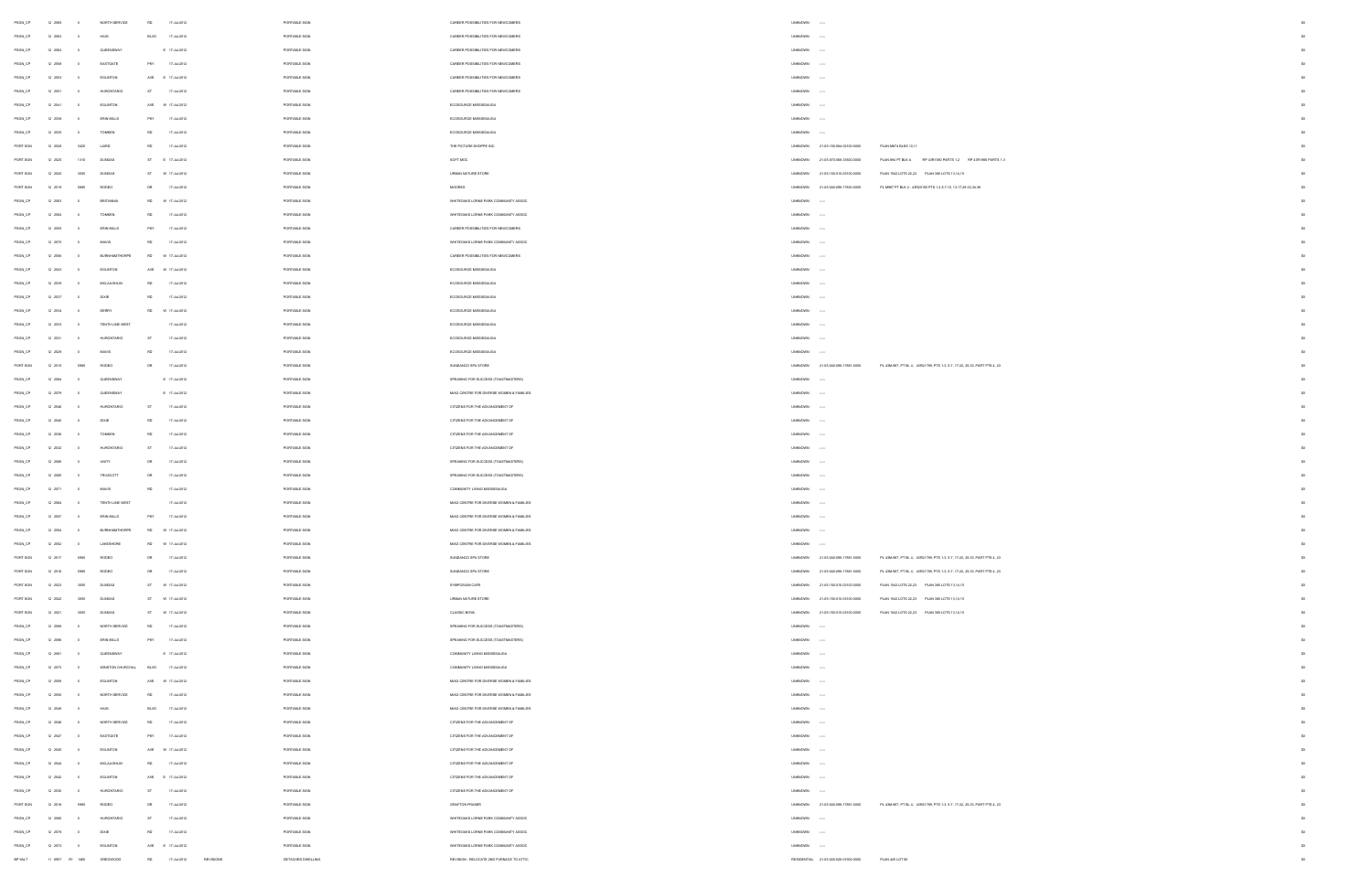| PSGN_CP                          | 12 2565<br>$\sim$ 0       | NORTH SERVICE        | <b>RD</b><br>17-Jul-2012                     | PORTABLE SIGN        | CAREER POSSIBILITIES FOR NEWCOMERS       | UNKNOWN -----                                                                                                 |
|----------------------------------|---------------------------|----------------------|----------------------------------------------|----------------------|------------------------------------------|---------------------------------------------------------------------------------------------------------------|
| PSGN_CP                          | 12 2563                   | HAIG                 | BLVD 17-Jul-2012                             | PORTABLE SIGN        | CAREER POSSIBILITIES FOR NEWCOMERS       | <b>UNKNOWN</b><br>----                                                                                        |
| PSGN_CP                          | 12 2562<br>$\Omega$       | QUEENSWAY            | E 17-Jul-2012                                | PORTABLE SIGN        | CAREER POSSIBILITIES FOR NEWCOMERS       | <b>UNKNOWN</b><br>-----                                                                                       |
| PSGN_CP                          | 12 2558<br>$\Omega$       | EASTGATE             | PKY 17-Jul-2012                              | PORTABLE SIGN        | CAREER POSSIBILITIES FOR NEWCOMERS       | <b>UNKNOWN</b><br>$\sim$                                                                                      |
| PSGN_CP                          | 12 2553                   | EGLINTON             | AVE E 17-Jul-2012                            | PORTABLE SIGN        | CAREER POSSIBILITIES FOR NEWCOMERS       | <b>UNKNOWN</b><br>$\sim$                                                                                      |
| PSGN_CP                          | 12 2551                   | HURONTARIO           | ST<br>17-Jul-2012                            | PORTABLE SIGN        | CAREER POSSIBILITIES FOR NEWCOMERS       | <b>UNKNOWN</b><br>$\sim$                                                                                      |
| PSGN_CP                          | 12 2541                   | EGLINTON             | AVE W 17-Jul-2012                            | PORTABLE SIGN        | ECOSOURCE MISSISSAUGA                    | <b>UNKNOWN</b><br>$\cdots$                                                                                    |
| PSGN_CP                          | 12 2538                   | <b>ERIN MILLS</b>    | PKY<br>17-Jul-2012                           | PORTABLE SIGN        | ECOSOURCE MISSISSAUGA                    | <b>UNKNOWN</b><br>----                                                                                        |
|                                  | 12 2535                   | <b>TOMKEN</b>        | 17-Jul-2012<br><b>RD</b>                     | PORTABLE SIGN        | ECOSOLIBOE MISSISSAUGA                   | <b>UNKNOWN</b><br>----                                                                                        |
| PSGN_CP                          |                           |                      |                                              |                      |                                          |                                                                                                               |
| PORT SGN                         | 12 2528<br>3425           | LAIRD                | RD 17-Jul-2012                               | PORTABLE SIGN        | THE PICTURE SHOPPE INC.                  | 21-05-150-084-02100-0000<br>PLAN M674 BLKS 10,11<br><b>UNKNOWN</b>                                            |
| PORT SGN                         | 12 2525<br>1310           | <b>DUNDAS</b>        | ST E 17-Jul-2012                             | PORTABLE SIGN        | SOFT MOC                                 | PLAN 894 PT BLK A RP 43R1580 PARTS 1,2 RP 43R1966 PARTS 1,3<br><b>UNKNOWN</b><br>21-05-070-068-33500-0000     |
| PORT SGN                         | 3055<br>12 2520           | <b>DUNDAS</b>        | ST W 17-Jul-2012                             | PORTABLE SIGN        | URBAN NATURE STORE                       | <b>UNKNOWN</b><br>21-05-150-010-03100-0000<br>PLAN 1542 LOTS 22,23 PLAN 380 LOTS 13,14,15                     |
| PORT SGN                         | 5885<br>12 2519           | RODEO                | DR<br>17-Jul-2012                            | PORTABLE SIGN        | <b>MOORES</b>                            | 21-05-040-098-17830-0000<br>PL M967 PT BLK 2 - 43R20150 PTS 1,2,5-7,10, 13-17,29-32,34-36<br><b>UNKNOWN</b>   |
| PSGN_CP                          | 12 2583                   | BRITANNIA            | RD W 17-Jul-2012                             | PORTABLE SIGN        | WHITEOAKS LORNE PARK COMMUNITY ASSOC     | <b>UNKNOWN</b><br>$\cdots$                                                                                    |
| PSGN_CP                          | 12 2582                   | <b>TOMKEN</b>        | 17-Jul-2012<br><b>RD</b>                     | PORTABLE SIGN        | WHITEOAKS LORNE PARK COMMUNITY ASSOC     | <b>UNKNOWN</b><br>-                                                                                           |
| $\ensuremath{\mathsf{PSGN\_CP}}$ | 12 2555                   | <b>ERIN MILLS</b>    | PKY<br>17-Jul-2012                           | PORTABLE SIGN        | CAREER POSSIBILITIES FOR NEWCOMERS       | <b>UNKNOWN</b>                                                                                                |
| PSGN_CP                          | 12 2570                   | <b>MAVIS</b>         | <b>RD</b><br>17-Jul-2012                     | PORTABLE SIGN        | WHITEOAKS LORNE PARK COMMUNITY ASSOC     | <b>UNKNOWN</b>                                                                                                |
| PSGN_CP                          | 12 2556                   | BURNHAMTHORPE        | <b>RD</b><br>W 17-Jul-2012                   | PORTABLE SIGN        | CAREER POSSIBILITIES FOR NEWCOMERS       | <b>UNKNOWN</b>                                                                                                |
| PSGN_CP                          | 12 2543                   | EGLINTON             | AVE W 17-Jul-2012                            | PORTABLE SIGN        | ECOSOURCE MISSISSAUGA                    | <b>UNKNOWN</b>                                                                                                |
| PSGN_CP                          | 12 2539                   | MCLAUGHLIN           | <b>RD</b><br>17-Jul-2012                     | PORTABLE SIGN        | ECOSOURCE MISSISSAUGA                    | <b>UNKNOWN</b><br>-                                                                                           |
| PSGN_CP                          | 12 2537                   | <b>DIXIE</b>         | 17-Jul-2012<br><b>RD</b>                     | PORTABLE SIGN        | ECOSOURCE MISSISSAUGA                    | <b>UNKNOWN</b><br>$\cdots$                                                                                    |
| PSGN_CP                          | 12 2534                   | DERRY                | RD W 17-Jul-2012                             | PORTABLE SIGN        | ECOSOLIBOE MISSISSAUGA                   | <b>UNKNOWN</b><br>$\cdots$                                                                                    |
| PSGN_CP                          | 12 2533<br>$\Omega$       | TENTH LINE WEST      | 17-Jul-2012                                  | PORTABLE SIGN        | ECOSOURCE MISSISSAUGA                    | <b>UNKNOWN</b><br>$\sim$                                                                                      |
| PSGN_CP                          | 12 2531                   | HURONTARIO           | ST<br>17-Jul-2012                            | PORTABLE SIGN        | ECOSOURCE MISSISSAUGA                    | <b>UNKNOWN</b><br>$\sim$                                                                                      |
|                                  |                           |                      |                                              |                      |                                          |                                                                                                               |
| PSGN_CP                          | 12 2529                   | MAVIS                | 17-Jul-2012<br><b>RD</b>                     | PORTABLE SIGN        | ECOSOURCE MISSISSAUGA                    | <b>UNKNOWN</b><br>$\sim$                                                                                      |
| PORT SGN                         | 5985<br>12 2515           | RODEO                | DR.<br>17-Jul-2012                           | PORTABLE SIGN        | SUNDANCD SPA STORE                       | PL 43M-967, PT BL 4, 43R21789, PTS 1-3, 5-7, 17-22, 25-33, PART PTS 4, 23<br>UNKNOWN 21-05-040-098-17881-0000 |
| PSGN CP                          | 12 2584<br>$^{\circ}$     | QUEENSWAY            | E 17-Jul-2012                                | PORTABLE SIGN        | SPEAKING FOR SUCCESS (TOASTMASTERS)      | <b>UNKNOWN</b><br>-                                                                                           |
| PSGN_CP                          | 12 2579<br>$\sim$         | QUEENSWAY            | E 17-Jul-2012                                | PORTABLE SIGN        | MIAG CENTRE FOR DIVERSE WOMEN & FAMILIES | <b>UNKNOWN</b><br>-----                                                                                       |
| $\ensuremath{\mathsf{PSGN\_CP}}$ | 12 2546<br>$\Omega$       | <b>HURONTARIO</b>    | <b>ST</b><br>17-Jul-2012                     | PORTABLE SIGN        | CITIZENS FOR THE ADVANCEMENT OF          | <b>UNKNOWN</b><br>$\sim$                                                                                      |
| PSGN_CP                          | 12 2540                   | DIXIE                | RD<br>17-Jul-2012                            | PORTABLE SIGN        | CITIZENS FOR THE ADVANCEMENT OF          | <b>UNKNOWN</b><br>$\sim$                                                                                      |
| PSGN_CP                          | 12 2536                   | TOMKEN               | 17-Jul-2012<br><b>RD</b>                     | PORTABLE SIGN        | CITIZENS FOR THE ADVANCEMENT OF          | <b>UNKNOWN</b><br>$\sim$                                                                                      |
| PSGN_CP                          | 12 2532                   | <b>HURONTARIO</b>    | ST<br>17-Jul-2012                            | PORTABLE SIGN        | CITIZENS FOR THE ADVANCEMENT OF          | <b>UNKNOWN</b><br>----                                                                                        |
| PSGN_CP                          | 12 2588                   | UNITY                | 17-Jul-2012<br>DR.                           | PORTABLE SIGN        | SPEAKING FOR SUCCESS (TOASTMASTERS)      | <b>UNKNOWN</b><br>----                                                                                        |
| PSGN_CP                          | 12 2585<br>$\Omega$       | TRUSCOTT             | 17-Jul-2012<br><b>DR</b>                     | PORTABLE SIGN        | SPEAKING FOR SUCCESS (TOASTMASTERS)      | <b>UNKNOWN</b><br>----                                                                                        |
| PSGN_CP                          | 12 2571<br>0              | <b>MAVIS</b>         | <b>RD</b><br>17-Jul-2012                     | PORTABLE SIGN        | COMMUNITY LIVING MISSISSAUGA             | <b>UNKNOWN</b><br>$\cdots$                                                                                    |
| PSGN_CP                          | 12 2564<br>$\sim$ 0       | TENTH LINE WEST      | 17-Jul-2012                                  | PORTABLE SIGN        | MIAG CENTRE FOR DIVERSE WOMEN & FAMILIES | <b>UNKNOWN</b>                                                                                                |
| PSGN_CP                          | 12 2557<br>$\sim$ 0       | <b>ERIN MILLS</b>    | PKY<br>17-Jul-2012                           | <b>PORTABLE SIGN</b> | MIAG CENTRE FOR DIVERSE WOMEN & FAMILIES | UNKNOWN                                                                                                       |
| PSGN_CP                          | 12 2554<br>$\sim$ 0       | <b>BURNHAMTHORPE</b> | RD W 17-Jul-2012                             | PORTABLE SIGN        | MIAG CENTRE FOR DIVERSE WOMEN & FAMILIES | UNKNOWN -----                                                                                                 |
| PSGN_CP                          | 12 2552<br>$\sim$         | LAKESHORE            | RD W 17-Jul-2012                             | PORTABLE SIGN        | MIAG CENTRE FOR DIVERSE WOMEN & FAMILIES | <b>UNKNOWN</b><br>$\cdots$                                                                                    |
| PORT SGN                         | 5985<br>12 2517           | RODEO                | DR 17-Jul-2012                               | PORTABLE SIGN        | SUNDANCD SPA STORE                       | PL 43M-967, PT BL 4, 43R21789, PTS 1-3, 5-7, 17-22, 25-33, PART PTS 4, 23<br>UNKNOWN 21-05-040-098-17881-0000 |
| PORT SGN                         | 12 2516<br>5985           | RODEO                | DR 17-Jul-2012                               | PORTABLE SIGN        | SUNDANCD SPA STORE                       | PL 43M-967, PT BL 4, 43R21789, PTS 1-3, 5-7, 17-22, 25-33, PART PTS 4, 23<br>UNKNOWN 21-05-040-098-17881-0000 |
|                                  | 3055                      | <b>DUNDAS</b>        |                                              |                      |                                          |                                                                                                               |
| PORT SGN                         | 12 2523                   |                      | ST W 17-Jul-2012                             | PORTABLE SIGN        | SYMPOSIUM CAFE                           | UNKNOWN 21-05-150-010-03100-0000<br>PLAN 1542 LOTS 22,23 PLAN 380 LOTS 13,14,15                               |
| PORT SGN                         | 12 25 22<br>3055          | <b>DUNDAS</b>        | ST W 17-Jul-2012                             | PORTABLE SIGN        | URBAN NATURE STORE                       | UNKNOWN 21-05-150-010-03100-0000<br>PLAN 1542 LOTS 22,23 PLAN 380 LOTS 13,14,15                               |
| PORT SGN                         | 3055<br>12 2521           | <b>DUNDAS</b>        | ST W 17-Jul-2012                             | PORTABLE SIGN        | CLASSIC BOWL                             | UNKNOWN 21-05-150-010-03100-0000<br>PLAN 1542 LOTS 22,23 PLAN 380 LOTS 13,14,15                               |
| PSGN_CP                          | 12 2589                   | NORTH SERVICE        | <b>RD</b><br>17-Jul-2012                     | PORTABLE SIGN        | SPEAKING FOR SUCCESS (TOASTMASTERS)      | <b>UNKNOWN</b><br>----                                                                                        |
| PSGN_CP                          | 12 2586                   | <b>ERIN MILLS</b>    | PKY<br>17-Jul-2012                           | PORTABLE SIGN        | SPEAKING FOR SUCCESS (TOASTMASTERS)      | <b>UNKNOWN</b><br>----                                                                                        |
| PSGN_CP                          | 12 2581<br>$\sim$         | QUEENSWAY            | E 17-Jul-2012                                | PORTABLE SIGN        | COMMUNITY LIVING MISSISSAUGA             | <b>UNKNOWN</b><br>----                                                                                        |
| PSGN_CP                          | 12 2573<br>$\circ$        | WINSTON CHURCHILL    | BLVD 17-Jul-2012                             | PORTABLE SIGN        | COMMUNITY LIVING MISSISSAUGA             | <b>UNKNOWN</b><br>$\cdots$                                                                                    |
| PSGN_CP                          | 12 2559<br>$^{\circ}$     | EGLINTON             | AVE W 17-Jul-2012                            | PORTABLE SIGN        | MIAG CENTRE FOR DIVERSE WOMEN & FAMILIES | <b>UNKNOWN</b><br>$\sim$                                                                                      |
| PSGN_CP                          | 12 2550<br>$\sim$         | NORTH SERVICE        | RD<br>17-Jul-2012                            | PORTABLE SIGN        | MIAG CENTRE FOR DIVERSE WOMEN & FAMILIES | <b>UNKNOWN</b><br>$\sim$                                                                                      |
| PSGN_CP                          | 12 2549<br>$\sim$         | HAIG                 | BLVD 17-Jul-2012                             | PORTABLE SIGN        | MIAG CENTRE FOR DIVERSE WOMEN & FAMILIES | <b>UNKNOWN</b><br>----                                                                                        |
| PSGN_CP                          | 12 2548<br>$\sim$         | NORTH SERVICE        | <b>RD</b><br>17-Jul-2012                     | PORTABLE SIGN        | CITIZENS FOR THE ADVANCEMENT OF          | UNKNOWN -----                                                                                                 |
| PSGN_CP                          | 12 2547<br>$\sim$         | EASTGATE             | PKY 17-Jul-2012                              | PORTABLE SIGN        | CITIZENS FOR THE ADVANCEMENT OF          | UNKNOWN ------                                                                                                |
| $\ensuremath{\mathsf{PSGN\_CP}}$ | 12 2545<br>$\sim$         | EGLINTON             | AVE W 17-Jul-2012                            | PORTABLE SIGN        | CITIZENS FOR THE ADVANCEMENT OF          | <b>UNKNOWN</b><br>$\sim$                                                                                      |
| PSGN_CP                          | 12 2544<br>$\overline{0}$ | MCLAUGHLIN           | <b>RD</b><br>17-Jul-2012                     | PORTABLE SIGN        | CITIZENS FOR THE ADVANCEMENT OF          | <b>UNKNOWN</b><br>$\sim$                                                                                      |
| PSGN_CP                          | 12 2542<br>$\sim$         | EGLINTON             | AVE E 17-Jul-2012                            | PORTABLE SIGN        | CITIZENS FOR THE ADVANCEMENT OF          | <b>UNKNOWN</b><br>$\sim$                                                                                      |
| PSGN_CP                          | 12 2530<br>$\sim$         | <b>HURONTARIO</b>    | <b>ST</b><br>17-Jul-2012                     | PORTABLE SIGN        | CITIZENS FOR THE ADVANCEMENT OF          | UNKNOWN -----                                                                                                 |
| PORT SGN                         | 12 2518<br>5985           | RODEO                | DR 17-Jul-2012                               | PORTABLE SIGN        | <b>GRAFTON FRASER</b>                    | UNKNOWN 21-05-040-098-17881-0000<br>PL 43M-967, PT BL 4, 43R21789, PTS 1-3, 5-7, 17-22, 25-33, PART PTS 4, 23 |
| PSGN_CP                          | 12 2580<br>$\sim$         | <b>HURONTARIO</b>    | <b>ST</b><br>17-Jul-2012                     | PORTABLE SIGN        | WHITEOAKS LORNE PARK COMMUNITY ASSOC     | <b>UNKNOWN</b><br>----                                                                                        |
|                                  |                           |                      |                                              |                      |                                          |                                                                                                               |
| PSGN_CP                          | 12 2578<br>$\circ$        | DIXIE                | <b>RD</b><br>17-Jul-2012                     | PORTABLE SIGN        | WHITEOAKS LORNE PARK COMMUNITY ASSOC     | <b>UNKNOWN</b><br>$\sim$                                                                                      |
| PSGN_CP                          | 12 2572<br>$\circ$        | <b>EGLINTON</b>      | AVE E 17-Jul-2012                            | PORTABLE SIGN        | WHITEOAKS LORNE PARK COMMUNITY ASSOC     | UNKNOWN -----                                                                                                 |
| BP 9ALT                          | 11 6957 R1 1460           | GREGWOOD             | <b>RD</b><br>17-Jul-2012<br><b>REVISIONS</b> | DETACHED DWELLING    | REVISION - RELOCATE 2ND FURNACE TO ATTIC | RESIDENTIAL 21-05-020-028-01900-0000<br>PLAN 425 LOT 60                                                       |

\$0\$0\$0\$0\$0\$0\$0\$0\$0\$0\$0\$0\$0\$0\$0\$0\$0\$0\$0\$0\$0\$0\$0\$0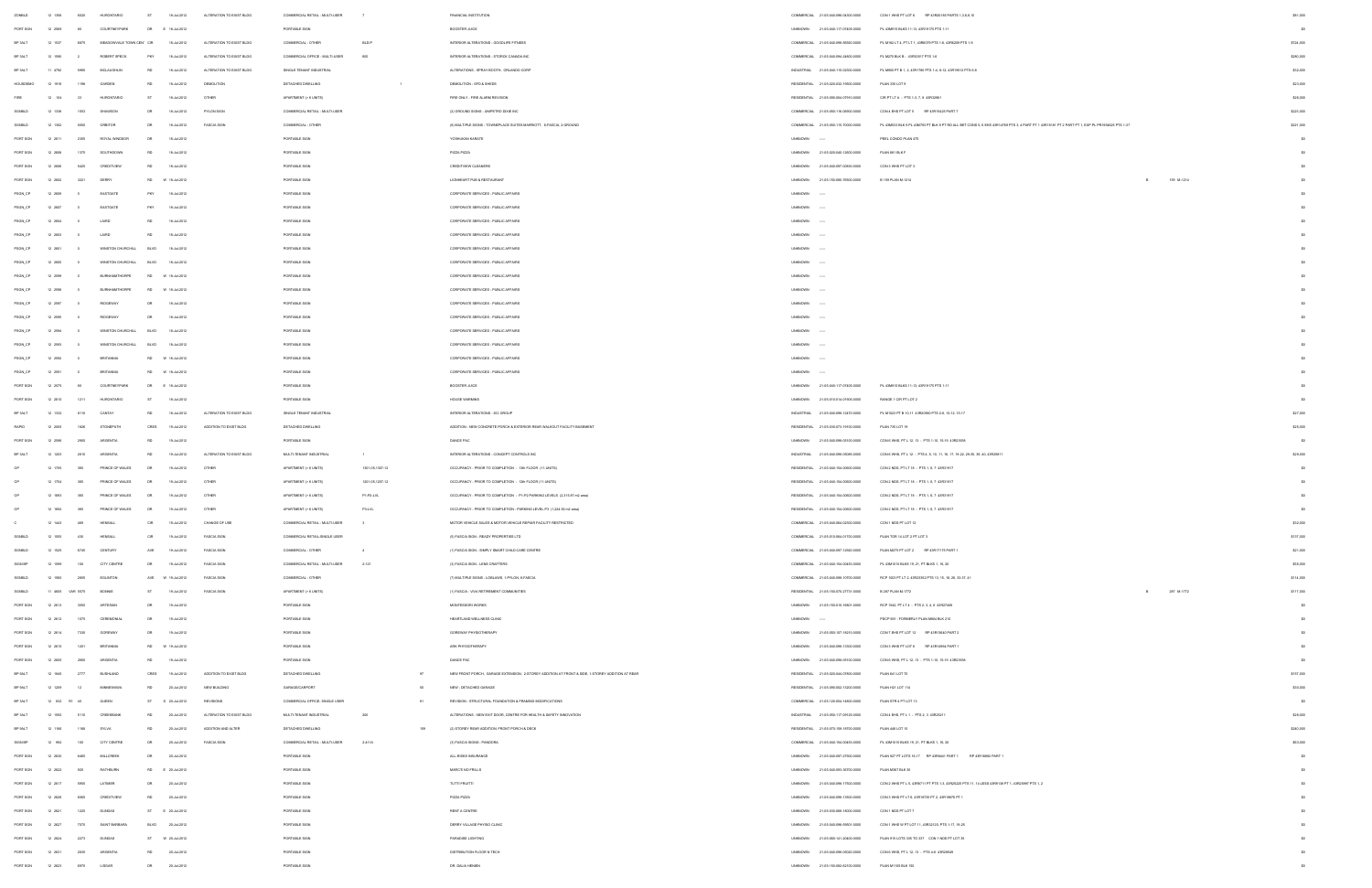| ZONBLD           | 12 1356  | 6020        | HURONTARIO               | <b>ST</b>        | 18-Jul-2012       | ALTERATION TO EXIST BLDG | COMMERCIAL RETAIL - MULTI-USER |                 |     | FINANCIAL INSTITUTION                                                                           |                | COMMERCIAL 21-05-040-096-04300-0000  | CON 1 WHS PT LOT 6 RP 43R20185 PARTS 1,3,6,8,10                                                                                               |            | \$81,00  |
|------------------|----------|-------------|--------------------------|------------------|-------------------|--------------------------|--------------------------------|-----------------|-----|-------------------------------------------------------------------------------------------------|----------------|--------------------------------------|-----------------------------------------------------------------------------------------------------------------------------------------------|------------|----------|
| PORT SGN         | 12 2569  | 80          | COURTNEYPARK             | <b>DR</b>        | E 18-Jul-2012     |                          | PORTABLE SIGN                  |                 |     | BOOSTER JUICE                                                                                   |                | UNKNOWN 21-05-040-117-07405-0000     | PL 43M915 BLKS 11-13, 43R19175 PTS 1-11                                                                                                       |            |          |
| BP 3ALT          | 12 1537  | 6875        | MEADOWVALE TOWN CEN CIR  |                  | 18-Jul-2012       | ALTERATION TO EXIST BLDG | COMMERCIAL - OTHER             | BLD-P           |     | INTERIOR ALTERATIONS - GOODLIFE FITNESS                                                         |                | COMMERCIAL 21-05-040-098-56920-0000  | PL M182 LT 4, PT LT 1, 43R6079 PTS 1-6, 43R6209 PTS 1-9                                                                                       |            | \$724,00 |
| BP 3ALT          | 12 1590  |             | ROBERT SPECK             | PKY              | 18-Jul-2012       | ALTERATION TO EXIST BLDG | COMMERCIAL OFFICE - MULTI-USER | 600             |     | INTERIOR ALTERATIONS - STORCK CANADA INC.                                                       |                | COMMERCIAL 21-05-040-094-24800-0000  | PL M270 BLK B - 43R30517 PTS 1-6                                                                                                              |            | \$280,00 |
| BP 3ALT          | 11 4792  | 5985        | MCLAUGHLIN               | <b>RD</b>        | 18-Jul-2012       | ALTERATION TO EXIST BLDG | SINGLE TENANT INDUSTRIAL       |                 |     | ALTERATIONS - SPRAY BOOTH, ORLANDO CORP                                                         |                | INDUSTRIAL 21-05-040-115-02300-0000  | PL M900 PT B 1, 2, 43R1780 PTS 1-4, 8-12, 43R19512 PTS 6-8                                                                                    |            | \$32,00  |
|                  |          |             |                          |                  |                   |                          |                                |                 |     |                                                                                                 |                |                                      |                                                                                                                                               |            |          |
| HOUSDEMO         | 12 1918  | 1198        | GARDEN                   | <b>RD</b>        | 18-Jul-2012       | DEMOLITION               | DETACHED DWELLING              |                 |     | DEMOLITION - SFD & SHEDS                                                                        |                | RESIDENTIAL 21-05-020-032-19500-0000 | PLAN 335 LOT 9                                                                                                                                |            | \$23,00  |
| FIRE             | 12 104   | 33          | <b>HURONTARIO</b>        | <b>ST</b>        | 18-Jul-2012       | OTHER                    | APARTMENT (> 6 UNITS)          |                 |     | FIRE ONLY - FIRE ALARM REVISION                                                                 |                | RESIDENTIAL 21-05-090-004-07910-0000 | CIR PT LT A - PTS 1-3, 7, 8 43R32961                                                                                                          |            | \$26,00  |
| SGNBLD           | 12 1338  | 1553        | <b>SHAWSON</b>           | <b>DR</b>        | 18-Jul-2012       | PYLON SIGN               | COMMERCIAL RETAIL - MULTI-USER |                 |     | (2) GROUND SIGNS - UNIPETRO DIXIE INC                                                           |                | COMMERCIAL 21-05-050-116-06900-0000  | CON 4 EHS PT LOT 5 RP 43R15425 PART 7                                                                                                         |            | \$223,00 |
| SGNBLD           | 12 1302  | 5050        | ORBITOR                  | <b>DR</b>        | 18-Jul-2012       | <b>FASCIA SIGN</b>       | COMMERCIAL - OTHER             |                 |     | (8) MULTIPLE SIGNS - TOWNEPLACE SUITES MARRIOTT, 6-FASCIA, 2-GROUND                             |                | COMMERCIAL 21-05-050-115-70000-0000  | PL 43M533 BLK 9 PL 43M793 PT BLK 8 PT RD ALL BET CONS 5, 6 EHS 43R14769 PTS 3, 4 PART PT 1 43R15181 PT 2 PART PT 1, EXP PL PR1954625 PTS 1-37 |            | \$221,00 |
| PORT SGN         | 12 2611  | 2355        | ROYAL WINDSOR            | <b>DR</b>        | 18-Jul-2012       |                          | PORTABLE SIGN                  |                 |     | YOSHUKAN KARATE                                                                                 | <b>UNKNOWN</b> |                                      | PEEL CONDO PLAN 475                                                                                                                           |            |          |
| PORT SGN         | 12 2608  | 1375        | SOUTHDOWN                | <b>RD</b>        | 18-Jul-2012       |                          | PORTABLE SIGN                  |                 |     | PIZZA PIZZA                                                                                     |                | UNKNOWN 21-05-020-040-12600-0000     | PLAN 681 BLK F                                                                                                                                |            |          |
| PORT SGN         | 12 2606  | 5425        | CREDITVIEW               | <b>RD</b>        | 18-Jul-2012       |                          | PORTABLE SIGN                  |                 |     | CREDITVIEW CLEANERS                                                                             | <b>UNKNOWN</b> | 21-05-040-097-00830-0000             | CON 3 WHS PT LOT 3                                                                                                                            |            |          |
| PORT SGN         | 12 2602  | 3221        | DERRY                    |                  | RD W 18-Jul-2012  |                          | PORTABLE SIGN                  |                 |     | LIONHEART PUB & RESTAURANT                                                                      | <b>UNKNOWN</b> | 21-05-150-080-76500-0000             | B 159 PLAN M-1214<br>B                                                                                                                        | 159 M-1214 |          |
|                  |          |             |                          |                  |                   |                          |                                |                 |     |                                                                                                 |                |                                      |                                                                                                                                               |            |          |
| PSGN_CP          | 12 260   |             | EASTGATE                 | PKY              | 18-Jul-2012       |                          | PORTABLE SIGN                  |                 |     | CORPORATE SERVICES - PUBLIC AFFAIRS                                                             | <b>UNKNOWN</b> |                                      |                                                                                                                                               |            |          |
| PSGN_CP          | 12 2607  |             | EASTGATE                 | PKY              | 18-Jul-2012       |                          | PORTABLE SIGN                  |                 |     | CORPORATE SERVICES - PUBLIC AFFAIRS                                                             | <b>UNKNOWN</b> |                                      |                                                                                                                                               |            |          |
| PSGN_CP          | 12 2604  |             | LAIRD                    | <b>RD</b>        | 18-Jul-2012       |                          | PORTABLE SIGN                  |                 |     | CORPORATE SERVICES - PUBLIC AFFAIRS                                                             | <b>UNKNOWN</b> |                                      |                                                                                                                                               |            |          |
| PSGN_CP          | 12 2603  |             | LAIRD                    | <b>RD</b>        | 18-Jul-2012       |                          | PORTABLE SIGN                  |                 |     | CORPORATE SERVICES - PUBLIC AFFAIRS                                                             | <b>UNKNOWN</b> |                                      |                                                                                                                                               |            |          |
| PSGN_CP          | 12 2601  |             | WINSTON CHURCHILL        | <b>BLVD</b>      | 18-Jul-2012       |                          | PORTABLE SIGN                  |                 |     | CORPORATE SERVICES - PUBLIC AFFAIRS                                                             | <b>UNKNOWN</b> |                                      |                                                                                                                                               |            |          |
| PSGN_CP          | 12 2600  |             | WINSTON CHURCHILL        | BLVD             | 18-Jul-2012       |                          | PORTABLE SIGN                  |                 |     | CORPORATE SERVICES - PUBLIC AFFAIRS                                                             | <b>UNKNOWN</b> |                                      |                                                                                                                                               |            |          |
| PSGN_CP          | 12 2599  |             | BURNHAMTHORPE            | <b>RD</b>        | W 18-Jul-2012     |                          | PORTABLE SIGN                  |                 |     | CORPORATE SERVICES - PUBLIC AFFAIRS                                                             | <b>UNKNOWN</b> |                                      |                                                                                                                                               |            |          |
| PSGN_CP          | 12 2596  |             | <b>BURNHAMTHORPE</b>     | <b>RD</b>        | W 18-Jul-2012     |                          | PORTABLE SIGN                  |                 |     | CORPORATE SERVICES - PUBLIC AFFAIRS                                                             | <b>UNKNOWN</b> |                                      |                                                                                                                                               |            |          |
|                  |          |             | RIDGEWAY                 | <b>DR</b>        | 18-Jul-2012       |                          | PORTABLE SIGN                  |                 |     | CORPORATE SERVICES - PUBLIC AFFAIRS                                                             | <b>UNKNOWN</b> |                                      |                                                                                                                                               |            |          |
| PSGN_CP          | 12 2597  |             |                          |                  |                   |                          |                                |                 |     |                                                                                                 |                | ----                                 |                                                                                                                                               |            |          |
| PSGN_CP          | 12 2595  | $\Omega$    | RIDGEWAY                 | <b>DR</b>        | 18-Jul-2012       |                          | PORTABLE SIGN                  |                 |     | CORPORATE SERVICES - PUBLIC AFFAIRS                                                             | <b>UNKNOWN</b> | -                                    |                                                                                                                                               |            |          |
| PSGN_CP          | 12 25 94 |             | <b>WINSTON CHURCHILL</b> | <b>BLVD</b>      | 18-Jul-2012       |                          | PORTABLE SIGN                  |                 |     | CORPORATE SERVICES - PUBLIC AFFAIRS                                                             | <b>UNKNOWN</b> | -                                    |                                                                                                                                               |            |          |
| PSGN_CP          | 12 2593  |             | WINSTON CHURCHILL        | BLVD             | 18-Jul-2012       |                          | PORTABLE SIGN                  |                 |     | CORPORATE SERVICES - PUBLIC AFFAIRS                                                             | <b>UNKNOWN</b> |                                      |                                                                                                                                               |            |          |
| PSGN_CP          | 12 2592  |             | BRITANNIA                | <b>RD</b>        | W 18-Jul-2012     |                          | PORTABLE SIGN                  |                 |     | CORPORATE SERVICES - PUBLIC AFFAIRS                                                             | <b>UNKNOWN</b> |                                      |                                                                                                                                               |            |          |
| PSGN_CP          | 12 2591  |             | <b>BRITANNIA</b>         |                  | RD W 18-Jul-2012  |                          | PORTABLE SIGN                  |                 |     | CORPORATE SERVICES - PUBLIC AFFAIRS                                                             | <b>UNKNOWN</b> |                                      |                                                                                                                                               |            |          |
| PORT SGN         | 12 2575  | 80          | COURTNEYPARK             |                  | DR E 18-Jul-2012  |                          | PORTABLE SIGN                  |                 |     | BOOSTER JUICE                                                                                   | <b>UNKNOWN</b> | 21-05-040-117-07405-0000             | PL 43M915 BLKS 11-13, 43R19175 PTS 1-11                                                                                                       |            |          |
| PORT SGN         | 12 2610  | 1211        | <b>HURONTARIO</b>        | <b>ST</b>        | 18-Jul-2012       |                          | PORTABLE SIGN                  |                 |     | HOUSE WARMINS                                                                                   | <b>UNKNOWN</b> | 21-05-010-014-01905-0000             | RANGE 1 CIR PT LOT 2                                                                                                                          |            |          |
| BP 3ALT          | 12 1332  | 6110        | CANTAY                   | <b>RD</b>        | 18-Jul-2012       | ALTERATION TO EXIST BLDG | SINGLE TENANT INDUSTRIAL       |                 |     | INTERIOR ALTERATIONS - SCI GROUP                                                                |                | INDUSTRIAL 21-05-040-098-12470-0000  | PL M1023 PT B 10,11 43R20960 PTS 2-8, 10-12, 15-17                                                                                            |            |          |
|                  |          |             |                          |                  |                   |                          |                                |                 |     |                                                                                                 |                |                                      |                                                                                                                                               |            |          |
| RAPID            | 12 2005  | 1826        | STONEPATH                | CRES             | 19-Jul-2012       | ADDITION TO EXIST BLDG   | DETACHED DWELLING              |                 |     | ADDITION - NEW CONCRETE PORCH & EXTERIOR REAR WALKOUT FACILITY BASEMENT                         |                | RESIDENTIAL 21-05-030-073-19100-0000 | PLAN 735 LOT 19                                                                                                                               |            | \$25,00  |
| PORT SGN         | 12 2596  | 2900        | ARGENTIA                 | <b>RD</b>        | 19-Jul-2012       |                          | PORTABLE SIGN                  |                 |     | DANCE PAC                                                                                       | <b>UNKNOWN</b> | 21-05-040-098-05100-0000             | CON 6 WHS, PT L 12, 13 - PTS 1-10, 15-19 43R23938                                                                                             |            |          |
| BP 3ALT          | 12 1203  | 2810        | ARGENTIA                 | <b>RD</b>        | 19-Jul-2012       | ALTERATION TO EXIST BLDG | MULTI-TENANT INDUSTRIAL        |                 |     | INTERIOR ALTERATIONS - CONCEPT CONTROLS INC                                                     | INDUSTRIAL     | 21-05-040-098-05085-0000             | CON 6 WHS, PT L 12 - PTS 4, 5, 10, 11, 16, 17, 19-22, 29-35, 39, 40, 43R25811                                                                 |            |          |
|                  | 12 1705  | 365         | PRINCE OF WALES          | <b>DR</b>        | 19-Jul-2012       | OTHER                    | APARTMENT (> 6 UNITS)          | 1301-05,1307-12 |     | OCCUPANCY - PRIOR TO COMPLETION - 13th FLOOR (11-UNITS)                                         |                | RESIDENTIAL 21-05-040-154-00600-0000 | CON 2 NDS, PT LT 18 - PTS 1, 6, 7 43R31917                                                                                                    |            |          |
|                  | 12 1704  | 365         | PRINCE OF WALES          | <b>DR</b>        | 19-Jul-2012       | OTHER                    | APARTMENT (> 6 UNITS)          | 1201-05,1207-12 |     | OCCUPANCY - PRIOR TO COMPLETION - 12th FLOOR (11-UNITS)                                         |                | RESIDENTIAL 21-05-040-154-00600-0000 | CON 2 NDS, PT LT 18 - PTS 1, 6, 7 43R31917                                                                                                    |            |          |
|                  | 12 1693  | 365         | PRINCE OF WALES          | <b>DR</b>        | 19-Jul-2012       | OTHER                    | APARTMENT (> 6 UNITS)          | P1-P2-LVL       |     | OCCUPANCY - PRIOR TO COMPLETION - P1-P2 PARKING LEVELS (2,315.87 m2 area)                       |                | RESIDENTIAL 21-05-040-154-00600-0000 | CON 2 NDS, PT LT 18 - PTS 1, 6, 7 43R31917                                                                                                    |            |          |
|                  | 12 1692  | 365         | PRINCE OF WALES          | <b>DR</b>        | 19-Jul-2012       | OTHER                    | APARTMENT (> 6 UNITS)          | P3-LVL          |     | OCCUPANCY - PRIOR TO COMPLETION - PARKING LEVEL-P3 (1,224.92 m2 area)                           |                | RESIDENTIAL 21-05-040-154-00600-0000 | CON 2 NDS, PT LT 18 - PTS 1, 6, 7 43R31917                                                                                                    |            |          |
|                  | 12 1443  | 469         | HENSALL                  | CIR              | 19-Jul-2012       | CHANGE OF USE            | COMMERCIAL RETAIL - MULTI-USER |                 |     | MOTOR VEHICLE SALES & MOTOR VEHICLE REPAIR FACILITY RESTRICTED                                  |                | COMMERCIAL 21-05-040-064-02300-0000  | CON 1 NDS PT LOT 12                                                                                                                           |            | \$32,00  |
| SGNBLD           |          |             | <b>HENSALI</b>           | CIR              | 19-Jul-2012       | <b>FASCIA SIGN</b>       | COMMERCIAL RETAIL-SINGLE USER  |                 |     | (5) FASCIA SIGN - READY PROPERTIES LTD                                                          |                | COMMERCIAL 21-05-010-064-01700-0000  | PLAN TOR 14 LOT 2 PT LOT 3                                                                                                                    |            | \$137,00 |
|                  |          | 6745        |                          |                  |                   |                          |                                |                 |     | (1) FASCIA SIGN - SIMPLY SMART CHILD CARE CENTRE                                                |                |                                      |                                                                                                                                               |            |          |
| SGNBLD           |          |             | CENTURY                  | AVE              | 19-Jul-2012       | <b>FASCIA SIGN</b>       | COMMERCIAL - OTHER             |                 |     |                                                                                                 |                | COMMERCIAL 21-05-040-097-12920-0000  | PLAN M275 PT LOT 2 RP 43R17175 PART 1                                                                                                         |            | \$21,00  |
| SIGN BP          | 12 1599  |             | CITY CENTRE              | <b>DR</b>        | 19-Jul-2012       | <b>FASCIA SIGN</b>       | COMMERCIAL RETAIL - MULTI-USER | $2 - 121$       |     | (3) FASCIA SIGN - LENS CRAFTERS                                                                 |                | COMMERCIAL 21-05-040-154-00453-0000  | PL 43M1010 BLKS 19, 21, PT BLKS 1, 16, 20                                                                                                     |            | \$55,00  |
| SGNBLD           | 12 1560  | 2805        | <b>EGLINTON</b>          |                  | AVE W 19-Jul-2012 | <b>FASCIA SIGN</b>       | COMMERCIAL - OTHER             |                 |     | (7) MULTIPLE SIGNS - LOBLAWS, 1-PYLON, 6-FASCIA                                                 |                | COMMERCIAL 21-05-040-098-10700-0000  | RCP 1003 PT LT 2, 43R23352 PTS 13, 15, 16, 26, 33-37, 41                                                                                      |            | \$114,00 |
| SGNBLD           | 11 4605  | VAR 5575    | <b>BONNIE</b>            | <b>ST</b>        | 19-Jul-2012       | <b>FASCIA SIGN</b>       | APARTMENT (> 6 UNITS)          |                 |     | (1) FASCIA - VIVA RETIREMENT COMMUNITIES                                                        |                | RESIDENTIAL 21-05-150-070-27731-0000 | B 287 PLAN M-1772<br>$\mathsf{B}$                                                                                                             | 287 M-1772 | \$117,00 |
| PORT SGN         | 12 2613  | 3050        | ARTESIAN                 | <b>DR</b>        | 19-Jul-2012       |                          | PORTABLE SIGN                  |                 |     | MONTESSORI WORKS                                                                                |                | UNKNOWN 21-05-150-010-16801-0000     | RCP 1542, PT LT 4 - PTS 2, 3, 4, 6 43R27406                                                                                                   |            |          |
| PORT SGN         | 12 2612  | 1075        | CEREMONIAL               | <b>DR</b>        | 19-Jul-2012       |                          | PORTABLE SIGN                  |                 |     | HEARTLAND WELLNESS CLINIC                                                                       | <b>UNKNOWN</b> |                                      | PSCP 691 - FORMERLY PLAN M804 BLK 210                                                                                                         |            |          |
| PORT SGN         | 12 2614  | 7330        | GOREWAY                  | <b>DR</b>        | 19-Jul-2012       |                          | PORTABLE SIGN                  |                 |     | GOREWAY PHYSIOTHERAPY                                                                           | <b>UNKNOWN</b> | 21-05-050-107-18210-0000             | CON 7 EHS PT LOT 12 RP 43R13640 PART 2                                                                                                        |            |          |
| PORT SGN         | 12 2615  | 1201        | BRITANNIA                | RD W 19-Jul-2012 |                   |                          | PORTABLE SIGN                  |                 |     | ARK PHYSIOTHERAPY                                                                               |                | UNKNOWN 21-05-040-098-13300-0000     | CON 3 WHS PT LOT 6 RP 43R14964 PART 1                                                                                                         |            |          |
| PORT SGN         | 12 2605  | 2900        | ARGENTIA                 | <b>RD</b>        | 19-Jul-2012       |                          | PORTABLE SIGN                  |                 |     | DANCE PAC                                                                                       |                | UNKNOWN 21-05-040-098-05100-0000     | CON 6 WHS, PT L 12, 13 - PTS 1-10, 15-19 43R23938                                                                                             |            |          |
| BP 9ALT          | 12 1845  | 2777        | <b>BUSHLAND</b>          | CRES             | 19-Jul-2012       | ADDITION TO EXIST BLDG   | DETACHED DWELLING              |                 | 97  | NEW FRONT PORCH, GARAGE EXTENSION, 2-STOREY ADDITION AT FRONT & SIDE, 1-STOREY ADDITION AT REAR |                | RESIDENTIAL 21-05-020-044-07800-0000 | PLAN 641 LOT 70                                                                                                                               |            | \$157,00 |
|                  |          |             |                          |                  |                   |                          |                                |                 |     |                                                                                                 |                |                                      |                                                                                                                                               |            |          |
| BP 9ALT          | 12 1209  | 12          | MINNEWAWA                | <b>RD</b>        | 20-Jul-2012       | NEW BUILDING             | GARAGE/CARPORT                 |                 | 50  | NEW - DETACHED GARAGE                                                                           |                | RESIDENTIAL 21-05-090-002-13200-0000 | PLAN H21 LOT 114                                                                                                                              |            | \$30,00  |
| BP 3ALT          | 12 83    |             | QUEEN                    |                  | ST S 20-Jul-2012  | <b>REVISIONS</b>         | COMMERCIAL OFFICE- SINGLE USER |                 | 81  | REVISION - STRUCTURAL FOUNDATION & FRAMING MODIFICATIONS                                        |                | COMMERCIAL 21-05-120-004-14800-0000  | PLAN STR 4 PT LOT 13                                                                                                                          |            |          |
| BP 3ALT          |          | 5110        | CREEKBANK                | <b>RD</b>        | 20-Jul-2012       | ALTERATION TO EXIST BLDG | MULTI-TENANT INDUSTRIAL        | 200             |     | ALTERATIONS - NEW EXIT DOOR, CENTRE FOR HEALTH & SAFETY INNOVATION                              |                | INDUSTRIAL 21-05-050-117-09125-0000  | CON 4 EHS, PT L 1 - PTS 2, 3 43R25211                                                                                                         |            | \$28,00  |
| BP 9ALT          | 12 1166  | 1168        | SYLVA                    | <b>RD</b>        | 20-Jul-2012       | ADDITION AND ALTER       | DETACHED DWELLING              |                 | 159 | (2) STOREY REAR ADDITION, FRONT PORCH & DECK                                                    |                | RESIDENTIAL 21-05-070-159-18700-0000 | PLAN 448 LOT 10                                                                                                                               |            | \$240,00 |
| SIGN BP          | 12 992   | 100         | CITY CENTRE              | DR               | 20-Jul-2012       | <b>FASCIA SIGN</b>       | COMMERCIAL RETAIL - MULTI-USER | 2-411A          |     | (3) FASCIA SIGNS - PANDORA                                                                      |                | COMMERCIAL 21-05-040-154-00453-0000  | PL 43M1010 BLKS 19, 21, PT BLKS 1, 16, 20                                                                                                     |            | \$63,00  |
| PORT SGN         | 12 2630  | 6465        | MILLCREEK                | DR               | 20-Jul-2012       |                          | PORTABLE SIGN                  |                 |     | ALL-RISKS INSURANCE                                                                             |                | UNKNOWN 21-05-040-097-27900-0000     | PLAN 927 PT LOTS 16.17 RP 43R8441 PART 1 RP 43R16892 PART 1                                                                                   |            |          |
| PORT SGN         | 12 2622  | 925         | RATHBURN                 | RD E 20-Jul-2012 |                   |                          | PORTABLE SIGN                  |                 |     | MARC'S NO FRILLS                                                                                | <b>UNKNOWN</b> | 21-05-040-093-36700-0000             | PLAN M367 BLK 30                                                                                                                              |            |          |
| PORT SGN         | 12 2617  | 5955        | LATIMER                  | <b>DR</b>        | 20-Jul-2012       |                          | PORTABLE SIGN                  |                 |     | TUTTI FRUITTI                                                                                   | <b>UNKNOWN</b> | 21-05-040-098-17500-0000             | CON 2 WHS PT L 5, 43R8711 PT PTS 1-3, 43R25225 PTS 11, 14 LESS 43R9138 PT 1, 43R25997 PTS 1, 2                                                |            |          |
| PORT SGN         | 12 2626  | 6065        | CREDITVIEW               | <b>RD</b>        | 20-Jul-2012       |                          | PORTABLE SIGN                  |                 |     | PIZZA PIZZA                                                                                     | <b>UNKNOWN</b> | 21-05-040-098-13500-0000             | CON 3 WHS PT LT 6, 43R18735 PT 2, 43R19876 PT 1                                                                                               |            |          |
|                  |          |             |                          |                  |                   |                          |                                |                 |     |                                                                                                 |                |                                      |                                                                                                                                               |            |          |
| PORT SGN         | 12 2621  | 1225        | <b>DUNDAS</b>            |                  | ST E 20-Jul-2012  |                          | PORTABLE SIGN                  |                 |     | RENT A CENTRE                                                                                   | <b>UNKNOWN</b> | 21-05-030-068-18000-0000             | CON 1 NDS PT LOT 7                                                                                                                            |            |          |
| PORT SGN         | 12 2627  | 7070        | SAINT BARBARA            | BLVD 20-Jul-2012 |                   |                          | PORTABLE SIGN                  |                 |     | DERRY VILLAGE PHYSIO CLINIC                                                                     | <b>UNKNOWN</b> | 21-05-040-098-59501-0000             | CON 1 WHS W PT LOT 11, 43R32120, PTS 1-17, 19-25                                                                                              |            |          |
| PORT SGN         | 12 2624  | 2273        | <b>DUNDAS</b>            | ST W 20-Jul-2012 |                   |                          | PORTABLE SIGN                  |                 |     | PARADISE LIGHTING                                                                               | <b>UNKNOWN</b> | 21-05-060-141-20400-0000             | PLAN 915 LOTS 335 TO 337 CON 1 NDS PT LOT 35                                                                                                  |            |          |
| PORT SGN         | 12 2631  | 2835        | ARGENTIA                 | <b>RD</b>        | 20-Jul-2012       |                          | PORTABLE SIGN                  |                 |     | DISTRIBUTION FLOOR N TECH                                                                       | <b>UNKNOWN</b> | 21-05-040-098-05020-0000             | CON 6 WHS, PT L 12, 13 - PTS 4-6 43R28549                                                                                                     |            |          |
| PORT SGN 12 2623 |          | 6970 LISGAR |                          | DR .             | 20-Jul-2012       |                          | PORTABLE SIGN                  |                 |     | DR. DALIA HENIEN                                                                                |                | UNKNOWN 21-05-150-082-62100-0000     | PLAN M1105 BLK 150                                                                                                                            |            |          |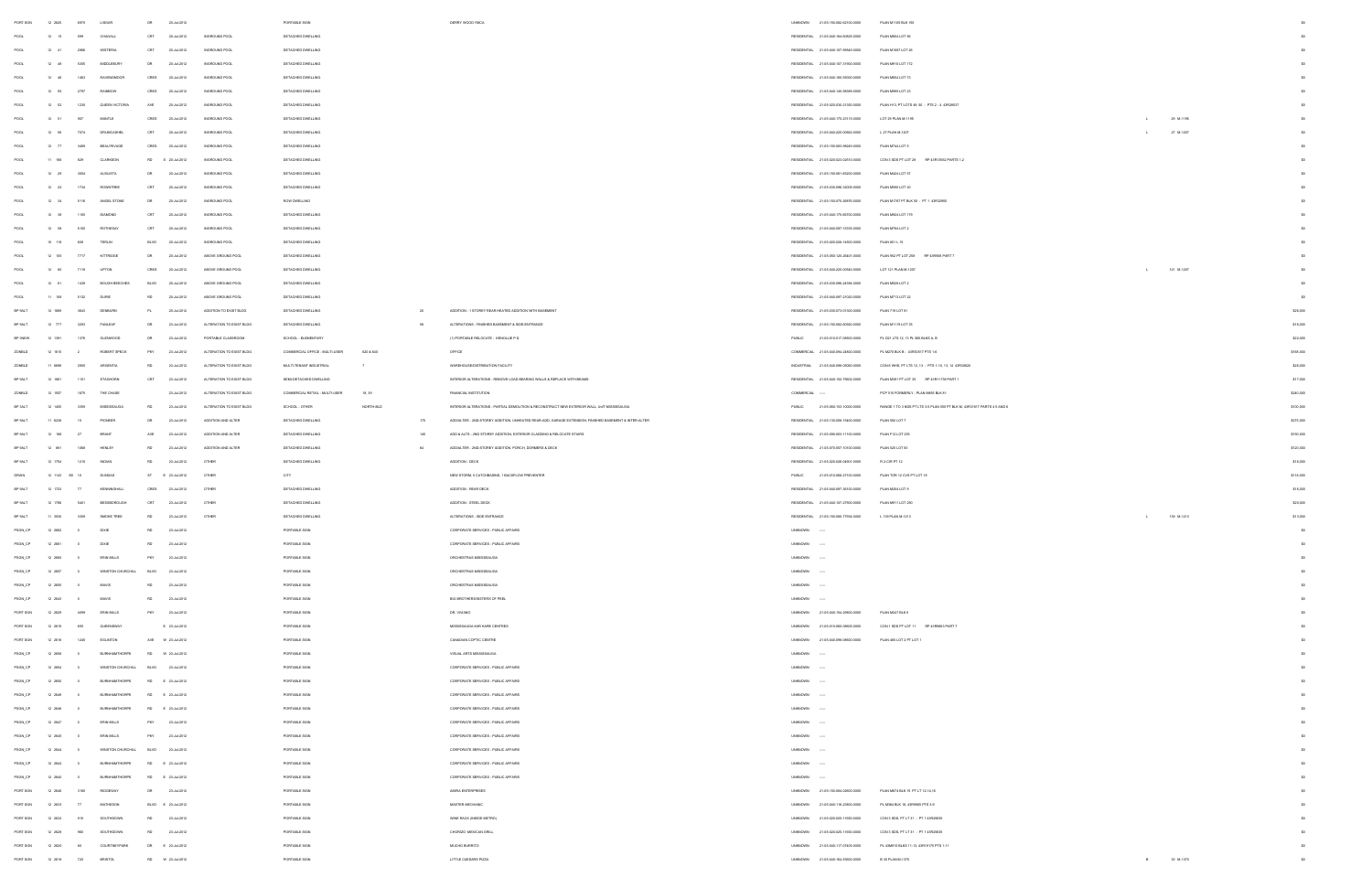| PORT SGN                         | 12 2625 | 6970           | <b>LISGAR</b>                  | DR .                                 | 20-Jul-2012          |                          | PORTABLE SIGN                  |                |     | DERRY WOOD YMCA                                                                                       | UNKNOWN 21-05-150-082-62100-0000                                               | PLAN M1105 BLK 150                                                      |                        |                       |
|----------------------------------|---------|----------------|--------------------------------|--------------------------------------|----------------------|--------------------------|--------------------------------|----------------|-----|-------------------------------------------------------------------------------------------------------|--------------------------------------------------------------------------------|-------------------------------------------------------------------------|------------------------|-----------------------|
| POOL                             | 12 15   | 599            | CHAGALL                        | CRT                                  | 20-Jul-2012          | INGROUND POOL            | DETACHED DWELLING              |                |     |                                                                                                       | RESIDENTIAL 21-05-040-164-60825-0000                                           | PLAN M804 LOT 96                                                        |                        |                       |
| POOL                             |         | 2966           | WISTERIA                       | CRT                                  | 20-Jul-2012          | INGROUND POOL            | DETACHED DWELLING              |                |     |                                                                                                       | RESIDENTIAL 21-05-040-107-99545-0000                                           | PLAN M1087 LOT 26                                                       |                        |                       |
| POOL                             |         | 5305           | MIDDLEBURY                     | <b>DR</b>                            | 20-Jul-2012          | INGROUND POOL            | DETACHED DWELLING              |                |     |                                                                                                       | RESIDENTIAL 21-05-040-107-31900-0000                                           | PLAN M910 LOT 172                                                       |                        |                       |
| POOL                             | 12 46   | 1463           | <b>RAVENSMOOR</b>              | CRES                                 | 20-Jul-2012          | INGROUND POOL            | DETACHED DWELLING              |                |     |                                                                                                       | RESIDENTIAL 21-05-040-160-55000-0000                                           | PLAN M654 LOT 73                                                        |                        |                       |
| POOL                             | 12 55   | 2797           | RAINBOW                        | CRES                                 | 20-Jul-2012          | INGROUND POOL            | DETACHED DWELLING              |                |     |                                                                                                       | RESIDENTIAL 21-05-040-145-98389-0000                                           | PLAN M995 LOT 23                                                        |                        |                       |
| POOL                             |         | 1230           | QUEEN VICTORIA                 | AVE                                  | 20-Jul-2012          | <b>INGROUND POOL</b>     | DETACHED DWELLING              |                |     |                                                                                                       | RESIDENTIAL 21-05-020-030-21350-0000                                           | PLAN H13, PT LOTS 49, 50 - PTS 2 - 4 43R28537                           |                        |                       |
| POOL                             | 12 51   | 907            | MANTLE                         | CRES                                 | 20-Jul-2012          | INGROUND POOL            | DETACHED DWELLING              |                |     |                                                                                                       | RESIDENTIAL 21-05-040-175-23115-0000                                           | LOT 29 PLAN M-1195                                                      | L.                     | 29 M-1195             |
| POOL                             |         | 7074           | DRUMCASHEL                     | CRT                                  | 20-Jul-2012          | INGROUND POOL            | DETACHED DWELLING              |                |     |                                                                                                       | RESIDENTIAL 21-05-040-225-00662-0000                                           | L 27 PLAN M-1207                                                        |                        | 27 M-1207             |
|                                  |         | 3469           | BEAU RIVAGE                    | CRES 20-Jul-2012                     |                      | INGROUND POOL            | DETACHED DWELLING              |                |     |                                                                                                       | RESIDENTIAL 21-05-150-083-98245-0000                                           | PLAN M744 LOT 5                                                         |                        |                       |
| POOL                             |         | 829            | CLARKSON                       | RD S 20-Jul-2012                     |                      | INGROUND POOL            | DETACHED DWELLING              |                |     |                                                                                                       | RESIDENTIAL 21-05-020-023-02510-0000                                           | CON 3 SDS PT LOT 28 RP 43R13562 PARTS 1,2                               |                        |                       |
| POOL                             | 12 29   | 3054           | <b>AUGUSTA</b>                 | DR.                                  | 20-Jul-2012          | INGROUND POOL            | DETACHED DWELLING              |                |     |                                                                                                       | RESIDENTIAL 21-05-150-081-65200-0000                                           | PLAN M424 LOT 57                                                        |                        |                       |
| POOL                             |         | 1734           | <b>ROWNTREE</b>                | CRT                                  | 20-Jul-2012          | INGROUND POOL            | DETACHED DWELLING              |                |     |                                                                                                       | RESIDENTIAL 21-05-030-096-32005-0000                                           | PLAN M590 LOT 20                                                        |                        |                       |
| POOL                             | 12 34   | 5116           | ANGEL STONE                    | <b>DR</b>                            | 20-Jul-2012          | INGROUND POOL            | <b>ROW DWELLING</b>            |                |     |                                                                                                       | RESIDENTIAL 21-05-150-070-26876-0000                                           | PLAN M1767 PT BLK 50 - PT 1 43R32955                                    |                        |                       |
| POOL                             | 12 38   | 1105           | DIAMOND                        | CRT                                  | 20-Jul-2012          | INGROUND POOL            | DETACHED DWELLING              |                |     |                                                                                                       | RESIDENTIAL 21-05-040-175-66700-0000                                           | PLAN M924 LOT 179                                                       |                        |                       |
| POOL                             | 12 58   | 5100           | ROTHESAY                       | CRT                                  | 20-Jul-2012          | INGROUND POOL            | DETACHED DWELLING              |                |     |                                                                                                       | RESIDENTIAL 21-05-040-097-15335-0000                                           | PLAN M784 LOT 2                                                         |                        |                       |
| POOL                             | 10 118  | 828            | TERLIN                         | BLVD 20-Jul-2012                     |                      | INGROUND POOL            | DETACHED DWELLING              |                |     |                                                                                                       | RESIDENTIAL 21-05-020-028-14500-0000                                           | PLAN 801 L 15                                                           |                        |                       |
| POOL                             | 12 105  | 7717           | <b>KITTRIDGE</b>               | DR 1                                 | 20-Jul-2012          | ABOVE GROUND POOL        | DETACHED DWELLING              |                |     |                                                                                                       | RESIDENTIAL 21-05-050-120-26401-0000                                           | PLAN 952 PT LOT 258 RP 43R908 PART 7                                    |                        |                       |
| POOL                             | 12 80   | 7119           | <b>UPTON</b>                   | CRES 20-Jul-2012                     |                      | ABOVE GROUND POOL        | DETACHED DWELLING              |                |     |                                                                                                       | RESIDENTIAL 21-05-040-225-00540-0000                                           | LOT 121 PLAN M-1207                                                     | L 121 M-1207           |                       |
| POOL                             | 12 61   | 1439           | <b>BOUGH BEECHES</b>           | BLVD 20-Jul-2012                     |                      | ABOVE GROUND POOL        | DETACHED DWELLING              |                |     |                                                                                                       | RESIDENTIAL 21-05-030-096-24394-0000                                           | PLAN M528 LOT 2                                                         |                        |                       |
|                                  |         |                |                                |                                      |                      |                          |                                |                |     |                                                                                                       | RESIDENTIAL 21-05-040-097-21020-0000                                           |                                                                         |                        |                       |
| POOL                             | 11 108  | 5132           | DURIE                          | <b>RD</b>                            | 20-Jul-2012          | ABOVE GROUND POOL        | DETACHED DWELLING              |                |     |                                                                                                       | RESIDENTIAL 21-05-030-073-01300-0000                                           | PLAN M713 LOT 22                                                        |                        |                       |
| BP 9ALT                          |         | 3643           | DENBURN                        | PL.                                  | 20-Jul-2012          | ADDITION TO EXIST BLDG   | DETACHED DWELLING              |                |     | ADDITION - 1 STOREY REAR HEATED ADDITION WITH BASEMENT                                                |                                                                                | PLAN 719 LOT 81                                                         |                        | \$26,00               |
| BP 9ALT                          | 12 777  | 3293           | FANLEAF                        | DR                                   | 23-Jul-2012          | ALTERATION TO EXIST BLDG | DETACHED DWELLING              |                |     | ALTERATIONS - FINISHED BASEMENT & SIDE-ENTRANCE                                                       | RESIDENTIAL 21-05-150-082-60920-0000                                           | PLAN M1119 LOT 35                                                       |                        | \$16,00               |
| BP 3NEW                          | 12 1391 | 1376           | GLENWOOD                       | <b>DR</b>                            | 23-Jul-2012          | PORTABLE CLASSROOM       | SCHOOL - ELEMENTARY            |                |     | (1) PORTABLE RELOCATE - KENOLLIE P.S.                                                                 | 21-05-010-017-08500-0000<br>PUBLIC                                             | PL D21 LTS 12, 13 PL 565 BLKS A, B                                      |                        | \$22,00               |
| ZONBLD                           | 12 1615 |                | ROBERT SPECK                   | <b>PKY</b>                           | 23-Jul-2012          | ALTERATION TO EXIST BLDG | COMMERCIAL OFFICE - MULTI-USER | 620 & 640      |     | OFFICE                                                                                                | COMMERCIAL 21-05-040-094-24800-0000                                            | PL M270 BLK B - 43R30517 PTS 1-6                                        |                        | \$168,00              |
| ZONBLD                           | 11 6698 | 2905           | <b>ARGENTIA</b>                | <b>RD</b>                            | 23-Jul-2012          | ALTERATION TO EXIST BLDG | MULTI-TENANT INDUSTRIAL        | $\overline{7}$ |     | WAREHOUSE/DISTRIBUTION FACILITY                                                                       | INDUSTRIAL 21-05-040-098-05060-0000                                            | CON 6 WHS, PT LTS 12, 13 - PTS 1-10, 13, 14 43R30620                    |                        | \$26,00               |
| BP 9ALT                          | 12 1861 | 1101           | STAGHORN                       | CRT                                  | 23-Jul-2012          | ALTERATION TO EXIST BLDG | SEMI-DETACHED DWELLING         |                |     | INTERIOR ALTERATIONS - REMOVE LOAD BEARING WALLS & REPLACE WITH BEAMS                                 | RESIDENTIAL 21-05-040-152-79602-0000                                           | PLAN M391 PT LOT 35 RP 43R11738 PART 1                                  |                        | \$17,00               |
| ZONBLD                           | 12 1557 | 1675           | THE CHASE                      |                                      | 23-Jul-2012          | ALTERATION TO EXIST BLDG | COMMERCIAL RETAIL - MULTI-USER | 18, 39         |     | FINANCIAL INSTITUTION                                                                                 | COMMERCIAL<br>$\cdots$                                                         | PCP 515 FORMERLY - PLAN M855 BLK 81                                     |                        | \$240,00              |
| BP 3ALT                          | 12 1455 | 3359           | MISSISSAUGA                    | <b>RD</b>                            | 23-Jul-2012          | ALTERATION TO EXIST BLDG | SCHOOL - OTHER                 | NORTH-BLD      |     | INTERIOR ALTERATIONS - PARTIAL DEMOLITION & RECONSTRUCT NEW EXTERIOR WALL, UofT MISSISSAUGA           | PUBLIC<br>21-05-060-153-10000-0000                                             | RANGE 1 TO 3 NDS PT LTS 3-5 PLAN 550 PT BLK M, 43R31817 PARTS 4 5 AND 6 |                        | \$100,00              |
| BP 9ALT                          | 11 6238 | 15             | PIONEER                        | <b>DR</b>                            | 23-Jul-2012          | ADDITION AND ALTER       | DETACHED DWELLING              |                | 175 | ADD/ALTER - 2ND-STOREY ADDITION, UNHEATED REAR-ADD, GARAGE EXTENSION, FINISHED BASEMENT & INTER-ALTER | RESIDENTIAL 21-05-130-008-15400-0000                                           | PLAN 592 LOT 7                                                          |                        | \$275,00              |
|                                  | 12 186  |                | BRANT                          | AVE                                  | 23-Jul-2012          | ADDITION AND ALTER       | DETACHED DWELLING              |                | 145 | ADD & ALTS - 2ND STOREY ADDITION, EXTERIOR CLADDING & RELOCATE STAIRS                                 | RESIDENTIAL 21-05-090-003-11100-0000                                           | PLAN F12 LOT 235                                                        |                        | \$190,00              |
| BP 9ALT                          |         |                |                                |                                      |                      |                          |                                |                |     |                                                                                                       |                                                                                |                                                                         |                        |                       |
| BP 9ALT                          | 12 881  | 1068           | HENLEY                         | <b>RD</b>                            | 23-Jul-2012          | ADDITION AND ALTER       | DETACHED DWELLING              |                | 64  | ADD/ALTER - 2ND-STOREY ADDITION, PORCH, DORMERS & DECK                                                | RESIDENTIAL 21-05-070-057-10100-0000                                           | PLAN 520 LOT 83                                                         |                        | \$120,00              |
| BP 9ALT                          | 12 1754 | 1215           | INDIAN                         | <b>RD</b>                            | 23-Jul-2012<br>OTHER |                          | DETACHED DWELLING              |                |     | ADDITION - DECK                                                                                       | RESIDENTIAL 21-05-020-026-04901-0000                                           | R 2-CIR PT 12                                                           |                        | \$16,00               |
|                                  | 12 1143 |                | <b>DUNDAS</b>                  | ST E 23-Jul-2012                     | OTHER                |                          | CITY                           |                |     | NEW STORM, 5 CATCHBASINS, 1 BACKFLOW PREVENTER                                                        | 21-05-010-068-27100-0000<br>PUBLIC                                             | PLAN TOR 12 CVS PT LOT 18                                               |                        | \$118,00              |
| BP 9ALT                          | 12 1723 |                | KENNINGHALL                    | CRES                                 | OTHER<br>23-Jul-2012 |                          | DETACHED DWELLING              |                |     | ADDITION - REAR DECK                                                                                  | RESIDENTIAL 21-05-040-097-36100-0000                                           | PLAN M204 LOT 9                                                         |                        | \$16,00               |
| BP 9ALT                          | 12 1766 | 5401           | BESSBOROUGH                    | CRT                                  | 23-Jul-2012<br>OTHER |                          | DETACHED DWELLING              |                |     | ADDITION - STEEL DECK                                                                                 | RESIDENTIAL 21-05-040-107-27900-0000                                           | PLAN M911 LOT 290                                                       |                        | \$20,00               |
| BP 9ALT                          | 11 3930 | 3359           | <b>SMOKE TREE</b>              | <b>RD</b>                            | OTHER<br>23-Jul-2012 |                          | DETACHED DWELLING              |                |     | ALTERATIONS - SIDE ENTRANCE                                                                           | RESIDENTIAL 21-05-150-080-77934-0000                                           | L 139 PLAN M-1213                                                       | <b>Lating Contract</b> | \$13,00<br>139 M-1213 |
| PSGN_CP                          | 12 2662 | $\sim$         | DIXIE                          | <b>RD</b>                            | 23-Jul-2012          |                          | PORTABLE SIGN                  |                |     | CORPORATE SERVICES - PUBLIC AFFAIRS                                                                   | <b>UNKNOWN</b><br>$\sim$                                                       |                                                                         |                        |                       |
| PSGN_CP                          | 12 2661 |                | DIXIE                          | <b>RD</b>                            | 23-Jul-2012          |                          | PORTABLE SIGN                  |                |     | CORPORATE SERVICES - PUBLIC AFFAIRS                                                                   | <b>UNKNOWN</b><br>$\sim$                                                       |                                                                         |                        |                       |
| PSGN_CP                          | 12 2660 |                | ERIN MILLS                     | PKY                                  | 23-Jul-2012          |                          | PORTABLE SIGN                  |                |     | ORCHESTRAS MISSISSAUGA                                                                                | <b>UNKNOWN</b>                                                                 |                                                                         |                        |                       |
| PSGN_CP                          | 12 2657 | $^{\circ}$     | WINSTON CHURCHILL              | <b>BLVD</b>                          | 23-Jul-2012          |                          | PORTABLE SIGN                  |                |     | ORCHESTRAS MISSISSAUGA                                                                                | <b>UNKNOWN</b><br>$\sim$                                                       |                                                                         |                        |                       |
| PSGN_CP                          | 12 2655 | $^{\circ}$     | MAVIS                          | <b>RD</b>                            | 23-Jul-2012          |                          | PORTABLE SIGN                  |                |     | ORCHESTRAS MISSISSAUGA                                                                                | <b>UNKNOWN</b><br>$\sim$                                                       |                                                                         |                        |                       |
| PSGN_CP                          | 12 2643 | $\overline{0}$ | MAVIS                          | <b>RD</b>                            | 23-Jul-2012          |                          | PORTABLE SIGN                  |                |     | BIG BROTHERS/SISTERS OF PEEL                                                                          | <b>UNKNOWN</b><br>-                                                            |                                                                         |                        |                       |
| PORT SGN                         | 12 2629 | 4099           | <b>ERIN MILLS</b>              | PKY 23-Jul-2012                      |                      |                          | PORTABLE SIGN                  |                |     | DR. VIVIANO                                                                                           | UNKNOWN 21-05-040-154-29800-0000                                               | PLAN M247 BLK II                                                        |                        |                       |
| PORT SGN                         | 12 2619 | 655            | QUEENSWAY                      | E 23-Jul-2012                        |                      |                          | PORTABLE SIGN                  |                |     | MISSISSAUGA KAR KARE CENTRES                                                                          | <b>UNKNOWN</b><br>21-05-010-060-08605-0000                                     | CON 1 SDS PT LOT 11 RP 43R5663 PART 7                                   |                        |                       |
| PORT SGN                         | 12 2616 | 1245           | EGLINTON                       | AVE W 23-Jul-2012                    |                      |                          | PORTABLE SIGN                  |                |     | CANADIAN COPTIC CENTRE                                                                                | 21-05-040-098-08600-0000<br><b>UNKNOWN</b>                                     | PLAN 465 LOT 2 PT LOT 1                                                 |                        |                       |
| PSGN_CP                          | 12 2658 |                | <b>BURNHAMTHORPE</b>           | RD W 23-Jul-2012                     |                      |                          | PORTABLE SIGN                  |                |     | VISUAL ARTS MISSISSAUGA                                                                               | <b>UNKNOWN</b>                                                                 |                                                                         |                        |                       |
|                                  | 12 2654 |                | WINSTON CHURCHILL              | BLVD 23-Jul-2012                     |                      |                          | PORTABLE SIGN                  |                |     | CORPORATE SERVICES - PUBLIC AFFAIRS                                                                   | <b>UNKNOWN</b><br>$\sim$                                                       |                                                                         |                        |                       |
| $\ensuremath{\mathsf{PSGN\_CP}}$ | 12 2650 |                | <b>BURNHAMTHORPE</b>           | RD E 23-Jul-2012                     |                      |                          |                                |                |     | CORPORATE SERVICES - PUBLIC AFFAIRS                                                                   | <b>UNKNOWN</b><br>$\cdots$                                                     |                                                                         |                        |                       |
| PSGN_CP                          | 12 2649 |                | <b>BURNHAMTHORPE</b>           | RD E 23-Jul-2012                     |                      |                          | PORTABLE SIGN<br>PORTABLE SIGN |                |     | CORPORATE SERVICES - PUBLIC AFFAIRS                                                                   | <b>UNKNOWN</b><br>$\cdots$                                                     |                                                                         |                        |                       |
| PSGN_CP                          |         |                | <b>BURNHAMTHORPE</b>           |                                      |                      |                          |                                |                |     |                                                                                                       | $\cdots$                                                                       |                                                                         |                        |                       |
| PSGN_CP                          | 12 2648 |                |                                | RD E 23-Jul-2012                     |                      |                          | PORTABLE SIGN                  |                |     | CORPORATE SERVICES - PUBLIC AFFAIRS                                                                   | <b>UNKNOWN</b>                                                                 |                                                                         |                        |                       |
| PSGN_CP                          | 12 2647 |                | ERIN MILLS                     | PKY                                  | 23-Jul-2012          |                          | PORTABLE SIGN                  |                |     | CORPORATE SERVICES - PUBLIC AFFAIRS                                                                   | <b>UNKNOWN</b>                                                                 |                                                                         |                        |                       |
| PSGN_CP                          | 12 2645 |                | ERIN MILLS                     | PKY                                  | 23-Jul-2012          |                          | PORTABLE SIGN                  |                |     | CORPORATE SERVICES - PUBLIC AFFAIRS                                                                   | <b>UNKNOWN</b>                                                                 |                                                                         |                        |                       |
| PSGN_CP                          | 12 2644 | $^{\circ}$     | WINSTON CHURCHILL              | <b>BLVD</b>                          | 23-Jul-2012          |                          | PORTABLE SIGN                  |                |     | CORPORATE SERVICES - PUBLIC AFFAIRS                                                                   | <b>UNKNOWN</b><br>$\sim$                                                       |                                                                         |                        |                       |
| PSGN_CP                          | 12 2642 | $^{\circ}$     | <b>BURNHAMTHORPE</b>           | RD E 23-Jul-2012                     |                      |                          | PORTABLE SIGN                  |                |     | CORPORATE SERVICES - PUBLIC AFFAIRS                                                                   | <b>UNKNOWN</b><br>-                                                            |                                                                         |                        |                       |
| PSGN_CP                          | 12 2640 | $\sqrt{2}$     | <b>BURNHAMTHORPE</b>           | RD E 23-Jul-2012                     |                      |                          | PORTABLE SIGN                  |                |     | CORPORATE SERVICES - PUBLIC AFFARIS                                                                   | <b>UNKNOWN</b><br>$\cdots$                                                     |                                                                         |                        |                       |
| PORT SGN                         | 12 2646 | 3180           | RIDGEWAY                       | <b>DR</b>                            | 23-Jul-2012          |                          | PORTABLE SIGN                  |                |     | AMIRA ENTERPRISES                                                                                     | <b>UNKNOWN</b><br>21-05-150-084-02600-0000                                     | PLAN M674 BLK 15 PT LT 12-14,16                                         |                        |                       |
| PORT SGN                         | 12 2633 | 77             | MATHESON                       | BLVD E 23-Jul-2012                   |                      |                          | PORTABLE SIGN                  |                |     | MASTER MECHANIC                                                                                       | <b>UNKNOWN</b><br>21-05-040-116-23800-0000                                     | PL M364 BLK 18, 43R9565 PTS 3-9                                         |                        |                       |
| PORT SGN                         | 12 2632 | 910            | SOUTHDOWN                      | <b>RD</b>                            | 23-Jul-2012          |                          | PORTABLE SIGN                  |                |     | WINE RACK (INSIDE METRO)                                                                              | 21-05-020-025-11650-0000<br><b>UNKNOWN</b>                                     | CON 3 SDS, PT LT 31 - PT 1 43R25635                                     |                        |                       |
| PORT SGN                         | 12 2628 | 960            | SOUTHDOWN                      | <b>RD</b>                            | 23-Jul-2012          |                          | PORTABLE SIGN                  |                |     | CHORIZO MEXICAN GRILL                                                                                 | 21-05-020-025-11650-0000<br><b>UNKNOWN</b>                                     | CON 3 SDS, PT LT 31 - PT 1 43R25635                                     |                        |                       |
| PORT SGN<br>PORT SGN 12 2618     | 12 2620 | 720            | COURTNEYPARK<br><b>BRISTOL</b> | DR E 23-Jul-2012<br>RD W 23-Jul-2012 |                      |                          | PORTABLE SIGN<br>PORTABLE SIGN |                |     | MUCHO BURRITO<br>LITTLE CAESARS PIZZA                                                                 | 21-05-040-117-07405-0000<br><b>UNKNOWN</b><br>UNKNOWN 21-05-040-164-53600-0000 | PL 43M915 BLKS 11-13, 43R19175 PTS 1-11<br>B 30 PLAN M-1370             | B                      | 30 M-1370             |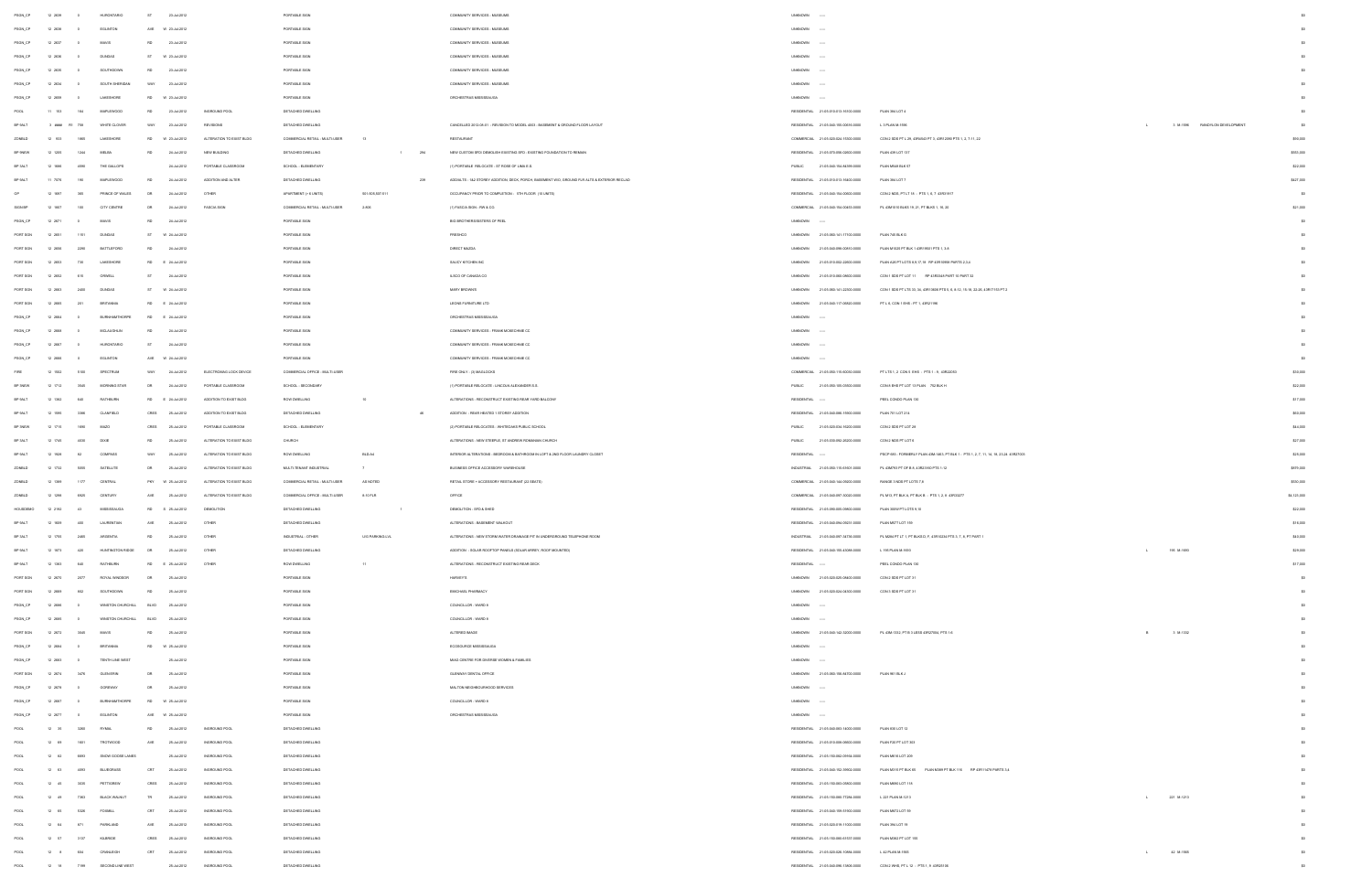| PSGN_CP             | 12 2639       | $^{\circ}$ | <b>HURONTARIO</b>       | 23-Jul-2012<br><b>ST</b>                |                          | PORTABLE SIGN                  |                        | COMMUNITY SERVICES - MUSEUMS                                                                 | <b>UNKNOWN</b>                                                               |                                                                                       |                                |
|---------------------|---------------|------------|-------------------------|-----------------------------------------|--------------------------|--------------------------------|------------------------|----------------------------------------------------------------------------------------------|------------------------------------------------------------------------------|---------------------------------------------------------------------------------------|--------------------------------|
| PSGN_CP             | 12 2638       | $\circ$    | <b>EGLINTON</b>         | AVE W 23-Jul-2012                       |                          | PORTABLE SIGN                  |                        | COMMUNITY SERVICES - MUSEUMS                                                                 | <b>UNKNOWN</b><br>-                                                          |                                                                                       |                                |
| PSGN_CP             | 12 2637       |            | <b>MAVIS</b>            | <b>RD</b><br>23-Jul-2012                |                          | PORTABLE SIGN                  |                        | COMMUNITY SERVICES - MUSEUMS                                                                 | <b>UNKNOWN</b>                                                               |                                                                                       |                                |
| PSGN_CP             | 12 2636       |            | <b>DUNDAS</b>           | ST W 23-Jul-2012                        |                          | PORTABLE SIGN                  |                        | <b>COMMUNITY SERVICES - MUSEUMS</b>                                                          | <b>UNKNOWN</b>                                                               |                                                                                       |                                |
| PSGN_CP             | 12 2635       |            | SOUTHDOWN               | 23-Jul-2012<br><b>RD</b>                |                          | PORTABLE SIGN                  |                        | <b>COMMUNITY SERVICES - MUSEUMS</b>                                                          | <b>UNKNOWN</b>                                                               |                                                                                       |                                |
| PSGN_CP             | 12 2634       | $\circ$    | SOUTH SHERIDAN          | WAY<br>23-Jul-2012                      |                          | PORTABLE SIGN                  |                        | COMMUNITY SERVICES - MUSEUMS                                                                 | <b>UNKNOWN</b><br>-                                                          |                                                                                       |                                |
| PSGN_CP             | 12 2659       | $^{\circ}$ | LAKESHORE               | W 23-Jul-2012<br><b>RD</b>              |                          | PORTABLE SIGN                  |                        | ORCHESTRAS MISSISSAUGA                                                                       | <b>UNKNOWN</b><br>-                                                          |                                                                                       |                                |
| POOL                | 11 153        | 164        | MAPLEWOOD               | <b>RD</b><br>23-Jul-2012                | INGROUND POOL            | DETACHED DWELLING              |                        |                                                                                              | RESIDENTIAL 21-05-010-013-16100-0000                                         | PLAN 384 LOT 4                                                                        |                                |
| BP 9ALT             | 3.44444       |            | WHITE CLOVER            | WAY<br>23-Jul-2012                      | <b>REVISIONS</b>         | DETACHED DWELLING              |                        | CANCELLED 2012-08-01 - REVISION TO MODEL 4003 - BASEMENT & GROUND FLOOR LAYOUT               | RESIDENTIAL 21-05-040-155-00616-0000                                         | L 3 PLAN M-1596                                                                       | 3 M-1596 RANDYLON DEVELOPMENT: |
| ZONBLD              |               | 1865       | LAKESHORE               | RD W 23-Jul-2012                        | ALTERATION TO EXIST BLDG | COMMERCIAL RETAIL - MULTI-USER | 13                     | RESTAURANT                                                                                   | COMMERCIAL 21-05-020-024-15300-0000                                          | CON 2 SDS PT L 29, 43R4543 PT 3, 43R12090 PTS 1, 2, 7-11, 22                          | \$90,00                        |
| BP 9NEW             |               |            | MELBA                   | <b>RD</b><br>24-Jul-2012                | NEW BUILDING             | DETACHED DWELLING              | $1$ 294 $\,$           | NEW CUSTOM SFD/ DEMOLISH EXISTING SFD - EXISTING FOUNDATION TO REMAIN                        | RESIDENTIAL 21-05-070-056-02600-0000                                         | PLAN 439 LOT 137                                                                      | \$553,00                       |
| BP 3ALT             |               | 4590       | THE GALLOPS             | 24-Jul-2012                             | PORTABLE CLASSROOM       | SCHOOL - ELEMENTARY            |                        | (1) PORTABLE RELOCATE - ST ROSE OF LIMA E.S.                                                 | 21-05-040-154-84399-0000<br>PUBLIC                                           | PLAN M548 BLK 57                                                                      | \$22,00                        |
| BP 9ALT             | 11 7076       | 190        | MAPLEWOOD               | <b>RD</b><br>24-Jul-2012                | ADDITION AND ALTER       | DETACHED DWELLING              | 239                    | ADDIALTS - 1&2 STOREY ADDITION, DECK, PORCH, BASEMENT W/O, GROUND FLR ALTS & EXTERIOR RECLAD | RESIDENTIAL 21-05-010-013-16400-0000                                         | PLAN 384 LOT 7                                                                        | \$427,00                       |
|                     | 12 1697       | 365        | PRINCE OF WALES         | <b>DR</b><br>24-Jul-2012                | OTHER                    | APARTMENT (> 6 UNITS)          | 501-505,507-511        | OCCUPANCY PRIOR TO COMPLETION - 5TH FLOOR (10 UNITS)                                         | RESIDENTIAL 21-05-040-154-00600-0000                                         | CON 2 NDS, PT LT 18 - PTS 1, 6, 7 43R31917                                            |                                |
| SIGN BP             |               |            | CITY CENTRE             | <b>DR</b><br>24-Jul-2012                | <b>FASCIA SIGN</b>       | COMMERCIAL RETAIL - MULTI-USER | 2-806                  | (1) FASCIA SIGN - RW & CO.                                                                   | COMMERCIAL 21-05-040-154-00453-0000                                          | PL 43M1010 BLKS 19, 21, PT BLKS 1, 16, 20                                             | \$21,00                        |
| PSGN_CP             | 12 2671       |            | <b>MAVIS</b>            | <b>RD</b><br>24-Jul-2012                |                          | PORTABLE SIGN                  |                        | BIG BROTHERS/SISTERS OF PEEL                                                                 | <b>UNKNOWN</b><br>-----                                                      |                                                                                       |                                |
| PORT SGN            | 12 2651       | 1151       | <b>DUNDAS</b>           | ST W 24-Jul-2012                        |                          | PORTABLE SIGN                  |                        | FRESHCO                                                                                      | 21-05-060-141-17100-0000<br><b>UNKNOWN</b>                                   | PLAN 745 BLK G                                                                        |                                |
| PORT SGN            | 12 2656       | 2290       | BATTLEFORD              | 24-Jul-2012<br><b>RD</b>                |                          | PORTABLE SIGN                  |                        | DIRECT MAZDA                                                                                 | 21-05-040-098-00810-0000<br><b>UNKNOWN</b>                                   | PLAN M1025 PT BLK 1 43R19501 PTS 1, 3-8                                               |                                |
| PORT SGN            | 12 2653       | 730        | LAKESHORE               | RD E 24-Jul-2012                        |                          | PORTABLE SIGN                  |                        | SAUCY KITCHEN INC                                                                            | 21-05-010-002-22600-0000<br><b>UNKNOWN</b>                                   | PLAN A26 PT LOTS 8,9,17,18 RP 43R10958 PARTS 2,3,4                                    |                                |
| PORT SGN            | 12 2652       | 615        | ORWELL                  | ST 24-Jul-2012                          |                          | PORTABLE SIGN                  |                        | ILSCO OF CANADA CO                                                                           | <b>UNKNOWN</b><br>21-05-010-060-08600-0000                                   | CON 1 SDS PT LOT 11 RP 43R3348 PART 10 PART 32                                        |                                |
| PORT SGN            | 12 2663       | 2400       | <b>DUNDAS</b>           | ST W 24-Jul-2012                        |                          | PORTABLE SIGN                  |                        | MARY BROWN'S                                                                                 | 21-05-060-141-22300-0000<br><b>UNKNOWN</b>                                   | CON 1 SDS PT LTS 33, 34, 43R13606 PTS 5, 6, 8-12, 15-18, 22-26, 43R17153 PT 2         |                                |
| PORT SGN            | 12 2665       | 201        | BRITANNIA               | RD E 24-Jul-2012                        |                          | PORTABLE SIGN                  |                        | LEONS FURNITURE LTD                                                                          | <b>UNKNOWN</b><br>21-05-040-117-06820-0000                                   | PT L 6, CON 1 EHS - PT 1, 43R21196                                                    |                                |
| PSGN_CP             | 12 2664       |            | BURNHAMTHORPE           | RD E 24-Jul-2012                        |                          | PORTABLE SIGN                  |                        | ORCHESTRAS MISSISSAUGA                                                                       | <b>UNKNOWN</b>                                                               |                                                                                       |                                |
| PSGN_CP             | 12 2668       |            | MCLAUGHLIN              | 24-Jul-2012<br><b>RD</b>                |                          | PORTABLE SIGN                  |                        | COMMUNITY SERVICES - FRANK MCKECHNIE CC                                                      | <b>UNKNOWN</b>                                                               |                                                                                       |                                |
| PSGN_CP             | 12 2667       |            | <b>HURONTARIO</b>       | ST<br>24-Jul-2012                       |                          | PORTABLE SIGN                  |                        | COMMUNITY SERVICES - FRANK MCKECHNIE CC                                                      | <b>UNKNOWN</b><br>--                                                         |                                                                                       |                                |
| PSGN_CP             | 12 2666       | $\Omega$   | <b>EGLINTON</b>         | AVE W 24-Jul-2012                       |                          | PORTABLE SIGN                  |                        | COMMUNITY SERVICES - FRANK MCKECHNIE CC                                                      | <b>UNKNOWN</b><br>$\cdots$                                                   |                                                                                       |                                |
| <b>FIRE</b>         | 12 1502       | 5100       | SPECTRUM                | WAY 24-Jul-2012                         | ELECTROMAG LOCK DEVICE   | COMMERCIAL OFFICE - MULTI-USER |                        | FIRE ONLY - (3) MAGLOCKS                                                                     | COMMERCIAL 21-05-050-115-60030-0000                                          | PT LTS 1, 2 CON 5 EHS - PTS 1 - 9, 43R22053                                           | \$30,000                       |
| BP 3NEW             | 12 1712       | 3545       | <b>MORNING STAR</b>     | <b>DR</b><br>24-Jul-2012                | PORTABLE CLASSROOM       | SCHOOL - SECONDARY             |                        | (1) PORTABLE RELOCATE - LINCOLN ALEXANDER S.S.                                               | PUBLIC<br>21-05-050-105-03500-0000                                           | CON 8 EHS PT LOT 13 PLAN 752 BLK H                                                    | \$22,00                        |
| BP 9ALT             | 12 1382       | 640        | RATHBURN                | RD E 24-Jul-2012                        | ADDITION TO EXIST BLDG   | ROW DWELLING                   | 10                     | ALTERATIONS - RECONSTRUCT EXISTING REAR YARD BALCONY                                         | <b>RESIDENTIAL</b>                                                           | PEEL CONDO PLAN 130                                                                   | \$17,00                        |
| BP 9ALT             |               | 3386       | CLANFIELD               | CRES<br>25-Jul-2012                     | ADDITION TO EXIST BLDG   | DETACHED DWELLING              | 46                     | ADDITION - REAR HEATED 1 STOREY ADDITION                                                     | RESIDENTIAL 21-05-040-086-15900-0000                                         | PLAN 701 LOT 214                                                                      | \$60,00                        |
| BP 3NEW             | 12 1715       | 1690       | MAZO                    | CRES 25-Jul-2012                        | PORTABLE CLASSROOM       | SCHOOL - ELEMENTARY            |                        | (2) PORTABLE RELOCATES - WHITEOAKS PUBLIC SCHOOL                                             | 21-05-020-034-16200-0000<br>PUBLIC                                           | CON 2 SDS PT LOT 28                                                                   | \$44,00                        |
| BP 3ALT             | 12 1745       | 4030       | DIXIE                   | <b>RD</b><br>25-Jul-2012                | ALTERATION TO EXIST BLDG | CHURCH                         |                        | ALTERATIONS - NEW STEEPLE, ST ANDREW ROMANIAN CHURCH                                         | PUBLIC<br>21-05-030-092-26200-0000                                           | CON 2 NDS PT LOT 6                                                                    | \$27,00                        |
| BP 9ALT             | 12 1928       | 82         | COMPASS                 | WAY<br>25-Jul-2012                      | ALTERATION TO EXIST BLDG | <b>ROW DWELLING</b>            | BLD-A4                 | INTERIOR ALTERATIONS - BEDROOM & BATHROOM IN LOFT & 2ND FLOOR LAUNDRY CLOSET                 | RESIDENTIAL -----                                                            | PSCP 683 - FORMERLY PLAN 43M-1463, PT BLK 1 - PTS 1, 2, 7, 11, 14, 18, 23,24 43R27003 | \$25,00                        |
| ZONBLD              | 12 1732       | 5055       | SATELLITE               | <b>DR</b><br>25-Jul-2012                | ALTERATION TO EXIST BLDG | MULTI-TENANT INDUSTRIAL        | 7                      | BUSINESS OFFICE ACCESSORY WAREHOUSE                                                          | INDUSTRIAL 21-05-050-115-61601-0000                                          | PL 43M793 PT OF B 8, 43R23160 PTS 1-12                                                | \$879,00                       |
| ZONBLD              | 12 1389       | 1177       | CENTRAL                 | PKY W 25-Jul-2012                       | ALTERATION TO EXIST BLDG | COMMERCIAL RETAIL - MULTI-USER | AS NOTED               | RETAIL STORE + ACCESSORY RESTAURANT (22 SEATS)                                               | COMMERCIAL 21-05-040-144-09200-0000                                          | RANGE 3 NDS PT LOTS 7,8                                                               | \$530,00                       |
| CONBLD              |               | 6925       |                         |                                         |                          |                                |                        |                                                                                              |                                                                              |                                                                                       |                                |
| HOUSDEMO 12 2192    |               |            | <b>CENTURY</b>          | AVE<br>25-Jul-2012                      | ALTERATION TO EXIST BLDG | COMMERCIAL OFFICE - MULTI-USER | 8-10 FLR               | OFFICE                                                                                       | COMMERCIAL 21-05-040-097-30020-0000                                          | PL M13, PT BLK A, PT BLK B - PTS 1, 2, 8 43R33277                                     | \$4,123,00                     |
| BP 9ALT             |               | 43         | MISSISSAUGA             | RD S 25-Jul-2012                        | DEMOLITION               | DETACHED DWELLING              |                        | DEMOLITION - SFD & SHED                                                                      | RESIDENTIAL 21-05-090-005-09800-0000                                         | PLAN 300W PT LOTS 9,10                                                                | \$22,00                        |
|                     | 12 1609       | 400        | LAURENTIAN              | AVE<br>25-Jul-2012                      | OTHER                    | DETACHED DWELLING              |                        | ALTERATIONS - BASEMENT WALKOUT                                                               | RESIDENTIAL 21-05-040-094-09231-0000                                         | PLAN M577 LOT 159                                                                     | \$16,00                        |
| BP 3ALT             | 12 1755       | 2465       | ARGENTIA                | <b>RD</b><br>25-Jul-2012                | OTHER                    | INDUSTRIAL - OTHER             | <b>U/G PARKING-LVL</b> | ALTERATIONS - NEW STORM WATER DRAINAGE PIT IN UNDERGROUND TELEPHONE ROOM                     | INDUSTRIAL 21-05-040-097-34736-0000                                          | PL M284 PT LT 1, PT BLKS D, F, 43R10234 PTS 3, 7, 8, PT PART 1                        | \$40,00                        |
| BP 9ALT             | 12 1873       | 420        | <b>HUNTINGTON RIDGE</b> | DR.<br>25-Jul-2012                      | OTHER                    | DETACHED DWELLING              |                        | ADDITION - SOLAR ROOFTOP PANELS (SOLAR ARREY, ROOF MOUNTED)                                  | RESIDENTIAL 21-05-040-155-43088-0000                                         | L 195 PLAN M-1693                                                                     | L 195 M-1693<br>\$29,00        |
| BP 9ALT             | 12 1383       | 640        | RATHBURN                | <b>RD</b><br>E 25-Jul-2012              | OTHER                    | ROW DWELLING                   | 11                     | ALTERATIONS - RECONSTRUCT EXISTING REAR DECK                                                 | RESIDENTIAL -----                                                            | PEEL CONDO PLAN 130                                                                   | \$17,00                        |
| PORT SGN            | 12 2670       | 2077       | ROYAL WINDSOR           | <b>DR</b><br>25-Jul-2012                |                          | PORTABLE SIGN                  |                        | <b>HARVEY'S</b>                                                                              | 21-05-020-025-08400-0000<br><b>UNKNOWN</b>                                   | CON 2 SDS PT LOT 31                                                                   |                                |
| PORT SGN            | 12 2669       | 802        | SOUTHDOWN               | RD<br>25-Jul-2012                       |                          | PORTABLE SIGN                  |                        | EMICHAEL PHARMACY                                                                            | UNKNOWN 21-05-020-024-04300-0000                                             | CON 3 SDS PT LOT 31                                                                   |                                |
| PSGN CP             | 12 2686       | $\circ$    |                         | WINSTON CHURCHILL BLVD 25-Jul-2012      |                          | PORTABLE SIGN                  |                        | COUNCILLOR - WARD 8                                                                          | <b>UNKNOWN</b><br>$\cdots$                                                   |                                                                                       |                                |
| PSGN_CP             | 12 2685       |            |                         | WINSTON CHURCHILL BLVD 25-Jul-2012      |                          | PORTABLE SIGN                  |                        | COUNCILLOR - WARD 8                                                                          | <b>UNKNOWN</b><br>$\cdots$                                                   |                                                                                       |                                |
| PORT SGN            | 12 2672       | 3045       | <b>MAVIS</b>            | <b>RD</b><br>25-Jul-2012                |                          | PORTABLE SIGN                  |                        | ALTERED IMAGE                                                                                | UNKNOWN 21-05-040-142-32000-0000                                             | PL 43M-1332. PT B 3 LESS 43R27004. PTS 1-6<br><b>B</b>                                | 3 M-1332                       |
|                     | 12 2684       |            | BRITANNIA               |                                         |                          |                                |                        | ECOSOURCE MISSISSAUGA                                                                        | <b>UNKNOWN</b>                                                               |                                                                                       |                                |
| PSGN_CP             | 12 2683       |            | TENTH LINE WEST         | RD W 25-Jul-2012                        |                          | PORTABLE SIGN                  |                        |                                                                                              | <b>UNKNOWN</b>                                                               |                                                                                       |                                |
| PSGN_CP<br>PORT SGN | 12 2674       | 3476       | <b>GLEN ERIN</b>        | 25-Jul-2012<br><b>DR</b><br>25-Jul-2012 |                          | PORTABLE SIGN<br>PORTABLE SIGN |                        | MIAG CENTRE FOR DIVERSE WOMEN & FAMILIES<br>GLENWAY DENTAL OFFICE                            | UNKNOWN 21-05-060-156-84700-0000                                             | PLAN 961 BLK J                                                                        |                                |
| PSGN_CP             | 12 2678       | $\circ$    | GOREWAY                 | <b>DR</b><br>25-Jul-2012                |                          | PORTABLE SIGN                  |                        | MALTON NEIGHBOURHOOD SERVICES                                                                | <b>UNKNOWN</b><br>--                                                         |                                                                                       |                                |
|                     | 12 2687       | $^{\circ}$ | <b>BURNHAMTHORPE</b>    | RD W 25-Jul-2012                        |                          | PORTABLE SIGN                  |                        | COUNCILLOR - WARD 8                                                                          | <b>UNKNOWN</b><br>$\cdots$                                                   |                                                                                       |                                |
| PSGN_CP<br>PSGN_CP  | 12 2677       | $\circ$    | <b>EGLINTON</b>         | AVE W 25-Jul-2012                       |                          | PORTABLE SIGN                  |                        | ORCHESTRAS MISSISSAUGA                                                                       | UNKNOWN -----                                                                |                                                                                       |                                |
| POOL                | 12 35         | 3260       | RYMAL                   | <b>RD</b><br>25-Jul-2012                | INGROUND POOL            | DETACHED DWELLING              |                        |                                                                                              | RESIDENTIAL 21-05-040-083-14000-0000                                         | PLAN 830 LOT 12                                                                       |                                |
| POOL                | 12 69         | 1601       | TROTWOOD                | AVE<br>25-Jul-2012                      | INGROUND POOL            | DETACHED DWELLING              |                        |                                                                                              | RESIDENTIAL 21-05-010-008-06600-0000                                         | PLAN F20 PT LOT 303                                                                   |                                |
| POOL                | 12 82         | 6693       | SNOW GOOSE LANES        | 25-Jul-2012                             | INGROUND POOL            | DETACHED DWELLING              |                        |                                                                                              | RESIDENTIAL 21-05-150-082-09164-0000                                         | PLAN M616 LOT 209                                                                     |                                |
| POOL                | 12 63         | 4093       | <b>BLUEGRASS</b>        | CRT<br>25-Jul-2012                      | INGROUND POOL            | DETACHED DWELLING              |                        |                                                                                              | RESIDENTIAL 21-05-040-152-39902-0000                                         | PLAN M315 PT BLK 65 PLAN M389 PT BLK 116 RP 43R11478 PARTS 3,4                        |                                |
| POOL                | 12 45         | 3035       | PETTIGREW               | CRES<br>25-Jul-2012                     | INGROUND POOL            | DETACHED DWELLING              |                        |                                                                                              | RESIDENTIAL 21-05-150-083-05800-0000                                         | PLAN M690 LOT 118                                                                     |                                |
| POOL                | 12 49         | 7363       | <b>BLACK WALNUT</b>     | <b>TR</b><br>25-Jul-2012                | INGROUND POOL            | DETACHED DWELLING              |                        |                                                                                              | RESIDENTIAL 21-05-150-080-77284-0000                                         | L 221 PLAN M-1213<br>$\mathbf{L}$                                                     | 221 M-1213                     |
| POOL                | 12 65         | 5326       | <b>FOXMILL</b>          | CRT                                     | INGROUND POOL            | DETACHED DWELLING              |                        |                                                                                              |                                                                              | PLAN M872 LOT 59                                                                      |                                |
| POOL                | 12 64         | 871        | PARKLAND                | 25-Jul-2012<br>AVE<br>25-Jul-2012       | INGROUND POOL            | DETACHED DWELLING              |                        |                                                                                              | RESIDENTIAL 21-05-040-159-51900-0000<br>RESIDENTIAL 21-05-020-019-11000-0000 | PLAN 394 LOT 19                                                                       |                                |
| POOL                | 12 57         | 3137       | KILBRIDE                | CRES<br>25-Jul-2012                     | INGROUND POOL            | DETACHED DWELLING              |                        |                                                                                              | RESIDENTIAL 21-05-150-080-61537-0000                                         | PLAN M382 PT LOT 155                                                                  |                                |
| POOL                | $12 \qquad 8$ | 604        | CRANLEIGH               | CRT<br>25-Jul-2012                      | INGROUND POOL            | DETACHED DWELLING              |                        |                                                                                              | RESIDENTIAL 21-05-020-026-10884-0000                                         | L 42 PLAN M-1565<br>$\mathbf{L}$                                                      | 42 M-1565                      |
| POOL                | 12 18         | 7199       | SECOND LINE WEST        | 25-Jul-2012                             | INGROUND POOL            | DETACHED DWELLING              |                        |                                                                                              | RESIDENTIAL 21-05-040-096-13806-0000                                         | CON 2 WHS, PT L 12 - PTS 1, 9 43R25106                                                |                                |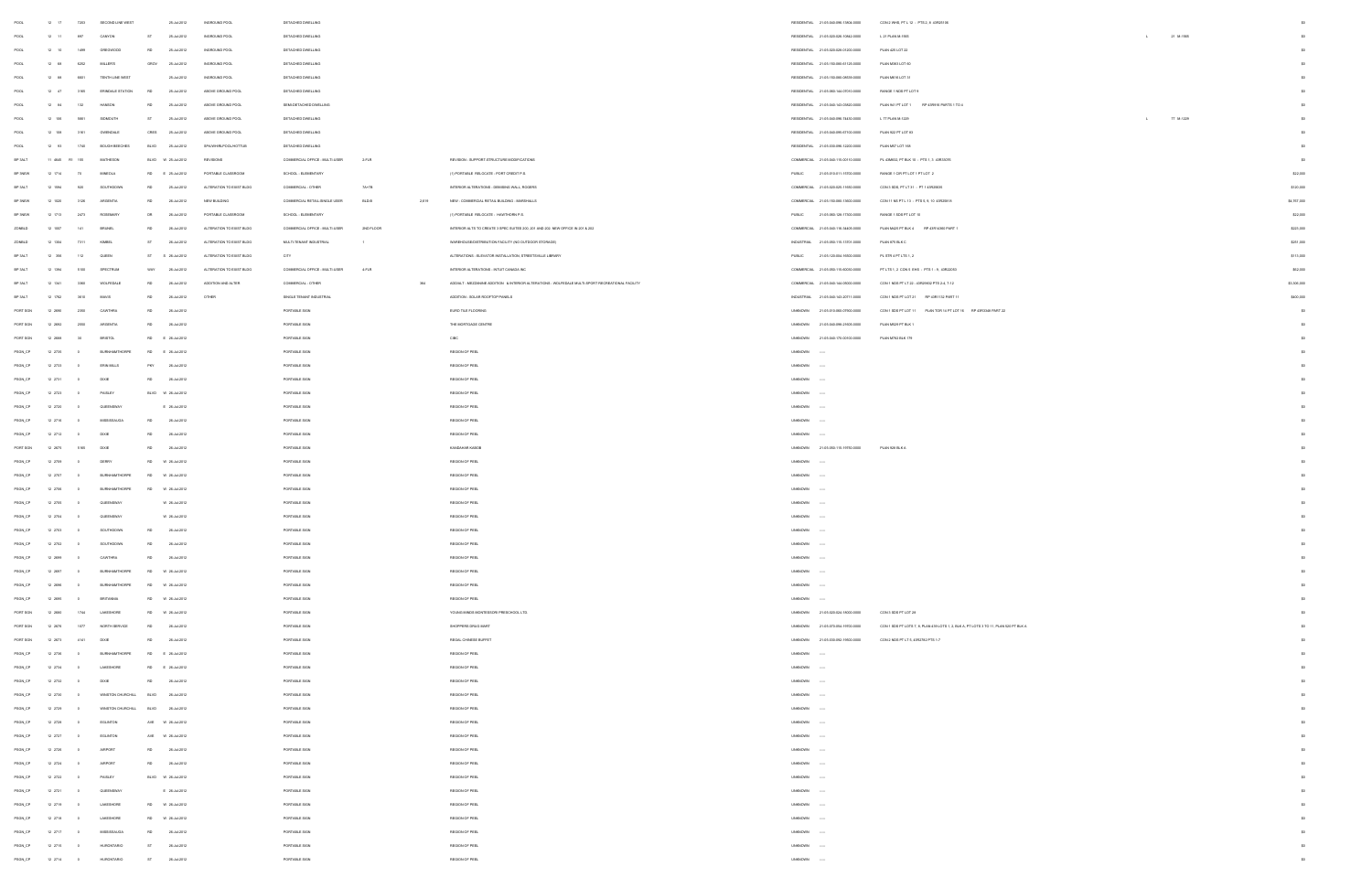| POOL                             | 12 17           | 7203           | SECOND LINE WEST            | 25-Jul-2012              | INGROUND POOL            | DETACHED DWELLING              |                |       |                                                                                                   | RESIDENTIAL 21-05-040-096-13804-0000       | CON 2 WHS, PT L 12 - PTS 2, 8 43R25106                                                |            |
|----------------------------------|-----------------|----------------|-----------------------------|--------------------------|--------------------------|--------------------------------|----------------|-------|---------------------------------------------------------------------------------------------------|--------------------------------------------|---------------------------------------------------------------------------------------|------------|
| POOL                             |                 |                | CANYON                      | <b>ST</b><br>25-Jul-2012 | INGROUND POOL            | DETACHED DWELLING              |                |       |                                                                                                   | RESIDENTIAL 21-05-020-026-10842-0000       | L 21 PLAN M-1565<br>L 21 M-1565                                                       |            |
| POOL                             |                 | 1499           | <b>GREGWOOD</b>             | <b>RD</b><br>25-Jul-2012 | INGROUND POOL            | DETACHED DWELLING              |                |       |                                                                                                   | RESIDENTIAL 21-05-020-028-01200-0000       | PLAN 425 LOT 22                                                                       |            |
| POOL                             |                 | 6252           | <b>MILLER'S</b>             | GROV<br>25-Jul-2012      | INGROUND POOL            | DETACHED DWELLING              |                |       |                                                                                                   | RESIDENTIAL 21-05-150-080-61125-0000       | PLAN M383 LOT 60                                                                      |            |
| POOL                             | 12 88           | 6601           | TENTH LINE WEST             | 25-Jul-2012              | INGROUND POOL            | DETACHED DWELLING              |                |       |                                                                                                   | RESIDENTIAL 21-05-150-080-08539-0000       | PLAN M616 LOT 31                                                                      |            |
| POOL                             | 12              | 3165           | ERINDALE STATION            | <b>RD</b><br>25-Jul-2012 | ABOVE GROUND POOL        | DETACHED DWELLING              |                |       |                                                                                                   | RESIDENTIAL 21-05-060-144-07010-0000       | RANGE 1 NDS PT LOT 9                                                                  |            |
| POOL                             | 12 84           | 132            | <b>HANSON</b>               | <b>RD</b><br>25-Jul-2012 | ABOVE GROUND POOL        | SEMI-DETACHED DWELLING         |                |       |                                                                                                   | RESIDENTIAL 21-05-040-143-03820-0000       | PLAN 941 PT LOT 1 RP 43R916 PARTS 1 TO 4                                              |            |
| POOL                             | 12 106          | 5661           | SIDMOUTH                    | <b>ST</b><br>25-Jul-2012 | ABOVE GROUND POOL        | DETACHED DWELLING              |                |       |                                                                                                   | RESIDENTIAL 21-05-040-096-74430-0000       | L 77 M-1229<br>L 77 PLAN M-1229                                                       |            |
| POOL                             | 12 108          | 3161           | GWENDALE                    | CRES<br>25-Jul-2012      | ABOVE GROUND POOL        | DETACHED DWELLING              |                |       |                                                                                                   | RESIDENTIAL 21-05-040-095-67100-0000       | PLAN 922 PT LOT 83                                                                    |            |
| POOL                             | 12              | 1740           | BOUGH BEECHES               | BLVD 25-Jul-2012         | SPA/WHIRLPOOL/HOTTUB     | DETACHED DWELLING              |                |       |                                                                                                   | RESIDENTIAL 21-05-030-096-12200-0000       | PLAN M57 LOT 168                                                                      |            |
| BP 3ALT                          |                 | 155            | MATHESON                    | BLVD W 25-Jul-2012       | <b>REVISIONS</b>         | COMMERCIAL OFFICE - MULTI-USER | 2-FLR          |       | REVISION - SUPPORT-STRUCTURE MODIFICATIONS                                                        | COMMERCIAL 21-05-040-115-00110-0000        | PL 43M832, PT BLK 10 - PTS 1, 3 43R33076                                              |            |
| BP 3NEW                          | 12 1714         | 70             | MINEOLA                     | RD E 25-Jul-2012         | PORTABLE CLASSROOM       | SCHOOL - ELEMENTARY            |                |       | (1) PORTABLE RELOCATE - PORT CREDIT P.S.                                                          | PUBLIC<br>21-05-010-011-15700-0000         | RANGE 1 CIR PT LOT 1 PT LOT 2                                                         | \$22,00    |
|                                  |                 | 920            | SOUTHDOWN                   | <b>RD</b>                | ALTERATION TO EXIST BLDG | COMMERCIAL - OTHER             | 7A+7B          |       |                                                                                                   | COMMERCIAL 21-05-020-025-11650-0000        | CON 3 SDS, PT LT 31 - PT 1 43R25635                                                   | \$120,00   |
| BP 3ALT                          | 12 1594         |                |                             | 25-Jul-2012              |                          |                                |                |       | INTERIOR ALTERATIONS - DEMISING WALL, ROGERS                                                      |                                            |                                                                                       |            |
| BP 3NEW                          | 12 1020         | 3126           | ARGENTIA                    | 26-Jul-2012<br><b>RD</b> | NEW BUILDING             | COMMERCIAL RETAIL-SINGLE USER  | BLD-B          | 2,619 | NEW - COMMERCIAL RETAIL BUILDING - MARSHALLS                                                      | COMMERCIAL 21-05-150-080-13600-0000        | CON 11 NS PT L 13 - PTS 5, 9, 10 43R25818                                             | \$4,767,00 |
| BP 3NEW                          | 12 1713         | 2473           | ROSEMARY                    | DR 1<br>26-Jul-2012      | PORTABLE CLASSROOM       | SCHOOL - ELEMENTARY            |                |       | (1) PORTABLE RELOCATE - HAWTHORN P.S.                                                             | PUBLIC<br>21-05-060-128-17300-0000         | RANGE 1 SDS PT LOT 10                                                                 | \$22,00    |
| ZONBLD                           | 12 1007         | 141            | BRUNEL                      | <b>RD</b><br>26-Jul-2012 | ALTERATION TO EXIST BLDG | COMMERCIAL OFFICE - MULTI-USER | 2ND FLOOR      |       | INTERIOR ALTS TO CREATE 3 SPEC SUITES 200, 201 AND 202. NEW OFFICE IN 201 & 202                   | COMMERCIAL 21-05-040-116-34405-0000        | PLAN M425 PT BLK 4 RP 43R14360 PART 1                                                 | \$223,00   |
| ZONBLD                           | 12 1304         | 7311           | KIMBEL                      | 26-Jul-2012<br><b>ST</b> | ALTERATION TO EXIST BLDG | MULTI-TENANT INDUSTRIAL        | $\overline{1}$ |       | WAREHOUSE/DISTRIBUTION FACILITY (NO OUTDOOR STORAGE)                                              | INDUSTRIAL 21-05-050-115-13701-0000        | PLAN 875 BLK C                                                                        | \$251,00   |
| BP 3ALT                          | 12 356          | 112            | QUEEN                       | ST S 26-Jul-2012         | ALTERATION TO EXIST BLDG | CITY                           |                |       | ALTERATIONS - ELEVATOR INSTALLATION, STREETSVILLE LIBRARY                                         | 21-05-120-004-16500-0000<br>PUBLIC         | PL STR 4 PT LTS 1, 2                                                                  | \$113,00   |
| BP 3ALT                          | 12 1394         | 5100           | SPECTRUM                    | WAY 26-Jul-2012          | ALTERATION TO EXIST BLDG | COMMERCIAL OFFICE - MULTI-USER | 4-FLR          |       | INTERIOR ALTERATIONS - INTUIT CANADA INC                                                          | COMMERCIAL 21-05-050-115-60030-0000        | PT LTS 1, 2 CON 5 EHS - PTS 1 - 9, 43R22053                                           | \$62,00    |
| BP 3ALT                          | 12 1341         | 3360           | WOLFEDALE                   | <b>RD</b><br>26-Jul-2012 | ADDITION AND ALTER       | COMMERCIAL - OTHER             |                | 364   | ADD/ALT - MEZZANINE ADDITION & INTERIOR ALTERATIONS - WOLFEDALE MULTI-SPORT RECREATIONAL FACILITY | COMMERCIAL 21-05-040-144-05000-0000        | CON 1 NDS PT LT 22 - 43R29832 PTS 2-4, 7-12                                           | \$3,306,00 |
| BP 3ALT                          | 12 1762         | 3610           | MAVIS                       | <b>RD</b><br>26-Jul-2012 | OTHER                    | SINGLE TENANT INDUSTRIAL       |                |       | ADDITION - SOLAR ROOFTOP PANELS                                                                   | INDUSTRIAL 21-05-040-143-20711-0000        | CON 1 NDS PT LOT 21 RP 43R1132 PART 11                                                | \$400,00   |
| PORT SGN                         | 12 2690         | 2350           | CAWTHRA                     | <b>RD</b><br>26-Jul-2012 |                          | PORTABLE SIGN                  |                |       | EURO TILE FLOORING                                                                                | <b>UNKNOWN</b><br>21-05-010-060-07900-0000 | CON 1 SDS PT LOT 11 PLAN TOR 14 PT LOT 16 RP 43R3348 PART 22                          |            |
| PORT SGN                         | 12 2692         | 2550           | ARGENTIA                    | 26-Jul-2012<br><b>RD</b> |                          | PORTABLE SIGN                  |                |       | THE MORTGAGE CENTRE                                                                               | 21-05-040-098-21605-0000<br><b>UNKNOWN</b> | PLAN M529 PT BLK 1                                                                    |            |
| PORT SGN                         | 12 2688         |                | <b>BRISTOL</b>              | RD E 26-Jul-2012         |                          | PORTABLE SIGN                  |                |       | CIBC                                                                                              | 21-05-040-170-00100-0000<br><b>UNKNOWN</b> | PLAN M782 BLK 179                                                                     |            |
| PSGN_CP                          | 12 2735         | $\overline{0}$ | BURNHAMTHORPE               | RD E 26-Jul-2012         |                          | PORTABLE SIGN                  |                |       | REGION OF PEEL                                                                                    | <b>UNKNOWN</b><br>$\sim$                   |                                                                                       |            |
| PSGN_CP                          | 12 2733         | $\sim$         | <b>ERIN MILLS</b>           | PKY 26-Jul-2012          |                          | PORTABLE SIGN                  |                |       | REGION OF PEEL                                                                                    | <b>UNKNOWN</b><br>$\sim$                   |                                                                                       |            |
| $\ensuremath{\mathsf{PSGN\_CP}}$ | 12 2731         | $\overline{0}$ | DIXIE                       | RD 3<br>26-Jul-2012      |                          | PORTABLE SIGN                  |                |       | REGION OF PEEL                                                                                    | <b>UNKNOWN</b><br>$\sim$                   |                                                                                       |            |
| $\ensuremath{\mathsf{PSGN\_CP}}$ | 12 2723         | $^{\circ}$     | PAISLEY                     | BLVD W 26-Jul-2012       |                          | PORTABLE SIGN                  |                |       | <b>REGION OF PEEL</b>                                                                             | <b>UNKNOWN</b><br>$\cdots$                 |                                                                                       |            |
| PSGN_CP                          | 12 2720         | $\sim$         | QUEENSWAY                   | E 26-Jul-2012            |                          | PORTABLE SIGN                  |                |       | REGION OF PEEL                                                                                    | <b>UNKNOWN</b><br>$\sim$                   |                                                                                       |            |
| PSGN_CP                          | 12 2716         | $\sim$         | MISSISSAUGA                 | 26-Jul-2012<br><b>RD</b> |                          | PORTABLE SIGN                  |                |       | REGION OF PEEL                                                                                    | <b>UNKNOWN</b><br>-----                    |                                                                                       |            |
| PSGN_CP                          | 12 2712         | $\sim$         | DIXIE                       | <b>RD</b><br>26-Jul-2012 |                          | PORTABLE SIGN                  |                |       | REGION OF PEEL                                                                                    | <b>UNKNOWN</b><br>-                        |                                                                                       |            |
|                                  |                 |                |                             |                          |                          | PORTABLE SIGN                  |                |       |                                                                                                   |                                            | PLAN 928 BLK A                                                                        |            |
| PORT SGN                         | 12 2675         | 5165           | <b>DIXIE</b>                | 26-Jul-2012<br>RD 3      |                          |                                |                |       | KANDAHAR KABOB                                                                                    | UNKNOWN 21-05-050-115-19750-0000           |                                                                                       |            |
| PSGN_CP                          | 12 2709         | $\sim$         | DERRY                       | RD W 26-Jul-2012         |                          | PORTABLE SIGN                  |                |       | REGION OF PEEL                                                                                    | <b>UNKNOWN</b><br>----                     |                                                                                       |            |
| PSGN_CP                          | 12 2707         | $\sim$ 0       | BURNHAMTHORPE               | RD W 26-Jul-2012         |                          | PORTABLE SIGN                  |                |       | <b>REGION OF PEEL</b>                                                                             | <b>UNKNOWN</b><br>$\sim$                   |                                                                                       |            |
| PSGN_CP                          | 12 2706         | $\sim$ 0       | BURNHAMTHORPE               | RD W 26-Jul-2012         |                          | PORTABLE SIGN                  |                |       | REGION OF PEEL                                                                                    | <b>UNKNOWN</b><br>-                        |                                                                                       |            |
| PSGN_CP 12 2705                  |                 | $\sim$ 0       | QUEENSWAY                   | W 26-Jul-2012            |                          | PORTABLE SIGN                  |                |       | REGION OF PEEL                                                                                    | <b>UNKNOWN</b><br>$\cdots$                 |                                                                                       |            |
|                                  |                 |                | PSGN CP 12 2704 0 QUEENSWAY | W 26-Jul-2012            |                          | PORTABLE SIGN                  |                |       | REGION OF PEEL                                                                                    | UNKNOWN -----                              |                                                                                       |            |
| PSGN_CP 12 2703                  |                 | $\sim$         | SOUTHDOWN                   | <b>RD</b><br>26-Jul-2012 |                          | PORTABLE SIGN                  |                |       | REGION OF PEEL                                                                                    | UNKNOWN -----                              |                                                                                       |            |
| PSGN_CP                          | 12 2702         |                | SOUTHDOWN                   | <b>RD</b><br>26-Jul-2012 |                          | PORTABLE SIGN                  |                |       | REGION OF PEEL                                                                                    | <b>UNKNOWN</b><br>$\cdots$                 |                                                                                       |            |
| PSGN_CP                          | 12 2699         |                | CAWTHRA                     | <b>RD</b><br>26-Jul-2012 |                          | PORTABLE SIGN                  |                |       | REGION OF PEEL                                                                                    | <b>UNKNOWN</b><br>$\sim$                   |                                                                                       |            |
| PSGN_CP                          | 12 2697         |                | BURNHAMTHORPE               | RD W 26-Jul-2012         |                          | PORTABLE SIGN                  |                |       | REGION OF PEEL                                                                                    | <b>UNKNOWN</b><br>$\sim$                   |                                                                                       |            |
| PSGN_CP                          | 12 2696         |                | BURNHAMTHORPE               | RD W 26-Jul-2012         |                          | PORTABLE SIGN                  |                |       | REGION OF PEEL                                                                                    | <b>UNKNOWN</b><br>$\cdots$                 |                                                                                       |            |
| PSGN_CP                          | 12 2695         |                | BRITANNIA                   | RD W 26-Jul-2012         |                          | PORTABLE SIGN                  |                |       | REGION OF PEEL                                                                                    | <b>UNKNOWN</b><br>$\cdots$                 |                                                                                       |            |
| PORT SGN                         | 12 2680         | 1744           | LAKESHORE                   | RD W 26-Jul-2012         |                          | PORTABLE SIGN                  |                |       | YOUNG MINDS MONTESSORI PRESCHOOL LTD.                                                             | 21-05-020-024-18000-0000<br><b>UNKNOWN</b> | CON 3 SDS PT LOT 28                                                                   |            |
| PORT SGN                         | 12 2676         | 1077           | NORTH SERVICE               | <b>RD</b><br>26-Jul-2012 |                          | PORTABLE SIGN                  |                |       | SHOPPERS DRUG MART                                                                                | 21-05-070-054-19700-0000<br><b>UNKNOWN</b> | CON 1 SDS PT LOTS 7, 8, PLAN 439 LOTS 1, 2, BLK A, PT LOTS 3 TO 11, PLAN 520 PT BLK A |            |
| PORT SGN                         | 12 2673         | 4141           | DIXIE                       | <b>RD</b><br>26-Jul-2012 |                          | PORTABLE SIGN                  |                |       | REGAL CHINESE BUFFET                                                                              | <b>UNKNOWN</b><br>21-05-030-092-19500-0000 | CON 2 NDS PT LT 5, 43R2782 PTS 1-7                                                    |            |
| $\ensuremath{\mathsf{PSGN\_CP}}$ | 12 2736         | $^{\circ}$     | BURNHAMTHORPE               | RD E 26-Jul-2012         |                          | PORTABLE SIGN                  |                |       | REGION OF PEEL                                                                                    | <b>UNKNOWN</b><br>$\sim$                   |                                                                                       |            |
| PSGN_CP                          | 12 2734         |                | LAKESHORE                   | RD E 26-Jul-2012         |                          | PORTABLE SIGN                  |                |       | REGION OF PEEL                                                                                    | <b>UNKNOWN</b>                             |                                                                                       |            |
| PSGN_CP                          | 12 2732         | $^{\circ}$     | DIXIE                       | <b>RD</b><br>26-Jul-2012 |                          | PORTABLE SIGN                  |                |       | REGION OF PEEL                                                                                    | <b>UNKNOWN</b><br>$\sim$                   |                                                                                       |            |
| PSGN_CP                          | 12 2730         |                | WINSTON CHURCHILL           | BLVD 26-Jul-2012         |                          | PORTABLE SIGN                  |                |       | REGION OF PEEL                                                                                    | <b>UNKNOWN</b><br>$\sim$                   |                                                                                       |            |
| PSGN_CP                          | 12 2729         | $^{\circ}$     | WINSTON CHURCHILL           | BLVD 26-Jul-2012         |                          | PORTABLE SIGN                  |                |       | REGION OF PEEL                                                                                    | <b>UNKNOWN</b><br>$\cdots$                 |                                                                                       |            |
| PSGN_CP                          | 12 2728         |                | <b>EGLINTON</b>             | AVE W 26-Jul-2012        |                          | PORTABLE SIGN                  |                |       | REGION OF PEEL                                                                                    | <b>UNKNOWN</b><br>$\sim$                   |                                                                                       |            |
| PSGN_CP                          | 12 2727         |                | <b>EGLINTON</b>             | AVE W 26-Jul-2012        |                          | PORTABLE SIGN                  |                |       | REGION OF PEEL                                                                                    | <b>UNKNOWN</b><br>$\cdots$                 |                                                                                       |            |
|                                  |                 |                |                             |                          |                          |                                |                |       |                                                                                                   |                                            |                                                                                       |            |
| PSGN_CP                          | 12 2726         |                | AIRPORT                     | 26-Jul-2012<br><b>RD</b> |                          | PORTABLE SIGN                  |                |       | REGION OF PEEL                                                                                    | <b>UNKNOWN</b><br>$\sim$                   |                                                                                       |            |
| PSGN_CP                          | 12 2724         | $^{\circ}$     | AIRPORT                     | 26-Jul-2012<br><b>RD</b> |                          | PORTABLE SIGN                  |                |       | REGION OF PEEL                                                                                    | <b>UNKNOWN</b><br>1.1111                   |                                                                                       |            |
| PSGN_CP                          | 12 2722         | $\sim$         | PAISLEY                     | BLVD W 26-Jul-2012       |                          | PORTABLE SIGN                  |                |       | REGION OF PEEL                                                                                    | <b>UNKNOWN</b><br>$\cdots$                 |                                                                                       |            |
| PSGN_CP                          | 12 2721         | $\sim$ 0       | QUEENSWAY                   | E 26-Jul-2012            |                          | PORTABLE SIGN                  |                |       | REGION OF PEEL                                                                                    | <b>UNKNOWN</b><br>----                     |                                                                                       |            |
| PSGN_CP                          | 12 2719         | $\sim$         | LAKESHORE                   | RD W 26-Jul-2012         |                          | PORTABLE SIGN                  |                |       | REGION OF PEEL                                                                                    | <b>UNKNOWN</b><br>----                     |                                                                                       |            |
| PSGN_CP                          | 12 2718         | $\sim$         | LAKESHORE                   | RD W 26-Jul-2012         |                          | PORTABLE SIGN                  |                |       | <b>REGION OF PEEL</b>                                                                             | <b>UNKNOWN</b><br>$\sim$                   |                                                                                       |            |
| PSGN_CP                          | 12 2717         |                | MISSISSAUGA                 | <b>RD</b><br>26-Jul-2012 |                          | PORTABLE SIGN                  |                |       | REGION OF PEEL                                                                                    | <b>UNKNOWN</b>                             |                                                                                       |            |
| PSGN_CP                          | 12 2715         |                | HURONTARIO                  | ST<br>26-Jul-2012        |                          | PORTABLE SIGN                  |                |       | REGION OF PEEL                                                                                    | <b>UNKNOWN</b><br>1.1111                   |                                                                                       |            |
|                                  | PSGN_CP 12 2714 | $\sim$ 0       | <b>HURONTARIO</b>           | ST<br>26-Jul-2012        |                          | PORTABLE SIGN                  |                |       | REGION OF PEEL                                                                                    | UNKNOWN ------                             |                                                                                       |            |
|                                  |                 |                |                             |                          |                          |                                |                |       |                                                                                                   |                                            |                                                                                       |            |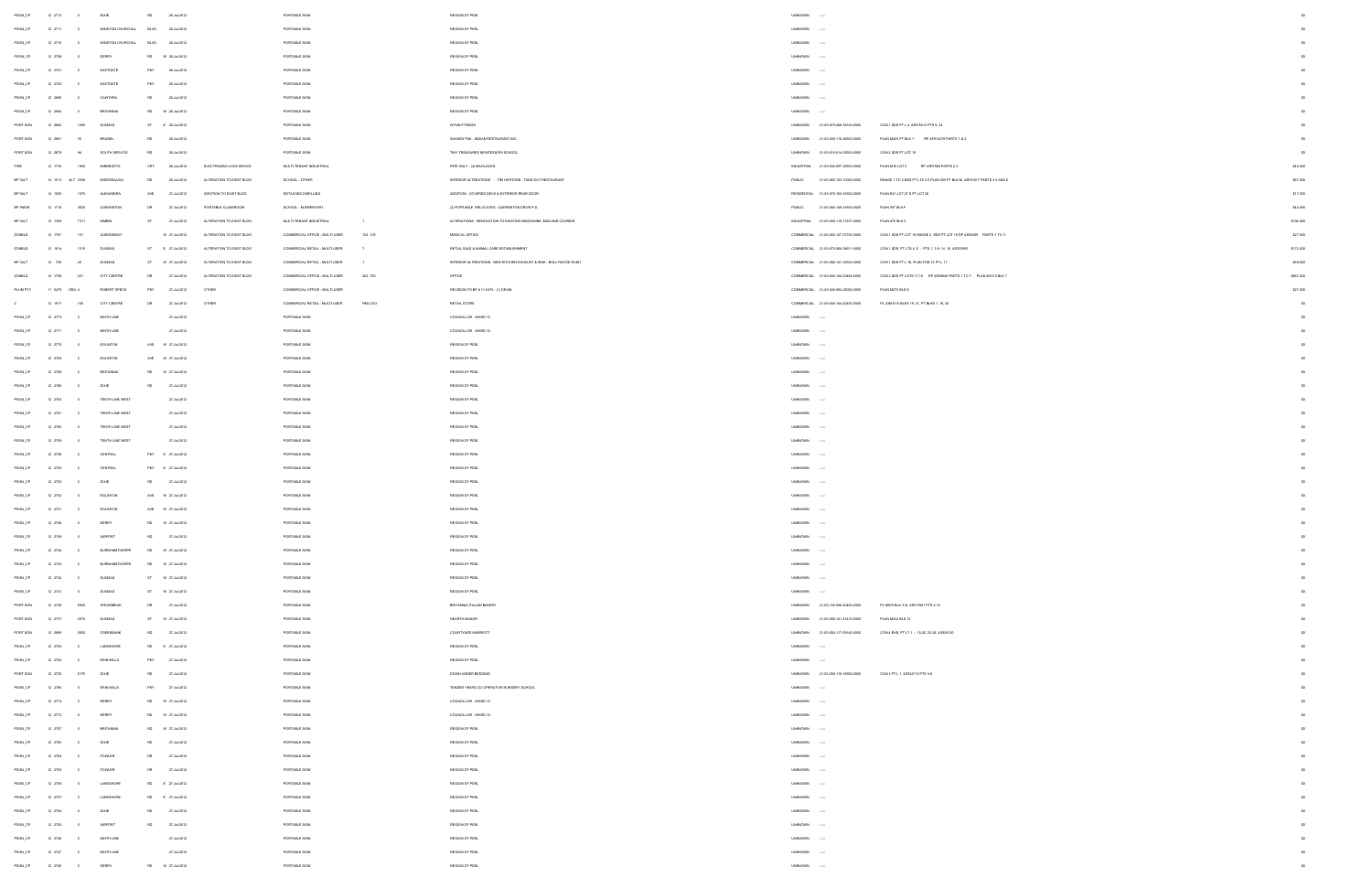| PSGN_CP                          | 12 2713 | $\sim$ 0       | DIXIE                              | <b>RD</b><br>26-Jul-2012       |                          | PORTABLE SIGN                  |                | REGION OF PEEL                                                    | UNKNOWN -----                        |                          |                                                                         |           |
|----------------------------------|---------|----------------|------------------------------------|--------------------------------|--------------------------|--------------------------------|----------------|-------------------------------------------------------------------|--------------------------------------|--------------------------|-------------------------------------------------------------------------|-----------|
| PSGN_CP 12 2711                  |         | $\sim$ 0       | WINSTON CHURCHILL BLVD 26-Jul-2012 |                                |                          | PORTABLE SIGN                  |                | <b>REGION OF PEEL</b>                                             | <b>UNKNOWN</b><br>$\cdots$           |                          |                                                                         |           |
| PSGN_CP                          | 12 2710 | $\sim$ 0       | WINSTON CHURCHILL                  | BLVD 26-Jul-2012               |                          | PORTABLE SIGN                  |                | REGION OF PEEL                                                    | <b>UNKNOWN</b><br>$\cdots$           |                          |                                                                         |           |
| PSGN_CP                          | 12 2708 | $\overline{0}$ | DERRY                              | RD W 26-Jul-2012               |                          | PORTABLE SIGN                  |                | REGION OF PEEL                                                    | <b>UNKNOWN</b>                       |                          |                                                                         |           |
| PSGN_CP                          | 12 2701 |                | EASTGATE                           | PKY 26-Jul-2012                |                          | PORTABLE SIGN                  |                | REGION OF PEEL                                                    | <b>UNKNOWN</b>                       |                          |                                                                         |           |
|                                  |         |                |                                    |                                |                          | PORTABLE SIGN                  |                | REGION OF PEEL                                                    |                                      |                          |                                                                         |           |
| PSGN_CP                          | 12 2700 | $^{\circ}$     | EASTGATE                           | PKY 26-Jul-2012                |                          |                                |                |                                                                   | <b>UNKNOWN</b><br>----               |                          |                                                                         |           |
| PSGN_CP                          | 12 2698 | $^{\circ}$     | CAWTHRA                            | 26-Jul-2012<br><b>RD</b>       |                          | PORTABLE SIGN                  |                | REGION OF PEEL                                                    | <b>UNKNOWN</b><br>----               |                          |                                                                         |           |
| PSGN_CP                          | 12 2694 | $\overline{0}$ | BRITANNIA                          | RD W 26-Jul-2012               |                          | PORTABLE SIGN                  |                | REGION OF PEEL                                                    | UNKNOWN -----                        |                          |                                                                         |           |
| PORT SGN                         | 12 2682 | 1590           | <b>DUNDAS</b>                      | ST E 26-Jul-2012               |                          | PORTABLE SIGN                  |                | WYNN FITNESS                                                      | UNKNOWN 21-05-070-068-35100-0000     |                          | CON 1 SDS PT L 4, 43R15013 PTS 9, 24                                    |           |
| PORT SGN                         | 12 2681 | 35             | <b>BRUNEL</b>                      | <b>RD</b><br>26-Jul-2012       |                          | PORTABLE SIGN                  |                | SAHARA PAK - INDIAN RESTAURANT INC.                               | <b>UNKNOWN</b>                       | 21-05-040-116-26900-0000 | PLAN M425 PT BLK 1 RP 43R14278 PARTS 1 & 2                              |           |
| PORT SGN                         | 12 2679 | 84             | SOUTH SERVICE                      | RD<br>26-Jul-2012              |                          | PORTABLE SIGN                  |                | TINY TREASURES MONTESSORI SCHOOL                                  | <b>UNKNOWN</b>                       | 21-05-010-014-05500-0000 | CON 2 SDS PT LOT 15                                                     |           |
| FIRE                             | 12 1735 | 1900           | MINNESOTA                          | CRT<br>26-Jul-2012             | ELECTROMAG LOCK DEVICE   | MULTI-TENANT INDUSTRIAL        |                | FIRE ONLY - (4) MAGLOCKS                                          | INDUSTRIAL 21-05-040-097-25900-0000  |                          | PLAN M10 LOT 2 RP 43R7908 PARTS 2,3                                     | \$40,000  |
| BP 3ALT                          | 12 1513 | ALT 3359       | MISSISSAUGA                        | <b>RD</b><br>26-Jul-2012       | ALTERATION TO EXIST BLDG | SCHOOL - OTHER                 |                | INTERIOR ALTERATIONS - TIM HORTONS - TAKE-OUT RESTAURANT          | PUBLIC                               | 21-05-060-153-10000-0000 | RANGE 1 TO 3 NDS PT LTS 3-5 PLAN 550 PT BLK M, 43R31817 PARTS 4 5 AND 6 | \$67,000  |
|                                  |         |                |                                    |                                |                          |                                |                |                                                                   |                                      |                          |                                                                         |           |
| BP 9ALT                          | 12 1925 | 1075           | ALEXANDRA                          | AVE<br>27-Jul-2012             | ADDITION TO EXIST BLDG   | DETACHED DWELLING              |                | ADDITION - COVERED DECK & EXTERIOR REAR DOOR                      | RESIDENTIAL 21-05-070-163-01600-0000 |                          | PLAN B21 LOT 27 S PT LOT 26                                             | \$17,000  |
| BP 3NEW                          | 12 1716 | 3520           | QUEENSTON                          | <b>DR</b><br>27-Jul-2012       | PORTABLE CLASSROOM       | SCHOOL - ELEMENTARY            |                | (2) PORTABLE RELOCATES - QUEENSTON DRIVE P.S.                     | PUBLIC                               | 21-05-060-149-21600-0000 | PLAN 597 BLK F                                                          | \$44,000  |
| BP 3ALT                          | 12 1399 | 7311           | KIMBEL                             | ST <sub>1</sub><br>27-Jul-2012 | ALTERATION TO EXIST BLDG | MULTI-TENANT INDUSTRIAL        | $\overline{1}$ | ALTERATIONS - RENOVATION TO EXISTING MEZZANINE, MIDLAND COURIER   | INDUSTRIAL 21-05-050-115-13701-0000  |                          | PLAN 875 BLK C                                                          | \$156,000 |
| ZONBLD                           | 12 1781 | 101            | QUEENSWAY                          | W 27-Jul-2012                  | ALTERATION TO EXIST BLDG | COMMERCIAL OFFICE - MULTI-USER | 102, 105       | MEDICAL OFFICE                                                    | COMMERCIAL 21-05-060-127-07700-0000  |                          | CON 1 SDS PT LOT 16 RANGE 2 SDS PT LOT 16 RP 43R8389 PARTS 1 T0 11      | \$27,000  |
| ZONBLD                           | 12 1614 | 1510           | <b>DUNDAS</b>                      | ST E 27-Jul-2012               | ALTERATION TO EXIST BLDG | COMMERCIAL RETAIL - MULTI-USER |                | RETAIL SALE & ANIMAL CARE ESTABLISHMENT                           | COMMERCIAL 21-05-070-068-34611-0000  |                          | CON 1 SDS, PT LTS 4, 5 - PTS 1, 3-9, 14, 16 43R33993                    | \$172,000 |
| BP 3ALT                          | 12 750  |                | <b>DUNDAS</b>                      | ST W 27-Jul-2012               | ALTERATION TO EXIST BLDG | COMMERCIAL RETAIL - MULTI-USER | $\overline{1}$ | INTERIOR ALTERATIONS, NEW KITCHEN EXHAUST & SINK - BOLLYWOOD RUSH | COMMERCIAL 21-05-060-141-32500-0000  |                          | CON 1 SDS PT L 16, PLAN TOR 12 PT L 17                                  | \$59,000  |
| ZONBLD                           | 12 1756 | 201            | CITY CENTRE                        | <b>DR</b><br>27-Jul-2012       | ALTERATION TO EXIST BLDG | COMMERCIAL OFFICE - MULTI-USER | 202, 700       | OFFICE                                                            |                                      |                          | CON 2 NDS PT LOTS 17,18 RP 43R5845 PARTS 1 TO 7 PLAN M1010 BLK 7        | \$463,000 |
|                                  |         |                |                                    |                                |                          |                                |                |                                                                   | COMMERCIAL 21-05-040-154-00449-0000  |                          |                                                                         |           |
| PLUM PT3                         | 11 5470 | DRA 4          | ROBERT SPECK                       | PKY<br>27-Jul-2012             | OTHER                    | COMMERCIAL OFFICE - MULTI-USER |                | REVISION TO BP # 11-5470 - (1) DRAIN                              | COMMERCIAL 21-05-040-094-25000-0000  |                          | PLAN M270 BLK D                                                         | \$27,000  |
|                                  | 12 1917 | 100            | CITY CENTRE                        | DR<br>27-Jul-2012              | OTHER                    | COMMERCIAL RETAIL - MULTI-USER | RMU-203        | RETAIL STORE                                                      | COMMERCIAL 21-05-040-154-00453-0000  |                          | PL 43M1010 BLKS 19, 21, PT BLKS 1, 16, 20                               |           |
| PSGN_CP                          | 12 2773 | $\overline{0}$ | NINTH LINE                         | 27-Jul-2012                    |                          | PORTABLE SIGN                  |                | COUNCILLOR - WARD 10                                              | <b>UNKNOWN</b><br>$\sim$             |                          |                                                                         |           |
| PSGN_CP                          | 12 2771 | $\overline{0}$ | NINTH LINE                         | 27-Jul-2012                    |                          | PORTABLE SIGN                  |                | COUNCILLOR - WARD 10                                              | <b>UNKNOWN</b><br>-                  |                          |                                                                         |           |
| PSGN_CP                          | 12 2770 | $^{\circ}$     | <b>EGLINTON</b>                    | AVE W 27-Jul-2012              |                          | PORTABLE SIGN                  |                | REGION OF PEEL                                                    | <b>UNKNOWN</b><br>----               |                          |                                                                         |           |
|                                  | 12 2769 | $\overline{0}$ | <b>EGLINTON</b>                    | AVE W 27-Jul-2012              |                          | PORTABLE SIGN                  |                | <b>REGION OF PEEL</b>                                             | <b>UNKNOWN</b><br>$\cdots$           |                          |                                                                         |           |
| PSGN_CP                          |         |                |                                    |                                |                          |                                |                |                                                                   |                                      |                          |                                                                         |           |
| PSGN_CP                          | 12 2768 | $\sim$ 0       | BRITANNIA                          | RD W 27-Jul-2012               |                          | PORTABLE SIGN                  |                | <b>REGION OF PEEL</b>                                             | <b>UNKNOWN</b><br>$\cdots$           |                          |                                                                         |           |
| PSGN_CP                          | 12 2766 | $\sim$ 0       | DIXIE                              | <b>RD</b><br>27-Jul-2012       |                          | PORTABLE SIGN                  |                | REGION OF PEEL                                                    | <b>UNKNOWN</b><br>$\cdots$           |                          |                                                                         |           |
| PSGN_CP                          | 12 2762 | $\overline{0}$ | TENTH LINE WEST                    | 27-Jul-2012                    |                          | PORTABLE SIGN                  |                | REGION OF PEEL                                                    | <b>UNKNOWN</b>                       |                          |                                                                         |           |
| PSGN_CP                          | 12 2761 | $\overline{0}$ | TENTH LINE WEST                    | 27-Jul-2012                    |                          | PORTABLE SIGN                  |                | REGION OF PEEL                                                    | <b>UNKNOWN</b><br>$\sim$             |                          |                                                                         |           |
| PSGN_CP                          | 12 2760 | $^{\circ}$     | TENTH LINE WEST                    | 27-Jul-2012                    |                          | PORTABLE SIGN                  |                | REGION OF PEEL                                                    | <b>UNKNOWN</b><br>----               |                          |                                                                         |           |
| PSGN_CP                          | 12 2759 | $^{\circ}$     | TENTH LINE WEST                    | 27-Jul-2012                    |                          | PORTABLE SIGN                  |                | REGION OF PEEL                                                    | <b>UNKNOWN</b><br>----               |                          |                                                                         |           |
| PSGN_CP                          | 12 2756 | $^{\circ}$     | CENTRAL                            | PKY E 27-Jul-2012              |                          | PORTABLE SIGN                  |                | REGION OF PEEL                                                    | <b>UNKNOWN</b><br>$\cdots$           |                          |                                                                         |           |
|                                  |         |                |                                    |                                |                          |                                |                |                                                                   |                                      |                          |                                                                         |           |
| PSGN_CP                          | 12 2755 |                | CENTRAL                            | PKY E 27-Jul-2012              |                          | PORTABLE SIGN                  |                | REGION OF PEEL                                                    | <b>UNKNOWN</b><br>$\sim$             |                          |                                                                         |           |
| PSGN_CP                          | 12 2753 | $^{\circ}$     | DIXIE                              | RD 27-Jul-2012                 |                          | PORTABLE SIGN                  |                | REGION OF PEEL                                                    | <b>UNKNOWN</b><br>-----              |                          |                                                                         |           |
| PSGN_CP                          | 12 2752 |                | EGLINTON                           | AVE W 27-Jul-2012              |                          | PORTABLE SIGN                  |                | REGION OF PEEL                                                    | <b>UNKNOWN</b>                       |                          |                                                                         |           |
| PSGN_CP 12 2751                  |         | $\sim$ 0       | EGLINTON                           | AVE W 27-Jul-2012              |                          | PORTABLE SIGN                  |                | REGION OF PEEL                                                    | <b>UNKNOWN</b><br>-----              |                          |                                                                         |           |
| PSGN_CP 12 2746                  |         | $\sim$ 0       | DERRY                              | RD W 27-Jul-2012               |                          | PORTABLE SIGN                  |                | REGION OF PEEL                                                    | UNKNOWN ------                       |                          |                                                                         |           |
| PSGN_CP                          | 12 2749 | $^{\circ}$     | <b>AIRPORT</b>                     | 27-Jul-2012<br><b>RD</b>       |                          | PORTABLE SIGN                  |                | REGION OF PEEL                                                    | <b>UNKNOWN</b><br>----               |                          |                                                                         |           |
|                                  |         | $\sim$         |                                    |                                |                          |                                |                |                                                                   | <b>UNKNOWN</b>                       |                          |                                                                         |           |
| PSGN_CP                          | 12 2744 |                | BURNHAMTHORPE                      | RD W 27-Jul-2012               |                          | PORTABLE SIGN                  |                | REGION OF PEEL                                                    |                                      |                          |                                                                         |           |
| PSGN_CP                          | 12 2743 | $\sim$         | BURNHAMTHORPE                      | RD W 27-Jul-2012               |                          | PORTABLE SIGN                  |                | REGION OF PEEL                                                    | <b>UNKNOWN</b>                       |                          |                                                                         |           |
| PSGN_CP                          | 12 2742 |                | <b>DUNDAS</b>                      | ST W 27-Jul-2012               |                          | PORTABLE SIGN                  |                | REGION OF PEEL                                                    | <b>UNKNOWN</b>                       |                          |                                                                         |           |
| PSGN_CP                          | 12 2741 |                | <b>DUNDAS</b>                      | ST W 27-Jul-2012               |                          | PORTABLE SIGN                  |                | REGION OF PEEL                                                    | <b>UNKNOWN</b><br>--                 |                          |                                                                         |           |
| PORT SGN                         | 12 2738 | 5925           | GROSSBEAK                          | DR 27-Jul-2012                 |                          | PORTABLE SIGN                  |                | BRITANNIA ITALIAN BAKERY                                          | UNKNOWN 21-05-150-090-40400-0000     |                          | PL M878 BLK 314, 43R17881 PTS 2-12                                      |           |
| PORT SGN                         | 12 2737 | 2575           | <b>DUNDAS</b>                      | ST W 27-Jul-2012               |                          | PORTABLE SIGN                  |                | HEARTH MANOR                                                      | UNKNOWN 21-05-060-141-21410-0000     |                          | PLAN M432 BLK 12                                                        |           |
| PORT SGN                         | 12 2689 | 5050           | CREEKBANK                          | RD 27-Jul-2012                 |                          | PORTABLE SIGN                  |                | COURTYARD MARRIOTT                                                | UNKNOWN 21-05-050-117-09140-0000     |                          | CON 4 EHS, PT LT 1 - 15-20, 23-26 43R29100                              |           |
|                                  |         |                |                                    |                                |                          | PORTABLE SIGN                  |                | REGION OF PEEL                                                    | <b>UNKNOWN</b><br>$\sim$             |                          |                                                                         |           |
| PSGN_CP                          | 12 2783 |                | LAKESHORE                          | RD E 27-Jul-2012               |                          |                                |                |                                                                   |                                      |                          |                                                                         |           |
| PSGN_CP                          | 12 2782 |                | <b>ERIN MILLS</b>                  | PKY<br>27-Jul-2012             |                          | PORTABLE SIGN                  |                | REGION OF PEEL                                                    | <b>UNKNOWN</b><br>$\sim$             |                          |                                                                         |           |
| PORT SGN                         | 12 2725 | 5170           | DIXIE                              | <b>RD</b><br>27-Jul-2012       |                          | PORTABLE SIGN                  |                | DOWN UNDER BEDDING                                                | <b>UNKNOWN</b>                       | 21-05-050-116-16900-0000 | CON 3 PT L 1, 43R24715 PTS 3-6                                          |           |
| PSGN_CP                          | 12 2786 | $^{\circ}$     | <b>ERIN MILLS</b>                  | PKY 27-Jul-2012                |                          | PORTABLE SIGN                  |                | TENDER YEARS CO-OPERATIVE NURSERY SCHOOL                          | <b>UNKNOWN</b><br>-                  |                          |                                                                         |           |
| PSGN_CP                          | 12 2774 | $\overline{0}$ | DERRY                              | RD W 27-Jul-2012               |                          | PORTABLE SIGN                  |                | COUNCILLOR - WARD 10                                              | <b>UNKNOWN</b><br>----               |                          |                                                                         |           |
| PSGN_CP                          | 12 2772 | $\sim$         | DERRY                              | RD W 27-Jul-2012               |                          | PORTABLE SIGN                  |                | COUNCILLOR - WARD 10                                              | <b>UNKNOWN</b><br>----               |                          |                                                                         |           |
| PSGN_CP                          | 12 2767 | $\sim$         | BRITANNIA                          | RD W 27-Jul-2012               |                          | PORTABLE SIGN                  |                | REGION OF PEEL                                                    | <b>UNKNOWN</b><br>1.111              |                          |                                                                         |           |
|                                  |         |                |                                    |                                |                          |                                |                |                                                                   |                                      |                          |                                                                         |           |
| PSGN_CP                          | 12 2765 |                | DIXIE                              | 27-Jul-2012<br><b>RD</b>       |                          | PORTABLE SIGN                  |                | REGION OF PEEL                                                    | <b>UNKNOWN</b>                       |                          |                                                                         |           |
| PSGN_CP                          | 12 2764 |                | FOWLER                             | DR<br>27-Jul-2012              |                          | PORTABLE SIGN                  |                | REGION OF PEEL                                                    | <b>UNKNOWN</b>                       |                          |                                                                         |           |
| $\ensuremath{\mathsf{PSGN\_CP}}$ | 12 2763 | $^{\circ}$     | FOWLER                             | DR 27-Jul-2012                 |                          | PORTABLE SIGN                  |                | REGION OF PEEL                                                    | <b>UNKNOWN</b><br>----               |                          |                                                                         |           |
| PSGN_CP                          | 12 2758 | $^{\circ}$     | LAKESHORE                          | RD E 27-Jul-2012               |                          | PORTABLE SIGN                  |                | REGION OF PEEL                                                    | <b>UNKNOWN</b><br>-                  |                          |                                                                         |           |
| PSGN_CP                          | 12 2757 | $^{\circ}$     | LAKESHORE                          | RD E 27-Jul-2012               |                          | PORTABLE SIGN                  |                | REGION OF PEEL                                                    | <b>UNKNOWN</b><br>----               |                          |                                                                         |           |
| PSGN_CP                          | 12 2754 |                | DIXIE                              | RD<br>27-Jul-2012              |                          | PORTABLE SIGN                  |                | REGION OF PEEL                                                    | <b>UNKNOWN</b><br>-----              |                          |                                                                         |           |
| PSGN_CP                          | 12 2750 | $\sim$         | AIRPORT                            | <b>RD</b><br>27-Jul-2012       |                          | PORTABLE SIGN                  |                | REGION OF PEEL                                                    | <b>UNKNOWN</b><br>$\sim$             |                          |                                                                         |           |
| PSGN_CP                          | 12 2748 | $\overline{0}$ | NINTH LINE                         | 27-Jul-2012                    |                          | PORTABLE SIGN                  |                | REGION OF PEEL                                                    | <b>UNKNOWN</b><br>$\cdots$           |                          |                                                                         |           |
|                                  |         |                |                                    |                                |                          |                                |                |                                                                   |                                      |                          |                                                                         |           |
| PSGN_CP                          | 12 2747 | $\sim$ 0       | NINTH LINE                         | 27-Jul-2012                    |                          | PORTABLE SIGN                  |                | REGION OF PEEL                                                    | <b>UNKNOWN</b><br>-                  |                          |                                                                         |           |
| PSGN_CP 12 2745                  |         | $\sim$ 0       | DERRY                              | RD W 27-Jul-2012               |                          | PORTABLE SIGN                  |                | REGION OF PEEL                                                    | <b>UNKNOWN</b><br>----               |                          |                                                                         |           |

\$0\$0\$0\$0\$0\$0\$0\$0\$0\$0\$0\$0\$0\$0\$0\$0\$67,000\$0\$0\$0\$0\$0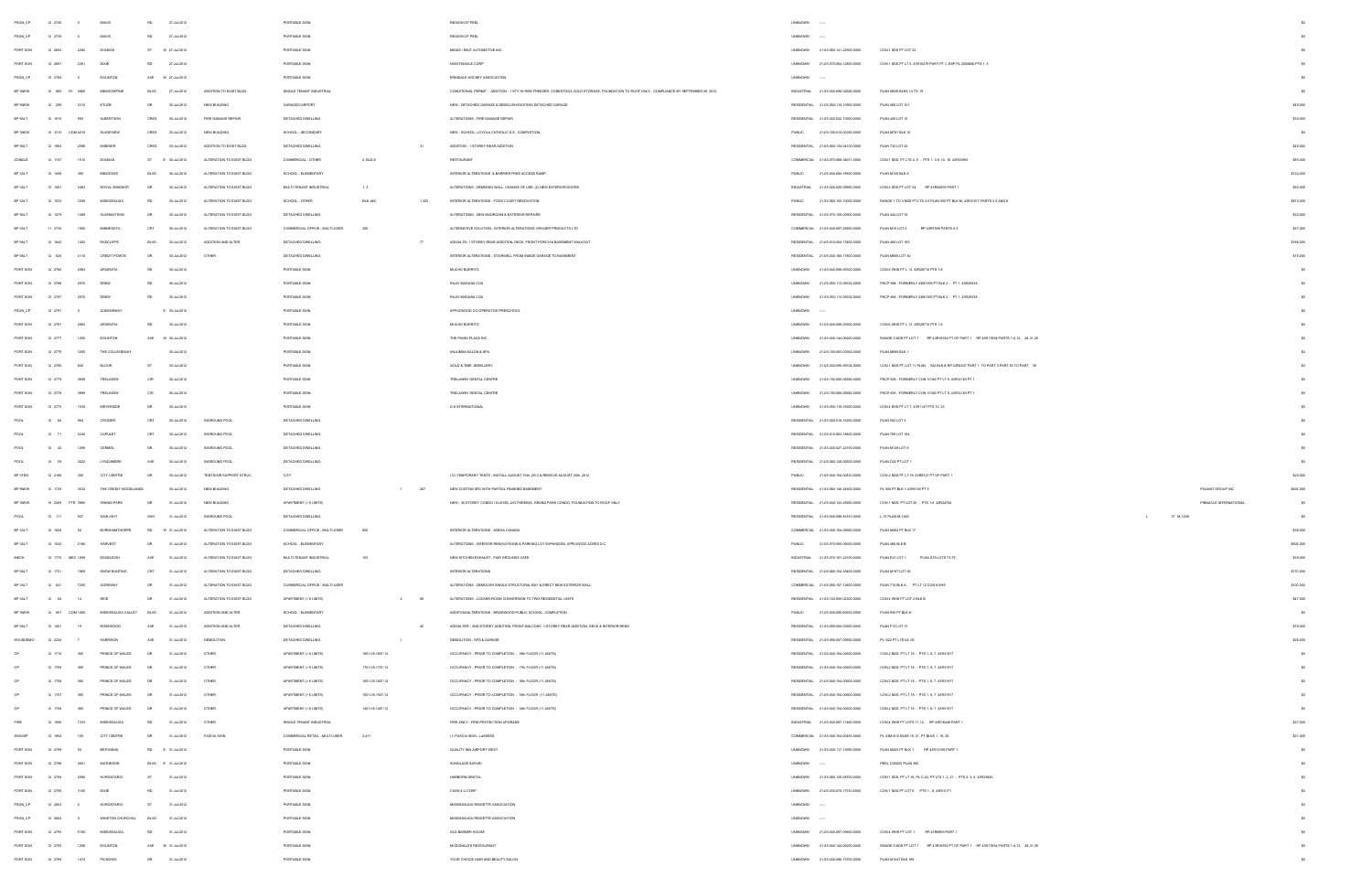|        |                                                                                   |                        | $\$0$                 |
|--------|-----------------------------------------------------------------------------------|------------------------|-----------------------|
|        |                                                                                   |                        | \$0                   |
| o      | CON 1 SDS PT LOT 32                                                               |                        | \$0                   |
| O      | CON 1 SDS PT LT 5, 43R18279 PART PT 1, EXP PL 2004606 PTS 1, 5                    |                        | \$0                   |
| 0      | PLAN M936 BLKS 14 TO 19                                                           |                        | $$0$<br>$$0$          |
| o      | PLAN 566 LOT 101                                                                  |                        | \$49,000              |
| o      | PLAN 449 LOT 15                                                                   |                        | \$30,000              |
| o      | <b>PLAN M781 BLK 10</b>                                                           |                        | \$0                   |
| O      | PLAN 732 LOT 43                                                                   |                        | \$40,000              |
| O      | CON 1 SDS, PT LTS 4, 5 - PTS 1, 3-9, 14, 16 43R33993                              |                        | \$80,000              |
| 0      | PLAN M145 BLK A                                                                   |                        | \$124,000             |
| o      | CON 2 SDS PT LOT 34 RP 43R20693 PART 1                                            |                        | \$92,000              |
| o      | RANGE 1 TO 3 NDS PT LTS 3-5 PLAN 550 PT BLK M, 43R31817 PARTS 4 5 AND 6           |                        | \$815,000             |
| o      | PLAN 444 LOT 74                                                                   |                        | \$20,000              |
| O<br>O | PLAN M10 LOT 2<br>RP 43R7908 PARTS 2,3<br>PLAN 460 LOT 165                        |                        | \$27,000<br>\$186,000 |
| 0      | <b>PLAN M656 LOT 82</b>                                                           |                        | \$16,000              |
| 0      | CON 6 WHS PT L 13, 43R28710 PTS 1-6                                               |                        | $$0$                  |
| o      | PSCP 884 - FORMERLY 43M1593 PT BLK 2 - PT 1 43R29338                              |                        | $\$0$                 |
| o      | PSCP 884 - FORMERLY 43M1593 PT BLK 2 - PT 1 43R29338                              |                        | \$0                   |
|        |                                                                                   |                        | \$0                   |
| 0      | CON 6 WHS PT L 13, 43R28710 PTS 1-6                                               |                        | \$0                   |
| O      | RANGE 5 NDS PT LOT 7 RP 43R16932 PT OF PART 1 RP 43R17654 PARTS 1-4,12, 28-31,35  |                        | $\$0$                 |
| 0      | PLAN M695 BLK 1                                                                   |                        | $\$0$                 |
| o      | CON 1 NDS PT LOT 11 PLAN 922 BLK B RP 43R4537 PART 1 TO PART 3 PART 36 TO PART 39 |                        | $\$0$                 |
| o      | PSCP 836 - FORMERLY CON 10 NS PT LT 9, 43R14183 PT 1                              |                        | \$0                   |
| o      | PSCP 836 - FORMERLY CON 10 NS PT LT 9, 43R14183 PT 1                              |                        | \$0                   |
| O      | CON 4 EHS PT LT 7, 43R1147 PTS 10, 23                                             |                        | \$0                   |
| 0<br>0 | PLAN 552 LOT 3<br>PLAN 759 LOT 184                                                |                        | $\$0$<br>$\$0$        |
| o      | PLAN M128 LOT 6                                                                   |                        | $\$0$                 |
| o      | PLAN D22 PT LOT 1                                                                 |                        | $\$0$                 |
| o      | CON 2 NDS PT LT 18, 43R9721 PT OF PART 1                                          |                        | \$20,000              |
| o      | PL 550 PT BLK 1 43R5150 PT 5                                                      | POLMAT GROUP INC       | \$492,000             |
| O      | CON 1 NDS, PT LOT 20 - PTS 1-8 43R24764                                           | PINNACLE INTERNATIONAL | $\$0$                 |
| 0      | 37 M-1249<br>L 37 PLAN M-1249<br>L.                                               |                        | $\$0$                 |
| o      | PLAN M492 PT BLK 17                                                               |                        | \$38,000              |
| o      | PLAN 466 BLK B                                                                    |                        | \$906,000             |
| O      | PLAN E21 LOT 1<br>PLAN D19 LOTS 73-75                                             |                        | \$39,000              |
| 0      | PLAN M197 LOT 92                                                                  |                        | \$170,000             |
| O      | PLAN 710 BLK A, PT LT 12 CON 8 EHS                                                |                        | \$100,000             |
| 0      | CON 4 WHS PT LOT 2 BLK B<br>PLAN 935 PT BLK H                                     |                        | \$47,000<br>\$0       |
| 0<br>O | PLAN F12 LOT 31                                                                   |                        | \$78,000              |
| o      | PL G22 PT LTS 64, 65                                                              |                        | \$26,000              |
| 0      | CON 2 NDS, PT LT 18 - PTS 1, 6, 7 43R31917                                        |                        | $$0$                  |
| O      | CON 2 NDS, PT LT 18 - PTS 1, 6, 7 43R31917                                        |                        | \$0                   |
| O      | CON 2 NDS, PT LT 18 - PTS 1, 6, 7 43R31917                                        |                        | $\$0$                 |
| O      | CON 2 NDS, PT LT 18 - PTS 1, 6, 7 43R31917                                        |                        | $$0$                  |
| O      | CON 2 NDS, PT LT 18 - PTS 1, 6, 7 43R31917                                        |                        | $\$0$                 |
| O      | CON 4 WHS PT LOTS 11,12 RP 43R16448 PART 1                                        |                        | \$27,000              |
| O      | PL 43M1010 BLKS 19, 21, PT BLKS 1, 16, 20                                         |                        | \$21,000              |
| o      | PLAN M425 PT BLK 1 RP 43R13106 PART 1                                             |                        | \$0                   |
|        | PEEL CONDO PLAN 380                                                               |                        | $\$0$                 |
| 0      | CON 1 SDS, PT LT 16, PL C-24, PT LTS 1, 2, 21 - PTS 2, 3, 4 43R23843              |                        | $\$0$                 |
| o      | CON 1 NDS PT LOT 6 PTS 1 - 8, 43R14171                                            |                        | $\$0$<br>$\$0$        |
|        |                                                                                   |                        | $\$0$                 |
| o      | CON 4 WHS PT LOT 1 RP 43R8989 PART 1                                              |                        | \$0                   |
| o      | RANGE 5 NDS PT LOT 7 RP 43R16932 PT OF PART 1 RP 43R17654 PARTS 1-4,12, 28-31,35  |                        | \$0                   |
|        |                                                                                   |                        |                       |

| PSGN_CP     | 12 2740    | $^{\circ}$      | MAVIS                    | <b>RD</b>   | 27-Jul-2012        |                           | PORTABLE SIGN                  |                    |       | REGION OF PEEL                                                                                                                            | <b>UNKNOWN</b>  |                                      |                                                                                   |                        |           |
|-------------|------------|-----------------|--------------------------|-------------|--------------------|---------------------------|--------------------------------|--------------------|-------|-------------------------------------------------------------------------------------------------------------------------------------------|-----------------|--------------------------------------|-----------------------------------------------------------------------------------|------------------------|-----------|
| PSGN_CP     | 12 2739    | $\circ$         | <b>MAVIS</b>             |             | RD 27-Jul-2012     |                           | PORTABLE SIGN                  |                    |       | <b>REGION OF PEEL</b>                                                                                                                     | <b>UNKNOWN</b>  |                                      |                                                                                   |                        |           |
| PORT SGN    | 12 2693    | 2292            | <b>DUNDAS</b>            |             | ST W 27-Jul-2012   |                           | PORTABLE SIGN                  |                    |       | MIDAS / RBJT AUTOMOTIVE INC.                                                                                                              |                 | UNKNOWN 21-05-060-141-22900-0000     | CON 1 SDS PT LOT 32                                                               |                        |           |
| PORT SGN    | 12 269     | 2301            | <b>DIXIE</b>             |             | RD 27-Jul-2012     |                           | PORTABLE SIGN                  |                    |       | NIGHTINGALE CORP                                                                                                                          | <b>UNKNOWN</b>  | 21-05-070-054-12800-0000             | CON 1 SDS PT LT 5, 43R18279 PART PT 1, EXP PL 2004606 PTS 1, 5                    |                        |           |
| PSGN_CP     | 12 2784    |                 | EGLINTON                 |             | AVE W 27-Jul-2012  |                           | PORTABLE SIGN                  |                    |       | ERINDALE HOCKEY ASSOCIATION                                                                                                               | <b>UNKNOWN</b>  |                                      |                                                                                   |                        |           |
| BP 3NEW     |            |                 | MEADOWPINE               | <b>BLVD</b> | 27-Jul-2012        | ADDITION TO EXIST BLDG    | SINGLE TENANT INDUSTRIAL       |                    |       | CONDITIONAL PERMIT - ADDITION - 1 STY HI-RISE FREEZER, CONESTOGA COLD STORAGE, FOUNDATION TO ROOF ONLY, COMPLIANCE BY SEPTEMBER 28, 2012. |                 | INDUSTRIAL 21-05-040-098-02626-0000  | PLAN M936 BLKS 14 TO 19                                                           |                        |           |
| BP 9NEW     |            | 3312            | ETUDE                    | <b>DR</b>   | 30-Jul-2012        | NEW BUILDING              | GARAGE/CARPORT                 |                    |       | NEW - DETACHED GARAGE & DEMOLISH EXISTING DETACHED GARAGE                                                                                 |                 | RESIDENTIAL 21-05-050-110-10900-0000 | PLAN 566 LOT 101                                                                  |                        |           |
| BP 9ALT     | 12 1815    | 993             | ALBERTSON                | CRES        | 30-Jul-2012        | FIRE DAMAGE REPAIR        | DETACHED DWELLING              |                    |       | ALTERATIONS - FIRE DAMAGE REPAIR                                                                                                          |                 | RESIDENTIAL 21-05-020-032-10500-0000 | PLAN 449 LOT 15                                                                   |                        | \$30,00   |
| BP 3NEW     | 10 3315    | COM 4010        | SLADEVIEW                | CRES        | 30-Jul-2012        | NEW BUILDING              | SCHOOL - SECONDARY             |                    |       | NEW - SCHOOL, LOYOLA CATHOLIC S.S. COMPLETION                                                                                             | PUBLIC          | 21-05-150-010-00160-0000             | PLAN M781 BLK 10                                                                  |                        |           |
| BP 9ALT     |            | 2598            | <b>MISENER</b>           | CRES        | 30-Jul-2012        | ADDITION TO EXIST BLDG    | DETACHED DWELLING              |                    | 31    | ADDITION - 1 STOREY REAR ADDITION                                                                                                         |                 | RESIDENTIAL 21-05-060-134-04100-0000 | PLAN 732 LOT 43                                                                   |                        | \$40,00   |
| ZONBLD      | 12 174     | 1510            | <b>DUNDAS</b>            |             | ST E 30-Jul-2012   | ALTERATION TO EXIST BLDG  | COMMERCIAL - OTHER             | 2, BLD-6           |       | RESTAURANT                                                                                                                                |                 | COMMERCIAL 21-05-070-068-34611-0000  | CON 1 SDS, PT LTS 4, 5 - PTS 1, 3-9, 14, 16 43R33993                              |                        | \$80,00   |
| BP 3ALT     |            |                 | <b>MEADOWS</b>           | <b>BLVD</b> | 30-Jul-2012        | ALTERATION TO EXIST BLDG  | SCHOOL - ELEMENTARY            |                    |       | INTERIOR ALTERATIONS & BARRIER FREE ACCESS RAMP,                                                                                          | PUBLIC          | 21-05-040-094-18500-0000             | PLAN M145 BLK A                                                                   |                        | \$124,00  |
| BP 3ALT     | 12 126     | 2463            | ROYAL WINDSOR            | <b>DR</b>   | 30-Jul-2012        | ALTERATION TO EXIST BLDG  | MULTI-TENANT INDUSTRIAL        | 1, 3               |       | ALTERATIONS - DEMISING WALL, CHANGE OF USE, (2) NEW EXTERIOR DOORS                                                                        |                 | INDUSTRIAL 21-05-020-025-09950-0000  | CON 2 SDS PT LOT 34 RP 43R20693 PART 1                                            |                        | \$92,00   |
| BP 3ALT     | 12 1533    | 3359            | MISSISSAUGA              | <b>RD</b>   | 30-Jul-2012        | ALTERATION TO EXIST BLDG  | SCHOOL - OTHER                 | <b>BLK J&amp;K</b> | 1,320 | INTERIOR ALTERATIONS - FOOD COURT RENOVATION                                                                                              | PUBLIC          | 21-05-060-153-10000-0000             | RANGE 1 TO 3 NDS PT LTS 3-5 PLAN 550 PT BLK M, 43R31817 PARTS 4 5 AND 6           |                        | \$815,00  |
| BP 9ALT     | 12 1075    | 1489            | <b>GLENWATSON</b>        | DR.         | 30-Jul-2012        | ALTERATION TO EXIST BLDG  | DETACHED DWELLING              |                    |       | ALTERATIONS - NEW MUDROOM & EXTERIOR REPAIRS                                                                                              |                 | RESIDENTIAL 21-05-070-159-00900-0000 | PLAN 444 LOT 74                                                                   |                        | \$20,00   |
| BP 3ALT     | 11 3730    | 1900            | MINNESOTA                | CRT         | 30-Jul-2012        | ALTERATION TO EXIST BLDG  | COMMERCIAL OFFICE - MULTI-USER | 200                |       | ALTERNATIVE SOLUTION - INTERIOR ALTERATIONS, KRUGER PRODUCTS LTD                                                                          |                 | COMMERCIAL 21-05-040-097-25900-0000  | PLAN M10 LOT 2<br>RP 43R7908 PARTS 2,3                                            |                        | \$27,00   |
| BP 9ALT     | 12 1843    | 1452            | RADCLIFFE                | <b>BLVD</b> | 30-Jul-2012        | ADDITION AND ALTER        | DETACHED DWELLING              |                    | 77    | ADD/ALTS- 1 STOREY REAR ADDITION, DECK, FRONT PORCH & BASEMENT WALKOUT                                                                    |                 | RESIDENTIAL 21-05-010-004-13800-0000 | PLAN 460 LOT 165                                                                  |                        | \$186,00  |
| BP 9ALT     |            | 4110            | CREDIT POINTE            | <b>DR</b>   | 30-Jul-2012        | OTHER                     | DETACHED DWELLING              |                    |       | INTERIOR ALTERATIONS - STAIRWELL FROM INSIDE GARAGE TO BASEMENT                                                                           |                 | RESIDENTIAL 21-05-040-160-17800-0000 | PLAN M656 LOT 82                                                                  |                        | \$16,00   |
| PORT SGN    | 12 2780    | 2963            | ARGENTIA                 | <b>RD</b>   | 30-Jul-2012        |                           | PORTABLE SIGN                  |                    |       | MUCHO BURRITO                                                                                                                             | <b>UNKNOWN</b>  | 21-05-040-098-05300-0000             | CON 6 WHS PT L 13, 43R28710 PTS 1-6                                               |                        |           |
| PORT SGN    |            | 2970            | <b>DREW</b>              | <b>RD</b>   | 30-Jul-2012        |                           | PORTABLE SIGN                  |                    |       | RAJIV MADAAN CGA                                                                                                                          |                 | 21-05-050-113-06532-0000             | PSCP 884 - FORMERLY 43M1593 PT BLK 2 - PT 1 43R29338                              |                        |           |
|             | 12 2788    |                 |                          |             |                    |                           |                                |                    |       |                                                                                                                                           | <b>UNKNOWN</b>  |                                      |                                                                                   |                        |           |
| PORT SGN    | 12 2787    | 2970            | <b>DREW</b>              | <b>RD</b>   | 30-Jul-2012        |                           | PORTABLE SIGN                  |                    |       | RAJIV MADAAN CGA                                                                                                                          | <b>UNKNOWN</b>  | 21-05-050-113-06532-0000             | PSCP 884 - FORMERLY 43M1593 PT BLK 2 - PT 1 43R29338                              |                        |           |
| PSGN_CP     | 12 2791    | $\Omega$        | QUEENSWAY                |             | E 30-Jul-2012      |                           | PORTABLE SIGN                  |                    |       | APPLEWOOD CO-OPERATIVE PRESCHOOL                                                                                                          | <b>UNKNOWN</b>  |                                      |                                                                                   |                        |           |
| PORT SGN    | 12 2781    | 2963            | ARGENTIA                 | <b>RD</b>   | 30-Jul-2012        |                           | PORTABLE SIGN                  |                    |       | MUCHO BURRITO                                                                                                                             | <b>UNKNOWN</b>  | 21-05-040-098-05300-0000             | CON 6 WHS PT L 13, 43R28710 PTS 1-6                                               |                        |           |
| PORT SGN    | 12 2777    | 1250            | EGLINTON                 |             | AVE W 30-Jul-2012  |                           | PORTABLE SIGN                  |                    |       | THE PIANO PLACE INC                                                                                                                       | <b>UNKNOWN</b>  | 21-05-040-144-06200-0000             | RANGE 5 NDS PT LOT 7 RP 43R16932 PT OF PART 1 RP 43R17654 PARTS 1-4,12, 28-31,35  |                        |           |
| PORT SGN    | 12 2776    | 3355            | THE COLLEGEWAY           |             | 30-Jul-2012        |                           | PORTABLE SIGN                  |                    |       | ANJUMAN SALON & SPA                                                                                                                       | <b>UNKNOWN</b>  | 21-05-150-083-00900-0000             | PLAN M695 BLK 1                                                                   |                        |           |
| PORT SGN    | 12 2785    | 650             | BLOOR                    | ST          | 30-Jul-2012        |                           | PORTABLE SIGN                  |                    |       | <b>GOLD &amp; TIME JEWELLERY</b>                                                                                                          | <b>UNKNOWN</b>  | 21-05-040-095-99104-0000             | CON 1 NDS PT LOT 11 PLAN 922 BLK B RP 43R4537 PART 1 TO PART 3 PART 36 TO PART 39 |                        |           |
| PORT SGN    | 12 2779    | 3899            | TRELAWNY                 | CIR         | 30-Jul-2012        |                           | PORTABLE SIGN                  |                    |       | TRELAWNY DENTAL CENTRE                                                                                                                    | <b>UNKNOWN</b>  | 21-05-150-080-08582-0000             | PSCP 836 - FORMERLY CON 10 NS PT LT 9, 43R14183 PT 1                              |                        |           |
| PORT SGN    | 12 2778    | 3899            | TRELAWNY                 | <b>CIR</b>  | 30-Jul-2012        |                           | PORTABLE SIGN                  |                    |       | TRELAWNY DENTAL CENTRE                                                                                                                    | <b>UNKNOWN</b>  | 21-05-150-080-08582-0000             | PSCP 836 - FORMERLY CON 10 NS PT LT 9, 43R14183 PT 1                              |                        |           |
| PORT SGN    | 12 2775    | 1535            | <b>MEYERSIDE</b>         | <b>DR</b>   | 30-Jul-2012        |                           | PORTABLE SIGN                  |                    |       | <b>D.K INTERNATIONAL</b>                                                                                                                  | <b>UNKNOWN</b>  | 21-05-050-116-31600-0000             | CON 4 EHS PT LT 7, 43R1147 PTS 10, 23                                             |                        |           |
| POOL        |            |                 | CROZIER                  | CRT         | 30-Jul-2012        | INGROUND POOL             | DETACHED DWELLING              |                    |       |                                                                                                                                           |                 | RESIDENTIAL 21-05-020-018-16200-0000 | PLAN 552 LOT 3                                                                    |                        |           |
| POOL        |            | 2240            | CAPULET                  | CRT         | 30-Jul-2012        | INGROUND POOL             | DETACHED DWELLING              |                    |       |                                                                                                                                           |                 | RESIDENTIAL 21-05-010-063-18400-0000 | PLAN 759 LOT 184                                                                  |                        |           |
| POOL        | $12 \t 42$ | 1290            | CERMEL                   | DR.         | 30-Jul-2012        | INGROUND POOL             | DETACHED DWELLING              |                    |       |                                                                                                                                           |                 | RESIDENTIAL 21-05-020-027-22100-0000 | PLAN M128 LOT 6                                                                   |                        |           |
| POOL        | $12$ $6$   | 2022            | LYNCHMERE                | AVE         | 30-Jul-2012        | INGROUND POOL             | DETACHED DWELLING              |                    |       |                                                                                                                                           |                 | RESIDENTIAL 21-05-060-126-06500-0000 | PLAN D22 PT LOT 1                                                                 |                        |           |
| BP 3TEN     | 12 2186    | 300             | CITY CENTRE              | DR.         | 30-Jul-2012        | TENTS/AIR SUPPORT STRUC   | <b>CITY</b>                    |                    |       | (12) TEMPORARY TENTS - INSTALL AUGUST 16th, 2012 & REMOVE AUGUST 20th, 2012                                                               | PUBLIC          | 21-05-040-154-00810-0000             | CON 2 NDS PT LT 18, 43R9721 PT OF PART 1                                          |                        | \$20,00   |
| BP 9NEW     | 12 1729    | 3032            | THE CREDIT WOODLANDS     |             | 30-Jul-2012        | <b>NEW BUILDING</b>       | DETACHED DWELLING              | 1                  | 267   | NEW CUSTOM SFD WITH PARTIAL FINISHED BASEMENT                                                                                             |                 | RESIDENTIAL 21-05-060-148-24500-0000 | PL 550 PT BLK 1 43R5150 PT 5                                                      | POLMAT GROUP INC       | \$492,00  |
| BP 3NEW     | 10 2269    | FTR 3985        | <b>GRAND PARK</b>        | <b>DR</b>   | 31-Jul-2012        | <b>NEW BUILDING</b>       | APARTMENT (> 6 UNITS)          |                    |       | NEW - 30 STOREY CONDO / 6-LEVEL U/G PARKING, GRAND PARK CONDO, FOUNDATION TO ROOF ONLY                                                    |                 | RESIDENTIAL 21-05-040-143-25950-0000 | CON 1 NDS, PT LOT 20 - PTS 1-8 43R24764                                           | PINNACLE INTERNATIONAL |           |
| POOL        | 12 111     | 947             | GASLIGHT                 | WAY         | 31-Jul-2012        | INGROUND POOL             | DETACHED DWELLING              |                    |       |                                                                                                                                           |                 | RESIDENTIAL 21-05-040-096-81810-0000 | L 37 PLAN M-1249<br>$\mathbf{L}_{\perp}$                                          | 37 M-1249              |           |
| BP 3ALT     | 12 1828    | 50              | BURNHAMTHORPE            |             | RD W 31-Jul-2012   | ALTERATION TO EXIST BLDG  | COMMERCIAL OFFICE - MULTI-USER | 800                |       | INTERIOR ALTERATIONS - ADESA CANADA                                                                                                       |                 | COMMERCIAL 21-05-040-154-06660-0000  | PLAN M492 PT BLK 17                                                               |                        | \$38,00   |
| BP 3ALT     | 12 1532    | 2180            | <b>HARVEST</b>           | <b>DR</b>   | 31-Jul-2012        | ALTERATION TO EXIST BLDG  | SCHOOL - ELEMENTARY            |                    |       | ALTERATIONS - INTERIOR RENOVATIONS & PARKING LOT EXPANSION, APPLWOOD ACRES D.C                                                            | PUBLIC          | 21-05-070-055-09000-0000             | PLAN 466 BLK B                                                                    |                        | \$906,000 |
| <b>MECH</b> | 12 1770    | <b>MEC 1099</b> | <b>EDGELEIGH</b>         | AVE         | 31-Jul-2012        | ALTERATION TO EXIST BLDG  | MULTI-TENANT INDUSTRIAL        | 103                |       | NEW KITCHEN EXHAUST - FAIR GROUNDS CAFE                                                                                                   |                 | INDUSTRIAL 21-05-070-161-22100-0000  | PLAN E21 LOT 1<br>PLAN D19 LOTS 73-75                                             |                        | \$39,00   |
| BP 9ALT     | 12 175     | 1869            | SNOW BUNTING             | CRT         | 31-Jul-2012        | ALTERATION TO EXIST BLDG. | DETACHED DWELLING              |                    |       | <b>INTERIOR ALTERATIONS</b>                                                                                                               |                 | RESIDENTIAL 21-05-060-154-30400-0000 | PLAN M197 LOT 92                                                                  |                        | \$170,00  |
| BP 3ALT     |            | 7205            | GOREWAY                  | <b>DR</b>   | 31-Jul-2012        | ALTERATION TO EXIST BLDG  | COMMERCIAL OFFICE - MULTI-USER |                    |       | ALTERATIONS - DEMOLISH SINGLE STRUCTURAL BAY & ERECT NEW EXTERIOR WALL                                                                    |                 | COMMERCIAL 21-05-050-107-12600-0000  | PLAN 710 BLK A. PT LT 12 CON 8 EHS                                                |                        | \$100,00  |
| BP 3ALT     | $12 \t 8$  | 14              | REID                     | <b>DR</b>   | 31-Jul-2012        | ALTERATION TO EXIST BLDG  | APARTMENT (> 6 UNITS)          | 2 89               |       | ALTERATIONS - LOCKER-ROOM CONVERSION TO TWO RESIDENTIAL UNITS                                                                             |                 | RESIDENTIAL 21-05-120-005-02300-0000 | CON 4 WHS PT LOT 2 BLK B                                                          |                        | \$47,00   |
| BP 3NEW     | 12 907     | COM 1065        | MISSISSAUGA VALLEY       | <b>BLVD</b> | 31-Jul-2012        | ADDITION AND ALTER        | SCHOOL - ELEMENTARY            |                    |       | ADDITION/ALTERATIONS - BRIARWOOD PUBLIC SCHOOL, COMPLETION                                                                                | PUBLIC          | 21-05-040-095-60833-0000             | PLAN 935 PT BLK H                                                                 |                        |           |
| BP 9ALT     | 12 1401    | 19              | ROSEWOOD                 | AVE         | 31-Jul-2012        | ADDITION AND ALTER        | DETACHED DWELLING              |                    | 45    | ADD/ALTER - 2ND-STOREY ADDITION, FRONT-BALCONY, 1-STOREY REAR ADDITION, DECK & INTERIOR-RENO                                              |                 | RESIDENTIAL 21-05-090-004-03500-0000 | PLAN F12 LOT 31                                                                   |                        | \$78,00   |
| HOUSDEMO    | 12 2234    | $\overline{7}$  | <b>HARRISON</b>          | AVE         | 31-Jul-2012        | DEMOLITION                | DETACHED DWELLING              | $\overline{1}$     |       | DEMOLITION - SED & GARAGE                                                                                                                 |                 | RESIDENTIAL 21-05-090-007-09900-0000 | PL G22 PT LTS 64, 65                                                              |                        | \$26,000  |
|             | 12 1710    | 365             | PRINCE OF WALES          | <b>DR</b>   | 31-Jul-2012        | OTHER                     | APARTMENT (> 6 UNITS)          | 1801-05.1807-12    |       | OCCUPANCY - PRIOR TO COMPLETION - 18th FLOOR (11-UNITS)                                                                                   |                 | RESIDENTIAL 21-05-040-154-00600-0000 | CON 2 NDS, PT LT 18 - PTS 1, 6, 7 43R31917                                        |                        |           |
|             | 12 1709    | 365             | PRINCE OF WALES          | <b>DR</b>   | 31-Jul-2012        | OTHER                     | APARTMENT (> 6 UNITS)          | 1701-05,1707-12    |       | OCCUPANCY - PRIOR TO COMPLETION - 17th FLOOR (11-UNITS)                                                                                   |                 | RESIDENTIAL 21-05-040-154-00600-0000 | CON 2 NDS, PT LT 18 - PTS 1, 6, 7 43R31917                                        |                        |           |
|             | 12 1708    | 365             | PRINCE OF WALES          | <b>DR</b>   | 31-Jul-2012        | OTHER                     | APARTMENT (> 6 UNITS)          | 1601-05,1607-12    |       | OCCUPANCY - PRIOR TO COMPLETION - 16th FLOOR (11-UNITS)                                                                                   |                 | RESIDENTIAL 21-05-040-154-00600-0000 | CON 2 NDS, PT LT 18 - PTS 1, 6, 7 43R31917                                        |                        |           |
|             | 12 1707    | 365             | PRINCE OF WALES          | <b>DR</b>   | 31-Jul-2012        | OTHER                     | APARTMENT (> 6 UNITS)          | 1501-05,1507-12    |       | OCCUPANCY - PRIOR TO COMPLETION - 15th FLOOR (11-UNITS)                                                                                   |                 | RESIDENTIAL 21-05-040-154-00600-0000 | CON 2 NDS, PT LT 18 - PTS 1, 6, 7 43R31917                                        |                        |           |
|             |            |                 |                          |             |                    |                           |                                |                    |       |                                                                                                                                           |                 |                                      |                                                                                   |                        |           |
|             | 12 1706    | 365             | PRINCE OF WALES          | <b>DR</b>   | 31-Jul-2012        | OTHER                     | APARTMENT (> 6 UNITS)          | 1401-05,1407-12    |       | OCCUPANCY - PRIOR TO COMPLETION - 14th FLOOR (11-UNITS)                                                                                   |                 | RESIDENTIAL 21-05-040-154-00600-0000 | CON 2 NDS, PT LT 18 - PTS 1, 6, 7 43R31917                                        |                        |           |
| FIRE        | 12 1506    | 7333            | MISSISSAUGA              | <b>RD</b>   | 31-Jul-2012        | OTHER                     | SINGLE TENANT INDUSTRIAL       |                    |       | FIRE-ONLY - FIRE-PROTECTION UPGRADE                                                                                                       |                 | INDUSTRIAL 21-05-040-097-11460-0000  | CON 4 WHS PT LOTS 11,12 RP 43R16448 PART 1                                        |                        |           |
| SIGN BP     | 12 1854    | 100             | CITY CENTRE              | <b>DR</b>   | 31-Jul-2012        | <b>FASCIA SIGN</b>        | COMMERCIAL RETAIL - MULTI-USER | $2 - 411$          |       | (1) FASCIA SIGN - LaSWISS                                                                                                                 |                 | COMMERCIAL 21-05-040-154-00453-0000  | PL 43M1010 BLKS 19, 21, PT BLKS 1, 16, 20                                         |                        | \$21,000  |
| PORT SGN    | 12 2799    | 50              | BRITANNIA                |             | RD E 31-Jul-2012   |                           | PORTABLE SIGN                  |                    |       | QUALITY INN AIRPORT WEST                                                                                                                  |                 | UNKNOWN 21-05-040-117-13950-0000     | PLAN M425 PT BLK 1 RP 43R13106 PART 1                                             |                        |           |
| PORT SGN    | 12 2796    | 2601            | MATHESON                 |             | BLVD E 31-Jul-2012 |                           | PORTABLE SIGN                  |                    |       | SUNGLASS SAFARI                                                                                                                           | <b>UNKNOWN</b>  |                                      | PEEL CONDO PLAN 380                                                               |                        |           |
| PORT SGN    | 12 2794    | 2090            | <b>HURONTARIO</b>        | <b>ST</b>   | 31-Jul-2012        |                           | PORTABLE SIGN                  |                    |       | HARBORN DENTAL                                                                                                                            | <b>UNKNOWN</b>  | 21-05-060-125-08700-0000             | CON 1 SDS, PT LT 16, PL C-24, PT LTS 1, 2, 21 - PTS 2, 3, 4 43R23843              |                        |           |
| PORT SGN    | 12 2795    | 3100            | DIXIE                    | <b>RD</b>   | 31-Jul-2012        |                           | PORTABLE SIGN                  |                    |       | CASH 4 U CORP                                                                                                                             |                 | UNKNOWN 21-05-030-075-17510-0000     | CON 1 NDS PT LOT 6 PTS 1 - 8, 43R14171                                            |                        |           |
| PSGN CP     | 12 2803    |                 | HURONTARIO               | <b>ST</b>   | 31-Jul-2012        |                           | PORTABLE SIGN                  |                    |       | MISSISSAUGA RINGETTE ASSOCIATION                                                                                                          | <b>UNKNOWN</b>  |                                      |                                                                                   |                        |           |
| PSGN CP     | 12 2802    | $^{\circ}$      | <b>WINSTON CHURCHILL</b> | <b>BLVD</b> | 31-Jul-2012        |                           | PORTABLE SIGN                  |                    |       | MISSISSAUGA RINGETTE ASSOCIATION                                                                                                          | <b>UNKNOWN</b>  | -----                                |                                                                                   |                        |           |
| PORT SGN    | 12 2793    | 5155            | MISSISSAUGA              | <b>RD</b>   | 31-Jul-2012        |                           | PORTABLE SIGN                  |                    |       | OLD BARBER HOUSE                                                                                                                          |                 | UNKNOWN 21-05-040-097-09900-0000     | CON 4 WHS PT LOT 1 RP 43R8989 PART 1                                              |                        |           |
|             |            |                 |                          |             |                    |                           |                                |                    |       |                                                                                                                                           |                 |                                      |                                                                                   |                        |           |
| PORT SGN    | 12 2792    | 1256            | <b>EGLINTON</b>          |             | AVE W 31-Jul-2012  |                           | PORTABLE SIGN                  |                    |       | MCDONALD'S RESTAURANT                                                                                                                     | <b>LINKNOWN</b> | 21-05-040-144-06200-0000             | RANGE 5 NDS PT LOT 7 RP 43R16932 PT OF PART 1 RP 43R17654 PARTS 1-4,12, 28-31,35  |                        |           |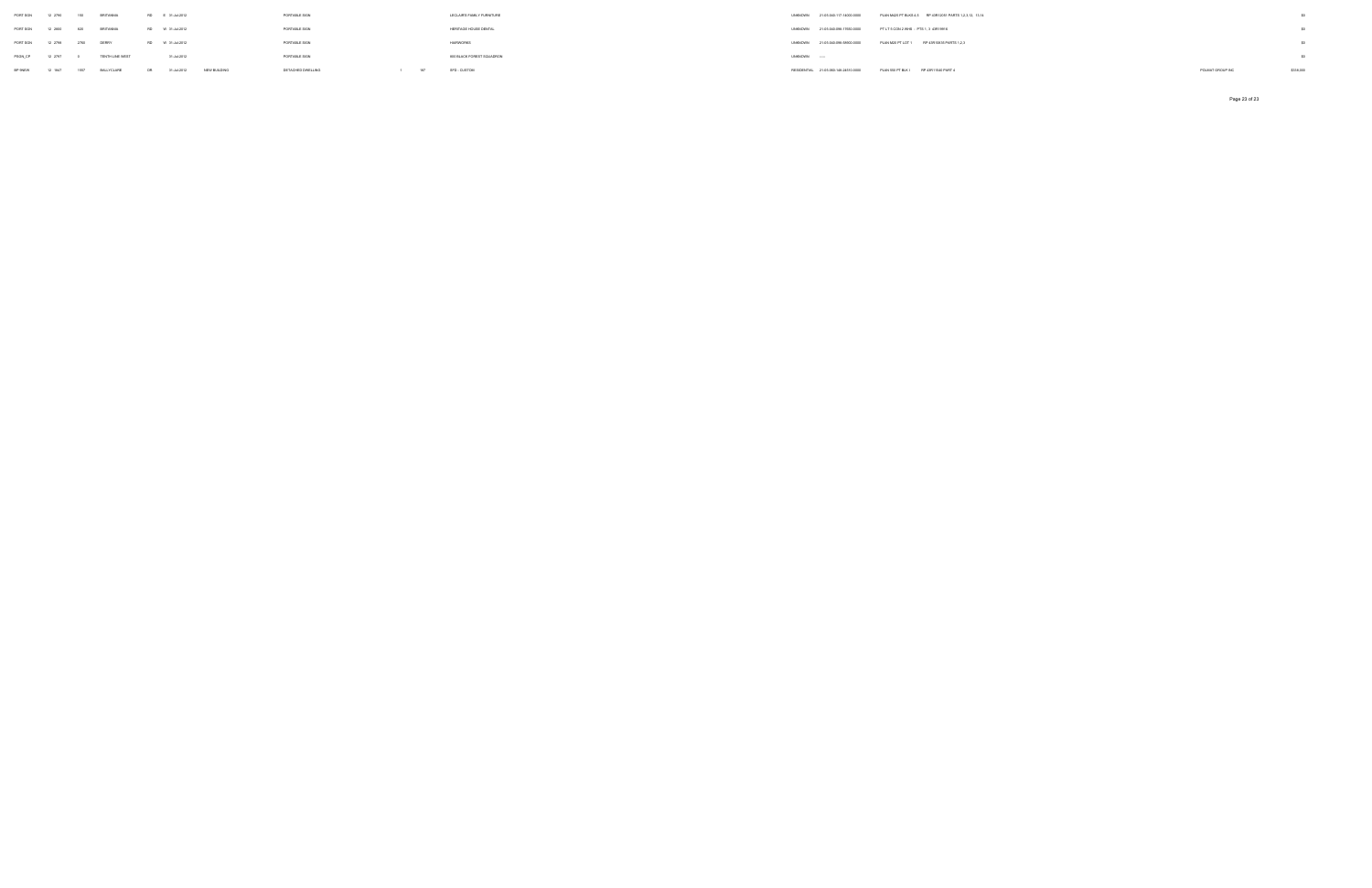$$0$ \$0

| PORT SGN 12 2790 1             |  | BRITANNIA                         | RD E 31-Jul-2012                   | PORTABLE SIGN     | LECLAIR'S FAMILY FURNITURE | <b>UNKNOWN</b>  | 21-05-040-117-14000-00L             | LAN M425 PT BLKS 4,5 RP 43R12051 PARTS 1,2,3,12, 13,14 |                  |          |
|--------------------------------|--|-----------------------------------|------------------------------------|-------------------|----------------------------|-----------------|-------------------------------------|--------------------------------------------------------|------------------|----------|
| PORT SGN 12 2800 820 BRITANNIA |  |                                   | RD W 31-Jul-2012                   | PORTABLE SIGN     | HERITAGE HOUSE DENTAL      | <b>UNKNOWN</b>  | 21-05-040-098-17650-0000            | PT LT 5 CON 2 WHS - PTS 1, 3 43R19916                  |                  |          |
| PORT SGN 12 2798 2760 DERRY    |  |                                   | RD W 31-Jul-2012                   | PORTABLE SIGN     | <b>HAIRWORKS</b>           | <b>LINKNOWN</b> | 21-05-040-098-58900-0000            | PLAN M20 PT L<br>RP 43R10835 PARTS 1.2.3               |                  |          |
|                                |  | PSGN_CP 12 2797 0 TENTH LINE WEST | 31-Jul-2012                        | PORTABLE SIGN     | 800 BLACK FOREST SQUADRON  |                 | UNKNOWN ------                      |                                                        |                  |          |
| BP 9NEW 12 1847                |  | 1557 BALLYCLARE                   | <b>NEW BUILDING</b><br>31-Jul-2012 | DETACHED DWELLING | SFD - CUSTOM               |                 | RESIDENTIAL 21-05-060-148-24510-000 | RP 43R11540 PART 4                                     | POLMAT GROUP INC | \$338,00 |

Page 23 of 23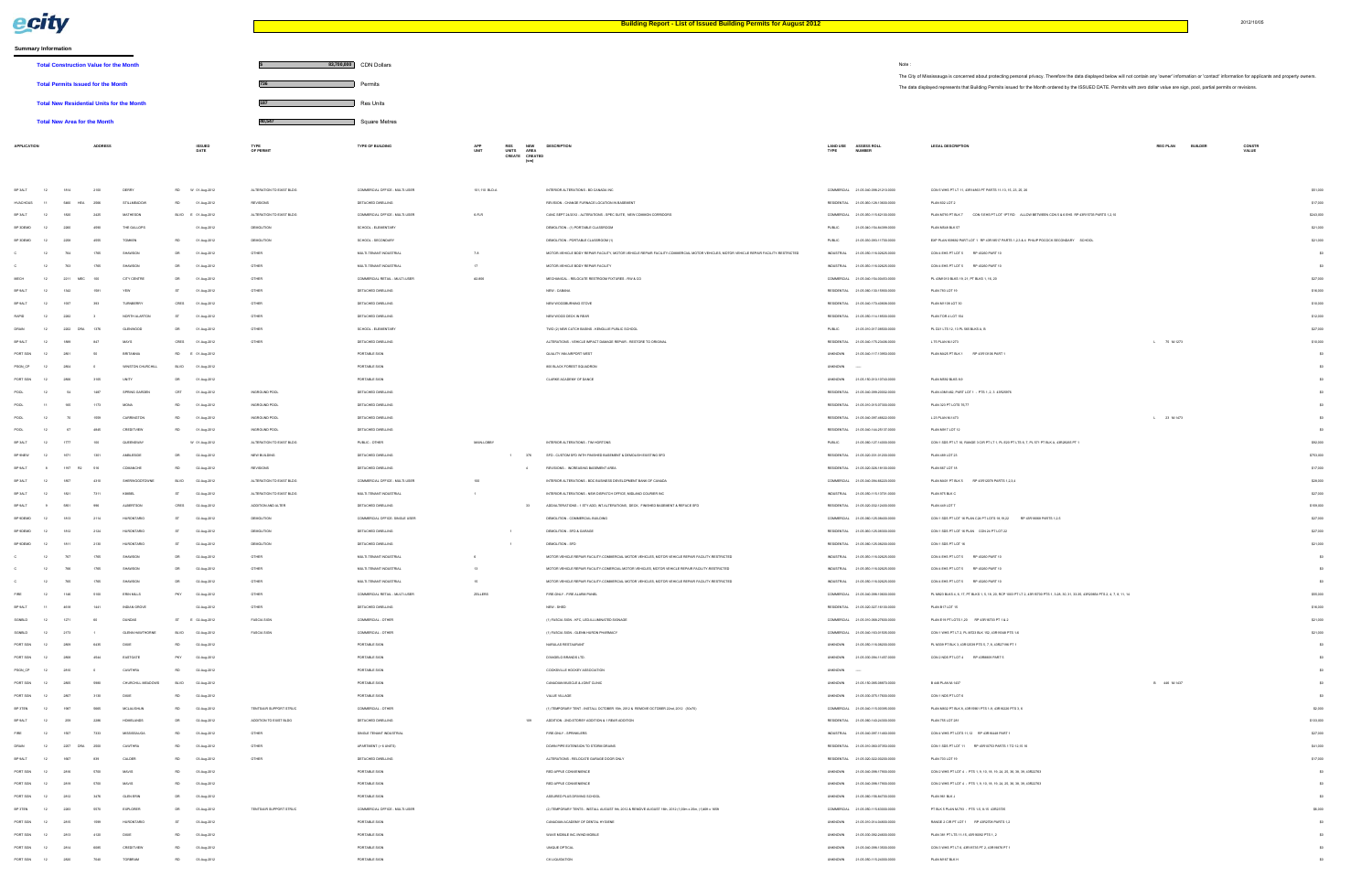ecity

| <b>APPLICATION</b>     | <b>ADDRESS</b> |                        | <b>ISSUED</b><br>DATE      | <b>TYPE</b><br>OF PERMIT | <b>TYPE OF BUILDING</b>        | UNIT            | <b>RES</b><br>UNITS AREA<br>CREATE CREATED<br>(s <sub>m</sub> ) | <b>NEW</b><br><b>DESCRIPTION</b>                                                                                                      | LAND USE ASSESS ROLL<br>TYPE<br><b>NUMBER</b> | <b>LEGAL DESCRIPTION</b>                                                                                                            | <b>REG PLAN</b><br><b>BUILDER</b> | <b>CONSTR</b><br>VALUE |           |
|------------------------|----------------|------------------------|----------------------------|--------------------------|--------------------------------|-----------------|-----------------------------------------------------------------|---------------------------------------------------------------------------------------------------------------------------------------|-----------------------------------------------|-------------------------------------------------------------------------------------------------------------------------------------|-----------------------------------|------------------------|-----------|
|                        |                |                        |                            |                          |                                |                 |                                                                 |                                                                                                                                       |                                               |                                                                                                                                     |                                   |                        |           |
| BP 3ALT<br>12<br>1814  | 2100           | DERRY                  | RD W 01-Aug-2012           | ALTERATION TO EXIST BLDG | COMMERCIAL OFFICE - MULTI-USER | 101,110 BLD-A   |                                                                 | INTERIOR ALTERATIONS - BD CANADA INC                                                                                                  | COMMERCIAL 21-05-040-098-21210-0000           | CON 5 WHS PT LT 11, 43R14863 PT PARTS 11-13, 15, 23, 25, 26                                                                         |                                   |                        | \$51,000  |
| HVACHOUS               | 2566           | STILLMEADOW            | 01-Aug-2012<br><b>RD</b>   | <b>REVISIONS</b>         | DETACHED DWELLING              |                 |                                                                 | REVISION - CHANGE FURNACE LOCATION IN BASEMENT                                                                                        | RESIDENTIAL 21-05-060-128-13600-0000          | PLAN 602 LOT 2                                                                                                                      |                                   |                        | \$17,000  |
| BP 3ALT<br>1820        | 2425           | MATHESON               | BLVD E 01-Aug-2012         | ALTERATION TO EXIST BLDG | COMMERCIAL OFFICE - MULTI-USER | 6-FLR           |                                                                 | CANC SEPT 24/2012 - ALTERATIONS - SPEC SUITE, NEW COMMON CORRIDORS                                                                    | COMMERCIAL 21-05-050-115-62100-0000           | PLAN M793 PT BLK 7 CON 5 EHS PT LOT 1PT RD ALLOW BETWEEN CON 5 & 6 EHS RP 43R15703 PARTS 1,2,10                                     |                                   |                        | \$243,000 |
| BP 3DEMO               | 4590           | THE GALLOPS            | 01-Aug-2012                | DEMOLITION               | SCHOOL - ELEMENTARY            |                 |                                                                 | DEMOLITION - (1) PORTABLE CLASSROOM                                                                                                   | PUBLIC<br>21-05-040-154-84399-0000            | PLAN M548 BLK 57                                                                                                                    |                                   |                        | \$21,000  |
| BP 3DEMO               | 4555           | <b>TOMKEN</b>          | RD.<br>01-Aug-2012         | DEMOLITION               | SCHOOL - SECONDARY             |                 |                                                                 | DEMOLITION - PORTABLE CLASSROOM (1)                                                                                                   | PUBLIC<br>21-05-030-093-11700-0000            | EXP PLAN 939692 PART LOT 1 RP 43R18517 PARTS 1,2,3 & 4 PHILIP POCOCK SECONDARY SCHOOL                                               |                                   |                        | \$21,000  |
|                        | 1765           | <b>SHAWSON</b>         | <b>DR</b><br>01-Aug-2012   | OTHER                    | MULTI-TENANT INDUSTRIAL        | $7 - 8$         |                                                                 | MOTOR-VEHICLE BODY REPAIR FACILITY, MOTOR VEHICLE REPAIR FACILITY-COMMERCIAL MOTOR VEHICLES, MOTOR VEHICLE REPAIR FACILITY-RESTRICTED | INDUSTRIAL 21-05-050-116-02625-0000           | CON 4 EHS PT LOT 5 RP 43260 PART 10                                                                                                 |                                   |                        | \$0       |
|                        | 1765           | SHAWSON                | DR.<br>01-Aug-2012         | OTHER                    | MULTI-TENANT INDUSTRIAL        | 17              |                                                                 | MOTOR-VEHICLE BODY REPAIR FACILITY                                                                                                    | INDUSTRIAL 21-05-050-116-02625-0000           | CON 4 EHS PT LOT 5 RP 43260 PART 10                                                                                                 |                                   |                        |           |
| MECH                   | 100            | CITY CENTRI            | <b>DR</b><br>01-Aug-2012   | OTHER                    | COMMERCIAL RETAIL - MULTI-USER | #2-806          |                                                                 | MECHANICAL - RELOCATE RESTROOM FIXTURES - RW & CO                                                                                     | COMMERCIAL 21-05-040-154-00453-0000           | PL 43M1010 BLKS 19, 21, PT BLKS 1, 16, 20                                                                                           |                                   |                        | \$27,000  |
| BP 9ALT                | 1581           | YEW                    | ST<br>01-Aug-2012          | OTHER                    | DETACHED DWELLING              |                 |                                                                 | NEW - CABANA                                                                                                                          | RESIDENTIAL 21-05-060-130-15900-0000          | PLAN 783 LOT 19                                                                                                                     |                                   |                        | \$16,000  |
| BP 9ALT                | 393            | TURNBERRY              | CRES<br>01-Aug-2012        | OTHER                    | DETACHED DWELLING              |                 |                                                                 | NEW WOODBURNING STOVE                                                                                                                 | RESIDENTIAL 21-05-040-170-40808-0000          | PLAN M1108 LOT 30                                                                                                                   |                                   |                        | \$10,000  |
| 2282                   |                | NORTH ALARTON          | 01-Aug-2012<br>ST          | OTHER                    | DETACHED DWELLING              |                 |                                                                 | NEW WOOD DECK IN REAR                                                                                                                 | RESIDENTIAL 21-05-050-114-18500-0000          | PLAN TOR 4 LOT 154                                                                                                                  |                                   |                        | \$12,000  |
| 12<br>2202             | 1376<br>DRA    | GLENWOOD               | <b>DR</b><br>01-Aug-2012   | OTHER                    | SCHOOL - ELEMENTARY            |                 |                                                                 | TWO (2) NEW CATCH BASINS - KENOLLIE PUBLIC SCHOOL                                                                                     | 21-05-010-017-08500-0000<br>PUBLIC            | PL D21 LTS 12, 13 PL 565 BLKS A, B                                                                                                  |                                   |                        | \$27,000  |
| BP 9ALT                | 847            | MAYS                   | CRES 01-Aug-2012           | OTHER                    | DETACHED DWELLING              |                 |                                                                 | ALTERATIONS - VEHICLE IMPACT DAMAGE REPAIR - RESTORE TO ORIGINAL                                                                      | RESIDENTIAL 21-05-040-175-23406-0000          | L 75 PLAN M-1273                                                                                                                    | L 75 M-1273                       |                        | \$10,000  |
| PORT SGN               |                | BRITANNIA              | RD E 01-Aug-2012           |                          | PORTABLE SIGN                  |                 |                                                                 | QUALITY INN AIRPORT WEST                                                                                                              | UNKNOWN 21-05-040-117-13950-0000              | PLAN M425 PT BLK 1 RP 43R13106 PART 1                                                                                               |                                   |                        |           |
| PSGN CF                |                | WINSTON CHURCHILI      | BLVD<br>01-Aug-2012        |                          | PORTABLE SIGN                  |                 |                                                                 | 800 BLACK FOREST SQUADRON                                                                                                             | <b>UNKNOWN</b>                                |                                                                                                                                     |                                   |                        |           |
| PORT SGN<br>2806       | 3105           | UNITY                  | <b>DR</b><br>01-Aug-2012   |                          | PORTABLE SIGN                  |                 |                                                                 | CLARKE ACADEMY OF DANCE                                                                                                               | UNKNOWN 21-05-150-010-10740-0000              | PLAN M592 BLKS 8,9                                                                                                                  |                                   |                        |           |
|                        | 1487           | SPRING GARDEN          | CRT<br>01-Aug-2012         | INGROUND POOL            | DETACHED DWELLING              |                 |                                                                 |                                                                                                                                       | RESIDENTIAL 21-05-040-099-20002-0000          | PLAN 43M1462, PART LOT 1 - PTS 1, 2, 3 43R25976                                                                                     |                                   |                        |           |
| POOL<br>11             | 1173           | <b>MONA</b>            | <b>RD</b><br>01-Aug-2012   | INGROUND POOL            | DETACHED DWELLING              |                 |                                                                 |                                                                                                                                       | RESIDENTIAL 21-05-010-015-07300-0000          | PLAN 323 PT LOTS 76,77                                                                                                              |                                   |                        |           |
| POOL                   | 1559           | CARRINGTO              | 01-Aug-2012<br><b>RD</b>   | INGROUND POOL            | DETACHED DWELLING              |                 |                                                                 |                                                                                                                                       | RESIDENTIAL 21-05-040-097-46622-0000          | L 23 PLAN M-1473                                                                                                                    | L 23 M-1473                       |                        |           |
| POOL<br>12             | 4845           | CREDITVIEW             | <b>RD</b><br>01-Aug-2012   | INGROUND POOL            | DETACHED DWELLING              |                 |                                                                 |                                                                                                                                       | RESIDENTIAL 21-05-040-144-25137-0000          | PLAN M917 LOT 12                                                                                                                    |                                   |                        |           |
| BP 3ALT                | 100            | QUEENSWAY              | W 01-Aug-2012              | ALTERATION TO EXIST BLDG | PUBLIC - OTHER                 | MAIN-LOBBY      |                                                                 | INTERIOR ALTERATIONS - TIM HORTONS                                                                                                    | 21-05-060-127-14000-0000<br>PUBLIC            | CON 1 SDS PT LT 16, RANGE 3 CIR PT LT 1, PL E20 PT LTS 6, 7, PL 571 PT BLK A, 43R28265 PT 1                                         |                                   |                        | \$92,000  |
| BP 9NEW                | 1301           | AMBLESIDE              | <b>DR</b><br>02-Aug-2012   | NEW BUILDING             | DETACHED DWELLING              |                 | 1 376                                                           | SFD - CUSTOM SFD WITH FINISHED BASEMENT & DEMOLISH EXISTING SFD                                                                       | RESIDENTIAL 21-05-020-031-01200-0000          | PLAN 489 LOT 23                                                                                                                     |                                   |                        | \$753,000 |
|                        | 516            | COMANCHI               | <b>RD</b><br>02-Aug-2012   | REVISIONS                | DETACHED DWELLING              |                 |                                                                 | REVISIONS - INCREASING BASEMENT AREA                                                                                                  | RESIDENTIAL 21-05-020-026-18100-0000          | PLAN 667 LOT 18                                                                                                                     |                                   |                        | \$17,000  |
| BP 3ALT                | 4310           | SHERWOODTOWNE          | <b>BLVD</b><br>02-Aug-2012 | ALTERATION TO EXIST BLDG | COMMERCIAL OFFICE - MULTI-USER | 100             |                                                                 | INTERIOR ALTERATIONS - BDC BUSINESS DEVELOPMENT BANK OF CANADA                                                                        | COMMERCIAL 21-05-040-094-66220-0000           | PLAN M401 PT BLK 5 RP 43R12078 PARTS 1,2,3,4                                                                                        |                                   |                        | \$28,000  |
| BP 3ALT                | 7311           | KIMBEL                 | ST<br>02-Aug-2012          | ALTERATION TO EXIST BLDG | MULTI-TENANT INDUSTRIAL        | $\overline{1}$  |                                                                 | INTERIOR ALTERATIONS - NEW DISPATCH OFFICE, MIDLAND COURIER INC                                                                       | INDUSTRIAL 21-05-050-115-13701-0000           | PLAN 875 BLK C                                                                                                                      |                                   |                        | \$27,000  |
| BP 9ALT<br><b>RRR</b>  | 996            | ALBERTSON              | CRES 02-Aug-2012           | ADDITION AND ALTER       | DETACHED DWELLING              |                 | 33                                                              | ADD/ALTERATIONS - 1 STY ADD, INT.ALTERATIONS, DECK, FINISHED BASEMENT & REFACE SFD                                                    | RESIDENTIAL 21-05-020-032-12400-0000          | PLAN 449 LOT 7                                                                                                                      |                                   |                        | \$159,000 |
| BP 9DEMO<br>1813       | 2114           | HURONTARIO             | ST<br>02-Aug-2012          | DEMOLITION               | COMMERCIAL OFFICE- SINGLE USER |                 |                                                                 | DEMOLITION - COMMERCIAL BUILDING                                                                                                      | COMMERCIAL 21-05-060-125-08400-0000           | CON 1 SDS PT LOT 16 PLAN C24 PT LOTS 18,19,22 RP 43R18068 PARTS 1,2,5                                                               |                                   |                        | \$27,000  |
| BP 9DEMO<br>1812       | 2124           | HURONTARIO             | 02-Aug-2012<br>ST          | DEMOLITION               | DETACHED DWELLING              |                 | $\overline{1}$                                                  | DEMOLITION - SFD & GARAGE                                                                                                             | RESIDENTIAL 21-05-060-125-08300-0000          | CON 1 SDS PT LOT 16 PLAN CON 24 PT LOT 22                                                                                           |                                   |                        | \$27,000  |
| BP 9DEMO<br>1811<br>12 | 2130           | HURONTARIO             | <b>ST</b><br>02-Aug-2012   | DEMOLITION               | DETACHED DWELLING              |                 | $-1$                                                            | DEMOLITION - SFD                                                                                                                      | RESIDENTIAL 21-05-060-125-08200-0000          | CON 1 SDS PT LOT 16                                                                                                                 |                                   |                        | \$21,000  |
|                        | 1765           | SHAWSON                | 02-Aug-2012<br>DR          | OTHER                    | MULTI-TENANT INDUSTRIAL        | $6\overline{6}$ |                                                                 | MOTOR VEHICLE REPAIR FACILITY-COMMERCIAL MOTOR VEHICLES, MOTOR VEHICLE REPAIR FACILITY-RESTRICTED                                     | INDUSTRIAL 21-05-050-116-02625-0000           | CON 4 EHS PT LOT 5 RP 43260 PART 10                                                                                                 |                                   |                        |           |
|                        | 1765           | SHAWSON                | <b>DR</b><br>02-Aug-2012   | OTHER                    | MULTI-TENANT INDUSTRIAL        | 13              |                                                                 | MOTOR VEHICLE REPAIR FACILITY-COMERCIAL MOTOR VEHICLES, MOTOR VEHICLE REPAIR FACILITY-RESTRICTED                                      | INDUSTRIAL 21-05-050-116-02625-0000           | CON 4 EHS PT LOT 5 RP 43260 PART 10                                                                                                 |                                   |                        |           |
|                        | 1765           | SHAWSON                | DR<br>02-Aug-2012          | OTHER                    | MULTI-TENANT INDUSTRIAL        | 15              |                                                                 | MOTOR VEHICLE REPAIR FACILITY-COMMERCIAL MOTOR VEHICLES, MOTOR VEHICLE REPAIR FACILITY-RESTRICTED                                     | INDUSTRIAL 21-05-050-116-02625-0000           | CON 4 EHS PT LOT 5 RP 43260 PART 10                                                                                                 |                                   |                        |           |
| 12<br>1146             | 5100           | <b>ERIN MILLS</b>      | PKY<br>02-Aug-2012         | OTHER                    | COMMERCIAL RETAIL - MULTI-USER | ZELLERS         |                                                                 | FIRE-ONLY - FIRE ALARM PANEL                                                                                                          | COMMERCIAL 21-05-040-098-10600-0000           | PL M823 BLKS 4, 6, 17, PT BLKS 1, 5, 18, 20, RCP 1003 PT LT 2, 43R15700 PTS 1, 3-28, 30, 31, 33-35, 43R20654 PTS 2, 4, 7, 8, 11, 14 |                                   |                        | \$55,000  |
| BP 9ALT<br>4618        | 1441           | <b>INDIAN GROV</b>     | 02-Aug-2012                | OTHER                    | DETACHED DWELLING              |                 |                                                                 | NEW - SHED                                                                                                                            | RESIDENTIAL 21-05-020-027-16100-0000          | PLAN B17 LOT 15                                                                                                                     |                                   |                        | \$16,000  |
| SGNBLD<br>127          |                | <b>DUNDAS</b>          | ST E 02-Aug-2012           | <b>FASCIA SIGN</b>       | COMMERCIAL - OTHER             |                 |                                                                 | (1) FASCIA SIGN - KFC, LED-ILLUMINATED SIGNAGE                                                                                        | COMMERCIAL 21-05-010-068-27600-0000           | PLAN E19 PT LOTS 1,20 RP 43R16703 PT 1 & 2                                                                                          |                                   |                        | \$21,000  |
| SGNBLD<br>12<br>2173   | $\overline{1}$ | <b>GLENN HAWTHORNE</b> | <b>BLVD</b><br>02-Aug-2012 | <b>FASCIA SIGN</b>       | COMMERCIAL - OTHER             |                 |                                                                 | (1) FASCIA SIGN - GLENN HURON PHARMACY                                                                                                | COMMERCIAL 21-05-040-163-01505-0000           | CON 1 WHS PT LT 2, PL M723 BLK 152, 43R19348 PTS 1-6                                                                                |                                   |                        | \$21,000  |
| PORT SGN 12<br>2809    | 6435           | DIXIE                  | 02-Aug-2012<br><b>RD</b>   |                          | PORTABLE SIGN                  |                 |                                                                 | NARULAS RESTAURANT                                                                                                                    | UNKNOWN 21-05-050-116-08200-0000              | PL M339 PT BLK 3, 43R12539 PTS 5, 7, 8, 43R27196 PT 1                                                                               |                                   |                        |           |
| PORT SGN<br>2808<br>12 | 4544           | <b>EASTGATE</b>        | PKY<br>02-Aug-2012         |                          | PORTABLE SIGN                  |                 |                                                                 | D'ANGELO BRANDS LTD.                                                                                                                  | UNKNOWN 21-05-030-094-11457-0000              | CON 2 NDS PT LOT 4 RP 43R8809 PART 5                                                                                                |                                   |                        |           |
| 2810<br>PSGN CP<br>12  | $\sim$         | CAWTHRA                | 02-Aug-2012<br><b>RD</b>   |                          | PORTABLE SIGN                  |                 |                                                                 | COOKSVILLE HOCKEY ASSOCIATION                                                                                                         | <b>UNKNOWN</b><br>--                          |                                                                                                                                     |                                   |                        |           |
| PORT SGN<br>2805       | 5980           | CHURCHILL MEADOWS      | <b>BLVD</b><br>02-Aug-2012 |                          | PORTABLE SIGN                  |                 |                                                                 | CANADIAN MUSCLE & JOINT CLINIC                                                                                                        | UNKNOWN 21-05-150-085-08870-0000              | B 446 PLAN M-1437                                                                                                                   | B 446 M-1437                      |                        |           |
| PORT SGN<br>2807       | 3130           | DIXIE                  | <b>RD</b><br>02-Aug-2012   |                          | PORTABLE SIGN                  |                 |                                                                 | VALUE VILLAGE                                                                                                                         | UNKNOWN 21-05-030-075-17600-0000              | CON 1 NDS PT LOT 6                                                                                                                  |                                   |                        |           |
| BP 3TEN<br>1987        | 5665           | MCLAUGHLIN             | <b>RD</b><br>02-Aug-2012   | TENTS/AIR SUPPORT STRUC  | COMMERCIAL - OTHER             |                 |                                                                 | (1) TEMPORARY TENT - INSTALL OCTOBER 15th, 2012 & REMOVE OCTOBER 22nd, 2012 (30x70)                                                   | COMMERCIAL 21-05-040-115-00395-0000           | PLAN M832 PT BLK 8, 43R15961 PTS 1-9, 43R16226 PTS 3, 6                                                                             |                                   |                        | \$2,000   |
| BP 9ALT<br>12<br>259   | 2286           | HOMELANDS              | <b>DR</b><br>02-Aug-2012   | ADDITION TO EXIST BLDG   | DETACHED DWELLING              |                 | 109                                                             | ADDITION - 2ND-STOREY ADDITION & 1 REAR ADDITION                                                                                      | RESIDENTIAL 21-05-060-140-24300-0000          | PLAN 755 LOT 281                                                                                                                    |                                   |                        | \$133,000 |
| 1507                   | 7333           | MISSISSAUG             | 03-Aug-2012<br><b>RD</b>   | OTHER                    | SINGLE TENANT INDUSTRIAL       |                 |                                                                 | FIRE-ONLY - SPRINKLERS                                                                                                                | INDUSTRIAL 21-05-040-097-11460-0000           | CON 4 WHS PT LOTS 11,12 RP 43R16448 PART 1                                                                                          |                                   |                        | \$27,000  |
| DRAIN<br>12<br>2257    | DRA 2500       | CAWTHRA                | <b>RD</b><br>03-Aug-2012   | OTHER                    | APARTMENT (> 6 UNITS)          |                 |                                                                 | DOWN PIPE EXTENSION TO STORM DRAINS                                                                                                   | RESIDENTIAL 21-05-010-060-07350-0000          | CON 1 SDS PT LOT 11 RP 43R10753 PARTS 1 TO 12.15 16                                                                                 |                                   |                        | \$41,000  |
| BP 9ALT                | 839            | CALDER                 | 03-Aug-2012<br><b>RD</b>   | OTHER                    | DETACHED DWELLING              |                 |                                                                 | ALTERATIONS - RELOCATE GARAGE DOOR ONLY                                                                                               | RESIDENTIAL 21-05-020-022-00200-0000          | PLAN 703 LOT 19                                                                                                                     |                                   |                        | \$17,000  |
| PORT SGN<br>2816       | 5700           | MAVIS                  | <b>RD</b><br>03-Aug-2012   |                          | PORTABLE SIGN                  |                 |                                                                 | RED APPLE CONVIENIENCE                                                                                                                | UNKNOWN 21-05-040-098-17900-0000              | CON 2 WHS PT LOT 4 - PTS 1, 9, 10, 18, 19, 24, 25, 36, 38, 39, 43R22763                                                             |                                   |                        | \$0       |
| PORT SGN               | 5700           | MAVIS                  | <b>RD</b><br>03-Aug-2012   |                          | PORTABLE SIGN                  |                 |                                                                 | RED APPLE CONVIENIENCE                                                                                                                | 21-05-040-098-17900-0000<br><b>UNKNOWN</b>    | CON 2 WHS PT LOT 4 - PTS 1, 9, 10, 18, 19, 24, 25, 36, 38, 39, 43R22763                                                             |                                   |                        |           |
| PORT SGN<br>2812       | 3476           | <b>GLEN ERIN</b>       | <b>DR</b><br>03-Aug-2012   |                          | PORTABLE SIGN                  |                 |                                                                 | ASSURED PLUS DRIVING SCHOOL                                                                                                           | UNKNOWN 21-05-060-156-84700-0000              | PLAN 961 BLK J                                                                                                                      |                                   |                        |           |
| BP 3TEN                | 5570           | EXPLORER               | <b>DR</b><br>03-Aug-2012   | TENTS/AIR SUPPORT STRUC  | COMMERCIAL OFFICE - MULTI-USER |                 |                                                                 | (2) TEMPORARY TENTS - INSTALL AUGUST 9th, 2012 & REMOVE AUGUST 16th, 2012 (1)30m x 25m, (1)40ft x 165ft                               | COMMERCIAL 21-05-050-115-63000-0000           | PT BLK 5 PLAN M-793 - PTS 1-5, 8-15 43R23735                                                                                        |                                   |                        |           |
| PORT SGN<br>2815<br>12 | 1599           | <b>HURONTARIO</b>      | <b>ST</b><br>03-Aug-2012   |                          | PORTABLE SIGN                  |                 |                                                                 | CANADIAN ACADEMY OF DENTAL HYGIENE                                                                                                    | UNKNOWN 21-05-010-014-04800-0000              | RANGE 2 CIR PT LOT 1 RP 43R2708 PARTS 1,2                                                                                           |                                   |                        |           |
| PORT SGN<br>2813       | 4120           | DIXIE                  | <b>RD</b><br>03-Aug-2012   |                          | PORTABLE SIGN                  |                 |                                                                 | WAVE MOBILE INC./WIND MOBILE                                                                                                          | 21-05-030-092-24600-0000<br><b>UNKNOWN</b>    | PLAN 381 PT LTS 11-15, 43R16092 PTS 1, 2                                                                                            |                                   |                        |           |
| PORT SGN<br>2814       | 6085           | CREDITVIEW             | 03-Aug-2012<br><b>RD</b>   |                          | PORTABLE SIGN                  |                 |                                                                 | UNIQUE OPTICAL                                                                                                                        | UNKNOWN 21-05-040-098-13500-0000              | CON 3 WHS PT LT 6, 43R18735 PT 2, 43R19876 PT 1                                                                                     |                                   |                        |           |
| PORT SGN<br>2820<br>12 | 7040           | TORBRAM                | <b>RD</b><br>03-Aug-2012   |                          | PORTABLE SIGN                  |                 |                                                                 | <b>CK LIQUIDATION</b>                                                                                                                 | UNKNOWN 21-05-050-115-24000-0000              | PLAN M167 BLK H                                                                                                                     |                                   |                        |           |
|                        |                |                        |                            |                          |                                |                 |                                                                 |                                                                                                                                       |                                               |                                                                                                                                     |                                   |                        |           |

cting personal privacy. Therefore the data displayed below will not contain any 'owner' information or 'contact' information for applicants and property owners.

its issued for the Month ordered by the ISSUED DATE. Permits with zero dollar value are sign, pool, partial permits or revisions.

| <b>Summary Information</b> |                                                  |                       |                   |                         |             |                            |                           |                    |                         |                                     |                                                     |
|----------------------------|--------------------------------------------------|-----------------------|-------------------|-------------------------|-------------|----------------------------|---------------------------|--------------------|-------------------------|-------------------------------------|-----------------------------------------------------|
|                            | <b>Total Construction Value for the Month</b>    |                       |                   | 83,700,000 CDN Dollars  |             |                            |                           |                    |                         |                                     | Note:                                               |
|                            |                                                  |                       |                   |                         |             |                            |                           |                    |                         |                                     | The City of Mississauga is concerned about protect  |
|                            | <b>Total Permits Issued for the Month</b>        |                       | 736               | Permits                 |             |                            |                           |                    |                         |                                     | The data displayed represents that Building Permits |
|                            | <b>Total New Residential Units for the Month</b> |                       |                   | <b>Res Units</b>        |             |                            |                           |                    |                         |                                     |                                                     |
|                            | <b>Total New Area for the Month</b>              |                       | 40,547            | <b>Square Metres</b>    |             |                            |                           |                    |                         |                                     |                                                     |
| <b>APPLICATION</b>         | <b>ADDRESS</b>                                   | <b>ISSUED</b><br>DATE | TYPE<br>OF PERMIT | <b>TYPE OF BUILDING</b> | APP<br>UNIT | <b>RES</b><br><b>UNITS</b> | <b>NEW</b><br><b>AREA</b> | <b>DESCRIPTION</b> | <b>LAND USE</b><br>TYPE | <b>ASSESS ROLL</b><br><b>NUMBER</b> | <b>LEGAL DESCRIPTION</b>                            |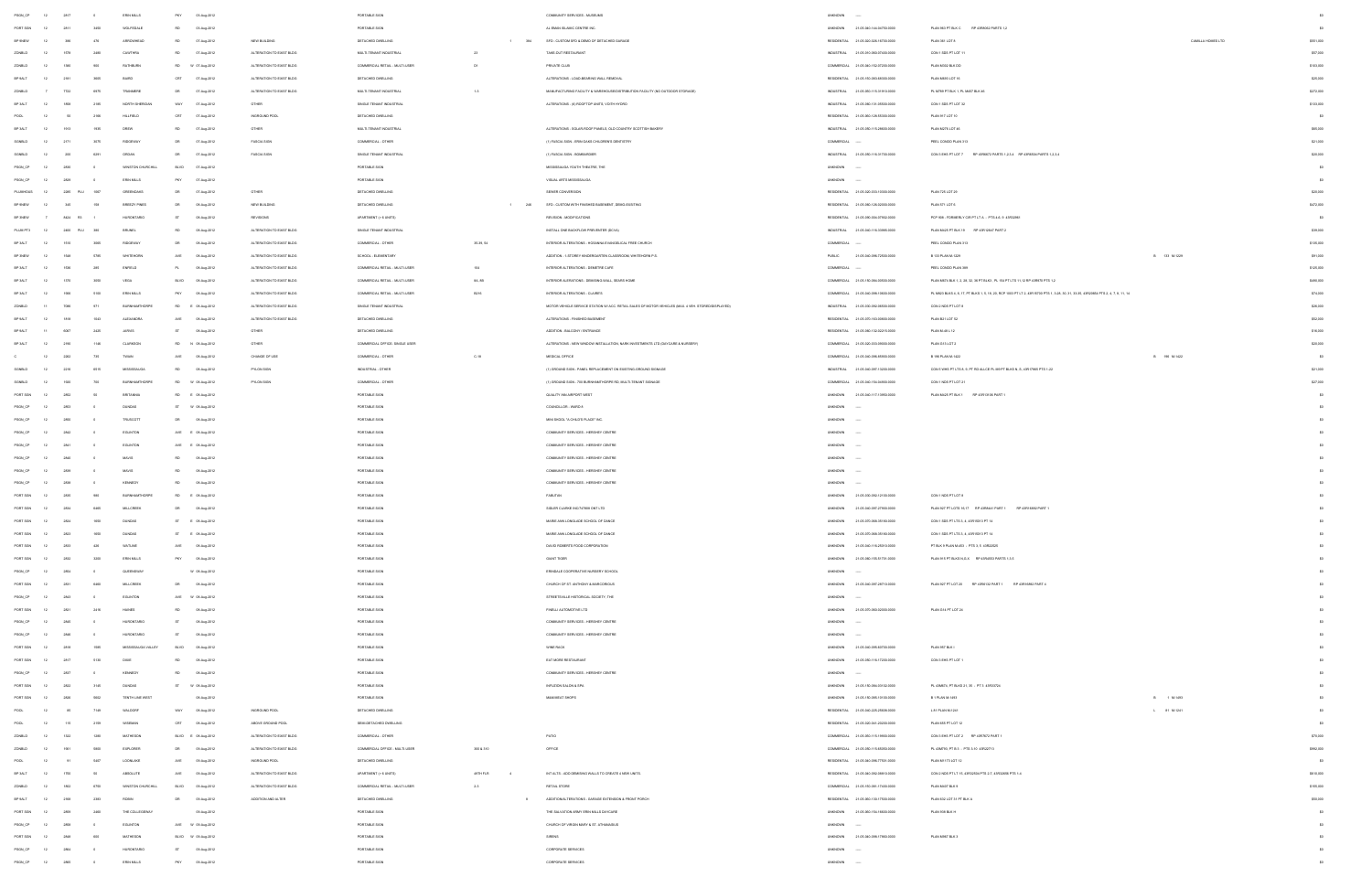| PSGN_CP         | 2817<br>12 | $\sim$                    | <b>ERIN MILLS</b>    | <b>PKY</b><br>03-Aug-2012 |                          | PORTABLE SIGN                  |                            | COMMUNITY SERVICES - MUSEUMS                                                                       | <b>UNKNOWN</b>                             |                                                                                                                                     |                               |
|-----------------|------------|---------------------------|----------------------|---------------------------|--------------------------|--------------------------------|----------------------------|----------------------------------------------------------------------------------------------------|--------------------------------------------|-------------------------------------------------------------------------------------------------------------------------------------|-------------------------------|
| PORT SGN        | 12<br>2811 | 3450                      | WOLFEDALE            | RD -<br>03-Aug-2012       |                          | PORTABLE SIGN                  |                            | AL EMAN ISLAMIC CENTRE INC.                                                                        | UNKNOWN 21-05-040-144-04750-0000           | PLAN 963 PT BLK C RP 43R8062 PARTS 1,2                                                                                              |                               |
| BP 9NEW         | 12<br>386  | 476                       | ARROWHEAD            | <b>RD</b><br>07-Aug-2012  | NEW BUILDING             | DETACHED DWELLING              |                            | 1 384 SFD - CUSTOM SFD & DEMO OF DETACHED GARAGE                                                   | RESIDENTIAL 21-05-020-026-16700-0000       | PLAN 361 LOT 8                                                                                                                      | CAMILLA HOMES LTD<br>\$551,00 |
| ZONBLD          | 12<br>1578 | 2480                      | CAWTHRA              | RD -<br>07-Aug-2012       | ALTERATION TO EXIST BLDG | MULTI-TENANT INDUSTRIAL        | 23                         | TAKE-OUT RESTAURANT                                                                                | INDUSTRIAL 21-05-010-060-07400-0000        | CON 1 SDS PT LOT 11                                                                                                                 | \$57,00                       |
| ZONBLD          | 1380<br>12 | 900                       | RATHBURN             | RD W 07-Aug-2012          | ALTERATION TO EXIST BLDG | COMMERCIAL RETAIL - MULTI-USER | D <sub>1</sub>             | PRIVATE CLUB                                                                                       | COMMERCIAL 21-05-040-152-07200-0000        | PLAN M302 BLK DD                                                                                                                    | \$103,00                      |
| BP 9ALT         |            | 3605                      | BAIRD                | CRT<br>07-Aug-2012        | ALTERATION TO EXIST BLDG | DETACHED DWELLING              |                            | ALTERATIONS - LOAD-BEARING WALL REMOVAL                                                            | RESIDENTIAL 21-05-150-083-68300-0000       | PLAN M693 LOT 16                                                                                                                    | \$25,00                       |
| ZONBLD          | 7722       | 6975                      | TRANMERE             | <b>DR</b><br>07-Aug-2012  | ALTERATION TO EXIST BLDG | MULTI-TENANT INDUSTRIAL        | $1-3$                      | MANUFACTURING FACILITY & WAREHOUSE/DISTRIBUTION FACILITY (NO OUTDOOR STORAGE)                      | INDUSTRIAL 21-05-050-115-31910-0000        | PL M789 PT BLK 1, PL M457 BLK 46                                                                                                    | \$272,00                      |
|                 |            |                           |                      |                           |                          |                                |                            |                                                                                                    |                                            |                                                                                                                                     |                               |
| BP 3ALT         | 1858<br>12 | 2185                      | NORTH SHERIDAN       | WAY<br>07-Aug-2012        | OTHER                    | SINGLE TENANT INDUSTRIAL       |                            | ALTERATIONS - (6) ROOFTOP UNITS, VOITH HYDRO                                                       | INDUSTRIAL 21-05-060-131-05500-0000        | CON 1 SDS PT LOT 32                                                                                                                 | \$133,00                      |
| POOL            | 12         | 2166                      | HILLFIELD            | CRT<br>07-Aug-2012        | INGROUND POOL            | DETACHED DWELLING              |                            |                                                                                                    | RESIDENTIAL 21-05-060-128-55300-0000       | PLAN 917 LOT 10                                                                                                                     |                               |
| BP 3ALT         | 1913<br>12 | 1935                      | DREW                 | 07-Aug-2012<br><b>RD</b>  | OTHER                    | MULTI-TENANT INDUSTRIAL        |                            | ALTERATIONS - SOLAR-ROOF PANELS, OLD COUNTRY SCOTTISH BAKERY                                       | INDUSTRIAL 21-05-050-115-28600-0000        | PLAN M276 LOT 46                                                                                                                    | \$65,00                       |
| SGNBLD          | 2171<br>12 | 3075                      | <b>RIDGEWAY</b>      | <b>DR</b><br>07-Aug-2012  | <b>FASCIA SIGN</b>       | COMMERCIAL - OTHER             |                            | (1) FASCIA SIGN - ERIN OAKS CHILDREN'S DENTISTRY                                                   | COMMERCIAL                                 | PEEL CONDO PLAN 313                                                                                                                 | \$21,00                       |
| SGNBLD          | 12<br>200  | 6291                      | ORDAN                | DR.<br>07-Aug-2012        | <b>FASCIA SIGN</b>       | SINGLE TENANT INDUSTRIAL       |                            | (1) FASCIA SIGN - BOMBARDIER                                                                       | INDUSTRIAL 21-05-050-116-31700-0000        | CON 3 EHS PT LOT 7 RP 43R6672 PARTS 1,2,3,4 RP 43R6504 PARTS 1,2,3,4                                                                | \$20,00                       |
| PSGN_CP         | 2830       | $\sim$                    | WINSTON CHURCHILL    | BLVD<br>07-Aug-2012       |                          | PORTABLE SIGN                  |                            | MISSISSAUGA YOUTH THEATRE, THE                                                                     | <b>UNKNOWN</b>                             |                                                                                                                                     |                               |
| PSGN CP         | 2829       | $\overline{0}$            | <b>ERIN MILLS</b>    | PKY<br>07-Aug-2012        |                          | PORTABLE SIGN                  |                            | VISUAL ARTS MISSISSAUGA                                                                            | <b>UNKNOWN</b><br>-----                    |                                                                                                                                     |                               |
| <b>PLUMHOUS</b> | 2285       | PHI<br>1067               | <b>GREENOAKS</b>     | DR.<br>07-Aug-2012        | OTHER                    | DETACHED DWELLING              |                            | SEWER CONVERSION                                                                                   | RESIDENTIAL 21-05-020-033-10300-0000       | PLAN 725 LOT 29                                                                                                                     | \$20,00                       |
| BP 9NEW         | 345        | 158                       | <b>BREEZY PINES</b>  | DR.<br>08-Aug-2012        | NEW BUILDING             | DETACHED DWELLING              | 1 246                      | SFD - CUSTOM WITH FINISHED BASEMENT, DEMO-EXSITING                                                 | RESIDENTIAL 21-05-060-126-02000-0000       | PLAN 571 LOT 6                                                                                                                      | \$472,00                      |
|                 |            |                           |                      |                           |                          |                                |                            |                                                                                                    |                                            |                                                                                                                                     |                               |
| BP 3NEW         |            | 8424 R3<br>$\overline{1}$ | HURONTARIO           | ST<br>08-Aug-2012         | <b>REVISIONS</b>         | APARTMENT (> 6 UNITS)          |                            | REVISION - MODIFICATIONS                                                                           | RESIDENTIAL 21-05-090-004-07902-0000       | PCP 908 - FORMERLY CIR PT LT A - PTS 4-6, 9 43R32961                                                                                |                               |
| PLUM PT3        | 2400<br>12 | PLU<br>380                | BRUNEL               | 08-Aug-2012<br><b>RD</b>  | ALTERATION TO EXIST BLDG | SINGLE TENANT INDUSTRIAL       |                            | INSTALL ONE BACKFLOW PREVENTER (DCVA)                                                              | INDUSTRIAL 21-05-040-116-33985-0000        | PLAN M425 PT BLK 19 RP 43R12647 PART 2                                                                                              | \$39,00                       |
| BP 3ALT         | 1510<br>12 | 3065                      | <b>RIDGEWAY</b>      | DR.<br>08-Aug-2012        | ALTERATION TO EXIST BLDG | COMMERCIAL - OTHER             | 35-39, 54                  | INTERIOR ALTERATIONS - HOSANNA EVANGELICAL FREE CHURCH                                             | COMMERCIAL -----                           | PEEL CONDO PLAN 313                                                                                                                 | \$135,00                      |
| BP 3NEW         | 12<br>1548 | 5785                      | WHITEHORN            | AVE<br>08-Aug-2012        | ALTERATION TO EXIST BLDG | SCHOOL - ELEMENTARY            |                            | ADDITION - 1-STOREY KINDERGARTEN CLASSROOM, WHITEHORN P.S.                                         | 21-05-040-096-72500-0000<br>PUBLIC         | B 133 PLAN M-1229                                                                                                                   | B 133 M-1229<br>\$91,00       |
| BP 3ALT         | 12<br>1536 | 285                       | ENFIELD              | PL<br>08-Aug-2012         | ALTERATION TO EXIST BLDG | COMMERCIAL RETAIL - MULTI-USER | 104                        | INTERIOR ALTERATIONS - DEMETRE CAFE                                                                | COMMERCIAL                                 | PEEL CONDO PLAN 389                                                                                                                 | \$125,00                      |
| BP 3ALT         | 12<br>1370 | 3050                      | VEGA                 | BLVD 08-Aug-2012          | ALTERATION TO EXIST BLDG | COMMERCIAL RETAIL - MULTI-USER | 8A, 8B                     | INTERIOR ALERATIONS - DEMISING-WALL, SEARS HOME                                                    | COMMERCIAL 21-05-150-084-00500-0000        | PLAN M674 BLK 1, 2, 28, 32, 36 PT BLK3, PL 154 PT LTS 11, 12 RP 43R970 PTS 1,2                                                      | \$490,00                      |
| BP 3ALT         |            | 5100                      | <b>ERIN MILLS</b>    | PKY<br>08-Aug-2012        | ALTERATION TO EXIST BLDG | COMMERCIAL RETAIL - MULTI-USER | <b>B216</b>                | INTERIOR ALTERATIONS - CLAIRE'S                                                                    | COMMERCIAL 21-05-040-098-10600-0000        | PL M823 BLKS 4, 6, 17, PT BLKS 1, 5, 18, 20, RCP 1003 PT LT 2, 43R15700 PTS 1, 3-28, 30, 31, 33-35, 43R20654 PTS 2, 4, 7, 8, 11, 14 | \$74,00                       |
| ZONBLD          | 7086       | 971                       | <b>BURNHAMTHORPE</b> | RD E 08-Aug-2012          | ALTERATION TO EXIST BLDG | SINGLE TENANT INDUSTRIAL       |                            | MOTOR VEHICLE SERVICE STATION W/ACC. RETAIL SALES OF MOTOR VEHICLES (MAX, 4 VEH. STORED/DISPLAYED) | INDUSTRIAL 21-05-030-092-06500-0000        | CON 2 NDS PT LOT 8                                                                                                                  | \$26,00                       |
| BP 9ALT         | 1818<br>12 | 1043                      | ALEXANDRA            | AVE<br>08-Aug-2012        | ALTERATION TO EXIST BLDG | DETACHED DWELLING              |                            | ALTERATIONS - FINISHED BASEMENT                                                                    | RESIDENTIAL 21-05-070-163-00800-0000       | PLAN B21 LOT 52                                                                                                                     | \$52,00                       |
|                 |            |                           |                      |                           |                          |                                |                            |                                                                                                    | RESIDENTIAL 21.05.060-132-02215-0000       |                                                                                                                                     |                               |
| BP 9ALT         | 6067<br>11 | 2425                      | <b>JARVIS</b>        | <b>ST</b><br>08-Aug-2012  | OTHER                    | DETACHED DWELLING              |                            | ADDITION - BALCONY / ENTRANCE                                                                      |                                            | PLAN M-48 L 12                                                                                                                      | \$16,00                       |
| BP 3ALT         | 2190       | 1146                      | CLARKSON             | RD N 08-Aug-2012          | OTHER                    | COMMERCIAL OFFICE- SINGLE USER |                            | ALTERATIONS - NEW WINDOW INSTALLATION, NARK INVESTMENTS LTD (DAYCARE & NURSERY)                    | COMMERCIAL 21-05-020-033-09000-0000        | PLAN G13 LOT 2                                                                                                                      | \$20,00                       |
|                 | 12<br>2262 | 735                       | <b>TWAIN</b>         | AVE 08-Aug-2012           | CHANGE OF USE            | COMMERCIAL - OTHER             | $C-18$                     | MEDICAL OFFICE                                                                                     | COMMERCIAL 21-05-040-096-85900-0000        | B 196 PLAN M-1422                                                                                                                   | B 196 M-1422                  |
| SGNBLD          | 2216       | 6515                      | <b>MISSISSAUGA</b>   | <b>RD</b><br>08-Aug-2012  | PYLON SIGN               | INDUSTRIAL - OTHER             |                            | (1) GROUND SIGN - PANEL REPLACEMENT ON EXISTING-GROUND SIGNAGE                                     | INDUSTRIAL 21-05-040-097-13200-0000        | CON 5 WHS PT LTS 8, 9, PT RD ALLCE PL M9 PT BLKS N, S, 43R17865 PTS 1-22                                                            | \$21,00                       |
| SGNBLD          | 1920       | 700                       | <b>BURNHAMTHORPE</b> | RD W 08-Aug-2012          | PYLON SIGN               | COMMERCIAL - OTHER             |                            | (1) GROUND SIGN - 700 BURNHAMTHORPE RD, MULTI-TENANT SIGNAGE                                       | COMMERCIAL 21-05-040-154-04900-0000        | CON 1 NDS PT LOT 21                                                                                                                 | \$27,00                       |
| PORT SGN        |            |                           | <b>BRITANNIA</b>     | RD E 08-Aug-2012          |                          | PORTABLE SIGN                  |                            | QUALITY INN AIRPORT WEST                                                                           | 21-05-040-117-13950-0000<br><b>UNKNOWN</b> | PLAN M425 PT BLK 1 RP 43R13106 PART 1                                                                                               |                               |
| PSGN CP         | 12<br>2853 | $\sim$                    | <b>DUNDAS</b>        | ST W 08-Aug-2012          |                          | PORTABLE SIGN                  |                            | COUNCILLOR - WARD 8                                                                                | <b>UNKNOWN</b>                             |                                                                                                                                     |                               |
| PSGN CP         | 12<br>2850 | $\sim$                    | TRUSCOTT             | DR.<br>08-Aug-2012        |                          | PORTABLE SIGN                  |                            | MINI SKOOL "A CHILD'S PLACE" INC.                                                                  | <b>UNKNOWN</b><br>----                     |                                                                                                                                     |                               |
| PSGN_CP         | 2842       | $\circ$                   | EGLINTON             |                           |                          | PORTABLE SIGN                  |                            | COMMUNITY SERVICES - HERSHEY CENTRE                                                                | <b>UNKNOWN</b>                             |                                                                                                                                     |                               |
|                 |            |                           |                      | AVE E 08-Aug-2012         |                          |                                |                            |                                                                                                    |                                            |                                                                                                                                     |                               |
| PSGN CP         | 12<br>284  | $\overline{0}$            | EGLINTON             | AVE E 08-Aug-2012         |                          | PORTABLE SIGN                  |                            | COMMUNITY SERVICES - HERSHEY CENTRE                                                                | <b>UNKNOWN</b><br>----                     |                                                                                                                                     |                               |
| PSGN_CP         | 12<br>2840 | $^{\circ}$                | MAVIS                | RD -<br>08-Aug-2012       |                          | PORTABLE SIGN                  |                            | COMMUNITY SERVICES - HERSHEY CENTRE                                                                | <b>UNKNOWN</b>                             |                                                                                                                                     |                               |
| PSGN CP         | 2839<br>12 | $\sim$                    | MAVIS                | <b>RD</b><br>08-Aug-2012  |                          | PORTABLE SIGN                  |                            | COMMUNITY SERVICES - HERSHEY CENTRE                                                                | <b>UNKNOWN</b><br>----                     |                                                                                                                                     |                               |
| PSGN_CP         | 2838<br>12 | $\sim$                    | <b>KENNEDY</b>       | RD -<br>08-Aug-2012       |                          | PORTABLE SIGN                  |                            | COMMUNITY SERVICES - HERSHEY CENTRE                                                                | <b>UNKNOWN</b>                             |                                                                                                                                     |                               |
| PORT SGN        | 2835<br>12 |                           | BURNHAMTHORPE        | RD E 08-Aug-2012          |                          | PORTABLE SIGN                  |                            | FABUTAN                                                                                            | UNKNOWN 21-05-030-092-12100-0000           | CON 1 NDS PT LOT 8                                                                                                                  |                               |
| PORT SGN 12     | 2834       | 6465                      | MILLCREEK            | DR.<br>08-Aug-2012        |                          | PORTABLE SIGN                  |                            | SIDLER CLARKE INC/747808 ONT LTD                                                                   | <b>UNKNOWN</b><br>21-05-040-097-27900-0000 | PLAN 927 PT LOTS 16,17 RP 43R8441 PART 1 RP 43R16892 PART 1                                                                         |                               |
| PORT SGN        | 12<br>2824 | 1650                      | DUNDAS               | ST E 08-Aug-2012          |                          | PORTABLE SIGN                  |                            | MARIE ANN LONGLADE SCHOOL OF DANCE                                                                 | 21-05-070-068-35180-0000<br><b>UNKNOWN</b> | CON 1 SDS PT LTS 3, 4, 43R15013 PT 14                                                                                               |                               |
| PORT SGN        | 2823       | 1650                      | <b>DUNDAS</b>        | ST E 08-Aug-2012          |                          | PORTABLE SIGN                  |                            | MARIE ANN LONGLADE SCHOOL OF DANCE                                                                 | <b>UNKNOWN</b><br>21-05-070-068-35180-0000 | CON 1 SDS PT LTS 3, 4, 43R15013 PT 14                                                                                               |                               |
| PORT SGN        | 2833<br>12 | 426                       | WATLINE              | AVE<br>08-Aug-2012        |                          | PORTABLE SIGN                  |                            | DAVID ROBERTS FOOD CORPORATION                                                                     | 21-05-040-116-25010-0000<br><b>UNKNOWN</b> | PT BLK 9 PLAN M-453 - PTS 3, 5 43R22525                                                                                             |                               |
| PORT SGN        | 12<br>2832 | 3200                      | <b>ERIN MILLS</b>    | PKY<br>08-Aug-2012        |                          | PORTABLE SIGN                  |                            | <b>GIANT TIGER</b>                                                                                 | <b>UNKNOWN</b><br>21-05-060-155-51701-0000 | PLAN 915 PT BLKS N, G, X RP 43R4553 PARTS 1, 3,5                                                                                    |                               |
|                 |            |                           |                      |                           |                          |                                |                            |                                                                                                    |                                            |                                                                                                                                     |                               |
| PSGN CP         | 12<br>2854 | $\sim$                    | QUEENSWAY            | W 08-Aug-2012             |                          | PORTABLE SIGN                  |                            | ERINDALE COOPERATIVE NURSERY SCHOOL                                                                | <b>UNKNOWN</b><br>----                     |                                                                                                                                     |                               |
| PORT SGN        | 12<br>2831 | 6460                      | MILLCREEK            | DR.<br>08-Aug-2012        |                          | PORTABLE SIGN                  |                            | CHURCH OF ST. ANTHONY & MARCORIOUS                                                                 | 21-05-040-097-28710-0000<br><b>UNKNOWN</b> | PLAN 927 PT LOT 20 RP 43R6132 PART 1 RP 43R16892 PART 4                                                                             |                               |
| PSGN CP         | 2843<br>12 | $\sim$                    | <b>EGLINTON</b>      | AVE W 08-Aug-2012         |                          | PORTABLE SIGN                  |                            | STREETSVILLE HISTORICAL SOCIETY. THE                                                               | <b>UNKNOWN</b><br>----                     |                                                                                                                                     |                               |
| PORT SGN        |            | 2416                      | <b>HAINES</b>        | <b>RD</b><br>08-Aug-2012  |                          | PORTABLE SIGN                  |                            | FINELLI AUTOMOTIVE LTD                                                                             | 21-05-070-060-02000-0000<br><b>UNKNOWN</b> | PLAN G14 PT LOT 24                                                                                                                  |                               |
| PSGN CP         | 2845<br>12 | $\sim$                    | <b>HURONTARIO</b>    | <b>ST</b><br>08-Aug-2012  |                          | PORTABLE SIGN                  |                            | COMMUNITY SERVICES - HERSHEY CENTRE                                                                | <b>UNKNOWN</b>                             |                                                                                                                                     |                               |
| PSGN_CP         | 12         | $\overline{0}$            | HURONTARIO           | ST<br>08-Aug-2012         |                          | PORTABLE SIGN                  |                            | COMMUNITY SERVICES - HERSHEY CENTRE                                                                | <b>UNKNOWN</b>                             |                                                                                                                                     |                               |
| PORT SGN        | 2818<br>12 | 1585                      | MISSISSAUGA VALLEY   | BLVD<br>08-Aug-2012       |                          | PORTABLE SIGN                  |                            | <b>WINE RACK</b>                                                                                   | 21-05-040-095-60700-0000<br><b>UNKNOWN</b> | PLAN 957 BLK I                                                                                                                      |                               |
| PORT SGN        | 2817       | 5130                      | DIXIE                | <b>RD</b><br>08-Aug-2012  |                          | PORTABLE SIGN                  |                            | EAT MORE RESTAURANT                                                                                | 21-05-050-116-17200-0000<br><b>UNKNOWN</b> | CON 3 EHS PT LOT 1                                                                                                                  |                               |
| PSGN CP         | 12<br>2837 | $\sim$                    | KENNEDY              | <b>RD</b><br>08-Aug-2012  |                          | PORTABLE SIGN                  |                            | COMMUNITY SERVICES - HERSHEY CENTRE                                                                | <b>UNKNOWN</b><br>1.1233333                |                                                                                                                                     |                               |
|                 |            |                           |                      |                           |                          |                                |                            |                                                                                                    |                                            |                                                                                                                                     |                               |
| PORT SGN        | 2822<br>12 | 3145                      | DUNDAS               | ST W 08-Aug-2012          |                          | PORTABLE SIGN                  |                            | INFUZION SALON & SPA                                                                               | UNKNOWN 21-05-150-084-03102-0000           | PL 43M674, PT BLKS 21, 35 - PT 3 43R33724                                                                                           |                               |
| PORT SGN        | 2826       | 5602                      | TENTH LINE WEST      | 08-Aug-2012               |                          | PORTABLE SIGN                  |                            | M&M MEAT SHOPS                                                                                     | UNKNOWN 21-05-150-085-10100-0000           | B 1 PLAN M-1493                                                                                                                     | B 1 M-1493                    |
| POOL            | 12         | 7149                      | WALDORF              | WAY<br>08-Aug-2012        | INGROUND POOL            | DETACHED DWELLING              |                            |                                                                                                    | RESIDENTIAL 21-05-040-225-25608-0000       | L 81 PLAN M-1241                                                                                                                    | L 81 M-1241                   |
| POOL            | 12<br>115  | 2159                      | WISEMAN              | CRT<br>08-Aug-2012        | ABOVE GROUND POOL        | SEMI-DETACHED DWELLING         |                            |                                                                                                    | RESIDENTIAL 21-05-020-041-20200-0000       | PLAN 655 PT LOT 12                                                                                                                  |                               |
| ZONBLD          | 1322<br>12 | 1280                      | MATHESON             | BLVD E 08-Aug-2012        | ALTERATION TO EXIST BLDG | COMMERCIAL - OTHER             |                            | PATIO                                                                                              | COMMERCIAL 21-05-050-115-19900-0000        | CON 3 EHS PT LOT 2 RP 43R7672 PART 1                                                                                                | \$70,00                       |
| ZONBLD          | 1901       | 5800                      | <b>EXPLORER</b>      | DR.<br>09-Aug-2012        | ALTERATION TO EXIST BLDG | COMMERCIAL OFFICE - MULTI-USER | 300 & 310                  | OFFICE                                                                                             | COMMERCIAL 21-05-050-115-65050-0000        | PL 43M793, PT B 3 - PTS 3-10 43R22713                                                                                               | \$992,00                      |
| POOL            | 12         | 5407                      | LOONLAKE             | AVE<br>09-Aug-2012        | INGROUND POOL            | DETACHED DWELLING              |                            |                                                                                                    | RESIDENTIAL 21-05-040-096-77501-0000       | PLAN M1173 LOT 12                                                                                                                   |                               |
| BP 3ALT         | 1750<br>12 | 50                        | ABSOLUTE             | AVE<br>09-Aug-2012        | ALTERATION TO EXIST BLDG | APARTMENT (> 6 UNITS)          | 49TH FLR<br>$\overline{4}$ | INT ALTS - ADD DEMISING WALLS TO CREATE 4 NEW UNITS.                                               | RESIDENTIAL 21-05-040-092-08810-0000       | CON 2 NDS PT LT 15, 43R32504 PTS 2-7, 43R32656 PTS 1-4                                                                              | \$610,00                      |
| ZONBLD          | 12         | 6750                      | WINSTON CHURCHILL    | BLVD                      | ALTERATION TO EXIST BLDG | COMMERCIAL RETAIL - MULTI-USER | $2 - 3$                    | <b>RETAIL STORE</b>                                                                                | COMMERCIAL 21-05-150-081-17400-0000        | PLAN M407 BLK 9                                                                                                                     |                               |
|                 | 1802       |                           |                      | 09-Aug-2012               |                          |                                |                            |                                                                                                    |                                            |                                                                                                                                     | \$155,00                      |
| BP 9ALT         | 2168<br>12 | 2383                      | ROBIN                | DR<br>09-Aug-2012         | ADDITION AND ALTER       | DETACHED DWELLING              | 8                          | ADDITION/ALTERATIONS - GARAGE EXTENSION & FRONT PORCH                                              | RESIDENTIAL 21-05-060-130-17500-0000       | PLAN 632 LOT 31 PT BLK A                                                                                                            | \$50,00                       |
| PORT SGN        | 12<br>2859 | 2460                      | THE COLLEGEWAY       | 09-Aug-2012               |                          | PORTABLE SIGN                  |                            | THE SALVATION ARMY ERIN MILLS DAYCARE                                                              | UNKNOWN 21-05-060-154-16600-0000           | PLAN 938 BLK H                                                                                                                      |                               |
| PSGN_CP         | 2858<br>12 | $\sim$                    | EGLINTON             | AVE W 09-Aug-2012         |                          | PORTABLE SIGN                  |                            | CHURCH OF VIRGIN MARY & ST. ATHANASIUS                                                             | <b>UNKNOWN</b>                             |                                                                                                                                     |                               |
| PORT SGN        | 2848<br>12 | 600                       | MATHESON             | BLVD W 09-Aug-2012        |                          | PORTABLE SIGN                  |                            | SIRENS                                                                                             | 21-05-040-098-17860-0000<br><b>UNKNOWN</b> | PLAN M967 BLK 3                                                                                                                     |                               |
| PSGN_CP         | 12<br>2864 | $\sim$                    | HURONTARIO           | ST<br>09-Aug-2012         |                          | PORTABLE SIGN                  |                            | CORPORATE SERVICES                                                                                 | <b>UNKNOWN</b>                             |                                                                                                                                     |                               |
| PSGN_CP 12      | 2865       | $\sim$ 0                  | <b>ERIN MILLS</b>    | PKY<br>09-Aug-2012        |                          | PORTABLE SIGN                  |                            | CORPORATE SERVICES                                                                                 | UNKNOWN -----                              |                                                                                                                                     |                               |
|                 |            |                           |                      |                           |                          |                                |                            |                                                                                                    |                                            |                                                                                                                                     |                               |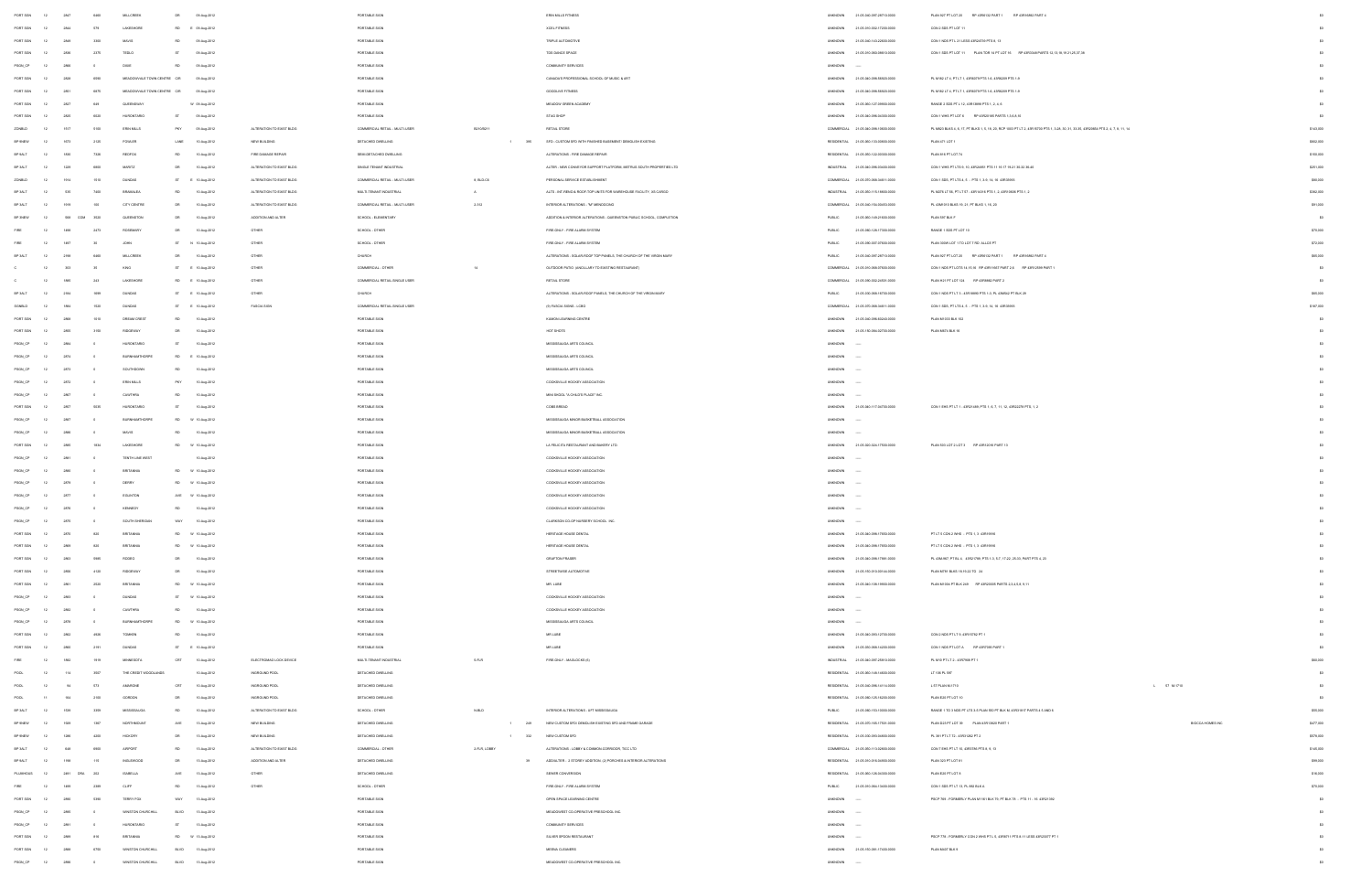| 21-05-040-097-28710-0000 | PLAN 927 PT LOT 20 RP 43R6132 PART 1 RP 43R16892 PART 4                                                                             |                  | \$0       |
|--------------------------|-------------------------------------------------------------------------------------------------------------------------------------|------------------|-----------|
| 21-05-010-002-17200-0000 | CON 2 SDS PT LOT 11                                                                                                                 |                  | \$0       |
| 21-05-040-143-22600-0000 | CON 1 NDS PT L 21 LESS 43R24739 PTS 8, 13                                                                                           |                  | \$0       |
| 21-05-010-060-08610-0000 | CON 1 SDS PT LOT 11 PLAN TOR 14 PT LOT 16 RP 43R3348 PARTS 12,13,18,19 21,25,37,38                                                  |                  | \$0       |
|                          |                                                                                                                                     |                  | \$0       |
| 21-05-040-098-56920-0000 | PL M182 LT 4, PT LT 1, 43R6079 PTS 1-6, 43R6209 PTS 1-9                                                                             |                  | \$0       |
| 21-05-040-098-56920-0000 | PL M182 LT 4, PT LT 1, 43R6079 PTS 1-6, 43R6209 PTS 1-9                                                                             |                  | \$0       |
| 21-05-060-127-09900-0000 | RANGE 2 SDS PT L 12, 43R13898 PTS 1, 2, 4, 6                                                                                        |                  | \$0       |
| 21-05-040-096-04300-0000 | CON 1 WHS PT LOT 6 RP 43R20185 PARTS 1,3,6,8,10                                                                                     |                  | \$0       |
| 21-05-040-098-10600-0000 | PL M823 BLKS 4, 6, 17, PT BLKS 1, 5, 18, 20, RCP 1003 PT LT 2, 43R15700 PTS 1, 3-28, 30, 31, 33-35, 43R20654 PTS 2, 4, 7, 8, 11, 14 |                  | \$143,000 |
| 21-05-060-133-00800-0000 | PLAN 471 LOT 1                                                                                                                      |                  | \$802,000 |
| 21-05-050-122-00300-0000 | PLAN 816 PT LOT 74                                                                                                                  |                  | \$150,000 |
| 21-05-040-096-03400-0000 | CON 1 WHS PT LTS 9, 10, 43R24851 PTS 11 16 17 19-21 30-32 36-40                                                                     |                  | \$251,000 |
| 21-05-070-068-34611-0000 | CON 1 SDS, PT LTS 4, 5 - PTS 1, 3-9, 14, 16 43R33993                                                                                |                  | \$80,000  |
| 21-05-050-115-18800-0000 | PL M276 LT 56, PT LT 57 - 43R14316 PTS 1, 2, 43R10606 PTS 1, 2                                                                      |                  | \$382,000 |
| 21-05-040-154-00453-0000 | PL 43M1010 BLKS 19, 21, PT BLKS 1, 16, 20                                                                                           |                  | \$91,000  |
| 21-05-060-149-21600-0000 | PLAN 597 BLK F                                                                                                                      |                  | $$0$      |
| 21-05-060-128-17300-0000 | RANGE 1 SDS PT LOT 10                                                                                                               |                  | \$70,000  |
| 21-05-090-007-07600-0000 | PLAN 300W LOT 1 TO LOT 7 RD ALLCE PT                                                                                                |                  | \$72,000  |
| 21-05-040-097-28710-0000 | PLAN 927 PT LOT 20 RP 43R6132 PART 1 RP 43R16892 PART 4                                                                             |                  | \$65,000  |
| 21-05-010-068-07600-0000 | CON 1 NDS PT LOTS 14,15,16 RP 43R11667 PART 2,6 RP 43R12599 PART 1                                                                  |                  | \$0       |
| 21-05-090-002-24501-0000 | PLAN H21 PT LOT 124 RP 43R8862 PART 2                                                                                               |                  | \$0       |
| 21-05-030-068-16700-0000 | CON 1 NDS PT LT 3 - 43R18890 PTS 1-3, PL 43M542 PT BLK 29                                                                           |                  | \$65,000  |
| 21-05-070-068-34611-0000 | CON 1 SDS, PT LTS 4, 5 - PTS 1, 3-9, 14, 16 43R33993                                                                                |                  | \$187,000 |
| 21-05-040-096-60240-0000 | PLAN M1033 BLK 102                                                                                                                  |                  | \$0       |
| 21-05-150-084-02700-0000 | PLAN M674 BLK 16                                                                                                                    |                  | \$0       |
|                          |                                                                                                                                     |                  | \$0       |
| $\cdots$                 |                                                                                                                                     |                  | \$0       |
|                          |                                                                                                                                     |                  | \$0       |
|                          |                                                                                                                                     |                  | \$0       |
|                          |                                                                                                                                     |                  | \$0       |
| 21-05-040-117-04700-0000 | CON 1 EHS PT LT 1 - 43R21489, PTS 1, 6, 7, 11, 12, 43R22278 PTS, 1, 2                                                               |                  | \$0       |
|                          |                                                                                                                                     |                  | \$0       |
| $\cdots$                 |                                                                                                                                     |                  | \$0       |
| 21-05-020-024-17500-0000 | PLAN 503 LOT 2 LOT 3 RP 43R12016 PART 13                                                                                            |                  | \$0       |
|                          |                                                                                                                                     |                  | \$0       |
|                          |                                                                                                                                     |                  | \$0       |
| $\cdots$                 |                                                                                                                                     |                  | \$0       |
|                          |                                                                                                                                     |                  | \$0       |
|                          |                                                                                                                                     |                  | \$0       |
|                          |                                                                                                                                     |                  | \$0       |
| 21-05-040-098-17650-0000 | PT LT 5 CON 2 WHS - PTS 1, 3 43R19916                                                                                               |                  | \$0       |
| 21-05-040-098-17650-0000 | PT LT 5 CON 2 WHS - PTS 1, 3 43R19916                                                                                               |                  | \$0       |
| 21-05-040-098-17881-0000 | PL 43M-967, PT BL 4, 43R21789, PTS 1-3, 5-7, 17-22, 25-33, PART PTS 4, 23                                                           |                  | \$0       |
| 21-05-150-010-00144-0000 | PLAN M781 BLKS 18,19,22 TO 24                                                                                                       |                  | \$0       |
| 21-05-040-108-19900-0000 | PLAN M1004 PT BLK 249 RP 43R20005 PARTS 2,3,4,5,8, 9,11                                                                             |                  | \$0       |
|                          |                                                                                                                                     |                  | \$0       |
|                          |                                                                                                                                     |                  | \$0       |
|                          |                                                                                                                                     |                  | \$0       |
| 21-05-040-093-12700-0000 | CON 2 NDS PT LT 9, 43R15782 PT 1                                                                                                    |                  | \$0       |
| 21-05-030-068-14200-0000 | CON 1 NDS PT LOT A RP 43R7093 PART 1                                                                                                |                  | \$0       |
| 21-05-040-097-25810-0000 | PL M10 PT LT 2 - 43R7908 PT 1                                                                                                       |                  | \$60,000  |
| 21-05-060-148-14600-0000 | LT 106 PL 597                                                                                                                       |                  | \$0       |
| 21-05-040-096-14114-0000 | L 57 PLAN M-1710<br>L 67 M-1710                                                                                                     |                  | \$0       |
| 21-05-060-125-16200-0000 | PLAN E20 PT LOT 10                                                                                                                  |                  | \$0       |
| 21-05-060-153-10000-0000 | RANGE 1 TO 3 NDS PT LTS 3-5 PLAN 550 PT BLK M, 43R31817 PARTS 4 5 AND 6                                                             |                  | \$55,000  |
| 21-05-070-165-17501-0000 | PLAN D23 PT LOT 39 PLAN 43R13820 PART 1                                                                                             | BIOCCA HOMES INC | \$477,000 |
| 21-05-030-093-04800-0000 | PL 381 PT LT 72 - 43R31262 PT 2                                                                                                     |                  | \$578,000 |
| 21-05-050-113-02800-0000 | CON 7 EHS PT LT 10, 43R3786 PTS 8, 9, 13                                                                                            |                  | \$145,000 |
| 21-05-010-016-04900-0000 | PLAN 323 PT LOT 81                                                                                                                  |                  | \$99,000  |
| 21-05-060-126-04300-0000 | PLAN E20 PT LOT 8                                                                                                                   |                  | \$16,000  |
| 21-05-010-064-13400-0000 | CON 1 SDS PT LT 13, PL 882 BLK A                                                                                                    |                  | \$70,000  |
|                          | PSCP 769 - FORMERLY PLAN M1161 BLK 79, PT BLK 78 - PTS 11 - 16 43R21392                                                             |                  | \$0       |
| $\cdots$                 |                                                                                                                                     |                  | \$0       |
|                          |                                                                                                                                     |                  | \$0       |
|                          | PSCP 778 - FORMERLY CON 2 WHS PT L 5, 43R8711 PTS 8-11 LESS 43R23077 PT 1                                                           |                  | \$0       |
| 21-05-150-081-17400-0000 | PLAN M407 BLK 9                                                                                                                     |                  | \$0       |
|                          |                                                                                                                                     |                  | \$0       |

| PORT SGN<br>12            | 2847         | 6460              | MILLCREEK                  | DR.<br>09-Aug-2012                           |                          | PORTABLE SIGN                       |              | <b>ERIN MILLS FITNESS</b>                                                                        | <b>UNKNOWN</b>                                   | 21-05-040-097-28710-0000 | PLAN 927 PT LOT 20 RP 43R6132 PART 1 RP 43R16892 PART 4                                                                             |                  |          |
|---------------------------|--------------|-------------------|----------------------------|----------------------------------------------|--------------------------|-------------------------------------|--------------|--------------------------------------------------------------------------------------------------|--------------------------------------------------|--------------------------|-------------------------------------------------------------------------------------------------------------------------------------|------------------|----------|
| PORT SGN                  |              | 579               | LAKESHORE                  | RD E 09-Aug-2012                             |                          | PORTABLE SIGN                       |              | XCEL FITNESS                                                                                     | <b>UNKNOWN</b>                                   | 21-05-010-002-17200-0000 | CON 2 SDS PT LOT 11                                                                                                                 |                  |          |
| PORT SGN<br>12            | 2849         | 3300              | MAVIS                      | <b>RD</b><br>09-Aug-2012                     |                          | PORTABLE SIGN                       |              | TRIPLE AUTOMOTIVE                                                                                | <b>UNKNOWN</b>                                   | 21-05-040-143-22600-0000 | CON 1 NDS PT L 21 LESS 43R24739 PTS 8.13                                                                                            |                  |          |
| PORT SGN<br>12            | 2836         | 2375              | TEDLO                      | ST<br>09-Aug-2012                            |                          | PORTABLE SIGN                       |              | TDS DANCE SPACE                                                                                  | <b>UNKNOWN</b>                                   | 21-05-010-060-08610-0000 | CON 1 SDS PT LOT 11 PLAN TOR 14 PT LOT 16 RP 43R3348 PARTS 12,13,18,19 21,25,37,38                                                  |                  |          |
| PSGN CP                   | 12<br>2866   | $\sim$            | DIXIE                      | <b>RD</b><br>09-Aug-2012                     |                          | PORTABLE SIGN                       |              | <b>COMMUNITY SERVICES</b>                                                                        | <b>UNKNOWN</b><br>----                           |                          |                                                                                                                                     |                  |          |
| PORT SGN<br>12            | 2828         | 6590              | MEADOWVALE TOWN CENTRE CIR | 09-Aug-2012                                  |                          | PORTABLE SIGN                       |              | CANADA'S PROFESSIONAL SCHOOL OF MUSIC & ART                                                      | <b>UNKNOWN</b>                                   | 21-05-040-098-56920-0000 | PL M182 LT 4, PT LT 1, 43R6079 PTS 1-6, 43R6209 PTS 1-9                                                                             |                  |          |
| PORT SGN<br>12            | 2851         | 6875              | MEADOWVALE TOWN CENTRE CIR | 09-Aug-2012                                  |                          | PORTABLE SIGN                       |              | <b>GOODLIVE FITNESS</b>                                                                          | UNKNOWN 21-05-040-098-56920-0000                 |                          | PL M182 LT 4, PT LT 1, 43R6079 PTS 1-6, 43R6209 PTS 1-9                                                                             |                  |          |
| PORT SGN<br>12            |              | 649               | QUEENSWAY                  | W 09-Aug-2012                                |                          | PORTABLE SIGN                       |              | MEADOW GREEN ACADEMY                                                                             | <b>UNKNOWN</b>                                   | 21-05-060-127-09900-0000 | RANGE 2 SDS PT L 12, 43R13898 PTS 1, 2, 4, 6                                                                                        |                  |          |
| PORT SGN                  | 2825         | 6020              | <b>HURONTARIO</b>          | ST<br>09-Aug-2012                            |                          | PORTABLE SIGN                       |              | STAG SHOP                                                                                        | <b>UNKNOWN</b>                                   | 21-05-040-096-04300-0000 | CON 1 WHS PT LOT 6 RP 43R20185 PARTS 1,3,6,8,10                                                                                     |                  |          |
| ZONBLD<br>12              | 1517         | 5100              | <b>ERIN MILLS</b>          | PKY<br>09-Aug-2012                           | ALTERATION TO EXIST BLDG | COMMERCIAL RETAIL - MULTI-USER      | B210/B211    | RETAIL STORE                                                                                     | COMMERCIAL 21-05-040-098-10600-0000              |                          | PL M823 BLKS 4, 6, 17, PT BLKS 1, 5, 18, 20, RCP 1003 PT LT 2, 43R15700 PTS 1, 3-28, 30, 31, 33-35, 43R20654 PTS 2, 4, 7, 8, 11, 14 |                  | \$143,00 |
| BP 9NEW                   | 1673         | 2125              | FOWLER                     | LANE<br>10-Aug-2012                          | NEW BUILDING             | DETACHED DWELLING                   | 1 395        | SFD - CUSTOM SFD WITH FINISHED BASEMENT/ DEMOLISH EXISTING                                       | RESIDENTIAL 21-05-060-133-00800-0000             |                          | PLAN 471 LOT 1                                                                                                                      |                  | \$802,00 |
| BP 9ALT<br>12             | 1830         | 7326              | REDFOX                     | <b>RD</b><br>10-Aug-2012                     | FIRE DAMAGE REPAIR       | SEMI-DETACHED DWELLING              |              | ALTERATIONS - FIRE DAMAGE REPAIR                                                                 | RESIDENTIAL 21-05-050-122-00300-0000             |                          | PLAN 816 PT LOT 74                                                                                                                  |                  | \$150,00 |
| BP 3ALT<br>12             | 1229         | 6800              | <b>MARITZ</b>              | DR.<br>10-Aug-2012                           | ALTERATION TO EXIST BLDG | SINGLE TENANT INDUSTRIAL            |              | ALTER - NEW CONVEYOR SUPPORT PLATFORM, METRUS SOUTH PROPERTIES LTD                               | INDUSTRIAL 21-05-040-096-03400-0000              |                          | CON 1 WHS PT LTS 9, 10, 43R24851 PTS 11 16 17 19-21 30-32 36-40                                                                     |                  | \$251,00 |
| ZONBLD<br>12              | 1914         | 1510              | DUNDAS                     | ST E 10-Aug-2012                             | ALTERATION TO EXIST BLDG | COMMERCIAL RETAIL - MULTI-USER      | 8, BLD-C6    | PERSONAL SERVICE ESTABLISHMENT                                                                   | COMMERCIAL 21-05-070-068-34611-0000              |                          | CON 1 SDS, PT LTS 4, 5 - PTS 1, 3-9, 14, 16 43R33993                                                                                |                  | \$80,00  |
| BP 3ALT<br>12             | 535          | 7400              | <b>BRAMALEA</b>            | <b>RD</b><br>10-Aug-2012                     | ALTERATION TO EXIST BLDG | MULTI-TENANT INDUSTRIAL             | A            | ALTS - INT-RENO & ROOF-TOP UNITS FOR WAREHOUSE FACILITY, XS CARGO                                | INDUSTRIAL 21-05-050-115-18800-0000              |                          | PL M276 LT 56, PT LT 57 - 43R14316 PTS 1, 2, 43R10606 PTS 1, 2                                                                      |                  | \$382,00 |
| BP 3ALT                   | 1919         | 100               | CITY CENTRE                | <b>DR</b><br>10-Aug-2012                     | ALTERATION TO EXIST BLDG | COMMERCIAL RETAIL - MULTI-USER      | $2 - 312$    | INTERIOR ALTERATIONS - "M" MENDOCINO                                                             | COMMERCIAL 21-05-040-154-00453-0000              |                          | PL 43M1010 BLKS 19, 21, PT BLKS 1, 16, 20                                                                                           |                  | \$91,00  |
| BP 3NEW                   | 568 COM      | 3520              | QUEENSTON                  | DR.<br>10-Aug-2012                           | ADDITION AND ALTER       | SCHOOL - ELEMENTARY                 |              | ADDITION & INTERIOR ALTERATIONS - QUEENSTON PUBLIC SCHOOL, COMPLETION                            | PUBLIC                                           | 21-05-060-149-21600-0000 | PLAN 597 BLK F                                                                                                                      |                  |          |
| 12                        | 1498         | 2473              | ROSEMARY                   | DR.<br>10-Aug-2012                           | OTHER                    | SCHOOL - OTHER                      |              | FIRE-ONLY - FIRE ALARM SYSTEM                                                                    | PUBLIC                                           | 21-05-060-128-17300-0000 | RANGE 1 SDS PT LOT 10                                                                                                               |                  | \$70,00  |
| 12                        | 1497         | 30                | JOHN                       | ST N 10-Aug-2012                             | OTHER                    | SCHOOL - OTHER                      |              | FIRE-ONLY - FIRE ALARM SYSTEM                                                                    | PUBLIC                                           | 21-05-090-007-07600-0000 | PLAN 300W LOT 1 TO LOT 7 RD ALLCE PT                                                                                                |                  | \$72,00  |
| BP 3ALT<br>12             | 2198         | 6460              | MILLCREEK                  | <b>DR</b><br>10-Aug-2012                     | OTHER                    | CHURCH                              |              | ALTERATIONS - SOLAR-ROOF TOP PANELS, THE CHURCH OF THE VIRGIN MARY                               | PUBLIC                                           | 21-05-040-097-28710-0000 | PLAN 927 PT LOT 20 RP 43R6132 PART 1 RP 43R16892 PART 4                                                                             |                  | \$65,00  |
| 12                        | 303          | 35                | KING                       | ST E 10-Aug-2012                             | OTHER                    | COMMERCIAL - OTHER                  | 14           | OUTDOOR PATIO (ANCILLARY TO EXISTING RESTAURANT)                                                 | COMMERCIAL 21-05-010-068-07600-0000              |                          | CON 1 NDS PT LOTS 14,15,16 RP 43R11667 PART 2,6 RP 43R12599 PART 1                                                                  |                  |          |
| 12                        | 1885         | 243               | LAKESHORE                  | RD E 10-Aug-2012                             | OTHER                    | COMMERCIAL RETAIL-SINGLE USER       |              | RETAIL STORE                                                                                     | COMMERCIAL 21-05-090-002-24501-0000              |                          | PLAN H21 PT LOT 124 RP 43R8862 PART 2                                                                                               |                  |          |
| BP 3ALT<br>12             | 2184         | 1699              | DUNDAS                     | ST E 10-Aug-2012                             | OTHER                    | CHURCH                              |              | ALTERATIONS - SOLAR-ROOF PANELS, THE CHURCH OF THE VIRGIN MARY                                   | PUBLIC                                           | 21-05-030-068-16700-0000 | CON 1 NDS PT LT 3 - 43R18890 PTS 1-3, PL 43M542 PT BLK 29                                                                           |                  |          |
| SGNBLD<br>12              | 1884         | 1520              | <b>DUNDAS</b>              | ST E 10-Aug-2012                             | <b>FASCIA SIGN</b>       | COMMERCIAL RETAIL-SINGLE USER       |              | (9) FASCIA SIGNS - LCBO                                                                          | COMMERCIAL 21-05-070-068-34611-0000              |                          | CON 1 SDS, PT LTS 4, 5 - PTS 1, 3-9, 14, 16 43R33993                                                                                |                  | \$187,00 |
| PORT SGN                  |              | 1010              | DREAM CREST                | <b>RD</b><br>10-Aug-2012                     |                          | PORTABLE SIGN                       |              | KUMON LEARNING CENTRE                                                                            | <b>UNKNOWN</b>                                   | 21-05-040-096-60240-0000 | PLAN M1033 BLK 102                                                                                                                  |                  |          |
| PORT SGN<br>12            | 2855         | 3150              | RIDGEWAY                   | <b>DR</b><br>10-Aug-2012                     |                          | PORTABLE SIGN                       |              | HOT SHOTS                                                                                        | <b>UNKNOWN</b>                                   | 21-05-150-084-02700-0000 | PLAN M674 BLK 16                                                                                                                    |                  |          |
| PSGN_CP<br>12             |              | $\sim$            | HURONTARIO                 | ST<br>10-Aug-2012                            |                          | PORTABLE SIGN                       |              | MISSISSAUGA ARTS COUNCIL                                                                         | <b>UNKNOWN</b>                                   |                          |                                                                                                                                     |                  |          |
| PSGN_CP<br>12             | 2874         | $\sim$            | BURNHAMTHORPE              | RD E 10-Aug-2012                             |                          | PORTABLE SIGN                       |              | MISSISSAUGA ARTS COUNCIL                                                                         | <b>UNKNOWN</b><br>10000                          |                          |                                                                                                                                     |                  |          |
| PSGN_CP<br>12             | 287          | $\sim$            | SOUTHDOWN                  | <b>RD</b><br>10-Aug-2012                     |                          | PORTABLE SIGN                       |              | MISSISSAUGA ARTS COUNCIL                                                                         | <b>UNKNOWN</b>                                   |                          |                                                                                                                                     |                  |          |
| PSGN CP<br>12             | 2872         | $\sim$            | <b>ERIN MILLS</b>          | <b>PKY</b><br>10-Aug-2012                    |                          | PORTABLE SIGN                       |              | COOKSVILLE HOCKEY ASSOCIATION                                                                    | <b>UNKNOWN</b><br>$\sim$                         |                          |                                                                                                                                     |                  |          |
| PSGN_CP<br>12             |              | $\sim$            | CAWTHRA                    | <b>RD</b><br>10-Aug-2012                     |                          | PORTABLE SIGN                       |              | MINI SKOOL "A CHILD'S PLACE" INC.                                                                | <b>UNKNOWN</b><br>----                           |                          |                                                                                                                                     |                  |          |
| PORT SGN                  |              | 5035              | <b>HURONTARIO</b>          | ST<br>10-Aug-2012                            |                          | PORTABLE SIGN                       |              | COBS BREAD                                                                                       | UNKNOWN 21-05-040-117-04700-0000                 |                          | CON 1 EHS PT LT 1 - 43R21489, PTS 1, 6, 7, 11, 12, 43R22278 PTS, 1, 2                                                               |                  |          |
| PSGN CP                   |              | $\circ$           | BURNHAMTHORPE              | RD W 10-Aug-2012                             |                          | PORTABLE SIGN                       |              | MISSISSAUGA MINOR BASKETBALL ASSOCIATION                                                         | <b>UNKNOWN</b>                                   |                          |                                                                                                                                     |                  |          |
| PSGN_CP                   | 288          | $\sim$            | MAVIS                      | <b>RD</b><br>10-Aug-2012                     |                          | PORTABLE SIGN                       |              | MISSISSAUGA MINOR BASKETBALL ASSOCIATION                                                         | <b>UNKNOWN</b>                                   |                          |                                                                                                                                     |                  |          |
| PORT SGN<br>12            | 2885         | 1834              | LAKESHORE                  | RD W 10-Aug-2012                             |                          | PORTABLE SIGN                       |              | LA FELICITA RESTAURANT AND BAKERY LTD.                                                           | UNKNOWN 21-05-020-024-17500-0000                 |                          | PLAN 503 LOT 2 LOT 3 RP 43R12016 PART 13                                                                                            |                  |          |
|                           | 2881         |                   | TENTH LINE WEST            |                                              |                          |                                     |              |                                                                                                  |                                                  |                          |                                                                                                                                     |                  |          |
| PSGN_CP<br>12             |              | $\sim$            |                            | 10-Aug-2012<br>RD W 10-Aug-2012              |                          | PORTABLE SIGN<br>PORTABLE SIGN      |              | COOKSVILLE HOCKEY ASSOCIATION<br>COOKSVILLE HOCKEY ASSOCIATION                                   | <b>UNKNOWN</b>                                   |                          |                                                                                                                                     |                  |          |
| PSGN CP<br>12             | 2880<br>2879 | $\sim$<br>$\sim$  | BRITANNIA<br>DERRY         |                                              |                          |                                     |              |                                                                                                  | <b>UNKNOWN</b><br><b>BERNI</b><br><b>UNKNOWN</b> |                          |                                                                                                                                     |                  |          |
| PSGN_CP<br>12<br>PSGN CP  | 12<br>2877   | $\sim$ 0          | <b>EGLINTON</b>            | RD W 10-Aug-2012<br>AVE W 10-Aug-2012        |                          | PORTABLE SIGN<br>PORTABLE SIGN      |              | COOKSVILLE HOCKEY ASSOCIATION<br>COOKSVILLE HOCKEY ASSOCIATION                                   | <b>UNKNOWN</b>                                   |                          |                                                                                                                                     |                  |          |
| PSGN_CP 12 2876           |              | $\sim$ 0          | KENNEDY                    | <b>RD</b>                                    |                          | PORTABLE SIGN                       |              | COOKSVILLE HOCKEY ASSOCIATION                                                                    |                                                  |                          |                                                                                                                                     |                  |          |
| 12                        | 2875         | $\sim$            | SOUTH SHERIDAN             | 10-Aug-2012<br>WAY 10-Aug-2012               |                          | PORTABLE SIGN                       |              | CLARKSON CO-OP NURSERY SCHOOL INC.                                                               | <b>UNKNOWN</b><br><b>UNKNOWN</b>                 |                          |                                                                                                                                     |                  |          |
| PSGN_CP<br>PORT SGN<br>12 | 2870         | 820               | BRITANNIA                  | RD W 10-Aug-2012                             |                          | PORTABLE SIGN                       |              | HERITAGE HOUSE DENTAL                                                                            | <b>BERNI</b><br><b>UNKNOWN</b>                   | 21-05-040-098-17650-0000 | PT LT 5 CON 2 WHS - PTS 1, 3 43R19916                                                                                               |                  |          |
| PORT SGN<br>12            |              | 820               | BRITANNIA                  | RD W 10-Aug-2012                             |                          | PORTABLE SIGN                       |              | HERITAGE HOUSE DENTAL                                                                            | <b>UNKNOWN</b>                                   | 21-05-040-098-17650-0000 | PT LT 5 CON 2 WHS - PTS 1, 3 43R19916                                                                                               |                  |          |
| PORT SGN<br>12            | 2863         | 5985              | RODEO                      | DR.<br>10-Aug-2012                           |                          | PORTABLE SIGN                       |              | <b>GRAFTON FRASER</b>                                                                            | <b>UNKNOWN</b>                                   | 21-05-040-098-17881-0000 | PL 43M-967, PT BL 4, 43R21789, PTS 1-3, 5-7, 17-22, 25-33, PART PTS 4, 23                                                           |                  |          |
| PORT SGN<br>12            | 2856         | 4120              | <b>RIDGEWAY</b>            | <b>DR</b><br>10-Aug-2012                     |                          | PORTABLE SIGN                       |              | STREETWISE AUTOMOTIVE                                                                            | <b>UNKNOWN</b>                                   | 21-05-150-010-00144-0000 | PLAN M781 BLKS 18, 19, 22 TO 24                                                                                                     |                  |          |
| PORT SGN                  |              | 2520              | BRITANNIA                  |                                              |                          | PORTABLE SIGN                       |              |                                                                                                  | <b>UNKNOWN</b>                                   | 21-05-040-108-19900-0000 | PLAN M1004 PT BLK 249 RP 43R20005 PARTS 2,3,4,5,8, 9,11                                                                             |                  |          |
|                           | 12<br>2883   | $\sim$            | <b>DUNDAS</b>              | RD W 10-Aug-2012<br>ST W 10-Aug-2012         |                          | PORTABLE SIGN                       |              | MR. LUBE<br>COOKSVILLE HOCKEY ASSOCIATION                                                        | <b>UNKNOWN</b><br>10000                          |                          |                                                                                                                                     |                  |          |
| PSGN_CP                   | 12<br>2882   | $\sim$            |                            |                                              |                          | PORTABLE SIGN                       |              | COOKSVILLE HOCKEY ASSOCIATION                                                                    |                                                  |                          |                                                                                                                                     |                  |          |
| PSGN_CP<br>PSGN_CP<br>12  | 2878         | $\sim$            | CAWTHRA<br>BURNHAMTHORPE   | <b>RD</b><br>10-Aug-2012<br>RD W 10-Aug-2012 |                          | PORTABLE SIGN                       |              | MISSISSAUGA ARTS COUNCIL                                                                         | <b>UNKNOWN</b><br><b>UNKNOWN</b><br>----         |                          |                                                                                                                                     |                  |          |
| PORT SGN                  |              | 4926              | <b>TOMKEY</b>              | <b>RD</b><br>10-Aug-2012                     |                          | PORTABLE SIGN                       |              | MR LUBE                                                                                          | <b>UNKNOWN</b>                                   | 21-05-040-093-12700-0000 | CON 2 NDS PT LT 9, 43R15782 PT 1                                                                                                    |                  |          |
| PORT SGN<br>12            | 2860         | 2191              | <b>DUNDAS</b>              | ST E 10-Aug-2012                             |                          | PORTABLE SIGN                       |              | MR LUBE                                                                                          | <b>UNKNOWN</b>                                   | 21-05-030-068-14200-0000 | CON 1 NDS PT LOT A RP 43R7093 PART 1                                                                                                |                  |          |
| 12                        | 1882         | 1919              | MINNESOT/                  | CRT<br>10-Aug-2012                           | ELECTROMAG LOCK DEVICE   | MULTI-TENANT INDUSTRIAL             | 5-FLR        | FIRE-ONLY - MAGLOCKS (6)                                                                         | <b>INDUSTRIAL</b>                                | 21-05-040-097-25810-0000 | PL M10 PT LT 2 - 43R7908 PT 1                                                                                                       |                  |          |
| POOL<br>12                | 114          | 3507              | THE CREDIT WOODLANDS       | 10-Aug-2012                                  | INGROUND POOL            | DETACHED DWELLING                   |              |                                                                                                  | RESIDENTIAL 21-05-060-148-14600-0000             |                          | LT 106 PL 597                                                                                                                       |                  |          |
| 12                        | 94           | 573               | <b>AMARONE</b>             | CRT                                          | INGROUND POOL            | DETACHED DWELLING                   |              |                                                                                                  | RESIDENTIAL 21-05-040-096-14114-0000             |                          | L 57 PLAN M-1710                                                                                                                    | L 67 M-1710      |          |
| POOL<br>11                | 164          |                   | GORDON                     | 10-Aug-2012                                  | INGROUND POOL            | DETACHED DWELLING                   |              |                                                                                                  | RESIDENTIAL 21-05-060-125-16200-0000             |                          | PLAN E20 PT LOT 10                                                                                                                  |                  |          |
| POOL<br>BP 3ALT           | 1539         | 2100<br>3359      | MISSISSAUG/                | <b>DR</b><br>10-Aug-2012<br><b>RD</b>        | ALTERATION TO EXIST BLDG |                                     |              |                                                                                                  | PUBLIC                                           |                          |                                                                                                                                     |                  |          |
| 12<br>BP 9NEW             | 1929         | 1367              | NORTHMOUNT                 | 10-Aug-2012                                  | NEW BUILDING             | SCHOOL - OTHER<br>DETACHED DWELLING | N-BLD        | INTERIOR ALTERATIONS - UFT MISSISSAUGA<br>NEW CUSTOM SFD/ DEMOLISH EXISTING SFD AND FRAME GARAGE |                                                  | 21-05-060-153-10000-0000 | RANGE 1 TO 3 NDS PT LTS 3-5 PLAN 550 PT BLK M, 43R31817 PARTS 4 5 AND 6<br>PLAN D23 PT LOT 39 PLAN 43R13820 PART 1                  | BIOCCA HOMES INC | \$55,00  |
|                           |              |                   |                            | AVE<br>13-Aug-2012                           |                          |                                     | 1 249        |                                                                                                  | RESIDENTIAL 21-05-070-165-17501-0000             |                          |                                                                                                                                     |                  | \$477,00 |
| BP 9NEW                   |              | 4200              | <b>HICKORY</b>             | <b>DR</b><br>13-Aug-2012                     | NEW BUILDING             | DETACHED DWELLING                   | 1 332        | NEW CUSTOM SFD                                                                                   | RESIDENTIAL 21-05-030-093-04800-0000             |                          | PL 381 PT LT 72 - 43R31262 PT 2                                                                                                     |                  | \$578,00 |
| BP 3ALT                   | <b>RAI</b>   | 6900              | AIRPORT                    | <b>RD</b><br>13-Aug-2012                     | ALTERATION TO EXIST BLDG | COMMERCIAL - OTHER                  | 2-FLR, LOBBY | ALTERATIONS - LOBBY & COMMON-CORRIDOR, TICC LTD                                                  | COMMERCIAL 21-05-050-113-02800-0000              |                          | CON 7 EHS PT LT 10, 43R3786 PTS 8, 9, 13                                                                                            |                  | \$145,00 |
| BP 9ALT<br>12             | 1198         | 115               | INGLEWOOD                  | <b>DR</b><br>13-Aug-2012                     | ADDITION AND ALTER       | DETACHED DWELLING                   | 39           | ADD/ALTER - 2 STOREY ADDITION, (2) PORCHES & INTERIOR ALTERATIONS                                | RESIDENTIAL 21-05-010-016-04900-0000             |                          | PLAN 323 PT LOT 81                                                                                                                  |                  | \$99,00  |
| PLUMHOUS                  | 2491         | <b>DRA</b><br>202 | <b>ISABELLA</b>            | AVE<br>13-Aug-2012                           | OTHER                    | DETACHED DWELLING                   |              | SEWER CONVERSION                                                                                 | RESIDENTIAL 21-05-060-126-04300-0000             |                          | PLAN E20 PT LOT 8                                                                                                                   |                  | \$16,00  |
| <b>FIRE</b><br>12         | 1499         | 2389              | CLIFE                      | <b>RD</b><br>13-Aug-2012                     | OTHER                    | SCHOOL - OTHER                      |              | FIRE-ONLY - FIRE ALARM SYSTEM                                                                    | PUBLIC                                           | 21-05-010-064-13400-0000 | CON 1 SDS PT LT 13, PL 882 BLK A                                                                                                    |                  | \$70,00  |
| PORT SGN<br>12            | 2890         | 5390              | <b>TERRY FOX</b>           | WAY<br>13-Aug-2012                           |                          | PORTABLE SIGN                       |              | OPEN SPACE LEARNING CENTRE                                                                       | <b>UNKNOWN</b>                                   |                          | PSCP 769 - FORMERLY PLAN M1161 BLK 79, PT BLK 78 - PTS 11 - 16 43R21392                                                             |                  |          |
| PSGN CP<br>12             | 2895         | $\sim$            | WINSTON CHURCHILL          | BLVD<br>13-Aug-2012                          |                          | PORTABLE SIGN                       |              | MEADOWEST CO-OPERATIVE PRESCHOOL INC.                                                            | <b>UNKNOWN</b><br>----                           |                          |                                                                                                                                     |                  |          |
| PSGN_CP<br>12             | 2891         | $\sim$            | HURONTARIO                 | <b>ST</b><br>13-Aug-2012                     |                          | PORTABLE SIGN                       |              | <b>COMMUNITY SERVICES</b>                                                                        | <b>UNKNOWN</b>                                   |                          |                                                                                                                                     |                  |          |
| PORT SGN<br>12            |              | 816               | BRITANNIA                  | RD W 13-Aug-2012                             |                          | PORTABLE SIGN                       |              | SILVER SPOON RESTAURANT                                                                          | <b>UNKNOWN</b><br>---                            |                          | PSCP 778 - FORMERLY CON 2 WHS PT L 5, 43R8711 PTS 8-11 LESS 43R23077 PT 1                                                           |                  |          |
| PORT SGN                  | 2888         | 6750              | WINSTON CHURCHILL          | BLVD<br>13-Aug-2012                          |                          | PORTABLE SIGN                       |              | MEENA CLEANERS                                                                                   | UNKNOWN 21-05-150-081-17400-0000                 |                          | PLAN M407 BLK 9                                                                                                                     |                  |          |
| PSGN CP 12                | 2896         | $\sim$            | WINSTON CHURCHILL          | BLVD<br>13-Aug-2012                          |                          | PORTABLE SIGN                       |              | MEADOWEST CO-OPERATIVE PRESCHOOL INC.                                                            | UNKNOWN -----                                    |                          |                                                                                                                                     |                  |          |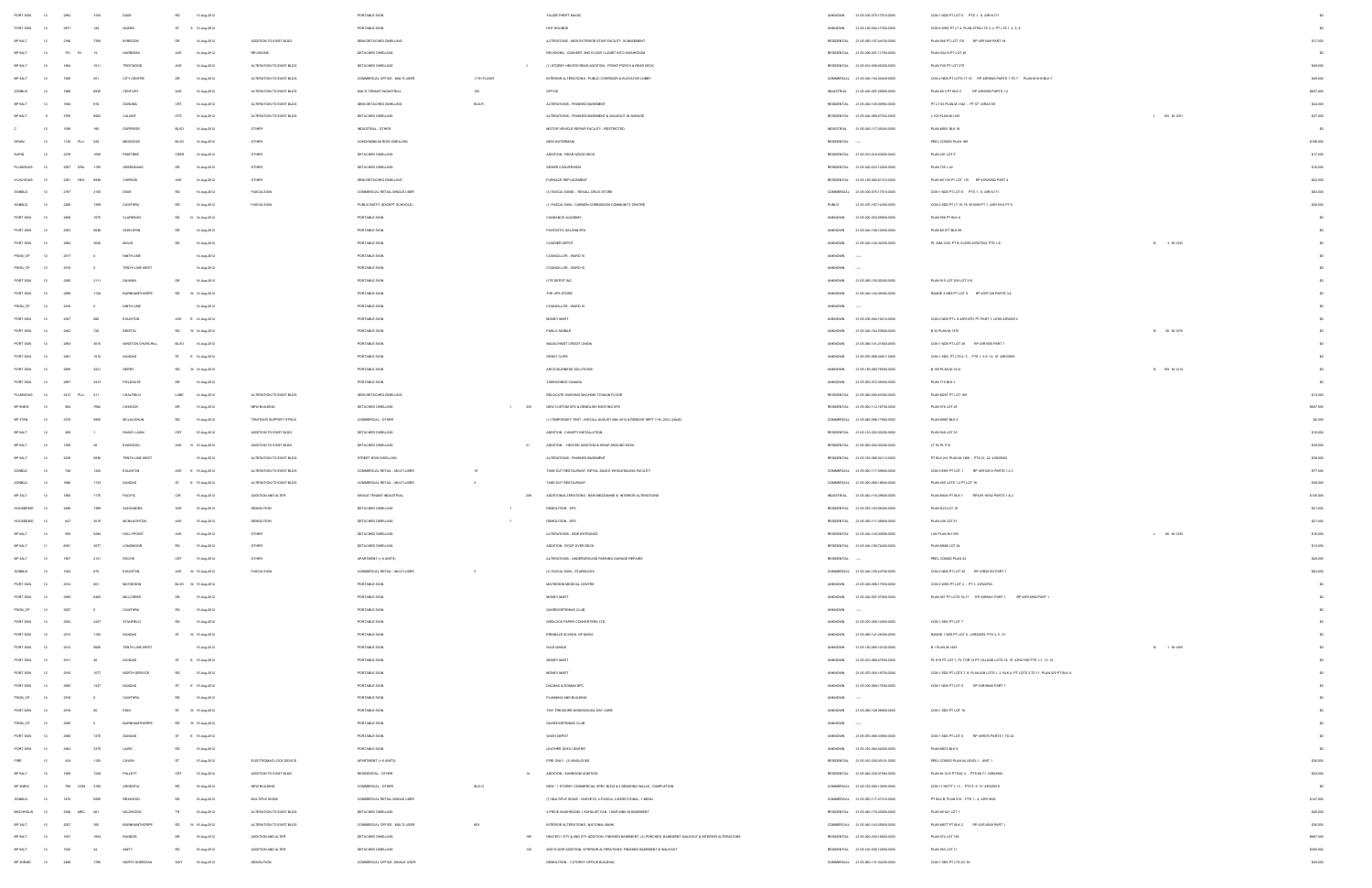|                 | 2892        | 3100               | DIXIE               | RD -<br>13-Aug-2012        |                          | PORTABLE SIGN                  |                | TALIZE/THRIFT MAGIC                                                                                             | <b>UNKNOWN</b><br>21-05-030-075-17510-0000 | CON 1 NDS PT LOT 6 PTS 1 - 8, 43R14171                                                |              |                                 |
|-----------------|-------------|--------------------|---------------------|----------------------------|--------------------------|--------------------------------|----------------|-----------------------------------------------------------------------------------------------------------------|--------------------------------------------|---------------------------------------------------------------------------------------|--------------|---------------------------------|
| PORT SGN<br>12  | 2871        | 128                | QUEEN               | ST S 13-Aug-2012           |                          | PORTABLE SIGN                  |                | HOT HOUNDS                                                                                                      | UNKNOWN 21-05-120-004-17300-0000           | CON 5 WHS PT LT 4, PLAN STR4 LTS 3, 4, PT LTS 1, 2, 5, 8                              |              |                                 |
| BP 9ALT<br>12   | 2196        | 7390               | <b>BYBROOK</b>      | <b>DR</b><br>14-Aug-2012   | ADDITION TO EXIST BLDG   | SEMI-DETACHED DWELLING         |                | ALTERATONS - NEW EXTERIOR STAIR FACILITY IN BASEMENT                                                            | RESIDENTIAL 21-05-050-107-44100-0000       | PLAN 946 PT LOT 178 RP 43R1409 PART 18                                                |              | \$17,00                         |
| BP 9ALT<br>12   | 751         | 14                 | <b>HARRISON</b>     | AVE<br>14-Aug-2012         | <b>REVISIONS</b>         | DETACHED DWELLING              |                | REVISIONS - CONVERT 2ND FLOOR CLOSET INTO WASHROOM                                                              | RESIDENTIAL 21-05-090-007-11700-0000       | PLAN G22 N PT LOT 49                                                                  |              |                                 |
| BP 9ALT<br>12   | 1894        | 1511               | TROTWOOD            | AVE<br>14-Aug-2012         | ALTERATION TO EXIST BLDG | DETACHED DWELLING              |                | $\sim$<br>(1) STOREY HEATED REAR ADDITION, FRONT PORCH & REAR DECK                                              | RESIDENTIAL 21-05-010-008-05200-0000       | PLAN F20 PT LOT 275                                                                   |              | \$49,00                         |
| BP 3ALT<br>12   |             | 201                | CITY CENTRE         | DR.<br>14-Aug-2012         | ALTERATION TO EXIST BLDG | COMMERCIAL OFFICE - MULTI-USER | 11TH FLOOR     | INTERIOR ALTERATIONS - PUBLIC CORRIDOR & ELEVATOR LOBBY                                                         | COMMERCIAL 21-05-040-154-00449-0000        | CON 2 NDS PT LOTS 17,18  RP 43R5845 PARTS 1 TO 7  PLAN M1010 BLK 7                    |              | \$49,00                         |
| ZONBLD          | <b>1865</b> | 6835               | CENTURY             | AVE<br>14-Aug-2012         | ALTERATION TO EXIST BLDG | MULTI-TENANT INDUSTRIAL        | 100            | OFFICE                                                                                                          | INDUSTRIAL 21-05-040-097-29900-0000        | PLAN M13 PT BLK C RP 43R3996 PARTS 1,2                                                |              | \$837,00                        |
| BP 9ALT<br>12   | 1584        | 916                | SONOMA              | CRT<br>14-Aug-2012         | ALTERATION TO EXIST BLDG | SEMI-DETACHED DWELLING         | BLD-R          | ALTERATIONS - FINISHED BASEMENT                                                                                 | RESIDENTIAL 21-05-040-145-00954-0000       | PT LT 63 PLAN M-1342 - PT 57 43R24130                                                 |              | \$44,00                         |
| BP 9ALT<br>9    | 3755        | 6502               | VALIANT             | <b>HTS</b><br>14-Aug-2012  | ALTERATION TO EXIST BLDG | DETACHED DWELLING              |                | ALTERATIONS - FINISHED BASEMENT & WALKOUT IN GARAGE                                                             | RESIDENTIAL 21-05-040-099-07202-0000       | L 105 PLAN M-1291                                                                     | L 105 M-1291 | \$37,00                         |
| 12              | 1936        | 180                | SUPERIOR            | BLVD<br>14-Aug-2012        | OTHER                    | INDUSTRIAL - OTHER             |                | MOTOR VEHICLE REPAIR FACILITY - RESTRICTED                                                                      | INDUSTRIAL 21-05-040-117-09340-0000        | PLAN M901 BLK 18                                                                      |              |                                 |
| 12              | 1130<br>PLU | 525                | <b>MEADOWS</b>      | BLVD<br>14-Aug-2012        | OTHER                    | CONDOMINIUM ROW DWELLING       |                | NEW WATERMAIN                                                                                                   | RESIDENTIAL                                | PEEL CONDO PLAN 189                                                                   |              | \$196,00                        |
| RAPID<br>12     | 2278        | 1590               | PINETREE            | CRES<br>14-Aug-2012        | OTHER                    | DETACHED DWELLING              |                | ADDITION - REAR WOOD DECK                                                                                       | RESIDENTIAL 21-05-010-018-03500-0000       | PLAN 491 LOT 5                                                                        |              | \$17,00                         |
| PLUMHOUS<br>12  | 2507        | DRA<br>1195        | <b>GREENOAKS</b>    | DR<br>14-Aug-2012          | OTHER                    | DETACHED DWELLING              |                | SEWER CONVERSION                                                                                                | RESIDENTIAL 21-05-020-033-12000-0000       | PLAN 725 L 42                                                                         |              | \$16,00                         |
| <b>HVACHOUS</b> |             | <b>HEA</b><br>6936 | YARROW              | AVE<br>14-Aug-2012         | OTHER                    | SEMI-DETACHED DWELLING         |                | <b>FURNACE REPLACEMENT</b>                                                                                      | RESIDENTIAL 21-05-150-082-61310-0000       | PLAN M1105 PT LOT 115 RP 43R20582 PART 4                                              |              | \$22,00                         |
| SGNBLD          |             | 3100               | DIXIE               | <b>RD</b><br>14-Aug-2012   | <b>FASCIA SIGN</b>       | COMMERCIAL RETAIL-SINGLE USER  |                | (3) FASCIA SIGNS - REXALL DRUG STORE                                                                            | COMMERCIAL 21-05-030-075-17510-0000        | CON 1 NDS PT LOT 6 PTS 1 - 8, 43R14171                                                |              | \$63,00                         |
| SGNBLD          | 2268        | 1399               | CAWTHRA             | <b>RD</b><br>14-Aug-2012   | <b>FASCIA SIGN</b>       | PUBLIC/INSTIT (EXCEPT SCHOOLS) |                | (1) FASCIA SIGN - CARMEN CORBASSON COMMUNITY CENTRE                                                             | 21-05-070-167-14300-0000<br>PUBLIC         | CON 2 SDS PT LT 10, PL B10093 PT 1, 43R11614 PT 6                                     |              | \$26,00                         |
| PORT SGN        |             | 1575               | CLARKSON            | RD N 14-Aug-2012           |                          | PORTABLE SIGN                  |                | CANDANCE ACADEMY                                                                                                | 21-05-020-033-05800-0000<br><b>UNKNOWN</b> | PLAN 558 PT BLK A                                                                     |              |                                 |
| PORT SGN        | 2903        | 5636               | <b>GLEN ERIN</b>    | <b>DR</b><br>14-Aug-2012   |                          | PORTABLE SIGN                  |                | FANTASTIC SALON& SPA                                                                                            | 21-05-040-108-10000-0000<br><b>UNKNOWN</b> | PLAN M1077 BLK 99                                                                     |              |                                 |
| PORT SGN        |             | 3045               | <b>MAVE</b>         | <b>RD</b><br>14-Aug-2012   |                          | PORTABLE SIGN                  |                | COURIER DEPOT                                                                                                   | 21-05-040-142-32000-0000<br><b>UNKNOWN</b> | PL 43M-1332, PT B 3 LESS 43R27004, PTS 1-6                                            | B 3 M-1332   |                                 |
| PSGN_CP<br>12   | 2917        | $\bullet$          | NINTH LINE          | 14-Aug-2012                |                          | PORTABLE SIGN                  |                | COUNCILLOR - WARD 10                                                                                            | <b>UNKNOWN</b>                             |                                                                                       |              |                                 |
| PSGN CP<br>12   | 2915        | $\bullet$          | TENTH LINE WEST     | 14-Aug-2012                |                          | PORTABLE SIGN                  |                | COUNCILLOR - WARD 10                                                                                            | <b>UNKNOWN</b><br>----                     |                                                                                       |              |                                 |
| PORT SGN<br>12  | 2900        | 2111               | <b>DUNWIN</b>       | DR<br>14-Aug-2012          |                          | PORTABLE SIGN                  |                | LITE DEPOT INC.                                                                                                 | UNKNOWN 21-05-060-155-00300-0000           | PLAN 915 LOT 309 LOT 310                                                              |              |                                 |
| PORT SGN        |             | 1140               | BURNHAMTHORPE       | RD W 14-Aug-2012           |                          | PORTABLE SIGN                  |                | THE UPS STORE                                                                                                   | 21-05-040-144-09000-0000<br><b>UNKNOWN</b> | RANGE 3 NDS PT LOT 8 RP 43R7128 PARTS 3,4                                             |              |                                 |
| PSGN_CP         | 2916        | $\Omega$           | NINTH LINE          | 14-Aug-2012                |                          | PORTABLE SIGN                  |                | COUNCILLOR - WARD 10                                                                                            | <b>UNKNOWN</b>                             |                                                                                       |              |                                 |
| PORT SGN<br>12  |             | 980                | EGLINTON            | AVE E 14-Aug-2012          |                          | PORTABLE SIGN                  |                | MONEY MART                                                                                                      | 21-05-030-094-10210-0000<br><b>UNKNOWN</b> | CON 2 NDS PT L 8 43R10751 PT PART 1, LESS 43R26012                                    |              |                                 |
| PORT SGN<br>12  | 2902        | 720                | <b>BRISTOL</b>      | RD W 14-Aug-2012           |                          | PORTABLE SIGN                  |                | PUBLIC MOBILE                                                                                                   | <b>UNKNOWN</b><br>21-05-040-164-53600-0000 | B 30 PLAN M-1370                                                                      | B 30 M-1370  |                                 |
| PORT SGN<br>12  |             | 3015               | WINSTON CHURCHILL   | <b>BLVD</b><br>14-Aug-2012 |                          | PORTABLE SIGN                  |                | BUDUCHNIST CREDIT UNION                                                                                         | 21-05-060-141-21800-0000<br><b>UNKNOWN</b> | CON 1 NDS PT LOT 35 RP 43R1550 PART 1                                                 |              |                                 |
| PORT SGN<br>12  | 2901        | 1510               | DUNDAS              | ST E 14-Aug-2012           |                          | PORTABLE SIGN                  |                | <b>GREAT CLIPS</b>                                                                                              | <b>UNKNOWN</b><br>21-05-070-068-34611-0000 | CON 1 SDS, PT LTS 4, 5 - PTS 1, 3-9, 14, 16 43R33993                                  |              |                                 |
| PORT SGN<br>12  | 2899        | 3221               | DERRY               | RD W 14-Aug-2012           |                          | PORTABLE SIGN                  |                | ARCO BUSINESS SOLUTIONS                                                                                         | UNKNOWN 21-05-150-080-76500-0000           | B 159 PLAN M-1214                                                                     | B 159 M-1214 |                                 |
| PORT SGN        |             | 3413               | FIELDGATE           | DR.<br>14-Aug-2012         |                          | PORTABLE SIGN                  |                | TAEKWONDO CANADA                                                                                                | <b>UNKNOWN</b><br>21-05-030-072-09000-0000 | PLAN 719 BLK J                                                                        |              |                                 |
| PLUMHOUS        |             | PLU<br>211         | CHALFIELD           | LANE<br>14-Aug-2012        | ALTERATION TO EXIST BLDG | SEMI-DETACHED DWELLING         |                | RELOCATE WASHING MACHINE TO MAIN FLOOR                                                                          | RESIDENTIAL 21-05-040-094-63300-0000       | PLAN M257 PT LOT 169                                                                  |              |                                 |
| BP 9NEW         |             | 7582               | CHINOOP             | <b>DR</b><br>15-Aug-2012   | NEW BUILDING             | DETACHED DWELLING              | 1 333          | NEW CUSTOM SFD & DEMOLISH EXISTING SFD                                                                          | RESIDENTIAL 21-05-050-112-16700-0000       | PLAN 578 LOT 25                                                                       |              | \$607,00                        |
| BP 3TEN<br>12   | 2370        | 5800               | <b>MCLAUGHLIN</b>   | <b>RD</b><br>15-Aug-2012   | TENTS/AIR SUPPORT STRUC  | COMMERCIAL - OTHER             |                | (1) TEMPORARY TENT - INSTALL AUGUST 29th 2012 & REMOVE SEPT 11th, 2012 (20x40)                                  | COMMERCIAL 21-05-040-098-17860-0000        | PLAN M967 BLK 3                                                                       |              | \$2,00                          |
| BP 9ALT<br>12   |             | $\overline{1}$     | SHADY LAWN          | CRT<br>15-Aug-2012         | ADDITION TO EXIST BLDG   | DETACHED DWELLING              |                | ADDITION - CANOPY INSTALLATION                                                                                  | RESIDENTIAL 21-05-110-002-00200-0000       | PLAN 548 LOT 33                                                                       |              | \$10,00                         |
| BP 9ALT<br>12   | 1395        | 28                 | ELMWOOD             | AVE N 15-Aug-2012          | ADDITION TO EXIST BLDG   | DETACHED DWELLING              |                | 21<br>ADDITION - HEATED ADDITION & WRAP-AROUND DECK                                                             | RESIDENTIAL 21-05-090-004-00200-0000       | LT 50 PL F12                                                                          |              | \$39,00                         |
| BP 9ALT<br>12   | 2239        | 5836               | TENTH LINE WEST     | 15-Aug-2012                | ALTERATION TO EXIST BLDG | STREET ROW DWELLING            |                | ALTERATIONS - FINISHED BASEMENT                                                                                 | RESIDENTIAL 21-05-150-085-02113-0000       | PT BLK 241 PLAN M-1366 - PTS 21, 22 43R25002                                          |              | \$38,00                         |
| ZONBLD<br>12    | 746         | 1325               | <b>EGLINTON</b>     | AVE E 15-Aug-2012          | ALTERATION TO EXIST BLDG | COMMERCIAL RETAIL - MULTI-USER | 15             | TAKE-OUT RESTAURANT. RETAIL SALES, WHOLESALING FACILITY                                                         | COMMERCIAL 21-05-050-117-09600-0000        | CON 3 EHS PT LOT 1 RP 43R12813 PARTS 1,2,3                                            |              | \$77,00                         |
| ZONBLD<br>12    |             |                    |                     |                            |                          |                                |                |                                                                                                                 |                                            |                                                                                       |              |                                 |
|                 |             | 1133               | DUNDAS              | ST E 15-Aug-2012           | ALTERATION TO EXIST BLDG | COMMERCIAL RETAIL - MULTI-USER | $\overline{2}$ | TAKE-OUT RESTAURANT                                                                                             | COMMERCIAL 21-05-030-068-18600-0000        | PLAN 455 LOTS 1,2 PT LOT 16                                                           |              | \$38,00                         |
| BP 3ALT         |             | 7175               | PACIFIC             | CIR<br>15-Aug-2012         | ADDITION AND ALTER       | SINGLE TENANT INDUSTRIAL       |                | ADDITION/ALTERATIONS - NEW MEZZANINE & INTERIOR ALTERATIONS<br>208                                              | INDUSTRIAL 21-05-040-116-29600-0000        | PLAN M404 PT BLK 1 RP43R 16162 PARTS 1 & 2                                            |              | \$135,00                        |
| HOUSDEMO 12     | 2496        | 1369               | ALEXANDRA           | AVE<br>15-Aug-2012         | DEMOLITION               | DETACHED DWELLING              | $-1$           | DEMOLITION - SFD                                                                                                | RESIDENTIAL 21-05-070-163-06000-0000       | PLAN D23 LOT 10                                                                       |              | \$21,00                         |
| HOUSDEMO<br>12  | 647         | 3015               | <b>MCNAUGHTON</b>   | AVE 15-Aug-2012            | DEMOLITION               | DETACHED DWELLING              | $\overline{1}$ | <b>DEMOLITION - SFD</b>                                                                                         | RESIDENTIAL 21-05-050-111-08800-0000       | PLAN 436 LOT 51                                                                       |              |                                 |
| BP 9ALT         |             | 5284               | HOLLYPOINT          | AVE<br>15-Aug-2012         | OTHER                    | DETACHED DWELLING              |                | ALTERATIONS - SIDE ENTRANCE                                                                                     | RESIDENTIAL 21-05-040-145-00556-0000       | L 66 PLAN M-1335                                                                      | L 66 M-1335  | \$16,00                         |
| BP 9ALT         |             | 4577               | LONGMOOR            | <b>RD</b><br>15-Aug-2012   | OTHER                    | DETACHED DWELLING              |                | ADDITION - ROOF OVER DECK                                                                                       | RESIDENTIAL 21-05-040-158-72400-0000       | PLAN M686 LOT 24                                                                      |              | \$13,00                         |
| BP 3ALT         | 1907        | 2121               | ROCHE               | CRT<br>15-Aug-2012         | OTHER                    | APARTMENT (> 6 UNITS)          |                | ALTERATIONS - UNDERGROUND PARKING GARAGE REPAIRS                                                                | RESIDENTIAL                                | PEEL CONDO PLAN 43                                                                    |              | \$28,00                         |
| SGNBLD<br>12    | 1924        | 670                | EGLINTON            | AVE W 15-Aug-2012          | <b>FASCIA SIGN</b>       | COMMERCIAL RETAIL - MULTI-USER | -6             | (3) FASCIA SIGN - STARBUCKS                                                                                     | COMMERCIAL 21-05-040-155-43700-0000        | CON 2 NDS PT LOT 20 RP 43R20153 PART 1                                                |              | \$63,00                         |
| PORT SGN<br>12  | 2914        | 801                | MATHESON            | BLVD W 15-Aug-2012         |                          | PORTABLE SIGN                  |                | MATHESON MEDICAL CENTRE                                                                                         | UNKNOWN 21-05-040-098-17930-0000           | CON 2 WHS PT LOT 4 - PT 3 43R22763                                                    |              |                                 |
| PORT SGN<br>12  | 2905        | 6465               | MILLCREEK           | DR.<br>15-Aug-2012         |                          | PORTABLE SIGN                  |                | MONEY MART                                                                                                      | <b>UNKNOWN</b><br>21-05-040-097-27900-0000 | PLAN 927 PT LOTS 16,17 RP 43R8441 PART 1 RP 43R16892 PART 1                           |              |                                 |
| PSGN CP         |             |                    | CAWTHRA             | <b>RD</b><br>15-Aug-2012   |                          | PORTABLE SIGN                  |                | OAKRIDGETENNIS CLUB                                                                                             | <b>UNKNOWN</b><br>----                     |                                                                                       |              |                                 |
| PORT SGN        | 2924        | 2327               | STANFIELD           | RD -<br>15-Aug-2012        |                          | PORTABLE SIGN                  |                | WEDLOCK PAPER CONVERTERS LTD.                                                                                   | <b>UNKNOWN</b><br>21-05-070-056-14900-0000 | CON 1 SDS PT LOT 7                                                                    |              |                                 |
| PORT SGN        | 2913        | 1100               | DUNDAS              | ST W 15-Aug-2012           |                          | PORTABLE SIGN                  |                | ERINDALE SCHOOL OF MUSIC                                                                                        | 21-05-060-141-28300-0000<br><b>UNKNOWN</b> | RANGE 1 SDS PT LOT 8 - 43R32059, PTS 4, 5, 10                                         |              |                                 |
| PORT SGN        | 2912        | 5606               | TENTH LINE WEST     | 15-Aug-2012                |                          | PORTABLE SIGN                  |                | WILD WINGS                                                                                                      | <b>UNKNOWN</b><br>21-05-150-085-10100-0000 | B 1 PLAN M-1493                                                                       | B 1 M-1493   |                                 |
| PORT SGN<br>12  |             | 40                 | <b>DUNDAS</b>       | ST E 15-Aug-2012           |                          | PORTABLE SIGN                  |                | MONEY MART                                                                                                      | 21-05-010-068-27500-0000<br><b>UNKNOWN</b> | PL E19 PT LOT 1, PL TOR 12 PT VILLAGE LOTS 18, 19, 43R21500 PTS 1-7, 13, 14           |              |                                 |
| PORT SGN<br>12  | 2910        | 1077               | NORTH SERVICE       | <b>RD</b><br>15-Aug-2012   |                          | PORTABLE SIGN                  |                | MONEY MART                                                                                                      | <b>UNKNOWN</b><br>21-05-070-054-19700-0000 | CON 1 SDS PT LOTS 7, 8, PLAN 439 LOTS 1, 2, BLK A, PT LOTS 3 TO 11, PLAN 520 PT BLK A |              |                                 |
| PORT SGN<br>12  | 2905        | 1437               | <b>DUNDAS</b>       | ST E 15-Aug-2012           |                          | PORTABLE SIGN                  |                | DALMAO & ROMAN DPC                                                                                              | 21-05-030-068-17600-0000<br><b>UNKNOWN</b> | CON 1 NDS PT LOT 5 RP 43R16840 PART 1                                                 |              |                                 |
| PSGN_CP<br>12   | 2919        |                    | CAWTHRA             | <b>RD</b><br>15-Aug-2012   |                          | PORTABLE SIGN                  |                | PLANNING AND BUILDING                                                                                           | <b>UNKNOWN</b>                             |                                                                                       |              |                                 |
| PORT SGN        |             | 80                 | KING                | ST W 15-Aug-2012           |                          | PORTABLE SIGN                  |                | TINY TREASURE MISSISSAUGA DAY CARE                                                                              | UNKNOWN 21-05-060-128-08900-0000           | CON 1 SDS PT LOT 16                                                                   |              |                                 |
| PSGN_CP         | 2926        | $\Omega$           | BURNHAMTHORPE       | RD W 15-Aug-2012           |                          | PORTABLE SIGN                  |                | OAKRIDGETENNIS CLUB                                                                                             | <b>UNKNOWN</b>                             |                                                                                       |              |                                 |
| PORT SGN        | 2906        | 1370               | DUNDAS              | ST E 15-Aug-2012           |                          | PORTABLE SIGN                  |                | WASH DEPOT                                                                                                      | UNKNOWN 21-05-070-068-33900-0000           | CON 1 SDS PT LOT 6 RP 43R570 PARTS 1 TO 22                                            |              |                                 |
| PORT SGN        |             | 3375               | LAIRD               | <b>RD</b><br>15-Aug-2012   |                          | PORTABLE SIGN                  |                | LEATHER SOFA CENTRE                                                                                             | 21-05-150-084-02000-0000<br><b>UNKNOWN</b> | PLAN M674 BLK 9                                                                       |              |                                 |
| 12              | 434         | 1100               | CAVE!               | <b>ST</b><br>15-Aug-2012   | ELECTROMAG LOCK DEVICE   | APARTMENT (> 6 UNITS)          |                | FIRE ONLY - (3) MAGLOCKS                                                                                        | RESIDENTIAL 21-05-010-200-00101-0000       | PEEL CONDO PLAN 94 LEVEL 1 UNIT 1                                                     |              |                                 |
| BP 9ALT         | 1908        | 7228               | PALLET              | CRT<br>15-Aug-2012         | ADDITION TO EXIST BLDG   | RESIDENTIAL - OTHER            |                | ADDITION - SUNROOM ADDITION<br>14                                                                               | RESIDENTIAL 21-05-040-225-01584-0000       | PLAN M-1413 PT BLK 4 - PTS 68-71 43R24900                                             |              | \$20,00                         |
| BP 3NEW<br>12   | 789 COM     | 3160               | ARGENTIA            | RD.<br>16-Aug-2012         | NEW BUILDING             | COMMERCIAL - OTHER             | BLD-G          | NEW - 1 STOREY COMMERCIAL SPEC BLDG & 4 DEMISING WALLS, COMPLETION                                              | COMMERCIAL 21-05-150-080-13600-0000        | CON 11 NS PT L 13 - PTS 5, 9, 10 43R25818                                             |              |                                 |
| SGNBLD          | 1470        | 6995               | REXWOOD             | <b>RD</b><br>16-Aug-2012   | MULTIPLE SIGNS           | COMMERCIAL RETAIL-SINGLE USER  |                | (7) MULTIPLE SIGNS - HARVEYS, 4-FASCIA, 2-DIRECTIONAL, 1-MENU                                                   | COMMERCIAL 21-05-050-117-27210-0000        | PT BLK B, PLAN 919 - PTS 1 - 4, 43R13526                                              |              | \$147,00                        |
| <b>MECHHOUS</b> | 2546        | <b>MEC</b><br>261  | WILDWOOD            | TR.<br>16-Aug-2012         | ALTERATION TO EXIST BLDG | DETACHED DWELLING              |                | 3-PIECE WASHROOM, 1 EXHAUST FAN, 1 BAR SINK IN BASEMENT                                                         | RESIDENTIAL 21-05-040-170-40000-0000       | PLAN M1021 LOT 1                                                                      |              | \$26,00                         |
| BP 3ALT         |             |                    | <b>BURNHAMTHORP</b> | RD -<br>W 16-Aug-2012      | ALTERATION TO EXIST BLDG | COMMERCIAL OFFICE - MULTI-USER | 603            | INTERIOR ALTERATIONS - NATIONAL BANK                                                                            | COMMERCIAL 21-05-040-143-25800-0000        | PLAN M677 PT BLK 2 RP 43R14549 PART 1                                                 |              | \$30,00                         |
| BP 9ALT         |             | 1504               | RANDOR              | <b>DR</b><br>16-Aug-2012   | ADDITION AND ALTER       | DETACHED DWELLING              |                | HEATED 1 STY & 2ND STY ADDITION, FINISHED BASEMENT, (2) PORCHES, BASEMENT WALKOUT & INTERIOR ALTERATIONS<br>199 | RESIDENTIAL 21-05-020-035-16600-0000       | PLAN 574 LOT 126                                                                      |              |                                 |
| BP 9ALT         | 1932        | 24                 | <b>AMITY</b>        | <b>RD</b><br>16-Aug-2012   | ADDITION AND ALTER       | DETACHED DWELLING              |                | 2ND FLOOR ADDITION, INTERIOR ALTERATIONS, FINISHED BASEMENT & WALKOUT<br>130                                    | RESIDENTIAL 21-05-120-005-12600-0000       | PLAN 563 LOT 11                                                                       |              | \$667,00<br>\$300,00<br>\$30,00 |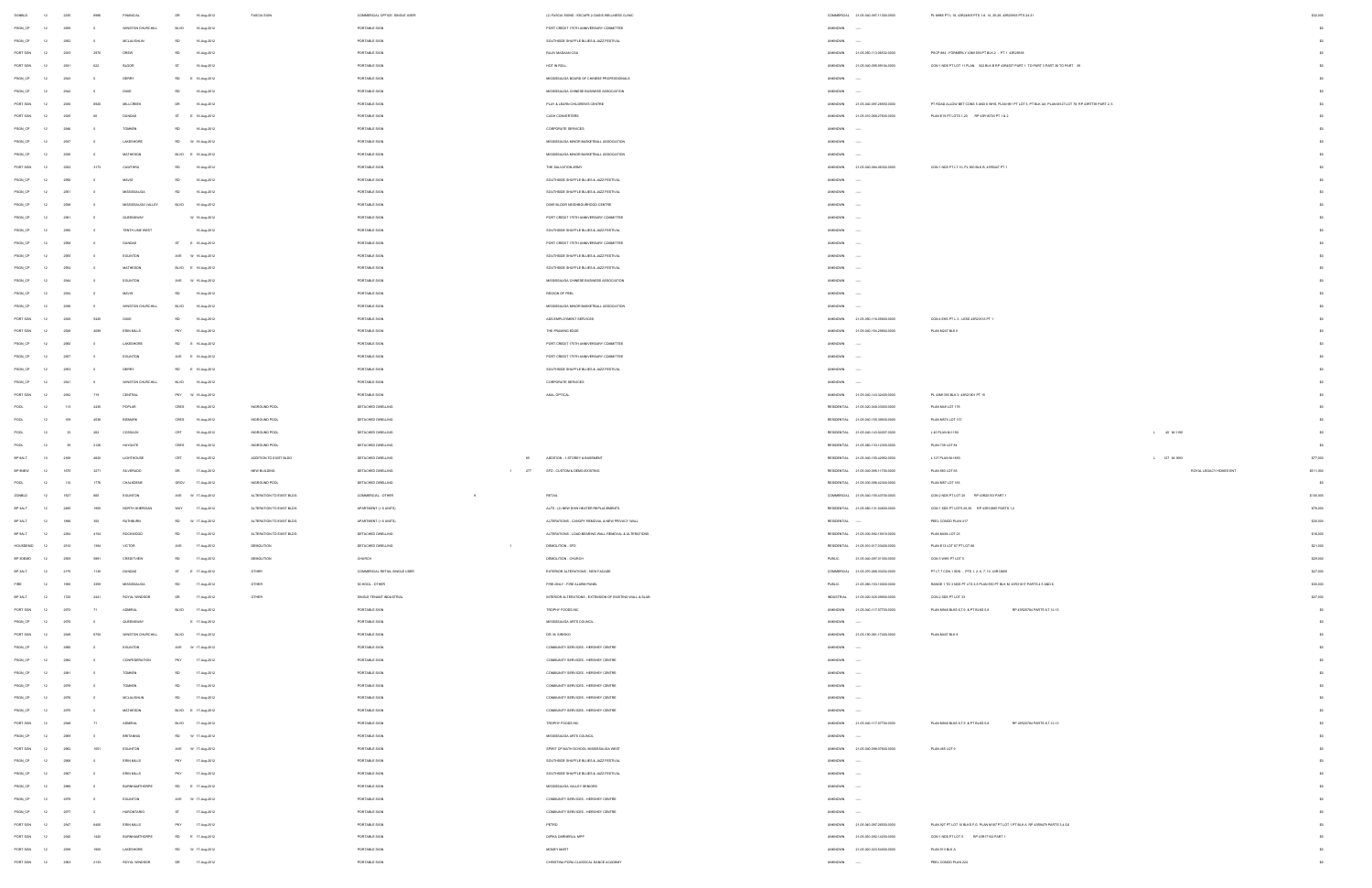| SGNBLD                  | 2235<br>12         | 6986           | FINANCIAL                    | 16-Aug-2012<br>DR                       | <b>FASCIA SIGN</b>       | COMMERCIAL OFFICE- SINGLE USER | (2) FASCIA SIGNS - ESCAPE 2-OASIS WELLNESS CLINIC        |                           | COMMERCIAL 21-05-040-097-11300-0000  | PL M965 PT L 18, 43R24805 PTS 1-8, 14, 25-28, 43R25893 PTS 24-31                                         |                                    |
|-------------------------|--------------------|----------------|------------------------------|-----------------------------------------|--------------------------|--------------------------------|----------------------------------------------------------|---------------------------|--------------------------------------|----------------------------------------------------------------------------------------------------------|------------------------------------|
| PSGN CP                 | 2959<br>12         | $\sim$         | WINSTON CHURCHILL            | <b>BLVD</b><br>16-Aug-2012              |                          | PORTABLE SIGN                  | PORT CREDIT 175TH ANNIVERSARY COMMITTEE                  | <b>UNKNOWN</b>            |                                      |                                                                                                          |                                    |
| PSGN_CP                 |                    | $\,$ 0         | MCLAUGHLIN                   | <b>RD</b><br>16-Aug-2012                |                          | PORTABLE SIGN                  | SOUTHSIDE SHUFFLE BLUES & JAZZ FESTIVAL                  | <b>UNKNOWN</b>            |                                      |                                                                                                          |                                    |
| PORT SGN                | 2933<br>12         | 2970           | DREW                         | <b>RD</b><br>16-Aug-2012                |                          | PORTABLE SIGN                  | RAJIV MADAAN CGA                                         |                           | UNKNOWN 21-05-050-113-06532-0000     | PSCP 884 - FORMERLY 43M1593 PT BLK 2 - PT 1 43R29338                                                     |                                    |
| PORT SGN                | 12                 | 622            | <b>BLOOR</b>                 | ST<br>16-Aug-2012                       |                          | PORTABLE SIGN                  | HOT IN ROLL                                              | <b>UNKNOWN</b>            | 21-05-040-095-99104-0000             | CON 1 NDS PT LOT 11 PLAN 922 BLK B RP 43R4537 PART 1 TO PART 3 PART 36 TO PART 39                        |                                    |
| PSGN_CP                 | 12<br>2943         | $\circ$        | <b>DERRY</b>                 | RD E 16-Aug-2012                        |                          | PORTABLE SIGN                  | MISSISSAUGA BOARD OF CHINESE PROFESSIONALS               | <b>UNKNOWN</b><br>1.11111 |                                      |                                                                                                          |                                    |
| PSGN_CP                 | 12<br>2942         | $\bullet$      | $\sf DIXIE$                  | <b>RD</b><br>16-Aug-2012                |                          | PORTABLE SIGN                  | MISSISSAUGA CHINESE BUSINESS ASSOCIATION                 | <b>UNKNOWN</b><br>----    |                                      |                                                                                                          |                                    |
| PORT SGN                | 12<br>2930         | 6920           | MILLCREEK                    | DR<br>16-Aug-2012                       |                          | PORTABLE SIGN                  | PLAY & LEARN CHILDREN'S CENTRE                           | <b>UNKNOWN</b>            | 21-05-040-097-28550-0000             | PT ROAD ALLOW BET CONS 5 AND 6 WHS, PLAN 981 PT LOT 5, PT BLK AX, PLAN M127 LOT 78, RP 43R7739 PART 2, 5 |                                    |
| PORT SGN                | 12                 | 60             | DUNDAS                       | ST E 16-Aug-2012                        |                          | PORTABLE SIGN                  | CASH CONVERTERS                                          |                           | UNKNOWN 21-05-010-068-27600-0000     | PLAN E19 PT LOTS 1,20 RP 43R16703 PT 1 & 2                                                               |                                    |
| PSGN_CP                 | 12<br>2946         | $\sim$         | <b>TOMKEN</b>                | <b>RD</b><br>16-Aug-2012                |                          | PORTABLE SIGN                  | <b>CORPORATE SERVICES</b>                                | <b>UNKNOWN</b>            |                                      |                                                                                                          |                                    |
| PSGN_CP                 | 12<br>2937         | $\bullet$      | LAKESHORE                    | RD W 16-Aug-2012                        |                          | PORTABLE SIGN                  | MISSISSAUGA MINOR BASKETBALL ASSOCIATION                 | <b>UNKNOWN</b>            |                                      |                                                                                                          |                                    |
| PSGN_CP                 | 12<br>2935         | $^{\circ}$     | MATHESON                     | BLVD E 16-Aug-2012                      |                          | PORTABLE SIGN                  | MISSISSAUGA MINOR BASKETBALL ASSOCIATION                 | <b>UNKNOWN</b>            |                                      |                                                                                                          |                                    |
| PORT SGN                | 12<br>2923         | 3173           | CAWTHRA                      | <b>RD</b><br>16-Aug-2012                |                          | PORTABLE SIGN                  | THE SALVATION ARMY                                       |                           | UNKNOWN 21-05-040-084-06302-0000     | CON 1 NDS PT LT 10, PL 830 BLK B, 43R5247 PT 1                                                           |                                    |
| PSGN_CP                 | 12<br>2956         | $\circ$        | MAVIS                        | <b>RD</b><br>16-Aug-2012                |                          | PORTABLE SIGN                  | SOUTHSIDE SHUFFLE BLUES & JAZZ FESTIVAL                  | <b>UNKNOWN</b>            |                                      |                                                                                                          |                                    |
| PSGN CP                 | 12<br>2951         | $\bullet$      | MISSISSAUGA                  | <b>RD</b><br>16-Aug-2012                |                          | PORTABLE SIGN                  | SOUTHSIDE SHUFFLE BLUES & JAZZ FESTIVAL                  | <b>UNKNOWN</b><br>----    |                                      |                                                                                                          |                                    |
| PSGN_CP                 | 2938               | $\overline{0}$ | MISSISSAUGA VALLEY           | BLVD<br>16-Aug-2012                     |                          | PORTABLE SIGN                  | DIXIE BLOOR NEIGHBOURHOOD CENTRE                         | <b>UNKNOWN</b>            |                                      |                                                                                                          |                                    |
| PSGN CP                 | 12                 | $^{\circ}$     | QUEENSWAY                    | W 16-Aug-2012                           |                          | PORTABLE SIGN                  | PORT CREDIT 175TH ANNIVERSARY COMMITTEE                  | <b>UNKNOWN</b>            |                                      |                                                                                                          |                                    |
| PSGN_CP                 | 2950               | $\circ$        | TENTH LINE WEST              | 16-Aug-2012                             |                          | PORTABLE SIGN                  | SOUTHSIDE SHUFFLE BLUES & JAZZ FESTIVAL                  | <b>UNKNOWN</b>            |                                      |                                                                                                          |                                    |
| PSGN CP                 | 12<br>2958         | $\bullet$      | <b>DUNDAS</b>                | ST E 16-Aug-2012                        |                          | PORTABLE SIGN                  | PORT CREDIT 175TH ANNIVERSARY COMMITTEE                  | <b>UNKNOWN</b><br>----    |                                      |                                                                                                          |                                    |
| PSGN_CP                 | 12                 | $\circ$        | EGLINTON                     | AVE W 16-Aug-2012                       |                          | PORTABLE SIGN                  | SOUTHSIDE SHUFFLE BLUES & JAZZ FESTIVAL                  | <b>UNKNOWN</b>            |                                      |                                                                                                          |                                    |
| PSGN_CP                 | 12<br>2954         | $\circ$        | MATHESON                     | BLVD E 16-Aug-2012                      |                          | PORTABLE SIGN                  | SOUTHSIDE SHUFFLE BLUES & JAZZ FESTIVAL                  | <b>UNKNOWN</b><br>1.11111 |                                      |                                                                                                          |                                    |
| PSGN_CP                 | 12                 | $\overline{0}$ | EGLINTON                     | AVE W 16-Aug-2012                       |                          | PORTABLE SIGN                  | MISSISSAUGA CHINESE BUSINESS ASSOCIATION                 | <b>UNKNOWN</b>            |                                      |                                                                                                          |                                    |
| PSGN_CP                 | 12<br>2934         | $\circ$        | MAVIS                        | <b>RD</b><br>16-Aug-2012                |                          | PORTABLE SIGN                  | REGION OF PEEL                                           | <b>UNKNOWN</b><br>$\sim$  |                                      |                                                                                                          |                                    |
| PSGN_CP                 | 12<br>2936         | $\circ$        | WINSTON CHURCHILL            | BLVD<br>16-Aug-2012                     |                          | PORTABLE SIGN                  | MISSISSAUGA MINOR BASKETBALL ASSOCIATION                 | <b>UNKNOWN</b><br>----    |                                      |                                                                                                          |                                    |
| PORT SGN                | 12<br>2929         | 5425           | DIXIE                        | <b>RD</b><br>16-Aug-2012                |                          | PORTABLE SIGN                  | ADS EMPLOYMENT SERVICES                                  |                           | LINKNOWN 21-05-050-116-05800-0000    | CON 4 EHS PT L 3 - LESS 43R23133 PT 1                                                                    |                                    |
| PORT SGN                | 2928               | 4099           | ERIN MILLS                   | PKY<br>16-Aug-2012                      |                          | PORTABLE SIGN                  | THE FRAMING EDGE                                         | <b>UNKNOWN</b>            | 21-05-040-154-29800-0000             | PLAN M247 BLK II                                                                                         |                                    |
| PSGN_CP                 | 12<br>2960         | $\circ$        | LAKESHORE                    | RD E 16-Aug-2012                        |                          | PORTABLE SIGN                  | PORT CREDIT 175TH ANNIVERSARY COMMITTEE                  | <b>UNKNOWN</b>            |                                      |                                                                                                          |                                    |
| PSGN_CP                 | 12<br>2957         | $\circ$        | EGLINTON                     | AVE E 16-Aug-2012                       |                          | PORTABLE SIGN                  | PORT CREDIT 175TH ANNIVERSARY COMMITTEE                  | <b>UNKNOWN</b>            |                                      |                                                                                                          |                                    |
|                         | 12<br>2953         | $\circ$        | DERRY                        |                                         |                          | PORTABLE SIGN                  | SOUTHSIDE SHUFFLE BLUES & JAZZ FESTIVAL                  | <b>UNKNOWN</b><br>$\sim$  |                                      |                                                                                                          |                                    |
| PSGN_CP                 | 12                 |                |                              | RD E 16-Aug-2012                        |                          |                                |                                                          |                           |                                      |                                                                                                          |                                    |
| PSGN_CP                 | 12<br>2932         | $\circ$<br>719 | WINSTON CHURCHILL<br>CENTRAL | BLVD<br>16-Aug-2012                     |                          | PORTABLE SIGN                  | CORPORATE SERVICES                                       | <b>UNKNOWN</b>            | UNKNOWN 21-05-040-143-32400-0000     | PL 43M1393 BLK 3, 43R21901 PT 15                                                                         |                                    |
| PORT SGN                |                    |                |                              | PKY W 16-Aug-2012                       |                          | PORTABLE SIGN                  | AKAL OPTICAL                                             |                           |                                      |                                                                                                          |                                    |
| POOL                    | 12<br>113          | 2435           | POPLAR                       | CRES<br>16-Aug-2012                     | INGROUND POOL            | DETACHED DWELLING              |                                                          |                           | RESIDENTIAL 21-05-020-048-33000-0000 | PLAN M49 LOT 178                                                                                         |                                    |
| POOL                    | 12<br>109          | 4538           | <b>BISMARK</b>               | CRES<br>16-Aug-2012                     | INGROUND POOL            | DETACHED DWELLING              |                                                          |                           | RESIDENTIAL 21-05-040-155-39930-0000 | PLAN M574 LOT 137                                                                                        | L 40 M-1190                        |
| POOL                    | 12                 | 262            | COSSACK                      | CRT<br>16-Aug-2012                      | INGROUND POOL            | DETACHED DWELLING              |                                                          |                           | RESIDENTIAL 21-05-040-143-04007-0000 | L 40 PLAN M-1190                                                                                         |                                    |
|                         |                    |                |                              |                                         |                          |                                |                                                          |                           |                                      |                                                                                                          |                                    |
| POOL                    | 12                 | 2126           | HAYGATE                      | CRES<br>16-Aug-2012                     | INGROUND POOL            | DETACHED DWELLING              |                                                          |                           | RESIDENTIAL 21-05-060-133-12300-0000 | PLAN 739 LOT 84                                                                                          |                                    |
| BP 9ALT                 | 2168<br>10         | 4820           | LIGHTHOUSE                   | CRT<br>16-Aug-2012                      | ADDITION TO EXIST BLDG   | DETACHED DWELLING<br>65        | ADDITION - 1-STOREY & BASEMENT                           |                           | RESIDENTIAL 21-05-040-155-42952-0000 | L 127 PLAN M-1693                                                                                        | L 127 M-1693<br>\$77,00            |
| BP 9NEW                 | 1675<br>12         | 3271           | SILVERADO                    | DR<br>17-Aug-2012                       | NEW BUILDING             | DETACHED DWELLING<br>1277      | SFD - CUSTOM & DEMO-EXISTING                             |                           | RESIDENTIAL 21-05-040-095-11700-0000 | PLAN 883 LOT 65                                                                                          | ROYAL LEGACY HOMES ENT<br>\$511,00 |
| POOL                    | 12<br>110          | 1776           | CHALKDENE                    | GROV<br>17-Aug-2012                     | INGROUND POOL            | DETACHED DWELLING              |                                                          |                           | RESIDENTIAL 21-05-030-096-42300-0000 | PLAN M57 LOT 183                                                                                         |                                    |
| ZONBLD                  | 12<br>1527         | 660            | EGLINTON                     | AVE W 17-Aug-2012                       | ALTERATION TO EXIST BLDG | COMMERCIAL - OTHER<br>8        | RETAIL                                                   |                           | COMMERCIAL 21-05-040-155-43700-0000  | CON 2 NDS PT LOT 20 RP 43R20153 PART 1                                                                   | \$130,00                           |
| BP 3ALT                 | 12<br>2495         | 1900           | NORTH SHERIDAN               | WAY<br>17-Aug-2012                      | ALTERATION TO EXIST BLDG | APARTMENT (> 6 UNITS)          | ALTS - (2) NEW DHW HEATER REPLACEMENTS                   |                           | RESIDENTIAL 21-05-060-131-04800-0000 | CON 1 SDS PT LOTS 29,30 RP 43R12985 PARTS 1,2                                                            | \$78,00                            |
| BP 3ALT                 | 12<br>1898         | 350            | RATHBURN                     | RD W 17-Aug-2012                        | ALTERATION TO EXIST BLDG | APARTMENT (> 6 UNITS)          | ALTERATIONS - CANOPY REMOVAL & NEW PRIVACY WALL          | RESIDENTIAL -----         |                                      | PEEL CONDO PLAN 417                                                                                      | \$30,00                            |
| BP 9ALT                 | 12                 | 4154           | ROCKWOOD                     | <b>RD</b><br>17-Aug-2012                | ALTERATION TO EXIST BLDG | DETACHED DWELLING              | ALTERATIONS - LOAD-BEARING WALL REMOVAL & ALTERATIONS    |                           | RESIDENTIAL 21-05-030-092-19018-0000 | PLAN M494 LOT 23                                                                                         | \$16,00                            |
| HOUSDEMO                | 2510               | 1394           | VICTOR                       | AVE<br>17-Aug-2012                      | DEMOLITION               | DETACHED DWELLING<br>1         | DEMOLITION - SFD                                         |                           | RESIDENTIAL 21-05-010-017-03400-0000 | PLAN E13 LOT 67 PT LOT 66                                                                                | \$21,00                            |
| BP 3DEMO                | 2509<br>12         | 5881           | CREDITVIEW                   | <b>RD</b><br>17-Aug-2012                | DEMOLITION               | CHURCH                         | DEMOLITION - CHURCH                                      | PUBLIC                    | 21-05-040-097-01300-0000             | CON 3 WHS PT LOT 5                                                                                       |                                    |
| BP 3ALT                 | 2175<br>12         | 1130           | DUNDAS                       | ST E 17-Aug-2012                        | OTHER                    | COMMERCIAL RETAIL-SINGLE USER  | EXTERIOR ALTERATIONS - NEW FACADE                        |                           | COMMERCIAL 21-05-070-068-33202-0000  | PT LT 7 CON 1 SDS - PTS 1, 2, 6, 7, 10 43R13659                                                          | \$29,00<br>\$27,00                 |
| <b>FIRE</b>             | 12<br>1990         | 3359           | MISSISSAUGA                  | <b>RD</b><br>17-Aug-2012                | OTHER                    | SCHOOL - OTHER                 | FIRE-ONLY - FIRE ALARM PANEL                             | PUBLIC                    | 21-05-060-153-10000-0000             | RANGE 1 TO 3 NDS PT LTS 3-5 PLAN 550 PT BLK M, 43R31817 PARTS 4 5 AND 6                                  | \$30,00                            |
| BP 3ALT                 | 1720<br>12         | 2441           | ROYAL WINDSOR                | DR<br>17-Aug-2012                       | OTHER                    | SINGLE TENANT INDUSTRIAL       | INTERIOR ALTERATIONS - EXTENSION OF EXISTING WALL & SLAB |                           | INDUSTRIAL 21-05-020-025-09900-0000  | CON 2 SDS PT LOT 33                                                                                      | \$27,00                            |
| PORT SGN                | 12<br>2973         | 71             | ADMIRAL                      | BLVD 17-Aug-2012                        |                          | PORTABLE SIGN                  | TROPHY FOODS INC                                         |                           | UNKNOWN 21-05-040-117-07700-0000     | PLAN M948 BLKS 6.7.9 & PT BLKS 5.8<br>RP 43R20784 PARTS 6.7.12.13                                        |                                    |
| PSGN_CP                 | 12<br>2970         | $\circ$        | QUEENSWAY                    | E 17-Aug-2012                           |                          | PORTABLE SIGN                  | MISSISSAUGA ARTS COUNCIL                                 | <b>UNKNOWN</b><br>----    |                                      |                                                                                                          |                                    |
| PORT SGN                | 12<br>2949         | 6750           | WINSTON CHURCHILL            | BLVD 17-Aug-2012                        |                          | PORTABLE SIGN                  | DR. M. SIRISKO                                           |                           | UNKNOWN 21-05-150-081-17400-0000     | PLAN M407 BLK 9                                                                                          |                                    |
| PSGN_CP                 | 12<br>2980         | $\circ$        | EGLINTON                     | AVE W 17-Aug-2012                       |                          | PORTABLE SIGN                  | COMMUNITY SERVICES - HERSHEY CENTRE                      | <b>UNKNOWN</b>            |                                      |                                                                                                          |                                    |
| PSGN_CP                 | 12<br>2982         | $\circ$        | CONFEDERATION                | PKY<br>17-Aug-2012                      |                          | PORTABLE SIGN                  | COMMUNITY SERVICES - HERSHEY CENTRE                      | <b>UNKNOWN</b>            |                                      |                                                                                                          |                                    |
| PSGN_CP                 | 12                 | $\circ$        | TOMKEN                       | <b>RD</b><br>17-Aug-2012                |                          | PORTABLE SIGN                  | COMMUNITY SERVICES - HERSHEY CENTRE                      | <b>UNKNOWN</b>            |                                      |                                                                                                          |                                    |
| PSGN_CP                 | 12<br>2978         | $\circ$        | <b>TOMKEN</b>                | <b>RD</b><br>17-Aug-2012                |                          | PORTABLE SIGN                  | COMMUNITY SERVICES - HERSHEY CENTRE                      | <b>UNKNOWN</b><br>$\sim$  |                                      |                                                                                                          |                                    |
| PSGN_CP                 | 12<br>2976         | $\circ$        | MCLAUGHLIN                   | <b>RD</b><br>17-Aug-2012                |                          | PORTABLE SIGN                  | COMMUNITY SERVICES - HERSHEY CENTRE                      | <b>UNKNOWN</b>            |                                      |                                                                                                          |                                    |
| PSGN_CP                 | 12<br>2975         | $\sim$         | MATHESON                     | BLVD E 17-Aug-2012                      |                          | PORTABLE SIGN                  | COMMUNITY SERVICES - HERSHEY CENTRE                      | <b>UNKNOWN</b><br>--      |                                      |                                                                                                          |                                    |
| PORT SGN                | 12<br>2948         | 71             | ADMIRAL                      | BLVD 17-Aug-2012                        |                          | PORTABLE SIGN                  | TROPHY FOODS INC                                         | <b>UNKNOWN</b>            | 21-05-040-117-07700-0000             | PLAN M948 BLKS 6,7,9 & PT BLKS 5,8<br>RP 43R20784 PARTS 6,7,12.13                                        |                                    |
| PSGN_CP                 | 12<br>2969         | $^{\circ}$     | BRITANNIA                    | RD W 17-Aug-2012                        |                          | PORTABLE SIGN                  | MISSISSAUGA ARTS COUNCIL                                 | <b>UNKNOWN</b>            |                                      |                                                                                                          |                                    |
| PORT SGN                | 12                 | 1051           | EGLINTON                     | AVE W 17-Aug-2012                       |                          | PORTABLE SIGN                  | SPIRIT OF MATH SCHOOL MISSISSAUGA WEST                   |                           | UNKNOWN 21-05-040-098-07600-0000     | PLAN 465 LOT 9                                                                                           |                                    |
| PSGN_CP                 | 12<br>2968         | $\circ$        | <b>ERIN MILLS</b>            | PKY<br>17-Aug-2012                      |                          | PORTABLE SIGN                  | SOUTHSIDE SHUFFLE BLUES & JAZZ FESTIVAL                  | <b>UNKNOWN</b>            |                                      |                                                                                                          |                                    |
| PSGN CP                 | 12                 | $\bullet$      | ERIN MILLS                   | PKY<br>17-Aug-2012                      |                          | PORTABLE SIGN                  | SOUTHSIDE SHUFFLE BLUES & JAZZ FESTIVAL                  | <b>UNKNOWN</b><br>-       |                                      |                                                                                                          |                                    |
| PSGN_CP                 | 12<br>2988         | $\circ$        | BURNHAMTHORPE                | RD E 17-Aug-2012                        |                          | PORTABLE SIGN                  | MISSISSAUGA VALLEY SENIORS                               | <b>UNKNOWN</b>            |                                      |                                                                                                          |                                    |
| PSGN CP                 | 12<br>2979         | $\bullet$      | <b>EGLINTON</b>              | AVE W 17-Aug-2012                       |                          | PORTABLE SIGN                  | COMMUNITY SERVICES - HERSHEY CENTRE                      | <b>UNKNOWN</b><br>--      |                                      |                                                                                                          |                                    |
| PSGN_CP                 | 12<br>2977         | $\circ$        | <b>HURONTARIO</b>            | ST<br>17-Aug-2012                       |                          | PORTABLE SIGN                  | COMMUNITY SERVICES - HERSHEY CENTRE                      | <b>UNKNOWN</b>            |                                      |                                                                                                          |                                    |
| PORT SGN                | 12<br>2947         | 6400           | <b>ERIN MILLS</b>            | PKY<br>17-Aug-2012                      |                          | PORTABLE SIGN                  | PETRO                                                    |                           | UNKNOWN 21-05-040-097-26500-0000     | PLAN 927 PT LOT 10 BLKS F,G PLAN M187 PT LOT 1 PT BLK A RP 43R9479 PARTS 3,4,5,6                         |                                    |
| PORT SGN                | 12<br>2940         | 1420           | BURNHAMTHORPE                | RD E 17-Aug-2012                        |                          | PORTABLE SIGN                  | DIPIKA DARNERLA, MPP                                     | <b>UNKNOWN</b>            | 21-05-030-092-14200-0000             | CON 1 NDS PT LOT 5 RP 43R17102 PART 1                                                                    |                                    |
| PORT SGN<br>PORT SGN 12 | 2939<br>12<br>2963 | 1900<br>2133   | LAKESHORE<br>ROYAL WINDSOR   | RD W 17-Aug-2012<br>DR 1<br>17-Aug-2012 |                          | PORTABLE SIGN<br>PORTABLE SIGN | MONEY MART<br>CHRISTINA PORA CLASSICAL DANCE ACADEMY     | UNKNOWN -----             | UNKNOWN 21-05-020-023-54000-0000     | PLAN 913 BLK A<br>PEEL CONDO PLAN 224                                                                    |                                    |

\$0\$0\$0

\$0\$0\$0\$0\$0\$0\$0\$0\$0\$0\$0\$0\$0\$0\$0\$0\$0\$0\$0\$0\$0\$0\$0\$0\$0\$0\$0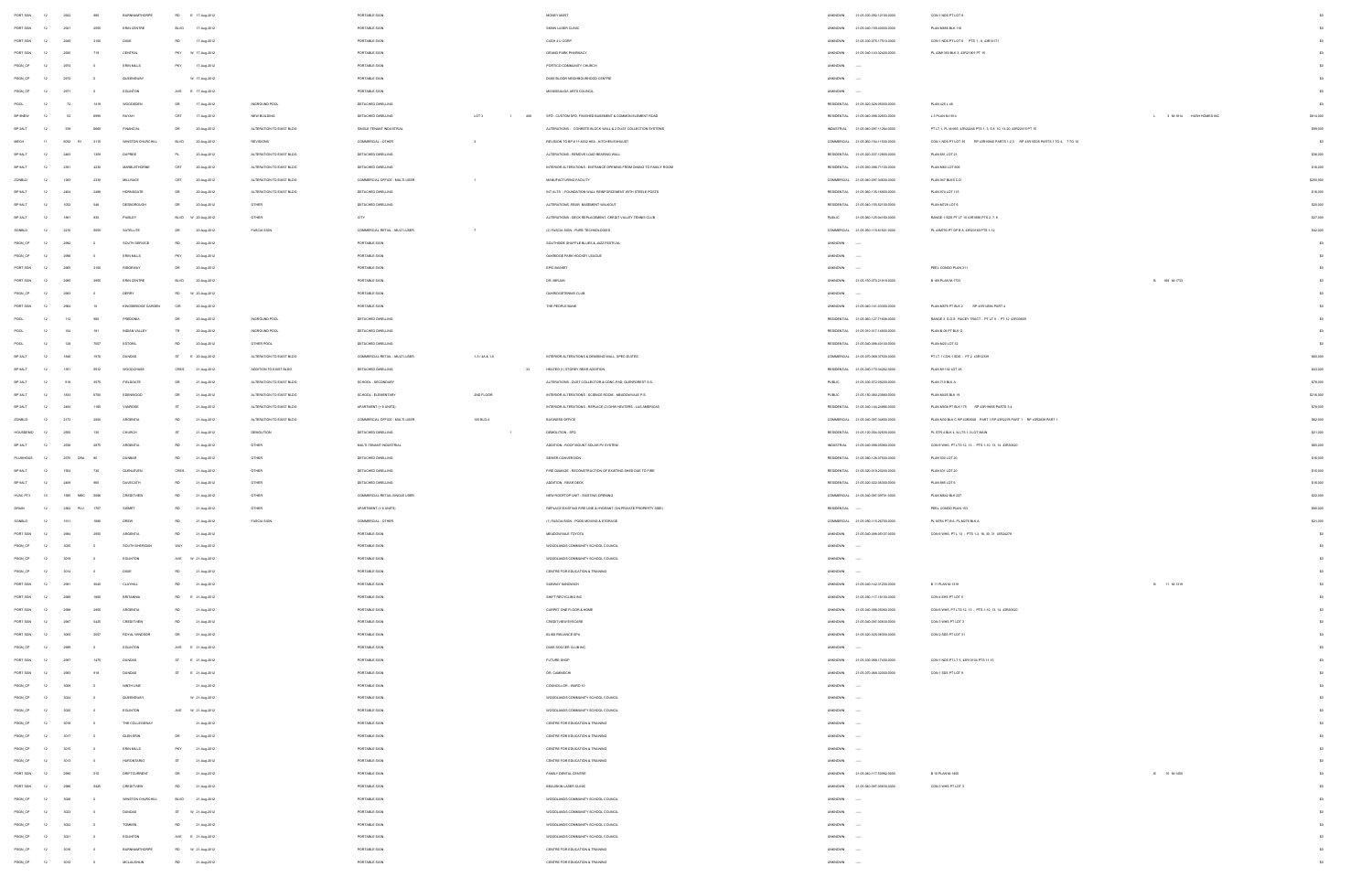| PORT SGN               | 2922<br>12   | 980           | BURNHAMTHORPE            | RD E 17-Aug-2012                             |                          | PORTABLE SIGN                  |                | MONEY MART                                                         | UNKNOWN 21-05-030-092-12100-0000           | CON 1 NDS PT LOT 8                                                            |                                        |
|------------------------|--------------|---------------|--------------------------|----------------------------------------------|--------------------------|--------------------------------|----------------|--------------------------------------------------------------------|--------------------------------------------|-------------------------------------------------------------------------------|----------------------------------------|
| PORT SGN               |              |               | ERIN CENTRE              | BLVD 17-Aug-2012                             |                          | PORTABLE SIGN                  |                | SKINN LASER CLINIC                                                 | <b>UNKNOWN</b><br>21-05-040-159-40000-0000 | PLAN M856 BLK 116                                                             |                                        |
| PORT SGN               | 294          | 3100          | DIXIE                    | RD 17-Aug-2012                               |                          | PORTABLE SIGN                  |                | CASH 4 U CORP                                                      | 21-05-030-075-17510-0000<br><b>UNKNOWN</b> | CON 1 NDS PT LOT 6 PTS 1 - 8, 43R14171                                        |                                        |
| PORT SGN               | 2920         | 719           | CENTRAL                  | PKY W 17-Aug-2012                            |                          | PORTABLE SIGN                  |                | GRAND PARK PHARMACY                                                | 21-05-040-143-32400-0000<br><b>UNKNOWN</b> | PL 43M1393 BLK 3, 43R21901 PT 15                                              |                                        |
| PSGN_CP                | 2974<br>12   |               | <b>ERIN MILLS</b>        | PKY 17-Aug-2012                              |                          | PORTABLE SIGN                  |                | PORTICO COMMUNITY CHURCH                                           | <b>UNKNOWN</b>                             |                                                                               |                                        |
| PSGN_CP                | 2972         |               | QUEENSWAY                | W 17-Aug-2012                                |                          | PORTABLE SIGN                  |                | DIXIE BLOOR NEIGHBOURHOOD CENTRE                                   | <b>UNKNOWN</b>                             |                                                                               |                                        |
|                        |              |               |                          |                                              |                          |                                |                | MISSISSAUGA ARTS COUNCIL                                           |                                            |                                                                               |                                        |
| PSGN CP                | 2971<br>12   |               | <b>EGLINTON</b>          | AVE E 17-Aug-2012                            |                          | PORTABLE SIGN                  |                |                                                                    | <b>UNKNOWN</b><br>----                     |                                                                               |                                        |
| POOL                   | 12           | 1419          | WOODEDEN                 | 17-Aug-2012<br><b>DR</b>                     | INGROUND POOL            | DETACHED DWELLING              |                |                                                                    | RESIDENTIAL 21-05-020-028-05000-0000       | PLAN 425 L 46                                                                 | so                                     |
| BP 9NEW                |              | 6995          | RAYAH                    | CRT<br>17-Aug-2012                           | NEW BUILDING             | DETACHED DWELLING              | LOT 3<br>408   | SFD - CUSTOM SFD, FINISHED BASEMENT & COMMON ELEMENT ROAD          | RESIDENTIAL 21-05-040-096-02653-0000       | L 3 PLAN M-1814                                                               | L 3 M-1814 HUSH HOMES INC<br>\$814,000 |
| BP 3ALT                |              | 6660          | FINANCIAL                | 20-Aug-2012<br>DR.                           | ALTERATION TO EXIST BLDG | SINGLE TENANT INDUSTRIAL       |                | ALTERATIONS - CONRETE BLOCK WALL & 2 DUST COLLECTION SYSTEMS       | INDUSTRIAL 21-05-040-097-11264-0000        | PT LT 1, PL M-965, 43R22246 PTS 1, 3, 5-8, 10, 13-20, 43R22415 PT 15          | \$99,000                               |
| <b>MECH</b>            | 6032         | 3115          | WINSTON CHURCHILL        | BLVD<br>20-Aug-2012                          | <b>REVISIONS</b>         | COMMERCIAL - OTHER             | $\mathbf{3}$   | REVISION TO BP # 11-6032 HEA - KITCHEN EXHAUST                     | COMMERCIAL 21-05-060-154-11500-0000        | CON 1 NDS PT LOT 35 RP 43R10840 PARTS 1,2,3 RP 43R15535 PARTS 1 TO 4, 7 TO 10 |                                        |
| BP 9ALT                | 2483         | 1309          | DUPREE                   | 20-Aug-2012<br>PL                            | ALTERATION TO EXIST BLDG | DETACHED DWELLING              |                | ALTERATIONS - REMOVE LOAD BEARING WALL                             | RESIDENTIAL 21-05-020-037-12800-0000       | PLAN 681 LOT 21                                                               | \$36,000                               |
| BP 9ALT                | 2391         | 4230          | MARBLETHORN              | CRT<br>20-Aug-2012                           | ALTERATION TO EXIST BLDG | DETACHED DWELLING              |                | INTERIOR ALTERATIONS - ENTRANCE OPENING FROM DINING TO FAMILY ROOM | RESIDENTIAL 21-05-030-096-71100-0000       | PLAN M60 LOT 606                                                              | \$16,000                               |
| ZONBLD                 | 1283         | 2330          | MILLRACE                 | CRT<br>20-Aug-2012                           | ALTERATION TO EXIST BLDG | COMMERCIAL OFFICE - MULTI-USER |                | MANUFACTURING FACILITY                                             | COMMERCIAL 21-05-040-097-34600-0000        | PLAN 947 BLKS C,D                                                             | \$250,000                              |
| BP 9ALT                | 2404         | 2488          | HORNSGATE                | 20-Aug-2012<br><b>DR</b>                     | ALTERATION TO EXIST BLDG | DETACHED DWELLING              |                | INT ALTS - FOUNDATION WALL REINFORCEMENT WITH STEELE POSTS         | RESIDENTIAL 21-05-060-135-16900-0000       | PLAN 874 LOT 115                                                              | \$16,000                               |
| BP 9ALT                | 1052         | 546           | DESBOROUGH               | 20-Aug-2012<br>DR.                           | OTHER                    | DETACHED DWELLING              |                | ALTERATIONS - REAR BASEMENT WALKOUT                                | RESIDENTIAL 21-05-040-155-52100-0000       | PLAN M728 LOT 6                                                               | \$20,000                               |
| BP 3ALT                |              | 830           | <b>PAISLE</b>            | BLVD W 20-Aug-2012                           | OTHER                    | CITY                           |                | ALTERATIONS - DECK REPLACEMENT, CREDIT VALLEY TENNIS CLUB          | PUBLIC<br>21-05-060-125-04160-0000         | RANGE 1 SDS PT LT 10 43R1896 PTS 2, 7, 8                                      | \$27,000                               |
| SGNBLD                 | 2210         | 5055          | SATELLITE                | 20-Aug-2012<br>DR.                           | <b>FASCIA SIGN</b>       | COMMERCIAL RETAIL - MULTI-USER |                | (2) FASCIA SIGN - PURE TECHNOLOGIES                                | COMMERCIAL 21-05-050-115-61601-0000        | PL 43M793 PT OF B 8, 43R23160 PTS 1-12                                        | \$42,000                               |
| PSGN_CP                |              |               | SOUTH SERVICE            | <b>RD</b><br>20-Aug-2012                     |                          | PORTABLE SIGN                  |                | SOUTHSIDE SHUFFLE BLUES & JAZZ FESTIVAL                            | <b>UNKNOWN</b>                             |                                                                               |                                        |
| PSGN_CP                | 2996         |               | <b>ERIN MILLS</b>        | <b>PKY</b><br>20-Aug-2012                    |                          | PORTABLE SIGN                  |                | OAKRIDGE PARK HOCKEY LEAGUE                                        | <b>UNKNOWN</b>                             |                                                                               |                                        |
|                        |              |               |                          |                                              |                          |                                |                |                                                                    |                                            |                                                                               |                                        |
| PORT SGN               |              | 3100          | RIDGEWA                  | <b>DR</b><br>20-Aug-2012                     |                          | PORTABLE SIGN                  |                | EPIC BASKET                                                        | <b>UNKNOWN</b>                             | PEEL CONDO PLAN 311                                                           |                                        |
| PORT SGN               | 2985         | 3955          | <b>ERIN CENTRE</b>       | BLVD 20-Aug-2012                             |                          | PORTABLE SIGN                  |                | DR. MIRJAN                                                         | UNKNOWN 21-05-150-070-21818-0000           | B 169 M-1733<br>B 169 PLAN M-1733                                             |                                        |
| PSGN_CP                | 2993         |               |                          | RD W 20-Aug-2012                             |                          | PORTABLE SIGN                  |                | OAKRIDGETENNIS CLUB                                                | <b>UNKNOWN</b>                             |                                                                               |                                        |
| PORT SGN               | 2964         | 10            | KINGSBRIDGE GARDEN       | CIR<br>20-Aug-2012                           |                          | PORTABLE SIGN                  |                | THE PEOPLE BANK                                                    | UNKNOWN 21-05-040-141-03300-0000           | PLAN M576 PT BLK 2 RP 43R14594 PART 4                                         |                                        |
|                        | 112          | 980           | FREDONIA                 | 20-Aug-2012<br>DR                            | INGROUND POOL            | DETACHED DWELLING              |                |                                                                    | RESIDENTIAL 21-05-060-127-71608-0000       | RANGE 2 S.D.S. RACEY TRACT - PT LT 9 - PT 12 43R30659                         |                                        |
|                        |              | 181           | INDIAN VALLEY            | TR<br>20-Aug-2012                            | INGROUND POOL            | DETACHED DWELLING              |                |                                                                    | RESIDENTIAL 21-05-010-017-14800-0000       | PLAN B-09 PT BLK G                                                            |                                        |
|                        |              | 7007          | <b>ESTORI</b>            | 20-Aug-2012<br><b>RD</b>                     | OTHER POOL               | DETACHED DWELLING              |                |                                                                    | RESIDENTIAL 21-05-040-098-40100-0000       | PLAN M20 LOT 32                                                               |                                        |
| BP 3ALT                | 1846         | 1970          | DUNDAS                   | ST E 20-Aug-2012                             | ALTERATION TO EXIST BLDG | COMMERCIAL RETAIL - MULTI-USER | $1-3/4A & 1-5$ | INTERIOR ALTERATIONS & DEMISING WALL, SPEC-SUITES                  | COMMERCIAL 21-05-070-068-37500-0000        | PT LT 1 CON 1 SDS - PT 2 43R12339                                             | \$60,000                               |
| BP 9ALT                |              | 5512          | WOODCHASE                | CRES 21-Aug-2012                             | ADDITION TO EXIST BLDG   | DETACHED DWELLING              | 33             | HEATED (1) STOREY REAR ADDITION                                    | RESIDENTIAL 21-05-040-170-34262-0000       | PLAN M1102 LOT 26                                                             | \$43,000                               |
| BP 3ALT                | 916          | 3575          | <b>FIELDGATE</b>         | DR 21-Aug-2012                               | ALTERATION TO EXIST BLDG | SCHOOL - SECONDARY             |                | ALTERATIONS - DUST COLLECTOR & CONC-PAD, GLENFOREST S.S.           | PUBLIC<br>21-05-030-072-09200-0000         | PLAN 719 BLK A                                                                | \$78,000                               |
| BP 3ALT                | 1833         | 6700          | EDENWOO                  | DR.                                          | ALTERATION TO EXIST BLDG | SCHOOL - ELEMENTARY            | 2ND FLOOR      | INTERIOR ALTERATIONS - SCIENCE ROOM - MEADOWVALE P.S.              | PUBLIC<br>21-05-150-080-23880-0000         | PLAN M405 BLK 19                                                              | \$216,000                              |
|                        |              |               |                          | 21-Aug-2012                                  |                          |                                |                |                                                                    |                                            |                                                                               |                                        |
| BP 3ALT                | 2494         | 1185          | VANROSE                  | <b>ST</b><br>21-Aug-2012                     | ALTERATION TO EXIST BLDG | APARTMENT (> 6 UNITS)          |                | INTERIOR ALTERATIONS - REPLACE (2) DHW HEATERS - LAS AMERICAS      | RESIDENTIAL 21-05-040-144-24866-0000       | PLAN M938 PT BLK 175 RP 43R19655 PARTS 3,4                                    | \$78,000                               |
| ZONBLD                 | 2172<br>12   | 2000          | ARGENTIA                 | <b>RD</b><br>21-Aug-2012                     | ALTERATION TO EXIST BLDG | COMMERCIAL OFFICE - MULTI-USER | 100 BLD-4      | <b>BUSINESS OFFICE</b>                                             | COMMERCIAL 21-05-040-097-34800-0000        | PLAN M30 BLK C RP 43R3506 PART 1 RP 43R2278 PART 1 RP 43R2838 PART 1          | \$62,000                               |
| HOUSDEMO               | 2550         | 130           | CHURCH                   | 21-Aug-2012<br><b>ST</b>                     | DEMOLITION               | DETACHED DWELLING              | $\overline{1}$ | <b>DEMOLITION - SFD</b>                                            | RESIDENTIAL 21-05-120-004-02500-0000       | PL STR 4 BLK 4, N LTS 1-3 LOT MAIN                                            | \$21,000                               |
|                        |              |               |                          |                                              |                          |                                |                |                                                                    |                                            |                                                                               |                                        |
| BP 3ALT                |              | 2875          | ARGENTIA                 | <b>RD</b><br>21-Aug-2012                     | OTHER                    | MULTI-TENANT INDUSTRIAL        |                | ADDITION - ROOF MOUNT SOLAR PV SYSTEM                              | INDUSTRIAL 21-05-040-098-05060-0000        | CON 6 WHS, PT LTS 12, 13 - PTS 1-10, 13, 14 43R30620                          | \$65,000                               |
| PLUMHOUS               | 2570         |               | <b>DUNBAR</b>            | <b>RD</b><br>21-Aug-2012                     | OTHER                    | DETACHED DWELLING              |                | SEWER CONVERSION                                                   | RESIDENTIAL 21-05-060-128-07500-0000       | PLAN 500 LOT 20                                                               | \$16,000                               |
| BP 9ALT                |              | 730           | GLENLEVEN                | CRES 21-Aug-2012                             | OTHER                    | DETACHED DWELLING              |                | FIRE DAMAGE - RECONSTRUCTION OF EXISTING SHED DUE TO FIRE          | RESIDENTIAL 21-05-020-019-20200-0000       | PLAN 631 LOT 20                                                               | \$15,000                               |
| BP 9ALT                | 2409         | 965           | DAVECAT                  | 21-Aug-2012<br><b>RD</b>                     | OTHER                    | DETACHED DWELLING              |                | ADDITION - REAR DECK                                               | RESIDENTIAL 21-05-020-022-06300-0000       | PLAN 885 LOT 6                                                                | \$16,000                               |
| HVAC PT3               | 10           | 1585 MEC 5086 | CREDITVIEW               | RD 21-Aug-2012                               | OTHER                    | COMMERCIAL RETAIL-SINGLE USER  |                | NEW ROOFTOP UNIT - EXISTING OPENING                                | COMMERCIAL 21-05-040-097-09701-0000        | PLAN M642 BLK 237                                                             | \$22,000                               |
| DRAIN 12 2362 PLU 1707 |              |               | SISMET                   | 21-Aug-2012<br><b>RD</b>                     | OTHER                    | APARTMENT (> 6 UNITS)          |                | REPLACE EXISTING FIRE LINE & HYDRANT (ON PRIVATE PROPERTY SIDE)    | RESIDENTIAL -----                          | PEEL CONDO PLAN 153                                                           | \$80,000                               |
| SGNBLD                 | 12<br>1911   | 1680          |                          | <b>RD</b>                                    |                          |                                |                |                                                                    |                                            |                                                                               |                                        |
|                        |              |               | DREW                     | 21-Aug-2012                                  | <b>FASCIA SIGN</b>       | COMMERCIAL - OTHER             |                | (1) FASCIA/SIGN - PODS MOVING & STORAGE                            | COMMERCIAL 21-05-050-115-26700-0000        | PL M754 PT B 6, PL M276 BLK A                                                 | \$21,000                               |
| PORT SGN               |              |               | ARGENTIA                 | 21-Aug-2012<br><b>RD</b>                     |                          | PORTABLE SIGN                  |                | MEADOWVALE TOYOTA                                                  | UNKNOWN 21-05-040-098-05107-0000           | CON 6 WHS, PT L 13 - PTS 1-3, 16, 30, 31 43R24278                             |                                        |
| PSGN CP                | 3025<br>12   |               | SOUTH SHERIDAN           | WAY<br>21-Aug-2012                           |                          | PORTABLE SIGN                  |                | WOODLANDS COMMUNITY SCHOOL COUNCIL                                 | <b>UNKNOWN</b>                             |                                                                               |                                        |
| PSGN_CP                | 3019         |               | EGLINTON                 | AVE W 21-Aug-2012                            |                          | PORTABLE SIGN                  |                | WOODLANDS COMMUNITY SCHOOL COUNCIL                                 | <b>UNKNOWN</b>                             |                                                                               |                                        |
| PSGN_CP                | 12<br>3014   |               | <b>DIXIE</b>             | RD 21-Aug-2012                               |                          | PORTABLE SIGN                  |                | CENTRE FOR EDUCATION & TRAINING                                    | <b>UNKNOWN</b>                             |                                                                               |                                        |
| PORT SGN               |              | 3045          | CLAYHILI                 | <b>RD</b><br>21-Aug-2012                     |                          | PORTABLE SIGN                  |                | SUBWAY SANDWICH                                                    | 21-05-040-142-31200-0000<br><b>UNKNOWN</b> | B 11 PLAN M-1319<br>B 11 M-1319                                               |                                        |
| PORT SGN               | 2989         | 1800          | BRITANNIA                | RD E 21-Aug-2012                             |                          | PORTABLE SIGN                  |                | SHIFT RECYCLING INC                                                | 21-05-050-117-16100-0000<br><b>UNKNOWN</b> | CON 4 EHS PT LOT 5                                                            |                                        |
| PORT SGN               |              | 2905          | ARGENTIA                 | <b>RD</b><br>21-Aug-2012                     |                          | PORTABLE SIGN                  |                | CARPET ONE FLOOR & HOME                                            | 21-05-040-098-05060-0000<br><b>UNKNOWN</b> | CON 6 WHS, PT LTS 12, 13 - PTS 1-10, 13, 14 43R30620                          |                                        |
| PORT SGN               | 2987<br>12   | 5425          | CREDITVIEW               | <b>RD</b><br>21-Aug-2012                     |                          | PORTABLE SIGN                  |                | CREDITVIEW EYECARE                                                 | <b>UNKNOWN</b><br>21-05-040-097-00830-0000 | CON 3 WHS PT LOT 3                                                            |                                        |
| PORT SGN               | 3005         | 2057          | ROYAL WINDSOR            | DR.<br>21-Aug-2012                           |                          | PORTABLE SIGN                  |                | BLISS RELIANCE SPA                                                 | 21-05-020-025-08300-0000<br><b>UNKNOWN</b> | CON 2 SDS PT LOT 31                                                           |                                        |
| PSGN CP                | 2999         |               | <b>EGLINTON</b>          | AVE E 21-Aug-2012                            |                          | PORTABLE SIGN                  |                | DIXIE SOCCER CLUB INC                                              | <b>UNKNOWN</b>                             |                                                                               |                                        |
| PORT SGN               |              | 1475          | DUNDAS                   | ST E 21-Aug-2012                             |                          | PORTABLE SIGN                  |                | FUTURE SHOP                                                        | 21-05-030-068-17400-0000<br><b>UNKNOWN</b> | CON 1 NDS PT LT 5, 43R10104 PTS 11-15                                         |                                        |
| PORT SGN               | 2983         | 918           | <b>DUNDAS</b>            | ST E 21-Aug-2012                             |                          | PORTABLE SIGN                  |                | DR. CAMINSCHI                                                      | <b>UNKNOWN</b><br>21-05-070-068-32000-0000 | CON 1 SDS PT LOT 9                                                            |                                        |
|                        |              |               |                          |                                              |                          |                                |                |                                                                    |                                            |                                                                               |                                        |
| PSGN_CP                | 3008         |               | NINTH LINE               | 21-Aug-2012                                  |                          | PORTABLE SIGN                  |                | COUNCILLOR - WARD 10                                               | <b>UNKNOWN</b>                             |                                                                               |                                        |
| PSGN_CP                | 3024         |               | QUEENSWAY                | W 21-Aug-2012                                |                          | PORTABLE SIGN                  |                | WOODLANDS COMMUNITY SCHOOL COUNCIL                                 | <b>UNKNOWN</b><br>$\sim$                   |                                                                               |                                        |
| PSGN_CP                | 3020         |               | EGLINTON                 | AVE W 21-Aug-2012                            |                          | PORTABLE SIGN                  |                | WOODLANDS COMMUNITY SCHOOL COUNCIL                                 | <b>UNKNOWN</b>                             |                                                                               |                                        |
| PSGN_CP                | 12<br>3018   | $\sim$        | THE COLLEGEWAY           | 21-Aug-2012                                  |                          | PORTABLE SIGN                  |                | CENTRE FOR EDUCATION & TRAINING                                    | <b>UNKNOWN</b><br>$\sim$                   |                                                                               |                                        |
| PSGN CP                | 3017<br>12   |               | <b>GLEN ERIN</b>         | 21-Aug-2012<br>DR.                           |                          | PORTABLE SIGN                  |                | CENTRE FOR EDUCATION & TRAINING                                    | <b>UNKNOWN</b>                             |                                                                               |                                        |
| PSGN_CP                | 3015         |               | <b>ERIN MILLS</b>        | PKY<br>21-Aug-2012                           |                          | PORTABLE SIGN                  |                | CENTRE FOR EDUCATION & TRAINING                                    | <b>UNKNOWN</b>                             |                                                                               |                                        |
| PSGN CP                | 3013         |               | HURONTARIO               | 21-Aug-2012<br><b>ST</b>                     |                          | PORTABLE SIGN                  |                | CENTRE FOR EDUCATION & TRAINING                                    | <b>UNKNOWN</b>                             |                                                                               |                                        |
| PORT SGN               |              | 510           | DRIFTCURRENT             | <b>DR</b><br>21-Aug-2012                     |                          | PORTABLE SIGN                  |                | FAMILY DENTAL CENTRE                                               | <b>UNKNOWN</b><br>21-05-040-117-50982-0000 | B 10 PLAN M-1450<br>B 10 M-1450                                               |                                        |
| PORT SGN               | 2986         | 5425          | CREDITVIEW               | <b>RD</b><br>21-Aug-2012                     |                          | PORTABLE SIGN                  |                | BEAUSKIN LASER CLINIC                                              | 21-05-040-097-00830-0000<br><b>UNKNOWN</b> | CON 3 WHS PT LOT 3                                                            |                                        |
| PSGN_CP                | 3026         |               | <b>WINSTON CHURCHILL</b> | BLVD 21-Aug-2012                             |                          | PORTABLE SIGN                  |                | WOODLANDS COMMUNITY SCHOOL COUNCIL                                 | <b>UNKNOWN</b>                             |                                                                               |                                        |
| PSGN CP                | 3023<br>12   |               | DUNDAS                   | ST W 21-Aug-2012                             |                          | PORTABLE SIGN                  |                | WOODLANDS COMMUNITY SCHOOL COUNCIL                                 | <b>UNKNOWN</b><br>----                     |                                                                               |                                        |
| PSGN_CP                | 3022<br>12   |               | <b>TOMKEN</b>            | RD 21-Aug-2012                               |                          | PORTABLE SIGN                  |                | WOODLANDS COMMUNITY SCHOOL COUNCIL                                 | <b>UNKNOWN</b>                             |                                                                               |                                        |
| PSGN CP                | 3021<br>12   | $\sim$        | <b>EGLINTON</b>          | AVE E 21-Aug-2012                            |                          | PORTABLE SIGN                  |                | WOODLANDS COMMUNITY SCHOOL COUNCIL                                 | <b>UNKNOWN</b>                             |                                                                               |                                        |
|                        |              |               | BURNHAMTHORPE            |                                              |                          |                                |                |                                                                    |                                            |                                                                               |                                        |
| PSGN_CP<br>PSGN_CP 12  | 3016<br>3012 |               | MCLAUGHLIN               | RD W 21-Aug-2012<br>21-Aug-2012<br><b>RD</b> |                          | PORTABLE SIGN<br>PORTABLE SIGN |                | CENTRE FOR EDUCATION & TRAINING<br>CENTRE FOR EDUCATION & TRAINING | <b>UNKNOWN</b><br>UNKNOWN -----            |                                                                               |                                        |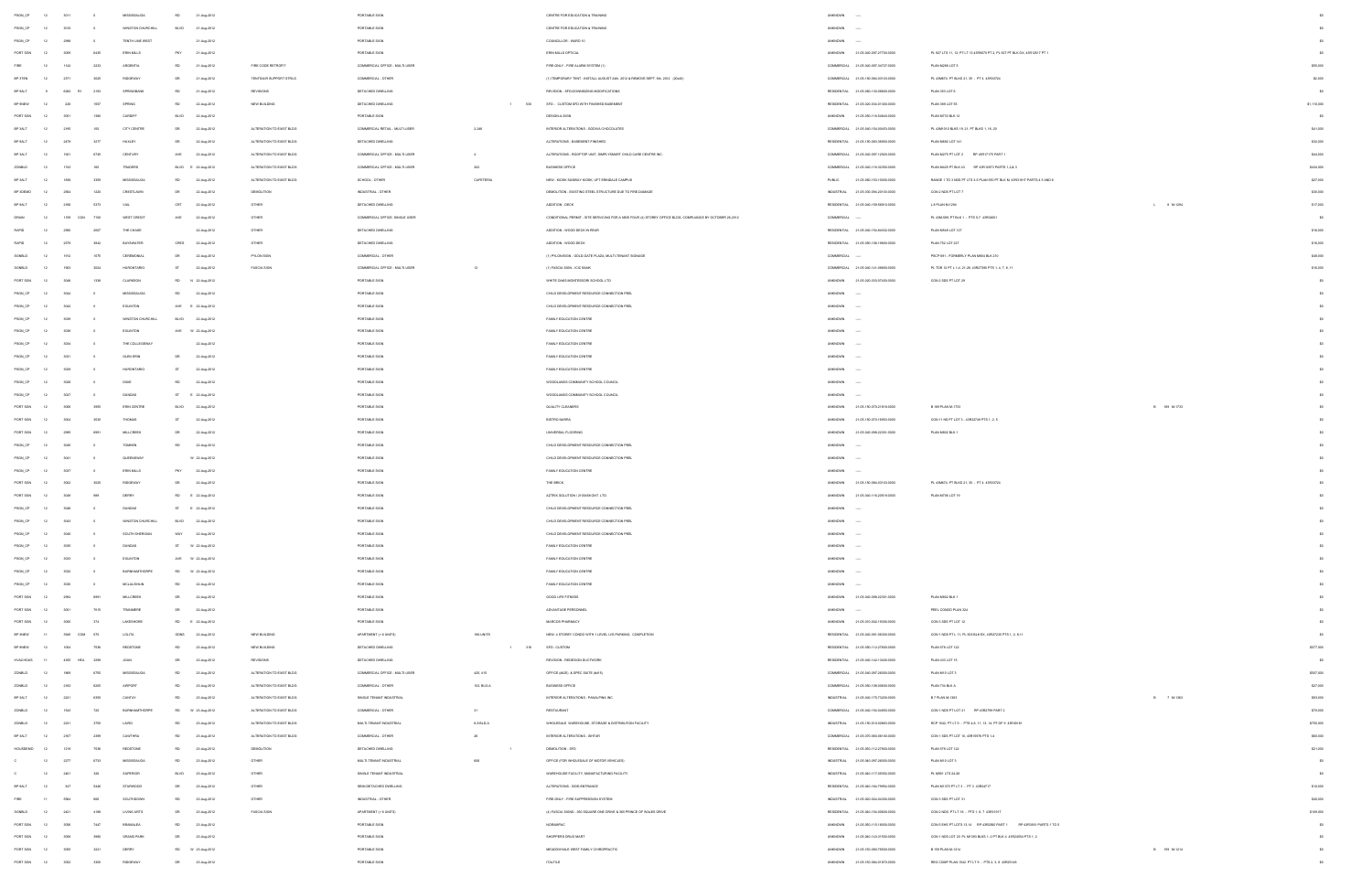| PSGN_CP            | 3011       | $\sim$             | MISSISSAUGA                           | <b>RD</b>        | 21-Aug-2012                |                          | PORTABLE SIGN                  |                       | CENTRE FOR EDUCATION & TRAINING                                                                          | <b>UNKNOWN</b>                                                         |                                                                                                                                     |                        |
|--------------------|------------|--------------------|---------------------------------------|------------------|----------------------------|--------------------------|--------------------------------|-----------------------|----------------------------------------------------------------------------------------------------------|------------------------------------------------------------------------|-------------------------------------------------------------------------------------------------------------------------------------|------------------------|
| PSGN CP<br>12      | 3010       | $\sim$             | WINSTON CHURCHILL                     | BLVD             | 21-Aug-2012                |                          | PORTABLE SIGN                  |                       | CENTRE FOR EDUCATION & TRAINING                                                                          | <b>UNKNOWN</b><br>--                                                   |                                                                                                                                     |                        |
| PSGN CP            | 12<br>2998 | $\sim$             | TENTH LINE WEST                       |                  | 21-Aug-2012                |                          | PORTABLE SIGN                  |                       | COUNCILLOR - WARD 10                                                                                     | <b>UNKNOWN</b><br>$\sim$                                               |                                                                                                                                     |                        |
| PORT SGN           | 12<br>3009 | 6435               | <b>ERIN MILLS</b>                     | PKY              | 21-Aug-2012                |                          | PORTABLE SIGN                  |                       | ERIN MILLS OPTICAL                                                                                       | UNKNOWN 21-05-040-097-27700-0000                                       | PL 927 LTS 11, 12, PT LT 13 43R9070 PT 2, PL 927 PT BLK DX, 43R12517 PT 1                                                           |                        |
|                    | 1142<br>12 | 2233               | ARGENTIA                              | <b>RD</b>        | 21-Aug-2012                | FIRE CODE RETROFIT       | COMMERCIAL OFFICE - MULTI-USER |                       | FIRE-ONLY - FIRE ALARM SYSTEM (1)                                                                        | COMMERCIAL 21-05-040-097-34727-0000                                    | PLAN M288 LOT 5                                                                                                                     | \$55,000               |
| BP 3TEN            |            | 3025               | <b>RIDGEWAY</b>                       | DR.              | 21-Aug-2012                | TENTS/AIR SUPPORT STRUC  | COMMERCIAL - OTHER             |                       | (1) TEMPORARY TENT - INSTALL AUGUST 24th, 2012 & REMOVE SEPT. 6th, 2012 (20x40)                          | COMMERCIAL 21-05-150-084-03103-0000                                    | PL 43M674, PT BLKS 21, 35 - PT 4 43R33724                                                                                           | \$2,000                |
| BP 9ALT            | 6282       | 2193<br><b>R1</b>  | SPRINGBANK                            | <b>RD</b>        | 21-Aug-2012                | <b>REVISIONS</b>         | DETACHED DWELLING              |                       | REVISION - SFD-DOWNSIZING MODIFICATIONS                                                                  | RESIDENTIAL 21-05-060-130-08800-0000                                   | PLAN 353 LOT 6                                                                                                                      | so                     |
| BP 9NEW            | 12<br>226  | 1557               | SPRING                                | <b>RD</b>        | 22-Aug-2012                | NEW BUILDING             | DETACHED DWELLING              | 1 530                 | SFD - CUSTOM SFD WITH FINISHED BASEMENT                                                                  | RESIDENTIAL 21-05-020-034-01300-0000                                   | PLAN 389 LOT 55                                                                                                                     | \$1,110,000            |
| PORT SGN           | 305        | 1380               | CARDIFI                               | BLVD             | 22-Aug-2012                |                          | PORTABLE SIGN                  |                       | DESIGN-A-SIGN                                                                                            | 21-05-050-116-54640-0000<br><b>UNKNOWN</b>                             | PLAN M733 BLK 12                                                                                                                    | \$0                    |
| BP 3ALT            | 12<br>2195 | 100                | CITY CENTRE                           | <b>DR</b>        | 22-Aug-2012                | ALTERATION TO EXIST BLDG | COMMERCIAL RETAIL - MULTI-USER | $2 - 246$             | INTERIOR ALTERATIONS - GODIVA CHOCOLATES                                                                 | COMMERCIAL 21-05-040-154-00453-0000                                    | PL 43M1010 BLKS 19, 21, PT BLKS 1, 16, 20                                                                                           | \$41,000               |
| BP 9ALT            | 247        | 3277               | HUXLEY                                | DR               | 22-Aug-2012                | ALTERATION TO EXIST BLDG | DETACHED DWELLING              |                       | ALTERATIONS - BASEMENT-FINISHED                                                                          | RESIDENTIAL 21-05-150-083-36900-0000                                   | PLAN M692 LOT 141                                                                                                                   | \$32,000               |
| BP 3ALT            | 12<br>1921 | 6745               | CENTURY                               |                  | AVE 22-Aug-2012            | ALTERATION TO EXIST BLDG | COMMERCIAL OFFICE - MULTI-USER | $\sim$                | ALTERATIONS - ROOFTOP UNIT, SIMPLYSMART CHILD CARE CENTRE INC.                                           | COMMERCIAL 21-05-040-097-12920-0000                                    | PLAN M275 PT LOT 2 RP 43R17175 PART 1                                                                                               | \$44,000               |
| ZONBLD             | 1743       | 160                | TRADERS                               |                  | BLVD E 22-Aug-2012         | ALTERATION TO EXIST BLDG | COMMERCIAL OFFICE - MULTI-USER | $202\,$               | <b>BUSINESS OFFICE</b>                                                                                   | COMMERCIAL 21-05-040-116-32350-0000                                    | PLAN M425 PT BLK 43 RP 43R12973 PARTS 1,2,& 3                                                                                       | \$434,000              |
| BP 3ALT            | 1838<br>12 | 3359               | MISSISSAUGA                           | <b>RD</b>        | 22-Aug-2012                | ALTERATION TO EXIST BLDG | SCHOOL - OTHER                 | CAFETERIA             | NEW - KIOSK SUBWAY KIOSK, UFT ERINDALE CAMPUS                                                            | 21-05-060-153-10000-0000<br>PUBLIC                                     | RANGE 1 TO 3 NDS PT LTS 3-5 PLAN 550 PT BLK M, 43R31817 PARTS 4 5 AND 6                                                             | \$27,000               |
| BP 3DEMO           |            | 1220               | CRESTLAWN                             | DR               | 22-Aug-2012                | DEMOLITION               | INDUSTRIAL - OTHER             |                       | DEMOLITION - EXISTING STEEL STRUCTURE DUE TO FIRE-DAMAGE                                                 | INDUSTRIAL 21-05-030-094-20103-0000                                    | CON 2 NDS PT LOT 7                                                                                                                  | \$30,000               |
| BP 9ALT            | 2166<br>12 | 5373               | VAIL                                  | CRT              | 22-Aug-2012                | OTHER                    | DETACHED DWELLING              |                       | ADDITION - DECK                                                                                          | RESIDENTIAL 21-05-040-159-56910-0000                                   | L 8 PLAN M-1294                                                                                                                     | L 8 M-1294<br>\$17,000 |
| <b>RAIN</b>        | 12         | 7100<br>1159 CON   | WEST CREDIT                           | AVE              | 22-Aug-2012                | OTHER                    | COMMERCIAL OFFICE- SINGLE USER |                       | CONDITIONAL PERMIT - SITE SERVICING FOR A NEW FOUR (4) STOREY OFFICE BLDG, COMPLIANCE BY OCTOBER 26,2012 | COMMERCIAL -----                                                       | PL 43M-589, PT BLK 1 - PTS 5-7 43R34501                                                                                             | \$0                    |
| RAPID              | 2580<br>12 | 2007               | THE CHASE                             |                  | 22-Aug-2012                | OTHER                    | DETACHED DWELLING              |                       | ADDITION - WOOD DECK IN REAR                                                                             | RESIDENTIAL 21-05-040-154-84032-0000                                   | PLAN M549 LOT 127                                                                                                                   | \$16,000               |
| <b>RAPID</b>       | 2579       | 3842               | <b>BAYSWATER</b>                      | ${\tt CRES}$     | 22-Aug-2012                | OTHER                    | DETACHED DWELLING              |                       | ADDITION - WOOD DECK                                                                                     | RESIDENTIAL 21-05-050-106-19800-0000                                   | PLAN 752 LOT 227                                                                                                                    | \$16,000               |
| SGNBLD             | 1912<br>12 | 1075               | CEREMONIAL                            | DR               | 22-Aug-2012                | PYLON SIGN               | COMMERCIAL - OTHER             |                       | (1) PYLON/SIGN - GOLD-GATE PLAZA, MULTI-TENANT SIGNAGE                                                   | COMMERCIAL ----                                                        | PSCP 691 - FORMERLY PLAN M804 BLK 210                                                                                               | \$48,000               |
| SGNBLD             | 12<br>1903 | 3024               | <b>HURONTARIO</b>                     | <b>ST</b>        | 22-Aug-2012                | <b>FASCIA SIGN</b>       | COMMERCIAL OFFICE - MULTI-USER | 12                    | (1) FASCIA SIGN - ICIC BANK                                                                              | COMMERCIAL 21-05-040-141-08800-0000                                    | PL TOR 12 PT L 1-4, 21-28, 43R27390 PTS 1, 4, 7, 8, 11                                                                              | \$16,000               |
| PORT SGN           | 3048<br>12 | 1338               | CLARKSON                              |                  | RD N 22-Aug-2012           |                          | PORTABLE SIGN                  |                       | WHITE OAKS MONTESSORI SCHOOL LTD                                                                         | UNKNOWN 21-05-020-033-07400-0000                                       | CON 2 SDS PT LOT 29                                                                                                                 |                        |
| PSGN CP            |            | $\overline{0}$     | MISSISSAUGA                           | <b>RD</b>        | 22-Aug-2012                |                          | PORTABLE SIGN                  |                       | CHILD DEVELOPMENT RESOURCE CONNECTION PEEL                                                               | <b>UNKNOWN</b><br>---                                                  |                                                                                                                                     |                        |
| PSGN_CP            | 3042       | $\sim$             | EGLINTON                              |                  | AVE E 22-Aug-2012          |                          | PORTABLE SIGN                  |                       | CHILD DEVELOPMENT RESOURCE CONNECTION PEEL                                                               | <b>UNKNOWN</b>                                                         |                                                                                                                                     |                        |
| PSGN CP            | 3039       | $\sim$             | WINSTON CHURCHILL                     | BLVD             | 22-Aug-2012                |                          | PORTABLE SIGN                  |                       | FAMILY EDUCATION CENTRE                                                                                  | <b>UNKNOWN</b><br>--                                                   |                                                                                                                                     |                        |
| PSGN_CP            | 3038       | $\overline{0}$     | EGLINTON                              |                  | AVE W 22-Aug-2012          |                          | PORTABLE SIGN                  |                       | FAMILY EDUCATION CENTRE                                                                                  | <b>UNKNOWN</b>                                                         |                                                                                                                                     |                        |
| PSGN CP            | 12<br>3034 | $\sim$             | THE COLLEGEWAY                        |                  | 22-Aug-2012                |                          | PORTABLE SIGN                  |                       | FAMILY EDUCATION CENTRE                                                                                  | <b>UNKNOWN</b><br>--                                                   |                                                                                                                                     |                        |
| PSGN_CP            | 12<br>3031 | $\sim$             | <b>GLEN ERIN</b>                      | DR.              | 22-Aug-2012                |                          | PORTABLE SIGN                  |                       | FAMILY EDUCATION CENTRE                                                                                  | <b>UNKNOWN</b><br>$\sim$                                               |                                                                                                                                     |                        |
| PSGN CP            | 12<br>3029 | $\sim$             | <b>HURONTARIO</b>                     | ST               | 22-Aug-2012                |                          | PORTABLE SIGN                  |                       | FAMILY EDUCATION CENTRE                                                                                  | UNKNOWN -----                                                          |                                                                                                                                     |                        |
| PSGN_CP            | 3028       | $\circ$            | DIXIE                                 | <b>RD</b>        | 22-Aug-2012                |                          | PORTABLE SIGN                  |                       | WOODLANDS COMMUNITY SCHOOL COUNCIL                                                                       | <b>UNKNOWN</b>                                                         |                                                                                                                                     |                        |
| PSGN CP            |            |                    | DUNDAS                                |                  | ST E 22-Aug-2012           |                          | PORTABLE SIGN                  |                       | WOODLANDS COMMUNITY SCHOOL COUNCIL                                                                       | <b>UNKNOWN</b><br>1.111                                                |                                                                                                                                     |                        |
| PORT SGN           | 300        | 3955               | <b>ERIN CENTRE</b>                    | <b>BLVD</b>      | 22-Aug-2012                |                          | PORTABLE SIGN                  |                       | QUALITY CLEANERS                                                                                         | <b>UNKNOWN</b><br>21-05-150-070-21818-0000                             | B 169 PLAN M-1733                                                                                                                   | B 169 M-1733           |
| PORT SGN           | 3004       | 3030               | THOMAS                                | <b>ST</b>        | 22-Aug-2012                |                          | PORTABLE SIGN                  |                       | <b>BISTRO NARRA</b>                                                                                      | 21-05-150-070-16953-0000<br><b>UNKNOWN</b>                             | CON 11 NS PT LOT 3 - 43R32749 PTS 1, 2, 5                                                                                           |                        |
| PORT SGN           |            | 6991               | MILLCREEK                             | ${\sf DR}$       | 22-Aug-2012                |                          | PORTABLE SIGN                  |                       | UNIVERSAL FLOORING                                                                                       | 21-05-040-098-22301-0000<br><b>UNKNOWN</b>                             | PLAN M802 BLK 1                                                                                                                     |                        |
| PSGN CP            | 3045<br>12 | $\sim$             | <b>TOMKEN</b>                         | <b>RD</b>        | 22-Aug-2012                |                          | PORTABLE SIGN                  |                       | CHILD DEVELOPMENT RESOURCE CONNECTION PEEL                                                               | <b>UNKNOWN</b><br>1.111                                                |                                                                                                                                     |                        |
| PSGN_CP            |            | $\circ$            | QUEENSWAY                             |                  | W 22-Aug-2012              |                          | PORTABLE SIGN                  |                       | CHILD DEVELOPMENT RESOURCE CONNECTION PEEL                                                               | <b>UNKNOWN</b><br>1.11                                                 |                                                                                                                                     |                        |
| PSGN CP            | 12<br>3037 | $\sim$             | <b>ERIN MILLS</b>                     | <b>PKY</b>       | 22-Aug-2012                |                          | PORTABLE SIGN                  |                       | FAMILY EDUCATION CENTRE                                                                                  | UNKNOWN -----                                                          |                                                                                                                                     |                        |
| PORT SGN           | 12<br>3002 | 3025               | RIDGEWAY                              | DR               | 22-Aug-2012                |                          | PORTABLE SIGN                  |                       | THE BRICK                                                                                                | UNKNOWN 21-05-150-084-03103-0000                                       | PL 43M674, PT BLKS 21, 35 - PT 4 43R33724                                                                                           |                        |
| PORT SGN           | 3049<br>12 | 989                | <b>DERRY</b>                          |                  | RD E 22-Aug-2012           |                          | PORTABLE SIGN                  |                       | AZTRIX SOLUTION / 2100458 ONT. LTD.                                                                      | UNKNOWN 21-05-040-116-20519-0000                                       | PLAN M706 LOT 19                                                                                                                    |                        |
| PSGN_CP 12         | 3046       | $\sim$ 0           | DUNDAS                                |                  | ST E 22-Aug-2012           |                          | PORTABLE SIGN                  |                       | CHILD DEVELOPMENT RESOURCE CONNECTION PEEL                                                               | UNKNOWN -----                                                          |                                                                                                                                     |                        |
| PSGN_CP            | 12<br>3043 | $\sim$             | WINSTON CHURCHILL                     |                  | BLVD 22-Aug-2012           |                          | PORTABLE SIGN                  |                       | CHILD DEVELOPMENT RESOURCE CONNECTION PEEL                                                               | UNKNOWN -----                                                          |                                                                                                                                     |                        |
| PSGN_CP            |            | $\sim$             | SOUTH SHERIDAN                        | WAY              | 22-Aug-2012                |                          | PORTABLE SIGN                  |                       | CHILD DEVELOPMENT RESOURCE CONNECTION PEEL                                                               | <b>UNKNOWN</b><br>1.111                                                |                                                                                                                                     |                        |
| PSGN CP            | 12<br>3035 | $\sim$             | <b>DUNDAS</b>                         |                  | ST W 22-Aug-2012           |                          | PORTABLE SIGN                  |                       | FAMILY EDUCATION CENTRE                                                                                  | <b>UNKNOWN</b><br>--                                                   |                                                                                                                                     |                        |
| PSGN_CP            | 3033<br>12 | $\sim$             | EGLINTON                              |                  | AVE W 22-Aug-2012          |                          | PORTABLE SIGN                  |                       | FAMILY EDUCATION CENTRE                                                                                  | <b>UNKNOWN</b>                                                         |                                                                                                                                     |                        |
| PSGN_CP            | 3032<br>12 | $\sim$             | BURNHAMTHORPE                         |                  | RD W 22-Aug-2012           |                          | PORTABLE SIGN                  |                       | FAMILY EDUCATION CENTRE                                                                                  | <b>UNKNOWN</b>                                                         |                                                                                                                                     |                        |
| PSGN CP            | 3030<br>12 | $\sim$             | MCLAUGHLIN                            |                  | RD 22-Aug-2012             |                          | PORTABLE SIGN                  |                       | FAMILY EDUCATION CENTRE                                                                                  | UNKNOWN -----                                                          |                                                                                                                                     |                        |
| PORT SGN           | 2994       | 6991               | MILLCREEK                             | DR.              | 22-Aug-2012                |                          | PORTABLE SIGN                  |                       | GOOD LIFE FITNESS                                                                                        | UNKNOWN 21-05-040-098-22301-0000                                       | PLAN M802 BLK 1                                                                                                                     |                        |
| PORT SGN           |            | 7015               | TRANMERE                              | DR.              | 22-Aug-2012                |                          | PORTABLE SIGN                  |                       | ADVANTAGE PERSONNEL                                                                                      | <b>UNKNOWN</b><br>---                                                  | PEEL CONDO PLAN 324                                                                                                                 |                        |
| PORT SGN           | 3000       | 374                | LAKESHORE                             |                  | RD E 22-Aug-2012           |                          | PORTABLE SIGN                  |                       | MARCOS PHARMACY                                                                                          | UNKNOWN<br>21-05-010-002-19300-0000                                    | CON 3 SDS PT LOT 12                                                                                                                 |                        |
| BP 3NEW            | 3945       | 570<br>COM         | LOLITA                                |                  | GDNS 22-Aug-2012           | NEW BUILDING             | APARTMENT (> 6 UNITS)          | 180-UNITS             | NEW- 4 STOREY CONDO WITH 1 LEVEL U/G PARKING, COMPLETION                                                 | RESIDENTIAL 21-05-040-091-06300-0000                                   | CON 1 NDS PT L 11, PL 903 BLK EX, 43R27235 PTS 1, 2, 8-11                                                                           |                        |
| BP 9NEW            | 1004       | 7536               | REDSTONE                              | <b>RD</b>        | 23-Aug-2012                | NEW BUILDING             | DETACHED DWELLING              | $1 \qquad \qquad 316$ | SFD - CUSTOM                                                                                             | RESIDENTIAL 21-05-050-112-27800-0000                                   | PLAN 578 LOT 122                                                                                                                    | \$577,000              |
| <b>HVACHOUS</b>    | 4355       | 3299<br><b>HEA</b> | <b>JOAN</b>                           | DR.              | 23-Aug-2012                | <b>REVISIONS</b>         | DETACHED DWELLING              |                       | REVISION - REDESIGN DUCTWORK                                                                             | RESIDENTIAL 21-05-040-142-13400-0000                                   | PLAN 433 LOT 15                                                                                                                     | \$0                    |
| ZONBLD             | 1869       | 6755               | MISSISSAUGA                           | <b>RD</b>        | 23-Aug-2012                | ALTERATION TO EXIST BLDG | COMMERCIAL OFFICE - MULTI-USER | 425, 415              | OFFICE (#425) & SPEC SUITE (#415)                                                                        | COMMERCIAL 21-05-040-097-26000-0000                                    | PLAN M10 LOT 3                                                                                                                      | \$507,000              |
| ZONBLD             | 12<br>2183 | 6205               | AIRPORT                               | <b>RD</b>        | 23-Aug-2012                | ALTERATION TO EXIST BLDG | COMMERCIAL - OTHER             | 102, BLD-A            | <b>BUSINESS OFFICE</b>                                                                                   | COMMERCIAL 21-05-050-108-00600-0000                                    | PLAN 734 BLK A                                                                                                                      | \$27,000               |
| BP 3ALT            | 222        | 6350               | CANTAY                                | <b>RD</b>        | 23-Aug-2012                | ALTERATION TO EXIST BLDG | SINGLE TENANT INDUSTRIAL       |                       | INTERIOR ALTERATIONS - PANALPINA INC                                                                     | INDUSTRIAL 21-05-040-175-73200-0000                                    | B 7 PLAN M-1363                                                                                                                     | B 7 M-1363<br>\$93,000 |
| ZONBLD             |            | 720                | BURNHAMTHORPE                         |                  | RD W 23-Aug-2012           | ALTERATION TO EXIST BLDG | COMMERCIAL - OTHER             | 31                    | RESTAURANT                                                                                               | COMMERCIAL 21-05-040-154-04850-0000                                    | CON 1 NDS PT LOT 21 RP 43R2799 PART 2                                                                                               | \$70,000               |
| ZONBLD             |            | 3750               | LAIRD                                 | <b>RD</b>        | 23-Aug-2012                | ALTERATION TO EXIST BLDG | MULTI-TENANT INDUSTRIAL        | 6-8 BLD-A             | WHOLESALE WAREHOUSE, STORAGE & DISTRIBUTION FACILITY                                                     | INDUSTRIAL 21-05-150-010-00863-0000                                    | RCP 1542, PT LT 9 - PTS 4-8, 11, 13, 14, PT OF 9 43R30181                                                                           | \$750,000              |
| BP 3ALT            | 12<br>2167 | 2399               | CAWTHRA                               | <b>RD</b>        | 23-Aug-2012                | ALTERATION TO EXIST BLDG | COMMERCIAL - OTHER             | 26                    | INTERIOR ALTERATIONS - ISHTAR                                                                            | COMMERCIAL 21-05-070-060-06100-0000                                    | CON 1 SDS PT LOT 10, 43R15976 PTS 1-4                                                                                               | \$60,000               |
| HOUSDEMO           | 1219       | 7536               | REDSTONE                              | <b>RD</b>        | 23-Aug-2012                | DEMOLITION               | DETACHED DWELLING              | $-1$                  | DEMOLITION - SFD                                                                                         | RESIDENTIAL 21-05-050-112-27800-0000                                   | PLAN 578 LOT 122                                                                                                                    | \$21,000               |
|                    | 12<br>2277 | 6733               | MISSISSAUGA                           | <b>RD</b>        | 23-Aug-2012                | OTHER                    | MULTI-TENANT INDUSTRIAL        | 606                   | OFFICE (FOR WHOLESALE OF MOTOR VEHICLES)                                                                 | INDUSTRIAL 21-05-040-097-26000-0000                                    | PLAN M10 LOT 3                                                                                                                      | \$0                    |
|                    | 12<br>2401 | 326                | SUPERIOR                              | <b>BLVD</b>      | 23-Aug-2012                | OTHER                    | SINGLE TENANT INDUSTRIAL       |                       | WAREHOUSE FACILITY, MANUFACTURING FACILITY                                                               | INDUSTRIAL 21-05-040-117-09352-0000                                    | PL M901 LTS 24-26                                                                                                                   |                        |
| BP 9ALT            | 12<br>347  | 5446               | STARWOOD                              | <b>DR</b>        | 23-Aug-2012                | OTHER                    | SEMI-DETACHED DWELLING         |                       | ALTERATIONS - SIDE-ENTRANCE                                                                              | RESIDENTIAL 21-05-040-164-79954-0000                                   | PLAN M1370 PT LT 3 - PT 3 43R24717                                                                                                  | \$10,000               |
|                    | 11<br>5964 | 806                | SOUTHDOWN                             | <b>RD</b>        | 23-Aug-2012                | OTHER                    | INDUSTRIAL - OTHER             |                       | FIRE-ONLY - FIRE SUPPRESSION SYSTEM                                                                      | INDUSTRIAL 21-05-020-024-04300-0000                                    | CON 3 SDS PT LOT 31                                                                                                                 | \$40,000               |
| SGNBLD<br>PORT SGN | 12<br>242  | 4188<br>7447       | <b>LIVING ARTS</b><br><b>BRAMALE/</b> | DR.<br><b>RD</b> | 23-Aug-2012                | <b>FASCIA SIGN</b>       | APARTMENT (> 6 UNITS)          |                       | (4) FASCIA SIGNS - 360 SQUARE ONE DRIVE & 365 PRINCE OF WALES DRIVE                                      | RESIDENTIAL 21-05-040-154-00600-0000<br><b>UNKNOWN</b>                 | CON 2 NDS, PT LT 18 - PTS 1, 6, 7 43R31917                                                                                          | \$109,000              |
| PORT SGN           | 3058       | 3980               | <b>GRAND PARK</b>                     | DR.              | 23-Aug-2012<br>23-Aug-2012 |                          | PORTABLE SIGN<br>PORTABLE SIGN |                       | NORAMPAC<br>SHOPPERS DRUG MART                                                                           | 21-05-050-115-18000-0000<br>21-05-040-143-31500-0000<br><b>UNKNOWN</b> | CON 5 EHS PT LOTS 13,14 RP 43R2560 PART 1 RP 43R3931 PARTS 1 TO 5<br>CON 1 NDS LOT 20 PL M1393 BLKS 1, 2 PT BLK 4 43R24554 PTS 1, 2 | \$0                    |
| PORT SGN           | 3055<br>12 | 3221               | <b>DERRY</b>                          |                  | RD W 23-Aug-2012           |                          | PORTABLE SIGN                  |                       | MEADOWVALE WEST FAMILY CHIROPRACTIC                                                                      | 21-05-150-080-76500-0000<br><b>UNKNOWN</b>                             | B 159 PLAN M-1214                                                                                                                   | B 159 M-1214           |
| PORT SGN 12        | 3052       | 3300               | RIDGEWAY                              |                  | DR 23-Aug-2012             |                          | PORTABLE SIGN                  |                       | <b>ITALTILE</b>                                                                                          | UNKNOWN 21-05-150-084-01870-0000                                       | REG COMP PLAN 1542 PT LT 9 - PTS 2, 3, 8 43R25148                                                                                   | \$0                    |
|                    |            |                    |                                       |                  |                            |                          |                                |                       |                                                                                                          |                                                                        |                                                                                                                                     |                        |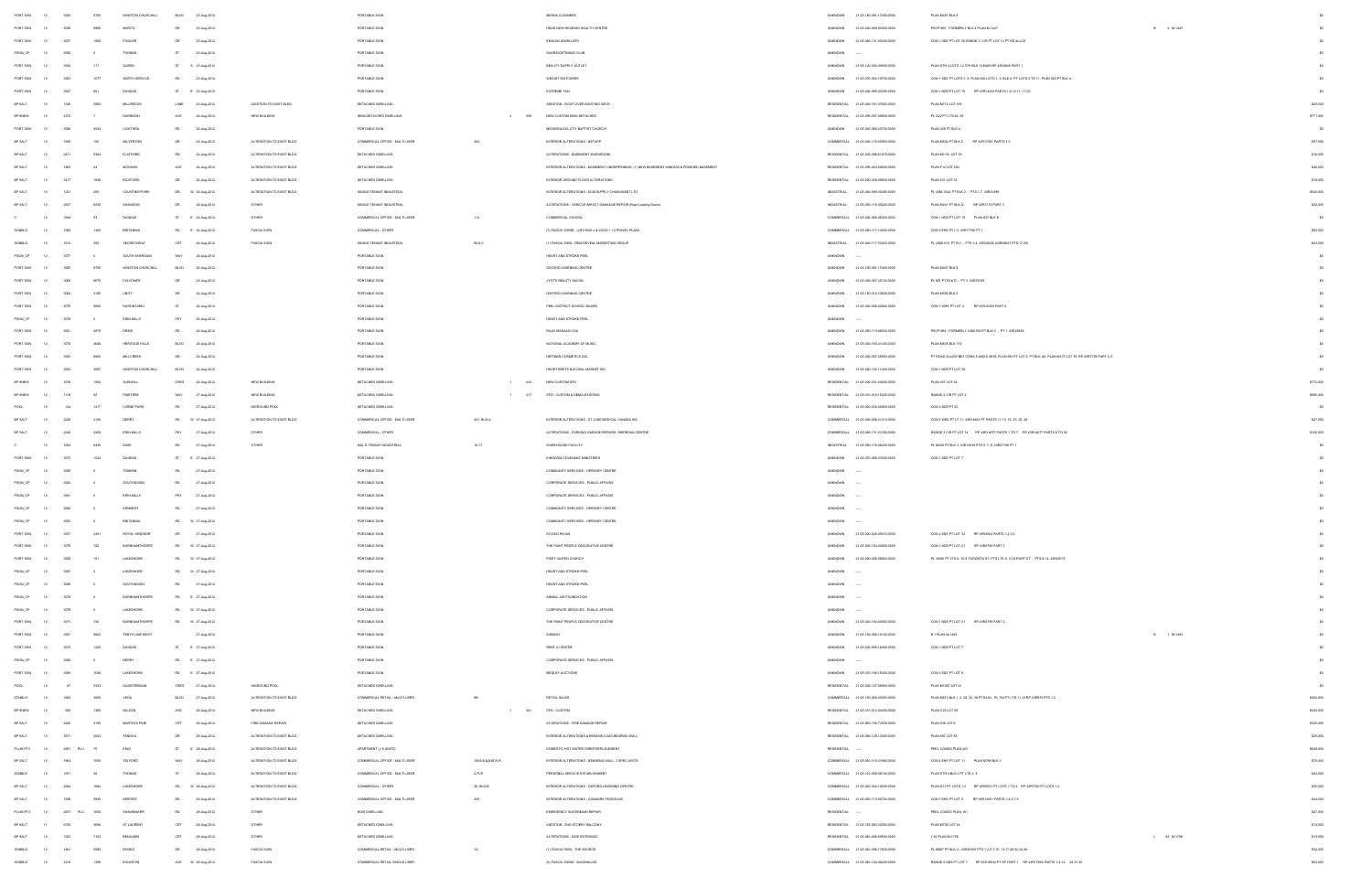| PORT SGN<br>12 | 3050        | 6750           | WINSTON CHURCHILL    | BLVD<br>23-Aug-2012        |                          | PORTABLE SIGN                  |                 | MEENA CLEANERS                                                                            | 21-05-150-081-17400-0000<br><b>UNKNOWN</b> | PLAN M407 BLK 9                                                                                          |                         |
|----------------|-------------|----------------|----------------------|----------------------------|--------------------------|--------------------------------|-----------------|-------------------------------------------------------------------------------------------|--------------------------------------------|----------------------------------------------------------------------------------------------------------|-------------------------|
| PORT SGN       | 3036        | 6980           | <b>MARITZ</b>        | DR<br>23-Aug-2012          |                          | PORTABLE SIGN                  |                 | HEAR NOW HEARING HEALTH CENTRE                                                            | <b>UNKNOWN</b><br>21-05-040-099-50000-0000 | PSCP 805 - FORMERLY BLK 4 PLAN M-1447                                                                    | B 4 M-1447              |
| PORT SGN       |             | 1900           | FOWLER               | DR<br>23-Aug-2012          |                          | PORTABLE SIGN                  |                 | EMILIAN JEWELLERY                                                                         | 21-05-060-131-00200-0000<br><b>UNKNOWN</b> | CON 1 SDS PT LOT 30 RANGE 3 CIR PT LOT 14 PT RD ALLCE                                                    |                         |
| PSGN_CP<br>12  | 3060        | $\circ$        | THOMAS               | <b>ST</b><br>23-Aug-2012   |                          | PORTABLE SIGN                  |                 | OAKRIDGETENNIS CLUB                                                                       | <b>UNKNOWN</b>                             |                                                                                                          |                         |
| PORT SGN<br>12 | 3054        | 117            | QUEEN                | ST S 23-Aug-2012           |                          | PORTABLE SIGN                  |                 | BEAUTY SUPPLY OUTLET                                                                      | UNKNOWN 21-05-120-004-09900-0000           | PLAN STR 4 LOTS 1,2 5TH BLK N MAIN RP 43R2845 PART 1                                                     |                         |
| PORT SGN       | 3053        | 1077           | NORTH SERVICE        | <b>RD</b><br>23-Aug-2012   |                          | PORTABLE SIGN                  |                 | WEIGHT WATCHERS                                                                           | <b>UNKNOWN</b><br>21-05-070-054-19700-0000 | CON 1 SDS PT LOTS 7, 8, PLAN 439 LOTS 1, 2, BLK A, PT LOTS 3 TO 11, PLAN 520 PT BLK A                    |                         |
| PORT SGN       |             | 801            | DUNDAS               | ST E 23-Aug-2012           |                          | PORTABLE SIGN                  |                 | EXTREME TAN                                                                               | 21-05-040-068-20300-0000<br><b>UNKNOWN</b> | CON 1 NDS PT LOT 10 RP 43R14243 PARTS 1,6,10,11, 17-20                                                   |                         |
| BP 9AL         |             | 5563           | MILLBROOK            | LANE<br>23-Aug-2012        | ADDITION TO EXIST BLDG   | DETACHED DWELLING              |                 | ADDITION - ROOF OVER EXISTING DECK                                                        | RESIDENTIAL 21-05-040-161-07800-0000       | PLAN M710 LOT 165                                                                                        | \$29,00                 |
| BP 9NEW        | 2272        | $\overline{7}$ | <b>HARRISON</b>      | AVE<br>24-Aug-2012         | NEW BUILDING             | SEMI-DETACHED DWELLING         | 2               | 399 NEW CUSTOM SEMI-DETACHED                                                              | RESIDENTIAL 21-05-090-007-09900-0000       | PL G22 PT LTS 64, 65                                                                                     | \$771,000               |
| PORT SGN       |             | 3434           | CAWTHRA              | <b>RD</b><br>24-Aug-2012   |                          | PORTABLE SIGN                  |                 | MISSISSAUGA CITY BAPTIST CHURCH                                                           | 21-05-040-089-23700-0000<br><b>UNKNOWN</b> | PLAN 326 PT BLK A                                                                                        | \$0                     |
| BP 3ALT<br>12  | 1835        | 100            | <b>MILVERTON</b>     | <b>DR</b><br>24-Aug-2012   | ALTERATION TO EXIST BLDG | COMMERCIAL OFFICE - MULTI-USER | 404             | INTERIOR ALTERATIONS - NETAPP                                                             | COMMERCIAL 21-05-040-115-00950-0000        | PLAN M832 PT BLK 2 RP 43R17361 PARTS 1-3                                                                 | \$57,000                |
| BP 9ALT        |             | 5384           | <b>FLATFORD</b>      | <b>RD</b><br>24-Aug-2012   | ALTERATION TO EXIST BLDG | DETACHED DWELLING              |                 | ALTERATIONS - BASEMENT WASHROOM                                                           | RESIDENTIAL 21-05-040-096-61879-0000       | PLAN M1161 LOT 29                                                                                        | \$16,000                |
| BP 9ALT<br>12  | 1863        | 24             | <b>MOHAWK</b>        | AVE<br>24-Aug-2012         | ALTERATION TO EXIST BLDG | DETACHED DWELLING              |                 | INTERIOR ALTERATIONS - BASEMENT UNDERPINNING, (1) NEW BASEMENT WINDOW & FINISHED BASEMENT | RESIDENTIAL 21-05-090-003-09600-0000       | PLAN F12 LOT 254                                                                                         | \$46,000                |
| BP 9ALT        |             | 1836           | <b>BICKFORD</b>      | DR<br>24-Aug-2012          | ALTERATION TO EXIST BLDG | DETACHED DWELLING              |                 | INTERIOR GROUND FLOOR ALTERATIONS                                                         | RESIDENTIAL 21-05-020-039-08600-0000       | PLAN 531 LOT 33                                                                                          | \$18,000                |
| BP 3ALT        | 123'        | 200            | COURTNEYPARK         | DR W 24-Aug-2012           | ALTERATION TO EXIST BLDG | SINGLE TENANT INDUSTRIAL       |                 | INTERIOR ALTERATIONS - SCM SUPPLY CHAIN MGMT LTD                                          | INDUSTRIAL 21-05-040-099-30285-0000        | PL 43M-1544, PT BLK 2 - PTS 1-7 43R31398                                                                 | \$540,000               |
|                |             | 6230           | SHAWSON              | DR<br>24-Aug-2012          | OTHER                    | SINGLE TENANT INDUSTRIAL       |                 | ALTERATIONS - VEHICLE IMPACT DAMAAGE REPAIR (Rear Loading Doors)                          | INDUSTRIAL 21-05-050-116-39220-0000        | PLAN M241 PT BLK D RP 43R7174 PART 3                                                                     | \$32,000                |
| 12             | 1844        | 93             | <b>DUNDAS</b>        | ST E 24-Aug-2012           | OTHER                    | COMMERCIAL OFFICE - MULTI-USER | 112             | COMMERCIAL SCHOOL                                                                         | COMMERCIAL 21-05-040-068-26200-0000        | CON 1 NDS PT LOT 15 PLAN 637 BLK E                                                                       | SO.                     |
| SGNBLD         |             | 1400           | BRITANNIA            | RD E 24-Aug-2012           | <b>FASCIA SIGN</b>       | COMMERCIAL - OTHER             |                 | (3) FASCIA SIGNS - (2)FLYING J & LOGO + (1)TRAVEL PLAZA                                   | COMMERCIAL 21-05-050-117-14600-0000        | CON 3 EHS PT L 5, 43R17762 PT 1                                                                          | \$63,000                |
| SGNBLD<br>12   | 1612        | 555            | SECRETARIAT          | CRT<br>24-Aug-2012         | <b>FASCIA SIGN</b>       | SINGLE TENANT INDUSTRIAL       | BLD-C           | (1) FASCIA SIGN - RMG REVEAL MARKETING GROUP                                              | INDUSTRIAL 21-05-040-117-03200-0000        | PL 43M1418, PT B 2 - PTS 1-4 43R29205 (43R29627 PTS 17-20)                                               | \$23,000                |
| PSGN CP<br>12  |             | $\overline{0}$ | SOUTH SHERIDAN       | WAY<br>24-Aug-2012         |                          | PORTABLE SIGN                  |                 | HEART AND STROKE PEEL                                                                     | <b>UNKNOWN</b><br>----                     |                                                                                                          |                         |
| PORT SGN       | 3065        | 6750           | WINSTON CHURCHILL    | <b>BLVD</b><br>24-Aug-2012 |                          | PORTABLE SIGN                  |                 | OXFORD LEARNING CENTRE                                                                    | UNKNOWN 21-05-150-081-17400-0000           | PLAN M407 BLK 9                                                                                          |                         |
| PORT SGN<br>12 | 3068        | 6675           | FALCONER             | DR<br>24-Aug-2012          |                          | PORTABLE SIGN                  |                 | JYOT'S BEAUTY SALON                                                                       | 21-05-040-097-22104-0000<br><b>UNKNOWN</b> | PL M5, PT BLK D - PT 3 43R33033                                                                          |                         |
| PORT SGN<br>12 | 3064        | 3185           | UNITY                | <b>DR</b><br>24-Aug-2012   |                          | PORTABLE SIGN                  |                 | OXFORD LEARNING CENTRE                                                                    | <b>UNKNOWN</b><br>21-05-150-010-10800-0000 | PLAN M592 BLK 5                                                                                          |                         |
| PORT SGN<br>12 |             | 5650           | HURONTARIO           | ST<br>24-Aug-2012          |                          | PORTABLE SIGN                  |                 | PEEL DISTRICT SCHOOL BOARD                                                                | 21-05-040-096-04602-0000<br><b>UNKNOWN</b> | CON 1 WHS PT LOT 4 RP 43R10393 PART 2                                                                    |                         |
| PSGN_CP        | 3076        | $\overline{0}$ | <b>ERIN MILLS</b>    | PKY<br>24-Aug-2012         |                          | PORTABLE SIGN                  |                 | HEART AND STROKE PEEL                                                                     | <b>UNKNOWN</b>                             |                                                                                                          |                         |
| PORT SGN       |             | 2970           | DREW                 | <b>RD</b><br>24-Aug-2012   |                          | PORTABLE SIGN                  |                 | RAJIV MADAAN CGA                                                                          | 21-05-050-113-06532-0000<br><b>UNKNOWN</b> | PSCP 884 - FORMERLY 43M1593 PT BLK 2 - PT 1 43R29338                                                     |                         |
|                | 3074        |                |                      |                            |                          |                                |                 |                                                                                           |                                            |                                                                                                          |                         |
| PORT SGN       |             | 4646           | HERITAGE HILLS       | BLVD<br>24-Aug-2012        |                          | PORTABLE SIGN                  |                 | NATIONAL ACADEMY OF MUSIC                                                                 | <b>UNKNOWN</b><br>21-05-040-155-41400-0000 | PLAN M635 BLK 174                                                                                        |                         |
| PORT SGN       |             | 6900           | MILLCREEK            | DR<br>24-Aug-2012          |                          | PORTABLE SIGN                  |                 | HEITMAN COSMETICS INC.                                                                    | 21-05-040-097-28550-0000<br><b>UNKNOWN</b> | PT ROAD ALLOW BET CONS 5 AND 6 WHS, PLAN 981 PT LOT 5, PT BLK AX, PLAN M127 LOT 78, RP 43R7739 PART 2, 5 |                         |
| PORT SGN       | 3063        | 3087           | WINSTON CHURCHILL    | <b>BLVD</b><br>24-Aug-2012 |                          | PORTABLE SIGN                  |                 | HEART BEETS NATURAL MARKET INC                                                            | <b>UNKNOWN</b><br>21-05-060-154-11400-0000 | CON 1 NDS PT LOT 35                                                                                      |                         |
| BP 9NEW<br>12  | 1676        | 1554           | <b>GLENHILL</b>      | CRES<br>24-Aug-2012        | NEW BUILDING             | DETACHED DWELLING              |                 | 1 443 NEW CUSTOM SFD                                                                      | RESIDENTIAL 21-05-020-031-04600-0000       | PLAN 457 LOT 54                                                                                          | \$772,000               |
| BP 9NEW        | 1118        | 92             | PINETREE             | WAY<br>27-Aug-2012         | NEW BUILDING             | DETACHED DWELLING              | 1 317           | SFD - CUSTOM & DEMO-EXISTING                                                              | RESIDENTIAL 21-05-010-018-15200-0000       | RANGE 2 CIR PT LOT 2                                                                                     | \$580,000               |
| 10             |             | 1217           | LORNE PARK           | <b>RD</b><br>27-Aug-2012   | INGROUND POOL            | DETACHED DWELLING              |                 |                                                                                           | RESIDENTIAL 21-05-020-032-02800-0000       | CON 2-SDS PT 25                                                                                          | \$0                     |
| BP 3ALT        |             | 2100           | DERRY                | RD W 27-Aug-2012           | ALTERATION TO EXIST BLDG | COMMERCIAL OFFICE - MULTI-USER | 401, BLD-A      | INTERIOR ALTERATIONS - ST JUDE MEDICAL CANADA INC                                         | COMMERCIAL 21-05-040-098-21210-0000        | CON 5 WHS PT LT 11, 43R14863 PT PARTS 11-13, 15, 23, 25, 26                                              | \$27,000                |
| BP 3ALT<br>12  | 2240        | 2225           | <b>ERIN MILLS</b>    | PKY<br>27-Aug-2012         | OTHER                    | COMMERCIAL - OTHER             |                 | ALTERATIONS - PARKING GARAGE REPAIRS, SHERIDAN CENTRE                                     | COMMERCIAL 21-05-060-131-01200-0000        | RANGE 3 CIR PT LOT 14 RP 43R14677 PARTS 1 TO 7 RP 43R14677 PARTS 8 TO 36                                 | \$100,000               |
| 12             | 1604        | 6435           | DIXIE                | <b>RD</b><br>27-Aug-2012   | OTHER                    | MULTI-TENANT INDUSTRIAL        | $16 - 17$       | WAREHOUSE FACILITY                                                                        | INDUSTRIAL 21-05-050-116-08200-0000        | PL M339 PT BLK 3, 43R12539 PTS 5, 7, 8, 43R27196 PT 1                                                    |                         |
| PORT SGN<br>12 | 3073        | 1224           | <b>DUNDAS</b>        | ST E 27-Aug-2012           |                          | PORTABLE SIGN                  |                 | KINGDOM COVENANT MINISTRIES                                                               | UNKNOWN 21-05-070-068-33300-0000           | CON 1 SDS PT LOT 7                                                                                       |                         |
| PSGN_CP        |             | $\sim$         | <b>TOMKEN</b>        | <b>RD</b><br>27-Aug-2012   |                          | PORTABLE SIGN                  |                 | COMMUNITY SERVICES - HERSHEY CENTRE                                                       | <b>UNKNOWN</b><br>----                     |                                                                                                          |                         |
| PSGN CP<br>12  | 3082        | $\overline{0}$ | SOUTHDOWN            | <b>RD</b><br>27-Aug-2012   |                          | PORTABLE SIGN                  |                 | CORPORATE SERVICES - PUBLIC AFFAIRS                                                       | <b>UNKNOWN</b><br>--                       |                                                                                                          |                         |
| PSGN_CP<br>12  |             | $\circ$        | <b>ERIN MILLS</b>    | PKY<br>27-Aug-2012         |                          | PORTABLE SIGN                  |                 | CORPORATE SERVICES - PUBLIC AFFAIRS                                                       | <b>UNKNOWN</b>                             |                                                                                                          |                         |
| PSGN CP 12     | 3084        | $\sim$         | <b>KENNEDY</b>       | <b>RD</b><br>27-Aug-2012   |                          | PORTABLE SIGN                  |                 | COMMUNITY SERVICES - HERSHEY CENTRE                                                       | <b>UNKNOWN</b><br>$\sim$                   |                                                                                                          |                         |
| PSGN_CP<br>12  | 3083        | $\circ$        | BRITANNIA            | RD W 27-Aug-2012           |                          | PORTABLE SIGN                  |                 | COMMUNITY SERVICES - HERSHEY CENTRE                                                       | <b>UNKNOWN</b>                             |                                                                                                          |                         |
| PORT SGN       | 3057        | 2301           | ROYAL WINDSOR        | <b>DR</b><br>27-Aug-2012   |                          | PORTABLE SIGN                  |                 | STUDIO PAVAS                                                                              | 21-05-020-025-09310-0000<br><b>UNKNOWN</b> | CON 2 SDS PT LOT 32 RP 43R3924 PARTS 1,2,3,5                                                             |                         |
| PORT SGN       | 3070        | 720            | BURNHAMTHORPE        | RD W 27-Aug-2012           |                          | PORTABLE SIGN                  |                 | THE PAINT PEOPLE DECORATIVE CENTRE                                                        | 21-05-040-154-04850-0000<br><b>UNKNOWN</b> | CON 1 NDS PT LOT 21 RP 43R2799 PART 2                                                                    |                         |
| PORT SGN<br>12 | 3059        | 151            | LAKESHORE            | RD W 27-Aug-2012           |                          | PORTABLE SIGN                  |                 | FIRST UNITED CHURCH                                                                       | 21-05-090-006-08800-0000<br><b>UNKNOWN</b> | PL 300W PT LTS 9, 10 S TORONTO ST, PTS LTS 9, 10 N PORT ST - PTS 8-14 43R29715                           |                         |
| PSGN CP<br>12  |             | $\overline{0}$ | LAKESHORE            | RD W 27-Aug-2012           |                          | PORTABLE SIGN                  |                 | HEART AND STROKE PEEL                                                                     | <b>UNKNOWN</b><br>--                       |                                                                                                          |                         |
| PSGN_CP<br>12  | 3086        | $\sim$         | SOUTHDOWN            | RD 27-Aug-2012             |                          | PORTABLE SIGN                  |                 | HEART AND STROKE PEEL                                                                     | <b>UNKNOWN</b>                             |                                                                                                          |                         |
| PSGN CP<br>12  | 3078        | $\sim$         | BURNHAMTHORPE        | RD E 27-Aug-2012           |                          | PORTABLE SIGN                  |                 | ANIMAL AID FOUNDATION                                                                     | <b>UNKNOWN</b><br>--                       |                                                                                                          |                         |
| PSGN_CP<br>12  | 3079        | $\overline{0}$ | LAKESHORE            | RD W 27-Aug-2012           |                          | PORTABLE SIGN                  |                 | CORPORATE SERVICES - PUBLIC AFFAIRS                                                       | <b>UNKNOWN</b><br>$\sim$                   |                                                                                                          |                         |
| PORT SGN       |             | 720            | BURNHAMTHORPE        | RD W 27-Aug-2012           |                          | PORTABLE SIGN                  |                 | THE PAINT PEOPLE DECORATIVE CENTRE                                                        | UNKNOWN 21-05-040-154-04850-0000           | CON 1 NDS PT LOT 21 RP 43R2799 PART 2                                                                    |                         |
| PORT SGN       |             | 5602           | TENTH LINE WEST      | 27-Aug-2012                |                          | PORTABLE SIGN                  |                 | SUBWAY                                                                                    | <b>UNKNOWN</b><br>21-05-150-085-10100-0000 | B 1 PLAN M-1493                                                                                          | B 1 M-1493              |
| PORT SGN<br>12 | 3072        | 1225           | DUNDAS               | ST E 27-Aug-2012           |                          | PORTABLE SIGN                  |                 | RENT A CENTRE                                                                             | 21-05-030-068-18000-0000<br><b>UNKNOWN</b> | CON 1 NDS PT LOT 7                                                                                       |                         |
| PSGN_CP<br>12  | 3080        | $\sim$         | DERRY                | RD E 27-Aug-2012           |                          | PORTABLE SIGN                  |                 | CORPORATE SERVICES - PUBLIC AFFAIRS                                                       | <b>UNKNOWN</b>                             |                                                                                                          |                         |
| PORT SGN<br>12 | 3069        | 1036           | LAKESHORE            | RD E 27-Aug-2012           |                          | PORTABLE SIGN                  |                 | MEDLEY AUCTIONS                                                                           | UNKNOWN 21-05-070-156-15000-0000           | CON 3 SDS PT LOT 8                                                                                       |                         |
| POOL<br>12     |             | 5323           | QUARTERMAL           | CRES<br>27-Aug-2012        | INGROUND POOL            | DETACHED DWELLING              |                 |                                                                                           | RESIDENTIAL 21-05-040-107-99562-0000       | PLAN M1087 LOT 41                                                                                        |                         |
| ZONBLD<br>12   | 1664        | 3050           | VEGA                 | BLVD 27-Aug-2012           | ALTERATION TO EXIST BLDG | COMMERCIAL RETAIL - MULTI-USER | 88              | RETAIL SALES                                                                              | COMMERCIAL 21-05-150-084-00500-0000        | PLAN M674 BLK 1, 2, 28, 32, 36 PT BLK3, PL 154 PT LTS 11,12 RP 43R970 PTS 1,2                            | \$454,000               |
| BP 9NEW        | 506         | 1369           | WILSON               | AVE<br>28-Aug-2012         | NEW BUILDING             | DETACHED DWELLING              | $1$ $301$       | SFD - CUSTOM                                                                              | RESIDENTIAL 21-05-010-012-20400-0000       | PLAN C25 LOT 59                                                                                          | \$433,000               |
| BP 9ALT        |             | 3195           | <b>MARTIN'S PINE</b> | CRT<br>28-Aug-2012         | FIRE DAMAGE REPAIR       | DETACHED DWELLING              |                 | ATLERATIONS - FIRE DAMAGE REPAIR                                                          | RESIDENTIAL 21-05-060-155-72509-0000       | PLAN 938 LOT 6                                                                                           | \$325,000               |
| BP 9ALT        |             | 2043           | TENOGA               | DR<br>28-Aug-2012          | ALTERATION TO EXIST BLDG | DETACHED DWELLING              |                 | INTERIOR ALTERATIONS & REMOVE LOAD BEARING WALL                                           | RESIDENTIAL 21-05-060-129-13000-0000       | PLAN 697 LOT 58                                                                                          | \$25,000                |
| PLUM PT3       | PHI<br>2591 | 76             | <b>KING</b>          | ST E 28-Aug-2012           | ALTERATION TO EXIST BLDG | APARTMENT (> 6 UNITS)          |                 | DOMESTIC HOT WATER RISER REPLACEMENT                                                      | RESIDENTIAL -----                          | PEEL CONDO PLAN 423                                                                                      | \$649,000               |
| BP 3ALT        |             | 7050           | TELFORD              | WAY<br>28-Aug-2012         | ALTERATION TO EXIST BLDG | COMMERCIAL OFFICE - MULTI-USER | 100A,B &2ND FLR | INTERIOR ALTERAITONS - DEMISING-WALL, 3 SPEC-UNITS                                        | COMMERCIAL 21-05-050-115-31880-0000        | CON 4 EHS PT LOT 11 PLAN M789 BLK 3                                                                      | \$70,000                |
| ZONBLD         | 1531        | 35             | THOMAS               | <b>ST</b><br>28-Aug-2012   | ALTERATION TO EXIST BLDG | COMMERCIAL OFFICE - MULTI-USER | 2-FLR           | PERSONAL SERVICE ESTABLISHMENT                                                            | COMMERCIAL 21-05-120-005-06100-0000        | PLAN STR 4 BLK 2 PT LTS 2, 3                                                                             | \$44,000                |
| BP 3ALT        | 2264        | 1684           | LAKESHORE            | RD W 28-Aug-2012           | ALTERATION TO EXIST BLDG | COMMERCIAL - OTHER             | 20, BLD-B       | INTERIOR ALTERATIONS - OXFORD LEARNING CENTRE                                             | COMMERCIAL 21-05-020-024-19200-0000        | PLAN D13 PT LOTS 1,2 RP 43R5531 PT LOTS 1 TO 4 RP 43R7740 PT LOTS 1,2                                    | \$30,000                |
| BP 3ALT<br>12  | 1938        | 5935           | <b>AIRPORT</b>       | <b>RD</b><br>28-Aug-2012   | ALTERATION TO EXIST BLDG | COMMERCIAL OFFICE - MULTI-USER | 200             | INTERIOR ALTERATIONS - CONAGRA FOODS INC                                                  | COMMERCIAL 21-05-050-113-00702-0000        | CON 7 EHS PT LOT 5 RP 43R13291 PARTS 1,4,5,7,9                                                           | \$44,000                |
| PLUM PT3<br>12 | 2637<br>PLU | 1050           | SHAWNMAR             | <b>RD</b><br>28-Aug-2012   | OTHER                    | ROW DWELLING                   |                 | EMERGENCY WATERMAIN REPAIR                                                                | RESIDENTIAL -----                          | PEEL CONDO PLAN 181                                                                                      | \$27,000                |
| BP 9ALT        | 6745        | 3656           | ST.LAURENT           | CRT<br>28-Aug-2012         | OTHER                    | DETACHED DWELLING              |                 | ADDITION - 2ND STOREY BALCONY                                                             | RESIDENTIAL 21-05-150-083-32500-0000       | PLAN M700 LOT 24                                                                                         | \$13,000                |
|                |             | 7103           | BENJAMIN             | CRT<br>28-Aug-2012         | OTHER                    | DETACHED DWELLING              |                 | ALTERATIONS - SIDE ENTRANCE                                                               | RESIDENTIAL 21-05-040-098-59594-0000       | L 92 PLAN M-1758                                                                                         | L 92 M-1758<br>\$13,000 |
| SGNBLD         | 1841        | 5885           | RODEO                | DR.<br>28-Aug-2012         | <b>FASCIA SIGN</b>       | COMMERCIAL RETAIL - MULTI-USER | <b>1A</b>       | (1) FASCIA SIGN - THE SOURCE                                                              | COMMERCIAL 21-05-040-098-17830-0000        | PL M967 PT BLK 2 - 43R20150 PTS 1,2,5-7,10, 13-17,29-32,34-36                                            | \$32,000                |
| SGNBLD<br>12   | 2219        | 1256           | EGLINTON             | AVE W 28-Aug-2012          | <b>FASCIA SIGN</b>       | COMMERCIAL RETAIL-SINGLE USER  |                 | (6) FASCIA SIGNS - McDONALDS                                                              | COMMERCIAL 21-05-040-144-06200-0000        | RANGE 5 NDS PT LOT 7 RP 43R16932 PT OF PART 1 RP 43R17654 PARTS 1-4,12, 28-31,35                         | \$84,000                |
|                |             |                |                      |                            |                          |                                |                 |                                                                                           |                                            |                                                                                                          |                         |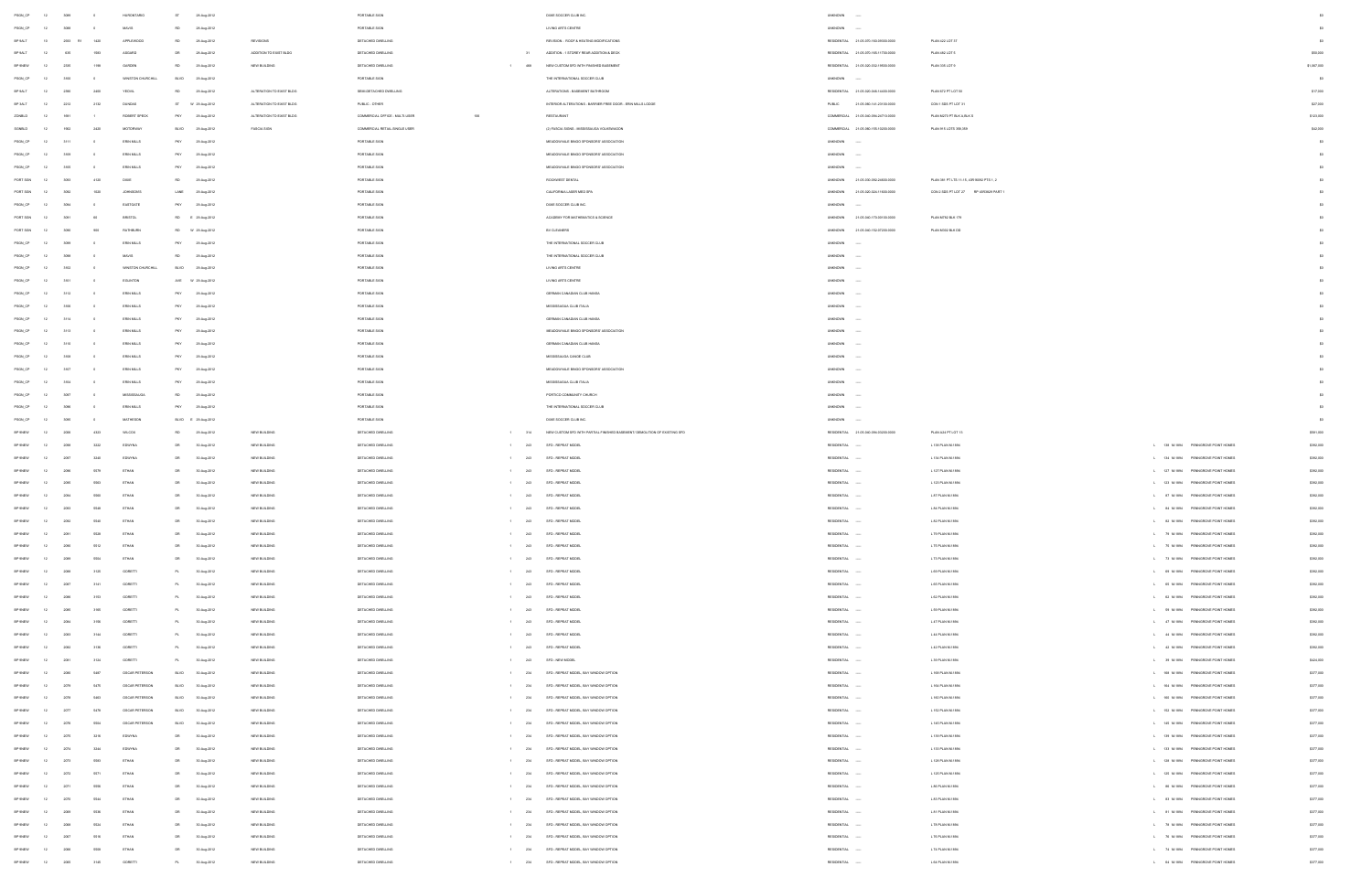| PSGN_CP       |                   |            | HURONTARIO          | 28-Aug-2012<br><b>ST</b>   |                          | PORTABLE SIGN                         |                       | DIXIE SOCCER CLUB INC.                                                    | <b>UNKNOWN</b>                             |                                          |                                    |            |
|---------------|-------------------|------------|---------------------|----------------------------|--------------------------|---------------------------------------|-----------------------|---------------------------------------------------------------------------|--------------------------------------------|------------------------------------------|------------------------------------|------------|
| PSGN_CP<br>12 | 3088              | $\sim$     | MAVIS               | <b>RD</b><br>28-Aug-2012   |                          | PORTABLE SIGN                         |                       | <b>LIVING ARTS CENTRE</b>                                                 | UNKNOWN -----                              |                                          |                                    |            |
| BP 9ALT       | 2933<br><b>R1</b> | 1420       | APPLEWOOD           | <b>RD</b><br>28-Aug-2012   | REVISIONS                | DETACHED DWELLING                     |                       | REVISION - ROOF & HEATING MODIFICATIONS                                   | RESIDENTIAL 21-05-070-160-09300-0000       | PLAN 422 LOT 37                          |                                    |            |
|               |                   |            |                     |                            |                          |                                       |                       |                                                                           |                                            |                                          |                                    |            |
| BP 9ALT       |                   | 1583       | ASGARD              | DR.<br>28-Aug-2012         | ADDITION TO EXIST BLDG   | DETACHED DWELLING                     | 31                    | ADDITION - 1 STOREY REAR ADDITION & DECK                                  | RESIDENTIAL 21-05-070-165-11700-0000       | PLAN 482 LOT 5                           |                                    | \$50,00    |
| BP 9NEW       |                   | 1198       | GARDEN              | <b>RD</b><br>29-Aug-2012   | NEW BUILDING             | DETACHED DWELLING                     | 1 468                 | NEW CUSTOM SFD WITH FINISHED BASEMENT                                     | RESIDENTIAL 21-05-020-032-19500-0000       | PLAN 335 LOT 9                           |                                    | \$1,067,00 |
| PSGN CP       | 3100              | $\sim$     | WINSTON CHURCHILL   | <b>BLVD</b><br>29-Aug-2012 |                          | PORTABLE SIGN                         |                       | THE INTERNATIONAL SOCCER CLUB                                             | <b>UNKNOWN</b><br>----                     |                                          |                                    |            |
| BP 9ALT       |                   | 2400       | YEOVIL              | <b>RD</b><br>29-Aug-2012   | ALTERATION TO EXIST BLDG | SEMI-DETACHED DWELLING                |                       | ALTERATIONS - BASEMENT BATHROOM                                           | RESIDENTIAL 21-05-020-046-14400-0000       | PLAN 672 PT LOT 50                       |                                    | \$17,00    |
| BP 3ALT       | 2212              | 2132       | DUNDAS              | ST W 29-Aug-2012           | ALTERATION TO EXIST BLDG | PUBLIC - OTHER                        |                       | INTERIOR ALTERATIONS - BARRIER FREE DOOR - ERIN MILLS LODGE               | PUBLIC<br>21-05-060-141-23100-0000         | CON 1 SDS PT LOT 31                      |                                    | \$27,00    |
|               |                   |            |                     |                            |                          |                                       |                       |                                                                           |                                            |                                          |                                    |            |
| ZONBLD        |                   |            | <b>ROBERT SPECK</b> | PKY<br>29-Aug-2012         | ALTERATION TO EXIST BLDG | COMMERCIAL OFFICE - MULTI-USER<br>106 |                       | RESTAURANT                                                                | COMMERCIAL 21-05-040-094-24710-0000        | PLAN M270 PT BLK A,BLK S                 |                                    | \$123,00   |
| SGNBLD        |                   | 2420       | MOTORWAY            | BLVD<br>29-Aug-2012        | <b>FASCIA SIGN</b>       | COMMERCIAL RETAIL-SINGLE USER         |                       | (2) FASCIA SIGNS - MISSISSAUGA VOLKSWAGON                                 | COMMERCIAL 21-05-060-155-10200-0000        | PLAN 915 LOTS 358,359                    |                                    | \$42,00    |
| PSGN CP<br>12 | 3111              | $\sim$     | <b>ERIN MILLS</b>   | <b>PKY</b><br>29-Aug-2012  |                          | PORTABLE SIGN                         |                       | MEADOWVALE BINGO SPONSORS' ASSOCIATION                                    | <b>UNKNOWN</b><br>-----                    |                                          |                                    |            |
| PSGN_CP       | 3109              | $\sim$     | <b>ERIN MILLS</b>   | PKY<br>29-Aug-2012         |                          | PORTABLE SIGN                         |                       | MEADOWVALE BINGO SPONSORS' ASSOCIATION                                    | <b>UNKNOWN</b>                             |                                          |                                    |            |
| PSGN CP       |                   |            | <b>ERIN MILLS</b>   | PKY<br>29-Aug-2012         |                          | PORTABLE SIGN                         |                       | MEADOWVALE BINGO SPONSORS' ASSOCIATION                                    | <b>UNKNOWN</b>                             |                                          |                                    |            |
|               |                   |            |                     |                            |                          |                                       |                       |                                                                           |                                            |                                          |                                    |            |
| PORT SGN      |                   | 4120       | <b>DIXIE</b>        | <b>RD</b><br>29-Aug-2012   |                          | PORTABLE SIGN                         |                       | ROCKWEST DENTAL                                                           | <b>UNKNOWN</b><br>21-05-030-092-24600-0000 | PLAN 381 PT LTS 11-15, 43R16092 PTS 1, 2 |                                    |            |
| PORT SGN      | 3092              | 1020       | <b>JOHNSON'S</b>    | LANE<br>29-Aug-2012        |                          | PORTABLE SIGN                         |                       | CALIFORNIA LASER MED SPA                                                  | 21-05-020-024-11600-0000<br><b>UNKNOWN</b> | CON 2 SDS PT LOT 27 RP 43R3829 PART 1    |                                    |            |
| PSGN_CP       |                   |            | EASTGATE            | PKY<br>29-Aug-2012         |                          | PORTABLE SIGN                         |                       | DIXIE SOCCER CLUB INC.                                                    | <b>UNKNOWN</b>                             |                                          |                                    |            |
| PORT SGN      |                   | 60         | <b>BRISTOL</b>      | RD E 29-Aug-2012           |                          | PORTABLE SIGN                         |                       | ACADEMY FOR MATHEMATICS & SCIENCE                                         | 21-05-040-170-00100-0000<br><b>UNKNOWN</b> | PLAN M782 BLK 179                        |                                    |            |
| PORT SGN      | 3090              | 900        | RATHBURN            | RD W 29-Aug-2012           |                          | PORTABLE SIGN                         |                       | BV CLEANERS                                                               | <b>UNKNOWN</b><br>21-05-040-152-07200-0000 | PLAN M302 BLK DD                         |                                    |            |
| PSGN CP<br>12 | 3099              | $^{\circ}$ | <b>ERIN MILLS</b>   | PKY<br>29-Aug-2012         |                          | PORTABLE SIGN                         |                       | THE INTERNATIONAL SOCCER CLUB                                             | <b>UNKNOWN</b><br>-----                    |                                          |                                    |            |
|               |                   |            |                     |                            |                          |                                       |                       |                                                                           |                                            |                                          |                                    |            |
| PSGN_CP       |                   | $\sim$     | MAVIS               | <b>RD</b><br>29-Aug-2012   |                          | PORTABLE SIGN                         |                       | THE INTERNATIONAL SOCCER CLUB                                             | <b>UNKNOWN</b>                             |                                          |                                    |            |
| PSGN_CP       | 3102              | $\sim$     | WINSTON CHURCHILL   | BLVD 29-Aug-2012           |                          | PORTABLE SIGN                         |                       | LIVING ARTS CENTRE                                                        | <b>UNKNOWN</b>                             |                                          |                                    |            |
| PSGN_CP       |                   |            | EGLINTON            | AVE W 29-Aug-2012          |                          | PORTABLE SIGN                         |                       | LIVING ARTS CENTRE                                                        | <b>UNKNOWN</b>                             |                                          |                                    |            |
| PSGN_CP<br>12 | 3112              | $\sim$     | <b>ERIN MILLS</b>   | PKY<br>29-Aug-2012         |                          | PORTABLE SIGN                         |                       | GERMAN CANADIAN CLUB HANSA                                                | <b>UNKNOWN</b>                             |                                          |                                    |            |
| PSGN_CP       |                   |            | ERIN MILLS          | PKY<br>29-Aug-2012         |                          | PORTABLE SIGN                         |                       | MISSISSAGUA CLUB ITALIA                                                   | <b>UNKNOWN</b>                             |                                          |                                    |            |
|               |                   |            |                     |                            |                          |                                       |                       |                                                                           |                                            |                                          |                                    |            |
| PSGN_CP<br>12 | 3114              | $\sim$     | <b>ERIN MILLS</b>   | PKY<br>29-Aug-2012         |                          | PORTABLE SIGN                         |                       | <b>GERMAN CANADIAN CLUB HANSA</b>                                         | <b>UNKNOWN</b>                             |                                          |                                    |            |
| PSGN_CP       |                   |            | ERIN MILLS          | PKY<br>29-Aug-2012         |                          | PORTABLE SIGN                         |                       | MEADOWVALE BINGO SPONSORS' ASSOCIATION                                    | <b>UNKNOWN</b>                             |                                          |                                    |            |
| PSGN_CP<br>12 | 3110              | $\sim$     | <b>ERIN MILLS</b>   | PKY<br>29-Aug-2012         |                          | PORTABLE SIGN                         |                       | GERMAN CANADIAN CLUB HANSA                                                | <b>UNKNOWN</b><br>----                     |                                          |                                    |            |
| PSGN_CP       | 3108              | $\sim$     | <b>ERIN MILLS</b>   | PKY<br>29-Aug-2012         |                          | PORTABLE SIGN                         |                       | MISSISSAUGA CANOE CLUB                                                    | <b>UNKNOWN</b>                             |                                          |                                    |            |
| PSGN_CP       | 3107              | $^{\circ}$ | <b>ERIN MILLS</b>   | PKY<br>29-Aug-2012         |                          | PORTABLE SIGN                         |                       | MEADOWVALE BINGO SPONSORS' ASSOCIATION                                    | <b>UNKNOWN</b>                             |                                          |                                    |            |
|               |                   |            |                     |                            |                          |                                       |                       |                                                                           |                                            |                                          |                                    |            |
| PSGN_CP       |                   |            | ERIN MILLS          | PKY<br>29-Aug-2012         |                          | PORTABLE SIGN                         |                       | MISSISSAGUA CLUB ITALIA                                                   | <b>UNKNOWN</b>                             |                                          |                                    |            |
| PSGN_CP       | 3097              | $\sim$     | MISSISSAUGA         | <b>RD</b><br>29-Aug-2012   |                          | PORTABLE SIGN                         |                       | PORTICO COMMUNITY CHURCH                                                  | <b>UNKNOWN</b>                             |                                          |                                    |            |
| PSGN_CP       |                   |            | ERIN MILLS          | PKY<br>29-Aug-2012         |                          | PORTABLE SIGN                         |                       | THE INTERNATIONAL SOCCER CLUB                                             | <b>UNKNOWN</b>                             |                                          |                                    |            |
| PSGN_CP       |                   | $\sim$     | MATHESON            | BLVD E 29-Aug-2012         |                          | PORTABLE SIGN                         |                       | DIXIE SOCCER CLUB INC.                                                    | <b>UNKNOWN</b>                             |                                          |                                    |            |
| BP 9NEW       | 2006              | 4323       | WILCOX              | 29-Aug-2012<br><b>RD</b>   | NEW BUILDING             | DETACHED DWELLING                     | 1 314                 | NEW CUSTOM SFD WITH PARTIAL FINISHED BASEMENT/ DEMOLITION OF EXISTING SFD | RESIDENTIAL 21-05-040-094-03200-0000       | PLAN A24 PT LOT 13                       |                                    | \$581,00   |
|               |                   |            |                     |                            |                          |                                       |                       |                                                                           |                                            |                                          |                                    |            |
| BP 9NEW       | 2098              | 3222       | EDWYNA              | 30-Aug-2012<br>DR.         | NEW BUILDING             | DETACHED DWELLING                     | 1 243                 | SFD - REPEAT MODEL                                                        | RESIDENTIAL -----                          | L 138 PLAN M-1894                        | L 138 M-1894 PENNGROVE POINT HOMES | \$392,00   |
| BP 9NEW<br>12 | 2097              | 3240       |                     |                            | NEW BUILDING             |                                       |                       | SFD - REPEAT MODEL                                                        |                                            |                                          |                                    | \$392,00   |
|               |                   |            | EDWYNA              | <b>DR</b><br>30-Aug-2012   |                          | DETACHED DWELLING<br>1 243            |                       |                                                                           | RESIDENTIAL -----                          | L 134 PLAN M-1894                        | L 134 M-1894 PENNGROVE POINT HOMES |            |
| BP 9NEW       | 2096              | 5579       | ETHAN               | DR<br>30-Aug-2012          | NEW BUILDING             | DETACHED DWELLING                     | 1243                  | SFD - REPEAT MODEL                                                        | RESIDENTIAL -----                          | L 127 PLAN M-1894                        | L 127 M-1894 PENNGROVE POINT HOMES | \$392,00   |
| BP 9NEW       |                   | 5563       | ETHAN               | DR.<br>30-Aug-2012         | NEW BUILDING             | DETACHED DWELLING                     | 1 243                 | SFD - REPEAT MODEL                                                        | RESIDENTIAL -----                          | L 123 PLAN M-1894                        | L 123 M-1894 PENNGROVE POINT HOMES | \$392,00   |
|               |                   |            |                     |                            |                          |                                       |                       |                                                                           |                                            |                                          |                                    |            |
| BP 9NEW       |                   | 5560       | <b>ETHAN</b>        | <b>DR</b><br>30-Aug-2012   | NEW BUILDING             | DETACHED DWELLING<br>$\sim$ 1         | 243                   | SFD - REPEAT MODEL                                                        | <b>RESIDENTIAL</b>                         | L 87 PLAN M-1894                         | L 87 M-1894 PENNGROVE POINT HOMES  | \$392,00   |
| BP 9NEW<br>12 | 2093              | 5548       | ETHAN               | <b>DR</b><br>30-Aug-2012   | NEW BUILDING             | DETACHED DWELLING                     | 1243                  | SFD - REPEAT MODEL                                                        | RESIDENTIAL -----                          | L 84 PLAN M-1894                         | L 84 M-1894 PENNGROVE POINT HOMES  | \$392,00   |
| BP 9NEW       |                   | 5540       | ETHAN               | DR<br>30-Aug-2012          | NEW BUILDING             | DETACHED DWELLING                     | 1243                  | SFD - REPEAT MODEL                                                        | RESIDENTIAL -----                          | L 82 PLAN M-1894                         | L 82 M-1894 PENNGROVE POINT HOMES  | \$392,00   |
| BP 9NEW       |                   | 5528       | ETHAN               | <b>DR</b><br>30-Aug-2012   | NEW BUILDING             | DETACHED DWELLING                     | 1243                  | SFD - REPEAT MODEL                                                        | RESIDENTIAL -----                          | L 79 PLAN M-1894                         | L 79 M-1894 PENNGROVE POINT HOMES  | \$392,00   |
| BP 9NEW       |                   | 5512       | ETHAN               | DR<br>30-Aug-2012          | NEW BUILDING             | DETACHED DWELLING                     | 1243                  | SFD - REPEAT MODEL                                                        | RESIDENTIAL -----                          | L 75 PLAN M-1894                         | L 75 M-1894 PENNGROVE POINT HOMES  | \$392,00   |
| 12            | 2089              |            |                     |                            |                          |                                       |                       |                                                                           |                                            |                                          |                                    |            |
| BP 9NEW       |                   | 5504       | ETHAN               | <b>DR</b><br>30-Aug-2012   | NEW BUILDING             | DETACHED DWELLING                     | 1 243                 | SFD - REPEAT MODEL                                                        | RESIDENTIAL -----                          | L 73 PLAN M-1894                         | L 73 M-1894 PENNGROVE POINT HOMES  | \$392,00   |
| BP 9NEW<br>12 | 2088              | 3125       | GORETTI             | PL .<br>30-Aug-2012        | NEW BUILDING             | DETACHED DWELLING                     | 1243                  | SFD - REPEAT MODEL                                                        | RESIDENTIAL -----                          | L 69 PLAN M-1894                         | L 69 M-1894 PENNGROVE POINT HOMES  | \$392,00   |
| BP 9NEW       |                   | 3141       | <b>GORETTI</b>      | PL.<br>30-Aug-2012         | NEW BUILDING             | DETACHED DWELLING                     | 1 243                 | SFD - REPEAT MODEL                                                        | RESIDENTIAL -----                          | L 65 PLAN M-1894                         | L 65 M-1894 PENNGROVE POINT HOMES  | \$392,00   |
| BP 9NEW       |                   | 3153       | GORETTI             | PL .<br>30-Aug-2012        | NEW BUILDING             | DETACHED DWELLING                     | 1243                  | SFD - REPEAT MODEL                                                        | RESIDENTIAL -----                          | L 62 PLAN M-1894                         | L 62 M-1894 PENNGROVE POINT HOMES  | \$392,00   |
| BP 9NEW       | 2085              | 3165       | <b>GORETTI</b>      | PL .<br>30-Aug-2012        | NEW BUILDING             | DETACHED DWELLING                     | 1 243                 | SFD - REPEAT MODEL                                                        | RESIDENTIAL -----                          | L 59 PLAN M-1894                         | L 59 M-1894 PENNGROVE POINT HOMES  | \$392,00   |
|               |                   |            |                     |                            |                          |                                       |                       |                                                                           |                                            |                                          |                                    |            |
| BP 9NEW       |                   | 3156       | GORETTI             | PL .<br>30-Aug-2012        | NEW BUILDING             | DETACHED DWELLING                     | 1243                  | SFD - REPEAT MODEL                                                        | RESIDENTIAL -----                          | L 47 PLAN M-1894                         | L 47 M-1894 PENNGROVE POINT HOMES  | \$392,00   |
| BP 9NEW<br>12 | 2083              | 3144       | <b>GORETTI</b>      | PL.<br>30-Aug-2012         | NEW BUILDING             | DETACHED DWELLING                     | 1 243                 | SFD - REPEAT MODEL                                                        | RESIDENTIAL -----                          | L 44 PLAN M-1894                         | L 44 M-1894 PENNGROVE POINT HOMES  | \$392,00   |
| BP 9NEW       |                   | 3136       | GORETTI             | PL<br>30-Aug-2012          | NEW BUILDING             | DETACHED DWELLING                     | 1243                  | SFD - REPEAT MODEL                                                        | RESIDENTIAL -----                          | L 42 PLAN M-1894                         | L 42 M-1894 PENNGROVE POINT HOMES  | \$392,00   |
| BP 9NEW<br>12 | 2081              | 3124       | <b>GORETTI</b>      | PL 9<br>30-Aug-2012        | NEW BUILDING             | DETACHED DWELLING                     | 1 243                 | SFD - NEW MODEL                                                           | RESIDENTIAL -----                          | L 39 PLAN M-1894                         | L 39 M-1894 PENNGROVE POINT HOMES  | \$424,00   |
| BP 9NEW       |                   | 5487       | OSCAR PETERSON      | <b>BLVD</b><br>30-Aug-2012 | NEW BUILDING             | DETACHED DWELLING                     | 1234                  | SFD - REPEAT MODEL, BAY WINDOW OPTION                                     | RESIDENTIAL -----                          | L 168 PLAN M-1894                        | L 168 M-1894 PENNGROVE POINT HOMES | \$377,00   |
| BP 9NEW       | 2079              | 5475       | OSCAR PETERSON      |                            | NEW BUILDING             | DETACHED DWELLING                     | 1 234                 | SFD - REPEAT MODEL, BAY WINDOW OPTION                                     | RESIDENTIAL -----                          | L 164 PLAN M-1894                        | L 164 M-1894 PENNGROVE POINT HOMES |            |
|               |                   |            |                     | BLVD 30-Aug-2012           |                          |                                       |                       |                                                                           |                                            |                                          |                                    | \$377,00   |
| BP 9NEW       |                   | 5463       | OSCAR PETERSON      | BLVD<br>30-Aug-2012        | NEW BUILDING             | DETACHED DWELLING                     | 1234                  | SFD - REPEAT MODEL, BAY WINDOW OPTION                                     | RESIDENTIAL -----                          | L 160 PLAN M-1894                        | L 160 M-1894 PENNGROVE POINT HOMES | \$377,00   |
| BP 9NEW       | 2077              | 5478       | OSCAR PETERSON      | <b>BLVD</b><br>30-Aug-2012 | <b>NEW BUILDING</b>      | DETACHED DWELLING                     | 1 234                 | SFD - REPEAT MODEL, BAY WINDOW OPTION                                     | RESIDENTIAL -----                          | L 152 PLAN M-1894                        | L 152 M-1894 PENNGROVE POINT HOMES | \$377,00   |
| BP 9NEW       | 2076              | 5504       | OSCAR PETERSON      | BLVD<br>30-Aug-2012        | NEW BUILDING             | DETACHED DWELLING                     | 1234                  | SFD - REPEAT MODEL, BAY WINDOW OPTION                                     | RESIDENTIAL -----                          | L 145 PLAN M-1894                        | L 145 M-1894 PENNGROVE POINT HOMES | \$377,00   |
| BP 9NEW       | 2075              | 3216       | EDWYNA              | 30-Aug-2012<br>DR.         | NEW BUILDING             | DETACHED DWELLING<br>$1 -$            | 234                   | SFD - REPEAT MODEL, BAY WINDOW OPTION                                     | RESIDENTIAL -----                          | L 139 PLAN M-1894                        | L 139 M-1894 PENNGROVE POINT HOMES | \$377,00   |
| BP 9NEW<br>12 | 2074              | 3244       | EDWYNA              | <b>DR</b><br>30-Aug-2012   | NEW BUILDING             | DETACHED DWELLING                     | $1$ 234               | SFD - REPEAT MODEL, BAY WINDOW OPTION                                     | RESIDENTIAL -----                          | L 133 PLAN M-1894                        | L 133 M-1894 PENNGROVE POINT HOMES | \$377,00   |
|               |                   |            |                     |                            |                          |                                       |                       |                                                                           |                                            |                                          |                                    |            |
| BP 9NEW<br>12 | 2073              | 5583       | ETHAN               | DR<br>30-Aug-2012          | NEW BUILDING             | DETACHED DWELLING                     | $1 \qquad \qquad 234$ | SFD - REPEAT MODEL, BAY WINDOW OPTION                                     | RESIDENTIAL -----                          | L 128 PLAN M-1894                        | L 128 M-1894 PENNGROVE POINT HOMES | \$377,00   |
| BP 9NEW<br>12 | 2072              | 5571       | ETHAN               | DR.<br>30-Aug-2012         | NEW BUILDING             | DETACHED DWELLING                     | 1 234                 | SFD - REPEAT MODEL, BAY WINDOW OPTION                                     | RESIDENTIAL -----                          | L 125 PLAN M-1894                        | L 125 M-1894 PENNGROVE POINT HOMES | \$377,00   |
| BP 9NEW       | 2071              | 5556       | ETHAN               | DR<br>30-Aug-2012          | NEW BUILDING             | DETACHED DWELLING                     | 1234                  | SFD - REPEAT MODEL, BAY WINDOW OPTION                                     | RESIDENTIAL -----                          | L 86 PLAN M-1894                         | L 86 M-1894 PENNGROVE POINT HOMES  | \$377,00   |
| BP 9NEW       | <b>2070</b>       | 5544       | ETHAN               | <b>DR</b><br>30-Aug-2012   | NEW BUILDING             | DETACHED DWELLING                     | 1 234                 | SFD - REPEAT MODEL, BAY WINDOW OPTION                                     | RESIDENTIAL -----                          | L 83 PLAN M-1894                         | L 83 M-1894 PENNGROVE POINT HOMES  | \$377,00   |
| BP 9NEW       |                   | 5536       | ETHAN               | DR                         | NEW BUILDING             | DETACHED DWELLING                     | 1 234                 | SFD - REPEAT MODEL, BAY WINDOW OPTION                                     | RESIDENTIAL -----                          | L 81 PLAN M-1894                         | L 81 M-1894 PENNGROVE POINT HOMES  |            |
|               |                   |            |                     | 30-Aug-2012                |                          |                                       |                       |                                                                           |                                            |                                          |                                    | \$377,00   |
| BP 9NEW       | 2068              | 5524       | ETHAN               | DR.<br>30-Aug-2012         | NEW BUILDING             | DETACHED DWELLING                     | 1 234                 | SFD - REPEAT MODEL, BAY WINDOW OPTION                                     | RESIDENTIAL -----                          | L 78 PLAN M-1894                         | L 78 M-1894 PENNGROVE POINT HOMES  | \$377,00   |
| BP 9NEW       |                   | 5516       | ETHAN               | DR<br>30-Aug-2012          | NEW BUILDING             | DETACHED DWELLING<br>$1 -$            | 234                   | SFD - REPEAT MODEL, BAY WINDOW OPTION                                     | RESIDENTIAL -----                          | L 76 PLAN M-1894                         | L 76 M-1894 PENNGROVE POINT HOMES  | \$377,00   |
| BP 9NEW       | 2066              | 5508       | ETHAN               | <b>DR</b><br>30-Aug-2012   | NEW BUILDING             | DETACHED DWELLING                     | 1234                  | SFD - REPEAT MODEL, BAY WINDOW OPTION                                     | RESIDENTIAL -----                          | L 74 PLAN M-1894                         | L 74 M-1894 PENNGROVE POINT HOMES  | \$377,00   |
| BP 9NEW 12    | 2065              | 3145       | <b>GORETTI</b>      | PL<br>30-Aug-2012          | NEW BUILDING             | DETACHED DWELLING                     | $1 \qquad \qquad 234$ | SFD - REPEAT MODEL, BAY WINDOW OPTION                                     | RESIDENTIAL -----                          | L 64 PLAN M-1894                         | L 64 M-1894 PENNGROVE POINT HOMES  | \$377,00   |

|                       |                    |              |            |                       | \$0       |
|-----------------------|--------------------|--------------|------------|-----------------------|-----------|
|                       |                    |              |            |                       | \$0       |
|                       |                    |              |            |                       | \$0       |
|                       |                    |              |            |                       | \$ű       |
|                       |                    |              |            |                       | \$0       |
|                       |                    |              |            |                       | \$0       |
|                       |                    |              |            |                       | \$0       |
|                       |                    |              |            |                       | \$0       |
|                       |                    |              |            |                       | \$0       |
|                       |                    |              |            |                       | \$0       |
|                       |                    |              |            |                       | \$0       |
| 05-040-094-03200-0000 | PLAN A24 PT LOT 13 |              |            |                       | \$581,000 |
|                       | L 138 PLAN M-1894  | L            | 138 M-1894 | PENNGROVE POINT HOMES | \$392,000 |
|                       | L 134 PLAN M-1894  | L            | 134 M-1894 | PENNGROVE POINT HOMES | \$392,000 |
|                       | L 127 PLAN M-1894  | L            | 127 M-1894 | PENNGROVE POINT HOMES | \$392,000 |
|                       | L 123 PLAN M-1894  | L            | 123 M-1894 | PENNGROVE POINT HOMES | \$392,000 |
|                       | L 87 PLAN M-1894   | $\mathbf{L}$ | 87 M-1894  | PENNGROVE POINT HOMES | \$392,000 |
|                       | L 84 PLAN M-1894   | $\mathbf{L}$ | 84 M-1894  | PENNGROVE POINT HOMES | \$392,000 |
|                       | L 82 PLAN M-1894   | $\mathbf{L}$ | 82 M-1894  | PENNGROVE POINT HOMES | \$392,000 |
|                       | L 79 PLAN M-1894   | $\mathbf{L}$ | 79 M-1894  | PENNGROVE POINT HOMES | \$392,000 |
|                       | L 75 PLAN M-1894   | $\mathsf{L}$ | 75 M-1894  | PENNGROVE POINT HOMES | \$392,000 |
|                       | L 73 PLAN M-1894   | $\mathsf{L}$ | 73 M-1894  | PENNGROVE POINT HOMES | \$392,000 |
|                       | L 69 PLAN M-1894   | $\mathsf L$  | 69 M-1894  | PENNGROVE POINT HOMES | \$392,000 |
|                       | L 65 PLAN M-1894   | $\mathbf{L}$ | 65 M-1894  | PENNGROVE POINT HOMES | \$392,000 |
|                       | L 62 PLAN M-1894   | $\mathsf{L}$ | 62 M-1894  | PENNGROVE POINT HOMES | \$392,000 |
|                       | L 59 PLAN M-1894   | $\mathsf L$  | 59 M-1894  | PENNGROVE POINT HOMES | \$392,000 |
|                       | L 47 PLAN M-1894   | L            | 47 M-1894  | PENNGROVE POINT HOMES | \$392,000 |
|                       | L 44 PLAN M-1894   | Ĺ            | 44 M-1894  | PENNGROVE POINT HOMES | \$392,000 |
|                       | L 42 PLAN M-1894   | $\mathbf{L}$ | 42 M-1894  | PENNGROVE POINT HOMES | \$392,000 |
|                       | L 39 PLAN M-1894   | $\mathsf L$  | 39 M-1894  | PENNGROVE POINT HOMES | \$424,000 |
|                       | 1 168 PLAN M-1894  | $\mathbf{L}$ | 168 M-1894 | PENNGROVE POINT HOMES | \$377,000 |
|                       | L 164 PLAN M-1894  | $\mathsf L$  | 164 M-1894 | PENNGROVE POINT HOMES | \$377,000 |
|                       | L 160 PLAN M-1894  | L            | 160 M-1894 | PENNGROVE POINT HOMES | \$377,000 |
|                       | L 152 PLAN M-1894  | $\mathsf{L}$ | 152 M-1894 | PENNGROVE POINT HOMES | \$377,000 |
|                       | L 145 PLAN M-1894  | L            | 145 M-1894 | PENNGROVE POINT HOMES | \$377,000 |
|                       | L 139 PLAN M-1894  | L            | 139 M-1894 | PENNGROVE POINT HOMES | \$377,000 |
|                       | L 133 PLAN M-1894  | $\mathsf{L}$ | 133 M-1894 | PENNGROVE POINT HOMES | \$377,000 |
|                       | L 128 PLAN M-1894  | L            | 128 M-1894 | PENNGROVE POINT HOMES | \$377,000 |
|                       | L 125 PLAN M-1894  | L            | 125 M-1894 | PENNGROVE POINT HOMES | \$377,000 |
|                       | L 86 PLAN M-1894   | $\mathsf{L}$ | 86 M-1894  | PENNGROVE POINT HOMES | \$377,000 |
|                       | L 83 PLAN M-1894   | $\mathbf{L}$ | 83 M-1894  | PENNGROVE POINT HOMES | \$377,000 |
|                       | L 81 PLAN M-1894   | $\mathsf{L}$ | 81 M-1894  | PENNGROVE POINT HOMES | \$377,000 |
|                       | 178 PLAN M-1894    | $\mathbf{L}$ | 78 M-1894  | PENNGROVE POINT HOMES | \$377,000 |
|                       | L 76 PLAN M-1894   | L            | 76 M-1894  | PENNGROVE POINT HOMES | \$377,000 |
|                       | L 74 PLAN M-1894   | L            | 74 M-1894  | PENNGROVE POINT HOMES | \$377,000 |
|                       |                    |              |            |                       |           |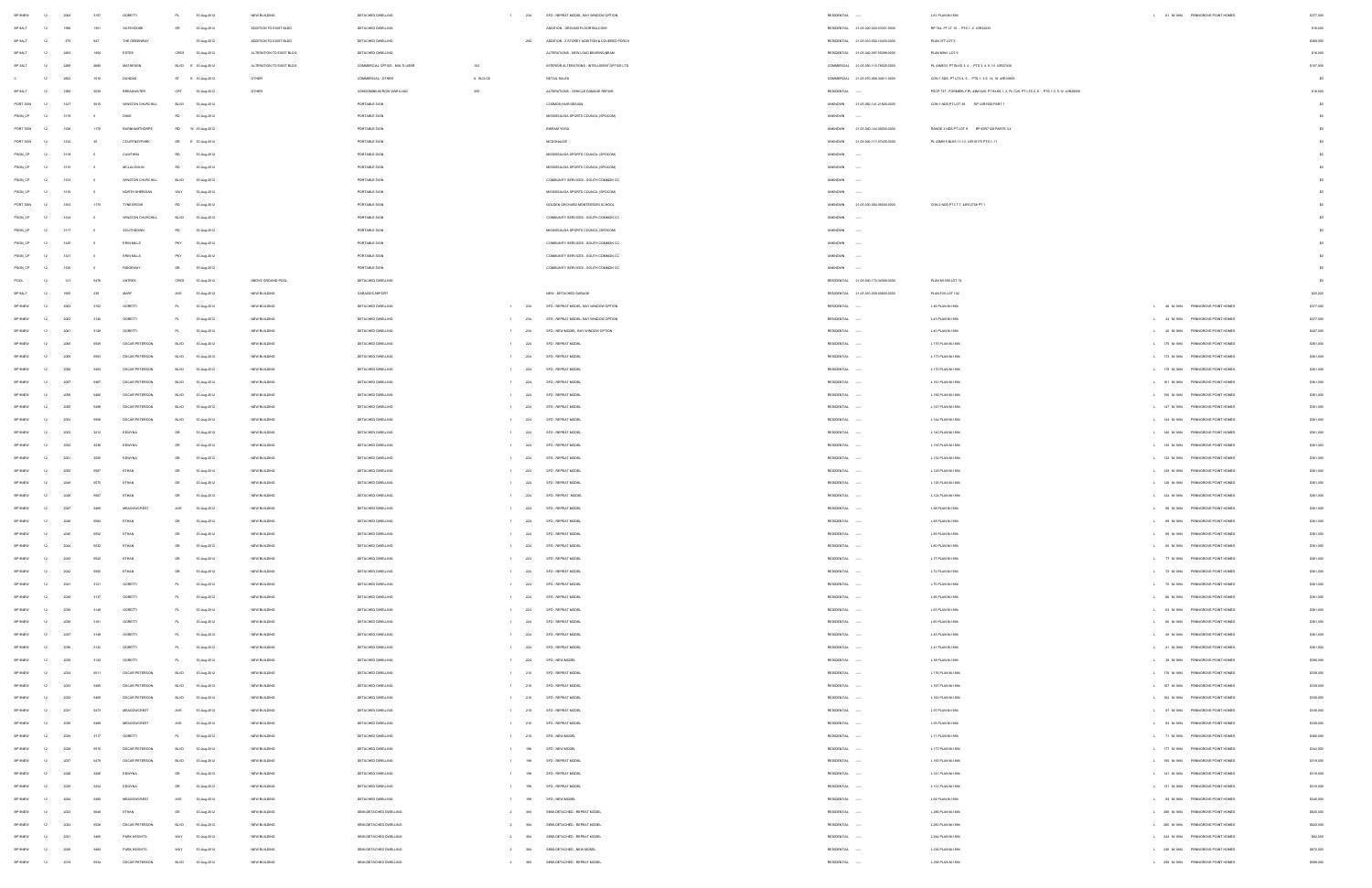\$620,000 \$345,000 \$319,000 \$342,000  $$338,000$ \$338,000  $$338,000$ \$361,000 \$361,000 \$361,000 \$361,000 \$361,000 \$361,000 \$361,000 \$361,000 \$361,000  $$361,000$ \$361,000 \$361,000 \$361,000 \$377,000 \$25,000

| BP 9NEW        |      | 3157     | GORETTI              | PL                 | 30-Aug-2012 | NEW BUILDING             | DETACHED DWELLING              | 1234                  |     | SFD - REPEAT MODEL, BAY WINDOW OPTION         | RESIDENTIAL                                | L 61 PLAN M-1894                                                                           | L 61 M-1894 PENNGROVE POINT HOMES  | \$377,00 |
|----------------|------|----------|----------------------|--------------------|-------------|--------------------------|--------------------------------|-----------------------|-----|-----------------------------------------------|--------------------------------------------|--------------------------------------------------------------------------------------------|------------------------------------|----------|
| BP 9ALT        |      | 1301     | GATEHOUSE            | <b>DR</b>          | 30-Aug-2012 | ADDITION TO EXIST BLDG   | DETACHED DWELLING              |                       |     | ADDITION - GROUND ELOOR BALCONY               | RESIDENTIAL 21-05-020-020-03301-0000       | RP 744, PT LT 10 - PTS 1, 2 43R32433                                                       |                                    | \$16,00  |
| BP 9ALT        |      | 947      | THE GREENWAY         |                    | 30-Aug-2012 | ADDITION TO EXIST BLDG   | DETACHED DWELLING              |                       | 292 | ADDITION - 2 STOREY ADDITION & COVERED PORCH  | RESIDENTIAL 21-05-010-002-14400-0000       | PLAN 377 LOT 5                                                                             |                                    | \$368,00 |
| BP 9ALT<br>12  | 2493 | 1454     | <b>ESTES</b>         | CRES 30-Aug-2012   |             | ALTERATION TO EXIST BLDG | DETACHED DWELLING              |                       |     | ALTERATIONS - NEW LOAD BEARING BEAM           | RESIDENTIAL 21-05-040-097-55098-0000       | PLAN M941 LOT 9                                                                            |                                    | \$16,00  |
|                |      |          |                      |                    |             |                          |                                |                       |     |                                               |                                            |                                                                                            |                                    |          |
| BP 3ALT        | 2269 | 2680     | MATHESON             | BLVD E 30-Aug-2012 |             | ALTERATION TO EXIST BLDG | COMMERCIAL OFFICE - MULTI-USER | 102                   |     | INTERIOR ALTERATIONS - INTELLIGENT OFFICE LTD | COMMERCIAL 21-05-050-115-78025-0000        | PL 43M533, PT BLKS 3, 4 - PTS 3, 4, 9, 10 43R27430                                         |                                    | \$107,00 |
| 12             | 2602 | 1510     | <b>DUNDAS</b>        | ST E 30-Aug-2012   |             | OTHER                    | COMMERCIAL - OTHER             | 6, BLD-C6             |     | RETAIL SALES                                  | COMMERCIAL 21-05-070-068-34611-0000        | CON 1 SDS, PT LTS 4, 5 - PTS 1, 3-9, 14, 16 43R33993                                       |                                    |          |
| BP 9ALT        |      | 3030     | BREAKWATER           | CRT                | 30-Aug-2012 | OTHER                    | CONDOMINIUM ROW DWELLING       | 295                   |     | ALTERATIONS - VEHICLE DAMAGE REPAIR           | <b>RESIDENTIAL</b>                         | PSCP 737 - FORMERLY PL 43M1320, PT BLKS 1, 2, PL C26, PT LTS 2, 8 - PTS 1-3, 5-12 43R28050 |                                    | \$16,00  |
| PORT SGN       | 3127 | 3015     | WINSTON CHURCHILL    | <b>BLVD</b>        | 30-Aug-2012 |                          | PORTABLE SIGN                  |                       |     | COSMOS HAIR DESIGN                            | <b>UNKNOWN</b><br>21-05-060-141-21800-0000 | CON 1 NDS PT LOT 35 RP 43R1550 PART 1                                                      |                                    |          |
| PSGN CP<br>12  | 3119 | $\sim$   | DIXIE                | <b>RD</b>          | 30-Aug-2012 |                          | PORTABLE SIGN                  |                       |     | MISSISSAUGA SPORTS COUNCIL (SPOCOM)           | <b>UNKNOWN</b><br>-----                    |                                                                                            |                                    |          |
| PORT SGN       | 3126 | 1170     | <b>BURNHAMTHORPS</b> | RD W 30-Aug-2012   |             |                          | PORTABLE SIGN                  |                       |     | <b>BIKRAM YOGA</b>                            | <b>UNKNOWN</b><br>21-05-040-144-09000-0000 | RANGE 3 NDS PT LOT 8 RP 43R7128 PARTS 3,4                                                  |                                    |          |
|                |      |          |                      |                    |             |                          |                                |                       |     |                                               |                                            |                                                                                            |                                    |          |
| PORT SGN<br>12 | 3122 | 30       | COURTNEYPARK         | DR E 30-Aug-2012   |             |                          | PORTABLE SIGN                  |                       |     | MCDONALDS                                     | 21-05-040-117-07405-0000<br><b>UNKNOWN</b> | PL 43M915 BLKS 11-13, 43R19175 PTS 1-11                                                    |                                    |          |
| PSGN_CP        | 3118 | $\sim$   | CAWTHRA              | <b>RD</b>          | 30-Aug-2012 |                          | PORTABLE SIGN                  |                       |     | MISSISSAUGA SPORTS COUNCIL (SPOCOM)           | <b>UNKNOWN</b>                             |                                                                                            |                                    |          |
| PSGN CP<br>12  | 3115 | $\sim$ 0 | MCLAUGHLIN           | <b>RD</b>          | 30-Aug-2012 |                          | PORTABLE SIGN                  |                       |     | MISSISSAUGA SPORTS COUNCIL (SPOCOM)           | <b>UNKNOWN</b><br>-----                    |                                                                                            |                                    |          |
| PSGN_CP        | 3123 | $\sim$   | WINSTON CHURCHILL    | <b>BLVD</b>        | 30-Aug-2012 |                          | PORTABLE SIGN                  |                       |     | COMMUNITY SERVICES - SOUTH COMMON CC          | <b>UNKNOWN</b>                             |                                                                                            |                                    |          |
| PSGN CP        | 3116 | $\sim$   | NORTH SHERIDAN       | WAY                | 30-Aug-2012 |                          | PORTABLE SIGN                  |                       |     | MISSISSAUGA SPORTS COUNCIL (SPOCOM)           | <b>UNKNOWN</b>                             |                                                                                            |                                    |          |
| PORT SGN       |      | 1170     | TYNEGROVE            | <b>RD</b>          | 30-Aug-2012 |                          | PORTABLE SIGN                  |                       |     | GOLDEN ORCHARD MONTESSORI SCHOOL              | <b>UNKNOWN</b><br>21-05-030-092-06000-0000 | CON 2 NDS PT LT 7, 43R12708 PT 1                                                           |                                    |          |
| PSGN CP        | 3124 | $\sim$   | WINSTON CHURCHILL    | BLVD               | 30-Aug-2012 |                          | PORTABLE SIGN                  |                       |     | COMMUNITY SERVICES - SOUTH COMMON CC          | <b>UNKNOWN</b>                             |                                                                                            |                                    |          |
|                |      |          |                      |                    |             |                          |                                |                       |     |                                               |                                            |                                                                                            |                                    |          |
| PSGN_CP        | 3117 | $\sim$   | SOUTHDOWN            | <b>RD</b>          | 30-Aug-2012 |                          | PORTABLE SIGN                  |                       |     | MISSISSAUGA SPORTS COUNCIL (SPOCOM)           | <b>UNKNOWN</b>                             |                                                                                            |                                    |          |
| PSGN_CP<br>12  | 3125 | $\sim$   | <b>ERIN MILLS</b>    | PKY                | 30-Aug-2012 |                          | PORTABLE SIGN                  |                       |     | COMMUNITY SERVICES - SOUTH COMMON CC          | <b>UNKNOWN</b><br>-----                    |                                                                                            |                                    |          |
| PSGN_CP        |      |          | ERIN MILLS           | PKY                | 30-Aug-2012 |                          | PORTABLE SIGN                  |                       |     | COMMUNITY SERVICES - SOUTH COMMON CC          | <b>UNKNOWN</b>                             |                                                                                            |                                    |          |
| PSGN CP<br>12  | 3120 | $\sim$   | RIDGEWAY             | DR.                | 30-Aug-2012 |                          | PORTABLE SIGN                  |                       |     | COMMUNITY SERVICES - SOUTH COMMON CC          | <b>UNKNOWN</b><br>$\sim$                   |                                                                                            |                                    |          |
| POOL<br>12     |      | 5476     | ANTREX               | CRES               | 30-Aug-2012 | ABOVE GROUND POOL        | DETACHED DWELLING              |                       |     |                                               | RESIDENTIAL 21-05-040-170-34068-0000       | PLAN M1099 LOT 74                                                                          |                                    |          |
| BP 9ALT        |      | 439      | MARE                 | AVE                | 30-Aug-2012 | NEW BUILDING             | GARAGE/CARPORT                 |                       |     | NEW - DETACHED GARAGE                         | RESIDENTIAL 21-05-010-009-00800-0000       | PLAN F20 LOT 102                                                                           |                                    | \$25,00  |
| BP 9NEW        |      | 3152     | GORETTI              | PL                 | 30-Aug-2012 | NEW BUILDING             | DETACHED DWELLING              | $-1$                  | 234 | SFD - REPEAT MODEL, BAY WINDOW OPTION         | RESIDENTIAL                                | L 46 PLAN M-1894                                                                           | L 46 M-1894 PENNGROVE POINT HOMES  | \$377,00 |
|                |      |          |                      |                    |             |                          |                                |                       |     |                                               |                                            |                                                                                            |                                    |          |
| BP 9NEW        | 2062 | 3140     | <b>GORETTI</b>       | PL                 | 30-Aug-2012 | <b>NEW BUILDING</b>      | DETACHED DWELLING              | 1234                  |     | SFD - REPEAT MODEL. BAY WINDOW OPTION         | RESIDENTIAL -----                          | L 43 PLAN M-1894                                                                           | L 43 M-1894 PENNGROVE POINT HOMES  | \$377,00 |
| BP 9NEW        |      | 3128     | GORETTI              | PL                 | 30-Aug-2012 | NEW BUILDING             | DETACHED DWELLING              | $-1$                  | 234 | SFD - NEW MODEL, BAY WINDOW OPTION            | <b>RESIDENTIAL</b>                         | L 40 PLAN M-1894                                                                           | L 40 M-1894 PENNGROVE POINT HOMES  | \$407,00 |
| BP 9NEW        | 2060 | 5509     | OSCAR PETERSON       | BLVD               | 30-Aug-2012 | <b>NEW BUILDING</b>      | DETACHED DWELLING              | 1224                  |     | SFD - REPEAT MODEL                            | RESIDENTIAL -----                          | L 175 PLAN M-1894                                                                          | L 175 M-1894 PENNGROVE POINT HOMES | \$361,00 |
| BP 9NEW        |      | 5503     | OSCAR PETERSON       | BLVD               | 30-Aug-2012 | NEW BUILDING             | DETACHED DWELLING              | $-1$                  | 224 | SFD - REPEAT MODEL                            | RESIDENTIAL -----                          | L 173 PLAN M-1894                                                                          | L 173 M-1894 PENNGROVE POINT HOMES | \$361,00 |
| BP 9NEW        | 2058 | 5493     | OSCAR PETERSON       | <b>BLVD</b>        | 30-Aug-2012 | NEW BUILDING             | DETACHED DWELLING              | 1224                  |     | SFD - REPEAT MODEL                            | RESIDENTIAL -----                          | L 170 PLAN M-1894                                                                          | L 170 M-1894 PENNGROVE POINT HOMES | \$361,00 |
| BP 9NEW        |      | 5467     | OSCAR PETERSON       | <b>BLVD</b>        | 30-Aug-2012 | NEW BUILDING             | DETACHED DWELLING              | 1224                  |     | SFD - REPEAT MODEL                            | RESIDENTIAL -----                          | L 161 PLAN M-1894                                                                          | L 161 M-1894 PENNGROVE POINT HOMES | \$361,00 |
| BP 9NEW        | 2056 | 5460     | OSCAR PETERSON       | <b>BLVD</b>        | 30-Aug-2012 | <b>NEW BUILDING</b>      | DETACHED DWELLING              | 1224                  |     | SFD - REPEAT MODEL                            | RESIDENTIAL -----                          | L 156 PLAN M-1894                                                                          | L 156 M-1894 PENNGROVE POINT HOMES | \$361,00 |
|                |      |          |                      |                    |             |                          |                                |                       |     |                                               |                                            |                                                                                            |                                    |          |
| BP 9NEW        |      | 5498     | OSCAR PETERSON       | <b>BLVD</b>        | 30-Aug-2012 | NEW BUILDING             | DETACHED DWELLING              | $-1$                  | 224 | SFD - REPEAT MODEL                            | RESIDENTIAL -----                          | L 147 PLAN M-1894                                                                          | L 147 M-1894 PENNGROVE POINT HOMES | \$361,00 |
| BP 9NEW        |      | 5508     | OSCAR PETERSON       | <b>BLVD</b>        | 30-Aug-2012 | NEW BUILDING             | DETACHED DWELLING              | $1 -$                 | 224 | SFD - REPEAT MODEL                            | RESIDENTIAL -----                          | L 144 PLAN M-1894                                                                          | L 144 M-1894 PENNGROVE POINT HOMES | \$361,00 |
| BP 9NEW        | 2053 | 3212     | EDWYNA               | <b>DR</b>          | 30-Aug-2012 | NEW BUILDING             | DETACHED DWELLING              | 1224                  |     | SFD - REPEAT MODEL                            | RESIDENTIAL -----                          | L 140 PLAN M-1894                                                                          | L 140 M-1894 PENNGROVE POINT HOMES | \$361,00 |
| BP 9NEW        | 2052 | 3236     | EDWYNA               | DR.                | 30-Aug-2012 | NEW BUILDING             | DETACHED DWELLING              | 1                     | 224 | SFD - REPEAT MODEL                            | RESIDENTIAL -----                          | L 135 PLAN M-1894                                                                          | L 135 M-1894 PENNGROVE POINT HOMES | \$361,00 |
| BP 9NEW        | 205  | 3250     | EDWYNA               | <b>DR</b>          | 30-Aug-2012 | NEW BUILDING             | DETACHED DWELLING              | 1224                  |     | SFD - REPEAT MODEL                            | RESIDENTIAL -----                          | L 132 PLAN M-1894                                                                          | L 132 M-1894 PENNGROVE POINT HOMES | \$361,00 |
| BP 9NEW        | 2050 | 5587     | ETHAN                | DR.                | 30-Aug-2012 | NEW BUILDING             | DETACHED DWELLING              | 1224                  |     | SFD - REPEAT MODEL                            | RESIDENTIAL -----                          | L 129 PLAN M-1894                                                                          | L 129 M-1894 PENNGROVE POINT HOMES | \$361,00 |
| BP 9NEW<br>12  | 2049 | 5575     | ETHAN                | <b>DR</b>          | 30-Aug-2012 | NEW BUILDING             | DETACHED DWELLING              | 1224                  |     | SFD - REPEAT MODEL                            | RESIDENTIAL -----                          | L 126 PLAN M-1894                                                                          | L 126 M-1894 PENNGROVE POINT HOMES | \$361,00 |
|                |      |          |                      |                    |             |                          |                                |                       |     |                                               |                                            |                                                                                            |                                    |          |
| BP 9NEW        | 2048 | 5567     | <b>ETHAN</b>         | DR.                | 30-Aug-2012 | NEW BUILDING             | DETACHED DWELLING              | 1224                  |     | SFD - REPEAT MODEL                            | <b>RESIDENTIAL</b>                         | L 124 PLAN M-1894                                                                          | L 124 M-1894 PENNGROVE POINT HOMES | \$361,00 |
| BP 9NEW<br>12  | 2047 | 5469     | MEADOWCREST          | AVE                | 30-Aug-2012 | NEW BUILDING             | DETACHED DWELLING              | $1$ 224               |     | SFD - REPEAT MODEL                            | RESIDENTIAL -----                          | L 98 PLAN M-1894                                                                           | L 98 M-1894 PENNGROVE POINT HOMES  | \$361,00 |
| BP 9NEW        |      | 5564     | ETHAN                | DR.                | 30-Aug-2012 | NEW BUILDING             | DETACHED DWELLING              | 1224                  |     | SFD - REPEAT MODEL                            | RESIDENTIAL -----                          | L 88 PLAN M-1894                                                                           | L 88 M-1894 PENNGROVE POINT HOMES  | \$361,00 |
| BP 9NEW        |      | 5552     | ETHAN                | <b>DR</b>          | 30-Aug-2012 | NEW BUILDING             | DETACHED DWELLING              | 1 224                 |     | SFD - REPEAT MODEL                            | RESIDENTIAL -----                          | L 85 PLAN M-1894                                                                           | L 85 M-1894 PENNGROVE POINT HOMES  | \$361,00 |
| BP 9NEW        |      | 5532     | <b>ETHAN</b>         | DR                 | 30-Aug-2012 | NEW BUILDING             | DETACHED DWELLING              | 1224                  |     | SFD - REPEAT MODEL                            | RESIDENTIAL -----                          | L 80 PLAN M-1894                                                                           | L 80 M-1894 PENNGROVE POINT HOMES  | \$361,00 |
| BP 9NEW        |      | 5520     | ETHAN                | <b>DR</b>          | 30-Aug-2012 | NEW BUILDING             | DETACHED DWELLING              | 1 224                 |     | SFD - REPEAT MODEL                            | RESIDENTIAL -----                          | L 77 PLAN M-1894                                                                           | L 77 M-1894 PENNGROVE POINT HOMES  | \$361,00 |
|                |      |          |                      |                    |             |                          |                                |                       |     |                                               |                                            |                                                                                            |                                    |          |
| BP 9NEW        |      | 5500     | ETHAM                | <b>DR</b>          | 30-Aug-2012 | NEW BUILDING             | DETACHED DWELLING              | 1 224                 |     | SFD - REPEAT MODEL                            | RESIDENTIAL -----                          | L 72 PLAN M-1894                                                                           | L 72 M-1894 PENNGROVE POINT HOMES  | \$361,00 |
| BP 9NEW<br>12  | 2041 | 3121     | <b>GORETTI</b>       | PL                 | 30-Aug-2012 | NEW BUILDING             | DETACHED DWELLING              | $1 \qquad \qquad 224$ |     | SFD - REPEAT MODEL                            | RESIDENTIAL -----                          | L 70 PLAN M-1894                                                                           | L 70 M-1894 PENNGROVE POINT HOMES  | \$361,00 |
| BP 9NEW        |      | 3137     | GORETTI              | PL .               | 30-Aug-2012 | NEW BUILDING             | DETACHED DWELLING              | 1224                  |     | SFD - REPEAT MODEL                            | RESIDENTIAL -----                          | L 66 PLAN M-1894                                                                           | L 66 M-1894 PENNGROVE POINT HOMES  | \$361,00 |
| BP 9NEW        | 2039 | 3149     | <b>GORETTI</b>       | PL                 | 30-Aug-2012 | NEW BUILDING             | DETACHED DWELLING              | $1 \qquad \qquad 224$ |     | SFD - REPEAT MODEL                            | RESIDENTIAL -----                          | L 63 PLAN M-1894                                                                           | L 63 M-1894 PENNGROVE POINT HOMES  | \$361,00 |
| BP 9NEW        |      | 3161     | GORETTI              | PL                 | 30-Aug-2012 | NEW BUILDING             | DETACHED DWELLING              | 1224                  |     | SFD - REPEAT MODEL                            | RESIDENTIAL -----                          | L 60 PLAN M-1894                                                                           | L 60 M-1894 PENNGROVE POINT HOMES  | \$361,00 |
| BP 9NEW        | 2037 | 3148     | <b>GORETTI</b>       | PL .               | 30-Aug-2012 | NEW BUILDING             | DETACHED DWELLING              | $1 \qquad \qquad 224$ |     | SFD - REPEAT MODEL                            | RESIDENTIAL -----                          | L 45 PLAN M-1894                                                                           | L 45 M-1894 PENNGROVE POINT HOMES  | \$361,00 |
| BP 9NEW        |      | 3132     | GORETTI              | PL                 | 30-Aug-2012 | NEW BUILDING             | DETACHED DWELLING              | 1224                  |     | SFD - REPEAT MODEL                            | RESIDENTIAL -----                          | L 41 PLAN M-1894                                                                           | L 41 M-1894 PENNGROVE POINT HOMES  | \$361,00 |
|                |      |          |                      |                    |             |                          |                                |                       |     |                                               |                                            |                                                                                            |                                    |          |
| BP 9NEW        | 2035 | 3120     | <b>GORETTI</b>       | PL                 | 30-Aug-2012 | NEW BUILDING             | DETACHED DWELLING              | $1 \qquad \qquad 224$ |     | SFD - NEW MODEL                               | RESIDENTIAL -----                          | L 38 PLAN M-1894                                                                           | L 38 M-1894 PENNGROVE POINT HOMES  | \$390,00 |
| BP 9NEW        |      | 5511     | OSCAR PETERSON       | BLVD               | 30-Aug-2012 | NEW BUILDING             | DETACHED DWELLING              | 1210                  |     | SFD - REPEAT MODEL                            | RESIDENTIAL -----                          | L 176 PLAN M-1894                                                                          | L 176 M-1894 PENNGROVE POINT HOMES | \$338,00 |
| BP 9NEW        | 2033 | 5485     | OSCAR PETERSON       | <b>BLVD</b>        | 30-Aug-2012 | NEW BUILDING             | DETACHED DWELLING              | 1 210                 |     | SFD - REPEAT MODEL                            | RESIDENTIAL -----                          | L 167 PLAN M-1894                                                                          | L 167 M-1894 PENNGROVE POINT HOMES | \$338,00 |
| BP 9NEW        |      | 5469     | OSCAR PETERSON       | BLVD               | 30-Aug-2012 | NEW BUILDING             | DETACHED DWELLING              | 1210                  |     | SFD - REPEAT MODEL                            | RESIDENTIAL -----                          | L 162 PLAN M-1894                                                                          | L 162 M-1894 PENNGROVE POINT HOMES | \$338,00 |
| BP 9NEW        |      | 5473     | <b>MEADOWCREST</b>   | AVE                | 30-Aug-2012 | NEW BUILDING             | DETACHED DWELLING              | 1 210                 |     | SFD - REPEAT MODEL                            | RESIDENTIAL -----                          | L 97 PLAN M-1894                                                                           | L 97 M-1894 PENNGROVE POINT HOMES  | \$338,00 |
|                |      | 5489     | MEADOWCREST          | AVE                | 30-Aug-2012 | NEW BUILDING             | DETACHED DWELLING              | 1210                  |     | SFD - REPEAT MODEL                            | RESIDENTIAL -----                          | L 93 PLAN M-1894                                                                           | L 93 M-1894 PENNGROVE POINT HOMES  | \$338,00 |
|                |      |          |                      |                    |             |                          |                                |                       |     |                                               |                                            |                                                                                            |                                    |          |
| BP 9NEW        |      | 3117     | <b>GORETTI</b>       | PL                 | 30-Aug-2012 | NEW BUILDING             | DETACHED DWELLING              | 1210                  |     | SFD - NEW MODEL                               | RESIDENTIAL -----                          | L 71 PLAN M-1894                                                                           | L 71 M-1894 PENNGROVE POINT HOMES  | \$366,00 |
| BP 9NEW        | 2028 | 5515     | OSCAR PETERSON       | BLVD               | 30-Aug-2012 | NEW BUILDING             | DETACHED DWELLING              | 1 196                 |     | SFD - NEW MODEL                               | RESIDENTIAL -----                          | L 177 PLAN M-1894                                                                          | L 177 M-1894 PENNGROVE POINT HOMES | \$342,00 |
| BP 9NEW        | 2027 | 5479     | OSCAR PETERSON       | BLVD               | 30-Aug-2012 | NEW BUILDING             | DETACHED DWELLING              | 1 198                 |     | SFD - REPEAT MODEL                            | RESIDENTIAL -----                          | L 165 PLAN M-1894                                                                          | L 165 M-1894 PENNGROVE POINT HOMES | \$319,00 |
| BP 9NEW        | 2026 | 3208     | EDWYNA               | DR.                | 30-Aug-2012 | NEW BUILDING             | DETACHED DWELLING              | 1 198                 |     | SFD - REPEAT MODEL                            | RESIDENTIAL -----                          | L 141 PLAN M-1894                                                                          | L 141 M-1894 PENNGROVE POINT HOMES | \$319,00 |
| BP 9NEW        | 2025 | 3254     | EDWYNA               | DR.                | 30-Aug-2012 | NEW BUILDING             | DETACHED DWELLING              | 1 198                 |     | SFD - REPEAT MODEL                            | RESIDENTIAL -----                          | L 131 PLAN M-1894                                                                          | L 131 M-1894 PENNGROVE POINT HOMES | \$319,00 |
| BP 9NEW        | 2024 | 5485     | <b>MEADOWCREST</b>   | AVE                | 30-Aug-2012 | NEW BUILDING             | DETACHED DWELLING              | 1 198                 |     | SFD - NEW MODEL                               | RESIDENTIAL -----                          | L 94 PLAN M-1894                                                                           | L 94 M-1894 PENNGROVE POINT HOMES  | \$345,00 |
| BP 9NEW        | 2023 | 5648     | ETHAN                | DR                 | 30-Aug-2012 | NEW BUILDING             | SEMI-DETACHED DWELLING         | 2 384                 |     | SEMI-DETACHED - REPEAT MODEL                  | RESIDENTIAL -----                          | L 286 PLAN M-1894                                                                          | L 286 M-1894 PENNGROVE POINT HOMES | \$620,00 |
|                |      |          |                      |                    |             |                          |                                |                       |     |                                               |                                            |                                                                                            |                                    |          |
| BP 9NEW        |      | 5528     | OSCAR PETERSON       | BLVD 30-Aug-2012   |             | NEW BUILDING             | SEMI-DETACHED DWELLING         | 2 384                 |     | SEMI-DETACHED - REPEAT MODEL                  | RESIDENTIAL -----                          | L 260 PLAN M-1894                                                                          | L 260 M-1894 PENNGROVE POINT HOMES | \$620,00 |
| BP 9NEW        |      | 3460     | PARK HEIGHTS         | WAY                | 30-Aug-2012 | NEW BUILDING             | SEMI-DETACHED DWELLING         | $2 -$                 | 384 | SEMI-DETACHED - REPEAT MODEL                  | RESIDENTIAL -----                          | L 244 PLAN M-1894                                                                          | L 244 M-1894 PENNGROVE POINT HOMES | \$62,00  |
| BP 9NEW        | 2020 | 3484     | PARK HEIGHTS         | WAY                | 30-Aug-2012 | NEW BUILDING             | SEMI-DETACHED DWELLING         | 2 384                 |     | SEMI-DETACHED - NEW MODEL                     | RESIDENTIAL -----                          | L 236 PLAN M-1894                                                                          | L 236 M-1894 PENNGROVE POINT HOMES | \$670,00 |
| BP 9NEW 12     | 2019 | 5534     | OSCAR PETERSON       | BLVD 30-Aug-2012   |             | NEW BUILDING             | SEMI-DETACHED DWELLING         | 2 365                 |     | SEMI-DETACHED - REPEAT MODEL                  | RESIDENTIAL -----                          | L 258 PLAN M-1894                                                                          | L 258 M-1894 PENNGROVE POINT HOMES | \$588,00 |
|                |      |          |                      |                    |             |                          |                                |                       |     |                                               |                                            |                                                                                            |                                    |          |

| ł                        | 46 M-1894  | PENNGROVE POINT HOMES | \$377,000 |
|--------------------------|------------|-----------------------|-----------|
| i                        | 43 M-1894  | PENNGROVE POINT HOMES | \$377,000 |
| ł                        | 40 M-1894  | PENNGROVE POINT HOMES | \$407,000 |
| $\overline{\phantom{a}}$ | 175 M-1894 | PENNGROVE POINT HOMES | \$361,000 |
|                          | 173 M-1894 | PENNGROVE POINT HOMES | \$361,000 |
| ł                        | 170 M-1894 | PENNGROVE POINT HOMES | \$361,000 |
| $\overline{\phantom{a}}$ | 161 M-1894 | PENNGROVE POINT HOMES | \$361,000 |
| ł                        | 156 M-1894 | PENNGROVE POINT HOMES | \$361,000 |
| ł                        | 147 M-1894 | PENNGROVE POINT HOMES | \$361,000 |
| $\overline{\phantom{a}}$ | 144 M-1894 | PENNGROVE POINT HOMES | \$361,000 |
| i                        | 140 M-1894 | PENNGROVE POINT HOMES | \$361,000 |
| $\overline{\phantom{a}}$ | 135 M-1894 | PENNGROVE POINT HOMES | \$361,000 |
| $\overline{\phantom{a}}$ | 132 M-1894 | PENNGROVE POINT HOMES | \$361,000 |
| ł                        | 129 M-1894 | PENNGROVE POINT HOMES | \$361,000 |
| ł                        | 126 M-1894 | PENNGROVE POINT HOMES | \$361,000 |
| $\overline{\phantom{a}}$ | 124 M-1894 | PENNGROVE POINT HOMES | \$361,000 |
| ł                        | 98 M-1894  | PENNGROVE POINT HOMES | \$361,000 |
| ł                        | 88 M-1894  | PENNGROVE POINT HOMES | \$361,000 |
| ł                        | 85 M-1894  | PENNGROVE POINT HOMES | \$361,000 |
| $\overline{\phantom{a}}$ | 80 M-1894  | PENNGROVE POINT HOMES | \$361,000 |
| Ļ                        | 77 M-1894  | PENNGROVE POINT HOMES | \$361,000 |
| ŗ                        | 72 M-1894  | PENNGROVE POINT HOMES | \$361,000 |
| $\overline{\phantom{a}}$ | 70 M-1894  | PENNGROVE POINT HOMES | \$361,000 |
| ł                        | 66 M-1894  | PENNGROVE POINT HOMES | \$361,000 |
| ł                        | 63 M-1894  | PENNGROVE POINT HOMES | \$361,000 |
| $\overline{a}$           | 60 M-1894  | PENNGROVE POINT HOMES | \$361,000 |
| ł                        | 45 M-1894  | PENNGROVE POINT HOMES | \$361,000 |
| ł                        | 41 M-1894  | PENNGROVE POINT HOMES | \$361,000 |
| $\overline{\phantom{a}}$ | 38 M-1894  | PENNGROVE POINT HOMES | \$390,000 |
| $\overline{\phantom{a}}$ | 176 M-1894 | PENNGROVE POINT HOMES | \$338,000 |
| ł                        | 167 M-1894 | PENNGROVE POINT HOMES | \$338,000 |
| $\overline{\phantom{a}}$ | 162 M-1894 | PENNGROVE POINT HOMES | \$338,000 |
| $\overline{\phantom{a}}$ | 97 M-1894  | PENNGROVE POINT HOMES | \$338,000 |
| i,                       | 93 M-1894  | PENNGROVE POINT HOMES | \$338,000 |
| ŗ                        | 71 M-1894  | PENNGROVE POINT HOMES | \$366,000 |
| $\overline{\phantom{a}}$ | 177 M-1894 | PENNGROVE POINT HOMES | \$342,000 |
| ł                        | 165 M-1894 | PENNGROVE POINT HOMES | \$319,000 |
| ŗ                        | 141 M-1894 | PENNGROVE POINT HOMES | \$319,000 |
| $\overline{\phantom{a}}$ | 131 M-1894 | PENNGROVE POINT HOMES | \$319,000 |
| ł                        | 94 M-1894  | PENNGROVE POINT HOMES | \$345,000 |
| ł                        | 286 M-1894 | PENNGROVE POINT HOMES | \$620,000 |
| $\overline{\phantom{a}}$ | 260 M-1894 | PENNGROVE POINT HOMES | \$620,000 |
| $\overline{\phantom{a}}$ | 244 M-1894 | PENNGROVE POINT HOMES | \$62,000  |
| ł                        | 236 M-1894 | PENNGROVE POINT HOMES | \$670,000 |
| í,                       | 258 M-1894 | PENNGROVE POINT HOMES | \$588,000 |

\$0\$0 $\mathbf{s}$ <sup>0</sup> \$0\$0\$0\$0\$0\$0 $\ddot{\text{sn}}$ \$0\$0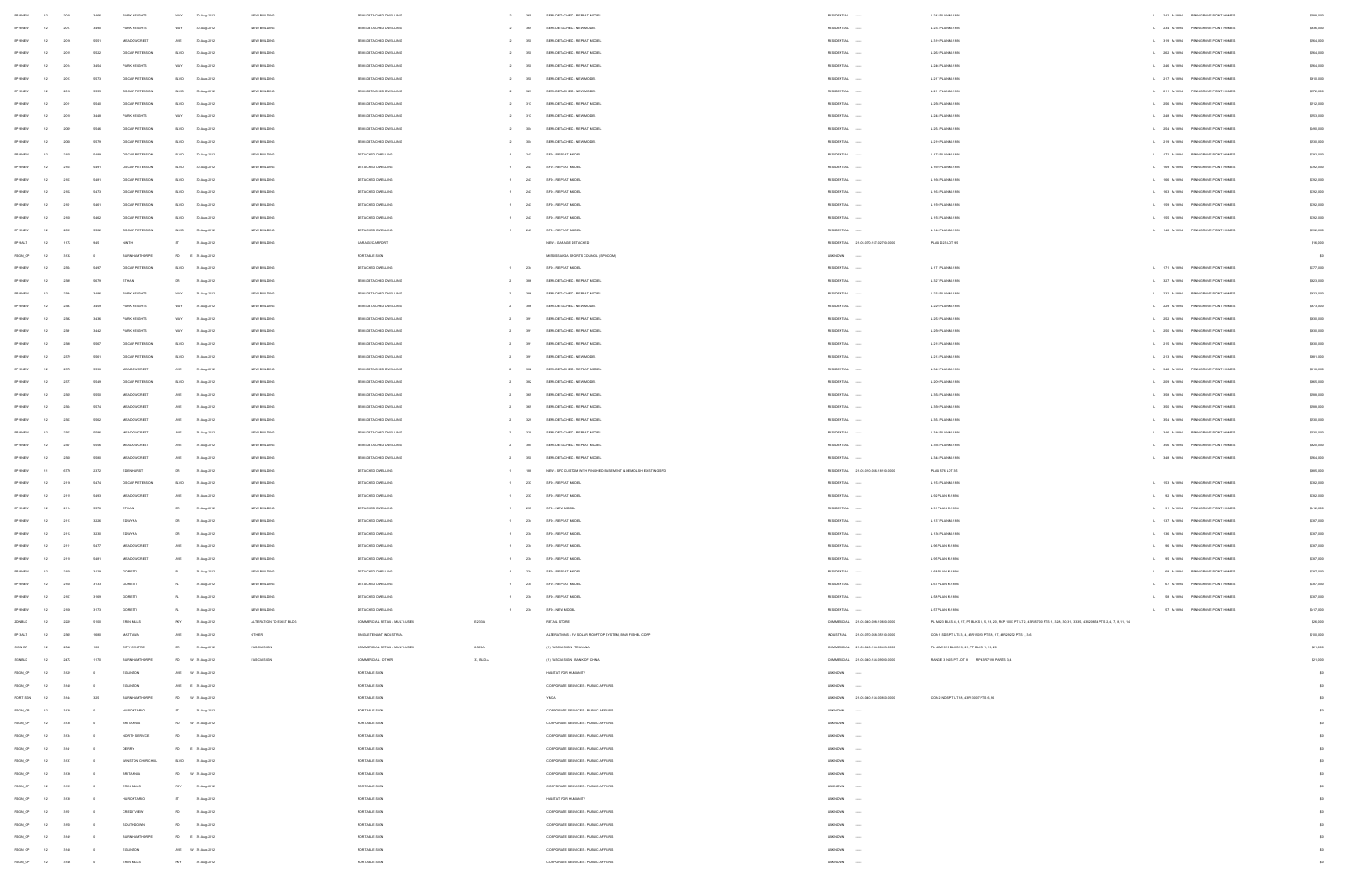| BP 9NEW               | 2018<br>12         |                    | PARK HEIGHTS                  | WAY<br>30-Aug-2012                   | NEW BUILDING             | SEMI-DETACHED DWELLING         |           | 2 365                 | SEMI-DETACHED - REPEAT MODEL                                               | RESIDENTIAL                                | L 242 PLAN M-1894                                                                                                                   | L 242 M-1894 PENNGROVE POINT HOMES | \$588,00 |
|-----------------------|--------------------|--------------------|-------------------------------|--------------------------------------|--------------------------|--------------------------------|-----------|-----------------------|----------------------------------------------------------------------------|--------------------------------------------|-------------------------------------------------------------------------------------------------------------------------------------|------------------------------------|----------|
| BP 9NEW               |                    |                    | PARK HEIGHTS                  | WAY<br>30-Aug-2012                   | NEW BUILDING             | SEMI-DETACHED DWELLING         |           | 2 365                 | SEMI-DETACHED - NEW MODEL                                                  | RESIDENTIAL -----                          | L 234 PLAN M-1894                                                                                                                   | L 234 M-1894 PENNGROVE POINT HOMES | \$636,00 |
| BP 9NEW               | 2016               | 5551               | <b>MEADOWCREST</b>            | AVE<br>30-Aug-2012                   | NEW BUILDING             | SEMI-DETACHED DWELLING         |           | 350<br>$\overline{2}$ | SEMI-DETACHED - REPEAT MODEL                                               | <b>RESIDENTIAL</b>                         | L 319 PLAN M-1894                                                                                                                   | L 319 M-1894 PENNGROVE POINT HOMES | \$564,00 |
|                       | 2015               |                    |                               |                                      |                          |                                |           |                       |                                                                            |                                            |                                                                                                                                     |                                    |          |
| BP 9NEW               |                    | 5522               | OSCAR PETERSON                | <b>BLVD</b><br>30-Aug-2012           | NEW BUILDING             | SEMI-DETACHED DWELLING         |           | 2 350                 | SEMI-DETACHED - REPEAT MODEL                                               | RESIDENTIAL -----                          | L 262 PLAN M-1894                                                                                                                   | L 262 M-1894 PENNGROVE POINT HOMES | \$564,00 |
| BP 9NEW               | 2014               | 3454               | PARK HEIGHTS                  | WAY<br>30-Aug-2012                   | NEW BUILDING             | SEMI-DETACHED DWELLING         |           | 350<br>$\overline{2}$ | SEMI-DETACHED - REPEAT MODEL                                               | <b>RESIDENTIAL</b>                         | L 246 PLAN M-1894                                                                                                                   | L 246 M-1894 PENNGROVE POINT HOMES | \$564,00 |
| BP 9NEW               | 2013<br>12         | 5573               | OSCAR PETERSON                | <b>BLVD</b><br>30-Aug-2012           | NEW BUILDING             | SEMI-DETACHED DWELLING         |           | 2<br>350              | SEMI-DETACHED - NEW MODEL                                                  | RESIDENTIAL -----                          | L 217 PLAN M-1894                                                                                                                   | L 217 M-1894 PENNGROVE POINT HOMES | \$610,00 |
| BP 9NEW               | 12<br>2012         | 5555               | OSCAR PETERSON                | BLVD<br>30-Aug-2012                  | NEW BUILDING             | SEMI-DETACHED DWELLING         |           | 329<br>$\overline{2}$ | SEMI-DETACHED - NEW MODEL                                                  | <b>RESIDENTIAL</b>                         | L 211 PLAN M-1894                                                                                                                   | L 211 M-1894 PENNGROVE POINT HOMES | \$572,00 |
| BP 9NEW               | 12<br>2011         | 5540               | OSCAR PETERSON                | <b>BLVD</b><br>30-Aug-2012           | NEW BUILDING             | SEMI-DETACHED DWELLING         |           | 2 317                 | SEMI-DETACHED - REPEAT MODEL                                               | RESIDENTIAL -----                          | L 256 PLAN M-1894                                                                                                                   | L 256 M-1894 PENNGROVE POINT HOMES | \$512,00 |
| BP 9NEW               | 12<br>2010         | 3448               | PARK HEIGHTS                  | WAY<br>30-Aug-2012                   | NEW BUILDING             | SEMI-DETACHED DWELLING         |           | 2 317                 | SEMI-DETACHED - NEW MODEL                                                  | <b>RESIDENTIAL</b>                         | L 248 PLAN M-1894                                                                                                                   | L 248 M-1894 PENNGROVE POINT HOMES | \$553,00 |
| BP 9NEW               |                    | 5546               | OSCAR PETERSON                | BLVD<br>30-Aug-2012                  | NEW BUILDING             | SEMI-DETACHED DWELLING         |           | 2 304                 | SEMI-DETACHED - REPEAT MODEL                                               | RESIDENTIAL                                | L 254 PLAN M-1894                                                                                                                   | L 254 M-1894 PENNGROVE POINT HOMES | \$490,00 |
| BP 9NEW               |                    | 5579               | OSCAR PETERSON                | BLVD<br>30-Aug-2012                  | NEW BUILDING             | SEMI-DETACHED DWELLING         |           | $\overline{2}$<br>304 | SEMI-DETACHED - NEW MODEL                                                  | RESIDENTIAL                                | L 219 PLAN M-1894                                                                                                                   | L 219 M-1894 PENNGROVE POINT HOMES | \$530,00 |
| BP 9NEW               | 2105               | 5499               | OSCAR PETERSON                | <b>BLVD</b><br>30-Aug-2012           | NEW BUILDING             | DETACHED DWELLING              |           | 1243                  | SFD - REPEAT MODEL                                                         | RESIDENTIAL -----                          | L 172 PLAN M-1894                                                                                                                   | L 172 M-1894 PENNGROVE POINT HOMES | \$392,00 |
| BP 9NEW               |                    | 5491               | OSCAR PETERSON                | BLVD<br>30-Aug-2012                  | NEW BUILDING             | DETACHED DWELLING              |           | $1 -$<br>243          | SFD - REPEAT MODEL                                                         | <b>RESIDENTIAL</b>                         | L 169 PLAN M-1894                                                                                                                   | L 169 M-1894 PENNGROVE POINT HOMES | \$392,00 |
| BP 9NEW               | 2103               | 5481               | OSCAR PETERSON                | BLVD<br>30-Aug-2012                  | NEW BUILDING             | DETACHED DWELLING              |           | 1<br>243              | SFD - REPEAT MODEL                                                         | RESIDENTIAL -----                          | L 166 PLAN M-1894                                                                                                                   | L 166 M-1894 PENNGROVE POINT HOMES | \$392,00 |
|                       |                    |                    |                               |                                      |                          |                                |           |                       |                                                                            |                                            |                                                                                                                                     |                                    |          |
| BP 9NEW               |                    | 5473               | OSCAR PETERSON                | BLVD<br>30-Aug-2012                  | NEW BUILDING             | DETACHED DWELLING              |           | $-1$<br>243           | SFD - REPEAT MODEL                                                         | RESIDENTIAL                                | L 163 PLAN M-1894                                                                                                                   | L 163 M-1894 PENNGROVE POINT HOMES | \$392,00 |
| BP 9NEW               | 12<br>2101         | 5461               | <b>OSCAR PETERSON</b>         | <b>BLVD</b><br>30-Aug-2012           | NEW BUILDING             | DETACHED DWELLING              |           | 1243                  | SFD - REPEAT MODEL                                                         | RESIDENTIAL -----                          | L 159 PLAN M-1894                                                                                                                   | L 159 M-1894 PENNGROVE POINT HOMES | \$392,00 |
| BP 9NEW               |                    | 5462               | OSCAR PETERSON                | BLVD<br>30-Aug-2012                  | NEW BUILDING             | DETACHED DWELLING              |           | $1 -$<br>243          | SFD - REPEAT MODEL                                                         | RESIDENTIAL                                | L 155 PLAN M-1894                                                                                                                   | L 155 M-1894 PENNGROVE POINT HOMES | \$392,00 |
| BP 9NEW               |                    | 5502               | <b>OSCAR PETERSON</b>         | <b>BLVD</b><br>30-Aug-2012           | NEW BUILDING             | DETACHED DWELLING              |           | 1243                  | SFD - REPEAT MODEL                                                         | RESIDENTIAL -----                          | L 146 PLAN M-1894                                                                                                                   | L 146 M-1894 PENNGROVE POINT HOMES | \$392,00 |
| BP 9ALT               | 1172               |                    | <b>NINTE</b>                  | ST<br>31-Aug-2012                    | NEW BUILDING             | GARAGE/CARPORT                 |           |                       | NEW - GARAGE DETACHED                                                      | RESIDENTIAL 21-05-070-167-02700-0000       | PLAN D23 LOT 95                                                                                                                     |                                    | \$16,00  |
| PSGN_CP               | 3132<br>12         | $\circ$            | BURNHAMTHORPE                 | RD E 31-Aug-2012                     |                          | PORTABLE SIGN                  |           |                       | MISSISSAUGA SPORTS COUNCIL (SPOCOM)                                        | <b>UNKNOWN</b>                             |                                                                                                                                     |                                    |          |
| BP 9NEW               |                    | 5497               | OSCAR PETERSON                | <b>BLVD</b><br>31-Aug-2012           | NEW BUILDING             | DETACHED DWELLING              |           | 1234                  | SFD - REPEAT MODEL                                                         | <b>RESIDENTIAL</b>                         | L 171 PLAN M-1894                                                                                                                   | L 171 M-1894 PENNGROVE POINT HOMES | \$377,00 |
| BP 9NEW               | 2385               | 5679               | ETHAM                         | DR<br>31-Aug-2012                    | NEW BUILDING             | SEMI-DETACHED DWELLING         |           | $\overline{2}$<br>386 | SEMI-DETACHED - REPEAT MODEL                                               | <b>RESIDENTIAL</b>                         | L 327 PLAN M-1894                                                                                                                   | L 327 M-1894 PENNGROVE POINT HOMES | \$623,00 |
| BP 9NEW               |                    | 3496               | PARK HEIGHTS                  | WAY<br>31-Aug-2012                   | NEW BUILDING             | SEMI-DETACHED DWELLING         |           | $\overline{2}$<br>386 | SEMI-DETACHED - REPEAT MODEL                                               | RESIDENTIAL -----                          | L 232 PLAN M-1894                                                                                                                   | L 232 M-1894 PENNGROVE POINT HOMES | \$623,00 |
| BP 9NEW               | 12<br>2383         | 3459               | PARK HEIGHTS                  | WAY<br>31-Aug-2012                   | NEW BUILDING             | SEMI-DETACHED DWELLING         |           | 2<br>386              | SEMI-DETACHED - NEW MODEL                                                  | <b>RESIDENTIAL</b>                         | L 229 PLAN M-1894                                                                                                                   | L 229 M-1894 PENNGROVE POINT HOMES | \$673,00 |
|                       |                    |                    |                               |                                      |                          |                                |           |                       |                                                                            |                                            |                                                                                                                                     |                                    |          |
| BP 9NEW               | 12<br>2382         | 3436               | PARK HEIGHTS                  | WAY<br>31-Aug-2012                   | NEW BUILDING             | SEMI-DETACHED DWELLING         |           | 2 391                 | SEMI-DETACHED - REPEAT MODEL                                               | RESIDENTIAL -----                          | L 252 PLAN M-1894                                                                                                                   | L 252 M-1894 PENNGROVE POINT HOMES | \$630,00 |
| BP 9NEW               | 12                 | 3442               | PARK HEIGHTS                  | WAY<br>31-Aug-2012                   | NEW BUILDING             | SEMI-DETACHED DWELLING         |           | 2<br>391              | SEMI-DETACHED - REPEAT MODEL                                               | <b>RESIDENTIAL</b>                         | L 250 PLAN M-1894                                                                                                                   | L 250 M-1894 PENNGROVE POINT HOMES | \$630,00 |
| BP 9NEW               |                    | 5567               | OSCAR PETERSON                | <b>BLVD</b><br>31-Aug-2012           | NEW BUILDING             | SEMI-DETACHED DWELLING         |           | $\overline{2}$<br>391 | SEMI-DETACHED - REPEAT MODEL                                               | RESIDENTIAL -----                          | L 215 PLAN M-1894                                                                                                                   | L 215 M-1894 PENNGROVE POINT HOMES | \$630,00 |
| BP 9NEW               | 2379               | 5561               | OSCAR PETERSON                | BLVD<br>31-Aug-2012                  | NEW BUILDING             | SEMI-DETACHED DWELLING         |           | 391<br>$\overline{2}$ | SEMI-DETACHED - NEW MODEL                                                  | <b>RESIDENTIAL</b>                         | L 213 PLAN M-1894                                                                                                                   | L 213 M-1894 PENNGROVE POINT HOMES | \$681,00 |
| BP 9NEW               | 2378<br>12         | 5598               | MEADOWCREST                   | AVE<br>31-Aug-2012                   | NEW BUILDING             | SEMI-DETACHED DWELLING         |           | $\overline{2}$<br>382 | SEMI-DETACHED - REPEAT MODEL                                               | RESIDENTIAL -----                          | L 342 PLAN M-1894                                                                                                                   | L 342 M-1894 PENNGROVE POINT HOMES | \$616,00 |
| BP 9NEW               | 2377               | 5549               | OSCAR PETERSON                | BLVD<br>31-Aug-2012                  | NEW BUILDING             | SEMI-DETACHED DWELLING         |           | 382<br>$\overline{2}$ | SEMI-DETACHED - NEW MODEL                                                  | <b>RESIDENTIAL</b>                         | L 209 PLAN M-1894                                                                                                                   | L 209 M-1894 PENNGROVE POINT HOMES | \$665,00 |
| BP 9NEW               |                    | 5550               | MEADOWCREST                   | AVE<br>31-Aug-2012                   | NEW BUILDING             | SEMI-DETACHED DWELLING         |           | $\overline{2}$<br>365 | SEMI-DETACHED - REPEAT MODEL                                               | RESIDENTIAL -----                          | L 358 PLAN M-1894                                                                                                                   | L 358 M-1894 PENNGROVE POINT HOMES | \$588,00 |
| BP 9NEW               | 2304               | 5574               | <b>MEADOWCREST</b>            | AVE<br>31-Aug-2012                   | NEW BUILDING             | SEMI-DETACHED DWELLING         |           | $\overline{2}$<br>365 | SEMI-DETACHED - REPEAT MODEL                                               | <b>RESIDENTIAL</b>                         | L 350 PLAN M-1894                                                                                                                   | L 350 M-1894 PENNGROVE POINT HOMES | \$588,00 |
| BP 9NEW               | 12<br>2303         | 5562               | MEADOWCREST                   | AVE<br>31-Aug-2012                   | NEW BUILDING             | SEMI-DETACHED DWELLING         |           | 2 329                 | SEMI-DETACHED - REPEAT MODEL                                               | RESIDENTIAL -----                          | L 354 PLAN M-1894                                                                                                                   | L 354 M-1894 PENNGROVE POINT HOMES | \$530,00 |
| BP 9NEW               |                    | 5586               | MEADOWCREST                   | AVE<br>31-Aug-2012                   | NEW BUILDING             | SEMI-DETACHED DWELLING         |           | 2 329                 | SEMI-DETACHED - REPEAT MODEL                                               | <b>RESIDENTIAL</b>                         | L 346 PLAN M-1894                                                                                                                   | L 346 M-1894 PENNGROVE POINT HOMES | \$530,00 |
|                       |                    |                    |                               |                                      |                          |                                |           |                       |                                                                            |                                            |                                                                                                                                     |                                    |          |
| BP 9NEW               |                    | 5556               | MEADOWCREST                   | AVE<br>31-Aug-2012                   | <b>NEW BUILDING</b>      | SEMI-DETACHED DWELLING         |           | 2 384                 | SEMI-DETACHED - REPEAT MODEL                                               | RESIDENTIAL -----                          | L 356 PLAN M-1894                                                                                                                   | L 356 M-1894 PENNGROVE POINT HOMES | \$620,00 |
| BP 9NEW               |                    | 5580               | MEADOWCREST                   | AVE<br>31-Aug-2012                   | NEW BUILDING             | SEMI-DETACHED DWELLING         |           | $\overline{2}$<br>350 | SEMI-DETACHED - REPEAT MODEL                                               | RESIDENTIAL -----                          | L 348 PLAN M-1894                                                                                                                   | L 348 M-1894 PENNGROVE POINT HOMES | \$564,00 |
| BP 9NEW               | 6776               | 2372               | EDENHURST                     | DR.<br>31-Aug-2012                   | <b>NEW BUILDING</b>      | DETACHED DWELLING              |           | 1 188                 | NEW - SED CUSTOM WITH FINISHED BASEMENT & DEMOLISH EXISTING SED            | RESIDENTIAL 21-05-010-066-18100-0000       | PLAN 576 LOT 35                                                                                                                     |                                    | \$685,00 |
| BP 9NEW               | 12<br>2116         | 5474               | OSCAR PETERSON                | BLVD<br>31-Aug-2012                  | NEW BUILDING             | DETACHED DWELLING              |           | $1 -$<br>237          | SFD - REPEAT MODEL                                                         | RESIDENTIAL                                | L 153 PLAN M-1894                                                                                                                   | L 153 M-1894 PENNGROVE POINT HOMES | \$382,00 |
| BP 9NEW 12            |                    |                    |                               |                                      |                          |                                |           |                       |                                                                            |                                            |                                                                                                                                     |                                    |          |
|                       | 2115               | 5493               | <b>MEADOWCREST</b>            | AVE<br>31-Aug-2012                   | NEW BUILDING             | DETACHED DWELLING              |           | 1 237                 | SFD - REPEAT MODEL                                                         | RESIDENTIAL -----                          | L 92 PLAN M-1894                                                                                                                    | L 92 M-1894 PENNGROVE POINT HOMES  | \$382,00 |
| BP 9NEW 12 2114 5576  |                    |                    | ETHAN                         | DR 31-Aug-2012                       | NEW BUILDING             | DETACHED DWELLING              |           |                       | 1 237 SFD - NEW MODEL                                                      | RESIDENTIAL -----                          | L 91 PLAN M-1894                                                                                                                    | L 91 M-1894 PENNGROVE POINT HOMES  | \$412,00 |
| BP 9NEW               | 2113<br>12         | 3226               | EDWYNA                        | <b>DR</b><br>31-Aug-2012             | NEW BUILDING             | DETACHED DWELLING              |           |                       | 1 234 SFD - REPEAT MODEL                                                   | RESIDENTIAL -----                          | L 137 PLAN M-1894                                                                                                                   | L 137 M-1894 PENNGROVE POINT HOMES | \$387,00 |
| BP 9NEW               | 12<br>2112         | 3230               | EDWYNA                        | DR<br>31-Aug-2012                    | NEW BUILDING             | DETACHED DWELLING              |           | $1 \qquad \qquad 234$ | SFD - REPEAT MODEL                                                         | <b>RESIDENTIAL</b>                         | L 136 PLAN M-1894                                                                                                                   | L 136 M-1894 PENNGROVE POINT HOMES | \$387,00 |
| BP 9NEW               |                    | 5477               | MEADOWCREST                   | AVE<br>31-Aug-2012                   | NEW BUILDING             | DETACHED DWELLING              |           | $1 \qquad \qquad 234$ | SFD - REPEAT MODEL                                                         | RESIDENTIAL -----                          | L 96 PLAN M-1894                                                                                                                    | L 96 M-1894 PENNGROVE POINT HOMES  | \$387,00 |
|                       | 2110               |                    |                               |                                      |                          |                                |           |                       |                                                                            |                                            |                                                                                                                                     |                                    |          |
| BP 9NEW               |                    | 5481               | MEADOWCREST                   | AVE<br>31-Aug-2012                   | NEW BUILDING             | DETACHED DWELLING              |           | $1 \qquad \qquad 234$ | SFD - REPEAT MODEL                                                         | <b>RESIDENTIAL</b>                         | L 95 PLAN M-1894                                                                                                                    | L 95 M-1894 PENNGROVE POINT HOMES  | \$387,00 |
| BP 9NEW               | 2109               | 3129               | GORETTI                       | PL<br>31-Aug-2012                    | NEW BUILDING             | DETACHED DWELLING              |           | $1 \qquad \qquad 234$ | SFD - REPEAT MODEL                                                         | RESIDENTIAL                                | L 68 PLAN M-1894                                                                                                                    | L 68 M-1894 PENNGROVE POINT HOMES  | \$387,00 |
| BP 9NEW               | 2108<br>12         | 3133               | GORETTI                       | PL<br>31-Aug-2012                    | NEW BUILDING             | DETACHED DWELLING              |           | 1 234                 | SFD - REPEAT MODEL                                                         | RESIDENTIAL -----                          | L 67 PLAN M-1894                                                                                                                    | L 67 M-1894 PENNGROVE POINT HOMES  | \$387,00 |
| BP 9NEW               | 12<br>2107         | 3169               | GORETTI                       | PL<br>31-Aug-2012                    | NEW BUILDING             | DETACHED DWELLING              |           | 1<br>234              | SFD - REPEAT MODEL                                                         | <b>RESIDENTIAL</b>                         | L 58 PLAN M-1894                                                                                                                    | L 58 M-1894 PENNGROVE POINT HOMES  | \$387,00 |
| BP 9NEW               | 2106<br>12         | 3173               | GORETTI                       | PL<br>31-Aug-2012                    | NEW BUILDING             | DETACHED DWELLING              |           | 1 234                 | SFD - NEW MODEL                                                            | RESIDENTIAL -----                          | L 57 PLAN M-1894                                                                                                                    | L 57 M-1894 PENNGROVE POINT HOMES  | \$417,00 |
| ZONBLD                | 2229<br>12         | 5100               | <b>ERIN MILLS</b>             | PKY<br>31-Aug-2012                   | ALTERATION TO EXIST BLDG | COMMERCIAL RETAIL - MULTI-USER | E-233A    |                       | <b>RETAIL STORE</b>                                                        | COMMERCIAL 21-05-040-098-10600-0000        | PL M823 BLKS 4, 6, 17, PT BLKS 1, 5, 18, 20, RCP 1003 PT LT 2, 43R15700 PTS 1, 3-28, 30, 31, 33-35, 43R20654 PTS 2, 4, 7, 8, 11, 14 |                                    | \$26,00  |
| BP 3ALT               | 12<br>2365         | 1680               | MATTAWA                       | AVE<br>31-Aug-2012                   | OTHER                    | SINGLE TENANT INDUSTRIAL       |           |                       | ALTERATIONS - PV SOLAR ROOFTOP SYSTEM, BNAI FISHEL CORP                    | INDUSTRIAL 21-05-070-068-35130-0000        | CON 1 SDS PT LTS 3, 4, 43R15013 PTS 8, 17, 43R29272 PTS 1, 3-6                                                                      |                                    | \$100,00 |
| SIGN BP               | 12<br>2542         | 100                | CITY CENTRE                   | DR<br>31-Aug-2012                    | <b>FASCIA SIGN</b>       | COMMERCIAL RETAIL - MULTI-USER | 2-309A    |                       | (1) FASCIA SIGN - TEAVANA                                                  | COMMERCIAL 21-05-040-154-00453-0000        | PL 43M1010 BLKS 19, 21, PT BLKS 1, 16, 20                                                                                           |                                    | \$21,00  |
| SGNBLD                | 12                 | 1170               | BURNHAMTHORPE                 | RD W 31-Aug-2012                     | <b>FASCIA SIGN</b>       | COMMERCIAL - OTHER             | 33, BLD-A |                       | (1) FASCIA SIGN - BANK OF CHINA                                            | COMMERCIAL 21-05-040-144-09000-0000        | RANGE 3 NDS PT LOT 8 RP 43R7128 PARTS 3,4                                                                                           |                                    | \$21,00  |
| PSGN_CP               | 3129<br>12         | $\circ$            | EGLINTON                      | AVE W 31-Aug-2012                    |                          | PORTABLE SIGN                  |           |                       | HABITAT FOR HUMANITY                                                       | <b>UNKNOWN</b>                             |                                                                                                                                     |                                    |          |
| PSGN CP               | 12<br>3140         | $\bullet$          | EGLINTON                      | AVE E 31-Aug-2012                    |                          | PORTABLE SIGN                  |           |                       | CORPORATE SERVICES - PUBLIC AFFAIRS                                        | <b>UNKNOWN</b><br>----                     |                                                                                                                                     |                                    |          |
|                       | 12                 |                    |                               |                                      |                          |                                |           |                       |                                                                            |                                            |                                                                                                                                     |                                    |          |
| PORT SGN              | 3144               | 325                | BURNHAMTHORPE                 | RD W 31-Aug-2012                     |                          | PORTABLE SIGN                  |           |                       | <b>YMCA</b>                                                                | <b>UNKNOWN</b><br>21-05-040-154-00850-0000 | CON 2 NDS PT LT 18, 43R13007 PTS 6, 16                                                                                              |                                    |          |
| PSGN_CP               | 3139<br>12         | $\circ$            | HURONTARIO                    | ST<br>31-Aug-2012                    |                          | PORTABLE SIGN                  |           |                       | CORPORATE SERVICES - PUBLIC AFFAIRS                                        | <b>UNKNOWN</b><br>---                      |                                                                                                                                     |                                    |          |
| PSGN_CP               | 3138<br>12         | $\circ$            | BRITANNIA                     | RD W 31-Aug-2012                     |                          | PORTABLE SIGN                  |           |                       | CORPORATE SERVICES - PUBLIC AFFAIRS                                        | <b>UNKNOWN</b>                             |                                                                                                                                     |                                    |          |
| PSGN_CP               | 12<br>3134         | $\sim$             | NORTH SERVICE                 | RD -<br>31-Aug-2012                  |                          | PORTABLE SIGN                  |           |                       | CORPORATE SERVICES - PUBLIC AFFAIRS                                        | <b>UNKNOWN</b><br>--                       |                                                                                                                                     |                                    |          |
| PSGN_CP               | 3141<br>12         | $\circ$            | <b>DERRY</b>                  | RD E 31-Aug-2012                     |                          | PORTABLE SIGN                  |           |                       | CORPORATE SERVICES - PUBLIC AFFAIRS                                        | <b>UNKNOWN</b>                             |                                                                                                                                     |                                    |          |
| PSGN_CP               | 12<br>3137         | $^{\circ}$         | WINSTON CHURCHILL             | BLVD 31-Aug-2012                     |                          | PORTABLE SIGN                  |           |                       | CORPORATE SERVICES - PUBLIC AFFAIRS                                        | <b>UNKNOWN</b><br>$\sim$                   |                                                                                                                                     |                                    |          |
| PSGN_CP               | 3136<br>12         |                    | BRITANNIA                     | RD W 31-Aug-2012                     |                          | PORTABLE SIGN                  |           |                       | CORPORATE SERVICES - PUBLIC AFFAIRS                                        | <b>UNKNOWN</b>                             |                                                                                                                                     |                                    |          |
| PSGN_CP               | 12<br>3135         | $\circ$            | <b>ERIN MILLS</b>             | <b>PKY</b><br>31-Aug-2012            |                          | PORTABLE SIGN                  |           |                       | CORPORATE SERVICES - PUBLIC AFFAIRS                                        | <b>UNKNOWN</b><br>$\sim$                   |                                                                                                                                     |                                    |          |
| PSGN_CP               | 12<br>3130         | $\circ$            | HURONTARIO                    | <b>ST</b><br>31-Aug-2012             |                          | PORTABLE SIGN                  |           |                       | HABITAT FOR HUMANITY                                                       | <b>UNKNOWN</b>                             |                                                                                                                                     |                                    |          |
| PSGN_CP               | 12<br>3151         | $\circ$            | CREDITVIEW                    | <b>RD</b><br>31-Aug-2012             |                          | PORTABLE SIGN                  |           |                       | CORPORATE SERVICES - PUBLIC AFFAIRS                                        | <b>UNKNOWN</b><br>--                       |                                                                                                                                     |                                    |          |
| PSGN_CP               | 12<br>3150         | $\circ$            | SOUTHDOWN                     | RD -<br>31-Aug-2012                  |                          | PORTABLE SIGN                  |           |                       | CORPORATE SERVICES - PUBLIC AFFAIRS                                        | <b>UNKNOWN</b>                             |                                                                                                                                     |                                    |          |
| PSGN CP               | 12<br>3149         | $\sim$             | BURNHAMTHORPE                 | RD E 31-Aug-2012                     |                          | PORTABLE SIGN                  |           |                       | CORPORATE SERVICES - PUBLIC AFFAIRS                                        | <b>UNKNOWN</b><br>$\sim$                   |                                                                                                                                     |                                    |          |
|                       |                    |                    |                               |                                      |                          |                                |           |                       |                                                                            |                                            |                                                                                                                                     |                                    |          |
| PSGN_CP<br>PSGN_CP 12 | 12<br>3148<br>3146 | $\circ$<br>$\circ$ | EGLINTON<br><b>ERIN MILLS</b> | AVE W 31-Aug-2012<br>PKY 31-Aug-2012 |                          | PORTABLE SIGN<br>PORTABLE SIGN |           |                       | CORPORATE SERVICES - PUBLIC AFFAIRS<br>CORPORATE SERVICES - PUBLIC AFFAIRS | <b>UNKNOWN</b><br>UNKNOWN -----            |                                                                                                                                     |                                    |          |

|                       | L 242 PLAN M-1894                                                                                                                   | $\mathsf{L}$ | 242 M-1894 | PENNGROVE POINT HOMES                                       | \$588,000              |
|-----------------------|-------------------------------------------------------------------------------------------------------------------------------------|--------------|------------|-------------------------------------------------------------|------------------------|
|                       | L 234 PLAN M-1894                                                                                                                   | L.           | 234 M-1894 | PENNGROVE POINT HOMES                                       | \$636,000              |
|                       | L 319 PLAN M-1894                                                                                                                   | $\mathsf{L}$ | 319 M-1894 | PENNGROVE POINT HOMES                                       | \$564,000              |
|                       | L 262 PLAN M-1894                                                                                                                   | $\mathbf{L}$ | 262 M-1894 | PENNGROVE POINT HOMES                                       | \$564,000              |
|                       | L 246 PLAN M-1894                                                                                                                   | $\mathsf L$  | 246 M-1894 | PENNGROVE POINT HOMES                                       | \$564,000              |
|                       | L 217 PLAN M-1894                                                                                                                   | $\mathbf{L}$ | 217 M-1894 | PENNGROVE POINT HOMES                                       | \$610,000              |
|                       | L 211 PLAN M-1894                                                                                                                   | $\mathsf{L}$ | 211 M-1894 | PENNGROVE POINT HOMES                                       | \$572,000              |
|                       | L 256 PLAN M-1894                                                                                                                   | $\mathsf{L}$ | 256 M-1894 | PENNGROVE POINT HOMES                                       | \$512,000              |
|                       | L 248 PLAN M-1894                                                                                                                   | $\mathsf{L}$ | 248 M-1894 | PENNGROVE POINT HOMES                                       | \$553,000              |
|                       | L 254 PLAN M-1894                                                                                                                   | $\mathbf{L}$ | 254 M-1894 | PENNGROVE POINT HOMES                                       | \$490,000              |
|                       | L 219 PLAN M-1894                                                                                                                   | $\mathsf{L}$ | 219 M-1894 | PENNGROVE POINT HOMES                                       | \$530,000              |
|                       | L 172 PLAN M-1894                                                                                                                   | $\mathbf{L}$ | 172 M-1894 | PENNGROVE POINT HOMES                                       | \$392,000              |
|                       | L 169 PLAN M-1894                                                                                                                   | L            | 169 M-1894 | PENNGROVE POINT HOMES                                       | \$392,000              |
|                       | L 166 PLAN M-1894                                                                                                                   | $\mathsf L$  | 166 M-1894 | PENNGROVE POINT HOMES                                       | \$392,000              |
|                       | L 163 PLAN M-1894                                                                                                                   | $\mathsf L$  | 163 M-1894 | PENNGROVE POINT HOMES                                       | \$392,000              |
|                       | L 159 PLAN M-1894                                                                                                                   | $\mathbf{L}$ | 159 M-1894 | PENNGROVE POINT HOMES                                       | \$392,000              |
|                       | L 155 PLAN M-1894                                                                                                                   | L            | 155 M-1894 | PENNGROVE POINT HOMES                                       | \$392,000              |
|                       | L 146 PLAN M-1894                                                                                                                   | $\mathbf{L}$ | 146 M-1894 | PENNGROVE POINT HOMES                                       | \$392,000              |
| 05-070-167-02700-0000 | PLAN D23 LOT 95                                                                                                                     |              |            |                                                             | \$16,000               |
|                       |                                                                                                                                     |              |            |                                                             | \$0                    |
|                       | L 171 PLAN M-1894                                                                                                                   | $\mathbf{L}$ | 171 M-1894 | PENNGROVE POINT HOMES                                       | \$377,000              |
|                       | L 327 PLAN M-1894                                                                                                                   | $\mathsf{L}$ | 327 M-1894 | PENNGROVE POINT HOMES                                       | \$623,000              |
|                       | L 232 PLAN M-1894                                                                                                                   | $\mathbf{L}$ | 232 M-1894 | PENNGROVE POINT HOMES                                       | \$623,000              |
|                       | L 229 PLAN M-1894                                                                                                                   | $\mathsf L$  | 229 M-1894 | PENNGROVE POINT HOMES                                       | \$673,000              |
|                       | L 252 PLAN M-1894                                                                                                                   | $\mathbf{L}$ | 252 M-1894 | PENNGROVE POINT HOMES                                       | \$630,000              |
|                       | L 250 PLAN M-1894                                                                                                                   | $\mathsf{L}$ | 250 M-1894 | PENNGROVE POINT HOMES                                       | \$630,000              |
|                       | L 215 PLAN M-1894                                                                                                                   | $\mathbf{L}$ | 215 M-1894 | PENNGROVE POINT HOMES                                       | \$630,000              |
|                       | L 213 PLAN M-1894                                                                                                                   | $\mathsf L$  | 213 M-1894 | PENNGROVE POINT HOMES                                       | \$681,000              |
|                       | L 342 PLAN M-1894                                                                                                                   | $\mathbf{L}$ | 342 M-1894 | PENNGROVE POINT HOMES                                       | \$616,000              |
|                       | L 209 PLAN M-1894                                                                                                                   | $\mathsf L$  | 209 M-1894 | PENNGROVE POINT HOMES                                       | \$665,000              |
|                       | L 358 PLAN M-1894                                                                                                                   | $\mathbf{L}$ | 358 M-1894 | PENNGROVE POINT HOMES                                       | \$588,000              |
|                       | L 350 PLAN M-1894                                                                                                                   | $\mathsf{L}$ | 350 M-1894 | PENNGROVE POINT HOMES                                       | \$588,000              |
|                       | L 354 PLAN M-1894                                                                                                                   | $\mathsf{L}$ | 354 M-1894 | PENNGROVE POINT HOMES                                       | \$530,000              |
|                       | L 346 PLAN M-1894                                                                                                                   | L            | 346 M-1894 | PENNGROVE POINT HOMES                                       | \$530,000              |
|                       | L 356 PLAN M-1894                                                                                                                   | $\mathbf{L}$ | 356 M-1894 | PENNGROVE POINT HOMES                                       | \$620,000              |
|                       | L 348 PLAN M-1894                                                                                                                   | L            | 348 M-1894 | PENNGROVE POINT HOMES                                       | \$564,000              |
| 05-010-066-18100-0000 | PLAN 576 LOT 35                                                                                                                     |              |            |                                                             | \$685,000              |
|                       | L 153 PLAN M-1894                                                                                                                   | L            | 153 M-1894 | PENNGROVE POINT HOMES                                       | \$382,000              |
|                       | L 92 PLAN M-1894                                                                                                                    | $\mathbf{L}$ | 92 M-1894  | PENNGROVE POINT HOMES                                       |                        |
|                       | L 91 PLAN M-1894                                                                                                                    | $\mathsf L$  | 91 M-1894  | PENNGROVE POINT HOMES                                       | \$382,000<br>\$412,000 |
|                       |                                                                                                                                     |              |            |                                                             |                        |
|                       | L 137 PLAN M-1894                                                                                                                   |              |            | L 137 M-1894 PENNGROVE POINT HOMES<br>PENNGROVE POINT HOMES | \$387,000              |
|                       | L 136 PLAN M-1894                                                                                                                   | L.           | 136 M-1894 |                                                             | \$387,000              |
|                       | L 96 PLAN M-1894                                                                                                                    | $\mathsf{L}$ | 96 M-1894  | PENNGROVE POINT HOMES                                       | \$387,000              |
|                       | L 95 PLAN M-1894                                                                                                                    | $\mathsf L$  | 95 M-1894  | PENNGROVE POINT HOMES                                       | \$387,000              |
|                       | L 68 PLAN M-1894                                                                                                                    | $\mathsf{L}$ | 68 M-1894  | PENNGROVE POINT HOMES                                       | \$387,000              |
|                       | L 67 PLAN M-1894                                                                                                                    | $\mathbf{L}$ | 67 M-1894  | PENNGROVE POINT HOMES                                       | \$387,000              |
|                       | L 58 PLAN M-1894                                                                                                                    | $\mathsf L$  | 58 M-1894  | PENNGROVE POINT HOMES                                       | \$387,000              |
|                       | L 57 PLAN M-1894                                                                                                                    | $\mathbf{L}$ |            | 57 M-1894 PENNGROVE POINT HOMES                             | \$417,000              |
| 05-040-098-10600-0000 | PL M823 BLKS 4, 6, 17, PT BLKS 1, 5, 18, 20, RCP 1003 PT LT 2, 43R15700 PTS 1, 3-28, 30, 31, 33-35, 43R20654 PTS 2, 4, 7, 8, 11, 14 |              |            |                                                             | \$26,000               |
|                       |                                                                                                                                     |              |            |                                                             |                        |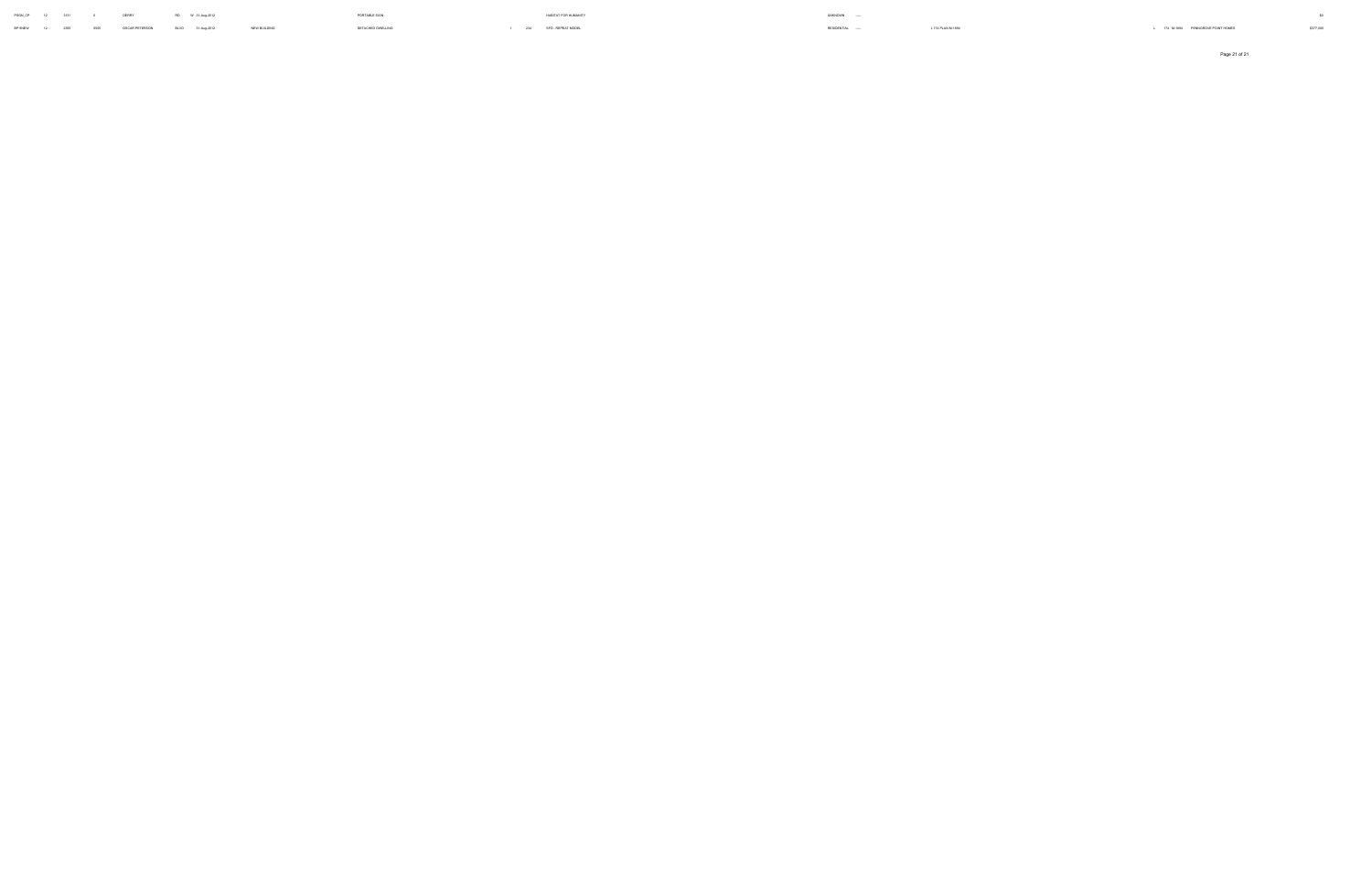HABITAT FOR HUMANITY UNKNOWN 235 BLVD 31-Aug-2012 NEW BUILDING NEW BOILDING DETACHED DWELLING

BP 9NEW 12

Page 21 of 21

PSGN\_CP 12 RD W3131 0 DERRY 31-Aug-2012 PORTABLE SIGN

-----

2355 5505 OSCAR PETERSON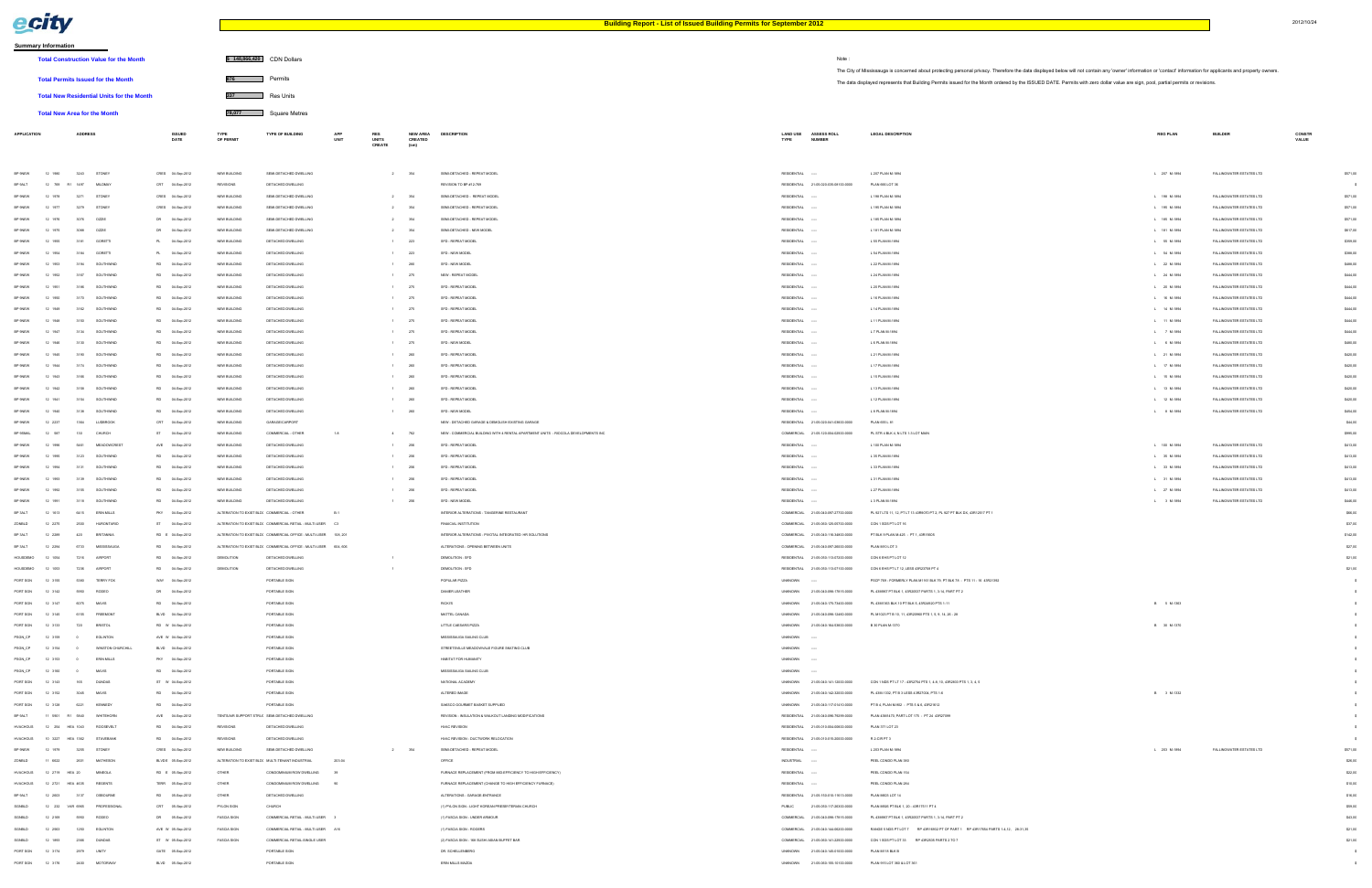ecity

| BP 9NEW          | 12 1980                   | 3243     | STONEY                         | CRES 04-Sep-2012                 | NEW BUILDING        | SEMI-DETACHED DWELLING                                          | 2 354                 | SEMI-DETACHED - REPEAT MODEL                                                       | RESIDENTIAL -----                              | L 207 PLAN M-1894                                                                | L 207 M-1894              | <b>FALLINGWATER ESTATES LTD</b>                             | \$571,0            |
|------------------|---------------------------|----------|--------------------------------|----------------------------------|---------------------|-----------------------------------------------------------------|-----------------------|------------------------------------------------------------------------------------|------------------------------------------------|----------------------------------------------------------------------------------|---------------------------|-------------------------------------------------------------|--------------------|
| BP 9ALT          | 12 769                    | 1497     | <b>MILDMAY</b>                 | CRT 04-Sep-2012                  | <b>REVISIONS</b>    | DETACHED DWELLING                                               |                       | REVISION TO BP #12-769                                                             | RESIDENTIAL 21-05-020-035-08100-0000           | PLAN 666 LOT 36                                                                  |                           |                                                             |                    |
| BP 9NEW          | 12 1978                   | 3271     | STONEY                         | CRES 04-Sep-2012                 | NEW BUILDING        | SEMI-DETACHED DWELLING                                          | 2 354                 | SEMI-DETACHED - REPEAT MODEL                                                       | RESIDENTIAL                                    | L 198 PLAN M-1894                                                                | L 198 M-1894              | FALLINGWATER ESTATES LTD                                    | \$571,0            |
| BP 9NEW          | 12 1977                   | 3279     | <b>STONEY</b>                  | CRES 04-Sep-2012                 | <b>NEW BUILDING</b> | SEMI-DETACHED DWELLING                                          | 2 354                 | SEMI-DETACHED - REPEAT MODEL                                                       | RESIDENTIAL -----                              | L 195 PLAN M-1894                                                                | L 195 M-1894              | <b>FALLINGWATER ESTATES LTD</b>                             | \$571,0            |
| BP 9NEW          | 12 1976                   | 3076     | OZZIE                          | DR 04-Sep-2012                   | NEW BUILDING        | SEMI-DETACHED DWELLING                                          | $\overline{2}$<br>354 | SEMI-DETACHED - REPEAT MODEL                                                       | RESIDENTIAL -----                              | L 185 PLAN M-1894                                                                | L 185 M-1894              | FALLINGWATER ESTATES LTD                                    | \$571,0            |
| BP 9NEW          | 12 1975                   | 3088     | OZZIE                          | DR 04-Sep-2012                   | NEW BUILDING        | SEMI-DETACHED DWELLING                                          | $\overline{2}$<br>354 | SEMI-DETACHED - NEW MODEL                                                          | <b>RESIDENTIAL</b><br>$\sim$                   | L 181 PLAN M-1894                                                                | L 181 M-1894              | FALLINGWATER ESTATES LTD                                    | \$617,0            |
| BP 9NEW          | 12 1955                   | 3181     | <b>GORETTI</b>                 | PL 04-Sep-2012                   | NEW BUILDING        | DETACHED DWELLING                                               | 1 223                 | SFD - REPEAT MODEL                                                                 | RESIDENTIAL -----                              | L 55 PLAN M-1894                                                                 | L 55 M-1894               | <b>FALLINGWATER ESTATES LTD</b>                             | \$359,0            |
| BP 9NEW          | 12 1954                   | 3184     | <b>GORETTI</b>                 | PL 04-Sep-2012                   | NEW BUILDING        | DETACHED DWELLING                                               | 1 223                 | SFD - NEW MODEL                                                                    | RESIDENTIAL -----                              | L 54 PLAN M-1894                                                                 | L 54 M-1894               | <b>FALLINGWATER ESTATES LTD</b>                             | \$388,0            |
| BP 9NEW          | 12 1953                   | 3194     | SOUTHWIND                      | RD 04-Sep-2012                   | NEW BUILDING        | DETACHED DWELLING                                               | $1 -$<br>280          | SFD - NEW MODEL                                                                    | RESIDENTIAL -----                              | L 22 PLAN M-1894                                                                 | L 22 M-1894               | FALLINGWATER ESTATES LTD                                    | \$488,0            |
| BP 9NEW          | 12 1952                   | 3167     | SOUTHWIND                      | RD 04-Sep-2012                   | NEW BUILDING        | DETACHED DWELLING                                               | 1 276                 | NEW - REPEAT MODEL                                                                 | RESIDENTIAL<br>----                            | L 24 PLAN M-1894                                                                 | L 24 M-1894               | FALLINGWATER ESTATES LTD                                    | \$444,0            |
| BP 9NEW          | 12 1951                   | 3186     | SOLITHWIND                     | RD 04-Sep-2012                   | NEW BUILDING        | DETACHED DWELLING                                               | 1 275                 | SFD - REPEAT MODEL                                                                 | RESIDENTIAL -----                              | L 20 PLAN M-1894                                                                 | L 20 M-1894               | FALLINGWATER ESTATES LTD.                                   | \$444,0            |
| BP 9NEW          | 12 1950                   | 3170     | SOUTHWIND                      | RD 04-Sep-2012                   | NEW BUILDING        | DETACHED DWELLING                                               | 1 275                 | SFD - REPEAT MODEL                                                                 | RESIDENTIAL -----                              | L 16 PLAN M-1894                                                                 | L 16 M-1894               | <b>FALLINGWATER ESTATES LTD</b>                             | \$444,0            |
| BP 9NEW          | 12 1949                   | 3162     | SOUTHWIND                      | RD 04-Sep-2012                   | NEW BUILDING        | DETACHED DWELLING                                               | 1 276                 | SFD - REPEAT MODEL                                                                 | RESIDENTIAL -----                              | L 14 PLAN M-1894                                                                 | L 14 M-1894               | FALLINGWATER ESTATES LTD                                    | \$444,0            |
| BP 9NEW          | 12 1948                   | 3150     | SOUTHWIND                      | RD 04-Sep-2012                   | NEW BUILDING        | DETACHED DWELLING                                               | 1 275                 | SFD - REPEAT MODEL                                                                 | RESIDENTIAL -----                              | L 11 PLAN M-1894                                                                 | L 11 M-1894               | FALLINGWATER ESTATES LTD.                                   | \$444,0            |
| BP 9NEW          | 12 1947                   | 3134     | SOUTHWIND                      | RD 04-Sep-2012                   | NEW BUILDING        | DETACHED DWELLING                                               | 1 275                 | SFD - REPEAT MODEL                                                                 | RESIDENTIAL -----                              | L 7 PLAN M-1894                                                                  | L 7 M-1894                | <b>FALLINGWATER ESTATES LTD</b>                             | \$444,0            |
| BP 9NEW          | 12 1946                   | 3130     | SOUTHWIND                      | RD 04-Sep-2012                   | NEW BUILDING        | DETACHED DWELLING                                               | 1 276                 | SFD - NEW MODEL                                                                    | RESIDENTIAL -----                              | L 6 PLAN M-1894                                                                  | L 6 M-1894                | FALLINGWATER ESTATES LTD                                    | \$480,0            |
| BP 9NEW          | 12 1945                   | 3190     | SOUTHWIND                      | RD 04-Sep-2012                   | NEW BUILDING        | DETACHED DWELLING                                               | $1 -$<br>260          | SFD - REPEAT MODEL                                                                 | RESIDENTIAL                                    | L 21 PLAN M-1894                                                                 | L 21 M-1894               | FALLINGWATER ESTATES LTD                                    | \$420,0            |
| BP 9NEW          | 12 1944                   | 3174     | SOUTHWIND                      | RD 04-Sep-2012                   | NEW BUILDING        | DETACHED DWELLING                                               | $1 -$<br>260          | SFD - REPEAT MODEL                                                                 | RESIDENTIAL<br>1000                            | L 17 PLAN M-1894                                                                 | L 17 M-1894               | <b>FALLINGWATER ESTATES LTD</b>                             | \$420,0            |
| BP 9NEW          | 12 1943                   | 3166     | SOUTHWIND                      | RD 04-Sep-2012                   | NEW BUILDING        | DETACHED DWELLING                                               | 1 260                 | SFD - REPEAT MODEL                                                                 | RESIDENTIAL -----                              | L 15 PLAN M-1894                                                                 | L 15 M-1894               | <b>FALLINGWATER ESTATES LTD</b>                             | \$420,0            |
| BP 9NEW          | 12 1942                   | 3158     | SOUTHWIND                      | RD 04-Sep-2012                   | NEW BUILDING        | DETACHED DWELLING                                               | $1$ 260               | SFD - REPEAT MODEL                                                                 | RESIDENTIAL -----                              | L 13 PLAN M-1894                                                                 | L 13 M-1894               | FALLINGWATER ESTATES LTD                                    | \$420,0            |
| BP 9NEW          | 12 1941                   | 3154     | SOUTHWIND                      | RD 04-Sep-2012                   | NEW BUILDING        | DETACHED DWELLING                                               | $1 -$<br>260          | SFD - REPEAT MODEL                                                                 | <b>RESIDENTIAL</b>                             | L 12 PLAN M-1894                                                                 | L 12 M-1894               | FALLINGWATER ESTATES LTD                                    | \$420,0            |
| BP 9NEW          | 12 1940                   | 3138     | SOUTHWIND                      | RD 04-Sep-2012                   | NEW BUILDING        | DETACHED DWELLING                                               | 1 260                 | SFD - NEW MODEL                                                                    | RESIDENTIAL -----                              | L 8 PLAN M-1894                                                                  | L 8 M-1894                | <b>FALLINGWATER ESTATES LTD</b>                             | \$454,0            |
| BP 9NEW          | 12 2237                   | 1364     | LUDBROOK                       | CRT 04-Sep-2012                  | NEW BUILDING        | GARAGE/CARPORT                                                  |                       | NEW - DETACHED GARAGE & DEMOLISH EXISTING GARAGE                                   | RESIDENTIAL 21-05-020-041-03600-0000           | PLAN 655 L 81                                                                    |                           |                                                             | \$44,0             |
| BP 9SMAL         | 12 587                    | 130      | CHURCH                         | ST 04-Sep-2012                   | NEW BUILDING        | COMMERCIAL - OTHER<br>$1 - 8$                                   | 4<br>762              | NEW - COMMERCIAL BUILDING WITH 4 RENTAL APARTMENT UNITS - RIOCOLA DEVELOPMENTS INC | COMMERCIAL 21-05-120-004-02500-0000            | PL STR 4 BLK 4, N LTS 1-3 LOT MAIN                                               |                           |                                                             | \$995,0            |
| BP 9NEW          | 12 1996                   | 5461     | MEADOWCREST                    | AVE 04-Sep-2012                  | NEW BUILDING        | DETACHED DWELLING                                               | 1 256                 | SFD - REPEAT MODEL                                                                 | RESIDENTIAL -----                              | L 100 PLAN M-1894                                                                | L 100 M-1894              | FALLINGWATER ESTATES LTD                                    | \$413,0            |
| BP 9NEW          | 12 1995                   | 3123     | SOUTHWIND                      | RD 04-Sep-2012                   | <b>NEW BUILDING</b> | DETACHED DWELLING                                               | 1 256                 | SFD - REPEAT MODEL                                                                 | RESIDENTIAL -----                              | L 35 PLAN M-1894                                                                 | L 35 M-1894               | <b>FALLINGWATER ESTATES LTD</b>                             | \$413,0            |
| BP 9NEW          | 12 1994                   | 3131     | SOUTHWIND                      | RD 04-Sep-2012                   | NEW BUILDING        | DETACHED DWELLING                                               | $-1$<br>256           | SFD - REPEAT MODEL                                                                 | RESIDENTIAL -----                              | L 33 PLAN M-1894                                                                 | L 33 M-1894               | FALLINGWATER ESTATES LTD                                    | \$413,0            |
| BP 9NEW          |                           | 3139     | SOUTHWIND                      |                                  | NEW BUILDING        | DETACHED DWELLING                                               | $1 -$<br>256          | SFD - REPEAT MODEL                                                                 | <b>RESIDENTIAL</b><br>$\sim$                   | L 31 PLAN M-1894                                                                 |                           | FALLINGWATER ESTATES LTD                                    |                    |
| BP 9NEW          |                           | 3155     | SOUTHWIND                      | RD 04-Sep-2012                   | NEW BUILDING        | DETACHED DWELLING                                               |                       |                                                                                    | RESIDENTIAL -----                              |                                                                                  | L 31 M-1894               |                                                             | \$413,0            |
| BP 9NEW          | 12 1992<br>12 1991        | 3118     |                                | RD 04-Sep-2012<br>RD 04-Sep-2012 | NEW BUILDING        | DETACHED DWELLING                                               | 1 256<br>1256         | SFD - REPEAT MODEL<br>SFD - NEW MODEL                                              | RESIDENTIAL -----                              | L 27 PLAN M-1894<br>L 3 PLAN M-1894                                              | L 27 M-1894<br>L 3 M-1894 | <b>FALLINGWATER ESTATES LTD</b><br>FALLINGWATER ESTATES LTD | \$413,0<br>\$446,0 |
| BP 3ALT          | 12 1613                   | 6415     | SOUTHWIND<br><b>ERIN MILLS</b> |                                  |                     | ALTERATION TO EXIST BLD COMMERCIAL - OTHER<br>$B-1$             |                       | INTERIOR ALTERATIONS - TANGERINE RESTAURANT                                        | COMMERCIAL 21-05-040-097-27700-0000            | PL 927 LTS 11, 12, PT LT 13 43R9070 PT 2, PL 927 PT BLK DX, 43R12517 PT 1        |                           |                                                             |                    |
|                  |                           |          |                                | PKY 04-Sep-2012                  |                     |                                                                 |                       |                                                                                    |                                                |                                                                                  |                           |                                                             | \$66,0             |
|                  |                           |          |                                |                                  |                     |                                                                 |                       |                                                                                    |                                                |                                                                                  |                           |                                                             |                    |
| ZONBLD           | 12 2275                   | 2500     | <b>HURONTARIO</b>              | ST 04-Sep-2012                   |                     | ALTERATION TO EXIST BLD COMMERCIAL RETAIL - MULTI-USER C3       |                       | FINAICIAL INSTITUTION                                                              | COMMERCIAL 21-05-060-125-05700-0000            | CON 1 SDS PT LOT 16                                                              |                           |                                                             | \$37,0             |
| BP 3ALT          | 12 2289                   | 420      | BRITANNIA                      | RD E 04-Sep-2012                 |                     | ALTERATION TO EXIST BLDI COMMERCIAL OFFICE - MULTI-USER 108.201 |                       | INTERIOR ALTERATIONS - PIVOTAL INTEGRATED HR SOLUTIONS                             | COMMERCIAL 21-05-040-116-34800-0000            | PT BLK 9 PLAN M-425 - PT 1, 43R15605                                             |                           |                                                             | \$142,0            |
| BP 3ALT          | 12 2294                   | 6733     | MISSISSAUG/                    | RD 04-Sep-2012                   |                     | ALTERATION TO EXIST BLD COMMERCIAL OFFICE - MULTI-USER 604, 606 |                       | ALTERATIONS - OPENING BETWEEN UNITS                                                | COMMERCIAL 21-05-040-097-26000-0000            | PLAN M10 LOT 3                                                                   |                           |                                                             |                    |
| HOUSDEMO         | 12 1054                   | 7216     | AIRPOR                         | RD 04-Sep-2012                   | DEMOLITION          | DETACHED DWELLING                                               |                       | DEMOLITION - SFD                                                                   | RESIDENTIAL 21-05-050-113-07200-0000           | CON 6 EHS PT LOT 12                                                              |                           |                                                             | \$27,0<br>\$21,0   |
| HOUSDEMO         | 12 1053                   | 7236     | AIRPORT                        | RD 04-Sep-2012                   | DEMOLITION          | DETACHED DWELLING                                               | $\sim$                | <b>DEMOLITION - SFD</b>                                                            | <b>RESIDENTIAL</b><br>21-05-050-113-07100-0000 | CON 6 EHS PT LT 12, LESS 43R23708 PT 4                                           |                           |                                                             |                    |
| PORT SGN         | 12 3155                   | 5380     | <b>TERRY FOX</b>               | WAY 04-Sep-2012                  |                     | PORTABLE SIGN                                                   |                       | POPULAR PIZZA                                                                      | <b>UNKNOWN</b>                                 | PSCP 769 - FORMERLY PLAN M1161 BLK 79, PT BLK 78 - PTS 11 - 16 43R21392          |                           |                                                             | \$21,0             |
| PORT SGN         | 12 3142                   | 5950     | RODEO                          | DR 04-Sep-2012                   |                     | PORTABLE SIGN                                                   |                       | DANIER LEATHER                                                                     | 21-05-040-098-17815-0000<br><b>UNKNOWN</b>     | PL 43M967 PT BLK 1, 43R20537 PARTS 1, 3-14, PART PT 2                            |                           |                                                             |                    |
| PORT SGN         | 12 3147                   | 6075     | <b>MAVIS</b>                   | RD 04-Sep-2012                   |                     | PORTABLE SIGN                                                   |                       | <b>RICKI'S</b>                                                                     | <b>UNKNOWN</b><br>21-05-040-175-73400-0000     | PL 43M1363 BLK 10 PT BLK 5, 43R24920 PTS 1-11                                    | B 5 M-1363                |                                                             |                    |
| PORT SGN         | 12 3145                   | 6155     | <b>FREEMONT</b>                | BLVD 04-Sep-2012                 |                     | PORTABLE SIGN                                                   |                       | MATTEL CANADA                                                                      | <b>UNKNOWN</b><br>21-05-040-098-12460-0000     | PL M1023 PT B 10, 11, 43R20960 PTS 1, 5, 9, 14, 26 - 28                          |                           |                                                             |                    |
| PORT SGN 12 3133 |                           | 720      | <b>BRISTOL</b>                 | RD W 04-Sep-2012                 |                     | PORTABLE SIGN                                                   |                       | LITTLE CAESARS PIZZA                                                               | 21-05-040-164-53600-0000<br><b>UNKNOWN</b>     | B 30 PLAN M-1370                                                                 | B 30 M-1370               |                                                             |                    |
| PSGN_CP          | 12 3159                   |          | EGLINTON                       | AVE W 04-Sep-2012                |                     | PORTABLE SIGN                                                   |                       | MISSISSAUGA SAILING CLUB                                                           | <b>UNKNOWN</b>                                 |                                                                                  |                           |                                                             |                    |
| PSGN_CP 12 3154  |                           | $\sim$ 0 | WINSTON CHURCHILL              | BLVD 04-Sep-2012                 |                     | PORTABLE SIGN                                                   |                       | STREETSVILLE MEADOWVALE FIGURE SKATING CLUB                                        | <b>UNKNOWN</b><br>-----                        |                                                                                  |                           |                                                             |                    |
|                  | PSGN_CP 12 3153           | $\sim$ 0 | <b>ERIN MILLS</b>              | PKY 04-Sep-2012                  |                     | PORTABLE SIGN                                                   |                       | HABITAT FOR HUMANITY                                                               | <b>UNKNOWN</b>                                 |                                                                                  |                           |                                                             |                    |
|                  | PSGN_CP 12 3160 0         |          | <b>MAVIS</b>                   | RD 04-Sep-2012                   |                     | PORTABLE SIGN                                                   |                       | MISSISSAUGA SAILING CLUB                                                           | <b>UNKNOWN</b><br>--                           |                                                                                  |                           |                                                             |                    |
| PORT SGN         | 12 3143                   | 165      | <b>DUNDAS</b>                  | ST W 04-Sep-2012                 |                     | PORTABLE SIGN                                                   |                       | NATIONAL ACADEMY                                                                   | 21-05-040-141-12000-0000<br><b>UNKNOWN</b>     | CON 1 NDS PT LT 17 - 43R2754 PTS 1, 4-8, 10, 43R2833 PTS 1, 3, 4, 5              |                           |                                                             |                    |
| PORT SGN 12 3152 |                           | 3045     | <b>MAVIS</b>                   | RD 04-Sep-2012                   |                     | PORTABLE SIGN                                                   |                       | ALTERED IMAGE                                                                      | <b>UNKNOWN</b><br>21-05-040-142-32000-0000     | PL 43M-1332, PT B 3 LESS 43R27004, PTS 1-6                                       | B 3 M-1332                |                                                             |                    |
| PORT SGN 12 3128 |                           | 6221     | <b>KENNEDY</b>                 | RD 04-Sep-2012                   |                     | PORTABLE SIGN                                                   |                       | SAKSCO GOURMET BASKET SUPPLIED                                                     | 21-05-040-117-01410-0000<br><b>UNKNOWN</b>     | PT B 4, PLAN M-902 - PTS 5 & 6, 43R21612                                         |                           |                                                             |                    |
| BP 9ALT          | 11 5901                   | R1 5840  | <b>WHITEHORN</b>               | AVE 04-Sep-2012                  |                     | TENTS/AIR SUPPORT STRUI SEMI-DETACHED DWELLING                  |                       | REVISION - INSULATION & WALKOUT LANDING MODIFICATIONS                              | 21-05-040-096-79299-0000<br><b>RESIDENTIAL</b> | PLAN 43M1470, PART LOT 175 - PT 24 43R27099                                      |                           |                                                             |                    |
|                  | HVACHOUS 12 254 HEA 1043  |          | ROOSEVELT                      | RD 04-Sep-2012                   | <b>REVISIONS</b>    | DETACHED DWELLING                                               |                       | <b>HVAC REVISION</b>                                                               | RESIDENTIAL 21-05-010-004-00600-0000           | PLAN 371 LOT 23                                                                  |                           |                                                             |                    |
|                  | HVACHOUS 10 3227 HEA 1362 |          | <b>STAVEBANK</b>               | RD 04-Sep-2012                   | <b>REVISIONS</b>    | DETACHED DWELLING                                               |                       | HVAC REVISION - DUCTWORK RELOCATION                                                | RESIDENTIAL 21-05-010-015-20000-0000           | R 2-CIR PT 3                                                                     |                           |                                                             |                    |
| BP 9NEW          | 12 1979                   | 3255     | STONEY                         | CRES 04-Sep-2012                 | NEW BUILDING        | SEMI-DETACHED DWELLING                                          | 2 354                 | SEMI-DETACHED - REPEAT MODEL                                                       | RESIDENTIAL<br>--                              | L 203 PLAN M-1894                                                                | L 203 M-1894              | FALLINGWATER ESTATES LTD                                    | \$571,0            |
| ZONBLD           | 11 6622                   | 2601     | MATHESON                       | BLVD E 05-Sep-2012               |                     | ALTERATION TO EXIST BLD MULTI-TENANT INDUSTRIAL<br>203-04       |                       | OFFICE                                                                             | <b>INDUSTRIAL</b><br>----                      | PEEL CONDO PLAN 380                                                              |                           |                                                             | \$26,0             |
|                  | HVACHOUS 12 2719 HEA 20   |          | <b>MINEOLA</b>                 | RD E 05-Sep-2012                 | OTHER               | CONDOMINIUM ROW DWELLING<br>39                                  |                       | FURNACE REPLACEMENT (FROM MID-EFFICIENCY TO HIGH EFFICIENCY)                       | RESIDENTIAL -----                              | PEEL CONDO PLAN 154                                                              |                           |                                                             | \$22,0             |
|                  | HVACHOUS 12 2721 HEA 4635 |          | <b>REGENTS</b>                 | TERR 05-Sep-2012                 | OTHER               | CONDOMINIUM ROW DWELLING<br>- 90                                |                       | FURNACE REPLACEMENT (CHANGE TO HIGH EFFICIENCY FURNACE)                            | RESIDENTIAL -----                              | PEEL CONDO PLAN 284                                                              |                           |                                                             |                    |
| BP 9ALT          | 12 2603                   | 3137     | OSBOURN                        | RD 05-Sep-2012                   | OTHER               | DETACHED DWELLING                                               |                       | ALTERATIONS - GARAGE-ENTRANCE                                                      | RESIDENTIAL 21-05-150-010-11613-0000           | PLAN M603 LOT 14                                                                 |                           |                                                             |                    |
| SGNBLD           | 12 232 VAR 6965           |          | PROFESSIONA                    | CRT 05-Sep-2012                  | PYLON SIGN          | CHURCH                                                          |                       | (1) PYLON SIGN - LIGHT KOREAN PRESBYTERIAN CHURCH                                  | PUBLIC<br>21-05-050-117-26300-0000             | PLAN M926 PT BLK 1, 20 - 43R17511 PT 4                                           |                           |                                                             |                    |
| SGNBLD           | 12 2169                   | 5950     | RODEO                          | DR 05-Sep-2012                   | <b>FASCIA SIGN</b>  | COMMERCIAL RETAIL - MULTI-USER 3                                |                       | (1) FASCIA SIGN - UNDER ARMOUR                                                     | COMMERCIAL 21-05-040-098-17815-0000            | PL 43M967 PT BLK 1, 43R20537 PARTS 1, 3-14, PART PT 2                            |                           |                                                             |                    |
| SGNBLD           | 12 2563                   | 1250     | EGLINTON                       | AVE W 05-Sep-2012                | <b>FASCIA SIGN</b>  | COMMERCIAL RETAIL - MULTI-USER A16                              |                       | (1) FASCIA SIGN - ROGERS                                                           | COMMERCIAL 21-05-040-144-06200-0000            | RANGE 5 NDS PT LOT 7 RP 43R16932 PT OF PART 1 RP 43R17654 PARTS 1-4,12, 28-31,35 |                           |                                                             |                    |
| SGNBLD           | 12 1893                   | 2366     | <b>DUNDAS</b>                  | ST W 05-Sep-2012                 | <b>FASCIA SIGN</b>  | COMMERCIAL RETAIL-SINGLE USER                                   |                       | (2) FASCIA SIGN - 168 SUSHI ASIAN BUFFET BAR                                       | COMMERCIAL 21-05-060-141-22500-0000            | CON 1 SDS PT LOT 33 RP 43R2535 PARTS 2 TO 7                                      |                           |                                                             |                    |
| PORT SGN 12 3174 |                           | 2979     | UNITY                          | GATE 05-Sep-2012                 |                     | PORTABLE SIGN                                                   |                       | DR. SCHELLENBERG                                                                   | <b>UNKNOWN</b><br>21-05-040-145-01000-0000     | PLAN M118 BLK B                                                                  |                           |                                                             | \$21,0             |
|                  | PORT SGN 12 3176          | 2400     | MOTORWAY                       | BLVD 05-Sep-2012                 |                     | PORTABLE SIGN                                                   |                       | ERIN MILLS MAZDA                                                                   | UNKNOWN 21-05-060-155-10100-0000               | PLAN 915 LOT 360 & LOT 361                                                       |                           |                                                             |                    |

Therefore the data displayed below will not contain any 'owner' information or 'contact' information for applicants and property owners.

ordered by the ISSUED DATE. Permits with zero dollar value are sign, pool, partial permits or revisions.

|                    | <b>Summary Information</b>                       |                       |                          |                           |                    |                                             |                                                 |                    |  |  |                         |                                     |                          |  |                                                                                                                                                                  |  |                 |
|--------------------|--------------------------------------------------|-----------------------|--------------------------|---------------------------|--------------------|---------------------------------------------|-------------------------------------------------|--------------------|--|--|-------------------------|-------------------------------------|--------------------------|--|------------------------------------------------------------------------------------------------------------------------------------------------------------------|--|-----------------|
|                    | <b>Total Construction Value for the Month</b>    |                       |                          | \$148,866,420 CDN Dollars |                    |                                             |                                                 |                    |  |  |                         | Note:                               |                          |  |                                                                                                                                                                  |  |                 |
|                    |                                                  |                       |                          |                           |                    |                                             |                                                 |                    |  |  |                         |                                     |                          |  | The City of Mississauga is concerned about protecting personal privacy. Therefore the data displayed below will not contain any 'owner' information or 'contact' |  |                 |
|                    | <b>Total Permits Issued for the Month</b>        |                       | 876 Permits              |                           |                    |                                             |                                                 |                    |  |  |                         |                                     |                          |  | The data displayed represents that Building Permits issued for the Month ordered by the ISSUED DATE. Permits with zero dollar value are sign, pool, partial p    |  |                 |
|                    | <b>Total New Residential Units for the Month</b> |                       | 337                      | <b>Res Units</b>          |                    |                                             |                                                 |                    |  |  |                         |                                     |                          |  |                                                                                                                                                                  |  |                 |
|                    | <b>Total New Area for the Month</b>              |                       |                          | 78,077 Square Metres      |                    |                                             |                                                 |                    |  |  |                         |                                     |                          |  |                                                                                                                                                                  |  |                 |
| <b>APPLICATION</b> | <b>ADDRESS</b>                                   | <b>ISSUED</b><br>DATE | <b>TYPE</b><br>OF PERMIT | <b>TYPE OF BUILDING</b>   | APP<br><b>UNIT</b> | <b>RES</b><br><b>UNITS</b><br><b>CREATE</b> | <b>NEW AREA</b><br>CREATED<br>(s <sub>m</sub> ) | <b>DESCRIPTION</b> |  |  | <b>LAND USE</b><br>TYPE | <b>ASSESS ROLL</b><br><b>NUMBER</b> | <b>LEGAL DESCRIPTION</b> |  |                                                                                                                                                                  |  | <b>REG PLAN</b> |

| <b>SESS ROLL</b><br><b>IMBER</b>               | <b>LEGAL DESCRIPTION</b>                                                                                                         | <b>REG PLAN</b>              | <b>BUILDER</b>                                       | <b>CONSTR</b><br>VALUE         |
|------------------------------------------------|----------------------------------------------------------------------------------------------------------------------------------|------------------------------|------------------------------------------------------|--------------------------------|
|                                                |                                                                                                                                  |                              |                                                      |                                |
|                                                | L 207 PLAN M-1894                                                                                                                | L 207 M-1894                 | <b>FALLINGWATER ESTATES LTD</b>                      | \$571,00                       |
| 05-020-035-08100-0000                          | PLAN 666 LOT 36                                                                                                                  |                              |                                                      | $\sqrt{2}$                     |
|                                                | L 198 PLAN M-1894                                                                                                                | L 198 M-1894                 | FALLINGWATER ESTATES LTD                             | \$571,00                       |
|                                                | L 195 PLAN M-1894                                                                                                                | L 195 M-1894                 | FALLINGWATER ESTATES LTD                             | \$571,00                       |
|                                                | L 185 PLAN M-1894                                                                                                                | L 185 M-1894                 | <b>FALLINGWATER ESTATES LTD</b>                      | \$571,00                       |
|                                                | L 181 PLAN M-1894                                                                                                                | L 181 M-1894                 | FALLINGWATER ESTATES LTD                             | \$617,00                       |
|                                                | L 55 PLAN M-1894                                                                                                                 | 55 M-1894<br>L               | FALLINGWATER ESTATES LTD                             | \$359,00                       |
|                                                | L 54 PLAN M-1894                                                                                                                 | 54 M-1894<br>L               | FALLINGWATER ESTATES LTD                             | \$388,00                       |
|                                                | L 22 PLAN M-1894                                                                                                                 | L 22 M-1894                  | FALLINGWATER ESTATES LTD                             | \$488.00                       |
|                                                | L 24 PLAN M-1894                                                                                                                 | 24 M-1894<br>L.              | <b>FALLINGWATER ESTATES LTD</b>                      | \$444,00                       |
|                                                | L 20 PLAN M-1894                                                                                                                 | 20 M-1894<br>L               | FALLINGWATER ESTATES LTD                             | \$444,00                       |
|                                                | L 16 PLAN M-1894                                                                                                                 | L.<br>16 M-1894              | FALLINGWATER ESTATES LTD                             | \$444,00                       |
|                                                | L 14 PLAN M-1894                                                                                                                 | 14 M-1894<br>L.              | <b>FALLINGWATER ESTATES LTD</b>                      | \$444.00                       |
|                                                | L 11 PLAN M-1894                                                                                                                 | 11 M-1894<br>L               | FALLINGWATER ESTATES LTD                             | \$444,00                       |
|                                                | L 7 PLAN M-1894                                                                                                                  | L.<br>7 M-1894               | <b>FALLINGWATER ESTATES LTD</b>                      | \$444,00                       |
|                                                | L 6 PLAN M-1894                                                                                                                  | 6 M-1894<br>L.               | <b>FALLINGWATER ESTATES LTD</b>                      | \$480,00                       |
|                                                | L 21 PLAN M-1894                                                                                                                 | 21 M-1894<br>L.              | FALLINGWATER ESTATES LTD                             | \$420,00                       |
|                                                | L 17 PLAN M-1894<br>L 15 PLAN M-1894                                                                                             | 17 M-1894<br>L.<br>L.        | FALLINGWATER ESTATES LTD<br>FALLINGWATER ESTATES LTD | \$420,00                       |
|                                                | L 13 PLAN M-1894                                                                                                                 | 15 M-1894<br>13 M-1894<br>L. | FALLINGWATER ESTATES LTD                             | \$420,00<br>\$420.00           |
|                                                | L 12 PLAN M-1894                                                                                                                 | 12 M-1894<br>L.              | FALLINGWATER ESTATES LTD                             | \$420,00                       |
|                                                | L 8 PLAN M-1894                                                                                                                  | r.<br>8 M-1894               | <b>FALLINGWATER ESTATES LTD</b>                      | \$454,00                       |
| 05-020-041-03600-0000                          | PLAN 655 L 81                                                                                                                    |                              |                                                      | \$44.00                        |
| 05-120-004-02500-0000                          | PL STR 4 BLK 4, N LTS 1-3 LOT MAIN                                                                                               |                              |                                                      | \$995,00                       |
|                                                | L 100 PLAN M-1894                                                                                                                | L 100 M-1894                 | FALLINGWATER ESTATES LTD                             | \$413,00                       |
|                                                | L 35 PLAN M-1894                                                                                                                 | 35 M-1894<br>г               | <b>FALLINGWATER ESTATES LTD</b>                      | \$413,00                       |
|                                                | L 33 PLAN M-1894                                                                                                                 | 33 M-1894<br>L.              | FALLINGWATER ESTATES LTD                             | \$413,00                       |
| ł,                                             | L 31 PLAN M-1894                                                                                                                 | 31 M-1894<br>L.              | FALLINGWATER ESTATES LTD                             | \$413,00                       |
|                                                | L 27 PLAN M-1894                                                                                                                 | 27 M-1894<br>L               | FALLINGWATER ESTATES LTD                             | \$413,00                       |
|                                                | L 3 PLAN M-1894                                                                                                                  | 3 M-1894<br>L.               | <b>FALLINGWATER ESTATES LTD</b>                      | \$446.00                       |
| 05-040-097-27700-0000                          | PL 927 LTS 11, 12, PT LT 13 43R9070 PT 2, PL 927 PT BLK DX, 43R12517 PT 1                                                        |                              |                                                      | \$66,00                        |
| 05-060-125-05700-0000                          | CON 1 SDS PT LOT 16                                                                                                              |                              |                                                      | \$37,00                        |
| 05-040-116-34800-0000                          | PT BLK 9 PLAN M-425 - PT 1, 43R15605                                                                                             |                              |                                                      | \$142,00                       |
| 05-040-097-26000-0000                          | PLAN M10 LOT 3                                                                                                                   |                              |                                                      | \$27,00                        |
| 05-050-113-07200-0000                          | CON 6 EHS PT LOT 12                                                                                                              |                              |                                                      | \$21,00                        |
| 05-050-113-07100-0000                          | CON 6 EHS PT LT 12, LESS 43R23708 PT 4                                                                                           |                              |                                                      | \$21,00                        |
| 05-040-098-17815-0000                          | PSCP 769 - FORMERLY PLAN M1161 BLK 79, PT BLK 78 - PTS 11 - 16 43R21392<br>PL 43M967 PT BLK 1, 43R20537 PARTS 1, 3-14, PART PT 2 |                              |                                                      | $\mathfrak s$<br>$\mathfrak s$ |
| 05-040-175-73400-0000                          | PL 43M1363 BLK 10 PT BLK 5, 43R24920 PTS 1-11                                                                                    | 5 M-1363<br>в                |                                                      | $\mathfrak s$                  |
| 05-040-098-12460-0000                          | PL M1023 PT B 10, 11, 43R20960 PTS 1, 5, 9, 14, 26 - 28                                                                          |                              |                                                      | $\mathfrak s$                  |
| 05-040-164-53600-0000                          | B 30 PLAN M-1370                                                                                                                 | B 30 M-1370                  |                                                      |                                |
|                                                |                                                                                                                                  |                              |                                                      | $\ddot{\mathbf{z}}$            |
|                                                |                                                                                                                                  |                              |                                                      | $\mathfrak s$                  |
|                                                |                                                                                                                                  |                              |                                                      | $\mathfrak s$                  |
|                                                |                                                                                                                                  |                              |                                                      | $\mathfrak s$                  |
| 05-040-141-12000-0000                          | CON 1 NDS PT LT 17 - 43R2754 PTS 1, 4-8, 10, 43R2833 PTS 1, 3, 4, 5                                                              |                              |                                                      | $\mathfrak s$                  |
| 05-040-142-32000-0000                          | PL 43M-1332, PT B 3 LESS 43R27004, PTS 1-6                                                                                       | B 3 M-1332                   |                                                      | $\mathfrak s$                  |
| 05-040-117-01410-0000                          | PT B 4, PLAN M-902 - PTS 5 & 6, 43R21612                                                                                         |                              |                                                      | $\mathbf{S}$                   |
| 05-040-096-79299-0000                          | PLAN 43M1470, PART LOT 175 - PT 24 43R27099                                                                                      |                              |                                                      | $\mathfrak{g}$                 |
| 05-010-004-00600-0000                          | PLAN 371 LOT 23                                                                                                                  |                              |                                                      | $\mathfrak{g}$                 |
| 05-010-015-20000-0000                          | R <sub>2</sub> -CIRPT <sub>3</sub>                                                                                               |                              |                                                      | $\mathfrak s$                  |
| ł,                                             | L 203 PLAN M-1894                                                                                                                | L 203 M-1894                 | <b>FALLINGWATER ESTATES LTD</b>                      | \$571,00                       |
| ł,                                             | PEEL CONDO PLAN 380                                                                                                              |                              |                                                      | \$26,00                        |
|                                                | PEEL CONDO PLAN 154                                                                                                              |                              |                                                      | \$22,00                        |
|                                                | PEEL CONDO PLAN 284                                                                                                              |                              |                                                      | \$10,00                        |
| 05-150-010-11613-0000<br>05-050-117-26300-0000 | PLAN M603 LOT 14<br>PLAN M926 PT BLK 1, 20 - 43R17511 PT 4                                                                       |                              |                                                      | \$16,00<br>\$59,00             |
| 05-040-098-17815-0000                          | PL 43M967 PT BLK 1, 43R20537 PARTS 1, 3-14, PART PT 2                                                                            |                              |                                                      | \$43,00                        |
| 05-040-144-06200-0000                          | RANGE 5 NDS PT LOT 7 RP 43R16932 PT OF PART 1 RP 43R17654 PARTS 1-4,12, 28-31,35                                                 |                              |                                                      | \$21,00                        |
|                                                |                                                                                                                                  |                              |                                                      |                                |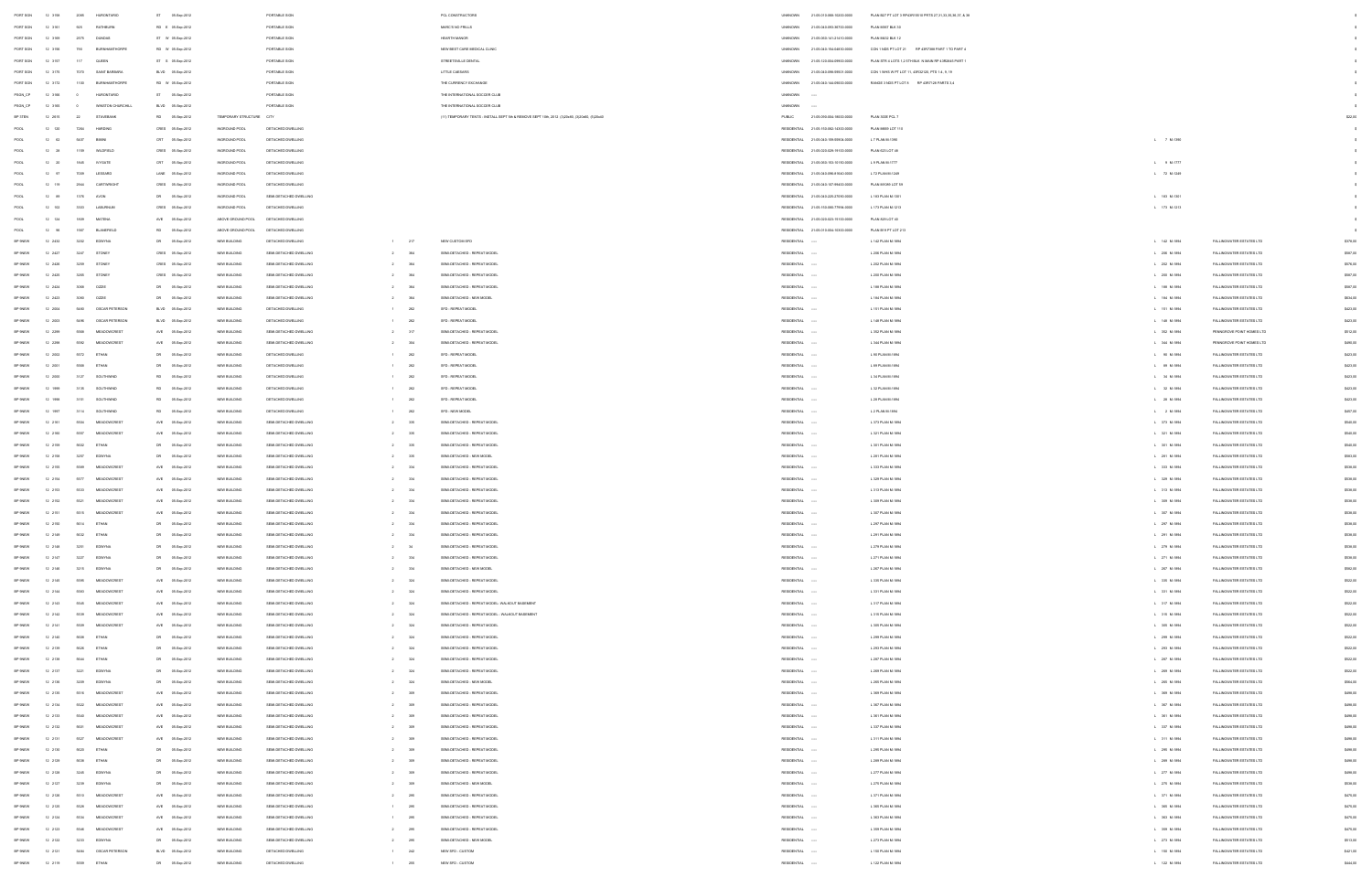| PORT SGN 12 3158           |         | 2085 | <b>HURONTARIO</b>     | ST 05-Sep-2012           |                          | PORTABLE SIGN                         |                 | PCL CONSTRUCTORS                                                                              | <b>UNKNOWN</b>     | 21-05-010-068-10200-0000             | PLAN B27 PT LOT 3 RP43R15510 PRTS 27.31.33.35.36.37, & 38 |              |                                 |         |
|----------------------------|---------|------|-----------------------|--------------------------|--------------------------|---------------------------------------|-----------------|-----------------------------------------------------------------------------------------------|--------------------|--------------------------------------|-----------------------------------------------------------|--------------|---------------------------------|---------|
| PORT SGN 12 3161           |         | 925  | RATHBURN              | RD E 05-Sep-2012         |                          | PORTABLE SIGN                         |                 | MARC'S NO FRILLS                                                                              | <b>UNKNOWN</b>     | 21-05-040-093-36700-0000             | PLAN M367 BLK 30                                          |              |                                 |         |
| PORT SGN                   | 12 3169 | 2575 | <b>DUNDAS</b>         | ST W 05-Sep-2012         |                          | PORTABLE SIGN                         |                 | HEARTH MANOR                                                                                  | <b>UNKNOWN</b>     | 21-05-060-141-21410-0000             | PLAN M432 BLK 12                                          |              |                                 |         |
|                            |         |      |                       |                          |                          |                                       |                 |                                                                                               |                    |                                      | CON 1 NDS PT LOT 21 RP 43R7388 PART 1 TO PART 4           |              |                                 |         |
| PORT SGN 12 3156           |         | 790  | <b>BURNHAMTHORPE</b>  | RD W 05-Sep-2012         |                          | PORTABLE SIGN                         |                 | NEW BEST CARE MEDICAL CLINIC                                                                  | <b>UNKNOWN</b>     | 21-05-040-154-04830-0000             |                                                           |              |                                 |         |
| PORT SGN                   | 12 3157 | 117  | QUEEN                 | ST S 05-Sep-2012         |                          | PORTABLE SIGN                         |                 | STREETSVILLE DENTAL                                                                           | <b>UNKNOWN</b>     | 21-05-120-004-09900-0000             | PLAN STR 4 LOTS 1,2 5TH BLK N MAIN RP 43R2845 PART 1      |              |                                 |         |
| PORT SGN                   | 12 3175 | 7070 | SAINT BARBAR          | BLVD 05-Sep-2012         |                          | PORTABLE SIGN                         |                 | LITTLE CAESARS                                                                                | <b>UNKNOWN</b>     | 21-05-040-098-59501-0000             | CON 1 WHS W PT LOT 11, 43R32120, PTS 1-4, 9, 19           |              |                                 |         |
| PORT SGN                   | 12 3172 | 1100 | <b>BURNHAMTHORPE</b>  | RD W 05-Sep-2012         |                          | PORTABLE SIGN                         |                 | THE CURRENCY EXCHANGE                                                                         | <b>UNKNOWN</b>     | 21-05-040-144-09000-0000             | RANGE 3 NDS PT LOT 8 RP 43R7128 PARTS 3,4                 |              |                                 |         |
| PSGN CP                    | 12 3166 |      | <b>HURONTARIO</b>     | ST 05-Sep-2012           |                          | PORTABLE SIGN                         |                 | THE INTERNATIONAL SOCCER CLUB                                                                 | <b>UNKNOWN</b>     | --                                   |                                                           |              |                                 |         |
|                            |         |      |                       |                          |                          |                                       |                 |                                                                                               |                    |                                      |                                                           |              |                                 |         |
| PSGN CP                    | 12 3165 |      | WINSTON CHURCHILL     | BLVD 05-Sep-2012         |                          | PORTABLE SIGN                         |                 | THE INTERNATIONAL SOCCER CLUB                                                                 | <b>UNKNOWN</b>     | ----                                 |                                                           |              |                                 |         |
| BP 3TEN                    | 12 2616 |      | STAVEBANK             | RD 05-Sep-2012           | TEMPORARY STRUCTURE CITY |                                       |                 | (11) TEMPORARY TENTS - INSTALL SEPT 5th & REMOVE SEPT 10th, 2012 (3)20x80, (3)20x60, (5)20x40 | PUBLIC             | 21-05-090-004-18000-0000             | PLAN 300E PCL 7                                           |              |                                 |         |
| POOL                       | 12 120  | 7264 | HARDING               | CRES 05-Sep-2012         | INGROUND POOL            | DETACHED DWELLING                     |                 |                                                                                               |                    | RESIDENTIAL 21-05-150-082-14300-0000 | PLAN M669 LOT 110                                         |              |                                 |         |
| POOL                       | 12      | 5407 | BIMINI                | CRT 05-Sep-2012          | INGROUND POOL            | DETACHED DWELLING                     |                 |                                                                                               | <b>RESIDENTIAL</b> | 21-05-040-159-55904-0000             | L 7 PLAN M-1390                                           | L 7 M-1390   |                                 |         |
| POOL                       | 12      | 1159 | WILDFIELD             | CRES 05-Sep-2012         | INGROUND POOL            | DETACHED DWELLING                     |                 |                                                                                               |                    | RESIDENTIAL 21-05-020-029-19100-0000 | PLAN 623 LOT 48                                           |              |                                 |         |
|                            |         |      | <b>IVYGATE</b>        |                          |                          |                                       |                 |                                                                                               |                    |                                      |                                                           |              |                                 |         |
| POOL                       | 12 20   | 1845 |                       | CRT 05-Sep-2012          | INGROUND POOL            | DETACHED DWELLING                     |                 |                                                                                               |                    | RESIDENTIAL 21-05-060-153-10150-0000 | L 9 PLAN M-1777                                           | L 9 M-1777   |                                 |         |
| POOL                       | 12 9    | 7009 | LESSARD               | LANE 05-Sep-2012         | INGROUND POOL            | DETACHED DWELLING                     |                 |                                                                                               |                    | RESIDENTIAL 21-05-040-096-81640-0000 | L 72 PLAN M-1249                                          | L 72 M-1249  |                                 |         |
| POOL                       | 12      | 2944 | CARTWRIGHT            | CRES 05-Sep-2012         | INGROUND POOL            | DETACHED DWELLING                     |                 |                                                                                               |                    | RESIDENTIAL 21-05-040-107-99400-0000 | PLAN M1089 LOT 59                                         |              |                                 |         |
| POOL                       | 12      | 1376 | AVON                  | DR 05-Sep-2012           | INGROUND POOL            | SEMI-DETACHED DWELLING                |                 |                                                                                               |                    | RESIDENTIAL 21-05-040-225-27090-0000 | L 183 PLAN M-1301                                         | L 183 M-1301 |                                 |         |
| POOL                       | 12      | 3303 | <b>LARURNUM</b>       | CRES 05-Sep-2012         | INGROUND POOL            | DETACHED DWELLING                     |                 |                                                                                               |                    | RESIDENTIAL 21-05-150-080-77994-0000 | L 173 PLAN M-1213                                         | L 173 M-1213 |                                 |         |
|                            |         |      |                       |                          |                          |                                       |                 |                                                                                               |                    |                                      |                                                           |              |                                 |         |
| POOL                       | 12      | 1809 | MATENA                | AVE 05-Sep-2012          | ABOVE GROUND POOL        | DETACHED DWELLING                     |                 |                                                                                               |                    | RESIDENTIAL 21-05-020-023-15100-0000 | PLAN 829 LOT 40                                           |              |                                 |         |
| POOL                       | 12      | 1567 | BLANEFIELD            | RD 05-Sep-2012           | ABOVE GROUND POOL        | DETACHED DWELLING                     |                 |                                                                                               |                    | RESIDENTIAL 21-05-010-004-10300-0000 | PLAN B19 PT LOT 213                                       |              |                                 |         |
| BP 9NEW                    | 12 2432 | 3202 | FDWYNA                | DR 05-Sep-2012           | NEW BUILDING             | DETACHED DWELLING                     | 1 217           | NEW CUSTOM SFD                                                                                | RESIDENTIAL        | $\sim$                               | L 142 PLAN M-1894                                         | L 142 M-1894 | <b>FALLINGWATER ESTATES LTD</b> | \$378,0 |
| BP 9NEW                    | 12 2427 | 3247 | STONEY                | CRES 05-Sep-2012         | <b>NEW BUILDING</b>      | SEMI-DETACHED DWELLING                | 2 364           | SEMI-DETACHED - REPEAT MODEL                                                                  | RESIDENTIAL -----  |                                      | L 206 PLAN M-1894                                         | L 206 M-1894 | <b>FALLINGWATER ESTATES LTD</b> | \$587,0 |
|                            |         |      |                       |                          |                          |                                       |                 |                                                                                               |                    |                                      |                                                           |              |                                 |         |
| BP 9NEW                    | 12 2426 | 3259 | STONE                 | CRES 05-Sep-2012         | NEW BUILDING             | SEMI-DETACHED DWELLING                | 2 364           | SEMI-DETACHED - REPEAT MODEL                                                                  | RESIDENTIAL ----   |                                      | L 202 PLAN M-1894                                         | L 202 M-1894 | FALLINGWATER ESTATES LTD        | \$576,0 |
| BP 9NEW                    |         | 3265 | STONE                 | CRES 05-Sep-2012         | NEW BUILDING             | SEMI-DETACHED DWELLING<br>2           | 36              | SEMI-DETACHED - REPEAT MODEL                                                                  | RESIDENTIAL -----  |                                      | L 200 PLAN M-1894                                         | L 200 M-1894 | FALLINGWATER ESTATES LTD        | \$587,0 |
| BP 9NEW                    | 12 2424 | 3068 | OZZIE                 | DR 05-Sep-2012           | NEW BUILDING             | SEMI-DETACHED DWELLING<br>2           | 364             | SEMI-DETACHED - REPEAT MODEL                                                                  | RESIDENTIAL        | $\sim$                               | L 188 PLAN M-1894                                         | L 188 M-1894 | <b>FALLINGWATER ESTATES LTD</b> | \$587,0 |
| BP 9NEW                    | 12 2423 | 3080 | OZZIE                 | DR 05-Sep-2012           | <b>NEW BUILDING</b>      | SEMI-DETACHED DWELLING                | 2 364           | SEMI-DETACHED - NEW MODEL                                                                     | RESIDENTIAL -----  |                                      | L 184 PLAN M-1894                                         | L 184 M-1894 | <b>FALLINGWATER ESTATES LTD</b> | \$634,0 |
| BP 9NEW                    | 12 2004 | 5480 | OSCAR PETERSON        | BLVD 05-Sep-2012         | <b>NEW BUILDING</b>      | DETACHED DWELLING                     | 1 262           | SFD - REPEAT MODEL                                                                            | RESIDENTIAL -----  |                                      | L 151 PLAN M-1894                                         | L 151 M-1894 | FALLINGWATER ESTATES LTD        | \$423,0 |
|                            |         |      |                       |                          |                          |                                       |                 |                                                                                               |                    |                                      |                                                           |              |                                 |         |
| BP 9NEW                    |         | 5496 | <b>OSCAR PETERSON</b> | BLVD 05-Sep-2012         | NEW BUILDING             | DETACHED DWELLING<br>1                | 262             | SFD - REPEAT MODEL                                                                            | RESIDENTIAL -----  |                                      | L 148 PLAN M-1894                                         | L 148 M-1894 | <b>FALLINGWATER ESTATES LTD</b> | \$423,0 |
| BP 9NEW                    | 12 2299 | 5568 | <b>MEADOWCREST</b>    | AVE 05-Sep-2012          | NEW BUILDING             | SEMI-DETACHED DWELLING                | 2 317           | SEMI-DETACHED - REPEAT MODEL                                                                  | RESIDENTIAL -----  |                                      | L 352 PLAN M-1894                                         | L 352 M-1894 | PENNGROVE POINT HOMES LTD       | \$512,0 |
| BP 9NEW                    | 12 2298 | 5592 | MEADOWCRES'           | AVE 05-Sep-2012          | <b>NEW BUILDING</b>      | SEMI-DETACHED DWELLING                | 2 304           | SEMI-DETACHED - REPEAT MODEL                                                                  | RESIDENTIAL -----  |                                      | L 344 PLAN M-1894                                         | L 344 M-1894 | PENNGROVE POINT HOMES LTD       | \$490,0 |
| BP 9NEW                    | 12      | 5572 | ETHAN                 | DR<br>05-Sep-2012        | NEW BUILDING             | DETACHED DWELLING<br>$1 -$            | 262             | SFD - REPEAT MODEL                                                                            | RESIDENTIAL        |                                      | L 90 PLAN M-1894                                          | L 90 M-1894  | FALLINGWATER ESTATES LTD        | \$423,0 |
|                            |         |      |                       |                          |                          |                                       |                 |                                                                                               |                    |                                      |                                                           |              |                                 |         |
| BP 9NEW                    | 12 2001 | 5568 | ETHAN                 | DR 05-Sep-2012           | NEW BUILDING             | DETACHED DWELLING                     | 1 262           | SFD - REPEAT MODEL                                                                            | RESIDENTIAL -----  |                                      | L 89 PLAN M-1894                                          | L 89 M-1894  | <b>FALLINGWATER ESTATES LTD</b> | \$423,0 |
| BP 9NEW                    | 12 2000 | 3127 | SOUTHWIND             | RD 05-Sep-2012           | NEW BUILDING             | DETACHED DWELLING                     | 1 262           | SFD - REPEAT MODEL                                                                            | RESIDENTIAL -----  |                                      | L 34 PLAN M-1894                                          | L 34 M-1894  | <b>FALLINGWATER ESTATES LTD</b> | \$423,0 |
| BP 9NEW                    | 12 1999 | 3135 | SOUTHWIND             | RD 05-Sep-2012           | NEW BUILDING             | DETACHED DWELLING                     | 1 262           | SFD - REPEAT MODEL                                                                            | RESIDENTIAL -----  |                                      | L 32 PLAN M-1894                                          | L 32 M-1894  | FALLINGWATER ESTATES LTD        | \$423,0 |
| BP 9NEW                    |         | 3151 | SOUTHWIND             | RD 05-Sep-2012           | NEW BUILDING             | DETACHED DWELLING<br>$1 - 1$          | 262             | SFD - REPEAT MODEL                                                                            | RESIDENTIAL -----  |                                      | L 28 PLAN M-1894                                          | L 28 M-1894  | FALLINGWATER ESTATES LTD        | \$423,0 |
| BP 9NEW                    | 12 1997 | 3114 | SOUTHWIND             | RD 05-Sep-2012           | NEW BUILDING             | DETACHED DWELLING                     | 1 262           | SFD - NEW MODEL                                                                               | RESIDENTIAL -----  |                                      | L 2 PLAN M-1894                                           | L 2 M-1894   | <b>FALLINGWATER ESTATES LTD</b> | \$457,0 |
|                            |         |      |                       |                          |                          |                                       |                 |                                                                                               |                    |                                      |                                                           |              |                                 |         |
| BP 9NEW                    | 12 216  | 5504 | MEADOWCRES'           | AVE 05-Sep-2012          | NEW BUILDING             | SEMI-DETACHED DWELLING                | 2 335           | SEMI-DETACHED - REPEAT MODEL                                                                  | RESIDENTIAL -----  |                                      | L 373 PLAN M-1894                                         | L 373 M-1894 | FALLINGWATER ESTATES LTD        | \$540,0 |
| BP 9NEW                    | 12 2160 | 5557 | MEADOWCREST           | AVE 05-Sep-2012          | NEW BUILDING             | SEMI-DETACHED DWELLING<br>2           | 33              | SEMI-DETACHED - REPEAT MODEL                                                                  | RESIDENTIAL -----  |                                      | L 321 PLAN M-1894                                         | L 321 M-1894 | FALLINGWATER ESTATES LTD        | \$540,0 |
| BP 9NEW                    | 12 2159 | 5602 | <b>FTHAN</b>          | DR 05-Sep-2012           | NEW BUILDING             | SEMI-DETACHED DWELLING                | 2 335           | SEMI-DETACHED - REPEAT MODEL                                                                  | RESIDENTIAL -----  |                                      | L 301 PLAN M-1894                                         | L 301 M-1894 | <b>FALLINGWATER ESTATES LTD</b> | \$540,0 |
| BP 9NEW                    | 12 2158 | 3257 | EDWYNA                | DR 05-Sep-2012           | NEW BUILDING             | SEMI-DETACHED DWELLING<br>2           | 335             | SEMI-DETACHED - NEW MODEL                                                                     | RESIDENTIAL -----  |                                      | L 281 PLAN M-1894                                         | L 281 M-1894 | <b>FALLINGWATER ESTATES LTD</b> | \$583,0 |
|                            |         |      |                       |                          |                          |                                       |                 |                                                                                               |                    |                                      |                                                           |              |                                 |         |
| BP 9NEW                    | 12 2155 | 5589 | MEADOWCRES'           | AVE 05-Sep-2012          | NEW BUILDING             | SEMI-DETACHED DWELLING                | 2 334           | SEMI-DETACHED - REPEAT MODEL                                                                  | RESIDENTIAL -----  |                                      | L 333 PLAN M-1894                                         | L 333 M-1894 | FALLINGWATER ESTATES LTD        | \$538,0 |
| BP 9NEW                    | 12 2154 | 5577 | MEADOWCRES            | AVE 05-Sep-2012          | NEW BUILDING             | SEMI-DETACHED DWELLING                | 2 334           | SEMI-DETACHED - REPEAT MODEL                                                                  | RESIDENTIAL -----  |                                      | L 329 PLAN M-1894                                         | L 329 M-1894 | FALLINGWATER ESTATES LTD        | \$538,0 |
| BP 9NEW                    | 12 2153 | 5533 | MEADOWCRES'           | AVE 05-Sep-2012          | NEW BUILDING             | SEMI-DETACHED DWELLING<br>2           | 33 <sub>6</sub> | SEMI-DETACHED - REPEAT MODEL                                                                  | RESIDENTIAL -----  |                                      | L 313 PLAN M-1894                                         | L 313 M-1894 | <b>FALLINGWATER ESTATES LTD</b> | \$538,0 |
| BP 9NEW                    | 12 2152 | 5521 | MEADOWCREST           | AVE 05-Sep-2012          | NEW BUILDING             | SEMI-DETACHED DWELLING                | 2 334           | SEMI-DETACHED - REPEAT MODEL                                                                  | RESIDENTIAL -----  |                                      | L 309 PLAN M-1894                                         | L 309 M-1894 | FALLINGWATER ESTATES LTD        | \$538,0 |
| BP 9NEW 12 2151            |         | 5515 | MEADOWCREST           | AVE 05-Sep-2012          | NEW BUILDING             | SEMI-DETACHED DWELLING<br>2           | 334             | SEMI-DETACHED - REPEAT MODEL                                                                  | RESIDENTIAL        |                                      | L 307 PLAN M-1894                                         | L 307 M-1894 | <b>FALLINGWATER ESTATES LTD</b> | \$538,0 |
|                            |         |      |                       |                          |                          |                                       |                 |                                                                                               |                    |                                      |                                                           |              |                                 |         |
| BP 9NEW                    | 12 2150 | 5614 | ETHAN                 | DR 05-Sep-2012           | NEW BUILDING             | SEMI-DETACHED DWELLING                | 2 334           | SEMI-DETACHED - REPEAT MODEL                                                                  | RESIDENTIAL -----  |                                      | L 297 PLAN M-1894                                         | L 297 M-1894 | FALLINGWATER ESTATES LTD        | \$538,0 |
| BP 9NEW                    | 12 2149 | 5632 | ETHAN                 | DR 05-Sep-2012           | <b>NEW BUILDING</b>      | SEMI-DETACHED DWELLING                | 2 334           | SEMI-DETACHED - REPEAT MODEL                                                                  | RESIDENTIAL -----  |                                      | L 291 PLAN M-1894                                         | L 291 M-1894 | <b>FALLINGWATER ESTATES LTD</b> | \$538,0 |
| BP 9NEW                    | 12 2148 | 3251 | EDWYNA                | DR 05-Sep-2012           | <b>NEW BUILDING</b>      | SEMI-DETACHED DWELLING                | $2$ $34$        | SEMI-DETACHED - REPEAT MODEL                                                                  | RESIDENTIAL -----  |                                      | L 279 PLAN M-1894                                         | L 279 M-1894 | FALLINGWATER ESTATES LTD        | \$538,0 |
| BP 9NEW                    | 12 2147 | 3227 | <b>EDWYN</b>          | <b>DR</b><br>05-Sep-2012 | NEW BUILDING             | SEMI-DETACHED DWELLING<br>2           | 33 <sub>6</sub> | SEMI-DETACHED - REPEAT MODEL                                                                  | RESIDENTIAL -----  |                                      | L 271 PLAN M-1894                                         | L 271 M-1894 | FALLINGWATER ESTATES LTD        | \$538,0 |
|                            |         |      |                       |                          |                          |                                       |                 |                                                                                               |                    |                                      |                                                           |              |                                 |         |
| BP 9NEW                    | 12 2146 | 3215 | <b>FDWYNA</b>         | DR 05-Sep-2012           | NEW BUILDING             | SEMI-DETACHED DWELLING<br>2           | 334             | SEMI-DETACHED - NEW MODEL                                                                     | RESIDENTIAL -----  |                                      | L 267 PLAN M-1894                                         | L 267 M-1894 | <b>FALLINGWATER ESTATES LTD</b> | \$582,0 |
| BP 9NEW                    | 12 2145 | 5595 | <b>MEADOWCREST</b>    | AVE 05-Sep-2012          | NEW BUILDING             | SEMI-DETACHED DWELLING                | 2 324           | SEMI-DETACHED - REPEAT MODEL                                                                  | RESIDENTIAL -----  |                                      | L 335 PLAN M-1894                                         | L 335 M-1894 | <b>FALLINGWATER ESTATES LTD</b> | \$522,0 |
| BP 9NEW                    | 12 2144 | 5583 | MEADOWCRES'           | AVE 05-Sep-2012          | <b>NEW BUILDING</b>      | SEMI-DETACHED DWELLING<br>$2^{\circ}$ | 324             | SEMI-DETACHED - REPEAT MODEL                                                                  | RESIDENTIAL -----  |                                      | L 331 PLAN M-1894                                         | L 331 M-1894 | FALLINGWATER ESTATES LTD        | \$522,0 |
| BP 9NEW                    | 12 2143 | 5545 | MEADOWCRES'           | AVE 05-Sep-2012          | NEW BUILDING             | SEMI-DETACHED DWELLING<br>2           | 324             | SEMI-DETACHED - REPEAT MODEL- WALKOUT BASEMENT                                                | RESIDENTIAL -----  |                                      | L 317 PLAN M-1894                                         | L 317 M-1894 | <b>FALLINGWATER ESTATES LTD</b> | \$522,0 |
| BP 9NEW                    | 12 2142 | 5539 | MEADOWCREST           | AVE 05-Sep-2012          | <b>NEW BUILDING</b>      | SEMI-DETACHED DWELLING                | 2 324           | SEMI-DETACHED - REPEAT MODEL - WALKOUT BASEMENT                                               | RESIDENTIAL -----  |                                      | L 315 PLAN M-1894                                         | L 315 M-1894 | <b>FALLINGWATER ESTATES LTD</b> | \$522,0 |
|                            |         |      |                       |                          |                          |                                       |                 |                                                                                               |                    |                                      |                                                           |              |                                 |         |
| BP 9NEW                    | 12 2141 | 5509 | MEADOWCREST           | AVE 05-Sep-2012          | <b>NEW BUILDING</b>      | SEMI-DETACHED DWELLING                | 2 324           | SEMI-DETACHED - REPEAT MODEL                                                                  | RESIDENTIAL -----  |                                      | L 305 PLAN M-1894                                         | L 305 M-1894 | FALLINGWATER ESTATES LTD        | \$522,0 |
| BP 9NEW                    | 12 214  | 5608 | ETHAN                 | DR 05-Sep-2012           | NEW BUILDING             | SEMI-DETACHED DWELLING<br>2           | 324             | SEMI-DETACHED - REPEAT MODEL                                                                  | RESIDENTIAL        | -                                    | L 299 PLAN M-1894                                         | L 299 M-1894 | FALLINGWATER ESTATES LTD        | \$522,0 |
| BP 9NEW                    | 12 2139 | 5626 | ETHAN                 | DR 05-Sep-2012           | NEW BUILDING             | SEMI-DETACHED DWELLING<br>$2^{\circ}$ | 324             | SEMI-DETACHED - REPEAT MODEL                                                                  | RESIDENTIAL -----  |                                      | L 293 PLAN M-1894                                         | L 293 M-1894 | FALLINGWATER ESTATES LTD.       | \$522,0 |
| BP 9NEW                    | 12 2138 | 5644 | ETHAN                 | DR 05-Sep-2012           | NEW BUILDING             | SEMI-DETACHED DWELLING                | $2^{2}$ 324     | SEMI-DETACHED - REPEAT MODEL                                                                  | RESIDENTIAL -----  |                                      | L 287 PLAN M-1894                                         | L 287 M-1894 | <b>FALLINGWATER ESTATES LTD</b> | \$522,0 |
|                            |         |      |                       |                          |                          |                                       |                 |                                                                                               |                    |                                      |                                                           |              |                                 |         |
| BP 9NEW                    | 12 2137 | 3221 | EDWYNA                | DR 05-Sep-2012           | <b>NEW BUILDING</b>      | SEMI-DETACHED DWELLING                | 2 324           | SEMI-DETACHED - REPEAT MODEL                                                                  | RESIDENTIAL -----  |                                      | L 269 PLAN M-1894                                         | L 269 M-1894 | FALLINGWATER ESTATES LTD        | \$522,0 |
| BP 9NEW                    | 12 2136 | 3209 | EDWYNA                | DR 05-Sep-2012           | NEW BUILDING             | SEMI-DETACHED DWELLING<br>2           | 324             | SEMI-DETACHED - NEW MODEL                                                                     | RESIDENTIAL        | --                                   | L 265 PLAN M-1894                                         | L 265 M-1894 | FALLINGWATER ESTATES LTD        | \$564,0 |
| BP 9NEW                    | 12 2135 | 5516 | MEADOWCRES'           | AVE 05-Sep-2012          | NEW BUILDING             | 2<br>SEMI-DETACHED DWELLING           | 309             | SEMI-DETACHED - REPEAT MODEL                                                                  | RESIDENTIAL -----  |                                      | L 369 PLAN M-1894                                         | L 369 M-1894 | <b>FALLINGWATER ESTATES LTD</b> | \$498,0 |
| BP 9NEW                    | 12 2134 | 5522 | MEADOWCRES'           | AVE 05-Sep-2012          | <b>NEW BUILDING</b>      | SEMI-DETACHED DWELLING<br>2           | 309             | SEMI-DETACHED - REPEAT MODEL                                                                  | RESIDENTIAL -----  |                                      | L 367 PLAN M-1894                                         | L 367 M-1894 | FALLINGWATER ESTATES LTD        | \$498,0 |
| BP 9NEW                    | 12 2133 | 5540 | MEADOWCRES'           | AVE 05-Sep-2012          | NEW BUILDING             | SEMI-DETACHED DWELLING<br>2           | 309             | SEMI-DETACHED - REPEAT MODEL                                                                  | RESIDENTIAL -----  |                                      | L 361 PLAN M-1894                                         | L 361 M-1894 | FALLINGWATER ESTATES LTD        | \$498,0 |
|                            |         |      |                       |                          |                          |                                       |                 |                                                                                               |                    |                                      |                                                           |              |                                 |         |
| BP 9NEW                    | 12 2132 | 5601 | MEADOWCRES'           | AVE 05-Sep-2012          | NEW BUILDING             | SEMI-DETACHED DWELLING<br>2           | 309             | SEMI-DETACHED - REPEAT MODEL                                                                  | RESIDENTIAL -----  |                                      | L 337 PLAN M-1894                                         | L 337 M-1894 | FALLINGWATER ESTATES LTD        | \$498,0 |
| BP 9NEW                    | 12 2131 | 5527 | <b>MEADOWCREST</b>    | AVE 05-Sep-2012          | <b>NEW BUILDING</b>      | SEMI-DETACHED DWELLING<br>2           | 309             | SEMI-DETACHED - REPEAT MODEL                                                                  | RESIDENTIAL -----  |                                      | L 311 PLAN M-1894                                         | L 311 M-1894 | <b>FALLINGWATER ESTATES LTD</b> | \$498,0 |
| BP 9NEW                    | 12 2130 | 5620 | ETHAN                 | DR 05-Sep-2012           | NEW BUILDING             | SEMI-DETACHED DWELLING<br>$2^{\circ}$ | 309             | SEMI-DETACHED - REPEAT MODEL                                                                  | RESIDENTIAL -----  |                                      | L 295 PLAN M-1894                                         | L 295 M-1894 | FALLINGWATER ESTATES LTD        | \$498,0 |
| BP 9NEW                    | 12 2129 | 5638 | ETHAN                 | DR 05-Sep-2012           | NEW BUILDING             | SEMI-DETACHED DWELLING<br>2           | 309             | SEMI-DETACHED - REPEAT MODEL                                                                  | RESIDENTIAL -----  |                                      | L 289 PLAN M-1894                                         | L 289 M-1894 | FALLINGWATER ESTATES LTD        | \$498,0 |
|                            |         |      |                       |                          |                          |                                       |                 |                                                                                               |                    |                                      |                                                           |              |                                 |         |
| BP 9NEW                    | 12 2128 | 3245 | FDWYNA                | DR 05-Sep-2012           | <b>NEW BUILDING</b>      | SEMI-DETACHED DWELLING<br>2           | 309             | SEMI-DETACHED - REPEAT MODEL                                                                  | RESIDENTIAL -----  |                                      | L 277 PLAN M-1894                                         | L 277 M-1894 | <b>FALLINGWATER ESTATES LTD</b> | \$498,0 |
| BP 9NEW                    | 12 2127 | 3239 | EDWYNA                | DR 05-Sep-2012           | <b>NEW BUILDING</b>      | SEMI-DETACHED DWELLING<br>$2^{\circ}$ | 309             | SEMI-DETACHED - NEW MODEL                                                                     | RESIDENTIAL -----  |                                      | L 275 PLAN M-1894                                         | L 275 M-1894 | FALLINGWATER ESTATES LTD        | \$538,0 |
| BP 9NEW                    | 12 2126 | 5510 | MEADOWCRES'           | AVE 05-Sep-2012          | NEW BUILDING             | SEMI-DETACHED DWELLING                | 2 295           | SEMI-DETACHED - REPEAT MODEL                                                                  | RESIDENTIAL -----  |                                      | L 371 PLAN M-1894                                         | L 371 M-1894 | FALLINGWATER ESTATES LTD        | \$475,0 |
| BP 9NEW                    | 12 2125 | 5528 | MEADOWCRES'           | AVE 05-Sep-2012          | <b>NEW BUILDING</b>      | SEMI-DETACHED DWELLING                | 1 296           | SEMI-DETACHED - REPEAT MODEL                                                                  | RESIDENTIAL -----  |                                      | L 365 PLAN M-1894                                         | L 365 M-1894 | <b>FALLINGWATER ESTATES LTD</b> | \$475,0 |
| BP 9NEW                    | 12 2124 | 5534 | MEADOWCREST           | AVE 05-Sep-2012          | <b>NEW BUILDING</b>      | SEMI-DETACHED DWELLING                | 1 296           | SEMI-DETACHED - REPEAT MODEL                                                                  | RESIDENTIAL -----  |                                      | L 363 PLAN M-1894                                         | L 363 M-1894 | <b>FALLINGWATER ESTATES LTD</b> | \$475,0 |
|                            |         |      |                       |                          |                          |                                       |                 |                                                                                               |                    |                                      |                                                           |              |                                 |         |
| BP 9NEW                    | 12 2123 | 5546 | MEADOWCRES'           | AVE 05-Sep-2012          | <b>NEW BUILDING</b>      | SEMI-DETACHED DWELLING                | 2 295           | SEMI-DETACHED - REPEAT MODEL                                                                  | RESIDENTIAL -----  |                                      | L 359 PLAN M-1894                                         | L 359 M-1894 | FALLINGWATER ESTATES LTD        | \$475,0 |
| BP 9NEW                    | 12 2122 | 3233 | EDWYNA                | DR 05-Sep-2012           | NEW BUILDING             | SEMI-DETACHED DWELLING<br>2           |                 | SEMI-DETACHED - NEW MODEL                                                                     | RESIDENTIAL -----  |                                      | L 273 PLAN M-1894                                         | L 273 M-1894 | FALLINGWATER ESTATES LTD        | \$513,0 |
| BP 9NEW                    | 12 2121 | 5484 | <b>OSCAR PETERSON</b> | BLVD 05-Sep-2012         | NEW BUILDING             | DETACHED DWELLING<br>$1 -$            | 242             | NEW SFD - CUSTOM                                                                              | RESIDENTIAL -----  |                                      | L 150 PLAN M-1894                                         | L 150 M-1894 | <b>FALLINGWATER ESTATES LTD</b> | \$421,0 |
| BP 9NEW 12 2119 6559 ETHAN |         |      |                       | DR 05-Sep-2012           | <b>NEW BUILDING</b>      | DETACHED DWELLING                     | 1 255           | NEW SFD - CUSTOM                                                                              | RESIDENTIAL -----  |                                      | L 122 PLAN M-1894                                         | L 122 M-1894 | FALLINGWATER ESTATES LTD        | \$444,0 |
|                            |         |      |                       |                          |                          |                                       |                 |                                                                                               |                    |                                      |                                                           |              |                                 |         |

\$538,00

| 05-040-159-55904-0000 | L 7 PLAN M-1390     |              | 7 M-1390         |                                 |          |
|-----------------------|---------------------|--------------|------------------|---------------------------------|----------|
| 05-020-029-19100-0000 | PLAN 623 LOT 48     |              |                  |                                 |          |
| 05-060-153-10150-0000 | L 9 PLAN M-1777     | L.           | 9 M-1777         |                                 |          |
| 05-040-096-81640-0000 | L 72 PLAN M-1249    | L            | 72 M-1249        |                                 |          |
| 05-040-107-99400-0000 | PLAN M1089 LOT 59   |              |                  |                                 |          |
| 05-040-225-27090-0000 | L 183 PLAN M-1301   |              | L 183 M-1301     |                                 |          |
| 05-150-080-77994-0000 | L 173 PLAN M-1213   |              | L 173 M-1213     |                                 |          |
| 05-020-023-15100-0000 | PLAN 829 LOT 40     |              |                  |                                 |          |
| 05-010-004-10300-0000 | PLAN B19 PT LOT 213 |              |                  |                                 |          |
|                       | L 142 PLAN M-1894   |              | L 142 M-1894     | FALLINGWATER ESTATES LTD        | \$378,00 |
|                       | L 206 PLAN M-1894   |              | $L = 206$ M-1894 | FALLINGWATER ESTATES LTD        | \$587,00 |
|                       | L 202 PLAN M-1894   |              | L 202 M-1894     | <b>FALLINGWATER ESTATES LTD</b> | \$576,00 |
|                       | L 200 PLAN M-1894   |              | 1 200 M-1894     | FALLINGWATER ESTATES LTD.       | \$587.00 |
|                       | L 188 PLAN M-1894   |              | L 188 M-1894     | <b>FALLINGWATER ESTATES LTD</b> | \$587,00 |
|                       | L 184 PLAN M-1894   |              | L 184 M-1894     | FALLINGWATER ESTATES LTD        | \$634,00 |
|                       | L 151 PLAN M-1894   |              | L 151 M-1894     | <b>FALLINGWATER ESTATES LTD</b> | \$423,00 |
|                       | L 148 PLAN M-1894   |              | L 148 M-1894     | FALLINGWATER ESTATES LTD        | \$423,00 |
|                       | L 352 PLAN M-1894   |              | L 352 M-1894     | PENNGROVE POINT HOMES LTD       | \$512,00 |
|                       | L 344 PLAN M-1894   |              | L 344 M-1894     | PENNGROVE POINT HOMES LTD       | \$490,00 |
|                       | L 90 PLAN M-1894    |              | L 90 M-1894      | <b>FALLINGWATER ESTATES LTD</b> | \$423,00 |
|                       | L 89 PLAN M-1894    | L.           | 89 M-1894        | <b>FALLINGWATER ESTATES LTD</b> | \$423,00 |
|                       | L 34 PLAN M-1894    | L.           | 34 M-1894        | <b>FALLINGWATER ESTATES LTD</b> | \$423,00 |
|                       | L 32 PLAN M-1894    |              | L 32 M-1894      | FALLINGWATER ESTATES LTD.       | \$423,00 |
|                       | L 28 PLAN M-1894    | $\mathbf{L}$ | 28 M-1894        | <b>FALLINGWATER ESTATES LTD</b> | \$423,00 |
|                       | L 2 PLAN M-1894     | L.           | 2 M-1894         | <b>FALLINGWATER ESTATES LTD</b> | \$457,00 |
|                       | L 373 PLAN M-1894   |              | L 373 M-1894     | <b>FALLINGWATER ESTATES LTD</b> | \$540,00 |
|                       | L 321 PLAN M-1894   |              | L 321 M-1894     | <b>FALLINGWATER ESTATES LTD</b> | \$540,00 |
|                       | L 301 PLAN M-1894   |              | L 301 M-1894     | FALLINGWATER ESTATES LTD        | \$540,00 |
|                       | L 281 PLAN M-1894   |              | L 281 M-1894     | FALLINGWATER ESTATES LTD        | \$583,00 |
|                       | L 333 PLAN M-1894   |              | $L = 333$ M-1894 | <b>FALLINGWATER ESTATES LTD</b> | \$538,00 |
|                       | L 329 PLAN M-1894   |              | L 329 M-1894     | FALLINGWATER ESTATES LTD        | \$538.00 |
|                       | L 313 PLAN M-1894   |              | L 313 M-1894     | FALLINGWATER ESTATES LTD        | \$538,00 |
|                       | L 309 PLAN M-1894   |              | $L = 309$ M-1894 | <b>FALLINGWATER ESTATES LTD</b> | \$538,00 |
|                       | L 307 PLAN M-1894   |              | L 307 M-1894     | <b>FALLINGWATER ESTATES LTD</b> | \$538,00 |
|                       | L 297 PLAN M-1894   |              | L 297 M-1894     | FALLINGWATER ESTATES LTD        | \$538,00 |
|                       | L 291 PLAN M-1894   |              | L 291 M-1894     | FALLINGWATER ESTATES LTD        | \$538,00 |
|                       | L 279 PLAN M-1894   |              | L 279 M-1894     | <b>FALLINGWATER ESTATES LTD</b> | \$538,00 |
|                       | L 271 PLAN M-1894   |              | L 271 M-1894     | <b>FALLINGWATER ESTATES LTD</b> | \$538,00 |
|                       | L 267 PLAN M-1894   |              | L 267 M-1894     | FALLINGWATER ESTATES LTD        | \$582,00 |
|                       | L 335 PLAN M-1894   |              | $L = 335$ M-1894 | FALLINGWATER ESTATES LTD        | \$522,00 |
|                       | L 331 PLAN M-1894   |              | L 331 M-1894     | <b>FALLINGWATER ESTATES LTD</b> | \$522,00 |
|                       | L 317 PLAN M-1894   |              | L 317 M-1894     | <b>FALLINGWATER ESTATES LTD</b> | \$522,00 |
|                       | L 315 PLAN M-1894   |              | $L = 315$ M-1894 | FALLINGWATER ESTATES LTD        | \$522,00 |
|                       | L 305 PLAN M-1894   |              | $L = 305$ M-1894 | FALLINGWATER ESTATES LTD        | \$522,00 |
|                       | L 299 PLAN M-1894   |              | L 299 M-1894     | FALLINGWATER ESTATES LTD        | \$522.00 |
|                       | L 293 PLAN M-1894   |              | L 293 M-1894     | FALLINGWATER ESTATES LTD        | \$522,00 |
|                       | L 287 PLAN M-1894   |              | L 287 M-1894     | FALLINGWATER ESTATES LTD        | \$522,00 |
|                       | L 269 PLAN M-1894   |              | L 269 M-1894     | <b>FALLINGWATER ESTATES LTD</b> | \$522,00 |
|                       | L 265 PLAN M-1894   |              | L 265 M-1894     | <b>FALLINGWATER ESTATES LTD</b> | \$564.00 |
|                       | L 369 PLAN M-1894   |              | L 369 M-1894     | FALLINGWATER ESTATES LTD        | \$498,00 |
|                       | L 367 PLAN M-1894   |              | L 367 M-1894     | FALLINGWATER ESTATES LTD.       | \$498,00 |
|                       | 1.361 PLAN M-1894   |              | L 361 M-1894     | <b>FALLINGWATER ESTATES LTD</b> | \$498.00 |
|                       | L 337 PLAN M-1894   |              | L 337 M-1894     | <b>FALLINGWATER ESTATES LTD</b> | \$498,00 |
|                       | L 311 PLAN M-1894   |              | L 311 M-1894     | FALLINGWATER ESTATES LTD        | \$498,00 |
|                       | L 295 PLAN M-1894   |              | L 295 M-1894     | <b>FALLINGWATER ESTATES LTD</b> | \$498,00 |
|                       | L 289 PLAN M-1894   |              | 1 289 M-1894     | FALLINGWATER ESTATES LTD.       | \$498.00 |
|                       | L 277 PLAN M-1894   |              | L 277 M-1894     | <b>FALLINGWATER ESTATES LTD</b> | \$498,00 |
|                       | L 275 PLAN M-1894   |              | L 275 M-1894     | <b>FALLINGWATER ESTATES LTD</b> | \$538,00 |
|                       | L 371 PLAN M-1894   |              | L 371 M-1894     | <b>FALLINGWATER ESTATES LTD</b> | \$475,00 |
|                       | L 365 PLAN M-1894   |              | L 365 M-1894     | FALLINGWATER ESTATES LTD        | \$475,00 |
|                       | L 363 PLAN M-1894   |              | $L = 363$ M-1894 | FALLINGWATER ESTATES LTD        | \$475,00 |
|                       | L 359 PLAN M-1894   |              | L 359 M-1894     | <b>FALLINGWATER ESTATES LTD</b> | \$475,00 |
|                       | L 273 PLAN M-1894   |              | L 273 M-1894     | <b>FALLINGWATER ESTATES LTD</b> | \$513,00 |
|                       | L 150 PLAN M-1894   |              | L 150 M-1894     | FALLINGWATER ESTATES LTD        | \$421,00 |
|                       |                     |              |                  |                                 |          |

\$587,00

\$378,00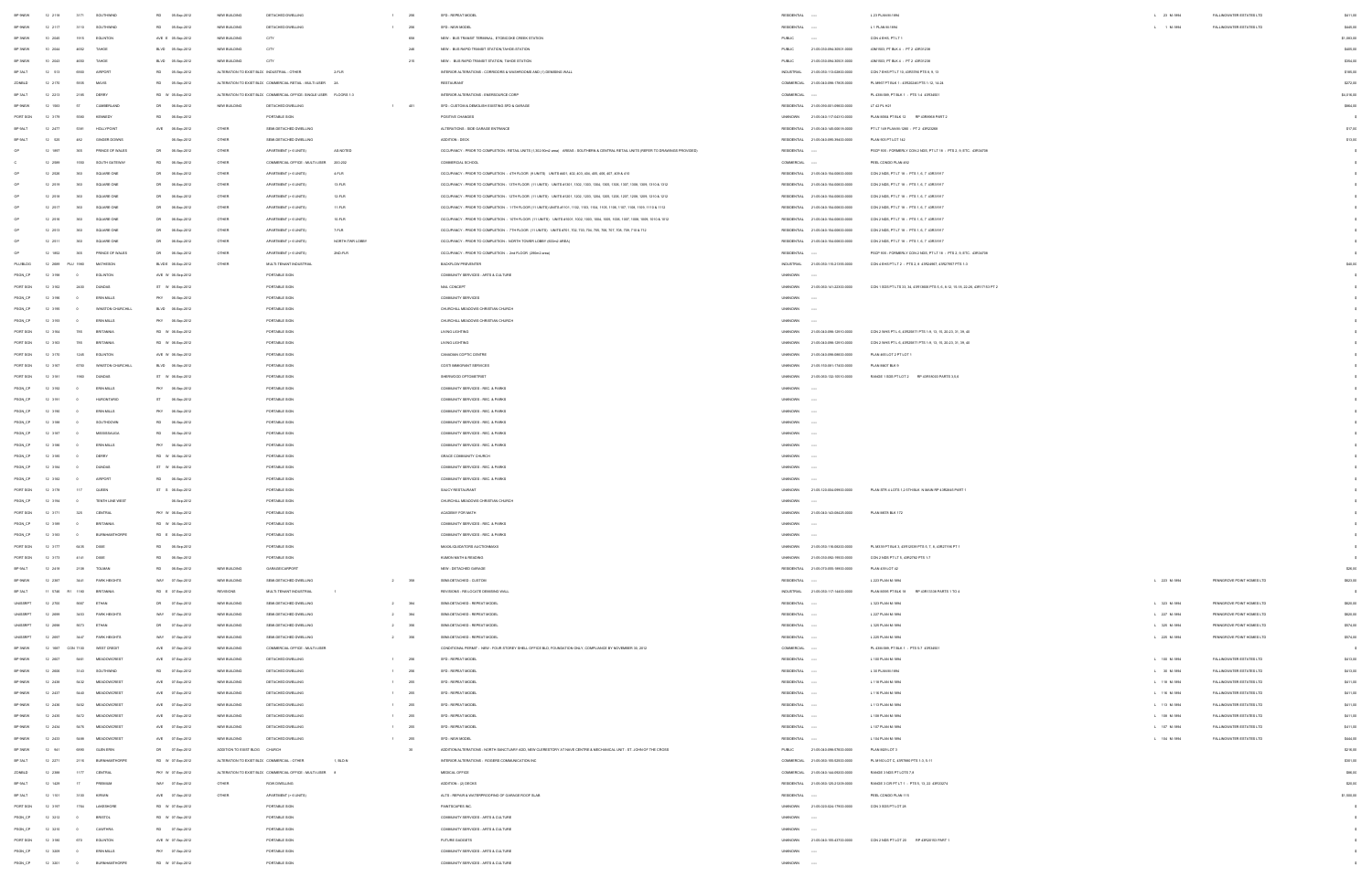|                                                | L 23 PLAN M-1894<br>1 1 PLAN M-1894                                                      |    | L 23 M-1894                  | FALLINGWATER ESTATES LTD<br><b>FALLINGWATER ESTATES LTD</b>        | \$411,00               |
|------------------------------------------------|------------------------------------------------------------------------------------------|----|------------------------------|--------------------------------------------------------------------|------------------------|
|                                                | CON 4 EHS, PT LT 1                                                                       | L. | 1 M-1894                     |                                                                    | \$445,00<br>\$1,083,00 |
| 05-030-094-30501-0000                          | 43M1503, PT BLK 4 - PT 2 43R31238                                                        |    |                              |                                                                    | \$405,00               |
| 05-030-094-30501-0000                          | 43M1503, PT BLK 4 - PT 2 43R31238                                                        |    |                              |                                                                    | \$354,00               |
| 05-050-113-02800-0000                          | CON 7 EHS PT LT 10, 43R3786 PTS 8, 9, 13                                                 |    |                              |                                                                    | \$185,00               |
| 05-040-098-17805-0000                          | PL M967 PT BLK 1 - 43R20246 PTS 1-12, 14-24                                              |    |                              |                                                                    | \$272,00               |
|                                                | PL 43M-589, PT BLK 1 - PTS 1-4 43R34501                                                  |    |                              |                                                                    | \$4,016,00             |
| 05-090-001-09600-0000                          | LT 42 PL H21                                                                             |    |                              |                                                                    | \$864,00               |
| 05-040-117-04310-0000                          | PLAN M364 PT BLK 12 RP 43R8968 PART 2                                                    |    |                              |                                                                    | f,                     |
| 05-040-145-00618-0000                          | PT LT 149 PLAN M-1280 - PT 2 43R23268                                                    |    |                              |                                                                    | \$17,00                |
| 05-040-095-39400-0000                          | PLAN 903 PT LOT 142                                                                      |    |                              |                                                                    | \$13,00                |
| ł,                                             | PSCP 935 - FORMERLY CON 2 NDS, PT LT 18 - PTS 2, 9, ETC. 43R34708                        |    |                              |                                                                    |                        |
|                                                | PEEL CONDO PLAN 492                                                                      |    |                              |                                                                    |                        |
| 05-040-154-00600-0000                          | CON 2 NDS, PT LT 18 - PTS 1, 6, 7 43R31917                                               |    |                              |                                                                    |                        |
| 05-040-154-00600-0000                          | CON 2 NDS, PT LT 18 - PTS 1, 6, 7 43R31917                                               |    |                              |                                                                    |                        |
| 05-040-154-00600-0000                          | CON 2 NDS, PT LT 18 - PTS 1, 6, 7 43R31917                                               |    |                              |                                                                    |                        |
| 05-040-154-00600-0000                          | CON 2 NDS, PT LT 18 - PTS 1, 6, 7 43R31917<br>CON 2 NDS, PT LT 18 - PTS 1, 6, 7 43R31917 |    |                              |                                                                    |                        |
| 05-040-154-00600-0000<br>05-040-154-00600-0000 | CON 2 NDS, PT LT 18 - PTS 1, 6, 7 43R31917                                               |    |                              |                                                                    |                        |
| 05-040-154-00600-0000                          | CON 2 NDS, PT LT 18 - PTS 1, 6, 7 43R31917                                               |    |                              |                                                                    |                        |
|                                                | PSCP 935 - FORMERLY CON 2 NDS, PT LT 18 - PTS 2, 9, ETC. 43R34708                        |    |                              |                                                                    |                        |
| 05-050-115-21355-0000                          | CON 4 EHS PT LT 2 - PTS 2, 8 43R24967, 43R27957 PTS 1-3                                  |    |                              |                                                                    | \$40,00                |
|                                                |                                                                                          |    |                              |                                                                    |                        |
| 05-060-141-22300-0000                          | CON 1 SDS PT LTS 33, 34, 43R13606 PTS 5, 6, 8-12, 15-18, 22-26, 43R17153 PT 2            |    |                              |                                                                    |                        |
|                                                |                                                                                          |    |                              |                                                                    |                        |
|                                                |                                                                                          |    |                              |                                                                    |                        |
|                                                |                                                                                          |    |                              |                                                                    |                        |
| 05-040-098-12910-0000                          | CON 2 WHS PT L 6, 43R25871 PTS 1-9, 13, 15, 20-23, 31, 39, 40                            |    |                              |                                                                    |                        |
| 05-040-098-12910-0000                          | CON 2 WHS PT L 6, 43R25871 PTS 1-9, 13, 15, 20-23, 31, 39, 40                            |    |                              |                                                                    |                        |
| 05-040-098-08600-0000                          | PLAN 465 LOT 2 PT LOT 1                                                                  |    |                              |                                                                    |                        |
| 05-150-081-17400-0000                          | PLAN M407 BLK 9                                                                          |    |                              |                                                                    |                        |
| 05-060-132-10510-0000                          | RANGE 1 SDS PT LOT 2 RP 43R18003 PARTS 3,5,6                                             |    |                              |                                                                    |                        |
|                                                |                                                                                          |    |                              |                                                                    |                        |
|                                                |                                                                                          |    |                              |                                                                    |                        |
|                                                |                                                                                          |    |                              |                                                                    |                        |
|                                                |                                                                                          |    |                              |                                                                    |                        |
|                                                |                                                                                          |    |                              |                                                                    |                        |
|                                                |                                                                                          |    |                              |                                                                    |                        |
|                                                |                                                                                          |    |                              |                                                                    |                        |
|                                                |                                                                                          |    |                              |                                                                    |                        |
| 05-120-004-09900-0000                          | PLAN STR 4 LOTS 1,2 5TH BLK N MAIN RP 43R2845 PART 1                                     |    |                              |                                                                    |                        |
|                                                |                                                                                          |    |                              |                                                                    |                        |
| 05-040-143-08425-0000                          | <b>PLAN M678 BLK 172</b>                                                                 |    |                              |                                                                    |                        |
|                                                |                                                                                          |    |                              |                                                                    |                        |
| 05-050-116-08200-0000                          | PL M339 PT BLK 3, 43R12539 PTS 5, 7, 8, 43R27196 PT 1                                    |    |                              |                                                                    | ś                      |
| 05-030-092-19500-0000                          | CON 2 NDS PT LT 5, 43R2782 PTS 1-7                                                       |    |                              |                                                                    |                        |
| 05-070-055-18900-0000                          | PLAN 439 LOT 42                                                                          |    |                              |                                                                    | \$26,00                |
|                                                | L 223 PLAN M-1894                                                                        |    | L 223 M-1894                 | PENNGROVE POINT HOMES LTD                                          | \$623,00               |
| 05-050-117-14400-0000                          | PLAN M395 PT BLK 18<br>RP 43R13338 PARTS 1 TO 4                                          |    |                              |                                                                    |                        |
|                                                | L 323 PLAN M-1894                                                                        |    | $L = 323$ M-1894             | PENNGROVE POINT HOMES LTD                                          | \$620,00               |
|                                                | L 227 PLAN M-1894                                                                        |    | L 227 M-1894                 | PENNGROVE POINT HOMES LTD                                          | \$620,00               |
|                                                | L 325 PLAN M-1894                                                                        |    | L 325 M-1894                 | PENNGROVE POINT HOMES LTD                                          | \$574,00               |
|                                                | L 225 PLAN M-1894                                                                        |    | L 225 M-1894                 | PENNGROVE POINT HOMES LTD                                          | \$574,00               |
|                                                | PL 43M-589, PT BLK 1 - PTS 5-7 43R34501                                                  |    |                              |                                                                    |                        |
|                                                | L 100 PLAN M-1894                                                                        |    | L 100 M-1894                 | FALLINGWATER ESTATES LTD                                           | \$413,00               |
|                                                | L 30 PLAN M-1894                                                                         |    | L 30 M-1894                  | <b>FALLINGWATER ESTATES LTD</b>                                    | \$413,00               |
|                                                | L 118 PLAN M-1894                                                                        |    | L 118 M-1894                 | FALLINGWATER ESTATES LTD                                           | \$411,00               |
|                                                | L 116 PLAN M-1894<br>L 113 PLAN M-1894                                                   |    | L 116 M-1894<br>L 113 M-1894 | <b>FALLINGWATER ESTATES LTD</b><br><b>FALLINGWATER ESTATES LTD</b> | \$411,00<br>\$411,00   |
|                                                | L 108 PLAN M-1894                                                                        |    | L 108 M-1894                 | FALLINGWATER ESTATES LTD                                           | \$411,00               |
|                                                | L 107 PLAN M-1894                                                                        |    | $L = 107$ M-1894             | FALLINGWATER ESTATES LTD                                           | \$411,00               |
|                                                |                                                                                          |    |                              |                                                                    |                        |

|  | 1 323 M-1894 | PENNGROVE POINT HOMES LTD       |
|--|--------------|---------------------------------|
|  | L 227 M-1894 | PENNGROVE POINT HOMES LTD.      |
|  | L 325 M-1894 | PENNGROVE POINT HOMES LTD.      |
|  | L 225 M-1894 | PENNGROVE POINT HOMES LTD       |
|  |              |                                 |
|  | I 100 M-1894 | <b>FALLINGWATER ESTATES LTD</b> |
|  | 1 30 M-1894  | <b>FALLINGWATER ESTATES LTD</b> |
|  | I 118 M-1894 | <b>FALLINGWATER ESTATES LTD</b> |
|  | I 116 M-1894 | <b>FALLINGWATER ESTATES LTD</b> |
|  | 1 113 M-1894 | <b>FALLINGWATER ESTATES LTD</b> |
|  | I 108 M-1894 | <b>FALLINGWATER ESTATES LTD</b> |
|  | 1 107 M-1894 | <b>FALLINGWATER ESTATES LTD</b> |
|  | 1 104 M-1894 | <b>FALLINGWATER ESTATES LTD</b> |

| BP 9NEW             | 12 2118            | 3171         | SOUTHWIND                         | RD 05-Sep-2012                    | NEW BUILDING                  | DETACHED DWELLING                                                  |                 | 1<br>256                       | SFD - REPEAT MODEL                                                                                                                    | RESIDENTIAL ----- |                                      | L 23 PLAN M-1894                                                              | L 23 M-1894                  | <b>FALLINGWATER ESTATES LTD</b> | \$411,0            |
|---------------------|--------------------|--------------|-----------------------------------|-----------------------------------|-------------------------------|--------------------------------------------------------------------|-----------------|--------------------------------|---------------------------------------------------------------------------------------------------------------------------------------|-------------------|--------------------------------------|-------------------------------------------------------------------------------|------------------------------|---------------------------------|--------------------|
| BP 9NEW             | 12 2117            | 3110         | SOUTHWIND                         | RD 05-Sep-2012                    | NEW BUILDING                  | DETACHED DWELLING                                                  |                 | $-1$<br>256                    | SFD - NEW MODEL                                                                                                                       | RESIDENTIAL ----- |                                      | L 1 PLAN M-1894                                                               | L 1 M-1894                   | FALLINGWATER ESTATES LTD        | \$445,0            |
| BP 3NEW             | 10 2045            | 1915         | <b>EGLINTON</b>                   | AVE E 05-Sep-2012                 | NEW BUILDING                  | CITY                                                               |                 | 658                            | NEW - BUS TRANSIT TERMINAL, ETOBICOKE CREEK STATION                                                                                   | PUBLIC            | --                                   | CON 4 EHS, PT LT 1                                                            |                              |                                 | \$1,083,0          |
| BP 3NEW             | 10 2044            | 4652         | <b>TAHOE</b>                      | BLVD 05-Sep-2012                  | NEW BUILDING                  | CITY                                                               |                 | 246                            | NEW - BUS RAPID TRANSIT STATION TAHOE-STATION                                                                                         | PUBLIC            | 21-05-030-094-30501-0000             | 43M1503, PT BLK 4 - PT 2 43R31238                                             |                              |                                 | \$405,0            |
| BP 3NEW             | 10 2043            | 4650         | TAHOE                             | BLVD 05-Sep-2012                  | NEW BUILDING                  | CITY                                                               |                 | 215                            | NEW - BUS RAPID TRANSIT STATION, TAHOE STATION                                                                                        | PUBLIC            | 21-05-030-094-30501-0000             | 43M1503, PT BLK 4 - PT 2 43R31238                                             |                              |                                 | \$354,0            |
| BP 3ALT             | 12 513             | 6900         | <b>AIRPORT</b>                    | RD 05-Sep-2012                    |                               | ALTERATION TO EXIST BLD INDUSTRIAL - OTHER                         | 2-FLR           |                                | INTERIOR ALTERATIONS - CORRIDORS & WASHROOMS AND (1) DEMISING WALL                                                                    | <b>INDUSTRIAL</b> | 21-05-050-113-02800-0000             | CON 7 EHS PT LT 10, 43R3786 PTS 8, 9, 13                                      |                              |                                 | \$185,0            |
| ZONBLD              | 12 2170            | 5935         | MAVIS                             | RD 05-Sep-2012                    |                               | ALTERATION TO EXIST BLD/ COMMERCIAL RETAIL - MULTI-USER 2A         |                 |                                | RESTAURANT                                                                                                                            |                   | COMMERCIAL 21-05-040-098-17805-0000  | PL M967 PT RLK 1 - 43R20246 PTS 1-12 14-24                                    |                              |                                 | \$272,0            |
| BP 3ALT             | 12 2213            | 2185         | DERRY                             | RD W 05-Sep-2012                  |                               | ALTERATION TO EXIST BLDI COMMERCIAL OFFICE- SINGLE USER FLOORS 1-3 |                 |                                | INTERIOR ALTERATIONS - ENERSOURCE CORP                                                                                                | COMMERCIAL        | 1000                                 | PL 43M-589, PT BLK 1 - PTS 1-4 43R34501                                       |                              |                                 | \$4,016,0          |
| BP 9NEW             | 12 1583            | 57           | CUMBERLAND                        | DR 06-Sep-2012                    | NEW BUILDING                  | DETACHED DWELLING                                                  |                 | 1 401                          | SFD - CUSTOM & DEMOLISH EXISTING SFD & GARAGE                                                                                         |                   | RESIDENTIAL 21-05-090-001-09600-0000 | LT 42 PL H21                                                                  |                              |                                 | \$864,0            |
| PORT SGN            | 12 3179            | 5580         | KENNEDY                           | RD 06-Sep-2012                    |                               | PORTABLE SIGN                                                      |                 |                                | POSITIVE CHANGES                                                                                                                      | <b>UNKNOWN</b>    | 21-05-040-117-04310-0000             | PLAN M364 PT BLK 12 RP 43R8968 PART 2                                         |                              |                                 |                    |
| BP 9ALT             | 12 2477            | 5381         | <b>HOLLYPOINT</b>                 | AVE 06-Sep-2012                   | <b>OTHER</b>                  | SEMI-DETACHED DWELLING                                             |                 |                                | ALTERATIONS - SIDE GARAGE ENTRANCE                                                                                                    |                   | RESIDENTIAL 21-05-040-145-00618-0000 | PT LT 149 PLAN M-1280 - PT 2 43R23268                                         |                              |                                 | \$17.0             |
| BP 9ALT             | 12 525             | 482          | <b>GINGER DOWNS</b>               | 06-Sep-2012                       | OTHER                         | SEMI-DETACHED DWELLING                                             |                 |                                | ADDITION - DECK                                                                                                                       |                   | RESIDENTIAL 21-05-040-095-39400-0000 | PLAN 903 PT LOT 142                                                           |                              |                                 |                    |
|                     |                    | 365          | PRINCE OF WALES                   | DR 06-Sep-2012                    | OTHER                         | APARTMENT (> 6 UNITS)                                              | AS-NOTED        |                                | OCCUPANCY - PRIOR TO COMPLETION - RETAIL UNITS (1,302.90m2 area) AREAS - SOUTHERN & CENTRAL RETAIL UNITS (REFER TO DRAWINGS PROVIDED) | RESIDENTIAL ----- |                                      | PSCP 935 - FORMERLY CON 2 NDS, PT LT 18 - PTS 2, 9, ETC. 43R34708             |                              |                                 |                    |
|                     | 12 2589            | 1550         | SOUTH GATEWAY                     | RD 06-Sep-2012                    | OTHER                         | COMMERCIAL OFFICE - MULTI-USER 200-202                             |                 |                                | COMMERCIAL SCHOOL                                                                                                                     | COMMERCIAL -----  |                                      | PEEL CONDO PLAN 492                                                           |                              |                                 |                    |
| $\Omega$            | 12 2526            | 360          | SQUARE ONE                        | DR 06-Sep-2012                    | OTHER                         | APARTMENT (> 6 UNITS)                                              | 4-FLR           |                                | OCCUPANCY - PRIOR TO COMPLETION - 4TH FLOOR (9 UNITS) UNITS #401, 402, 403, 404, 405, 408, 407, 409 & 410                             |                   | RESIDENTIAL 21-05-040-154-00600-0000 | CON 2 NDS, PT LT 18 - PTS 1, 6, 7 43R31917                                    |                              |                                 |                    |
|                     | 12 2519            | 360          | SQUARE ONE                        | DR 06-Sep-2012                    | OTHER                         | APARTMENT (> 6 UNITS)                                              | 13-FLR          |                                | OCCUPANCY - PRIOR TO COMPLETION - 13TH FLOOR (11 UNITS) UNITS #1301, 1302, 1303, 1304, 1305, 1306, 1307, 1308, 1309, 1310 & 1312      |                   | RESIDENTIAL 21-05-040-154-00600-0000 | CON 2 NDS, PT LT 18 - PTS 1, 6, 7 43R31917                                    |                              |                                 |                    |
|                     | 12 2518            | 360          | SQUARE ONE                        | DR 06-Sep-2012                    | OTHER                         | APARTMENT (> 6 UNITS)                                              | 12-FLR          |                                | OCCUPANCY - PRIOR TO COMPLETION - 12TH FLOOR (11 UNITS) UNITS #1201, 1202, 1203, 1204, 1205, 1206, 1207, 1208, 1209, 1210 & 1212      |                   | RESIDENTIAL 21-05-040-154-00600-0000 | CON 2 NDS, PT LT 18 - PTS 1, 6, 7 43R31917                                    |                              |                                 |                    |
|                     | 12 2517            | 360          | SQUARE ONE                        | DR 06-Sep-2012                    | OTHER                         | APARTMENT (> 6 UNITS)                                              | $11-FLR$        |                                | OCCUPANCY - PRIOR TO COMPLETION - 11TH FLOOR (11 UNITS) UNITS #1101, 1102, 1103, 1104, 1105, 1106, 1107, 1108, 1109, 1110 & 1112      |                   | RESIDENTIAL 21-05-040-154-00600-0000 | CON 2 NDS, PT LT 18 - PTS 1, 6, 7 43R31917                                    |                              |                                 |                    |
|                     | 12 2516            | 360          | SQUARE ONE                        | DR 06-Sep-2012                    | OTHER                         | APARTMENT (> 6 UNITS)                                              | 10-FLR          |                                | OCCUPANCY - PRIOR TO COMPLETION - 10TH FLOOR (11 UNITS) UNITS #1001, 1002, 1003, 1004, 1005, 1006, 1007, 1008, 1009, 1010 & 1012      |                   | RESIDENTIAL 21-05-040-154-00600-0000 | CON 2 NDS, PT LT 18 - PTS 1, 6, 7 43R31917                                    |                              |                                 |                    |
|                     | 12 2513            | 360          | SQUARE ONE                        | DR 06-Sep-2012                    | OTHER                         | APARTMENT (> 6 UNITS)                                              | 7-FLR           |                                | OCCUPANCY - PRIOR TO COMPLETION - 7TH FLOOR (11 UNITS) UNITS #701, 702, 703, 704, 705, 706, 707, 708, 709, 710 & 712                  |                   | RESIDENTIAL 21-05-040-154-00600-0000 | CON 2 NDS, PT LT 18 - PTS 1, 6, 7 43R31917                                    |                              |                                 |                    |
|                     | 12 2511            | 360          | SQUARE ONE                        | DR 06-Sep-2012                    | OTHER                         | APARTMENT (> 6 UNITS)                                              | NORTH-TWR LOBBY |                                | OCCUPANCY - PRIOR TO COMPLETION - NORTH TOWER LOBBY (600m2 AREA)                                                                      |                   | RESIDENTIAL 21-05-040-154-00600-0000 | CON 2 NDS, PT LT 18 - PTS 1, 6, 7 43R31917                                    |                              |                                 |                    |
| OP                  | 12 1852            | 365          | PRINCE OF WALES                   | DR 06-Sep-2012                    | OTHER                         | APARTMENT (> 6 UNITS)                                              | 2ND-FLR         |                                | OCCUPANCY - PRIOR TO COMPLETION - 2nd FLOOR (290m2 area)                                                                              | RESIDENTIAL ----- |                                      | PSCP 935 - FORMERLY CON 2 NDS, PT LT 18 - PTS 2, 9, ETC, 43R34708             |                              |                                 |                    |
| PLU/BLDG            | 12 2689            | PLU 1980     | MATHESON                          | BLVDE 06-Sep-2012                 | OTHER                         | MULTI-TENANT INDUSTRIAL                                            |                 |                                | BACKFLOW PREVENTER                                                                                                                    | INDUSTRIAL        | 21-05-050-115-21355-0000             | CON 4 EHS PT LT 2 - PTS 2, 8 43R24967, 43R27957 PTS 1-3                       |                              |                                 |                    |
| PSGN_CP             | 12 3198            |              | <b>EGLINTON</b>                   | AVE W 06-Sep-2012                 |                               | PORTABLE SIGN                                                      |                 |                                | COMMUNITY SERVICES - ARTS & CULTURE                                                                                                   | <b>UNKNOWN</b>    |                                      |                                                                               |                              |                                 |                    |
| PORT SGN            | 12 3162            | 2400         | <b>DUNDAS</b>                     | ST W 06-Sep-2012                  |                               | PORTABLE SIGN                                                      |                 |                                | NAIL CONCEPT                                                                                                                          | <b>UNKNOWN</b>    | 21-05-060-141-22300-0000             | CON 1 SDS PT LTS 33, 34, 43R13606 PTS 5, 6, 8-12, 15-18, 22-26, 43R17153 PT 2 |                              |                                 |                    |
| PSGN_CP             | 12 3196            |              | <b>ERIN MILLS</b>                 | PKY 06-Sep-2012                   |                               | PORTABLE SIGN                                                      |                 |                                | <b>COMMUNITY SERVICES</b>                                                                                                             | <b>UNKNOWN</b>    |                                      |                                                                               |                              |                                 |                    |
| PSGN CP             | 12 3195            |              | WINSTON CHURCHILL                 | BLVD 06-Sep-2012                  |                               | PORTABLE SIGN                                                      |                 |                                | CHURCHILL MEADOWS CHRISTIAN CHURCH                                                                                                    | <b>UNKNOWN</b>    | --                                   |                                                                               |                              |                                 |                    |
| PSGN_CP             | 12 3193            |              | <b>ERIN MILLS</b>                 | PKY 06-Sep-2012                   |                               | PORTABLE SIGN                                                      |                 |                                | CHURCHILL MEADOWS CHRISTIAN CHURCH                                                                                                    | <b>UNKNOWN</b>    |                                      |                                                                               |                              |                                 |                    |
| PORT SGN            | 12 3164            | 785          | BRITANNIA                         | RD W 06-Sep-2012                  |                               | PORTABLE SIGN                                                      |                 |                                | <b>LIVING LIGHTING</b>                                                                                                                | <b>UNKNOWN</b>    | 21-05-040-098-12910-0000             | CON 2 WHS PT L 6, 43R25871 PTS 1-9, 13, 15, 20-23, 31, 39, 40                 |                              |                                 |                    |
| PORT SGN            | 12 3163            | 785          | BRITANNIA                         | RD W 06-Sep-2012                  |                               | PORTABLE SIGN                                                      |                 |                                | <b>LIVING LIGHTING</b>                                                                                                                | <b>UNKNOWN</b>    | 21-05-040-098-12910-0000             | CON 2 WHS PT L 6, 43R25871 PTS 1-9, 13, 15, 20-23, 31, 39, 40                 |                              |                                 |                    |
| PORT SGN            | 12 3170            | 1245         | EGLINTON                          | AVE W 06-Sep-2012                 |                               | PORTABLE SIGN                                                      |                 |                                | CANADIAN COPTIC CENTRE                                                                                                                | <b>UNKNOWN</b>    | 21-05-040-098-08600-0000             | PLAN 465 LOT 2 PT LOT 1                                                       |                              |                                 |                    |
| PORT SGN            | 12 3167            | 6750         | WINSTON CHURCHILL                 | BLVD 06-Sep-2012                  |                               | PORTABLE SIGN                                                      |                 |                                | COSTI IMMIGRANT SERVICES                                                                                                              | <b>UNKNOWN</b>    | 21-05-150-081-17400-0000             | PLAN M407 BLK 9                                                               |                              |                                 |                    |
| PORT SGN            | 12 3181            | 1960         | <b>DUNDAS</b>                     | ST W 06-Sep-2012                  |                               | PORTABLE SIGN                                                      |                 |                                | SHERWOOD OPTOMETRIST                                                                                                                  | <b>UNKNOWN</b>    | 21-05-060-132-10510-0000             | RANGE 1 SDS PT LOT 2 RP 43R18003 PARTS 3.5.6                                  |                              |                                 |                    |
| PSGN CP             | 12 3192            |              | <b>ERIN MILLS</b>                 | PKY 06-Sep-2012                   |                               | PORTABLE SIGN                                                      |                 |                                | COMMUNITY SERVICES - REC. & PARKS                                                                                                     | <b>UNKNOWN</b>    | --                                   |                                                                               |                              |                                 |                    |
| PSGN_CP             | 12 3191            |              | HURONTARIO                        | ST 06-Sep-2012                    |                               | PORTABLE SIGN                                                      |                 |                                | COMMUNITY SERVICES - REC. & PARKS                                                                                                     | <b>UNKNOWN</b>    |                                      |                                                                               |                              |                                 |                    |
| PSGN_CP             | 12 3190            |              | <b>ERIN MILLS</b>                 | PKY 06-Sep-2012                   |                               | PORTABLE SIGN                                                      |                 |                                | COMMUNITY SERVICES - REC. & PARKS                                                                                                     | <b>UNKNOWN</b>    | --                                   |                                                                               |                              |                                 |                    |
| PSGN CP             | 12 3188            |              | SOUTHDOWN                         | RD 06-Sep-2012                    |                               | PORTABLE SIGN                                                      |                 |                                | COMMUNITY SERVICES - REC. & PARKS                                                                                                     | <b>UNKNOWN</b>    | --                                   |                                                                               |                              |                                 |                    |
| PSGN_CP             | 12 3187            |              | <b>MISSISSAUG</b>                 | RD 06-Sep-2012                    |                               | PORTABLE SIGN                                                      |                 |                                | COMMUNITY SERVICES - REC. & PARKS                                                                                                     | <b>UNKNOWN</b>    |                                      |                                                                               |                              |                                 |                    |
| PSGN_CP             | 12 3186            |              | <b>ERIN MILLS</b>                 | PKY 06-Sep-2012                   |                               | PORTABLE SIGN                                                      |                 |                                | COMMUNITY SERVICES - REC. & PARKS                                                                                                     | <b>UNKNOWN</b>    |                                      |                                                                               |                              |                                 |                    |
| PSGN_CP             | 12 3185            | $^{\circ}$   | DERRY                             | RD W 06-Sep-2012                  |                               | PORTABLE SIGN                                                      |                 |                                | <b>GRACE COMMUNITY CHURCH</b>                                                                                                         | <b>UNKNOWN</b>    | --                                   |                                                                               |                              |                                 |                    |
| PSGN CP             | 12 3184            |              | <b>DUNDAS</b>                     | ST W 06-Sep-2012                  |                               | PORTABLE SIGN                                                      |                 |                                | COMMUNITY SERVICES - REC. & PARKS                                                                                                     | <b>UNKNOWN</b>    |                                      |                                                                               |                              |                                 |                    |
| PSGN_CP             | 12 3182            |              | AIRPOR'                           | RD 06-Sep-2012                    |                               | PORTABLE SIGN                                                      |                 |                                | COMMUNITY SERVICES - REC. & PARKS                                                                                                     | <b>UNKNOWN</b>    |                                      |                                                                               |                              |                                 |                    |
| PORT SGN            | 12 3178            | 117          | QUEEN                             | ST S 06-Sep-2012                  |                               | PORTABLE SIGN                                                      |                 |                                | SAUCY RESTAURANT                                                                                                                      | <b>LINKNOWN</b>   | 21-05-120-004-09900-0000             | PLAN STR 4 LOTS 1,2 5TH BLK N MAIN RP 43R2845 PART 1                          |                              |                                 |                    |
|                     |                    |              | PSGN CP 12 3194 0 TENTH LINE WEST | 06-Sep-2012                       |                               | PORTABLE SIGN                                                      |                 |                                | CHURCHILL MEADOWS CHRISTIAN CHURCH                                                                                                    | UNKNOWN -----     |                                      |                                                                               |                              |                                 |                    |
| PORT SGN            | 12 3171            |              | 325 CENTRAL                       | PKY W 06-Sep-2012                 |                               | <b>PORTABLE SIGN</b>                                               |                 |                                |                                                                                                                                       | <b>UNKNOWN</b>    | 21-05-040-143-08425-0000             | PLAN M678 BLK 172                                                             |                              |                                 |                    |
| PSGN_CP 12 3189     |                    | $\sim$ 0     | BRITANNIA                         | RD W 06-Sep-2012                  |                               | PORTABLE SIGN                                                      |                 |                                | COMMUNITY SERVICES - REC. & PARKS                                                                                                     | <b>UNKNOWN</b>    | --                                   |                                                                               |                              |                                 |                    |
| PSGN_CP             | 12 3183            | $^{\circ}$   | BURNHAMTHORPE                     | RD E 06-Sep-2012                  |                               | PORTABLE SIGN                                                      |                 |                                | COMMUNITY SERVICES - REC. & PARKS                                                                                                     | <b>UNKNOWN</b>    | --                                   |                                                                               |                              |                                 |                    |
| PORT SGN            | 12 3177            | 6435         | <b>DIXIE</b>                      | RD 06-Sep-2012                    |                               | PORTABLE SIGN                                                      |                 |                                | MAXXLIQUIDATORS AUCTIONMAXX                                                                                                           | <b>UNKNOWN</b>    | 21-05-050-116-08200-0000             | PL M339 PT BLK 3, 43R12539 PTS 5, 7, 8, 43R27196 PT 1                         |                              |                                 |                    |
| PORT SGN            | 12 3173            | 4141         | <b>DIXIE</b>                      | RD 06-Sep-2012                    |                               | PORTABLE SIGN                                                      |                 |                                | KUMON MATH & READING                                                                                                                  | <b>UNKNOWN</b>    | 21-05-030-092-19500-0000             | CON 2 NDS PT LT 5, 43R2782 PTS 1-7                                            |                              |                                 |                    |
| BP 9ALT             | 12 2418            | 2108         | <b>TOLMAN</b>                     | RD 06-Sep-2012                    | NEW BUILDING                  | GARAGE/CARPORT                                                     |                 |                                | NEW - DETACHED GARAGE                                                                                                                 |                   | RESIDENTIAL 21-05-070-055-18900-0000 | PLAN 439 LOT 42                                                               |                              | PENNGROVE POINT HOMES LTD       |                    |
| BP 9NEW             | 12 2387            | 3441         | <b>PARK HEIGHTS</b>               | WAY 07-Sep-2012                   | NEW BUILDING                  | SEMI-DETACHED DWELLING                                             |                 | 2 358                          | SEMI-DETACHED - CUSTOM                                                                                                                | RESIDENTIAL ----- | INDUSTRIAL 21-05-050-117-14400-0000  | L 223 PLAN M-1894                                                             | L 223 M-1894                 |                                 | \$623,0            |
| BP 3ALT<br>UNISSRPT | 11 5746<br>12 2700 | 1180<br>5667 | BRITANNIA<br>ETHAN                | RD E 07-Sep-2012                  | <b>REVISIONS</b>              | MULTI-TENANT INDUSTRIAL<br>SEMI-DETACHED DWELLING                  |                 |                                | REVISIONS - RE-LOCATE DEMISING WALL<br>SEMI-DETACHED - REPEAT MODEL                                                                   | RESIDENTIAL ----- |                                      | PLAN M395 PT BLK 18 RP 43R13338 PARTS 1 TO 4                                  |                              | PENNGROVE POINT HOMES LTD       |                    |
| UNISSRPT            | 12 2699            | 3453         | <b>PARK HEIGHTS</b>               | DR 07-Sep-2012<br>WAY 07-Sep-2012 | NEW BUILDING<br>NEW BUILDING  | SEMI-DETACHED DWELLING                                             |                 | 2 384<br>$\overline{2}$<br>384 | SEMI-DETACHED - REPEAT MODEL                                                                                                          | RESIDENTIAL ----- |                                      | L 323 PLAN M-1894<br>L 227 PLAN M-1894                                        | L 323 M-1894                 | PENNGROVE POINT HOMES LTD       | \$620,0<br>\$620,0 |
| <b>UNISSRPT</b>     | 12 2698            | 5673         | ETHAN                             | DR 07-Sep-2012                    | NEW BUILDING                  | SEMI-DETACHED DWELLING                                             |                 | $\overline{2}$<br>356          | SEMI-DETACHED - REPEAT MODEL                                                                                                          | RESIDENTIAL ----- |                                      | L 325 PLAN M-1894                                                             | L 227 M-1894<br>L 325 M-1894 | PENNGROVE POINT HOMES LTD       | \$574,0            |
| <b>UNISSRPT</b>     | 12 2697            | 3447         | PARK HEIGHTS                      | WAY 07-Sep-2012                   | NEW BUILDING                  | SEMI-DETACHED DWELLING                                             |                 | 2 356                          | SEMI-DETACHED - REPEAT MODEL                                                                                                          | RESIDENTIAL ----- |                                      | L 225 PLAN M-1894                                                             | L 225 M-1894                 | PENNGROVE POINT HOMES LTD       | \$574,0            |
| BP 3NEW             | 12 1687            | CON 7100     | WEST CREDIT                       | AVE 07-Sep-2012                   | NEW BUILDING                  | COMMERCIAL OFFICE - MULTI-USER                                     |                 |                                | CONDITIONAL PERMIT - NEW - FOUR STOREY SHELL OFFICE BLD, FOUNDATION ONLY, COMPLIANCE BY NOVEMBER 30, 2012                             | COMMERCIAL -----  |                                      | PL 43M-589, PT BLK 1 - PTS 5-7 43R34501                                       |                              |                                 |                    |
| BP 9NEW             | 12 2607            | 5461         | MEADOWCREST                       | AVE 07-Sep-2012                   | NEW BUILDING                  | DETACHED DWELLING                                                  |                 | 1 256                          | SFD - REPEAT MODEL                                                                                                                    | RESIDENTIAL ----- |                                      | L 100 PLAN M-1894                                                             | L 100 M-1894                 | <b>FALLINGWATER ESTATES LTD</b> | \$413,0            |
| BP 9NEW             | 12 2606            | 3143         | SOUTHWIND                         | RD 07-Sep-2012                    | NEW BUILDING                  | DETACHED DWELLING                                                  |                 | 1256                           | SFD - REPEAT MODEL                                                                                                                    | RESIDENTIAL ----- |                                      | L 30 PLAN M-1894                                                              | L 30 M-1894                  | FALLINGWATER ESTATES LTD        | \$413,0            |
| BP 9NEW             | 12 2438            | 5432         | MEADOWCREST                       | AVE 07-Sep-2012                   | NEW BUILDING                  | DETACHED DWELLING                                                  |                 | $-1$<br>255                    | SFD - REPEAT MODEL                                                                                                                    | RESIDENTIAL ----- |                                      | L 118 PLAN M-1894                                                             | L 118 M-1894                 | FALLINGWATER ESTATES LTD        | \$411,0            |
| BP 9NEW             | 12 2437            | 5440         | MEADOWCREST                       | AVE 07-Sep-2012                   | NEW BUILDING                  | DETACHED DWELLING                                                  |                 | <b>11.11.11.11</b><br>255      | SFD - REPEAT MODEL                                                                                                                    | RESIDENTIAL ----- |                                      | L 116 PLAN M-1894                                                             | L 116 M-1894                 | <b>FALLINGWATER ESTATES LTD</b> | \$411,0            |
| BP 9NEW             | 12 2436            | 5452         | MEADOWCREST                       | AVE 07-Sep-2012                   | NEW BUILDING                  | DETACHED DWELLING                                                  |                 | 1 255                          | SFD - REPEAT MODEL                                                                                                                    | RESIDENTIAL ----- |                                      | L 113 PLAN M-1894                                                             | L 113 M-1894                 | FALLINGWATER ESTATES LTD        | \$411,0            |
| BP 9NEW             | 12 2435            | 5472         | MEADOWCREST                       | AVE 07-Sep-2012                   | NEW BUILDING                  | DETACHED DWELLING                                                  |                 | $-1$<br>255                    | SFD - REPEAT MODEL                                                                                                                    | RESIDENTIAL ----- |                                      | L 108 PLAN M-1894                                                             | L 108 M-1894                 | FALLINGWATER ESTATES LTD        | \$411,0            |
| BP 9NEW             | 12 2434            | 5476         | MEADOWCREST                       | AVE 07-Sep-2012                   | <b>NEW BUILDING</b>           | DETACHED DWELLING                                                  |                 | <b>11.11.11.11</b><br>255      | SFD - REPEAT MODEL                                                                                                                    | RESIDENTIAL ----- |                                      | L 107 PLAN M-1894                                                             | L 107 M-1894                 | <b>FALLINGWATER ESTATES LTD</b> | \$411,0            |
| BP 9NEW             | 12 2433            | 5488         | MEADOWCREST                       | AVE 07-Sep-2012                   | NEW BUILDING                  | DETACHED DWELLING                                                  |                 | 1 255                          | SFD - NEW MODEL                                                                                                                       | RESIDENTIAL ----- |                                      | L 104 PLAN M-1894                                                             | L 104 M-1894                 | <b>FALLINGWATER ESTATES LTD</b> | \$444,0            |
| BP 3NEW             | 12 941             | 6890         | <b>GLEN ERIN</b>                  | DR 07-Sep-2012                    | ADDITION TO EXIST BLDG CHURCH |                                                                    |                 |                                | ADDITION/ALTERATIONS - NORTH SANCTUARY ADD, NEW CLERESTORY AT NAVE CENTRE & MECHANICAL UNIT - ST. JOHN OF THE CROSS                   | PUBLIC            | 21-05-040-098-57600-0000             | PLAN M29 LOT 3                                                                |                              |                                 | \$216,0            |
| BP 3ALT             | 12 2271            | 2116         | BURNHAMTHORPE                     | RD W 07-Sep-2012                  |                               | ALTERATION TO EXIST BLDI COMMERCIAL - OTHER                        | 1, BLD-N        |                                | INTERIOR ALTERATIONS - ROGERS COMMUNICATION INC                                                                                       |                   | COMMERCIAL 21-05-060-155-52500-0000  | PL M160 LOT C, 43R7880 PTS 1-3, 5-11                                          |                              |                                 | \$301,0            |
| ZONBLD              | 12 2388            | 1177         | CENTRAL                           | PKY W 07-Sep-2012                 |                               | ALTERATION TO EXIST BLD/ COMMERCIAL OFFICE - MULTI-USER 8          |                 |                                | MEDICAL OFFICE                                                                                                                        |                   | COMMERCIAL 21-05-040-144-09200-0000  | RANGE 3 NDS PT LOTS 7,8                                                       |                              |                                 | \$86,0             |
| BP 9ALT             | 12 1429            | 17           | PREMIUM                           | WAY 07-Sep-2012                   | OTHER                         | ROW DWELLING                                                       |                 |                                | ADDITION - (2) DECKS                                                                                                                  |                   | RESIDENTIAL 21-05-060-125-21209-0000 | RANGE 3 CIR PT LT 1 - PTS 5, 13, 22 43R33274                                  |                              |                                 | \$20.0             |
| BP 3ALT             | 12 1101            | 3100         | KIRWIN                            | AVE 07-Sep-2012                   | OTHER                         | APARTMENT (> 6 UNITS)                                              |                 |                                | ALTS - REPAIR & WATERPROOFING OF GARAGE ROOF SLAB                                                                                     | RESIDENTIAL       |                                      | PEEL CONDO PLAN 115                                                           |                              |                                 | \$1,500,0          |
| PORT SGN            | 12 3197            | 1764         | LAKESHORE                         | RD W 07-Sep-2012                  |                               | PORTABLE SIGN                                                      |                 |                                | PAINTSCAPES INC.                                                                                                                      | <b>UNKNOWN</b>    | 21-05-020-024-17900-0000             | CON 3 SDS PT LOT 28                                                           |                              |                                 |                    |
| PSGN_CP             | 12 3212            | $^{\circ}$   | <b>BRISTOL</b>                    | RD W 07-Sep-2012                  |                               | PORTABLE SIGN                                                      |                 |                                | COMMUNITY SERVICES - ARTS & CULTURE                                                                                                   | <b>UNKNOWN</b>    | --                                   |                                                                               |                              |                                 |                    |
| PSGN CP             | 12 3210            |              | CAWTHRA                           | RD 07-Sep-2012                    |                               | PORTABLE SIGN                                                      |                 |                                | COMMUNITY SERVICES - ARTS & CULTURE                                                                                                   | <b>UNKNOWN</b>    | --                                   |                                                                               |                              |                                 |                    |
| PORT SGN            | 12 3180            | 670          | EGLINTON                          | AVE W 07-Sep-2012                 |                               | PORTABLE SIGN                                                      |                 |                                | <b>FUTURE GADGETS</b>                                                                                                                 | <b>UNKNOWN</b>    | 21-05-040-155-43700-0000             | CON 2 NDS PT LOT 20 RP 43R20153 PART 1                                        |                              |                                 |                    |
| PSGN_CP             | 12 3209            | $^{\circ}$   | <b>ERIN MILLS</b>                 | PKY 07-Sep-2012                   |                               | PORTABLE SIGN                                                      |                 |                                | COMMUNITY SERVICES - ARTS & CULTURE                                                                                                   | <b>UNKNOWN</b>    | $\sim$                               |                                                                               |                              |                                 |                    |
| PSGN CP 12 3201     |                    | $\sim$ 0     | <b>BURNHAMTHORPE</b>              | RD W 07-Sep-2012                  |                               | PORTABLE SIGN                                                      |                 |                                | COMMUNITY SERVICES - ARTS & CULTURE                                                                                                   | UNKNOWN -----     |                                      |                                                                               |                              |                                 |                    |
|                     |                    |              |                                   |                                   |                               |                                                                    |                 |                                |                                                                                                                                       |                   |                                      |                                                                               |                              |                                 |                    |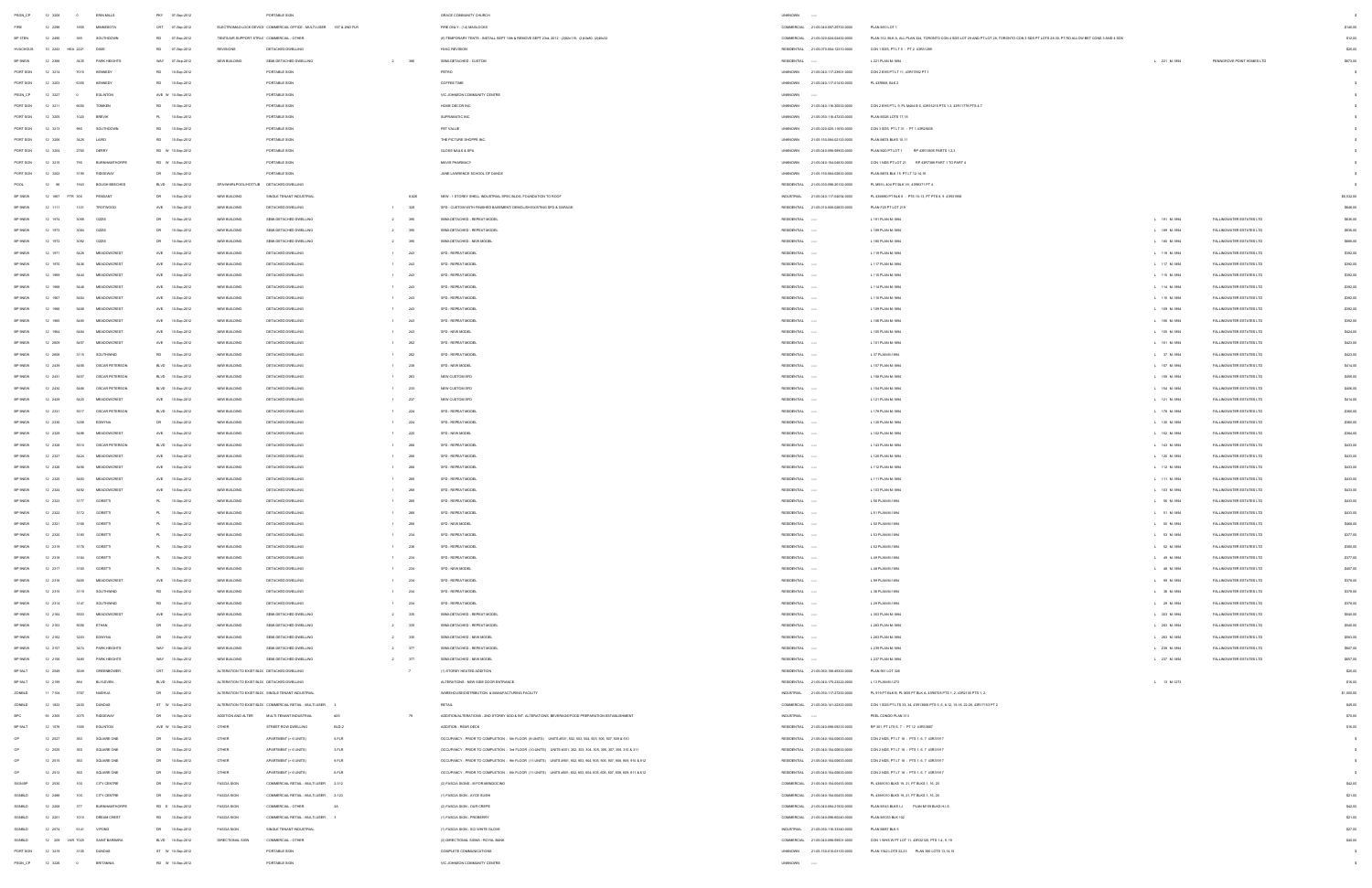| PSGN_CP         | 12 3208           | $\sim$          | <b>ERIN MILLS</b>     | PKY 07-Sep-2012          |                     | PORTABLE SIGN                                                       |                                                                                                                                                                                                                                             | GRACE COMMUNITY CHURCH                                                                                               | <b>UNKNOWN</b><br>--                       |                                                                                                                                          |              |                                 |           |
|-----------------|-------------------|-----------------|-----------------------|--------------------------|---------------------|---------------------------------------------------------------------|---------------------------------------------------------------------------------------------------------------------------------------------------------------------------------------------------------------------------------------------|----------------------------------------------------------------------------------------------------------------------|--------------------------------------------|------------------------------------------------------------------------------------------------------------------------------------------|--------------|---------------------------------|-----------|
|                 | 12 2296           | 1855            | <b>MINNESOT/</b>      | CRT 07-Sep-2012          |                     | ELECTROMAG LOCK DEVICI COMMERCIAL OFFICE - MULTI-USER 1ST & 2ND FLR |                                                                                                                                                                                                                                             | FIRE ONLY - (14) MAGLOCKS                                                                                            | COMMERCIAL 21-05-040-097-25700-0000        | PLAN M10 LOT 1                                                                                                                           |              |                                 |           |
| BP 3TEN         | 12 2490           | 385             | SOUTHDOWN             | RD 07-Sep-2012           |                     | TENTS/AIR SUPPORT STRUI COMMERCIAL - OTHER                          |                                                                                                                                                                                                                                             | (6) TEMPORARY TENTS - INSTALL SEPT 10th & REMOVE SEPT 23rd, 2012 (2)82x115, (2)40x80, (2)40x32                       | COMMERCIAL 21-05-020-024-02400-0000        | PLAN 312, BLK A, ALL PLAN 324, TORONTO CON 4 SDS LOT 29 AND PT LOT 28, TORONTO CON 3 SDS PT LOTS 28-30, PT RD ALLOW BET CONS 3 AND 4 SDS |              |                                 |           |
|                 |                   |                 |                       |                          |                     |                                                                     |                                                                                                                                                                                                                                             |                                                                                                                      |                                            |                                                                                                                                          |              |                                 | \$12,0    |
| <b>HVACHOUS</b> | 10 2243           | <b>HEA 2221</b> | DIXIE                 | RD 07-Sep-2012           | <b>REVISIONS</b>    | DETACHED DWELLING                                                   |                                                                                                                                                                                                                                             | <b>HVAC REVISION</b>                                                                                                 | RESIDENTIAL 21-05-070-054-12310-0000       | CON 1 SDS, PT LT 5 - PT 2 43R31289                                                                                                       |              |                                 | \$20,0    |
| BP 9NEW         |                   | 3435            | PARK HEIGHTS          | WAY 07-Sep-2012          | NEW BUILDING        | SEMI-DETACHED DWELLING                                              | 2 386                                                                                                                                                                                                                                       | SEMI-DETACHED - CUSTOM                                                                                               | <b>RESIDENTIAL</b>                         | L 221 PLAN M-1894                                                                                                                        | L 221 M-1894 | PENNGROVE POINT HOMES LTD       | \$673,0   |
|                 |                   |                 |                       |                          |                     |                                                                     |                                                                                                                                                                                                                                             |                                                                                                                      | <b>UNKNOWN</b>                             |                                                                                                                                          |              |                                 |           |
| PORT SGN        | 12 3214           | 7015            | KENNEDY               | RD 10-Sep-2012           |                     | PORTABLE SIGN                                                       |                                                                                                                                                                                                                                             | PETRO                                                                                                                | 21-05-040-117-23901-0000                   | CON 2 EHS PT LT 11, 43R17852 PT 1                                                                                                        |              |                                 |           |
| PORT SGN        | 12 3203           | 6355            | KENNEDY               | RD 10-Sep-2012           |                     | PORTABLE SIGN                                                       |                                                                                                                                                                                                                                             | COFFEE TIME                                                                                                          | 21-05-040-117-01430-0000<br><b>UNKNOWN</b> | PL 43R908, BLK 2                                                                                                                         |              |                                 |           |
| PSGN CP         | 12 3227           |                 | <b>EGLINTON</b>       | AVE W 10-Sep-2012        |                     | PORTABLE SIGN                                                       |                                                                                                                                                                                                                                             | VIC JOHNSON COMMUNITY CENTRE                                                                                         | <b>UNKNOWN</b>                             |                                                                                                                                          |              |                                 |           |
|                 |                   |                 |                       |                          |                     |                                                                     |                                                                                                                                                                                                                                             |                                                                                                                      |                                            |                                                                                                                                          |              |                                 |           |
| PORT SGN        | 12 3211           | 6650            | <b>TOMKEN</b>         | RD 10-Sep-2012           |                     | PORTABLE SIGN                                                       |                                                                                                                                                                                                                                             | HOME DECOR INC                                                                                                       | 21-05-040-116-30000-0000<br><b>UNKNOWN</b> | CON 2 EHS PT L 9, PL M404 B 5, 43R15215 PTS 1-3, 43R11778 PTS 4-7                                                                        |              |                                 |           |
| PORT SGN        | 12 3205           | 1020            | <b>BREVIK</b>         | PL 10-Sep-2012           |                     | PORTABLE SIGN                                                       |                                                                                                                                                                                                                                             | SUPRAMATIC INC.                                                                                                      | <b>UNKNOWN</b><br>21-05-050-116-47200-0000 | PLAN M326 LOTS 17.18                                                                                                                     |              |                                 |           |
| PORT SGN        | 12 3213           | 980             | SOUTHDOWN             | RD 10-Sep-2012           |                     | PORTABLE SIGN                                                       |                                                                                                                                                                                                                                             | PET VALUE                                                                                                            | 21-05-020-025-11650-0000<br><b>UNKNOWN</b> | CON 3 SDS, PT LT 31 - PT 1 43R25635                                                                                                      |              |                                 |           |
|                 |                   |                 |                       |                          |                     |                                                                     |                                                                                                                                                                                                                                             |                                                                                                                      |                                            |                                                                                                                                          |              |                                 |           |
| PORT SGN        | 12 3206           | 3425            | LAIRD                 | RD 10-Sep-2012           |                     | PORTABLE SIGN                                                       |                                                                                                                                                                                                                                             | THE PICTURE SHOPPE INC.                                                                                              | 21-05-150-084-02100-0000<br><b>UNKNOWN</b> | PLAN M674 BLKS 10,11                                                                                                                     |              |                                 |           |
| PORT SGN        | 12 3204           | 2760            | DERRY                 | RD W 10-Sep-2012         |                     | PORTABLE SIGN                                                       |                                                                                                                                                                                                                                             | GLOSS NAILS & SPA                                                                                                    | <b>UNKNOWN</b><br>21-05-040-098-58900-0000 | PLAN M20 PT LOT 1 RP 43R10835 PARTS 1,2,3                                                                                                |              |                                 |           |
| PORT SGN        | 12 3215           | 790             | BURNHAMTHORPE         | RD W 10-Sep-2012         |                     | PORTABLE SIGN                                                       |                                                                                                                                                                                                                                             | MAVIS PHARMACY                                                                                                       | <b>UNKNOWN</b><br>21-05-040-154-04830-0000 | CON 1 NDS PT LOT 21 RP 43R7388 PART 1 TO PART 4                                                                                          |              |                                 |           |
|                 |                   |                 |                       |                          |                     |                                                                     |                                                                                                                                                                                                                                             |                                                                                                                      |                                            |                                                                                                                                          |              |                                 |           |
| PORT SGN        | 12 3202           | 3190            | RIDGEWAY              | DR 10-Sep-2012           |                     | PORTABLE SIGN                                                       |                                                                                                                                                                                                                                             | JUNE LAWRENCE SCHOOL OF DANCE                                                                                        | 21-05-150-084-02600-0000<br><b>UNKNOWN</b> | PLAN M674 BLK 15 PT LT 12-14,16                                                                                                          |              |                                 |           |
| POOL            |                   | 1943            | BOUGH BEECHES         | BLVD 10-Sep-2012         |                     | SPA/WHIRLPOOL/HOTTUB DETACHED DWELLING                              |                                                                                                                                                                                                                                             |                                                                                                                      | RESIDENTIAL<br>21-05-030-096-20100-0000    | PL M59 L 404 PT BLK VV, 43R8371 PT 4                                                                                                     |              |                                 |           |
| BP 3NEW         | 12 1867           | FTR 300         | PENDANT               | DR 10-Sep-2012           | NEW BUILDING        | SINGLE TENANT INDUSTRIAL                                            | 8,826                                                                                                                                                                                                                                       | NEW - 1 STOREY SHELL INDUSTRIAL SPEC BLDG. FOUNDATION TO ROOF                                                        | INDUSTRIAL<br>21-05-040-117-04054-0000     | PL 43M980 PT BLK 6 - PTS 10-13, PT PTS 8, 9 43R31958                                                                                     |              |                                 | \$8,032,0 |
|                 |                   |                 |                       |                          |                     |                                                                     |                                                                                                                                                                                                                                             |                                                                                                                      |                                            |                                                                                                                                          |              |                                 |           |
| BP 9NEW         | 12 1111           | 1331            | <b>TROTWOOD</b>       | AVE 10-Sep-2012          | NEW BUILDING        | DETACHED DWELLING                                                   | 1 <sup>1</sup><br>328                                                                                                                                                                                                                       | SFD - CUSTOM WITH FINISHED BASEMENT/ DEMOLISH EXISTING SFD & GARAGE                                                  | 21-05-010-008-02600-0000<br>RESIDENTIAL    | PLAN F20 PT LOT 219                                                                                                                      |              |                                 | \$646,0   |
| BP 9NEW         | 12 1974           | 3058            | OZZIE                 | <b>DR</b><br>10-Sep-2012 | NEW BUILDING        | SEMI-DETACHED DWELLING                                              | $\overline{2}$                                                                                                                                                                                                                              | SEMI-DETACHED - REPEAT MODEL                                                                                         | RESIDENTIAL                                | L 191 PLAN M-1894                                                                                                                        | L 191 M-1894 | FALLINGWATER ESTATES LTD        | \$636,0   |
| BP 9NEW         | 12 1973           | 3064            | 077IF                 | DR 10-Sep-2012           | <b>NEW BUILDING</b> | SEMI-DETACHED DWELLING                                              | $\overline{2}$                                                                                                                                                                                                                              | SEMI-DETACHED - REPEAT MODEL                                                                                         | RESIDENTIAL -----                          | L 189 PLAN M-1894                                                                                                                        | L 189 M-1894 | <b>FALLINGWATER ESTATES LTD</b> | \$636,0   |
|                 |                   |                 |                       |                          |                     |                                                                     |                                                                                                                                                                                                                                             |                                                                                                                      |                                            |                                                                                                                                          |              |                                 |           |
| BP 9NEW         | 12 1972           | 3092            | OZZIE                 | DR 10-Sep-2012           | NEW BUILDING        | SEMI-DETACHED DWELLING                                              | $\overline{2}$                                                                                                                                                                                                                              | SEMI-DETACHED - NEW MODEL                                                                                            | RESIDENTIAL -----                          | L 180 PLAN M-1894                                                                                                                        | L 180 M-1894 | <b>FALLINGWATER ESTATES LTD</b> | \$688,0   |
| BP 9NEW         |                   | 5428            | MEADOWCRES'           | AVE 10-Sep-2012          | NEW BUILDING        | DETACHED DWELLING                                                   | 1<br>243                                                                                                                                                                                                                                    | SFD - REPEAT MODEL                                                                                                   | RESIDENTIAL -----                          | L 119 PLAN M-1894                                                                                                                        | L 119 M-1894 | FALLINGWATER ESTATES LTD        | \$392,0   |
| BP 9NEW         | 12 1970           | 5436            | MEADOWCRES'           | AVE 10-Sep-2012          | NEW BUILDING        | DETACHED DWELLING                                                   | 1                                                                                                                                                                                                                                           | SFD - REPEAT MODEL                                                                                                   | RESIDENTIAL -----                          | L 117 PLAN M-1894                                                                                                                        | L 117 M-1894 | <b>FALLINGWATER ESTATES LTD</b> | \$392,0   |
|                 |                   |                 |                       |                          |                     |                                                                     |                                                                                                                                                                                                                                             |                                                                                                                      |                                            |                                                                                                                                          |              |                                 |           |
| BP 9NEW         | 12 1969           | 5444            | MEADOWCREST           | AVE 10-Sep-2012          | <b>NEW BUILDING</b> | DETACHED DWELLING                                                   | $-1$<br>243                                                                                                                                                                                                                                 | SFD - REPEAT MODEL                                                                                                   | RESIDENTIAL -----                          | L 115 PLAN M-1894                                                                                                                        | L 115 M-1894 | <b>FALLINGWATER ESTATES LTD</b> | \$392,0   |
| BP 9NEW         | 12 1968           | 5448            | MEADOWCREST           | AVE 10-Sep-2012          | NEW BUILDING        | DETACHED DWELLING                                                   | $-1$<br>243                                                                                                                                                                                                                                 | SFD - REPEAT MODEL                                                                                                   | RESIDENTIAL -----                          | L 114 PLAN M-1894                                                                                                                        | L 114 M-1894 | <b>FALLINGWATER ESTATES LTD</b> | \$392,0   |
| BP 9NEW         | 12 1967           | 5464            | MEADOWCREST           | AVE 10-Sep-2012          | <b>NEW BUILDING</b> | DETACHED DWELLING                                                   | $-1$<br>243                                                                                                                                                                                                                                 | SFD - REPEAT MODEL                                                                                                   | RESIDENTIAL -----                          | L 110 PLAN M-1894                                                                                                                        | L 110 M-1894 | FALLINGWATER ESTATES LTD        | \$392,0   |
|                 |                   |                 |                       |                          |                     |                                                                     |                                                                                                                                                                                                                                             |                                                                                                                      |                                            |                                                                                                                                          |              |                                 |           |
| BP 9NEW         |                   | 5468            | MEADOWCRES'           | AVE 10-Sep-2012          | NEW BUILDING        | DETACHED DWELLING                                                   | $-1$                                                                                                                                                                                                                                        | SFD - REPEAT MODEL                                                                                                   | RESIDENTIAL -----                          | L 109 PLAN M-1894                                                                                                                        | L 109 M-1894 | <b>FALLINGWATER ESTATES LTD</b> | \$392,0   |
| BP 9NEW         | 12 1965           | 5480            | MEADOWCREST           | AVE 10-Sep-2012          | NEW BUILDING        | DETACHED DWELLING                                                   | $\sim$ 1<br>243                                                                                                                                                                                                                             | SFD - REPEAT MODEL                                                                                                   | RESIDENTIAL -----                          | L 106 PLAN M-1894                                                                                                                        | L 106 M-1894 | <b>FALLINGWATER ESTATES LTD</b> | \$392,0   |
|                 |                   |                 |                       |                          |                     |                                                                     |                                                                                                                                                                                                                                             |                                                                                                                      |                                            |                                                                                                                                          |              |                                 |           |
| BP 9NEW         | 12 1964           | 5484            | MEADOWCREST           | AVE 10-Sep-2012          | <b>NEW BUILDING</b> | DETACHED DWELLING                                                   | $-1$<br>243                                                                                                                                                                                                                                 | SFD - NEW MODEL                                                                                                      | RESIDENTIAL -----                          | L 105 PLAN M-1894                                                                                                                        | L 105 M-1894 | FALLINGWATER ESTATES LTD        | \$424,0   |
| BP 9NEW         |                   | 5457            | MEADOWCRES'           | AVE 10-Sep-2012          | NEW BUILDING        | DETACHED DWELLING                                                   | $-1$                                                                                                                                                                                                                                        | SFD - REPEAT MODEL                                                                                                   | RESIDENTIAL -----                          | L 101 PLAN M-1894                                                                                                                        | L 101 M-1894 | <b>FALLINGWATER ESTATES LTD</b> | \$423,0   |
| BP 9NEW         | 12 2608           | 3115            | SOUTHWIND             | RD 10-Sep-2012           | <b>NEW BUILDING</b> | DETACHED DWELLING                                                   | $\sim$ 1<br>262                                                                                                                                                                                                                             | SFD - REPEAT MODEL                                                                                                   | RESIDENTIAL -----                          | L 37 PLAN M-1894                                                                                                                         | L 37 M-1894  | <b>FALLINGWATER ESTATES LTD</b> | \$423,0   |
|                 |                   |                 |                       |                          |                     |                                                                     |                                                                                                                                                                                                                                             |                                                                                                                      |                                            |                                                                                                                                          |              |                                 |           |
| BP 9NEW         | 12 2439           | 5456            | <b>OSCAR PETERSON</b> | BLVD 10-Sep-2012         | NEW BUILDING        | DETACHED DWELLING                                                   | <b>COLLECTION</b><br>238                                                                                                                                                                                                                    | SFD - NEW MODEL                                                                                                      | RESIDENTIAL -----                          | L 157 PLAN M-1894                                                                                                                        | L 157 M-1894 | <b>FALLINGWATER ESTATES LTD</b> | \$414,0   |
| BP 9NEW         | 12 2431           | 5457            | OSCAR PETERSON        | BLVD 10-Sep-2012         | NEW BUILDING        | DETACHED DWELLING                                                   | $-1$<br>263                                                                                                                                                                                                                                 | NEW CUSTOM SFD                                                                                                       | RESIDENTIAL -----                          | L 158 PLAN M-1894                                                                                                                        | L 158 M-1894 | FALLINGWATER ESTATES LTD        | \$458,0   |
| BP 9NEW         | 12 2430           | 5466            | OSCAR PETERSON        | BLVD 10-Sep-2012         | NEW BUILDING        | DETACHED DWELLING                                                   | $-1$<br>233                                                                                                                                                                                                                                 | NEW CUSTOM SFD                                                                                                       | RESIDENTIAL                                | L 154 PLAN M-1894                                                                                                                        | L 154 M-1894 | <b>FALLINGWATER ESTATES LTD</b> | \$406,0   |
|                 |                   |                 |                       |                          |                     |                                                                     |                                                                                                                                                                                                                                             |                                                                                                                      |                                            |                                                                                                                                          |              |                                 |           |
| BP 9NEW         | 12 2429           | 5420            | MEADOWCREST           | AVE 10-Sep-2012          | <b>NEW BUILDING</b> | DETACHED DWELLING                                                   | <b>Contract of the Contract</b><br>237                                                                                                                                                                                                      | NEW CUSTOM SFD                                                                                                       | RESIDENTIAL -----                          | L 121 PLAN M-1894                                                                                                                        | L 121 M-1894 | <b>FALLINGWATER ESTATES LTD</b> | \$414,0   |
| BP 9NEW         | 12 2331           | 5517            | OSCAR PETERSON        | BLVD 10-Sep-2012         | <b>NEW BUILDING</b> | DETACHED DWELLING                                                   | $1 -$<br>224                                                                                                                                                                                                                                | SFD - REPEAT MODEL                                                                                                   | RESIDENTIAL -----                          | L 178 PLAN M-1894                                                                                                                        | L 178 M-1894 | FALLINGWATER ESTATES LTD        | \$360,0   |
| BP 9NEW         | 12 2330           | 3258            | EDWYNA                | 10-Sep-2012              | NEW BUILDING        | DETACHED DWELLING                                                   | $-1$<br>224                                                                                                                                                                                                                                 | SFD - REPEAT MODEL                                                                                                   | RESIDENTIAL                                | L 130 PLAN M-1894                                                                                                                        | L 130 M-1894 | FALLINGWATER ESTATES LTD        | \$360,0   |
|                 |                   |                 |                       |                          |                     |                                                                     |                                                                                                                                                                                                                                             |                                                                                                                      |                                            |                                                                                                                                          |              |                                 |           |
| BP 9NEW         | 12 2329           | 5496            | MEADOWCREST           | AVE 10-Sep-2012          | <b>NEW BUILDING</b> | DETACHED DWELLING                                                   | <b>Contract Contract</b><br>220                                                                                                                                                                                                             | SFD - NEW MODEL                                                                                                      | RESIDENTIAL -----                          | L 102 PLAN M-1894                                                                                                                        | L 102 M-1894 | <b>FALLINGWATER ESTATES LTD</b> | \$384,0   |
| BP 9NEW         | 12 2328           | 5510            | <b>OSCAR PETERSON</b> | BLVD 10-Sep-2012         | NEW BUILDING        | DETACHED DWELLING                                                   | $1 -$<br>268                                                                                                                                                                                                                                | SFD - REPEAT MODEL                                                                                                   | RESIDENTIAL -----                          | L 143 PLAN M-1894                                                                                                                        | L 143 M-1894 | <b>FALLINGWATER ESTATES LTD</b> | \$433,0   |
| BP 9NEW         | 12 2327           | 5424            | MEADOWCREST           | AVE 10-Sep-2012          | NEW BUILDING        | DETACHED DWELLING                                                   | 1<br>268                                                                                                                                                                                                                                    | SFD - REPEAT MODEL                                                                                                   | RESIDENTIAL -----                          | L 120 PLAN M-1894                                                                                                                        | L 120 M-1894 | FALLINGWATER ESTATES LTD        | \$433,0   |
|                 |                   |                 |                       |                          |                     |                                                                     |                                                                                                                                                                                                                                             |                                                                                                                      |                                            |                                                                                                                                          |              |                                 |           |
| BP 9NEW         | 12 2326           | 5456            | MEADOWCREST           | AVE 10-Sep-2012          | NEW BUILDING        | DETACHED DWELLING                                                   | $-1$                                                                                                                                                                                                                                        | SFD - REPEAT MODEL                                                                                                   | RESIDENTIAL -----                          | L 112 PLAN M-1894                                                                                                                        | L 112 M-1894 | FALLINGWATER ESTATES LTD        | \$433,0   |
| BP 9NEW         | 12 2325           | 5460            | MEADOWCREST           | AVE 10-Sep-2012          | <b>NEW BUILDING</b> | DETACHED DWELLING                                                   | <b>Contract of the Contract</b><br>268                                                                                                                                                                                                      | SFD - REPEAT MODEL                                                                                                   | RESIDENTIAL -----                          | L 111 PLAN M-1894                                                                                                                        | L 111 M-1894 | FALLINGWATER ESTATES LTD.       | \$433,0   |
| BP 9NEW         | 12 2324           | 5492            | MEADOWCREST           | AVE 10-Sep-2012          | NEW BUILDING        | DETACHED DWELLING                                                   | 1 <sup>1</sup><br>268                                                                                                                                                                                                                       | SFD - REPEAT MODEL                                                                                                   | RESIDENTIAL -----                          | L 103 PLAN M-1894                                                                                                                        | L 103 M-1894 | <b>FALLINGWATER ESTATES LTD</b> | \$433,0   |
|                 |                   |                 |                       |                          |                     |                                                                     |                                                                                                                                                                                                                                             |                                                                                                                      |                                            |                                                                                                                                          |              |                                 |           |
| BP 9NEW         | 12 2323           | 3177            | GORETTI               | PL 10-Sep-2012           | NEW BUILDING        | DETACHED DWELLING                                                   | $-1$                                                                                                                                                                                                                                        | SFD - REPEAT MODEL                                                                                                   | RESIDENTIAL -----                          | L 56 PLAN M-1894                                                                                                                         | L 56 M-1894  | <b>FALLINGWATER ESTATES LTD</b> | \$433,0   |
| BP 9NEW 12 2322 |                   | 3172            | GORETTI               | PL 10-Sep-2012           | NEW BUILDING        | DETACHED DWELLING                                                   | <b>Contract of the Contract of the Contract of the Contract of the Contract of the Contract of the Contract of the Contract of the Contract of the Contract of the Contract of the Contract of the Contract of the Contract of t</b><br>268 | SFD - REPEAT MODEL                                                                                                   | RESIDENTIAL ----                           | L 51 PLAN M-1894                                                                                                                         | L 51 M-1894  | <b>FALLINGWATER ESTATES LTD</b> | \$433,0   |
| BP 9NEW         | 12 2321           | 3168            | <b>GORETTI</b>        | PL 10-Sep-2012           | NEW BUILDING        | DETACHED DWELLING                                                   | 1 <sup>1</sup><br>268                                                                                                                                                                                                                       | SFD - NEW MODEL                                                                                                      | RESIDENTIAL -----                          | L 50 PLAN M-1894                                                                                                                         | L 50 M-1894  | <b>FALLINGWATER ESTATES LTD</b> | \$468.0   |
|                 |                   |                 |                       |                          |                     |                                                                     |                                                                                                                                                                                                                                             |                                                                                                                      |                                            |                                                                                                                                          |              |                                 |           |
| BP 9NEW         | 12 2320           | 3180            | GORETTI               | PL 10-Sep-2012           | NEW BUILDING        | DETACHED DWELLING                                                   | $-1$<br>234                                                                                                                                                                                                                                 | SFD - REPEAT MODEL                                                                                                   | RESIDENTIAL -----                          | L 53 PLAN M-1894                                                                                                                         | L 53 M-1894  | FALLINGWATER ESTATES LTD        | \$377,0   |
| BP 9NEW         | 12 2319           | 3176            | GORETT                | PL 10-Sep-2012           | NEW BUILDING        | DETACHED DWELLING                                                   | $1 -$<br>236                                                                                                                                                                                                                                | SFD - REPEAT MODEL                                                                                                   | RESIDENTIAL -----                          | L 52 PLAN M-1894                                                                                                                         | L 52 M-1894  | FALLINGWATER ESTATES LTD        | \$380,0   |
| BP 9NEW         | 12 2318           | 3164            | GORETTI               | PL 10-Sep-2012           | <b>NEW BUILDING</b> | DETACHED DWELLING                                                   | $1 -$<br>234                                                                                                                                                                                                                                | SFD - REPEAT MODEL                                                                                                   | RESIDENTIAL -----                          | L 49 PLAN M-1894                                                                                                                         | L 49 M-1894  | <b>FALLINGWATER ESTATES LTD</b> | \$377,0   |
|                 |                   |                 |                       |                          |                     |                                                                     |                                                                                                                                                                                                                                             |                                                                                                                      |                                            |                                                                                                                                          |              |                                 |           |
| BP 9NEW         | 12 2317           | 3160            | <b>GORETTI</b>        | PL 10-Sep-2012           | NEW BUILDING        | DETACHED DWELLING                                                   | 1 <sup>1</sup><br>234                                                                                                                                                                                                                       | SFD - NEW MODEL                                                                                                      | RESIDENTIAL -----                          | L 48 PLAN M-1894                                                                                                                         | L 48 M-1894  | <b>FALLINGWATER ESTATES LTD</b> | \$407,0   |
| BP 9NEW         | 12 2316           | 5465            | MEADOWCRES'           | AVE 10-Sep-2012          | NEW BUILDING        | DETACHED DWELLING                                                   | $-1$<br>234                                                                                                                                                                                                                                 | SFD - REPEAT MODEL                                                                                                   | RESIDENTIAL -----                          | L 99 PLAN M-1894                                                                                                                         | L 99 M-1894  | FALLINGWATER ESTATES LTD        | \$378,0   |
| BP 9NEW         | 12 2315           | 3119            | SOUTHWIND             | RD 10-Sep-2012           | NEW BUILDING        | DETACHED DWELLING                                                   | $-1$<br>234                                                                                                                                                                                                                                 | SFD - REPEAT MODEL                                                                                                   | RESIDENTIAL -----                          | L 36 PLAN M-1894                                                                                                                         | L 36 M-1894  | FALLINGWATER ESTATES LTD        | \$378,0   |
|                 |                   |                 |                       |                          |                     |                                                                     |                                                                                                                                                                                                                                             |                                                                                                                      |                                            |                                                                                                                                          |              |                                 |           |
| BP 9NEW         | 12 2314           | 3147            | SOUTHWIND             | RD 10-Sep-2012           | NEW BUILDING        | DETACHED DWELLING                                                   | 1 <sup>1</sup><br>234                                                                                                                                                                                                                       | SFD - REPEAT MODEL                                                                                                   | RESIDENTIAL -----                          | L 29 PLAN M-1894                                                                                                                         | L 29 M-1894  | <b>FALLINGWATER ESTATES LTD</b> | \$378,0   |
| BP 9NEW         | 12 2164           | 5503            | MEADOWCREST           | AVE 10-Sep-2012          | NEW BUILDING        | SEMI-DETACHED DWELLING                                              | $\overline{2}$<br>335                                                                                                                                                                                                                       | SEMI-DETACHED - REPEAT MODEL                                                                                         | RESIDENTIAL -----                          | L 303 PLAN M-1894                                                                                                                        | L 303 M-1894 | FALLINGWATER ESTATES LTD        | \$540,0   |
| BP 9NEW         | 12 2163           | 5656            | ETHAI                 |                          |                     | SEMI-DETACHED DWELLING                                              | 2                                                                                                                                                                                                                                           | SEMI-DETACHED - REPEAT MODEL                                                                                         | RESIDENTIAL -----                          |                                                                                                                                          |              | FALLINGWATER ESTATES LTD        |           |
|                 |                   |                 |                       | DR 10-Sep-2012           | NEW BUILDING        |                                                                     |                                                                                                                                                                                                                                             |                                                                                                                      |                                            | L 283 PLAN M-1894                                                                                                                        | L 283 M-1894 |                                 | \$540,0   |
| BP 9NEW         | 12 2162           | 3203            | EDWYNA                | DR 10-Sep-2012           | NEW BUILDING        | SEMI-DETACHED DWELLING                                              | $\overline{2}$<br>335                                                                                                                                                                                                                       | SEMI-DETACHED - NEW MODEL                                                                                            | RESIDENTIAL -----                          | L 263 PLAN M-1894                                                                                                                        | L 263 M-1894 | <b>FALLINGWATER ESTATES LTD</b> | \$583,0   |
| BP 9NEW         | 12 2157           | 3474            | PARK HEIGHTS          | WAY 10-Sep-2012          | NEW BUILDING        | SEMI-DETACHED DWELLING                                              | $\overline{2}$<br>377                                                                                                                                                                                                                       | SEMI-DETACHED - REPEAT MODEL                                                                                         | RESIDENTIAL -----                          | L 239 PLAN M-1894                                                                                                                        | L 239 M-1894 | <b>FALLINGWATER ESTATES LTD</b> | \$607,0   |
|                 |                   |                 |                       |                          |                     |                                                                     |                                                                                                                                                                                                                                             |                                                                                                                      |                                            |                                                                                                                                          |              |                                 |           |
| BP 9NEW         | 12 2156           | 3480            | PARK HEIGHTS          | WAY 10-Sep-2012          | NEW BUILDING        | SEMI-DETACHED DWELLING                                              | $\overline{2}$<br>377                                                                                                                                                                                                                       | SEMI-DETACHED - NEW MODEL                                                                                            | RESIDENTIAL -----                          | L 237 PLAN M-1894                                                                                                                        | L 237 M-1894 | FALLINGWATER ESTATES LTD        | \$657,0   |
| BP 9ALT         | 12 2549           | 3649            | GREENBOWER            | CRT 10-Sep-2012          |                     | ALTERATION TO EXIST BLD DETACHED DWELLING                           |                                                                                                                                                                                                                                             | (1) STOREY HEATED ADDITION                                                                                           | RESIDENTIAL 21-05-060-156-49300-0000       | PLAN 961 LOT 326                                                                                                                         |              |                                 | \$20,0    |
| BP 9ALT         | 12 2199           | 884             | BLYLEVEN              | BLVD 10-Sep-2012         |                     | ALTERATION TO EXIST BLD DETACHED DWELLING                           |                                                                                                                                                                                                                                             | ALTERATIONS - NEW SIDE DOOR ENTRANCE                                                                                 | RESIDENTIAL 21-05-040-175-23222-0000       | L 13 PLAN M-1273                                                                                                                         | L 13 M-1273  |                                 | \$16,0    |
|                 |                   |                 |                       |                          |                     |                                                                     |                                                                                                                                                                                                                                             |                                                                                                                      |                                            |                                                                                                                                          |              |                                 |           |
| ZONBLD          | 11 7104           | 3767            | <b>NASHUA</b>         | DR 10-Sep-2012           |                     | ALTERATION TO EXIST BLD SINGLE TENANT INDUSTRIAL                    |                                                                                                                                                                                                                                             | WAREHOUSE/DISTRIBUTION & MANUFACTURING FACILITY                                                                      | INDUSTRIAL 21-05-050-117-27200-0000        | PL 919 PT BLK B, PL M35 PT BLK A, 43R8708 PTS 1, 2, 43R2105 PTS 1, 2                                                                     |              |                                 | \$1,000,0 |
| ZONBLD          | 12 1822           | 2400            | <b>DUNDAS</b>         | ST W 10-Sep-2012         |                     | ALTERATION TO EXIST BLD COMMERCIAL RETAIL - MULTI-USER              |                                                                                                                                                                                                                                             | RETAIL                                                                                                               | COMMERCIAL<br>21-05-060-141-22300-0000     | CON 1 SDS PT LTS 33, 34, 43R13606 PTS 5, 6, 8-12, 15-18, 22-26, 43R17153 PT 2                                                            |              |                                 | \$49,0    |
| <b>BPC</b>      | 93 2305           | 3075            | RIDGEWAY              | DR 10-Sep-2012           |                     | ADDITION AND ALTER MULTI-TENANT INDUSTRIAL<br>#25                   | 79                                                                                                                                                                                                                                          | ADDITION/ALTERATIONS - 2ND STOREY ADD & INT. ALTERATIONS, BEVERAGE/FOOD PREPARATION ESTABLISHMENT                    | INDUSTRIAL<br>$\sim$                       | PEEL CONDO PLAN 313                                                                                                                      |              |                                 | \$70,0    |
|                 |                   |                 |                       |                          |                     |                                                                     |                                                                                                                                                                                                                                             |                                                                                                                      |                                            |                                                                                                                                          |              |                                 |           |
| BP 9ALT         | 12 1576           | 1565            | <b>EGLINTON</b>       | AVE W 10-Sep-2012        | OTHER               | BLD-2<br>STREET ROW DWELLING                                        |                                                                                                                                                                                                                                             | ADDITION - REAR DECK                                                                                                 | RESIDENTIAL 21-05-040-098-09233-0000       | RP 301, PT LTS 6, 7 - PT 12 43R33667                                                                                                     |              |                                 | \$16.0    |
|                 | 12 2527           | 360             | SQUARE ONE            | DR 10-Sep-2012           | OTHER               | APARTMENT (> 6 UNITS)<br>5-FLR                                      |                                                                                                                                                                                                                                             | OCCUPANCY - PRIOR TO COMPLETION - 5th FLOOR (9-UNITS) UNITS #501, 502, 503, 504, 505, 506, 507, 509 & 510            | RESIDENTIAL 21-05-040-154-00600-0000       | CON 2 NDS, PT LT 18 - PTS 1, 6, 7 43R31917                                                                                               |              |                                 |           |
|                 | 12 2525           | 360             | SQUARE ONE            | DR 10-Sep-2012           | OTHER               | APARTMENT (> 6 UNITS)<br>$3-FLR$                                    |                                                                                                                                                                                                                                             | OCCUPANCY - PRIOR TO COMPLETION - 3rd FLOOR (10-UNITS) UNITS #301, 302, 303, 304, 305, 306, 307, 308, 310 & 311      | RESIDENTIAL 21-05-040-154-00600-0000       | CON 2 NDS, PT LT 18 - PTS 1, 6, 7 43R31917                                                                                               |              |                                 |           |
|                 |                   |                 |                       |                          |                     |                                                                     |                                                                                                                                                                                                                                             |                                                                                                                      |                                            |                                                                                                                                          |              |                                 |           |
|                 | 12 2515           | 360             | SQUARE ONE            | DR 10-Sep-2012           | OTHER               | APARTMENT (> 6 UNITS)<br>9-FLR                                      |                                                                                                                                                                                                                                             | OCCUPANCY - PRIOR TO COMPLETION - 9th FLOOR (11-UNITS) UNITS #901, 902, 903, 904, 905, 906, 907, 908, 909, 910 & 912 | RESIDENTIAL 21-05-040-154-00600-0000       | CON 2 NDS, PT LT 18 - PTS 1, 6, 7 43R31917                                                                                               |              |                                 |           |
|                 | 12 25 12          | 360             | SQUARE ONE            | DR 10-Sep-2012           | <b>OTHER</b>        | 6-FLR<br>APARTMENT (> 6 UNITS)                                      |                                                                                                                                                                                                                                             | OCCUPANCY - PRIOR TO COMPLETION - 6th FLOOR (11-UNITS) UNITS #601, 602, 603, 604, 605, 606, 607, 608, 609, 611 & 612 | RESIDENTIAL 21-05-040-154-00600-0000       | CON 2 NDS, PT LT 18 - PTS 1, 6, 7 43R31917                                                                                               |              |                                 |           |
| SIGN BP         | 12 2530           | 100             | CITY CENTRE           | DR 10-Sep-2012           | <b>FASCIA SIGN</b>  | COMMERCIAL RETAIL - MULTI-USER 2-312                                |                                                                                                                                                                                                                                             | (2) FASCIA SIGNS - M FOR MENDOCINO                                                                                   | COMMERCIAL 21-05-040-154-00453-0000        | PL 43M1010 BLKS 19, 21, PT BLKS 1, 16, 20                                                                                                |              |                                 |           |
|                 |                   |                 |                       |                          |                     |                                                                     |                                                                                                                                                                                                                                             |                                                                                                                      |                                            |                                                                                                                                          |              |                                 |           |
| SGNBLD          | 12 2486           | 100             | CITY CENTRE           | DR 10-Sep-2012           | <b>FASCIA SIGN</b>  | COMMERCIAL RETAIL - MULTI-USER 2-123                                |                                                                                                                                                                                                                                             | (1) FASCIA SIGN - AYCE SUSHI                                                                                         | COMMERCIAL 21-05-040-154-00453-0000        | PL 43M1010 BLKS 19, 21, PT BLKS 1, 16, 20                                                                                                |              |                                 |           |
| SGNBLD          | 12 2208           | 377             | BURNHAMTHORPE         | RD E 10-Sep-2012         | <b>FASCIA SIGN</b>  | COMMERCIAL - OTHER<br><b>2A</b>                                     |                                                                                                                                                                                                                                             | (2) FASCIA SIGN - OUR CREPE                                                                                          | COMMERCIAL 21-05-040-094-21500-0000        | PLAN M143 BLKS I.J PLAN M159 BLKS H.I.S                                                                                                  |              |                                 |           |
| SGNBLD          | 12 2201           | 1010            | DREAM CREST           | RD 10-Sep-2012           | <b>FASCIA SIGN</b>  | COMMERCIAL RETAIL - MULTI-USER 3                                    |                                                                                                                                                                                                                                             | (1) FASCIA SIGN - PROBERRY                                                                                           | COMMERCIAL 21-05-040-096-60240-0000        | PLAN M1033 BLK 102                                                                                                                       |              |                                 |           |
|                 |                   |                 |                       |                          |                     |                                                                     |                                                                                                                                                                                                                                             |                                                                                                                      |                                            |                                                                                                                                          |              |                                 |           |
| SGNBLD          | 12 2574           | 6141            | VIPOND                | DR 10-Sep-2012           | <b>FASCIA SIGN</b>  | SINGLE TENANT INDUSTRIAL                                            |                                                                                                                                                                                                                                             | (1) FASCIA SIGN - SCI WHITE GLOVE                                                                                    | INDUSTRIAL 21-05-050-116-33340-0000        | PLAN M687 BLK 5                                                                                                                          |              |                                 |           |
| SGNBLD          | 12 209            | VAR 7020        | SAINT RARRARA         | BLVD 10-Sep-2012         | DIRECTIONAL SIGN    | COMMERCIAL - OTHER                                                  |                                                                                                                                                                                                                                             | (2) DIRECTIONAL SIGNS - ROYAL BANK                                                                                   | COMMERCIAL 21-05-040-098-59501-0000        | CON 1 WHS W PT LOT 11, 43R32120, PTS 1-4, 9, 19                                                                                          |              |                                 |           |
| PORT SGN        | 12 3219           | 3105            | <b>DUNDAS</b>         | ST W 10-Sep-2012         |                     | PORTABLE SIGN                                                       |                                                                                                                                                                                                                                             | <b>COMPLETE COMMUNICATIONS</b>                                                                                       | <b>UNKNOWN</b><br>21-05-150-010-03100-0000 | PLAN 1542 LOTS 22,23 PLAN 380 LOTS 13,14,15                                                                                              |              |                                 |           |
|                 |                   |                 |                       |                          |                     |                                                                     |                                                                                                                                                                                                                                             |                                                                                                                      |                                            |                                                                                                                                          |              |                                 |           |
|                 | PSGN_CP 12 3226 0 |                 | BRITANNIA             | RD W 10-Sep-2012         |                     | PORTABLE SIGN                                                       |                                                                                                                                                                                                                                             | VIC JOHNSON COMMUNITY CENTRE                                                                                         | UNKNOWN -----                              |                                                                                                                                          |              |                                 |           |

| PENNGROVE POINT HOMES LTD |
|---------------------------|
|---------------------------|

\$ \$1,000,00<br>\$49,00<br>\$70,00<br>\$16,00 \$607,00 \$540,00 \$378,00 \$378,00 \$377,00 \$377,00 \$433,00  $$433,00$ \$433,00

 $$433,00$ 

|                                                 | \$8,032,00 |
|-------------------------------------------------|------------|
|                                                 | \$646.00   |
| 191 M-1894<br><b>FALLINGWATER ESTATES LTD</b>   | \$636.00   |
| 189 M-1894<br><b>FALLINGWATER ESTATES LTD</b>   | \$636.00   |
| 180 M-1894<br><b>FALLINGWATER ESTATES LTD</b>   | \$688,00   |
| 119 M-1894<br><b>FALLINGWATER ESTATES LTD</b>   | \$392.00   |
| 117 M-1894<br><b>FALLINGWATER ESTATES LTD</b>   | \$392.00   |
| 115 M-1894<br><b>FALLINGWATER ESTATES LTD</b>   | \$392,00   |
| 114 M-1894<br><b>FALLINGWATER ESTATES LTD</b>   | \$392,00   |
| 110 M-1894<br><b>FALLINGWATER ESTATES LTD</b>   | \$392.00   |
| 109 M-1894<br>FALLINGWATER ESTATES LTD          | \$392,00   |
| 106 M-1894<br>FALLINGWATER ESTATES LTD          | \$392,00   |
| 105 M-1894<br><b>FALLINGWATER ESTATES LTD</b>   | \$424,00   |
| 101 M-1894<br><b>FALLINGWATER ESTATES LTD</b>   | \$423.00   |
| 37 M-1894<br><b>FALLINGWATER ESTATES LTD</b>    | \$423.00   |
| 157 M-1894<br><b>FALLINGWATER ESTATES LTD</b>   | \$414,00   |
| 158 M-1894<br><b>FALLINGWATER ESTATES LTD</b>   | \$458.00   |
| 154 M-1894<br><b>FALLINGWATER ESTATES LTD</b>   | \$406.00   |
| 121 M-1894<br><b>FALLINGWATER ESTATES LTD</b>   | \$414,00   |
| 178 M-1894<br><b>FALLINGWATER ESTATES LTD</b>   | \$360,00   |
| 130 M-1894<br><b>FALLINGWATER ESTATES LTD</b>   | \$360,00   |
| 102 M-1894<br><b>FALLINGWATER ESTATES LTD</b>   | \$384.00   |
| 143 M-1894<br>FALLINGWATER ESTATES LTD          | \$433,00   |
| 120 M-1894<br><b>FALLINGWATER ESTATES LTD</b>   | \$433,00   |
| 112 M-1894<br><b>FALLINGWATER ESTATES LTD</b>   | \$433.00   |
| 111 M-1894<br><b>FALLINGWATER ESTATES LTD</b>   | \$433.00   |
| 103 M-1894<br><b>FALLINGWATER ESTATES LTD</b>   | \$433.00   |
| 56 M-1894<br><b>FALLINGWATER ESTATES LTD</b>    | \$433.00   |
| 51 M-1894<br><b>FALLINGWATER ESTATES LTD</b>    | \$433.00   |
| 50 M-1894<br><b>FALLINGWATER ESTATES LTD</b>    | \$468.00   |
| 53 M-1894<br><b>FALLINGWATER ESTATES LTD</b>    | \$377,00   |
| 52 M-1894<br><b>FALLINGWATER ESTATES LTD</b>    | \$380,00   |
| 49 M-1894<br><b>FALLINGWATER ESTATES LTD</b>    | \$377.00   |
| 48 M-1894<br>FALLINGWATER ESTATES LTD           | \$407,00   |
| 99 M-1894<br><b>FALLINGWATER ESTATES LTD</b>    | \$378,00   |
| 36 M-1894<br><b>FALLINGWATER ESTATES LTD</b>    | \$378.00   |
| 29 M-1894<br><b>FALLINGWATER ESTATES LTD</b>    | \$378.00   |
| 303 M-1894<br><b>FALLINGWATER ESTATES LTD</b>   | \$540,00   |
| 283 M-1894<br><b>FALLINGWATER ESTATES LTD</b>   | \$540,00   |
| 263 M-1894<br><b>FALLINGWATER ESTATES LTD</b>   | \$583.00   |
| L 239 M-1894<br><b>FALLINGWATER ESTATES LTD</b> | \$607,00   |
| 0.071111000<br><b>CALLINIONALES</b>             | ones or    |

\$423,00

 $$392,00$ 

\$8,032,00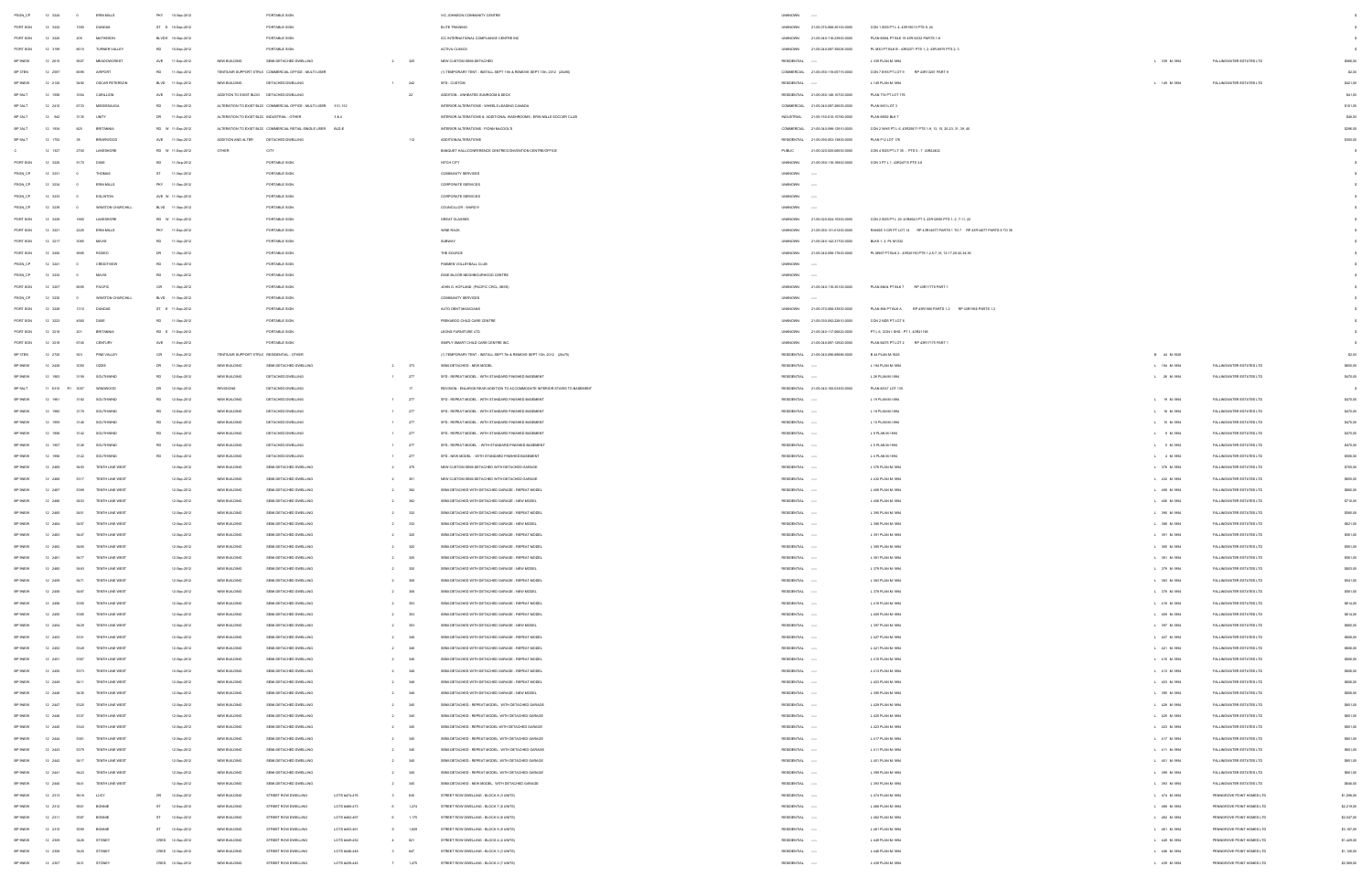\$3,187,00 \$2,219,00 \$646,00 \$601,00 \$601,00  $$601,00$ \$606,00 \$606,00 \$606,00 \$660,00 \$614,00 \$541,00 \$561,00 \$561,00 \$580,00 \$660,00 \$705,00 \$470,00 \$470,00 \$470,00 \$470,00 \$650,00

| PSGN_CP 12 3224    |                    | $\sim$       | <b>ERIN MILLS</b>                  | PKY 10-Sep-2012                  |                              | PORTABLE SIGN                                                   |                                |                                         | VIC JOHNSON COMMUNITY CENTRE                                                                             | <b>UNKNOWN</b>                             |                                                                          |                              |                                                             |                        |
|--------------------|--------------------|--------------|------------------------------------|----------------------------------|------------------------------|-----------------------------------------------------------------|--------------------------------|-----------------------------------------|----------------------------------------------------------------------------------------------------------|--------------------------------------------|--------------------------------------------------------------------------|------------------------------|-------------------------------------------------------------|------------------------|
| PORT SGN           | 12 3222            | 1590         | <b>DUNDAS</b>                      | ST E 10-Sep-2012                 |                              | PORTABLE SIGN                                                   |                                |                                         | ELITE TRAINING                                                                                           | UNKNOWN 21-05-070-068-35100-0000           | CON 1 SDS PT L 4, 43R15013 PTS 9, 24                                     |                              |                                                             |                        |
| PORT SGN           | 12 3220            | 205          | <b>MATHESON</b>                    | BLVD E 10-Sep-2012               |                              | PORTABLE SIGN                                                   |                                |                                         | ICC INTERNATIONAL COMPLIANCE CENTRE INC                                                                  | <b>UNKNOWN</b><br>21-05-040-116-23900-0000 | PLAN M364 PT BLK 19 43R14332 PARTS 1-6                                   |                              |                                                             |                        |
| PORT SGN           | 12 3199            | 6610         | <b>TURNER VALLEY</b>               | RD 10-Sep-2012                   |                              | PORTABLE SIGN                                                   |                                |                                         | ACTIVA CLINICS                                                                                           | <b>UNKNOWN</b><br>21-05-040-097-35006-0000 | PL M30 PT BLK B - 43R4371 PTS 1, 2, 43R-6975 PTS 2, 3                    |                              |                                                             |                        |
| BP 9NEW            | 12 2610            | 5607         | <b>MEADOWCREST</b>                 | AVE 11-Sep-2012                  | NEW BUILDING                 | SEMI-DETACHED DWELLING                                          |                                | 2 325                                   | NEW CUSTOM SEMI-DETACHED                                                                                 | RESIDENTIAL                                | L 339 PLAN M-1894                                                        | L 339 M-1894                 | <b>FALLINGWATER ESTATES LTD</b>                             |                        |
| BP 3TEN            | 12 2597            | 6695         | AIRPORT                            | RD 11-Sep-2012                   |                              | TENTS/AIR SUPPORT STRU COMMERCIAL OFFICE - MULTI-USER           |                                |                                         | (1) TEMPORARY TENT - INSTALL SEPT 11th & REMOVE SEPT 13th, 2012 (20x90)                                  | COMMERCIAL 21-05-050-118-05715-0000        | CON 7 EHS PT LOT 9 RP 43R13201 PART 9                                    |                              |                                                             |                        |
| BP 9NEW            | 12 2120            | 5492         | OSCAR PETERSON                     | BLVD 11-Sep-2012                 | NEW BUILDING                 | DETACHED DWELLING                                               |                                | 1 242                                   | SFD - CUSTOM                                                                                             | RESIDENTIAL                                | L 149 PLAN M-1894                                                        | L 149 M-1894                 | FALLINGWATER ESTATES LTD                                    | \$421,0                |
| BP 9ALT            | 12 1556            | 3354         | CARILLION                          | AVE 11-Sep-2012                  |                              | ADDITION TO EXIST BLDG DETACHED DWELLING                        |                                |                                         | ADDITION - UNHEATED SUNROOM & DECK                                                                       | RESIDENTIAL 21-05-060-146-10700-0000       | PLAN 774 PT LOT 176                                                      |                              |                                                             | \$41,0                 |
| BP 3ALT            | 12 2410            | 6733         | MISSISSAUGA                        | RD 11-Sep-2012                   |                              | ALTERATION TO EXIST BLD COMMERCIAL OFFICE - MULTI-USER 310, 312 |                                |                                         | INTERIOR ALTERATIONS - WHEELS LEASING CANADA                                                             | COMMERCIAL 21-05-040-097-26000-0000        | PLAN M10 LOT 3                                                           |                              |                                                             | \$101,0                |
| BP 3ALT            | 12 942             | 3135         | UNITY                              | DR 11-Sep-2012                   |                              | ALTERATION TO EXIST BLD INDUSTRIAL - OTHER                      | 3 & 4                          |                                         | INTERIOR ALTERATIONS & ADDITIONAL WASHROOMS - ERIN MILLS SOCCER CLUB                                     | INDUSTRIAL 21-05-150-010-10780-0000        | PLAN M592 BLK 7                                                          |                              |                                                             |                        |
| BP 3ALT            | 12 1934            | 825          | BRITANNIA                          | RD W 11-Sep-2012                 |                              | ALTERATION TO EXIST BLD/ COMMERCIAL RETAIL-SINGLE USER BLD-E    |                                |                                         | INTERIOR ALTERATIONS - FIONN McCOOL'S                                                                    | COMMERCIAL 21-05-040-098-12910-0000        | CON 2 WHS PT L 6, 43R25871 PTS 1-9, 13, 15, 20-23, 31, 39, 40            |                              |                                                             | \$296,0                |
| BP 9ALT            | 12 1752            | 38           | BRIARWOOD                          | AVE 11-Sep-2012                  |                              | ADDITION AND ALTER DETACHED DWELLING                            |                                | 112                                     | <b>ADDITION/ALTERATIONS</b>                                                                              | RESIDENTIAL 21-05-090-003-13800-0000       | PLAN F12 LOT 176                                                         |                              |                                                             | \$300,0                |
|                    | 12 1327            | 2700         | LAKESHORE                          | RD W 11-Sep-2012                 | OTHER                        | CITY                                                            |                                |                                         | BANQUET HALL/CONFERENCE CENTRE/CONVENTION CENTRE/OFFICE                                                  | PUBLIC<br>21-05-020-025-06000-0000         | CON 4 SDS PT LT 35 - PTS 5 - 7 43R22402                                  |                              |                                                             |                        |
| PORT SGN           | 12 3225            | 5170         | DIXIE                              | RD 11-Sep-2012                   |                              | PORTABLE SIGN                                                   |                                |                                         | HITCH CITY                                                                                               | <b>UNKNOWN</b><br>21-05-050-116-16900-0000 | CON 3 PT L 1, 43R24715 PTS 3-6                                           |                              |                                                             |                        |
| PSGN_CP            | 12 3231            |              | <b>THOMAS</b>                      | ST 11-Sep-2012                   |                              | PORTABLE SIGN                                                   |                                |                                         | <b>COMMUNITY SERVICES</b>                                                                                | <b>UNKNOWN</b>                             |                                                                          |                              |                                                             |                        |
| PSGN_CP            | 12 3234            |              | <b>ERIN MILLS</b>                  | PKY 11-Sep-2012                  |                              | PORTABLE SIGN                                                   |                                |                                         | <b>CORPORATE SERVICES</b>                                                                                | <b>UNKNOWN</b>                             |                                                                          |                              |                                                             |                        |
| PSGN CP            | 12 3233            |              | EGLINTON                           | AVE W 11-Sep-2012                |                              | PORTABLE SIGN                                                   |                                |                                         | CORPORATE SERVICES                                                                                       | <b>UNKNOWN</b><br>---                      |                                                                          |                              |                                                             |                        |
| PSGN_CP            | 12 3239            |              | WINSTON CHURCHILL                  | BLVD 11-Sep-2012                 |                              | PORTABLE SIGN                                                   |                                |                                         | COUNCILLOR - WARD 9                                                                                      | <b>UNKNOWN</b>                             |                                                                          |                              |                                                             |                        |
| PORT SGN           | 12 3229            | 1865         | LAKESHORE                          | RD W 11-Sep-2012                 |                              | PORTABLE SIGN                                                   |                                |                                         | <b>GREAT GLASSES</b>                                                                                     | 21-05-020-024-15300-0000<br><b>UNKNOWN</b> | CON 2 SDS PT L 29, 43R4543 PT 3, 43R12090 PTS 1, 2, 7-11, 22             |                              |                                                             |                        |
| PORT SGN           | 12 3221            | 2225         | <b>ERIN MILLS</b>                  | PKY 11-Sep-2012                  |                              | PORTABLE SIGN                                                   |                                |                                         | WINE RACK                                                                                                | 21-05-060-131-01200-0000<br><b>UNKNOWN</b> | RANGE 3 CIR PT LOT 14 RP 43R14677 PARTS 1 TO 7 RP 43R14677 PARTS 8 TO 36 |                              |                                                             |                        |
| PORT SGN           | 12 3217            | 3065         | MAVIS                              | RD 11-Sep-2012                   |                              | PORTABLE SIGN                                                   |                                |                                         | SUBWAY                                                                                                   | 21-05-040-142-31700-0000<br><b>UNKNOWN</b> | BLKS 1, 2, PL M1332                                                      |                              |                                                             |                        |
| PORT SGN           | 12 3200            | 5885         | RODEO                              | DR 11-Sep-2012                   |                              | PORTABLE SIGN                                                   |                                |                                         | THE SOURCE                                                                                               | <b>UNKNOWN</b><br>21-05-040-098-17830-0000 | PL M967 PT BLK 2 - 43R20150 PTS 1,2,5-7,10, 13-17,29-32,34-36            |                              |                                                             |                        |
| PSGN CP            | 12 3241            |              | CREDITVIEW                         | RD 11-Sep-2012                   |                              | PORTABLE SIGN                                                   |                                |                                         | PAKMEN VOLLEYBALL CLUB                                                                                   | <b>UNKNOWN</b>                             |                                                                          |                              |                                                             |                        |
| PSGN CP            | 12 3232            |              | MAVIS                              | RD 11-Sep-2012                   |                              | PORTABLE SIGN                                                   |                                |                                         | DIXIE BLOOR NEIGHBOURHOOD CENTRE                                                                         | <b>UNKNOWN</b>                             |                                                                          |                              |                                                             |                        |
| PORT SGN           | 12 3207            | 6695         | PACIFIC                            | CIR 11-Sep-2012                  |                              | PORTABLE SIGN                                                   |                                |                                         | JOHN G. HOFLAND (PACIFIC CRCL, MISS)                                                                     | 21-05-040-116-30100-0000<br><b>UNKNOWN</b> | PLAN M404 PT BLK 7 RP 43R11778 PART 1                                    |                              |                                                             |                        |
| PSGN_CP            | 12 3230            |              | <b>WINSTON CHURCHILL</b>           | BLVD 11-Sep-2012                 |                              | PORTABLE SIGN                                                   |                                |                                         | <b>COMMUNITY SERVICES</b>                                                                                | <b>UNKNOWN</b>                             |                                                                          |                              |                                                             |                        |
| PORT SGN           | 12 3228            | 1310         | <b>DUNDAS</b>                      | ST E 11-Sep-2012                 |                              | PORTABLE SIGN                                                   |                                |                                         | AUTO DENT MAGICIANS                                                                                      | 21-05-070-068-33500-0000<br><b>UNKNOWN</b> | PLAN 894 PT BLK A RP 43R1580 PARTS 1,2 RP 43R1966 PARTS 1,3              |                              |                                                             |                        |
| PORT SGN           | 12 3223            | 4560         | <b>DIXIE</b>                       | RD 11-Sep-2012                   |                              | PORTABLE SIGN                                                   |                                |                                         | PEEKABOO CHILD CARE CENTRE                                                                               | <b>UNKNOWN</b><br>21-05-030-092-22810-0000 | CON 2 NDS PT LOT 6                                                       |                              |                                                             |                        |
| PORT SGN           | 12 3218            | 201          | RRITANNIA                          | RD E 11-Sep-2012                 |                              | PORTABLE SIGN                                                   |                                |                                         | LEONS FURNITURE LTD                                                                                      | <b>UNKNOWN</b><br>21-05-040-117-06820-0000 | PT L 6, CON 1 EHS - PT 1, 43R21196                                       |                              |                                                             |                        |
| PORT SGN           | 12 3216            | 6745         | CENTURY                            | AVE 11-Sep-2012                  |                              | PORTABLE SIGN                                                   |                                |                                         | SIMPLY SMART CHILD CARE CENTRE INC.                                                                      | <b>UNKNOWN</b><br>21-05-040-097-12920-0000 | PLAN M275 PT LOT 2<br>RP 43R17175 PART 1                                 |                              |                                                             |                        |
| BP 3TEN            | 12 2720            | 923          | PINE VALLEY                        | CIR 11-Sep-2012                  |                              | TENTS/AIR SUPPORT STRUI RESIDENTIAL - OTHER                     |                                |                                         | (1) TEMPORARY TENT - INSTALL SEPT 7th & REMOVE SEPT 13th, 2012 (20x70)                                   | RESIDENTIAL 21-05-040-096-89686-0000       | B 44 PLAN M-1626                                                         | B 44 M-1626                  |                                                             |                        |
| BP 9NEW            | 12 2428            | 3050         | OZZIE                              | DR 11-Sep-2012                   | NEW BUILDING                 | SEMI-DETACHED DWELLING                                          |                                | 2 373                                   | SEMI-DETACHED - NEW MODEL                                                                                | <b>RESIDENTIAL</b>                         | L 194 PLAN M-1894                                                        | L 194 M-1894                 | FALLINGWATER ESTATES LTD                                    |                        |
| BP 9NEW            | 12 1963            | 3159         | SOUTHWIND                          | RD 12-Sep-2012                   | NEW BUILDING                 | DETACHED DWELLING                                               |                                | $-1$<br>277                             | SFD - REPEAT MODEL - WITH STANDARD FINISHED BASEMENT                                                     | <b>RESIDENTIAL</b><br>1000                 | L 26 PLAN M-1894                                                         | L 26 M-1894                  | FALLINGWATER ESTATES LTD                                    | \$470,0                |
| BP 9ALT            | 11 6310            | 3057         | WINDWOOD                           | DR 12-Sep-2012                   | <b>REVISIONS</b>             | DETACHED DWELLING                                               |                                |                                         | REVISION - ENLARGE REAR ADDITION TO ACCOMMODATE INTERIOR STAIRS TO BASEMENT                              | RESIDENTIAL 21-05-040-100-03300-0000       | PLAN M147 LOT 135                                                        |                              |                                                             |                        |
| BP 9NEW            |                    | 3182         | SOUTHWIND                          | RD 12-Sep-2012                   | NEW BUILDING                 | DETACHED DWELLING                                               |                                | 1277                                    | SFD - REPEAT MODEL - WITH STANDARD FINISHED BASEMENT                                                     | RESIDENTIAL -----                          | L 19 PLAN M-1894                                                         | L 19 M-1894                  | FALLINGWATER ESTATES LTD                                    | \$470,0                |
| BP 9NEW            | 12 1960            | 3178         | SOUTHWIND                          | RD 12-Sep-2012                   | NEW BUILDING                 | DETACHED DWELLING                                               |                                | $1 -$<br>277                            | SFD - REPEAT MODEL - WITH STANDARD FINISHED BASEMENT                                                     | RESIDENTIAL -----                          | L 18 PLAN M-1894                                                         | L 18 M-1894                  | <b>FALLINGWATER ESTATES LTD</b>                             | \$470,0                |
| BP 9NEW            | 12 1959            | 3146         | SOUTHWIND                          | RD 12-Sep-2012                   | NEW BUILDING                 | DETACHED DWELLING                                               |                                | 1 277                                   | SFD - REPEAT MODEL - WITH STANDARD FINISHED BASEMENT                                                     | RESIDENTIAL -----                          | L 10 PLAN M-1894                                                         | L 10 M-1894                  | <b>FALLINGWATER ESTATES LTD</b>                             | \$470,0                |
| BP 9NEW            | 12 1958            | 3142         | SOUTHWIND                          | RD 12-Sep-2012                   | NEW BUILDING                 | DETACHED DWELLING                                               |                                | 1277                                    | SFD - REPEAT MODEL - WITH STANDARD FINISHED BASEMENT                                                     | RESIDENTIAL -----                          | L 9 PLAN M-1894                                                          | L 9 M-1894                   | FALLINGWATER ESTATES LTD                                    | \$470,0                |
| BP 9NEW            | 12 1957            | 3126         | SOUTHWIND                          | RD 12-Sep-2012                   | NEW BUILDING                 | DETACHED DWELLING                                               |                                | $-1$<br>277                             | SFD - REPEAT MODEL - WITH STANDARD FINISHED BASEMENT                                                     | RESIDENTIAL -----                          | L 5 PLAN M-1894                                                          | L 5 M-1894                   | FALLINGWATER ESTATES LTD                                    | \$470,0                |
| BP 9NEW            | 12 1956            | 3122         | SOUTHWIND                          | RD 12-Sep-2012                   | NEW BUILDING                 | DETACHED DWELLING                                               |                                | 1 277                                   | SFD - NEW MODEL - WITH STANDARD FINISHED BASEMENT                                                        | RESIDENTIAL -----                          | L 4 PLAN M-1894                                                          | L 4 M-1894                   | <b>FALLINGWATER ESTATES LTD</b>                             | \$506,0                |
| BP 9NEW            | 12 2469            | 5493         | TENTH LINE WEST                    | 12-Sep-2012                      | NEW BUILDING                 | SEMI-DETACHED DWELLING                                          |                                | $\overline{2}$<br>379                   | NEW CUSTOM SEMI-DETACHED WITH DETACHED GARAGE                                                            | RESIDENTIAL -----                          | L 376 PLAN M-1894                                                        | L 376 M-1894                 | <b>FALLINGWATER ESTATES LTD</b>                             | \$705,0                |
| BP 9NEW            | 12 2468            | 5317         | TENTH LINE WEST                    | 12-Sep-2012                      | NEW BUILDING                 | SEMI-DETACHED DWELLING                                          |                                | $\overline{2}$<br>351                   | NEW CUSTOM SEMI-DETACHED WITH DETACHED GARAGE                                                            | RESIDENTIAL -----                          | L 432 PLAN M-1894                                                        | L 432 M-1894                 | FALLINGWATER ESTATES LTD                                    | \$655,0                |
| BP 9NEW            | 12 2467            | 5389         | TENTH LINE WEST                    | 12-Sep-2012                      | <b>NEW BUILDING</b>          | SEMI-DETACHED DWELLING                                          |                                | $\overline{2}$                          | SEMI-DETACHED WITH DETACHED GARAGE - REPEAT MODEL                                                        | RESIDENTIAL -----                          | L 408 PLAN M-1894                                                        | L 408 M-1894                 | <b>FALLINGWATER ESTATES LTD</b>                             | \$660,0                |
| BP 9NEW 12 2466    |                    |              | 5403 TENTH LINE WEST               | 12-Sep-2012                      | NEW BUILDING                 | SEMI-DETACHED DWELLING                                          |                                | 2 382                                   | SEMI-DETACHED WITH DETACHED GARAGE - NEW MODEL                                                           | RESIDENTIAL -----                          | L 406 PLAN M-1894                                                        | L 406 M-1894                 | <b>FALLINGWATER ESTATES LTD</b>                             | \$710,0                |
| BP 9NEW            | 12 2465            |              | TENTH LINE WES                     | 12-Sep-201                       | <b>NEW BUILDIN</b>           | SEMI-DETACHED DWELLING                                          |                                |                                         | EMI-DETACHED WITH DETACHED GARAGE - REPEAT MODEI                                                         | RESIDENTIAL                                | L 390 PLAN M-1894                                                        | L 390 M-1894                 | <b>FALLINGWATER ESTATES LTD</b>                             |                        |
| BP 9NEW            | 12 2464            | 5457         | TENTH LINE WEST                    | 12-Sep-2012                      | NEW BUILDING                 | SEMI-DETACHED DWELLING                                          |                                | $\overline{2}$<br>332                   | SEMI-DETACHED WITH DETACHED GARAGE - NEW MODEL                                                           | RESIDENTIAL -----                          | L 388 PLAN M-1894                                                        | L 388 M-1894                 | FALLINGWATER ESTATES LTD                                    | \$621,0                |
| BP 9NEW            | 12 2463            | 5447         | TENTH LINE WEST                    | 12-Sep-2012                      | NEW BUILDING                 | SEMI-DETACHED DWELLING                                          |                                | $\overline{2}$<br>320                   | SEMI-DETACHED WITH DETACHED GARAGE - REPEAT MODE                                                         | RESIDENTIAL -----                          | L 391 PLAN M-1894                                                        | L 391 M-1894                 | <b>FALLINGWATER ESTATES LTD</b>                             | \$561,0                |
| BP 9NEW            | 12 2462            | 5465         | <b>TENTH LINE WEST</b>             | 12-Sep-2012                      | NEW BUILDING                 | SEMI-DETACHED DWELLING                                          |                                | $\overline{2}$<br>320                   | SEMI-DETACHED WITH DETACHED GARAGE - REPEAT MODEL                                                        | RESIDENTIAL -----                          | L 385 PLAN M-1894                                                        | L 385 M-1894                 | FALLINGWATER ESTATES LTD                                    | \$561,0                |
| BP 9NEW            | 12 2461            | 5477         | TENTH LINE WEST                    | 12-Sep-2012                      | NEW BUILDING                 | SEMI-DETACHED DWELLING                                          |                                | $\overline{2}$<br>320                   | SEMI-DETACHED WITH DETACHED GARAGE - REPEAT MODEL                                                        | RESIDENTIAL -----                          | L 381 PLAN M-1894                                                        | L 381 M-1894                 | FALLINGWATER ESTATES LTD                                    | \$561,0                |
| BP 9NEW            | 12 2460            | 5483         | TENTH LINE WEST                    | 12-Sep-2012                      | NEW BUILDING                 | SEMI-DETACHED DWELLING                                          |                                | $\overline{2}$<br>320                   | SEMI-DETACHED WITH DETACHED GARAGE - NEW MODEL                                                           | RESIDENTIAL -----                          | L 379 PLAN M-1894                                                        | L 379 M-1894                 | FALLINGWATER ESTATES LTD                                    | \$603,0                |
| BP 9NEW            | 12 2459            | 5471         | TENTH LINE WEST                    | 12-Sep-2012                      | NEW BUILDING                 | SEMI-DETACHED DWELLING                                          |                                | $\overline{2}$<br>308                   | SEMI-DETACHED WITH DETACHED GARAGE - REPEAT MODEL                                                        | RESIDENTIAL -----                          | L 383 PLAN M-1894                                                        | L 383 M-1894                 | <b>FALLINGWATER ESTATES LTD</b>                             | \$541,0                |
| BP 9NEW            | 12 2458            | 5487         | TENTH LINE WEST                    | 12-Sep-2012                      | NEW BUILDING                 | SEMI-DETACHED DWELLING                                          |                                | $\overline{2}$<br>308                   | SEMI-DETACHED WITH DETACHED GARAGE - NEW MODEL                                                           | RESIDENTIAL -----                          | L 378 PLAN M-1894                                                        | L 378 M-1894                 | <b>FALLINGWATER ESTATES LTD</b>                             | \$581,0                |
| BP 9NEW            | 12 2456            | 5355         | TENTH LINE WEST                    | 12-Sep-2012                      | NEW BUILDING                 | SEMI-DETACHED DWELLING                                          |                                | $\overline{2}$<br>353<br>$\overline{2}$ | SEMI-DETACHED WITH DETACHED GARAGE - REPEAT MODEL                                                        | RESIDENTIAL -----<br>RESIDENTIAL -----     | L 419 PLAN M-1894<br>L 409 PLAN M-1894                                   | L 419 M-1894                 | FALLINGWATER ESTATES LTD                                    | \$614,0                |
| BP 9NEW            | 12 2455            | 5385         | TENTH LINE WEST                    | 12-Sep-2012<br>12-Sep-2012       | NEW BUILDING                 | SEMI-DETACHED DWELLING                                          |                                | 353                                     | SEMI-DETACHED WITH DETACHED GARAGE - REPEAT MODE                                                         |                                            |                                                                          | L 409 M-1894                 | <b>FALLINGWATER ESTATES LTD</b>                             | \$614,0                |
| BP 9NEW<br>BP 9NEW | 12 2454            | 5429         | TENTH LINE WEST                    |                                  |                              |                                                                 |                                |                                         |                                                                                                          |                                            |                                                                          |                              |                                                             | \$660,0                |
|                    |                    |              |                                    |                                  | NEW BUILDING                 | SEMI-DETACHED DWELLING                                          |                                | $\overline{2}$<br>353                   | SEMI-DETACHED WITH DETACHED GARAGE - NEW MODEL                                                           | RESIDENTIAL -----                          | L 397 PLAN M-1894                                                        | L 397 M-1894                 | <b>FALLINGWATER ESTATES LTD</b>                             |                        |
| BP 9NEW            | 12 2453            | 5331         | TENTH LINE WEST                    | 12-Sep-2012                      | NEW BUILDING                 | SEMI-DETACHED DWELLING                                          |                                | $\overline{2}$<br>348                   | SEMI-DETACHED WITH DETACHED GARAGE - REPEAT MODEL                                                        | RESIDENTIAL -----                          | L 427 PLAN M-1894                                                        | L 427 M-1894                 | FALLINGWATER ESTATES LTD                                    | \$606,0                |
|                    |                    | 5349         | TENTH LINE WEST                    | 12-Sep-2012                      | <b>NEW BUILDING</b>          | SEMI-DETACHED DWELLING                                          |                                | $\overline{2}$                          | SEMI-DETACHED WITH DETACHED GARAGE - REPEAT MODEL                                                        | RESIDENTIAL -----                          | L 421 PLAN M-1894                                                        | L 421 M-1894                 | FALLINGWATER ESTATES LTD                                    | \$606,0                |
| BP 9NEW            | 12 2451            | 5367         | TENTH LINE WEST                    | 12-Sep-2012                      | NEW BUILDING                 | SEMI-DETACHED DWELLING                                          |                                | $\overline{2}$<br>348                   | SEMI-DETACHED WITH DETACHED GARAGE - REPEAT MODE                                                         | RESIDENTIAL -----                          | L 415 PLAN M-1894                                                        | L 415 M-1894                 | <b>FALLINGWATER ESTATES LTD</b>                             | \$606,0                |
| BP 9NEW            | 12 2450            | 5373         | TENTH LINE WEST                    | 12-Sep-2012                      | NEW BUILDING                 | SEMI-DETACHED DWELLING                                          |                                | $\overline{2}$<br>348                   | SEMI-DETACHED WITH DETACHED GARAGE - REPEAT MODEL                                                        | RESIDENTIAL -----                          | L 413 PLAN M-1894                                                        | L 413 M-1894                 | <b>FALLINGWATER ESTATES LTD</b>                             | \$606,0                |
| BP 9NEW            | 12 2449            | 5411         | TENTH LINE WEST                    | 12-Sep-2012                      | NEW BUILDING                 | SEMI-DETACHED DWELLING                                          |                                | $\overline{2}$                          | SEMI-DETACHED WITH DETACHED GARAGE - REPEAT MODEL                                                        | RESIDENTIAL -----                          | L 403 PLAN M-1894                                                        | L 403 M-1894                 | FALLINGWATER ESTATES LTD                                    | \$606,0                |
| BP 9NEW            | 12 2448            | 5435         | TENTH LINE WEST                    | 12-Sep-2012                      | NEW BUILDING                 | SEMI-DETACHED DWELLING                                          |                                | $\overline{2}$<br>348                   | SEMI-DETACHED WITH DETACHED GARAGE - NEW MODEL                                                           | RESIDENTIAL ----                           | L 396 PLAN M-1894                                                        | L 395 M-1894                 | <b>FALLINGWATER ESTATES LTD</b>                             | \$606,0                |
| BP 9NEW            | 12 2447            | 5325         | TENTH LINE WEST                    | 12-Sep-2012                      | NEW BUILDING                 | SEMI-DETACHED DWELLING                                          |                                | $\overline{2}$<br>345                   | SEMI-DETACHED - REPEAT MODEL. WITH DETACHED GARAGE                                                       | RESIDENTIAL -----                          | L 429 PLAN M-1894                                                        | L 429 M-1894                 | <b>FALLINGWATER ESTATES LTD</b>                             | \$601,0                |
| BP 9NEW            | 12 2446            | 5337         | TENTH LINE WEST                    | 12-Sep-2012                      | NEW BUILDING                 | SEMI-DETACHED DWELLING                                          |                                | $\overline{2}$                          | SEMI-DETACHED - REPEAT MODEL, WITH DETACHED GARAGE                                                       | RESIDENTIAL -----                          | L 425 PLAN M-1894                                                        | L 425 M-1894                 | FALLINGWATER ESTATES LTD                                    | \$601,0                |
| BP 9NEW            | 12 2445<br>12 2444 | 5343<br>5361 | TENTH LINE WEST<br>TENTH LINE WEST | 12-Sep-2012                      | NEW BUILDING                 | SEMI-DETACHED DWELLING                                          |                                | $\overline{2}$<br>345                   | SEMI-DETACHED - REPEAT MODEL WITH DETACHED GARAGE                                                        | RESIDENTIAL<br>$\cdots$                    | L 423 PLAN M-1894                                                        | L 423 M-1894                 | FALLINGWATER ESTATES LTD                                    | \$601,0                |
| BP 9NEW            | 12 2443            | 5379         | TENTH LINE WEST                    | 12-Sep-2012                      | NEW BUILDING<br>NEW BUILDING | SEMI-DETACHED DWELLING                                          |                                | $\overline{2}$<br>345                   | SEMI-DETACHED - REPEAT MODEL, WITH DETACHED GARAGE<br>SEMI-DETACHED - REPEAT MODEL. WITH DETACHED GARAGE | RESIDENTIAL -----<br>RESIDENTIAL -----     | L 417 PLAN M-1894<br>L 411 PLAN M-1894                                   | L 417 M-1894                 | <b>FALLINGWATER ESTATES LTD</b>                             | \$601,0                |
| BP 9NEW            |                    | 5417         |                                    | 12-Sep-2012                      |                              | SEMI-DETACHED DWELLING                                          |                                | $\overline{2}$<br>345                   |                                                                                                          |                                            |                                                                          | L 411 M-1894                 | <b>FALLINGWATER ESTATES LTD</b>                             | \$601,0                |
| BP 9NEW            | 12 2442            |              | TENTH LINE WEST                    | 12-Sep-2012                      | NEW BUILDING                 | SEMI-DETACHED DWELLING                                          |                                | $\overline{2}$                          | SEMI-DETACHED - REPEAT MODEL, WITH DETACHED GARAGE                                                       | RESIDENTIAL -----                          | L 401 PLAN M-1894                                                        | L 401 M-1894                 | FALLINGWATER ESTATES LTD                                    | \$601,0                |
| BP 9NEW<br>BP 9NEW | 12 2440            | 5423<br>5441 | TENTH LINE WEST<br>TENTH LINE WEST | 12-Sep-2012<br>12-Sep-2012       | NEW BUILDING<br>NEW BUILDING | SEMI-DETACHED DWELLING<br>SEMI-DETACHED DWELLING                |                                | $\overline{2}$<br>$\overline{2}$<br>345 | SEMI-DETACHED - REPEAT MODEL, WITH DETACHED GARAGE<br>SEMI-DETACHED - NEW MODEL, WITH DETACHED GARAGE    | RESIDENTIAL -----<br>RESIDENTIAL -----     | L 399 PLAN M-1894<br>L 393 PLAN M-1894                                   | L 399 M-1894<br>L 393 M-1894 | FALLINGWATER ESTATES LTD<br><b>FALLINGWATER ESTATES LTD</b> | \$601,0<br>\$646,0     |
| BP 9NEW            | 12 2313            | 5618         | LUCY                               | DR 12-Sep-2012                   | NEW BUILDING                 | STREET ROW DWELLING                                             | LOTS #474-476                  | 630<br>3                                | STREET ROW DWELLING - BLOCK 8 (3 UNITS)                                                                  | RESIDENTIAL -----                          |                                                                          |                              |                                                             |                        |
| BP 9NEW            | 12 2312            | 560          | <b>BONNIE</b>                      |                                  |                              |                                                                 |                                | 6                                       |                                                                                                          |                                            | L 474 PLAN M-1894                                                        | L 474 M-1894                 | PENNGROVE POINT HOMES LTD                                   | \$1,098,0              |
|                    | 12 2311            | 5587         | <b>BONNIE</b>                      | 12-Sep-2012                      | NEW BUILDING                 | STREET ROW DWELLING                                             | LOTS #468-473                  | 1,274                                   | STREET ROW DWELLING - BLOCK 7 (6 UNITS)                                                                  | RESIDENTIAL -----<br>RESIDENTIAL -----     | L 468 PLAN M-1894                                                        | L 468 M-1894                 | PENNGROVE POINT HOMES LTD<br>PENNGROVE POINT HOMES LTD      | \$2,219,0              |
| BP 9NEW<br>BP 9NEW | 12 2310            | 5590         | BONNIE                             | ST 12-Sep-2012<br>ST 12-Sep-2012 | NEW BUILDING<br>NEW BUILDING | STREET ROW DWELLING<br>STREET ROW DWELLING                      | LOTS #462-467<br>LOTS #453-461 | 6 1,175<br>9<br>1.829                   | STREET ROW DWELLING - BLOCK 6 (6 UNITS)<br>STREET ROW DWELLING - BLOCK 5 (9 UNITS)                       | RESIDENTIAL -----                          | L 462 PLAN M-1894<br>L 461 PLAN M-1894                                   | L 462 M-1894<br>L 461 M-1894 | PENNGROVE POINT HOMES LTD                                   | \$2,047,0<br>\$3,187,0 |
| BP 9NEW            | 12 2309            | 3426         | <b>STONEY</b>                      | CRES 12-Sep-2012                 | NEW BUILDING                 | STREET ROW DWELLING                                             | LOTS #449-452                  | 4<br>821                                | STREET ROW DWELLING - BLOCK 4 (4 UNITS)                                                                  | RESIDENTIAL -----                          | L 449 PLAN M-1894                                                        | L 449 M-1894                 | PENNGROVE POINT HOMES LTD                                   | \$1,429,0              |
| BP 9NEW            | 12 2308            | 3420         | <b>STONEY</b>                      | CRES 12-Sep-2012                 | NEW BUILDING                 | STREET ROW DWELLING                                             | LOTS #446-448                  | 3<br>647                                | STREET ROW DWELLING - BLOCK 3 (3 UNITS)                                                                  | RESIDENTIAL -----                          | L 446 PLAN M-1894                                                        | L 446 M-1894                 | PENNGROVE POINT HOMES LTD                                   | \$1,126,0              |

|    |             |                                 | ś          |
|----|-------------|---------------------------------|------------|
| Ŕ  | 44 M-1626   |                                 | \$2.00     |
| L  | 194 M-1894  | <b>FALLINGWATER ESTATES LTD</b> | \$650,00   |
| L  | 26 M-1894   | <b>FALLINGWATER ESTATES LTD</b> | \$470,00   |
|    |             |                                 | ś          |
| Ĺ  | 19 M-1894   | <b>FALLINGWATER ESTATES LTD</b> | \$470.00   |
| L  | 18 M-1894   | <b>FALLINGWATER ESTATES LTD</b> | \$470,00   |
| L. | 10 M-1894   | <b>FALLINGWATER ESTATES LTD</b> | \$470.00   |
| L  | 9 M-1894    | <b>FALLINGWATER ESTATES LTD</b> | \$470,00   |
| L  | 5 M-1894    | <b>FALLINGWATER ESTATES LTD</b> | \$470.00   |
| L. | 4 M-1894    | <b>FALLINGWATER ESTATES LTD</b> | \$506.00   |
| L  | 376 M-1894  | <b>FALLINGWATER ESTATES LTD</b> | \$705,00   |
| L  | 432 M-1894  | <b>FALLINGWATER ESTATES LTD</b> | \$655,00   |
| L  | 408 M-1894  | <b>FALLINGWATER ESTATES LTD</b> | \$660,00   |
| L  | 406 M-1894  | <b>FALLINGWATER ESTATES LTD</b> | \$710.00   |
| L  | 390 M-1894  | <b>FALLINGWATER ESTATES LTD</b> | \$580,00   |
| L  | 388 M-1894  | <b>FALLINGWATER ESTATES LTD</b> | \$621.00   |
| L  | 391 M-1894  | <b>FALLINGWATER ESTATES LTD</b> | \$561.00   |
| L. | 385 M-1894  | <b>FALLINGWATER ESTATES LTD</b> | \$561,00   |
| L  | 381 M-1894  | <b>FALLINGWATER ESTATES LTD</b> | \$561.00   |
| L  | 379 M-1894  | <b>FALLINGWATER ESTATES LTD</b> | \$603,00   |
| L  | 383 M-1894  | <b>FALLINGWATER ESTATES LTD</b> | \$541,00   |
| L  | 378 M-1894  | <b>FALLINGWATER ESTATES LTD</b> | \$581,00   |
| L  | 419 M-1894  | <b>FALLINGWATER ESTATES LTD</b> | \$614.00   |
| L  | 409 M-1894  | <b>FALLINGWATER ESTATES LTD</b> | \$614,00   |
| L. | 397 M-1894  | <b>FALLINGWATER ESTATES LTD</b> | \$660.00   |
| L  | 427 M-1894  | <b>FALLINGWATER ESTATES LTD</b> | \$606,00   |
| L. | 421 M-1894  | <b>FALLINGWATER ESTATES LTD</b> | \$606.00   |
| L  | 415 M-1894  | <b>FALLINGWATER ESTATES LTD</b> | \$606,00   |
| L  | 413 M-1894  | <b>FALLINGWATER ESTATES LTD</b> | \$606,00   |
| L  | 403 M-1894  | <b>FALLINGWATER ESTATES LTD</b> | \$606,00   |
| L  | 395 M-1894  | <b>FALLINGWATER ESTATES LTD</b> | \$606,00   |
| L  | 429 M-1894  | <b>FALLINGWATER ESTATES LTD</b> | \$601.00   |
| L  | 425 M-1894  | <b>FALLINGWATER ESTATES LTD</b> | \$601,00   |
| L. | 423 M-1894  | <b>FALLINGWATER ESTATES LTD</b> | \$601.00   |
| L  | 417 M-1894  | <b>FALLINGWATER ESTATES LTD</b> | \$601.00   |
| L  | 411 M-1894  | <b>FALLINGWATER ESTATES LTD</b> | \$601,00   |
| L  | 401 M-1894  | <b>FALLINGWATER ESTATES LTD</b> | \$601,00   |
| L  | 399 M-1894  | <b>FALLINGWATER ESTATES LTD</b> | \$601,00   |
| L  | 393 M-1894  | <b>FALLINGWATER ESTATES LTD</b> | \$646.00   |
| L  | 474 M-1894  | PENNGROVE POINT HOMES LTD       | \$1,098,00 |
| L  | 468 M-1894  | PENNGROVE POINT HOMES LTD       | \$2,219.00 |
| L  | 462 M-1894  | PENNGROVE POINT HOMES LTD       | \$2,047,00 |
| L. | 461 M-1894  | PENNGROVE POINT HOMES LTD       | \$3,187,00 |
| L. | 449 M-1894  | PENNGROVE POINT HOMES LTD       | \$1,429,00 |
| L  | 446 M-1894  | PENNGROVE POINT HOMES LTD       | \$1,126,00 |
| a. | 100 11:00 1 | DEMICROSE DOMETICAN             | 60.000.00  |

 $$421,00$ 

\$566,00

 $\overline{\phantom{a}}$ 

 $$1,126,00$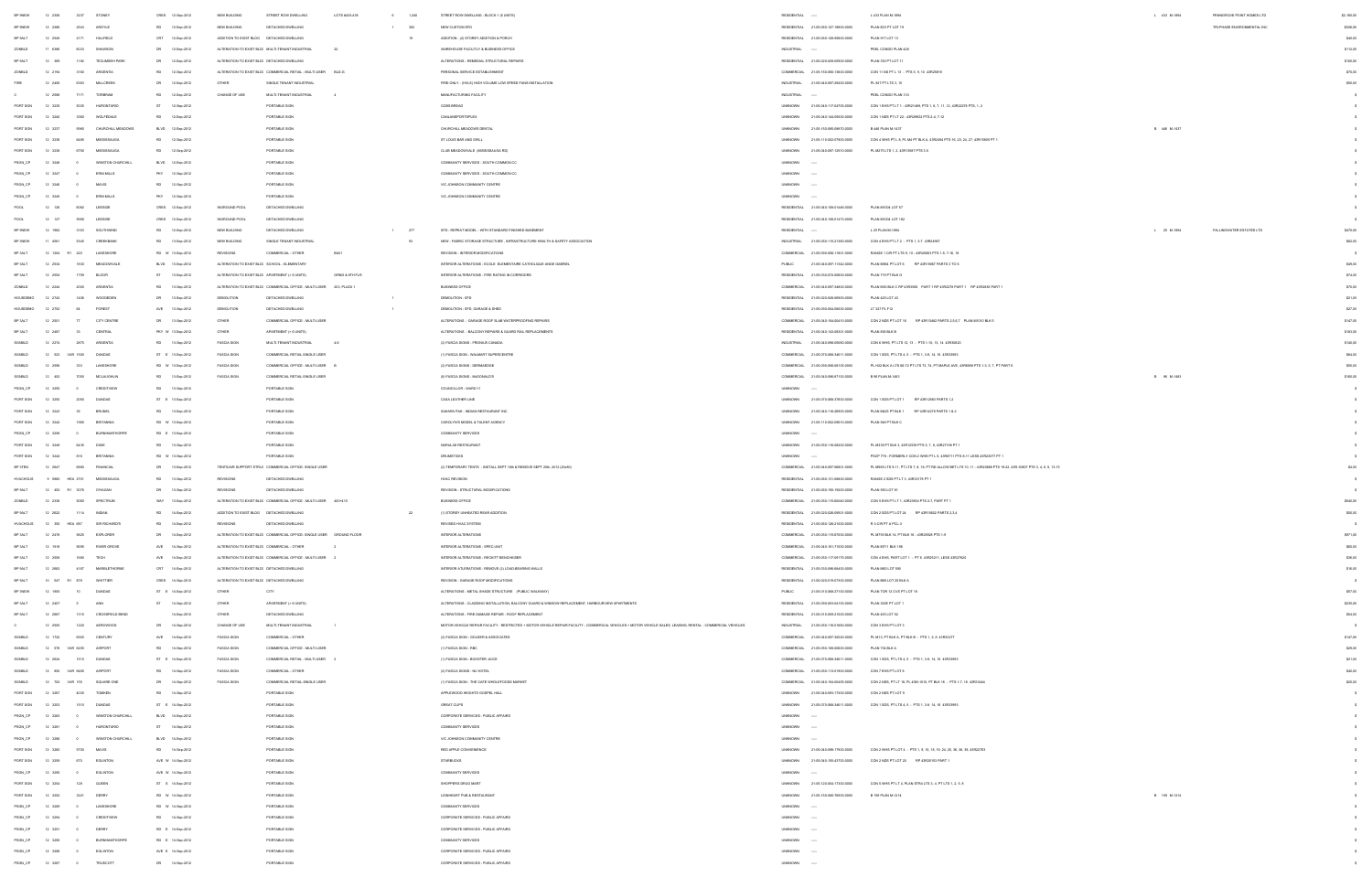| BP 9NEW              | 12 2306 | 3237            | STONEY                                | CRES 12-Sep-2012  | NEW BUILDING       | STREET ROW DWELLING                                                 | LOTS #433-438  | 6 1,240              | STREET ROW DWELLING - BLOCK 1 (6 UNITS)                                                                                                                       | RESIDENTIAL -----                    |                          | L 433 PLAN M-1894                                                                                                   | L 433 M-1894 | PENNGROVE POINT HOMES LTD       | \$2,160,0 |
|----------------------|---------|-----------------|---------------------------------------|-------------------|--------------------|---------------------------------------------------------------------|----------------|----------------------|---------------------------------------------------------------------------------------------------------------------------------------------------------------|--------------------------------------|--------------------------|---------------------------------------------------------------------------------------------------------------------|--------------|---------------------------------|-----------|
| BP 9NEW              | 12 2266 | 2543            | ARGYLE                                | RD 12-Sep-2012    | NEW BUILDING       | DETACHED DWELLING                                                   |                | 1 302                | NEW CUSTOM SFD                                                                                                                                                | RESIDENTIAL 21-05-060-127-18600-0000 |                          | PLAN E23 PT LOT 19                                                                                                  |              | TRI-PHASE ENVIRONMENTAL INC     | \$526,0   |
| BP 9ALT              | 12 2545 | 2171            | HILLFIELD                             | CRT 12-Sep-2012   |                    | ADDITION TO EXIST BLDG DETACHED DWELLING                            |                | 19                   | ADDITION - (2) STOREY ADDITION & PORCH                                                                                                                        | RESIDENTIAL 21-05-060-128-55600-0000 |                          | PLAN 917 LOT 13                                                                                                     |              |                                 | \$40,0    |
| ZONBLD               | 11 6386 | 6033            | SHAWSON                               | DR 12-Sep-2012    |                    | ALTERATION TO EXIST BLD MULTI-TENANT INDUSTRIAL                     |                |                      | WAREHOUSE FACILITLY & BUSINESS OFFICE                                                                                                                         | INDUSTRIAL<br>----                   |                          | PEEL CONDO PLAN 426                                                                                                 |              |                                 | \$112,0   |
| BP 9ALT              |         | 1182            | <b>TECUMSEH PARK</b>                  | DR 12-Sep-2012    |                    | ALTERATION TO EXIST BLD DETACHED DWELLING                           |                |                      | ALTERATIONS - REMEDIAL STRUCTURAL REPAIRS                                                                                                                     | RESIDENTIAL 21-05-020-029-05900-0000 |                          | PLAN 330 PT LOT 11                                                                                                  |              |                                 | \$100,0   |
| ZONBLD               | 12 2194 | 3160            | ARGENTIA                              | RD 12-Sep-2012    |                    | ALTERATION TO EXIST BLD/ COMMERCIAL RETAIL - MULTI-USER BLD-G       |                |                      | PERSONAL SERVICE ESTABLISHMENT                                                                                                                                | COMMERCIAL 21-05-150-080-13600-0000  |                          | CON 11 NS PT L 13 - PTS 5, 9, 10 43R25818                                                                           |              |                                 |           |
| FIRE                 | 12 2406 | 6363            | MILLCREEK                             | DR 12-Sep-2012    | <b>OTHER</b>       | SINGLE TENANT INDUSTRIAL                                            |                |                      | FIRE-ONLY - (HVLS) HIGH VOLUME LOW SPEED FANS INSTALLATION                                                                                                    | INDUSTRIAL                           | 21-05-040-097-29200-0000 | PL 927 PT LTS 3, 15                                                                                                 |              |                                 |           |
|                      | 12 2588 | 7171            | TORBRAM                               | RD 12-Sep-2012    | CHANGE OF USE      | MULTI-TENANT INDUSTRIAL                                             |                |                      | MANUFACTURING FACILITY                                                                                                                                        | INDUSTRIAL                           |                          | PEEL CONDO PLAN 133                                                                                                 |              |                                 |           |
| PORT SGN             | 12 3235 | 5035            | <b>HURONTARIO</b>                     | ST 12-Sep-2012    |                    | PORTABLE SIGN                                                       |                |                      | COBS BREAD                                                                                                                                                    | <b>UNKNOWN</b>                       | 21-05-040-117-04700-0000 | CON 1 EHS PT LT 1 - 43R21489, PTS 1, 6, 7, 11, 12, 43R22278 PTS, 1, 2                                               |              |                                 |           |
| PORT SGN             | 12 3240 | 3360            | WOLFEDALE                             | RD 12-Sep-2012    |                    | PORTABLE SIGN                                                       |                |                      | CANLANSPORTSPLEX                                                                                                                                              | <b>UNKNOWN</b>                       | 21-05-040-144-05000-0000 | CON 1 NDS PT LT 22 - 43R29832 PTS 2-4, 7-12                                                                         |              |                                 |           |
| PORT SGN             | 12 3237 | 5980            | CHURCHILL MEADOWS                     | BLVD 12-Sep-2012  |                    | PORTABLE SIGN                                                       |                |                      | CHURCHILL MEADOWS DENTAL                                                                                                                                      | <b>UNKNOWN</b>                       | 21-05-150-085-08870-0000 | B 446 PLAN M-1437                                                                                                   | B 446 M-1437 |                                 |           |
| PORT SGN             | 12 3236 | 6485            | MISSISSAUGA                           | RD 12-Sep-2012    |                    | PORTABLE SIGN                                                       |                |                      | ST LOUIS BAR AND GRILL                                                                                                                                        | <b>UNKNOWN</b>                       | 21-05-110-002-07900-0000 | CON 4 WHS PT L 8, PL M4 PT BLK A, 43R2494 PTS 16, 20, 24, 27, 43R15805 PT 1                                         |              |                                 |           |
| PORT SGN             | 12 3238 | 6750            | MISSISSAUGA                           | RD 12-Sep-2012    |                    | PORTABLE SIGN                                                       |                |                      | CLUB MEADOWVALE (MISSISSAUGA RD)                                                                                                                              | <b>UNKNOWN</b>                       | 21-05-040-097-12910-0000 | PL M275 LTS 1, 2, 43R13587 PTS 3-5                                                                                  |              |                                 |           |
| PSGN CP              | 12 3248 | $^{\circ}$      | <b>WINSTON CHURCHILL</b>              | BLVD 12-Sep-2012  |                    | PORTABLE SIGN                                                       |                |                      | COMMUNITY SERVICES - SOUTH COMMON CO                                                                                                                          | <b>UNKNOWN</b>                       |                          |                                                                                                                     |              |                                 |           |
| PSGN CP              | 12 3247 | $^{\circ}$      | <b>ERIN MILLS</b>                     | PKY 12-Sep-2012   |                    | PORTABLE SIGN                                                       |                |                      | COMMUNITY SERVICES - SOUTH COMMON CC                                                                                                                          | <b>UNKNOWN</b><br>--                 |                          |                                                                                                                     |              |                                 |           |
|                      |         |                 |                                       |                   |                    |                                                                     |                |                      |                                                                                                                                                               |                                      |                          |                                                                                                                     |              |                                 |           |
| PSGN_CP              | 12 3246 |                 | MAVIS                                 | RD 12-Sep-2012    |                    | PORTABLE SIGN                                                       |                |                      | VIC JOHNSON COMMUNITY CENTRE                                                                                                                                  | <b>UNKNOWN</b>                       |                          |                                                                                                                     |              |                                 |           |
| PSGN_CP              | 12 3245 |                 | <b>ERIN MILLS</b>                     | PKY 12-Sep-2012   |                    | PORTABLE SIGN                                                       |                |                      | VIC JOHNSON COMMUNITY CENTRE                                                                                                                                  | <b>UNKNOWN</b>                       |                          |                                                                                                                     |              |                                 |           |
| POOL                 | 12 126  | 6082            | LEESIDE                               | CRES 12-Sep-2012  | INGROUND POOL      | DETACHED DWELLING                                                   |                |                      |                                                                                                                                                               | RESIDENTIAL 21-05-040-108-01446-0000 |                          | PLAN M1004 LOT 57                                                                                                   |              |                                 |           |
| POOL                 | 12 127  | 5958            | LEESIDE                               | CRES 12-Sep-2012  | INGROUND POOL      | DETACHED DWELLING                                                   |                |                      |                                                                                                                                                               | RESIDENTIAL 21-05-040-108-01473-0000 |                          | PLAN M1004 LOT 162                                                                                                  |              |                                 |           |
| BP 9NEW              | 12 1962 | 3163            | SOUTHWIND                             | RD 12-Sep-2012    | NEW BUILDING       | DETACHED DWELLING                                                   |                | $\sim$ $\sim$<br>277 | SFD - REPEAT MODEL - WITH STANDARD FINISHED BASEMENT                                                                                                          | <b>RESIDENTIAL</b>                   |                          | L 25 PLAN M-1894                                                                                                    | L 25 M-1894  | <b>FALLINGWATER ESTATES LTD</b> |           |
| BP 3NEW              | 11 4561 | 5345            | CREEKBANK                             | RD 13-Sep-2012    | NEW BUILDING       | SINGLE TENANT INDUSTRIAL                                            |                | 93                   | NEW - FABRIC STORAGE STRUCTURE, INFRASTRUCTURE HEALTH & SAFETY ASSOCIATION                                                                                    | INDUSTRIAL 21-05-050-115-21360-0000  |                          | CON 4 EHS PT LT 2 - PTS 1, 3-7 43R24967                                                                             |              |                                 | \$82,0    |
| BP 3ALT              | 12 1204 |                 | LAKESHORE                             | RD W 13-Sep-2012  | <b>REVISIONS</b>   | COMMERCIAL - OTHER                                                  | BA0            |                      | REVISION - INTERIOR MODIFICATIONS                                                                                                                             | COMMERCIAL 21-05-090-006-11801-0000  |                          | RANGE 1 CIR PT LTS 9, 10 - 43R20063 PTS 1-5, 7-16, 18                                                               |              |                                 |           |
| BP 3ALT              | 12 2534 | 1830            | MEADOWVALE                            | BLVD 13-Sep-2012  |                    | ALTERATION TO EXIST BLD SCHOOL - ELEMENTARY                         |                |                      | INTERIOR ALTERATIONS - ECOLE ELEMENTAIRE CATHOLIQUE ANGE GABRIEL                                                                                              | PUBLIC                               | 21-05-040-097-11342-0000 | PLAN M964 PT LOT 6 RP 43R19067 PARTS 3 TO 6                                                                         |              |                                 |           |
| BP 3ALT              | 12 2554 | 1759            | <b>BLOOR</b>                          | ST 13-Sep-2012    |                    | ALTERATION TO EXIST BLD APARTMENT (> 6 UNITS)                       | GRND & 8TH FLR |                      | INTERIOR ALTERATIONS - FIRE RATING IN CORRIDORS                                                                                                               | RESIDENTIAL 21-05-030-072-00600-0000 |                          | PLAN 719 PT BLK G                                                                                                   |              |                                 |           |
| ZONBLD               | 12 2244 | 2000            | ARGENTIA                              | RD 13-Sep-2012    |                    | ALTERATION TO EXIST BLD COMMERCIAL OFFICE - MULTI-USER 203, PLAZA 1 |                |                      | <b>BUSINESS OFFICE</b>                                                                                                                                        | COMMERCIAL 21-05-040-097-34800-0000  |                          | PLAN M30 BLK C RP 43R3506 PART 1 RP 43R2278 PART 1 RP 43R2838 PART 1                                                |              |                                 |           |
| HOUSDEMO             | 12 2742 | 1406            | WOODEDEN                              | DR 13-Sep-2012    | DEMOLITION         | DETACHED DWELLING                                                   |                | 1                    | <b>DEMOLITION - SFD</b>                                                                                                                                       | RESIDENTIAL 21-05-020-028-06900-0000 |                          | PLAN 425 LOT 43                                                                                                     |              |                                 |           |
| HOUSDEMO             | 12 2752 |                 | FOREST                                | AVE 13-Sep-2012   | DEMOLITION         | DETACHED DWELLING                                                   |                |                      | DEMOLITION - SFD, GARAGE & SHED                                                                                                                               | RESIDENTIAL 21-05-090-004-08000-0000 |                          | LT 327 PL F12                                                                                                       |              |                                 | \$27,0    |
| BP 3ALT              | 12 2501 | 77              | CITY CENTRE                           | DR 13-Sep-2012    | OTHER              | COMMERCIAL OFFICE - MULTI-USER                                      |                |                      | ALTERATIONS - GARAGE ROOF SLAB WATERPROOFING REPAIRS                                                                                                          | COMMERCIAL 21-05-040-154-00410-0000  |                          | CON 2 NDS PT LOT 16 RP 43R13482 PARTS 2.5.6.7 PLAN M1010 BLK 5                                                      |              |                                 | \$147.0   |
| BP 3ALT              | 12 2487 | 33              | CENTRAL                               | PKY W 13-Sep-2012 | OTHER              | APARTMENT (> 6 UNITS)                                               |                |                      | ALTERATIONS - BALCONY REPAIRS & GUARD RAIL REPLACEMENTS                                                                                                       | RESIDENTIAL 21-05-040-143-08301-0000 |                          | PLAN 836 BLK B                                                                                                      |              |                                 | \$183,0   |
| SGNBLD               | 12 2274 | 2875            | ARGENTIA                              | RD 13-Sep-2012    | <b>FASCIA SIGN</b> | MULTI-TENANT INDUSTRIAL                                             |                |                      | (2) FASCIA SIGNS - FRONIUS CANADA                                                                                                                             | INDUSTRIAL 21-05-040-098-05060-0000  |                          | CON 6 WHS, PT LTS 12, 13 - PTS 1-10, 13, 14 43R30620                                                                |              |                                 | \$140,0   |
| SGNBLD               | 12 523  | VAR 1500        | <b>DUNDAS</b>                         | ST E 13-Sep-2012  | <b>FASCIA SIGN</b> | COMMERCIAL RETAIL-SINGLE USER                                       |                |                      | (1) FASCIA SIGN - WALMART SUPERCENTRE                                                                                                                         | COMMERCIAL 21-05-070-068-34611-0000  |                          | CON 1 SDS, PT LTS 4, 5 - PTS 1, 3-9, 14, 16 43R33993                                                                |              |                                 |           |
| SGNBLD               | 12 2596 | 333             | LAKESHORE                             | RD W 13-Sep-2012  | <b>FASCIA SIGN</b> | COMMERCIAL OFFICE - MULTI-USER B                                    |                |                      | (2) FASCIA SIGNS - DERMAEDGE                                                                                                                                  | COMMERCIAL 21-05-090-006-08105-0000  |                          | PL H22 BLK A LTS 66-72 PT LTS 73, 74, PT MAPLE AVE, 43R6908 PTS 1-3, 5, 7, PT PART 8                                |              |                                 |           |
| SGNBLD               | 12 402  | 7050            | MCLAUGHLIN                            | RD 13-Sep-2012    | <b>FASCIA SIGN</b> | COMMERCIAL RETAIL-SINGLE USER                                       |                |                      | (8) FASCIA SIGNS - McDONALD'S                                                                                                                                 | COMMERCIAL 21-05-040-096-87100-0000  |                          | B 96 PLAN M-1483                                                                                                    | B 96 M-1483  |                                 | \$160,0   |
| PSGN_CP              | 12 3255 | $\overline{0}$  | CREDITVIEW                            | RD 13-Sep-2012    |                    | PORTABLE SIGN                                                       |                |                      | COUNCILLOR - WARD 11                                                                                                                                          | <b>UNKNOWN</b>                       |                          |                                                                                                                     |              |                                 |           |
|                      | 12 3250 | 2050            | <b>DUNDAS</b>                         |                   |                    |                                                                     |                |                      |                                                                                                                                                               | <b>UNKNOWN</b>                       | 21-05-070-068-37600-0000 | CON 1 SDS PT LOT 1 RP 43R12583 PARTS 1,2                                                                            |              |                                 |           |
| PORT SGN             |         |                 |                                       | ST E 13-Sep-2012  |                    | PORTABLE SIGN                                                       |                |                      | CASA LEATHER LINE                                                                                                                                             |                                      |                          |                                                                                                                     |              |                                 |           |
| PORT SGN             | 12 3243 | 35              | <b>BRUNEI</b>                         | RD 13-Sep-2012    |                    | PORTABLE SIGN                                                       |                |                      | SAHARA PAK - INDIAN RESTAURANT INC.                                                                                                                           | <b>UNKNOWN</b>                       | 21-05-040-116-26900-0000 | PLAN M425 PT BLK 1 RP 43R14278 PARTS 1 & 2                                                                          |              |                                 |           |
| PORT SGN             | 12 3242 | 1965            | BRITANNIA                             | RD W 13-Sep-2012  |                    | PORTABLE SIGN                                                       |                |                      | CAROLYN'S MODEL & TALENT AGENCY                                                                                                                               | <b>UNKNOWN</b>                       | 21-05-110-002-09610-0000 | PLAN 548 PT BLK C                                                                                                   |              |                                 |           |
| PSGN_CP              | 12 3258 | $\overline{0}$  | BURNHAMTHORPE                         | RD E 13-Sep-2012  |                    | PORTABLE SIGN                                                       |                |                      | <b>COMMUNITY SERVICES</b>                                                                                                                                     | <b>UNKNOWN</b>                       |                          |                                                                                                                     |              |                                 |           |
| PORT SGN             | 12 3249 | 6435            | DIXIE                                 | RD 13-Sep-2012    |                    | PORTABLE SIGN                                                       |                |                      | NARULAS RESTAURANT                                                                                                                                            | <b>UNKNOWN</b>                       | 21-05-050-116-08200-0000 | PL M339 PT BLK 3, 43R12539 PTS 5, 7, 8, 43R27196 PT 1                                                               |              |                                 |           |
| PORT SGN             | 12 3244 | 816             | BRITANNIA                             | RD W 13-Sep-2012  |                    | PORTABLE SIGN                                                       |                |                      | <b>DRUMSTICKS</b>                                                                                                                                             | <b>UNKNOWN</b><br>----               |                          | PSCP 778 - FORMERLY CON 2 WHS PT L 5, 43R8711 PTS 8-11 LESS 43R23077 PT 1                                           |              |                                 |           |
| BP 3TEN              | 12 2647 | 6880            | <b>FINANCIA</b>                       | DR 13-Sep-2012    |                    | TENTS/AIR SUPPORT STRUI COMMERCIAL OFFICE- SINGLE USER              |                |                      | (2) TEMPORARY TENTS - INSTALL SEPT 18th & REMOVE SEPT 20th, 2012 (20x80)                                                                                      | COMMERCIAL 21-05-040-097-56801-0000  |                          | PL M965 LTS 9-11, PT LTS 7, 8, 18, PT RD ALLOW BET LTS 10, 11 - 43R20668 PTS 19-22, 43R-30807 PTS 3, 4, 8, 9, 13-15 |              |                                 |           |
| <b>HVACHOUS</b>      | 9 5860  | <b>HEA 2701</b> | MISSISSAUGA                           | RD 13-Sep-2012    | <b>REVISIONS</b>   | DETACHED DWELLING                                                   |                |                      | <b>HVAC REVISION</b>                                                                                                                                          | RESIDENTIAL 21-05-060-131-08800-0000 |                          | RANGE 2 SDS PT LT 3, 43R33178 PT 1                                                                                  |              |                                 |           |
| BP 9ALT              | 12 452  | R1 3076         | <b>O'HAGAN</b>                        | DR 13-Sep-2012    | <b>REVISIONS</b>   | DETACHED DWELLING                                                   |                |                      | REVISION - STRUCTURAL MODIFICATIONS                                                                                                                           | RESIDENTIAL 21-05-060-150-19200-0000 |                          | PLAN 550 LOT 81                                                                                                     |              |                                 |           |
| ZONBLD               | 12 2336 | 5060            | SPECTRUM                              | WAY 13-Sep-2012   |                    | ALTERATION TO EXIST BLD/ COMMERCIAL OFFICE - MULTI-USER 400+410     |                |                      | <b>BUSINESS OFFICE</b>                                                                                                                                        | COMMERCIAL 21-05-050-115-60040-0000  |                          | CON 5 EHS PT LT 1, 43R23854 PTS 2-7, PART PT 1                                                                      |              |                                 |           |
| BP 9ALT 12 2622 1114 |         |                 | INDIAN                                | RD 14-Sep-2012    |                    | ADDITION TO EXIST RLDC DETACHED DWELLING.                           |                | 22                   | (1) STOREY I INHEATED REAR ADDITION.                                                                                                                          | RESIDENTIAL 21-05-020-026-09501-0000 |                          | CON 2 SDS PT LOT 24 RP 43R15602 PARTS 2,3,4                                                                         |              |                                 |           |
|                      |         |                 | HVACHOUS 12 350 HEA 687 SIR RICHARD'S | RD  14-Sep-2012   | <b>REVISIONS</b>   | DETACHED DWELLING                                                   |                |                      | REVISED HVAC SYSTEM                                                                                                                                           | RESIDENTIAL 21-05-060-126-21000-0000 |                          | R 3-CIR PT A PCL-3                                                                                                  |              |                                 |           |
| BP 3ALT              | 12 2478 | 5825            | <b>EXPLORER</b>                       | DR 14-Sep-2012    |                    | ALTERATION TO EXIST BLD COMMERCIAL OFFICE- SINGLE USER GROUND FLOOR |                |                      | INTERIOR ALTERATIONS                                                                                                                                          | COMMERCIAL 21-05-050-115-67000-0000  |                          | PL M793 BLK 14, PT BLK 16 - 43R25928 PTS 1-9                                                                        |              |                                 | \$971.0   |
| BP 3ALT              | 12 1916 | 5695            | RIVER GROVE                           | AVE 14-Sep-2012   |                    | ALTERATION TO EXIST BLD COMMERCIAL - OTHER                          |                |                      | INTERIOR ALTERATIONS - SPEC-UNIT                                                                                                                              | COMMERCIAL 21-05-040-161-71000-0000  |                          | PLAN M711 BLK 196                                                                                                   |              |                                 |           |
| BP 3ALT              | 12 2508 | 1680            | TECH                                  | AVE 14-Sep-2012   |                    | ALTERATION TO EXIST BLD COMMERCIAL OFFICE - MULTI-USER 2            |                |                      | INTERIOR ALTERATIONS - RECKITT BENCHKISER                                                                                                                     | COMMERCIAL 21-05-050-117-09175-0000  |                          | CON 4 EHS, PART LOT 1 - PT 6 43R25211, LESS 43R27620                                                                |              |                                 |           |
| BP 9ALT              | 12 2662 | 4167            | MARBLETHORNE                          | CRT 14-Sep-2012   |                    | ALTERATION TO EXIST BLD DETACHED DWELLING                           |                |                      | INTERIOR ATLERATIONS - REMOVE (2) LOAD-BEARING WALLS                                                                                                          | RESIDENTIAL 21-05-030-096-68400-0000 |                          | PLAN M60 LOT 590                                                                                                    |              |                                 |           |
| BP 9ALT              | 10 547  |                 | WHITTIER                              | CRES 14-Sep-2012  |                    | ALTERATION TO EXIST BLD DETACHED DWELLING                           |                |                      | REVISION - GARAGE ROOF MODIFICATIONS                                                                                                                          | RESIDENTIAL 21-05-020-019-07300-0000 |                          | PLAN B88 LOT 25 BLK A                                                                                               |              |                                 |           |
| BP 3NEW              | 12 1905 |                 | <b>DUNDAS</b>                         | ST E 14-Sep-2012  | OTHER              | CITY                                                                |                |                      | ALTERATIONS - METAL SHADE STRUCTURE (PUBLIC WALKWAY)                                                                                                          | PUBLIC                               | 21-05-010-068-27100-0000 | PLAN TOR 12 CVS PT LOT 18                                                                                           |              |                                 |           |
| BP 3ALT              | 12 2407 | -6              | ANN                                   | ST 14-Sep-2012    | <b>OTHER</b>       | APARTMENT (> 6 UNITS)                                               |                |                      | ALTERATIONS - CLADDING INSTALLATION, BALCONY GUARD & WINDOW REPLACEMENT, HARBOURVIEW APARTMENTS                                                               | RESIDENTIAL 21-05-090-003-04100-0000 |                          | PLAN 300E PT LOT 1                                                                                                  |              |                                 | \$235.0   |
|                      |         |                 |                                       |                   |                    |                                                                     |                |                      |                                                                                                                                                               |                                      |                          |                                                                                                                     |              |                                 |           |
| BP 9ALT              | 12 2667 | 1315            | CROSSFIELD BEND                       | 14-Sep-2012       | <b>OTHER</b>       | DETACHED DWELLING                                                   |                |                      | ALTERATIONS - FIRE DAMAGE REPAIR - ROOF REPLACEMENT                                                                                                           | RESIDENTIAL 21-05-010-009-21000-0000 |                          | PLAN 453 LOT 52                                                                                                     |              |                                 | \$54,0    |
|                      | 12 2505 | 1220            | AEROWOOD                              | DR 14-Sep-2012    | CHANGE OF USE      | MULTI-TENANT INDUSTRIAL                                             |                |                      | MOTOR-VEHICLE REPAIR FACILITY - RESTRICTED + MOTOR VEHICLE REPAIR FACILITY - COMMERCIAL VEHICLES + MOTOR VEHICLE SALES, LEASING, RENTAL - COMMERCIAL VEHICLES | INDUSTRIAL 21-05-050-116-01660-0000  |                          | CON 3 EHS PT LOT 3                                                                                                  |              |                                 |           |
| SGNBLD               | 12 1722 | 6925            | CENTURY                               | AVE 14-Sep-2012   | <b>FASCIA SIGN</b> | COMMERCIAL - OTHER                                                  |                |                      | (2) FASCIA SIGN - GOLDER & ASSOCIATES                                                                                                                         | COMMERCIAL 21-05-040-097-30020-0000  |                          | PL M13, PT BLK A, PT BLK B - PTS 1, 2, 8 43R33277                                                                   |              |                                 | \$147.0   |
| SGNBLD               | 12 578  | VAR 6205        | AIRPORT                               | RD 14-Sep-2012    | <b>FASCIA SIGN</b> | COMMERCIAL OFFICE - MULTI-USER                                      |                |                      | (1) FASCIA SIGN - RBC                                                                                                                                         | COMMERCIAL 21-05-050-108-00600-0000  |                          | PLAN 734 BLK A                                                                                                      |              |                                 | \$29.0    |
| SGNBLD               | 12 2624 | 1510            | <b>DUNDAS</b>                         | ST E 14-Sep-2012  | <b>FASCIA SIGN</b> | COMMERCIAL RETAIL - MULTI-USER 2                                    |                |                      | (1) FASCIA SIGN - BOOSTER JUICE                                                                                                                               | COMMERCIAL 21-05-070-068-34611-0000  |                          | CON 1 SDS, PT LTS 4, 5 - PTS 1, 3-9, 14, 16 43R33993                                                                |              |                                 |           |
| SGNBLD               | 12 850  | <b>VAR 6465</b> | AIRPORT                               | RD 14-Sep-2012    | <b>FASCIA SIGN</b> | COMMERCIAL - OTHER                                                  |                |                      | (2) FASCIA SIGNS - NU HOTEL                                                                                                                                   | COMMERCIAL 21-05-050-113-01900-0000  |                          | CON 7 EHS PT LOT 8                                                                                                  |              |                                 |           |
| SGNBLD               | 12 702  | VAR 155         | SOUARE ONE                            | DR 14-Sep-2012    | <b>FASCIA SIGN</b> | COMMERCIAL RETAIL-SINGLE USER                                       |                |                      | (1) FASCIA SIGN - THE CAFE WHOLEFOODS MARKET                                                                                                                  | COMMERCIAL 21-05-040-154-00455-0000  |                          | CON 2 NDS, PT LT 16, PL 43M-1010, PT BLK 16 - PTS 1-7, 18 43R33444                                                  |              |                                 |           |
| PORT SGN             | 12 3267 | 4030            | <b>TOMKEN</b>                         | RD 14-Sep-2012    |                    | PORTABLE SIGN                                                       |                |                      | APPLEWOOD HEIGHTS GOSPEL HALL                                                                                                                                 | <b>UNKNOWN</b>                       | 21-05-040-093-17200-0000 | CON 2 NDS PT LOT 9                                                                                                  |              |                                 |           |
| PORT SGN             | 12 3253 | 1510            | <b>DUNDAS</b>                         | ST E 14-Sep-2012  |                    | PORTABLE SIGN                                                       |                |                      | <b>GREAT CLIPS</b>                                                                                                                                            | <b>UNKNOWN</b>                       | 21-05-070-068-34611-0000 | CON 1 SDS, PT LTS 4, 5 - PTS 1, 3-9, 14, 16 43R33993                                                                |              |                                 |           |
| PSGN CP              | 12 3283 | $^{\circ}$      | WINSTON CHURCHILL                     | BLVD 14-Sep-2012  |                    | PORTABLE SIGN                                                       |                |                      | CORPORATE SERVICES - PUBLIC AFFAIRS                                                                                                                           | <b>UNKNOWN</b>                       |                          |                                                                                                                     |              |                                 |           |
| PSGN CP              | 12 3281 | $^{\circ}$      | <b>HURONTARIO</b>                     | ST 14-Sep-2012    |                    | PORTABLE SIGN                                                       |                |                      | <b>COMMUNITY SERVICES</b>                                                                                                                                     | <b>UNKNOWN</b><br><b>CONTRACTOR</b>  |                          |                                                                                                                     |              |                                 |           |
| PSGN CP              | 12 3286 | $^{\circ}$      | WINSTON CHURCHILL                     | BLVD 14-Sep-2012  |                    | PORTABLE SIGN                                                       |                |                      | VIC JOHNSON COMMUNITY CENTRE                                                                                                                                  | <b>UNKNOWN</b><br>--                 |                          |                                                                                                                     |              |                                 |           |
| PORT SGN             | 12 3260 | 5700            | MAVIS                                 | RD 14-Sep-2012    |                    | PORTABLE SIGN                                                       |                |                      | RED APPLE CONVIENIENCE                                                                                                                                        | <b>UNKNOWN</b>                       | 21-05-040-098-17900-0000 | CON 2 WHS PT LOT 4 - PTS 1, 9, 10, 18, 19, 24, 25, 36, 38, 39, 43R22763                                             |              |                                 |           |
| PORT SGN             | 12 3259 | 670             | EGLINTON                              | AVE W 14-Sep-2012 |                    | PORTABLE SIGN                                                       |                |                      | <b>STARBUCKS</b>                                                                                                                                              | <b>UNKNOWN</b>                       | 21-05-040-155-43700-0000 | CON 2 NDS PT LOT 20 RP 43R20153 PART 1                                                                              |              |                                 |           |
| PSGN CP              | 12 3295 | $\overline{0}$  | <b>EGLINTON</b>                       | AVE W 14-Sep-2012 |                    | PORTABLE SIGN                                                       |                |                      | <b>COMMUNITY SERVICES</b>                                                                                                                                     | <b>UNKNOWN</b><br><b>CONTRACTOR</b>  |                          |                                                                                                                     |              |                                 |           |
| PORT SGN             | 12 3254 | 128             | QUEEN                                 | ST S 14-Sep-2012  |                    | PORTABLE SIGN                                                       |                |                      | SHOPPERS DRUG MART                                                                                                                                            | <b>UNKNOWN</b>                       | 21-05-120-004-17300-0000 | CON 5 WHS PT LT 4, PLAN STR4 LTS 3, 4, PT LTS 1, 2, 5, 8                                                            |              |                                 |           |
| PORT SGN             | 12 3252 | 3221            | DERRY                                 | RD W 14-Sep-2012  |                    | PORTABLE SIGN                                                       |                |                      | LIONHEART PUB & RESTAURANT                                                                                                                                    | <b>UNKNOWN</b>                       | 21-05-150-080-76500-0000 | B 159 PLAN M-1214                                                                                                   | B 159 M-1214 |                                 |           |
| PSGN CP              | 12 3289 | $^{\circ}$      | LAKESHORE                             | RD W 14-Sep-2012  |                    | PORTABLE SIGN                                                       |                |                      | <b>COMMUNITY SERVICES</b>                                                                                                                                     | <b>UNKNOWN</b>                       |                          |                                                                                                                     |              |                                 |           |
| PSGN CP              | 12 3294 | $^{\circ}$      | CREDITVIEW                            | RD 14-Sep-2012    |                    | PORTABLE SIGN                                                       |                |                      | CORPORATE SERVICES - PUBLIC AFFAIRS                                                                                                                           | <b>UNKNOWN</b>                       |                          |                                                                                                                     |              |                                 |           |
|                      | 12 3291 | $\overline{0}$  | DERRY                                 | RD E 14-Sep-2012  |                    | PORTABLE SIGN                                                       |                |                      | CORPORATE SERVICES - PUBLIC AFFAIRS                                                                                                                           | <b>UNKNOWN</b>                       |                          |                                                                                                                     |              |                                 |           |
| PSGN_CP              |         |                 | BURNHAMTHORPE                         |                   |                    |                                                                     |                |                      | <b>COMMUNITY SERVICES</b>                                                                                                                                     | <b>UNKNOWN</b>                       |                          |                                                                                                                     |              |                                 |           |
| PSGN CP              | 12 3290 | $\overline{0}$  |                                       | RD E 14-Sep-2012  |                    | PORTABLE SIGN                                                       |                |                      |                                                                                                                                                               |                                      |                          |                                                                                                                     |              |                                 |           |
| PSGN CP 12 3288      |         | $\overline{0}$  | <b>EGLINTON</b>                       | AVE E 14-Sep-2012 |                    | PORTABLE SIGN                                                       |                |                      | CORPORATE SERVICES - PUBLIC AFFAIRS                                                                                                                           | <b>UNKNOWN</b>                       |                          |                                                                                                                     |              |                                 |           |
| PSGN_CP 12 3287      |         | $\sim$ 0        | TRUSCOTT                              | DR 14-Sep-2012    |                    | PORTABLE SIGN                                                       |                |                      | CORPORATE SERVICES - PUBLIC AFFAIRS                                                                                                                           | UNKNOWN ------                       |                          |                                                                                                                     |              |                                 |           |

|                       | L 433 PLAN M-1894                                                                                                   | $L = 433$ M-1894  | PENNGROVE POINT HOMES LTD       | \$2,160,00                  |
|-----------------------|---------------------------------------------------------------------------------------------------------------------|-------------------|---------------------------------|-----------------------------|
| 05-060-127-18600-0000 | PLAN E23 PT LOT 19                                                                                                  |                   | TRI-PHASE ENVIRONMENTAL INC     | \$526,00                    |
| 05-060-128-55600-0000 | PLAN 917 LOT 13                                                                                                     |                   |                                 | \$40,00                     |
|                       | PEEL CONDO PLAN 426                                                                                                 |                   |                                 | \$112,00                    |
| 05-020-029-05900-0000 | PLAN 330 PT LOT 11                                                                                                  |                   |                                 | \$100,00                    |
|                       |                                                                                                                     |                   |                                 |                             |
| 05-150-080-13600-0000 | CON 11 NS PT L 13 - PTS 5, 9, 10 43R25818                                                                           |                   |                                 | \$70,00                     |
| 05-040-097-29200-0000 | PL 927 PT LTS 3, 15                                                                                                 |                   |                                 | \$50,00                     |
|                       | PEEL CONDO PLAN 133                                                                                                 |                   |                                 | $\mathfrak s$               |
| 05-040-117-04700-0000 | CON 1 EHS PT LT 1 - 43R21489, PTS 1, 6, 7, 11, 12, 43R22278 PTS, 1, 2                                               |                   |                                 | $\mathfrak{g}$              |
| 05-040-144-05000-0000 | CON 1 NDS PT LT 22 - 43R29832 PTS 2-4, 7-12                                                                         |                   |                                 | $\mathfrak s$               |
| 05-150-085-08870-0000 | B 446 PLAN M-1437                                                                                                   | B 446 M-1437      |                                 | $\mathfrak{g}$              |
|                       |                                                                                                                     |                   |                                 |                             |
| 05-110-002-07900-0000 | CON 4 WHS PT L 8, PL M4 PT BLK A, 43R2494 PTS 16, 20, 24, 27, 43R15805 PT 1                                         |                   |                                 | $\mathfrak{g}$              |
| 05-040-097-12910-0000 | PL M275 LTS 1, 2, 43R13587 PTS 3-5                                                                                  |                   |                                 | $\mathfrak s$               |
|                       |                                                                                                                     |                   |                                 | $\mathfrak{g}$              |
|                       |                                                                                                                     |                   |                                 | $\mathfrak{g}$              |
|                       |                                                                                                                     |                   |                                 | $\mathfrak{g}$              |
|                       |                                                                                                                     |                   |                                 |                             |
|                       |                                                                                                                     |                   |                                 | $\mathfrak{g}$              |
| 05-040-108-01446-0000 | PLAN M1004 LOT 57                                                                                                   |                   |                                 | $\mathfrak{g}$              |
| 05-040-108-01473-0000 | PLAN M1004 LOT 162                                                                                                  |                   |                                 | $\cdot$                     |
|                       | L 25 PLAN M-1894                                                                                                    | $L = 25 M - 1894$ | <b>FALLINGWATER ESTATES LTD</b> | \$470,00                    |
| 05-050-115-21360-0000 | CON 4 EHS PT LT 2 - PTS 1, 3-7 43R24967                                                                             |                   |                                 | \$82,00                     |
| 05-090-006-11801-0000 | RANGE 1 CIR PT LTS 9, 10 - 43R20063 PTS 1-5, 7-16, 18                                                               |                   |                                 | $\sqrt{2}$                  |
|                       |                                                                                                                     |                   |                                 |                             |
| 05-040-097-11342-0000 | PLAN M964 PT LOT 6 RP 43R19067 PARTS 3 TO 6                                                                         |                   |                                 | \$49,00                     |
| 05-030-072-00600-0000 | PLAN 719 PT BLK G                                                                                                   |                   |                                 | \$74,00                     |
| 05-040-097-34800-0000 | PLAN M30 BLK C RP 43R3506 PART 1 RP 43R2278 PART 1 RP 43R2838 PART 1                                                |                   |                                 | \$70,00                     |
| 05-020-028-06900-0000 | PLAN 425 LOT 43                                                                                                     |                   |                                 | \$21,00                     |
| 05-090-004-08000-0000 | LT 327 PL F12                                                                                                       |                   |                                 | \$27,00                     |
|                       |                                                                                                                     |                   |                                 |                             |
| 05-040-154-00410-0000 | CON 2 NDS PT LOT 16 RP 43R13482 PARTS 2,5,6,7 PLAN M1010 BLK 5                                                      |                   |                                 | \$147,00                    |
| 05-040-143-08301-0000 | PLAN 836 BLK B                                                                                                      |                   |                                 | \$183,00                    |
| 05-040-098-05060-0000 | CON 6 WHS, PT LTS 12, 13 - PTS 1-10, 13, 14 43R30620                                                                |                   |                                 | \$140,00                    |
| 05-070-068-34611-0000 | CON 1 SDS, PT LTS 4, 5 - PTS 1, 3-9, 14, 16 43R33993                                                                |                   |                                 | \$84,00                     |
| 05-090-006-08105-0000 | PL H22 BLK A LTS 66-72 PT LTS 73, 74, PT MAPLE AVE, 43R6908 PTS 1-3, 5, 7, PT PART 8                                |                   |                                 | \$55,00                     |
|                       |                                                                                                                     | B 96 M-1483       |                                 |                             |
| 05-040-096-87100-0000 | <b>B 96 PLAN M-1483</b>                                                                                             |                   |                                 | \$160,00                    |
|                       |                                                                                                                     |                   |                                 | $\mathfrak{g}$              |
| 05-070-068-37600-0000 | CON 1 SDS PT LOT 1 RP 43R12583 PARTS 1,2                                                                            |                   |                                 | $\cdot$                     |
| 05-040-116-26900-0000 | PLAN M425 PT BLK 1 RP 43R14278 PARTS 1 & 2                                                                          |                   |                                 | $\cdot$                     |
| 05-110-002-09610-0000 | PLAN 548 PT BLK C                                                                                                   |                   |                                 | $\mathfrak{g}$              |
|                       |                                                                                                                     |                   |                                 | $\mathcal{L}_{\mathcal{A}}$ |
|                       |                                                                                                                     |                   |                                 |                             |
| 05-050-116-08200-0000 | PL M339 PT BLK 3, 43R12539 PTS 5, 7, 8, 43R27196 PT 1                                                               |                   |                                 | $\mathcal{L}_{\mathcal{A}}$ |
|                       | PSCP 778 - FORMERLY CON 2 WHS PT L 5, 43R8711 PTS 8-11 LESS 43R23077 PT 1                                           |                   |                                 | $\mathfrak s$               |
| 05-040-097-56801-0000 | PL M965 LTS 9-11, PT LTS 7, 8, 18, PT RD ALLOW BET LTS 10, 11 - 43R20668 PTS 19-22, 43R-30807 PTS 3, 4, 8, 9, 13-15 |                   |                                 | \$4,00                      |
| 05-060-131-08800-0000 | RANGE 2 SDS PT LT 3, 43R33178 PT 1                                                                                  |                   |                                 | $\mathcal{L}_{\mathcal{A}}$ |
| 05-060-150-19200-0000 | PLAN 550 LOT 81                                                                                                     |                   |                                 | $\cdot$                     |
|                       |                                                                                                                     |                   |                                 |                             |
| 05-050-115-60040-0000 | CON 5 EHS PT LT 1, 43R23854 PTS 2-7, PART PT 1                                                                      |                   |                                 | \$540,00                    |
| 05-020-026-09501-0000 | CON 2 SDS PT LOT 24<br>RP 43R15602 PARTS 2,3,4                                                                      |                   |                                 | \$50,00                     |
| 05-060-126-21000-0000 | R 3-CIR PT A PCL-3                                                                                                  |                   |                                 | $\cdot$                     |
| 05-050-115-67000-0000 | PL M793 BLK 14, PT BLK 16 - 43R25928 PTS 1-9                                                                        |                   |                                 | \$971,00                    |
| 05-040-161-71000-0000 | PLAN M711 BLK 196                                                                                                   |                   |                                 | \$60,00                     |
|                       |                                                                                                                     |                   |                                 |                             |
| 05-050-117-09175-0000 | CON 4 EHS, PART LOT 1 - PT 6 43R25211, LESS 43R27620                                                                |                   |                                 | \$36,00                     |
| 05-030-096-68400-0000 | PLAN M60 LOT 590                                                                                                    |                   |                                 | \$16,00                     |
| 05-020-019-07300-0000 | PLAN B88 LOT 25 BLK A                                                                                               |                   |                                 | $\cdot$                     |
| 05-010-068-27100-0000 | PLAN TOR 12 CVS PT LOT 18                                                                                           |                   |                                 | \$57,00                     |
| 05-090-003-04100-0000 | PLAN 300E PT LOT 1                                                                                                  |                   |                                 | \$235,00                    |
| 05-010-009-21000-0000 | PLAN 453 LOT 52                                                                                                     |                   |                                 | \$54,00                     |
|                       |                                                                                                                     |                   |                                 |                             |
| 05-050-116-01660-0000 | CON 3 EHS PT LOT 3                                                                                                  |                   |                                 | $\frac{4}{3}$               |
| 05-040-097-30020-0000 | PL M13, PT BLK A, PT BLK B - PTS 1, 2, 8 43R33277                                                                   |                   |                                 | \$147,00                    |
| 05-050-108-00600-0000 | PLAN 734 BLK A                                                                                                      |                   |                                 | \$29,00                     |
| 05-070-068-34611-0000 | CON 1 SDS, PT LTS 4, 5 - PTS 1, 3-9, 14, 16 43R33993                                                                |                   |                                 | \$21,00                     |
| 05-050-113-01900-0000 | CON 7 EHS PT LOT 8                                                                                                  |                   |                                 | \$40,00                     |
|                       |                                                                                                                     |                   |                                 |                             |
| 05-040-154-00455-0000 | CON 2 NDS, PT LT 16, PL 43M-1010, PT BLK 16 - PTS 1-7, 18 43R33444                                                  |                   |                                 | \$20,00                     |
| 05-040-093-17200-0000 | CON 2 NDS PT LOT 9                                                                                                  |                   |                                 | $\mathfrak s$               |
| 05-070-068-34611-0000 | CON 1 SDS, PT LTS 4, 5 - PTS 1, 3-9, 14, 16 43R33993                                                                |                   |                                 | $\frac{4}{3}$               |
|                       |                                                                                                                     |                   |                                 | $\mathfrak s$               |
|                       |                                                                                                                     |                   |                                 | $\mathfrak s$               |
|                       |                                                                                                                     |                   |                                 |                             |
|                       |                                                                                                                     |                   |                                 | $\mathfrak{g}$              |
| 05-040-098-17900-0000 | CON 2 WHS PT LOT 4 - PTS 1, 9, 10, 18, 19, 24, 25, 36, 38, 39, 43R22763                                             |                   |                                 | $\sqrt{2}$                  |
| 05-040-155-43700-0000 | CON 2 NDS PT LOT 20 RP 43R20153 PART 1                                                                              |                   |                                 | $\mathfrak s$               |
|                       |                                                                                                                     |                   |                                 | $\mathfrak{g}$              |
| 05-120-004-17300-0000 | CON 5 WHS PT LT 4, PLAN STR4 LTS 3, 4, PT LTS 1, 2, 5, 8                                                            |                   |                                 | $\mathfrak{g}^-$            |
| 05-150-080-76500-0000 | B 159 PLAN M-1214                                                                                                   | B 159 M-1214      |                                 | $\mathfrak{g}$              |
|                       |                                                                                                                     |                   |                                 |                             |
|                       |                                                                                                                     |                   |                                 | $\mathfrak s$               |
|                       |                                                                                                                     |                   |                                 | $\mathbf{I}$                |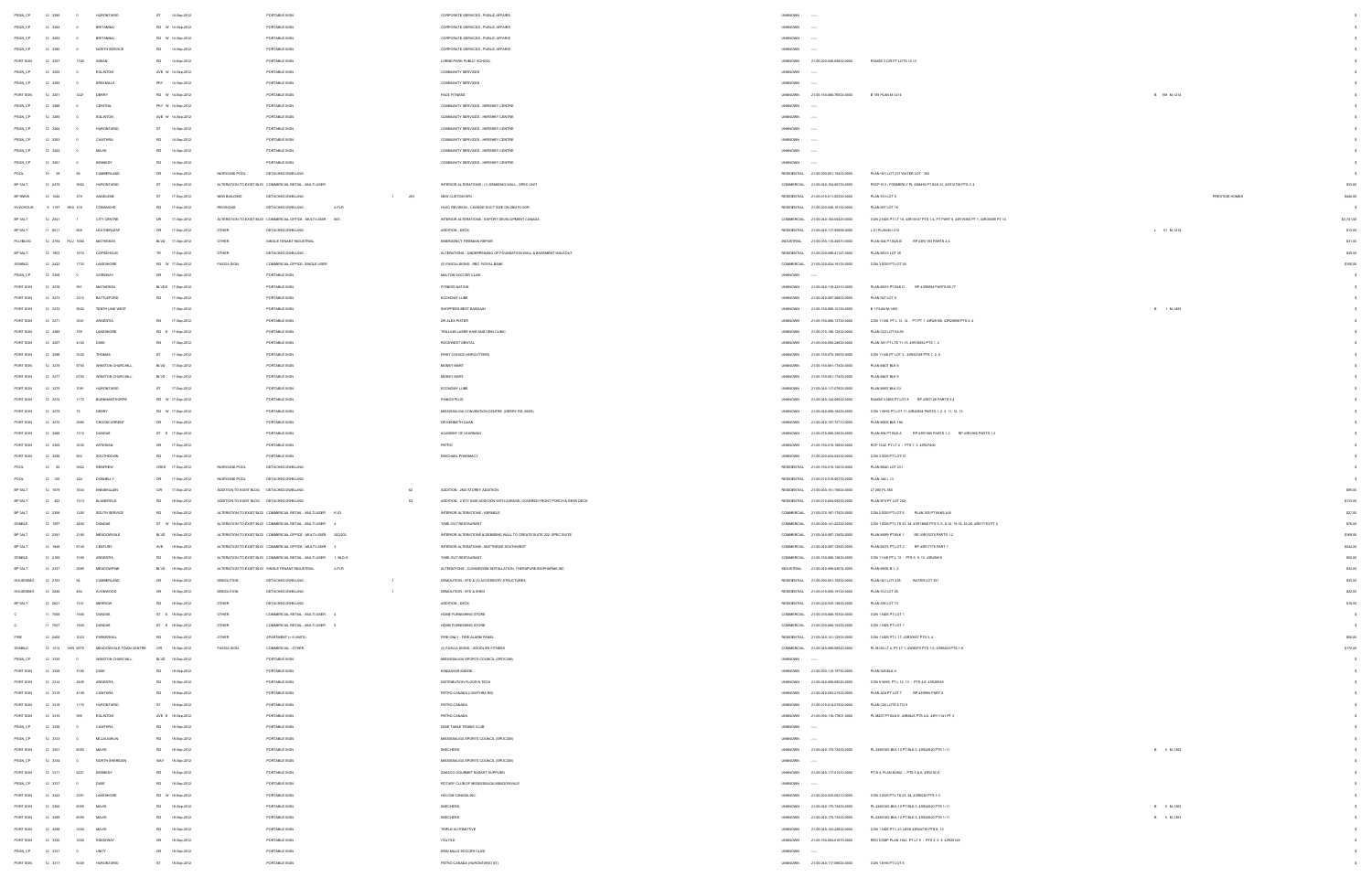| PSGN_CP 12 3285              |         | $\sim$ 0       | HURONTARIO                         | ST 14-Sep-2012     |                                          | PORTABLE SIGN                                                   |       | CORPORATE SERVICES - PUBLIC AFFAIRS                                         | <b>UNKNOWN</b>        |                                      |                                                                                |                |           |
|------------------------------|---------|----------------|------------------------------------|--------------------|------------------------------------------|-----------------------------------------------------------------|-------|-----------------------------------------------------------------------------|-----------------------|--------------------------------------|--------------------------------------------------------------------------------|----------------|-----------|
| PSGN_CP 12 3284              |         | $\sim$ 0       | BRITANNIA                          | RD W 14-Sep-2012   |                                          | PORTABLE SIGN                                                   |       | CORPORATE SERVICES - PUBLIC AFFAIRS                                         | <b>UNKNOWN</b>        |                                      |                                                                                |                |           |
| PSGN_CP 12 3282              |         | $\overline{0}$ | BRITANNIA                          | RD W 14-Sep-2012   |                                          | PORTABLE SIGN                                                   |       | CORPORATE SERVICES - PUBLIC AFFARIS                                         | <b>UNKNOWN</b>        |                                      |                                                                                |                |           |
| PSGN_CP                      | 12 3280 |                | NORTH SERVICE                      | RD 14-Sep-2012     |                                          | PORTABLE SIGN                                                   |       | CORPORATE SERVICES - PUBLIC AFFARIS                                         | <b>UNKNOWN</b>        |                                      |                                                                                |                |           |
| PORT SGN                     | 12 3257 | 1325           | <b>INDIAN</b>                      | RD 14-Sep-2012     |                                          | PORTABLE SIGN                                                   |       | LORNE PARK PUBLIC SCHOOL                                                    |                       | UNKNOWN 21-05-020-026-05800-0000     | RANGE 2 CIR PT LOTS 12.13                                                      |                |           |
| PSGN_CP 12 3293              |         | $^{\circ}$     | EGLINTON                           | AVE W 14-Sep-2012  |                                          | PORTABLE SIGN                                                   |       | <b>COMMUNITY SERVICES</b>                                                   | <b>UNKNOWN</b>        |                                      |                                                                                |                |           |
| PSGN CP 12 3292              |         | $\sim$         | <b>ERIN MILLS</b>                  | PKY 14-Sep-2012    |                                          | PORTABLE SIGN                                                   |       | <b>COMMUNITY SERVICES</b>                                                   | <b>UNKNOWN</b>        |                                      |                                                                                |                |           |
| PORT SGN                     | 12 3251 | 3221           | DERRY                              | RD W 14-Sep-2012   |                                          | PORTABLE SIGN                                                   |       | PACE FITNESS                                                                | <b>UNKNOWN</b>        | 21-05-150-080-76500-0000             | B 159 PLAN M-1214                                                              | B 159 M-1214   |           |
| PSGN_CP                      | 12 3266 |                | CENTRAL                            | PKY W 14-Sep-2012  |                                          | PORTABLE SIGN                                                   |       | COMMUNITY SERVICES - HERSHEY CENTRE                                         | <b>UNKNOWN</b>        |                                      |                                                                                |                |           |
| PSGN_CP 12 3265              |         | $\sim$         | <b>EGLINTON</b>                    | AVE W 14-Sep-2012  |                                          | PORTABLE SIGN                                                   |       | COMMUNITY SERVICES - HERSHEY CENTRE                                         | <b>UNKNOWN</b><br>--  |                                      |                                                                                |                |           |
| PSGN_CP                      | 12 3264 |                | <b>HURONTARIO</b>                  | ST 14-Sep-2012     |                                          | PORTABLE SIGN                                                   |       | COMMUNITY SERVICES - HERSHEY CENTRE                                         | <b>UNKNOWN</b>        |                                      |                                                                                |                |           |
| PSGN_CP                      | 12 3263 |                | CAWTHRA                            | RD 14-Sep-2012     |                                          | PORTABLE SIGN                                                   |       | COMMUNITY SERVICES - HERSHEY CENTRE                                         | <b>UNKNOWN</b>        |                                      |                                                                                |                |           |
| PSGN_CP 12 3262              |         | $\overline{0}$ | <b>MAVIS</b>                       | RD 14-Sep-2012     |                                          | PORTABLE SIGN                                                   |       | COMMUNITY SERVICES - HERSHEY CENTRE                                         | <b>UNKNOWN</b><br>$-$ |                                      |                                                                                |                |           |
| PSGN CP                      | 12 3261 | $\overline{0}$ | KENNEDY                            | RD 14-Sep-2012     |                                          | PORTABLE SIGN                                                   |       | COMMUNITY SERVICES - HERSHEY CENTRE                                         | <b>UNKNOWN</b><br>--  |                                      |                                                                                |                |           |
| POOL                         | 10 39   |                | CUMBERLAND                         | DR 14-Sep-2012     | INGROUND POOL                            | DETACHED DWELLING                                               |       |                                                                             |                       | RESIDENTIAL 21-05-090-001-15400-0000 | PLAN H21 LOT 237 WATER LOT 352                                                 |                |           |
| BP 3ALT                      | 12 2475 | 3662           | <b>HURONTARIO</b>                  | ST 14-Sep-2012     |                                          | ALTERATION TO EXIST BLD COMMERCIAL RETAIL - MULTI-USER          |       | INTERIOR ALTERATIONS - (1) DEMISING-WALL, SPEC-UNIT                         |                       | COMMERCIAL 21-05-040-154-06700-0000  | PSCP 913 - FORMERLY PL 43M492 PT BLK 21, 43R12738 PTS 3, 4                     |                |           |
| BP 9NEW                      | 12 1044 | 279            | ANGELENE                           | ST 17-Sep-2012     | NEW BUILDING                             | DETACHED DWELLING                                               | 1 253 | NEW CUSTOM SFD                                                              |                       | RESIDENTIAL 21-05-010-011-00300-0000 | PLAN 510 LOT 5                                                                 | PRESTIGE HOMES | \$440.0   |
| HVACHOUS 8 1197              |         | <b>HEA 516</b> | COMANCHE                           | RD 17-Sep-2012     | <b>REVISIONS</b>                         | DETACHED DWELLING<br>2-FLR                                      |       | HVAC REVISION - CHANGE DUCT SIZE ON 2ND FLOOR                               |                       | RESIDENTIAL 21-05-020-026-18100-0000 | PLAN 667 LOT 18                                                                |                |           |
| BP 3ALT                      | 12 2541 |                | CITY CENTRE                        | DR 17-Sep-2012     |                                          | ALTERATION TO EXIST BLD/ COMMERCIAL OFFICE - MULTI-USER 805     |       | INTERIOR ALTERATIONS - EXPORT DEVELOPMENT CANADA                            |                       | COMMERCIAL 21-05-040-154-00420-0000  | CON 2 NDS PT LT 16, 43R18147 PTS 1-4, PT PART 5, 43R19350 PT 1, 43R30009 PT 14 |                | \$3,741,0 |
| BP 9ALT                      | 11 6011 | 668            | LEATHERLEAF                        | DR 17-Sep-2012     | <b>OTHER</b>                             | DETACHED DWELLING                                               |       | ADDITION - DECK                                                             |                       | RESIDENTIAL 21-05-040-117-50888-0000 | L 51 PLAN M-1212                                                               | L 51 M-1212    | \$13,0    |
| PLU/BLDG                     | 12 2794 | PLU 1660       | MATHESON                           | BLVD 17-Sep-2012   | OTHER                                    | SINGLE TENANT INDUSTRIAL                                        |       | <b>EMERGENCY FIREMAIN REPAIR</b>                                            |                       | INDUSTRIAL 21-05-050-115-20410-0000  | PLAN 924 PT BLK B RP 43R1193 PARTS 2,4                                         |                | \$31,0    |
| BP 9ALT                      | 12 1853 | 1674           | COPSEHOLM                          | TR 17-Sep-2012     | OTHER                                    | DETACHED DWELLING                                               |       | ALTERATIONS - UNDERPINNING OF FOUNDATION WALL & BASEMENT WALKOUT.           |                       | RESIDENTIAL 21-05-030-096-41147-0000 | PLAN M519 LOT 39                                                               |                |           |
| SGNBLD                       | 12 2422 | 1730           | LAKESHORE                          | RD W 17-Sep-2012   | <b>FASCIA SIGN</b>                       | COMMERCIAL OFFICE- SINGLE USER                                  |       | (5) FASCIA SIGNS - RBC ROYAL BANK                                           |                       | COMMERCIAL 21-05-020-024-18100-0000  | CON 3 SDS PT LOT 28                                                            |                | \$105.0   |
| PSGN CP                      | 12 3308 | $\sim$         | GOREWAY                            | DR 17-Sep-2012     |                                          | PORTABLE SIGN                                                   |       | MALTON SOCCER CLUB                                                          | <b>UNKNOWN</b>        |                                      |                                                                                |                |           |
| PORT SGN 12 3276             |         | 991            | MATHESON                           | BLVD E 17-Sep-2012 |                                          | PORTABLE SIGN                                                   |       | <b>FITNESS NATION</b>                                                       | <b>UNKNOWN</b>        | 21-05-040-116-22310-0000             | PLAN M219 PT BLK D RP 43R5694 PARTS 68,77                                      |                |           |
| PORT SGN                     | 12 3273 | 2310           | BATTLEFORD                         | RD 17-Sep-2012     |                                          | PORTABLE SIGN                                                   |       | ECONOMY LUBE                                                                | <b>UNKNOWN</b>        | 21-05-040-097-26800-0000             | PLAN 927 LOT 9                                                                 |                |           |
| PORT SGN                     | 12 3272 | 5602           | TENTH LINE WEST                    | 17-Sep-2012        |                                          | PORTABLE SIGN                                                   |       | SHOPPERS BEST BARGAIN                                                       | <b>UNKNOWN</b>        | 21-05-150-085-10100-0000             | B 1 PLAN M-1493                                                                | B 1 M-1493     |           |
| PORT SGN                     | 12 3271 | 3041           | ARGENTIA                           | RD 17-Sep-2012     |                                          | PORTABLE SIGN                                                   |       | DR ALEX PISTER                                                              | <b>UNKNOWN</b>        | 21-05-150-080-13700-0000             | CON 11 NS, PT L 13, 14 - PT PT 1 43R28108, 43R28958 PTS 2, 4                   |                |           |
| PORT SGN                     | 12 3269 | 755            | LAKESHORE                          | RD E 17-Sep-2012   |                                          | PORTABLE SIGN                                                   |       | TRILLIUM LASER HAIR AND VEIN CLINIC                                         | <b>UNKNOWN</b>        | 21-05-070-156-12500-0000             | PLAN C23 LOT 58,59                                                             |                |           |
| PORT SGN                     | 12 3297 | 4120           | DIXIE                              | RD 17-Sep-2012     |                                          | PORTABLE SIGN                                                   |       | ROCKWEST DENTAL                                                             | <b>UNKNOWN</b>        | 21-05-030-092-24600-0000             | PLAN 381 PT LTS 11-15, 43R16092 PTS 1, 2                                       |                |           |
| PORT SGN 12 3296             |         | 3030           | <b>THOMAS</b>                      | ST 17-Sep-2012     |                                          | PORTABLE SIGN                                                   |       | FIRST CHOICE HAIRCUTTERS                                                    | <b>UNKNOWN</b>        | 21-05-150-070-16953-0000             | CON 11 NS PT LOT 3 - 43R32749 PTS 1, 2, 5                                      |                |           |
| PORT SGN 12 3278             |         | 6750           | WINSTON CHURCHILL                  | BLVD 17-Sep-2012   |                                          | PORTABLE SIGN                                                   |       | MONEY MART                                                                  | <b>UNKNOWN</b>        | 21-05-150-081-17400-0000             | PLAN M407 BLK 9                                                                |                |           |
| PORT SGN                     | 12 3277 | 6750           | WINSTON CHURCHILL                  | BLVD 17-Sep-2012   |                                          | PORTABLE SIGN                                                   |       | MONEY MART                                                                  | <b>UNKNOWN</b>        | 21-05-150-081-17400-0000             | PLAN M407 BLK 9                                                                |                |           |
| PORT SGN                     | 12 3275 | 7091           | <b>HURONTARIO</b>                  | ST 17-Sep-2012     |                                          | PORTABLE SIGN                                                   |       | ECONOMY LUBE                                                                | <b>UNKNOWN</b>        | 21-05-040-117-07900-0000             | PLAN M957 BLK 53                                                               |                |           |
| PORT SGN 12 3274             |         | 1170           | <b>BURNHAMTHORPE</b>               | RD W 17-Sep-2012   |                                          | PORTABLE SIGN                                                   |       | PIANOS PLUS                                                                 | <b>UNKNOWN</b>        | 21-05-040-144-09000-0000             | RANGE 3 NDS PT LOT 8 RP 43R7128 PARTS 3,4                                      |                |           |
| PORT SGN                     | 12 3279 | 75             | DERRY                              | RD W 17-Sep-2012   |                                          | PORTABLE SIGN                                                   |       | MISSISSAUGA CONVENTION CENTRE (DERRY RD, MISS)                              | <b>UNKNOWN</b>        | 21-05-040-098-18200-0000             | CON 1 WHS PT LOT 11 43R20834 PARTS 1, 2, 3, 11, 12, 13                         |                |           |
|                              |         | 2980           | CROSSCURRENT                       |                    |                                          | PORTABLE SIGN                                                   |       | DR KENNETH QUAN                                                             | <b>UNKNOWN</b>        | 21-05-040-157-72710-0000             | PLAN M905 BLK 194                                                              |                |           |
| PORT SGN<br>PORT SGN 12 3268 | 12 3270 |                | <b>DUNDAS</b>                      | DR 17-Sep-2012     |                                          | PORTABLE SIGN                                                   |       | ACADEMY OF LEARNING                                                         |                       |                                      | PLAN 894 PT BLK A RP 43R1580 PARTS 1,2 RP 43R1966 PARTS 1,3                    |                |           |
|                              |         | 1310           |                                    | ST E 17-Sep-2012   |                                          |                                                                 |       |                                                                             | <b>UNKNOWN</b>        | 21-05-070-068-33500-0000             |                                                                                |                |           |
| PORT SGN 12 3305             |         | 3030           | ARTESIAN                           | DR 17-Sep-2012     |                                          | PORTABLE SIGN                                                   |       | PETRO                                                                       | <b>UNKNOWN</b>        | 21-05-150-010-16800-0000             | RCP 1542, PT LT 4 - PTS 1, 5 43R27406                                          |                |           |
| PORT SGN                     | 12 3256 | 802            | SOUTHDOWN                          | RD 17-Sep-2012     |                                          | PORTABLE SIGN                                                   |       | EMICHAEL PHARMACY                                                           | <b>UNKNOWN</b>        | 21-05-020-024-04300-0000             | CON 3 SDS PT LOT 31                                                            |                |           |
| POOL                         | 12 92   | 3922           | <b>RENFREW</b>                     | CRES 17-Sep-2012   | INGROUND POOL                            | DETACHED DWELLING                                               |       |                                                                             |                       | RESIDENTIAL 21-05-150-010-12833-0000 | PLAN M640 LOT 231                                                              |                |           |
| POOL                         | 12 100  | 224            | DONNELLY                           | DR 17-Sep-2012     | INGROUND POOL                            | DETACHED DWELLING                                               |       |                                                                             |                       | RESIDENTIAL 21-05-010-018-06700-0000 | PLAN 344 L 13                                                                  |                |           |
| BP 9ALT                      | 12 1679 | 3543           | <b>ENNISKILLEN</b>                 | CIR 17-Sep-2012    | ADDITION TO EXIST BLDG DETACHED DWELLING |                                                                 | 62    | ADDITION - 2ND STOREY ADDITION                                              |                       | RESIDENTIAL 21-05-060-151-15600-0000 | LT 265 PL 550                                                                  |                |           |
| BP 9ALT 12 453               |         | 1513           | BLANEFIELD                         | RD 18-Sep-2012     | ADDITION TO EXIST BLDG DETACHED DWELLING |                                                                 | 63    | ADDITION - 2 STY SIDE ADDITION WITH GARAGE, COVERED FRONT PORCH & REAR DECK |                       | RESIDENTIAL 21-05-010-004-09200-0000 | PLAN B19 PT LOT 202                                                            |                | \$133,0   |
|                              |         |                | BP 3ALT 12 2356 1250 SOUTH SERVICE | RD 18-Sep-2012     |                                          | ALTERATION TO EXIST BLD COMMERCIAL RETAIL - MULTI-USER K-03     |       | INTERIOR ALTERATIONS - KERNELS                                              |                       | COMMERCIAL 21-05-070-167-17500-0000  | CON 2 SDS PT LOT 6 PLAN 305 PT BLKS A,B                                        |                | \$27.0    |
| ZONBLD                       | 12 1097 | 2400           | <b>DUNDAS</b>                      | ST W 18-Sep-2012   |                                          | ALTERATION TO EXIST BLD COMMERCIAL RETAIL - MULTI-USER 4        |       | TAKE-OUT RESTAURANT                                                         |                       | COMMERCIAL 21-05-060-141-22300-0000  | CON 1 SDS PT LTS 33, 34, 43R13606 PTS 5, 6, 8-12, 15-18, 22-26, 43R17153 PT 2  |                |           |
| BP 3ALT                      | 12 2291 | 2180           | MEADOWVALE                         | BLVD 18-Sep-2012   |                                          | ALTERATION TO EXIST BLD/ COMMERCIAL OFFICE - MULTI-USER 200/202 |       | INTERIOR ALTERATIONS & DEMISING WALL TO CREATE SUITE 202 -SPEC SUITE        |                       | COMMERCIAL 21-05-040-097-12852-0000  | PLAN M589 PT BLK 1 RE 43R15275 PARTS 1,2                                       |                | \$169,0   |
| BP 3ALT                      | 12 1848 | 6745           | CENTURY                            | AVE 18-Sep-2012    |                                          | ALTERATION TO EXIST BLD/ COMMERCIAL OFFICE - MULTI-USER 3       |       | INTERIOR ALTERATIONS - MATTHEWS SOUTHWEST                                   |                       | COMMERCIAL 21-05-040-097-12920-0000  | PLAN M275 PT LOT 2 RP 43R17175 PART 1                                          |                | \$244,0   |
| ZONBLD                       | 12 2165 | 3160           | <b>ARGENTIA</b>                    | RD 18-Sep-2012     |                                          | ALTERATION TO EXIST BLD. COMMERCIAL RETAIL - MULTI-USER 1 BLD-G |       | TAKE-OUT RESTAURANT                                                         |                       | COMMERCIAL 21-05-150-080-13600-0000  | CON 11 NS PT L 13 - PTS 5, 9, 10 43R25818                                      |                | \$52.0    |
| BP 3ALT                      | 12 2337 | 2585           | MEADOWPINE                         | BLVD 18-Sep-2012   |                                          | ALTERATION TO EXIST BLD SINGLE TENANT INDUSTRIAL<br>2-FLR       |       | ALTERATIONS - CLEANROOM INSTALLATION, THERAPURE BIOPHARMA INC               |                       | INDUSTRIAL 21-05-040-098-02674-0000  | PLAN M936 B 1, 2                                                               |                |           |
| HOUSDEMO                     | 12 2783 |                | CUMBERLAND                         | DR 18-Sep-2012     | DEMOLITION                               | DETACHED DWELLING                                               |       | DEMOLITION - SFD & (3) ACCESSORY STRUCTURES                                 |                       | RESIDENTIAL 21-05-090-001-15500-0000 | PLAN H21 LOT 238 WATER LOT 351                                                 |                |           |
| HOUSDEMO                     | 12 2826 | 494            | AVONWOOD                           | DR 18-Sep-2012     | DEMOLITION                               | DETACHED DWELLING<br>$\sim$                                     |       | DEMOLITION - SFD & SHED                                                     |                       | RESIDENTIAL 21-05-010-005-19100-0000 | PLAN 512 LOT 26                                                                |                |           |
| BP 9ALT                      | 12 2621 | 1531           | MERROW                             | RD 18-Sep-2012     | OTHER                                    | DETACHED DWELLING                                               |       | ADDITION - DECK                                                             |                       | RESIDENTIAL 21-05-020-035-13600-0000 | PLAN 558 LOT 73                                                                |                | \$16.0    |
|                              | 11 7008 | 1945           | <b>DUNDAS</b>                      | ST E 18-Sep-2012   | OTHER                                    | COMMERCIAL RETAIL - MULTI-USER 4                                |       | HOME FURNISHING STORE                                                       |                       | COMMERCIAL 21-05-030-068-15300-0000  | CON 1 NDS PT LOT 1                                                             |                |           |
|                              | 11 7007 | 1945           | <b>DUNDAS</b>                      | ST E 18-Sep-2012   | <b>OTHER</b>                             | COMMERCIAL RETAIL - MULTI-USER 5                                |       | HOME FURNISHING STORE                                                       |                       | COMMERCIAL 21-05-030-068-15300-0000  | CON 1 NDS PT LOT 1                                                             |                |           |
| <b>FIRE</b>                  | 12 2408 | 3023           | PARKERHILL                         | RD 18-Sep-2012     | <b>OTHER</b>                             | APARTMENT (> 6 UNITS)                                           |       | FIRE-ONLY - FIRE ALARM PANEL                                                |                       | RESIDENTIAL 21-05-040-141-12500-0000 | CON 1 NDS PT L17 43R20657 PTS 3 4                                              |                |           |
| SGNBLD                       | 12 1014 | VAR 6875       | MEADOWVALE TOWN CENTRE             | CIR 18-Sep-2012    | <b>FASCIA SIGN</b>                       | COMMERCIAL - OTHER                                              |       | (3) FASCIA SIGNS - GOODLIFE FITNESS                                         |                       | COMMERCIAL 21-05-040-098-56920-0000  | PL M182 LT 4, PT LT 1, 43R6079 PTS 1-6, 43R6209 PTS 1-9                        |                |           |
| PSGN CP                      | 12 3335 | $\sim$         | WINSTON CHURCHILL                  | BLVD 18-Sep-2012   |                                          | PORTABLE SIGN                                                   |       | MISSISSAUGA SPORTS COUNCIL (SPOCOM)                                         | <b>UNKNOWN</b>        |                                      |                                                                                |                |           |
| PORT SGN                     | 12 3328 | 5165           | DIXIE                              | RD 18-Sep-2012     |                                          | PORTABLE SIGN                                                   |       | KANDAHAR KABOB                                                              | <b>UNKNOWN</b>        | 21-05-050-115-19750-0000             | PLAN 928 BLK A                                                                 |                |           |
| PORT SGN 12 3314             |         | 2835           | ARGENTIA                           | RD 18-Sep-2012     |                                          | PORTABLE SIGN                                                   |       | DISTRIBUTION FLOOR N TECH                                                   | <b>UNKNOWN</b>        | 21-05-040-098-05020-0000             | CON 6 WHS, PT L 12, 13 - PTS 4-6 43R28549                                      |                |           |
| PORT SGN                     | 12 3319 | 4106           | CAWTHRA                            | RD 18-Sep-2012     |                                          | PORTABLE SIGN                                                   |       | PETRO CANADA (CAWTHRA RD)                                                   | <b>UNKNOWN</b>        | 21-05-040-093-21500-0000             | PLAN A24 PT LOT 7 RP 43R990 PART 2                                             |                |           |
| PORT SGN                     | 12 3318 | 1175           | <b>HURONTARIO</b>                  | ST 18-Sep-2012     |                                          | PORTABLE SIGN                                                   |       | PETRO CANADA                                                                | <b>UNKNOWN</b>        | 21-05-010-014-01500-0000             | PLAN C20 LOTS 6 TO 9                                                           |                |           |
| PORT SGN                     | 12 3315 | 996            | EGLINTON                           | AVE E 18-Sep-2012  |                                          | PORTABLE SIGN                                                   |       | PETRO CANADA                                                                | <b>UNKNOWN</b>        | 21-05-050-116-17801-0000             | PL M267 PT BLK E. 43R8425 PTS 4-6, 43R11141 PT 3                               |                |           |
| PSGN CP                      | 12 3336 |                | CAWTHRA                            | RD 18-Sep-2012     |                                          | PORTABLE SIGN                                                   |       | DIXIE TABLE TENNIS CLUB                                                     | <b>UNKNOWN</b>        |                                      |                                                                                |                |           |
| PSGN_CP                      | 12 3333 |                | MCLAUGHLIN                         | RD 18-Sep-2012     |                                          | PORTABLE SIGN                                                   |       | MISSISSAUGA SPORTS COUNCIL (SPOCOM)                                         | <b>UNKNOWN</b>        |                                      |                                                                                |                |           |
| PORT SGN                     | 12 3301 | 6055           | MAVIS                              | RD 18-Sep-2012     |                                          | PORTABLE SIGN                                                   |       | <b>SKECHERS</b>                                                             | <b>UNKNOWN</b>        | 21-05-040-175-73400-0000             | PL 43M1363 BLK 10 PT BLK 5, 43R24920 PTS 1-11                                  | B 5 M-1363     |           |
| PSGN CP                      | 12 3334 | $\sim$         | NORTH SHERIDAN                     | WAY 18-Sep-2012    |                                          | PORTABLE SIGN                                                   |       | MISSISSAUGA SPORTS COUNCIL (SPOCOM)                                         | <b>UNKNOWN</b>        |                                      |                                                                                |                |           |
| PORT SGN                     | 12 3311 | 6221           | KENNEDY                            | RD 18-Sep-2012     |                                          | PORTABLE SIGN                                                   |       | SAKSCO GOURMET BASKET SUPPLIED                                              | <b>UNKNOWN</b>        | 21-05-040-117-01410-0000             | PT B 4, PLAN M-902 - PTS 5 & 6, 43R21612                                       |                |           |
| PSGN_CP                      | 12 3337 | $^{\circ}$     | DIXIE                              | RD 18-Sep-2012     |                                          | PORTABLE SIGN                                                   |       | ROTARY CLUB OF MISSISSAUGA MEADOWVALE                                       | <b>UNKNOWN</b>        |                                      |                                                                                |                |           |
| PORT SGN                     | 12 3322 | 2391           | LAKESHORE                          | RD W 18-Sep-2012   |                                          | PORTABLE SIGN                                                   |       | <b>HOLCIM CANADA INC</b>                                                    | <b>UNKNOWN</b>        | 21-05-020-025-05210-0000             | CON 3 SDS PT LTS 33, 34, 43R6030 PTS 1-3                                       |                |           |
|                              |         |                |                                    |                    |                                          |                                                                 |       |                                                                             |                       |                                      |                                                                                |                |           |
| PORT SGN                     | 12 3300 | 6055           | MAVIS                              | RD 18-Sep-2012     |                                          | PORTABLE SIGN                                                   |       | <b>SKECHERS</b>                                                             | <b>UNKNOWN</b>        | 21-05-040-175-73400-0000             | PL 43M1363 BLK 10 PT BLK 5, 43R24920 PTS 1-11                                  | B 5 M-1363     |           |
| PORT SGN                     | 12 3299 | 6055           | <b>MAVIS</b>                       | RD 18-Sep-2012     |                                          | PORTABLE SIGN                                                   |       | SKECHERS                                                                    | <b>UNKNOWN</b>        | 21-05-040-175-73400-0000             | PL 43M1363 BLK 10 PT BLK 5, 43R24920 PTS 1-11                                  | B 5 M-1363     |           |
| PORT SGN                     | 12 3298 | 3300           | <b>MAVIS</b>                       | RD 18-Sep-2012     |                                          | PORTABLE SIGN                                                   |       | TRIPLE AUTOMOTIVE                                                           | <b>UNKNOWN</b>        | 21-05-040-143-22600-0000             | CON 1 NDS PT L 21 LESS 43R24739 PTS 8, 13                                      |                |           |
| PORT SGN                     | 12 3320 | 3300           | RIDGEWAY                           | DR 18-Sep-2012     |                                          | PORTABLE SIGN                                                   |       | <b>ITALTILE</b>                                                             | <b>UNKNOWN</b>        | 21-05-150-084-01870-0000             | REG COMP PLAN 1542 PT LT 9 - PTS 2, 3, 8 43R25148                              |                |           |
| PSGN CP                      | 12 3331 | $\sim$         | UNITY                              | DR 18-Sep-2012     |                                          | PORTABLE SIGN                                                   |       | ERIN MILLS SOCCER CLUB                                                      | <b>UNKNOWN</b>        |                                      |                                                                                |                |           |
| PORT SGN 12 3317             |         |                | 6009 HURONTARIO                    | ST 18-Sep-2012     |                                          | PORTABLE SIGN                                                   |       | PETRO CANADA (HURONTARIO ST)                                                |                       | UNKNOWN 21-05-040-117-06600-0000     | CON 1 EHS PT LOT 6                                                             |                |           |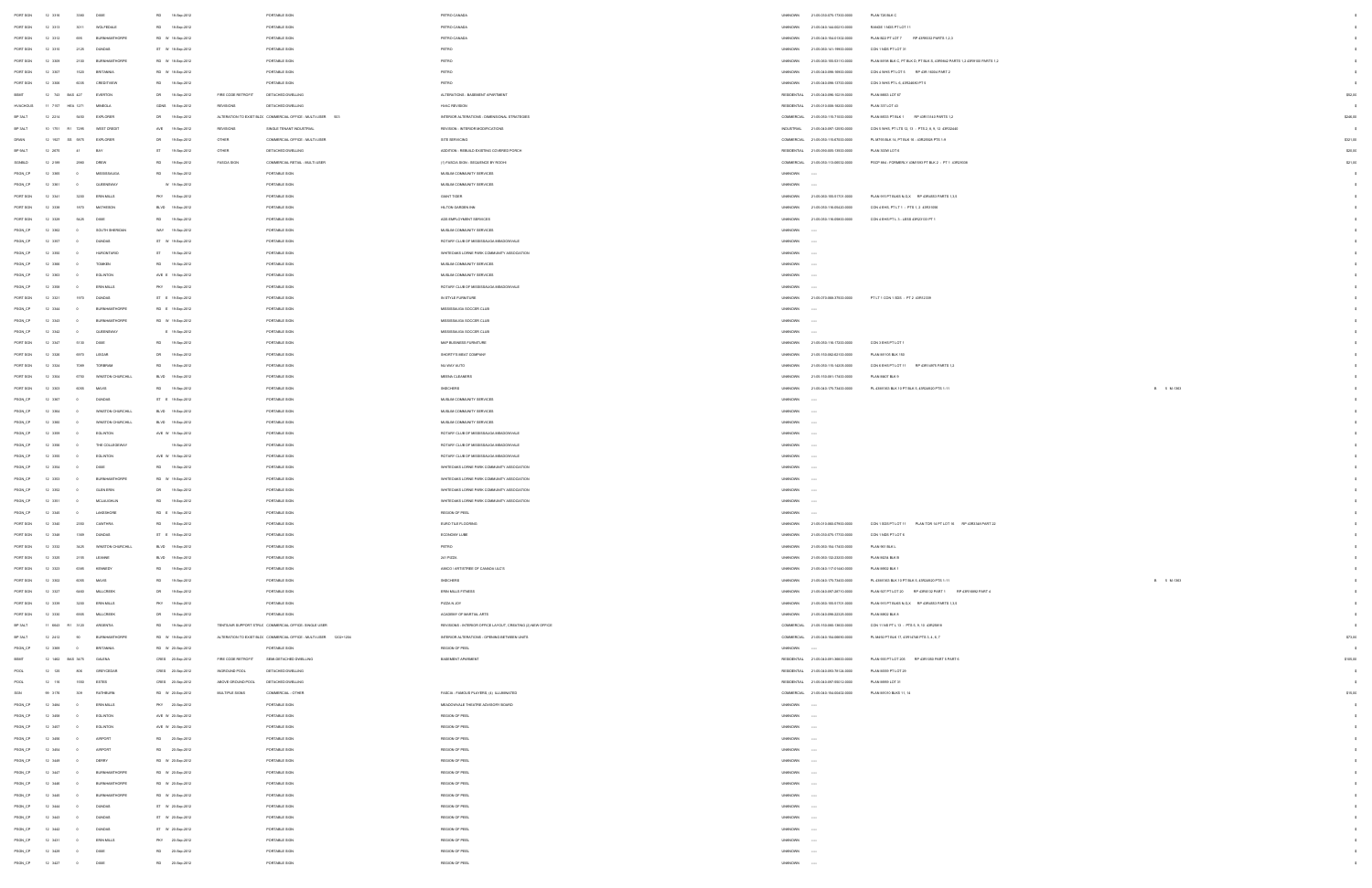| PORT SGN 12 3316  |                          | 3380                     | <b>DIXIE</b>         | RD 18-Sep-2012    |                    | PORTABLE SIGN                                                     | PETRO CANADA                                                | UNKNOWN 21-05-030-075-17300-0000           | PLAN 726 BLK C                                                           |            |
|-------------------|--------------------------|--------------------------|----------------------|-------------------|--------------------|-------------------------------------------------------------------|-------------------------------------------------------------|--------------------------------------------|--------------------------------------------------------------------------|------------|
| PORT SGN 12 3313  |                          | 3011                     | WOLFEDALE            | RD 18-Sep-2012    |                    | PORTABLE SIGN                                                     | PETRO CANADA                                                | 21-05-040-144-00210-0000<br><b>UNKNOWN</b> | RANGE 1 NDS PT LOT 11                                                    |            |
| PORT SGN 12 3312  |                          | 695                      | <b>BURNHAMTHORPE</b> | RD W 18-Sep-2012  |                    | PORTABLE SIGN                                                     | PETRO CANADA                                                | <b>UNKNOWN</b><br>21-05-040-154-01302-0000 | PLAN B22 PT LOT 7 RP 43R9332 PARTS 1,2,3                                 |            |
| PORT SGN 12 3310  |                          | 2125                     | <b>DUNDAS</b>        | ST W 18-Sep-2012  |                    | PORTABLE SIGN                                                     | PETRO                                                       | 21-05-060-141-19900-0000<br><b>UNKNOWN</b> | CON 1 NDS PT LOT 31                                                      |            |
| PORT SGN          | 12 3309                  | 2100                     | BURNHAMTHORPE        | RD W 18-Sep-2012  |                    | PORTABLE SIGN                                                     | PETRO                                                       | 21-05-060-155-53110-0000<br><b>UNKNOWN</b> | PLAN M198 BLK C, PT BLK D, PT BLK S, 43R9842 PARTS 1,2 43R9100 PARTS 1,2 |            |
| PORT SGN          | 12 3307                  | 1520                     | BRITANNIA            | RD W 18-Sep-2012  |                    | PORTABLE SIGN                                                     | PETRO                                                       | 21-05-040-098-16900-0000<br><b>UNKNOWN</b> | CON 4 WHS PT LOT 5 RP 43R 16004 PART 2                                   |            |
| PORT SGN 12 3306  |                          | 6035                     | CREDITVIEW           | RD 18-Sep-2012    |                    | PORTABLE SIGN                                                     | PETRO                                                       | <b>UNKNOWN</b><br>21-05-040-098-13700-0000 | CON 3 WHS PT L 6, 43R24680 PT 5                                          |            |
| <b>BSMT</b>       | 12 743<br><b>BAS 427</b> |                          | <b>EVERTON</b>       | DR 18-Sep-2012    | FIRE CODE RETROFIT | DETACHED DWELLING                                                 | ALTERATIONS - BASEMENT APARTMENT                            | RESIDENTIAL 21-05-040-096-10218-0000       | PLAN M663 LOT 67                                                         |            |
| <b>HVACHOUS</b>   | 11 7157                  | <b>HEA 1271</b>          | MINEOLA              | GDNS 18-Sep-2012  | <b>REVISIONS</b>   | DETACHED DWELLING                                                 | HVAC REVISION                                               | RESIDENTIAL 21-05-010-008-18200-0000       | PLAN 337 LOT 43                                                          |            |
| BP 3ALT           | 12 2214                  | 5450                     | EXPLORER             | DR 19-Sep-2012    |                    | ALTERATION TO EXIST BLD COMMERCIAL OFFICE - MULTI-USER 503        | INTERIOR ALTERATIONS - DIMENSIONAL STRATEGIES               | COMMERCIAL 21-05-050-115-71000-0000        | PLAN M533 PT BLK 1 RP 43R13140 PARTS 1,2                                 | \$246,0    |
| BP 3ALT           | 10 1751                  | R1 7295                  | WEST CREDIT          | AVE 19-Sep-2012   | <b>REVISIONS</b>   | SINGLE TENANT INDUSTRIAL                                          | REVISION - INTERIOR MODIFICATIONS                           | INDUSTRIAL 21-05-040-097-12550-0000        | CON 5 WHS, PT LTS 12, 13 - PTS 2, 8, 9, 12 43R32440                      |            |
| DRAIN             | 12 1927                  | SS 5875                  | EXPLORER             | DR 19-Sep-2012    | OTHER              | COMMERCIAL OFFICE - MULTI-USER                                    | SITE SERVICING                                              | COMMERCIAL 21-05-050-115-67000-0000        | PL M793 BLK 14, PT BLK 16 - 43R25928 PTS 1-9                             | \$321,0    |
| BP 9ALT           | 12 2675                  | 41                       | BAY                  | ST 19-Sep-2012    | OTHER              | DETACHED DWELLING                                                 | ADDITION - REBUILD EXISTING COVERED PORCH                   | RESIDENTIAL 21-05-090-005-13500-0000       | PLAN 300W LOT 6                                                          |            |
| SGNBLD            | 12 2189                  | 2980                     | DREW                 | RD 19-Sep-2012    | <b>FASCIA SIGN</b> | COMMERCIAL RETAIL - MULTI-USER                                    | (1) FASCIA SIGN - SEQUENCE BY ROOHI                         | COMMERCIAL 21-05-050-113-06532-0000        | PSCP 884 - FORMERLY 43M1593 PT BLK 2 - PT 1 43R29338                     | \$21,0     |
| PSGN CP           | 12 3365                  | $^{\circ}$               | MISSISSAUGA          | RD 19-Sep-2012    |                    | PORTABLE SIGN                                                     | MUSLIM COMMUNITY SERVICES                                   | <b>UNKNOWN</b><br>$\sim$                   |                                                                          |            |
| PSGN CP           | 12 3361                  |                          | QUEENSWAY            | W 19-Sep-2012     |                    | PORTABLE SIGN                                                     | MUSLIM COMMUNITY SERVICES                                   | <b>UNKNOWN</b>                             |                                                                          |            |
| PORT SGN          | 12 3341                  | 3200                     | <b>ERIN MILLS</b>    | PKY 19-Sep-2012   |                    | PORTABLE SIGN                                                     | <b>GIANT TIGER</b>                                          | 21-05-060-155-51701-0000<br><b>UNKNOWN</b> | PLAN 915 PT BLKS N, G, X RP 43R4553 PARTS 1,3,5                          |            |
| PORT SGN          | 12 3338                  | 1870                     | MATHESON             | BLVD 19-Sep-2012  |                    | PORTABLE SIGN                                                     | HILTON GARDEN INN                                           | <b>UNKNOWN</b><br>21-05-050-116-05420-0000 | CON 4 EHS, PT LT 1 - PTS 1, 2 43R31056                                   |            |
| PORT SGN          | 12 3329                  | 5425                     | DIXIE                | RD 19-Sep-2012    |                    | PORTABLE SIGN                                                     | ADS EMPLOYMENT SERVICES                                     | 21-05-050-116-05800-0000<br><b>UNKNOWN</b> | CON 4 EHS PT L 3 - LESS 43R23133 PT 1                                    |            |
| PSGN_CP           | 12 3362                  | $\overline{0}$           | SOUTH SHERIDAN       | WAY 19-Sep-2012   |                    | PORTABLE SIGN                                                     | MUSLIM COMMUNITY SERVICES                                   | <b>UNKNOWN</b><br>----                     |                                                                          |            |
| PSGN_CP           | 12 3357                  | $\sim$                   | <b>DUNDAS</b>        | ST W 19-Sep-2012  |                    | PORTABLE SIGN                                                     | ROTARY CLUB OF MISSISSAUGA MEADOWVALE                       | <b>UNKNOWN</b><br>$\sim$                   |                                                                          |            |
| PSGN_CP           | 12 3350                  | $^{\circ}$               | <b>HURONTARIO</b>    | ST 19-Sep-2012    |                    | PORTABLE SIGN                                                     | WHITEOAKS LORNE PARK COMMUNITY ASSOCIATION                  | <b>UNKNOWN</b><br>1.1111                   |                                                                          |            |
| PSGN CP           | 12 3366                  | $\sim$                   | TOMKEN               | RD 19-Sep-2012    |                    | PORTABLE SIGN                                                     | MUSLIM COMMUNITY SERVICES                                   | <b>UNKNOWN</b>                             |                                                                          |            |
| PSGN_CP           | 12 3363                  |                          | EGLINTON             | AVE E 19-Sep-2012 |                    | PORTABLE SIGN                                                     | MUSLIM COMMUNITY SERVICES                                   | <b>UNKNOWN</b>                             |                                                                          |            |
| PSGN_CP           | 12 3358                  |                          | <b>ERIN MILLS</b>    | PKY 19-Sep-2012   |                    | PORTABLE SIGN                                                     | ROTARY CLUB OF MISSISSAUGA MEADOWVALE                       | <b>UNKNOWN</b>                             |                                                                          |            |
| PORT SGN 12 3321  |                          | 1970                     | <b>DUNDAS</b>        | ST E 19-Sep-2012  |                    | PORTABLE SIGN                                                     | IN STYLE FURNITURE                                          | UNKNOWN 21-05-070-068-37500-0000           | PT LT 1 CON 1 SDS - PT 2 43R12339                                        |            |
| PSGN CP           | 12 3344                  | $\sim$                   | BURNHAMTHORPE        | RD E 19-Sep-2012  |                    | PORTABLE SIGN                                                     | MISSISSAUGA SOCCER CLUB                                     | <b>UNKNOWN</b>                             |                                                                          |            |
| PSGN_CP           | 12 3343                  | $^{\circ}$               | BURNHAMTHORPE        | RD W 19-Sep-2012  |                    | PORTABLE SIGN                                                     | MISSISSAUGA SOCCER CLUB                                     | <b>UNKNOWN</b>                             |                                                                          |            |
| PSGN CP           | 12 3342                  | $\sim$ 0                 | QUEENSWAY            | E 19-Sep-2012     |                    | PORTABLE SIGN                                                     | MISSISSAUGA SOCCER CLUB                                     | <b>UNKNOWN</b><br>$\sim$                   |                                                                          |            |
| PORT SGN          | 12 3347                  | 5130                     | DIXIE                | RD 19-Sep-2012    |                    | PORTABLE SIGN                                                     | MAP BUSINESS FURNITURE                                      | <b>UNKNOWN</b><br>21-05-050-116-17200-0000 | CON 3 EHS PT LOT 1                                                       |            |
| PORT SGN          | 12 3326                  | 6970                     | LISGAR               | DR 19-Sep-2012    |                    | PORTABLE SIGN                                                     | SHORTY'S MEAT COMPANY                                       | <b>UNKNOWN</b><br>21-05-150-082-62100-0000 | PLAN M1105 BLK 150                                                       |            |
| PORT SGN 12 3324  |                          | 7089                     | TORRRAM              | RD 19-Sep-2012    |                    | PORTABLE SIGN                                                     | NU-WAY AUTO                                                 | <b>UNKNOWN</b><br>21-05-050-115-14205-0000 | CON 6 EHS PT LOT 11 RP 43R14975 PARTS 1,2                                |            |
| PORT SGN 12 3304  |                          | 6750                     | WINSTON CHURCHILL    | BLVD 19-Sep-2012  |                    | PORTABLE SIGN                                                     | MEENA CLEANERS                                              | 21-05-150-081-17400-0000<br><b>UNKNOWN</b> | PLAN M407 BLK 9                                                          |            |
| PORT SGN          | 12 3303                  | 6055                     | MAVIS                | RD 19-Sep-2012    |                    | PORTABLE SIGN                                                     | <b>SKECHERS</b>                                             | 21-05-040-175-73400-0000<br><b>UNKNOWN</b> | PL 43M1363 BLK 10 PT BLK 5, 43R24920 PTS 1-11                            | B 5 M-1363 |
| PSGN_CP           | 12 3367                  | $\sim$                   | <b>DUNDAS</b>        | ST E 19-Sep-2012  |                    | PORTABLE SIGN                                                     | MUSLIM COMMUNITY SERVICES                                   | <b>UNKNOWN</b>                             |                                                                          |            |
| PSGN_CP           | 12 3364                  | $\sim$                   | WINSTON CHURCHILL    | BLVD 19-Sep-2012  |                    | PORTABLE SIGN                                                     | MUSLIM COMMUNITY SERVICES                                   | <b>UNKNOWN</b><br>--                       |                                                                          |            |
| PSGN CP           | 12 3360                  | $\sim$                   | WINSTON CHURCHILL    | BLVD 19-Sep-2012  |                    | PORTABLE SIGN                                                     | MUSLIM COMMUNITY SERVICES                                   | <b>UNKNOWN</b>                             |                                                                          |            |
| PSGN_CP           | 12 3359                  | $\sim$                   | EGLINTON             | AVE W 19-Sep-2012 |                    | PORTABLE SIGN                                                     | ROTARY CLUB OF MISSISSAUGA MEADOWVALE                       | <b>UNKNOWN</b>                             |                                                                          |            |
| PSGN_CP           | 12 3356                  | $^{\circ}$               | THE COLLEGEWAY       | 19-Sep-2012       |                    | PORTABLE SIGN                                                     | ROTARY CLUB OF MISSISSAUGA MEADOWVALE                       | <b>UNKNOWN</b>                             |                                                                          |            |
| PSGN_CP           | 12 3355                  | $\sim$                   | <b>EGLINTON</b>      | AVE W 19-Sep-2012 |                    | PORTABLE SIGN                                                     | ROTARY CLUB OF MISSISSAUGA MEADOWVALE                       | <b>UNKNOWN</b>                             |                                                                          |            |
| PSGN CP           | 12 3354                  | $\sim$                   | DIXIE                | RD 19-Sep-2012    |                    | PORTABLE SIGN                                                     | WHITEOAKS LORNE PARK COMMUNITY ASSOCIATION                  | <b>UNKNOWN</b>                             |                                                                          |            |
| PSGN_CP           | 12 3353                  | $\overline{\phantom{0}}$ | BURNHAMTHORPE        | RD W 19-Sep-2012  |                    | PORTABLE SIGN                                                     | WHITEOAKS LORNE PARK COMMUNITY ASSOCIATION                  | <b>UNKNOWN</b>                             |                                                                          |            |
| PSGN_CP           | 12 3352                  | $\sim$                   | <b>GLEN ERIN</b>     | DR 19-Sep-2012    |                    | PORTABLE SIGN                                                     | WHITEOAKS LORNE PARK COMMUNITY ASSOCIATION                  | <b>UNKNOWN</b>                             |                                                                          |            |
| PSGN_CP 12 3351   |                          | $\sim$ 0                 | MCLAUGHLIN           | RD 19-Sep-2012    |                    | PORTABLE SIGN                                                     | WHITEOAKS LORNE PARK COMMUNITY ASSOCIATION                  | <b>UNKNOWN</b>                             |                                                                          |            |
| PSGN_CP 12 3345 0 |                          |                          | LAKESHORE            | RD E 19-Sep-2012  |                    | PORTABLE SIGN                                                     | REGION OF PEEL                                              | <b>UNKNOWN</b>                             |                                                                          |            |
| PORT SGN 12 3340  |                          | 2350                     | CAWTHRA              | RD 19-Sep-2012    |                    | PORTABLE SIGN                                                     | EURO TILE FLOORING                                          | UNKNOWN 21-05-010-060-07900-0000           | CON 1 SDS PT LOT 11 PLAN TOR 14 PT LOT 16 RP 43R3348 PART 22             |            |
| PORT SGN 12 3348  |                          | 1369                     | <b>DUNDAS</b>        | ST E 19-Sep-2012  |                    | PORTABLE SIGN                                                     | ECONOMY LUBE                                                | 21-05-030-075-17700-0000<br><b>UNKNOWN</b> | CON 1 NDS PT LOT 6                                                       |            |
| PORT SGN 12 3332  |                          | 3425                     | WINSTON CHURCHILL    | BLVD 19-Sep-2012  |                    | PORTABLE SIGN                                                     | PETRO                                                       | 21-05-060-154-17400-0000<br><b>UNKNOWN</b> | PLAN 961 BLK L                                                           |            |
| PORT SGN          | 12 3325                  | 2155                     | LEANNE               | BLVD 19-Sep-2012  |                    | PORTABLE SIGN                                                     | 241 PIZZA                                                   | 21-05-060-132-23200-0000<br><b>UNKNOWN</b> | PLAN M234 BLK B                                                          |            |
| PORT SGN          | 12 3323                  | 6385                     | KENNEDY              | RD 19-Sep-2012    |                    | PORTABLE SIGN                                                     | AIMCO / ARTISTREE OF CANADA ULC'S                           | <b>UNKNOWN</b><br>21-05-040-117-01440-0000 | PLAN M902 BLK 1                                                          |            |
| PORT SGN 12 3302  |                          | 6055                     | <b>MAVIS</b>         | RD 19-Sep-2012    |                    | PORTABLE SIGN                                                     | <b>SKECHERS</b>                                             | 21-05-040-175-73400-0000<br><b>UNKNOWN</b> | PL 43M1363 BLK 10 PT BLK 5, 43R24920 PTS 1-11                            | B 5 M-1363 |
| PORT SGN          | 12 3327                  | 6460                     | MILLCREEK            | DR 19-Sep-2012    |                    | PORTABLE SIGN                                                     | ERIN MILLS FITNESS                                          | 21-05-040-097-28710-0000<br><b>UNKNOWN</b> | PLAN 927 PT LOT 20 RP 43R6132 PART 1 RP 43R16892 PART 4                  |            |
| PORT SGN          | 12 3339                  | 3200                     | <b>ERIN MILLS</b>    | PKY 19-Sep-2012   |                    | PORTABLE SIGN                                                     | PIZZA N JOY                                                 | <b>UNKNOWN</b><br>21-05-060-155-51701-0000 | PLAN 915 PT BLKS N, G, X RP 43R4553 PARTS 1, 3,5                         |            |
| PORT SGN 12 3330  |                          | 6905                     | MILLCREEK            | DR 19-Sep-2012    |                    | PORTABLE SIGN                                                     | ACADEMY OF MARTIAL ARTS                                     | UNKNOWN 21-05-040-098-22325-0000           | PLAN M802 BLK 8                                                          |            |
| BP 3ALT           | 11 6643                  | 3120                     | ARGENTIA             | RD 19-Sep-2012    |                    | TENTS/AIR SUPPORT STRUI COMMERCIAL OFFICE- SINGLE USER            | REVISIONS - INTERIOR OFFICE LAYOUT, CREATING (2) NEW OFFICE | COMMERCIAL 21-05-150-080-13600-0000        | CON 11 NS PT L 13 - PTS 5, 9, 10 43R25818                                |            |
| BP 3ALT           | 12 2412                  |                          | BURNHAMTHORPE        | RD W 19-Sep-2012  |                    | ALTERATION TO EXIST BLD/ COMMERCIAL OFFICE - MULTI-USER 1202+1204 | INTERIOR ALTERATIONS - OPENING BETWEEN UNITS                | COMMERCIAL 21-05-040-154-06690-0000        | PL M492 PT BLK 17, 43R14746 PTS 3, 4, 6, 7                               |            |
| PSGN CP           | 12 3369                  | $\sim$ 0                 | BRITANNIA            | RD W 20-Sep-2012  |                    | PORTABLE SIGN                                                     | REGION OF PEEL                                              | UNKNOWN -----                              |                                                                          |            |
| <b>BSMT</b>       | 12 1462                  | BAS 3475                 | <b>GALENA</b>        | CRES 20-Sep-2012  |                    | FIRE CODE RETROFIT SEMI-DETACHED DWELLING                         | <b>BASEMENT APARMENT</b>                                    | RESIDENTIAL 21-05-040-091-36600-0000       | PLAN 935 PT LOT 205 RP 43R1050 PART 5 PART 6                             | \$105.0    |
| POOL              | 12 125                   | 806                      | GREYCEDAR            | CRES 20-Sep-2012  | INGROUND POOL      | DETACHED DWELLING                                                 |                                                             | RESIDENTIAL 21-05-040-093-78124-0000       | PLAN M359 PT LOT 29                                                      |            |
| POOL              | 12 116                   | 1550                     | ESTES                | CRES 20-Sep-2012  | ABOVE GROUND POOL  | DETACHED DWELLING                                                 |                                                             | RESIDENTIAL 21-05-040-097-55012-0000       | PLAN M959 LOT 31                                                         |            |
| SGN               | 99 3176                  | 309                      | RATHBURN             | RD W 20-Sep-2012  | MULTIPLE SIGNS     | COMMERCIAL - OTHER                                                | FASCIA - FAMOUS PLAYERS, (4) ILLUMINATED                    | COMMERCIAL 21-05-040-154-00402-0000        | PLAN M1010 BLKS 11, 14                                                   |            |
| PSGN CP           | 12 3484                  |                          | ERIN MILLS           | PKY 20-Sep-2012   |                    | PORTABLE SIGN                                                     | MEADOWVALE THEATRE ADVISORY BOARD                           | <b>UNKNOWN</b><br>--                       |                                                                          |            |
| PSGN_CP           | 12 3458                  |                          | EGLINTON             | AVE W 20-Sep-2012 |                    | PORTABLE SIGN                                                     | REGION OF PEEL                                              | <b>UNKNOWN</b>                             |                                                                          |            |
| PSGN_CP           | 12 3457                  | $^{\circ}$               | EGLINTON             | AVE W 20-Sep-2012 |                    | PORTABLE SIGN                                                     | REGION OF PEEL                                              | <b>UNKNOWN</b>                             |                                                                          |            |
| PSGN CP           | 12 3456                  | $^{\circ}$               | <b>AIRPORT</b>       | RD 20-Sep-2012    |                    | PORTABLE SIGN                                                     | REGION OF PEEL                                              | <b>UNKNOWN</b><br>--                       |                                                                          |            |
| PSGN CP           | 12 3454                  |                          | AIRPORT              | RD 20-Sep-2012    |                    | PORTABLE SIGN                                                     | REGION OF PEEL                                              | <b>UNKNOWN</b>                             |                                                                          |            |
| PSGN_CP           | 12 3449                  |                          | DERRY                | RD W 20-Sep-2012  |                    | PORTABLE SIGN                                                     | REGION OF PEEL                                              | <b>UNKNOWN</b>                             |                                                                          |            |
| PSGN_CP           | 12 3447                  | $^{\circ}$               | <b>BURNHAMTHORPE</b> | RD W 20-Sep-2012  |                    | PORTABLE SIGN                                                     | REGION OF PEEL                                              | <b>UNKNOWN</b>                             |                                                                          |            |
| PSGN CP           | 12 3446                  | $\sim$                   | BURNHAMTHORPE        | RD W 20-Sep-2012  |                    | PORTABLE SIGN                                                     | REGION OF PEEL                                              | <b>UNKNOWN</b>                             |                                                                          |            |
| PSGN_CP           | 12 3445                  |                          | BURNHAMTHORPE        | RD W 20-Sep-2012  |                    | PORTABLE SIGN                                                     | REGION OF PEEL                                              | <b>UNKNOWN</b>                             |                                                                          |            |
| PSGN_CP           | 12 3444                  | $\sim$                   | <b>DUNDAS</b>        | ST W 20-Sep-2012  |                    | PORTABLE SIGN                                                     | REGION OF PEEL                                              | <b>UNKNOWN</b>                             |                                                                          |            |
| PSGN_CP           | 12 3443                  | $^{\circ}$               | <b>DUNDAS</b>        | ST W 20-Sep-2012  |                    | PORTABLE SIGN                                                     | REGION OF PEEL                                              | <b>UNKNOWN</b>                             |                                                                          |            |
| PSGN CP           | 12 3442                  | $\sim$                   | <b>DUNDAS</b>        | ST W 20-Sep-2012  |                    | PORTABLE SIGN                                                     | REGION OF PEEL                                              | <b>UNKNOWN</b>                             |                                                                          |            |
| PSGN_CP           | 12 3431                  |                          | <b>ERIN MILLS</b>    | PKY 20-Sep-2012   |                    | PORTABLE SIGN                                                     | REGION OF PEEL                                              | <b>UNKNOWN</b>                             |                                                                          |            |
| PSGN_CP 12 3429   |                          | $\sim$                   | DIXIE                | RD 20-Sep-2012    |                    | PORTABLE SIGN                                                     | REGION OF PEEL                                              | <b>UNKNOWN</b><br>$\sim$                   |                                                                          |            |
|                   |                          |                          |                      | RD 20-Sep-2012    |                    | PORTABLE SIGN                                                     | REGION OF PEEL                                              | UNKNOWN -----                              |                                                                          |            |
|                   | PSGN_CP 12 3427 0 DIXIE  |                          |                      |                   |                    |                                                                   |                                                             |                                            |                                                                          |            |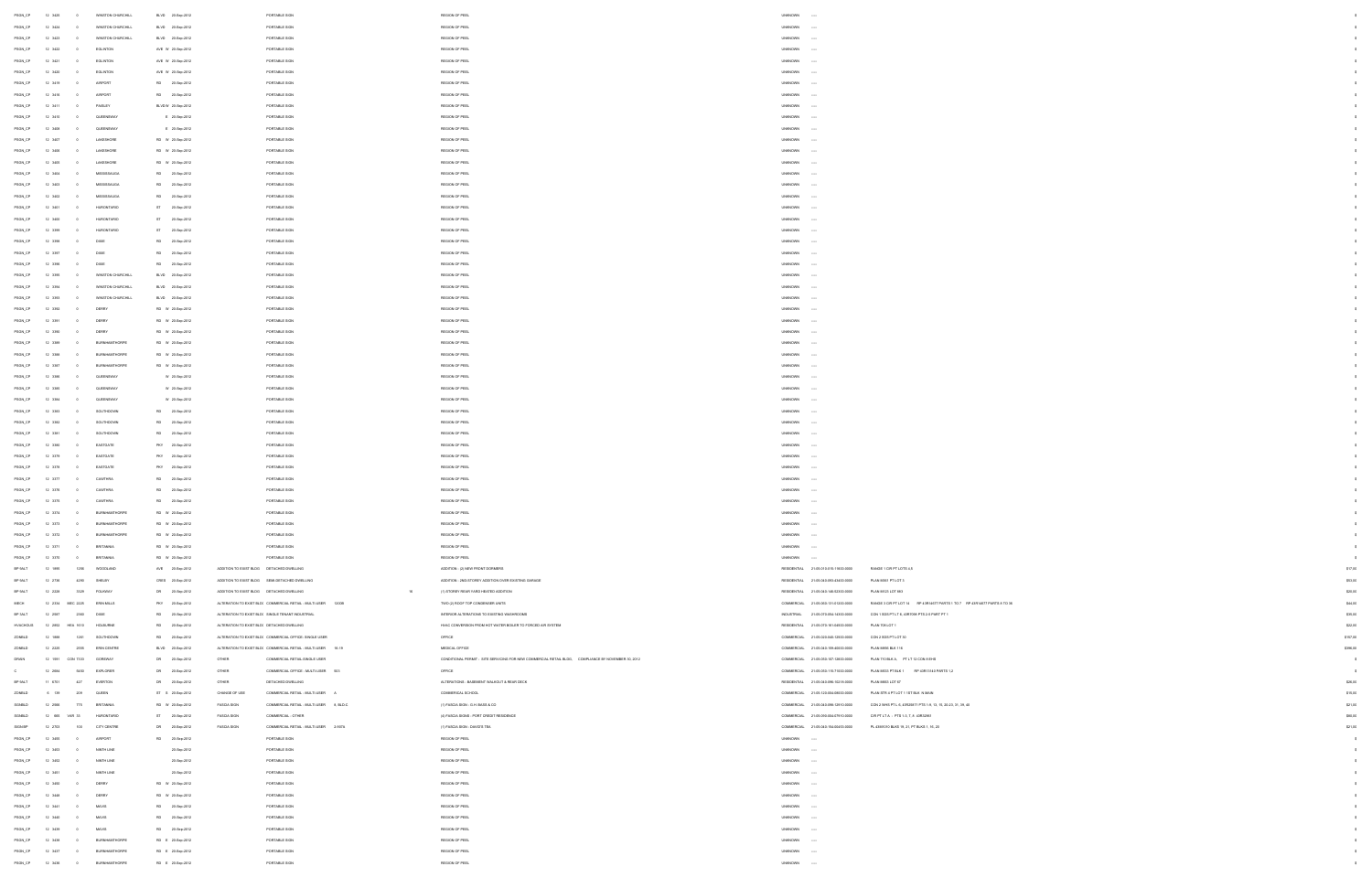| PSGN_CP 12 3425                    |                             | $\sim$ 0                 | WINSTON CHURCHILL               | BLVD 20-Sep-2012                                                               |               | PORTABLE SIGN                                                                                       | REGION OF PEEL                                                                                      | UNKNOWN -----                                                               |                                                                                                                 |
|------------------------------------|-----------------------------|--------------------------|---------------------------------|--------------------------------------------------------------------------------|---------------|-----------------------------------------------------------------------------------------------------|-----------------------------------------------------------------------------------------------------|-----------------------------------------------------------------------------|-----------------------------------------------------------------------------------------------------------------|
| PSGN_CP 12 3424                    |                             |                          | WINSTON CHURCHILL               | BLVD 20-Sep-2012                                                               |               | PORTABLE SIGN                                                                                       | REGION OF PEEL                                                                                      | <b>UNKNOWN</b><br>$\sim$                                                    |                                                                                                                 |
| PSGN_CP 12 3423                    |                             | $\sim$                   | WINSTON CHURCHILL               | BLVD 20-Sep-2012                                                               |               | PORTABLE SIGN                                                                                       | REGION OF PEEL                                                                                      | UNKNOWN -----                                                               |                                                                                                                 |
| PSGN_CP<br>PSGN_CP                 | 12 3422<br>12 3421          |                          | EGLINTON<br><b>EGLINTON</b>     | AVE W 20-Sep-2012<br>AVE W 20-Sep-2012                                         |               | PORTABLE SIGN<br>PORTABLE SIGN                                                                      | REGION OF PEEL<br>REGION OF PEEL                                                                    | <b>UNKNOWN</b><br><b>UNKNOWN</b><br>$\sim$                                  |                                                                                                                 |
| PSGN_CP 12 3420                    |                             |                          | EGLINTON                        | AVE W 20-Sep-2012                                                              |               | PORTABLE SIGN                                                                                       | REGION OF PEEL                                                                                      | UNKNOWN -----                                                               |                                                                                                                 |
| PSGN_CP 12 3419                    |                             |                          | AIRPORT                         | RD 20-Sep-2012                                                                 |               | PORTABLE SIGN                                                                                       | REGION OF PEEL                                                                                      | UNKNOWN -----                                                               |                                                                                                                 |
| PSGN_CP                            | 12 3416                     |                          | AIRPORT                         | RD 20-Sep-2012                                                                 |               | PORTABLE SIGN                                                                                       | REGION OF PEEL                                                                                      | <b>UNKNOWN</b><br>$\sim$                                                    |                                                                                                                 |
| PSGN_CP 12 3411                    |                             |                          | PAISLEY                         | BLVD W 20-Sep-2012                                                             |               | PORTABLE SIGN                                                                                       | REGION OF PEEL                                                                                      | UNKNOWN ----                                                                |                                                                                                                 |
| PSGN_CP 12 3410                    |                             | $^{\circ}$               | QUEENSWAY                       | E 20-Sep-2012                                                                  |               | PORTABLE SIGN                                                                                       | REGION OF PEEL                                                                                      | UNKNOWN -----                                                               |                                                                                                                 |
| PSGN_CP<br>PSGN_CP 12 3407         | 12 3408                     |                          | QUEENSWAY<br>LAKESHORE          | E 20-Sep-2012<br>RD W 20-Sep-2012                                              |               | PORTABLE SIGN<br>PORTABLE SIGN                                                                      | REGION OF PEEL<br>REGION OF PEEL                                                                    | <b>UNKNOWN</b><br>$\sim$<br>UNKNOWN -----                                   |                                                                                                                 |
| PSGN_CP 12 3406                    |                             |                          | LAKESHORE                       | RD W 20-Sep-2012                                                               |               | PORTABLE SIGN                                                                                       | REGION OF PEEL                                                                                      | UNKNOWN -----                                                               |                                                                                                                 |
| PSGN_CP                            | 12 3405                     |                          | LAKESHORE                       | RD W 20-Sep-2012                                                               |               | PORTABLE SIGN                                                                                       | REGION OF PEEL                                                                                      | UNKNOWN -----                                                               |                                                                                                                 |
| PSGN_CP                            | 12 3404                     |                          | MISSISSAUGA                     | RD 20-Sep-2012                                                                 |               | PORTABLE SIGN                                                                                       | REGION OF PEEL                                                                                      | <b>UNKNOWN</b><br>$\sim$                                                    |                                                                                                                 |
| PSGN_CP 12 3403                    |                             |                          | MISSISSAUG/                     | RD 20-Sep-2012                                                                 |               | PORTABLE SIGN                                                                                       | REGION OF PEEL                                                                                      | <b>UNKNOWN</b><br>$\sim$                                                    |                                                                                                                 |
| PSGN_CP                            | 12 3402                     |                          | MISSISSAUGA                     | RD 20-Sep-2012                                                                 |               | PORTABLE SIGN                                                                                       | REGION OF PEEL                                                                                      | UNKNOWN -----                                                               |                                                                                                                 |
| PSGN_CP                            | 12 3401                     |                          | HURONTARIO<br><b>HURONTARIO</b> | ST 20-Sep-2012                                                                 |               | PORTABLE SIGN                                                                                       | REGION OF PEEL                                                                                      | <b>UNKNOWN</b><br>--                                                        |                                                                                                                 |
| PSGN_CP 12 3400<br>PSGN_CP         | 12 3399                     | $^{\circ}$               | <b>HURONTARIO</b>               | ST 20-Sep-2012<br>ST 20-Sep-2012                                               |               | PORTABLE SIGN<br>PORTABLE SIGN                                                                      | REGION OF PEEL<br>REGION OF PEEL                                                                    | UNKNOWN ------<br>UNKNOWN -----                                             |                                                                                                                 |
| PSGN_CP                            | 12 3398                     |                          | DIXIE                           | RD 20-Sep-2012                                                                 |               | PORTABLE SIGN                                                                                       | REGION OF PEEL                                                                                      | <b>UNKNOWN</b><br>--                                                        |                                                                                                                 |
| PSGN_CP                            | 12 3397                     |                          | <b>DIXIE</b>                    | RD 20-Sep-2012                                                                 |               | PORTABLE SIGN                                                                                       | REGION OF PEEL                                                                                      | <b>UNKNOWN</b><br>$\sim$                                                    |                                                                                                                 |
| PSGN_CP                            | 12 3396                     |                          | DIXIE                           | RD 20-Sep-2012                                                                 |               | PORTABLE SIGN                                                                                       | REGION OF PEEL                                                                                      | <b>UNKNOWN</b><br>$\sim$                                                    |                                                                                                                 |
| PSGN_CP                            | 12 3395                     | $\sim$                   | WINSTON CHURCHILL               | BLVD 20-Sep-2012                                                               |               | PORTABLE SIGN                                                                                       | REGION OF PEEL                                                                                      | UNKNOWN -----                                                               |                                                                                                                 |
| PSGN CP 12 3394                    |                             |                          | WINSTON CHURCHILL               | BLVD 20-Sep-2012                                                               |               | PORTABLE SIGN                                                                                       | REGION OF PEEL                                                                                      | UNKNOWN -----                                                               |                                                                                                                 |
| PSGN_CP<br>PSGN_CP                 | 12 3393<br>12 3392          |                          | WINSTON CHURCHILL<br>DERRY      | BLVD 20-Sep-2012<br>RD W 20-Sep-2012                                           |               | PORTABLE SIGN<br>PORTABLE SIGN                                                                      | REGION OF PEEL<br>REGION OF PEEL                                                                    | <b>UNKNOWN</b><br><b>UNKNOWN</b><br>$\sim$                                  |                                                                                                                 |
| PSGN_CP 12 3391                    |                             |                          | DERRY                           | RD W 20-Sep-2012                                                               |               | PORTABLE SIGN                                                                                       | REGION OF PEEL                                                                                      | UNKNOWN -----                                                               |                                                                                                                 |
| PSGN_CP                            | 12 3390                     |                          | DERRY                           | RD W 20-Sep-2012                                                               |               | PORTABLE SIGN                                                                                       | REGION OF PEEL                                                                                      | <b>UNKNOWN</b>                                                              |                                                                                                                 |
| PSGN_CP                            | 12 3389                     |                          | BURNHAMTHORPE                   | RD W 20-Sep-2012                                                               |               | PORTABLE SIGN                                                                                       | REGION OF PEEL                                                                                      | <b>UNKNOWN</b><br>$\sim$                                                    |                                                                                                                 |
| PSGN CP                            | 12 3388                     | $^{\circ}$               | BURNHAMTHORPE                   | RD W 20-Sep-2012                                                               |               | PORTABLE SIGN                                                                                       | REGION OF PEEL                                                                                      | UNKNOWN -----                                                               |                                                                                                                 |
| PSGN_CP                            | 12 3387                     |                          | BURNHAMTHORPE                   | RD W 20-Sep-2012                                                               |               | PORTABLE SIGN                                                                                       | REGION OF PEEL                                                                                      | UNKNOWN -----                                                               |                                                                                                                 |
| PSGN_CP                            | 12 3386                     |                          | QUEENSWAY<br>QUEENSWAY          | W 20-Sep-2012<br>W 20-Sep-2012                                                 |               | PORTABLE SIGN<br>PORTABLE SIGN                                                                      | REGION OF PEEL<br>REGION OF PEEL                                                                    | <b>UNKNOWN</b><br>$\sim$<br><b>UNKNOWN</b><br>$\sim$                        |                                                                                                                 |
| PSGN_CP 12 3385<br>PSGN_CP 12 3384 |                             |                          | QUEENSWAY                       | W 20-Sep-2012                                                                  |               | PORTABLE SIGN                                                                                       | REGION OF PEEL                                                                                      | UNKNOWN -----                                                               |                                                                                                                 |
| PSGN_CP                            | 12 3383                     |                          | SOUTHDOWN                       | RD 20-Sep-2012                                                                 |               | PORTABLE SIGN                                                                                       | REGION OF PEEL                                                                                      | <b>UNKNOWN</b><br>$\sim$                                                    |                                                                                                                 |
| PSGN_CP                            | 12 3382                     |                          | SOUTHDOWN                       | RD 20-Sep-2012                                                                 |               | PORTABLE SIGN                                                                                       | REGION OF PEEL                                                                                      | UNKNOWN -----                                                               |                                                                                                                 |
| PSGN_CP 12 3381                    |                             |                          | SOUTHDOWN                       | RD 20-Sep-2012                                                                 |               | PORTABLE SIGN                                                                                       | REGION OF PEEL                                                                                      | UNKNOWN -----                                                               |                                                                                                                 |
| PSGN_CP                            | 12 3380                     |                          | EASTGATE                        | PKY 20-Sep-2012                                                                |               | PORTABLE SIGN                                                                                       | REGION OF PEEL                                                                                      | UNKNOWN -----                                                               |                                                                                                                 |
| PSGN_CP                            | 12 3379                     |                          | EASTGATE                        | PKY 20-Sep-2012                                                                |               | PORTABLE SIGN                                                                                       | REGION OF PEEL                                                                                      | <b>UNKNOWN</b>                                                              |                                                                                                                 |
| PSGN_CP 12 3378<br>PSGN_CP         | 12 3377                     | $^{\circ}$               | EASTGATE<br>CAWTHRA             | PKY 20-Sep-2012<br>RD 20-Sep-2012                                              |               | PORTABLE SIGN<br>PORTABLE SIGN                                                                      | REGION OF PEEL<br>REGION OF PEEL                                                                    | <b>UNKNOWN</b><br>$\sim$<br><b>UNKNOWN</b><br>$\sim$                        |                                                                                                                 |
| PSGN_CP                            | 12 3376                     |                          | CAWTHRA                         | RD 20-Sep-2012                                                                 |               | PORTABLE SIGN                                                                                       | REGION OF PEEL                                                                                      | <b>UNKNOWN</b><br>--                                                        |                                                                                                                 |
| PSGN_CP 12 3375                    |                             | $\sim$ 0 $\sim$          | CAWTHRA                         | RD 20-Sep-2012                                                                 |               | PORTABLE SIGN                                                                                       | REGION OF PEEL                                                                                      | UNKNOWN ------                                                              |                                                                                                                 |
| PSGN_CP                            | 12 3374                     |                          | BURNHAMTHORPE                   | RD W 20-Sep-2012                                                               |               | PORTABLE SIGN                                                                                       | <b>REGION OF PEEL</b>                                                                               | <b>UNKNOWN</b>                                                              |                                                                                                                 |
| PSGN_CP 12 3373                    |                             | $\sim$ 0                 | BURNHAMTHORPE                   | RD W 20-Sep-2012                                                               |               | PORTABLE SIGN                                                                                       | REGION OF PEEL                                                                                      | UNKNOWN -----                                                               |                                                                                                                 |
| PSGN_CP                            | 12 3372                     | $\sim$ 0                 | BURNHAMTHORPE                   | RD W 20-Sep-2012                                                               |               | PORTABLE SIGN                                                                                       | REGION OF PEEL                                                                                      | <b>UNKNOWN</b><br>$\sim$                                                    |                                                                                                                 |
| PSGN_CP<br>PSGN_CP                 | 12 3371<br>12 3370          | $^{\circ}$<br>$^{\circ}$ | BRITANNIA<br>BRITANNIA          | RD W 20-Sep-2012<br>RD W 20-Sep-2012                                           |               | PORTABLE SIGN<br>PORTABLE SIGN                                                                      | REGION OF PEEL<br>REGION OF PEEL                                                                    | <b>UNKNOWN</b><br>$\sim$<br>UNKNOWN -----                                   |                                                                                                                 |
| BP 9ALT                            | 12 1895                     | 1256                     | WOODLAND                        | AVE 20-Sep-2012                                                                |               | ADDITION TO EXIST BLDG DETACHED DWELLING                                                            | ADDITION - (2) NEW FRONT DORMERS                                                                    | RESIDENTIAL 21-05-010-015-11600-0000                                        | RANGE 1 CIR PT LOTS 4,5                                                                                         |
| BP 9ALT                            | 12 2736                     | 4290                     | SHELBY                          | CRES 20-Sep-2012                                                               |               | ADDITION TO EXIST BLDG SEMI-DETACHED DWELLING                                                       | ADDITION - 2ND-STOREY ADDITION OVER EXISTING GARAGE                                                 | RESIDENTIAL 21-05-040-093-43400-0000                                        | PLAN M361 PT LOT 3                                                                                              |
| BP 9ALT                            | 12 2228                     | 3329                     | FOLKWAY                         | DR 20-Sep-2012                                                                 |               | ADDITION TO EXIST BLDG DETACHED DWELLING<br>16                                                      | (1) STOREY REAR YARD HEATED ADDITION                                                                | RESIDENTIAL 21-05-040-146-52300-0000                                        | PLAN M123 LOT 883                                                                                               |
| <b>MECH</b>                        | 12 2334                     | <b>MEC 2225</b>          | <b>ERIN MILLS</b>               | PKY 20-Sep-2012                                                                |               | ALTERATION TO EXIST BLD COMMERCIAL RETAIL - MULTI-USER 1200B                                        | TWO (2) ROOF TOP CONDENSER UNITS                                                                    | COMMERCIAL 21-05-060-131-01200-0000                                         | RANGE 3 CIR PT LOT 14 RP 43R14677 PARTS 1 TO 7 RP 43R14677 PARTS 8 TO 36                                        |
| BP 3ALT                            | 12 2587                     | 2360                     | DIXIE                           | RD 20-Sep-2012                                                                 |               | ALTERATION TO EXIST BLD SINGLE TENANT INDUSTRIAL                                                    | INTERIOR ALTERATIONS TO EXISTING WASHROOMS                                                          | INDUSTRIAL 21-05-070-054-14300-0000                                         | CON 1 SDS PT LT 6, 43R7098 PTS 2-5 PART PT 1                                                                    |
| <b>HVACHOUS</b><br>ZONBLD          | 12 2852 HEA 1610<br>12 1888 | 1261                     | HOLBURNE<br>SOUTHDOWN           | RD 20-Sep-2012<br>RD 20-Sep-2012                                               |               | ALTERATION TO EXIST BLD DETACHED DWELLING<br>ALTERATION TO EXIST BLD COMMERCIAL OFFICE- SINGLE USER | HVAC CONVERSION FROM HOT WATER BOILER TO FORCED AIR SYSTEM<br>OFFICE                                | RESIDENTIAL 21-05-070-161-04500-0000<br>COMMERCIAL 21-05-020-040-12500-0000 | PLAN 708 LOT 1<br>\$22,0<br>CON 2 SDS PT LOT 30<br>\$157,0                                                      |
| ZONBLD                             | 12 2225                     | 2555                     | ERIN CENTRE                     | BLVD 20-Sep-2012                                                               |               | ALTERATION TO EXIST BLDI COMMERCIAL RETAIL - MULTI-USER 16-19                                       | MEDICAL OFFICE                                                                                      | COMMERCIAL 21-05-040-159-40000-0000                                         | PLAN M856 BLK 116<br>\$396,0                                                                                    |
| DRAIN                              | 12 1591                     | CON 7333                 | GOREWAY                         | DR 20-Sep-2012<br>OTHER                                                        |               | COMMERCIAL RETAIL-SINGLE USER                                                                       | CONDITIONAL PERMIT - SITE SERVICING FOR NEW COMMERCIAL RETAIL BLDG, COMPLIANCE BY NOVEMBER 30, 2012 | COMMERCIAL 21-05-050-107-12600-0000                                         | PLAN 710 BLK A, PT LT 12 CON 8 EHS                                                                              |
|                                    | 12 2684                     | 5450                     | <b>EXPLORER</b>                 | DR 20-Sep-2012<br>OTHER                                                        |               | COMMERCIAL OFFICE - MULTI-USER 503                                                                  | OFFICE                                                                                              | COMMERCIAL 21-05-050-115-71000-0000                                         | PLAN M533 PT BLK 1 RP 43R13140 PARTS 1,2                                                                        |
| BP 9ALT                            | 11 6701                     | 427                      | <b>EVERTON</b>                  | DR 20-Sep-2012<br>OTHER                                                        |               | DETACHED DWELLING                                                                                   | ALTERATIONS - BASEMENT WALKOUT & REAR DECK                                                          | RESIDENTIAL 21-05-040-096-10218-0000                                        | PLAN M663 LOT 67                                                                                                |
| ZONBLD<br>SGNBLD                   | 6 139                       | 209<br>775               | QUEEN<br>BRITANNIA              | ST S 20-Sep-2012                                                               | CHANGE OF USE | COMMERCIAL RETAIL - MULTI-USER A                                                                    | COMMERICAL SCHOOL                                                                                   | COMMERCIAL 21-05-120-004-08000-0000                                         | PLAN STR 4 PT LOT 1 1ST BLK N MAIN                                                                              |
| SGNBLD                             | 12 2566<br>12 665 VAR 33    |                          | <b>HURONTARIO</b>               | RD W 20-Sep-2012<br><b>FASCIA SIGN</b><br>ST 20-Sep-2012<br><b>FASCIA SIGN</b> |               | COMMERCIAL RETAIL - MULTI-USER 8, BLD-C<br>COMMERCIAL - OTHER                                       | (1) FASCIA SIGN - G.H. BASS & CO<br>(4) FASCIA SIGNS - PORT CREDIT RESIDENCE                        | COMMERCIAL 21-05-040-098-12910-0000<br>COMMERCIAL 21-05-090-004-07910-0000  | CON 2 WHS PT L 6, 43R25871 PTS 1-9, 13, 15, 20-23, 31, 39, 40<br>\$21,0<br>CIR PT LT A - PTS 1-3, 7, 8 43R32961 |
| SIGN BP                            | 12 2703                     | 100                      | CITY CENTRE                     | DR 20-Sep-2012<br><b>FASCIA SIGN</b>                                           |               | COMMERCIAL RETAIL - MULTI-USER 2-907A                                                               | (1) FASCIA SIGN - DAVID'S TEA                                                                       | COMMERCIAL 21-05-040-154-00453-0000                                         | PL 43M1010 BLKS 19, 21, PT BLKS 1, 16, 20<br>\$21,0                                                             |
| PSGN_CP                            | 12 3455                     |                          | AIRPORT                         | RD 20-Sep-2012                                                                 |               | PORTABLE SIGN                                                                                       | REGION OF PEEL                                                                                      | <b>UNKNOWN</b><br>$\sim$                                                    |                                                                                                                 |
| PSGN_CP                            | 12 3453                     | $^{\circ}$               | NINTH LINE                      | 20-Sep-2012                                                                    |               | PORTABLE SIGN                                                                                       | REGION OF PEEL                                                                                      | UNKNOWN -----                                                               |                                                                                                                 |
| PSGN_CP                            | 12 3452                     | $\sim$                   | NINTH LINE                      | 20-Sep-2012                                                                    |               | PORTABLE SIGN                                                                                       | REGION OF PEEL                                                                                      | UNKNOWN -----                                                               |                                                                                                                 |
| PSGN_CP                            | 12 3451                     | $\sim$                   | NINTH LINE                      | 20-Sep-2012                                                                    |               | PORTABLE SIGN                                                                                       | REGION OF PEEL                                                                                      | <b>UNKNOWN</b><br>--                                                        |                                                                                                                 |
| PSGN_CP<br>PSGN_CP                 | 12 3450<br>12 3448          | $\sim$<br>$\sim$         | DERRY<br>DERRY                  | RD W 20-Sep-2012<br>RD W 20-Sep-2012                                           |               | PORTABLE SIGN<br>PORTABLE SIGN                                                                      | REGION OF PEEL<br>REGION OF PEEL                                                                    | <b>UNKNOWN</b><br><b>UNKNOWN</b><br>--                                      |                                                                                                                 |
| PSGN_CP                            | 12 3441                     |                          | MAVIS                           | RD 20-Sep-2012                                                                 |               | PORTABLE SIGN                                                                                       | REGION OF PEEL                                                                                      | <b>UNKNOWN</b><br>--                                                        |                                                                                                                 |
| PSGN_CP                            | 12 3440                     | $\sim$                   | MAVIS                           | RD 20-Sep-2012                                                                 |               | PORTABLE SIGN                                                                                       | REGION OF PEEL                                                                                      | <b>UNKNOWN</b>                                                              |                                                                                                                 |
| PSGN_CP                            | 12 3439                     | $^{\circ}$               | <b>MAVIS</b>                    | RD 20-Sep-2012                                                                 |               | PORTABLE SIGN                                                                                       | REGION OF PEEL                                                                                      | <b>UNKNOWN</b>                                                              |                                                                                                                 |
| PSGN_CP                            | 12 3438                     | $\sim$ 0                 | <b>BURNHAMTHORPE</b>            | RD E 20-Sep-2012                                                               |               | PORTABLE SIGN                                                                                       | REGION OF PEEL                                                                                      | <b>UNKNOWN</b><br>--                                                        |                                                                                                                 |
| PSGN_CP 12 3437                    |                             | $\sim$                   | BURNHAMTHORPE                   | RD E 20-Sep-2012                                                               |               | PORTABLE SIGN                                                                                       | REGION OF PEEL                                                                                      | UNKNOWN -----                                                               |                                                                                                                 |
| PSGN_CP 12 3436                    |                             | $\sim$ 0                 | BURNHAMTHORPE                   | RD E 20-Sep-2012                                                               |               | PORTABLE SIGN                                                                                       | REGION OF PEEL                                                                                      | UNKNOWN -----                                                               |                                                                                                                 |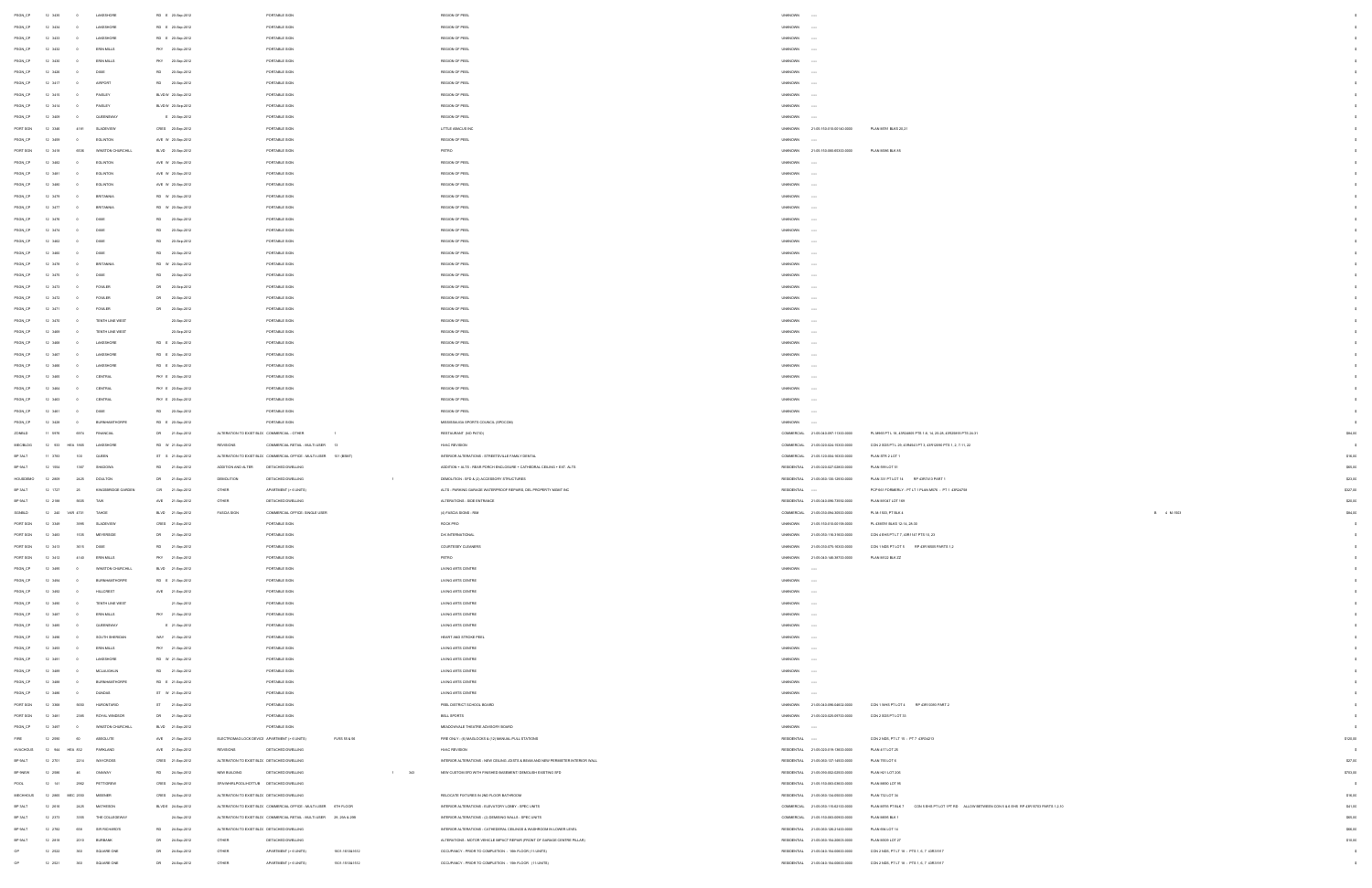| 05-150-010-00140-0000 | PLAN M781 BLKS 20,21                                                                               |          |
|-----------------------|----------------------------------------------------------------------------------------------------|----------|
| í.                    |                                                                                                    |          |
| 05-150-080-65300-0000 | PLAN M386 BLK 85                                                                                   |          |
|                       |                                                                                                    |          |
|                       |                                                                                                    |          |
|                       |                                                                                                    |          |
|                       |                                                                                                    |          |
|                       |                                                                                                    |          |
|                       |                                                                                                    |          |
|                       |                                                                                                    |          |
|                       |                                                                                                    |          |
|                       |                                                                                                    |          |
|                       |                                                                                                    |          |
|                       |                                                                                                    |          |
|                       |                                                                                                    |          |
|                       |                                                                                                    |          |
|                       |                                                                                                    |          |
|                       |                                                                                                    |          |
|                       |                                                                                                    |          |
|                       |                                                                                                    |          |
|                       |                                                                                                    |          |
|                       |                                                                                                    |          |
|                       |                                                                                                    |          |
|                       |                                                                                                    |          |
|                       |                                                                                                    |          |
|                       |                                                                                                    |          |
|                       |                                                                                                    |          |
|                       |                                                                                                    |          |
|                       |                                                                                                    |          |
|                       |                                                                                                    | f,       |
|                       |                                                                                                    |          |
|                       |                                                                                                    | ś        |
|                       |                                                                                                    | ś        |
| 05-040-097-11300-0000 | PL M965 PT L 18, 43R24805 PTS 1-8, 14, 25-28, 43R25893 PTS 24-31                                   | \$84,00  |
|                       |                                                                                                    |          |
| 05-020-024-15300-0000 | CON 2 SDS PT L 29, 43R4543 PT 3, 43R12090 PTS 1, 2, 7-11, 22                                       | J.       |
|                       |                                                                                                    |          |
| 05-120-004-16300-0000 | PLAN STR 2 LOT 1                                                                                   | \$16,00  |
| 05-020-027-02800-0000 | PLAN 599 LOT 51                                                                                    | \$65,00  |
| 05-060-130-12930-0000 | PLAN 331 PT LOT 14 RP 43R7413 PART 1                                                               | \$23,00  |
|                       | PCP 661 FORMERLY - PT LT 1 PLAN M576 - PT 1 43R24758                                               | \$327,00 |
|                       |                                                                                                    |          |
| 05-040-096-73592-0000 | PLAN M1047 LOT 169                                                                                 | \$20,00  |
| 05-030-094-30500-0000 | PL M-1503, PT BLK 4<br>B 4 M-1503                                                                  | \$84,00  |
| 05-150-010-00158-0000 | PL 43M781 BLKS 12-14, 28-30                                                                        |          |
| 05-050-116-31600-0000 | CON 4 EHS PT LT 7, 43R1147 PTS 10, 23                                                              |          |
| 05-030-075-16300-0000 | CON 1 NDS PT LOT 5 RP 43R16505 PARTS 1,2                                                           |          |
|                       |                                                                                                    |          |
| 05-040-146-38700-0000 | PLAN M122 BLK ZZ                                                                                   |          |
| ۰                     |                                                                                                    |          |
| ł,                    |                                                                                                    |          |
| ł,                    |                                                                                                    |          |
|                       |                                                                                                    |          |
|                       |                                                                                                    |          |
|                       |                                                                                                    |          |
|                       |                                                                                                    |          |
|                       |                                                                                                    |          |
|                       |                                                                                                    |          |
|                       |                                                                                                    |          |
|                       |                                                                                                    |          |
|                       |                                                                                                    |          |
|                       |                                                                                                    |          |
|                       |                                                                                                    |          |
| 05-040-096-04602-0000 | CON 1 WHS PT LOT 4 RP 43R10393 PART 2                                                              | ś        |
| 05-020-025-09700-0000 | CON 2 SDS PT LOT 33                                                                                | ś        |
|                       |                                                                                                    |          |
| ł.                    |                                                                                                    | ś        |
| ł,                    | CON 2 NDS, PT LT 15 - PT 7 43R34213                                                                | \$120,00 |
| 05-020-019-13600-0000 | PLAN 417 LOT 25                                                                                    | ś        |
| 05-060-137-14500-0000 | PLAN 755 LOT 6                                                                                     | \$27,00  |
| 05-090-002-02500-0000 | PLAN H21 LOT 206                                                                                   | \$703,00 |
|                       |                                                                                                    | ś        |
| 05-150-083-03600-0000 | PLAN M690 LOT 95                                                                                   |          |
| 05-060-134-05000-0000 | PLAN 732 LOT 34                                                                                    | \$16,00  |
| 05-050-115-62100-0000 | PLAN M793 PT BLK 7<br>CON 5 EHS PT LOT 1PT RD ALLOW BETWEEN CON 5 & 6 EHS RP 43R15703 PARTS 1,2,10 | \$41,00  |
| 05-150-083-00900-0000 | PLAN M695 BLK 1                                                                                    | \$65,00  |
| 05-060-126-21400-0000 | PLAN 694 LOT 14                                                                                    | \$66,00  |
| 05-060-154-20603-0000 | PLAN M309 LOT 27                                                                                   | \$10,00  |

| PSGN_CP 12 3435    |                    | $\sim$ 0        | LAKESHORE                | RD E 20-Sep-2012                 |                                           | PORTABLE SIGN                                                         |                                  | REGION OF PEEL                                                                                                     | <b>UNKNOWN</b><br>--                                                         |                          |                                                                                                 |            |                   |
|--------------------|--------------------|-----------------|--------------------------|----------------------------------|-------------------------------------------|-----------------------------------------------------------------------|----------------------------------|--------------------------------------------------------------------------------------------------------------------|------------------------------------------------------------------------------|--------------------------|-------------------------------------------------------------------------------------------------|------------|-------------------|
| PSGN_CP 12 3434    |                    | $\overline{0}$  | LAKESHORE                | RD E 20-Sep-2012                 |                                           | PORTABLE SIGN                                                         |                                  | REGION OF PEEL                                                                                                     | <b>UNKNOWN</b>                                                               |                          |                                                                                                 |            |                   |
| PSGN_CP 12 3433    |                    | $\overline{0}$  | LAKESHORE                | RD E 20-Sep-2012                 |                                           | PORTABLE SIGN                                                         |                                  | REGION OF PEEL                                                                                                     | <b>UNKNOWN</b>                                                               |                          |                                                                                                 |            |                   |
| PSGN_CP 12 3432    |                    | $\overline{0}$  | ERIN MILLS               | PKY 20-Sep-2012                  |                                           | PORTABLE SIGN                                                         |                                  | REGION OF PEEL                                                                                                     | <b>UNKNOWN</b>                                                               |                          |                                                                                                 |            |                   |
| PSGN_CP 12 3430    |                    | $\overline{0}$  | <b>ERIN MILLS</b>        | PKY 20-Sep-2012                  |                                           | PORTABLE SIGN                                                         |                                  | REGION OF PEEL                                                                                                     | <b>UNKNOWN</b>                                                               |                          |                                                                                                 |            |                   |
| PSGN_CP 12 3426    |                    | $^{\circ}$      | DIXIE                    | RD 20-Sep-2012                   |                                           | PORTABLE SIGN                                                         |                                  | REGION OF PEEL                                                                                                     | <b>UNKNOWN</b>                                                               |                          |                                                                                                 |            |                   |
| PSGN_CP 12 3417    |                    | $\overline{0}$  | AIRPORT                  | RD 20-Sep-2012                   |                                           | PORTABLE SIGN                                                         |                                  | REGION OF PEEL                                                                                                     | <b>UNKNOWN</b>                                                               |                          |                                                                                                 |            |                   |
| PSGN_CP 12 3415    |                    | $\overline{0}$  | PAISLEY                  | BLVD W 20-Sep-2012               |                                           | PORTABLE SIGN                                                         |                                  | REGION OF PEEL                                                                                                     | <b>UNKNOWN</b>                                                               |                          |                                                                                                 |            |                   |
| PSGN_CP            | 12 3414            | $\overline{0}$  | PAISLEY                  | BLVD W 20-Sep-2012               |                                           | PORTABLE SIGN                                                         |                                  | REGION OF PEEL                                                                                                     | <b>UNKNOWN</b>                                                               |                          |                                                                                                 |            |                   |
| PSGN_CP 12 3409    |                    | $^{\circ}$      | QUEENSWAY                | E 20-Sep-2012                    |                                           | PORTABLE SIGN                                                         |                                  | REGION OF PEEL                                                                                                     | <b>UNKNOWN</b><br>--                                                         |                          |                                                                                                 |            |                   |
|                    |                    |                 |                          |                                  |                                           |                                                                       |                                  |                                                                                                                    |                                                                              |                          |                                                                                                 |            |                   |
| PORT SGN 12 3346   |                    | 4181            | SLADEVIEW                | CRES 20-Sep-2012                 |                                           | PORTABLE SIGN                                                         |                                  | LITTLE ABACUS INC                                                                                                  | UNKNOWN 21-05-150-010-00140-0000                                             |                          | PLAN M781 BLKS 20,21                                                                            |            |                   |
| PSGN_CP 12 3459    |                    | $^{\circ}$      | EGLINTON                 | AVE W 20-Sep-2012                |                                           | PORTABLE SIGN                                                         |                                  | REGION OF PEEL                                                                                                     | <b>UNKNOWN</b>                                                               |                          |                                                                                                 |            |                   |
| PORT SGN 12 3418   |                    | 6536            | WINSTON CHURCHILL        | BLVD 20-Sep-2012                 |                                           | PORTABLE SIGN                                                         |                                  | PETRO                                                                                                              | <b>UNKNOWN</b>                                                               | 21-05-150-080-65300-0000 | PLAN M386 BLK 85                                                                                |            |                   |
| PSGN_CP 12 3482    |                    | $\overline{0}$  | EGLINTON                 | AVE W 20-Sep-2012                |                                           | PORTABLE SIGN                                                         |                                  | REGION OF PEEL                                                                                                     | <b>UNKNOWN</b>                                                               |                          |                                                                                                 |            |                   |
| PSGN_CP 12 3481    |                    | $\overline{0}$  | EGLINTON                 | AVE W 20-Sep-2012                |                                           | PORTABLE SIGN                                                         |                                  | REGION OF PEEL                                                                                                     | <b>UNKNOWN</b>                                                               |                          |                                                                                                 |            |                   |
| PSGN_CP            | 12 3480            | $\overline{0}$  | EGLINTON                 | AVE W 20-Sep-2012                |                                           | PORTABLE SIGN                                                         |                                  | REGION OF PEEL                                                                                                     | <b>UNKNOWN</b>                                                               |                          |                                                                                                 |            |                   |
| PSGN_CP 12 3479    |                    | $\overline{0}$  | BRITANNIA                | RD W 20-Sep-2012                 |                                           | PORTABLE SIGN                                                         |                                  | REGION OF PEEL                                                                                                     | <b>UNKNOWN</b><br>--                                                         |                          |                                                                                                 |            |                   |
| PSGN_CP 12 3477    |                    | $\bullet$       | BRITANNIA                | RD W 20-Sep-2012                 |                                           | PORTABLE SIGN                                                         |                                  | REGION OF PEEL                                                                                                     | <b>UNKNOWN</b>                                                               |                          |                                                                                                 |            |                   |
|                    | 12 3476            | $\overline{0}$  | DIXIE                    | RD 20-Sep-2012                   |                                           | PORTABLE SIGN                                                         |                                  | REGION OF PEEL                                                                                                     | <b>UNKNOWN</b>                                                               |                          |                                                                                                 |            |                   |
| PSGN_CP            |                    |                 |                          |                                  |                                           |                                                                       |                                  |                                                                                                                    |                                                                              |                          |                                                                                                 |            |                   |
| PSGN_CP 12 3474    |                    | $\sim$          | <b>DIXIE</b>             | RD 20-Sep-2012                   |                                           | PORTABLE SIGN                                                         |                                  | REGION OF PEEL                                                                                                     | UNKNOWN -----                                                                |                          |                                                                                                 |            |                   |
| PSGN_CP 12 3462    |                    | $\sim$          | DIXIE                    | RD 20-Sep-2012                   |                                           | PORTABLE SIGN                                                         |                                  | REGION OF PEEL                                                                                                     | <b>UNKNOWN</b><br>--                                                         |                          |                                                                                                 |            |                   |
| PSGN_CP            | 12 3460            | $\overline{0}$  | DIXIE                    | RD 20-Sep-2012                   |                                           | PORTABLE SIGN                                                         |                                  | REGION OF PEEL                                                                                                     | <b>UNKNOWN</b>                                                               |                          |                                                                                                 |            |                   |
| PSGN_CP 12 3478    |                    | $\sim$          | BRITANNIA                | RD W 20-Sep-2012                 |                                           | PORTABLE SIGN                                                         |                                  | REGION OF PEEL                                                                                                     | <b>UNKNOWN</b>                                                               |                          |                                                                                                 |            |                   |
| PSGN_CP 12 3475    |                    | $\overline{0}$  | DIXIE                    | RD 20-Sep-2012                   |                                           | PORTABLE SIGN                                                         |                                  | REGION OF PEEL                                                                                                     | <b>UNKNOWN</b><br>--                                                         |                          |                                                                                                 |            |                   |
| PSGN_CP 12 3473    |                    | $\overline{0}$  | FOWLER                   | DR 20-Sep-2012                   |                                           | PORTABLE SIGN                                                         |                                  | REGION OF PEEL                                                                                                     | <b>UNKNOWN</b><br>--                                                         |                          |                                                                                                 |            |                   |
| PSGN_CP            | 12 3472            | $\circ$         | FOWLER                   | DR 20-Sep-2012                   |                                           | PORTABLE SIGN                                                         |                                  | REGION OF PEEL                                                                                                     | <b>UNKNOWN</b>                                                               |                          |                                                                                                 |            |                   |
| PSGN_CP 12 3471    |                    | $\overline{0}$  | <b>FOWLER</b>            | DR 20-Sep-2012                   |                                           | PORTABLE SIGN                                                         |                                  | REGION OF PEEL                                                                                                     | <b>UNKNOWN</b>                                                               |                          |                                                                                                 |            |                   |
| PSGN_CP 12 3470    |                    | $\bullet$       | TENTH LINE WEST          | 20-Sep-2012                      |                                           | PORTABLE SIGN                                                         |                                  | REGION OF PEEL                                                                                                     | <b>UNKNOWN</b>                                                               |                          |                                                                                                 |            |                   |
|                    |                    |                 |                          |                                  |                                           |                                                                       |                                  |                                                                                                                    | --                                                                           |                          |                                                                                                 |            |                   |
| PSGN_CP            | 12 3469            | $\circ$         | TENTH LINE WEST          | 20-Sep-2012                      |                                           | PORTABLE SIGN                                                         |                                  | REGION OF PEEL                                                                                                     | <b>UNKNOWN</b>                                                               |                          |                                                                                                 |            |                   |
| PSGN_CP 12 3468    |                    | $\overline{0}$  | LAKESHORE                | RD E 20-Sep-2012                 |                                           | PORTABLE SIGN                                                         |                                  | REGION OF PEEL                                                                                                     | <b>UNKNOWN</b>                                                               |                          |                                                                                                 |            |                   |
| PSGN_CP            | 12 3467            | $^{\circ}$      | LAKESHORE                | RD E 20-Sep-2012                 |                                           | PORTABLE SIGN                                                         |                                  | REGION OF PEEL                                                                                                     | <b>UNKNOWN</b><br>--                                                         |                          |                                                                                                 |            |                   |
| PSGN_CP 12 3466    |                    | $\overline{0}$  | LAKESHORE                | RD E 20-Sep-2012                 |                                           | PORTABLE SIGN                                                         |                                  | REGION OF PEEL                                                                                                     | <b>UNKNOWN</b>                                                               |                          |                                                                                                 |            |                   |
| PSGN_CP            | 12 3465            | $\overline{0}$  | CENTRAL                  | PKY E 20-Sep-2012                |                                           | PORTABLE SIGN                                                         |                                  | REGION OF PEEL                                                                                                     | <b>UNKNOWN</b>                                                               |                          |                                                                                                 |            |                   |
| PSGN_CP            | 12 3464            | $\overline{0}$  | CENTRAL                  | PKY E 20-Sep-2012                |                                           | PORTABLE SIGN                                                         |                                  | REGION OF PEEL                                                                                                     | <b>UNKNOWN</b>                                                               |                          |                                                                                                 |            |                   |
| PSGN_CP 12 3463    |                    | $^{\circ}$      | CENTRAL                  | PKY E 20-Sep-2012                |                                           | PORTABLE SIGN                                                         |                                  | REGION OF PEEL                                                                                                     | <b>UNKNOWN</b>                                                               |                          |                                                                                                 |            |                   |
| PSGN_CP 12 3461    |                    | $\overline{0}$  | DIXIE                    | RD 20-Sep-2012                   |                                           | PORTABLE SIGN                                                         |                                  | REGION OF PEEL                                                                                                     | <b>UNKNOWN</b><br>----                                                       |                          |                                                                                                 |            |                   |
|                    |                    | $\overline{0}$  | BURNHAMTHORPE            |                                  |                                           |                                                                       |                                  |                                                                                                                    | <b>UNKNOWN</b>                                                               |                          |                                                                                                 |            |                   |
| PSGN_CP            | 12 3428            |                 |                          | RD E 20-Sep-2012                 |                                           | PORTABLE SIGN                                                         |                                  | MISSISSAUGA SPORTS COUNCIL (SPOCOM)                                                                                |                                                                              |                          |                                                                                                 |            |                   |
|                    |                    |                 |                          |                                  |                                           |                                                                       |                                  |                                                                                                                    |                                                                              |                          |                                                                                                 |            |                   |
| ZONBLD             | 11 5976            | 6974            | <b>FINANCIAL</b>         | DR 21-Sep-2012                   |                                           | ALTERATION TO EXIST BLD COMMERCIAL - OTHER                            |                                  | RESTAURANT (NO PATIO)                                                                                              | COMMERCIAL 21-05-040-097-11300-0000                                          |                          | PL M965 PT L 18, 43R24805 PTS 1-8, 14, 25-28, 43R25893 PTS 24-31                                |            |                   |
| MEC/BLDG 12 933    |                    | <b>HEA 1865</b> | LAKESHORE                | RD W 21-Sep-2012                 | <b>REVISIONS</b>                          | COMMERCIAL RETAIL - MULTI-USER 13                                     |                                  | <b>HVAC REVISION</b>                                                                                               | COMMERCIAL 21-05-020-024-15300-0000                                          |                          | CON 2 SDS PT L 29, 43R4543 PT 3, 43R12090 PTS 1, 2, 7-11, 22                                    |            |                   |
| BP 3ALT            | 11 3783            | 100             | QUEEN                    | ST S 21-Sep-2012                 |                                           | ALTERATION TO EXIST BLD COMMERCIAL OFFICE - MULTI-USER 101 (BSMT)     |                                  | INTERIOR ALTERATIONS - STREETSVILLE FAMILY DENTAL                                                                  | COMMERCIAL 21-05-120-004-16300-0000                                          |                          | PLAN STR 2 LOT 1                                                                                |            |                   |
| BP 9ALT            | 12 1554            | 1367            | SHADOWA                  | RD 21-Sep-2012                   | ADDITION AND ALTER                        | DETACHED DWELLING                                                     |                                  | ADDITION + ALTS - REAR PORCH ENCLOSURE + CATHEDRAL CEILING + EXT. ALTS                                             | RESIDENTIAL 21-05-020-027-02800-0000                                         |                          | PLAN 599 LOT 51                                                                                 |            |                   |
| HOUSDEMO 12 2809   |                    | 2425            | <b>DOULTON</b>           | DR 21-Sep-2012                   | DEMOLITION                                | DETACHED DWELLING                                                     | 1                                | DEMOLITION - SFD & (2) ACCESSORY STRUCTURES                                                                        | RESIDENTIAL 21-05-060-130-12930-0000                                         |                          | PLAN 331 PT LOT 14 RP 43R7413 PART 1                                                            |            |                   |
| BP 3ALT            | 12 1727            | 25              | KINGSBRIDGE GARDEN       | CIR 21-Sep-2012                  | OTHER                                     | APARTMENT (> 6 UNITS)                                                 |                                  | ALTS - PARKING GARAGE WATERPROOF REPAIRS, DEL PROPERTY MGMT INC                                                    | RESIDENTIAL -----                                                            |                          | PCP 661 FORMERLY - PT LT 1 PLAN M576 - PT 1 43R24758                                            |            | \$23,0<br>\$327,0 |
|                    |                    |                 |                          |                                  |                                           |                                                                       |                                  |                                                                                                                    |                                                                              |                          |                                                                                                 |            |                   |
| BP 9ALT 12 2188    |                    | 5605            | TAW                      | AVE 21-Sep-2012                  | OTHER                                     | DETACHED DWELLING                                                     |                                  | ALTERATIONS - SIDE ENTRANCE                                                                                        | RESIDENTIAL 21-05-040-096-73592-0000                                         |                          | PLAN M1047 LOT 169                                                                              |            | \$20,0            |
| SGNBLD             | 12 240 VAR 4701    |                 | <b>TAHOE</b>             | BLVD 21-Sep-2012                 | <b>FASCIA SIGN</b>                        | COMMERCIAL OFFICE- SINGLE USER                                        |                                  | (4) FASCIA SIGNS - RIM                                                                                             | COMMERCIAL 21-05-030-094-30500-0000                                          |                          | PL M-1503, PT BLK 4                                                                             | B 4 M-1503 |                   |
| PORT SGN 12 3349   |                    | 3995            | SLADEVIEW                | CRES 21-Sep-2012                 |                                           | PORTABLE SIGN                                                         |                                  | ROCK PRO                                                                                                           | UNKNOWN 21-05-150-010-00158-0000                                             |                          | PL 43M781 BLKS 12-14, 28-30                                                                     |            |                   |
| PORT SGN           | 12 3483            | 1535            | MEYERSIDE                | DR 21-Sep-2012                   |                                           | PORTABLE SIGN                                                         |                                  | D.K INTERNATIONAL                                                                                                  | <b>UNKNOWN</b>                                                               | 21-05-050-116-31600-0000 | CON 4 EHS PT LT 7, 43R1147 PTS 10, 23                                                           |            |                   |
| PORT SGN 12 3413   |                    | 3615            | DIXIE                    | RD 21-Sep-2012                   |                                           | PORTABLE SIGN                                                         |                                  | <b>COURTESEY CLEANERS</b>                                                                                          | <b>UNKNOWN</b>                                                               | 21-05-030-075-16300-0000 | CON 1 NDS PT LOT 5 RP 43R16505 PARTS 1.2                                                        |            |                   |
| PORT SGN 12 3412   |                    | 4140            | <b>ERIN MILLS</b>        | PKY 21-Sep-2012                  |                                           | PORTABLE SIGN                                                         |                                  | PETRO                                                                                                              | <b>UNKNOWN</b>                                                               | 21-05-040-146-38700-0000 | PLAN M122 BLK ZZ                                                                                |            |                   |
| PSGN CP            | 12 3495            | $\overline{0}$  | WINSTON CHURCHILL        | BLVD 21-Sep-2012                 |                                           | PORTABLE SIGN                                                         |                                  | <b>LIVING ARTS CENTRE</b>                                                                                          | <b>UNKNOWN</b><br>-----                                                      |                          |                                                                                                 |            |                   |
| PSGN_CP            | 12 3494            | $\circ$         | BURNHAMTHORPE            | RD E 21-Sep-2012                 |                                           | PORTABLE SIGN                                                         |                                  | <b>LIVING ARTS CENTRE</b>                                                                                          | <b>UNKNOWN</b>                                                               |                          |                                                                                                 |            |                   |
|                    |                    | $^{\circ}$      | <b>HILLCREST</b>         |                                  |                                           | PORTABLE SIGN                                                         |                                  | <b>LIVING ARTS CENTRE</b>                                                                                          | <b>UNKNOWN</b>                                                               |                          |                                                                                                 |            |                   |
| PSGN_CP<br>PSGN CP | 12 3492<br>12 3490 | $\overline{0}$  | TENTH LINE WEST          | AVE 21-Sep-2012<br>21-Sep-2012   |                                           | PORTABLE SIGN                                                         |                                  | <b>LIVING ARTS CENTRE</b>                                                                                          | <b>UNKNOWN</b><br>--                                                         |                          |                                                                                                 |            |                   |
|                    |                    |                 |                          |                                  |                                           |                                                                       |                                  |                                                                                                                    |                                                                              |                          |                                                                                                 |            |                   |
| PSGN_CP            | 12 3487            |                 | ERIN MILLS               | PKY 21-Sep-2012                  |                                           | PORTABLE SIGN                                                         |                                  | <b>LIVING ARTS CENTRE</b>                                                                                          | <b>UNKNOWN</b>                                                               |                          |                                                                                                 |            |                   |
| PSGN_CP            | 12 3485            | $\overline{0}$  | QUEENSWAY                | E 21-Sep-2012                    |                                           | PORTABLE SIGN                                                         |                                  | <b>LIVING ARTS CENTRE</b>                                                                                          | <b>UNKNOWN</b>                                                               |                          |                                                                                                 |            |                   |
| PSGN CP            | 12 3496            | $^{\circ}$      | SOUTH SHERIDAN           | WAY 21-Sep-2012                  |                                           | PORTABLE SIGN                                                         |                                  | HEART AND STROKE PEEL                                                                                              | <b>UNKNOWN</b><br>--                                                         |                          |                                                                                                 |            |                   |
| PSGN_CP            | 12 3493            | $^{\circ}$      | <b>ERIN MILLS</b>        | PKY 21-Sep-2012                  |                                           | PORTABLE SIGN                                                         |                                  | <b>LIVING ARTS CENTRE</b>                                                                                          | <b>UNKNOWN</b>                                                               |                          |                                                                                                 |            |                   |
| PSGN_CP            | 12 3491            |                 | LAKESHORE                | RD W 21-Sep-2012                 |                                           | PORTABLE SIGN                                                         |                                  | <b>LIVING ARTS CENTRE</b>                                                                                          | <b>UNKNOWN</b>                                                               |                          |                                                                                                 |            |                   |
| PSGN_CP            | 12 3489            | $^{\circ}$      | MCLAUGHLIN               | RD 21-Sep-2012                   |                                           | PORTABLE SIGN                                                         |                                  | <b>LIVING ARTS CENTRE</b>                                                                                          | <b>UNKNOWN</b>                                                               |                          |                                                                                                 |            |                   |
| PSGN CP            | 12 3488            | $^{\circ}$      | BURNHAMTHORPE            | RD E 21-Sep-2012                 |                                           | PORTABLE SIGN                                                         |                                  | <b>LIVING ARTS CENTRE</b>                                                                                          | <b>UNKNOWN</b><br>--                                                         |                          |                                                                                                 |            |                   |
| PSGN_CP            | 12 3486            | $\circ$         | <b>DUNDAS</b>            | ST W 21-Sep-2012                 |                                           | PORTABLE SIGN                                                         |                                  | <b>LIVING ARTS CENTRE</b>                                                                                          | <b>UNKNOWN</b><br>----                                                       |                          |                                                                                                 |            |                   |
| PORT SGN           | 12 3368            | 5650            | <b>HURONTARIO</b>        | ST 21-Sep-2012                   |                                           | PORTABLE SIGN                                                         |                                  | PEEL DISTRICT SCHOOL BOARD                                                                                         | <b>UNKNOWN</b>                                                               | 21-05-040-096-04602-0000 | CON 1 WHS PT LOT 4 RP 43R10393 PART 2                                                           |            |                   |
| PORT SGN           | 12 3481            | 2385            | ROYAL WINDSOR            |                                  |                                           | PORTABLE SIGN                                                         |                                  | BELL SPORTS                                                                                                        | <b>UNKNOWN</b>                                                               | 21-05-020-025-09700-0000 | CON 2 SDS PT LOT 33                                                                             |            |                   |
|                    |                    |                 |                          | DR 21-Sep-2012                   |                                           |                                                                       |                                  |                                                                                                                    |                                                                              |                          |                                                                                                 |            |                   |
| PSGN CP            | 12 3497            | $\overline{0}$  | WINSTON CHURCHILL        | BLVD 21-Sep-2012                 |                                           | PORTABLE SIGN                                                         |                                  | MEADOWVALE THEATRE ADVISORY BOARD                                                                                  | <b>UNKNOWN</b><br>--                                                         |                          |                                                                                                 |            |                   |
|                    | 12 2590            | 60              | ABSOLUTE                 | AVE 21-Sep-2012                  |                                           | ELECTROMAG LOCK DEVICI APARTMENT (> 6 UNITS)                          | FLRS 55 & 56                     | FIRE ONLY - (6) MAGLOCKS & (12) MANUAL-PULL STATIONS                                                               | RESIDENTIAL -----                                                            |                          | CON 2 NDS, PT LT 15 - PT 7 43R34213                                                             |            |                   |
| <b>HVACHOUS</b>    | 12 944             | <b>HEA 832</b>  | PARKLAND                 | AVE 21-Sep-2012                  | <b>REVISIONS</b>                          | DETACHED DWELLING                                                     |                                  | <b>HVAC REVISION</b>                                                                                               | RESIDENTIAL 21-05-020-019-13600-0000                                         |                          | PLAN 417 LOT 25                                                                                 |            |                   |
| BP 9ALT            | 12 2701            | 2214            | WAYCROSS                 | CRES 21-Sep-2012                 | ALTERATION TO EXIST BLD DETACHED DWELLING |                                                                       |                                  | INTERIOR ALTERATIONS - NEW CEILING JOISTS & BEAM AND NEW PERMIETER INTERIOR WALL                                   | RESIDENTIAL 21-05-060-137-14500-0000                                         |                          | PLAN 755 LOT 6                                                                                  |            | \$27,0            |
| BP 9NEW            | 12 2586            | 46              | ONAWAY                   | RD 24-Sep-2012                   | <b>NEW BUILDING</b>                       | DETACHED DWELLING                                                     | $1$ 343                          | NEW CUSTOM SFD WITH FINISHED BASEMENT/ DEMOLISH EXISTING SFD                                                       | RESIDENTIAL 21-05-090-002-02500-0000                                         |                          | PLAN H21 LOT 206                                                                                |            | \$703,0           |
| POOL               | 12 141             | 2962            | PETTIGREW                | CRES 24-Sep-2012                 |                                           | SPA/WHIRLPOOL/HOTTUB DETACHED DWELLING                                |                                  |                                                                                                                    | RESIDENTIAL 21-05-150-083-03600-0000                                         |                          | PLAN M690 LOT 95                                                                                |            |                   |
| MECHHOUS 12 2865   |                    | <b>MEC 2550</b> | <b>MISENER</b>           | CRES 24-Sep-2012                 | ALTERATION TO EXIST BLD DETACHED DWELLING |                                                                       |                                  | RELOCATE FIXTURES IN 2ND FLOOR BATHROOM                                                                            | RESIDENTIAL 21-05-060-134-05000-0000                                         |                          | PLAN 732 LOT 34                                                                                 |            | \$16,0            |
| BP 3ALT            | 12 2616            | 2425            | MATHESON                 | BLVD E 24-Sep-2012               |                                           | ALTERATION TO EXIST BLD COMMERCIAL OFFICE - MULTI-USER 6TH FLOOR      |                                  | INTERIOR ALTERATIONS - ELEVATORY LOBBY - SPEC UNITS                                                                | COMMERCIAL 21-05-050-115-62100-0000                                          |                          | PLAN M793 PT BLK 7 CON 5 EHS PT LOT 1PT RD ALLOW BETWEEN CON 5 & 6 EHS RP 43R15703 PARTS 1,2,10 |            |                   |
|                    | 12 2373            | 3355            |                          |                                  |                                           |                                                                       |                                  |                                                                                                                    |                                                                              |                          | PLAN M695 BLK 1                                                                                 |            |                   |
| BP 3ALT            |                    |                 | THE COLLEGEWAY           | 24-Sep-2012                      |                                           | ALTERATION TO EXIST BLDI COMMERCIAL RETAIL - MULTI-USER 29, 29A & 29B |                                  | INTERIOR ALTERATIONS - (2) DEMISING WALLS - SPEC UNITS                                                             | COMMERCIAL 21-05-150-083-00900-0000                                          |                          |                                                                                                 |            |                   |
| BP 9ALT            | 12 2782            | 658             | SIR RICHARD'S            | RD 24-Sep-2012                   |                                           | ALTERATION TO EXIST BLD DETACHED DWELLING                             |                                  | INTERIOR ALTERATIONS - CATHEDERAL CEILINGS & WASHROOM IN LOWER LEVEL                                               | RESIDENTIAL 21-05-060-126-21400-0000                                         |                          | PLAN 694 LOT 14                                                                                 |            |                   |
| BP 9ALT            | 12 2818            | 2010            | BURBANK                  | DR 24-Sep-2012                   | <b>OTHER</b>                              | DETACHED DWELLING                                                     |                                  | ALTERATIONS - MOTOR VEHICLE IMPACT REPAIR (FRONT OF GARAGE CENTRE PILLAR)                                          | RESIDENTIAL 21-05-060-154-20603-0000                                         |                          | PLAN M309 LOT 27                                                                                |            |                   |
| OP                 | 12 2522<br>12 2521 | 360<br>360      | SQUARE ONE<br>SQUARE ONE | DR 24-Sep-2012<br>DR 24-Sep-2012 | OTHER<br>OTHER                            | APARTMENT (> 6 UNITS)<br>APARTMENT (> 6 UNITS)                        | 1601-1610&1612<br>1501-1510&1512 | OCCUPANCY - PRIOR TO COMPLETION - 16th FLOOR (11-UNITS)<br>OCCUPANCY - PRIOR TO COMPLETION - 15th FLOOR (11-UNITS) | RESIDENTIAL 21-05-040-154-00600-0000<br>RESIDENTIAL 21-05-040-154-00600-0000 |                          | CON 2 NDS, PT LT 18 - PTS 1, 6, 7 43R31917<br>CON 2 NDS, PT LT 18 - PTS 1, 6, 7 43R31917        |            |                   |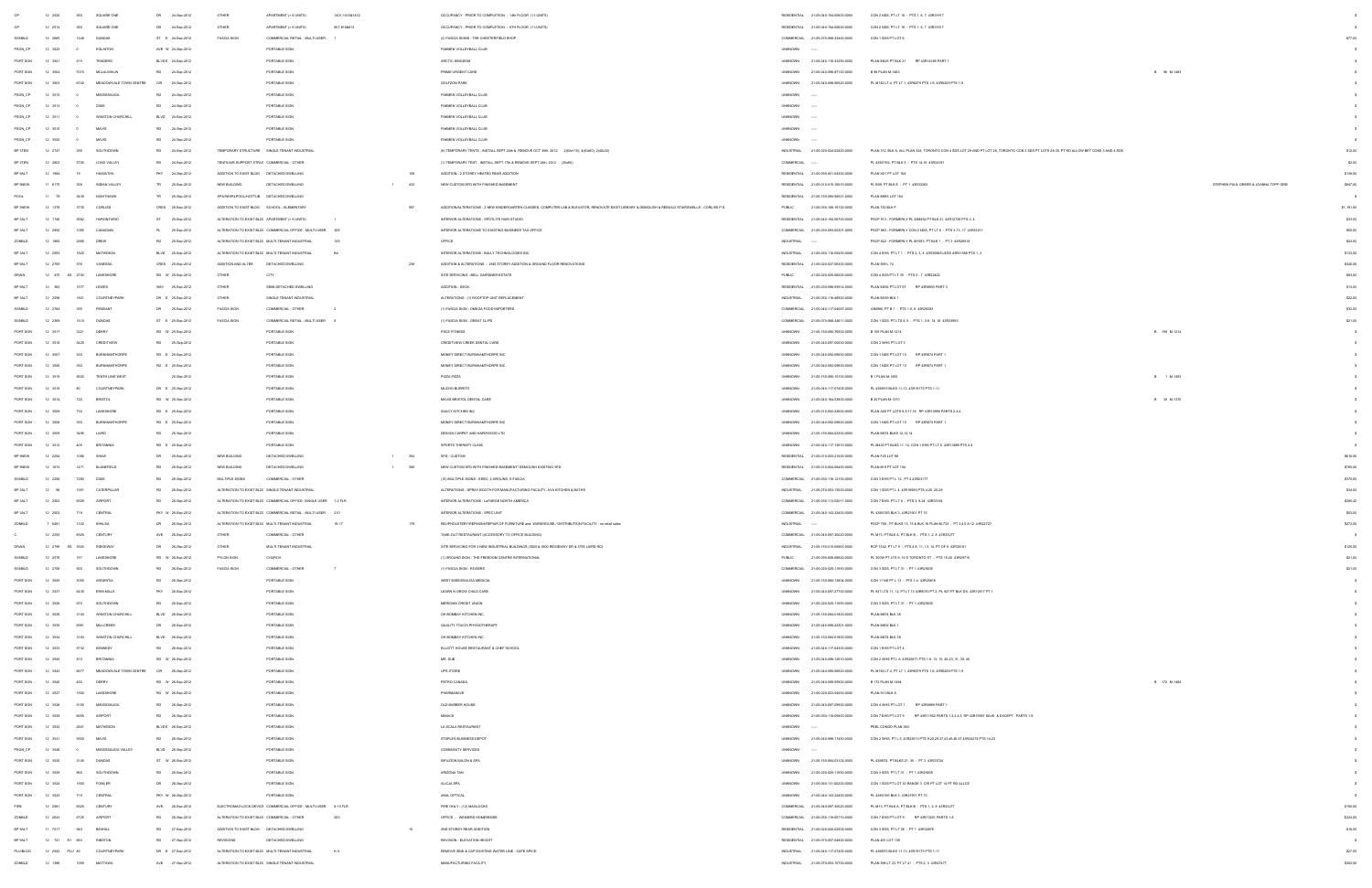\$  $$21,00$  $$272,00$ 

|                             | 12 2520 | 360            | SQUARE ONE             | DR 24-Sep-2012     | OTHER                                         | APARTMENT (> 6 UNITS)                                           | 1401-1410&1412 |       | OCCUPANCY - PRIOR TO COMPLETION - 14th FLOOR (11-UNITS)                                                                                            |                    | RESIDENTIAL 21-05-040-154-00600-0000 | CON 2 NDS, PT LT 18 - PTS 1, 6, 7 43R31917                                                                                               |              |                                       |           |
|-----------------------------|---------|----------------|------------------------|--------------------|-----------------------------------------------|-----------------------------------------------------------------|----------------|-------|----------------------------------------------------------------------------------------------------------------------------------------------------|--------------------|--------------------------------------|------------------------------------------------------------------------------------------------------------------------------------------|--------------|---------------------------------------|-----------|
| OP                          | 12 2514 | 360            | SQUARE ONE             | DR 24-Sep-2012     | OTHER                                         | APARTMENT (> 6 UNITS)                                           | 801-810&81     |       | OCCUPANCY - PRIOR TO COMPLETION - 8TH FLOOR (11-UNITS)                                                                                             |                    | RESIDENTIAL 21-05-040-154-00600-0000 | CON 2 NDS, PT LT 18 - PTS 1, 6, 7 43R31917                                                                                               |              |                                       |           |
| SGNBLD                      | 12 2665 | 1248           | <b>DUNDAS</b>          | ST E 24-Sep-2012   | <b>FASCIA SIGN</b>                            | COMMERCIAL RETAIL - MULTI-USER                                  |                |       | (2) FASCIA SIGNS - THE CHESTERFIELD SHOP                                                                                                           |                    | COMMERCIAL 21-05-070-068-33400-0000  | CON 1 SDS PT LOT 6                                                                                                                       |              |                                       |           |
| PSGN CP 12 3522             |         |                | EGLINTON               | AVE W 24-Sep-2012  |                                               | PORTABLE SIGN                                                   |                |       | PAKMEN VOLLEYBALL CLUB                                                                                                                             | <b>UNKNOWN</b>     |                                      |                                                                                                                                          |              |                                       |           |
|                             |         | $^{\circ}$     |                        |                    |                                               |                                                                 |                |       |                                                                                                                                                    |                    |                                      |                                                                                                                                          |              |                                       |           |
| PORT SGN                    | 12 3521 | 215            | TRADERS                | BLVD E 24-Sep-2012 |                                               | PORTABLE SIGN                                                   |                |       | ARCTIC KINGDOM                                                                                                                                     | <b>UNKNOWN</b>     | 21-05-040-116-33250-0000             | PLAN M425 PT BLK 21 RP 43R14385 PART 1                                                                                                   |              |                                       |           |
| PORT SGN                    | 12 3504 | 7070           | MCLAUGHLIN             | RD 24-Sep-2012     |                                               | PORTABLE SIGN                                                   |                |       | PRIME URGENT CARE                                                                                                                                  | UNKNOWN            | 21-05-040-096-87100-0000             | B 96 PLAN M-1483                                                                                                                         | B 96 M-1483  |                                       |           |
| PORT SGN 12 3503            |         | 6740           | MEADOWVALE TOWN CENTRE | CIR 24-Sep-2012    |                                               | PORTABLE SIGN                                                   |                |       | <b>GOLFZON PARK</b>                                                                                                                                | <b>UNKNOWN</b>     | 21-05-040-098-56920-0000             | PLM182   T 4 PT   T 1 43R6079 PTS 1-6 43R6209 PTS 1-9                                                                                    |              |                                       |           |
| PSGN_CP 12 3515             |         |                | MISSISSAUGA            | RD 24-Sep-2012     |                                               | PORTABLE SIGN                                                   |                |       | PAKMEN VOLLEYBALL CLUB                                                                                                                             | <b>UNKNOWN</b>     |                                      |                                                                                                                                          |              |                                       |           |
| PSGN_CP 12 3513             |         | $\sim$         | DIXIE                  | RD 24-Sep-2012     |                                               | PORTABLE SIGN                                                   |                |       | PAKMEN VOLLEYBALL CLUB                                                                                                                             | UNKNOWN            |                                      |                                                                                                                                          |              |                                       |           |
| PSGN_CP                     | 12 3511 | $\sim$         | WINSTON CHURCHILL      | BLVD 24-Sep-2012   |                                               | PORTABLE SIGN                                                   |                |       | PAKMEN VOLLEYBALL CLUB                                                                                                                             | <b>UNKNOWN</b>     |                                      |                                                                                                                                          |              |                                       |           |
| PSGN_CP 12 3510             |         | $\overline{0}$ | <b>MAVIS</b>           | RD 24-Sep-2012     |                                               | PORTABLE SIGN                                                   |                |       | PAKMEN VOLLEYBALL CLUB                                                                                                                             | <b>UNKNOWN</b>     |                                      |                                                                                                                                          |              |                                       |           |
|                             |         | $\overline{0}$ | MAVIS                  |                    |                                               | PORTABLE SIGN                                                   |                |       | PAKMEN VOLLEYBALL CLUB                                                                                                                             | UNKNOWN            |                                      |                                                                                                                                          |              |                                       |           |
| PSGN_CP                     | 12 3520 |                |                        | RD 24-Sep-2012     |                                               |                                                                 |                |       |                                                                                                                                                    |                    |                                      |                                                                                                                                          |              |                                       |           |
| BP 3TEN                     | 12 2747 | 385            | SOUTHDOWN              | RD 24-Sep-2012     |                                               | TEMPORARY STRUCTURE SINGLE TENANT INDUSTRIAL                    |                |       | (6) TEMPORARY TENTS - INSTALL SEPT 24th & REMOVE OCT 30th, 2012  2(82x115), 2(40x80), 2(40x32)                                                     | <b>INDUSTRIAL</b>  | 21-05-020-024-02400-0000             | PLAN 312, BLK A, ALL PLAN 324, TORONTO CON 4 SDS LOT 29 AND PT LOT 28, TORONTO CON 3 SDS PT LOTS 28-30, PT RD ALLOW BET CONS 3 AND 4 SDS |              |                                       |           |
| BP 3TEN                     | 12 2803 | 5705           | <b>LONG VALLEY</b>     | RD 24-Sep-2012     | TENTS/AIR SUPPORT STRUI COMMERCIAL - OTHER    |                                                                 |                |       | (1) TEMPORARY TENT - INSTALL SEPT 17th & REMOVE SEPT 24th, 2012 (30x60)                                                                            | COMMERCIAL         |                                      | PL 43M1762, PT BLK 3 - PTS 14-19 43R34191                                                                                                |              |                                       |           |
| BP 9ALT                     | 12 1984 | 19             | HIAWATHA               | PKY 24-Sep-2012    | ADDITION TO EXIST BLDG DETACHED DWELLING      |                                                                 |                | 108   | ADDITION - 2 STOREY HEATED REAR ADDITION                                                                                                           |                    | RESIDENTIAL 21-05-090-001-04300-0000 | PLAN H21 PT LOT 164                                                                                                                      |              |                                       | \$138,0   |
| BP 9NEW                     | 11 6175 | 358            | <b>INDIAN VALLE</b>    | TR 25-Sep-2012     | NEW BUILDING                                  | DETACHED DWELLING                                               | $1 -$          | 433   | NEW CUSTOM SFD WITH FINISHED BASEMENT                                                                                                              |                    | RESIDENTIAL 21-05-010-015-16815-0000 | PL B09, PT BLK E - PT 1 43R33283                                                                                                         |              | STEPHEN PAUL GREER & JOANNA TOPP GREI | \$847,0   |
| POOL                        | 11 79   | 3439           | NIGHTHAWK              | TR 25-Sep-2012     | SPA/WHIRLPOOL/HOTTUB DETACHED DWELLING        |                                                                 |                |       |                                                                                                                                                    | RESIDENTIAL        | 21-05-150-090-56921-0000             | PLAN M883 LOT 184                                                                                                                        |              |                                       |           |
| BP 3NEW                     | 12 1378 | 3730           | CORLISS                | CRES 25-Sep-2012   | ADDITION TO EXIST BLDG SCHOOL - ELEMENTARY    |                                                                 |                | 597   | ADDITION/ALTERATIONS - 2 NEW KINDERGARTEN CLASSES. COMPUTER LAB & ELEVATOR. RENOVATE EXIST.LIBRARY & DEMOLISH & REBUILD STAIRSWELLS - CORLISS P.S. | PUBLIC             | 21-05-050-106-16100-0000             | PLAN 752 BLK F                                                                                                                           |              |                                       | \$1,191.0 |
| BP 3ALT                     | 12 1746 | 3662           | <b>HURONTARIO</b>      | ST 25-Sep-2012     | ALTERATION TO EXIST BLD APARTMENT (> 6 UNITS) |                                                                 |                |       | INTERIOR ALTERATIONS - SPOTLITE HAIR STUDIO                                                                                                        | RESIDENTIAL        | 21-05-040-154-06700-0000             | PSCP 913 - FORMERLY PL 43M492 PT BLK 21, 43R12738 PTS 3, 4                                                                               |              |                                       | \$33,0    |
| BP 3ALT                     | 12 2650 | 1065           | CANADIAN               | PL 25-Sep-2012     |                                               | ALTERATION TO EXIST BLD/ COMMERCIAL OFFICE - MULTI-USER 308     |                |       | INTERIOR ALTERATIONS TO EXISTING BUSINESS TAX OFFICE                                                                                               | COMMERCIAL         | 21-05-030-093-00301-0000             | PSCP 883 - FORMERLY CON 2 NDS, PT LT 8 - PTS 3-13, 17 43R33211                                                                           |              |                                       |           |
|                             |         |                |                        |                    |                                               |                                                                 |                |       |                                                                                                                                                    |                    |                                      |                                                                                                                                          |              |                                       |           |
| ZONBLD                      | 12 1865 | 2985           | DREW                   | RD 25-Sep-2012     |                                               | ALTERATION TO EXIST BLD. MULTI-TENANT INDUSTRIAL                | 105            |       | OFFICE                                                                                                                                             | <b>INDUSTRIAL</b>  | ----                                 | PSCP 822 - FORMERLY PL M1593, PT BLK 1 - PT 3, 43R28519                                                                                  |              |                                       | \$43.0    |
| BP 3ALT                     | 12 2593 | 1820           | MATHESON               | BLVD 25-Sep-2012   |                                               | ALTERATION TO EXIST BLD MULTI-TENANT INDUSTRIAL                 |                |       | INTERIOR ALTERATIONS - BALLY TECHNOLOGIES INC.                                                                                                     | INDUSTRIAL         | 21-05-050-116-05400-0000             | CON 4 EHS, PT LT 1 - PTS 2, 3, 4 43R30968 LESS 43R31056 PTS 1, 2                                                                         |              |                                       | \$133.0   |
| BP 9ALT                     | 12 2709 | 576            | VANESS/                | CRES 25-Sep-2012   | ADDITION AND ALTER                            | DETACHED DWELLING                                               |                | 238   | ADDITION & ALTERATIONS - 2ND STOREY ADDITION & GROUND FLOOR RENOVATIONS                                                                            | <b>RESIDENTIAL</b> | 21-05-020-027-06300-0000             | PLAN 599 L 74                                                                                                                            |              |                                       | \$340,0   |
| DRAIN                       | 12 470  | SS 2700        | LAKESHORE              | RD W 25-Sep-2012   | OTHER                                         | CITY                                                            |                |       | SITE SERVICING - BELL GAIRDNER ESTATE                                                                                                              | PUBLIC             | 21-05-020-025-06000-0000             | CON 4 SDS PT LT 35 - PTS 5 - 7 43R22402                                                                                                  |              |                                       | \$83,0    |
| BP 9ALT                     | 12 362  | 1577           | LEWES                  | WAY 25-Sep-2012    | OTHER                                         | SEMI-DETACHED DWELLING                                          |                |       | ADDITION - DECK                                                                                                                                    | RESIDENTIAL        | 21-05-030-096-93914-0000             | PLAN M292 PT LOT 67 RP 43R8903 PART 3                                                                                                    |              |                                       |           |
| BP 3ALT                     | 12 2598 | 1801           | COURTNEYPARK           | DR E 25-Sep-2012   | OTHER                                         | SINGLE TENANT INDUSTRIAL                                        |                |       | ALTERATIONS - (1) ROOFTOP UNIT REPLACEMENT                                                                                                         | <b>INDUSTRIAL</b>  | 21-05-050-116-48500-0000             | PLAN M339 BLK 1                                                                                                                          |              |                                       |           |
| SGNBLD                      | 12 2764 | 395            | PENDANT                | DR 25-Sep-2012     | <b>FASCIA SIGN</b>                            | COMMERCIAL - OTHER                                              |                |       | (1) FASCIA SIGN - OMEGA FOOD IMPORTERS                                                                                                             |                    | COMMERCIAL 21-05-040-117-04087-0000  | 43M980, PT B 1 - PTS 1-5, 8 43R29383                                                                                                     |              |                                       |           |
|                             |         |                |                        |                    |                                               |                                                                 |                |       |                                                                                                                                                    |                    |                                      |                                                                                                                                          |              |                                       |           |
| SGNBLD                      | 12 2369 | 1510           | <b>DUNDAS</b>          | ST E 25-Sep-2012   | <b>FASCIA SIGN</b>                            | COMMERCIAL RETAIL - MULTI-USER 9                                |                |       | (1) FASCIA SIGN - GREAT CLIPS                                                                                                                      |                    | COMMERCIAL 21-05-070-068-34611-0000  | CON 1 SDS, PT LTS 4, 5 - PTS 1, 3-9, 14, 16 43R33993                                                                                     |              |                                       |           |
| PORT SGN                    | 12 3517 | 3221           | DERRY                  | RD W 25-Sep-2012   |                                               | PORTABLE SIGN                                                   |                |       | PACE FITNESS                                                                                                                                       | <b>UNKNOWN</b>     | 21-05-150-080-76500-0000             | B 159 PLAN M-1214                                                                                                                        | B 159 M-1214 |                                       |           |
| PORT SGN                    | 12 3516 | 5425           | CREDITVIEW             | RD 25-Sep-2012     |                                               | PORTABLE SIGN                                                   |                |       | CREDITVIEW CREEK DENTAL CARE                                                                                                                       | UNKNOWN            | 21-05-040-097-00830-0000             | CON 3 WHS PT LOT 3                                                                                                                       |              |                                       |           |
| PORT SGN                    | 12 3507 | 350            | BURNHAMTHORPE          | RD E 25-Sep-2012   |                                               | PORTABLE SIGN                                                   |                |       | MONEY DIRECT BURNHAMTHORPE INC                                                                                                                     | UNKNOWN            | 21-05-040-092-09600-0000             | CON 1 NDS PT LOT 13 RP 43R674 PART 1                                                                                                     |              |                                       |           |
| PORT SGN 12 3506            |         | 350            | <b>BURNHAMTHORPE</b>   | RD E 25-Sep-2012   |                                               | PORTABLE SIGN                                                   |                |       | MONEY DIRECT BURNHAMTHORPE INC                                                                                                                     | <b>UNKNOWN</b>     | 21-05-040-092-09600-0000             | CON 1 NDS PT LOT 13 RP 43R674 PART 1                                                                                                     |              |                                       |           |
| PORT SGN 12 3519            |         | 5602           | TENTH LINE WEST        | 25-Sep-2012        |                                               | PORTABLE SIGN                                                   |                |       | PIZZA PIZZA                                                                                                                                        | <b>UNKNOWN</b>     | 21-05-150-085-10100-0000             | B 1 PLAN M-1493                                                                                                                          | B 1 M-1493   |                                       |           |
|                             | 12 3518 | 80             | <b>COURTNEYPARK</b>    |                    |                                               | PORTABLE SIGN                                                   |                |       | MUCHO BURRITO                                                                                                                                      | UNKNOWN            | 21-05-040-117-07405-0000             | PL 43M915 BLKS 11-13, 43R19175 PTS 1-11                                                                                                  |              |                                       |           |
| PORT SGN                    |         |                |                        | DR E 25-Sep-2012   |                                               |                                                                 |                |       |                                                                                                                                                    |                    |                                      |                                                                                                                                          |              |                                       |           |
| PORT SGN                    | 12 3514 | 720            | <b>BRISTOL</b>         | RD W 25-Sep-2012   |                                               | PORTABLE SIGN                                                   |                |       | MAVIS BRISTOL DENTAL CARE                                                                                                                          | <b>UNKNOWN</b>     | 21-05-040-164-53600-0000             | B 30 PLAN M-1370                                                                                                                         | B 30 M-1370  |                                       |           |
| PORT SGN                    | 12 3509 | 730            | LAKESHORE              | RD E 25-Sep-2012   |                                               | PORTABLE SIGN                                                   |                |       | SAUCY KITCHEN INC                                                                                                                                  | <b>UNKNOWN</b>     | 21-05-010-002-22600-0000             | PLAN A26 PT LOTS 8,9,17,18 RP 43R10958 PARTS 2,3,4                                                                                       |              |                                       |           |
| PORT SGN                    | 12 3508 | 350            | BURNHAMTHORPE          | RD E 25-Sep-2012   |                                               | PORTABLE SIGN                                                   |                |       | MONEY DIRECT BURNHAMTHORPE INC                                                                                                                     | <b>UNKNOWN</b>     | 21-05-040-092-09600-0000             | CON 1 NDS PT LOT 13 RP 43R674 PART 1                                                                                                     |              |                                       |           |
| PORT SGN                    | 12 3505 | 3495           | LAIRD                  | RD 25-Sep-2012     |                                               | PORTABLE SIGN                                                   |                |       | DESIGN CARPET AND HARDWOOD LTD                                                                                                                     | UNKNOWN            | 21-05-150-084-02300-0000             | PLAN M674 BLKS 12,13,14                                                                                                                  |              |                                       |           |
| PORT SGN                    | 12 3512 | 405            | BRITANNIA              | RD E 25-Sep-2012   |                                               | PORTABLE SIGN                                                   |                |       | SPORTS THERAPY CLINIC                                                                                                                              | <b>UNKNOWN</b>     | 21-05-040-117-13810-0000             | PL M425 PT BLKS 11, 12, CON 1 EHS PT LT 5, 43R13889 PTS 2-4                                                                              |              |                                       |           |
| BP 9NEW                     | 12 2254 | 1086           | SHAW                   | DR 25-Sep-2012     | NEW BUILDING                                  | DETACHED DWELLING                                               |                | 1 354 | SFD - CUSTOM                                                                                                                                       |                    | RESIDENTIAL 21-05-010-003-21000-0000 | PLAN F20 LOT 68                                                                                                                          |              |                                       |           |
| BP 9NEW                     | 12 1672 | 1471           | <b>BLANEFIELD</b>      | RD 26-Sep-2012     | NEW BUILDING                                  | DETACHED DWELLING                                               |                | 1 390 | NEW CUSTOM SFD WITH FINISHED BASEMENT/ DEMOLISH EXISTING SFD                                                                                       |                    | RESIDENTIAL 21-05-010-004-08400-0000 | PLAN B19 PT LOT 194                                                                                                                      |              |                                       |           |
|                             |         |                |                        |                    |                                               |                                                                 |                |       |                                                                                                                                                    |                    |                                      |                                                                                                                                          |              |                                       |           |
| SGNBLD                      | 12 2256 | 7280           | DIXIE                  | RD 26-Sep-2012     | MULTIPLE SIGNS                                | COMMERCIAL - OTHER                                              |                |       | (10) MULTIPLE SIGNS - ESSO, 2-GROUND, 8-FASCIA                                                                                                     | COMMERCIAL         | 21-05-050-116-12100-0000             | CON 3 EHS PT L 12, PT 4 43R23177                                                                                                         |              |                                       |           |
| BP 3ALT                     | 12 96   | 1551           | CATERPILLAR            | RD 26-Sep-2012     |                                               | ALTERATION TO EXIST BLD SINGLE TENANT INDUSTRIAL                |                |       | ALTERATIONS - SPRAY ROOTH FOR MANUFACTURING FACILITY. AVA KITCHEN & RATHS                                                                          |                    | INDUSTRIAL 21-05-070-053-13000-0000  | CON 1 SDS PT L 4. 43R16585 PTS 4-20, 25-28                                                                                               |              |                                       | \$34,0    |
| BP 3ALT 12 2553             |         | 6509 AIRPORT   |                        | RD 26-Sep-2012     |                                               | ALTERATION TO EXIST BLD/ COMMERCIAL OFFICE- SINGLE USER 1-2 FLR |                |       | INTERIOR ALTERATIONS - LaFARGE NORTH AMERICA                                                                                                       |                    |                                      | COMMERCIAL 21-05-050-113-02011-0000 CON 7 EHS, PT LT 8 - PTS 3, 8-24 43R33184                                                            |              |                                       | \$290,43  |
| BP 3ALT 12 2502 719 CENTRAL |         |                |                        | PKY W 26-Sep-2012  |                                               | ALTERATION TO EVIST RED. COMMERCIAL RETAIL, MILLTURER 210       |                |       | INTERIOR ALTERATIONS - SPEC LINIT                                                                                                                  |                    | COMMERCIAL 21-05-040-143-32400-0000  | 21 TO 1001003 PLK 3 43021001 DT 15                                                                                                       |              |                                       |           |
| ZONBLD                      | 7 6481  |                | 1332 KHALSA            | DR 26-Sep-2012     |                                               | ALTERATION TO EXIST BLD MULTI-TENANT INDUSTRIAL                 | $16 - 17$      | 178   | REUPHOLSTERY/REFINISH/REPAIR OF FURNITURE and WAREHOUSE / DISTRIBUTION FACILITY - no retail sales                                                  | INDUSTRIAL -----   |                                      | PSCP 756 - PT BLKS 13, 15 & BLK 16 PLAN M-733 - PT 3.4.5.8-12 43R22727                                                                   |              |                                       | \$272,0   |
|                             | 12 2293 | 6925           | <b>CENTURY</b>         | AVE 26-Sep-2012    | OTHER                                         | COMMERCIAL - OTHER                                              |                |       | TAKE-OUT RESTAURANT (ACCESSORY TO OFFICE BUILDING)                                                                                                 |                    | COMMERCIAL 21-05-040-097-30020-0000  | PL M13, PT BLK A, PT BLK B - PTS 1, 2, 8 43R33277                                                                                        |              |                                       |           |
| DRAIN                       | 12 2796 | SS 3500        | <b>RIDGEWA</b>         | DR 26-Sep-2012     | OTHER                                         | MULTI-TENANT INDUSTRIAL                                         |                |       | SITE SERVICING FOR 3 NEW INDUSTRIAL BUILDINGS (3500 & 3600 RIDGEWAY DR & 3755 LAIRD RD)                                                            | <b>INDUSTRIAL</b>  | 21-05-150-010-00863-0000             | RCP 1542, PT LT 9 - PTS 4-8, 11, 13, 14, PT OF 9 43R30181                                                                                |              |                                       | \$125,0   |
| SGNBLD                      | 12 2576 | 157            | LAKESHORE              | RD W 26-Sep-2012   | PYLON SIGN                                    | CHURCH                                                          |                |       | (1) GROUND SIGN - THE FREEDOM CENTRE INTERNATIONAL                                                                                                 | PUBLIC             | 21-05-090-006-08820-0000             | PL 300W PT LTS 9, 10 S TORONTO ST - PTS 15-20 43R29715                                                                                   |              |                                       |           |
|                             |         |                |                        |                    |                                               |                                                                 |                |       |                                                                                                                                                    |                    |                                      |                                                                                                                                          |              |                                       |           |
| SGNBLD                      | 12 2706 | 920            | SOUTHDOWN              | RD 26-Sep-2012     | <b>FASCIA SIGN</b>                            | COMMERCIAL - OTHER                                              |                |       | (1) FASCIA SIGN - ROGERS                                                                                                                           |                    | COMMERCIAL 21-05-020-025-11650-0000  | CON 3 SDS, PT LT 31 - PT 1 43R25635                                                                                                      |              |                                       | \$21.0    |
| PORT SGN                    | 12 3525 | 3050           | ARGENTIA               | RD 26-Sep-2012     |                                               | PORTABLE SIGN                                                   |                |       | WEST MISSISSAUGA MEDICAL                                                                                                                           | <b>UNKNOWN</b>     | 21-05-150-080-13804-0000             | CON 11 NS PT L 13 - PTS 1-4 43R25818                                                                                                     |              |                                       |           |
| PORT SGN                    | 12 3537 | 6435           | <b>ERIN MILLS</b>      | PKY 26-Sep-2012    |                                               | PORTABLE SIGN                                                   |                |       | LEARN N GROW CHILD CARE                                                                                                                            | <b>UNKNOWN</b>     | 21-05-040-097-27700-0000             | PL 927 LTS 11, 12, PT LT 13 43R9070 PT 2, PL 927 PT BLK DX, 43R12517 PT 1                                                                |              |                                       |           |
| PORT SGN                    | 12 3528 | 970            | SOUTHDOWN              | RD 26-Sep-2012     |                                               | PORTABLE SIGN                                                   |                |       | MERIDIAN CREDIT UNION                                                                                                                              | <b>UNKNOWN</b>     | 21-05-020-025-11650-0000             | CON 3 SDS, PT LT 31 - PT 1 43R25635                                                                                                      |              |                                       |           |
| PORT SGN 12 3536            |         | 3100           | WINSTON CHURCHILL      | BLVD 26-Sep-2012   |                                               | PORTABLE SIGN                                                   |                |       | OH BOMBAY KITCHEN INC.                                                                                                                             | <b>UNKNOWN</b>     | 21-05-150-084-01800-0000             | PLAN M674 BLK 38                                                                                                                         |              |                                       |           |
| PORT SGN                    | 12 3535 | 6981           | MILLCREEK              | DR 26-Sep-2012     |                                               | PORTABLE SIGN                                                   |                |       | QUALITY TOUCH PHYSIOTHERAPY                                                                                                                        | <b>UNKNOWN</b>     | 21-05-040-098-22301-0000             | PLAN M802 BLK 1                                                                                                                          |              |                                       |           |
| PORT SGN                    | 12 3534 | 3100           | WINSTON CHURCHILL      | BLVD 26-Sep-2012   |                                               | PORTABLE SIGN                                                   |                |       | OH BOMBAY KITCHEN INC.                                                                                                                             | <b>UNKNOWN</b>     | 21-05-150-084-01800-0000             | PLAN M674 BLK 38                                                                                                                         |              |                                       |           |
| PORT SGN 12 3533            |         | 5732           | KENNEDY                | RD 26-Sep-2012     |                                               | PORTABLE SIGN                                                   |                |       | ELLIOTT HOUSE RESTAURANT & CHEF SCHOOL                                                                                                             | <b>UNKNOWN</b>     | 21-05-040-117-04300-0000             | CON 1 EHS PT LOT 4                                                                                                                       |              |                                       |           |
|                             |         |                |                        |                    |                                               |                                                                 |                |       |                                                                                                                                                    |                    |                                      |                                                                                                                                          |              |                                       |           |
| PORT SGN                    | 12 3545 | 815            | BRITANNIA              | RD W 26-Sep-2012   |                                               | PORTABLE SIGN                                                   |                |       | MR. SUB                                                                                                                                            | <b>UNKNOWN</b>     | 21-05-040-098-12910-0000             | CON 2 WHS PT L 6, 43R25871 PTS 1-9, 13, 15, 20-23, 31, 39, 40                                                                            |              |                                       |           |
| PORT SGN                    | 12 3542 | 6677           | MEADOWVALE TOWN CENTRE | CIR 26-Sep-2012    |                                               | PORTABLE SIGN                                                   |                |       | UPS STORE                                                                                                                                          | <b>UNKNOWN</b>     | 21-05-040-098-56920-0000             | PL M182 LT 4, PT LT 1, 43R6079 PTS 1-6, 43R6209 PTS 1-9                                                                                  |              |                                       |           |
| PORT SGN                    | 12 3540 | 450            | DERR'                  | RD W 26-Sep-2012   |                                               | PORTABLE SIGN                                                   |                |       | PETRO CANADA                                                                                                                                       | UNKNOWN            | 21-05-040-099-55900-0000             | B 172 PLAN M-1484                                                                                                                        | B 172 M-1484 |                                       |           |
| PORT SGN                    | 12 3527 | 1900           | LAKESHORE              | RD W 26-Sep-2012   |                                               | PORTABLE SIGN                                                   |                |       | PHARMASAVE                                                                                                                                         | <b>UNKNOWN</b>     | 21-05-020-023-54000-0000             | PLAN 913 BLK A                                                                                                                           |              |                                       |           |
| PORT SGN                    | 12 3526 | 5155           | <b>MISSISSAUG</b>      | RD 26-Sep-2012     |                                               | PORTABLE SIGN                                                   |                |       | OLD BARBER HOUSE                                                                                                                                   | <b>UNKNOWN</b>     | 21-05-040-097-09900-0000             | CON 4 WHS PT LOT 1 RP 43R8989 PART 1                                                                                                     |              |                                       |           |
| PORT SGN                    | 12 3539 | 6655           | AIRPORT                | RD 26-Sep-2012     |                                               | PORTABLE SIGN                                                   |                |       | <b>MINACS</b>                                                                                                                                      | UNKNOWN            | 21-05-050-118-05800-0000             | CON 7 EHS PT LOT 9 RP 43R11552 PARTS 1,2,3,4,5 RP 43R15587 SAVE & EXCEPT PARTS 1-9                                                       |              |                                       |           |
| PORT SGN                    | 12 3532 | 2601           | MATHESON               | BLVD E 26-Sep-2012 |                                               | PORTABLE SIGN                                                   |                |       | LA SCALA RESTAURANT                                                                                                                                | <b>UNKNOWN</b>     |                                      | PEEL CONDO PLAN 380                                                                                                                      |              |                                       |           |
| PORT SGN                    | 12 3531 | 5900           |                        | RD 26-Sep-2012     |                                               | PORTABLE SIGN                                                   |                |       | STAPLES BUSINESS DEPOT                                                                                                                             |                    | 21-05-040-098-17450-0000             | CON 2 WHS, PT L 5, 43R23913 PTS 9,20,29,37,43,45,46,57 43R24274 PTS 14-23                                                                |              |                                       |           |
|                             |         |                | MAVIS                  |                    |                                               |                                                                 |                |       |                                                                                                                                                    | <b>UNKNOWN</b>     |                                      |                                                                                                                                          |              |                                       |           |
| PSGN_CP                     | 12 3546 |                | MISSISSAUGA VALLEY     | BLVD 26-Sep-2012   |                                               | PORTABLE SIGN                                                   |                |       | COMMUNITY SERVICES                                                                                                                                 | <b>UNKNOWN</b>     |                                      |                                                                                                                                          |              |                                       |           |
| PORT SGN                    | 12 3530 | 3145           | <b>DUNDAS</b>          | ST W 26-Sep-2012   |                                               | PORTABLE SIGN                                                   |                |       | INFUZION SALON & SPA                                                                                                                               | <b>UNKNOWN</b>     | 21-05-150-084-03102-0000             | PL 43M674, PT BLKS 21, 35 - PT 3 43R33724                                                                                                |              |                                       |           |
| PORT SGN 12 3529            |         | 960            | SOUTHDOWN              | RD 26-Sep-2012     |                                               | PORTABLE SIGN                                                   |                |       | ARIZONA TAN                                                                                                                                        | <b>UNKNOWN</b>     | 21-05-020-025-11650-0000             | CON 3 SDS, PT LT 31 - PT 1 43R25635                                                                                                      |              |                                       |           |
| PORT SGN                    | 12 3524 | 1900           | FOWLER                 | DR 26-Sep-2012     |                                               | PORTABLE SIGN                                                   |                |       | ALICJA SPA                                                                                                                                         | <b>UNKNOWN</b>     | 21-05-060-131-00200-0000             | CON 1 SDS PT LOT 30 RANGE 3 CIR PT LOT 14 PT RD ALLCE                                                                                    |              |                                       |           |
| PORT SGN                    | 12 3523 | 719            | CENTRAL                | PKY W 26-Sep-2012  |                                               | PORTABLE SIGN                                                   |                |       | AKAL OPTICAL                                                                                                                                       | <b>UNKNOWN</b>     | 21-05-040-143-32400-0000             | PL 43M1393 BLK 3, 43R21901 PT 15                                                                                                         |              |                                       |           |
| FIRE                        | 12 2581 | 6925           | CENTURY                | AVE 26-Sep-2012    |                                               | ELECTROMAG LOCK DEVICI COMMERCIAL OFFICE - MULTI-USER 8-10 FLR  |                |       | FIRE ONLY - (12) MAGLOCKS                                                                                                                          |                    | COMMERCIAL 21-05-040-097-30020-0000  | PL M13, PT BLK A, PT BLK B - PTS 1, 2, 8 43R33277                                                                                        |              |                                       |           |
| ZONBLD                      | 12 2643 | 6725           | AIRPOR®                | RD 26-Sep-2012     | ALTERATION TO EXIST BLD COMMERCIAL - OTHER    |                                                                 | 200            |       | OFFICE - WINNERS HOMESENSE                                                                                                                         |                    | COMMERCIAL 21-05-050-118-05710-0000  | CON 7 EHS PT LOT 9 RP 43R13201 PARTS 1-8                                                                                                 |              |                                       |           |
|                             |         |                |                        |                    |                                               |                                                                 |                |       |                                                                                                                                                    |                    |                                      |                                                                                                                                          |              |                                       |           |
| BP 9ALT                     | 11 7017 | 940            | BEXHILL                | RD 27-Sep-2012     | ADDITION TO EXIST BLDG DETACHED DWELLING      |                                                                 |                |       | 2ND STOREY REAR ADDITION                                                                                                                           | RESIDENTIAL        | 21-05-020-020-02505-0000             | CON 3 SDS, PT LT 26 - PT 1 43R32876                                                                                                      |              |                                       |           |
| BP 9ALT 12 741              |         | R1 883         | RIBSTON                | RD 27-Sep-2012     | <b>REVISIONS</b>                              | DETACHED DWELLING                                               |                |       | REVISION - ELEVATION HEIGHT                                                                                                                        |                    | RESIDENTIAL 21-05-070-057-04800-0000 | PLAN 481 LOT 139                                                                                                                         |              |                                       |           |
| PLU/BLDG 12 2922 PLU 80     |         |                | <b>COURTNEYPARK</b>    | DR E 27-Sep-2012   |                                               | ALTERATION TO EXIST BLD MULTI-TENANT INDUSTRIAL                 | $K-3$          |       | REMOVE SINK & CAP EXISTING WATER LINE - CAFE SPICE                                                                                                 |                    | INDUSTRIAL 21-05-040-117-07405-0000  | PL 43M915 BLKS 11-13, 43R19175 PTS 1-11                                                                                                  |              |                                       | \$27,0    |
| ZONBLD 12 1386 1959 MATTAWA |         |                |                        | AVE 27-Sep-2012    |                                               | ALTERATION TO EXIST BLDI SINGLE TENANT INDUSTRIAL               |                |       | MANUFACTURING FACILITY                                                                                                                             |                    |                                      | INDUSTRIAL 21-05-070-053-15700-0000 PLAN 598 LT 23, PT LT 41 - PTS 2, 3 43R27477                                                         |              |                                       | \$302,0   |

\$224,00

\$

\$

\$

\$\$

 $$22,00$ 

 $$1,191,00$ 

 $\ddot{ }$ 

 $\rightarrow$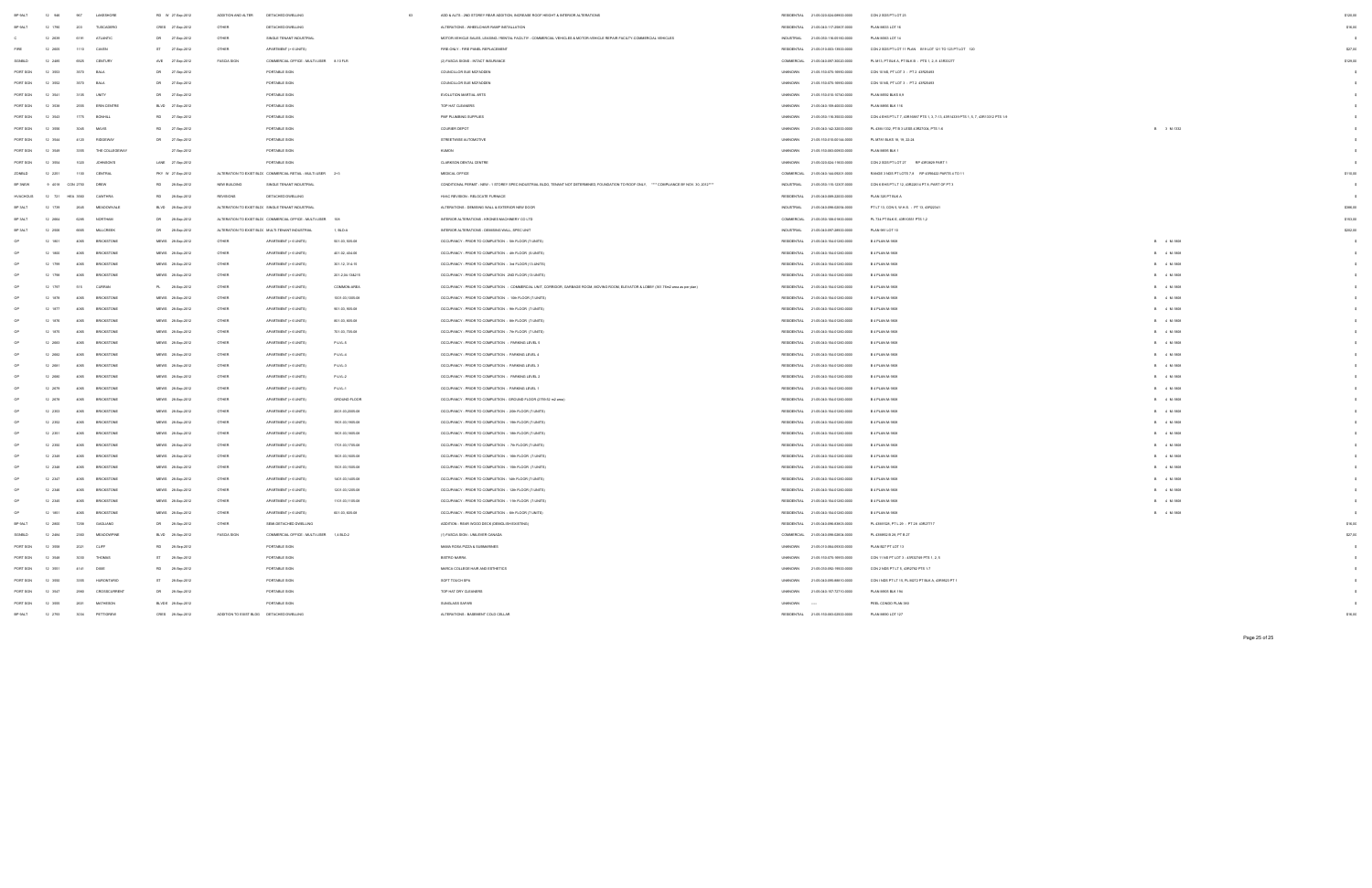| BP 9ALT                       | 12 946  | 967      | LAKESHORE                      | RD W 27-Sep-2012   | ADDITION AND ALTER | DETACHED DWELLING                                           |                     | ADD & ALTS - 2ND STOREY REAR ADDITION, INCREASE ROOF HEIGHT & INTERIOR ALTERATIONS                                                               | RESIDENTIAL 21-05-020-024-08900-0000           | CON 2 SDS PT LOT 23                                                                |            |         |
|-------------------------------|---------|----------|--------------------------------|--------------------|--------------------|-------------------------------------------------------------|---------------------|--------------------------------------------------------------------------------------------------------------------------------------------------|------------------------------------------------|------------------------------------------------------------------------------------|------------|---------|
|                               | 2 1790  |          | TUSCADER                       | CRES 27-Sep-2012   | OTHER              | DETACHED DWELLING                                           |                     | ALTERATIONS - WHEELCHAIR RAMP INSTALLATION                                                                                                       | <b>RESIDENTIAL</b><br>21-05-040-117-25807-0000 | PLAN M633 LOT 16                                                                   |            |         |
|                               | 12 2639 | 6191     | ATLANTIC                       | DR 27-Sep-2012     | OTHER              | SINGLE TENANT INDUSTRIAL                                    |                     | MOTOR-VEHICLE SALES, LEASING / RENTAL FACILTIY - COMMERCIAL VEHICLES & MOTOR-VEHICLE REPAIR FACILTY-COMMERCIAL VEHICLES                          | INDUSTRIAL 21-05-050-116-05160-0000            | PLAN M363 LOT 14                                                                   |            |         |
|                               |         | 1110     | CAVEN                          | ST 27-Sep-2012     | OTHER              | APARTMENT (> 6 UNITS)                                       |                     | FIRE-ONLY - FIRE PANEL REPLACEMENT                                                                                                               | RESIDENTIAL 21-05-010-003-13500-0000           | CON 2 SDS PT LOT 11 PLAN B19 LOT 121 TO 123 PT LOT 120                             |            |         |
| SGNBLD                        |         | 6925     | <b>CENTUR</b>                  | AVE 27-Sep-2012    | <b>FASCIA SIGN</b> | COMMERCIAL OFFICE - MULTI-USER 8-10 FLR                     |                     | (2) FASCIA SIGNS - INTACT INSURANCE                                                                                                              | 21-05-040-097-30020-0000<br>COMMERCIAL         | PL M13, PT BLK A, PT BLK B - PTS 1, 2, 8 43R33277                                  |            |         |
| PORT SGN                      | 12 3553 | 3570     | BALA                           | DR 27-Sep-2012     |                    | PORTABLE SIGN                                               |                     | COUNCILLOR SUE MCFADDEN                                                                                                                          | <b>UNKNOWN</b><br>21-05-150-070-16950-0000     | CON 10 NS, PT LOT 3 - PT 2 43R25493                                                |            |         |
| PORT SGN                      | 12 3552 | 3570     | BALA                           | DR 27-Sep-2012     |                    | PORTABLE SIGN                                               |                     | COUNCILLOR SUE MCFADDEN                                                                                                                          | <b>UNKNOWN</b><br>21-05-150-070-16950-0000     | CON 10 NS PT LOT 3 - PT 2 43R25493                                                 |            |         |
| PORT SGN                      |         | 3105     | <b>UNIT</b>                    | DR 27-Sep-2012     |                    | PORTABLE SIGN                                               |                     | EVOLUTION MARTIAL ARTS                                                                                                                           | 21-05-150-010-10740-0000<br><b>UNKNOWN</b>     | PLAN M592 BLKS 8,9                                                                 |            |         |
| PORT SGN                      | 12 3538 | 2555     | <b>ERIN CENTRI</b>             | BLVD 27-Sep-2012   |                    | PORTABLE SIGN                                               |                     | TOP HAT CLEANERS                                                                                                                                 | <b>UNKNOWN</b><br>21-05-040-159-40000-0000     | PLAN M856 BLK 116                                                                  |            |         |
| PORT SGN                      | 12 3543 | 1775     | <b>BONHILI</b>                 | RD 27-Sep-2012     |                    | PORTABLE SIGN                                               |                     | PMF PLUMBING SUPPLIES                                                                                                                            | <b>UNKNOWN</b><br>21-05-050-116-35000-0000     | CON 4 EHS PT LT 7, 43R16887 PTS 1, 3, 7-13, 43R14339 PTS 1, 5, 7, 43R13312 PTS 1-9 |            |         |
| PORT SGN                      | 12 3556 | 3045     | MAVIS                          | RD 27-Sep-2012     |                    | PORTABLE SIGN                                               |                     | COURIER DEPOT                                                                                                                                    | 21-05-040-142-32000-0000<br><b>UNKNOWN</b>     | PL 43M-1332, PT B 3 LESS 43R27004, PTS 1-6                                         | B 3 M-1332 |         |
|                               |         |          | <b>RIDGEWA</b>                 |                    |                    |                                                             |                     |                                                                                                                                                  |                                                |                                                                                    |            |         |
| PORT SGN                      |         | 4120     |                                | DR 27-Sep-2012     |                    | PORTABLE SIGN                                               |                     | STREETWISE AUTOMOTIVE                                                                                                                            | <b>UNKNOWN</b><br>21-05-150-010-00144-0000     | PL M781 BLKS 18, 19, 22-24                                                         |            |         |
| PORT SGN                      | 12 3549 | 3355     | THE COLLEGEWAY                 | 27-Sep-2012        |                    | PORTABLE SIGN                                               |                     | <b>KUMON</b>                                                                                                                                     | <b>UNKNOWN</b><br>21-05-150-083-00900-0000     | PLAN M695 BLK 1                                                                    |            |         |
| PORT SGN                      | 12 3554 | 1020     | JOHNSON'S                      | LANE 27-Sep-2012   |                    | PORTABLE SIGN                                               |                     | CLARKSON DENTAL CENTRE                                                                                                                           | <b>UNKNOWN</b><br>21-05-020-024-11600-0000     | CON 2 SDS PT LOT 27 RP 43R3829 PART 1                                              |            |         |
| ZONBLD                        |         | 1100     | CENTRAL                        | PKY W 27-Sep-2012  |                    | ALTERATION TO EXIST BLD/ COMMERCIAL RETAIL - MULTI-USER 2+3 |                     | MEDICAL OFFICE                                                                                                                                   | 21-05-040-144-09201-0000<br>COMMERCIAL         | RANGE 3 NDS PT LOTS 7,8 RP 43R6422 PARTS 4 TO 11                                   |            |         |
| BP 3NEW                       | 9 4018  | CON 2750 | DREW                           | RD 28-Sep-2012     | NEW BUILDING       | SINGLE TENANT INDUSTRIA                                     |                     | CONDITIONAL PERMIT - NEW - 1 STOREY SPEC INDUSTRIAL BLDG, TENANT NOT DETERMINED, FOUNDATION TO ROOF ONLY,  **** COMPLIANCE BY NOV. 30, 2012 **** | INDUSTRIAL<br>21-05-050-115-12307-0000         | CON 6 EHS PT LT 12, 43R22614 PT 8, PART OF PT 3                                    |            |         |
| <b>HVACHOUS</b>               | 12 721  |          | CAWTHRA                        | RD 28-Sep-2012     | <b>REVISIONS</b>   | DETACHED DWELLING                                           |                     | HVAC REVISION - RELOCATE FURNACE                                                                                                                 | <b>RESIDENTIAL</b><br>21-05-040-089-22000-0000 | PLAN 326 PT BLK A                                                                  |            |         |
| BP 3ALT                       | 12 1739 | 2645     | MEADOWVALE                     | BLVD 28-Sep-2012   |                    | ALTERATION TO EXIST BLD SINGLE TENANT INDUSTRIAL            |                     | ALTERATIONS - DEMISING WALL & EXTERIOR NEW DOOR                                                                                                  | INDUSTRIAL<br>21-05-040-098-02054-0000         | PT LT 13, CON 5, W.H.S. - PT 13, 43R22341                                          |            |         |
| BP 3ALT                       |         | 6285     | NORTHAM                        | DR 28-Sep-2012     |                    | ALTERATION TO EXIST BLD/ COMMERCIAL OFFICE - MULTI-USER 108 |                     | INTERIOR ALTERATIONS - KRONES MACHINERY CO LTD                                                                                                   | COMMERCIAL<br>21-05-050-108-01800-0000         | PL 734 PT BLK E, 43R10551 PTS 1,2                                                  |            |         |
| BP 3ALT                       | 12 2506 | 6665     | MILLCREEK                      | DR 28-Sep-2012     |                    | ALTERATION TO EXIST BLD MULTI-TENANT INDUSTRIAL             | 1, BLD-A            | INTERIOR ALTERATIONS - DEMISING WALL. SPEC UNIT                                                                                                  | INDUSTRIAL<br>21-05-040-097-28500-0000         | PLAN 981 LOT 10                                                                    |            | \$202.0 |
|                               |         | 4065     | <b>BRICKSTONE</b>              | MEWS 28-Sep-2012   | OTHER              | APARTMENT (> 6 UNITS)                                       | 501-03, 505-08      | OCCUPANCY - PRIOR TO COMPLETION - 5th FLOOR (7-UNITS)                                                                                            | <b>RESIDENTIAL</b><br>21-05-040-154-01260-0000 | B 4 PLAN M-1808                                                                    | B 4 M-1808 |         |
|                               |         | 4065     | <b>BRICKSTONE</b>              | MEWS 28-Sep-2012   | OTHER              | APARTMENT (> 6 UNITS)                                       | 401-02, 404-06      | OCCUPANCY - PRIOR TO COMPLETION - 4th FLOOR (5-UNITS)                                                                                            | RESIDENTIAL 21-05-040-154-01260-0000           | <b>B 4 PLAN M-1808</b>                                                             | B 4 M-1808 |         |
|                               |         | 4065     | <b>BRICKSTONE</b>              | MEWS 28-Sep-2012   | OTHER              | APARTMENT (> 6 UNITS)                                       | 301-12, 314-15      | OCCUPANCY - PRIOR TO COMPLETION - 3rd FLOOR (13-UNITS)                                                                                           | RESIDENTIAL 21-05-040-154-01260-0000           | <b>B 4 PLAN M-1808</b>                                                             | B 4 M-1808 |         |
|                               |         | 4065     | <b>BRICKSTONE</b>              | MEWS 28-Sep-2012   | OTHER              | APARTMENT (> 6 UNITS)                                       | 201-2,04-138215     | OCCUPANCY - PRIOR TO COMPLETION 2ND FLOOR (13-UNITS)                                                                                             | <b>RESIDENTIAL</b><br>21-05-040-154-01260-0000 | B 4 PLAN M-1808                                                                    | B 4 M-1808 |         |
|                               | 12 1797 | 515      | CURRAN                         | PL 28-Sep-2012     | OTHER              | APARTMENT (> 6 UNITS)                                       | COMMON-AREA         | OCCUPANCY - PRIOR TO COMPLETION - COMMERCIAL UNIT, CORRIDOR, GARBAGE ROOM, MOVING ROOM, ELEVATOR & LOBBY (361,76m2 area as per plan)             | RESIDENTIAL 21-05-040-154-01260-0000           | <b>B 4 PLAN M-1808</b>                                                             | B 4 M-1808 |         |
|                               |         | 4065     | <b>BRICKSTONE</b>              | MEWS 28-Sep-2012   | OTHER              | APARTMENT (> 6 UNITS)                                       | 1001-03,1005-08     | OCCUPANCY - PRIOR TO COMPLETION - 10th FLOOR (7-UNITS)                                                                                           | RESIDENTIAL 21-05-040-154-01260-0000           | <b>B 4 PLAN M-1808</b>                                                             | B 4 M-1808 |         |
|                               |         | 4065     | <b>BRICKSTONE</b>              | MEWS 28-Sep-2012   | OTHER              | APARTMENT (> 6 UNITS)                                       | 901-03, 905-08      | OCCUPANCY - PRIOR TO COMPLETION - 9th FLOOR (7-UNITS)                                                                                            | 21-05-040-154-01260-0000<br><b>RESIDENTIAL</b> | <b>B 4 PLAN M-1808</b>                                                             | B 4 M-1808 |         |
|                               | 12 1876 | 4065     | <b>BRICKSTONE</b>              | MEWS 28-Sep-2012   | OTHER              | APARTMENT (> 6 UNITS)                                       | 801-03, 805-08      | OCCUPANCY - PRIOR TO COMPLETION - 8th FLOOR (7-UNITS)                                                                                            | RESIDENTIAL 21-05-040-154-01260-0000           | <b>B 4 PLAN M-1808</b>                                                             | B 4 M-1808 |         |
|                               |         | 4065     | <b>BRICKSTONE</b>              | MEWS 28-Sep-2012   | OTHER              | APARTMENT (> 6 UNITS)                                       | 701-03, 705-08      | OCCUPANCY - PRIOR TO COMPLETION - 7th FLOOR (7 UNITS)                                                                                            | RESIDENTIAL 21-05-040-154-01260-0000           | <b>B 4 PLAN M-1808</b>                                                             | B 4 M-1808 |         |
|                               |         | 4065     | <b>BRICKSTONE</b>              | MEWS 28-Sep-2012   | OTHER              | APARTMENT (> 6 UNITS)                                       | P-LVL-5             | OCCUPANCY - PRIOR TO COMPLETION - PARKING LEVEL 5                                                                                                | 21-05-040-154-01260-0000<br><b>RESIDENTIAL</b> | <b>B 4 PLAN M-1808</b>                                                             | B 4 M-1808 |         |
|                               |         | 4065     | <b>BRICKSTONE</b>              | MEWS 28-Sep-2012   | OTHER              | APARTMENT (> 6 UNITS)                                       | P-LVL-4             | OCCUPANCY - PRIOR TO COMPLETION - PARKING LEVEL 4                                                                                                | RESIDENTIAL 21-05-040-154-01260-0000           | B 4 PLAN M-1808                                                                    | B 4 M-1808 |         |
|                               |         | 4065     | <b>BRICKSTONE</b>              |                    | OTHER              | APARTMENT (> 6 UNITS)                                       | P-LVL-3             | OCCUPANCY - PRIOR TO COMPLETION - PARKING LEVEL 3                                                                                                | RESIDENTIAL 21-05-040-154-01260-0000           | <b>B 4 PLAN M-1808</b>                                                             | B 4 M-1808 |         |
|                               |         |          |                                | MEWS 28-Sep-2012   |                    |                                                             |                     |                                                                                                                                                  |                                                |                                                                                    |            |         |
|                               |         | 4065     | <b>BRICKSTONE</b>              | MEWS 28-Sep-2012   | OTHER              | APARTMENT (> 6 UNITS)                                       | P-LVL-2             | OCCUPANCY - PRIOR TO COMPLETION - PARKING LEVEL 2                                                                                                | 21-05-040-154-01260-0000<br>RESIDENTIAL        | B 4 PLAN M-1808                                                                    | B 4 M-1808 |         |
|                               |         | 4065     | <b>BRICKSTON</b>               | MEWS 28-Sep-2012   | OTHER              | APARTMENT (> 6 UNITS)                                       | P-LVL-1             | OCCUPANCY - PRIOR TO COMPLETION - PARKING LEVEL 1                                                                                                | 21-05-040-154-01260-0000<br><b>RESIDENTIAL</b> | <b>B 4 PLAN M-1808</b>                                                             | B 4 M-1808 |         |
|                               | 12 2678 | 4065     | <b>BRICKSTONE</b>              | MEWS 28-Sep-2012   | OTHER              | APARTMENT (> 6 UNITS)                                       | <b>GROUND FLOOR</b> | OCCUPANCY - PRIOR TO COMPLETION - GROUND FLOOR (2759.52 m2 area)                                                                                 | RESIDENTIAL 21-05-040-154-01260-0000           | B 4 PLAN M-1808                                                                    | B 4 M-1808 |         |
|                               |         | 4065     | <b>BRICKSTONE</b>              | MEWS 28-Sep-2012   | OTHER              | APARTMENT (> 6 UNITS)                                       | 2001-03,2005-08     | OCCUPANCY - PRIOR TO COMPLETION - 20th FLOOR (7-UNITS)                                                                                           | 21-05-040-154-01260-0000<br>RESIDENTIAL        | B 4 PLAN M-1808                                                                    | B 4 M-1808 |         |
|                               |         | 4065     | <b>BRICKSTONE</b>              | MEWS 28-Sep-2012   | OTHER              | APARTMENT (> 6 UNITS)                                       | 1901-03,1905-08     | OCCUPANCY - PRIOR TO COMPLETION - 19th FLOOR (7-UNITS)                                                                                           | <b>RESIDENTIAL</b><br>21-05-040-154-01260-0000 | <b>B 4 PLAN M-1808</b>                                                             | B 4 M-1808 |         |
|                               |         | 4065     | <b>BRICKSTONE</b>              | MEWS 28-Sep-2012   | OTHER              | APARTMENT (> 6 UNITS)                                       | 1801-03.1805-08     | OCCUPANCY - PRIOR TO COMPLETION - 18th FLOOR (7-UNITS)                                                                                           | RESIDENTIAL 21-05-040-154-01260-0000           | B 4 PLAN M-1808                                                                    | B 4 M-1808 |         |
|                               | 12 2351 | 4065     | <b>BRICKSTONE</b>              | MEWS 28-Sep-2012   | OTHER              | APARTMENT (> 6 UNITS)                                       | 1701-03.1705-08     | OCCUPANCY - PRIOR TO COMPLETION - 7th FLOOR (7-UNITS)                                                                                            | RESIDENTIAL 21-05-040-154-01260-0000           | <b>B 4 PLAN M-1808</b>                                                             | B 4 M-1808 |         |
|                               |         | 4065     | <b>BRICKSTONE</b>              | MEWS 28-Sep-2012   | OTHER              | APARTMENT (> 6 UNITS)                                       | 1601-03,1605-08     | OCCUPANCY - PRIOR TO COMPLETION - 16th FLOOR (7-UNITS)                                                                                           | RESIDENTIAL 21-05-040-154-01260-0000           | B 4 PLAN M-1808                                                                    | B 4 M-1808 |         |
|                               | 12 234  | 4065     | <b>BRICKSTONE</b>              | MEWS 28-Sep-2012   | OTHER              | APARTMENT (> 6 UNITS)                                       | 1501-03,1505-08     | OCCUPANCY - PRIOR TO COMPLETION - 15th FLOOR (7-UNITS)                                                                                           | RESIDENTIAL 21-05-040-154-01260-0000           | <b>B 4 PLAN M-1808</b>                                                             | B 4 M-1808 |         |
|                               |         | 4065     | <b>BRICKSTONE</b>              | MEWS 28-Sep-2012   | OTHER              | APARTMENT (> 6 UNITS)                                       | 1401-03,1405-08     | OCCUPANCY - PRIOR TO COMPLETION - 14th FLOOR (7-UNITS)                                                                                           | RESIDENTIAL 21-05-040-154-01260-0000           | B 4 PLAN M-1808                                                                    | B 4 M-1808 |         |
|                               | 12 2346 | 4065     | <b>BRICKSTONE</b>              | MEWS 28-Sep-2012   | OTHER              | APARTMENT (> 6 UNITS)                                       | 1201-03.1205-08     | OCCUPANCY - PRIOR TO COMPLETION - 12th FLOOR (7-UNITS)                                                                                           | RESIDENTIAL 21-05-040-154-01260-0000           | B 4 PLAN M-1808                                                                    | B 4 M-1808 |         |
|                               | 12 2345 | 4065     | <b>BRICKSTONE</b>              | MEWS 28-Sep-2012   | OTHER              | APARTMENT (> 6 UNITS)                                       | 1101-03,1105-08     | OCCUPANCY - PRIOR TO COMPLETION - 11th FLOOR (7-UNITS)                                                                                           | RESIDENTIAL 21-05-040-154-01260-0000           | <b>B 4 PLAN M-1808</b>                                                             | B 4 M-1808 |         |
|                               | 12 1851 | 4065     | <b>BRICKSTONE</b>              | MEWS 28-Sep-2012   | OTHER              | APARTMENT (> 6 UNITS)                                       | 601-03, 605-08      | OCCUPANCY - PRIOR TO COMPLETION - 6th FLOOR (7 UNITS)                                                                                            | RESIDENTIAL 21-05-040-154-01260-0000           | <b>B 4 PLAN M-1808</b>                                                             | B 4 M-1808 |         |
| BP 9ALT 12 2800 7258 GAGLIANO |         |          |                                | DR 28-Sep-2012     | OTHER              | SEMI-DETACHED DWELLING                                      |                     | ADDITION - REAR WOOD DECK (DEMOLISH EXISTING)                                                                                                    | RESIDENTIAL 21-05-040-096-83803-0000           | PL 43M1528, PT L 29 - PT 28 43R27717                                               |            |         |
| SGNBLD                        | 12 2484 | 2360     | MEADOWPINE                     | BLVD 28-Sep-2012   | <b>FASCIA SIGN</b> | COMMERCIAL OFFICE - MULTI-USER 1,4 BLD-2                    |                     | (1) FASCIA SIGN - UNILEVER CANADA                                                                                                                | COMMERCIAL 21-05-040-098-02604-0000            | PL 43M852 B 28, PT B 27                                                            |            | \$27,0  |
| PORT SGN                      |         | 2021     | CLIFF                          | RD 28-Sep-2012     |                    | PORTABLE SIGN                                               |                     | MAMA ROSA PIZZA & SUBMARINES                                                                                                                     | 21-05-010-064-09300-0000<br><b>UNKNOWN</b>     | PLAN B27 PT LOT 13                                                                 |            |         |
| PORT SGN                      | 12 3548 | 3030     | THOMAS                         | ST 28-Sep-2012     |                    | PORTABLE SIGN                                               |                     | <b>BISTRO NARRA</b>                                                                                                                              | <b>UNKNOWN</b><br>21-05-150-070-16953-0000     | CON 11 NS PT LOT 3 - 43R32749 PTS 1, 2, 5                                          |            |         |
| PORT SGN 12 3551              |         | 4141     | DIXIE                          | RD 28-Sep-2012     |                    | PORTABLE SIGN                                               |                     | MARCA COLLEGE HAIR AND ESTHETICS                                                                                                                 | UNKNOWN 21-05-030-092-19500-0000               | CON 2 NDS PT LT 5, 43R2782 PTS 1-7                                                 |            |         |
| PORT SGN 12 3550              |         | 3355     | <b>HURONTARIO</b>              | ST 28-Sep-2012     |                    | PORTABLE SIGN                                               |                     | SOFT TOUCH SPA                                                                                                                                   | 21-05-040-095-88810-0000<br><b>UNKNOWN</b>     | CON I NDS PT LT 15, PL M272 PT BLK A, 43R9523 PT 1                                 |            |         |
| PORT SGN                      | 12 3547 | 2980     | CROSSCURRENT                   | DR 28-Sep-2012     |                    | PORTABLE SIGN                                               |                     | TOP HAT DRY CLEANERS                                                                                                                             | 21-05-040-157-72710-0000<br><b>UNKNOWN</b>     | PLAN M905 BLK 194                                                                  |            |         |
| PORT SGN 12 3555              |         | 2601     | <b>MATHESON</b>                | BLVD E 28-Sep-2012 |                    | PORTABLE SIGN                                               |                     | SUNGLASS SAFARI                                                                                                                                  | <b>UNKNOWN</b><br>$\sim$                       | PEEL CONDO PLAN 380                                                                |            |         |
|                               |         |          | BP 9ALT 12 2793 3034 PETTIGREW | CRES 28-Sep-2012   |                    | ADDITION TO EXIST BLDG DETACHED DWELLING                    |                     | ALTERATIONS - BASEMENT COLD CELLAR                                                                                                               | RESIDENTIAL 21-05-150-083-02500-0000           | PLAN M690 LOT 127                                                                  |            | \$16,0  |
|                               |         |          |                                |                    |                    |                                                             |                     |                                                                                                                                                  |                                                |                                                                                    |            |         |

| b. | CON 2 SDS PT LOT 23                                                                |              |            | \$120,00                 |
|----|------------------------------------------------------------------------------------|--------------|------------|--------------------------|
| b. | PLAN M633 LOT 16                                                                   |              |            | \$16,00                  |
| b. | PLAN M363 LOT 14                                                                   |              |            | $\mathfrak s$            |
| 'n | CON 2 SDS PT LOT 11 PLAN B19 LOT 121 TO 123 PT LOT 120                             |              |            | \$27,00                  |
|    | PL M13, PT BLK A, PT BLK B - PTS 1, 2, 8 43R33277                                  |              |            | \$129,00                 |
|    | CON 10 NS, PT LOT 3 - PT 2 43R25493                                                |              |            | $\mathfrak s$            |
| b  | CON 10 NS, PT LOT 3 - PT 2 43R25493                                                |              |            | $\mathfrak{g}$           |
| h  | PLAN M592 BLKS 8.9                                                                 |              |            | $\mathbf{I}$             |
| b  | PLAN M856 BLK 116                                                                  |              |            | $\mathfrak s$            |
| h  | CON 4 EHS PT LT 7, 43R16887 PTS 1, 3, 7-13, 43R14339 PTS 1, 5, 7, 43R13312 PTS 1-9 |              |            | $\mathfrak s$            |
| h  | PL 43M-1332, PT B 3 LESS 43R27004, PTS 1-6                                         |              | B 3 M-1332 | $\mathfrak s$            |
| h  | PL M781 BLKS 18, 19, 22-24                                                         |              |            | $\mathfrak s$            |
| h  | PLAN M695 BLK 1                                                                    |              |            | $\mathfrak{g}$           |
| b  | CON 2 SDS PT LOT 27 RP 43R3829 PART 1                                              |              |            | $\,$ $\,$                |
|    | RANGE 3 NDS PT LOTS 7,8 RP 43R6422 PARTS 4 TO 11                                   |              |            | \$110,00                 |
|    | CON 6 EHS PT LT 12, 43R22614 PT 8, PART OF PT 3                                    |              |            | $\mathbf{I}$             |
| h  | PLAN 326 PT BLK A                                                                  |              |            | $\mathbf{I}$             |
| b. | PT LT 13, CON 5, W.H.S. - PT 13, 43R22341                                          |              |            | \$386.00                 |
| h  | PL 734 PT BLK E, 43R10551 PTS 1,2                                                  |              |            | \$153.00                 |
| b  | PLAN 981 LOT 10                                                                    |              |            | \$202.00                 |
| h  | <b>B 4 PLAN M-1808</b>                                                             | <b>B</b>     | 4 M-1808   | $\mathbf{I}$             |
| b  | <b>B 4 PLAN M-1808</b>                                                             | $\mathsf B$  | 4 M-1808   | $\mathfrak s$            |
|    | <b>B 4 PLAN M-1808</b>                                                             | $\mathsf B$  | 4 M-1808   | $\mathfrak s$            |
|    | <b>B 4 PLAN M-1808</b>                                                             | $\mathsf B$  | 4 M-1808   | $\mathfrak s$            |
|    | <b>B 4 PLAN M-1808</b>                                                             | $_{\rm B}$   | $4 M-1808$ | $\mathfrak s$            |
| b  | <b>B 4 PLAN M-1808</b>                                                             | $\mathsf B$  | 4 M-1808   | $\mathfrak s$            |
| ń  | <b>B 4 PLAN M-1808</b>                                                             | B            | 4 M-1808   | $\mathbf{S}$             |
| b  | <b>B 4 PLAN M-1808</b>                                                             | $\mathsf B$  | 4 M-1808   | $\mathfrak s$            |
| h  | <b>B 4 PLAN M-1808</b>                                                             | $\mathsf{B}$ | 4 M-1808   | $\mathbf{s}$             |
| b  | <b>B 4 PLAN M-1808</b>                                                             | $\mathbf{B}$ | 4 M-1808   | $\mathbf{s}$             |
| 'n | <b>B 4 PLAN M-1808</b>                                                             | $\mathsf{B}$ | 4 M-1808   | $\mathbf{I}$             |
| b  | <b>B 4 PLAN M-1808</b>                                                             | $\mathsf B$  | 4 M-1808   | $\mathbf{I}$             |
|    | <b>B 4 PLAN M-1808</b>                                                             | $\mathsf B$  | 4 M-1808   | ś                        |
|    | <b>B 4 PLAN M-1808</b>                                                             | $\mathsf B$  | 4 M-1808   | $\mathfrak{g}$           |
| b  | <b>B 4 PLAN M-1808</b>                                                             | $\mathsf B$  | 4 M-1808   | $\mathfrak{g}$           |
|    | <b>B 4 PLAN M-1808</b>                                                             | $\mathsf B$  | 4 M-1808   | $\mathfrak s$            |
| b  | <b>B 4 PLAN M-1808</b>                                                             | $\mathsf B$  | 4 M-1808   | $\mathbf{I}$             |
| h  | <b>B 4 PLAN M-1808</b>                                                             | $\mathsf B$  | 4 M-1808   | $\mathfrak s$            |
| b  | <b>B 4 PLAN M-1808</b>                                                             | B            | 4 M-1808   | $\mathbf{s}$             |
| ń  | R 4 PLAN M-1808                                                                    | $\mathbb{R}$ | 4 M-1808   | $\overline{\phantom{a}}$ |
| h  | <b>B 4 PLAN M-1808</b>                                                             | $\mathsf{B}$ | 4 M-1808   | $\mathbf{s}$             |
|    | <b>B 4 PLAN M-1808</b>                                                             | $\mathsf B$  | 4 M-1808   | $\mathfrak{g}$           |
|    | <b>B 4 PLAN M-1808</b>                                                             | $\mathsf B$  | 4 M-1808   | $\mathfrak s$            |
|    | <b>B 4 PLAN M-1808</b>                                                             | $_{\rm B}$   | 4 M-1808   | $\mathfrak{g}$           |
|    | <b>B 4 PLAN M-1808</b>                                                             |              | B 4 M-1808 | $\mathfrak s$            |
|    | PL 43M1528, PT L 29 - PT 28 43R27717                                               |              |            | \$16,00                  |
|    | PL 43M852 B 28, PT B 27                                                            |              |            | \$27,00                  |
|    | PLAN B27 PT LOT 13                                                                 |              |            | $\mathbf{r}$             |
|    |                                                                                    |              |            |                          |

Page 25 of 25

 $$16,00$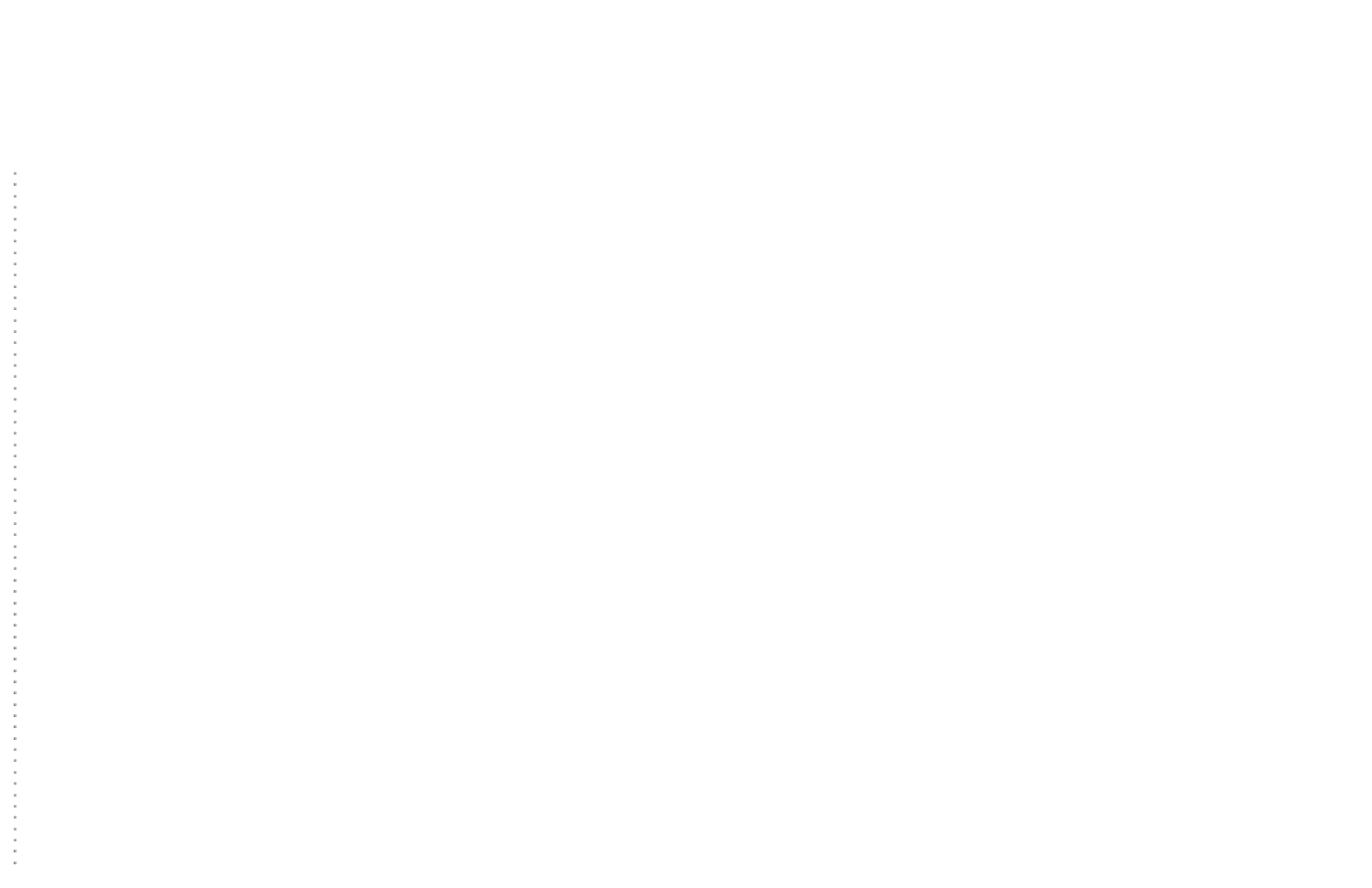\$0\$0\$0\$0\$0\$0\$0\$00000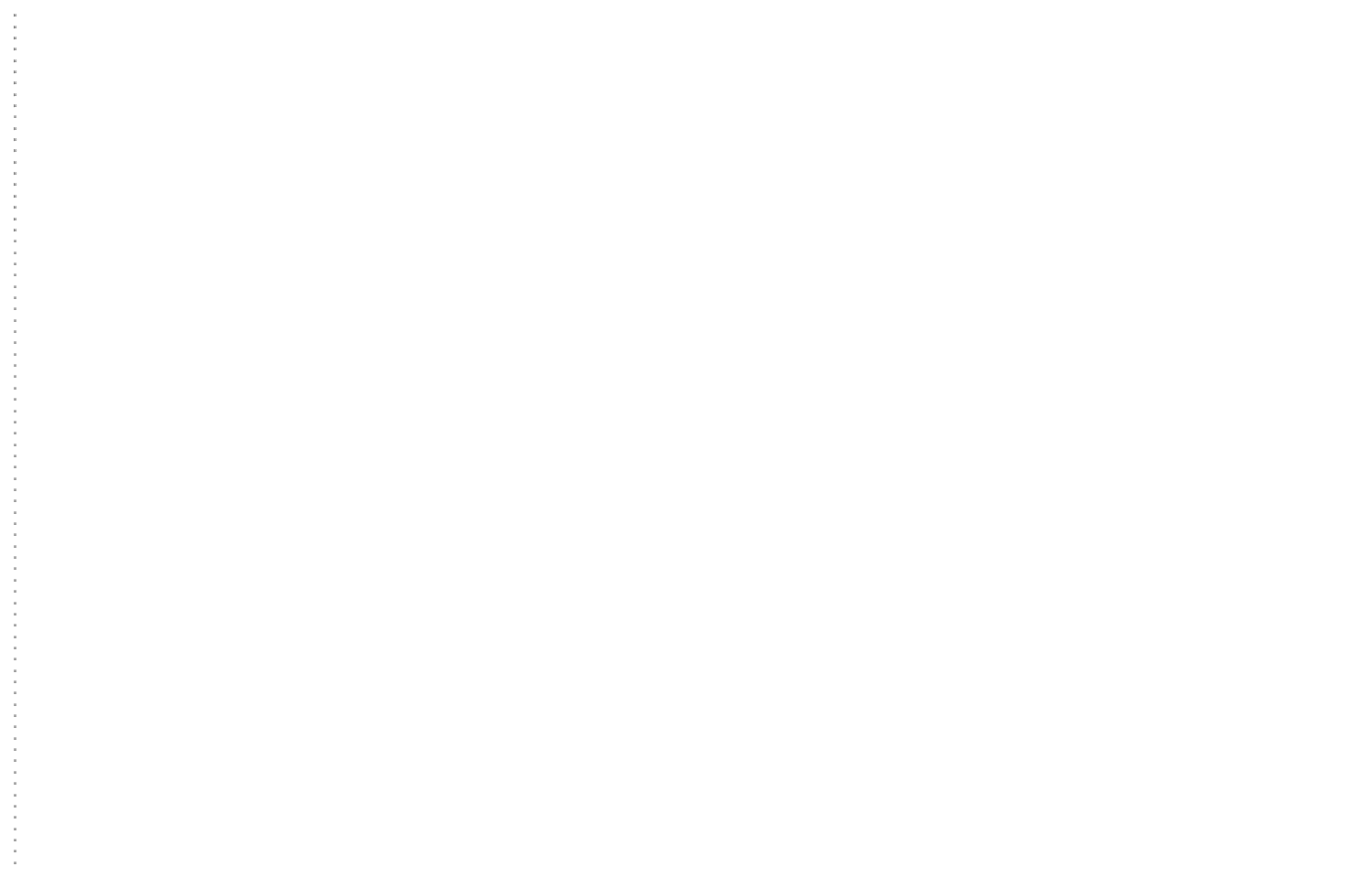0000\$0\$0\$0\$0\$0\$0\$0\$0\$0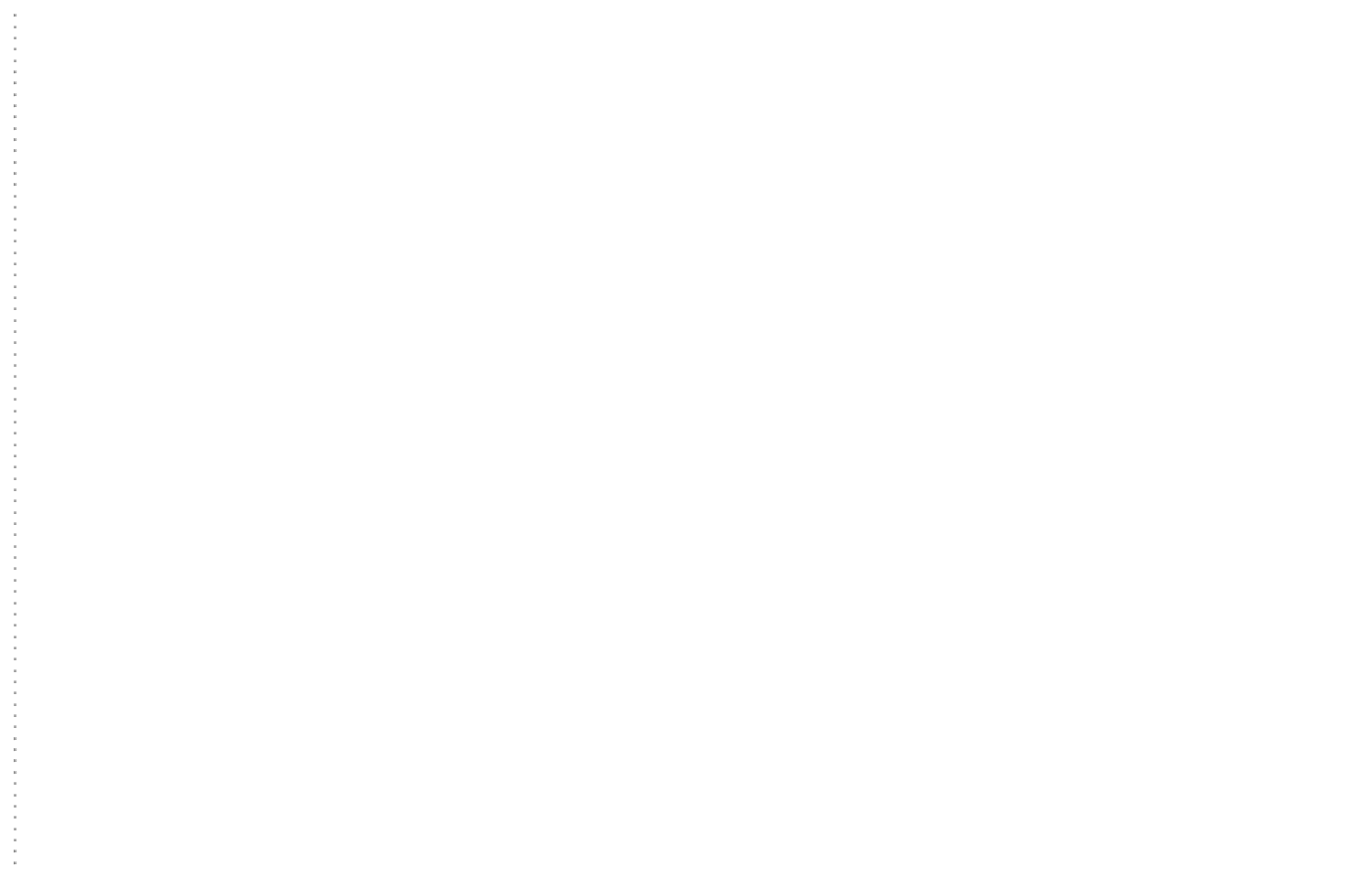\$0\$000\$0\$0\$0\$0\$0\$0\$0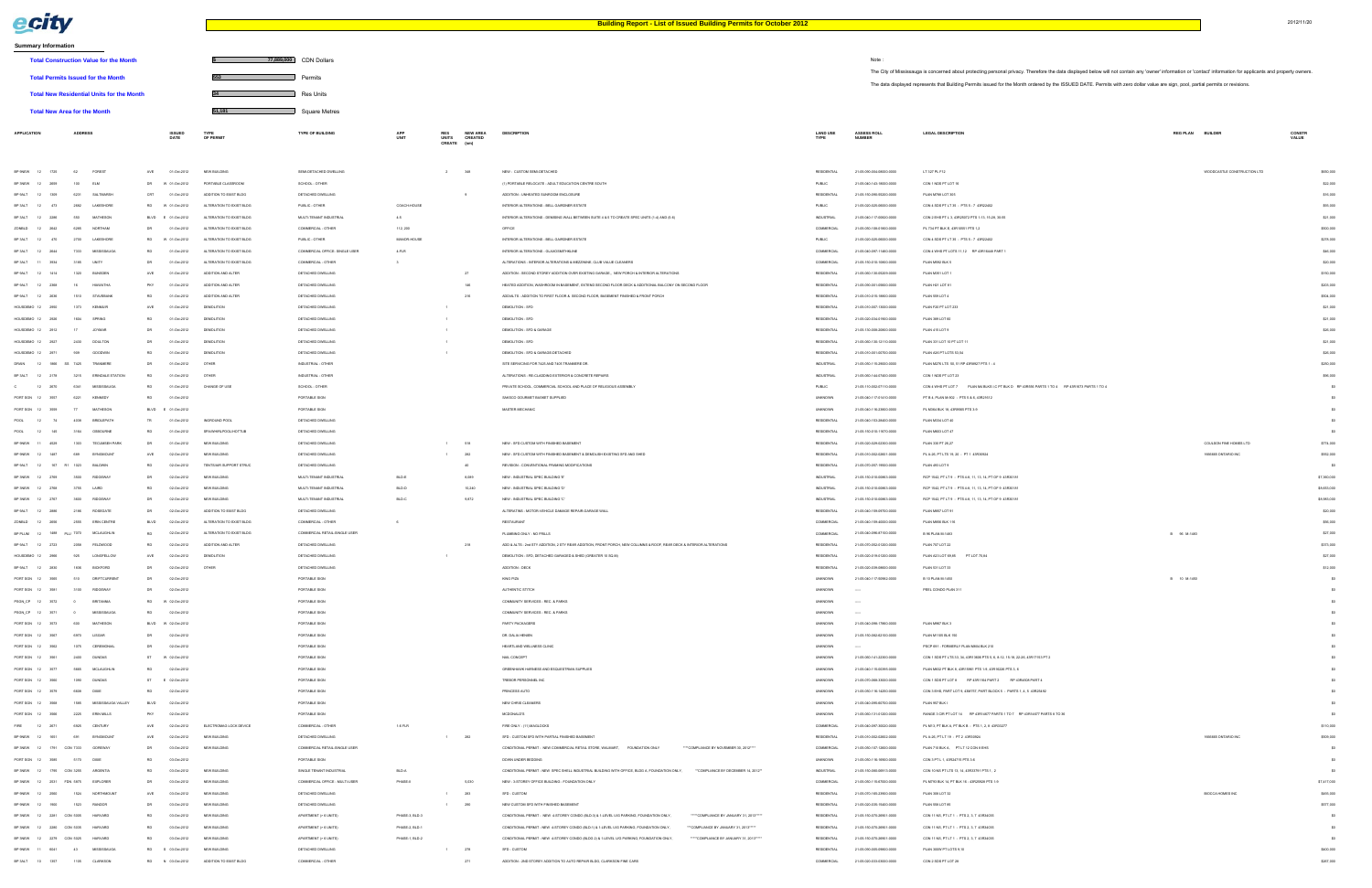ecity

| <b>APPLICATION</b>                                           | <b>ADDRESS</b>                  | <b>ISSUED</b><br>DATE                                | <b>TYPE</b><br>OF PERMIT     | <b>TYPE OF BUILDING</b>                             | AP<br>UND                        | <b>RES</b><br><b>NEW AREA</b><br><b>UNITS</b><br><b>CREATED</b><br><b>CREATE</b><br>(sm) | <b>DESCRIPTION</b>                                                                                                                                                                                                                                                         | <b>LAND USE</b><br>TYPE                  | <b>ASSESS ROLL</b><br>NUMBER                         | <b>LEGAL DESCRIPTION</b>                                                                    | REG PLAN BUILDER            | <b>CONSTR</b><br>VALUE |                                  |
|--------------------------------------------------------------|---------------------------------|------------------------------------------------------|------------------------------|-----------------------------------------------------|----------------------------------|------------------------------------------------------------------------------------------|----------------------------------------------------------------------------------------------------------------------------------------------------------------------------------------------------------------------------------------------------------------------------|------------------------------------------|------------------------------------------------------|---------------------------------------------------------------------------------------------|-----------------------------|------------------------|----------------------------------|
|                                                              |                                 |                                                      |                              |                                                     |                                  |                                                                                          |                                                                                                                                                                                                                                                                            |                                          |                                                      |                                                                                             |                             |                        |                                  |
| BP 9NEW 12 1725                                              | 62<br>FOREST                    | AVE<br>01-Oct-2012                                   | <b>NEW BUILDING</b>          | SEMI-DETACHED DWELLING                              |                                  | 2<br>348                                                                                 | NEW - CUSTOM SEMI-DETACHED                                                                                                                                                                                                                                                 | <b>RESIDENTIAL</b>                       | 21-05-090-004-08000-0000                             | LT 327 PL F12                                                                               | WOODCASTLE CONSTRUCTION LTD |                        | \$650,000                        |
| BP 3NEW 12                                                   | <b>ELM</b><br>100               | DR W 01-Oct-2012                                     | PORTABLE CLASSROOM           | SCHOOL - OTHER                                      |                                  |                                                                                          | (1) PORTABLE RELOCATE - ADULT EDUCATION CENTRE SOUTH                                                                                                                                                                                                                       | PUBLIC                                   | 21-05-040-143-18000-0000                             | CON 1 NDS PT LOT 16                                                                         |                             |                        | \$22,000                         |
| BP 9ALT<br>1309                                              | SALTMARSH<br>6231               | CRT<br>01-Oct-2012                                   | ADDITION TO EXIST BLDG       | DETACHED DWELLING                                   |                                  | 9                                                                                        | ADDITION - UNHEATED SUNROOM ENCLOSURE                                                                                                                                                                                                                                      | <b>RESIDENTIAL</b>                       | 21-05-150-090-55200-0000                             | PLAN M788 LOT 305                                                                           |                             |                        | \$16,000                         |
| BP 3ALT 12<br>473                                            | 2682<br>LAKESHORE               | RD W 01-Oct-2012                                     | ALTERATION TO EXIST BLDG     | PUBLIC - OTHER                                      | COACH-HOUSE                      |                                                                                          | INTERIOR ALTERATIONS - BELL GAIRDNER ESTATE                                                                                                                                                                                                                                | PUBLIC                                   | 21-05-020-025-06000-0000                             | CON 4 SDS PT LT 35 - PTS 5 - 7 43R22402                                                     |                             |                        | \$93,000                         |
| BP 3ALT 12 2286                                              | MATHESON<br>550                 | BLVD E 01-Oct-2012                                   | ALTERATION TO EXIST BLDG     | MULTI-TENANT INDUSTRIAL                             | $4 - 5$                          |                                                                                          | INTERIOR ALTERATIONS - DEMISING WALL BETWEEN SUITE 4 & 5 TO CREATE SPEC UNITS (1-4) AND (5-6)                                                                                                                                                                              | <b>INDUSTRIA</b>                         | 21-05-040-117-00820-0000                             | CON 2 EHS PT L 3, 43R25072 PTS 1-13, 15-28, 30-55                                           |                             |                        | \$21,000                         |
| ZONBLD<br>2642                                               | 6285<br><b>NORTHAM</b>          | <b>DR</b><br>01-Oct-2012                             | ALTERATION TO EXIST BLDG     | COMMERCIAL - OTHER                                  | 112, 200                         |                                                                                          | OFFICE                                                                                                                                                                                                                                                                     | COMMERCIAL                               | 21-05-050-108-01800-0000                             | PL 734 PT BLK E, 43R10551 PTS 1,2                                                           |                             |                        | \$500,000                        |
| BP 3ALT                                                      | 2700<br>LAKESHORE               | <b>RD</b><br>W 01-Oct-2012                           | ALTERATION TO EXIST BLDG     | PUBLIC - OTHER                                      | MANOR-HOUSE                      |                                                                                          | INTERIOR ALTERATIONS - BELL GAIRDNER ESTATE                                                                                                                                                                                                                                | PUBLIC                                   | 21-05-020-025-06000-0000                             | CON 4 SDS PT LT 35 - PTS 5 - 7 43R22402                                                     |                             |                        | \$278,000                        |
| BP 3ALT<br>12 2644                                           | 7333<br><b>MISSISSAUG</b>       | <b>RD</b><br>01-Oct-2012                             | ALTERATION TO EXIST BLDG     | COMMERCIAL OFFICE- SINGLE USER                      | 4-FLR                            |                                                                                          | INTERIOR ALTERATIONS - GLAXOSMITHKLINE                                                                                                                                                                                                                                     | COMMERCIAL                               | 21-05-040-097-11460-0000                             | CON 4 WHS PT LOTS 11,12 RP 43R16448 PART 1                                                  |                             |                        | \$46,000                         |
| BP 3ALT<br>3934                                              | 3185<br>UNITY                   | DR.<br>01-Oct-2012                                   | ALTERATION TO EXIST BLDG     | COMMERCIAL - OTHER                                  |                                  |                                                                                          | ALTERATIONS - INTERIOR ALTERATIONS & MEZZININE. CLUB VALUE CLEANERS                                                                                                                                                                                                        | COMMERCIAL                               | 21-05-150-010-10800-0000                             | PLAN M592 BLK 5                                                                             |                             |                        | \$20,000                         |
| BP 9ALT 12 1414                                              | 1320<br><b>BUNSDEN</b>          | AVE<br>01-Oct-2012                                   | ADDITION AND ALTER           | DETACHED DWELLING                                   |                                  |                                                                                          | ADDITION - SECOND STOREY ADDITION OVER EXISTING GARAGE,, NEW PORCH & INTERIOR ALTERATIONS                                                                                                                                                                                  | <b>RESIDENTIAL</b>                       | 21-05-060-130-05209-0000                             | PLAN M351 LOT 1                                                                             |                             |                        | \$150,000                        |
| BP 9ALT<br>12 2368                                           | <b>HIAWATHA</b>                 | PKY<br>01-Oct-2012                                   | ADDITION AND ALTER           | DETACHED DWELLING                                   |                                  | 146                                                                                      | HEATED ADDITION, WASHROOM IN BASEMENT, EXTEND SECOND FLOOR DECK & ADDITIONAL BALCONY ON SECOND FLOOR                                                                                                                                                                       | <b>RESIDENTIAL</b>                       | 21-05-090-001-05600-0000                             | PLAN H21 LOT 81                                                                             |                             |                        | \$203,000                        |
| BP 9ALT<br>2636<br>12                                        | 1510<br>STAVEBANK               | <b>RD</b><br>01-Oct-2012                             | ADDITION AND ALTER           | DETACHED DWELLING                                   |                                  | 216                                                                                      | ADD/ALTS - ADDITION TO FIRST FLOOR & SECOND FLOOR, BASEMENT FINISHED & FRONT PORCH                                                                                                                                                                                         | <b>RESIDENTIAL</b>                       | 21-05-010-015-18800-0000                             | PLAN 559 LOT 4                                                                              |                             |                        | \$504,000                        |
| HOUSDEMO 12<br>2950                                          | 1373<br>KENMUIR                 | AVE<br>01-Oct-2012                                   | DEMOLITION                   | DETACHED DWELLING                                   |                                  | $\overline{1}$                                                                           | DEMOLITION - SFD                                                                                                                                                                                                                                                           | <b>RESIDENTIAL</b>                       | 21-05-010-007-13000-0000                             | PLAN F20 PT LOT 233                                                                         |                             |                        | \$21,000                         |
| HOUSDEMO 12<br>2926                                          | 1604<br>SPRING                  | <b>RD</b><br>01-Oct-2012                             | DEMOLITION                   | DETACHED DWELLING                                   |                                  |                                                                                          | DEMOLITION - SFD                                                                                                                                                                                                                                                           | <b>RESIDENTIAL</b>                       | 21-05-020-034-01900-0000                             | PLAN 389 LOT 60                                                                             |                             |                        | \$21,000                         |
| HOUSDEMO 12<br>2912                                          | <b>JOYMAR</b>                   | 01-Oct-2012<br><b>DR</b>                             | DEMOLITION                   | DETACHED DWELLING                                   |                                  | $\mathbf{1}$                                                                             | DEMOLITION - SFD & GARAGE                                                                                                                                                                                                                                                  | <b>RESIDENTIAL</b>                       | 21-05-130-008-20800-0000                             | PLAN 415 LOT 9                                                                              |                             |                        | \$26,000                         |
| HOUSDEMO 12 2927                                             | <b>DOULTON</b><br>2430          | <b>DR</b><br>01-Oct-2012                             | DEMOLITION                   | DETACHED DWELLING                                   |                                  |                                                                                          | DEMOLITION - SFD                                                                                                                                                                                                                                                           | <b>RESIDENTIAL</b>                       | 21-05-060-130-12110-0000                             | PLAN 331 LOT 10 PT LOT 11                                                                   |                             |                        | \$21,000                         |
| HOUSDEMO 12 2971                                             | 909<br>GOODWIN                  | <b>RD</b><br>01-Oct-2012                             | DEMOLITION                   | DETACHED DWELLING                                   |                                  |                                                                                          | DEMOLITION - SFD & GARAGE-DETACHED                                                                                                                                                                                                                                         | RESIDENTIAL                              | 21-05-010-001-00700-0000                             | PLAN A26 PT LOTS 53,54                                                                      |                             |                        | \$26,000                         |
|                                                              | <b>TRANMER</b>                  | 01-Oct-2012                                          | OTHER                        | INDUSTRIAL - OTHER                                  |                                  |                                                                                          | SITE SERVICING FOR 7425 AND 7405 TRANMERE DR.                                                                                                                                                                                                                              | <b>INDUSTRIA</b>                         | 21-05-050-115-29000-0000                             | PLAN M276 LTS 50, 51 RP 43R8927 PTS 1 - 4                                                   |                             |                        | \$250,000                        |
| BP 3ALT<br>12 2178                                           | 3215<br><b>ERINDALE STATION</b> | 01-Oct-2012<br><b>RD</b>                             | OTHER                        | INDUSTRIAL - OTHER                                  |                                  |                                                                                          | ALTERATIONS - RE-CLADDING EXTERIOR & CONCRETE REPAIRS                                                                                                                                                                                                                      | <b>INDUSTRIA</b>                         | 21-05-060-144-07400-0000                             | CON 1 NDS PT LOT 23                                                                         |                             |                        | \$96,000                         |
| 12 2670                                                      | 6341<br><b>MISSISSAUGA</b>      | <b>RD</b><br>01-Oct-2012                             | CHANGE OF USE                | SCHOOL - OTHER                                      |                                  |                                                                                          | PRIVATE SCHOOL, COMMERCIAL SCHOOL AND PLACE OF RELIGIOUS ASSEMBLY                                                                                                                                                                                                          | PUBLIC                                   | 21-05-110-002-07110-0000                             | CON 4 WHS PT LOT 7 PLAN M4 BLKS I,C PT BLK D RP 43R556 PARTS 1 TO 4 RP 43R1673 PARTS 1 TO 4 |                             |                        |                                  |
| PORT SGN 12<br>3557                                          | 6221<br><b>KENNEDY</b>          | <b>RD</b><br>01-Oct-2012                             |                              | PORTABLE SIGN                                       |                                  |                                                                                          | SAKSCO GOURMET BASKET SUPPLIED                                                                                                                                                                                                                                             | <b>UNKNOWN</b>                           | 21-05-040-117-01410-0000                             | PT B 4, PLAN M-902 - PTS 5 & 6, 43R21612                                                    |                             |                        |                                  |
| PORT SGN 12 3559                                             | MATHESON<br>77                  | BLVD E 01-Oct-2012                                   |                              | PORTABLE SIGN                                       |                                  |                                                                                          | MASTER MECHANIC                                                                                                                                                                                                                                                            | <b>UNKNOWN</b>                           | 21-05-040-116-23800-0000                             | PL M364 BLK 18, 43R9565 PTS 3-9                                                             |                             |                        |                                  |
| POOL 12<br>74                                                | 4038<br>BRIDLEPATH              | <b>TR</b><br>01-Oct-2012                             | INGROUND POOL                | DETACHED DWELLING                                   |                                  |                                                                                          |                                                                                                                                                                                                                                                                            | <b>RESIDENTIAL</b>                       | 21-05-040-153-28400-0000                             | PLAN M334 LOT 40                                                                            |                             |                        |                                  |
| POOL<br>12                                                   | 3164<br>OSBOURNE                | <b>RD</b><br>01-Oct-2012                             | SPA/WHIRLPOOL/HOTTUB         | DETACHED DWELLING                                   |                                  |                                                                                          |                                                                                                                                                                                                                                                                            | <b>RESIDENTIAL</b>                       | 21-05-150-010-11670-0000                             | PLAN M603 LOT 47                                                                            |                             |                        |                                  |
| BP 9NEW<br>4529                                              | 1303<br><b>TECUMSEH PAR</b>     | <b>DR</b><br>01-Oct-2012                             | NEW BUILDING                 | DETACHED DWELLING                                   |                                  | 1<br>518                                                                                 | NEW - SFD CUSTOM WITH FINISHED BASEMENT                                                                                                                                                                                                                                    | <b>RESIDENTIAL</b>                       | 21-05-020-029-02300-0000                             | PLAN 330 PT 26,27                                                                           | COULSON FINE HOMES LTD      |                        | \$774,000                        |
| BP 9NEW 12<br>1487                                           | BYNGMOUNT<br>689                | AVE<br>02-Oct-2012                                   | <b>NEW BUILDING</b>          | DETACHED DWELLING                                   |                                  | 1<br>282                                                                                 | NEW - SFD CUSTOM WITH FINISHED BASEMENT & DEMOLISH EXISTING SFD AND SHED                                                                                                                                                                                                   | <b>RESIDENTIAL</b>                       | 21-05-010-002-02601-0000                             | PL A-26, PT LTS 19, 20 - PT 1 43R30924                                                      | 1666665 ONTARIO INC         |                        | \$552,000                        |
| BP 9ALT<br>167<br>12                                         | BALDWIN<br>1023                 | <b>RD</b><br>02-Oct-2012                             | TENTS/AIR SUPPORT STRUC      | DETACHED DWELLING                                   |                                  | 40                                                                                       | REVISION - CONVENTIONAL FRAMING MODIFICATIONS                                                                                                                                                                                                                              | RESIDENTIAL                              | 21-05-070-057-19500-0000                             | PLAN 493 LOT 9                                                                              |                             |                        | S <sub>0</sub>                   |
| 2769<br>BP 3NEW 12                                           | <b>RIDGEWAY</b><br>3500         | <b>DR</b><br>02-Oct-2012                             | <b>NEW BUILDING</b>          | MULTI-TENANT INDUSTRIAL                             | BLD-E                            | 8,089                                                                                    | NEW - INDUSTRIAL SPEC BUILDING 'E'                                                                                                                                                                                                                                         | <b>INDUSTRIAL</b>                        | 21-05-150-010-00863-0000                             | RCP 1542, PT LT 9 - PTS 4-8, 11, 13, 14, PT OF 9 43R30181                                   |                             |                        | \$7,360,000                      |
| BP 3NEW 12 2768                                              | 3755<br>LAIRE                   | 02-Oct-2012<br><b>RD</b>                             | <b>NEW BUILDING</b>          | MULTI-TENANT INDUSTRIAL                             | BLD-D                            | 10,240                                                                                   | NEW - INDUSTRIAL SPEC BUILDING 'D'                                                                                                                                                                                                                                         | <b>INDUSTRIA</b>                         | 21-05-150-010-00863-0000                             | RCP 1542, PT LT 9 - PTS 4-8, 11, 13, 14, PT OF 9 43R30181                                   |                             |                        | \$8,653,000                      |
| BP 3NEW 12 2767                                              | 3600<br>RIDGEWAY                | <b>DR</b><br>02-Oct-2012                             | <b>NEW BUILDING</b>          | MULTI-TENANT INDUSTRIAL                             | BLD-C                            | 9,872                                                                                    | NEW - INDUSTRIAL SPEC BUILDING 'C'                                                                                                                                                                                                                                         | INDUSTRIAL                               | 21-05-150-010-00863-0000                             | RCP 1542, PT LT 9 - PTS 4-8, 11, 13, 14, PT OF 9 43R30181                                   |                             |                        | \$8,983,000                      |
| BP 9ALT<br>2886                                              | ROSEGATE<br>2186                | <b>DR</b><br>02-Oct-2012                             | ADDITION TO EXIST BLDG       | DETACHED DWELLING                                   |                                  |                                                                                          | ALTERATINS - MOTOR-VEHICLE DAMAGE REPAIR-GARAGE WALL                                                                                                                                                                                                                       | <b>RESIDENTIAL</b>                       | 21-05-040-159-09700-0000                             | PLAN M857 LOT 91                                                                            |                             |                        | \$20,000                         |
| ONBLD<br>2656                                                | 2555<br><b>ERIN CENTRI</b>      | BLVD<br>02-Oct-2012                                  | ALTERATION TO EXIST BLDG     | COMMERCIAL - OTHER                                  |                                  |                                                                                          | RESTAURANT                                                                                                                                                                                                                                                                 | COMMERCIAL                               | 21-05-040-159-40000-0000                             | PLAN M856 BLK 116                                                                           |                             |                        | \$56,000                         |
| BP PLUM 12 1488                                              | MCLAUGHLIN<br>PLU 7070          | 02-Oct-2012<br><b>RD</b>                             | ALTERATION TO EXIST BLDG     | COMMERCIAL RETAIL-SINGLE USER                       |                                  |                                                                                          | PLUMBING ONLY - NO FRILLS                                                                                                                                                                                                                                                  | COMMERCIAL                               | 21-05-040-096-87100-0000                             | B 96 PLAN M-1483                                                                            | B 96 M-1483                 |                        | \$27,000                         |
| BP 9ALT 12 2723                                              | FELDWOOD<br>2058                | <b>RD</b><br>02-Oct-2012                             | ADDITION AND ALTER           | DETACHED DWELLING                                   |                                  | 218                                                                                      | ADD & ALTS - 2nd STY ADDITION, 2 STY REAR ADDITION, FRONT PORCH, NEW COLUMNS & ROOF, REAR DECK & INTERIOR ALTERATIONS                                                                                                                                                      | <b>RESIDENTIAL</b>                       | 21-05-070-052-01200-0000                             | <b>PLAN 707 LOT 22</b>                                                                      |                             |                        | \$373,000                        |
| HOUSDEMO 12<br>2966                                          | 925<br>LONGFELLOW               | AVE<br>02-Oct-2012                                   | DEMOLITION                   | DETACHED DWELLING                                   |                                  | $\sim$                                                                                   | DEMOLITION - SFD, DETACHED GARAGED & SHED (GREATER 10 SQ.M)                                                                                                                                                                                                                | <b>RESIDENTIAL</b>                       | 21-05-020-019-01200-0000                             | PLAN A23 LOT 69,85 PT LOT 70,84                                                             |                             |                        | \$27,000                         |
| BP 9ALT<br>12 2830                                           | 1836<br><b>BICKFORD</b>         | <b>DR</b><br>02-Oct-2012                             | OTHER                        | DETACHED DWELLING                                   |                                  |                                                                                          | ADDITION - DECK                                                                                                                                                                                                                                                            | <b>RESIDENTIAL</b>                       | 21-05-020-039-08600-0000                             | PLAN 531 LOT 33                                                                             |                             |                        | \$12,000                         |
| PORT SGN 12 3565                                             | 510<br>DRIFTCURRENT             | <b>DR</b><br>02-Oct-2012                             |                              | PORTABLE SIGN                                       |                                  |                                                                                          | KING PIZA                                                                                                                                                                                                                                                                  | <b>UNKNOWN</b>                           | 21-05-040-117-50982-0000                             | B 10 PLAN M-1450                                                                            | B 10 M-1450                 |                        |                                  |
| PORT SGN 12 3581                                             | 3100<br><b>RIDGEWAY</b>         | DR.<br>02-Oct-2012                                   |                              | PORTABLE SIGN                                       |                                  |                                                                                          | AUTHENTIC STITCH                                                                                                                                                                                                                                                           | <b>UNKNOWN</b>                           | ----                                                 | PEEL CONDO PLAN 311                                                                         |                             |                        |                                  |
| PSGN_CP 12 3572                                              | <b>BRITANNIA</b>                | <b>RD</b><br>W 02-Oct-2012                           |                              | PORTABLE SIGN                                       |                                  |                                                                                          | COMMUNITY SERVICES - REC. & PARKS                                                                                                                                                                                                                                          | <b>UNKNOWN</b>                           |                                                      |                                                                                             |                             |                        |                                  |
| PSGN_CP 12 3571 0                                            | MISSISSAUGA                     | <b>RD</b><br>02-Oct-2012                             |                              | PORTABLE SIGN                                       |                                  |                                                                                          | COMMUNITY SERVICES - REC. & PARKS                                                                                                                                                                                                                                          | <b>UNKNOWN</b>                           | --                                                   |                                                                                             |                             |                        |                                  |
| PORT SGN 12 3573 600 MATHESON                                |                                 | RLVD W 02-0el-2012                                   |                              | PORTABLE SIGN                                       |                                  |                                                                                          | PARTY PACKAGERS                                                                                                                                                                                                                                                            | <b>LINKNOWN</b>                          | 21-05-040-098-17860-0000                             | PLAN M967 BLK 3                                                                             |                             |                        |                                  |
| PORT SGN 12 3567                                             | 6970 LISGAR                     | <b>DR</b><br>02-Oct-2012                             |                              | PORTABLE SIGN                                       |                                  |                                                                                          | DR. DALIA HENIEN                                                                                                                                                                                                                                                           | <b>UNKNOWN</b>                           | 21-05-150-082-62100-0000                             | PLAN M1105 BLK 150                                                                          |                             |                        |                                  |
| PORT SGN 12 3562                                             | 1075<br>CEREMONIA               | 02-Oct-2012                                          |                              | PORTABLE SIGN                                       |                                  |                                                                                          | HEARTLAND WELLNESS CLINIC                                                                                                                                                                                                                                                  | <b>UNKNOWN</b>                           |                                                      | PSCP 691 - FORMERLY PLAN M804 BLK 210                                                       |                             |                        |                                  |
| PORT SGN 12 3561                                             | 2400<br><b>DUNDAS</b>           | W 02-Oct-2012<br><b>ST</b>                           |                              | PORTABLE SIGN                                       |                                  |                                                                                          | NAIL CONCEPT                                                                                                                                                                                                                                                               | <b>UNKNOWN</b>                           | 21-05-060-141-22300-0000                             | CON 1 SDS PT LTS 33, 34, 43R13606 PTS 5, 6, 8-12, 15-18, 22-26, 43R17153 PT 2               |                             |                        |                                  |
| PORT SGN 12 3577                                             | 5665<br>MCLAUGHLIN              | <b>RD</b><br>02-Oct-2012                             |                              | PORTABLE SIGN                                       |                                  |                                                                                          | GREENHAWK HARNESS AND ESQUESTRIAN SUPPLIES                                                                                                                                                                                                                                 | <b>UNKNOWN</b>                           | 21-05-040-115-00395-0000                             | PLAN M832 PT BLK 8, 43R15961 PTS 1-9, 43R16226 PTS 3, 6                                     |                             |                        |                                  |
| PORT SGN 12 3560                                             | 1090<br>DUNDA:                  | ST E 02-Oct-2012                                     |                              | PORTABLE SIGN                                       |                                  |                                                                                          | TREBOR PERSONNEL INC                                                                                                                                                                                                                                                       | <b>UNKNOWN</b>                           | 21-05-070-068-33000-0000                             | CON 1 SDS PT LOT 8 RP 43R1164 PART 2 RP 43R4508 PART 4                                      |                             |                        |                                  |
| PORT SGN 12 3579                                             | 6608<br>DIXIE                   | <b>RD</b><br>02-Oct-2012                             |                              | PORTABLE SIGN                                       |                                  |                                                                                          | PRINCESS AUTO<br>NEW CHRIS CLEANERS                                                                                                                                                                                                                                        | <b>UNKNOWN</b>                           | 21-05-050-116-14250-0000                             | CON 3 EHS, PART LOT 9, 43M757, PART BLOCK 5 - PARTS 1, 4, 5 43R25492                        |                             |                        |                                  |
| PORT SGN 12 3568                                             | 1585<br>MISSISSAUGA VALLEY      | <b>BLVD</b><br>02-Oct-2012                           |                              | PORTABLE SIGN                                       |                                  |                                                                                          |                                                                                                                                                                                                                                                                            | <b>UNKNOWN</b>                           | 21-05-040-095-60700-0000                             | PLAN 957 BLK I                                                                              |                             |                        |                                  |
| PORT SGN 12 3566                                             | 2225<br><b>ERIN MILLS</b>       | PKY<br>02-Oct-2012                                   |                              | PORTABLE SIGN                                       |                                  |                                                                                          | MCDONALD'S                                                                                                                                                                                                                                                                 | <b>UNKNOWN</b>                           | 21-05-060-131-01200-0000                             | RANGE 3 CIR PT LOT 14 RP 43R14677 PARTS 1 TO 7 RP 43R14677 PARTS 8 TO 36                    |                             |                        |                                  |
| FIRE<br>12 2671                                              | 6925<br>CENTURY                 | AVE<br>02-Oct-2012                                   | ELECTROMAG LOCK DEVICE       | COMMERCIAL - OTHER                                  | $1-6$ FLR                        |                                                                                          | FIRE ONLY - (11) MAGLOCKS                                                                                                                                                                                                                                                  | COMMERCIAL                               | 21-05-040-097-30020-0000                             | PL M13, PT BLK A, PT BLK B - PTS 1, 2, 8 43R33277<br>PL A-26, PT LT 19 - PT 2 43R30924      |                             |                        | \$110,000                        |
| BP 9NEW 12 1651                                              | 691<br>BYNGMOUNT                | AVE<br>02-Oct-2012                                   | <b>NEW BUILDING</b>          | DETACHED DWELLING                                   |                                  | $1 \qquad \qquad 282$                                                                    | SFD - CUSTOM SFD WITH PARTIAL FINISHED BASEMENT<br>****COMPLIANCE BY NOVEMBER 30, 2012 ****                                                                                                                                                                                | <b>RESIDENTIAL</b>                       | 21-05-010-002-02602-0000                             |                                                                                             | 1666665 ONTARIO INC         |                        | \$509,000                        |
| BP 3NEW 12 1791 CON 7333                                     | GOREWAY                         | DR.<br>03-Oct-2012                                   | NEW BUILDING                 | COMMERCIAL RETAIL-SINGLE USER                       |                                  |                                                                                          | CONDITIONAL PERMIT - NEW COMMERCIAL RETAIL STORE, WALMART, FOUNDATION ONLY                                                                                                                                                                                                 | COMMERCIAL                               | 21-05-050-107-12600-0000                             | PLAN 710 BLK A. PT LT 12 CON 8 EHS                                                          |                             |                        | S <sub>0</sub>                   |
| PORT SGN 12 3585<br>BP 3NEW 12 1795 CON 3255 ARGENTIA        | 5170<br>DIXIE                   | <b>RD</b><br>03-Oct-2012<br>03-Oct-2012<br><b>RD</b> | <b>NEW BUILDING</b>          | PORTABLE SIGN<br>SINGLE TENANT INDUSTRIAL           | BLD-A                            |                                                                                          | DOWN UNDER BEDDING<br>CONDITIONAL PERMIT - NEW SPEC SHELL INDUSTRIAL BUILDING WITH OFFICE, BLDG A, FOUNDATION ONLY, "COMPLIANCE BY DECEMBER 14, 2012**                                                                                                                     | <b>UNKNOWN</b><br>INDUSTRIAL             | 21-05-050-116-16900-0000<br>21-05-150-080-06913-0000 | CON 3 PT L 1, 43R24715 PTS 3-6<br>CON 10 NS PT LTS 13, 14, 43R33791 PTS 1, 2                |                             |                        | S <sub>0</sub><br>S <sub>0</sub> |
|                                                              |                                 |                                                      |                              |                                                     |                                  |                                                                                          |                                                                                                                                                                                                                                                                            |                                          | 21-05-050-115-67000-0000                             |                                                                                             |                             |                        |                                  |
| BP 3NEW 12 2531 FDN 5875 EXPLORER<br>BP 9NEW 12 2560         | 1524<br>NORTHMOUN               | DR.<br>03-Oct-2012<br>AVE<br>03-Oct-2012             | NEW BUILDING<br>NEW BUILDING | COMMERCIAL OFFICE - MULTI-USER<br>DETACHED DWELLING | PHASE-II                         | 5,030<br>$1 -$<br>283                                                                    | NEW - 3-STOREY OFFICE BUILDING - FOUNDATION ONLY<br>SFD - CUSTOM                                                                                                                                                                                                           | COMMERCIAL<br><b>RESIDENTIAL</b>         | 21-05-070-165-23900-0000                             | PL M793 BLK 14, PT BLK 16 - 43R25928 PTS 1-9<br>PLAN 308 LOT 32                             | <b>BIOCCA HOMES INC</b>     |                        | \$7,417,000<br>\$493,000         |
| BP 9NEW 12 1900                                              | 1523<br>RANDOR                  | <b>DR</b>                                            | <b>NEW BUILDING</b>          | DETACHED DWELLING                                   |                                  | $1 -$                                                                                    | NEW CUSTOM SFD WITH FINISHED BASEMENT                                                                                                                                                                                                                                      | RESIDENTIAL                              | 21-05-020-035-15400-0000                             | PLAN 558 LOT 85                                                                             |                             |                        | \$577,000                        |
|                                                              |                                 | 03-Oct-2012                                          | <b>NEW BUILDING</b>          |                                                     |                                  | 290                                                                                      |                                                                                                                                                                                                                                                                            |                                          |                                                      |                                                                                             |                             |                        |                                  |
| BP 3NEW 12 2281 CON 5005 HARVARD<br>BP 3NEW 12 2280 CON 5035 | <b>HARVARD</b>                  | 03-Oct-2012<br><b>RD</b><br><b>RD</b><br>03-Oct-2012 | <b>NEW BUILDING</b>          | APARTMENT (> 6 UNITS)<br>APARTMENT (> 6 UNITS)      | PHASE-3, BLD-3<br>PHASE-2, BLD-1 |                                                                                          | CONDITIONAL PERMIT - NEW 4-STOREY CONDO (BLD-3) & 1-LEVEL UIG PARKING, FOUNDATION ONLY,<br>*****COMPLIANCE BY JANUARY 31, 2013 *****<br>CONDITIONAL PERMIT - NEW 4-STOREY CONDO (BLD-1) & 1-LEVEL U/G PARKING, FOUNDATION ONLY,<br>***COMPLIANCE BY JANUARY 31, 2013 ***** | <b>RESIDENTIAL</b><br><b>RESIDENTIAL</b> | 21-05-150-070-26901-0000<br>21-05-150-070-26901-0000 | CON 11 NS, PT LT 1 - PTS 2, 3, 7 43R34035<br>CON 11 NS, PT LT 1 - PTS 2, 3, 7 43R34035      |                             |                        | S <sub>0</sub>                   |
| BP 3NEW 12 2279 CON 5025                                     | HARVARD                         | <b>RD</b><br>03-Oct-2012                             | NEW BUILDING                 | APARTMENT (> 6 UNITS)                               | PHASE-1, BLD-2                   |                                                                                          | CONDITIONAL PERMIT - NEW 4-STOREY CONDO (BLDG 2) & 1-LEVEL U/G PARKING, FOUNDATION ONLY,<br>*****COMPLIANCE BY JANUARY 31, 2013 ****                                                                                                                                       | <b>RESIDENTIAL</b>                       | 21-05-150-070-26901-0000                             | CON 11 NS, PT LT 1 - PTS 2, 3, 7 43R34035                                                   |                             |                        |                                  |
| BP 9NEW<br>6041                                              | <b>MISSISSAUG</b>               | RD          S           03-Oct-2012                  | <b>NEW BUILDING</b>          | DETACHED DWELLING                                   |                                  | $1 -$<br>278                                                                             | SFD - CUSTOM                                                                                                                                                                                                                                                               | <b>RESIDENTIAL</b>                       | 21-05-090-005-09800-0000                             | PLAN 300W PT LOTS 9,10                                                                      |                             |                        | \$400,000                        |
| BP 3ALT 10 1357                                              | 1105<br>CLARKSON                | RD N 03-Oct-2012                                     | ADDITION TO EXIST BLDG       | COMMERCIAL - OTHER                                  |                                  | 271                                                                                      | ADDITION - 2ND STOREY ADDITION TO AUTO REPAIR BLDG, CLARKSON FINE CARS                                                                                                                                                                                                     | COMMERCIAL                               | 21-05-020-033-03000-0000                             | CON 2 SDS PT LOT 28                                                                         |                             |                        | \$267,000                        |
|                                                              |                                 |                                                      |                              |                                                     |                                  |                                                                                          |                                                                                                                                                                                                                                                                            |                                          |                                                      |                                                                                             |                             |                        |                                  |

onal privacy. Therefore the data displayed below will not contain any 'owner' information or 'contact' information for applicants and property owners.

for the Month ordered by the ISSUED DATE. Permits with zero dollar value are sign, pool, partial permits or revisions.

| <b>Summary Information</b>                       |                       |                          |                         |                    |                            |                                           |                    |  |  |                         |                                     |                                                               |
|--------------------------------------------------|-----------------------|--------------------------|-------------------------|--------------------|----------------------------|-------------------------------------------|--------------------|--|--|-------------------------|-------------------------------------|---------------------------------------------------------------|
| <b>Total Construction Value for the Month</b>    |                       |                          | 77,889,000 CDN Dollars  |                    |                            |                                           |                    |  |  |                         | Note:                               |                                                               |
| <b>Total Permits Issued for the Month</b>        |                       | 553                      | Permits                 |                    |                            |                                           |                    |  |  |                         |                                     | The City of Mississauga is concerned about protecting perso   |
| <b>Total New Residential Units for the Month</b> |                       | 34                       | Res Units               |                    |                            |                                           |                    |  |  |                         |                                     | The data displayed represents that Building Permits issued fr |
| <b>Total New Area for the Month</b>              |                       | 51,181                   | <b>Square Metres</b>    |                    |                            |                                           |                    |  |  |                         |                                     |                                                               |
| <b>ADDRESS</b><br><b>APPLICATION</b>             | <b>ISSUED</b><br>DATE | <b>TYPE</b><br>OF PERMIT | <b>TYPE OF BUILDING</b> | APP<br><b>UNIT</b> | <b>RES</b><br><b>UNITS</b> | <b>NEW AREA</b><br>CREATED<br>CREATE (sm) | <b>DESCRIPTION</b> |  |  | <b>LAND USE</b><br>TYPE | <b>ASSESS ROLL</b><br><b>NUMBER</b> | <b>LEGAL DESCRIPTION</b>                                      |
|                                                  |                       |                          |                         |                    |                            |                                           |                    |  |  |                         |                                     |                                                               |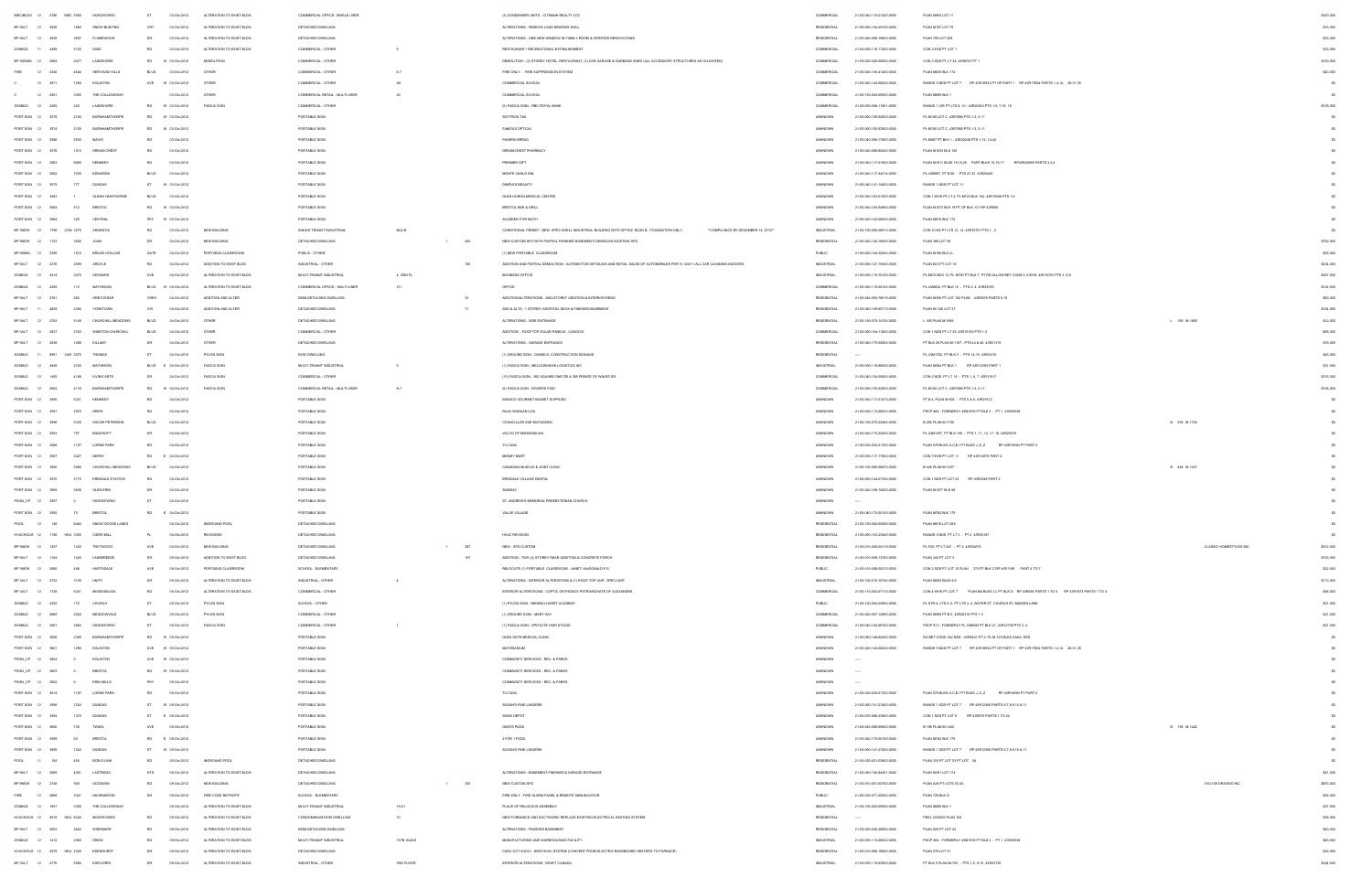| MEC/BLDG 12 2786 MEC 5900    |                 | <b>HURONTARIO</b>        | <b>ST</b>   | 03-Oct-2012        | ALTERATION TO EXIST BLDG | COMMERCIAL OFFICE- SINGLE USER |              |     | (3) CONDENSER UNITS - CITIBANK REALTY LTD                                                                                          | <b>COMMERCIAL</b>  | 21-05-040-115-01200-0000 | PLAN M900 LOT 11                                                                            |                        | \$300,000 |
|------------------------------|-----------------|--------------------------|-------------|--------------------|--------------------------|--------------------------------|--------------|-----|------------------------------------------------------------------------------------------------------------------------------------|--------------------|--------------------------|---------------------------------------------------------------------------------------------|------------------------|-----------|
| BP 9ALT<br>12                |                 | SNOW BUNTING             | CRT         | 03-Oct-2012        | ALTERATION TO EXIST BLDG | DETACHED DWELLING              |              |     | ALTERATIONS - REMOVE LOAD BEARING WALL                                                                                             | RESIDENTIAL        | 21-05-060-154-29100-0000 | PLAN M197 LOT 79                                                                            |                        | \$16,000  |
| BP 9ALT<br>12<br><b>2838</b> | 3607            | <b>FLAMEWOOD</b>         | <b>DR</b>   | 03-Oct-2012        | ALTERATION TO EXIST BLDG | DETACHED DWELLING              |              |     | ALTERATIONS - ONE NEW WINDOW IN FAMILY ROOM & INTERIOR RENOVATIONS                                                                 | RESIDENTIAL        | 21-05-040-086-18600-0000 | PLAN 785 LOT 209                                                                            |                        | \$33,000  |
| ZONBLD<br>11<br>4498         | 5120            | DIXIE                    | <b>RD</b>   | 03-Oct-2012        | ALTERATION TO EXIST BLDG | COMMERCIAL - OTHER             |              |     | RESTAURANT / RECREATIONAL ESTABLISHMENT                                                                                            | COMMERCIAL         | 21-05-050-116-17200-0000 | CON 3 EHS PT LOT 1                                                                          |                        | \$33,000  |
| BP 3DEMO 12<br>2964          | 2477            | LAKESHORE                |             | RD W 03-Oct-2012   | DEMOLITION               | COMMERCIAL - OTHER             |              |     | DEMOLITION - (2) STOREY HOTEL, RESTAURANT, (3) CAR GARAGE & GARBAGE SHED (ALL ACCESSORY STRUCTURES AS HI-LIGHTED)                  | COMMERCIAL         | 21-05-020-025-05500-0000 | CON 3 SDS PT LT 34, 43R8727 PT 1                                                            |                        | \$100,000 |
| 12                           | 4646            | HERITAGE HILLS           | BLVD        | 03-Oct-2012        | OTHER                    | COMMERCIAL - OTHER             | $6 - 7$      |     | FIRE ONLY - FIRE SUPPRESSION SYSTEM                                                                                                | COMMERCIAL         | 21-05-040-155-41400-0000 | PLAN M635 BLK 174                                                                           |                        | \$40,000  |
| 12<br>287 <sup>-</sup>       | 1250            | <b>FGI INTON</b>         |             | AVE W 03-Oct-2012  | OTHER                    | COMMERCIAL - OTHER             | AR           |     | COMMERCIAL SCHOOL                                                                                                                  | COMMERCIAL         | 21-05-040-144-06200-0000 | RANGE 5 NDS PT LOT 7 RP 43R16932 PT OF PART 1 RP 43R17654 PARTS 1-4.12. 28-31.35            |                        |           |
| 12 2551                      | 3355            | THE COLLEGEWAY           |             | 03-Oct-2012        | OTHER                    | COMMERCIAL RETAIL - MULTI-USER | 29           |     | COMMERCIAL SCHOOL                                                                                                                  | COMMERCIAL         | 21-05-150-083-00900-0000 | PLAN M695 BLK 1                                                                             |                        |           |
|                              |                 |                          |             |                    |                          |                                |              |     |                                                                                                                                    |                    |                          |                                                                                             |                        |           |
| SGNBLD 12 2205               | 220             | LAKESHORE                |             | RD W 03-Oct-2012   | <b>FASCIA SIGN</b>       | COMMERCIAL - OTHER             |              |     | (5) FASCIA SIGN - RBC ROYAL BANK                                                                                                   | COMMERCIAL         | 21-05-090-006-11801-0000 | RANGE 1 CIR PT LTS 9, 10 - 43R20063 PTS 1-5, 7-16, 18                                       |                        | \$105,000 |
| PORT SGN 12 3578             | 2150            | <b>JURNHAMTHORP</b>      | <b>RD</b>   | W 03-Oct-2012      |                          | PORTABLE SIGN                  |              |     | SOFTRON TAX                                                                                                                        | <b>UNKNOWN</b>     | 21-05-060-155-52500-0000 | PL M160 LOT C, 43R7880 PTS 1-3, 5-11                                                        |                        |           |
| PORT SGN 12 3574             | 2150            | BURNHAMTHORPE            |             | RD W 03-Oct-2012   |                          | PORTABLE SIGN                  |              |     | FAMOUS OPTICAL                                                                                                                     | UNKNOWN            | 21-05-060-155-52500-0000 | PL M160 LOT C: 43R7880 PTS 1-3, 5-11                                                        |                        |           |
| PORT SGN 12<br>3586          | 5935            | MAVIS                    | <b>RD</b>   | 03-Oct-2012        |                          | PORTABLE SIGN                  |              |     | PANERA BREAD                                                                                                                       | <b>UNKNOWN</b>     | 21-05-040-098-17805-0000 | PL M967 PT BLK 1 - 43R20246 PTS 1-12, 14-24                                                 |                        |           |
| PORT SGN 12<br>3576          | 1010            | DREAM CREST              |             | 03-Oct-2012        |                          | PORTABLE SIGN                  |              |     | DREAMCREST PHARMACY                                                                                                                | <b>UNKNOWN</b>     | 21-05-040-096-60240-0000 | PLAN M1033 BLK 102                                                                          |                        |           |
| PORT SGN 12<br>3563          | 6685            | <b>KENNEDY</b>           | <b>RD</b>   | 03-Oct-2012        |                          | PORTABLE SIGN                  |              |     | PREMIER GIFT                                                                                                                       | <b>UNKNOWN</b>     | 21-05-040-117-01900-0000 | PLAN M1011 BLKS 18,19,20 PART BLKS 15,16,17 RP43R20859 PARTS 2,3,4                          |                        |           |
| PORT SGN 12 3582             | 7035            | EDWARDS                  | BLVD        | 03-Oct-2012        |                          | PORTABLE SIGN                  |              |     | MONTE CARLO INN                                                                                                                    | UNKNOWN            | 21-05-040-117-24214-0000 | PL 43M957, PT B 50 - PTS 27-33 43R29245                                                     |                        |           |
| PORT SGN 12 3575             |                 | <b>DUNDAS</b>            |             | ST W 03-Oct-2012   |                          | PORTABLE SIGN                  |              |     | <b>DIMPLES BEAUITY</b>                                                                                                             | <b>UNKNOWN</b>     | 21-05-040-141-14400-0000 | RANGE 1 NDS PT LOT 11                                                                       |                        |           |
| PORT SGN 12<br>3583          |                 | <b>GLENN HAWTHORNI</b>   | BLVD        | 03-Oct-2012        |                          | PORTABLE SIGN                  |              |     | <b>GLEN-HURON MEDICAL CENTRE</b>                                                                                                   | <b>UNKNOWN</b>     | 21-05-040-163-01505-0000 | CON 1 WHS PT LT 2, PL M723 BLK 152, 43R19348 PTS 1-6                                        |                        |           |
| PORT SGN 12 3584             | 512             | <b>BRISTOL</b>           |             | RD W 03-Oct-2012   |                          | PORTABLE SIGN                  |              |     | <b>BRISTOL BAR &amp; GRILL</b>                                                                                                     | <b>UNKNOWN</b>     | 21-05-040-164-54690-0000 | PLAN M1073 BLK 19 PT OF BLK 131 RP 43R865                                                   |                        |           |
| PORT SGN 12 3564             | 325             | CENTRAL                  |             | PKY W 03-Oct-2012  |                          | PORTABLE SIGN                  |              |     | ACADEMY FOR MATH                                                                                                                   | <b>UNKNOWN</b>     | 21-05-040-143-08425-0000 | PLAN M678 BLK 172                                                                           |                        |           |
| BP 3NEW 12<br>1796           | CON 3275        | <b>ARGENTI</b>           | <b>RD</b>   | 03-Oct-2012        | NEW BUILDING             | SINGLE TENANT INDUSTRIAL       | BLD-B        |     | CONDITIONAL PERMIT - NEW SPEC SHELL INDUSTRIAL BUILDING WITH OFFICE, BLDG B, FOUNDATION ONLY,<br>"COMPLIANCE BY DECEMBER 14, 2012" | <b>INDUSTRIA</b>   | 21-05-150-080-06913-0000 | CON 10 NS PT LTS 13, 14, 43R33791 PTS 1, 2                                                  |                        |           |
| BP 9NEW 12 1153              | 3505            | <b>JOAN</b>              | <b>DR</b>   | 04-Oct-2012        | <b>NEW BUILDING</b>      | DETACHED DWELLING              | 1            | 400 | NEW CUSTOM SED WITH PARTIAL FINISHED BASEMENT/ DEMOLISH EXISTING SED.                                                              | RESIDENTIAL        | 21-05-040-142-16000-0000 | PLAN 386 LOT 38                                                                             |                        | \$752,000 |
| BP 9SMAL 12<br>2395          | 1910            | <b>BROAD HOLLOW</b>      | GATE        | 04-Oct-2012        | PORTABLE CLASSROOM       | PUBLIC - OTHER                 |              |     | (1) NEW PORTABLE CLASSROOM                                                                                                         | PUBLIC             | 21-05-060-154-32500-0000 | PLAN M199 BLK LL                                                                            |                        | \$55,000  |
|                              |                 |                          |             |                    |                          |                                |              |     |                                                                                                                                    |                    |                          |                                                                                             |                        |           |
| BP 9ALT<br>12<br>2376        | 2599            | ARGYLE                   | <b>RD</b>   | 04-Oct-2012        | ADDITION TO EXIST BLDG   | INDUSTRIAL - OTHER             |              | 180 | ADDITION AND PARTIAL DEMOLITION - AUTOMOTIVE DETAILING AND RETAIL SALES OF AUTOMOBILES PER 'A'-320/11-ALL CAR CLEANING INDOORS     | INDUSTRIAL         | 21-05-060-127-19300-0000 | PLAN E23 PT LOT 16                                                                          |                        | \$234,000 |
| CONBLD<br>12                 | 2475            | <b>SKYMAR</b>            | AVE         | 04-Oct-2012        | ALTERATION TO EXIST BLDG | MULTI-TENANT INDUSTRIAL        | 4, GRD FL    |     | <b>BUSINESS OFFICE</b>                                                                                                             | <b>INDUSTRIAL</b>  | 21-05-050-115-70100-0000 | PL M533 BLK 13, PL M793 PT BLK 7, PT RD ALLOW BET CONS 5, 6 EHS, 43R15703 PTS 3, 6-9        |                        | \$267,000 |
| ZONBLD<br>12<br>2259         |                 | MATHESON                 |             | BLVD W 04-Oct-2012 | ALTERATION TO EXIST BLDG | COMMERCIAL OFFICE - MULTI-USER | 211          |     | OFFICE                                                                                                                             | COMMERCIAL         | 21-05-040-115-00102-0000 | PL 43M832, PT BLK 10 - PTS 2, 4 43R33076                                                    |                        | \$122,000 |
| BP 9ALT<br>12<br>2761        | 662             | GREYCEDAR                | CRES        | 04-Oct-2012        | ADDITION AND ALTER       | SEMI-DETACHED DWELLING         |              |     | ADDITION/ALTERATIONS - 2ND-STOREY ADDITION & INTERIOR-RENO                                                                         | RESIDENTIAL        | 21-05-040-093-78019-0000 | PLAN M359 PT LOT 102 PLAN 43R8578 PARTS 9.10                                                |                        | \$60,000  |
| BP 9ALT<br>11<br>4829        | 2394            | YORKTOWN                 | CIR         | 04-Oct-2012        | ADDITION AND ALTER       | DETACHED DWELLING              |              |     | ADD & ALTS - 1 STOREY ADDITION, DECK & FINISHED BASEMENT                                                                           | RESIDENTIAL        | 21-05-040-159-65713-0000 | PLAN M1128 LOT 37                                                                           |                        | \$154,000 |
| BP 9ALT 12 2702              | 5149            | CHURCHILL MEADOWS        | BLVD        | 04-Oct-2012        | OTHER                    | DETACHED DWELLING              |              |     | ALTERATIONS - SIDE ENTRANCE                                                                                                        | <b>RESIDENTIAL</b> | 21-05-150-070-14152-0000 | L 166 PLAN M-1665                                                                           | L 166 M-1665           | \$12,000  |
| BP 3ALT<br>12<br>2837        | 3163            | <b>WINSTON CHURCHILL</b> | <b>BLVD</b> | 04-Oct-2012        | OTHER                    | COMMERCIAL - OTHER             |              |     | ADDITION - ROOFTOP SOLAR PANELS - LONGO'S                                                                                          | COMMERCIAL         | 21-05-060-154-11800-0000 | CON 1 NDS PT LT 35, 43R15105 PTS 1-3                                                        |                        | \$65,000  |
| BP 9ALT<br>12<br>2638        | 1288            | <b>KILLAB</b>            | <b>DR</b>   | 04-Oct-2012        | OTHER                    | DETACHED DWELLING              |              |     | ALTERATIONS - GARAGE ENTRANCE                                                                                                      | RESIDENTIAL        | 21-05-040-175-52902-0000 | PT BLK 26 PLAN M-1167 - PTS 44 & 45, 43R21319                                               |                        | \$16,000  |
| SGNBLD<br>11                 | 3075            | <b>THOMAS</b>            | <b>ST</b>   | 04-Oct-2012        | PYLON SIGN               | ROW DWELLING                   |              |     | (1) GROUND SIGN - DANIELS, CONSTRUCTION SIGNAGE                                                                                    | <b>RESIDENTIAL</b> |                          | PL 43M1762, PT BLK 3 - PTS 14-19 43R34191                                                   |                        | \$45,000  |
| SGNBLD<br>12<br>2849         | 2740            | MATHESON                 |             | BLVD E 04-Oct-2012 | <b>FASCIA SIGN</b>       | MULTI-TENANT INDUSTRIAL        |              |     | (1) FASCIA SIGN - MELLOWHAWK LOGISTICS INC                                                                                         | <b>INDUSTRIAL</b>  | 21-05-050-115-86000-0000 | PLAN M584 PT BLK 1 RP 43R12395 PART 1                                                       |                        | \$21,000  |
| SGNBLD 12<br>1405            | 4188            | LIVING ARTS              | <b>DR</b>   | 04-Oct-2012        | <b>FASCIA SIGN</b>       | COMMERCIAL - OTHER             |              |     | (15) FASCIA SIGN - 360 SQUARE ONE DR & 365 PRINCE OF WALES DR                                                                      | COMMERCIAL         | 21-05-040-154-00600-0000 | CON 2 NDS, PT LT 18 - PTS 1, 6, 7 43R31917                                                  |                        | \$315,000 |
| SGNBLD 12<br>2902            | 2116            | BURNHAMTHORPE            |             | RD W 04-Oct-2012   | <b>FASCIA SIGN</b>       | COMMERCIAL RETAIL - MULTI-USER | $N-1$        |     | (5) FASCIA SIGN - ROGERS FIDO                                                                                                      | COMMERCIAL         | 21-05-060-155-52500-0000 | PL M160 LOT C, 43R7880 PTS 1-3, 5-11                                                        |                        | \$108,000 |
| PORT SGN 12                  |                 |                          | <b>RD</b>   | 04-Oct-2012        |                          | PORTABLE SIGN                  |              |     | SAKSCO GOURMET BASKET SUPPLIED                                                                                                     | <b>UNKNOWN</b>     | 21-05-040-117-01410-0000 | PT B 4, PLAN M-902 - PTS 5 & 6, 43R21612                                                    |                        |           |
| PORT SGN 12<br>3591          | 2970            | DREW                     | <b>RD</b>   | 04-Oct-2012        |                          | PORTABLE SIGN                  |              |     | RAJIV MADAAN CGA                                                                                                                   | UNKNOWN            | 21-05-050-113-06532-0000 | PSCP 884 - FORMERLY 43M1593 PT BLK 2 - PT 1 43R29338                                        |                        |           |
|                              |                 |                          |             |                    |                          |                                |              |     |                                                                                                                                    |                    |                          |                                                                                             |                        |           |
| PORT SGN 12 3596             | 5335            | OSCAR PETERSON           | BLVD        | 04-Oct-2012        |                          | PORTABLE SIGN                  |              |     | COUNCILLOR SUE MCFADDEN                                                                                                            | <b>UNKNOWN</b>     | 21-05-150-070-22482-0000 | B 292 PLAN M-1700                                                                           | B 292 M-1700           |           |
| PORT SGN 12                  |                 | BANCROF                  | DR.         | 04-Oct-2012        |                          | PORTABLE SIGN                  |              |     | VOLVO OF MISSISSAUGA                                                                                                               | <b>UNKNOWN</b>     | 21-05-040-175-24200-0000 | PL 43M1397, PT BLK 190 - PTS 1, 11, 12, 17, 18 43R28375                                     |                        |           |
| PORT SGN 12 3588             | 1107            | <b>LORNE PARK</b>        | <b>RD</b>   | 04-Oct-2012        |                          | PORTABLE SIGN                  |              |     | TU CASA                                                                                                                            | <b>UNKNOWN</b>     | 21-05-020-032-01700-0000 | PLAN 579 BLKS A-C,E-I PT BLKS J,,X,,Z RP 43R16894 PT PART 2                                 |                        |           |
| PORT SGN 12 3587             | 3427            | <b>DERRY</b>             |             | RD E 04-Oct-2012   |                          | PORTABLE SIGN                  |              |     | <b>MONEY MART</b>                                                                                                                  | UNKNOWN            | 21-05-050-117-17500-0000 | CON 7 EHS PT LOT 11 RP 43R14875 PART 4                                                      |                        |           |
| PORT SGN 12 3580             | 5980            | CHURCHILL MEADOWS        | BLVD        | 04-Oct-2012        |                          | PORTABLE SIGN                  |              |     | CANADIAN MUSCLE & JOINT CLINIC                                                                                                     | <b>UNKNOWN</b>     | 21-05-150-085-08870-0000 | B 446 PLAN M-1437                                                                           | B 446 M-1437           |           |
| PORT SGN 12<br>3570          | 3173            | ERINDALE STATION         | <b>RD</b>   | 04-Oct-2012        |                          | PORTABLE SIGN                  |              |     | ERINDALE VILLAGE DENTAL                                                                                                            | <b>UNKNOWN</b>     | 21-05-060-144-07100-0000 | CON 1 NDS PT LOT 23 RP 43R3048 PART 2                                                       |                        |           |
| PORT SGN 12 3569             | 5636            | GLEN FRIN                | <b>DR</b>   | 04-Oct-2012        |                          | PORTABLE SIGN                  |              |     | SUBWAY                                                                                                                             | <b>UNKNOWN</b>     | 21-05-040-108-10000-0000 | PLAN M1077 BLK 99                                                                           |                        |           |
| PSGN_CP 12 3597              | $\sim$ 0        | <b>HURONTARIO</b>        | <b>ST</b>   | 04-Oct-2012        |                          | PORTABLE SIGN                  |              |     | ST. ANDREW'S MEMORIAL PRESBYTERIAN CHURCH                                                                                          | <b>UNKNOWN</b>     | ----                     |                                                                                             |                        |           |
| PORT SGN 12 3592             |                 | <b>BRISTOL</b>           |             | E 04-Oct-2012      |                          | <b>PORTABLE SIGN</b>           |              |     | VALUE VILLAGE                                                                                                                      |                    | 21-05-040-170-00100-0000 | PLAN M782 BLK 179                                                                           |                        |           |
| POOL 12 148                  |                 | 6462 SNOW GOOSE LANES    |             | 04-Oct-2012        | <b>INGROUND POOL</b>     | DETACHED DWELLING              |              |     |                                                                                                                                    | RESIDENTIAL        | 21-05-150-082-09269-0000 | PLAN M616 LOT 288                                                                           |                        |           |
| HVACHOUS 12 1156 HEA 3350    |                 | <b>CIDER MILI</b>        | PL          | 04-Oct-2012        | <b>REVISIONS</b>         | DETACHED DWELLING              |              |     | <b>HVAC REVISION</b>                                                                                                               | RESIDENTIAL        | 21-05-060-153-23940-0000 | RANGE 3 NDS, PT LT 3 - PT 2 43R32187                                                        |                        |           |
| BP 9NEW 12<br>1257           | 1425            | TROTWOOD                 | AVE         | 04-Oct-2012        | <b>NEW BUILDING</b>      | DETACHED DWELLING              | $-1$         | 287 | NEW - SFD CUSTOM                                                                                                                   | RESIDENTIAL        | 21-05-010-008-04110-0000 | PL F20, PT LT 247 - PT 2 43R34076                                                           | CLASSIC HOMESTYLES INC | \$512,000 |
| BP 9ALT<br>12                | 1245            | AKEBREEZ                 | <b>DR</b>   | 05-Oct-2012        | ADDITION TO EXIST BLDG   | DETACHED DWELLING              |              | 107 | ADDITION - TWO (2) STOREY REAR ADDITION & CONCRETE PORCH                                                                           | <b>RESIDENTIAL</b> | 21-05-010-009-13700-0000 | PLAN 343 PT LOT 3                                                                           |                        | \$153,000 |
| BP 3NEW 12 2960              | 498             | HARTSDALE                | AVE         | 05-Oct-2012        | PORTABLE CLASSROOM       | SCHOOL - ELEMENTARY            |              |     | RELOCATE (1) PORTABLE CLASSROOM - JANET I McDONALD P.S.                                                                            | PUBLIC             | 21-05-010-006-00210-0000 | CON 2 SDS PT LOT 12 PLAN 372 PT BLK C RP 43R1189 PART 4 TO 7                                |                        | \$22,000  |
|                              |                 |                          |             |                    |                          |                                |              |     | ALTERATIONS - INTERIOR ALTERATIONS & (1) ROOF-TOP UNIT SPEC-UNIT                                                                   |                    |                          |                                                                                             |                        | \$113,000 |
| BP 3ALT 12 2732              | 3105            | UNITY                    | <b>DR</b>   | 05-Oct-2012        | ALTERATION TO EXIST BLDG | INDUSTRIAL - OTHER             | $\mathbf{d}$ |     |                                                                                                                                    | INDUSTRIAL         | 21-05-150-010-10740-0000 | PLAN M592 BLKS 8.9                                                                          |                        |           |
| BP 3ALT<br>12<br>1728        | 6341            | MISSISSAUGA              | <b>RD</b>   | 05-Oct-2012        | ALTERATION TO EXIST BLDG | COMMERCIAL - OTHER             |              |     | INTERIOR ALTERATIONS - COPTIC ORTHODOX PATRIARCHATE OF ALEXANDRA                                                                   | COMMERCIAL         | 21-05-110-002-07110-0000 | CON 4 WHS PT LOT 7 PLAN M4 BLKS I,C PT BLK D RP 43R556 PARTS 1 TO 4 RP 43R1673 PARTS 1 TO 4 |                        | \$88,000  |
| SGNBLD 12 2252               | 170             | CHURCH                   | <b>ST</b>   | 05-Oct-2012        | PYLON SIGN               | SCHOOL - OTHER                 |              |     | (1) PYLON SIGN - KENDELLHURST ACADEMY                                                                                              | PUBLIC             | 21-05-120-004-02900-0000 | PL STR-4, LTS 5, 6, PT LTS 3, 4, WATER ST, CHURCH ST, MAIDEN LANE                           |                        | \$21,000  |
| SGNBLD 12<br>2669            | 2020            | MEADOWVALE               |             | BLVD 05-Oct-2012   | PYLON SIGN               | COMMERCIAL - OTHER             |              |     | (1) GROUND SIGN - MARY KAY                                                                                                         | COMMERCIAL         | 21-05-040-097-12890-0000 | PLAN M589 PT B 5, 43R20319 PTS 1-3                                                          |                        | \$21,000  |
| SGNBLD 12 2907               | 3662            | <b>HURONTARIO</b>        | <b>ST</b>   | 05-Oct-2012        | <b>FASCIA SIGN</b>       | COMMERCIAL - OTHER             |              |     | (1) FASCIA SIGN - SPOTLITE HAIR STUDIO                                                                                             | COMMERCIAL         | 21-05-040-154-06700-0000 | PSCP 913 - FORMERLY PL 43M492 PT BLK 21, 43R12738 PTS 3, 4                                  |                        | \$21,000  |
| PORT SGN 12 3606             | 2385            | <b>BURNHAMTHORPE</b>     |             | RD W 05-Oct-2012   |                          | PORTABLE SIGN                  |              |     | GLEN GATE MEDICAL CLINIC                                                                                                           | <b>UNKNOWN</b>     | 21-05-040-146-60400-0000 | RA BET CONS 1&2 NDS - 43R5421 PT 2, PL M-123 BLKS AAAA, SSS                                 |                        |           |
| PORT SGN 12 3601             | 1256            | <b>EGLINTON</b>          |             | AVE W 05-Oct-2012  |                          | PORTABLE SIGN                  |              |     | MATHNASIUM                                                                                                                         | <b>UNKNOWN</b>     | 21-05-040-144-06200-0000 | RANGE 5 NDS PT LOT 7 RP 43R16932 PT OF PART 1 RP 43R17654 PARTS 1-4.12. 28-31.35            |                        |           |
| PSGN CP 12 3604              | $\Omega$        | <b>EGLINTON</b>          |             | AVE W 05-Oct-2012  |                          | PORTABLE SIGN                  |              |     | COMMUNITY SERVICES - REC. & PARKS                                                                                                  | UNKNOWN            | -                        |                                                                                             |                        |           |
| PSGN CP 12 3603              | $\circ$         | <b>BRISTOL</b>           |             | RD W 05-Oct-2012   |                          | PORTABLE SIGN                  |              |     | COMMUNITY SERVICES - REC. & PARKS                                                                                                  | <b>UNKNOWN</b>     | -----                    |                                                                                             |                        |           |
| PSGN_CP 12 3602              |                 | <b>ERIN MILLS</b>        | PKY         | 05-Oct-2012        |                          | PORTABLE SIGN                  |              |     | COMMUNITY SERVICES - REC. & PARKS                                                                                                  | <b>UNKNOWN</b>     |                          |                                                                                             |                        |           |
| PORT SGN 12 3614             | 1107            | <b>LORNE PARK</b>        | <b>RD</b>   | 05-Oct-2012        |                          | PORTABLE SIGN                  |              |     | TU CASA                                                                                                                            | UNKNOWN            | 21-05-020-032-01700-0000 | PLAN 579 BLKS A-C,E-I PT BLKS J,,X,,Z RP 43R16894 PT PART 2                                 |                        |           |
| PORT SGN 12 3598             | 1224            | <b>DUNDAS</b>            |             | ST W 05-Oct-2012   |                          | PORTABLE SIGN                  |              |     | SUSAN'S FINE LINGERIE                                                                                                              | <b>UNKNOWN</b>     | 21-05-060-141-27400-0000 | RANGE 1 SDS PT LOT 7 RP 43R12380 PARTS 6,7,8,9,10 & 11                                      |                        |           |
| PORT SGN 12                  | 1370            | <b>DUNDAS</b>            |             | ST E 05-Oct-2012   |                          | PORTABLE SIGN                  |              |     | WASH DEPOT                                                                                                                         | <b>UNKNOWN</b>     | 21-05-070-068-33900-0000 | CON 1 SDS PT LOT 6 RP 43R570 PARTS 1 TO 22                                                  |                        |           |
| PORT SGN 12 3600             | 735             | <b>TWAIN</b>             | AVE         | 05-Oct-2012        |                          | PORTABLE SIGN                  |              |     | GINO'S PIZZA                                                                                                                       | <b>UNKNOWN</b>     | 21-05-040-096-85900-0000 | B 196 PLAN M-1422                                                                           | B 196 M-1422           |           |
| PORT SGN 12 3599             | 60              | <b>BRISTOL</b>           |             | RD E 05-Oct-2012   |                          | PORTABLE SIGN                  |              |     | 2 FOR 1 PIZZA                                                                                                                      | UNKNOWN            | 21-05-040-170-00100-0000 | PLAN M782 BLK 179                                                                           |                        |           |
|                              |                 |                          |             |                    |                          |                                |              |     |                                                                                                                                    |                    |                          |                                                                                             |                        |           |
| PORT SGN 12 3595             | 1224            | <b>DUNDAS</b>            |             | ST W 05-Oct-2012   |                          | PORTABLE SIGN                  |              |     | SUSAN'S FINE LINGERIE                                                                                                              | <b>UNKNOWN</b>     | 21-05-060-141-27400-0000 | RANGE 1 SDS PT LOT 7 RP 43R12380 PARTS 6,7,8,9,10 & 11                                      |                        |           |
| POOL                         |                 | BOB-O-LIN                | <b>RD</b>   | 05-Oct-2012        | INGROUND POOL            | DETACHED DWELLING              |              |     |                                                                                                                                    | <b>RESIDENTIAL</b> | 21-05-020-021-03600-0000 | PLAN 333 PT LOT 53 PT LOT 54                                                                |                        |           |
| BP 9ALT 12<br>2569           | 4091            | <b>LASTRADA</b>          | <b>HTS</b>  | 05-Oct-2012        | ALTERATION TO EXIST BLDG | DETACHED DWELLING              |              |     | ALTERATIONS - BASEMENT-FINSIHED & GARAGE ENTRANCE                                                                                  | RESIDENTIAL        | 21-05-040-152-84301-0000 | PLAN M391 LOT 174                                                                           |                        | \$41,000  |
| BP 9NEW 12<br>2748           | 909             | GOODWIN                  | <b>RD</b>   | 09-Oct-2012        | <b>NEW BUILDING</b>      | DETACHED DWELLING              | $1 - 1$      | 350 | NEW CUSTOM SFD                                                                                                                     | RESIDENTIAL        | 21-05-010-001-00700-0000 | PLAN A26 PT LOTS 53,54                                                                      | 1812108 ONTARIO INC    | \$653,000 |
| 12 2668                      | 3341            | <b>HAVENWOOD</b>         | <b>DR</b>   | 09-Oct-2012        | FIRE CODE RETROFIT       | SCHOOL - ELEMENTARY            |              |     | FIRE-ONLY - FIRE ALARM PANEL & REMOTE ANNUNCIATOR                                                                                  | PUBLIC             | 21-05-030-071-02500-0000 | PLAN 729 BLK G                                                                              |                        | \$55,000  |
| ZONBLD 12 1891               | 3355            | THE COLLEGEWAY           |             | 09-Oct-2012        | ALTERATION TO EXIST BLDG | MULTI-TENANT INDUSTRIAL        | 19-21        |     | PLACE OF RELIGIOUS ASSEMBLY                                                                                                        | <b>INDUSTRIAL</b>  | 21-05-150-083-00900-0000 | PLAN M695 BLK 1                                                                             |                        | \$27,000  |
| HVACHOUS 12 2918             | <b>HEA 6240</b> | MONTEVIDEO               | <b>RD</b>   | 09-Oct-2012        | ALTERATION TO EXIST BLDG | CONDOMINIUM ROW DWELLING       | 10           |     | NEW FURNANCE AND DUCTWORK/ REPLACE EXISTING ELECTRICAL HEATING SYSTEM                                                              | RESIDENTIAL        | -                        | PEEL CONDO PLAN 164                                                                         |                        | \$36,000  |
| BP 9ALT<br>12<br>2653        | 2622            | WIDEMARR                 | <b>RD</b>   | 09-Oct-2012        | ALTERATION TO EXIST BLDG | SEMI-DETACHED DWELLING         |              |     | ALTERATIONS - FINISHED BASEMENT                                                                                                    | RESIDENTIAL        | 21-05-020-040-28800-0000 | PLAN 925 PT LOT 24                                                                          |                        | \$40,000  |
| ZONBLD<br>12<br>1412         |                 | DREW                     | <b>RD</b>   | 09-Oct-2012        | ALTERATION TO EXIST BLDG | MULTI-TENANT INDUSTRIAL        | 157B, BLD-B  |     | MANUFACTURING AND WAREHOUSING FACILITY                                                                                             | <b>INDUSTRIAL</b>  | 21-05-050-113-06532-0000 | PSCP 884 - FORMERLY 43M1593 PT BLK 2 - PT 1 43R29338                                        |                        | \$60,000  |
|                              | 2960            |                          |             |                    |                          |                                |              |     |                                                                                                                                    |                    |                          |                                                                                             |                        |           |
| HVACHOUS 12 2978 HEA 2348    |                 | <b>FDENHURS</b>          | <b>DR</b>   | 09-Oct-2012        | ALTERATION TO EXIST BLDG | DETACHED DWELLING              |              |     | CANC OCT 9/2012 - NEW HVAC SYSTEM (CONVERT FROM ELECTRIC BASEBOARD HEATERS TO FURNACE)                                             | RESIDENTIAL        | 21-05-010-066-18500-0000 | PLAN 576 LOT 31                                                                             |                        | \$32,000  |
| BP 3ALT 12 2776              | 5560            | <b>EXPLORER</b>          | <b>DR</b>   | 09-Oct-2012        | ALTERATION TO EXIST BLDG | INDUSTRIAL - OTHER             | 3RD FLOOR    |     | INTERIOR ALTERATIONS - KRAFT CANADA                                                                                                | <b>INDUSTRIAL</b>  | 21-05-050-115-63000-0000 | PT BLK 5 PLAN M-793 - PTS 1-5, 8-15 43R23735                                                |                        | \$324,000 |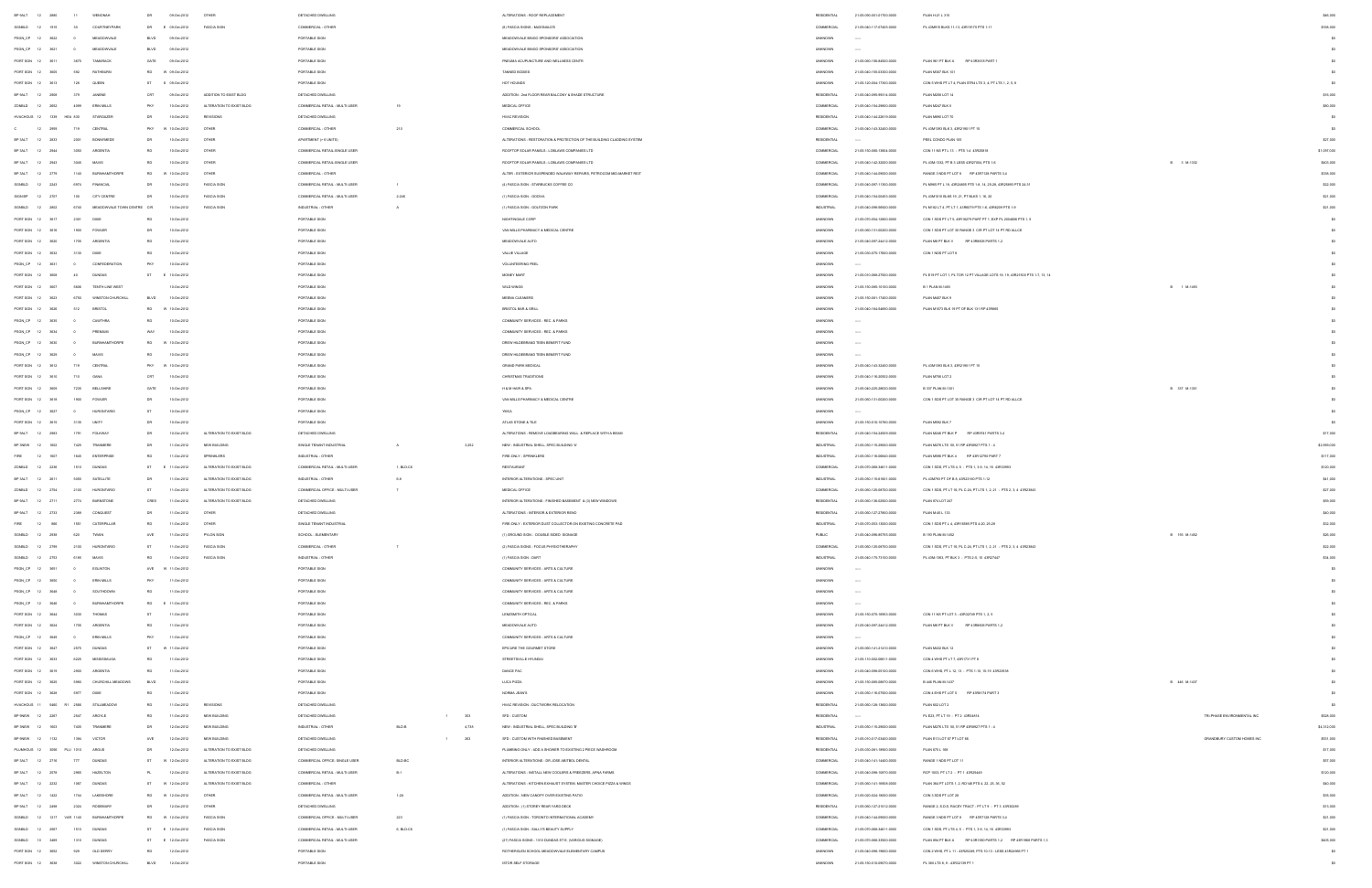| SGNBLD 12 1915                | 11             | WENONAH                    | 09-Oct-2012<br>DR 1                 | OTHER                    | DETACHED DWELLING              |                | ALTERATIONS - ROOF REPLACEMENT                                         | RESIDENTIAL        | 21-05-090-001-01700-0000 | PLAN H-21 L 315                                                             |                                                |
|-------------------------------|----------------|----------------------------|-------------------------------------|--------------------------|--------------------------------|----------------|------------------------------------------------------------------------|--------------------|--------------------------|-----------------------------------------------------------------------------|------------------------------------------------|
|                               | 30             | COURTNEYPARK               | DR E 09-Oct-2012                    | <b>FASCIA SIGN</b>       | COMMERCIAL - OTHER             |                | (8) FASCIA SIGNS - McDONALD'S                                          | COMMERCIAL         | 21-05-040-117-07405-0000 | PL 43M915 BLKS 11-13, 43R19175 PTS 1-11                                     | \$168,000                                      |
| PSGN_CP 12 3622               |                | MEADOWVALE                 | <b>BLVD</b><br>09-Oct-2012          |                          | PORTABLE SIGN                  |                | MEADOWVALE BINGO SPONSORS' ASSOCIATION                                 | <b>UNKNOWN</b>     |                          |                                                                             |                                                |
|                               |                |                            |                                     |                          |                                |                |                                                                        |                    |                          |                                                                             |                                                |
| PSGN_CP 12 3621               |                | MEADOWVALE                 | BLVD 09-Oct-2012                    |                          | PORTABLE SIGN                  |                | MEADOWVALE BINGO SPONSORS' ASSOCIATION                                 | <b>UNKNOWN</b>     |                          |                                                                             |                                                |
| PORT SGN 12 3611              | 3675           | TAMARACK                   | GATE 09-Oct-2012                    |                          | PORTABLE SIGN                  |                | PNEUMA ACUPUNCTURE AND WELLNESS CENTR                                  | <b>UNKNOWN</b>     | 21-05-060-156-84500-0000 | PLAN 961 PT BLK A RP 43R3618 PART 1                                         |                                                |
| PORT SGN 12 3605              | 592            | <b>RATHBURN</b>            | RD W 09-Oct-2012                    |                          | PORTABLE SIGN                  |                | TANNED BODIES                                                          | <b>UNKNOW</b>      | 21-05-040-155-03300-0000 | PLAN M307 BLK 101                                                           |                                                |
| PORT SGN 12 3613              | 128            | QUEEN                      | ST          S           09-Oct-2012 |                          | PORTABLE SIGN                  |                | HOT HOUNDS                                                             | <b>UNKNOWN</b>     | 21-05-120-004-17300-0000 | CON 5 WHS PT LT 4, PLAN STR4 LTS 3, 4, PT LTS 1, 2, 5, 8                    |                                                |
| BP 9ALT 12 2908               | 379            | JANENE                     | CRT<br>09-Oct-2012                  | ADDITION TO EXIST BLDG   | DETACHED DWELLING              |                | ADDITION - 2nd FLOOR REAR BALCONY & SHADE STRUCTURE                    | RESIDENTIAL        | 21-05-040-095-99314-0000 | PLAN M258 LOT 14                                                            |                                                |
|                               |                |                            |                                     |                          |                                |                |                                                                        |                    |                          |                                                                             |                                                |
| ZONBLD 12 2652                | 4099           | <b>ERIN MILLS</b>          | PKY<br>10-Oct-2012                  | ALTERATION TO EXIST BLDG | COMMERCIAL RETAIL - MULTI-USER |                | MEDICAL OFFICE                                                         | COMMERCIAL         | 21-05-040-154-29800-0000 | PLAN M247 BLK II                                                            | \$80,000                                       |
| HVACHOUS 12 1339              | <b>HEA 830</b> | STARGAZER                  | DR<br>10-Oct-2012                   | <b>REVISIONS</b>         | DETACHED DWELLING              |                | HVAC REVISION                                                          | <b>RESIDENTIAL</b> | 21-05-040-144-22619-0000 | PLAN M890 LOT 70                                                            |                                                |
| 12 2959<br>C.                 | 719            | CENTRAL                    | PKY W 10-Oct-2012                   | OTHER                    | COMMERCIAL - OTHER             | 210            | COMMERCIAL SCHOOL                                                      | COMMERCIAL         | 21-05-040-143-32400-0000 | PL 43M1393 BLK 3, 43R21901 PT 15                                            |                                                |
| BP 3ALT 12 2833               | 2001           | BONNYMEDE                  | <b>DR</b><br>10-Oct-2012            | OTHER                    | APARTMENT (> 6 UNITS)          |                | ALTERATIONS - RESTORATION & PROTECTION OF THE BUILDING CLADDING SYSTEM | RESIDENTIAL        |                          | PEEL CONDO PLAN 105                                                         | \$27,000                                       |
| BP 3ALT<br>12<br>2944         | 3050           | ARGENTIA                   | <b>RD</b><br>10-Oct-2012            | OTHER                    | COMMERCIAL RETAIL-SINGLE USER  |                | ROOFTOP SOLAR PANELS - LOBLAWS COMPANIES LTD                           | COMMERCIAL         | 21-05-150-080-13804-0000 | CON 11 NS PT L 13 - PTS 1-4 43R25818                                        | \$1,097,000                                    |
|                               |                |                            |                                     |                          |                                |                |                                                                        |                    |                          |                                                                             |                                                |
| BP 3ALT 12 2943               | 3045           | MAVIS                      | <b>RD</b><br>10-Oct-2012            | OTHER                    | COMMERCIAL RETAIL-SINGLE USER  |                | ROOFTOP SOLAR PANELS - LOBLAWS COMPANIES LTD                           | COMMERCIAL         | 21-05-040-142-32000-0000 | PL 43M-1332, PT B 3 LESS 43R27004, PTS 1-6                                  | B 3 M-1332<br>\$403,000                        |
| BP 3ALT 12 2779               | 1140           | <b>BURNHAMTHORPE</b>       | RD W 10-Oct-2012                    | OTHER                    | COMMERCIAL - OTHER             |                | ALTER - EXTERIOR SUSPENDED WALKWAY REPAIRS, PETROCOM MID-MARKET REIT   | COMMERCIAL         | 21-05-040-144-09000-0000 | RANGE 3 NDS PT LOT 8 RP 43R7128 PARTS 3,4                                   | \$338,000                                      |
| SGNBLD 12 2243                | 6974           | FINANCIAL                  | <b>DR</b><br>10-Oct-2012            | <b>FASCIA SIGN</b>       | COMMERCIAL RETAIL - MULTI-USER |                | (4) FASCIA SIGN - STARBUCKS COFFEE CO                                  | COMMERCIAL         | 21-05-040-097-11300-0000 | PL M965 PT L 18, 43R24805 PTS 1-8, 14, 25-28, 43R25893 PTS 24-31            | \$22,000                                       |
| SIGN BP<br>12 2707            | 100            | CITY CENTRE                | <b>DR</b><br>10-Oct-2012            | <b>FASCIA SIGN</b>       | COMMERCIAL RETAIL - MULTI-USER | 2-246          | (1) FASCIA SIGN - GODIVA                                               | COMMERCIAL         | 21-05-040-154-00453-0000 | PL 43M1010 BLKS 19, 21, PT BLKS 1, 16, 20                                   | \$21,000                                       |
| SGNBLD 12 2802                | 6740           | MEADOWVALE TOWN CENTRE CIR | 10-Oct-2012                         | <b>FASCIA SIGN</b>       | INDUSTRIAL - OTHER             | A              | (1) FASCIA SIGN - GOLFZON PARK                                         | <b>INDUSTRIAL</b>  | 21-05-040-098-56920-0000 | PL M182 LT 4, PT LT 1, 43R6079 PTS 1-6, 43R6209 PTS 1-9                     | \$21,000                                       |
|                               |                |                            |                                     |                          |                                |                |                                                                        |                    |                          |                                                                             |                                                |
| PORT SGN 12 3617              | 2301           | DIXIE                      | <b>RD</b><br>10-Oct-2012            |                          | PORTABLE SIGN                  |                | NIGHTINGALE CORP                                                       | <b>UNKNOWN</b>     | 21-05-070-054-12800-0000 | CON 1 SDS PT LT 5, 43R18279 PART PT 1, EXP PL 2004606 PTS 1, 5              |                                                |
| PORT SGN 12 3616              | 1900           | FOWLER                     | 10-Oct-2012<br>DR                   |                          | PORTABLE SIGN                  |                | VAN MILLS PHARMACY & MEDICAL CENTRE                                    | <b>UNKNOWN</b>     | 21-05-060-131-00200-0000 | CON 1 SDS PT LOT 30 RANGE 3 CIR PT LOT 14 PT RD ALLCE                       |                                                |
| PORT SGN 12 3620              | 1705           | <b>ARGENTIA</b>            | <b>RD</b><br>10-Oct-2012            |                          | PORTABLE SIGN                  |                | MEADOWVALE AUTO                                                        | <b>UNKNOWN</b>     | 21-05-040-097-24412-0000 | PLAN M8 PT BLK V RP 43R8606 PARTS 1,2                                       |                                                |
| PORT SGN 12 3632              | 3130           | DIXIE                      | <b>RD</b><br>10-Oct-2012            |                          | PORTABLE SIGN                  |                | VALUE VILLAGE                                                          | <b>UNKNOWN</b>     | 21-05-030-075-17600-0000 | CON 1 NDS PT LOT 6                                                          |                                                |
| PSGN CP 12 3631               |                | CONFEDERATION              | PKY<br>10-Oct-2012                  |                          | PORTABLE SIGN                  |                | VOLUNTEERING PEEL                                                      | <b>UNKNOWN</b>     |                          |                                                                             |                                                |
|                               |                |                            |                                     |                          |                                |                |                                                                        |                    |                          |                                                                             |                                                |
| PORT SGN 12 3608              |                | <b>DUNDAS</b>              | ST E 10-Oct-2012                    |                          | PORTABLE SIGN                  |                | MONEY MART                                                             | <b>UNKNOWN</b>     | 21-05-010-068-27500-0000 | PL E19 PT LOT 1, PL TOR 12 PT VILLAGE LOTS 18, 19, 43R21500 PTS 1-7, 13, 14 |                                                |
| PORT SGN 12 3607              | 5606           | TENTH LINE WEST            | 10-Oct-2012                         |                          | PORTABLE SIGN                  |                | WILD WINGS                                                             | <b>UNKNOWN</b>     | 21-05-150-085-10100-0000 | B 1 PLAN M-1493                                                             | B 1 M-1493                                     |
| PORT SGN 12 3623              | 6750           | WINSTON CHURCHILL          | <b>BLVD</b><br>10-Oct-2012          |                          | PORTABLE SIGN                  |                | MEENA CLEANERS                                                         | <b>UNKNOWN</b>     | 21-05-150-081-17400-0000 | PLAN M407 BLK 9                                                             |                                                |
| PORT SGN 12 3626              | 512            | <b>BRISTOL</b>             | RD W 10-Oct-2012                    |                          | PORTABLE SIGN                  |                | BRISTOL BAR & GRILL                                                    | <b>UNKNOWN</b>     | 21-05-040-164-54690-0000 | PLAN M1073 BLK 19 PT OF BLK 131 RP 43R865                                   |                                                |
| PSGN_CP 12 3635               |                | <b>CAWTHRA</b>             | <b>RD</b><br>10-Oct-2012            |                          | PORTABLE SIGN                  |                | COMMUNITY SERVICES - REC. & PARKS                                      | <b>UNKNOW</b>      |                          |                                                                             |                                                |
|                               |                |                            |                                     |                          |                                |                |                                                                        |                    |                          |                                                                             |                                                |
| PSGN_CP 12 3634               |                | PREMIUM                    | 10-Oct-2012<br>WAY                  |                          | PORTABLE SIGN                  |                | COMMUNITY SERVICES - REC. & PARKS                                      | <b>UNKNOWN</b>     |                          |                                                                             |                                                |
| PSGN CP 12 3630               | $^{\circ}$     | BURNHAMTHORPE              | RD W 10-Oct-2012                    |                          | PORTABLE SIGN                  |                | DREW HILDEBRAND TEEN BENEFIT FUND                                      | <b>UNKNOWN</b>     | -----                    |                                                                             |                                                |
| PSGN_CP 12 3629               |                | MAVIS                      | <b>RD</b><br>10-Oct-2012            |                          | PORTABLE SIGN                  |                | DREW HILDEBRAND TEEN BENEFIT FUND                                      | <b>UNKNOW</b>      |                          |                                                                             |                                                |
| PORT SGN 12 3612              | 719            | CENTRAL                    | PKY W 10-Oct-2012                   |                          | PORTABLE SIGN                  |                | <b>GRAND PARK MEDICAL</b>                                              | <b>UNKNOWN</b>     | 21-05-040-143-32400-0000 | PL 43M1393 BLK 3, 43R21901 PT 15                                            |                                                |
|                               | 710            | GANA                       | CRT<br>10-Oct-2012                  |                          | PORTABLE SIGN                  |                | CHRISTMAS TRADITIONS                                                   |                    | 21-05-040-116-20502-0000 |                                                                             |                                                |
| PORT SGN 12 3610              |                |                            |                                     |                          |                                |                |                                                                        | <b>UNKNOWN</b>     |                          | PLAN M706 LOT 2                                                             |                                                |
| PORT SGN 12 3609              | 7235           | <b>BELLSHIRE</b>           | GATE<br>10-Oct-2012                 |                          | PORTABLE SIGN                  |                | H & M HAIR & SPA                                                       | <b>UNKNOWN</b>     | 21-05-040-225-28630-0000 | B 337 PLAN M-1301                                                           | B 337 M-1301                                   |
| PORT SGN 12 3618              | 1900           | FOWLER                     | 10-Oct-2012<br><b>DR</b>            |                          | PORTABLE SIGN                  |                | VAN MILLS PHARMACY & MEDICAL CENTRE                                    | <b>UNKNOW</b>      | 21-05-060-131-00200-0000 | CON 1 SDS PT LOT 30 RANGE 3 CIR PT LOT 14 PT RD ALLCE                       |                                                |
| PSGN_CP 12 3627               | $\sim$         | <b>HURONTARIO</b>          | 10-Oct-2012<br><b>ST</b>            |                          | PORTABLE SIGN                  |                | <b>YMCA</b>                                                            | <b>UNKNOWN</b>     |                          |                                                                             |                                                |
| PORT SGN 12 3615              | 3135           | UNITY                      | <b>DR</b><br>10-Oct-2012            |                          | PORTABLE SIGN                  |                | ATLAS STONE & TILE                                                     | <b>UNKNOWN</b>     | 21-05-150-010-10780-0000 | PLAN M592 BLK 7                                                             |                                                |
| BP 9ALT<br>12 2983            | 1791           | <b>FOLKWAY</b>             | <b>DR</b><br>10-Oct-2012            | ALTERATION TO EXIST BLDG | DETACHED DWELLING              |                | ALTERATIONS - REMOVE LOADBEARING WALL & REPLACE WITH A BEAM            | <b>RESIDENTIAL</b> | 21-05-040-154-24509-0000 | PLAN M246 PT BLK P RP 43R9741 PARTS 3,4                                     | \$17,000                                       |
|                               |                |                            |                                     |                          |                                |                |                                                                        |                    |                          |                                                                             |                                                |
| BP 3NEW 12 1602               | 7425           | TRANMFRE                   | <b>DR</b><br>11-Oct-2012            | <b>NEW BUILDING</b>      | SINGLE TENANT INDUSTRIAL       | 3,252<br>A     | NEW - INDUSTRIAL SHELL, SPEC BUILDING 'A'                              | <b>INDUSTRIAL</b>  | 21-05-050-115-29000-0000 | PLAN M276 LTS 50, 51 RP 43R8927 PTS 1 - 4                                   | \$2,959,000                                    |
| FIRE<br>12 1607               | 1645           | <b>ENTERPRISE</b>          | <b>RD</b><br>11-Oct-2012            | SPRINKLERS               | INDUSTRIAL - OTHER             |                | FIRE-ONLY - SPRINKLERS                                                 | INDUSTRIAL         | 21-05-050-116-06840-0000 | PLAN M596 PT BLK 4 RP 43R12790 PART 7                                       | \$117,000                                      |
| ZONBLD 12 2236                | 1510           | <b>DUNDAS</b>              | ST E 11-Oct-2012                    | ALTERATION TO EXIST BLDG | COMMERCIAL RETAIL - MULTI-USER | 1, BLD-C6      | RESTAURANT                                                             | COMMERCIAL         | 21-05-070-068-34611-0000 | CON 1 SDS, PT LTS 4, 5 - PTS 1, 3-9, 14, 16 43R33993                        | \$120,000                                      |
| BP 3ALT<br>12<br>2611         | 5055           | SATELLITE                  | DR<br>11-Oct-2012                   | ALTERATION TO EXIST BLDG | INDUSTRIAL - OTHER             | $6 - 8$        | INTERIOR ALTERATIONS - SPEC UNIT                                       | <b>INDUSTRIAL</b>  | 21-05-050-115-61601-0000 | PL 43M793 PT OF B 8, 43R23160 PTS 1-12                                      | \$41,000                                       |
| ZONBLD 12 2754                | 2100           | <b>HURONTARIO</b>          | 11-Oct-2012<br>ST                   | ALTERATION TO EXIST BLDG | COMMERCIAL OFFICE - MULTI-USER |                | MEDICAL OFFICE                                                         | COMMERCIAL         | 21-05-060-125-08700-0000 | CON 1 SDS, PT LT 16, PL C-24, PT LTS 1, 2, 21 - PTS 2, 3, 4 43R23843        | \$27,000                                       |
|                               |                |                            |                                     |                          |                                |                |                                                                        |                    |                          |                                                                             |                                                |
| BP 9ALT 12 2711               | 2774           | <b>BARNSTONE</b>           | CRES 11-Oct-2012                    | ALTERATION TO EXIST BLDG | DETACHED DWELLING              |                | INTERIOR ALTERATIONS - FINISHED BASEMENT & (3) NEW WINDOWS             | RESIDENTIAL        | 21-05-060-136-02500-0000 | PLAN 874 LOT 247                                                            | \$59,000                                       |
| BP 9ALT 12 2733 2389 CONQUEST |                |                            | DR 11-Oct-2012                      | OTHER                    | DETACHED DWELLING              |                | ALTERATIONS - INTERIOR & EXTERIOR RENO                                 | <b>RESIDENTIAL</b> | 21-05-060-127-27800-0000 | PLAN M-45 L 133                                                             |                                                |
| FIRE 12 866                   | 1551           | CATERPILLAR                | <b>RD</b><br>11-Oct-2012            | OTHER                    | SINGLE TENANT INDUSTRIAL       |                | FIRE-ONLY - EXTERIOR DUST COLLECTOR ON EXISTING CONCRETE PAD           | <b>INDUSTRIAL</b>  | 21-05-070-053-13000-0000 | CON 1 SDS PT L 4, 43R16585 PTS 4-20, 25-28                                  | \$32,000                                       |
| SGNBLD<br>12<br>2938          | 620            | <b>TWAIN</b>               | AVE<br>11-Oct-2012                  | PYLON SIGN               | SCHOOL - ELEMENTARY            |                | (1) GROUND SIGN - DOUBLE SIDED SIGNAGE                                 | PUBLIC             | 21-05-040-096-85755-0000 | B 193 PLAN M-1452                                                           | B 193 M-1452<br>\$26,000                       |
| SGNBLD 12 2799                | 2100           | <b>HURONTARIO</b>          | <b>ST</b><br>11-Oct-2012            | <b>FASCIA SIGN</b>       | COMMERCIAL - OTHER             |                | (2) FASCIA SIGNS - FOCUS PHYSIOTHERAPHY                                | COMMERCIAL         | 21-05-060-125-08700-0000 | CON 1 SDS, PT LT 16, PL C-24, PT LTS 1, 2, 21 - PTS 2, 3, 4 43R23843        |                                                |
|                               |                |                            |                                     |                          |                                |                |                                                                        |                    |                          |                                                                             |                                                |
| SGNBLD 12 2753                | 6185           | MAVIS                      | <b>RD</b><br>11-Oct-2012            |                          |                                |                |                                                                        |                    |                          |                                                                             | \$22,000                                       |
| PSGN_CP 12 3651               |                | <b>EGLINTON</b>            |                                     | <b>FASCIA SIGN</b>       | INDUSTRIAL - OTHER             |                | (1) FASCIA SIGN - DART                                                 | <b>INDUSTRIAL</b>  | 21-05-040-175-73100-0000 | PL 43M-1363, PT BLK 3 - PTS 2-5, 10 43R27447                                | \$34,000                                       |
| PSGN_CP 12 3650               |                |                            | AVE W 11-Oct-2012                   |                          | PORTABLE SIGN                  |                | COMMUNITY SERVICES - ARTS & CULTURE                                    | <b>UNKNOWN</b>     |                          |                                                                             |                                                |
| PSGN CP 12 3648               |                | <b>ERIN MILLS</b>          | <b>PKY</b><br>11-Oct-2012           |                          | PORTABLE SIGN                  |                | COMMUNITY SERVICES - ARTS & CULTURE                                    | <b>UNKNOWN</b>     | $\sim$                   |                                                                             |                                                |
|                               | $^{\circ}$     | SOUTHDOWN                  | <b>RD</b><br>11-Oct-2012            |                          | PORTABLE SIGN                  |                | COMMUNITY SERVICES - ARTS & CULTURE                                    | <b>UNKNOWN</b>     | -----                    |                                                                             |                                                |
|                               | $^{\circ}$     | <b>BURNHAMTHORPE</b>       |                                     |                          |                                |                | COMMUNITY SERVICES - REC. & PARKS                                      | <b>UNKNOWN</b>     |                          |                                                                             |                                                |
| PSGN_CP 12 3646               |                |                            | RD E 11-Oct-2012                    |                          | PORTABLE SIGN                  |                |                                                                        |                    |                          |                                                                             |                                                |
| PORT SGN 12 3644              | 3030           | <b>THOMAS</b>              | 11-Oct-2012<br><b>ST</b>            |                          | PORTABLE SIGN                  |                | LENZSMITH OPTICAL                                                      | <b>UNKNOWN</b>     | 21-05-150-070-16953-0000 | CON 11 NS PT LOT 3 - 43R32749 PTS 1, 2, 5                                   |                                                |
| PORT SGN 12 3624              | 1705           | ARGENTIA                   | <b>RD</b><br>11-Oct-2012            |                          | PORTABLE SIGN                  |                | MEADOWVALE AUTO                                                        | <b>UNKNOWN</b>     | 21-05-040-097-24412-0000 | PLAN M8 PT BLK V RP 43R8606 PARTS 1,2                                       |                                                |
| PSGN_CP 12<br>3649            |                | <b>ERIN MILLS</b>          | 11-Oct-2012<br>PKY                  |                          | PORTABLE SIGN                  |                | COMMUNITY SERVICES - ARTS & CULTURE                                    | <b>UNKNOW</b>      |                          |                                                                             |                                                |
| PORT SGN 12 3647              | 2575           | <b>DUNDAS</b>              | ST W 11-Oct-2012                    |                          | PORTABLE SIGN                  |                | EPICURE THE GOURMET STORE                                              | <b>UNKNOWN</b>     | 21-05-060-141-21410-0000 | PLAN M432 BLK 12                                                            |                                                |
| PORT SGN 12 3633              | 6225           | MISSISSAUGA                | 11-Oct-2012<br><b>RD</b>            |                          | PORTABLE SIGN                  |                | STREETSVILLE HYUNDAI                                                   | <b>UNKNOWN</b>     | 21-05-110-002-06611-0000 | CON 4 WHS PT LT 7, 43R1731 PT 6                                             |                                                |
|                               |                |                            |                                     |                          |                                |                |                                                                        |                    |                          |                                                                             |                                                |
| PORT SGN 12 3619              | 2900           | ARGENTIA                   | 11-Oct-2012<br><b>RD</b>            |                          | PORTABLE SIGN                  |                | DANCE PAC                                                              | <b>UNKNOWN</b>     | 21-05-040-098-05100-0000 | CON 6 WHS, PT L 12, 13 - PTS 1-10, 15-19 43R23938                           |                                                |
| PORT SGN 12 3625              | 5980           | CHURCHILL MEADOWS          | BLVD<br>11-Oct-2012                 |                          | PORTABLE SIGN                  |                | LUCA PIZZA                                                             | <b>UNKNOWN</b>     | 21-05-150-085-08870-0000 | B 446 PLAN M-1437                                                           | B 446 M-1437                                   |
| PORT SGN 12 3628              | 5977           | DIXIE                      | <b>RD</b><br>11-Oct-2012            |                          | PORTABLE SIGN                  |                | NORMA JEAN'S                                                           | <b>UNKNOWN</b>     | 21-05-050-116-07500-0000 | CON 4 EHS PT LOT 5 RP 43R8174 PART 3                                        |                                                |
| HVACHOUS 11 5460              | 2566           | STILLMEADOW                | 11-Oct-2012<br><b>RD</b>            | <b>REVISIONS</b>         | DETACHED DWELLING              |                | HVAC REVISION - DUCTWORK RELOCATION                                    | <b>RESIDENTIAL</b> | 21-05-060-128-13600-0000 | PLAN 602 LOT 2                                                              |                                                |
| BP 9NEW<br>12 2267            | 2547           | ARGYLE                     | 11-Oct-2012<br><b>RD</b>            | <b>NEW BUILDING</b>      | DETACHED DWELLING              | 303            | SFD - CUSTOM                                                           | <b>RESIDENTIAL</b> |                          | PL E23, PT LT 19 - PT 2 43R34814                                            | TRI-PHASE ENVIRONMENTAL INC<br>\$528,000       |
|                               |                | TRANMERE                   |                                     |                          |                                |                |                                                                        |                    |                          |                                                                             |                                                |
| BP 3NEW 12 1603               | 7405           |                            | <b>DR</b><br>12-Oct-2012            | <b>NEW BUILDING</b>      | INDUSTRIAL - OTHER             | BLD-B<br>4,738 | NEW - INDUSTRIAL SHELL, SPEC BUILDING 'B'                              | <b>INDUSTRIAL</b>  | 21-05-050-115-29000-0000 | PLAN M276 LTS 50, 51 RP 43R8927 PTS 1 - 4                                   | \$4,312,000                                    |
| BP 9NEW 12 1132               | 1394           | VICTOR                     | AVE<br>12-Oct-2012                  | <b>NEW BUILDING</b>      | DETACHED DWELLING              | 263<br>$-1$    | SFD - CUSTOM WITH FINISHED BASEMENT                                    | RESIDENTIAL        | 21-05-010-017-03400-0000 | PLAN E13 LOT 67 PT LOT 66                                                   | <b>GRANDBURY CUSTOM HOMES INC</b><br>\$531,000 |
| PLUMHOUS 12 3056              | PLU 1010       | ARGUS                      | DR.<br>12-Oct-2012                  | ALTERATION TO EXIST BLDG | DETACHED DWELLING              |                | PLUMBING ONLY - ADD A SHOWER TO EXISTING 2 PIECE WASHROOM              | RESIDENTIAL        | 21-05-030-081-18900-0000 | PLAN 670 L 168                                                              | \$17,000                                       |
| BP 3ALT 12 2716               | 777            | <b>DUNDAS</b>              | ST W 12-Oct-2012                    | ALTERATION TO EXIST BLDG | COMMERCIAL OFFICE- SINGLE USER | BLD-BC         | INTERIOR ALTERATIONS - DR JOSE ABITBOL DENTAL                          | COMMERCIAL         | 21-05-040-141-14400-0000 | RANGE 1 NDS PT LOT 11                                                       | \$57,000                                       |
| BP 3ALT 12 2578               | 2965           | <b>HAZELTON</b>            | PL                                  | ALTERATION TO EXIST BLDG |                                | $B-1$          | ALTERATIONS - INSTALL NEW COOLERS & FREEZERS, APNA FARMS               | COMMERCIAL         | 21-05-040-098-10870-0000 |                                                                             |                                                |
|                               |                |                            | 12-Oct-2012                         |                          | COMMERCIAL RETAIL - MULTI-USER |                |                                                                        |                    |                          | RCP 1003, PT LT 2 - PT 1 43R25449                                           | \$120,000                                      |
| BP 3ALT 12 2232               | 1067           | <b>DUNDAS</b>              | ST W 12-Oct-2012                    | ALTERATION TO EXIST BLDG | COMMERCIAL - OTHER             |                | ALTERATIONS - KITCHEN EXHAUST SYSTEM, MASTER CHOICE PIZZA & WINGS      | COMMERCIAL         | 21-05-060-141-16908-0000 | PLAN 364 PT LOTS 1, 2, RD146 PTS 4, 22, 25, 36, 52                          | \$40,000                                       |
| BP 3ALT 12 1422               | 1744           | LAKESHORE                  | RD W 12-Oct-2012                    | OTHER                    | COMMERCIAL RETAIL - MULTI-USER | $1-2A$         | ADDITION - NEW CANOPY OVER EXISTING PATIO                              | COMMERCIAL         | 21-05-020-024-18000-0000 | CON 3 SDS PT LOT 28                                                         | \$35,000                                       |
| BP 9ALT 12 2498               | 2324           | <b>ROSEMARY</b>            | <b>DR</b><br>12-Oct-2012            | OTHER                    | DETACHED DWELLING              |                | ADDITION - (1) STOREY REAR YARD DECK                                   | <b>RESIDENTIAL</b> | 21-05-060-127-21012-0000 | RANGE 2, S.D.S, RACEY TRACT - PT LT 9 - PT 3 43R30289                       | \$13,000                                       |
| SGNBLD 12 1217                | VAR 1140       | <b>BURNHAMTHORPE</b>       | RD W 12-Oct-2012                    | <b>FASCIA SIGN</b>       | COMMERCIAL OFFICE - MULTI-USER | 223            | (1) FASCIA SIGN - TORONTO INTERNATIONAL ACADEMY                        | COMMERCIAL         | 21-05-040-144-09000-0000 | RANGE 3 NDS PT LOT 8 RP 43R7128 PARTS 3.4                                   | \$21,000                                       |
| SGNBLD 12 2567                | 1510           | <b>DUNDAS</b>              | ST E 12-Oct-2012                    | <b>FASCIA SIGN</b>       | COMMERCIAL RETAIL - MULTI-USER | 6, BLD-C6      | (1) FASCIA SIGN - SALLY'S BEAUTY SUPPLY                                | COMMERCIAL         | 21-05-070-068-34611-0000 | CON 1 SDS, PT LTS 4, 5 - PTS 1, 3-9, 14, 16 43R33993                        |                                                |
|                               |                |                            |                                     |                          |                                |                |                                                                        |                    |                          |                                                                             | \$21,000                                       |
| SGNBLD 10 3469                | 1310           | <b>DUNDAS</b>              | ST E 12-Oct-2012                    | <b>FASCIA SIGN</b>       | COMMERCIAL RETAIL - MULTI-USER |                | (27) FASCIA SIGNS - 1310 DUNDAS ST E, (VARIOUS SIGNAGE)                | COMMERCIAL         | 21-05-070-068-33500-0000 | PLAN 894 PT BLK A RP 43R1580 PARTS 1,2 RP 43R1966 PARTS 1,3                 | \$405,000                                      |
| PORT SGN 12<br>3652           | 929            | OLD DERRY                  | <b>RD</b><br>12-Oct-2012            |                          | PORTABLE SIGN                  |                | ROTHERGLEN SCHOOL MEADOWVALE ELEMENTARY CAMPUS                         | <b>UNKNOWN</b>     | 21-05-040-098-19600-0000 | CON 2 WHS, PT L 11 - 43R25249, PTS 10-13 - LESS 43R24966 PT                 |                                                |
| PORT SGN 12 3638              | 3022           | WINSTON CHURCHILL          | <b>BLVD</b><br>12-Oct-2012          |                          | PORTABLE SIGN                  |                | ISTOR SELF STORAGE                                                     | <b>UNKNOWN</b>     | 21-05-150-010-09070-0000 | PL 380 LTS 8, 9 - 43R32139 PT 1                                             |                                                |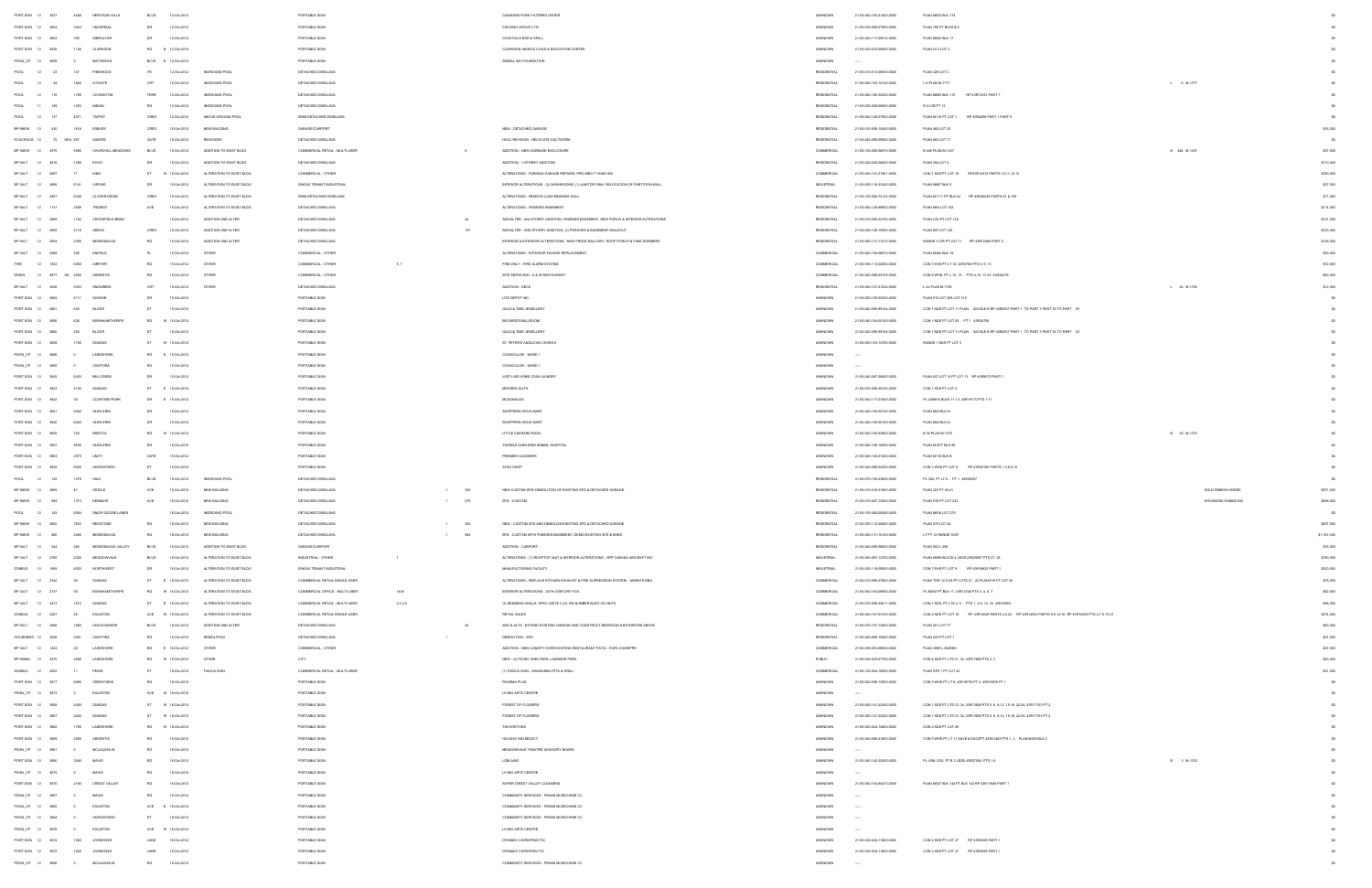| PORT SGN 12 3637                    | 4646           | <b>HERITAGE HILLS</b> | <b>BLVD</b><br>12-Oct-2012 |                  |                          | PORTABLE SIGN                  |         |     | CANADIAN PURE FILTERED WATER                                                         | <b>UNKNOWN</b>    | 21-05-040-155-41400-0000             | <b>PLAN M635 BLK 174</b>                                                                             |                                       |
|-------------------------------------|----------------|-----------------------|----------------------------|------------------|--------------------------|--------------------------------|---------|-----|--------------------------------------------------------------------------------------|-------------------|--------------------------------------|------------------------------------------------------------------------------------------------------|---------------------------------------|
| PORT SGN 12<br>3654                 | 3043           | UNIVERSAL             | 12-Oct-2012<br><b>DR</b>   |                  |                          | PORTABLE SIGN                  |         |     | FIELDING GROUP LTD.                                                                  | <b>UNKNOWN</b>    | 21-05-030-069-07900-0000             | PLAN 760 PT BLKS B,C                                                                                 |                                       |
| PORT SGN 12 3653                    | 392            | GIBRALTAR             | DR.<br>12-Oct-2012         |                  |                          | PORTABLE SIGN                  |         |     | <b>COCKTAILS BAR &amp; GRILL</b>                                                     | <b>UNKNOWN</b>    | 21-05-040-117-09514-0000             | PLAN M922 BLK 17                                                                                     |                                       |
| PORT SGN 12 3636                    | 1146           | CLARKSON              | RD N 12-Oct-2012           |                  |                          | PORTABLE SIGN                  |         |     | CLARKSON ANGELS CHILD & EDUCATION CENTRE                                             | <b>UNKNOWN</b>    | 21-05-020-033-09000-0000             | PLAN G13 LOT 2                                                                                       |                                       |
| PSGN CP 12 3659                     |                | MATHESON              | BLVD E 12-Oct-2012         |                  |                          | PORTABLE SIGN                  |         |     | ANIMAL AID FOUNDATION                                                                | <b>UNKNOWN</b>    |                                      |                                                                                                      |                                       |
| POOL<br>12                          | 147            | PINEWOOD              | <b>TR</b>                  | 12-Oct-2012      | INGROUND POOL            | DETACHED DWELLING              |         |     |                                                                                      | <b>RESIDENTIA</b> | 21-05-010-013-06900-0000             | PLAN 328 LOT C                                                                                       |                                       |
| POOL<br>12                          | 1840           | <b>IVYGATE</b>        | CRT<br>12-Oct-2012         |                  | <b>INGROUND POOL</b>     | DETACHED DWELLING              |         |     |                                                                                      | RESIDENTIAL       | 21-05-060-153-10145-0000             | L 8 PLAN M-1777                                                                                      | L 8 M-1777                            |
| POOL<br>12<br>118                   | 1769           | COVINGTON             | TERR<br>12-Oct-2012        |                  | <b>INGROUND POOL</b>     | DETACHED DWELLING              |         |     |                                                                                      | RESIDENTIAL       | 21-05-040-160-32000-0000             | PLAN M655 BLK 110 RP 43R15161 PART 7                                                                 |                                       |
| POOL<br>11<br>149                   | 1293           | INDIAN                | <b>RD</b><br>12-Oct-2012   |                  | INGROUND POOL            | DETACHED DWELLING              |         |     |                                                                                      | RESIDENTIAL       | 21-05-020-026-05600-0000             | R 2-CIR PT 13                                                                                        |                                       |
| POOL                                | 4071           | TAFFEY                | CRES<br>12-Oct-2012        |                  | ABOVE GROUND POOL        | SEMI-DETACHED DWELLING         |         |     |                                                                                      | <b>RESIDENTIA</b> | 21-05-040-145-07900-0000             | PLAN M118 PT LOT 1 RP 43R4298 PART 1 PART 9                                                          |                                       |
| BP 9NEW 12<br>430                   | 1618           | <b>EXBURY</b>         | CRES<br>15-Oct-2012        |                  | NEW BUILDING             | GARAGE/CARPORT                 |         |     | NEW - DETACHED GARAGE                                                                | RESIDENTIAL       | 21-05-010-006-15400-0000             | PLAN 460 LOT 32                                                                                      | \$16,000                              |
| HVACHOUS 12 75                      | <b>HEA 657</b> | SANTEE                | GATE<br>15-Oct-2012        | <b>REVISIONS</b> |                          | DETACHED DWELLING              |         |     | HVAC REVISION - RELOCATE DUCTWORK                                                    | RESIDENTIAL       | 21-05-040-095-09500-0000             | PLAN 883 LOT 71                                                                                      |                                       |
| BP 3NEW 12 2575                     | 5980           | CHURCHILL MEADOWS     | BLVD<br>15-Oct-2012        |                  | ADDITION TO EXIST BLDG   | COMMERCIAL RETAIL - MULTI-USER |         | 9   | ADDITION - NEW GARBAGE ENCLOSURE                                                     | COMMERCIA         | 21-05-150-085-08870-0000             | B 446 PLAN M-1437                                                                                    | B 446 M-1437<br>\$27,000              |
| BP 9ALT<br>12 2816                  | 1256           | <b>ECHO</b>           | <b>DR</b><br>15-Oct-2012   |                  | ADDITION TO EXIST BLDG   | DETACHED DWELLING              |         |     | ADDITION - 1-STOREY ADDITION                                                         | RESIDENTIAL       | 21-05-020-020-08400-0000             | PLAN 394 LOT 2                                                                                       | \$110,000                             |
| BP 3ALT 12 2897                     | 71             | <b>KING</b>           | ST W 15-Oct-2012           |                  | ALTERATION TO EXIST BLDG | COMMERCIAL - OTHER             |         |     | ALTERATIONS - PARKING GARAGE REPAIRS, PRO-MED 71 KING INC.                           | COMMERCIAL        | 21-05-060-141-31901-0000             | CON 1 SDS PT LOT 16 RP43R14374 PARTS 10,11,12,13                                                     | \$350,000                             |
| BP 3ALT 12 2856                     | 6141           | VIPOND                | <b>DR</b><br>15-Oct-2012   |                  | ALTERATION TO EXIST BLDG | SINGLE TENANT INDUSTRIAL       |         |     | INTERIOR ALTERATIONS - (2) WASHROOMS, (1) JANITOR SINK, RELOCATION OF PARTITION WALL | INDUSTRIAL        | 21-05-050-116-33340-0000             | PLAN M687 BLK 5                                                                                      | \$27,000                              |
| BP 9ALT<br>12 2957                  | 6038           | <b>CLOVER RIDGE</b>   | CRES<br>15-Oct-2012        |                  | ALTERATION TO EXIST BLDG | SEMI-DETACHED DWELLING         |         |     | ALTERATIONS - REMOVE LOAD BEARING WALL                                               | RESIDENTIAL       | 21-05-150-082-75122-0000             | PLAN M1111 PT BLK 44 RP 43R20436 PARTS 81 & 159                                                      | \$17,000                              |
| BP 9ALT 12 1131                     | 2589           | TRIDENT               | AVE<br>15-Oct-2012         |                  | ALTERATION TO EXIST BLDG | DETACHED DWELLING              |         |     | ALTERATIONS - FINISHED BASEMENT                                                      | RESIDENTIAL       | 21-05-060-128-89600-0000             | PLAN M54 LOT 102                                                                                     | \$114,000                             |
| BP 9ALT 12<br>2889                  | 1164           | CROSSFIELD BEND       |                            | 15-Oct-2012      | ADDITION AND ALTER       | DETACHED DWELLING              |         | 44  | ADD/ALTER - 2nd STOREY ADDITION, FINISHED BASEMENT, NEW PORCH & INTERIOR ALTERATIONS | RESIDENTIAL       | 21-05-010-009-22100-0000             | PLAN C20 PT LOT 138                                                                                  | \$121,000                             |
| BP 9ALT<br>12                       | 2118           | OBECK                 | CRES<br>15-Oct-2012        |                  | ADDITION AND ALTER       | DETACHED DWELLING              |         | 157 | ADD/ALTER - 2ND STOREY ADDITION, (2) PORCHES & BASEMENT WALKOUT                      | RESIDENTIAL       | 21-05-060-129-15900-0000             | PLAN 697 LOT 120                                                                                     | \$333,000                             |
| BP 9ALT 12 2504                     | 2380           | MISSISSAUGA           | <b>RD</b><br>15-Oct-2012   |                  | ADDITION AND ALTER       | DETACHED DWELLING              |         |     | INTERIOR & EXTERIOR ALTERATIONS - NEW FRONT BALCONY, ROOF PORCH & FAKE DORMERS       | RESIDENTIAL       | 21-05-060-131-11010-0000             | RANGE 3 CIR PT LOT 11 RP 43R10466 PART 2                                                             | \$148,000                             |
| BP 3ALT 12 2568                     | 295            | ENFIELD               | PL<br>15-Oct-2012          | OTHER            |                          | COMMERCIAL - OTHER             |         |     | ALTERATIONS - EXTERIOR FACADE REPLACEMENT                                            | COMMERCIAL        | 21-05-040-154-06670-0000             | PLAN M492 BLK 18                                                                                     | \$30,000                              |
| 12<br>FIRE<br>1832                  | 6900           | <b>AIRPORT</b>        | <b>RD</b><br>15-Oct-2012   | OTHER            |                          | COMMERCIAL - OTHER             | 6.7     |     | FIRE-ONLY - FIRE ALARM SYSTEM                                                        | COMMERCIAL        | 21-05-050-113-02800-0000             | CON 7 EHS PT LT 10, 43R3786 PTS 8, 9, 13                                                             | \$72,000                              |
| DRAIN<br>12 2877                    | 2930           | <b>ARGENTI</b>        | <b>RD</b><br>15-Oct-2012   | OTHER            |                          |                                |         |     |                                                                                      | COMMERCIAL        |                                      |                                                                                                      |                                       |
|                                     |                |                       |                            |                  |                          | COMMERCIAL - OTHER             |         |     | SITE SERVICING - A & W RESTAURANT                                                    |                   | 21-05-040-098-05105-0000             | CON 6 WHS, PT L 12, 13 - PTS 4-15, 17-25 43R24278                                                    | \$83,000                              |
| BP 9ALT 12 3008                     | 5303           | SNOWRIRE              | CRT<br>15-Oct-2012         | OTHER            |                          | DETACHED DWELLING              |         |     | ADDITION - DECK                                                                      | RESIDENTIAL       | 21-05-040-107-21022-0000             | L 22 PLAN M-1792                                                                                     | L 22 M-1792<br>\$12,000               |
| PORT SGN 12 3664                    | 2111           | <b>DUNWIN</b>         | <b>DR</b><br>15-Oct-2012   |                  |                          | PORTABLE SIGN                  |         |     | LITE DEPOT INC.                                                                      | <b>UNKNOWN</b>    | 21-05-060-155-00300-0000             | PLAN 915 LOT 309 LOT 310                                                                             |                                       |
| PORT SGN 12 3661                    | 650            | <b>BLOOR</b>          | 15-Oct-2012<br><b>ST</b>   |                  |                          | PORTABLE SIGN                  |         |     | <b>GOLD &amp; TIME JEWELLERY</b>                                                     | <b>UNKNOWN</b>    | 21-05-040-095-99104-0000             | CON 1 NDS PT LOT 11 PLAN 922 BLK B RP 43R4537 PART 1 TO PART 3 PART 36 TO PART 39                    |                                       |
| PORT SGN 12 3656                    | 626            | <b>BURNHAMTHORPE</b>  | RD W 15-Oct-2012           |                  |                          | PORTABLE SIGN                  |         |     | <b>BIG BIRD'S BALLROOM</b>                                                           | <b>UNKNOWN</b>    | 21-05-040-154-05100-0000             | CON 1 NDS PT LOT 20 - PT 1 43R24756                                                                  |                                       |
| PORT SGN 12 3660                    | 650            | <b>BLOOR</b>          | <b>ST</b><br>15-Oct-2012   |                  |                          | PORTABLE SIGN                  |         |     | <b>GOLD &amp; TIME JEWELLERY</b>                                                     | <b>UNKNOWN</b>    | 21-05-040-095-99104-0000             | CON 1 NDS PT LOT 11 PLAN 922 BLK B RP 43R4537 PART 1 TO PART 3 PART 36 TO PART 39                    |                                       |
| PORT SGN 12 3658                    | 1745           | <b>DUNDAS</b>         | ST W 15-Oct-2012           |                  |                          | PORTABLE SIGN                  |         |     | ST. PETER'S ANGLICAN CHURCH                                                          | <b>UNKNOWN</b>    | 21-05-060-153-12700-0000             | RANGE 1 NDS PT LOT 3                                                                                 |                                       |
| PSGN_CP 12 3666                     |                | LAKESHOR              | RD E 15-Oct-2012           |                  |                          | PORTABLE SIGN                  |         |     | COUNCILLOR - WARD 1                                                                  | <b>UNKNOWN</b>    |                                      |                                                                                                      |                                       |
| PSGN_CP 12 3665                     |                | CAWTHRA               | <b>RD</b><br>15-Oct-2012   |                  |                          | PORTABLE SIGN                  |         |     | COUNCILLOR - WARD 1                                                                  | <b>UNKNOWN</b>    |                                      |                                                                                                      |                                       |
| PORT SGN 12 3645                    | 6400           | MILLCREEK             | 15-Oct-2012<br><b>DR</b>   |                  |                          | PORTABLE SIGN                  |         |     | JUST LIKE HOME COIN LAUNDRY                                                          | <b>UNKNOWN</b>    | 21-05-040-097-28800-0000             | PLAN 927 LOT 14 PT LOT 13 RP 43R9070 PART 1                                                          |                                       |
| PORT SGN 12 3643                    | 2150           | <b>DUNDAS</b>         | ST E 15-Oct-2012           |                  |                          | PORTABLE SIGN                  |         |     | MOORES SUITS                                                                         | <b>UNKNOWN</b>    | 21-05-070-068-38100-0000             | CON 1 SDS PT LOT A                                                                                   |                                       |
| PORT SGN 12                         |                | COURTNEYPARK          | DR E 15-Oct-2012           |                  |                          | PORTABLE SIGN                  |         |     | MCDONALDS                                                                            | <b>UNKNOW</b>     | 21-05-040-117-07405-0000             | PL 43M915 BLKS 11-13, 43R19175 PTS 1-11                                                              |                                       |
| PORT SGN 12 3641                    | 6040           | <b>GLEN ERIN</b>      | <b>DR</b><br>15-Oct-2012   |                  |                          | PORTABLE SIGN                  |         |     | SHOPPERS DRUG MART                                                                   | <b>UNKNOWN</b>    | 21-05-040-100-50100-0000             | PLAN M43 BLK N                                                                                       |                                       |
| PORT SGN 12 3640                    | 6040           | <b>GLEN ERIN</b>      | 15-Oct-2012<br><b>DR</b>   |                  |                          | PORTABLE SIGN                  |         |     | SHOPPERS DRUG MART                                                                   | <b>UNKNOWN</b>    | 21-05-040-100-50100-0000             | PLAN M43 BLK N                                                                                       |                                       |
|                                     |                |                       |                            |                  |                          |                                |         |     |                                                                                      |                   |                                      |                                                                                                      |                                       |
|                                     |                |                       |                            |                  |                          |                                |         |     |                                                                                      |                   |                                      |                                                                                                      |                                       |
| PORT SGN 12 3655                    | 720            | <b>BRISTOL</b>        | W 15-Oct-2012<br><b>RD</b> |                  |                          | PORTABLE SIGN                  |         |     | LITTLE CAESARS PIZZA                                                                 | <b>UNKNOW</b>     | 21-05-040-164-53600-0000             | B 30 PLAN M-1370                                                                                     | B 30 M-1370                           |
| PORT SGN 12 3657                    | 5636           | <b>GLEN ERIN</b>      | <b>DR</b><br>15-Oct-2012   |                  |                          | PORTABLE SIGN                  |         |     | THOMAS GLEN ERIN ANIMAL HOSPITAL                                                     | <b>UNKNOWN</b>    | 21-05-040-108-10000-0000             | PLAN M1077 BLK 99                                                                                    |                                       |
| PORT SGN 12 3663                    | 2979           | UNITY                 | <b>GATE</b><br>15-Oct-2012 |                  |                          | PORTABLE SIGN                  |         |     | PREMIER CLEANERS                                                                     | <b>UNKNOWN</b>    | 21-05-040-145-01000-0000             | PLAN M118 BLK B                                                                                      |                                       |
| PORT SGN 12 3639                    | 6020           | <b>HURONTARIO</b>     | 15-Oct-2012<br><b>ST</b>   |                  |                          | PORTABLE SIGN                  |         |     | STAG SHOP                                                                            | <b>UNKNOWN</b>    | 21-05-040-096-04300-0000             | CON 1 WHS PT LOT 6 RP 43R20185 PARTS 1,3,6,8,10                                                      |                                       |
| POOL<br>12                          | 1279           | HAIG                  | 15-Oct-2012<br>BLVD        |                  | INGROUND POOL            | DETACHED DWELLING              |         |     |                                                                                      | RESIDENTIAL       | 21-05-070-159-23602-0000             | PL 382, PT LT 6 - PT 1 43R09357                                                                      |                                       |
| BP 9NEW 12 2685                     |                | ORIOLI                | AVE<br>15-Oct-2012         |                  | <b>NEW BUILDING</b>      | DETACHED DWELLING              | 1       | 303 | NEW CUSTOM SFD/ DEMOLITION OF EXISTING SFD & DETACHED GARAGE                         | RESIDENTIAL       | 21-05-010-016-01900-0000             | PLAN 323 PT 40,41                                                                                    | <b>GOLD RIBBON HOMES</b><br>\$571,000 |
| BP 9NEW 12 994                      |                | 1373 KENMUIR          | AVE                        | 16-Oct-2012      | <b>NEW BUILDING</b>      | DETACHED DWELLING              | 1 279   |     | SFD - CUSTOM                                                                         | RESIDENTIAL       | 21-05-010-007-13000-0000             | PLAN F20 PT LOT 233                                                                                  | SHYAMORA HOMES INC<br>\$486,000       |
| POOL 12 143                         |                |                       |                            |                  |                          |                                |         |     |                                                                                      |                   |                                      | LAN M616 LOT 27                                                                                      |                                       |
| BP 9NEW 12 2600                     | 7633           | <b>REDSTONE</b>       | <b>RD</b>                  | 16-Oct-2012      | <b>NEW BUILDING</b>      | DETACHED DWELLING              | 1 352   |     | NEW - CUSTOM SFD AND DEMOLISH EXISTING SFD & DETACHED GARAGE                         | RESIDENTIAL       | 21-05-050-112-20600-0000             | PLAN 578 LOT 44                                                                                      | \$657,000                             |
| BP 9NEW 12 460                      | 2494           | MISSISSAUGA           | <b>RD</b>                  | 16-Oct-2012      | <b>NEW BUILDING</b>      | DETACHED DWELLING              | $1 -$   | 584 | SFD - CUSTOM WITH FINISHED BASEMENT. DEMO-EXISTING SFD & SHED                        | RESIDENTIAL       | 21-05-060-131-10100-0000             | LT PT 12 RANGE 3CIR                                                                                  | \$1,161,000                           |
| BP 9ALT<br>544                      | 284            | MISSISSAUGA VALLEY    | BLVD<br>16-Oct-2012        |                  | ADDITION TO EXIST BLDG   | GARAGE/CARPORT                 |         |     | ADDITION - CARPORT                                                                   | RESIDENTIAL       | 21-05-040-095-56600-0000             | PLAN 903 L 290                                                                                       | \$16,000                              |
| BP 3ALT 12 2750                     | 2025           | MEADOWVALE            | BLVD<br>16-Oct-2012        |                  | ALTERATION TO EXIST BLDG | INDUSTRIAL - OTHER             |         |     | ALTERATIONS - (1) ROOFTOP UNIT & INTERIOR ALTERATIONS - SPP CANADA AIRCRAFT INC      | INDUSTRIAL        | 21-05-040-097-12700-0000             | PLAN M589 BLOCK 4 LESS 43R25857 PTS 27, 28                                                           | \$160,000                             |
| ZONBLD 12 1909                      | 6525           | NORTHWEST             | DR .<br>16-Oct-2012        |                  | ALTERATION TO EXIST BLDG | SINGLE TENANT INDUSTRIAL       |         |     | MANUFACTURING FACILITY                                                               | INDUSTRIAL        | 21-05-050-118-05600-0000             | CON 7 EHS PT LOT 9 RP 43R18825 PART 1                                                                | \$200,000                             |
| BP 3ALT 12 2342                     | 90             | <b>DUNDAS</b>         | ST E 16-Oct-2012           |                  | ALTERATION TO EXIST BLDG | COMMERCIAL RETAIL-SINGLE USER  |         |     | ALTERATIONS - REPLACE KITCHEN EXHAUST & FIRE SUPRESSION SYSTEM - MARIO'S BBQ         | COMMERCIAL        | 21-05-010-068-27800-0000             | PLAN TOR 12 CVS PT LOTS 21. 22 PLAN E19 PT LOT 20                                                    | \$78,000                              |
| BP 3ALT 12 2737                     | 90             | BURNHAMTHORPE         | RD W 16-Oct-2012           |                  | ALTERATION TO EXIST BLDG | COMMERCIAL OFFICE - MULTI-USER | 1404    |     | INTERIOR ALTERATIONS - 20TH-CENTURY FOX                                              | COMMERCIAL        | 21-05-040-154-06690-0000             | PL M492 PT BLK 17, 43R14746 PTS 3, 4, 6, 7                                                           | \$62,000                              |
| BP 3ALT 12 2473                     | 1510           | <b>DUNDAS</b>         | ST E 16-Oct-2012           |                  | ALTERATION TO EXIST BLDG | COMMERCIAL RETAIL - MULTI-USER | 2,3,4,5 |     | (3) DEMISING-WALLS, SPEC-UNITS 3,4,5, RE-NUMBER BLDG C6 UNITS                        | COMMERCIAL        | 21-05-070-068-34611-0000             | CON 1 SDS, PT LTS 4, 5 - PTS 1, 3-9, 14, 16 43R33993                                                 | \$98,000                              |
| ZONBLD 12 2287                      | 26             | <b>EGLINTON</b>       | AVE W 16-Oct-2012          |                  | ALTERATION TO EXIST BLDG | COMMERCIAL RETAIL-SINGLE USER  |         |     | <b>RETAIL SALES</b>                                                                  | COMMERCIAL        | 21-05-040-141-03100-0000             | CON 2 NDS PT LOT 16 RP 43R14629 PARTS 4,5,22 RP 43R14923 PARTS 6-9,14-16 RP 43R14629 PTS 4-7 9,15-21 | \$274,000                             |
| BP 9ALT 12 2888                     | 1680           | LINCOLNSHIRE          | BLVD 16-Oct-2012           |                  | ADDITION AND ALTER       | DETACHED DWELLING              |         | 40  | ADD & ALTS - EXTEND EXISTING GARAGE AND CONSTRUCT BEDROOM & BATHROOM ABOVE           | RESIDENTIAL       | 21-05-070-157-12800-0000             | PLAN 501 LOT 77                                                                                      | \$63,000                              |
| HOUSDEMO 12 3045                    | 3281           | CAWTHR                | <b>RD</b>                  | 16-Oct-2012      | DEMOLITION               | DETACHED DWELLING              |         |     | <b>DEMOLITION - SFD</b>                                                              | RESIDENTIAL       | 21-05-040-089-15400-0000             | PLAN A25 PT LOT 1                                                                                    | \$21,000                              |
|                                     | 26             | <b>LAKESHORE</b>      |                            |                  |                          |                                |         |     |                                                                                      |                   |                                      |                                                                                                      |                                       |
| BP 3ALT 12 1423                     |                |                       | RD E 16-Oct-2012           | OTHER            |                          | COMMERCIAL - OTHER             |         |     | ADDITION - NEW CANOPY OVER EXISTING RESTAURANT PATIO - PAPA GIUSEPPE                 | COMMERCIAL        | 21-05-090-003-06500-0000             | PLAN 300E L MARSH                                                                                    | \$27,000                              |
| BP 9SMAL 12 2270                    | 2268           | LAKESHORE             | RD W 16-Oct-2012           | OTHER            |                          | CITY                           |         |     | NEW - (2) PICNIC SHELTERS, LAKESIDE PARK                                             | PUBLIC            | 21-05-020-025-07700-0000             | CON 4 SDS PT LTS 31, 32, 43R17869 PTS 2, 3                                                           | \$43,000                              |
| SGNBLD 12 2552                      | 11             | PEARL                 | <b>ST</b>                  | 16-Oct-2012      | <b>FASCIA SIGN</b>       | COMMERCIAL RETAIL - MULTI-USER |         |     | (1) FASCIA SIGN - SHAWARMA PITA & GRILL                                              | COMMERCIAL        | 21-05-120-004-18000-0000             | PLAN STR 1 PT LOT 22                                                                                 | \$21,000                              |
| PORT SGN 12 3677                    | 6085           | CREDITVIEW            | 16-Oct-2012<br><b>RD</b>   |                  |                          | PORTABLE SIGN                  |         |     | PHARMA PLUS                                                                          | <b>UNKNOW</b>     | 21-05-040-098-13500-0000             | CON 3 WHS PT LT 6, 43R18735 PT 2, 43R19876 PT 1                                                      |                                       |
| PSGN CP 12 3673                     | $\sim$         | <b>EGLINTON</b>       | AVE W 16-Oct-2012          |                  |                          | PORTABLE SIGN                  |         |     | LIVING ARTS CENTRE                                                                   | <b>UNKNOWN</b>    |                                      |                                                                                                      |                                       |
| PORT SGN 12 3668                    | 2400           | <b>DUNDAS</b>         | ST W 16-Oct-2012           |                  |                          | PORTABLE SIGN                  |         |     | FOREST OF FLOWERS                                                                    | <b>UNKNOWN</b>    | 21-05-060-141-22300-0000             | CON 1 SDS PT LTS 33, 34, 43R13606 PTS 5, 6, 8-12, 15-18, 22-26, 43R17153 PT 2                        |                                       |
| PORT SGN 12 3667                    | 2400           | <b>DUNDAS</b>         | ST W 16-Oct-2012           |                  |                          | PORTABLE SIGN                  |         |     | FOREST OF FLOWERS                                                                    | <b>UNKNOWN</b>    | 21-05-060-141-22300-0000             | CON 1 SDS PT LTS 33, 34, 43R13606 PTS 5, 6, 8-12, 15-18, 22-26, 43R17153 PT 2                        |                                       |
| PORT SGN 12 3662                    | 1785           | LAKESHOR              | RD W 16-Oct-2012           |                  |                          | PORTABLE SIGN                  |         |     | TIM HORTONS                                                                          | <b>UNKNOWN</b>    | 21-05-020-024-14600-0000             | CON 2 SDS PT LOT 29                                                                                  |                                       |
| PORT SGN 12 3669                    | 2565           | ARGENTIA              | <b>RD</b><br>16-Oct-2012   |                  |                          | PORTABLE SIGN                  |         |     | HOLIDAY INN SELECT                                                                   | <b>UNKNOWN</b>    | 21-05-040-098-21600-0000             | CON 5 WHS PT LT 11 SAVE & EXCEPT 43R21463 PTS 1, 2 PLAN M529 BLK 2                                   |                                       |
| PSGN CP 12 3681                     |                | MCLAUGHLIN            | <b>RD</b><br>16-Oct-2012   |                  |                          | PORTABLE SIGN                  |         |     | MEADOWVALE THEATRE ADVISORY BOARD                                                    | <b>UNKNOWN</b>    |                                      |                                                                                                      |                                       |
| PORT SGN 12 3680                    | 3045           | MAVIS                 | 16-Oct-2012<br><b>RD</b>   |                  |                          | PORTABLE SIGN                  |         |     | LOBLAWS                                                                              | <b>UNKNOWN</b>    | 21-05-040-142-32000-0000             | PL 43M-1332, PT B 3 LESS 43R27004, PTS 1-6                                                           | B 3 M-1332                            |
| PSGN_CP 12 3675                     | $\sim$         | MAVIS                 | <b>RD</b><br>16-Oct-2012   |                  |                          | PORTABLE SIGN                  |         |     | <b>LIVING ARTS CENTRE</b>                                                            | <b>UNKNOWN</b>    |                                      |                                                                                                      |                                       |
| PORT SGN 12 3670                    | 2180           | CREDIT VALLEY         | <b>RD</b><br>16-Oct-2012   |                  |                          | PORTABLE SIGN                  |         |     | SUPER CREDIT VALLEY CLEANERS                                                         | <b>UNKNOWN</b>    | 21-05-040-154-84470-0000             | PLAN M547 BLK 144 PT BLK 143 RP 43R11848 PART 1                                                      |                                       |
| PSGN_CP 12 3687                     |                | MAVIS                 | 16-Oct-2012<br><b>RD</b>   |                  |                          | PORTABLE SIGN                  |         |     | COMMUNITY SERVICES - FRANK MCKECHNIE CC                                              | <b>UNKNOW</b>     |                                      |                                                                                                      |                                       |
| PSGN_CP 12 3685                     | $\circ$        | <b>EGLINTON</b>       | AVE E 16-Oct-2012          |                  |                          | PORTABLE SIGN                  |         |     | COMMUNITY SERVICES - FRANK MCKECHNIE CC                                              | <b>UNKNOWN</b>    | -                                    |                                                                                                      |                                       |
| PSGN CP 12 3684                     | $^{\circ}$     | <b>HURONTARIO</b>     | 16-Oct-2012<br><b>ST</b>   |                  |                          | PORTABLE SIGN                  |         |     | COMMUNITY SERVICES - FRANK MCKECHNIE CC                                              | <b>UNKNOWN</b>    |                                      |                                                                                                      |                                       |
| PSGN CP 12 3676                     | $\sim$         | EGLINTON              | AVE W 16-Oct-2012          |                  |                          | PORTABLE SIGN                  |         |     | LIVING ARTS CENTRE                                                                   | <b>UNKNOWN</b>    | -                                    |                                                                                                      |                                       |
| PORT SGN 12 3674                    | 1020           | JOHNSON'S             | LANE<br>16-Oct-2012        |                  |                          |                                |         |     |                                                                                      | <b>UNKNOW</b>     | 21-05-020-024-11600-0000             |                                                                                                      |                                       |
|                                     | 1020           | <b>JOHNSON'S</b>      | 16-Oct-2012<br>LANE        |                  |                          | PORTABLE SIGN                  |         |     | DYNAMIC CHIRIOPRACTIC<br>DYNAMIC CHIROPRACTIC                                        | <b>UNKNOWN</b>    |                                      | CON 2 SDS PT LOT 27 RP 43R3829 PART 1                                                                |                                       |
| PORT SGN 12 3672<br>PSGN CP 12 3686 | $\sim$         | MCLAUGHLIN            | <b>RD</b><br>16-Oct-2012   |                  |                          | PORTABLE SIGN<br>PORTABLE SIGN |         |     | COMMUNITY SERVICES - FRANK MCKECHNIE CC                                              | <b>UNKNOWN</b>    | 21-05-020-024-11600-0000<br>$\cdots$ | CON 2 SDS PT LOT 27 RP 43R3829 PART 1                                                                |                                       |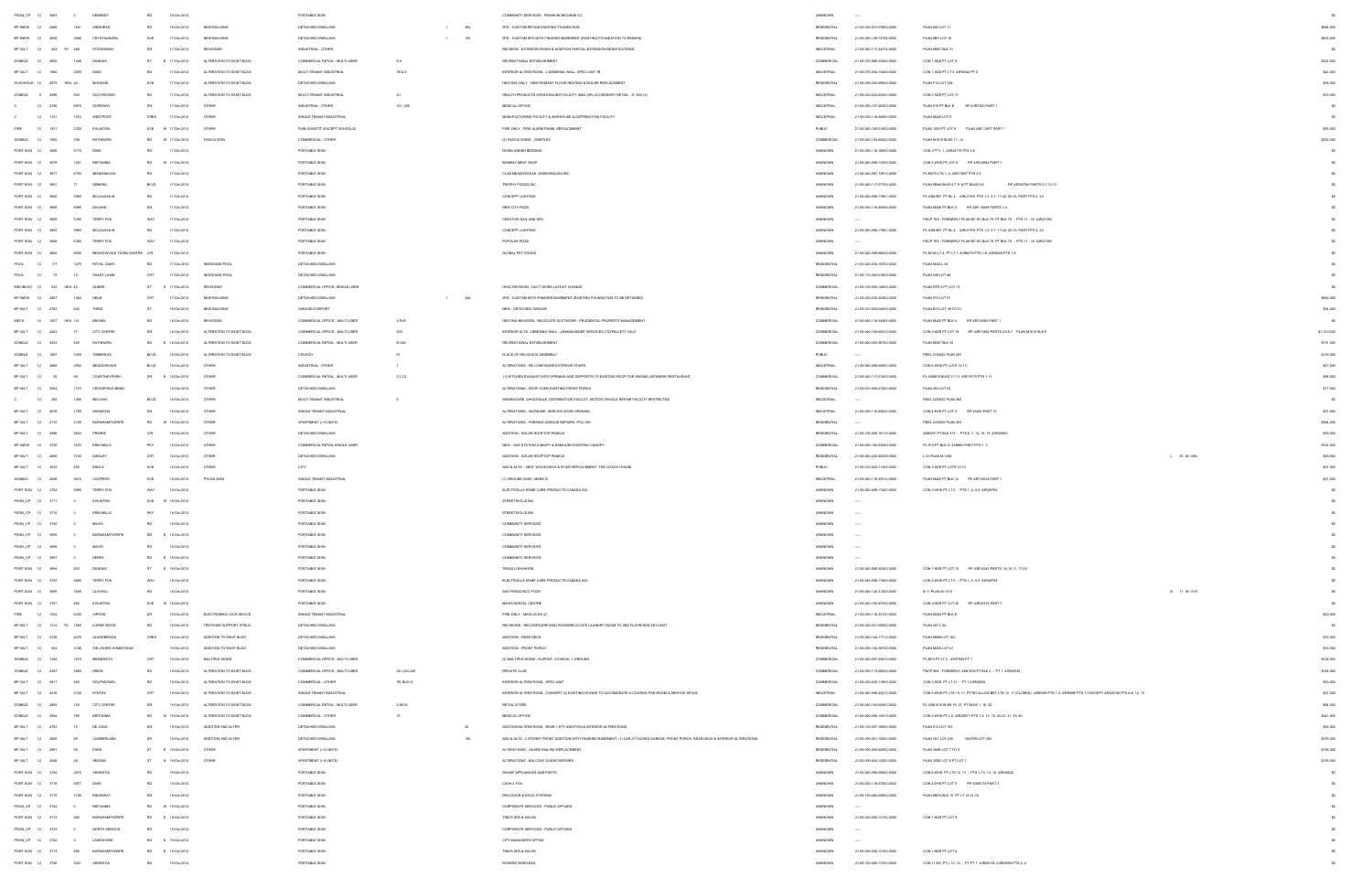| PSGN_CP 12 3683      |         | $\sim$         | KENNEDY                    | <b>RD</b>                          | 16-Oct-2012       |                          | PORTABLE SIGN                  |             |     | COMMUNITY SERVICES - FRANK MCKECHNIE CC                                                                                             | <b>UNKNOWN</b>     |                          |                                                                                                                                |                         |
|----------------------|---------|----------------|----------------------------|------------------------------------|-------------------|--------------------------|--------------------------------|-------------|-----|-------------------------------------------------------------------------------------------------------------------------------------|--------------------|--------------------------|--------------------------------------------------------------------------------------------------------------------------------|-------------------------|
| BP 9NEW 12           | 2480    | 1841           | HINDHEAD                   | <b>RD</b>                          | 16-Oct-2012       | <b>NEW BUILDING</b>      | DETACHED DWELLING              | 1           | 362 | SFD - CUSTOM RETAIN EXISTING FOUNDATION                                                                                             | <b>RESIDENTIAL</b> | 21-05-020-037-07600-0000 | PLAN 600 LOT 11                                                                                                                | \$644,000               |
| BP 9NEW 12 2836      |         | 2686           | <b>CRYSTALBURN</b>         | AVE                                | 17-Oct-2012       | NEW BUILDING             | DETACHED DWELLING              | $1 -$       | 193 | SFD - CUSTOM SFD WITH FINISHED BASEMENT (EXISTING FOUNDATION TO REMAIN)                                                             | RESIDENTIAL        | 21-05-060-128-73726-0000 | PLAN M81 LOT 16                                                                                                                | \$403,000               |
| <b>SP SALT</b><br>12 | 404     |                | <b>STATESMAI</b>           | <b>DR</b>                          | 17-Oct-2012       | <b>REVISIONS</b>         | INDUSTRIAL - OTHER             |             |     | REVISION - EXTERIOR-FINISH & ADDITION PARTIAL-EXTENSION MODIFICATIONS                                                               | <b>INDUSTRIA</b>   | 21-05-040-117-24374-0000 | PLAN M957 BLK 31                                                                                                               |                         |
| ZONBLD<br>12         | 2692    | 1248           | <b>DUNDAS</b>              | <b>ST</b>                          | E 17-Oct-2012     | ALTERATION TO EXIST BLDG | COMMERCIAL RETAIL - MULTI-USER | $8 - 9$     |     | RECREATIONAL ESTABLISHMENT                                                                                                          | COMMERCIA          | 21-05-070-068-33400-0000 | CON 1 SDS PT LOT 6                                                                                                             | \$302,000               |
| BP 3ALT 12 1982      |         | 2555           | DIXIE                      | <b>RD</b>                          | 17-Oct-2012       | ALTERATION TO EXIST BLDG | MULTI-TENANT INDUSTRIAL        | 7B & 8      |     | INTERIOR ALTERATIONS - 2-DEMISING WALL. SPEC-UNIT 7B                                                                                | INDUSTRIAL         | 21-05-070-054-13400-0000 | CON 1 SDS PT LT 5, 43R8344 PT 5                                                                                                | \$42,000                |
| HVACHOUS 12          | 2973    |                | <b>MOHAWK</b>              | AVE                                | 17-Oct-2012       | ALTERATION TO EXIST BLDG | DETACHED DWELLING              |             |     | HEATING-ONLY - NEW RADIANT FLOOR HEATING & BOILER REPLACEMENT                                                                       | RESIDENTIAL        | 21-05-090-003-09600-0000 | PLAN F12 LOT 254                                                                                                               | \$38,000                |
| ZONBLD               | 4996    | 800            | SOUTHDOWN                  | <b>RD</b>                          | 17-Oct-2012       | ALTERATION TO EXIST BLDG | MULTI-TENANT INDUSTRIAL        |             |     | HEALTH PRODUCTS WHOLESALING FACILITY (MAX 29% ACCESSORY RETAIL - 'A' 325/12)                                                        | INDUSTRIAL         | 21-05-020-024-04300-0000 | CON 3 SDS PT LOT 31                                                                                                            | \$33,000                |
|                      | 12 2795 | 6870           | GOREWAY                    | <b>DR</b>                          | 17-Oct-2012       | OTHER                    | INDUSTRIAL - OTHER             | 101, 200    |     | MEDICAL OFFICE                                                                                                                      | <b>INDUSTRIA</b>   | 21-05-050-107-20200-0000 | PLAN 919 PT BLK E RP 43R7830 PART                                                                                              |                         |
|                      | 12 1721 | 1074           | WESTPORT                   | CRES                               | 17-Oct-2012       | OTHER                    | SINGLE TENANT INDUSTRIAL       |             |     | MANUFACTURING FACILITY & WARHOUSE & DISTRIBUTION FACILITY                                                                           | INDUSTRIAL         | 21-05-050-116-40800-0000 | PLAN M240 LOT 6                                                                                                                |                         |
| FIRE<br>12           | 1871    | 2300           | EGLINTON                   |                                    | AVE W 17-Oct-2012 | OTHER                    | PUBLIC/INSTIT (EXCEPT SCHOOLS) |             |     | FIRE-ONLY - FIRE ALARM PANEL REPLACEMENT                                                                                            | PUBLIC             | 21-05-040-155-01650-0000 | PLAN 1003 PT LOT 8 PLAN 43R 12977 PART 1                                                                                       | \$55,000                |
| SGNBLD<br>12         | 1582    | 309            | <b>RATHRURN</b>            |                                    | RD W 17-Oct-2012  | <b>FASCIA SIGN</b>       | COMMERCIAL - OTHER             |             |     | (3) FASCIA SIGNS - CINEPLEX                                                                                                         | COMMERCIA          | 21-05-040-154-00402-0000 | PLAN M1010 BLKS 11, 14                                                                                                         | \$202,000               |
| PORT SGN 12          | 3696    | 5170           | <b>DIXIE</b>               | <b>RD</b>                          | 17-Oct-2012       |                          | PORTABLE SIGN                  |             |     | DOWN UNDER BEDDING                                                                                                                  | <b>UNKNOWN</b>     | 21-05-050-116-16900-0000 | CON 3 PT L 1, 43R24715 PTS 3-6                                                                                                 |                         |
|                      |         |                |                            |                                    |                   |                          |                                |             |     |                                                                                                                                     |                    |                          |                                                                                                                                |                         |
| PORT SGN 12          | 3679    | 1201           | BRITANNIA                  | <b>RD</b>                          | W 17-Oct-2012     |                          | PORTABLE SIGN                  |             |     | <b>BOMBAY MEAT SHOP</b>                                                                                                             | <b>UNKNOWN</b>     | 21-05-040-098-13300-0000 | CON 3 WHS PT LOT 6 RP 43R14964 PART 1                                                                                          |                         |
| PORT SGN 12          | 3671    | 6750           |                            | <b>RD</b>                          | 17-Oct-2012       |                          | PORTABLE SIGN                  |             |     | CLUB MEADOWVALE (MISSISSAUGA RD)                                                                                                    | <b>UNKNOW</b>      | 21-05-040-097-12910-0000 | PL M275 LTS 1, 2, 43R13587 PTS 3-5                                                                                             |                         |
| PORT SGN 12 3691     |         | 71             | <b>ADMIRAL</b>             | <b>BLVD</b>                        | 17-Oct-2012       |                          | PORTABLE SIGN                  |             |     | TROPHY FOODS INC                                                                                                                    | UNKNOWN            | 21-05-040-117-07700-0000 | PLAN M948 BLKS 6,7,9 & PT BLKS 5,8<br>RP 43R20784 PARTS 6,7,12.13                                                              |                         |
| PORT SGN 12          | 3692    | 5980           | MCLAUGHLIN                 | <b>RD</b>                          | 17-Oct-2012       |                          | PORTABLE SIGN                  |             |     | <b>CONCEPT LIGHTING</b>                                                                                                             | <b>UNKNOWN</b>     | 21-05-040-098-17881-0000 | PL 43M-967, PT BL 4, 43R21789, PTS 1-3, 5-7, 17-22, 25-33, PART PTS 4, 23                                                      |                         |
| PORT SGN 12          |         | 6985           | DAVAND                     | <b>DR</b>                          | 17-Oct-2012       |                          | PORTABLE SIGN                  |             |     | NEW CITY PIZZA                                                                                                                      | <b>UNKNOWN</b>     | 21-05-050-116-49200-0000 | PLAN M346 PT BLK 3 RP 43R 14948 PARTS 1-4                                                                                      |                         |
| PORT SGN 12          | 3689    | 6390           | TERRY FO                   | WAY                                | 17-Oct-2012       |                          | PORTABLE SIGN                  |             |     | CREATIVE NAIL AND SPA                                                                                                               | UNKNOWN            |                          | PSCP 769 - FORMERLY PLAN M1161 BLK 79, PT BLK 78 - PTS 11 - 16 43R21392                                                        |                         |
| PORT SGN 12          | 3693    | 5980           | MCLAUGHLIN                 | <b>RD</b>                          | 17-Oct-2012       |                          | PORTABLE SIGN                  |             |     | <b>CONCEPT LIGHTING</b>                                                                                                             | <b>UNKNOWN</b>     | 21-05-040-098-17881-0000 | PL 43M-967 PT RL 4 43R21789 PTS 1-3 5-7 17-22 25-33 PART PTS 4 23                                                              |                         |
| PORT SGN 12          | 3688    | 5380           | TERRY FO                   | WAY                                | 17-Oct-2012       |                          | PORTABLE SIGN                  |             |     | POPULAR PIZZA                                                                                                                       | <b>UNKNOWN</b>     |                          | PSCP 769 - FORMERLY PLAN M1161 BLK 79, PT BLK 78 - PTS 11 - 16 43R21392                                                        |                         |
| PORT SGN 12          | 3682    | 6590           | MEADOWVALE TOWN CENTRE CIR |                                    | 17-Oct-2012       |                          | PORTABLE SIGN                  |             |     | GLOBAL PET FOODS                                                                                                                    | <b>UNKNOWN</b>     | 21-05-040-098-56920-0000 | PL M182 LT 4, PT LT 1, 43R6079 PTS 1-6, 43R6209 PTS 1-9                                                                        |                         |
| POOL<br>12           | 117     | 1475           | ROYAL OAKS                 | <b>RD</b>                          | 17-Oct-2012       | INGROUND POOL            | DETACHED DWELLING              |             |     |                                                                                                                                     | RESIDENTIAL        | 21-05-020-030-18703-0000 | PLAN M-62 L 34                                                                                                                 |                         |
| POOL 12              | 73      | 12             | SHADY LAW                  | CRT                                | 17-Oct-2012       | <b>INGROUND POOL</b>     | DETACHED DWELLING              |             |     |                                                                                                                                     | RESIDENTIAL        | 21-05-110-002-01800-0000 | PLAN 548 LOT 46                                                                                                                |                         |
| MEC/BLDG 12          | 832     | HEA 40         | QUEEN                      | ST          S          17-Oct-2012 |                   | <b>REVISIONS</b>         | COMMERCIAL OFFICE- SINGLE USER |             |     | HVAC REVISION - DUCT WORK LAYOUT CHANGE                                                                                             | COMMERCIAL         | 21-05-120-004-14800-0000 | PLAN STR 4 PT LOT 13                                                                                                           |                         |
| <b>SP 9NEW</b>       |         |                | HELI                       | CRT                                | 17-Oct-2012       | NEW BUILDING             | DETACHED DWELLING              | 1           | 344 | SFD - CUSTOM WITH FINISHED BASEMENT (EXISTING FOUNDATION TO BE RETAINED)                                                            | <b>RESIDENTIA</b>  | 21-05-020-035-20400-0000 | PLAN 574 LOT 51                                                                                                                | \$662,000               |
|                      |         |                |                            |                                    |                   |                          |                                |             |     |                                                                                                                                     |                    |                          |                                                                                                                                |                         |
| BP 9ALT              | 2762    | 642            | THIRD                      | <b>ST</b>                          | 18-Oct-2012       | <b>NEW BUILDING</b>      | GARAGE/CARPORT                 |             |     | NEW - DETACHED GARAGE                                                                                                               | <b>RESIDENTIAL</b> | 21-05-010-004-04000-0000 | PLAN B19 LOT 49 TO 51                                                                                                          | \$34,000                |
| MECH<br>12           | 1007    | <b>HEA 141</b> | <b>BRUNEL</b>              | <b>RD</b>                          | 18-Oct-2012       | <b>REVISIONS</b>         | COMMERCIAL OFFICE - MULTI-USER | 2-FLR       |     | HEATING-REVISION - RELOCATE DUCTWORK - PRUDENTIAL PROPERTY MANAGEMENT                                                               | COMMERCIAL         | 21-05-040-116-34405-0000 | PLAN M425 PT BLK 4 RP 43R14360 PART 1                                                                                          |                         |
| <b>SP SALT</b>       |         |                | CITY CENTRI                | <b>DR</b>                          | 18-Oct-2012       | ALTERATION TO EXIST BLDG | COMMERCIAL OFFICE - MULTI-USER |             |     | INTERIOR ALTS - DEMISING WALL - LEXMAN MGMT SERVICES LTD/PALLETT VALO                                                               | COMMERCIA          | 21-05-040-154-00410-0000 | CON 2 NDS PT LOT 16 RP 43R13482 PARTS 2,5,6,7 PLAN M1010 BLK 5                                                                 | \$1,310,000             |
| ZONBLD<br>12         | 2533    | 925            | <b>RATHBURN</b>            |                                    | RD E 18-Oct-2012  | ALTERATION TO EXIST BLDG | COMMERCIAL RETAIL - MULTI-USER | B1-B2       |     | RECREATIONAL ESTABLISHMENT                                                                                                          | COMMERCIA          | 21-05-040-093-36700-0000 | PLAN M367 BLK 30                                                                                                               | \$191,000               |
| ZONBLD 12            | 1887    | 5359           | TIMBERLEA                  | <b>BLVD</b>                        | 18-Oct-2012       | ALTERATION TO EXIST BLDG | CHURCH                         | 61          |     | PLACE OF RELIGIOUS ASSEMBLY                                                                                                         | PUBLIC             | $\sim$                   | PEEL CONDO PLAN 297                                                                                                            | \$125,000               |
| BP 3ALT 12           | 286     | 2550           | MEADOWVALE                 | BLVD                               | 18-Oct-2012       | OTHER                    | INDUSTRIAL - OTHER             |             |     | ALTERATIONS - RE-CONFIGURE EXTERIOR STAIRS                                                                                          | <b>INDUSTRIAL</b>  | 21-05-040-098-02600-0000 | CON 6 WHS PT LOTS 12,13                                                                                                        | \$27,000                |
| BP 3ALT<br>12        | 35      |                | COURTNEYPARI               | <b>DR</b>                          | E 18-Oct-2012     | OTHER                    | COMMERCIAL RETAIL - MULTI-USER | $C1-C2$     |     | (3) KITCHEN EXHAUST WITH OPENING AND SUPPORTS TO EXISTING ROOF FOR WASABI JAPANESE RESTAURANT                                       | COMMERCIA          | 21-05-040-117-07405-0000 | PL 43M915 BLKS 11-13, 43R19175 PTS 1-11                                                                                        | \$98,000                |
| BP 9ALT 12 3054      |         | 1315           | CROSSFIELD BEND            |                                    | 18-Oct-2012       | OTHER                    | DETACHED DWELLING              |             |     | ALTERATIONS - ROOF OVER EXISTING FRONT PORCH                                                                                        | RESIDENTIAL        | 21-05-010-009-21000-0000 | PLAN 453 LOT 52                                                                                                                | \$17,000                |
|                      | 12 292  | 1365           | MID-WAY                    | BLVD                               | 18-Oct-2012       | OTHER                    | MULTI-TENANT INDUSTRIAL        |             |     | WAREHOUSE, WHOLESALE, DISTRIBUTION FACILITY, MOTOR VEHICLE REPAIR FACILITY RESTRICTED                                               | <b>INDUSTRIAL</b>  |                          | PEEL CONDO PLAN 365                                                                                                            |                         |
| BP 3ALT<br>12        | 2676    | 1765           | <b>SHAWSON</b>             | <b>DR</b>                          | 18-Oct-2012       | OTHER                    | SINGLE TENANT INDUSTRIAL       |             |     | ALTERATIONS - INCREASE SERVICE DOOR OPENING                                                                                         | <b>INDUSTRIA</b>   | 21-05-050-116-02625-0000 | CON 4 EHS PT LOT 5 RP 43260 PART 10                                                                                            | \$27,000                |
| BP 3ALT 12 2715      |         | 2155           | <b>BURNHAMTHORPS</b>       | <b>RD</b>                          | W 18-Oct-2012     | OTHER                    | APARTMENT (> 6 UNITS)          |             |     | ALTERATIONS - PARKING GARAGE REPAIRS, PCC-393                                                                                       | RESIDENTIAL        |                          | PEEL CONDO PLAN 393                                                                                                            | \$364,000               |
|                      |         | 5843           |                            |                                    |                   |                          |                                |             |     |                                                                                                                                     |                    |                          |                                                                                                                                |                         |
|                      |         |                |                            |                                    |                   |                          |                                |             |     |                                                                                                                                     |                    |                          |                                                                                                                                |                         |
| BP 9ALT 12           | 2996    |                | PRAIRIE                    | <b>CIR</b>                         | 18-Oct-2012       | OTHER                    | DETACHED DWELLING              |             |     | ADDITION - SOLAR ROOFTOP PANELS                                                                                                     | RESIDENTIAL        | 21-05-150-090-16110-0000 | 43M878, PT BLK 315 - PTS 6, 7, 14, 15, 19 43R29455                                                                             | \$29,000                |
| BP 3NEW 12           | 2705    | 3233           | <b>ERIN MILLS</b>          | PKY                                | 18-Oct-2012       | OTHER                    | COMMERCIAL RETAIL-SINGLE USER  |             |     | NEW - GAS STATION CANOPY & DEMOLISH EXISTING CANOPY                                                                                 | COMMERCIAL         | 21-05-060-155-53000-0000 | PL 915 PT BLK O, 43R860 PART PTS 1, 3                                                                                          | \$162,000               |
| BP 9ALT<br>12        |         | 7230           | <b>DISHLEY</b>             | CRT                                | 18-Oct-2012       | OTHER                    | DETACHED DWELLING              |             |     | ADDITION - SOLAR ROOFTOP PANELS                                                                                                     | <b>RESIDENTIAL</b> | 21-05-040-225-26328-0000 | L 53 PLAN M-1284                                                                                                               | L 53 M-1284<br>\$29,000 |
| BP 3ALT 12 3033      |         | 850            | <b>ENOLA</b>               | AVE                                | 18-Oct-2012       | OTHER                    | CITY                           |             |     | ADD & ALTS - NEW WOOD DECK & STAIR REPLACEMENT, THE COACH HOUSE                                                                     | PUBLIC             | 21-05-010-002-11300-0000 | CON 3 SDS PT LOTS 12,13                                                                                                        | \$27,000                |
| SGNBLD<br>12         | 2948    | 5815           | COOPERS                    | AVE                                | 18-Oct-2012       | PYLON SIGN               | SINGLE TENANT INDUSTRIAL       |             |     | (1) GROUND SIGN - MARK IV                                                                                                           | INDUSTRIAL         | 21-05-040-116-35312-0000 | PLAN M425 PT BLK 14 PR 43R12034 PART                                                                                           | \$21,000                |
| PORT SGN 12 3702     |         | 5855           | <b>TERRY FO</b>            | WAY                                | 18-Oct-2012       |                          | PORTABLE SIGN                  |             |     | ELECTROLUX HOME CARE PRODUCTS CANADA INC                                                                                            | <b>UNKNOWN</b>     | 21-05-040-098-17400-0000 | CON 2 WHS PT LT 5 - PTS 1, 2, 6-9 43R29794                                                                                     |                         |
| PSGN_CP 12 3711      |         | $\sim$ 0       | <b>EGLINTON</b>            |                                    | AVE W 18-Oct-2012 |                          | PORTABLE SIGN                  |             |     | STREETSVILLE BIA                                                                                                                    | <b>UNKNOWN</b>     | $\sim$                   |                                                                                                                                |                         |
| PSGN_CP 12 3710      |         |                | <b>ERIN MILLS</b>          |                                    | 18-Oct-2012       |                          | PORTABLE SIGN                  |             |     | <b>STREETSVILLE BIA</b>                                                                                                             | <b>UNKNOW</b>      |                          |                                                                                                                                |                         |
| PSGN_CP 12 3700      |         | $\sim$ 0       | MAVIS                      | <b>RD</b>                          | 18-Oct-2012       |                          | PORTABLE SIGN                  |             |     | COMMUNITY SERVICES                                                                                                                  | <b>UNKNOWN</b>     | -                        |                                                                                                                                |                         |
| PSGN_CP 12 3699      |         |                | BURNHAMTHORPE              | RD E 18-Oct-2012                   |                   |                          | PORTABLE SIGN                  |             |     | COMMUNITY SERVICES                                                                                                                  | <b>UNKNOWN</b>     |                          |                                                                                                                                |                         |
| PSGN CP 12           | 3698    |                | MAVIS                      | <b>RD</b>                          | 18-Oct-2012       |                          | PORTABLE SIGN                  |             |     | <b>COMMUNITY SERVICES</b>                                                                                                           | <b>UNKNOWN</b>     | $\sim$                   |                                                                                                                                |                         |
| PSGN CP 12 3697      |         |                | DERRY                      | RD E 18-Oct-2012                   |                   |                          | PORTABLE SIGN                  |             |     | <b>COMMUNITY SERVICES</b>                                                                                                           | <b>UNKNOWN</b>     | $\sim$                   |                                                                                                                                |                         |
| PORT SGN 12 3694     |         | 803            | <b>DUNDAS</b>              | ST E 18-Oct-2012                   |                   |                          | PORTABLE SIGN                  |             |     | TEXAS LONGHORN                                                                                                                      | <b>UNKNOWN</b>     | 21-05-040-068-20300-0000 | CON 1 NDS PT LOT 10 RP 43R14243 PARTS 1,6,10,11, 17-20                                                                         |                         |
|                      |         |                |                            |                                    |                   |                          |                                |             |     |                                                                                                                                     |                    |                          |                                                                                                                                |                         |
| PORT SGN 12          | 3703    | 5855           | <b>TERRY FO</b>            | WAY                                | 18-Oct-2012       |                          | PORTABLE SIGN                  |             |     | ELECTROLUX HOME CARE PRODUCTS CANADA INC                                                                                            | <b>UNKNOWN</b>     | 21-05-040-098-17400-0000 | CON 2 WHS PT LT 5 - PTS 1, 2, 6-9 43R29794                                                                                     |                         |
| PORT SGN 12          | 3695    | 3045           | CLAYHILL                   | <b>RD</b>                          | 18-Oct-2012       |                          | PORTABLE SIGN                  |             |     | SAN FRANCISCO FOOD                                                                                                                  | <b>UNKNOWN</b>     | 21-05-040-142-31200-0000 | B 11 PLAN M-1319                                                                                                               | B 11 M-1319             |
| PORT SGN 12 3701     |         | 660            | <b>EGLINTON</b>            | AVE W 18-Oct-2012                  |                   |                          | PORTABLE SIGN                  |             |     | MAVIS DENTAL CENTRE                                                                                                                 | <b>UNKNOWN</b>     | 21-05-040-155-43700-0000 | CON 2 NDS PT LOT 20 RP 43R20153 PART 1                                                                                         |                         |
| <b>IRE</b><br>12     | 1524    | 6430           | VIPOND                     | <b>DR</b>                          | 18-Oct-2012       | ELECTROMAG LOCK DEVICE   | SINGLE TENANT INDUSTRIAL       |             |     | FIRE-ONLY - MAGLOCKS (2)                                                                                                            | <b>INDUSTRIA</b>   | 21-05-050-116-33100-0000 | PLAN M354 PT BLK E                                                                                                             | \$20,000                |
| BP 9ALT 12 1212 R1   |         | 1559           | LORNE WOOD                 | <b>RD</b>                          | 18-Oct-2012       | TENTS/AIR SUPPORT STRUC  | DETACHED DWELLING              |             |     | REVISIONS - RECONFIGURE MUD ROOM/RELOCATE LAUNDRY ROOM TO 2ND FLOOR/ADD SKYLIGHT                                                    | <b>RESIDENTIAL</b> | 21-05-020-031-05600-0000 | PLAN 457 L 62                                                                                                                  |                         |
| BP 9ALT 12 2726      |         | 4478           | <b>GLADEBROOK</b>          | CRES                               | 18-Oct-2012       | ADDITION TO EXIST BLDG   | DETACHED DWELLING              |             |     | ADDITION - REAR DECK                                                                                                                | RESIDENTIAL        | 21-05-040-144-11713-0000 | PLAN M888 LOT 160                                                                                                              | \$16,000                |
| BP 9ALT 12           | 924     | 3188           | SIR JOHN'S HOMESTEAD       |                                    | 19-Oct-2012       | ADDITION TO EXIST BLDG   | DETACHED DWELLING              |             |     | ADDITION - FRONT PORCH                                                                                                              | RESIDENTIAL        | 21-05-060-154-38700-0000 | PLAN M200 LOT 41                                                                                                               | \$16,000                |
| SGNBLD               | 1345    | 1919           | <b>MINNESOTA</b>           | CRT                                | 19-Oct-2012       | MULTIPLE SIGNS           | COMMERCIAL OFFICE - MULTI-USER |             |     | (3) MULTIPLE SIGNS - DUPONT, 2-FASCIA, 1-GROUND                                                                                     | COMMERCIA          | 21-05-040-097-25810-0000 | PL M10 PT LT 2 - 43R7908 PT 1                                                                                                  | \$108,000               |
| ZONBLD 12            | 2397    | 2980           | DREW                       | <b>RD</b>                          | 19-Oct-2012       | ALTERATION TO EXIST BLDG | COMMERCIAL OFFICE - MULTI-USER | 241,243,245 |     | PRIVATE CLUB                                                                                                                        | COMMERCIA          | 21-05-050-113-06532-0000 | PSCP 884 - FORMERLY 43M1593 PT BLK 2 - PT 1 43R29338                                                                           | \$144,000               |
| BP 3ALT 12 2811      |         | 920            | SOUTHDOWN                  | <b>RD</b>                          | 19-Oct-2012       | ALTERATION TO EXIST BLDG | COMMERCIAL - OTHER             | 7B. BLD-H   |     | INTERIOR ALTERATIONS - SPEC-UNIT                                                                                                    | COMMERCIAL         | 21-05-020-025-11650-0000 | CON 3 SDS, PT LT 31 - PT 1 43R25635                                                                                            | \$30,000                |
| BP 3ALT<br>12        | 2416    | 2100           | SYNTEX                     | CRT                                | 19-Oct-2012       | ALTERATION TO EXIST BLDG | SINGLE TENANT INDUSTRIAL       |             |     | INTERIOR ALTERATIONS - CONVERT (2) EXISTING ROOMS TO ACCOMODATE A COATING PAN ROOM & SERVICE SPACE                                  | INDUSTRIAL         | 21-05-040-098-22410-0000 | CON 5 WHS PT LTS 10, 11, PT RD ALLOW BET LTS 10, 11 (CLOSED), 43R6595 PTS 1-3, 43R6596 PTS 1-3 EXCEPT 43R25746 PTS 6-8, 12, 13 | \$27,000                |
| ZONBLD 12 2855       |         | 100            | CITY CENTRE                | <b>DR</b>                          | 19-Oct-2012       | ALTERATION TO EXIST BLDG | COMMERCIAL RETAIL - MULTI-USER | 2-907A      |     | <b>RETAIL STORE</b>                                                                                                                 | COMMERCIAL         | 21-05-040-154-00453-0000 | PL 43M1010 BLKS 19, 21, PT BLKS 1, 16, 20                                                                                      | \$64,000                |
| ZONBLD 12 2594       |         | 785            | BRITANNIA                  | RD W 19-Oct-2012                   |                   | ALTERATION TO EXIST BLDG | COMMERCIAL - OTHER             | 15          |     | MEDICAL OFFICE                                                                                                                      | COMMERCIAL         | 21-05-040-098-12910-0000 | CON 2 WHS PT L 6, 43R25871 PTS 1-9, 13, 15, 20-23, 31, 39, 40                                                                  |                         |
| BP 9ALT 12 2763      |         | 10             | DE JONG                    | <b>DR</b>                          | 19-Oct-2012       | ADDITION AND ALTER       | DETACHED DWELLING              |             |     | ADDITION/ALTERATIONS - REAR 1 STY ADDITION & INTERIOR ALTERATIONS                                                                   | RESIDENTIAL        | 21-05-130-007-16600-0000 | PLAN 513 LOT 153                                                                                                               | \$241,000<br>\$52,000   |
|                      |         |                |                            |                                    |                   |                          |                                |             |     |                                                                                                                                     |                    |                          |                                                                                                                                |                         |
| BP 9ALT 12           | 2829    |                | CUMBERLAND                 | <b>DR</b>                          | 19-Oct-2012       | ADDITION AND ALTER       | DETACHED DWELLING              |             | 156 | ADD & ALTS - 2 STOREY FRONT ADDITION WITH FINISHED BASEMENT, (1) CAR ATTACHED GARAGE, FRONT PORCH, REAR DECK & INTERIOR ALTERATIONS | <b>RESIDENTIAL</b> | 21-05-090-001-15200-0000 | PLAN H21 LOT 235 WATER LOT 354                                                                                                 | \$378,000               |
| BP 3ALT 12 2991      |         | 65             | PARK                       |                                    | ST E 19-Oct-2012  | OTHER                    | APARTMENT (> 6 UNITS)          |             |     | ALTERATIONS - GUARD RAILING REPLACEMENT                                                                                             | <b>RESIDENTIAL</b> | 21-05-090-005-02900-0000 | PLAN 300E LOT 7 TO 9                                                                                                           | \$156,000               |
| BP 3ALT 12 3046      |         | 28             | HELENE                     | <b>ST</b>                          | N 19-Oct-2012     | OTHER                    | APARTMENT (> 6 UNITS)          |             |     | ALTERATIONS - BALCONY GUARD REPAIRS                                                                                                 | RESIDENTIAL        | 21-05-090-004-14300-0000 | PLAN 300E LOT 6 PT LOT 7                                                                                                       | \$156,000               |
| PORT SGN 12 3704     |         | 2915           | ARGENTI/                   | <b>RD</b>                          | 19-Oct-2012       |                          | PORTABLE SIGN                  |             |     | SHAWF APPLIANCES AND PARTS                                                                                                          | <b>UNKNOWN</b>     | 21-05-040-098-05060-0000 | CON 6 WHS, PT LTS 12, 13 - PTS 1-10, 13, 14 43R30620                                                                           |                         |
| PORT SGN 12 3716     |         | 5977           | DIXIE                      | <b>RD</b>                          | 19-Oct-2012       |                          | PORTABLE SIGN                  |             |     | CASH 4 YOU                                                                                                                          | <b>UNKNOWN</b>     | 21-05-050-116-07500-0000 | CON 4 EHS PT LOT 5 RP 43R8174 PART 3                                                                                           |                         |
| PORT SGN 12 3715     |         | 3190           | <b>RIDGEWAY</b>            | <b>DR</b>                          | 19-Oct-2012       |                          | PORTABLE SIGN                  |             |     | PRO-DOOR & DOCK SYSTEMS                                                                                                             | <b>UNKNOWN</b>     | 21-05-150-084-02600-0000 | PLAN M674 BLK 15 PT LT 12-14,16                                                                                                |                         |
| PSGN_CP 12 3724      |         |                | BRITANNIA                  |                                    | RD W 19-Oct-2012  |                          | PORTABLE SIGN                  |             |     | CORPORATE SERVICES - PUBLIC AFFAIRS                                                                                                 | <b>UNKNOWN</b>     | -                        |                                                                                                                                |                         |
| PORT SGN 12 3712     |         | 980            | <b>BURNHAMTHORPE</b>       | <b>RD</b>                          | E 19-Oct-2012     |                          | PORTABLE SIGN                  |             |     | TINA'S SPA & SALON                                                                                                                  | <b>UNKNOWN</b>     | 21-05-030-092-12100-0000 | CON 1 NDS PT LOT 8                                                                                                             |                         |
| PSGN_CP 12 3723      |         |                | NORTH SERVICE              | <b>RD</b>                          | 19-Oct-2012       |                          | PORTABLE SIGN                  |             |     | CORPORATE SERVICES - PUBLIC AFFAIRS                                                                                                 | <b>UNKNOWN</b>     |                          |                                                                                                                                |                         |
| PSGN CP 12 3722      |         |                | LAKESHORE                  | RD E 19-Oct-2012                   |                   |                          | PORTABLE SIGN                  |             |     | CITY MANAGER'S OFFICE                                                                                                               | <b>UNKNOWN</b>     |                          |                                                                                                                                |                         |
| PORT SGN 12 3713     |         | 980            | BURNHAMTHORPE              | RD E 19-Oct-2012                   |                   |                          | PORTABLE SIGN                  |             |     | TINA'S SPA & SALON                                                                                                                  | <b>UNKNOWN</b>     | 21-05-030-092-12100-0000 | CON 1 NDS PT LOT 8                                                                                                             |                         |
| PORT SGN 12 3706     |         | 3041           | ARGENTI/                   | <b>RD</b>                          | 19-Oct-2012       |                          | PORTABLE SIGN                  |             |     | ROGERS WIRELESS                                                                                                                     | <b>UNKNOWN</b>     | 21-05-150-080-13700-0000 | CON 11 NS, PT L 13, 14 - PT PT 1 43R28108, 43R28958 PTS 2, 4                                                                   |                         |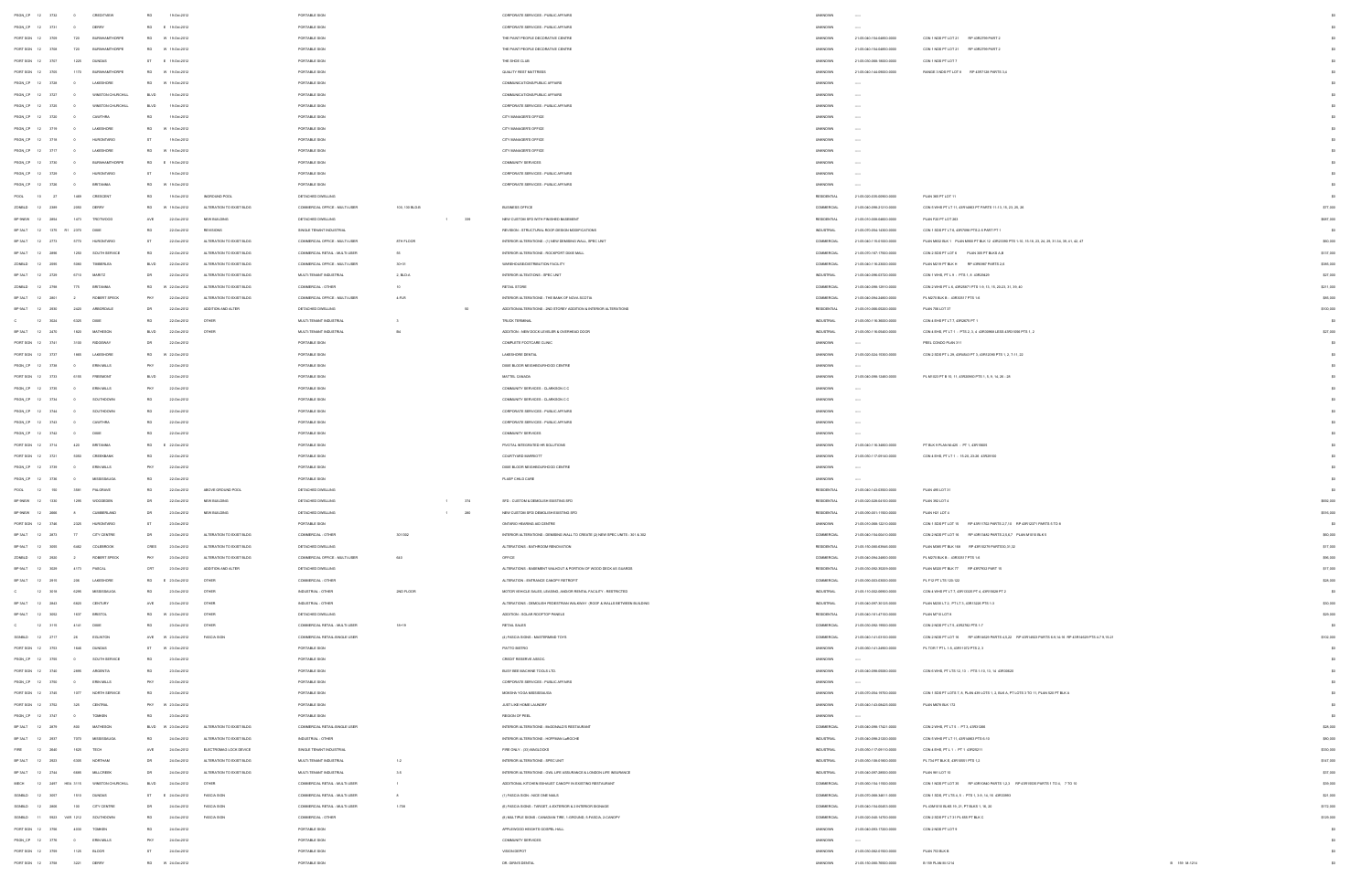|                                                      |                                                                                                                                                 | \$0                  |
|------------------------------------------------------|-------------------------------------------------------------------------------------------------------------------------------------------------|----------------------|
|                                                      |                                                                                                                                                 | \$0                  |
| 21-05-040-154-04850-0000                             | CON 1 NDS PT LOT 21 RP 43R2799 PART 2                                                                                                           | \$0                  |
| 21-05-040-154-04850-0000                             | CON 1 NDS PT LOT 21 RP 43R2799 PART 2                                                                                                           | \$0                  |
| 21-05-030-068-18000-0000                             | CON 1 NDS PT LOT 7                                                                                                                              | \$0                  |
| 21-05-040-144-09000-0000                             | RANGE 3 NDS PT LOT 8 RP 43R7128 PARTS 3,4                                                                                                       | \$0                  |
|                                                      |                                                                                                                                                 | \$0                  |
|                                                      |                                                                                                                                                 | \$0                  |
| <br>                                                 |                                                                                                                                                 | \$0<br>\$0           |
|                                                      |                                                                                                                                                 | \$0                  |
|                                                      |                                                                                                                                                 | \$0                  |
|                                                      |                                                                                                                                                 | \$0                  |
|                                                      |                                                                                                                                                 | \$0                  |
|                                                      |                                                                                                                                                 | \$0                  |
|                                                      |                                                                                                                                                 | \$0                  |
| 21-05-020-035-00900-0000                             | PLAN 365 PT LOT 11                                                                                                                              | \$0                  |
| 21-05-040-098-21210-0000                             | CON 5 WHS PT LT 11, 43R14863 PT PARTS 11-13, 15, 23, 25, 26                                                                                     | \$77,000             |
| 21-05-010-008-04600-0000                             | PLAN F20 PT LOT 263                                                                                                                             | \$687,000            |
| 21-05-070-054-14300-0000<br>21-05-040-115-01000-0000 | CON 1 SDS PT LT 6, 43R7098 PTS 2-5 PART PT 1<br>PLAN M832 BLK 1 PLAN M900 PT BLK 12 43R23390 PTS 1-10, 15-18, 23, 24, 29, 31-34, 39, 41, 42, 47 | \$0<br>\$60,000      |
| 21-05-070-167-17500-0000                             | CON 2 SDS PT LOT 6 PLAN 305 PT BLKS A,B                                                                                                         | \$137,000            |
| 21-05-040-116-23000-0000                             | PLAN M219 PT BLK H RP 43R6987 PARTS 2,6                                                                                                         | \$385,000            |
| 21-05-040-096-03720-0000                             | CON 1 WHS, PT L 9 - PTS 1, 8 43R29429                                                                                                           | \$27,000             |
| 21-05-040-098-12910-0000                             | CON 2 WHS PT L 6, 43R25871 PTS 1-9, 13, 15, 20-23, 31, 39, 40                                                                                   | \$211,000            |
| 21-05-040-094-24800-0000                             | PL M270 BLK B - 43R30517 PTS 1-6                                                                                                                | \$85,000             |
| 21-05-010-066-05200-0000                             | PLAN 706 LOT 37                                                                                                                                 | \$100,000            |
| 21-05-050-116-36000-0000                             | CON 4 EHS PT LT 7, 43R2675 PT 1                                                                                                                 | \$0                  |
| 21-05-050-116-05400-0000                             | CON 4 EHS, PT LT 1 - PTS 2, 3, 4 43R30968 LESS 43R31056 PTS 1, 2                                                                                | \$27,000             |
| 21-05-020-024-15300-0000                             | PEEL CONDO PLAN 311<br>CON 2 SDS PT L 29, 43R4543 PT 3, 43R12090 PTS 1, 2, 7-11, 22                                                             | \$0<br>\$0           |
|                                                      |                                                                                                                                                 | \$0                  |
| 21-05-040-098-12460-0000                             | PL M1023 PT B 10, 11, 43R20960 PTS 1, 5, 9, 14, 26 - 28                                                                                         | \$0                  |
|                                                      |                                                                                                                                                 | \$0                  |
|                                                      |                                                                                                                                                 | \$0                  |
|                                                      |                                                                                                                                                 | \$0                  |
|                                                      |                                                                                                                                                 | \$0                  |
|                                                      |                                                                                                                                                 | \$0                  |
| 21-05-040-116-34800-0000                             | PT BLK 9 PLAN M-425 - PT 1, 43R15605                                                                                                            | \$0                  |
| 21-05-050-117-09140-0000                             | CON 4 EHS, PT LT 1 - 15-20, 23-26 43R29100                                                                                                      | \$0<br>\$0           |
|                                                      |                                                                                                                                                 | \$0                  |
| 21-05-040-143-03500-0000                             | PLAN 495 LOT 31                                                                                                                                 | \$0                  |
| 21-05-020-028-04100-0000                             | PLAN 392 LOT 4                                                                                                                                  | \$692,000            |
| 21-05-090-001-11500-0000                             | PLAN H21 LOT 4                                                                                                                                  | \$516,000            |
| 21-05-010-068-12210-0000                             | CON 1 SDS PT LOT 15 RP 43R11702 PARTS 2,7,10 RP 43R12371 PARTS 5 TO 8                                                                           | \$0                  |
| 21-05-040-154-00410-0000                             | CON 2 NDS PT LOT 16 RP 43R13482 PARTS 2,5,6,7 PLAN M1010 BLK 5                                                                                  | \$60,000             |
| 21-05-150-080-63946-0000                             | PLAN M385 PT BLK 168 RP 43R10279 PARTS30,31,32                                                                                                  | \$17,000             |
| 21-05-040-094-24800-0000<br>21-05-030-092-35209-0000 | PL M270 BLK B - 43R30517 PTS 1-6<br>PLAN M320 PT BLK 77 RP 43R7932 PART 15                                                                      | \$96,000<br>\$17,000 |
| 21-05-090-003-03000-0000                             | PL F12 PT LTS 120-122                                                                                                                           | \$28,000             |
| 21-05-110-002-06900-0000                             | CON 4 WHS PT LT 7, 43R13325 PT 4, 43R15628 PT 2                                                                                                 | \$0                  |
| 21-05-040-097-30125-0000                             | PLAN M230 LT 2, PT LT 3, 43R13226 PTS 1-3                                                                                                       | \$30,000             |
| 21-05-040-161-47100-0000                             | PLAN M710 LOT 8                                                                                                                                 | \$29,000             |
| 21-05-030-092-19500-0000                             | CON 2 NDS PT LT 5, 43R2782 PTS 1-7                                                                                                              | \$0                  |
| 21-05-040-141-03100-0000                             | CON 2 NDS PT LOT 16 RP 43R14629 PARTS 4,5,22 RP 43R14923 PARTS 6-9,14-16 RP 43R14629 PTS 4-7 9,15-21                                            | \$102,000            |
| 21-05-060-141-24900-0000                             | PL TOR 7 PT L 1-5, 43R11072 PTS 2, 3                                                                                                            | \$0                  |
|                                                      |                                                                                                                                                 | \$0                  |
| 21-05-040-098-05060-0000<br>                         | CON 6 WHS, PT LTS 12, 13 - PTS 1-10, 13, 14 43R30620                                                                                            | \$0<br>\$0           |
| 21-05-070-054-19700-0000                             | CON 1 SDS PT LOTS 7, 8, PLAN 439 LOTS 1, 2, BLK A, PT LOTS 3 TO 11, PLAN 520 PT BLK A                                                           | \$0                  |
| 21-05-040-143-08425-0000                             | PLAN M678 BLK 172                                                                                                                               | \$0                  |
|                                                      |                                                                                                                                                 | \$0                  |
| 21-05-040-098-17421-0000                             | CON 2 WHS, PT LT 5 - PT 3, 43R31266                                                                                                             | \$28,000             |
| 21-05-040-098-21200-0000                             | CON 5 WHS PT LT 11, 43R14863 PTS 6-10                                                                                                           | \$80,000             |
| 21-05-050-117-09110-0000                             | CON 4 EHS, PT L 1 - PT 1 43R25211                                                                                                               | \$330,000            |
| 21-05-050-108-01800-0000                             | PL 734 PT BLK E, 43R10551 PTS 1,2                                                                                                               | \$147,000            |
| 21-05-040-097-28500-0000                             | PLAN 981 LOT 10                                                                                                                                 | \$37,000             |
| 21-05-060-154-11500-0000<br>21-05-070-068-34611-0000 | CON 1 NDS PT LOT 35 RP 43R10840 PARTS 1,2,3 RP 43R15535 PARTS 1 TO 4, 7 TO 10<br>CON 1 SDS, PT LTS 4, 5 - PTS 1, 3-9, 14, 16 43R33993           | \$39,000<br>\$21,000 |
| 21-05-040-154-00453-0000                             | PL 43M1010 BLKS 19, 21, PT BLKS 1, 16, 20                                                                                                       | \$172,000            |
| 21-05-020-040-14700-0000                             | CON 2 SDS PT LT 31 PL 655 PT BLK C                                                                                                              | \$129,000            |
| 21-05-040-093-17200-0000                             | CON 2 NDS PT LOT 9                                                                                                                              | \$0                  |
|                                                      |                                                                                                                                                 | \$0                  |
| 21-05-030-082-01500-0000                             | <b>PLAN 753 RLK B</b>                                                                                                                           | s0                   |

| PSGN_CP 12 3732                      | $\sim$ 0        | CREDITVIEW          | <b>RD</b>                    | 19-Oct-2012                     |                          | PORTABLE SIGN                  |                | CORPORATE SERVICES - PUBLIC AFFAIRS                                           | <b>UNKNOWN</b>     |                          |                                                                                                      |              |
|--------------------------------------|-----------------|---------------------|------------------------------|---------------------------------|--------------------------|--------------------------------|----------------|-------------------------------------------------------------------------------|--------------------|--------------------------|------------------------------------------------------------------------------------------------------|--------------|
| PSGN_CP 12 3731                      | $\sim$ 0        | DERRY               |                              | RD E 19-Oct-2012                |                          | PORTABLE SIGN                  |                | CORPORATE SERVICES - PUBLIC AFFAIRS                                           | <b>UNKNOWN</b>     |                          |                                                                                                      |              |
| PORT SGN 12 3709                     | 720             | BURNHAMTHORPE       |                              | RD W 19-Oct-2012                |                          | PORTABLE SIGN                  |                | THE PAINT PEOPLE DECORATIVE CENTRE                                            | <b>UNKNOWN</b>     | 21-05-040-154-04850-0000 | CON 1 NDS PT LOT 21 RP 43R2799 PART 2                                                                |              |
| PORT SGN 12 3708                     | 720             | BURNHAMTHORPE       |                              | RD W 19-Oct-2012                |                          | PORTABLE SIGN                  |                | THE PAINT PEOPLE DECORATIVE CENTRE                                            | <b>UNKNOWN</b>     | 21-05-040-154-04850-0000 | CON 1 NDS PT LOT 21 RP 43R2799 PART 2                                                                |              |
| PORT SGN 12 3707                     | 1225            | <b>DUNDAS</b>       |                              | ST E 19-Oct-2012                |                          | PORTABLE SIGN                  |                | THE SHOE CLUB                                                                 | <b>UNKNOW!</b>     | 21-05-030-068-18000-0000 | CON 1 NDS PT LOT 7                                                                                   |              |
| PORT SGN 12 3705                     | 1170            | BURNHAMTHORPE       |                              | RD W 19-Oct-2012                |                          | PORTABLE SIGN                  |                | <b>QUALITY REST MATTRESS</b>                                                  | <b>UNKNOWN</b>     | 21-05-040-144-09000-0000 | RANGE 3 NDS PT LOT 8 RP 43R7128 PARTS 3,4                                                            |              |
| PSGN CP 12 3728                      | $\sim$ 0        | LAKESHORE           |                              | RD W 19-Oct-2012                |                          | PORTABLE SIGN                  |                | COMMUNICATIONS/PUBLIC AFFAIRS                                                 | <b>UNKNOWN</b>     |                          |                                                                                                      |              |
| PSGN_CP 12 3727                      | $\sim$ 0        | WINSTON CHURCHILL   | <b>BLVD</b>                  | 19-Oct-2012                     |                          | PORTABLE SIGN                  |                | COMMUNICATIONS/PUBLIC AFFAIRS                                                 | <b>UNKNOWN</b>     |                          |                                                                                                      |              |
| PSGN_CP 12 3725                      | $\sim$ 0        | WINSTON CHURCHILL   | BLVD                         | 19-Oct-2012                     |                          | PORTABLE SIGN                  |                | CORPORATE SERVICES - PUBLIC AFFAIRS                                           | <b>UNKNOWN</b>     |                          |                                                                                                      |              |
| PSGN_CP 12 3720                      | 0               | CAWTHRA             | <b>RD</b>                    | 19-Oct-2012                     |                          | PORTABLE SIGN                  |                | CITY MANAGER'S OFFICE                                                         | <b>UNKNOWN</b>     |                          |                                                                                                      |              |
| PSGN_CP 12 3719                      | $^{\circ}$      | LAKESHORE           |                              | RD W 19-Oct-2012                |                          | PORTABLE SIGN                  |                | CITY MANAGER'S OFFICE                                                         | <b>UNKNOWN</b>     |                          |                                                                                                      |              |
|                                      | $\sim$ 0        | <b>HURONTARIO</b>   | <b>ST</b>                    | 19-Oct-2012                     |                          |                                |                |                                                                               |                    |                          |                                                                                                      |              |
| PSGN_CP 12 3718                      |                 |                     |                              |                                 |                          | PORTABLE SIGN                  |                | CITY MANAGER'S OFFICE                                                         | <b>UNKNOWN</b>     |                          |                                                                                                      |              |
| PSGN_CP 12 3717                      | 0               | LAKESHORE           |                              | RD W 19-Oct-2012                |                          | PORTABLE SIGN                  |                | CITY MANAGER'S OFFICE                                                         | <b>UNKNOW</b>      |                          |                                                                                                      |              |
| PSGN_CP 12 3730                      | $\sim$ 0        | BURNHAMTHORPE       |                              | RD E 19-Oct-2012                |                          | PORTABLE SIGN                  |                | <b>COMMUNITY SERVICES</b>                                                     | <b>UNKNOWN</b>     |                          |                                                                                                      |              |
| PSGN_CP 12 3729                      | $\sim$ 0        | <b>HURONTARIO</b>   | ST <sub>1</sub>              | 19-Oct-2012                     |                          | PORTABLE SIGN                  |                | CORPORATE SERVICES - PUBLIC AFFAIRS                                           | <b>UNKNOWN</b>     |                          |                                                                                                      |              |
| PSGN_CP 12 3726                      | $\overline{0}$  | BRITANNIA           |                              | RD W 19-Oct-2012                |                          | PORTABLE SIGN                  |                | CORPORATE SERVICES - PUBLIC AFFAIRS                                           | <b>UNKNOWN</b>     |                          |                                                                                                      |              |
| POOL<br>10<br>27                     | 1469            | CRESCENT            | <b>RD</b>                    | 19-Oct-2012                     | INGROUND POOL            | DETACHED DWELLING              |                |                                                                               | <b>RESIDENTIAL</b> | 21-05-020-035-00900-0000 | PLAN 365 PT LOT 11                                                                                   |              |
| ZONBLD 12 2389                       | 2050            | DERRY               |                              | RD W 19-Oct-2012                | ALTERATION TO EXIST BLDG | COMMERCIAL OFFICE - MULTI-USER | 100, 130 BLD-B | <b>BUSINESS OFFICE</b>                                                        | COMMERCIAL         | 21-05-040-098-21210-0000 | CON 5 WHS PT LT 11, 43R14863 PT PARTS 11-13, 15, 23, 25, 26                                          | \$77,000     |
| BP 9NEW<br>2854                      | 1473            | TROTWOOD            | AVE                          | 22-Oct-2012                     | NEW BUILDING             | DETACHED DWELLING              | 1 339          | NEW CUSTOM SFD WITH FINISHED BASEMENT                                         | <b>RESIDENTIAL</b> | 21-05-010-008-04600-0000 | PLAN F20 PT LOT 263                                                                                  | \$687,000    |
| BP 3ALT 12 1375 R1 2370              |                 | DIXIE               | <b>RD</b>                    | 22-Oct-2012                     | <b>REVISIONS</b>         | SINGLE TENANT INDUSTRIAL       |                | REVISION - STRUCTURAL ROOF-DESIGN MODIFICATIONS                               | <b>INDUSTRIAL</b>  | 21-05-070-054-14300-0000 | CON 1 SDS PT LT 6, 43R7098 PTS 2-5 PART PT 1                                                         |              |
| BP 3ALT 12 2773                      | 5770            | <b>HURONTARIO</b>   | ST                           | 22-Oct-2012                     | ALTERATION TO EXIST BLDG | COMMERCIAL OFFICE - MULTI-USER | 8TH FLOOR      | INTERIOR ALTERATIONS - (1) NEW DEMISING WALL, SPEC UNIT                       | COMMERCIAL         | 21-05-040-115-01000-0000 | PLAN M832 BLK 1 PLAN M900 PT BLK 12 43R23390 PTS 1-10, 15-18, 23, 24, 29, 31-34, 39, 41, 42, 47      | \$60,000     |
| BP 3ALT<br>12                        | 1250            | SOUTH SERVICE       | <b>RD</b>                    | 22-Oct-2012                     | ALTERATION TO EXIST BLDG | COMMERCIAL RETAIL - MULTI-USER | 55             | INTERIOR ALTERATIONS - ROCKPORT DIXIE MALL                                    | COMMERCIAL         | 21-05-070-167-17500-0000 | CON 2 SDS PT LOT 6 PLAN 305 PT BLKS A,B                                                              | \$137,000    |
| ZONBLD<br>2595                       | 5080            | TIMBERLE/           | BLVD                         | 22-Oct-2012                     | ALTERATION TO EXIST BLDG | COMMERCIAL OFFICE - MULTI-USER | $30 + 31$      | WAREHOUSE/DISTRIBUTION FACILITY                                               | COMMERCIAL         | 21-05-040-116-23000-0000 | PLAN M219 PT BLK H RP 43R6987 PARTS 2,6                                                              | \$385,000    |
| BP 3ALT 12 2729                      | 6710            | MARITZ              | <b>DR</b>                    | 22-Oct-2012                     | ALTERATION TO EXIST BLDG | MULTI-TENANT INDUSTRIAL        | 2, BLD-A       | INTERIOR ALTEATIONS - SPEC UNIT                                               | <b>INDUSTRIAL</b>  | 21-05-040-096-03720-0000 | CON 1 WHS, PT L 9 - PTS 1, 8 43R29429                                                                | \$27,000     |
| ZONBLD 12 2798                       | 775             | BRITANNIA           |                              | RD W 22-Oct-2012                | ALTERATION TO EXIST BLDG | COMMERCIAL - OTHER             | 10             | RETAIL STORE                                                                  | COMMERCIAL         | 21-05-040-098-12910-0000 | CON 2 WHS PT L 6, 43R25871 PTS 1-9, 13, 15, 20-23, 31, 39, 40                                        | \$211,000    |
| BP 3ALT<br>12<br>2801                |                 | ROBERT SPECK        | PKY                          | 22-Oct-2012                     | ALTERATION TO EXIST BLDG | COMMERCIAL OFFICE - MULTI-USER | 4-FLR          | INTERIOR ALTERATIONS - THE BANK OF NOVA SCOTIA                                | COMMERCIAL         | 21-05-040-094-24800-0000 | PL M270 BLK B - 43R30517 PTS 1-6                                                                     | \$85,000     |
| BP 9ALT<br>12<br>2930                | 2420            | ARBORDALE           | <b>DR</b>                    | 22-Oct-2012                     | ADDITION AND ALTER       | DETACHED DWELLING              | 50             | ADDITION/ALTERATIONS - 2ND STOREY ADDITION & INTERIOR ALTERATIONS             | <b>RESIDENTIAL</b> | 21-05-010-066-05200-0000 | PLAN 706 LOT 37                                                                                      | \$100,000    |
| 12 3024                              | 6325            | DIXIE               | <b>RD</b>                    | 22-Oct-2012                     | OTHER                    | MULTI-TENANT INDUSTRIAL        |                | TRUCK TERMINAL                                                                | <b>INDUSTRIAL</b>  | 21-05-050-116-36000-0000 | CON 4 EHS PT LT 7, 43R2675 PT 1                                                                      |              |
|                                      |                 |                     |                              |                                 |                          |                                |                |                                                                               |                    |                          |                                                                                                      |              |
| BP 3ALT 12 2470                      | 1820            | MATHESON            | BLVD                         | 22-Oct-2012                     | OTHER                    | MULTI-TENANT INDUSTRIAL        | <b>B4</b>      | ADDITION - NEW DOCK LEVELER & OVERHEAD DOOR                                   | <b>INDUSTRIAL</b>  | 21-05-050-116-05400-0000 | CON 4 EHS, PT LT 1 - PTS 2, 3, 4 43R30968 LESS 43R31056 PTS 1, 2                                     | \$27,000     |
| PORT SGN 12 3741                     | 3100            | <b>RIDGEWAY</b>     | <b>DR</b>                    | 22-Oct-2012                     |                          | PORTABLE SIGN                  |                | COMPLETE FOOTCARE CLINIC                                                      | <b>UNKNOWN</b>     |                          | PEEL CONDO PLAN 311                                                                                  |              |
| PORT SGN 12 3737                     | 1865            | LAKESHORE           |                              | RD W 22-Oct-2012                |                          | PORTABLE SIGN                  |                | LAKESHORE DENTAL                                                              | <b>UNKNOWN</b>     | 21-05-020-024-15300-0000 | CON 2 SDS PT L 29, 43R4543 PT 3, 43R12090 PTS 1, 2, 7-11, 22                                         |              |
| PSGN CP 12 3738                      | $\sim$ 0        | <b>ERIN MILLS</b>   | PKY                          | 22-Oct-2012                     |                          | PORTABLE SIGN                  |                | DIXIE BLOOR NEIGHBOURHOOD CENTRE                                              | <b>UNKNOWN</b>     |                          |                                                                                                      |              |
| PORT SGN 12 3733                     | 6155            | FREEMONT            | <b>BLVD</b>                  | 22-Oct-2012                     |                          | PORTABLE SIGN                  |                | MATTEL CANADA                                                                 | <b>UNKNOW!</b>     | 21-05-040-098-12460-0000 | PL M1023 PT B 10, 11, 43R20960 PTS 1, 5, 9, 14, 26 - 28                                              |              |
| PSGN_CP 12 3735                      | $\overline{0}$  | <b>ERIN MILLS</b>   | PKY                          | 22-Oct-2012                     |                          | PORTABLE SIGN                  |                | COMMUNITY SERVICES - CLARKSON C C                                             | <b>UNKNOWN</b>     |                          |                                                                                                      |              |
| PSGN_CP 12 3734                      | $\sim$          | SOUTHDOWN           | <b>RD</b>                    | 22-Oct-2012                     |                          | PORTABLE SIGN                  |                | COMMUNITY SERVICES - CLARKSON C C                                             | <b>UNKNOW</b>      |                          |                                                                                                      |              |
| PSGN_CP 12 3744                      |                 | SOUTHDOWN           | <b>RD</b>                    | 22-Oct-2012                     |                          | PORTABLE SIGN                  |                | CORPORATE SERVICES - PUBLIC AFFAIRS                                           | <b>UNKNOWN</b>     |                          |                                                                                                      |              |
| PSGN_CP 12 3743                      | $\sim$          | CAWTHR/             | <b>RD</b>                    | 22-Oct-2012                     |                          | PORTABLE SIGN                  |                | CORPORATE SERVICES - PUBLIC AFFAIRS                                           | <b>UNKNOWN</b>     |                          |                                                                                                      |              |
| PSGN_CP 12 3742                      | $\sim$ 0        | DIXIE               | <b>RD</b>                    | 22-Oct-2012                     |                          | PORTABLE SIGN                  |                |                                                                               | <b>UNKNOWN</b>     |                          |                                                                                                      |              |
|                                      |                 |                     |                              |                                 |                          |                                |                | <b>COMMUNITY SERVICES</b>                                                     |                    |                          |                                                                                                      |              |
| PORT SGN 12 3714                     | 420             | BRITANNIA           |                              | RD E 22-Oct-2012                |                          | PORTABLE SIGN                  |                | PIVOTAL INTEGRATED HR SOLUTIONS                                               | <b>UNKNOWN</b>     | 21-05-040-116-34800-0000 |                                                                                                      |              |
|                                      |                 |                     | <b>RD</b>                    |                                 |                          |                                |                |                                                                               |                    |                          | PT BLK 9 PLAN M-425 - PT 1, 43R15605                                                                 |              |
| PORT SGN 12 3721                     | 5050            | CREEKBANK           |                              | 22-Oct-2012                     |                          | PORTABLE SIGN                  |                | COURTYARD MARRIOTT                                                            | <b>UNKNOWN</b>     | 21-05-050-117-09140-0000 | CON 4 EHS, PT LT 1 - 15-20, 23-26 43R29100                                                           |              |
| PSGN_CP 12 3739                      |                 | <b>ERIN MILLS</b>   | PKY                          | 22-Oct-2012                     |                          | PORTABLE SIGN                  |                | DIXIE BLOOR NEIGHBOURHOOD CENTRE                                              | <b>UNKNOWN</b>     |                          |                                                                                                      |              |
| PSGN_CP 12 3736                      |                 | MISSISSAUGA         | <b>RD</b>                    | 22-Oct-2012                     |                          | PORTABLE SIGN                  |                | PLASP CHILD CARE                                                              | <b>UNKNOWN</b>     |                          |                                                                                                      |              |
| POOL 12 150                          | 3581            | PALGRAVE            | <b>RD</b>                    | 22-Oct-2012                     | ABOVE GROUND POOL        | DETACHED DWELLING              |                |                                                                               | RESIDENTIAL        | 21-05-040-143-03500-0000 | PLAN 495 LOT 31                                                                                      |              |
| BP 9NEW 12 1330 1295 WOODEDEN        |                 |                     | <b>DR</b>                    | 22-Oct-2012 NEW BUILDING        |                          | DETACHED DWELLING              | 1 374          | SFD - CUSTOM & DEMOLISH EXISTING SFD                                          | RESIDENTIAL        | 21-05-020-028-04100-0000 | PLAN 392 LOT 4                                                                                       | \$692,000    |
| BP 9NEW 12 2666 8 CUMBERLAND         |                 |                     | no company of the company of | 23-Oct-2012                     | <b>NEW BUILDING</b>      | DETACHED DWELLING              | 1 280          | NEW CUSTOM SFD/ DEMOLISH EXISTING SFD                                         |                    | 21-05-090-001-11500-0000 | <b>PLAN H21 LOT 4</b>                                                                                |              |
| PORT SGN 12 3746                     | 2325            | <b>HURONTARIO</b>   | ST <sub>1</sub>              | 23-Oct-2012                     |                          | PORTABLE SIGN                  |                | ONTARIO HEARING AID CENTRE                                                    | <b>UNKNOWN</b>     | 21-05-010-068-12210-0000 | CON 1 SDS PT LOT 15 RP 43R11702 PARTS 2.7.10 RP 43R12371 PARTS 5 TO 8                                |              |
| BP 3ALT 12 2873                      | 77              | CITY CENTRE         | <b>DR</b>                    | 23-Oct-2012                     | ALTERATION TO EXIST BLDG | COMMERCIAL - OTHER             | 301/302        | INTERIOR ALTERATIONS - DEMISING WALL TO CREATE (2) NEW SPEC UNITS - 301 & 302 | COMMERCIAL         | 21-05-040-154-00410-0000 | CON 2 NDS PT LOT 16 RP 43R13482 PARTS 2,5,6,7 PLAN M1010 BLK 5                                       | \$60,000     |
| BP 9ALT<br>3055                      | 6462            | COLEBROOK           | CRES                         | 23-Oct-2012                     | ALTERATION TO EXIST BLDG | DETACHED DWELLING              |                | ALTERATIONS - BATHROOM RENOVATION                                             | RESIDENTIAL        | 21-05-150-080-63946-0000 | PLAN M385 PT BLK 168 RP 43R10279 PARTS30,31,32                                                       | \$17,000     |
| ZONBLD 12 2920                       | $\sim$          | <b>ROBERT SPECK</b> | PKY                          | 23-Oct-2012                     | ALTERATION TO EXIST BLDG | COMMERCIAL OFFICE - MULTI-USER | 640            | OFFICE                                                                        | COMMERCIAL         | 21-05-040-094-24800-0000 | PL M270 BLK B - 43R30517 PTS 1-6                                                                     | \$96,000     |
| BP 9ALT 12 3029                      | 4173            | PASCAL              | CRT                          | 23-Oct-2012                     | ADDITION AND ALTER       | DETACHED DWELLING              |                | ALTERATIONS - BASEMENT WALKOUT & PORTION OF WOOD DECK AS GUARDS               | RESIDENTIAL        | 21-05-030-092-35209-0000 | PLAN M320 PT BLK 77 RP 43R7932 PART 15                                                               | \$17,000     |
| BP 3ALT 12 2915                      | 206             | LAKESHORE           |                              | RD E 23-Oct-2012                | OTHER                    | COMMERCIAL - OTHER             |                | ALTERATION - ENTRANCE CANOPY RETROFIT                                         | COMMERCIAL         | 21-05-090-003-03000-0000 | PL F12 PT LTS 120-122                                                                                | \$28,000     |
| 12<br>3018                           | 6295            | <b>MISSISSAUG</b>   | <b>RD</b>                    | 23-Oct-2012                     | OTHER                    | INDUSTRIAL - OTHER             | 2ND FLOOR      | MOTOR VEHICLE SALES, LEASING, AND/OR RENTAL FACILITY - RESTRICTED             | INDUSTRIAL         | 21-05-110-002-06900-0000 | CON 4 WHS PT LT 7, 43R13325 PT 4, 43R15628 PT 2                                                      |              |
| BP 3ALT 12 2843                      | 6820            | CENTURY             | AVE                          | 23-Oct-2012                     | OTHER                    | INDUSTRIAL - OTHER             |                | ALTERATIONS - DEMOLISH PEDESTRIAN WALKWAY (ROOF & WALLS BETWEEN BUILDING      | <b>INDUSTRIAL</b>  | 21-05-040-097-30125-0000 | PLAN M230 LT 2, PT LT 3, 43R13226 PTS 1-3                                                            | \$30,000     |
| BP 9ALT 12<br>3052                   | 1637            | <b>BRISTOL</b>      |                              | RD W 23-Oct-2012                | OTHER                    | DETACHED DWELLING              |                | ADDITION - SOLAR ROOFTOP PANELS                                               | RESIDENTIAL        | 21-05-040-161-47100-0000 | PLAN M710 LOT 8                                                                                      | \$29,000     |
| 12 3115                              | 4141            | DIXIE               | <b>RD</b>                    | 23-Oct-2012                     | OTHER                    | COMMERCIAL RETAIL - MULTI-USER | $18 + 19$      | RETAIL SALES                                                                  | COMMERCIAL         | 21-05-030-092-19500-0000 | CON 2 NDS PT LT 5, 43R2782 PTS 1-7                                                                   |              |
| SGNBLD 12 2717                       | 26              | EGLINTON            |                              | AVE W 23-Oct-2012               | <b>FASCIA SIGN</b>       | COMMERCIAL RETAIL-SINGLE USER  |                | (4) FASCIA SIGNS - MASTERMIND TOYS                                            | COMMERCIAL         | 21-05-040-141-03100-0000 | CON 2 NDS PT LOT 16 RP 43R14629 PARTS 4,5,22 RP 43R14923 PARTS 6-9,14-16 RP 43R14629 PTS 4-7 9,15-21 | \$102,000    |
| PORT SGN 12 3753                     | 1646            | <b>DUNDAS</b>       |                              | ST W 23-Oct-2012                |                          | PORTABLE SIGN                  |                | PIATTO BISTRO                                                                 | <b>UNKNOWN</b>     | 21-05-060-141-24900-0000 | PL TOR 7 PT L 1-5, 43R11072 PTS 2, 3                                                                 |              |
| PSGN_CP 12 3755                      |                 | SOUTH SERVICE       | <b>RD</b>                    | 23-Oct-2012                     |                          | PORTABLE SIGN                  |                | CREDIT RESERVE ASSOC.                                                         | <b>UNKNOWN</b>     |                          |                                                                                                      |              |
|                                      |                 |                     | <b>RD</b>                    |                                 |                          |                                |                |                                                                               |                    |                          |                                                                                                      |              |
| PORT SGN 12 3740                     | 2895            | ARGENTIA            |                              | 23-Oct-2012                     |                          | PORTABLE SIGN                  |                | BUSY BEE MACHINE TOOLS LTD.                                                   | <b>UNKNOW!</b>     | 21-05-040-098-05060-0000 | CON 6 WHS, PT LTS 12, 13 - PTS 1-10, 13, 14 43R30620                                                 |              |
| PSGN CP 12 3750                      | $\sim$          | <b>ERIN MILLS</b>   | PKY                          | 23-Oct-2012                     |                          | PORTABLE SIGN                  |                | CORPORATE SERVICES - PUBLIC AFFAIRS                                           | <b>UNKNOWN</b>     |                          |                                                                                                      |              |
| PORT SGN 12 3745                     | 1077            | NORTH SERVICE       | <b>RD</b>                    | 23-Oct-2012                     |                          | PORTABLE SIGN                  |                | MOKSHA YOGA MISSISSAUGA                                                       | <b>UNKNOWN</b>     | 21-05-070-054-19700-0000 | CON 1 SDS PT LOTS 7, 8, PLAN 439 LOTS 1, 2, BLK A, PT LOTS 3 TO 11, PLAN 520 PT BLK A                |              |
| PORT SGN 12 3752                     | 325             | CENTRAL             |                              | PKY W 23-Oct-2012               |                          | PORTABLE SIGN                  |                | JUST LIKE HOME LAUNDRY                                                        | <b>UNKNOWN</b>     | 21-05-040-143-08425-0000 | PLAN M678 BLK 172                                                                                    |              |
| PSGN CP 12 3747                      | $\sim$          | <b>TOMKEN</b>       | <b>RD</b>                    | 23-Oct-2012                     |                          | PORTABLE SIGN                  |                | REGION OF PEEL                                                                | <b>UNKNOWN</b>     |                          |                                                                                                      |              |
| BP 3ALT 12 2879                      | 800             | MATHESON            |                              | BLVD W 23-Oct-2012              | ALTERATION TO EXIST BLDG | COMMERCIAL RETAIL-SINGLE USER  |                | INTERIOR ALTERATIONS - McDONALD'S RESTAURANT                                  | COMMERCIAL         | 21-05-040-098-17421-0000 | CON 2 WHS, PT LT 5 - PT 3, 43R31266                                                                  | \$28,000     |
| BP 3ALT<br>2937                      | 7070            | MISSISSAUGA         | <b>RD</b>                    | 24-Oct-2012                     | ALTERATION TO EXIST BLDG | INDUSTRIAL - OTHER             |                | INTERIOR ALTERATIONS - HOFFMAN LaROCHE                                        | INDUSTRIAL         | 21-05-040-098-21200-0000 | CON 5 WHS PT LT 11, 43R14863 PTS 6-10                                                                | \$80,000     |
|                                      | 1625            | TECH                | AVE                          | 24-Oct-2012                     | ELECTROMAG LOCK DEVICE   | SINGLE TENANT INDUSTRIAL       |                | FIRE ONLY - (33) MAGLOCKS                                                     | INDUSTRIAL         | 21-05-050-117-09110-0000 | CON 4 EHS, PT L 1 - PT 1 43R25211                                                                    | \$330,000    |
| BP 3ALT<br>12 2923                   | 6305            | NORTHAM             | DR.                          | 24-Oct-2012                     | ALTERATION TO EXIST BLDG | MULTI-TENANT INDUSTRIAL        | $1 - 2$        | INTERIOR ALTERATIONS - SPEC UNIT                                              | <b>INDUSTRIAL</b>  | 21-05-050-108-01800-0000 | PL 734 PT BLK E, 43R10551 PTS 1,2                                                                    | \$147,000    |
| BP 3ALT 12 2744                      | 6685            | MILLCREEK           | <b>DR</b>                    | 24-Oct-2012                     | ALTERATION TO EXIST BLDG | MULTI-TENANT INDUSTRIAL        | $3 - 5$        | INTERIOR ALTERATIONS - GWL LIFE ASSURANCE & LONDON LIFE INSURANCE             | <b>INDUSTRIAL</b>  | 21-05-040-097-28500-0000 | PLAN 981 LOT 10                                                                                      | \$37,000     |
| <b>MECH</b><br>2497                  | <b>HEA 3115</b> | WINSTON CHURCHILL   | <b>BLVD</b>                  | 24-Oct-2012                     | OTHER                    | COMMERCIAL RETAIL - MULTI-USER |                | ADDITIONAL KITCHEN EXHAUST CANOPY IN EXISTING RESTAURANT                      | COMMERCIAL         | 21-05-060-154-11500-0000 | CON 1 NDS PT LOT 35 RP 43R10840 PARTS 1,2,3 RP 43R15535 PARTS 1 TO 4, 7 TO 10                        | \$39,000     |
| SGNBLD<br>12 3057                    | 1510            | <b>DUNDAS</b>       |                              | ST E 24-Oct-2012                | <b>FASCIA SIGN</b>       | COMMERCIAL RETAIL - MULTI-USER |                | (1) FASCIA SIGN - NICE ONE NAILS                                              | COMMERCIAL         | 21-05-070-068-34611-0000 | CON 1 SDS, PT LTS 4, 5 - PTS 1, 3-9, 14, 16 43R33993                                                 | \$21,000     |
| SGNBLD 12 2806                       | 100             | <b>CITY CENTRE</b>  | DR.                          | 24-Oct-2012                     | <b>FASCIA SIGN</b>       | COMMERCIAL RETAIL - MULTI-USER | 1-708          | (6) FASCIA SIGNS - TARGET, 4-EXTERIOR & 2 INTERIOR SIGNAGE                    | COMMERCIAL         | 21-05-040-154-00453-0000 | PL 43M1010 BLKS 19, 21, PT BLKS 1, 16, 20                                                            | \$172,000    |
| 5923<br>SGNBLD<br>11                 | VAR 1212        | SOUTHDOWN           | <b>RD</b>                    | 24-Oct-2012                     | <b>FASCIA SIGN</b>       | COMMERCIAL - OTHER             |                | (8) MULTIPLE SIGNS - CANADIAN TIRE, 1-GROUND, 5-FASCIA, 2-CANOPY              | COMMERCIAL         | 21-05-020-040-14700-0000 | CON 2 SDS PT LT 31 PL 655 PT BLK C                                                                   | \$129,000    |
| PORT SGN 12 3756                     | 4030            | <b>TOMKEN</b>       | <b>RD</b>                    | 24-Oct-2012                     |                          | PORTABLE SIGN                  |                | APPLEWOOD HEIGHTS GOSPEL HALL                                                 | <b>UNKNOWN</b>     | 21-05-040-093-17200-0000 | CON 2 NDS PT LOT 9                                                                                   |              |
| PSGN CP 12 3776                      | 0 <sup>1</sup>  | <b>ERIN MILLS</b>   | PKY                          | 24-Oct-2012                     |                          | PORTABLE SIGN                  |                | <b>COMMUNITY SERVICES</b>                                                     | <b>UNKNOWN</b>     |                          |                                                                                                      |              |
|                                      | 1125            | <b>BLOOR</b>        | ST 5                         |                                 |                          |                                |                | VISION DEPOT                                                                  | <b>UNKNOWN</b>     | 21-05-030-082-01500-0000 |                                                                                                      |              |
| PORT SGN 12 3759<br>PORT SGN 12 3758 | 3221            | DERRY               |                              | 24-Oct-2012<br>RD W 24-Oct-2012 |                          | PORTABLE SIGN<br>PORTABLE SIGN |                | DR. GIRN'S DENTAL                                                             | <b>UNKNOWN</b>     | 21-05-150-080-76500-0000 | PLAN 753 BLK B<br>B 159 PLAN M-1214                                                                  | B 159 M-1214 |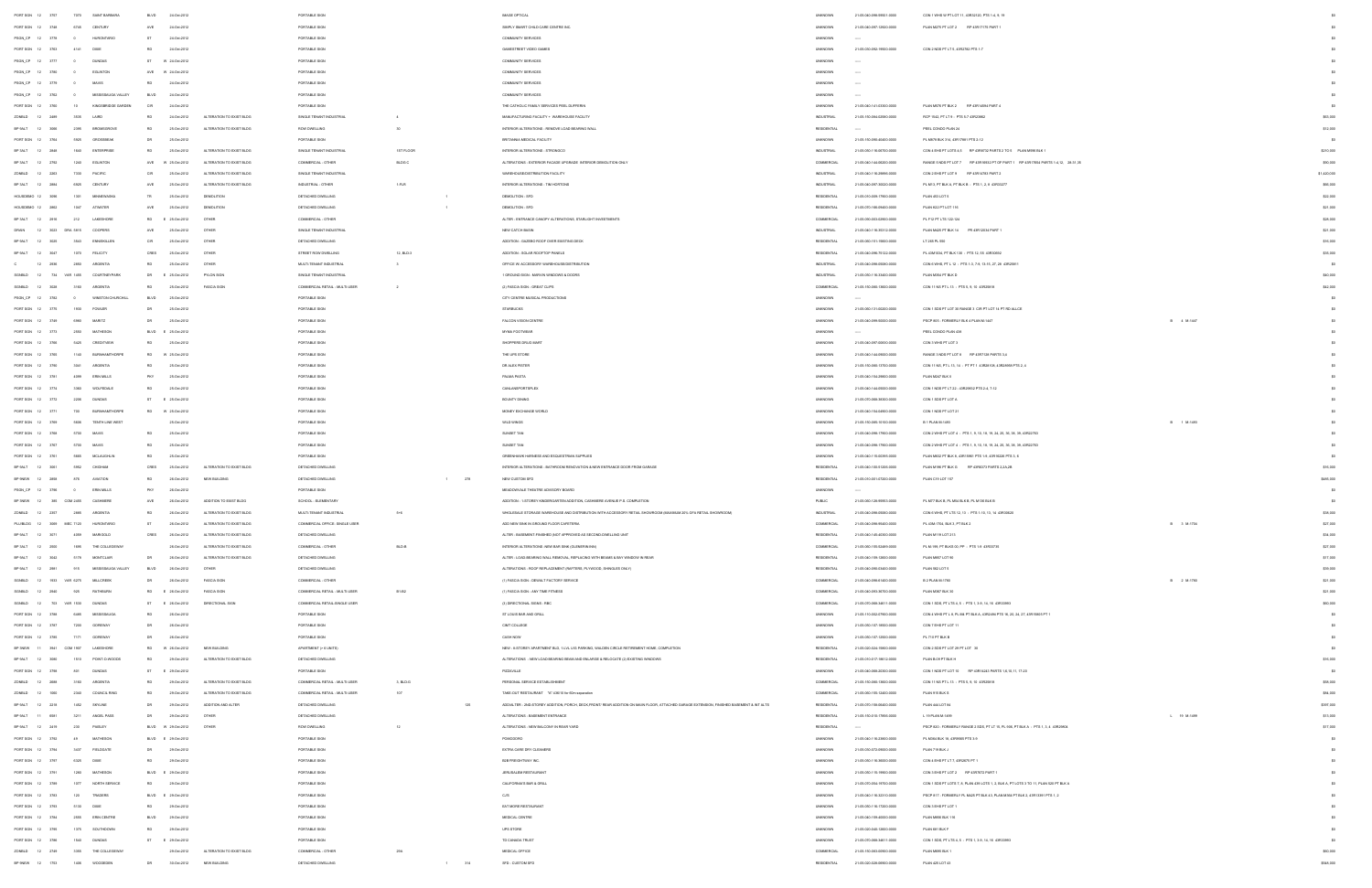| PORT SGN 12 3757<br>7070            | SAINT BARBARA         | BLVD 24-Oct-2012               |                                        | PORTABLE SIGN                  |           |       | <b>IMAGE OPTICAL</b>                                                                                                                      | <b>UNKNOWN</b>     | 21-05-040-098-59501-0000                             | CON 1 WHS W PT LOT 11, 43R32120, PTS 1-4, 9, 19                                                                                     |                      |
|-------------------------------------|-----------------------|--------------------------------|----------------------------------------|--------------------------------|-----------|-------|-------------------------------------------------------------------------------------------------------------------------------------------|--------------------|------------------------------------------------------|-------------------------------------------------------------------------------------------------------------------------------------|----------------------|
| PORT SGN 12 3748<br>6745            | CENTURY               | AVE 24-Oct-2012                |                                        | PORTABLE SIGN                  |           |       | SIMPLY SMART CHILD CARE CENTRE INC.                                                                                                       | <b>UNKNOWN</b>     | 21-05-040-097-12920-0000                             | PLAN M275 PT LOT 2 RP 43R17175 PART 1                                                                                               |                      |
| PSGN_CP 12 3778                     | <b>HURONTARIO</b>     | 24-Oct-2012<br>ST              |                                        | PORTABLE SIGN                  |           |       | <b>COMMUNITY SERVICES</b>                                                                                                                 | <b>UNKNOW</b>      |                                                      |                                                                                                                                     |                      |
| 4141<br>PORT SGN 12 3763            | <b>DIXIE</b>          | RD <sub>2</sub><br>24-Oct-2012 |                                        | PORTABLE SIGN                  |           |       | <b>GAMESTREET VIDEO GAMES</b>                                                                                                             | <b>UNKNOWN</b>     | 21-05-030-092-19500-0000                             | CON 2 NDS PT LT 5, 43R2782 PTS 1-7                                                                                                  |                      |
| PSGN CP 12 3777                     | <b>DUNDAS</b>         | ST W 24-Oct-2012               |                                        | PORTABLE SIGN                  |           |       | <b>COMMUNITY SERVICES</b>                                                                                                                 | <b>UNKNOWN</b>     |                                                      |                                                                                                                                     |                      |
| PSGN_CP 12 3780                     | EGLINTON              | AVE W 24-Oct-2012              |                                        | PORTABLE SIGN                  |           |       | COMMUNITY SERVICES                                                                                                                        | <b>UNKNOW</b>      |                                                      |                                                                                                                                     |                      |
| PSGN_CP 12 3779<br>$\overline{0}$   | MAVIS                 | <b>RD</b><br>24-Oct-2012       |                                        | PORTABLE SIGN                  |           |       | <b>COMMUNITY SERVICES</b>                                                                                                                 | <b>UNKNOWN</b>     |                                                      |                                                                                                                                     |                      |
| PSGN_CP 12 3762<br>$\sim$ 0         | MISSISSAUGA VALLEY    | <b>BLVD</b><br>24-Oct-2012     |                                        | PORTABLE SIGN                  |           |       | <b>COMMUNITY SERVICES</b>                                                                                                                 | <b>UNKNOWN</b>     |                                                      |                                                                                                                                     |                      |
| PORT SGN 12 3760<br>10              | KINGSBRIDGE GARDEN    | CIR<br>24-Oct-2012             |                                        | PORTABLE SIGN                  |           |       | THE CATHOLIC FAMILY SERVICES PEEL DUFFERIN                                                                                                | <b>UNKNOWN</b>     | 21-05-040-141-03300-0000                             | PLAN M576 PT BLK 2 RP 43R14594 PART 4                                                                                               |                      |
| 3535<br>ZONBLD                      | LAIRE                 | 24-Oct-2012                    | ALTERATION TO EXIST BLDG               | SINGLE TENANT INDUSTRIAL       |           |       | MANUFACTURING FACILITY + WAREHOUSE FACILITY                                                                                               | INDUSTRIAL         | 21-05-150-084-02580-0000                             | RCP 1542, PT LT 9 - PTS 5-7 43R23862                                                                                                |                      |
| BP 9ALT 12 3066<br>2395             | BROMSGROVE            | <b>RD</b><br>25-Oct-2012       | ALTERATION TO EXIST BLDG               | ROW DWELLING                   |           |       | INTERIOR ALTERATIONS - REMOVE LOAD BEARING WALL                                                                                           | RESIDENTIAL        |                                                      | PEEL CONDO PLAN 24                                                                                                                  | \$12,000             |
| PORT SGN 12 3764<br>5925            | GROSSBEAK             | <b>DR</b><br>25-Oct-2012       |                                        | PORTABLE SIGN                  |           |       | BRITANNIA MEDICAL FACILITY                                                                                                                | <b>UNKNOWN</b>     | 21-05-150-090-40400-0000                             | PL M878 BLK 314, 43R17881 PTS 2-12                                                                                                  |                      |
| BP 3ALT 12 2848<br>1640             | <b>ENTERPRISE</b>     | <b>RD</b><br>25-Oct-2012       | ALTERATION TO EXIST BLDG               | SINGLE TENANT INDUSTRIAL       | 1ST FLOOR |       | INTERIOR ALTERATIONS - STRONGCO                                                                                                           | INDUSTRIAL         | 21-05-050-116-06700-0000                             | CON 4 EHS PT LOTS 4,5 RP 43R8732 PARTS 2 TO 5 PLAN M596 BLK 1                                                                       | \$210,000            |
| BP 3ALT 12 2792<br>1240             | <b>EGLINTON</b>       | AVE W 25-Oct-2012              | ALTERATION TO EXIST BLDG               | COMMERCIAL - OTHER             | BLDG C    |       | ALTERATIONS - EXTERIOR FACADE UPGRADE INTERIOR DEMOLITION ONLY                                                                            | COMMERCIAL         | 21-05-040-144-06200-0000                             | RANGE 5 NDS PT LOT 7 RP 43R16932 PT OF PART 1 RP 43R17654 PARTS 1-4,12, 28-31,35                                                    | \$90,000             |
| ZONBLD 12 2263<br>7330              | PACIFIC               | CIR<br>25-Oct-2012             | ALTERATION TO EXIST BLDG               | SINGLE TENANT INDUSTRIAL       |           |       | WAREHOUSE/DISTRIBUTION FACILITY                                                                                                           | INDUSTRIAL         | 21-05-040-116-29896-0000                             | CON 2 EHS PT LOT 9 RP 43R14783 PART 2                                                                                               | \$1,420,000          |
| BP 3ALT 12 2884<br>6925             | <b>CENTUR</b>         | AVE<br>25-Oct-2012             | ALTERATION TO EXIST BLDG               | INDUSTRIAL - OTHER             | $1-FLR$   |       | INTERIOR ALTERATIONS - TIM HORTONS                                                                                                        | INDUSTRIAL         | 21-05-040-097-30020-0000                             | PL M13, PT BLK A, PT BLK B - PTS 1, 2, 8 43R33277                                                                                   | \$66,000             |
| HOUSDEMO 12 3096<br>1301            | <b>MINNEWASK</b>      | TR.<br>25-Oct-2012             | DEMOLITION                             | DETACHED DWELLING              |           |       | DEMOLITION - SFD                                                                                                                          | RESIDENTIAL        | 21-05-010-009-17900-0000                             | PLAN 453 LOT 5                                                                                                                      | \$22,000             |
| HOUSDEMO 12 2862<br>1047            | <b>ATWATER</b>        | AVE<br>25-Oct-2012             | <b>DEMOLITION</b>                      | DETACHED DWELLING              |           |       | DEMOLITION - SFD                                                                                                                          | <b>RESIDENTIAL</b> | 21-05-070-166-09400-0000                             | PLAN K22 PT LOT 116                                                                                                                 | \$21,000             |
| 212<br>BP 3ALT 12 2916              | LAKESHORE             | RD E 25-Oct-2012               | OTHER                                  | COMMERCIAL - OTHER             |           |       | ALTER - ENTRANCE CANOPY ALTERATIONS, STARLIGHT INVESTMENTS                                                                                | COMMERCIAL         | 21-05-090-003-02900-0000                             | PL F12 PT LTS 122-124                                                                                                               | \$28,000             |
| DRA 5815<br><b>DRAIN</b><br>12 3023 | COOPERS               | AVE<br>25-Oct-2012             | OTHER                                  | SINGLE TENANT INDUSTRIAL       |           |       | NEW CATCH BASIN                                                                                                                           | <b>INDUSTRIAL</b>  | 21-05-040-116-35312-0000                             | PLAN M425 PT BLK 14 PR 43R12034 PART 1                                                                                              | \$21,000             |
| BP 9ALT<br>3543<br>12<br>3025       | <b>ENNISKILLEN</b>    | CIR<br>25-Oct-2012             | OTHER                                  | DETACHED DWELLING              |           |       | ADDITION - GAZEBO ROOF OVER EXISTING DECK                                                                                                 | <b>RESIDENTIAL</b> | 21-05-060-151-15600-0000                             | LT 265 PL 550                                                                                                                       | \$16,000             |
| BP 9ALT 12 3047<br>1070             | <b>FELICITY</b>       | CRES<br>25-Oct-2012            | OTHER                                  | STREET ROW DWELLING            | 12, BLD-3 |       | ADDITION - SOLAR ROOFTOP PANELS                                                                                                           | RESIDENTIAL        | 21-05-040-096-75122-0000                             | PL 43M1034, PT BLK 130 - PTS 12, 55 43R30692                                                                                        | \$35,000             |
| 2850<br>12 2936                     | ARGENTIA              | <b>RD</b><br>25-Oct-2012       | OTHER                                  | MULTI-TENANT INDUSTRIAL        |           |       | OFFICE W/ ACCESSORY WAREHOUSE/DISTRIBUTION                                                                                                | INDUSTRIAL         | 21-05-040-098-05080-0000                             | CON 6 WHS, PT L 12 - PTS 1-3, 7-9, 13-15, 27, 28 43R25811                                                                           |                      |
| SGNBLD<br>12<br>734<br>1455         | COURTNEYPARK          | DR E 25-Oct-2012               | PYLON SIGN                             | SINGLE TENANT INDUSTRIAL       |           |       | 1 GROUND SIGN - MARVIN WINDOWS & DOORS                                                                                                    | <b>INDUSTRIAL</b>  | 21-05-050-116-33400-0000                             | PLAN M354 PT BLK D                                                                                                                  |                      |
| SGNBLD 12 3028<br>3160              | ARGENTIA              | 25-Oct-2012<br><b>RD</b>       | <b>FASCIA SIGN</b>                     | COMMERCIAL RETAIL - MULTI-USER |           |       | (2) FASCIA SIGN - GREAT CLIPS                                                                                                             | COMMERCIA          | 21-05-150-080-13600-0000                             | CON 11 NS PT L 13 - PTS 5, 9, 10 43R25818                                                                                           | \$42,000             |
| PSGN_CP 12 3782<br>$\sim$ 0         | WINSTON CHURCHILL     | <b>BLVD</b><br>25-Oct-2012     |                                        | PORTABLE SIGN                  |           |       | CITY CENTRE MUSICAL PRODUCTIONS                                                                                                           | UNKNOWN            |                                                      |                                                                                                                                     |                      |
| PORT SGN 12 3775                    | 1930<br>FOWLER        | 25-Oct-2012<br>DR.             |                                        | PORTABLE SIGN                  |           |       | <b>STARBUCKS</b>                                                                                                                          | <b>UNKNOWN</b>     | 21-05-060-131-00200-0000                             | CON 1 SDS PT LOT 30 RANGE 3 CIR PT LOT 14 PT RD ALLCE                                                                               |                      |
| PORT SGN 12 3749<br>6980            | <b>MARITZ</b>         | <b>DR</b><br>25-Oct-2012       |                                        | PORTABLE SIGN                  |           |       | FALCON VISION CENTRE                                                                                                                      | <b>UNKNOW</b>      | 21-05-040-099-50000-0000                             | PSCP 805 - FORMERLY BLK 4 PLAN M-1447<br>B 4 M-1447                                                                                 |                      |
| PORT SGN 12 3773<br>2550            | MATHESON              | BLVD E 25-Oct-2012             |                                        | PORTABLE SIGN                  |           |       | MYMA FOOTWEAR                                                                                                                             | UNKNOWN            |                                                      | PEEL CONDO PLAN 438                                                                                                                 |                      |
| PORT SGN 12 3766<br>5425            | CREDITVIEW            | <b>RD</b><br>25-Oct-2012       |                                        | PORTABLE SIGN                  |           |       | SHOPPERS DRUG MART                                                                                                                        | <b>UNKNOWN</b>     | 21-05-040-097-00830-0000                             | CON 3 WHS PT LOT 3                                                                                                                  |                      |
|                                     |                       |                                |                                        |                                |           |       |                                                                                                                                           |                    |                                                      |                                                                                                                                     |                      |
| PORT SGN 12 3765<br>1140            | BURNHAMTHORPE         | RD W 25-Oct-2012               |                                        | PORTABLE SIGN                  |           |       | THE UPS STORE                                                                                                                             | <b>UNKNOW</b>      | 21-05-040-144-09000-0000                             | RANGE 3 NDS PT LOT 8 RP 43R7128 PARTS 3,4                                                                                           |                      |
| PORT SGN 12 3790<br>3041            | ARGENTIA              | <b>RD</b><br>25-Oct-2012       |                                        | PORTABLE SIGN                  |           |       | DR ALEX PISTER                                                                                                                            | <b>UNKNOWN</b>     | 21-05-150-080-13700-0000                             | CON 11 NS, PT L 13, 14 - PT PT 1 43R28108, 43R28958 PTS 2, 4                                                                        |                      |
| PORT SGN 12 3781<br>4099            | <b>ERIN MILLS</b>     | 25-Oct-2012<br>PKY             |                                        | PORTABLE SIGN                  |           |       | PALMA PASTA                                                                                                                               | <b>UNKNOWN</b>     | 21-05-040-154-29800-0000                             | PLAN M247 BLK II                                                                                                                    |                      |
| PORT SGN 12 3774<br>3360            | WOLFEDALE             | <b>RD</b><br>25-Oct-2012       |                                        | PORTABLE SIGN                  |           |       | CANLANSPORTSPLEX                                                                                                                          | <b>UNKNOWN</b>     | 21-05-040-144-05000-0000                             | CON 1 NDS PT LT 22 - 43R29832 PTS 2-4, 7-12                                                                                         |                      |
| PORT SGN 12 3772<br>2206            | <b>DUNDAS</b>         | ST E 25-Oct-2012               |                                        | PORTABLE SIGN                  |           |       | <b>BOUNTY DINING</b>                                                                                                                      | <b>UNKNOW</b>      | 21-05-070-068-38300-0000                             | CON 1 SDS PT LOT A                                                                                                                  |                      |
| PORT SGN 12 3771<br>700             | BURNHAMTHORPE         | RD W 25-Oct-2012               |                                        | PORTABLE SIGN                  |           |       | MONEY EXCHANGE WORLD                                                                                                                      | <b>UNKNOWN</b>     | 21-05-040-154-04900-0000                             | CON 1 NDS PT LOT 21                                                                                                                 |                      |
| PORT SGN 12 3769<br>5606            | TENTH LINE WEST       | 25-Oct-2012                    |                                        | PORTABLE SIGN                  |           |       | WILD WINGS                                                                                                                                | <b>UNKNOWN</b>     | 21-05-150-085-10100-0000                             | <b>B 1 PLAN M-1493</b><br>B 1 M-1493                                                                                                |                      |
| PORT SGN 12 3768                    | 5700<br>MAVIS         | 25-Oct-2012<br><b>RD</b>       |                                        | PORTABLE SIGN                  |           |       | SUNSET TAN                                                                                                                                | <b>UNKNOWN</b>     | 21-05-040-098-17900-0000                             | CON 2 WHS PT LOT 4 - PTS 1, 9, 10, 18, 19, 24, 25, 36, 38, 39, 43R22763                                                             |                      |
| PORT SGN 12 3767<br>5700            | MAVIS                 | 25-Oct-2012<br><b>RD</b>       |                                        | PORTABLE SIGN                  |           |       | SUNSET TAN                                                                                                                                | <b>UNKNOWN</b>     | 21-05-040-098-17900-0000                             | CON 2 WHS PT LOT 4 - PTS 1, 9, 10, 18, 19, 24, 25, 36, 38, 39, 43R22763                                                             |                      |
| PORT SGN 12 3761<br>5665            | MCLAUGHLIN            | <b>RD</b><br>25-Oct-2012       |                                        | PORTABLE SIGN                  |           |       | GREENHAWK HARNESS AND ESQUESTRIAN SUPPLIES                                                                                                | UNKNOWN            | 21-05-040-115-00395-0000                             | PLAN M832 PT BLK 8, 43R15961 PTS 1-9, 43R16226 PTS 3, 6                                                                             |                      |
| BP 9ALT 12 3061<br>5952             | CHIDHAM               | CRES<br>25-Oct-2012            | ALTERATION TO EXIST BLDG               | DETACHED DWELLING              |           |       | INTERIOR ALTERATIONS - BATHROOM RENOVATION & NEW ENTRANCE DOOR FROM GARAGE                                                                | <b>RESIDENTIAL</b> | 21-05-040-100-51206-0000                             | PLAN M196 PT BLK G RP 43R6373 PARTS 2,2A,2B                                                                                         | \$16,000             |
| BP 9NEW 12 2858<br>876              | <b>AVIATION</b>       | <b>RD</b><br>26-Oct-2012       | NEW BUILDING                           | DETACHED DWELLING              |           | 1278  | NEW CUSTOM SFD                                                                                                                            | <b>RESIDENTIAL</b> | 21-05-010-001-07200-0000                             | PLAN C19 LOT 157                                                                                                                    | \$485,000            |
| PSGN_CP 12 3796 0                   | <b>ERIN MILLS</b>     | PKY<br>26-Oct-2012             |                                        | PORTABLE SIGN                  |           |       | MEADOWVALE THEATRE ADVISORY BOARD                                                                                                         | <b>UNKNOWN</b>     | $\sim$                                               |                                                                                                                                     |                      |
| RP 3NEW 12 385 COM 2455 CASHMERE    |                       |                                | AVE 26-Oct-2012 ADDITION TO EXIST BLDG | SCHOOL - ELEMENTARY            |           |       | ADDITION - 1-STOREY KINDERGARTEN ADDITION, CASHMERE AVENUE P.S. COMPLETION                                                                | PUBLIC             | 21-05-060-128-95953-0000                             | PL M77 BLK B. PL M54 BLK B. PL M136 BLK B                                                                                           |                      |
| ZONBLD 12 2357<br>2885              | ARGENTIA              | 26-Oct-2012<br><b>RD</b>       | ALTERATION TO EXIST BLDG               | MULTI-TENANT INDUSTRIAL        | $5 + 6$   |       | WHOLESALE STORAGE WAREHOUSE AND DISTRIBUTION WITH ACCESSORY RETAIL SHOWROOM (MAXIMUM 20% GFA RETAIL SHOWROOM)                             | <b>INDUSTRIAL</b>  | 21-05-040-098-05060-0000                             | CON 6 WHS, PT LTS 12, 13 - PTS 1-10, 13, 14 43R30620                                                                                | \$38,000             |
| PLU/BLDG 12<br>3069<br>MFC 7120     | <b>HURONTARIO</b>     | 26-Oct-2012<br><b>ST</b>       | ALTERATION TO EXIST BLDG               | COMMERCIAL OFFICE- SINGLE USER |           |       | ADD NEW SINK IN GROUND FLOOR CAFETERIA                                                                                                    | COMMERCIAL         | 21-05-040-098-95400-0000                             | PL 43M-1704, BLK 3, PT BLK 2<br>B 3 M-1704                                                                                          | \$27,000             |
| BP 9ALT<br>12 3071<br>4059          | MARIGOLD              | CRES 26-Oct-2012               | ALTERATION TO EXIST BLDG               | DETACHED DWELLING              |           |       | ALTER - BASEMENT-FINISHED (NOT APPROVED AS SECOND-DWELLING UNIT                                                                           | RESIDENTIAL        | 21-05-040-145-40300-0000                             | PLAN M119 LOT 213                                                                                                                   | \$34,000             |
| BP 3ALT 12 2500<br>1695             | THE COLLEGEWAY        | 26-Oct-2012                    | ALTERATION TO EXIST BLDG               | COMMERCIAL - OTHER             | BLD-B     |       | INTERIOR ALTERATIONS -NEW BAR SINK (GLENERIN INN)                                                                                         | COMMERCIAL         | 21-05-060-155-52489-0000                             | PL M-199, PT BLKS 00, PP - PTS 1-9 43R33735                                                                                         | \$27,000             |
| 5178<br>BP 9ALT                     | <b>MONTCLAIR</b>      | <b>DR</b><br>26-Oct-2012       | ALTERATION TO EXIST BLDG               | DETACHED DWELLING              |           |       | ALTER - LOAD-BEARING WALL REMOVAL, REPLACING WITH BEAMS & BAY WINDOW IN REAR                                                              | <b>RESIDENTIAL</b> | 21-05-040-159-12600-0000                             | PLAN M857 LOT 90                                                                                                                    | \$17,000             |
| BP 9ALT<br>915<br>12 2981           | MISSISSAUGA VALLEY    | <b>BLVD</b><br>26-Oct-2012     | OTHER                                  | DETACHED DWELLING              |           |       | ALTERATIONS - ROOF REPLACEMENT (RAFTERS, PLYWOOD, SHINGLES ONLY)                                                                          | <b>RESIDENTIAL</b> | 21-05-040-090-03400-0000                             | PLAN 562 LOT 5                                                                                                                      | \$39,000             |
| VAR 6275<br>SGNBLD 12 1933          | <b>MILLCREEK</b>      | 26-Oct-2012<br>DR 3            | <b>FASCIA SIGN</b>                     | COMMERCIAL - OTHER             |           |       | (1) FASCIA SIGN - DEWALT FACTORY SERVICE                                                                                                  | COMMERCIAL         | 21-05-040-098-61400-0000                             | B 2 M-1780<br>B 2 PLAN M-1780                                                                                                       | \$21,000             |
| 925<br>SGNBLD<br>12                 | <b>RATHBURN</b>       | RD E 26-Oct-2012               | <b>FASCIA SIGN</b>                     | COMMERCIAL RETAIL - MULTI-USER | B1-B2     |       | (1) FASCIA SIGN - ANY TIME FITNESS                                                                                                        | COMMERCIAL         |                                                      |                                                                                                                                     |                      |
| SGNBLD<br>703<br>VAR 1530<br>12     | <b>DUNDAS</b>         | ST E 26-Oct-2012               | DIRECTIONAL SIGN                       | COMMERCIAL RETAIL-SINGLE USER  |           |       |                                                                                                                                           |                    |                                                      |                                                                                                                                     |                      |
| PORT SGN 12 3788<br>6485            |                       |                                |                                        |                                |           |       | (3) DIRECTIONAL SIGNS - RBC                                                                                                               | COMMERCIAL         | 21-05-040-093-36700-0000<br>21-05-070-068-34611-0000 | PLAN M367 BLK 30                                                                                                                    | \$21,000<br>\$60,000 |
| PORT SGN 12 3787<br>7200            | <b>MISSISSAUGA</b>    | <b>RD</b><br>26-Oct-2012       |                                        | PORTABLE SIGN                  |           |       | ST LOUIS BAR AND GRILL                                                                                                                    | <b>UNKNOWN</b>     | 21-05-110-002-07900-0000                             | CON 1 SDS, PT LTS 4, 5 - PTS 1, 3-9, 14, 16 43R33993<br>CON 4 WHS PT L 8, PL M4 PT BLK A, 43R2494 PTS 16, 20, 24, 27, 43R15805 PT 1 |                      |
|                                     | GOREWAY               | DR.<br>26-Oct-2012             |                                        | PORTABLE SIGN                  |           |       | CIMT COLLEGE                                                                                                                              | <b>UNKNOWN</b>     | 21-05-050-107-18500-0000                             | CON 7 EHS PT LOT 11                                                                                                                 |                      |
|                                     |                       |                                |                                        |                                |           |       |                                                                                                                                           |                    |                                                      |                                                                                                                                     |                      |
| PORT SGN 12 3785                    | 7171<br>GOREWAY       | 26-Oct-2012<br><b>DR</b>       |                                        | PORTABLE SIGN                  |           |       | CASH NOW                                                                                                                                  | <b>UNKNOWN</b>     | 21-05-050-107-12500-0000                             | PL 710 PT BLK B                                                                                                                     |                      |
| BP 3NEW 11 3941<br>COM 1907         | <b>LAKESHORE</b>      | RD W 26-Oct-2012               | <b>NEW BUILDING</b>                    | APARTMENT (> 6 UNITS)          |           |       | NEW - 8-STOREY APARTMENT BLD, 1-LVL U/G PARKING, WALDEN CIRCLE RETIREMENT HOME, COMPLETION                                                | <b>RESIDENTIAL</b> | 21-05-020-024-15800-0000                             | CON 2 SDS PT LOT 29 PT LOT 30                                                                                                       |                      |
| BP 9ALT<br>12 3080                  | 1510<br>POINT-O-WOODS | <b>RD</b><br>29-Oct-2012       | ALTERATION TO EXIST BLDG               | DETACHED DWELLING              |           |       | ALTERATIONS - NEW LOAD BEARING BEAM AND ENLARGE & RELOCATE (2) EXISTING WINDOWS                                                           | RESIDENTIAL        | 21-05-010-017-18612-0000                             | PLAN B-09 PT BLK H                                                                                                                  |                      |
| PORT SGN 12<br>801<br>3798          | <b>DUNDAS</b>         | ST E 29-Oct-2012               |                                        | PORTABLE SIGN                  |           |       | PIZZAVILLE                                                                                                                                | <b>UNKNOWN</b>     | 21-05-040-068-20300-0000                             | CON 1 NDS PT LOT 10 RP 43R14243 PARTS 1,6,10,11, 17-20                                                                              |                      |
| ZONBLD<br>12<br>2688<br>3160        | ARGENTIA              | 29-Oct-2012<br><b>RD</b>       | ALTERATION TO EXIST BLDG               | COMMERCIAL RETAIL - MULTI-USER | 3, BLD-G  |       | PERSONAL SERVICE ESTABLISHMENT                                                                                                            | COMMERCIAL         | 21-05-150-080-13600-0000                             | CON 11 NS PT L 13 - PTS 5, 9, 10 43R25818                                                                                           | \$58,000             |
| ZONBLD 12 1060<br>2340              | <b>COUNCIL RING</b>   | RD -<br>29-Oct-2012            | ALTERATION TO EXIST BLDG               | COMMERCIAL RETAIL - MULTI-USER | 107       |       | TAKE-OUT RESTAURANT "A" 436/10 for 60m separation                                                                                         | COMMERCIAL         | 21-05-060-155-12400-0000                             | PLAN 915 BLK S                                                                                                                      | \$84,000             |
| BP 9ALT<br>12 2218                  | 1452<br>SKYLINE       | DR.<br>29-Oct-2012             | ADDITION AND ALTER                     | DETACHED DWELLING              |           | 125   | ADD/ALTER - 2ND-STOREY ADDITION, PORCH, DECK,FRONT/ REAR ADDITION ON MAIIN FLOOR, ATTACHED GARAGE EXTENSION, FINISHED BASEMENT & INT ALTS | RESIDENTIAL        | 21-05-070-158-06400-0000                             | PLAN 444 LOT 84                                                                                                                     | \$397,000            |
| BP 9ALT<br>6581<br>3211             | ANGEL PASS            | DR.<br>29-Oct-2012             | OTHE                                   | DETACHED DWELLING              |           |       | ALTERATIONS - BASEMENT ENTRANCE                                                                                                           | <b>RESIDENTIA</b>  | 21-05-150-010-17856-0000                             | L 19 PLAN M-1499<br>L 19 M-1499                                                                                                     | \$13,000             |
| BP 9ALT 12 2419<br>230              | PAISLEY               | BLVD W 29-Oct-2012             | <b>OTHER</b>                           | ROW DWELLING                   | 12        |       | ALTERATIONS - NEW BALCONY IN REAR YARD                                                                                                    | <b>RESIDENTIAL</b> |                                                      | PSCP 820 - FORMERLY RANGE 2 SDS, PT LT 15, PL 906, PT BLK A - PTS 1, 3, 4 43R29804                                                  | \$17,000             |
| PORT SGN 12 3792<br>49              | MATHESON              | BLVD E 29-Oct-2012             |                                        | PORTABLE SIGN                  |           |       | POMODORO                                                                                                                                  | UNKNOWN            | 21-05-040-116-23800-0000                             | PL M364 BLK 18, 43R9565 PTS 3-9                                                                                                     |                      |
| PORT SGN 12 3794<br>3437            | FIELDGATE             | 29-Oct-2012<br>DR.             |                                        | PORTABLE SIGN                  |           |       | EXTRA CARE DRY CLEANERS                                                                                                                   | <b>UNKNOWN</b>     | 21-05-030-072-09000-0000                             | PLAN 719 BLK J                                                                                                                      |                      |
| PORT SGN 12 3797<br>6325            | DIXIE                 | <b>RD</b><br>29-Oct-2012       |                                        | PORTABLE SIGN                  |           |       | <b>B2B FREIGHTWAY INC.</b>                                                                                                                | <b>UNKNOWN</b>     | 21-05-050-116-36000-0000                             | CON 4 EHS PT LT 7, 43R2675 PT 1                                                                                                     |                      |
| PORT SGN 12 3791<br>1280            | MATHESON              | BLVD E 29-Oct-2012             |                                        | PORTABLE SIGN                  |           |       | JERUSALEM RESTAURANT                                                                                                                      | <b>UNKNOWN</b>     | 21-05-050-115-19900-0000                             | CON 3 EHS PT LOT 2 RP 43R7672 PART 1                                                                                                |                      |
| 1077<br>PORT SGN 12 3789            | NORTH SERVICE         | 29-Oct-2012<br><b>RD</b>       |                                        | PORTABLE SIGN                  |           |       | CALIFORNIA'S BAR & GRILL                                                                                                                  | <b>UNKNOWN</b>     | 21-05-070-054-19700-0000                             | CON 1 SDS PT LOTS 7, 8, PLAN 439 LOTS 1, 2, BLK A, PT LOTS 3 TO 11, PLAN 520 PT BLK A                                               |                      |
| PORT SGN 12 3783<br>120             | TRADERS               | BLVD E 29-Oct-2012             |                                        | PORTABLE SIGN                  |           |       | CJ'S                                                                                                                                      | <b>UNKNOWN</b>     | 21-05-040-116-32310-0000                             | PSCP 817 - FORMERLY PL M425 PT BLK 43, PLAN M364 PT BLK 2, 43R13391 PTS 1, 2                                                        |                      |
| PORT SGN 12 3793<br>5130            | DIXIE                 | <b>RD</b><br>29-Oct-2012       |                                        | PORTABLE SIGN                  |           |       | EAT MORE RESTAURANT                                                                                                                       | <b>UNKNOWN</b>     | 21-05-050-116-17200-0000                             | CON 3 EHS PT LOT 1                                                                                                                  |                      |
| PORT SGN 12 3784<br>2555            | <b>ERIN CENTRE</b>    | <b>BLVD</b><br>29-Oct-2012     |                                        | PORTABLE SIGN                  |           |       | MEDICAL CENTRE                                                                                                                            | UNKNOWN            | 21-05-040-159-40000-0000                             | <b>PLAN M856 BLK 116</b>                                                                                                            |                      |
| PORT SGN 12 3795<br>1375            | SOUTHDOWN             | 29-Oct-2012<br><b>RD</b>       |                                        | PORTABLE SIGN                  |           |       | UPS STORE                                                                                                                                 | <b>UNKNOWN</b>     | 21-05-020-040-12600-0000                             | PLAN 681 BLK F                                                                                                                      |                      |
| PORT SGN 12 3786<br>1540            | <b>DUNDAS</b>         | ST E 29-Oct-2012               |                                        | PORTABLE SIGN                  |           |       | TD CANADA TRUST                                                                                                                           | <b>UNKNOWN</b>     | 21-05-070-068-34611-0000                             | CON 1 SDS, PT LTS 4, 5 - PTS 1, 3-9, 14, 16 43R33993                                                                                |                      |
| 12 2749<br>3355<br>ZONBLD           | THE COLLEGEWAY        | 29-Oct-2012                    | ALTERATION TO EXIST BLDG               | COMMERCIAL - OTHER             | 29A       |       | MEDICAL OFFICE                                                                                                                            | COMMERCIAL         | 21-05-150-083-00900-0000                             | PLAN M695 BLK 1                                                                                                                     | \$60,000             |
| BP 9NEW 12 1753 1406 WOODEDEN       |                       | DR 30-Oct-2012 NEW BUILDING    |                                        | DETACHED DWELLING              |           | 1 314 | SFD - CUSTOM SFD                                                                                                                          | RESIDENTIAL        | 21-05-020-028-06900-0000                             | PLAN 425 LOT 43                                                                                                                     | \$548,000            |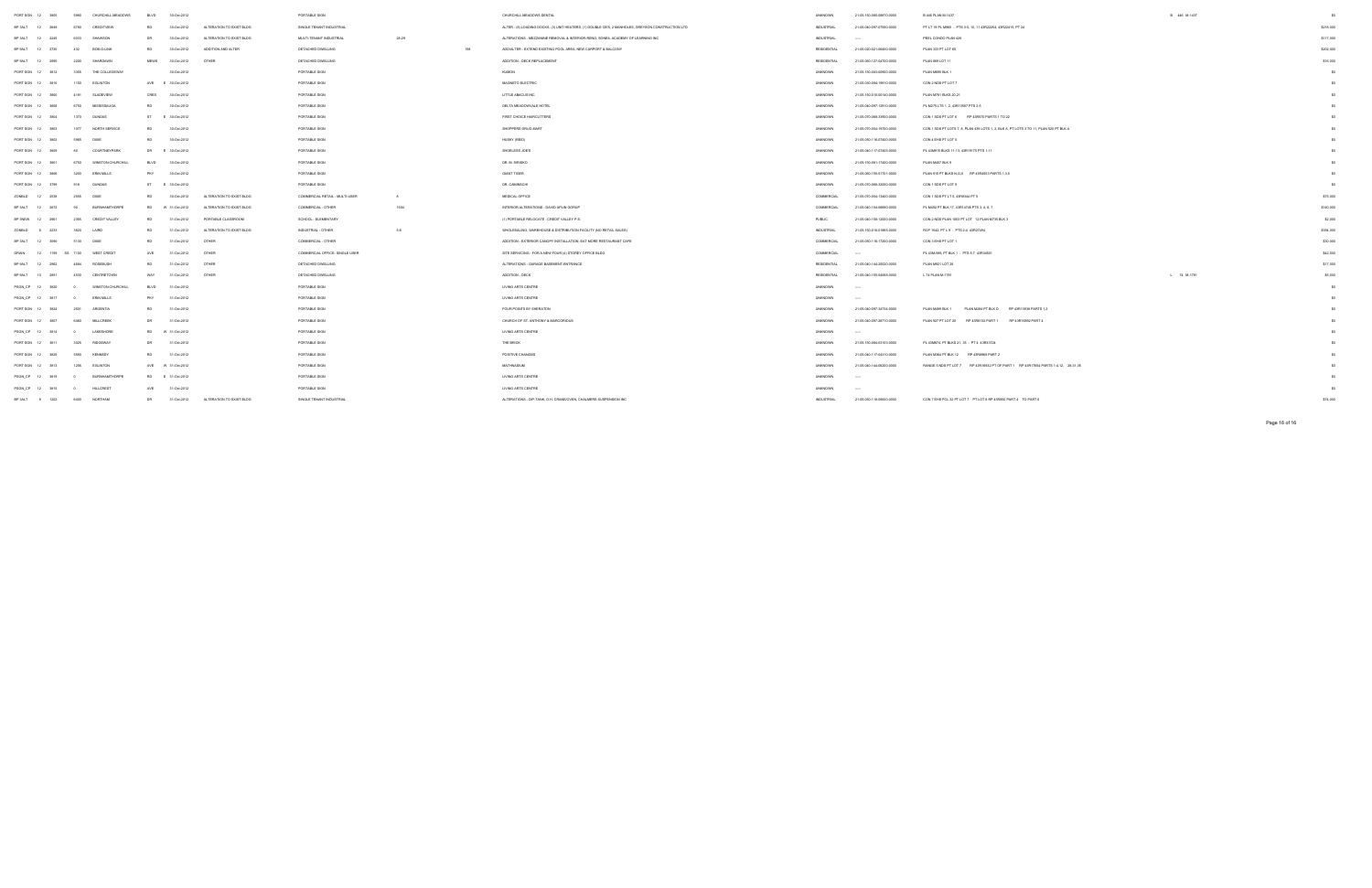| PORT SGN 12 3805        | 5980        | CHURCHILL MEADOWS | <b>BLVD</b> | 30-Oct-2012       |                          | PORTABLE SIGN                  |       | CHURCHILL MEADOWS DENTAL                                                                           | <b>UNKNOWN</b>     | 21-05-150-085-08870-0000 | B 446 PLAN M-1437                                                                     | B 446 M-1437 |           |
|-------------------------|-------------|-------------------|-------------|-------------------|--------------------------|--------------------------------|-------|----------------------------------------------------------------------------------------------------|--------------------|--------------------------|---------------------------------------------------------------------------------------|--------------|-----------|
| BP 3ALT<br>2649<br>12   | 6780        | CREDITVIEW        | <b>RD</b>   | 30-Oct-2012       | ALTERATION TO EXIST BLDG | SINGLE TENANT INDUSTRIAL       |       | ALTER - (8) LOADING DOCKS, (3) UNIT HEATERS, (1) DOUBLE CB'S, 2 MANHOLES, GREYSON CONSTRUCTION LTD | INDUSTRIAL         | 21-05-040-097-07590-0000 | PT LT 19 PL M965 - PTS 3-5, 10, 11 43R22254, 43R22415, PT 24                          |              | \$218,000 |
| BP 3ALT<br>2245         | 6033        | SHAWSON           | DR.         | 30-Oct-2012       | ALTERATION TO EXIST BLDG | MULTI-TENANT INDUSTRIAL        | 28-29 | ALTERATIONS - MEZZANINE REMOVAL & INTERIOR-RENO, SONEIL ACADEMY OF LEARNING INC                    | INDUSTRIAL         |                          | PEEL CONDO PLAN 426                                                                   |              | \$117,000 |
| BP 9ALT 12<br>2730      | 432         | BOB-O-LINK        | <b>RD</b>   | 30-Oct-2012       | ADDITION AND ALTER       | DETACHED DWELLING              | 158   | ADD/ALTER - EXTEND EXISTING POOL AREA, NEW CARPORT & BALCONY                                       | RESIDENTIAL        | 21-05-020-021-06400-0000 | PLAN 333 PT LOT 65                                                                    |              | \$202,000 |
| BP 9ALT 12<br>2995      | 2200        | SHARDAWN          | <b>MEWS</b> | 30-Oct-2012       | OTHER                    | DETACHED DWELLING              |       | ADDITION - DECK REPLACEMENT                                                                        | <b>RESIDENTIAL</b> | 21-05-060-127-04700-0000 | PLAN 869 LOT 11                                                                       |              | \$16,000  |
| PORT SGN 12<br>3812     | 3355        | THE COLLEGEWAY    |             | 30-Oct-2012       |                          | PORTABLE SIGN                  |       | <b>KUMON</b>                                                                                       | <b>UNKNOWN</b>     | 21-05-150-083-00900-0000 | PLAN M695 BLK 1                                                                       |              |           |
| PORT SGN 12 3810        | 1150        | <b>EGLINTON</b>   |             | AVE E 30-Oct-2012 |                          | PORTABLE SIGN                  |       | MAGNETO ELECTRIC                                                                                   | <b>LINKNOWN</b>    | 21-05-030-094-19910-0000 | CON 2 NDS PT LOT 7                                                                    |              |           |
| PORT SGN 12<br>3800     | 4181        | SLADEVIEW         | CRES        | 30-Oct-2012       |                          | PORTABLE SIGN                  |       | LITTLE ABACUS INC                                                                                  | <b>UNKNOWN</b>     | 21-05-150-010-00140-0000 | PLAN M781 BLKS 20,21                                                                  |              |           |
| PORT SGN 12 3808        | 6750        | MISSISSAUGA       | RD 3        | 30-Oct-2012       |                          | PORTABLE SIGN                  |       | DELTA MEADOWVALE HOTEL                                                                             | <b>UNKNOWN</b>     | 21-05-040-097-12910-0000 | PL M275 LTS 1, 2, 43R13587 PTS 3-5                                                    |              |           |
| PORT SGN 12 3804        | 1370        | <b>DUNDAS</b>     |             | ST E 30-Oct-2012  |                          | PORTABLE SIGN                  |       | FIRST CHOICE HAIRCUTTERS                                                                           | <b>UNKNOWN</b>     | 21-05-070-068-33900-0000 | CON 1 SDS PT LOT 6 RP 43R570 PARTS 1 TO 22                                            |              |           |
| PORT SGN 12<br>3803     | 1077        | NORTH SERVICE     | <b>RD</b>   | 30-Oct-2012       |                          | PORTABLE SIGN                  |       | SHOPPERS DRUG MART                                                                                 | <b>UNKNOWN</b>     | 21-05-070-054-19700-0000 | CON 1 SDS PT LOTS 7, 8, PLAN 439 LOTS 1, 2, BLK A, PT LOTS 3 TO 11, PLAN 520 PT BLK A |              |           |
| PORT SGN 12<br>3802     | 5965        | DIXIE             | <b>RD</b>   | 30-Oct-2012       |                          | PORTABLE SIGN                  |       | HUSKY (REID)                                                                                       | <b>UNKNOWN</b>     | 21-05-050-116-07400-0000 | CON 4 EHS PT LOT 5                                                                    |              |           |
| PORT SGN 12 3809        | 80          | COURTNEYPARK      |             | DR E 30-Oct-2012  |                          | PORTABLE SIGN                  |       | SHOELESS JOE'S                                                                                     | <b>UNKNOWN</b>     | 21-05-040-117-07405-0000 | PL 43M915 BLKS 11-13, 43R19175 PTS 1-11                                               |              |           |
| PORT SGN 12<br>3801     | 6750        | WINSTON CHURCHILL | <b>BLVD</b> | 30-Oct-2012       |                          | PORTABLE SIGN                  |       | DR. M. SIRISKO                                                                                     | <b>UNKNOWN</b>     | 21-05-150-081-17400-0000 | PLAN M407 BLK 9                                                                       |              |           |
| PORT SGN 12<br>3806     | 3200        | <b>ERIN MILLS</b> | PKY         | 30-Oct-2012       |                          | PORTABLE SIGN                  |       | <b>GIANT TIGER</b>                                                                                 | <b>UNKNOWN</b>     | 21-05-060-155-51701-0000 | PLAN 915 PT BLKS N,G,X RP 43R4553 PARTS 1,3,5                                         |              |           |
| PORT SGN 12<br>3799     | 918         | <b>DUNDAS</b>     |             | ST E 30-Oct-2012  |                          | PORTABLE SIGN                  |       | DR. CAMINSCHI                                                                                      | <b>UNKNOWN</b>     | 21-05-070-068-32000-0000 | CON 1 SDS PT LOT 9                                                                    |              |           |
| ZONBLD 12 2538          | 2555        | DIXIE             | <b>RD</b>   | 30-Oct-2012       | ALTERATION TO EXIST BLDG | COMMERCIAL RETAIL - MULTI-USER |       | MEDICAL OFFICE                                                                                     | COMMERCIAL         | 21-05-070-054-13400-0000 | CON 1 SDS PT LT 5, 43R8344 PT 5                                                       |              | \$75,000  |
| BP 3ALT 12 2872         | 90          | BURNHAMTHORPE     |             | RD W 31-Oct-2012  | ALTERATION TO EXIST BLDG | COMMERCIAL - OTHER             | 1504  | INTERIOR ALTERATIONS - DAVID APLIN GORUP                                                           | COMMERCIAL         | 21-05-040-154-06690-0000 | PL M492 PT BLK 17, 43R14746 PTS 3, 4, 6, 7                                            |              | \$140,000 |
| BP 3NEW 12<br>2961      | 2365        | CREDIT VALLEY     | <b>RD</b>   | 31-Oct-2012       | PORTABLE CLASSROOM       | SCHOOL - ELEMENTARY            |       | (1) PORTABLE RELOCATE - CREDIT VALLEY P.S.                                                         | PUBLIC             | 21-05-040-158-12000-0000 | CON 2 NDS PLAN 1003 PT LOT 12 PLAN M735 BLK 3                                         |              | \$2,00    |
| ZONBLD 6 2233           | 3620        | LAIRD             | <b>RD</b>   | 31-Oct-2012       | ALTERATION TO EXIST BLDG | INDUSTRIAL - OTHER             | $5-6$ | WHOLESALING, WAREHOUSE & DISTRIBUTION FACILITY (NO RETAIL SALES)                                   | INDUSTRIAL         | 21-05-150-010-01865-0000 | RCP 1542, PT L 9 - PTS 2-4 43R27494                                                   |              | \$394,000 |
| BP 3ALT<br>3090         | 5130        | DIXIE             | <b>RD</b>   | 31-Oct-2012       | OTHER                    | COMMERCIAL - OTHER             |       | ADDITION - EXTERIOR CANOPY INSTALLATION, EAT MORE RESTAURANT CAFE                                  | COMMERCIAL         | 21-05-050-116-17200-0000 | CON 3 EHS PT LOT 1                                                                    |              | \$30,000  |
| 12 1159<br><b>DRAIN</b> | 7100<br>22. | WEST CREDIT       | AVE         | 31-Oct-2012       | OTHER                    | COMMERCIAL OFFICE- SINGLE USER |       | SITE SERVICING - FOR A NEW FOUR (4) STOREY OFFICE BLDG                                             | COMMERCIAL         |                          | PL 43M-589, PT BLK 1 - PTS 5-7 43R34501                                               |              | \$42,000  |
| BP 9ALT<br>12<br>2962   | 4684        | ROSEBUSH          | <b>RD</b>   | 31-Oct-2012       | OTHER                    | DETACHED DWELLING              |       | ALTERATIONS - GARAGE BASEMENT-ENTRANCE                                                             | <b>RESIDENTIAL</b> | 21-05-040-144-25520-0000 | PLAN M921 LOT 28                                                                      |              | \$17,000  |
| BP 9ALT                 | 4530        | CENTRETOWN        | WAY         | 31-Oct-2012       | OTHER                    | DETACHED DWELLING              |       | ADDITION - DECK                                                                                    | RESIDENTIAL        | 21-05-040-155-54068-0000 | L 74 PLAN M-1781                                                                      | L 74 M-1781  | \$5,00    |
| PSGN_CP 12 3820         |             | WINSTON CHURCHILL | <b>BLVD</b> | 31-Oct-2012       |                          | PORTABLE SIGN                  |       | <b>LIVING ARTS CENTRE</b>                                                                          | <b>UNKNOWN</b>     |                          |                                                                                       |              |           |
| PSGN CP 12 3817         |             | <b>ERIN MILLS</b> | PKY         | 31-Oct-2012       |                          | PORTABLE SIGN                  |       | LIVING ARTS CENTRE                                                                                 | <b>UNKNOWN</b>     | <b>STATISTICS</b>        |                                                                                       |              |           |
| PORT SGN 12 3824        | 2501        | ARGENTIA          | <b>RD</b>   | 31-Oct-2012       |                          | PORTABLE SIGN                  |       | FOUR POINTS BY SHERATON                                                                            | <b>UNKNOWN</b>     | 21-05-040-097-34734-0000 | PLAN M499 BLK 1 PLAN M284 PT BLK D RP 43R13938 PARTS 1,2                              |              |           |
| PORT SGN 12 3807        | 6460        | MILLCREEK         | DR.         | 31-Oct-2012       |                          | PORTABLE SIGN                  |       | CHURCH OF ST. ANTHONY & MARCORIOUS                                                                 | UNKNOW             | 21-05-040-097-28710-0000 | PLAN 927 PT LOT 20 RP 43R6132 PART 1 RP 43R16892 PART 4                               |              |           |
| PSGN_CP 12 3814         |             | LAKESHORE         |             | RD W 31-Oct-2012  |                          | PORTABLE SIGN                  |       | LIVING ARTS CENTRE                                                                                 | <b>UNKNOWN</b>     | <b>STATE</b>             |                                                                                       |              |           |
| PORT SGN 12 3811        | 3025        | <b>RIDGEWAY</b>   | <b>DR</b>   | 31-Oct-2012       |                          | PORTABLE SIGN                  |       | THE BRICK                                                                                          | <b>UNKNOWN</b>     | 21-05-150-084-03103-0000 | PL 43M674, PT BLKS 21, 35 - PT 4 43R33724                                             |              |           |
| PORT SGN 12<br>3825     | 5580        | KENNEDY           | <b>RD</b>   | 31-Oct-2012       |                          | PORTABLE SIGN                  |       | POSITIVE CHANGES                                                                                   | <b>UNKNOWN</b>     | 21-05-040-117-04310-0000 | PLAN M364 PT BLK 12 RP 43R8968 PART 2                                                 |              |           |
| PORT SGN 12 3813        | 1256        | <b>EGLINTON</b>   |             | AVE W 31-Oct-2012 |                          | PORTABLE SIGN                  |       | MATHNASIUM                                                                                         | <b>LINKNOWN</b>    | 21-05-040-144-06200-0000 | RANGE 5 NDS PT LOT 7 RP 43R16932 PT OF PART 1 RP 43R17654 PARTS 1-4,12, 28-31,35      |              |           |
| PSGN_CP 12<br>3819      |             | BURNHAMTHORPE     |             | RD E 31-Oct-2012  |                          | PORTABLE SIGN                  |       | <b>LIVING ARTS CENTRE</b>                                                                          | <b>UNKNOWN</b>     |                          |                                                                                       |              |           |
| PSGN CP 12<br>3815      |             | <b>HILLCREST</b>  | AVE         | 31-Oct-2012       |                          | PORTABLE SIGN                  |       | LIVING ARTS CENTRE                                                                                 | <b>UNKNOWN</b>     |                          |                                                                                       |              |           |
| BP 3ALT 8 1202          | 6400        | NORTHAM           | DR          | 31-Oct-2012       | ALTERATION TO EXIST BLDG | SINGLE TENANT INDUSTRIAL       |       | ALTERATIONS - DIP-TANK, O.H. CRANE/OVEN, CHALMERS SUSPENSION INC                                   | INDUSTRIAL         | 21-05-050-118-09000-0000 | CON 7 EHS PCL 32 PT LOT 7 PT LOT 8 RP 43R850 PART 4 TO PART 6                         |              | \$74,000  |
|                         |             |                   |             |                   |                          |                                |       |                                                                                                    |                    |                          |                                                                                       |              |           |

Page 16 of 16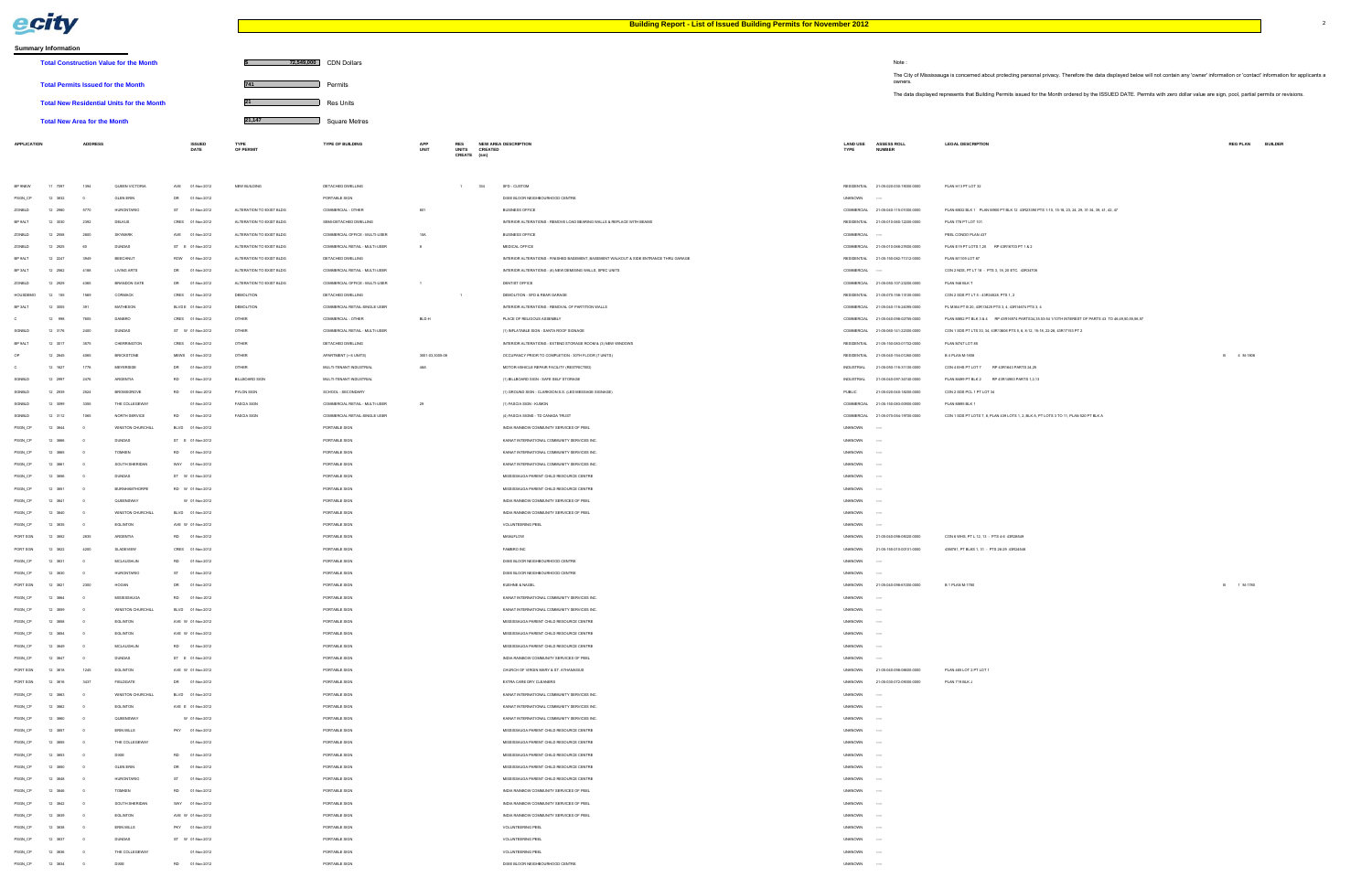ecity

|                    | <b>Summary Information</b>          |                          |                                                  |                                     |                          |                                |                 |                                                      |                                                                                          |                                  |                                      |                                                                                                                                                                            |                                   |
|--------------------|-------------------------------------|--------------------------|--------------------------------------------------|-------------------------------------|--------------------------|--------------------------------|-----------------|------------------------------------------------------|------------------------------------------------------------------------------------------|----------------------------------|--------------------------------------|----------------------------------------------------------------------------------------------------------------------------------------------------------------------------|-----------------------------------|
|                    |                                     |                          | <b>Total Construction Value for the Month</b>    |                                     |                          | 72,549,000 CDN Dollars         |                 |                                                      |                                                                                          |                                  | Note:                                | The City of Mississauga is concerned about protecting personal privacy. Therefore the data displayed below will not contain any 'owner' information or 'contact' informati |                                   |
|                    |                                     |                          | <b>Total Permits Issued for the Month</b>        |                                     | 741                      | Permits                        |                 |                                                      |                                                                                          |                                  | owners.                              | The data displayed represents that Building Permits issued for the Month ordered by the ISSUED DATE. Permits with zero dollar value are sign, pool, partial permits or     |                                   |
|                    |                                     |                          | <b>Total New Residential Units for the Month</b> |                                     |                          | Res Units                      |                 |                                                      |                                                                                          |                                  |                                      |                                                                                                                                                                            |                                   |
|                    | <b>Total New Area for the Month</b> |                          |                                                  |                                     | 21,147                   | <b>Square Metres</b>           |                 |                                                      |                                                                                          |                                  |                                      |                                                                                                                                                                            |                                   |
| APPLICATION        |                                     | <b>ADDRESS</b>           |                                                  | <b>ISSUED</b><br><b>DATE</b>        | <b>TYPE</b><br>OF PERMIT | <b>TYPE OF BUILDING</b>        | APP<br>UNIT     | RES<br><b>UNITS</b><br><b>CREATED</b><br>CREATE (sm) | <b>NEW AREA DESCRIPTION</b>                                                              | <b>LAND USE</b><br><b>TYPE</b>   | <b>ASSESS ROLL</b><br><b>NUMBER</b>  | <b>LEGAL DESCRIPTION</b>                                                                                                                                                   | <b>BUILDER</b><br><b>REG PLAN</b> |
| BP 9NEW            | 11 7097                             | 1394                     | QUEEN VICTORIA                                   | AVE  01-Nov-2012                    | NEW BUILDING             | DETACHED DWELLING              |                 | $\blacksquare$<br>334                                | SFD - CUSTOM                                                                             |                                  | RESIDENTIAL 21-05-020-030-19000-0000 | PLAN H13 PT LOT 32                                                                                                                                                         |                                   |
| PSGN_CP            | 12 3832                             |                          | <b>GLEN ERIN</b>                                 | DR 01-Nov-2012                      |                          | PORTABLE SIGN                  |                 |                                                      | DIXIE BLOOR NEIGHBOURHOOD CENTRE                                                         | <b>UNKNOWN</b>                   | $\sim$                               |                                                                                                                                                                            |                                   |
| ZONBLD             | 12 2980                             | 5770                     | <b>HURONTARIO</b>                                | ST 01-Nov-2012                      | ALTERATION TO EXIST BLDG | COMMERCIAL - OTHER             | 801             |                                                      | <b>BUSINESS OFFICE</b>                                                                   |                                  | COMMERCIAL 21-05-040-115-01000-0000  | PLAN M832 BLK 1 PLAN M900 PT BLK 12 43R23390 PTS 1-10, 15-18, 23, 24, 29, 31-34, 39, 41, 42, 47                                                                            |                                   |
| BP 9ALT            | 12 3030                             | 2392                     | DELKUS                                           | CRES 01-Nov-2012                    | ALTERATION TO EXIST BLDG | SEMI-DETACHED DWELLING         |                 |                                                      | INTERIOR ALTERATIONS - REMOVE LOAD BEARING WALLS & REPLACE WITH BEAMS                    |                                  | RESIDENTIAL 21-05-010-060-12200-0000 | PLAN 778 PT LOT 101                                                                                                                                                        |                                   |
| ZONBLD             | 12 2558                             | 2800                     | <b>SKYMARK</b>                                   | AVE  01-Nov-2012                    | ALTERATION TO EXIST BLDG | COMMERCIAL OFFICE - MULTI-USER | 10A             |                                                      | <b>BUSINESS OFFICE</b>                                                                   | COMMERCIAL                       | $\cdots$                             | PEEL CONDO PLAN 437                                                                                                                                                        |                                   |
| ZONBLD             | 12 2925                             | 60                       | <b>DUNDAS</b>                                    | ST E 01-Nov-2012                    | ALTERATION TO EXIST BLDG | COMMERCIAL RETAIL - MULTI-USER |                 |                                                      | MEDICAL OFFICE                                                                           |                                  | COMMERCIAL 21-05-010-068-27600-0000  | PLAN E19 PT LOTS 1,20 RP 43R16703 PT 1 & 2                                                                                                                                 |                                   |
| BP 9ALT            | 12 2247                             | 3949                     | BEECHNUT                                         | ROW 01-Nov-2012                     | ALTERATION TO EXIST BLDG | DETACHED DWELLING              |                 |                                                      | INTERIOR ALTERATIONS - FINISHED BASEMENT, BASEMENT WALKOUT & SIDE ENTRANCE THRU GARAGE   |                                  | RESIDENTIAL 21-05-150-082-71312-0000 | PLAN M1109 LOT 67                                                                                                                                                          |                                   |
| BP 3ALT            | 12 2562                             | 4188                     | <b>LIVING ARTS</b>                               | DR 01-Nov-2012                      | ALTERATION TO EXIST BLDG | COMMERCIAL RETAIL - MULTI-USER |                 |                                                      | INTERIOR ALTERATIONS - (6) NEW DEMISING WALLS, SPEC UNITS                                | COMMERCIAL                       |                                      | CON 2 NDS, PT LT 18 - PTS 3, 18, 20 ETC. 43R34708                                                                                                                          |                                   |
| ZONBLD             | 12 2929                             | 4365                     | <b>BRANDON GATE</b>                              | DR  01-Nov-2012                     | ALTERATION TO EXIST BLDG | COMMERCIAL OFFICE - MULTI-USER |                 |                                                      | DENTIST OFFICE                                                                           |                                  | COMMERCIAL 21-05-050-107-23200-0000  | PLAN 946 BLK T                                                                                                                                                             |                                   |
| HOUSDEMO           | 12 155                              | 1569                     | CORMACK                                          | CRES 01-Nov-2012                    | DEMOLITION               | DETACHED DWELLING              |                 | $\overline{1}$                                       | DEMOLITION - SED & REAR GARAGE                                                           |                                  | RESIDENTIAL 21-05-070-158-13100-0000 | CON 2 SDS PT LT 5 - 43R34528, PTS 1, 2                                                                                                                                     |                                   |
| BP 3ALT            | 12 3005                             | 391                      | MATHESON                                         | BLVDE 01-Nov-2012                   | DEMOLITION               | COMMERCIAL RETAIL-SINGLE USER  |                 |                                                      | INTERIOR ALTERATIONS - REMOVAL OF PARTITION WALLS                                        |                                  | COMMERCIAL 21-05-040-116-24095-0000  | PL M364 PT B 20, 43R13425 PTS 3, 4, 43R14674 PTS 3, 4                                                                                                                      |                                   |
|                    | 12 998                              | 7605                     | DANBRO                                           | CRES 01-Nov-2012                    | OTHER                    | COMMERCIAL - OTHER             | BLD-H           |                                                      | PLACE OF RELIGOUS ASSEMBLY                                                               |                                  | COMMERCIAL 21-05-040-098-02755-0000  | PLAN M852 PT BLK 3 & 4 RP 43R16974 PARTS34,35.53-54 1/10TH INTEREST OF PARTS 43 TO 46,49,50,55,56,57                                                                       |                                   |
| SGNBLD             | 12 3176                             | 2400                     | <b>DUNDAS</b>                                    | ST W 01-Nov-2012                    | OTHER                    | COMMERCIAL RETAIL - MULTI-USER |                 |                                                      | (1) INFLATABLE SIGN - SANTA ROOF SIGNAGE                                                 |                                  | COMMERCIAL 21-05-060-141-22300-0000  | CON 1 SDS PT LTS 33, 34, 43R13606 PTS 5, 6, 8-12, 15-18, 22-26, 43R17153 PT 2                                                                                              |                                   |
| BP 9ALT            | 12 3017                             | 3575                     | CHERRINGTON                                      | CRES 01-Nov-2012                    | OTHER                    | DETACHED DWELLING              |                 |                                                      | INTERIOR ALTERATIONS - EXTEND STORAGE ROOM & (3) NEW WINDOWS                             |                                  | RESIDENTIAL 21-05-150-083-01702-0000 | PLAN M747 LOT 85                                                                                                                                                           |                                   |
| OP                 | 12 2845                             | 4065                     | <b>BRICKSTONE</b>                                | MEWS 01-Nov-2012                    | OTHER                    | APARTMENT (> 6 UNITS)          | 3001-03.3005-08 |                                                      | OCCUPANCY PRIOR TO COMPLETION - 30TH ELOOR (7 UNITS)                                     |                                  | RESIDENTIAL 21-05-040-154-01260-0000 | B 4 PLAN M-1808                                                                                                                                                            | B 4 M-1808                        |
|                    | 12 1627                             | 1776                     | MEYERSIDE                                        | DR  01-Nov-2012                     | OTHER                    | MULTI-TENANT INDUSTRIAL        | 485             |                                                      | MOTOR-VEHICLE REPAIR FACILITY (RESTRICTED)                                               |                                  | INDUSTRIAL 21-05-050-116-31100-0000  | CON 4 EHS PT LOT 7 RP 43R1643 PARTS 24.25                                                                                                                                  |                                   |
| SGNBLD             | 12 2997                             | 2476                     | ARGENTIA                                         | RD 01-Nov-2012                      | <b>BILLBOARD SIGN</b>    | MULTI-TENANT INDUSTRIAL        |                 |                                                      | (1) BILLBOARD SIGN - SAFE SELF STORAGE                                                   | <b>INDUSTRIAL</b>                | 21-05-040-097-34740-0000             | PLAN M499 PT BLK 2 RP 43R14983 PARTS 1,2,13                                                                                                                                |                                   |
| SGNBLD             | 12 2939                             | 2524                     | <b>BROMSGROVE</b>                                | RD 01-Nov-2012                      | PYLON SIGN               | SCHOOL - SECONDARY             |                 |                                                      | (1) GROUND SIGN - CLARKSON S.S. (LED MESSAGE SIGNAGE)                                    | PUBLIC                           | 21-05-020-040-18200-0000             | CON 2 SDS PCL 1 PT LOT 34                                                                                                                                                  |                                   |
| SGNBLD             | 12 3099                             | 3355                     | THE COLLEGEWAY                                   | 01-Nov-2012                         | <b>FASCIA SIGN</b>       | COMMERCIAL RETAIL - MULTI-USER | 29              |                                                      | (1) FASCIA SIGN - KUMON                                                                  |                                  | COMMERCIAL 21-05-150-083-00900-0000  | PLAN M695 BLK 1                                                                                                                                                            |                                   |
| SGNBLD             | 12 3112                             | 1065                     | NORTH SERVICE                                    | RD 01-Nov-2012                      | <b>FASCIA SIGN</b>       | COMMERCIAL RETAIL-SINGLE USER  |                 |                                                      | (4) FASCIA SIGNS - TD CANADA TRUST                                                       |                                  | COMMERCIAL 21-05-070-054-19700-0000  | CON 1 SDS PT LOTS 7. 8. PLAN 439 LOTS 1, 2, BLK A, PT LOTS 3 TO 11, PLAN 520 PT BLK A                                                                                      |                                   |
| PSGN CP            | 12 3844                             | $\overline{0}$           | <b>WINSTON CHURCHILL</b>                         | BLVD 01-Nov-2012                    |                          | PORTABLE SIGN                  |                 |                                                      | INDIA RAINBOW COMMUNITY SERVICES OF PEEL                                                 | <b>UNKNOWN</b>                   | $\sim$                               |                                                                                                                                                                            |                                   |
| PSGN_CP            | 12 3866                             |                          | <b>DUNDAS</b>                                    | ST E 01-Nov-2012                    |                          | PORTABLE SIGN                  |                 |                                                      | KAINAT INTERNATIONAL COMMUNITY SERVICES INC                                              | <b>UNKNOWN</b>                   | $\sim$                               |                                                                                                                                                                            |                                   |
| PSGN_CP            | 12 3865                             |                          | TOMKEN                                           | RD 01-Nov-2012                      |                          | PORTABLE SIGN                  |                 |                                                      | KAINAT INTERNATIONAL COMMUNITY SERVICES INC.                                             | <b>UNKNOWN</b>                   |                                      |                                                                                                                                                                            |                                   |
| PSGN_CP            | 12 3861                             | $\bullet$                | SOUTH SHERIDAN                                   | WAY 01-Nov-2012<br>ST W 01-Nov-2012 |                          | PORTABLE SIGN<br>PORTABLE SIGN |                 |                                                      | KAINAT INTERNATIONAL COMMUNITY SERVICES INC.<br>MISSISSAUGA PARENT CHILD RESOURCE CENTRE | <b>UNKNOWN</b>                   | $\sim$                               |                                                                                                                                                                            |                                   |
| PSGN CP<br>PSGN CP | 12 3856<br>12 3851                  | $\sim$ 0<br>$\sim$ 0     | <b>DUNDAS</b><br><b>BURNHAMTHORPE</b>            | RD W 01-Nov-2012                    |                          | PORTABLE SIGN                  |                 |                                                      | MISSISSAUGA PARENT CHILD RESOURCE CENTRE                                                 | <b>UNKNOWN</b><br><b>UNKNOWN</b> | -----<br>$\sim$                      |                                                                                                                                                                            |                                   |
| PSGN_CP            | 12 3841                             | $\overline{0}$           | QUEENSWAY                                        | W 01-Nov-2012                       |                          | PORTABLE SIGN                  |                 |                                                      | INDIA RAINBOW COMMUNITY SERVICES OF PEEL                                                 | <b>UNKNOWN</b>                   |                                      |                                                                                                                                                                            |                                   |
| PSGN_CP            | 12 3840                             |                          | WINSTON CHURCHILL                                | BLVD 01-Nov-2012                    |                          | PORTABLE SIGN                  |                 |                                                      | INDIA RAINBOW COMMUNITY SERVICES OF PEEL                                                 | <b>UNKNOWN</b>                   |                                      |                                                                                                                                                                            |                                   |
| PSGN_CP            | 12 3835                             | $\overline{\phantom{0}}$ | <b>EGLINTON</b>                                  | AVE W 01-Nov-2012                   |                          | PORTABLE SIGN                  |                 |                                                      | VOLUNTEERING PEEL                                                                        | <b>UNKNOWN</b>                   |                                      |                                                                                                                                                                            |                                   |
|                    | PORT SGN 12 3852                    | 2835                     | ARGENTIA                                         | RD 01-Nov-2012                      |                          | PORTABLE SIGN                  |                 |                                                      | MANUFLOW                                                                                 |                                  | UNKNOWN 21-05-040-098-05020-0000     | CON 6 WHS, PT L 12, 13 - PTS 4-6 43R28549                                                                                                                                  |                                   |
| PORT SGN           | 12 3822                             | 4200                     | SLADEVIEW                                        | CRES 01-Nov-2012                    |                          | PORTABLE SIGN                  |                 |                                                      | <b>FAMBRO INC</b>                                                                        | <b>UNKNOWN</b>                   | 21-05-150-010-00101-0000             | 43M781, PT BLKS 1, 31 - PTS 26-29 43R24548                                                                                                                                 |                                   |
| PSGN_CP            | 12 3831                             | $\overline{0}$           | MCLAUGHLIN                                       | RD 01-Nov-2012                      |                          | PORTABLE SIGN                  |                 |                                                      | DIXIE BLOOR NEIGHBOURHOOD CENTRE                                                         | <b>UNKNOWN</b>                   | $\sim$                               |                                                                                                                                                                            |                                   |
| PSGN_CP            | 12 3830                             |                          | <b>HURONTARIO</b>                                | ST 01-Nov-2012                      |                          | PORTABLE SIGN                  |                 |                                                      | DIXIE BLOOR NEIGHBOURHOOD CENTRE                                                         | <b>UNKNOWN</b>                   |                                      |                                                                                                                                                                            |                                   |
| PORT SGN           | 12 3821                             | 2300                     | HOGAN                                            | DR 01-Nov-2012                      |                          | PORTABLE SIGN                  |                 |                                                      | KUEHNE & NAGEL                                                                           | <b>UNKNOWN</b>                   | 21-05-040-098-61000-0000             | B 1 PLAN M-1780                                                                                                                                                            | B 1 M-1780                        |
| PSGN CP            | 12 3864                             | $\overline{0}$           | MISSISSAUGA                                      | RD 01-Nov-2012                      |                          | PORTABLE SIGN                  |                 |                                                      | KAINAT INTERNATIONAL COMMUNITY SERVICES INC.                                             | <b>UNKNOWN</b>                   | $\sim$                               |                                                                                                                                                                            |                                   |
| PSGN CP            | 12 3859                             | $^{\circ}$               | WINSTON CHURCHILL                                | BLVD 01-Nov-2012                    |                          | PORTABLE SIGN                  |                 |                                                      | KAINAT INTERNATIONAL COMMUNITY SERVICES INC.                                             | <b>UNKNOWN</b>                   | $\sim$                               |                                                                                                                                                                            |                                   |
| PSGN_CP            | 12 3858                             |                          | <b>EGLINTON</b>                                  | AVE W 01-Nov-2012                   |                          | PORTABLE SIGN                  |                 |                                                      | MISSISSAUGA PARENT CHILD RESOURCE CENTRE                                                 | <b>UNKNOWN</b>                   |                                      |                                                                                                                                                                            |                                   |
| PSGN_CP            | 12 3854                             |                          | EGLINTON                                         | AVE W 01-Nov-2012                   |                          | PORTABLE SIGN                  |                 |                                                      | MISSISSAUGA PARENT CHILD RESOURCE CENTRE                                                 | <b>UNKNOWN</b>                   |                                      |                                                                                                                                                                            |                                   |
| PSGN_CP            | 12 3849                             | $\bullet$                | MCLAUGHLIN                                       | RD 01-Nov-2012                      |                          | PORTABLE SIGN                  |                 |                                                      | MISSISSAUGA PARENT CHILD RESOURCE CENTRE                                                 | <b>UNKNOWN</b>                   | $\sim$                               |                                                                                                                                                                            |                                   |
| PSGN_CP            | 12 3847                             | $\overline{0}$           | DUNDAS                                           | ST E 01-Nov-2012                    |                          | PORTABLE SIGN                  |                 |                                                      | INDIA RAINBOW COMMUNITY SERVICES OF PEEL                                                 | <b>UNKNOWN</b>                   | ----                                 |                                                                                                                                                                            |                                   |
| PORT SGN           | 12 3818                             | 1245                     | <b>EGLINTON</b>                                  | AVE W 01-Nov-2012                   |                          | PORTABLE SIGN                  |                 |                                                      | CHURCH OF VIRGIN MARY & ST. ATHANASIUS                                                   | <b>UNKNOWN</b>                   | 21-05-040-098-08600-0000             | PLAN 465 LOT 2 PT LOT 1                                                                                                                                                    |                                   |
| PORT SGN           | 12 3816                             | 3437                     | FIELDGATE                                        | DR 01-Nov-2012                      |                          | PORTABLE SIGN                  |                 |                                                      | EXTRA CARE DRY CLEANERS                                                                  | <b>UNKNOWN</b>                   | 21-05-030-072-09000-0000             | PLAN 719 BLK J                                                                                                                                                             |                                   |
| PSGN_CP            | 12 3863                             |                          | WINSTON CHURCHILL                                | BLVD 01-Nov-2012                    |                          | PORTABLE SIGN                  |                 |                                                      | KAINAT INTERNATIONAL COMMUNITY SERVICES INC.                                             | <b>UNKNOWN</b>                   |                                      |                                                                                                                                                                            |                                   |
| PSGN_CP            | 12 3862                             | $\bullet$                | EGLINTON                                         | AVE E 01-Nov-2012                   |                          | PORTABLE SIGN                  |                 |                                                      | KAINAT INTERNATIONAL COMMUNITY SERVICES INC.                                             | <b>UNKNOWN</b>                   | $\sim$                               |                                                                                                                                                                            |                                   |
| PSGN CP            | 12 3860                             | $\overline{0}$           | QUEENSWAY                                        | W 01-Nov-2012                       |                          | PORTABLE SIGN                  |                 |                                                      | KAINAT INTERNATIONAL COMMUNITY SERVICES INC.                                             | <b>UNKNOWN</b>                   | $\sim$                               |                                                                                                                                                                            |                                   |
| PSGN CP            | 12 3857                             | $\overline{0}$           | ERIN MILLS                                       | PKY 01-Nov-2012                     |                          | PORTABLE SIGN                  |                 |                                                      | MISSISSAUGA PARENT CHILD RESOURCE CENTRE                                                 | <b>UNKNOWN</b>                   | $\sim$                               |                                                                                                                                                                            |                                   |
| PSGN_CP            | 12 3855                             |                          | THE COLLEGEWAY                                   | 01-Nov-2012                         |                          | PORTABLE SIGN                  |                 |                                                      | MISSISSAUGA PARENT CHILD RESOURCE CENTRE                                                 | <b>UNKNOWN</b>                   |                                      |                                                                                                                                                                            |                                   |
| PSGN_CP            | 12 3853                             |                          | DIXIE                                            | RD 01-Nov-2012                      |                          | PORTABLE SIGN                  |                 |                                                      | MISSISSAUGA PARENT CHILD RESOURCE CENTRE                                                 | <b>UNKNOWN</b>                   |                                      |                                                                                                                                                                            |                                   |
| PSGN_CP            | 12 3850                             | $\overline{\phantom{0}}$ | <b>GLEN ERIN</b>                                 | DR  01-Nov-2012                     |                          | PORTABLE SIGN                  |                 |                                                      | MISSISSAUGA PARENT CHILD RESOURCE CENTRE                                                 | <b>UNKNOWN</b>                   | $\sim$                               |                                                                                                                                                                            |                                   |
| PSGN CP            | 12 3848                             | $\overline{0}$           | <b>HURONTARIO</b>                                | ST 01-Nov-2012                      |                          | PORTABLE SIGN                  |                 |                                                      | MISSISSAUGA PARENT CHILD RESOURCE CENTRE                                                 | <b>UNKNOWN</b>                   | $\sim$                               |                                                                                                                                                                            |                                   |
| PSGN CP            | 12 3846                             | $^{\circ}$               | <b>TOMKEN</b>                                    | RD 01-Nov-2012                      |                          | PORTABLE SIGN                  |                 |                                                      | INDIA RAINBOW COMMUNITY SERVICES OF PEEL                                                 | <b>UNKNOWN</b>                   | ----                                 |                                                                                                                                                                            |                                   |
| PSGN_CP            | 12 3842                             | $\overline{0}$           | SOUTH SHERIDAN                                   | WAY 01-Nov-2012                     |                          | PORTABLE SIGN                  |                 |                                                      | INDIA RAINBOW COMMUNITY SERVICES OF PEEL                                                 | <b>UNKNOWN</b>                   |                                      |                                                                                                                                                                            |                                   |
| PSGN_CP            | 12 3839                             |                          | EGLINTON                                         | AVE W 01-Nov-2012                   |                          | PORTABLE SIGN                  |                 |                                                      | INDIA RAINBOW COMMUNITY SERVICES OF PEEL                                                 | <b>UNKNOWN</b>                   |                                      |                                                                                                                                                                            |                                   |
| PSGN_CP            | 12 3838                             | $\bullet$                | ERIN MILLS<br><b>DUNDAS</b>                      | PKY 01-Nov-2012<br>ST W 01-Nov-2012 |                          | PORTABLE SIGN<br>PORTABLE SIGN |                 |                                                      | VOLUNTEERING PEEL<br><b>VOLUNTEERING PEEL</b>                                            | <b>UNKNOWN</b>                   | $\sim$                               |                                                                                                                                                                            |                                   |
| PSGN_CP<br>PSGN CP | 12 3837<br>12 3836                  | $^{\circ}$<br>$\sim$ 0   | THE COLLEGEWAY                                   | 01-Nov-2012                         |                          | PORTABLE SIGN                  |                 |                                                      | <b>VOLUNTEERING PEEL</b>                                                                 | <b>UNKNOWN</b><br><b>UNKNOWN</b> | $\sim$<br>$-$                        |                                                                                                                                                                            |                                   |
|                    | PSGN_CP 12 3834                     | $\sim$ 0                 | DIXIE                                            | RD 01-Nov-2012                      |                          | PORTABLE SIGN                  |                 |                                                      | DIXIE BLOOR NEIGHBOURHOOD CENTRE                                                         | <b>UNKNOWN</b>                   | $\sim$                               |                                                                                                                                                                            |                                   |
|                    |                                     |                          |                                                  |                                     |                          |                                |                 |                                                      |                                                                                          |                                  |                                      |                                                                                                                                                                            |                                   |

tecting personal privacy. Therefore the data displayed below will not contain any 'owner' information or 'contact' information for applicants a

mits issued for the Month ordered by the ISSUED DATE. Permits with zero dollar value are sign, pool, partial permits or revisions.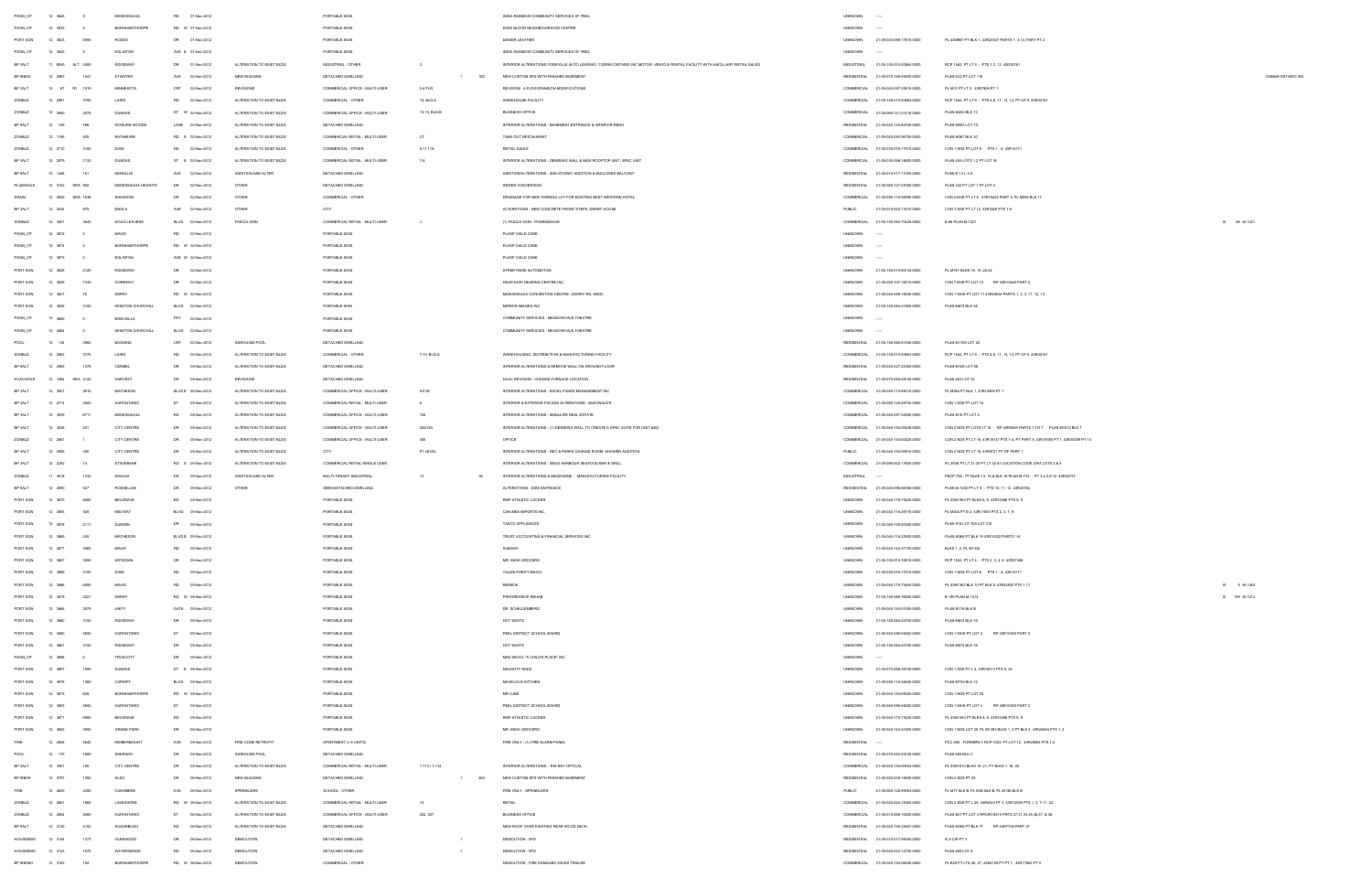| PSGN_CP          | 12 3845   |                 | MISSISSAUGA         | RD 01-Nov-2012           |                           | PORTABLE SIGN                  |                |     | INDIA RAINBOW COMMUNITY SERVICES OF PEEL                                                                                      | <b>UNKNOWN</b>    | $\sim$                               |                                                                                |                    |
|------------------|-----------|-----------------|---------------------|--------------------------|---------------------------|--------------------------------|----------------|-----|-------------------------------------------------------------------------------------------------------------------------------|-------------------|--------------------------------------|--------------------------------------------------------------------------------|--------------------|
| PSGN_CP          | 12 3833   |                 | BURNHAMTHORPE       | RD W 01-Nov-2012         |                           | PORTABLE SIGN                  |                |     | DIXIE BLOOR NEIGHBOURHOOD CENTRE                                                                                              | <b>UNKNOWN</b>    |                                      |                                                                                |                    |
| PORT SGN         | 12 3823   | 5950            | RODEO               | DR 01-Nov-2012           |                           | PORTABLE SIGN                  |                |     | <b>DANIER LEATHER</b>                                                                                                         | <b>UNKNOWN</b>    | 21-05-040-098-17815-0000             | PL 43M967 PT BLK 1, 43R20537 PARTS 1, 3-14, PART PT 2                          |                    |
| PSGN_CP          | 12 3843   |                 | <b>EGLINTON</b>     | AVE E 01-Nov-2012        |                           | PORTABLE SIGN                  |                |     | INDIA RAINBOW COMMUNITY SERVICES OF PEEL                                                                                      | <b>UNKNOWN</b>    |                                      |                                                                                |                    |
|                  |           |                 |                     |                          |                           |                                |                |     |                                                                                                                               |                   |                                      |                                                                                |                    |
| BP 3ALT          |           | ALT<br>3450     | RIDGEWAY            | DR 01-Nov-2012           | ALTERATION TO EXIST BLDG  | INDUSTRIAL - OTHER             | $\overline{2}$ |     | INTERIOR ALTERATIONS, YORKVILLE AUTO LEASING / 1329390 ONTARIO INC MOTOR -VEHICLE RENTAL FACILITY WITH ANCILLARY RETAIL SALES | <b>INDUSTRIAL</b> | 21-05-150-010-00864-0000             | RCP 1542, PT LT 9 - PTS 1-3, 12 43R30181                                       |                    |
| BP 9NEW          |           | 1047            | ATWATER             | AVE 02-Nov-2012          | NEW BUILDING              | DETACHED DWELLING              | 1 352          |     | NEW CUSTOM SFD WITH FINISHED BASEMENT                                                                                         |                   | RESIDENTIAL 21-05-070-166-09400-0000 | PLAN K22 PT LOT 116                                                            | 1058849 ONTARIO IN |
| BP 3ALT          | 12        | 1919            | MINNESOTA           | CRT 02-Nov-2012          | <b>REVISIONS</b>          | COMMERCIAL OFFICE - MULTI-USER | 2-4 FLR        |     | REVISION - 4-FLR EXPANSION MODIFICATIONS                                                                                      |                   | COMMERCIAL 21-05-040-097-25810-0000  | PL M10 PT LT 2 - 43R7908 PT 1                                                  |                    |
| ZONBLD           |           | 3750            | LAIRD               | RD 02-Nov-2012           | ALTERATION TO EXIST BLDG  | COMMERCIAL - OTHER             | 15. BLD-A      |     | WAREHOUSE FACILITY                                                                                                            |                   | COMMERCIAL 21-05-150-010-00863-0000  | RCP 1542, PT LT 9 - PTS 4-8, 11, 13, 14, PT OF 9 43R30181                      |                    |
| ZONBLD           | 12 2900   | 2575            | <b>DUNDAS</b>       | ST W 02-Nov-2012         | ALTERATION TO EXIST BLDG  | COMMERCIAL OFFICE - MULTI-USER | 13-15, BLD-B   |     | <b>BUSINESS OFFICE</b>                                                                                                        | COMMERCIAL        | 21-05-060-141-21410-0000             | PLAN M432 BLK 12                                                               |                    |
| BP 9ALT          | 12        | 766             | WOBURN WOODS        | LANE 02-Nov-2012         | ALTERATION TO EXIST BLDG  | DETACHED DWELLING              |                |     | INTERIOR ALTERATIONS - BASEMENT ENTRANCE & INTERIOR-RENO                                                                      |                   | RESIDENTIAL 21-05-040-152-82745-0000 | PLAN M503 LOT 73                                                               |                    |
|                  |           |                 |                     |                          |                           |                                |                |     |                                                                                                                               |                   |                                      |                                                                                |                    |
| ZONBLD           | 12 1195   | 925             | RATHBURN            | RD E 02-Nov-2012         | ALTERATION TO EXIST BLDG  | COMMERCIAL RETAIL - MULTI-USER | C7             |     | TAKE-OUT RESTAURANT                                                                                                           |                   | COMMERCIAL 21-05-040-093-36700-0000  | PLAN M367 BLK 30                                                               |                    |
| ZONBLD           | 12 2710   | 3100            | DIXIE               | RD 02-Nov-2012           | ALTERATION TO EXIST BLDG  | COMMERCIAL - OTHER             | 9,11,11A       |     | RETAIL SALES                                                                                                                  |                   | COMMERCIAL 21-05-030-075-17510-0000  | CON 1 NDS PT LOT 6 PTS 1 - 8, 43R14171                                         |                    |
| BP 3ALT          | 12 2979   | 1133            | <b>DUNDAS</b>       | ST E 02-Nov-2012         | ALTERATION TO EXIST BLDG  | COMMERCIAL RETAIL - MULTI-USER | $7 - 8$        |     | INTERIOR ALTERATIONS - DEMISING WALL & NEW ROOFTOP UNIT, SPEC UNIT                                                            |                   | COMMERCIAL 21-05-030-068-18600-0000  | PLAN 455 LOTS 1 2 PT LOT 16                                                    |                    |
| BP 9ALT          | 12 1446   | 181             | KENOLLIE            | AVE 02-Nov-2012          | ADDITION AND ALTER        | DETACHED DWELLING              |                |     | ADDITION/ALTERATIONS - 2ND-STOREY ADDITION & ENCLOSED BALCONY                                                                 | RESIDENTIAL       | 21-05-010-017-11000-0000             | PLAN E-13 L 4,5                                                                |                    |
| PLUMHOUS         | 12 3102   | <b>DRA 900</b>  | MISSISSAUGA HEIGHTS | <b>DR</b><br>02-Nov-2012 | OTHER                     | DETACHED DWELLING              |                |     | SEWER CONVERSION                                                                                                              | RESIDENTIAL       | 21-05-060-127-07000-0000             | PLAN 342 PT LOT 1 PT LOT 2                                                     |                    |
|                  |           |                 |                     |                          |                           |                                |                |     |                                                                                                                               |                   |                                      |                                                                                |                    |
|                  |           | DRA 1538        | SHAWSON             | DR 02-Nov-2012           | OTHER                     | COMMERCIAL - OTHER             |                |     | DRAINAGE FOR NEW PARKING LOT FOR EXISTING BEST WESTERN HOTEL                                                                  |                   | COMMERCIAL 21-05-050-116-06995-0000  | CON 4 EHS PT LT 5 - 43R15425 PART 5, PL M596 BLK 17                            |                    |
| BP 3ALT          |           | 875             | ENOLA               | AVE 02-Nov-2012          | OTHER                     | CITY                           |                |     | ALTERATIONS - NEW CONCRETE FRONT STEPS, DERRY HOUSE                                                                           | PUBLIC            | 21-05-010-002-11610-0000             | CON 3 SDS PT LT 12, 43R3526 PTS 1-5                                            |                    |
| SGNBLD           | 12 3051   | 3945            | <b>DOUG LEAVENS</b> | BLVD 02-Nov-2012         | <b>FASCIA SIGN</b>        | COMMERCIAL RETAIL - MULTI-USER |                |     | (1) FASCIA SIGN - PHARMASAVE                                                                                                  |                   | COMMERCIAL 21-05-150-082-70425-0000  | B 88 PLAN M-1221                                                               | B 88 M-1221        |
| PSGN_CP          | 12 3872   |                 | MAVIS               | RD 02-Nov-2012           |                           | PORTABLE SIGN                  |                |     | PLASP CHILD CARE                                                                                                              | <b>UNKNOWN</b>    |                                      |                                                                                |                    |
|                  | 12 3874   |                 | BURNHAMTHORPE       | RD W 02-Nov-2012         |                           | PORTABLE SIGN                  |                |     | PLASP CHILD CARE                                                                                                              | <b>UNKNOWN</b>    |                                      |                                                                                |                    |
| PSGN_CP          |           |                 |                     |                          |                           |                                |                |     |                                                                                                                               |                   |                                      |                                                                                |                    |
| PSGN CP          | 12 3873   |                 | EGLINTON            | AVE W 02-Nov-2012        |                           | PORTABLE SIGN                  |                |     | PLASP CHILD CARE                                                                                                              | <b>UNKNOWN</b>    | $\sim$                               |                                                                                |                    |
| PORT SGN         |           | 4120            | RIDGEWAY            | DR 02-Nov-2012           |                           | PORTABLE SIGN                  |                |     | STREETWISE AUTOMOTIVE                                                                                                         | <b>UNKNOWN</b>    | 21-05-150-010-00144-0000             | PL M781 BLKS 18, 19, 22-24                                                     |                    |
| PORT SGN         | 12 3829   | 7330            | GOREWAY             | DR 02-Nov-2012           |                           | PORTABLE SIGN                  |                |     | HEAR NOW HEARING CENTRE INC.                                                                                                  | <b>UNKNOWN</b>    | 21-05-050-107-18210-0000             | CON 7 EHS PT LOT 12 RP 43R13640 PART 2                                         |                    |
| PORT SGN         | 12 3827   | 75              | DERRY               | RD W 02-Nov-2012         |                           | PORTABLE SIGN                  |                |     | MISSISSAUGA CONVENTION CENTRE (DERRY RD. MISS)                                                                                | <b>UNKNOWN</b>    | 21-05-040-098-18200-0000             | CON 1 WHS PT LOT 11 43R20834 PARTS 1, 2, 3, 11, 12, 13                         |                    |
| PORT SGN         | 12 3826   | 3100            | WINSTON CHURCHILL   | BLVD 02-Nov-2012         |                           | PORTABLE SIGN                  |                |     | MIRROR IMAGES INC.                                                                                                            | <b>UNKNOWN</b>    | 21-05-150-084-01800-0000             | PLAN M674 BLK 38                                                               |                    |
|                  |           |                 |                     |                          |                           |                                |                |     |                                                                                                                               |                   |                                      |                                                                                |                    |
| PSGN CP          | 12 3885   |                 | <b>ERIN MILLS</b>   | PKY 02-Nov-2012          |                           | PORTABLE SIGN                  |                |     | COMMUNITY SERVICES - MEADOWVALE THEATRE                                                                                       | <b>UNKNOWN</b>    | $\cdots$                             |                                                                                |                    |
| PSGN CP          | 12        |                 | WINSTON CHURCHILL   | BLVD 02-Nov-2012         |                           | PORTABLE SIGN                  |                |     | COMMUNITY SERVICES - MEADOWVALE THEATRE                                                                                       | <b>UNKNOWN</b>    | $\sim$                               |                                                                                |                    |
| POOL             | 12<br>134 | 3982            | <b>BAGGINS</b>      | CRT 02-Nov-2012          | INGROUND POOL             | DETACHED DWELLING              |                |     |                                                                                                                               |                   | RESIDENTIAL 21-05-150-082-61540-0000 | PLAN M1105 LOT 20                                                              |                    |
| ZONBLD           | 12 2892   | 3770            | LAIRD               | RD 02-Nov-2012           | ALTERATION TO EXIST BLDG  | COMMERCIAL - OTHER             | 7-10, BLD-A    |     | WAREHOUSING. DISTRIBUTION & MANUFACTURING FACILITY                                                                            |                   | COMMERCIAL 21-05-150-010-00863-0000  | RCP 1542, PT LT 9 - PTS 4-8, 11, 13, 14, PT OF 9 43R30181                      |                    |
|                  |           |                 |                     |                          |                           |                                |                |     |                                                                                                                               |                   |                                      |                                                                                |                    |
| BP 9ALT          |           | 1278            | CERMEL              | DR.<br>05-Nov-2012       | ALTERATION TO EXIST BLDG  | DETACHED DWELLING              |                |     | INTERIOR ALTERATIONS & REMOVE WALL ON GROUND FLOOR                                                                            | RESIDENTIAL       | 21-05-020-027-22300-0000             | PLAN M128 LOT 88                                                               |                    |
| <b>HVACHOUS</b>  | 12 1084   | <b>HEA 2142</b> | <b>HARVEST</b>      | DR 05-Nov-2012           | <b>REVISIONS</b>          | DETACHED DWELLING              |                |     | HVAC REVISION - CHANGE FURNACE LOCATION                                                                                       |                   | RESIDENTIAL 21-05-070-055-09100-0000 | PLAN 463 LOT 33                                                                |                    |
| BP 3ALT          | 12        | 2810            | MATHESON            | BLVD E 05-Nov-2012       | ALTERATION TO EXIST BLDG  | COMMERCIAL OFFICE - MULTI-USER | 8-FLR          |     | INTERIOR ALTERATIONS - EXCEL FUNDS MANAGEMENT INC                                                                             |                   | COMMERCIAL 21-05-050-115-85010-0000  | PL M584 PT BLK 1, 43R14955 PT 1                                                |                    |
| BP 3ALT          | 12 2774   | 2500            | <b>HURONTARIO</b>   | ST 05-Nov-2012           | ALTERATION TO EXIST BLDG  | COMMERCIAL RETAIL - MULTI-USER | 6              |     | INTERIOR & EXTERIOR FACADE ALTERATIONS - McDONALD'S                                                                           |                   | COMMERCIAL 21-05-060-125-05700-0000  | CON 1 SDS PT LOT 16                                                            |                    |
| BP 3ALT          | 12 3009   | 6711            | MISSISSAUGA         | RD 05-Nov-2012           | ALTERATION TO EXIST BLDG  | COMMERCIAL OFFICE - MULTI-USER | 104            |     | INTERIOR ALTERATIONS - MANULIFE REAL ESTATE                                                                                   | COMMERCIAL        | 21-05-040-097-24500-0000             | PLAN M10 PT LOT 4                                                              |                    |
| BP 3ALT          | 12 3026   | 201             | CITY CENTRE         | DR.                      | ALTERATION TO EXIST BLDG  | COMMERCIAL OFFICE - MULTI-USER | 402/403        |     |                                                                                                                               |                   | COMMERCIAL 21-05-040-154-00449-0000  | CON 2 NDS PT LOTS 17,18 RP 43R5845 PARTS 1 TO 7 PLAN M1010 BLK 7               |                    |
|                  |           |                 |                     | 05-Nov-2012              |                           |                                |                |     | INTERIOR ALTERATIONS - (1) DEMISING WALL TO CREATE A SPEC SUITE FOR UNIT #402                                                 |                   |                                      |                                                                                |                    |
| ZONBLD           | 12 2881   |                 | CITY CENTRE         | DR 05-Nov-2012           | ALTERATION TO EXIST BLDG  | COMMERCIAL OFFICE - MULTI-USER | 300            |     | OFFICE                                                                                                                        |                   | COMMERCIAL 21-05-040-154-00420-0000  | CON 2 NDS PT LT 16, 43R18147 PTS 1-4, PT PART 5, 43R19350 PT 1, 43R30009 PT 14 |                    |
| BP 3ALT          | 12 2955   | 300             | CITY CENTRE         | DR 05-Nov-2012           | ALTERATION TO EXIST BLDG  | CITY                           | P1 LEVEL       |     | INTERIOR ALTERATIONS - REC & PARKS CHANGE ROOM, SHOWER ADDITION                                                               | PUBLIC            | 21-05-040-154-00810-0000             | CON 2 NDS PT LT 18, 43R9721 PT OF PART 1                                       |                    |
| BP 3ALT          | 12 2292   | 14              | <b>STAVEBANK</b>    | RD S 05-Nov-2012         | ALTERATION TO EXIST BLDG. | COMMERCIAL RETAIL-SINGLE USER  |                |     | INTERIOR ALTERATIONS - SNUG HARBOUR SEAFOOD BAR & GRILL                                                                       | COMMERCIAL        | 21-05-090-002-17600-0000             | PL 300E PT LT 21-29 PT LT 32-47 LOCATION CODE 4767 LOTS 3 & 4                  |                    |
| ZONBLD           | 11 4918   | 1332            | KHALSA              | DR 05-Nov-2012           | ADDITION AND ALTER        | MULTI-TENANT INDUSTRIAL        | 13             | 92  | INTERIOR ALTERATIONS & MEZZANINE - MANUFACTURING FACILITY                                                                     | INDUSTRIAL        |                                      | PSCP 756 - PT BLKS 13, 15 & BLK 16 PLAN M-733 - PT 3,4,5,8-12 43R22727         |                    |
| BP 9ALT          | 12 2690   | 527             | ROSSELLINI          | DR.                      | OTHER                     | SEMI-DETACHED DWELLING         |                |     | ALTERATIONS - SIDE ENTRANCE                                                                                                   | RESIDENTIAL       | 21-05-040-096-86356-0000             | PLAN M-1452 PT LT 5 - PTS 10, 11, 12 43R25784                                  |                    |
|                  |           |                 |                     | 05-Nov-2012              |                           |                                |                |     |                                                                                                                               |                   |                                      |                                                                                |                    |
| PORT SGN         | 12 3870   | 6085            | BELGRAVE            | RD 05-Nov-2012           |                           | PORTABLE SIGN                  |                |     | RMP ATHLETIC LOCKER                                                                                                           | <b>UNKNOWN</b>    | 21-05-040-175-73425-0000             | PL 43M1363 PT BLKS 6, 8, 43R33498 PTS 8, 9                                     |                    |
| PORT SGN         | 12 3883   | 925             | MID-WA'             | BLVD 05-Nov-2012         |                           | PORTABLE SIGN                  |                |     | CAN-MEX IMPORTS INC.                                                                                                          | <b>UNKNOWN</b>    | 21-05-040-116-29170-0000             | PL M404 PT B 2, 43R11803 PTS 2, 3, 7, 9                                        |                    |
| PORT SGN         | 12 3878   | 2111            | <b>DUNWIN</b>       | DR 05-Nov-2012           |                           | PORTABLE SIGN                  |                |     | <b>TASCO APPLIANCES</b>                                                                                                       | <b>UNKNOWN</b>    | 21-05-060-155-00300-0000             | PLAN 915 LOT 309 LOT 310                                                       |                    |
| PORT SGN         |           | 245             | MATHESON            | BLVD E 05-Nov-2012       |                           | PORTABLE SIGN                  |                |     | TRUST ACCOUNTING & FINANCIAL SERVICES INC                                                                                     | <b>UNKNOWN</b>    | 21-05-040-116-23900-0000             | PLAN M364 PT BLK 19 43R14332 PARTS 1-6                                         |                    |
| PORT SGN         | 12 3877   | 3065            | MAVIS               | RD 05-Nov-2012           |                           | PORTABLE SIGN                  |                |     | SUBWAY                                                                                                                        | <b>UNKNOWN</b>    | 21-05-040-142-31700-0000             | BLKS 1, 2, PL M1332                                                            |                    |
|                  |           |                 |                     |                          |                           |                                |                |     |                                                                                                                               |                   |                                      |                                                                                |                    |
| PORT SGN         | 12 386    | 3050            | ARTESIAN            | DR 05-Nov-2012           |                           | PORTABLE SIGN                  |                |     | MR. INDIA GROCERS                                                                                                             | <b>UNKNOWN</b>    | 21-05-150-010-16810-0000             | RCP 1542, PT LT 4 - PTS 2, 3, 4, 6 43R27406                                    |                    |
| PORT SGN         |           |                 | <b>DIXIE</b>        | RD 05-Nov-2012           |                           | PORTABLE SIGN                  |                |     | TALIZE/THRIFT MAGIC                                                                                                           | <b>UNKNOWN</b>    | 21-05-030-075-17510-0000             | CON 1 NDS PT LOT 6 PTS 1 - 8, 43R14171                                         |                    |
| PORT SGN         | 12 3886   | 6055            | MAVIS               | RD 05-Nov-2012           |                           | PORTABLE SIGN                  |                |     | <b>REEBOK</b>                                                                                                                 | <b>UNKNOWN</b>    | 21-05-040-175-73400-0000             | PL 43M1363 BLK 10 PT BLK 5, 43R24920 PTS 1-11                                  | B 5 M-1363         |
| PORT SGN         | 12 3879   | 3221            | <b>DERRY</b>        | RD W 05-Nov-2012         |                           | PORTABLE SIGN                  |                |     | PROGRESSIVE REHAB                                                                                                             | <b>UNKNOWN</b>    | 21-05-150-080-76500-0000             | B 159 PLAN M-1214                                                              | B 159 M-1214       |
| PORT SGN         | 12 3868   | 2979            | <b>UNITY</b>        | GATE 05-Nov-2012         |                           | PORTABLE SIGN                  |                |     | DR. SCHELLENBERG                                                                                                              | <b>UNKNOWN</b>    | 21-05-040-145-01000-0000             | PLAN M118 BLK B                                                                |                    |
|                  |           |                 |                     |                          |                           |                                |                |     |                                                                                                                               |                   |                                      |                                                                                |                    |
| PORT SGN         | 12 3880   | 3150            | RIDGEWAY            | DR 05-Nov-2012           |                           | PORTABLE SIGN                  |                |     | HOT SHOTS                                                                                                                     | <b>UNKNOWN</b>    | 21-05-150-084-02700-0000             | PLAN M674 BLK 16                                                               |                    |
| PORT SGN         |           | 5650            | HURONTARIO          | ST 05-Nov-2012           |                           | PORTABLE SIGN                  |                |     | PEEL DISTRICT SCHOOL BOARD                                                                                                    | <b>UNKNOWN</b>    | 21-05-040-096-04602-0000             | CON 1 WHS PT LOT 4 RP 43R10393 PART 2                                          |                    |
| PORT SGN         | 12 3881   | 3150            | <b>RIDGEWAY</b>     | DR 05-Nov-2012           |                           | PORTABLE SIGN                  |                |     | HOT SHOTS                                                                                                                     | <b>UNKNOWN</b>    | 21-05-150-084-02700-0000             | PLAN M674 BLK 16                                                               |                    |
| PSGN_CP          | 12 3888   |                 | TRUSCOTT            | DR 05-Nov-2012           |                           | PORTABLE SIGN                  |                |     | MINI SKOOL "A CHILD'S PLACE" INC.                                                                                             | <b>UNKNOWN</b>    |                                      |                                                                                |                    |
|                  |           | 1590            |                     |                          |                           |                                |                |     |                                                                                                                               |                   |                                      |                                                                                |                    |
| PORT SGN         |           |                 | DUNDAS              | ST E 05-Nov-2012         |                           | PORTABLE SIGN                  |                |     | NAUGHTY NADZ                                                                                                                  | <b>UNKNOWN</b>    | 21-05-070-068-35100-0000             | CON 1 SDS PT L 4, 43R15013 PTS 9, 24                                           |                    |
| PORT SGN         | 12 3876   | 1380            | CARDIFF             | BLVD 05-Nov-2012         |                           | PORTABLE SIGN                  |                |     | MAVELOUS KITCHEN                                                                                                              | <b>UNKNOWN</b>    | 21-05-050-116-54640-0000             | PLAN M733 BLK 12                                                               |                    |
| PORT SGN         | 12 3875   | 628             | BURNHAMTHORPE       | RD W 05-Nov-2012         |                           | PORTABLE SIGN                  |                |     | MR LUBE                                                                                                                       | <b>UNKNOWN</b>    | 21-05-040-154-05000-0000             | CON 1 NDS PT LOT 20                                                            |                    |
| PORT SGN         | 12 3893   | 5650            | <b>HURONTARIO</b>   | ST 05-Nov-2012           |                           | PORTABLE SIGN                  |                |     | PEEL DISTRICT SCHOOL BOARD                                                                                                    | <b>UNKNOWN</b>    | 21-05-040-096-04602-0000             | CON 1 WHS PT LOT 4 RP 43R10393 PART 2                                          |                    |
| PORT SGN         | 12 387    | 6085            | BELGRAVE            | RD 05-Nov-2012           |                           | PORTABLE SIGN                  |                |     | RMP ATHLETIC LOCKER                                                                                                           | <b>UNKNOWN</b>    | 21-05-040-175-73425-0000             | PL 43M1363 PT BLKS 6, 8, 43R33498 PTS 8, 9                                     |                    |
|                  |           |                 |                     |                          |                           |                                |                |     |                                                                                                                               |                   |                                      |                                                                                |                    |
| PORT SGN         |           |                 | <b>GRAND PARK</b>   | DR.<br>05-Nov-2012       |                           | PORTABLE SIGN                  |                |     | MR. INDIA GROCERS                                                                                                             | <b>UNKNOWN</b>    | 21-05-040-143-31500-0000             | CON 1 NDS LOT 20 PL M1393 BLKS 1, 2 PT BLK 4 43R24554 PTS 1, 2                 |                    |
| <b>FIRE</b>      | 12 2808   | 4640            | KIMBERMOUNT         | AVE 05-Nov-2012          | FIRE CODE RETROFIT        | APARTMENT (> 6 UNITS)          |                |     | FIRE ONLY - (1) FIRE ALARM PANEL                                                                                              | RESIDENTIAL       | $\cdots$                             | PCC 655 - FORMERLY RCP 1003, PT LOT 12, 43R25854 PTS 1-4                       |                    |
| POOL             | 12<br>175 | 1689            | SHERWAY             | DR 05-Nov-2012           | INGROUND POOL             | DETACHED DWELLING              |                |     |                                                                                                                               |                   | RESIDENTIAL 21-05-070-052-03100-0000 | PLAN 685 BLK C                                                                 |                    |
| BP 3ALT          | 12 3001   | 100             | CITY CENTRE         | DR 05-Nov-2012           | ALTERATION TO EXIST BLDG  | COMMERCIAL RETAIL - MULTI-USER | $1-113/1-114$  |     | INTERIOR ALTERATIONS - THE BAY OPTICAL                                                                                        |                   | COMMERCIAL 21-05-040-154-00453-0000  | PL 43M1010 BLKS 19, 21, PT BLKS 1, 16, 20                                      |                    |
| BP 9NEW          | 12 2797   | 1392            | ALDO                | DR 06-Nov-2012           | NEW BUILDING              | DETACHED DWELLING              | $-1$           | 603 | NEW CUSTOM SFD WITH FINISHED BASEMENT                                                                                         | RESIDENTIAL       | 21-05-020-030-14600-0000             | CON 2-SDS PT 25                                                                |                    |
|                  |           |                 |                     |                          |                           |                                |                |     |                                                                                                                               |                   |                                      |                                                                                |                    |
| FIRE             | 12 2625   | 2455            | CASHMERE            | AVE 06-Nov-2012          | SPRINKLERS                | SCHOOL - OTHER                 |                |     | FIRE ONLY - SPRINKLERS                                                                                                        | PUBLIC            | 21-05-060-128-95953-0000             | PL M77 BLK B, PL M54 BLK B, PL M136 BLK B                                      |                    |
| ZONBLD           | 12 2651   | 1865            | LAKESHORE           | RD W 06-Nov-2012         | ALTERATION TO EXIST BLDG  | COMMERCIAL RETAIL - MULTI-USER | 12             |     | RETAIL                                                                                                                        |                   | COMMERCIAL 21-05-020-024-15300-0000  | CON 2 SDS PT L 29, 43R4543 PT 3, 43R12090 PTS 1, 2, 7-11, 22                   |                    |
| ZONBLD           | 12 2654   | 2085            | HURONTARIO          | ST 06-Nov-2012           | ALTERATION TO EXIST BLDG  | COMMERCIAL OFFICE - MULTI-USER | 202, 207       |     | <b>BUSINESS OFFICE</b>                                                                                                        |                   | COMMERCIAL 21-05-010-068-10200-0000  | PLAN B27 PT LOT 3 RP43R15510 PRTS 27,31,33,35,36,37, & 38                      |                    |
| BP 9ALT          | 12 2745   | 4192            | SUGARBUSH           | RD 06-Nov-2012           | ALTERATION TO EXIST BLDG  | DETACHED DWELLING              |                |     | NEW ROOF OVER EXISTING REAR WOOD DECK.                                                                                        |                   | RESIDENTIAL 21-05-040-155-25407-0000 | PLAN M306 PT BLK 77 RP 43R7728 PART 27                                         |                    |
|                  | 12 3144   | 1373            | GLENWOOD            |                          | DEMOLITION                |                                | $\overline{1}$ |     | DEMOLITION - SFD                                                                                                              | RESIDENTIAL       | 21-05-010-017-06000-0000             | R 2-CIR PT 3                                                                   |                    |
| HOUSDEMO         |           |                 |                     | DR 06-Nov-2012           |                           | DETACHED DWELLING              |                |     |                                                                                                                               |                   |                                      |                                                                                |                    |
| HOUSDEMO         | 12 3143   | 1570            | WATERSEDGE          | RD 06-Nov-2012           | DEMOLITION                | DETACHED DWELLING              | $1 -$          |     | DEMOLITION - SFD                                                                                                              |                   | RESIDENTIAL 21-05-020-022-12700-0000 | PLAN 468 LOT 8                                                                 |                    |
|                  |           |                 |                     |                          |                           |                                |                |     |                                                                                                                               |                   |                                      |                                                                                |                    |
| BP 9DEMO 12 3163 |           | 194             | BURNHAMTHORPE       | RD W 06-Nov-2012         | DEMOLITION                | COMMERCIAL - OTHER             |                |     | DEMOLITION - FIRE DAMAGED SALES TRAILER                                                                                       |                   | COMMERCIAL 21-05-040-154-06200-0000  | PL B25 PT LTS 26, 27, 43R4155 PT PT 1, 43R17682 PT 5                           |                    |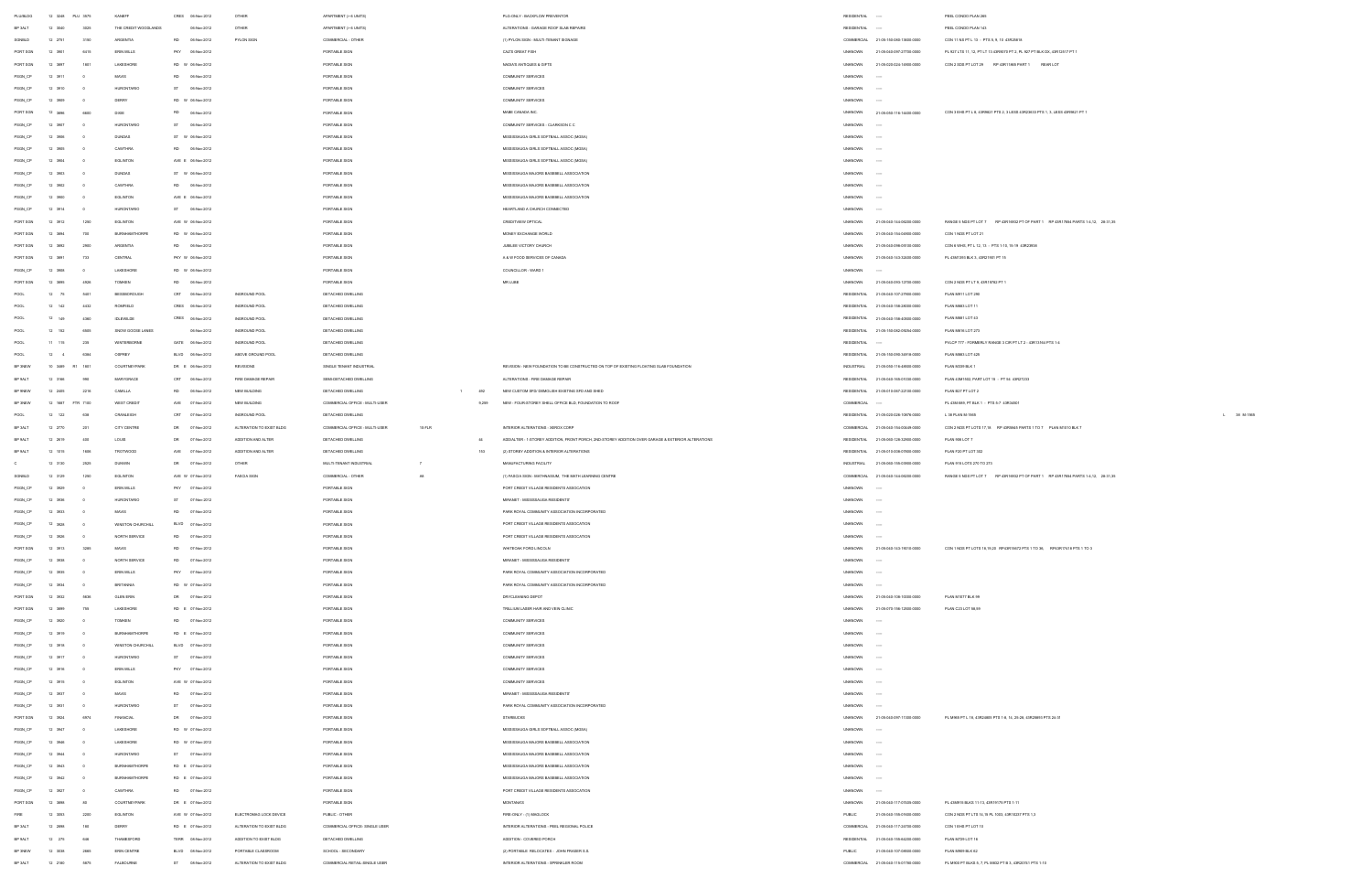| PLU/BLDG                      | 12 3248 PLU 3575 |                | KANEFF                          | CRES 06-Nov-2012                   | OTHER                                          | APARTMENT (> 6 UNITS)                               |                |       | PLG-ONLY - BACKFLOW PREVENTOR                                                                      | RESIDENTIAL -----                          |                                                                 | PEEL CONDO PLAN 265                                                              |  |
|-------------------------------|------------------|----------------|---------------------------------|------------------------------------|------------------------------------------------|-----------------------------------------------------|----------------|-------|----------------------------------------------------------------------------------------------------|--------------------------------------------|-----------------------------------------------------------------|----------------------------------------------------------------------------------|--|
| BP 3ALT                       | 12 3040          | 3025           | THE CREDIT WOODLANDS            | 06-Nov-2012                        | OTHER                                          | APARTMENT (> 6 UNITS)                               |                |       | ALTERATIONS - GARAGE ROOF SLAB REPAIRS                                                             | RESIDENTIAL<br>$\sim$                      |                                                                 | PEEL CONDO PLAN 143                                                              |  |
| SGNBLD                        | 12 2751          | 3150           | <b>ARGENTIA</b>                 | RD 06-Nov-2012                     | PYLON SIGN                                     | COMMERCIAL - OTHER                                  |                |       | (1) PYLON SIGN - MULTI-TENANT SIGNAGE                                                              |                                            | COMMERCIAL 21-05-150-080-13600-0000                             | CON 11 NS PT L 13 - PTS 5, 9, 10 43R25818                                        |  |
|                               |                  |                |                                 |                                    |                                                |                                                     |                |       |                                                                                                    |                                            |                                                                 |                                                                                  |  |
| PORT SGN                      | 12 3901          | 6415           | <b>ERIN MILLS</b>               | PKY 06-Nov-2012                    |                                                | PORTABLE SIGN                                       |                |       | CAZ'S GREAT FISH                                                                                   | <b>UNKNOWN</b>                             | 21-05-040-097-27700-0000                                        | PL 927 LTS 11, 12, PT LT 13 43R9070 PT 2, PL 927 PT BLK DX, 43R12517 PT 1        |  |
| PORT SGN                      | 12 3897          | 1801           | LAKESHORE                       | RD W 06-Nov-2012                   |                                                | PORTABLE SIGN                                       |                |       | NADIA'S ANTIQUES & GIFTS                                                                           | <b>UNKNOWN</b>                             | 21-05-020-024-14900-0000                                        | CON 2 SDS PT LOT 29 RP 43R11865 PART 1 REAR LOT                                  |  |
| PSGN_CP                       | 12 3911          |                | MAVIS                           | RD 06-Nov-2012                     |                                                | PORTABLE SIGN                                       |                |       | <b>COMMUNITY SERVICES</b>                                                                          | <b>UNKNOWN</b><br>$\overline{\phantom{a}}$ |                                                                 |                                                                                  |  |
| PSGN_CP                       | 12 3910          |                | <b>HURONTARIO</b>               | ST 06-Nov-2012                     |                                                | PORTABLE SIGN                                       |                |       | <b>COMMUNITY SERVICES</b>                                                                          | <b>UNKNOWN</b><br>$\overline{\phantom{a}}$ |                                                                 |                                                                                  |  |
|                               |                  |                |                                 |                                    |                                                |                                                     |                |       |                                                                                                    |                                            |                                                                 |                                                                                  |  |
| PSGN_CP                       | 12 3909          |                | DERRY                           | RD W 06-Nov-2012                   |                                                | PORTABLE SIGN                                       |                |       | <b>COMMUNITY SERVICES</b>                                                                          | <b>UNKNOWN</b><br>$\sim$                   |                                                                 |                                                                                  |  |
| PORT SGN                      | 12 3896          | 6600           | DIXIE                           | RD 06-Nov-2012                     |                                                | PORTABLE SIGN                                       |                |       | MABE CANADA INC.                                                                                   | <b>UNKNOWN</b>                             | 21-05-050-116-14400-0000                                        | CON 3 EHS PT L 8, 43R9821 PTS 2, 3 LESS 43R23633 PTS 1, 3, LESS 43R9821 PT 1     |  |
| PSGN_CP                       | 12 3907          |                | <b>HURONTARIO</b>               | ST 06-Nov-2012                     |                                                | PORTABLE SIGN                                       |                |       | COMMUNITY SERVICES - CLARKSON C C                                                                  | <b>UNKNOWN</b>                             |                                                                 |                                                                                  |  |
|                               |                  |                |                                 |                                    |                                                |                                                     |                |       |                                                                                                    |                                            |                                                                 |                                                                                  |  |
| PSGN_CP                       | 12 3906          |                | DUNDAS                          | ST W 06-Nov-2012                   |                                                | PORTABLE SIGN                                       |                |       | MISSISSAUGA GIRLS SOFTBALL ASSOC (MGSA)                                                            | <b>UNKNOWN</b><br>$\sim$                   |                                                                 |                                                                                  |  |
| PSGN_CP                       | 12 3905          |                | CAWTHRA                         | RD 06-Nov-2012                     |                                                | PORTABLE SIGN                                       |                |       | MISSISSAUGA GIRLS SOFTBALL ASSOC (MGSA)                                                            | <b>UNKNOWN</b><br>$\sim$                   |                                                                 |                                                                                  |  |
| PSGN_CP                       | 12 3904          |                | <b>EGLINTON</b>                 | AVE E 06-Nov-2012                  |                                                | PORTABLE SIGN                                       |                |       | MISSISSAUGA GIRLS SOFTBALL ASSOC (MGSA)                                                            | <b>UNKNOWN</b><br>$\sim$                   |                                                                 |                                                                                  |  |
| PSGN_CP                       | 12 3903          |                | DUNDAS                          | ST W 06-Nov-2012                   |                                                | PORTABLE SIGN                                       |                |       | MISSISSAUGA MAJORS BASEBELL ASSOCIATION                                                            | <b>UNKNOWN</b>                             |                                                                 |                                                                                  |  |
|                               |                  |                |                                 |                                    |                                                |                                                     |                |       |                                                                                                    |                                            |                                                                 |                                                                                  |  |
| PSGN_CP                       | 12 3902          |                | CAWTHRA                         | RD 06-Nov-2012                     |                                                | PORTABLE SIGN                                       |                |       | MISSISSAUGA MAJORS BASEBELL ASSOCIATION                                                            | <b>UNKNOWN</b><br>$\sim$                   |                                                                 |                                                                                  |  |
| PSGN_CP                       | 12 3900          |                | <b>EGLINTON</b>                 | AVE E 06-Nov-2012                  |                                                | PORTABLE SIGN                                       |                |       | MISSISSAUGA MAJORS BASEBELL ASSOCIATION                                                            | <b>UNKNOWN</b><br>$\sim$                   |                                                                 |                                                                                  |  |
| PSGN_CP                       | 12 3914          |                | <b>HURONTARIO</b>               | ST 06-Nov-2012                     |                                                | PORTABLE SIGN                                       |                |       | HEARTLAND A CHURCH CONNECTED                                                                       | <b>UNKNOWN</b><br>$\sim$                   |                                                                 |                                                                                  |  |
| PORT SGN                      | 12 3912          | 1250           | <b>EGLINTON</b>                 | AVE W 06-Nov-2012                  |                                                | PORTABLE SIGN                                       |                |       | CREDITVIEW OPTICAL                                                                                 | <b>UNKNOWN</b>                             | 21-05-040-144-06200-0000                                        | RANGE 5 NDS PT LOT 7 RP 43R16932 PT OF PART 1 RP 43R17654 PARTS 1-4,12, 28-31,35 |  |
|                               |                  |                |                                 |                                    |                                                |                                                     |                |       |                                                                                                    |                                            |                                                                 |                                                                                  |  |
| PORT SGN                      | 12 3894          | 700            | <b>BURNHAMTHORPE</b>            | RD W 06-Nov-2012                   |                                                | PORTABLE SIGN                                       |                |       | MONEY EXCHANGE WORLD                                                                               | <b>UNKNOWN</b>                             | 21-05-040-154-04900-0000                                        | CON 1 NDS PT LOT 21                                                              |  |
| PORT SGN                      | 12 3892          | 2900           | ARGENTIA                        | RD 06-Nov-2012                     |                                                | PORTABLE SIGN                                       |                |       | JUBILEE VICTORY CHURCH                                                                             | <b>UNKNOWN</b>                             | 21-05-040-098-05100-0000                                        | CON 6 WHS, PT L 12, 13 - PTS 1-10, 15-19 43R23938                                |  |
| PORT SGN                      | 12 3891          | 733            | CENTRAL                         | PKY W 06-Nov-2012                  |                                                | PORTABLE SIGN                                       |                |       | A & W FOOD SERVICES OF CANADA                                                                      | <b>UNKNOWN</b>                             | 21-05-040-143-32400-0000                                        | PL 43M1393 BLK 3, 43R21901 PT 15                                                 |  |
|                               |                  |                |                                 |                                    |                                                |                                                     |                |       | COUNCILLOR - WARD 1                                                                                |                                            |                                                                 |                                                                                  |  |
| PSGN CP                       | 12 3908          |                | LAKESHORE                       | RD W 06-Nov-2012                   |                                                | PORTABLE SIGN                                       |                |       |                                                                                                    | <b>UNKNOWN</b><br>$\overline{\phantom{a}}$ |                                                                 |                                                                                  |  |
| PORT SGN                      | 12 3895          | 4926           | <b>TOMKEN</b>                   | RD 06-Nov-2012                     |                                                | PORTABLE SIGN                                       |                |       | MR LUBE                                                                                            | <b>UNKNOWN</b>                             | 21-05-040-093-12700-0000                                        | CON 2 NDS PT LT 9, 43R15782 PT 1                                                 |  |
| POOL                          | 12               | 5401           | <b>BESSBOROUGH</b>              | CRT 06-Nov-2012                    | INGROUND POOL                                  | DETACHED DWELLING                                   |                |       |                                                                                                    | RESIDENTIAL                                | 21-05-040-107-27900-0000                                        | PLAN M911 LOT 290                                                                |  |
| POOL                          | 12<br>142        | 4432           | ROMFIELD                        | CRES 06-Nov-2012                   | INGROUND POOL                                  | DETACHED DWELLING                                   |                |       |                                                                                                    | <b>RESIDENTIAL</b>                         | 21-05-040-158-28000-0000                                        | PLAN M683 LOT 11                                                                 |  |
|                               |                  |                |                                 |                                    |                                                |                                                     |                |       |                                                                                                    |                                            |                                                                 |                                                                                  |  |
| POOL                          | 12 149           | 4360           | IDLEWILDE                       | CRES 06-Nov-2012                   | INGROUND POOL                                  | DETACHED DWELLING                                   |                |       |                                                                                                    |                                            | RESIDENTIAL 21-05-040-158-40500-0000                            | PLAN M681 LOT 43                                                                 |  |
| POOL                          | 12<br>152        | 6505           | SNOW GOOSE LANES                | 06-Nov-2012                        | INGROUND POOL                                  | DETACHED DWELLING                                   |                |       |                                                                                                    |                                            | RESIDENTIAL 21-05-150-082-09254-0000                            | PLAN M616 LOT 273                                                                |  |
| POOL                          | 11 115           | 235            | <b>WINTERBORNE</b>              | GATE 06-Nov-2012                   | INGROUND POOL                                  | DETACHED DWELLING                                   |                |       |                                                                                                    | RESIDENTIAL<br>$\sim$                      |                                                                 | PVLCP 777 - FORMERLY RANGE 3 CIR PT LT 2 - 43R13164 PTS 1-4                      |  |
|                               |                  |                |                                 |                                    |                                                |                                                     |                |       |                                                                                                    |                                            |                                                                 |                                                                                  |  |
| POOL                          | 12               | 6384           | OSPREY                          | BLVD 06-Nov-2012                   | ABOVE GROUND POOL                              | DETACHED DWELLING                                   |                |       |                                                                                                    | RESIDENTIAL                                | 21-05-150-090-34918-0000                                        | PLAN M883 LOT 425                                                                |  |
| BP 3NEW                       | 10 3489          | 1801           | COURTNEYPARK                    | DR E 06-Nov-2012                   | <b>REVISIONS</b>                               | SINGLE TENANT INDUSTRIAL                            |                |       | REVISION - NEW FOUNDATION TO BE CONSTRUCTED ON TOP OF EXISTING FLOATING SLAB FOUNDATION            | <b>INDUSTRIAL</b>                          | 21-05-050-116-48500-0000                                        | PLAN M339 BLK 1                                                                  |  |
| BP 9ALT                       | 12 3166          | 990            | <b>MARYGRACE</b>                |                                    | FIRE DAMAGE REPAIR                             | SEMI-DETACHED DWELLING                              |                |       | ALTERATIONS - FIRE DAMAGE REPAIR                                                                   |                                            | RESIDENTIAL 21-05-040-165-01030-0000                            | PLAN 43M1502, PART LOT 15 - PT 54 43R27233                                       |  |
| BP 9NEW                       | 12 2405          | 2216           | CAMILLA                         | RD 06-Nov-2012                     | NEW BUILDING                                   | DETACHED DWELLING                                   | $-1$ $ \cdot$  | 492   | NEW CUSTOM SFD/ DEMOLISH EXISTING SFD AND SHED                                                     |                                            | RESIDENTIAL 21-05-010-067-22100-0000                            | PLAN B27 PT LOT 2                                                                |  |
|                               |                  |                |                                 |                                    |                                                |                                                     |                |       |                                                                                                    |                                            |                                                                 |                                                                                  |  |
| BP 3NEW                       | 12 1687          | FTR 7100       | <b>WEST CREDIT</b>              | AVE 07-Nov-2012                    | NEW BUILDING                                   | COMMERCIAL OFFICE - MULTI-USER                      |                | 9,259 | NEW - FOUR-STOREY SHELL OFFICE BLD, FOUNDATION TO ROOF                                             | COMMERCIAL<br>$\sim$                       |                                                                 | PL 43M-589, PT BLK 1 - PTS 5-7 43R34501                                          |  |
| POOL                          | 12<br>122        | 638            | CRANLEIGH                       | CRT 07-Nov-2012                    | INGROUND POOL                                  | DETACHED DWELLING                                   |                |       |                                                                                                    | <b>RESIDENTIAL</b>                         | 21-05-020-026-10876-0000                                        | L 38 PLAN M-1565<br>L 38 M-156                                                   |  |
| BP 3ALT                       | 12 2770          | $20^{\circ}$   | CITY CENTRE                     | DR 07-Nov-2012                     | ALTERATION TO EXIST BLDG                       | COMMERCIAL OFFICE - MULTI-USER                      | 10-FLR         |       | INTERIOR ALTERATIONS - XEROX CORP                                                                  |                                            | COMMERCIAL 21-05-040-154-00449-0000                             | CON 2 NDS PT LOTS 17,18 RP 43R5845 PARTS 1 TO 7 PLAN M1010 BLK 7                 |  |
| BP 9ALT                       | 12 2619          | 400            | LOUIS                           | DR 07-Nov-2012                     | ADDITION AND ALTER                             | DETACHED DWELLING                                   |                | 44    | ADD/ALTER - 1-STOREY ADDITION, FRONT PORCH, 2ND-STOREY ADDITION OVER GARAGE & EXTERIOR ALTERATIONS |                                            | RESIDENTIAL 21-05-060-128-32900-0000                            | PLAN 906 LOT 7                                                                   |  |
|                               |                  |                |                                 |                                    |                                                |                                                     |                |       |                                                                                                    |                                            |                                                                 |                                                                                  |  |
| BP 9ALT                       | 12 1015          | 1606           | TROTWOOD                        | AVE 07-Nov-2012                    | ADDITION AND ALTER                             | DETACHED DWELLING                                   |                | 153   | (2) STOREY ADDITION & INTERIOR ALTERATIONS                                                         |                                            | RESIDENTIAL 21-05-010-008-07800-0000                            | PLAN F20 PT LOT 302                                                              |  |
|                               | 12 3130          | 2525           | <b>DUNWIN</b>                   | DR 07-Nov-2012                     | OTHER                                          | MULTI-TENANT INDUSTRIAL                             | $\overline{7}$ |       | MANUFACTURING FACILITY                                                                             | <b>INDUSTRIAL</b>                          | 21-05-060-155-03900-0000                                        | PLAN 915 LOTS 270 TO 273                                                         |  |
| SGNBLD                        | 12 3129          | 1250           | EGLINTON                        | AVE W 07-Nov-2012                  | <b>FASCIA SIGN</b>                             | COMMERCIAL - OTHER                                  | A8             |       | (1) FASCIA SIGN - MATHNASIUM, THE MATH LEARNING CENTRE                                             | COMMERCIAL                                 | 21-05-040-144-06200-0000                                        | RANGE 5 NDS PT LOT 7 RP 43R16932 PT OF PART 1 RP 43R17654 PARTS 1-4,12, 28-31,35 |  |
|                               |                  |                |                                 |                                    |                                                |                                                     |                |       |                                                                                                    |                                            |                                                                 |                                                                                  |  |
| PSGN_CP                       | 12 3929          |                | ERIN MILLS                      | PKY 07-Nov-2012                    |                                                | PORTABLE SIGN                                       |                |       | PORT CREDIT VILLAGE RESIDENTS ASSOCATION                                                           | <b>UNKNOWN</b>                             |                                                                 |                                                                                  |  |
| PSGN_CP 12 3936               |                  | $\overline{0}$ |                                 |                                    |                                                | PORTABLE SIGN                                       |                |       | MIRANET - MISSISSAUGA RESIDENTS'                                                                   | UNKNOWN -----                              |                                                                 |                                                                                  |  |
| PSGN_CP                       | 12 3933          |                | <b>HURONTARIO</b>               | ST 07-Nov-2012                     |                                                |                                                     |                |       |                                                                                                    | <b>UNKNOWN</b>                             |                                                                 |                                                                                  |  |
| PSGN_CP                       | 12 3928          | $\overline{0}$ | MAVIS                           | RD 07-Nov-2012                     |                                                | PORTABLE SIGN                                       |                |       | PARK ROYAL COMMUNITY ASSOCIATION INCORPORATED                                                      |                                            |                                                                 |                                                                                  |  |
|                               |                  | $\sim$         | WINSTON CHURCHILL               |                                    |                                                |                                                     |                |       | PORT CREDIT VILLAGE RESIDENTS ASSOCATION                                                           | <b>UNKNOWN</b><br>$\sim$                   |                                                                 |                                                                                  |  |
| PSGN_CP                       |                  |                |                                 | BLVD 07-Nov-2012                   |                                                | PORTABLE SIGN                                       |                |       |                                                                                                    |                                            |                                                                 |                                                                                  |  |
| PORT SGN                      | 12 3926          |                | NORTH SERVICE                   | RD 07-Nov-2012                     |                                                | PORTABLE SIGN                                       |                |       | PORT CREDIT VILLAGE RESIDENTS ASSOCATION                                                           | <b>UNKNOWN</b>                             |                                                                 |                                                                                  |  |
|                               | 12 3913          | 3285           | MAVIS                           | RD 07-Nov-2012                     |                                                | PORTABLE SIGN                                       |                |       | WHITEOAK FORD LINCOLN                                                                              | <b>UNKNOWN</b>                             | 21-05-040-143-19010-0000                                        | CON 1 NDS PT LOTS 18,19,20 RP43R15672 PTS 1 TO 36, RP43R17418 PTS 1 TO 3         |  |
|                               | 12 3938          | $\sim$         | NORTH SERVICE                   | RD 07-Nov-2012                     |                                                | PORTABLE SIGN                                       |                |       | MIRANET - MISSISSALIGA RESIDENTS'                                                                  | <b>UNKNOWN</b><br>$\overline{\phantom{a}}$ |                                                                 |                                                                                  |  |
|                               | 12 3935          |                |                                 | PKY 07-Nov-2012                    |                                                | PORTABLE SIGN                                       |                |       |                                                                                                    | <b>UNKNOWN</b><br>$\overline{\phantom{a}}$ |                                                                 |                                                                                  |  |
|                               |                  |                | <b>ERIN MILLS</b>               |                                    |                                                |                                                     |                |       | PARK ROYAL COMMUNITY ASSOCIATION INCORPORATED                                                      |                                            |                                                                 |                                                                                  |  |
| PSGN_CP<br>PSGN_CP<br>PSGN_CP | 12 3934          |                | <b>BRITANNIA</b>                | RD W 07-Nov-2012                   |                                                | PORTABLE SIGN                                       |                |       | PARK ROYAL COMMUNITY ASSOCIATION INCORPORATED                                                      | <b>UNKNOWN</b><br>$\sim$                   |                                                                 |                                                                                  |  |
| PORT SGN                      | 12 3932          | 5636           | <b>GLEN ERIN</b>                | DR 07-Nov-2012                     |                                                | PORTABLE SIGN                                       |                |       | DRYCLEANING DEPOT                                                                                  | <b>UNKNOWN</b>                             | 21-05-040-108-10000-0000                                        | PLAN M1077 BLK 99                                                                |  |
|                               | 12 3899          | 755            | LAKESHORE                       | RD E 07-Nov-2012                   |                                                | PORTABLE SIGN                                       |                |       | TRILLIUM LASER HAIR AND VEIN CLINIC                                                                | <b>UNKNOWN</b>                             | 21-05-070-156-12500-0000                                        | PLAN C23 LOT 58,59                                                               |  |
| PORT SGN                      | 12 3920          |                | <b>TOMKEN</b>                   | RD 07-Nov-2012                     |                                                | PORTABLE SIGN                                       |                |       | <b>COMMUNITY SERVICES</b>                                                                          | <b>UNKNOWN</b><br>$\overline{\phantom{a}}$ |                                                                 |                                                                                  |  |
| PSGN_CP                       |                  |                |                                 |                                    |                                                |                                                     |                |       |                                                                                                    |                                            |                                                                 |                                                                                  |  |
| PSGN_CP                       | 12 3919          |                | <b>BURNHAMTHORPE</b>            | RD E 07-Nov-2012                   |                                                | PORTABLE SIGN                                       |                |       | COMMUNITY SERVICES                                                                                 | <b>UNKNOWN</b><br>$\overline{\phantom{a}}$ |                                                                 |                                                                                  |  |
| PSGN_CP                       | 12 3918          |                | WINSTON CHURCHILL               | BLVD 07-Nov-2012                   |                                                | PORTABLE SIGN                                       |                |       | COMMUNITY SERVICES                                                                                 | <b>UNKNOWN</b><br>$\sim$                   |                                                                 |                                                                                  |  |
| PSGN_CP                       | 12 3917          |                | <b>HURONTARIO</b>               | ST 07-Nov-2012                     |                                                | PORTABLE SIGN                                       |                |       | COMMUNITY SERVICES                                                                                 | <b>UNKNOWN</b>                             |                                                                 |                                                                                  |  |
|                               |                  |                |                                 |                                    |                                                |                                                     |                |       |                                                                                                    |                                            |                                                                 |                                                                                  |  |
| PSGN_CP                       | 12 3916          |                | <b>ERIN MILLS</b>               | PKY 07-Nov-2012                    |                                                | PORTABLE SIGN                                       |                |       | COMMUNITY SERVICES                                                                                 | <b>UNKNOWN</b><br>$\sim$                   |                                                                 |                                                                                  |  |
| PSGN_CP                       | 12 3915          |                | <b>EGLINTON</b>                 | AVE W 07-Nov-2012                  |                                                | PORTABLE SIGN                                       |                |       | <b>COMMUNITY SERVICES</b>                                                                          | <b>UNKNOWN</b><br>$\cdots$                 |                                                                 |                                                                                  |  |
| PSGN_CP                       | 12 3937          |                | MAVIS                           | RD 07-Nov-2012                     |                                                | PORTABLE SIGN                                       |                |       | MIRANET - MISSISSAUGA RESIDENTS'                                                                   | <b>UNKNOWN</b><br>$\sim$                   |                                                                 |                                                                                  |  |
| PSGN_CP                       | 12 3931          | $\Omega$       | <b>HURONTARIO</b>               | ST 07-Nov-2012                     |                                                | PORTABLE SIGN                                       |                |       | PARK ROYAL COMMUNITY ASSOCIATION INCORPORATED                                                      | <b>UNKNOWN</b><br>$\sim$                   |                                                                 |                                                                                  |  |
|                               |                  |                |                                 |                                    |                                                |                                                     |                |       |                                                                                                    |                                            |                                                                 |                                                                                  |  |
| PORT SGN                      | 12 3924          | 6974           | FINANCIAL                       | DR 07-Nov-2012                     |                                                | PORTABLE SIGN                                       |                |       | STARBUCKS                                                                                          | <b>UNKNOWN</b>                             | 21-05-040-097-11300-0000                                        | PL M965 PT L 18, 43R24805 PTS 1-8, 14, 25-28, 43R25893 PTS 24-31                 |  |
|                               | 12 3947          |                | LAKESHORE                       | RD W 07-Nov-2012                   |                                                | PORTABLE SIGN                                       |                |       | MISSISSAUGA GIRLS SOFTBALL ASSOC (MGSA)                                                            | <b>UNKNOWN</b><br>$\sim$                   |                                                                 |                                                                                  |  |
| PSGN_CP<br>PSGN_CP            | 12 3946          |                | LAKESHORE                       | RD W 07-Nov-2012                   |                                                | PORTABLE SIGN                                       |                |       | MISSISSAUGA MAJORS BASEBELL ASSOCIATION                                                            | <b>UNKNOWN</b><br>$\sim$                   |                                                                 |                                                                                  |  |
|                               | 12 3944          |                | <b>HURONTARIO</b>               | ST 07-Nov-2012                     |                                                | PORTABLE SIGN                                       |                |       | MISSISSAUGA MAJORS BASEBELL ASSOCIATION                                                            | <b>UNKNOWN</b><br>$\overline{\phantom{a}}$ |                                                                 |                                                                                  |  |
| PSGN_CP                       |                  |                |                                 |                                    |                                                |                                                     |                |       |                                                                                                    |                                            |                                                                 |                                                                                  |  |
| PSGN_CP                       | 12 3943          |                | <b>BURNHAMTHORPE</b>            | RD E 07-Nov-2012                   |                                                | PORTABLE SIGN                                       |                |       | MISSISSAUGA MAJORS BASEBELL ASSOCIATION                                                            | <b>UNKNOWN</b><br>$\sim$                   |                                                                 |                                                                                  |  |
| PSGN_CP                       | 12 3942          |                | <b>BURNHAMTHORPE</b>            | RD E 07-Nov-2012                   |                                                | PORTABLE SIGN                                       |                |       | MISSISSAUGA MAJORS BASEBELL ASSOCIATION                                                            | <b>UNKNOWN</b>                             |                                                                 |                                                                                  |  |
| PSGN_CP                       | 12 3927          |                | CAWTHRA                         | RD 07-Nov-2012                     |                                                | PORTABLE SIGN                                       |                |       | PORT CREDIT VILLAGE RESIDENTS ASSOCATION                                                           | <b>UNKNOWN</b><br>$\sim$                   |                                                                 |                                                                                  |  |
|                               | 12 3898          | 80             | COURTNEYPARK                    |                                    |                                                |                                                     |                |       | <b>MONTANA'S</b>                                                                                   | <b>UNKNOWN</b>                             | 21-05-040-117-07405-0000                                        |                                                                                  |  |
| PORT SGN                      |                  |                |                                 | DR E 07-Nov-2012                   |                                                | PORTABLE SIGN                                       |                |       |                                                                                                    |                                            |                                                                 | PL 43M915 BLKS 11-13, 43R19175 PTS 1-11                                          |  |
| <b>FIRE</b>                   | 12 3053          | 2200           | <b>EGLINTON</b>                 | AVE W 07-Nov-2012                  | ELECTROMAG LOCK DEVICE                         | PUBLIC - OTHER                                      |                |       | FIRE-ONLY - (1) MAGLOCK                                                                            | PUBLIC                                     | 21-05-040-155-01600-0000                                        | CON 2 NDS PT LTS 14,15 PL 1003, 43R10237 PTS 1,3                                 |  |
| BP 3ALT                       | 12 2898          | 180            | DERRY                           | RD E 07-Nov-2012                   | ALTERATION TO EXIST BLDG                       | COMMERCIAL OFFICE- SINGLE USER                      |                |       | INTERIOR ALTERATIONS - PEEL REGIONAL POLICE                                                        |                                            | COMMERCIAL 21-05-040-117-24700-0000                             | CON 1 EHS PT LOT 10                                                              |  |
| BP 9ALT                       | 12 275           | 646            | THAMESFORD                      |                                    | ADDITION TO EXIST BLDG                         | DETACHED DWELLING                                   |                |       | ADDITION - COVERED PORCH                                                                           | <b>RESIDENTIAL</b>                         | 21-05-040-155-64200-0000                                        | PLAN M729 LOT 16                                                                 |  |
|                               |                  |                |                                 |                                    |                                                |                                                     |                |       |                                                                                                    |                                            |                                                                 |                                                                                  |  |
| BP 3NEW<br>BP 3ALT 12 2180    | 12 3038          | 2665<br>5875   | ERIN CENTRE<br><b>FALBOURNE</b> | BLVD 08-Nov-2012<br>ST 08-Nov-2012 | PORTABLE CLASSROOM<br>ALTERATION TO EXIST BLDG | SCHOOL - SECONDARY<br>COMMERCIAL RETAIL-SINGLE USER |                |       | (2) PORTABLE RELOCATES - JOHN FRASER S.S.<br>INTERIOR ALTERATIONS - SPRINKLER ROOM                 | PUBLIC                                     | 21-05-040-107-08500-0000<br>COMMERCIAL 21-05-040-115-01780-0000 | PLAN M909 BLK 62<br>PL M900 PT BLKS 5, 7, PL M832 PT B 3, 43R20741 PTS 1-10      |  |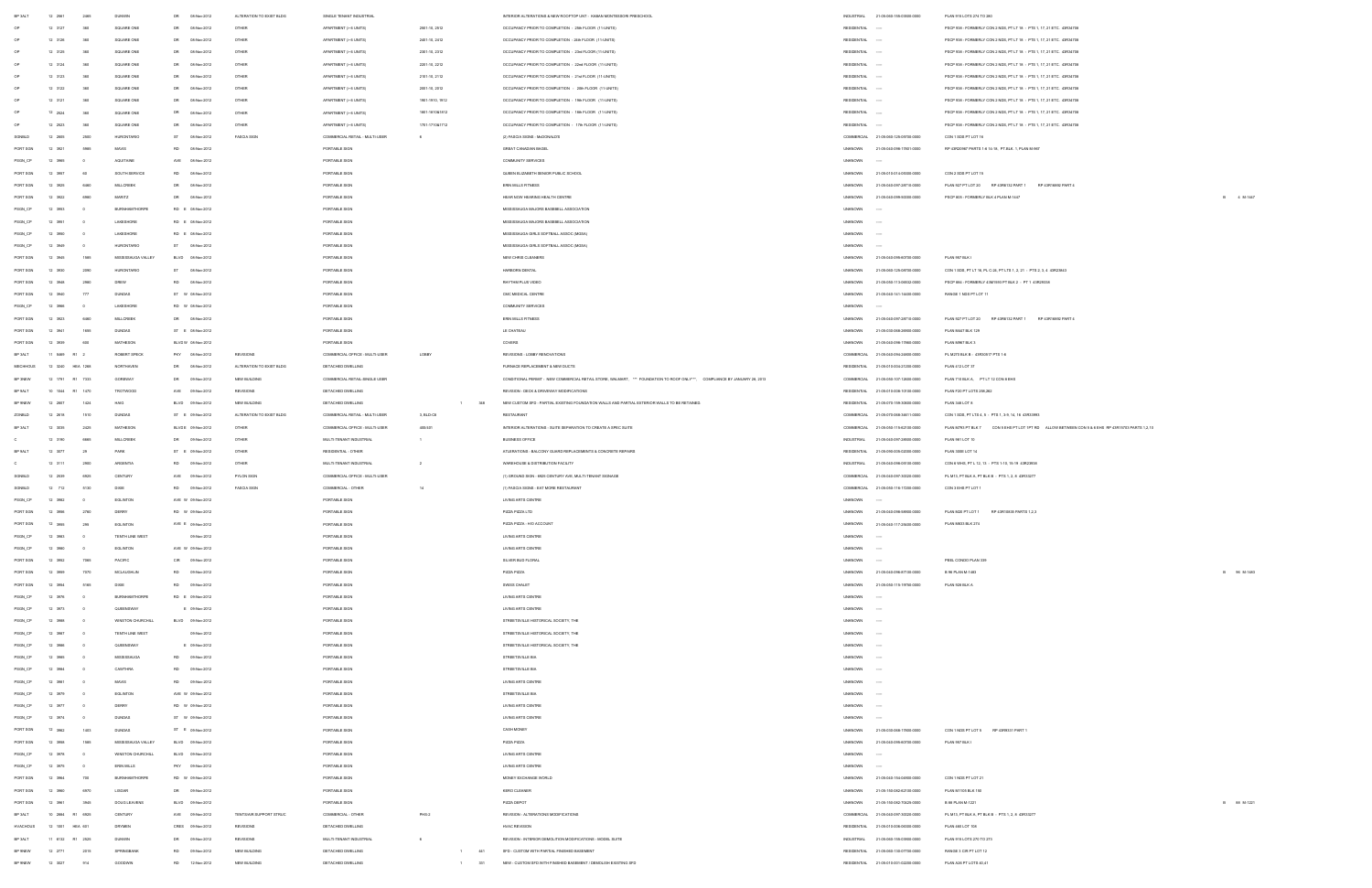| BP 3ALT         | 12 2561 | 2465            | <b>DUNWIN</b>        | 08-Nov-2012<br>DR.             | ALTERATION TO EXIST BLDG | SINGLE TENANT INDUSTRIAL       |                 | INTERIOR ALTERATIONS & NEW ROOFTOP UNT - KABAN MONTESSORI PRESCHOOL                                                       | <b>INDUSTRIAL</b>  | 21-05-060-155-03500-0000             | PLAN 915 LOTS 274 TO 280                                                                        |            |
|-----------------|---------|-----------------|----------------------|--------------------------------|--------------------------|--------------------------------|-----------------|---------------------------------------------------------------------------------------------------------------------------|--------------------|--------------------------------------|-------------------------------------------------------------------------------------------------|------------|
|                 | 12 3127 | 360             | SQUARE ONE           | 08-Nov-2012<br>DR.             | OTHER                    | APARTMENT (> 6 UNITS)          | 2501-10, 2512   | OCCUPANCY PRIOR TO COMPLETION - 25th FLOOR (11-UNITS)                                                                     | RESIDENTIAL        |                                      | PSCP 938 - FORMERLY CON 2 NDS, PT LT 18 - PTS 1, 17, 21 ETC. 43R34708                           |            |
|                 | 12 3126 | 360             | SQUARE ONE           | DR.<br>08-Nov-2012             | OTHER                    | APARTMENT (> 6 UNITS)          | 2401-10, 2412   | OCCUPANCY PRIOR TO COMPLETION - 24th FLOOR (11-UNITS)                                                                     | RESIDENTIAL        | - -                                  | PSCP 938 - FORMERLY CON 2 NDS, PT LT 18 - PTS 1, 17, 21 ETC. 43R34708                           |            |
|                 |         |                 |                      |                                |                          |                                |                 |                                                                                                                           |                    |                                      |                                                                                                 |            |
|                 | 12 3125 | 360             | <b>SQUARE ONE</b>    | DR 08-Nov-2012                 | OTHER                    | APARTMENT (> 6 UNITS)          | 2301-10, 2312   | OCCUPANCY PRIOR TO COMPLETION - 23rd FLOOR (11-UNITS)                                                                     | RESIDENTIAL        | $\sim$                               | PSCP 938 - FORMERLY CON 2 NDS, PT LT 18 - PTS 1, 17, 21 ETC, 43R34708                           |            |
|                 | 12 3124 | 360             | SQUARE ONE           | DR 08-Nov-2012                 | OTHER                    | APARTMENT (> 6 UNITS)          | 2201-10, 2212   | OCCUPANCY PRIOR TO COMPLETION - 22nd FLOOR (11-UNITS)                                                                     | RESIDENTIAL        | $\sim$                               | PSCP 938 - FORMERLY CON 2 NDS, PT LT 18 - PTS 1, 17, 21 ETC. 43R34708                           |            |
|                 | 12 3123 | 360             | SQUARE ONE           | DR 08-Nov-2012                 | OTHER                    | APARTMENT (> 6 UNITS)          | 2101-10, 2112   | OCCUPANCY PRIOR TO COMPLETION - 21st FLOOR (11-UNITS)                                                                     | RESIDENTIAL        |                                      | PSCP 938 - FORMERLY CON 2 NDS, PT LT 18 - PTS 1, 17, 21 ETC. 43R34708                           |            |
|                 | 12 3122 | 360             | SQUARE ONE           | DR.<br>08-Nov-2012             | OTHER                    | APARTMENT (> 6 UNITS)          | 2001-10, 2012   | OCCUPANCY PRIOR TO COMPLETION - 20th FLOOR (11-UNITS)                                                                     | RESIDENTIAL        |                                      | PSCP 938 - FORMERLY CON 2 NDS, PT LT 18 - PTS 1, 17, 21 ETC. 43R34708                           |            |
|                 |         |                 |                      |                                |                          |                                |                 |                                                                                                                           |                    |                                      |                                                                                                 |            |
|                 | 12 3121 | 360             | SQUARE ONE           | DR 08-Nov-2012                 | OTHER                    | APARTMENT (> 6 UNITS)          | 1901-1910, 1912 | OCCUPANCY PRIOR TO COMPLETION - 19th FLOOR (11-UNITS)                                                                     | RESIDENTIAL        | $\sim$                               | PSCP 938 - FORMERLY CON 2 NDS, PT LT 18 - PTS 1, 17, 21 ETC. 43R34708                           |            |
|                 | 12 2524 | 360             | <b>SQUARE ONE</b>    | DR 08-Nov-2012                 | OTHER                    | APARTMENT (> 6 UNITS)          | 1801-1810&1812  | OCCUPANCY PRIOR TO COMPLETION - 18th FLOOR (11-UNITS)                                                                     | RESIDENTIAL        | $\sim$                               | PSCP 938 - FORMERLY CON 2 NDS, PT LT 18 - PTS 1, 17, 21 ETC, 43R34708                           |            |
|                 | 12 2523 | 360             | SQUARE ONE           | DR 08-Nov-2012                 | OTHER                    | APARTMENT (> 6 UNITS)          | 1701-1710&1712  | OCCUPANCY PRIOR TO COMPLETION - 17th FLOOR (11-UNITS)                                                                     | <b>RESIDENTIAL</b> | $\sim$                               | PSCP 938 - FORMERLY CON 2 NDS, PT LT 18 - PTS 1, 17, 21 ETC, 43R34708                           |            |
|                 |         |                 |                      |                                |                          |                                |                 |                                                                                                                           |                    |                                      |                                                                                                 |            |
| SGNBLD          | 12 280  | 2500            | <b>HURONTARIO</b>    | ST <sub>1</sub><br>08-Nov-2012 | <b>FASCIA SIGN</b>       | COMMERCIAL RETAIL - MULTI-USER |                 | (2) FASCIA SIGNS - McDONALD'S                                                                                             | COMMERCIAL         | 21-05-060-125-05700-0000             | CON 1 SDS PT LOT 16                                                                             |            |
| PORT SGN        | 12 3921 | 5985            | MAVIS                | RD 08-Nov-2012                 |                          | PORTABLE SIGN                  |                 | GREAT CANADIAN BAGEL                                                                                                      | <b>UNKNOWN</b>     | 21-05-040-098-17801-0000             | RP 43R20967 PARTS 1-6 14-18, PT.BLK. 1, PLAN M-967                                              |            |
| PSGN CP         | 12 396  |                 | AQUITAINE            | AVE 08-Nov-2012                |                          | PORTABLE SIGN                  |                 | COMMUNITY SERVICES                                                                                                        | <b>UNKNOWN</b>     | $\sim$                               |                                                                                                 |            |
| PORT SGN        | 12 3957 | 60              | SOUTH SERVICE        | RD 08-Nov-2012                 |                          | PORTABLE SIGN                  |                 | QUEEN ELIZABETH SENIOR PUBLIC SCHOOL                                                                                      | <b>UNKNOWN</b>     | 21-05-010-014-05300-0000             | CON 2 SDS PT LOT 15                                                                             |            |
|                 |         |                 |                      |                                |                          |                                |                 |                                                                                                                           |                    |                                      |                                                                                                 |            |
| PORT SGN        | 12 3925 | 6460            | <b>MILLCREEK</b>     | DR 08-Nov-2012                 |                          | PORTABLE SIGN                  |                 | <b>ERIN MILLS FITNESS</b>                                                                                                 | <b>UNKNOWN</b>     | 21-05-040-097-28710-0000             | PLAN 927 PT LOT 20 RP 43R6132 PART 1<br>RP 43R16892 PART 4                                      |            |
| PORT SGN        | 12 3922 | 6980            | MARITZ               | DR 08-Nov-2012                 |                          | PORTABLE SIGN                  |                 | HEAR NOW HEARING HEALTH CENTRE                                                                                            | <b>UNKNOWN</b>     | 21-05-040-099-50000-0000             | PSCP 805 - FORMERLY BLK 4 PLAN M-1447                                                           | B 4 M-144  |
| PSGN_CP         | 12 3953 |                 | <b>BURNHAMTHORPE</b> | RD E 08-Nov-2012               |                          | PORTABLE SIGN                  |                 | MISSISSAUGA MAJORS BASEBELL ASSOCIATION                                                                                   | <b>UNKNOWN</b>     |                                      |                                                                                                 |            |
|                 |         |                 |                      |                                |                          |                                |                 |                                                                                                                           |                    |                                      |                                                                                                 |            |
| PSGN CP         | 12 3951 | $\overline{0}$  | LAKESHORE            | RD E 08-Nov-2012               |                          | PORTABLE SIGN                  |                 | MISSISSAUGA MAJORS BASEBELL ASSOCIATION                                                                                   | <b>UNKNOWN</b>     | $\sim$                               |                                                                                                 |            |
| PSGN_CP         | 12 3950 | $\overline{0}$  | LAKESHORE            | RD E 08-Nov-2012               |                          | PORTABLE SIGN                  |                 | MISSISSAUGA GIRLS SOFTBALL ASSOC (MGSA)                                                                                   | <b>UNKNOWN</b>     | $\overline{\phantom{a}}$             |                                                                                                 |            |
| PSGN_CP         | 12 3949 | $\overline{0}$  | <b>HURONTARIO</b>    | ST 08-Nov-2012                 |                          | PORTABLE SIGN                  |                 | MISSISSAUGA GIRLS SOFTBALL ASSOC (MGSA)                                                                                   | <b>UNKNOWN</b>     | $\overline{\phantom{a}}$             |                                                                                                 |            |
| PORT SGN        | 12 3945 | 1585            | MISSISSAUGA VALLEY   | BLVD 08-Nov-2012               |                          | PORTABLE SIGN                  |                 | NEW CHRIS CLEANERS                                                                                                        | <b>UNKNOWN</b>     | 21-05-040-095-60700-0000             | PLAN 957 BLK I                                                                                  |            |
|                 |         |                 |                      |                                |                          |                                |                 |                                                                                                                           |                    |                                      |                                                                                                 |            |
| PORT SGN        | 12 3930 | 2090            | <b>HURONTARIO</b>    | ST 08-Nov-2012                 |                          | PORTABLE SIGN                  |                 | HARBORN DENTAL                                                                                                            | <b>UNKNOWN</b>     | 21-05-060-125-08700-0000             | CON 1 SDS, PT LT 16, PL C-24, PT LTS 1, 2, 21 - PTS 2, 3, 4 43R23843                            |            |
| PORT SGN        | 12 3948 | 2980            | DREW                 | RD 08-Nov-2012                 |                          | PORTABLE SIGN                  |                 | RHYTHM PLUS VIDEO                                                                                                         | <b>UNKNOWN</b>     | 21-05-050-113-06532-0000             | PSCP 884 - FORMERLY 43M1593 PT BLK 2 - PT 1 43R29338                                            |            |
| PORT SGN        | 12 3940 | 777             | <b>DUNDAS</b>        | ST W 08-Nov-2012               |                          | PORTABLE SIGN                  |                 | CMC MEDICAL CENTRE                                                                                                        | <b>UNKNOWN</b>     | 21-05-040-141-14400-0000             | RANGE 1 NDS PT LOT 11                                                                           |            |
|                 |         |                 |                      |                                |                          |                                |                 |                                                                                                                           |                    |                                      |                                                                                                 |            |
| PSGN_CP         | 12 3966 |                 | LAKESHORE            | RD W 08-Nov-2012               |                          | PORTABLE SIGN                  |                 | <b>COMMUNITY SERVICES</b>                                                                                                 | <b>UNKNOWN</b>     |                                      |                                                                                                 |            |
| PORT SGN        | 12 3923 | 6460            | MILLCREEK            | DR 08-Nov-2012                 |                          | PORTABLE SIGN                  |                 | ERIN MILLS FITNESS                                                                                                        | <b>UNKNOWN</b>     | 21-05-040-097-28710-0000             | PLAN 927 PT LOT 20<br>RP 43R6132 PART 1 RP 43R16892 PART 4                                      |            |
| PORT SGN        | 12 394  | 1655            | <b>DUNDAS</b>        | ST E 08-Nov-2012               |                          | PORTABLE SIGN                  |                 | LE CHATEAU                                                                                                                | <b>UNKNOWN</b>     | 21-05-030-068-26900-0000             | PLAN M447 BLK 129                                                                               |            |
|                 |         |                 |                      |                                |                          |                                |                 |                                                                                                                           |                    |                                      |                                                                                                 |            |
| PORT SGN        | 12 3939 | 600             | MATHESON             | BLVD W 08-Nov-2012             |                          | PORTABLE SIGN                  |                 | COVERS                                                                                                                    | <b>UNKNOWN</b>     | 21-05-040-098-17860-0000             | PLAN M967 BLK 3                                                                                 |            |
| BP 3ALT         | 11 5469 | R1 2            | <b>ROBERT SPECK</b>  | PKY 08-Nov-2012                | <b>REVISIONS</b>         | COMMERCIAL OFFICE - MULTI-USER | LOBBY           | <b>REVISIONS - LOBBY RENOVATIONS</b>                                                                                      |                    | COMMERCIAL 21-05-040-094-24800-0000  | PL M270 BLK B - 43R30517 PTS 1-6                                                                |            |
| MECHHOUS        | 12 3240 | <b>HEA 1268</b> | NORTHAVEN            | DR 08-Nov-2012                 | ALTERATION TO EXIST BLDG | DETACHED DWELLING              |                 | FURNACE REPLACEMENT & NEW DUCTS                                                                                           | <b>RESIDENTIAL</b> | 21-05-010-004-21200-0000             | PLAN 412 LOT 37                                                                                 |            |
| BP 3NEW         | 12 1791 | R1 7333         | GOREWAY              |                                | NEW BUILDING             | COMMERCIAL RETAIL-SINGLE USER  |                 | CONDITIONAL PERMIT - NEW COMMERCIAL RETAIL STORE, WALMART, *** FOUNDATION TO ROOF ONLY***, COMPLIANCE BY JANUARY 28, 2013 | COMMERCIAL         | 21-05-050-107-12600-0000             |                                                                                                 |            |
|                 |         |                 |                      | DR 09-Nov-2012                 |                          |                                |                 |                                                                                                                           |                    |                                      | PLAN 710 BLK A, PT LT 12 CON 8 EHS                                                              |            |
| BP 9ALT         | 10 1044 | R1 1470         | TROTWOOD             | AVE 09-Nov-2012                | <b>REVISIONS</b>         | DETACHED DWELLING              |                 | REVISION - DECK & DRIVEWAY MODIFICATIONS                                                                                  |                    | RESIDENTIAL 21-05-010-008-10100-0000 | PLAN F20 PT LOTS 258,262                                                                        |            |
| BP 9NEW         | 12 2807 | 1424            | <b>HAIG</b>          | BLVD 09-Nov-2012               | NEW BUILDING             | DETACHED DWELLING              | 1 348           | NEW CUSTOM SFD - PARTIAL EXISTING FOUNDATION WALLS AND PARTIAL EXTERIOR WALLS TO BE RETAINED.                             |                    | RESIDENTIAL 21-05-070-159-30600-0000 | PLAN 348 LOT 8                                                                                  |            |
| ZONBLD          | 12 2618 | 1510            | DUNDAS               | ST E 09-Nov-2012               | ALTERATION TO EXIST BLDG | COMMERCIAL RETAIL - MULTI-USER | 3, BLD-C6       | RESTAURANT                                                                                                                |                    | COMMERCIAL 21-05-070-068-34611-0000  | CON 1 SDS, PT LTS 4, 5 - PTS 1, 3-9, 14, 16 43R33993                                            |            |
|                 |         |                 |                      |                                |                          |                                |                 |                                                                                                                           |                    |                                      |                                                                                                 |            |
| BP 3ALT         | 12 3035 | 2425            | <b>MATHESON</b>      | BLVD E 09-Nov-2012             | OTHER                    | COMMERCIAL OFFICE - MULTI-USER | 400/401         | INTERIOR ALTERATIONS - SUITE SEPARATION TO CREATE A SPEC SUITE                                                            | COMMERCIAL         | 21-05-050-115-62100-0000             | PLAN M793 PT BLK 7 CON 5 EHS PT LOT 1PT RD ALLOW BETWEEN CON 5 & 6 EHS RP 43R15703 PARTS 1,2,10 |            |
|                 | 12 3190 | 6665            | MILLCREEK            | DR 09-Nov-2012                 | OTHER                    | MULTI-TENANT INDUSTRIAL        | $\overline{1}$  | <b>BUSINESS OFFICE</b>                                                                                                    | <b>INDUSTRIAL</b>  | 21-05-040-097-28500-0000             | PLAN 981 LOT 10                                                                                 |            |
| BP 9ALT         | 12 3077 | 29              | PARK                 | ST E 09-Nov-2012               | OTHER                    | RESIDENTIAL - OTHER            |                 | ATLERATIONS - BALCONY GUARD REPLACEMENTS & CONCRETE REPAIRS                                                               | RESIDENTIAL        | 21-05-090-005-02000-0000             | PLAN 300E LOT 14                                                                                |            |
|                 | 12 3111 | 2900            | ARGENTIA             | RD 09-Nov-2012                 | OTHER                    | MULTI-TENANT INDUSTRIAL        |                 | WAREHOUSE & DISTRIBUTION FACILITY                                                                                         | <b>INDUSTRIAL</b>  | 21-05-040-098-05100-0000             | CON 6 WHS, PT L 12, 13 - PTS 1-10, 15-19 43R23938                                               |            |
|                 |         |                 |                      |                                |                          |                                |                 |                                                                                                                           |                    |                                      |                                                                                                 |            |
| SGNBLD          | 12 2539 | 6925            | CENTURY              | AVE 09-Nov-2012                | PYLON SIGN               | COMMERCIAL OFFICE - MULTI-USER |                 | (1) GROUND SIGN - 6925 CENTURY AVE. MULTI-TENANT SIGNAGE                                                                  |                    | COMMERCIAL 21-05-040-097-30020-0000  | PL M13, PT BLK A, PT BLK B - PTS 1, 2, 8 43R33277                                               |            |
| SGNBLD          | 12 712  | 5130            | DIXIE                | RD 09-Nov-2012                 | <b>FASCIA SIGN</b>       | COMMERCIAL - OTHER             |                 | (1) FASCIA SIGNS - EAT MORE RESTAURANT                                                                                    |                    | COMMERCIAL 21-05-050-116-17200-0000  | CON 3 EHS PT LOT 1                                                                              |            |
| PSGN_CP         | 12 3982 |                 | EGLINTON             | AVE W 09-Nov-2012              |                          | PORTABLE SIGN                  |                 | LIVING ARTS CENTRE                                                                                                        | <b>UNKNOWN</b>     | $\sim$                               |                                                                                                 |            |
|                 |         |                 |                      |                                |                          |                                |                 |                                                                                                                           |                    |                                      |                                                                                                 |            |
| PORT SGN        | 12 3956 | 2760            | DERRY                | RD W 09-Nov-2012               |                          | PORTABLE SIGN                  |                 | PIZZA PIZZA LTD                                                                                                           | <b>UNKNOWN</b>     | 21-05-040-098-58900-0000             | PLAN M20 PT LOT 1 RP 43R10835 PARTS 1,2,3                                                       |            |
| PORT SGN        | 12 3955 | 295             | EGLINTON             | AVE E 09-Nov-2012              |                          | PORTABLE SIGN                  |                 | PIZZA PIZZA - H/O ACCOUNT                                                                                                 | <b>UNKNOWN</b>     | 21-05-040-117-25400-0000             | PLAN M633 BLK 274                                                                               |            |
| PSGN CP         | 12 3983 |                 | TENTH LINE WEST      | 09-Nov-2012                    |                          | PORTABLE SIGN                  |                 | LIVING ARTS CENTRE                                                                                                        | <b>UNKNOWN</b>     | $\sim$                               |                                                                                                 |            |
|                 |         |                 |                      |                                |                          |                                |                 |                                                                                                                           | <b>UNKNOWN</b>     | $\sim$                               |                                                                                                 |            |
| PSGN_CP         | 12 3980 | $\overline{0}$  | <b>EGLINTON</b>      | AVE W 09-Nov-2012              |                          | PORTABLE SIGN                  |                 | <b>LIVING ARTS CENTRE</b>                                                                                                 |                    |                                      |                                                                                                 |            |
| PORT SGN        | 12 3952 | 7065            | PACIFIC              | CIR 09-Nov-2012                |                          | PORTABLE SIGN                  |                 | SILVER BUD FLORAL                                                                                                         | <b>UNKNOWN</b>     |                                      | PEEL CONDO PLAN 339                                                                             |            |
| PORT SGN        | 12 3959 | 7070            | MCLAUGHLIN           | RD 09-Nov-2012                 |                          | PORTABLE SIGN                  |                 | PIZZA PIZZA                                                                                                               | <b>UNKNOWN</b>     | 21-05-040-096-87100-0000             | B 96 PLAN M-1483                                                                                | B 96 M-148 |
| PORT SGN        | 12 3954 | 5165            | DIXIE                | RD 09-Nov-2012                 |                          | PORTABLE SIGN                  |                 | SWISS CHALET                                                                                                              | <b>UNKNOWN</b>     | 21-05-050-115-19750-0000             | PLAN 928 BLK A                                                                                  |            |
|                 |         |                 |                      |                                |                          |                                |                 |                                                                                                                           |                    |                                      |                                                                                                 |            |
| PSGN_CP         | 12 3976 |                 | <b>BURNHAMTHORPE</b> | RD E 09-Nov-2012               |                          | PORTABLE SIGN                  |                 | LIVING ARTS CENTRE                                                                                                        | <b>UNKNOWN</b>     | $\sim$                               |                                                                                                 |            |
| PSGN_CP         | 12 3973 | $\sim$          | QUEENSWAY            | E 09-Nov-2012                  |                          | PORTABLE SIGN                  |                 | <b>LIVING ARTS CENTRE</b>                                                                                                 | <b>UNKNOWN</b>     | $\sim$                               |                                                                                                 |            |
| PSGN_CP         | 12 3988 |                 | WINSTON CHURCHILL    | BLVD 09-Nov-2012               |                          | PORTABLE SIGN                  |                 | STREETSVILLE HISTORICAL SOCIETY, THE                                                                                      | <b>UNKNOWN</b>     |                                      |                                                                                                 |            |
| PSGN_CP         | 12 3987 |                 | TENTH LINE WEST      | 09-Nov-2012                    |                          | PORTABLE SIGN                  |                 | STREETSVILLE HISTORICAL SOCIETY, THE                                                                                      | <b>UNKNOWN</b>     |                                      |                                                                                                 |            |
|                 |         |                 |                      |                                |                          |                                |                 |                                                                                                                           |                    |                                      |                                                                                                 |            |
| PSGN_CP         | 12 3986 |                 | QUEENSWAY            | E 09-Nov-2012                  |                          | PORTABLE SIGN                  |                 | STREETSVILLE HISTORICAL SOCIETY, THE                                                                                      | <b>UNKNOWN</b>     | $\sim$                               |                                                                                                 |            |
| PSGN_CP         | 12 3985 | $\sim$          | MISSISSAUGA          | RD 09-Nov-2012                 |                          | PORTABLE SIGN                  |                 | STREETSVILLE BIA                                                                                                          | <b>UNKNOWN</b>     | $\sim$                               |                                                                                                 |            |
| PSGN_CP         | 12 3984 |                 | CAWTHRA              | RD 09-Nov-2012                 |                          | PORTABLE SIGN                  |                 | STREETSVILLE BIA                                                                                                          | <b>UNKNOWN</b>     | $\sim$                               |                                                                                                 |            |
|                 |         |                 |                      |                                |                          |                                |                 |                                                                                                                           |                    |                                      |                                                                                                 |            |
| PSGN_CP         | 12 3981 |                 | MAVIS                | RD 09-Nov-2012                 |                          | PORTABLE SIGN                  |                 | LIVING ARTS CENTRE                                                                                                        | <b>UNKNOWN</b>     | $\sim$                               |                                                                                                 |            |
| PSGN_CP         | 12 3979 |                 | EGLINTON             | AVE W 09-Nov-2012              |                          | PORTABLE SIGN                  |                 | STREETSVILLE BIA                                                                                                          | <b>UNKNOWN</b>     |                                      |                                                                                                 |            |
| PSGN_CP         | 12 3977 |                 | DERRY                | RD W 09-Nov-2012               |                          | PORTABLE SIGN                  |                 | <b>LIVING ARTS CENTRE</b>                                                                                                 | <b>UNKNOWN</b>     | - -                                  |                                                                                                 |            |
|                 |         |                 |                      |                                |                          |                                |                 |                                                                                                                           |                    |                                      |                                                                                                 |            |
| PSGN_CP         |         |                 |                      |                                |                          |                                |                 |                                                                                                                           |                    |                                      |                                                                                                 |            |
| PORT SGN        | 12 3974 |                 | DUNDAS               | ST W 09-Nov-2012               |                          | PORTABLE SIGN                  |                 | LIVING ARTS CENTRE                                                                                                        | <b>UNKNOWN</b>     | $\sim$                               |                                                                                                 |            |
|                 | 12 3962 | 1403            | <b>DUNDAS</b>        | ST E 09-Nov-2012               |                          | PORTABLE SIGN                  |                 | CASH MONEY                                                                                                                | <b>UNKNOWN</b>     | 21-05-030-068-17800-0000             | CON 1 NDS PT LOT 5 RP 43R9331 PART 1                                                            |            |
| PORT SGN        | 12 3958 | 1585            | MISSISSAUGA VALLEY   | BLVD 09-Nov-2012               |                          | PORTABLE SIGN                  |                 | PIZZA PIZZA                                                                                                               | <b>UNKNOWN</b>     | 21-05-040-095-60700-0000             | PLAN 957 BLK I                                                                                  |            |
|                 | 12 3978 |                 |                      | BLVD 09-Nov-2012               |                          |                                |                 | LIVING ARTS CENTRE                                                                                                        | <b>UNKNOWN</b>     |                                      |                                                                                                 |            |
| PSGN_CP         |         |                 | WINSTON CHURCHILL    |                                |                          | PORTABLE SIGN                  |                 |                                                                                                                           |                    |                                      |                                                                                                 |            |
| PSGN_CP         | 12 3975 | $\overline{0}$  | ERIN MILLS           | PKY 09-Nov-2012                |                          | PORTABLE SIGN                  |                 | LIVING ARTS CENTRE                                                                                                        | <b>UNKNOWN</b>     | $\sim$                               |                                                                                                 |            |
| PORT SGN        | 12 3964 | 700             | <b>BURNHAMTHORPE</b> | RD W 09-Nov-2012               |                          | PORTABLE SIGN                  |                 | MONEY EXCHANGE WORLD                                                                                                      | <b>UNKNOWN</b>     | 21-05-040-154-04900-0000             | CON 1 NDS PT LOT 21                                                                             |            |
| PORT SGN        | 12 3960 | 6970            | LISGAR               | DR 09-Nov-2012                 |                          | PORTABLE SIGN                  |                 | KERO CLEANER                                                                                                              | <b>LINKNOWN</b>    | 21-05-150-082-62100-0000             | PLAN M1105 BLK 150                                                                              |            |
|                 |         |                 |                      |                                |                          |                                |                 |                                                                                                                           |                    |                                      |                                                                                                 |            |
| PORT SGN        | 12 3961 | 3945            | <b>DOUG LEAVENS</b>  | BLVD 09-Nov-2012               |                          | PORTABLE SIGN                  |                 | PIZZA DEPOT                                                                                                               | <b>UNKNOWN</b>     | 21-05-150-082-70425-0000             | <b>B 88 PLAN M-1221</b>                                                                         | B 88 M-122 |
| BP 3ALT         | 10 2884 | R1 6925         | CENTURY              | AVE 09-Nov-2012                | TENTS/AIR SUPPORT STRUC  | COMMERCIAL - OTHER             | PHS-2           | REVISION - ALTERATIONS MODIFICATIONS                                                                                      |                    | COMMERCIAL 21-05-040-097-30020-0000  | PL M13, PT BLK A, PT BLK B - PTS 1, 2, 8 43R33277                                               |            |
| <b>HVACHOUS</b> | 12 1001 | HEA 601         | DRYMEN               | CRES 09-Nov-2012               | <b>REVISIONS</b>         | DETACHED DWELLING              |                 | <b>HVAC REVISION</b>                                                                                                      |                    | RESIDENTIAL 21-05-010-006-06300-0000 | PLAN 460 LOT 108                                                                                |            |
|                 | 11 6132 |                 | <b>DUNWIN</b>        |                                | <b>REVISIONS</b>         | MULTI-TENANT INDUSTRIAL        |                 |                                                                                                                           |                    |                                      |                                                                                                 |            |
| BP 3ALT         |         | R1 2525         |                      | DR 09-Nov-2012                 |                          |                                |                 | REVISION - INTERIOR DEMOLITION MODIFICATIONS - MODEL SUITE                                                                |                    | INDUSTRIAL 21-05-060-155-03900-0000  | PLAN 915 LOTS 270 TO 273                                                                        |            |
| BP 9NEW         | 12 2771 | 2015            | SPRINGBANK           | RD 09-Nov-2012                 | NEW BUILDING             | DETACHED DWELLING              | $1 -$<br>441    | SFD - CUSTOM WITH PARTIAL FINISHED BASEMENT                                                                               |                    | RESIDENTIAL 21-05-060-130-07700-0000 | RANGE 3 CIR PT LOT 12                                                                           |            |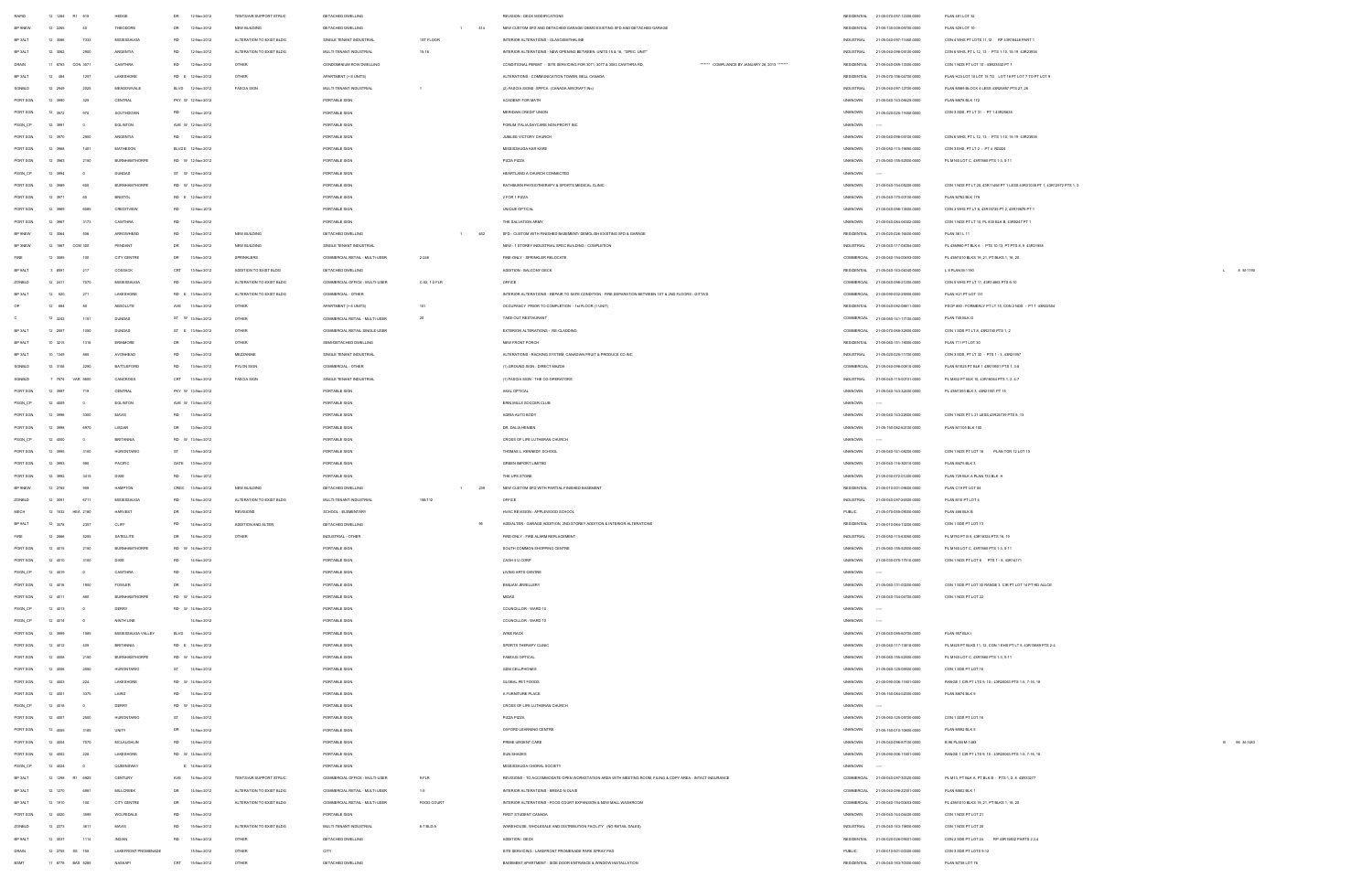| RAPID        | 12 1284           | R1 915     | HEDGE                | DR.<br>12-Nov-2012                | TENTS/AIR SUPPORT STRUC  | DETACHED DWELLING              |               | <b>REVISION - DECK MODIFICATIONS</b>                                                                      |                                                |                    | RESIDENTIAL 21-05-070-057-12300-0000 | PLAN 481 LOT 32                                                         |            |
|--------------|-------------------|------------|----------------------|-----------------------------------|--------------------------|--------------------------------|---------------|-----------------------------------------------------------------------------------------------------------|------------------------------------------------|--------------------|--------------------------------------|-------------------------------------------------------------------------|------------|
| BP 9NEW      | 12 2265           | 40         | THEODORE             | DR 12-Nov-2012                    | NEW BUILDING             | DETACHED DWELLING              | 1 414         | NEW CUSTOM SFD AND DETACHED GARAGE/ DEMO EXISTING SFD AND DETACHED GARAGE                                 |                                                |                    | RESIDENTIAL 21-05-130-009-05700-0000 | PLAN 529 LOT 10                                                         |            |
| BP 3ALT      | 12 3086           | 7333       | MISSISSAUGA          | <b>RD</b><br>12-Nov-2012          | ALTERATION TO EXIST BLDG | SINGLE TENANT INDUSTRIAL       | 1ST FLOOR     | INTERIOR ALTERATIONS - GLAXOSMITHKLINE                                                                    |                                                | INDUSTRIAL         | 21-05-040-097-11460-0000             | CON 4 WHS PT LOTS 11,12 RP 43R16448 PART 1                              |            |
| BP 3ALT      | 12 3062           | 2900       | ARGENTIA             | RD 12-Nov-2012                    | ALTERATION TO EXIST BLDG | MULTI-TENANT INDUSTRIAL        | 15-16         | INTERIOR ALTERATIONS - NEW OPENING BETWEEN UNITS:15 & 16, "SPEC. UNIT"                                    |                                                | <b>INDUSTRIAL</b>  | 21-05-040-098-05100-0000             | CON 6 WHS, PT L 12, 13 - PTS 1-10, 15-19 43R23938                       |            |
| <b>DRAIN</b> | 11 6783           | CON 3071   | CAWTHRA              | RD 12-Nov-2012                    | OTHER                    | CONDOMINIUM ROW DWELLING       |               | CONDITIONAL PERMIT - SITE SERVICING FOR 3071, 3077 & 3083 CAWTHRA RD,                                     | ******* COMPLIANCE BY JANUARY 28, 2013 ******* | RESIDENTIAL        | 21-05-040-089-13300-0000             | CON 1 NDS PT LOT 10 - 43R33532 PT 1                                     |            |
| BP 3ALT      | 12 484            | 1257       | LAKESHORE            | RD E 12-Nov-2012                  | OTHER                    | APARTMENT (> 6 UNITS)          |               | ALTERATIONS - COMMUNICATION TOWER, BELL CANADA                                                            |                                                | <b>RESIDENTIAL</b> | 21-05-070-156-04700-0000             | PLAN H23 LOT 10 LOT 15 TO LOT 18 PT LOT 7 TO PT LOT 9                   |            |
| SGNBLD       | 12 2949           | 2025       | MEADOWVALE           | BLVD 12-Nov-2012                  | <b>FASCIA SIGN</b>       | MULTI-TENANT INDUSTRIAL        |               | (2) FASCIA SIGNS -SPPCA (CANADA AIRCRAFT INC)                                                             |                                                | INDUSTRIAL         | 21-05-040-097-12700-0000             | PLAN M589 BLOCK 4 LESS 43R25857 PTS 27, 28                              |            |
| PORT SGN     | 12 3990           | 325        | CENTRAL              | PKY W 12-Nov-2012                 |                          | PORTABLE SIGN                  |               | ACADEMY FOR MATH                                                                                          |                                                | <b>UNKNOWN</b>     | 21-05-040-143-08425-0000             | PLAN M678 BLK 172                                                       |            |
| PORT SGN     | 12 3972           | 970        | SOUTHDOWN            | RD 12-Nov-2012                    |                          | PORTABLE SIGN                  |               | MERIDIAN CREDIT UNION                                                                                     |                                                | <b>UNKNOWN</b>     | 21-05-020-025-11650-0000             | CON 3 SDS, PT LT 31 - PT 1 43R25635                                     |            |
| PSGN CP      | 12 399            |            | <b>EGLINTON</b>      | AVE W 12-Nov-2012                 |                          | PORTABLE SIGN                  |               | FORUM ITALIA DAYCARE NON-PROFIT INC                                                                       |                                                | <b>UNKNOWN</b>     | $\overline{\phantom{a}}$             |                                                                         |            |
| PORT SGN     | 12 3970           | 2900       | <b>ARGENTIA</b>      | RD 12-Nov-2012                    |                          | PORTABLE SIGN                  |               | JUBILEE VICTORY CHURCH                                                                                    |                                                | <b>UNKNOWN</b>     | 21-05-040-098-05100-0000             | CON 6 WHS, PT L 12, 13 - PTS 1-10, 15-19 43R23938                       |            |
| PORT SGN     | 12 3968           | 1401       | MATHESON             | BLVD E 12-Nov-2012                |                          | PORTABLE SIGN                  |               | MISSISSAUGA KAR KARE                                                                                      |                                                | <b>UNKNOWN</b>     | 21-05-050-115-19890-0000             | CON 3 EHS, PT LT 2 - PT 4 RD224                                         |            |
| PORT SGN     | 12 3963           | 2150       | <b>BURNHAMTHORPE</b> | RD W 12-Nov-2012                  |                          | PORTABLE SIGN                  |               | PIZZA PIZZA                                                                                               |                                                | <b>UNKNOWN</b>     | 21-05-060-155-52500-0000             | PL M160 LOT C, 43R7880 PTS 1-3, 5-11                                    |            |
| PSGN CP      | 12 3994           |            | DUNDAS               | ST W 12-Nov-2012                  |                          | PORTABLE SIGN                  |               | HEARTLAND A CHURCH CONNECTED                                                                              |                                                | <b>UNKNOWN</b>     | $\sim$                               |                                                                         |            |
| PORT SGN     | 12 3989           | 600        | <b>BURNHAMTHORPE</b> | RD W 12-Nov-2012                  |                          | PORTABLE SIGN                  |               | RATHBURN PHYSIOTHERAPY & SPORTS MEDICAL CLINIC                                                            |                                                | <b>UNKNOWN</b>     | 21-05-040-154-05200-0000             | CON 1 NDS PT LT 20, 43R11456 PT 1 LESS 43R31038 PT 1, 43R12972 PTS 1, 2 |            |
| PORT SGN     | 12 397            | 60         | <b>BRISTOL</b>       | RD E 12-Nov-2012                  |                          | PORTABLE SIGN                  |               | 2 FOR 1 PIZZA                                                                                             |                                                | <b>UNKNOWN</b>     | 21-05-040-170-00100-0000             | PLAN M782 BLK 179                                                       |            |
| PORT SGN     | 12 3969           | 6085       | CREDITVIEW           | RD 12-Nov-2012                    |                          | PORTABLE SIGN                  |               | UNIQUE OPTICAL                                                                                            |                                                | <b>UNKNOWN</b>     | 21-05-040-098-13500-0000             | CON 3 WHS PT LT 6, 43R18735 PT 2, 43R19876 PT 1                         |            |
| PORT SGN     |                   | 3173       | CAWTHRA              | RD 12-Nov-2012                    |                          | PORTABLE SIGN                  |               | THE SALVATION ARMY                                                                                        |                                                | <b>UNKNOWN</b>     | 21-05-040-084-06302-0000             | CON 1 NDS PT LT 10, PL 830 BLK B, 43R5247 PT 1                          |            |
| BP 9NEW      | 12 306            | 506        | ARROWHEAD            | RD 12-Nov-2012                    | NEW BUILDING             | DETACHED DWELLING              | $1$ 452       | SFD - CUSTOM WITH FINISHED BASEMENT/ DEMOLISH EXISTING SFD & GARAGE                                       |                                                | RESIDENTIAL        | 21-05-020-026-16400-0000             | PLAN 361 L 11                                                           |            |
| BP 3NEW      | 12 1867           | COM 300    | PENDANT              | DR 13-Nov-2012                    | NEW BUILDING             | SINGLE TENANT INDUSTRIAL       |               | NEW - 1 STOREY INDUSTRIAL SPEC BUILDING - COMPLETION                                                      |                                                | <b>INDUSTRIAL</b>  | 21-05-040-117-04054-0000             | PL 43M980 PT BLK 6 - PTS 10-13, PT PTS 8, 9 43R31958                    |            |
| <b>FIRE</b>  |                   |            | CITY CENTRE          |                                   | SPRINKLERS               | COMMERCIAL RETAIL - MULTI-USER | $2 - 246$     | FIRE-ONLY - SPRINKLER RELOCATE                                                                            |                                                |                    | COMMERCIAL 21-05-040-154-00453-0000  | PL 43M1010 BLKS 19, 21, PT BLKS 1, 16, 20                               |            |
| BP 9ALT      | 12 3085<br>3 6591 | 100<br>217 | COSSACK              | DR 13-Nov-2012<br>CRT 13-Nov-2012 | ADDITION TO EXIST BLDG   | DETACHED DWELLING              |               | ADDITION - BALCONY DECK                                                                                   |                                                |                    | RESIDENTIAL 21-05-040-143-04040-0000 | L 8 PLAN M-1190                                                         |            |
|              |                   |            |                      |                                   |                          |                                |               |                                                                                                           |                                                |                    |                                      |                                                                         | L 8 M-119  |
| ZONBLD       | 12 241            | 7070       | MISSISSAUGA          | RD  13-Nov-2012                   | ALTERATION TO EXIST BLDG | COMMERCIAL OFFICE - MULTI-USER | C-02, 1-2 FLR | OFFICE                                                                                                    |                                                |                    | COMMERCIAL 21-05-040-098-21200-0000  | CON 5 WHS PT LT 11, 43R14863 PTS 6-10                                   |            |
| BP 3ALT      | 920               | 271        | LAKESHORE            | RD E 13-Nov-2012                  | ALTERATION TO EXIST BLDG | COMMERCIAL - OTHER             |               | INTERIOR ALTERATIONS - REPAIR TO SAFE CONDITION - FIRE SEPARATION BETWEEN 1ST & 2ND FLOORS - GITTA'S      |                                                |                    | COMMERCIAL 21-05-090-002-25900-0000  | PLAN H21 PT LOT 131                                                     |            |
|              | 12 884            | BD         | ABSOLUTE             | AVE 13-Nov-2012                   | OTHER                    | APARTMENT (> 6 UNITS)          | 101           | OCCUPANCY PRIOR TO COMPLETION - 1st FLOOR (1 UNIT)                                                        |                                                |                    | RESIDENTIAL 21-05-040-092-08811-0000 | PSCP 850 - FORMERLY PT LT 15, CON 2 NDS - PT 1 43R32504                 |            |
|              | 12 3242           | 1151       | <b>DUNDAS</b>        | ST W 13-Nov-2012                  | OTHER                    | COMMERCIAL RETAIL - MULTI-USER | 20            | TAKE-OUT RESTAURANT                                                                                       |                                                |                    | COMMERCIAL 21-05-060-141-17100-0000  | PLAN 745 BLK G                                                          |            |
| BP 3ALT      | 12 2557           | 1050       | <b>DUNDAS</b>        | ST E 13-Nov-2012                  | OTHER                    | COMMERCIAL RETAIL-SINGLE USER  |               | EXTERIOR ALTERATIONS - RE-CLADDING                                                                        |                                                |                    | COMMERCIAL 21-05-070-068-32800-0000  | CON 1 SDS PT LT 8, 43R2740 PTS 1, 2                                     |            |
| BP 9ALT      | 10 3215           | 1316       | ERINMORE             | DR 13-Nov-2012                    | OTHER                    | SEMI-DETACHED DWELLING         |               | NEW FRONT PORCH                                                                                           |                                                | RESIDENTIAL        | 21-05-060-151-19000-0000             | PLAN 711 PT LOT 30                                                      |            |
| BP 3ALT      | 10 1349           | 885        | AVONHEAD             | RD 13-Nov-2012                    | MEZZANINE                | SINGLE TENANT INDUSTRIAL       |               | ALTERATIONS - RACKING SYSTEM, CANADIAN FRUIT & PRODUCE CO INC                                             |                                                | INDUSTRIAL         | 21-05-020-025-11700-0000             | CON 3 SDS, PT LT 32 - PTS 1 - 3, 43R21957                               |            |
| SGNBLD       | 12 3106           | 2290       | BATTLEFORD           | RD 13-Nov-2012                    | PYLON SIGN               | COMMERCIAL - OTHER             |               | (1) GROUND SIGN - DIRECT MAZDA                                                                            |                                                | COMMERCIAL         | 21-05-040-098-00810-0000             | PLAN M1025 PT BLK 1 43R19501 PTS 1, 3-8                                 |            |
| SGNBLD       | 7 7874            | VAR 5600   | CANCROSS             | CRT 13-Nov-2012                   | <b>FASCIA SIGN</b>       | SINGLE TENANT INDUSTRIAL       |               | (1) FASCIA SIGN - THE CO-OPERATORS                                                                        |                                                | <b>INDUSTRIAL</b>  | 21-05-040-115-00101-0000             | PL M832 PT BLK 10, 43R16064 PTS 1, 2, 4-7                               |            |
| PORT SGN     | 12 3997           | 719        | CENTRAL              | PKY W 13-Nov-2012                 |                          | PORTABLE SIGN                  |               | AKAL OPTICAL                                                                                              |                                                | <b>UNKNOWN</b>     | 21-05-040-143-32400-0000             | PL 43M1393 BLK 3, 43R21901 PT 15                                        |            |
| PSGN_CP      | 12 4009           |            | EGLINTON             | AVE W 13-Nov-2012                 |                          | PORTABLE SIGN                  |               | ERIN MILLS SOCCER CLUB                                                                                    |                                                | <b>UNKNOWN</b>     |                                      |                                                                         |            |
| PORT SGN     | 12 399            | 3300       | MAVIS                | RD 13-Nov-2012                    |                          | PORTABLE SIGN                  |               | ADRIA AUTO BODY                                                                                           |                                                | <b>UNKNOWN</b>     | 21-05-040-143-22600-0000             | CON 1 NDS PT L 21 LESS 43R24739 PTS 8, 13                               |            |
| PORT SGN     | 12 3998           | 6970       | LISGAR               | DR 13-Nov-2012                    |                          | PORTABLE SIGN                  |               | DR. DALIA HENIEN                                                                                          |                                                | <b>UNKNOWN</b>     | 21-05-150-082-62100-0000             | PLAN M1105 BLK 150                                                      |            |
| PSGN_CP      | 12 4000           | $\sim$     | <b>BRITANNIA</b>     | RD W 13-Nov-2012                  |                          | PORTABLE SIGN                  |               | CROSS OF LIFE LUTHERAN CHURCH                                                                             |                                                | <b>UNKNOWN</b>     |                                      |                                                                         |            |
| PORT SGN     | 12 3995           | 3100       | HURONTARIO           | ST 13-Nov-2012                    |                          | PORTABLE SIGN                  |               | THOMAS L. KENNEDY SCHOOL                                                                                  |                                                | <b>UNKNOWN</b>     | 21-05-040-141-08200-0000             | CON 1 NDS PT LOT 16 PLAN TOR 12 LOT 10                                  |            |
| PORT SGN     | 12 3993           | 980        | PACIFIC              | GATE 13-Nov-2012                  |                          | PORTABLE SIGN                  |               | <b>GREEN IMPORT LIMITED</b>                                                                               |                                                | <b>UNKNOWN</b>     | 21-05-040-116-30310-0000             | PLAN M475 BLK 3                                                         |            |
| PORT SGN     | 12 3992           | 3415       | DIXIE                | RD 13-Nov-2012                    |                          | PORTABLE SIGN                  |               | THE UPS STORE                                                                                             |                                                | <b>UNKNOWN</b>     | 21-05-030-072-01200-0000             | PLAN 729 BLK A PLAN 733 BLK H                                           |            |
| BP 9NEW      | 12 2785           | 959        | <b>HAMPTON</b>       | CRES 13-Nov-2012                  | NEW BUILDING             | DETACHED DWELLING              | 239<br>1      | NEW CUSTOM SFD WITH PARTIAL FINISHED BASEMENT                                                             |                                                |                    | RESIDENTIAL 21-05-010-001-09600-0000 | PLAN C19 PT LOT 84                                                      |            |
| ZONBLD       | 12 3091           | 6711       | MISSISSAUGA          | RD  14-Nov-2012                   | ALTERATION TO EXIST BLDG | MULTI-TENANT INDUSTRIAL        | 106/112       | OFFICE                                                                                                    |                                                |                    | INDUSTRIAL 21-05-040-097-24500-0000  | PLAN M10 PT LOT 4                                                       |            |
| <b>MECH</b>  | 12 1532 HEA 2180  |            | <b>HARVEST</b>       | DR 14-Nov-2012                    | <b>REVISIONS</b>         | SCHOOL - ELEMENTARY            |               | HVAC REVISION - APPLEWOOD SCHOOL                                                                          |                                                | PUBLIC             | 21-05-070-055-09000-0000             | PLAN 466 BLK B                                                          |            |
| BP 9ALT      | 12 3078           | 2357       | CLIFF                | RD 14-Nov-2012                    | ADDITION AND ALTER       | DETACHED DWELLING              | 95            | ADD/ALTER - GARAGE ADDITION, 2ND-STOREY ADDITION & INTERIOR-ALTERATIONS                                   |                                                |                    | RESIDENTIAL 21-05-010-064-13200-0000 | CON 1 SDS PT LOT 13                                                     |            |
| <b>FIRE</b>  | 12 2866           | 5255       | SATELLITE            | 14-Nov-2012<br>DR.                | OTHER                    | INDUSTRIAL - OTHER             |               | FIRE-ONLY - FIRE ALARM REPLACEMENT                                                                        |                                                | INDUSTRIAL         | 21-05-050-115-63050-0000             | PL M793 PT B 5, 43R18324 PTS 16, 19                                     |            |
| PORT SGN     | 12 4015           | 2150       | <b>BURNHAMTHORPE</b> | RD W 14-Nov-2012                  |                          | PORTABLE SIGN                  |               | SOUTH COMMON SHOPPING CENTRE                                                                              |                                                | <b>UNKNOWN</b>     | 21-05-060-155-52500-0000             | PL M160 LOT C. 43R7880 PTS 1-3, 5-11                                    |            |
| PORT SGN     | 12 4010           | 3100       | DIXIE                | RD  14-Nov-2012                   |                          | PORTABLE SIGN                  |               | CASH 4 U CORP                                                                                             |                                                | <b>UNKNOWN</b>     | 21-05-030-075-17510-0000             | CON 1 NDS PT LOT 6 PTS 1 - 8, 43R14171                                  |            |
| PSGN_CP      | 12 4019           |            | CAWTHRA              | RD  14-Nov-2012                   |                          | PORTABLE SIGN                  |               | <b>LIVING ARTS CENTRE</b>                                                                                 |                                                | <b>UNKNOWN</b>     |                                      |                                                                         |            |
| PORT SGN     | 12 4016           | 1900       | FOWLER               | DR 14-Nov-2012                    |                          | PORTABLE SIGN                  |               | EMILIAN JEWELLERY                                                                                         |                                                | <b>UNKNOWN</b>     | 21-05-060-131-00200-0000             | CON 1 SDS PT LOT 30 RANGE 3 CIR PT LOT 14 PT RD ALLCE                   |            |
| PORT SGN     | 12 4011           | 880        | <b>BURNHAMTHORPE</b> | RD W 14-Nov-2012                  |                          | PORTABLE SIGN                  |               | MIDAS                                                                                                     |                                                | <b>UNKNOWN</b>     | 21-05-040-154-04700-0000             | CON 1 NDS PT LOT 22                                                     |            |
| PSGN CP      | 12 4013           |            | DERRY                | RD W 14-Nov-2012                  |                          | PORTABLE SIGN                  |               | COUNCILLOR - WARD 10                                                                                      |                                                | <b>UNKNOWN</b>     | $\overline{\phantom{a}}$             |                                                                         |            |
| PSGN_CP      | 12 4014           |            | NINTH LINE           | 14-Nov-2012                       |                          | PORTABLE SIGN                  |               | COUNCILLOR - WARD 10                                                                                      |                                                | <b>UNKNOWN</b>     | $\sim$                               |                                                                         |            |
| PORT SGN     | 12 3999           | 1585       | MISSISSAUGA VALLEY   | BLVD 14-Nov-2012                  |                          | PORTABLE SIGN                  |               | WINE RACK                                                                                                 |                                                | <b>UNKNOWN</b>     | 21-05-040-095-60700-0000             | PLAN 957 BLK I                                                          |            |
| PORT SGN     | 12 4012           | 405        | <b>BRITANNIA</b>     | RD E 14-Nov-2012                  |                          | PORTABLE SIGN                  |               | SPORTS THERAPY CLINIC                                                                                     |                                                | <b>UNKNOWN</b>     | 21-05-040-117-13810-0000             | PL M425 PT BLKS 11, 12, CON 1 EHS PT LT 5, 43R13889 PTS 2-4             |            |
| PORT SGN     | 12 4008           | 2150       | <b>BURNHAMTHORPE</b> | RD W 14-Nov-2012                  |                          | PORTABLE SIGN                  |               | FAMOUS OPTICAL                                                                                            |                                                | <b>UNKNOWN</b>     | 21-05-060-155-52500-0000             | PL M160 LOT C, 43R7880 PTS 1-3, 5-11                                    |            |
| PORT SGN     |                   | 2550       | <b>HURONTARIO</b>    | ST 14-Nov-2012                    |                          | PORTABLE SIGN                  |               | <b>GSM CELLPHONES</b>                                                                                     |                                                |                    | 21-05-060-125-05500-0000             | CON 1 SDS PT LOT 16                                                     |            |
|              | 12 4006           |            |                      |                                   |                          |                                |               |                                                                                                           |                                                | <b>UNKNOWN</b>     |                                      |                                                                         |            |
| PORT SGN     | 12 4003           | 224        | LAKESHORE            | RD W 14-Nov-2012                  |                          | PORTABLE SIGN                  |               | <b>GLOBAL PET FOODS</b>                                                                                   |                                                | <b>UNKNOWN</b>     | 21-05-090-006-11801-0000             | RANGE 1 CIR PT LTS 9, 10 - 43R20063 PTS 1-5, 7-16, 18                   |            |
| PORT SGN     | 12 4001           | 3375       | <b>LAIRD</b>         | RD  14-Nov-2012                   |                          | PORTABLE SIGN                  |               | A FURNITURE PLACE                                                                                         |                                                | <b>LINKNOWN</b>    | 21-05-150-084-02000-0000             | PLAN M674 BLK 9                                                         |            |
| PSGN_CP      | 12 4018           |            | DERRY                | RD W 14-Nov-2012                  |                          | PORTABLE SIGN                  |               | CROSS OF LIFE LUTHERAN CHURCH                                                                             |                                                | <b>UNKNOWN</b>     |                                      |                                                                         |            |
| PORT SGN     | 12 4007           | 2500       | <b>HURONTARIO</b>    | ST 14-Nov-2012                    |                          | PORTABLE SIGN                  |               | PIZZA PIZZA                                                                                               |                                                | <b>UNKNOWN</b>     | 21-05-060-125-05700-0000             | CON 1 SDS PT LOT 16                                                     |            |
| PORT SGN     | 12 4005           | 3185       | UNITY                | DR 14-Nov-2012                    |                          | PORTABLE SIGN                  |               | OXFORD LEARNING CENTRE                                                                                    |                                                | <b>UNKNOWN</b>     | 21-05-150-010-10800-0000             | PLAN M592 BLK 5                                                         |            |
| PORT SGN     | 12 4004           | 7070       | MCLAUGHLIN           | RD  14-Nov-2012                   |                          | PORTABLE SIGN                  |               | PRIME URGENT CARE                                                                                         |                                                | <b>LINKNOWN</b>    | 21-05-040-096-87100-0000             | B 96 PLAN M-1483                                                        | B 96 M-148 |
| PORT SGN     | 12 4002           | 228        | LAKESHORE            | RD W 14-Nov-2012                  |                          | PORTABLE SIGN                  |               | SUN SHADES                                                                                                |                                                | <b>UNKNOWN</b>     | 21-05-090-006-11801-0000             | RANGE 1 CIR PT LTS 9, 10 - 43R20063 PTS 1-5, 7-16, 18                   |            |
| PSGN_CP      | 12 4024           |            | QUEENSWAY            | E 14-Nov-2012                     |                          | PORTABLE SIGN                  |               | MISSISSAUGA CHORAL SOCIETY                                                                                |                                                | <b>UNKNOWN</b>     |                                      |                                                                         |            |
| BP 3ALT      | 12 1298           | 6925       | CENTURY              | AVE 14-Nov-2012                   | TENTS/AIR SUPPORT STRUC  | COMMERCIAL OFFICE - MULTI-USER | $9-FLR$       | REVISIONS - TO ACCOMMODATE OPEN WORKSTATION AREA WITH MEETING ROOM, FILING & COPY AREA - INTACT INSURANCE |                                                |                    | COMMERCIAL 21-05-040-097-30020-0000  | PL M13, PT BLK A, PT BLK B - PTS 1, 2, 8 43R33277                       |            |
| BP 3ALT      | 12 1270           | 6981       | MILLCREEK            | DR 14-Nov-2012                    | ALTERATION TO EXIST BLDG | COMMERCIAL RETAIL - MULTI-USER | $1-5$         | INTERIOR ALTERATIONS - BREAD N OLIVE                                                                      |                                                |                    | COMMERCIAL 21-05-040-098-22301-0000  | PLAN M802 BLK 1                                                         |            |
| BP 3ALT      | 12 1910           | 100        | CITY CENTRE          | DR 15-Nov-2012                    | ALTERATION TO EXIST BLDG | COMMERCIAL RETAIL - MULTI-USER | FOOD-COURT    | INTERIOR ALTERATIONS - FOOD COURT EXPANSION & NEW MALL WASHROOM                                           |                                                | COMMERCIAL         | 21-05-040-154-00453-0000             | PL 43M1010 BLKS 19, 21, PT BLKS 1, 16, 20                               |            |
| PORT SGN     | 12 4020           | 3599       | WOLFEDALE            | RD 15-Nov-2012                    |                          | PORTABLE SIGN                  |               | FIRST STUDENT CANADA                                                                                      |                                                | <b>UNKNOWN</b>     | 21-05-040-144-04400-0000             | CON 1 NDS PT LOT 21                                                     |            |
| ZONBLD       | 12 2273           | 3611       | MAVIS                | RD  15-Nov-2012                   | ALTERATION TO EXIST BLDG | MULTI-TENANT INDUSTRIAL        | 6-7 BLD-A     | WAREHOUSE, WHOLESALE AND DISTRIBUTION FACILITY (NO RETAIL SALES)                                          |                                                | <b>INDUSTRIAL</b>  | 21-05-040-143-19800-0000             | CON 1 NDS PT LOT 20                                                     |            |
| BP 9ALT      | 12 3037           | 1114       | <b>INDIAN</b>        | RD 15-Nov-2012                    | OTHER                    | DETACHED DWELLING              |               | ADDITION - DECK                                                                                           |                                                | RESIDENTIAL        | 21-05-020-026-09501-0000             | CON 2 SDS PT LOT 24 RP 43R15602 PARTS 2,3,4                             |            |
| <b>DRAIN</b> | 12 2755           | SS 155     | LAKEFRONT PROMENADE  | 15-Nov-2012                       | OTHER                    | CITY                           |               | SITE SERVICING - LAKEFRONT PROMENADE PARK SPRAY PAD                                                       |                                                | PUBLIC             | 21-05-010-001-00300-0000             | CON 3 SDS PT LOTS 9-12                                                  |            |
| <b>BSMT</b>  | 11 6778 BAS 5285  |            | NASKAPI              | CRT 15-Nov-2012                   | OTHER                    | DETACHED DWELLING              |               | BASEMENT APARTMENT - SIDE DOOR ENTRANCE & WINDOW INSTALLATION                                             |                                                |                    | RESIDENTIAL 21-05-040-163-70300-0000 | PLAN M738 LOT 76                                                        |            |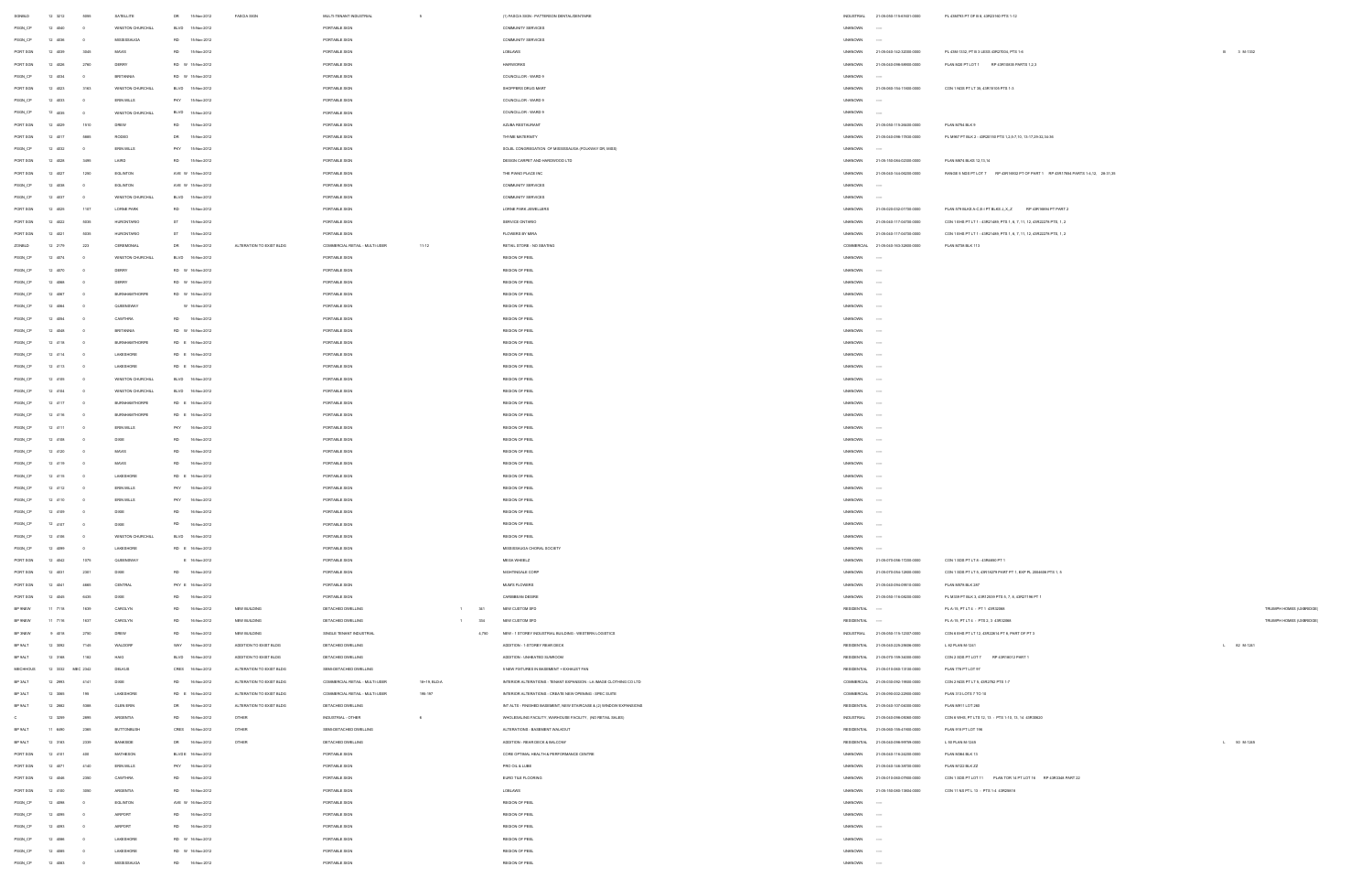| SGNBLD            | 12 3212 | 5055                     | SATELLITE            | DR 15-Nov-2012     | <b>FASCIA SIGN</b>       | MULTI-TENANT INDUSTRIAL        |              |       | (1) FASCIA SIGN - PATTERSON DENTAL/DENTAIRE                         | <b>INDUSTRIAL</b> | 21-05-050-115-61601-0000             | PL 43M793 PT OF B 8, 43R23160 PTS 1-12                                           |            |
|-------------------|---------|--------------------------|----------------------|--------------------|--------------------------|--------------------------------|--------------|-------|---------------------------------------------------------------------|-------------------|--------------------------------------|----------------------------------------------------------------------------------|------------|
| PSGN_CP           | 12 4040 | $\overline{0}$           | WINSTON CHURCHILL    | BLVD 15-Nov-2012   |                          | PORTABLE SIGN                  |              |       | COMMUNITY SERVICES                                                  | <b>UNKNOWN</b>    |                                      |                                                                                  |            |
| PSGN_CP           | 12 4036 | $\overline{0}$           | MISSISSAUGA          | RD  15-Nov-2012    |                          | PORTABLE SIGN                  |              |       | <b>COMMUNITY SERVICES</b>                                           | <b>UNKNOWN</b>    | $\sim$                               |                                                                                  |            |
| PORT SGN          | 12 4039 | 3045                     | MAVIS                | RD 15-Nov-2012     |                          | PORTABLE SIGN                  |              |       | LOBLAWS                                                             | <b>UNKNOWN</b>    | 21-05-040-142-32000-0000             | PL 43M-1332, PT B 3 LESS 43R27004, PTS 1-6                                       | B 3 M-133  |
| PORT SGN          | 12 4026 | 2760                     | DERRY                | RD W 15-Nov-2012   |                          | PORTABLE SIGN                  |              |       | <b>HAIRWORKS</b>                                                    | <b>UNKNOWN</b>    | 21-05-040-098-58900-0000             | PLAN M20 PT LOT 1 RP 43R10835 PARTS 1,2,3                                        |            |
| PSGN_CP           | 12 4034 | $\circ$                  | <b>BRITANNIA</b>     | RD W 15-Nov-2012   |                          | PORTABLE SIGN                  |              |       | COUNCILLOR - WARD 9                                                 | <b>UNKNOWN</b>    |                                      |                                                                                  |            |
| PORT SGN          | 12 4023 | 3163                     | WINSTON CHURCHILL    | BLVD 15-Nov-2012   |                          | PORTABLE SIGN                  |              |       | SHOPPERS DRUG MART                                                  | <b>UNKNOWN</b>    | 21-05-060-154-11800-0000             | CON 1 NDS PT LT 35, 43R15105 PTS 1-3                                             |            |
|                   |         |                          |                      |                    |                          |                                |              |       |                                                                     |                   |                                      |                                                                                  |            |
| PSGN_CP           | 12 4033 | $\overline{0}$           | ERIN MILLS           | PKY 15-Nov-2012    |                          | PORTABLE SIGN                  |              |       | COUNCILLOR - WARD 9                                                 | <b>UNKNOWN</b>    | $\sim$                               |                                                                                  |            |
| PSGN_CP           | 12 4035 | $\overline{0}$           | WINSTON CHURCHILL    | BLVD 15-Nov-2012   |                          | PORTABLE SIGN                  |              |       | COUNCILLOR - WARD 9                                                 | <b>UNKNOWN</b>    | $\sim$                               |                                                                                  |            |
| PORT SGN          | 12 4029 | 1510                     | DREW                 | RD 15-Nov-2012     |                          | PORTABLE SIGN                  |              |       | AZUBA RESTAURANT                                                    | <b>UNKNOWN</b>    | 21-05-050-115-26400-0000             | PLAN M754 BLK 9                                                                  |            |
| PORT SGN          | 12 4017 | 5885                     | RODEO                | DR 15-Nov-2012     |                          | PORTABLE SIGN                  |              |       | THYME MATERNITY                                                     | <b>UNKNOWN</b>    | 21-05-040-098-17830-0000             | PL M967 PT BLK 2 - 43R20150 PTS 1,2,5-7,10, 13-17,29-32,34-36                    |            |
| PSGN_CP           | 12 4032 |                          | <b>ERIN MILLS</b>    | PKY 15-Nov-2012    |                          | PORTABLE SIGN                  |              |       | SOLEL CONGREGATION OF MISSISSAUGA (FOLKWAY DR, MISS)                | <b>UNKNOWN</b>    |                                      |                                                                                  |            |
| PORT SGN          | 12 4028 | 3495                     | LAIRD                | RD  15-Nov-2012    |                          | PORTABLE SIGN                  |              |       | DESIGN CARPET AND HARDWOOD LTD                                      | <b>UNKNOWN</b>    | 21-05-150-084-02300-0000             | PLAN M674 BLKS 12,13,14                                                          |            |
| PORT SGN          | 12 4027 | 1250                     | <b>EGLINTON</b>      | AVE W 15-Nov-2012  |                          | PORTABLE SIGN                  |              |       | THE PIANO PLACE INC                                                 | <b>UNKNOWN</b>    | 21-05-040-144-06200-0000             | RANGE 5 NDS PT LOT 7 RP 43R16932 PT OF PART 1 RP 43R17654 PARTS 1-4.12. 28-31.35 |            |
| PSGN_CP           | 12 4038 | $\sim$                   | <b>EGLINTON</b>      | AVE W 15-Nov-2012  |                          | PORTABLE SIGN                  |              |       | <b>COMMUNITY SERVICES</b>                                           | <b>UNKNOWN</b>    |                                      |                                                                                  |            |
| PSGN_CP           | 12 4037 | $\overline{0}$           | WINSTON CHURCHILL    | BLVD 15-Nov-2012   |                          | PORTABLE SIGN                  |              |       | COMMUNITY SERVICES                                                  | <b>UNKNOWN</b>    |                                      |                                                                                  |            |
|                   |         |                          |                      |                    |                          |                                |              |       |                                                                     |                   |                                      |                                                                                  |            |
| PORT SGN          | 12 4025 | 1107                     | <b>LORNE PARK</b>    | RD  15-Nov-2012    |                          | PORTABLE SIGN                  |              |       | LORNE PARK JEWELLERS                                                | <b>UNKNOWN</b>    | 21-05-020-032-01700-0000             | PLAN 579 BLKS A-C,E-I PT BLKS J,,X,,Z RP 43R16894 PT PART 2                      |            |
| PORT SGN          | 12 4022 | 5035                     | HURONTARIO           | ST 15-Nov-2012     |                          | PORTABLE SIGN                  |              |       | SERVICE ONTARIO                                                     | <b>UNKNOWN</b>    | 21-05-040-117-04700-0000             | CON 1 EHS PT LT 1 - 43R21489, PTS 1, 6, 7, 11, 12, 43R22278 PTS, 1, 2            |            |
| PORT SGN          | 12 4021 | 5035                     | <b>HURONTARIO</b>    | ST 15-Nov-2012     |                          | PORTABLE SIGN                  |              |       | <b>FLOWERS BY MIRA</b>                                              | <b>UNKNOWN</b>    | 21-05-040-117-04700-0000             | CON 1 EHS PT LT 1 - 43R21489, PTS 1, 6, 7, 11, 12, 43R22278 PTS, 1, 2            |            |
| ZONBLD            | 12 2179 | 223                      | CEREMONIAL           | DR 15-Nov-2012     | ALTERATION TO EXIST BLDG | COMMERCIAL RETAIL - MULTI-USER | $11 - 12$    |       | RETAIL STORE - NO SEATING                                           | COMMERCIAL        | 21-05-040-163-32800-0000             | PLAN M738 BLK 113                                                                |            |
| PSGN_CP           | 12 4074 | $\overline{0}$           | WINSTON CHURCHILL    | BLVD 16-Nov-2012   |                          | PORTABLE SIGN                  |              |       | REGION OF PEEL                                                      | <b>UNKNOWN</b>    | $\sim$                               |                                                                                  |            |
| PSGN_CP           | 12 4070 |                          | DERRY                | RD W 16-Nov-2012   |                          | PORTABLE SIGN                  |              |       | REGION OF PEEL                                                      | <b>UNKNOWN</b>    | $\sim$                               |                                                                                  |            |
| PSGN_CP           | 12 4068 | $\overline{0}$           | DERRY                | RD W 16-Nov-2012   |                          | PORTABLE SIGN                  |              |       | REGION OF PEEL                                                      | <b>UNKNOWN</b>    | $\sim$                               |                                                                                  |            |
| PSGN_CP           | 12 4067 | $\sim$                   | <b>BURNHAMTHORPE</b> | RD W 16-Nov-2012   |                          | PORTABLE SIGN                  |              |       | REGION OF PEEL                                                      | <b>UNKNOWN</b>    | $\sim$                               |                                                                                  |            |
| PSGN_CP           | 12 4064 | $\overline{0}$           | QUEENSWAY            | W 16-Nov-2012      |                          | PORTABLE SIGN                  |              |       | REGION OF PEEL                                                      | <b>UNKNOWN</b>    | $\overline{\phantom{a}}$             |                                                                                  |            |
|                   |         |                          |                      |                    |                          |                                |              |       |                                                                     |                   |                                      |                                                                                  |            |
| PSGN_CP           | 12 4054 | $\overline{0}$           | CAWTHRA              | RD  16-Nov-2012    |                          | PORTABLE SIGN                  |              |       | REGION OF PEEL                                                      | <b>UNKNOWN</b>    | $\overline{\phantom{a}}$             |                                                                                  |            |
| PSGN_CP           | 12 4048 | $\overline{\phantom{0}}$ | <b>BRITANNIA</b>     | RD W 16-Nov-2012   |                          | PORTABLE SIGN                  |              |       | REGION OF PEEL                                                      | <b>UNKNOWN</b>    | $\sim$                               |                                                                                  |            |
| PSGN_CP           | 12 4118 | $\overline{0}$           | <b>BURNHAMTHORPE</b> | RD E 16-Nov-2012   |                          | PORTABLE SIGN                  |              |       | REGION OF PEEL                                                      | <b>UNKNOWN</b>    | $\cdots$                             |                                                                                  |            |
| PSGN_CP           | 12 4114 | $\sim$ 0                 | LAKESHORE            | RD E 16-Nov-2012   |                          | PORTABLE SIGN                  |              |       | REGION OF PEEL                                                      | <b>UNKNOWN</b>    | $\sim$                               |                                                                                  |            |
| PSGN_CP           | 12 4113 | $\sim$ 0                 | LAKESHORE            | RD E 16-Nov-2012   |                          | PORTABLE SIGN                  |              |       | <b>REGION OF PEEL</b>                                               | <b>UNKNOWN</b>    | $\sim$                               |                                                                                  |            |
| PSGN_CP           | 12 4105 | $\overline{0}$           | WINSTON CHURCHILL    | BLVD 16-Nov-2012   |                          | PORTABLE SIGN                  |              |       | REGION OF PEEL                                                      | <b>UNKNOWN</b>    | $\sim$                               |                                                                                  |            |
| PSGN_CP           | 12 4104 | $\overline{\phantom{0}}$ | WINSTON CHURCHILL    | BLVD 16-Nov-2012   |                          | PORTABLE SIGN                  |              |       | REGION OF PEEL                                                      | <b>UNKNOWN</b>    | $\sim$                               |                                                                                  |            |
| PSGN_CP           | 12 4117 | $\overline{0}$           | <b>BURNHAMTHORPE</b> | RD E 16-Nov-2012   |                          | PORTABLE SIGN                  |              |       | REGION OF PEEL                                                      | <b>UNKNOWN</b>    | $\cdots$                             |                                                                                  |            |
| PSGN_CP           | 12 4116 | $\sim$ 0                 | <b>BURNHAMTHORPE</b> | RD E 16-Nov-2012   |                          | PORTABLE SIGN                  |              |       | <b>REGION OF PEEL</b>                                               | <b>UNKNOWN</b>    | $\sim$                               |                                                                                  |            |
|                   | 12 4111 | $\sim$                   | <b>ERIN MILLS</b>    | PKY 16-Nov-2012    |                          | PORTABLE SIGN                  |              |       | REGION OF PEEL                                                      | <b>UNKNOWN</b>    | $\sim$                               |                                                                                  |            |
| PSGN_CP           |         |                          |                      |                    |                          |                                |              |       |                                                                     |                   |                                      |                                                                                  |            |
| PSGN_CP           | 12 4108 | $\overline{0}$           | DIXIE                | RD 16-Nov-2012     |                          | PORTABLE SIGN                  |              |       | REGION OF PEEL                                                      | <b>UNKNOWN</b>    | $\sim$                               |                                                                                  |            |
| PSGN_CP           | 12 4120 |                          | MAVIS                | RD  16-Nov-2012    |                          | PORTABLE SIGN                  |              |       | REGION OF PEEL                                                      | <b>UNKNOWN</b>    | $\sim$                               |                                                                                  |            |
| PSGN_CP           | 12 4119 | $\sim$                   | MAVIS                | RD 16-Nov-2012     |                          | PORTABLE SIGN                  |              |       | REGION OF PEEL                                                      | <b>UNKNOWN</b>    | $\cdots$                             |                                                                                  |            |
| PSGN_CP           | 12 4115 | $\sim$ 0                 | LAKESHORE            | RD E 16-Nov-2012   |                          | PORTABLE SIGN                  |              |       | <b>REGION OF PEEL</b>                                               | <b>UNKNOWN</b>    | $\sim$                               |                                                                                  |            |
| PSGN_CP           | 12 4112 | $\overline{0}$           | <b>ERIN MILLS</b>    | PKY 16-Nov-2012    |                          | PORTABLE SIGN                  |              |       | REGION OF PEEL                                                      | <b>UNKNOWN</b>    | $\sim$                               |                                                                                  |            |
| PSGN_CP           | 12 4110 | $\overline{0}$           | <b>ERIN MILLS</b>    | PKY 16-Nov-2012    |                          | PORTABLE SIGN                  |              |       | REGION OF PEEL                                                      | <b>UNKNOWN</b>    | $\sim$                               |                                                                                  |            |
| PSGN_CP 12 4109 0 |         |                          | DIXIE                | RD 16-Nov-2012     |                          | PORTABLE SIGN                  |              |       | REGION OF PEEL                                                      | <b>UNKNOWN</b>    | $\sim$                               |                                                                                  |            |
| PSGN_CP           | 12 4107 | $\overline{0}$           | DIXIE                | RD 16-Nov-2012     |                          | PORTABLE SIGN                  |              |       | REGION OF PEEL                                                      | <b>UNKNOWN</b>    | $\cdots$                             |                                                                                  |            |
| PSGN_CP           | 12 4106 | $\overline{0}$           | WINSTON CHURCHILL    | BLVD 16-Nov-2012   |                          | PORTABLE SIGN                  |              |       | <b>REGION OF PEEL</b>                                               | <b>UNKNOWN</b>    | $\sim$                               |                                                                                  |            |
|                   |         |                          |                      |                    |                          |                                |              |       | MISSISSAUGA CHORAL SOCIETY                                          |                   |                                      |                                                                                  |            |
| PSGN_CP           | 12 4099 | $\sim$                   | LAKESHORE            | RD E 16-Nov-2012   |                          | PORTABLE SIGN                  |              |       |                                                                     | <b>UNKNOWN</b>    | $\sim$                               |                                                                                  |            |
| PORT SGN          | 12 4042 | 1075                     | QUEENSWAY            | E 16-Nov-2012      |                          | PORTABLE SIGN                  |              |       | MEGA WHEELZ                                                         | <b>UNKNOWN</b>    | 21-05-070-056-17200-0000             | CON 1 SDS PT LT 8 - 43R4650 PT 1                                                 |            |
| PORT SGN          | 12 4031 | 2301                     | DIXIE                | RD 16-Nov-2012     |                          | PORTABLE SIGN                  |              |       | NIGHTINGALE CORP                                                    | <b>UNKNOWN</b>    | 21-05-070-054-12800-0000             | CON 1 SDS PT LT 5, 43R18279 PART PT 1, EXP PL 2004606 PTS 1, 5                   |            |
| PORT SGN          | 12 4041 | 4665                     | CENTRAL              | PKY E 16-Nov-2012  |                          | PORTABLE SIGN                  |              |       | MUM'S FLOWERS                                                       | <b>UNKNOWN</b>    | 21-05-040-094-09510-0000             | PLAN M578 BLK 287                                                                |            |
| PORT SGN          | 12 4045 | 6435                     | DIXIE                | RD 16-Nov-2012     |                          | PORTABLE SIGN                  |              |       | CARIBBEAN DESIRE                                                    | <b>UNKNOWN</b>    | 21-05-050-116-08200-0000             | PL M339 PT BLK 3, 43R12539 PTS 5, 7, 8, 43R27196 PT 1                            |            |
| BP 9NEW           | 11 7118 | 1639                     | CAROLYN              | RD 16-Nov-2012     | NEW BUILDING             | DETACHED DWELLING              | $\sim$ 1     | 341   | NEW CUSTOM SFD                                                      | RESIDENTIAL       | $\sim$                               | PL A-15, PT LT 4 - PT 1 43R32068                                                 |            |
| BP 9NEW           | 11 7116 | 1637                     | CAROLYN              | RD  16-Nov-2012    | NEW BUILDING             | DETACHED DWELLING              | $-1$         | 334   | NEW CUSTOM SFD                                                      | RESIDENTIAL       |                                      | PL A-15, PT LT 4 - PTS 2, 3 43R32068                                             |            |
| BP 3NEW           | 9 4018  | 2750                     | DREW                 | RD  16-Nov-2012    | NEW BUILDING             | SINGLE TENANT INDUSTRIAL       |              | 4,750 | NEW - 1 STOREY INDUSTRIAL BUILDING - WESTERN LOGISTICS              | <b>INDUSTRIAL</b> | 21-05-050-115-12307-0000             | CON 6 EHS PT LT 12, 43R22614 PT 8, PART OF PT 3                                  |            |
| BP 9ALT           | 12 3092 | 7145                     | WALDORF              | WAY 16-Nov-2012    | ADDITION TO EXIST BLDG   | DETACHED DWELLING              |              |       | ADDITION - 1-STOREY REAR DECK                                       |                   | RESIDENTIAL 21-05-040-225-25606-0000 | L 82 PLAN M-1241                                                                 | L 82 M-124 |
| BP 9ALT           | 12 3168 | 1182                     | <b>HAIG</b>          | BLVD 16-Nov-2012   | ADDITION TO EXIST BLDG   | DETACHED DWELLING              |              |       | ADDITION - UNHEATED SUNROOM                                         |                   | RESIDENTIAL 21-05-070-159-34000-0000 | CON 2 SDS PT LOT 7 RP 43R18012 PART 1                                            |            |
|                   |         |                          |                      |                    |                          |                                |              |       |                                                                     |                   |                                      |                                                                                  |            |
| <b>MECHHOUS</b>   | 12 3332 | MEC 2342                 | DELKUS               | CRES 16-Nov-2012   | ALTERATION TO EXIST BLDG | SEMI-DETACHED DWELLING         |              |       | 5 NEW FIXTURES IN BASEMENT + EXHAUST FAN                            |                   | RESIDENTIAL 21-05-010-060-13100-0000 | PLAN 778 PT LOT 97                                                               |            |
| BP 3ALT           | 12 299  | 4141                     | DIXIE                | RD  16-Nov-2012    | ALTERATION TO EXIST BLDG | COMMERCIAL RETAIL - MULTI-USER | 18+19, BLD-A |       | INTERIOR ALTERATIONS - TENANT EXPANSION - LA IMAGE CLOTHING CO LTD  |                   | COMMERCIAL 21-05-030-092-19500-0000  | CON 2 NDS PT LT 5, 43R2782 PTS 1-7                                               |            |
| BP 3ALT           | 12 3065 | 195                      | LAKESHORE            | RD E 16-Nov-2012   | ALTERATION TO EXIST BLDG | COMMERCIAL RETAIL - MULTI-USER | 195-197      |       | INTERIOR ALTERATIONS - CREATE NEW OPENING - SPEC SUITE              |                   | COMMERCIAL 21-05-090-002-22900-0000  | PLAN 313 LOTS 7 TO 10                                                            |            |
| BP 9ALT           | 12 2882 | 5388                     | <b>GLEN ERIN</b>     | DR 16-Nov-2012     | ALTERATION TO EXIST BLDG | DETACHED DWELLING              |              |       | INT ALTS - FINISHED BASEMENT, NEW STAIRCASE & (2) WINDOW EXPANSIONS |                   | RESIDENTIAL 21-05-040-107-04000-0000 | PLAN M911 LOT 260                                                                |            |
|                   | 12 3259 | 2895                     | <b>ARGENTIA</b>      | RD 16-Nov-2012     | OTHER                    | INDUSTRIAL - OTHER             | 6            |       | WHOLESALING FACILITY, WARHOUSE FACILITY, (NO RETAIL SALES)          | <b>INDUSTRIAL</b> | 21-05-040-098-05060-0000             | CON 6 WHS, PT LTS 12, 13 - PTS 1-10, 13, 14 43R30620                             |            |
| BP 9ALT           | 11 6490 | 2365                     | <b>BUTTONBUSH</b>    | CRES 16-Nov-2012   | OTHER                    | SEMI-DETACHED DWELLING         |              |       | ALTERATIONS - BASEMENT WALKOUT                                      |                   | RESIDENTIAL 21-05-060-155-41900-0000 | PLAN 915 PT LOT 196                                                              |            |
| BP 9ALT           | 12 3183 | 2339                     | <b>BANKSIDE</b>      | DR 16-Nov-2012     | OTHER                    | DETACHED DWELLING              |              |       | ADDITION - REAR DECK & BALCONY                                      | RESIDENTIAL       | 21-05-040-098-99759-0000             | L 50 PLAN M-1245                                                                 | L 50 M-124 |
| PORT SGN          | 12 4101 | 400                      | MATHESON             | BLVD E 16-Nov-2012 |                          | PORTABLE SIGN                  |              |       | CORE OPTIMAL HEALTH & PERFORMANCE CENTRE                            | <b>UNKNOWN</b>    | 21-05-040-116-24200-0000             | PLAN M364 BLK 13                                                                 |            |
| PORT SGN          | 12 4071 | 4140                     | ERIN MILLS           | PKY 16-Nov-2012    |                          | PORTABLE SIGN                  |              |       | PRO OIL & LUBE                                                      | <b>UNKNOWN</b>    | 21-05-040-146-38700-0000             | PLAN M122 BLK ZZ                                                                 |            |
|                   |         |                          |                      |                    |                          |                                |              |       |                                                                     |                   |                                      |                                                                                  |            |
| PORT SGN          | 12 4046 | 2350                     | CAWTHRA              | RD 16-Nov-2012     |                          | PORTABLE SIGN                  |              |       | EURO TILE FLOORING                                                  | <b>UNKNOWN</b>    | 21-05-010-060-07900-0000             | CON 1 SDS PT LOT 11 PLAN TOR 14 PT LOT 16 RP 43R3348 PART 22                     |            |
| PORT SGN          | 12 4100 | 3050                     | <b>ARGENTIA</b>      | RD 16-Nov-2012     |                          | PORTABLE SIGN                  |              |       | LOBLAWS                                                             | <b>UNKNOWN</b>    | 21-05-150-080-13804-0000             | CON 11 NS PT L 13 - PTS 1-4 43R25818                                             |            |
| PSGN_CP           | 12 4098 | $\overline{0}$           | EGLINTON             | AVE W 16-Nov-2012  |                          | PORTABLE SIGN                  |              |       | REGION OF PEEL                                                      | <b>UNKNOWN</b>    | $\sim$                               |                                                                                  |            |
| PSGN_CP           | 12 4095 |                          | AIRPORT              | RD  16-Nov-2012    |                          | PORTABLE SIGN                  |              |       | REGION OF PEEL                                                      | <b>UNKNOWN</b>    | $\sim$                               |                                                                                  |            |
| PSGN_CP           | 12 4093 | $\overline{0}$           | AIRPORT              | RD 16-Nov-2012     |                          | PORTABLE SIGN                  |              |       | REGION OF PEEL                                                      | <b>UNKNOWN</b>    | ----                                 |                                                                                  |            |
| PSGN_CP           | 12 4086 | $\sim$                   | LAKESHORE            | RD W 16-Nov-2012   |                          | PORTABLE SIGN                  |              |       | <b>REGION OF PEEL</b>                                               | <b>UNKNOWN</b>    | $\sim$                               |                                                                                  |            |
| PSGN_CP           | 12 4085 | $\overline{0}$           | LAKESHORE            | RD W 16-Nov-2012   |                          | PORTABLE SIGN                  |              |       | REGION OF PEEL                                                      | <b>UNKNOWN</b>    | $\sim$                               |                                                                                  |            |
| PSGN_CP           | 12 4083 | $\overline{0}$           | MISSISSAUGA          | RD  16-Nov-2012    |                          | PORTABLE SIGN                  |              |       | REGION OF PEEL                                                      | <b>UNKNOWN</b>    | $\sim$                               |                                                                                  |            |
|                   |         |                          |                      |                    |                          |                                |              |       |                                                                     |                   |                                      |                                                                                  |            |

TRUIMPH HOMES (UXBRIDGE)

TRUIMPH HOMES (UXBRIDGE)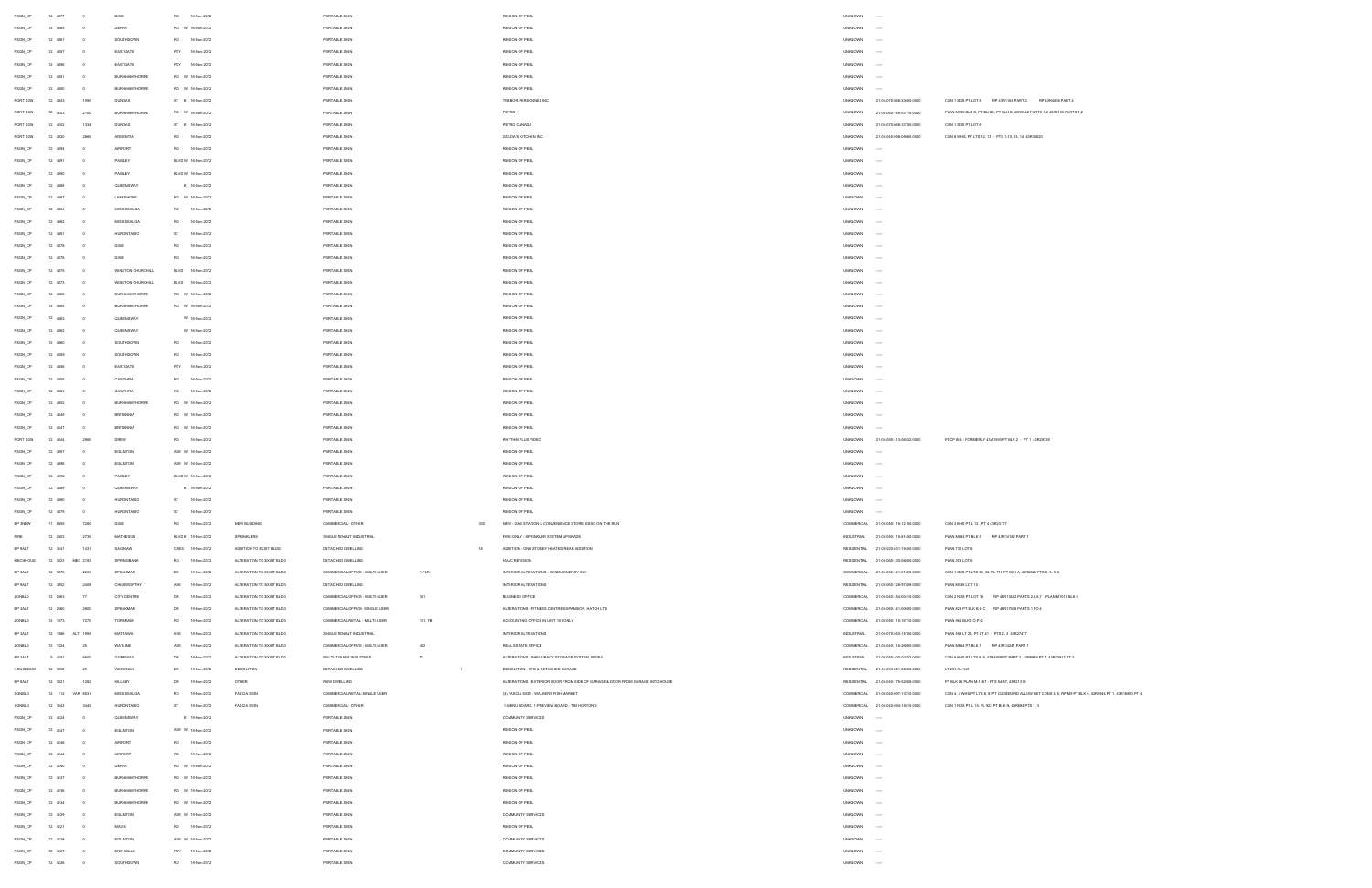| PSGN_CP     | 12 4077    | $\overline{0}$           | DIXIE                | RD 16-Nov-2012           |                          | PORTABLE SIGN                  |                |     | REGION OF PEEL                                                                | <b>UNKNOWN</b>    | $\sim$                               |                                                                         |
|-------------|------------|--------------------------|----------------------|--------------------------|--------------------------|--------------------------------|----------------|-----|-------------------------------------------------------------------------------|-------------------|--------------------------------------|-------------------------------------------------------------------------|
| PSGN_CP     | 12 4069    |                          | DERRY                | RD W 16-Nov-2012         |                          | PORTABLE SIGN                  |                |     | REGION OF PEEL                                                                | <b>UNKNOWN</b>    | $\overline{\phantom{a}}$             |                                                                         |
| PSGN_CP     | 12<br>4061 | $\overline{0}$           | SOUTHDOWN            | <b>RD</b><br>16-Nov-2012 |                          | PORTABLE SIGN                  |                |     | REGION OF PEEL                                                                | <b>UNKNOWN</b>    | $\sim$                               |                                                                         |
| PSGN_CP     | 12 4057    | $\Omega$                 | EASTGATE             | PKY<br>16-Nov-2012       |                          | PORTABLE SIGN                  |                |     | REGION OF PEEL                                                                | <b>UNKNOWN</b>    | -----                                |                                                                         |
| PSGN_CP     | 12 4056    | $\circ$                  | EASTGATE             | PKY 16-Nov-2012          |                          | PORTABLE SIGN                  |                |     | REGION OF PEEL                                                                | <b>UNKNOWN</b>    | $\overline{\phantom{a}}$             |                                                                         |
| PSGN_CP     | 12<br>405  |                          | <b>BURNHAMTHORPE</b> | RD W 16-Nov-2012         |                          | PORTABLE SIGN                  |                |     | REGION OF PEEL                                                                | <b>UNKNOWN</b>    | $\sim$                               |                                                                         |
| PSGN_CP     | 12<br>4050 |                          | <b>BURNHAMTHORPE</b> | RD W 16-Nov-2012         |                          | PORTABLE SIGN                  |                |     | REGION OF PEEL                                                                | <b>UNKNOWN</b>    | $\overline{\phantom{a}}$             |                                                                         |
| PORT SGN    | 12<br>4043 | 1090                     | DUNDAS               | ST E 16-Nov-2012         |                          | PORTABLE SIGN                  |                |     | TREBOR PERSONNEL INC                                                          | <b>UNKNOWN</b>    | 21-05-070-068-33000-0000             | CON 1 SDS PT LOT 8 RP 43R1164 PART 2 RP 43R4508 PART 4                  |
| PORT SGN    | 12 4103    | 2100                     | <b>BURNHAMTHORPE</b> | RD W 16-Nov-2012         |                          | PORTABLE SIGN                  |                |     | PETRO                                                                         | <b>UNKNOWN</b>    | 21-05-060-155-53110-0000             | PLAN M198 BLK C, PT BLK D, PT BLK S, 43R9842 PARTS 1,2 43R9100 PARTS 1, |
|             |            |                          |                      | ST E 16-Nov-2012         |                          |                                |                |     |                                                                               |                   |                                      |                                                                         |
| PORT SGN    | 12 4102    | 1334                     | <b>DUNDAS</b>        |                          |                          | PORTABLE SIGN                  |                |     | PETRO CANADA                                                                  | <b>UNKNOWN</b>    | 21-05-070-068-33700-0000             | CON 1 SDS PT LOT 6                                                      |
| PORT SGN    | 12<br>4030 | 2885                     | ARGENTIA             | <b>RD</b><br>16-Nov-2012 |                          | PORTABLE SIGN                  |                |     | GOLDA'S KITCHEN INC.                                                          | <b>UNKNOWN</b>    | 21-05-040-098-05060-0000             | CON 6 WHS, PT LTS 12, 13 - PTS 1-10, 13, 14 43R30620                    |
| PSGN_CP     | 12<br>4094 |                          | AIRPORT              | <b>RD</b><br>16-Nov-2012 |                          | PORTABLE SIGN                  |                |     | REGION OF PEEL                                                                | <b>UNKNOWN</b>    | $\overline{\phantom{a}}$             |                                                                         |
| PSGN_CP     | 12 4091    | $\overline{0}$           | PAISLEY              | BLVDW 16-Nov-2012        |                          | PORTABLE SIGN                  |                |     | REGION OF PEEL                                                                | <b>UNKNOWN</b>    | $\overline{\phantom{a}}$             |                                                                         |
| PSGN_CP     | 12 4090    | $\Omega$                 | PAISLEY              | BLVDW 16-Nov-2012        |                          | PORTABLE SIGN                  |                |     | REGION OF PEEL                                                                | <b>UNKNOWN</b>    | $\sim$                               |                                                                         |
| PSGN_CP     | 12 4088    | $\Omega$                 | QUEENSWAY            | E 16-Nov-2012            |                          | PORTABLE SIGN                  |                |     | REGION OF PEEL                                                                | <b>UNKNOWN</b>    | $\sim$                               |                                                                         |
| PSGN_CP     | 12<br>4087 | $\overline{0}$           | LAKESHORE            | RD W 16-Nov-2012         |                          | PORTABLE SIGN                  |                |     | REGION OF PEEL                                                                | <b>UNKNOWN</b>    | $\overline{\phantom{a}}$             |                                                                         |
| PSGN_CP     | 12<br>4084 | $\overline{0}$           | MISSISSAUGA          | <b>RD</b><br>16-Nov-2012 |                          | PORTABLE SIGN                  |                |     | REGION OF PEEL                                                                | <b>UNKNOWN</b>    | $\overline{\phantom{a}}$             |                                                                         |
| PSGN_CP     | 12<br>4082 | $\overline{0}$           | MISSISSAUGA          | <b>RD</b><br>16-Nov-2012 |                          | PORTABLE SIGN                  |                |     | REGION OF PEEL                                                                | <b>UNKNOWN</b>    | $\sim$                               |                                                                         |
| PSGN_CP     | 12 4081    | $\Omega$                 | <b>HURONTARIO</b>    | <b>ST</b><br>16-Nov-2012 |                          | PORTABLE SIGN                  |                |     | REGION OF PEEL                                                                | <b>UNKNOWN</b>    | -----                                |                                                                         |
| PSGN_CP     | 12 4078    | $\Omega$                 | DIXIE                | <b>RD</b><br>16-Nov-2012 |                          | PORTABLE SIGN                  |                |     | REGION OF PEEL                                                                | <b>UNKNOWN</b>    | $\sim$                               |                                                                         |
| PSGN_CP     | 12<br>4076 |                          | DIXIE                | <b>RD</b><br>16-Nov-2012 |                          | PORTABLE SIGN                  |                |     | REGION OF PEEL                                                                | <b>UNKNOWN</b>    | $\sim$                               |                                                                         |
| PSGN_CP     | 12<br>4075 |                          | WINSTON CHURCHILL    | BLVD<br>16-Nov-2012      |                          | PORTABLE SIGN                  |                |     | REGION OF PEEL                                                                | <b>UNKNOWN</b>    | $\overline{\phantom{a}}$             |                                                                         |
| PSGN_CP     | 12 4073    | $\overline{0}$           | WINSTON CHURCHILL    | BLVD 16-Nov-2012         |                          | PORTABLE SIGN                  |                |     | REGION OF PEEL                                                                | <b>UNKNOWN</b>    | $\sim$                               |                                                                         |
|             |            |                          |                      | RD W 16-Nov-2012         |                          |                                |                |     |                                                                               |                   |                                      |                                                                         |
| PSGN_CP     | 12 4066    | $\circ$                  | <b>BURNHAMTHORPE</b> |                          |                          | PORTABLE SIGN                  |                |     | REGION OF PEEL                                                                | <b>UNKNOWN</b>    | -----                                |                                                                         |
| PSGN_CP     | 12 4065    | $\Omega$                 | <b>BURNHAMTHORPE</b> | RD W 16-Nov-2012         |                          | PORTABLE SIGN                  |                |     | REGION OF PEEL                                                                | <b>UNKNOWN</b>    | $\sim$                               |                                                                         |
| PSGN_CP     | 12<br>4063 | $\overline{0}$           | QUEENSWAY            | W 16-Nov-2012            |                          | PORTABLE SIGN                  |                |     | REGION OF PEEL                                                                | <b>UNKNOWN</b>    | $\sim$                               |                                                                         |
| PSGN_CP     | 12<br>4062 |                          | QUEENSWAY            | W 16-Nov-2012            |                          | PORTABLE SIGN                  |                |     | REGION OF PEEL                                                                | <b>UNKNOWN</b>    | $\overline{\phantom{a}}$             |                                                                         |
| PSGN_CP     | 12 4060    | $\overline{0}$           | SOUTHDOWN            | <b>RD</b><br>16-Nov-2012 |                          | PORTABLE SIGN                  |                |     | REGION OF PEEL                                                                | <b>UNKNOWN</b>    | $\sim$                               |                                                                         |
| PSGN_CP     | 12 4059    | $\Omega$                 | SOUTHDOWN            | <b>RD</b><br>16-Nov-2012 |                          | PORTABLE SIGN                  |                |     | REGION OF PEEL                                                                | <b>UNKNOWN</b>    | $\sim$                               |                                                                         |
| PSGN_CP     | 12 4058    | $\Omega$                 | EASTGATE             | PKY<br>16-Nov-2012       |                          | PORTABLE SIGN                  |                |     | REGION OF PEEL                                                                | <b>UNKNOWN</b>    | $\sim$                               |                                                                         |
| PSGN_CP     | 12<br>4055 | $\overline{0}$           | CAWTHRA              | <b>RD</b><br>16-Nov-2012 |                          | PORTABLE SIGN                  |                |     | REGION OF PEEL                                                                | <b>UNKNOWN</b>    | $\overline{\phantom{a}}$             |                                                                         |
| PSGN_CP     | 12 4053    | $\overline{0}$           | CAWTHRA              | <b>RD</b><br>16-Nov-2012 |                          | PORTABLE SIGN                  |                |     | REGION OF PEEL                                                                | <b>UNKNOWN</b>    | $\overline{\phantom{a}}$             |                                                                         |
| PSGN_CP     | 12 4052    | $\overline{0}$           | <b>BURNHAMTHORPE</b> | RD W 16-Nov-2012         |                          | PORTABLE SIGN                  |                |     | REGION OF PEEL                                                                | <b>UNKNOWN</b>    | $\sim$                               |                                                                         |
| PSGN_CP     | 12 4049    | $\Omega$                 | <b>BRITANNIA</b>     | RD W 16-Nov-2012         |                          | PORTABLE SIGN                  |                |     | REGION OF PEEL                                                                | <b>UNKNOWN</b>    | -----                                |                                                                         |
| PSGN_CP     | 12 4047    | $\Omega$                 | RRITANNIA            | RD W 16-Nov-2012         |                          | PORTABLE SIGN                  |                |     | REGION OF PEEL                                                                | <b>UNKNOWN</b>    | $\sim$                               |                                                                         |
|             |            |                          |                      |                          |                          |                                |                |     |                                                                               |                   |                                      |                                                                         |
| PORT SGN    | 12         | 2980                     | DREW                 | <b>RD</b><br>16-Nov-2012 |                          | PORTABLE SIGN                  |                |     | RHYTHM PLUS VIDEO                                                             | <b>UNKNOWN</b>    | 21-05-050-113-06532-0000             | PSCP 884 - FORMERLY 43M1593 PT BLK 2 - PT 1 43R29338                    |
| PSGN_CP     | 12<br>4097 |                          | EGLINTON             | AVE W 16-Nov-2012        |                          | PORTABLE SIGN                  |                |     | REGION OF PEEL                                                                | <b>UNKNOWN</b>    | $\overline{\phantom{a}}$             |                                                                         |
| PSGN_CP     | 12<br>4096 |                          | EGLINTON             | AVE W 16-Nov-2012        |                          | PORTABLE SIGN                  |                |     | REGION OF PEEL                                                                | <b>UNKNOWN</b>    | $\sim$                               |                                                                         |
| PSGN CP     | 12 4092    | $\circ$                  | PAISLEY              | BLVDW 16-Nov-2012        |                          | PORTABLE SIGN                  |                |     | REGION OF PEEL                                                                | <b>UNKNOWN</b>    | -----                                |                                                                         |
| PSGN_CP     | 12 4089    | $\Omega$                 | QUEENSWAY            | E 16-Nov-2012            |                          | PORTABLE SIGN                  |                |     | REGION OF PEEL                                                                | <b>UNKNOWN</b>    | $\overline{\phantom{a}}$             |                                                                         |
| PSGN_CP     | 12 4080    | $\overline{0}$           | <b>HURONTARIO</b>    | ST 16-Nov-2012           |                          | PORTABLE SIGN                  |                |     | REGION OF PEEL                                                                | <b>UNKNOWN</b>    | $\sim$                               |                                                                         |
| PSGN_CP     | 12 4079    | $\sim$                   |                      | <b>ST</b><br>16-Nov-2012 |                          | PORTABLE SIGN                  |                |     | REGION OF PEEL                                                                |                   |                                      |                                                                         |
| BP 3NEW     | 11 6459    | 7280                     | DIXIE                | <b>RD</b><br>19-Nov-2012 | NEW BUILDING             | COMMERCIAL - OTHER             |                | 330 | NEW - GAS STATION & CONVENIENCE STORE, ESSO ON THE RUN                        |                   | COMMERCIAL 21-05-050-116-12100-0000  | CON 3 EHS PT L 12, PT 4 43R23177                                        |
| <b>FIRE</b> | 12 2403    | 2735                     | MATHESON             | BLVD E 19-Nov-2012       | SPRINKLERS               | SINGLE TENANT INDUSTRIAL       |                |     | FIRE-ONLY - SPRINKLER SYSTEM UPGRADE                                          |                   | INDUSTRIAL 21-05-050-115-81400-0000  | PLAN M584 PT BLK 5 RP 43R14182 PART 1                                   |
| BP 9ALT     | 12 3141    | 1431                     | SAGINAW              | CRES 19-Nov-2012         | ADDITION TO EXIST BLDG   | DETACHED DWELLING              |                | 18  | ADDITION - ONE STOREY HEATED REAR ADDITION                                    |                   | RESIDENTIAL 21-05-020-031-19400-0000 | PLAN 730 LOT 6                                                          |
| MECHHOUS    | 12 3223    | MEC 2193                 | SPRINGBANK           | <b>RD</b><br>19-Nov-2012 | ALTERATION TO EXIST BLDG | DETACHED DWELLING              |                |     | <b>HVAC REVISION</b>                                                          |                   | RESIDENTIAL 21-05-060-130-08800-0000 | PLAN 353 LOT 6                                                          |
| BP 3ALT     | 12 3076    | 2285                     | SPEAKMAN             | DR<br>19-Nov-2012        | ALTERATION TO EXIST BLDG | COMMERCIAL OFFICE - MULTI-USER | 1-FLR          |     | INTERIOR ALTERATIONS - CANDU ENERGY INC                                       | COMMERCIAL        | 21-05-060-141-01500-0000             | CON 1 SDS PT LTS 32, 33, PL 718 PT BLK A, 43R8025 PTS 2, 3, 5, 6        |
| BP 9ALT     | 12 3252    | 2408                     | CHILSWORTHY          | AVE<br>19-Nov-2012       | ALTERATION TO EXIST BLDG | DETACHED DWELLING              |                |     | INTERIOR ALTERATIONS                                                          |                   | RESIDENTIAL 21-05-060-128-97309-0000 | PLAN M136 LOT 10                                                        |
|             |            | 77                       |                      |                          | ALTERATION TO EXIST BLDG | COMMERCIAL OFFICE - MULTI-USER | 301            |     | <b>BUSINESS OFFICE</b>                                                        |                   | COMMERCIAL 21-05-040-154-00410-0000  | CON 2 NDS PT LOT 16 RP 43R13482 PARTS 2,5,6,7 PLAN M1010 BLK 5          |
| ZONBLD      | 12 2963    |                          | CITY CENTRE          | DR.<br>19-Nov-2012       |                          |                                |                |     |                                                                               |                   |                                      |                                                                         |
| BP 3ALT     | 12 2660    | 2800                     | SPEAKMAN             | <b>DR</b><br>19-Nov-2012 | ALTERATION TO EXIST BLDG | COMMERCIAL OFFICE- SINGLE USER |                |     | ALTERATIONS - FITNESS CENTRE EXPANSION. HATCH LTD                             |                   | COMMERCIAL 21-05-060-141-00600-0000  | PLAN 823 PT BLK B & C RP 43R17528 PARTS 1 TO 4                          |
| ZONBLD      | 12 1473    | 7270                     | TORBRAM              | <b>RD</b><br>19-Nov-2012 | ALTERATION TO EXIST BLDG | COMMERCIAL RETAIL - MULTI-USER | 101, 7B        |     | ACCOUNTING OFFICE IN UNIT 101 ONLY                                            |                   | COMMERCIAL 21-05-050-115-16710-0000  | PLAN 964 BLKS O, P, Q                                                   |
| BP 3ALT     | 12 1386    | ALT 1959                 | <b>MATTAWA</b>       | AVE<br>19-Nov-2012       | ALTERATION TO EXIST BLDG | SINGLE TENANT INDUSTRIAL       |                |     | INTERIOR ALTERATIONS                                                          | <b>INDUSTRIAL</b> | 21-05-070-053-15700-0000             | PLAN 598 LT 23, PT LT 41 - PTS 2, 3 43R27477                            |
| ZONBLD      | 12 1424    | 25                       | WATLINE              | AVE<br>19-Nov-2012       | ALTERATION TO EXIST BLDG | COMMERCIAL OFFICE - MULTI-USER | 402            |     | REAL ESTATE OFFICE                                                            | COMMERCIAL        | 21-05-040-116-26050-0000             | PLAN M364 PT BLK 1 RP 43R14241 PART 1                                   |
| BP 3ALT     | 9 4151     | 6600                     | GOREWAY              | <b>DR</b><br>19-Nov-2012 | ALTERATION TO EXIST BLDG | MULTI-TENANT INDUSTRIAL        | D              |     | ALTERATIONS - SHELF/RACK STORAGE SYSTEM, FEDEX                                | <b>INDUSTRIAL</b> | 21-05-050-100-03202-0000             | CON 8 EHS PT LTS 8, 9, 43R4909 PT PART 2, 43R9989 PT 7, 43R23917 PT 3   |
| HOUSDEMO    | 12 3258    | 29                       | WENONAH              | DR<br>19-Nov-2012        | DEMOLITION               | DETACHED DWELLING              | $\overline{1}$ |     | DEMOLITION - SFD & DETACHED GARAGE                                            |                   | RESIDENTIAL 21-05-090-001-00800-0000 | LT 293 PL H21                                                           |
| BP 9ALT     | 12 3021    | 1282                     | KILLABY              | DR<br>19-Nov-2012        | OTHER                    | ROW DWELLING                   |                |     | ALTERATIONS - EXTERIOR DOOR FROM SIDE OF GARAGE & DOOR FROM GARAGE INTO HOUSE | RESIDENTIAL       | 21-05-040-175-52908-0000             | PT BLK 26 PLAN M-1167 - PTS 54-57, 43R21319                             |
| SGNBLD      | 12 112     | VAR 6531                 | MISSISSAUGA          | <b>RD</b><br>19-Nov-2012 | <b>FASCIA SIGN</b>       | COMMERCIAL RETAIL-SINGLE USER  |                |     | (3) FASCIA SIGN - WALKERS FISH MARKET                                         | COMMERCIAL        | 21-05-040-097-13210-0000             | CON 4, 5 WHS PT LTS 8, 9, PT CLOSED RD ALLOW BET CONS 4, 5, RP M9 PT B  |
| SGNBLD      | 12 3243    | 3445                     | <b>HURONTARIO</b>    | ST<br>19-Nov-2012        | <b>FASCIA SIGN</b>       | COMMERCIAL - OTHER             |                |     | 1-MENU BOARD, 1-PREVIEW BOARD - TIM HORTON'S                                  |                   | COMMERCIAL 21-05-040-094-15810-0000  | CON 1 NDS PT L 15, PL 922 PT BLK N, 43R694 PTS 1, 3                     |
| PSGN_CP     | 12 4124    | $\overline{0}$           | QUEENSWAY            | E 19-Nov-2012            |                          | PORTABLE SIGN                  |                |     | COMMUNITY SERVICES                                                            | <b>UNKNOWN</b>    | 1.121                                |                                                                         |
| PSGN_CP     | 12 4147    | $\Omega$                 | <b>EGLINTON</b>      | AVE W 19-Nov-2012        |                          | PORTABLE SIGN                  |                |     | REGION OF PEEL                                                                | <b>UNKNOWN</b>    | $\overline{\phantom{a}}$             |                                                                         |
| PSGN_CP     | 12 4146    | $\overline{0}$           | AIRPORT              | <b>RD</b><br>19-Nov-2012 |                          | PORTABLE SIGN                  |                |     | REGION OF PEEL                                                                | <b>UNKNOWN</b>    |                                      |                                                                         |
| PSGN_CP     | 12 4144    | $\overline{0}$           | AIRPORT              | <b>RD</b><br>19-Nov-2012 |                          | PORTABLE SIGN                  |                |     | REGION OF PEEL                                                                | <b>UNKNOWN</b>    | $\overline{\phantom{a}}$             |                                                                         |
|             |            |                          |                      |                          |                          |                                |                |     |                                                                               |                   |                                      |                                                                         |
| PSGN_CP     | 12 4140    | $\overline{0}$           | DERRY                | RD W 19-Nov-2012         |                          | PORTABLE SIGN                  |                |     | REGION OF PEEL                                                                | <b>UNKNOWN</b>    | -----                                |                                                                         |
| PSGN_CP     | 12 4137    | $\circ$                  | <b>BURNHAMTHORPE</b> | RD W 19-Nov-2012         |                          | PORTABLE SIGN                  |                |     | REGION OF PEEL                                                                | <b>UNKNOWN</b>    | -----                                |                                                                         |
| PSGN_CP     | 12 4136    | $\overline{0}$           | <b>BURNHAMTHORPE</b> | RD W 19-Nov-2012         |                          | PORTABLE SIGN                  |                |     | REGION OF PEEL                                                                | <b>UNKNOWN</b>    | $\overline{\phantom{a}}$             |                                                                         |
| PSGN_CP     | 12 4134    | $\overline{0}$           | <b>BURNHAMTHORPE</b> | RD W 19-Nov-2012         |                          | PORTABLE SIGN                  |                |     | REGION OF PEEL                                                                | <b>UNKNOWN</b>    |                                      |                                                                         |
| PSGN_CP     | 12 4129    | $\circ$                  | EGLINTON             | AVE W 19-Nov-2012        |                          | PORTABLE SIGN                  |                |     | COMMUNITY SERVICES                                                            | <b>UNKNOWN</b>    |                                      |                                                                         |
| PSGN_CP     | 12 4121    | $\overline{0}$           | MAVIS                | 19-Nov-2012<br><b>RD</b> |                          | PORTABLE SIGN                  |                |     | REGION OF PEEL                                                                | <b>UNKNOWN</b>    | -----                                |                                                                         |
| PSGN_CP     | 12 4128    | $\overline{0}$           | <b>EGLINTON</b>      | AVE W 19-Nov-2012        |                          | PORTABLE SIGN                  |                |     | <b>COMMUNITY SERVICES</b>                                                     | <b>UNKNOWN</b>    | -----                                |                                                                         |
| PSGN_CP     | 12 4127    | $\circ$                  | ERIN MILLS           | PKY 19-Nov-2012          |                          | PORTABLE SIGN                  |                |     | <b>COMMUNITY SERVICES</b>                                                     | <b>UNKNOWN</b>    | $\overline{\phantom{a}}$             |                                                                         |
|             | 12 4126    | $\overline{\phantom{a}}$ | SOUTHDOWN            | RD 19-Nov-2012           |                          | PORTABLE SIGN                  |                |     | COMMUNITY SERVICES                                                            | <b>UNKNOWN</b>    | $\sim$                               |                                                                         |

(3) OSED RD ALLOW BET CONS 4, 5, RP M9 PT BLK 5, 43R5944 PT 1, 43R16890 PT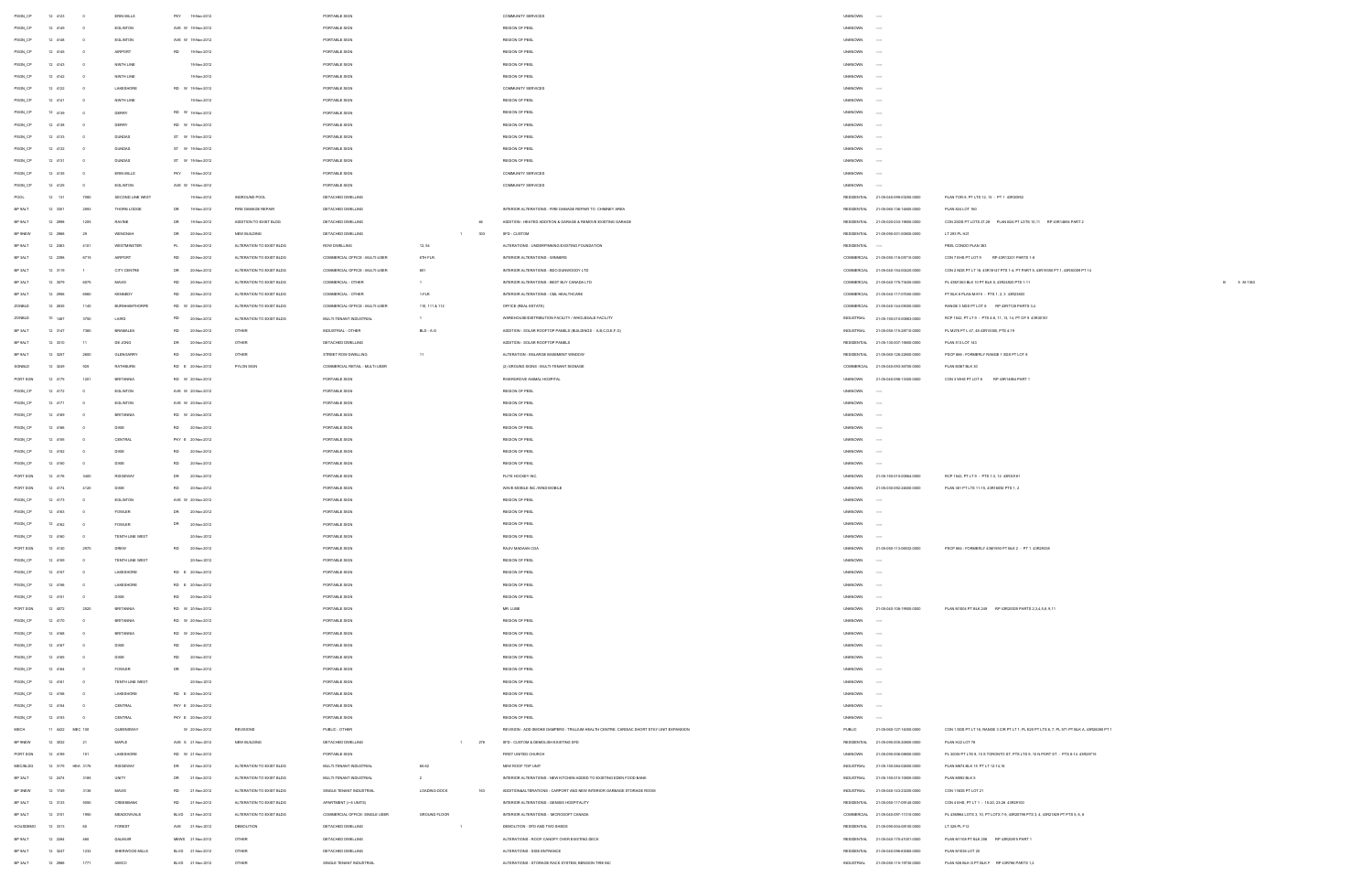| PSGN_CP             | 12 4123            |                          | <b>ERIN MILLS</b>           | PKY 19-Nov-2012                      |                          | PORTABLE SIGN                  |                |     | COMMUNITY SERVICES                                                                       | <b>UNKNOWN</b>                   | $\sim$                               |                                                                                             |           |
|---------------------|--------------------|--------------------------|-----------------------------|--------------------------------------|--------------------------|--------------------------------|----------------|-----|------------------------------------------------------------------------------------------|----------------------------------|--------------------------------------|---------------------------------------------------------------------------------------------|-----------|
| PSGN_CP             | 12 4149            |                          | EGLINTON                    | AVE W 19-Nov-2012                    |                          | PORTABLE SIGN                  |                |     | REGION OF PEEL                                                                           | <b>UNKNOWN</b>                   |                                      |                                                                                             |           |
| PSGN_CP             | 12 4148            | $\overline{0}$           | EGLINTON                    | AVE W 19-Nov-2012                    |                          | PORTABLE SIGN                  |                |     | REGION OF PEEL                                                                           | <b>UNKNOWN</b>                   | $\sim$                               |                                                                                             |           |
| PSGN_CP             | 12 4145            | $\mathbf{a}$             | AIRPORT                     | RD 19-Nov-2012                       |                          | PORTABLE SIGN                  |                |     | REGION OF PEEL                                                                           | <b>UNKNOWN</b>                   | $\sim$                               |                                                                                             |           |
| PSGN_CP             | 12 4143            | $\mathbf{a}$             | NINTH LINE                  | 19-Nov-2012                          |                          | PORTABLE SIGN                  |                |     | REGION OF PEEL                                                                           | <b>UNKNOWN</b>                   | $\sim$                               |                                                                                             |           |
| PSGN_CP             | 12 4142            | $\overline{0}$           | NINTH LINE                  | 19-Nov-2012                          |                          | PORTABLE SIGN                  |                |     | REGION OF PEEL                                                                           | <b>UNKNOWN</b>                   | $\overline{\phantom{a}}$             |                                                                                             |           |
| PSGN_CP             | 12 4122            | $\overline{0}$           | LAKESHORE                   | RD W 19-Nov-2012                     |                          | PORTABLE SIGN                  |                |     | COMMUNITY SERVICES                                                                       | <b>UNKNOWN</b>                   | $\overline{\phantom{a}}$             |                                                                                             |           |
| PSGN_CP             | 12 4141            | $\overline{0}$           | NINTH LINE                  | 19-Nov-2012                          |                          | PORTABLE SIGN                  |                |     | REGION OF PEEL                                                                           | <b>UNKNOWN</b>                   | $\sim$                               |                                                                                             |           |
| PSGN_CP             | 12 4139            | $^{\circ}$               | DERRY                       | RD W 19-Nov-2012                     |                          | PORTABLE SIGN                  |                |     | REGION OF PEEL                                                                           | <b>UNKNOWN</b>                   | $\sim$                               |                                                                                             |           |
| PSGN_CP             | 12 4138            |                          | DERRY                       | RD W 19-Nov-2012                     |                          | PORTABLE SIGN                  |                |     | REGION OF PEEL                                                                           | <b>UNKNOWN</b>                   | $\sim$                               |                                                                                             |           |
| PSGN_CP             | 12 4133            |                          | <b>DUNDAS</b>               | ST W 19-Nov-2012                     |                          | PORTABLE SIGN                  |                |     | REGION OF PEEL                                                                           | <b>UNKNOWN</b>                   | $\sim$                               |                                                                                             |           |
| PSGN_CP             | 12 4132            | $\overline{0}$           | <b>DUNDAS</b>               | ST W 19-Nov-2012<br>ST W 19-Nov-2012 |                          | PORTABLE SIGN<br>PORTABLE SIGN |                |     | REGION OF PEEL<br>REGION OF PEEL                                                         | <b>UNKNOWN</b>                   | $\sim$                               |                                                                                             |           |
| PSGN_CP             | 12 4131<br>12 4135 | $\sim$                   | DUNDAS<br><b>ERIN MILLS</b> | PKY 19-Nov-2012                      |                          | PORTABLE SIGN                  |                |     | COMMUNITY SERVICES                                                                       | <b>UNKNOWN</b><br><b>UNKNOWN</b> | $\sim$<br>$\sim$                     |                                                                                             |           |
| PSGN_CP<br>PSGN_CP  | 12 4125            | $\bullet$                | EGLINTON                    | AVE W 19-Nov-2012                    |                          | PORTABLE SIGN                  |                |     | COMMUNITY SERVICES                                                                       | <b>UNKNOWN</b>                   | $\sim$                               |                                                                                             |           |
| POOL                | 12 131             | 7080                     | SECOND LINE WEST            | 19-Nov-2012                          | INGROUND POOL            | DETACHED DWELLING              |                |     |                                                                                          |                                  | RESIDENTIAL 21-05-040-099-03250-0000 | PLAN TOR-5, PT LTS 12, 13 - PT 1 43R30952                                                   |           |
| BP 9ALT             | 12 3301            | 2593                     | THORN LODGE                 | DR.<br>19-Nov-2012                   | FIRE DAMAGE REPAIR       | DETACHED DWELLING              |                |     | INTERIOR ALTERATIONS - FIRE DAMAGE REPAIR TO CHIMNEY AREA                                | RESIDENTIAL                      | 21-05-060-136-14800-0000             | PLAN 824 LOT 160                                                                            |           |
| BP 9ALT             | 12 2998            | 1205                     | <b>RAVINE</b>               | DR 19-Nov-2012                       | ADDITION TO EXIST BLDG   | DETACHED DWELLING              |                | 46  | ADDITION - HEATED ADDITION & GARAGE & REMOVE EXISTING GARAGE                             | RESIDENTIAL                      | 21-05-020-033-19800-0000             | CON 2SDS PT LOTS 27,28 PLAN B24 PT LOTS 10,11 RP 43R14694 PART 2                            |           |
| BP 9NEW             | 12 2968            | 29                       | WENONAH                     | DR 20-Nov-2012                       | NEW BUILDING             | DETACHED DWELLING              | 1 303          |     | SFD - CUSTOM                                                                             |                                  | RESIDENTIAL 21-05-090-001-00800-0000 | LT 293 PL H21                                                                               |           |
| BP 9ALT             | 12 2363            | 4101                     | <b>WESTMINSTER</b>          | PL 20-Nov-2012                       | ALTERATION TO EXIST BLDG | ROW DWELLING                   | 12, 54         |     | ALTERATIONS - UNDERPINNING EXISTING FOUNDATION                                           | RESIDENTIAL                      | $\sim$                               | PEEL CONDO PLAN 363                                                                         |           |
| BP 3ALT             | 12 2398            | 6715                     | AIRPORT                     | RD 20-Nov-2012                       | ALTERATION TO EXIST BLDG | COMMERCIAL OFFICE - MULTI-USER | 6TH FLR.       |     | INTERIOR ALTERATIONS - WINNERS                                                           |                                  | COMMERCIAL 21-05-050-118-05710-0000  | CON 7 EHS PT LOT 9 RP 43R13201 PARTS 1-8                                                    |           |
| BP 3ALT             | 12 3119            |                          | CITY CENTRE                 | DR 20-Nov-2012                       | ALTERATION TO EXIST BLDG | COMMERCIAL OFFICE - MULTI-USER | 801            |     | INTERIOR ALTERATIONS - BDO DUNWOODY LTD                                                  |                                  | COMMERCIAL 21-05-040-154-00420-0000  | CON 2 NDS PT LT 16, 43R18147 PTS 1-4, PT PART 5, 43R19350 PT 1, 43R30009 PT 14              |           |
| BP 3ALT             | 12 3079            | 6075                     | MAVIS                       | RD 20-Nov-2012                       | ALTERATION TO EXIST BLDG | COMMERCIAL - OTHER             |                |     | INTERIOR ALTERATIONS - BEST BUY CANADA LTD                                               |                                  | COMMERCIAL 21-05-040-175-73400-0000  | PL 43M1363 BLK 10 PT BLK 5, 43R24920 PTS 1-11                                               | B 5 M-136 |
| BP 3ALT             | 12 2956            | 6560                     | KENNEDY                     | RD 20-Nov-2012                       | ALTERATION TO EXIST BLDG | COMMERCIAL - OTHER             | 1-FLR          |     | INTERIOR ALTERATIONS - CML HEALTHCARE                                                    |                                  | COMMERCIAL 21-05-040-117-07450-0000  | PT BLK 6 PLAN M-915 - PTS 1, 2, 3 43R23803                                                  |           |
| ZONBLD              | 12 2835            | 1140                     | <b>BURNHAMTHORPE</b>        | RD W 20-Nov-2012                     | ALTERATION TO EXIST BLDG | COMMERCIAL OFFICE - MULTI-USER | 110, 111 & 112 |     | OFFICE (REAL ESTATE)                                                                     |                                  | COMMERCIAL 21-05-040-144-09000-0000  | RANGE 3 NDS PT LOT 8 RP 43R7128 PARTS 3,4                                                   |           |
| ZONBLD              | 10 1487            | 3750                     | LAIRD                       | RD 20-Nov-2012                       | ALTERATION TO EXIST BLDG | MULTI-TENANT INDUSTRIAL        |                |     | WAREHOUSE/DISTRIBUTION FACILITY / WHOLESALE FACILITY                                     | <b>INDUSTRIAL</b>                | 21-05-150-010-00863-0000             | RCP 1542, PT LT 9 - PTS 4-8, 11, 13, 14, PT OF 9 43R30181                                   |           |
| BP 3ALT             | 12 3147            | 7360                     | BRAMALEA                    | RD 20-Nov-2012                       | OTHER                    | INDUSTRIAL - OTHER             | BLD - A-G      |     | ADDITION - SOLAR ROOFTOP PANELS (BUILDINGS - A,B,C,D,E,F,G)                              | INDUSTRIAL                       | 21-05-050-115-28710-0000             | PL M276 PT L 47, 48 43R15350, PTS 4-19                                                      |           |
| BP 9ALT             | 12 3310            | 11                       | DE JONG                     | DR 20-Nov-2012                       | OTHER                    | DETACHED DWELLING              |                |     | ADDITION - SOLAR ROOFTOP PANELS                                                          |                                  | RESIDENTIAL 21-05-130-007-15800-0000 | PLAN 513 LOT 143                                                                            |           |
| BP 9ALT             | 12 3257            | 2600                     | <b>GLENGARRY</b>            | RD 20-Nov-2012                       | OTHER                    | STREET ROW DWELLING            | 11             |     | ALTERATION - ENLARGE BASEMENT WINDOW                                                     |                                  | RESIDENTIAL 21-05-060-128-22800-0000 | PSCP 866 - FORMERLY RANGE 1 SDS PT LOT 8                                                    |           |
| SGNBLD              | 12 3249            | 925                      | RATHBURN                    | RD E 20-Nov-2012                     | PYLON SIGN               | COMMERCIAL RETAIL - MULTI-USER |                |     | (2) GROUND SIGNS - MULTI-TENANT SIGNAGE                                                  |                                  | COMMERCIAL 21-05-040-093-36700-0000  | PLAN M367 BLK 30                                                                            |           |
| PORT SGN            | 12 4175            | 1201                     | <b>BRITANNIA</b>            | RD W 20-Nov-2012                     |                          | PORTABLE SIGN                  |                |     | RIVERGROVE ANIMAL HOSPITAL                                                               | <b>UNKNOWN</b>                   | 21-05-040-098-13300-0000             | CON 3 WHS PT LOT 6 RP 43R14964 PART 1                                                       |           |
| PSGN_CP             | 12 4172            | $\overline{0}$           | EGLINTON                    | AVE W 20-Nov-2012                    |                          | PORTABLE SIGN                  |                |     | REGION OF PEEL                                                                           | <b>UNKNOWN</b>                   |                                      |                                                                                             |           |
| PSGN_CP             | 12 4171            | $\overline{0}$           | EGLINTON                    | AVE W 20-Nov-2012                    |                          | PORTABLE SIGN                  |                |     | REGION OF PEEL                                                                           | <b>UNKNOWN</b>                   | $\sim$                               |                                                                                             |           |
| PSGN_CP             | 12 4169            |                          | BRITANNIA                   | RD W 20-Nov-2012                     |                          | PORTABLE SIGN                  |                |     | REGION OF PEEL                                                                           | <b>UNKNOWN</b>                   | $\sim$                               |                                                                                             |           |
| PSGN_CP             | 12 4166            |                          | DIXIE                       | RD 20-Nov-2012                       |                          | PORTABLE SIGN                  |                |     | REGION OF PEEL                                                                           | <b>UNKNOWN</b>                   | $\sim$                               |                                                                                             |           |
| PSGN_CP             | 12 4155            |                          | CENTRAL                     | PKY E 20-Nov-2012                    |                          | PORTABLE SIGN                  |                |     | REGION OF PEEL                                                                           | <b>UNKNOWN</b>                   |                                      |                                                                                             |           |
| PSGN_CP             | 12 4152            |                          | DIXIE                       | RD 20-Nov-2012                       |                          | PORTABLE SIGN                  |                |     | REGION OF PEEL                                                                           | <b>UNKNOWN</b>                   |                                      |                                                                                             |           |
| PSGN_CP             | 12 4150            | $\overline{0}$           | DIXIE                       | RD 20-Nov-2012                       |                          | PORTABLE SIGN                  |                |     | REGION OF PEEL                                                                           | <b>UNKNOWN</b>                   | $\sim$                               |                                                                                             |           |
| PORT SGN            | 12 4176            | 3400                     | <b>RIDGEWAY</b>             | DR 20-Nov-2012                       |                          | PORTABLE SIGN                  |                |     | FLITE HOCKEY INC.                                                                        |                                  | UNKNOWN 21-05-150-010-00864-0000     | RCP 1542, PT LT 9 - PTS 1-3, 12 43R30181                                                    |           |
| PORT SGN            | 12 4174            | 4120                     | DIXIE                       | RD 20-Nov-2012                       |                          | PORTABLE SIGN                  |                |     | WAVE MOBILE INC./WIND MOBILE                                                             | <b>UNKNOWN</b>                   | 21-05-030-092-24600-0000             | PLAN 381 PT LTS 11-15, 43R16092 PTS 1, 2                                                    |           |
| PSGN_CP 12 4173     |                    | $\sim$ 0                 | EGLINTON                    | AVE W 20-Nov-2012                    |                          | PORTABLE SIGN                  |                |     | REGION OF PEEL                                                                           | <b>UNKNOWN</b>                   | $\sim$                               |                                                                                             |           |
| PSGN_CP             | 12 4163            |                          | <b>FOWLER</b>               | DR 20-Nov-2012                       |                          | PORTABLE SIGN                  |                |     | REGION OF PEEL                                                                           | UNKNOWN                          |                                      |                                                                                             |           |
| PSGN_CP             | 12 4162            | $\overline{0}$<br>$\sim$ | FOWLER<br>TENTH LINE WEST   | DR 20-Nov-2012<br>20-Nov-2012        |                          | PORTABLE SIGN<br>PORTABLE SIGN |                |     | REGION OF PEEL<br>REGION OF PEEL                                                         | <b>UNKNOWN</b><br><b>UNKNOWN</b> | $\sim$                               |                                                                                             |           |
| PSGN_CP             | 12 4160<br>12 4130 |                          | DREW                        |                                      |                          |                                |                |     |                                                                                          | <b>UNKNOWN</b>                   | $\sim$<br>21-05-050-113-06532-0000   | PSCP 884 - FORMERLY 43M1593 PT BLK 2 - PT 1 43R29338                                        |           |
| PORT SGN<br>PSGN_CP | 12 4159            | 2970                     | TENTH LINE WEST             | RD 20-Nov-2012<br>20-Nov-2012        |                          | PORTABLE SIGN<br>PORTABLE SIGN |                |     | RAJIV MADAAN CGA<br>REGION OF PEEL                                                       | <b>UNKNOWN</b>                   |                                      |                                                                                             |           |
| PSGN_CP             | 12 4157            | $\overline{0}$           | LAKESHORE                   | RD E 20-Nov-2012                     |                          | PORTABLE SIGN                  |                |     | REGION OF PEEL                                                                           | <b>UNKNOWN</b>                   |                                      |                                                                                             |           |
| PSGN_CP             | 12 4156            | $\overline{0}$           | LAKESHORE                   | RD E 20-Nov-2012                     |                          | PORTABLE SIGN                  |                |     | REGION OF PEEL                                                                           | <b>UNKNOWN</b>                   | $\sim$                               |                                                                                             |           |
| PSGN_CP             | 12 4151            | $\mathbf{a}$             | DIXIE                       | RD 20-Nov-2012                       |                          | PORTABLE SIGN                  |                |     | REGION OF PEEL                                                                           | <b>UNKNOWN</b>                   | $\sim$                               |                                                                                             |           |
| PORT SGN            | 12 4072            | 2520                     | <b>BRITANNIA</b>            | RD W 20-Nov-2012                     |                          | PORTABLE SIGN                  |                |     | MR. LUBE                                                                                 | <b>UNKNOWN</b>                   | 21-05-040-108-19900-0000             | PLAN M1004 PT BLK 249 RP 43R20005 PARTS 2,3,4,5,8, 9,11                                     |           |
| PSGN_CP             | 12 4170            |                          | <b>BRITANNIA</b>            | RD W 20-Nov-2012                     |                          | PORTABLE SIGN                  |                |     | REGION OF PEEL                                                                           | <b>UNKNOWN</b>                   |                                      |                                                                                             |           |
| PSGN_CP             | 12 4168            |                          | <b>BRITANNIA</b>            | RD W 20-Nov-2012                     |                          | PORTABLE SIGN                  |                |     | REGION OF PEEL                                                                           | <b>UNKNOWN</b>                   |                                      |                                                                                             |           |
| PSGN_CP             | 12 4167            |                          | DIXIE                       | RD 20-Nov-2012                       |                          | PORTABLE SIGN                  |                |     | REGION OF PEEL                                                                           | <b>UNKNOWN</b>                   | $\sim$                               |                                                                                             |           |
| PSGN_CP             | 12 4165            |                          | DIXIE                       | RD 20-Nov-2012                       |                          | PORTABLE SIGN                  |                |     | REGION OF PEEL                                                                           | <b>UNKNOWN</b>                   | $\sim$                               |                                                                                             |           |
| PSGN_CP             | 12 4164            | $\sim$                   | FOWLER                      | DR 20-Nov-2012                       |                          | PORTABLE SIGN                  |                |     | REGION OF PEEL                                                                           | <b>UNKNOWN</b>                   | $\sim$                               |                                                                                             |           |
| PSGN_CP             | 12 4161            | $\overline{0}$           | TENTH LINE WEST             | 20-Nov-2012                          |                          | PORTABLE SIGN                  |                |     | REGION OF PEEL                                                                           | <b>UNKNOWN</b>                   |                                      |                                                                                             |           |
| PSGN_CP             | 12 4158            |                          | LAKESHORE                   | RD E 20-Nov-2012                     |                          | PORTABLE SIGN                  |                |     | REGION OF PEEL                                                                           | <b>UNKNOWN</b>                   | $\sim$                               |                                                                                             |           |
| PSGN_CP             | 12 4154            | $\overline{0}$           | CENTRAL                     | PKY E 20-Nov-2012                    |                          | PORTABLE SIGN                  |                |     | REGION OF PEEL                                                                           | <b>UNKNOWN</b>                   | $\sim$                               |                                                                                             |           |
| PSGN_CP             | 12 4153            | $\sim$                   | CENTRAL                     | PKY E 20-Nov-2012                    |                          | PORTABLE SIGN                  |                |     | <b>REGION OF PEEL</b>                                                                    | <b>UNKNOWN</b>                   | 1.121                                |                                                                                             |           |
| MECH                | 11 4422            | <b>MEC 100</b>           | QUEENSWAY                   | W 20-Nov-2012                        | <b>REVISIONS</b>         | PUBLIC - OTHER                 |                |     | REVISION - ADD SMOKE DAMPERS - TRILLIUM HEALTH CENTRE, CARDIAC SHORT STAY UNIT EXPANSION | PUBLIC                           | 21-05-060-127-14000-0000             | CON 1 SDS PT LT 16, RANGE 3 CIR PT LT 1, PL E20 PT LTS 6, 7, PL 571 PT BLK A, 43R28265 PT 1 |           |
| BP 9NEW             | 12 3032            |                          | MAPLE                       | AVE S 21-Nov-2012                    | NEW BUILDING             | DETACHED DWELLING              | 1278           |     | SFD - CUSTOM & DEMOLISH EXISTING SFD                                                     | RESIDENTIAL                      | 21-05-090-005-20800-0000             | PLAN H22 LOT 78                                                                             |           |
| PORT SGN            | 12 4199            | 151                      | LAKESHORE                   | RD W 21-Nov-2012                     |                          | PORTABLE SIGN                  |                |     | FIRST UNITED CHURCH                                                                      | <b>UNKNOWN</b>                   | 21-05-090-006-08800-0000             | PL 300W PT LTS 9, 10 S TORONTO ST, PTS LTS 9, 10 N PORT ST - PTS 8-14 43R29715              |           |
| MEC/BLDG            | 12 3175            | HEA 3176                 | RIDGEWAY                    | DR 21-Nov-2012                       | ALTERATION TO EXIST BLDG | MULTI-TENANT INDUSTRIAL        | 60-62          |     | NEW ROOF TOP UNIT                                                                        | INDUSTRIAL                       | 21-05-150-084-02600-0000             | PLAN M674 BLK 15 PT LT 12-14,16                                                             |           |
| BP 3ALT             | 12 2474            | 3185                     | UNITY                       | DR 21-Nov-2012                       | ALTERATION TO EXIST BLDG | MULTI-TENANT INDUSTRIAL        | $\overline{2}$ |     | INTERIOR ALTERATIONS - NEW KITCHEN ADDED TO EXISTING EDEN FOOD BANK                      |                                  | INDUSTRIAL 21-05-150-010-10800-0000  | PLAN M592 BLK 5                                                                             |           |
| BP 3NEW             | 12 1749            | 3136                     | MAVIS                       | RD 21-Nov-2012                       | ALTERATION TO EXIST BLDG | SINGLE TENANT INDUSTRIAL       | LOADING-DOCK   | 163 | ADDITION&ALTERATIONS - CARPORT AND NEW INTERIOR GARBAGE STORAGE ROOM                     | INDUSTRIAL                       | 21-05-040-143-23200-0000             | CON 1 NDS PT LOT 21                                                                         |           |
| BP 3ALT             | 12 3133            | 5050                     | CREEKBANK                   | RD 21-Nov-2012                       | ALTERATION TO EXIST BLDG | APARTMENT (> 6 UNITS)          |                |     | INTERIOR ALTERATIONS - GENISIS HOSPITALITY                                               |                                  | RESIDENTIAL 21-05-050-117-09140-0000 | CON 4 EHS, PT LT 1 - 15-20, 23-26 43R29100                                                  |           |
| BP 3ALT             | 12 3151            | 1950                     | MEADOWVALE                  | BLVD 21-Nov-2012                     | ALTERATION TO EXIST BLDG | COMMERCIAL OFFICE- SINGLE USER | GROUND FLOOR   |     | INTERIOR ALTERATIONS - MICROSOFT CANADA                                                  |                                  | COMMERCIAL 21-05-040-097-11310-0000  | PL 43M964 LOTS 3, 10, PT LOTS 7-9, 43R20798 PTS 3, 4, 43R21829 PT PTS 5, 6, 8               |           |
| HOUSDEMO            | 12 3313            | 60                       | FOREST                      | AVE 21-Nov-2012                      | DEMOLITION               | DETACHED DWELLING              | $\overline{1}$ |     | DEMOLITION - SFD AND TWO SHEDS                                                           |                                  | RESIDENTIAL 21-05-090-004-08100-0000 | LT 328 PL F12                                                                               |           |
| BP 9ALT             | 12 2284            | 460                      | DALMUIR                     | MEWS 21-Nov-2012                     | OTHER                    | DETACHED DWELLING              |                |     | ALTERATIONS - ROOF-CANOPY OVER EXISTING DECK                                             |                                  | RESIDENTIAL 21-05-040-170-41001-0000 | PLAN M1108 PT BLK 206 RP 43R20815 PART 1                                                    |           |
| BP 9ALT             | 12 3247            | 1232                     | SHERWOOD MILLS              | BLVD 21-Nov-2012                     | OTHER                    | DETACHED DWELLING              |                |     | ALTERATIONS - SIDE ENTRANCE                                                              |                                  | RESIDENTIAL 21-05-040-096-63065-0000 | PLAN M1036 LOT 20                                                                           |           |
| BP 3ALT             | 12 2986            | 1771                     | AIMCO                       | BLVD 21-Nov-2012                     | OTHER                    | SINGLE TENANT INDUSTRIAL       |                |     | ALTERATIONS - STORAGE RACK SYSTEM, BENSION TIRE INC                                      |                                  | INDUSTRIAL 21-05-050-115-19730-0000  | PLAN 928 BLK G PT BLK F RP 43R786 PARTS 1,2                                                 |           |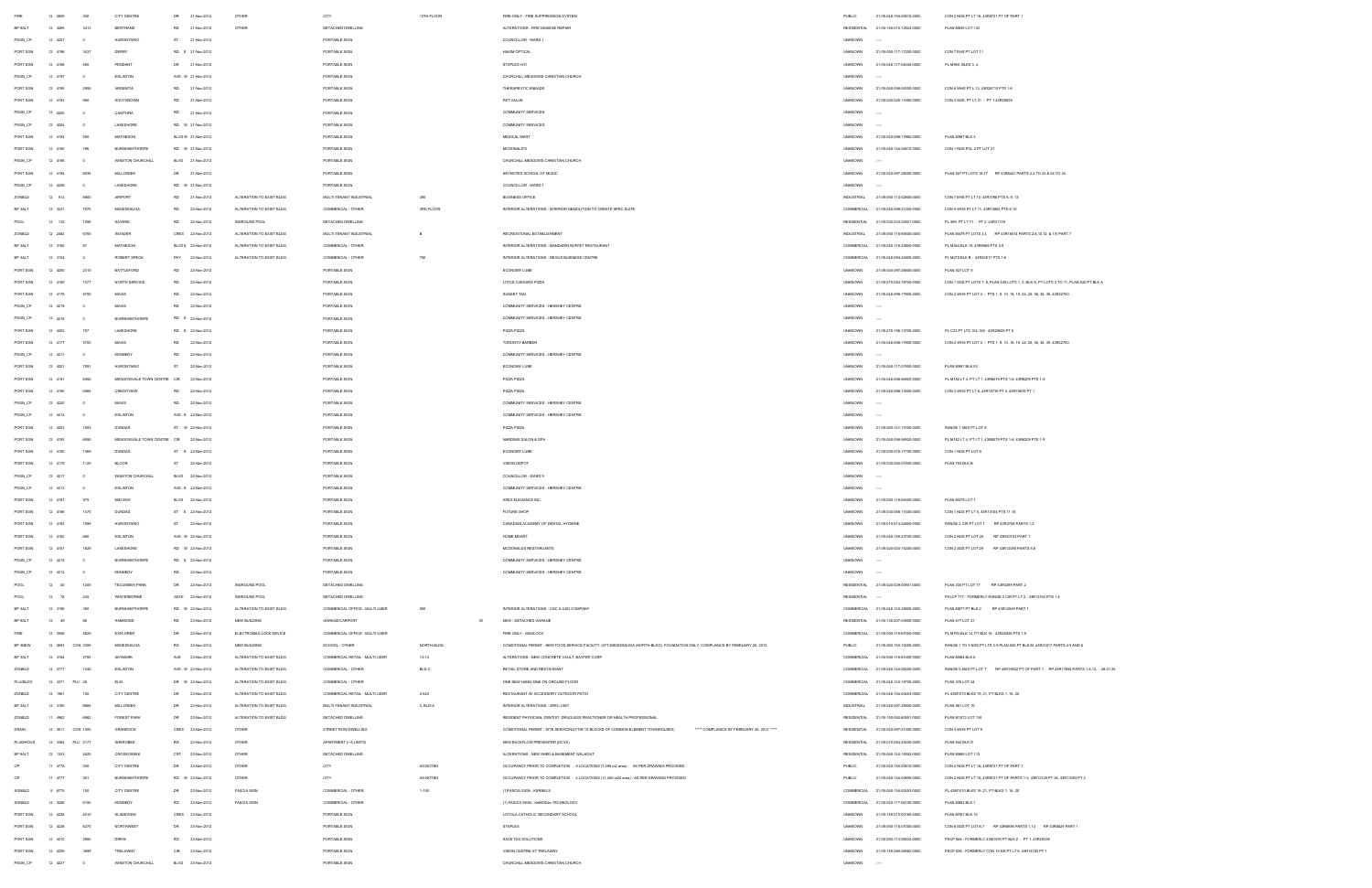BLD-C RETAIL STORE AND RESTAURANT COMMERCIAL RANGE 5 NDS PT LOT 7 RP 43R16932 PT OF PART 1 RP 43R17654 PARTS 1-4,12, 28-31,35

| FIRE                   | 12 2655    | 300            | CITY CENTRE                            | DR 21-Nov-2012           | OTHER                     | CITY                           | 12TH FLOOR | FIRE-ONLY - FIRE SUPPRESSION SYSTEM                                                                                            | PUBLIC             | 21-05-040-154-00810-0000             | CON 2 NDS PT LT 18, 43R9721 PT OF PART 1                                    |
|------------------------|------------|----------------|----------------------------------------|--------------------------|---------------------------|--------------------------------|------------|--------------------------------------------------------------------------------------------------------------------------------|--------------------|--------------------------------------|-----------------------------------------------------------------------------|
| BP 9ALT                | 12<br>3269 | 3413           | <b>BERTRAND</b>                        | <b>RD</b><br>21-Nov-2012 | OTHER                     | DETACHED DWELLING              |            | ALTERATIONS - FIRE DAMAGE REPAIR                                                                                               |                    | RESIDENTIAL 21-05-150-010-12524-0000 | PLAN M639 LOT 143                                                           |
| PSGN_CP                | 12<br>4207 |                | <b>HURONTARIO</b>                      | 21-Nov-2012<br><b>ST</b> |                           | PORTABLE SIGN                  |            | COUNCILLOR - WARD 1                                                                                                            | <b>UNKNOWN</b>     |                                      |                                                                             |
| PORT SGN               | 12         | 3437           | DERRY                                  | RD E 21-Nov-2012         |                           | PORTABLE SIGN                  |            | <b>HAKIM OPTICAL</b>                                                                                                           | <b>UNKNOWN</b>     | 21-05-050-117-17200-0000             | CON 7 EHS PT LOT 11                                                         |
| PORT SGN               | 12<br>4188 | 550            | PENDANT                                | DR 21-Nov-2012           |                           | PORTABLE SIGN                  |            | STAPLES H/O                                                                                                                    | <b>UNKNOWN</b>     | 21-05-040-117-04045-0000             | PL M980, BLKS 3, 4                                                          |
|                        |            |                |                                        |                          |                           |                                |            |                                                                                                                                |                    |                                      |                                                                             |
| PSGN_CP                | 12<br>4197 | $\Omega$       | <b>EGLINTON</b>                        | AVE W 21-Nov-2012        |                           | PORTABLE SIGN                  |            | CHURCHILL MEADOWS CHRISTIAN CHURCH                                                                                             | <b>UNKNOWN</b>     | $\sim$                               |                                                                             |
| PORT SGN               | 12<br>4195 | 2955           | ARGENTIA                               | <b>RD</b><br>21-Nov-2012 |                           | PORTABLE SIGN                  |            | THERAPEUTIC KNEADS                                                                                                             | <b>LINKNOWN</b>    | 21-05-040-098-05300-0000             | CON 6 WHS PT L 13, 43R28710 PTS 1-6                                         |
| PORT SGN               |            | 980            | SOUTHDOWN                              | 21-Nov-2012<br><b>RD</b> |                           | PORTABLE SIGN                  |            | PET VALUE                                                                                                                      | <b>UNKNOWN</b>     | 21-05-020-025-11650-0000             | CON 3 SDS, PT LT 31 - PT 1 43R25635                                         |
| PSGN_CP                | 12<br>4205 | $\overline{0}$ | CAWTHRA                                | 21-Nov-2012<br><b>RD</b> |                           | PORTABLE SIGN                  |            | <b>COMMUNITY SERVICES</b>                                                                                                      | <b>UNKNOWN</b>     | $\sim$                               |                                                                             |
| PSGN_CP                | 12<br>4204 | $\overline{0}$ | LAKESHORE                              | RD W 21-Nov-2012         |                           | PORTABLE SIGN                  |            | COMMUNITY SERVICES                                                                                                             | <b>UNKNOWN</b>     | $\sim$                               |                                                                             |
| PORT SGN               | 12         | 550            | MATHESON                               | BLVD W 21-Nov-2012       |                           | PORTABLE SIGN                  |            | MEDICAL MART                                                                                                                   | <b>UNKNOWN</b>     | 21-05-040-098-17860-0000             | PLAN M967 BLK 3                                                             |
| PORT SGN               | 12         | 796            | <b>BURNHAMTHORPE</b>                   | RD W 21-Nov-2012         |                           | PORTABLE SIGN                  |            | MCDONALD'S                                                                                                                     | <b>UNKNOWN</b>     | 21-05-040-154-04810-0000             | CON 1 NDS PCL 2 PT LOT 21                                                   |
| PSGN_CP                | 12         |                | WINSTON CHURCHILL                      | BLVD 21-Nov-2012         |                           | PORTABLE SIGN                  |            | CHURCHILL MEADOWS CHRISTIAN CHURCH                                                                                             | <b>UNKNOWN</b>     |                                      |                                                                             |
| PORT SGN               | 12<br>4194 | 6535           | MILLCREEK                              | 21-Nov-2012<br><b>DR</b> |                           | PORTABLE SIGN                  |            | KEYNOTES SCHOOL OF MUSIC                                                                                                       | <b>UNKNOWN</b>     | 21-05-040-097-28000-0000             | PLAN 927 PT LOTS 16,17 RP 43R8441 PARTS 2,4 TO 22 & 24 TO 34                |
| PSGN CP                | 12 4206    | $\Omega$       | LAKESHORE                              | RD W 21-Nov-2012         |                           | PORTABLE SIGN                  |            | COUNCILLOR - WARD 1                                                                                                            | <b>UNKNOWN</b>     | $\overline{\phantom{a}}$             |                                                                             |
| ZONBLD                 | 12 512     | 6900           | <b>AIRPORT</b>                         | RD 21-Nov-2012           | ALTERATION TO EXIST BLDG  | MULTI-TENANT INDUSTRIAL        | 250        | <b>BUSINESS OFFICE</b>                                                                                                         | <b>INDUSTRIAL</b>  | 21-05-050-113-02800-0000             | CON 7 EHS PT LT 10, 43R3786 PTS 8, 9, 13                                    |
| BP 3ALT                | 12 3241    | 7070           | MISSISSAUGA                            | <b>RD</b><br>22-Nov-2012 | ALTERATION TO EXIST BLDG  | COMMERCIAL - OTHER             | 3RD FLOOR  | INTERIOR ALTERATIONS - INTERIOR DEMOLITION TO CREATE SPEC SUITE                                                                | COMMERCIAL         | 21-05-040-098-21200-0000             | CON 5 WHS PT LT 11, 43R14863 PTS 6-10                                       |
|                        | 12<br>135  | 1256           | SAYERS                                 | <b>RD</b>                | INGROUND POOL             | DETACHED DWELLING              |            |                                                                                                                                | <b>RESIDENTIAL</b> | 21-05-020-033-20501-0000             | PL 389, PT LT 71 - PT 2 43R31176                                            |
| POOL                   |            |                |                                        | 22-Nov-2012              |                           |                                |            |                                                                                                                                |                    |                                      |                                                                             |
| ZONBLD                 | 12<br>2482 | 6765           | INVADER                                | CRES 22-Nov-2012         | ALTERATION TO EXIST BLDG  | MULTI-TENANT INDUSTRIAL        |            | RECREATIONAL ESTABLISHMENT                                                                                                     | <b>INDUSTRIAL</b>  | 21-05-050-116-65500-0000             | PLAN M479 PT LOTS 3,4 RP 43R16514 PARTS 2,6,10,12 & 1/5 PART 7              |
| BP 3ALT                | 12 3165    | 87             | MATHESON                               | BLVD E 22-Nov-2012       | ALTERATION TO EXIST BLDG. | COMMERCIAL - OTHER             |            | INTERIOR ALTERATIONS - MANDARIN BUFFET RESTAURANT                                                                              |                    | COMMERCIAL 21-05-040-116-23800-0000  | PL M364 BLK 18, 43R9565 PTS 3-9                                             |
| BP 3ALT                | 12<br>3152 | $\overline{z}$ | <b>ROBERT SPECK</b>                    | PKY<br>22-Nov-2012       | ALTERATION TO EXIST BLDG  | COMMERCIAL - OTHER             | 750        | INTERIOR ALTERATIONS - REGUS BUSINESS CENTRE                                                                                   | COMMERCIAL         | 21-05-040-094-24800-0000             | PL M270 BLK B - 43R30517 PTS 1-6                                            |
| PORT SGN               | 12         | 2310           | BATTLEFORD                             | <b>RD</b><br>22-Nov-2012 |                           | PORTABLE SIGN                  |            | ECONOMY LUBE                                                                                                                   | <b>UNKNOWN</b>     | 21-05-040-097-26800-0000             | PLAN 927 LOT 9                                                              |
| PORT SGN               | 12         | 1077           | NORTH SERVICE                          | 22-Nov-2012<br><b>RD</b> |                           | PORTABLE SIGN                  |            | LITTLE CAESARS PIZZA                                                                                                           | <b>UNKNOWN</b>     | 21-05-070-054-19700-0000             | CON 1 SDS PT LOTS 7, 8, PLAN 439 LOTS 1, 2, BLK A, PT LOTS 3 TO 11, PLAN 52 |
| PORT SGN               | 12         | 5700           | MAVIS                                  | 22-Nov-2012<br><b>RD</b> |                           | PORTABLE SIGN                  |            | SUNSET TAN                                                                                                                     | <b>UNKNOWN</b>     | 21-05-040-098-17900-0000             | CON 2 WHS PT LOT 4 - PTS 1, 9, 10, 18, 19, 24, 25, 36, 38, 39, 43R22763     |
| PSGN_CP                | 12 4219    | $\sqrt{2}$     | <b>MAVIS</b>                           | 22-Nov-2012<br><b>RD</b> |                           | PORTABLE SIGN                  |            | COMMUNITY SERVICES - HERSHEY CENTRE                                                                                            | <b>UNKNOWN</b>     | $\sim$                               |                                                                             |
| PSGN_CP                | 12 4216    | $\Omega$       | <b>BURNHAMTHORPE</b>                   | RD E 22-Nov-2012         |                           | PORTABLE SIGN                  |            | COMMUNITY SERVICES - HERSHEY CENTRE                                                                                            | <b>UNKNOWN</b>     | $\sim$                               |                                                                             |
| PORT SGN               | 12<br>4202 | 707            | LAKESHORE                              | RD E 22-Nov-2012         |                           | PORTABLE SIGN                  |            | PIZZA PIZZA                                                                                                                    | <b>LINKNOWN</b>    | 21-05-070-156-13700-0000             | PL C23 PT LTS 104-106 - 43R29625 PT 5                                       |
| PORT SGN               |            | 5700           | MAVIS                                  | 22-Nov-2012<br><b>RD</b> |                           | PORTABLE SIGN                  |            | TORONTO BARBER                                                                                                                 | <b>UNKNOWN</b>     | 21-05-040-098-17900-0000             | CON 2 WHS PT LOT 4 - PTS 1, 9, 10, 18, 19, 24, 25, 36, 38, 39, 43R22763     |
|                        |            |                |                                        |                          |                           |                                |            |                                                                                                                                |                    |                                      |                                                                             |
| PSGN_CP                | 12<br>421  |                | KENNEDY                                | 22-Nov-2012<br><b>RD</b> |                           | PORTABLE SIGN                  |            | COMMUNITY SERVICES - HERSHEY CENTRE                                                                                            | <b>UNKNOWN</b>     | $\sim$                               |                                                                             |
| PORT SGN               | 12<br>4201 | 7091           | <b>HURONTARIO</b>                      | <b>ST</b><br>22-Nov-2012 |                           | PORTABLE SIGN                  |            | ECONOMY LUBE                                                                                                                   | <b>UNKNOWN</b>     | 21-05-040-117-07900-0000             | PLAN M957 BLK 53                                                            |
| PORT SGN               | 12<br>419  | 6550           | MEADOWVALE TOWN CENTRE CIR             | 22-Nov-2012              |                           | PORTABLE SIGN                  |            | PIZZA PIZZA                                                                                                                    | <b>UNKNOWN</b>     | 21-05-040-098-56920-0000             | PL M182 LT 4, PT LT 1, 43R6079 PTS 1-6, 43R6209 PTS 1-9                     |
| PORT SGN               | 12<br>4190 | 6065           | CREDITVIEW                             | <b>RD</b><br>22-Nov-2012 |                           | PORTABLE SIGN                  |            | PIZZA PIZZA                                                                                                                    | <b>UNKNOWN</b>     | 21-05-040-098-13500-0000             | CON 3 WHS PT LT 6, 43R18735 PT 2, 43R19876 PT 1                             |
| PSGN_CP                | 12<br>4220 |                | MAVIS                                  | 22-Nov-2012<br><b>RD</b> |                           | PORTABLE SIGN                  |            | COMMUNITY SERVICES - HERSHEY CENTRE                                                                                            | <b>UNKNOWN</b>     |                                      |                                                                             |
| PSGN_CP                | 12<br>4214 | $\overline{0}$ | EGLINTON                               | AVE E 22-Nov-2012        |                           | PORTABLE SIGN                  |            | COMMUNITY SERVICES - HERSHEY CENTRE                                                                                            | <b>UNKNOWN</b>     | $\sim$                               |                                                                             |
| PORT SGN               | 12<br>4203 | 1093           | <b>DUNDAS</b>                          | ST W 22-Nov-2012         |                           | PORTABLE SIGN                  |            | PIZZA PIZZA                                                                                                                    | <b>UNKNOWN</b>     | 21-05-060-141-17000-0000             | RANGE 1 NDS PT LOT 8                                                        |
| PORT SGN               | 12<br>4192 | 6550           | MEADOWVALE TOWN CENTRE CIR 22-Nov-2012 |                          |                           | PORTABLE SIGN                  |            | NARDINIS SALON & SPA                                                                                                           | <b>LINKNOWN</b>    | 21-05-040-098-56920-0000             | PL M182 LT 4. PT LT 1. 43R6079 PTS 1-6. 43R6209 PTS 1-9                     |
| PORT SGN               | 12<br>4180 | 1369           | <b>DUNDAS</b>                          | ST E 22-Nov-2012         |                           | PORTABLE SIGN                  |            | ECONOMY LUBE                                                                                                                   | <b>LINKNOWN</b>    | 21-05-030-075-17700-0000             | CON 1 NDS PT LOT 6                                                          |
| PORT SGN               | 12         | 1125           | <b>BLOOR</b>                           | <b>ST</b><br>22-Nov-2012 |                           | PORTABLE SIGN                  |            | VISION DEPOT                                                                                                                   | <b>UNKNOWN</b>     | 21-05-030-082-01500-0000             | PLAN 753 BLK B                                                              |
| PSGN_CP                | 12<br>4217 |                | WINSTON CHURCHILL                      | BLVD 22-Nov-2012         |                           | PORTABLE SIGN                  |            | COUNCILLOR - WARD 9                                                                                                            | <b>UNKNOWN</b>     | $\sim$                               |                                                                             |
|                        |            |                |                                        |                          |                           |                                |            | COMMUNITY SERVICES - HERSHEY CENTRE                                                                                            |                    |                                      |                                                                             |
| PSGN CP                | 12 4213    | $\Omega$       | <b>EGLINTON</b>                        | AVE E 22-Nov-2012        |                           | PORTABLE SIGN                  |            |                                                                                                                                | <b>UNKNOWN</b>     | $\sim$                               |                                                                             |
| PORT SGN               | 12 4187    | 975            | MID-WAY                                | BLVD 22-Nov-2012         |                           | PORTABLE SIGN                  |            | APEX ELEGANCE INC.                                                                                                             | <b>UNKNOWN</b>     | 21-05-050-116-65300-0000             | PLAN M479 LOT 1                                                             |
| PORT SGN               | 12 4186    | 1475           | <b>DUNDAS</b>                          | ST E 22-Nov-201          |                           | PORTABLE SIGN                  |            | <b>FUTURE SHOP</b>                                                                                                             | <b>UNKNOWN</b>     | 21-05-030-068-17400-0000             | CON 1 NDS PT LT 5, 43R10104 PTS 11-15                                       |
| PORT SGN               | 12 4183    | 1599           | <b>HURONTARIO</b>                      | 22-Nov-2012<br><b>ST</b> |                           | PORTABLE SIGN                  |            | CANADIAN ACADEMY OF DENTAL HYGIENE                                                                                             | <b>UNKNOWN</b>     | 21-05-010-014-04800-0000             | RANGE 2 CIR PT LOT 1 RP 43R2708 PARTS 1,2                                   |
| PORT SGN               | 12 4182    | 660            | EGLINTON                               | AVE W 22-Nov-2012        |                           | PORTABLE SIGN                  |            | HOME MDART                                                                                                                     | <b>UNKNOWN</b>     | 21-05-040-155-43700-0000             | CON 2 NDS PT LOT 20 RP 43R20153 PART 1                                      |
| PORT SGN               | 12 4181    | 1829           | LAKESHORE                              | RD W 22-Nov-2012         |                           | PORTABLE SIGN                  |            | MCDONALDS RESTARUANTS                                                                                                          | <b>UNKNOWN</b>     | 21-05-020-024-15200-0000             | CON 2 SDS PT LOT 29 RP 43R12090 PARTS 5.6                                   |
| PSGN_CP                | 12 4215    | $\circ$        | <b>BURNHAMTHORPE</b>                   | RD E 22-Nov-2012         |                           | PORTABLE SIGN                  |            | COMMUNITY SERVICES - HERSHEY CENTRE                                                                                            | <b>UNKNOWN</b>     | $\sim$                               |                                                                             |
| PSGN_CP                | 12 4212    | $\circ$        | KENNEDY                                | RD 22-Nov-2012           |                           | PORTABLE SIGN                  |            | COMMUNITY SERVICES - HERSHEY CENTRE                                                                                            | <b>UNKNOWN</b>     | $\sim$                               |                                                                             |
| POOL                   | 12<br>40   | 1205           | <b>TECUMSEH PARK</b>                   | 22-Nov-2012<br><b>DR</b> | INGROUND POOL             | DETACHED DWELLING              |            |                                                                                                                                | <b>RESIDENTIAL</b> | 21-05-020-029-00901-0000             | PLAN 330 PT LOT 17 RP 43R3269 PART 2                                        |
| POOL                   | 12<br>78   | 245            | WINTERBORNE                            | GATE 22-Nov-2012         | INGROUND POOL             | DETACHED DWELLING              |            |                                                                                                                                | RESIDENTIAL        | $\sim$                               | PVLCP 777 - FORMERLY RANGE 3 CIR PT LT 2 - 43R13164 PTS 1-4                 |
| BP 3ALT                | 12 3156    | 350            | <b>BURNHAMTHORPE</b>                   | RD W 22-Nov-2012         | ALTERATION TO EXIST BLDG. | COMMERCIAL OFFICE - MULTI-USER | 500        | INTERIOR ALTERATIONS - CGC A USG COMPANY                                                                                       |                    | COMMERCIAL 21-05-040-143-25800-0000  | PLAN M677 PT BLK 2 RP 43R14549 PART 1                                       |
|                        | 12<br>49   | 86             | <b>HAMMOND</b>                         |                          | NEW BUILDING              | GARAGE/CARPORT                 | 35         | NEW - DETACHED GARAGE                                                                                                          |                    | RESIDENTIAL 21-05-130-007-03900-0000 | PLAN 477 LOT 41                                                             |
| BP 9ALT<br><b>FIRE</b> | 12 2556    | 5825           | <b>EXPLORER</b>                        | RD 23-Nov-2012           | FLECTROMAG LOCK DEVICE    | COMMERCIAL OFFICE - MULTI-USER |            | FIRE ONLY - MAGLOCK                                                                                                            |                    | COMMERCIAL 21-05-050-115-67000-0000  | PL M793 BLK 14, PT BLK 16 - 43R25928 PTS 1-9                                |
|                        |            |                |                                        | <b>DR</b><br>23-Nov-2012 |                           |                                |            |                                                                                                                                |                    |                                      |                                                                             |
| BP 3NEW                | 12 2693    | CON 3359       | MISSISSAUGA                            | 23-Nov-2012<br><b>RD</b> | NEW BUILDING              | SCHOOL - OTHER                 | NORTH-BLDG | CONDITIONAL PERMIT - NEW FOOD SERVICE FACILITY, UFT MISSISSAUGA (NORTH-BLDG), FOUNDATION ONLY, COMPLIANCE BY FEBRUARY 28, 2013 | PUBLIC             | 21-05-060-153-10000-0000             | RANGE 1 TO 3 NDS PT LTS 3-5 PLAN 550 PT BLK M, 43R31817 PARTS 4 5 AND 6     |
| BP 3ALT                | 12 3184    | 2785           | SKYMARK                                | AVE 23-Nov-2012          | ALTERATION TO EXIST BLDG  | COMMERCIAL RETAIL - MULTI-USER | $13 - 14$  | ALTERATIONS - NEW CONCRETE VAULT, BAXTER CORP                                                                                  | COMMERCIAL         | 21-05-050-115-81000-0000             | PLAN M584 BLK 6                                                             |
| ZONBLD                 | 12 2777    | 1240           | <b>EGLINTON</b>                        | AVE W 23-Nov-2012        | ALTERATION TO EXIST BLDG  | COMMERCIAL - OTHER             | BLD-C      | RETAIL STORE AND RESTAURANT                                                                                                    |                    | COMMERCIAL 21-05-040-144-06200-0000  | RANGE 5 NDS PT LOT 7 RP 43R16932 PT OF PART 1 RP 43R17654 PARTS             |
| PLU/BLDG               | 12 3371    | PLU 28         | <b>ELM</b>                             | DR W 23-Nov-2012         | ALTERATION TO EXIST BLDG  | COMMERCIAL - OTHER             |            | ONE NEW HAND SINK ON GROUND FLOOR                                                                                              |                    | COMMERCIAL 21-05-040-143-18700-0000  | PLAN 376 LOT 24                                                             |
| ZONBLD                 | 12<br>1981 | 100            | CITY CENTRE                            | <b>DR</b><br>23-Nov-2012 | ALTERATION TO EXIST BLDG  | COMMERCIAL RETAIL - MULTI-USER | $2 - 824$  | RESTAURANT W/ ACCESSORY OUTDOOR PATIO                                                                                          | COMMERCIAL         | 21-05-040-154-00453-0000             | PL 43M1010 BLKS 19, 21, PT BLKS 1, 16, 20                                   |
| BP 3ALT                | 12 3160    | 6665           | MILLCREEK                              | 23-Nov-2012<br><b>DR</b> | ALTERATION TO EXIST BLDG  | MULTI-TENANT INDUSTRIAL        | 2, BLD-A   | INTERIOR ALTERATIONS - SPEC UNIT                                                                                               | <b>INDUSTRIAL</b>  | 21-05-040-097-28500-0000             | PLAN 981 LOT 10                                                             |
| ZONBLD                 | 11<br>4962 | 6982           | <b>FOREST PARK</b>                     | 23-Nov-2012<br><b>DR</b> | ALTERATION TO EXIST BLDG  | DETACHED DWELLING              |            | RESIDENT PHYSICIAN, DENTIST, DRUGLESS PRACTIONER OR HEALTH PROFESSIONAL                                                        | RESIDENTIAL        | 21-05-150-082-60551-0000             | PLAN M1072 LOT 130                                                          |
| <b>DRAIN</b>           | 12 3011    | CON 1300       | <b>GRANROCK</b>                        | CRES 23-Nov-2012         | OTHER                     | STREET ROW DWELLING            |            | CONDITIONAL PERMIT - SITE SERVICING FOR 15 BLOCKS OF COMMON ELEMENT TOWNHOUSES.<br>***** COMPLIANCE BY FEBRUARY 28, 2013 ***** | RESIDENTIAL        | 21-05-040-097-01300-0000             | CON 3 WHS PT LOT 5                                                          |
| PLUMHOUS               | 12 3364    | PLU 2177       | SHEROBEE                               | RD 23-Nov-2012           | OTHER                     | APARTMENT (> 6 UNITS)          |            | NEW BACKFLOW PREVENTER (DCVA)                                                                                                  |                    | RESIDENTIAL 21-05-010-054-25400-0000 | PLAN 942 BLK D                                                              |
|                        | 12 1323    |                | CROSSCREEK                             |                          | OTHER                     | DETACHED DWELLING              |            | ALTERATIONS - NEW SHED & BASEMENT WALKOUT                                                                                      |                    | RESIDENTIAL 21-05-040-144-15502-0000 | PLAN M889 LOT 112                                                           |
| BP 9ALT                |            | 4625           |                                        | CRT<br>23-Nov-2012       |                           |                                |            |                                                                                                                                |                    |                                      |                                                                             |
|                        | 11 4778    | 300            | CITY CENTRE                            | 23-Nov-2012<br>DR        | OTHER                     | CITY                           | AS-NOTED   | OCCUPANCY PRIOR TO COMPLETION - 5 LOCATIONS (7,498 m2 area) - AS PER DRAWING PROVIDED                                          | PUBLIC             | 21-05-040-154-00810-0000             | CON 2 NDS PT LT 18, 43R9721 PT OF PART 1                                    |
| OP                     | 11 4777    | 301            | <b>BURNHAMTHORPE</b>                   | RD W 23-Nov-2012         | OTHER                     | CITY                           | AS-NOTED   | OCCUPANCY PRIOR TO COMPLETION - 4 LOCATIONS (11,400 m24 area) - AS PER DRAWING PROVIDED                                        | PUBLIC             | 21-05-040-154-00809-0000             | CON 2 NDS PT LT 18, 43R9721 PT OF PARTS 1-3, 43R13128 PT 36, 43R13393 PT 3  |
| SGNBLD                 | 9 6775     | 100            | CITY CENTRE                            | DR 23-Nov-2012           | <b>FASCIA SIGN</b>        | COMMERCIAL - OTHER             | 1-150      | (1) FASCIA SIGN - KERNELS                                                                                                      |                    | COMMERCIAL 21-05-040-154-00453-0000  | PL 43M1010 BLKS 19, 21, PT BLKS 1, 16, 20                                   |
| SGNBLD                 | 12 3206    | 6150           | KENNEDY                                | <b>RD</b><br>23-Nov-2012 | <b>FASCIA SIGN</b>        | COMMERCIAL - OTHER             |            | (1) FASCIA SIGN - XeMODex TECHNOLOGY                                                                                           | COMMERCIAL         | 21-05-040-117-04100-0000             | PLAN M862 BLK 1                                                             |
| PORT SGN               | 12<br>4228 | 4010           | SLADEVIEW                              | CRES 23-Nov-2012         |                           | PORTABLE SIGN                  |            | LOYOLA CATHOLIC SECONDARY SCHOOL                                                                                               | <b>UNKNOWN</b>     | 21-05-150-010-00160-0000             | PLAN M781 BLK 10                                                            |
| PORT SGN               | 12<br>4226 | 6275           | NORTHWEST                              | 23-Nov-2012<br><b>DR</b> |                           | PORTABLE SIGN                  |            | <b>STAPLES</b>                                                                                                                 | <b>UNKNOWN</b>     | 21-05-050-118-07000-0000             | CON 8 SDS PT LOT 6,7 RP 43R8695 PARTS 1,14 RP 43R8829 PART 1                |
| PORT SGN               | 12 4210    | 2980           | DREW                                   | 23-Nov-2012<br><b>RD</b> |                           | PORTABLE SIGN                  |            | SAVE TAX SOLUTIONS                                                                                                             | <b>UNKNOWN</b>     | 21-05-050-113-06532-0000             | PSCP 884 - FORMERLY 43M1593 PT BLK 2 - PT 1 43R29338                        |
| PORT SGN               | 12 4209    | 3899           | TRELAWNY                               | CIR<br>23-Nov-2012       |                           | PORTABLE SIGN                  |            | VISION CENTRE AT TRELAWNY                                                                                                      | <b>UNKNOWN</b>     | 21-05-150-080-08582-0000             | PSCP 836 - FORMERLY CON 10 NS PT LT 9, 43R14183 PT 1                        |
| PSGN_CP                | 12 4227    | $\sim$         | <b>WINSTON CHURCHILL</b>               | BLVD 23-Nov-2012         |                           | PORTABLE SIGN                  |            | CHURCHILL MEADOWS CHRISTIAN CHURCH                                                                                             | <b>UNKNOWN</b>     | $\sim$                               |                                                                             |
|                        |            |                |                                        |                          |                           |                                |            |                                                                                                                                |                    |                                      |                                                                             |

39 LOTS 1, 2, BLK A, PT LOTS 3 TO 11, PLAN 520 PT BLK A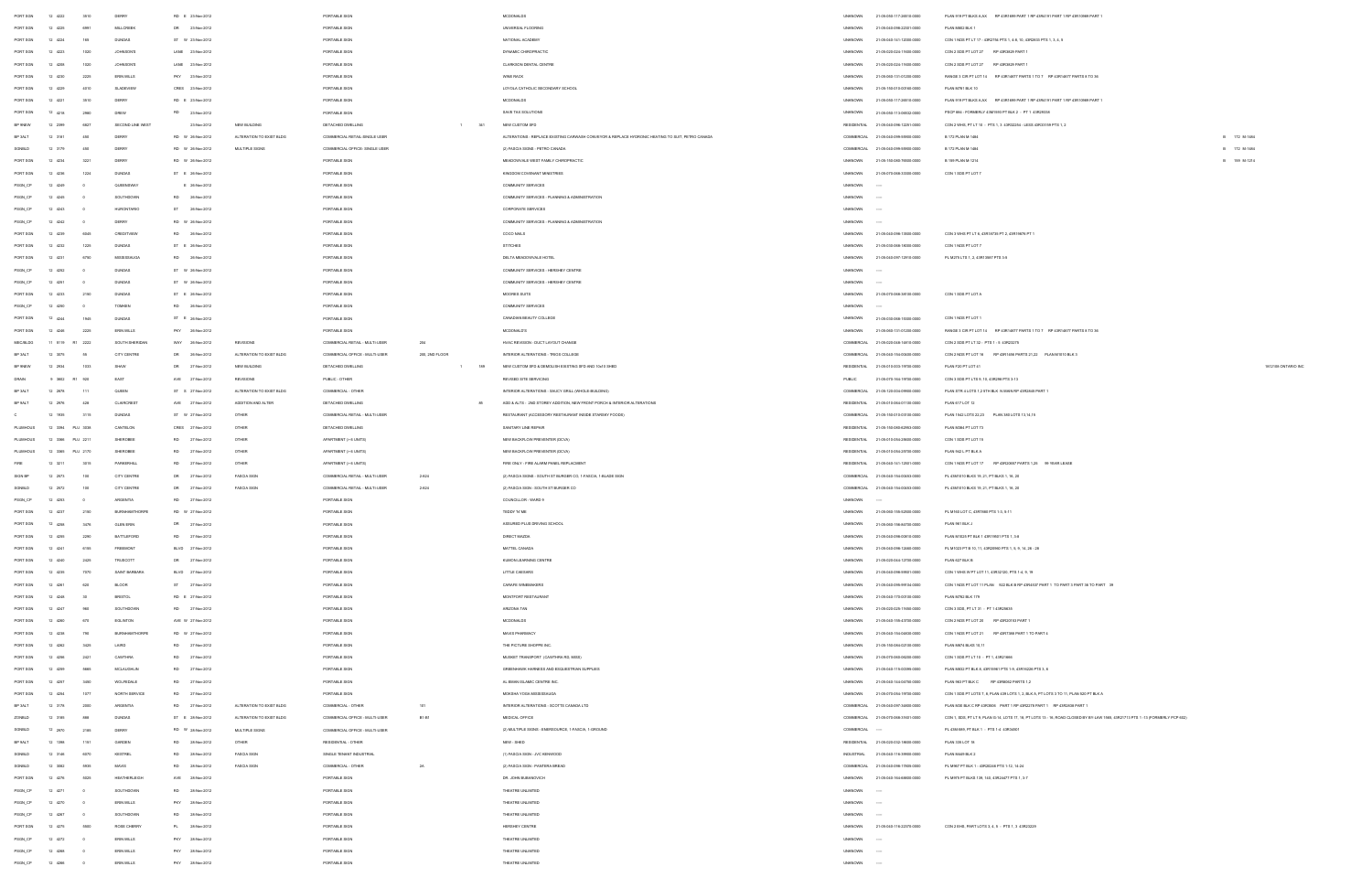MCDONALDS UNKNOWN PLAN 919 PT BLKS A,AX RP 43R1699 PART 1 RP 43R4191 PART 1 RP 43R10989 PART 1

## R1699 PART 1 RP 43R4191 PART 1 RP 43R10989 PART 1

- 
- 

# 19 LOTS 1, 2, BLK A, PT LOTS 3 TO 11, PLAN 520 PT BLK A

| PORT SGN        | 12 4222 | 3510              | DERRY                | RD E 23-Nov-2012   |                          | PORTABLE SIGN                  |                | MCDONALDS                                                                                        | <b>UNKNOWN</b>    | 21-05-050-117-26510-0000             | PLAN 919 PT BLKS A,AX RP 43R1699 PART 1 RP 43R4191 PART 1 RP 43R10989 PART 1                                                    |                    |
|-----------------|---------|-------------------|----------------------|--------------------|--------------------------|--------------------------------|----------------|--------------------------------------------------------------------------------------------------|-------------------|--------------------------------------|---------------------------------------------------------------------------------------------------------------------------------|--------------------|
|                 | 12 4225 |                   |                      |                    |                          |                                |                |                                                                                                  |                   |                                      |                                                                                                                                 |                    |
| PORT SGN        |         | 6991              | MILLCREEK            | DR 23-Nov-2012     |                          | PORTABLE SIGN                  |                | UNIVERSAL FLOORING                                                                               | <b>UNKNOWN</b>    | 21-05-040-098-22301-0000             | PLAN M802 BLK 1                                                                                                                 |                    |
| PORT SGN        | 12 4224 | 165               | <b>DUNDAS</b>        | ST W 23-Nov-2012   |                          | PORTABLE SIGN                  |                | NATIONAL ACADEMY                                                                                 | <b>UNKNOWN</b>    | 21-05-040-141-12000-0000             | CON 1 NDS PT LT 17 - 43R2754 PTS 1, 4-8, 10, 43R2833 PTS 1, 3, 4, 5                                                             |                    |
| PORT SGN        | 12 4223 | 1020              | JOHNSON'S            | LANE 23-Nov-2012   |                          | PORTABLE SIGN                  |                | DYNAMIC CHIROPRACTIC                                                                             | <b>UNKNOWN</b>    | 21-05-020-024-11600-0000             | CON 2 SDS PT LOT 27 RP 43R3829 PART 1                                                                                           |                    |
| PORT SGN        | 12 4208 | 1020              | JOHNSON'S            | LANE 23-Nov-2012   |                          | PORTABLE SIGN                  |                | CLARKSON DENTAL CENTRE                                                                           | <b>UNKNOWN</b>    | 21-05-020-024-11600-0000             | CON 2 SDS PT LOT 27 RP 43R3829 PART 1                                                                                           |                    |
| PORT SGN        | 12 4230 | 2225              | <b>ERIN MILLS</b>    | PKY 23-Nov-2012    |                          | PORTABLE SIGN                  |                | WINE RACK                                                                                        | <b>UNKNOWN</b>    | 21-05-060-131-01200-0000             | RANGE 3 CIR PT LOT 14 RP 43R14677 PARTS 1 TO 7 RP 43R14677 PARTS 8 TO 36                                                        |                    |
| PORT SGN        | 12 4229 | 4010              | SLADEVIEW            | CRES 23-Nov-2012   |                          | PORTABLE SIGN                  |                | LOYOLA CATHOLIC SECONDARY SCHOOL                                                                 | <b>UNKNOWN</b>    | 21-05-150-010-00160-0000             | PLAN M781 BLK 10                                                                                                                |                    |
|                 |         |                   |                      |                    |                          |                                |                |                                                                                                  |                   |                                      |                                                                                                                                 |                    |
| PORT SGN        | 12 4221 | 3510              | DERRY                | RD E 23-Nov-2012   |                          | PORTABLE SIGN                  |                | <b>MCDONALDS</b>                                                                                 | <b>UNKNOWN</b>    | 21-05-050-117-26510-0000             | PLAN 919 PT BLKS AAX RP 43R1699 PART 1 RP 43R4191 PART 1 RP 43R10989 PART 1                                                     |                    |
| PORT SGN        | 12 4218 | 2980              | DREW                 | RD 23-Nov-2012     |                          | PORTABLE SIGN                  |                | SAVE TAX SOLUTIONS                                                                               | <b>UNKNOWN</b>    | 21-05-050-113-06532-0000             | PSCP 884 - FORMERLY 43M1593 PT BLK 2 - PT 1 43R29338                                                                            |                    |
| BP 9NEW         |         | 6827              | SECOND LINE WEST     | 23-Nov-2012        | NEW BUILDING             | DETACHED DWELLING              | $1 - 1$<br>341 | NEW CUSTOM SFD                                                                                   | RESIDENTIAL       | 21-05-040-096-12251-0000             | CON 2 WHS, PT LT 10 - PTS 1, 3 43R32254 - LESS 43R33159 PTS 1, 2                                                                |                    |
| BP 3ALT         | 12 318  | 450               | <b>DERRY</b>         | RD W 26-Nov-2012   | ALTERATION TO EXIST BLDG | COMMERCIAL RETAIL-SINGLE USER  |                | ALTERATIONS - REPLACE EXISTING CARWASH CONVEYOR & REPLACE HYDRONIC HEATING TO SUIT, PETRO CANADA |                   | COMMERCIAL 21-05-040-099-55900-0000  | B 172 PLAN M-1484                                                                                                               | B 172 M-1484       |
| SGNBLD          | 12 3179 | 450               | <b>DERRY</b>         | RD W 26-Nov-2012   | MULTIPLE SIGNS           | COMMERCIAL OFFICE- SINGLE USER |                | (2) FASCIA SIGNS - PETRO CANADA                                                                  |                   | COMMERCIAL 21-05-040-099-55900-0000  | B 172 PLAN M-1484                                                                                                               | B 172 M-1484       |
|                 |         |                   |                      |                    |                          |                                |                |                                                                                                  |                   |                                      |                                                                                                                                 |                    |
| PORT SGN        | 12 4234 | 3221              | DERRY                | RD W 26-Nov-2012   |                          | PORTABLE SIGN                  |                | MEADOWVALE WEST FAMILY CHIROPRACTIC                                                              | <b>UNKNOWN</b>    | 21-05-150-080-76500-0000             | B 159 PLAN M-1214                                                                                                               | B 159 M-1214       |
| PORT SGN        | 12 4236 | 1224              | <b>DUNDAS</b>        | ST E 26-Nov-2012   |                          | PORTABLE SIGN                  |                | KINGDOM COVENANT MINISTRIES                                                                      | <b>UNKNOWN</b>    | 21-05-070-068-33300-0000             | CON 1 SDS PT LOT 7                                                                                                              |                    |
| PSGN_CP         | 12 4249 |                   | QUEENSWAY            | E 26-Nov-2012      |                          | PORTABLE SIGN                  |                | COMMUNITY SERVICES                                                                               | <b>UNKNOWN</b>    |                                      |                                                                                                                                 |                    |
| PSGN_CP         | 12 4245 |                   | SOUTHDOWN            | RD 26-Nov-2012     |                          | PORTABLE SIGN                  |                | COMMUNITY SERVICES - PLANNING & ADMINISTRATION                                                   | <b>UNKNOWN</b>    | $\sim$                               |                                                                                                                                 |                    |
|                 | 12 4243 |                   | HURONTARIO           | ST 26-Nov-2012     |                          | PORTABLE SIGN                  |                | CORPORATE SERVICES                                                                               | <b>UNKNOWN</b>    |                                      |                                                                                                                                 |                    |
| PSGN_CP         |         |                   |                      |                    |                          |                                |                |                                                                                                  |                   | $\sim$                               |                                                                                                                                 |                    |
| PSGN_CP         | 12 4242 |                   | DERRY                | RD W 26-Nov-2012   |                          | PORTABLE SIGN                  |                | COMMUNITY SERVICES - PLANNING & ADMINISTRATION                                                   | <b>UNKNOWN</b>    | $\overline{\phantom{a}}$             |                                                                                                                                 |                    |
| PORT SGN        | 12 4239 | 6045              | CREDITVIEW           | RD 26-Nov-2012     |                          | PORTABLE SIGN                  |                | COCO NAILS                                                                                       | <b>UNKNOWN</b>    | 21-05-040-098-13500-0000             | CON 3 WHS PT LT 6, 43R18735 PT 2, 43R19876 PT 1                                                                                 |                    |
| PORT SGN        | 12 4232 | 1225              | DUNDAS               | ST E 26-Nov-2012   |                          | PORTABLE SIGN                  |                | <b>STITCHES</b>                                                                                  | <b>UNKNOWN</b>    | 21-05-030-068-18000-0000             | CON 1 NDS PT LOT 7                                                                                                              |                    |
| PORT SGN        | 12 4231 | 6750              | MISSISSAUGA          | RD 26-Nov-2012     |                          | PORTABLE SIGN                  |                | DELTA MEADOWVALE HOTEL                                                                           | <b>UNKNOWN</b>    | 21-05-040-097-12910-0000             | PL M275 LTS 1, 2, 43R13587 PTS 3-5                                                                                              |                    |
| PSGN CP         | 12 4252 |                   | <b>DUNDAS</b>        | ST W 26-Nov-2012   |                          | PORTABLE SIGN                  |                | COMMUNITY SERVICES - HERSHEY CENTRE                                                              | <b>UNKNOWN</b>    |                                      |                                                                                                                                 |                    |
|                 |         |                   |                      |                    |                          |                                |                |                                                                                                  |                   | $\sim$                               |                                                                                                                                 |                    |
| PSGN_CP         | 12 4251 |                   | <b>DUNDAS</b>        | ST W 26-Nov-2012   |                          | PORTABLE SIGN                  |                | COMMUNITY SERVICES - HERSHEY CENTRE                                                              | <b>UNKNOWN</b>    | $\overline{\phantom{a}}$             |                                                                                                                                 |                    |
| PORT SGN        | 12 4233 | 2150              | <b>DUNDAS</b>        | ST E 26-Nov-2012   |                          | PORTABLE SIGN                  |                | MOORES SUITS                                                                                     | <b>UNKNOWN</b>    | 21-05-070-068-38100-0000             | CON 1 SDS PT LOT A                                                                                                              |                    |
| PSGN_CP         | 12 4250 |                   | <b>TOMKEN</b>        | RD 26-Nov-2012     |                          | PORTABLE SIGN                  |                | COMMUNITY SERVICES                                                                               | <b>UNKNOWN</b>    |                                      |                                                                                                                                 |                    |
| PORT SGN        |         | 1945              | DUNDAS               | ST E 26-Nov-2012   |                          | PORTABLE SIGN                  |                | CANADIAN BEAUTY COLLEGE                                                                          | <b>UNKNOWN</b>    | 21-05-030-068-15300-0000             | CON 1 NDS PT LOT 1                                                                                                              |                    |
|                 |         | 2225              |                      |                    |                          |                                |                |                                                                                                  |                   |                                      | RANGE 3 CIR PT LOT 14 RP 43R14677 PARTS 1 TO 7 RP 43R14677 PARTS 8 TO 36                                                        |                    |
| PORT SGN        | 12 4246 |                   | <b>ERIN MILLS</b>    | PKY 26-Nov-2012    |                          | PORTABLE SIGN                  |                | MCDONALD'S                                                                                       | <b>UNKNOWN</b>    | 21-05-060-131-01200-0000             |                                                                                                                                 |                    |
| MEC/BLDG        | 11 5119 | 2222<br><b>R1</b> | SOUTH SHERIDAN       | WAY 26-Nov-2012    | <b>REVISIONS</b>         | COMMERCIAL RETAIL - MULTI-USER | 204            | HVAC REVISION - DUCT LAYOUT CHANGE                                                               |                   | COMMERCIAL 21-05-020-048-14810-0000  | CON 2 SDS PT LT 32 - PTS 1 - 5 43R23275                                                                                         |                    |
| BP 3ALT         | 12 3075 | 55                | CITY CENTRE          | DR 26-Nov-2012     | ALTERATION TO EXIST BLDG | COMMERCIAL OFFICE - MULTI-USER | 200, 2ND FLOOR | INTERIOR ALTERATIONS - TRIOS COLLEGE                                                             |                   | COMMERCIAL 21-05-040-154-00400-0000  | CON 2 NDS PT LOT 16 RP 43R1456 PARTS 21,22 PLAN M1010 BLK 3                                                                     |                    |
| BP 9NEW         | 12 2934 | 1033              | SHAW                 | DR 27-Nov-2012     | NEW BUILDING             | DETACHED DWELLING              | 189<br>$1 -$   | NEW CUSTOM SFD & DEMOLISH EXISTING SFD AND 10x10 SHED                                            | RESIDENTIAL       | 21-05-010-003-19700-0000             | PLAN F20 PT LOT 41                                                                                                              | 1812108 ONTARIO IN |
| <b>DRAIN</b>    | 9 3802  |                   | EAST                 | AVE 27-Nov-2012    | <b>REVISIONS</b>         | PUBLIC - OTHER                 |                | REVISED SITE SERVICING                                                                           | PUBLIC            | 21-05-070-164-19700-0000             | CON 3 SDS PT LTS 9, 10, 43R298 PTS 3-13                                                                                         |                    |
|                 | 12 2878 | 111               |                      |                    | ALTERATION TO EXIST BLDG |                                |                |                                                                                                  |                   |                                      | PLAN STR 4 LOTS 1,2 5TH BLK N MAIN RP 43R2845 PART 1                                                                            |                    |
| BP 3ALT         |         |                   | QUEEN                | ST S 27-Nov-2012   |                          | COMMERCIAL - OTHER             |                | INTERIOR ALTERATIONS - SAUCY GRILL (WHOLE-BUILDING)                                              |                   | COMMERCIAL 21-05-120-004-09900-0000  |                                                                                                                                 |                    |
| BP 9ALT         | 12 2976 | 428               | CLAIRCREST           | AVE 27-Nov-2012    | ADDITION AND ALTER       | DETACHED DWELLING              | 85             | ADD & ALTS - 2ND STOREY ADDITION, NEW FRONT PORCH & INTERIOR ALTERATIONS                         |                   | RESIDENTIAL 21-05-010-064-01100-0000 | PLAN 617 LOT 12                                                                                                                 |                    |
|                 | 12 1935 | 3115              | <b>DUNDAS</b>        | ST W 27-Nov-2012   | OTHER                    | COMMERCIAL RETAIL - MULTI-USER |                | RESTAURANT (ACCESSORY RESTAURANT INSIDE STARSKY FOODS                                            |                   | COMMERCIAL 21-05-150-010-03100-0000  | PLAN 1542 LOTS 22,23 PLAN 380 LOTS 13,14,15                                                                                     |                    |
| PLUMHOUS        | 12 3394 | PLU 3038          | CANTELON             | CRES 27-Nov-2012   | OTHER                    | DETACHED DWELLING              |                | SANITARY LINE REPAIR                                                                             | RESIDENTIAL       | 21-05-150-080-62953-0000             | PLAN M384 PT LOT 73                                                                                                             |                    |
| PLUMHOUS        | 12      | PLU 2211          | SHEROBEE             | RD 27-Nov-2012     | OTHER                    | APARTMENT (> 6 UNITS)          |                | NEW BACKFLOW PREVENTER (DCVA)                                                                    | RESIDENTIAL       | 21-05-010-054-25600-0000             | CON 1 SDS PT LOT 15                                                                                                             |                    |
|                 |         |                   |                      |                    |                          |                                |                |                                                                                                  |                   |                                      |                                                                                                                                 |                    |
| PLUMHOUS        | 12 3365 | PLU 2170          | SHEROBEE             | RD 27-Nov-2012     | OTHER                    | APARTMENT (> 6 UNITS)          |                | NEW BACKFLOW PREVENTER (DCVA)                                                                    |                   | RESIDENTIAL 21-05-010-054-25700-0000 | PLAN 942 L PT BLK A                                                                                                             |                    |
|                 | 12 3211 | 3015              | PARKERHILL           | RD 27-Nov-2012     | OTHER                    | APARTMENT (> 6 UNITS)          |                | FIRE ONLY - FIRE ALARM PANEL REPLACMENT                                                          |                   | RESIDENTIAL 21-05-040-141-12501-0000 | CON 1 NDS PT LOT 17 RP 43R20657 PARTS 1,25 99 YEAR LEASE                                                                        |                    |
| SIGN BP         | 12 2573 | 100               | CITY CENTRE          | DR 27-Nov-2012     | <b>FASCIA SIGN</b>       | COMMERCIAL RETAIL - MULTI-USER | $2 - 824$      | (2) FASCIA SIGNS - SOLITH ST BURGER CO. 1-FASCIA 1-BLADE SIGN                                    |                   | COMMERCIAL 21-05-040-154-00453-0000  | PL 43M1010 BLKS 19, 21, PT BLKS 1, 16, 20                                                                                       |                    |
| SGNBLD          | 12 2572 | 100               | CITY CENTRE          | DR.<br>27-Nov-2012 | <b>FASCIA SIGN</b>       | COMMERCIAL RETAIL - MULTI-USER | $2 - 824$      | (2) FASCIA SIGN - SOUTH ST BURGER CO                                                             |                   | COMMERCIAL 21-05-040-154-00453-0000  | PL 43M1010 BLKS 19, 21, PT BLKS 1, 16, 20                                                                                       |                    |
| PSGN_CP         | 12 4253 |                   | ARGENTIA             | RD 27-Nov-2012     |                          | PORTABLE SIGN                  |                | COUNCILLOR - WARD 9                                                                              | <b>UNKNOWN</b>    | $\sim$                               |                                                                                                                                 |                    |
| PORT SGN        | 12 4237 | 2150              | <b>BURNHAMTHORPE</b> | RD W 27-Nov-2012   |                          | PORTABLE SIGN                  |                | TEDDY 'N' ME                                                                                     | <b>UNKNOWN</b>    | 21-05-060-155-52500-0000             | PL M160 LOT C, 43R7880 PTS 1-3, 5-11                                                                                            |                    |
|                 |         |                   |                      |                    |                          |                                |                |                                                                                                  |                   |                                      |                                                                                                                                 |                    |
| PORT SGN        | 12 4258 | 3476              | <b>GLEN ERIN</b>     | DR 27-Nov-2012     |                          | PORTABLE SIGN                  |                | ASSURED PLUS DRIVING SCHOOL                                                                      | <b>UNKNOWN</b>    | 21-05-060-156-84700-0000             | PLAN 961 BLK J                                                                                                                  |                    |
| PORT SGN        | 12 4255 | 2290              | <b>BATTLEFORD</b>    | RD 27-Nov-2012     |                          | PORTABLE SIGN                  |                | DIRECT MAZDA                                                                                     | <b>LINKNOWN</b>   | 21-05-040-098-00810-0000             | PLAN M1025 PT BLK 1 43R19501 PTS 1, 3-8                                                                                         |                    |
| PORT SGN        |         | 6155              | FREEMONT             | BLVD 27-Nov-2012   |                          | PORTABLE SIGN                  |                | MATTEL CANADA                                                                                    | <b>UNKNOWN</b>    | 21-05-040-098-12460-0000             | PL M1023 PT B 10, 11, 43R20960 PTS 1, 5, 9, 14, 26 - 28                                                                         |                    |
| PORT SGN        | 12 4240 | 2425              | TRUSCOTT             | DR 27-Nov-2012     |                          | PORTABLE SIGN                  |                | KUMON LEARNING CENTRE                                                                            | <b>UNKNOWN</b>    | 21-05-020-044-12700-0000             | PLAN 627 BLK B                                                                                                                  |                    |
| PORT SGN        | 12 4235 | 7070              | SAINT BARBARA        | BLVD 27-Nov-2012   |                          | PORTABLE SIGN                  |                | LITTLE CAESARS                                                                                   | <b>UNKNOWN</b>    | 21-05-040-098-59501-0000             | CON 1 WHS W PT LOT 11, 43R32120, PTS 1-4, 9, 19                                                                                 |                    |
|                 |         |                   |                      |                    |                          |                                |                |                                                                                                  |                   |                                      |                                                                                                                                 |                    |
| PORT SGN        | 12 4261 | 620               | <b>BLOOR</b>         | ST 27-Nov-2012     |                          | PORTABLE SIGN                  |                | <b>CARAFE WINEMAKERS</b>                                                                         | <b>UNKNOWN</b>    | 21-05-040-095-99104-0000             | CON 1 NDS PT LOT 11 PLAN 922 BLK B RP 43R4537 PART 1 TO PART 3 PART 36 TO PART 39                                               |                    |
| PORT SGN        | 12 4248 | 30                | <b>BRISTOL</b>       | RD E 27-Nov-2012   |                          | PORTABLE SIGN                  |                | MONTFORT RESTAURANT                                                                              | <b>UNKNOWN</b>    | 21-05-040-170-00100-0000             | PLAN M782 BLK 179                                                                                                               |                    |
| PORT SGN        | 12 4247 | 960               | SOUTHDOWN            | RD 27-Nov-2012     |                          | PORTABLE SIGN                  |                | ARIZONA TAN                                                                                      | <b>UNKNOWN</b>    | 21-05-020-025-11650-0000             | CON 3 SDS, PT LT 31 - PT 1 43R25635                                                                                             |                    |
| PORT SGN        | 12 4260 | 670               | <b>EGLINTON</b>      | AVE W 27-Nov-2012  |                          | PORTABLE SIGN                  |                | MCDONALDS                                                                                        | <b>UNKNOWN</b>    | 21-05-040-155-43700-0000             | CON 2 NDS PT LOT 20 RP 43R20153 PART 1                                                                                          |                    |
| PORT SGN        | 12 4238 | 790               | BURNHAMTHORPE        | RD W 27-Nov-2012   |                          | PORTABLE SIGN                  |                | MAVIS PHARMACY                                                                                   | <b>UNKNOWN</b>    | 21-05-040-154-04830-0000             | CON 1 NDS PT LOT 21 RP 43R7388 PART 1 TO PART 4                                                                                 |                    |
|                 |         |                   |                      |                    |                          |                                |                |                                                                                                  |                   |                                      |                                                                                                                                 |                    |
| PORT SGN        | 12 4262 | 3425              | LAIRD                | RD 27-Nov-2012     |                          | PORTABLE SIGN                  |                | THE PICTURE SHOPPE INC.                                                                          | <b>UNKNOWN</b>    | 21-05-150-084-02100-0000             | PLAN M674 BLKS 10.11                                                                                                            |                    |
| PORT SGN        | 12 4256 | 2421              | CAWTHRA              | RD 27-Nov-2012     |                          | PORTABLE SIGN                  |                | MUSKET TRANSPORT (CAWTHRA RD, MISS)                                                              | <b>UNKNOWN</b>    | 21-05-070-060-06200-0000             | CON 1 SDS PT LT 10 - PT 1, 43R21666                                                                                             |                    |
| PORT SGN        | 12 4259 | 5665              | MCLAUGHLIN           | RD 27-Nov-2012     |                          | PORTABLE SIGN                  |                | GREENHAWK HARNESS AND ESQUESTRIAN SUPPLIES                                                       | <b>UNKNOWN</b>    | 21-05-040-115-00395-0000             | PLAN M832 PT BLK 8, 43R15961 PTS 1-9, 43R16226 PTS 3, 6                                                                         |                    |
| PORT SGN        | 12 4257 | 3450              | WOLFEDALE            | RD 27-Nov-2012     |                          | PORTABLE SIGN                  |                | AL EMAN ISLAMIC CENTRE INC.                                                                      | <b>UNKNOWN</b>    | 21-05-040-144-04750-0000             | PLAN 963 PT BLK C RP 43R8062 PARTS 1,2                                                                                          |                    |
|                 |         |                   |                      |                    |                          |                                |                |                                                                                                  |                   |                                      |                                                                                                                                 |                    |
| PORT SGN        | 12 4254 | 1077              | NORTH SERVICE        | RD 27-Nov-2012     |                          | PORTABLE SIGN                  |                | MOKSHA YOGA MISSISSAUGA                                                                          | <b>UNKNOWN</b>    | 21-05-070-054-19700-0000             | CON 1 SDS PT LOTS 7, 8, PLAN 439 LOTS 1, 2, BLK A, PT LOTS 3 TO 11, PLAN 520 PT BLK A                                           |                    |
| BP 3ALT         | 12 3178 | 2000              | ARGENTIA             | RD 27-Nov-2012     | ALTERATION TO EXIST BLDG | COMMERCIAL - OTHER             | 101            | INTERIOR ALTERATIONS - SCOTTS CANADA LTD                                                         |                   | COMMERCIAL 21-05-040-097-34800-0000  | PLAN M30 BLK C RP 43R3506 PART 1 RP 43R2278 PART 1 RP 43R2838 PART 1                                                            |                    |
| ZONBLD          | 12 3185 | 888               | <b>DUNDAS</b>        | ST E 28-Nov-2012   | ALTERATION TO EXIST BLDG | COMMERCIAL OFFICE - MULTI-USER | <b>B1-B1</b>   | MEDICAL OFFICE                                                                                   |                   | COMMERCIAL 21-05-070-068-31601-0000  | CON 1, SDS, PT LT 9, PLAN G-14, LOTS 17, 18, PT LOTS 13 - 16, ROAD CLOSED BY BY-LAW 1565, 43R21713 PTS 1 -13 (FORMERLY PCP 602) |                    |
| SGNBLD          | 12 2970 | 2185              | DERRY                | RD W 28-Nov-2012   | MULTIPLE SIGNS           | COMMERCIAL OFFICE - MULTI-USER |                | (2) MULTIPLE SIGNS - ENERSOURCE, 1-FASCIA, 1-GROUND                                              | COMMERCIAL        |                                      | PL 43M-589, PT BLK 1 - PTS 1-4 43R34501                                                                                         |                    |
|                 |         | 1151              |                      |                    |                          | RESIDENTIAL - OTHER            |                |                                                                                                  |                   |                                      |                                                                                                                                 |                    |
| BP 9ALT         |         |                   | GARDEN               | RD 28-Nov-2012     | OTHER                    |                                |                | NEW - SHED                                                                                       |                   | RESIDENTIAL 21-05-020-032-18600-0000 | PLAN 335 LOT 18                                                                                                                 |                    |
| SGNBLD          | 12 3146 | 6070              | <b>KESTREL</b>       | RD 28-Nov-2012     | <b>FASCIA SIGN</b>       | SINGLE TENANT INDUSTRIAL       |                | (1) FASCIA SIGN - JVC KENWOOD                                                                    | <b>INDUSTRIAL</b> | 21-05-040-116-39900-0000             | PLAN M449 BLK 2                                                                                                                 |                    |
| SGNBLD          | 12 3082 | 5935              | MAVIS                | RD 28-Nov-2012     | <b>FASCIA SIGN</b>       | COMMERCIAL - OTHER             | 2A             | (2) FASCIA SIGN - PANTERA BREAD                                                                  |                   | COMMERCIAL 21-05-040-098-17805-0000  | PL M967 PT BLK 1 - 43R20246 PTS 1-12, 14-24                                                                                     |                    |
| PORT SGN        | 12 4276 | 5025              | <b>HEATHERLEIGH</b>  | AVE 28-Nov-2012    |                          | PORTABLE SIGN                  |                | DR. JOHN BUBANOVICH                                                                              | <b>UNKNOWN</b>    | 21-05-040-164-68800-0000             | PL M975 PT BLKS 139, 140, 43R24477 PTS 1, 3-7                                                                                   |                    |
| PSGN_CP         | 12 4271 |                   | SOUTHDOWN            | RD 28-Nov-2012     |                          | PORTABLE SIGN                  |                | THEATRE UNLIMTED                                                                                 | <b>UNKNOWN</b>    |                                      |                                                                                                                                 |                    |
|                 |         |                   |                      |                    |                          |                                |                |                                                                                                  |                   |                                      |                                                                                                                                 |                    |
| PSGN_CP         | 12 4270 |                   | <b>ERIN MILLS</b>    | PKY 28-Nov-2012    |                          | PORTABLE SIGN                  |                | THEATRE UNLIMTED                                                                                 | <b>UNKNOWN</b>    | -----                                |                                                                                                                                 |                    |
| PSGN CP         | 12 4267 |                   | SOUTHDOWN            | RD 28-Nov-2012     |                          | PORTABLE SIGN                  |                | THEATRE UNLIMTED                                                                                 | <b>UNKNOWN</b>    | $\sim$                               |                                                                                                                                 |                    |
| PORT SGN        | 12 4275 | 5500              | <b>ROSE CHERRY</b>   | PL 28-Nov-2012     |                          | PORTABLE SIGN                  |                | HERSHEY CENTRE                                                                                   | <b>UNKNOWN</b>    | 21-05-040-116-22370-0000             | CON 2 EHS, PART LOTS 3, 4, 5 - PTS 1, 3 43R23229                                                                                |                    |
| PSGN_CP         | 12 4272 |                   | <b>ERIN MILLS</b>    | PKY 28-Nov-2012    |                          | PORTABLE SIGN                  |                | THEATRE UNLIMTED                                                                                 | <b>UNKNOWN</b>    |                                      |                                                                                                                                 |                    |
|                 |         |                   |                      |                    |                          |                                |                |                                                                                                  |                   |                                      |                                                                                                                                 |                    |
| PSGN_CP         | 12 4268 |                   | <b>ERIN MILLS</b>    | PKY 28-Nov-2012    |                          | PORTABLE SIGN                  |                | THEATRE UNLIMTED                                                                                 | <b>UNKNOWN</b>    |                                      |                                                                                                                                 |                    |
| PSGN_CP 12 4266 |         | $\sim$ 0          | <b>ERIN MILLS</b>    | PKY 28-Nov-2012    |                          | PORTABLE SIGN                  |                | THEATRE UNLIMTED                                                                                 | UNKNOWN -----     |                                      |                                                                                                                                 |                    |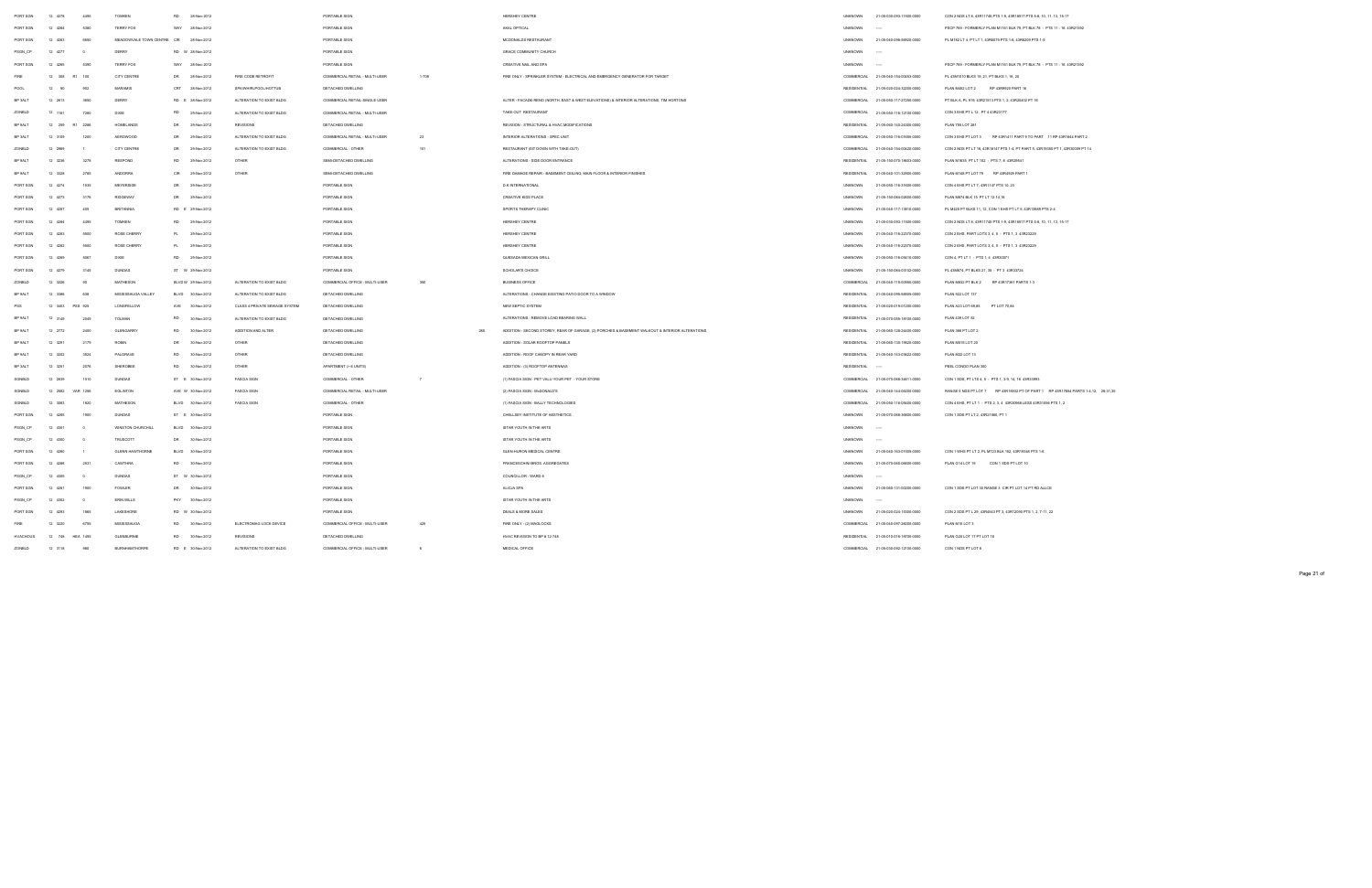(2) FASCIA SIGN - McDONALD'S COMMERCIAL RANGE 5 NDS PT LOT 7 RP 43R16932 PT OF PART 1 RP 43R17654 PARTS 1-4,12, 28-31,35

| PORT SGN        | 12 4278     | 4495                   | <b>TOMKEN</b>              | 28-Nov-2012<br><b>RD</b>    |                               | PORTABLE SIGN                  |                | HERSHEY CENTRE                                                                                  | <b>UNKNOWN</b>     | 21-05-030-093-11500-0000             | CON 2 NDS LT 8, 43R11745 PTS 1-9, 43R18517 PTS 5-8, 10, 11, 13, 15-17       |
|-----------------|-------------|------------------------|----------------------------|-----------------------------|-------------------------------|--------------------------------|----------------|-------------------------------------------------------------------------------------------------|--------------------|--------------------------------------|-----------------------------------------------------------------------------|
| PORT SGN        | 12 4264     | 5380                   | <b>TERRY FOX</b>           | WAY 28-Nov-2012             |                               | PORTABLE SIGN                  |                | AKAL OPTICAL                                                                                    | <b>UNKNOWN</b>     |                                      | PSCP 769 - FORMERLY PLAN M1161 BLK 79, PT BLK 78 - PTS 11 - 16 43R21392     |
| PORT SGN        | 12 4263     | 6650                   | MEADOWVALE TOWN CENTRE CIR | 28-Nov-2012                 |                               | PORTABLE SIGN                  |                | MCDONALDS RESTAURANT                                                                            | <b>LINKNOWN</b>    | 21-05-040-098-56920-0000             | PLM182 LT 4 PT LT 1 43R6079 PTS 1-6 43R6209 PTS 1-9                         |
| PSGN CF         | 12<br>4277  |                        | DERRY                      | RD W 28-Nov-2012            |                               | PORTABLE SIGN                  |                | GRACE COMMUNITY CHURCH                                                                          | <b>UNKNOWN</b>     | $\sim$                               |                                                                             |
| PORT SGN        | 12          | 5390                   | <b>TERRY FOX</b>           | WAY<br>28-Nov-2012          |                               | PORTABLE SIGN                  |                | CREATIVE NAIL AND SPA                                                                           | <b>UNKNOWN</b>     |                                      | PSCP 769 - FORMERLY PLAN M1161 BLK 79, PT BLK 78 - PTS 11 - 16 43R21392     |
| <b>FIRE</b>     | 12 308      | 100                    | CITY CENTRE                | <b>DR</b><br>28-Nov-2012    | FIRE CODE RETROFIT            | COMMERCIAL RETAIL - MULTI-USER | 1-708          | FIRE ONLY - SPRINKLER SYSTEM - ELECTRICAL AND EMERGENCY GENERATOR FOR TARGET                    |                    | COMMERCIAL 21-05-040-154-00453-0000  | PL 43M1010 BLKS 19, 21, PT BLKS 1, 16, 20                                   |
| POOL            | 12<br>90    | 902                    | MARAMIS                    | CRT<br>28-Nov-2012          | SPA/WHIRLPOOL/HOTTUB          | DETACHED DWELLING              |                |                                                                                                 |                    | RESIDENTIAL 21-05-020-024-32200-0000 | PLAN M452 LOT 2 RP 43R9920 PART 16                                          |
| BP 3ALT         | 12 2813     | 3650                   | <b>DERRY</b>               | RD E 28-Nov-2012            | ALTERATION TO EXIST BLDG      | COMMERCIAL RETAIL-SINGLE USER  |                | ALTER - FACADE-RENO (NORTH, EAST & WEST ELEVATIONS) & INTERIOR ALTERATIONS, TIM HORTONS         | COMMERCIAL         | 21-05-050-117-27250-0000             | PT BLK A, PL 919, 43R21513 PTS 1, 2, 43R20402 PT 16                         |
| ZONBLD          | 12<br>1181  | 7280                   | DIXIE                      | 29-Nov-2012<br><b>RD</b>    | ALTERATION TO EXIST BLDG      | COMMERCIAL RETAIL - MULTI-USER |                | TAKE-OUT RESTAURANT                                                                             | COMMERCIAL         | 21-05-050-116-12100-0000             | CON 3 EHS PT L 12, PT 4 43R23177                                            |
| BP 9ALT         | 12 259      | R <sub>1</sub><br>2286 | HOMEL ANDS                 | <b>DR</b><br>29-Nov-2012    | <b>REVISIONS</b>              | DETACHED DWELLING              |                | REVISION - STRUCTURAL & HVAC MODIFICATIONS                                                      | <b>RESIDENTIAL</b> | 21-05-060-140-24300-0000             | PLAN 755 LOT 281                                                            |
| BP 3ALT         | 12 3109     | 1200                   | AEROWOOD                   | DR.<br>29-Nov-2012          | ALTERATION TO EXIST BLDG      | COMMERCIAL RETAIL - MULTI-USER | 23             | INTERIOR ALTERATIONS - SPEC UNIT                                                                |                    | COMMERCIAL 21-05-050-116-01655-0000  | CON 3 EHS PT LOT 3 RP 43R1411 PART 9 TO PART 11 RP 43R1844 PART             |
| ZONBLD          | 12          |                        | CITY CENTRE                | DR<br>29-Nov-2012           | ALTERATION TO EXIST BLDG      | COMMERCIAL - OTHER             | 101            | RESTAURANT (SIT DOWN WITH TAKE-OUT)                                                             | COMMERCIAL         | 21-05-040-154-00420-0000             | CON 2 NDS PT LT 16, 43R18147 PTS 1-4, PT PART 5, 43R19350 PT 1, 43R30009 PT |
| BP 9ALT         | 12 3236     | 3278                   | <b>RESPOND</b>             | <b>RD</b><br>29-Nov-2012    | OTHER                         | SEMI-DETACHED DWELLING         |                | ALTERATIONS - SIDE DOOR ENTRANCE                                                                | <b>RESIDENTIAL</b> | 21-05-150-070-18603-0000             | PLAN M1635 PT LT 102 - PTS 7.8 43R29541                                     |
| BP 9ALT         | 12 3328     | 2785                   | ANDORRA                    | CIR<br>29-Nov-2012          | OTHER                         | SEMI-DETACHED DWELLING         |                | FIRE DAMAGE REPAIR - BASEMENT CEILING, MAIN FLOOR & INTERIOR FINISHES                           | RESIDENTIAL        | 21-05-040-101-32900-0000             | PLAN M148 PT LOT 79 RP 43R4929 PART 1                                       |
| PORT SGN        | 12<br>4274  | 1535                   | MEYERSIDE                  | DR<br>29-Nov-2012           |                               | PORTABLE SIGN                  |                | D.K INTERNATIONAL                                                                               | <b>UNKNOWN</b>     | 21-05-050-116-31600-0000             | CON 4 EHS PT LT 7, 43R1147 PTS 10, 23                                       |
| PORT SGN        |             | 3176                   | RIDGEWAY                   | DR<br>29-Nov-2012           |                               | PORTABLE SIGN                  |                | CREATIVE KIDS PLACE                                                                             | <b>UNKNOWN</b>     | 21-05-150-084-02600-0000             | PLAN M674 BLK 15 PT LT 12-14,16                                             |
| PORT SGN        | 12 4287     | 405                    | RRITANNIA                  | RD F 29-Nov-2012            |                               | PORTABLE SIGN                  |                | SPORTS THERAPY CLINIC                                                                           | <b>LINKNOWN</b>    | 21-05-040-117-13810-0000             | PL M425 PT RLKS 11 12 CON 1 FHS PT LT 5 43R13889 PTS 2-4                    |
| PORT SGN        | 12<br>4284  | 4495                   | <b>TOMKEN</b>              | <b>RD</b><br>29-Nov-2012    |                               | PORTABLE SIGN                  |                | HERSHEY CENTRE                                                                                  | <b>UNKNOWN</b>     | 21-05-030-093-11500-0000             | CON 2 NDS LT 8, 43R11745 PTS 1-9, 43R18517 PTS 5-8, 10, 11, 13, 15-17       |
| PORT SGN        | 12          | 5500                   | ROSE CHERRY                | 29-Nov-2012<br>PL           |                               | PORTABLE SIGN                  |                | HERSHEY CENTRE                                                                                  | <b>UNKNOWN</b>     | 21-05-040-116-22370-0000             | CON 2 EHS, PART LOTS 3, 4, 5 - PTS 1, 3 43R23229                            |
| PORT SGN        | 12<br>4282  | 5500                   | <b>ROSE CHERRY</b>         | 29-Nov-2012<br>PL.          |                               | PORTABLE SIGN                  |                | HERSHEY CENTRE                                                                                  | <b>LINKNOWN</b>    | 21-05-040-116-22370-0000             | CON 2 EHS, PART LOTS 3, 4, 5 - PTS 1, 3 43R23229                            |
| PORT SGN        | 12<br>4269  | 5067                   | DIXIE                      | RD.<br>29-Nov-2012          |                               | PORTABLE SIGN                  |                | QUESADA MEXICAN GRILL                                                                           | <b>LINKNOWN</b>    | 21-05-050-116-05410-0000             | CON 4 PT I T 1 - PTS 1 4 43R30071                                           |
| PORT SGN        | -12<br>4279 | 3145                   | <b>DUNDAS</b>              | ST W 29-Nov-2012            |                               | PORTABLE SIGN                  |                | SCHOLAR'S CHOICE                                                                                | <b>UNKNOWN</b>     | 21-05-150-084-03102-0000             | PL 43M674, PT BLKS 21, 35 - PT 3 43R33724                                   |
| ZONBLD          | 12 3226     | 90                     | MATHESON                   | BLVD W 29-Nov-2012          | ALTERATION TO EXIST BLDG      | COMMERCIAL OFFICE - MULTI-USER | 350            | <b>BUSINESS OFFICE</b>                                                                          | COMMERCIAL         | 21-05-040-115-00950-0000             | PLAN M832 PT BLK 2 RP 43R17361 PARTS 1-3                                    |
| BP 9ALT         | 12 3386     | 638                    | MISSISSAUGA VALLEY         | BLVD 30-Nov-2012            | ALTERATION TO EXIST BLDG.     | DETACHED DWELLING              |                | ALTERATIONS - CHANGE EXISTING PATIO DOOR TO A WINDOW                                            |                    | RESIDENTIAL 21-05-040-095-58505-0000 | PLAN 922 LOT 137                                                            |
| PSS             | 12 3403     | PSS 925                | LONGFELLOW                 | AVE<br>30-Nov-2012          | CLASS 4 PRIVATE SEWAGE SYSTEM | DETACHED DWELLING              |                | NEW SEPTIC SYSTEM                                                                               | RESIDENTIAL        | 21-05-020-019-01200-0000             | PLAN A23 LOT 69.85 PT LOT 70.84                                             |
| BP 9ALT         | 12 3149     | 2049                   | TOLMAN                     | 30-Nov-2012<br><b>RD</b>    | ALTERATION TO EXIST BLDG      | DETACHED DWELLING              |                | ALTERATIONS - REMOVE LOAD BEARING WALL                                                          | RESIDENTIAL        | 21-05-070-055-18100-0000             | PLAN 439 LOT 52                                                             |
| BP 9ALT         | 12 2772     | 2400                   | <b>GLENGARRY</b>           | <b>RD</b><br>30-Nov-2012    | ADDITION AND ALTER            | DETACHED DWELLING              | 285            | ADDITION - SECOND STOREY, REAR OF GARAGE, (2) PORCHES & BASEMENT WALKOUT & INTERIOR ALTERATIONS |                    | RESIDENTIAL 21-05-060-128-24400-0000 | PLAN 366 PT LOT 2                                                           |
| BP 9ALT         | 12 3291     | 2179                   | <b>ROBIN</b>               | <b>DR</b><br>30-Nov-2012    | <b>OTHER</b>                  | DETACHED DWELLING              |                | ADDITION - SOLAR ROOFTOP PANELS                                                                 | RESIDENTIAL        | 21-05-060-130-19520-0000             | PLAN M515 LOT 20                                                            |
|                 |             |                        |                            |                             |                               |                                |                |                                                                                                 |                    |                                      |                                                                             |
| BP 9ALT         | 12<br>3202  | 3524                   | PALGRAVE                   | 30-Nov-2012<br><b>RD</b>    | OTHER                         | DETACHED DWELLING              |                | ADDITION - ROOF CANOPY IN REAR YARD                                                             | RESIDENTIAL        | 21-05-040-143-03622-0000             | PLAN M22 LOT 13                                                             |
| BP 3ALT         | 12 325      | 2076                   | SHEROBEE                   | <b>RD</b><br>30-Nov-2012    | OTHER                         | APARTMENT (> 6 UNITS)          |                | ADDITION - (3) ROOFTOP ANTENNAS                                                                 | <b>RESIDENTIAL</b> |                                      | PEEL CONDO PLAN 300                                                         |
| SGNBLD          | 12 2839     | 1510                   | <b>DUNDAS</b>              | ST E 30-Nov-2012            | <b>FASCIA SIGN</b>            | COMMERCIAL - OTHER             | $\overline{7}$ | (1) FASCIA SIGN - PET VALU YOUR PET - YOUR STORE                                                |                    | COMMERCIAL 21-05-070-068-34611-0000  | CON 1 SDS, PT LTS 4, 5 - PTS 1, 3-9, 14, 16 43R33993                        |
| SGNBLD          | 12 2582     | VAR 1256               | <b>EGLINTON</b>            | AVE W 30-Nov-2012           | <b>FASCIA SIGN</b>            | COMMERCIAL RETAIL - MULTI-USER |                | (2) FASCIA SIGN - McDONALD'S                                                                    |                    | COMMERCIAL 21-05-040-144-06200-0000  | RANGE 5 NDS PT LOT 7 RP 43R16932 PT OF PART 1 RP 43R17654 PARTS             |
| SGNBLD          | 3083<br>12  | 1820                   | MATHESON                   | BLVD 30-Nov-2012            | <b>FASCIA SIGN</b>            | COMMERCIAL - OTHER             |                | (1) FASCIA SIGN - BALLY TECHNOLOGIES                                                            | COMMERCIAL         | 21-05-050-116-05400-0000             | CON 4 EHS, PT LT 1 - PTS 2, 3, 4 43R30968 LESS 43R31056 PTS 1, 2            |
| PORT SGN        | 12          | 1900                   | <b>DUNDAS</b>              | ST E 30-Nov-2012            |                               | PORTABLE SIGN                  |                | CHELLSEY INSTITUTE OF AESTHETICS                                                                | <b>UNKNOWN</b>     | 21-05-070-068-36800-0000             | CON 1 SDS PT LT 2, 43R21580, PT 1                                           |
| PSGN CP         | 12 4301     | $\sqrt{2}$             | WINSTON CHURCHILL          | <b>BI VD</b><br>30-Nov-2012 |                               | PORTABLE SIGN                  |                | ISTAR YOUTH IN THE ARTS                                                                         | <b>LINKNOWN</b>    | $\sim$                               |                                                                             |
| PSGN CP         | 12 4300     | $\Omega$               | TRUSCOTT                   | <b>DR</b><br>30-Nov-2012    |                               | PORTABLE SIGN                  |                | ISTAR YOUTH IN THE ARTS                                                                         | <b>UNKNOWN</b>     | $\overline{\phantom{a}}$             |                                                                             |
| PORT SGN        | 12          |                        | <b>GLENN HAWTHORNE</b>     | <b>BLVD</b><br>30-Nov-2012  |                               | PORTABLE SIGN                  |                | <b>GLEN-HURON MEDICAL CENTRE</b>                                                                | <b>UNKNOWN</b>     | 21-05-040-163-01505-0000             | CON 1 WHS PT LT 2, PL M723 BLK 152, 43R19348 PTS 1-6                        |
| PORT SGN        | 12<br>4286  | 2531                   | CAWTHRA                    | <b>RD</b><br>30-Nov-2012    |                               | PORTABLE SIGN                  |                | FRANCESCHINI BROS. AGGREGATES                                                                   | <b>LINKNOWN</b>    | 21-05-070-060-06600-0000             | PLAN G14 LOT 19 CON 1 SDS PT LOT 10                                         |
| PSGN CP         | 12 4305     | $\sqrt{2}$             | <b>DUNDAS</b>              | ST W 30-Nov-2012            |                               | PORTABLE SIGN                  |                | COUNCILLOR - WARD 8                                                                             | <b>UNKNOWN</b>     | $\sim$                               |                                                                             |
| PORT SGN        | 12          | 1900                   | FOWLER                     | <b>DR</b><br>30-Nov-2012    |                               | PORTABLE SIGN                  |                | ALICJA SPA                                                                                      | <b>UNKNOWN</b>     | 21-05-060-131-00200-0000             | CON 1 SDS PT LOT 30 RANGE 3 CIR PT LOT 14 PT RD ALLCE                       |
| PSGN_CP         | 12<br>4302  |                        | <b>ERIN MILLS</b>          | PKY<br>30-Nov-2012          |                               | PORTABLE SIGN                  |                | ISTAR YOUTH IN THE ARTS                                                                         | <b>UNKNOWN</b>     |                                      |                                                                             |
| PORT SGN        | 12 4293     | 1865                   | LAKESHORE                  | RD W 30-Nov-2012            |                               | PORTABLE SIGN                  |                | DEALS & MORE SALES                                                                              | <b>UNKNOWN</b>     | 21-05-020-024-15300-0000             | CON 2 SDS PT L 29, 43R4543 PT 3, 43R12090 PTS 1, 2, 7-11, 22                |
| FIRE            | 12 3220     | 6755                   | MISSISSAUGA                | <b>RD</b><br>30-Nov-2012    | ELECTROMAG LOCK DEVICE        | COMMERCIAL OFFICE - MULTI-USER | 425            | FIRE ONLY - (2) MAGLOCKS                                                                        |                    | COMMERCIAL 21-05-040-097-26000-0000  | PLAN M10 LOT 3                                                              |
| <b>HVACHOUS</b> | 12 748      | <b>HEA 1455</b>        | <b>GLENBURNIE</b>          | <b>RD</b><br>30-Nov-2012    | <b>REVISIONS</b>              | DETACHED DWELLING              |                | HVAC REVISION TO BP # 12-748                                                                    |                    | RESIDENTIAL 21-05-010-016-18700-0000 | PLAN G20 LOT 17 PT LOT 16                                                   |
| ZONBLD          | 12 3118     | 980                    | <b>BURNHAMTHORPE</b>       | RD E 30-Nov-2012            | ALTERATION TO EXIST BLDG      | COMMERCIAL OFFICE - MULTI-USER |                | MEDICAL OFFICE                                                                                  |                    | COMMERCIAL 21-05-030-092-12100-0000  | CON 1 NDS PT LOT 8                                                          |

1<br>101 RESTAURANT FRAME FOR DOWN TO A 2 NOSE PTS 14, 43R30009 PT 14, PT PART 5, 43R19350 PT

Page 21 of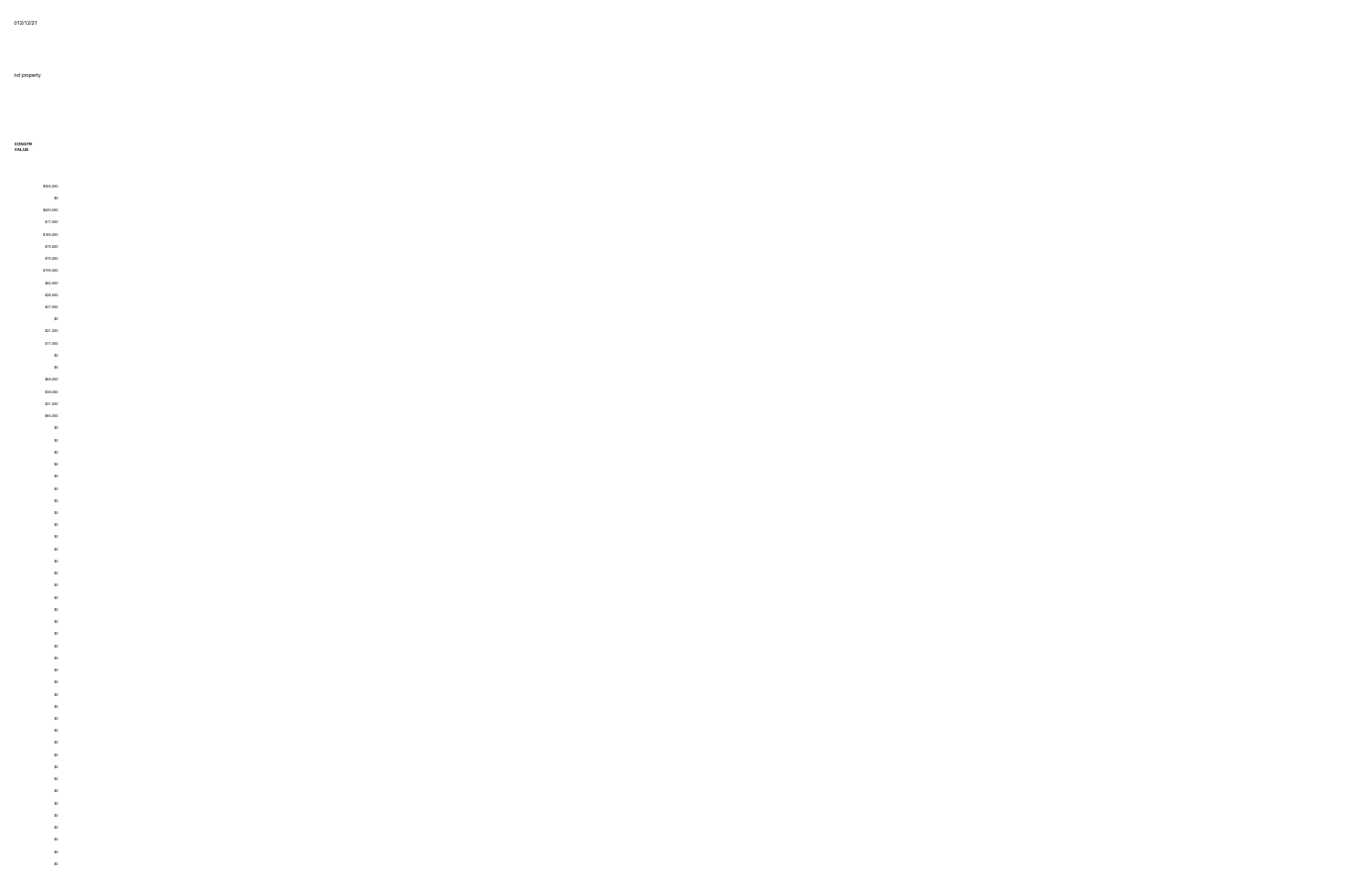\$0\$0

\$0

\$0\$0

\$0

\$0

\$0

\$0

\$0

\$0\$0

\$0

\$0\$0

\$0

\$0

\$0\$0

\$0

\$0

\$0

\$0\$0

\$0

\$0

\$0\$0

\$26,000\$27.00

**892.00** 

\$75.00 \$75,00

\$0

\$0

\$0\$0

\$0

\$0

\$0

\$0

\$84,000\$0

\$38,000 \$21,000

\$0\$68,000

\$17,000\$0

\$0\$21,000

\$17,000\$165,000

\$0\$620,000

**CONSTR VALUE**

\$195.00

\$505,000

and property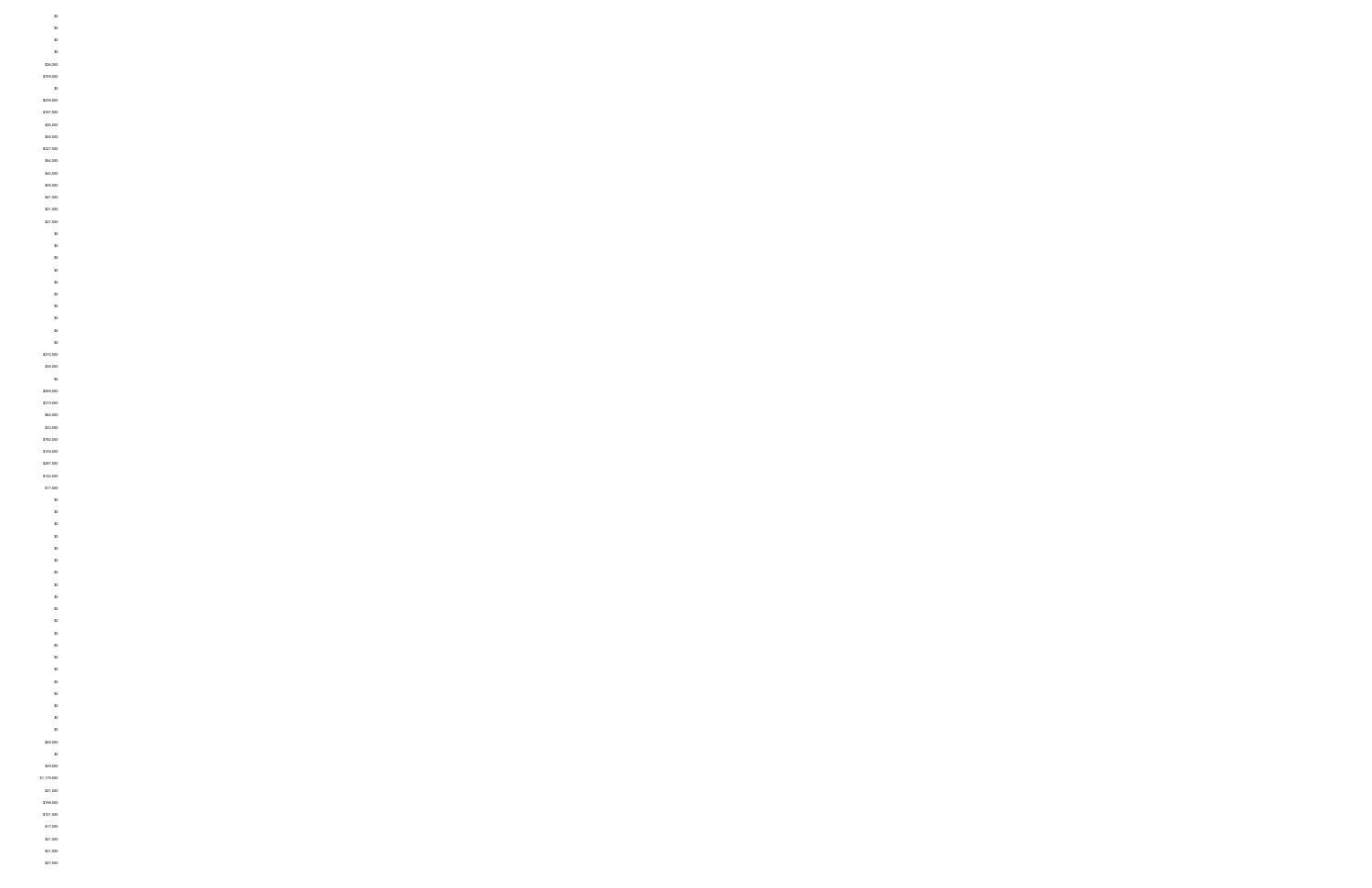\$21,000 \$27,000 \$17,000 \$21,000 \$198,000 \$101,000 \$1,179,000 \$21,000  $\epsilon$ 0 \$29,000 \$55,000 \$0 \$0  $\mathbf{s}$ \$0  $$0$ \$0 \$0\$0 \$0 \$0 \$0 \$0 \$0 \$0 \$0\$0 \$0 \$0 \$0 \$17,000 \$0 \$287,000 \$142,000 \$792,000 \$105,000 \$64,000 \$33,000 \$559,000 \$215,000 \$38,000 \$0 \$0 \$272,000 \$0 \$0\$0 \$0 $$0$ \$0 \$0 \$0 \$27,000 \$0 \$41,000 \$21,000 \$44,000 \$95,000 \$327,000 \$54,000 \$26,000 \$55,000 \$239,000 \$167,000 \$709,000 \$0 \$26,000 \$0\$0\$0\$0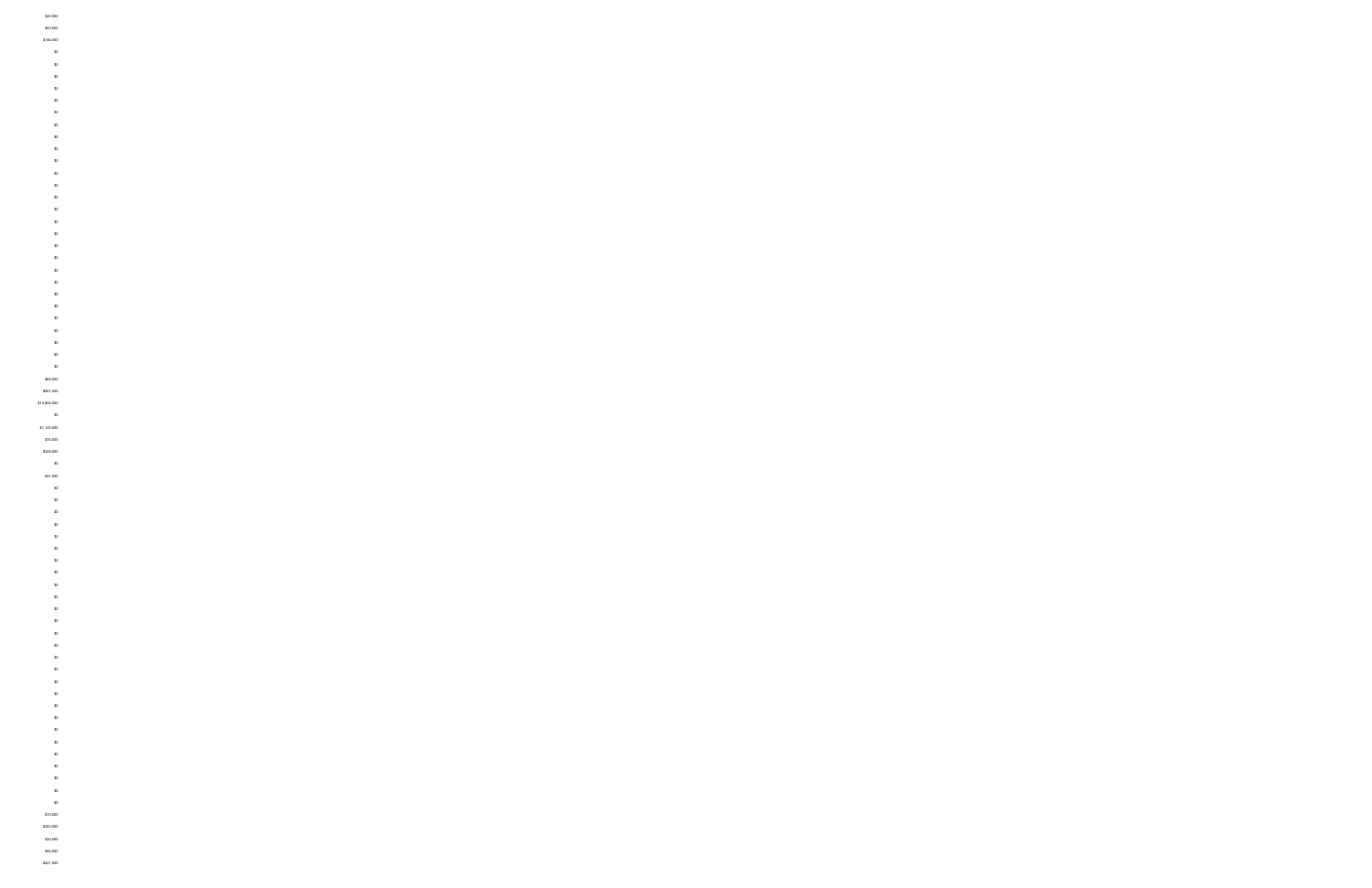\$421,000

\$44,000

\$20,00 \$10,000\$253,000\$0\$0\$0\$0\$0\$0\$0\$0\$0\$0\$0\$0\$0\$0\$0\$0\$0\$0\$0\$0\$0 $\mathsf{sn}$ \$0\$0\$0\$21,000\$0\$0\$255,000\$0\$1,122,000 \$74,000 \$13,804,000 \$0\$65,000 \$901,000 \$0\$0\$0\$0\$0\$0\$0\$0\$0\$0\$0\$0\$0\$0\$0\$0\$0\$0\$0\$0\$0 \$0\$0\$0 \$0\$0\$146,000\$0\$40,000 \$53,000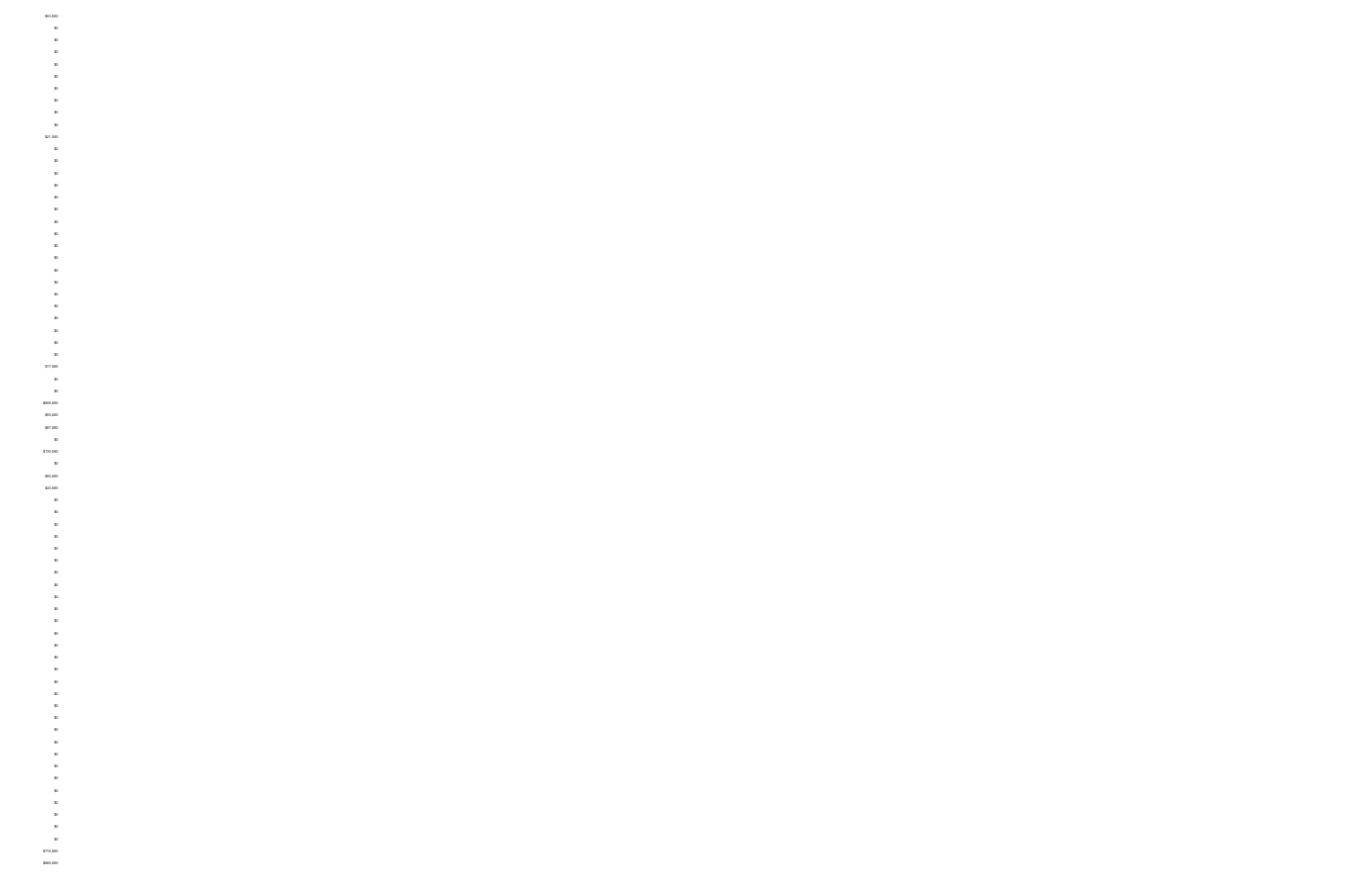\$774,000\$685,000

\$0\$0\$0\$0\$0\$0\$0\$0\$0\$0\$0\$0\$0\$0\$0\$0\$0\$0\$0\$0\$0\$0\$0\$0\$0\$0\$0**\$20.00** \$0\$0\$0\$50,000\$0\$130,000\$93,000 \$87,000 \$0\$606,000 \$17,000\$0\$0\$0\$0\$0\$0\$0\$0\$0\$0\$0\$0\$0\$0\$0\$0\$0\$0\$0\$21,000\$0\$0\$0\$0\$0\$0\$0\$0\$0\$53,000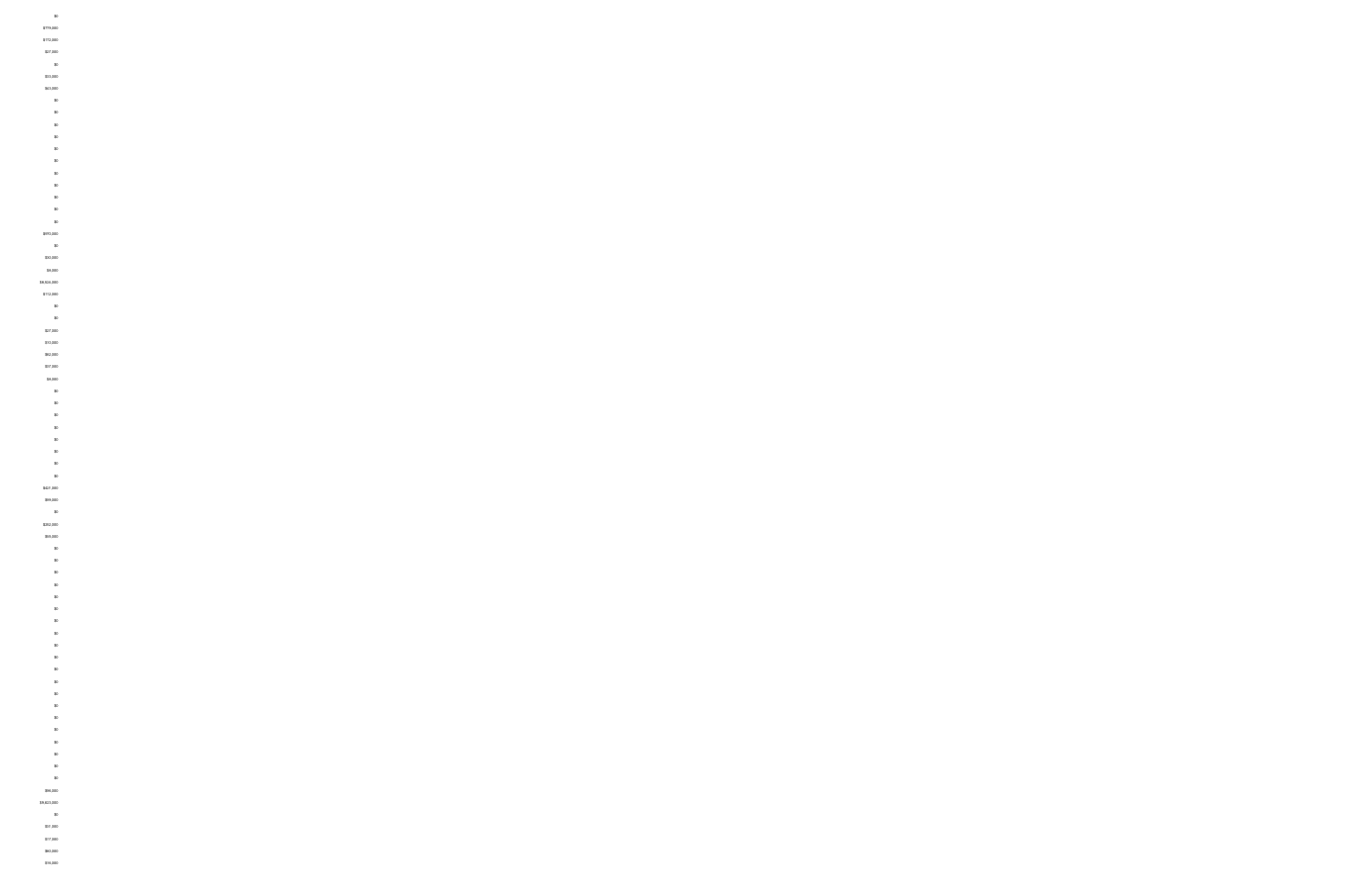\$16,000

\$60,000

\$17,000 \$0\$31,000 \$96,000\$9,823,000\$0\$0\$0\$0\$0**so** \$0 $$0$ \$0\$0 \$0 \$0 \$0 \$0 \$0 \$0  $$0$ \$0 \$0 \$252,000 \$55,000 \$0\$99,000 \$0\$421,000 \$0 \$0\$0\$0\$0 \$0 \$0 \$8,000 \$0 \$82,000 \$37,000 \$27,000 \$10,000 \$0\$0 \$8,524,000 \$112,000 \$30,000 \$8,000\$970,000 \$0\$0\$0\$0\$0\$0\$0\$0 \$0 $$0$ \$43,000 \$0 \$0 \$0\$33,000 \$172,000 \$27,000 \$0 \$779,000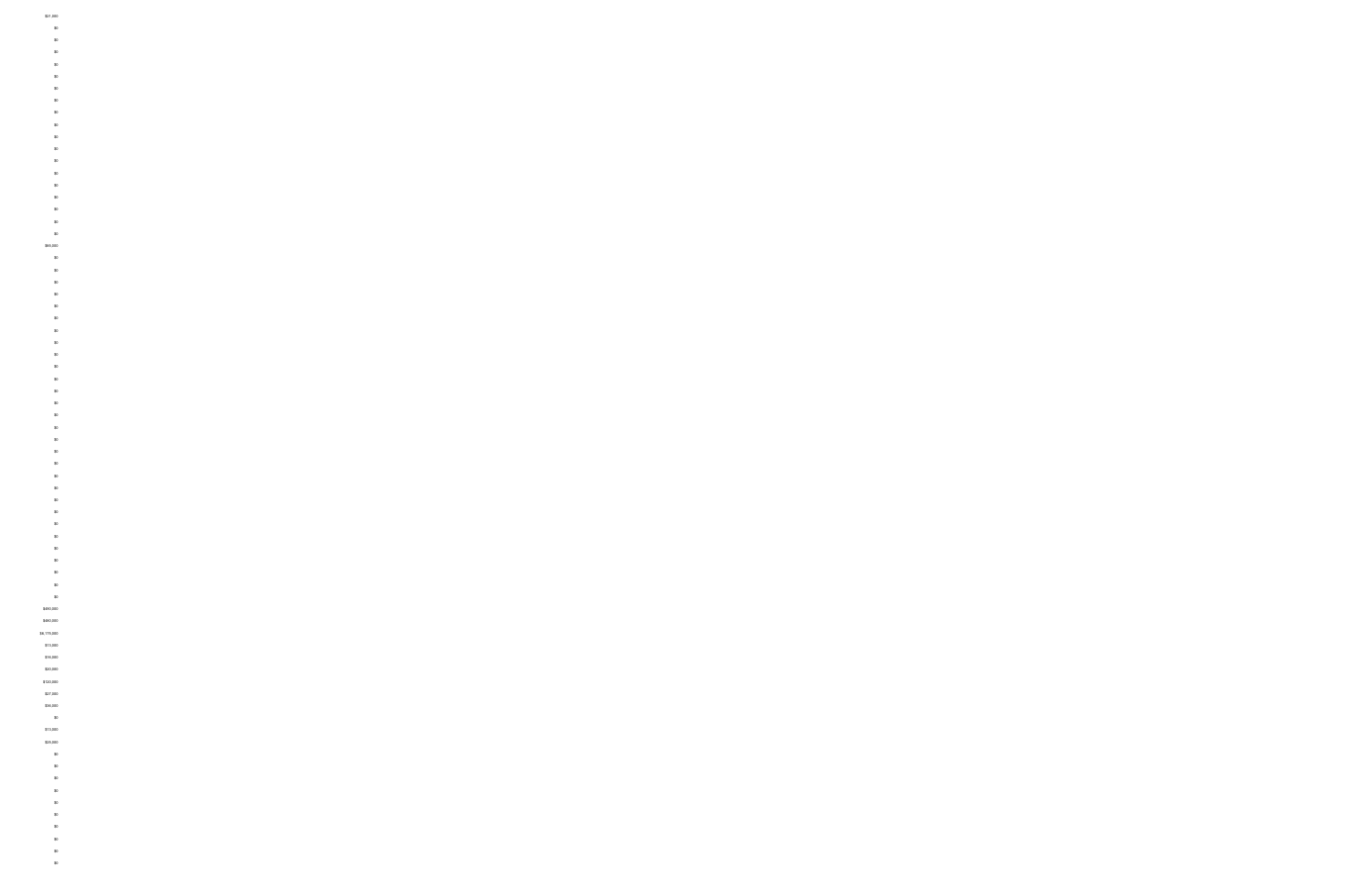\$0

\$0\$0

\$0

\$0\$0\$0\$0\$0\$25,000\$0\$0\$13,000\$27,000\$36,000 \$20,000 \$120,000 \$13,000 \$16,000 \$480,000 \$6,175,000 \$490,000\$0\$0\$0\$0\$0\$0\$0\$0\$0\$0\$0\$0\$0\$0\$0\$0\$0\$0\$0\$0\$0\$0\$0\$0\$0\$0\$0\$0\$0\$0\$0\$85,000\$0\$0\$0\$0\$0\$0\$0\$0\$0\$0\$0\$0\$0\$0\$0\$0\$21,000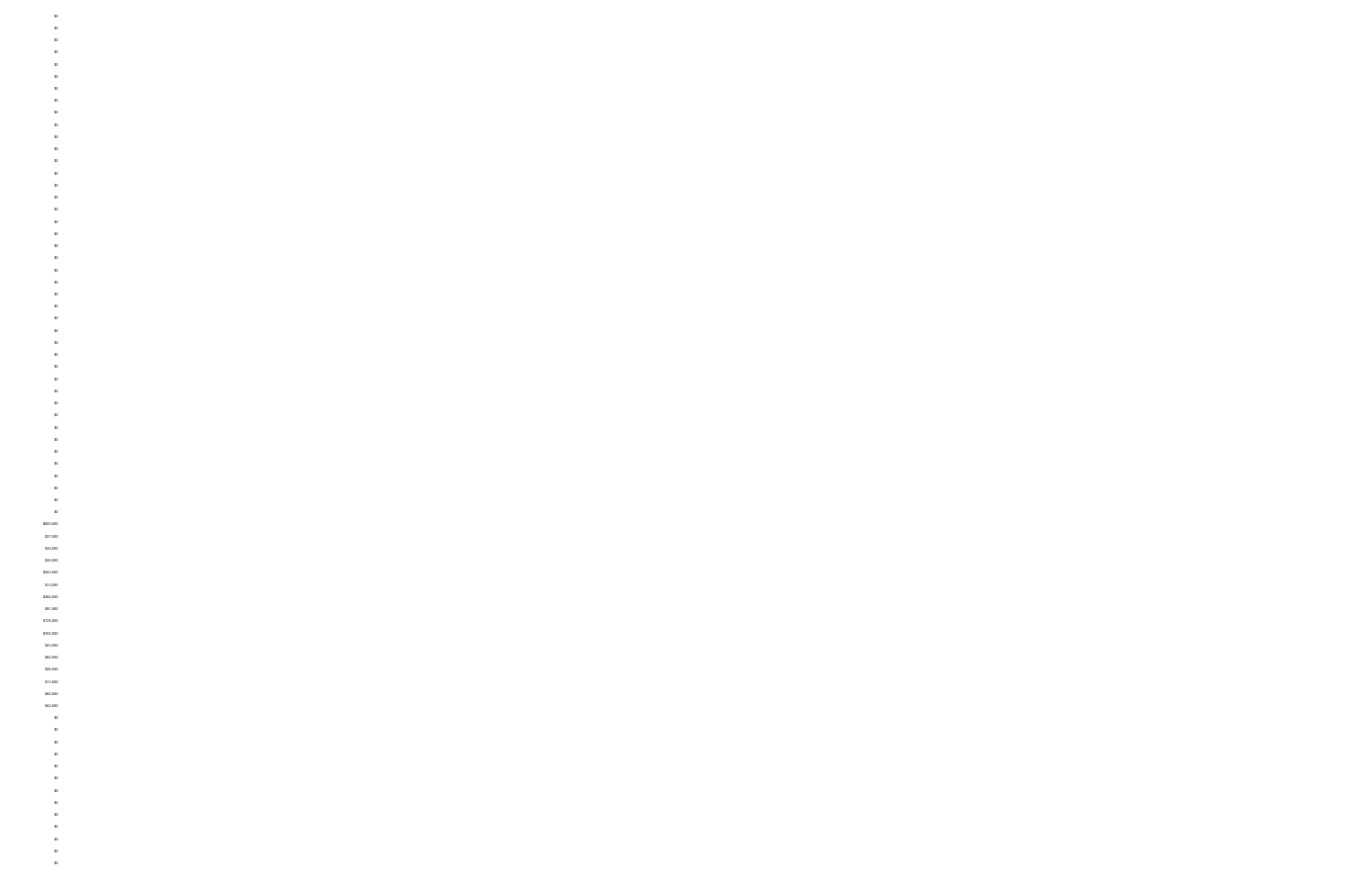\$0\$0

\$0\$0

\$0

\$0\$0\$0\$0\$0\$0\$0\$42,000 \$0\$13,000 \$82,000 \$82,000 \$26,000 \$302,000 \$43,000 \$51,000 \$125,000 \$13,000 \$482,000 \$20,000 \$543,000\$27,000 \$30,000 \$600,000 \$0\$0\$0\$0\$0\$0\$0\$0\$0\$0\$0\$0\$0\$0\$0\$0\$0\$0\$0\$0\$0\$0\$0\$0\$0\$0\$0\$0\$0\$0\$0\$0\$0\$0\$0\$0\$0\$0\$0\$0\$0\$0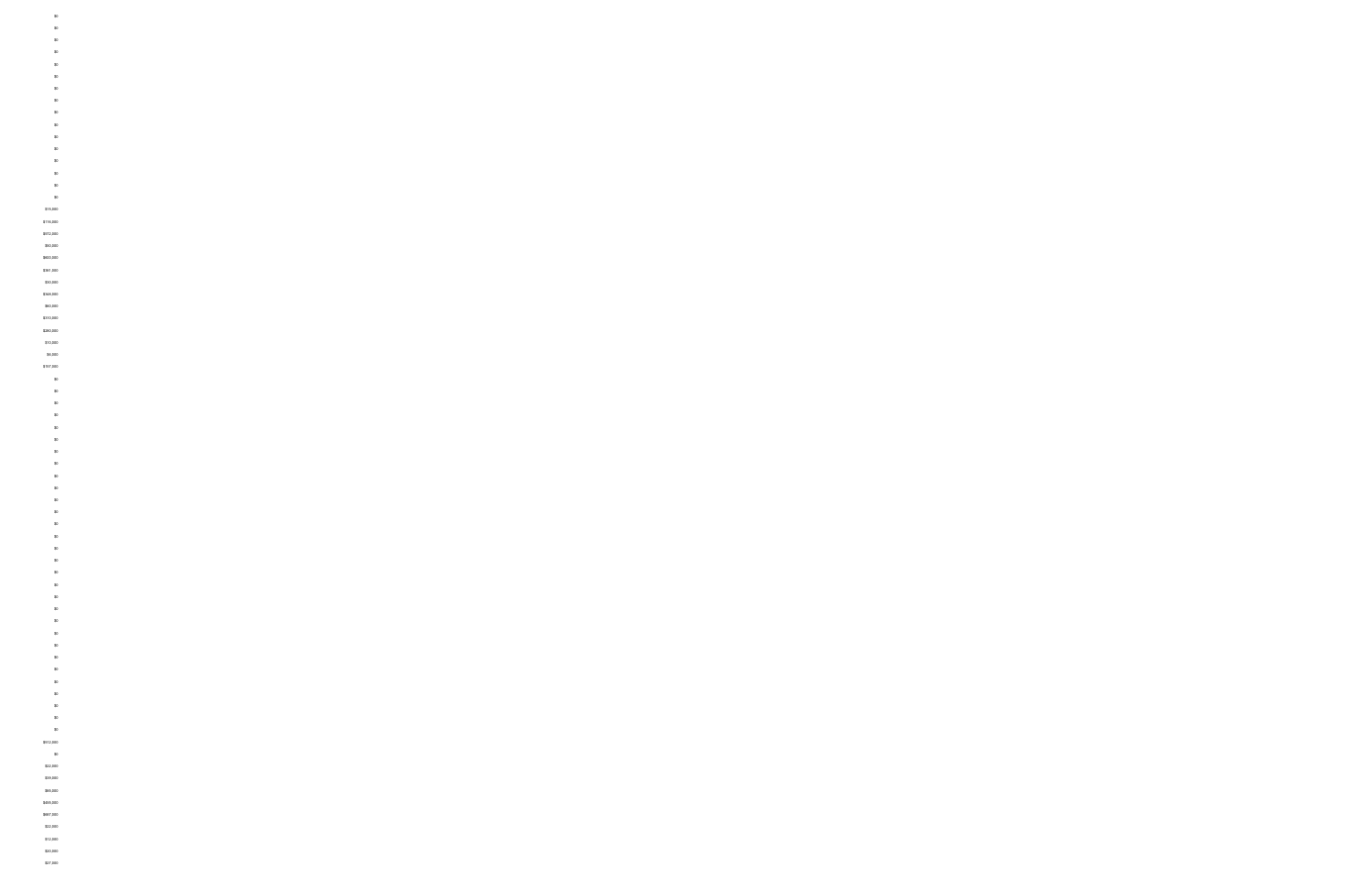\$27,000

\$20,000

\$12,000 \$22,000 \$455,000 \$687,000 \$39,000 \$85,000 \$0\$22,000 \$0\$0\$512,000\$0\$0\$0\$0 \$0 \$0 \$0 \$0\$0 \$0 $$0$ \$0 \$0 $$0$ \$0 \$0 \$0 **so** \$0 \$0 $$0$ \$0 \$0 $$0$ \$0 \$0 \$0 \$0 \$6,000 \$157,000 \$280,000 \$10,000 \$60,000 \$310,000 \$30,000 \$348,000 \$600,000 \$381,000 \$572,000 \$50,000 \$15,000 \$116,000 \$0\$0\$0\$0\$0  $$0$ \$0 \$0\$0\$0 \$0\$0 \$0\$0\$0\$0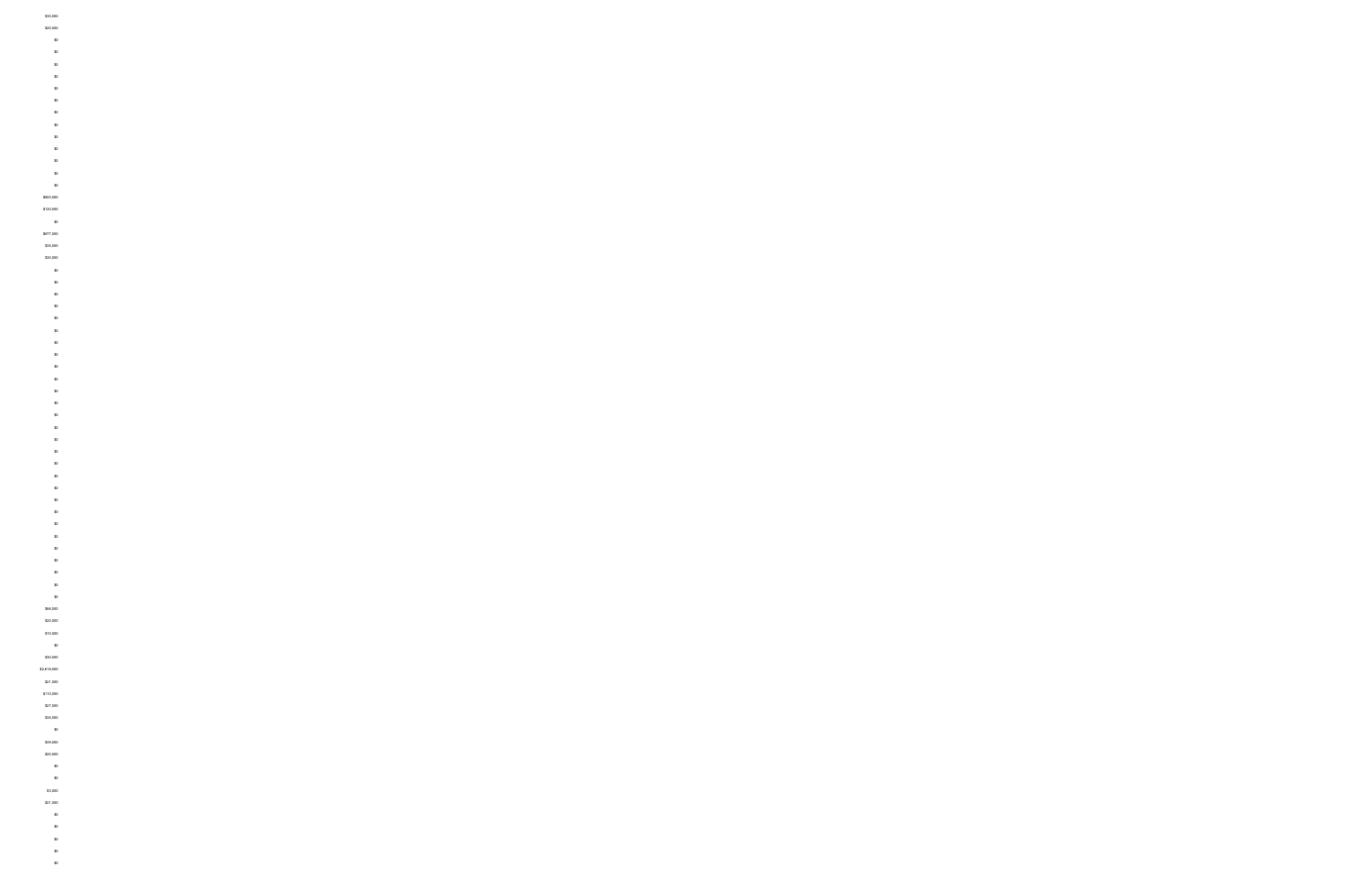\$0\$0

\$0

\$21,000\$0\$0\$0\$3,00 \$20,000 \$0\$0\$39,000 \$27,000 \$35,000 \$21,000 \$110,000 \$30,000 \$2,618,000 \$10,000 \$0 \$88,000 \$20,000 \$0\$0\$0\$0\$0\$0\$0\$0\$0\$0\$0\$0\$0\$0\$0\$0\$0\$0\$0\$0\$0\$0\$0\$0\$0\$0\$0\$35,000 \$30,000 \$0\$0\$677,000 \$800,000\$120,000 \$0\$0\$0\$0\$0\$0\$0 \$0 \$0\$0\$0\$0\$20,000\$0\$30,000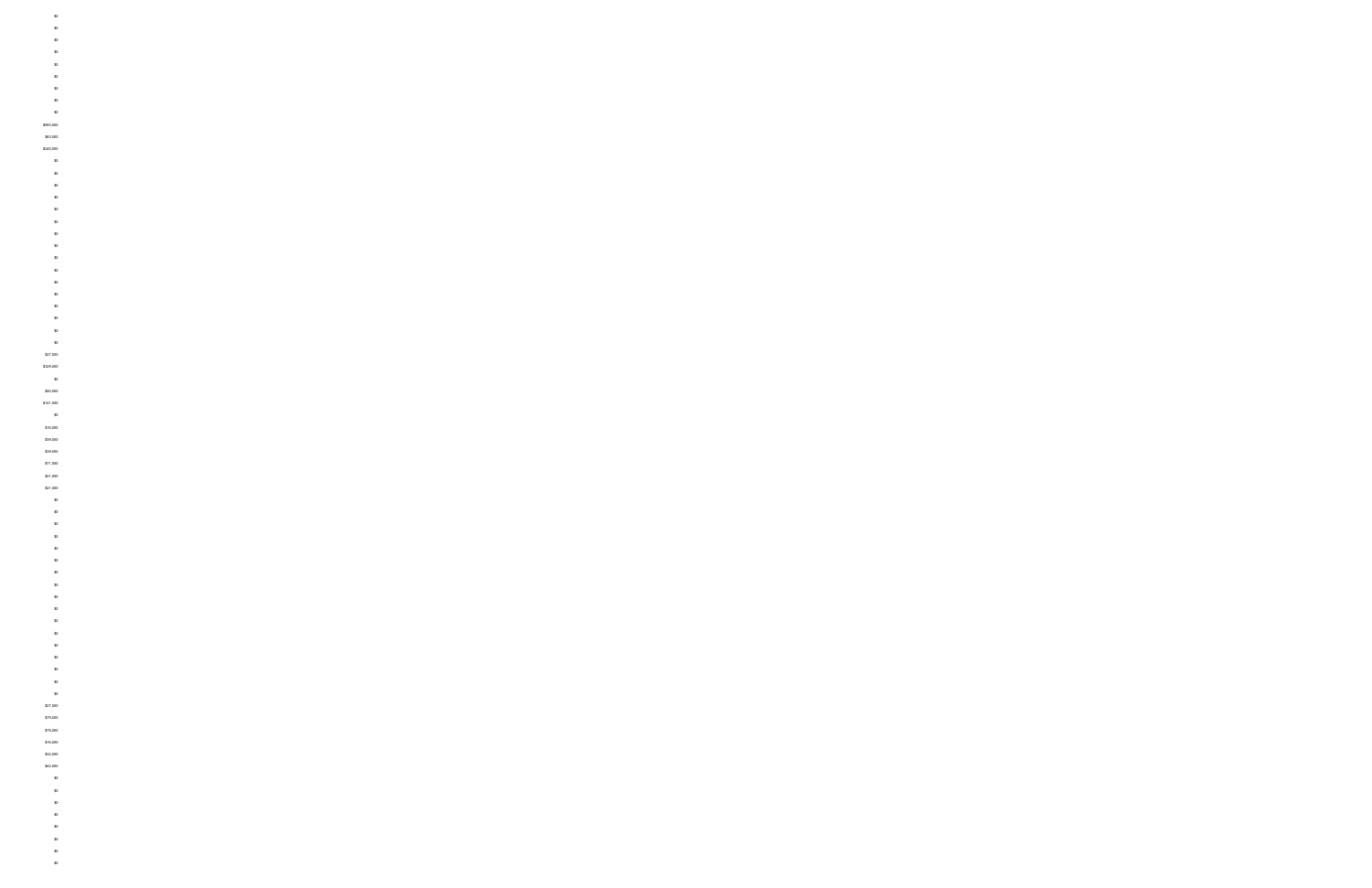\$0

\$0

\$0\$0\$0\$0\$0\$32,000 \$42,000 \$0\$75,000 \$16,000 \$27,000 \$79,000 \$0\$0 $\mathsf{S}^0$ \$0**so** \$0\$0\$0 **so** \$0**so** \$0\$0 $\mathbf{s}$ \$0\$0\$21,000 \$0 \$71,000 \$21,000 \$39,000 \$16,000 \$39,000 \$141,000 \$0 \$0 \$50,000 \$27,000 \$329,000 \$0\$0\$0\$0\$0\$0\$0\$0\$0\$0\$0\$0\$0\$0\$0\$0\$83,000 \$245,000\$593,000 \$0\$0 \$0\$0\$0\$0\$0\$0\$0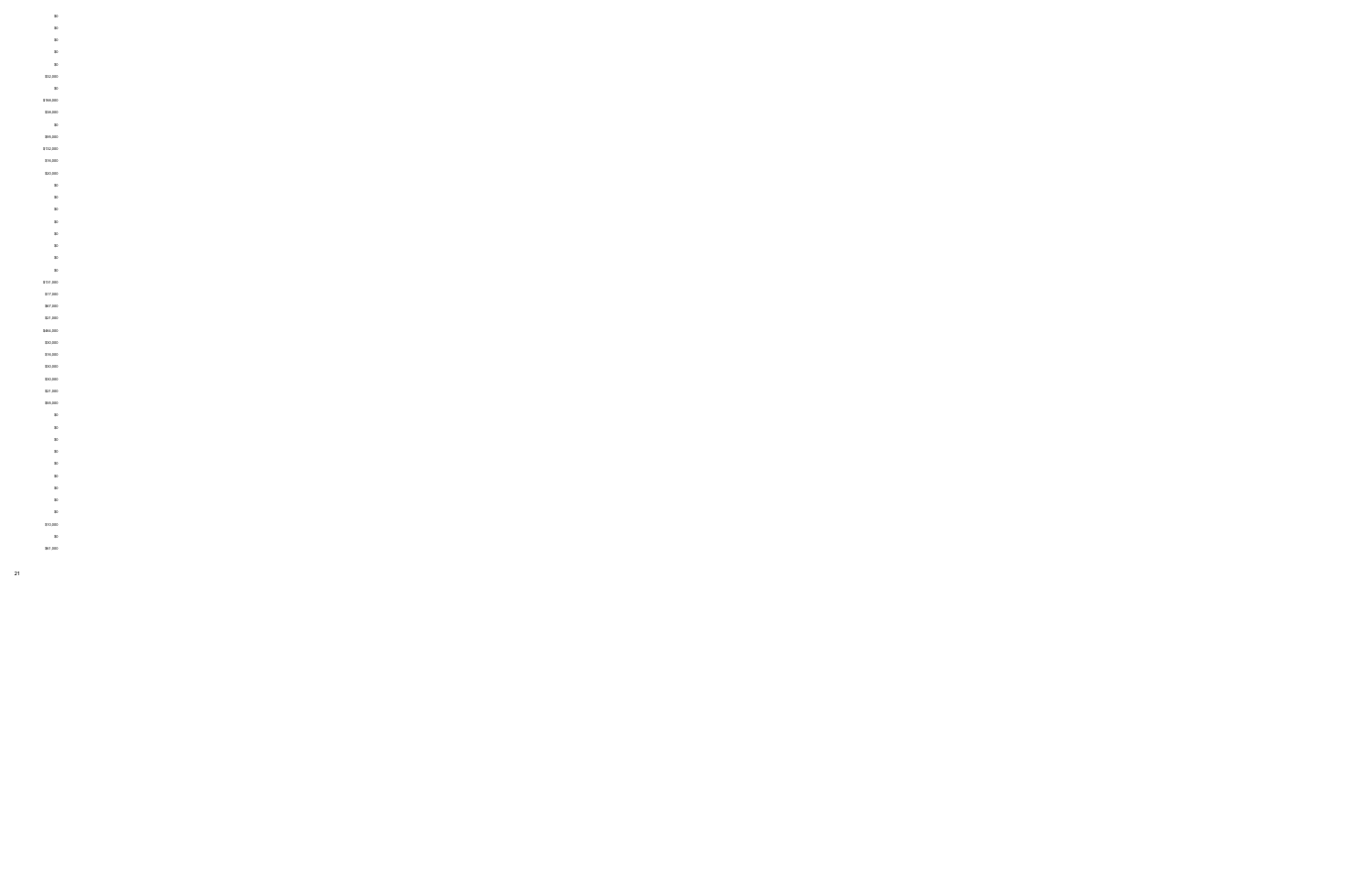21

\$61,000 \$10,000\$0\$0

\$0\$0 $\mathbf{s}$ \$0**so**  $\mathbf{s}$ \$0\$55,000 \$0\$30,000 \$21,000 \$16,000 \$30,000 \$464,000 \$30,000 \$67,000\$21,000 \$131,000 \$17,000 \$0\$0\$0\$0\$0\$0\$0\$0\$16,000 \$20,000 \$95,000 \$132,000 \$38,000  $$0$ \$0\$188,000 \$32,000 \$0\$0\$0\$0\$0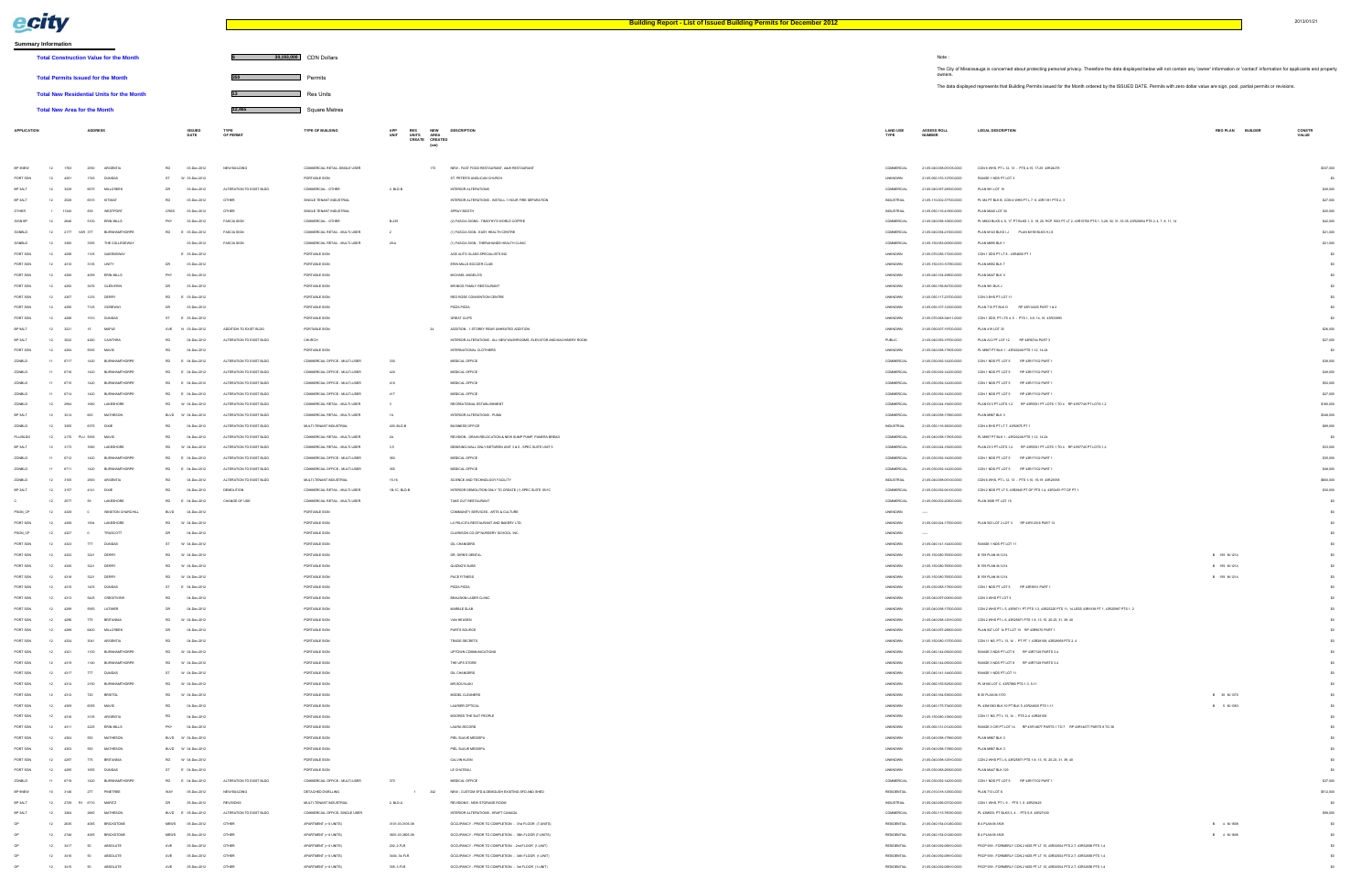ecity

BP 9NEW 10 3146 277 PINETREE WAY

BP 3ALT 12 BLVD E

OP 12 2635 4065 BRICKSTONE MEWS

OP 12 2746 4065 BRICKSTONE MEWS

OP 12 AVE

OP 12 AVE

BP 3ALT 12 2729 R1 6710 MARITZ

OP 12 3415 50 ABSOLUTE

```
 3404, 34-FLR OCCUPANCY - PRIOR TO COMPLETION - 34th FLOOR (1-UNIT) RESIDENTIAL PSCP 939 - FORMERLY CON 2 NDS PT LT 15, 43R32504 PTS 2-7, 43R32656 PTS 1-4
```
icerned about protecting personal privacy. Therefore the data displayed below will not contain any 'owner' information or 'contact' information for applicants and property

s that Building Permits issued for the Month ordered by the ISSUED DATE. Permits with zero dollar value are sign, pool, partial permits or revisions.

| <b>APPLICATION</b>    | <b>ADDRESS</b>                       | <b>ISSUED</b><br><b>DATE</b>                  | <b>TYPE</b><br>OF PERMIT                  | <b>TYPE OF BUILDING</b>        | <b>RES</b><br><b>APP</b><br><b>UNIT</b> | <b>NEW</b><br><b>DESCRIPTION</b>                                      | <b>LAND USE</b><br>TYPE | <b>ASSESS ROLL</b><br><b>NUMBER</b>                  | <b>LEGAL DESCRIPTION</b>                                                                                                            | REG PLAN BUILDER | <b>CONSTR</b><br>VALUE |
|-----------------------|--------------------------------------|-----------------------------------------------|-------------------------------------------|--------------------------------|-----------------------------------------|-----------------------------------------------------------------------|-------------------------|------------------------------------------------------|-------------------------------------------------------------------------------------------------------------------------------------|------------------|------------------------|
|                       |                                      |                                               |                                           |                                |                                         | <b>UNITS AREA<br/>CREATE CREATED</b><br>(s <sub>m</sub> )             |                         |                                                      |                                                                                                                                     |                  |                        |
|                       |                                      |                                               |                                           |                                |                                         |                                                                       |                         |                                                      |                                                                                                                                     |                  |                        |
| BP 3NEW<br>12         | 2930<br>1763<br>ARGENTIA             | <b>RD</b><br>03-Dec-2012                      | NEW BUILDING                              | COMMERCIAL RETAIL-SINGLE USER  |                                         | NEW - FAST FOOD RESTAURANT, A&W RESTAURANT<br>173                     | COMMERCIAL              | 21-05-040-098-05105-0000                             | CON 6 WHS, PT L 12, 13 - PTS 4-15, 17-25 43R24278                                                                                   |                  | \$337,00               |
| PORT SGN<br>12        | 1745<br><b>DUNDAS</b>                | ST W 03-Dec-2012                              |                                           | PORTABLE SIGN                  |                                         | ST. PETER'S ANGLICAN CHURCH                                           | <b>UNKNOWN</b>          | 21-05-060-153-12700-0000                             | RANGE 1 NDS PT LOT 3                                                                                                                |                  |                        |
| BP 3ALT               | 6675<br>MILLOREEN                    |                                               | ALTERATION TO EXIST BLDG                  | COMMERCIAL - OTHER             | 2, BLD-B                                | INTERIOR ALTERATIONS                                                  | COMMERCIAL              |                                                      |                                                                                                                                     |                  |                        |
| BP 3ALT               | 6515                                 | DR<br>03-Dec-2012<br><b>RD</b><br>03-Dec-2012 | OTHER                                     | SINGLE TENANT INDUSTRIAL       |                                         | INTERIOR ALTERATIONS - INSTALL 1 HOUR FIRE SEPARATION                 |                         | 21-05-040-097-28500-0000                             | PLAN 981 LOT 10                                                                                                                     |                  | \$40,00<br>\$27,00     |
|                       |                                      |                                               |                                           |                                |                                         |                                                                       | <b>INDUSTRIAL</b>       | 21-05-110-002-37700-0000                             | PL M4 PT BLK B, CON 4 WHS PT L 7, 8, 43R1181 PTS 2, 3                                                                               |                  |                        |
| OTHER                 | 839<br>WESTPORT<br>11340             | CRES 03-Dec-2012                              | OTHER                                     | SINGLE TENANT INDUSTRIAL       |                                         | SPRAY BOOTH                                                           | INDUSTRIAL              | 21-05-050-116-41800-0000                             | PLAN M240 LOT 30                                                                                                                    |                  | \$20,00                |
| SIGN BP               | 5100<br><b>ERIN MILLS</b>            | PKY<br>03-Dec-2012                            | <b>FASCIA SIGN</b>                        | COMMERCIAL - OTHER             | B-235                                   | (2) FASCIA SIGNS - TIMOTHY'S WORLD COFFEE                             | COMMERCIAL              | 21-05-040-098-10600-0000                             | PL M823 BLKS 4, 6, 17, PT BLKS 1, 5, 18, 20, RCP 1003 PT LT 2, 43R15700 PTS 1, 3-28, 30, 31, 33-35, 43R20654 PTS 2, 4, 7, 8, 11, 14 |                  | \$42,00                |
| SGNBLD<br>12          | BURNHAMTHORPE                        | RD E 03-Dec-2012                              | <b>FASCIA SIGN</b>                        | COMMERCIAL RETAIL - MULTI-USER |                                         | (1) FASCIA SIGN - EASY HEALTH CENTRE                                  | COMMERCIAL              | 21-05-040-094-21500-0000                             | PLAN M143 BLKS I,J PLAN M159 BLKS H,I,S                                                                                             |                  | \$21,00                |
| SGNBLD                | 3355<br>THE COLLEGEWAY               | 03-Dec-2012                                   | <b>FASCIA SIGN</b>                        | COMMERCIAL RETAIL - MULTI-USER | 29-A                                    | (1) FASCIA SIGN - THERAHANDS HEALTH CLINIC                            | COMMERCIAL              | 21-05-150-083-00900-0000                             | PLAN M695 BLK 1                                                                                                                     |                  | \$21,00                |
| PORT SGN              | 1105                                 | E 03-Dec-2012                                 |                                           | PORTABLE SIGN                  |                                         | AGS AUTO GLASS SPECIALISTS INC.                                       | <b>UNKNOW?</b>          | 21-05-070-056-17200-0000                             | CON 1 SDS PT LT 8 - 43R4650 PT 1                                                                                                    |                  |                        |
| PORT SGN<br>12        | 3135<br>UNITY<br>4310                | DR 03-Dec-2012                                |                                           | PORTABLE SIGN                  |                                         | ERIN MILLS SOCCER CLUB                                                | <b>UNKNOWN</b>          | 21-05-150-010-10780-0000                             | PLAN M592 BLK 7                                                                                                                     |                  |                        |
| PORT SGN              | 4099<br><b>ERIN MILL</b>             | 03-Dec-2012<br>PKY                            |                                           | PORTABLE SIGN                  |                                         | MICHAEL ANGELO'S                                                      | <b>UNKNOWN</b>          | 21-05-040-154-29800-0000                             | PLAN M247 BLK II                                                                                                                    |                  |                        |
| PORT SGN              | 3476<br><b>GLEN ERI</b>              | <b>DR</b><br>03-Dec-2012                      |                                           | PORTABLE SIGN                  |                                         | MR.BIGS FAMILY RESTAURANT                                             | <b>UNKNOWN</b>          | 21-05-060-156-84700-0000                             | PLAN 961 BLK J                                                                                                                      |                  |                        |
| PORT SGN<br>12        | 1233<br>DERRY                        | RD E 03-Dec-2012                              |                                           | PORTABLE SIGN                  |                                         | RED ROSE CONVENTION CENTRE                                            | <b>UNKNOWN</b>          | 21-05-050-117-23700-0000                             | CON 3 EHS PT LOT 11                                                                                                                 |                  |                        |
| PORT SGN              | 7125<br><b>GOREWA</b>                | 03-Dec-2012<br>DR .                           |                                           | PORTABLE SIGN                  |                                         | PIZZA PIZZA                                                           | <b>UNKNOWN</b>          | 21-05-050-107-12300-0000                             | PLAN 710 PT BLK D RP 43R14025 PART 1 & 2                                                                                            |                  |                        |
| PORT SGN<br>12        | 1510<br><b>DUNDAS</b>                | ST E 03-Dec-2012                              |                                           | PORTABLE SIGN                  |                                         | <b>GREAT CLIPS</b>                                                    | <b>UNKNOWN</b>          | 21-05-070-068-34611-0000                             | CON 1 SDS, PT LTS 4, 5 - PTS 1, 3-9, 14, 16 43R33993                                                                                |                  |                        |
| BP 9ALT<br>12         | MAPLE                                | AVE N 03-Dec-2012                             | ADDITION TO EXIST BLDG                    | PORTABLE SIGN                  |                                         | ADDITION - 1 STOREY REAR UNHEATED ADDITION<br>24                      | <b>UNKNOWN</b>          | 21-05-090-007-19700-0000                             | PLAN 419 LOT 33                                                                                                                     |                  |                        |
| BP 3ALT<br>12         | 4260<br>CAWTHRA                      | <b>RD</b><br>04-Dec-2012                      | ALTERATION TO EXIST BLDG                  | CHURCH                         |                                         | INTERIOR ALTERATIONS - ALL NEW WASHROOMS, ELEVATOR AND MACHINERY ROOM | PUBLIC                  | 21-05-040-093-19700-0000                             | PLAN A12 PT LOT 12 RP 43R6744 PART 3                                                                                                |                  | \$27.00                |
| PORT SGN              | 5935<br><b>MAVIS</b>                 | RD 04-Dec-2012                                |                                           | PORTABLE SIGN                  |                                         | INTERNATIONAL CLOTHIERS                                               | <b>UNKNOWN</b>          | 21-05-040-098-17805-0000                             | PL M967 PT BLK 1 - 43R20246 PTS 1-12, 14-24                                                                                         |                  |                        |
| ZONBLD                | 1420<br>BURNHAMTHORP                 | RD E 04-Dec-2012                              | ALTERATION TO EXIST BLDG                  | COMMERCIAL OFFICE - MULTI-USER |                                         | MEDICAL OFFICE                                                        | COMMERCIAL              | 21-05-030-092-14200-0000                             | CON 1 NDS PT LOT 5 RP 43R17102 PART                                                                                                 |                  | \$38,00                |
| ZONBLD<br>11          | 1420<br>BURNHAMTHORPE<br>6716        | RD E 04-Dec-2012                              | ALTERATION TO EXIST BLDG.                 | COMMERCIAL OFFICE - MULTI-USER | 420                                     | MEDICAL OFFICE                                                        | COMMERCIAL              | 21-05-030-092-14200-0000                             | CON 1 NDS PT LOT 5 RP 43R17102 PART                                                                                                 |                  | \$49,00                |
| ZONBLD                | 1420<br>BURNHAMTHORP                 | RD E 04-Dec-2012                              | ALTERATION TO EXIST BLDG                  | COMMERCIAL OFFICE - MULTI-USER | 418                                     | MEDICAL OFFICE                                                        | COMMERCIAL              | 21-05-030-092-14200-0000                             | CON 1 NDS PT LOT 5 RP 43R17102 PART 1                                                                                               |                  | \$52,00                |
| ZONBLD<br>11          | 1420<br>BURNHAMTHORPE                | RD E 04-Dec-2012                              | ALTERATION TO EXIST BLDG                  | COMMERCIAL OFFICE - MULTI-USER | 417                                     | MEDICAL OFFICE                                                        | COMMERCIAL              | 21-05-030-092-14200-0000                             | CON 1 NDS PT LOT 5 RP 43R17102 PART 1                                                                                               |                  | \$27,00                |
| ZONBLD<br>12          | 1680<br>LAKESHORE                    | RD W 04-Dec-2012                              | ALTERATION TO EXIST BLDG                  | COMMERCIAL RETAIL - MULTI-USER | $\mathbf{a}$                            | RECREATIONAL ESTABLISHMENT                                            | COMMERCIAL              | 21-05-020-024-19200-0000                             | PLAN D13 PT LOTS 1,2 RP 43R5531 PT LOTS 1 TO 4 RP 43R7740 PT LOTS 1,2                                                               |                  | \$180,00               |
| BP 3ALT               | 600<br><b>MATHESON</b>               | BLVD W 04-Dec-2012                            | ALTERATION TO EXIST BLDG                  | COMMERCIAL RETAIL - MULTI-USER | 1A                                      | INTERIOR ALTERATIONS - PUMA                                           | COMMERCIAL              | 21-05-040-098-17860-0000                             | PLAN M967 BLK 3                                                                                                                     |                  | \$348,00               |
| 12                    | 6375                                 |                                               | ALTERATION TO EXIST BLDG                  |                                | 400, BLD-B                              |                                                                       |                         |                                                      | CON 4 FHS PT I T 7 43R2675 PT 1                                                                                                     |                  |                        |
| ZONBLD                | <b>DIXIE</b><br>3255                 | <b>RD</b><br>04-Dec-2012                      |                                           | MULTI-TENANT INDUSTRIAL        |                                         | <b>BUSINESS OFFICE</b>                                                | INDUSTRIAL              | 21-05-050-116-36000-0000                             |                                                                                                                                     |                  | \$89,00                |
| <b>PLU/BLDG</b><br>12 | PLU 5935<br>2170<br>MAVIS            | <b>RD</b><br>04-Dec-2012                      | ALTERATION TO EXIST BLDG                  | COMMERCIAL RETAIL - MULTI-USER |                                         | REVISION - DRAIN RELOCATION & NEW SUMP PUMP, PANERA BREAD             | COMMERCIAL              | 21-05-040-098-17805-0000                             | PL M967 PT BLK 1 - 43R20246 PTS 1-12, 14-24                                                                                         |                  |                        |
| BP 3ALT<br>12         | 1680<br>LAKESHORE<br>3173            | RD W 04-Dec-2012                              | ALTERATION TO EXIST BLDG                  | COMMERCIAL RETAIL - MULTI-USER | 3,5                                     | DEMISING-WALL ONLY BETWEEN UNIT 3 & 5 - SPEC SUITE UNIT 5             | COMMERCIAL              | 21-05-020-024-19200-0000                             | PLAN D13 PT LOTS 1,2 RP 43R5531 PT LOTS 1 TO 4 RP 43R7740 PT LOTS 1,2                                                               |                  | \$33,00                |
| ZONBLD                | 1420<br><b>BURNHAMTHORPE</b><br>6712 | RD E 04-Dec-2012                              | ALTERATION TO EXIST BLDG                  | COMMERCIAL OFFICE - MULTI-USER | 360                                     | MEDICAL OFFICE                                                        | COMMERCIAL              | 21-05-030-092-14200-0000                             | CON 1 NDS PT LOT 5 RP 43R17102 PART 1                                                                                               |                  | \$35,00                |
| ZONBLD                | 1420<br>BURNHAMTHORP                 | RD E 04-Dec-2012                              | ALTERATION TO EXIST BLDG                  | COMMERCIAL OFFICE - MULTI-USER | 355                                     | MEDICAL OFFICE                                                        | COMMERCIAL              | 21-05-030-092-14200-0000                             | CON 1 NDS PT LOT 5 RP 43R17102 PART 1                                                                                               |                  | \$48,00                |
| ZONBLD<br>12          | 2900<br>ARGENTIA<br>3105             | RD <sub>2</sub><br>04-Dec-2012                | ALTERATION TO EXIST BLDG                  | MULTI-TENANT INDUSTRIAL        | 15-16                                   | SCIENCE AND TECHNOLOGY FACILITY                                       | INDUSTRIAL              | 21-05-040-098-05100-0000                             | CON 6 WHS, PT L 12, 13 - PTS 1-10, 15-19 43R23938                                                                                   |                  | \$800,00               |
| BP 3ALT<br>12         | 4141<br><b>DIXIE</b>                 | <b>RD</b><br>04-Dec-2012                      | DEMOLITION                                | COMMERCIAL RETAIL - MULTI-USER | 1B-1C, BLD-B                            | INTERIOR DEMOLITION ONLY TO CREATE (1) SPEC SUITE 1B/1C               | COMMERCIAL              | 21-05-030-092-04100-0000                             | CON 2 NDS PT LT 5, 43R2945 PT OF PTS 1-4, 43R3451 PT OF PT 1                                                                        |                  | \$30,00                |
| 12                    | LAKESHORE<br>59                      | RD E 04-Dec-2012                              | CHANGE OF USE                             | COMMERCIAL RETAIL - MULTI-USER |                                         | TAKE OUT RESTAURANT                                                   | COMMERCIAL              | 21-05-090-002-20500-0000                             | PLAN 300E PT LOT 15                                                                                                                 |                  |                        |
| PSGN_CP<br>12         | WINSTON CHURCHILL<br>4329<br>0       | BLVD 04-Dec-2012                              |                                           | PORTABLE SIGN                  |                                         | COMMUNITY SERVICES - ARTS & CULTURE                                   | <b>UNKNOW!</b>          |                                                      |                                                                                                                                     |                  |                        |
| PORT SGN              | 1834<br>LAKESHORE                    | RD W 04-Dec-2012                              |                                           | PORTABLE SIGN                  |                                         | LA FELICITA RESTAURANT AND BAKERY LTD                                 | <b>UNKNOW</b>           | 21-05-020-024-17500-0000                             | PLAN 503 LOT 2 LOT 3 RP 43R12016 PART 13                                                                                            |                  |                        |
| PSGN CP<br>12         | TRUSCOTT<br>$\Omega$                 | DR 04-Dec-2012                                |                                           | PORTABLE SIGN                  |                                         | CLARKSON CO-OP NURSERY SCHOOL INC.                                    | <b>UNKNOWN</b>          |                                                      |                                                                                                                                     |                  |                        |
| PORT SGN              | 777<br><b>DUNDAS</b>                 | ST W 04-Dec-2012                              |                                           | PORTABLE SIGN                  |                                         | OIL CHANGERS                                                          | UNKNOWN                 | 21-05-040-141-14400-0000                             | RANGE 1 NDS PT LOT 11                                                                                                               |                  |                        |
| PORT SGN              | 3221<br>DERRY                        | RD W 04-Dec-2012                              |                                           | PORTABLE SIGN                  |                                         | DR. GIRN'S DENTAL                                                     | <b>UNKNOWN</b>          | 21-05-150-080-76500-0000                             | B 159 PLAN M-1214                                                                                                                   | B 159 M-1214     |                        |
| PORT SGN<br>12        | 3221<br>DERRY<br>4320                | RD W 04-Dec-2012                              |                                           | PORTABLE SIGN                  |                                         | QUIZNO'S SUBS                                                         | <b>UNKNOWN</b>          | 21-05-150-080-76500-0000                             | B 159 PLAN M-1214                                                                                                                   | B 159 M-1214     |                        |
| PORT SGN<br>12        | 3221<br>DERR'                        | RD W 04-Dec-2012                              |                                           | PORTABLE SIGN                  |                                         | PACE FITNESS                                                          | <b>UNKNOW?</b>          | 21-05-150-080-76500-0000                             | B 159 PLAN M-1214                                                                                                                   | B 159 M-1214     |                        |
| PORT SGN<br>12        | 1403 DUNDAS<br>4315                  | ST E 04-Dec-2012                              |                                           | PORTABLE SIGN                  |                                         | PIZZA PIZZA                                                           | <b>UNKNOWN</b>          | 21-05-030-068-17800-0000                             | CON 1 NDS PT LOT 5 RP 43R9331 PART 1                                                                                                |                  |                        |
| PORT SGN<br>12        | 5425<br>CREDITVIEW                   | 04-Dec-2012<br><b>RD</b>                      |                                           | PORTABLE SIGN                  |                                         | BEAUSKIN LASER CLINIC                                                 | UNKNOWN                 | 21-05-040-097-00830-0000                             | CON 3 WHS PT LOT 3                                                                                                                  |                  |                        |
| PORT SGN<br>12        | 5955<br>LATIMER                      | <b>DR</b><br>04-Dec-2012                      |                                           | PORTABLE SIGN                  |                                         | MARBLE SLAB                                                           | <b>UNKNOWN</b>          | 21-05-040-098-17500-0000                             | CON 2 WHS PT L 5, 43R8711 PT PTS 1-3, 43R25225 PTS 11, 14 LESS 43R9138 PT 1, 43R25997 PTS 1, 2                                      |                  |                        |
| PORT SGN<br>12        | 4296<br>776<br>BRITANNIA             | RD W 04-Dec-2012                              |                                           | PORTABLE SIGN                  |                                         | VAN HEUSEN                                                            | <b>UNKNOWN</b>          | 21-05-040-098-12910-0000                             | CON 2 WHS PT L 6, 43R25871 PTS 1-9, 13, 15, 20-23, 31, 39, 40                                                                       |                  |                        |
| PORT SGN              | 12 4289<br>6400 MILLCREEK            | <b>DR</b><br>04-Dec-2012                      |                                           | PORTABLE SIGN                  |                                         | PARTS SOURCE                                                          | <b>UNKNOWN</b>          | 21-05-040-097-28800-0000                             | PLAN 927 LOT 14 PT LOT 13 RP 43R9070 PART                                                                                           |                  |                        |
| PORT SGN              | 12 4324<br>3041 ARGENTIA             | RD 04-Dec-2012                                |                                           | PORTABLE SIGN                  |                                         | TRADE SECRETS                                                         | <b>UNKNOWN</b>          | 21-05-150-080-13700-0000                             | CON 11 NS, PT L 13, 14 - PT PT 1 43R28108, 43R28958 PTS 2, 4                                                                        |                  |                        |
| PORT SGN<br>12        | 1100 BURNHAMTHORPE<br>4321           | RD W 04-Dec-2012                              |                                           | PORTABLE SIGN                  |                                         | UPTOWN COMMUNICATIONS                                                 | <b>UNKNOWN</b>          |                                                      | RANGE 3 NDS PT LOT 8 RP 43R7128 PARTS 3,4                                                                                           |                  |                        |
| PORT SGN<br>12        | 1140<br>BURNHAMTHORPE<br>4319        | RD W 04-Dec-2012                              |                                           | PORTABLE SIGN                  |                                         | THE UPS STORE                                                         |                         | 21-05-040-144-09000-0000<br>21-05-040-144-09000-0000 | RANGE 3 NDS PT LOT 8 RP 43R7128 PARTS 3,4                                                                                           |                  |                        |
|                       |                                      |                                               |                                           |                                |                                         |                                                                       | <b>UNKNOWN</b>          |                                                      |                                                                                                                                     |                  |                        |
| PORT SGN<br>12        | 4317<br>777<br><b>DUNDAS</b>         | ST W 04-Dec-2012                              |                                           | PORTABLE SIGN                  |                                         | OIL CHANGERS                                                          | <b>UNKNOWN</b>          | 21-05-040-141-14400-0000                             | RANGE 1 NDS PT LOT 11                                                                                                               |                  |                        |
| PORT SGN<br>12        | 2150<br>4314<br><b>BURNHAMTHORP</b>  | RD W 04-Dec-2012                              |                                           | PORTABLE SIGN                  |                                         | MR.SOUVLAKI                                                           | <b>UNKNOWN</b>          | 21-05-060-155-52500-0000                             | PL M160 LOT C, 43R7880 PTS 1-3, 5-11                                                                                                |                  |                        |
| PORT SGN<br>12        | 720<br>4312<br><b>BRISTOL</b>        | RD W 04-Dec-2012                              |                                           | PORTABLE SIGN                  |                                         | MODEL CLEANERS                                                        | <b>UNKNOWN</b>          | 21-05-040-164-53600-0000                             | B 30 PLAN M-1370                                                                                                                    | B 30 M-1370      |                        |
| PORT SGN<br>12        | 6055<br>4309<br><b>MAVIS</b>         | RD 04-Dec-2012                                |                                           | PORTABLE SIGN                  |                                         | LAURIER OPTICAL                                                       | <b>UNKNOWN</b>          | 21-05-040-175-73400-0000                             | PL 43M1363 BLK 10 PT BLK 5, 43R24920 PTS 1-11                                                                                       | B 5 M-1363       |                        |
| PORT SGN<br>12        | 3135<br>ARGENTIA<br>4316             | RD 04-Dec-2012                                |                                           | PORTABLE SIGN                  |                                         | MOORES THE SUIT PEOPLE                                                | <b>UNKNOWN</b>          | 21-05-150-080-13800-0000                             | CON 11 NS, PT L 13, 14 - PTS 2-4 43R28108                                                                                           |                  |                        |
| PORT SGN<br>12        | 2225 ERIN MILLS<br>4311              | PKY 04-Dec-2012                               |                                           | PORTABLE SIGN                  |                                         | LAURA SECORD                                                          | <b>UNKNOWN</b>          | 21-05-060-131-01200-0000                             | RANGE 3 CIR PT LOT 14 RP 43R14677 PARTS 1 TO 7 RP 43R14677 PARTS 8 TO 36                                                            |                  |                        |
| PORT SGN<br>12        | 550<br>4304<br><b>MATHESON</b>       | BLVD W 04-Dec-2012                            |                                           | PORTABLE SIGN                  |                                         | PIEL SUAVE MEDISPA                                                    | UNKNOWN                 | 21-05-040-098-17860-0000                             | PLAN M967 BLK 3                                                                                                                     |                  |                        |
| PORT SGN<br>12        | 550 MATHESON<br>4303                 | BLVD W 04-Dec-2012                            |                                           | PORTABLE SIGN                  |                                         | PIEL SUAVE MEDISPA                                                    | <b>UNKNOWN</b>          | 21-05-040-098-17860-0000                             | PLAN M967 BLK 3                                                                                                                     |                  |                        |
| PORT SGN<br>12        | 775 BRITANNIA<br>4297                | RD W 04-Dec-2012                              |                                           | PORTABLE SIGN                  |                                         | CALVIN KLEIN                                                          | <b>UNKNOWN</b>          | 21-05-040-098-12910-0000                             | CON 2 WHS PT L 6, 43R25871 PTS 1-9, 13, 15, 20-23, 31, 39, 40                                                                       |                  |                        |
| PORT SGN<br>12        | 1655 DUNDAS<br>4295                  | ST E 04-Dec-2012                              |                                           | PORTABLE SIGN                  |                                         | LE CHATEAU                                                            | <b>UNKNOWN</b>          | 21-05-030-068-26900-0000                             | PLAN M447 BLK 129                                                                                                                   |                  |                        |
| ZONBLD                | 11 6718 1420 BURNHAMTHORPE           |                                               | RD E 04-Dec-2012 ALTERATION TO EXIST BLDG | COMMERCIAL OFFICE - MULTI-USER | 370                                     | MEDICAL OFFICE                                                        | COMMERCIAL              | 21-05-030-092-14200-0000                             | CON 1 NDS PT LOT 5 RP 43R17102 PART 1                                                                                               |                  | \$37,00                |

|                              |                                 |             | DATE                                 | OF PERMIT                                            | <b>TYPE OF BUILDING</b>                                   | <b>RES</b><br>APP<br><b>UNIT</b> | <b>NEW</b><br>UNITS AREA<br>CREATE CREATED<br>(s <sub>m</sub> ) | <b>DESCRIPTION</b>                                                    | <b>LAND USE</b><br><b>TYPE</b>   | <b>ASSESS ROLL</b><br><b>NUMBER</b>                  | <b>LEGAL DESCRIPTION</b>                                                                                                                                                                 | REG PLAN BUILDER | <b>CONSTR</b><br>VALUE |
|------------------------------|---------------------------------|-------------|--------------------------------------|------------------------------------------------------|-----------------------------------------------------------|----------------------------------|-----------------------------------------------------------------|-----------------------------------------------------------------------|----------------------------------|------------------------------------------------------|------------------------------------------------------------------------------------------------------------------------------------------------------------------------------------------|------------------|------------------------|
|                              |                                 |             |                                      |                                                      |                                                           |                                  |                                                                 |                                                                       |                                  |                                                      |                                                                                                                                                                                          |                  |                        |
| 1763                         | 2930 ARGENTIA                   | <b>RD</b>   | 03-Dec-2012                          | NEW BUILDING                                         | COMMERCIAL RETAIL-SINGLE USER                             |                                  | 173                                                             | NEW - FAST FOOD RESTAURANT, A&W RESTAURANT                            | COMMERCIAL                       | 21-05-040-098-05105-0000                             | CON 6 WHS, PT L 12, 13 - PTS 4-15, 17-25 43R24278                                                                                                                                        |                  | \$337,000              |
| 4291<br>3229                 | 1745 DUNDAS<br>6675 MILLCREEK   | <b>DR</b>   | ST W 03-Dec-2012<br>03-Dec-2012      | ALTERATION TO EXIST BLDG                             | PORTABLE SIGN<br>COMMERCIAL - OTHER                       | 2, BLD-B                         |                                                                 | ST. PETER'S ANGLICAN CHURCH<br>INTERIOR ALTERATIONS                   | <b>UNKNOWN</b><br>COMMERCIAL     | 21-05-060-153-12700-0000<br>21-05-040-097-28500-0000 | RANGE 1 NDS PT LOT 3<br>PLAN 981 LOT 10                                                                                                                                                  |                  | \$O<br>\$40,000        |
| 2528                         | 6515 KITIMAT                    | <b>RD</b>   | 03-Dec-2012                          | OTHER                                                | SINGLE TENANT INDUSTRIAL                                  |                                  |                                                                 | INTERIOR ALTERATIONS - INSTALL 1 HOUR FIRE SEPARATION                 | INDUSTRIAL                       | 21-05-110-002-37700-0000                             | PL M4 PT BLK B, CON 4 WHS PT L 7, 8, 43R1181 PTS 2, 3                                                                                                                                    |                  | \$27,000               |
| 1340                         | 839 WESTPORT                    | CRES        | 03-Dec-2012                          | OTHER                                                | SINGLE TENANT INDUSTRIAL                                  |                                  |                                                                 | SPRAY BOOTH                                                           | INDUSTRIAL                       | 21-05-050-116-41800-0000                             | PLAN M240 LOT 30                                                                                                                                                                         |                  | \$20,000               |
| 5100                         | <b>ERIN MILLS</b>               | PKY         | 03-Dec-2012                          | <b>FASCIA SIGN</b>                                   | COMMERCIAL - OTHER                                        | B-235                            |                                                                 | (2) FASCIA SIGNS - TIMOTHY'S WORLD COFFEE                             | COMMERCIAL                       | 21-05-040-098-10600-0000                             | PL M823 BLKS 4, 6, 17, PT BLKS 1, 5, 18, 20, RCP 1003 PT LT 2, 43R15700 PTS 1, 3-28, 30, 31, 33-35, 43R20654 PTS 2, 4, 7, 8, 11, 14                                                      |                  | \$42,000               |
|                              | 2177 VAR 377 BURNHAMTHORP       |             | RD E 03-Dec-2012                     | <b>FASCIA SIGN</b>                                   | COMMERCIAL RETAIL - MULTI-USER                            | $\overline{2}$                   |                                                                 | (1) FASCIA SIGN - EASY HEALTH CENTRE                                  | COMMERCIAL                       | 21-05-040-094-21500-0000                             | PLAN M143 BLKS I,J PLAN M159 BLKS H,I,S                                                                                                                                                  |                  | \$21,000               |
| 3300                         | 3355 THE COLLEGEWAY             |             | 03-Dec-2012                          | <b>FASCIA SIGN</b>                                   | COMMERCIAL RETAIL - MULTI-USER                            | 29-A                             |                                                                 | (1) FASCIA SIGN - THERAHANDS HEALTH CLINIC                            | COMMERCIAL                       | 21-05-150-083-00900-0000                             | PLAN M695 BLK 1                                                                                                                                                                          |                  | \$21,000               |
| 4298<br>1105                 | QUEENSWAY                       |             | E 03-Dec-2012                        |                                                      | PORTABLE SIGN                                             |                                  |                                                                 | AGS AUTO GLASS SPECIALISTS INC                                        | <b>UNKNOWN</b>                   | 21-05-070-056-17200-0000                             | CON 1 SDS PT LT 8 - 43R4650 PT 1                                                                                                                                                         |                  |                        |
| 4310                         | 3135 UNITY                      | DR.         | 03-Dec-2012                          |                                                      | PORTABLE SIGN                                             |                                  |                                                                 | ERIN MILLS SOCCER CLUB                                                | <b>UNKNOWN</b>                   | 21-05-150-010-10780-0000                             | PLAN M592 BLK 7                                                                                                                                                                          |                  |                        |
| 4306                         | 4099 ERIN MILLS                 | PKY         | 03-Dec-2012                          |                                                      | PORTABLE SIGN                                             |                                  |                                                                 | MICHAEL ANGELO'S                                                      | <b>UNKNOWN</b>                   | 21-05-040-154-29800-0000                             | PLAN M247 BLK II                                                                                                                                                                         |                  |                        |
| 4292                         | 3476 GLEN ERIN                  | DR.         | 03-Dec-2012                          |                                                      | PORTABLE SIGN                                             |                                  |                                                                 | MR.BIGS FAMILY RESTAURANT                                             | <b>UNKNOWN</b>                   | 21-05-060-156-84700-0000                             | PLAN 961 BLK J                                                                                                                                                                           |                  |                        |
| 1233<br>1307                 | DERRY                           |             | RD E 03-Dec-2012                     |                                                      | PORTABLE SIGN                                             |                                  |                                                                 | RED ROSE CONVENTION CENTRE                                            | <b>UNKNOWN</b>                   | 21-05-050-117-23700-0000                             | CON 3 EHS PT LOT 11                                                                                                                                                                      |                  |                        |
| 4290<br>4288                 | 7125 GOREWAY<br>1510 DUNDA:     | <b>DR</b>   | 03-Dec-2012<br>ST E 03-Dec-2012      |                                                      | PORTABLE SIGN<br>PORTABLE SIGN                            |                                  |                                                                 | PIZZA PIZZA<br><b>GREAT CLIPS</b>                                     | <b>UNKNOWN</b><br><b>UNKNOWN</b> | 21-05-050-107-12300-0000<br>21-05-070-068-34611-0000 | PLAN 710 PT BLK D RP 43R14025 PART 1 & 2<br>CON 1 SDS, PT LTS 4, 5 - PTS 1, 3-9, 14, 16 43R33993                                                                                         |                  |                        |
| 15                           | MAPLE                           |             |                                      | ADDITION TO EXIST BLDG                               | PORTABLE SIGN                                             |                                  | 24                                                              | ADDITION - 1 STOREY REAR UNHEATED ADDITION                            | <b>UNKNOWN</b>                   | 21-05-090-007-19700-0000                             | PLAN 419 LOT 33                                                                                                                                                                          |                  | \$26,000               |
| 3022                         | 4260 CAWTHRA                    | <b>RD</b>   | 04-Dec-2012                          | ALTERATION TO EXIST BLDG                             | CHURCH                                                    |                                  |                                                                 | INTERIOR ALTERATIONS - ALL NEW WASHROOMS, ELEVATOR AND MACHINERY ROOM | PUBLIC                           | 21-05-040-093-19700-0000                             | PLAN A12 PT LOT 12 RP 43R6744 PART 3                                                                                                                                                     |                  | \$27,000               |
| 5935                         | MAVIS                           | <b>RD</b>   | 04-Dec-2012                          |                                                      | PORTABLE SIGN                                             |                                  |                                                                 | INTERNATIONAL CLOTHIERS                                               | <b>UNKNOWN</b>                   | 21-05-040-098-17805-0000                             | PL M967 PT BLK 1 - 43R20246 PTS 1-12, 14-24                                                                                                                                              |                  |                        |
| 6717<br>1420                 | <b>BURNHAMTHORP</b>             |             | RD E 04-Dec-2012                     | ALTERATION TO EXIST BLDG                             | COMMERCIAL OFFICE - MULTI-USER                            | 330                              |                                                                 | MEDICAL OFFICE                                                        | COMMERCIAL                       | 21-05-030-092-14200-0000                             | CON 1 NDS PT LOT 5 RP 43R17102 PART 1                                                                                                                                                    |                  | \$38,000               |
| 6716                         | 1420 BURNHAMTHORPE              |             | RD E 04-Dec-2012                     | ALTERATION TO EXIST BLDG                             | COMMERCIAL OFFICE - MULTI-USER                            | 420                              |                                                                 | MEDICAL OFFICE                                                        | COMMERCIAL                       | 21-05-030-092-14200-0000                             | CON 1 NDS PT LOT 5 RP 43R17102 PART                                                                                                                                                      |                  | \$49,000               |
| 6715<br>1420                 | <b>BURNHAMTHORP</b>             |             | RD E 04-Dec-2012                     | ALTERATION TO EXIST BLDG                             | COMMERCIAL OFFICE - MULTI-USER                            | 418                              |                                                                 | MEDICAL OFFICE                                                        | COMMERCIAL                       | 21-05-030-092-14200-0000                             | CON 1 NDS PT LOT 5 RP 43R17102 PART 1                                                                                                                                                    |                  | \$52,000               |
| 6714                         | 1420 BURNHAMTHORPE              |             | RD E 04-Dec-2012                     | ALTERATION TO EXIST BLDG                             | COMMERCIAL OFFICE - MULTI-USER                            | 417                              |                                                                 | MEDICAL OFFICE                                                        | COMMERCIAL                       | 21-05-030-092-14200-0000                             | CON 1 NDS PT LOT 5 RP 43R17102 PART 1                                                                                                                                                    |                  | \$27,000               |
| 1680                         | LAKESHORE                       |             | RD W 04-Dec-2012                     | ALTERATION TO EXIST BLDG                             | COMMERCIAL RETAIL - MULTI-USER                            | 3                                |                                                                 | RECREATIONAL ESTABLISHMENT                                            | COMMERCIAL                       | 21-05-020-024-19200-0000                             | PLAN D13 PT LOTS 1,2 RP 43R5531 PT LOTS 1 TO 4 RP 43R7740 PT LOTS 1,2                                                                                                                    |                  | \$180,000              |
| 3214<br>600                  | <b>MATHESON</b>                 |             | BLVD W 04-Dec-2012                   | ALTERATION TO EXIST BLDG                             | COMMERCIAL RETAIL - MULTI-USER                            | <b>1A</b>                        |                                                                 | INTERIOR ALTERATIONS - PUMA                                           | COMMERCIAL                       | 21-05-040-098-17860-0000                             | PLAN M967 BLK 3                                                                                                                                                                          |                  | \$348,000              |
| 3255                         | 6375 DIXIE                      | <b>RD</b>   | 04-Dec-2012                          | ALTERATION TO EXIST BLDG                             | MULTLTENANT INDUSTRIAL                                    | 400, BLD-B                       |                                                                 | <b>BUSINESS OFFICE</b>                                                | INDUSTRIAL                       | 21-05-050-116-36000-0000                             | CON 4 FHS PT LT 7 43R2675 PT 1                                                                                                                                                           |                  | \$89,000               |
| 2170 PLU 5935                | MAVIS                           | <b>RD</b>   | 04-Dec-2012                          | ALTERATION TO EXIST BLDG                             | COMMERCIAL RETAIL - MULTI-USER                            | 2A                               |                                                                 | REVISION - DRAIN RELOCATION & NEW SUMP PUMP, PANERA BREAD             | COMMERCIAL                       | 21-05-040-098-17805-0000                             | PL M967 PT BLK 1 - 43R20246 PTS 1-12, 14-24                                                                                                                                              |                  |                        |
| 3173                         | 1680 LAKESHORE                  |             | RD W 04-Dec-2012                     | ALTERATION TO EXIST BLDG                             | COMMERCIAL RETAIL - MULTI-USER                            | 3,5                              |                                                                 | DEMISING-WALL ONLY BETWEEN UNIT 3 & 5 - SPEC SUITE UNIT 5             | COMMERCIAL                       | 21-05-020-024-19200-0000                             | PLAN D13 PT LOTS 1,2 RP 43R5531 PT LOTS 1 TO 4 RP 43R7740 PT LOTS 1,2                                                                                                                    |                  | \$33,000               |
| 6712<br>1420                 | <b>BURNHAMTHORP</b>             |             | RD E 04-Dec-2012                     | ALTERATION TO EXIST BLDG                             | COMMERCIAL OFFICE - MULTI-USER                            | 360                              |                                                                 | MEDICAL OFFICE                                                        | COMMERCIAL                       | 21-05-030-092-14200-0000                             | CON 1 NDS PT LOT 5 RP 43R17102 PART                                                                                                                                                      |                  | \$35,000               |
| 6711<br>1420<br>3105<br>2900 | BURNHAMTHORPE<br>ARGENTIA       | RD 3        | RD E 04-Dec-2012<br>04-Dec-2012      | ALTERATION TO EXIST BLDG<br>ALTERATION TO EXIST BLDG | COMMERCIAL OFFICE - MULTI-USER<br>MULTI-TENANT INDUSTRIAL | 355<br>15-16                     |                                                                 | MEDICAL OFFICE<br>SCIENCE AND TECHNOLOGY FACILITY                     | COMMERCIAL<br>INDUSTRIAL         | 21-05-030-092-14200-0000<br>21-05-040-098-05100-0000 | CON 1 NDS PT LOT 5 RP 43R17102 PART 1<br>CON 6 WHS, PT L 12, 13 - PTS 1-10, 15-19 43R23938                                                                                               |                  | \$48,000<br>\$800,000  |
| 3157<br>4141                 | DIXIE                           | <b>RD</b>   | 04-Dec-2012                          | DEMOLITION                                           | COMMERCIAL RETAIL - MULTI-USER                            | 1B-1C, BLD-B                     |                                                                 | INTERIOR DEMOLITION ONLY TO CREATE (1) SPEC SUITE 1B/1C               | COMMERCIAL                       | 21-05-030-092-04100-0000                             | CON 2 NDS PT LT 5, 43R2945 PT OF PTS 1-4, 43R3451 PT OF PT 1                                                                                                                             |                  | \$30,000               |
| 2577<br>69                   | LAKESHORE                       |             | RD E 04-Dec-2012                     | CHANGE OF USE                                        | COMMERCIAL RETAIL - MULTI-USER                            |                                  |                                                                 | TAKE OUT RESTAURANT                                                   | COMMERCIAL                       | 21-05-090-002-20500-0000                             | PLAN 300E PT LOT 15                                                                                                                                                                      |                  |                        |
| 4329<br>$\sim$ 0             | WINSTON CHURCHILI               | <b>BLVD</b> | 04-Dec-2012                          |                                                      | PORTABLE SIGN                                             |                                  |                                                                 | COMMUNITY SERVICES - ARTS & CULTURE                                   | <b>UNKNOWN</b>                   |                                                      |                                                                                                                                                                                          |                  |                        |
| 4308<br>1834                 | LAKESHORE                       |             | RD W 04-Dec-2012                     |                                                      | PORTABLE SIGN                                             |                                  |                                                                 | LA FELICITA RESTAURANT AND BAKERY LTD                                 | <b>UNKNOWN</b>                   | 21-05-020-024-17500-0000                             | PLAN 503 LOT 2 LOT 3 RP 43R12016 PART 13                                                                                                                                                 |                  |                        |
| 4327<br>$\sim$ 0             | TRUSCOT                         |             | DR 04-Dec-2012                       |                                                      | PORTABLE SIGN                                             |                                  |                                                                 | CLARKSON CO-OP NURSERY SCHOOL INC.                                    | <b>UNKNOWN</b>                   |                                                      |                                                                                                                                                                                          |                  |                        |
| 777<br>4323                  | DUNDA:                          |             | ST W 04-Dec-2012                     |                                                      | PORTABLE SIGN                                             |                                  |                                                                 | OIL CHANGERS                                                          | <b>UNKNOWN</b>                   | 21-05-040-141-14400-0000                             | RANGE 1 NDS PT LOT 11                                                                                                                                                                    |                  |                        |
| 4322                         | 3221 DERRY                      |             | RD W 04-Dec-2012                     |                                                      | PORTABLE SIGN                                             |                                  |                                                                 | DR. GIRN'S DENTAL                                                     | <b>UNKNOWN</b>                   | 21-05-150-080-76500-0000                             | B 159 PLAN M-1214                                                                                                                                                                        | B 159 M-1214     |                        |
| 3221<br>4320                 | DERRY                           |             | RD W 04-Dec-2012                     |                                                      | PORTABLE SIGN                                             |                                  |                                                                 | QUIZNO'S SUBS                                                         | <b>UNKNOWN</b>                   | 21-05-150-080-76500-0000                             | B 159 PLAN M-1214                                                                                                                                                                        | B 159 M-1214     |                        |
| 4318                         | 3221 DERRY                      |             | RD W 04-Dec-2012                     |                                                      | PORTABLE SIGN                                             |                                  |                                                                 | PACE FITNESS                                                          | <b>UNKNOWN</b>                   | 21-05-150-080-76500-0000                             | B 159 PLAN M-1214                                                                                                                                                                        | B 159 M-1214     |                        |
| 4315                         | 1403 DUNDAS                     |             | ST E 04-Dec-2012                     |                                                      | PORTABLE SIGN                                             |                                  |                                                                 | PIZZA PIZZA                                                           | <b>UNKNOWN</b>                   | 21-05-030-068-17800-0000                             | CON 1 NDS PT LOT 5 RP 43R9331 PART 1                                                                                                                                                     |                  |                        |
| 4313                         | 5425 CREDITVIEW                 | <b>RD</b>   | 04-Dec-2012                          |                                                      | PORTABLE SIGN                                             |                                  |                                                                 | BEAUSKIN LASER CLINIC                                                 | <b>UNKNOWN</b>                   | 21-05-040-097-00830-0000                             | CON 3 WHS PT LOT 3                                                                                                                                                                       |                  |                        |
| 4299<br>4296                 | 5955 LATIMER                    | DR.         | 04-Dec-2012<br>RD W 04-Dec-2012      |                                                      | PORTABLE SIGN<br>PORTABLE SIGN                            |                                  |                                                                 | MARBLE SLAB<br>VAN HEUSEN                                             | <b>UNKNOWN</b><br><b>UNKNOWN</b> | 21-05-040-098-17500-0000                             | CON 2 WHS PT L 5, 43R8711 PT PTS 1-3, 43R25225 PTS 11, 14 LESS 43R9138 PT 1, 43R25997 PTS 1, 2<br>21-05-040-098-12910-0000 CON 2 WHS PT L 6, 43R25871 PTS 1-9, 13, 15, 20-23, 31, 39, 40 |                  |                        |
| 4289                         | 775 BRITANNIA<br>6400 MILLCREEK | <b>DR</b>   | 04-Dec-2012                          |                                                      | PORTABLE SIGN                                             |                                  |                                                                 | PARTS SOURCE                                                          | <b>UNKNOWN</b>                   | 21-05-040-097-28800-0000                             | PLAN 927 LOT 14 PT LOT 13 RP 43R9070 PART 1                                                                                                                                              |                  |                        |
| 4324                         | 3041 ARGENTIA                   | <b>RD</b>   | 04-Dec-2012                          |                                                      | PORTABLE SIGN                                             |                                  |                                                                 | TRADE SECRETS                                                         | <b>UNKNOWN</b>                   | 21-05-150-080-13700-0000                             | CON 11 NS, PT L 13, 14 - PT PT 1 43R28108, 43R28958 PTS 2, 4                                                                                                                             |                  |                        |
| 4321                         | 1100 BURNHAMTHORPE              |             | RD W 04-Dec-2012                     |                                                      | PORTABLE SIGN                                             |                                  |                                                                 | UPTOWN COMMUNICATIONS                                                 | <b>UNKNOWN</b>                   | 21-05-040-144-09000-0000                             | RANGE 3 NDS PT LOT 8 RP 43R7128 PARTS 3,4                                                                                                                                                |                  |                        |
| 4319                         | 1140 BURNHAMTHORPE              |             | RD W 04-Dec-2012                     |                                                      | PORTABLE SIGN                                             |                                  |                                                                 | THE UPS STORE                                                         | <b>UNKNOWN</b>                   | 21-05-040-144-09000-0000                             | RANGE 3 NDS PT LOT 8 RP 43R7128 PARTS 3,4                                                                                                                                                |                  |                        |
| 4317<br>777                  | <b>DUNDAS</b>                   |             | ST W 04-Dec-2012                     |                                                      | PORTABLE SIGN                                             |                                  |                                                                 | OIL CHANGERS                                                          | <b>UNKNOWN</b>                   | 21-05-040-141-14400-0000                             | RANGE 1 NDS PT LOT 11                                                                                                                                                                    |                  |                        |
| 4314                         | 2150 BURNHAMTHORPE              |             | RD W 04-Dec-2012                     |                                                      | PORTABLE SIGN                                             |                                  |                                                                 | MR.SOUVLAKI                                                           | <b>UNKNOWN</b>                   | 21-05-060-155-52500-0000                             | PL M160 LOT C, 43R7880 PTS 1-3, 5-11                                                                                                                                                     |                  |                        |
| 720<br>4312                  | <b>BRISTOL</b>                  |             | RD W 04-Dec-2012                     |                                                      | PORTABLE SIGN                                             |                                  |                                                                 | MODEL CLEANERS                                                        | <b>UNKNOWN</b>                   | 21-05-040-164-53600-0000                             | B 30 PLAN M-1370                                                                                                                                                                         | B 30 M-1370      |                        |
| 6055<br>4309                 | MAVIS                           | <b>RD</b>   | 04-Dec-2012                          |                                                      | PORTABLE SIGN                                             |                                  |                                                                 | LAURIER OPTICAL                                                       | <b>UNKNOWN</b>                   | 21-05-040-175-73400-0000                             | PL 43M1363 BLK 10 PT BLK 5, 43R24920 PTS 1-11                                                                                                                                            | B 5 M-1363       |                        |
| 4316                         | 3135 ARGENTIA                   | <b>RD</b>   | 04-Dec-2012                          |                                                      | PORTABLE SIGN                                             |                                  |                                                                 | MOORES THE SUIT PEOPLE                                                | <b>UNKNOWN</b>                   | 21-05-150-080-13800-0000                             | CON 11 NS, PT L 13, 14 - PTS 2-4 43R28108                                                                                                                                                |                  |                        |
| 4311                         | 2225 ERIN MILLS                 | PKY         | 04-Dec-2012                          |                                                      | PORTABLE SIGN                                             |                                  |                                                                 | LAURA SECORD                                                          | <b>UNKNOWN</b>                   | 21-05-060-131-01200-0000                             | RANGE 3 CIR PT LOT 14 RP 43R14677 PARTS 1 TO 7 RP 43R14677 PARTS 8 TO 36                                                                                                                 |                  |                        |
| 4304                         | 550 MATHESON                    |             | BLVD W 04-Dec-2012                   |                                                      | PORTABLE SIGN                                             |                                  |                                                                 | PIEL SUAVE MEDISPA                                                    | <b>UNKNOWN</b>                   | 21-05-040-098-17860-0000                             | PLAN M967 BLK 3                                                                                                                                                                          |                  |                        |
| 4303                         | 550 MATHESON                    |             | BLVD W 04-Dec-2012                   |                                                      | PORTABLE SIGN                                             |                                  |                                                                 | PIEL SUAVE MEDISPA                                                    | <b>UNKNOWN</b>                   | 21-05-040-098-17860-0000                             | PLAN M967 BLK 3                                                                                                                                                                          |                  |                        |
| 775<br>4297<br>4295          | BRITANNIA<br>1655 DUNDAS        |             | RD W 04-Dec-2012<br>ST E 04-Dec-2012 |                                                      | PORTABLE SIGN<br>PORTABLE SIGN                            |                                  |                                                                 | CALVIN KLEIN<br>LE CHATEAU                                            | <b>UNKNOWN</b><br><b>UNKNOWN</b> | 21-05-040-098-12910-0000<br>21-05-030-068-26900-0000 | CON 2 WHS PT L 6, 43R25871 PTS 1-9, 13, 15, 20-23, 31, 39, 40<br>PLAN M447 BLK 129                                                                                                       |                  |                        |
| 6718                         | 1420 BURNHAMTHORPE              |             | RD E 04-Dec-2012                     | ALTERATION TO EXIST BLDG                             | COMMERCIAL OFFICE - MULTI-USER                            | 370                              |                                                                 | MEDICAL OFFICE                                                        | COMMERCIAL                       | 21-05-030-092-14200-0000                             | CON 1 NDS PT LOT 5 RP 43R17102 PART 1                                                                                                                                                    |                  | \$37,000               |
| 277<br>3146                  | PINETREE                        | WAY         | 05-Dec-2012                          | NEW BUILDING                                         | DETACHED DWELLING                                         |                                  | 1<br>342                                                        | NEW - CUSTOM SFD & DEMOLISH EXISTING SFD AND SHED                     | RESIDENTIAL                      | 21-05-010-018-12900-0000                             | PLAN 713 LOT 6                                                                                                                                                                           |                  | \$512,000              |
| 2729 R1 6710 MARITZ          |                                 | DR 1        | 05-Dec-2012                          | <b>REVISIONS</b>                                     | MULTI-TENANT INDUSTRIAL                                   | 2. BLD-A                         |                                                                 | REVISIONS - NEW STORAGE ROOM                                          | INDUSTRIAL                       | 21-05-040-096-03720-0000                             | CON 1 WHS, PT L 9 - PTS 1, 8 43R29429                                                                                                                                                    |                  |                        |
| 3264<br>2660                 | <b>MATHESON</b>                 |             | BLVD E 05-Dec-2012                   | ALTERATION TO EXIST BLDG                             | COMMERCIAL OFFICE- SINGLE USER                            |                                  |                                                                 | INTERIOR ALTERATIONS - KRAFT CANADA                                   | COMMERCIAL                       | 21-05-050-115-78030-0000                             | PL 43M533, PT BLKS 3, 4 - PTS 5-8 43R27430                                                                                                                                               |                  | \$98,000               |
| 2635                         | 4065 BRICKSTONE                 |             | MEWS 05-Dec-2012                     | OTHER                                                | APARTMENT (> 6 UNITS)                                     | 3101-03,3105-08                  |                                                                 | OCCUPANCY - PRIOR TO COMPLETION - 31st FLOOR (7-UNITS)                | RESIDENTIAL                      | 21-05-040-154-01260-0000                             | <b>B 4 PLAN M-1808</b>                                                                                                                                                                   | B 4 M-1808       |                        |
| 4065<br>2746                 | BRICKSTONE                      | <b>MEWS</b> | 05-Dec-2012                          | OTHER                                                | APARTMENT (> 6 UNITS)                                     | 3601-03,3605-08                  |                                                                 | OCCUPANCY - PRIOR TO COMPLETION - 36th FLOOR (7-UNITS)                | <b>RESIDENTIAL</b>               | 21-05-040-154-01260-0000                             | B 4 PLAN M-1808                                                                                                                                                                          | B 4 M-1808       |                        |
| 3417                         | 50 ABSOLUTE                     | AVE         | 05-Dec-2012                          | OTHER                                                | APARTMENT (> 6 UNITS)                                     | 202, 2-FLR                       |                                                                 | OCCUPANCY - PRIOR TO COMPLETION - 2nd FLOOR (1-UNIT)                  | RESIDENTIAL                      | 21-05-040-092-08810-0000                             | PSCP 939 - FORMERLY CON 2 NDS PT LT 15, 43R32504 PTS 2-7, 43R32656 PTS 1-4                                                                                                               |                  |                        |
| 3416                         | 50 ABSOLUTE                     | AVE         | 05-Dec-2012                          | OTHER                                                | APARTMENT (> 6 UNITS)                                     | 3404, 34-FLR                     |                                                                 | OCCUPANCY - PRIOR TO COMPLETION - 34th FLOOR (1-UNIT)                 | RESIDENTIAL                      | 21-05-040-092-08810-0000                             | PSCP 939 - FORMERLY CON 2 NDS PT LT 15, 43R32504 PTS 2-7, 43R32656 PTS 1-4                                                                                                               |                  | \$0                    |
| 3415 50 ABSOLUTE             |                                 |             | AVE 05-Dec-2012                      | OTHER                                                | APARTMENT (> 6 UNITS)                                     | 305, 3-FLR                       |                                                                 | OCCUPANCY - PRIOR TO COMPLETION - 3rd FLOOR (1-UNIT)                  | <b>RESIDENTIAL</b>               |                                                      | 21-05-040-092-08810-0000 PSCP 939 - FORMERLY CON 2 NDS PT LT 15, 43R32504 PTS 2-7, 43R32656 PTS 1-4                                                                                      |                  | \$0                    |

| <b>Summary Information</b>                       |                                |                                           |
|--------------------------------------------------|--------------------------------|-------------------------------------------|
| <b>Total Construction Value for the Month</b>    | 30,193,000 CDN Dollars         | Note:                                     |
| <b>Total Permits Issued for the Month</b>        | 350<br>Permits                 | The City of Mississauga is con<br>owners. |
| <b>Total New Residential Units for the Month</b> | Res Units<br>13                | The data displayed represents             |
| <b>Total New Area for the Month</b>              | 12,465<br><b>Square Metres</b> |                                           |
|                                                  |                                |                                           |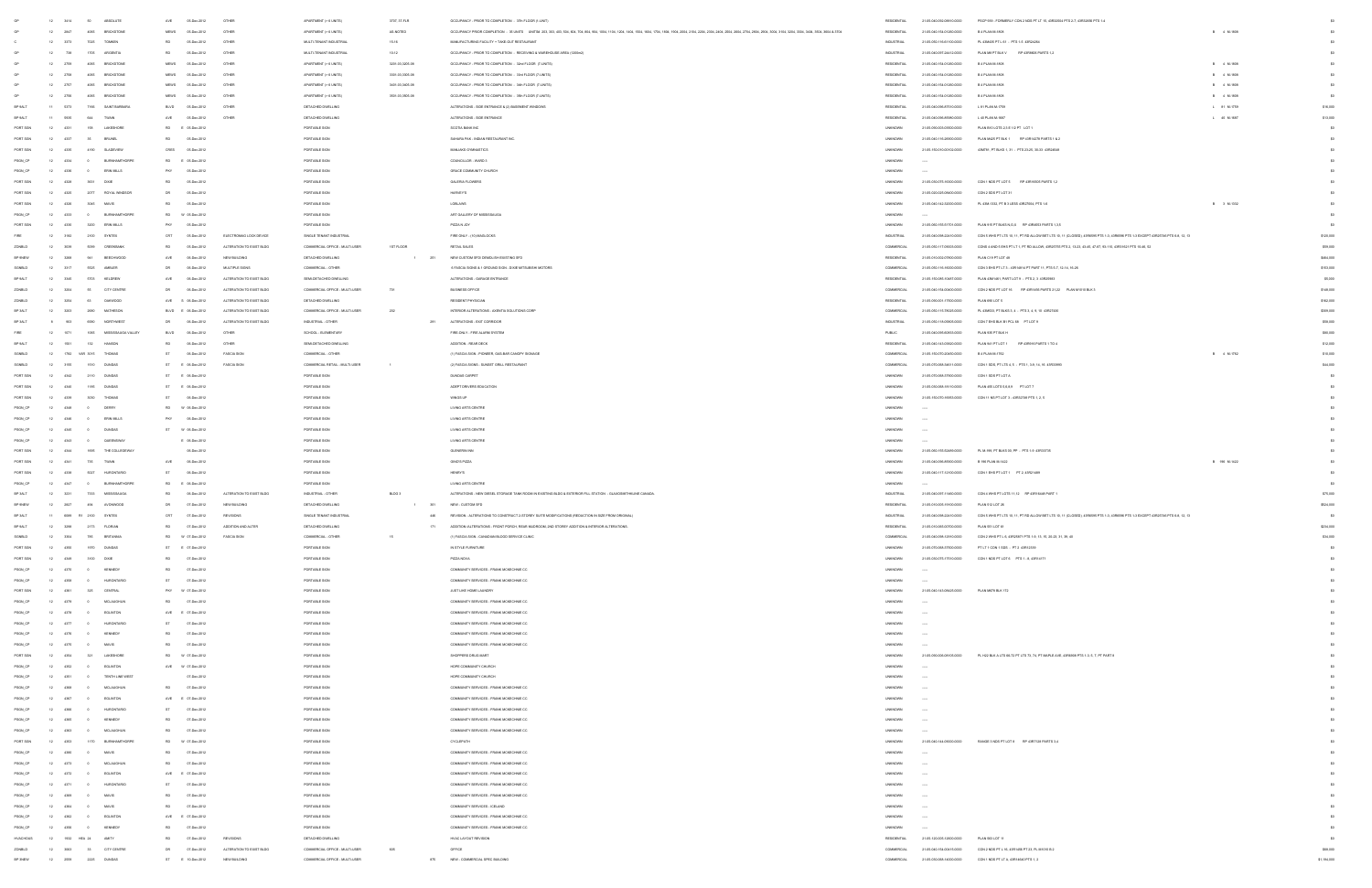\$68,000 \$0\$0 $\boldsymbol{\mathsf{s}}$ \$0\$0\$0 \$0\$0  $\boldsymbol{\mathsf{s}}$  $\boldsymbol{\mathsf{s}}$ \$524,000  $\boldsymbol{\mathsf{s}}$ \$0 \$0  $\boldsymbol{\mathsf{s}}$ \$0 \$0 \$59,000 \$0 \$0  $\boldsymbol{\mathsf{s}}$ \$0\$0\$0 \$0  $\mathfrak{so}% =\mathfrak{so}_{2}\otimes_{\mathbb{Z}}\mathfrak{so}_{2}$ \$0  $\boldsymbol{\mathsf{s}}$ 

|                 | 12      | 3414<br>50         | ABSOLUTE           | AVE<br>05-Dec-2012             | OTHER                     | APARTMENT (> 6 UNITS)          | 3707, 37-FLR    | OCCUPANCY - PRIOR TO COMPLETION - 37th FLOOR (1-UNIT)                                                                                                                                                                          | RESIDENTIAL        | 21-05-040-092-08810-0000 | PSCP 939 - FORMERLY CON 2 NDS PT LT 15, 43R32504 PTS 2-7, 43R32656 PTS 1-4                                                     |                        |
|-----------------|---------|--------------------|--------------------|--------------------------------|---------------------------|--------------------------------|-----------------|--------------------------------------------------------------------------------------------------------------------------------------------------------------------------------------------------------------------------------|--------------------|--------------------------|--------------------------------------------------------------------------------------------------------------------------------|------------------------|
|                 |         | 4065<br>2847       | <b>BRICKSTONE</b>  | MEWS 05-Dec-2012               | OTHER                     | APARTMENT (> 6 UNITS)          | AS-NOTED        | OCCUPANCY PRIOR COMPLETION - 35 UNITS UNITS# 203, 303, 403, 504, 604, 704, 804, 904, 1004, 1104, 1204, 1404, 1504, 1604, 1704, 1804, 1804, 1904, 1204, 1204, 1204, 1804, 1804, 1804, 1804, 1804, 1804, 2004, 2204, 2304, 2304, | RESIDENTIAL        | 21-05-040-154-01260-0000 | <b>B 4 PLAN M-1808</b>                                                                                                         | B 4 M-1808             |
|                 |         |                    |                    |                                |                           |                                |                 |                                                                                                                                                                                                                                |                    |                          |                                                                                                                                |                        |
|                 | 12      | 3373<br>7025       | <b>TOMKEN</b>      | <b>RD</b><br>05-Dec-2012       | OTHER                     | MULTI-TENANT INDUSTRIAL        | $15 - 16$       | MANUFACTURING FACILITY + TAKE-OUT RESTAURANT                                                                                                                                                                                   | INDUSTRIAL         | 21-05-050-116-61100-0000 | PL 43M435 PT L 61 - PTS 1-5 43R24264                                                                                           |                        |
|                 |         | 1705<br>738        | ARGENTIA           | <b>RD</b><br>05-Dec-2012       | OTHER                     | MULTI-TENANT INDUSTRIAL        | $10 - 12$       | OCCUPANCY - PRIOR TO COMPLETION - RECEIVING & WAREHOUSE AREA (1200m2)                                                                                                                                                          | INDUSTRIAL         | 21-05-040-097-24412-0000 | PLAN M8 PT BLK V RP 43R8606 PARTS 1,2                                                                                          |                        |
|                 | 12      | 2759<br>4065       | <b>BRICKSTONE</b>  | MEWS 05-Dec-2012               | OTHER                     | APARTMENT (> 6 UNITS)          | 3201-03.3205-08 | OCCUPANCY - PRIOR TO COMPLETION - 32nd FLOOR (7-UNITS)                                                                                                                                                                         | RESIDENTIAL        | 21-05-040-154-01260-0000 | B 4 PLAN M-1808                                                                                                                | B 4 M-1808             |
|                 |         | 2758<br>4065       | <b>BRICKSTONE</b>  | <b>MEWS</b><br>05-Dec-2012     | OTHER                     | APARTMENT (> 6 UNITS)          | 3301-03,3305-08 | OCCUPANCY - PRIOR TO COMPLETION - 33rd FLOOR (7-UNITS)                                                                                                                                                                         | <b>RESIDENTIAL</b> | 21-05-040-154-01260-0000 | <b>B 4 PLAN M-1808</b>                                                                                                         | B 4 M-1808             |
|                 | 12      | 4065<br>2757       | <b>BRICKSTONE</b>  | MEWS 05-Dec-2012               | OTHER                     | APARTMENT (> 6 UNITS)          | 3401-03,3405-08 | OCCUPANCY - PRIOR TO COMPLETION - 34th FLOOR (7-UNITS)                                                                                                                                                                         | <b>RESIDENTIAL</b> | 21-05-040-154-01260-0000 | B 4 PLAN M-1808                                                                                                                | B 4 M-1808             |
| OP              |         | 4065<br>2756       | <b>BRICKSTONE</b>  | MEWS 05-Dec-2012               | OTHER                     | APARTMENT (> 6 UNITS)          | 3501-03,3505-08 | OCCUPANCY - PRIOR TO COMPLETION - 35th FLOOR (7-UNITS)                                                                                                                                                                         | <b>RESIDENTIAL</b> | 21-05-040-154-01260-0000 | B 4 PLAN M-1808                                                                                                                | B 4 M-1808             |
|                 |         | 7166               |                    |                                |                           |                                |                 |                                                                                                                                                                                                                                |                    |                          |                                                                                                                                |                        |
| BP 9ALT         |         | 5373               | SAINT BARBARA      | BLVD 05-Dec-2012               | OTHER                     | DETACHED DWELLING              |                 | ALTERATIONS - SIDE ENTRANCE & (2) BASEMENT WINDOWS                                                                                                                                                                             | <b>RESIDENTIAL</b> | 21-05-040-096-87510-0000 | L 81 PLAN M-1759                                                                                                               | L 81 M-1759            |
| BP 9ALT         |         | 644<br>5935        | TWAIN              | AVE 05-Dec-2012                | OTHER                     | DETACHED DWELLING              |                 | ALTERATIONS - SIDE ENTRANCE                                                                                                                                                                                                    | RESIDENTIAL        | 21-05-040-096-85980-0000 | L 40 PLAN M-1687                                                                                                               | L 40 M-1687<br>\$13.00 |
| PORT SGN        |         | 4331<br>158        | LAKESHOP           | RD E 05-Dec-2012               |                           | PORTABLE SIGN                  |                 | SCOTIA BANK INC                                                                                                                                                                                                                | <b>UNKNOWN</b>     | 21-05-090-003-03500-0000 | PLAN B10 LOTS 2,3 E 1/2 PT LOT 1                                                                                               |                        |
| PORT SGN        | 12      | 35<br>4337         | BRUNEL             | RD 3<br>05-Dec-2012            |                           | PORTABLE SIGN                  |                 | SAHARA PAK - INDIAN RESTAURANT INC.                                                                                                                                                                                            | <b>UNKNOWN</b>     | 21-05-040-116-26900-0000 | PLAN M425 PT BLK 1 RP 43R14278 PARTS 1 & 2                                                                                     |                        |
| PORT SGN        | 12      | 4190<br>4335       | SLADEVIEW          | CRES 06-Dec-2012               |                           | PORTABLE SIGN                  |                 | MANJAKS GYMNASTICS                                                                                                                                                                                                             | <b>UNKNOW?</b>     | 21-05-150-010-00102-0000 | 43M781, PT BLKS 1, 31 - PTS 23-25, 30-33 43R24548                                                                              |                        |
| PSGN CP         | 12      | $\circ$<br>4334    | BURNHAMTHORPE      | RD E 05-Dec-2012               |                           | PORTABLE SIGN                  |                 | COUNCILLOR - WARD 3                                                                                                                                                                                                            | <b>UNKNOWN</b>     |                          |                                                                                                                                |                        |
|                 |         |                    |                    | PKY 05-Dec-2012                |                           |                                |                 | <b>GRACE COMMUNITY CHURCH</b>                                                                                                                                                                                                  |                    |                          |                                                                                                                                |                        |
| PSGN_CP         | 12      | 4336<br>$\circ$    | <b>ERIN MILLS</b>  |                                |                           | PORTABLE SIGN                  |                 |                                                                                                                                                                                                                                | <b>UNKNOWN</b>     | $\sim$                   |                                                                                                                                |                        |
| PORT SGN        |         | 3631<br>4328       | DIXIE              | 05-Dec-2012<br><b>RD</b>       |                           | PORTABLE SIGN                  |                 | <b>GALERIA FLOWERS</b>                                                                                                                                                                                                         | <b>UNKNOWN</b>     | 21-05-030-075-16300-0000 | CON 1 NDS PT LOT 5 RP 43R16505 PARTS 1,2                                                                                       |                        |
| PORT SGN        |         | 2077<br>4325       | ROYAL WINDSOR      | DR<br>05-Dec-2012              |                           | PORTABLE SIGN                  |                 | <b>HARVEY'S</b>                                                                                                                                                                                                                | <b>UNKNOWN</b>     | 21-05-020-025-08400-0000 | CON 2 SDS PT LOT 31                                                                                                            |                        |
| PORT SGN        | 12      | 3045<br>4326       | MAVIS              | RD 05-Dec-2012                 |                           | PORTABLE SIGN                  |                 | LOBLAWS                                                                                                                                                                                                                        | <b>UNKNOW?</b>     | 21-05-040-142-32000-0000 | PL 43M-1332, PT B 3 LESS 43R27004, PTS 1-6                                                                                     | B 3 M-1332             |
| PSGN CP         | 12      | $\circ$<br>4333    | BURNHAMTHORPE      | RD W 05-Dec-2012               |                           | PORTABLE SIGN                  |                 | ART GALLERY OF MISSISSAUGA                                                                                                                                                                                                     | <b>UNKNOWN</b>     |                          |                                                                                                                                |                        |
| PORT SGN        | 12      | 3200<br>4330       | <b>ERIN MILLS</b>  | PKY 05-Dec-2012                |                           | PORTABLE SIGN                  |                 | PIZZA N JOY                                                                                                                                                                                                                    | <b>UNKNOWN</b>     | 21-05-060-155-51701-0000 | PLAN 915 PT BLKS N, G, X RP 43R4553 PARTS 1,3,5                                                                                |                        |
|                 |         |                    |                    |                                |                           |                                |                 |                                                                                                                                                                                                                                |                    |                          |                                                                                                                                |                        |
|                 |         | 2100               | <b>SYNTEX</b>      | CRT<br>05-Dec-2012             | ELECTROMAG LOCK DEVICE    | SINGLE TENANT INDUSTRIAL       |                 | FIRE ONLY - (10) MAGLOCKS                                                                                                                                                                                                      | INDUSTRIAL         | 21-05-040-098-22410-0000 | CON 5 WHS PT LTS 10, 11, PT RD ALLOW BET LTS 10, 11 (CLOSED), 43R6595 PTS 1-3, 43R6596 PTS 1-3 EXCEPT 43R25746 PTS 6-8, 12, 13 | \$120,00               |
| ZONBLD          |         | 5099<br>3039       | CREEKBANK          | <b>RD</b><br>05-Dec-2012       | ALTERATION TO EXIST BLDG  | COMMERCIAL OFFICE - MULTI-USER | 1ST FLOOR       | RETAIL SALES                                                                                                                                                                                                                   | COMMERCIAL         | 21-05-050-117-09003-0000 | CONS 4 AND 5 EHS PT LT 1, PT RD ALLOW, 43R25755 PTS 2, 13-23, 43-45, 47-87, 93-110, 43R31621 PTS 10-46, 52                     | \$59,00                |
| BP 9NEW         |         | 941                | <b>REFOHWOOD</b>   | AVE<br>06-Dec-2012             | NEW BUILDING              | DETACHED DWELLING              | 1 251           | NEW CUSTOM SFD/ DEMOLISH EXISTING SFD                                                                                                                                                                                          | <b>RESIDENTIAL</b> | 21-05-010-002-07800-0000 | PLAN C19 PT LOT 48                                                                                                             | \$464,00               |
| SGNBLD          |         | 5525               | AMBLER             | DR<br>06-Dec-2012              | MULTIPLE SIGNS            | COMMERCIAL - OTHER             |                 | 6 FASCIA SIGNS & 1 GROUND SIGN - DIXIE MITSUBISHI MOTORS                                                                                                                                                                       | COMMERCIAL         | 21-05-050-116-16000-0000 | CON 3 EHS PT LT 3 - 43R14814 PT PART 11, PTS 5-7, 12-14, 16-26                                                                 | \$153,00               |
| BP 9ALT         |         | 5703               | KELDREW            | AVE 06-Dec-2012                | ALTERATION TO EXIST BLDG. | SEMI-DETACHED DWELLING         |                 | ALTERATIONS - GARAGE ENTRANCE                                                                                                                                                                                                  | RESIDENTIAL        | 21-05-150-085-10487-0000 | PLAN 43M1461, PART LOT 9 - PTS 2, 3 43R25983                                                                                   | \$5,00                 |
| ZONBLD          |         | 55                 | <b>CITY CENTRI</b> | DR.<br>06-Dec-2012             | ALTERATION TO EXIST BLDG  | COMMERCIAL OFFICE - MULTI-USER | 701             | <b>BUSINESS OFFICE</b>                                                                                                                                                                                                         | COMMERCIAL         | 21-05-040-154-00400-0000 | CON 2 NDS PT LOT 16 RP 43R1456 PARTS 21,22 PLAN M1010 BLK 3                                                                    | \$148,00               |
|                 |         |                    |                    |                                |                           |                                |                 |                                                                                                                                                                                                                                |                    |                          |                                                                                                                                |                        |
| ZONBLD          |         | 63<br>3254         | OAKWOOD            |                                | ALTERATION TO EXIST BLDG  | DETACHED DWELLING              |                 | RESIDENT PHYSICIAN                                                                                                                                                                                                             | <b>RESIDENTIAL</b> | 21-05-090-001-17500-0000 | PLAN 690 LOT 5                                                                                                                 | \$162,00               |
| BP 3ALT         |         | 2680               | MATHESON           | BLVD E 06-Dec-2012             | ALTERATION TO EXIST BLDG  | COMMERCIAL OFFICE - MULTI-USER | 202             | INTERIOR ALTERATIONS - AXENTIA SOLUTIONS CORP                                                                                                                                                                                  | COMMERCIAL         | 21-05-050-115-78025-0000 | PL 43M533, PT BLKS 3, 4 - PTS 3, 4, 9, 10 43R27430                                                                             | \$309,00               |
| BP 3ALT         |         | 6580               | NORTHWEST          | DR<br>06-Dec-2012              | ALTERATION TO EXIST BLDG  | INDUSTRIAL - OTHER             | 291             | ALTERATIONS - EXIT CORRIDOR                                                                                                                                                                                                    | <b>INDUSTRIAL</b>  | 21-05-050-118-05805-0000 | CON 7 EHS BLK B1 PCL 68 PT LOT 9                                                                                               | \$58,00                |
| <b>FIRE</b>     |         | 1065<br>1071       | MISSISSAUGA VALLEY | BLVD 06-Dec-2012               | OTHER                     | SCHOOL - ELEMENTARY            |                 | FIRE-ONLY - FIRE ALARM SYSTEM                                                                                                                                                                                                  | PUBLIC             | 21-05-040-095-60833-0000 | PLAN 935 PT BLK H                                                                                                              | \$80,00                |
| BP 9ALT         |         | 132                | <b>HANSON</b>      | <b>RD</b><br>06-Dec-2012       | OTHER                     | SEMI-DETACHED DWELLING         |                 | ADDITION - REAR DECK                                                                                                                                                                                                           | <b>RESIDENTIAL</b> | 21-05-040-143-03820-0000 | PLAN 941 PT LOT 1 RP 43R916 PARTS 1 TO 4                                                                                       | \$12,00                |
| SGNBLD          | 12      | VAR 3015<br>1782   | <b>THOMAS</b>      | ST .<br>06-Dec-2012            | <b>FASCIA SIGN</b>        | COMMERCIAL - OTHER             |                 | (1) FASCIA SIGN - PIONEER, GAS-BAR CANOPY SIGNAGE                                                                                                                                                                              | COMMERCIAL         | 21-05-150-070-20450-0000 | B 4 PLAN M-1762                                                                                                                | B 4 M-1762<br>\$10,00  |
|                 |         |                    |                    |                                |                           |                                |                 |                                                                                                                                                                                                                                |                    |                          |                                                                                                                                |                        |
| SGNBLD          |         | 3155               | 1510 DUNDAS        | ST E 06-Dec-2012               | <b>FASCIA SIGN</b>        | COMMERCIAL RETAIL - MULTI-USER | $\overline{1}$  | (2) FASCIA SIGNS - SUNSET GRILL RESTAURANT                                                                                                                                                                                     | COMMERCIAL         | 21-05-070-068-34611-0000 | CON 1 SDS, PT LTS 4, 5 - PTS 1, 3-9, 14, 16 43R33993                                                                           | \$44,00                |
| PORT SGN        | 12      | 4342               | 2110 DUNDAS        | ST E 06-Dec-2012               |                           | PORTABLE SIGN                  |                 | DUNDAS CARPET                                                                                                                                                                                                                  | <b>UNKNOWN</b>     | 21-05-070-068-37900-0000 | CON 1 SDS PT LOT A                                                                                                             |                        |
| PORT SGN        | 12      | 4340               | 1185 DUNDAS        | ST E 06-Dec-2012               |                           | PORTABLE SIGN                  |                 | ADEPT DRIVERS EDUCATION                                                                                                                                                                                                        | <b>UNKNOWN</b>     | 21-05-030-068-18110-0000 | PLAN 455 LOTS 5.6.8.9 PT LOT 7                                                                                                 |                        |
| PORT SGN        |         | 3030<br>4339       | <b>THOMA:</b>      | 06-Dec-2012<br>ST <sub>1</sub> |                           | PORTABLE SIGN                  |                 | WINGS UP                                                                                                                                                                                                                       | <b>UNKNOW</b>      | 21-05-150-070-16953-0000 | CON 11 NS PT LOT 3 - 43R32749 PTS 1, 2, 5                                                                                      |                        |
| PSGN CP         | 12      | $\circ$<br>4348    | DERRY              | RD W 06-Dec-2012               |                           | PORTABLE SIGN                  |                 | <b>LIVING ARTS CENTRE</b>                                                                                                                                                                                                      | <b>UNKNOW!</b>     |                          |                                                                                                                                |                        |
| PSGN_CP         | 12      | 4346<br>$\circ$    | <b>ERIN MILLS</b>  | PKY 06-Dec-2012                |                           | PORTABLE SIGN                  |                 | <b>LIVING ARTS CENTRE</b>                                                                                                                                                                                                      | <b>UNKNOW?</b>     |                          |                                                                                                                                |                        |
|                 |         |                    |                    |                                |                           |                                |                 |                                                                                                                                                                                                                                |                    |                          |                                                                                                                                |                        |
| PSGN CP         | 12      | $^{\circ}$<br>4345 | <b>DUNDAS</b>      | ST W 06-Dec-2012               |                           | PORTABLE SIGN                  |                 | LIVING ARTS CENTRE                                                                                                                                                                                                             | <b>UNKNOWN</b>     | 1.11                     |                                                                                                                                |                        |
| PSGN CP         | 12      | $\circ$<br>4343    | QUEENSWAY          | E 06-Dec-2012                  |                           | PORTABLE SIGN                  |                 | <b>LIVING ARTS CENTRE</b>                                                                                                                                                                                                      | <b>UNKNOWN</b>     | <b>STATE</b>             |                                                                                                                                |                        |
|                 |         |                    |                    |                                |                           |                                |                 |                                                                                                                                                                                                                                |                    |                          |                                                                                                                                |                        |
| PORT SGN        |         | 1695<br>4344       | THE COLLEGEWAY     | 06-Dec-2012                    |                           | PORTABLE SIGN                  |                 | <b>GLENERIN INN</b>                                                                                                                                                                                                            | <b>UNKNOWN</b>     | 21-05-060-155-52489-0000 | PL M-199, PT BLKS 00, PP - PTS 1-9 43R33735                                                                                    |                        |
| PORT SGN        | 12      | 735<br>4341        | TWAIN              | AVE 06-Dec-2012                |                           | PORTABLE SIGN                  |                 | <b>GINO'S PIZZA</b>                                                                                                                                                                                                            | <b>UNKNOWN</b>     | 21-05-040-096-85900-0000 | B 196 PLAN M-1422                                                                                                              | B 196 M-1422           |
| PORT SGN        | 12      | 4338               | 5027 HURONTARIO    |                                |                           | PORTABLE SIGN                  |                 | <b>HENRY'S</b>                                                                                                                                                                                                                 | <b>UNKNOW?</b>     | 21-05-040-117-12100-0000 | CON 1 EHS PT LOT 1 PT 2, 43R21489                                                                                              |                        |
|                 |         |                    |                    | ST 06-Dec-2012                 |                           |                                |                 |                                                                                                                                                                                                                                |                    |                          |                                                                                                                                |                        |
| PSGN CP         | 12      | $\circ$<br>4347    | BURNHAMTHORPE      | RD E 06-Dec-2012               |                           | PORTABLE SIGN                  |                 | <b>LIVING ARTS CENTRE</b>                                                                                                                                                                                                      | <b>UNKNOWN</b>     |                          |                                                                                                                                |                        |
| BP 3ALT         | 12      | 7333<br>3231       | MISSISSAUG/        | <b>RD</b><br>06-Dec-2012       | ALTERATION TO EXIST BLDG  | INDUSTRIAL - OTHER             | BLDG 3          | ALTERATIONS - NEW DIESEL STORAGE TANK ROOM IN EXISTING BLDG & EXTERIOR FILL STATION - GLAXOSMITHKLINE CANADA                                                                                                                   | INDUSTRIAL         | 21-05-040-097-11460-0000 | CON 4 WHS PT LOTS 11.12 RP 43R16448 PART 1                                                                                     |                        |
| BP 9NEW         | 12      | 2827<br>494        | AVONWOOD           | DR.<br>07-Dec-2012             | NEW BUILDING              | DETACHED DWELLING              | 1 301           | NEW - CUSTOM SFD                                                                                                                                                                                                               | <b>RESIDENTIAL</b> | 21-05-010-005-19100-0000 | PLAN 512 LOT 26                                                                                                                | \$524,00               |
| BP 3ALT         |         | 6089<br>2100       | SYNTEX             | 07-Dec-2012                    | REVISION:                 | SINGLE TENANT INDUSTRIA        |                 | REVISION - ALTERATIONS TO CONSTRUCT 2-STOREY SUITE MODIFICATIONS (REDUCTION IN SIZE FROM ORIGINAL                                                                                                                              | INDUSTRIAL         | 21-05-040-098-22410-0000 | CON 5 WHS PT LTS 10, 11, PT RD ALLOW BET LTS 10, 11 (CLOSED), 43R6595 PTS 1-3, 43R6596 PTS 1-3 EXCEPT 43R25746 PTS 6-8, 12, 13 |                        |
| BP 9ALT         | 12 3298 |                    | 2173 FLORIAN       | RD 07-Dec-2012                 | ADDITION AND ALTER        | DETACHED DWELLING              | 171             | ADDITION /ALTERATIONS - FRONT PORCH, REAR MUDROOM, 2ND STOREY ADDITION & INTERIOR ALTERATIONS.                                                                                                                                 | <b>RESIDENTIAL</b> | 21-05-010-065-00700-0000 | PLAN 551 LOT 61                                                                                                                | \$234,00               |
| SGNBLD          |         | 3304<br>785        | BRITANNIA          | RD W 07-Dec-2012               | <b>FASCIA SIGN</b>        | COMMERCIAL - OTHER             |                 | (1) FASCIA SIGN - CANADIAN BLOOD SERVICE CLINIC                                                                                                                                                                                | COMMERCIAL         | 21-05-040-098-12910-0000 | CON 2 WHS PT L 6, 43R25871 PTS 1-9, 13, 15, 20-23, 31, 39, 40                                                                  | \$34,00                |
| PORT SGN        | 12      | 4350               | 1970 DUNDAS        | ST E 07-Dec-2012               |                           | PORTABLE SIGN                  |                 | IN STYLE FURNITURE                                                                                                                                                                                                             | <b>UNKNOWN</b>     | 21-05-070-068-37500-0000 |                                                                                                                                |                        |
|                 |         |                    |                    |                                |                           |                                |                 |                                                                                                                                                                                                                                |                    |                          | PT LT 1 CON 1 SDS - PT 2 43R12339                                                                                              |                        |
| PORT SGN        | 12      | 3100<br>4349       | DIXIE              | RD 07-Dec-2012                 |                           | PORTABLE SIGN                  |                 | PIZZA NOVA                                                                                                                                                                                                                     | <b>UNKNOWN</b>     | 21-05-030-075-17510-0000 | CON 1 NDS PT LOT 6 PTS 1 - 8, 43R14171                                                                                         |                        |
| PSGN CP         | 12      | $\circ$<br>4370    | KENNEDY            | RD 07-Dec-2012                 |                           | PORTABLE SIGN                  |                 | COMMUNITY SERVICES - FRANK MCKECHNIE CC                                                                                                                                                                                        | <b>UNKNOWN</b>     | -                        |                                                                                                                                |                        |
| PSGN_CP         | 12      | $\circ$<br>4358    | <b>HURONTARIO</b>  | ST 07-Dec-2012                 |                           | PORTABLE SIGN                  |                 | COMMUNITY SERVICES - FRANK MCKECHNIE CC                                                                                                                                                                                        | <b>UNKNOWN</b>     | $\cdots$                 |                                                                                                                                |                        |
| PORT SGN        | 12      | 325<br>4361        | CENTRAL            | PKY W 07-Dec-2012              |                           | PORTABLE SIGN                  |                 | JUST LIKE HOME LAUNDRY                                                                                                                                                                                                         | <b>UNKNOWN</b>     | 21-05-040-143-08425-0000 | <b>PLAN M678 BLK 172</b>                                                                                                       |                        |
| PSGN_CP         | 12      | 4379<br>$\circ$    | MCLAUGHLIN         | RD 07-Dec-2012                 |                           | PORTABLE SIGN                  |                 | COMMUNITY SERVICES - FRANK MCKECHNIE CC                                                                                                                                                                                        | <b>UNKNOW!</b>     |                          |                                                                                                                                |                        |
|                 | 12      | 4378<br>$\circ$    |                    |                                |                           |                                |                 |                                                                                                                                                                                                                                |                    |                          |                                                                                                                                |                        |
| PSGN_CP         |         |                    | EGLINTON           | AVE E 07-Dec-2012              |                           | PORTABLE SIGN                  |                 | COMMUNITY SERVICES - FRANK MCKECHNIE CC                                                                                                                                                                                        | <b>UNKNOW</b>      |                          |                                                                                                                                |                        |
| PSGN CP         | 12      | $\circ$<br>4377    | <b>HURONTARIO</b>  | ST 07-Dec-2012                 |                           | PORTABLE SIGN                  |                 | COMMUNITY SERVICES - FRANK MCKECHNIE CC                                                                                                                                                                                        | <b>UNKNOWN</b>     | $\sim$                   |                                                                                                                                |                        |
| PSGN_CP         | 12      | $\circ$<br>4376    | KENNEDY            | RD 07-Dec-2012                 |                           | PORTABLE SIGN                  |                 | COMMUNITY SERVICES - FRANK MCKECHNIE CC                                                                                                                                                                                        | <b>UNKNOWN</b>     |                          |                                                                                                                                |                        |
| PSGN CP         | 12      | 4375<br>$\sim$     | MAVIS              | RD 07-Dec-2012                 |                           | PORTABLE SIGN                  |                 | COMMUNITY SERVICES - FRANK MCKECHNIE CC                                                                                                                                                                                        | <b>UNKNOWN</b>     | 1.11                     |                                                                                                                                |                        |
| PORT SGN        | 12      | 4354<br>321        | LAKESHORE          | RD W 07-Dec-2012               |                           | PORTABLE SIGN                  |                 | SHOPPERS DRUG MART                                                                                                                                                                                                             | <b>UNKNOWN</b>     | 21-05-090-006-08105-0000 | PL H22 BLK A LTS 66-72 PT LTS 73, 74, PT MAPLE AVE, 43R6908 PTS 1-3, 5, 7, PT PART 8                                           |                        |
| PSGN_CP         | 12      | 4352<br>$\circ$    | EGLINTON           | AVE W 07-Dec-2012              |                           | PORTABLE SIGN                  |                 | HOPE COMMUNITY CHURCH                                                                                                                                                                                                          | <b>UNKNOWN</b>     | -                        |                                                                                                                                |                        |
| PSGN CP         | 12      | $\circ$<br>4351    | TENTH LINE WEST    | 07-Dec-2012                    |                           | PORTABLE SIGN                  |                 |                                                                                                                                                                                                                                | <b>UNKNOWN</b>     | ----                     |                                                                                                                                |                        |
|                 |         |                    |                    |                                |                           |                                |                 | HOPE COMMUNITY CHURCH                                                                                                                                                                                                          |                    |                          |                                                                                                                                |                        |
| PSGN_CP         |         | 4368<br>$\circ$    | MCLAUGHLIN         | RD 07-Dec-2012                 |                           | PORTABLE SIGN                  |                 | COMMUNITY SERVICES - FRANK MCKECHNIE CC                                                                                                                                                                                        | <b>UNKNOWN</b>     | $\sim$                   |                                                                                                                                |                        |
| PSGN CP         | 12      | $\circ$<br>4367    | EGLINTON           | AVE E 07-Dec-2012              |                           | PORTABLE SIGN                  |                 | COMMUNITY SERVICES - FRANK MCKECHNIE CC                                                                                                                                                                                        | <b>UNKNOWN</b>     | 1.11                     |                                                                                                                                |                        |
| PSGN_CP         | 12      | 4366<br>$\circ$    | <b>HURONTARIO</b>  | ST 07-Dec-2012                 |                           | PORTABLE SIGN                  |                 | COMMUNITY SERVICES - FRANK MCKECHNIE CC                                                                                                                                                                                        | <b>UNKNOW!</b>     | <b>STATE</b>             |                                                                                                                                |                        |
| PSGN_CP         | 12      | 4365<br>$\circ$    | KENNEDY            | RD 07-Dec-2012                 |                           | PORTABLE SIGN                  |                 | COMMUNITY SERVICES - FRANK MCKECHNIE CC                                                                                                                                                                                        | <b>UNKNOWN</b>     |                          |                                                                                                                                |                        |
| PSGN CP         | 12      | $\circ$<br>4363    | MCLAUGHLIN         | RD 07-Dec-2012                 |                           | PORTABLE SIGN                  |                 | COMMUNITY SERVICES - FRANK MCKECHNIE CC                                                                                                                                                                                        | <b>UNKNOWN</b>     | $\cdots$                 |                                                                                                                                |                        |
| PORT SGN        | 12      | 1170<br>4353       | BURNHAMTHORPE      | RD W 07-Dec-2012               |                           | PORTABLE SIGN                  |                 | CYCLEPATH                                                                                                                                                                                                                      | <b>UNKNOWN</b>     | 21-05-040-144-09000-0000 | RANGE 3 NDS PT LOT 8 RP 43R7128 PARTS 3,4                                                                                      |                        |
|                 |         |                    |                    |                                |                           |                                |                 |                                                                                                                                                                                                                                |                    |                          |                                                                                                                                |                        |
| PSGN CP         | 12      | $\circ$<br>4380    | MAVIS              | RD 07-Dec-2012                 |                           | PORTABLE SIGN                  |                 | COMMUNITY SERVICES - FRANK MCKECHNIE CC                                                                                                                                                                                        | <b>UNKNOWN</b>     |                          |                                                                                                                                |                        |
| PSGN_CP         | 12      | 4373<br>$\circ$    | MCLAUGHLIN         | RD 07-Dec-2012                 |                           | PORTABLE SIGN                  |                 | COMMUNITY SERVICES - FRANK MCKECHNIE CC                                                                                                                                                                                        | <b>UNKNOW!</b>     | <b>STATE</b>             |                                                                                                                                |                        |
| PSGN_CP         | 12      | 4372<br>$\circ$    | <b>EGLINTON</b>    | AVE E 07-Dec-2012              |                           | PORTABLE SIGN                  |                 | COMMUNITY SERVICES - FRANK MCKECHNIE CC                                                                                                                                                                                        | <b>UNKNOWN</b>     | $\cdots$                 |                                                                                                                                |                        |
| PSGN CP         | 12      | $\circ$<br>4371    | <b>HURONTARIO</b>  | ST 07-Dec-2012                 |                           | PORTABLE SIGN                  |                 | COMMUNITY SERVICES - FRANK MCKECHNIE CC                                                                                                                                                                                        | <b>UNKNOWN</b>     | ----                     |                                                                                                                                |                        |
| PSGN_CP         | 12      | $^{\circ}$<br>4369 | MAVIS              | RD 07-Dec-2012                 |                           | PORTABLE SIGN                  |                 | COMMUNITY SERVICES - FRANK MCKECHNIE CC                                                                                                                                                                                        | <b>UNKNOWN</b>     | $\sim$                   |                                                                                                                                |                        |
| PSGN CP         | 12      | $\circ$<br>4364    | MAVIS              | RD 07-Dec-2012                 |                           | PORTABLE SIGN                  |                 | COMMUNITY SERVICES - ICELAND                                                                                                                                                                                                   | <b>UNKNOWN</b>     | 1.11                     |                                                                                                                                |                        |
| PSGN_CP         | 12      | 4362<br>$\circ$    | <b>EGLINTON</b>    | AVE E 07-Dec-2012              |                           | PORTABLE SIGN                  |                 | COMMUNITY SERVICES - FRANK MCKECHNIE CC                                                                                                                                                                                        | <b>UNKNOWN</b>     | $\cdots$                 |                                                                                                                                |                        |
|                 |         |                    |                    |                                |                           |                                |                 |                                                                                                                                                                                                                                |                    |                          |                                                                                                                                |                        |
| PSGN_CP         | 12      | 4356<br>$\circ$    | <b>KENNEDY</b>     | RD 07-Dec-2012                 |                           | PORTABLE SIGN                  |                 | COMMUNITY SERVICES - FRANK MCKECHNIE CC                                                                                                                                                                                        | <b>UNKNOWN</b>     | 1.111                    |                                                                                                                                |                        |
| <b>HVACHOUS</b> | 12      | 1932<br>HEA 24     | AMITY              | RD 07-Dec-2012                 | <b>REVISIONS</b>          | DETACHED DWELLING              |                 | HVAC LAYOUT REVISION                                                                                                                                                                                                           | RESIDENTIAL        | 21-05-120-005-12600-0000 | PLAN 563 LOT 11                                                                                                                |                        |
| ZONBLD          |         | 33                 | <b>CITY CENTRE</b> | DR.<br>07-Dec-2012             | ALTERATION TO EXIST BLDG  | COMMERCIAL OFFICE - MULTI-USER | 605             | OFFICE                                                                                                                                                                                                                         | COMMERCIAL         | 21-05-040-154-00415-0000 | CON 2 NDS PT L 16, 43R1456 PT 23, PL M1010 B 2                                                                                 | \$68,00                |
| BP 3NEW         | 12 2559 |                    | 2225 DUNDAS        | ST E 10-Dec-2012               | <b>NEW BUILDING</b>       | COMMERCIAL OFFICE - MULTI-USER |                 | 875 NEW - COMMERCIAL SPEC BUILDING                                                                                                                                                                                             | COMMERCIAL         | 21-05-030-068-14000-0000 | CON 1 NDS PT LT A, 43R14640 PTS 1, 2                                                                                           | \$1,194,00             |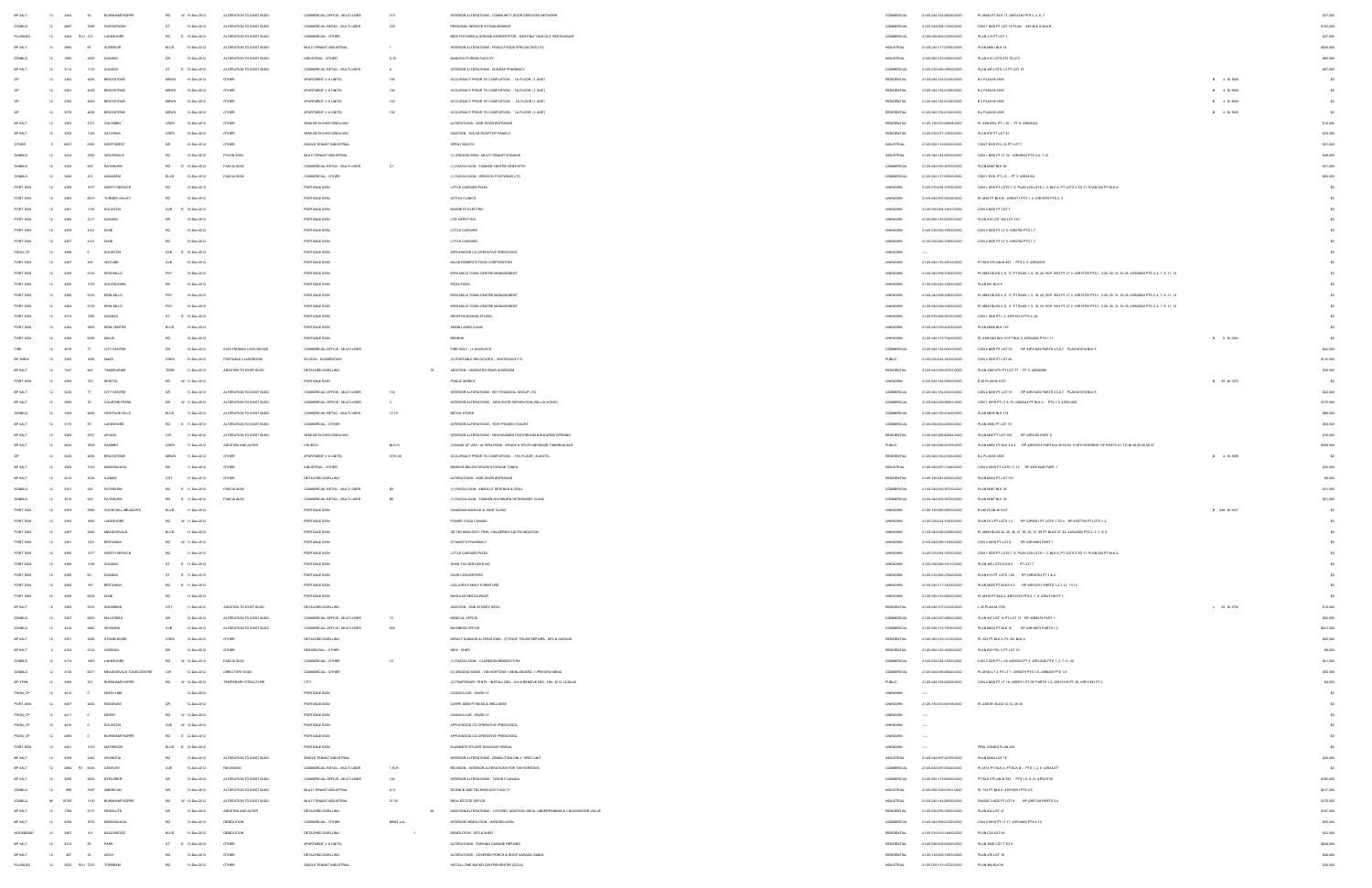| BP 3ALT                           | 12<br>3292 | 90         | BURNHAMTHORPE          |                 | RD W 10-Dec-2012   | ALTERATION TO EXIST BLDG | COMMERCIAL OFFICE - MULTI-USER | 210             | INTERIOR ALTERATIONS - COMMUNITY DOOR SERVICES NETWORK                           | COMMERCIAL         | 21-05-040-154-06690-0000 | PL M492 PT BLK 17, 43R14746 PTS 3, 4, 6, 7                                                                                          | \$27,00  |
|-----------------------------------|------------|------------|------------------------|-----------------|--------------------|--------------------------|--------------------------------|-----------------|----------------------------------------------------------------------------------|--------------------|--------------------------|-------------------------------------------------------------------------------------------------------------------------------------|----------|
| ZONBLD                            |            | 3085       | HURONTARIO             | <b>ST</b>       | 10-Dec-2012        | ALTERATION TO EXIST BLDG | COMMERCIAL RETAIL - MULTI-USER | 23C             | PERSONAL SERVICE ESTABLISHMENT                                                   | COMMERCIAL         | 21-05-040-094-13300-0000 | CON 1 NDS PT LOT 15 PLAN 645 BLK A BLK B                                                                                            | \$102,00 |
| <b>PLU/BLDG</b>                   | 12<br>3404 | PLU 215    | LAKESHORE              |                 | RD E 10-Dec-2012   | ALTERATION TO EXIST BLDG | COMMERCIAL - OTHER             |                 | NEW FIXTURES & GREASE INTERCEPTOR - EXISTING TAKE OUT RESTAURANT                 | COMMERCIAL         | 21-05-090-002-23300-0000 | PLAN 313 PT LOT 1                                                                                                                   | \$27,00  |
| BP 3ALT                           |            |            | SUPERIOR               | BLVD            | 10-Dec-2012        | ALTERATION TO EXIST BLDG | MULTI-TENANT INDUSTRIAL        | $\overline{1}$  | INTERIOR ALTERATIONS - FINICA FOODS SPECIALTIES LTD                              | <b>INDUSTRIAL</b>  | 21-05-040-117-07650-0000 | PLAN M901 BLK 14                                                                                                                    | \$926,00 |
|                                   |            |            |                        |                 |                    |                          |                                |                 |                                                                                  |                    |                          |                                                                                                                                     |          |
| ZONBLD                            |            | 2525       | <b>DUNWIN</b>          | DR 1            | 10-Dec-2012        | ALTERATION TO EXIST BLDG | INDUSTRIAL - OTHER             | $8 - 10$        | MANUFACTURING FACILITY                                                           | INDUSTRIAL         | 21-05-060-155-03900-0000 | PLAN 915 LOTS 270 TO 273                                                                                                            | \$60,00  |
| BP 3ALT                           | 3114       | 1133       | <b>DUNDAS</b>          |                 | ST E 10-Dec-2012   | ALTERATION TO EXIST BLDG | COMMERCIAL RETAIL - MULTI-USER | $_{\rm 8}$      | INTERIOR ALTERATIONS - DUNDAS PHARMACY                                           | COMMERCIAL         | 21-05-030-068-18600-0000 | PLAN 455 LOTS 1,2 PT LOT 16                                                                                                         | \$57,00  |
|                                   | 338        | 4065       | <b>BRICKSTONE</b>      | MEWS            | 10-Dec-2012        | OTHER                    | APARTMENT (> 6 UNITS)          | 105             | OCCUPANCY PRIOR TO COMPLETION - 1st FLOOR (1-UNIT)                               | RESIDENTIAL        | 21-05-040-154-01260-0000 | B 4 PLAN M-1808<br>B 4 M-1808                                                                                                       |          |
|                                   |            |            |                        |                 |                    |                          |                                |                 |                                                                                  |                    |                          |                                                                                                                                     |          |
|                                   | 338        | 4065       | <b>BRICKSTONE</b>      | <b>MEWS</b>     | 10-Dec-2012        | OTHER                    | APARTMENT (> 6 UNITS)          | 104             | OCCUPANCY PRIOR TO COMPLETION - 1st FLOOR (1-UNIT)                               | RESIDENTIAL        | 21-05-040-154-01260-0000 | B 4 PLAN M-1808<br>B 4 M-1808                                                                                                       |          |
|                                   |            | 4065       | <b>BRICKSTON</b>       | <b>MEWS</b>     | 10-Dec-2012        | OTHER                    | APARTMENT (> 6 UNITS)          |                 | OCCUPANCY PRIOR TO COMPLETION - 1st FLOOR (1-UNIT)                               | <b>RESIDENTIA</b>  | 21-05-040-154-01260-0000 | <b>B 4 PLAN M-1808</b><br>B 4 M-1808                                                                                                |          |
|                                   | 3379       | 4065       | <b>BRICKSTONE</b>      | <b>MEWS</b>     | 10-Dec-2012        | OTHER                    | APARTMENT (> 6 UNITS)          | 102             | OCCUPANCY PRIOR TO COMPLETION - 1st FLOOR (1-UNIT)                               | RESIDENTIAL        | 21-05-040-154-01260-0000 | B 4 PLAN M-1808<br>B 4 M-1808                                                                                                       |          |
|                                   |            |            |                        |                 |                    |                          |                                |                 |                                                                                  |                    |                          |                                                                                                                                     |          |
| BP 9ALT                           |            | 4721       | COLOMBO                | CRES            | 10-Dec-2012        | OTHER                    | SEMI-DETACHED DWELLING         |                 | ALTERATIONS - SIDE DOOR ENTRANCE                                                 | <b>RESIDENTIA</b>  | 21-05-150-010-04858-0000 | PL 43M1554, PT L 25 - PT 8 43R28324                                                                                                 |          |
| BP 9ALT                           | 335        | 1183       | SATURNIA               | CRES            | 10-Dec-2012        | OTHER                    | SEMI-DETACHED DWELLING         |                 | ADDITION - SOLAR ROOFTOP PANELS                                                  | <b>RESIDENTIAL</b> | 21-05-030-077-12600-0000 | PLAN 670 PT LOT 41                                                                                                                  | \$33.00  |
| OTHER                             | 665        | 6380       | NORTHWES'              | <b>DR</b>       | 10-Dec-2012        | OTHER                    | SINGLE TENANT INDUSTRIAL       |                 | SPRAY BOOTH                                                                      | INDUSTRIAL         | 21-05-050-118-06300-0000 | CON 7 EHS PCL 23 PT LOT 7                                                                                                           | \$21,00  |
|                                   |            |            |                        |                 |                    |                          |                                |                 |                                                                                  |                    |                          |                                                                                                                                     |          |
| SGNBLI                            |            | 3360       | WOLFEDAL               | <b>RD</b>       | 10-Dec-2012        | PYLON SIGN               | MULTI-TENANT INDUSTRIAL        |                 | (1) GROUND SIGN - MULTI-TENANT SIGNAGE                                           | INDUSTRIAL         | 21-05-040-144-05000-0000 | CON 1 NDS PT LT 22 - 43R29832 PTS 2-4, 7-12                                                                                         | \$29,00  |
| SGNBLD                            |            | 925        | RATHBURN               |                 | RD E 10-Dec-2012   | <b>FASCIA SIGN</b>       | COMMERCIAL RETAIL - MULTI-USER | C1              | (1) FASCIA SIGN - TOMKEN CENTRE DENTISTRY                                        | COMMERCIAL         | 21-05-040-093-36700-0000 | PLAN M367 BLK 30                                                                                                                    | \$21,00  |
| SGNBLD                            |            | 415        | ANNAGEM                | BLVD            | 10-Dec-2012        | <b>FASCIA SIGN</b>       | COMMERCIAL - OTHER             |                 | (1) FASCIA SIGN - GREDICO FOOTWEAR LTD                                           | COMMERCIAL         | 21-05-040-117-03600-0000 | CON 1 EHS, PT L 8 - PT 3 43R29104                                                                                                   |          |
|                                   |            |            |                        |                 |                    |                          |                                |                 |                                                                                  |                    |                          |                                                                                                                                     |          |
| PORT SGN                          | 438        | 1077       | NORTH SERVICE          | <b>RD</b>       | 10-Dec-2012        |                          | PORTABLE SIGN                  |                 | LITTLE CAESARS PIZZA                                                             | <b>UNKNOWN</b>     | 21-05-070-054-19700-0000 | CON 1 SDS PT LOTS 7, 8, PLAN 439 LOTS 1, 2, BLK A, PT LOTS 3 TO 11, PLAN 520 PT BLK A                                               |          |
| PORT SGN                          | 12<br>438  | 6610       | <b>TURNER VALLEY</b>   | RD 3            | 10-Dec-2012        |                          | PORTABLE SIGN                  |                 | ACTIVA CLINICS                                                                   | <b>UNKNOWN</b>     | 21-05-040-097-35006-0000 | PL M30 PT BLK B - 43R4371 PTS 1, 2, 43R-6975 PTS 2, 3                                                                               |          |
| PORT SGN                          |            | 1150       | <b>EGLINTON</b>        |                 | AVE E 10-Dec-201:  |                          |                                |                 | MAGNETO ELECTRIC                                                                 | <b>UNKNOW</b>      |                          | CON 2 NDS PT LOT 7                                                                                                                  |          |
|                                   |            |            |                        |                 |                    |                          | PORTABLE SIGN                  |                 |                                                                                  |                    | 21-05-030-094-19910-0000 |                                                                                                                                     |          |
| PORT SGN                          |            | 2111       | <b>DUNWIN</b>          | DR <sub>1</sub> | 10-Dec-2012        |                          | PORTABLE SIGN                  |                 | LITE DEPOT INC.                                                                  | <b>UNKNOWN</b>     | 21-05-060-155-00300-0000 | PLAN 915 LOT 309 LOT 310                                                                                                            |          |
| PORT SGN                          | 4359       | 4141       | DIXIE                  | <b>RD</b>       | 10-Dec-2012        |                          | PORTABLE SIGN                  |                 | LITTLE CAESARS                                                                   | <b>UNKNOWN</b>     | 21-05-030-092-19500-0000 | CON 2 NDS PT LT 5, 43R2782 PTS 1-7                                                                                                  |          |
|                                   |            |            |                        |                 |                    |                          |                                |                 |                                                                                  |                    |                          |                                                                                                                                     |          |
| PORT SGN                          | 435        | 4141       | DIXIE                  | <b>RD</b>       | 10-Dec-2012        |                          | PORTABLE SIGN                  |                 | LITTLE CAESARS                                                                   | <b>UNKNOWN</b>     | 21-05-030-092-19500-0000 | CON 2 NDS PT LT 5, 43R2782 PTS 1-7                                                                                                  |          |
| PSGN CP                           | 12<br>4396 | $^{\circ}$ | <b>EGLINTON</b>        |                 | AVE E 10-Dec-2012  |                          | PORTABLE SIGN                  |                 | APPLEWOOD CO-OPERATIVE PRESCHOOL                                                 | <b>UNKNOWN</b>     |                          |                                                                                                                                     |          |
| PORT SGN                          |            | 426        | WATLIN                 | AVE             | 10-Dec-201         |                          | PORTABLE SIGN                  |                 | DAVID ROBERTS FOOD CORPORATION                                                   | <b>UNKNOW</b>      | 21-05-040-116-25010-0000 | PT BLK 9 PLAN M-453 - PTS 3, 5 43R22525                                                                                             |          |
|                                   |            |            |                        |                 |                    |                          |                                |                 |                                                                                  |                    |                          |                                                                                                                                     |          |
| PORT SGN                          |            | 5100       | <b>ERIN MILLS</b>      | PKY             | 10-Dec-2012        |                          | PORTABLE SIGN                  |                 | ERIN MILLS TOWN CENTRE MANAGEMENT                                                | <b>UNKNOWN</b>     | 21-05-040-098-10600-0000 | PL M823 BLKS 4, 6, 17, PT BLKS 1, 5, 18, 20, RCP 1003 PT LT 2, 43R15700 PTS 1, 3-28, 30, 31, 33-35, 43R20654 PTS 2, 4, 7, 8, 11, 14 |          |
| PORT SGN                          | 4355       | 1375       | SOUTHDOWN              | <b>RD</b>       | 10-Dec-201         |                          | PORTABLE SIGN                  |                 | PIZZA PIZZA                                                                      | <b>UNKNOW</b>      | 21-05-020-040-12600-0000 | PLAN 681 BLK F                                                                                                                      |          |
| PORT SGN                          | 438        | 5100       | <b>ERIN MILLS</b>      | PKY             | 10-Dec-2012        |                          | PORTABLE SIGN                  |                 | ERIN MILLS TOWN CENTRE MANAGEMENT                                                | <b>UNKNOWN</b>     | 21-05-040-098-10600-0000 | PL M823 BLKS 4, 6, 17, PT BLKS 1, 5, 18, 20, RCP 1003 PT LT 2, 43R15700 PTS 1, 3-28, 30, 31, 33-35, 43R20654 PTS 2, 4, 7, 8, 11, 14 |          |
|                                   |            |            |                        |                 |                    |                          |                                |                 |                                                                                  |                    |                          |                                                                                                                                     |          |
| PORT SGN                          | 12<br>438  | 5100       | <b>ERIN MILLS</b>      |                 | PKY 10-Dec-2012    |                          | PORTABLE SIGN                  |                 | ERIN MILLS TOWN CENTRE MANAGEMENT                                                | <b>UNKNOWN</b>     | 21-05-040-098-10600-0000 | PL M823 BLKS 4, 6, 17, PT BLKS 1, 5, 18, 20, RCP 1003 PT LT 2, 43R15700 PTS 1, 3-28, 30, 31, 33-35, 43R20654 PTS 2, 4, 7, 8, 11, 14 |          |
| PORT SGN                          |            | 1590       |                        |                 | ST E 10-Dec-201    |                          | PORTABLE SIGN                  |                 | DEWITHS BOXING STUDIO                                                            | <b>UNKNOW</b>      | 21-05-070-068-35100-0000 | CON 1 SDS PT L 4, 43R15013 PTS 9, 24                                                                                                |          |
| PORT SGN                          |            | 2555       | <b>ERIN CENTRE</b>     |                 | BLVD 10-Dec-2012   |                          | PORTABLE SIGN                  |                 | SKINN LASER CLINIC                                                               | <b>UNKNOWN</b>     | 21-05-040-159-40000-0000 | PLAN M856 BLK 116                                                                                                                   |          |
|                                   |            |            |                        |                 |                    |                          |                                |                 |                                                                                  |                    |                          |                                                                                                                                     |          |
| PORT SGN                          | 4382       | 6055       | MAVIS                  | <b>RD</b>       | 10-Dec-201         |                          | PORTABLE SIGN                  |                 | REEBOK                                                                           | <b>UNKNOWN</b>     | 21-05-040-175-73400-0000 | PL 43M1363 BLK 10 PT BLK 5, 43R24920 PTS 1-11<br>B 5 M-1363                                                                         |          |
|                                   | 3279       | 77         | CITY CENTRE            | <b>DR</b>       | 10-Dec-2012        | ELECTROMAG LOCK DEVICE   | COMMERCIAL OFFICE - MULTI-USER |                 | FIRE ONLY - (1) MAGLOCK                                                          | COMMERCIAL         | 21-05-040-154-00410-0000 | CON 2 NDS PT LOT 16 RP 43R13482 PARTS 2,5,6,7 PLAN M1010 BLK 5                                                                      | \$22.00  |
| BP 3NEW                           | 330        | 1690       | <b>MAZO</b>            | CRES            | 10-Dec-2012        | PORTABLE CLASSROOM       | SCHOOL - ELEMENTARY            |                 | (5) PORTABLE RELOCATES - WHITEOAKS P.S.                                          | PUBLIC             | 21-05-020-034-16200-0000 | CON 2 SDS PT LOT 28                                                                                                                 | \$110,00 |
|                                   |            |            |                        |                 |                    |                          |                                |                 |                                                                                  |                    |                          |                                                                                                                                     |          |
| BP 9ALT                           |            |            | TAMBOURIN              | TERR            | 11-Dec-2012        | ADDITION TO EXIST BLDG   | DETACHED DWELLING              |                 | ADDITION - UNHEATED REAR SUNROOM                                                 | <b>RESIDENTIA</b>  | 21-05-040-099-30701-0000 | PLAN 43M1475, PT LOT 77 - PT 5 43R26086                                                                                             | \$30,00  |
| PORT SGN                          | 439        | 720        | <b>BRISTOL</b>         |                 | RD W 11-Dec-2012   |                          | PORTABLE SIGN                  |                 | PUBLIC MOBILE                                                                    | <b>UNKNOWN</b>     | 21-05-040-164-53600-0000 | B 30 M-1370<br>B 30 PLAN M-1370                                                                                                     |          |
| BP 3ALT                           | 3235       | 77         | CITY CENTRE            | DR.             | 11-Dec-2012        | ALTERATION TO EXIST BLDG | COMMERCIAL OFFICE - MULTI-USER |                 | INTERIOR ALTERATIONS - KEY FINANCIAL GROUP LTD                                   | COMMERCIAL         | 21-05-040-154-00410-0000 | CON 2 NDS PT LOT 16 RP 43R13482 PARTS 2,5,6,7 PLAN M1010 BLK 5                                                                      | \$43,00  |
|                                   |            |            |                        |                 |                    |                          |                                |                 |                                                                                  |                    |                          |                                                                                                                                     |          |
| BP 3ALT                           | 309        | 75         | COURTNEYPARK           |                 | DR W 11-Dec-2012   | ALTERATION TO EXIST BLDG | COMMERCIAL OFFICE - MULTI-USER | $_{3}$          | INTERIOR ALTERATIONS - NEW SUITE SEPARATION (RE-LOCATING)                        | COMMERCIAL         | 21-05-040-099-56801-0000 | CON 1 WHS PT LT 8, PL 43M1544 PT BLK 4 - PTS 1-5 43R31456                                                                           | \$175,00 |
| ZONBLD                            |            | 4646       | <b>HERITAGE HILLS</b>  |                 | BLVD 11-Dec-2012   | ALTERATION TO EXIST BLDG | COMMERCIAL RETAIL - MULTI-USER | 17-19           | RETAIL STORE                                                                     | COMMERCIAL         | 21-05-040-155-41400-0000 | PLAN M635 BLK 174                                                                                                                   | \$66,00  |
| BP 3ALT                           |            |            | LAKESHOR               |                 | RD E 11-Dec-2012   | ALTERATION TO EXIST BLDG |                                |                 | INTERIOR ALTERATIONS - YEH! FROZEN YOGURT                                        | COMMERCIAL         |                          | PLAN 300E PT LOT 15                                                                                                                 | \$53,00  |
|                                   |            |            |                        |                 |                    |                          | COMMERCIAL - OTHER             |                 |                                                                                  |                    | 21-05-090-002-20500-0000 |                                                                                                                                     |          |
| BP 9ALT                           |            | 2971       | ARVIDA                 | CIR             | 11-Dec-2012        | ALTERATION TO EXIST BLDG | SEMI-DETACHED DWELLING         |                 | INTERIOR ALTERATIONS - NEW BASMENT BATHROOM & ENLARGE OPENING                    | RESIDENTIAL        | 21-05-040-098-60844-0000 | PLAN M29 PT LOT 104 RP 43R2330 PART 8                                                                                               | \$16,00  |
|                                   | 2620       | 7605       | <b>DANRRO</b>          | CRES            | 11-Dec-2012        | ADDITION AND ALTER       | CHURCH                         | BLG-H           | CHANGE OF USE / ALTERATIONS - GRACE & TRUTH MESSAGE TABERNACKLE                  | PUBLIC             | 21-05-040-098-02755-0000 | PLAN M852 PT BLK 3 & 4 RP 43R16974 PARTS34,35.53-54 1/10TH INTEREST OF PARTS 43 TO 46,49,50,55,56,57                                | \$358,00 |
| BP 3ALT                           |            |            |                        |                 |                    |                          |                                |                 |                                                                                  |                    |                          |                                                                                                                                     |          |
|                                   |            |            |                        |                 |                    |                          |                                |                 |                                                                                  |                    |                          |                                                                                                                                     |          |
|                                   | 343        | 4065       | BRICKSTONE             | MEWS            | 11-Dec-2012        | OTHER                    | APARTMENT (> 6 UNITS)          | 3701-08         | OCCUPANCY PRIOR TO COMPLETION - 37th FLOOR (8-UNITS)                             | RESIDENTIAL        | 21-05-040-154-01260-0000 | B 4 PLAN M-1808<br>B 4 M-1808                                                                                                       |          |
| BP 3ALT                           | 3309<br>12 | 7333       | MISSISSAUGA            | <b>RD</b>       | 11-Dec-2012        | OTHER                    | INDUSTRIAL - OTHER             |                 | REMOVE BELOW GRADE STORAGE TANKS                                                 | INDUSTRIAL         | 21-05-040-097-11460-0000 | CON 4 WHS PT LOTS 11,12 RP 43R16448 PART 1                                                                                          | \$30,00  |
|                                   |            |            |                        |                 |                    |                          |                                |                 |                                                                                  |                    |                          |                                                                                                                                     |          |
| BP 9ALT                           |            | 3036       | <b>ILOMA</b>           | CRT             | 11-Dec-2012        | OTHER                    | DETACHED DWELLING              |                 | ALTERATIONS - SIDE DOOR ENTRANCE                                                 | <b>RESIDENTIA</b>  | 21-05-150-081-83300-0000 | PLAN M424 PT LOT 131                                                                                                                | \$5,00   |
| SGNBLD                            |            | 925        | RATHBURN               |                 | RD E 11-Dec-2012   | <b>FASCIA SIGN</b>       | COMMERCIAL RETAIL - MULTI-USER | <b>B3</b>       | (1) FASCIA SIGN - ABSOLUT DESI BAR & GRIL                                        | COMMERCIAL         | 21-05-040-093-36700-0000 | PLAN M367 BLK 30                                                                                                                    | \$21,00  |
| SGNBLD                            | 12 3318    |            | 925 RATHBURN           |                 | RD E 11-Dec-2012   | <b>FASCIA SIGN</b>       | COMMERCIAL RETAIL - MULTI-USER | <b>B5</b>       | (1) FASCIA SIGN - TOMKEN-RATHBURN VETERINARY CLINIC                              | COMMERCIAL         | 21-05-040-093-36700-0000 | PLAN M367 BLK 30                                                                                                                    | \$21,00  |
|                                   |            |            |                        |                 |                    |                          |                                |                 |                                                                                  |                    |                          |                                                                                                                                     |          |
| PORT SGN                          |            |            | CHURCHILL MEADOWS      | <b>BLVD</b>     | 11-Dec-201         |                          | PORTABLE SIGN                  |                 | CANADIAN MUSCLE & JOINT CLINIC                                                   | <b>JNKNOWI</b>     | 21-05-150-085-08870-0000 | B 446 PLAN M-1437<br>B 446 M-1437                                                                                                   |          |
| PORT SGN                          | 12 4392    |            | 1680 LAKESHORE         |                 | RD W 11-Dec-2012   |                          | PORTABLE SIGN                  |                 | POWER YOGA CANADA                                                                | <b>UNKNOWN</b>     | 21-05-020-024-19200-0000 | PLAN D13 PT LOTS 1,2 RP 43R5531 PT LOTS 1 TO 4 RP 43R7740 PT LOTS 1.2                                                               |          |
| PORT SGN                          |            | 2480       | MEADOWVALE             |                 | BLVD 11-Dec-2012   |                          | PORTABLE SIGN                  |                 | GE TECHNOLOGY / PEEL CHILDERN'S AID FOUNDATION                                   | <b>UNKNOWN</b>     | 21-05-040-098-02580-0000 | PL M852 BLKS 34, 35, 36, 47, 55, 56, 57, 58 PT BLKS 37, 46, 43R22692 PTS 2, 3, 7, 8, 9                                              |          |
|                                   |            |            |                        |                 |                    |                          |                                |                 |                                                                                  |                    |                          |                                                                                                                                     |          |
| PORT SGN                          | 12<br>439  | 1201       | BRITANNIA              |                 | RD W 11-Dec-2012   |                          | PORTABLE SIGN                  |                 | ST MARY'S PHARMACY                                                               | <b>UNKNOWN</b>     | 21-05-040-098-13300-0000 | CON 3 WHS PT LOT 6 RP 43R14964 PART 1                                                                                               |          |
| PORT SGN                          | 12<br>4390 | 1077       | NORTH SERVICE          |                 | RD 11-Dec-2012     |                          | PORTABLE SIGN                  |                 | LITTLE CAESARS PIZZA                                                             | <b>UNKNOWN</b>     | 21-05-070-054-19700-0000 | CON 1 SDS PT LOTS 7, 8, PLAN 439 LOTS 1, 2, BLK A, PT LOTS 3 TO 11, PLAN 520 PT BLK A                                               |          |
| PORT SGN                          | 12<br>4388 | 1185       | <b>DUNDAS</b>          |                 | ST E 11-Dec-2012   |                          | PORTABLE SIGN                  |                 | SHAN TAX SERVICES INC                                                            | <b>UNKNOWN</b>     | 21-05-030-068-18110-0000 | PLAN 455 LOTS 5,6,8,9 PT LOT 7                                                                                                      |          |
|                                   | 12         |            |                        |                 |                    |                          |                                |                 |                                                                                  |                    |                          |                                                                                                                                     |          |
| PORT SGN                          | 4395       | 60         | <b>DUNDAS</b>          |                 | ST E 11-Dec-2012   |                          | PORTABLE SIGN                  |                 | CASH CONVERTERS                                                                  | <b>UNKNOWN</b>     | 21-05-010-068-27600-0000 | PLAN E19 PT LOTS 1,20 RP 43R16703 PT 1 & 2                                                                                          |          |
| PORT SGN                          |            | 150        | BRITANNIA              |                 | RD E 11-Dec-2012   |                          | PORTABLE SIGN                  |                 | LECLAIR'S FAMILY FURNITURE                                                       | <b>UNKNOWN</b>     | 21-05-040-117-14000-0000 | PLAN M425 PT BLKS 4,5 RP 43R12051 PARTS 1,2,3,12, 13,14                                                                             |          |
| PORT SGN                          | 439        | 6435       | DIXIE                  |                 | RD 11-Dec-2012     |                          | PORTABLE SIGN                  |                 | NARULAS RESTAURANT                                                               | <b>UNKNOWN</b>     | 21-05-050-116-08200-0000 | PL M339 PT BLK 3, 43R12539 PTS 5, 7, 8, 43R27196 PT 1                                                                               |          |
| BP 9ALT                           | 3369       | 5315       | SNOWRIRD               | CRT             | 11-Dec-2012        | ADDITION TO EXIST BLDG   | DETACHED DWELLING              |                 | ADDITION - ONE-STOREY DECK                                                       | <b>RESIDENTIAL</b> | 21-05-040-107-21025-0000 | L 25 PLAN M-1792<br>L 25 M-1792                                                                                                     | \$12,00  |
|                                   |            |            |                        |                 |                    |                          |                                |                 |                                                                                  |                    |                          |                                                                                                                                     |          |
| ZONBLD                            | 330        | 6400       | MILLCREEK              | DR.             | 12-Dec-2012        | ALTERATION TO EXIST BLDG | COMMERCIAL OFFICE - MULTI-USER | 15              | MEDICAL OFFICE                                                                   | COMMERCIAL         | 21-05-040-097-28800-0000 | PLAN 927 LOT 14 PT LOT 13 RP 43R9070 PART 1                                                                                         | \$92,00  |
| ZONBLD                            | 3216       | 2680       | <b>SKYMARK</b>         |                 | AVE 12-Dec-2012    | ALTERATION TO EXIST BLDG | COMMERCIAL OFFICE - MULTI-USER | 520             | <b>BUSINESS OFFICE</b>                                                           | COMMERCIAL         | 21-05-050-115-79530-0000 | PLAN M533 PT BLK 10 RP 43R14673 PARTS 1,2                                                                                           | \$221,00 |
| BP 9ALT                           |            | 2090       | <b>STONEHOUSE</b>      | ${\tt CRES}$    | 12-Dec-2012        | OTHER                    | DETACHED DWELLING              |                 | IMPACT DAMAGE ALTERATIONS - (7) ROOF TRUSS REPAIRS - SFD & GARAGE                | <b>RESIDENTIAL</b> | 21-05-060-129-12100-0000 | PL 352 PT BLK A, PL 351 BLK A                                                                                                       | \$25,00  |
|                                   | 4103       |            |                        |                 |                    |                          |                                |                 |                                                                                  |                    |                          |                                                                                                                                     |          |
| BP 9ALT                           |            | 2122       | GORDON                 | DR              | 12-Dec-2012        | OTHER                    | RESIDENTIAL - OTHER            |                 | NEW - SHED                                                                       | RESIDENTIAL        | 21-05-060-125-16000-0000 | PLAN E20 PCL 5 PT LOT 10                                                                                                            | \$8,00   |
| SGNBLD                            | 12<br>3174 |            | 1865 LAKESHORE         |                 | RD W 12-Dec-2012   | <b>FASCIA SIGN</b>       | COMMERCIAL - OTHER             | 12              | (1) FASCIA SIGN - CLARKSON REMEDY'S RX                                           | COMMERCIAL         | 21-05-020-024-15300-0000 | CON 2 SDS PT L 29, 43R4543 PT 3, 43R12090 PTS 1, 2, 7-11, 22                                                                        | \$21,00  |
| SGNBLD                            | 12<br>3138 | 6677       | MEADOWVALE TOWN CENTRE | CIR             | 12-Dec-2012        | DIRECTORY SIGN           | COMMERCIAL - OTHER             |                 | (2) GROUND SIGNS - TIM HORTONS 1-MENU-BOARD, 1-PREVIEW MENU                      | COMMERCIAL         | 21-05-040-098-56920-0000 | PL M182 LT 4, PT LT 1, 43R6079 PTS 1-6, 43R6209 PTS 1-9                                                                             | \$55,00  |
| BP 3TEN                           | 12<br>3456 | 301        | BURNHAMTHORPE          |                 | RD W 12-Dec-2012   | TEMPORARY STRUCTURE      | CITY                           |                 | (2) TEMPORARY TENTS - INSTALL DEC. 2nd & REMOVE DEC. 15th. 2012 (2)20x40         | PUBLIC             | 21-05-040-154-00809-0000 | CON 2 NDS PT LT 18, 43R9721 PT OF PARTS 1-3, 43R13128 PT 36, 43R13393 PT 2                                                          |          |
|                                   |            |            |                        |                 |                    |                          |                                |                 |                                                                                  |                    |                          |                                                                                                                                     | \$4,00   |
| PSGN_CP                           |            |            | NINTH LINE             |                 | 12-Dec-2012        |                          | PORTABLE SIGN                  |                 | COUNCILLOR - WARD 10                                                             | <b>UNKNOWN</b>     |                          |                                                                                                                                     |          |
| PORT SGN                          | 12         | 4060       | RIDGEWAY               |                 | DR 12-Dec-2012     |                          | PORTABLE SIGN                  |                 | CARPE DIEM FITNESS & WELLNESS                                                    | <b>UNKNOWN</b>     | 21-05-150-010-00158-0000 | PL 43M781 BLKS 12-14, 28-30                                                                                                         |          |
|                                   | 12<br>4411 | $\sim$     |                        |                 |                    |                          |                                |                 |                                                                                  |                    |                          |                                                                                                                                     |          |
| PSGN_CP                           |            |            | DERRY                  |                 | RD W 12-Dec-2012   |                          | PORTABLE SIGN                  |                 | COUNCILLOR - WARD 10                                                             | <b>UNKNOWN</b>     |                          |                                                                                                                                     |          |
| PSGN CP                           | 12<br>4410 | $\circ$    | EGLINTON               |                 | AVE W 12-Dec-2012  |                          | PORTABLE SIGN                  |                 | APPLEWOOD CO-OPERATIVE PRESCHOOL                                                 | <b>UNKNOWN</b>     | -                        |                                                                                                                                     |          |
| PSGN CP                           | 12<br>4409 | $^{\circ}$ | <b>BURNHAMTHORPE</b>   |                 | RD E 12-Dec-2012   |                          | PORTABLE SIGN                  |                 | APPLEWOOD CO-OPERATIVE PRESCHOOL                                                 | <b>UNKNOWN</b>     |                          |                                                                                                                                     |          |
|                                   |            |            |                        |                 |                    |                          |                                |                 |                                                                                  |                    |                          |                                                                                                                                     |          |
| PORT SGN                          |            | 1015       | MATHESON               |                 | BLVD E 12-Dec-2012 |                          | PORTABLE SIGN                  |                 | ELIZABETH STUART DISCOUNT BRIDAL                                                 | <b>UNKNOWN</b>     |                          | PEEL CONDO PLAN 229                                                                                                                 |          |
| BP 3ALT                           | 3399       | 2240       | ARGENTIA               |                 | RD 13-Dec-2012     | ALTERATION TO EXIST BLDG | SINGLE TENANT INDUSTRIAL       |                 | INTERIOR ALTERATIONS - DEMOLITION ONLY, SPEC-UNIT                                | INDUSTRIAL         | 21-05-040-097-34759-0000 | PLAN M284 LOT 15                                                                                                                    | \$32.00  |
| BP 3ALT                           | 12<br>2884 |            | 6925 CENTURY           | AVE             | 13-Dec-2012        | <b>REVISIONS</b>         | COMMERCIAL RETAIL - MULTI-USER | 1-FLR           | REVISION - INTERIOR ALTERATIONS FOR TIM HORTON'S                                 | COMMERCIAL         | 21-05-040-097-30020-0000 | PL M13, PT BLK A, PT BLK B - PTS 1, 2, 8 43R33277                                                                                   |          |
|                                   |            |            |                        |                 |                    |                          |                                |                 |                                                                                  |                    |                          |                                                                                                                                     |          |
| BP 3ALT                           | 3295       | 5600       | EXPLORER               | DR              | 13-Dec-2012        | ALTERATION TO EXIST BLDG | COMMERCIAL OFFICE - MULTI-USER | 102             | INTERIOR ALTERATIONS - TARGET CANADA                                             | COMMERCIAL         | 21-05-050-115-63000-0000 | PT BLK 5 PLAN M-793 - PTS 1-5, 8-15 43R23735                                                                                        | \$180,00 |
| ZONBLD                            |            | 3397       | AMERICAN               | DR 3            | 13-Dec-2012        | ALTERATION TO EXIST BLDG | MULTI-TENANT INDUSTRIAL        | 9-11            | SCIENCE AND TECHNOLOGY FACILTY                                                   | INDUSTRIAL         | 21-05-050-108-01801-0000 | PL 734 PT BLK E. 43R10551 PTS 3-5                                                                                                   | \$217,00 |
| ZONBLE                            |            | 1100       | BURNHAMTHORE           |                 | RD W 13-Dec-2012   | ALTERATION TO EXIST BLDG | MULTI-TENANT INDUSTRIAL        | $27 - 30$       | REAL ESTATE OFFICE                                                               | <b>INDUSTRIAL</b>  |                          |                                                                                                                                     |          |
|                                   |            |            |                        |                 |                    |                          |                                |                 |                                                                                  |                    | 21-05-040-144-09000-0000 | RANGE 3 NDS PT LOT 8 RP 43R7128 PARTS 3,4                                                                                           | \$176,00 |
| BP 9ALT                           | 1768       | 3173       | RESOLUTE               | DR.             | 13-Dec-2012        | ADDITION AND ALTER       | DETACHED DWELLING              | 28              | ADDITION/ALTERATIONS - 1-STOREY ADDITION, DECK, UNDERPINNING & 1-BACKWATER-VALVE | RESIDENTIAL        | 21-05-030-076-18500-0000 | PLAN 624 LOT 47                                                                                                                     | \$107,00 |
| BP 3ALT                           | 3336       | 7070       | <b>MISSISSAUGA</b>     | RD .            | 13-Dec-2012        | DEMOLITION               | COMMERCIAL - OTHER             | <b>BSMT-LVL</b> | INTERIOR DEMOLITION - GARDEN LEVEL                                               | COMMERCIAL         | 21-05-040-098-21200-0000 | CON 5 WHS PT LT 11, 43R14863 PTS 6-10                                                                                               | \$55,00  |
| HOUSDEMO                          | 346        | 101        | EAGLEWOOD              | <b>BLVD</b>     | 13-Dec-2012        | DEMOLITION               | DETACHED DWELLING              |                 | DEMOLITION - SFD & SHED                                                          | RESIDENTIAL        | 21-05-010-010-14800-0000 | PLAN C20 LOT 94                                                                                                                     |          |
|                                   |            |            |                        |                 |                    |                          |                                |                 |                                                                                  |                    |                          |                                                                                                                                     | \$22,00  |
| BP 3ALT                           | 3312<br>12 | 55         | PARK                   |                 | ST E 13-Dec-2012   | OTHER                    | APARTMENT (> 6 UNITS)          |                 | ALTERATIONS - PARKING GARAGE REPAIRS                                             | RESIDENTIAL        | 21-05-090-005-02900-0000 | PLAN 300E LOT 7 TO 9                                                                                                                | \$208,00 |
| BP 9ALT                           | 12         | 33         | ARCH                   | <b>RD</b>       | 13-Dec-2012        | OTHER                    | DETACHED DWELLING              |                 | ALTERATIONS - COVERED PORCH & ROOF GARAGE GABLE                                  | <b>RESIDENTIAL</b> | 21-05-120-005-19900-0000 | PLAN 476 LOT 18                                                                                                                     | \$26,00  |
| PLU/BLDG 12 3520 PLU 7210 TORBRAM |            |            |                        |                 | RD 13-Dec-2012     | OTHER                    | SINGLE TENANT INDUSTRIAL       |                 | INSTALL ONE BACKFLOW PREVENTER (DCVA)                                            | <b>INDUSTRIAL</b>  | 21-05-050-115-16720-0000 | PLAN 964 BLK M                                                                                                                      | \$30,00  |

\$0 \$0  $\boldsymbol{\epsilon}$ \$0 \$0 \$0  $\boldsymbol{\epsilon}$ \$92,000  $\boldsymbol{\epsilon}$ \$0 \$0\$0 \$0 \$0  $\boldsymbol{\epsilon}$ \$0  $\boldsymbol{\epsilon}$ \$0  $\mathbf{S}$ \$0 \$0 \$0  $\mathbf{S}$  $\mathbf{S}$ \$0 \$0 \$0 $\mathbf{S}$ \$0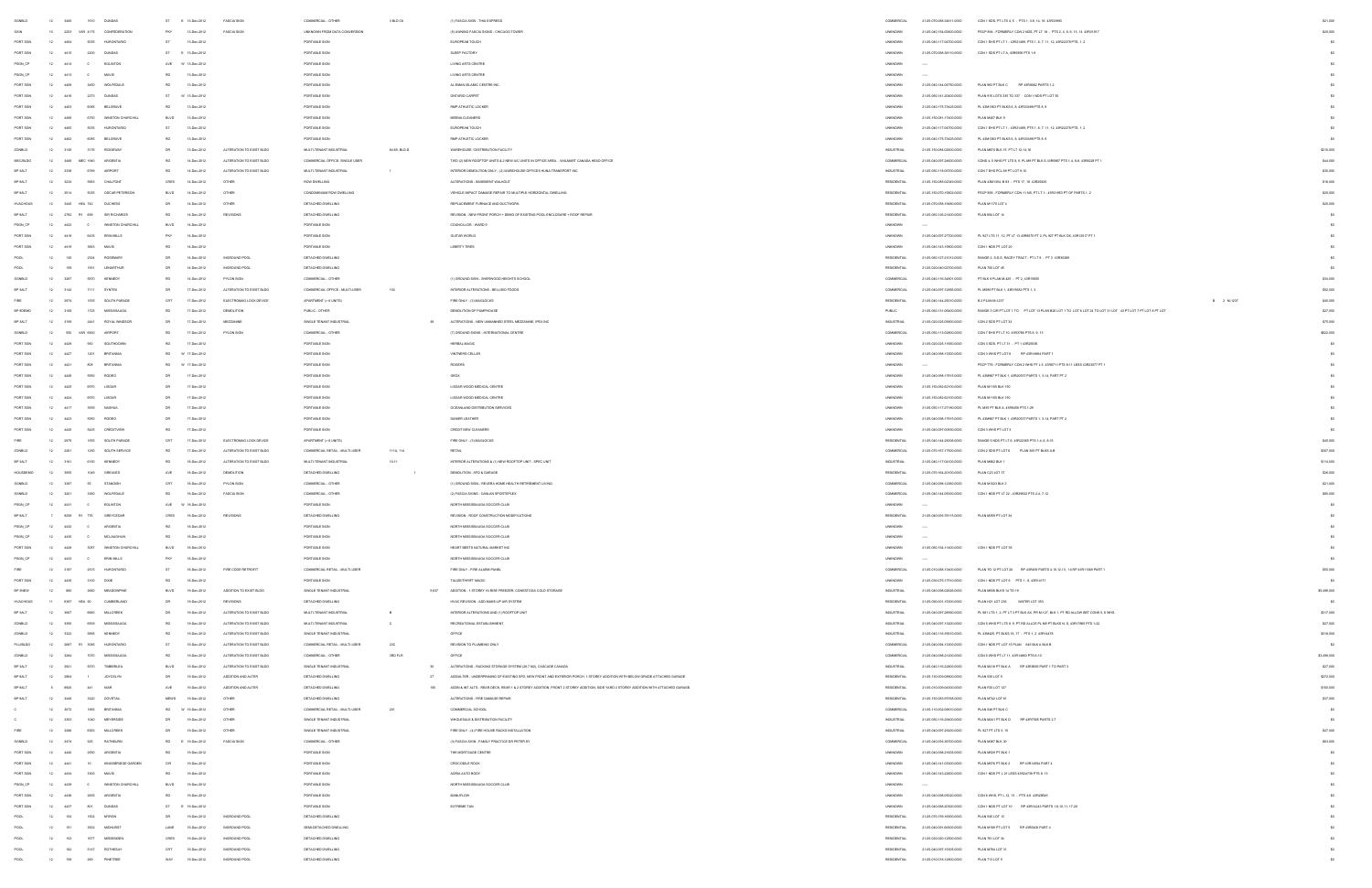| SGNBLD          | 3400<br>12      |                | 1510 DUNDAS        |                 | ST E 13-Dec-2012  | <b>FASCIA SIGN</b>        | COMMERCIAL - OTHER             | 3 BLD C6     | (1) FASCIA SIGN - THAI EXPRESS                                                                                                      | COMMERCIAL         | 21-05-070-068-34611-0000 | CON 1 SDS, PT LTS 4, 5 - PTS 1, 3-9, 14, 16 43R33993                                                       | \$21,00    |
|-----------------|-----------------|----------------|--------------------|-----------------|-------------------|---------------------------|--------------------------------|--------------|-------------------------------------------------------------------------------------------------------------------------------------|--------------------|--------------------------|------------------------------------------------------------------------------------------------------------|------------|
| SIGN            | 10<br>2253      | VAR 4175       | CONFEDERATION      | PKY             | 13-Dec-2012       | <b>FASCIA SIGN</b>        | UNKNOWN FROM DATA CONVERSION   |              | (5) AWNING FASCIA SIGNS - CHICAGO TOWER                                                                                             | <b>UNKNOWN</b>     | 21-05-040-154-00600-0000 | PSCP 894 - FORMERLY CON 2 NDS, PT LT 18 - PTS 2, 4, 8, 9, 13, 14 43R31917                                  | \$20.00    |
| PORT SGN        | 12<br>4404      | 5035           | HURONTARIO         |                 | ST 13-Dec-201     |                           | PORTABLE SIGN                  |              | EUROPEAN TOUCH                                                                                                                      | <b>UNKNOWN</b>     | 21-05-040-117-04700-0000 | CON 1 EHS PT LT 1 - 43R21489, PTS 1, 6, 7, 11, 12, 43R22278 PTS, 1, 2                                      |            |
| PORT SGN        | 4415<br>12      | 2200           | <b>DUNDAS</b>      |                 | ST E 13-Dec-2012  |                           | PORTABLE SIGN                  |              | SLEEP FACTORY                                                                                                                       | <b>UNKNOWN</b>     | 21-05-070-068-38110-0000 | CON 1 SDS PT LT A, 43R6356 PTS 1-9                                                                         |            |
|                 |                 |                |                    |                 |                   |                           |                                |              |                                                                                                                                     |                    |                          |                                                                                                            |            |
| PSGN_CP         | 12              |                | EGLINTON           |                 | AVE W 13-Dec-2012 |                           | PORTABLE SIGN                  |              | LIVING ARTS CENTRE                                                                                                                  | <b>UNKNOW?</b>     |                          |                                                                                                            |            |
| PSGN CP         | 12<br>4413      | $^{\circ}$     | MAVIS              |                 | RD 13-Dec-201     |                           | PORTABLE SIGN                  |              | LIVING ARTS CENTRE                                                                                                                  | <b>UNKNOWN</b>     | ----                     |                                                                                                            |            |
| PORT SGN        | 4408<br>12      | 3450           | WOLFEDALE          | RD 3            | 13-Dec-201        |                           | PORTABLE SIGN                  |              | AL EMAN ISLAMIC CENTRE INC                                                                                                          | <b>UNKNOWN</b>     | 21-05-040-144-04750-0000 | PLAN 963 PT BLK C RP 43R8062 PARTS 1,2                                                                     |            |
| PORT SGN        | 12<br>4416      | 2273           | DUNDAS             |                 | ST W 13-Dec-201   |                           | PORTABLE SIGN                  |              | ONTARIO CARPET                                                                                                                      | <b>UNKNOWN</b>     | 21-05-060-141-20400-0000 | PLAN 915 LOTS 335 TO 337 CON 1 NDS PT LOT 35                                                               |            |
|                 |                 |                |                    |                 |                   |                           |                                |              |                                                                                                                                     |                    |                          |                                                                                                            |            |
| PORT SGN        | $12-12$<br>4403 | 6085           | BELGRAVE           |                 | RD  13-Dec-201    |                           | PORTABLE SIGN                  |              | RMP ATHLETIC LOCKER                                                                                                                 | <b>UNKNOWN</b>     | 21-05-040-175-73425-0000 | PL 43M1363 PT BLKS 6, 8, 43R33498 PTS 8, 9                                                                 |            |
| PORT SGN        |                 | 6750           | WINSTON CHURCHIL   | <b>BLVD</b>     | 13-Dec-201        |                           | PORTABLE SIGN                  |              | MEENA CLEANERS                                                                                                                      | <b>UNKNOWN</b>     | 21-05-150-081-17400-0000 | PLAN M407 BLK 9                                                                                            |            |
| PORT SGN        | 12<br>4405      | 5035           | <b>HURONTARIO</b>  |                 | ST 13-Dec-201     |                           | PORTABLE SIGN                  |              | EUROPEAN TOUCH                                                                                                                      | <b>UNKNOWN</b>     | 21-05-040-117-04700-0000 | CON 1 EHS PT LT 1 - 43R21489, PTS 1, 6, 7, 11, 12, 43R22278 PTS, 1, 2                                      |            |
| PORT SGN        | 12<br>4402      | 6085           | BELGRAVE           | RD 3            | 13-Dec-201        |                           | PORTABLE SIGN                  |              | RMP ATHLETIC LOCKER                                                                                                                 | <b>UNKNOWN</b>     | 21-05-040-175-73425-0000 | PL 43M1363 PT BLKS 6, 8, 43R33498 PTS 8, 9                                                                 |            |
|                 |                 |                |                    |                 |                   |                           |                                |              |                                                                                                                                     |                    |                          |                                                                                                            |            |
| ZONBLD          | 3145<br>12      | 3176           | <b>RIDGEWAY</b>    | DR.             | 13-Dec-2012       | ALTERATION TO EXIST BLDG  | MULTI-TENANT INDUSTRIAL        | 64-65, BLD-D | WAREHOUSE / DISTRIBUTION FACILITY                                                                                                   | INDUSTRIAL         | 21-05-150-084-02600-0000 | PLAN M674 BLK 15 PT LT 12-14,16                                                                            | \$210.00   |
| MEC/BLDG        | 12<br>3406      | MEC<br>1940    | ARGENTIA           | <b>RD</b>       | 14-Dec-201        | ALTERATION TO EXIST BLDG  | COMMERCIAL OFFICE- SINGLE USER |              | TWO (2) NEW ROOFTOP UNITS & 2 NEW A/C UNITS IN OFFICE AREA. - WALMART CANADA HEAD OFFICE                                            | COMMERCIAL         | 21-05-040-097-24600-0000 | CONS 4, 5 WHS PT LTS 8, 9, PL M9 PT BLK S 43R5987 PTS 1-4, 6-8, 43R8228 PT 1                               |            |
| BP 3ALT         | 3338            | 6789           | AIRPORT            | <b>RD</b>       | 14-Dec-201        | ALTERATION TO EXIST BLDG  | MULTI-TENANT INDUSTRIAL        |              | INTERIOR DEMOLITION ONLY - (2) WAREHOUSE OFFICES HUNA TRANSPORT INC                                                                 | <b>INDUSTRIAL</b>  | 21-05-050-118-05700-0000 | CON 7 EHS PCL 69 PT LOT 9,10                                                                               | \$30,00    |
|                 |                 |                |                    |                 |                   |                           |                                |              |                                                                                                                                     |                    |                          |                                                                                                            |            |
| BP 9ALT         | 12<br>3234      | 5963           | CHALFONT           |                 | CRES 14-Dec-2012  | OTHER                     | <b>ROW DWELLING</b>            |              | ALTERATIONS - BASEMENT WALKOUT                                                                                                      | RESIDENTIAL        | 21-05-150-085-02349-0000 | PLAN 43M1354, B 83 - PTS 17, 18 43R25825                                                                   | \$16,00    |
| BP 9ALT         | 3514<br>12      | 5035           | OSCAR PETERSON     | <b>BLVD</b>     | 14-Dec-2012       | OTHER                     | CONDOMINIUM ROW DWELLING       |              | VEHICLE IMPACT DAMAGE REPAIR TO MULTIPLE HORIZONTAL DWELLING                                                                        | <b>RESIDENTIAL</b> | 21-05-150-070-15802-0000 | PSCP 858 - FORMERLY CON 11 NS, PT LT 1 - 43R31953 PT OF PARTS 1, 2                                         | \$20,00    |
| <b>HVACHOUS</b> | 12<br>3445      | <b>HEA 742</b> | <b>DUCHESS</b>     | <b>DR</b>       | 14-Dec-201        | OTHER                     | DETACHED DWELLING              |              | REPLACEMENT FURNACE AND DUCTWORK.                                                                                                   | <b>RESIDENTIAL</b> | 21-05-070-058-19480-0000 | PLAN M1170 LOT 4                                                                                           | \$20,00    |
| BP 9ALT         | 2782<br>12      | R1 658         | SIR RICHARD'S      | <b>RD</b>       | 14-Dec-2012       | REVISIONS                 | DETACHED DWELLING              |              | REVISION - NEW FRONT PORCH + DEMO OF EXISTING POOL ENCLOSURE + ROOF REPAIR                                                          | <b>RESIDENTIAL</b> | 21-05-060-126-21400-0000 | PLAN 694 LOT 14                                                                                            |            |
|                 |                 |                |                    |                 |                   |                           |                                |              |                                                                                                                                     |                    |                          |                                                                                                            |            |
| PSGN_CP         |                 |                | WINSTON CHURCHIL   | <b>BLVD</b>     | 14-Dec-201        |                           | PORTABLE SIGN                  |              | COUNCILLOR - WARD 9                                                                                                                 | <b>UNKNOW?</b>     |                          |                                                                                                            |            |
| PORT SGN        | 12<br>4418      | 6435           | <b>ERIN MILLS</b>  |                 | PKY 14-Dec-201    |                           | PORTABLE SIGN                  |              | GUITAR WORLD                                                                                                                        | <b>UNKNOWN</b>     | 21-05-040-097-27700-0000 | PL 927 LTS 11, 12, PT LT 13 43R9070 PT 2, PL 927 PT BLK DX, 43R12517 PT 1                                  |            |
| PORT SGN        | 4419<br>12      | 3663           | MAVIS              | <b>RD</b>       | 14-Dec-201        |                           | PORTABLE SIGN                  |              | <b>LIBERTY TIRES</b>                                                                                                                | <b>UNKNOWN</b>     | 21-05-040-143-19800-0000 | CON 1 NDS PT LOT 20                                                                                        |            |
|                 |                 |                |                    |                 |                   |                           |                                |              |                                                                                                                                     |                    |                          |                                                                                                            |            |
| POOL            | 12<br>130       | 2324           | ROSEMARY           | <b>DR</b>       | 14-Dec-2012       | INGROUND POOL             | DETACHED DWELLING              |              |                                                                                                                                     | <b>RESIDENTIAL</b> | 21-05-060-127-21012-0000 | RANGE 2, S.D.S, RACEY TRACT - PT LT 9 - PT 3 43R30289                                                      |            |
| POOL            | 12<br>159       | 1931           | LENARTHUR          | <b>DR</b>       | 14-Dec-2012       | INGROUND POOL             | DETACHED DWELLING              |              |                                                                                                                                     | <b>RESIDENTIAL</b> | 21-05-020-040-02700-0000 | PLAN 700 LOT 45                                                                                            |            |
| SGNBLD          | 12<br>3287      | 5870           | <b>KENNED</b>      | <b>RD</b>       | 14-Dec-201        | PYLON SIGN                | COMMERCIAL - OTHER             |              | (1) GROUND SIGN - SHERWOOD HEIGHTS SCHOOL                                                                                           | COMMERCIAL         | 21-05-040-116-34801-0000 | PT BLK 9 PLAN M-425 - PT 2, 43R15605                                                                       |            |
| BP 3ALT         | 12<br>3142      | 7111           | SYNTEX             | DR.             | 17-Dec-2012       | ALTERATION TO EXIST BLDG  | COMMERCIAL OFFICE - MULTI-USER | 102          | INTERIOR ALTERATIONS - BELLISIO FOODS                                                                                               | COMMERCIAL         | 21-05-040-097-12856-0000 | PL M589 PT BLK 1, 43R15682 PTS 1, 3                                                                        | \$52,00    |
|                 |                 |                |                    |                 |                   |                           |                                |              |                                                                                                                                     |                    |                          |                                                                                                            |            |
|                 | 12<br>2974      | 1535           | SOUTH PARADI       | CRT             | 17-Dec-2012       | ELECTROMAG LOCK DEVICE    | APARTMENT (> 6 UNITS)          |              | FIRE ONLY - (3) MAGLOCKS                                                                                                            | <b>RESIDENTIAL</b> | 21-05-040-144-25010-0000 | <b>B 2 PLAN M-1237</b><br>B 2 M-1237                                                                       | \$45,00    |
| BP 9DEMO        | 12<br>3108      | 1725           | <b>MISSISSAUGA</b> | <b>RD</b>       | 17-Dec-201        | DEMOLITION                | PUBLIC - OTHER                 |              | DEMOLITION OF PUMPHOUSE                                                                                                             | PUBLIC             | 21-05-060-131-06400-0000 | RANGE 3 CIR PT LOT 1 TO PT LOT 13 PLAN B20 LOT 1 TO LOT 6 LOT 24 TO LOT 31 LOT 43 PT LOT 7 PT LOT 8 PT LOT | \$27,00    |
| BP 3ALT         | 3159<br>12      | 2441           | ROYAL WINDSOR      | <b>DR</b>       | 17-Dec-201        | MEZZANINE                 | SINGLE TENANT INDUSTRIAL       | 38           | ALTERATIONS - NEW UNMANNED STEEL MEZZANINE, IPEX INC                                                                                | <b>INDUSTRIAL</b>  | 21-05-020-025-09900-0000 | CON 2 SDS PT LOT 33                                                                                        | \$75,00    |
|                 |                 |                |                    |                 |                   |                           |                                |              |                                                                                                                                     |                    |                          |                                                                                                            |            |
| SGNBLD          | 12              |                | AIRPORT            | <b>RD</b>       | 17-Dec-201        | PYLON SIGN                | COMMERCIAL - OTHER             |              | (7) GROUND SIGNS - INTERNATIONAL CENTRE                                                                                             | COMMERCIAL         | 21-05-050-113-02800-0000 | CON 7 EHS PT LT 10, 43R3786 PTS 8, 9, 13                                                                   | \$622,00   |
| PORT SGN        | 12<br>4429      | 950            | SOUTHDOWN          |                 | RD 17-Dec-201     |                           | PORTABLE SIGN                  |              | HERBAL MAGIC                                                                                                                        | <b>UNKNOWN</b>     | 21-05-020-025-11650-0000 | CON 3 SDS, PT LT 31 - PT 1 43R25635                                                                        |            |
| PORT SGN        | 12<br>4427      | 1201           | <b>BRITANNIA</b>   |                 | RD W 17-Dec-201   |                           | PORTABLE SIGN                  |              | VINTNERS CELLAR                                                                                                                     | <b>UNKNOW?</b>     | 21-05-040-098-13300-0000 | CON 3 WHS PT LOT 6 RP 43R14964 PART 1                                                                      |            |
| PORT SGN        | 12              | 808            | BRITANNIA          |                 | RD W 17-Dec-2012  |                           | PORTABLE SIGN                  |              | ROGERS                                                                                                                              | <b>UNKNOWN</b>     | -                        | PSCP 778 - FORMERLY CON 2 WHS PT L 5, 43R8711 PTS 8-11 LESS 43R23077 PT 1                                  |            |
|                 |                 |                |                    |                 |                   |                           |                                |              |                                                                                                                                     |                    |                          |                                                                                                            |            |
| PORT SGN        | 12<br>4426      | 5950           | <b>BODEC</b>       |                 | DR 17-Dec-201     |                           | PORTABLE SIGN                  |              | GEOX                                                                                                                                | <b>UNKNOWN</b>     | 21-05-040-098-17815-0000 | PL 43M967 PT BLK 1, 43R20537 PARTS 1, 3-14, PART PT 2                                                      |            |
| PORT SGN        | 4425            | 6970           | LISGAR             | <b>DR</b>       | 17-Dec-201        |                           | PORTABLE SIGN                  |              | LISGAR WOOD MEDICAL CENTRE                                                                                                          | <b>UNKNOWN</b>     | 21-05-150-082-62100-0000 | PLAN M1105 BLK 150                                                                                         |            |
| PORT SGN        | 12<br>4424      | 6970           | LISGAR             | DR.             | 17-Dec-201        |                           | PORTABLE SIGN                  |              | LISGAR WOOD MEDICAL CENTRE                                                                                                          | <b>UNKNOWN</b>     | 21-05-150-082-62100-0000 | PLAN M1105 BLK 150                                                                                         |            |
| PORT SGN        | 12<br>4417      | 3939           | <b>NASHL</b>       | <b>DR</b>       | 17-Dec-201        |                           | PORTABLE SIGN                  |              | OCEANLAND DISTRIBUTION SERVICES                                                                                                     | <b>UNKNOWN</b>     | 21-05-050-117-27180-0000 | PL M35 PT BLK A, 43R8456 PTS 1-29                                                                          |            |
|                 |                 |                |                    |                 |                   |                           |                                |              |                                                                                                                                     |                    |                          |                                                                                                            |            |
| PORT SGN        | 12<br>4423      | 5950           | RODEO              | DR.             | 17-Dec-2012       |                           | PORTABLE SIGN                  |              | DANIER LEATHER                                                                                                                      | <b>UNKNOWN</b>     | 21-05-040-098-17815-0000 | PL 43M967 PT BLK 1, 43R20537 PARTS 1, 3-14, PART PT 2                                                      |            |
| PORT SGN        | 4420<br>12      | 5425           | CREDITVIEW         | <b>RD</b>       | 17-Dec-201        |                           | PORTABLE SIGN                  |              | CREDITVIEW CLEANERS                                                                                                                 | <b>UNKNOWN</b>     | 21-05-040-097-00830-0000 | CON 3 WHS PT LOT 3                                                                                         |            |
|                 | 2975<br>12      | 1555           | SOUTH PARADI       | CRT             | 17-Dec-201        | ELECTROMAG LOCK DEVICE    | APARTMENT (> 6 UNITS)          |              | FIRE ONLY - (3) MAGLOCKS                                                                                                            | <b>RESIDENTIA</b>  | 21-05-040-144-25006-0000 | RANGE 5 NDS PT LT 6, 43R22365 PTS 1-4, 6, 8-15                                                             |            |
|                 |                 |                |                    |                 |                   |                           |                                |              |                                                                                                                                     |                    |                          |                                                                                                            |            |
| ZONBLD          | 12<br>2261      | 1250           | SOUTH SERVICE      |                 | RD 17-Dec-2012    | ALTERATION TO EXIST BLDG. | COMMERCIAL RETAIL - MULTI-USER | 111A 114     | RETAIL                                                                                                                              | COMMERCIAL         | 21-05-070-167-17500-0000 | CON 2 SDS PT LOT 6 PLAN 305 PT BLKS A.B                                                                    | \$307,00   |
| BP 3ALT         | 12<br>3161      | 6150           | KENNEDY            | <b>RD</b>       | 18-Dec-2012       | ALTERATION TO EXIST BLDG  | MULTI-TENANT INDUSTRIAL        | 10-11        | INTERIOR ALTERATIONS & (1) NEW ROOFTOP UNIT - SPEC UNIT                                                                             | <b>INDUSTRIAL</b>  | 21-05-040-117-04100-0000 | PLAN M862 BLK                                                                                              | \$114,00   |
| HOUSDEMO        | 12<br>3505      | 1049           | GREAVES            | AVE             | 18-Dec-2012       | DEMOLITION                | DETACHED DWELLING              |              | DEMOLITION - SFD & GARAGE                                                                                                           | <b>RESIDENTIAL</b> | 21-05-070-164-20100-0000 | PLAN C23 LOT 37                                                                                            | \$26,00    |
|                 |                 |                | <b>STANDISK</b>    |                 |                   |                           |                                |              |                                                                                                                                     |                    |                          |                                                                                                            |            |
| SGNBLD          | 12<br>3397      |                |                    | CRT             | 18-Dec-2012       | PYLON SIGN                | COMMERCIAL - OTHER             |              | (1) GROUND SIGN - REVERA HOME HEALTH RETIREMENT LIVING                                                                              | COMMERCIAL         | 21-05-040-098-12360-0000 | PLAN M1023 BLK 3                                                                                           | \$21,00    |
| SGNBLD          | 12              | 3360           | WOLFEDAL           |                 | 18-Dec-2012       | <b>FASCIA SIGN</b>        | COMMERCIAL - OTHER             |              | (2) FASCIA SIGNS - CANLAN SPORTSPLEX                                                                                                | COMMERCIA          | 21-05-040-144-05000-0000 | CON 1 NDS PT LT 22 - 43R29832 PTS 2-4, 7-12                                                                | \$80,00    |
| PSGN CP         | 12 4431         | $\sim$ 0       | <b>EGLINTON</b>    |                 | AVE W 18-Dec-2012 |                           | PORTABLE SIGN                  |              | NORTH MISSISSAUGA SOCCER CLUB                                                                                                       | <b>UNKNOWN</b>     |                          |                                                                                                            |            |
| BP 9ALT         | 8258            |                | GREYCEDAR          | CRES            | 18-Dec-2012       | <b>REVISION:</b>          | DETACHED DWELLING              |              | REVISION - ROOF CONSTRUCTION MODIFICATIONS                                                                                          | <b>RESIDENTIAL</b> | 21-05-040-093-78115-0000 | PLAN M359 PT LOT 34                                                                                        |            |
|                 |                 |                |                    |                 |                   |                           |                                |              |                                                                                                                                     |                    |                          |                                                                                                            |            |
| PSGN CP         | 12<br>4432      | $\sim$ 0       | ARGENTIA           |                 | RD 18-Dec-2012    |                           | PORTABLE SIGN                  |              | NORTH MISSISSAUGA SOCCER CLUB                                                                                                       | <b>UNKNOWN</b>     | ----                     |                                                                                                            |            |
| PSGN_CP         | 4430<br>12      | $\sim$ 0       | MCLAUGHLIN         | RD 3            | 18-Dec-201        |                           | PORTABLE SIGN                  |              | NORTH MISSISSAUGA SOCCER CLUB                                                                                                       | <b>UNKNOWN</b>     | $\sim$                   |                                                                                                            |            |
| PORT SGN        | 12<br>4428      | 3087           | WINSTON CHURCHILL  | <b>BLVD</b>     | 18-Dec-2012       |                           | PORTABLE SIGN                  |              | HEART BEETS NATURAL MARKET INC                                                                                                      | <b>UNKNOW?</b>     | 21-05-060-154-11400-0000 | CON 1 NDS PT LOT 35                                                                                        |            |
| PSGN CP         | 12<br>4433      | $\sim$ 0       | <b>ERIN MILLS</b>  |                 | PKY 18-Dec-201    |                           | PORTABLE SIGN                  |              | NORTH MISSISSAUGA SOCCER CLUB                                                                                                       | <b>UNKNOWN</b>     | 1.111                    |                                                                                                            |            |
|                 |                 |                |                    |                 |                   |                           |                                |              |                                                                                                                                     |                    |                          |                                                                                                            |            |
|                 | 3187<br>12      | 2515           | <b>HURONTARIO</b>  | <b>ST</b>       | 18-Dec-2012       | FIRE CODE RETROFIT        | COMMERCIAL RETAIL - MULTI-USER |              | FIRE ONLY - FIRE ALARM PANEL                                                                                                        | COMMERCIAL         | 21-05-010-068-13400-0000 | PLAN TO 12 PT LOT 20 RP 43R493 PARTS 4,10,12,13, 14 RP 43R11369 PART 1                                     |            |
| PORT SGN        | 12<br>4435      | 3100           | DIXIE              | RD 3            | 18-Dec-201        |                           | PORTABLE SIGN                  |              | TALIZE/THRIFT MAGIC                                                                                                                 | <b>UNKNOWN</b>     | 21-05-030-075-17510-0000 | CON 1 NDS PT LOT 6 PTS 1 - 8, 43R14171                                                                     |            |
| BP 3NEW         | $12-12$<br>860  | 2660           | MEADOWPINE         |                 | BLVD 19-Dec-2012  | ADDITION TO EXIST BLDG    | SINGLE TENANT INDUSTRIAL       | 5.637        | ADDITION - 1 STOREY HI-RISE FREEZER, CONESTOGA COLD STORAGE                                                                         | <b>INDUSTRIAL</b>  | 21-05-040-098-02626-0000 | PLAN M936 BLKS 14 TO 19                                                                                    | \$5,496,00 |
|                 |                 |                |                    |                 |                   |                           |                                |              |                                                                                                                                     |                    |                          |                                                                                                            |            |
| <b>HVACHOUS</b> |                 | HEA 9          | CUMBERLAND         |                 | 19-Dec-2012       | <b>REVISION:</b>          | DETACHED DWELLING              |              | HVAC REVISION - ADD MAKE-UP AIR SYSTEM                                                                                              | <b>RESIDENTIAL</b> | 21-05-090-001-15300-0000 | PLAN H21 LOT 236 WATER LOT 353                                                                             |            |
| BP 3ALT         | 12<br>3067      | 6660           | MILLCREEK          | DR <sub>1</sub> | 19-Dec-2012       | ALTERATION TO EXIST BLDG  | MULTI-TENANT INDUSTRIAL        | B            | INTERIOR ALTERATIONS AND (1) ROOFTOP UNIT                                                                                           | INDUSTRIAL         | 21-05-040-097-28590-0000 | PL 981 LTS 1, 2, PT LT 3 PT BLK AX, PR M-127, BLK 1, PT RD ALLOW BET CONS 5, 6 WHS                         | \$317,00   |
| ZONBLD          | 12<br>3350      | 6509           | <b>MISSISSAUG</b>  | <b>RD</b>       | 19-Dec-2012       | ALTERATION TO EXIST BLDG  | MULTI-TENANT INDUSTRIAL        | $\mathbf{C}$ | RECREATIONAL ESTABLISHMENT                                                                                                          | INDUSTRIAL         | 21-05-040-097-13200-0000 | CON 5 WHS PT LTS 8, 9, PT RD ALLCE PL M9 PT BLKS N, S, 43R17865 PTS 1-22                                   | \$27,00    |
| ZONBLD          | 3322<br>12      | 5895           | KENNEDY            | <b>RD</b>       | 19-Dec-2012       | ALTERATION TO EXIST BLDG  | SINGLE TENANT INDUSTRIAL       |              | OFFICE                                                                                                                              | INDUSTRIAL         | 21-05-040-116-35610-0000 | PL 43M425, PT BLKS 16, 17 - PTS 1, 2 43R14478                                                              | \$318,00   |
|                 |                 |                |                    |                 |                   |                           |                                |              |                                                                                                                                     |                    |                          |                                                                                                            |            |
| PLU/BLDG        | 12<br>2687      | R1 3085        | <b>HURONTARIO</b>  | <b>ST</b>       | 19-Dec-2012       | ALTERATION TO EXIST BLDG  | COMMERCIAL RETAIL - MULTI-USER | 23C          | REVISION TO PLUMBING ONLY                                                                                                           | COMMERCIAL         | 21-05-040-094-13300-0000 | CON 1 NDS PT LOT 15 PLAN 645 BLK A BLK B                                                                   |            |
| ZONBLD          |                 | 7070           | MISSISSAUG         | <b>RD</b>       | 19-Dec-201        | ALTERATION TO EXIST BLDG  | COMMERCIAL - OTHER             | 3RD FLR      | OFFICE                                                                                                                              | COMMERCIAL         | 21-05-040-098-21200-0000 | CON 5 WHS PT LT 11, 43R14863 PTS 6-10                                                                      | \$3,498,00 |
| BP 3ALT         | 12<br>2921      | 5570           | TIMBERLEA          |                 | BLVD 19-Dec-2012  | ALTERATION TO EXIST BLDG  | SINGLE TENANT INDUSTRIAL       | 30           | ALTERATIONS - RACKING STORAGE SYSTEM (29.7 M2). CASCADE CANADA                                                                      | INDUSTRIAL         | 21-05-040-116-22800-0000 | PLAN M218 PT BLK A RP 43R5695 PART 1 TO PART 3                                                             | \$27,00    |
| BP 9ALT         | 12<br>2864      |                | <b>JOYCELYN</b>    | <b>DR</b>       | 19-Dec-2012       | ADDITION AND ALTER        | DETACHED DWELLING              |              | ADD/ALTER - UNDERPINNING OF EXISTING SFD, NEW FRONT AND EXTERIOR PORCH, 1 STOREY ADDITION WITH BELOW GRADE ATTACHED GARAGE          | <b>RESIDENTIAL</b> | 21-05-130-009-08800-0000 | PLAN 530 LOT 5                                                                                             | \$272,00   |
|                 |                 |                |                    |                 |                   |                           |                                |              |                                                                                                                                     |                    |                          |                                                                                                            |            |
| BP 9ALT         | 8920            | 441            | <b>NIAR</b>        |                 | AVE 19-Dec-2012   | ADDITION AND ALTER        | DETACHED DWELLING              | 105          | ADDN & INT ALTS - REAR DECK, REAR 1 & 2 STOREY ADDITION, FRONT 2 STOREY ADDITION, SIDE YARD 2 STOREY ADDITION WITH ATTACHED GARAGE. | <b>RESIDENTIAL</b> | 21-05-010-009-04300-0000 | PLAN F20 LOT 127                                                                                           | \$150,00   |
| BP 9ALT         | 12<br>3449      | 3220           | DOVETAIL           |                 | MEWS 19-Dec-2012  | OTHER                     | DETACHED DWELLING              |              | ALTERATIONS - FIRE DAMAGE REPAIR                                                                                                    | <b>RESIDENTIAL</b> | 21-05-150-083-97938-0000 | PLAN M742 LOT 81                                                                                           | \$37,00    |
|                 | 3072<br>12      | 1965           | BRITANNIA          |                 | RD W 19-Dec-2012  | OTHER                     | COMMERCIAL RETAIL - MULTI-USER | 201          | COMMERCIAL SCHOOL                                                                                                                   | COMMERCIAL         | 21-05-110-002-09610-0000 | PLAN 548 PT BLK C                                                                                          |            |
|                 |                 |                |                    |                 |                   |                           |                                |              |                                                                                                                                     |                    |                          |                                                                                                            |            |
|                 | 12<br>3353      | 1040           | <b>MEYERSIDE</b>   | DR.             | 19-Dec-2012       | OTHER                     | SINGLE TENANT INDUSTRIAL       |              | WHOLESALE & DISTRIBUTION FACILITY                                                                                                   | INDUSTRIAL         | 21-05-050-116-29400-0000 | PLAN M241 PT BLK D RP 43R7565 PARTS 2.7                                                                    |            |
|                 | 12<br>3286      | 6363           | MILLCREEK          | <b>DR</b>       | 19-Dec-2012       | OTHER                     | SINGLE TENANT INDUSTRIAL       |              | FIRE ONLY - (4) FIRE HOUSE RACKS INSTALLATION                                                                                       | <b>INDUSTRIAL</b>  | 21-05-040-097-29200-0000 | PL 927 PT LTS 3, 15                                                                                        | \$27.00    |
| SGNBLD          | 12<br>3474      | 925            | RATHBURN           |                 | RD E 19-Dec-2012  | <b>FASCIA SIGN</b>        | COMMERCIAL - OTHER             |              | (3) FASCIA SIGN - FAMILY PRACTICE DR PETER SY                                                                                       | COMMERCIAL         | 21-05-040-093-36700-0000 | PLAN M367 BLK 30                                                                                           | \$63.00    |
| PORT SGN        | $12-12$<br>4440 | 2550           | ARGENTIA           | RD 3            | 19-Dec-201        |                           | PORTABLE SIGN                  |              | THE MORTGAGE CENTRE                                                                                                                 | <b>UNKNOWN</b>     | 21-05-040-098-21605-0000 | PLAN M529 PT BLK 1                                                                                         |            |
|                 |                 |                |                    |                 |                   |                           |                                |              |                                                                                                                                     |                    |                          |                                                                                                            |            |
| PORT SGN        | 12              |                | KINGSBRIDGE GARDEN | CIR             | 19-Dec-2012       |                           | PORTABLE SIGN                  |              | CROCODILE ROCK                                                                                                                      | <b>UNKNOWN</b>     | 21-05-040-141-03300-0000 | PLAN M576 PT BLK 2 RP 43R14594 PART 4                                                                      |            |
| PORT SGN        | 12<br>4434      | 3300           | MAVIS              |                 | RD 19-Dec-2012    |                           | PORTABLE SIGN                  |              | ADRIA AUTO BODY                                                                                                                     | <b>UNKNOWN</b>     | 21-05-040-143-22600-0000 | CON 1 NDS PT L 21 LESS 43R24739 PTS 8.13                                                                   |            |
| PSGN_CP         | 4439<br>12      |                | WINSTON CHURCHILL  |                 | BLVD 19-Dec-201   |                           | PORTABLE SIGN                  |              | NORTH MISSISSAUGA SOCCER CLUB                                                                                                       | <b>UNKNOWN</b>     |                          |                                                                                                            |            |
| PORT SGN        | 12              | 2835           | ARGENTIA           |                 | RD 19-Dec-201     |                           | PORTABLE SIGN                  |              | MANUFLOW                                                                                                                            |                    | 21-05-040-098-05020-0000 | CON 6 WHS, PT L 12, 13 - PTS 4-6 43R28549                                                                  |            |
|                 | 4436            |                |                    |                 |                   |                           |                                |              |                                                                                                                                     | <b>UNKNOWN</b>     |                          |                                                                                                            |            |
| PORT SGN        |                 | 801            | DUNDAS             |                 | ST E 19-Dec-2012  |                           | PORTABLE SIGN                  |              | <b>EXTREME TAN</b>                                                                                                                  | <b>UNKNOWN</b>     | 21-05-040-068-20300-0000 | CON 1 NDS PT LOT 10 RP 43R14243 PARTS 1,6,10,11, 17-20                                                     |            |
|                 | 4437<br>$12-12$ |                | <b>MYRON</b>       | <b>DR</b>       | 19-Dec-2012       | INGROUND POOL             | DETACHED DWELLING              |              |                                                                                                                                     | <b>RESIDENTIAL</b> | 21-05-070-159-16900-0000 | PLAN 545 LOT 13                                                                                            |            |
| POOL            | 12<br>154       | 1502           |                    |                 |                   |                           |                                |              |                                                                                                                                     |                    |                          |                                                                                                            |            |
| POOL            | 12<br>151       | 3902           | <b>MIDHURST</b>    |                 | LANE 19-Dec-2012  | INGROUND POOL             | SEMI-DETACHED DWELLING         |              |                                                                                                                                     | RESIDENTIAL        | 21-05-040-091-69300-0000 | PLAN M189 PT LOT 5 RP 43R5400 PART 4                                                                       |            |
|                 |                 |                |                    |                 |                   |                           |                                |              |                                                                                                                                     |                    |                          |                                                                                                            |            |
| POOL            | 12<br>153       | 1677           | <b>MISSENDEN</b>   | CRES            | 19-Dec-2012       | INGROUND POOL             | DETACHED DWELLING              |              |                                                                                                                                     | RESIDENTIAL        | 21-05-020-020-12500-0000 | PLAN 761 LOT 34                                                                                            |            |
| POOL            | 12<br>162       | 5147           | <b>ROTHESAY</b>    | CRT             | 19-Dec-2012       | INGROUND POOL             | DETACHED DWELLING              |              |                                                                                                                                     | <b>RESIDENTIAL</b> | 21-05-040-097-15305-0000 | PLAN M784 LOT 31                                                                                           |            |
| POOL            | 12 158          |                | 269 PINETREE       |                 | WAY 19-Dec-2012   | INGROUND POOL             | DETACHED DWELLING              |              |                                                                                                                                     | RESIDENTIAL        | 21-05-010-018-12800-0000 | PLAN 713 LOT 5                                                                                             |            |